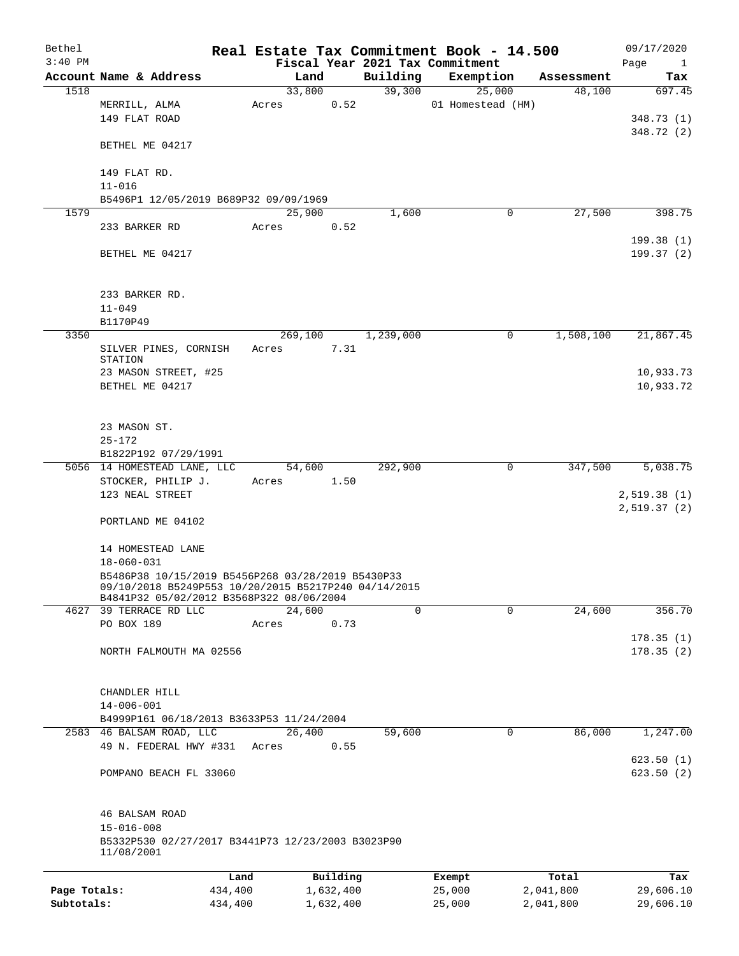| Bethel       |                                                                                                                                                       |       |                |           | Real Estate Tax Commitment Book - 14.500 |            | 09/17/2020                 |
|--------------|-------------------------------------------------------------------------------------------------------------------------------------------------------|-------|----------------|-----------|------------------------------------------|------------|----------------------------|
| $3:40$ PM    |                                                                                                                                                       |       |                |           | Fiscal Year 2021 Tax Commitment          |            | Page<br>$\mathbf{1}$       |
|              | Account Name & Address                                                                                                                                |       | Land           | Building  | Exemption                                | Assessment | Tax                        |
| 1518         |                                                                                                                                                       |       | 33,800<br>0.52 | 39,300    | 25,000<br>01 Homestead (HM)              | 48,100     | 697.45                     |
|              | MERRILL, ALMA<br>149 FLAT ROAD                                                                                                                        | Acres |                |           |                                          |            | 348.73 (1)<br>348.72 (2)   |
|              | BETHEL ME 04217                                                                                                                                       |       |                |           |                                          |            |                            |
|              | 149 FLAT RD.                                                                                                                                          |       |                |           |                                          |            |                            |
|              | $11 - 016$<br>B5496P1 12/05/2019 B689P32 09/09/1969                                                                                                   |       |                |           |                                          |            |                            |
| 1579         |                                                                                                                                                       |       | 25,900         | 1,600     | 0                                        | 27,500     | 398.75                     |
|              | 233 BARKER RD                                                                                                                                         | Acres | 0.52           |           |                                          |            |                            |
|              |                                                                                                                                                       |       |                |           |                                          |            | 199.38(1)                  |
|              | BETHEL ME 04217                                                                                                                                       |       |                |           |                                          |            | 199.37(2)                  |
|              | 233 BARKER RD.                                                                                                                                        |       |                |           |                                          |            |                            |
|              | $11 - 049$                                                                                                                                            |       |                |           |                                          |            |                            |
|              | B1170P49                                                                                                                                              |       |                |           |                                          |            |                            |
| 3350         |                                                                                                                                                       |       | 269,100        | 1,239,000 | 0                                        | 1,508,100  | 21,867.45                  |
|              | SILVER PINES, CORNISH                                                                                                                                 | Acres | 7.31           |           |                                          |            |                            |
|              | STATION                                                                                                                                               |       |                |           |                                          |            |                            |
|              | 23 MASON STREET, #25                                                                                                                                  |       |                |           |                                          |            | 10,933.73                  |
|              | BETHEL ME 04217                                                                                                                                       |       |                |           |                                          |            | 10,933.72                  |
|              | 23 MASON ST.                                                                                                                                          |       |                |           |                                          |            |                            |
|              | $25 - 172$                                                                                                                                            |       |                |           |                                          |            |                            |
|              | B1822P192 07/29/1991                                                                                                                                  |       |                |           |                                          |            |                            |
|              | 5056 14 HOMESTEAD LANE, LLC                                                                                                                           |       | 54,600         | 292,900   | 0                                        | 347,500    | 5,038.75                   |
|              | STOCKER, PHILIP J.<br>123 NEAL STREET                                                                                                                 | Acres | 1.50           |           |                                          |            | 2,519.38(1)<br>2,519.37(2) |
|              | PORTLAND ME 04102                                                                                                                                     |       |                |           |                                          |            |                            |
|              | 14 HOMESTEAD LANE<br>$18 - 060 - 031$                                                                                                                 |       |                |           |                                          |            |                            |
|              | B5486P38 10/15/2019 B5456P268 03/28/2019 B5430P33<br>09/10/2018 B5249P553 10/20/2015 B5217P240 04/14/2015<br>B4841P32 05/02/2012 B3568P322 08/06/2004 |       |                |           |                                          |            |                            |
|              | 4627 39 TERRACE RD LLC                                                                                                                                |       | 24,600         | $\Omega$  | $\Omega$                                 | 24,600     | 356.70                     |
|              | PO BOX 189                                                                                                                                            | Acres | 0.73           |           |                                          |            |                            |
|              | NORTH FALMOUTH MA 02556                                                                                                                               |       |                |           |                                          |            | 178.35(1)<br>178.35(2)     |
|              | CHANDLER HILL                                                                                                                                         |       |                |           |                                          |            |                            |
|              | $14 - 006 - 001$                                                                                                                                      |       |                |           |                                          |            |                            |
|              | B4999P161 06/18/2013 B3633P53 11/24/2004                                                                                                              |       |                |           |                                          |            |                            |
|              | 2583 46 BALSAM ROAD, LLC                                                                                                                              |       | 26,400         | 59,600    | 0                                        | 86,000     | 1,247.00                   |
|              | 49 N. FEDERAL HWY #331                                                                                                                                | Acres | 0.55           |           |                                          |            |                            |
|              | POMPANO BEACH FL 33060                                                                                                                                |       |                |           |                                          |            | 623.50(1)<br>623.50(2)     |
|              | 46 BALSAM ROAD                                                                                                                                        |       |                |           |                                          |            |                            |
|              | $15 - 016 - 008$<br>B5332P530 02/27/2017 B3441P73 12/23/2003 B3023P90<br>11/08/2001                                                                   |       |                |           |                                          |            |                            |
|              |                                                                                                                                                       | Land  | Building       |           | Exempt                                   | Total      | Tax                        |
| Page Totals: | 434,400                                                                                                                                               |       | 1,632,400      |           | 25,000                                   | 2,041,800  | 29,606.10                  |
| Subtotals:   | 434,400                                                                                                                                               |       | 1,632,400      |           | 25,000                                   | 2,041,800  | 29,606.10                  |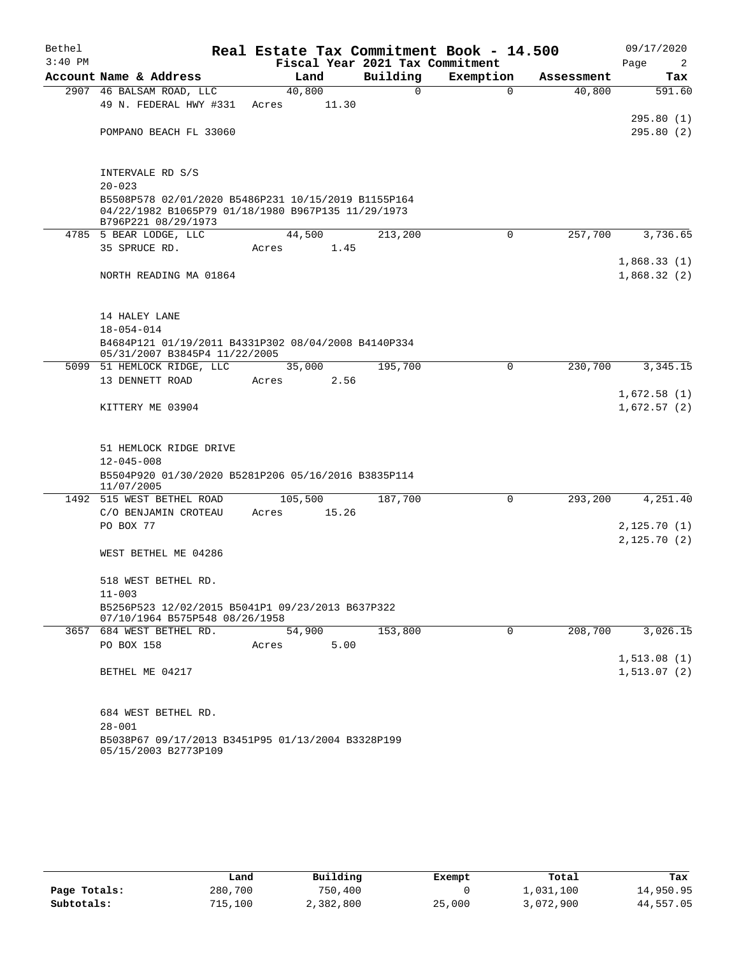| Bethel    |                                                                                    |         |        | Real Estate Tax Commitment Book - 14.500 |           |             |            | 09/17/2020   |
|-----------|------------------------------------------------------------------------------------|---------|--------|------------------------------------------|-----------|-------------|------------|--------------|
| $3:40$ PM |                                                                                    |         |        | Fiscal Year 2021 Tax Commitment          |           |             |            | Page<br>2    |
|           | Account Name & Address                                                             |         | Land   | Building                                 | Exemption |             | Assessment | Tax          |
|           | 2907 46 BALSAM ROAD, LLC                                                           | 40,800  |        | $\Omega$                                 |           | $\Omega$    | 40,800     | 591.60       |
|           | 49 N. FEDERAL HWY #331                                                             | Acres   | 11.30  |                                          |           |             |            |              |
|           |                                                                                    |         |        |                                          |           |             |            | 295.80(1)    |
|           | POMPANO BEACH FL 33060                                                             |         |        |                                          |           |             |            | 295.80(2)    |
|           |                                                                                    |         |        |                                          |           |             |            |              |
|           | INTERVALE RD S/S                                                                   |         |        |                                          |           |             |            |              |
|           | $20 - 023$                                                                         |         |        |                                          |           |             |            |              |
|           | B5508P578 02/01/2020 B5486P231 10/15/2019 B1155P164                                |         |        |                                          |           |             |            |              |
|           | 04/22/1982 B1065P79 01/18/1980 B967P135 11/29/1973                                 |         |        |                                          |           |             |            |              |
|           | B796P221 08/29/1973                                                                |         |        |                                          |           |             |            |              |
|           | 4785 5 BEAR LODGE, LLC                                                             |         | 44,500 | 213,200                                  |           | $\mathbf 0$ | 257,700    | 3,736.65     |
|           | 35 SPRUCE RD.                                                                      | Acres   | 1.45   |                                          |           |             |            | 1,868.33(1)  |
|           | NORTH READING MA 01864                                                             |         |        |                                          |           |             |            | 1,868.32(2)  |
|           |                                                                                    |         |        |                                          |           |             |            |              |
|           |                                                                                    |         |        |                                          |           |             |            |              |
|           | 14 HALEY LANE                                                                      |         |        |                                          |           |             |            |              |
|           | 18-054-014                                                                         |         |        |                                          |           |             |            |              |
|           | B4684P121 01/19/2011 B4331P302 08/04/2008 B4140P334                                |         |        |                                          |           |             |            |              |
|           | 05/31/2007 B3845P4 11/22/2005                                                      |         |        |                                          |           |             |            |              |
|           | 5099 51 HEMLOCK RIDGE, LLC<br>13 DENNETT ROAD                                      |         | 35,000 | 195,700                                  |           | $\Omega$    | 230,700    | 3,345.15     |
|           |                                                                                    | Acres   | 2.56   |                                          |           |             |            | 1,672.58(1)  |
|           | KITTERY ME 03904                                                                   |         |        |                                          |           |             |            | 1,672.57(2)  |
|           |                                                                                    |         |        |                                          |           |             |            |              |
|           |                                                                                    |         |        |                                          |           |             |            |              |
|           | 51 HEMLOCK RIDGE DRIVE                                                             |         |        |                                          |           |             |            |              |
|           | $12 - 045 - 008$                                                                   |         |        |                                          |           |             |            |              |
|           | B5504P920 01/30/2020 B5281P206 05/16/2016 B3835P114                                |         |        |                                          |           |             |            |              |
|           | 11/07/2005<br>1492 515 WEST BETHEL ROAD                                            | 105,500 |        | 187,700                                  |           | $\Omega$    | 293,200    | 4,251.40     |
|           | C/O BENJAMIN CROTEAU                                                               | Acres   | 15.26  |                                          |           |             |            |              |
|           | PO BOX 77                                                                          |         |        |                                          |           |             |            | 2,125.70(1)  |
|           |                                                                                    |         |        |                                          |           |             |            | 2,125.70(2)  |
|           | WEST BETHEL ME 04286                                                               |         |        |                                          |           |             |            |              |
|           |                                                                                    |         |        |                                          |           |             |            |              |
|           | 518 WEST BETHEL RD.                                                                |         |        |                                          |           |             |            |              |
|           | $11 - 003$                                                                         |         |        |                                          |           |             |            |              |
|           | B5256P523 12/02/2015 B5041P1 09/23/2013 B637P322<br>07/10/1964 B575P548 08/26/1958 |         |        |                                          |           |             |            |              |
|           | 3657 684 WEST BETHEL RD.                                                           |         | 54,900 | 153,800                                  |           | 0           | 208,700    | 3,026.15     |
|           | PO BOX 158                                                                         | Acres   | 5.00   |                                          |           |             |            |              |
|           |                                                                                    |         |        |                                          |           |             |            | 1, 513.08(1) |
|           | BETHEL ME 04217                                                                    |         |        |                                          |           |             |            | 1, 513.07(2) |
|           |                                                                                    |         |        |                                          |           |             |            |              |
|           |                                                                                    |         |        |                                          |           |             |            |              |
|           | 684 WEST BETHEL RD.                                                                |         |        |                                          |           |             |            |              |
|           | $28 - 001$                                                                         |         |        |                                          |           |             |            |              |
|           | B5038P67 09/17/2013 B3451P95 01/13/2004 B3328P199<br>05/15/2003 B2773P109          |         |        |                                          |           |             |            |              |

|              | Land    | Building  | Exempt | Total     | Tax       |
|--------------|---------|-----------|--------|-----------|-----------|
| Page Totals: | 280,700 | 750,400   |        | 1,031,100 | 14,950.95 |
| Subtotals:   | 715,100 | 2,382,800 | 25,000 | 3,072,900 | 44,557.05 |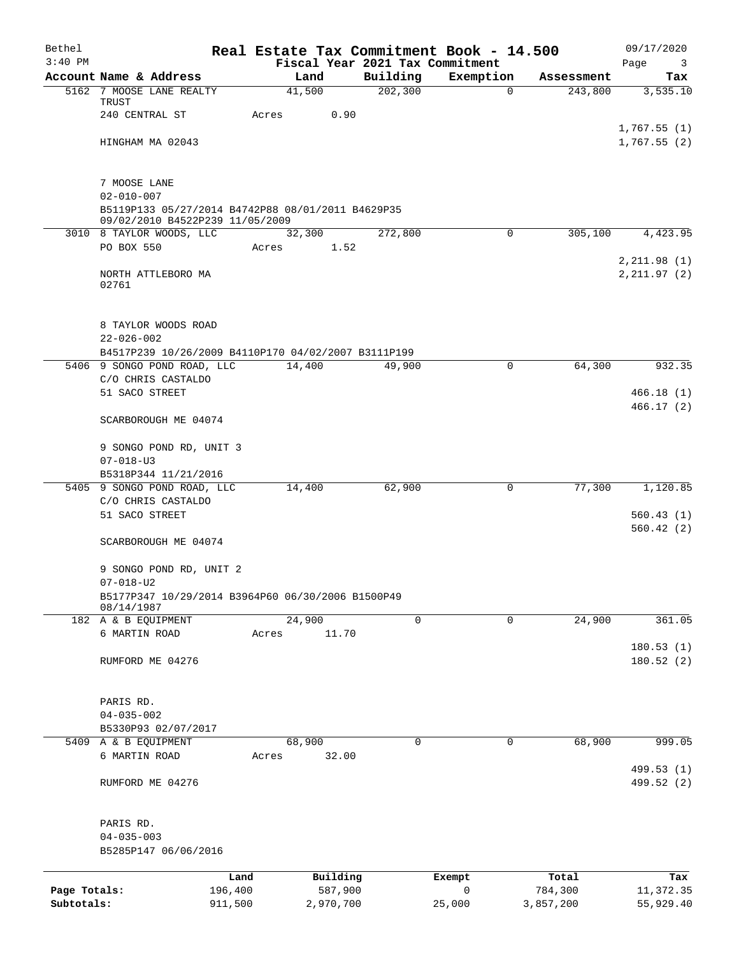| Bethel       |                                                                                    |         |                |                      | Real Estate Tax Commitment Book - 14.500 |            | 09/17/2020                      |
|--------------|------------------------------------------------------------------------------------|---------|----------------|----------------------|------------------------------------------|------------|---------------------------------|
| $3:40$ PM    | Account Name & Address                                                             |         |                |                      | Fiscal Year 2021 Tax Commitment          | Assessment | Page<br>$\overline{\mathbf{3}}$ |
|              | 5162 7 MOOSE LANE REALTY                                                           |         | Land<br>41,500 | Building<br>202, 300 | Exemption<br>$\mathbf 0$                 | 243,800    | Tax<br>3,535.10                 |
|              | TRUST                                                                              |         |                |                      |                                          |            |                                 |
|              | 240 CENTRAL ST                                                                     |         | 0.90<br>Acres  |                      |                                          |            |                                 |
|              | HINGHAM MA 02043                                                                   |         |                |                      |                                          |            | 1,767.55(1)<br>1,767.55(2)      |
|              |                                                                                    |         |                |                      |                                          |            |                                 |
|              | 7 MOOSE LANE                                                                       |         |                |                      |                                          |            |                                 |
|              | $02 - 010 - 007$                                                                   |         |                |                      |                                          |            |                                 |
|              | B5119P133 05/27/2014 B4742P88 08/01/2011 B4629P35                                  |         |                |                      |                                          |            |                                 |
|              | 09/02/2010 B4522P239 11/05/2009                                                    |         |                |                      |                                          |            |                                 |
|              | 3010 8 TAYLOR WOODS, LLC                                                           |         | 32,300         | 272,800              | $\mathbf 0$                              | 305,100    | 4,423.95                        |
|              | PO BOX 550                                                                         |         | 1.52<br>Acres  |                      |                                          |            | 2, 211.98(1)                    |
|              | NORTH ATTLEBORO MA                                                                 |         |                |                      |                                          |            | 2, 211.97(2)                    |
|              | 02761                                                                              |         |                |                      |                                          |            |                                 |
|              |                                                                                    |         |                |                      |                                          |            |                                 |
|              | 8 TAYLOR WOODS ROAD                                                                |         |                |                      |                                          |            |                                 |
|              | $22 - 026 - 002$                                                                   |         |                |                      |                                          |            |                                 |
|              | B4517P239 10/26/2009 B4110P170 04/02/2007 B3111P199<br>5406 9 SONGO POND ROAD, LLC |         | 14,400         | 49,900               | 0                                        | 64,300     | 932.35                          |
|              | C/O CHRIS CASTALDO                                                                 |         |                |                      |                                          |            |                                 |
|              | 51 SACO STREET                                                                     |         |                |                      |                                          |            | 466.18(1)                       |
|              | SCARBOROUGH ME 04074                                                               |         |                |                      |                                          |            | 466.17(2)                       |
|              |                                                                                    |         |                |                      |                                          |            |                                 |
|              | 9 SONGO POND RD, UNIT 3                                                            |         |                |                      |                                          |            |                                 |
|              | $07 - 018 - U3$                                                                    |         |                |                      |                                          |            |                                 |
|              | B5318P344 11/21/2016                                                               |         |                |                      |                                          |            |                                 |
|              | 5405 9 SONGO POND ROAD, LLC<br>C/O CHRIS CASTALDO                                  |         | 14,400         | 62,900               | 0                                        | 77,300     | 1,120.85                        |
|              | 51 SACO STREET                                                                     |         |                |                      |                                          |            | 560.43(1)                       |
|              |                                                                                    |         |                |                      |                                          |            | 560.42(2)                       |
|              | SCARBOROUGH ME 04074                                                               |         |                |                      |                                          |            |                                 |
|              | 9 SONGO POND RD, UNIT 2                                                            |         |                |                      |                                          |            |                                 |
|              | $07 - 018 - U2$                                                                    |         |                |                      |                                          |            |                                 |
|              | B5177P347 10/29/2014 B3964P60 06/30/2006 B1500P49<br>08/14/1987                    |         |                |                      |                                          |            |                                 |
|              | 182 A & B EQUIPMENT                                                                |         | 24,900         |                      | 0<br>$\mathbf 0$                         | 24,900     | 361.05                          |
|              | 6 MARTIN ROAD                                                                      |         | 11.70<br>Acres |                      |                                          |            |                                 |
|              |                                                                                    |         |                |                      |                                          |            | 180.53(1)                       |
|              | RUMFORD ME 04276                                                                   |         |                |                      |                                          |            | 180.52(2)                       |
|              |                                                                                    |         |                |                      |                                          |            |                                 |
|              | PARIS RD.                                                                          |         |                |                      |                                          |            |                                 |
|              | $04 - 035 - 002$                                                                   |         |                |                      |                                          |            |                                 |
|              | B5330P93 02/07/2017                                                                |         |                |                      |                                          |            |                                 |
|              | 5409 A & B EQUIPMENT                                                               |         | 68,900         |                      | 0<br>0                                   | 68,900     | 999.05                          |
|              | 6 MARTIN ROAD                                                                      |         | 32.00<br>Acres |                      |                                          |            |                                 |
|              |                                                                                    |         |                |                      |                                          |            | 499.53 (1)<br>499.52 (2)        |
|              | RUMFORD ME 04276                                                                   |         |                |                      |                                          |            |                                 |
|              | PARIS RD.                                                                          |         |                |                      |                                          |            |                                 |
|              | $04 - 035 - 003$                                                                   |         |                |                      |                                          |            |                                 |
|              | B5285P147 06/06/2016                                                               |         |                |                      |                                          |            |                                 |
|              |                                                                                    | Land    | Building       |                      | Exempt                                   | Total      | Tax                             |
| Page Totals: |                                                                                    | 196,400 | 587,900        |                      | $\mathbf 0$                              | 784,300    | 11,372.35                       |
| Subtotals:   |                                                                                    | 911,500 | 2,970,700      |                      | 25,000                                   | 3,857,200  | 55,929.40                       |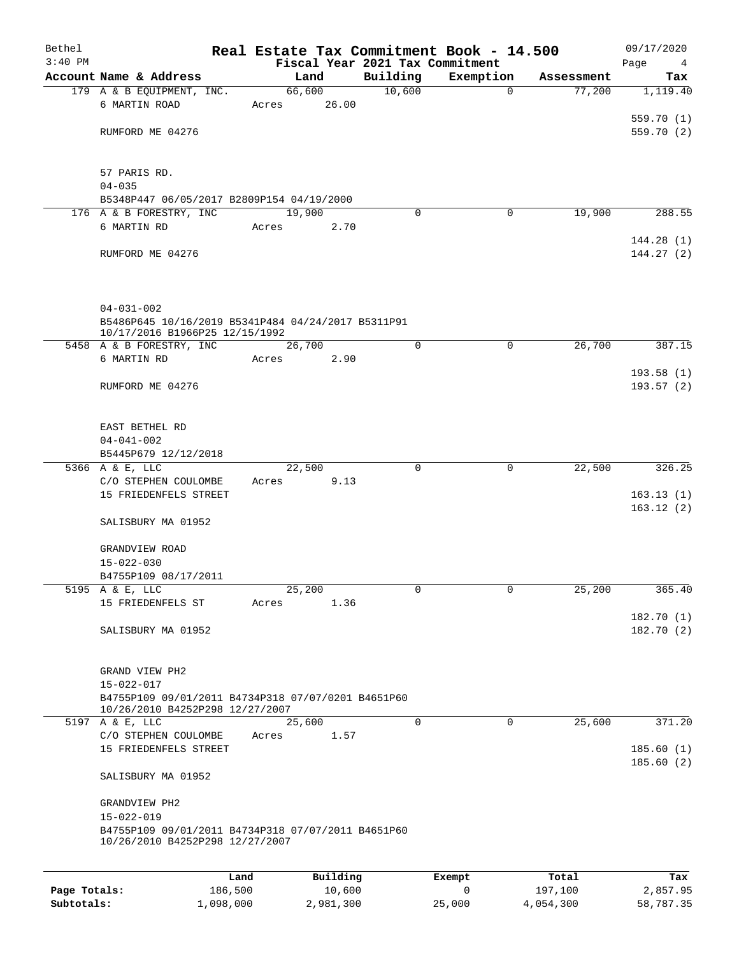| Bethel<br>$3:40$ PM |                                                                                                           |       |          |          | Real Estate Tax Commitment Book - 14.500<br>Fiscal Year 2021 Tax Commitment |            | 09/17/2020<br>Page<br>4 |
|---------------------|-----------------------------------------------------------------------------------------------------------|-------|----------|----------|-----------------------------------------------------------------------------|------------|-------------------------|
|                     | Account Name & Address                                                                                    |       | Land     | Building | Exemption                                                                   | Assessment | Tax                     |
|                     | 179 A & B EQUIPMENT, INC.                                                                                 |       | 66,600   | 10,600   | $\mathbf 0$                                                                 | 77,200     | 1,119.40                |
|                     | 6 MARTIN ROAD                                                                                             | Acres | 26.00    |          |                                                                             |            |                         |
|                     |                                                                                                           |       |          |          |                                                                             |            | 559.70 (1)              |
|                     | RUMFORD ME 04276                                                                                          |       |          |          |                                                                             |            | 559.70 (2)              |
|                     | 57 PARIS RD.                                                                                              |       |          |          |                                                                             |            |                         |
|                     | $04 - 035$                                                                                                |       |          |          |                                                                             |            |                         |
|                     | B5348P447 06/05/2017 B2809P154 04/19/2000                                                                 |       |          |          |                                                                             |            |                         |
|                     | 176 A & B FORESTRY, INC                                                                                   |       | 19,900   | 0        | 0                                                                           | 19,900     | 288.55                  |
|                     | 6 MARTIN RD                                                                                               | Acres | 2.70     |          |                                                                             |            |                         |
|                     | RUMFORD ME 04276                                                                                          |       |          |          |                                                                             |            | 144.28(1)<br>144.27(2)  |
|                     | $04 - 031 - 002$                                                                                          |       |          |          |                                                                             |            |                         |
|                     | B5486P645 10/16/2019 B5341P484 04/24/2017 B5311P91                                                        |       |          |          |                                                                             |            |                         |
|                     | 10/17/2016 B1966P25 12/15/1992                                                                            |       |          |          |                                                                             |            |                         |
|                     | 5458 A & B FORESTRY, INC                                                                                  |       | 26,700   | 0        | 0                                                                           | 26,700     | 387.15                  |
|                     | 6 MARTIN RD                                                                                               | Acres | 2.90     |          |                                                                             |            |                         |
|                     | RUMFORD ME 04276                                                                                          |       |          |          |                                                                             |            | 193.58(1)<br>193.57(2)  |
|                     | EAST BETHEL RD                                                                                            |       |          |          |                                                                             |            |                         |
|                     | $04 - 041 - 002$                                                                                          |       |          |          |                                                                             |            |                         |
|                     | B5445P679 12/12/2018<br>5366 A & E, LLC                                                                   |       | 22,500   | 0        | $\mathbf 0$                                                                 | 22,500     | 326.25                  |
|                     | C/O STEPHEN COULOMBE                                                                                      | Acres | 9.13     |          |                                                                             |            |                         |
|                     | 15 FRIEDENFELS STREET                                                                                     |       |          |          |                                                                             |            | 163.13(1)               |
|                     |                                                                                                           |       |          |          |                                                                             |            | 163.12(2)               |
|                     | SALISBURY MA 01952                                                                                        |       |          |          |                                                                             |            |                         |
|                     | GRANDVIEW ROAD                                                                                            |       |          |          |                                                                             |            |                         |
|                     | $15 - 022 - 030$                                                                                          |       |          |          |                                                                             |            |                         |
|                     | B4755P109 08/17/2011                                                                                      |       |          |          |                                                                             |            |                         |
|                     | 5195 A & E, LLC                                                                                           |       | 25,200   | 0        | 0                                                                           | 25,200     | 365.40                  |
|                     | 15 FRIEDENFELS ST                                                                                         | Acres | 1.36     |          |                                                                             |            |                         |
|                     | SALISBURY MA 01952                                                                                        |       |          |          |                                                                             |            | 182.70(1)<br>182.70 (2) |
|                     |                                                                                                           |       |          |          |                                                                             |            |                         |
|                     | GRAND VIEW PH2                                                                                            |       |          |          |                                                                             |            |                         |
|                     | $15 - 022 - 017$<br>B4755P109 09/01/2011 B4734P318 07/07/0201 B4651P60<br>10/26/2010 B4252P298 12/27/2007 |       |          |          |                                                                             |            |                         |
|                     | 5197 A & E, LLC                                                                                           |       | 25,600   | 0        | $\mathbf 0$                                                                 | 25,600     | 371.20                  |
|                     | C/O STEPHEN COULOMBE                                                                                      | Acres | 1.57     |          |                                                                             |            |                         |
|                     | 15 FRIEDENFELS STREET                                                                                     |       |          |          |                                                                             |            | 185.60(1)<br>185.60(2)  |
|                     | SALISBURY MA 01952                                                                                        |       |          |          |                                                                             |            |                         |
|                     | GRANDVIEW PH2                                                                                             |       |          |          |                                                                             |            |                         |
|                     | $15 - 022 - 019$                                                                                          |       |          |          |                                                                             |            |                         |
|                     | B4755P109 09/01/2011 B4734P318 07/07/2011 B4651P60<br>10/26/2010 B4252P298 12/27/2007                     |       |          |          |                                                                             |            |                         |
|                     |                                                                                                           |       |          |          |                                                                             |            |                         |
|                     |                                                                                                           | Land  | Building |          | Exempt                                                                      | Total      | Tax                     |

|              | -------   | $-$       | _______ | ------    | ------    |
|--------------|-----------|-----------|---------|-----------|-----------|
| Page Totals: | 186,500   | 10,600    |         | 197,100   | 2,857.95  |
| Subtotals:   | 1,098,000 | 2,981,300 | 25,000  | 4,054,300 | 58,787.35 |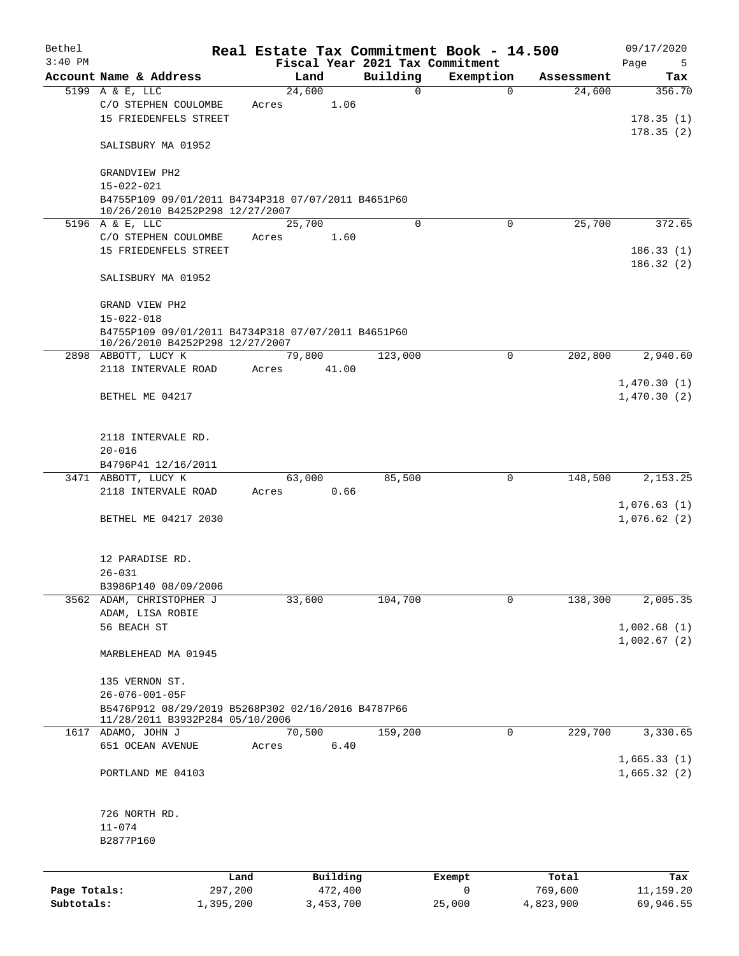| Bethel       |                                                                                       |        |           |                                             | Real Estate Tax Commitment Book - 14.500 |            | 09/17/2020                 |
|--------------|---------------------------------------------------------------------------------------|--------|-----------|---------------------------------------------|------------------------------------------|------------|----------------------------|
| $3:40$ PM    | Account Name & Address                                                                | Land   |           | Fiscal Year 2021 Tax Commitment<br>Building | Exemption                                | Assessment | Page<br>5                  |
|              | 5199 A & E, LLC                                                                       | 24,600 |           | 0                                           | $\mathbf 0$                              | 24,600     | Tax<br>356.70              |
|              | C/O STEPHEN COULOMBE<br>15 FRIEDENFELS STREET                                         | Acres  | 1.06      |                                             |                                          |            | 178.35(1)                  |
|              | SALISBURY MA 01952                                                                    |        |           |                                             |                                          |            | 178.35(2)                  |
|              | GRANDVIEW PH2<br>$15 - 022 - 021$                                                     |        |           |                                             |                                          |            |                            |
|              | B4755P109 09/01/2011 B4734P318 07/07/2011 B4651P60                                    |        |           |                                             |                                          |            |                            |
|              | 10/26/2010 B4252P298 12/27/2007<br>5196 A & E, LLC                                    | 25,700 |           | $\Omega$                                    | $\Omega$                                 | 25,700     | 372.65                     |
|              | C/O STEPHEN COULOMBE                                                                  | Acres  | 1.60      |                                             |                                          |            |                            |
|              | 15 FRIEDENFELS STREET                                                                 |        |           |                                             |                                          |            | 186.33(1)<br>186.32(2)     |
|              | SALISBURY MA 01952                                                                    |        |           |                                             |                                          |            |                            |
|              | GRAND VIEW PH2<br>$15 - 022 - 018$                                                    |        |           |                                             |                                          |            |                            |
|              | B4755P109 09/01/2011 B4734P318 07/07/2011 B4651P60<br>10/26/2010 B4252P298 12/27/2007 |        |           |                                             |                                          |            |                            |
|              | 2898 ABBOTT, LUCY K                                                                   | 79,800 |           | 123,000                                     | $\Omega$                                 | 202,800    | 2,940.60                   |
|              | 2118 INTERVALE ROAD                                                                   | Acres  | 41.00     |                                             |                                          |            | 1,470.30(1)                |
|              | BETHEL ME 04217                                                                       |        |           |                                             |                                          |            | 1,470.30(2)                |
|              | 2118 INTERVALE RD.                                                                    |        |           |                                             |                                          |            |                            |
|              | $20 - 016$                                                                            |        |           |                                             |                                          |            |                            |
|              | B4796P41 12/16/2011<br>3471 ABBOTT, LUCY K                                            | 63,000 |           | 85,500                                      | 0                                        | 148,500    | 2,153.25                   |
|              | 2118 INTERVALE ROAD                                                                   | Acres  | 0.66      |                                             |                                          |            |                            |
|              | BETHEL ME 04217 2030                                                                  |        |           |                                             |                                          |            | 1,076.63(1)<br>1,076.62(2) |
|              | 12 PARADISE RD.                                                                       |        |           |                                             |                                          |            |                            |
|              | $26 - 031$                                                                            |        |           |                                             |                                          |            |                            |
|              | B3986P140 08/09/2006                                                                  |        |           |                                             |                                          |            |                            |
|              | 3562 ADAM, CHRISTOPHER J                                                              | 33,600 |           | 104,700                                     | 0                                        | 138,300    | 2,005.35                   |
|              | ADAM, LISA ROBIE<br>56 BEACH ST                                                       |        |           |                                             |                                          |            | 1,002.68(1)                |
|              |                                                                                       |        |           |                                             |                                          |            | 1,002.67(2)                |
|              | MARBLEHEAD MA 01945                                                                   |        |           |                                             |                                          |            |                            |
|              | 135 VERNON ST.                                                                        |        |           |                                             |                                          |            |                            |
|              | 26-076-001-05F                                                                        |        |           |                                             |                                          |            |                            |
|              | B5476P912 08/29/2019 B5268P302 02/16/2016 B4787P66<br>11/28/2011 B3932P284 05/10/2006 |        |           |                                             |                                          |            |                            |
|              | 1617 ADAMO, JOHN J                                                                    | 70,500 |           | 159,200                                     | 0                                        | 229,700    | 3,330.65                   |
|              | 651 OCEAN AVENUE                                                                      | Acres  | 6.40      |                                             |                                          |            | 1,665.33(1)                |
|              | PORTLAND ME 04103                                                                     |        |           |                                             |                                          |            | 1,665.32(2)                |
|              | 726 NORTH RD.                                                                         |        |           |                                             |                                          |            |                            |
|              | $11 - 074$                                                                            |        |           |                                             |                                          |            |                            |
|              | B2877P160                                                                             |        |           |                                             |                                          |            |                            |
|              |                                                                                       | Land   | Building  |                                             | Exempt                                   | Total      | Tax                        |
| Page Totals: | 297,200                                                                               |        | 472,400   |                                             | 0                                        | 769,600    | 11,159.20                  |
| Subtotals:   | 1,395,200                                                                             |        | 3,453,700 |                                             | 25,000                                   | 4,823,900  | 69,946.55                  |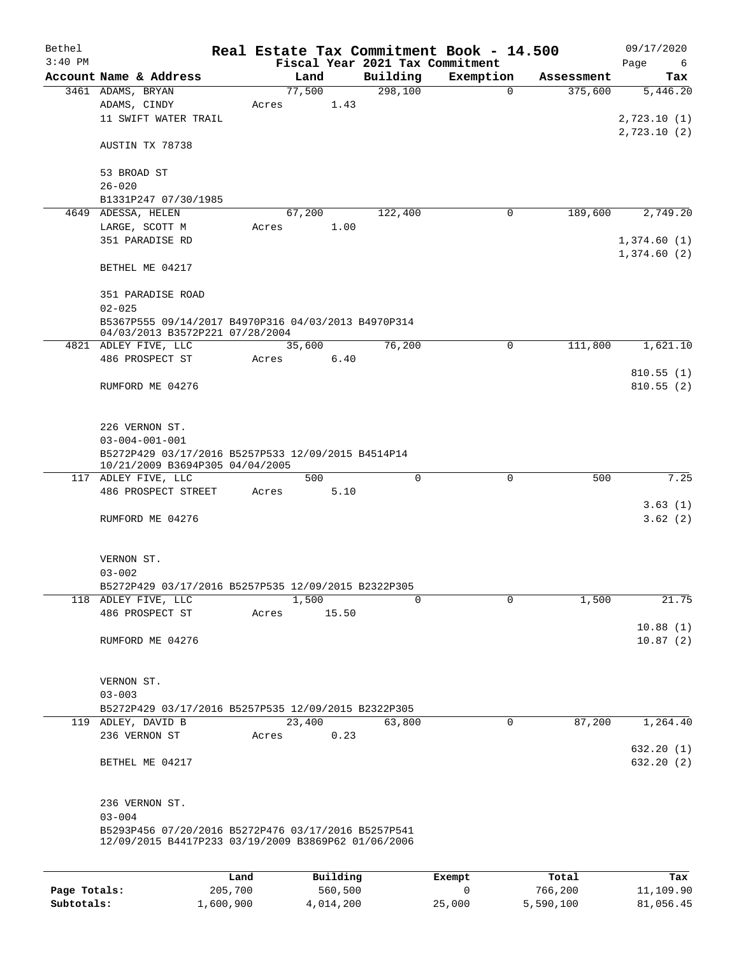| Bethel       |                                                     |         |          |          | Real Estate Tax Commitment Book - 14.500 |            | 09/17/2020  |
|--------------|-----------------------------------------------------|---------|----------|----------|------------------------------------------|------------|-------------|
| $3:40$ PM    |                                                     |         |          |          | Fiscal Year 2021 Tax Commitment          |            | Page<br>6   |
|              | Account Name & Address                              |         | Land     | Building | Exemption                                | Assessment | Tax         |
|              | 3461 ADAMS, BRYAN                                   |         | 77,500   | 298,100  | $\mathbf 0$                              | 375,600    | 5,446.20    |
|              | ADAMS, CINDY                                        | Acres   | 1.43     |          |                                          |            |             |
|              | 11 SWIFT WATER TRAIL                                |         |          |          |                                          |            | 2,723.10(1) |
|              | AUSTIN TX 78738                                     |         |          |          |                                          |            | 2,723.10(2) |
|              |                                                     |         |          |          |                                          |            |             |
|              | 53 BROAD ST                                         |         |          |          |                                          |            |             |
|              | $26 - 020$                                          |         |          |          |                                          |            |             |
|              | B1331P247 07/30/1985                                |         |          |          |                                          |            |             |
| 4649         | ADESSA, HELEN                                       |         | 67,200   | 122,400  | 0                                        | 189,600    | 2,749.20    |
|              | LARGE, SCOTT M                                      | Acres   | 1.00     |          |                                          |            |             |
|              | 351 PARADISE RD                                     |         |          |          |                                          |            | 1,374.60(1) |
|              |                                                     |         |          |          |                                          |            | 1,374.60(2) |
|              | BETHEL ME 04217                                     |         |          |          |                                          |            |             |
|              | 351 PARADISE ROAD                                   |         |          |          |                                          |            |             |
|              | $02 - 025$                                          |         |          |          |                                          |            |             |
|              | B5367P555 09/14/2017 B4970P316 04/03/2013 B4970P314 |         |          |          |                                          |            |             |
|              | 04/03/2013 B3572P221 07/28/2004                     |         |          |          |                                          |            |             |
|              | 4821 ADLEY FIVE, LLC                                |         | 35,600   | 76,200   | 0                                        | 111,800    | 1,621.10    |
|              | 486 PROSPECT ST                                     | Acres   | 6.40     |          |                                          |            |             |
|              |                                                     |         |          |          |                                          |            | 810.55(1)   |
|              | RUMFORD ME 04276                                    |         |          |          |                                          |            | 810.55(2)   |
|              |                                                     |         |          |          |                                          |            |             |
|              |                                                     |         |          |          |                                          |            |             |
|              | 226 VERNON ST.                                      |         |          |          |                                          |            |             |
|              | $03 - 004 - 001 - 001$                              |         |          |          |                                          |            |             |
|              | B5272P429 03/17/2016 B5257P533 12/09/2015 B4514P14  |         |          |          |                                          |            |             |
|              | 10/21/2009 B3694P305 04/04/2005                     |         |          |          |                                          |            |             |
|              | 117 ADLEY FIVE, LLC                                 |         | 500      | 0        | $\mathbf 0$                              | 500        | 7.25        |
|              | 486 PROSPECT STREET                                 | Acres   | 5.10     |          |                                          |            |             |
|              |                                                     |         |          |          |                                          |            | 3.63(1)     |
|              | RUMFORD ME 04276                                    |         |          |          |                                          |            | 3.62(2)     |
|              |                                                     |         |          |          |                                          |            |             |
|              |                                                     |         |          |          |                                          |            |             |
|              | VERNON ST.                                          |         |          |          |                                          |            |             |
|              | $03 - 002$                                          |         |          |          |                                          |            |             |
|              | B5272P429 03/17/2016 B5257P535 12/09/2015 B2322P305 |         |          |          |                                          |            |             |
|              | 118 ADLEY FIVE, LLC                                 |         | 1,500    | 0        | 0                                        | 1,500      | 21.75       |
|              | 486 PROSPECT ST                                     | Acres   | 15.50    |          |                                          |            |             |
|              |                                                     |         |          |          |                                          |            | 10.88(1)    |
|              | RUMFORD ME 04276                                    |         |          |          |                                          |            | 10.87(2)    |
|              |                                                     |         |          |          |                                          |            |             |
|              |                                                     |         |          |          |                                          |            |             |
|              | VERNON ST.                                          |         |          |          |                                          |            |             |
|              | $03 - 003$                                          |         |          |          |                                          |            |             |
|              | B5272P429 03/17/2016 B5257P535 12/09/2015 B2322P305 |         |          |          |                                          |            |             |
|              | 119 ADLEY, DAVID B                                  |         | 23,400   | 63,800   | 0                                        | 87,200     | 1,264.40    |
|              | 236 VERNON ST                                       | Acres   | 0.23     |          |                                          |            |             |
|              |                                                     |         |          |          |                                          |            | 632.20(1)   |
|              | BETHEL ME 04217                                     |         |          |          |                                          |            | 632.20 (2)  |
|              |                                                     |         |          |          |                                          |            |             |
|              |                                                     |         |          |          |                                          |            |             |
|              | 236 VERNON ST.                                      |         |          |          |                                          |            |             |
|              | $03 - 004$                                          |         |          |          |                                          |            |             |
|              | B5293P456 07/20/2016 B5272P476 03/17/2016 B5257P541 |         |          |          |                                          |            |             |
|              | 12/09/2015 B4417P233 03/19/2009 B3869P62 01/06/2006 |         |          |          |                                          |            |             |
|              |                                                     |         |          |          |                                          |            |             |
|              |                                                     | Land    | Building |          | Exempt                                   | Total      | Tax         |
| Page Totals: |                                                     | 205,700 | 560,500  |          | 0                                        | 766,200    | 11,109.90   |
|              |                                                     |         |          |          |                                          |            |             |

**Subtotals:** 1,600,900 4,014,200 25,000 5,590,100 81,056.45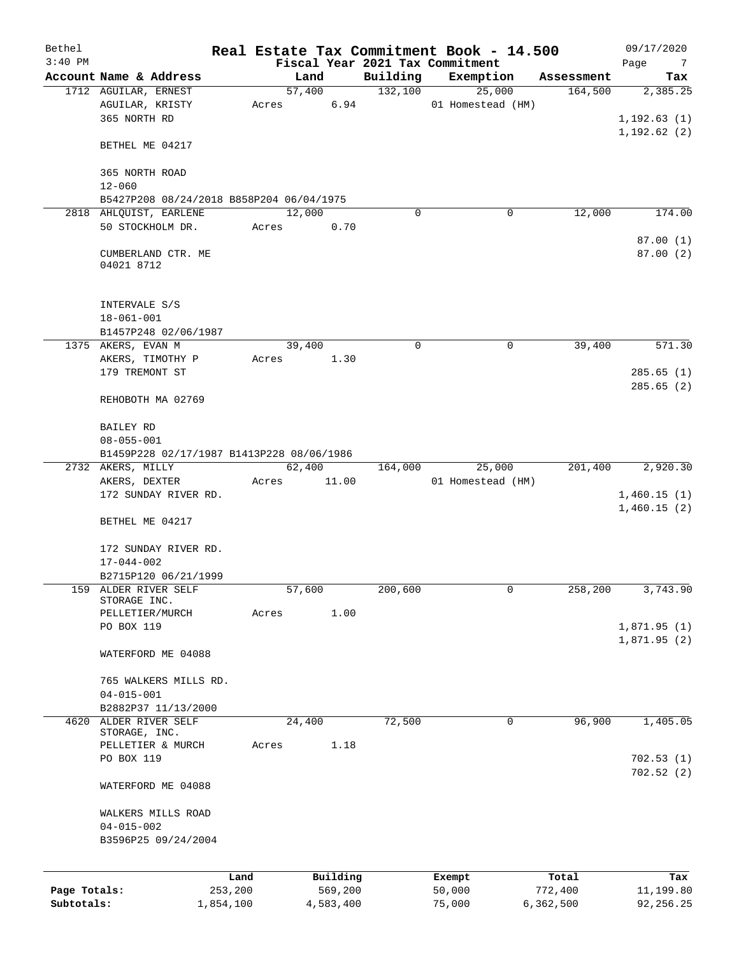| Bethel       |                                           |                 |        |                |          | Real Estate Tax Commitment Book - 14.500 |            | 09/17/2020                 |
|--------------|-------------------------------------------|-----------------|--------|----------------|----------|------------------------------------------|------------|----------------------------|
| $3:40$ PM    |                                           |                 |        |                |          | Fiscal Year 2021 Tax Commitment          |            | Page<br>$\overline{7}$     |
|              | Account Name & Address                    |                 |        | Land<br>57,400 | Building | Exemption                                | Assessment | Tax                        |
|              | 1712 AGUILAR, ERNEST                      |                 |        | 6.94           | 132,100  | 25,000<br>01 Homestead (HM)              | 164,500    | 2,385.25                   |
|              | AGUILAR, KRISTY<br>365 NORTH RD           | Acres           |        |                |          |                                          |            | 1, 192.63(1)               |
|              |                                           |                 |        |                |          |                                          |            | 1, 192.62(2)               |
|              | BETHEL ME 04217                           |                 |        |                |          |                                          |            |                            |
|              | 365 NORTH ROAD<br>$12 - 060$              |                 |        |                |          |                                          |            |                            |
|              | B5427P208 08/24/2018 B858P204 06/04/1975  |                 |        |                |          |                                          |            |                            |
|              | 2818 AHLQUIST, EARLENE                    |                 | 12,000 |                | $\Omega$ | 0                                        | 12,000     | 174.00                     |
|              | 50 STOCKHOLM DR.                          |                 | Acres  | 0.70           |          |                                          |            |                            |
|              |                                           |                 |        |                |          |                                          |            | 87.00(1)                   |
|              | CUMBERLAND CTR. ME<br>04021 8712          |                 |        |                |          |                                          |            | 87.00(2)                   |
|              | INTERVALE S/S<br>$18 - 061 - 001$         |                 |        |                |          |                                          |            |                            |
|              | B1457P248 02/06/1987                      |                 |        |                |          |                                          |            |                            |
|              | 1375 AKERS, EVAN M                        |                 | 39,400 |                | 0        | 0                                        | 39,400     | 571.30                     |
|              | AKERS, TIMOTHY P                          | Acres           |        | 1.30           |          |                                          |            |                            |
|              | 179 TREMONT ST                            |                 |        |                |          |                                          |            | 285.65(1)                  |
|              | REHOBOTH MA 02769                         |                 |        |                |          |                                          |            | 285.65(2)                  |
|              |                                           |                 |        |                |          |                                          |            |                            |
|              | BAILEY RD                                 |                 |        |                |          |                                          |            |                            |
|              | $08 - 055 - 001$                          |                 |        |                |          |                                          |            |                            |
|              | B1459P228 02/17/1987 B1413P228 08/06/1986 |                 |        |                |          |                                          |            |                            |
|              | 2732 AKERS, MILLY                         |                 |        | 62,400         | 164,000  | 25,000                                   | 201,400    | 2,920.30                   |
|              | AKERS, DEXTER                             | Acres           |        | 11.00          |          | 01 Homestead (HM)                        |            |                            |
|              | 172 SUNDAY RIVER RD.                      |                 |        |                |          |                                          |            | 1,460.15(1)<br>1,460.15(2) |
|              | BETHEL ME 04217                           |                 |        |                |          |                                          |            |                            |
|              | 172 SUNDAY RIVER RD.                      |                 |        |                |          |                                          |            |                            |
|              | $17 - 044 - 002$                          |                 |        |                |          |                                          |            |                            |
|              | B2715P120 06/21/1999                      |                 |        |                |          |                                          |            |                            |
| 159          | ALDER RIVER SELF                          |                 | 57,600 |                | 200,600  | 0                                        | 258,200    | 3,743.90                   |
|              | STORAGE INC.                              |                 |        |                |          |                                          |            |                            |
|              | PELLETIER/MURCH                           | Acres           |        | 1.00           |          |                                          |            |                            |
|              | PO BOX 119                                |                 |        |                |          |                                          |            | 1,871.95(1)                |
|              | WATERFORD ME 04088                        |                 |        |                |          |                                          |            | 1,871.95(2)                |
|              | 765 WALKERS MILLS RD.                     |                 |        |                |          |                                          |            |                            |
|              | $04 - 015 - 001$                          |                 |        |                |          |                                          |            |                            |
|              | B2882P37 11/13/2000                       |                 |        |                |          |                                          |            |                            |
| 4620         | ALDER RIVER SELF                          |                 | 24,400 |                | 72,500   | $\mathbf 0$                              | 96,900     | 1,405.05                   |
|              | STORAGE, INC.                             |                 |        |                |          |                                          |            |                            |
|              | PELLETIER & MURCH                         | Acres           |        | 1.18           |          |                                          |            |                            |
|              | PO BOX 119                                |                 |        |                |          |                                          |            | 702.53(1)                  |
|              | WATERFORD ME 04088                        |                 |        |                |          |                                          |            | 702.52(2)                  |
|              |                                           |                 |        |                |          |                                          |            |                            |
|              | WALKERS MILLS ROAD                        |                 |        |                |          |                                          |            |                            |
|              | $04 - 015 - 002$                          |                 |        |                |          |                                          |            |                            |
|              | B3596P25 09/24/2004                       |                 |        |                |          |                                          |            |                            |
|              |                                           |                 |        | Building       |          |                                          | Total      | Tax                        |
| Page Totals: |                                           | Land<br>253,200 |        | 569,200        |          | Exempt<br>50,000                         | 772,400    | 11,199.80                  |
| Subtotals:   | 1,854,100                                 |                 |        | 4,583,400      |          | 75,000                                   | 6,362,500  | 92, 256.25                 |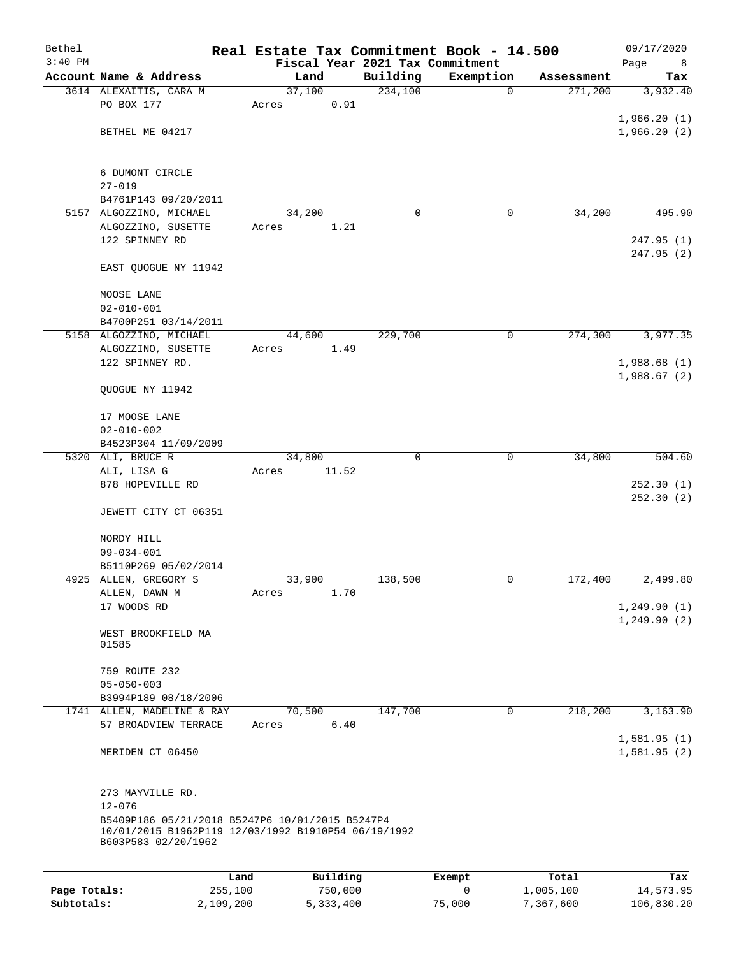| Bethel<br>$3:40$ PM |                                                                            |           |                 |             | Fiscal Year 2021 Tax Commitment | Real Estate Tax Commitment Book - 14.500 |            | 09/17/2020                   |
|---------------------|----------------------------------------------------------------------------|-----------|-----------------|-------------|---------------------------------|------------------------------------------|------------|------------------------------|
|                     | Account Name & Address                                                     |           |                 | Land        | Building                        | Exemption                                | Assessment | Page<br>8<br>Tax             |
|                     | 3614 ALEXAITIS, CARA M                                                     |           | 37,100          |             | 234,100                         | $\mathbf 0$                              | 271,200    | 3,932.40                     |
|                     | PO BOX 177                                                                 |           | Acres           | 0.91        |                                 |                                          |            |                              |
|                     |                                                                            |           |                 |             |                                 |                                          |            | 1,966.20(1)                  |
|                     | BETHEL ME 04217                                                            |           |                 |             |                                 |                                          |            | 1,966.20(2)                  |
|                     |                                                                            |           |                 |             |                                 |                                          |            |                              |
|                     |                                                                            |           |                 |             |                                 |                                          |            |                              |
|                     | 6 DUMONT CIRCLE<br>$27 - 019$                                              |           |                 |             |                                 |                                          |            |                              |
|                     | B4761P143 09/20/2011                                                       |           |                 |             |                                 |                                          |            |                              |
|                     | 5157 ALGOZZINO, MICHAEL                                                    |           | 34,200          |             | 0                               | 0                                        | 34,200     | 495.90                       |
|                     | ALGOZZINO, SUSETTE                                                         |           | Acres           | 1.21        |                                 |                                          |            |                              |
|                     | 122 SPINNEY RD                                                             |           |                 |             |                                 |                                          |            | 247.95(1)                    |
|                     |                                                                            |           |                 |             |                                 |                                          |            | 247.95 (2)                   |
|                     | EAST QUOGUE NY 11942                                                       |           |                 |             |                                 |                                          |            |                              |
|                     |                                                                            |           |                 |             |                                 |                                          |            |                              |
|                     | MOOSE LANE                                                                 |           |                 |             |                                 |                                          |            |                              |
|                     | $02 - 010 - 001$                                                           |           |                 |             |                                 |                                          |            |                              |
|                     | B4700P251 03/14/2011<br>5158 ALGOZZINO, MICHAEL                            |           | 44,600          |             | 229,700                         | 0                                        | 274,300    | 3,977.35                     |
|                     | ALGOZZINO, SUSETTE                                                         |           | Acres           | 1.49        |                                 |                                          |            |                              |
|                     | 122 SPINNEY RD.                                                            |           |                 |             |                                 |                                          |            | 1,988.68(1)                  |
|                     |                                                                            |           |                 |             |                                 |                                          |            | 1,988.67(2)                  |
|                     | QUOGUE NY 11942                                                            |           |                 |             |                                 |                                          |            |                              |
|                     |                                                                            |           |                 |             |                                 |                                          |            |                              |
|                     | 17 MOOSE LANE                                                              |           |                 |             |                                 |                                          |            |                              |
|                     | $02 - 010 - 002$                                                           |           |                 |             |                                 |                                          |            |                              |
|                     | B4523P304 11/09/2009                                                       |           |                 |             |                                 |                                          |            |                              |
|                     | 5320 ALI, BRUCE R                                                          |           | 34,800          |             | $\Omega$                        | $\mathbf 0$                              | 34,800     | 504.60                       |
|                     | ALI, LISA G<br>878 HOPEVILLE RD                                            |           | Acres           | 11.52       |                                 |                                          |            | 252.30(1)                    |
|                     |                                                                            |           |                 |             |                                 |                                          |            | 252.30(2)                    |
|                     | JEWETT CITY CT 06351                                                       |           |                 |             |                                 |                                          |            |                              |
|                     |                                                                            |           |                 |             |                                 |                                          |            |                              |
|                     | NORDY HILL                                                                 |           |                 |             |                                 |                                          |            |                              |
|                     | $09 - 034 - 001$                                                           |           |                 |             |                                 |                                          |            |                              |
|                     | B5110P269 05/02/2014                                                       |           |                 |             |                                 |                                          |            |                              |
|                     | 4925 ALLEN, GREGORY S                                                      |           | 33,900          |             | 138,500                         | 0                                        | 172,400    | 2,499.80                     |
|                     | ALLEN, DAWN M                                                              |           | Acres           | 1.70        |                                 |                                          |            |                              |
|                     | 17 WOODS RD                                                                |           |                 |             |                                 |                                          |            | 1, 249.90(1)<br>1, 249.90(2) |
|                     | WEST BROOKFIELD MA                                                         |           |                 |             |                                 |                                          |            |                              |
|                     | 01585                                                                      |           |                 |             |                                 |                                          |            |                              |
|                     |                                                                            |           |                 |             |                                 |                                          |            |                              |
|                     | 759 ROUTE 232                                                              |           |                 |             |                                 |                                          |            |                              |
|                     | $05 - 050 - 003$                                                           |           |                 |             |                                 |                                          |            |                              |
|                     | B3994P189 08/18/2006                                                       |           |                 |             |                                 |                                          |            |                              |
|                     | 1741 ALLEN, MADELINE & RAY<br>57 BROADVIEW TERRACE                         |           | 70,500<br>Acres | 6.40        | 147,700                         | $\mathbf 0$                              | 218,200    | 3,163.90                     |
|                     |                                                                            |           |                 |             |                                 |                                          |            | 1,581.95(1)                  |
|                     | MERIDEN CT 06450                                                           |           |                 |             |                                 |                                          |            | 1,581.95(2)                  |
|                     |                                                                            |           |                 |             |                                 |                                          |            |                              |
|                     |                                                                            |           |                 |             |                                 |                                          |            |                              |
|                     | 273 MAYVILLE RD.                                                           |           |                 |             |                                 |                                          |            |                              |
|                     | $12 - 076$                                                                 |           |                 |             |                                 |                                          |            |                              |
|                     | B5409P186 05/21/2018 B5247P6 10/01/2015 B5247P4                            |           |                 |             |                                 |                                          |            |                              |
|                     | 10/01/2015 B1962P119 12/03/1992 B1910P54 06/19/1992<br>B603P583 02/20/1962 |           |                 |             |                                 |                                          |            |                              |
|                     |                                                                            |           |                 |             |                                 |                                          |            |                              |
|                     |                                                                            | Land      |                 | Building    |                                 | Exempt                                   | Total      | Tax                          |
| Page Totals:        |                                                                            | 255,100   |                 | 750,000     |                                 | 0                                        | 1,005,100  | 14,573.95                    |
| Subtotals:          |                                                                            | 2,109,200 |                 | 5, 333, 400 |                                 | 75,000                                   | 7,367,600  | 106,830.20                   |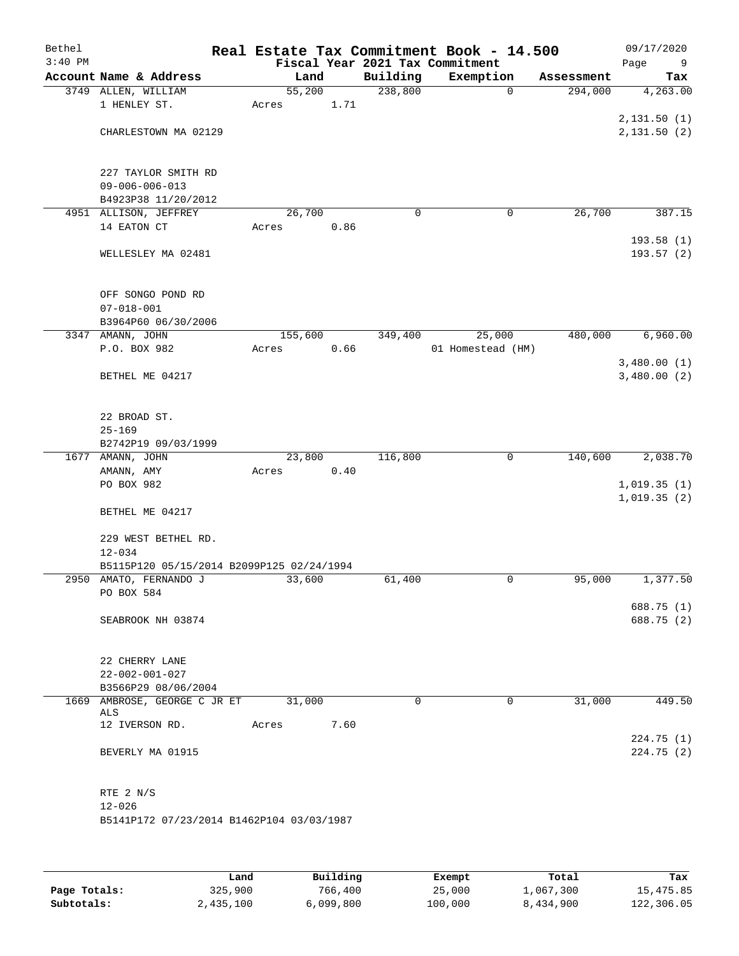| Bethel<br>$3:40$ PM |                                           |         |      |             | Real Estate Tax Commitment Book - 14.500<br>Fiscal Year 2021 Tax Commitment |             |            | 09/17/2020<br>Page<br>9 |
|---------------------|-------------------------------------------|---------|------|-------------|-----------------------------------------------------------------------------|-------------|------------|-------------------------|
|                     | Account Name & Address                    | Land    |      | Building    | Exemption                                                                   |             | Assessment | Tax                     |
|                     | 3749 ALLEN, WILLIAM                       | 55,200  |      | 238,800     |                                                                             | $\mathbf 0$ | 294,000    | 4,263.00                |
|                     | 1 HENLEY ST.                              | Acres   | 1.71 |             |                                                                             |             |            |                         |
|                     |                                           |         |      |             |                                                                             |             |            | 2,131.50(1)             |
|                     | CHARLESTOWN MA 02129                      |         |      |             |                                                                             |             |            | 2,131.50 (2)            |
|                     |                                           |         |      |             |                                                                             |             |            |                         |
|                     |                                           |         |      |             |                                                                             |             |            |                         |
|                     | 227 TAYLOR SMITH RD                       |         |      |             |                                                                             |             |            |                         |
|                     | $09 - 006 - 006 - 013$                    |         |      |             |                                                                             |             |            |                         |
|                     | B4923P38 11/20/2012                       |         |      |             |                                                                             |             |            |                         |
|                     | 4951 ALLISON, JEFFREY                     | 26,700  |      | 0           |                                                                             | 0           | 26,700     | 387.15                  |
|                     | 14 EATON CT                               | Acres   | 0.86 |             |                                                                             |             |            |                         |
|                     |                                           |         |      |             |                                                                             |             |            | 193.58(1)               |
|                     | WELLESLEY MA 02481                        |         |      |             |                                                                             |             |            | 193.57 (2)              |
|                     |                                           |         |      |             |                                                                             |             |            |                         |
|                     |                                           |         |      |             |                                                                             |             |            |                         |
|                     | OFF SONGO POND RD                         |         |      |             |                                                                             |             |            |                         |
|                     | $07 - 018 - 001$                          |         |      |             |                                                                             |             |            |                         |
|                     | B3964P60 06/30/2006                       |         |      |             |                                                                             |             |            |                         |
|                     | 3347 AMANN, JOHN                          | 155,600 |      | 349,400     | 25,000                                                                      |             | 480,000    | 6,960.00                |
|                     | P.O. BOX 982                              | Acres   | 0.66 |             | 01 Homestead (HM)                                                           |             |            |                         |
|                     |                                           |         |      |             |                                                                             |             |            | 3,480.00(1)             |
|                     | BETHEL ME 04217                           |         |      |             |                                                                             |             |            | 3,480.00(2)             |
|                     |                                           |         |      |             |                                                                             |             |            |                         |
|                     |                                           |         |      |             |                                                                             |             |            |                         |
|                     | 22 BROAD ST.                              |         |      |             |                                                                             |             |            |                         |
|                     | $25 - 169$                                |         |      |             |                                                                             |             |            |                         |
|                     | B2742P19 09/03/1999                       |         |      |             |                                                                             |             |            |                         |
|                     | 1677 AMANN, JOHN                          | 23,800  |      | 116,800     |                                                                             | $\mathbf 0$ | 140,600    | 2,038.70                |
|                     | AMANN, AMY                                | Acres   | 0.40 |             |                                                                             |             |            |                         |
|                     | PO BOX 982                                |         |      |             |                                                                             |             |            | 1,019.35(1)             |
|                     |                                           |         |      |             |                                                                             |             |            | 1,019.35(2)             |
|                     | BETHEL ME 04217                           |         |      |             |                                                                             |             |            |                         |
|                     |                                           |         |      |             |                                                                             |             |            |                         |
|                     | 229 WEST BETHEL RD.                       |         |      |             |                                                                             |             |            |                         |
|                     | $12 - 034$                                |         |      |             |                                                                             |             |            |                         |
|                     | B5115P120 05/15/2014 B2099P125 02/24/1994 |         |      |             |                                                                             |             |            |                         |
|                     | 2950 AMATO, FERNANDO J                    | 33,600  |      | 61,400      |                                                                             | 0           | 95,000     | 1,377.50                |
|                     | PO BOX 584                                |         |      |             |                                                                             |             |            |                         |
|                     |                                           |         |      |             |                                                                             |             |            | 688.75 (1)              |
|                     | SEABROOK NH 03874                         |         |      |             |                                                                             |             |            | 688.75 (2)              |
|                     |                                           |         |      |             |                                                                             |             |            |                         |
|                     |                                           |         |      |             |                                                                             |             |            |                         |
|                     | 22 CHERRY LANE<br>$22 - 002 - 001 - 027$  |         |      |             |                                                                             |             |            |                         |
|                     |                                           |         |      |             |                                                                             |             |            |                         |
|                     | B3566P29 08/06/2004                       | 31,000  |      | $\mathbf 0$ |                                                                             | 0           | 31,000     | 449.50                  |
|                     | 1669 AMBROSE, GEORGE C JR ET<br>ALS       |         |      |             |                                                                             |             |            |                         |
|                     | 12 IVERSON RD.                            | Acres   | 7.60 |             |                                                                             |             |            |                         |
|                     |                                           |         |      |             |                                                                             |             |            | 224.75(1)               |
|                     | BEVERLY MA 01915                          |         |      |             |                                                                             |             |            | 224.75(2)               |
|                     |                                           |         |      |             |                                                                             |             |            |                         |
|                     |                                           |         |      |             |                                                                             |             |            |                         |
|                     | RTE 2 N/S                                 |         |      |             |                                                                             |             |            |                         |
|                     | $12 - 026$                                |         |      |             |                                                                             |             |            |                         |
|                     | B5141P172 07/23/2014 B1462P104 03/03/1987 |         |      |             |                                                                             |             |            |                         |
|                     |                                           |         |      |             |                                                                             |             |            |                         |
|                     |                                           |         |      |             |                                                                             |             |            |                         |
|                     |                                           |         |      |             |                                                                             |             |            |                         |

|              | Land      | Building  | Exempt  | Total     | Tax        |
|--------------|-----------|-----------|---------|-----------|------------|
| Page Totals: | 325,900   | 766,400   | 25,000  | 1,067,300 | 15,475.85  |
| Subtotals:   | 2,435,100 | 6,099,800 | 100,000 | 8,434,900 | 122,306.05 |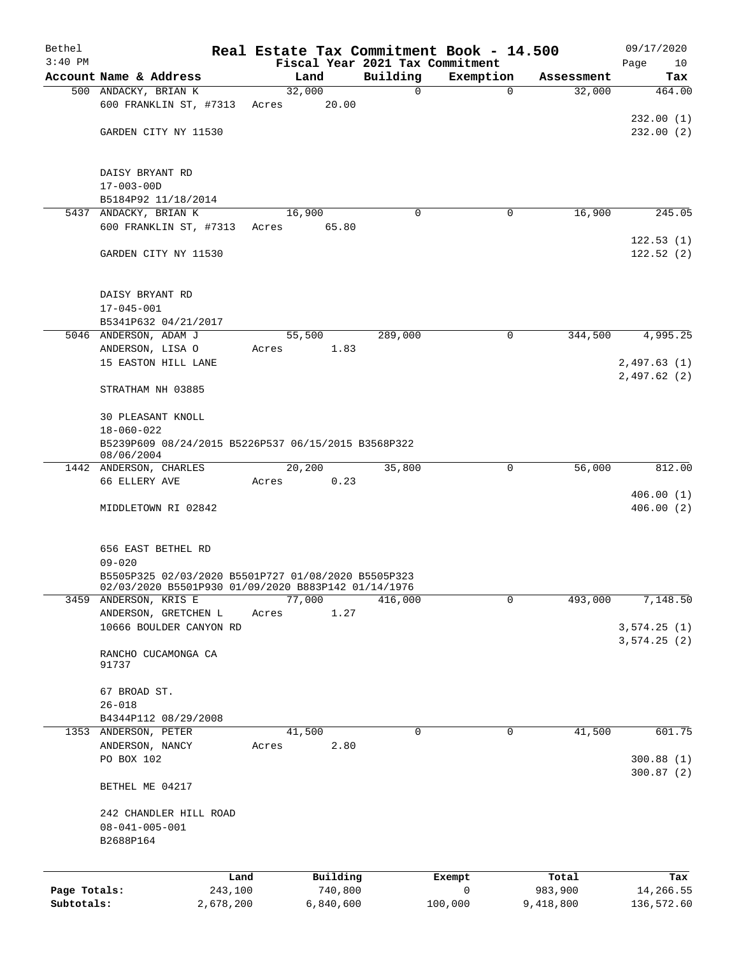| Bethel       |                                                                   |       |           |             | Real Estate Tax Commitment Book - 14.500     |                      | 09/17/2020             |
|--------------|-------------------------------------------------------------------|-------|-----------|-------------|----------------------------------------------|----------------------|------------------------|
| $3:40$ PM    | Account Name & Address                                            |       | Land      | Building    | Fiscal Year 2021 Tax Commitment<br>Exemption |                      | Page<br>10             |
|              | 500 ANDACKY, BRIAN K                                              |       | 32,000    | $\mathbf 0$ | $\mathbf 0$                                  | Assessment<br>32,000 | Tax<br>464.00          |
|              | 600 FRANKLIN ST, #7313                                            | Acres | 20.00     |             |                                              |                      |                        |
|              |                                                                   |       |           |             |                                              |                      | 232.00(1)              |
|              | GARDEN CITY NY 11530                                              |       |           |             |                                              |                      | 232.00(2)              |
|              |                                                                   |       |           |             |                                              |                      |                        |
|              | DAISY BRYANT RD                                                   |       |           |             |                                              |                      |                        |
|              | $17 - 003 - 00D$                                                  |       |           |             |                                              |                      |                        |
|              | B5184P92 11/18/2014                                               |       |           |             |                                              |                      |                        |
|              | 5437 ANDACKY, BRIAN K                                             |       | 16,900    | $\Omega$    | 0                                            | 16,900               | 245.05                 |
|              | 600 FRANKLIN ST, #7313 Acres                                      |       | 65.80     |             |                                              |                      | 122.53(1)              |
|              | GARDEN CITY NY 11530                                              |       |           |             |                                              |                      | 122.52(2)              |
|              |                                                                   |       |           |             |                                              |                      |                        |
|              | DAISY BRYANT RD                                                   |       |           |             |                                              |                      |                        |
|              | $17 - 045 - 001$                                                  |       |           |             |                                              |                      |                        |
|              | B5341P632 04/21/2017<br>5046 ANDERSON, ADAM J                     |       | 55,500    | 289,000     | 0                                            | 344,500              | 4,995.25               |
|              | ANDERSON, LISA O                                                  | Acres | 1.83      |             |                                              |                      |                        |
|              | 15 EASTON HILL LANE                                               |       |           |             |                                              |                      | 2,497.63(1)            |
|              |                                                                   |       |           |             |                                              |                      | 2,497.62(2)            |
|              | STRATHAM NH 03885                                                 |       |           |             |                                              |                      |                        |
|              | <b>30 PLEASANT KNOLL</b>                                          |       |           |             |                                              |                      |                        |
|              | 18-060-022                                                        |       |           |             |                                              |                      |                        |
|              | B5239P609 08/24/2015 B5226P537 06/15/2015 B3568P322<br>08/06/2004 |       |           |             |                                              |                      |                        |
|              | 1442 ANDERSON, CHARLES                                            |       | 20,200    | 35,800      | 0                                            | 56,000               | 812.00                 |
|              | 66 ELLERY AVE                                                     | Acres | 0.23      |             |                                              |                      |                        |
|              | MIDDLETOWN RI 02842                                               |       |           |             |                                              |                      | 406.00(1)<br>406.00(2) |
|              |                                                                   |       |           |             |                                              |                      |                        |
|              | 656 EAST BETHEL RD                                                |       |           |             |                                              |                      |                        |
|              | $09 - 020$                                                        |       |           |             |                                              |                      |                        |
|              | B5505P325 02/03/2020 B5501P727 01/08/2020 B5505P323               |       |           |             |                                              |                      |                        |
|              | 02/03/2020 B5501P930 01/09/2020 B883P142 01/14/1976               |       |           |             |                                              |                      |                        |
|              | 3459 ANDERSON, KRIS E                                             |       | 77,000    | 416,000     | 0                                            | 493,000              | 7,148.50               |
|              | ANDERSON, GRETCHEN L<br>10666 BOULDER CANYON RD                   | Acres | 1.27      |             |                                              |                      | 3,574.25(1)            |
|              |                                                                   |       |           |             |                                              |                      | 3,574.25(2)            |
|              | RANCHO CUCAMONGA CA                                               |       |           |             |                                              |                      |                        |
|              | 91737                                                             |       |           |             |                                              |                      |                        |
|              |                                                                   |       |           |             |                                              |                      |                        |
|              | 67 BROAD ST.                                                      |       |           |             |                                              |                      |                        |
|              | $26 - 018$<br>B4344P112 08/29/2008                                |       |           |             |                                              |                      |                        |
|              | 1353 ANDERSON, PETER                                              |       | 41,500    | 0           | 0                                            | 41,500               | 601.75                 |
|              | ANDERSON, NANCY                                                   | Acres | 2.80      |             |                                              |                      |                        |
|              | PO BOX 102                                                        |       |           |             |                                              |                      | 300.88(1)              |
|              | BETHEL ME 04217                                                   |       |           |             |                                              |                      | 300.87(2)              |
|              |                                                                   |       |           |             |                                              |                      |                        |
|              | 242 CHANDLER HILL ROAD<br>$08 - 041 - 005 - 001$                  |       |           |             |                                              |                      |                        |
|              | B2688P164                                                         |       |           |             |                                              |                      |                        |
|              |                                                                   |       |           |             |                                              |                      |                        |
|              |                                                                   | Land  | Building  |             | Exempt                                       | Total                | Tax                    |
| Page Totals: | 243,100                                                           |       | 740,800   |             | 0                                            | 983,900              | 14,266.55              |
| Subtotals:   | 2,678,200                                                         |       | 6,840,600 |             | 100,000                                      | 9,418,800            | 136,572.60             |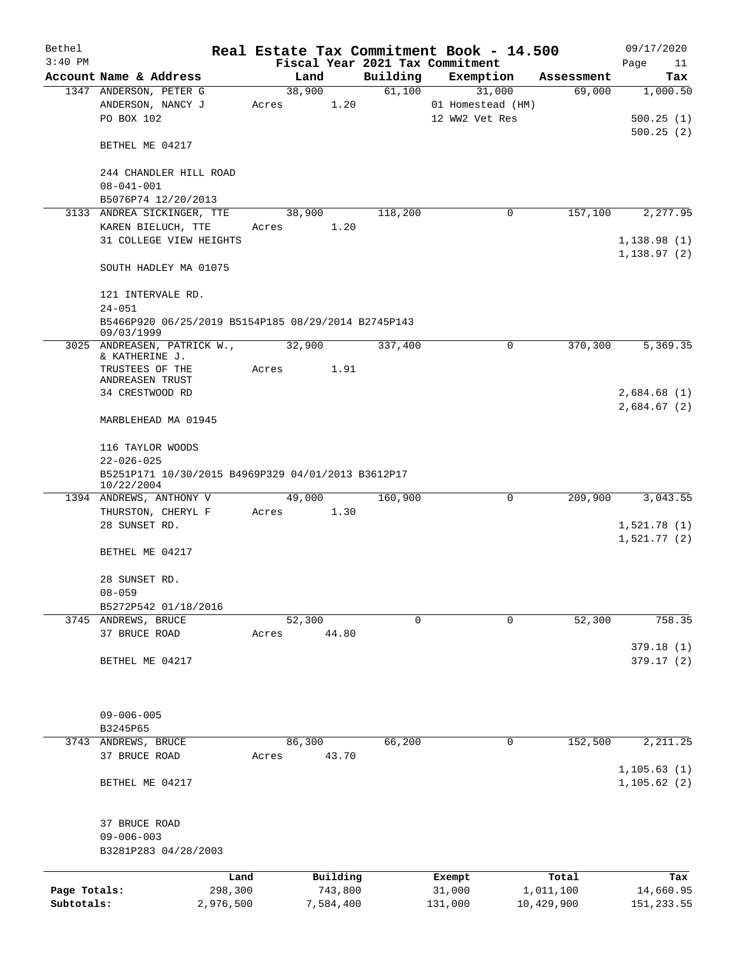| Bethel       |                                                                   |           |       |        |           |          | Real Estate Tax Commitment Book - 14.500 |            | 09/17/2020   |
|--------------|-------------------------------------------------------------------|-----------|-------|--------|-----------|----------|------------------------------------------|------------|--------------|
| $3:40$ PM    |                                                                   |           |       |        |           |          | Fiscal Year 2021 Tax Commitment          |            | Page<br>11   |
|              | Account Name & Address                                            |           |       | Land   |           | Building | Exemption                                | Assessment | Tax          |
|              | 1347 ANDERSON, PETER G                                            |           |       | 38,900 |           | 61,100   | 31,000                                   | 69,000     | 1,000.50     |
|              | ANDERSON, NANCY J                                                 |           | Acres |        | 1.20      |          | 01 Homestead (HM)                        |            |              |
|              | PO BOX 102                                                        |           |       |        |           |          | 12 WW2 Vet Res                           |            | 500.25(1)    |
|              |                                                                   |           |       |        |           |          |                                          |            | 500.25(2)    |
|              | BETHEL ME 04217                                                   |           |       |        |           |          |                                          |            |              |
|              |                                                                   |           |       |        |           |          |                                          |            |              |
|              | 244 CHANDLER HILL ROAD                                            |           |       |        |           |          |                                          |            |              |
|              | $08 - 041 - 001$                                                  |           |       |        |           |          |                                          |            |              |
|              | B5076P74 12/20/2013                                               |           |       |        |           |          |                                          |            |              |
|              | 3133 ANDREA SICKINGER, TTE                                        |           |       | 38,900 |           | 118,200  | 0                                        | 157,100    | 2,277.95     |
|              | KAREN BIELUCH, TTE                                                |           | Acres |        | 1.20      |          |                                          |            |              |
|              | 31 COLLEGE VIEW HEIGHTS                                           |           |       |        |           |          |                                          |            | 1,138.98(1)  |
|              |                                                                   |           |       |        |           |          |                                          |            | 1, 138.97(2) |
|              | SOUTH HADLEY MA 01075                                             |           |       |        |           |          |                                          |            |              |
|              |                                                                   |           |       |        |           |          |                                          |            |              |
|              |                                                                   |           |       |        |           |          |                                          |            |              |
|              | 121 INTERVALE RD.                                                 |           |       |        |           |          |                                          |            |              |
|              | $24 - 051$                                                        |           |       |        |           |          |                                          |            |              |
|              | B5466P920 06/25/2019 B5154P185 08/29/2014 B2745P143<br>09/03/1999 |           |       |        |           |          |                                          |            |              |
|              | 3025 ANDREASEN, PATRICK W.,                                       |           |       | 32,900 |           | 337,400  | 0                                        | 370,300    | 5,369.35     |
|              | & KATHERINE J.                                                    |           |       |        |           |          |                                          |            |              |
|              | TRUSTEES OF THE                                                   |           | Acres |        | 1.91      |          |                                          |            |              |
|              | ANDREASEN TRUST                                                   |           |       |        |           |          |                                          |            |              |
|              | 34 CRESTWOOD RD                                                   |           |       |        |           |          |                                          |            | 2,684.68(1)  |
|              |                                                                   |           |       |        |           |          |                                          |            | 2,684.67(2)  |
|              | MARBLEHEAD MA 01945                                               |           |       |        |           |          |                                          |            |              |
|              |                                                                   |           |       |        |           |          |                                          |            |              |
|              | 116 TAYLOR WOODS                                                  |           |       |        |           |          |                                          |            |              |
|              | $22 - 026 - 025$                                                  |           |       |        |           |          |                                          |            |              |
|              | B5251P171 10/30/2015 B4969P329 04/01/2013 B3612P17                |           |       |        |           |          |                                          |            |              |
|              | 10/22/2004                                                        |           |       |        |           |          |                                          |            |              |
|              | 1394 ANDREWS, ANTHONY V                                           |           |       | 49,000 |           | 160,900  | 0                                        | 209,900    | 3,043.55     |
|              | THURSTON, CHERYL F                                                |           | Acres |        | 1.30      |          |                                          |            |              |
|              | 28 SUNSET RD.                                                     |           |       |        |           |          |                                          |            | 1,521.78(1)  |
|              |                                                                   |           |       |        |           |          |                                          |            | 1,521.77(2)  |
|              | BETHEL ME 04217                                                   |           |       |        |           |          |                                          |            |              |
|              |                                                                   |           |       |        |           |          |                                          |            |              |
|              | 28 SUNSET RD.                                                     |           |       |        |           |          |                                          |            |              |
|              |                                                                   |           |       |        |           |          |                                          |            |              |
|              | $08 - 059$                                                        |           |       |        |           |          |                                          |            |              |
|              | B5272P542 01/18/2016                                              |           |       |        |           |          |                                          |            |              |
| 3745         | ANDREWS, BRUCE                                                    |           |       | 52,300 |           | 0        | 0                                        | 52,300     | 758.35       |
|              | 37 BRUCE ROAD                                                     |           | Acres |        | 44.80     |          |                                          |            |              |
|              |                                                                   |           |       |        |           |          |                                          |            | 379.18(1)    |
|              | BETHEL ME 04217                                                   |           |       |        |           |          |                                          |            | 379.17(2)    |
|              |                                                                   |           |       |        |           |          |                                          |            |              |
|              |                                                                   |           |       |        |           |          |                                          |            |              |
|              |                                                                   |           |       |        |           |          |                                          |            |              |
|              | $09 - 006 - 005$                                                  |           |       |        |           |          |                                          |            |              |
|              | B3245P65                                                          |           |       |        |           |          |                                          |            |              |
| 3743         | ANDREWS, BRUCE                                                    |           |       | 86,300 |           | 66,200   | 0                                        | 152,500    | 2, 211.25    |
|              | 37 BRUCE ROAD                                                     |           | Acres |        | 43.70     |          |                                          |            |              |
|              |                                                                   |           |       |        |           |          |                                          |            | 1, 105.63(1) |
|              | BETHEL ME 04217                                                   |           |       |        |           |          |                                          |            | 1, 105.62(2) |
|              |                                                                   |           |       |        |           |          |                                          |            |              |
|              |                                                                   |           |       |        |           |          |                                          |            |              |
|              | 37 BRUCE ROAD                                                     |           |       |        |           |          |                                          |            |              |
|              | $09 - 006 - 003$                                                  |           |       |        |           |          |                                          |            |              |
|              | B3281P283 04/28/2003                                              |           |       |        |           |          |                                          |            |              |
|              |                                                                   |           |       |        |           |          |                                          |            |              |
|              |                                                                   | Land      |       |        | Building  |          | Exempt                                   | Total      | Tax          |
| Page Totals: |                                                                   | 298,300   |       |        | 743,800   |          | 31,000                                   | 1,011,100  | 14,660.95    |
| Subtotals:   |                                                                   | 2,976,500 |       |        | 7,584,400 |          | 131,000                                  | 10,429,900 | 151,233.55   |
|              |                                                                   |           |       |        |           |          |                                          |            |              |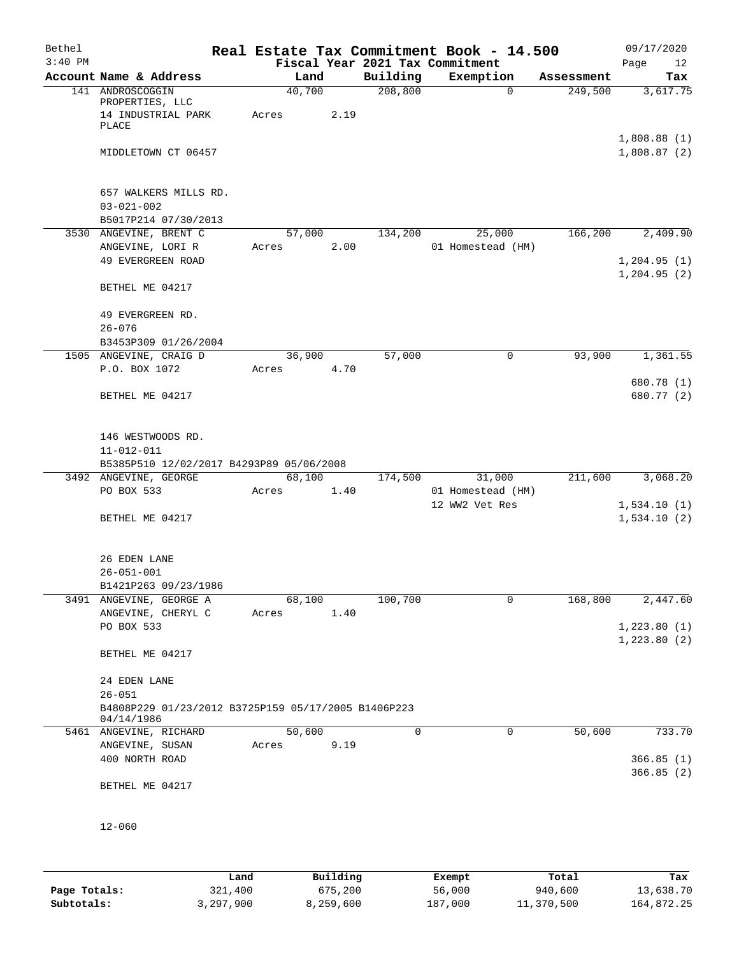| Bethel<br>$3:40$ PM |                                                                                 |                 |      |          | Real Estate Tax Commitment Book - 14.500<br>Fiscal Year 2021 Tax Commitment |            | 09/17/2020<br>Page<br>12   |
|---------------------|---------------------------------------------------------------------------------|-----------------|------|----------|-----------------------------------------------------------------------------|------------|----------------------------|
|                     | Account Name & Address                                                          | Land            |      | Building | Exemption                                                                   | Assessment | Tax                        |
|                     | 141 ANDROSCOGGIN<br>PROPERTIES, LLC<br>14 INDUSTRIAL PARK<br>PLACE              | 40,700<br>Acres | 2.19 | 208,800  | $\mathbf 0$                                                                 | 249,500    | 3,617.75                   |
|                     | MIDDLETOWN CT 06457                                                             |                 |      |          |                                                                             |            | 1,808.88(1)<br>1,808.87(2) |
|                     | 657 WALKERS MILLS RD.<br>$03 - 021 - 002$<br>B5017P214 07/30/2013               |                 |      |          |                                                                             |            |                            |
|                     | 3530 ANGEVINE, BRENT C                                                          | 57,000          |      | 134,200  | 25,000                                                                      | 166,200    | 2,409.90                   |
|                     | ANGEVINE, LORI R                                                                | Acres           | 2.00 |          | 01 Homestead (HM)                                                           |            |                            |
|                     | 49 EVERGREEN ROAD                                                               |                 |      |          |                                                                             |            | 1,204.95(1)                |
|                     | BETHEL ME 04217                                                                 |                 |      |          |                                                                             |            | 1, 204.95(2)               |
|                     | 49 EVERGREEN RD.<br>$26 - 076$                                                  |                 |      |          |                                                                             |            |                            |
|                     | B3453P309 01/26/2004                                                            |                 |      |          |                                                                             |            |                            |
|                     | 1505 ANGEVINE, CRAIG D                                                          | 36,900          |      | 57,000   | 0                                                                           | 93,900     | 1,361.55                   |
|                     | P.O. BOX 1072                                                                   | Acres           | 4.70 |          |                                                                             |            | 680.78 (1)                 |
|                     | BETHEL ME 04217                                                                 |                 |      |          |                                                                             |            | 680.77 (2)                 |
|                     | 146 WESTWOODS RD.<br>$11 - 012 - 011$                                           |                 |      |          |                                                                             |            |                            |
|                     | B5385P510 12/02/2017 B4293P89 05/06/2008<br>3492 ANGEVINE, GEORGE               | 68,100          |      | 174,500  | 31,000                                                                      | 211,600    | 3,068.20                   |
|                     | PO BOX 533                                                                      | Acres           | 1.40 |          | 01 Homestead (HM)                                                           |            |                            |
|                     |                                                                                 |                 |      |          | 12 WW2 Vet Res                                                              |            | 1,534.10(1)                |
|                     | BETHEL ME 04217                                                                 |                 |      |          |                                                                             |            | 1,534.10(2)                |
|                     | 26 EDEN LANE<br>$26 - 051 - 001$<br>B1421P263 09/23/1986                        |                 |      |          |                                                                             |            |                            |
|                     | 3491 ANGEVINE, GEORGE A                                                         | 68,100          |      | 100,700  | 0                                                                           | 168,800    | 2,447.60                   |
|                     | ANGEVINE, CHERYL C                                                              | Acres           | 1.40 |          |                                                                             |            |                            |
|                     | PO BOX 533                                                                      |                 |      |          |                                                                             |            | 1,223.80(1)                |
|                     | BETHEL ME 04217                                                                 |                 |      |          |                                                                             |            | 1,223.80(2)                |
|                     | 24 EDEN LANE                                                                    |                 |      |          |                                                                             |            |                            |
|                     | $26 - 051$<br>B4808P229 01/23/2012 B3725P159 05/17/2005 B1406P223<br>04/14/1986 |                 |      |          |                                                                             |            |                            |
|                     | 5461 ANGEVINE, RICHARD                                                          | 50,600          |      | 0        | 0                                                                           | 50,600     | 733.70                     |
|                     | ANGEVINE, SUSAN                                                                 | Acres           | 9.19 |          |                                                                             |            |                            |
|                     | 400 NORTH ROAD                                                                  |                 |      |          |                                                                             |            | 366.85(1)                  |
|                     | BETHEL ME 04217                                                                 |                 |      |          |                                                                             |            | 366.85(2)                  |
|                     | $12 - 060$                                                                      |                 |      |          |                                                                             |            |                            |
|                     |                                                                                 |                 |      |          |                                                                             |            |                            |

|              | Land      | Building  | Exempt  | Total      | Tax        |
|--------------|-----------|-----------|---------|------------|------------|
| Page Totals: | 321,400   | 675,200   | 56,000  | 940,600    | 13,638.70  |
| Subtotals:   | 3,297,900 | 8,259,600 | 187,000 | 11,370,500 | 164,872.25 |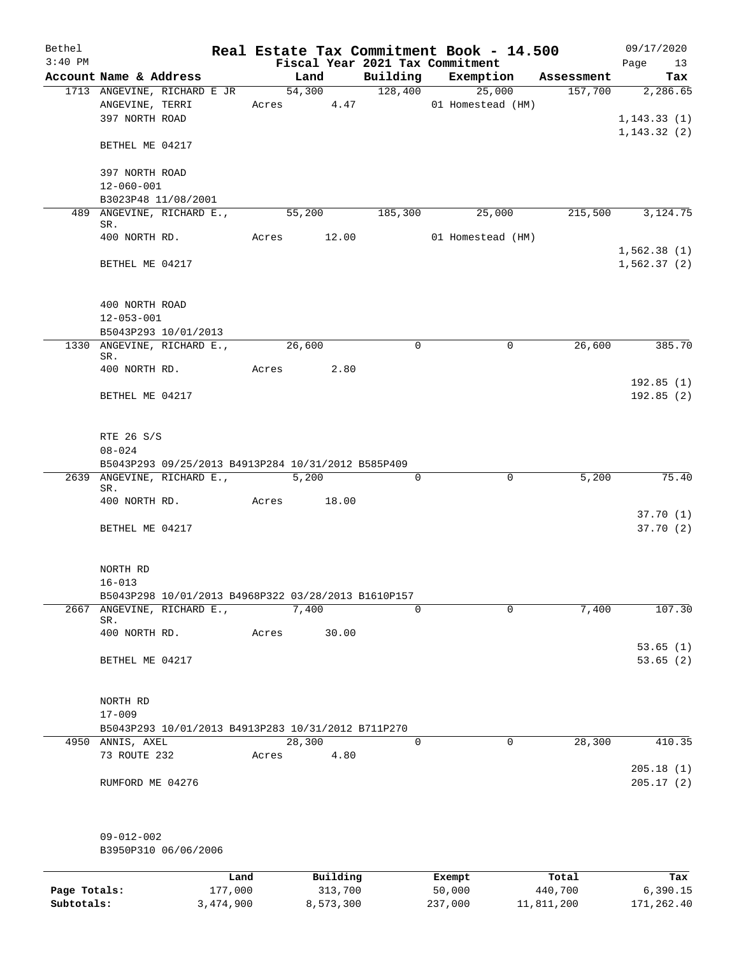| Bethel       |                                                                                |                 |       |                      |                     |                                 | Real Estate Tax Commitment Book - 14.500 |                  | 09/17/2020               |
|--------------|--------------------------------------------------------------------------------|-----------------|-------|----------------------|---------------------|---------------------------------|------------------------------------------|------------------|--------------------------|
| $3:40$ PM    |                                                                                |                 |       |                      |                     | Fiscal Year 2021 Tax Commitment |                                          |                  | Page<br>13               |
|              | Account Name & Address                                                         |                 |       | Land                 |                     |                                 | Building Exemption                       | Assessment       | Tax                      |
|              | 1713 ANGEVINE, RICHARD E JR<br>ANGEVINE, TERRI<br>397 NORTH ROAD               |                 |       | 54,300<br>Acres 4.47 |                     | 128,400                         | 25,000<br>01 Homestead (HM)              | 157,700          | 2,286.65<br>1, 143.33(1) |
|              | BETHEL ME 04217                                                                |                 |       |                      |                     |                                 |                                          |                  | 1, 143.32(2)             |
|              | 397 NORTH ROAD<br>$12 - 060 - 001$                                             |                 |       |                      |                     |                                 |                                          |                  |                          |
|              | B3023P48 11/08/2001                                                            |                 |       |                      |                     |                                 |                                          |                  |                          |
|              | 489 ANGEVINE, RICHARD E.,                                                      |                 |       | 55,200               |                     | 185,300                         | 25,000                                   | 215,500          | 3, 124. 75               |
|              | SR.                                                                            |                 |       |                      |                     |                                 |                                          |                  |                          |
|              | 400 NORTH RD.                                                                  |                 |       | Acres 12.00          |                     |                                 | 01 Homestead (HM)                        |                  | 1,562.38(1)              |
|              | BETHEL ME 04217                                                                |                 |       |                      |                     |                                 |                                          |                  | 1,562.37(2)              |
|              | 400 NORTH ROAD                                                                 |                 |       |                      |                     |                                 |                                          |                  |                          |
|              | $12 - 053 - 001$                                                               |                 |       |                      |                     |                                 |                                          |                  |                          |
|              | B5043P293 10/01/2013<br>1330 ANGEVINE, RICHARD E.,                             |                 |       | 26,600               |                     | $\mathbf 0$                     | $\mathbf 0$                              | 26,600           | 385.70                   |
|              | SR.                                                                            |                 |       |                      |                     |                                 |                                          |                  |                          |
|              | 400 NORTH RD.                                                                  |                 | Acres |                      | 2.80                |                                 |                                          |                  | 192.85(1)                |
|              | BETHEL ME 04217                                                                |                 |       |                      |                     |                                 |                                          |                  | 192.85(2)                |
|              | RTE 26 S/S<br>$08 - 024$<br>B5043P293 09/25/2013 B4913P284 10/31/2012 B585P409 |                 |       |                      |                     |                                 |                                          |                  |                          |
|              | 2639 ANGEVINE, RICHARD E., 5,200                                               |                 |       |                      |                     | 0                               | $\mathbf 0$                              | 5,200            | 75.40                    |
|              | SR.                                                                            |                 |       |                      |                     |                                 |                                          |                  |                          |
|              | 400 NORTH RD.                                                                  | Acres 18.00     |       |                      |                     |                                 |                                          |                  |                          |
|              | BETHEL ME 04217                                                                |                 |       |                      |                     |                                 |                                          |                  | 37.70(1)<br>37.70(2)     |
|              | NORTH RD<br>$16 - 013$                                                         |                 |       |                      |                     |                                 |                                          |                  |                          |
|              | B5043P298 10/01/2013 B4968P322 03/28/2013 B1610P157                            |                 |       |                      |                     |                                 |                                          |                  |                          |
| 2667         | ANGEVINE, RICHARD E.,<br>SR.                                                   |                 |       | 7,400                |                     | $\Omega$                        | $\Omega$                                 | 7,400            | 107.30                   |
|              | 400 NORTH RD.                                                                  |                 | Acres |                      | 30.00               |                                 |                                          |                  |                          |
|              | BETHEL ME 04217                                                                |                 |       |                      |                     |                                 |                                          |                  | 53.65(1)<br>53.65(2)     |
|              | NORTH RD                                                                       |                 |       |                      |                     |                                 |                                          |                  |                          |
|              | $17 - 009$                                                                     |                 |       |                      |                     |                                 |                                          |                  |                          |
|              | B5043P293 10/01/2013 B4913P283 10/31/2012 B711P270                             |                 |       |                      |                     |                                 |                                          |                  |                          |
|              | 4950 ANNIS, AXEL                                                               |                 |       | 28,300               |                     | $\mathsf{O}$                    | $\mathbf 0$                              | 28,300           | 410.35                   |
|              | 73 ROUTE 232                                                                   |                 | Acres |                      | 4.80                |                                 |                                          |                  | 205.18(1)                |
|              | RUMFORD ME 04276                                                               |                 |       |                      |                     |                                 |                                          |                  | 205.17(2)                |
|              | $09 - 012 - 002$<br>B3950P310 06/06/2006                                       |                 |       |                      |                     |                                 |                                          |                  |                          |
|              |                                                                                |                 |       |                      |                     |                                 |                                          |                  |                          |
| Page Totals: |                                                                                | Land<br>177,000 |       |                      | Building<br>313,700 |                                 | Exempt<br>50,000                         | Total<br>440,700 | Tax<br>6, 390.15         |

**Subtotals:** 3,474,900 8,573,300 237,000 11,811,200 171,262.40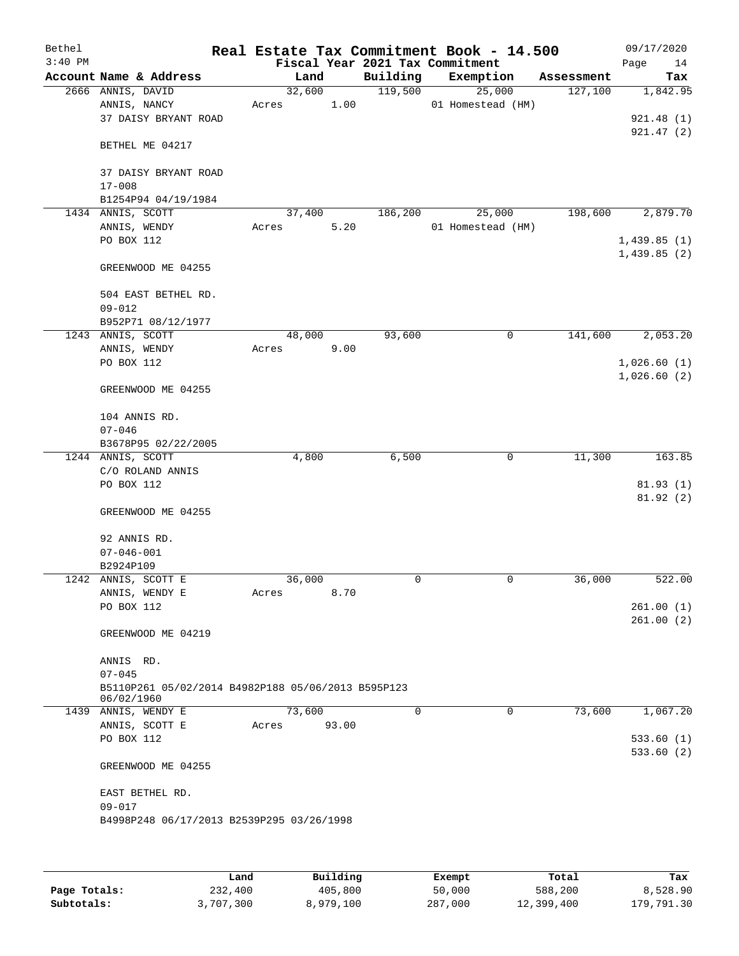| Bethel    |                                                                  |        |       |                                 | Real Estate Tax Commitment Book - 14.500 |            | 09/17/2020  |
|-----------|------------------------------------------------------------------|--------|-------|---------------------------------|------------------------------------------|------------|-------------|
| $3:40$ PM |                                                                  |        |       | Fiscal Year 2021 Tax Commitment |                                          |            | Page<br>14  |
|           | Account Name & Address                                           | Land   |       | Building                        | Exemption                                | Assessment | Tax         |
|           | 2666 ANNIS, DAVID                                                | 32,600 |       | 119,500                         | 25,000                                   | 127,100    | 1,842.95    |
|           | ANNIS, NANCY                                                     | Acres  | 1.00  |                                 | 01 Homestead (HM)                        |            |             |
|           | 37 DAISY BRYANT ROAD                                             |        |       |                                 |                                          |            | 921.48(1)   |
|           |                                                                  |        |       |                                 |                                          |            | 921.47(2)   |
|           | BETHEL ME 04217                                                  |        |       |                                 |                                          |            |             |
|           |                                                                  |        |       |                                 |                                          |            |             |
|           | 37 DAISY BRYANT ROAD                                             |        |       |                                 |                                          |            |             |
|           | $17 - 008$                                                       |        |       |                                 |                                          |            |             |
|           | B1254P94 04/19/1984                                              |        |       |                                 |                                          |            |             |
|           | 1434 ANNIS, SCOTT                                                | 37,400 |       | 186,200                         | 25,000                                   | 198,600    | 2,879.70    |
|           | ANNIS, WENDY                                                     | Acres  | 5.20  |                                 | 01 Homestead (HM)                        |            |             |
|           | PO BOX 112                                                       |        |       |                                 |                                          |            | 1,439.85(1) |
|           |                                                                  |        |       |                                 |                                          |            | 1,439.85(2) |
|           | GREENWOOD ME 04255                                               |        |       |                                 |                                          |            |             |
|           |                                                                  |        |       |                                 |                                          |            |             |
|           | 504 EAST BETHEL RD.                                              |        |       |                                 |                                          |            |             |
|           | $09 - 012$                                                       |        |       |                                 |                                          |            |             |
|           | B952P71 08/12/1977                                               |        |       |                                 |                                          |            |             |
|           | 1243 ANNIS, SCOTT                                                | 48,000 |       | 93,600                          | 0                                        | 141,600    | 2,053.20    |
|           | ANNIS, WENDY                                                     | Acres  | 9.00  |                                 |                                          |            |             |
|           | PO BOX 112                                                       |        |       |                                 |                                          |            | 1,026.60(1) |
|           |                                                                  |        |       |                                 |                                          |            | 1,026.60(2) |
|           | GREENWOOD ME 04255                                               |        |       |                                 |                                          |            |             |
|           |                                                                  |        |       |                                 |                                          |            |             |
|           | 104 ANNIS RD.                                                    |        |       |                                 |                                          |            |             |
|           | $07 - 046$                                                       |        |       |                                 |                                          |            |             |
|           |                                                                  |        |       |                                 |                                          |            |             |
|           | B3678P95 02/22/2005                                              | 4,800  |       | 6,500                           | 0                                        | 11,300     | 163.85      |
|           | 1244 ANNIS, SCOTT                                                |        |       |                                 |                                          |            |             |
|           | C/O ROLAND ANNIS                                                 |        |       |                                 |                                          |            |             |
|           | PO BOX 112                                                       |        |       |                                 |                                          |            | 81.93(1)    |
|           |                                                                  |        |       |                                 |                                          |            | 81.92(2)    |
|           | GREENWOOD ME 04255                                               |        |       |                                 |                                          |            |             |
|           |                                                                  |        |       |                                 |                                          |            |             |
|           | 92 ANNIS RD.                                                     |        |       |                                 |                                          |            |             |
|           | $07 - 046 - 001$                                                 |        |       |                                 |                                          |            |             |
|           | B2924P109                                                        |        |       |                                 |                                          |            |             |
|           | 1242 ANNIS, SCOTT E                                              | 36,000 |       | 0                               | 0                                        | 36,000     | 522.00      |
|           | ANNIS, WENDY E                                                   | Acres  | 8.70  |                                 |                                          |            |             |
|           | PO BOX 112                                                       |        |       |                                 |                                          |            | 261.00(1)   |
|           |                                                                  |        |       |                                 |                                          |            | 261.00(2)   |
|           | GREENWOOD ME 04219                                               |        |       |                                 |                                          |            |             |
|           |                                                                  |        |       |                                 |                                          |            |             |
|           | ANNIS RD.                                                        |        |       |                                 |                                          |            |             |
|           | $07 - 045$                                                       |        |       |                                 |                                          |            |             |
|           | B5110P261 05/02/2014 B4982P188 05/06/2013 B595P123<br>06/02/1960 |        |       |                                 |                                          |            |             |
|           | 1439 ANNIS, WENDY E                                              | 73,600 |       | 0                               | 0                                        | 73,600     | 1,067.20    |
|           | ANNIS, SCOTT E                                                   | Acres  | 93.00 |                                 |                                          |            |             |
|           | PO BOX 112                                                       |        |       |                                 |                                          |            | 533.60(1)   |
|           |                                                                  |        |       |                                 |                                          |            | 533.60(2)   |
|           | GREENWOOD ME 04255                                               |        |       |                                 |                                          |            |             |
|           |                                                                  |        |       |                                 |                                          |            |             |
|           |                                                                  |        |       |                                 |                                          |            |             |
|           | EAST BETHEL RD.<br>$09 - 017$                                    |        |       |                                 |                                          |            |             |
|           |                                                                  |        |       |                                 |                                          |            |             |
|           | B4998P248 06/17/2013 B2539P295 03/26/1998                        |        |       |                                 |                                          |            |             |
|           |                                                                  |        |       |                                 |                                          |            |             |
|           |                                                                  |        |       |                                 |                                          |            |             |
|           |                                                                  |        |       |                                 |                                          |            |             |

|              | Land      | Building  | Exempt  | Total      | Tax        |
|--------------|-----------|-----------|---------|------------|------------|
| Page Totals: | 232,400   | 405,800   | 50,000  | 588,200    | 8,528.90   |
| Subtotals:   | 3,707,300 | 8,979,100 | 287,000 | 12,399,400 | 179,791.30 |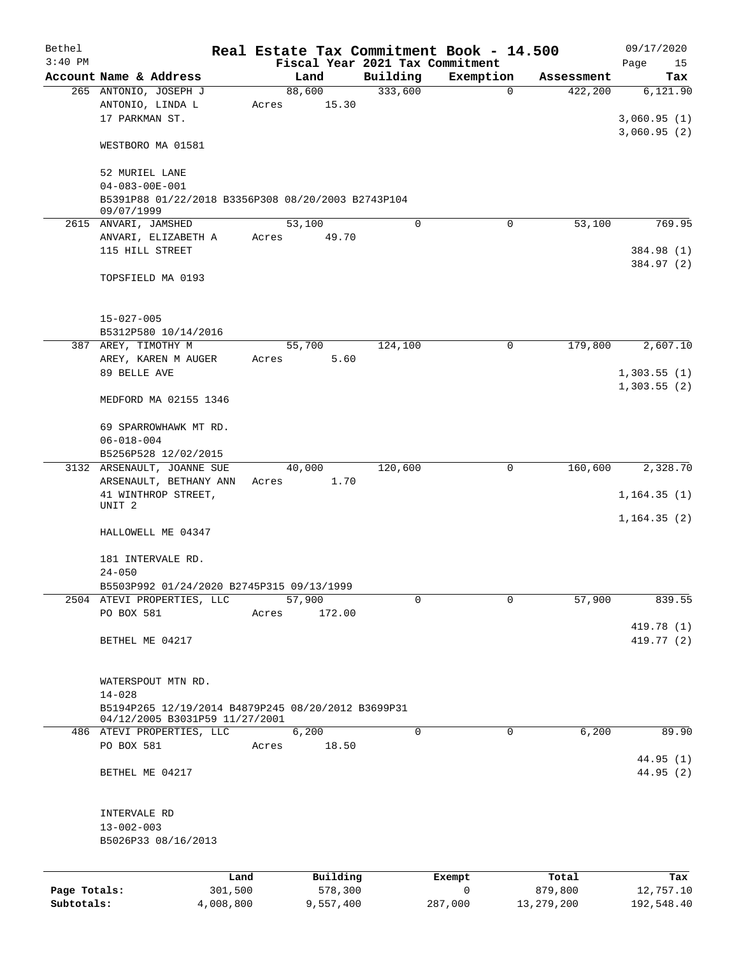| Bethel       |                                                    | Real Estate Tax Commitment Book - 14.500 |             |                       |                  | 09/17/2020       |
|--------------|----------------------------------------------------|------------------------------------------|-------------|-----------------------|------------------|------------------|
| $3:40$ PM    |                                                    | Fiscal Year 2021 Tax Commitment          |             |                       |                  | Page<br>15       |
|              | Account Name & Address                             | Land                                     | Building    | Exemption             | Assessment       | Tax              |
|              | 265 ANTONIO, JOSEPH J<br>ANTONIO, LINDA L          | 88,600<br>15.30<br>Acres                 | 333,600     | $\mathbf 0$           | 422,200          | 6,121.90         |
|              | 17 PARKMAN ST.                                     |                                          |             |                       |                  | 3,060.95(1)      |
|              |                                                    |                                          |             |                       |                  | 3,060.95(2)      |
|              | WESTBORO MA 01581                                  |                                          |             |                       |                  |                  |
|              | 52 MURIEL LANE                                     |                                          |             |                       |                  |                  |
|              | $04 - 083 - 00E - 001$                             |                                          |             |                       |                  |                  |
|              | B5391P88 01/22/2018 B3356P308 08/20/2003 B2743P104 |                                          |             |                       |                  |                  |
|              | 09/07/1999<br>2615 ANVARI, JAMSHED                 | 53,100                                   | $\mathbf 0$ | $\mathbf 0$           | 53,100           | 769.95           |
|              | ANVARI, ELIZABETH A                                | 49.70<br>Acres                           |             |                       |                  |                  |
|              | 115 HILL STREET                                    |                                          |             |                       |                  | 384.98 (1)       |
|              |                                                    |                                          |             |                       |                  | 384.97 (2)       |
|              | TOPSFIELD MA 0193                                  |                                          |             |                       |                  |                  |
|              |                                                    |                                          |             |                       |                  |                  |
|              | $15 - 027 - 005$<br>B5312P580 10/14/2016           |                                          |             |                       |                  |                  |
|              | 387 AREY, TIMOTHY M                                | 55,700                                   | 124,100     | 0                     | 179,800          | 2,607.10         |
|              | AREY, KAREN M AUGER                                | 5.60<br>Acres                            |             |                       |                  |                  |
|              | 89 BELLE AVE                                       |                                          |             |                       |                  | 1,303.55(1)      |
|              |                                                    |                                          |             |                       |                  | 1,303.55(2)      |
|              | MEDFORD MA 02155 1346                              |                                          |             |                       |                  |                  |
|              | 69 SPARROWHAWK MT RD.                              |                                          |             |                       |                  |                  |
|              | $06 - 018 - 004$                                   |                                          |             |                       |                  |                  |
|              | B5256P528 12/02/2015                               |                                          |             |                       |                  |                  |
|              | 3132 ARSENAULT, JOANNE SUE                         | 40,000                                   | 120,600     | 0                     | 160,600          | 2,328.70         |
|              | ARSENAULT, BETHANY ANN<br>41 WINTHROP STREET,      | 1.70<br>Acres                            |             |                       |                  | 1, 164.35(1)     |
|              | UNIT <sub>2</sub>                                  |                                          |             |                       |                  |                  |
|              |                                                    |                                          |             |                       |                  | 1, 164.35(2)     |
|              | HALLOWELL ME 04347                                 |                                          |             |                       |                  |                  |
|              | 181 INTERVALE RD.                                  |                                          |             |                       |                  |                  |
|              | $24 - 050$                                         |                                          |             |                       |                  |                  |
|              | B5503P992 01/24/2020 B2745P315 09/13/1999          |                                          |             |                       |                  |                  |
|              | 2504 ATEVI PROPERTIES, LLC                         | 57,900                                   | $\mathbf 0$ | 0                     | 57,900           | 839.55           |
|              | PO BOX 581                                         | 172.00<br>Acres                          |             |                       |                  |                  |
|              |                                                    |                                          |             |                       |                  | 419.78 (1)       |
|              | BETHEL ME 04217                                    |                                          |             |                       |                  | 419.77 (2)       |
|              | WATERSPOUT MTN RD.                                 |                                          |             |                       |                  |                  |
|              | $14 - 028$                                         |                                          |             |                       |                  |                  |
|              | B5194P265 12/19/2014 B4879P245 08/20/2012 B3699P31 |                                          |             |                       |                  |                  |
|              | 04/12/2005 B3031P59 11/27/2001                     |                                          |             |                       |                  |                  |
|              | 486 ATEVI PROPERTIES, LLC                          | 6,200                                    | $\Omega$    | $\mathbf 0$           | 6,200            | 89.90            |
|              | PO BOX 581                                         | 18.50<br>Acres                           |             |                       |                  | 44.95 (1)        |
|              | BETHEL ME 04217                                    |                                          |             |                       |                  | 44.95(2)         |
|              |                                                    |                                          |             |                       |                  |                  |
|              | INTERVALE RD                                       |                                          |             |                       |                  |                  |
|              | $13 - 002 - 003$                                   |                                          |             |                       |                  |                  |
|              | B5026P33 08/16/2013                                |                                          |             |                       |                  |                  |
|              |                                                    |                                          |             |                       |                  |                  |
| Page Totals: | Land<br>301,500                                    | Building<br>578,300                      |             | Exempt<br>$\mathbf 0$ | Total<br>879,800 | Tax<br>12,757.10 |
| Subtotals:   | 4,008,800                                          | 9,557,400                                |             | 287,000               | 13, 279, 200     | 192,548.40       |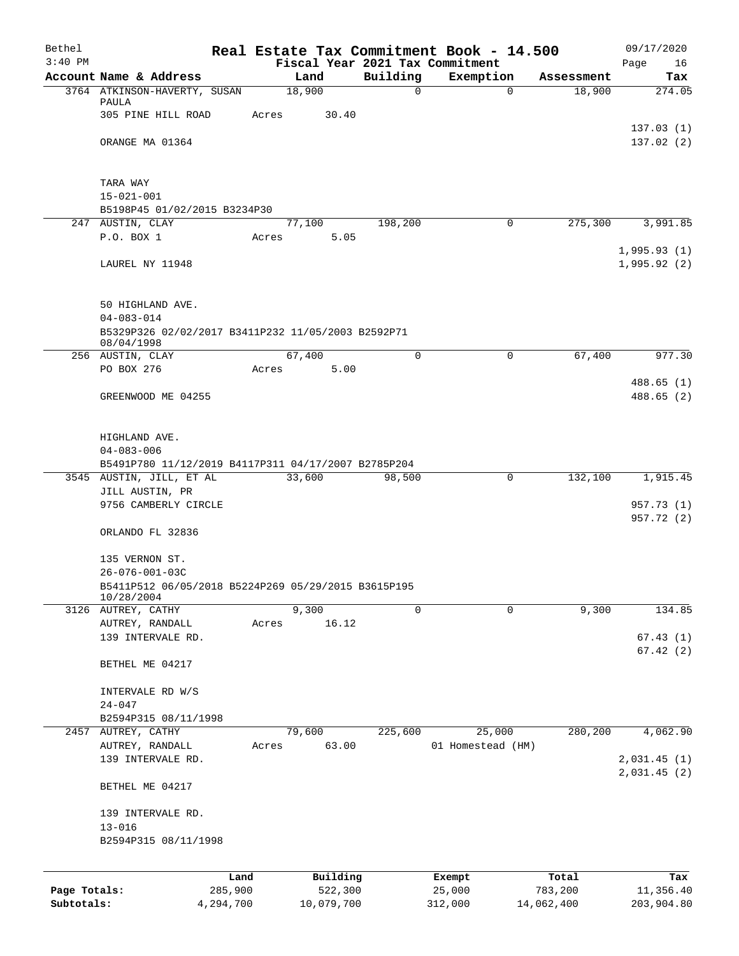| Bethel       |                                                                         |           |                                         |             | Real Estate Tax Commitment Book - 14.500 |            | 09/17/2020             |
|--------------|-------------------------------------------------------------------------|-----------|-----------------------------------------|-------------|------------------------------------------|------------|------------------------|
| $3:40$ PM    | Account Name & Address                                                  |           | Fiscal Year 2021 Tax Commitment<br>Land | Building    | Exemption                                | Assessment | Page<br>16<br>Tax      |
|              | 3764 ATKINSON-HAVERTY, SUSAN                                            |           | 18,900                                  | $\mathbf 0$ | $\Omega$                                 | 18,900     | 274.05                 |
|              | PAULA                                                                   |           |                                         |             |                                          |            |                        |
|              | 305 PINE HILL ROAD                                                      | Acres     | 30.40                                   |             |                                          |            |                        |
|              | ORANGE MA 01364                                                         |           |                                         |             |                                          |            | 137.03(1)<br>137.02(2) |
|              |                                                                         |           |                                         |             |                                          |            |                        |
|              |                                                                         |           |                                         |             |                                          |            |                        |
|              | TARA WAY                                                                |           |                                         |             |                                          |            |                        |
|              | $15 - 021 - 001$<br>B5198P45 01/02/2015 B3234P30                        |           |                                         |             |                                          |            |                        |
|              | 247 AUSTIN, CLAY                                                        |           | 77,100                                  | 198,200     | 0                                        | 275,300    | 3,991.85               |
|              | P.O. BOX 1                                                              | Acres     | 5.05                                    |             |                                          |            |                        |
|              |                                                                         |           |                                         |             |                                          |            | 1,995.93(1)            |
|              | LAUREL NY 11948                                                         |           |                                         |             |                                          |            | 1,995.92(2)            |
|              |                                                                         |           |                                         |             |                                          |            |                        |
|              | 50 HIGHLAND AVE.                                                        |           |                                         |             |                                          |            |                        |
|              | $04 - 083 - 014$<br>B5329P326 02/02/2017 B3411P232 11/05/2003 B2592P71  |           |                                         |             |                                          |            |                        |
|              | 08/04/1998                                                              |           |                                         |             |                                          |            |                        |
|              | 256 AUSTIN, CLAY                                                        |           | 67,400                                  | $\Omega$    | 0                                        | 67,400     | 977.30                 |
|              | PO BOX 276                                                              | Acres     | 5.00                                    |             |                                          |            |                        |
|              | GREENWOOD ME 04255                                                      |           |                                         |             |                                          |            | 488.65(1)<br>488.65(2) |
|              |                                                                         |           |                                         |             |                                          |            |                        |
|              |                                                                         |           |                                         |             |                                          |            |                        |
|              | HIGHLAND AVE.                                                           |           |                                         |             |                                          |            |                        |
|              | $04 - 083 - 006$<br>B5491P780 11/12/2019 B4117P311 04/17/2007 B2785P204 |           |                                         |             |                                          |            |                        |
|              | 3545 AUSTIN, JILL, ET AL                                                |           | 33,600                                  | 98,500      | 0                                        | 132,100    | 1,915.45               |
|              | JILL AUSTIN, PR                                                         |           |                                         |             |                                          |            |                        |
|              | 9756 CAMBERLY CIRCLE                                                    |           |                                         |             |                                          |            | 957.73 (1)             |
|              | ORLANDO FL 32836                                                        |           |                                         |             |                                          |            | 957.72 (2)             |
|              |                                                                         |           |                                         |             |                                          |            |                        |
|              | 135 VERNON ST.                                                          |           |                                         |             |                                          |            |                        |
|              | $26 - 076 - 001 - 03C$                                                  |           |                                         |             |                                          |            |                        |
|              | B5411P512 06/05/2018 B5224P269 05/29/2015 B3615P195<br>10/28/2004       |           |                                         |             |                                          |            |                        |
|              | 3126 AUTREY, CATHY                                                      |           | 9,300                                   | $\Omega$    | $\Omega$                                 | 9,300      | 134.85                 |
|              | AUTREY, RANDALL                                                         | Acres     | 16.12                                   |             |                                          |            |                        |
|              | 139 INTERVALE RD.                                                       |           |                                         |             |                                          |            | 67.43(1)               |
|              |                                                                         |           |                                         |             |                                          |            | 67.42(2)               |
|              | BETHEL ME 04217                                                         |           |                                         |             |                                          |            |                        |
|              | INTERVALE RD W/S                                                        |           |                                         |             |                                          |            |                        |
|              | $24 - 047$                                                              |           |                                         |             |                                          |            |                        |
|              | B2594P315 08/11/1998                                                    |           |                                         |             |                                          |            |                        |
|              | 2457 AUTREY, CATHY                                                      |           | 79,600                                  | 225,600     | 25,000                                   | 280,200    | 4,062.90               |
|              | AUTREY, RANDALL<br>139 INTERVALE RD.                                    | Acres     | 63.00                                   |             | 01 Homestead (HM)                        |            | 2,031.45(1)            |
|              |                                                                         |           |                                         |             |                                          |            | 2,031.45(2)            |
|              | BETHEL ME 04217                                                         |           |                                         |             |                                          |            |                        |
|              | 139 INTERVALE RD.                                                       |           |                                         |             |                                          |            |                        |
|              | $13 - 016$                                                              |           |                                         |             |                                          |            |                        |
|              | B2594P315 08/11/1998                                                    |           |                                         |             |                                          |            |                        |
|              |                                                                         |           |                                         |             |                                          |            |                        |
|              |                                                                         | Land      | Building                                |             | Exempt                                   | Total      | Tax                    |
| Page Totals: |                                                                         | 285,900   | 522,300                                 |             | 25,000                                   | 783,200    | 11,356.40              |
| Subtotals:   |                                                                         | 4,294,700 | 10,079,700                              |             | 312,000                                  | 14,062,400 | 203,904.80             |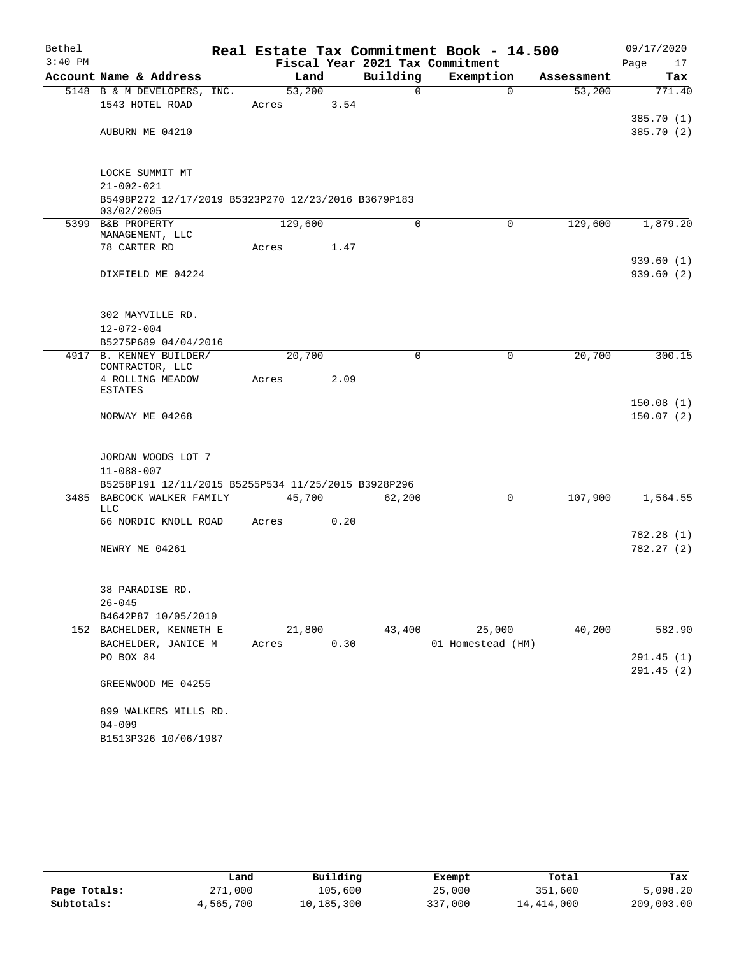| Bethel    |                                                                   |         |        |      |          | Real Estate Tax Commitment Book - 14.500 |          |            |      | 09/17/2020 |
|-----------|-------------------------------------------------------------------|---------|--------|------|----------|------------------------------------------|----------|------------|------|------------|
| $3:40$ PM |                                                                   |         |        |      |          | Fiscal Year 2021 Tax Commitment          |          |            | Page | 17         |
|           | Account Name & Address                                            |         | Land   |      | Building | Exemption                                |          | Assessment |      | Tax        |
|           | 5148 B & M DEVELOPERS, INC.                                       | 53,200  |        |      | $\Omega$ |                                          | $\Omega$ | 53,200     |      | 771.40     |
|           | 1543 HOTEL ROAD                                                   | Acres   |        | 3.54 |          |                                          |          |            |      |            |
|           |                                                                   |         |        |      |          |                                          |          |            |      | 385.70 (1) |
|           | AUBURN ME 04210                                                   |         |        |      |          |                                          |          |            |      | 385.70 (2) |
|           |                                                                   |         |        |      |          |                                          |          |            |      |            |
|           | LOCKE SUMMIT MT                                                   |         |        |      |          |                                          |          |            |      |            |
|           | $21 - 002 - 021$                                                  |         |        |      |          |                                          |          |            |      |            |
|           | B5498P272 12/17/2019 B5323P270 12/23/2016 B3679P183<br>03/02/2005 |         |        |      |          |                                          |          |            |      |            |
|           | 5399 B&B PROPERTY<br>MANAGEMENT, LLC                              | 129,600 |        |      | $\Omega$ |                                          | $\Omega$ | 129,600    |      | 1,879.20   |
|           | 78 CARTER RD                                                      | Acres   |        | 1.47 |          |                                          |          |            |      |            |
|           |                                                                   |         |        |      |          |                                          |          |            |      | 939.60(1)  |
|           | DIXFIELD ME 04224                                                 |         |        |      |          |                                          |          |            |      | 939.60(2)  |
|           |                                                                   |         |        |      |          |                                          |          |            |      |            |
|           |                                                                   |         |        |      |          |                                          |          |            |      |            |
|           | 302 MAYVILLE RD.                                                  |         |        |      |          |                                          |          |            |      |            |
|           | $12 - 072 - 004$                                                  |         |        |      |          |                                          |          |            |      |            |
|           | B5275P689 04/04/2016                                              |         |        |      |          |                                          |          |            |      |            |
|           | 4917 B. KENNEY BUILDER/<br>CONTRACTOR, LLC                        | 20,700  |        |      | $\Omega$ |                                          | 0        | 20,700     |      | 300.15     |
|           | 4 ROLLING MEADOW                                                  | Acres   |        | 2.09 |          |                                          |          |            |      |            |
|           | <b>ESTATES</b>                                                    |         |        |      |          |                                          |          |            |      |            |
|           |                                                                   |         |        |      |          |                                          |          |            |      | 150.08(1)  |
|           | NORWAY ME 04268                                                   |         |        |      |          |                                          |          |            |      | 150.07(2)  |
|           |                                                                   |         |        |      |          |                                          |          |            |      |            |
|           | JORDAN WOODS LOT 7                                                |         |        |      |          |                                          |          |            |      |            |
|           | $11 - 088 - 007$                                                  |         |        |      |          |                                          |          |            |      |            |
|           | B5258P191 12/11/2015 B5255P534 11/25/2015 B3928P296               |         |        |      |          |                                          |          |            |      |            |
|           | 3485 BABCOCK WALKER FAMILY                                        | 45,700  |        |      | 62,200   |                                          | 0        | 107,900    |      | 1,564.55   |
|           | LLC<br>66 NORDIC KNOLL ROAD                                       | Acres   |        | 0.20 |          |                                          |          |            |      |            |
|           |                                                                   |         |        |      |          |                                          |          |            |      | 782.28 (1) |
|           | NEWRY ME 04261                                                    |         |        |      |          |                                          |          |            |      | 782.27 (2) |
|           |                                                                   |         |        |      |          |                                          |          |            |      |            |
|           |                                                                   |         |        |      |          |                                          |          |            |      |            |
|           | 38 PARADISE RD.                                                   |         |        |      |          |                                          |          |            |      |            |
|           | $26 - 045$                                                        |         |        |      |          |                                          |          |            |      |            |
|           | B4642P87 10/05/2010                                               |         |        |      |          |                                          |          |            |      |            |
|           | 152 BACHELDER, KENNETH E                                          |         | 21,800 |      | 43,400   | 25,000                                   |          | 40,200     |      | 582.90     |
|           | BACHELDER, JANICE M<br>PO BOX 84                                  | Acres   |        | 0.30 |          | 01 Homestead (HM)                        |          |            |      | 291.45 (1) |
|           |                                                                   |         |        |      |          |                                          |          |            |      | 291.45(2)  |
|           | GREENWOOD ME 04255                                                |         |        |      |          |                                          |          |            |      |            |
|           | 899 WALKERS MILLS RD.                                             |         |        |      |          |                                          |          |            |      |            |
|           | $04 - 009$                                                        |         |        |      |          |                                          |          |            |      |            |
|           | B1513P326 10/06/1987                                              |         |        |      |          |                                          |          |            |      |            |

|              | Land      | Building   | Exempt  | Total      | Tax        |
|--------------|-----------|------------|---------|------------|------------|
| Page Totals: | 271,000   | 105,600    | 25,000  | 351,600    | 5,098.20   |
| Subtotals:   | 4,565,700 | 10,185,300 | 337,000 | 14,414,000 | 209,003.00 |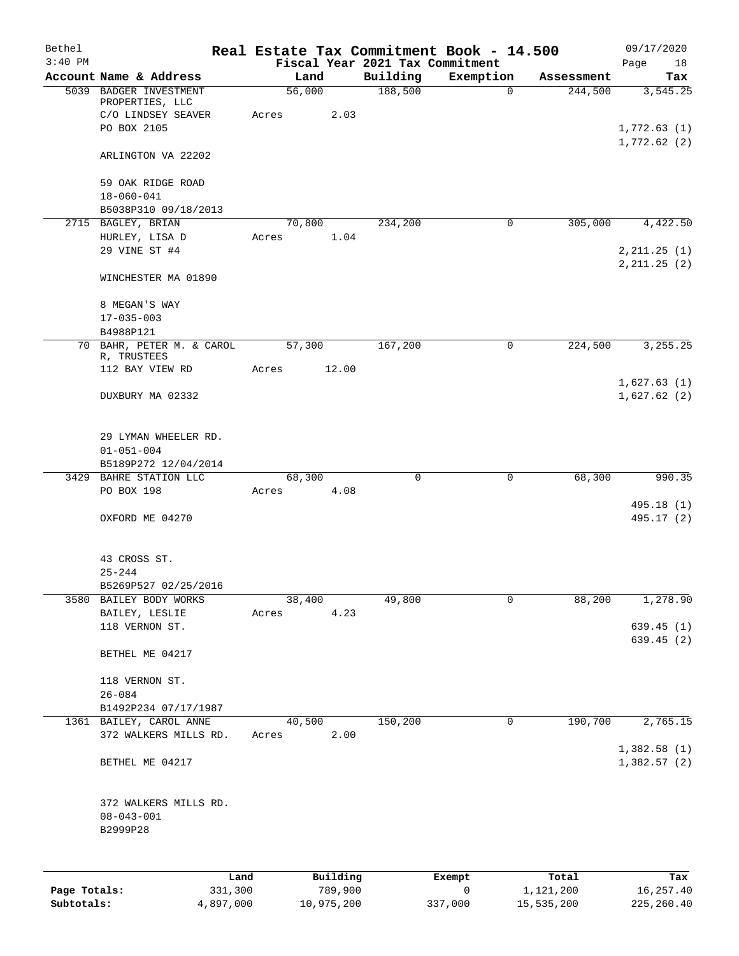| Bethel<br>$3:40$ PM |                                                       | Real Estate Tax Commitment Book - 14.500<br>Fiscal Year 2021 Tax Commitment |             |             |            | 09/17/2020<br>Page<br>18       |
|---------------------|-------------------------------------------------------|-----------------------------------------------------------------------------|-------------|-------------|------------|--------------------------------|
|                     | Account Name & Address                                | Land                                                                        | Building    | Exemption   | Assessment | Tax                            |
|                     | 5039 BADGER INVESTMENT<br>PROPERTIES, LLC             | 56,000                                                                      | 188,500     | $\mathbf 0$ | 244,500    | 3,545.25                       |
|                     | C/O LINDSEY SEAVER                                    | 2.03<br>Acres                                                               |             |             |            |                                |
|                     | PO BOX 2105                                           |                                                                             |             |             |            | 1,772.63(1)<br>1,772.62(2)     |
|                     | ARLINGTON VA 22202                                    |                                                                             |             |             |            |                                |
|                     | 59 OAK RIDGE ROAD                                     |                                                                             |             |             |            |                                |
|                     | $18 - 060 - 041$<br>B5038P310 09/18/2013              |                                                                             |             |             |            |                                |
|                     | 2715 BAGLEY, BRIAN                                    | 70,800                                                                      | 234,200     | $\mathbf 0$ | 305,000    | 4,422.50                       |
|                     | HURLEY, LISA D                                        | 1.04<br>Acres                                                               |             |             |            |                                |
|                     | 29 VINE ST #4                                         |                                                                             |             |             |            | 2, 211.25 (1)<br>2, 211.25 (2) |
|                     | WINCHESTER MA 01890                                   |                                                                             |             |             |            |                                |
|                     | 8 MEGAN'S WAY                                         |                                                                             |             |             |            |                                |
|                     | $17 - 035 - 003$                                      |                                                                             |             |             |            |                                |
|                     | B4988P121<br>70 BAHR, PETER M. & CAROL                | 57,300                                                                      | 167,200     | $\mathbf 0$ | 224,500    | 3,255.25                       |
|                     | R, TRUSTEES                                           |                                                                             |             |             |            |                                |
|                     | 112 BAY VIEW RD                                       | 12.00<br>Acres                                                              |             |             |            | 1,627.63(1)                    |
|                     | DUXBURY MA 02332                                      |                                                                             |             |             |            | 1,627.62(2)                    |
|                     | 29 LYMAN WHEELER RD.<br>$01 - 051 - 004$              |                                                                             |             |             |            |                                |
|                     | B5189P272 12/04/2014                                  |                                                                             |             |             |            |                                |
|                     | 3429 BAHRE STATION LLC                                | 68,300                                                                      | $\mathbf 0$ | $\mathbf 0$ | 68,300     | 990.35                         |
|                     | PO BOX 198                                            | 4.08<br>Acres                                                               |             |             |            | 495.18 (1)                     |
|                     | OXFORD ME 04270                                       |                                                                             |             |             |            | 495.17 (2)                     |
|                     | 43 CROSS ST.                                          |                                                                             |             |             |            |                                |
|                     | $25 - 244$                                            |                                                                             |             |             |            |                                |
|                     | B5269P527 02/25/2016<br>3580 BAILEY BODY WORKS        | 38,400                                                                      | 49,800      | 0           | 88,200     | 1,278.90                       |
|                     | BAILEY, LESLIE                                        | 4.23<br>Acres                                                               |             |             |            |                                |
|                     | 118 VERNON ST.                                        |                                                                             |             |             |            | 639.45 (1)                     |
|                     | BETHEL ME 04217                                       |                                                                             |             |             |            | 639.45 (2)                     |
|                     | 118 VERNON ST.                                        |                                                                             |             |             |            |                                |
|                     | $26 - 084$<br>B1492P234 07/17/1987                    |                                                                             |             |             |            |                                |
|                     | 1361 BAILEY, CAROL ANNE                               | 40,500                                                                      | 150,200     | 0           | 190,700    | 2,765.15                       |
|                     | 372 WALKERS MILLS RD.                                 | 2.00<br>Acres                                                               |             |             |            | 1,382.58(1)                    |
|                     | BETHEL ME 04217                                       |                                                                             |             |             |            | 1,382.57(2)                    |
|                     | 372 WALKERS MILLS RD.<br>$08 - 043 - 001$<br>B2999P28 |                                                                             |             |             |            |                                |
|                     |                                                       |                                                                             |             |             |            |                                |
|                     | Land                                                  | Building                                                                    |             | Exempt      | Total      | Tax                            |
| Page Totals:        | 331,300                                               | 789,900                                                                     |             | 0           | 1,121,200  | 16, 257.40                     |

**Subtotals:** 4,897,000 10,975,200 337,000 15,535,200 225,260.40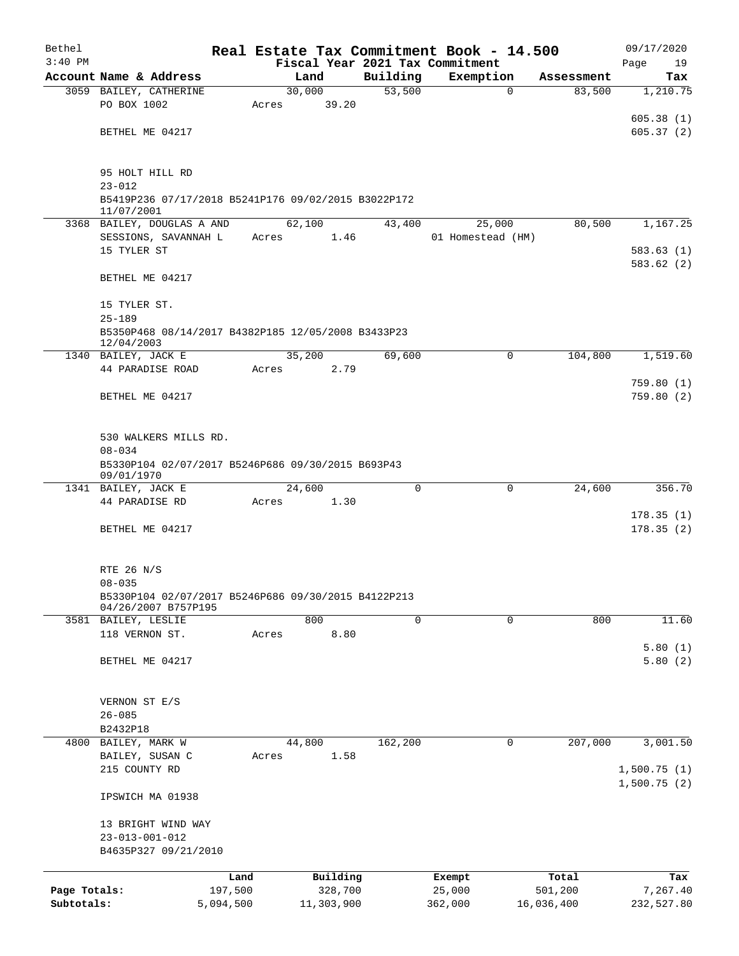| Bethel       |                                                                            |           |       |                |  |          | Real Estate Tax Commitment Book - 14.500 |                      | 09/17/2020             |  |  |  |  |
|--------------|----------------------------------------------------------------------------|-----------|-------|----------------|--|----------|------------------------------------------|----------------------|------------------------|--|--|--|--|
| $3:40$ PM    | Account Name & Address                                                     |           |       |                |  | Building | Fiscal Year 2021 Tax Commitment          |                      | Page<br>19             |  |  |  |  |
|              | 3059 BAILEY, CATHERINE                                                     |           |       | Land<br>30,000 |  | 53,500   | Exemption<br>$\mathbf 0$                 | Assessment<br>83,500 | Tax<br>1,210.75        |  |  |  |  |
|              | PO BOX 1002                                                                |           | Acres | 39.20          |  |          |                                          |                      |                        |  |  |  |  |
|              |                                                                            |           |       |                |  |          |                                          |                      | 605.38(1)              |  |  |  |  |
|              | BETHEL ME 04217                                                            |           |       |                |  |          |                                          |                      | 605.37(2)              |  |  |  |  |
|              | 95 HOLT HILL RD                                                            |           |       |                |  |          |                                          |                      |                        |  |  |  |  |
|              | $23 - 012$<br>B5419P236 07/17/2018 B5241P176 09/02/2015 B3022P172          |           |       |                |  |          |                                          |                      |                        |  |  |  |  |
|              | 11/07/2001                                                                 |           |       |                |  |          |                                          |                      |                        |  |  |  |  |
|              | 3368 BAILEY, DOUGLAS A AND                                                 |           |       | 62,100         |  | 43,400   | 25,000                                   | 80,500               | 1,167.25               |  |  |  |  |
|              | SESSIONS, SAVANNAH L                                                       |           | Acres | 1.46           |  |          | 01 Homestead (HM)                        |                      |                        |  |  |  |  |
|              | 15 TYLER ST                                                                |           |       |                |  |          |                                          |                      | 583.63(1)              |  |  |  |  |
|              | BETHEL ME 04217                                                            |           |       |                |  |          |                                          |                      | 583.62 (2)             |  |  |  |  |
|              | 15 TYLER ST.                                                               |           |       |                |  |          |                                          |                      |                        |  |  |  |  |
|              | $25 - 189$                                                                 |           |       |                |  |          |                                          |                      |                        |  |  |  |  |
|              | B5350P468 08/14/2017 B4382P185 12/05/2008 B3433P23<br>12/04/2003           |           |       |                |  |          |                                          |                      |                        |  |  |  |  |
|              | 1340 BAILEY, JACK E                                                        |           |       | 35,200         |  | 69,600   | 0                                        | 104,800              | 1,519.60               |  |  |  |  |
|              | 44 PARADISE ROAD                                                           |           | Acres | 2.79           |  |          |                                          |                      |                        |  |  |  |  |
|              | BETHEL ME 04217                                                            |           |       |                |  |          |                                          |                      | 759.80(1)<br>759.80(2) |  |  |  |  |
|              | 530 WALKERS MILLS RD.                                                      |           |       |                |  |          |                                          |                      |                        |  |  |  |  |
|              | $08 - 034$                                                                 |           |       |                |  |          |                                          |                      |                        |  |  |  |  |
|              | B5330P104 02/07/2017 B5246P686 09/30/2015 B693P43<br>09/01/1970            |           |       |                |  |          |                                          |                      |                        |  |  |  |  |
|              | 1341 BAILEY, JACK E                                                        |           |       | 24,600         |  | $\Omega$ | 0                                        | 24,600               | 356.70                 |  |  |  |  |
|              | 44 PARADISE RD                                                             |           | Acres | 1.30           |  |          |                                          |                      | 178.35(1)              |  |  |  |  |
|              | BETHEL ME 04217                                                            |           |       |                |  |          |                                          |                      | 178.35(2)              |  |  |  |  |
|              |                                                                            |           |       |                |  |          |                                          |                      |                        |  |  |  |  |
|              | RTE 26 N/S                                                                 |           |       |                |  |          |                                          |                      |                        |  |  |  |  |
|              | $08 - 035$                                                                 |           |       |                |  |          |                                          |                      |                        |  |  |  |  |
|              | B5330P104 02/07/2017 B5246P686 09/30/2015 B4122P213<br>04/26/2007 B757P195 |           |       |                |  |          |                                          |                      |                        |  |  |  |  |
|              | 3581 BAILEY, LESLIE                                                        |           |       | 800            |  | 0        | 0                                        | 800                  | 11.60                  |  |  |  |  |
|              | 118 VERNON ST.                                                             |           | Acres | 8.80           |  |          |                                          |                      | 5.80(1)                |  |  |  |  |
|              | BETHEL ME 04217                                                            |           |       |                |  |          |                                          |                      | 5.80(2)                |  |  |  |  |
|              |                                                                            |           |       |                |  |          |                                          |                      |                        |  |  |  |  |
|              | VERNON ST E/S                                                              |           |       |                |  |          |                                          |                      |                        |  |  |  |  |
|              | $26 - 085$                                                                 |           |       |                |  |          |                                          |                      |                        |  |  |  |  |
| 4800         | B2432P18<br>BAILEY, MARK W                                                 |           |       | 44,800         |  | 162,200  | $\mathbf 0$                              | 207,000              | 3,001.50               |  |  |  |  |
|              | BAILEY, SUSAN C                                                            |           | Acres | 1.58           |  |          |                                          |                      |                        |  |  |  |  |
|              | 215 COUNTY RD                                                              |           |       |                |  |          |                                          |                      | 1,500.75(1)            |  |  |  |  |
|              | IPSWICH MA 01938                                                           |           |       |                |  |          |                                          |                      | 1,500.75(2)            |  |  |  |  |
|              | 13 BRIGHT WIND WAY                                                         |           |       |                |  |          |                                          |                      |                        |  |  |  |  |
|              | $23 - 013 - 001 - 012$                                                     |           |       |                |  |          |                                          |                      |                        |  |  |  |  |
|              | B4635P327 09/21/2010                                                       |           |       |                |  |          |                                          |                      |                        |  |  |  |  |
|              |                                                                            | Land      |       | Building       |  |          | Exempt                                   | Total                | Tax                    |  |  |  |  |
| Page Totals: |                                                                            | 197,500   |       | 328,700        |  |          | 25,000                                   | 501,200              | 7,267.40               |  |  |  |  |
| Subtotals:   |                                                                            | 5,094,500 |       | 11,303,900     |  |          | 362,000                                  | 16,036,400           | 232,527.80             |  |  |  |  |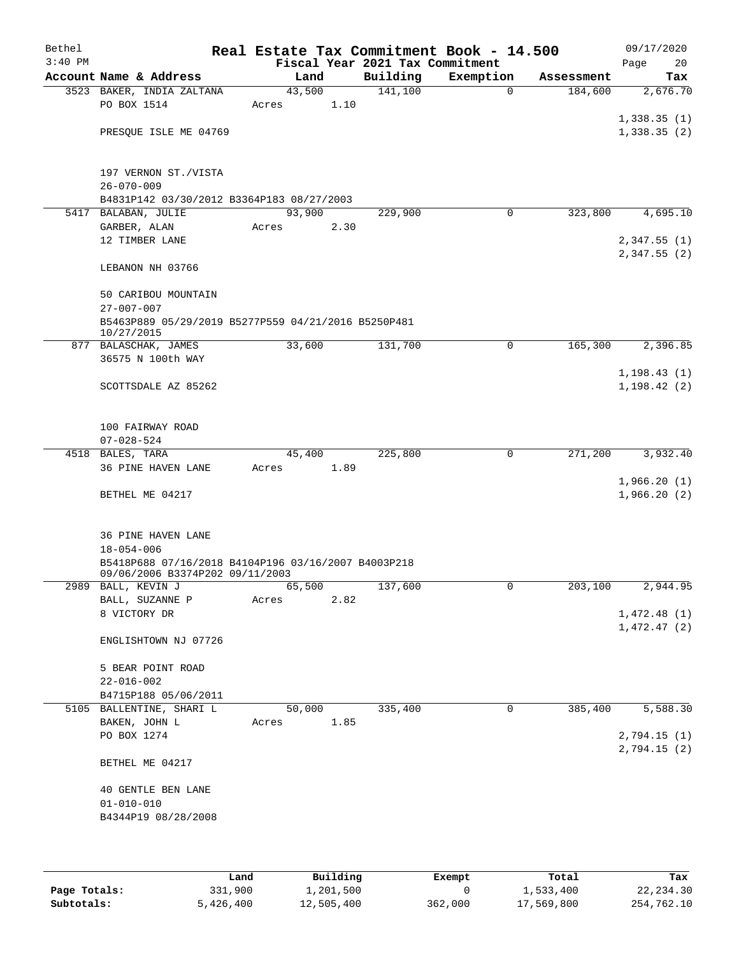| Bethel<br>$3:40$ PM |                                                                                        |        |      | Fiscal Year 2021 Tax Commitment | Real Estate Tax Commitment Book - 14.500 |            | 09/17/2020<br>20<br>Page |  |  |
|---------------------|----------------------------------------------------------------------------------------|--------|------|---------------------------------|------------------------------------------|------------|--------------------------|--|--|
|                     | Account Name & Address                                                                 | Land   |      | Building                        | Exemption                                | Assessment | Tax                      |  |  |
|                     | 3523 BAKER, INDIA ZALTANA                                                              | 43,500 |      | 141,100                         | $\Omega$                                 | 184,600    | 2,676.70                 |  |  |
|                     | PO BOX 1514                                                                            | Acres  | 1.10 |                                 |                                          |            |                          |  |  |
|                     |                                                                                        |        |      |                                 |                                          |            | 1,338.35(1)              |  |  |
|                     | PRESQUE ISLE ME 04769                                                                  |        |      |                                 |                                          |            | 1,338.35(2)              |  |  |
|                     |                                                                                        |        |      |                                 |                                          |            |                          |  |  |
|                     |                                                                                        |        |      |                                 |                                          |            |                          |  |  |
|                     | 197 VERNON ST./VISTA                                                                   |        |      |                                 |                                          |            |                          |  |  |
|                     | $26 - 070 - 009$                                                                       |        |      |                                 |                                          |            |                          |  |  |
|                     | B4831P142 03/30/2012 B3364P183 08/27/2003<br>5417 BALABAN, JULIE                       | 93,900 |      | 229,900                         | 0                                        | 323,800    | 4,695.10                 |  |  |
|                     | GARBER, ALAN                                                                           | Acres  | 2.30 |                                 |                                          |            |                          |  |  |
|                     | 12 TIMBER LANE                                                                         |        |      |                                 |                                          |            | 2,347.55(1)              |  |  |
|                     |                                                                                        |        |      |                                 |                                          |            | 2,347.55(2)              |  |  |
|                     | LEBANON NH 03766                                                                       |        |      |                                 |                                          |            |                          |  |  |
|                     |                                                                                        |        |      |                                 |                                          |            |                          |  |  |
|                     | 50 CARIBOU MOUNTAIN                                                                    |        |      |                                 |                                          |            |                          |  |  |
|                     | $27 - 007 - 007$                                                                       |        |      |                                 |                                          |            |                          |  |  |
|                     | B5463P889 05/29/2019 B5277P559 04/21/2016 B5250P481<br>10/27/2015                      |        |      |                                 |                                          |            |                          |  |  |
|                     | 877 BALASCHAK, JAMES                                                                   | 33,600 |      | 131,700                         | 0                                        | 165,300    | 2,396.85                 |  |  |
|                     | 36575 N 100th WAY                                                                      |        |      |                                 |                                          |            |                          |  |  |
|                     |                                                                                        |        |      |                                 |                                          |            | 1,198.43(1)              |  |  |
|                     | SCOTTSDALE AZ 85262                                                                    |        |      |                                 |                                          |            | 1, 198.42(2)             |  |  |
|                     |                                                                                        |        |      |                                 |                                          |            |                          |  |  |
|                     |                                                                                        |        |      |                                 |                                          |            |                          |  |  |
|                     | 100 FAIRWAY ROAD                                                                       |        |      |                                 |                                          |            |                          |  |  |
|                     | $07 - 028 - 524$<br>4518 BALES, TARA                                                   | 45,400 |      | 225,800                         | 0                                        | 271,200    | 3,932.40                 |  |  |
|                     | 36 PINE HAVEN LANE                                                                     | Acres  | 1.89 |                                 |                                          |            |                          |  |  |
|                     |                                                                                        |        |      |                                 |                                          |            | 1,966.20(1)              |  |  |
|                     | BETHEL ME 04217                                                                        |        |      |                                 |                                          |            | 1,966.20(2)              |  |  |
|                     |                                                                                        |        |      |                                 |                                          |            |                          |  |  |
|                     |                                                                                        |        |      |                                 |                                          |            |                          |  |  |
|                     | 36 PINE HAVEN LANE                                                                     |        |      |                                 |                                          |            |                          |  |  |
|                     | $18 - 054 - 006$                                                                       |        |      |                                 |                                          |            |                          |  |  |
|                     | B5418P688 07/16/2018 B4104P196 03/16/2007 B4003P218<br>09/06/2006 B3374P202 09/11/2003 |        |      |                                 |                                          |            |                          |  |  |
|                     | 2989 BALL, KEVIN J                                                                     | 65,500 |      | 137,600                         | $\sigma$                                 | 203, 100   | 2,944.95                 |  |  |
|                     | BALL, SUZANNE P                                                                        | Acres  | 2.82 |                                 |                                          |            |                          |  |  |
|                     | 8 VICTORY DR                                                                           |        |      |                                 |                                          |            | 1,472.48(1)              |  |  |
|                     |                                                                                        |        |      |                                 |                                          |            | 1,472.47(2)              |  |  |
|                     | ENGLISHTOWN NJ 07726                                                                   |        |      |                                 |                                          |            |                          |  |  |
|                     |                                                                                        |        |      |                                 |                                          |            |                          |  |  |
|                     | 5 BEAR POINT ROAD<br>$22 - 016 - 002$                                                  |        |      |                                 |                                          |            |                          |  |  |
|                     | B4715P188 05/06/2011                                                                   |        |      |                                 |                                          |            |                          |  |  |
|                     | 5105 BALLENTINE, SHARI L                                                               | 50,000 |      | 335,400                         | 0                                        | 385,400    | 5,588.30                 |  |  |
|                     | BAKEN, JOHN L                                                                          | Acres  | 1.85 |                                 |                                          |            |                          |  |  |
|                     | PO BOX 1274                                                                            |        |      |                                 |                                          |            | 2,794.15(1)              |  |  |
|                     |                                                                                        |        |      |                                 |                                          |            | 2,794.15(2)              |  |  |
|                     | BETHEL ME 04217                                                                        |        |      |                                 |                                          |            |                          |  |  |
|                     |                                                                                        |        |      |                                 |                                          |            |                          |  |  |
|                     | 40 GENTLE BEN LANE                                                                     |        |      |                                 |                                          |            |                          |  |  |
|                     | $01 - 010 - 010$<br>B4344P19 08/28/2008                                                |        |      |                                 |                                          |            |                          |  |  |
|                     |                                                                                        |        |      |                                 |                                          |            |                          |  |  |
|                     |                                                                                        |        |      |                                 |                                          |            |                          |  |  |

|              | Land      | Building   | Exempt  | Total      | Tax        |
|--------------|-----------|------------|---------|------------|------------|
| Page Totals: | 331,900   | 1,201,500  |         | 1,533,400  | 22,234.30  |
| Subtotals:   | 5,426,400 | 12,505,400 | 362,000 | 17,569,800 | 254,762.10 |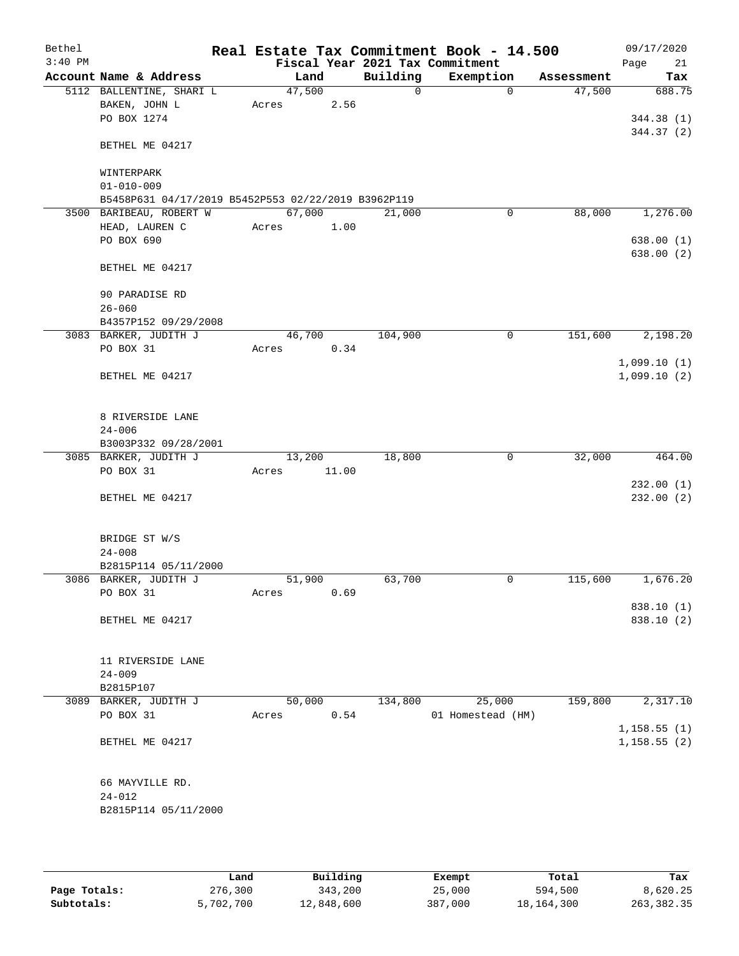| Bethel<br>$3:40$ PM |                                                     |        |        |             | Real Estate Tax Commitment Book - 14.500<br>Fiscal Year 2021 Tax Commitment |            | 09/17/2020<br>21<br>Page |
|---------------------|-----------------------------------------------------|--------|--------|-------------|-----------------------------------------------------------------------------|------------|--------------------------|
|                     | Account Name & Address                              |        | Land   | Building    | Exemption                                                                   | Assessment | Tax                      |
|                     | 5112 BALLENTINE, SHARI L                            | 47,500 |        | $\mathbf 0$ | $\Omega$                                                                    | 47,500     | 688.75                   |
|                     | BAKEN, JOHN L                                       | Acres  | 2.56   |             |                                                                             |            |                          |
|                     | PO BOX 1274                                         |        |        |             |                                                                             |            | 344.38 (1)               |
|                     |                                                     |        |        |             |                                                                             |            | 344.37 (2)               |
|                     | BETHEL ME 04217                                     |        |        |             |                                                                             |            |                          |
|                     | WINTERPARK                                          |        |        |             |                                                                             |            |                          |
|                     | $01 - 010 - 009$                                    |        |        |             |                                                                             |            |                          |
|                     | B5458P631 04/17/2019 B5452P553 02/22/2019 B3962P119 |        |        |             |                                                                             |            |                          |
|                     | 3500 BARIBEAU, ROBERT W                             | 67,000 |        | 21,000      | 0                                                                           | 88,000     | 1,276.00                 |
|                     | HEAD, LAUREN C                                      | Acres  | 1.00   |             |                                                                             |            |                          |
|                     | PO BOX 690                                          |        |        |             |                                                                             |            | 638.00 (1)               |
|                     |                                                     |        |        |             |                                                                             |            | 638.00(2)                |
|                     | BETHEL ME 04217                                     |        |        |             |                                                                             |            |                          |
|                     | 90 PARADISE RD                                      |        |        |             |                                                                             |            |                          |
|                     | $26 - 060$                                          |        |        |             |                                                                             |            |                          |
|                     | B4357P152 09/29/2008                                |        |        |             |                                                                             |            |                          |
|                     | 3083 BARKER, JUDITH J                               |        | 46,700 | 104,900     | 0                                                                           | 151,600    | 2,198.20                 |
|                     | PO BOX 31                                           | Acres  | 0.34   |             |                                                                             |            |                          |
|                     |                                                     |        |        |             |                                                                             |            | 1,099.10(1)              |
|                     | BETHEL ME 04217                                     |        |        |             |                                                                             |            | 1,099.10(2)              |
|                     |                                                     |        |        |             |                                                                             |            |                          |
|                     | 8 RIVERSIDE LANE                                    |        |        |             |                                                                             |            |                          |
|                     | $24 - 006$                                          |        |        |             |                                                                             |            |                          |
|                     | B3003P332 09/28/2001                                |        |        |             |                                                                             |            |                          |
|                     | 3085 BARKER, JUDITH J                               | 13,200 |        | 18,800      | 0                                                                           | 32,000     | 464.00                   |
|                     | PO BOX 31                                           | Acres  | 11.00  |             |                                                                             |            |                          |
|                     |                                                     |        |        |             |                                                                             |            | 232.00(1)                |
|                     | BETHEL ME 04217                                     |        |        |             |                                                                             |            | 232.00(2)                |
|                     |                                                     |        |        |             |                                                                             |            |                          |
|                     | BRIDGE ST W/S                                       |        |        |             |                                                                             |            |                          |
|                     | $24 - 008$                                          |        |        |             |                                                                             |            |                          |
|                     | B2815P114 05/11/2000                                |        |        |             |                                                                             |            |                          |
|                     | 3086 BARKER, JUDITH J                               | 51,900 |        | 63,700      | 0                                                                           | 115,600    | 1,676.20                 |
|                     | PO BOX 31                                           | Acres  | 0.69   |             |                                                                             |            | 838.10 (1)               |
|                     | BETHEL ME 04217                                     |        |        |             |                                                                             |            | 838.10 (2)               |
|                     |                                                     |        |        |             |                                                                             |            |                          |
|                     | 11 RIVERSIDE LANE                                   |        |        |             |                                                                             |            |                          |
|                     | $24 - 009$                                          |        |        |             |                                                                             |            |                          |
|                     | B2815P107                                           |        |        |             |                                                                             |            |                          |
|                     | 3089 BARKER, JUDITH J                               |        | 50,000 | 134,800     | 25,000                                                                      | 159,800    | 2,317.10                 |
|                     | PO BOX 31                                           | Acres  | 0.54   |             | 01 Homestead (HM)                                                           |            |                          |
|                     |                                                     |        |        |             |                                                                             |            | 1,158.55(1)              |
|                     | BETHEL ME 04217                                     |        |        |             |                                                                             |            | 1,158.55(2)              |
|                     |                                                     |        |        |             |                                                                             |            |                          |
|                     | 66 MAYVILLE RD.                                     |        |        |             |                                                                             |            |                          |
|                     | $24 - 012$                                          |        |        |             |                                                                             |            |                          |
|                     | B2815P114 05/11/2000                                |        |        |             |                                                                             |            |                          |
|                     |                                                     |        |        |             |                                                                             |            |                          |
|                     |                                                     |        |        |             |                                                                             |            |                          |

|              | Land      | Building   | Exempt  | Total        | Tax        |  |
|--------------|-----------|------------|---------|--------------|------------|--|
| Page Totals: | 276,300   | 343,200    | 25,000  | 594,500      | 8,620.25   |  |
| Subtotals:   | 5,702,700 | 12,848,600 | 387,000 | 18, 164, 300 | 263,382.35 |  |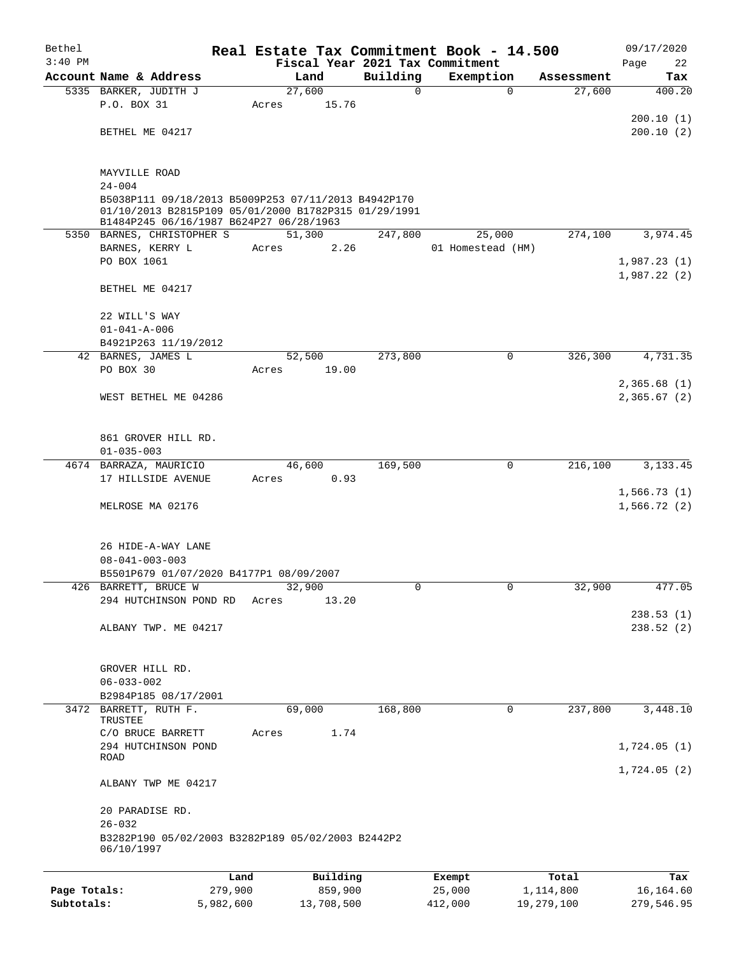| Bethel       |                                                                                                 |       |                 |             | Real Estate Tax Commitment Book - 14.500 |            | 09/17/2020  |  |  |  |
|--------------|-------------------------------------------------------------------------------------------------|-------|-----------------|-------------|------------------------------------------|------------|-------------|--|--|--|
| $3:40$ PM    |                                                                                                 |       |                 |             | Fiscal Year 2021 Tax Commitment          |            | 22<br>Page  |  |  |  |
|              | Account Name & Address                                                                          |       | Land            | Building    | Exemption                                | Assessment | Tax         |  |  |  |
|              | 5335 BARKER, JUDITH J<br>P.O. BOX 31                                                            | Acres | 27,600<br>15.76 | $\mathbf 0$ | $\mathbf 0$                              | 27,600     | 400.20      |  |  |  |
|              |                                                                                                 |       |                 |             |                                          |            | 200.10(1)   |  |  |  |
|              | BETHEL ME 04217                                                                                 |       |                 |             |                                          |            | 200.10(2)   |  |  |  |
|              |                                                                                                 |       |                 |             |                                          |            |             |  |  |  |
|              | MAYVILLE ROAD                                                                                   |       |                 |             |                                          |            |             |  |  |  |
|              | $24 - 004$                                                                                      |       |                 |             |                                          |            |             |  |  |  |
|              | B5038P111 09/18/2013 B5009P253 07/11/2013 B4942P170                                             |       |                 |             |                                          |            |             |  |  |  |
|              | 01/10/2013 B2815P109 05/01/2000 B1782P315 01/29/1991<br>B1484P245 06/16/1987 B624P27 06/28/1963 |       |                 |             |                                          |            |             |  |  |  |
|              | 5350 BARNES, CHRISTOPHER S                                                                      |       | 51,300          | 247,800     | 25,000                                   | 274,100    | 3,974.45    |  |  |  |
|              | BARNES, KERRY L                                                                                 | Acres | 2.26            |             | 01 Homestead (HM)                        |            |             |  |  |  |
|              | PO BOX 1061                                                                                     |       |                 |             |                                          |            | 1,987.23(1) |  |  |  |
|              | BETHEL ME 04217                                                                                 |       |                 |             |                                          |            | 1,987.22(2) |  |  |  |
|              |                                                                                                 |       |                 |             |                                          |            |             |  |  |  |
|              | 22 WILL'S WAY                                                                                   |       |                 |             |                                          |            |             |  |  |  |
|              | $01 - 041 - A - 006$                                                                            |       |                 |             |                                          |            |             |  |  |  |
|              | B4921P263 11/19/2012                                                                            |       |                 |             |                                          |            |             |  |  |  |
|              | 42 BARNES, JAMES L<br>PO BOX 30                                                                 |       | 52,500<br>19.00 | 273,800     | $\mathbf 0$                              | 326,300    | 4,731.35    |  |  |  |
|              |                                                                                                 | Acres |                 |             |                                          |            | 2,365.68(1) |  |  |  |
|              | WEST BETHEL ME 04286                                                                            |       |                 |             |                                          |            | 2,365.67(2) |  |  |  |
|              |                                                                                                 |       |                 |             |                                          |            |             |  |  |  |
|              | 861 GROVER HILL RD.                                                                             |       |                 |             |                                          |            |             |  |  |  |
|              | $01 - 035 - 003$                                                                                |       |                 |             |                                          |            |             |  |  |  |
|              | 4674 BARRAZA, MAURICIO                                                                          |       | 46,600          | 169,500     | 0                                        | 216,100    | 3, 133. 45  |  |  |  |
|              | 17 HILLSIDE AVENUE                                                                              | Acres | 0.93            |             |                                          |            |             |  |  |  |
|              |                                                                                                 |       |                 |             |                                          |            | 1,566.73(1) |  |  |  |
|              | MELROSE MA 02176                                                                                |       |                 |             |                                          |            | 1,566.72(2) |  |  |  |
|              | 26 HIDE-A-WAY LANE                                                                              |       |                 |             |                                          |            |             |  |  |  |
|              | $08 - 041 - 003 - 003$                                                                          |       |                 |             |                                          |            |             |  |  |  |
|              | B5501P679 01/07/2020 B4177P1 08/09/2007                                                         |       |                 |             |                                          |            |             |  |  |  |
|              | 426 BARRETT, BRUCE W                                                                            |       | 32,900          |             |                                          | 32,900     | 477.05      |  |  |  |
|              | 294 HUTCHINSON POND RD                                                                          | Acres | 13.20           |             |                                          |            |             |  |  |  |
|              |                                                                                                 |       |                 |             |                                          |            | 238.53(1)   |  |  |  |
|              | ALBANY TWP. ME 04217                                                                            |       |                 |             |                                          |            | 238.52(2)   |  |  |  |
|              | GROVER HILL RD.                                                                                 |       |                 |             |                                          |            |             |  |  |  |
|              | $06 - 033 - 002$                                                                                |       |                 |             |                                          |            |             |  |  |  |
|              | B2984P185 08/17/2001                                                                            |       |                 |             |                                          |            |             |  |  |  |
|              | 3472 BARRETT, RUTH F.                                                                           |       | 69,000          | 168,800     | $\Omega$                                 | 237,800    | 3,448.10    |  |  |  |
|              | TRUSTEE                                                                                         |       |                 |             |                                          |            |             |  |  |  |
|              | C/O BRUCE BARRETT<br>294 HUTCHINSON POND                                                        | Acres | 1.74            |             |                                          |            | 1,724.05(1) |  |  |  |
|              | ROAD                                                                                            |       |                 |             |                                          |            |             |  |  |  |
|              |                                                                                                 |       |                 |             |                                          |            | 1,724.05(2) |  |  |  |
|              | ALBANY TWP ME 04217                                                                             |       |                 |             |                                          |            |             |  |  |  |
|              | 20 PARADISE RD.                                                                                 |       |                 |             |                                          |            |             |  |  |  |
|              | $26 - 032$<br>B3282P190 05/02/2003 B3282P189 05/02/2003 B2442P2                                 |       |                 |             |                                          |            |             |  |  |  |
|              | 06/10/1997                                                                                      |       |                 |             |                                          |            |             |  |  |  |
|              |                                                                                                 | Land  | Building        |             | Exempt                                   | Total      | Tax         |  |  |  |
| Page Totals: | 279,900                                                                                         |       | 859,900         |             | 25,000                                   | 1,114,800  | 16,164.60   |  |  |  |

**Subtotals:** 5,982,600 13,708,500 412,000 19,279,100 279,546.95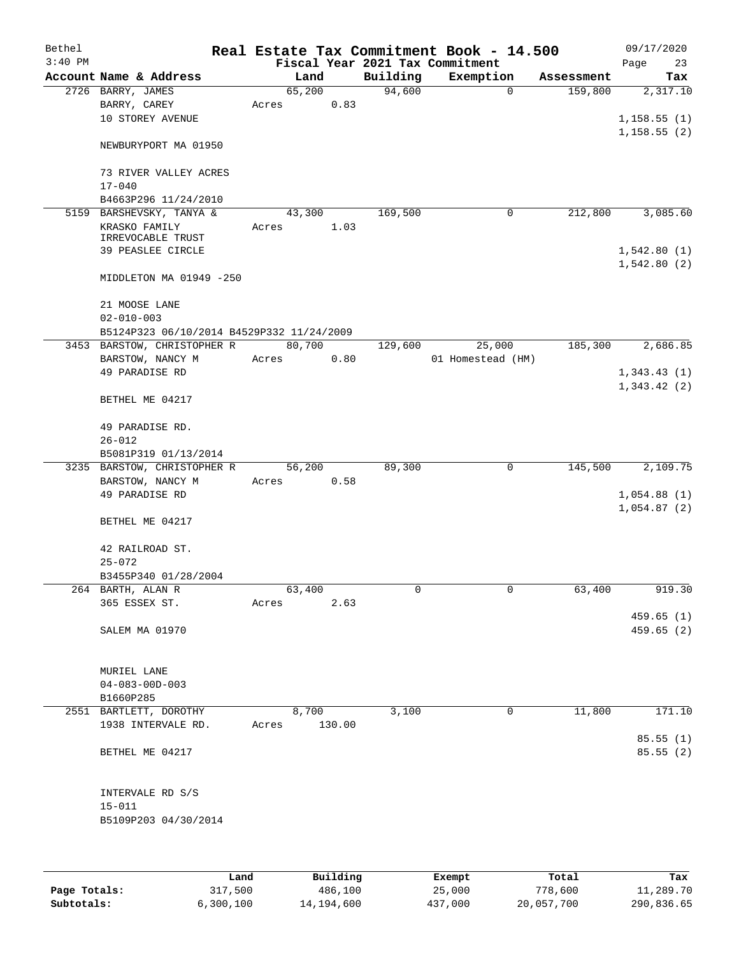| Bethel<br>$3:40$ PM |                                           |        |        |          | Real Estate Tax Commitment Book - 14.500<br>Fiscal Year 2021 Tax Commitment |            | 09/17/2020<br>Page<br>23 |
|---------------------|-------------------------------------------|--------|--------|----------|-----------------------------------------------------------------------------|------------|--------------------------|
|                     | Account Name & Address                    | Land   |        | Building | Exemption                                                                   | Assessment | Tax                      |
|                     | 2726 BARRY, JAMES                         | 65,200 |        | 94,600   | $\mathbf 0$                                                                 | 159,800    | 2,317.10                 |
|                     | BARRY, CAREY                              | Acres  | 0.83   |          |                                                                             |            |                          |
|                     | 10 STOREY AVENUE                          |        |        |          |                                                                             |            | 1,158.55(1)              |
|                     |                                           |        |        |          |                                                                             |            | 1,158.55(2)              |
|                     | NEWBURYPORT MA 01950                      |        |        |          |                                                                             |            |                          |
|                     | 73 RIVER VALLEY ACRES                     |        |        |          |                                                                             |            |                          |
|                     | $17 - 040$                                |        |        |          |                                                                             |            |                          |
|                     | B4663P296 11/24/2010                      |        |        |          |                                                                             |            |                          |
|                     | 5159 BARSHEVSKY, TANYA &                  | 43,300 |        | 169,500  | 0                                                                           | 212,800    | 3,085.60                 |
|                     | KRASKO FAMILY                             | Acres  | 1.03   |          |                                                                             |            |                          |
|                     | IRREVOCABLE TRUST                         |        |        |          |                                                                             |            |                          |
|                     | 39 PEASLEE CIRCLE                         |        |        |          |                                                                             |            | 1,542.80(1)              |
|                     | MIDDLETON MA 01949 -250                   |        |        |          |                                                                             |            | 1,542.80(2)              |
|                     | 21 MOOSE LANE                             |        |        |          |                                                                             |            |                          |
|                     | $02 - 010 - 003$                          |        |        |          |                                                                             |            |                          |
|                     | B5124P323 06/10/2014 B4529P332 11/24/2009 |        |        |          |                                                                             |            |                          |
|                     | 3453 BARSTOW, CHRISTOPHER R               | 80,700 |        | 129,600  | 25,000                                                                      | 185,300    | 2,686.85                 |
|                     | BARSTOW, NANCY M                          | Acres  | 0.80   |          | 01 Homestead (HM)                                                           |            |                          |
|                     | 49 PARADISE RD                            |        |        |          |                                                                             |            | 1,343.43(1)              |
|                     |                                           |        |        |          |                                                                             |            | 1,343.42(2)              |
|                     | BETHEL ME 04217                           |        |        |          |                                                                             |            |                          |
|                     | 49 PARADISE RD.                           |        |        |          |                                                                             |            |                          |
|                     | $26 - 012$                                |        |        |          |                                                                             |            |                          |
|                     | B5081P319 01/13/2014                      |        |        |          |                                                                             |            |                          |
|                     | 3235 BARSTOW, CHRISTOPHER R               | 56,200 |        | 89,300   | 0                                                                           | 145,500    | 2,109.75                 |
|                     | BARSTOW, NANCY M                          | Acres  | 0.58   |          |                                                                             |            |                          |
|                     | 49 PARADISE RD                            |        |        |          |                                                                             |            | 1,054.88(1)              |
|                     |                                           |        |        |          |                                                                             |            | 1,054.87(2)              |
|                     | BETHEL ME 04217                           |        |        |          |                                                                             |            |                          |
|                     | 42 RAILROAD ST.                           |        |        |          |                                                                             |            |                          |
|                     | $25 - 072$                                |        |        |          |                                                                             |            |                          |
|                     | B3455P340 01/28/2004                      |        |        |          |                                                                             |            |                          |
|                     | 264 BARTH, ALAN R                         | 63,400 |        | 0        | 0                                                                           | 63,400     | 919.30                   |
|                     | 365 ESSEX ST.                             | Acres  | 2.63   |          |                                                                             |            |                          |
|                     |                                           |        |        |          |                                                                             |            | 459.65(1)                |
|                     | SALEM MA 01970                            |        |        |          |                                                                             |            | 459.65 (2)               |
|                     |                                           |        |        |          |                                                                             |            |                          |
|                     |                                           |        |        |          |                                                                             |            |                          |
|                     | MURIEL LANE                               |        |        |          |                                                                             |            |                          |
|                     | $04 - 083 - 00D - 003$                    |        |        |          |                                                                             |            |                          |
|                     | B1660P285<br>2551 BARTLETT, DOROTHY       | 8,700  |        | 3,100    | 0                                                                           | 11,800     | 171.10                   |
|                     | 1938 INTERVALE RD.                        | Acres  | 130.00 |          |                                                                             |            |                          |
|                     |                                           |        |        |          |                                                                             |            | 85.55(1)                 |
|                     | BETHEL ME 04217                           |        |        |          |                                                                             |            | 85.55(2)                 |
|                     |                                           |        |        |          |                                                                             |            |                          |
|                     | INTERVALE RD S/S                          |        |        |          |                                                                             |            |                          |
|                     | $15 - 011$                                |        |        |          |                                                                             |            |                          |
|                     | B5109P203 04/30/2014                      |        |        |          |                                                                             |            |                          |
|                     |                                           |        |        |          |                                                                             |            |                          |
|                     |                                           |        |        |          |                                                                             |            |                          |
|                     |                                           |        |        |          |                                                                             |            |                          |

|              | Land      | Building   | Exempt  | Total      | Tax        |
|--------------|-----------|------------|---------|------------|------------|
| Page Totals: | 317,500   | 486,100    | 25,000  | 778,600    | 11,289.70  |
| Subtotals:   | 6,300,100 | 14,194,600 | 437,000 | 20,057,700 | 290,836.65 |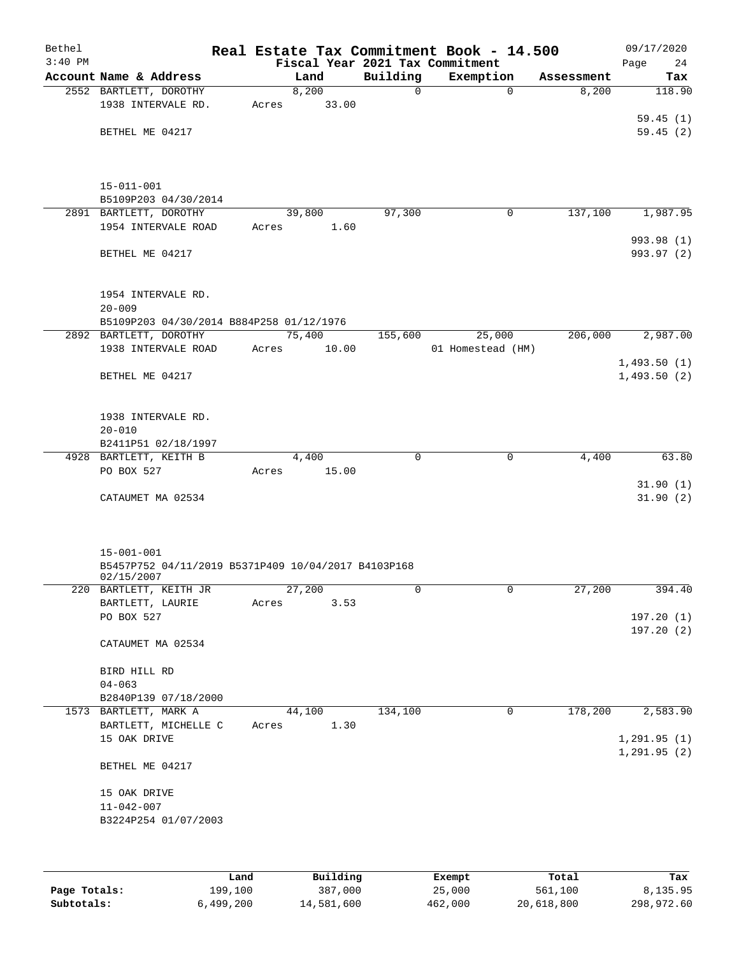| Bethel<br>$3:40$ PM |                                                                   |       |        |             | Real Estate Tax Commitment Book - 14.500<br>Fiscal Year 2021 Tax Commitment |            | 09/17/2020<br>24<br>Page |
|---------------------|-------------------------------------------------------------------|-------|--------|-------------|-----------------------------------------------------------------------------|------------|--------------------------|
|                     | Account Name & Address                                            |       | Land   | Building    | Exemption                                                                   | Assessment | Tax                      |
|                     | 2552 BARTLETT, DOROTHY                                            |       | 8,200  | $\mathbf 0$ | $\Omega$                                                                    | 8,200      | 118.90                   |
|                     | 1938 INTERVALE RD.                                                | Acres | 33.00  |             |                                                                             |            |                          |
|                     |                                                                   |       |        |             |                                                                             |            | 59.45(1)                 |
|                     | BETHEL ME 04217                                                   |       |        |             |                                                                             |            | 59.45(2)                 |
|                     |                                                                   |       |        |             |                                                                             |            |                          |
|                     |                                                                   |       |        |             |                                                                             |            |                          |
|                     |                                                                   |       |        |             |                                                                             |            |                          |
|                     | $15 - 011 - 001$                                                  |       |        |             |                                                                             |            |                          |
|                     | B5109P203 04/30/2014                                              |       |        |             |                                                                             |            |                          |
|                     | 2891 BARTLETT, DOROTHY                                            |       | 39,800 | 97,300      | 0                                                                           | 137,100    | 1,987.95                 |
|                     | 1954 INTERVALE ROAD                                               | Acres | 1.60   |             |                                                                             |            |                          |
|                     |                                                                   |       |        |             |                                                                             |            | 993.98 (1)               |
|                     | BETHEL ME 04217                                                   |       |        |             |                                                                             |            | 993.97 (2)               |
|                     |                                                                   |       |        |             |                                                                             |            |                          |
|                     | 1954 INTERVALE RD.                                                |       |        |             |                                                                             |            |                          |
|                     | $20 - 009$                                                        |       |        |             |                                                                             |            |                          |
|                     | B5109P203 04/30/2014 B884P258 01/12/1976                          |       |        |             |                                                                             |            |                          |
|                     | 2892 BARTLETT, DOROTHY                                            |       | 75,400 | 155,600     | 25,000                                                                      | 206,000    | 2,987.00                 |
|                     | 1938 INTERVALE ROAD                                               | Acres | 10.00  |             | 01 Homestead (HM)                                                           |            |                          |
|                     |                                                                   |       |        |             |                                                                             |            | 1,493.50(1)              |
|                     | BETHEL ME 04217                                                   |       |        |             |                                                                             |            | 1,493.50(2)              |
|                     |                                                                   |       |        |             |                                                                             |            |                          |
|                     |                                                                   |       |        |             |                                                                             |            |                          |
|                     | 1938 INTERVALE RD.                                                |       |        |             |                                                                             |            |                          |
|                     | $20 - 010$                                                        |       |        |             |                                                                             |            |                          |
|                     | B2411P51 02/18/1997                                               |       |        |             |                                                                             |            |                          |
|                     | 4928 BARTLETT, KEITH B                                            |       | 4,400  | $\mathbf 0$ | $\mathbf 0$                                                                 | 4,400      | 63.80                    |
|                     | PO BOX 527                                                        | Acres | 15.00  |             |                                                                             |            |                          |
|                     |                                                                   |       |        |             |                                                                             |            | 31.90(1)                 |
|                     | CATAUMET MA 02534                                                 |       |        |             |                                                                             |            | 31.90(2)                 |
|                     |                                                                   |       |        |             |                                                                             |            |                          |
|                     |                                                                   |       |        |             |                                                                             |            |                          |
|                     |                                                                   |       |        |             |                                                                             |            |                          |
|                     | $15 - 001 - 001$                                                  |       |        |             |                                                                             |            |                          |
|                     | B5457P752 04/11/2019 B5371P409 10/04/2017 B4103P168<br>02/15/2007 |       |        |             |                                                                             |            |                          |
|                     | 220 BARTLETT, KEITH JR                                            |       | 27,200 | 0           | 0                                                                           | 27,200     | 394.40                   |
|                     | BARTLETT, LAURIE                                                  | Acres | 3.53   |             |                                                                             |            |                          |
|                     | PO BOX 527                                                        |       |        |             |                                                                             |            | 197.20(1)                |
|                     |                                                                   |       |        |             |                                                                             |            | 197.20(2)                |
|                     | CATAUMET MA 02534                                                 |       |        |             |                                                                             |            |                          |
|                     |                                                                   |       |        |             |                                                                             |            |                          |
|                     | BIRD HILL RD                                                      |       |        |             |                                                                             |            |                          |
|                     | $04 - 063$                                                        |       |        |             |                                                                             |            |                          |
|                     | B2840P139 07/18/2000                                              |       |        |             |                                                                             |            |                          |
|                     | 1573 BARTLETT, MARK A                                             |       | 44,100 | 134,100     | 0                                                                           | 178,200    | 2,583.90                 |
|                     | BARTLETT, MICHELLE C                                              | Acres | 1.30   |             |                                                                             |            |                          |
|                     | 15 OAK DRIVE                                                      |       |        |             |                                                                             |            | 1,291.95(1)              |
|                     |                                                                   |       |        |             |                                                                             |            | 1, 291.95(2)             |
|                     | BETHEL ME 04217                                                   |       |        |             |                                                                             |            |                          |
|                     |                                                                   |       |        |             |                                                                             |            |                          |
|                     | 15 OAK DRIVE<br>$11 - 042 - 007$                                  |       |        |             |                                                                             |            |                          |
|                     | B3224P254 01/07/2003                                              |       |        |             |                                                                             |            |                          |
|                     |                                                                   |       |        |             |                                                                             |            |                          |
|                     |                                                                   |       |        |             |                                                                             |            |                          |
|                     |                                                                   |       |        |             |                                                                             |            |                          |
|                     |                                                                   |       |        |             |                                                                             |            |                          |

|              | Land      | Building   | Exempt  | Total      | Tax        |
|--------------|-----------|------------|---------|------------|------------|
| Page Totals: | 199,100   | 387,000    | 25,000  | 561,100    | 8,135.95   |
| Subtotals:   | 6,499,200 | 14,581,600 | 462,000 | 20,618,800 | 298,972.60 |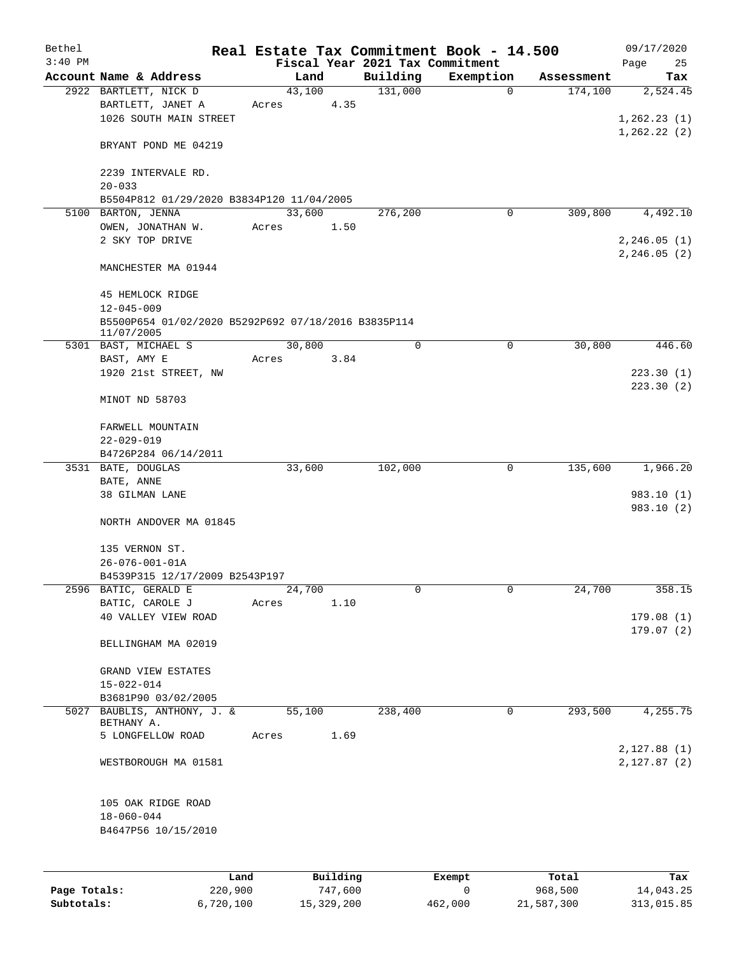| Bethel       |                                                                         |        |                     |                                             | Real Estate Tax Commitment Book - 14.500 |                       | 09/17/2020               |
|--------------|-------------------------------------------------------------------------|--------|---------------------|---------------------------------------------|------------------------------------------|-----------------------|--------------------------|
| $3:40$ PM    | Account Name & Address                                                  | Land   |                     | Fiscal Year 2021 Tax Commitment<br>Building | Exemption                                |                       | Page<br>25               |
|              | 2922 BARTLETT, NICK D                                                   | 43,100 |                     | 131,000                                     | $\mathbf 0$                              | Assessment<br>174,100 | Tax<br>2,524.45          |
|              | BARTLETT, JANET A                                                       | Acres  | 4.35                |                                             |                                          |                       |                          |
|              | 1026 SOUTH MAIN STREET                                                  |        |                     |                                             |                                          |                       | 1, 262.23(1)             |
|              |                                                                         |        |                     |                                             |                                          |                       | 1, 262.22(2)             |
|              | BRYANT POND ME 04219                                                    |        |                     |                                             |                                          |                       |                          |
|              | 2239 INTERVALE RD.                                                      |        |                     |                                             |                                          |                       |                          |
|              | $20 - 033$                                                              |        |                     |                                             |                                          |                       |                          |
|              | B5504P812 01/29/2020 B3834P120 11/04/2005                               |        |                     |                                             |                                          |                       |                          |
|              | 5100 BARTON, JENNA                                                      | 33,600 |                     | 276,200                                     | 0                                        | 309,800               | 4,492.10                 |
|              | OWEN, JONATHAN W.                                                       | Acres  | 1.50                |                                             |                                          |                       |                          |
|              | 2 SKY TOP DRIVE                                                         |        |                     |                                             |                                          |                       | 2, 246.05(1)             |
|              | MANCHESTER MA 01944                                                     |        |                     |                                             |                                          |                       | 2, 246.05(2)             |
|              |                                                                         |        |                     |                                             |                                          |                       |                          |
|              | 45 HEMLOCK RIDGE                                                        |        |                     |                                             |                                          |                       |                          |
|              | $12 - 045 - 009$<br>B5500P654 01/02/2020 B5292P692 07/18/2016 B3835P114 |        |                     |                                             |                                          |                       |                          |
|              | 11/07/2005                                                              |        |                     |                                             |                                          |                       |                          |
|              | 5301 BAST, MICHAEL S                                                    | 30,800 |                     | $\mathbf 0$                                 | $\mathbf 0$                              | 30,800                | 446.60                   |
|              | BAST, AMY E                                                             | Acres  | 3.84                |                                             |                                          |                       |                          |
|              | 1920 21st STREET, NW                                                    |        |                     |                                             |                                          |                       | 223.30(1)                |
|              | MINOT ND 58703                                                          |        |                     |                                             |                                          |                       | 223.30(2)                |
|              | FARWELL MOUNTAIN                                                        |        |                     |                                             |                                          |                       |                          |
|              | $22 - 029 - 019$                                                        |        |                     |                                             |                                          |                       |                          |
|              | B4726P284 06/14/2011                                                    |        |                     |                                             |                                          |                       |                          |
|              | 3531 BATE, DOUGLAS                                                      | 33,600 |                     | 102,000                                     | 0                                        | 135,600               | 1,966.20                 |
|              | $\mathtt{BATE}$ , $\mathtt{ANNE}$                                       |        |                     |                                             |                                          |                       |                          |
|              | 38 GILMAN LANE                                                          |        |                     |                                             |                                          |                       | 983.10 (1)<br>983.10 (2) |
|              | NORTH ANDOVER MA 01845                                                  |        |                     |                                             |                                          |                       |                          |
|              | 135 VERNON ST.                                                          |        |                     |                                             |                                          |                       |                          |
|              | $26 - 076 - 001 - 01A$                                                  |        |                     |                                             |                                          |                       |                          |
|              | B4539P315 12/17/2009 B2543P197                                          |        |                     |                                             |                                          |                       |                          |
|              | 2596 BATIC, GERALD E                                                    | 24,700 |                     | 0                                           | 0                                        | 24,700                | 358.15                   |
|              | BATIC, CAROLE J                                                         | Acres  | 1.10                |                                             |                                          |                       |                          |
|              | 40 VALLEY VIEW ROAD                                                     |        |                     |                                             |                                          |                       | 179.08(1)                |
|              | BELLINGHAM MA 02019                                                     |        |                     |                                             |                                          |                       | 179.07(2)                |
|              | GRAND VIEW ESTATES                                                      |        |                     |                                             |                                          |                       |                          |
|              | $15 - 022 - 014$                                                        |        |                     |                                             |                                          |                       |                          |
|              | B3681P90 03/02/2005                                                     |        |                     |                                             |                                          |                       |                          |
|              | 5027 BAUBLIS, ANTHONY, J. &                                             | 55,100 |                     | 238,400                                     | 0                                        | 293,500               | 4,255.75                 |
|              | BETHANY A.                                                              |        |                     |                                             |                                          |                       |                          |
|              | 5 LONGFELLOW ROAD                                                       | Acres  | 1.69                |                                             |                                          |                       | 2,127.88(1)              |
|              | WESTBOROUGH MA 01581                                                    |        |                     |                                             |                                          |                       | 2,127.87(2)              |
|              |                                                                         |        |                     |                                             |                                          |                       |                          |
|              | 105 OAK RIDGE ROAD                                                      |        |                     |                                             |                                          |                       |                          |
|              | $18 - 060 - 044$                                                        |        |                     |                                             |                                          |                       |                          |
|              | B4647P56 10/15/2010                                                     |        |                     |                                             |                                          |                       |                          |
|              |                                                                         |        |                     |                                             |                                          |                       |                          |
|              |                                                                         |        |                     |                                             |                                          |                       |                          |
| Page Totals: | Land<br>220,900                                                         |        | Building<br>747,600 |                                             | Exempt<br>0                              | Total<br>968,500      | Tax<br>14,043.25         |

**Subtotals:** 6,720,100 15,329,200 462,000 21,587,300 313,015.85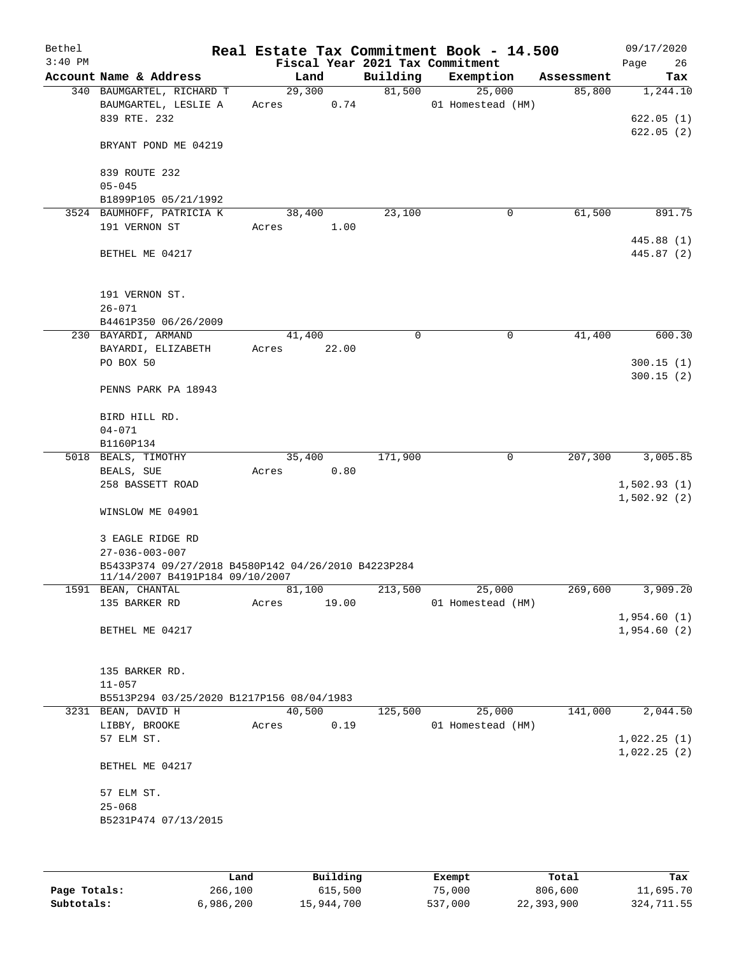| Bethel    |                                                     |        |       |          | Real Estate Tax Commitment Book - 14.500 |            | 09/17/2020  |
|-----------|-----------------------------------------------------|--------|-------|----------|------------------------------------------|------------|-------------|
| $3:40$ PM |                                                     |        |       |          | Fiscal Year 2021 Tax Commitment          |            | Page<br>26  |
|           | Account Name & Address                              |        | Land  | Building | Exemption                                | Assessment | Tax         |
|           | 340 BAUMGARTEL, RICHARD T                           | 29,300 |       | 81,500   | 25,000                                   | 85,800     | 1,244.10    |
|           | BAUMGARTEL, LESLIE A                                | Acres  | 0.74  |          | 01 Homestead (HM)                        |            |             |
|           | 839 RTE. 232                                        |        |       |          |                                          |            | 622.05(1)   |
|           |                                                     |        |       |          |                                          |            | 622.05(2)   |
|           | BRYANT POND ME 04219                                |        |       |          |                                          |            |             |
|           | 839 ROUTE 232                                       |        |       |          |                                          |            |             |
|           | $05 - 045$                                          |        |       |          |                                          |            |             |
|           | B1899P105 05/21/1992                                |        |       |          |                                          |            |             |
|           | 3524 BAUMHOFF, PATRICIA K                           | 38,400 |       | 23,100   | 0                                        | 61,500     | 891.75      |
|           | 191 VERNON ST                                       | Acres  | 1.00  |          |                                          |            |             |
|           |                                                     |        |       |          |                                          |            | 445.88 (1)  |
|           | BETHEL ME 04217                                     |        |       |          |                                          |            | 445.87 (2)  |
|           |                                                     |        |       |          |                                          |            |             |
|           | 191 VERNON ST.                                      |        |       |          |                                          |            |             |
|           | $26 - 071$                                          |        |       |          |                                          |            |             |
|           | B4461P350 06/26/2009                                |        |       |          |                                          |            |             |
|           | 230 BAYARDI, ARMAND                                 | 41,400 |       | $\Omega$ | 0                                        | 41,400     | 600.30      |
|           | BAYARDI, ELIZABETH                                  | Acres  | 22.00 |          |                                          |            |             |
|           | PO BOX 50                                           |        |       |          |                                          |            | 300.15(1)   |
|           |                                                     |        |       |          |                                          |            | 300.15(2)   |
|           | PENNS PARK PA 18943                                 |        |       |          |                                          |            |             |
|           | BIRD HILL RD.                                       |        |       |          |                                          |            |             |
|           | $04 - 071$                                          |        |       |          |                                          |            |             |
|           | B1160P134                                           |        |       |          |                                          |            |             |
|           | 5018 BEALS, TIMOTHY                                 | 35,400 |       | 171,900  | 0                                        | 207,300    | 3,005.85    |
|           | BEALS, SUE                                          | Acres  | 0.80  |          |                                          |            |             |
|           | 258 BASSETT ROAD                                    |        |       |          |                                          |            | 1,502.93(1) |
|           |                                                     |        |       |          |                                          |            | 1,502.92(2) |
|           | WINSLOW ME 04901                                    |        |       |          |                                          |            |             |
|           |                                                     |        |       |          |                                          |            |             |
|           | 3 EAGLE RIDGE RD                                    |        |       |          |                                          |            |             |
|           | $27 - 036 - 003 - 007$                              |        |       |          |                                          |            |             |
|           | B5433P374 09/27/2018 B4580P142 04/26/2010 B4223P284 |        |       |          |                                          |            |             |
|           | 11/14/2007 B4191P184 09/10/2007                     |        |       |          |                                          |            |             |
|           | 1591 BEAN, CHANTAL                                  | 81,100 |       | 213,500  | 25,000                                   | 269,600    | 3,909.20    |
|           | 135 BARKER RD                                       | Acres  | 19.00 |          | 01 Homestead (HM)                        |            |             |
|           |                                                     |        |       |          |                                          |            | 1,954.60(1) |
|           | BETHEL ME 04217                                     |        |       |          |                                          |            | 1,954.60(2) |
|           |                                                     |        |       |          |                                          |            |             |
|           | 135 BARKER RD.                                      |        |       |          |                                          |            |             |
|           | $11 - 057$                                          |        |       |          |                                          |            |             |
|           | B5513P294 03/25/2020 B1217P156 08/04/1983           |        |       |          |                                          |            |             |
|           | 3231 BEAN, DAVID H                                  | 40,500 |       | 125,500  | 25,000                                   | 141,000    | 2,044.50    |
|           | LIBBY, BROOKE                                       | Acres  | 0.19  |          | 01 Homestead (HM)                        |            |             |
|           | 57 ELM ST.                                          |        |       |          |                                          |            | 1,022.25(1) |
|           |                                                     |        |       |          |                                          |            | 1,022.25(2) |
|           | BETHEL ME 04217                                     |        |       |          |                                          |            |             |
|           |                                                     |        |       |          |                                          |            |             |
|           | 57 ELM ST.                                          |        |       |          |                                          |            |             |
|           | $25 - 068$                                          |        |       |          |                                          |            |             |
|           | B5231P474 07/13/2015                                |        |       |          |                                          |            |             |
|           |                                                     |        |       |          |                                          |            |             |
|           |                                                     |        |       |          |                                          |            |             |

|              | Land      | Building   | Exempt  | Total      | Tax        |
|--------------|-----------|------------|---------|------------|------------|
| Page Totals: | 266,100   | 615,500    | 75,000  | 806,600    | 11,695.70  |
| Subtotals:   | 6,986,200 | 15,944,700 | 537,000 | 22,393,900 | 324,711.55 |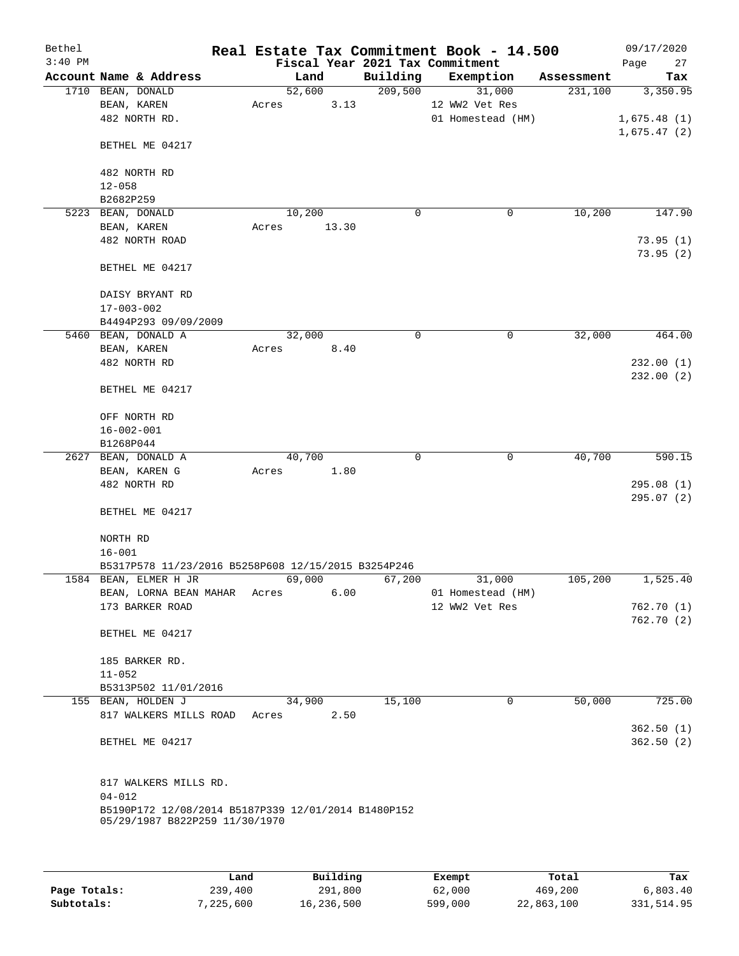| Bethel    |                                                     |       |        |             | Real Estate Tax Commitment Book - 14.500 |   |            | 09/17/2020  |
|-----------|-----------------------------------------------------|-------|--------|-------------|------------------------------------------|---|------------|-------------|
| $3:40$ PM |                                                     |       |        |             | Fiscal Year 2021 Tax Commitment          |   |            | 27<br>Page  |
|           | Account Name & Address                              |       | Land   | Building    | Exemption                                |   | Assessment | Tax         |
|           | 1710 BEAN, DONALD                                   |       | 52,600 | 209,500     | 31,000                                   |   | 231,100    | 3,350.95    |
|           | BEAN, KAREN                                         | Acres | 3.13   |             | 12 WW2 Vet Res                           |   |            |             |
|           | 482 NORTH RD.                                       |       |        |             | 01 Homestead (HM)                        |   |            | 1,675.48(1) |
|           |                                                     |       |        |             |                                          |   |            | 1,675.47(2) |
|           | BETHEL ME 04217                                     |       |        |             |                                          |   |            |             |
|           |                                                     |       |        |             |                                          |   |            |             |
|           | 482 NORTH RD                                        |       |        |             |                                          |   |            |             |
|           | $12 - 058$                                          |       |        |             |                                          |   |            |             |
|           | B2682P259                                           |       |        |             |                                          |   |            |             |
|           | 5223 BEAN, DONALD                                   |       | 10,200 | $\mathbf 0$ |                                          | 0 | 10,200     | 147.90      |
|           | BEAN, KAREN                                         | Acres | 13.30  |             |                                          |   |            |             |
|           | 482 NORTH ROAD                                      |       |        |             |                                          |   |            | 73.95(1)    |
|           |                                                     |       |        |             |                                          |   |            | 73.95(2)    |
|           | BETHEL ME 04217                                     |       |        |             |                                          |   |            |             |
|           |                                                     |       |        |             |                                          |   |            |             |
|           |                                                     |       |        |             |                                          |   |            |             |
|           | DAISY BRYANT RD                                     |       |        |             |                                          |   |            |             |
|           | $17 - 003 - 002$                                    |       |        |             |                                          |   |            |             |
|           | B4494P293 09/09/2009                                |       |        |             |                                          |   |            |             |
|           | 5460 BEAN, DONALD A                                 |       | 32,000 | 0           |                                          | 0 | 32,000     | 464.00      |
|           | BEAN, KAREN                                         | Acres | 8.40   |             |                                          |   |            |             |
|           | 482 NORTH RD                                        |       |        |             |                                          |   |            | 232.00(1)   |
|           |                                                     |       |        |             |                                          |   |            | 232.00(2)   |
|           | BETHEL ME 04217                                     |       |        |             |                                          |   |            |             |
|           |                                                     |       |        |             |                                          |   |            |             |
|           | OFF NORTH RD                                        |       |        |             |                                          |   |            |             |
|           | $16 - 002 - 001$                                    |       |        |             |                                          |   |            |             |
|           | B1268P044                                           |       |        |             |                                          |   |            |             |
|           | 2627 BEAN, DONALD A                                 |       | 40,700 | 0           |                                          | 0 | 40,700     | 590.15      |
|           | BEAN, KAREN G                                       | Acres | 1.80   |             |                                          |   |            |             |
|           | 482 NORTH RD                                        |       |        |             |                                          |   |            | 295.08(1)   |
|           |                                                     |       |        |             |                                          |   |            | 295.07(2)   |
|           | BETHEL ME 04217                                     |       |        |             |                                          |   |            |             |
|           |                                                     |       |        |             |                                          |   |            |             |
|           | NORTH RD                                            |       |        |             |                                          |   |            |             |
|           | $16 - 001$                                          |       |        |             |                                          |   |            |             |
|           | B5317P578 11/23/2016 B5258P608 12/15/2015 B3254P246 |       |        |             |                                          |   |            |             |
|           | 1584 BEAN, ELMER H JR                               |       | 69,000 | 67,200      | 31,000                                   |   | 105,200    | 1,525.40    |
|           | BEAN, LORNA BEAN MAHAR Acres                        |       | 6.00   |             | 01 Homestead (HM)                        |   |            |             |
|           | 173 BARKER ROAD                                     |       |        |             | 12 WW2 Vet Res                           |   |            | 762.70(1)   |
|           |                                                     |       |        |             |                                          |   |            | 762.70(2)   |
|           | BETHEL ME 04217                                     |       |        |             |                                          |   |            |             |
|           |                                                     |       |        |             |                                          |   |            |             |
|           | 185 BARKER RD.                                      |       |        |             |                                          |   |            |             |
|           | $11 - 052$                                          |       |        |             |                                          |   |            |             |
|           | B5313P502 11/01/2016                                |       |        |             |                                          |   |            |             |
|           | 155 BEAN, HOLDEN J                                  |       | 34,900 | 15,100      |                                          | 0 | 50,000     | 725.00      |
|           | 817 WALKERS MILLS ROAD                              | Acres | 2.50   |             |                                          |   |            |             |
|           |                                                     |       |        |             |                                          |   |            | 362.50(1)   |
|           | BETHEL ME 04217                                     |       |        |             |                                          |   |            | 362.50(2)   |
|           |                                                     |       |        |             |                                          |   |            |             |
|           |                                                     |       |        |             |                                          |   |            |             |
|           | 817 WALKERS MILLS RD.                               |       |        |             |                                          |   |            |             |
|           | $04 - 012$                                          |       |        |             |                                          |   |            |             |
|           | B5190P172 12/08/2014 B5187P339 12/01/2014 B1480P152 |       |        |             |                                          |   |            |             |
|           | 05/29/1987 B822P259 11/30/1970                      |       |        |             |                                          |   |            |             |
|           |                                                     |       |        |             |                                          |   |            |             |
|           |                                                     |       |        |             |                                          |   |            |             |
|           |                                                     |       |        |             |                                          |   |            |             |

|              | Land      | Building   | Exempt  | Total      | Tax        |
|--------------|-----------|------------|---------|------------|------------|
| Page Totals: | 239,400   | 291,800    | 62,000  | 469,200    | 6,803.40   |
| Subtotals:   | 7,225,600 | 16,236,500 | 599,000 | 22,863,100 | 331,514.95 |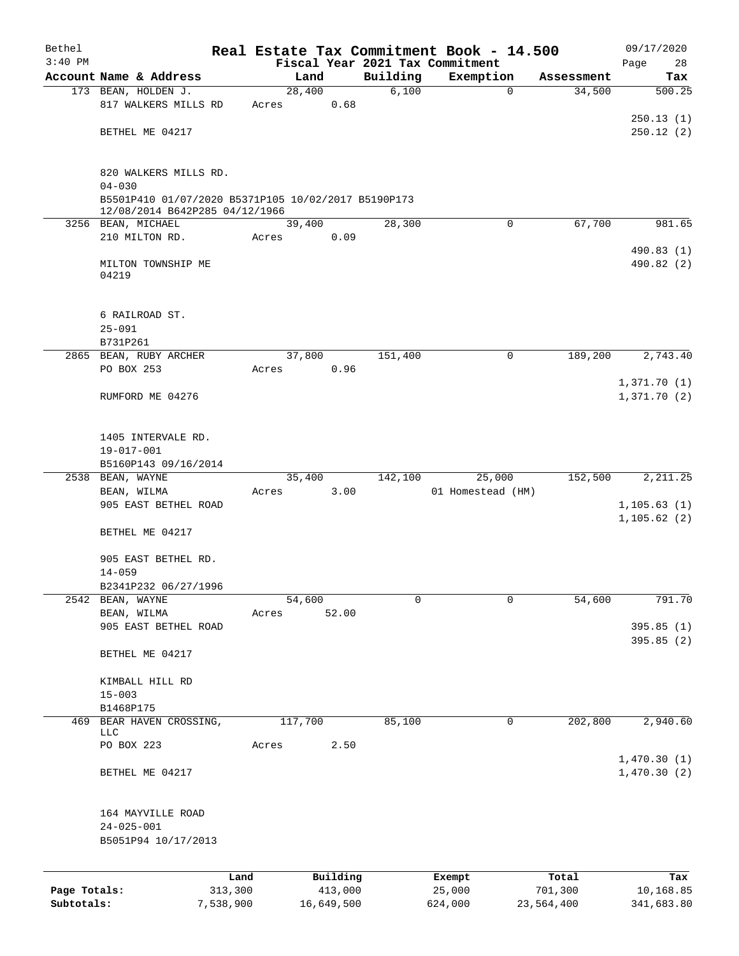| Bethel       |                                                                   |           |                |            |                   | Real Estate Tax Commitment Book - 14.500 |                      | 09/17/2020             |
|--------------|-------------------------------------------------------------------|-----------|----------------|------------|-------------------|------------------------------------------|----------------------|------------------------|
| $3:40$ PM    |                                                                   |           |                |            |                   | Fiscal Year 2021 Tax Commitment          |                      | 28<br>Page             |
|              | Account Name & Address                                            |           | Land<br>28,400 |            | Building<br>6,100 | Exemption<br>$\mathbf 0$                 | Assessment<br>34,500 | Tax<br>500.25          |
|              | 173 BEAN, HOLDEN J.<br>817 WALKERS MILLS RD                       |           | Acres          | 0.68       |                   |                                          |                      |                        |
|              | BETHEL ME 04217                                                   |           |                |            |                   |                                          |                      | 250.13(1)<br>250.12(2) |
|              | 820 WALKERS MILLS RD.                                             |           |                |            |                   |                                          |                      |                        |
|              | $04 - 030$<br>B5501P410 01/07/2020 B5371P105 10/02/2017 B5190P173 |           |                |            |                   |                                          |                      |                        |
|              | 12/08/2014 B642P285 04/12/1966                                    |           |                |            |                   |                                          |                      |                        |
|              | 3256 BEAN, MICHAEL                                                |           | 39,400         |            | 28,300            | $\mathbf 0$                              | 67,700               | 981.65                 |
|              | 210 MILTON RD.                                                    |           | Acres          | 0.09       |                   |                                          |                      | 490.83 (1)             |
|              | MILTON TOWNSHIP ME<br>04219                                       |           |                |            |                   |                                          |                      | 490.82 (2)             |
|              | 6 RAILROAD ST.                                                    |           |                |            |                   |                                          |                      |                        |
|              | $25 - 091$                                                        |           |                |            |                   |                                          |                      |                        |
|              | B731P261                                                          |           |                |            |                   |                                          |                      |                        |
|              | 2865 BEAN, RUBY ARCHER                                            |           | 37,800         |            | 151,400           | $\mathbf 0$                              | 189,200              | 2,743.40               |
|              | PO BOX 253                                                        |           | Acres          | 0.96       |                   |                                          |                      | 1,371.70(1)            |
|              | RUMFORD ME 04276                                                  |           |                |            |                   |                                          |                      | 1,371.70(2)            |
|              | 1405 INTERVALE RD.                                                |           |                |            |                   |                                          |                      |                        |
|              | 19-017-001                                                        |           |                |            |                   |                                          |                      |                        |
|              | B5160P143 09/16/2014                                              |           |                |            |                   |                                          |                      |                        |
|              | 2538 BEAN, WAYNE                                                  |           | 35,400         |            | 142,100           | 25,000                                   | 152,500              | 2, 211.25              |
|              | BEAN, WILMA<br>905 EAST BETHEL ROAD                               |           | Acres          | 3.00       |                   | 01 Homestead (HM)                        |                      | 1, 105.63(1)           |
|              | BETHEL ME 04217                                                   |           |                |            |                   |                                          |                      | 1, 105.62(2)           |
|              | 905 EAST BETHEL RD.<br>$14 - 059$                                 |           |                |            |                   |                                          |                      |                        |
|              | B2341P232 06/27/1996                                              |           |                |            |                   |                                          |                      |                        |
| 2542         | BEAN, WAYNE                                                       |           | 54,600         |            | 0                 | $\mathbf 0$                              | 54,600               | 791.70                 |
|              | BEAN, WILMA                                                       |           | Acres          | 52.00      |                   |                                          |                      |                        |
|              | 905 EAST BETHEL ROAD                                              |           |                |            |                   |                                          |                      | 395.85 (1)             |
|              | BETHEL ME 04217                                                   |           |                |            |                   |                                          |                      | 395.85 (2)             |
|              | KIMBALL HILL RD<br>$15 - 003$                                     |           |                |            |                   |                                          |                      |                        |
|              | B1468P175                                                         |           |                |            |                   |                                          |                      |                        |
| 469          | BEAR HAVEN CROSSING,                                              |           | 117,700        |            | 85,100            | 0                                        | 202,800              | 2,940.60               |
|              | LLC                                                               |           |                |            |                   |                                          |                      |                        |
|              | PO BOX 223                                                        |           | Acres          | 2.50       |                   |                                          |                      | 1,470.30(1)            |
|              | BETHEL ME 04217                                                   |           |                |            |                   |                                          |                      | 1,470.30(2)            |
|              | 164 MAYVILLE ROAD<br>$24 - 025 - 001$<br>B5051P94 10/17/2013      |           |                |            |                   |                                          |                      |                        |
|              |                                                                   | Land      |                | Building   |                   | Exempt                                   | Total                | Tax                    |
| Page Totals: |                                                                   | 313,300   |                | 413,000    |                   | 25,000                                   | 701,300              | 10,168.85              |
| Subtotals:   |                                                                   | 7,538,900 |                | 16,649,500 |                   | 624,000                                  | 23,564,400           | 341,683.80             |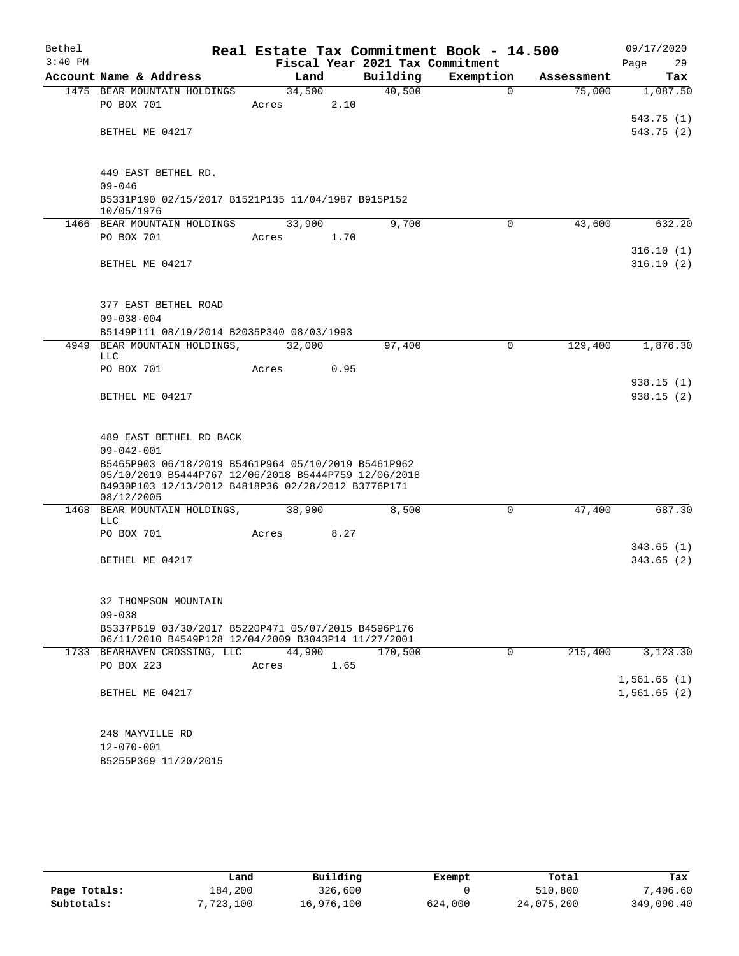| Bethel<br>$3:40$ PM |                                                                                                                                                                                 |                 |        | Fiscal Year 2021 Tax Commitment | Real Estate Tax Commitment Book - 14.500 |            | 09/17/2020<br>Page<br>29   |
|---------------------|---------------------------------------------------------------------------------------------------------------------------------------------------------------------------------|-----------------|--------|---------------------------------|------------------------------------------|------------|----------------------------|
|                     | Account Name & Address                                                                                                                                                          | Land            |        | Building                        | Exemption                                | Assessment | Tax                        |
|                     | 1475 BEAR MOUNTAIN HOLDINGS<br>PO BOX 701                                                                                                                                       | 34,500<br>Acres | 2.10   | 40,500                          | $\Omega$                                 | 75,000     | 1,087.50                   |
|                     | BETHEL ME 04217                                                                                                                                                                 |                 |        |                                 |                                          |            | 543.75(1)<br>543.75 (2)    |
|                     | 449 EAST BETHEL RD.                                                                                                                                                             |                 |        |                                 |                                          |            |                            |
|                     | $09 - 046$                                                                                                                                                                      |                 |        |                                 |                                          |            |                            |
|                     | B5331P190 02/15/2017 B1521P135 11/04/1987 B915P152<br>10/05/1976                                                                                                                |                 |        |                                 |                                          |            |                            |
|                     | 1466 BEAR MOUNTAIN HOLDINGS                                                                                                                                                     | 33,900          |        | 9,700                           | $\mathbf 0$                              | 43,600     | 632.20                     |
|                     | PO BOX 701                                                                                                                                                                      | Acres           | 1.70   |                                 |                                          |            |                            |
|                     | BETHEL ME 04217                                                                                                                                                                 |                 |        |                                 |                                          |            | 316.10(1)<br>316.10(2)     |
|                     | 377 EAST BETHEL ROAD<br>$09 - 038 - 004$                                                                                                                                        |                 |        |                                 |                                          |            |                            |
|                     | B5149P111 08/19/2014 B2035P340 08/03/1993                                                                                                                                       |                 |        |                                 |                                          |            |                            |
| 4949                | BEAR MOUNTAIN HOLDINGS,<br><b>LLC</b>                                                                                                                                           | 32,000          |        | 97,400                          | 0                                        | 129,400    | 1,876.30                   |
|                     | PO BOX 701                                                                                                                                                                      | Acres           | 0.95   |                                 |                                          |            |                            |
|                     | BETHEL ME 04217                                                                                                                                                                 |                 |        |                                 |                                          |            | 938.15(1)<br>938.15(2)     |
|                     |                                                                                                                                                                                 |                 |        |                                 |                                          |            |                            |
|                     | 489 EAST BETHEL RD BACK<br>$09 - 042 - 001$                                                                                                                                     |                 |        |                                 |                                          |            |                            |
|                     | B5465P903 06/18/2019 B5461P964 05/10/2019 B5461P962<br>05/10/2019 B5444P767 12/06/2018 B5444P759 12/06/2018<br>B4930P103 12/13/2012 B4818P36 02/28/2012 B3776P171<br>08/12/2005 |                 |        |                                 |                                          |            |                            |
| 1468                | BEAR MOUNTAIN HOLDINGS,<br>LLC                                                                                                                                                  | 38,900          |        | 8,500                           | 0                                        | 47,400     | 687.30                     |
|                     | PO BOX 701                                                                                                                                                                      | Acres           | 8.27   |                                 |                                          |            |                            |
|                     | BETHEL ME 04217                                                                                                                                                                 |                 |        |                                 |                                          |            | 343.65 (1)<br>343.65(2)    |
|                     | 32 THOMPSON MOUNTAIN                                                                                                                                                            |                 |        |                                 |                                          |            |                            |
|                     | $09 - 038$<br>B5337P619 03/30/2017 B5220P471 05/07/2015 B4596P176                                                                                                               |                 |        |                                 |                                          |            |                            |
|                     | 06/11/2010 B4549P128 12/04/2009 B3043P14 11/27/2001                                                                                                                             |                 |        |                                 |                                          |            |                            |
|                     | 1733 BEARHAVEN CROSSING, LLC                                                                                                                                                    |                 | 44,900 | 170,500                         | $\Omega$                                 | 215,400    | 3,123.30                   |
|                     | PO BOX 223                                                                                                                                                                      | Acres           | 1.65   |                                 |                                          |            |                            |
|                     | BETHEL ME 04217                                                                                                                                                                 |                 |        |                                 |                                          |            | 1,561.65(1)<br>1,561.65(2) |
|                     | 248 MAYVILLE RD                                                                                                                                                                 |                 |        |                                 |                                          |            |                            |
|                     | $12 - 070 - 001$<br>B5255P369 11/20/2015                                                                                                                                        |                 |        |                                 |                                          |            |                            |
|                     |                                                                                                                                                                                 |                 |        |                                 |                                          |            |                            |

|              | Land      | Building   | Exempt  | Total      | Tax        |
|--------------|-----------|------------|---------|------------|------------|
| Page Totals: | 184,200   | 326,600    |         | 510,800    | 7,406.60   |
| Subtotals:   | 7,723,100 | 16,976,100 | 624,000 | 24,075,200 | 349,090.40 |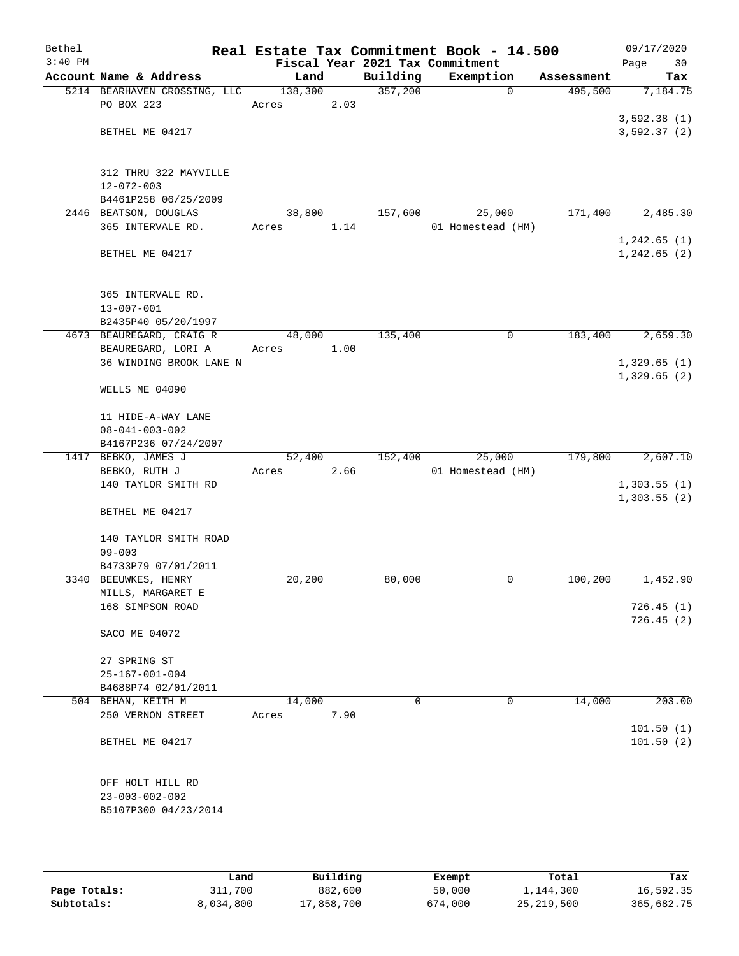| Bethel<br>$3:40$ PM |                                                |         |      |          | Real Estate Tax Commitment Book - 14.500<br>Fiscal Year 2021 Tax Commitment |            | 09/17/2020<br>Page<br>30 |
|---------------------|------------------------------------------------|---------|------|----------|-----------------------------------------------------------------------------|------------|--------------------------|
|                     | Account Name & Address                         | Land    |      | Building | Exemption                                                                   | Assessment | Tax                      |
|                     | 5214 BEARHAVEN CROSSING, LLC                   | 138,300 |      | 357,200  | $\mathbf 0$                                                                 | 495,500    | 7,184.75                 |
|                     | PO BOX 223                                     | Acres   | 2.03 |          |                                                                             |            |                          |
|                     |                                                |         |      |          |                                                                             |            | 3,592.38(1)              |
|                     | BETHEL ME 04217                                |         |      |          |                                                                             |            | 3,592.37(2)              |
|                     |                                                |         |      |          |                                                                             |            |                          |
|                     |                                                |         |      |          |                                                                             |            |                          |
|                     | 312 THRU 322 MAYVILLE                          |         |      |          |                                                                             |            |                          |
|                     | 12-072-003                                     |         |      |          |                                                                             |            |                          |
|                     | B4461P258 06/25/2009                           |         |      |          |                                                                             |            |                          |
|                     | 2446 BEATSON, DOUGLAS                          | 38,800  |      | 157,600  | 25,000                                                                      | 171,400    | 2,485.30                 |
|                     | 365 INTERVALE RD.                              | Acres   | 1.14 |          | 01 Homestead (HM)                                                           |            |                          |
|                     |                                                |         |      |          |                                                                             |            | 1,242.65(1)              |
|                     | BETHEL ME 04217                                |         |      |          |                                                                             |            | 1, 242.65 (2)            |
|                     |                                                |         |      |          |                                                                             |            |                          |
|                     | 365 INTERVALE RD.                              |         |      |          |                                                                             |            |                          |
|                     | $13 - 007 - 001$                               |         |      |          |                                                                             |            |                          |
|                     | B2435P40 05/20/1997                            |         |      |          |                                                                             |            |                          |
|                     | 4673 BEAUREGARD, CRAIG R                       | 48,000  |      | 135,400  | 0                                                                           | 183,400    | 2,659.30                 |
|                     | BEAUREGARD, LORI A                             | Acres   | 1.00 |          |                                                                             |            |                          |
|                     | 36 WINDING BROOK LANE N                        |         |      |          |                                                                             |            | 1,329.65(1)              |
|                     |                                                |         |      |          |                                                                             |            | 1,329.65(2)              |
|                     | WELLS ME 04090                                 |         |      |          |                                                                             |            |                          |
|                     |                                                |         |      |          |                                                                             |            |                          |
|                     | 11 HIDE-A-WAY LANE                             |         |      |          |                                                                             |            |                          |
|                     | $08 - 041 - 003 - 002$                         |         |      |          |                                                                             |            |                          |
|                     | B4167P236 07/24/2007                           |         |      |          |                                                                             |            |                          |
|                     | 1417 BEBKO, JAMES J                            | 52,400  |      | 152,400  | 25,000                                                                      | 179,800    | 2,607.10                 |
|                     | BEBKO, RUTH J                                  | Acres   | 2.66 |          | 01 Homestead (HM)                                                           |            |                          |
|                     | 140 TAYLOR SMITH RD                            |         |      |          |                                                                             |            | 1,303.55(1)              |
|                     |                                                |         |      |          |                                                                             |            | 1,303.55(2)              |
|                     | BETHEL ME 04217                                |         |      |          |                                                                             |            |                          |
|                     |                                                |         |      |          |                                                                             |            |                          |
|                     | 140 TAYLOR SMITH ROAD<br>$09 - 003$            |         |      |          |                                                                             |            |                          |
|                     | B4733P79 07/01/2011                            |         |      |          |                                                                             |            |                          |
|                     | 3340 BEEUWKES, HENRY                           | 20,200  |      | 80,000   | 0                                                                           | 100,200    | 1,452.90                 |
|                     | MILLS, MARGARET E                              |         |      |          |                                                                             |            |                          |
|                     | 168 SIMPSON ROAD                               |         |      |          |                                                                             |            | 726.45(1)                |
|                     |                                                |         |      |          |                                                                             |            | 726.45(2)                |
|                     | SACO ME 04072                                  |         |      |          |                                                                             |            |                          |
|                     |                                                |         |      |          |                                                                             |            |                          |
|                     | 27 SPRING ST                                   |         |      |          |                                                                             |            |                          |
|                     | $25 - 167 - 001 - 004$                         |         |      |          |                                                                             |            |                          |
|                     | B4688P74 02/01/2011                            |         |      |          |                                                                             |            |                          |
|                     | 504 BEHAN, KEITH M                             | 14,000  |      | 0        | $\mathbf 0$                                                                 | 14,000     | 203.00                   |
|                     | 250 VERNON STREET                              | Acres   | 7.90 |          |                                                                             |            |                          |
|                     |                                                |         |      |          |                                                                             |            | 101.50(1)                |
|                     | BETHEL ME 04217                                |         |      |          |                                                                             |            | 101.50(2)                |
|                     |                                                |         |      |          |                                                                             |            |                          |
|                     |                                                |         |      |          |                                                                             |            |                          |
|                     | OFF HOLT HILL RD                               |         |      |          |                                                                             |            |                          |
|                     | $23 - 003 - 002 - 002$<br>B5107P300 04/23/2014 |         |      |          |                                                                             |            |                          |
|                     |                                                |         |      |          |                                                                             |            |                          |
|                     |                                                |         |      |          |                                                                             |            |                          |

|              | Land      | Building   | Exempt  | Total      | Tax        |
|--------------|-----------|------------|---------|------------|------------|
| Page Totals: | 311,700   | 882,600    | 50,000  | 1,144,300  | 16,592.35  |
| Subtotals:   | 8,034,800 | 17,858,700 | 674,000 | 25,219,500 | 365,682.75 |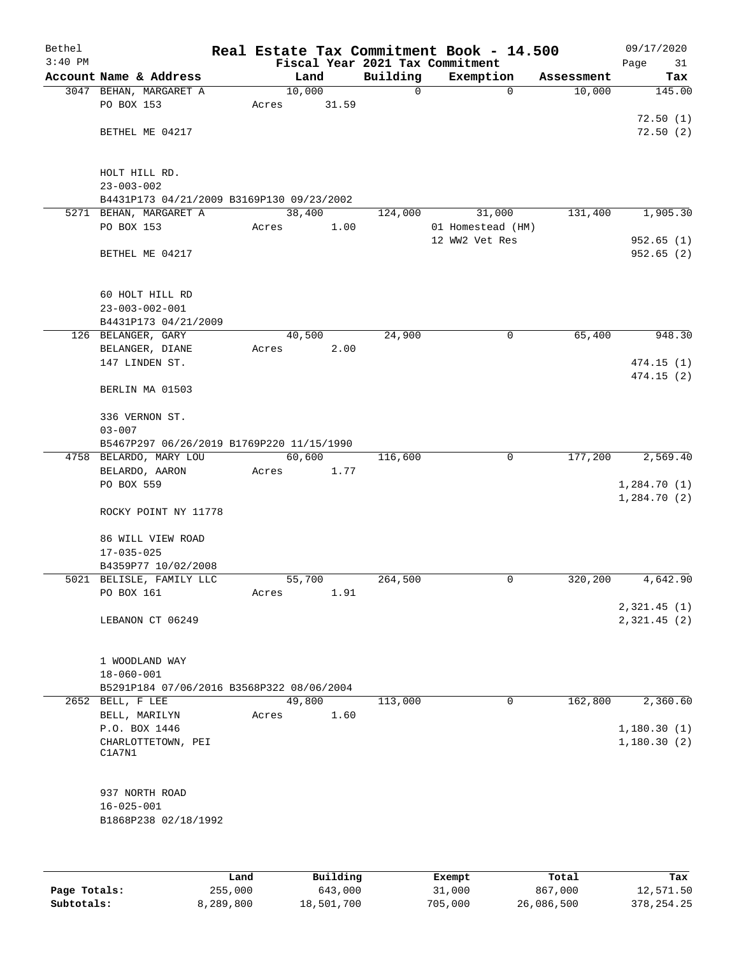| Bethel<br>$3:40$ PM |                                           |                |          | Real Estate Tax Commitment Book - 14.500<br>Fiscal Year 2021 Tax Commitment |            | 09/17/2020<br>Page<br>31   |
|---------------------|-------------------------------------------|----------------|----------|-----------------------------------------------------------------------------|------------|----------------------------|
|                     | Account Name & Address                    | Land           | Building | Exemption                                                                   | Assessment | Tax                        |
|                     | 3047 BEHAN, MARGARET A                    | 10,000         | 0        | $\mathbf 0$                                                                 | 10,000     | 145.00                     |
|                     | PO BOX 153                                | 31.59<br>Acres |          |                                                                             |            |                            |
|                     |                                           |                |          |                                                                             |            | 72.50(1)                   |
|                     | BETHEL ME 04217                           |                |          |                                                                             |            | 72.50(2)                   |
|                     |                                           |                |          |                                                                             |            |                            |
|                     | HOLT HILL RD.                             |                |          |                                                                             |            |                            |
|                     | $23 - 003 - 002$                          |                |          |                                                                             |            |                            |
|                     | B4431P173 04/21/2009 B3169P130 09/23/2002 |                |          |                                                                             |            |                            |
|                     | 5271 BEHAN, MARGARET A                    | 38,400         | 124,000  | 31,000                                                                      | 131,400    | 1,905.30                   |
|                     | PO BOX 153                                | Acres<br>1.00  |          | 01 Homestead (HM)                                                           |            |                            |
|                     |                                           |                |          | 12 WW2 Vet Res                                                              |            | 952.65(1)                  |
|                     | BETHEL ME 04217                           |                |          |                                                                             |            | 952.65 (2)                 |
|                     |                                           |                |          |                                                                             |            |                            |
|                     | 60 HOLT HILL RD                           |                |          |                                                                             |            |                            |
|                     | $23 - 003 - 002 - 001$                    |                |          |                                                                             |            |                            |
|                     | B4431P173 04/21/2009                      |                |          |                                                                             |            |                            |
|                     | 126 BELANGER, GARY                        | 40,500         | 24,900   | 0                                                                           | 65,400     | 948.30                     |
|                     | BELANGER, DIANE                           | Acres<br>2.00  |          |                                                                             |            |                            |
|                     | 147 LINDEN ST.                            |                |          |                                                                             |            | 474.15(1)                  |
|                     |                                           |                |          |                                                                             |            | 474.15(2)                  |
|                     | BERLIN MA 01503                           |                |          |                                                                             |            |                            |
|                     | 336 VERNON ST.                            |                |          |                                                                             |            |                            |
|                     | $03 - 007$                                |                |          |                                                                             |            |                            |
|                     | B5467P297 06/26/2019 B1769P220 11/15/1990 |                |          |                                                                             |            |                            |
|                     | 4758 BELARDO, MARY LOU                    | 60,600         | 116,600  | 0                                                                           | 177,200    | 2,569.40                   |
|                     | BELARDO, AARON                            | 1.77<br>Acres  |          |                                                                             |            |                            |
|                     | PO BOX 559                                |                |          |                                                                             |            | 1,284.70(1)                |
|                     | ROCKY POINT NY 11778                      |                |          |                                                                             |            | 1,284.70(2)                |
|                     |                                           |                |          |                                                                             |            |                            |
|                     | 86 WILL VIEW ROAD                         |                |          |                                                                             |            |                            |
|                     | $17 - 035 - 025$                          |                |          |                                                                             |            |                            |
|                     | B4359P77 10/02/2008                       |                |          |                                                                             |            |                            |
|                     | 5021 BELISLE, FAMILY LLC                  | 55,700         | 264,500  | 0                                                                           | 320,200    | 4,642.90                   |
|                     | PO BOX 161                                | 1.91<br>Acres  |          |                                                                             |            |                            |
|                     | LEBANON CT 06249                          |                |          |                                                                             |            | 2,321.45(1)<br>2,321.45(2) |
|                     |                                           |                |          |                                                                             |            |                            |
|                     |                                           |                |          |                                                                             |            |                            |
|                     | 1 WOODLAND WAY                            |                |          |                                                                             |            |                            |
|                     | $18 - 060 - 001$                          |                |          |                                                                             |            |                            |
|                     | B5291P184 07/06/2016 B3568P322 08/06/2004 |                |          |                                                                             |            |                            |
|                     | 2652 BELL, F LEE                          | 49,800         | 113,000  | $\mathbf 0$                                                                 | 162,800    | 2,360.60                   |
|                     | BELL, MARILYN                             | 1.60<br>Acres  |          |                                                                             |            |                            |
|                     | P.O. BOX 1446<br>CHARLOTTETOWN, PEI       |                |          |                                                                             |            | 1,180.30(1)<br>1,180.30(2) |
|                     | C1A7N1                                    |                |          |                                                                             |            |                            |
|                     |                                           |                |          |                                                                             |            |                            |
|                     |                                           |                |          |                                                                             |            |                            |
|                     | 937 NORTH ROAD                            |                |          |                                                                             |            |                            |
|                     | $16 - 025 - 001$                          |                |          |                                                                             |            |                            |
|                     | B1868P238 02/18/1992                      |                |          |                                                                             |            |                            |
|                     |                                           |                |          |                                                                             |            |                            |
|                     |                                           |                |          |                                                                             |            |                            |

|              | Land      | Building   | Exempt  | Total      | Tax          |
|--------------|-----------|------------|---------|------------|--------------|
| Page Totals: | 255,000   | 643,000    | 31,000  | 867,000    | 12,571.50    |
| Subtotals:   | 8,289,800 | 18,501,700 | 705,000 | 26,086,500 | 378, 254, 25 |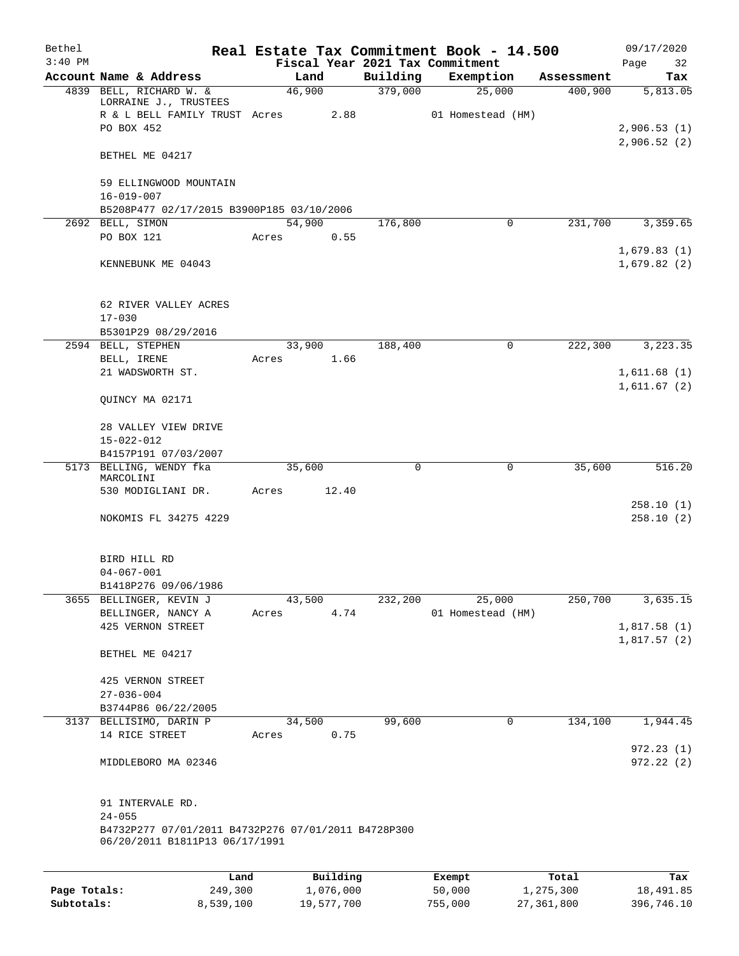| $3:40$ PM<br>Account Name & Address<br>4839 BELL, RICHARD W. &<br>LORRAINE J., TRUSTEES<br>R & L BELL FAMILY TRUST Acres<br>PO BOX 452<br>BETHEL ME 04217<br>59 ELLINGWOOD MOUNTAIN | Land<br>46,900<br>2.88<br>54,900<br>0.55 | Building<br>379,000<br>176,800 | Fiscal Year 2021 Tax Commitment<br>Exemption<br>25,000<br>01 Homestead (HM)<br>0 | Assessment<br>400,900<br>231,700 | Page<br>32<br>Tax<br>5,813.05          |
|-------------------------------------------------------------------------------------------------------------------------------------------------------------------------------------|------------------------------------------|--------------------------------|----------------------------------------------------------------------------------|----------------------------------|----------------------------------------|
|                                                                                                                                                                                     |                                          |                                |                                                                                  |                                  |                                        |
|                                                                                                                                                                                     |                                          |                                |                                                                                  |                                  |                                        |
|                                                                                                                                                                                     |                                          |                                |                                                                                  |                                  | 2,906.53(1)<br>2,906.52(2)<br>3,359.65 |
|                                                                                                                                                                                     |                                          |                                |                                                                                  |                                  |                                        |
|                                                                                                                                                                                     |                                          |                                |                                                                                  |                                  |                                        |
|                                                                                                                                                                                     |                                          |                                |                                                                                  |                                  |                                        |
| $16 - 019 - 007$<br>B5208P477 02/17/2015 B3900P185 03/10/2006                                                                                                                       |                                          |                                |                                                                                  |                                  |                                        |
| 2692 BELL, SIMON                                                                                                                                                                    |                                          |                                |                                                                                  |                                  |                                        |
| PO BOX 121<br>Acres                                                                                                                                                                 |                                          |                                |                                                                                  |                                  | 1,679.83(1)                            |
| KENNEBUNK ME 04043                                                                                                                                                                  |                                          |                                |                                                                                  |                                  | 1,679.82(2)                            |
| 62 RIVER VALLEY ACRES                                                                                                                                                               |                                          |                                |                                                                                  |                                  |                                        |
| $17 - 030$                                                                                                                                                                          |                                          |                                |                                                                                  |                                  |                                        |
| B5301P29 08/29/2016                                                                                                                                                                 |                                          |                                |                                                                                  |                                  |                                        |
| 2594 BELL, STEPHEN<br>BELL, IRENE<br>Acres                                                                                                                                          | 33,900<br>1.66                           | 188,400                        | $\mathbf 0$                                                                      | 222,300                          | 3,223.35                               |
| 21 WADSWORTH ST.                                                                                                                                                                    |                                          |                                |                                                                                  |                                  | 1,611.68(1)                            |
| QUINCY MA 02171                                                                                                                                                                     |                                          |                                |                                                                                  |                                  | 1,611.67(2)                            |
| 28 VALLEY VIEW DRIVE<br>$15 - 022 - 012$                                                                                                                                            |                                          |                                |                                                                                  |                                  |                                        |
| B4157P191 07/03/2007                                                                                                                                                                |                                          |                                |                                                                                  |                                  |                                        |
| 5173 BELLING, WENDY fka<br>MARCOLINI                                                                                                                                                | 35,600                                   | $\mathbf 0$                    | $\mathbf 0$                                                                      | 35,600                           | 516.20                                 |
| 530 MODIGLIANI DR.<br>Acres                                                                                                                                                         | 12.40                                    |                                |                                                                                  |                                  |                                        |
| NOKOMIS FL 34275 4229                                                                                                                                                               |                                          |                                |                                                                                  |                                  | 258.10(1)<br>258.10(2)                 |
| BIRD HILL RD                                                                                                                                                                        |                                          |                                |                                                                                  |                                  |                                        |
| $04 - 067 - 001$<br>B1418P276 09/06/1986                                                                                                                                            |                                          |                                |                                                                                  |                                  |                                        |
| 3655 BELLINGER, KEVIN J                                                                                                                                                             | 43,500                                   | 232,200                        | 25,000                                                                           | 250,700                          | 3,635.15                               |
| BELLINGER, NANCY A<br>Acres                                                                                                                                                         | 4.74                                     |                                | 01 Homestead (HM)                                                                |                                  |                                        |
| 425 VERNON STREET                                                                                                                                                                   |                                          |                                |                                                                                  |                                  | 1,817.58(1)                            |
| BETHEL ME 04217                                                                                                                                                                     |                                          |                                |                                                                                  |                                  | 1,817.57(2)                            |
| 425 VERNON STREET                                                                                                                                                                   |                                          |                                |                                                                                  |                                  |                                        |
| $27 - 036 - 004$                                                                                                                                                                    |                                          |                                |                                                                                  |                                  |                                        |
| B3744P86 06/22/2005                                                                                                                                                                 |                                          |                                |                                                                                  |                                  |                                        |
| 3137 BELLISIMO, DARIN P                                                                                                                                                             | 34,500                                   | 99,600                         | $\mathbf 0$                                                                      | 134,100                          | 1,944.45                               |
| 14 RICE STREET<br>Acres                                                                                                                                                             | 0.75                                     |                                |                                                                                  |                                  |                                        |
| MIDDLEBORO MA 02346                                                                                                                                                                 |                                          |                                |                                                                                  |                                  | 972.23(1)<br>972.22(2)                 |
| 91 INTERVALE RD.<br>$24 - 055$                                                                                                                                                      |                                          |                                |                                                                                  |                                  |                                        |
| B4732P277 07/01/2011 B4732P276 07/01/2011 B4728P300<br>06/20/2011 B1811P13 06/17/1991                                                                                               |                                          |                                |                                                                                  |                                  |                                        |
| Land                                                                                                                                                                                | Building                                 |                                | Exempt                                                                           | Total                            | Tax                                    |

|              | -----     | --------   | ------- | -----      | .          |
|--------------|-----------|------------|---------|------------|------------|
| Page Totals: | 249,300   | 1,076,000  | 50,000  | 1,275,300  | 18,491.85  |
| Subtotals:   | 8,539,100 | 19,577,700 | 755,000 | 27,361,800 | 396,746.10 |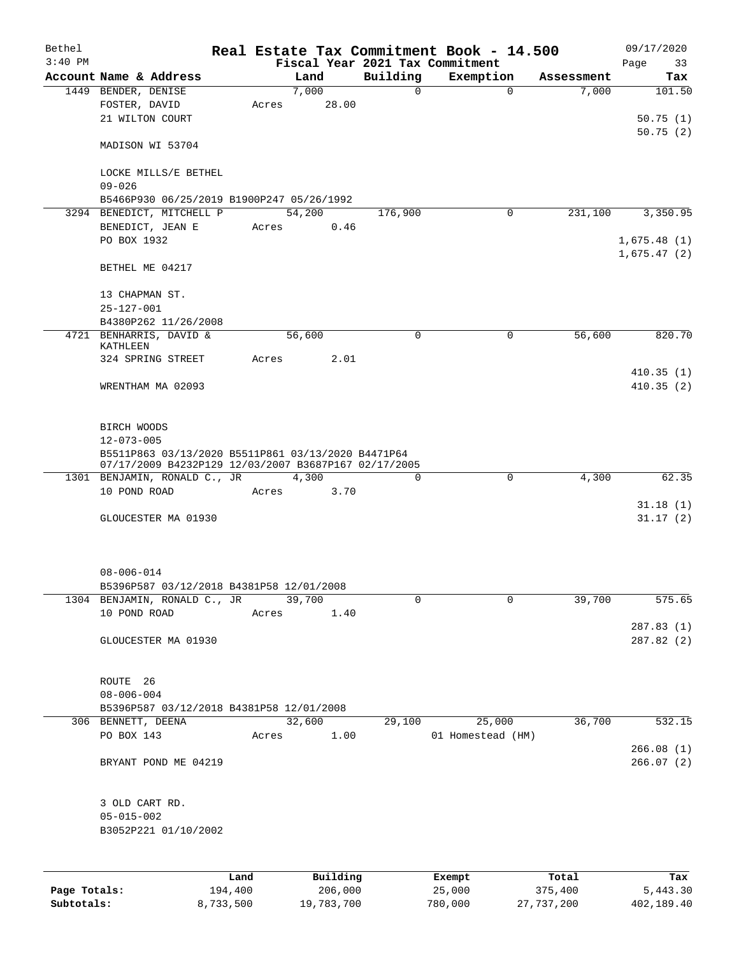| Bethel       |                                                      |       |        |          |          | Real Estate Tax Commitment Book - 14.500 |            | 09/17/2020  |
|--------------|------------------------------------------------------|-------|--------|----------|----------|------------------------------------------|------------|-------------|
| $3:40$ PM    |                                                      |       |        |          |          | Fiscal Year 2021 Tax Commitment          |            | Page<br>33  |
|              | Account Name & Address                               |       | Land   |          | Building | Exemption                                | Assessment | Tax         |
|              | 1449 BENDER, DENISE                                  |       | 7,000  |          | $\Omega$ | $\Omega$                                 | 7,000      | 101.50      |
|              | FOSTER, DAVID                                        | Acres |        | 28.00    |          |                                          |            |             |
|              | 21 WILTON COURT                                      |       |        |          |          |                                          |            | 50.75(1)    |
|              |                                                      |       |        |          |          |                                          |            | 50.75(2)    |
|              | MADISON WI 53704                                     |       |        |          |          |                                          |            |             |
|              |                                                      |       |        |          |          |                                          |            |             |
|              | LOCKE MILLS/E BETHEL                                 |       |        |          |          |                                          |            |             |
|              | $09 - 026$                                           |       |        |          |          |                                          |            |             |
|              | B5466P930 06/25/2019 B1900P247 05/26/1992            |       |        |          |          |                                          |            |             |
|              | 3294 BENEDICT, MITCHELL P                            |       | 54,200 |          | 176,900  | 0                                        | 231,100    | 3,350.95    |
|              | BENEDICT, JEAN E                                     | Acres |        | 0.46     |          |                                          |            |             |
|              | PO BOX 1932                                          |       |        |          |          |                                          |            | 1,675.48(1) |
|              |                                                      |       |        |          |          |                                          |            | 1,675.47(2) |
|              | BETHEL ME 04217                                      |       |        |          |          |                                          |            |             |
|              |                                                      |       |        |          |          |                                          |            |             |
|              | 13 CHAPMAN ST.                                       |       |        |          |          |                                          |            |             |
|              | $25 - 127 - 001$                                     |       |        |          |          |                                          |            |             |
|              | B4380P262 11/26/2008                                 |       |        |          |          |                                          |            |             |
|              | 4721 BENHARRIS, DAVID &<br>KATHLEEN                  |       | 56,600 |          | 0        | 0                                        | 56,600     | 820.70      |
|              | 324 SPRING STREET                                    | Acres |        | 2.01     |          |                                          |            |             |
|              |                                                      |       |        |          |          |                                          |            | 410.35(1)   |
|              | WRENTHAM MA 02093                                    |       |        |          |          |                                          |            | 410.35(2)   |
|              |                                                      |       |        |          |          |                                          |            |             |
|              |                                                      |       |        |          |          |                                          |            |             |
|              | BIRCH WOODS                                          |       |        |          |          |                                          |            |             |
|              | $12 - 073 - 005$                                     |       |        |          |          |                                          |            |             |
|              | B5511P863 03/13/2020 B5511P861 03/13/2020 B4471P64   |       |        |          |          |                                          |            |             |
|              | 07/17/2009 B4232P129 12/03/2007 B3687P167 02/17/2005 |       |        |          |          |                                          |            |             |
|              | 1301 BENJAMIN, RONALD C., JR                         |       | 4,300  |          | $\Omega$ | $\mathbf 0$                              | 4,300      | 62.35       |
|              | 10 POND ROAD                                         | Acres |        | 3.70     |          |                                          |            |             |
|              |                                                      |       |        |          |          |                                          |            | 31.18(1)    |
|              | GLOUCESTER MA 01930                                  |       |        |          |          |                                          |            | 31.17(2)    |
|              |                                                      |       |        |          |          |                                          |            |             |
|              |                                                      |       |        |          |          |                                          |            |             |
|              |                                                      |       |        |          |          |                                          |            |             |
|              | $08 - 006 - 014$                                     |       |        |          |          |                                          |            |             |
|              | B5396P587 03/12/2018 B4381P58 12/01/2008             |       |        |          |          |                                          |            |             |
|              | 1304 BENJAMIN, RONALD C., JR                         |       | 39,700 |          | 0        | $\Omega$                                 | 39,700     | 575.65      |
|              | 10 POND ROAD                                         | Acres |        | 1.40     |          |                                          |            |             |
|              |                                                      |       |        |          |          |                                          |            | 287.83(1)   |
|              | GLOUCESTER MA 01930                                  |       |        |          |          |                                          |            | 287.82(2)   |
|              |                                                      |       |        |          |          |                                          |            |             |
|              |                                                      |       |        |          |          |                                          |            |             |
|              | ROUTE 26                                             |       |        |          |          |                                          |            |             |
|              | $08 - 006 - 004$                                     |       |        |          |          |                                          |            |             |
|              | B5396P587 03/12/2018 B4381P58 12/01/2008             |       |        |          |          |                                          |            |             |
|              | 306 BENNETT, DEENA                                   |       | 32,600 |          | 29,100   | 25,000                                   | 36,700     | 532.15      |
|              | PO BOX 143                                           | Acres |        | 1.00     |          | 01 Homestead (HM)                        |            |             |
|              |                                                      |       |        |          |          |                                          |            | 266.08(1)   |
|              | BRYANT POND ME 04219                                 |       |        |          |          |                                          |            | 266.07(2)   |
|              |                                                      |       |        |          |          |                                          |            |             |
|              |                                                      |       |        |          |          |                                          |            |             |
|              | 3 OLD CART RD.                                       |       |        |          |          |                                          |            |             |
|              | $05 - 015 - 002$                                     |       |        |          |          |                                          |            |             |
|              | B3052P221 01/10/2002                                 |       |        |          |          |                                          |            |             |
|              |                                                      |       |        |          |          |                                          |            |             |
|              |                                                      |       |        |          |          |                                          |            |             |
|              | Land                                                 |       |        | Building |          | Exempt                                   | Total      | Tax         |
| Page Totals: | 194,400                                              |       |        | 206,000  |          | 25,000                                   | 375,400    | 5,443.30    |

**Subtotals:** 8,733,500 19,783,700 780,000 27,737,200 402,189.40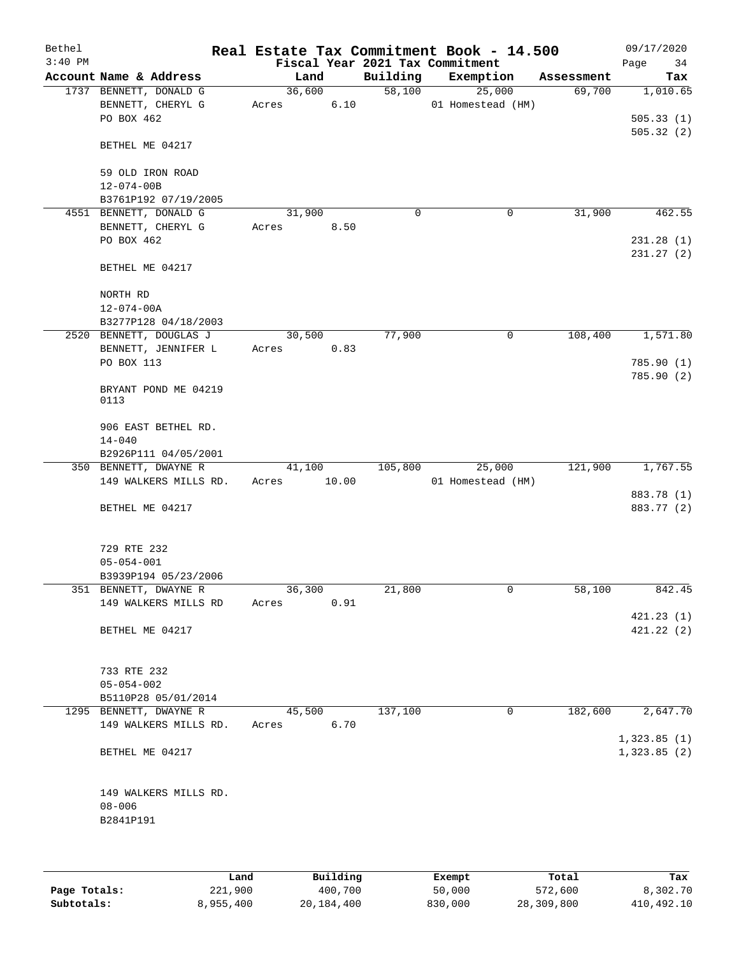| Bethel<br>$3:40$ PM |                              |        |       |          | Real Estate Tax Commitment Book - 14.500<br>Fiscal Year 2021 Tax Commitment |            | 09/17/2020<br>Page<br>34   |
|---------------------|------------------------------|--------|-------|----------|-----------------------------------------------------------------------------|------------|----------------------------|
|                     | Account Name & Address       | Land   |       | Building | Exemption                                                                   | Assessment | Tax                        |
|                     | 1737 BENNETT, DONALD G       | 36,600 |       | 58,100   | 25,000                                                                      | 69,700     | 1,010.65                   |
|                     | BENNETT, CHERYL G            | Acres  | 6.10  |          | 01 Homestead (HM)                                                           |            |                            |
|                     | PO BOX 462                   |        |       |          |                                                                             |            | 505.33(1)                  |
|                     | BETHEL ME 04217              |        |       |          |                                                                             |            | 505.32(2)                  |
|                     | 59 OLD IRON ROAD             |        |       |          |                                                                             |            |                            |
|                     | $12 - 074 - 00B$             |        |       |          |                                                                             |            |                            |
|                     | B3761P192 07/19/2005         |        |       |          |                                                                             |            |                            |
|                     | 4551 BENNETT, DONALD G       | 31,900 |       | 0        | 0                                                                           | 31,900     | 462.55                     |
|                     | BENNETT, CHERYL G            | Acres  | 8.50  |          |                                                                             |            |                            |
|                     | PO BOX 462                   |        |       |          |                                                                             |            | 231.28(1)                  |
|                     | BETHEL ME 04217              |        |       |          |                                                                             |            | 231.27(2)                  |
|                     | NORTH RD                     |        |       |          |                                                                             |            |                            |
|                     | $12 - 074 - 00A$             |        |       |          |                                                                             |            |                            |
|                     | B3277P128 04/18/2003         |        |       |          |                                                                             |            |                            |
|                     | 2520 BENNETT, DOUGLAS J      | 30,500 |       | 77,900   | 0                                                                           | 108,400    | 1,571.80                   |
|                     | BENNETT, JENNIFER L          | Acres  | 0.83  |          |                                                                             |            |                            |
|                     | PO BOX 113                   |        |       |          |                                                                             |            | 785.90(1)                  |
|                     |                              |        |       |          |                                                                             |            | 785.90(2)                  |
|                     | BRYANT POND ME 04219<br>0113 |        |       |          |                                                                             |            |                            |
|                     | 906 EAST BETHEL RD.          |        |       |          |                                                                             |            |                            |
|                     | $14 - 040$                   |        |       |          |                                                                             |            |                            |
|                     | B2926P111 04/05/2001         |        |       |          |                                                                             |            |                            |
|                     | 350 BENNETT, DWAYNE R        | 41,100 |       | 105,800  | 25,000                                                                      | 121,900    | 1,767.55                   |
|                     | 149 WALKERS MILLS RD.        | Acres  | 10.00 |          | 01 Homestead (HM)                                                           |            |                            |
|                     |                              |        |       |          |                                                                             |            | 883.78 (1)                 |
|                     | BETHEL ME 04217              |        |       |          |                                                                             |            | 883.77 (2)                 |
|                     | 729 RTE 232                  |        |       |          |                                                                             |            |                            |
|                     | $05 - 054 - 001$             |        |       |          |                                                                             |            |                            |
|                     | B3939P194 05/23/2006         |        |       |          |                                                                             |            |                            |
|                     | 351 BENNETT, DWAYNE R        | 36,300 |       | 21,800   | 0                                                                           | 58,100     | 842.45                     |
|                     | 149 WALKERS MILLS RD         | Acres  | 0.91  |          |                                                                             |            |                            |
|                     |                              |        |       |          |                                                                             |            | 421.23(1)                  |
|                     | BETHEL ME 04217              |        |       |          |                                                                             |            | 421.22(2)                  |
|                     | 733 RTE 232                  |        |       |          |                                                                             |            |                            |
|                     | $05 - 054 - 002$             |        |       |          |                                                                             |            |                            |
|                     | B5110P28 05/01/2014          |        |       |          |                                                                             |            |                            |
|                     | 1295 BENNETT, DWAYNE R       | 45,500 |       | 137,100  | 0                                                                           | 182,600    | 2,647.70                   |
|                     | 149 WALKERS MILLS RD.        | Acres  | 6.70  |          |                                                                             |            |                            |
|                     | BETHEL ME 04217              |        |       |          |                                                                             |            | 1,323.85(1)<br>1,323.85(2) |
|                     | 149 WALKERS MILLS RD.        |        |       |          |                                                                             |            |                            |
|                     | $08 - 006$                   |        |       |          |                                                                             |            |                            |
|                     | B2841P191                    |        |       |          |                                                                             |            |                            |
|                     |                              |        |       |          |                                                                             |            |                            |
|                     |                              |        |       |          |                                                                             |            |                            |
|                     |                              |        |       |          |                                                                             |            |                            |

|              | Land      | Building   | Exempt  | Total      | Tax        |
|--------------|-----------|------------|---------|------------|------------|
| Page Totals: | 221,900   | 400,700    | 50,000  | 572,600    | 8,302.70   |
| Subtotals:   | 8,955,400 | 20,184,400 | 830,000 | 28,309,800 | 410,492.10 |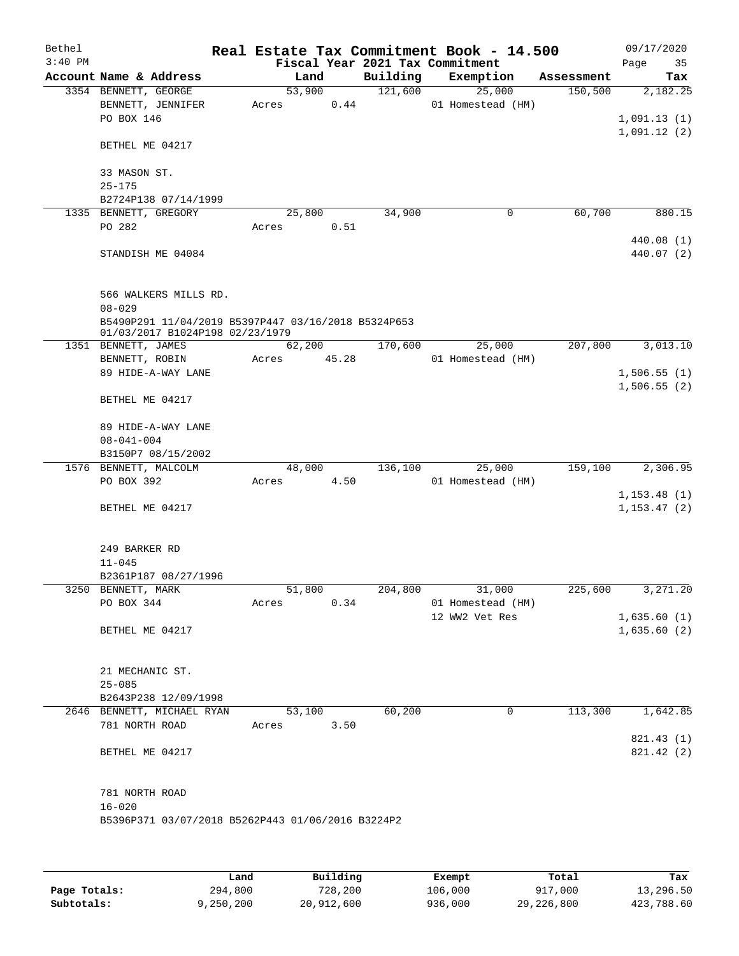| Bethel    |                                                                                        |                 |       |          | Real Estate Tax Commitment Book - 14.500 |            | 09/17/2020                 |
|-----------|----------------------------------------------------------------------------------------|-----------------|-------|----------|------------------------------------------|------------|----------------------------|
| $3:40$ PM |                                                                                        |                 |       |          | Fiscal Year 2021 Tax Commitment          |            | Page<br>35                 |
|           | Account Name & Address                                                                 |                 | Land  | Building | Exemption                                | Assessment | Tax                        |
|           | 3354 BENNETT, GEORGE                                                                   | 53,900          |       | 121,600  | 25,000                                   | 150,500    | 2,182.25                   |
|           | BENNETT, JENNIFER                                                                      | Acres           | 0.44  |          | 01 Homestead (HM)                        |            |                            |
|           | PO BOX 146                                                                             |                 |       |          |                                          |            | 1,091.13(1)                |
|           | BETHEL ME 04217                                                                        |                 |       |          |                                          |            | 1,091.12(2)                |
|           | 33 MASON ST.                                                                           |                 |       |          |                                          |            |                            |
|           | $25 - 175$                                                                             |                 |       |          |                                          |            |                            |
|           | B2724P138 07/14/1999                                                                   |                 |       |          |                                          |            |                            |
|           | 1335 BENNETT, GREGORY                                                                  | 25,800          |       | 34,900   | 0                                        | 60,700     | 880.15                     |
|           | PO 282                                                                                 | Acres           | 0.51  |          |                                          |            |                            |
|           | STANDISH ME 04084                                                                      |                 |       |          |                                          |            | 440.08 (1)<br>440.07 (2)   |
|           | 566 WALKERS MILLS RD.                                                                  |                 |       |          |                                          |            |                            |
|           | $08 - 029$                                                                             |                 |       |          |                                          |            |                            |
|           | B5490P291 11/04/2019 B5397P447 03/16/2018 B5324P653<br>01/03/2017 B1024P198 02/23/1979 |                 |       |          |                                          |            |                            |
|           | 1351 BENNETT, JAMES                                                                    | 62,200          |       | 170,600  | 25,000                                   | 207,800    | 3,013.10                   |
|           | BENNETT, ROBIN                                                                         | Acres           | 45.28 |          | 01 Homestead (HM)                        |            |                            |
|           | 89 HIDE-A-WAY LANE                                                                     |                 |       |          |                                          |            | 1,506.55(1)                |
|           | BETHEL ME 04217                                                                        |                 |       |          |                                          |            | 1,506.55(2)                |
|           | 89 HIDE-A-WAY LANE                                                                     |                 |       |          |                                          |            |                            |
|           | $08 - 041 - 004$                                                                       |                 |       |          |                                          |            |                            |
|           | B3150P7 08/15/2002                                                                     |                 |       |          |                                          |            |                            |
|           | 1576 BENNETT, MALCOLM<br>PO BOX 392                                                    | 48,000          | 4.50  | 136,100  | 25,000<br>01 Homestead (HM)              | 159,100    | 2,306.95                   |
|           |                                                                                        | Acres           |       |          |                                          |            | 1, 153.48(1)               |
|           | BETHEL ME 04217                                                                        |                 |       |          |                                          |            | 1, 153.47(2)               |
|           | 249 BARKER RD                                                                          |                 |       |          |                                          |            |                            |
|           | $11 - 045$                                                                             |                 |       |          |                                          |            |                            |
|           | B2361P187 08/27/1996                                                                   |                 |       |          |                                          |            |                            |
|           | 3250 BENNETT, MARK                                                                     | 51,800          |       | 204,800  | 31,000                                   | 225,600    | 3,271.20                   |
|           | PO BOX 344                                                                             | Acres           | 0.34  |          | 01 Homestead (HM)                        |            |                            |
|           |                                                                                        |                 |       |          | 12 WW2 Vet Res                           |            | 1,635.60(1)<br>1,635.60(2) |
|           | BETHEL ME 04217                                                                        |                 |       |          |                                          |            |                            |
|           | 21 MECHANIC ST.                                                                        |                 |       |          |                                          |            |                            |
|           | $25 - 085$                                                                             |                 |       |          |                                          |            |                            |
|           | B2643P238 12/09/1998<br>2646 BENNETT, MICHAEL RYAN                                     |                 |       | 60,200   | $\mathbf 0$                              | 113,300    |                            |
|           | 781 NORTH ROAD                                                                         | 53,100<br>Acres | 3.50  |          |                                          |            | 1,642.85                   |
|           |                                                                                        |                 |       |          |                                          |            | 821.43 (1)                 |
|           | BETHEL ME 04217                                                                        |                 |       |          |                                          |            | 821.42 (2)                 |
|           | 781 NORTH ROAD                                                                         |                 |       |          |                                          |            |                            |
|           | $16 - 020$                                                                             |                 |       |          |                                          |            |                            |
|           | B5396P371 03/07/2018 B5262P443 01/06/2016 B3224P2                                      |                 |       |          |                                          |            |                            |
|           |                                                                                        |                 |       |          |                                          |            |                            |
|           |                                                                                        |                 |       |          |                                          |            |                            |

|              | Land      | Building   | Exempt  | Total      | Tax        |
|--------------|-----------|------------|---------|------------|------------|
| Page Totals: | 294,800   | 728,200    | 106,000 | 917,000    | 13,296.50  |
| Subtotals:   | 9,250,200 | 20,912,600 | 936,000 | 29,226,800 | 423,788.60 |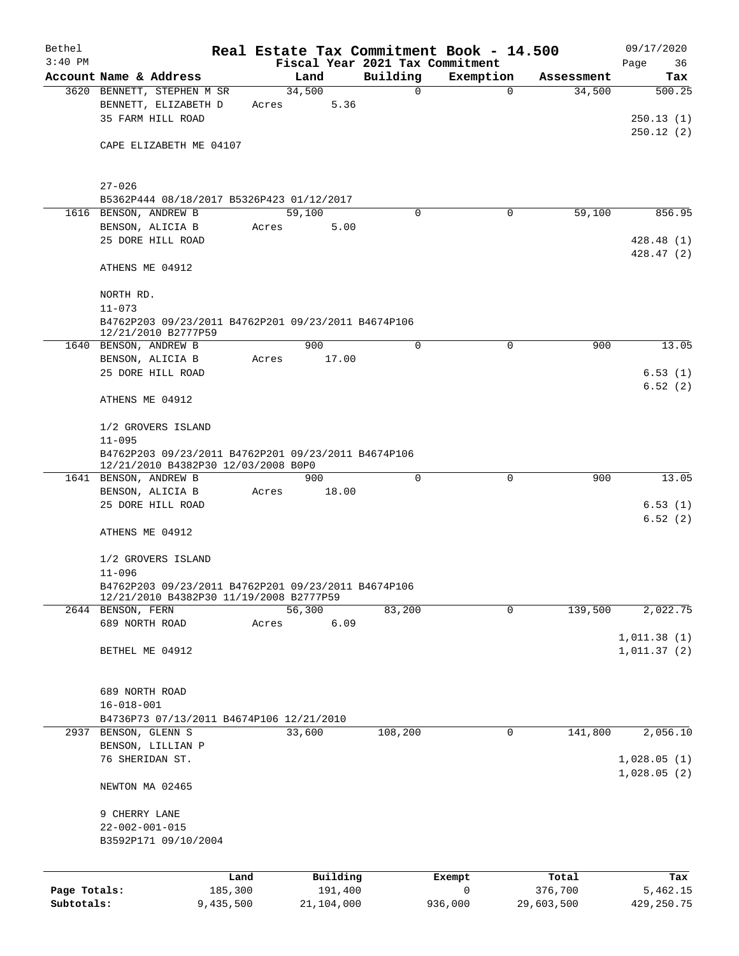| Bethel                     |                                                     |                      |                       |             | Real Estate Tax Commitment Book - 14.500 |                       | 09/17/2020                 |
|----------------------------|-----------------------------------------------------|----------------------|-----------------------|-------------|------------------------------------------|-----------------------|----------------------------|
| $3:40$ PM                  |                                                     |                      |                       |             | Fiscal Year 2021 Tax Commitment          |                       | Page<br>36                 |
|                            | Account Name & Address                              |                      | Land<br>34,500        | Building    | Exemption                                | Assessment            | Tax<br>500.25              |
|                            | 3620 BENNETT, STEPHEN M SR<br>BENNETT, ELIZABETH D  | Acres                | 5.36                  | $\mathbf 0$ | 0                                        | 34,500                |                            |
|                            | 35 FARM HILL ROAD                                   |                      |                       |             |                                          |                       | 250.13(1)                  |
|                            |                                                     |                      |                       |             |                                          |                       | 250.12(2)                  |
|                            | CAPE ELIZABETH ME 04107                             |                      |                       |             |                                          |                       |                            |
|                            |                                                     |                      |                       |             |                                          |                       |                            |
|                            |                                                     |                      |                       |             |                                          |                       |                            |
|                            | $27 - 026$                                          |                      |                       |             |                                          |                       |                            |
|                            | B5362P444 08/18/2017 B5326P423 01/12/2017           |                      |                       |             |                                          |                       |                            |
|                            | 1616 BENSON, ANDREW B                               |                      | 59,100                | $\Omega$    | 0                                        | 59,100                | 856.95                     |
|                            | BENSON, ALICIA B                                    | Acres                | 5.00                  |             |                                          |                       |                            |
|                            | 25 DORE HILL ROAD                                   |                      |                       |             |                                          |                       | 428.48(1)                  |
|                            | ATHENS ME 04912                                     |                      |                       |             |                                          |                       | 428.47(2)                  |
|                            |                                                     |                      |                       |             |                                          |                       |                            |
|                            | NORTH RD.                                           |                      |                       |             |                                          |                       |                            |
|                            | $11 - 073$                                          |                      |                       |             |                                          |                       |                            |
|                            | B4762P203 09/23/2011 B4762P201 09/23/2011 B4674P106 |                      |                       |             |                                          |                       |                            |
|                            | 12/21/2010 B2777P59                                 |                      |                       |             |                                          |                       |                            |
|                            | 1640 BENSON, ANDREW B                               |                      | 900                   | $\mathbf 0$ | 0                                        | 900                   | 13.05                      |
|                            | BENSON, ALICIA B                                    | Acres                | 17.00                 |             |                                          |                       |                            |
|                            | 25 DORE HILL ROAD                                   |                      |                       |             |                                          |                       | 6.53(1)                    |
|                            | ATHENS ME 04912                                     |                      |                       |             |                                          |                       | 6.52(2)                    |
|                            |                                                     |                      |                       |             |                                          |                       |                            |
|                            | 1/2 GROVERS ISLAND                                  |                      |                       |             |                                          |                       |                            |
|                            | $11 - 095$                                          |                      |                       |             |                                          |                       |                            |
|                            | B4762P203 09/23/2011 B4762P201 09/23/2011 B4674P106 |                      |                       |             |                                          |                       |                            |
|                            | 12/21/2010 B4382P30 12/03/2008 B0P0                 |                      |                       |             |                                          |                       |                            |
|                            | 1641 BENSON, ANDREW B                               |                      | 900                   | $\mathbf 0$ | 0                                        | 900                   | 13.05                      |
|                            | BENSON, ALICIA B                                    | Acres                | 18.00                 |             |                                          |                       |                            |
|                            | 25 DORE HILL ROAD                                   |                      |                       |             |                                          |                       | 6.53(1)<br>6.52(2)         |
|                            | ATHENS ME 04912                                     |                      |                       |             |                                          |                       |                            |
|                            |                                                     |                      |                       |             |                                          |                       |                            |
|                            | 1/2 GROVERS ISLAND                                  |                      |                       |             |                                          |                       |                            |
|                            | $11 - 096$                                          |                      |                       |             |                                          |                       |                            |
|                            | B4762P203 09/23/2011 B4762P201 09/23/2011 B4674P106 |                      |                       |             |                                          |                       |                            |
|                            | 12/21/2010 B4382P30 11/19/2008 B2777P59             |                      |                       |             |                                          |                       |                            |
|                            | 2644 BENSON, FERN                                   |                      | 56,300                | 83,200      | 0                                        | 139,500               | 2,022.75                   |
|                            | 689 NORTH ROAD                                      | Acres                | 6.09                  |             |                                          |                       |                            |
|                            | BETHEL ME 04912                                     |                      |                       |             |                                          |                       | 1,011.38(1)<br>1,011.37(2) |
|                            |                                                     |                      |                       |             |                                          |                       |                            |
|                            |                                                     |                      |                       |             |                                          |                       |                            |
|                            | 689 NORTH ROAD                                      |                      |                       |             |                                          |                       |                            |
|                            | $16 - 018 - 001$                                    |                      |                       |             |                                          |                       |                            |
|                            | B4736P73 07/13/2011 B4674P106 12/21/2010            |                      |                       |             |                                          |                       |                            |
|                            | 2937 BENSON, GLENN S                                |                      | 33,600                | 108,200     | 0                                        | 141,800               | 2,056.10                   |
|                            | BENSON, LILLIAN P                                   |                      |                       |             |                                          |                       |                            |
|                            | 76 SHERIDAN ST.                                     |                      |                       |             |                                          |                       | 1,028.05(1)                |
|                            |                                                     |                      |                       |             |                                          |                       | 1,028.05(2)                |
|                            | NEWTON MA 02465                                     |                      |                       |             |                                          |                       |                            |
|                            | 9 CHERRY LANE                                       |                      |                       |             |                                          |                       |                            |
|                            | $22 - 002 - 001 - 015$                              |                      |                       |             |                                          |                       |                            |
|                            | B3592P171 09/10/2004                                |                      |                       |             |                                          |                       |                            |
|                            |                                                     |                      |                       |             |                                          |                       |                            |
|                            |                                                     |                      |                       |             |                                          |                       |                            |
|                            |                                                     | Land                 | Building              |             | Exempt                                   | Total                 | Tax                        |
| Page Totals:<br>Subtotals: |                                                     | 185,300<br>9,435,500 | 191,400<br>21,104,000 |             | $\mathbf 0$<br>936,000                   | 376,700<br>29,603,500 | 5,462.15<br>429,250.75     |
|                            |                                                     |                      |                       |             |                                          |                       |                            |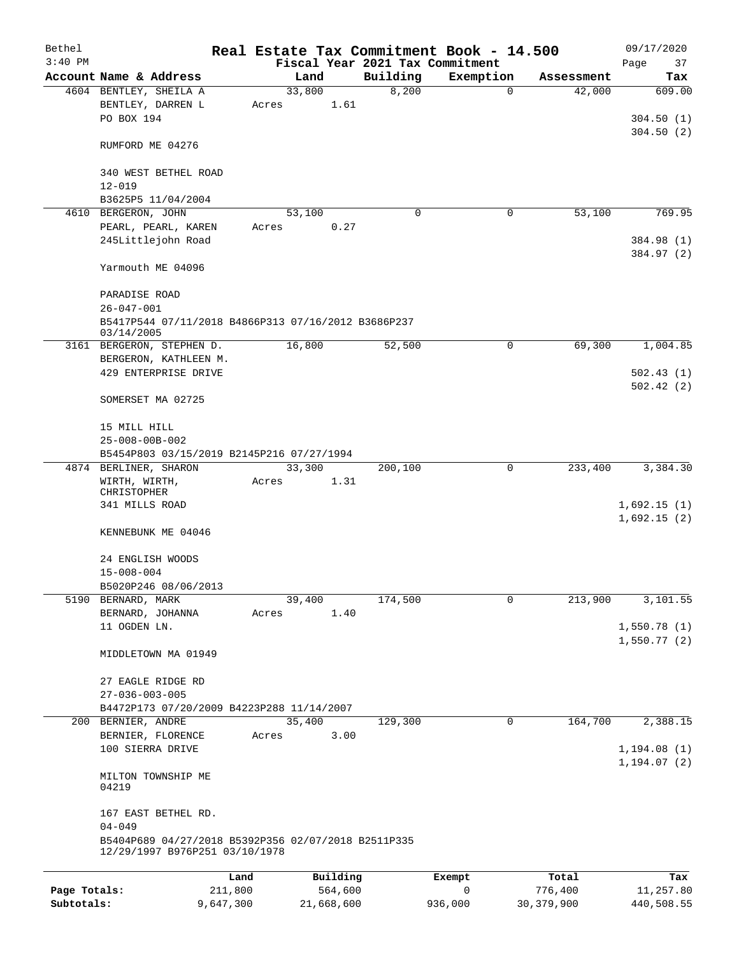| Bethel                     |                                                                                          |                      |                       |                   | Real Estate Tax Commitment Book - 14.500 |                         | 09/17/2020                   |
|----------------------------|------------------------------------------------------------------------------------------|----------------------|-----------------------|-------------------|------------------------------------------|-------------------------|------------------------------|
| $3:40$ PM                  |                                                                                          |                      |                       |                   | Fiscal Year 2021 Tax Commitment          |                         | Page<br>37                   |
|                            | Account Name & Address<br>4604 BENTLEY, SHEILA A                                         |                      | Land<br>33,800        | Building<br>8,200 | Exemption<br>$\mathbf 0$                 | Assessment<br>42,000    | Tax<br>609.00                |
|                            | BENTLEY, DARREN L<br>PO BOX 194                                                          | Acres                | 1.61                  |                   |                                          |                         | 304.50(1)                    |
|                            | RUMFORD ME 04276                                                                         |                      |                       |                   |                                          |                         | 304.50(2)                    |
|                            | 340 WEST BETHEL ROAD<br>$12 - 019$                                                       |                      |                       |                   |                                          |                         |                              |
|                            | B3625P5 11/04/2004                                                                       |                      |                       |                   |                                          |                         |                              |
|                            | 4610 BERGERON, JOHN                                                                      |                      | 53,100                | 0                 | 0                                        | 53,100                  | 769.95                       |
|                            | PEARL, PEARL, KAREN<br>245Littlejohn Road                                                | Acres                | 0.27                  |                   |                                          |                         | 384.98 (1)<br>384.97 (2)     |
|                            | Yarmouth ME 04096                                                                        |                      |                       |                   |                                          |                         |                              |
|                            | PARADISE ROAD<br>$26 - 047 - 001$                                                        |                      |                       |                   |                                          |                         |                              |
|                            | B5417P544 07/11/2018 B4866P313 07/16/2012 B3686P237<br>03/14/2005                        |                      |                       |                   |                                          |                         |                              |
| 3161                       | BERGERON, STEPHEN D.<br>BERGERON, KATHLEEN M.                                            |                      | 16,800                | 52,500            | 0                                        | 69,300                  | 1,004.85                     |
|                            | 429 ENTERPRISE DRIVE                                                                     |                      |                       |                   |                                          |                         | 502.43(1)                    |
|                            | SOMERSET MA 02725                                                                        |                      |                       |                   |                                          |                         | 502.42(2)                    |
|                            | 15 MILL HILL<br>25-008-00B-002                                                           |                      |                       |                   |                                          |                         |                              |
|                            | B5454P803 03/15/2019 B2145P216 07/27/1994                                                |                      |                       |                   |                                          |                         |                              |
|                            | 4874 BERLINER, SHARON                                                                    |                      | 33,300                | 200,100           | 0                                        | 233,400                 | 3,384.30                     |
|                            | WIRTH, WIRTH,<br>CHRISTOPHER<br>341 MILLS ROAD                                           | Acres                | 1.31                  |                   |                                          |                         | 1,692.15(1)                  |
|                            | KENNEBUNK ME 04046                                                                       |                      |                       |                   |                                          |                         | 1,692.15(2)                  |
|                            | 24 ENGLISH WOODS                                                                         |                      |                       |                   |                                          |                         |                              |
|                            | $15 - 008 - 004$                                                                         |                      |                       |                   |                                          |                         |                              |
|                            | B5020P246 08/06/2013                                                                     |                      |                       |                   |                                          |                         |                              |
| 5190                       | BERNARD, MARK                                                                            |                      | 39,400                | 174,500           | $\mathbf 0$                              | 213,900                 | 3,101.55                     |
|                            | BERNARD, JOHANNA<br>11 OGDEN LN.                                                         | Acres                | 1.40                  |                   |                                          |                         | 1,550.78(1)                  |
|                            | MIDDLETOWN MA 01949                                                                      |                      |                       |                   |                                          |                         | 1,550.77(2)                  |
|                            |                                                                                          |                      |                       |                   |                                          |                         |                              |
|                            | 27 EAGLE RIDGE RD<br>$27 - 036 - 003 - 005$                                              |                      |                       |                   |                                          |                         |                              |
|                            | B4472P173 07/20/2009 B4223P288 11/14/2007                                                |                      |                       |                   |                                          |                         |                              |
|                            | 200 BERNIER, ANDRE                                                                       |                      | 35,400                | 129,300           | 0                                        | 164,700                 | 2,388.15                     |
|                            | BERNIER, FLORENCE<br>100 SIERRA DRIVE                                                    | Acres                | 3.00                  |                   |                                          |                         | 1, 194.08(1)<br>1, 194.07(2) |
|                            | MILTON TOWNSHIP ME<br>04219                                                              |                      |                       |                   |                                          |                         |                              |
|                            | 167 EAST BETHEL RD.<br>$04 - 049$<br>B5404P689 04/27/2018 B5392P356 02/07/2018 B2511P335 |                      |                       |                   |                                          |                         |                              |
|                            | 12/29/1997 B976P251 03/10/1978                                                           |                      |                       |                   |                                          |                         |                              |
|                            |                                                                                          | Land                 | Building              |                   | Exempt                                   | Total                   | Tax                          |
| Page Totals:<br>Subtotals: |                                                                                          | 211,800<br>9,647,300 | 564,600<br>21,668,600 |                   | $\mathbf 0$<br>936,000                   | 776,400<br>30, 379, 900 | 11,257.80<br>440,508.55      |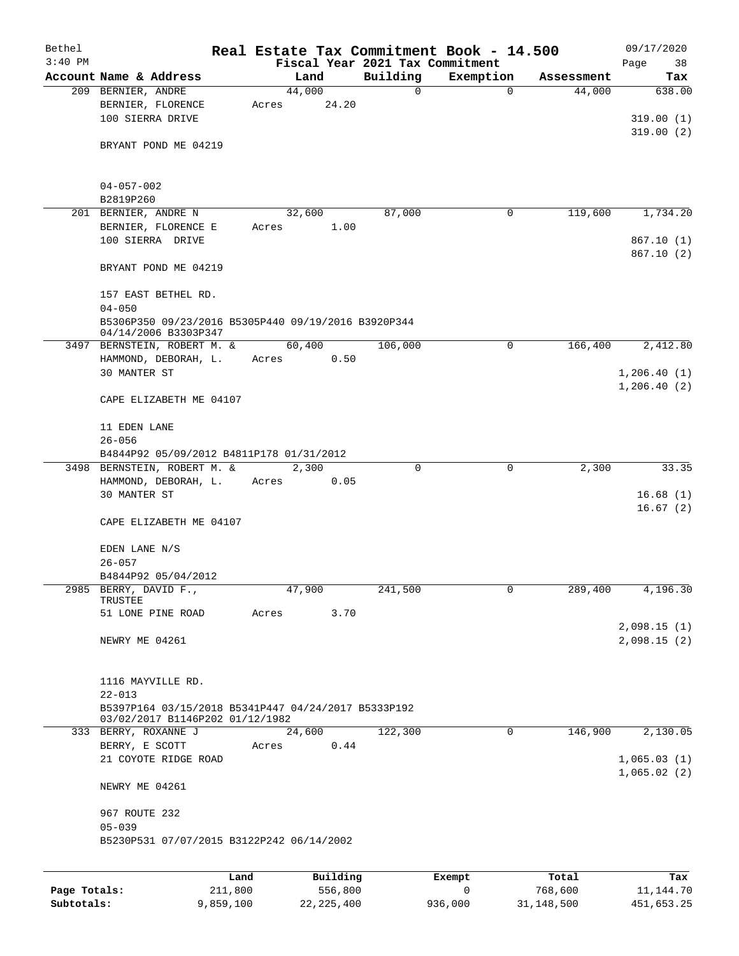| Bethel       |                                                     | Real Estate Tax Commitment Book - 14.500 |                                 |             |            | 09/17/2020  |
|--------------|-----------------------------------------------------|------------------------------------------|---------------------------------|-------------|------------|-------------|
| $3:40$ PM    |                                                     |                                          | Fiscal Year 2021 Tax Commitment |             |            | Page<br>38  |
|              | Account Name & Address                              | Land                                     | Building                        | Exemption   | Assessment | Tax         |
|              | 209 BERNIER, ANDRE                                  | 44,000                                   | $\mathbf 0$                     | $\mathbf 0$ | 44,000     | 638.00      |
|              | BERNIER, FLORENCE                                   | 24.20<br>Acres                           |                                 |             |            |             |
|              | 100 SIERRA DRIVE                                    |                                          |                                 |             |            | 319.00(1)   |
|              |                                                     |                                          |                                 |             |            | 319.00(2)   |
|              | BRYANT POND ME 04219                                |                                          |                                 |             |            |             |
|              |                                                     |                                          |                                 |             |            |             |
|              | $04 - 057 - 002$                                    |                                          |                                 |             |            |             |
|              | B2819P260                                           |                                          |                                 |             |            |             |
|              | 201 BERNIER, ANDRE N                                | 32,600                                   | 87,000                          | 0           | 119,600    | 1,734.20    |
|              | BERNIER, FLORENCE E                                 | Acres                                    | 1.00                            |             |            |             |
|              | 100 SIERRA DRIVE                                    |                                          |                                 |             |            | 867.10(1)   |
|              |                                                     |                                          |                                 |             |            | 867.10(2)   |
|              | BRYANT POND ME 04219                                |                                          |                                 |             |            |             |
|              |                                                     |                                          |                                 |             |            |             |
|              | 157 EAST BETHEL RD.                                 |                                          |                                 |             |            |             |
|              | $04 - 050$                                          |                                          |                                 |             |            |             |
|              | B5306P350 09/23/2016 B5305P440 09/19/2016 B3920P344 |                                          |                                 |             |            |             |
|              | 04/14/2006 B3303P347                                |                                          |                                 |             |            |             |
|              | 3497 BERNSTEIN, ROBERT M. &                         | 60,400                                   | 106,000                         | 0           | 166,400    | 2,412.80    |
|              | HAMMOND, DEBORAH, L.                                | Acres                                    | 0.50                            |             |            |             |
|              | 30 MANTER ST                                        |                                          |                                 |             |            | 1,206.40(1) |
|              |                                                     |                                          |                                 |             |            | 1,206.40(2) |
|              | CAPE ELIZABETH ME 04107                             |                                          |                                 |             |            |             |
|              |                                                     |                                          |                                 |             |            |             |
|              | 11 EDEN LANE                                        |                                          |                                 |             |            |             |
|              | $26 - 056$                                          |                                          |                                 |             |            |             |
|              | B4844P92 05/09/2012 B4811P178 01/31/2012            |                                          |                                 |             |            |             |
|              | 3498 BERNSTEIN, ROBERT M. &                         | 2,300                                    | 0                               | $\mathbf 0$ | 2,300      | 33.35       |
|              | HAMMOND, DEBORAH, L.                                | Acres                                    | 0.05                            |             |            |             |
|              | 30 MANTER ST                                        |                                          |                                 |             |            | 16.68(1)    |
|              |                                                     |                                          |                                 |             |            | 16.67(2)    |
|              | CAPE ELIZABETH ME 04107                             |                                          |                                 |             |            |             |
|              |                                                     |                                          |                                 |             |            |             |
|              | EDEN LANE N/S                                       |                                          |                                 |             |            |             |
|              | $26 - 057$                                          |                                          |                                 |             |            |             |
|              | B4844P92 05/04/2012                                 |                                          |                                 |             |            |             |
| 2985         | BERRY, DAVID F.,<br>TRUSTEE                         | 47,900                                   | 241,500                         | 0           | 289,400    | 4,196.30    |
|              | 51 LONE PINE ROAD                                   | Acres                                    | 3.70                            |             |            |             |
|              |                                                     |                                          |                                 |             |            | 2,098.15(1) |
|              | NEWRY ME 04261                                      |                                          |                                 |             |            | 2,098.15(2) |
|              |                                                     |                                          |                                 |             |            |             |
|              |                                                     |                                          |                                 |             |            |             |
|              | 1116 MAYVILLE RD.                                   |                                          |                                 |             |            |             |
|              | $22 - 013$                                          |                                          |                                 |             |            |             |
|              | B5397P164 03/15/2018 B5341P447 04/24/2017 B5333P192 |                                          |                                 |             |            |             |
|              | 03/02/2017 B1146P202 01/12/1982                     |                                          |                                 |             |            |             |
|              | 333 BERRY, ROXANNE J                                | 24,600                                   | 122,300                         | $\mathbf 0$ | 146,900    | 2,130.05    |
|              | BERRY, E SCOTT                                      | Acres                                    | 0.44                            |             |            |             |
|              | 21 COYOTE RIDGE ROAD                                |                                          |                                 |             |            | 1,065.03(1) |
|              |                                                     |                                          |                                 |             |            | 1,065.02(2) |
|              | NEWRY ME 04261                                      |                                          |                                 |             |            |             |
|              |                                                     |                                          |                                 |             |            |             |
|              | 967 ROUTE 232                                       |                                          |                                 |             |            |             |
|              | $05 - 039$                                          |                                          |                                 |             |            |             |
|              | B5230P531 07/07/2015 B3122P242 06/14/2002           |                                          |                                 |             |            |             |
|              |                                                     |                                          |                                 |             |            |             |
|              | Land                                                | Building                                 |                                 | Exempt      | Total      | Tax         |
| Page Totals: | 211,800                                             | 556,800                                  |                                 | 0           | 768,600    | 11,144.70   |

**Subtotals:** 9,859,100 22,225,400 936,000 31,148,500 451,653.25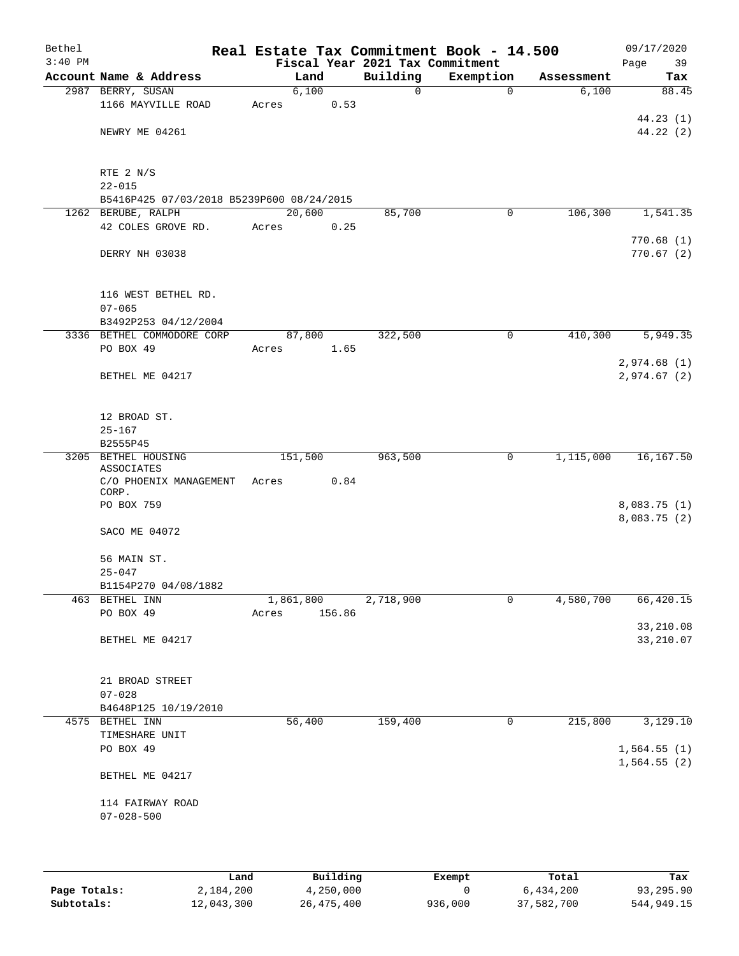| Bethel<br>$3:40$ PM |                                                      |           |          |                                             | Real Estate Tax Commitment Book - 14.500 |            | 09/17/2020              |
|---------------------|------------------------------------------------------|-----------|----------|---------------------------------------------|------------------------------------------|------------|-------------------------|
|                     | Account Name & Address                               |           | Land     | Fiscal Year 2021 Tax Commitment<br>Building | Exemption                                | Assessment | Page<br>39<br>Tax       |
|                     | 2987 BERRY, SUSAN                                    |           | 6,100    | $\mathbf 0$                                 | $\mathbf 0$                              | 6,100      | 88.45                   |
|                     | 1166 MAYVILLE ROAD                                   | Acres     | 0.53     |                                             |                                          |            |                         |
|                     |                                                      |           |          |                                             |                                          |            | 44.23(1)                |
|                     | NEWRY ME 04261                                       |           |          |                                             |                                          |            | 44.22(2)                |
|                     |                                                      |           |          |                                             |                                          |            |                         |
|                     | RTE 2 N/S<br>$22 - 015$                              |           |          |                                             |                                          |            |                         |
|                     | B5416P425 07/03/2018 B5239P600 08/24/2015            |           |          |                                             |                                          |            |                         |
|                     | 1262 BERUBE, RALPH                                   | 20,600    |          | 85,700                                      | $\mathbf 0$                              | 106,300    | 1,541.35                |
|                     | 42 COLES GROVE RD.                                   | Acres     | 0.25     |                                             |                                          |            |                         |
|                     |                                                      |           |          |                                             |                                          |            | 770.68(1)               |
|                     | DERRY NH 03038                                       |           |          |                                             |                                          |            | 770.67(2)               |
|                     | 116 WEST BETHEL RD.                                  |           |          |                                             |                                          |            |                         |
|                     | $07 - 065$                                           |           |          |                                             |                                          |            |                         |
|                     | B3492P253 04/12/2004                                 |           |          |                                             |                                          |            |                         |
|                     | 3336 BETHEL COMMODORE CORP                           |           | 87,800   | 322,500                                     | $\mathsf{O}$                             | 410,300    | 5,949.35                |
|                     | PO BOX 49                                            | Acres     | 1.65     |                                             |                                          |            |                         |
|                     |                                                      |           |          |                                             |                                          |            | 2,974.68(1)             |
|                     | BETHEL ME 04217                                      |           |          |                                             |                                          |            | 2,974.67 (2)            |
|                     | 12 BROAD ST.                                         |           |          |                                             |                                          |            |                         |
|                     | $25 - 167$                                           |           |          |                                             |                                          |            |                         |
|                     | B2555P45                                             |           |          |                                             |                                          |            |                         |
|                     | 3205 BETHEL HOUSING                                  | 151,500   |          | 963,500                                     | 0                                        | 1,115,000  | 16,167.50               |
|                     | <b>ASSOCIATES</b><br>C/O PHOENIX MANAGEMENT<br>CORP. | Acres     | 0.84     |                                             |                                          |            |                         |
|                     | PO BOX 759                                           |           |          |                                             |                                          |            | 8,083.75 (1)            |
|                     |                                                      |           |          |                                             |                                          |            | 8,083.75 (2)            |
|                     | SACO ME 04072                                        |           |          |                                             |                                          |            |                         |
|                     | 56 MAIN ST.                                          |           |          |                                             |                                          |            |                         |
|                     | $25 - 047$                                           |           |          |                                             |                                          |            |                         |
|                     | B1154P270 04/08/1882                                 |           |          |                                             |                                          |            |                         |
|                     | 463 BETHEL INN                                       | 1,861,800 |          | 2,718,900                                   | 0                                        | 4,580,700  | 66,420.15               |
|                     | PO BOX 49                                            | Acres     | 156.86   |                                             |                                          |            |                         |
|                     | BETHEL ME 04217                                      |           |          |                                             |                                          |            | 33,210.08<br>33, 210.07 |
|                     |                                                      |           |          |                                             |                                          |            |                         |
|                     | 21 BROAD STREET                                      |           |          |                                             |                                          |            |                         |
|                     | $07 - 028$                                           |           |          |                                             |                                          |            |                         |
|                     | B4648P125 10/19/2010                                 |           |          |                                             |                                          |            |                         |
|                     | 4575 BETHEL INN                                      |           | 56,400   | 159,400                                     | 0                                        | 215,800    | 3,129.10                |
|                     | TIMESHARE UNIT                                       |           |          |                                             |                                          |            |                         |
|                     | PO BOX 49                                            |           |          |                                             |                                          |            | 1,564.55(1)             |
|                     | BETHEL ME 04217                                      |           |          |                                             |                                          |            | 1,564.55(2)             |
|                     | 114 FAIRWAY ROAD                                     |           |          |                                             |                                          |            |                         |
|                     | $07 - 028 - 500$                                     |           |          |                                             |                                          |            |                         |
|                     |                                                      |           |          |                                             |                                          |            |                         |
|                     | Land,                                                |           | Building |                                             | <b>Exempt</b>                            | Total      | Tax                     |

|              | Land       | Building   | Exempt  | Total      | Tax        |
|--------------|------------|------------|---------|------------|------------|
| Page Totals: | 2,184,200  | 4,250,000  |         | 6,434,200  | 93,295.90  |
| Subtotals:   | 12,043,300 | 26,475,400 | 936,000 | 37,582,700 | 544,949.15 |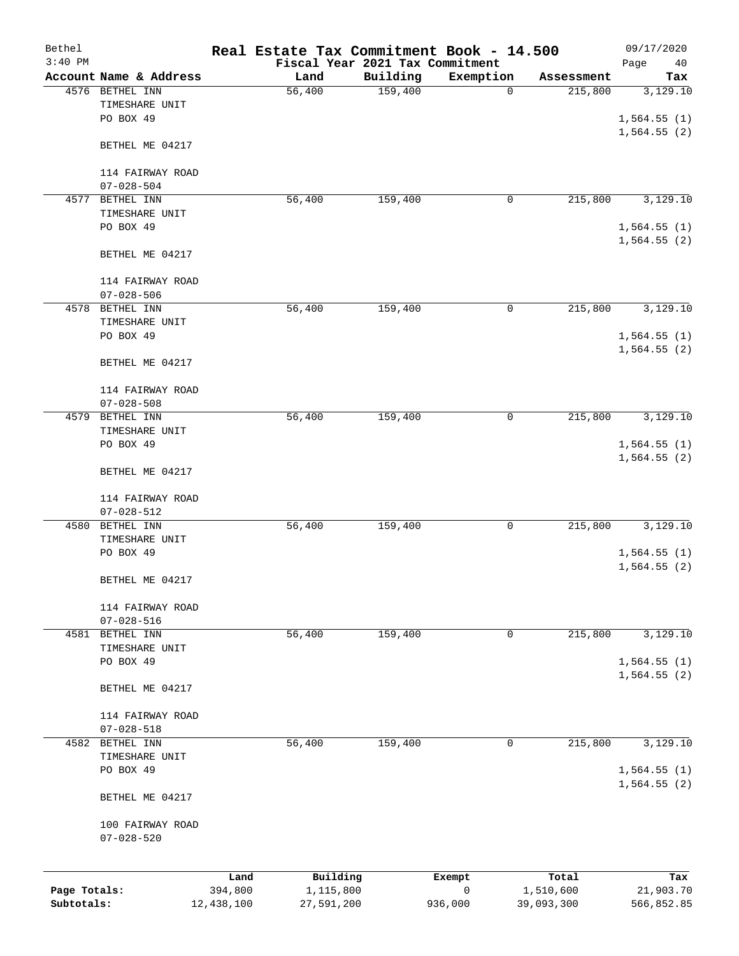| Bethel<br>$3:40$ PM |                                                |         | Real Estate Tax Commitment Book - 14.500<br>Fiscal Year 2021 Tax Commitment |          |             |            | 09/17/2020<br>Page<br>40   |
|---------------------|------------------------------------------------|---------|-----------------------------------------------------------------------------|----------|-------------|------------|----------------------------|
|                     | Account Name & Address                         |         | Land                                                                        | Building | Exemption   | Assessment | Tax                        |
|                     | 4576 BETHEL INN<br>TIMESHARE UNIT<br>PO BOX 49 |         | 56,400                                                                      | 159,400  | $\mathbf 0$ | 215,800    | 3,129.10<br>1,564.55(1)    |
|                     | BETHEL ME 04217                                |         |                                                                             |          |             |            | 1,564.55(2)                |
|                     | 114 FAIRWAY ROAD<br>$07 - 028 - 504$           |         |                                                                             |          |             |            |                            |
| 4577                | BETHEL INN                                     |         | 56,400                                                                      | 159,400  | 0           | 215,800    | 3,129.10                   |
|                     | TIMESHARE UNIT<br>PO BOX 49                    |         |                                                                             |          |             |            | 1,564.55(1)<br>1,564.55(2) |
|                     | BETHEL ME 04217                                |         |                                                                             |          |             |            |                            |
|                     | 114 FAIRWAY ROAD<br>$07 - 028 - 506$           |         |                                                                             |          |             |            |                            |
|                     | 4578 BETHEL INN<br>TIMESHARE UNIT              |         | 56,400                                                                      | 159,400  | 0           | 215,800    | 3,129.10                   |
|                     | PO BOX 49                                      |         |                                                                             |          |             |            | 1,564.55(1)<br>1,564.55(2) |
|                     | BETHEL ME 04217                                |         |                                                                             |          |             |            |                            |
|                     | 114 FAIRWAY ROAD<br>$07 - 028 - 508$           |         |                                                                             |          |             |            |                            |
| 4579                | BETHEL INN                                     |         | 56,400                                                                      | 159,400  | 0           | 215,800    | 3,129.10                   |
|                     | TIMESHARE UNIT<br>PO BOX 49                    |         |                                                                             |          |             |            | 1,564.55(1)                |
|                     | BETHEL ME 04217                                |         |                                                                             |          |             |            | 1,564.55(2)                |
|                     | 114 FAIRWAY ROAD<br>$07 - 028 - 512$           |         |                                                                             |          |             |            |                            |
| 4580                | BETHEL INN                                     |         | 56,400                                                                      | 159,400  | 0           | 215,800    | 3,129.10                   |
|                     | TIMESHARE UNIT                                 |         |                                                                             |          |             |            |                            |
|                     | PO BOX 49                                      |         |                                                                             |          |             |            | 1,564.55(1)<br>1,564.55(2) |
|                     | BETHEL ME 04217                                |         |                                                                             |          |             |            |                            |
|                     | 114 FAIRWAY ROAD<br>$07 - 028 - 516$           |         |                                                                             |          |             |            |                            |
|                     | 4581 BETHEL INN<br>TIMESHARE UNIT              |         | 56,400                                                                      | 159,400  | 0           | 215,800    | 3,129.10                   |
|                     | PO BOX 49                                      |         |                                                                             |          |             |            | 1,564.55(1)<br>1,564.55(2) |
|                     | BETHEL ME 04217                                |         |                                                                             |          |             |            |                            |
|                     | 114 FAIRWAY ROAD<br>$07 - 028 - 518$           |         |                                                                             |          |             |            |                            |
|                     | 4582 BETHEL INN                                |         | 56,400                                                                      | 159,400  | 0           | 215,800    | 3,129.10                   |
|                     | TIMESHARE UNIT                                 |         |                                                                             |          |             |            |                            |
|                     | PO BOX 49                                      |         |                                                                             |          |             |            | 1,564.55(1)<br>1,564.55(2) |
|                     | BETHEL ME 04217                                |         |                                                                             |          |             |            |                            |
|                     | 100 FAIRWAY ROAD<br>$07 - 028 - 520$           |         |                                                                             |          |             |            |                            |
|                     |                                                | Land    | Building                                                                    |          | Exempt      | Total      | Tax                        |
| Page Totals:        |                                                | 394,800 | 1,115,800                                                                   |          | 0           | 1,510,600  | 21,903.70                  |

**Subtotals:** 12,438,100 27,591,200 936,000 39,093,300 566,852.85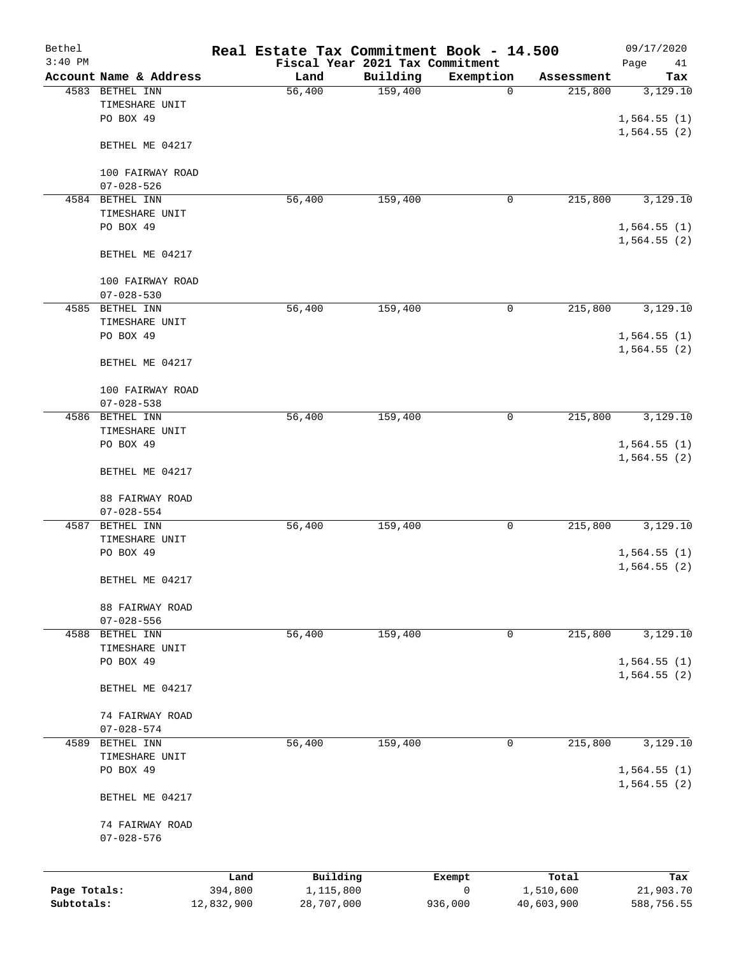| Bethel<br>$3:40$ PM |                                                |         | Real Estate Tax Commitment Book - 14.500<br>Fiscal Year 2021 Tax Commitment |          |             |            | 09/17/2020<br>Page<br>41   |
|---------------------|------------------------------------------------|---------|-----------------------------------------------------------------------------|----------|-------------|------------|----------------------------|
|                     | Account Name & Address                         |         | Land                                                                        | Building | Exemption   | Assessment | Tax                        |
|                     | 4583 BETHEL INN<br>TIMESHARE UNIT<br>PO BOX 49 |         | 56,400                                                                      | 159,400  | $\mathbf 0$ | 215,800    | 3,129.10<br>1,564.55(1)    |
|                     | BETHEL ME 04217                                |         |                                                                             |          |             |            | 1,564.55(2)                |
|                     | 100 FAIRWAY ROAD<br>$07 - 028 - 526$           |         |                                                                             |          |             |            |                            |
|                     | 4584 BETHEL INN                                |         | 56,400                                                                      | 159,400  | 0           | 215,800    | 3,129.10                   |
|                     | TIMESHARE UNIT<br>PO BOX 49                    |         |                                                                             |          |             |            | 1,564.55(1)<br>1,564.55(2) |
|                     | BETHEL ME 04217                                |         |                                                                             |          |             |            |                            |
|                     | 100 FAIRWAY ROAD<br>$07 - 028 - 530$           |         |                                                                             |          |             |            |                            |
| 4585                | BETHEL INN                                     |         | 56,400                                                                      | 159,400  | 0           | 215,800    | 3,129.10                   |
|                     | TIMESHARE UNIT                                 |         |                                                                             |          |             |            |                            |
|                     | PO BOX 49                                      |         |                                                                             |          |             |            | 1,564.55(1)<br>1,564.55(2) |
|                     | BETHEL ME 04217                                |         |                                                                             |          |             |            |                            |
|                     | 100 FAIRWAY ROAD<br>$07 - 028 - 538$           |         |                                                                             |          |             |            |                            |
| 4586                | BETHEL INN                                     |         | 56,400                                                                      | 159,400  | 0           | 215,800    | 3,129.10                   |
|                     | TIMESHARE UNIT                                 |         |                                                                             |          |             |            |                            |
|                     | PO BOX 49                                      |         |                                                                             |          |             |            | 1,564.55(1)<br>1,564.55(2) |
|                     | BETHEL ME 04217                                |         |                                                                             |          |             |            |                            |
|                     | 88 FAIRWAY ROAD<br>$07 - 028 - 554$            |         |                                                                             |          |             |            |                            |
| 4587                | BETHEL INN                                     |         | 56,400                                                                      | 159,400  | 0           | 215,800    | 3,129.10                   |
|                     | TIMESHARE UNIT                                 |         |                                                                             |          |             |            |                            |
|                     | PO BOX 49                                      |         |                                                                             |          |             |            | 1,564.55(1)<br>1,564.55(2) |
|                     | BETHEL ME 04217                                |         |                                                                             |          |             |            |                            |
|                     | 88 FAIRWAY ROAD<br>$07 - 028 - 556$            |         |                                                                             |          |             |            |                            |
| 4588                | BETHEL INN                                     |         | 56,400                                                                      | 159,400  | 0           | 215,800    | 3,129.10                   |
|                     | TIMESHARE UNIT                                 |         |                                                                             |          |             |            |                            |
|                     | PO BOX 49                                      |         |                                                                             |          |             |            | 1,564.55(1)<br>1,564.55(2) |
|                     | BETHEL ME 04217                                |         |                                                                             |          |             |            |                            |
|                     | 74 FAIRWAY ROAD<br>$07 - 028 - 574$            |         |                                                                             |          |             |            |                            |
| 4589                | BETHEL INN                                     |         | 56,400                                                                      | 159,400  | 0           | 215,800    | 3,129.10                   |
|                     | TIMESHARE UNIT                                 |         |                                                                             |          |             |            |                            |
|                     | PO BOX 49                                      |         |                                                                             |          |             |            | 1,564.55(1)<br>1,564.55(2) |
|                     | BETHEL ME 04217                                |         |                                                                             |          |             |            |                            |
|                     | 74 FAIRWAY ROAD                                |         |                                                                             |          |             |            |                            |
|                     | $07 - 028 - 576$                               |         |                                                                             |          |             |            |                            |
|                     |                                                | Land    | Building                                                                    |          | Exempt      | Total      | Tax                        |
| Page Totals:        |                                                | 394,800 | 1,115,800                                                                   |          | 0           | 1,510,600  | 21,903.70                  |

**Subtotals:** 12,832,900 28,707,000 936,000 40,603,900 588,756.55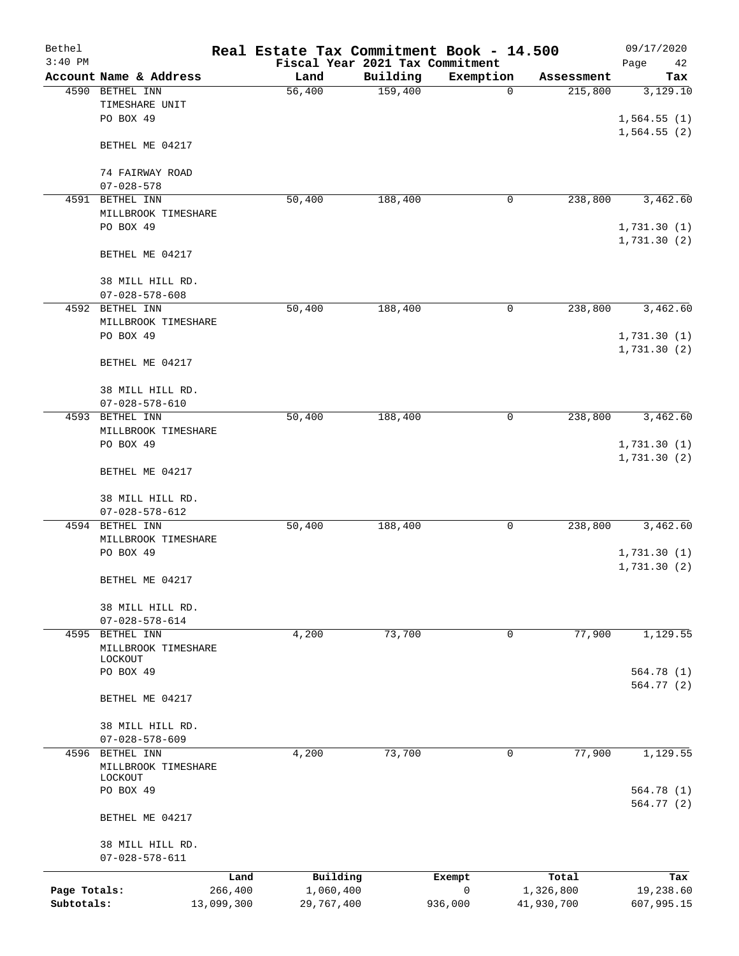| Bethel       |                                |            | Real Estate Tax Commitment Book - 14.500 |          |                        |             |            | 09/17/2020  |
|--------------|--------------------------------|------------|------------------------------------------|----------|------------------------|-------------|------------|-------------|
| $3:40$ PM    |                                |            | Fiscal Year 2021 Tax Commitment          |          |                        |             |            | Page<br>42  |
|              | Account Name & Address         |            | Land                                     | Building | Exemption              |             | Assessment | Tax         |
|              | 4590 BETHEL INN                |            | 56,400                                   | 159,400  |                        | 0           | 215,800    | 3,129.10    |
|              | TIMESHARE UNIT<br>PO BOX 49    |            |                                          |          |                        |             |            |             |
|              |                                |            |                                          |          |                        |             |            | 1,564.55(1) |
|              |                                |            |                                          |          |                        |             |            | 1,564.55(2) |
|              | BETHEL ME 04217                |            |                                          |          |                        |             |            |             |
|              | 74 FAIRWAY ROAD                |            |                                          |          |                        |             |            |             |
|              | $07 - 028 - 578$               |            |                                          |          |                        |             |            |             |
| 4591         | BETHEL INN                     |            | 50,400                                   | 188,400  |                        | 0           | 238,800    | 3,462.60    |
|              | MILLBROOK TIMESHARE            |            |                                          |          |                        |             |            |             |
|              | PO BOX 49                      |            |                                          |          |                        |             |            | 1,731.30(1) |
|              |                                |            |                                          |          |                        |             |            | 1,731.30(2) |
|              | BETHEL ME 04217                |            |                                          |          |                        |             |            |             |
|              |                                |            |                                          |          |                        |             |            |             |
|              | 38 MILL HILL RD.               |            |                                          |          |                        |             |            |             |
|              | $07 - 028 - 578 - 608$         |            |                                          |          |                        |             |            |             |
|              | 4592 BETHEL INN                |            | 50,400                                   | 188,400  |                        | 0           | 238,800    | 3,462.60    |
|              | MILLBROOK TIMESHARE            |            |                                          |          |                        |             |            |             |
|              | PO BOX 49                      |            |                                          |          |                        |             |            | 1,731.30(1) |
|              |                                |            |                                          |          |                        |             |            | 1,731.30(2) |
|              | BETHEL ME 04217                |            |                                          |          |                        |             |            |             |
|              |                                |            |                                          |          |                        |             |            |             |
|              | 38 MILL HILL RD.               |            |                                          |          |                        |             |            |             |
|              | $07 - 028 - 578 - 610$         |            |                                          |          |                        |             |            |             |
| 4593         | BETHEL INN                     |            | 50,400                                   | 188,400  |                        | 0           | 238,800    | 3,462.60    |
|              | MILLBROOK TIMESHARE            |            |                                          |          |                        |             |            |             |
|              | PO BOX 49                      |            |                                          |          |                        |             |            | 1,731.30(1) |
|              |                                |            |                                          |          |                        |             |            | 1,731.30(2) |
|              | BETHEL ME 04217                |            |                                          |          |                        |             |            |             |
|              |                                |            |                                          |          |                        |             |            |             |
|              | 38 MILL HILL RD.               |            |                                          |          |                        |             |            |             |
|              | $07 - 028 - 578 - 612$         |            |                                          |          |                        |             |            |             |
|              | 4594 BETHEL INN                |            | 50,400                                   | 188,400  |                        | 0           | 238,800    | 3,462.60    |
|              | MILLBROOK TIMESHARE            |            |                                          |          |                        |             |            |             |
|              | PO BOX 49                      |            |                                          |          |                        |             |            | 1,731.30(1) |
|              |                                |            |                                          |          |                        |             |            | 1,731.30(2) |
|              | BETHEL ME 04217                |            |                                          |          |                        |             |            |             |
|              |                                |            |                                          |          |                        |             |            |             |
|              | 38 MILL HILL RD.               |            |                                          |          |                        |             |            |             |
|              | $07 - 028 - 578 - 614$         |            |                                          |          |                        |             |            |             |
|              | 4595 BETHEL INN                |            | 4,200                                    | 73,700   |                        | $\mathbf 0$ | 77,900     | 1,129.55    |
|              | MILLBROOK TIMESHARE            |            |                                          |          |                        |             |            |             |
|              | LOCKOUT                        |            |                                          |          |                        |             |            |             |
|              | PO BOX 49                      |            |                                          |          |                        |             |            | 564.78 (1)  |
|              |                                |            |                                          |          |                        |             |            | 564.77 (2)  |
|              | BETHEL ME 04217                |            |                                          |          |                        |             |            |             |
|              |                                |            |                                          |          |                        |             |            |             |
|              | 38 MILL HILL RD.               |            |                                          |          |                        |             |            |             |
|              | $07 - 028 - 578 - 609$         |            |                                          |          |                        |             |            |             |
|              | 4596 BETHEL INN                |            | 4,200                                    | 73,700   |                        | 0           | 77,900     | 1,129.55    |
|              | MILLBROOK TIMESHARE<br>LOCKOUT |            |                                          |          |                        |             |            |             |
|              | PO BOX 49                      |            |                                          |          |                        |             |            | 564.78 (1)  |
|              |                                |            |                                          |          |                        |             |            | 564.77 (2)  |
|              | BETHEL ME 04217                |            |                                          |          |                        |             |            |             |
|              |                                |            |                                          |          |                        |             |            |             |
|              | 38 MILL HILL RD.               |            |                                          |          |                        |             |            |             |
|              | $07 - 028 - 578 - 611$         |            |                                          |          |                        |             |            |             |
|              |                                | Land       | Building                                 |          |                        |             | Total      | Tax         |
| Page Totals: |                                | 266,400    | 1,060,400                                |          | Exempt<br>$\mathsf{O}$ |             | 1,326,800  | 19,238.60   |
| Subtotals:   |                                | 13,099,300 | 29,767,400                               |          | 936,000                |             | 41,930,700 | 607,995.15  |
|              |                                |            |                                          |          |                        |             |            |             |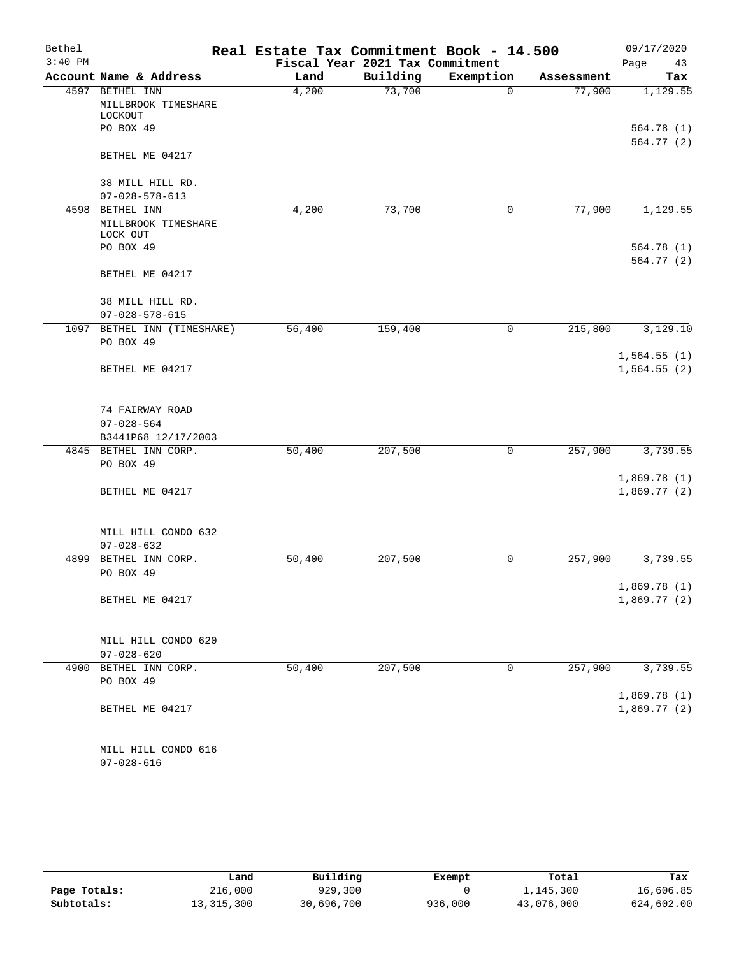| Bethel    |                                            | Real Estate Tax Commitment Book - 14.500 |                                 |           |            | 09/17/2020                 |
|-----------|--------------------------------------------|------------------------------------------|---------------------------------|-----------|------------|----------------------------|
| $3:40$ PM |                                            |                                          | Fiscal Year 2021 Tax Commitment |           |            | Page<br>43                 |
|           | Account Name & Address                     | Land                                     | Building                        | Exemption | Assessment | Tax                        |
|           | 4597 BETHEL INN                            | 4,200                                    | 73,700                          | $\Omega$  | 77,900     | 1,129.55                   |
|           | MILLBROOK TIMESHARE                        |                                          |                                 |           |            |                            |
|           | LOCKOUT<br>PO BOX 49                       |                                          |                                 |           |            |                            |
|           |                                            |                                          |                                 |           |            | 564.78 (1)<br>564.77 (2)   |
|           | BETHEL ME 04217                            |                                          |                                 |           |            |                            |
|           |                                            |                                          |                                 |           |            |                            |
|           | 38 MILL HILL RD.                           |                                          |                                 |           |            |                            |
|           | $07 - 028 - 578 - 613$                     |                                          |                                 |           |            |                            |
|           | 4598 BETHEL INN                            | 4,200                                    | 73,700                          | 0         | 77,900     | 1,129.55                   |
|           | MILLBROOK TIMESHARE                        |                                          |                                 |           |            |                            |
|           | LOCK OUT                                   |                                          |                                 |           |            |                            |
|           | PO BOX 49                                  |                                          |                                 |           |            | 564.78 (1)                 |
|           |                                            |                                          |                                 |           |            | 564.77 (2)                 |
|           | BETHEL ME 04217                            |                                          |                                 |           |            |                            |
|           |                                            |                                          |                                 |           |            |                            |
|           | 38 MILL HILL RD.<br>$07 - 028 - 578 - 615$ |                                          |                                 |           |            |                            |
|           | 1097 BETHEL INN (TIMESHARE)                | 56,400                                   | 159,400                         | 0         | 215,800    | 3,129.10                   |
|           | PO BOX 49                                  |                                          |                                 |           |            |                            |
|           |                                            |                                          |                                 |           |            | 1,564.55(1)                |
|           | BETHEL ME 04217                            |                                          |                                 |           |            | 1,564.55(2)                |
|           |                                            |                                          |                                 |           |            |                            |
|           |                                            |                                          |                                 |           |            |                            |
|           | 74 FAIRWAY ROAD                            |                                          |                                 |           |            |                            |
|           | $07 - 028 - 564$                           |                                          |                                 |           |            |                            |
|           | B3441P68 12/17/2003                        |                                          |                                 |           |            |                            |
|           | 4845 BETHEL INN CORP.                      | 50,400                                   | 207,500                         | 0         | 257,900    | 3,739.55                   |
|           | PO BOX 49                                  |                                          |                                 |           |            |                            |
|           |                                            |                                          |                                 |           |            | 1,869.78(1)                |
|           | BETHEL ME 04217                            |                                          |                                 |           |            | 1,869.77(2)                |
|           |                                            |                                          |                                 |           |            |                            |
|           |                                            |                                          |                                 |           |            |                            |
|           | MILL HILL CONDO 632                        |                                          |                                 |           |            |                            |
|           | $07 - 028 - 632$                           |                                          |                                 |           |            |                            |
| 4899      | BETHEL INN CORP.                           | 50,400                                   | 207,500                         | 0         | 257,900    | 3,739.55                   |
|           | PO BOX 49                                  |                                          |                                 |           |            |                            |
|           | BETHEL ME 04217                            |                                          |                                 |           |            | 1,869.78(1)<br>1,869.77(2) |
|           |                                            |                                          |                                 |           |            |                            |
|           |                                            |                                          |                                 |           |            |                            |
|           | MILL HILL CONDO 620                        |                                          |                                 |           |            |                            |
|           | $07 - 028 - 620$                           |                                          |                                 |           |            |                            |
|           | 4900 BETHEL INN CORP.                      | 50,400                                   | 207,500                         | 0         | 257,900    | 3,739.55                   |
|           | PO BOX 49                                  |                                          |                                 |           |            |                            |
|           |                                            |                                          |                                 |           |            | 1,869.78(1)                |
|           | BETHEL ME 04217                            |                                          |                                 |           |            | 1,869.77(2)                |
|           |                                            |                                          |                                 |           |            |                            |
|           |                                            |                                          |                                 |           |            |                            |
|           | MILL HILL CONDO 616                        |                                          |                                 |           |            |                            |
|           | $07 - 028 - 616$                           |                                          |                                 |           |            |                            |

|              | Land         | Building   | Exempt  | Total      | Tax        |
|--------------|--------------|------------|---------|------------|------------|
| Page Totals: | 216,000      | 929,300    |         | 1,145,300  | 16,606.85  |
| Subtotals:   | 13, 315, 300 | 30,696,700 | 936,000 | 43,076,000 | 624,602.00 |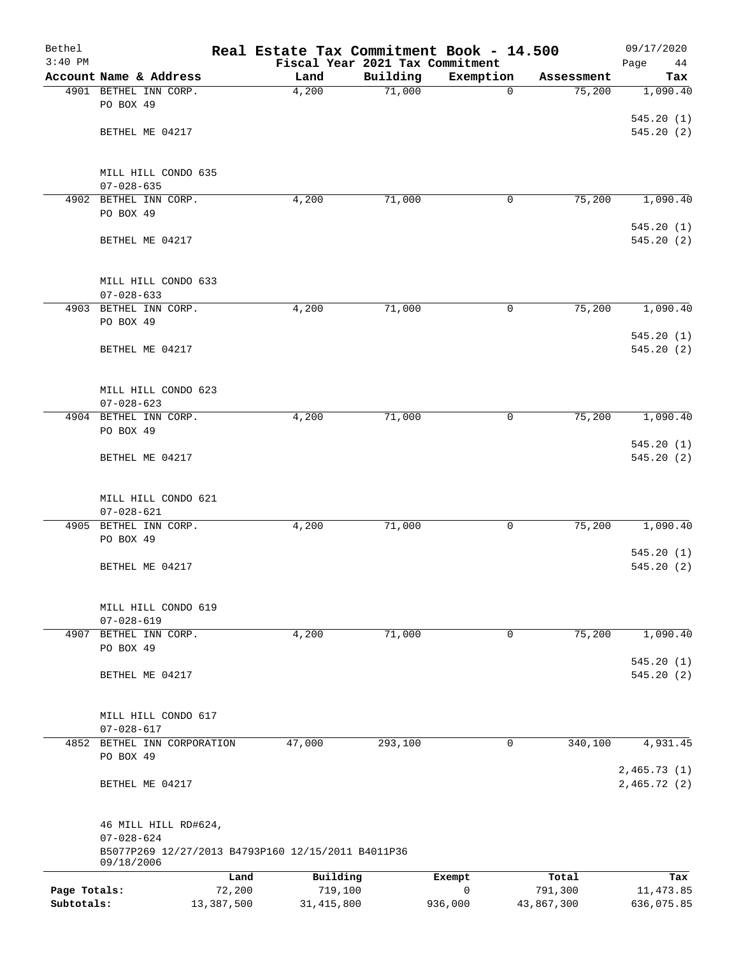| Bethel       |                                                                        |            | Real Estate Tax Commitment Book - 14.500 |          |             |            | 09/17/2020        |
|--------------|------------------------------------------------------------------------|------------|------------------------------------------|----------|-------------|------------|-------------------|
| $3:40$ PM    | Account Name & Address                                                 |            | Fiscal Year 2021 Tax Commitment<br>Land  | Building | Exemption   | Assessment | Page<br>44<br>Tax |
|              | 4901 BETHEL INN CORP.                                                  |            | 4,200                                    | 71,000   | $\mathbf 0$ | 75,200     | 1,090.40          |
|              | PO BOX 49                                                              |            |                                          |          |             |            |                   |
|              |                                                                        |            |                                          |          |             |            | 545.20(1)         |
|              | BETHEL ME 04217                                                        |            |                                          |          |             |            | 545.20(2)         |
|              | MILL HILL CONDO 635                                                    |            |                                          |          |             |            |                   |
|              | $07 - 028 - 635$                                                       |            |                                          |          |             |            |                   |
|              | 4902 BETHEL INN CORP.                                                  |            | 4,200                                    | 71,000   | 0           | 75,200     | 1,090.40          |
|              | PO BOX 49                                                              |            |                                          |          |             |            | 545.20(1)         |
|              | BETHEL ME 04217                                                        |            |                                          |          |             |            | 545.20(2)         |
|              | MILL HILL CONDO 633                                                    |            |                                          |          |             |            |                   |
|              | $07 - 028 - 633$                                                       |            |                                          |          |             |            |                   |
|              | 4903 BETHEL INN CORP.<br>PO BOX 49                                     |            | 4,200                                    | 71,000   | 0           | 75,200     | 1,090.40          |
|              |                                                                        |            |                                          |          |             |            | 545.20(1)         |
|              | BETHEL ME 04217                                                        |            |                                          |          |             |            | 545.20(2)         |
|              | MILL HILL CONDO 623                                                    |            |                                          |          |             |            |                   |
|              | $07 - 028 - 623$                                                       |            |                                          |          |             |            |                   |
|              | 4904 BETHEL INN CORP.<br>PO BOX 49                                     |            | 4,200                                    | 71,000   | 0           | 75,200     | 1,090.40          |
|              |                                                                        |            |                                          |          |             |            | 545.20(1)         |
|              | BETHEL ME 04217                                                        |            |                                          |          |             |            | 545.20(2)         |
|              | MILL HILL CONDO 621                                                    |            |                                          |          |             |            |                   |
|              | $07 - 028 - 621$                                                       |            |                                          |          |             |            |                   |
| 4905         | BETHEL INN CORP.<br>PO BOX 49                                          |            | 4,200                                    | 71,000   | 0           | 75,200     | 1,090.40          |
|              |                                                                        |            |                                          |          |             |            | 545.20(1)         |
|              | BETHEL ME 04217                                                        |            |                                          |          |             |            | 545.20(2)         |
|              | MILL HILL CONDO 619                                                    |            |                                          |          |             |            |                   |
|              | $07 - 028 - 619$                                                       |            |                                          |          |             |            |                   |
| 4907         | BETHEL INN CORP.                                                       |            | 4,200                                    | 71,000   | 0           | 75,200     | 1,090.40          |
|              | PO BOX 49                                                              |            |                                          |          |             |            | 545.20(1)         |
|              | BETHEL ME 04217                                                        |            |                                          |          |             |            | 545.20(2)         |
|              | MILL HILL CONDO 617                                                    |            |                                          |          |             |            |                   |
|              | $07 - 028 - 617$                                                       |            |                                          |          |             |            |                   |
|              | 4852 BETHEL INN CORPORATION                                            |            | 47,000                                   | 293,100  | 0           | 340,100    | 4,931.45          |
|              | PO BOX 49                                                              |            |                                          |          |             |            | 2,465.73(1)       |
|              | BETHEL ME 04217                                                        |            |                                          |          |             |            | 2,465.72(2)       |
|              | 46 MILL HILL RD#624,                                                   |            |                                          |          |             |            |                   |
|              | $07 - 028 - 624$<br>B5077P269 12/27/2013 B4793P160 12/15/2011 B4011P36 |            |                                          |          |             |            |                   |
|              | 09/18/2006                                                             | Land       | Building                                 |          | Exempt      | Total      | Tax               |
| Page Totals: |                                                                        | 72,200     | 719,100                                  |          | 0           | 791,300    | 11,473.85         |
| Subtotals:   |                                                                        | 13,387,500 | 31, 415, 800                             |          | 936,000     | 43,867,300 | 636,075.85        |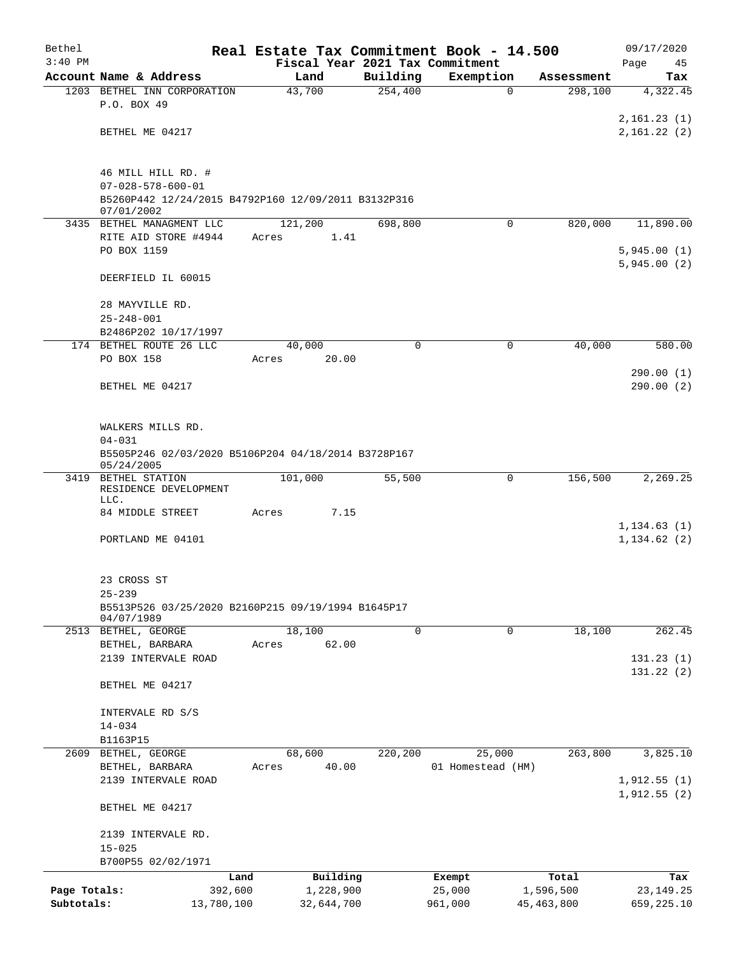| Bethel       |                                                                   |       |            |          | Real Estate Tax Commitment Book - 14.500 |              | 09/17/2020   |
|--------------|-------------------------------------------------------------------|-------|------------|----------|------------------------------------------|--------------|--------------|
| $3:40$ PM    |                                                                   |       |            |          | Fiscal Year 2021 Tax Commitment          |              | Page<br>45   |
|              | Account Name & Address                                            |       | Land       | Building | Exemption                                | Assessment   | Tax          |
|              | 1203 BETHEL INN CORPORATION<br>P.O. BOX 49                        |       | 43,700     | 254,400  | $\Omega$                                 | 298,100      | 4,322.45     |
|              |                                                                   |       |            |          |                                          |              | 2,161.23(1)  |
|              | BETHEL ME 04217                                                   |       |            |          |                                          |              | 2,161.22(2)  |
|              |                                                                   |       |            |          |                                          |              |              |
|              | 46 MILL HILL RD. #                                                |       |            |          |                                          |              |              |
|              | $07 - 028 - 578 - 600 - 01$                                       |       |            |          |                                          |              |              |
|              | B5260P442 12/24/2015 B4792P160 12/09/2011 B3132P316<br>07/01/2002 |       |            |          |                                          |              |              |
|              | 3435 BETHEL MANAGMENT LLC                                         |       | 121,200    | 698,800  | $\Omega$                                 | 820,000      | 11,890.00    |
|              | RITE AID STORE #4944                                              | Acres | 1.41       |          |                                          |              |              |
|              | PO BOX 1159                                                       |       |            |          |                                          |              | 5,945.00(1)  |
|              |                                                                   |       |            |          |                                          |              | 5,945.00(2)  |
|              | DEERFIELD IL 60015                                                |       |            |          |                                          |              |              |
|              | 28 MAYVILLE RD.                                                   |       |            |          |                                          |              |              |
|              | $25 - 248 - 001$                                                  |       |            |          |                                          |              |              |
|              | B2486P202 10/17/1997                                              |       |            |          |                                          |              |              |
|              | 174 BETHEL ROUTE 26 LLC                                           |       | 40,000     | 0        | 0                                        | 40,000       | 580.00       |
|              | PO BOX 158                                                        | Acres | 20.00      |          |                                          |              |              |
|              |                                                                   |       |            |          |                                          |              | 290.00(1)    |
|              | BETHEL ME 04217                                                   |       |            |          |                                          |              | 290.00(2)    |
|              | WALKERS MILLS RD.                                                 |       |            |          |                                          |              |              |
|              | $04 - 031$                                                        |       |            |          |                                          |              |              |
|              | B5505P246 02/03/2020 B5106P204 04/18/2014 B3728P167<br>05/24/2005 |       |            |          |                                          |              |              |
|              | 3419 BETHEL STATION<br>RESIDENCE DEVELOPMENT                      |       | 101,000    | 55,500   | 0                                        | 156,500      | 2,269.25     |
|              | LLC.<br>84 MIDDLE STREET                                          | Acres | 7.15       |          |                                          |              |              |
|              |                                                                   |       |            |          |                                          |              | 1, 134.63(1) |
|              | PORTLAND ME 04101                                                 |       |            |          |                                          |              | 1, 134.62(2) |
|              | 23 CROSS ST                                                       |       |            |          |                                          |              |              |
|              | $25 - 239$                                                        |       |            |          |                                          |              |              |
|              | B5513P526 03/25/2020 B2160P215 09/19/1994 B1645P17<br>04/07/1989  |       |            |          |                                          |              |              |
|              | 2513 BETHEL, GEORGE                                               |       | 18,100     | 0        | 0                                        | 18,100       | 262.45       |
|              | BETHEL, BARBARA                                                   | Acres | 62.00      |          |                                          |              |              |
|              | 2139 INTERVALE ROAD                                               |       |            |          |                                          |              | 131.23(1)    |
|              |                                                                   |       |            |          |                                          |              | 131.22(2)    |
|              | BETHEL ME 04217                                                   |       |            |          |                                          |              |              |
|              | INTERVALE RD S/S                                                  |       |            |          |                                          |              |              |
|              | $14 - 034$                                                        |       |            |          |                                          |              |              |
|              | B1163P15                                                          |       |            |          |                                          |              |              |
|              | 2609 BETHEL, GEORGE                                               |       | 68,600     | 220,200  | 25,000                                   | 263,800      | 3,825.10     |
|              | BETHEL, BARBARA                                                   | Acres | 40.00      |          | 01 Homestead (HM)                        |              |              |
|              | 2139 INTERVALE ROAD                                               |       |            |          |                                          |              | 1,912.55(1)  |
|              | BETHEL ME 04217                                                   |       |            |          |                                          |              | 1,912.55(2)  |
|              | 2139 INTERVALE RD.                                                |       |            |          |                                          |              |              |
|              | $15 - 025$                                                        |       |            |          |                                          |              |              |
|              | B700P55 02/02/1971                                                |       |            |          |                                          |              |              |
|              | Land                                                              |       | Building   |          | Exempt                                   | Total        | Tax          |
| Page Totals: | 392,600                                                           |       | 1,228,900  |          | 25,000                                   | 1,596,500    | 23, 149. 25  |
| Subtotals:   | 13,780,100                                                        |       | 32,644,700 |          | 961,000                                  | 45, 463, 800 | 659,225.10   |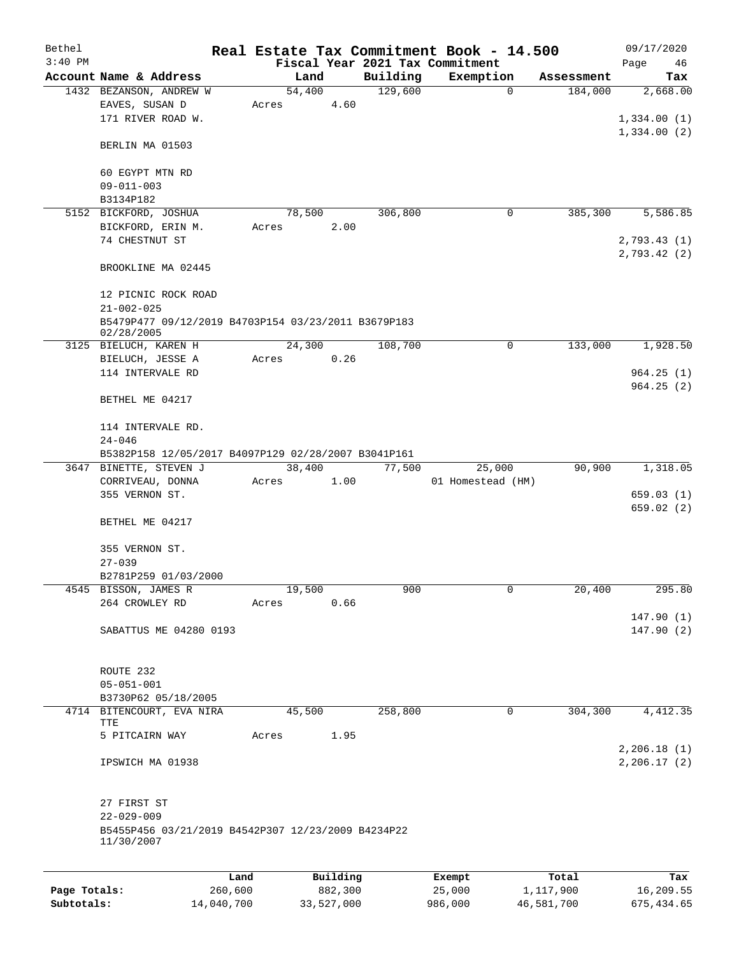| Bethel       |                                                     |       |        |            |          | Real Estate Tax Commitment Book - 14.500 |            | 09/17/2020   |
|--------------|-----------------------------------------------------|-------|--------|------------|----------|------------------------------------------|------------|--------------|
| $3:40$ PM    |                                                     |       |        |            |          | Fiscal Year 2021 Tax Commitment          |            | Page<br>46   |
|              | Account Name & Address                              |       | Land   |            | Building | Exemption                                | Assessment | Tax          |
|              | 1432 BEZANSON, ANDREW W                             |       | 54,400 |            | 129,600  | $\mathbf 0$                              | 184,000    | 2,668.00     |
|              | EAVES, SUSAN D                                      | Acres |        | 4.60       |          |                                          |            |              |
|              | 171 RIVER ROAD W.                                   |       |        |            |          |                                          |            | 1,334.00(1)  |
|              |                                                     |       |        |            |          |                                          |            | 1,334.00(2)  |
|              | BERLIN MA 01503                                     |       |        |            |          |                                          |            |              |
|              |                                                     |       |        |            |          |                                          |            |              |
|              | 60 EGYPT MTN RD                                     |       |        |            |          |                                          |            |              |
|              | $09 - 011 - 003$                                    |       |        |            |          |                                          |            |              |
|              | B3134P182                                           |       |        |            |          |                                          |            |              |
|              | 5152 BICKFORD, JOSHUA                               |       | 78,500 |            | 306,800  | 0                                        | 385,300    | 5,586.85     |
|              | BICKFORD, ERIN M.                                   | Acres |        | 2.00       |          |                                          |            |              |
|              | 74 CHESTNUT ST                                      |       |        |            |          |                                          |            | 2,793.43(1)  |
|              | BROOKLINE MA 02445                                  |       |        |            |          |                                          |            | 2,793.42 (2) |
|              |                                                     |       |        |            |          |                                          |            |              |
|              | 12 PICNIC ROCK ROAD                                 |       |        |            |          |                                          |            |              |
|              | $21 - 002 - 025$                                    |       |        |            |          |                                          |            |              |
|              | B5479P477 09/12/2019 B4703P154 03/23/2011 B3679P183 |       |        |            |          |                                          |            |              |
|              | 02/28/2005                                          |       |        |            |          |                                          |            |              |
|              | 3125 BIELUCH, KAREN H                               |       | 24,300 |            | 108,700  | $\mathbf 0$                              | 133,000    | 1,928.50     |
|              | BIELUCH, JESSE A                                    | Acres |        | 0.26       |          |                                          |            |              |
|              | 114 INTERVALE RD                                    |       |        |            |          |                                          |            | 964.25(1)    |
|              |                                                     |       |        |            |          |                                          |            | 964.25(2)    |
|              | BETHEL ME 04217                                     |       |        |            |          |                                          |            |              |
|              |                                                     |       |        |            |          |                                          |            |              |
|              | 114 INTERVALE RD.                                   |       |        |            |          |                                          |            |              |
|              | $24 - 046$                                          |       |        |            |          |                                          |            |              |
|              | B5382P158 12/05/2017 B4097P129 02/28/2007 B3041P161 |       |        |            |          |                                          |            |              |
|              | 3647 BINETTE, STEVEN J                              |       | 38,400 |            | 77,500   | 25,000                                   | 90,900     | 1,318.05     |
|              | CORRIVEAU, DONNA                                    | Acres |        | 1.00       |          | 01 Homestead (HM)                        |            |              |
|              | 355 VERNON ST.                                      |       |        |            |          |                                          |            | 659.03(1)    |
|              |                                                     |       |        |            |          |                                          |            | 659.02 (2)   |
|              | BETHEL ME 04217                                     |       |        |            |          |                                          |            |              |
|              |                                                     |       |        |            |          |                                          |            |              |
|              | 355 VERNON ST.                                      |       |        |            |          |                                          |            |              |
|              | $27 - 039$                                          |       |        |            |          |                                          |            |              |
|              | B2781P259 01/03/2000                                |       |        |            |          |                                          |            |              |
|              | 4545 BISSON, JAMES R                                |       | 19,500 | 0.66       | 900      | 0                                        | 20,400     | 295.80       |
|              | 264 CROWLEY RD                                      | Acres |        |            |          |                                          |            | 147.90(1)    |
|              | SABATTUS ME 04280 0193                              |       |        |            |          |                                          |            | 147.90(2)    |
|              |                                                     |       |        |            |          |                                          |            |              |
|              |                                                     |       |        |            |          |                                          |            |              |
|              | ROUTE 232                                           |       |        |            |          |                                          |            |              |
|              | $05 - 051 - 001$                                    |       |        |            |          |                                          |            |              |
|              | B3730P62 05/18/2005                                 |       |        |            |          |                                          |            |              |
| 4714         | BITENCOURT, EVA NIRA                                |       | 45,500 |            | 258,800  | $\mathbf 0$                              | 304,300    | 4, 412.35    |
|              | TTE                                                 |       |        |            |          |                                          |            |              |
|              | 5 PITCAIRN WAY                                      | Acres |        | 1.95       |          |                                          |            |              |
|              |                                                     |       |        |            |          |                                          |            | 2,206.18(1)  |
|              | IPSWICH MA 01938                                    |       |        |            |          |                                          |            | 2,206.17(2)  |
|              |                                                     |       |        |            |          |                                          |            |              |
|              |                                                     |       |        |            |          |                                          |            |              |
|              | 27 FIRST ST                                         |       |        |            |          |                                          |            |              |
|              | $22 - 029 - 009$                                    |       |        |            |          |                                          |            |              |
|              | B5455P456 03/21/2019 B4542P307 12/23/2009 B4234P22  |       |        |            |          |                                          |            |              |
|              | 11/30/2007                                          |       |        |            |          |                                          |            |              |
|              |                                                     |       |        |            |          |                                          |            |              |
|              | Land                                                |       |        | Building   |          | Exempt                                   | Total      | Tax          |
| Page Totals: | 260,600                                             |       |        | 882,300    |          | 25,000                                   | 1,117,900  | 16,209.55    |
| Subtotals:   | 14,040,700                                          |       |        | 33,527,000 |          | 986,000                                  | 46,581,700 | 675, 434.65  |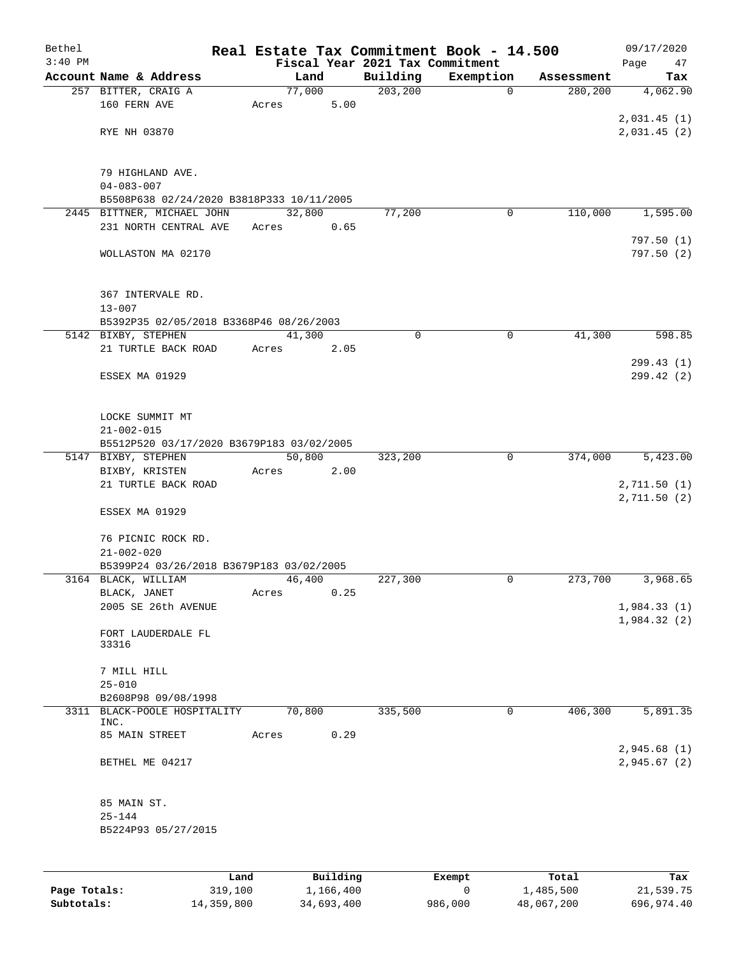| Bethel       |                                           | Real Estate Tax Commitment Book - 14.500 |             |             |            | 09/17/2020              |
|--------------|-------------------------------------------|------------------------------------------|-------------|-------------|------------|-------------------------|
| $3:40$ PM    |                                           | Fiscal Year 2021 Tax Commitment          |             |             |            | Page<br>47              |
|              | Account Name & Address                    | Land                                     | Building    | Exemption   | Assessment | Tax                     |
|              | 257 BITTER, CRAIG A                       | 77,000                                   | 203, 200    | $\mathbf 0$ | 280,200    | 4,062.90                |
|              | 160 FERN AVE                              | 5.00<br>Acres                            |             |             |            | 2,031.45(1)             |
|              | RYE NH 03870                              |                                          |             |             |            | 2,031.45(2)             |
|              |                                           |                                          |             |             |            |                         |
|              | 79 HIGHLAND AVE.<br>$04 - 083 - 007$      |                                          |             |             |            |                         |
|              | B5508P638 02/24/2020 B3818P333 10/11/2005 |                                          |             |             |            |                         |
|              | 2445 BITTNER, MICHAEL JOHN                | 32,800                                   | 77,200      | 0           | 110,000    | 1,595.00                |
|              | 231 NORTH CENTRAL AVE                     | Acres<br>0.65                            |             |             |            |                         |
|              | WOLLASTON MA 02170                        |                                          |             |             |            | 797.50(1)<br>797.50 (2) |
|              | 367 INTERVALE RD.<br>$13 - 007$           |                                          |             |             |            |                         |
|              | B5392P35 02/05/2018 B3368P46 08/26/2003   |                                          |             |             |            |                         |
|              | 5142 BIXBY, STEPHEN                       | 41,300                                   | $\mathbf 0$ | $\mathbf 0$ | 41,300     | 598.85                  |
|              | 21 TURTLE BACK ROAD                       | Acres<br>2.05                            |             |             |            |                         |
|              | ESSEX MA 01929                            |                                          |             |             |            | 299.43 (1)<br>299.42(2) |
|              | LOCKE SUMMIT MT                           |                                          |             |             |            |                         |
|              | $21 - 002 - 015$                          |                                          |             |             |            |                         |
|              | B5512P520 03/17/2020 B3679P183 03/02/2005 |                                          |             |             |            |                         |
|              | 5147 BIXBY, STEPHEN                       | 50,800                                   | 323,200     | $\mathbf 0$ | 374,000    | 5,423.00                |
|              | BIXBY, KRISTEN<br>21 TURTLE BACK ROAD     | 2.00<br>Acres                            |             |             |            | 2,711.50 (1)            |
|              |                                           |                                          |             |             |            | 2, 711.50 (2)           |
|              | ESSEX MA 01929                            |                                          |             |             |            |                         |
|              | 76 PICNIC ROCK RD.<br>$21 - 002 - 020$    |                                          |             |             |            |                         |
|              | B5399P24 03/26/2018 B3679P183 03/02/2005  |                                          |             |             |            |                         |
|              | 3164 BLACK, WILLIAM                       | 46,400                                   | 227,300     | 0           | 273,700    | 3,968.65                |
|              | BLACK, JANET                              | 0.25<br>Acres                            |             |             |            |                         |
|              | 2005 SE 26th AVENUE                       |                                          |             |             |            | 1,984.33(1)             |
|              | FORT LAUDERDALE FL<br>33316               |                                          |             |             |            | 1,984.32 (2)            |
|              | 7 MILL HILL                               |                                          |             |             |            |                         |
|              | $25 - 010$                                |                                          |             |             |            |                         |
|              | B2608P98 09/08/1998                       |                                          |             |             |            |                         |
|              | 3311 BLACK-POOLE HOSPITALITY              | 70,800                                   | 335,500     | 0           | 406,300    | 5,891.35                |
|              | INC.                                      |                                          |             |             |            |                         |
|              | 85 MAIN STREET                            | 0.29<br>Acres                            |             |             |            | 2,945.68(1)             |
|              | BETHEL ME 04217                           |                                          |             |             |            | 2,945.67(2)             |
|              | 85 MAIN ST.                               |                                          |             |             |            |                         |
|              | $25 - 144$                                |                                          |             |             |            |                         |
|              | B5224P93 05/27/2015                       |                                          |             |             |            |                         |
|              |                                           |                                          |             |             |            |                         |
|              | Land                                      | Building                                 |             | Exempt      | Total      | Tax                     |
| Page Totals: | 319,100                                   | 1,166,400                                |             | 0           | 1,485,500  | 21,539.75               |

**Subtotals:** 14,359,800 34,693,400 986,000 48,067,200 696,974.40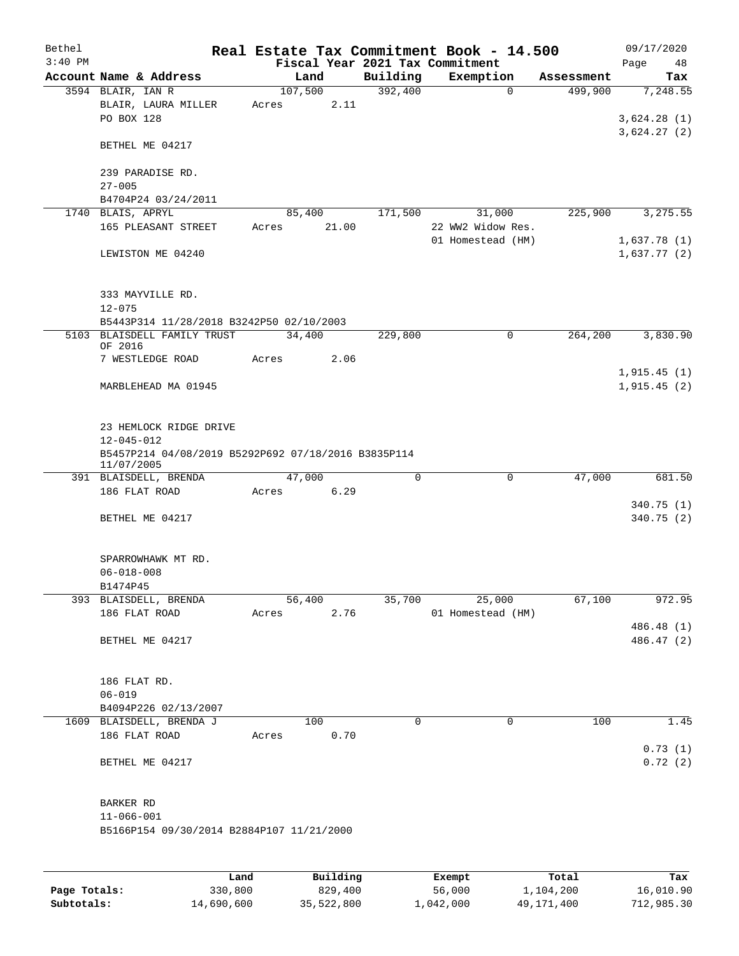| Bethel    |                                                                   |       |                |             | Real Estate Tax Commitment Book - 14.500 |            | 09/17/2020              |
|-----------|-------------------------------------------------------------------|-------|----------------|-------------|------------------------------------------|------------|-------------------------|
| $3:40$ PM |                                                                   |       |                |             | Fiscal Year 2021 Tax Commitment          |            | Page<br>48              |
|           | Account Name & Address                                            |       | Land           | Building    | Exemption                                | Assessment | Tax                     |
|           | 3594 BLAIR, IAN R                                                 |       | 107,500        | 392,400     | $\mathbf 0$                              | 499,900    | 7,248.55                |
|           | BLAIR, LAURA MILLER                                               | Acres | 2.11           |             |                                          |            |                         |
|           | PO BOX 128                                                        |       |                |             |                                          |            | 3,624.28(1)             |
|           | BETHEL ME 04217                                                   |       |                |             |                                          |            | 3,624.27(2)             |
|           | 239 PARADISE RD.                                                  |       |                |             |                                          |            |                         |
|           | $27 - 005$                                                        |       |                |             |                                          |            |                         |
|           | B4704P24 03/24/2011                                               |       |                |             |                                          |            |                         |
|           | 1740 BLAIS, APRYL                                                 |       | 85,400         | 171,500     | 31,000                                   | 225,900    | 3,275.55                |
|           | 165 PLEASANT STREET                                               | Acres | 21.00          |             | 22 WW2 Widow Res.                        |            |                         |
|           |                                                                   |       |                |             | 01 Homestead (HM)                        |            | 1,637.78(1)             |
|           | LEWISTON ME 04240                                                 |       |                |             |                                          |            | 1,637.77(2)             |
|           | 333 MAYVILLE RD.                                                  |       |                |             |                                          |            |                         |
|           | $12 - 075$                                                        |       |                |             |                                          |            |                         |
|           | B5443P314 11/28/2018 B3242P50 02/10/2003                          |       |                |             |                                          |            |                         |
|           | 5103 BLAISDELL FAMILY TRUST<br>OF 2016                            |       | 34,400         | 229,800     | 0                                        | 264,200    | 3,830.90                |
|           | 7 WESTLEDGE ROAD                                                  | Acres | 2.06           |             |                                          |            |                         |
|           |                                                                   |       |                |             |                                          |            | 1,915.45(1)             |
|           | MARBLEHEAD MA 01945                                               |       |                |             |                                          |            | 1,915.45(2)             |
|           |                                                                   |       |                |             |                                          |            |                         |
|           | 23 HEMLOCK RIDGE DRIVE<br>$12 - 045 - 012$                        |       |                |             |                                          |            |                         |
|           | B5457P214 04/08/2019 B5292P692 07/18/2016 B3835P114<br>11/07/2005 |       |                |             |                                          |            |                         |
|           | 391 BLAISDELL, BRENDA                                             |       | 47,000         | 0           | $\mathbf 0$                              | 47,000     | 681.50                  |
|           | 186 FLAT ROAD                                                     | Acres | 6.29           |             |                                          |            |                         |
|           | BETHEL ME 04217                                                   |       |                |             |                                          |            | 340.75 (1)<br>340.75(2) |
|           |                                                                   |       |                |             |                                          |            |                         |
|           | SPARROWHAWK MT RD.                                                |       |                |             |                                          |            |                         |
|           | $06 - 018 - 008$                                                  |       |                |             |                                          |            |                         |
|           | B1474P45                                                          |       |                |             |                                          |            |                         |
|           | 393 BLAISDELL, BRENDA<br>186 FLAT ROAD                            | Acres | 56,400<br>2.76 | 35,700      | 25,000<br>01 Homestead (HM)              | 67,100     | 972.95                  |
|           |                                                                   |       |                |             |                                          |            | 486.48 (1)              |
|           | BETHEL ME 04217                                                   |       |                |             |                                          |            | 486.47 (2)              |
|           |                                                                   |       |                |             |                                          |            |                         |
|           | 186 FLAT RD.                                                      |       |                |             |                                          |            |                         |
|           | $06 - 019$                                                        |       |                |             |                                          |            |                         |
|           | B4094P226 02/13/2007                                              |       |                |             |                                          |            |                         |
|           | 1609 BLAISDELL, BRENDA J                                          |       | 100            | $\mathbf 0$ | 0                                        | 100        | 1.45                    |
|           | 186 FLAT ROAD                                                     | Acres | 0.70           |             |                                          |            |                         |
|           | BETHEL ME 04217                                                   |       |                |             |                                          |            | 0.73(1)<br>0.72(2)      |
|           |                                                                   |       |                |             |                                          |            |                         |
|           | BARKER RD                                                         |       |                |             |                                          |            |                         |
|           | $11 - 066 - 001$                                                  |       |                |             |                                          |            |                         |
|           | B5166P154 09/30/2014 B2884P107 11/21/2000                         |       |                |             |                                          |            |                         |
|           |                                                                   |       |                |             |                                          |            |                         |
|           |                                                                   |       |                |             |                                          |            |                         |

|              | Land       | Building   | Exempt    | Total      | Tax        |
|--------------|------------|------------|-----------|------------|------------|
| Page Totals: | 330,800    | 829,400    | 56,000    | 1,104,200  | 16,010.90  |
| Subtotals:   | 14,690,600 | 35,522,800 | 1,042,000 | 49,171,400 | 712,985.30 |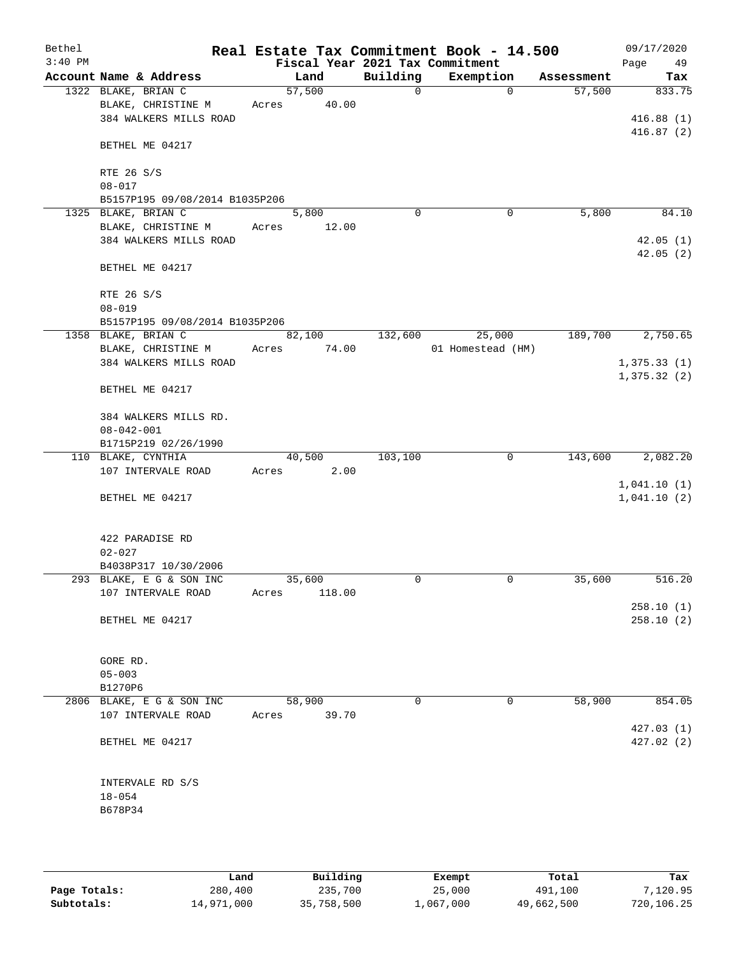| Bethel<br>$3:40$ PM |                                |       |        |             | Real Estate Tax Commitment Book - 14.500<br>Fiscal Year 2021 Tax Commitment |            | 09/17/2020<br>Page<br>49 |
|---------------------|--------------------------------|-------|--------|-------------|-----------------------------------------------------------------------------|------------|--------------------------|
|                     | Account Name & Address         |       | Land   | Building    | Exemption                                                                   | Assessment | Tax                      |
|                     | 1322 BLAKE, BRIAN C            |       | 57,500 | $\mathbf 0$ | $\mathbf 0$                                                                 | 57,500     | 833.75                   |
|                     | BLAKE, CHRISTINE M             | Acres | 40.00  |             |                                                                             |            |                          |
|                     | 384 WALKERS MILLS ROAD         |       |        |             |                                                                             |            | 416.88(1)                |
|                     |                                |       |        |             |                                                                             |            | 416.87(2)                |
|                     | BETHEL ME 04217                |       |        |             |                                                                             |            |                          |
|                     |                                |       |        |             |                                                                             |            |                          |
|                     | RTE 26 S/S                     |       |        |             |                                                                             |            |                          |
|                     | $08 - 017$                     |       |        |             |                                                                             |            |                          |
|                     | B5157P195 09/08/2014 B1035P206 |       |        |             |                                                                             |            |                          |
|                     | 1325 BLAKE, BRIAN C            |       | 5,800  | $\Omega$    | 0                                                                           | 5,800      | 84.10                    |
|                     | BLAKE, CHRISTINE M             | Acres | 12.00  |             |                                                                             |            |                          |
|                     | 384 WALKERS MILLS ROAD         |       |        |             |                                                                             |            | 42.05(1)                 |
|                     |                                |       |        |             |                                                                             |            | 42.05(2)                 |
|                     | BETHEL ME 04217                |       |        |             |                                                                             |            |                          |
|                     |                                |       |        |             |                                                                             |            |                          |
|                     | RTE 26 S/S                     |       |        |             |                                                                             |            |                          |
|                     | $08 - 019$                     |       |        |             |                                                                             |            |                          |
|                     | B5157P195 09/08/2014 B1035P206 |       |        |             |                                                                             |            |                          |
|                     | 1358 BLAKE, BRIAN C            |       | 82,100 | 132,600     | 25,000                                                                      | 189,700    | 2,750.65                 |
|                     | BLAKE, CHRISTINE M             | Acres | 74.00  |             | 01 Homestead (HM)                                                           |            |                          |
|                     | 384 WALKERS MILLS ROAD         |       |        |             |                                                                             |            | 1,375.33(1)              |
|                     |                                |       |        |             |                                                                             |            | 1,375.32(2)              |
|                     | BETHEL ME 04217                |       |        |             |                                                                             |            |                          |
|                     |                                |       |        |             |                                                                             |            |                          |
|                     | 384 WALKERS MILLS RD.          |       |        |             |                                                                             |            |                          |
|                     | $08 - 042 - 001$               |       |        |             |                                                                             |            |                          |
|                     | B1715P219 02/26/1990           |       |        |             |                                                                             |            |                          |
|                     | 110 BLAKE, CYNTHIA             |       | 40,500 | 103,100     | 0                                                                           | 143,600    | 2,082.20                 |
|                     |                                |       |        |             |                                                                             |            |                          |
|                     | 107 INTERVALE ROAD             | Acres | 2.00   |             |                                                                             |            |                          |
|                     |                                |       |        |             |                                                                             |            | 1,041.10(1)              |
|                     | BETHEL ME 04217                |       |        |             |                                                                             |            | 1,041.10(2)              |
|                     |                                |       |        |             |                                                                             |            |                          |
|                     |                                |       |        |             |                                                                             |            |                          |
|                     | 422 PARADISE RD                |       |        |             |                                                                             |            |                          |
|                     | $02 - 027$                     |       |        |             |                                                                             |            |                          |
|                     | B4038P317 10/30/2006           |       |        |             |                                                                             |            |                          |
|                     | 293 BLAKE, E G & SON INC       |       | 35,600 | 0           | 0                                                                           | 35,600     | 516.20                   |
|                     | 107 INTERVALE ROAD             | Acres | 118.00 |             |                                                                             |            |                          |
|                     |                                |       |        |             |                                                                             |            | 258.10(1)                |
|                     | BETHEL ME 04217                |       |        |             |                                                                             |            | 258.10(2)                |
|                     |                                |       |        |             |                                                                             |            |                          |
|                     |                                |       |        |             |                                                                             |            |                          |
|                     | GORE RD.                       |       |        |             |                                                                             |            |                          |
|                     | $05 - 003$                     |       |        |             |                                                                             |            |                          |
|                     | B1270P6                        |       |        |             |                                                                             |            |                          |
|                     | 2806 BLAKE, E G & SON INC      |       | 58,900 | 0           | 0                                                                           | 58,900     | 854.05                   |
|                     | 107 INTERVALE ROAD             | Acres | 39.70  |             |                                                                             |            |                          |
|                     |                                |       |        |             |                                                                             |            | 427.03(1)                |
|                     | BETHEL ME 04217                |       |        |             |                                                                             |            | 427.02(2)                |
|                     |                                |       |        |             |                                                                             |            |                          |
|                     |                                |       |        |             |                                                                             |            |                          |
|                     | INTERVALE RD S/S               |       |        |             |                                                                             |            |                          |
|                     | $18 - 054$                     |       |        |             |                                                                             |            |                          |
|                     | B678P34                        |       |        |             |                                                                             |            |                          |
|                     |                                |       |        |             |                                                                             |            |                          |
|                     |                                |       |        |             |                                                                             |            |                          |
|                     |                                |       |        |             |                                                                             |            |                          |

|              | Land       | Building   | Exempt    | Total      | Tax        |
|--------------|------------|------------|-----------|------------|------------|
| Page Totals: | 280,400    | 235,700    | 25,000    | 491,100    | 7,120.95   |
| Subtotals:   | 14,971,000 | 35,758,500 | 1,067,000 | 49,662,500 | 720,106.25 |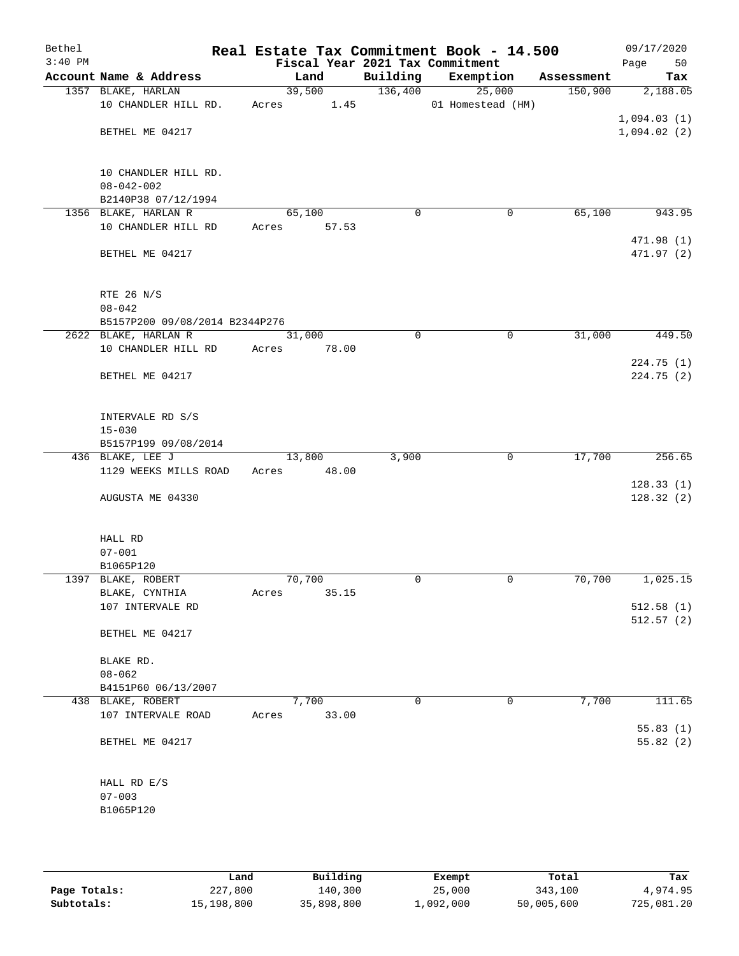| Bethel<br>$3:40$ PM |                                          | Real Estate Tax Commitment Book - 14.500<br>Fiscal Year 2021 Tax Commitment |             |                   |            | 09/17/2020<br>50<br>Page |
|---------------------|------------------------------------------|-----------------------------------------------------------------------------|-------------|-------------------|------------|--------------------------|
|                     | Account Name & Address                   | Land                                                                        | Building    | Exemption         | Assessment | Tax                      |
|                     | 1357 BLAKE, HARLAN                       | 39,500                                                                      | 136,400     | 25,000            | 150,900    | 2,188.05                 |
|                     | 10 CHANDLER HILL RD.                     | 1.45<br>Acres                                                               |             | 01 Homestead (HM) |            |                          |
|                     |                                          |                                                                             |             |                   |            | 1,094.03(1)              |
|                     | BETHEL ME 04217                          |                                                                             |             |                   |            | 1,094.02(2)              |
|                     |                                          |                                                                             |             |                   |            |                          |
|                     |                                          |                                                                             |             |                   |            |                          |
|                     | 10 CHANDLER HILL RD.                     |                                                                             |             |                   |            |                          |
|                     | $08 - 042 - 002$                         |                                                                             |             |                   |            |                          |
|                     | B2140P38 07/12/1994                      |                                                                             |             |                   |            |                          |
|                     | 1356 BLAKE, HARLAN R                     | 65,100                                                                      | $\mathbf 0$ | $\mathbf 0$       | 65,100     | 943.95                   |
|                     | 10 CHANDLER HILL RD                      | Acres<br>57.53                                                              |             |                   |            |                          |
|                     | BETHEL ME 04217                          |                                                                             |             |                   |            | 471.98 (1)<br>471.97 (2) |
|                     |                                          |                                                                             |             |                   |            |                          |
|                     |                                          |                                                                             |             |                   |            |                          |
|                     | RTE 26 N/S                               |                                                                             |             |                   |            |                          |
|                     | $08 - 042$                               |                                                                             |             |                   |            |                          |
|                     | B5157P200 09/08/2014 B2344P276           |                                                                             |             |                   |            |                          |
|                     | 2622 BLAKE, HARLAN R                     | 31,000                                                                      | 0           | 0                 | 31,000     | 449.50                   |
|                     | 10 CHANDLER HILL RD                      | 78.00<br>Acres                                                              |             |                   |            |                          |
|                     |                                          |                                                                             |             |                   |            | 224.75(1)                |
|                     | BETHEL ME 04217                          |                                                                             |             |                   |            | 224.75(2)                |
|                     |                                          |                                                                             |             |                   |            |                          |
|                     |                                          |                                                                             |             |                   |            |                          |
|                     | INTERVALE RD S/S                         |                                                                             |             |                   |            |                          |
|                     | $15 - 030$                               |                                                                             |             |                   |            |                          |
|                     | B5157P199 09/08/2014<br>436 BLAKE, LEE J | 13,800                                                                      | 3,900       | $\mathsf{O}$      | 17,700     | 256.65                   |
|                     | 1129 WEEKS MILLS ROAD                    | 48.00<br>Acres                                                              |             |                   |            |                          |
|                     |                                          |                                                                             |             |                   |            | 128.33(1)                |
|                     | AUGUSTA ME 04330                         |                                                                             |             |                   |            | 128.32(2)                |
|                     |                                          |                                                                             |             |                   |            |                          |
|                     |                                          |                                                                             |             |                   |            |                          |
|                     | HALL RD                                  |                                                                             |             |                   |            |                          |
|                     | $07 - 001$                               |                                                                             |             |                   |            |                          |
|                     | B1065P120                                |                                                                             |             |                   |            |                          |
|                     | 1397 BLAKE, ROBERT                       | 70,700                                                                      | 0           | 0                 | 70,700     | 1,025.15                 |
|                     | BLAKE, CYNTHIA                           | 35.15<br>Acres                                                              |             |                   |            |                          |
|                     | 107 INTERVALE RD                         |                                                                             |             |                   |            | 512.58(1)                |
|                     | BETHEL ME 04217                          |                                                                             |             |                   |            | 512.57(2)                |
|                     |                                          |                                                                             |             |                   |            |                          |
|                     | BLAKE RD.                                |                                                                             |             |                   |            |                          |
|                     | $08 - 062$                               |                                                                             |             |                   |            |                          |
|                     | B4151P60 06/13/2007                      |                                                                             |             |                   |            |                          |
|                     | 438 BLAKE, ROBERT                        | 7,700                                                                       | 0           | $\mathbf 0$       | 7,700      | 111.65                   |
|                     | 107 INTERVALE ROAD                       | 33.00<br>Acres                                                              |             |                   |            |                          |
|                     |                                          |                                                                             |             |                   |            | 55.83(1)                 |
|                     | BETHEL ME 04217                          |                                                                             |             |                   |            | 55.82(2)                 |
|                     |                                          |                                                                             |             |                   |            |                          |
|                     |                                          |                                                                             |             |                   |            |                          |
|                     | HALL RD E/S                              |                                                                             |             |                   |            |                          |
|                     | $07 - 003$                               |                                                                             |             |                   |            |                          |
|                     | B1065P120                                |                                                                             |             |                   |            |                          |
|                     |                                          |                                                                             |             |                   |            |                          |
|                     |                                          |                                                                             |             |                   |            |                          |

|              | Land       | Building   | Exempt    | Total      | Tax        |
|--------------|------------|------------|-----------|------------|------------|
| Page Totals: | 227,800    | 140,300    | 25,000    | 343,100    | 4,974.95   |
| Subtotals:   | 15,198,800 | 35,898,800 | ⊥,092,000 | 50,005,600 | 725,081.20 |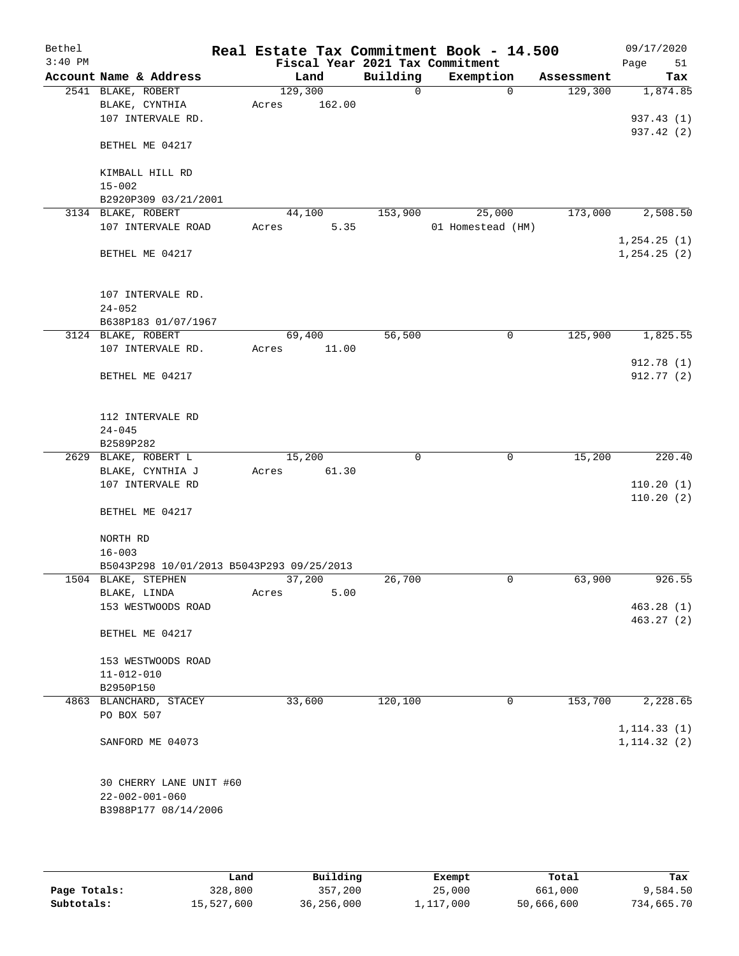| Bethel    |                                           |         |        | Real Estate Tax Commitment Book - 14.500 |                   |             |            | 09/17/2020                   |     |
|-----------|-------------------------------------------|---------|--------|------------------------------------------|-------------------|-------------|------------|------------------------------|-----|
| $3:40$ PM |                                           |         |        | Fiscal Year 2021 Tax Commitment          |                   |             |            | Page                         | 51  |
|           | Account Name & Address                    |         | Land   | Building                                 | Exemption         |             | Assessment |                              | Tax |
|           | 2541 BLAKE, ROBERT                        | 129,300 |        | 0                                        |                   | $\mathbf 0$ | 129,300    | 1,874.85                     |     |
|           | BLAKE, CYNTHIA                            | Acres   | 162.00 |                                          |                   |             |            |                              |     |
|           | 107 INTERVALE RD.                         |         |        |                                          |                   |             |            | 937.43 (1)                   |     |
|           | BETHEL ME 04217                           |         |        |                                          |                   |             |            | 937.42 (2)                   |     |
|           | KIMBALL HILL RD                           |         |        |                                          |                   |             |            |                              |     |
|           | $15 - 002$                                |         |        |                                          |                   |             |            |                              |     |
|           | B2920P309 03/21/2001                      |         |        |                                          |                   |             |            |                              |     |
|           | 3134 BLAKE, ROBERT                        |         | 44,100 | 153,900                                  | 25,000            |             | 173,000    | 2,508.50                     |     |
|           | 107 INTERVALE ROAD                        | Acres   | 5.35   |                                          | 01 Homestead (HM) |             |            | 1, 254.25(1)                 |     |
|           | BETHEL ME 04217                           |         |        |                                          |                   |             |            | 1, 254.25(2)                 |     |
|           | 107 INTERVALE RD.<br>$24 - 052$           |         |        |                                          |                   |             |            |                              |     |
|           | B638P183 01/07/1967                       |         |        |                                          |                   |             |            |                              |     |
|           | 3124 BLAKE, ROBERT                        |         | 69,400 | 56,500                                   |                   | 0           | 125,900    | 1,825.55                     |     |
|           | 107 INTERVALE RD.                         | Acres   | 11.00  |                                          |                   |             |            |                              |     |
|           |                                           |         |        |                                          |                   |             |            | 912.78 (1)                   |     |
|           | BETHEL ME 04217                           |         |        |                                          |                   |             |            | 912.77 (2)                   |     |
|           | 112 INTERVALE RD                          |         |        |                                          |                   |             |            |                              |     |
|           | $24 - 045$                                |         |        |                                          |                   |             |            |                              |     |
|           | B2589P282                                 |         |        |                                          |                   |             |            |                              |     |
|           | 2629 BLAKE, ROBERT L                      |         | 15,200 | $\mathbf 0$                              |                   | 0           | 15,200     | 220.40                       |     |
|           | BLAKE, CYNTHIA J<br>107 INTERVALE RD      | Acres   | 61.30  |                                          |                   |             |            | 110.20(1)                    |     |
|           |                                           |         |        |                                          |                   |             |            | 110.20(2)                    |     |
|           | BETHEL ME 04217                           |         |        |                                          |                   |             |            |                              |     |
|           | NORTH RD<br>$16 - 003$                    |         |        |                                          |                   |             |            |                              |     |
|           | B5043P298 10/01/2013 B5043P293 09/25/2013 |         |        |                                          |                   |             |            |                              |     |
|           | 1504 BLAKE, STEPHEN                       |         | 37,200 | 26,700                                   |                   | 0           | 63,900     | 926.55                       |     |
|           | BLAKE, LINDA                              | Acres   | 5.00   |                                          |                   |             |            |                              |     |
|           | 153 WESTWOODS ROAD                        |         |        |                                          |                   |             |            | 463.28(1)                    |     |
|           | BETHEL ME 04217                           |         |        |                                          |                   |             |            | 463.27 (2)                   |     |
|           | 153 WESTWOODS ROAD                        |         |        |                                          |                   |             |            |                              |     |
|           | $11 - 012 - 010$                          |         |        |                                          |                   |             |            |                              |     |
|           | B2950P150                                 |         |        |                                          |                   |             |            |                              |     |
|           | 4863 BLANCHARD, STACEY                    |         | 33,600 | 120,100                                  |                   | 0           | 153,700    | 2,228.65                     |     |
|           | PO BOX 507                                |         |        |                                          |                   |             |            |                              |     |
|           | SANFORD ME 04073                          |         |        |                                          |                   |             |            | 1, 114.33(1)<br>1, 114.32(2) |     |
|           |                                           |         |        |                                          |                   |             |            |                              |     |
|           | 30 CHERRY LANE UNIT #60                   |         |        |                                          |                   |             |            |                              |     |
|           | $22 - 002 - 001 - 060$                    |         |        |                                          |                   |             |            |                              |     |
|           | B3988P177 08/14/2006                      |         |        |                                          |                   |             |            |                              |     |
|           |                                           |         |        |                                          |                   |             |            |                              |     |

|              | Land       | Building   | Exempt    | Total      | Tax        |
|--------------|------------|------------|-----------|------------|------------|
| Page Totals: | 328,800    | 357,200    | 25,000    | 661,000    | 9,584.50   |
| Subtotals:   | 15,527,600 | 36,256,000 | 1,117,000 | 50,666,600 | 734,665.70 |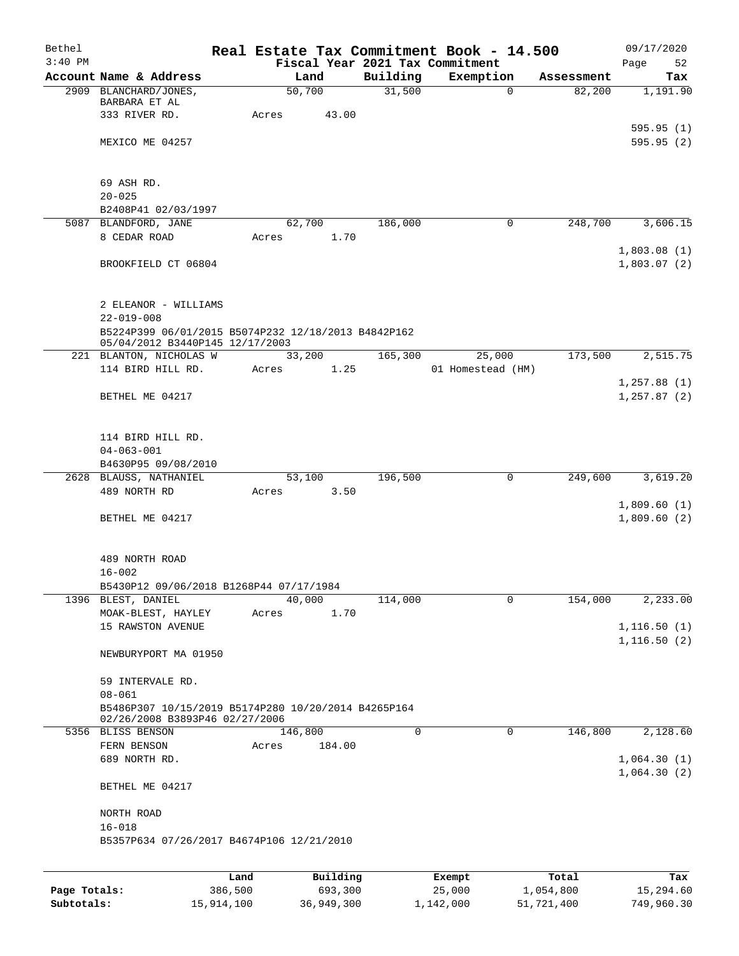| Bethel    |                                                            |       |                |          | Real Estate Tax Commitment Book - 14.500 |            | 09/17/2020   |
|-----------|------------------------------------------------------------|-------|----------------|----------|------------------------------------------|------------|--------------|
| $3:40$ PM |                                                            |       |                |          | Fiscal Year 2021 Tax Commitment          |            | Page<br>52   |
|           | Account Name & Address                                     |       | Land           | Building | Exemption                                | Assessment | Tax          |
|           | 2909 BLANCHARD/JONES,<br>BARBARA ET AL                     |       | 50,700         | 31,500   | $\mathbf{0}$                             | 82,200     | 1,191.90     |
|           | 333 RIVER RD.                                              | Acres | 43.00          |          |                                          |            |              |
|           |                                                            |       |                |          |                                          |            | 595.95(1)    |
|           | MEXICO ME 04257                                            |       |                |          |                                          |            | 595.95(2)    |
|           |                                                            |       |                |          |                                          |            |              |
|           |                                                            |       |                |          |                                          |            |              |
|           | 69 ASH RD.                                                 |       |                |          |                                          |            |              |
|           | $20 - 025$                                                 |       |                |          |                                          |            |              |
|           | B2408P41 02/03/1997<br>5087 BLANDFORD, JANE                |       | 62,700         | 186,000  | 0                                        | 248,700    | 3,606.15     |
|           | 8 CEDAR ROAD                                               | Acres | 1.70           |          |                                          |            |              |
|           |                                                            |       |                |          |                                          |            | 1,803.08(1)  |
|           | BROOKFIELD CT 06804                                        |       |                |          |                                          |            | 1,803.07(2)  |
|           |                                                            |       |                |          |                                          |            |              |
|           |                                                            |       |                |          |                                          |            |              |
|           | 2 ELEANOR - WILLIAMS                                       |       |                |          |                                          |            |              |
|           | $22 - 019 - 008$                                           |       |                |          |                                          |            |              |
|           | B5224P399 06/01/2015 B5074P232 12/18/2013 B4842P162        |       |                |          |                                          |            |              |
|           | 05/04/2012 B3440P145 12/17/2003<br>221 BLANTON, NICHOLAS W |       | 33,200         | 165,300  | 25,000                                   | 173,500    | 2,515.75     |
|           | 114 BIRD HILL RD.                                          | Acres | 1.25           |          | 01 Homestead (HM)                        |            |              |
|           |                                                            |       |                |          |                                          |            | 1, 257.88(1) |
|           | BETHEL ME 04217                                            |       |                |          |                                          |            | 1, 257.87(2) |
|           |                                                            |       |                |          |                                          |            |              |
|           |                                                            |       |                |          |                                          |            |              |
|           | 114 BIRD HILL RD.                                          |       |                |          |                                          |            |              |
|           | $04 - 063 - 001$                                           |       |                |          |                                          |            |              |
|           | B4630P95 09/08/2010                                        |       |                |          |                                          |            |              |
|           | 2628 BLAUSS, NATHANIEL<br>489 NORTH RD                     | Acres | 53,100<br>3.50 | 196,500  | 0                                        | 249,600    | 3,619.20     |
|           |                                                            |       |                |          |                                          |            | 1,809.60(1)  |
|           | BETHEL ME 04217                                            |       |                |          |                                          |            | 1,809.60(2)  |
|           |                                                            |       |                |          |                                          |            |              |
|           |                                                            |       |                |          |                                          |            |              |
|           | 489 NORTH ROAD                                             |       |                |          |                                          |            |              |
|           | $16 - 002$                                                 |       |                |          |                                          |            |              |
|           | B5430P12 09/06/2018 B1268P44 07/17/1984                    |       |                |          |                                          |            |              |
|           | 1396 BLEST, DANIEL                                         |       | 40,000         | 114,000  | 0                                        | 154,000    | 2,233.00     |
|           | MOAK-BLEST, HAYLEY<br>15 RAWSTON AVENUE                    | Acres | 1.70           |          |                                          |            | 1, 116.50(1) |
|           |                                                            |       |                |          |                                          |            | 1, 116.50(2) |
|           | NEWBURYPORT MA 01950                                       |       |                |          |                                          |            |              |
|           |                                                            |       |                |          |                                          |            |              |
|           | 59 INTERVALE RD.                                           |       |                |          |                                          |            |              |
|           | $08 - 061$                                                 |       |                |          |                                          |            |              |
|           | B5486P307 10/15/2019 B5174P280 10/20/2014 B4265P164        |       |                |          |                                          |            |              |
|           | 02/26/2008 B3893P46 02/27/2006                             |       |                |          |                                          |            |              |
|           | 5356 BLISS BENSON                                          |       | 146,800        | 0        | 0                                        | 146,800    | 2,128.60     |
|           | FERN BENSON<br>689 NORTH RD.                               | Acres | 184.00         |          |                                          |            | 1,064.30(1)  |
|           |                                                            |       |                |          |                                          |            | 1,064.30(2)  |
|           | BETHEL ME 04217                                            |       |                |          |                                          |            |              |
|           |                                                            |       |                |          |                                          |            |              |
|           | NORTH ROAD                                                 |       |                |          |                                          |            |              |
|           | $16 - 018$                                                 |       |                |          |                                          |            |              |
|           | B5357P634 07/26/2017 B4674P106 12/21/2010                  |       |                |          |                                          |            |              |
|           |                                                            |       |                |          |                                          |            |              |
|           |                                                            | Land  | Building       |          | Exempt                                   | Total      | Tax          |

|              | Land       | Building   | Exempt    | Total      | Tax        |
|--------------|------------|------------|-----------|------------|------------|
| Page Totals: | 386,500    | 693,300    | 25,000    | 1,054,800  | 15,294.60  |
| Subtotals:   | 15,914,100 | 36,949,300 | 1,142,000 | 51,721,400 | 749,960.30 |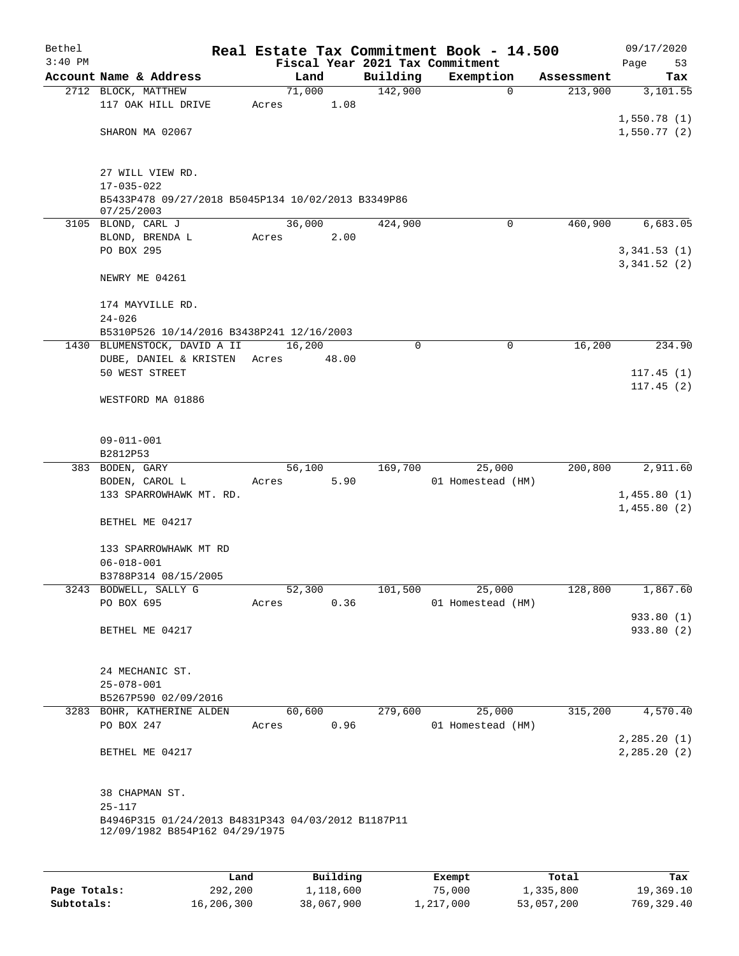| Bethel    |                                                                                      |       |        |             | Real Estate Tax Commitment Book - 14.500 |            | 09/17/2020                 |
|-----------|--------------------------------------------------------------------------------------|-------|--------|-------------|------------------------------------------|------------|----------------------------|
| $3:40$ PM |                                                                                      |       |        |             | Fiscal Year 2021 Tax Commitment          |            | Page<br>53                 |
|           | Account Name & Address                                                               |       | Land   | Building    | Exemption                                | Assessment | Tax                        |
|           | 2712 BLOCK, MATTHEW                                                                  |       | 71,000 | 142,900     | $\mathbf 0$                              | 213,900    | 3,101.55                   |
|           | 117 OAK HILL DRIVE                                                                   | Acres | 1.08   |             |                                          |            |                            |
|           | SHARON MA 02067                                                                      |       |        |             |                                          |            | 1,550.78(1)<br>1,550.77(2) |
|           |                                                                                      |       |        |             |                                          |            |                            |
|           | 27 WILL VIEW RD.                                                                     |       |        |             |                                          |            |                            |
|           | $17 - 035 - 022$                                                                     |       |        |             |                                          |            |                            |
|           | B5433P478 09/27/2018 B5045P134 10/02/2013 B3349P86<br>07/25/2003                     |       |        |             |                                          |            |                            |
|           | 3105 BLOND, CARL J                                                                   |       | 36,000 | 424,900     | $\mathbf 0$                              | 460,900    | 6,683.05                   |
|           | BLOND, BRENDA L                                                                      | Acres | 2.00   |             |                                          |            |                            |
|           | PO BOX 295                                                                           |       |        |             |                                          |            | 3,341.53(1)                |
|           | NEWRY ME 04261                                                                       |       |        |             |                                          |            | 3,341.52(2)                |
|           |                                                                                      |       |        |             |                                          |            |                            |
|           | 174 MAYVILLE RD.                                                                     |       |        |             |                                          |            |                            |
|           | $24 - 026$                                                                           |       |        |             |                                          |            |                            |
| 1430      | B5310P526 10/14/2016 B3438P241 12/16/2003<br>BLUMENSTOCK, DAVID A II                 |       | 16,200 | $\mathbf 0$ | $\mathsf{O}$                             | 16,200     | 234.90                     |
|           | DUBE, DANIEL & KRISTEN                                                               | Acres | 48.00  |             |                                          |            |                            |
|           | 50 WEST STREET                                                                       |       |        |             |                                          |            | 117.45(1)                  |
|           |                                                                                      |       |        |             |                                          |            | 117.45(2)                  |
|           | WESTFORD MA 01886                                                                    |       |        |             |                                          |            |                            |
|           |                                                                                      |       |        |             |                                          |            |                            |
|           | $09 - 011 - 001$                                                                     |       |        |             |                                          |            |                            |
|           | B2812P53                                                                             |       |        |             |                                          |            |                            |
|           | 383 BODEN, GARY                                                                      |       | 56,100 | 169,700     | 25,000                                   | 200,800    | 2,911.60                   |
|           | BODEN, CAROL L                                                                       | Acres | 5.90   |             | 01 Homestead (HM)                        |            |                            |
|           | 133 SPARROWHAWK MT. RD.                                                              |       |        |             |                                          |            | 1,455.80(1)                |
|           | BETHEL ME 04217                                                                      |       |        |             |                                          |            | 1,455.80(2)                |
|           | 133 SPARROWHAWK MT RD                                                                |       |        |             |                                          |            |                            |
|           | $06 - 018 - 001$                                                                     |       |        |             |                                          |            |                            |
|           | B3788P314 08/15/2005                                                                 |       |        |             |                                          |            |                            |
|           | 3243 BODWELL, SALLY G                                                                |       | 52,300 | 101,500     | 25,000                                   | 128,800    | 1,867.60                   |
|           | PO BOX 695                                                                           | Acres | 0.36   |             | 01 Homestead (HM)                        |            |                            |
|           |                                                                                      |       |        |             |                                          |            | 933.80 (1)                 |
|           | BETHEL ME 04217                                                                      |       |        |             |                                          |            | 933.80 (2)                 |
|           | 24 MECHANIC ST.                                                                      |       |        |             |                                          |            |                            |
|           | $25 - 078 - 001$                                                                     |       |        |             |                                          |            |                            |
|           | B5267P590 02/09/2016                                                                 |       |        |             |                                          |            |                            |
|           | 3283 BOHR, KATHERINE ALDEN                                                           |       | 60,600 | 279,600     | 25,000                                   | 315,200    | 4,570.40                   |
|           | PO BOX 247                                                                           | Acres | 0.96   |             | 01 Homestead (HM)                        |            |                            |
|           |                                                                                      |       |        |             |                                          |            | 2, 285.20(1)               |
|           | BETHEL ME 04217                                                                      |       |        |             |                                          |            | 2, 285.20 (2)              |
|           | 38 CHAPMAN ST.                                                                       |       |        |             |                                          |            |                            |
|           | $25 - 117$                                                                           |       |        |             |                                          |            |                            |
|           | B4946P315 01/24/2013 B4831P343 04/03/2012 B1187P11<br>12/09/1982 B854P162 04/29/1975 |       |        |             |                                          |            |                            |
|           |                                                                                      |       |        |             |                                          |            |                            |
|           |                                                                                      |       |        |             |                                          |            |                            |

|              | Land       | Building   | Exempt    | Total      | Tax          |
|--------------|------------|------------|-----------|------------|--------------|
| Page Totals: | 292,200    | 1,118,600  | 75,000    | 1,335,800  | 19,369.10    |
| Subtotals:   | 16,206,300 | 38,067,900 | 1,217,000 | 53,057,200 | 769, 329, 40 |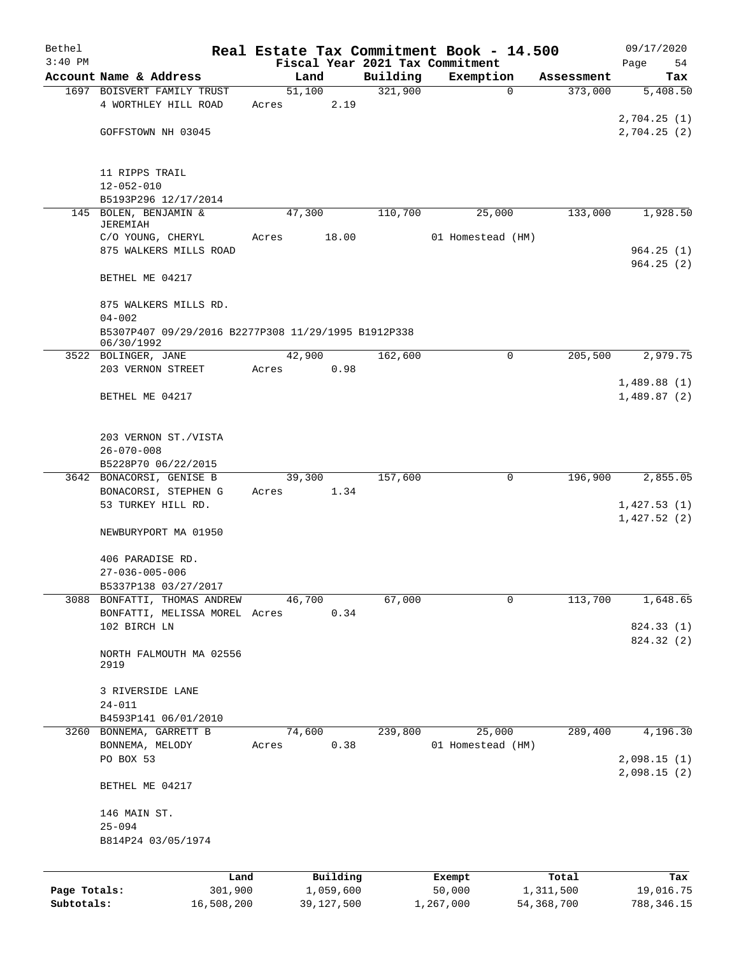| Bethel                     |                                                                        |                         |                     | Real Estate Tax Commitment Book - 14.500 |                           | 09/17/2020                 |
|----------------------------|------------------------------------------------------------------------|-------------------------|---------------------|------------------------------------------|---------------------------|----------------------------|
| $3:40$ PM                  |                                                                        |                         |                     | Fiscal Year 2021 Tax Commitment          |                           | Page<br>54                 |
|                            | Account Name & Address<br>1697 BOISVERT FAMILY TRUST                   | Land<br>51,100          | Building<br>321,900 | Exemption<br>$\mathbf 0$                 | Assessment<br>373,000     | Tax<br>5,408.50            |
|                            | 4 WORTHLEY HILL ROAD                                                   | Acres                   | 2.19                |                                          |                           | 2,704.25(1)                |
|                            | GOFFSTOWN NH 03045                                                     |                         |                     |                                          |                           | 2,704.25(2)                |
|                            | 11 RIPPS TRAIL<br>$12 - 052 - 010$                                     |                         |                     |                                          |                           |                            |
|                            | B5193P296 12/17/2014                                                   |                         |                     |                                          |                           |                            |
|                            | 145 BOLEN, BENJAMIN &<br><b>JEREMIAH</b>                               | 47,300                  | 110,700             | 25,000                                   | 133,000                   | 1,928.50                   |
|                            | C/O YOUNG, CHERYL<br>875 WALKERS MILLS ROAD                            | Acres                   | 18.00               | 01 Homestead (HM)                        |                           | 964.25(1)<br>964.25(2)     |
|                            | BETHEL ME 04217                                                        |                         |                     |                                          |                           |                            |
|                            | 875 WALKERS MILLS RD.<br>$04 - 002$                                    |                         |                     |                                          |                           |                            |
|                            | B5307P407 09/29/2016 B2277P308 11/29/1995 B1912P338<br>06/30/1992      |                         |                     |                                          |                           |                            |
|                            | 3522 BOLINGER, JANE<br>203 VERNON STREET                               | 42,900                  | 162,600             | 0                                        | 205,500                   | 2,979.75                   |
|                            | BETHEL ME 04217                                                        | Acres                   | 0.98                |                                          |                           | 1,489.88(1)<br>1,489.87(2) |
|                            | 203 VERNON ST./VISTA<br>$26 - 070 - 008$                               |                         |                     |                                          |                           |                            |
|                            | B5228P70 06/22/2015                                                    |                         |                     |                                          |                           |                            |
|                            | 3642 BONACORSI, GENISE B<br>BONACORSI, STEPHEN G<br>53 TURKEY HILL RD. | 39,300<br>Acres         | 157,600<br>1.34     | 0                                        | 196,900                   | 2,855.05<br>1,427.53(1)    |
|                            | NEWBURYPORT MA 01950                                                   |                         |                     |                                          |                           | 1,427.52(2)                |
|                            | 406 PARADISE RD.<br>$27 - 036 - 005 - 006$<br>B5337P138 03/27/2017     |                         |                     |                                          |                           |                            |
| 3088                       | BONFATTI, THOMAS ANDREW                                                | 46,700                  | 67,000              | 0                                        | 113,700                   | 1,648.65                   |
|                            | BONFATTI, MELISSA MOREL Acres<br>102 BIRCH LN                          |                         | 0.34                |                                          |                           | 824.33 (1)                 |
|                            | NORTH FALMOUTH MA 02556<br>2919                                        |                         |                     |                                          |                           | 824.32 (2)                 |
|                            | 3 RIVERSIDE LANE<br>$24 - 011$<br>B4593P141 06/01/2010                 |                         |                     |                                          |                           |                            |
|                            | 3260 BONNEMA, GARRETT B                                                | 74,600                  | 239,800             | 25,000                                   | 289,400                   | 4,196.30                   |
|                            | BONNEMA, MELODY<br>PO BOX 53                                           | Acres                   | 0.38                | 01 Homestead (HM)                        |                           | 2,098.15(1)                |
|                            | BETHEL ME 04217                                                        |                         |                     |                                          |                           | 2,098.15(2)                |
|                            | 146 MAIN ST.<br>$25 - 094$<br>B814P24 03/05/1974                       |                         |                     |                                          |                           |                            |
|                            | Land                                                                   | Building                |                     | Exempt                                   | Total                     | Tax                        |
| Page Totals:<br>Subtotals: | 301,900<br>16,508,200                                                  | 1,059,600<br>39,127,500 |                     | 50,000<br>1,267,000                      | 1,311,500<br>54, 368, 700 | 19,016.75<br>788,346.15    |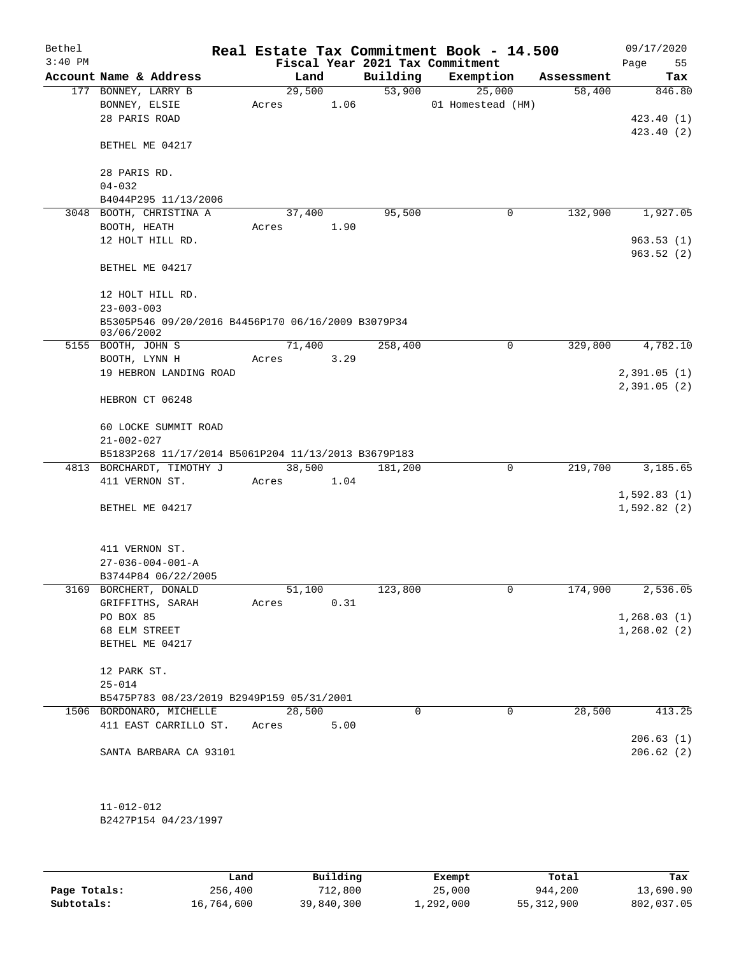| Bethel<br>$3:40$ PM |                                                                                  |        |        |          | Real Estate Tax Commitment Book - 14.500     |                      | 09/17/2020            |
|---------------------|----------------------------------------------------------------------------------|--------|--------|----------|----------------------------------------------|----------------------|-----------------------|
|                     | Account Name & Address                                                           |        | Land   | Building | Fiscal Year 2021 Tax Commitment<br>Exemption |                      | 55<br>Page<br>Tax     |
|                     | 177 BONNEY, LARRY B                                                              | 29,500 |        | 53,900   | 25,000                                       | Assessment<br>58,400 | 846.80                |
|                     | BONNEY, ELSIE                                                                    | Acres  | 1.06   |          | 01 Homestead (HM)                            |                      |                       |
|                     | 28 PARIS ROAD                                                                    |        |        |          |                                              |                      | 423.40 (1)            |
|                     |                                                                                  |        |        |          |                                              |                      | 423.40 (2)            |
|                     | BETHEL ME 04217                                                                  |        |        |          |                                              |                      |                       |
|                     | 28 PARIS RD.                                                                     |        |        |          |                                              |                      |                       |
|                     | $04 - 032$                                                                       |        |        |          |                                              |                      |                       |
|                     | B4044P295 11/13/2006                                                             |        |        |          |                                              |                      |                       |
|                     | 3048 BOOTH, CHRISTINA A                                                          |        | 37,400 | 95,500   | 0                                            | 132,900              | 1,927.05              |
|                     | BOOTH, HEATH                                                                     | Acres  | 1.90   |          |                                              |                      |                       |
|                     | 12 HOLT HILL RD.                                                                 |        |        |          |                                              |                      | 963.53(1)             |
|                     |                                                                                  |        |        |          |                                              |                      | 963.52(2)             |
|                     | BETHEL ME 04217                                                                  |        |        |          |                                              |                      |                       |
|                     | 12 HOLT HILL RD.                                                                 |        |        |          |                                              |                      |                       |
|                     | $23 - 003 - 003$                                                                 |        |        |          |                                              |                      |                       |
|                     | B5305P546 09/20/2016 B4456P170 06/16/2009 B3079P34<br>03/06/2002                 |        |        |          |                                              |                      |                       |
|                     | 5155 BOOTH, JOHN S                                                               |        | 71,400 | 258,400  | 0                                            | 329,800              | 4,782.10              |
|                     | BOOTH, LYNN H                                                                    | Acres  | 3.29   |          |                                              |                      |                       |
|                     | 19 HEBRON LANDING ROAD                                                           |        |        |          |                                              |                      | 2,391.05(1)           |
|                     | HEBRON CT 06248                                                                  |        |        |          |                                              |                      | 2,391.05(2)           |
|                     |                                                                                  |        |        |          |                                              |                      |                       |
|                     | 60 LOCKE SUMMIT ROAD                                                             |        |        |          |                                              |                      |                       |
|                     | $21 - 002 - 027$                                                                 |        |        |          |                                              |                      |                       |
|                     | B5183P268 11/17/2014 B5061P204 11/13/2013 B3679P183<br>4813 BORCHARDT, TIMOTHY J |        | 38,500 | 181,200  | $\mathbf 0$                                  | 219,700              | 3,185.65              |
|                     | 411 VERNON ST.                                                                   | Acres  | 1.04   |          |                                              |                      |                       |
|                     |                                                                                  |        |        |          |                                              |                      | 1,592.83(1)           |
|                     | BETHEL ME 04217                                                                  |        |        |          |                                              |                      | 1,592.82(2)           |
|                     |                                                                                  |        |        |          |                                              |                      |                       |
|                     | 411 VERNON ST.                                                                   |        |        |          |                                              |                      |                       |
|                     | $27 - 036 - 004 - 001 - A$                                                       |        |        |          |                                              |                      |                       |
|                     | B3744P84 06/22/2005                                                              |        |        |          |                                              |                      |                       |
|                     | 3169 BORCHERT, DONALD                                                            | 51,100 |        | 123,800  | 0                                            | 174,900              | $2,536.\overline{05}$ |
|                     | GRIFFITHS, SARAH                                                                 | Acres  | 0.31   |          |                                              |                      |                       |
|                     | PO BOX 85                                                                        |        |        |          |                                              |                      | 1,268.03(1)           |
|                     | 68 ELM STREET                                                                    |        |        |          |                                              |                      | 1,268.02(2)           |
|                     | BETHEL ME 04217                                                                  |        |        |          |                                              |                      |                       |
|                     | 12 PARK ST.                                                                      |        |        |          |                                              |                      |                       |
|                     | $25 - 014$                                                                       |        |        |          |                                              |                      |                       |
|                     | B5475P783 08/23/2019 B2949P159 05/31/2001                                        |        |        |          |                                              |                      |                       |
|                     | 1506 BORDONARO, MICHELLE                                                         | 28,500 |        | 0        | 0                                            | 28,500               | 413.25                |
|                     | 411 EAST CARRILLO ST.                                                            | Acres  | 5.00   |          |                                              |                      |                       |
|                     |                                                                                  |        |        |          |                                              |                      | 206.63(1)             |
|                     | SANTA BARBARA CA 93101                                                           |        |        |          |                                              |                      | 206.62(2)             |
|                     |                                                                                  |        |        |          |                                              |                      |                       |
|                     |                                                                                  |        |        |          |                                              |                      |                       |
|                     | $11 - 012 - 012$                                                                 |        |        |          |                                              |                      |                       |

B2427P154 04/23/1997

|              | Land       | Building   | Exempt    | Total      | Tax        |
|--------------|------------|------------|-----------|------------|------------|
| Page Totals: | 256,400    | 712,800    | 25,000    | 944,200    | 13,690.90  |
| Subtotals:   | 16,764,600 | 39,840,300 | 1,292,000 | 55,312,900 | 802,037.05 |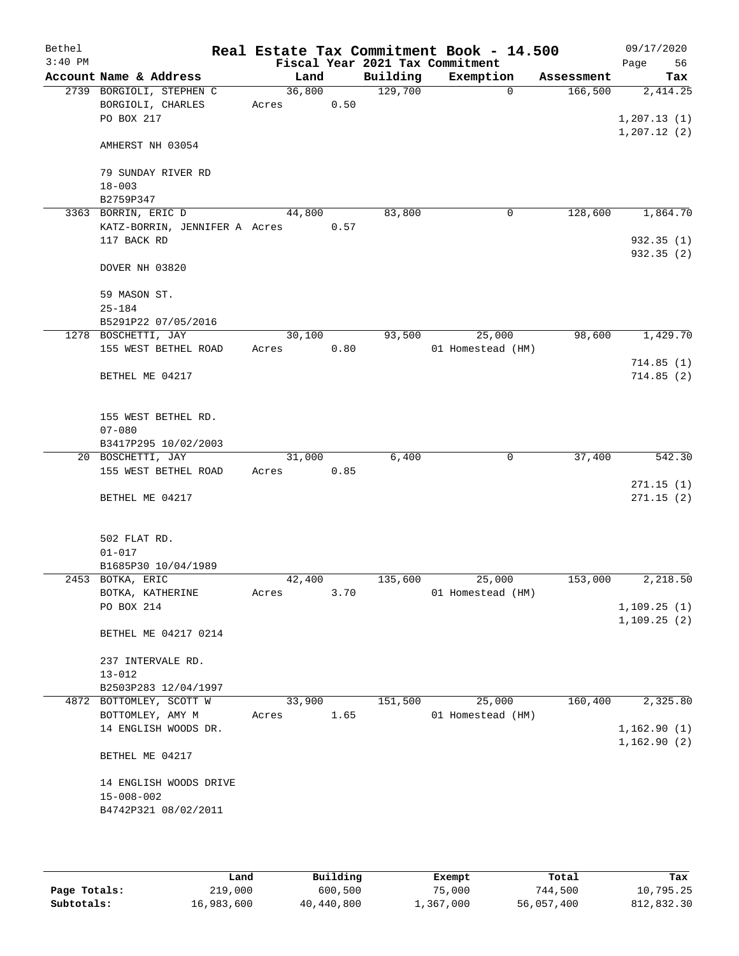| Bethel<br>$3:40$ PM |                                              |        |      |          | Real Estate Tax Commitment Book - 14.500<br>Fiscal Year 2021 Tax Commitment |                     | 09/17/2020<br>Page<br>56 |
|---------------------|----------------------------------------------|--------|------|----------|-----------------------------------------------------------------------------|---------------------|--------------------------|
|                     | Account Name & Address                       | Land   |      | Building | Exemption                                                                   | Assessment          | Tax                      |
|                     | 2739 BORGIOLI, STEPHEN C                     | 36,800 |      | 129,700  |                                                                             | $\Omega$<br>166,500 | 2,414.25                 |
|                     | BORGIOLI, CHARLES                            | Acres  | 0.50 |          |                                                                             |                     |                          |
|                     | PO BOX 217                                   |        |      |          |                                                                             |                     | 1,207.13(1)              |
|                     | AMHERST NH 03054                             |        |      |          |                                                                             |                     | 1, 207.12(2)             |
|                     | 79 SUNDAY RIVER RD                           |        |      |          |                                                                             |                     |                          |
|                     | $18 - 003$                                   |        |      |          |                                                                             |                     |                          |
|                     | B2759P347                                    |        |      |          |                                                                             |                     |                          |
|                     | 3363 BORRIN, ERIC D                          | 44,800 |      | 83,800   |                                                                             | 128,600<br>0        | 1,864.70                 |
|                     | KATZ-BORRIN, JENNIFER A Acres<br>117 BACK RD |        | 0.57 |          |                                                                             |                     | 932.35(1)                |
|                     |                                              |        |      |          |                                                                             |                     | 932.35(2)                |
|                     | DOVER NH 03820                               |        |      |          |                                                                             |                     |                          |
|                     | 59 MASON ST.                                 |        |      |          |                                                                             |                     |                          |
|                     | $25 - 184$                                   |        |      |          |                                                                             |                     |                          |
|                     | B5291P22 07/05/2016                          |        |      |          |                                                                             |                     |                          |
|                     | 1278 BOSCHETTI, JAY                          | 30,100 |      | 93,500   | 25,000                                                                      | 98,600              | 1,429.70                 |
|                     | 155 WEST BETHEL ROAD                         | Acres  | 0.80 |          | 01 Homestead (HM)                                                           |                     |                          |
|                     |                                              |        |      |          |                                                                             |                     | 714.85(1)                |
|                     | BETHEL ME 04217                              |        |      |          |                                                                             |                     | 714.85(2)                |
|                     | 155 WEST BETHEL RD.                          |        |      |          |                                                                             |                     |                          |
|                     | $07 - 080$                                   |        |      |          |                                                                             |                     |                          |
|                     | B3417P295 10/02/2003                         |        |      |          |                                                                             |                     |                          |
|                     | 20 BOSCHETTI, JAY                            | 31,000 |      | 6,400    |                                                                             | 37,400<br>0         | 542.30                   |
|                     | 155 WEST BETHEL ROAD                         | Acres  | 0.85 |          |                                                                             |                     |                          |
|                     |                                              |        |      |          |                                                                             |                     | 271.15(1)                |
|                     | BETHEL ME 04217                              |        |      |          |                                                                             |                     | 271.15(2)                |
|                     | 502 FLAT RD.                                 |        |      |          |                                                                             |                     |                          |
|                     | $01 - 017$                                   |        |      |          |                                                                             |                     |                          |
|                     | B1685P30 10/04/1989                          |        |      |          |                                                                             |                     |                          |
|                     | 2453 BOTKA, ERIC                             | 42,400 |      | 135,600  | 25,000                                                                      | 153,000             | 2,218.50                 |
|                     | BOTKA, KATHERINE<br>PO BOX 214               | Acres  | 3.70 |          | 01 Homestead (HM)                                                           |                     | 1,109.25(1)              |
|                     |                                              |        |      |          |                                                                             |                     | 1, 109.25(2)             |
|                     | BETHEL ME 04217 0214                         |        |      |          |                                                                             |                     |                          |
|                     | 237 INTERVALE RD.                            |        |      |          |                                                                             |                     |                          |
|                     | $13 - 012$                                   |        |      |          |                                                                             |                     |                          |
|                     | B2503P283 12/04/1997                         |        |      |          |                                                                             |                     |                          |
|                     | 4872 BOTTOMLEY, SCOTT W                      | 33,900 |      | 151,500  | 25,000                                                                      | 160,400             | 2,325.80                 |
|                     | BOTTOMLEY, AMY M                             | Acres  | 1.65 |          | 01 Homestead (HM)                                                           |                     |                          |
|                     | 14 ENGLISH WOODS DR.                         |        |      |          |                                                                             |                     | 1,162.90(1)              |
|                     | BETHEL ME 04217                              |        |      |          |                                                                             |                     | 1,162.90(2)              |
|                     | 14 ENGLISH WOODS DRIVE                       |        |      |          |                                                                             |                     |                          |
|                     | $15 - 008 - 002$                             |        |      |          |                                                                             |                     |                          |
|                     | B4742P321 08/02/2011                         |        |      |          |                                                                             |                     |                          |
|                     |                                              |        |      |          |                                                                             |                     |                          |

|              | Land       | Building   | Exempt    | Total      | Tax        |
|--------------|------------|------------|-----------|------------|------------|
| Page Totals: | 219,000    | 600,500    | 75,000    | 744,500    | 10,795.25  |
| Subtotals:   | 16,983,600 | 40,440,800 | 1,367,000 | 56,057,400 | 812,832.30 |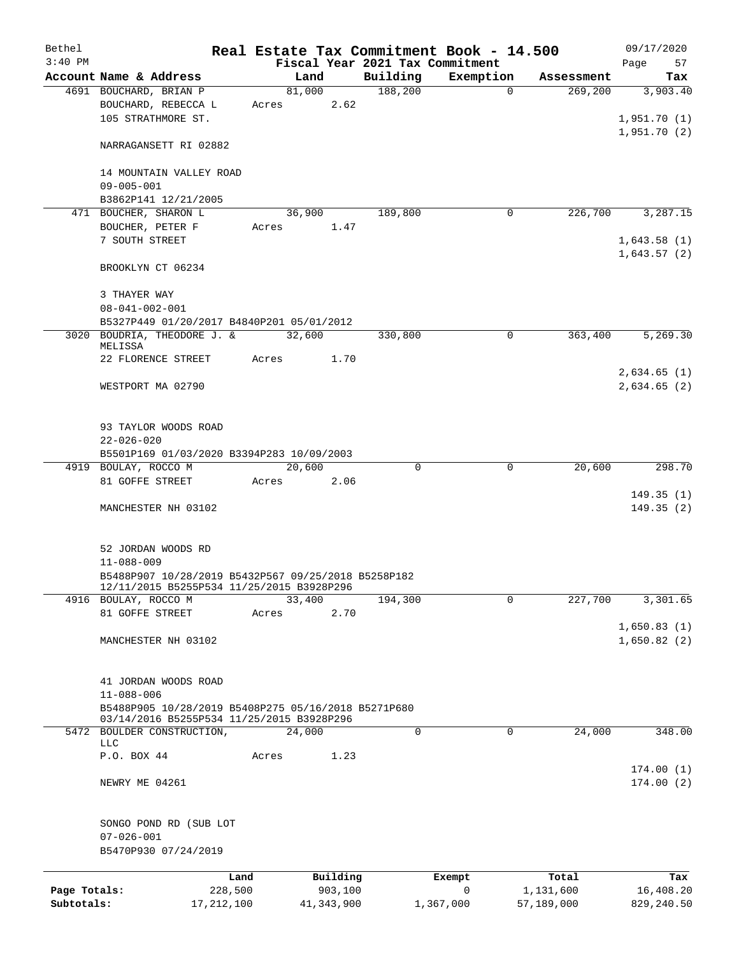| Bethel       |                                                              |       |              |          |                                 | Real Estate Tax Commitment Book - 14.500 |                       | 09/17/2020      |
|--------------|--------------------------------------------------------------|-------|--------------|----------|---------------------------------|------------------------------------------|-----------------------|-----------------|
| $3:40$ PM    | Account Name & Address                                       |       | Land         |          | Fiscal Year 2021 Tax Commitment |                                          |                       | Page<br>57      |
|              | 4691 BOUCHARD, BRIAN P                                       |       | 81,000       |          | Building<br>188,200             | Exemption<br>$\Omega$                    | Assessment<br>269,200 | Tax<br>3,903.40 |
|              | BOUCHARD, REBECCA L                                          |       | Acres        | 2.62     |                                 |                                          |                       |                 |
|              | 105 STRATHMORE ST.                                           |       |              |          |                                 |                                          |                       | 1,951.70(1)     |
|              |                                                              |       |              |          |                                 |                                          |                       | 1,951.70(2)     |
|              | NARRAGANSETT RI 02882                                        |       |              |          |                                 |                                          |                       |                 |
|              | 14 MOUNTAIN VALLEY ROAD                                      |       |              |          |                                 |                                          |                       |                 |
|              | $09 - 005 - 001$                                             |       |              |          |                                 |                                          |                       |                 |
|              | B3862P141 12/21/2005                                         |       |              |          |                                 |                                          |                       |                 |
|              | 471 BOUCHER, SHARON L                                        |       | 36,900       |          | 189,800                         | 0                                        | 226,700               | 3,287.15        |
|              | BOUCHER, PETER F                                             | Acres |              | 1.47     |                                 |                                          |                       |                 |
|              | 7 SOUTH STREET                                               |       |              |          |                                 |                                          |                       | 1,643.58(1)     |
|              | BROOKLYN CT 06234                                            |       |              |          |                                 |                                          |                       | 1,643.57(2)     |
|              | 3 THAYER WAY                                                 |       |              |          |                                 |                                          |                       |                 |
|              | $08 - 041 - 002 - 001$                                       |       |              |          |                                 |                                          |                       |                 |
|              | B5327P449 01/20/2017 B4840P201 05/01/2012                    |       |              |          |                                 |                                          |                       |                 |
|              | 3020 BOUDRIA, THEODORE J. &<br>MELISSA                       |       | 32,600       |          | 330,800                         | $\Omega$                                 | 363,400               | 5,269.30        |
|              | 22 FLORENCE STREET                                           | Acres | 1.70         |          |                                 |                                          |                       |                 |
|              |                                                              |       |              |          |                                 |                                          |                       | 2,634.65(1)     |
|              | WESTPORT MA 02790                                            |       |              |          |                                 |                                          |                       | 2,634.65(2)     |
|              |                                                              |       |              |          |                                 |                                          |                       |                 |
|              |                                                              |       |              |          |                                 |                                          |                       |                 |
|              | 93 TAYLOR WOODS ROAD                                         |       |              |          |                                 |                                          |                       |                 |
|              | $22 - 026 - 020$                                             |       |              |          |                                 |                                          |                       |                 |
|              | B5501P169 01/03/2020 B3394P283 10/09/2003                    |       |              |          |                                 |                                          |                       |                 |
|              | 4919 BOULAY, ROCCO M                                         |       | 20,600       |          | $\Omega$                        | $\Omega$                                 | 20,600                | 298.70          |
|              | 81 GOFFE STREET                                              | Acres |              | 2.06     |                                 |                                          |                       |                 |
|              |                                                              |       |              |          |                                 |                                          |                       | 149.35(1)       |
|              | MANCHESTER NH 03102                                          |       |              |          |                                 |                                          |                       | 149.35(2)       |
|              |                                                              |       |              |          |                                 |                                          |                       |                 |
|              | 52 JORDAN WOODS RD                                           |       |              |          |                                 |                                          |                       |                 |
|              | $11 - 088 - 009$                                             |       |              |          |                                 |                                          |                       |                 |
|              | B5488P907 10/28/2019 B5432P567 09/25/2018 B5258P182          |       |              |          |                                 |                                          |                       |                 |
| 4916         | 12/11/2015 B5255P534 11/25/2015 B3928P296<br>BOULAY, ROCCO M |       | 33,400       |          | 194,300                         | 0                                        | 227,700               | 3,301.65        |
|              | 81 GOFFE STREET                                              | Acres |              | 2.70     |                                 |                                          |                       |                 |
|              |                                                              |       |              |          |                                 |                                          |                       | 1,650.83(1)     |
|              | MANCHESTER NH 03102                                          |       |              |          |                                 |                                          |                       | 1,650.82(2)     |
|              |                                                              |       |              |          |                                 |                                          |                       |                 |
|              |                                                              |       |              |          |                                 |                                          |                       |                 |
|              | 41 JORDAN WOODS ROAD                                         |       |              |          |                                 |                                          |                       |                 |
|              | $11 - 088 - 006$                                             |       |              |          |                                 |                                          |                       |                 |
|              | B5488P905 10/28/2019 B5408P275 05/16/2018 B5271P680          |       |              |          |                                 |                                          |                       |                 |
|              | 03/14/2016 B5255P534 11/25/2015 B3928P296                    |       |              |          |                                 |                                          |                       |                 |
|              | 5472 BOULDER CONSTRUCTION,<br>LLC                            |       | 24,000       |          | 0                               | 0                                        | 24,000                | 348.00          |
|              | P.O. BOX 44                                                  | Acres |              | 1.23     |                                 |                                          |                       |                 |
|              |                                                              |       |              |          |                                 |                                          |                       | 174.00(1)       |
|              | NEWRY ME 04261                                               |       |              |          |                                 |                                          |                       | 174.00(2)       |
|              |                                                              |       |              |          |                                 |                                          |                       |                 |
|              | SONGO POND RD (SUB LOT                                       |       |              |          |                                 |                                          |                       |                 |
|              | $07 - 026 - 001$                                             |       |              |          |                                 |                                          |                       |                 |
|              | B5470P930 07/24/2019                                         |       |              |          |                                 |                                          |                       |                 |
|              |                                                              | Land  |              | Building |                                 | Exempt                                   | Total                 | Tax             |
| Page Totals: | 228,500                                                      |       |              | 903,100  |                                 | 0                                        | 1,131,600             | 16,408.20       |
| Subtotals:   | 17, 212, 100                                                 |       | 41, 343, 900 |          |                                 | 1,367,000                                | 57,189,000            | 829,240.50      |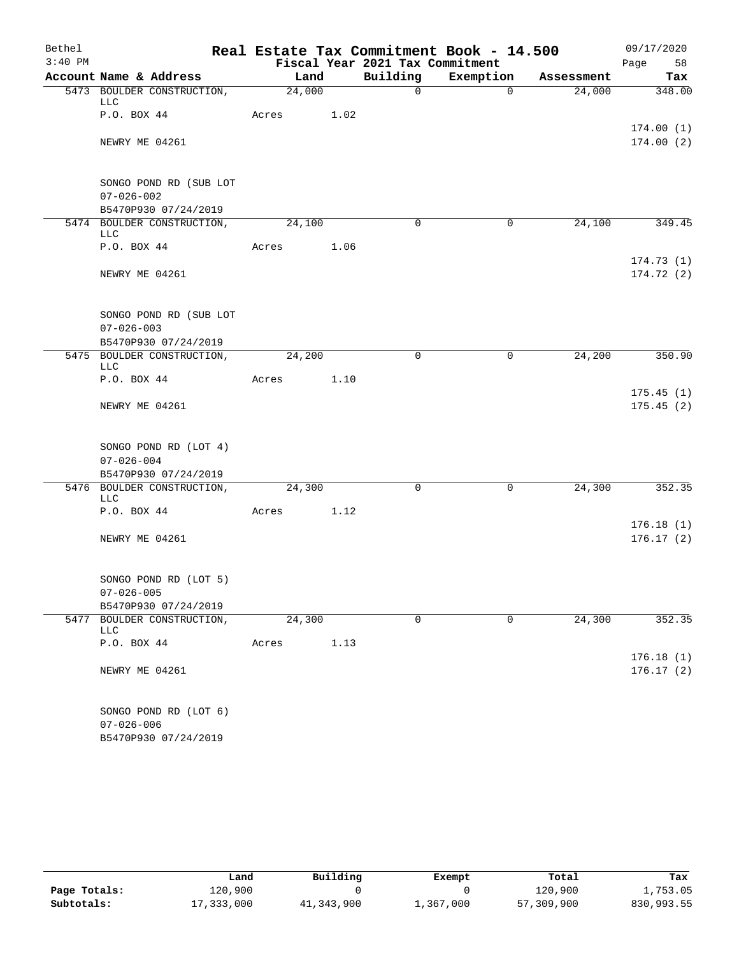| Bethel    |                                          |                            |        |      |                                 | Real Estate Tax Commitment Book - 14.500 |            | 09/17/2020              |
|-----------|------------------------------------------|----------------------------|--------|------|---------------------------------|------------------------------------------|------------|-------------------------|
| $3:40$ PM |                                          |                            |        |      | Fiscal Year 2021 Tax Commitment |                                          |            | Page<br>58              |
|           | Account Name & Address                   |                            | Land   |      | Building                        | Exemption                                | Assessment | Tax                     |
|           | LLC                                      | 5473 BOULDER CONSTRUCTION, | 24,000 |      | $\mathsf{O}$                    | $\overline{0}$                           | 24,000     | 348.00                  |
|           | P.O. BOX 44                              |                            | Acres  | 1.02 |                                 |                                          |            | 174.00(1)               |
|           | NEWRY ME 04261                           |                            |        |      |                                 |                                          |            | 174.00(2)               |
|           |                                          | SONGO POND RD (SUB LOT     |        |      |                                 |                                          |            |                         |
|           | $07 - 026 - 002$<br>B5470P930 07/24/2019 |                            |        |      |                                 |                                          |            |                         |
|           | LLC                                      | 5474 BOULDER CONSTRUCTION, | 24,100 |      | $\Omega$                        | $\mathbf 0$                              | 24,100     | 349.45                  |
|           | P.O. BOX 44                              |                            | Acres  | 1.06 |                                 |                                          |            |                         |
|           | NEWRY ME 04261                           |                            |        |      |                                 |                                          |            | 174.73(1)<br>174.72 (2) |
|           | $07 - 026 - 003$                         | SONGO POND RD (SUB LOT     |        |      |                                 |                                          |            |                         |
|           | B5470P930 07/24/2019                     |                            |        |      |                                 |                                          |            |                         |
|           | LLC                                      | 5475 BOULDER CONSTRUCTION, | 24,200 |      | $\mathbf 0$                     | $\mathbf 0$                              | 24,200     | 350.90                  |
|           | P.O. BOX 44                              |                            | Acres  | 1.10 |                                 |                                          |            |                         |
|           | NEWRY ME 04261                           |                            |        |      |                                 |                                          |            | 175.45(1)<br>175.45(2)  |
|           |                                          | SONGO POND RD (LOT 4)      |        |      |                                 |                                          |            |                         |
|           | $07 - 026 - 004$                         |                            |        |      |                                 |                                          |            |                         |
|           | B5470P930 07/24/2019                     |                            |        |      |                                 |                                          |            |                         |
|           | LLC                                      | 5476 BOULDER CONSTRUCTION, | 24,300 |      | $\mathbf 0$                     | $\mathbf 0$                              | 24,300     | 352.35                  |
|           | P.O. BOX 44                              |                            | Acres  | 1.12 |                                 |                                          |            | 176.18(1)               |
|           | NEWRY ME 04261                           |                            |        |      |                                 |                                          |            | 176.17(2)               |
|           |                                          | SONGO POND RD (LOT 5)      |        |      |                                 |                                          |            |                         |
|           | $07 - 026 - 005$                         |                            |        |      |                                 |                                          |            |                         |
|           | B5470P930 07/24/2019                     |                            |        |      |                                 |                                          |            |                         |
| 5477      | LLC                                      | BOULDER CONSTRUCTION,      | 24,300 |      | 0                               | $\mathbf 0$                              | 24,300     | 352.35                  |
|           | P.O. BOX 44                              |                            | Acres  | 1.13 |                                 |                                          |            | 176.18(1)               |
|           | NEWRY ME 04261                           |                            |        |      |                                 |                                          |            | 176.17(2)               |
|           |                                          | SONGO POND RD (LOT 6)      |        |      |                                 |                                          |            |                         |
|           | $07 - 026 - 006$<br>B5470P930 07/24/2019 |                            |        |      |                                 |                                          |            |                         |

|              | Land       | Building   | Exempt    | Total      | Tax        |
|--------------|------------|------------|-----------|------------|------------|
| Page Totals: | 120,900    |            |           | 120,900    | 1,753.05   |
| Subtotals:   | 17,333,000 | 41,343,900 | 1,367,000 | 57,309,900 | 830,993.55 |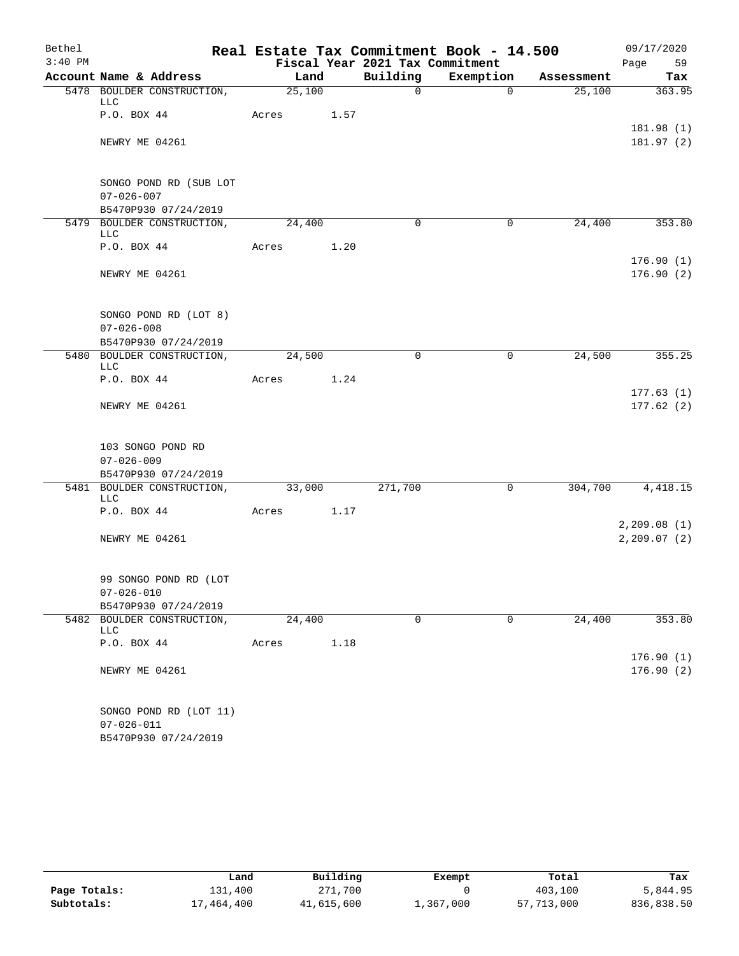| Bethel    |                                          |        |      |                                 | Real Estate Tax Commitment Book - 14.500 |            | 09/17/2020                  |
|-----------|------------------------------------------|--------|------|---------------------------------|------------------------------------------|------------|-----------------------------|
| $3:40$ PM |                                          |        |      | Fiscal Year 2021 Tax Commitment |                                          |            | Page<br>59                  |
|           | Account Name & Address                   | Land   |      | Building                        | Exemption                                | Assessment | Tax                         |
|           | 5478 BOULDER CONSTRUCTION,<br>LLC        | 25,100 |      | $\mathsf{O}$                    | $\overline{0}$                           | 25,100     | 363.95                      |
|           | P.O. BOX 44                              | Acres  | 1.57 |                                 |                                          |            |                             |
|           |                                          |        |      |                                 |                                          |            | 181.98 (1)                  |
|           | NEWRY ME 04261                           |        |      |                                 |                                          |            | 181.97 (2)                  |
|           | SONGO POND RD (SUB LOT                   |        |      |                                 |                                          |            |                             |
|           | $07 - 026 - 007$                         |        |      |                                 |                                          |            |                             |
|           | B5470P930 07/24/2019                     |        |      |                                 |                                          |            |                             |
|           | 5479 BOULDER CONSTRUCTION,<br>LLC        | 24,400 |      | $\Omega$                        | 0                                        | 24,400     | 353.80                      |
|           | P.O. BOX 44                              | Acres  | 1.20 |                                 |                                          |            |                             |
|           | NEWRY ME 04261                           |        |      |                                 |                                          |            | 176.90(1)<br>176.90(2)      |
|           | SONGO POND RD (LOT 8)                    |        |      |                                 |                                          |            |                             |
|           | $07 - 026 - 008$                         |        |      |                                 |                                          |            |                             |
|           | B5470P930 07/24/2019                     |        |      |                                 |                                          |            |                             |
|           | 5480 BOULDER CONSTRUCTION,<br><b>LLC</b> | 24,500 |      | $\mathbf 0$                     | $\mathbf 0$                              | 24,500     | 355.25                      |
|           | P.O. BOX 44                              | Acres  | 1.24 |                                 |                                          |            |                             |
|           | NEWRY ME 04261                           |        |      |                                 |                                          |            | 177.63(1)<br>177.62(2)      |
|           | 103 SONGO POND RD                        |        |      |                                 |                                          |            |                             |
|           | $07 - 026 - 009$                         |        |      |                                 |                                          |            |                             |
|           | B5470P930 07/24/2019                     |        |      |                                 |                                          |            |                             |
|           | 5481 BOULDER CONSTRUCTION,<br><b>LLC</b> | 33,000 |      | 271,700                         | 0                                        | 304,700    | 4,418.15                    |
|           | P.O. BOX 44                              | Acres  | 1.17 |                                 |                                          |            |                             |
|           | NEWRY ME 04261                           |        |      |                                 |                                          |            | 2,209.08(1)<br>2, 209.07(2) |
|           | 99 SONGO POND RD (LOT                    |        |      |                                 |                                          |            |                             |
|           | $07 - 026 - 010$                         |        |      |                                 |                                          |            |                             |
|           | B5470P930 07/24/2019                     |        |      |                                 |                                          |            |                             |
| 5482      | BOULDER CONSTRUCTION,<br>LLC             | 24,400 |      | $\mathbf 0$                     | $\mathbf 0$                              | 24,400     | 353.80                      |
|           | P.O. BOX 44                              | Acres  | 1.18 |                                 |                                          |            |                             |
|           | NEWRY ME 04261                           |        |      |                                 |                                          |            | 176.90(1)<br>176.90(2)      |
|           | SONGO POND RD (LOT 11)                   |        |      |                                 |                                          |            |                             |
|           | $07 - 026 - 011$                         |        |      |                                 |                                          |            |                             |
|           | B5470P930 07/24/2019                     |        |      |                                 |                                          |            |                             |

|              | Land       | Building   | Exempt    | Total      | Tax        |
|--------------|------------|------------|-----------|------------|------------|
| Page Totals: | 131,400    | 271,700    |           | 403,100    | 5,844.95   |
| Subtotals:   | 17,464,400 | 41,615,600 | 1,367,000 | 57,713,000 | 836,838.50 |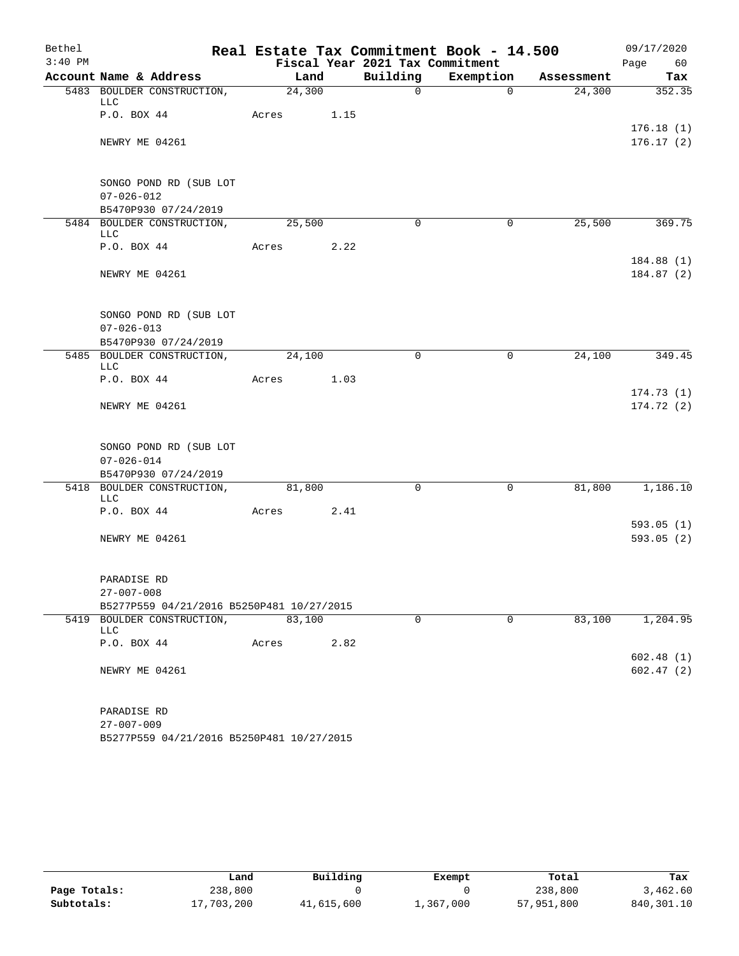| Bethel    |                                                               |        |      |                                 | Real Estate Tax Commitment Book - 14.500 |            | 09/17/2020               |
|-----------|---------------------------------------------------------------|--------|------|---------------------------------|------------------------------------------|------------|--------------------------|
| $3:40$ PM |                                                               |        |      | Fiscal Year 2021 Tax Commitment |                                          |            | Page<br>60               |
|           | Account Name & Address                                        | Land   |      | Building                        | Exemption                                | Assessment | Tax                      |
|           | 5483 BOULDER CONSTRUCTION,<br>LLC                             | 24,300 |      | $\Omega$                        | $\Omega$                                 | 24,300     | 352.35                   |
|           | P.O. BOX 44                                                   | Acres  | 1.15 |                                 |                                          |            | 176.18(1)                |
|           | NEWRY ME 04261                                                |        |      |                                 |                                          |            | 176.17(2)                |
|           | SONGO POND RD (SUB LOT                                        |        |      |                                 |                                          |            |                          |
|           | $07 - 026 - 012$                                              |        |      |                                 |                                          |            |                          |
|           | B5470P930 07/24/2019                                          |        |      |                                 |                                          |            |                          |
|           | 5484 BOULDER CONSTRUCTION,<br>LLC                             | 25,500 |      | $\Omega$                        | $\mathbf 0$                              | 25,500     | 369.75                   |
|           | P.O. BOX 44                                                   | Acres  | 2.22 |                                 |                                          |            |                          |
|           | NEWRY ME 04261                                                |        |      |                                 |                                          |            | 184.88 (1)<br>184.87 (2) |
|           | SONGO POND RD (SUB LOT<br>$07 - 026 - 013$                    |        |      |                                 |                                          |            |                          |
|           | B5470P930 07/24/2019                                          |        |      |                                 |                                          |            |                          |
|           | 5485 BOULDER CONSTRUCTION,<br>LLC                             | 24,100 |      | $\Omega$                        | 0                                        | 24,100     | 349.45                   |
|           | P.O. BOX 44                                                   | Acres  | 1.03 |                                 |                                          |            |                          |
|           |                                                               |        |      |                                 |                                          |            | 174.73(1)                |
|           | NEWRY ME 04261                                                |        |      |                                 |                                          |            | 174.72(2)                |
|           | SONGO POND RD (SUB LOT                                        |        |      |                                 |                                          |            |                          |
|           | $07 - 026 - 014$                                              |        |      |                                 |                                          |            |                          |
|           | B5470P930 07/24/2019                                          |        |      |                                 |                                          |            |                          |
|           | 5418 BOULDER CONSTRUCTION,<br>LLC                             | 81,800 |      | 0                               | $\mathsf{O}$                             | 81,800     | 1,186.10                 |
|           | P.O. BOX 44                                                   | Acres  | 2.41 |                                 |                                          |            |                          |
|           |                                                               |        |      |                                 |                                          |            | 593.05(1)                |
|           | NEWRY ME 04261                                                |        |      |                                 |                                          |            | 593.05(2)                |
|           | PARADISE RD                                                   |        |      |                                 |                                          |            |                          |
|           | $27 - 007 - 008$                                              |        |      |                                 |                                          |            |                          |
|           | B5277P559 04/21/2016 B5250P481 10/27/2015                     |        |      |                                 |                                          |            |                          |
|           | 5419 BOULDER CONSTRUCTION,<br>LLC                             | 83,100 |      | 0                               | $\Omega$                                 | 83,100     | 1,204.95                 |
|           | P.O. BOX 44                                                   | Acres  | 2.82 |                                 |                                          |            |                          |
|           | NEWRY ME 04261                                                |        |      |                                 |                                          |            | 602.48(1)<br>602.47(2)   |
|           |                                                               |        |      |                                 |                                          |            |                          |
|           | PARADISE RD                                                   |        |      |                                 |                                          |            |                          |
|           | $27 - 007 - 009$<br>B5277P559 04/21/2016 B5250P481 10/27/2015 |        |      |                                 |                                          |            |                          |

|              | Land       | Building   | Exempt    | Total      | Tax        |
|--------------|------------|------------|-----------|------------|------------|
| Page Totals: | 238,800    |            |           | 238,800    | 3,462.60   |
| Subtotals:   | 17,703,200 | 41,615,600 | 1,367,000 | 57,951,800 | 840,301.10 |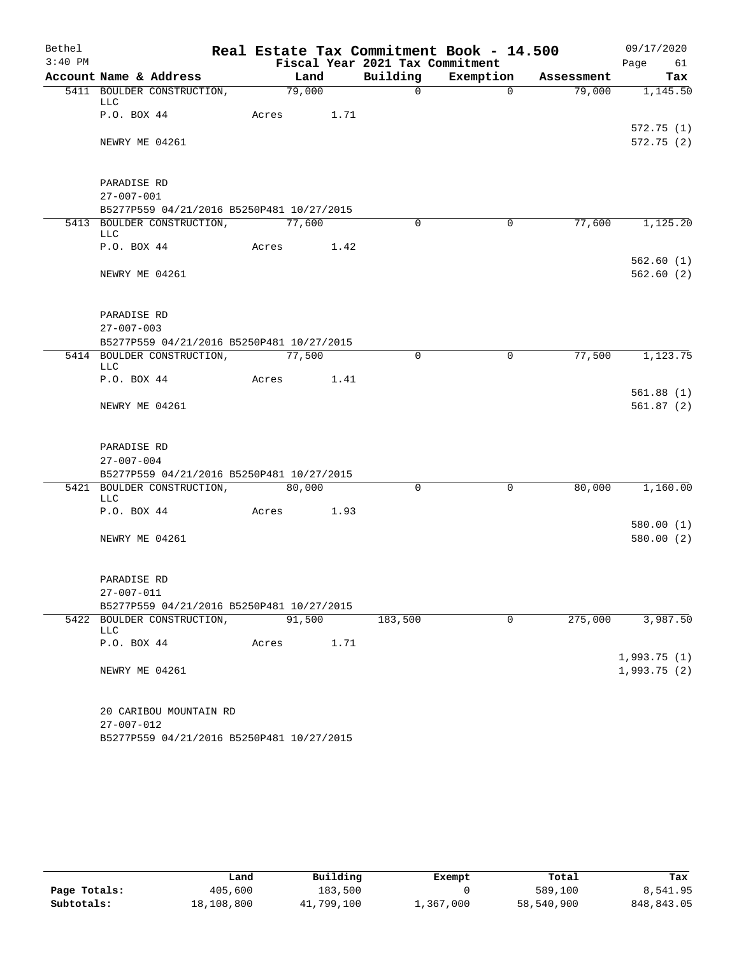| Bethel    |                    |                                                                         |                    |        |      |                                 | Real Estate Tax Commitment Book - 14.500 |            | 09/17/2020                 |                        |
|-----------|--------------------|-------------------------------------------------------------------------|--------------------|--------|------|---------------------------------|------------------------------------------|------------|----------------------------|------------------------|
| $3:40$ PM |                    |                                                                         |                    |        |      | Fiscal Year 2021 Tax Commitment |                                          |            | Page 61                    |                        |
|           |                    | Account Name & Address                                                  |                    | Land   |      | Building                        | Exemption                                | Assessment |                            | Tax                    |
|           | LLC                | 5411 BOULDER CONSTRUCTION,                                              | $\frac{79,000}{ }$ |        |      | $\overline{0}$                  | $\Omega$                                 | 79,000     |                            | 1,145.50               |
|           | P.O. BOX 44        |                                                                         | Acres              |        | 1.71 |                                 |                                          |            |                            | 572.75(1)              |
|           | NEWRY ME 04261     |                                                                         |                    |        |      |                                 |                                          |            |                            | 572.75(2)              |
|           | PARADISE RD        |                                                                         |                    |        |      |                                 |                                          |            |                            |                        |
|           | $27 - 007 - 001$   |                                                                         |                    |        |      |                                 |                                          |            |                            |                        |
|           |                    | B5277P559 04/21/2016 B5250P481 10/27/2015                               |                    |        |      |                                 |                                          |            |                            |                        |
|           | LLC                | 5413 BOULDER CONSTRUCTION,                                              | 77,600             |        |      | $\Omega$                        | $\Omega$                                 | 77,600     |                            | 1,125.20               |
|           | P.O. BOX 44        |                                                                         | Acres              |        | 1.42 |                                 |                                          |            |                            |                        |
|           | NEWRY ME 04261     |                                                                         |                    |        |      |                                 |                                          |            |                            | 562.60(1)<br>562.60(2) |
|           | PARADISE RD        |                                                                         |                    |        |      |                                 |                                          |            |                            |                        |
|           | $27 - 007 - 003$   |                                                                         |                    |        |      |                                 |                                          |            |                            |                        |
|           |                    | B5277P559 04/21/2016 B5250P481 10/27/2015                               |                    |        |      |                                 |                                          |            |                            |                        |
|           | <b>LLC</b>         | 5414 BOULDER CONSTRUCTION,                                              | 77,500             |        |      | $\Omega$                        | $\Omega$                                 | 77,500     |                            | 1,123.75               |
|           |                    | P.O. BOX 44                                                             | Acres              |        | 1.41 |                                 |                                          |            |                            |                        |
|           | NEWRY ME 04261     |                                                                         |                    |        |      |                                 |                                          |            |                            | 561.88(1)<br>561.87(2) |
|           | PARADISE RD        |                                                                         |                    |        |      |                                 |                                          |            |                            |                        |
|           | $27 - 007 - 004$   |                                                                         |                    |        |      |                                 |                                          |            |                            |                        |
|           |                    | B5277P559 04/21/2016 B5250P481 10/27/2015<br>5421 BOULDER CONSTRUCTION, |                    | 80,000 |      | $\Omega$                        | $\mathbf 0$                              | 80,000     |                            | 1,160.00               |
|           | LLC<br>P.O. BOX 44 |                                                                         |                    |        | 1.93 |                                 |                                          |            |                            |                        |
|           |                    |                                                                         | Acres              |        |      |                                 |                                          |            |                            | 580.00(1)              |
|           | NEWRY ME 04261     |                                                                         |                    |        |      |                                 |                                          |            |                            | 580.00(2)              |
|           | PARADISE RD        |                                                                         |                    |        |      |                                 |                                          |            |                            |                        |
|           | $27 - 007 - 011$   |                                                                         |                    |        |      |                                 |                                          |            |                            |                        |
|           |                    | B5277P559 04/21/2016 B5250P481 10/27/2015                               |                    |        |      |                                 |                                          |            |                            |                        |
|           | <b>LLC</b>         | 5422 BOULDER CONSTRUCTION,                                              |                    | 91,500 |      | 183,500                         | $\mathbf 0$                              | 275,000    |                            | 3,987.50               |
|           | P.O. BOX 44        |                                                                         | Acres              |        | 1.71 |                                 |                                          |            |                            |                        |
|           | NEWRY ME 04261     |                                                                         |                    |        |      |                                 |                                          |            | 1,993.75(1)<br>1,993.75(2) |                        |
|           | $27 - 007 - 012$   | 20 CARIBOU MOUNTAIN RD<br>B5277P559 04/21/2016 B5250P481 10/27/2015     |                    |        |      |                                 |                                          |            |                            |                        |

|              | Land       | Building   | Exempt    | Total      | Tax         |
|--------------|------------|------------|-----------|------------|-------------|
| Page Totals: | 405,600    | 183,500    |           | 589,100    | 8,541.95    |
| Subtotals:   | 18,108,800 | 41,799,100 | 1,367,000 | 58,540,900 | 848, 843.05 |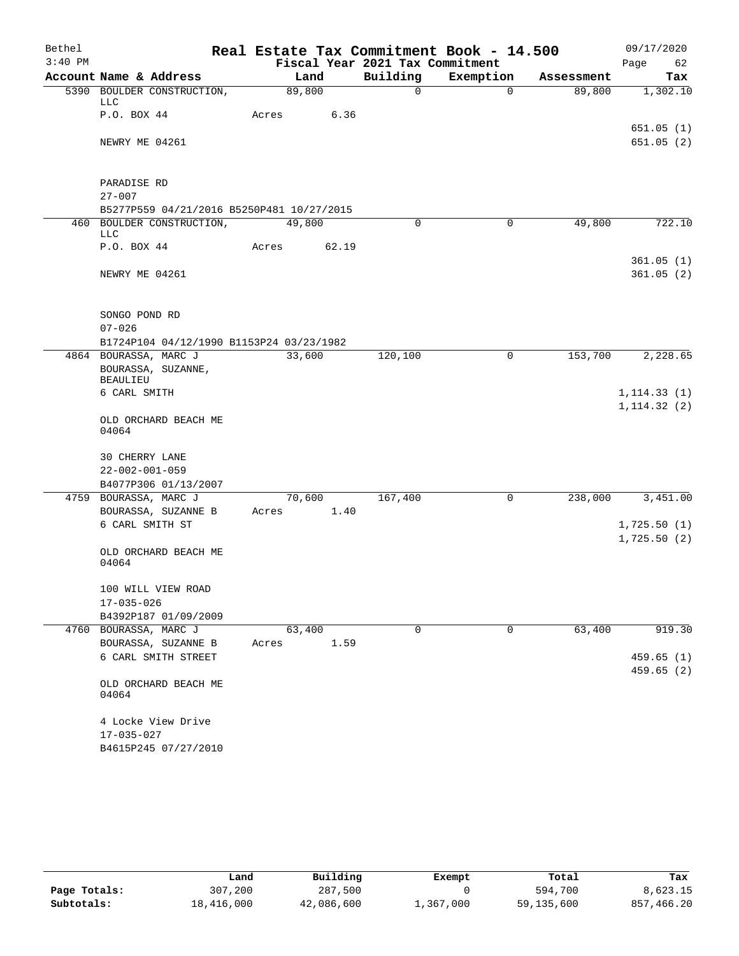| Bethel    |                                          |                                            |       |                |       | Real Estate Tax Commitment Book - 14.500 |           |             |                      | 09/17/2020   |                        |
|-----------|------------------------------------------|--------------------------------------------|-------|----------------|-------|------------------------------------------|-----------|-------------|----------------------|--------------|------------------------|
| $3:40$ PM |                                          | Account Name & Address                     |       |                |       | Fiscal Year 2021 Tax Commitment          |           |             |                      | Page         | 62                     |
|           |                                          | 5390 BOULDER CONSTRUCTION,                 |       | Land<br>89,800 |       | Building<br>$\Omega$                     | Exemption | $\Omega$    | Assessment<br>89,800 |              | Tax<br>1,302.10        |
|           | LLC                                      |                                            |       |                |       |                                          |           |             |                      |              |                        |
|           | P.O. BOX 44                              |                                            | Acres |                | 6.36  |                                          |           |             |                      |              |                        |
|           |                                          |                                            |       |                |       |                                          |           |             |                      |              | 651.05(1)              |
|           | NEWRY ME 04261                           |                                            |       |                |       |                                          |           |             |                      |              | 651.05(2)              |
|           | PARADISE RD                              |                                            |       |                |       |                                          |           |             |                      |              |                        |
|           | $27 - 007$                               |                                            |       |                |       |                                          |           |             |                      |              |                        |
|           |                                          | B5277P559 04/21/2016 B5250P481 10/27/2015  |       |                |       |                                          |           |             |                      |              |                        |
|           | LLC                                      | 460 BOULDER CONSTRUCTION,                  |       | 49,800         |       | $\Omega$                                 |           | $\mathbf 0$ | 49,800               |              | 722.10                 |
|           | P.O. BOX 44                              |                                            | Acres |                | 62.19 |                                          |           |             |                      |              | 361.05(1)              |
|           | NEWRY ME 04261                           |                                            |       |                |       |                                          |           |             |                      |              | 361.05(2)              |
|           | SONGO POND RD<br>$07 - 026$              |                                            |       |                |       |                                          |           |             |                      |              |                        |
|           |                                          | B1724P104 04/12/1990 B1153P24 03/23/1982   |       |                |       |                                          |           |             |                      |              |                        |
|           |                                          | 4864 BOURASSA, MARC J                      |       | 33,600         |       | 120,100                                  |           | 0           | 153,700              |              | 2,228.65               |
|           | <b>BEAULIEU</b>                          | BOURASSA, SUZANNE,                         |       |                |       |                                          |           |             |                      |              |                        |
|           | 6 CARL SMITH                             |                                            |       |                |       |                                          |           |             |                      | 1, 114.33(1) |                        |
|           | 04064                                    | OLD ORCHARD BEACH ME                       |       |                |       |                                          |           |             |                      | 1, 114.32(2) |                        |
|           | 30 CHERRY LANE<br>$22 - 002 - 001 - 059$ |                                            |       |                |       |                                          |           |             |                      |              |                        |
|           |                                          | B4077P306 01/13/2007                       |       |                |       |                                          |           |             |                      |              |                        |
|           |                                          | 4759 BOURASSA, MARC J                      |       | 70,600         |       | 167,400                                  |           | 0           | 238,000              |              | 3,451.00               |
|           |                                          | BOURASSA, SUZANNE B                        | Acres |                | 1.40  |                                          |           |             |                      |              |                        |
|           |                                          | 6 CARL SMITH ST                            |       |                |       |                                          |           |             |                      | 1,725.50(1)  |                        |
|           | 04064                                    | OLD ORCHARD BEACH ME                       |       |                |       |                                          |           |             |                      | 1,725.50(2)  |                        |
|           |                                          | 100 WILL VIEW ROAD                         |       |                |       |                                          |           |             |                      |              |                        |
|           | 17-035-026                               |                                            |       |                |       |                                          |           |             |                      |              |                        |
|           |                                          | B4392P187 01/09/2009                       |       |                |       |                                          |           |             |                      |              |                        |
|           |                                          | 4760 BOURASSA, MARC J                      |       | 63,400         |       | 0                                        |           | 0           | 63,400               |              | 919.30                 |
|           |                                          | BOURASSA, SUZANNE B<br>6 CARL SMITH STREET | Acres |                | 1.59  |                                          |           |             |                      |              |                        |
|           |                                          |                                            |       |                |       |                                          |           |             |                      |              | 459.65(1)<br>459.65(2) |
|           | 04064                                    | OLD ORCHARD BEACH ME                       |       |                |       |                                          |           |             |                      |              |                        |
|           | $17 - 035 - 027$                         | 4 Locke View Drive<br>B4615P245 07/27/2010 |       |                |       |                                          |           |             |                      |              |                        |

|              | Land       | Building   | Exempt    | Total        | Tax        |  |
|--------------|------------|------------|-----------|--------------|------------|--|
| Page Totals: | 307,200    | 287,500    |           | 594,700      | 8,623.15   |  |
| Subtotals:   | 18,416,000 | 42,086,600 | 1,367,000 | 59, 135, 600 | 857,466.20 |  |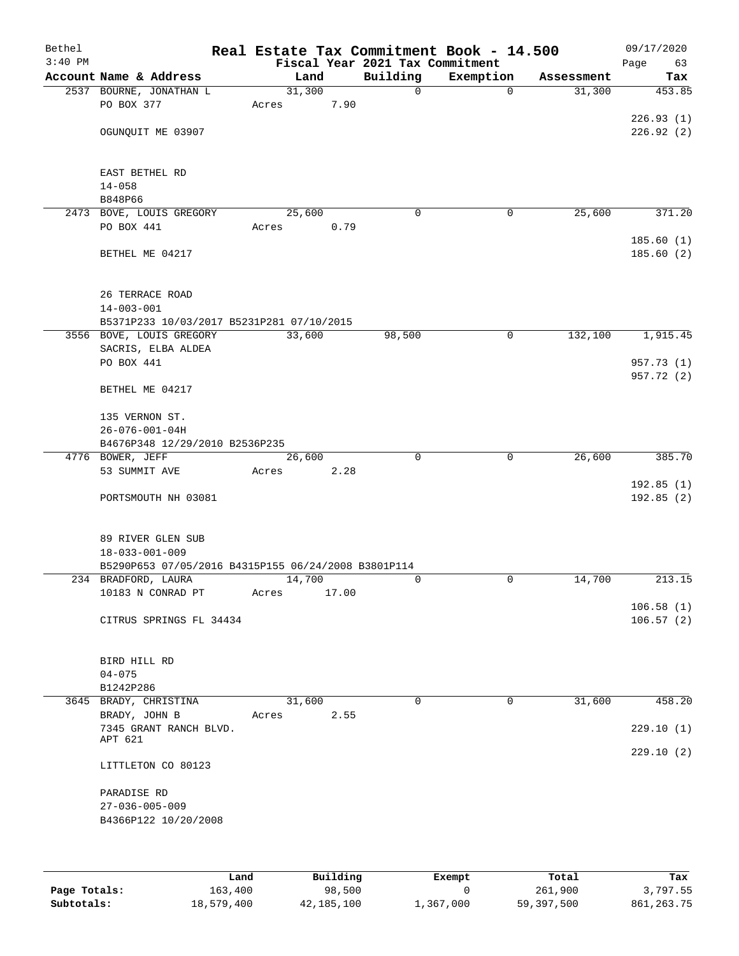| Bethel<br>$3:40$ PM |                                                     | Real Estate Tax Commitment Book - 14.500 |       | Fiscal Year 2021 Tax Commitment |             |            | 09/17/2020<br>Page<br>63 |
|---------------------|-----------------------------------------------------|------------------------------------------|-------|---------------------------------|-------------|------------|--------------------------|
|                     | Account Name & Address                              | Land                                     |       | Building                        | Exemption   | Assessment | Tax                      |
|                     | 2537 BOURNE, JONATHAN L                             | 31,300                                   |       | 0                               | $\mathbf 0$ | 31,300     | 453.85                   |
|                     | PO BOX 377                                          | Acres                                    | 7.90  |                                 |             |            |                          |
|                     |                                                     |                                          |       |                                 |             |            | 226.93(1)                |
|                     | OGUNQUIT ME 03907                                   |                                          |       |                                 |             |            | 226.92(2)                |
|                     | EAST BETHEL RD                                      |                                          |       |                                 |             |            |                          |
|                     | $14 - 058$                                          |                                          |       |                                 |             |            |                          |
|                     | B848P66                                             |                                          |       |                                 |             |            |                          |
|                     | 2473 BOVE, LOUIS GREGORY                            | 25,600                                   |       | 0                               | 0           | 25,600     | 371.20                   |
|                     | PO BOX 441                                          | Acres                                    | 0.79  |                                 |             |            |                          |
|                     | BETHEL ME 04217                                     |                                          |       |                                 |             |            | 185.60(1)<br>185.60 (2)  |
|                     | 26 TERRACE ROAD                                     |                                          |       |                                 |             |            |                          |
|                     | $14 - 003 - 001$                                    |                                          |       |                                 |             |            |                          |
|                     | B5371P233 10/03/2017 B5231P281 07/10/2015           |                                          |       |                                 |             |            |                          |
|                     | 3556 BOVE, LOUIS GREGORY                            | 33,600                                   |       | 98,500                          | $\mathbf 0$ | 132,100    | 1,915.45                 |
|                     | SACRIS, ELBA ALDEA                                  |                                          |       |                                 |             |            |                          |
|                     | PO BOX 441                                          |                                          |       |                                 |             |            | 957.73 (1)               |
|                     | BETHEL ME 04217                                     |                                          |       |                                 |             |            | 957.72 (2)               |
|                     | 135 VERNON ST.                                      |                                          |       |                                 |             |            |                          |
|                     | $26 - 076 - 001 - 04H$                              |                                          |       |                                 |             |            |                          |
|                     | B4676P348 12/29/2010 B2536P235                      |                                          |       |                                 |             |            |                          |
|                     | 4776 BOWER, JEFF                                    | 26,600                                   |       | $\Omega$                        | $\mathbf 0$ | 26,600     | 385.70                   |
|                     | 53 SUMMIT AVE                                       | Acres                                    | 2.28  |                                 |             |            |                          |
|                     | PORTSMOUTH NH 03081                                 |                                          |       |                                 |             |            | 192.85(1)<br>192.85 (2)  |
|                     |                                                     |                                          |       |                                 |             |            |                          |
|                     | 89 RIVER GLEN SUB<br>$18 - 033 - 001 - 009$         |                                          |       |                                 |             |            |                          |
|                     | B5290P653 07/05/2016 B4315P155 06/24/2008 B3801P114 |                                          |       |                                 |             |            |                          |
|                     | 234 BRADFORD, LAURA                                 | 14,700                                   |       | 0                               | 0           | 14,700     | 213.15                   |
|                     | 10183 N CONRAD PT                                   | Acres                                    | 17.00 |                                 |             |            |                          |
|                     |                                                     |                                          |       |                                 |             |            | 106.58(1)                |
|                     | CITRUS SPRINGS FL 34434                             |                                          |       |                                 |             |            | 106.57(2)                |
|                     | BIRD HILL RD                                        |                                          |       |                                 |             |            |                          |
|                     | $04 - 075$                                          |                                          |       |                                 |             |            |                          |
|                     | B1242P286                                           |                                          |       | 0                               | 0           | 31,600     |                          |
|                     | 3645 BRADY, CHRISTINA<br>BRADY, JOHN B              | 31,600<br>Acres                          | 2.55  |                                 |             |            | 458.20                   |
|                     | 7345 GRANT RANCH BLVD.                              |                                          |       |                                 |             |            | 229.10(1)                |
|                     | APT 621                                             |                                          |       |                                 |             |            |                          |
|                     | LITTLETON CO 80123                                  |                                          |       |                                 |             |            | 229.10(2)                |
|                     |                                                     |                                          |       |                                 |             |            |                          |
|                     | PARADISE RD<br>$27 - 036 - 005 - 009$               |                                          |       |                                 |             |            |                          |
|                     | B4366P122 10/20/2008                                |                                          |       |                                 |             |            |                          |
|                     |                                                     |                                          |       |                                 |             |            |                          |
|                     |                                                     |                                          |       |                                 |             |            |                          |
|                     |                                                     |                                          |       |                                 |             |            |                          |

|              | Land       | Building   | Exempt    | Total      | Tax          |
|--------------|------------|------------|-----------|------------|--------------|
| Page Totals: | 163,400    | 98,500     |           | 261,900    | 3,797.55     |
| Subtotals:   | 18,579,400 | 42,185,100 | 1,367,000 | 59,397,500 | 861, 263. 75 |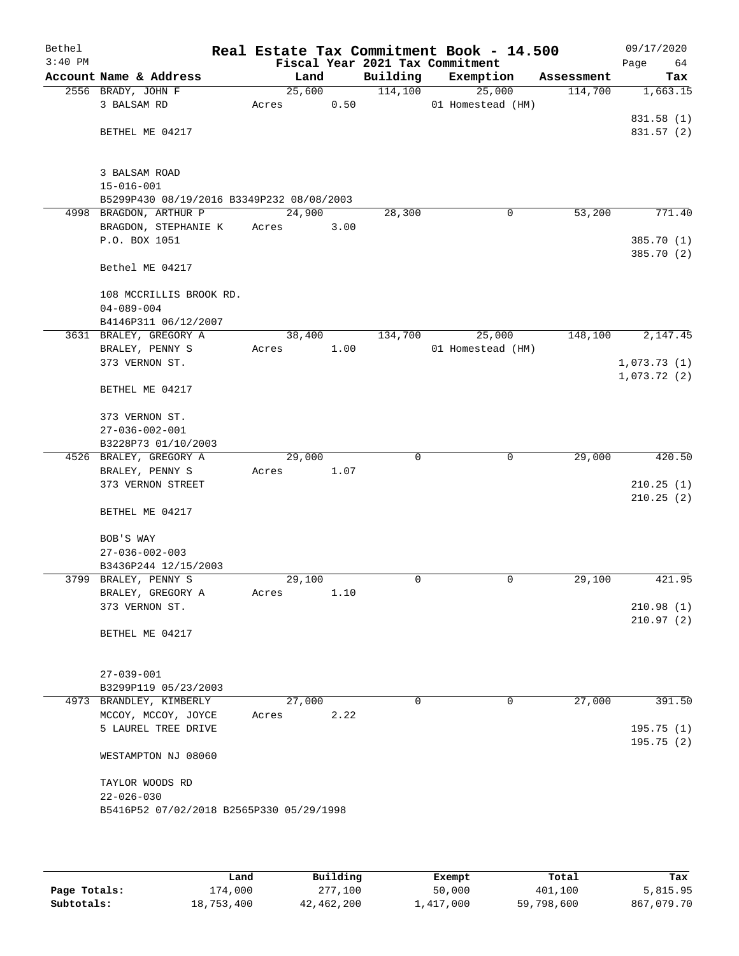| Bethel<br>$3:40$ PM |                                                |       |        |          | Real Estate Tax Commitment Book - 14.500<br>Fiscal Year 2021 Tax Commitment |            | 09/17/2020<br>Page<br>64   |
|---------------------|------------------------------------------------|-------|--------|----------|-----------------------------------------------------------------------------|------------|----------------------------|
|                     | Account Name & Address                         |       | Land   | Building | Exemption                                                                   | Assessment | Tax                        |
|                     | 2556 BRADY, JOHN F                             |       | 25,600 | 114,100  | 25,000                                                                      | 114,700    | 1,663.15                   |
|                     | 3 BALSAM RD                                    | Acres | 0.50   |          | 01 Homestead (HM)                                                           |            |                            |
|                     |                                                |       |        |          |                                                                             |            | 831.58 (1)                 |
|                     | BETHEL ME 04217                                |       |        |          |                                                                             |            | 831.57 (2)                 |
|                     |                                                |       |        |          |                                                                             |            |                            |
|                     |                                                |       |        |          |                                                                             |            |                            |
|                     | 3 BALSAM ROAD                                  |       |        |          |                                                                             |            |                            |
|                     | $15 - 016 - 001$                               |       |        |          |                                                                             |            |                            |
|                     | B5299P430 08/19/2016 B3349P232 08/08/2003      |       | 24,900 |          |                                                                             | 53,200     | 771.40                     |
|                     | 4998 BRAGDON, ARTHUR P<br>BRAGDON, STEPHANIE K | Acres | 3.00   | 28,300   | 0                                                                           |            |                            |
|                     | P.O. BOX 1051                                  |       |        |          |                                                                             |            | 385.70 (1)                 |
|                     |                                                |       |        |          |                                                                             |            | 385.70 (2)                 |
|                     | Bethel ME 04217                                |       |        |          |                                                                             |            |                            |
|                     |                                                |       |        |          |                                                                             |            |                            |
|                     | 108 MCCRILLIS BROOK RD.                        |       |        |          |                                                                             |            |                            |
|                     | $04 - 089 - 004$                               |       |        |          |                                                                             |            |                            |
|                     | B4146P311 06/12/2007                           |       |        |          |                                                                             |            |                            |
|                     | 3631 BRALEY, GREGORY A                         |       | 38,400 | 134,700  | 25,000                                                                      | 148,100    | 2,147.45                   |
|                     | BRALEY, PENNY S<br>373 VERNON ST.              | Acres | 1.00   |          | 01 Homestead (HM)                                                           |            |                            |
|                     |                                                |       |        |          |                                                                             |            | 1,073.73(1)<br>1,073.72(2) |
|                     | BETHEL ME 04217                                |       |        |          |                                                                             |            |                            |
|                     | 373 VERNON ST.                                 |       |        |          |                                                                             |            |                            |
|                     | $27 - 036 - 002 - 001$                         |       |        |          |                                                                             |            |                            |
|                     | B3228P73 01/10/2003                            |       |        |          |                                                                             |            |                            |
|                     | 4526 BRALEY, GREGORY A                         |       | 29,000 | $\Omega$ | $\mathbf 0$                                                                 | 29,000     | 420.50                     |
|                     | BRALEY, PENNY S                                | Acres | 1.07   |          |                                                                             |            |                            |
|                     | 373 VERNON STREET                              |       |        |          |                                                                             |            | 210.25(1)                  |
|                     |                                                |       |        |          |                                                                             |            | 210.25(2)                  |
|                     | BETHEL ME 04217                                |       |        |          |                                                                             |            |                            |
|                     | BOB'S WAY                                      |       |        |          |                                                                             |            |                            |
|                     | $27 - 036 - 002 - 003$                         |       |        |          |                                                                             |            |                            |
|                     | B3436P244 12/15/2003                           |       |        |          |                                                                             |            |                            |
|                     | 3799 BRALEY, PENNY S                           |       | 29,100 | 0        | 0                                                                           | 29,100     | 421.95                     |
|                     | BRALEY, GREGORY A                              | Acres | 1.10   |          |                                                                             |            |                            |
|                     | 373 VERNON ST.                                 |       |        |          |                                                                             |            | 210.98(1)                  |
|                     |                                                |       |        |          |                                                                             |            | 210.97(2)                  |
|                     | BETHEL ME 04217                                |       |        |          |                                                                             |            |                            |
|                     | $27 - 039 - 001$                               |       |        |          |                                                                             |            |                            |
|                     | B3299P119 05/23/2003                           |       |        |          |                                                                             |            |                            |
|                     | 4973 BRANDLEY, KIMBERLY                        |       | 27,000 | 0        | $\mathbf 0$                                                                 | 27,000     | 391.50                     |
|                     | MCCOY, MCCOY, JOYCE                            | Acres | 2.22   |          |                                                                             |            |                            |
|                     | 5 LAUREL TREE DRIVE                            |       |        |          |                                                                             |            | 195.75(1)                  |
|                     |                                                |       |        |          |                                                                             |            | 195.75(2)                  |
|                     | WESTAMPTON NJ 08060                            |       |        |          |                                                                             |            |                            |
|                     | TAYLOR WOODS RD                                |       |        |          |                                                                             |            |                            |
|                     | $22 - 026 - 030$                               |       |        |          |                                                                             |            |                            |
|                     | B5416P52 07/02/2018 B2565P330 05/29/1998       |       |        |          |                                                                             |            |                            |
|                     |                                                |       |        |          |                                                                             |            |                            |
|                     |                                                |       |        |          |                                                                             |            |                            |
|                     |                                                |       |        |          |                                                                             |            |                            |

|              | Land       | Building   | Exempt    | Total      | Tax        |
|--------------|------------|------------|-----------|------------|------------|
| Page Totals: | 174,000    | 277,100    | 50,000    | 401,100    | 5,815.95   |
| Subtotals:   | 18,753,400 | 42,462,200 | 1,417,000 | 59,798,600 | 867,079.70 |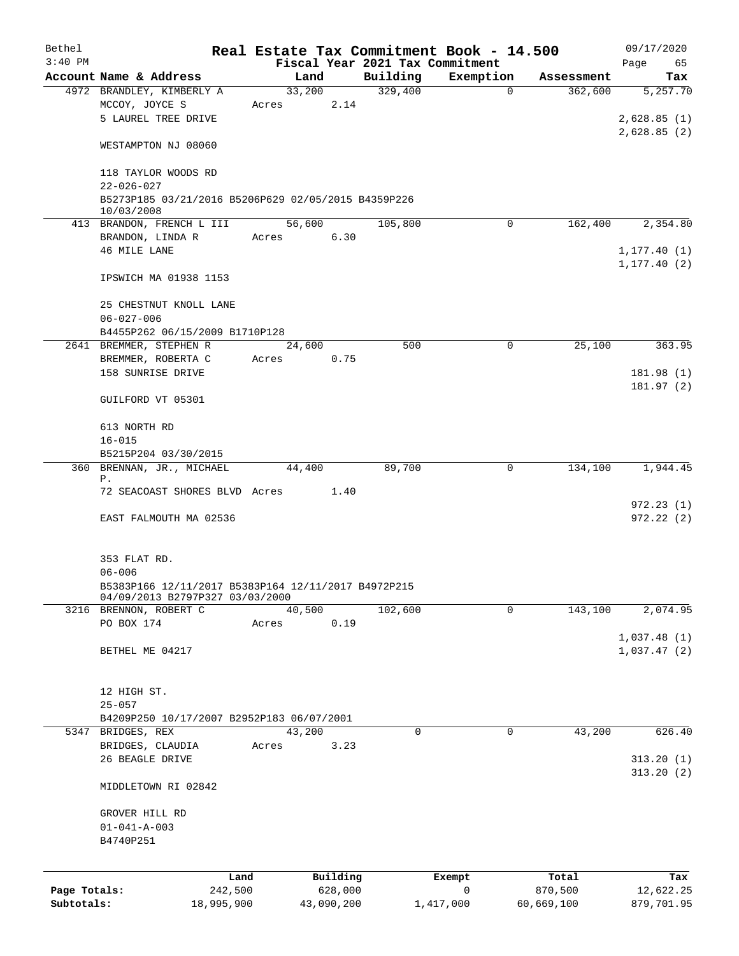| Bethel       |                                                           | Real Estate Tax Commitment Book - 14.500 |                                             |                       |                       | 09/17/2020             |
|--------------|-----------------------------------------------------------|------------------------------------------|---------------------------------------------|-----------------------|-----------------------|------------------------|
| $3:40$ PM    | Account Name & Address                                    | Land                                     | Fiscal Year 2021 Tax Commitment<br>Building | Exemption             |                       | Page<br>65             |
|              | 4972 BRANDLEY, KIMBERLY A                                 | 33,200                                   | 329,400                                     | 0                     | Assessment<br>362,600 | Tax<br>5,257.70        |
|              | MCCOY, JOYCE S                                            | 2.14<br>Acres                            |                                             |                       |                       |                        |
|              | 5 LAUREL TREE DRIVE                                       |                                          |                                             |                       |                       | 2,628.85(1)            |
|              |                                                           |                                          |                                             |                       |                       | 2,628.85(2)            |
|              | WESTAMPTON NJ 08060                                       |                                          |                                             |                       |                       |                        |
|              | 118 TAYLOR WOODS RD                                       |                                          |                                             |                       |                       |                        |
|              | $22 - 026 - 027$                                          |                                          |                                             |                       |                       |                        |
|              | B5273P185 03/21/2016 B5206P629 02/05/2015 B4359P226       |                                          |                                             |                       |                       |                        |
|              | 10/03/2008                                                |                                          |                                             | $\Omega$              |                       |                        |
|              | 413 BRANDON, FRENCH L III<br>BRANDON, LINDA R             | 56,600<br>6.30<br>Acres                  | 105,800                                     |                       | 162,400               | 2,354.80               |
|              | 46 MILE LANE                                              |                                          |                                             |                       |                       | 1, 177.40(1)           |
|              |                                                           |                                          |                                             |                       |                       | 1, 177.40(2)           |
|              | IPSWICH MA 01938 1153                                     |                                          |                                             |                       |                       |                        |
|              |                                                           |                                          |                                             |                       |                       |                        |
|              | 25 CHESTNUT KNOLL LANE<br>$06 - 027 - 006$                |                                          |                                             |                       |                       |                        |
|              | B4455P262 06/15/2009 B1710P128                            |                                          |                                             |                       |                       |                        |
|              | 2641 BREMMER, STEPHEN R                                   | 24,600                                   | 500                                         | 0                     | 25,100                | 363.95                 |
|              | BREMMER, ROBERTA C                                        | 0.75<br>Acres                            |                                             |                       |                       |                        |
|              | 158 SUNRISE DRIVE                                         |                                          |                                             |                       |                       | 181.98 (1)             |
|              |                                                           |                                          |                                             |                       |                       | 181.97(2)              |
|              | GUILFORD VT 05301                                         |                                          |                                             |                       |                       |                        |
|              | 613 NORTH RD                                              |                                          |                                             |                       |                       |                        |
|              | $16 - 015$                                                |                                          |                                             |                       |                       |                        |
|              | B5215P204 03/30/2015                                      |                                          |                                             |                       |                       |                        |
|              | 360 BRENNAN, JR., MICHAEL<br>Ρ.                           | 44,400                                   | 89,700                                      | 0                     | 134,100               | 1,944.45               |
|              | 72 SEACOAST SHORES BLVD Acres 1.40                        |                                          |                                             |                       |                       |                        |
|              |                                                           |                                          |                                             |                       |                       | 972.23(1)              |
|              | EAST FALMOUTH MA 02536                                    |                                          |                                             |                       |                       | 972.22(2)              |
|              |                                                           |                                          |                                             |                       |                       |                        |
|              | 353 FLAT RD.                                              |                                          |                                             |                       |                       |                        |
|              | $06 - 006$                                                |                                          |                                             |                       |                       |                        |
|              | B5383P166 12/11/2017 B5383P164 12/11/2017 B4972P215       |                                          |                                             |                       |                       |                        |
|              | 04/09/2013 B2797P327 03/03/2000<br>3216 BRENNON, ROBERT C | 40,500                                   | 102,600                                     | 0                     | 143,100               | 2,074.95               |
|              | PO BOX 174                                                | 0.19<br>Acres                            |                                             |                       |                       |                        |
|              |                                                           |                                          |                                             |                       |                       | 1,037.48(1)            |
|              | BETHEL ME 04217                                           |                                          |                                             |                       |                       | 1,037.47(2)            |
|              |                                                           |                                          |                                             |                       |                       |                        |
|              | 12 HIGH ST.                                               |                                          |                                             |                       |                       |                        |
|              | $25 - 057$                                                |                                          |                                             |                       |                       |                        |
|              | B4209P250 10/17/2007 B2952P183 06/07/2001                 |                                          |                                             |                       |                       |                        |
|              | 5347 BRIDGES, REX                                         | 43,200                                   | 0                                           | 0                     | 43,200                | 626.40                 |
|              | BRIDGES, CLAUDIA                                          | 3.23<br>Acres                            |                                             |                       |                       |                        |
|              | 26 BEAGLE DRIVE                                           |                                          |                                             |                       |                       | 313.20(1)<br>313.20(2) |
|              | MIDDLETOWN RI 02842                                       |                                          |                                             |                       |                       |                        |
|              |                                                           |                                          |                                             |                       |                       |                        |
|              | GROVER HILL RD                                            |                                          |                                             |                       |                       |                        |
|              | $01 - 041 - A - 003$                                      |                                          |                                             |                       |                       |                        |
|              | B4740P251                                                 |                                          |                                             |                       |                       |                        |
|              |                                                           |                                          |                                             |                       |                       |                        |
| Page Totals: | Land<br>242,500                                           | Building<br>628,000                      |                                             | Exempt<br>$\mathbf 0$ | Total<br>870,500      | Tax<br>12,622.25       |
| Subtotals:   | 18,995,900                                                | 43,090,200                               |                                             | 1,417,000             | 60,669,100            | 879,701.95             |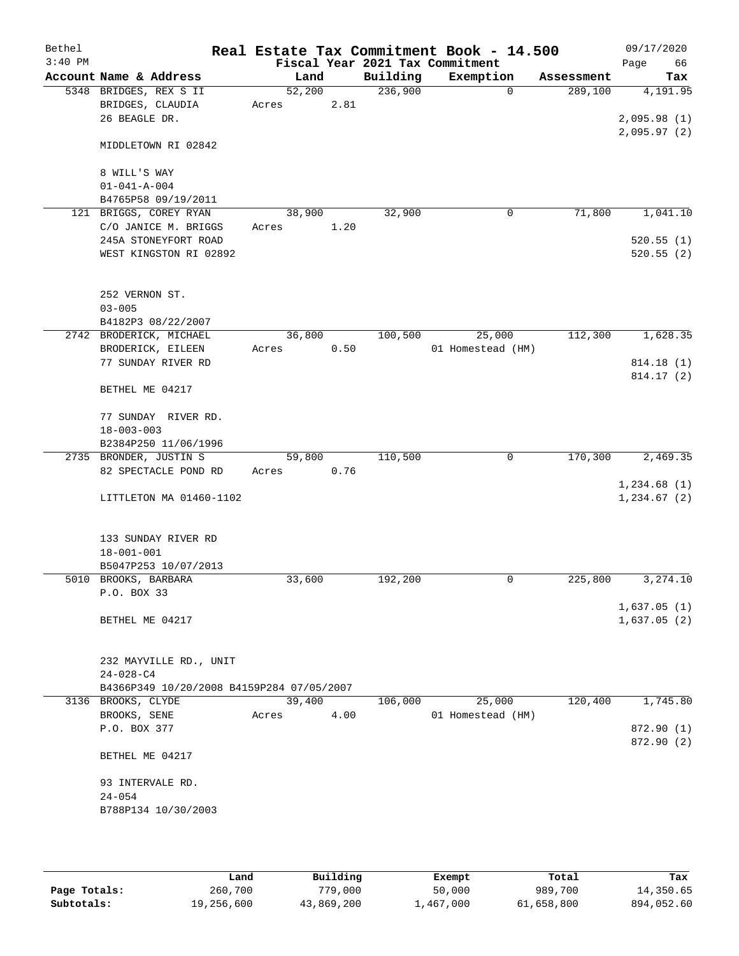| Bethel<br>$3:40$ PM |                                           |        |      |          | Real Estate Tax Commitment Book - 14.500<br>Fiscal Year 2021 Tax Commitment |            | 09/17/2020<br>Page<br>66 |
|---------------------|-------------------------------------------|--------|------|----------|-----------------------------------------------------------------------------|------------|--------------------------|
|                     | Account Name & Address                    | Land   |      | Building | Exemption                                                                   | Assessment | Tax                      |
|                     | 5348 BRIDGES, REX S II                    | 52,200 |      | 236,900  | $\Omega$                                                                    | 289,100    | 4,191.95                 |
|                     | BRIDGES, CLAUDIA                          | Acres  | 2.81 |          |                                                                             |            |                          |
|                     | 26 BEAGLE DR.                             |        |      |          |                                                                             |            | 2,095.98(1)              |
|                     |                                           |        |      |          |                                                                             |            | 2,095.97(2)              |
|                     | MIDDLETOWN RI 02842                       |        |      |          |                                                                             |            |                          |
|                     |                                           |        |      |          |                                                                             |            |                          |
|                     | 8 WILL'S WAY                              |        |      |          |                                                                             |            |                          |
|                     | $01 - 041 - A - 004$                      |        |      |          |                                                                             |            |                          |
|                     | B4765P58 09/19/2011                       |        |      |          |                                                                             |            |                          |
|                     | 121 BRIGGS, COREY RYAN                    | 38,900 |      | 32,900   | 0                                                                           | 71,800     | 1,041.10                 |
|                     | C/O JANICE M. BRIGGS                      | Acres  | 1.20 |          |                                                                             |            |                          |
|                     | 245A STONEYFORT ROAD                      |        |      |          |                                                                             |            | 520.55(1)                |
|                     | WEST KINGSTON RI 02892                    |        |      |          |                                                                             |            | 520.55(2)                |
|                     |                                           |        |      |          |                                                                             |            |                          |
|                     | 252 VERNON ST.                            |        |      |          |                                                                             |            |                          |
|                     | $03 - 005$                                |        |      |          |                                                                             |            |                          |
|                     | B4182P3 08/22/2007                        |        |      |          |                                                                             |            |                          |
|                     | 2742 BRODERICK, MICHAEL                   | 36,800 |      | 100,500  | 25,000                                                                      | 112,300    | 1,628.35                 |
|                     | BRODERICK, EILEEN                         | Acres  | 0.50 |          | 01 Homestead (HM)                                                           |            |                          |
|                     | 77 SUNDAY RIVER RD                        |        |      |          |                                                                             |            | 814.18 (1)               |
|                     |                                           |        |      |          |                                                                             |            | 814.17 (2)               |
|                     | BETHEL ME 04217                           |        |      |          |                                                                             |            |                          |
|                     |                                           |        |      |          |                                                                             |            |                          |
|                     | 77 SUNDAY RIVER RD.<br>$18 - 003 - 003$   |        |      |          |                                                                             |            |                          |
|                     | B2384P250 11/06/1996                      |        |      |          |                                                                             |            |                          |
|                     | 2735 BRONDER, JUSTIN S                    | 59,800 |      | 110,500  | 0                                                                           | 170,300    | 2,469.35                 |
|                     | 82 SPECTACLE POND RD                      | Acres  | 0.76 |          |                                                                             |            |                          |
|                     |                                           |        |      |          |                                                                             |            | 1,234.68(1)              |
|                     | LITTLETON MA 01460-1102                   |        |      |          |                                                                             |            | 1,234.67(2)              |
|                     |                                           |        |      |          |                                                                             |            |                          |
|                     |                                           |        |      |          |                                                                             |            |                          |
|                     | 133 SUNDAY RIVER RD                       |        |      |          |                                                                             |            |                          |
|                     | $18 - 001 - 001$                          |        |      |          |                                                                             |            |                          |
|                     | B5047P253 10/07/2013                      |        |      |          |                                                                             |            |                          |
|                     | 5010 BROOKS, BARBARA                      | 33,600 |      | 192,200  | 0                                                                           | 225,800    | 3,274.10                 |
|                     | P.O. BOX 33                               |        |      |          |                                                                             |            |                          |
|                     |                                           |        |      |          |                                                                             |            | 1,637.05(1)              |
|                     | BETHEL ME 04217                           |        |      |          |                                                                             |            | 1,637.05(2)              |
|                     |                                           |        |      |          |                                                                             |            |                          |
|                     | 232 MAYVILLE RD., UNIT                    |        |      |          |                                                                             |            |                          |
|                     | $24 - 028 - C4$                           |        |      |          |                                                                             |            |                          |
|                     | B4366P349 10/20/2008 B4159P284 07/05/2007 |        |      |          |                                                                             |            |                          |
|                     | 3136 BROOKS, CLYDE                        | 39,400 |      | 106,000  | 25,000                                                                      | 120,400    | 1,745.80                 |
|                     | BROOKS, SENE                              | Acres  | 4.00 |          | 01 Homestead (HM)                                                           |            |                          |
|                     | P.O. BOX 377                              |        |      |          |                                                                             |            | 872.90 (1)               |
|                     |                                           |        |      |          |                                                                             |            | 872.90 (2)               |
|                     | BETHEL ME 04217                           |        |      |          |                                                                             |            |                          |
|                     | 93 INTERVALE RD.                          |        |      |          |                                                                             |            |                          |
|                     | $24 - 054$                                |        |      |          |                                                                             |            |                          |
|                     | B788P134 10/30/2003                       |        |      |          |                                                                             |            |                          |
|                     |                                           |        |      |          |                                                                             |            |                          |
|                     |                                           |        |      |          |                                                                             |            |                          |

|              | Land       | Building   | Exempt    | Total      | Tax        |
|--------------|------------|------------|-----------|------------|------------|
| Page Totals: | 260,700    | 779,000    | 50,000    | 989,700    | 14,350.65  |
| Subtotals:   | 19,256,600 | 43,869,200 | ⊥,467,000 | 61,658,800 | 894,052.60 |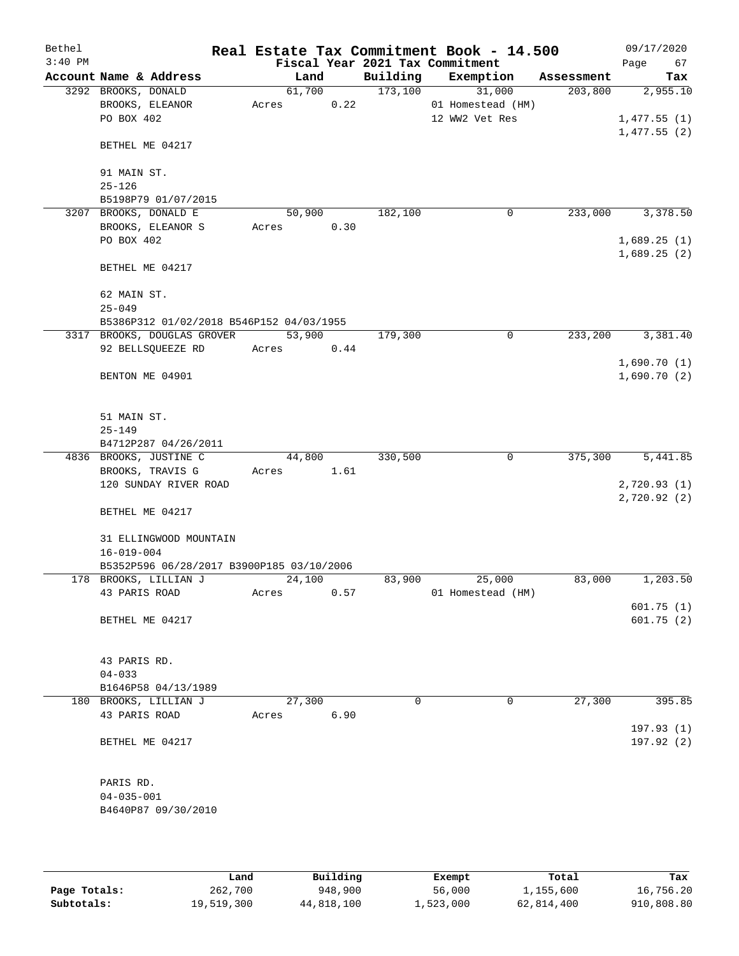| Bethel    |                                                                         |        |      |          | Real Estate Tax Commitment Book - 14.500 |            | 09/17/2020              |
|-----------|-------------------------------------------------------------------------|--------|------|----------|------------------------------------------|------------|-------------------------|
| $3:40$ PM |                                                                         |        |      |          | Fiscal Year 2021 Tax Commitment          |            | 67<br>Page              |
|           | Account Name & Address                                                  | Land   |      | Building | Exemption                                | Assessment | Tax                     |
|           | 3292 BROOKS, DONALD                                                     | 61,700 |      | 173,100  | 31,000                                   | 203,800    | 2,955.10                |
|           | BROOKS, ELEANOR                                                         | Acres  | 0.22 |          | 01 Homestead (HM)                        |            |                         |
|           | PO BOX 402                                                              |        |      |          | 12 WW2 Vet Res                           |            | 1,477.55(1)             |
|           | BETHEL ME 04217                                                         |        |      |          |                                          |            | 1,477.55(2)             |
|           | 91 MAIN ST.                                                             |        |      |          |                                          |            |                         |
|           | $25 - 126$                                                              |        |      |          |                                          |            |                         |
|           | B5198P79 01/07/2015                                                     |        |      |          |                                          |            |                         |
|           | 3207 BROOKS, DONALD E                                                   | 50,900 |      | 182,100  | 0                                        | 233,000    | 3,378.50                |
|           | BROOKS, ELEANOR S                                                       | Acres  | 0.30 |          |                                          |            |                         |
|           | PO BOX 402                                                              |        |      |          |                                          |            | 1,689.25(1)             |
|           |                                                                         |        |      |          |                                          |            | 1,689.25(2)             |
|           | BETHEL ME 04217                                                         |        |      |          |                                          |            |                         |
|           | 62 MAIN ST.                                                             |        |      |          |                                          |            |                         |
|           | $25 - 049$                                                              |        |      |          |                                          |            |                         |
|           | B5386P312 01/02/2018 B546P152 04/03/1955<br>3317 BROOKS, DOUGLAS GROVER | 53,900 |      | 179,300  | 0                                        | 233,200    | 3,381.40                |
|           | 92 BELLSQUEEZE RD                                                       | Acres  | 0.44 |          |                                          |            |                         |
|           |                                                                         |        |      |          |                                          |            | 1,690.70(1)             |
|           | BENTON ME 04901                                                         |        |      |          |                                          |            | 1,690.70(2)             |
|           |                                                                         |        |      |          |                                          |            |                         |
|           | 51 MAIN ST.                                                             |        |      |          |                                          |            |                         |
|           | $25 - 149$                                                              |        |      |          |                                          |            |                         |
|           | B4712P287 04/26/2011                                                    |        |      |          |                                          |            |                         |
|           | 4836 BROOKS, JUSTINE C                                                  | 44,800 |      | 330,500  | 0                                        | 375,300    | 5,441.85                |
|           | BROOKS, TRAVIS G                                                        | Acres  | 1.61 |          |                                          |            |                         |
|           | 120 SUNDAY RIVER ROAD                                                   |        |      |          |                                          |            | 2,720.93 (1)            |
|           | BETHEL ME 04217                                                         |        |      |          |                                          |            | 2,720.92(2)             |
|           | 31 ELLINGWOOD MOUNTAIN                                                  |        |      |          |                                          |            |                         |
|           | $16 - 019 - 004$                                                        |        |      |          |                                          |            |                         |
|           | B5352P596 06/28/2017 B3900P185 03/10/2006                               |        |      |          |                                          |            |                         |
|           | 178 BROOKS, LILLIAN J                                                   | 24,100 |      | 83,900   | 25,000                                   | 83,000     | 1,203.50                |
|           | 43 PARIS ROAD                                                           | Acres  | 0.57 |          | 01 Homestead (HM)                        |            |                         |
|           |                                                                         |        |      |          |                                          |            | 601.75(1)               |
|           | BETHEL ME 04217                                                         |        |      |          |                                          |            | 601.75(2)               |
|           | 43 PARIS RD.                                                            |        |      |          |                                          |            |                         |
|           | $04 - 033$                                                              |        |      |          |                                          |            |                         |
|           | B1646P58 04/13/1989                                                     |        |      |          |                                          |            |                         |
|           | 180 BROOKS, LILLIAN J                                                   | 27,300 |      | 0        | 0                                        | 27,300     | 395.85                  |
|           | 43 PARIS ROAD                                                           | Acres  | 6.90 |          |                                          |            |                         |
|           | BETHEL ME 04217                                                         |        |      |          |                                          |            | 197.93(1)<br>197.92 (2) |
|           |                                                                         |        |      |          |                                          |            |                         |
|           | PARIS RD.                                                               |        |      |          |                                          |            |                         |
|           | $04 - 035 - 001$                                                        |        |      |          |                                          |            |                         |
|           | B4640P87 09/30/2010                                                     |        |      |          |                                          |            |                         |
|           |                                                                         |        |      |          |                                          |            |                         |
|           |                                                                         |        |      |          |                                          |            |                         |

|              | Land       | Building   | Exempt    | Total      | Tax        |
|--------------|------------|------------|-----------|------------|------------|
| Page Totals: | 262,700    | 948,900    | 56,000    | 1,155,600  | 16,756.20  |
| Subtotals:   | 19,519,300 | 44,818,100 | 1,523,000 | 62,814,400 | 910,808.80 |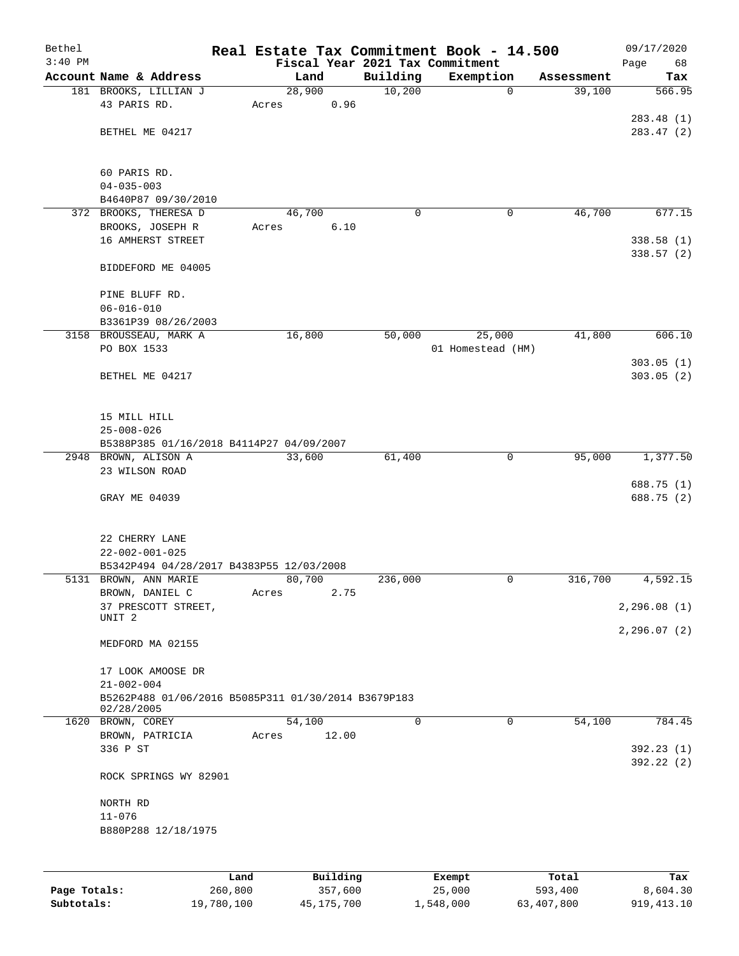| Bethel       |                                                                   |       |          |          | Real Estate Tax Commitment Book - 14.500 |            | 09/17/2020              |
|--------------|-------------------------------------------------------------------|-------|----------|----------|------------------------------------------|------------|-------------------------|
| $3:40$ PM    |                                                                   |       |          |          | Fiscal Year 2021 Tax Commitment          |            | Page<br>68              |
|              | Account Name & Address                                            |       | Land     | Building | Exemption                                | Assessment | Tax                     |
|              | 181 BROOKS, LILLIAN J                                             |       | 28,900   | 10,200   | $\mathbf 0$                              | 39,100     | 566.95                  |
|              | 43 PARIS RD.                                                      | Acres | 0.96     |          |                                          |            |                         |
|              |                                                                   |       |          |          |                                          |            | 283.48(1)               |
|              | BETHEL ME 04217                                                   |       |          |          |                                          |            | 283.47 (2)              |
|              |                                                                   |       |          |          |                                          |            |                         |
|              | 60 PARIS RD.                                                      |       |          |          |                                          |            |                         |
|              | $04 - 035 - 003$                                                  |       |          |          |                                          |            |                         |
|              | B4640P87 09/30/2010                                               |       |          |          |                                          |            |                         |
|              | 372 BROOKS, THERESA D                                             |       | 46,700   | 0        | 0                                        | 46,700     | 677.15                  |
|              | BROOKS, JOSEPH R                                                  | Acres | 6.10     |          |                                          |            |                         |
|              | 16 AMHERST STREET                                                 |       |          |          |                                          |            | 338.58(1)               |
|              |                                                                   |       |          |          |                                          |            | 338.57(2)               |
|              | BIDDEFORD ME 04005                                                |       |          |          |                                          |            |                         |
|              |                                                                   |       |          |          |                                          |            |                         |
|              | PINE BLUFF RD.                                                    |       |          |          |                                          |            |                         |
|              | $06 - 016 - 010$                                                  |       |          |          |                                          |            |                         |
|              | B3361P39 08/26/2003                                               |       |          |          |                                          |            |                         |
|              | 3158 BROUSSEAU, MARK A                                            |       | 16,800   | 50,000   | 25,000                                   | 41,800     | 606.10                  |
|              | PO BOX 1533                                                       |       |          |          | 01 Homestead (HM)                        |            |                         |
|              |                                                                   |       |          |          |                                          |            | 303.05(1)               |
|              | BETHEL ME 04217                                                   |       |          |          |                                          |            | 303.05(2)               |
|              |                                                                   |       |          |          |                                          |            |                         |
|              |                                                                   |       |          |          |                                          |            |                         |
|              | 15 MILL HILL                                                      |       |          |          |                                          |            |                         |
|              | $25 - 008 - 026$                                                  |       |          |          |                                          |            |                         |
|              | B5388P385 01/16/2018 B4114P27 04/09/2007                          |       |          |          |                                          |            |                         |
|              | 2948 BROWN, ALISON A                                              |       | 33,600   | 61,400   | 0                                        | 95,000     | 1,377.50                |
|              | 23 WILSON ROAD                                                    |       |          |          |                                          |            |                         |
|              |                                                                   |       |          |          |                                          |            | 688.75 (1)              |
|              | GRAY ME 04039                                                     |       |          |          |                                          |            | 688.75 (2)              |
|              |                                                                   |       |          |          |                                          |            |                         |
|              |                                                                   |       |          |          |                                          |            |                         |
|              | 22 CHERRY LANE                                                    |       |          |          |                                          |            |                         |
|              | $22 - 002 - 001 - 025$                                            |       |          |          |                                          |            |                         |
|              | B5342P494 04/28/2017 B4383P55 12/03/2008<br>5131 BROWN, ANN MARIE |       | 80,700   | 236,000  | 0                                        | 316,700    | 4,592.15                |
|              | BROWN, DANIEL C                                                   |       | 2.75     |          |                                          |            |                         |
|              | 37 PRESCOTT STREET,                                               | Acres |          |          |                                          |            | 2, 296.08(1)            |
|              | UNIT <sub>2</sub>                                                 |       |          |          |                                          |            |                         |
|              |                                                                   |       |          |          |                                          |            | 2, 296.07(2)            |
|              | MEDFORD MA 02155                                                  |       |          |          |                                          |            |                         |
|              |                                                                   |       |          |          |                                          |            |                         |
|              | 17 LOOK AMOOSE DR                                                 |       |          |          |                                          |            |                         |
|              | $21 - 002 - 004$                                                  |       |          |          |                                          |            |                         |
|              | B5262P488 01/06/2016 B5085P311 01/30/2014 B3679P183               |       |          |          |                                          |            |                         |
|              | 02/28/2005                                                        |       |          |          |                                          |            |                         |
|              | 1620 BROWN, COREY                                                 |       | 54,100   | 0        | $\mathbf 0$                              | 54,100     | 784.45                  |
|              | BROWN, PATRICIA                                                   | Acres | 12.00    |          |                                          |            |                         |
|              | 336 P ST                                                          |       |          |          |                                          |            | 392.23(1)<br>392.22 (2) |
|              | ROCK SPRINGS WY 82901                                             |       |          |          |                                          |            |                         |
|              |                                                                   |       |          |          |                                          |            |                         |
|              | NORTH RD                                                          |       |          |          |                                          |            |                         |
|              | $11 - 076$                                                        |       |          |          |                                          |            |                         |
|              | B880P288 12/18/1975                                               |       |          |          |                                          |            |                         |
|              |                                                                   |       |          |          |                                          |            |                         |
|              |                                                                   |       |          |          |                                          |            |                         |
|              |                                                                   |       |          |          |                                          |            |                         |
|              | Land                                                              |       | Building |          | Exempt                                   | Total      | Tax                     |
| Page Totals: | 260,800                                                           |       | 357,600  |          | 25,000                                   | 593,400    | 8,604.30                |

**Subtotals:** 19,780,100 45,175,700 1,548,000 63,407,800 919,413.10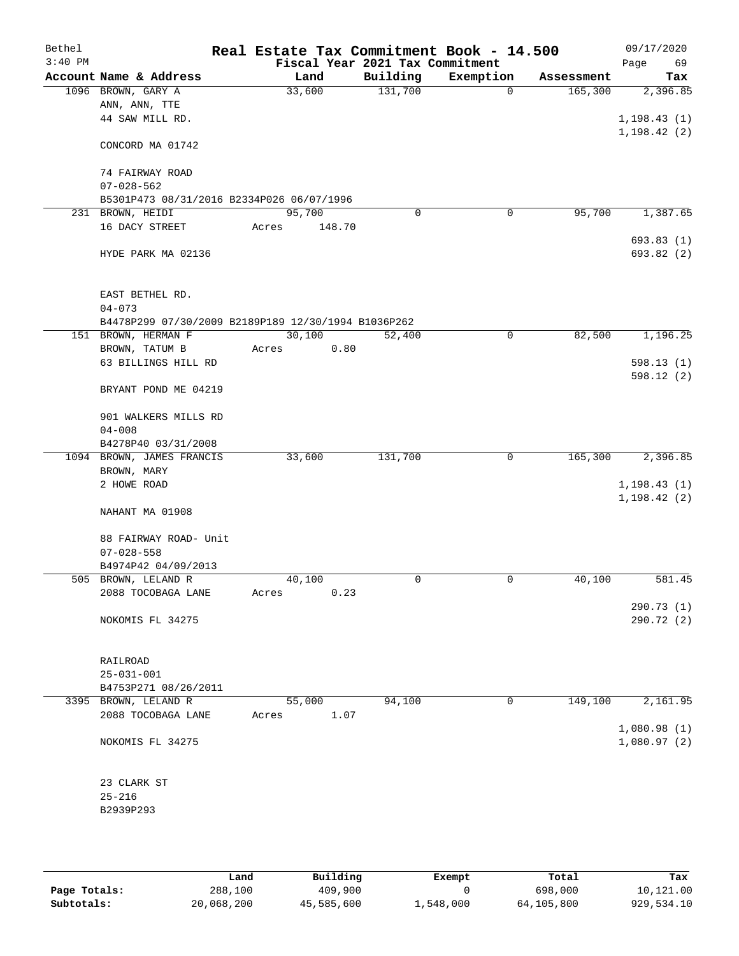| Bethel<br>$3:40$ PM |                                                     | Real Estate Tax Commitment Book - 14.500<br>Fiscal Year 2021 Tax Commitment |          |             |            | 09/17/2020<br>69<br>Page |
|---------------------|-----------------------------------------------------|-----------------------------------------------------------------------------|----------|-------------|------------|--------------------------|
|                     | Account Name & Address                              | Land                                                                        | Building | Exemption   | Assessment | Tax                      |
|                     | 1096 BROWN, GARY A                                  | 33,600                                                                      | 131,700  | $\mathbf 0$ | 165,300    | 2,396.85                 |
|                     | ANN, ANN, TTE                                       |                                                                             |          |             |            |                          |
|                     | 44 SAW MILL RD.                                     |                                                                             |          |             |            | 1, 198.43(1)             |
|                     | CONCORD MA 01742                                    |                                                                             |          |             |            | 1, 198.42(2)             |
|                     | 74 FAIRWAY ROAD                                     |                                                                             |          |             |            |                          |
|                     | $07 - 028 - 562$                                    |                                                                             |          |             |            |                          |
|                     | B5301P473 08/31/2016 B2334P026 06/07/1996           |                                                                             |          |             |            |                          |
|                     | 231 BROWN, HEIDI                                    | 95,700                                                                      | 0        | 0           | 95,700     | 1,387.65                 |
|                     | 16 DACY STREET                                      | Acres<br>148.70                                                             |          |             |            | 693.83(1)                |
|                     | HYDE PARK MA 02136                                  |                                                                             |          |             |            | 693.82 (2)               |
|                     | EAST BETHEL RD.                                     |                                                                             |          |             |            |                          |
|                     | $04 - 073$                                          |                                                                             |          |             |            |                          |
|                     | B4478P299 07/30/2009 B2189P189 12/30/1994 B1036P262 |                                                                             |          |             |            |                          |
|                     | 151 BROWN, HERMAN F                                 | 30,100                                                                      | 52,400   | $\mathbf 0$ | 82,500     | 1,196.25                 |
|                     | BROWN, TATUM B<br>63 BILLINGS HILL RD               | Acres<br>0.80                                                               |          |             |            | 598.13(1)                |
|                     |                                                     |                                                                             |          |             |            | 598.12(2)                |
|                     | BRYANT POND ME 04219                                |                                                                             |          |             |            |                          |
|                     | 901 WALKERS MILLS RD                                |                                                                             |          |             |            |                          |
|                     | $04 - 008$                                          |                                                                             |          |             |            |                          |
|                     | B4278P40 03/31/2008                                 |                                                                             |          |             |            |                          |
|                     | 1094 BROWN, JAMES FRANCIS<br>BROWN, MARY            | 33,600                                                                      | 131,700  | $\mathbf 0$ | 165,300    | 2,396.85                 |
|                     | 2 HOWE ROAD                                         |                                                                             |          |             |            | 1, 198.43(1)             |
|                     |                                                     |                                                                             |          |             |            | 1, 198.42(2)             |
|                     | NAHANT MA 01908                                     |                                                                             |          |             |            |                          |
|                     | 88 FAIRWAY ROAD- Unit                               |                                                                             |          |             |            |                          |
|                     | $07 - 028 - 558$                                    |                                                                             |          |             |            |                          |
|                     | B4974P42 04/09/2013                                 |                                                                             |          |             |            |                          |
|                     | 505 BROWN, LELAND R                                 | 40,100                                                                      | 0        | 0           | 40,100     | 581.45                   |
|                     | 2088 TOCOBAGA LANE                                  | 0.23<br>Acres                                                               |          |             |            |                          |
|                     |                                                     |                                                                             |          |             |            | 290.73(1)                |
|                     | NOKOMIS FL 34275                                    |                                                                             |          |             |            | 290.72 (2)               |
|                     | RAILROAD                                            |                                                                             |          |             |            |                          |
|                     | $25 - 031 - 001$                                    |                                                                             |          |             |            |                          |
|                     | B4753P271 08/26/2011                                |                                                                             |          |             |            |                          |
|                     | 3395 BROWN, LELAND R                                | 55,000                                                                      | 94,100   | $\mathbf 0$ | 149,100    | 2,161.95                 |
|                     | 2088 TOCOBAGA LANE                                  | 1.07<br>Acres                                                               |          |             |            |                          |
|                     |                                                     |                                                                             |          |             |            | 1,080.98(1)              |
|                     | NOKOMIS FL 34275                                    |                                                                             |          |             |            | 1,080.97(2)              |
|                     | 23 CLARK ST                                         |                                                                             |          |             |            |                          |
|                     | $25 - 216$                                          |                                                                             |          |             |            |                          |
|                     | B2939P293                                           |                                                                             |          |             |            |                          |
|                     |                                                     |                                                                             |          |             |            |                          |

|              | Land       | Building   | Exempt    | Total      | Tax        |
|--------------|------------|------------|-----------|------------|------------|
| Page Totals: | 288,100    | 409,900    |           | 698,000    | 10,121.00  |
| Subtotals:   | 20,068,200 | 45,585,600 | 1,548,000 | 64,105,800 | 929,534.10 |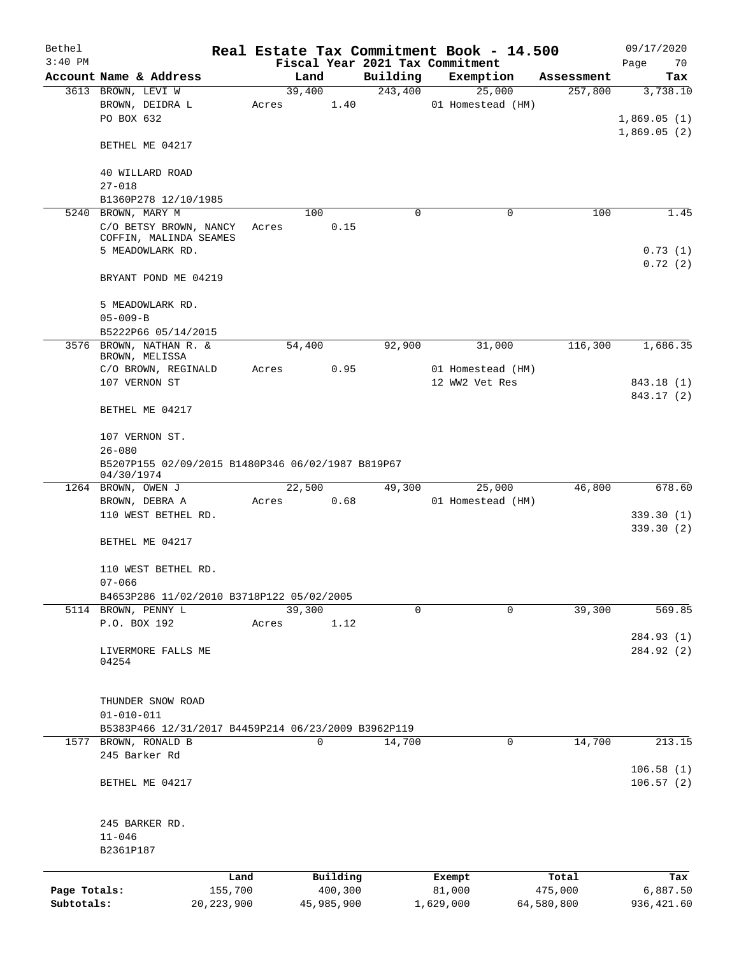| Bethel<br>$3:40$ PM |                                                     |              |       |          |            | Fiscal Year 2021 Tax Commitment | Real Estate Tax Commitment Book - 14.500 |            | 09/17/2020        |
|---------------------|-----------------------------------------------------|--------------|-------|----------|------------|---------------------------------|------------------------------------------|------------|-------------------|
|                     | Account Name & Address                              |              |       | Land     |            | Building                        | Exemption                                | Assessment | Page<br>70<br>Tax |
|                     | 3613 BROWN, LEVI W                                  |              |       | 39,400   |            | 243,400                         | 25,000                                   | 257,800    | 3,738.10          |
|                     | BROWN, DEIDRA L                                     |              | Acres |          | 1.40       |                                 | 01 Homestead (HM)                        |            |                   |
|                     | PO BOX 632                                          |              |       |          |            |                                 |                                          |            | 1,869.05(1)       |
|                     |                                                     |              |       |          |            |                                 |                                          |            | 1,869.05(2)       |
|                     | BETHEL ME 04217                                     |              |       |          |            |                                 |                                          |            |                   |
|                     |                                                     |              |       |          |            |                                 |                                          |            |                   |
|                     | 40 WILLARD ROAD                                     |              |       |          |            |                                 |                                          |            |                   |
|                     | $27 - 018$                                          |              |       |          |            |                                 |                                          |            |                   |
|                     | B1360P278 12/10/1985                                |              |       |          |            |                                 |                                          |            |                   |
|                     | 5240 BROWN, MARY M                                  |              |       | 100      |            | 0                               | 0                                        | 100        | 1.45              |
|                     | C/O BETSY BROWN, NANCY                              |              | Acres |          | 0.15       |                                 |                                          |            |                   |
|                     | COFFIN, MALINDA SEAMES                              |              |       |          |            |                                 |                                          |            |                   |
|                     | 5 MEADOWLARK RD.                                    |              |       |          |            |                                 |                                          |            | 0.73(1)           |
|                     |                                                     |              |       |          |            |                                 |                                          |            | 0.72(2)           |
|                     | BRYANT POND ME 04219                                |              |       |          |            |                                 |                                          |            |                   |
|                     |                                                     |              |       |          |            |                                 |                                          |            |                   |
|                     | 5 MEADOWLARK RD.                                    |              |       |          |            |                                 |                                          |            |                   |
|                     | $05 - 009 - B$                                      |              |       |          |            |                                 |                                          |            |                   |
|                     | B5222P66 05/14/2015                                 |              |       |          |            |                                 |                                          |            |                   |
|                     | 3576 BROWN, NATHAN R. &                             |              |       | 54,400   |            | 92,900                          | 31,000                                   | 116,300    | 1,686.35          |
|                     | BROWN, MELISSA                                      |              |       |          |            |                                 |                                          |            |                   |
|                     | C/O BROWN, REGINALD                                 |              | Acres |          | 0.95       |                                 | 01 Homestead (HM)                        |            |                   |
|                     | 107 VERNON ST                                       |              |       |          |            |                                 | 12 WW2 Vet Res                           |            | 843.18 (1)        |
|                     |                                                     |              |       |          |            |                                 |                                          |            | 843.17 (2)        |
|                     | BETHEL ME 04217                                     |              |       |          |            |                                 |                                          |            |                   |
|                     | 107 VERNON ST.                                      |              |       |          |            |                                 |                                          |            |                   |
|                     | $26 - 080$                                          |              |       |          |            |                                 |                                          |            |                   |
|                     | B5207P155 02/09/2015 B1480P346 06/02/1987 B819P67   |              |       |          |            |                                 |                                          |            |                   |
|                     | 04/30/1974                                          |              |       |          |            |                                 |                                          |            |                   |
|                     | 1264 BROWN, OWEN J                                  |              |       | 22,500   |            | 49,300                          | 25,000                                   | 46,800     | 678.60            |
|                     | BROWN, DEBRA A                                      |              | Acres |          | 0.68       |                                 | 01 Homestead (HM)                        |            |                   |
|                     | 110 WEST BETHEL RD.                                 |              |       |          |            |                                 |                                          |            | 339.30(1)         |
|                     |                                                     |              |       |          |            |                                 |                                          |            | 339.30(2)         |
|                     | BETHEL ME 04217                                     |              |       |          |            |                                 |                                          |            |                   |
|                     |                                                     |              |       |          |            |                                 |                                          |            |                   |
|                     | 110 WEST BETHEL RD.                                 |              |       |          |            |                                 |                                          |            |                   |
|                     | $07 - 066$                                          |              |       |          |            |                                 |                                          |            |                   |
|                     | B4653P286 11/02/2010 B3718P122 05/02/2005           |              |       |          |            |                                 |                                          |            |                   |
|                     | 5114 BROWN, PENNY L                                 |              |       | 39,300   |            | $\mathbf 0$                     | $\Omega$                                 | 39,300     | 569.85            |
|                     | P.O. BOX 192                                        |              | Acres |          | 1.12       |                                 |                                          |            |                   |
|                     |                                                     |              |       |          |            |                                 |                                          |            | 284.93(1)         |
|                     | LIVERMORE FALLS ME                                  |              |       |          |            |                                 |                                          |            | 284.92 (2)        |
|                     | 04254                                               |              |       |          |            |                                 |                                          |            |                   |
|                     |                                                     |              |       |          |            |                                 |                                          |            |                   |
|                     | THUNDER SNOW ROAD                                   |              |       |          |            |                                 |                                          |            |                   |
|                     | $01 - 010 - 011$                                    |              |       |          |            |                                 |                                          |            |                   |
|                     | B5383P466 12/31/2017 B4459P214 06/23/2009 B3962P119 |              |       |          |            |                                 |                                          |            |                   |
|                     | 1577 BROWN, RONALD B                                |              |       | $\Omega$ |            | 14,700                          | $\mathbf 0$                              | 14,700     | 213.15            |
|                     | 245 Barker Rd                                       |              |       |          |            |                                 |                                          |            |                   |
|                     |                                                     |              |       |          |            |                                 |                                          |            | 106.58(1)         |
|                     | BETHEL ME 04217                                     |              |       |          |            |                                 |                                          |            | 106.57(2)         |
|                     |                                                     |              |       |          |            |                                 |                                          |            |                   |
|                     |                                                     |              |       |          |            |                                 |                                          |            |                   |
|                     | 245 BARKER RD.                                      |              |       |          |            |                                 |                                          |            |                   |
|                     | $11 - 046$                                          |              |       |          |            |                                 |                                          |            |                   |
|                     | B2361P187                                           |              |       |          |            |                                 |                                          |            |                   |
|                     |                                                     |              |       |          |            |                                 |                                          |            |                   |
|                     |                                                     | Land         |       |          | Building   |                                 | Exempt                                   | Total      | Tax               |
| Page Totals:        |                                                     | 155,700      |       |          | 400,300    |                                 | 81,000                                   | 475,000    | 6,887.50          |
| Subtotals:          |                                                     | 20, 223, 900 |       |          | 45,985,900 |                                 | 1,629,000                                | 64,580,800 | 936, 421.60       |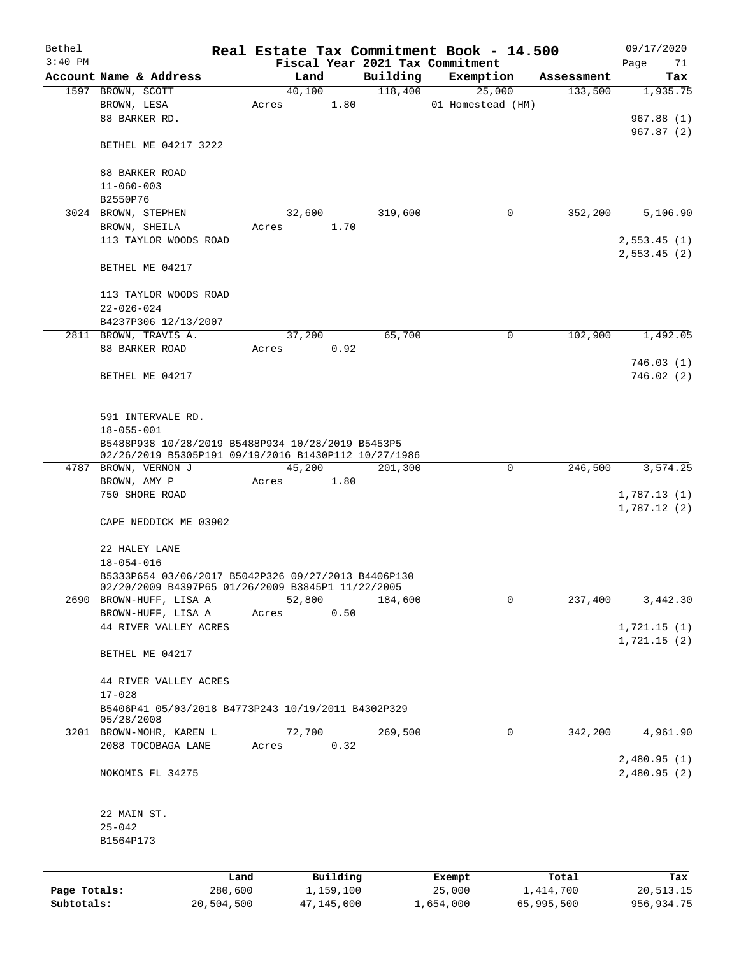| Bethel       |                                                                              |       |            |           |          | Real Estate Tax Commitment Book - 14.500 |            | 09/17/2020  |
|--------------|------------------------------------------------------------------------------|-------|------------|-----------|----------|------------------------------------------|------------|-------------|
| $3:40$ PM    |                                                                              |       |            |           |          | Fiscal Year 2021 Tax Commitment          |            | Page<br>71  |
|              | Account Name & Address                                                       |       | Land       |           | Building | Exemption                                | Assessment | Tax         |
|              | 1597 BROWN, SCOTT                                                            |       | 40,100     |           | 118,400  | 25,000                                   | 133,500    | 1,935.75    |
|              | BROWN, LESA                                                                  | Acres |            | 1.80      |          | 01 Homestead (HM)                        |            |             |
|              | 88 BARKER RD.                                                                |       |            |           |          |                                          |            | 967.88(1)   |
|              |                                                                              |       |            |           |          |                                          |            | 967.87(2)   |
|              | BETHEL ME 04217 3222                                                         |       |            |           |          |                                          |            |             |
|              | 88 BARKER ROAD                                                               |       |            |           |          |                                          |            |             |
|              | $11 - 060 - 003$                                                             |       |            |           |          |                                          |            |             |
|              | B2550P76                                                                     |       |            |           |          |                                          |            |             |
|              | 3024 BROWN, STEPHEN                                                          |       | 32,600     |           | 319,600  | 0                                        | 352,200    | 5,106.90    |
|              | BROWN, SHEILA                                                                | Acres |            | 1.70      |          |                                          |            |             |
|              | 113 TAYLOR WOODS ROAD                                                        |       |            |           |          |                                          |            | 2,553.45(1) |
|              |                                                                              |       |            |           |          |                                          |            | 2,553.45(2) |
|              | BETHEL ME 04217                                                              |       |            |           |          |                                          |            |             |
|              |                                                                              |       |            |           |          |                                          |            |             |
|              | 113 TAYLOR WOODS ROAD                                                        |       |            |           |          |                                          |            |             |
|              | $22 - 026 - 024$                                                             |       |            |           |          |                                          |            |             |
|              | B4237P306 12/13/2007                                                         |       |            |           |          |                                          |            |             |
|              | 2811 BROWN, TRAVIS A.                                                        |       | 37,200     |           | 65,700   | 0                                        | 102,900    | 1,492.05    |
|              | 88 BARKER ROAD                                                               | Acres |            | 0.92      |          |                                          |            |             |
|              |                                                                              |       |            |           |          |                                          |            | 746.03(1)   |
|              | BETHEL ME 04217                                                              |       |            |           |          |                                          |            | 746.02(2)   |
|              |                                                                              |       |            |           |          |                                          |            |             |
|              |                                                                              |       |            |           |          |                                          |            |             |
|              | 591 INTERVALE RD.                                                            |       |            |           |          |                                          |            |             |
|              | $18 - 055 - 001$                                                             |       |            |           |          |                                          |            |             |
|              | B5488P938 10/28/2019 B5488P934 10/28/2019 B5453P5                            |       |            |           |          |                                          |            |             |
|              | 02/26/2019 B5305P191 09/19/2016 B1430P112 10/27/1986<br>4787 BROWN, VERNON J |       | 45,200     |           |          | 0                                        |            | 3,574.25    |
|              |                                                                              | Acres |            | 1.80      | 201,300  |                                          | 246,500    |             |
|              | BROWN, AMY P<br>750 SHORE ROAD                                               |       |            |           |          |                                          |            | 1,787.13(1) |
|              |                                                                              |       |            |           |          |                                          |            | 1,787.12(2) |
|              | CAPE NEDDICK ME 03902                                                        |       |            |           |          |                                          |            |             |
|              |                                                                              |       |            |           |          |                                          |            |             |
|              | 22 HALEY LANE                                                                |       |            |           |          |                                          |            |             |
|              | $18 - 054 - 016$                                                             |       |            |           |          |                                          |            |             |
|              | B5333P654 03/06/2017 B5042P326 09/27/2013 B4406P130                          |       |            |           |          |                                          |            |             |
|              | 02/20/2009 B4397P65 01/26/2009 B3845P1 11/22/2005                            |       |            |           |          |                                          |            |             |
|              | 2690 BROWN-HUFF, LISA A                                                      |       | 52,800     |           | 184,600  | $\mathbf 0$                              | 237,400    | 3,442.30    |
|              | BROWN-HUFF, LISA A                                                           | Acres |            | 0.50      |          |                                          |            |             |
|              | 44 RIVER VALLEY ACRES                                                        |       |            |           |          |                                          |            | 1,721.15(1) |
|              |                                                                              |       |            |           |          |                                          |            | 1,721.15(2) |
|              | BETHEL ME 04217                                                              |       |            |           |          |                                          |            |             |
|              |                                                                              |       |            |           |          |                                          |            |             |
|              | 44 RIVER VALLEY ACRES                                                        |       |            |           |          |                                          |            |             |
|              | $17 - 028$                                                                   |       |            |           |          |                                          |            |             |
|              | B5406P41 05/03/2018 B4773P243 10/19/2011 B4302P329<br>05/28/2008             |       |            |           |          |                                          |            |             |
|              | 3201 BROWN-MOHR, KAREN L                                                     |       | 72,700     |           | 269,500  | 0                                        | 342,200    | 4,961.90    |
|              | 2088 TOCOBAGA LANE                                                           | Acres |            | 0.32      |          |                                          |            |             |
|              |                                                                              |       |            |           |          |                                          |            | 2,480.95(1) |
|              | NOKOMIS FL 34275                                                             |       |            |           |          |                                          |            | 2,480.95(2) |
|              |                                                                              |       |            |           |          |                                          |            |             |
|              |                                                                              |       |            |           |          |                                          |            |             |
|              | 22 MAIN ST.                                                                  |       |            |           |          |                                          |            |             |
|              | $25 - 042$                                                                   |       |            |           |          |                                          |            |             |
|              | B1564P173                                                                    |       |            |           |          |                                          |            |             |
|              |                                                                              |       |            |           |          |                                          |            |             |
|              |                                                                              | Land  |            | Building  |          | Exempt                                   | Total      | Tax         |
| Page Totals: | 280,600                                                                      |       |            | 1,159,100 |          | 25,000                                   | 1,414,700  | 20,513.15   |
| Subtotals:   | 20,504,500                                                                   |       | 47,145,000 |           |          | 1,654,000                                | 65,995,500 | 956,934.75  |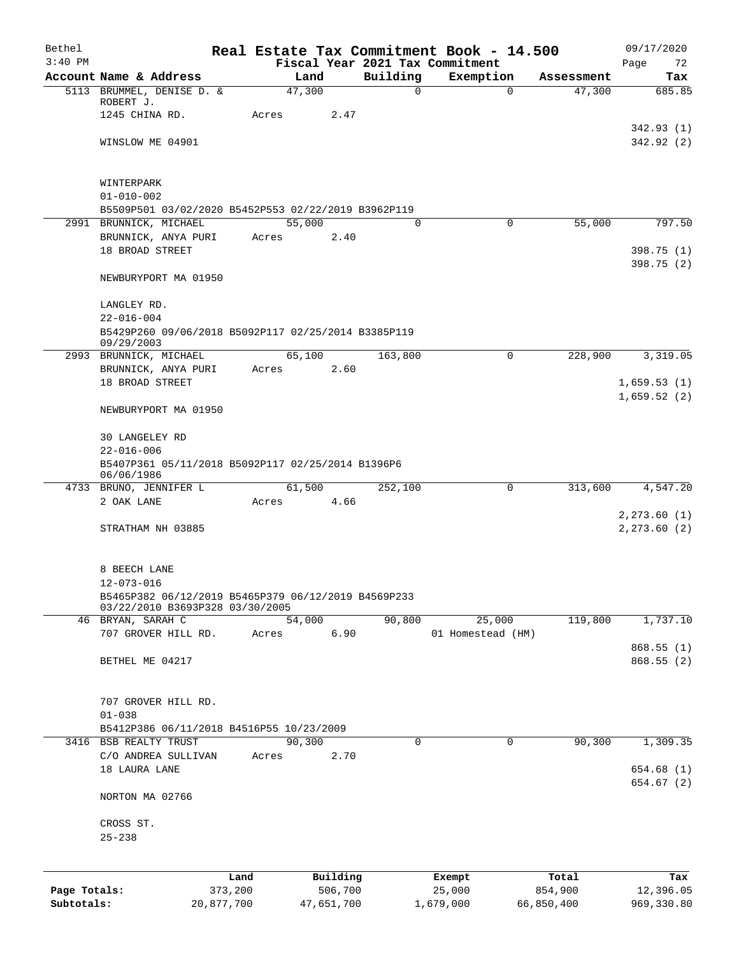| Bethel       |                                                                   |                 |                |                     |          | Real Estate Tax Commitment Book - 14.500 |          |                  | 09/17/2020               |
|--------------|-------------------------------------------------------------------|-----------------|----------------|---------------------|----------|------------------------------------------|----------|------------------|--------------------------|
| $3:40$ PM    | Account Name & Address                                            |                 |                |                     | Building | Fiscal Year 2021 Tax Commitment          |          | Assessment       | Page<br>72               |
|              | 5113 BRUMMEL, DENISE D. &                                         |                 | Land<br>47,300 |                     | $\Omega$ | Exemption                                | $\Omega$ | 47,300           | Tax<br>685.85            |
|              | ROBERT J.                                                         |                 |                |                     |          |                                          |          |                  |                          |
|              | 1245 CHINA RD.                                                    | Acres           |                | 2.47                |          |                                          |          |                  |                          |
|              |                                                                   |                 |                |                     |          |                                          |          |                  | 342.93(1)                |
|              | WINSLOW ME 04901                                                  |                 |                |                     |          |                                          |          |                  | 342.92 (2)               |
|              | WINTERPARK                                                        |                 |                |                     |          |                                          |          |                  |                          |
|              | $01 - 010 - 002$                                                  |                 |                |                     |          |                                          |          |                  |                          |
|              | B5509P501 03/02/2020 B5452P553 02/22/2019 B3962P119               |                 |                |                     |          |                                          |          |                  |                          |
|              | 2991 BRUNNICK, MICHAEL                                            |                 | 55,000         |                     | $\Omega$ | $\mathbf 0$                              |          | 55,000           | 797.50                   |
|              | BRUNNICK, ANYA PURI                                               | Acres           |                | 2.40                |          |                                          |          |                  |                          |
|              | 18 BROAD STREET                                                   |                 |                |                     |          |                                          |          |                  | 398.75(1)<br>398.75(2)   |
|              | NEWBURYPORT MA 01950                                              |                 |                |                     |          |                                          |          |                  |                          |
|              | LANGLEY RD.                                                       |                 |                |                     |          |                                          |          |                  |                          |
|              | $22 - 016 - 004$                                                  |                 |                |                     |          |                                          |          |                  |                          |
|              | B5429P260 09/06/2018 B5092P117 02/25/2014 B3385P119<br>09/29/2003 |                 |                |                     |          |                                          |          |                  |                          |
|              | 2993 BRUNNICK, MICHAEL                                            |                 | 65,100         |                     | 163,800  |                                          | 0        | 228,900          | 3,319.05                 |
|              | BRUNNICK, ANYA PURI                                               | Acres           |                | 2.60                |          |                                          |          |                  |                          |
|              | 18 BROAD STREET                                                   |                 |                |                     |          |                                          |          |                  | 1,659.53(1)              |
|              | NEWBURYPORT MA 01950                                              |                 |                |                     |          |                                          |          |                  | 1,659.52(2)              |
|              | 30 LANGELEY RD                                                    |                 |                |                     |          |                                          |          |                  |                          |
|              | $22 - 016 - 006$                                                  |                 |                |                     |          |                                          |          |                  |                          |
|              | B5407P361 05/11/2018 B5092P117 02/25/2014 B1396P6                 |                 |                |                     |          |                                          |          |                  |                          |
|              | 06/06/1986                                                        |                 |                |                     |          |                                          |          |                  |                          |
|              | 4733 BRUNO, JENNIFER L                                            |                 | 61,500         |                     | 252,100  |                                          | 0        | 313,600          | 4,547.20                 |
|              | 2 OAK LANE                                                        | Acres           |                | 4.66                |          |                                          |          |                  |                          |
|              |                                                                   |                 |                |                     |          |                                          |          |                  | 2, 273.60(1)             |
|              | STRATHAM NH 03885                                                 |                 |                |                     |          |                                          |          |                  | 2, 273.60(2)             |
|              | 8 BEECH LANE                                                      |                 |                |                     |          |                                          |          |                  |                          |
|              | $12 - 073 - 016$                                                  |                 |                |                     |          |                                          |          |                  |                          |
|              | B5465P382 06/12/2019 B5465P379 06/12/2019 B4569P233               |                 |                |                     |          |                                          |          |                  |                          |
|              | 03/22/2010 B3693P328 03/30/2005<br>46 BRYAN, SARAH C              |                 | 54,000         |                     | 90,800   | 25,000                                   |          | 119,800          | 1,737.10                 |
|              | 707 GROVER HILL RD.                                               | Acres           |                | 6.90                |          | 01 Homestead (HM)                        |          |                  |                          |
|              |                                                                   |                 |                |                     |          |                                          |          |                  | 868.55(1)                |
|              | BETHEL ME 04217                                                   |                 |                |                     |          |                                          |          |                  | 868.55(2)                |
|              |                                                                   |                 |                |                     |          |                                          |          |                  |                          |
|              | 707 GROVER HILL RD.                                               |                 |                |                     |          |                                          |          |                  |                          |
|              | $01 - 038$                                                        |                 |                |                     |          |                                          |          |                  |                          |
|              | B5412P386 06/11/2018 B4516P55 10/23/2009                          |                 |                |                     |          |                                          |          |                  |                          |
| 3416         | <b>BSB REALTY TRUST</b>                                           |                 | 90, 300        |                     | $\Omega$ | 0                                        |          | 90, 300          | 1,309.35                 |
|              | C/O ANDREA SULLIVAN                                               | Acres           |                | 2.70                |          |                                          |          |                  |                          |
|              | 18 LAURA LANE                                                     |                 |                |                     |          |                                          |          |                  | 654.68 (1)<br>654.67 (2) |
|              | NORTON MA 02766                                                   |                 |                |                     |          |                                          |          |                  |                          |
|              | CROSS ST.                                                         |                 |                |                     |          |                                          |          |                  |                          |
|              | $25 - 238$                                                        |                 |                |                     |          |                                          |          |                  |                          |
|              |                                                                   |                 |                |                     |          |                                          |          |                  |                          |
| Page Totals: |                                                                   | Land<br>373,200 |                | Building<br>506,700 |          | Exempt<br>25,000                         |          | Total<br>854,900 | Tax<br>12,396.05         |
| Subtotals:   |                                                                   | 20,877,700      | 47,651,700     |                     |          | 1,679,000                                |          | 66,850,400       | 969,330.80               |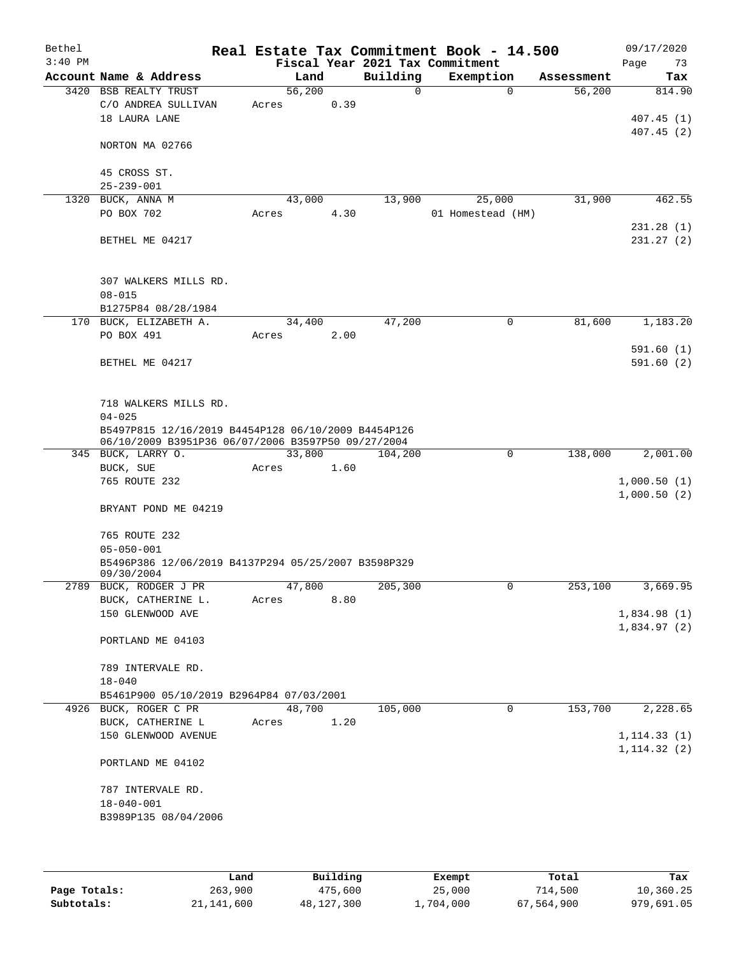| Bethel<br>$3:40$ PM |                                                                                                           |       |        |      |          | Real Estate Tax Commitment Book - 14.500<br>Fiscal Year 2021 Tax Commitment |              |            | Page         | 09/17/2020<br>73 |
|---------------------|-----------------------------------------------------------------------------------------------------------|-------|--------|------|----------|-----------------------------------------------------------------------------|--------------|------------|--------------|------------------|
|                     | Account Name & Address                                                                                    |       | Land   |      | Building | Exemption                                                                   |              | Assessment |              | Tax              |
|                     | 3420 BSB REALTY TRUST                                                                                     |       | 56,200 |      | $\Omega$ |                                                                             | $\Omega$     | 56,200     |              | 814.90           |
|                     | C/O ANDREA SULLIVAN                                                                                       | Acres |        | 0.39 |          |                                                                             |              |            |              |                  |
|                     | 18 LAURA LANE                                                                                             |       |        |      |          |                                                                             |              |            |              | 407.45(1)        |
|                     | NORTON MA 02766                                                                                           |       |        |      |          |                                                                             |              |            |              | 407.45(2)        |
|                     |                                                                                                           |       |        |      |          |                                                                             |              |            |              |                  |
|                     | 45 CROSS ST.<br>$25 - 239 - 001$                                                                          |       |        |      |          |                                                                             |              |            |              |                  |
|                     | 1320 BUCK, ANNA M                                                                                         |       | 43,000 |      | 13,900   | 25,000                                                                      |              | 31,900     |              | 462.55           |
|                     | PO BOX 702                                                                                                | Acres |        | 4.30 |          | 01 Homestead (HM)                                                           |              |            |              |                  |
|                     |                                                                                                           |       |        |      |          |                                                                             |              |            |              | 231.28(1)        |
|                     | BETHEL ME 04217                                                                                           |       |        |      |          |                                                                             |              |            |              | 231.27(2)        |
|                     | 307 WALKERS MILLS RD.                                                                                     |       |        |      |          |                                                                             |              |            |              |                  |
|                     | $08 - 015$                                                                                                |       |        |      |          |                                                                             |              |            |              |                  |
|                     | B1275P84 08/28/1984                                                                                       |       |        |      |          |                                                                             |              |            |              |                  |
|                     | 170 BUCK, ELIZABETH A.<br>PO BOX 491                                                                      |       | 34,400 | 2.00 | 47,200   |                                                                             | $\mathbf 0$  | 81,600     |              | 1,183.20         |
|                     |                                                                                                           | Acres |        |      |          |                                                                             |              |            |              | 591.60(1)        |
|                     | BETHEL ME 04217                                                                                           |       |        |      |          |                                                                             |              |            |              | 591.60(2)        |
|                     |                                                                                                           |       |        |      |          |                                                                             |              |            |              |                  |
|                     | 718 WALKERS MILLS RD.                                                                                     |       |        |      |          |                                                                             |              |            |              |                  |
|                     | $04 - 025$                                                                                                |       |        |      |          |                                                                             |              |            |              |                  |
|                     | B5497P815 12/16/2019 B4454P128 06/10/2009 B4454P126<br>06/10/2009 B3951P36 06/07/2006 B3597P50 09/27/2004 |       |        |      |          |                                                                             |              |            |              |                  |
|                     | 345 BUCK, LARRY O.                                                                                        |       | 33,800 |      | 104,200  |                                                                             | $\mathbf 0$  | 138,000    |              | 2,001.00         |
|                     | BUCK, SUE                                                                                                 | Acres |        | 1.60 |          |                                                                             |              |            |              |                  |
|                     | 765 ROUTE 232                                                                                             |       |        |      |          |                                                                             |              |            | 1,000.50(1)  |                  |
|                     |                                                                                                           |       |        |      |          |                                                                             |              |            | 1,000.50(2)  |                  |
|                     | BRYANT POND ME 04219                                                                                      |       |        |      |          |                                                                             |              |            |              |                  |
|                     | 765 ROUTE 232                                                                                             |       |        |      |          |                                                                             |              |            |              |                  |
|                     | $05 - 050 - 001$                                                                                          |       |        |      |          |                                                                             |              |            |              |                  |
|                     | B5496P386 12/06/2019 B4137P294 05/25/2007 B3598P329<br>09/30/2004                                         |       |        |      |          |                                                                             |              |            |              |                  |
|                     | 2789 BUCK, RODGER J PR                                                                                    |       | 47,800 |      | 205,300  |                                                                             | $\mathbf{0}$ | 253,100    |              | 3,669.95         |
|                     | BUCK, CATHERINE L.                                                                                        | Acres |        | 8.80 |          |                                                                             |              |            |              |                  |
|                     | 150 GLENWOOD AVE                                                                                          |       |        |      |          |                                                                             |              |            | 1,834.98(1)  |                  |
|                     | PORTLAND ME 04103                                                                                         |       |        |      |          |                                                                             |              |            | 1,834.97(2)  |                  |
|                     | 789 INTERVALE RD.<br>$18 - 040$                                                                           |       |        |      |          |                                                                             |              |            |              |                  |
|                     | B5461P900 05/10/2019 B2964P84 07/03/2001                                                                  |       |        |      |          |                                                                             |              |            |              |                  |
|                     | 4926 BUCK, ROGER C PR                                                                                     |       | 48,700 |      | 105,000  |                                                                             | $\mathbf 0$  | 153,700    |              | 2,228.65         |
|                     | BUCK, CATHERINE L                                                                                         | Acres |        | 1.20 |          |                                                                             |              |            |              |                  |
|                     | 150 GLENWOOD AVENUE                                                                                       |       |        |      |          |                                                                             |              |            | 1, 114.33(1) |                  |
|                     | PORTLAND ME 04102                                                                                         |       |        |      |          |                                                                             |              |            | 1, 114.32(2) |                  |
|                     |                                                                                                           |       |        |      |          |                                                                             |              |            |              |                  |
|                     | 787 INTERVALE RD.                                                                                         |       |        |      |          |                                                                             |              |            |              |                  |
|                     | $18 - 040 - 001$                                                                                          |       |        |      |          |                                                                             |              |            |              |                  |
|                     | B3989P135 08/04/2006                                                                                      |       |        |      |          |                                                                             |              |            |              |                  |
|                     |                                                                                                           |       |        |      |          |                                                                             |              |            |              |                  |
|                     |                                                                                                           |       |        |      |          |                                                                             |              |            |              |                  |

|              | Land       | Building   | Exempt    | Total      | Tax        |
|--------------|------------|------------|-----------|------------|------------|
| Page Totals: | 263,900    | 475,600    | 25,000    | 714,500    | 10,360.25  |
| Subtotals:   | 21,141,600 | 48,127,300 | 1,704,000 | 67,564,900 | 979,691.05 |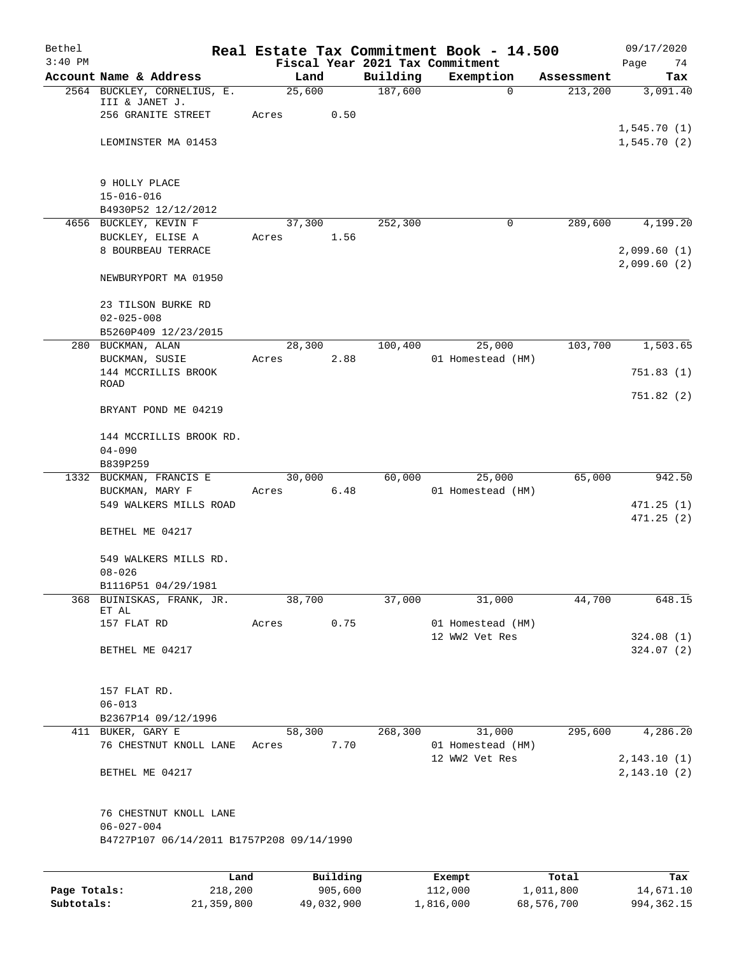| Bethel       |                                            |        |                     |          | Real Estate Tax Commitment Book - 14.500     |                    | 09/17/2020                 |
|--------------|--------------------------------------------|--------|---------------------|----------|----------------------------------------------|--------------------|----------------------------|
| $3:40$ PM    | Account Name & Address                     | Land   |                     | Building | Fiscal Year 2021 Tax Commitment<br>Exemption | Assessment         | Page<br>74<br>Tax          |
|              | 2564 BUCKLEY, CORNELIUS, E.                | 25,600 |                     | 187,600  | $\mathbf 0$                                  | 213,200            | 3,091.40                   |
|              | III & JANET J.<br>256 GRANITE STREET       | Acres  | 0.50                |          |                                              |                    |                            |
|              |                                            |        |                     |          |                                              |                    | 1,545.70(1)                |
|              | LEOMINSTER MA 01453                        |        |                     |          |                                              |                    | 1,545.70(2)                |
|              | 9 HOLLY PLACE                              |        |                     |          |                                              |                    |                            |
|              | $15 - 016 - 016$<br>B4930P52 12/12/2012    |        |                     |          |                                              |                    |                            |
|              | 4656 BUCKLEY, KEVIN F                      | 37,300 |                     | 252,300  | 0                                            | 289,600            | 4,199.20                   |
|              | BUCKLEY, ELISE A<br>8 BOURBEAU TERRACE     | Acres  | 1.56                |          |                                              |                    | 2,099.60(1)<br>2,099.60(2) |
|              | NEWBURYPORT MA 01950                       |        |                     |          |                                              |                    |                            |
|              | 23 TILSON BURKE RD<br>$02 - 025 - 008$     |        |                     |          |                                              |                    |                            |
| 280          | B5260P409 12/23/2015<br>BUCKMAN, ALAN      | 28,300 |                     | 100,400  | 25,000                                       | 103,700            | 1,503.65                   |
|              | BUCKMAN, SUSIE                             | Acres  | 2.88                |          | 01 Homestead (HM)                            |                    |                            |
|              | 144 MCCRILLIS BROOK<br><b>ROAD</b>         |        |                     |          |                                              |                    | 751.83(1)                  |
|              | BRYANT POND ME 04219                       |        |                     |          |                                              |                    | 751.82(2)                  |
|              | 144 MCCRILLIS BROOK RD.                    |        |                     |          |                                              |                    |                            |
|              | $04 - 090$                                 |        |                     |          |                                              |                    |                            |
|              | B839P259<br>1332 BUCKMAN, FRANCIS E        | 30,000 |                     | 60,000   | 25,000                                       | 65,000             | 942.50                     |
|              | BUCKMAN, MARY F                            | Acres  | 6.48                |          | 01 Homestead (HM)                            |                    |                            |
|              | 549 WALKERS MILLS ROAD                     |        |                     |          |                                              |                    | 471.25(1)                  |
|              | BETHEL ME 04217                            |        |                     |          |                                              |                    | 471.25(2)                  |
|              | 549 WALKERS MILLS RD.<br>$08 - 026$        |        |                     |          |                                              |                    |                            |
|              | B1116P51 04/29/1981                        |        |                     |          |                                              |                    |                            |
| 368          | BUINISKAS, FRANK, JR.<br>ET AL             | 38,700 |                     | 37,000   | 31,000                                       | 44,700             | 648.15                     |
|              | 157 FLAT RD                                | Acres  | 0.75                |          | 01 Homestead (HM)                            |                    |                            |
|              | BETHEL ME 04217                            |        |                     |          | 12 WW2 Vet Res                               |                    | 324.08(1)<br>324.07(2)     |
|              |                                            |        |                     |          |                                              |                    |                            |
|              | 157 FLAT RD.                               |        |                     |          |                                              |                    |                            |
|              | $06 - 013$<br>B2367P14 09/12/1996          |        |                     |          |                                              |                    |                            |
|              | 411 BUKER, GARY E                          | 58,300 |                     | 268,300  | 31,000                                       | 295,600            | 4,286.20                   |
|              | 76 CHESTNUT KNOLL LANE                     | Acres  | 7.70                |          | 01 Homestead (HM)                            |                    |                            |
|              | BETHEL ME 04217                            |        |                     |          | 12 WW2 Vet Res                               |                    | 2,143.10(1)<br>2,143.10(2) |
|              | 76 CHESTNUT KNOLL LANE<br>$06 - 027 - 004$ |        |                     |          |                                              |                    |                            |
|              | B4727P107 06/14/2011 B1757P208 09/14/1990  |        |                     |          |                                              |                    |                            |
|              |                                            |        |                     |          |                                              |                    |                            |
| Page Totals: | Land<br>218,200                            |        | Building<br>905,600 |          | Exempt<br>112,000                            | Total<br>1,011,800 | Tax<br>14,671.10           |

**Subtotals:** 21,359,800 49,032,900 1,816,000 68,576,700 994,362.15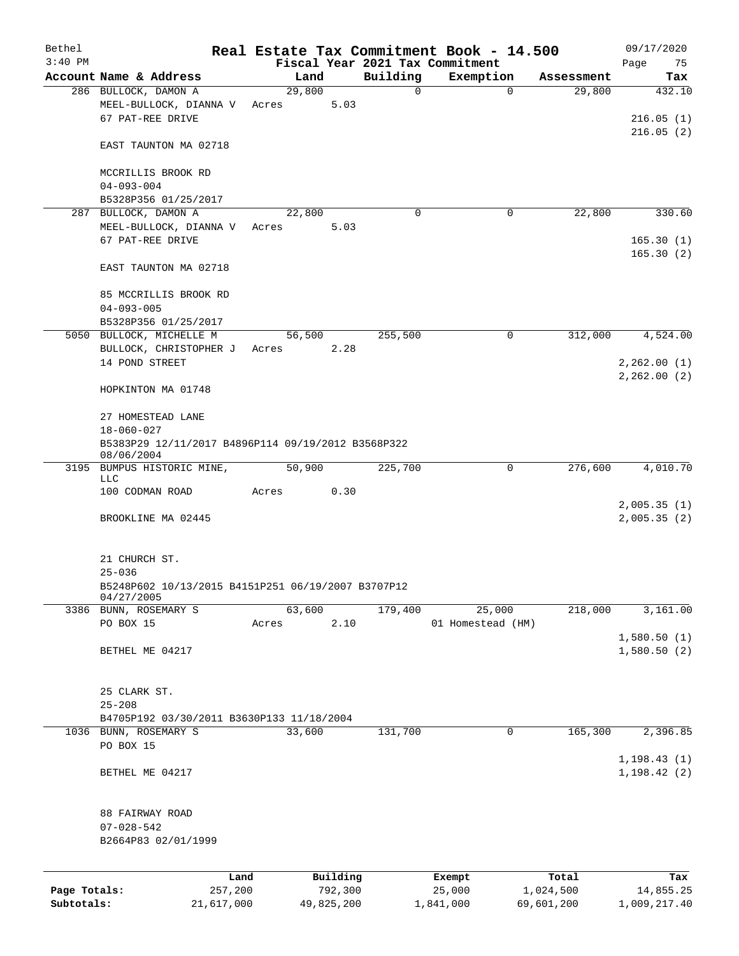| Bethel<br>$3:40$ PM |                                                                  |         |            |          |             | Real Estate Tax Commitment Book - 14.500     |             |            | 09/17/2020                    |
|---------------------|------------------------------------------------------------------|---------|------------|----------|-------------|----------------------------------------------|-------------|------------|-------------------------------|
|                     | Account Name & Address                                           |         | Land       |          | Building    | Fiscal Year 2021 Tax Commitment<br>Exemption |             | Assessment | Page<br>75<br>Tax             |
|                     | 286 BULLOCK, DAMON A                                             |         | 29,800     |          | $\mathbf 0$ |                                              | $\mathbf 0$ | 29,800     | 432.10                        |
|                     | MEEL-BULLOCK, DIANNA V Acres<br>67 PAT-REE DRIVE                 |         |            | 5.03     |             |                                              |             |            | 216.05(1)<br>216.05(2)        |
|                     | EAST TAUNTON MA 02718                                            |         |            |          |             |                                              |             |            |                               |
|                     | MCCRILLIS BROOK RD<br>$04 - 093 - 004$                           |         |            |          |             |                                              |             |            |                               |
|                     | B5328P356 01/25/2017                                             |         |            |          |             |                                              |             |            |                               |
|                     | 287 BULLOCK, DAMON A                                             |         | 22,800     |          | $\Omega$    |                                              | 0           | 22,800     | 330.60                        |
|                     | MEEL-BULLOCK, DIANNA V Acres<br>67 PAT-REE DRIVE                 |         |            | 5.03     |             |                                              |             |            | 165.30(1)<br>165.30(2)        |
|                     | EAST TAUNTON MA 02718                                            |         |            |          |             |                                              |             |            |                               |
|                     | 85 MCCRILLIS BROOK RD<br>$04 - 093 - 005$                        |         |            |          |             |                                              |             |            |                               |
|                     | B5328P356 01/25/2017                                             |         |            |          |             |                                              |             |            |                               |
|                     | 5050 BULLOCK, MICHELLE M                                         |         | 56,500     |          | 255,500     |                                              | $\mathbf 0$ | 312,000    | 4,524.00                      |
|                     | BULLOCK, CHRISTOPHER J Acres                                     |         |            | 2.28     |             |                                              |             |            |                               |
|                     | 14 POND STREET                                                   |         |            |          |             |                                              |             |            | 2, 262.00(1)<br>2, 262.00 (2) |
|                     | HOPKINTON MA 01748                                               |         |            |          |             |                                              |             |            |                               |
|                     | 27 HOMESTEAD LANE                                                |         |            |          |             |                                              |             |            |                               |
|                     | 18-060-027                                                       |         |            |          |             |                                              |             |            |                               |
|                     | B5383P29 12/11/2017 B4896P114 09/19/2012 B3568P322<br>08/06/2004 |         |            |          |             |                                              |             |            |                               |
|                     | 3195 BUMPUS HISTORIC MINE,<br>LLC                                |         | 50,900     |          | 225,700     |                                              | 0           | 276,600    | 4,010.70                      |
|                     | 100 CODMAN ROAD                                                  | Acres   |            | 0.30     |             |                                              |             |            |                               |
|                     | BROOKLINE MA 02445                                               |         |            |          |             |                                              |             |            | 2,005.35(1)<br>2,005.35(2)    |
|                     | 21 CHURCH ST.                                                    |         |            |          |             |                                              |             |            |                               |
|                     | $25 - 036$                                                       |         |            |          |             |                                              |             |            |                               |
|                     | B5248P602 10/13/2015 B4151P251 06/19/2007 B3707P12<br>04/27/2005 |         |            |          |             |                                              |             |            |                               |
|                     | 3386 BUNN, ROSEMARY S                                            |         | 63,600     |          | 179,400     | 25,000                                       |             | 218,000    | 3,161.00                      |
|                     | PO BOX 15                                                        | Acres   |            | 2.10     |             | 01 Homestead (HM)                            |             |            |                               |
|                     | BETHEL ME 04217                                                  |         |            |          |             |                                              |             |            | 1,580.50(1)<br>1,580.50(2)    |
|                     | 25 CLARK ST.<br>$25 - 208$                                       |         |            |          |             |                                              |             |            |                               |
|                     | B4705P192 03/30/2011 B3630P133 11/18/2004                        |         |            |          |             |                                              |             |            |                               |
|                     | 1036 BUNN, ROSEMARY S                                            |         | 33,600     |          | 131,700     |                                              | 0           | 165,300    | 2,396.85                      |
|                     | PO BOX 15                                                        |         |            |          |             |                                              |             |            |                               |
|                     | BETHEL ME 04217                                                  |         |            |          |             |                                              |             |            | 1, 198.43(1)<br>1, 198.42(2)  |
|                     | 88 FAIRWAY ROAD                                                  |         |            |          |             |                                              |             |            |                               |
|                     | $07 - 028 - 542$                                                 |         |            |          |             |                                              |             |            |                               |
|                     | B2664P83 02/01/1999                                              |         |            |          |             |                                              |             |            |                               |
|                     |                                                                  | Land    |            | Building |             | Exempt                                       |             | Total      | Tax                           |
| Page Totals:        |                                                                  | 257,200 |            | 792,300  |             | 25,000                                       |             | 1,024,500  | 14,855.25                     |
| Subtotals:          | 21,617,000                                                       |         | 49,825,200 |          |             | 1,841,000                                    |             | 69,601,200 | 1,009,217.40                  |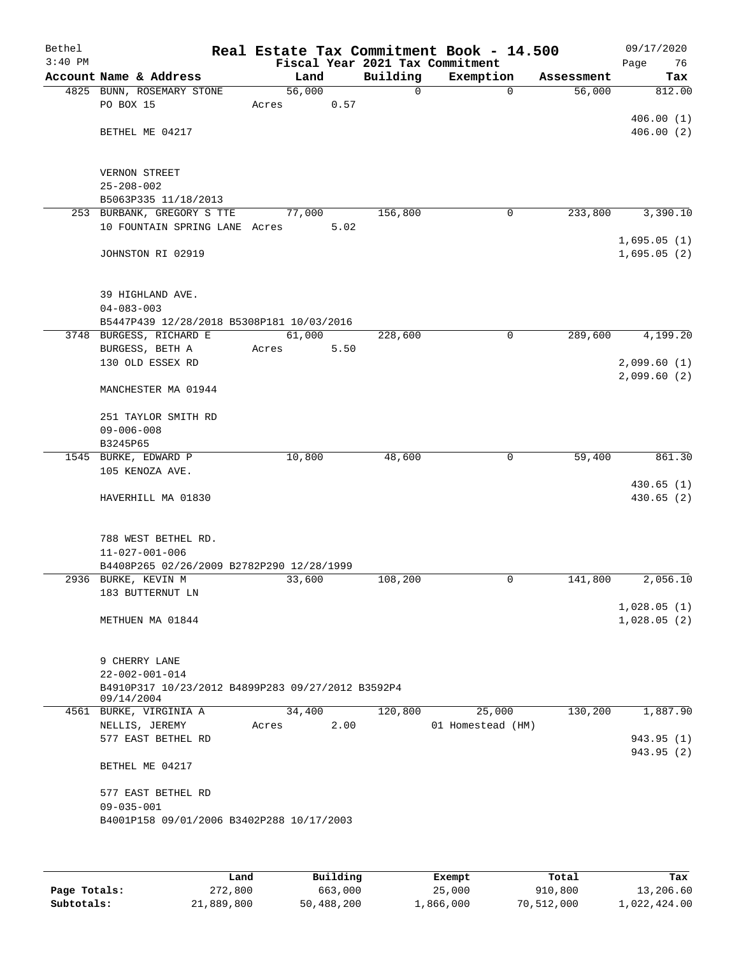| Bethel<br>$3:40$ PM |                                                                 | Real Estate Tax Commitment Book - 14.500<br>Fiscal Year 2021 Tax Commitment |             |                   |            | 09/17/2020<br>Page<br>76   |
|---------------------|-----------------------------------------------------------------|-----------------------------------------------------------------------------|-------------|-------------------|------------|----------------------------|
|                     | Account Name & Address                                          | Land                                                                        | Building    | Exemption         | Assessment | Tax                        |
|                     | 4825 BUNN, ROSEMARY STONE                                       | 56,000                                                                      | $\mathbf 0$ | $\mathbf 0$       | 56,000     | 812.00                     |
|                     | PO BOX 15                                                       | 0.57<br>Acres                                                               |             |                   |            |                            |
|                     |                                                                 |                                                                             |             |                   |            | 406.00(1)                  |
|                     | BETHEL ME 04217                                                 |                                                                             |             |                   |            | 406.00(2)                  |
|                     | VERNON STREET                                                   |                                                                             |             |                   |            |                            |
|                     | $25 - 208 - 002$                                                |                                                                             |             |                   |            |                            |
|                     | B5063P335 11/18/2013                                            |                                                                             |             |                   |            |                            |
|                     | 253 BURBANK, GREGORY S TTE                                      | 77,000                                                                      | 156,800     | 0                 | 233,800    | 3,390.10                   |
|                     | 10 FOUNTAIN SPRING LANE Acres                                   | 5.02                                                                        |             |                   |            |                            |
|                     |                                                                 |                                                                             |             |                   |            | 1,695.05(1)                |
|                     | JOHNSTON RI 02919                                               |                                                                             |             |                   |            | 1,695.05(2)                |
|                     | 39 HIGHLAND AVE.                                                |                                                                             |             |                   |            |                            |
|                     | $04 - 083 - 003$                                                |                                                                             |             |                   |            |                            |
|                     | B5447P439 12/28/2018 B5308P181 10/03/2016                       |                                                                             |             |                   |            |                            |
|                     | 3748 BURGESS, RICHARD E                                         | 61,000                                                                      | 228,600     | $\mathbf 0$       | 289,600    | 4,199.20                   |
|                     | BURGESS, BETH A                                                 | 5.50<br>Acres                                                               |             |                   |            |                            |
|                     | 130 OLD ESSEX RD                                                |                                                                             |             |                   |            | 2,099.60(1)                |
|                     | MANCHESTER MA 01944                                             |                                                                             |             |                   |            | 2,099.60(2)                |
|                     | 251 TAYLOR SMITH RD                                             |                                                                             |             |                   |            |                            |
|                     | $09 - 006 - 008$                                                |                                                                             |             |                   |            |                            |
|                     | B3245P65                                                        |                                                                             |             |                   |            |                            |
|                     | 1545 BURKE, EDWARD P<br>105 KENOZA AVE.                         | 10,800                                                                      | 48,600      | $\mathbf 0$       | 59,400     | 861.30                     |
|                     |                                                                 |                                                                             |             |                   |            | 430.65(1)                  |
|                     | HAVERHILL MA 01830                                              |                                                                             |             |                   |            | 430.65(2)                  |
|                     | 788 WEST BETHEL RD.                                             |                                                                             |             |                   |            |                            |
|                     | $11 - 027 - 001 - 006$                                          |                                                                             |             |                   |            |                            |
|                     | B4408P265 02/26/2009 B2782P290 12/28/1999                       |                                                                             |             |                   |            |                            |
|                     | 2936 BURKE, KEVIN M                                             | 33,600                                                                      | 108,200     | $\mathbf 0$       | 141,800    | 2,056.10                   |
|                     | 183 BUTTERNUT LN                                                |                                                                             |             |                   |            |                            |
|                     | METHUEN MA 01844                                                |                                                                             |             |                   |            | 1,028.05(1)<br>1,028.05(2) |
|                     | 9 CHERRY LANE                                                   |                                                                             |             |                   |            |                            |
|                     | $22 - 002 - 001 - 014$                                          |                                                                             |             |                   |            |                            |
|                     | B4910P317 10/23/2012 B4899P283 09/27/2012 B3592P4<br>09/14/2004 |                                                                             |             |                   |            |                            |
|                     | 4561 BURKE, VIRGINIA A                                          | 34,400                                                                      | 120,800     | 25,000            | 130,200    | 1,887.90                   |
|                     | NELLIS, JEREMY                                                  | Acres<br>2.00                                                               |             | 01 Homestead (HM) |            |                            |
|                     | 577 EAST BETHEL RD                                              |                                                                             |             |                   |            | 943.95 (1)<br>943.95 (2)   |
|                     | BETHEL ME 04217                                                 |                                                                             |             |                   |            |                            |
|                     | 577 EAST BETHEL RD                                              |                                                                             |             |                   |            |                            |
|                     | $09 - 035 - 001$                                                |                                                                             |             |                   |            |                            |
|                     | B4001P158 09/01/2006 B3402P288 10/17/2003                       |                                                                             |             |                   |            |                            |
|                     |                                                                 |                                                                             |             |                   |            |                            |
|                     |                                                                 |                                                                             |             |                   |            |                            |
|                     |                                                                 |                                                                             |             |                   |            |                            |

|              | Land       | Building   | Exempt    | Total      | Tax          |
|--------------|------------|------------|-----------|------------|--------------|
| Page Totals: | 272,800    | 663,000    | 25,000    | 910,800    | 13,206.60    |
| Subtotals:   | 21,889,800 | 50,488,200 | 1,866,000 | 70,512,000 | 1,022,424.00 |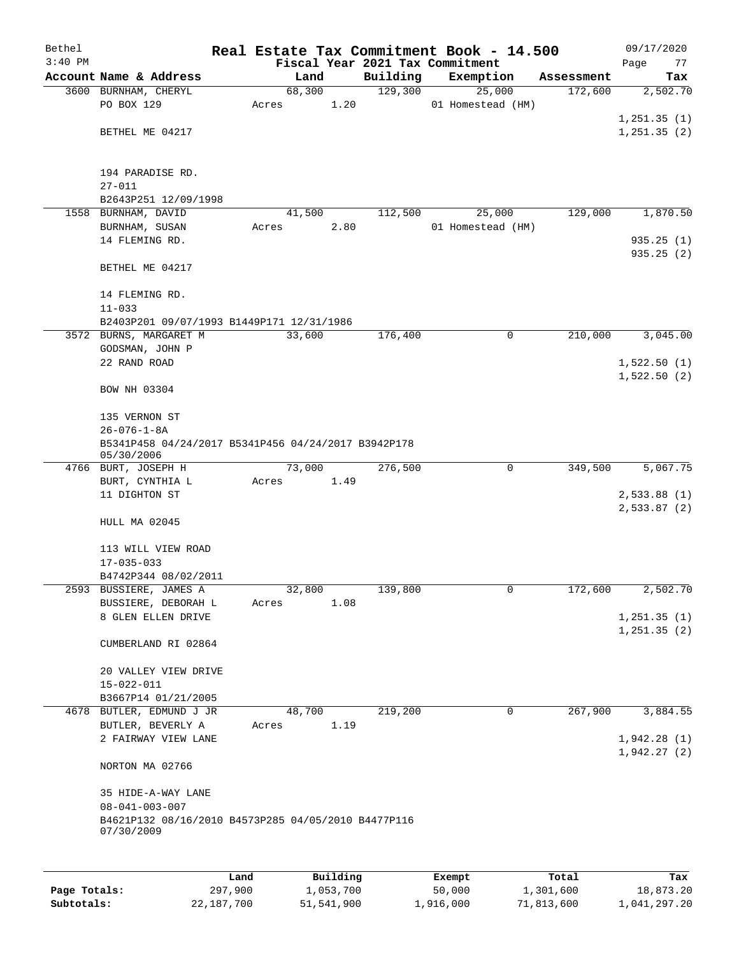| Bethel    |                                                                               |       |        |          |          | Real Estate Tax Commitment Book - 14.500 |            | 09/17/2020   |
|-----------|-------------------------------------------------------------------------------|-------|--------|----------|----------|------------------------------------------|------------|--------------|
| $3:40$ PM |                                                                               |       |        |          |          | Fiscal Year 2021 Tax Commitment          |            | Page<br>77   |
|           | Account Name & Address                                                        |       | Land   |          | Building | Exemption                                | Assessment | Tax          |
|           | 3600 BURNHAM, CHERYL                                                          |       | 68,300 |          | 129,300  | 25,000                                   | 172,600    | 2,502.70     |
|           | PO BOX 129                                                                    | Acres |        | 1.20     |          | 01 Homestead (HM)                        |            |              |
|           |                                                                               |       |        |          |          |                                          |            | 1, 251.35(1) |
|           | BETHEL ME 04217                                                               |       |        |          |          |                                          |            | 1,251.35(2)  |
|           |                                                                               |       |        |          |          |                                          |            |              |
|           | 194 PARADISE RD.                                                              |       |        |          |          |                                          |            |              |
|           | $27 - 011$                                                                    |       |        |          |          |                                          |            |              |
|           | B2643P251 12/09/1998                                                          |       |        |          |          |                                          |            |              |
|           | 1558 BURNHAM, DAVID                                                           |       | 41,500 |          | 112,500  | 25,000                                   | 129,000    | 1,870.50     |
|           | BURNHAM, SUSAN                                                                | Acres |        | 2.80     |          | 01 Homestead (HM)                        |            |              |
|           | 14 FLEMING RD.                                                                |       |        |          |          |                                          |            | 935.25(1)    |
|           |                                                                               |       |        |          |          |                                          |            | 935.25 (2)   |
|           | BETHEL ME 04217                                                               |       |        |          |          |                                          |            |              |
|           | 14 FLEMING RD.                                                                |       |        |          |          |                                          |            |              |
|           | $11 - 033$                                                                    |       |        |          |          |                                          |            |              |
|           | B2403P201 09/07/1993 B1449P171 12/31/1986                                     |       |        |          |          |                                          |            |              |
|           | 3572 BURNS, MARGARET M                                                        |       | 33,600 |          | 176,400  | 0                                        | 210,000    | 3,045.00     |
|           | GODSMAN, JOHN P                                                               |       |        |          |          |                                          |            |              |
|           | 22 RAND ROAD                                                                  |       |        |          |          |                                          |            | 1,522.50(1)  |
|           |                                                                               |       |        |          |          |                                          |            | 1,522.50(2)  |
|           | BOW NH 03304                                                                  |       |        |          |          |                                          |            |              |
|           | 135 VERNON ST                                                                 |       |        |          |          |                                          |            |              |
|           | $26 - 076 - 1 - 8A$                                                           |       |        |          |          |                                          |            |              |
|           | B5341P458 04/24/2017 B5341P456 04/24/2017 B3942P178                           |       |        |          |          |                                          |            |              |
|           | 05/30/2006                                                                    |       |        |          |          |                                          |            |              |
|           | 4766 BURT, JOSEPH H                                                           |       | 73,000 |          | 276,500  | 0                                        | 349,500    | 5,067.75     |
|           | BURT, CYNTHIA L                                                               | Acres |        | 1.49     |          |                                          |            |              |
|           | 11 DIGHTON ST                                                                 |       |        |          |          |                                          |            | 2,533.88(1)  |
|           |                                                                               |       |        |          |          |                                          |            | 2,533.87 (2) |
|           | HULL MA 02045                                                                 |       |        |          |          |                                          |            |              |
|           | 113 WILL VIEW ROAD                                                            |       |        |          |          |                                          |            |              |
|           | $17 - 035 - 033$                                                              |       |        |          |          |                                          |            |              |
|           | B4742P344 08/02/2011                                                          |       |        |          |          |                                          |            |              |
|           | 2593 BUSSIERE, JAMES A                                                        |       | 32,800 |          | 139,800  | 0                                        | 172,600    | 2,502.70     |
|           | BUSSIERE, DEBORAH L                                                           | Acres |        | 1.08     |          |                                          |            |              |
|           | 8 GLEN ELLEN DRIVE                                                            |       |        |          |          |                                          |            | 1, 251.35(1) |
|           |                                                                               |       |        |          |          |                                          |            | 1, 251.35(2) |
|           | CUMBERLAND RI 02864                                                           |       |        |          |          |                                          |            |              |
|           |                                                                               |       |        |          |          |                                          |            |              |
|           | 20 VALLEY VIEW DRIVE<br>$15 - 022 - 011$                                      |       |        |          |          |                                          |            |              |
|           | B3667P14 01/21/2005                                                           |       |        |          |          |                                          |            |              |
|           | 4678 BUTLER, EDMUND J JR                                                      |       | 48,700 |          | 219,200  | 0                                        | 267,900    | 3,884.55     |
|           | BUTLER, BEVERLY A                                                             | Acres |        | 1.19     |          |                                          |            |              |
|           | 2 FAIRWAY VIEW LANE                                                           |       |        |          |          |                                          |            | 1,942.28(1)  |
|           |                                                                               |       |        |          |          |                                          |            | 1,942.27(2)  |
|           | NORTON MA 02766                                                               |       |        |          |          |                                          |            |              |
|           |                                                                               |       |        |          |          |                                          |            |              |
|           | 35 HIDE-A-WAY LANE                                                            |       |        |          |          |                                          |            |              |
|           | $08 - 041 - 003 - 007$<br>B4621P132 08/16/2010 B4573P285 04/05/2010 B4477P116 |       |        |          |          |                                          |            |              |
|           | 07/30/2009                                                                    |       |        |          |          |                                          |            |              |
|           |                                                                               |       |        |          |          |                                          |            |              |
|           |                                                                               |       |        |          |          |                                          |            |              |
|           |                                                                               | Land  |        | Building |          | Exempt                                   | Total      | Tax          |

|              | Land       | Building   | Exempt    | Total      | Tax          |
|--------------|------------|------------|-----------|------------|--------------|
| Page Totals: | 297,900    | 1,053,700  | 50,000    | 1,301,600  | 18,873.20    |
| Subtotals:   | 22,187,700 | 51,541,900 | 1,916,000 | 71,813,600 | 1,041,297.20 |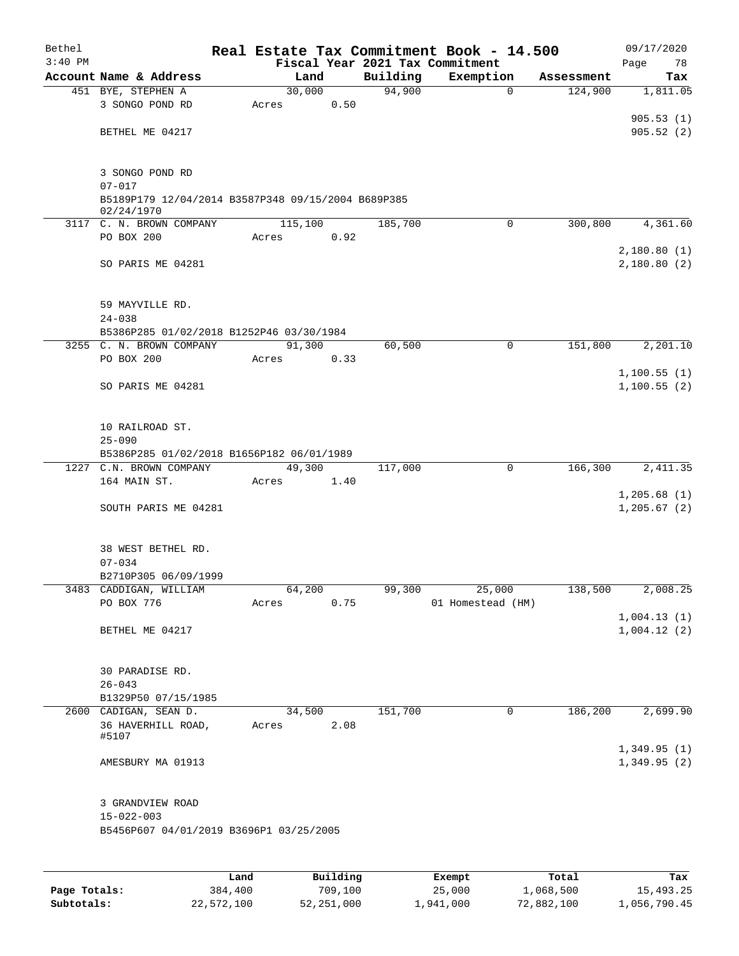| Bethel<br>$3:40$ PM |                                                                  |         |        |          | Real Estate Tax Commitment Book - 14.500<br>Fiscal Year 2021 Tax Commitment |            | 09/17/2020<br>Page<br>78   |
|---------------------|------------------------------------------------------------------|---------|--------|----------|-----------------------------------------------------------------------------|------------|----------------------------|
|                     | Account Name & Address                                           |         | Land   | Building | Exemption                                                                   | Assessment | Tax                        |
|                     | 451 BYE, STEPHEN A                                               | 30,000  |        | 94,900   | $\mathbf 0$                                                                 | 124,900    | 1,811.05                   |
|                     | 3 SONGO POND RD                                                  | Acres   | 0.50   |          |                                                                             |            |                            |
|                     |                                                                  |         |        |          |                                                                             |            | 905.53(1)                  |
|                     | BETHEL ME 04217                                                  |         |        |          |                                                                             |            | 905.52(2)                  |
|                     |                                                                  |         |        |          |                                                                             |            |                            |
|                     | 3 SONGO POND RD                                                  |         |        |          |                                                                             |            |                            |
|                     | $07 - 017$                                                       |         |        |          |                                                                             |            |                            |
|                     | B5189P179 12/04/2014 B3587P348 09/15/2004 B689P385<br>02/24/1970 |         |        |          |                                                                             |            |                            |
|                     | 3117 C. N. BROWN COMPANY                                         | 115,100 |        | 185,700  | $\mathbf 0$                                                                 | 300,800    | 4,361.60                   |
|                     | PO BOX 200                                                       | Acres   | 0.92   |          |                                                                             |            |                            |
|                     |                                                                  |         |        |          |                                                                             |            | 2,180.80(1)                |
|                     | SO PARIS ME 04281                                                |         |        |          |                                                                             |            | 2,180.80(2)                |
|                     |                                                                  |         |        |          |                                                                             |            |                            |
|                     | 59 MAYVILLE RD.                                                  |         |        |          |                                                                             |            |                            |
|                     | $24 - 038$                                                       |         |        |          |                                                                             |            |                            |
|                     | B5386P285 01/02/2018 B1252P46 03/30/1984                         |         |        |          |                                                                             |            |                            |
|                     | 3255 C. N. BROWN COMPANY                                         | 91,300  |        | 60,500   | 0                                                                           | 151,800    | 2,201.10                   |
|                     | PO BOX 200                                                       | Acres   | 0.33   |          |                                                                             |            |                            |
|                     |                                                                  |         |        |          |                                                                             |            | 1,100.55(1)                |
|                     | SO PARIS ME 04281                                                |         |        |          |                                                                             |            | 1,100.55(2)                |
|                     | 10 RAILROAD ST.                                                  |         |        |          |                                                                             |            |                            |
|                     | $25 - 090$                                                       |         |        |          |                                                                             |            |                            |
|                     | B5386P285 01/02/2018 B1656P182 06/01/1989                        |         |        |          |                                                                             |            |                            |
|                     | 1227 C.N. BROWN COMPANY                                          | 49,300  |        | 117,000  | 0                                                                           | 166,300    | 2,411.35                   |
|                     | 164 MAIN ST.                                                     | Acres   | 1.40   |          |                                                                             |            |                            |
|                     |                                                                  |         |        |          |                                                                             |            | 1,205.68(1)                |
|                     | SOUTH PARIS ME 04281                                             |         |        |          |                                                                             |            | 1, 205.67(2)               |
|                     | 38 WEST BETHEL RD.                                               |         |        |          |                                                                             |            |                            |
|                     | $07 - 034$                                                       |         |        |          |                                                                             |            |                            |
|                     | B2710P305 06/09/1999                                             |         |        |          |                                                                             |            |                            |
|                     | 3483 CADDIGAN, WILLIAM                                           | 64,200  |        | 99,300   | 25,000                                                                      | 138,500    | 2,008.25                   |
|                     | PO BOX 776                                                       | Acres   | 0.75   |          | 01 Homestead (HM)                                                           |            |                            |
|                     |                                                                  |         |        |          |                                                                             |            | 1,004.13(1)                |
|                     | BETHEL ME 04217                                                  |         |        |          |                                                                             |            | 1,004.12(2)                |
|                     |                                                                  |         |        |          |                                                                             |            |                            |
|                     | 30 PARADISE RD.                                                  |         |        |          |                                                                             |            |                            |
|                     | $26 - 043$                                                       |         |        |          |                                                                             |            |                            |
|                     | B1329P50 07/15/1985                                              |         |        |          |                                                                             |            |                            |
|                     | 2600 CADIGAN, SEAN D.                                            |         | 34,500 | 151,700  | $\mathbf 0$                                                                 | 186,200    | 2,699.90                   |
|                     | 36 HAVERHILL ROAD,                                               | Acres   | 2.08   |          |                                                                             |            |                            |
|                     | #5107                                                            |         |        |          |                                                                             |            |                            |
|                     | AMESBURY MA 01913                                                |         |        |          |                                                                             |            | 1,349.95(1)<br>1,349.95(2) |
|                     |                                                                  |         |        |          |                                                                             |            |                            |
|                     | 3 GRANDVIEW ROAD                                                 |         |        |          |                                                                             |            |                            |
|                     | $15 - 022 - 003$                                                 |         |        |          |                                                                             |            |                            |
|                     | B5456P607 04/01/2019 B3696P1 03/25/2005                          |         |        |          |                                                                             |            |                            |
|                     |                                                                  |         |        |          |                                                                             |            |                            |
|                     |                                                                  |         |        |          |                                                                             |            |                            |
|                     |                                                                  |         |        |          |                                                                             |            |                            |

|              | Land       | Building   | Exempt    | Total      | Tax          |
|--------------|------------|------------|-----------|------------|--------------|
| Page Totals: | 384,400    | 709.100    | 25,000    | 1,068,500  | 15,493.25    |
| Subtotals:   | 22,572,100 | 52,251,000 | 1,941,000 | 72,882,100 | 1,056,790.45 |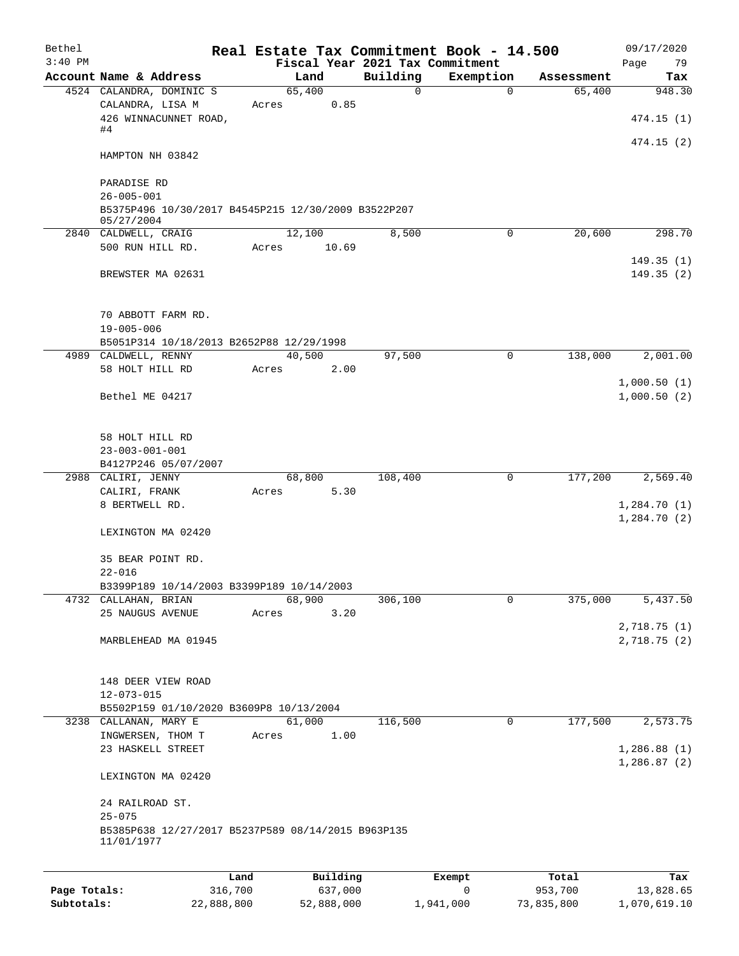| Bethel<br>$3:40$ PM |                                                                                                      |       |                |             | Real Estate Tax Commitment Book - 14.500<br>Fiscal Year 2021 Tax Commitment |            | 09/17/2020<br>Page<br>79 |
|---------------------|------------------------------------------------------------------------------------------------------|-------|----------------|-------------|-----------------------------------------------------------------------------|------------|--------------------------|
|                     | Account Name & Address                                                                               |       | Land           | Building    | Exemption                                                                   | Assessment | Tax                      |
|                     | 4524 CALANDRA, DOMINIC S<br>CALANDRA, LISA M<br>426 WINNACUNNET ROAD,<br>#4                          | Acres | 65,400<br>0.85 | $\mathbf 0$ | $\Omega$                                                                    | 65,400     | 948.30<br>474.15(1)      |
|                     | HAMPTON NH 03842                                                                                     |       |                |             |                                                                             |            | 474.15(2)                |
|                     | PARADISE RD<br>$26 - 005 - 001$<br>B5375P496 10/30/2017 B4545P215 12/30/2009 B3522P207<br>05/27/2004 |       |                |             |                                                                             |            |                          |
|                     | 2840 CALDWELL, CRAIG                                                                                 |       | 12,100         | 8,500       | 0                                                                           | 20,600     | 298.70                   |
|                     | 500 RUN HILL RD.                                                                                     | Acres | 10.69          |             |                                                                             |            |                          |
|                     | BREWSTER MA 02631                                                                                    |       |                |             |                                                                             |            | 149.35(1)<br>149.35(2)   |
|                     | 70 ABBOTT FARM RD.<br>$19 - 005 - 006$                                                               |       |                |             |                                                                             |            |                          |
|                     | B5051P314 10/18/2013 B2652P88 12/29/1998                                                             |       |                |             |                                                                             |            |                          |
|                     | 4989 CALDWELL, RENNY<br>58 HOLT HILL RD                                                              |       | 40,500         | 97,500      | $\mathbf 0$                                                                 | 138,000    | 2,001.00                 |
|                     |                                                                                                      | Acres | 2.00           |             |                                                                             |            | 1,000.50(1)              |
|                     | Bethel ME 04217                                                                                      |       |                |             |                                                                             |            | 1,000.50(2)              |
|                     | 58 HOLT HILL RD<br>$23 - 003 - 001 - 001$                                                            |       |                |             |                                                                             |            |                          |
|                     | B4127P246 05/07/2007                                                                                 |       |                |             |                                                                             |            |                          |
|                     | 2988 CALIRI, JENNY                                                                                   |       | 68,800         | 108,400     | 0                                                                           | 177,200    | 2,569.40                 |
|                     | CALIRI, FRANK                                                                                        | Acres | 5.30           |             |                                                                             |            |                          |
|                     | 8 BERTWELL RD.                                                                                       |       |                |             |                                                                             |            | 1,284.70(1)              |
|                     | LEXINGTON MA 02420                                                                                   |       |                |             |                                                                             |            | 1,284.70(2)              |
|                     | 35 BEAR POINT RD.<br>$22 - 016$                                                                      |       |                |             |                                                                             |            |                          |
|                     | B3399P189 10/14/2003 B3399P189 10/14/2003                                                            |       |                |             |                                                                             |            |                          |
|                     | 4732 CALLAHAN, BRIAN                                                                                 |       | 68,900         | 306,100     | 0                                                                           | 375,000    | 5,437.50                 |
|                     | 25 NAUGUS AVENUE                                                                                     | Acres | 3.20           |             |                                                                             |            |                          |
|                     |                                                                                                      |       |                |             |                                                                             |            | 2,718.75 (1)             |
|                     | MARBLEHEAD MA 01945                                                                                  |       |                |             |                                                                             |            | 2,718.75(2)              |
|                     | 148 DEER VIEW ROAD<br>12-073-015                                                                     |       |                |             |                                                                             |            |                          |
|                     | B5502P159 01/10/2020 B3609P8 10/13/2004                                                              |       |                |             |                                                                             |            |                          |
|                     | 3238 CALLANAN, MARY E                                                                                |       | 61,000         | 116,500     | 0                                                                           | 177,500    | 2,573.75                 |
|                     | INGWERSEN, THOM T<br>23 HASKELL STREET                                                               | Acres | 1.00           |             |                                                                             |            | 1,286.88(1)              |
|                     | LEXINGTON MA 02420                                                                                   |       |                |             |                                                                             |            | 1,286.87(2)              |
|                     | 24 RAILROAD ST.<br>$25 - 075$                                                                        |       |                |             |                                                                             |            |                          |
|                     | B5385P638 12/27/2017 B5237P589 08/14/2015 B963P135<br>11/01/1977                                     |       |                |             |                                                                             |            |                          |
|                     |                                                                                                      | Land  | Building       |             | Exempt                                                                      | Total      | Tax                      |
|                     |                                                                                                      |       |                |             |                                                                             |            |                          |

| Page Totals: | 316,700    | 637,000    |           | 953,700    | 13,828.65    |
|--------------|------------|------------|-----------|------------|--------------|
| Subtotals:   | 22,888,800 | 52,888,000 | 1,941,000 | 73,835,800 | 1,070,619.10 |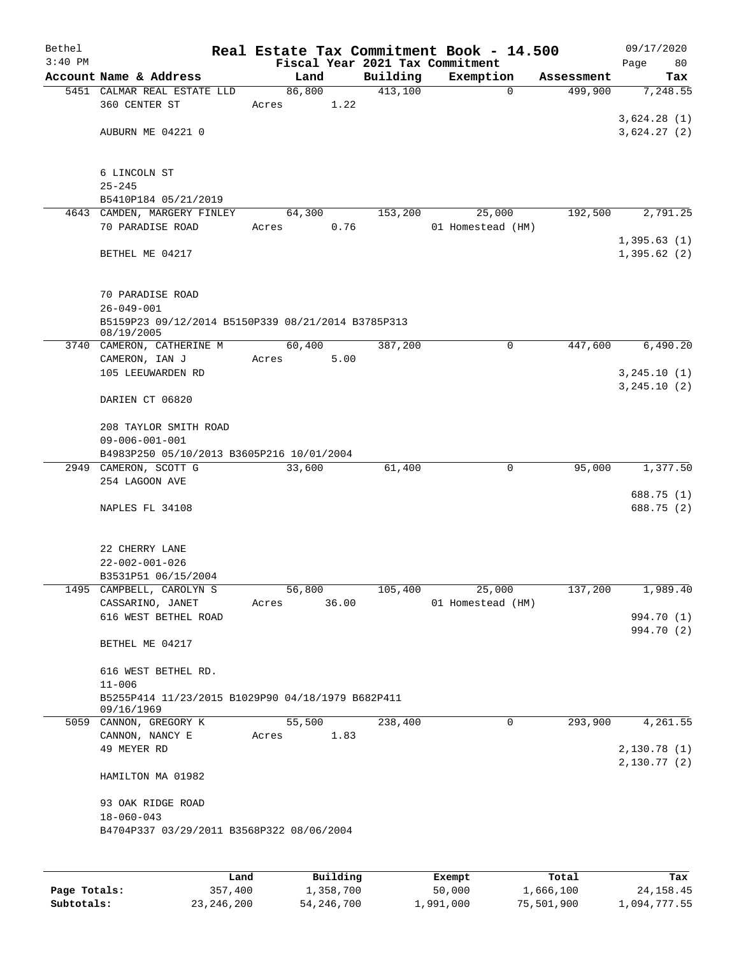| Bethel<br>$3:40$ PM |                                                                     |       |                |          | Real Estate Tax Commitment Book - 14.500     |            | 09/17/2020                 |
|---------------------|---------------------------------------------------------------------|-------|----------------|----------|----------------------------------------------|------------|----------------------------|
|                     | Account Name & Address                                              |       | Land           | Building | Fiscal Year 2021 Tax Commitment<br>Exemption | Assessment | Page<br>80<br>Tax          |
|                     | 5451 CALMAR REAL ESTATE LLD                                         |       | 86,800         | 413,100  | 0                                            | 499,900    | 7,248.55                   |
|                     | 360 CENTER ST                                                       | Acres | 1.22           |          |                                              |            |                            |
|                     |                                                                     |       |                |          |                                              |            | 3,624.28(1)                |
|                     | AUBURN ME 04221 0                                                   |       |                |          |                                              |            | 3,624.27(2)                |
|                     |                                                                     |       |                |          |                                              |            |                            |
|                     |                                                                     |       |                |          |                                              |            |                            |
|                     | 6 LINCOLN ST<br>$25 - 245$                                          |       |                |          |                                              |            |                            |
|                     | B5410P184 05/21/2019                                                |       |                |          |                                              |            |                            |
|                     | 4643 CAMDEN, MARGERY FINLEY                                         |       | 64,300         | 153,200  | 25,000                                       | 192,500    | 2,791.25                   |
|                     | 70 PARADISE ROAD                                                    | Acres | 0.76           |          | 01 Homestead (HM)                            |            |                            |
|                     |                                                                     |       |                |          |                                              |            | 1,395.63(1)                |
|                     | BETHEL ME 04217                                                     |       |                |          |                                              |            | 1,395.62(2)                |
|                     |                                                                     |       |                |          |                                              |            |                            |
|                     | 70 PARADISE ROAD                                                    |       |                |          |                                              |            |                            |
|                     | $26 - 049 - 001$                                                    |       |                |          |                                              |            |                            |
|                     | B5159P23 09/12/2014 B5150P339 08/21/2014 B3785P313                  |       |                |          |                                              |            |                            |
|                     | 08/19/2005                                                          |       |                |          |                                              |            |                            |
| 3740                | CAMERON, CATHERINE M<br>CAMERON, IAN J                              | Acres | 60,400<br>5.00 | 387,200  | 0                                            | 447,600    | 6,490.20                   |
|                     | 105 LEEUWARDEN RD                                                   |       |                |          |                                              |            | 3, 245.10(1)               |
|                     |                                                                     |       |                |          |                                              |            | 3, 245.10(2)               |
|                     | DARIEN CT 06820                                                     |       |                |          |                                              |            |                            |
|                     |                                                                     |       |                |          |                                              |            |                            |
|                     | 208 TAYLOR SMITH ROAD                                               |       |                |          |                                              |            |                            |
|                     | $09 - 006 - 001 - 001$<br>B4983P250 05/10/2013 B3605P216 10/01/2004 |       |                |          |                                              |            |                            |
|                     | 2949 CAMERON, SCOTT G                                               |       | 33,600         | 61,400   | 0                                            | 95,000     | 1,377.50                   |
|                     | 254 LAGOON AVE                                                      |       |                |          |                                              |            |                            |
|                     |                                                                     |       |                |          |                                              |            | 688.75 (1)                 |
|                     | NAPLES FL 34108                                                     |       |                |          |                                              |            | 688.75 (2)                 |
|                     |                                                                     |       |                |          |                                              |            |                            |
|                     |                                                                     |       |                |          |                                              |            |                            |
|                     | 22 CHERRY LANE                                                      |       |                |          |                                              |            |                            |
|                     | $22 - 002 - 001 - 026$<br>B3531P51 06/15/2004                       |       |                |          |                                              |            |                            |
| 1495                | CAMPBELL, CAROLYN S                                                 |       | 56,800         | 105,400  | 25,000                                       | 137,200    | 1,989.40                   |
|                     | CASSARINO, JANET                                                    | Acres | 36.00          |          | 01 Homestead (HM)                            |            |                            |
|                     | 616 WEST BETHEL ROAD                                                |       |                |          |                                              |            | 994.70 (1)                 |
|                     |                                                                     |       |                |          |                                              |            | 994.70 (2)                 |
|                     | BETHEL ME 04217                                                     |       |                |          |                                              |            |                            |
|                     |                                                                     |       |                |          |                                              |            |                            |
|                     | 616 WEST BETHEL RD.<br>$11 - 006$                                   |       |                |          |                                              |            |                            |
|                     | B5255P414 11/23/2015 B1029P90 04/18/1979 B682P411                   |       |                |          |                                              |            |                            |
|                     | 09/16/1969                                                          |       |                |          |                                              |            |                            |
|                     | 5059 CANNON, GREGORY K                                              |       | 55,500         | 238,400  | 0                                            | 293,900    | 4,261.55                   |
|                     | CANNON, NANCY E                                                     | Acres | 1.83           |          |                                              |            |                            |
|                     | 49 MEYER RD                                                         |       |                |          |                                              |            | 2,130.78(1)<br>2,130.77(2) |
|                     | HAMILTON MA 01982                                                   |       |                |          |                                              |            |                            |
|                     |                                                                     |       |                |          |                                              |            |                            |
|                     | 93 OAK RIDGE ROAD                                                   |       |                |          |                                              |            |                            |
|                     | $18 - 060 - 043$                                                    |       |                |          |                                              |            |                            |
|                     | B4704P337 03/29/2011 B3568P322 08/06/2004                           |       |                |          |                                              |            |                            |
|                     |                                                                     |       |                |          |                                              |            |                            |
|                     | Land                                                                |       | Building       |          |                                              | Total      | Tax                        |
| Page Totals:        | 357,400                                                             |       | 1,358,700      |          | Exempt<br>50,000                             | 1,666,100  | 24, 158. 45                |
| Subtotals:          | 23,246,200                                                          |       | 54, 246, 700   |          | 1,991,000                                    | 75,501,900 | 1,094,777.55               |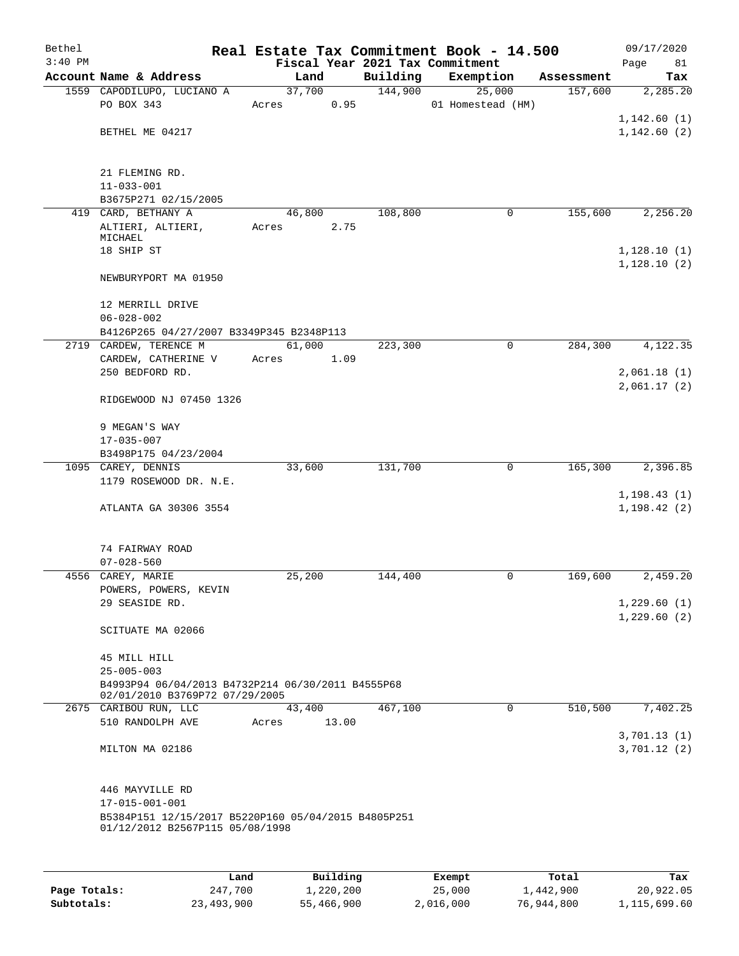| Bethel<br>$3:40$ PM |                                                                                        |       |        |       |          | Real Estate Tax Commitment Book - 14.500<br>Fiscal Year 2021 Tax Commitment |            | 09/17/2020<br>Page<br>81 |
|---------------------|----------------------------------------------------------------------------------------|-------|--------|-------|----------|-----------------------------------------------------------------------------|------------|--------------------------|
|                     | Account Name & Address                                                                 |       | Land   |       | Building | Exemption                                                                   | Assessment | Tax                      |
|                     | 1559 CAPODILUPO, LUCIANO A                                                             |       | 37,700 |       | 144,900  | 25,000                                                                      | 157,600    | 2,285.20                 |
|                     | PO BOX 343                                                                             | Acres |        | 0.95  |          | 01 Homestead (HM)                                                           |            |                          |
|                     |                                                                                        |       |        |       |          |                                                                             |            | 1, 142.60(1)             |
|                     | BETHEL ME 04217                                                                        |       |        |       |          |                                                                             |            | 1,142.60(2)              |
|                     |                                                                                        |       |        |       |          |                                                                             |            |                          |
|                     |                                                                                        |       |        |       |          |                                                                             |            |                          |
|                     | 21 FLEMING RD.                                                                         |       |        |       |          |                                                                             |            |                          |
|                     | $11 - 033 - 001$                                                                       |       |        |       |          |                                                                             |            |                          |
|                     | B3675P271 02/15/2005                                                                   |       |        |       |          |                                                                             |            |                          |
|                     | 419 CARD, BETHANY A<br>ALTIERI, ALTIERI,                                               | Acres | 46,800 | 2.75  | 108,800  | 0                                                                           | 155,600    | 2,256.20                 |
|                     | MICHAEL                                                                                |       |        |       |          |                                                                             |            |                          |
|                     | 18 SHIP ST                                                                             |       |        |       |          |                                                                             |            | 1,128.10(1)              |
|                     |                                                                                        |       |        |       |          |                                                                             |            | 1,128.10(2)              |
|                     | NEWBURYPORT MA 01950                                                                   |       |        |       |          |                                                                             |            |                          |
|                     |                                                                                        |       |        |       |          |                                                                             |            |                          |
|                     | 12 MERRILL DRIVE<br>$06 - 028 - 002$                                                   |       |        |       |          |                                                                             |            |                          |
|                     | B4126P265 04/27/2007 B3349P345 B2348P113                                               |       |        |       |          |                                                                             |            |                          |
|                     | 2719 CARDEW, TERENCE M                                                                 |       | 61,000 |       | 223,300  | 0                                                                           | 284,300    | 4,122.35                 |
|                     | CARDEW, CATHERINE V                                                                    | Acres |        | 1.09  |          |                                                                             |            |                          |
|                     | 250 BEDFORD RD.                                                                        |       |        |       |          |                                                                             |            | 2,061.18(1)              |
|                     |                                                                                        |       |        |       |          |                                                                             |            | 2,061.17(2)              |
|                     | RIDGEWOOD NJ 07450 1326                                                                |       |        |       |          |                                                                             |            |                          |
|                     |                                                                                        |       |        |       |          |                                                                             |            |                          |
|                     | 9 MEGAN'S WAY<br>$17 - 035 - 007$                                                      |       |        |       |          |                                                                             |            |                          |
|                     | B3498P175 04/23/2004                                                                   |       |        |       |          |                                                                             |            |                          |
|                     | 1095 CAREY, DENNIS                                                                     |       | 33,600 |       | 131,700  | 0                                                                           | 165,300    | 2,396.85                 |
|                     | 1179 ROSEWOOD DR. N.E.                                                                 |       |        |       |          |                                                                             |            |                          |
|                     |                                                                                        |       |        |       |          |                                                                             |            | 1, 198.43(1)             |
|                     | ATLANTA GA 30306 3554                                                                  |       |        |       |          |                                                                             |            | 1, 198.42(2)             |
|                     |                                                                                        |       |        |       |          |                                                                             |            |                          |
|                     | 74 FAIRWAY ROAD                                                                        |       |        |       |          |                                                                             |            |                          |
|                     | $07 - 028 - 560$                                                                       |       |        |       |          |                                                                             |            |                          |
|                     | 4556 CAREY, MARIE                                                                      |       | 25,200 |       | 144,400  | 0                                                                           | 169,600    | 2,459.20                 |
|                     | POWERS, POWERS, KEVIN                                                                  |       |        |       |          |                                                                             |            |                          |
|                     | 29 SEASIDE RD.                                                                         |       |        |       |          |                                                                             |            | 1,229.60(1)              |
|                     |                                                                                        |       |        |       |          |                                                                             |            | 1,229.60(2)              |
|                     | SCITUATE MA 02066                                                                      |       |        |       |          |                                                                             |            |                          |
|                     | 45 MILL HILL                                                                           |       |        |       |          |                                                                             |            |                          |
|                     | $25 - 005 - 003$                                                                       |       |        |       |          |                                                                             |            |                          |
|                     | B4993P94 06/04/2013 B4732P214 06/30/2011 B4555P68                                      |       |        |       |          |                                                                             |            |                          |
|                     | 02/01/2010 B3769P72 07/29/2005                                                         |       |        |       |          |                                                                             |            |                          |
|                     | 2675 CARIBOU RUN, LLC                                                                  |       | 43,400 |       | 467,100  | $\mathbf 0$                                                                 | 510,500    | 7,402.25                 |
|                     | 510 RANDOLPH AVE                                                                       | Acres |        | 13.00 |          |                                                                             |            | 3,701.13(1)              |
|                     | MILTON MA 02186                                                                        |       |        |       |          |                                                                             |            | 3,701.12(2)              |
|                     |                                                                                        |       |        |       |          |                                                                             |            |                          |
|                     |                                                                                        |       |        |       |          |                                                                             |            |                          |
|                     | 446 MAYVILLE RD                                                                        |       |        |       |          |                                                                             |            |                          |
|                     | $17 - 015 - 001 - 001$                                                                 |       |        |       |          |                                                                             |            |                          |
|                     | B5384P151 12/15/2017 B5220P160 05/04/2015 B4805P251<br>01/12/2012 B2567P115 05/08/1998 |       |        |       |          |                                                                             |            |                          |
|                     |                                                                                        |       |        |       |          |                                                                             |            |                          |
|                     |                                                                                        |       |        |       |          |                                                                             |            |                          |
|                     |                                                                                        |       |        |       |          |                                                                             |            |                          |

|              | Land       | Building   | Exempt    | Total      | Tax          |
|--------------|------------|------------|-----------|------------|--------------|
| Page Totals: | 247,700    | 1,220,200  | 25,000    | 1,442,900  | 20,922.05    |
| Subtotals:   | 23,493,900 | 55,466,900 | 2,016,000 | 76,944,800 | 1,115,699.60 |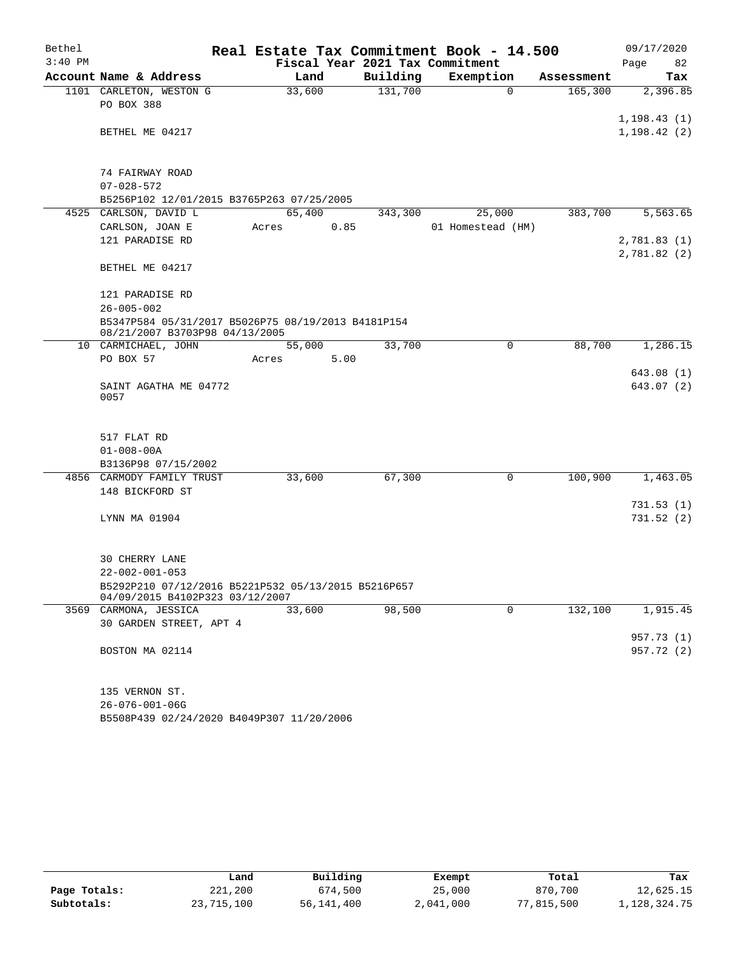| Bethel    |                                                                                        |        |      |          | Real Estate Tax Commitment Book - 14.500 |             |            | 09/17/2020   |            |
|-----------|----------------------------------------------------------------------------------------|--------|------|----------|------------------------------------------|-------------|------------|--------------|------------|
| $3:40$ PM |                                                                                        |        |      |          | Fiscal Year 2021 Tax Commitment          |             |            | Page         | 82         |
|           | Account Name & Address                                                                 | Land   |      | Building | Exemption                                |             | Assessment |              | Tax        |
|           | 1101 CARLETON, WESTON G                                                                | 33,600 |      | 131,700  |                                          | $\mathbf 0$ | 165,300    |              | 2,396.85   |
|           | PO BOX 388                                                                             |        |      |          |                                          |             |            |              |            |
|           |                                                                                        |        |      |          |                                          |             |            | 1, 198.43(1) |            |
|           | BETHEL ME 04217                                                                        |        |      |          |                                          |             |            | 1, 198.42(2) |            |
|           |                                                                                        |        |      |          |                                          |             |            |              |            |
|           | 74 FAIRWAY ROAD                                                                        |        |      |          |                                          |             |            |              |            |
|           | $07 - 028 - 572$                                                                       |        |      |          |                                          |             |            |              |            |
|           | B5256P102 12/01/2015 B3765P263 07/25/2005                                              |        |      |          |                                          |             |            |              |            |
|           | 4525 CARLSON, DAVID L                                                                  | 65,400 |      | 343,300  | 25,000                                   |             | 383,700    |              | 5,563.65   |
|           | CARLSON, JOAN E                                                                        | Acres  | 0.85 |          | 01 Homestead (HM)                        |             |            |              |            |
|           | 121 PARADISE RD                                                                        |        |      |          |                                          |             |            | 2,781.83(1)  |            |
|           |                                                                                        |        |      |          |                                          |             |            | 2,781.82 (2) |            |
|           | BETHEL ME 04217                                                                        |        |      |          |                                          |             |            |              |            |
|           |                                                                                        |        |      |          |                                          |             |            |              |            |
|           | 121 PARADISE RD                                                                        |        |      |          |                                          |             |            |              |            |
|           | $26 - 005 - 002$                                                                       |        |      |          |                                          |             |            |              |            |
|           | B5347P584 05/31/2017 B5026P75 08/19/2013 B4181P154                                     |        |      |          |                                          |             |            |              |            |
|           | 08/21/2007 B3703P98 04/13/2005                                                         |        |      |          |                                          |             |            |              |            |
|           | 10 CARMICHAEL, JOHN                                                                    | 55,000 |      | 33,700   |                                          | $\mathbf 0$ | 88,700     |              | 1,286.15   |
|           | PO BOX 57                                                                              | Acres  | 5.00 |          |                                          |             |            |              |            |
|           |                                                                                        |        |      |          |                                          |             |            |              | 643.08(1)  |
|           | SAINT AGATHA ME 04772<br>0057                                                          |        |      |          |                                          |             |            |              | 643.07 (2) |
|           |                                                                                        |        |      |          |                                          |             |            |              |            |
|           |                                                                                        |        |      |          |                                          |             |            |              |            |
|           | 517 FLAT RD                                                                            |        |      |          |                                          |             |            |              |            |
|           | $01 - 008 - 00A$                                                                       |        |      |          |                                          |             |            |              |            |
|           | B3136P98 07/15/2002                                                                    |        |      |          |                                          |             |            |              |            |
|           | 4856 CARMODY FAMILY TRUST                                                              | 33,600 |      | 67,300   |                                          | 0           | 100,900    |              | 1,463.05   |
|           | 148 BICKFORD ST                                                                        |        |      |          |                                          |             |            |              |            |
|           |                                                                                        |        |      |          |                                          |             |            |              | 731.53(1)  |
|           | LYNN MA 01904                                                                          |        |      |          |                                          |             |            |              | 731.52(2)  |
|           |                                                                                        |        |      |          |                                          |             |            |              |            |
|           |                                                                                        |        |      |          |                                          |             |            |              |            |
|           | 30 CHERRY LANE                                                                         |        |      |          |                                          |             |            |              |            |
|           | $22 - 002 - 001 - 053$                                                                 |        |      |          |                                          |             |            |              |            |
|           | B5292P210 07/12/2016 B5221P532 05/13/2015 B5216P657<br>04/09/2015 B4102P323 03/12/2007 |        |      |          |                                          |             |            |              |            |
|           | 3569 CARMONA, JESSICA                                                                  | 33,600 |      | 98,500   |                                          | 0           | 132,100    |              | 1,915.45   |
|           | 30 GARDEN STREET, APT 4                                                                |        |      |          |                                          |             |            |              |            |
|           |                                                                                        |        |      |          |                                          |             |            |              | 957.73(1)  |
|           | BOSTON MA 02114                                                                        |        |      |          |                                          |             |            |              | 957.72 (2) |
|           |                                                                                        |        |      |          |                                          |             |            |              |            |
|           | 135 VERNON ST.                                                                         |        |      |          |                                          |             |            |              |            |
|           | $26 - 076 - 001 - 06G$                                                                 |        |      |          |                                          |             |            |              |            |
|           | B5508P439 02/24/2020 B4049P307 11/20/2006                                              |        |      |          |                                          |             |            |              |            |
|           |                                                                                        |        |      |          |                                          |             |            |              |            |

|              | Land       | Building   | Exempt    | Total      | Tax          |
|--------------|------------|------------|-----------|------------|--------------|
| Page Totals: | 221,200    | 674,500    | 25,000    | 870,700    | 12,625.15    |
| Subtotals:   | 23,715,100 | 56,141,400 | 2,041,000 | 77,815,500 | 1,128,324.75 |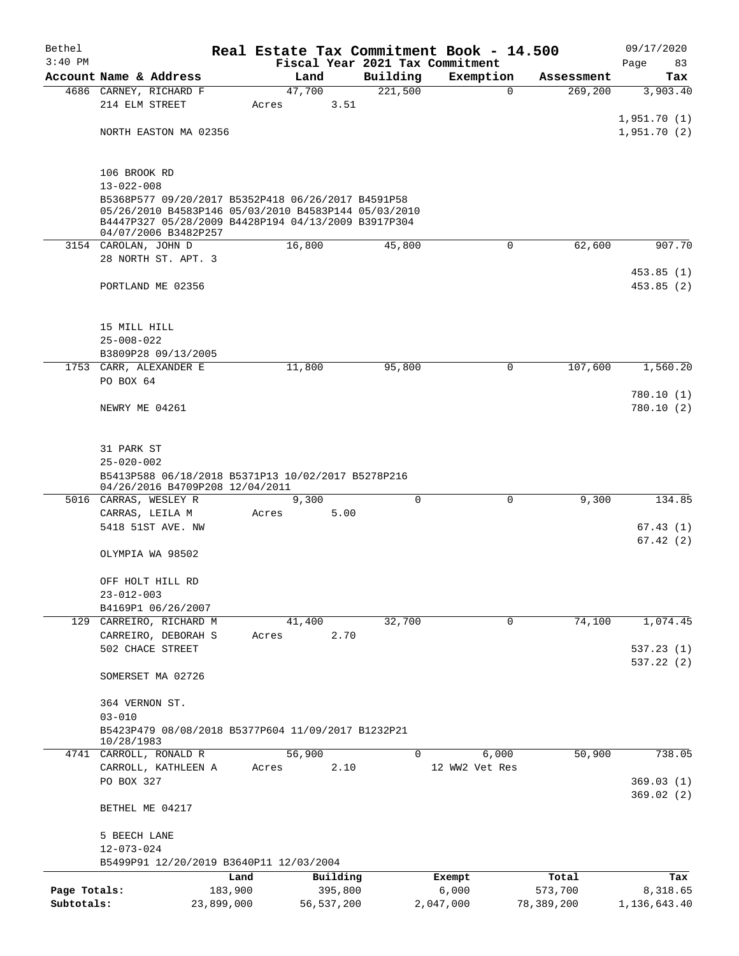| Bethel       |                                                                        |            |                |          | Real Estate Tax Commitment Book - 14.500 |            | 09/17/2020             |
|--------------|------------------------------------------------------------------------|------------|----------------|----------|------------------------------------------|------------|------------------------|
| $3:40$ PM    |                                                                        |            |                |          | Fiscal Year 2021 Tax Commitment          |            | Page<br>83             |
|              | Account Name & Address                                                 |            | Land           | Building | Exemption                                | Assessment | Tax                    |
|              | 4686 CARNEY, RICHARD F<br>214 ELM STREET                               | Acres      | 47,700<br>3.51 | 221,500  | $\mathbf 0$                              | 269,200    | 3,903.40               |
|              |                                                                        |            |                |          |                                          |            | 1,951.70(1)            |
|              | NORTH EASTON MA 02356                                                  |            |                |          |                                          |            | 1,951.70(2)            |
|              |                                                                        |            |                |          |                                          |            |                        |
|              |                                                                        |            |                |          |                                          |            |                        |
|              | 106 BROOK RD                                                           |            |                |          |                                          |            |                        |
|              | $13 - 022 - 008$<br>B5368P577 09/20/2017 B5352P418 06/26/2017 B4591P58 |            |                |          |                                          |            |                        |
|              | 05/26/2010 B4583P146 05/03/2010 B4583P144 05/03/2010                   |            |                |          |                                          |            |                        |
|              | B4447P327 05/28/2009 B4428P194 04/13/2009 B3917P304                    |            |                |          |                                          |            |                        |
|              | 04/07/2006 B3482P257<br>3154 CAROLAN, JOHN D                           |            | 16,800         | 45,800   | $\mathsf{O}$                             | 62,600     | 907.70                 |
|              | 28 NORTH ST. APT. 3                                                    |            |                |          |                                          |            |                        |
|              |                                                                        |            |                |          |                                          |            | 453.85(1)              |
|              | PORTLAND ME 02356                                                      |            |                |          |                                          |            | 453.85(2)              |
|              |                                                                        |            |                |          |                                          |            |                        |
|              |                                                                        |            |                |          |                                          |            |                        |
|              | 15 MILL HILL                                                           |            |                |          |                                          |            |                        |
|              | $25 - 008 - 022$<br>B3809P28 09/13/2005                                |            |                |          |                                          |            |                        |
|              | 1753 CARR, ALEXANDER E                                                 |            | 11,800         | 95,800   | 0                                        | 107,600    | 1,560.20               |
|              | PO BOX 64                                                              |            |                |          |                                          |            |                        |
|              |                                                                        |            |                |          |                                          |            | 780.10(1)              |
|              | NEWRY ME 04261                                                         |            |                |          |                                          |            | 780.10(2)              |
|              |                                                                        |            |                |          |                                          |            |                        |
|              |                                                                        |            |                |          |                                          |            |                        |
|              | 31 PARK ST                                                             |            |                |          |                                          |            |                        |
|              | $25 - 020 - 002$<br>B5413P588 06/18/2018 B5371P13 10/02/2017 B5278P216 |            |                |          |                                          |            |                        |
|              | 04/26/2016 B4709P208 12/04/2011                                        |            |                |          |                                          |            |                        |
|              | 5016 CARRAS, WESLEY R                                                  |            | 9,300          | $\Omega$ | $\Omega$                                 | 9,300      | 134.85                 |
|              | CARRAS, LEILA M                                                        | Acres      | 5.00           |          |                                          |            |                        |
|              | 5418 51ST AVE. NW                                                      |            |                |          |                                          |            | 67.43(1)               |
|              | OLYMPIA WA 98502                                                       |            |                |          |                                          |            | 67.42(2)               |
|              |                                                                        |            |                |          |                                          |            |                        |
|              | OFF HOLT HILL RD                                                       |            |                |          |                                          |            |                        |
|              | $23 - 012 - 003$                                                       |            |                |          |                                          |            |                        |
|              | B4169P1 06/26/2007                                                     |            |                |          |                                          |            |                        |
|              | 129 CARREIRO, RICHARD M                                                |            | 41,400         | 32,700   | $\mathbf 0$                              | 74,100     | 1,074.45               |
|              | CARREIRO, DEBORAH S                                                    | Acres      | 2.70           |          |                                          |            |                        |
|              | 502 CHACE STREET                                                       |            |                |          |                                          |            | 537.23(1)<br>537.22(2) |
|              | SOMERSET MA 02726                                                      |            |                |          |                                          |            |                        |
|              |                                                                        |            |                |          |                                          |            |                        |
|              | 364 VERNON ST.                                                         |            |                |          |                                          |            |                        |
|              | $03 - 010$                                                             |            |                |          |                                          |            |                        |
|              | B5423P479 08/08/2018 B5377P604 11/09/2017 B1232P21                     |            |                |          |                                          |            |                        |
|              | 10/28/1983<br>4741 CARROLL, RONALD R                                   |            | 56,900         | $\Omega$ | 6,000                                    | 50,900     | 738.05                 |
|              | CARROLL, KATHLEEN A                                                    | Acres      | 2.10           |          | 12 WW2 Vet Res                           |            |                        |
|              | PO BOX 327                                                             |            |                |          |                                          |            | 369.03(1)              |
|              |                                                                        |            |                |          |                                          |            | 369.02(2)              |
|              | BETHEL ME 04217                                                        |            |                |          |                                          |            |                        |
|              |                                                                        |            |                |          |                                          |            |                        |
|              | 5 BEECH LANE                                                           |            |                |          |                                          |            |                        |
|              | $12 - 073 - 024$<br>B5499P91 12/20/2019 B3640P11 12/03/2004            |            |                |          |                                          |            |                        |
|              |                                                                        | Land       | Building       |          | Exempt                                   | Total      | Tax                    |
| Page Totals: |                                                                        | 183,900    | 395,800        |          | 6,000                                    | 573,700    | 8,318.65               |
| Subtotals:   |                                                                        | 23,899,000 | 56, 537, 200   |          | 2,047,000                                | 78,389,200 | 1,136,643.40           |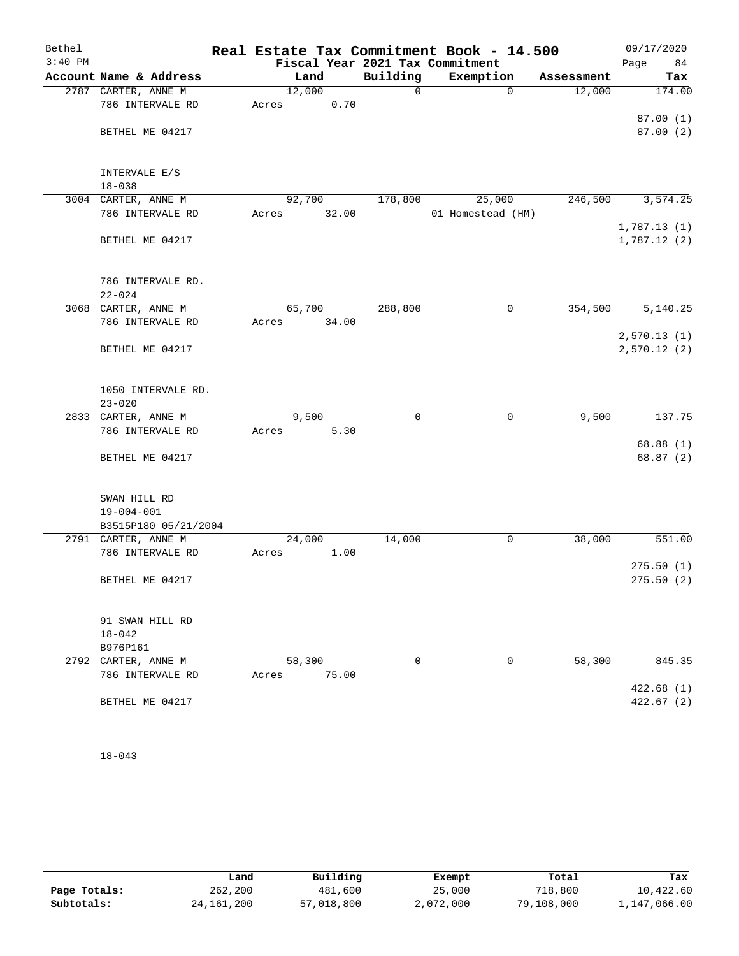| Bethel    |                                  |        |       |             | Real Estate Tax Commitment Book - 14.500 |                        | 09/17/2020                 |
|-----------|----------------------------------|--------|-------|-------------|------------------------------------------|------------------------|----------------------------|
| $3:40$ PM |                                  |        |       |             | Fiscal Year 2021 Tax Commitment          |                        | Page<br>84                 |
|           | Account Name & Address           | Land   |       | Building    | Exemption                                | Assessment             | Tax                        |
|           | 2787 CARTER, ANNE M              | 12,000 |       | $\mathbf 0$ |                                          | 0<br>12,000            | 174.00                     |
|           | 786 INTERVALE RD                 | Acres  | 0.70  |             |                                          |                        |                            |
|           |                                  |        |       |             |                                          |                        | 87.00(1)                   |
|           | BETHEL ME 04217                  |        |       |             |                                          |                        | 87.00(2)                   |
|           | INTERVALE E/S<br>$18 - 038$      |        |       |             |                                          |                        |                            |
|           | 3004 CARTER, ANNE M              | 92,700 |       | 178,800     | 25,000                                   | 246,500                | 3,574.25                   |
|           | 786 INTERVALE RD                 | Acres  | 32.00 |             | 01 Homestead (HM)                        |                        |                            |
|           | BETHEL ME 04217                  |        |       |             |                                          |                        | 1,787.13(1)<br>1,787.12(2) |
|           | 786 INTERVALE RD.                |        |       |             |                                          |                        |                            |
|           | $22 - 024$                       |        |       |             |                                          |                        |                            |
|           | 3068 CARTER, ANNE M              | 65,700 |       | 288,800     |                                          | $\mathbf 0$<br>354,500 | 5,140.25                   |
|           | 786 INTERVALE RD                 | Acres  | 34.00 |             |                                          |                        |                            |
|           |                                  |        |       |             |                                          |                        | 2,570.13(1)                |
|           | BETHEL ME 04217                  |        |       |             |                                          |                        | 2,570.12(2)                |
|           | 1050 INTERVALE RD.<br>$23 - 020$ |        |       |             |                                          |                        |                            |
|           | 2833 CARTER, ANNE M              | 9,500  |       | $\mathbf 0$ |                                          | 9,500<br>0             | 137.75                     |
|           | 786 INTERVALE RD                 | Acres  | 5.30  |             |                                          |                        |                            |
|           | BETHEL ME 04217                  |        |       |             |                                          |                        | 68.88(1)<br>68.87 (2)      |
|           | SWAN HILL RD                     |        |       |             |                                          |                        |                            |
|           | $19 - 004 - 001$                 |        |       |             |                                          |                        |                            |
|           | B3515P180 05/21/2004             |        |       |             |                                          |                        |                            |
|           | 2791 CARTER, ANNE M              | 24,000 |       | 14,000      |                                          | 0<br>38,000            | 551.00                     |
|           | 786 INTERVALE RD                 | Acres  | 1.00  |             |                                          |                        |                            |
|           |                                  |        |       |             |                                          |                        | 275.50(1)                  |
|           | BETHEL ME 04217                  |        |       |             |                                          |                        | 275.50(2)                  |
|           | 91 SWAN HILL RD                  |        |       |             |                                          |                        |                            |
|           | $18 - 042$                       |        |       |             |                                          |                        |                            |
|           | B976P161                         |        |       |             |                                          |                        |                            |
|           | 2792 CARTER, ANNE M              | 58,300 |       | 0           |                                          | 58,300<br>0            | 845.35                     |
|           | 786 INTERVALE RD                 | Acres  | 75.00 |             |                                          |                        |                            |
|           | BETHEL ME 04217                  |        |       |             |                                          |                        | 422.68(1)<br>422.67(2)     |
|           |                                  |        |       |             |                                          |                        |                            |

18-043

|              | Land         | Building   | Exempt    | Total      | Tax          |
|--------------|--------------|------------|-----------|------------|--------------|
| Page Totals: | 262,200      | 481,600    | 25,000    | 718,800    | 10,422.60    |
| Subtotals:   | 24, 161, 200 | 57,018,800 | 2,072,000 | 79,108,000 | 1,147,066.00 |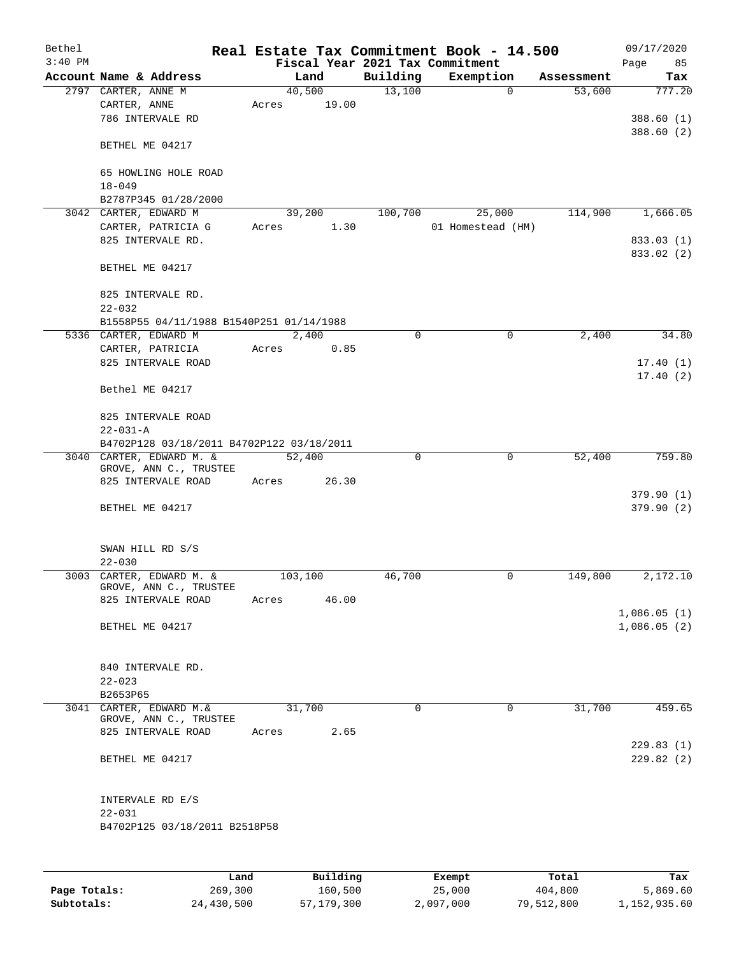| Bethel    |                                                    |       |          |             | Real Estate Tax Commitment Book - 14.500 |            | 09/17/2020              |
|-----------|----------------------------------------------------|-------|----------|-------------|------------------------------------------|------------|-------------------------|
| $3:40$ PM |                                                    |       |          |             | Fiscal Year 2021 Tax Commitment          |            | Page<br>85              |
|           | Account Name & Address                             |       | Land     | Building    | Exemption                                | Assessment | Tax                     |
|           | 2797 CARTER, ANNE M                                |       | 40,500   | 13,100      | $\mathbf 0$                              | 53,600     | 777.20                  |
|           | CARTER, ANNE                                       | Acres | 19.00    |             |                                          |            |                         |
|           | 786 INTERVALE RD                                   |       |          |             |                                          |            | 388.60(1)<br>388.60 (2) |
|           | BETHEL ME 04217                                    |       |          |             |                                          |            |                         |
|           | 65 HOWLING HOLE ROAD                               |       |          |             |                                          |            |                         |
|           | $18 - 049$                                         |       |          |             |                                          |            |                         |
|           | B2787P345 01/28/2000                               |       |          |             |                                          |            |                         |
|           | 3042 CARTER, EDWARD M                              |       | 39,200   | 100,700     | 25,000                                   | 114,900    | 1,666.05                |
|           | CARTER, PATRICIA G                                 | Acres | 1.30     |             | 01 Homestead (HM)                        |            |                         |
|           | 825 INTERVALE RD.                                  |       |          |             |                                          |            | 833.03 (1)              |
|           | BETHEL ME 04217                                    |       |          |             |                                          |            | 833.02 (2)              |
|           | 825 INTERVALE RD.                                  |       |          |             |                                          |            |                         |
|           | $22 - 032$                                         |       |          |             |                                          |            |                         |
|           | B1558P55 04/11/1988 B1540P251 01/14/1988           |       |          |             |                                          |            |                         |
|           | 5336 CARTER, EDWARD M                              |       | 2,400    | $\mathbf 0$ | 0                                        | 2,400      | 34.80                   |
|           | CARTER, PATRICIA                                   | Acres | 0.85     |             |                                          |            |                         |
|           | 825 INTERVALE ROAD                                 |       |          |             |                                          |            | 17.40(1)                |
|           | Bethel ME 04217                                    |       |          |             |                                          |            | 17.40(2)                |
|           | 825 INTERVALE ROAD                                 |       |          |             |                                          |            |                         |
|           | $22 - 031 - A$                                     |       |          |             |                                          |            |                         |
|           | B4702P128 03/18/2011 B4702P122 03/18/2011          |       |          |             |                                          |            |                         |
|           | 3040 CARTER, EDWARD M. &<br>GROVE, ANN C., TRUSTEE |       | 52,400   | 0           | $\mathbf 0$                              | 52,400     | 759.80                  |
|           | 825 INTERVALE ROAD                                 | Acres | 26.30    |             |                                          |            |                         |
|           |                                                    |       |          |             |                                          |            | 379.90(1)               |
|           | BETHEL ME 04217                                    |       |          |             |                                          |            | 379.90(2)               |
|           | SWAN HILL RD S/S                                   |       |          |             |                                          |            |                         |
|           | $22 - 030$                                         |       |          |             |                                          |            |                         |
|           | 3003 CARTER, EDWARD M. &                           |       | 103,100  | 46,700      | 0                                        | 149,800    | 2,172.10                |
|           | GROVE, ANN C., TRUSTEE                             |       |          |             |                                          |            |                         |
|           | 825 INTERVALE ROAD                                 | Acres | 46.00    |             |                                          |            |                         |
|           | BETHEL ME 04217                                    |       |          |             |                                          |            | 1,086.05(1)             |
|           |                                                    |       |          |             |                                          |            | 1,086.05(2)             |
|           | 840 INTERVALE RD.                                  |       |          |             |                                          |            |                         |
|           | $22 - 023$                                         |       |          |             |                                          |            |                         |
|           | B2653P65                                           |       |          |             |                                          |            |                         |
|           | 3041 CARTER, EDWARD M. &<br>GROVE, ANN C., TRUSTEE |       | 31,700   | $\mathbf 0$ | $\mathbf 0$                              | 31,700     | 459.65                  |
|           | 825 INTERVALE ROAD                                 | Acres | 2.65     |             |                                          |            |                         |
|           |                                                    |       |          |             |                                          |            | 229.83(1)               |
|           | BETHEL ME 04217                                    |       |          |             |                                          |            | 229.82(2)               |
|           | INTERVALE RD E/S                                   |       |          |             |                                          |            |                         |
|           | $22 - 031$                                         |       |          |             |                                          |            |                         |
|           | B4702P125 03/18/2011 B2518P58                      |       |          |             |                                          |            |                         |
|           |                                                    |       |          |             |                                          |            |                         |
|           | Land,                                              |       | Building |             | <b>Exempt</b>                            | Total      | Tax                     |

|              | Land       | Building     | Exempt    | Total      | Tax          |
|--------------|------------|--------------|-----------|------------|--------------|
| Page Totals: | 269,300    | 160.500      | 25,000    | 404,800    | 5,869.60     |
| Subtotals:   | 24,430,500 | 57, 179, 300 | 2,097,000 | 79,512,800 | 1,152,935.60 |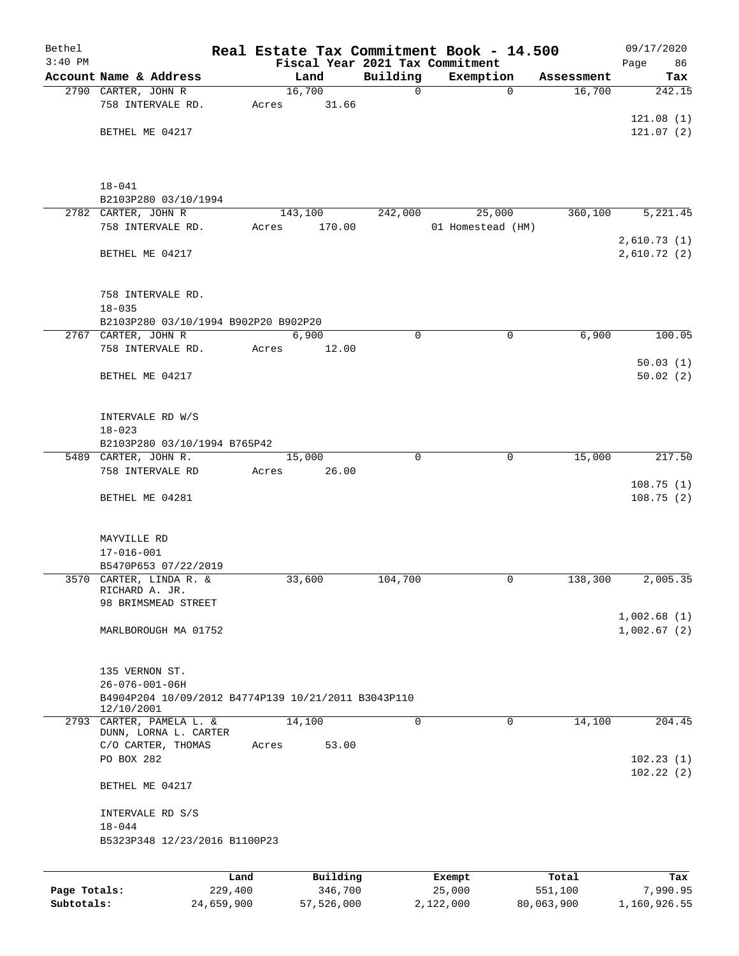| Bethel       |                                                                   |         |          |             | Real Estate Tax Commitment Book - 14.500 |                       | 09/17/2020                 |
|--------------|-------------------------------------------------------------------|---------|----------|-------------|------------------------------------------|-----------------------|----------------------------|
| $3:40$ PM    |                                                                   |         |          |             | Fiscal Year 2021 Tax Commitment          |                       | 86<br>Page                 |
|              | Account Name & Address                                            |         | Land     | Building    | Exemption                                | Assessment            | Tax                        |
|              | 2790 CARTER, JOHN R                                               |         | 16,700   | 0           |                                          | 16,700<br>$\mathbf 0$ | 242.15                     |
|              | 758 INTERVALE RD.                                                 | Acres   | 31.66    |             |                                          |                       | 121.08(1)                  |
|              | BETHEL ME 04217                                                   |         |          |             |                                          |                       | 121.07(2)                  |
|              |                                                                   |         |          |             |                                          |                       |                            |
|              | $18 - 041$                                                        |         |          |             |                                          |                       |                            |
|              | B2103P280 03/10/1994                                              |         |          |             |                                          |                       |                            |
|              | 2782 CARTER, JOHN R                                               |         | 143,100  | 242,000     | 25,000                                   | 360,100               | 5,221.45                   |
|              | 758 INTERVALE RD.                                                 | Acres   | 170.00   |             | 01 Homestead (HM)                        |                       |                            |
|              | BETHEL ME 04217                                                   |         |          |             |                                          |                       | 2,610.73(1)<br>2,610.72(2) |
|              | 758 INTERVALE RD.<br>$18 - 035$                                   |         |          |             |                                          |                       |                            |
|              | B2103P280 03/10/1994 B902P20 B902P20                              |         |          |             |                                          |                       |                            |
|              | 2767 CARTER, JOHN R                                               |         | 6,900    | $\mathbf 0$ |                                          | $\mathbf 0$<br>6,900  | 100.05                     |
|              | 758 INTERVALE RD.                                                 | Acres   | 12.00    |             |                                          |                       |                            |
|              | BETHEL ME 04217                                                   |         |          |             |                                          |                       | 50.03(1)<br>50.02(2)       |
|              | INTERVALE RD W/S                                                  |         |          |             |                                          |                       |                            |
|              | $18 - 023$                                                        |         |          |             |                                          |                       |                            |
|              | B2103P280 03/10/1994 B765P42                                      |         |          |             |                                          |                       |                            |
|              | 5489 CARTER, JOHN R.                                              |         | 15,000   | $\Omega$    |                                          | $\mathbf 0$<br>15,000 | 217.50                     |
|              | 758 INTERVALE RD                                                  | Acres   | 26.00    |             |                                          |                       |                            |
|              | BETHEL ME 04281                                                   |         |          |             |                                          |                       | 108.75(1)<br>108.75(2)     |
|              | MAYVILLE RD<br>$17 - 016 - 001$<br>B5470P653 07/22/2019           |         |          |             |                                          |                       |                            |
|              | 3570 CARTER, LINDA R. &                                           |         | 33,600   | 104,700     |                                          | 138,300<br>0          | 2,005.35                   |
|              | RICHARD A. JR.                                                    |         |          |             |                                          |                       |                            |
|              | 98 BRIMSMEAD STREET                                               |         |          |             |                                          |                       |                            |
|              |                                                                   |         |          |             |                                          |                       | 1,002.68(1)                |
|              | MARLBOROUGH MA 01752                                              |         |          |             |                                          |                       | 1,002.67(2)                |
|              | 135 VERNON ST.<br>26-076-001-06H                                  |         |          |             |                                          |                       |                            |
|              | B4904P204 10/09/2012 B4774P139 10/21/2011 B3043P110<br>12/10/2001 |         |          |             |                                          |                       |                            |
|              | 2793 CARTER, PAMELA L. &                                          |         | 14,100   | 0           |                                          | $\mathbf 0$<br>14,100 | 204.45                     |
|              | DUNN, LORNA L. CARTER<br>C/O CARTER, THOMAS<br>PO BOX 282         | Acres   | 53.00    |             |                                          |                       | 102.23(1)                  |
|              | BETHEL ME 04217                                                   |         |          |             |                                          |                       | 102.22(2)                  |
|              | INTERVALE RD S/S                                                  |         |          |             |                                          |                       |                            |
|              | $18 - 044$<br>B5323P348 12/23/2016 B1100P23                       |         |          |             |                                          |                       |                            |
|              |                                                                   |         |          |             |                                          |                       |                            |
|              |                                                                   | Land    | Building |             | Exempt                                   | Total                 | Tax                        |
| Page Totals: |                                                                   | 229,400 | 346,700  |             | 25,000                                   | 551,100               | 7,990.95                   |

**Subtotals:** 24,659,900 57,526,000 2,122,000 80,063,900 1,160,926.55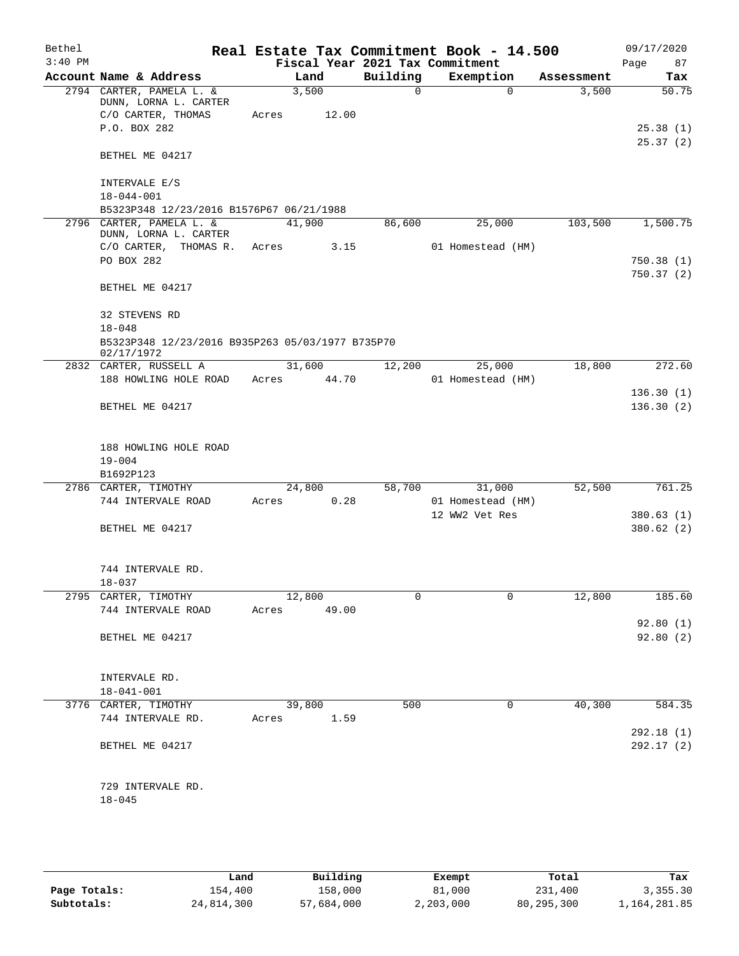| Bethel    |                                                   |                 |       |          | Real Estate Tax Commitment Book - 14.500 |            | 09/17/2020 |
|-----------|---------------------------------------------------|-----------------|-------|----------|------------------------------------------|------------|------------|
| $3:40$ PM |                                                   |                 |       |          | Fiscal Year 2021 Tax Commitment          |            | 87<br>Page |
|           | Account Name & Address                            | Land            |       | Building | Exemption                                | Assessment | Tax        |
|           | 2794 CARTER, PAMELA L. &<br>DUNN, LORNA L. CARTER | 3,500           |       | $\Omega$ | $\Omega$                                 | 3,500      | 50.75      |
|           | C/O CARTER, THOMAS                                | Acres           | 12.00 |          |                                          |            |            |
|           | P.O. BOX 282                                      |                 |       |          |                                          |            | 25.38(1)   |
|           |                                                   |                 |       |          |                                          |            | 25.37(2)   |
|           | BETHEL ME 04217                                   |                 |       |          |                                          |            |            |
|           | INTERVALE E/S                                     |                 |       |          |                                          |            |            |
|           | $18 - 044 - 001$                                  |                 |       |          |                                          |            |            |
|           | B5323P348 12/23/2016 B1576P67 06/21/1988          |                 |       |          |                                          |            |            |
|           | 2796 CARTER, PAMELA L. &<br>DUNN, LORNA L. CARTER | 41,900          |       | 86,600   | 25,000                                   | 103,500    | 1,500.75   |
|           | C/O CARTER, THOMAS R.                             | Acres           | 3.15  |          | 01 Homestead (HM)                        |            |            |
|           | PO BOX 282                                        |                 |       |          |                                          |            | 750.38(1)  |
|           |                                                   |                 |       |          |                                          |            | 750.37(2)  |
|           | BETHEL ME 04217                                   |                 |       |          |                                          |            |            |
|           | 32 STEVENS RD                                     |                 |       |          |                                          |            |            |
|           | $18 - 048$                                        |                 |       |          |                                          |            |            |
|           | B5323P348 12/23/2016 B935P263 05/03/1977 B735P70  |                 |       |          |                                          |            |            |
|           | 02/17/1972                                        |                 |       |          |                                          |            |            |
|           | 2832 CARTER, RUSSELL A<br>188 HOWLING HOLE ROAD   | 31,600<br>Acres | 44.70 | 12,200   | 25,000<br>01 Homestead (HM)              | 18,800     | 272.60     |
|           |                                                   |                 |       |          |                                          |            | 136.30(1)  |
|           | BETHEL ME 04217                                   |                 |       |          |                                          |            | 136.30(2)  |
|           |                                                   |                 |       |          |                                          |            |            |
|           |                                                   |                 |       |          |                                          |            |            |
|           | 188 HOWLING HOLE ROAD                             |                 |       |          |                                          |            |            |
|           | $19 - 004$<br>B1692P123                           |                 |       |          |                                          |            |            |
|           | 2786 CARTER, TIMOTHY                              | 24,800          |       | 58,700   | 31,000                                   | 52,500     | 761.25     |
|           | 744 INTERVALE ROAD                                | Acres           | 0.28  |          | 01 Homestead (HM)                        |            |            |
|           |                                                   |                 |       |          | 12 WW2 Vet Res                           |            | 380.63(1)  |
|           | BETHEL ME 04217                                   |                 |       |          |                                          |            | 380.62 (2) |
|           |                                                   |                 |       |          |                                          |            |            |
|           | 744 INTERVALE RD.                                 |                 |       |          |                                          |            |            |
|           | $18 - 037$                                        |                 |       |          |                                          |            |            |
|           | 2795 CARTER, TIMOTHY                              | 12,800          |       | 0        | 0                                        | 12,800     | 185.60     |
|           | 744 INTERVALE ROAD                                | Acres 49.00     |       |          |                                          |            |            |
|           |                                                   |                 |       |          |                                          |            | 92.80(1)   |
|           | BETHEL ME 04217                                   |                 |       |          |                                          |            | 92.80 (2)  |
|           |                                                   |                 |       |          |                                          |            |            |
|           | INTERVALE RD.                                     |                 |       |          |                                          |            |            |
|           | $18 - 041 - 001$                                  |                 |       |          |                                          |            |            |
|           | 3776 CARTER, TIMOTHY                              | 39,800          |       | 500      | 0                                        | 40,300     | 584.35     |
|           | 744 INTERVALE RD.                                 | Acres 1.59      |       |          |                                          |            | 292.18(1)  |
|           | BETHEL ME 04217                                   |                 |       |          |                                          |            | 292.17(2)  |
|           |                                                   |                 |       |          |                                          |            |            |
|           |                                                   |                 |       |          |                                          |            |            |
|           | 729 INTERVALE RD.                                 |                 |       |          |                                          |            |            |
|           | $18 - 045$                                        |                 |       |          |                                          |            |            |
|           |                                                   |                 |       |          |                                          |            |            |

|              | Land       | Building   | Exempt    | Total      | Tax          |
|--------------|------------|------------|-----------|------------|--------------|
| Page Totals: | 154,400    | 158,000    | 81,000    | 231,400    | 3,355.30     |
| Subtotals:   | 24,814,300 | 57,684,000 | 2,203,000 | 80,295,300 | 1,164,281.85 |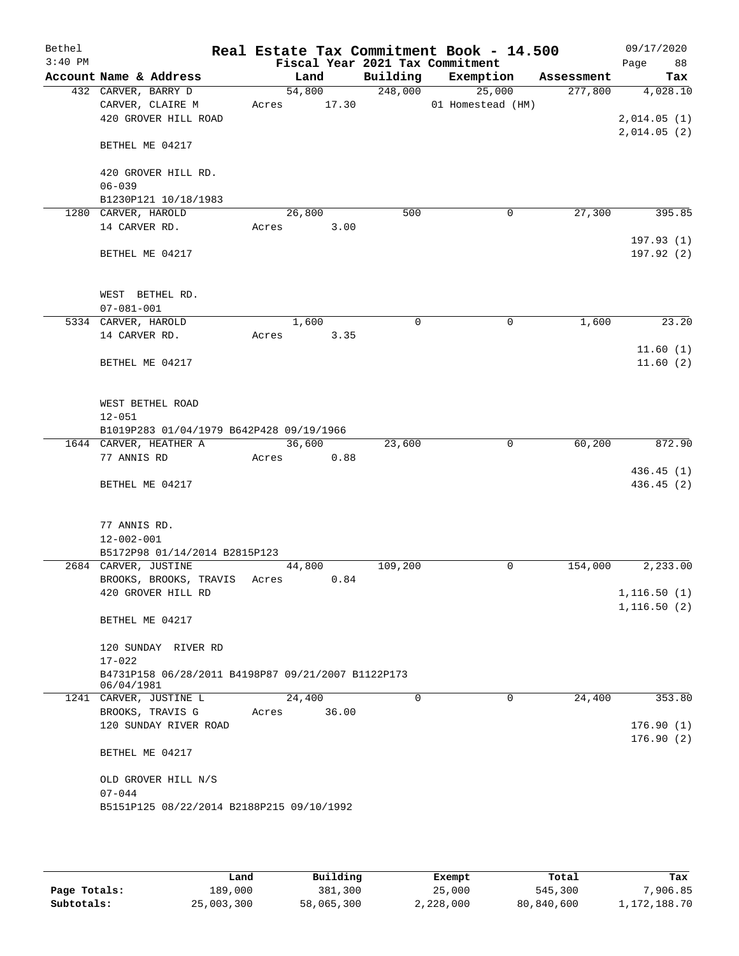| Bethel<br>$3:40$ PM |                      |                                                    |       |        |          | Real Estate Tax Commitment Book - 14.500<br>Fiscal Year 2021 Tax Commitment |          |            | 09/17/2020<br>88<br>Page     |
|---------------------|----------------------|----------------------------------------------------|-------|--------|----------|-----------------------------------------------------------------------------|----------|------------|------------------------------|
|                     |                      | Account Name & Address                             |       | Land   | Building | Exemption                                                                   |          | Assessment | Tax                          |
|                     | 432 CARVER, BARRY D  |                                                    |       | 54,800 | 248,000  | 25,000                                                                      |          | 277,800    | 4,028.10                     |
|                     |                      | CARVER, CLAIRE M                                   | Acres | 17.30  |          | 01 Homestead (HM)                                                           |          |            |                              |
|                     |                      | 420 GROVER HILL ROAD                               |       |        |          |                                                                             |          |            | 2,014.05(1)                  |
|                     |                      |                                                    |       |        |          |                                                                             |          |            | 2,014.05(2)                  |
|                     |                      | BETHEL ME 04217                                    |       |        |          |                                                                             |          |            |                              |
|                     |                      | 420 GROVER HILL RD.                                |       |        |          |                                                                             |          |            |                              |
|                     | $06 - 039$           |                                                    |       |        |          |                                                                             |          |            |                              |
|                     |                      | B1230P121 10/18/1983                               |       |        |          |                                                                             |          |            |                              |
|                     | 1280 CARVER, HAROLD  |                                                    |       | 26,800 | 500      |                                                                             | 0        | 27,300     | 395.85                       |
|                     | 14 CARVER RD.        |                                                    | Acres | 3.00   |          |                                                                             |          |            |                              |
|                     |                      |                                                    |       |        |          |                                                                             |          |            | 197.93(1)                    |
|                     |                      | BETHEL ME 04217                                    |       |        |          |                                                                             |          |            | 197.92(2)                    |
|                     |                      |                                                    |       |        |          |                                                                             |          |            |                              |
|                     |                      |                                                    |       |        |          |                                                                             |          |            |                              |
|                     |                      | WEST BETHEL RD.                                    |       |        |          |                                                                             |          |            |                              |
|                     | $07 - 081 - 001$     |                                                    |       |        |          |                                                                             |          |            |                              |
|                     | 5334 CARVER, HAROLD  |                                                    |       | 1,600  | 0        |                                                                             | 0        | 1,600      | 23.20                        |
|                     | 14 CARVER RD.        |                                                    | Acres | 3.35   |          |                                                                             |          |            |                              |
|                     |                      |                                                    |       |        |          |                                                                             |          |            | 11.60(1)                     |
|                     |                      | BETHEL ME 04217                                    |       |        |          |                                                                             |          |            | 11.60(2)                     |
|                     |                      |                                                    |       |        |          |                                                                             |          |            |                              |
|                     |                      | WEST BETHEL ROAD                                   |       |        |          |                                                                             |          |            |                              |
|                     | $12 - 051$           |                                                    |       |        |          |                                                                             |          |            |                              |
|                     |                      | B1019P283 01/04/1979 B642P428 09/19/1966           |       |        |          |                                                                             |          |            |                              |
|                     |                      | 1644 CARVER, HEATHER A                             |       | 36,600 | 23,600   |                                                                             | 0        | 60,200     | 872.90                       |
|                     | 77 ANNIS RD          |                                                    | Acres | 0.88   |          |                                                                             |          |            |                              |
|                     |                      |                                                    |       |        |          |                                                                             |          |            | 436.45 (1)                   |
|                     |                      | BETHEL ME 04217                                    |       |        |          |                                                                             |          |            | 436.45 (2)                   |
|                     |                      |                                                    |       |        |          |                                                                             |          |            |                              |
|                     |                      |                                                    |       |        |          |                                                                             |          |            |                              |
|                     | 77 ANNIS RD.         |                                                    |       |        |          |                                                                             |          |            |                              |
|                     | $12 - 002 - 001$     |                                                    |       |        |          |                                                                             |          |            |                              |
|                     |                      | B5172P98 01/14/2014 B2815P123                      |       |        |          |                                                                             |          |            |                              |
|                     | 2684 CARVER, JUSTINE |                                                    |       | 44,800 | 109,200  |                                                                             | 0        | 154,000    | 2,233.00                     |
|                     |                      | BROOKS, BROOKS, TRAVIS                             | Acres | 0.84   |          |                                                                             |          |            |                              |
|                     |                      | 420 GROVER HILL RD                                 |       |        |          |                                                                             |          |            | 1, 116.50(1)<br>1, 116.50(2) |
|                     |                      | BETHEL ME 04217                                    |       |        |          |                                                                             |          |            |                              |
|                     |                      |                                                    |       |        |          |                                                                             |          |            |                              |
|                     |                      | 120 SUNDAY RIVER RD                                |       |        |          |                                                                             |          |            |                              |
|                     | $17 - 022$           |                                                    |       |        |          |                                                                             |          |            |                              |
|                     |                      | B4731P158 06/28/2011 B4198P87 09/21/2007 B1122P173 |       |        |          |                                                                             |          |            |                              |
|                     | 06/04/1981           |                                                    |       |        |          |                                                                             |          |            |                              |
|                     |                      | 1241 CARVER, JUSTINE L                             |       | 24,400 | $\Omega$ |                                                                             | $\Omega$ | 24,400     | 353.80                       |
|                     |                      | BROOKS, TRAVIS G                                   | Acres | 36.00  |          |                                                                             |          |            |                              |
|                     |                      | 120 SUNDAY RIVER ROAD                              |       |        |          |                                                                             |          |            | 176.90(1)                    |
|                     |                      |                                                    |       |        |          |                                                                             |          |            | 176.90(2)                    |
|                     |                      | BETHEL ME 04217                                    |       |        |          |                                                                             |          |            |                              |
|                     |                      | OLD GROVER HILL N/S                                |       |        |          |                                                                             |          |            |                              |
|                     | $07 - 044$           |                                                    |       |        |          |                                                                             |          |            |                              |
|                     |                      | B5151P125 08/22/2014 B2188P215 09/10/1992          |       |        |          |                                                                             |          |            |                              |
|                     |                      |                                                    |       |        |          |                                                                             |          |            |                              |
|                     |                      |                                                    |       |        |          |                                                                             |          |            |                              |

|              | Land       | Building   | Exempt    | Total      | Tax          |
|--------------|------------|------------|-----------|------------|--------------|
| Page Totals: | 189,000    | 381,300    | 25,000    | 545,300    | .906.85      |
| Subtotals:   | 25,003,300 | 58,065,300 | 2,228,000 | 80,840,600 | 1,172,188.70 |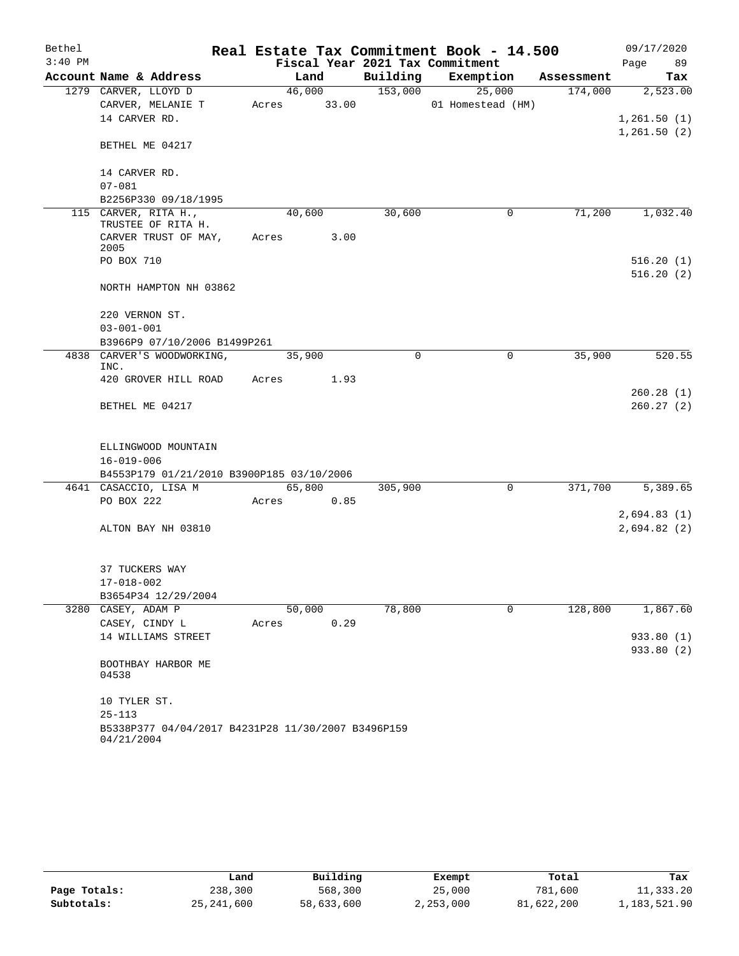| Bethel    |                                                                  |       |        |          | Real Estate Tax Commitment Book - 14.500 |            | 09/17/2020                  |
|-----------|------------------------------------------------------------------|-------|--------|----------|------------------------------------------|------------|-----------------------------|
| $3:40$ PM |                                                                  |       |        |          | Fiscal Year 2021 Tax Commitment          |            | 89<br>Page                  |
|           | Account Name & Address                                           |       | Land   | Building | Exemption                                | Assessment | Tax                         |
|           | 1279 CARVER, LLOYD D                                             |       | 46,000 | 153,000  | 25,000                                   | 174,000    | 2,523.00                    |
|           | CARVER, MELANIE T                                                | Acres | 33.00  |          | 01 Homestead (HM)                        |            |                             |
|           | 14 CARVER RD.                                                    |       |        |          |                                          |            | 1,261.50(1)<br>1, 261.50(2) |
|           | BETHEL ME 04217                                                  |       |        |          |                                          |            |                             |
|           | 14 CARVER RD.                                                    |       |        |          |                                          |            |                             |
|           | $07 - 081$                                                       |       |        |          |                                          |            |                             |
|           | B2256P330 09/18/1995                                             |       |        |          |                                          |            |                             |
|           | 115 CARVER, RITA H.,                                             |       | 40,600 | 30,600   | 0                                        | 71,200     | 1,032.40                    |
|           | TRUSTEE OF RITA H.<br>CARVER TRUST OF MAY,<br>2005               | Acres |        | 3.00     |                                          |            |                             |
|           | PO BOX 710                                                       |       |        |          |                                          |            | 516.20(1)                   |
|           |                                                                  |       |        |          |                                          |            | 516.20(2)                   |
|           | NORTH HAMPTON NH 03862                                           |       |        |          |                                          |            |                             |
|           | 220 VERNON ST.                                                   |       |        |          |                                          |            |                             |
|           | $03 - 001 - 001$                                                 |       |        |          |                                          |            |                             |
|           | B3966P9 07/10/2006 B1499P261                                     |       |        |          |                                          |            |                             |
|           | 4838 CARVER'S WOODWORKING,                                       |       | 35,900 | $\Omega$ | 0                                        | 35,900     | 520.55                      |
|           | INC.                                                             |       |        |          |                                          |            |                             |
|           | 420 GROVER HILL ROAD                                             | Acres |        | 1.93     |                                          |            |                             |
|           | BETHEL ME 04217                                                  |       |        |          |                                          |            | 260.28(1)<br>260.27(2)      |
|           |                                                                  |       |        |          |                                          |            |                             |
|           | ELLINGWOOD MOUNTAIN                                              |       |        |          |                                          |            |                             |
|           | $16 - 019 - 006$                                                 |       |        |          |                                          |            |                             |
|           | B4553P179 01/21/2010 B3900P185 03/10/2006                        |       |        |          |                                          |            |                             |
|           | 4641 CASACCIO, LISA M                                            |       | 65,800 | 305,900  | 0                                        | 371,700    | 5,389.65                    |
|           | PO BOX 222                                                       | Acres |        | 0.85     |                                          |            |                             |
|           |                                                                  |       |        |          |                                          |            | 2,694.83(1)                 |
|           | ALTON BAY NH 03810                                               |       |        |          |                                          |            | 2,694.82(2)                 |
|           | 37 TUCKERS WAY                                                   |       |        |          |                                          |            |                             |
|           | $17 - 018 - 002$                                                 |       |        |          |                                          |            |                             |
|           | B3654P34 12/29/2004                                              |       |        |          |                                          |            |                             |
|           | 3280 CASEY, ADAM P                                               |       | 50,000 | 78,800   | $\Omega$                                 | 128,800    | 1,867.60                    |
|           | CASEY, CINDY L                                                   | Acres |        | 0.29     |                                          |            |                             |
|           | 14 WILLIAMS STREET                                               |       |        |          |                                          |            | 933.80 (1)                  |
|           |                                                                  |       |        |          |                                          |            | 933.80 (2)                  |
|           | BOOTHBAY HARBOR ME<br>04538                                      |       |        |          |                                          |            |                             |
|           | 10 TYLER ST.                                                     |       |        |          |                                          |            |                             |
|           | $25 - 113$                                                       |       |        |          |                                          |            |                             |
|           | B5338P377 04/04/2017 B4231P28 11/30/2007 B3496P159<br>04/21/2004 |       |        |          |                                          |            |                             |

|              | Land         | Building   | Exempt    | Total      | Tax          |
|--------------|--------------|------------|-----------|------------|--------------|
| Page Totals: | 238,300      | 568,300    | 25,000    | 781,600    | 11,333.20    |
| Subtotals:   | 25, 241, 600 | 58,633,600 | 2,253,000 | 81,622,200 | 1,183,521.90 |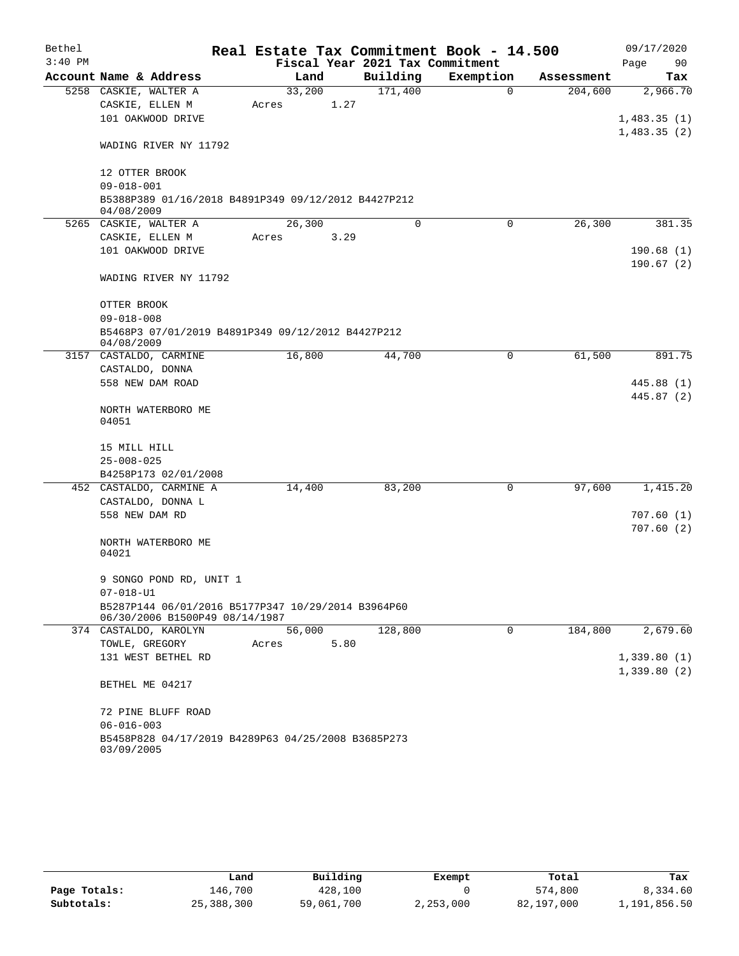| Bethel<br>$3:40$ PM |                                                                                      |        |        | Fiscal Year 2021 Tax Commitment | Real Estate Tax Commitment Book - 14.500 |            | 09/17/2020<br>90 |
|---------------------|--------------------------------------------------------------------------------------|--------|--------|---------------------------------|------------------------------------------|------------|------------------|
|                     | Account Name & Address                                                               |        | Land   | Building                        | Exemption                                | Assessment | Page<br>Tax      |
|                     | 5258 CASKIE, WALTER A                                                                | 33,200 |        | 171,400                         | $\mathbf 0$                              | 204,600    | 2,966.70         |
|                     | CASKIE, ELLEN M                                                                      | Acres  | 1.27   |                                 |                                          |            |                  |
|                     | 101 OAKWOOD DRIVE                                                                    |        |        |                                 |                                          |            | 1,483.35(1)      |
|                     |                                                                                      |        |        |                                 |                                          |            | 1,483.35(2)      |
|                     | WADING RIVER NY 11792                                                                |        |        |                                 |                                          |            |                  |
|                     | 12 OTTER BROOK                                                                       |        |        |                                 |                                          |            |                  |
|                     | $09 - 018 - 001$                                                                     |        |        |                                 |                                          |            |                  |
|                     | B5388P389 01/16/2018 B4891P349 09/12/2012 B4427P212<br>04/08/2009                    |        |        |                                 |                                          |            |                  |
|                     | 5265 CASKIE, WALTER A                                                                | 26,300 |        | 0                               | 0                                        | 26,300     | 381.35           |
|                     | CASKIE, ELLEN M                                                                      | Acres  | 3.29   |                                 |                                          |            |                  |
|                     | 101 OAKWOOD DRIVE                                                                    |        |        |                                 |                                          |            | 190.68(1)        |
|                     |                                                                                      |        |        |                                 |                                          |            | 190.67(2)        |
|                     | WADING RIVER NY 11792                                                                |        |        |                                 |                                          |            |                  |
|                     | OTTER BROOK                                                                          |        |        |                                 |                                          |            |                  |
|                     | $09 - 018 - 008$                                                                     |        |        |                                 |                                          |            |                  |
|                     | B5468P3 07/01/2019 B4891P349 09/12/2012 B4427P212<br>04/08/2009                      |        |        |                                 |                                          |            |                  |
|                     | 3157 CASTALDO, CARMINE                                                               | 16,800 |        | 44,700                          | 0                                        | 61,500     | 891.75           |
|                     | CASTALDO, DONNA                                                                      |        |        |                                 |                                          |            |                  |
|                     | 558 NEW DAM ROAD                                                                     |        |        |                                 |                                          |            | 445.88 (1)       |
|                     | NORTH WATERBORO ME<br>04051                                                          |        |        |                                 |                                          |            | 445.87 (2)       |
|                     | 15 MILL HILL                                                                         |        |        |                                 |                                          |            |                  |
|                     | $25 - 008 - 025$                                                                     |        |        |                                 |                                          |            |                  |
|                     | B4258P173 02/01/2008                                                                 |        |        |                                 |                                          |            |                  |
|                     | 452 CASTALDO, CARMINE A                                                              | 14,400 |        | 83,200                          | 0                                        | 97,600     | 1,415.20         |
|                     | CASTALDO, DONNA L                                                                    |        |        |                                 |                                          |            |                  |
|                     | 558 NEW DAM RD                                                                       |        |        |                                 |                                          |            | 707.60(1)        |
|                     | NORTH WATERBORO ME                                                                   |        |        |                                 |                                          |            | 707.60(2)        |
|                     | 04021                                                                                |        |        |                                 |                                          |            |                  |
|                     | 9 SONGO POND RD, UNIT 1                                                              |        |        |                                 |                                          |            |                  |
|                     | $07 - 018 - U1$                                                                      |        |        |                                 |                                          |            |                  |
|                     | B5287P144 06/01/2016 B5177P347 10/29/2014 B3964P60<br>06/30/2006 B1500P49 08/14/1987 |        |        |                                 |                                          |            |                  |
|                     | 374 CASTALDO, KAROLYN                                                                |        | 56,000 | 128,800                         | 0                                        | 184,800    | 2,679.60         |
|                     | TOWLE, GREGORY                                                                       | Acres  | 5.80   |                                 |                                          |            |                  |
|                     | 131 WEST BETHEL RD                                                                   |        |        |                                 |                                          |            | 1,339.80(1)      |
|                     | BETHEL ME 04217                                                                      |        |        |                                 |                                          |            | 1,339.80(2)      |
|                     | 72 PINE BLUFF ROAD                                                                   |        |        |                                 |                                          |            |                  |
|                     | $06 - 016 - 003$                                                                     |        |        |                                 |                                          |            |                  |
|                     | B5458P828 04/17/2019 B4289P63 04/25/2008 B3685P273<br>03/09/2005                     |        |        |                                 |                                          |            |                  |

|              | Land       | Building   | Exempt    | Total      | Tax          |
|--------------|------------|------------|-----------|------------|--------------|
| Page Totals: | 146,700    | 428,100    |           | 574,800    | 8,334.60     |
| Subtotals:   | 25,388,300 | 59,061,700 | 2,253,000 | 82,197,000 | 1,191,856.50 |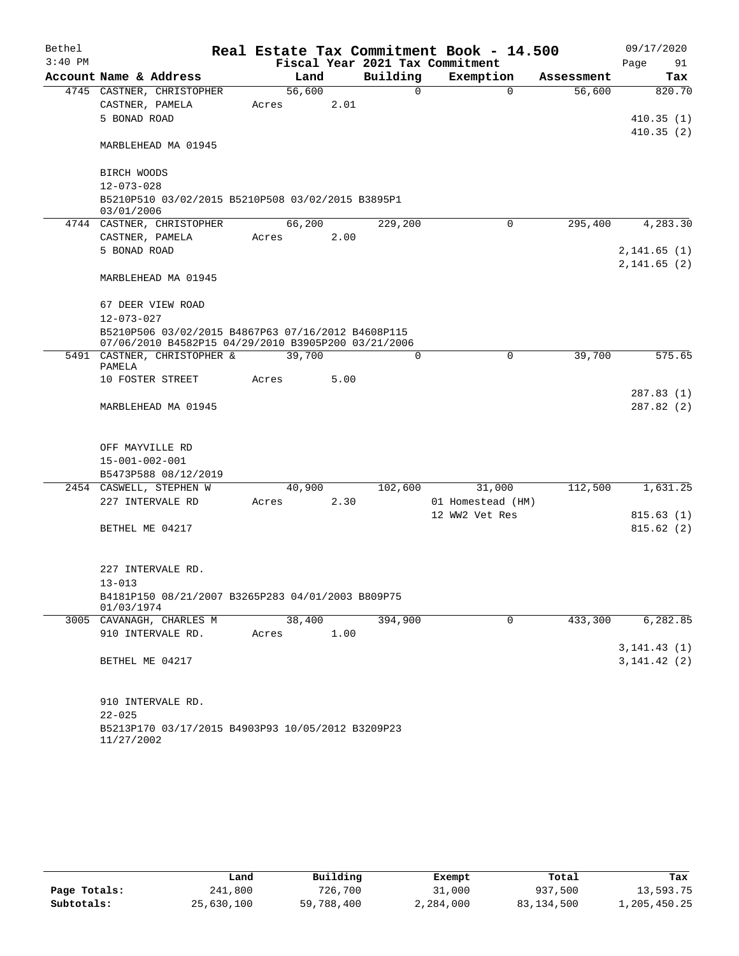| Bethel    |                        |                                                     |       |        |      |          | Real Estate Tax Commitment Book - 14.500 |             |            |      | 09/17/2020             |
|-----------|------------------------|-----------------------------------------------------|-------|--------|------|----------|------------------------------------------|-------------|------------|------|------------------------|
| $3:40$ PM |                        |                                                     |       |        |      |          | Fiscal Year 2021 Tax Commitment          |             |            | Page | 91                     |
|           |                        | Account Name & Address                              |       | Land   |      | Building | Exemption                                |             | Assessment |      | Tax                    |
|           |                        | 4745 CASTNER, CHRISTOPHER                           |       | 56,600 |      | $\Omega$ |                                          | $\Omega$    | 56,600     |      | 820.70                 |
|           | CASTNER, PAMELA        |                                                     | Acres |        | 2.01 |          |                                          |             |            |      |                        |
|           | 5 BONAD ROAD           |                                                     |       |        |      |          |                                          |             |            |      | 410.35(1)<br>410.35(2) |
|           |                        | MARBLEHEAD MA 01945                                 |       |        |      |          |                                          |             |            |      |                        |
|           | BIRCH WOODS            |                                                     |       |        |      |          |                                          |             |            |      |                        |
|           | $12 - 073 - 028$       |                                                     |       |        |      |          |                                          |             |            |      |                        |
|           | 03/01/2006             | B5210P510 03/02/2015 B5210P508 03/02/2015 B3895P1   |       |        |      |          |                                          |             |            |      |                        |
|           |                        | 4744 CASTNER, CHRISTOPHER                           |       | 66,200 |      | 229,200  |                                          | $\Omega$    | 295,400    |      | 4,283.30               |
|           | CASTNER, PAMELA        |                                                     | Acres |        | 2.00 |          |                                          |             |            |      |                        |
|           | 5 BONAD ROAD           |                                                     |       |        |      |          |                                          |             |            |      | 2,141.65(1)            |
|           |                        | MARBLEHEAD MA 01945                                 |       |        |      |          |                                          |             |            |      | 2,141.65(2)            |
|           |                        | 67 DEER VIEW ROAD                                   |       |        |      |          |                                          |             |            |      |                        |
|           | $12 - 073 - 027$       |                                                     |       |        |      |          |                                          |             |            |      |                        |
|           |                        | B5210P506 03/02/2015 B4867P63 07/16/2012 B4608P115  |       |        |      |          |                                          |             |            |      |                        |
|           |                        | 07/06/2010 B4582P15 04/29/2010 B3905P200 03/21/2006 |       |        |      |          |                                          |             |            |      |                        |
|           | PAMELA                 | 5491 CASTNER, CHRISTOPHER &                         |       | 39,700 |      | $\Omega$ |                                          | 0           | 39,700     |      | 575.65                 |
|           |                        | 10 FOSTER STREET                                    | Acres |        | 5.00 |          |                                          |             |            |      |                        |
|           |                        |                                                     |       |        |      |          |                                          |             |            |      | 287.83(1)              |
|           |                        | MARBLEHEAD MA 01945                                 |       |        |      |          |                                          |             |            |      | 287.82 (2)             |
|           | OFF MAYVILLE RD        |                                                     |       |        |      |          |                                          |             |            |      |                        |
|           | $15 - 001 - 002 - 001$ |                                                     |       |        |      |          |                                          |             |            |      |                        |
|           |                        | B5473P588 08/12/2019                                |       |        |      |          |                                          |             |            |      |                        |
|           |                        | 2454 CASWELL, STEPHEN W                             |       | 40,900 |      | 102,600  | 31,000                                   |             | 112,500    |      | 1,631.25               |
|           |                        | 227 INTERVALE RD                                    | Acres |        | 2.30 |          | 01 Homestead (HM)                        |             |            |      |                        |
|           |                        |                                                     |       |        |      |          | 12 WW2 Vet Res                           |             |            |      | 815.63(1)              |
|           | BETHEL ME 04217        |                                                     |       |        |      |          |                                          |             |            |      | 815.62(2)              |
|           |                        | 227 INTERVALE RD.                                   |       |        |      |          |                                          |             |            |      |                        |
|           | $13 - 013$             |                                                     |       |        |      |          |                                          |             |            |      |                        |
|           | 01/03/1974             | B4181P150 08/21/2007 B3265P283 04/01/2003 B809P75   |       |        |      |          |                                          |             |            |      |                        |
|           |                        | 3005 CAVANAGH, CHARLES M                            |       | 38,400 |      | 394,900  |                                          | $\mathbf 0$ | 433,300    |      | 6, 282.85              |
|           |                        | 910 INTERVALE RD.                                   | Acres |        | 1.00 |          |                                          |             |            |      |                        |
|           |                        |                                                     |       |        |      |          |                                          |             |            |      | 3, 141.43(1)           |
|           | BETHEL ME 04217        |                                                     |       |        |      |          |                                          |             |            |      | 3, 141.42(2)           |
|           |                        | 910 INTERVALE RD.                                   |       |        |      |          |                                          |             |            |      |                        |
|           | $22 - 025$             |                                                     |       |        |      |          |                                          |             |            |      |                        |
|           | 11/27/2002             | B5213P170 03/17/2015 B4903P93 10/05/2012 B3209P23   |       |        |      |          |                                          |             |            |      |                        |

|              | Land       | Building   | Exempt    | Total      | Tax          |
|--------------|------------|------------|-----------|------------|--------------|
| Page Totals: | 241,800    | 726,700    | 31,000    | 937,500    | 13,593.75    |
| Subtotals:   | 25,630,100 | 59,788,400 | 2,284,000 | 83,134,500 | 1,205,450.25 |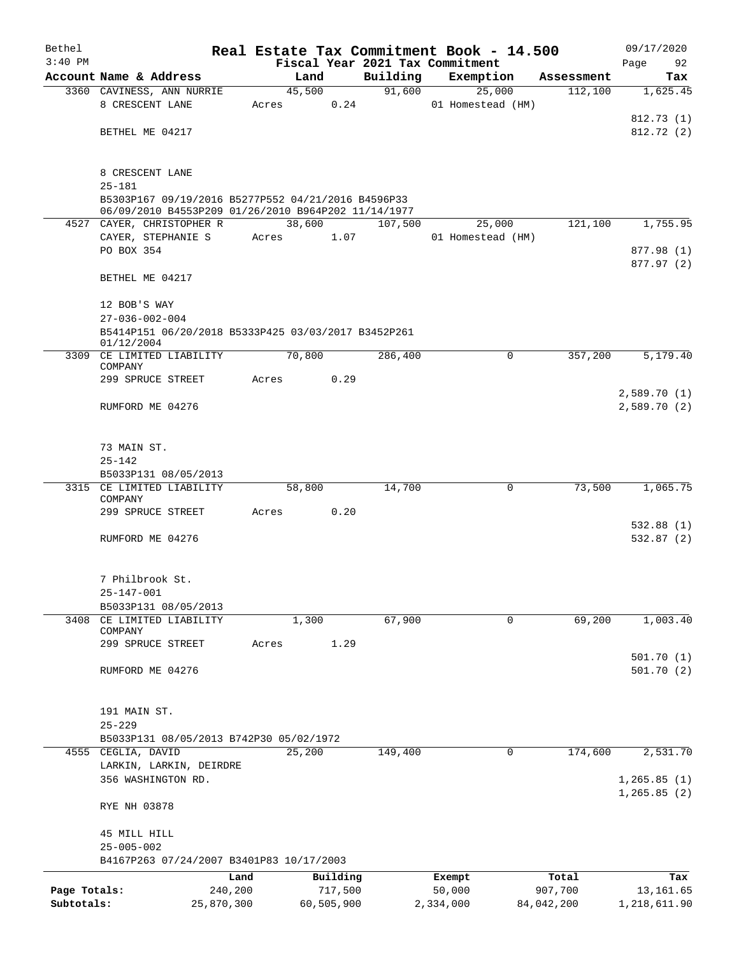| Bethel       |                                                                   |            |       |                |          | Real Estate Tax Commitment Book - 14.500 |            | 09/17/2020   |
|--------------|-------------------------------------------------------------------|------------|-------|----------------|----------|------------------------------------------|------------|--------------|
| $3:40$ PM    |                                                                   |            |       |                |          | Fiscal Year 2021 Tax Commitment          |            | Page<br>92   |
|              | Account Name & Address                                            |            |       | Land           | Building | Exemption                                | Assessment | Tax          |
|              | 3360 CAVINESS, ANN NURRIE<br>8 CRESCENT LANE                      |            | Acres | 45,500<br>0.24 | 91,600   | 25,000<br>01 Homestead (HM)              | 112,100    | 1,625.45     |
|              |                                                                   |            |       |                |          |                                          |            | 812.73 (1)   |
|              | BETHEL ME 04217                                                   |            |       |                |          |                                          |            | 812.72 (2)   |
|              |                                                                   |            |       |                |          |                                          |            |              |
|              |                                                                   |            |       |                |          |                                          |            |              |
|              | 8 CRESCENT LANE<br>$25 - 181$                                     |            |       |                |          |                                          |            |              |
|              | B5303P167 09/19/2016 B5277P552 04/21/2016 B4596P33                |            |       |                |          |                                          |            |              |
|              | 06/09/2010 B4553P209 01/26/2010 B964P202 11/14/1977               |            |       |                |          |                                          |            |              |
|              | 4527 CAYER, CHRISTOPHER R                                         |            |       | 38,600         | 107,500  | 25,000                                   | 121,100    | 1,755.95     |
|              | CAYER, STEPHANIE S<br>PO BOX 354                                  |            | Acres | 1.07           |          | 01 Homestead (HM)                        |            | 877.98 (1)   |
|              |                                                                   |            |       |                |          |                                          |            | 877.97 (2)   |
|              | BETHEL ME 04217                                                   |            |       |                |          |                                          |            |              |
|              |                                                                   |            |       |                |          |                                          |            |              |
|              | 12 BOB'S WAY                                                      |            |       |                |          |                                          |            |              |
|              | $27 - 036 - 002 - 004$                                            |            |       |                |          |                                          |            |              |
|              | B5414P151 06/20/2018 B5333P425 03/03/2017 B3452P261<br>01/12/2004 |            |       |                |          |                                          |            |              |
|              | 3309 CE LIMITED LIABILITY<br>COMPANY                              |            |       | 70,800         | 286,400  | 0                                        | 357,200    | 5,179.40     |
|              | 299 SPRUCE STREET                                                 |            | Acres | 0.29           |          |                                          |            |              |
|              |                                                                   |            |       |                |          |                                          |            | 2,589.70(1)  |
|              | RUMFORD ME 04276                                                  |            |       |                |          |                                          |            | 2,589.70(2)  |
|              |                                                                   |            |       |                |          |                                          |            |              |
|              | 73 MAIN ST.                                                       |            |       |                |          |                                          |            |              |
|              | $25 - 142$                                                        |            |       |                |          |                                          |            |              |
|              | B5033P131 08/05/2013                                              |            |       |                |          |                                          |            |              |
|              | 3315 CE LIMITED LIABILITY                                         |            |       | 58,800         | 14,700   | 0                                        | 73,500     | 1,065.75     |
|              | COMPANY                                                           |            |       |                |          |                                          |            |              |
|              | 299 SPRUCE STREET                                                 |            | Acres | 0.20           |          |                                          |            |              |
|              |                                                                   |            |       |                |          |                                          |            | 532.88(1)    |
|              | RUMFORD ME 04276                                                  |            |       |                |          |                                          |            | 532.87(2)    |
|              |                                                                   |            |       |                |          |                                          |            |              |
|              | 7 Philbrook St.                                                   |            |       |                |          |                                          |            |              |
|              | 25-147-001                                                        |            |       |                |          |                                          |            |              |
|              | B5033P131 08/05/2013                                              |            |       |                |          |                                          |            |              |
| 3408         | CE LIMITED LIABILITY<br>COMPANY                                   |            |       | 1,300          | 67,900   | 0                                        | 69,200     | 1,003.40     |
|              | 299 SPRUCE STREET                                                 |            | Acres | 1.29           |          |                                          |            |              |
|              |                                                                   |            |       |                |          |                                          |            | 501.70(1)    |
|              | RUMFORD ME 04276                                                  |            |       |                |          |                                          |            | 501.70(2)    |
|              |                                                                   |            |       |                |          |                                          |            |              |
|              |                                                                   |            |       |                |          |                                          |            |              |
|              | 191 MAIN ST.                                                      |            |       |                |          |                                          |            |              |
|              | $25 - 229$                                                        |            |       |                |          |                                          |            |              |
|              | B5033P131 08/05/2013 B742P30 05/02/1972<br>4555 CEGLIA, DAVID     |            |       | 25,200         | 149,400  | $\mathbf 0$                              | 174,600    | 2,531.70     |
|              | LARKIN, LARKIN, DEIRDRE                                           |            |       |                |          |                                          |            |              |
|              | 356 WASHINGTON RD.                                                |            |       |                |          |                                          |            | 1, 265.85(1) |
|              |                                                                   |            |       |                |          |                                          |            | 1,265.85(2)  |
|              | RYE NH 03878                                                      |            |       |                |          |                                          |            |              |
|              |                                                                   |            |       |                |          |                                          |            |              |
|              | 45 MILL HILL<br>$25 - 005 - 002$                                  |            |       |                |          |                                          |            |              |
|              | B4167P263 07/24/2007 B3401P83 10/17/2003                          |            |       |                |          |                                          |            |              |
|              |                                                                   | Land       |       | Building       |          | Exempt                                   | Total      | Tax          |
| Page Totals: |                                                                   | 240,200    |       | 717,500        |          | 50,000                                   | 907,700    | 13,161.65    |
| Subtotals:   |                                                                   | 25,870,300 |       | 60,505,900     |          | 2,334,000                                | 84,042,200 | 1,218,611.90 |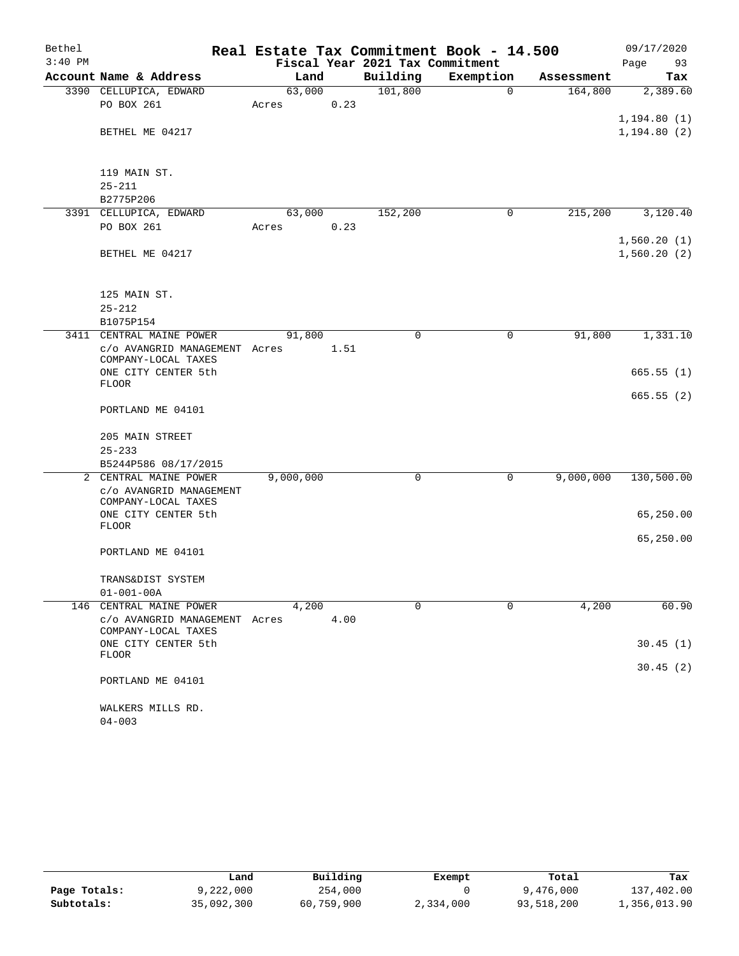| Bethel    |                                                      |           |      |                                 | Real Estate Tax Commitment Book - 14.500 |            | 09/17/2020                   |
|-----------|------------------------------------------------------|-----------|------|---------------------------------|------------------------------------------|------------|------------------------------|
| $3:40$ PM |                                                      |           |      | Fiscal Year 2021 Tax Commitment |                                          |            | Page<br>93                   |
|           | Account Name & Address                               | Land      |      | Building                        | Exemption                                | Assessment | Tax                          |
|           | 3390 CELLUPICA, EDWARD                               | 63,000    |      | 101,800                         | $\mathbf 0$                              | 164,800    | 2,389.60                     |
|           | PO BOX 261                                           | Acres     | 0.23 |                                 |                                          |            |                              |
|           | BETHEL ME 04217                                      |           |      |                                 |                                          |            | 1, 194.80(1)<br>1, 194.80(2) |
|           |                                                      |           |      |                                 |                                          |            |                              |
|           | 119 MAIN ST.                                         |           |      |                                 |                                          |            |                              |
|           | $25 - 211$                                           |           |      |                                 |                                          |            |                              |
|           | B2775P206                                            |           |      |                                 |                                          |            |                              |
|           | 3391 CELLUPICA, EDWARD                               | 63,000    |      | 152,200                         | 0                                        | 215,200    | 3,120.40                     |
|           | PO BOX 261                                           | Acres     | 0.23 |                                 |                                          |            |                              |
|           |                                                      |           |      |                                 |                                          |            | 1,560.20(1)                  |
|           | BETHEL ME 04217                                      |           |      |                                 |                                          |            | 1,560.20(2)                  |
|           |                                                      |           |      |                                 |                                          |            |                              |
|           |                                                      |           |      |                                 |                                          |            |                              |
|           | 125 MAIN ST.                                         |           |      |                                 |                                          |            |                              |
|           | $25 - 212$                                           |           |      |                                 |                                          |            |                              |
|           | B1075P154                                            |           |      |                                 |                                          |            |                              |
|           | 3411 CENTRAL MAINE POWER                             | 91,800    |      | 0                               | 0                                        | 91,800     | 1,331.10                     |
|           | c/o AVANGRID MANAGEMENT Acres<br>COMPANY-LOCAL TAXES |           | 1.51 |                                 |                                          |            |                              |
|           | ONE CITY CENTER 5th                                  |           |      |                                 |                                          |            | 665.55(1)                    |
|           | <b>FLOOR</b>                                         |           |      |                                 |                                          |            |                              |
|           | PORTLAND ME 04101                                    |           |      |                                 |                                          |            | 665.55(2)                    |
|           | 205 MAIN STREET                                      |           |      |                                 |                                          |            |                              |
|           | $25 - 233$                                           |           |      |                                 |                                          |            |                              |
|           | B5244P586 08/17/2015                                 |           |      |                                 |                                          |            |                              |
|           | 2 CENTRAL MAINE POWER                                | 9,000,000 |      | 0                               | 0                                        | 9,000,000  | 130,500.00                   |
|           | c/o AVANGRID MANAGEMENT                              |           |      |                                 |                                          |            |                              |
|           | COMPANY-LOCAL TAXES                                  |           |      |                                 |                                          |            |                              |
|           | ONE CITY CENTER 5th                                  |           |      |                                 |                                          |            | 65,250.00                    |
|           | <b>FLOOR</b>                                         |           |      |                                 |                                          |            |                              |
|           | PORTLAND ME 04101                                    |           |      |                                 |                                          |            | 65,250.00                    |
|           |                                                      |           |      |                                 |                                          |            |                              |
|           | TRANS&DIST SYSTEM                                    |           |      |                                 |                                          |            |                              |
|           | $01 - 001 - 00A$                                     |           |      |                                 |                                          |            |                              |
| 146       | CENTRAL MAINE POWER                                  | 4,200     |      | $\Omega$                        | $\Omega$                                 | 4,200      | 60.90                        |
|           | c/o AVANGRID MANAGEMENT Acres<br>COMPANY-LOCAL TAXES |           | 4.00 |                                 |                                          |            |                              |
|           | ONE CITY CENTER 5th                                  |           |      |                                 |                                          |            | 30.45(1)                     |
|           | <b>FLOOR</b>                                         |           |      |                                 |                                          |            |                              |
|           |                                                      |           |      |                                 |                                          |            | 30.45(2)                     |
|           | PORTLAND ME 04101                                    |           |      |                                 |                                          |            |                              |
|           | WALKERS MILLS RD.                                    |           |      |                                 |                                          |            |                              |
|           | $04 - 003$                                           |           |      |                                 |                                          |            |                              |

|              | Land       | Building   | Exempt    | Total      | Tax          |
|--------------|------------|------------|-----------|------------|--------------|
| Page Totals: | 9,222,000  | 254,000    |           | 9,476,000  | 137,402.00   |
| Subtotals:   | 35,092,300 | 60,759,900 | 2,334,000 | 93,518,200 | 1,356,013.90 |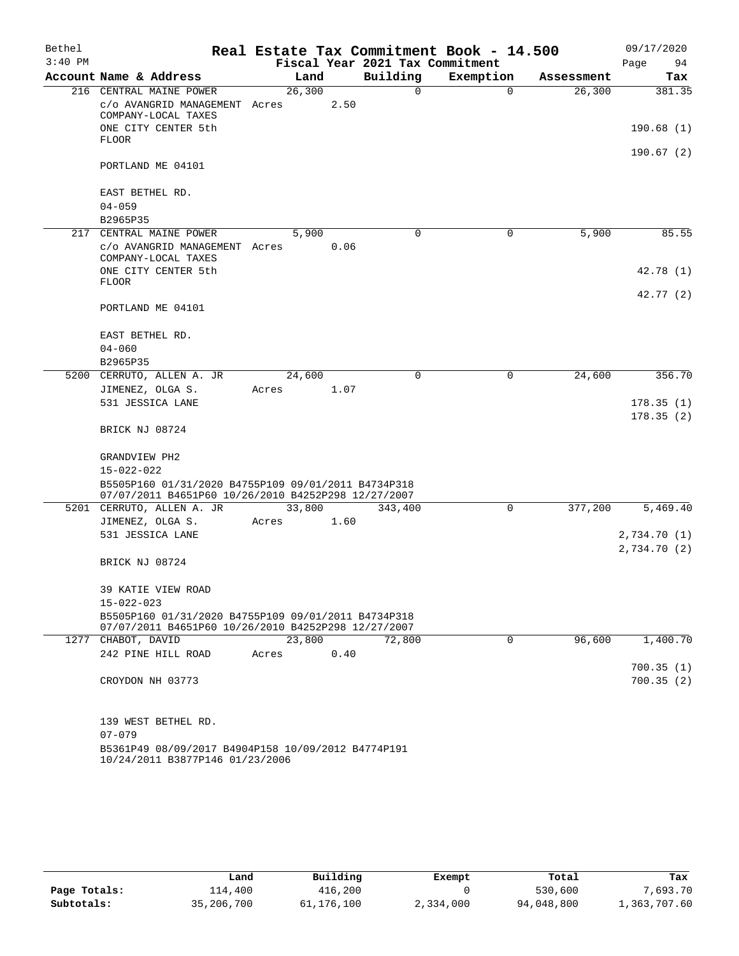| Bethel    |                                                                                                            |        |      | Real Estate Tax Commitment Book - 14.500 |             |            | 09/17/2020                 |
|-----------|------------------------------------------------------------------------------------------------------------|--------|------|------------------------------------------|-------------|------------|----------------------------|
| $3:40$ PM |                                                                                                            |        |      | Fiscal Year 2021 Tax Commitment          |             |            | Page<br>94                 |
|           | Account Name & Address                                                                                     | Land   |      | Building                                 | Exemption   | Assessment | Tax                        |
|           | 216 CENTRAL MAINE POWER                                                                                    | 26,300 |      | 0                                        | $\mathbf 0$ | 26,300     | 381.35                     |
|           | c/o AVANGRID MANAGEMENT Acres<br>COMPANY-LOCAL TAXES                                                       |        | 2.50 |                                          |             |            |                            |
|           | ONE CITY CENTER 5th<br><b>FLOOR</b>                                                                        |        |      |                                          |             |            | 190.68(1)                  |
|           |                                                                                                            |        |      |                                          |             |            | 190.67(2)                  |
|           | PORTLAND ME 04101                                                                                          |        |      |                                          |             |            |                            |
|           | EAST BETHEL RD.                                                                                            |        |      |                                          |             |            |                            |
|           | $04 - 059$                                                                                                 |        |      |                                          |             |            |                            |
|           | B2965P35                                                                                                   |        |      |                                          |             |            |                            |
|           | 217 CENTRAL MAINE POWER                                                                                    | 5,900  | 0.06 | 0                                        | 0           | 5,900      | 85.55                      |
|           | c/o AVANGRID MANAGEMENT Acres<br>COMPANY-LOCAL TAXES                                                       |        |      |                                          |             |            |                            |
|           | ONE CITY CENTER 5th<br><b>FLOOR</b>                                                                        |        |      |                                          |             |            | 42.78 (1)                  |
|           |                                                                                                            |        |      |                                          |             |            | 42.77 (2)                  |
|           | PORTLAND ME 04101                                                                                          |        |      |                                          |             |            |                            |
|           | EAST BETHEL RD.                                                                                            |        |      |                                          |             |            |                            |
|           | $04 - 060$                                                                                                 |        |      |                                          |             |            |                            |
|           | B2965P35                                                                                                   |        |      |                                          |             |            |                            |
|           | 5200 CERRUTO, ALLEN A. JR                                                                                  | 24,600 |      | 0                                        | 0           | 24,600     | 356.70                     |
|           | JIMENEZ, OLGA S.                                                                                           | Acres  | 1.07 |                                          |             |            |                            |
|           | 531 JESSICA LANE                                                                                           |        |      |                                          |             |            | 178.35(1)<br>178.35(2)     |
|           | BRICK NJ 08724                                                                                             |        |      |                                          |             |            |                            |
|           | GRANDVIEW PH2                                                                                              |        |      |                                          |             |            |                            |
|           | 15-022-022                                                                                                 |        |      |                                          |             |            |                            |
|           | B5505P160 01/31/2020 B4755P109 09/01/2011 B4734P318<br>07/07/2011 B4651P60 10/26/2010 B4252P298 12/27/2007 |        |      |                                          |             |            |                            |
|           | 5201 CERRUTO, ALLEN A. JR                                                                                  | 33,800 |      | 343,400                                  | 0           | 377,200    | 5,469.40                   |
|           | JIMENEZ, OLGA S.                                                                                           | Acres  | 1.60 |                                          |             |            |                            |
|           | 531 JESSICA LANE                                                                                           |        |      |                                          |             |            | 2,734.70(1)<br>2,734.70(2) |
|           | BRICK NJ 08724                                                                                             |        |      |                                          |             |            |                            |
|           | 39 KATIE VIEW ROAD                                                                                         |        |      |                                          |             |            |                            |
|           | 15-022-023                                                                                                 |        |      |                                          |             |            |                            |
|           | B5505P160 01/31/2020 B4755P109 09/01/2011 B4734P318<br>07/07/2011 B4651P60 10/26/2010 B4252P298 12/27/2007 |        |      |                                          |             |            |                            |
|           | 1277 CHABOT, DAVID                                                                                         | 23,800 |      | 72,800                                   | 0           | 96,600     | 1,400.70                   |
|           | 242 PINE HILL ROAD                                                                                         | Acres  | 0.40 |                                          |             |            |                            |
|           |                                                                                                            |        |      |                                          |             |            | 700.35(1)                  |
|           | CROYDON NH 03773                                                                                           |        |      |                                          |             |            | 700.35(2)                  |
|           | 139 WEST BETHEL RD.                                                                                        |        |      |                                          |             |            |                            |
|           | $07 - 079$                                                                                                 |        |      |                                          |             |            |                            |
|           | B5361P49 08/09/2017 B4904P158 10/09/2012 B4774P191<br>10/24/2011 B3877P146 01/23/2006                      |        |      |                                          |             |            |                            |

|              | Land       | Building   | Exempt    | Total      | Tax          |
|--------------|------------|------------|-----------|------------|--------------|
| Page Totals: | 114,400    | 416,200    |           | 530,600    | 7,693.70     |
| Subtotals:   | 35,206,700 | 61,176,100 | 2,334,000 | 94,048,800 | 1,363,707.60 |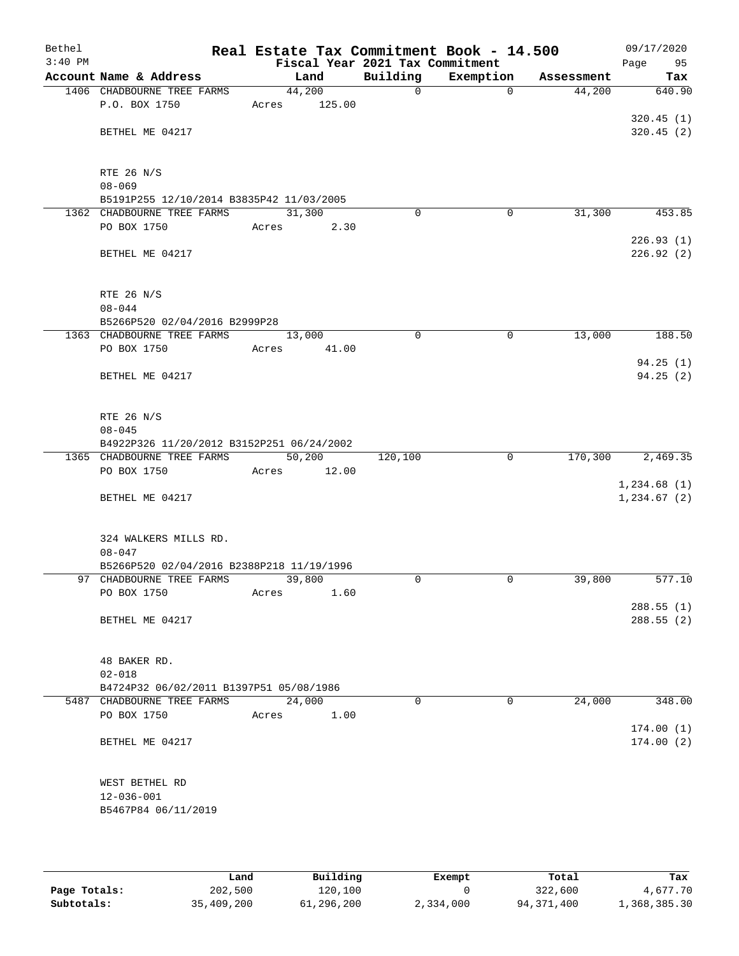| Bethel    |                                           |       |        |                                 | Real Estate Tax Commitment Book - 14.500 |            | 09/17/2020  |
|-----------|-------------------------------------------|-------|--------|---------------------------------|------------------------------------------|------------|-------------|
| $3:40$ PM |                                           |       |        | Fiscal Year 2021 Tax Commitment |                                          |            | Page<br>95  |
|           | Account Name & Address                    |       | Land   | Building                        | Exemption                                | Assessment | Tax         |
|           | 1406 CHADBOURNE TREE FARMS                |       | 44,200 | $\mathsf{O}$                    | 0                                        | 44,200     | 640.90      |
|           | P.O. BOX 1750                             | Acres | 125.00 |                                 |                                          |            | 320.45(1)   |
|           | BETHEL ME 04217                           |       |        |                                 |                                          |            | 320.45(2)   |
|           |                                           |       |        |                                 |                                          |            |             |
|           |                                           |       |        |                                 |                                          |            |             |
|           | RTE 26 N/S                                |       |        |                                 |                                          |            |             |
|           | $08 - 069$                                |       |        |                                 |                                          |            |             |
|           | B5191P255 12/10/2014 B3835P42 11/03/2005  |       |        |                                 |                                          |            |             |
|           | 1362 CHADBOURNE TREE FARMS                |       | 31,300 | 0                               | 0                                        | 31,300     | 453.85      |
|           | PO BOX 1750                               | Acres | 2.30   |                                 |                                          |            | 226.93(1)   |
|           | BETHEL ME 04217                           |       |        |                                 |                                          |            | 226.92 (2)  |
|           |                                           |       |        |                                 |                                          |            |             |
|           |                                           |       |        |                                 |                                          |            |             |
|           | RTE 26 N/S                                |       |        |                                 |                                          |            |             |
|           | $08 - 044$                                |       |        |                                 |                                          |            |             |
|           | B5266P520 02/04/2016 B2999P28             |       |        |                                 |                                          |            |             |
|           | 1363 CHADBOURNE TREE FARMS                |       | 13,000 | 0                               | $\mathbf 0$                              | 13,000     | 188.50      |
|           | PO BOX 1750                               | Acres | 41.00  |                                 |                                          |            | 94.25(1)    |
|           | BETHEL ME 04217                           |       |        |                                 |                                          |            | 94.25(2)    |
|           |                                           |       |        |                                 |                                          |            |             |
|           |                                           |       |        |                                 |                                          |            |             |
|           | RTE 26 N/S                                |       |        |                                 |                                          |            |             |
|           | $08 - 045$                                |       |        |                                 |                                          |            |             |
|           | B4922P326 11/20/2012 B3152P251 06/24/2002 |       |        |                                 |                                          |            |             |
|           | 1365 CHADBOURNE TREE FARMS                |       | 50,200 | 120,100                         | $\mathbf 0$                              | 170,300    | 2,469.35    |
|           | PO BOX 1750                               | Acres | 12.00  |                                 |                                          |            | 1,234.68(1) |
|           | BETHEL ME 04217                           |       |        |                                 |                                          |            | 1,234.67(2) |
|           |                                           |       |        |                                 |                                          |            |             |
|           |                                           |       |        |                                 |                                          |            |             |
|           | 324 WALKERS MILLS RD.                     |       |        |                                 |                                          |            |             |
|           | $08 - 047$                                |       |        |                                 |                                          |            |             |
|           | B5266P520 02/04/2016 B2388P218 11/19/1996 |       |        |                                 |                                          |            |             |
|           | 97 CHADBOURNE TREE FARMS                  | Acres | 39,800 | $\Omega$                        | 0                                        | 39,800     | 577.10      |
|           | PO BOX 1750                               |       | 1.60   |                                 |                                          |            | 288.55 (1)  |
|           | BETHEL ME 04217                           |       |        |                                 |                                          |            | 288.55(2)   |
|           |                                           |       |        |                                 |                                          |            |             |
|           |                                           |       |        |                                 |                                          |            |             |
|           | 48 BAKER RD.                              |       |        |                                 |                                          |            |             |
|           | $02 - 018$                                |       |        |                                 |                                          |            |             |
|           | B4724P32 06/02/2011 B1397P51 05/08/1986   |       | 24,000 | $\Omega$                        | $\Omega$                                 | 24,000     | 348.00      |
|           | 5487 CHADBOURNE TREE FARMS<br>PO BOX 1750 | Acres | 1.00   |                                 |                                          |            |             |
|           |                                           |       |        |                                 |                                          |            | 174.00(1)   |
|           | BETHEL ME 04217                           |       |        |                                 |                                          |            | 174.00(2)   |
|           |                                           |       |        |                                 |                                          |            |             |
|           |                                           |       |        |                                 |                                          |            |             |
|           | WEST BETHEL RD                            |       |        |                                 |                                          |            |             |
|           | 12-036-001                                |       |        |                                 |                                          |            |             |
|           | B5467P84 06/11/2019                       |       |        |                                 |                                          |            |             |
|           |                                           |       |        |                                 |                                          |            |             |

|              | Land       | Building   | Exempt    | Total      | Tax          |
|--------------|------------|------------|-----------|------------|--------------|
| Page Totals: | 202,500    | 120.100    |           | 322,600    | 4,677.70     |
| Subtotals:   | 35,409,200 | 61,296,200 | 2,334,000 | 94,371,400 | 1,368,385.30 |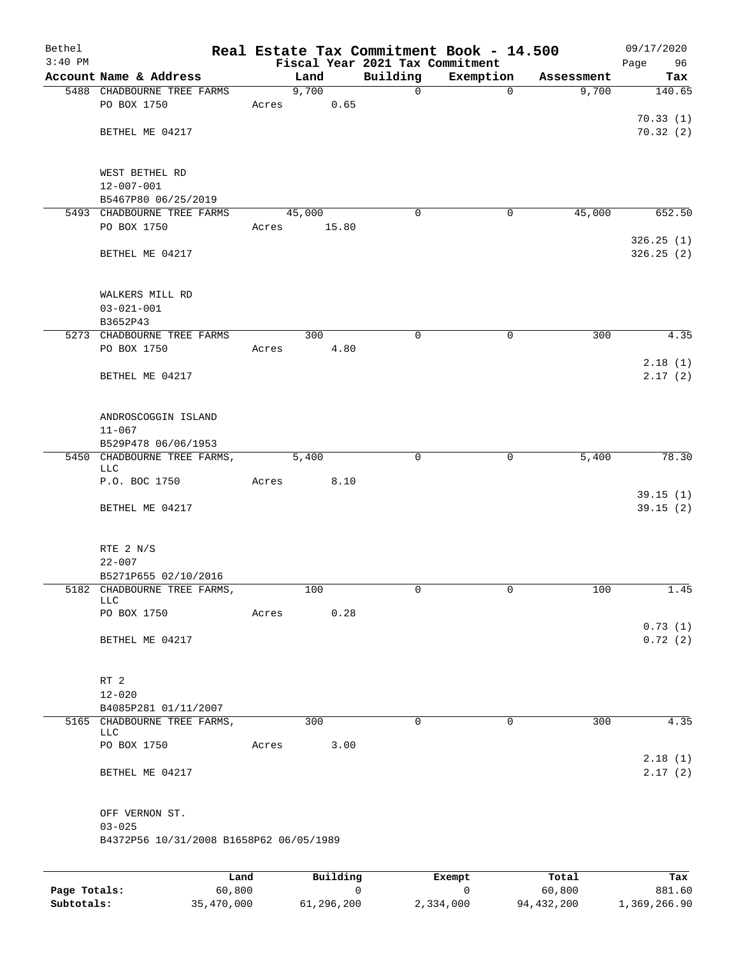| Bethel<br>$3:40$ PM |                                                    |       |          | Fiscal Year 2021 Tax Commitment | Real Estate Tax Commitment Book - 14.500 |            | 09/17/2020<br>Page<br>96 |
|---------------------|----------------------------------------------------|-------|----------|---------------------------------|------------------------------------------|------------|--------------------------|
|                     | Account Name & Address                             |       | Land     | Building                        | Exemption                                | Assessment | Tax                      |
|                     | 5488 CHADBOURNE TREE FARMS                         |       | 9,700    | $\mathsf{O}$                    | $\mathbf 0$                              | 9,700      | 140.65                   |
|                     | PO BOX 1750                                        | Acres | 0.65     |                                 |                                          |            |                          |
|                     |                                                    |       |          |                                 |                                          |            | 70.33(1)                 |
|                     | BETHEL ME 04217                                    |       |          |                                 |                                          |            | 70.32(2)                 |
|                     | WEST BETHEL RD                                     |       |          |                                 |                                          |            |                          |
|                     | $12 - 007 - 001$                                   |       |          |                                 |                                          |            |                          |
|                     | B5467P80 06/25/2019                                |       |          |                                 |                                          |            |                          |
|                     | 5493 CHADBOURNE TREE FARMS                         |       | 45,000   | 0                               | 0                                        | 45,000     | 652.50                   |
|                     | PO BOX 1750                                        | Acres | 15.80    |                                 |                                          |            |                          |
|                     | BETHEL ME 04217                                    |       |          |                                 |                                          |            | 326.25(1)<br>326.25(2)   |
|                     | WALKERS MILL RD                                    |       |          |                                 |                                          |            |                          |
|                     | $03 - 021 - 001$                                   |       |          |                                 |                                          |            |                          |
|                     | B3652P43                                           |       |          |                                 |                                          |            |                          |
|                     | 5273 CHADBOURNE TREE FARMS                         |       | 300      | $\mathbf 0$                     | $\mathbf 0$                              | 300        | 4.35                     |
|                     | PO BOX 1750                                        | Acres | 4.80     |                                 |                                          |            |                          |
|                     |                                                    |       |          |                                 |                                          |            | 2.18(1)                  |
|                     | BETHEL ME 04217                                    |       |          |                                 |                                          |            | 2.17(2)                  |
|                     | ANDROSCOGGIN ISLAND                                |       |          |                                 |                                          |            |                          |
|                     | $11 - 067$                                         |       |          |                                 |                                          |            |                          |
|                     | B529P478 06/06/1953<br>5450 CHADBOURNE TREE FARMS, |       | 5,400    | $\mathbf 0$                     | 0                                        | 5,400      | 78.30                    |
|                     | LLC                                                |       |          |                                 |                                          |            |                          |
|                     | P.O. BOC 1750                                      | Acres | 8.10     |                                 |                                          |            |                          |
|                     | BETHEL ME 04217                                    |       |          |                                 |                                          |            | 39.15(1)<br>39.15(2)     |
|                     |                                                    |       |          |                                 |                                          |            |                          |
|                     | RTE 2 N/S                                          |       |          |                                 |                                          |            |                          |
|                     | $22 - 007$<br>B5271P655 02/10/2016                 |       |          |                                 |                                          |            |                          |
|                     | 5182 CHADBOURNE TREE FARMS,                        |       | 100      | 0                               | 0                                        | 100        | 1.45                     |
|                     | LLC.                                               |       |          |                                 |                                          |            |                          |
|                     | PO BOX 1750                                        | Acres | 0.28     |                                 |                                          |            |                          |
|                     |                                                    |       |          |                                 |                                          |            | 0.73(1)                  |
|                     | BETHEL ME 04217                                    |       |          |                                 |                                          |            | 0.72(2)                  |
|                     | RT 2                                               |       |          |                                 |                                          |            |                          |
|                     | $12 - 020$                                         |       |          |                                 |                                          |            |                          |
|                     | B4085P281 01/11/2007                               |       |          |                                 |                                          |            |                          |
|                     | 5165 CHADBOURNE TREE FARMS,<br>LLC                 |       | 300      | 0                               | $\mathbf 0$                              | 300        | 4.35                     |
|                     | PO BOX 1750                                        | Acres | 3.00     |                                 |                                          |            |                          |
|                     |                                                    |       |          |                                 |                                          |            | 2.18(1)                  |
|                     | BETHEL ME 04217                                    |       |          |                                 |                                          |            | 2.17(2)                  |
|                     | OFF VERNON ST.                                     |       |          |                                 |                                          |            |                          |
|                     | $03 - 025$                                         |       |          |                                 |                                          |            |                          |
|                     | B4372P56 10/31/2008 B1658P62 06/05/1989            |       |          |                                 |                                          |            |                          |
|                     |                                                    |       | Building |                                 |                                          | Total      | Tax                      |
|                     |                                                    | Land  |          |                                 | Exempt                                   |            |                          |

|              | ------     | ---------  | --------  | -----      | ----         |
|--------------|------------|------------|-----------|------------|--------------|
| Page Totals: | 60,800     |            |           | 60,800     | 881.60       |
| Subtotals:   | 35,470,000 | 61,296,200 | 2,334,000 | 94,432,200 | 1,369,266.90 |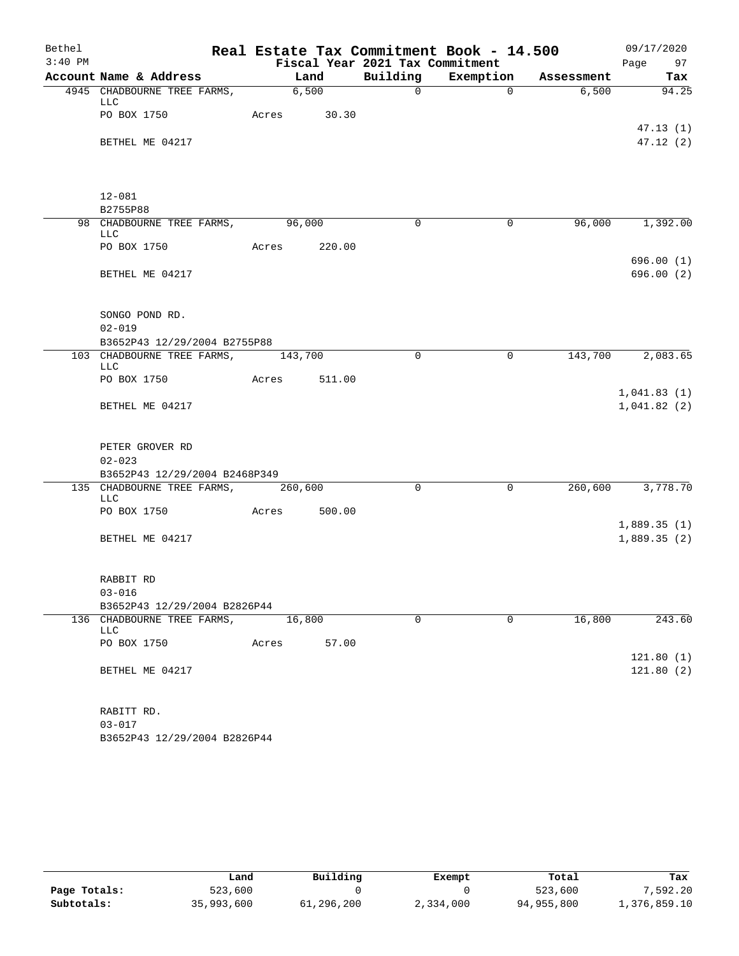| Bethel    |                                                                     |                 |        |                                 | Real Estate Tax Commitment Book - 14.500 |            | 09/17/2020                 |
|-----------|---------------------------------------------------------------------|-----------------|--------|---------------------------------|------------------------------------------|------------|----------------------------|
| $3:40$ PM |                                                                     |                 |        | Fiscal Year 2021 Tax Commitment |                                          |            | Page 97                    |
|           | Account Name & Address                                              | Land            |        |                                 | Building Exemption                       | Assessment | Tax                        |
|           | 4945 CHADBOURNE TREE FARMS, 6,500<br>LLC                            |                 |        | $\Omega$                        | $\Omega$                                 | 6,500      | 94.25                      |
|           | PO BOX 1750                                                         | Acres 30.30     |        |                                 |                                          |            | 47.13(1)                   |
|           | BETHEL ME 04217                                                     |                 |        |                                 |                                          |            | 47.12(2)                   |
|           | $12 - 081$                                                          |                 |        |                                 |                                          |            |                            |
|           | B2755P88                                                            |                 |        |                                 |                                          |            |                            |
|           | 98 CHADBOURNE TREE FARMS, 96,000<br><b>LLC</b>                      |                 |        | $\overline{0}$                  | $\mathsf{O}$                             |            | 96,000 1,392.00            |
|           | PO BOX 1750                                                         | Acres 220.00    |        |                                 |                                          |            |                            |
|           | BETHEL ME 04217                                                     |                 |        |                                 |                                          |            | 696.00(1)<br>696.00(2)     |
|           | SONGO POND RD.                                                      |                 |        |                                 |                                          |            |                            |
|           | $02 - 019$                                                          |                 |        |                                 |                                          |            |                            |
|           | B3652P43 12/29/2004 B2755P88                                        |                 |        |                                 |                                          |            |                            |
|           | 103 CHADBOURNE TREE FARMS, 143,700<br><b>LLC</b>                    |                 |        | $\Omega$                        | $\mathbf 0$                              |            | 143,700 2,083.65           |
|           | PO BOX 1750                                                         | Acres           | 511.00 |                                 |                                          |            |                            |
|           | BETHEL ME 04217                                                     |                 |        |                                 |                                          |            | 1,041.83(1)<br>1,041.82(2) |
|           | PETER GROVER RD<br>$02 - 023$                                       |                 |        |                                 |                                          |            |                            |
|           | B3652P43 12/29/2004 B2468P349<br>135 CHADBOURNE TREE FARMS, 260,600 |                 |        | 0                               | $\mathsf{O}$                             |            | 260,600 3,778.70           |
|           | <b>LLC</b><br>PO BOX 1750                                           | Acres           | 500.00 |                                 |                                          |            |                            |
|           | BETHEL ME 04217                                                     |                 |        |                                 |                                          |            | 1,889.35(1)<br>1,889.35(2) |
|           | RABBIT RD                                                           |                 |        |                                 |                                          |            |                            |
|           | $03 - 016$                                                          |                 |        |                                 |                                          |            |                            |
|           | B3652P43 12/29/2004 B2826P44                                        |                 |        |                                 |                                          |            |                            |
|           | 136 CHADBOURNE TREE FARMS,<br><b>LLC</b>                            | 16,800<br>Acres |        | $\Omega$                        | $\mathbf 0$                              | 16,800     | 243.60                     |
|           | PO BOX 1750                                                         |                 | 57.00  |                                 |                                          |            | 121.80(1)                  |
|           | BETHEL ME 04217                                                     |                 |        |                                 |                                          |            | 121.80(2)                  |
|           | RABITT RD.                                                          |                 |        |                                 |                                          |            |                            |
|           | $03 - 017$<br>B3652P43 12/29/2004 B2826P44                          |                 |        |                                 |                                          |            |                            |
|           |                                                                     |                 |        |                                 |                                          |            |                            |

|              | Land       | Building   | Exempt    | Total      | Tax          |
|--------------|------------|------------|-----------|------------|--------------|
| Page Totals: | 523,600    |            |           | 523,600    | 7.592.20     |
| Subtotals:   | 35,993,600 | 61,296,200 | 2,334,000 | 94,955,800 | 1,376,859.10 |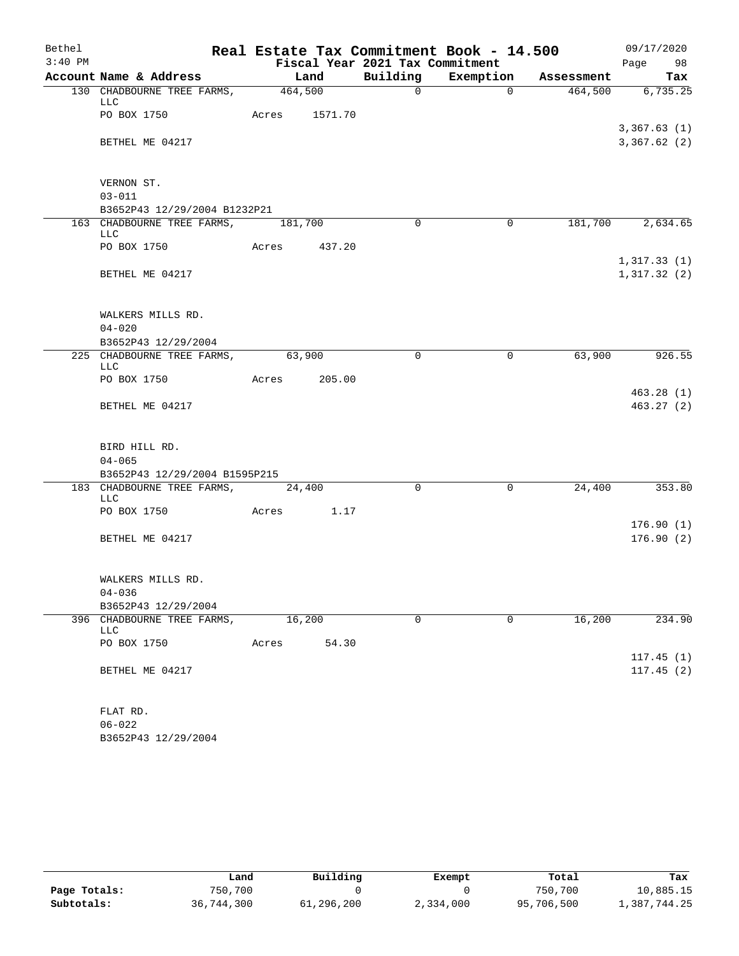| Bethel    |                                                          |               |       |                                 | Real Estate Tax Commitment Book - 14.500 |                               | 09/17/2020                 |
|-----------|----------------------------------------------------------|---------------|-------|---------------------------------|------------------------------------------|-------------------------------|----------------------------|
| $3:40$ PM |                                                          |               |       | Fiscal Year 2021 Tax Commitment |                                          |                               | Page 98                    |
|           | Account Name & Address                                   |               | Land  |                                 |                                          | Building Exemption Assessment | Tax                        |
|           | 130 CHADBOURNE TREE FARMS, 464,500<br>LLC                |               |       | $\Omega$                        | $\Omega$                                 |                               | 464,500 6,735.25           |
|           | PO BOX 1750                                              | Acres 1571.70 |       |                                 |                                          |                               | 3,367.63(1)                |
|           | BETHEL ME 04217                                          |               |       |                                 |                                          |                               | 3,367.62(2)                |
|           | VERNON ST.                                               |               |       |                                 |                                          |                               |                            |
|           | $03 - 011$                                               |               |       |                                 |                                          |                               |                            |
|           | B3652P43 12/29/2004 B1232P21                             |               |       |                                 |                                          |                               |                            |
|           | 163 CHADBOURNE TREE FARMS, 181,700<br>LLC                |               |       | $\Omega$                        | $\Omega$                                 |                               | 181,700 2,634.65           |
|           | PO BOX 1750                                              | Acres 437.20  |       |                                 |                                          |                               |                            |
|           | BETHEL ME 04217                                          |               |       |                                 |                                          |                               | 1,317.33(1)<br>1,317.32(2) |
|           | WALKERS MILLS RD.                                        |               |       |                                 |                                          |                               |                            |
|           | $04 - 020$                                               |               |       |                                 |                                          |                               |                            |
|           | B3652P43 12/29/2004<br>225 CHADBOURNE TREE FARMS, 63,900 |               |       | $\Omega$                        | $\mathbf 0$                              | 63,900                        | 926.55                     |
|           | <b>LLC</b>                                               |               |       |                                 |                                          |                               |                            |
|           | PO BOX 1750                                              | Acres 205.00  |       |                                 |                                          |                               |                            |
|           |                                                          |               |       |                                 |                                          |                               | 463.28(1)                  |
|           | BETHEL ME 04217                                          |               |       |                                 |                                          |                               | 463.27(2)                  |
|           | BIRD HILL RD.                                            |               |       |                                 |                                          |                               |                            |
|           | $04 - 065$                                               |               |       |                                 |                                          |                               |                            |
|           | B3652P43 12/29/2004 B1595P215                            |               |       |                                 |                                          |                               |                            |
|           | 183 CHADBOURNE TREE FARMS, 24,400<br>LLC                 |               |       | $\Omega$                        | $\mathbf 0$                              | 24,400                        | 353.80                     |
|           | PO BOX 1750                                              | Acres 1.17    |       |                                 |                                          |                               | 176.90(1)                  |
|           | BETHEL ME 04217                                          |               |       |                                 |                                          |                               | 176.90(2)                  |
|           | WALKERS MILLS RD.                                        |               |       |                                 |                                          |                               |                            |
|           | $04 - 036$                                               |               |       |                                 |                                          |                               |                            |
|           | B3652P43 12/29/2004                                      |               |       |                                 |                                          |                               |                            |
| 396       | CHADBOURNE TREE FARMS,<br>LLC                            | 16,200        |       | $\mathbf 0$                     | $\mathbf 0$                              | 16,200                        | 234.90                     |
|           | PO BOX 1750                                              | Acres         | 54.30 |                                 |                                          |                               |                            |
|           | BETHEL ME 04217                                          |               |       |                                 |                                          |                               | 117.45(1)<br>117.45(2)     |
|           |                                                          |               |       |                                 |                                          |                               |                            |
|           | FLAT RD.                                                 |               |       |                                 |                                          |                               |                            |
|           | $06 - 022$                                               |               |       |                                 |                                          |                               |                            |

|              | Land       | Building   | Exempt    | Total      | Tax          |
|--------------|------------|------------|-----------|------------|--------------|
| Page Totals: | 750,700    |            |           | 750,700    | 10,885.15    |
| Subtotals:   | 36,744,300 | 61,296,200 | 2,334,000 | 95,706,500 | 1,387,744.25 |

B3652P43 12/29/2004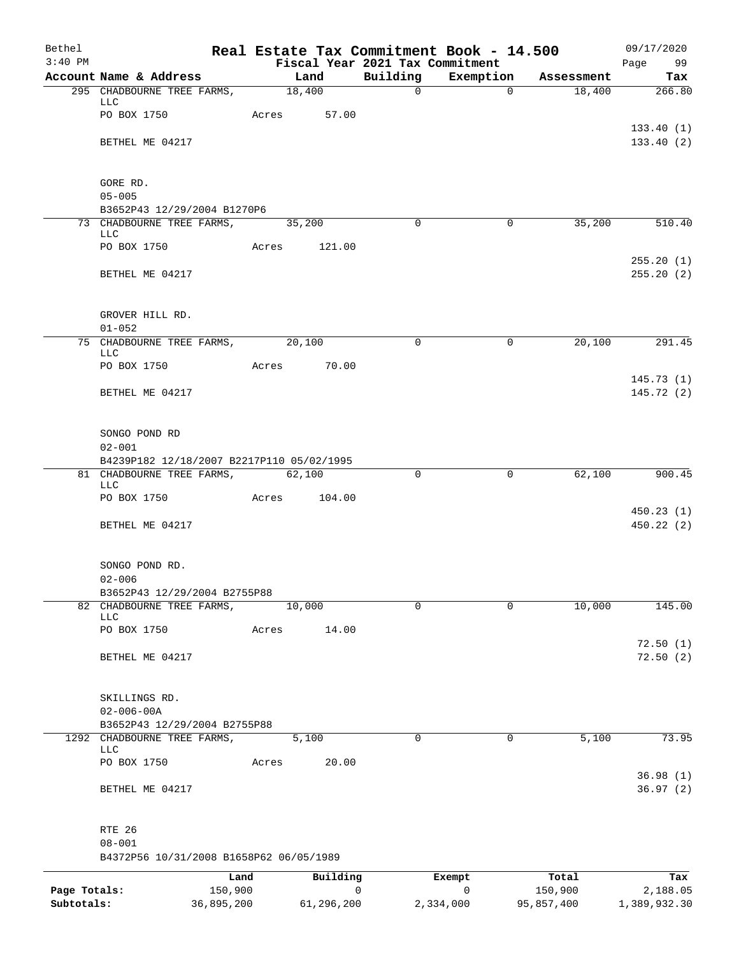| Bethel       |                                                          |            |       |                |        |                                 | Real Estate Tax Commitment Book - 14.500 |                      | 09/17/2020    |
|--------------|----------------------------------------------------------|------------|-------|----------------|--------|---------------------------------|------------------------------------------|----------------------|---------------|
| $3:40$ PM    |                                                          |            |       |                |        | Fiscal Year 2021 Tax Commitment |                                          |                      | Page<br>99    |
|              | Account Name & Address<br>295 CHADBOURNE TREE FARMS,     |            |       | Land<br>18,400 |        | Building<br>$\mathsf{O}$        | Exemption<br>$\Omega$                    | Assessment<br>18,400 | Tax<br>266.80 |
|              | LLC                                                      |            |       |                |        |                                 |                                          |                      |               |
|              | PO BOX 1750                                              |            | Acres | 57.00          |        |                                 |                                          |                      |               |
|              |                                                          |            |       |                |        |                                 |                                          |                      | 133.40(1)     |
|              | BETHEL ME 04217                                          |            |       |                |        |                                 |                                          |                      | 133.40(2)     |
|              |                                                          |            |       |                |        |                                 |                                          |                      |               |
|              | GORE RD.                                                 |            |       |                |        |                                 |                                          |                      |               |
|              | $05 - 005$                                               |            |       |                |        |                                 |                                          |                      |               |
|              | B3652P43 12/29/2004 B1270P6<br>73 CHADBOURNE TREE FARMS, |            |       | 35,200         |        | $\Omega$                        | $\mathbf 0$                              | 35,200               | 510.40        |
|              | LLC                                                      |            |       |                |        |                                 |                                          |                      |               |
|              | PO BOX 1750                                              |            | Acres |                | 121.00 |                                 |                                          |                      |               |
|              |                                                          |            |       |                |        |                                 |                                          |                      | 255.20(1)     |
|              | BETHEL ME 04217                                          |            |       |                |        |                                 |                                          |                      | 255.20(2)     |
|              |                                                          |            |       |                |        |                                 |                                          |                      |               |
|              | GROVER HILL RD.                                          |            |       |                |        |                                 |                                          |                      |               |
|              | $01 - 052$                                               |            |       |                |        |                                 |                                          |                      |               |
|              | 75 CHADBOURNE TREE FARMS, 20,100<br>LLC                  |            |       |                |        | $\mathbf 0$                     | $\mathbf 0$                              | 20,100               | 291.45        |
|              | PO BOX 1750                                              |            | Acres | 70.00          |        |                                 |                                          |                      |               |
|              |                                                          |            |       |                |        |                                 |                                          |                      | 145.73(1)     |
|              | BETHEL ME 04217                                          |            |       |                |        |                                 |                                          |                      | 145.72(2)     |
|              |                                                          |            |       |                |        |                                 |                                          |                      |               |
|              | SONGO POND RD                                            |            |       |                |        |                                 |                                          |                      |               |
|              | $02 - 001$                                               |            |       |                |        |                                 |                                          |                      |               |
|              | B4239P182 12/18/2007 B2217P110 05/02/1995                |            |       |                |        |                                 |                                          |                      |               |
|              | 81 CHADBOURNE TREE FARMS,<br>LLC                         |            |       | 62,100         |        | $\Omega$                        | 0                                        | 62,100               | 900.45        |
|              | PO BOX 1750                                              |            | Acres |                | 104.00 |                                 |                                          |                      |               |
|              |                                                          |            |       |                |        |                                 |                                          |                      | 450.23(1)     |
|              | BETHEL ME 04217                                          |            |       |                |        |                                 |                                          |                      | 450.22(2)     |
|              |                                                          |            |       |                |        |                                 |                                          |                      |               |
|              | SONGO POND RD.                                           |            |       |                |        |                                 |                                          |                      |               |
|              | $02 - 006$                                               |            |       |                |        |                                 |                                          |                      |               |
|              | B3652P43 12/29/2004 B2755P88                             |            |       |                |        |                                 |                                          |                      |               |
|              | 82 CHADBOURNE TREE FARMS,                                |            |       | 10,000         |        | $\mathbf 0$                     | $\mathbf 0$                              | 10,000               | 145.00        |
|              | LLC<br>PO BOX 1750                                       |            | Acres |                | 14.00  |                                 |                                          |                      |               |
|              |                                                          |            |       |                |        |                                 |                                          |                      | 72.50(1)      |
|              | BETHEL ME 04217                                          |            |       |                |        |                                 |                                          |                      | 72.50(2)      |
|              |                                                          |            |       |                |        |                                 |                                          |                      |               |
|              | SKILLINGS RD.                                            |            |       |                |        |                                 |                                          |                      |               |
|              | $02 - 006 - 00A$                                         |            |       |                |        |                                 |                                          |                      |               |
|              | B3652P43 12/29/2004 B2755P88                             |            |       |                |        |                                 |                                          |                      |               |
|              | 1292 CHADBOURNE TREE FARMS,                              |            |       | 5,100          |        | $\mathbf 0$                     | 0                                        | 5,100                | 73.95         |
|              | LLC<br>PO BOX 1750                                       |            | Acres |                | 20.00  |                                 |                                          |                      |               |
|              |                                                          |            |       |                |        |                                 |                                          |                      | 36.98(1)      |
|              | BETHEL ME 04217                                          |            |       |                |        |                                 |                                          |                      | 36.97(2)      |
|              |                                                          |            |       |                |        |                                 |                                          |                      |               |
|              |                                                          |            |       |                |        |                                 |                                          |                      |               |
|              | RTE 26<br>$08 - 001$                                     |            |       |                |        |                                 |                                          |                      |               |
|              | B4372P56 10/31/2008 B1658P62 06/05/1989                  |            |       |                |        |                                 |                                          |                      |               |
|              |                                                          | Land       |       | Building       |        |                                 | Exempt                                   | Total                | Tax           |
| Page Totals: |                                                          | 150,900    |       |                | 0      |                                 | 0                                        | 150,900              | 2,188.05      |
| Subtotals:   |                                                          | 36,895,200 |       | 61,296,200     |        |                                 | 2,334,000                                | 95,857,400           | 1,389,932.30  |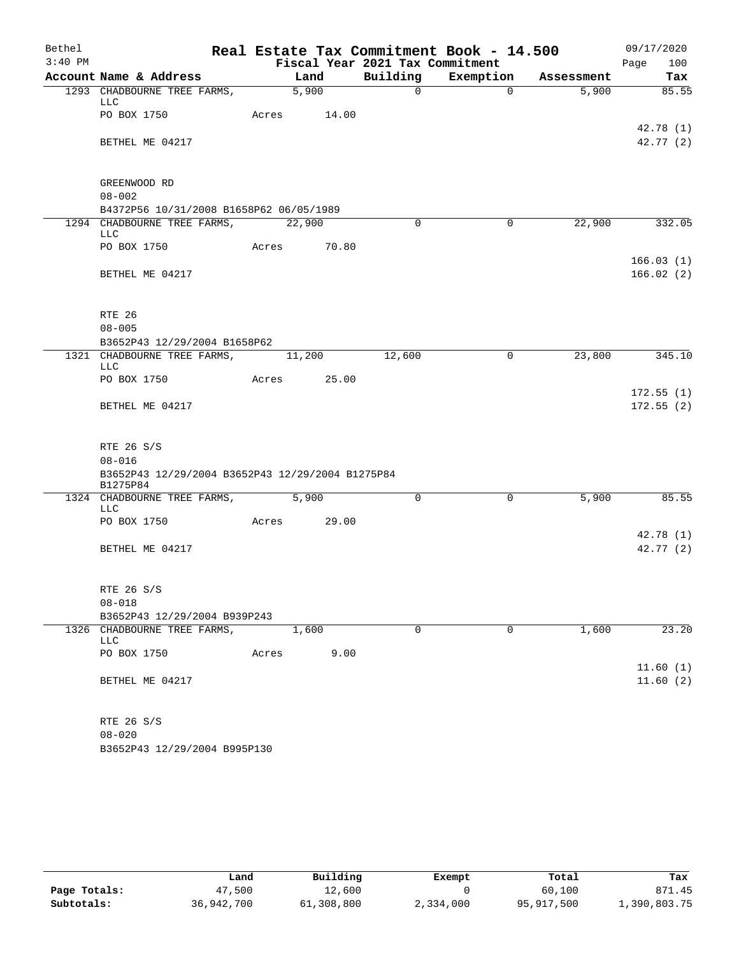| Bethel    |                                                              |       |                   |                                 | Real Estate Tax Commitment Book - 14.500 |            | 09/17/2020             |
|-----------|--------------------------------------------------------------|-------|-------------------|---------------------------------|------------------------------------------|------------|------------------------|
| $3:40$ PM |                                                              |       |                   | Fiscal Year 2021 Tax Commitment |                                          |            | Page<br>100            |
|           | Account Name & Address                                       |       | Land              | Building                        | Exemption                                | Assessment | Tax                    |
|           | 1293 CHADBOURNE TREE FARMS,<br>LLC                           |       | $\frac{1}{5,900}$ | $\Omega$                        | $\Omega$                                 | 5,900      | 85.55                  |
|           | PO BOX 1750                                                  | Acres | 14.00             |                                 |                                          |            | 42.78(1)               |
|           | BETHEL ME 04217                                              |       |                   |                                 |                                          |            | 42.77(2)               |
|           | GREENWOOD RD                                                 |       |                   |                                 |                                          |            |                        |
|           | $08 - 002$                                                   |       |                   |                                 |                                          |            |                        |
|           | B4372P56 10/31/2008 B1658P62 06/05/1989                      |       |                   |                                 |                                          |            |                        |
|           | 1294 CHADBOURNE TREE FARMS,<br><b>LLC</b>                    |       | 22,900            | $\Omega$                        | 0                                        | 22,900     | 332.05                 |
|           | PO BOX 1750                                                  | Acres | 70.80             |                                 |                                          |            |                        |
|           | BETHEL ME 04217                                              |       |                   |                                 |                                          |            | 166.03(1)<br>166.02(2) |
|           | RTE 26                                                       |       |                   |                                 |                                          |            |                        |
|           | $08 - 005$                                                   |       |                   |                                 |                                          |            |                        |
|           | B3652P43 12/29/2004 B1658P62                                 |       |                   |                                 |                                          |            |                        |
|           | 1321 CHADBOURNE TREE FARMS,                                  |       | 11,200            | 12,600                          | 0                                        | 23,800     | 345.10                 |
|           | LLC<br>PO BOX 1750                                           | Acres | 25.00             |                                 |                                          |            |                        |
|           | BETHEL ME 04217                                              |       |                   |                                 |                                          |            | 172.55(1)<br>172.55(2) |
|           | RTE 26 S/S                                                   |       |                   |                                 |                                          |            |                        |
|           | $08 - 016$                                                   |       |                   |                                 |                                          |            |                        |
|           | B3652P43 12/29/2004 B3652P43 12/29/2004 B1275P84<br>B1275P84 |       |                   |                                 |                                          |            |                        |
|           | 1324 CHADBOURNE TREE FARMS,<br>LLC                           |       | 5,900             | $\Omega$                        | 0                                        | 5,900      | 85.55                  |
|           | PO BOX 1750                                                  | Acres | 29.00             |                                 |                                          |            |                        |
|           | BETHEL ME 04217                                              |       |                   |                                 |                                          |            | 42.78(1)<br>42.77(2)   |
|           | RTE 26 S/S<br>$08 - 018$                                     |       |                   |                                 |                                          |            |                        |
|           | B3652P43 12/29/2004 B939P243                                 |       |                   |                                 |                                          |            |                        |
|           | 1326 CHADBOURNE TREE FARMS,<br>LLC                           |       | 1,600             | 0                               | 0                                        | 1,600      | 23.20                  |
|           | PO BOX 1750                                                  | Acres | 9.00              |                                 |                                          |            |                        |
|           | BETHEL ME 04217                                              |       |                   |                                 |                                          |            | 11.60(1)<br>11.60(2)   |
|           | RTE 26 S/S<br>$08 - 020$                                     |       |                   |                                 |                                          |            |                        |

B3652P43 12/29/2004 B995P130

|              | Land       | Building   | Exempt    | Total      | Tax          |
|--------------|------------|------------|-----------|------------|--------------|
| Page Totals: | 47,500     | 12,600     |           | 60,100     | 871.45       |
| Subtotals:   | 36,942,700 | 61,308,800 | 2,334,000 | 95,917,500 | 1,390,803.75 |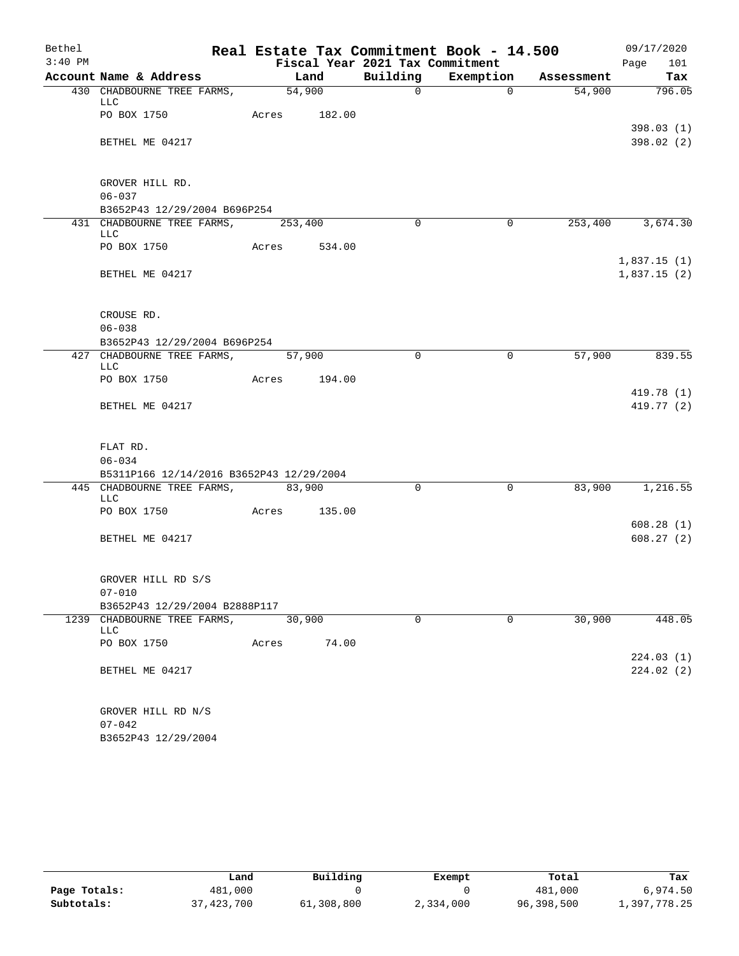| Bethel    |                                            |        |        |                                 | Real Estate Tax Commitment Book - 14.500 |            | 09/17/2020       |
|-----------|--------------------------------------------|--------|--------|---------------------------------|------------------------------------------|------------|------------------|
| $3:40$ PM |                                            |        |        | Fiscal Year 2021 Tax Commitment |                                          |            | Page<br>101      |
|           | Account Name & Address                     |        | Land   | Building                        | Exemption                                | Assessment | Tax              |
|           | 430 CHADBOURNE TREE FARMS,<br>LLC          |        | 54,900 | $\Omega$                        | $\Omega$                                 | 54,900     | 796.05           |
|           | PO BOX 1750                                | Acres  | 182.00 |                                 |                                          |            |                  |
|           |                                            |        |        |                                 |                                          |            | 398.03(1)        |
|           | BETHEL ME 04217                            |        |        |                                 |                                          |            | 398.02 (2)       |
|           |                                            |        |        |                                 |                                          |            |                  |
|           |                                            |        |        |                                 |                                          |            |                  |
|           | GROVER HILL RD.                            |        |        |                                 |                                          |            |                  |
|           | $06 - 037$<br>B3652P43 12/29/2004 B696P254 |        |        |                                 |                                          |            |                  |
|           | 431 CHADBOURNE TREE FARMS, 253,400         |        |        | $\Omega$                        | $\Omega$                                 |            | 253,400 3,674.30 |
|           | LLC                                        |        |        |                                 |                                          |            |                  |
|           | PO BOX 1750                                | Acres  | 534.00 |                                 |                                          |            |                  |
|           |                                            |        |        |                                 |                                          |            | 1,837.15(1)      |
|           | BETHEL ME 04217                            |        |        |                                 |                                          |            | 1,837.15(2)      |
|           |                                            |        |        |                                 |                                          |            |                  |
|           |                                            |        |        |                                 |                                          |            |                  |
|           | CROUSE RD.<br>$06 - 038$                   |        |        |                                 |                                          |            |                  |
|           | B3652P43 12/29/2004 B696P254               |        |        |                                 |                                          |            |                  |
|           | 427 CHADBOURNE TREE FARMS,                 |        | 57,900 | $\Omega$                        | $\mathbf 0$                              | 57,900     | 839.55           |
|           | <b>LLC</b>                                 |        |        |                                 |                                          |            |                  |
|           | PO BOX 1750                                | Acres  | 194.00 |                                 |                                          |            |                  |
|           |                                            |        |        |                                 |                                          |            | 419.78 (1)       |
|           | BETHEL ME 04217                            |        |        |                                 |                                          |            | 419.77 (2)       |
|           |                                            |        |        |                                 |                                          |            |                  |
|           | FLAT RD.                                   |        |        |                                 |                                          |            |                  |
|           | $06 - 034$                                 |        |        |                                 |                                          |            |                  |
|           | B5311P166 12/14/2016 B3652P43 12/29/2004   |        |        |                                 |                                          |            |                  |
|           | 445 CHADBOURNE TREE FARMS,                 | 83,900 |        | $\Omega$                        | $\mathbf 0$                              | 83,900     | 1,216.55         |
|           | LLC                                        |        |        |                                 |                                          |            |                  |
|           | PO BOX 1750                                | Acres  | 135.00 |                                 |                                          |            | 608.28(1)        |
|           | BETHEL ME 04217                            |        |        |                                 |                                          |            | 608.27(2)        |
|           |                                            |        |        |                                 |                                          |            |                  |
|           |                                            |        |        |                                 |                                          |            |                  |
|           | GROVER HILL RD S/S                         |        |        |                                 |                                          |            |                  |
|           | $07 - 010$                                 |        |        |                                 |                                          |            |                  |
|           | B3652P43 12/29/2004 B2888P117              |        |        |                                 |                                          |            |                  |
|           | 1239 CHADBOURNE TREE FARMS,                |        | 30,900 | 0                               | $\mathbf 0$                              | 30,900     | 448.05           |
|           | LLC<br>PO BOX 1750                         | Acres  | 74.00  |                                 |                                          |            |                  |
|           |                                            |        |        |                                 |                                          |            | 224.03(1)        |
|           | BETHEL ME 04217                            |        |        |                                 |                                          |            | 224.02(2)        |
|           |                                            |        |        |                                 |                                          |            |                  |
|           |                                            |        |        |                                 |                                          |            |                  |
|           | GROVER HILL RD N/S                         |        |        |                                 |                                          |            |                  |
|           | $07 - 042$                                 |        |        |                                 |                                          |            |                  |
|           | B3652P43 12/29/2004                        |        |        |                                 |                                          |            |                  |

|              | Land       | Building   | Exempt    | Total      | Tax          |
|--------------|------------|------------|-----------|------------|--------------|
| Page Totals: | 481,000    |            |           | 481,000    | 6,974.50     |
| Subtotals:   | 37,423,700 | 61,308,800 | 2,334,000 | 96,398,500 | l,397,778.25 |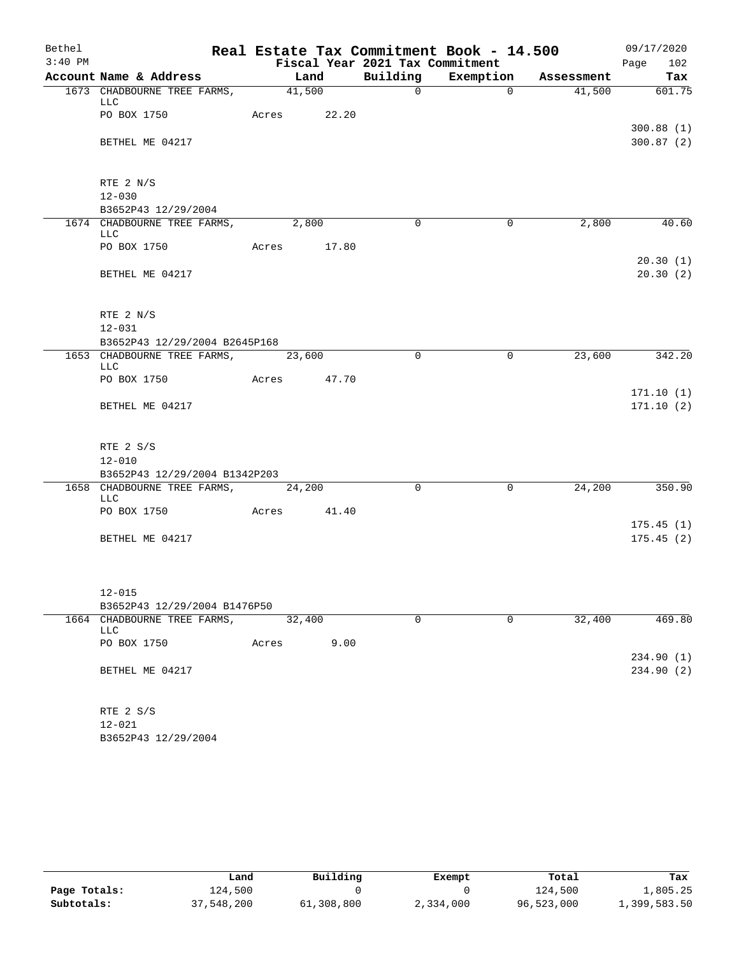| Bethel    |                                                  |                    |      |                                 | Real Estate Tax Commitment Book - 14.500 |            | 09/17/2020             |
|-----------|--------------------------------------------------|--------------------|------|---------------------------------|------------------------------------------|------------|------------------------|
| $3:40$ PM |                                                  |                    |      | Fiscal Year 2021 Tax Commitment |                                          |            | Page<br>102            |
|           | Account Name & Address                           |                    | Land |                                 | Building Exemption                       | Assessment | Tax                    |
|           | 1673 CHADBOURNE TREE FARMS,<br>LLC               | $\frac{41,500}{ }$ |      | $\mathbf 0$                     | $\Omega$                                 | 41,500     | 601.75                 |
|           | PO BOX 1750                                      | Acres 22.20        |      |                                 |                                          |            | 300.88(1)              |
|           | BETHEL ME 04217                                  |                    |      |                                 |                                          |            | 300.87(2)              |
|           | RTE 2 N/S                                        |                    |      |                                 |                                          |            |                        |
|           | $12 - 030$                                       |                    |      |                                 |                                          |            |                        |
|           | B3652P43 12/29/2004                              |                    |      |                                 |                                          |            |                        |
|           | 1674 CHADBOURNE TREE FARMS, 2,800<br><b>LLC</b>  |                    |      | $\Omega$                        | $\mathbf 0$                              | 2,800      | 40.60                  |
|           | PO BOX 1750                                      | Acres 17.80        |      |                                 |                                          |            | 20.30(1)               |
|           | BETHEL ME 04217                                  |                    |      |                                 |                                          |            | 20.30(2)               |
|           | RTE 2 N/S                                        |                    |      |                                 |                                          |            |                        |
|           | $12 - 031$                                       |                    |      |                                 |                                          |            |                        |
|           | B3652P43 12/29/2004 B2645P168                    |                    |      |                                 |                                          |            |                        |
|           | 1653 CHADBOURNE TREE FARMS, 23,600<br>LLC        |                    |      | $\Omega$                        | 0                                        | 23,600     | 342.20                 |
|           | PO BOX 1750                                      | Acres 47.70        |      |                                 |                                          |            |                        |
|           | BETHEL ME 04217                                  |                    |      |                                 |                                          |            | 171.10(1)<br>171.10(2) |
|           | RTE 2 S/S                                        |                    |      |                                 |                                          |            |                        |
|           | $12 - 010$                                       |                    |      |                                 |                                          |            |                        |
|           | B3652P43 12/29/2004 B1342P203                    |                    |      |                                 |                                          |            |                        |
|           | 1658 CHADBOURNE TREE FARMS, 24,200<br><b>LLC</b> |                    |      | $\Omega$                        | $\mathbf 0$                              | 24,200     | 350.90                 |
|           | PO BOX 1750                                      | Acres 41.40        |      |                                 |                                          |            |                        |
|           | BETHEL ME 04217                                  |                    |      |                                 |                                          |            | 175.45(1)<br>175.45(2) |
|           |                                                  |                    |      |                                 |                                          |            |                        |
|           | $12 - 015$                                       |                    |      |                                 |                                          |            |                        |
|           | B3652P43 12/29/2004 B1476P50                     |                    |      |                                 |                                          |            |                        |
|           | 1664 CHADBOURNE TREE FARMS,<br>LLC               | 32,400             |      | $\mathbf 0$                     | $\Omega$                                 | 32,400     | 469.80                 |
|           | PO BOX 1750                                      | Acres              | 9.00 |                                 |                                          |            | 234.90 (1)             |
|           | BETHEL ME 04217                                  |                    |      |                                 |                                          |            | 234.90 (2)             |
|           | RTE 2 S/S                                        |                    |      |                                 |                                          |            |                        |
|           | $12 - 021$                                       |                    |      |                                 |                                          |            |                        |
|           | B3652P43 12/29/2004                              |                    |      |                                 |                                          |            |                        |

|              | Land       | Building   | Exempt    | Total      | Tax          |  |
|--------------|------------|------------|-----------|------------|--------------|--|
| Page Totals: | l 24,500   |            |           | 124,500    | 1,805.25     |  |
| Subtotals:   | 37,548,200 | 61,308,800 | 2,334,000 | 96,523,000 | 1,399,583.50 |  |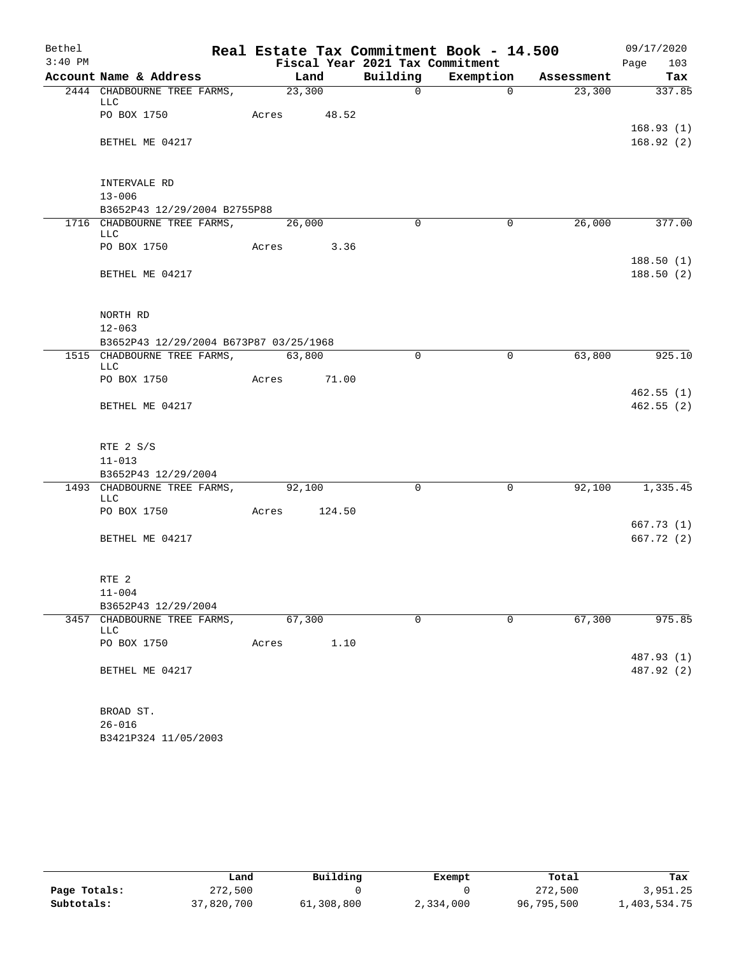| Bethel    |                                           |                    |        |                                 | Real Estate Tax Commitment Book - 14.500 |        | 09/17/2020               |
|-----------|-------------------------------------------|--------------------|--------|---------------------------------|------------------------------------------|--------|--------------------------|
| $3:40$ PM |                                           |                    |        | Fiscal Year 2021 Tax Commitment |                                          |        | Page<br>103              |
|           | Account Name & Address                    |                    | Land   |                                 | Building Exemption Assessment            |        | Tax                      |
|           | 2444 CHADBOURNE TREE FARMS,<br>LLC        | $\frac{23,300}{ }$ |        | $\overline{0}$                  | $\Omega$                                 | 23,300 | 337.85                   |
|           | PO BOX 1750                               | Acres 48.52        |        |                                 |                                          |        | 168.93(1)                |
|           | BETHEL ME 04217                           |                    |        |                                 |                                          |        | 168.92(2)                |
|           | INTERVALE RD                              |                    |        |                                 |                                          |        |                          |
|           | $13 - 006$                                |                    |        |                                 |                                          |        |                          |
|           | B3652P43 12/29/2004 B2755P88              |                    |        |                                 |                                          |        |                          |
|           | 1716 CHADBOURNE TREE FARMS,               |                    | 26,000 | $\Omega$                        | $\mathbf 0$                              | 26,000 | 377.00                   |
|           | LLC<br>PO BOX 1750                        | Acres 3.36         |        |                                 |                                          |        |                          |
|           |                                           |                    |        |                                 |                                          |        | 188.50(1)                |
|           | BETHEL ME 04217                           |                    |        |                                 |                                          |        | 188.50(2)                |
| NORTH RD  |                                           |                    |        |                                 |                                          |        |                          |
|           | $12 - 063$                                |                    |        |                                 |                                          |        |                          |
|           | B3652P43 12/29/2004 B673P87 03/25/1968    |                    |        |                                 |                                          |        |                          |
|           | 1515 CHADBOURNE TREE FARMS,               | 63,800             |        | $\Omega$                        | $\mathbf 0$                              | 63,800 | 925.10                   |
|           | <b>LLC</b>                                |                    |        |                                 |                                          |        |                          |
|           | PO BOX 1750                               | Acres 71.00        |        |                                 |                                          |        |                          |
|           |                                           |                    |        |                                 |                                          |        | 462.55(1)                |
|           | BETHEL ME 04217                           |                    |        |                                 |                                          |        | 462.55(2)                |
|           | RTE 2 S/S                                 |                    |        |                                 |                                          |        |                          |
|           | $11 - 013$                                |                    |        |                                 |                                          |        |                          |
|           | B3652P43 12/29/2004                       |                    |        |                                 |                                          |        |                          |
|           | 1493 CHADBOURNE TREE FARMS, 92,100<br>LLC |                    |        | $\Omega$                        | $\mathbf 0$                              | 92,100 | 1, 335.45                |
|           | PO BOX 1750                               | Acres              | 124.50 |                                 |                                          |        |                          |
|           |                                           |                    |        |                                 |                                          |        | 667.73(1)                |
|           | BETHEL ME 04217                           |                    |        |                                 |                                          |        | 667.72(2)                |
|           | RTE <sub>2</sub>                          |                    |        |                                 |                                          |        |                          |
|           | $11 - 004$                                |                    |        |                                 |                                          |        |                          |
|           | B3652P43 12/29/2004                       |                    |        |                                 |                                          |        |                          |
|           | 3457 CHADBOURNE TREE FARMS,<br>LLC        | 67,300             |        | $\mathbf 0$                     | $\mathbf 0$                              | 67,300 | 975.85                   |
|           | PO BOX 1750                               | Acres              | 1.10   |                                 |                                          |        |                          |
|           | BETHEL ME 04217                           |                    |        |                                 |                                          |        | 487.93 (1)<br>487.92 (2) |
|           | BROAD ST.                                 |                    |        |                                 |                                          |        |                          |
|           | $26 - 016$                                |                    |        |                                 |                                          |        |                          |
|           | B3421P324 11/05/2003                      |                    |        |                                 |                                          |        |                          |

|              | Land       | Building   | Exempt    | Total      | Tax          |
|--------------|------------|------------|-----------|------------|--------------|
| Page Totals: | 272,500    |            |           | 272,500    | 3,951.25     |
| Subtotals:   | 37,820,700 | 61,308,800 | 2,334,000 | 96,795,500 | 1,403,534.75 |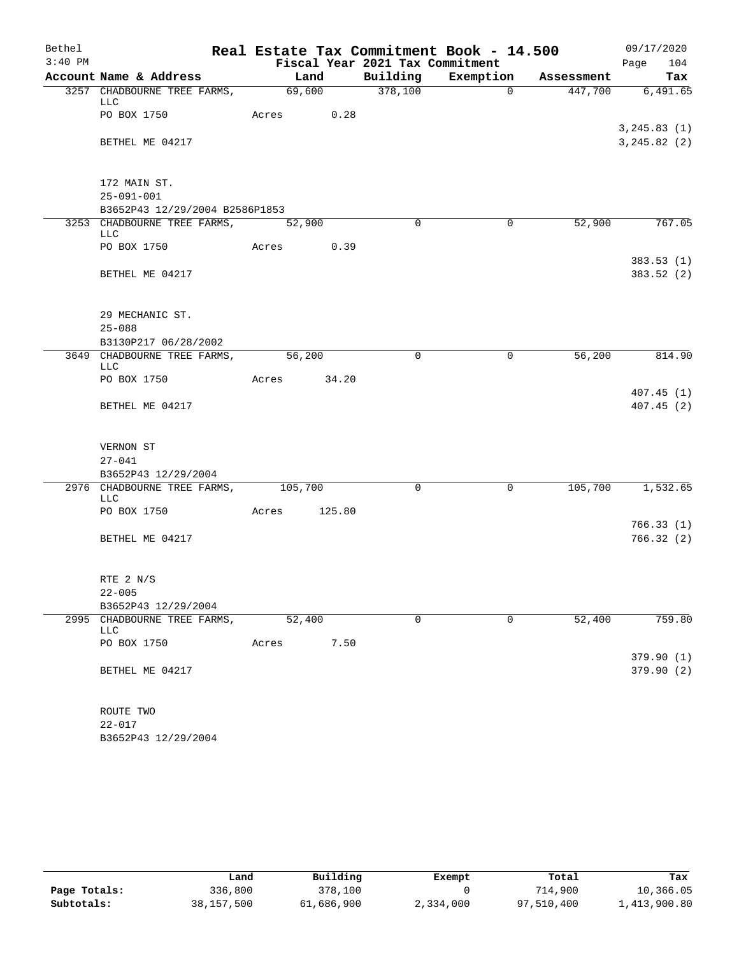| Bethel    |                                                            | Real Estate Tax Commitment Book - 14.500 |             |                |            | 09/17/2020              |
|-----------|------------------------------------------------------------|------------------------------------------|-------------|----------------|------------|-------------------------|
| $3:40$ PM |                                                            | Fiscal Year 2021 Tax Commitment          |             |                |            | Page<br>104             |
|           | Account Name & Address                                     | Land                                     | Building    | Exemption      | Assessment | Tax                     |
|           | 3257 CHADBOURNE TREE FARMS,<br>LLC                         | 69,600                                   | 378,100     | $\overline{0}$ | 447,700    | 6,491.65                |
|           | PO BOX 1750                                                | 0.28<br>Acres                            |             |                |            |                         |
|           |                                                            |                                          |             |                |            | 3, 245.83(1)            |
|           | BETHEL ME 04217                                            |                                          |             |                |            | 3, 245.82 (2)           |
|           |                                                            |                                          |             |                |            |                         |
|           | 172 MAIN ST.                                               |                                          |             |                |            |                         |
|           | $25 - 091 - 001$                                           |                                          |             |                |            |                         |
|           | B3652P43 12/29/2004 B2586P1853                             |                                          |             |                |            |                         |
|           | 3253 CHADBOURNE TREE FARMS, 52,900                         |                                          | $\Omega$    | 0              | 52,900     | 767.05                  |
|           | <b>LLC</b>                                                 |                                          |             |                |            |                         |
|           | PO BOX 1750                                                | Acres 0.39                               |             |                |            |                         |
|           |                                                            |                                          |             |                |            | 383.53(1)<br>383.52 (2) |
|           | BETHEL ME 04217                                            |                                          |             |                |            |                         |
|           |                                                            |                                          |             |                |            |                         |
|           | 29 MECHANIC ST.                                            |                                          |             |                |            |                         |
|           | $25 - 088$                                                 |                                          |             |                |            |                         |
|           | B3130P217 06/28/2002                                       |                                          |             |                |            |                         |
|           | 3649 CHADBOURNE TREE FARMS,                                | 56,200                                   | $\Omega$    | $\mathbf 0$    | 56,200     | 814.90                  |
|           | LLC<br>PO BOX 1750                                         | 34.20<br>Acres                           |             |                |            |                         |
|           |                                                            |                                          |             |                |            | 407.45(1)               |
|           | BETHEL ME 04217                                            |                                          |             |                |            | 407.45(2)               |
|           |                                                            |                                          |             |                |            |                         |
|           |                                                            |                                          |             |                |            |                         |
|           | VERNON ST                                                  |                                          |             |                |            |                         |
|           | $27 - 041$                                                 |                                          |             |                |            |                         |
|           | B3652P43 12/29/2004<br>2976 CHADBOURNE TREE FARMS, 105,700 |                                          | $\mathbf 0$ | $\mathbf 0$    | 105,700    | 1,532.65                |
|           | LLC                                                        |                                          |             |                |            |                         |
|           | PO BOX 1750                                                | 125.80<br>Acres                          |             |                |            |                         |
|           |                                                            |                                          |             |                |            | 766.33(1)               |
|           | BETHEL ME 04217                                            |                                          |             |                |            | 766.32(2)               |
|           |                                                            |                                          |             |                |            |                         |
|           | RTE 2 N/S                                                  |                                          |             |                |            |                         |
|           | $22 - 005$                                                 |                                          |             |                |            |                         |
|           | B3652P43 12/29/2004                                        |                                          |             |                |            |                         |
|           | 2995 CHADBOURNE TREE FARMS,                                | 52,400                                   | $\mathbf 0$ | $\mathbf 0$    | 52,400     | 759.80                  |
|           | LLC                                                        |                                          |             |                |            |                         |
|           | PO BOX 1750                                                | 7.50<br>Acres                            |             |                |            |                         |
|           | BETHEL ME 04217                                            |                                          |             |                |            | 379.90(1)<br>379.90(2)  |
|           |                                                            |                                          |             |                |            |                         |
|           |                                                            |                                          |             |                |            |                         |
|           | ROUTE TWO                                                  |                                          |             |                |            |                         |
|           | $22 - 017$                                                 |                                          |             |                |            |                         |
|           | B3652P43 12/29/2004                                        |                                          |             |                |            |                         |

|              | Land       | Building   | Exempt    | Total      | Tax          |
|--------------|------------|------------|-----------|------------|--------------|
| Page Totals: | 336,800    | 378,100    |           | 714,900    | 10,366.05    |
| Subtotals:   | 38,157,500 | 61,686,900 | 2,334,000 | 97,510,400 | 1,413,900.80 |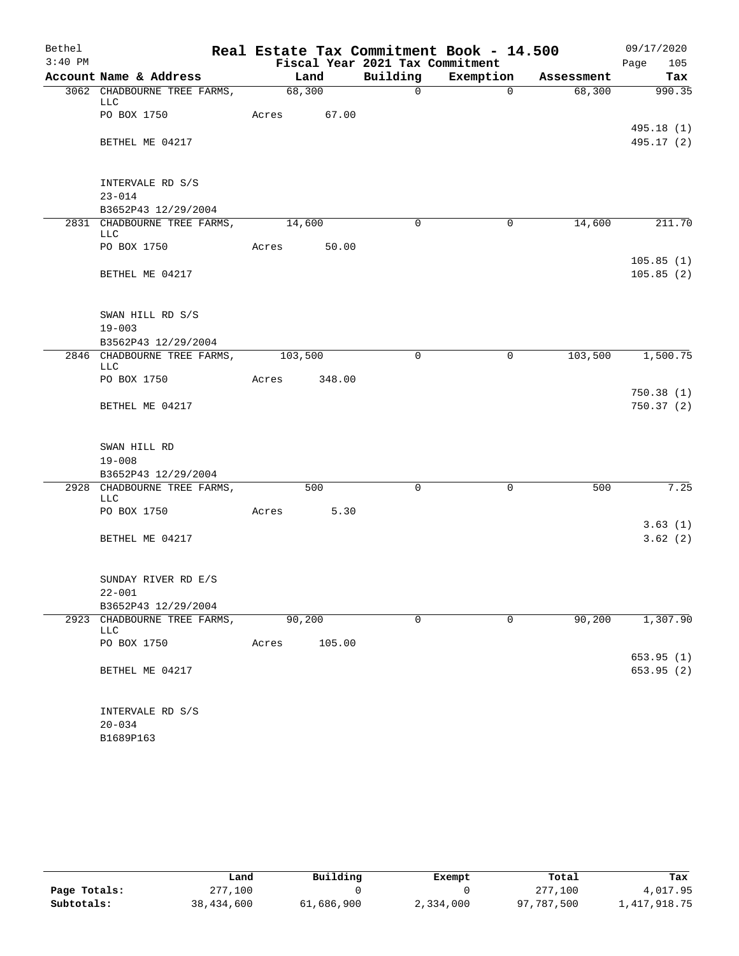| Bethel    |                                                    |             |        |                                 | Real Estate Tax Commitment Book - 14.500 |            | 09/17/2020              |
|-----------|----------------------------------------------------|-------------|--------|---------------------------------|------------------------------------------|------------|-------------------------|
| $3:40$ PM |                                                    |             |        | Fiscal Year 2021 Tax Commitment |                                          |            | Page<br>105             |
|           | Account Name & Address                             |             | Land   | Building                        | Exemption                                | Assessment | Tax                     |
|           | 3062 CHADBOURNE TREE FARMS,<br>LLC                 |             | 68,300 | $\mathsf{O}$                    | $\overline{0}$                           | 68,300     | 990.35                  |
|           | PO BOX 1750                                        | Acres 67.00 |        |                                 |                                          |            |                         |
|           |                                                    |             |        |                                 |                                          |            | 495.18 (1)              |
|           | BETHEL ME 04217                                    |             |        |                                 |                                          |            | 495.17 (2)              |
|           |                                                    |             |        |                                 |                                          |            |                         |
|           |                                                    |             |        |                                 |                                          |            |                         |
|           | INTERVALE RD S/S<br>$23 - 014$                     |             |        |                                 |                                          |            |                         |
|           | B3652P43 12/29/2004                                |             |        |                                 |                                          |            |                         |
|           | 2831 CHADBOURNE TREE FARMS,                        | 14,600      |        | $\Omega$                        | 0                                        | 14,600     | 211.70                  |
|           | LLC                                                |             |        |                                 |                                          |            |                         |
|           | PO BOX 1750                                        | Acres       | 50.00  |                                 |                                          |            |                         |
|           |                                                    |             |        |                                 |                                          |            | 105.85(1)               |
|           | BETHEL ME 04217                                    |             |        |                                 |                                          |            | 105.85(2)               |
|           |                                                    |             |        |                                 |                                          |            |                         |
|           | SWAN HILL RD S/S                                   |             |        |                                 |                                          |            |                         |
|           | $19 - 003$                                         |             |        |                                 |                                          |            |                         |
|           | B3562P43 12/29/2004                                |             |        |                                 |                                          |            |                         |
|           | 2846 CHADBOURNE TREE FARMS,                        | 103,500     |        | $\mathbf 0$                     | $\mathbf 0$                              | 103,500    | 1,500.75                |
|           | <b>LLC</b><br>PO BOX 1750                          | Acres       | 348.00 |                                 |                                          |            |                         |
|           |                                                    |             |        |                                 |                                          |            | 750.38(1)               |
|           | BETHEL ME 04217                                    |             |        |                                 |                                          |            | 750.37 (2)              |
|           |                                                    |             |        |                                 |                                          |            |                         |
|           |                                                    |             |        |                                 |                                          |            |                         |
|           | SWAN HILL RD                                       |             |        |                                 |                                          |            |                         |
|           | $19 - 008$                                         |             |        |                                 |                                          |            |                         |
|           | B3652P43 12/29/2004<br>2928 CHADBOURNE TREE FARMS, |             | 500    | $\mathbf 0$                     | $\mathbf 0$                              | 500        | 7.25                    |
|           | LLC                                                |             |        |                                 |                                          |            |                         |
|           | PO BOX 1750                                        | Acres       | 5.30   |                                 |                                          |            |                         |
|           |                                                    |             |        |                                 |                                          |            | 3.63(1)                 |
|           | BETHEL ME 04217                                    |             |        |                                 |                                          |            | 3.62(2)                 |
|           |                                                    |             |        |                                 |                                          |            |                         |
|           | SUNDAY RIVER RD E/S                                |             |        |                                 |                                          |            |                         |
|           | $22 - 001$                                         |             |        |                                 |                                          |            |                         |
|           | B3652P43 12/29/2004                                |             |        |                                 |                                          |            |                         |
|           | 2923 CHADBOURNE TREE FARMS,                        |             | 90,200 | 0                               | $\mathbf 0$                              | 90, 200    | 1,307.90                |
|           | LLC                                                |             |        |                                 |                                          |            |                         |
|           | PO BOX 1750                                        | Acres       | 105.00 |                                 |                                          |            |                         |
|           | BETHEL ME 04217                                    |             |        |                                 |                                          |            | 653.95 (1)<br>653.95(2) |
|           |                                                    |             |        |                                 |                                          |            |                         |
|           |                                                    |             |        |                                 |                                          |            |                         |
|           | INTERVALE RD S/S                                   |             |        |                                 |                                          |            |                         |
|           | $20 - 034$                                         |             |        |                                 |                                          |            |                         |
|           | B1689P163                                          |             |        |                                 |                                          |            |                         |

|              | Land       | Building   | Exempt    | Total      | Tax          |
|--------------|------------|------------|-----------|------------|--------------|
| Page Totals: | 277,100    |            |           | 277,100    | 4,017.95     |
| Subtotals:   | 38,434,600 | 61,686,900 | 2,334,000 | 97,787,500 | 1,417,918.75 |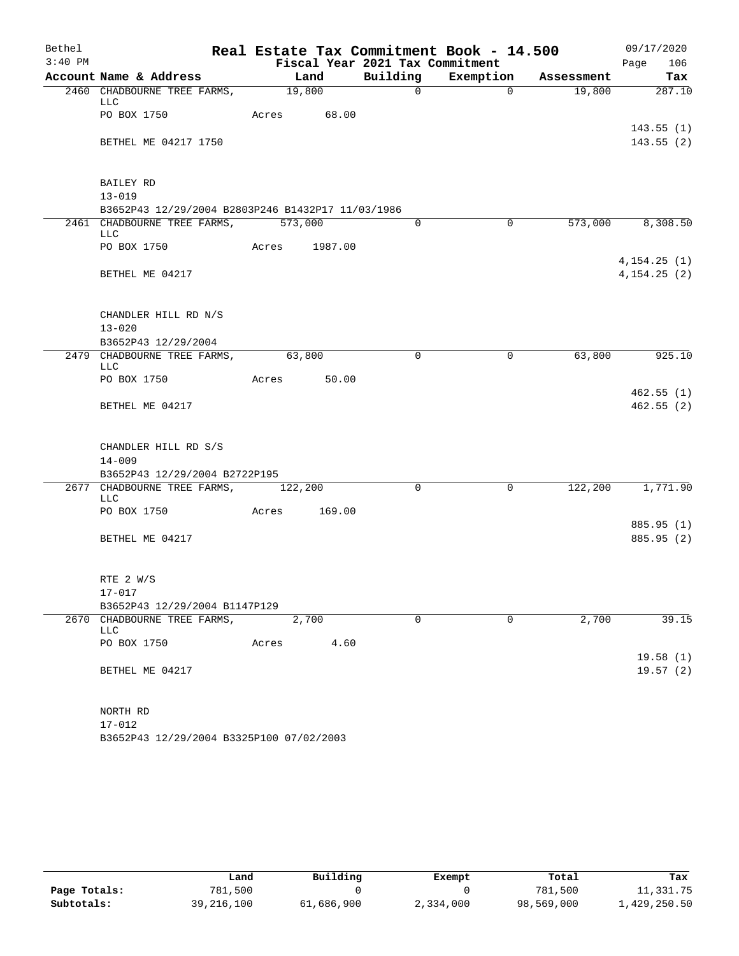| Bethel    |                                                   |               |        |                                 | Real Estate Tax Commitment Book - 14.500 |                               | 09/17/2020                   |
|-----------|---------------------------------------------------|---------------|--------|---------------------------------|------------------------------------------|-------------------------------|------------------------------|
| $3:40$ PM |                                                   |               |        | Fiscal Year 2021 Tax Commitment |                                          |                               | 106<br>Page                  |
|           | Account Name & Address                            |               | Land   |                                 |                                          | Building Exemption Assessment | Tax                          |
|           | 2460 CHADBOURNE TREE FARMS, 19,800<br>LLC         |               |        | $\Omega$                        | $\Omega$                                 | 19,800                        | 287.10                       |
|           | PO BOX 1750                                       | Acres 68.00   |        |                                 |                                          |                               |                              |
|           | BETHEL ME 04217 1750                              |               |        |                                 |                                          |                               | 143.55(1)<br>143.55(2)       |
|           | BAILEY RD                                         |               |        |                                 |                                          |                               |                              |
|           | $13 - 019$                                        |               |        |                                 |                                          |                               |                              |
|           | B3652P43 12/29/2004 B2803P246 B1432P17 11/03/1986 |               |        |                                 |                                          |                               |                              |
|           | 2461 CHADBOURNE TREE FARMS, 573,000<br>LLC        |               |        | $\Omega$                        | $\Omega$                                 |                               | 573,000 8,308.50             |
|           | PO BOX 1750                                       | Acres 1987.00 |        |                                 |                                          |                               |                              |
|           | BETHEL ME 04217                                   |               |        |                                 |                                          |                               | 4, 154.25(1)<br>4, 154.25(2) |
|           | CHANDLER HILL RD N/S                              |               |        |                                 |                                          |                               |                              |
|           | $13 - 020$                                        |               |        |                                 |                                          |                               |                              |
|           | B3652P43 12/29/2004                               |               |        |                                 |                                          |                               |                              |
|           | 2479 CHADBOURNE TREE FARMS, 63,800<br>LLC         |               |        | $\Omega$                        | $\mathbf{0}$                             | 63,800                        | 925.10                       |
|           | PO BOX 1750                                       | Acres 50.00   |        |                                 |                                          |                               |                              |
|           | BETHEL ME 04217                                   |               |        |                                 |                                          |                               | 462.55(1)<br>462.55(2)       |
|           | CHANDLER HILL RD S/S                              |               |        |                                 |                                          |                               |                              |
|           | $14 - 009$<br>B3652P43 12/29/2004 B2722P195       |               |        |                                 |                                          |                               |                              |
|           | 2677 CHADBOURNE TREE FARMS, 122,200               |               |        | $\Omega$                        | $\mathbf 0$                              | 122, 200                      | 1,771.90                     |
|           | LLC<br>PO BOX 1750                                | Acres         | 169.00 |                                 |                                          |                               |                              |
|           |                                                   |               |        |                                 |                                          |                               | 885.95 (1)                   |
|           | BETHEL ME 04217                                   |               |        |                                 |                                          |                               | 885.95 (2)                   |
|           | RTE 2 W/S                                         |               |        |                                 |                                          |                               |                              |
|           | $17 - 017$                                        |               |        |                                 |                                          |                               |                              |
|           | B3652P43 12/29/2004 B1147P129                     |               |        |                                 |                                          |                               |                              |
|           | 2670 CHADBOURNE TREE FARMS,<br>LLC                | 2,700         |        | $\Omega$                        | $\Omega$                                 | 2,700                         | 39.15                        |
|           | PO BOX 1750                                       | Acres         | 4.60   |                                 |                                          |                               | 19.58(1)                     |
|           | BETHEL ME 04217                                   |               |        |                                 |                                          |                               | 19.57(2)                     |
|           | NORTH RD                                          |               |        |                                 |                                          |                               |                              |
|           | $17 - 012$                                        |               |        |                                 |                                          |                               |                              |
|           | B3652P43 12/29/2004 B3325P100 07/02/2003          |               |        |                                 |                                          |                               |                              |

|              | Land         | Building   | Exempt    | Total      | Tax          |
|--------------|--------------|------------|-----------|------------|--------------|
| Page Totals: | 781,500      |            |           | 781,500    | 11,331.75    |
| Subtotals:   | 39, 216, 100 | 61,686,900 | 2,334,000 | 98,569,000 | 1,429,250.50 |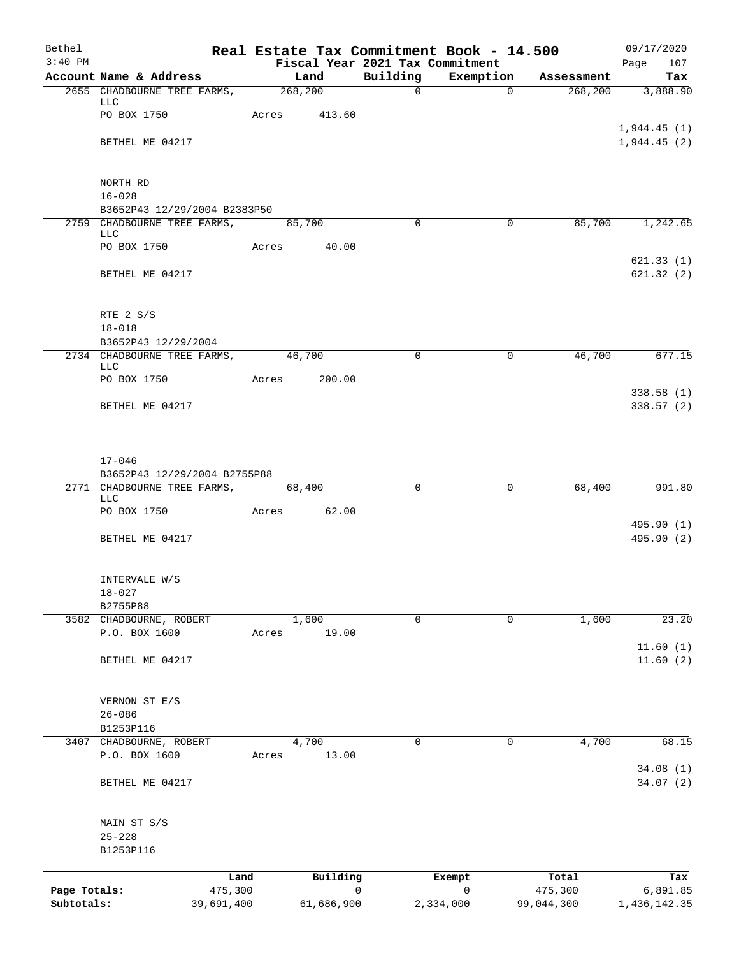| Bethel       |                                                             |                 |         |                |             | Real Estate Tax Commitment Book - 14.500     |                  | 09/17/2020             |
|--------------|-------------------------------------------------------------|-----------------|---------|----------------|-------------|----------------------------------------------|------------------|------------------------|
| $3:40$ PM    | Account Name & Address                                      |                 |         | Land           | Building    | Fiscal Year 2021 Tax Commitment<br>Exemption | Assessment       | Page<br>107<br>Tax     |
|              | 2655 CHADBOURNE TREE FARMS,                                 |                 | 268,200 |                | $\mathbf 0$ |                                              | $\Omega$         | 268, 200<br>3,888.90   |
|              | <b>LLC</b>                                                  |                 |         |                |             |                                              |                  |                        |
|              | PO BOX 1750                                                 |                 |         | Acres 413.60   |             |                                              |                  | 1,944.45(1)            |
|              | BETHEL ME 04217                                             |                 |         |                |             |                                              |                  | 1,944.45(2)            |
|              |                                                             |                 |         |                |             |                                              |                  |                        |
|              | NORTH RD                                                    |                 |         |                |             |                                              |                  |                        |
|              | $16 - 028$<br>B3652P43 12/29/2004 B2383P50                  |                 |         |                |             |                                              |                  |                        |
|              | 2759 CHADBOURNE TREE FARMS,                                 |                 |         | 85,700         | 0           |                                              | 0                | 85,700<br>1,242.65     |
|              | LLC<br>PO BOX 1750                                          |                 | Acres   | 40.00          |             |                                              |                  |                        |
|              |                                                             |                 |         |                |             |                                              |                  | 621.33(1)              |
|              | BETHEL ME 04217                                             |                 |         |                |             |                                              |                  | 621.32(2)              |
|              | RTE 2 S/S                                                   |                 |         |                |             |                                              |                  |                        |
|              | $18 - 018$                                                  |                 |         |                |             |                                              |                  |                        |
|              | B3652P43 12/29/2004                                         |                 |         |                |             |                                              |                  |                        |
|              | 2734 CHADBOURNE TREE FARMS,<br>LLC                          |                 | 46,700  |                | $\Omega$    |                                              | 46,700<br>0      | 677.15                 |
|              | PO BOX 1750                                                 |                 | Acres   | 200.00         |             |                                              |                  |                        |
|              | BETHEL ME 04217                                             |                 |         |                |             |                                              |                  | 338.58(1)<br>338.57(2) |
|              | $17 - 046$                                                  |                 |         |                |             |                                              |                  |                        |
|              | B3652P43 12/29/2004 B2755P88<br>2771 CHADBOURNE TREE FARMS, |                 |         | 68,400         | $\Omega$    |                                              | 68,400<br>0      | 991.80                 |
|              | <b>LLC</b>                                                  |                 |         |                |             |                                              |                  |                        |
|              | PO BOX 1750                                                 | Acres           |         | 62.00          |             |                                              |                  | 495.90 (1)             |
|              | BETHEL ME 04217                                             |                 |         |                |             |                                              |                  | 495.90 (2)             |
|              | INTERVALE W/S                                               |                 |         |                |             |                                              |                  |                        |
|              | $18 - 027$<br>B2755P88                                      |                 |         |                |             |                                              |                  |                        |
|              | 3582 CHADBOURNE, ROBERT                                     |                 |         | 1,600          | $\mathbf 0$ |                                              | 0<br>1,600       | 23.20                  |
|              | P.O. BOX 1600                                               | Acres           |         | 19.00          |             |                                              |                  |                        |
|              | BETHEL ME 04217                                             |                 |         |                |             |                                              |                  | 11.60(1)<br>11.60(2)   |
|              |                                                             |                 |         |                |             |                                              |                  |                        |
|              | VERNON ST E/S                                               |                 |         |                |             |                                              |                  |                        |
|              | $26 - 086$                                                  |                 |         |                |             |                                              |                  |                        |
|              | B1253P116                                                   |                 |         |                |             |                                              |                  |                        |
| 3407         | CHADBOURNE, ROBERT<br>P.O. BOX 1600                         | Acres           |         | 4,700<br>13.00 | 0           | 0                                            | 4,700            | 68.15                  |
|              |                                                             |                 |         |                |             |                                              |                  | 34.08(1)               |
|              | BETHEL ME 04217                                             |                 |         |                |             |                                              |                  | 34.07(2)               |
|              | MAIN ST S/S                                                 |                 |         |                |             |                                              |                  |                        |
|              | $25 - 228$<br>B1253P116                                     |                 |         |                |             |                                              |                  |                        |
|              |                                                             |                 |         |                |             |                                              |                  |                        |
| Page Totals: |                                                             | Land<br>475,300 |         | Building       | 0           | Exempt<br>$\mathsf{O}$                       | Total<br>475,300 | Tax<br>6,891.85        |
| Subtotals:   |                                                             | 39,691,400      |         | 61,686,900     |             | 2,334,000                                    | 99,044,300       | 1,436,142.35           |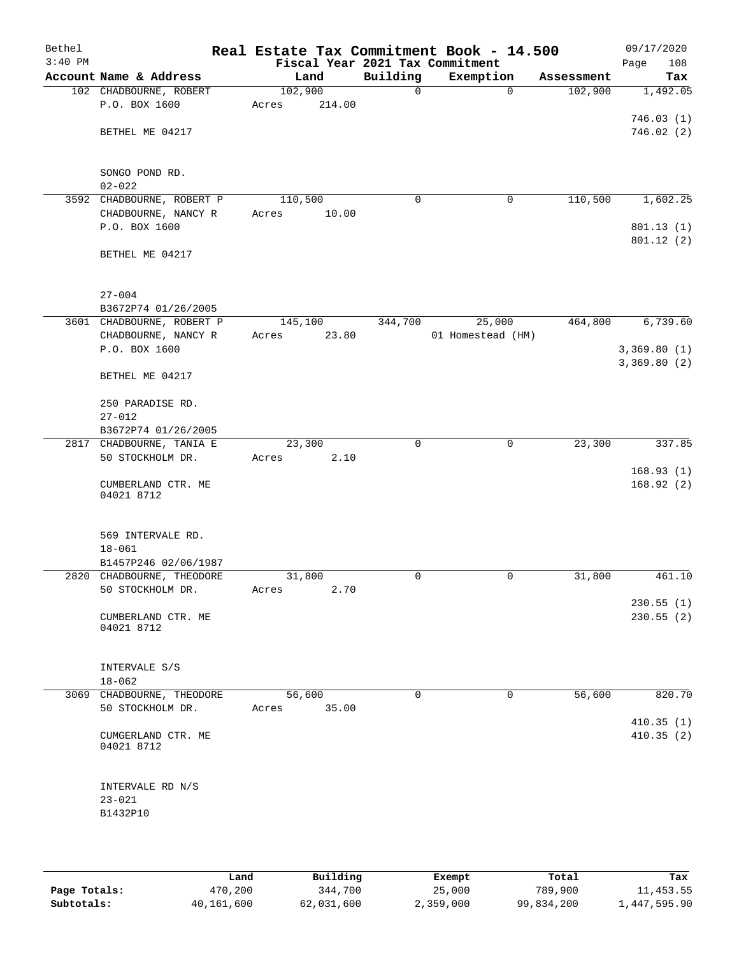| Bethel<br>$3:40$ PM |                                   | Real Estate Tax Commitment Book - 14.500<br>Fiscal Year 2021 Tax Commitment |          |                   |            | 09/17/2020<br>108<br>Page |
|---------------------|-----------------------------------|-----------------------------------------------------------------------------|----------|-------------------|------------|---------------------------|
|                     | Account Name & Address            | Land                                                                        | Building | Exemption         | Assessment | Tax                       |
|                     | 102 CHADBOURNE, ROBERT            | 102,900                                                                     | 0        | $\mathbf 0$       | 102,900    | 1,492.05                  |
|                     | P.O. BOX 1600                     | 214.00<br>Acres                                                             |          |                   |            |                           |
|                     |                                   |                                                                             |          |                   |            | 746.03(1)                 |
|                     | BETHEL ME 04217                   |                                                                             |          |                   |            | 746.02(2)                 |
|                     |                                   |                                                                             |          |                   |            |                           |
|                     |                                   |                                                                             |          |                   |            |                           |
|                     | SONGO POND RD.                    |                                                                             |          |                   |            |                           |
|                     | $02 - 022$                        |                                                                             |          |                   |            |                           |
|                     | 3592 CHADBOURNE, ROBERT P         | 110,500                                                                     | 0        | 0                 | 110,500    | 1,602.25                  |
|                     | CHADBOURNE, NANCY R               | 10.00<br>Acres                                                              |          |                   |            |                           |
|                     | P.O. BOX 1600                     |                                                                             |          |                   |            | 801.13(1)                 |
|                     |                                   |                                                                             |          |                   |            | 801.12 (2)                |
|                     | BETHEL ME 04217                   |                                                                             |          |                   |            |                           |
|                     |                                   |                                                                             |          |                   |            |                           |
|                     |                                   |                                                                             |          |                   |            |                           |
|                     | $27 - 004$<br>B3672P74 01/26/2005 |                                                                             |          |                   |            |                           |
|                     | 3601 CHADBOURNE, ROBERT P         | 145,100                                                                     | 344,700  | 25,000            | 464,800    | 6,739.60                  |
|                     | CHADBOURNE, NANCY R               | 23.80<br>Acres                                                              |          | 01 Homestead (HM) |            |                           |
|                     | P.O. BOX 1600                     |                                                                             |          |                   |            | 3,369.80(1)               |
|                     |                                   |                                                                             |          |                   |            | 3,369.80(2)               |
|                     | BETHEL ME 04217                   |                                                                             |          |                   |            |                           |
|                     |                                   |                                                                             |          |                   |            |                           |
|                     | 250 PARADISE RD.                  |                                                                             |          |                   |            |                           |
|                     | $27 - 012$                        |                                                                             |          |                   |            |                           |
|                     | B3672P74 01/26/2005               |                                                                             |          |                   |            |                           |
|                     | 2817 CHADBOURNE, TANIA E          | 23,300                                                                      | $\Omega$ | $\mathbf 0$       | 23,300     | 337.85                    |
|                     | 50 STOCKHOLM DR.                  | 2.10<br>Acres                                                               |          |                   |            |                           |
|                     |                                   |                                                                             |          |                   |            | 168.93(1)                 |
|                     | CUMBERLAND CTR. ME                |                                                                             |          |                   |            | 168.92(2)                 |
|                     | 04021 8712                        |                                                                             |          |                   |            |                           |
|                     |                                   |                                                                             |          |                   |            |                           |
|                     | 569 INTERVALE RD.                 |                                                                             |          |                   |            |                           |
|                     | $18 - 061$                        |                                                                             |          |                   |            |                           |
|                     | B1457P246 02/06/1987              |                                                                             |          |                   |            |                           |
|                     | 2820 CHADBOURNE, THEODORE         | 31,800                                                                      | 0        | 0                 | 31,800     | 461.10                    |
|                     | 50 STOCKHOLM DR.                  | 2.70<br>Acres                                                               |          |                   |            |                           |
|                     |                                   |                                                                             |          |                   |            | 230.55(1)                 |
|                     | CUMBERLAND CTR. ME                |                                                                             |          |                   |            | 230.55(2)                 |
|                     | 04021 8712                        |                                                                             |          |                   |            |                           |
|                     |                                   |                                                                             |          |                   |            |                           |
|                     |                                   |                                                                             |          |                   |            |                           |
|                     | INTERVALE S/S<br>$18 - 062$       |                                                                             |          |                   |            |                           |
|                     | 3069 CHADBOURNE, THEODORE         | 56,600                                                                      | $\Omega$ | $\Omega$          | 56,600     | 820.70                    |
|                     | 50 STOCKHOLM DR.                  | 35.00<br>Acres                                                              |          |                   |            |                           |
|                     |                                   |                                                                             |          |                   |            | 410.35(1)                 |
|                     | CUMGERLAND CTR. ME                |                                                                             |          |                   |            | 410.35(2)                 |
|                     | 04021 8712                        |                                                                             |          |                   |            |                           |
|                     |                                   |                                                                             |          |                   |            |                           |
|                     |                                   |                                                                             |          |                   |            |                           |
|                     | INTERVALE RD N/S                  |                                                                             |          |                   |            |                           |
|                     | $23 - 021$                        |                                                                             |          |                   |            |                           |
|                     | B1432P10                          |                                                                             |          |                   |            |                           |
|                     |                                   |                                                                             |          |                   |            |                           |

|              | Land       | Building   | Exempt    | Total      | Tax          |
|--------------|------------|------------|-----------|------------|--------------|
| Page Totals: | 470,200    | 344,700    | 25,000    | 789,900    | 11,453.55    |
| Subtotals:   | 40,161,600 | 62,031,600 | 2,359,000 | 99,834,200 | 1,447,595.90 |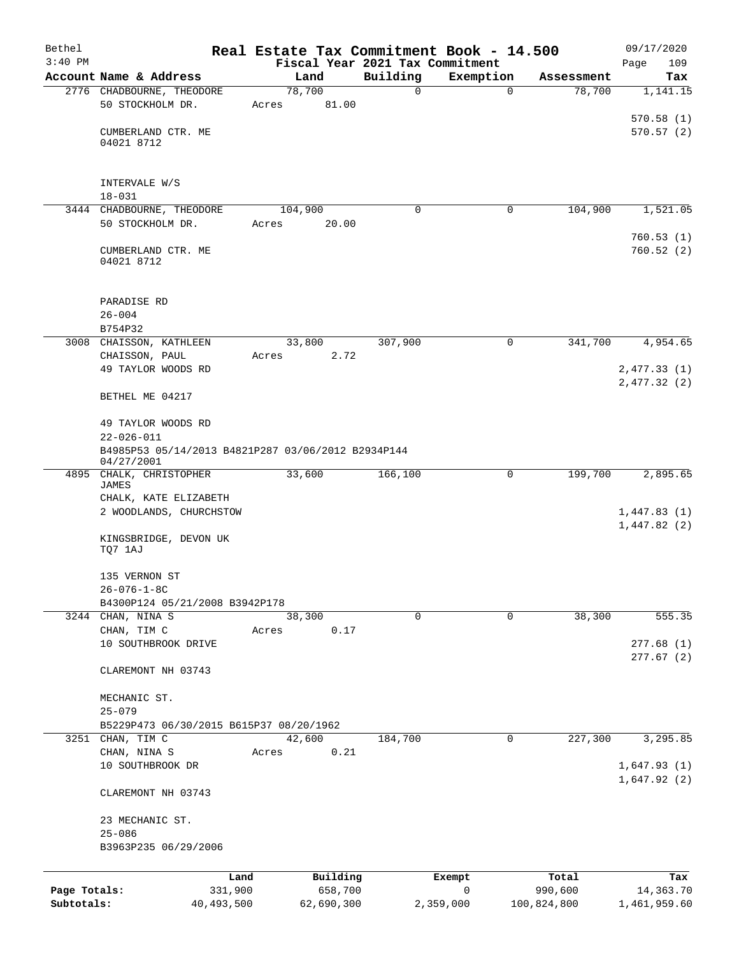| Bethel       |                                                                  |       |                 |          | Real Estate Tax Commitment Book - 14.500 |             | 09/17/2020                  |
|--------------|------------------------------------------------------------------|-------|-----------------|----------|------------------------------------------|-------------|-----------------------------|
| $3:40$ PM    |                                                                  |       |                 |          | Fiscal Year 2021 Tax Commitment          |             | Page<br>109                 |
|              | Account Name & Address                                           |       | Land            | Building | Exemption                                | Assessment  | Tax                         |
|              | 2776 CHADBOURNE, THEODORE<br>50 STOCKHOLM DR.                    | Acres | 78,700<br>81.00 | 0        | $\mathbf 0$                              | 78,700      | 1,141.15                    |
|              | CUMBERLAND CTR. ME<br>04021 8712                                 |       |                 |          |                                          |             | 570.58(1)<br>570.57(2)      |
|              | INTERVALE W/S<br>$18 - 031$                                      |       |                 |          |                                          |             |                             |
|              | 3444 CHADBOURNE, THEODORE                                        |       | 104,900         | $\Omega$ | 0                                        | 104,900     | 1,521.05                    |
|              | 50 STOCKHOLM DR.                                                 | Acres | 20.00           |          |                                          |             | 760.53(1)                   |
|              | CUMBERLAND CTR. ME<br>04021 8712                                 |       |                 |          |                                          |             | 760.52(2)                   |
|              | PARADISE RD<br>$26 - 004$                                        |       |                 |          |                                          |             |                             |
|              | B754P32                                                          |       |                 |          |                                          |             |                             |
|              | 3008 CHAISSON, KATHLEEN                                          |       | 33,800          | 307,900  | 0                                        | 341,700     | 4,954.65                    |
|              | CHAISSON, PAUL<br>49 TAYLOR WOODS RD                             | Acres | 2.72            |          |                                          |             | 2,477.33 (1)<br>2,477.32(2) |
|              | BETHEL ME 04217                                                  |       |                 |          |                                          |             |                             |
|              | 49 TAYLOR WOODS RD<br>$22 - 026 - 011$                           |       |                 |          |                                          |             |                             |
|              | B4985P53 05/14/2013 B4821P287 03/06/2012 B2934P144<br>04/27/2001 |       |                 |          |                                          |             |                             |
| 4895         | CHALK, CHRISTOPHER<br>JAMES                                      |       | 33,600          | 166,100  | 0                                        | 199,700     | 2,895.65                    |
|              | CHALK, KATE ELIZABETH<br>2 WOODLANDS, CHURCHSTOW                 |       |                 |          |                                          |             | 1,447.83(1)<br>1,447.82(2)  |
|              | KINGSBRIDGE, DEVON UK<br>TQ7 1AJ                                 |       |                 |          |                                          |             |                             |
|              | 135 VERNON ST<br>26-076-1-8C                                     |       |                 |          |                                          |             |                             |
|              | B4300P124 05/21/2008 B3942P178                                   |       |                 |          |                                          |             |                             |
|              | 3244 CHAN, NINA S                                                |       | 38,300          | 0        | 0                                        | 38,300      | 555.35                      |
|              | CHAN, TIM C                                                      | Acres | 0.17            |          |                                          |             |                             |
|              | 10 SOUTHBROOK DRIVE                                              |       |                 |          |                                          |             | 277.68(1)<br>277.67(2)      |
|              | CLAREMONT NH 03743                                               |       |                 |          |                                          |             |                             |
|              | MECHANIC ST.<br>$25 - 079$                                       |       |                 |          |                                          |             |                             |
|              | B5229P473 06/30/2015 B615P37 08/20/1962                          |       |                 |          |                                          |             |                             |
|              | 3251 CHAN, TIM C                                                 |       | 42,600          | 184,700  | 0                                        | 227,300     | 3,295.85                    |
|              | CHAN, NINA S<br>10 SOUTHBROOK DR                                 | Acres | 0.21            |          |                                          |             | 1,647.93(1)                 |
|              | CLAREMONT NH 03743                                               |       |                 |          |                                          |             | 1,647.92(2)                 |
|              | 23 MECHANIC ST.                                                  |       |                 |          |                                          |             |                             |
|              | $25 - 086$<br>B3963P235 06/29/2006                               |       |                 |          |                                          |             |                             |
|              |                                                                  | Land  | Building        |          | Exempt                                   | Total       | Tax                         |
| Page Totals: | 331,900                                                          |       | 658,700         |          | 0                                        | 990,600     | 14,363.70                   |
| Subtotals:   | 40, 493, 500                                                     |       | 62,690,300      |          | 2,359,000                                | 100,824,800 | 1,461,959.60                |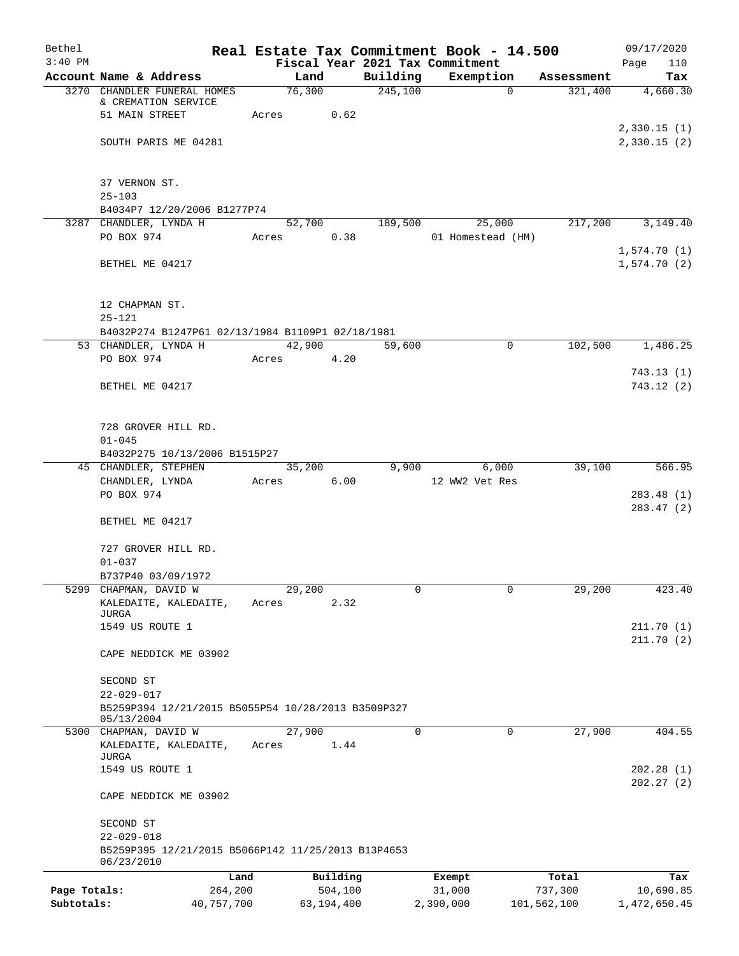| Bethel       |                                                                  |            |                 |            |                     | Real Estate Tax Commitment Book - 14.500 |             |                       | 09/17/2020      |
|--------------|------------------------------------------------------------------|------------|-----------------|------------|---------------------|------------------------------------------|-------------|-----------------------|-----------------|
| $3:40$ PM    |                                                                  |            |                 |            |                     | Fiscal Year 2021 Tax Commitment          |             |                       | 110<br>Page     |
|              | Account Name & Address<br>3270 CHANDLER FUNERAL HOMES            |            | Land<br>76,300  |            | Building<br>245,100 | Exemption                                | $\mathbf 0$ | Assessment<br>321,400 | Tax<br>4,660.30 |
|              | & CREMATION SERVICE                                              |            |                 |            |                     |                                          |             |                       |                 |
|              | 51 MAIN STREET                                                   |            | Acres           | 0.62       |                     |                                          |             |                       |                 |
|              |                                                                  |            |                 |            |                     |                                          |             |                       | 2,330.15(1)     |
|              | SOUTH PARIS ME 04281                                             |            |                 |            |                     |                                          |             |                       | 2,330.15(2)     |
|              |                                                                  |            |                 |            |                     |                                          |             |                       |                 |
|              | 37 VERNON ST.                                                    |            |                 |            |                     |                                          |             |                       |                 |
|              | $25 - 103$                                                       |            |                 |            |                     |                                          |             |                       |                 |
|              | B4034P7 12/20/2006 B1277P74<br>3287 CHANDLER, LYNDA H            |            | 52,700          |            | 189,500             |                                          | 25,000      | 217,200               | 3,149.40        |
|              | PO BOX 974                                                       |            | Acres           | 0.38       |                     | 01 Homestead (HM)                        |             |                       |                 |
|              |                                                                  |            |                 |            |                     |                                          |             |                       | 1,574.70(1)     |
|              | BETHEL ME 04217                                                  |            |                 |            |                     |                                          |             |                       | 1,574.70(2)     |
|              |                                                                  |            |                 |            |                     |                                          |             |                       |                 |
|              | 12 CHAPMAN ST.                                                   |            |                 |            |                     |                                          |             |                       |                 |
|              | $25 - 121$<br>B4032P274 B1247P61 02/13/1984 B1109P1 02/18/1981   |            |                 |            |                     |                                          |             |                       |                 |
|              | 53 CHANDLER, LYNDA H                                             |            | 42,900          |            | 59,600              |                                          | $\mathbf 0$ | 102,500               | 1,486.25        |
|              | PO BOX 974                                                       |            | Acres           | 4.20       |                     |                                          |             |                       |                 |
|              |                                                                  |            |                 |            |                     |                                          |             |                       | 743.13(1)       |
|              | BETHEL ME 04217                                                  |            |                 |            |                     |                                          |             |                       | 743.12(2)       |
|              |                                                                  |            |                 |            |                     |                                          |             |                       |                 |
|              |                                                                  |            |                 |            |                     |                                          |             |                       |                 |
|              | 728 GROVER HILL RD.                                              |            |                 |            |                     |                                          |             |                       |                 |
|              | $01 - 045$                                                       |            |                 |            |                     |                                          |             |                       |                 |
|              | B4032P275 10/13/2006 B1515P27                                    |            |                 |            |                     |                                          |             | 39,100                | 566.95          |
|              | 45 CHANDLER, STEPHEN<br>CHANDLER, LYNDA                          |            | 35,200<br>Acres | 6.00       | 9,900               | 12 WW2 Vet Res                           | 6,000       |                       |                 |
|              | PO BOX 974                                                       |            |                 |            |                     |                                          |             |                       | 283.48(1)       |
|              |                                                                  |            |                 |            |                     |                                          |             |                       | 283.47 (2)      |
|              | BETHEL ME 04217                                                  |            |                 |            |                     |                                          |             |                       |                 |
|              |                                                                  |            |                 |            |                     |                                          |             |                       |                 |
|              | 727 GROVER HILL RD.                                              |            |                 |            |                     |                                          |             |                       |                 |
|              | $01 - 037$                                                       |            |                 |            |                     |                                          |             |                       |                 |
|              | B737P40 03/09/1972                                               |            |                 |            |                     |                                          |             |                       | 423.40          |
|              | 5299 CHAPMAN, DAVID W<br>KALEDAITE, KALEDAITE,                   |            | 29,200<br>Acres | 2.32       | 0                   |                                          | 0           | 29,200                |                 |
|              | JURGA                                                            |            |                 |            |                     |                                          |             |                       |                 |
|              | 1549 US ROUTE 1                                                  |            |                 |            |                     |                                          |             |                       | 211.70(1)       |
|              |                                                                  |            |                 |            |                     |                                          |             |                       | 211.70(2)       |
|              | CAPE NEDDICK ME 03902                                            |            |                 |            |                     |                                          |             |                       |                 |
|              | SECOND ST                                                        |            |                 |            |                     |                                          |             |                       |                 |
|              | $22 - 029 - 017$                                                 |            |                 |            |                     |                                          |             |                       |                 |
|              | B5259P394 12/21/2015 B5055P54 10/28/2013 B3509P327               |            |                 |            |                     |                                          |             |                       |                 |
|              | 05/13/2004                                                       |            |                 |            |                     |                                          |             |                       |                 |
|              | 5300 CHAPMAN, DAVID W                                            |            | 27,900          |            | 0                   |                                          | 0           | 27,900                | 404.55          |
|              | KALEDAITE, KALEDAITE,<br>JURGA                                   |            | Acres           | 1.44       |                     |                                          |             |                       |                 |
|              | 1549 US ROUTE 1                                                  |            |                 |            |                     |                                          |             |                       | 202.28(1)       |
|              |                                                                  |            |                 |            |                     |                                          |             |                       | 202.27(2)       |
|              | CAPE NEDDICK ME 03902                                            |            |                 |            |                     |                                          |             |                       |                 |
|              | SECOND ST                                                        |            |                 |            |                     |                                          |             |                       |                 |
|              | $22 - 029 - 018$                                                 |            |                 |            |                     |                                          |             |                       |                 |
|              | B5259P395 12/21/2015 B5066P142 11/25/2013 B13P4653<br>06/23/2010 |            |                 |            |                     |                                          |             |                       |                 |
|              |                                                                  | Land       |                 | Building   |                     | Exempt                                   |             | Total                 | Tax             |
| Page Totals: |                                                                  | 264,200    |                 | 504,100    |                     | 31,000                                   |             | 737,300               | 10,690.85       |
| Subtotals:   |                                                                  | 40,757,700 |                 | 63,194,400 |                     | 2,390,000                                |             | 101,562,100           | 1,472,650.45    |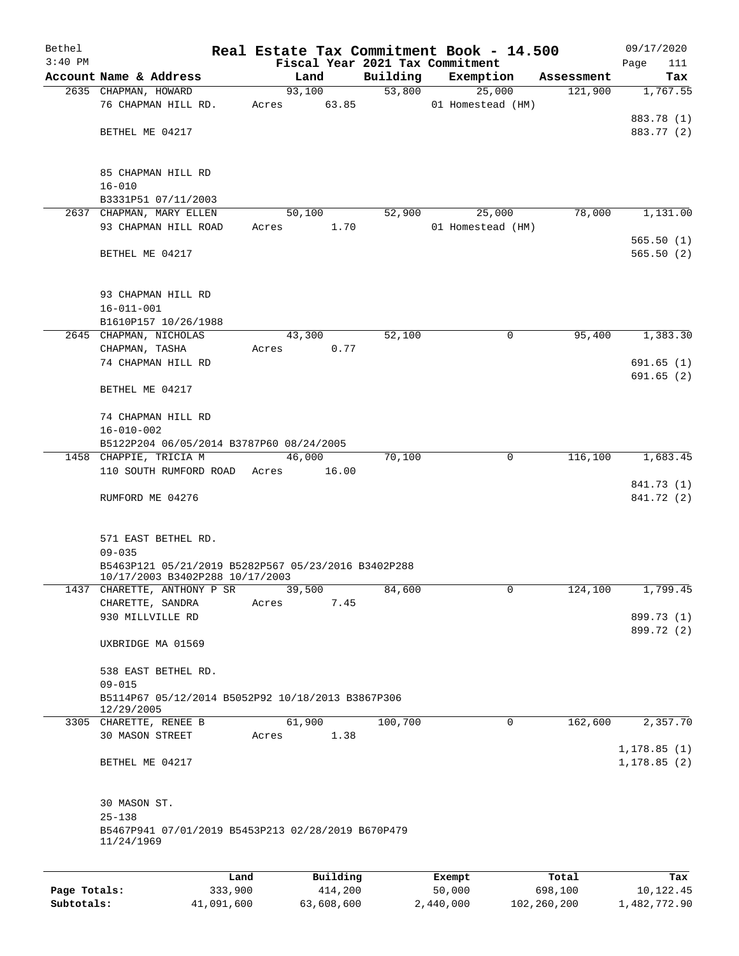| Bethel       |                                                                                        |       |          |          | Real Estate Tax Commitment Book - 14.500 |            | 09/17/2020   |
|--------------|----------------------------------------------------------------------------------------|-------|----------|----------|------------------------------------------|------------|--------------|
| $3:40$ PM    |                                                                                        |       |          |          | Fiscal Year 2021 Tax Commitment          |            | Page<br>111  |
|              | Account Name & Address                                                                 |       | Land     | Building | Exemption                                | Assessment | Tax          |
|              | 2635 CHAPMAN, HOWARD                                                                   |       | 93,100   | 53,800   | 25,000                                   | 121,900    | 1,767.55     |
|              | 76 CHAPMAN HILL RD.                                                                    | Acres | 63.85    |          | 01 Homestead (HM)                        |            |              |
|              |                                                                                        |       |          |          |                                          |            | 883.78 (1)   |
|              | BETHEL ME 04217                                                                        |       |          |          |                                          |            | 883.77 (2)   |
|              |                                                                                        |       |          |          |                                          |            |              |
|              |                                                                                        |       |          |          |                                          |            |              |
|              | 85 CHAPMAN HILL RD                                                                     |       |          |          |                                          |            |              |
|              | $16 - 010$                                                                             |       |          |          |                                          |            |              |
|              | B3331P51 07/11/2003                                                                    |       |          |          |                                          |            |              |
|              | 2637 CHAPMAN, MARY ELLEN                                                               |       | 50,100   | 52,900   | 25,000                                   | 78,000     | 1,131.00     |
|              | 93 CHAPMAN HILL ROAD                                                                   | Acres | 1.70     |          | 01 Homestead (HM)                        |            |              |
|              |                                                                                        |       |          |          |                                          |            | 565.50(1)    |
|              | BETHEL ME 04217                                                                        |       |          |          |                                          |            | 565.50(2)    |
|              |                                                                                        |       |          |          |                                          |            |              |
|              |                                                                                        |       |          |          |                                          |            |              |
|              | 93 CHAPMAN HILL RD                                                                     |       |          |          |                                          |            |              |
|              | $16 - 011 - 001$                                                                       |       |          |          |                                          |            |              |
|              | B1610P157 10/26/1988                                                                   |       |          |          |                                          |            |              |
|              | 2645 CHAPMAN, NICHOLAS                                                                 |       | 43,300   | 52,100   | 0                                        | 95,400     | 1,383.30     |
|              | CHAPMAN, TASHA                                                                         | Acres | 0.77     |          |                                          |            |              |
|              | 74 CHAPMAN HILL RD                                                                     |       |          |          |                                          |            | 691.65(1)    |
|              |                                                                                        |       |          |          |                                          |            | 691.65(2)    |
|              | BETHEL ME 04217                                                                        |       |          |          |                                          |            |              |
|              |                                                                                        |       |          |          |                                          |            |              |
|              |                                                                                        |       |          |          |                                          |            |              |
|              | 74 CHAPMAN HILL RD                                                                     |       |          |          |                                          |            |              |
|              | $16 - 010 - 002$                                                                       |       |          |          |                                          |            |              |
|              | B5122P204 06/05/2014 B3787P60 08/24/2005                                               |       |          |          |                                          |            |              |
|              | 1458 CHAPPIE, TRICIA M                                                                 |       | 46,000   | 70,100   | 0                                        | 116,100    | 1,683.45     |
|              | 110 SOUTH RUMFORD ROAD                                                                 | Acres | 16.00    |          |                                          |            |              |
|              |                                                                                        |       |          |          |                                          |            | 841.73 (1)   |
|              | RUMFORD ME 04276                                                                       |       |          |          |                                          |            | 841.72 (2)   |
|              |                                                                                        |       |          |          |                                          |            |              |
|              |                                                                                        |       |          |          |                                          |            |              |
|              | 571 EAST BETHEL RD.                                                                    |       |          |          |                                          |            |              |
|              | $09 - 035$                                                                             |       |          |          |                                          |            |              |
|              | B5463P121 05/21/2019 B5282P567 05/23/2016 B3402P288<br>10/17/2003 B3402P288 10/17/2003 |       |          |          |                                          |            |              |
| 1437         | CHARETTE, ANTHONY P SR                                                                 |       | 39,500   | 84,600   | 0                                        | 124,100    | 1,799.45     |
|              | CHARETTE, SANDRA                                                                       | Acres | 7.45     |          |                                          |            |              |
|              | 930 MILLVILLE RD                                                                       |       |          |          |                                          |            | 899.73 (1)   |
|              |                                                                                        |       |          |          |                                          |            | 899.72 (2)   |
|              | UXBRIDGE MA 01569                                                                      |       |          |          |                                          |            |              |
|              |                                                                                        |       |          |          |                                          |            |              |
|              |                                                                                        |       |          |          |                                          |            |              |
|              | 538 EAST BETHEL RD.<br>$09 - 015$                                                      |       |          |          |                                          |            |              |
|              |                                                                                        |       |          |          |                                          |            |              |
|              | B5114P67 05/12/2014 B5052P92 10/18/2013 B3867P306<br>12/29/2005                        |       |          |          |                                          |            |              |
|              | 3305 CHARETTE, RENEE B                                                                 |       | 61,900   | 100,700  | 0                                        | 162,600    | 2,357.70     |
|              | <b>30 MASON STREET</b>                                                                 | Acres | 1.38     |          |                                          |            |              |
|              |                                                                                        |       |          |          |                                          |            | 1, 178.85(1) |
|              | BETHEL ME 04217                                                                        |       |          |          |                                          |            | 1, 178.85(2) |
|              |                                                                                        |       |          |          |                                          |            |              |
|              |                                                                                        |       |          |          |                                          |            |              |
|              | 30 MASON ST.                                                                           |       |          |          |                                          |            |              |
|              | $25 - 138$                                                                             |       |          |          |                                          |            |              |
|              |                                                                                        |       |          |          |                                          |            |              |
|              | B5467P941 07/01/2019 B5453P213 02/28/2019 B670P479<br>11/24/1969                       |       |          |          |                                          |            |              |
|              |                                                                                        |       |          |          |                                          |            |              |
|              |                                                                                        |       |          |          |                                          |            |              |
|              | Land                                                                                   |       | Building |          | Exempt                                   | Total      | Tax          |
| Page Totals: | 333,900                                                                                |       | 414,200  |          | 50,000                                   | 698,100    | 10,122.45    |

**Subtotals:** 41,091,600 63,608,600 2,440,000 102,260,200 1,482,772.90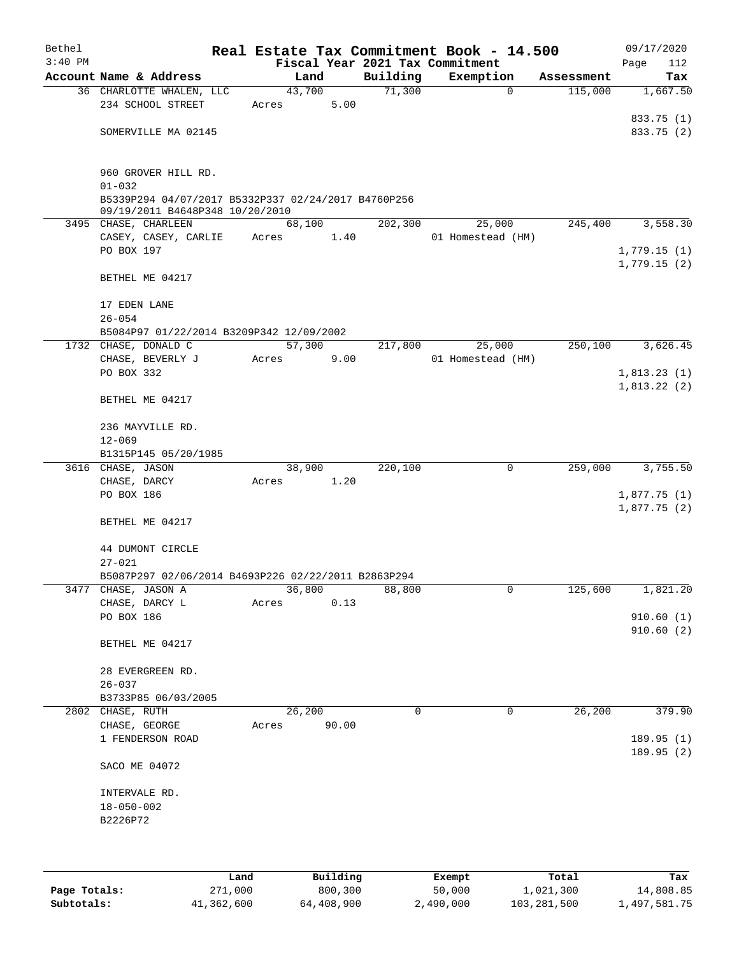| Bethel<br>$3:40$ PM |                                                     |       |        |       | Real Estate Tax Commitment Book - 14.500<br>Fiscal Year 2021 Tax Commitment |                   |            | 09/17/2020<br>Page<br>112  |
|---------------------|-----------------------------------------------------|-------|--------|-------|-----------------------------------------------------------------------------|-------------------|------------|----------------------------|
|                     | Account Name & Address                              |       | Land   |       | Building                                                                    | Exemption         | Assessment | Tax                        |
|                     | 36 CHARLOTTE WHALEN, LLC                            |       | 43,700 |       | 71,300                                                                      | $\mathbf 0$       | 115,000    | 1,667.50                   |
|                     | 234 SCHOOL STREET                                   | Acres |        | 5.00  |                                                                             |                   |            |                            |
|                     |                                                     |       |        |       |                                                                             |                   |            | 833.75 (1)                 |
|                     | SOMERVILLE MA 02145                                 |       |        |       |                                                                             |                   |            | 833.75 (2)                 |
|                     |                                                     |       |        |       |                                                                             |                   |            |                            |
|                     |                                                     |       |        |       |                                                                             |                   |            |                            |
|                     | 960 GROVER HILL RD.                                 |       |        |       |                                                                             |                   |            |                            |
|                     | $01 - 032$                                          |       |        |       |                                                                             |                   |            |                            |
|                     | B5339P294 04/07/2017 B5332P337 02/24/2017 B4760P256 |       |        |       |                                                                             |                   |            |                            |
|                     | 09/19/2011 B4648P348 10/20/2010                     |       |        |       |                                                                             |                   |            |                            |
|                     | 3495 CHASE, CHARLEEN                                |       | 68,100 |       | 202,300                                                                     | 25,000            | 245,400    | 3,558.30                   |
|                     | CASEY, CASEY, CARLIE                                | Acres |        | 1.40  |                                                                             | 01 Homestead (HM) |            |                            |
|                     | PO BOX 197                                          |       |        |       |                                                                             |                   |            | 1,779.15(1)                |
|                     |                                                     |       |        |       |                                                                             |                   |            | 1,779.15(2)                |
|                     | BETHEL ME 04217                                     |       |        |       |                                                                             |                   |            |                            |
|                     |                                                     |       |        |       |                                                                             |                   |            |                            |
|                     | 17 EDEN LANE                                        |       |        |       |                                                                             |                   |            |                            |
|                     | $26 - 054$                                          |       |        |       |                                                                             |                   |            |                            |
|                     | B5084P97 01/22/2014 B3209P342 12/09/2002            |       |        |       |                                                                             |                   |            |                            |
|                     | 1732 CHASE, DONALD C                                |       | 57,300 |       | 217,800                                                                     | 25,000            | 250,100    | 3,626.45                   |
|                     | CHASE, BEVERLY J                                    | Acres |        | 9.00  |                                                                             | 01 Homestead (HM) |            |                            |
|                     | PO BOX 332                                          |       |        |       |                                                                             |                   |            | 1,813.23(1)<br>1,813.22(2) |
|                     | BETHEL ME 04217                                     |       |        |       |                                                                             |                   |            |                            |
|                     |                                                     |       |        |       |                                                                             |                   |            |                            |
|                     | 236 MAYVILLE RD.                                    |       |        |       |                                                                             |                   |            |                            |
|                     | $12 - 069$                                          |       |        |       |                                                                             |                   |            |                            |
|                     | B1315P145 05/20/1985                                |       |        |       |                                                                             |                   |            |                            |
|                     | 3616 CHASE, JASON                                   |       | 38,900 |       | 220,100                                                                     | 0                 | 259,000    | 3,755.50                   |
|                     | CHASE, DARCY                                        | Acres |        | 1.20  |                                                                             |                   |            |                            |
|                     | PO BOX 186                                          |       |        |       |                                                                             |                   |            | 1,877.75(1)                |
|                     |                                                     |       |        |       |                                                                             |                   |            | 1,877.75(2)                |
|                     | BETHEL ME 04217                                     |       |        |       |                                                                             |                   |            |                            |
|                     |                                                     |       |        |       |                                                                             |                   |            |                            |
|                     | 44 DUMONT CIRCLE                                    |       |        |       |                                                                             |                   |            |                            |
|                     | $27 - 021$                                          |       |        |       |                                                                             |                   |            |                            |
|                     | B5087P297 02/06/2014 B4693P226 02/22/2011 B2863P294 |       |        |       |                                                                             |                   |            |                            |
| 3477                | CHASE, JASON A                                      |       | 36,800 |       | 88,800                                                                      | 0                 | 125,600    | 1,821.20                   |
|                     | CHASE, DARCY L                                      | Acres |        | 0.13  |                                                                             |                   |            |                            |
|                     | PO BOX 186                                          |       |        |       |                                                                             |                   |            | 910.60(1)                  |
|                     |                                                     |       |        |       |                                                                             |                   |            | 910.60(2)                  |
|                     | BETHEL ME 04217                                     |       |        |       |                                                                             |                   |            |                            |
|                     |                                                     |       |        |       |                                                                             |                   |            |                            |
|                     | 28 EVERGREEN RD.                                    |       |        |       |                                                                             |                   |            |                            |
|                     | $26 - 037$                                          |       |        |       |                                                                             |                   |            |                            |
|                     | B3733P85 06/03/2005                                 |       |        |       |                                                                             |                   |            |                            |
|                     | 2802 CHASE, RUTH                                    |       | 26,200 |       | 0                                                                           | 0                 | 26,200     | 379.90                     |
|                     | CHASE, GEORGE                                       | Acres |        | 90.00 |                                                                             |                   |            |                            |
|                     | 1 FENDERSON ROAD                                    |       |        |       |                                                                             |                   |            | 189.95(1)                  |
|                     |                                                     |       |        |       |                                                                             |                   |            | 189.95(2)                  |
|                     | SACO ME 04072                                       |       |        |       |                                                                             |                   |            |                            |
|                     |                                                     |       |        |       |                                                                             |                   |            |                            |
|                     | INTERVALE RD.                                       |       |        |       |                                                                             |                   |            |                            |
|                     | $18 - 050 - 002$                                    |       |        |       |                                                                             |                   |            |                            |
|                     | B2226P72                                            |       |        |       |                                                                             |                   |            |                            |
|                     |                                                     |       |        |       |                                                                             |                   |            |                            |
|                     |                                                     |       |        |       |                                                                             |                   |            |                            |
|                     |                                                     |       |        |       |                                                                             |                   |            |                            |

|              | Land       | Building   | Exempt    | Total       | Tax          |
|--------------|------------|------------|-----------|-------------|--------------|
| Page Totals: | 271,000    | 800,300    | 50,000    | 1,021,300   | 14,808.85    |
| Subtotals:   | 41,362,600 | 64,408,900 | 2,490,000 | 103,281,500 | 1,497,581.75 |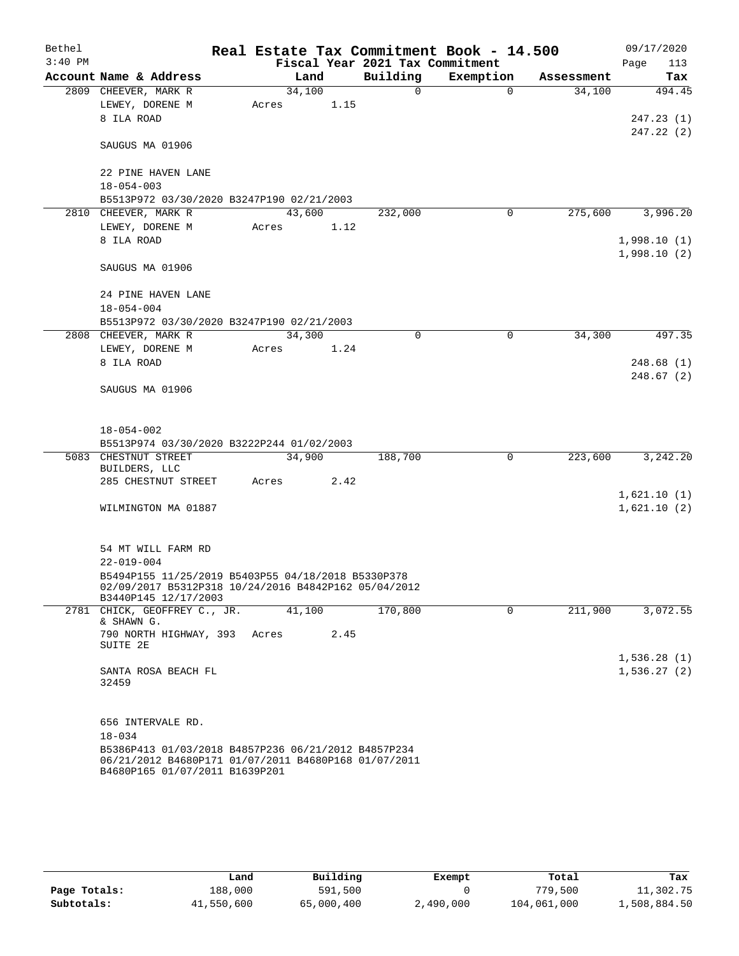| Bethel    |                                                                                                                                               |       |        |      | Real Estate Tax Commitment Book - 14.500 |             |            |      | 09/17/2020                 |
|-----------|-----------------------------------------------------------------------------------------------------------------------------------------------|-------|--------|------|------------------------------------------|-------------|------------|------|----------------------------|
| $3:40$ PM |                                                                                                                                               |       |        |      | Fiscal Year 2021 Tax Commitment          |             |            | Page | 113                        |
|           | Account Name & Address                                                                                                                        |       | Land   |      | Building                                 | Exemption   | Assessment |      | Tax                        |
|           | 2809 CHEEVER, MARK R                                                                                                                          |       | 34,100 |      | $\Omega$                                 | $\Omega$    | 34,100     |      | 494.45                     |
|           | LEWEY, DORENE M                                                                                                                               | Acres |        | 1.15 |                                          |             |            |      |                            |
|           | 8 ILA ROAD                                                                                                                                    |       |        |      |                                          |             |            |      | 247.23(1)                  |
|           | SAUGUS MA 01906                                                                                                                               |       |        |      |                                          |             |            |      | 247.22 (2)                 |
|           | 22 PINE HAVEN LANE                                                                                                                            |       |        |      |                                          |             |            |      |                            |
|           | $18 - 054 - 003$                                                                                                                              |       |        |      |                                          |             |            |      |                            |
|           | B5513P972 03/30/2020 B3247P190 02/21/2003                                                                                                     |       |        |      |                                          |             |            |      |                            |
|           | 2810 CHEEVER, MARK R                                                                                                                          |       | 43,600 |      | 232,000                                  | 0           | 275,600    |      | 3,996.20                   |
|           | LEWEY, DORENE M                                                                                                                               | Acres |        | 1.12 |                                          |             |            |      |                            |
|           | 8 ILA ROAD                                                                                                                                    |       |        |      |                                          |             |            |      | 1,998.10(1)                |
|           | SAUGUS MA 01906                                                                                                                               |       |        |      |                                          |             |            |      | 1,998.10(2)                |
|           | 24 PINE HAVEN LANE                                                                                                                            |       |        |      |                                          |             |            |      |                            |
|           | $18 - 054 - 004$                                                                                                                              |       |        |      |                                          |             |            |      |                            |
|           | B5513P972 03/30/2020 B3247P190 02/21/2003                                                                                                     |       |        |      |                                          |             |            |      |                            |
|           | 2808 CHEEVER, MARK R                                                                                                                          |       | 34,300 |      | 0                                        | $\mathbf 0$ | 34,300     |      | 497.35                     |
|           | LEWEY, DORENE M                                                                                                                               | Acres |        | 1.24 |                                          |             |            |      |                            |
|           | 8 ILA ROAD                                                                                                                                    |       |        |      |                                          |             |            |      | 248.68(1)<br>248.67(2)     |
|           | SAUGUS MA 01906                                                                                                                               |       |        |      |                                          |             |            |      |                            |
|           | $18 - 054 - 002$                                                                                                                              |       |        |      |                                          |             |            |      |                            |
|           | B5513P974 03/30/2020 B3222P244 01/02/2003                                                                                                     |       |        |      |                                          |             |            |      |                            |
|           | 5083 CHESTNUT STREET                                                                                                                          |       | 34,900 |      | 188,700                                  | 0           | 223,600    |      | 3, 242. 20                 |
|           | BUILDERS, LLC                                                                                                                                 |       |        |      |                                          |             |            |      |                            |
|           | 285 CHESTNUT STREET                                                                                                                           | Acres |        | 2.42 |                                          |             |            |      |                            |
|           | WILMINGTON MA 01887                                                                                                                           |       |        |      |                                          |             |            |      | 1,621.10(1)<br>1,621.10(2) |
|           |                                                                                                                                               |       |        |      |                                          |             |            |      |                            |
|           | 54 MT WILL FARM RD                                                                                                                            |       |        |      |                                          |             |            |      |                            |
|           | $22 - 019 - 004$                                                                                                                              |       |        |      |                                          |             |            |      |                            |
|           | B5494P155 11/25/2019 B5403P55 04/18/2018 B5330P378<br>02/09/2017 B5312P318 10/24/2016 B4842P162 05/04/2012<br>B3440P145 12/17/2003            |       |        |      |                                          |             |            |      |                            |
|           | 2781 CHICK, GEOFFREY C., JR.<br>& SHAWN G.                                                                                                    |       | 41,100 |      | 170,800                                  | 0           | 211,900    |      | 3,072.55                   |
|           | 790 NORTH HIGHWAY, 393<br>SUITE 2E                                                                                                            | Acres |        | 2.45 |                                          |             |            |      |                            |
|           |                                                                                                                                               |       |        |      |                                          |             |            |      | 1,536.28(1)                |
|           | SANTA ROSA BEACH FL<br>32459                                                                                                                  |       |        |      |                                          |             |            |      | 1,536.27(2)                |
|           |                                                                                                                                               |       |        |      |                                          |             |            |      |                            |
|           | 656 INTERVALE RD.                                                                                                                             |       |        |      |                                          |             |            |      |                            |
|           | $18 - 034$                                                                                                                                    |       |        |      |                                          |             |            |      |                            |
|           | B5386P413 01/03/2018 B4857P236 06/21/2012 B4857P234<br>06/21/2012 B4680P171 01/07/2011 B4680P168 01/07/2011<br>B4680P165 01/07/2011 B1639P201 |       |        |      |                                          |             |            |      |                            |

|              | Land       | Building   | Exempt    | Total       | Tax          |
|--------------|------------|------------|-----------|-------------|--------------|
| Page Totals: | 188,000    | 591,500    |           | 779,500     | 11,302.75    |
| Subtotals:   | 41,550,600 | 65,000,400 | 2,490,000 | 104,061,000 | 1,508,884.50 |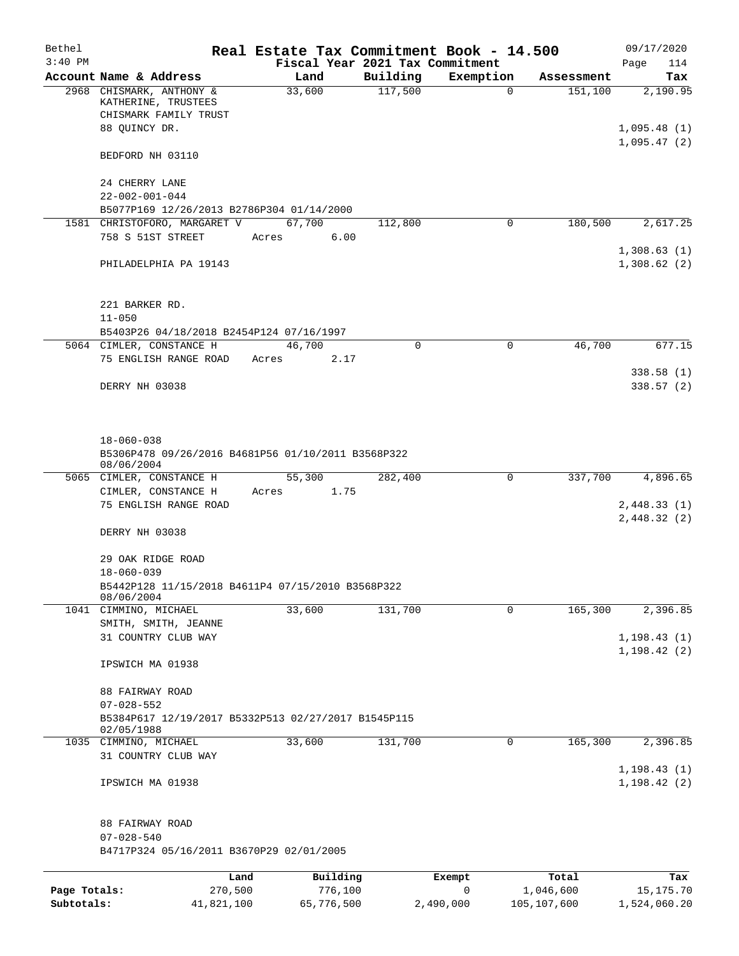| Bethel       |                                                                          | Real Estate Tax Commitment Book - 14.500 |          |             |                    | 09/17/2020         |
|--------------|--------------------------------------------------------------------------|------------------------------------------|----------|-------------|--------------------|--------------------|
| $3:40$ PM    |                                                                          | Fiscal Year 2021 Tax Commitment          |          |             |                    | Page<br>114        |
|              | Account Name & Address                                                   | Land                                     | Building | Exemption   | Assessment         | Tax                |
|              | 2968 CHISMARK, ANTHONY &<br>KATHERINE, TRUSTEES<br>CHISMARK FAMILY TRUST | 33,600                                   | 117,500  | $\mathbf 0$ | 151,100            | 2,190.95           |
|              | 88 QUINCY DR.                                                            |                                          |          |             |                    | 1,095.48(1)        |
|              |                                                                          |                                          |          |             |                    | 1,095.47(2)        |
|              | BEDFORD NH 03110                                                         |                                          |          |             |                    |                    |
|              | 24 CHERRY LANE                                                           |                                          |          |             |                    |                    |
|              | $22 - 002 - 001 - 044$<br>B5077P169 12/26/2013 B2786P304 01/14/2000      |                                          |          |             |                    |                    |
|              | 1581 CHRISTOFORO, MARGARET V                                             | 67,700                                   | 112,800  | 0           | 180,500            | 2,617.25           |
|              | 758 S 51ST STREET                                                        | 6.00<br>Acres                            |          |             |                    | 1,308.63(1)        |
|              | PHILADELPHIA PA 19143                                                    |                                          |          |             |                    | 1,308.62(2)        |
|              | 221 BARKER RD.                                                           |                                          |          |             |                    |                    |
|              | $11 - 050$                                                               |                                          |          |             |                    |                    |
|              | B5403P26 04/18/2018 B2454P124 07/16/1997                                 |                                          |          |             |                    |                    |
|              | 5064 CIMLER, CONSTANCE H                                                 | 46,700                                   | 0        | $\mathbf 0$ | 46,700             | 677.15             |
|              | 75 ENGLISH RANGE ROAD                                                    | 2.17<br>Acres                            |          |             |                    | 338.58(1)          |
|              | DERRY NH 03038                                                           |                                          |          |             |                    | 338.57(2)          |
|              |                                                                          |                                          |          |             |                    |                    |
|              | $18 - 060 - 038$                                                         |                                          |          |             |                    |                    |
|              | B5306P478 09/26/2016 B4681P56 01/10/2011 B3568P322<br>08/06/2004         |                                          |          |             |                    |                    |
|              | 5065 CIMLER, CONSTANCE H                                                 | 55,300                                   | 282,400  | 0           | 337,700            | 4,896.65           |
|              | CIMLER, CONSTANCE H<br>75 ENGLISH RANGE ROAD                             | 1.75<br>Acres                            |          |             |                    | 2,448.33(1)        |
|              |                                                                          |                                          |          |             |                    | 2,448.32(2)        |
|              | DERRY NH 03038                                                           |                                          |          |             |                    |                    |
|              | 29 OAK RIDGE ROAD                                                        |                                          |          |             |                    |                    |
|              | $18 - 060 - 039$<br>B5442P128 11/15/2018 B4611P4 07/15/2010 B3568P322    |                                          |          |             |                    |                    |
|              | 08/06/2004                                                               |                                          |          |             |                    |                    |
|              | 1041 CIMMINO, MICHAEL<br>SMITH, SMITH, JEANNE                            | 33,600                                   | 131,700  | 0           | 165,300            | 2,396.85           |
|              | 31 COUNTRY CLUB WAY                                                      |                                          |          |             |                    | 1, 198.43(1)       |
|              | IPSWICH MA 01938                                                         |                                          |          |             |                    | 1, 198.42(2)       |
|              |                                                                          |                                          |          |             |                    |                    |
|              | 88 FAIRWAY ROAD<br>$07 - 028 - 552$                                      |                                          |          |             |                    |                    |
|              | B5384P617 12/19/2017 B5332P513 02/27/2017 B1545P115<br>02/05/1988        |                                          |          |             |                    |                    |
|              | 1035 CIMMINO, MICHAEL                                                    | 33,600                                   | 131,700  | 0           | 165,300            | 2,396.85           |
|              | 31 COUNTRY CLUB WAY                                                      |                                          |          |             |                    | 1, 198.43(1)       |
|              | IPSWICH MA 01938                                                         |                                          |          |             |                    | 1, 198.42(2)       |
|              | 88 FAIRWAY ROAD                                                          |                                          |          |             |                    |                    |
|              | $07 - 028 - 540$<br>B4717P324 05/16/2011 B3670P29 02/01/2005             |                                          |          |             |                    |                    |
|              |                                                                          |                                          |          |             |                    |                    |
| Page Totals: | 270,500                                                                  | Building<br>Land<br>776,100              |          | Exempt<br>0 | Total<br>1,046,600 | Tax<br>15, 175. 70 |
| Subtotals:   | 41,821,100                                                               | 65,776,500                               |          | 2,490,000   | 105,107,600        | 1,524,060.20       |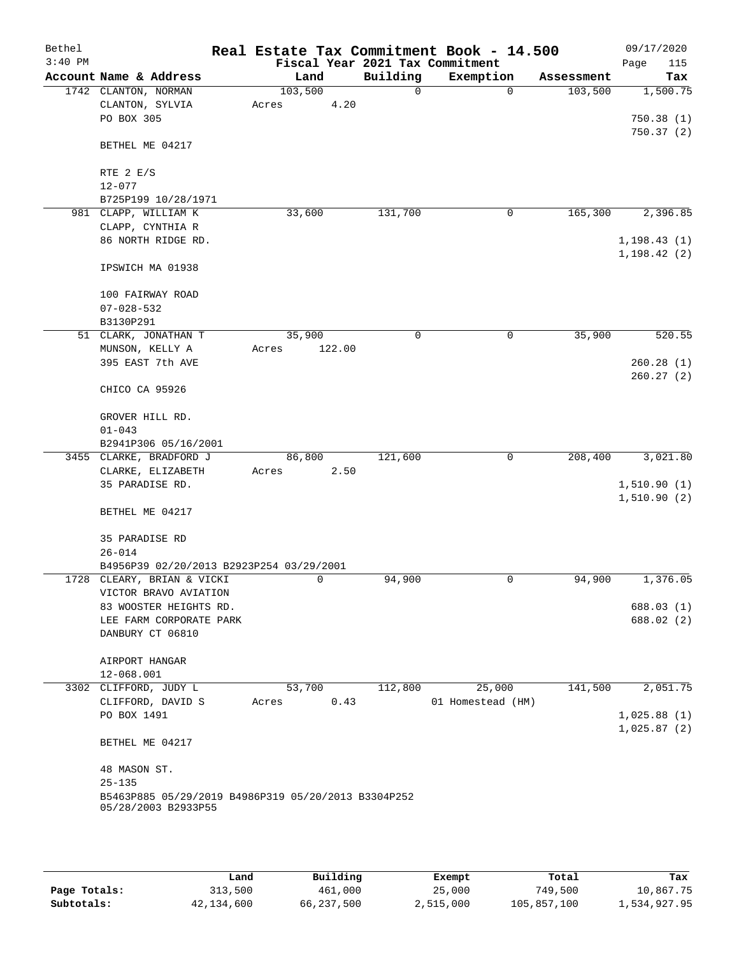| Bethel    |                                                     | Real Estate Tax Commitment Book - 14.500 |          |                   |            | 09/17/2020   |
|-----------|-----------------------------------------------------|------------------------------------------|----------|-------------------|------------|--------------|
| $3:40$ PM |                                                     | Fiscal Year 2021 Tax Commitment          |          |                   |            | 115<br>Page  |
|           | Account Name & Address                              | Land                                     | Building | Exemption         | Assessment | Tax          |
|           | 1742 CLANTON, NORMAN                                | 103,500                                  | 0        | $\mathbf 0$       | 103,500    | 1,500.75     |
|           | CLANTON, SYLVIA                                     | 4.20<br>Acres                            |          |                   |            |              |
|           | PO BOX 305                                          |                                          |          |                   |            | 750.38(1)    |
|           | BETHEL ME 04217                                     |                                          |          |                   |            | 750.37 (2)   |
|           | RTE $2 E/S$                                         |                                          |          |                   |            |              |
|           | $12 - 077$                                          |                                          |          |                   |            |              |
|           | B725P199 10/28/1971                                 |                                          |          |                   |            |              |
|           | 981 CLAPP, WILLIAM K                                | 33,600                                   | 131,700  | 0                 | 165,300    | 2,396.85     |
|           | CLAPP, CYNTHIA R                                    |                                          |          |                   |            |              |
|           | 86 NORTH RIDGE RD.                                  |                                          |          |                   |            | 1, 198.43(1) |
|           |                                                     |                                          |          |                   |            | 1, 198.42(2) |
|           | IPSWICH MA 01938                                    |                                          |          |                   |            |              |
|           | 100 FAIRWAY ROAD                                    |                                          |          |                   |            |              |
|           | $07 - 028 - 532$                                    |                                          |          |                   |            |              |
|           | B3130P291                                           |                                          |          |                   |            |              |
|           | 51 CLARK, JONATHAN T                                | 35,900                                   | 0        | 0                 | 35,900     | 520.55       |
|           | MUNSON, KELLY A                                     | Acres<br>122.00                          |          |                   |            |              |
|           | 395 EAST 7th AVE                                    |                                          |          |                   |            | 260.28(1)    |
|           |                                                     |                                          |          |                   |            | 260.27(2)    |
|           | CHICO CA 95926                                      |                                          |          |                   |            |              |
|           | GROVER HILL RD.                                     |                                          |          |                   |            |              |
|           | $01 - 043$                                          |                                          |          |                   |            |              |
|           | B2941P306 05/16/2001                                |                                          |          |                   |            |              |
|           | 3455 CLARKE, BRADFORD J                             | 86,800                                   | 121,600  | 0                 | 208,400    | 3,021.80     |
|           | CLARKE, ELIZABETH                                   | 2.50<br>Acres                            |          |                   |            |              |
|           | 35 PARADISE RD.                                     |                                          |          |                   |            | 1,510.90(1)  |
|           |                                                     |                                          |          |                   |            | 1,510.90(2)  |
|           | BETHEL ME 04217                                     |                                          |          |                   |            |              |
|           | 35 PARADISE RD                                      |                                          |          |                   |            |              |
|           | $26 - 014$                                          |                                          |          |                   |            |              |
|           | B4956P39 02/20/2013 B2923P254 03/29/2001            |                                          |          |                   |            |              |
|           | 1728 CLEARY, BRIAN & VICKI                          | 0                                        | 94,900   | 0                 | 94,900     | 1,376.05     |
|           | VICTOR BRAVO AVIATION                               |                                          |          |                   |            |              |
|           | 83 WOOSTER HEIGHTS RD.                              |                                          |          |                   |            | 688.03 (1)   |
|           | LEE FARM CORPORATE PARK                             |                                          |          |                   |            | 688.02 (2)   |
|           | DANBURY CT 06810                                    |                                          |          |                   |            |              |
|           | AIRPORT HANGAR                                      |                                          |          |                   |            |              |
|           | 12-068.001                                          |                                          |          |                   |            |              |
|           | 3302 CLIFFORD, JUDY L                               | 53,700                                   | 112,800  | 25,000            | 141,500    | 2,051.75     |
|           | CLIFFORD, DAVID S                                   | 0.43<br>Acres                            |          | 01 Homestead (HM) |            |              |
|           | PO BOX 1491                                         |                                          |          |                   |            | 1,025.88(1)  |
|           |                                                     |                                          |          |                   |            | 1,025.87(2)  |
|           | BETHEL ME 04217                                     |                                          |          |                   |            |              |
|           | 48 MASON ST.                                        |                                          |          |                   |            |              |
|           | $25 - 135$                                          |                                          |          |                   |            |              |
|           | B5463P885 05/29/2019 B4986P319 05/20/2013 B3304P252 |                                          |          |                   |            |              |
|           | 05/28/2003 B2933P55                                 |                                          |          |                   |            |              |
|           |                                                     |                                          |          |                   |            |              |
|           |                                                     |                                          |          |                   |            |              |

|              | Land       | Building   | Exempt    | Total       | Tax          |
|--------------|------------|------------|-----------|-------------|--------------|
| Page Totals: | 313,500    | 461,000    | 25,000    | 749,500     | 10,867.75    |
| Subtotals:   | 42,134,600 | 66,237,500 | 2,515,000 | 105,857,100 | 1,534,927.95 |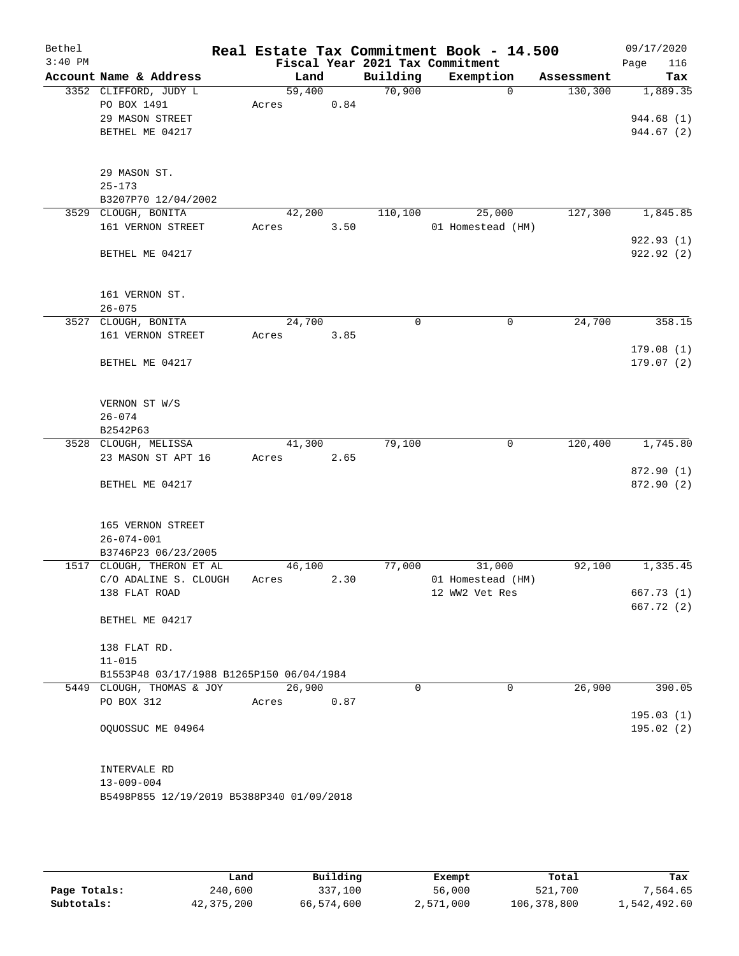| Bethel    |                                           |        |      |      | Real Estate Tax Commitment Book - 14.500 |                   |            | 09/17/2020  |
|-----------|-------------------------------------------|--------|------|------|------------------------------------------|-------------------|------------|-------------|
| $3:40$ PM |                                           |        |      |      | Fiscal Year 2021 Tax Commitment          |                   |            | Page<br>116 |
|           | Account Name & Address                    |        | Land |      | Building                                 | Exemption         | Assessment | Tax         |
|           | 3352 CLIFFORD, JUDY L                     | 59,400 |      |      | 70,900                                   | $\mathbf 0$       | 130,300    | 1,889.35    |
|           | PO BOX 1491                               | Acres  |      | 0.84 |                                          |                   |            |             |
|           | 29 MASON STREET                           |        |      |      |                                          |                   |            | 944.68 (1)  |
|           | BETHEL ME 04217                           |        |      |      |                                          |                   |            | 944.67 (2)  |
|           |                                           |        |      |      |                                          |                   |            |             |
|           |                                           |        |      |      |                                          |                   |            |             |
|           | 29 MASON ST.                              |        |      |      |                                          |                   |            |             |
|           | $25 - 173$                                |        |      |      |                                          |                   |            |             |
|           | B3207P70 12/04/2002                       |        |      |      |                                          |                   |            |             |
|           | 3529 CLOUGH, BONITA                       | 42,200 |      |      | 110,100                                  | 25,000            | 127,300    | 1,845.85    |
|           | 161 VERNON STREET                         | Acres  |      | 3.50 |                                          | 01 Homestead (HM) |            |             |
|           |                                           |        |      |      |                                          |                   |            | 922.93(1)   |
|           | BETHEL ME 04217                           |        |      |      |                                          |                   |            | 922.92 (2)  |
|           |                                           |        |      |      |                                          |                   |            |             |
|           |                                           |        |      |      |                                          |                   |            |             |
|           | 161 VERNON ST.                            |        |      |      |                                          |                   |            |             |
|           | $26 - 075$                                |        |      |      |                                          |                   |            |             |
|           | 3527 CLOUGH, BONITA                       | 24,700 |      |      | $\mathbf 0$                              | 0                 | 24,700     | 358.15      |
|           | 161 VERNON STREET                         | Acres  |      | 3.85 |                                          |                   |            |             |
|           |                                           |        |      |      |                                          |                   |            | 179.08(1)   |
|           | BETHEL ME 04217                           |        |      |      |                                          |                   |            | 179.07(2)   |
|           |                                           |        |      |      |                                          |                   |            |             |
|           |                                           |        |      |      |                                          |                   |            |             |
|           | VERNON ST W/S                             |        |      |      |                                          |                   |            |             |
|           | $26 - 074$                                |        |      |      |                                          |                   |            |             |
|           | B2542P63                                  |        |      |      |                                          |                   |            |             |
|           | 3528 CLOUGH, MELISSA                      | 41,300 |      |      | 79,100                                   | 0                 | 120,400    | 1,745.80    |
|           | 23 MASON ST APT 16                        | Acres  |      | 2.65 |                                          |                   |            |             |
|           |                                           |        |      |      |                                          |                   |            | 872.90 (1)  |
|           | BETHEL ME 04217                           |        |      |      |                                          |                   |            | 872.90 (2)  |
|           |                                           |        |      |      |                                          |                   |            |             |
|           |                                           |        |      |      |                                          |                   |            |             |
|           | 165 VERNON STREET                         |        |      |      |                                          |                   |            |             |
|           | $26 - 074 - 001$                          |        |      |      |                                          |                   |            |             |
|           | B3746P23 06/23/2005                       |        |      |      |                                          |                   |            |             |
|           | 1517 CLOUGH, THERON ET AL                 | 46,100 |      |      | 77,000                                   | 31,000            | 92,100     | 1,335.45    |
|           | C/O ADALINE S. CLOUGH                     | Acres  |      | 2.30 |                                          | 01 Homestead (HM) |            |             |
|           | 138 FLAT ROAD                             |        |      |      |                                          | 12 WW2 Vet Res    |            | 667.73 (1)  |
|           |                                           |        |      |      |                                          |                   |            | 667.72(2)   |
|           | BETHEL ME 04217                           |        |      |      |                                          |                   |            |             |
|           |                                           |        |      |      |                                          |                   |            |             |
|           | 138 FLAT RD.                              |        |      |      |                                          |                   |            |             |
|           | $11 - 015$                                |        |      |      |                                          |                   |            |             |
|           | B1553P48 03/17/1988 B1265P150 06/04/1984  |        |      |      |                                          |                   |            |             |
|           | 5449 CLOUGH, THOMAS & JOY                 | 26,900 |      |      | 0                                        | $\overline{0}$    | 26,900     | 390.05      |
|           | PO BOX 312                                | Acres  |      | 0.87 |                                          |                   |            |             |
|           |                                           |        |      |      |                                          |                   |            | 195.03(1)   |
|           | OQUOSSUC ME 04964                         |        |      |      |                                          |                   |            | 195.02 (2)  |
|           |                                           |        |      |      |                                          |                   |            |             |
|           |                                           |        |      |      |                                          |                   |            |             |
|           | INTERVALE RD                              |        |      |      |                                          |                   |            |             |
|           | $13 - 009 - 004$                          |        |      |      |                                          |                   |            |             |
|           | B5498P855 12/19/2019 B5388P340 01/09/2018 |        |      |      |                                          |                   |            |             |
|           |                                           |        |      |      |                                          |                   |            |             |
|           |                                           |        |      |      |                                          |                   |            |             |
|           |                                           |        |      |      |                                          |                   |            |             |

|              | Land         | Building   | Exempt    | Total       | Tax          |
|--------------|--------------|------------|-----------|-------------|--------------|
| Page Totals: | 240,600      | 337,100    | 56,000    | 521,700     | 7,564.65     |
| Subtotals:   | 42, 375, 200 | 66,574,600 | 2,571,000 | 106,378,800 | 1,542,492.60 |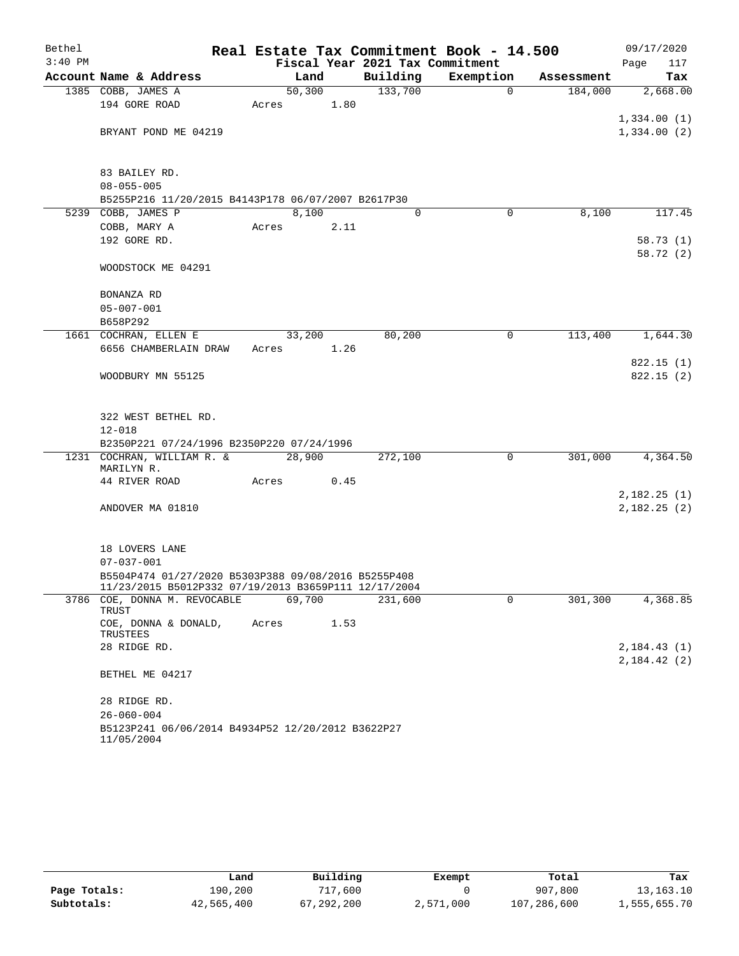| Bethel    |                                                                 | Real Estate Tax Commitment Book - 14.500 |                                 |             |            | 09/17/2020            |
|-----------|-----------------------------------------------------------------|------------------------------------------|---------------------------------|-------------|------------|-----------------------|
| $3:40$ PM |                                                                 |                                          | Fiscal Year 2021 Tax Commitment |             |            | 117<br>Page           |
|           | Account Name & Address                                          | Land                                     | Building                        | Exemption   | Assessment | Tax                   |
|           | 1385 COBB, JAMES A                                              | 50,300                                   | 133,700                         | $\mathbf 0$ | 184,000    | 2,668.00              |
|           | 194 GORE ROAD                                                   | 1.80<br>Acres                            |                                 |             |            |                       |
|           |                                                                 |                                          |                                 |             |            | 1,334.00(1)           |
|           | BRYANT POND ME 04219                                            |                                          |                                 |             |            | 1,334.00(2)           |
|           | 83 BAILEY RD.                                                   |                                          |                                 |             |            |                       |
|           | $08 - 055 - 005$                                                |                                          |                                 |             |            |                       |
|           | B5255P216 11/20/2015 B4143P178 06/07/2007 B2617P30              |                                          |                                 |             |            |                       |
|           | 5239 COBB, JAMES P                                              | 8,100                                    | $\Omega$                        | $\Omega$    | 8,100      | 117.45                |
|           | COBB, MARY A                                                    | Acres<br>2.11                            |                                 |             |            |                       |
|           | 192 GORE RD.                                                    |                                          |                                 |             |            | 58.73(1)              |
|           |                                                                 |                                          |                                 |             |            | 58.72 (2)             |
|           | WOODSTOCK ME 04291                                              |                                          |                                 |             |            |                       |
|           | BONANZA RD                                                      |                                          |                                 |             |            |                       |
|           | $05 - 007 - 001$                                                |                                          |                                 |             |            |                       |
|           | B658P292                                                        |                                          |                                 |             |            |                       |
|           | 1661 COCHRAN, ELLEN E                                           | 33,200                                   | 80,200                          | 0           | 113,400    | 1,644.30              |
|           | 6656 CHAMBERLAIN DRAW                                           | 1.26<br>Acres                            |                                 |             |            |                       |
|           |                                                                 |                                          |                                 |             |            | 822.15(1)             |
|           | WOODBURY MN 55125                                               |                                          |                                 |             |            | 822.15(2)             |
|           |                                                                 |                                          |                                 |             |            |                       |
|           | 322 WEST BETHEL RD.                                             |                                          |                                 |             |            |                       |
|           | $12 - 018$                                                      |                                          |                                 |             |            |                       |
|           | B2350P221 07/24/1996 B2350P220 07/24/1996                       |                                          |                                 |             |            |                       |
|           | 1231 COCHRAN, WILLIAM R. &<br>MARILYN R.                        | 28,900                                   | 272,100                         | 0           | 301,000    | $\overline{4,}364.50$ |
|           | 44 RIVER ROAD                                                   | 0.45<br>Acres                            |                                 |             |            |                       |
|           |                                                                 |                                          |                                 |             |            | 2,182.25(1)           |
|           | ANDOVER MA 01810                                                |                                          |                                 |             |            | 2,182.25(2)           |
|           |                                                                 |                                          |                                 |             |            |                       |
|           | 18 LOVERS LANE                                                  |                                          |                                 |             |            |                       |
|           | $07 - 037 - 001$                                                |                                          |                                 |             |            |                       |
|           | B5504P474 01/27/2020 B5303P388 09/08/2016 B5255P408             |                                          |                                 |             |            |                       |
|           | 11/23/2015 B5012P332 07/19/2013 B3659P111 12/17/2004            |                                          |                                 |             |            |                       |
| 3786      | COE, DONNA M. REVOCABLE<br>TRUST                                | 69,700                                   | 231,600                         | 0           | 301,300    | 4,368.85              |
|           | COE, DONNA & DONALD,<br>TRUSTEES                                | Acres<br>1.53                            |                                 |             |            |                       |
|           | 28 RIDGE RD.                                                    |                                          |                                 |             |            | 2,184.43(1)           |
|           |                                                                 |                                          |                                 |             |            | 2,184.42(2)           |
|           | BETHEL ME 04217                                                 |                                          |                                 |             |            |                       |
|           | 28 RIDGE RD.                                                    |                                          |                                 |             |            |                       |
|           | $26 - 060 - 004$                                                |                                          |                                 |             |            |                       |
|           | B5123P241 06/06/2014 B4934P52 12/20/2012 B3622P27<br>11/05/2004 |                                          |                                 |             |            |                       |

|              | Land       | Building   |           | Total       | Tax          |
|--------------|------------|------------|-----------|-------------|--------------|
| Page Totals: | 190,200    | 717,600    | Exempt    | 907,800     | 13, 163. 10  |
| Subtotals:   | 42,565,400 | 67,292,200 | 2,571,000 | 107,286,600 | 1,555,655.70 |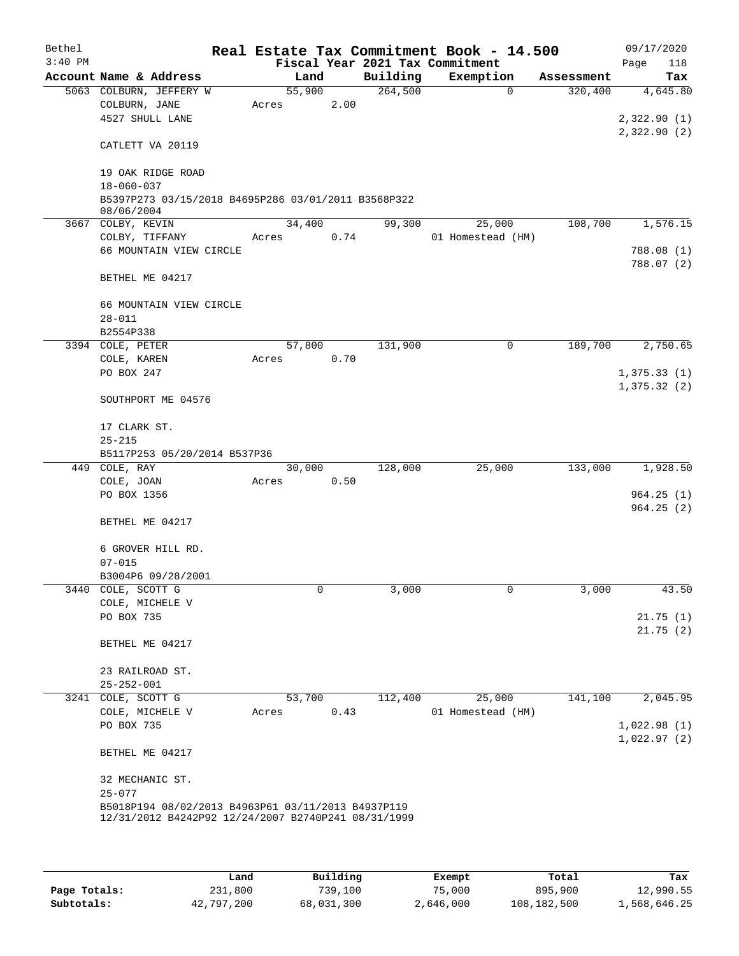| Bethel<br>$3:40$ PM |                        |                                                     |       |        |      | Real Estate Tax Commitment Book - 14.500<br>Fiscal Year 2021 Tax Commitment |                   |          |            |             | 09/17/2020              |
|---------------------|------------------------|-----------------------------------------------------|-------|--------|------|-----------------------------------------------------------------------------|-------------------|----------|------------|-------------|-------------------------|
|                     | Account Name & Address |                                                     |       | Land   |      | Building                                                                    | Exemption         |          | Assessment | Page        | 118<br>Tax              |
|                     |                        | 5063 COLBURN, JEFFERY W                             |       | 55,900 |      | 264,500                                                                     |                   | $\Omega$ | 320,400    |             | 4,645.80                |
|                     | COLBURN, JANE          |                                                     | Acres |        | 2.00 |                                                                             |                   |          |            |             |                         |
|                     | 4527 SHULL LANE        |                                                     |       |        |      |                                                                             |                   |          |            | 2,322.90(1) |                         |
|                     |                        |                                                     |       |        |      |                                                                             |                   |          |            | 2,322.90(2) |                         |
|                     | CATLETT VA 20119       |                                                     |       |        |      |                                                                             |                   |          |            |             |                         |
|                     |                        | 19 OAK RIDGE ROAD                                   |       |        |      |                                                                             |                   |          |            |             |                         |
|                     | $18 - 060 - 037$       |                                                     |       |        |      |                                                                             |                   |          |            |             |                         |
|                     |                        | B5397P273 03/15/2018 B4695P286 03/01/2011 B3568P322 |       |        |      |                                                                             |                   |          |            |             |                         |
|                     | 08/06/2004             |                                                     |       |        |      |                                                                             |                   |          |            |             |                         |
|                     | 3667 COLBY, KEVIN      |                                                     |       | 34,400 |      | 99,300                                                                      |                   | 25,000   | 108,700    |             | 1,576.15                |
|                     | COLBY, TIFFANY         |                                                     | Acres |        | 0.74 |                                                                             | 01 Homestead (HM) |          |            |             |                         |
|                     |                        | 66 MOUNTAIN VIEW CIRCLE                             |       |        |      |                                                                             |                   |          |            |             | 788.08 (1)<br>788.07(2) |
|                     | BETHEL ME 04217        |                                                     |       |        |      |                                                                             |                   |          |            |             |                         |
|                     |                        | 66 MOUNTAIN VIEW CIRCLE                             |       |        |      |                                                                             |                   |          |            |             |                         |
|                     | $28 - 011$             |                                                     |       |        |      |                                                                             |                   |          |            |             |                         |
|                     | B2554P338              |                                                     |       |        |      |                                                                             |                   |          |            |             |                         |
|                     | 3394 COLE, PETER       |                                                     |       | 57,800 |      | 131,900                                                                     |                   | 0        | 189,700    |             | 2,750.65                |
|                     | COLE, KAREN            |                                                     | Acres |        | 0.70 |                                                                             |                   |          |            |             |                         |
|                     | PO BOX 247             |                                                     |       |        |      |                                                                             |                   |          |            | 1,375.33(1) |                         |
|                     |                        | SOUTHPORT ME 04576                                  |       |        |      |                                                                             |                   |          |            | 1,375.32(2) |                         |
|                     | 17 CLARK ST.           |                                                     |       |        |      |                                                                             |                   |          |            |             |                         |
|                     | $25 - 215$             |                                                     |       |        |      |                                                                             |                   |          |            |             |                         |
|                     |                        | B5117P253 05/20/2014 B537P36                        |       |        |      |                                                                             |                   |          |            |             |                         |
|                     | 449 COLE, RAY          |                                                     |       | 30,000 |      | 128,000                                                                     |                   | 25,000   | 133,000    |             | 1,928.50                |
|                     | COLE, JOAN             |                                                     | Acres |        | 0.50 |                                                                             |                   |          |            |             |                         |
|                     | PO BOX 1356            |                                                     |       |        |      |                                                                             |                   |          |            |             | 964.25(1)               |
|                     | BETHEL ME 04217        |                                                     |       |        |      |                                                                             |                   |          |            |             | 964.25(2)               |
|                     |                        |                                                     |       |        |      |                                                                             |                   |          |            |             |                         |
|                     |                        | 6 GROVER HILL RD.                                   |       |        |      |                                                                             |                   |          |            |             |                         |
|                     | $07 - 015$             | B3004P6 09/28/2001                                  |       |        |      |                                                                             |                   |          |            |             |                         |
|                     | 3440 COLE, SCOTT G     |                                                     |       | 0      |      | 3,000                                                                       |                   | 0        | 3,000      |             | 43.50                   |
|                     | COLE, MICHELE V        |                                                     |       |        |      |                                                                             |                   |          |            |             |                         |
|                     | PO BOX 735             |                                                     |       |        |      |                                                                             |                   |          |            |             | 21.75(1)                |
|                     |                        |                                                     |       |        |      |                                                                             |                   |          |            |             | 21.75(2)                |
|                     | BETHEL ME 04217        |                                                     |       |        |      |                                                                             |                   |          |            |             |                         |
|                     | 23 RAILROAD ST.        |                                                     |       |        |      |                                                                             |                   |          |            |             |                         |
|                     | $25 - 252 - 001$       |                                                     |       |        |      |                                                                             |                   |          |            |             |                         |
|                     | 3241 COLE, SCOTT G     |                                                     |       | 53,700 |      | 112,400                                                                     |                   | 25,000   | 141,100    |             | 2,045.95                |
|                     | COLE, MICHELE V        |                                                     | Acres |        | 0.43 |                                                                             | 01 Homestead (HM) |          |            |             |                         |
|                     | PO BOX 735             |                                                     |       |        |      |                                                                             |                   |          |            | 1,022.98(1) |                         |
|                     | BETHEL ME 04217        |                                                     |       |        |      |                                                                             |                   |          |            | 1,022.97(2) |                         |
|                     | 32 MECHANIC ST.        |                                                     |       |        |      |                                                                             |                   |          |            |             |                         |
|                     | $25 - 077$             |                                                     |       |        |      |                                                                             |                   |          |            |             |                         |
|                     |                        | B5018P194 08/02/2013 B4963P61 03/11/2013 B4937P119  |       |        |      |                                                                             |                   |          |            |             |                         |
|                     |                        | 12/31/2012 B4242P92 12/24/2007 B2740P241 08/31/1999 |       |        |      |                                                                             |                   |          |            |             |                         |

|              | Land       | Building   | Exempt    | Total       | Tax          |  |
|--------------|------------|------------|-----------|-------------|--------------|--|
| Page Totals: | 231,800    | 739,100    | 75,000    | 895,900     | 12,990.55    |  |
| Subtotals:   | 42,797,200 | 68,031,300 | 2,646,000 | 108,182,500 | 1,568,646.25 |  |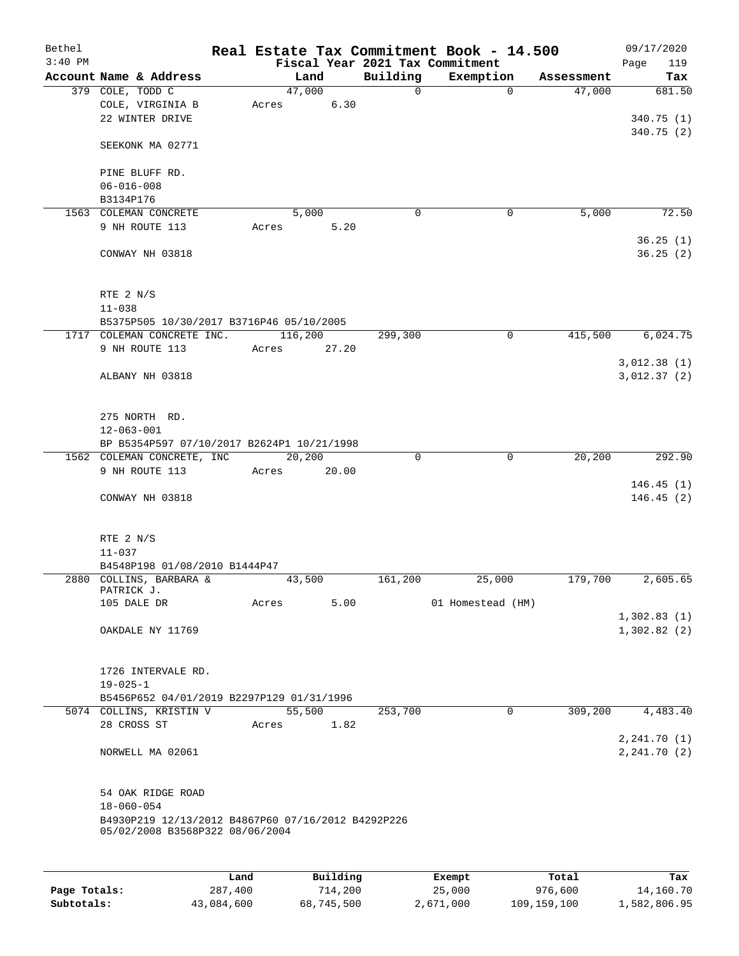| Bethel<br>$3:40$ PM |                                                    |      |       |          |       |              | Real Estate Tax Commitment Book - 14.500<br>Fiscal Year 2021 Tax Commitment |             |            | 09/17/2020         |
|---------------------|----------------------------------------------------|------|-------|----------|-------|--------------|-----------------------------------------------------------------------------|-------------|------------|--------------------|
|                     | Account Name & Address                             |      |       | Land     |       | Building     | Exemption                                                                   |             | Assessment | Page<br>119<br>Tax |
|                     | 379 COLE, TODD C                                   |      |       | 47,000   |       | $\mathsf{O}$ |                                                                             | $\mathbf 0$ | 47,000     | 681.50             |
|                     | COLE, VIRGINIA B                                   |      | Acres |          | 6.30  |              |                                                                             |             |            |                    |
|                     | 22 WINTER DRIVE                                    |      |       |          |       |              |                                                                             |             |            | 340.75 (1)         |
|                     |                                                    |      |       |          |       |              |                                                                             |             |            | 340.75(2)          |
|                     | SEEKONK MA 02771                                   |      |       |          |       |              |                                                                             |             |            |                    |
|                     |                                                    |      |       |          |       |              |                                                                             |             |            |                    |
|                     | PINE BLUFF RD.                                     |      |       |          |       |              |                                                                             |             |            |                    |
|                     | $06 - 016 - 008$<br>B3134P176                      |      |       |          |       |              |                                                                             |             |            |                    |
|                     | 1563 COLEMAN CONCRETE                              |      |       | 5,000    |       | 0            |                                                                             | 0           | 5,000      | 72.50              |
|                     | 9 NH ROUTE 113                                     |      | Acres |          | 5.20  |              |                                                                             |             |            |                    |
|                     |                                                    |      |       |          |       |              |                                                                             |             |            | 36.25(1)           |
|                     | CONWAY NH 03818                                    |      |       |          |       |              |                                                                             |             |            | 36.25(2)           |
|                     |                                                    |      |       |          |       |              |                                                                             |             |            |                    |
|                     |                                                    |      |       |          |       |              |                                                                             |             |            |                    |
|                     | RTE 2 N/S                                          |      |       |          |       |              |                                                                             |             |            |                    |
|                     | $11 - 038$                                         |      |       |          |       |              |                                                                             |             |            |                    |
|                     | B5375P505 10/30/2017 B3716P46 05/10/2005           |      |       |          |       |              |                                                                             |             |            |                    |
|                     | 1717 COLEMAN CONCRETE INC.                         |      |       | 116,200  |       | 299,300      |                                                                             | $\mathbf 0$ | 415,500    | 6,024.75           |
|                     | 9 NH ROUTE 113                                     |      | Acres |          | 27.20 |              |                                                                             |             |            |                    |
|                     |                                                    |      |       |          |       |              |                                                                             |             |            | 3,012.38(1)        |
|                     | ALBANY NH 03818                                    |      |       |          |       |              |                                                                             |             |            | 3,012.37(2)        |
|                     |                                                    |      |       |          |       |              |                                                                             |             |            |                    |
|                     | 275 NORTH RD.                                      |      |       |          |       |              |                                                                             |             |            |                    |
|                     | $12 - 063 - 001$                                   |      |       |          |       |              |                                                                             |             |            |                    |
|                     | BP B5354P597 07/10/2017 B2624P1 10/21/1998         |      |       |          |       |              |                                                                             |             |            |                    |
|                     | 1562 COLEMAN CONCRETE, INC                         |      |       | 20,200   |       | 0            |                                                                             | $\mathbf 0$ | 20, 200    | 292.90             |
|                     | 9 NH ROUTE 113                                     |      | Acres |          | 20.00 |              |                                                                             |             |            |                    |
|                     |                                                    |      |       |          |       |              |                                                                             |             |            | 146.45(1)          |
|                     | CONWAY NH 03818                                    |      |       |          |       |              |                                                                             |             |            | 146.45(2)          |
|                     |                                                    |      |       |          |       |              |                                                                             |             |            |                    |
|                     | RTE 2 N/S                                          |      |       |          |       |              |                                                                             |             |            |                    |
|                     | $11 - 037$                                         |      |       |          |       |              |                                                                             |             |            |                    |
|                     | B4548P198 01/08/2010 B1444P47                      |      |       |          |       |              |                                                                             |             |            |                    |
|                     | 2880 COLLINS, BARBARA &                            |      |       | 43,500   |       | 161,200      | 25,000                                                                      |             | 179,700    | 2,605.65           |
|                     | PATRICK J.                                         |      |       |          |       |              |                                                                             |             |            |                    |
|                     | 105 DALE DR                                        |      | Acres |          | 5.00  |              | 01 Homestead (HM)                                                           |             |            |                    |
|                     |                                                    |      |       |          |       |              |                                                                             |             |            | 1,302.83(1)        |
|                     | OAKDALE NY 11769                                   |      |       |          |       |              |                                                                             |             |            | 1,302.82(2)        |
|                     |                                                    |      |       |          |       |              |                                                                             |             |            |                    |
|                     | 1726 INTERVALE RD.                                 |      |       |          |       |              |                                                                             |             |            |                    |
|                     | $19 - 025 - 1$                                     |      |       |          |       |              |                                                                             |             |            |                    |
|                     | B5456P652 04/01/2019 B2297P129 01/31/1996          |      |       |          |       |              |                                                                             |             |            |                    |
|                     | 5074 COLLINS, KRISTIN V                            |      |       | 55,500   |       | 253,700      |                                                                             | 0           | 309,200    | 4,483.40           |
|                     | 28 CROSS ST                                        |      | Acres |          | 1.82  |              |                                                                             |             |            |                    |
|                     |                                                    |      |       |          |       |              |                                                                             |             |            | 2,241.70(1)        |
|                     | NORWELL MA 02061                                   |      |       |          |       |              |                                                                             |             |            | 2, 241.70(2)       |
|                     |                                                    |      |       |          |       |              |                                                                             |             |            |                    |
|                     | 54 OAK RIDGE ROAD                                  |      |       |          |       |              |                                                                             |             |            |                    |
|                     | $18 - 060 - 054$                                   |      |       |          |       |              |                                                                             |             |            |                    |
|                     | B4930P219 12/13/2012 B4867P60 07/16/2012 B4292P226 |      |       |          |       |              |                                                                             |             |            |                    |
|                     | 05/02/2008 B3568P322 08/06/2004                    |      |       |          |       |              |                                                                             |             |            |                    |
|                     |                                                    |      |       |          |       |              |                                                                             |             |            |                    |
|                     |                                                    |      |       |          |       |              |                                                                             |             |            |                    |
|                     |                                                    | Land |       | Building |       |              | Exempt                                                                      |             | Total      | Tax                |

|              | Land       | Building   | Exempt    | Total       | Tax          |
|--------------|------------|------------|-----------|-------------|--------------|
| Page Totals: | 287,400    | 714,200    | 25,000    | 976,600     | 14,160.70    |
| Subtotals:   | 43,084,600 | 68,745,500 | 2,671,000 | 109,159,100 | 1,582,806.95 |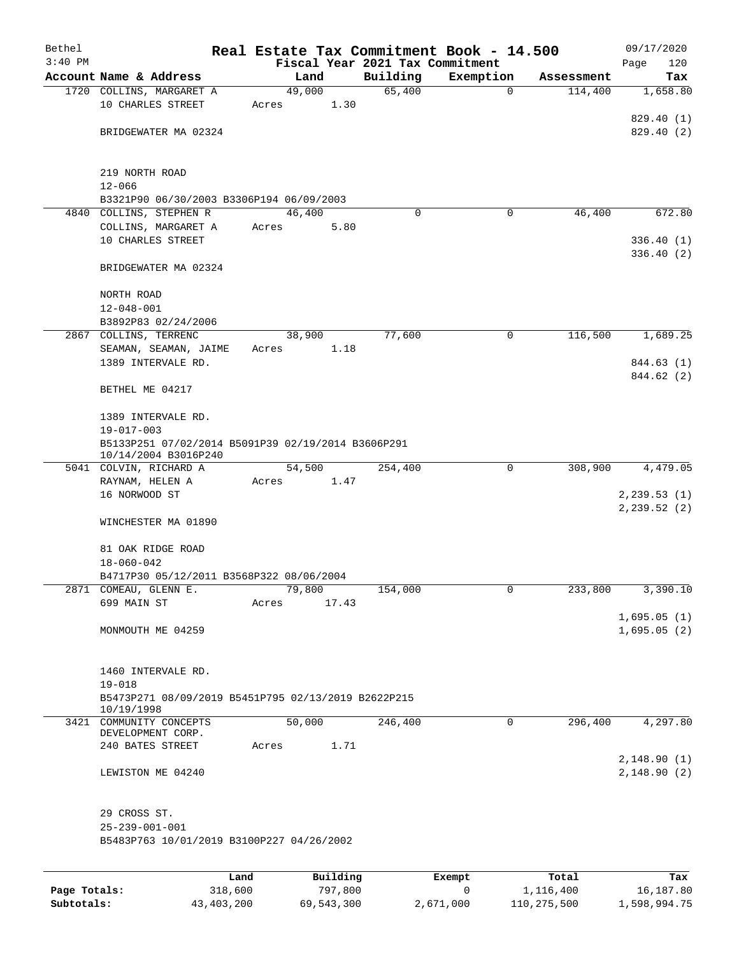| Bethel<br>$3:40$ PM |                                                                   | Real Estate Tax Commitment Book - 14.500<br>Fiscal Year 2021 Tax Commitment |          |             |            | 09/17/2020<br>Page<br>120 |
|---------------------|-------------------------------------------------------------------|-----------------------------------------------------------------------------|----------|-------------|------------|---------------------------|
|                     | Account Name & Address                                            | Land                                                                        | Building | Exemption   | Assessment | Tax                       |
|                     | 1720 COLLINS, MARGARET A                                          | 49,000                                                                      | 65,400   | $\mathbf 0$ | 114,400    | 1,658.80                  |
|                     | 10 CHARLES STREET                                                 | 1.30<br>Acres                                                               |          |             |            |                           |
|                     |                                                                   |                                                                             |          |             |            | 829.40(1)                 |
|                     | BRIDGEWATER MA 02324                                              |                                                                             |          |             |            | 829.40(2)                 |
|                     |                                                                   |                                                                             |          |             |            |                           |
|                     |                                                                   |                                                                             |          |             |            |                           |
|                     | 219 NORTH ROAD                                                    |                                                                             |          |             |            |                           |
|                     | $12 - 066$<br>B3321P90 06/30/2003 B3306P194 06/09/2003            |                                                                             |          |             |            |                           |
|                     | 4840 COLLINS, STEPHEN R                                           | 46,400                                                                      | $\Omega$ | 0           | 46,400     | 672.80                    |
|                     | COLLINS, MARGARET A                                               | 5.80<br>Acres                                                               |          |             |            |                           |
|                     | 10 CHARLES STREET                                                 |                                                                             |          |             |            | 336.40(1)                 |
|                     |                                                                   |                                                                             |          |             |            | 336.40(2)                 |
|                     | BRIDGEWATER MA 02324                                              |                                                                             |          |             |            |                           |
|                     |                                                                   |                                                                             |          |             |            |                           |
|                     | NORTH ROAD                                                        |                                                                             |          |             |            |                           |
|                     | $12 - 048 - 001$                                                  |                                                                             |          |             |            |                           |
|                     | B3892P83 02/24/2006                                               |                                                                             |          |             |            |                           |
|                     | 2867 COLLINS, TERRENC                                             | 38,900                                                                      | 77,600   | 0           | 116,500    | 1,689.25                  |
|                     | SEAMAN, SEAMAN, JAIME                                             | 1.18<br>Acres                                                               |          |             |            |                           |
|                     | 1389 INTERVALE RD.                                                |                                                                             |          |             |            | 844.63 (1)                |
|                     |                                                                   |                                                                             |          |             |            | 844.62 (2)                |
|                     | BETHEL ME 04217                                                   |                                                                             |          |             |            |                           |
|                     | 1389 INTERVALE RD.                                                |                                                                             |          |             |            |                           |
|                     | $19 - 017 - 003$                                                  |                                                                             |          |             |            |                           |
|                     | B5133P251 07/02/2014 B5091P39 02/19/2014 B3606P291                |                                                                             |          |             |            |                           |
|                     | 10/14/2004 B3016P240                                              |                                                                             |          |             |            |                           |
|                     | 5041 COLVIN, RICHARD A                                            | 54,500                                                                      | 254,400  | 0           | 308,900    | 4,479.05                  |
|                     | RAYNAM, HELEN A                                                   | Acres<br>1.47                                                               |          |             |            |                           |
|                     | 16 NORWOOD ST                                                     |                                                                             |          |             |            | 2, 239.53(1)              |
|                     |                                                                   |                                                                             |          |             |            | 2,239.52 (2)              |
|                     | WINCHESTER MA 01890                                               |                                                                             |          |             |            |                           |
|                     |                                                                   |                                                                             |          |             |            |                           |
|                     | 81 OAK RIDGE ROAD                                                 |                                                                             |          |             |            |                           |
|                     | $18 - 060 - 042$                                                  |                                                                             |          |             |            |                           |
|                     | B4717P30 05/12/2011 B3568P322 08/06/2004<br>2871 COMEAU, GLENN E. | 79,800                                                                      | 154,000  | 0           | 233,800    | 3,390.10                  |
|                     | 699 MAIN ST                                                       | 17.43<br>Acres                                                              |          |             |            |                           |
|                     |                                                                   |                                                                             |          |             |            | 1,695.05(1)               |
|                     | MONMOUTH ME 04259                                                 |                                                                             |          |             |            | 1,695.05(2)               |
|                     |                                                                   |                                                                             |          |             |            |                           |
|                     |                                                                   |                                                                             |          |             |            |                           |
|                     | 1460 INTERVALE RD.                                                |                                                                             |          |             |            |                           |
|                     | $19 - 018$                                                        |                                                                             |          |             |            |                           |
|                     | B5473P271 08/09/2019 B5451P795 02/13/2019 B2622P215               |                                                                             |          |             |            |                           |
|                     | 10/19/1998                                                        |                                                                             |          |             |            |                           |
|                     | 3421 COMMUNITY CONCEPTS<br>DEVELOPMENT CORP.                      | 50,000                                                                      | 246,400  | 0           | 296,400    | 4,297.80                  |
|                     | 240 BATES STREET                                                  | 1.71<br>Acres                                                               |          |             |            |                           |
|                     |                                                                   |                                                                             |          |             |            | 2,148.90(1)               |
|                     | LEWISTON ME 04240                                                 |                                                                             |          |             |            | 2,148.90(2)               |
|                     |                                                                   |                                                                             |          |             |            |                           |
|                     |                                                                   |                                                                             |          |             |            |                           |
|                     | 29 CROSS ST.                                                      |                                                                             |          |             |            |                           |
|                     | $25 - 239 - 001 - 001$                                            |                                                                             |          |             |            |                           |
|                     | B5483P763 10/01/2019 B3100P227 04/26/2002                         |                                                                             |          |             |            |                           |
|                     |                                                                   |                                                                             |          |             |            |                           |
|                     | Land                                                              | Building                                                                    |          | Exempt      | Total      | Tax                       |
| Page Totals:        | 318,600                                                           | 797,800                                                                     |          | 0           | 1,116,400  | 16,187.80                 |

**Subtotals:** 43,403,200 69,543,300 2,671,000 110,275,500 1,598,994.75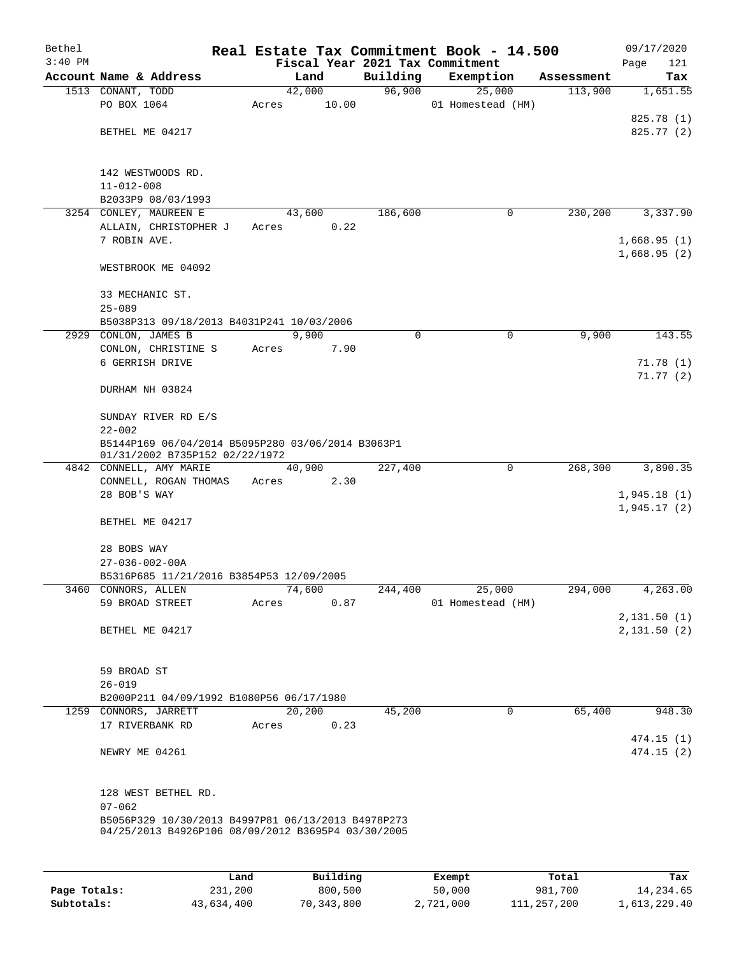| Bethel<br>$3:40$ PM |                                                                    | Fiscal Year 2021 Tax Commitment |          | Real Estate Tax Commitment Book - 14.500 |            | 09/17/2020<br>Page<br>121 |
|---------------------|--------------------------------------------------------------------|---------------------------------|----------|------------------------------------------|------------|---------------------------|
|                     | Account Name & Address                                             | Land                            | Building | Exemption                                | Assessment | Tax                       |
|                     | 1513 CONANT, TODD                                                  | 42,000                          | 96,900   | 25,000                                   | 113,900    | 1,651.55                  |
|                     | PO BOX 1064                                                        | 10.00<br>Acres                  |          | 01 Homestead (HM)                        |            |                           |
|                     |                                                                    |                                 |          |                                          |            | 825.78 (1)                |
|                     | BETHEL ME 04217                                                    |                                 |          |                                          |            | 825.77 (2)                |
|                     |                                                                    |                                 |          |                                          |            |                           |
|                     |                                                                    |                                 |          |                                          |            |                           |
|                     | 142 WESTWOODS RD.                                                  |                                 |          |                                          |            |                           |
|                     | $11 - 012 - 008$                                                   |                                 |          |                                          |            |                           |
|                     | B2033P9 08/03/1993                                                 |                                 |          |                                          |            |                           |
|                     | 3254 CONLEY, MAUREEN E<br>ALLAIN, CHRISTOPHER J                    | 43,600<br>0.22                  | 186,600  | 0                                        | 230,200    | 3,337.90                  |
|                     | 7 ROBIN AVE.                                                       | Acres                           |          |                                          |            | 1,668.95(1)               |
|                     |                                                                    |                                 |          |                                          |            | 1,668.95(2)               |
|                     | WESTBROOK ME 04092                                                 |                                 |          |                                          |            |                           |
|                     |                                                                    |                                 |          |                                          |            |                           |
|                     | 33 MECHANIC ST.                                                    |                                 |          |                                          |            |                           |
|                     | $25 - 089$                                                         |                                 |          |                                          |            |                           |
|                     | B5038P313 09/18/2013 B4031P241 10/03/2006                          |                                 |          |                                          |            |                           |
|                     | 2929 CONLON, JAMES B                                               | 9,900                           | 0        | $\mathbf 0$                              | 9,900      | 143.55                    |
|                     | CONLON, CHRISTINE S                                                | Acres<br>7.90                   |          |                                          |            |                           |
|                     | 6 GERRISH DRIVE                                                    |                                 |          |                                          |            | 71.78(1)                  |
|                     |                                                                    |                                 |          |                                          |            | 71.77(2)                  |
|                     | DURHAM NH 03824                                                    |                                 |          |                                          |            |                           |
|                     |                                                                    |                                 |          |                                          |            |                           |
|                     | SUNDAY RIVER RD E/S<br>$22 - 002$                                  |                                 |          |                                          |            |                           |
|                     | B5144P169 06/04/2014 B5095P280 03/06/2014 B3063P1                  |                                 |          |                                          |            |                           |
|                     | 01/31/2002 B735P152 02/22/1972                                     |                                 |          |                                          |            |                           |
|                     | 4842 CONNELL, AMY MARIE                                            | 40,900                          | 227,400  | 0                                        | 268,300    | 3,890.35                  |
|                     | CONNELL, ROGAN THOMAS                                              | 2.30<br>Acres                   |          |                                          |            |                           |
|                     | 28 BOB'S WAY                                                       |                                 |          |                                          |            | 1,945.18(1)               |
|                     |                                                                    |                                 |          |                                          |            | 1,945.17(2)               |
|                     | BETHEL ME 04217                                                    |                                 |          |                                          |            |                           |
|                     |                                                                    |                                 |          |                                          |            |                           |
|                     | 28 BOBS WAY                                                        |                                 |          |                                          |            |                           |
|                     | $27 - 036 - 002 - 00A$<br>B5316P685 11/21/2016 B3854P53 12/09/2005 |                                 |          |                                          |            |                           |
|                     | 3460 CONNORS, ALLEN                                                | 74,600                          | 244,400  | 25,000                                   | 294,000    | 4,263.00                  |
|                     | 59 BROAD STREET                                                    | 0.87<br>Acres                   |          | 01 Homestead (HM)                        |            |                           |
|                     |                                                                    |                                 |          |                                          |            | 2,131.50(1)               |
|                     | BETHEL ME 04217                                                    |                                 |          |                                          |            | 2,131.50(2)               |
|                     |                                                                    |                                 |          |                                          |            |                           |
|                     |                                                                    |                                 |          |                                          |            |                           |
|                     | 59 BROAD ST                                                        |                                 |          |                                          |            |                           |
|                     | $26 - 019$                                                         |                                 |          |                                          |            |                           |
|                     | B2000P211 04/09/1992 B1080P56 06/17/1980                           |                                 |          |                                          |            |                           |
|                     | 1259 CONNORS, JARRETT<br>17 RIVERBANK RD                           | 20,200                          | 45,200   | $\mathbf 0$                              | 65,400     | 948.30                    |
|                     |                                                                    | 0.23<br>Acres                   |          |                                          |            | 474.15 (1)                |
|                     | NEWRY ME 04261                                                     |                                 |          |                                          |            | 474.15(2)                 |
|                     |                                                                    |                                 |          |                                          |            |                           |
|                     |                                                                    |                                 |          |                                          |            |                           |
|                     | 128 WEST BETHEL RD.                                                |                                 |          |                                          |            |                           |
|                     | $07 - 062$                                                         |                                 |          |                                          |            |                           |
|                     | B5056P329 10/30/2013 B4997P81 06/13/2013 B4978P273                 |                                 |          |                                          |            |                           |
|                     | 04/25/2013 B4926P106 08/09/2012 B3695P4 03/30/2005                 |                                 |          |                                          |            |                           |
|                     |                                                                    |                                 |          |                                          |            |                           |
|                     |                                                                    |                                 |          |                                          |            |                           |

|              | Land       | Building   | Exempt    | Total       | Tax          |
|--------------|------------|------------|-----------|-------------|--------------|
| Page Totals: | 231,200    | 800,500    | 50,000    | 981,700     | 14,234.65    |
| Subtotals:   | 43,634,400 | 70,343,800 | 2,721,000 | 111,257,200 | 1,613,229.40 |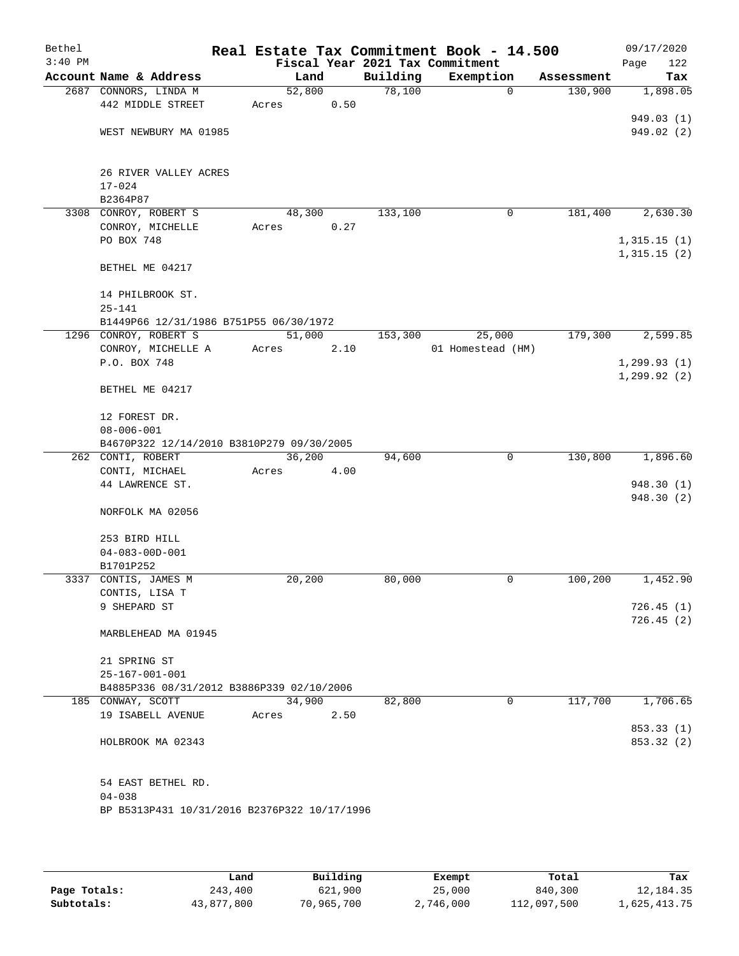| Bethel    |                                                                |        |      |          | Real Estate Tax Commitment Book - 14.500 |            | 09/17/2020                 |
|-----------|----------------------------------------------------------------|--------|------|----------|------------------------------------------|------------|----------------------------|
| $3:40$ PM |                                                                |        |      |          | Fiscal Year 2021 Tax Commitment          |            | Page<br>122                |
|           | Account Name & Address                                         | Land   |      | Building | Exemption                                | Assessment | Tax                        |
|           | 2687 CONNORS, LINDA M                                          | 52,800 |      | 78,100   | $\mathbf 0$                              | 130,900    | 1,898.05                   |
|           | 442 MIDDLE STREET                                              | Acres  | 0.50 |          |                                          |            |                            |
|           |                                                                |        |      |          |                                          |            | 949.03 (1)                 |
|           | WEST NEWBURY MA 01985                                          |        |      |          |                                          |            | 949.02(2)                  |
|           |                                                                |        |      |          |                                          |            |                            |
|           | 26 RIVER VALLEY ACRES                                          |        |      |          |                                          |            |                            |
|           | $17 - 024$                                                     |        |      |          |                                          |            |                            |
|           | B2364P87                                                       |        |      |          |                                          |            |                            |
|           | 3308 CONROY, ROBERT S                                          | 48,300 |      | 133,100  | $\mathbf 0$                              | 181,400    | 2,630.30                   |
|           | CONROY, MICHELLE                                               | Acres  | 0.27 |          |                                          |            |                            |
|           | PO BOX 748                                                     |        |      |          |                                          |            | 1,315.15(1)<br>1,315.15(2) |
|           | BETHEL ME 04217                                                |        |      |          |                                          |            |                            |
|           | 14 PHILBROOK ST.                                               |        |      |          |                                          |            |                            |
|           | $25 - 141$                                                     |        |      |          |                                          |            |                            |
|           | B1449P66 12/31/1986 B751P55 06/30/1972                         |        |      |          |                                          |            |                            |
|           | 1296 CONROY, ROBERT S                                          | 51,000 |      | 153,300  | 25,000                                   | 179,300    | 2,599.85                   |
|           | CONROY, MICHELLE A                                             | Acres  | 2.10 |          | 01 Homestead (HM)                        |            |                            |
|           | P.O. BOX 748                                                   |        |      |          |                                          |            | 1, 299.93(1)               |
|           | BETHEL ME 04217                                                |        |      |          |                                          |            | 1, 299.92(2)               |
|           |                                                                |        |      |          |                                          |            |                            |
|           | 12 FOREST DR.                                                  |        |      |          |                                          |            |                            |
|           | $08 - 006 - 001$                                               |        |      |          |                                          |            |                            |
|           | B4670P322 12/14/2010 B3810P279 09/30/2005<br>262 CONTI, ROBERT | 36,200 |      | 94,600   | $\mathbf 0$                              | 130,800    | 1,896.60                   |
|           | CONTI, MICHAEL                                                 | Acres  | 4.00 |          |                                          |            |                            |
|           | 44 LAWRENCE ST.                                                |        |      |          |                                          |            | 948.30(1)                  |
|           |                                                                |        |      |          |                                          |            | 948.30(2)                  |
|           | NORFOLK MA 02056                                               |        |      |          |                                          |            |                            |
|           |                                                                |        |      |          |                                          |            |                            |
|           | 253 BIRD HILL<br>$04 - 083 - 00D - 001$                        |        |      |          |                                          |            |                            |
|           | B1701P252                                                      |        |      |          |                                          |            |                            |
|           | 3337 CONTIS, JAMES M                                           | 20,200 |      | 80,000   | 0                                        | 100,200    | 1,452.90                   |
|           | CONTIS, LISA T                                                 |        |      |          |                                          |            |                            |
|           | 9 SHEPARD ST                                                   |        |      |          |                                          |            | 726.45(1)                  |
|           |                                                                |        |      |          |                                          |            | 726.45(2)                  |
|           | MARBLEHEAD MA 01945                                            |        |      |          |                                          |            |                            |
|           | 21 SPRING ST                                                   |        |      |          |                                          |            |                            |
|           | $25 - 167 - 001 - 001$                                         |        |      |          |                                          |            |                            |
|           | B4885P336 08/31/2012 B3886P339 02/10/2006                      |        |      |          |                                          |            |                            |
|           | 185 CONWAY, SCOTT                                              | 34,900 |      | 82,800   | 0                                        | 117,700    | 1,706.65                   |
|           | 19 ISABELL AVENUE                                              | Acres  | 2.50 |          |                                          |            |                            |
|           |                                                                |        |      |          |                                          |            | 853.33 (1)                 |
|           | HOLBROOK MA 02343                                              |        |      |          |                                          |            | 853.32 (2)                 |
|           | 54 EAST BETHEL RD.                                             |        |      |          |                                          |            |                            |
|           | $04 - 038$                                                     |        |      |          |                                          |            |                            |
|           | BP B5313P431 10/31/2016 B2376P322 10/17/1996                   |        |      |          |                                          |            |                            |
|           |                                                                |        |      |          |                                          |            |                            |

|              | Land       | Building   | Exempt    | Total       | Tax          |
|--------------|------------|------------|-----------|-------------|--------------|
| Page Totals: | 243,400    | 621,900    | 25,000    | 840,300     | 12,184.35    |
| Subtotals:   | 43,877,800 | 70,965,700 | 2,746,000 | 112,097,500 | 1,625,413.75 |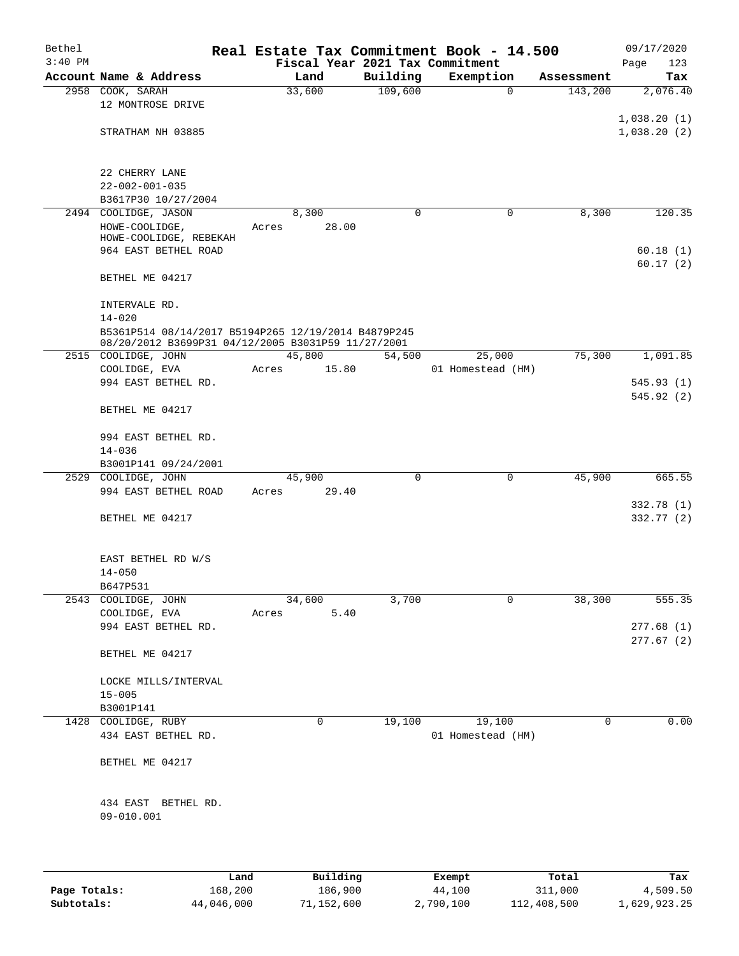| Bethel    |                                                                                          |       |                 |          | Real Estate Tax Commitment Book - 14.500 |            | 09/17/2020                 |
|-----------|------------------------------------------------------------------------------------------|-------|-----------------|----------|------------------------------------------|------------|----------------------------|
| $3:40$ PM |                                                                                          |       |                 |          | Fiscal Year 2021 Tax Commitment          |            | Page<br>123                |
|           | Account Name & Address                                                                   |       | Land            | Building | Exemption                                | Assessment | Tax                        |
|           | 2958 COOK, SARAH<br>12 MONTROSE DRIVE                                                    |       | 33,600          | 109,600  | $\mathbf 0$                              | 143,200    | 2,076.40                   |
|           | STRATHAM NH 03885                                                                        |       |                 |          |                                          |            | 1,038.20(1)<br>1,038.20(2) |
|           | 22 CHERRY LANE<br>$22 - 002 - 001 - 035$                                                 |       |                 |          |                                          |            |                            |
|           | B3617P30 10/27/2004                                                                      |       |                 |          |                                          |            |                            |
|           | 2494 COOLIDGE, JASON<br>HOWE-COOLIDGE,<br>HOWE-COOLIDGE, REBEKAH<br>964 EAST BETHEL ROAD | Acres | 8,300<br>28.00  | $\Omega$ | 0                                        | 8,300      | 120.35<br>60.18(1)         |
|           | BETHEL ME 04217                                                                          |       |                 |          |                                          |            | 60.17(2)                   |
|           | INTERVALE RD.<br>$14 - 020$                                                              |       |                 |          |                                          |            |                            |
|           | B5361P514 08/14/2017 B5194P265 12/19/2014 B4879P245                                      |       |                 |          |                                          |            |                            |
|           | 08/20/2012 B3699P31 04/12/2005 B3031P59 11/27/2001<br>2515 COOLIDGE, JOHN                |       | 45,800          | 54,500   | 25,000                                   | 75,300     | 1,091.85                   |
|           | COOLIDGE, EVA                                                                            | Acres | 15.80           |          | 01 Homestead (HM)                        |            |                            |
|           | 994 EAST BETHEL RD.                                                                      |       |                 |          |                                          |            | 545.93(1)                  |
|           | BETHEL ME 04217                                                                          |       |                 |          |                                          |            | 545.92(2)                  |
|           | 994 EAST BETHEL RD.<br>$14 - 036$                                                        |       |                 |          |                                          |            |                            |
|           | B3001P141 09/24/2001                                                                     |       |                 |          |                                          |            |                            |
|           | 2529 COOLIDGE, JOHN<br>994 EAST BETHEL ROAD                                              | Acres | 45,900<br>29.40 | 0        | $\mathsf{O}$                             | 45,900     | 665.55                     |
|           |                                                                                          |       |                 |          |                                          |            | 332.78 (1)                 |
|           | BETHEL ME 04217                                                                          |       |                 |          |                                          |            | 332.77 (2)                 |
|           | EAST BETHEL RD W/S<br>$14 - 050$                                                         |       |                 |          |                                          |            |                            |
|           | B647P531                                                                                 |       |                 |          |                                          |            |                            |
|           | 2543 COOLIDGE, JOHN<br>COOLIDGE, EVA                                                     | Acres | 34,600<br>5.40  | 3,700    | 0                                        | 38,300     | 555.35                     |
|           | 994 EAST BETHEL RD.                                                                      |       |                 |          |                                          |            | 277.68(1)                  |
|           | BETHEL ME 04217                                                                          |       |                 |          |                                          |            | 277.67(2)                  |
|           | LOCKE MILLS/INTERVAL<br>$15 - 005$                                                       |       |                 |          |                                          |            |                            |
|           | B3001P141                                                                                |       |                 |          |                                          |            |                            |
|           | 1428 COOLIDGE, RUBY<br>434 EAST BETHEL RD.                                               |       | 0               | 19,100   | 19,100<br>01 Homestead (HM)              | 0          | 0.00                       |
|           | BETHEL ME 04217                                                                          |       |                 |          |                                          |            |                            |
|           | 434 EAST BETHEL RD.<br>09-010.001                                                        |       |                 |          |                                          |            |                            |
|           |                                                                                          | Land  | Building        |          | Exempt                                   | Total      | Tax                        |
|           |                                                                                          |       |                 |          |                                          |            |                            |

|              | ⊥and       | Building   | Exempt    | тосат       | тах          |
|--------------|------------|------------|-----------|-------------|--------------|
| Page Totals: | 168,200    | 186,900    | 44,100    | 311,000     | 4,509.50     |
| Subtotals:   | 44,046,000 | 71,152,600 | 2,790,100 | 112,408,500 | 1,629,923.25 |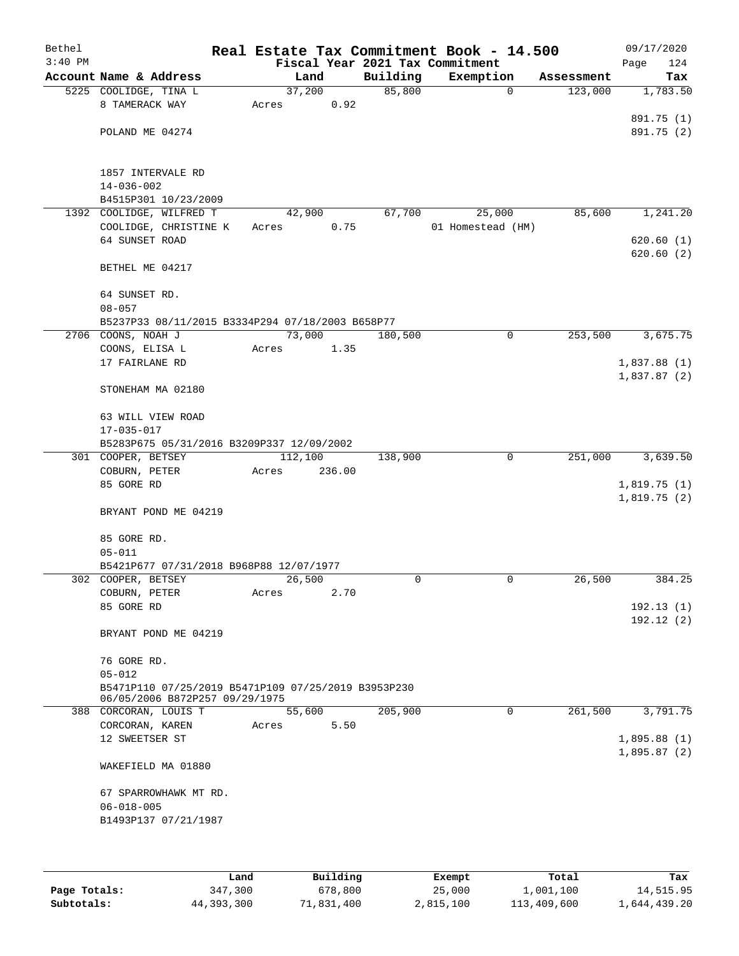| Bethel<br>$3:40$ PM |                                                     |                 |          | Real Estate Tax Commitment Book - 14.500<br>Fiscal Year 2021 Tax Commitment |            | 09/17/2020<br>Page<br>124 |
|---------------------|-----------------------------------------------------|-----------------|----------|-----------------------------------------------------------------------------|------------|---------------------------|
|                     | Account Name & Address                              | Land            | Building | Exemption                                                                   | Assessment | Tax                       |
|                     | 5225 COOLIDGE, TINA L                               | 37,200          | 85,800   | $\mathbf 0$                                                                 | 123,000    | 1,783.50                  |
|                     | 8 TAMERACK WAY                                      | 0.92<br>Acres   |          |                                                                             |            |                           |
|                     |                                                     |                 |          |                                                                             |            | 891.75 (1)                |
|                     | POLAND ME 04274                                     |                 |          |                                                                             |            | 891.75 (2)                |
|                     |                                                     |                 |          |                                                                             |            |                           |
|                     |                                                     |                 |          |                                                                             |            |                           |
|                     | 1857 INTERVALE RD                                   |                 |          |                                                                             |            |                           |
|                     | $14 - 036 - 002$                                    |                 |          |                                                                             |            |                           |
|                     | B4515P301 10/23/2009                                |                 |          |                                                                             |            |                           |
|                     | 1392 COOLIDGE, WILFRED T                            | 42,900          | 67,700   | 25,000                                                                      | 85,600     | 1,241.20                  |
|                     | COOLIDGE, CHRISTINE K                               | 0.75<br>Acres   |          | 01 Homestead (HM)                                                           |            |                           |
|                     | 64 SUNSET ROAD                                      |                 |          |                                                                             |            | 620.60(1)                 |
|                     |                                                     |                 |          |                                                                             |            | 620.60(2)                 |
|                     | BETHEL ME 04217                                     |                 |          |                                                                             |            |                           |
|                     |                                                     |                 |          |                                                                             |            |                           |
|                     | 64 SUNSET RD.                                       |                 |          |                                                                             |            |                           |
|                     | $08 - 057$                                          |                 |          |                                                                             |            |                           |
|                     | B5237P33 08/11/2015 B3334P294 07/18/2003 B658P77    |                 |          |                                                                             |            |                           |
|                     | 2706 COONS, NOAH J                                  | 73,000          | 180,500  | 0                                                                           | 253,500    | 3,675.75                  |
|                     | COONS, ELISA L                                      | Acres<br>1.35   |          |                                                                             |            |                           |
|                     | 17 FAIRLANE RD                                      |                 |          |                                                                             |            | 1,837.88(1)               |
|                     |                                                     |                 |          |                                                                             |            | 1,837.87(2)               |
|                     | STONEHAM MA 02180                                   |                 |          |                                                                             |            |                           |
|                     |                                                     |                 |          |                                                                             |            |                           |
|                     | 63 WILL VIEW ROAD                                   |                 |          |                                                                             |            |                           |
|                     | 17-035-017                                          |                 |          |                                                                             |            |                           |
|                     | B5283P675 05/31/2016 B3209P337 12/09/2002           |                 |          |                                                                             |            |                           |
|                     | 301 COOPER, BETSEY                                  | 112,100         | 138,900  | $\mathbf 0$                                                                 | 251,000    | 3,639.50                  |
|                     | COBURN, PETER                                       | Acres<br>236.00 |          |                                                                             |            |                           |
|                     | 85 GORE RD                                          |                 |          |                                                                             |            | 1,819.75(1)               |
|                     |                                                     |                 |          |                                                                             |            | 1,819.75(2)               |
|                     | BRYANT POND ME 04219                                |                 |          |                                                                             |            |                           |
|                     |                                                     |                 |          |                                                                             |            |                           |
|                     | 85 GORE RD.                                         |                 |          |                                                                             |            |                           |
|                     | $05 - 011$                                          |                 |          |                                                                             |            |                           |
|                     | B5421P677 07/31/2018 B968P88 12/07/1977             |                 |          |                                                                             |            |                           |
|                     | 302 COOPER, BETSEY                                  | 26,500          | $\Omega$ | 0                                                                           | 26,500     | 384.25                    |
|                     | COBURN, PETER                                       | 2.70<br>Acres   |          |                                                                             |            |                           |
|                     | 85 GORE RD                                          |                 |          |                                                                             |            | 192.13(1)                 |
|                     |                                                     |                 |          |                                                                             |            | 192.12(2)                 |
|                     | BRYANT POND ME 04219                                |                 |          |                                                                             |            |                           |
|                     | 76 GORE RD.                                         |                 |          |                                                                             |            |                           |
|                     | $05 - 012$                                          |                 |          |                                                                             |            |                           |
|                     | B5471P110 07/25/2019 B5471P109 07/25/2019 B3953P230 |                 |          |                                                                             |            |                           |
|                     | 06/05/2006 B872P257 09/29/1975                      |                 |          |                                                                             |            |                           |
|                     | 388 CORCORAN, LOUIS T                               | 55,600          | 205,900  | 0                                                                           | 261,500    | 3,791.75                  |
|                     | CORCORAN, KAREN                                     | 5.50<br>Acres   |          |                                                                             |            |                           |
|                     | 12 SWEETSER ST                                      |                 |          |                                                                             |            | 1,895.88(1)               |
|                     |                                                     |                 |          |                                                                             |            | 1,895.87(2)               |
|                     | WAKEFIELD MA 01880                                  |                 |          |                                                                             |            |                           |
|                     |                                                     |                 |          |                                                                             |            |                           |
|                     | 67 SPARROWHAWK MT RD.                               |                 |          |                                                                             |            |                           |
|                     | $06 - 018 - 005$                                    |                 |          |                                                                             |            |                           |
|                     | B1493P137 07/21/1987                                |                 |          |                                                                             |            |                           |
|                     |                                                     |                 |          |                                                                             |            |                           |
|                     |                                                     |                 |          |                                                                             |            |                           |
|                     |                                                     |                 |          |                                                                             |            |                           |

|              | Land       | Building   | Exempt    | Total       | Tax          |
|--------------|------------|------------|-----------|-------------|--------------|
| Page Totals: | 347,300    | 678,800    | 25,000    | 1,001,100   | 14,515.95    |
| Subtotals:   | 44,393,300 | 71,831,400 | 2,815,100 | 113,409,600 | 1,644,439.20 |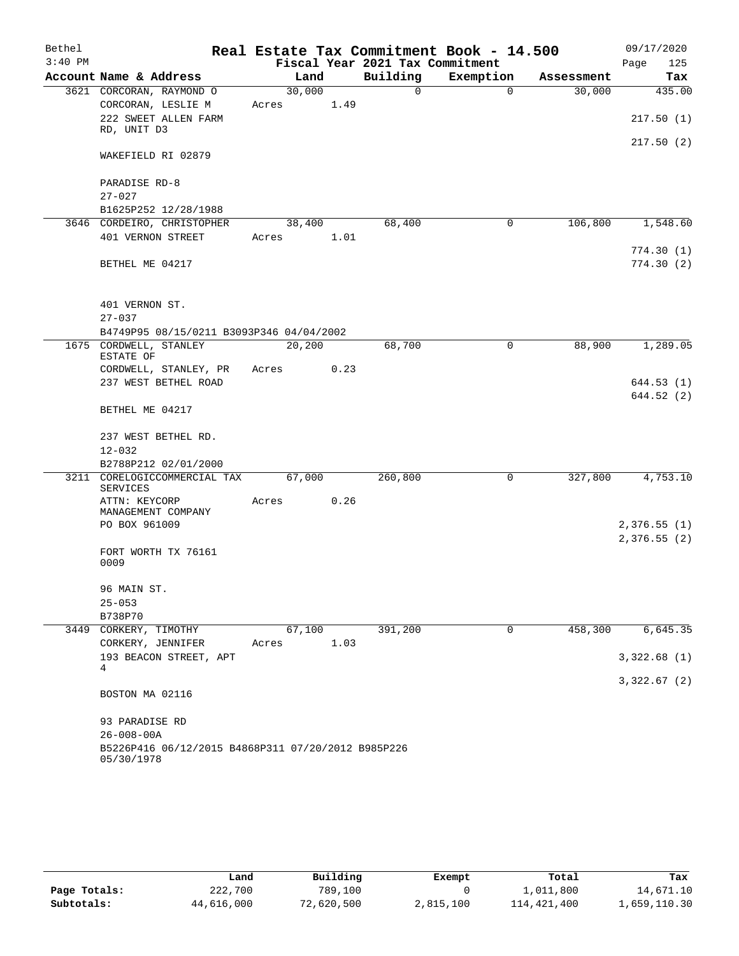| Bethel    |                                                    |            |      |                                 | Real Estate Tax Commitment Book - 14.500 |            | 09/17/2020                 |
|-----------|----------------------------------------------------|------------|------|---------------------------------|------------------------------------------|------------|----------------------------|
| $3:40$ PM |                                                    |            |      | Fiscal Year 2021 Tax Commitment |                                          |            | 125<br>Page                |
|           | Account Name & Address                             | Land       |      | Building                        | Exemption                                | Assessment | Tax                        |
|           | 3621 CORCORAN, RAYMOND O                           | 30,000     |      | $\Omega$                        | $\Omega$                                 | 30,000     | 435.00                     |
|           | CORCORAN, LESLIE M                                 | Acres      | 1.49 |                                 |                                          |            |                            |
|           | 222 SWEET ALLEN FARM                               |            |      |                                 |                                          |            | 217.50(1)                  |
|           | RD, UNIT D3                                        |            |      |                                 |                                          |            | 217.50 (2)                 |
|           | WAKEFIELD RI 02879                                 |            |      |                                 |                                          |            |                            |
|           |                                                    |            |      |                                 |                                          |            |                            |
|           | PARADISE RD-8                                      |            |      |                                 |                                          |            |                            |
|           | $27 - 027$                                         |            |      |                                 |                                          |            |                            |
|           | B1625P252 12/28/1988                               |            |      |                                 |                                          |            |                            |
|           | 3646 CORDEIRO, CHRISTOPHER                         | 38,400     |      | 68,400                          | $\mathbf 0$                              | 106,800    | 1,548.60                   |
|           | 401 VERNON STREET                                  | Acres 1.01 |      |                                 |                                          |            | 774.30(1)                  |
|           | BETHEL ME 04217                                    |            |      |                                 |                                          |            | 774.30(2)                  |
|           |                                                    |            |      |                                 |                                          |            |                            |
|           |                                                    |            |      |                                 |                                          |            |                            |
|           | 401 VERNON ST.                                     |            |      |                                 |                                          |            |                            |
|           | $27 - 037$                                         |            |      |                                 |                                          |            |                            |
|           | B4749P95 08/15/0211 B3093P346 04/04/2002           |            |      |                                 |                                          |            |                            |
|           | 1675 CORDWELL, STANLEY<br>ESTATE OF                | 20,200     |      | 68,700                          | 0                                        | 88,900     | 1,289.05                   |
|           | CORDWELL, STANLEY, PR                              | Acres      | 0.23 |                                 |                                          |            |                            |
|           | 237 WEST BETHEL ROAD                               |            |      |                                 |                                          |            | 644.53 (1)                 |
|           |                                                    |            |      |                                 |                                          |            | 644.52 (2)                 |
|           | BETHEL ME 04217                                    |            |      |                                 |                                          |            |                            |
|           |                                                    |            |      |                                 |                                          |            |                            |
|           | 237 WEST BETHEL RD.                                |            |      |                                 |                                          |            |                            |
|           | $12 - 032$<br>B2788P212 02/01/2000                 |            |      |                                 |                                          |            |                            |
|           | 3211 CORELOGICCOMMERCIAL TAX                       | 67,000     |      | 260,800                         | 0                                        | 327,800    | 4,753.10                   |
|           | <b>SERVICES</b>                                    |            |      |                                 |                                          |            |                            |
|           | ATTN: KEYCORP                                      | Acres      | 0.26 |                                 |                                          |            |                            |
|           | MANAGEMENT COMPANY                                 |            |      |                                 |                                          |            |                            |
|           | PO BOX 961009                                      |            |      |                                 |                                          |            | 2,376.55(1)<br>2,376.55(2) |
|           | FORT WORTH TX 76161                                |            |      |                                 |                                          |            |                            |
|           | 0009                                               |            |      |                                 |                                          |            |                            |
|           |                                                    |            |      |                                 |                                          |            |                            |
|           | 96 MAIN ST.                                        |            |      |                                 |                                          |            |                            |
|           | $25 - 053$                                         |            |      |                                 |                                          |            |                            |
|           | B738P70<br>3449 CORKERY, TIMOTHY                   | 67,100     |      | 391,200                         | 0                                        | 458,300    | 6,645.35                   |
|           | CORKERY, JENNIFER                                  | Acres      | 1.03 |                                 |                                          |            |                            |
|           | 193 BEACON STREET, APT                             |            |      |                                 |                                          |            | 3,322.68(1)                |
|           | 4                                                  |            |      |                                 |                                          |            |                            |
|           |                                                    |            |      |                                 |                                          |            | 3,322.67(2)                |
|           | BOSTON MA 02116                                    |            |      |                                 |                                          |            |                            |
|           | 93 PARADISE RD                                     |            |      |                                 |                                          |            |                            |
|           | $26 - 008 - 00A$                                   |            |      |                                 |                                          |            |                            |
|           | B5226P416 06/12/2015 B4868P311 07/20/2012 B985P226 |            |      |                                 |                                          |            |                            |
|           | 05/30/1978                                         |            |      |                                 |                                          |            |                            |

|              | Land       | Building   | Exempt    | Total       | Tax          |
|--------------|------------|------------|-----------|-------------|--------------|
| Page Totals: | 222,700    | 789,100    |           | 1,011,800   | 14,671.10    |
| Subtotals:   | 44,616,000 | 72,620,500 | 2,815,100 | 114,421,400 | 1,659,110.30 |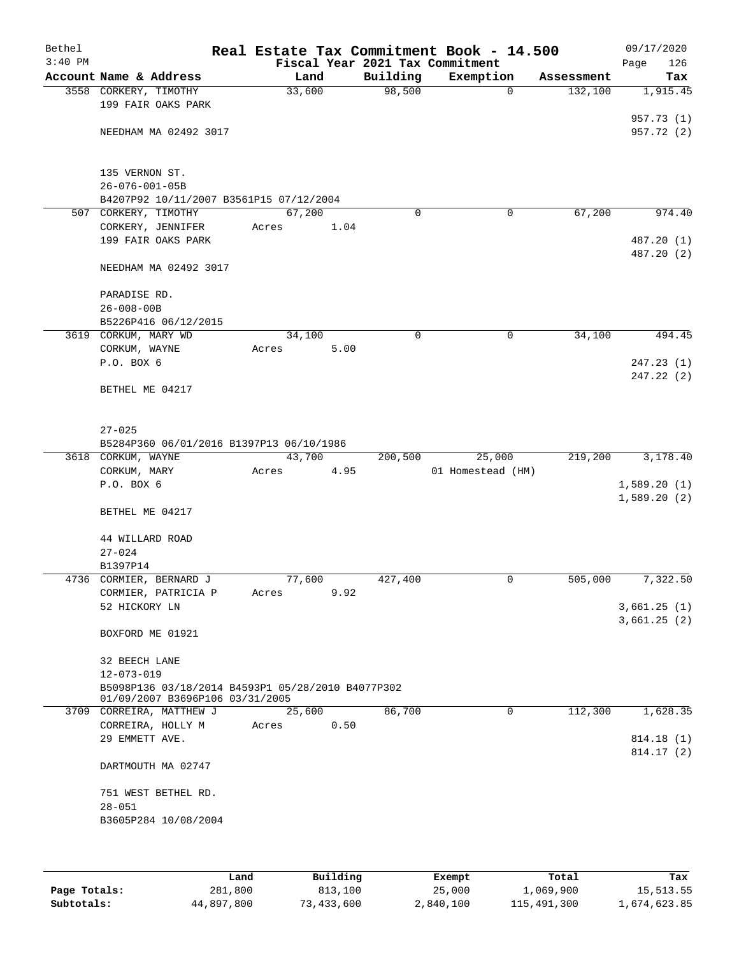| Bethel    |                                                                                      |        |      |          | Real Estate Tax Commitment Book - 14.500 |            | 09/17/2020               |
|-----------|--------------------------------------------------------------------------------------|--------|------|----------|------------------------------------------|------------|--------------------------|
| $3:40$ PM |                                                                                      |        |      |          | Fiscal Year 2021 Tax Commitment          |            | Page<br>126              |
|           | Account Name & Address                                                               | Land   |      | Building | Exemption                                | Assessment | Tax                      |
|           | 3558 CORKERY, TIMOTHY<br>199 FAIR OAKS PARK                                          | 33,600 |      | 98,500   | $\mathbf 0$                              | 132,100    | 1,915.45                 |
|           | NEEDHAM MA 02492 3017                                                                |        |      |          |                                          |            | 957.73 (1)<br>957.72 (2) |
|           |                                                                                      |        |      |          |                                          |            |                          |
|           | 135 VERNON ST.<br>$26 - 076 - 001 - 05B$                                             |        |      |          |                                          |            |                          |
|           | B4207P92 10/11/2007 B3561P15 07/12/2004                                              |        |      |          |                                          |            |                          |
|           | 507 CORKERY, TIMOTHY                                                                 | 67,200 |      | $\Omega$ | 0                                        | 67,200     | 974.40                   |
|           | CORKERY, JENNIFER                                                                    | Acres  | 1.04 |          |                                          |            |                          |
|           | 199 FAIR OAKS PARK                                                                   |        |      |          |                                          |            | 487.20 (1)               |
|           |                                                                                      |        |      |          |                                          |            | 487.20 (2)               |
|           | NEEDHAM MA 02492 3017                                                                |        |      |          |                                          |            |                          |
|           | PARADISE RD.                                                                         |        |      |          |                                          |            |                          |
|           | $26 - 008 - 00B$                                                                     |        |      |          |                                          |            |                          |
|           | B5226P416 06/12/2015                                                                 |        |      |          |                                          |            |                          |
|           | 3619 CORKUM, MARY WD                                                                 | 34,100 |      | 0        | 0                                        | 34,100     | 494.45                   |
|           | CORKUM, WAYNE                                                                        | Acres  | 5.00 |          |                                          |            |                          |
|           | P.O. BOX 6                                                                           |        |      |          |                                          |            | 247.23(1)<br>247.22 (2)  |
|           | BETHEL ME 04217                                                                      |        |      |          |                                          |            |                          |
|           | $27 - 025$                                                                           |        |      |          |                                          |            |                          |
|           | B5284P360 06/01/2016 B1397P13 06/10/1986                                             |        |      |          |                                          |            |                          |
|           | 3618 CORKUM, WAYNE                                                                   | 43,700 |      | 200,500  | 25,000                                   | 219,200    | 3,178.40                 |
|           | CORKUM, MARY                                                                         | Acres  | 4.95 |          | 01 Homestead (HM)                        |            |                          |
|           | P.O. BOX 6                                                                           |        |      |          |                                          |            | 1,589.20(1)              |
|           |                                                                                      |        |      |          |                                          |            | 1,589.20(2)              |
|           | BETHEL ME 04217                                                                      |        |      |          |                                          |            |                          |
|           | 44 WILLARD ROAD                                                                      |        |      |          |                                          |            |                          |
|           | $27 - 024$                                                                           |        |      |          |                                          |            |                          |
|           | B1397P14                                                                             |        |      |          |                                          |            |                          |
|           | 4736 CORMIER, BERNARD J                                                              | 77,600 |      | 427,400  | 0                                        | 505,000    | 7,322.50                 |
|           | CORMIER, PATRICIA P                                                                  | Acres  | 9.92 |          |                                          |            |                          |
|           | 52 HICKORY LN                                                                        |        |      |          |                                          |            | 3,661.25(1)              |
|           | BOXFORD ME 01921                                                                     |        |      |          |                                          |            | 3,661.25(2)              |
|           | 32 BEECH LANE                                                                        |        |      |          |                                          |            |                          |
|           | $12 - 073 - 019$                                                                     |        |      |          |                                          |            |                          |
|           | B5098P136 03/18/2014 B4593P1 05/28/2010 B4077P302<br>01/09/2007 B3696P106 03/31/2005 |        |      |          |                                          |            |                          |
|           | 3709 CORREIRA, MATTHEW J                                                             | 25,600 |      | 86,700   | $\mathbf 0$                              | 112,300    | 1,628.35                 |
|           | CORREIRA, HOLLY M                                                                    | Acres  | 0.50 |          |                                          |            |                          |
|           | 29 EMMETT AVE.                                                                       |        |      |          |                                          |            | 814.18 (1)               |
|           |                                                                                      |        |      |          |                                          |            | 814.17 (2)               |
|           | DARTMOUTH MA 02747                                                                   |        |      |          |                                          |            |                          |
|           | 751 WEST BETHEL RD.                                                                  |        |      |          |                                          |            |                          |
|           | $28 - 051$                                                                           |        |      |          |                                          |            |                          |
|           | B3605P284 10/08/2004                                                                 |        |      |          |                                          |            |                          |
|           |                                                                                      |        |      |          |                                          |            |                          |

|              | Land       | Building   | Exempt    | Total       | Tax          |
|--------------|------------|------------|-----------|-------------|--------------|
| Page Totals: | 281,800    | 813,100    | 25,000    | 1,069,900   | 15,513.55    |
| Subtotals:   | 44,897,800 | 73,433,600 | 2,840,100 | 115,491,300 | 1,674,623.85 |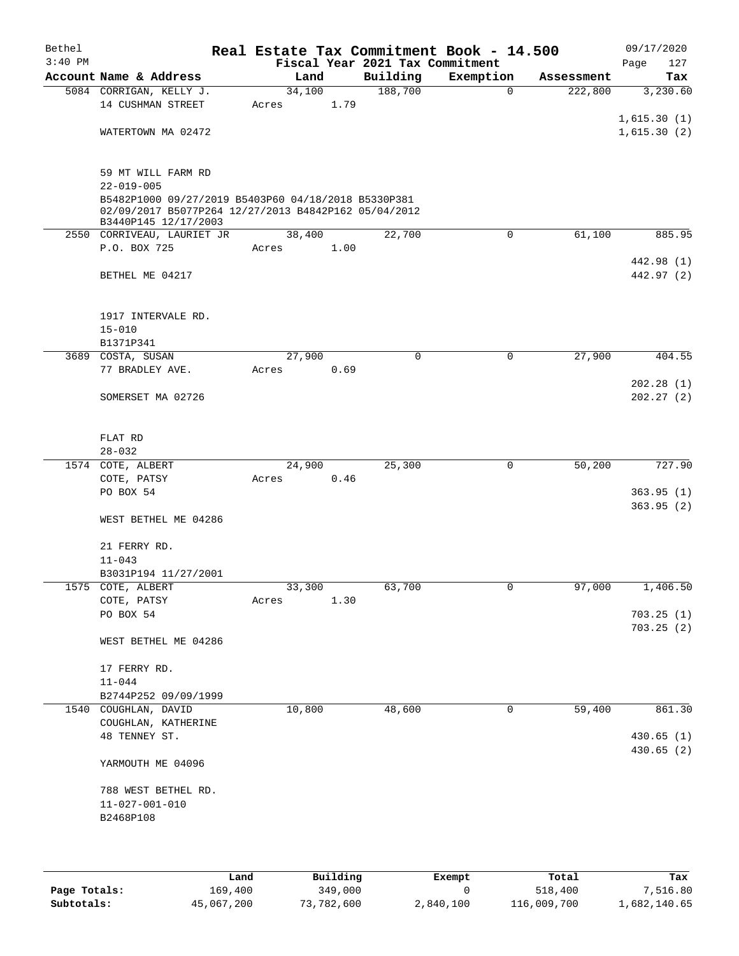| Bethel    |                                                                                                             |       |        |      | Real Estate Tax Commitment Book - 14.500 |             |            | 09/17/2020  |
|-----------|-------------------------------------------------------------------------------------------------------------|-------|--------|------|------------------------------------------|-------------|------------|-------------|
| $3:40$ PM |                                                                                                             |       |        |      | Fiscal Year 2021 Tax Commitment          |             |            | 127<br>Page |
|           | Account Name & Address                                                                                      |       | Land   |      | Building                                 | Exemption   | Assessment | Tax         |
|           | 5084 CORRIGAN, KELLY J.                                                                                     |       | 34,100 |      | 188,700                                  | $\mathbf 0$ | 222,800    | 3,230.60    |
|           | 14 CUSHMAN STREET                                                                                           | Acres |        | 1.79 |                                          |             |            |             |
|           |                                                                                                             |       |        |      |                                          |             |            | 1,615.30(1) |
|           | WATERTOWN MA 02472                                                                                          |       |        |      |                                          |             |            | 1,615.30(2) |
|           |                                                                                                             |       |        |      |                                          |             |            |             |
|           |                                                                                                             |       |        |      |                                          |             |            |             |
|           | 59 MT WILL FARM RD                                                                                          |       |        |      |                                          |             |            |             |
|           | $22 - 019 - 005$                                                                                            |       |        |      |                                          |             |            |             |
|           | B5482P1000 09/27/2019 B5403P60 04/18/2018 B5330P381<br>02/09/2017 B5077P264 12/27/2013 B4842P162 05/04/2012 |       |        |      |                                          |             |            |             |
|           | B3440P145 12/17/2003                                                                                        |       |        |      |                                          |             |            |             |
|           | 2550 CORRIVEAU, LAURIET JR                                                                                  |       | 38,400 |      | 22,700                                   | 0           | 61,100     | 885.95      |
|           | P.O. BOX 725                                                                                                | Acres |        | 1.00 |                                          |             |            |             |
|           |                                                                                                             |       |        |      |                                          |             |            | 442.98 (1)  |
|           | BETHEL ME 04217                                                                                             |       |        |      |                                          |             |            | 442.97 (2)  |
|           |                                                                                                             |       |        |      |                                          |             |            |             |
|           |                                                                                                             |       |        |      |                                          |             |            |             |
|           | 1917 INTERVALE RD.                                                                                          |       |        |      |                                          |             |            |             |
|           | $15 - 010$                                                                                                  |       |        |      |                                          |             |            |             |
|           | B1371P341                                                                                                   |       |        |      |                                          |             |            |             |
|           | 3689 COSTA, SUSAN                                                                                           |       | 27,900 |      | $\Omega$                                 | $\mathbf 0$ | 27,900     | 404.55      |
|           | 77 BRADLEY AVE.                                                                                             | Acres |        | 0.69 |                                          |             |            |             |
|           |                                                                                                             |       |        |      |                                          |             |            | 202.28(1)   |
|           | SOMERSET MA 02726                                                                                           |       |        |      |                                          |             |            | 202.27(2)   |
|           |                                                                                                             |       |        |      |                                          |             |            |             |
|           |                                                                                                             |       |        |      |                                          |             |            |             |
|           | FLAT RD                                                                                                     |       |        |      |                                          |             |            |             |
|           | $28 - 032$                                                                                                  |       |        |      |                                          |             |            |             |
|           | 1574 COTE, ALBERT                                                                                           |       | 24,900 |      | 25,300                                   | $\mathbf 0$ | 50,200     | 727.90      |
|           | COTE, PATSY                                                                                                 | Acres |        | 0.46 |                                          |             |            |             |
|           | PO BOX 54                                                                                                   |       |        |      |                                          |             |            | 363.95(1)   |
|           |                                                                                                             |       |        |      |                                          |             |            | 363.95(2)   |
|           | WEST BETHEL ME 04286                                                                                        |       |        |      |                                          |             |            |             |
|           | 21 FERRY RD.                                                                                                |       |        |      |                                          |             |            |             |
|           | $11 - 043$                                                                                                  |       |        |      |                                          |             |            |             |
|           | B3031P194 11/27/2001                                                                                        |       |        |      |                                          |             |            |             |
|           | 1575 COTE, ALBERT                                                                                           |       | 33,300 |      | 63,700                                   | U           | 97,000     | 1,406.50    |
|           | COTE, PATSY                                                                                                 | Acres |        | 1.30 |                                          |             |            |             |
|           | PO BOX 54                                                                                                   |       |        |      |                                          |             |            | 703.25(1)   |
|           |                                                                                                             |       |        |      |                                          |             |            | 703.25(2)   |
|           | WEST BETHEL ME 04286                                                                                        |       |        |      |                                          |             |            |             |
|           |                                                                                                             |       |        |      |                                          |             |            |             |
|           | 17 FERRY RD.                                                                                                |       |        |      |                                          |             |            |             |
|           | $11 - 044$                                                                                                  |       |        |      |                                          |             |            |             |
|           | B2744P252 09/09/1999                                                                                        |       |        |      |                                          |             |            |             |
|           | 1540 COUGHLAN, DAVID                                                                                        |       | 10,800 |      | 48,600                                   | 0           | 59,400     | 861.30      |
|           | COUGHLAN, KATHERINE                                                                                         |       |        |      |                                          |             |            |             |
|           | 48 TENNEY ST.                                                                                               |       |        |      |                                          |             |            | 430.65 (1)  |
|           |                                                                                                             |       |        |      |                                          |             |            | 430.65 (2)  |
|           | YARMOUTH ME 04096                                                                                           |       |        |      |                                          |             |            |             |
|           |                                                                                                             |       |        |      |                                          |             |            |             |
|           | 788 WEST BETHEL RD.                                                                                         |       |        |      |                                          |             |            |             |
|           | $11 - 027 - 001 - 010$                                                                                      |       |        |      |                                          |             |            |             |
|           | B2468P108                                                                                                   |       |        |      |                                          |             |            |             |
|           |                                                                                                             |       |        |      |                                          |             |            |             |
|           |                                                                                                             |       |        |      |                                          |             |            |             |
|           |                                                                                                             |       |        |      |                                          |             |            |             |

|              | Land       | Building   | Exempt    | Total       | Tax          |
|--------------|------------|------------|-----------|-------------|--------------|
| Page Totals: | 169,400    | 349,000    |           | 518,400     | 7,516.80     |
| Subtotals:   | 45,067,200 | 73,782,600 | 2,840,100 | 116,009,700 | 1,682,140.65 |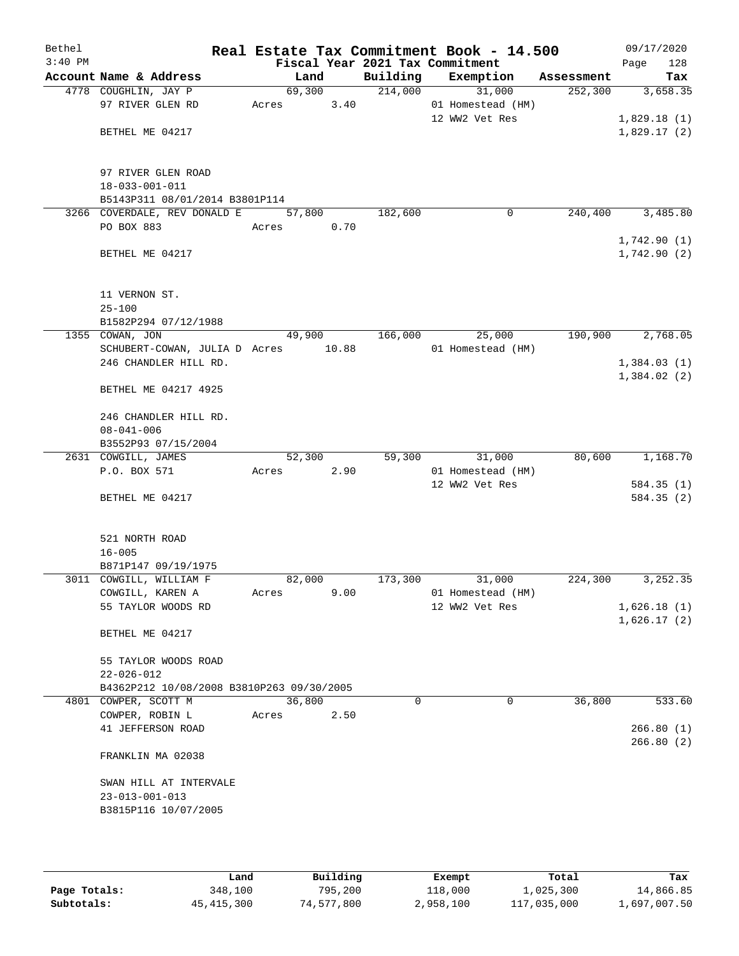| Bethel    |                                           |        |        |                                 | Real Estate Tax Commitment Book - 14.500 |            | 09/17/2020  |
|-----------|-------------------------------------------|--------|--------|---------------------------------|------------------------------------------|------------|-------------|
| $3:40$ PM |                                           |        |        | Fiscal Year 2021 Tax Commitment |                                          |            | 128<br>Page |
|           | Account Name & Address                    |        | Land   | Building                        | Exemption                                | Assessment | Tax         |
|           | 4778 COUGHLIN, JAY P                      |        | 69,300 | 214,000                         | 31,000                                   | 252,300    | 3,658.35    |
|           | 97 RIVER GLEN RD                          | Acres  | 3.40   |                                 | 01 Homestead (HM)                        |            |             |
|           |                                           |        |        |                                 | 12 WW2 Vet Res                           |            | 1,829.18(1) |
|           | BETHEL ME 04217                           |        |        |                                 |                                          |            | 1,829.17(2) |
|           |                                           |        |        |                                 |                                          |            |             |
|           |                                           |        |        |                                 |                                          |            |             |
|           | 97 RIVER GLEN ROAD                        |        |        |                                 |                                          |            |             |
|           | $18 - 033 - 001 - 011$                    |        |        |                                 |                                          |            |             |
|           | B5143P311 08/01/2014 B3801P114            |        |        |                                 |                                          |            |             |
|           | 3266 COVERDALE, REV DONALD E              |        | 57,800 | 182,600                         | 0                                        | 240,400    | 3,485.80    |
|           | PO BOX 883                                | Acres  | 0.70   |                                 |                                          |            |             |
|           |                                           |        |        |                                 |                                          |            | 1,742.90(1) |
|           | BETHEL ME 04217                           |        |        |                                 |                                          |            | 1,742.90(2) |
|           |                                           |        |        |                                 |                                          |            |             |
|           |                                           |        |        |                                 |                                          |            |             |
|           | 11 VERNON ST.                             |        |        |                                 |                                          |            |             |
|           | $25 - 100$                                |        |        |                                 |                                          |            |             |
|           | B1582P294 07/12/1988                      |        |        |                                 |                                          |            |             |
|           | 1355 COWAN, JON                           | 49,900 |        | 166,000                         | 25,000                                   | 190,900    | 2,768.05    |
|           | SCHUBERT-COWAN, JULIA D Acres 10.88       |        |        |                                 | 01 Homestead (HM)                        |            |             |
|           | 246 CHANDLER HILL RD.                     |        |        |                                 |                                          |            | 1,384.03(1) |
|           |                                           |        |        |                                 |                                          |            |             |
|           |                                           |        |        |                                 |                                          |            | 1,384.02(2) |
|           | BETHEL ME 04217 4925                      |        |        |                                 |                                          |            |             |
|           | 246 CHANDLER HILL RD.                     |        |        |                                 |                                          |            |             |
|           |                                           |        |        |                                 |                                          |            |             |
|           | $08 - 041 - 006$                          |        |        |                                 |                                          |            |             |
|           | B3552P93 07/15/2004                       |        |        |                                 |                                          |            |             |
|           | 2631 COWGILL, JAMES                       |        | 52,300 | 59,300                          | 31,000                                   | 80,600     | 1,168.70    |
|           | P.O. BOX 571                              | Acres  | 2.90   |                                 | 01 Homestead (HM)                        |            |             |
|           |                                           |        |        |                                 | 12 WW2 Vet Res                           |            | 584.35(1)   |
|           | BETHEL ME 04217                           |        |        |                                 |                                          |            | 584.35 (2)  |
|           |                                           |        |        |                                 |                                          |            |             |
|           |                                           |        |        |                                 |                                          |            |             |
|           | 521 NORTH ROAD                            |        |        |                                 |                                          |            |             |
|           | $16 - 005$                                |        |        |                                 |                                          |            |             |
|           | B871P147 09/19/1975                       |        |        |                                 |                                          |            |             |
|           | 3011 COWGILL, WILLIAM F                   | 82,000 |        | 173,300                         | 31,000                                   | 224,300    | 3, 252.35   |
|           | COWGILL, KAREN A                          | Acres  | 9.00   |                                 | 01 Homestead (HM)                        |            |             |
|           | 55 TAYLOR WOODS RD                        |        |        |                                 | 12 WW2 Vet Res                           |            | 1,626.18(1) |
|           |                                           |        |        |                                 |                                          |            | 1,626.17(2) |
|           | BETHEL ME 04217                           |        |        |                                 |                                          |            |             |
|           |                                           |        |        |                                 |                                          |            |             |
|           | 55 TAYLOR WOODS ROAD                      |        |        |                                 |                                          |            |             |
|           | 22-026-012                                |        |        |                                 |                                          |            |             |
|           | B4362P212 10/08/2008 B3810P263 09/30/2005 |        |        |                                 |                                          |            |             |
|           | 4801 COWPER, SCOTT M                      | 36,800 |        | $\Omega$                        | 0                                        | 36,800     | 533.60      |
|           | COWPER, ROBIN L                           | Acres  | 2.50   |                                 |                                          |            |             |
|           | 41 JEFFERSON ROAD                         |        |        |                                 |                                          |            | 266.80(1)   |
|           |                                           |        |        |                                 |                                          |            | 266.80(2)   |
|           | FRANKLIN MA 02038                         |        |        |                                 |                                          |            |             |
|           |                                           |        |        |                                 |                                          |            |             |
|           | SWAN HILL AT INTERVALE                    |        |        |                                 |                                          |            |             |
|           | $23 - 013 - 001 - 013$                    |        |        |                                 |                                          |            |             |
|           | B3815P116 10/07/2005                      |        |        |                                 |                                          |            |             |
|           |                                           |        |        |                                 |                                          |            |             |
|           |                                           |        |        |                                 |                                          |            |             |
|           |                                           |        |        |                                 |                                          |            |             |

|              | Land       | Building   | Exempt    | Total       | Tax          |
|--------------|------------|------------|-----------|-------------|--------------|
| Page Totals: | 348,100    | 795,200    | 118,000   | 1,025,300   | 14,866.85    |
| Subtotals:   | 45,415,300 | 74,577,800 | 2,958,100 | 117,035,000 | 1,697,007.50 |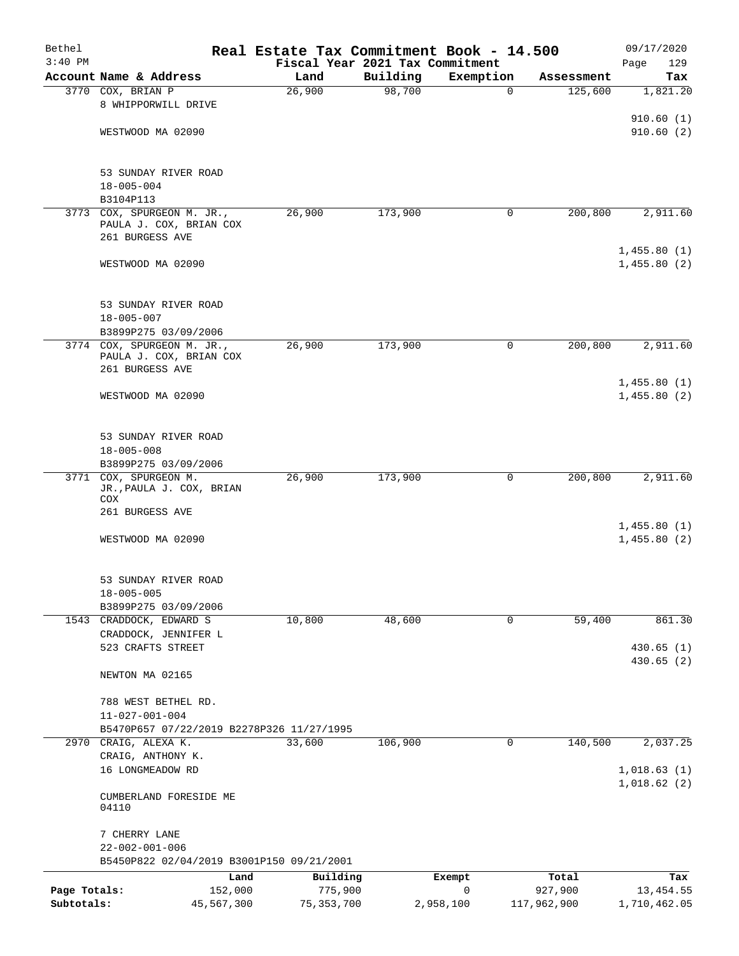| Bethel<br>$3:40$ PM |                                           | Real Estate Tax Commitment Book - 14.500 | Fiscal Year 2021 Tax Commitment |             |             | 09/17/2020<br>Page<br>129 |
|---------------------|-------------------------------------------|------------------------------------------|---------------------------------|-------------|-------------|---------------------------|
|                     | Account Name & Address                    | Land                                     | Building                        | Exemption   | Assessment  | Tax                       |
|                     | 3770 COX, BRIAN P                         | 26,900                                   | 98,700                          | $\mathbf 0$ | 125,600     | 1,821.20                  |
|                     | 8 WHIPPORWILL DRIVE                       |                                          |                                 |             |             |                           |
|                     |                                           |                                          |                                 |             |             | 910.60(1)                 |
|                     | WESTWOOD MA 02090                         |                                          |                                 |             |             | 910.60(2)                 |
|                     |                                           |                                          |                                 |             |             |                           |
|                     |                                           |                                          |                                 |             |             |                           |
|                     | 53 SUNDAY RIVER ROAD<br>$18 - 005 - 004$  |                                          |                                 |             |             |                           |
|                     | B3104P113                                 |                                          |                                 |             |             |                           |
|                     | 3773 COX, SPURGEON M. JR.,                | 26,900                                   | 173,900                         | 0           | 200,800     | 2,911.60                  |
|                     | PAULA J. COX, BRIAN COX                   |                                          |                                 |             |             |                           |
|                     | 261 BURGESS AVE                           |                                          |                                 |             |             |                           |
|                     |                                           |                                          |                                 |             |             | 1,455.80(1)               |
|                     | WESTWOOD MA 02090                         |                                          |                                 |             |             | 1,455.80(2)               |
|                     |                                           |                                          |                                 |             |             |                           |
|                     |                                           |                                          |                                 |             |             |                           |
|                     | 53 SUNDAY RIVER ROAD<br>$18 - 005 - 007$  |                                          |                                 |             |             |                           |
|                     | B3899P275 03/09/2006                      |                                          |                                 |             |             |                           |
|                     | 3774 COX, SPURGEON M. JR.,                | 26,900                                   | 173,900                         | 0           | 200,800     | 2,911.60                  |
|                     | PAULA J. COX, BRIAN COX                   |                                          |                                 |             |             |                           |
|                     | 261 BURGESS AVE                           |                                          |                                 |             |             |                           |
|                     |                                           |                                          |                                 |             |             | 1,455.80(1)               |
|                     | WESTWOOD MA 02090                         |                                          |                                 |             |             | 1,455.80(2)               |
|                     |                                           |                                          |                                 |             |             |                           |
|                     | 53 SUNDAY RIVER ROAD                      |                                          |                                 |             |             |                           |
|                     | $18 - 005 - 008$                          |                                          |                                 |             |             |                           |
|                     | B3899P275 03/09/2006                      |                                          |                                 |             |             |                           |
|                     | 3771 COX, SPURGEON M.                     | 26,900                                   | 173,900                         | 0           | 200,800     | 2,911.60                  |
|                     | JR., PAULA J. COX, BRIAN                  |                                          |                                 |             |             |                           |
|                     | COX                                       |                                          |                                 |             |             |                           |
|                     | 261 BURGESS AVE                           |                                          |                                 |             |             | 1,455.80(1)               |
|                     | WESTWOOD MA 02090                         |                                          |                                 |             |             | 1,455.80(2)               |
|                     |                                           |                                          |                                 |             |             |                           |
|                     |                                           |                                          |                                 |             |             |                           |
|                     | 53 SUNDAY RIVER ROAD                      |                                          |                                 |             |             |                           |
|                     | $18 - 005 - 005$                          |                                          |                                 |             |             |                           |
|                     | B3899P275 03/09/2006                      |                                          |                                 |             |             |                           |
|                     | 1543 CRADDOCK, EDWARD S                   | 10,800                                   | 48,600                          | $\mathbf 0$ | 59,400      | 861.30                    |
|                     | CRADDOCK, JENNIFER L                      |                                          |                                 |             |             |                           |
|                     | 523 CRAFTS STREET                         |                                          |                                 |             |             | 430.65(1)<br>430.65(2)    |
|                     | NEWTON MA 02165                           |                                          |                                 |             |             |                           |
|                     |                                           |                                          |                                 |             |             |                           |
|                     | 788 WEST BETHEL RD.                       |                                          |                                 |             |             |                           |
|                     | $11 - 027 - 001 - 004$                    |                                          |                                 |             |             |                           |
|                     | B5470P657 07/22/2019 B2278P326 11/27/1995 |                                          |                                 |             |             |                           |
| 2970                | CRAIG, ALEXA K.                           | 33,600                                   | 106,900                         | 0           | 140,500     | 2,037.25                  |
|                     | CRAIG, ANTHONY K.                         |                                          |                                 |             |             |                           |
|                     | 16 LONGMEADOW RD                          |                                          |                                 |             |             | 1,018.63(1)               |
|                     |                                           |                                          |                                 |             |             | 1,018.62(2)               |
|                     | CUMBERLAND FORESIDE ME<br>04110           |                                          |                                 |             |             |                           |
|                     |                                           |                                          |                                 |             |             |                           |
|                     | 7 CHERRY LANE                             |                                          |                                 |             |             |                           |
|                     | $22 - 002 - 001 - 006$                    |                                          |                                 |             |             |                           |
|                     | B5450P822 02/04/2019 B3001P150 09/21/2001 |                                          |                                 |             |             |                           |
|                     | Land                                      | Building                                 |                                 | Exempt      | Total       | Tax                       |
| Page Totals:        | 152,000                                   | 775,900                                  |                                 | 0           | 927,900     | 13, 454.55                |
| Subtotals:          | 45,567,300                                | 75, 353, 700                             |                                 | 2,958,100   | 117,962,900 | 1,710,462.05              |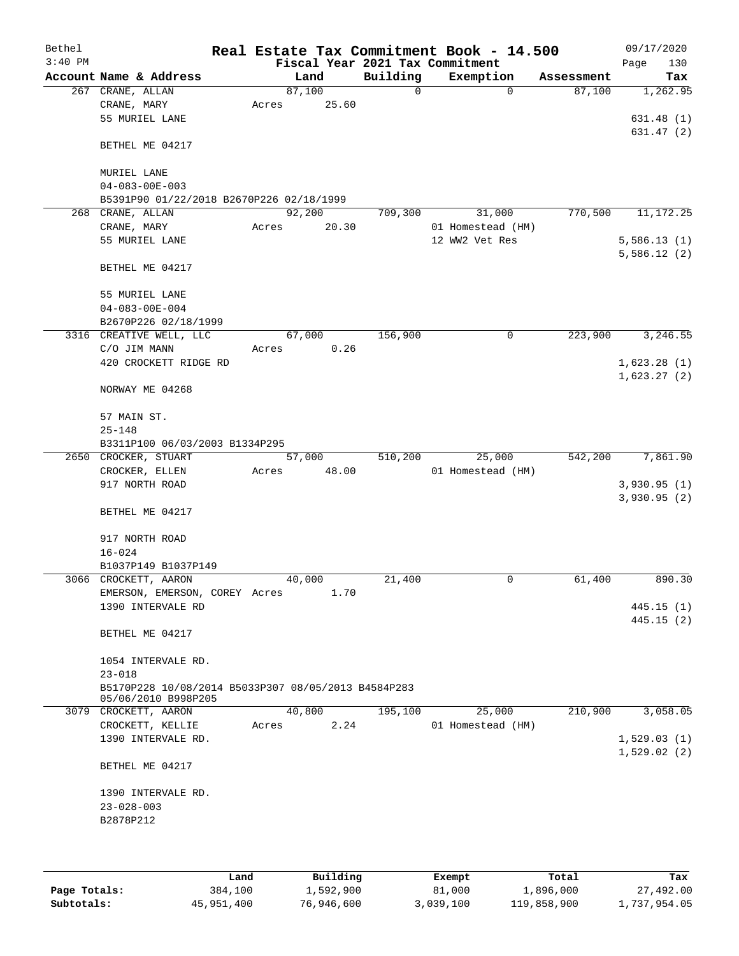| Bethel<br>$3:40$ PM |                                                     | Real Estate Tax Commitment Book - 14.500<br>Fiscal Year 2021 Tax Commitment |          |                   |            | 09/17/2020<br>Page<br>130 |
|---------------------|-----------------------------------------------------|-----------------------------------------------------------------------------|----------|-------------------|------------|---------------------------|
|                     | Account Name & Address                              | Land                                                                        | Building | Exemption         | Assessment | Tax                       |
|                     | 267 CRANE, ALLAN                                    | 87,100                                                                      | 0        | $\mathbf 0$       | 87,100     | 1,262.95                  |
|                     | CRANE, MARY                                         | 25.60<br>Acres                                                              |          |                   |            |                           |
|                     | 55 MURIEL LANE                                      |                                                                             |          |                   |            | 631.48(1)                 |
|                     |                                                     |                                                                             |          |                   |            | 631.47 (2)                |
|                     | BETHEL ME 04217                                     |                                                                             |          |                   |            |                           |
|                     |                                                     |                                                                             |          |                   |            |                           |
|                     | MURIEL LANE                                         |                                                                             |          |                   |            |                           |
|                     | $04 - 083 - 00E - 003$                              |                                                                             |          |                   |            |                           |
|                     | B5391P90 01/22/2018 B2670P226 02/18/1999            |                                                                             |          |                   |            |                           |
|                     | 268 CRANE, ALLAN                                    | 92,200                                                                      | 709,300  | 31,000            | 770,500    | 11, 172. 25               |
|                     | CRANE, MARY                                         | Acres<br>20.30                                                              |          | 01 Homestead (HM) |            |                           |
|                     | 55 MURIEL LANE                                      |                                                                             |          | 12 WW2 Vet Res    |            | 5,586.13(1)               |
|                     |                                                     |                                                                             |          |                   |            | 5,586.12(2)               |
|                     | BETHEL ME 04217                                     |                                                                             |          |                   |            |                           |
|                     |                                                     |                                                                             |          |                   |            |                           |
|                     | 55 MURIEL LANE                                      |                                                                             |          |                   |            |                           |
|                     | $04 - 083 - 00E - 004$                              |                                                                             |          |                   |            |                           |
|                     | B2670P226 02/18/1999                                |                                                                             |          |                   |            |                           |
|                     | 3316 CREATIVE WELL, LLC                             | 67,000                                                                      | 156,900  | 0                 | 223,900    | 3,246.55                  |
|                     | C/O JIM MANN                                        | 0.26<br>Acres                                                               |          |                   |            |                           |
|                     | 420 CROCKETT RIDGE RD                               |                                                                             |          |                   |            | 1,623.28(1)               |
|                     |                                                     |                                                                             |          |                   |            | 1,623.27(2)               |
|                     | NORWAY ME 04268                                     |                                                                             |          |                   |            |                           |
|                     | 57 MAIN ST.                                         |                                                                             |          |                   |            |                           |
|                     | $25 - 148$                                          |                                                                             |          |                   |            |                           |
|                     | B3311P100 06/03/2003 B1334P295                      |                                                                             |          |                   |            |                           |
|                     | 2650 CROCKER, STUART                                | 57,000                                                                      | 510,200  | 25,000            | 542,200    | 7,861.90                  |
|                     | CROCKER, ELLEN                                      | 48.00<br>Acres                                                              |          | 01 Homestead (HM) |            |                           |
|                     | 917 NORTH ROAD                                      |                                                                             |          |                   |            | 3,930.95(1)               |
|                     |                                                     |                                                                             |          |                   |            | 3,930.95(2)               |
|                     | BETHEL ME 04217                                     |                                                                             |          |                   |            |                           |
|                     |                                                     |                                                                             |          |                   |            |                           |
|                     | 917 NORTH ROAD                                      |                                                                             |          |                   |            |                           |
|                     | $16 - 024$                                          |                                                                             |          |                   |            |                           |
|                     | B1037P149 B1037P149                                 |                                                                             |          |                   |            |                           |
|                     | 3066 CROCKETT, AARON                                | 40,000                                                                      | 21,400   | 0                 | 61,400     | 890.30                    |
|                     | EMERSON, EMERSON, COREY Acres                       | 1.70                                                                        |          |                   |            |                           |
|                     | 1390 INTERVALE RD                                   |                                                                             |          |                   |            | 445.15 (1)                |
|                     |                                                     |                                                                             |          |                   |            | 445.15(2)                 |
|                     | BETHEL ME 04217                                     |                                                                             |          |                   |            |                           |
|                     |                                                     |                                                                             |          |                   |            |                           |
|                     | 1054 INTERVALE RD.                                  |                                                                             |          |                   |            |                           |
|                     | $23 - 018$                                          |                                                                             |          |                   |            |                           |
|                     | B5170P228 10/08/2014 B5033P307 08/05/2013 B4584P283 |                                                                             |          |                   |            |                           |
|                     | 05/06/2010 B998P205                                 |                                                                             |          |                   |            |                           |
|                     | 3079 CROCKETT, AARON                                | 40,800                                                                      | 195,100  | 25,000            | 210,900    | 3,058.05                  |
|                     | CROCKETT, KELLIE                                    | 2.24<br>Acres                                                               |          | 01 Homestead (HM) |            |                           |
|                     | 1390 INTERVALE RD.                                  |                                                                             |          |                   |            | 1,529.03(1)               |
|                     | BETHEL ME 04217                                     |                                                                             |          |                   |            | 1,529.02(2)               |
|                     |                                                     |                                                                             |          |                   |            |                           |
|                     | 1390 INTERVALE RD.                                  |                                                                             |          |                   |            |                           |
|                     | $23 - 028 - 003$                                    |                                                                             |          |                   |            |                           |
|                     | B2878P212                                           |                                                                             |          |                   |            |                           |
|                     |                                                     |                                                                             |          |                   |            |                           |
|                     |                                                     |                                                                             |          |                   |            |                           |
|                     |                                                     |                                                                             |          |                   |            |                           |

|              | Land       | Building   | Exempt    | Total       | Tax          |
|--------------|------------|------------|-----------|-------------|--------------|
| Page Totals: | 384,100    | 1,592,900  | 81,000    | 1,896,000   | 27,492.00    |
| Subtotals:   | 45,951,400 | 76,946,600 | 3,039,100 | 119,858,900 | 1,737,954.05 |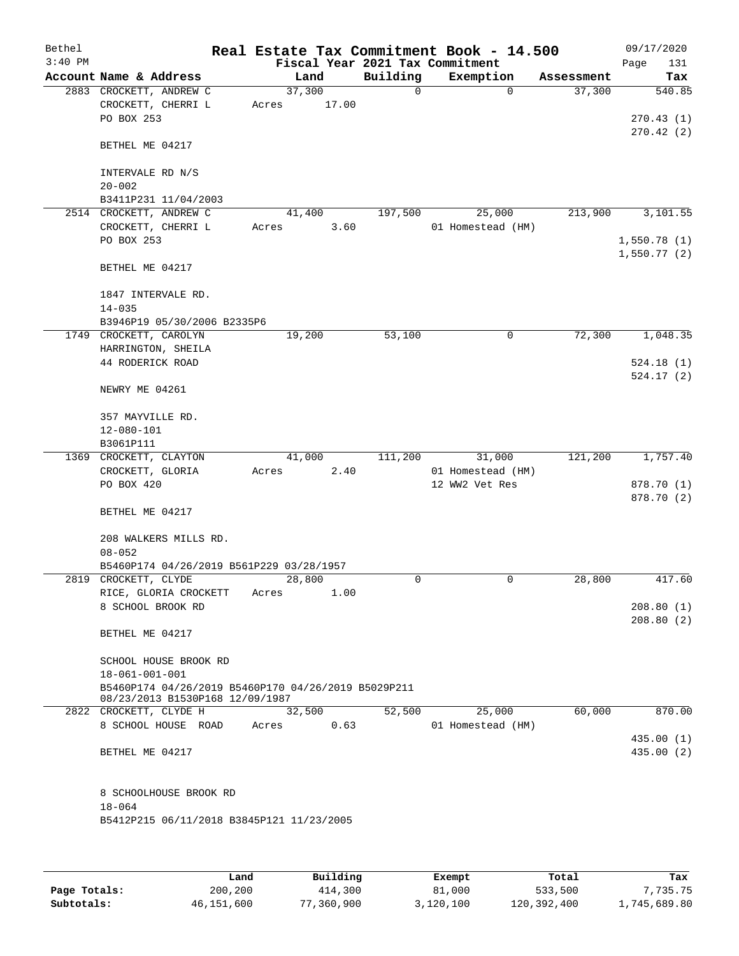| Bethel    |                                                     |        |       | Real Estate Tax Commitment Book - 14.500 |                   |            | 09/17/2020  |
|-----------|-----------------------------------------------------|--------|-------|------------------------------------------|-------------------|------------|-------------|
| $3:40$ PM |                                                     |        |       | Fiscal Year 2021 Tax Commitment          |                   |            | Page<br>131 |
|           | Account Name & Address                              |        | Land  | Building                                 | Exemption         | Assessment | Tax         |
|           | 2883 CROCKETT, ANDREW C                             | 37,300 |       | $\Omega$                                 | $\Omega$          | 37,300     | 540.85      |
|           | CROCKETT, CHERRI L                                  | Acres  | 17.00 |                                          |                   |            |             |
|           | PO BOX 253                                          |        |       |                                          |                   |            | 270.43(1)   |
|           |                                                     |        |       |                                          |                   |            | 270.42(2)   |
|           | BETHEL ME 04217                                     |        |       |                                          |                   |            |             |
|           |                                                     |        |       |                                          |                   |            |             |
|           | INTERVALE RD N/S                                    |        |       |                                          |                   |            |             |
|           | $20 - 002$                                          |        |       |                                          |                   |            |             |
|           | B3411P231 11/04/2003                                |        |       |                                          |                   |            |             |
|           | 2514 CROCKETT, ANDREW C                             | 41,400 |       | 197,500                                  | 25,000            | 213,900    | 3,101.55    |
|           | CROCKETT, CHERRI L                                  | Acres  | 3.60  |                                          | 01 Homestead (HM) |            |             |
|           | PO BOX 253                                          |        |       |                                          |                   |            | 1,550.78(1) |
|           |                                                     |        |       |                                          |                   |            | 1,550.77(2) |
|           | BETHEL ME 04217                                     |        |       |                                          |                   |            |             |
|           |                                                     |        |       |                                          |                   |            |             |
|           | 1847 INTERVALE RD.                                  |        |       |                                          |                   |            |             |
|           | $14 - 035$                                          |        |       |                                          |                   |            |             |
|           | B3946P19 05/30/2006 B2335P6                         |        |       |                                          |                   |            |             |
|           | 1749 CROCKETT, CAROLYN                              | 19,200 |       | 53,100                                   | 0                 | 72,300     | 1,048.35    |
|           | HARRINGTON, SHEILA                                  |        |       |                                          |                   |            |             |
|           | 44 RODERICK ROAD                                    |        |       |                                          |                   |            | 524.18(1)   |
|           |                                                     |        |       |                                          |                   |            | 524.17(2)   |
|           | NEWRY ME 04261                                      |        |       |                                          |                   |            |             |
|           |                                                     |        |       |                                          |                   |            |             |
|           | 357 MAYVILLE RD.                                    |        |       |                                          |                   |            |             |
|           | 12-080-101                                          |        |       |                                          |                   |            |             |
|           | B3061P111                                           |        |       |                                          |                   |            |             |
|           | 1369 CROCKETT, CLAYTON                              | 41,000 |       | 111,200                                  | 31,000            | 121,200    | 1,757.40    |
|           | CROCKETT, GLORIA                                    | Acres  | 2.40  |                                          | 01 Homestead (HM) |            |             |
|           | PO BOX 420                                          |        |       |                                          | 12 WW2 Vet Res    |            | 878.70 (1)  |
|           |                                                     |        |       |                                          |                   |            | 878.70 (2)  |
|           | BETHEL ME 04217                                     |        |       |                                          |                   |            |             |
|           |                                                     |        |       |                                          |                   |            |             |
|           | 208 WALKERS MILLS RD.                               |        |       |                                          |                   |            |             |
|           | $08 - 052$                                          |        |       |                                          |                   |            |             |
|           | B5460P174 04/26/2019 B561P229 03/28/1957            |        |       |                                          |                   |            |             |
|           | 2819 CROCKETT, CLYDE                                | 28,800 |       | 0                                        | $\mathbf 0$       | 28,800     | 417.60      |
|           | RICE, GLORIA CROCKETT                               | Acres  | 1.00  |                                          |                   |            |             |
|           | 8 SCHOOL BROOK RD                                   |        |       |                                          |                   |            | 208.80(1)   |
|           |                                                     |        |       |                                          |                   |            | 208.80(2)   |
|           | BETHEL ME 04217                                     |        |       |                                          |                   |            |             |
|           |                                                     |        |       |                                          |                   |            |             |
|           | SCHOOL HOUSE BROOK RD                               |        |       |                                          |                   |            |             |
|           | $18 - 061 - 001 - 001$                              |        |       |                                          |                   |            |             |
|           | B5460P174 04/26/2019 B5460P170 04/26/2019 B5029P211 |        |       |                                          |                   |            |             |
|           | 08/23/2013 B1530P168 12/09/1987                     |        |       |                                          |                   |            |             |
|           | 2822 CROCKETT, CLYDE H                              | 32,500 |       | 52,500                                   | 25,000            | 60,000     | 870.00      |
|           | 8 SCHOOL HOUSE ROAD                                 | Acres  | 0.63  |                                          | 01 Homestead (HM) |            |             |
|           |                                                     |        |       |                                          |                   |            | 435.00(1)   |
|           | BETHEL ME 04217                                     |        |       |                                          |                   |            | 435.00 (2)  |
|           |                                                     |        |       |                                          |                   |            |             |
|           |                                                     |        |       |                                          |                   |            |             |
|           | 8 SCHOOLHOUSE BROOK RD                              |        |       |                                          |                   |            |             |
|           | $18 - 064$                                          |        |       |                                          |                   |            |             |
|           | B5412P215 06/11/2018 B3845P121 11/23/2005           |        |       |                                          |                   |            |             |
|           |                                                     |        |       |                                          |                   |            |             |
|           |                                                     |        |       |                                          |                   |            |             |
|           |                                                     |        |       |                                          |                   |            |             |

|              | Land       | Building   | Exempt    | Total       | Tax          |
|--------------|------------|------------|-----------|-------------|--------------|
| Page Totals: | 200,200    | 414,300    | 81,000    | 533,500     | 7.735.75     |
| Subtotals:   | 46,151,600 | 77,360,900 | 3,120,100 | 120,392,400 | l,745,689.80 |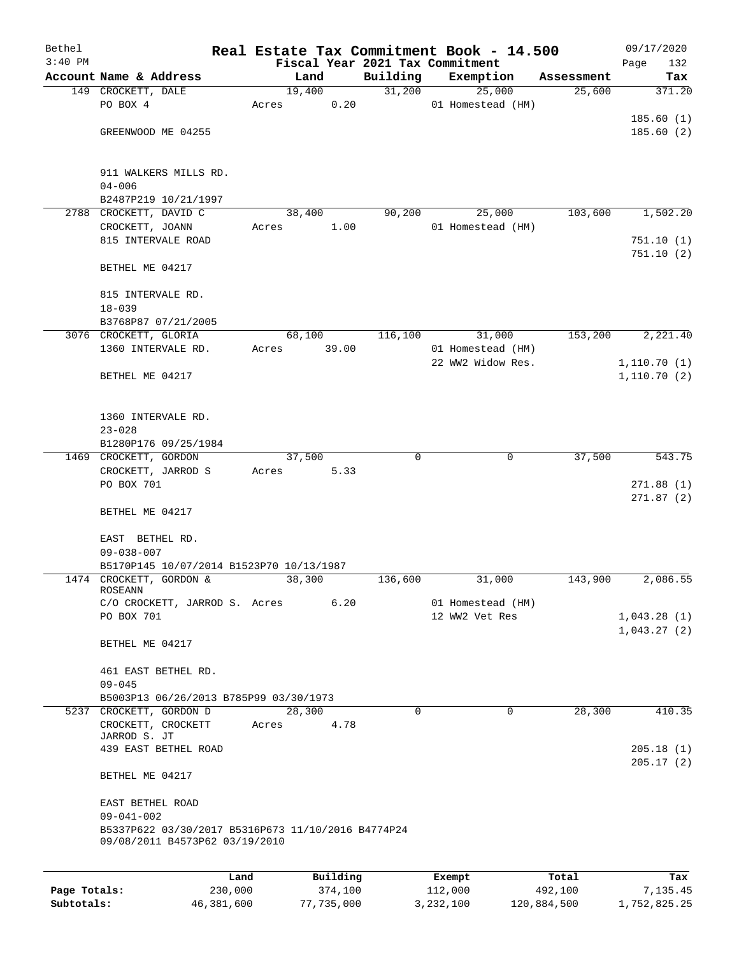| Bethel<br>$3:40$ PM |                                                                                      |       |        |          | Fiscal Year 2021 Tax Commitment | Real Estate Tax Commitment Book - 14.500 |            | 09/17/2020<br>Page<br>132 |
|---------------------|--------------------------------------------------------------------------------------|-------|--------|----------|---------------------------------|------------------------------------------|------------|---------------------------|
|                     | Account Name & Address                                                               |       | Land   |          | Building                        | Exemption                                | Assessment | Tax                       |
|                     | 149 CROCKETT, DALE                                                                   |       | 19,400 |          | 31,200                          | 25,000                                   | 25,600     | 371.20                    |
|                     | PO BOX 4                                                                             | Acres |        | 0.20     |                                 | 01 Homestead (HM)                        |            |                           |
|                     |                                                                                      |       |        |          |                                 |                                          |            | 185.60(1)                 |
|                     | GREENWOOD ME 04255                                                                   |       |        |          |                                 |                                          |            | 185.60(2)                 |
|                     |                                                                                      |       |        |          |                                 |                                          |            |                           |
|                     |                                                                                      |       |        |          |                                 |                                          |            |                           |
|                     | 911 WALKERS MILLS RD.                                                                |       |        |          |                                 |                                          |            |                           |
|                     | $04 - 006$                                                                           |       |        |          |                                 |                                          |            |                           |
|                     | B2487P219 10/21/1997<br>2788 CROCKETT, DAVID C                                       |       |        |          |                                 |                                          |            | 1,502.20                  |
|                     | CROCKETT, JOANN                                                                      | Acres | 38,400 | 1.00     | 90,200                          | 25,000<br>01 Homestead (HM)              | 103,600    |                           |
|                     | 815 INTERVALE ROAD                                                                   |       |        |          |                                 |                                          |            | 751.10(1)                 |
|                     |                                                                                      |       |        |          |                                 |                                          |            | 751.10(2)                 |
|                     | BETHEL ME 04217                                                                      |       |        |          |                                 |                                          |            |                           |
|                     |                                                                                      |       |        |          |                                 |                                          |            |                           |
|                     | 815 INTERVALE RD.                                                                    |       |        |          |                                 |                                          |            |                           |
|                     | $18 - 039$                                                                           |       |        |          |                                 |                                          |            |                           |
|                     | B3768P87 07/21/2005                                                                  |       |        |          |                                 |                                          |            |                           |
|                     | 3076 CROCKETT, GLORIA                                                                |       | 68,100 |          | 116,100                         | 31,000                                   | 153,200    | 2,221.40                  |
|                     | 1360 INTERVALE RD.                                                                   | Acres |        | 39.00    |                                 | 01 Homestead (HM)                        |            |                           |
|                     |                                                                                      |       |        |          |                                 | 22 WW2 Widow Res.                        |            | 1,110.70(1)               |
|                     | BETHEL ME 04217                                                                      |       |        |          |                                 |                                          |            | 1,110.70(2)               |
|                     |                                                                                      |       |        |          |                                 |                                          |            |                           |
|                     |                                                                                      |       |        |          |                                 |                                          |            |                           |
|                     | 1360 INTERVALE RD.                                                                   |       |        |          |                                 |                                          |            |                           |
|                     | $23 - 028$                                                                           |       |        |          |                                 |                                          |            |                           |
|                     | B1280P176 09/25/1984                                                                 |       |        |          |                                 |                                          |            |                           |
|                     | 1469 CROCKETT, GORDON                                                                |       | 37,500 |          | $\Omega$                        | 0                                        | 37,500     | 543.75                    |
|                     | CROCKETT, JARROD S<br>PO BOX 701                                                     | Acres |        | 5.33     |                                 |                                          |            | 271.88(1)                 |
|                     |                                                                                      |       |        |          |                                 |                                          |            | 271.87(2)                 |
|                     | BETHEL ME 04217                                                                      |       |        |          |                                 |                                          |            |                           |
|                     |                                                                                      |       |        |          |                                 |                                          |            |                           |
|                     | EAST BETHEL RD.                                                                      |       |        |          |                                 |                                          |            |                           |
|                     | $09 - 038 - 007$                                                                     |       |        |          |                                 |                                          |            |                           |
|                     | B5170P145 10/07/2014 B1523P70 10/13/1987                                             |       |        |          |                                 |                                          |            |                           |
|                     | 1474 CROCKETT, GORDON &                                                              |       | 38,300 |          | 136,600                         | 31,000                                   | 143,900    | 2,086.55                  |
|                     | <b>ROSEANN</b>                                                                       |       |        |          |                                 |                                          |            |                           |
|                     | C/O CROCKETT, JARROD S. Acres                                                        |       |        | 6.20     |                                 | 01 Homestead (HM)                        |            |                           |
|                     | PO BOX 701                                                                           |       |        |          |                                 | 12 WW2 Vet Res                           |            | 1,043.28(1)               |
|                     | BETHEL ME 04217                                                                      |       |        |          |                                 |                                          |            | 1,043.27(2)               |
|                     |                                                                                      |       |        |          |                                 |                                          |            |                           |
|                     | 461 EAST BETHEL RD.                                                                  |       |        |          |                                 |                                          |            |                           |
|                     | $09 - 045$                                                                           |       |        |          |                                 |                                          |            |                           |
|                     | B5003P13 06/26/2013 B785P99 03/30/1973                                               |       |        |          |                                 |                                          |            |                           |
|                     | 5237 CROCKETT, GORDON D                                                              |       | 28,300 |          | $\Omega$                        | 0                                        | 28,300     | 410.35                    |
|                     | CROCKETT, CROCKETT                                                                   | Acres |        | 4.78     |                                 |                                          |            |                           |
|                     | JARROD S. JT                                                                         |       |        |          |                                 |                                          |            |                           |
|                     | 439 EAST BETHEL ROAD                                                                 |       |        |          |                                 |                                          |            | 205.18(1)                 |
|                     |                                                                                      |       |        |          |                                 |                                          |            | 205.17(2)                 |
|                     | BETHEL ME 04217                                                                      |       |        |          |                                 |                                          |            |                           |
|                     |                                                                                      |       |        |          |                                 |                                          |            |                           |
|                     | EAST BETHEL ROAD                                                                     |       |        |          |                                 |                                          |            |                           |
|                     | $09 - 041 - 002$                                                                     |       |        |          |                                 |                                          |            |                           |
|                     | B5337P622 03/30/2017 B5316P673 11/10/2016 B4774P24<br>09/08/2011 B4573P62 03/19/2010 |       |        |          |                                 |                                          |            |                           |
|                     |                                                                                      |       |        |          |                                 |                                          |            |                           |
|                     |                                                                                      |       |        |          |                                 |                                          |            |                           |
|                     |                                                                                      | Land  |        | Building |                                 | Exempt                                   | Total      | Tax                       |

|              | Land       | Building   | Exempt    | тосат       | rax.         |
|--------------|------------|------------|-----------|-------------|--------------|
| Page Totals: | 230,000    | 374.100    | 112,000   | 492,100     | 7,135.45     |
| Subtotals:   | 46,381,600 | 77,735,000 | 3,232,100 | 120,884,500 | 1,752,825.25 |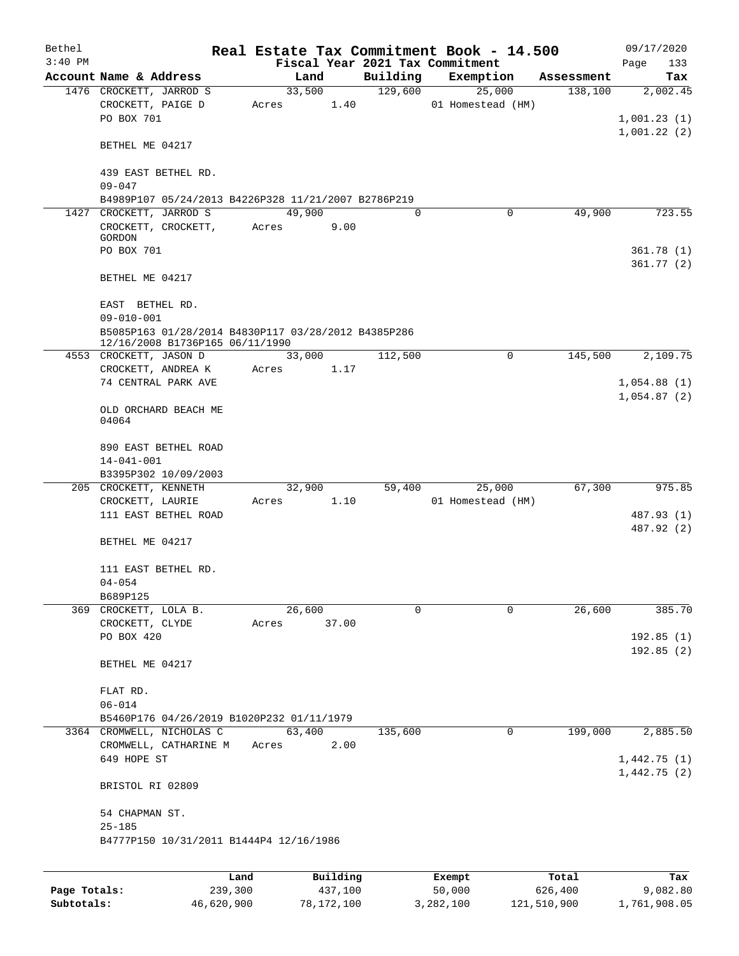| Bethel    |                                                     |       |                |                     | Real Estate Tax Commitment Book - 14.500 |                       | 09/17/2020               |
|-----------|-----------------------------------------------------|-------|----------------|---------------------|------------------------------------------|-----------------------|--------------------------|
| $3:40$ PM |                                                     |       |                |                     | Fiscal Year 2021 Tax Commitment          |                       | Page<br>133              |
|           | Account Name & Address<br>1476 CROCKETT, JARROD S   |       | Land<br>33,500 | Building<br>129,600 | Exemption<br>25,000                      | Assessment<br>138,100 | Tax<br>2,002.45          |
|           | CROCKETT, PAIGE D<br>PO BOX 701                     | Acres | 1.40           |                     | 01 Homestead (HM)                        |                       | 1,001.23(1)              |
|           | BETHEL ME 04217                                     |       |                |                     |                                          |                       | 1,001.22(2)              |
|           | 439 EAST BETHEL RD.<br>$09 - 047$                   |       |                |                     |                                          |                       |                          |
|           | B4989P107 05/24/2013 B4226P328 11/21/2007 B2786P219 |       |                |                     |                                          |                       |                          |
|           | 1427 CROCKETT, JARROD S                             |       | 49,900         | $\Omega$            | 0                                        | 49,900                | 723.55                   |
|           | CROCKETT, CROCKETT,<br>GORDON                       | Acres | 9.00           |                     |                                          |                       |                          |
|           | PO BOX 701                                          |       |                |                     |                                          |                       | 361.78(1)                |
|           |                                                     |       |                |                     |                                          |                       | 361.77(2)                |
|           | BETHEL ME 04217                                     |       |                |                     |                                          |                       |                          |
|           | EAST BETHEL RD.<br>$09 - 010 - 001$                 |       |                |                     |                                          |                       |                          |
|           | B5085P163 01/28/2014 B4830P117 03/28/2012 B4385P286 |       |                |                     |                                          |                       |                          |
|           | 12/16/2008 B1736P165 06/11/1990                     |       |                |                     |                                          |                       |                          |
|           | 4553 CROCKETT, JASON D<br>CROCKETT, ANDREA K        | Acres | 33,000<br>1.17 | 112,500             | 0                                        | 145,500               | 2,109.75                 |
|           | 74 CENTRAL PARK AVE                                 |       |                |                     |                                          |                       | 1,054.88(1)              |
|           |                                                     |       |                |                     |                                          |                       | 1,054.87(2)              |
|           | OLD ORCHARD BEACH ME<br>04064                       |       |                |                     |                                          |                       |                          |
|           | 890 EAST BETHEL ROAD                                |       |                |                     |                                          |                       |                          |
|           | $14 - 041 - 001$                                    |       |                |                     |                                          |                       |                          |
|           | B3395P302 10/09/2003                                |       |                |                     |                                          |                       |                          |
|           | 205 CROCKETT, KENNETH                               |       | 32,900         | 59,400              | 25,000                                   | 67,300                | 975.85                   |
|           | CROCKETT, LAURIE                                    | Acres | 1.10           |                     | 01 Homestead (HM)                        |                       |                          |
|           | 111 EAST BETHEL ROAD                                |       |                |                     |                                          |                       | 487.93 (1)<br>487.92 (2) |
|           | BETHEL ME 04217                                     |       |                |                     |                                          |                       |                          |
|           | 111 EAST BETHEL RD.                                 |       |                |                     |                                          |                       |                          |
|           | $04 - 054$                                          |       |                |                     |                                          |                       |                          |
|           | B689P125                                            |       |                |                     |                                          |                       |                          |
|           | 369 CROCKETT, LOLA B.                               |       | 26,600         | $\Omega$            | $\Omega$                                 | 26,600                | 385.70                   |
|           | CROCKETT, CLYDE                                     | Acres | 37.00          |                     |                                          |                       |                          |
|           | PO BOX 420                                          |       |                |                     |                                          |                       | 192.85(1)<br>192.85(2)   |
|           | BETHEL ME 04217                                     |       |                |                     |                                          |                       |                          |
|           | FLAT RD.                                            |       |                |                     |                                          |                       |                          |
|           | $06 - 014$                                          |       |                |                     |                                          |                       |                          |
|           | B5460P176 04/26/2019 B1020P232 01/11/1979           |       |                |                     |                                          |                       |                          |
|           | 3364 CROMWELL, NICHOLAS C<br>CROMWELL, CATHARINE M  | Acres | 63,400<br>2.00 | 135,600             | 0                                        | 199,000               | 2,885.50                 |
|           | 649 HOPE ST                                         |       |                |                     |                                          |                       | 1,442.75(1)              |
|           |                                                     |       |                |                     |                                          |                       | 1,442.75(2)              |
|           | BRISTOL RI 02809                                    |       |                |                     |                                          |                       |                          |
|           | 54 CHAPMAN ST.                                      |       |                |                     |                                          |                       |                          |
|           | $25 - 185$                                          |       |                |                     |                                          |                       |                          |
|           | B4777P150 10/31/2011 B1444P4 12/16/1986             |       |                |                     |                                          |                       |                          |
|           |                                                     |       |                |                     |                                          |                       |                          |
|           | Land                                                |       | Building       |                     | Exempt                                   | Total                 | Tax                      |

|              | .          | <u>DULLULUM</u> | <b>BACINDO</b> | ----        | $-0.0$       |
|--------------|------------|-----------------|----------------|-------------|--------------|
| Page Totals: | 239,300    | 437,100         | 50,000         | 626,400     | 9,082.80     |
| Subtotals:   | 46,620,900 | 78,172,100      | 3,282,100      | 121,510,900 | 1,761,908.05 |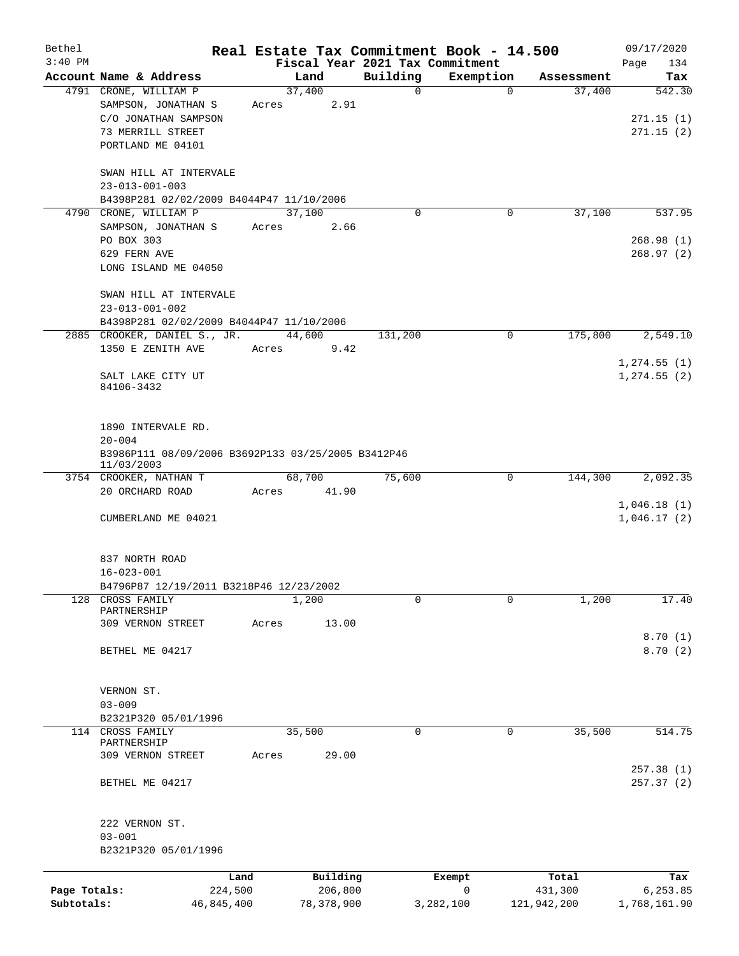| Bethel       |                                                                  |       |              |                                             | Real Estate Tax Commitment Book - 14.500 |                      | 09/17/2020                      |  |  |  |  |  |
|--------------|------------------------------------------------------------------|-------|--------------|---------------------------------------------|------------------------------------------|----------------------|---------------------------------|--|--|--|--|--|
| $3:40$ PM    | Account Name & Address                                           |       | Land         | Fiscal Year 2021 Tax Commitment<br>Building |                                          |                      | Page<br>134                     |  |  |  |  |  |
|              | 4791 CRONE, WILLIAM P                                            |       | 37,400       | $\mathsf{O}$                                | Exemption<br>$\mathbf 0$                 | Assessment<br>37,400 | Tax<br>542.30                   |  |  |  |  |  |
|              | SAMPSON, JONATHAN S                                              | Acres | 2.91         |                                             |                                          |                      |                                 |  |  |  |  |  |
|              | C/O JONATHAN SAMPSON                                             |       |              |                                             |                                          |                      | 271.15(1)                       |  |  |  |  |  |
|              | 73 MERRILL STREET                                                |       |              |                                             |                                          |                      | 271.15(2)                       |  |  |  |  |  |
|              | PORTLAND ME 04101                                                |       |              |                                             |                                          |                      |                                 |  |  |  |  |  |
|              | SWAN HILL AT INTERVALE<br>$23 - 013 - 001 - 003$                 |       |              |                                             |                                          |                      |                                 |  |  |  |  |  |
|              | B4398P281 02/02/2009 B4044P47 11/10/2006                         |       |              |                                             |                                          |                      |                                 |  |  |  |  |  |
| 4790         | CRONE, WILLIAM P                                                 |       | 37,100       | $\Omega$                                    | 0                                        | 37,100               | 537.95                          |  |  |  |  |  |
|              | SAMPSON, JONATHAN S                                              | Acres | 2.66         |                                             |                                          |                      |                                 |  |  |  |  |  |
|              | PO BOX 303                                                       |       |              |                                             |                                          |                      | 268.98(1)                       |  |  |  |  |  |
|              | 629 FERN AVE                                                     |       |              |                                             |                                          |                      | 268.97(2)                       |  |  |  |  |  |
|              | LONG ISLAND ME 04050                                             |       |              |                                             |                                          |                      |                                 |  |  |  |  |  |
|              | SWAN HILL AT INTERVALE                                           |       |              |                                             |                                          |                      |                                 |  |  |  |  |  |
|              | $23 - 013 - 001 - 002$                                           |       |              |                                             |                                          |                      |                                 |  |  |  |  |  |
|              | B4398P281 02/02/2009 B4044P47 11/10/2006                         |       |              |                                             |                                          |                      |                                 |  |  |  |  |  |
|              | 2885 CROOKER, DANIEL S., JR.                                     |       | 44,600       | 131,200                                     | $\mathbf 0$                              | 175,800              | 2,549.10                        |  |  |  |  |  |
|              | 1350 E ZENITH AVE                                                | Acres | 9.42         |                                             |                                          |                      |                                 |  |  |  |  |  |
|              | SALT LAKE CITY UT                                                |       |              |                                             |                                          |                      | 1, 274.55(1)<br>$1, 274.55$ (2) |  |  |  |  |  |
|              | 84106-3432                                                       |       |              |                                             |                                          |                      |                                 |  |  |  |  |  |
|              |                                                                  |       |              |                                             |                                          |                      |                                 |  |  |  |  |  |
|              | 1890 INTERVALE RD.                                               |       |              |                                             |                                          |                      |                                 |  |  |  |  |  |
|              | $20 - 004$<br>B3986P111 08/09/2006 B3692P133 03/25/2005 B3412P46 |       |              |                                             |                                          |                      |                                 |  |  |  |  |  |
|              | 11/03/2003                                                       |       |              |                                             |                                          |                      |                                 |  |  |  |  |  |
|              | 3754 CROOKER, NATHAN T                                           |       | 68,700       | 75,600                                      | $\mathbf 0$                              | 144,300              | 2,092.35                        |  |  |  |  |  |
|              | 20 ORCHARD ROAD                                                  | Acres | 41.90        |                                             |                                          |                      |                                 |  |  |  |  |  |
|              |                                                                  |       |              |                                             |                                          |                      | 1,046.18(1)                     |  |  |  |  |  |
|              | CUMBERLAND ME 04021                                              |       |              |                                             |                                          |                      | 1,046.17(2)                     |  |  |  |  |  |
|              |                                                                  |       |              |                                             |                                          |                      |                                 |  |  |  |  |  |
|              | 837 NORTH ROAD                                                   |       |              |                                             |                                          |                      |                                 |  |  |  |  |  |
|              | $16 - 023 - 001$                                                 |       |              |                                             |                                          |                      |                                 |  |  |  |  |  |
|              | B4796P87 12/19/2011 B3218P46 12/23/2002                          |       |              |                                             |                                          |                      |                                 |  |  |  |  |  |
| 128          | CROSS FAMILY<br>PARTNERSHIP                                      |       | 1,200        | 0                                           | 0                                        | 1,200                | 17.40                           |  |  |  |  |  |
|              | 309 VERNON STREET                                                | Acres | 13.00        |                                             |                                          |                      |                                 |  |  |  |  |  |
|              |                                                                  |       |              |                                             |                                          |                      | 8.70(1)                         |  |  |  |  |  |
|              | BETHEL ME 04217                                                  |       |              |                                             |                                          |                      | 8.70(2)                         |  |  |  |  |  |
|              |                                                                  |       |              |                                             |                                          |                      |                                 |  |  |  |  |  |
|              | VERNON ST.                                                       |       |              |                                             |                                          |                      |                                 |  |  |  |  |  |
|              | $03 - 009$                                                       |       |              |                                             |                                          |                      |                                 |  |  |  |  |  |
|              | B2321P320 05/01/1996                                             |       |              |                                             |                                          |                      |                                 |  |  |  |  |  |
|              | 114 CROSS FAMILY<br>PARTNERSHIP                                  |       | 35,500       | 0                                           | 0                                        | 35,500               | 514.75                          |  |  |  |  |  |
|              | 309 VERNON STREET                                                | Acres | 29.00        |                                             |                                          |                      |                                 |  |  |  |  |  |
|              |                                                                  |       |              |                                             |                                          |                      | 257.38(1)                       |  |  |  |  |  |
|              | BETHEL ME 04217                                                  |       |              |                                             |                                          |                      | 257.37(2)                       |  |  |  |  |  |
|              |                                                                  |       |              |                                             |                                          |                      |                                 |  |  |  |  |  |
|              | 222 VERNON ST.<br>$03 - 001$                                     |       |              |                                             |                                          |                      |                                 |  |  |  |  |  |
|              | B2321P320 05/01/1996                                             |       |              |                                             |                                          |                      |                                 |  |  |  |  |  |
|              |                                                                  |       |              |                                             |                                          |                      |                                 |  |  |  |  |  |
|              |                                                                  | Land  | Building     |                                             | Exempt                                   | Total                | Tax                             |  |  |  |  |  |
| Page Totals: | 224,500                                                          |       | 206,800      |                                             | 0                                        | 431,300              | 6,253.85                        |  |  |  |  |  |
| Subtotals:   | 46,845,400                                                       |       | 78, 378, 900 |                                             | 3,282,100                                | 121,942,200          | 1,768,161.90                    |  |  |  |  |  |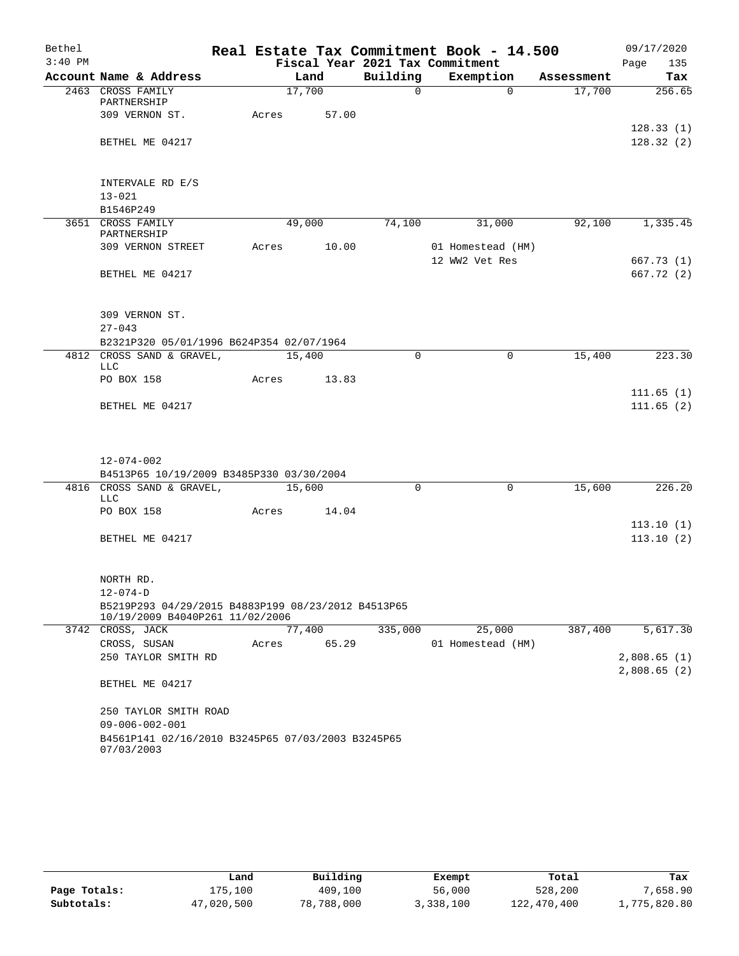| Bethel    |                                                                 |       |        |       |                                 | Real Estate Tax Commitment Book - 14.500 |            | 09/17/2020             |
|-----------|-----------------------------------------------------------------|-------|--------|-------|---------------------------------|------------------------------------------|------------|------------------------|
| $3:40$ PM |                                                                 |       |        |       | Fiscal Year 2021 Tax Commitment |                                          |            | 135<br>Page            |
|           | Account Name & Address                                          |       | Land   |       | Building                        | Exemption                                | Assessment | Tax                    |
|           | 2463 CROSS FAMILY<br>PARTNERSHIP                                |       | 17,700 |       | $\Omega$                        | $\Omega$                                 | 17,700     | 256.65                 |
|           | 309 VERNON ST.                                                  | Acres |        | 57.00 |                                 |                                          |            | 128.33(1)              |
|           | BETHEL ME 04217                                                 |       |        |       |                                 |                                          |            | 128.32(2)              |
|           | INTERVALE RD E/S                                                |       |        |       |                                 |                                          |            |                        |
|           | $13 - 021$                                                      |       |        |       |                                 |                                          |            |                        |
|           | B1546P249                                                       |       |        |       |                                 |                                          |            |                        |
|           | 3651 CROSS FAMILY<br>PARTNERSHIP                                |       | 49,000 |       | 74,100                          | 31,000                                   | 92,100     | 1,335.45               |
|           | 309 VERNON STREET                                               | Acres |        | 10.00 |                                 | 01 Homestead (HM)<br>12 WW2 Vet Res      |            | 667.73 (1)             |
|           | BETHEL ME 04217                                                 |       |        |       |                                 |                                          |            | 667.72 (2)             |
|           | 309 VERNON ST.                                                  |       |        |       |                                 |                                          |            |                        |
|           | $27 - 043$                                                      |       |        |       |                                 |                                          |            |                        |
|           | B2321P320 05/01/1996 B624P354 02/07/1964                        |       |        |       |                                 |                                          |            |                        |
|           | 4812 CROSS SAND & GRAVEL,<br>LLC                                |       | 15,400 |       | $\Omega$                        | $\mathbf 0$                              | 15,400     | 223.30                 |
|           | PO BOX 158                                                      | Acres |        | 13.83 |                                 |                                          |            |                        |
|           | BETHEL ME 04217                                                 |       |        |       |                                 |                                          |            | 111.65(1)<br>111.65(2) |
|           |                                                                 |       |        |       |                                 |                                          |            |                        |
|           | 12-074-002                                                      |       |        |       |                                 |                                          |            |                        |
|           | B4513P65 10/19/2009 B3485P330 03/30/2004                        |       |        |       |                                 |                                          |            |                        |
|           | 4816 CROSS SAND & GRAVEL,<br>LLC                                |       | 15,600 |       | $\mathbf 0$                     | $\mathbf 0$                              | 15,600     | 226.20                 |
|           | PO BOX 158                                                      | Acres |        | 14.04 |                                 |                                          |            |                        |
|           | BETHEL ME 04217                                                 |       |        |       |                                 |                                          |            | 113.10(1)<br>113.10(2) |
|           |                                                                 |       |        |       |                                 |                                          |            |                        |
|           | NORTH RD.                                                       |       |        |       |                                 |                                          |            |                        |
|           | $12 - 074 - D$                                                  |       |        |       |                                 |                                          |            |                        |
|           | B5219P293 04/29/2015 B4883P199 08/23/2012 B4513P65              |       |        |       |                                 |                                          |            |                        |
|           | 10/19/2009 B4040P261 11/02/2006<br>3742 CROSS, JACK             |       | 77,400 |       | 335,000                         | 25,000                                   | 387,400    | 5,617.30               |
|           | CROSS, SUSAN                                                    | Acres |        | 65.29 |                                 | 01 Homestead (HM)                        |            |                        |
|           | 250 TAYLOR SMITH RD                                             |       |        |       |                                 |                                          |            | 2,808.65(1)            |
|           |                                                                 |       |        |       |                                 |                                          |            | 2,808.65(2)            |
|           | BETHEL ME 04217                                                 |       |        |       |                                 |                                          |            |                        |
|           | 250 TAYLOR SMITH ROAD                                           |       |        |       |                                 |                                          |            |                        |
|           | $09 - 006 - 002 - 001$                                          |       |        |       |                                 |                                          |            |                        |
|           | B4561P141 02/16/2010 B3245P65 07/03/2003 B3245P65<br>07/03/2003 |       |        |       |                                 |                                          |            |                        |

|              | Land       | Building   | Exempt    | Total       | Tax          |
|--------------|------------|------------|-----------|-------------|--------------|
| Page Totals: | 175,100    | 409,100    | 56,000    | 528,200     | 7,658.90     |
| Subtotals:   | 47,020,500 | 78,788,000 | 3,338,100 | 122,470,400 | 1,775,820.80 |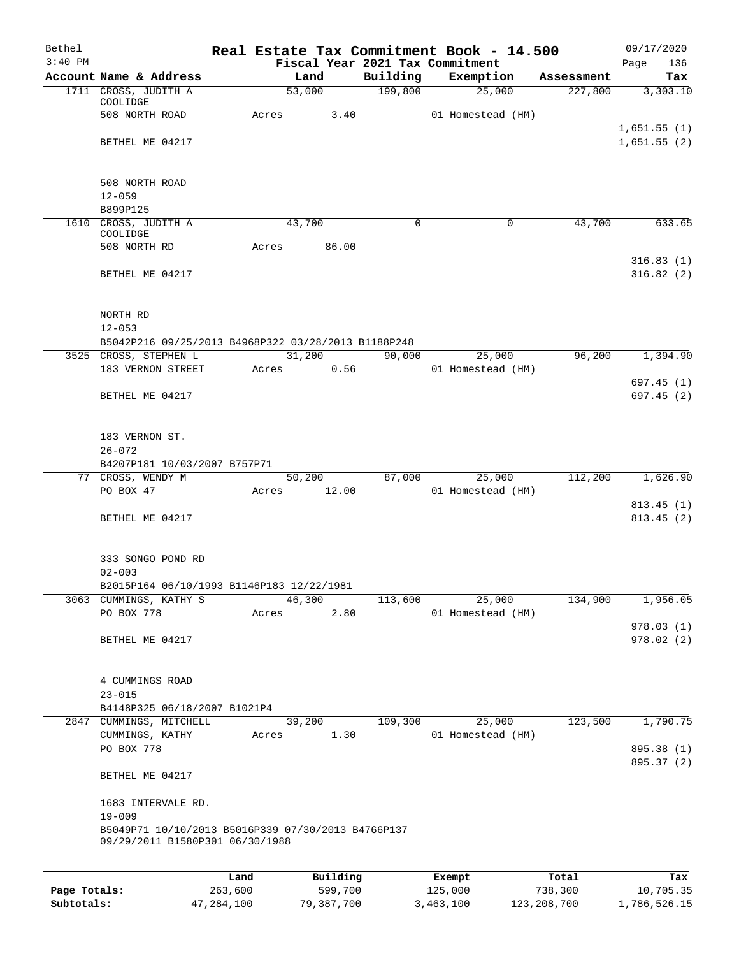| Bethel    |                                                                              |       |        |          |                                 | Real Estate Tax Commitment Book - 14.500 |            |      | 09/17/2020             |
|-----------|------------------------------------------------------------------------------|-------|--------|----------|---------------------------------|------------------------------------------|------------|------|------------------------|
| $3:40$ PM |                                                                              |       |        |          | Fiscal Year 2021 Tax Commitment |                                          |            | Page | 136                    |
|           | Account Name & Address                                                       |       | Land   |          | Building                        | Exemption                                | Assessment |      | Tax                    |
|           | 1711 CROSS, JUDITH A<br>COOLIDGE                                             |       | 53,000 |          | 199,800                         | 25,000                                   | 227,800    |      | 3,303.10               |
|           | 508 NORTH ROAD                                                               | Acres |        | 3.40     |                                 | 01 Homestead (HM)                        |            |      |                        |
|           |                                                                              |       |        |          |                                 |                                          |            |      | 1,651.55(1)            |
|           | BETHEL ME 04217                                                              |       |        |          |                                 |                                          |            |      | 1,651.55(2)            |
|           |                                                                              |       |        |          |                                 |                                          |            |      |                        |
|           | 508 NORTH ROAD                                                               |       |        |          |                                 |                                          |            |      |                        |
|           | $12 - 059$                                                                   |       |        |          |                                 |                                          |            |      |                        |
|           | B899P125                                                                     |       |        |          |                                 |                                          |            |      |                        |
|           | 1610 CROSS, JUDITH A                                                         |       | 43,700 |          | $\Omega$                        | 0                                        | 43,700     |      | 633.65                 |
|           | COOLIDGE<br>508 NORTH RD                                                     | Acres |        | 86.00    |                                 |                                          |            |      |                        |
|           |                                                                              |       |        |          |                                 |                                          |            |      | 316.83(1)              |
|           | BETHEL ME 04217                                                              |       |        |          |                                 |                                          |            |      | 316.82(2)              |
|           |                                                                              |       |        |          |                                 |                                          |            |      |                        |
|           |                                                                              |       |        |          |                                 |                                          |            |      |                        |
|           | NORTH RD                                                                     |       |        |          |                                 |                                          |            |      |                        |
|           | $12 - 053$                                                                   |       |        |          |                                 |                                          |            |      |                        |
|           | B5042P216 09/25/2013 B4968P322 03/28/2013 B1188P248<br>3525 CROSS, STEPHEN L |       | 31,200 |          | 90,000                          | 25,000                                   | 96,200     |      | $\overline{1,}$ 394.90 |
|           | 183 VERNON STREET                                                            | Acres |        | 0.56     |                                 | 01 Homestead (HM)                        |            |      |                        |
|           |                                                                              |       |        |          |                                 |                                          |            |      | 697.45(1)              |
|           | BETHEL ME 04217                                                              |       |        |          |                                 |                                          |            |      | 697.45(2)              |
|           |                                                                              |       |        |          |                                 |                                          |            |      |                        |
|           |                                                                              |       |        |          |                                 |                                          |            |      |                        |
|           | 183 VERNON ST.<br>$26 - 072$                                                 |       |        |          |                                 |                                          |            |      |                        |
|           | B4207P181 10/03/2007 B757P71                                                 |       |        |          |                                 |                                          |            |      |                        |
|           | 77 CROSS, WENDY M                                                            |       | 50,200 |          | 87,000                          | 25,000                                   | 112,200    |      | 1,626.90               |
|           | PO BOX 47                                                                    | Acres | 12.00  |          |                                 | 01 Homestead (HM)                        |            |      |                        |
|           |                                                                              |       |        |          |                                 |                                          |            |      | 813.45(1)              |
|           | BETHEL ME 04217                                                              |       |        |          |                                 |                                          |            |      | 813.45(2)              |
|           |                                                                              |       |        |          |                                 |                                          |            |      |                        |
|           | 333 SONGO POND RD                                                            |       |        |          |                                 |                                          |            |      |                        |
|           | $02 - 003$                                                                   |       |        |          |                                 |                                          |            |      |                        |
|           | B2015P164 06/10/1993 B1146P183 12/22/1981                                    |       |        |          |                                 |                                          |            |      |                        |
|           | 3063 CUMMINGS, KATHY S                                                       |       | 46,300 |          | 113,600                         | 25,000                                   | 134,900    |      | 1,956.05               |
|           | PO BOX 778                                                                   | Acres |        | 2.80     |                                 | 01 Homestead (HM)                        |            |      | 978.03(1)              |
|           | BETHEL ME 04217                                                              |       |        |          |                                 |                                          |            |      | 978.02 (2)             |
|           |                                                                              |       |        |          |                                 |                                          |            |      |                        |
|           |                                                                              |       |        |          |                                 |                                          |            |      |                        |
|           | 4 CUMMINGS ROAD                                                              |       |        |          |                                 |                                          |            |      |                        |
|           | $23 - 015$<br>B4148P325 06/18/2007 B1021P4                                   |       |        |          |                                 |                                          |            |      |                        |
|           | 2847 CUMMINGS, MITCHELL                                                      |       | 39,200 |          | 109,300                         | 25,000                                   | 123,500    |      | 1,790.75               |
|           | CUMMINGS, KATHY                                                              | Acres |        | 1.30     |                                 | 01 Homestead (HM)                        |            |      |                        |
|           | PO BOX 778                                                                   |       |        |          |                                 |                                          |            |      | 895.38 (1)             |
|           |                                                                              |       |        |          |                                 |                                          |            |      | 895.37 (2)             |
|           | BETHEL ME 04217                                                              |       |        |          |                                 |                                          |            |      |                        |
|           |                                                                              |       |        |          |                                 |                                          |            |      |                        |
|           | 1683 INTERVALE RD.<br>$19 - 009$                                             |       |        |          |                                 |                                          |            |      |                        |
|           | B5049P71 10/10/2013 B5016P339 07/30/2013 B4766P137                           |       |        |          |                                 |                                          |            |      |                        |
|           | 09/29/2011 B1580P301 06/30/1988                                              |       |        |          |                                 |                                          |            |      |                        |
|           |                                                                              |       |        |          |                                 |                                          |            |      |                        |
|           |                                                                              | Land  |        | Building |                                 | Exempt                                   | Total      |      | Tax                    |

|              | ⊥and       | Building   | Exempt    | Total       | тах          |
|--------------|------------|------------|-----------|-------------|--------------|
| Page Totals: | 263,600    | 599,700    | 125,000   | 738,300     | 10,705.35    |
| Subtotals:   | 47,284,100 | 79,387,700 | 3,463,100 | 123,208,700 | 1,786,526.15 |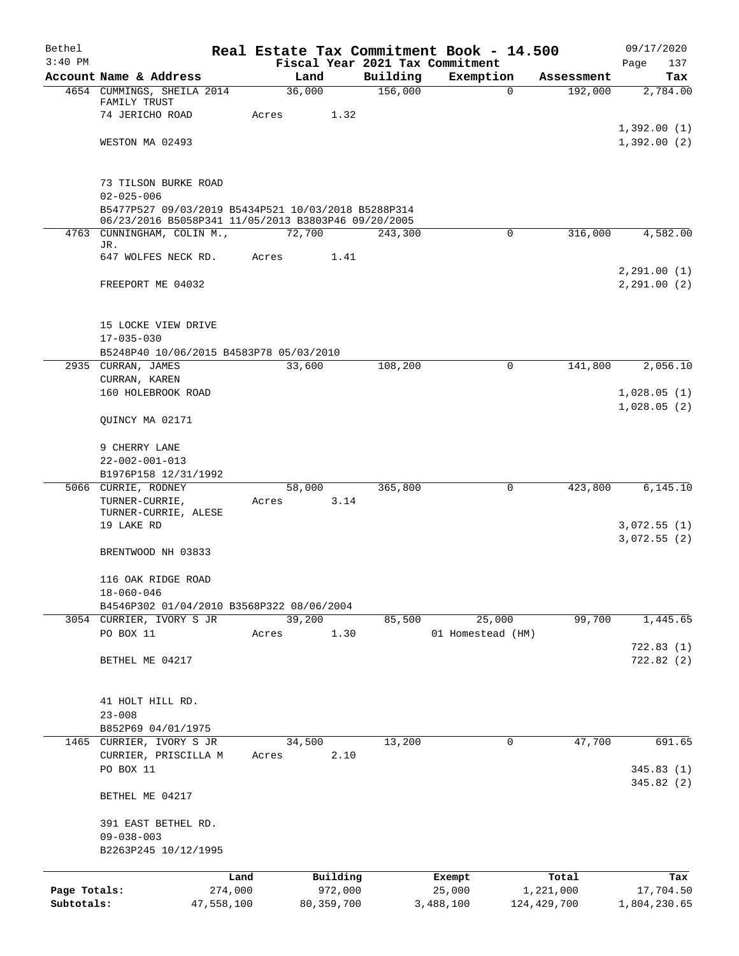| Bethel       |                                                                                                            |            |                 |              |                     | Real Estate Tax Commitment Book - 14.500 |                       | 09/17/2020      |
|--------------|------------------------------------------------------------------------------------------------------------|------------|-----------------|--------------|---------------------|------------------------------------------|-----------------------|-----------------|
| $3:40$ PM    |                                                                                                            |            |                 |              |                     | Fiscal Year 2021 Tax Commitment          |                       | Page<br>137     |
|              | Account Name & Address<br>4654 CUMMINGS, SHEILA 2014                                                       |            | Land<br>36,000  |              | Building<br>156,000 | Exemption<br>$\mathbf 0$                 | Assessment<br>192,000 | Tax<br>2,784.00 |
|              | FAMILY TRUST                                                                                               |            |                 |              |                     |                                          |                       |                 |
|              | 74 JERICHO ROAD                                                                                            |            | Acres           | 1.32         |                     |                                          |                       |                 |
|              |                                                                                                            |            |                 |              |                     |                                          |                       | 1,392.00(1)     |
|              | WESTON MA 02493                                                                                            |            |                 |              |                     |                                          |                       | 1,392.00(2)     |
|              | 73 TILSON BURKE ROAD                                                                                       |            |                 |              |                     |                                          |                       |                 |
|              | $02 - 025 - 006$                                                                                           |            |                 |              |                     |                                          |                       |                 |
|              | B5477P527 09/03/2019 B5434P521 10/03/2018 B5288P314<br>06/23/2016 B5058P341 11/05/2013 B3803P46 09/20/2005 |            |                 |              |                     |                                          |                       |                 |
|              | 4763 CUNNINGHAM, COLIN M.,                                                                                 |            | 72,700          |              | 243,300             | $\mathsf{O}$                             | 316,000               | 4,582.00        |
|              | JR.<br>647 WOLFES NECK RD.                                                                                 |            | Acres           | 1.41         |                     |                                          |                       |                 |
|              |                                                                                                            |            |                 |              |                     |                                          |                       | 2,291.00(1)     |
|              | FREEPORT ME 04032                                                                                          |            |                 |              |                     |                                          |                       | 2,291.00(2)     |
|              | 15 LOCKE VIEW DRIVE                                                                                        |            |                 |              |                     |                                          |                       |                 |
|              | $17 - 035 - 030$                                                                                           |            |                 |              |                     |                                          |                       |                 |
|              | B5248P40 10/06/2015 B4583P78 05/03/2010                                                                    |            |                 |              |                     |                                          |                       |                 |
|              | 2935 CURRAN, JAMES                                                                                         |            | 33,600          |              | 108,200             | 0                                        | 141,800               | 2,056.10        |
|              | CURRAN, KAREN<br>160 HOLEBROOK ROAD                                                                        |            |                 |              |                     |                                          |                       | 1,028.05(1)     |
|              |                                                                                                            |            |                 |              |                     |                                          |                       | 1,028.05(2)     |
|              | QUINCY MA 02171                                                                                            |            |                 |              |                     |                                          |                       |                 |
|              | 9 CHERRY LANE                                                                                              |            |                 |              |                     |                                          |                       |                 |
|              | $22 - 002 - 001 - 013$                                                                                     |            |                 |              |                     |                                          |                       |                 |
|              | B1976P158 12/31/1992                                                                                       |            |                 |              |                     |                                          |                       |                 |
|              | 5066 CURRIE, RODNEY                                                                                        |            | 58,000          |              | 365,800             | 0                                        | 423,800               | 6, 145.10       |
|              | TURNER-CURRIE,<br>TURNER-CURRIE, ALESE                                                                     |            | Acres           | 3.14         |                     |                                          |                       |                 |
|              | 19 LAKE RD                                                                                                 |            |                 |              |                     |                                          |                       | 3,072.55(1)     |
|              |                                                                                                            |            |                 |              |                     |                                          |                       | 3,072.55(2)     |
|              | BRENTWOOD NH 03833                                                                                         |            |                 |              |                     |                                          |                       |                 |
|              | 116 OAK RIDGE ROAD                                                                                         |            |                 |              |                     |                                          |                       |                 |
|              | $18 - 060 - 046$                                                                                           |            |                 |              |                     |                                          |                       |                 |
|              | B4546P302 01/04/2010 B3568P322 08/06/2004                                                                  |            |                 |              |                     |                                          |                       |                 |
|              | 3054 CURRIER, IVORY S JR<br>PO BOX 11                                                                      |            | 39,200<br>Acres | 1.30         | 85,500              | 25,000<br>01 Homestead (HM)              | 99,700                | 1,445.65        |
|              |                                                                                                            |            |                 |              |                     |                                          |                       | 722.83(1)       |
|              | BETHEL ME 04217                                                                                            |            |                 |              |                     |                                          |                       | 722.82(2)       |
|              |                                                                                                            |            |                 |              |                     |                                          |                       |                 |
|              | 41 HOLT HILL RD.                                                                                           |            |                 |              |                     |                                          |                       |                 |
|              | $23 - 008$<br>B852P69 04/01/1975                                                                           |            |                 |              |                     |                                          |                       |                 |
| 1465         | CURRIER, IVORY S JR                                                                                        |            | 34,500          |              | 13,200              | 0                                        | 47,700                | 691.65          |
|              | CURRIER, PRISCILLA M                                                                                       |            | Acres           | 2.10         |                     |                                          |                       |                 |
|              | PO BOX 11                                                                                                  |            |                 |              |                     |                                          |                       | 345.83(1)       |
|              | BETHEL ME 04217                                                                                            |            |                 |              |                     |                                          |                       | 345.82(2)       |
|              | 391 EAST BETHEL RD.                                                                                        |            |                 |              |                     |                                          |                       |                 |
|              | $09 - 038 - 003$                                                                                           |            |                 |              |                     |                                          |                       |                 |
|              | B2263P245 10/12/1995                                                                                       |            |                 |              |                     |                                          |                       |                 |
|              |                                                                                                            | Land       |                 | Building     |                     | Exempt                                   | Total                 | Tax             |
| Page Totals: |                                                                                                            | 274,000    |                 | 972,000      |                     | 25,000                                   | 1,221,000             | 17,704.50       |
| Subtotals:   |                                                                                                            | 47,558,100 |                 | 80, 359, 700 |                     | 3,488,100                                | 124, 429, 700         | 1,804,230.65    |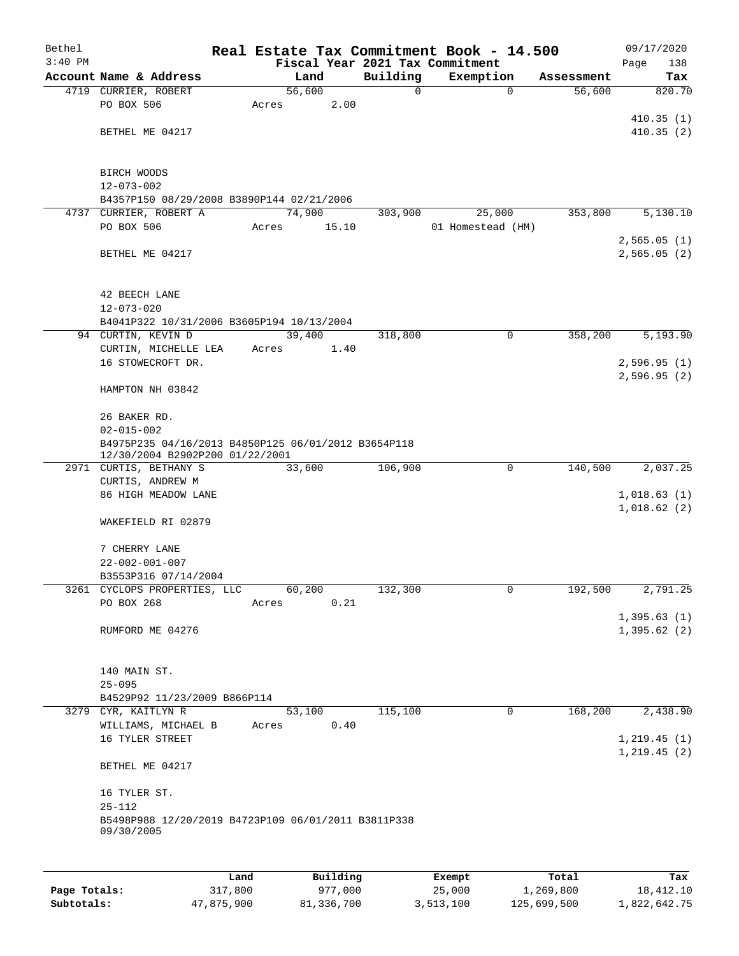| Bethel    |                                                               |       |        |          |          | Real Estate Tax Commitment Book - 14.500 |                |            | 09/17/2020   |        |
|-----------|---------------------------------------------------------------|-------|--------|----------|----------|------------------------------------------|----------------|------------|--------------|--------|
| $3:40$ PM |                                                               |       |        |          |          | Fiscal Year 2021 Tax Commitment          |                |            | Page         | 138    |
|           | Account Name & Address                                        |       | Land   |          | Building | Exemption                                |                | Assessment |              | Tax    |
|           | 4719 CURRIER, ROBERT                                          |       | 56,600 |          | 0        |                                          | $\mathbf 0$    | 56,600     |              | 820.70 |
|           | PO BOX 506                                                    | Acres |        | 2.00     |          |                                          |                |            |              |        |
|           |                                                               |       |        |          |          |                                          |                |            | 410.35(1)    |        |
|           | BETHEL ME 04217                                               |       |        |          |          |                                          |                |            | 410.35(2)    |        |
|           |                                                               |       |        |          |          |                                          |                |            |              |        |
|           |                                                               |       |        |          |          |                                          |                |            |              |        |
|           | BIRCH WOODS                                                   |       |        |          |          |                                          |                |            |              |        |
|           | $12 - 073 - 002$                                              |       |        |          |          |                                          |                |            |              |        |
|           | B4357P150 08/29/2008 B3890P144 02/21/2006                     |       |        |          |          |                                          |                |            |              |        |
|           | 4737 CURRIER, ROBERT A                                        |       | 74,900 |          | 303,900  | 25,000                                   |                | 353,800    | 5,130.10     |        |
|           | PO BOX 506                                                    | Acres |        | 15.10    |          | 01 Homestead (HM)                        |                |            |              |        |
|           |                                                               |       |        |          |          |                                          |                |            | 2,565.05(1)  |        |
|           | BETHEL ME 04217                                               |       |        |          |          |                                          |                |            | 2,565.05(2)  |        |
|           |                                                               |       |        |          |          |                                          |                |            |              |        |
|           |                                                               |       |        |          |          |                                          |                |            |              |        |
|           | 42 BEECH LANE                                                 |       |        |          |          |                                          |                |            |              |        |
|           | $12 - 073 - 020$<br>B4041P322 10/31/2006 B3605P194 10/13/2004 |       |        |          |          |                                          |                |            |              |        |
|           | 94 CURTIN, KEVIN D                                            |       | 39,400 |          | 318,800  |                                          | $\mathbf 0$    | 358,200    | 5,193.90     |        |
|           | CURTIN, MICHELLE LEA                                          | Acres |        | 1.40     |          |                                          |                |            |              |        |
|           | 16 STOWECROFT DR.                                             |       |        |          |          |                                          |                |            | 2,596.95(1)  |        |
|           |                                                               |       |        |          |          |                                          |                |            | 2,596.95(2)  |        |
|           | HAMPTON NH 03842                                              |       |        |          |          |                                          |                |            |              |        |
|           |                                                               |       |        |          |          |                                          |                |            |              |        |
|           | 26 BAKER RD.                                                  |       |        |          |          |                                          |                |            |              |        |
|           | $02 - 015 - 002$                                              |       |        |          |          |                                          |                |            |              |        |
|           | B4975P235 04/16/2013 B4850P125 06/01/2012 B3654P118           |       |        |          |          |                                          |                |            |              |        |
|           | 12/30/2004 B2902P200 01/22/2001                               |       |        |          |          |                                          |                |            |              |        |
|           | 2971 CURTIS, BETHANY S                                        |       | 33,600 |          | 106,900  |                                          | 0              | 140,500    | 2,037.25     |        |
|           | CURTIS, ANDREW M                                              |       |        |          |          |                                          |                |            |              |        |
|           | 86 HIGH MEADOW LANE                                           |       |        |          |          |                                          |                |            | 1,018.63(1)  |        |
|           |                                                               |       |        |          |          |                                          |                |            | 1,018.62(2)  |        |
|           | WAKEFIELD RI 02879                                            |       |        |          |          |                                          |                |            |              |        |
|           |                                                               |       |        |          |          |                                          |                |            |              |        |
|           | 7 CHERRY LANE                                                 |       |        |          |          |                                          |                |            |              |        |
|           | $22 - 002 - 001 - 007$                                        |       |        |          |          |                                          |                |            |              |        |
|           | B3553P316 07/14/2004                                          |       |        |          |          |                                          |                |            |              |        |
|           | 3261 CYCLOPS PROPERTIES, LLC                                  |       | 60,200 |          | 132,300  |                                          | $\overline{0}$ | 192,500    | 2,791.25     |        |
|           | PO BOX 268                                                    | Acres |        | 0.21     |          |                                          |                |            |              |        |
|           |                                                               |       |        |          |          |                                          |                |            | 1,395.63(1)  |        |
|           | RUMFORD ME 04276                                              |       |        |          |          |                                          |                |            | 1,395.62(2)  |        |
|           |                                                               |       |        |          |          |                                          |                |            |              |        |
|           | 140 MAIN ST.                                                  |       |        |          |          |                                          |                |            |              |        |
|           | $25 - 095$                                                    |       |        |          |          |                                          |                |            |              |        |
|           | B4529P92 11/23/2009 B866P114                                  |       |        |          |          |                                          |                |            |              |        |
|           | 3279 CYR, KAITLYN R                                           |       | 53,100 |          | 115,100  |                                          | $\mathbf 0$    | 168,200    | 2,438.90     |        |
|           | WILLIAMS, MICHAEL B                                           | Acres |        | 0.40     |          |                                          |                |            |              |        |
|           | 16 TYLER STREET                                               |       |        |          |          |                                          |                |            | 1, 219.45(1) |        |
|           |                                                               |       |        |          |          |                                          |                |            | 1, 219.45(2) |        |
|           | BETHEL ME 04217                                               |       |        |          |          |                                          |                |            |              |        |
|           |                                                               |       |        |          |          |                                          |                |            |              |        |
|           | 16 TYLER ST.                                                  |       |        |          |          |                                          |                |            |              |        |
|           | $25 - 112$                                                    |       |        |          |          |                                          |                |            |              |        |
|           | B5498P988 12/20/2019 B4723P109 06/01/2011 B3811P338           |       |        |          |          |                                          |                |            |              |        |
|           | 09/30/2005                                                    |       |        |          |          |                                          |                |            |              |        |
|           |                                                               |       |        |          |          |                                          |                |            |              |        |
|           |                                                               |       |        |          |          |                                          |                |            |              |        |
|           |                                                               | Land  |        | Building |          | <b>Fromnt</b>                            |                | $T$ ctal   |              | Tav    |

|              | Land       | Building   | Exempt    | Total       | Tax          |
|--------------|------------|------------|-----------|-------------|--------------|
| Page Totals: | 317,800    | 977,000    | 25,000    | 1,269,800   | 18,412.10    |
| Subtotals:   | 47,875,900 | 81,336,700 | 3,513,100 | 125,699,500 | 1,822,642.75 |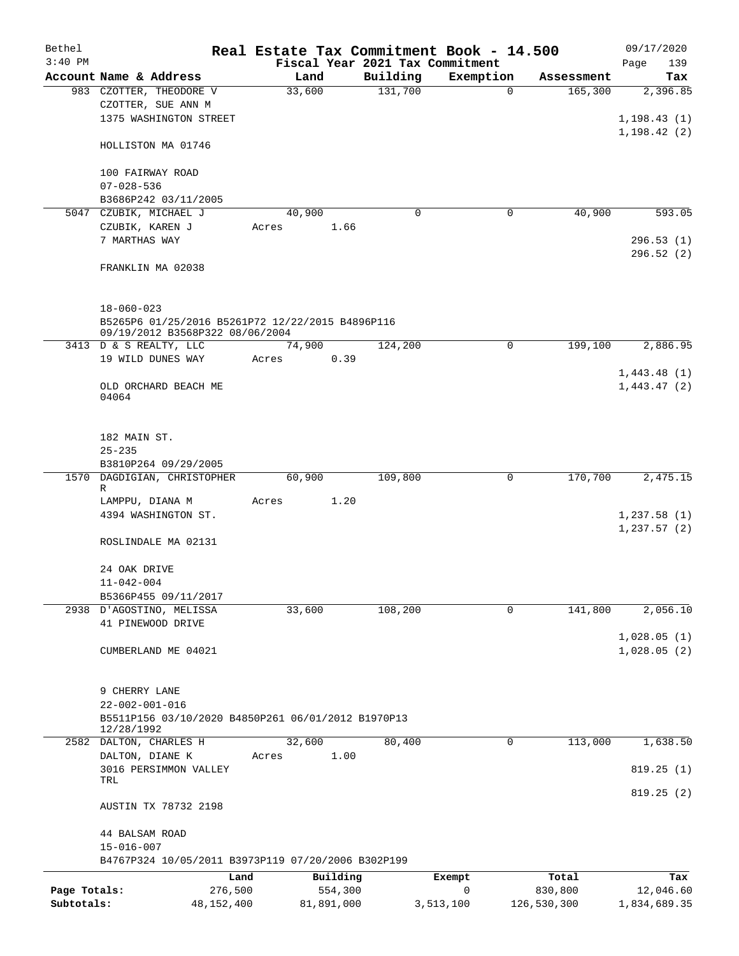| Bethel       |                                                                                     |        |            |                                 | Real Estate Tax Commitment Book - 14.500 |             | 09/17/2020   |
|--------------|-------------------------------------------------------------------------------------|--------|------------|---------------------------------|------------------------------------------|-------------|--------------|
| $3:40$ PM    |                                                                                     |        |            | Fiscal Year 2021 Tax Commitment |                                          |             | Page<br>139  |
|              | Account Name & Address                                                              | Land   |            | Building                        | Exemption                                | Assessment  | Tax          |
|              | 983 CZOTTER, THEODORE V                                                             | 33,600 |            | 131,700                         | $\mathbf 0$                              | 165,300     | 2,396.85     |
|              | CZOTTER, SUE ANN M                                                                  |        |            |                                 |                                          |             |              |
|              | 1375 WASHINGTON STREET                                                              |        |            |                                 |                                          |             | 1, 198.43(1) |
|              | HOLLISTON MA 01746                                                                  |        |            |                                 |                                          |             | 1, 198.42(2) |
|              | 100 FAIRWAY ROAD                                                                    |        |            |                                 |                                          |             |              |
|              | $07 - 028 - 536$                                                                    |        |            |                                 |                                          |             |              |
|              | B3686P242 03/11/2005                                                                |        |            |                                 |                                          |             |              |
|              | 5047 CZUBIK, MICHAEL J                                                              | 40,900 |            | $\Omega$                        | $\mathbf 0$                              | 40,900      | 593.05       |
|              | CZUBIK, KAREN J                                                                     | Acres  | 1.66       |                                 |                                          |             |              |
|              | 7 MARTHAS WAY                                                                       |        |            |                                 |                                          |             | 296.53(1)    |
|              | FRANKLIN MA 02038                                                                   |        |            |                                 |                                          |             | 296.52(2)    |
|              |                                                                                     |        |            |                                 |                                          |             |              |
|              | $18 - 060 - 023$                                                                    |        |            |                                 |                                          |             |              |
|              | B5265P6 01/25/2016 B5261P72 12/22/2015 B4896P116<br>09/19/2012 B3568P322 08/06/2004 |        |            |                                 |                                          |             |              |
|              | 3413 D & S REALTY, LLC                                                              | 74,900 |            | 124,200                         | 0                                        | 199,100     | 2,886.95     |
|              | 19 WILD DUNES WAY                                                                   | Acres  | 0.39       |                                 |                                          |             |              |
|              |                                                                                     |        |            |                                 |                                          |             | 1,443.48(1)  |
|              | OLD ORCHARD BEACH ME                                                                |        |            |                                 |                                          |             | 1,443.47(2)  |
|              | 04064                                                                               |        |            |                                 |                                          |             |              |
|              | 182 MAIN ST.                                                                        |        |            |                                 |                                          |             |              |
|              | $25 - 235$                                                                          |        |            |                                 |                                          |             |              |
|              | B3810P264 09/29/2005                                                                |        |            |                                 |                                          |             |              |
|              | 1570 DAGDIGIAN, CHRISTOPHER                                                         | 60,900 |            | 109,800                         | $\mathbf 0$                              | 170,700     | 2,475.15     |
|              | R                                                                                   |        |            |                                 |                                          |             |              |
|              | LAMPPU, DIANA M                                                                     | Acres  | 1.20       |                                 |                                          |             |              |
|              | 4394 WASHINGTON ST.                                                                 |        |            |                                 |                                          |             | 1,237.58(1)  |
|              |                                                                                     |        |            |                                 |                                          |             | 1, 237.57(2) |
|              | ROSLINDALE MA 02131                                                                 |        |            |                                 |                                          |             |              |
|              | 24 OAK DRIVE                                                                        |        |            |                                 |                                          |             |              |
|              | $11 - 042 - 004$                                                                    |        |            |                                 |                                          |             |              |
|              | B5366P455 09/11/2017                                                                |        |            |                                 |                                          |             |              |
|              | 2938 D'AGOSTINO, MELISSA                                                            | 33,600 |            | 108,200                         | 0                                        | 141,800     | 2,056.10     |
|              | 41 PINEWOOD DRIVE                                                                   |        |            |                                 |                                          |             |              |
|              |                                                                                     |        |            |                                 |                                          |             | 1,028.05(1)  |
|              | CUMBERLAND ME 04021                                                                 |        |            |                                 |                                          |             | 1,028.05(2)  |
|              | 9 CHERRY LANE                                                                       |        |            |                                 |                                          |             |              |
|              | $22 - 002 - 001 - 016$                                                              |        |            |                                 |                                          |             |              |
|              | B5511P156 03/10/2020 B4850P261 06/01/2012 B1970P13                                  |        |            |                                 |                                          |             |              |
|              | 12/28/1992                                                                          |        |            |                                 |                                          |             |              |
|              | 2582 DALTON, CHARLES H                                                              | 32,600 |            | 80,400                          | 0                                        | 113,000     | 1,638.50     |
|              | DALTON, DIANE K                                                                     | Acres  | 1.00       |                                 |                                          |             |              |
|              | 3016 PERSIMMON VALLEY                                                               |        |            |                                 |                                          |             | 819.25(1)    |
|              | TRL                                                                                 |        |            |                                 |                                          |             |              |
|              | AUSTIN TX 78732 2198                                                                |        |            |                                 |                                          |             | 819.25(2)    |
|              | 44 BALSAM ROAD                                                                      |        |            |                                 |                                          |             |              |
|              | $15 - 016 - 007$                                                                    |        |            |                                 |                                          |             |              |
|              | B4767P324 10/05/2011 B3973P119 07/20/2006 B302P199                                  |        |            |                                 |                                          |             |              |
|              | Land                                                                                |        | Building   |                                 | Exempt                                   | Total       | Tax          |
| Page Totals: | 276,500                                                                             |        | 554,300    |                                 | $\mathbf 0$                              | 830,800     | 12,046.60    |
| Subtotals:   | 48, 152, 400                                                                        |        | 81,891,000 |                                 | 3,513,100                                | 126,530,300 | 1,834,689.35 |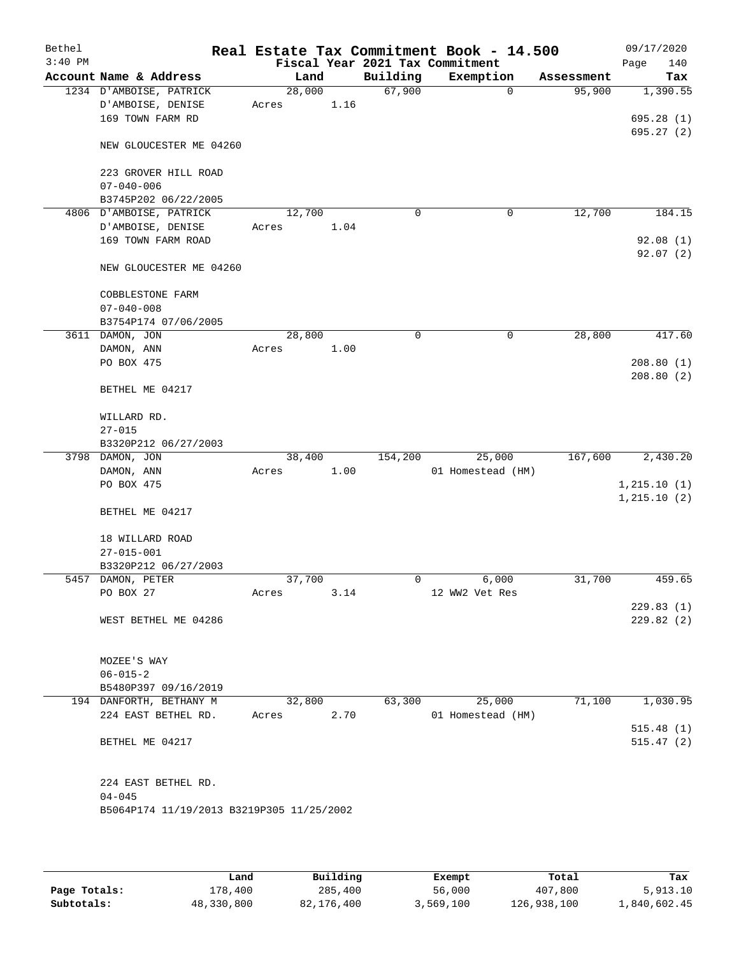| Bethel<br>$3:40$ PM |                                           |        |      | Fiscal Year 2021 Tax Commitment | Real Estate Tax Commitment Book - 14.500 |            | 09/17/2020<br>Page<br>140 |
|---------------------|-------------------------------------------|--------|------|---------------------------------|------------------------------------------|------------|---------------------------|
|                     | Account Name & Address                    | Land   |      | Building                        | Exemption                                | Assessment | Tax                       |
|                     | 1234 D'AMBOISE, PATRICK                   | 28,000 |      | 67,900                          | $\mathbf 0$                              | 95,900     | 1,390.55                  |
|                     | D'AMBOISE, DENISE                         | Acres  | 1.16 |                                 |                                          |            |                           |
|                     | 169 TOWN FARM RD                          |        |      |                                 |                                          |            | 695.28(1)                 |
|                     | NEW GLOUCESTER ME 04260                   |        |      |                                 |                                          |            | 695.27(2)                 |
|                     | 223 GROVER HILL ROAD<br>$07 - 040 - 006$  |        |      |                                 |                                          |            |                           |
|                     | B3745P202 06/22/2005                      |        |      |                                 |                                          |            |                           |
|                     | 4806 D'AMBOISE, PATRICK                   | 12,700 |      | 0                               | 0                                        | 12,700     | 184.15                    |
|                     | D'AMBOISE, DENISE                         | Acres  | 1.04 |                                 |                                          |            |                           |
|                     | 169 TOWN FARM ROAD                        |        |      |                                 |                                          |            | 92.08(1)                  |
|                     | NEW GLOUCESTER ME 04260                   |        |      |                                 |                                          |            | 92.07(2)                  |
|                     | COBBLESTONE FARM                          |        |      |                                 |                                          |            |                           |
|                     | $07 - 040 - 008$                          |        |      |                                 |                                          |            |                           |
|                     | B3754P174 07/06/2005<br>3611 DAMON, JON   | 28,800 |      | 0                               | 0                                        | 28,800     | 417.60                    |
|                     | DAMON, ANN                                | Acres  | 1.00 |                                 |                                          |            |                           |
|                     | PO BOX 475                                |        |      |                                 |                                          |            | 208.80(1)                 |
|                     | BETHEL ME 04217                           |        |      |                                 |                                          |            | 208.80(2)                 |
|                     |                                           |        |      |                                 |                                          |            |                           |
|                     | WILLARD RD.                               |        |      |                                 |                                          |            |                           |
|                     | $27 - 015$                                |        |      |                                 |                                          |            |                           |
|                     | B3320P212 06/27/2003<br>3798 DAMON, JON   | 38,400 |      | 154,200                         | 25,000                                   | 167,600    | 2,430.20                  |
|                     | DAMON, ANN                                | Acres  | 1.00 |                                 | 01 Homestead (HM)                        |            |                           |
|                     | PO BOX 475                                |        |      |                                 |                                          |            | 1,215.10(1)               |
|                     |                                           |        |      |                                 |                                          |            | 1, 215.10(2)              |
|                     | BETHEL ME 04217                           |        |      |                                 |                                          |            |                           |
|                     | 18 WILLARD ROAD                           |        |      |                                 |                                          |            |                           |
|                     | $27 - 015 - 001$                          |        |      |                                 |                                          |            |                           |
|                     | B3320P212 06/27/2003                      |        |      |                                 |                                          |            |                           |
|                     | 5457 DAMON, PETER                         | 37,700 |      | 0                               | 6,000                                    | 31,700     | 459.65                    |
|                     | PO BOX 27                                 | Acres  | 3.14 |                                 | 12 WW2 Vet Res                           |            |                           |
|                     | WEST BETHEL ME 04286                      |        |      |                                 |                                          |            | 229.83(1)<br>229.82(2)    |
|                     |                                           |        |      |                                 |                                          |            |                           |
|                     | MOZEE'S WAY                               |        |      |                                 |                                          |            |                           |
|                     | $06 - 015 - 2$                            |        |      |                                 |                                          |            |                           |
|                     | B5480P397 09/16/2019                      |        |      |                                 |                                          |            |                           |
|                     | 194 DANFORTH, BETHANY M                   | 32,800 |      | 63,300                          | 25,000                                   | 71,100     | 1,030.95                  |
|                     | 224 EAST BETHEL RD.                       | Acres  | 2.70 |                                 | 01 Homestead (HM)                        |            |                           |
|                     |                                           |        |      |                                 |                                          |            | 515.48(1)                 |
|                     | BETHEL ME 04217                           |        |      |                                 |                                          |            | 515.47(2)                 |
|                     | 224 EAST BETHEL RD.                       |        |      |                                 |                                          |            |                           |
|                     | $04 - 045$                                |        |      |                                 |                                          |            |                           |
|                     | B5064P174 11/19/2013 B3219P305 11/25/2002 |        |      |                                 |                                          |            |                           |
|                     |                                           |        |      |                                 |                                          |            |                           |

|              | Land       | Building   | Exempt    | Total       | Tax          |
|--------------|------------|------------|-----------|-------------|--------------|
| Page Totals: | 178,400    | 285,400    | 56,000    | 407,800     | 5,913.10     |
| Subtotals:   | 48,330,800 | 82,176,400 | 3,569,100 | 126,938,100 | 1,840,602.45 |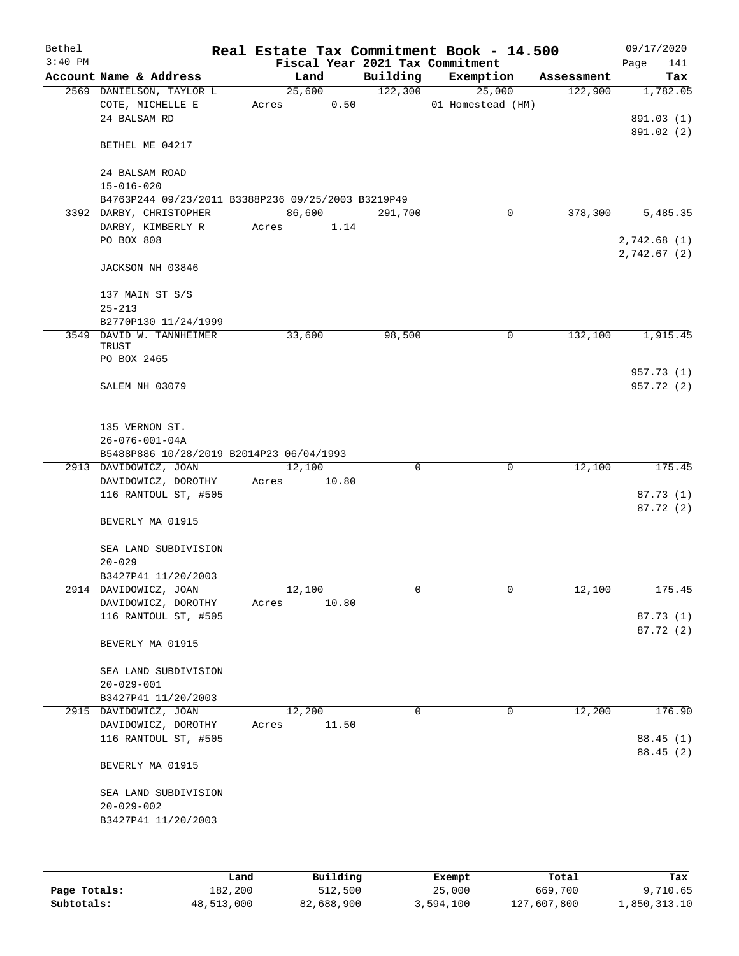| Bethel    |                                                    |      |       |        |          |          | Real Estate Tax Commitment Book - 14.500 |            |      | 09/17/2020             |
|-----------|----------------------------------------------------|------|-------|--------|----------|----------|------------------------------------------|------------|------|------------------------|
| $3:40$ PM |                                                    |      |       |        |          |          | Fiscal Year 2021 Tax Commitment          |            | Page | 141                    |
|           | Account Name & Address                             |      |       | Land   |          | Building | Exemption                                | Assessment |      | Tax                    |
|           | 2569 DANIELSON, TAYLOR L                           |      |       | 25,600 |          | 122,300  | 25,000                                   | 122,900    |      | 1,782.05               |
|           | COTE, MICHELLE E                                   |      | Acres |        | 0.50     |          | 01 Homestead (HM)                        |            |      |                        |
|           | 24 BALSAM RD                                       |      |       |        |          |          |                                          |            |      | 891.03 (1)             |
|           | BETHEL ME 04217                                    |      |       |        |          |          |                                          |            |      | 891.02 (2)             |
|           | 24 BALSAM ROAD                                     |      |       |        |          |          |                                          |            |      |                        |
|           | $15 - 016 - 020$                                   |      |       |        |          |          |                                          |            |      |                        |
|           | B4763P244 09/23/2011 B3388P236 09/25/2003 B3219P49 |      |       |        |          |          |                                          |            |      |                        |
|           | 3392 DARBY, CHRISTOPHER                            |      |       | 86,600 |          | 291,700  | 0                                        | 378,300    |      | 5,485.35               |
|           | DARBY, KIMBERLY R                                  |      | Acres |        | 1.14     |          |                                          |            |      |                        |
|           | PO BOX 808                                         |      |       |        |          |          |                                          |            |      | 2,742.68(1)            |
|           |                                                    |      |       |        |          |          |                                          |            |      | 2,742.67(2)            |
|           | JACKSON NH 03846                                   |      |       |        |          |          |                                          |            |      |                        |
|           | 137 MAIN ST S/S                                    |      |       |        |          |          |                                          |            |      |                        |
|           | $25 - 213$                                         |      |       |        |          |          |                                          |            |      |                        |
|           | B2770P130 11/24/1999                               |      |       |        |          |          |                                          |            |      |                        |
|           | 3549 DAVID W. TANNHEIMER                           |      |       | 33,600 |          | 98,500   | 0                                        | 132,100    |      | 1,915.45               |
|           | TRUST                                              |      |       |        |          |          |                                          |            |      |                        |
|           | PO BOX 2465                                        |      |       |        |          |          |                                          |            |      |                        |
|           |                                                    |      |       |        |          |          |                                          |            |      | 957.73 (1)             |
|           | SALEM NH 03079                                     |      |       |        |          |          |                                          |            |      | 957.72 (2)             |
|           |                                                    |      |       |        |          |          |                                          |            |      |                        |
|           | 135 VERNON ST.                                     |      |       |        |          |          |                                          |            |      |                        |
|           | $26 - 076 - 001 - 04A$                             |      |       |        |          |          |                                          |            |      |                        |
|           | B5488P886 10/28/2019 B2014P23 06/04/1993           |      |       |        |          |          |                                          |            |      |                        |
|           | 2913 DAVIDOWICZ, JOAN                              |      |       | 12,100 |          | 0        | 0                                        | 12,100     |      | 175.45                 |
|           | DAVIDOWICZ, DOROTHY                                |      | Acres |        | 10.80    |          |                                          |            |      |                        |
|           | 116 RANTOUL ST, #505                               |      |       |        |          |          |                                          |            |      | 87.73 (1)<br>87.72 (2) |
|           | BEVERLY MA 01915                                   |      |       |        |          |          |                                          |            |      |                        |
|           |                                                    |      |       |        |          |          |                                          |            |      |                        |
|           | SEA LAND SUBDIVISION                               |      |       |        |          |          |                                          |            |      |                        |
|           | $20 - 029$                                         |      |       |        |          |          |                                          |            |      |                        |
|           | B3427P41 11/20/2003                                |      |       |        |          |          |                                          |            |      |                        |
|           | 2914 DAVIDOWICZ, JOAN                              |      |       | 12,100 |          | 0        | 0                                        | 12,100     |      | 175.45                 |
|           | DAVIDOWICZ, DOROTHY                                |      | Acres |        | 10.80    |          |                                          |            |      |                        |
|           | 116 RANTOUL ST, #505                               |      |       |        |          |          |                                          |            |      | 87.73 (1)              |
|           | BEVERLY MA 01915                                   |      |       |        |          |          |                                          |            |      | 87.72(2)               |
|           |                                                    |      |       |        |          |          |                                          |            |      |                        |
|           | SEA LAND SUBDIVISION                               |      |       |        |          |          |                                          |            |      |                        |
|           | $20 - 029 - 001$                                   |      |       |        |          |          |                                          |            |      |                        |
|           | B3427P41 11/20/2003                                |      |       |        |          |          |                                          |            |      |                        |
| 2915      | DAVIDOWICZ, JOAN                                   |      |       | 12,200 |          | 0        | 0                                        | 12,200     |      | 176.90                 |
|           | DAVIDOWICZ, DOROTHY                                |      | Acres |        | 11.50    |          |                                          |            |      |                        |
|           | 116 RANTOUL ST, #505                               |      |       |        |          |          |                                          |            |      | 88.45(1)               |
|           | BEVERLY MA 01915                                   |      |       |        |          |          |                                          |            |      | 88.45 (2)              |
|           |                                                    |      |       |        |          |          |                                          |            |      |                        |
|           | SEA LAND SUBDIVISION                               |      |       |        |          |          |                                          |            |      |                        |
|           | $20 - 029 - 002$                                   |      |       |        |          |          |                                          |            |      |                        |
|           | B3427P41 11/20/2003                                |      |       |        |          |          |                                          |            |      |                        |
|           |                                                    |      |       |        |          |          |                                          |            |      |                        |
|           |                                                    |      |       |        |          |          |                                          |            |      |                        |
|           |                                                    | Land |       |        | Building |          | Exempt                                   | Total      |      | Tax                    |

|              | Land       | Building   | Exempt    | Total       | тах          |
|--------------|------------|------------|-----------|-------------|--------------|
| Page Totals: | 182,200    | 512,500    | 25,000    | 669,700     | 9,710.65     |
| Subtotals:   | 48,513,000 | 82,688,900 | 3,594,100 | 127,607,800 | 1,850,313.10 |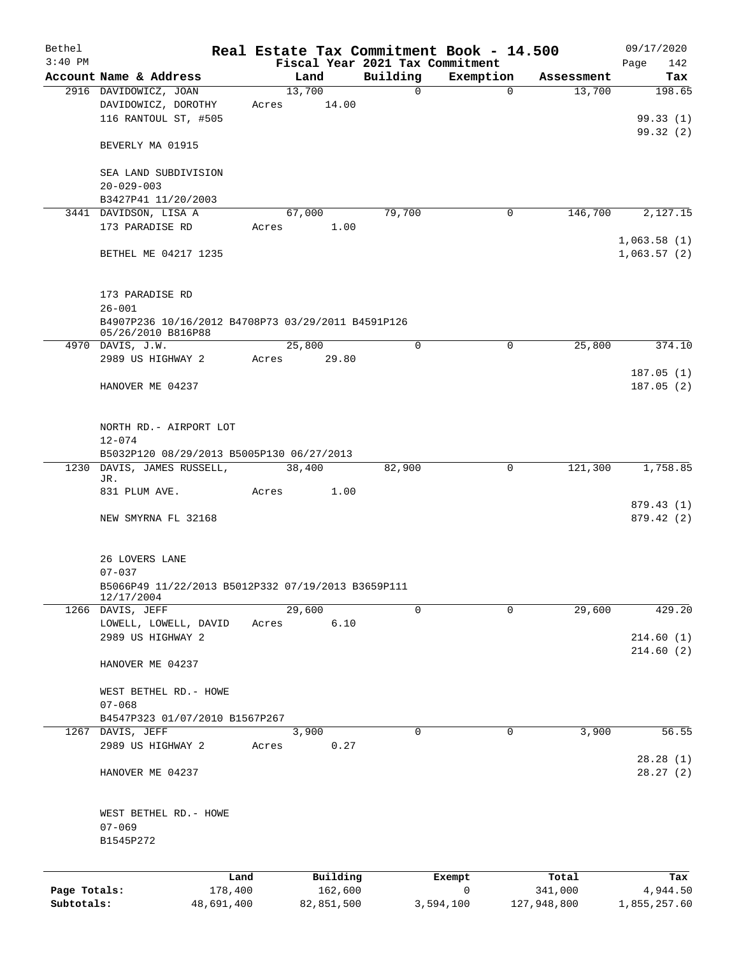| Bethel       |                                                    |       |                 |                                 | Real Estate Tax Commitment Book - 14.500 |             | 09/17/2020             |
|--------------|----------------------------------------------------|-------|-----------------|---------------------------------|------------------------------------------|-------------|------------------------|
| $3:40$ PM    |                                                    |       |                 | Fiscal Year 2021 Tax Commitment |                                          |             | 142<br>Page            |
|              | Account Name & Address                             |       | Land            | Building                        | Exemption                                | Assessment  | Tax<br>198.65          |
|              | 2916 DAVIDOWICZ, JOAN<br>DAVIDOWICZ, DOROTHY       | Acres | 13,700<br>14.00 | $\mathbf 0$                     | $\Omega$                                 | 13,700      |                        |
|              | 116 RANTOUL ST, #505                               |       |                 |                                 |                                          |             | 99.33(1)               |
|              |                                                    |       |                 |                                 |                                          |             | 99.32(2)               |
|              | BEVERLY MA 01915                                   |       |                 |                                 |                                          |             |                        |
|              | SEA LAND SUBDIVISION                               |       |                 |                                 |                                          |             |                        |
|              | $20 - 029 - 003$                                   |       |                 |                                 |                                          |             |                        |
|              | B3427P41 11/20/2003                                |       |                 |                                 |                                          |             |                        |
|              | 3441 DAVIDSON, LISA A                              |       | 67,000          | 79,700                          | 0                                        | 146,700     | 2,127.15               |
|              | 173 PARADISE RD                                    | Acres | 1.00            |                                 |                                          |             |                        |
|              |                                                    |       |                 |                                 |                                          |             | 1,063.58(1)            |
|              | BETHEL ME 04217 1235                               |       |                 |                                 |                                          |             | 1,063.57(2)            |
|              | 173 PARADISE RD                                    |       |                 |                                 |                                          |             |                        |
|              | $26 - 001$                                         |       |                 |                                 |                                          |             |                        |
|              | B4907P236 10/16/2012 B4708P73 03/29/2011 B4591P126 |       |                 |                                 |                                          |             |                        |
|              | 05/26/2010 B816P88                                 |       | 25,800          | $\mathbf 0$                     | $\mathbf 0$                              | 25,800      |                        |
|              | 4970 DAVIS, J.W.<br>2989 US HIGHWAY 2              | Acres | 29.80           |                                 |                                          |             | 374.10                 |
|              |                                                    |       |                 |                                 |                                          |             | 187.05(1)              |
|              | HANOVER ME 04237                                   |       |                 |                                 |                                          |             | 187.05(2)              |
|              |                                                    |       |                 |                                 |                                          |             |                        |
|              | NORTH RD. - AIRPORT LOT                            |       |                 |                                 |                                          |             |                        |
|              | $12 - 074$                                         |       |                 |                                 |                                          |             |                        |
|              | B5032P120 08/29/2013 B5005P130 06/27/2013          |       |                 |                                 |                                          |             |                        |
| 1230         | DAVIS, JAMES RUSSELL,                              |       | 38,400          | 82,900                          | $\mathbf 0$                              | 121,300     | 1,758.85               |
|              | JR.                                                |       |                 |                                 |                                          |             |                        |
|              | 831 PLUM AVE.                                      | Acres | 1.00            |                                 |                                          |             |                        |
|              | NEW SMYRNA FL 32168                                |       |                 |                                 |                                          |             | 879.43(1)              |
|              |                                                    |       |                 |                                 |                                          |             | 879.42 (2)             |
|              | 26 LOVERS LANE                                     |       |                 |                                 |                                          |             |                        |
|              | $07 - 037$                                         |       |                 |                                 |                                          |             |                        |
|              | B5066P49 11/22/2013 B5012P332 07/19/2013 B3659P111 |       |                 |                                 |                                          |             |                        |
|              | 12/17/2004                                         |       |                 |                                 |                                          |             |                        |
|              | 1266 DAVIS, JEFF                                   |       | 29,600          | $\Omega$                        | $\Omega$                                 | 29,600      | 429.20                 |
|              | LOWELL, LOWELL, DAVID                              | Acres | 6.10            |                                 |                                          |             |                        |
|              | 2989 US HIGHWAY 2                                  |       |                 |                                 |                                          |             | 214.60(1)<br>214.60(2) |
|              | HANOVER ME 04237                                   |       |                 |                                 |                                          |             |                        |
|              | WEST BETHEL RD. - HOWE                             |       |                 |                                 |                                          |             |                        |
|              | $07 - 068$                                         |       |                 |                                 |                                          |             |                        |
|              | B4547P323 01/07/2010 B1567P267                     |       |                 |                                 |                                          |             |                        |
|              | 1267 DAVIS, JEFF                                   |       | 3,900           | 0                               | 0                                        | 3,900       | 56.55                  |
|              | 2989 US HIGHWAY 2                                  | Acres | 0.27            |                                 |                                          |             | 28.28(1)               |
|              | HANOVER ME 04237                                   |       |                 |                                 |                                          |             | 28.27(2)               |
|              |                                                    |       |                 |                                 |                                          |             |                        |
|              | WEST BETHEL RD. - HOWE                             |       |                 |                                 |                                          |             |                        |
|              | $07 - 069$                                         |       |                 |                                 |                                          |             |                        |
|              | B1545P272                                          |       |                 |                                 |                                          |             |                        |
|              |                                                    | Land  | Building        |                                 | Exempt                                   | Total       | Tax                    |
| Page Totals: | 178,400                                            |       | 162,600         |                                 | 0                                        | 341,000     | 4,944.50               |
| Subtotals:   | 48,691,400                                         |       | 82,851,500      |                                 | 3,594,100                                | 127,948,800 | 1,855,257.60           |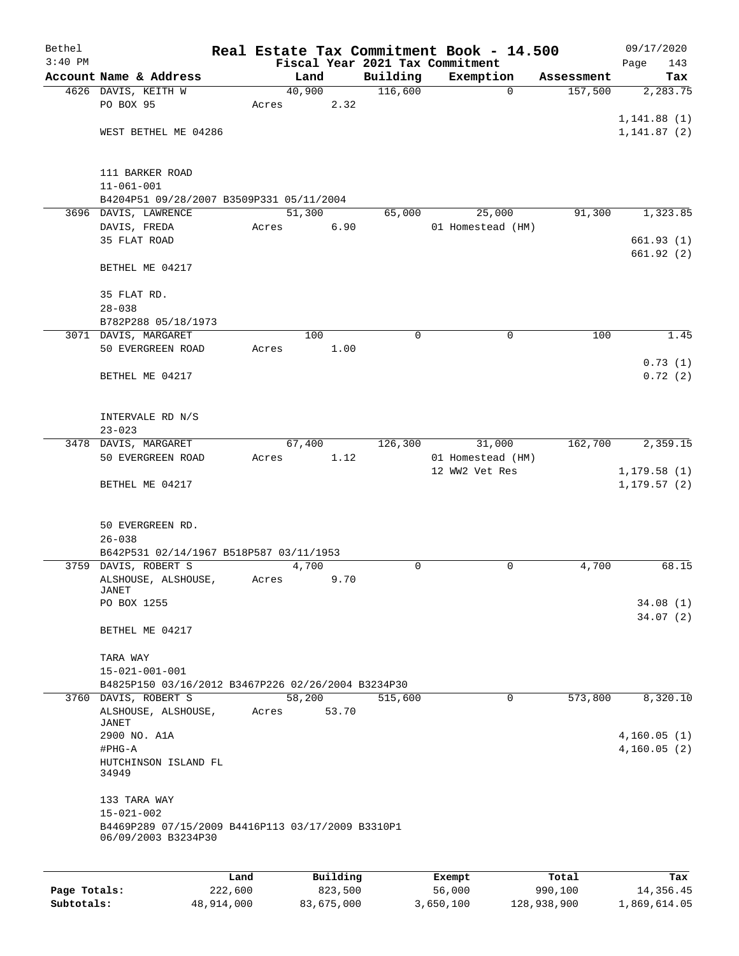| Bethel       |                                                                          |                 |            | Real Estate Tax Commitment Book - 14.500 |                  |                   |                  | 09/17/2020                   |
|--------------|--------------------------------------------------------------------------|-----------------|------------|------------------------------------------|------------------|-------------------|------------------|------------------------------|
| $3:40$ PM    |                                                                          |                 |            | Fiscal Year 2021 Tax Commitment          |                  |                   |                  | 143<br>Page                  |
|              | Account Name & Address                                                   | Land            |            | Building                                 |                  | Exemption         | Assessment       | Tax                          |
|              | 4626 DAVIS, KEITH W<br>PO BOX 95                                         | 40,900<br>Acres | 2.32       | 116,600                                  |                  | $\mathbf 0$       | 157,500          | 2,283.75                     |
|              |                                                                          |                 |            |                                          |                  |                   |                  | 1, 141.88(1)                 |
|              | WEST BETHEL ME 04286                                                     |                 |            |                                          |                  |                   |                  | 1, 141.87(2)                 |
|              |                                                                          |                 |            |                                          |                  |                   |                  |                              |
|              | 111 BARKER ROAD                                                          |                 |            |                                          |                  |                   |                  |                              |
|              | $11 - 061 - 001$                                                         |                 |            |                                          |                  |                   |                  |                              |
|              | B4204P51 09/28/2007 B3509P331 05/11/2004                                 |                 |            |                                          |                  |                   |                  |                              |
|              | 3696 DAVIS, LAWRENCE                                                     | 51,300          |            | 65,000                                   |                  | 25,000            | 91,300           | 1,323.85                     |
|              | DAVIS, FREDA                                                             | Acres           | 6.90       |                                          |                  | 01 Homestead (HM) |                  |                              |
|              | 35 FLAT ROAD                                                             |                 |            |                                          |                  |                   |                  | 661.93(1)                    |
|              | BETHEL ME 04217                                                          |                 |            |                                          |                  |                   |                  | 661.92 (2)                   |
|              |                                                                          |                 |            |                                          |                  |                   |                  |                              |
|              | 35 FLAT RD.<br>$28 - 038$                                                |                 |            |                                          |                  |                   |                  |                              |
|              | B782P288 05/18/1973                                                      |                 |            |                                          |                  |                   |                  |                              |
|              | 3071 DAVIS, MARGARET                                                     |                 | 100        | 0                                        |                  | $\mathbf 0$       | 100              | 1.45                         |
|              | 50 EVERGREEN ROAD                                                        | Acres           | 1.00       |                                          |                  |                   |                  |                              |
|              |                                                                          |                 |            |                                          |                  |                   |                  | 0.73(1)                      |
|              | BETHEL ME 04217                                                          |                 |            |                                          |                  |                   |                  | 0.72(2)                      |
|              |                                                                          |                 |            |                                          |                  |                   |                  |                              |
|              |                                                                          |                 |            |                                          |                  |                   |                  |                              |
|              | INTERVALE RD N/S                                                         |                 |            |                                          |                  |                   |                  |                              |
|              | $23 - 023$<br>3478 DAVIS, MARGARET                                       | 67,400          |            | 126,300                                  |                  | 31,000            | 162,700          | 2,359.15                     |
|              | 50 EVERGREEN ROAD                                                        | Acres           | 1.12       |                                          |                  | 01 Homestead (HM) |                  |                              |
|              |                                                                          |                 |            |                                          |                  | 12 WW2 Vet Res    |                  | 1, 179.58(1)                 |
|              | BETHEL ME 04217                                                          |                 |            |                                          |                  |                   |                  | 1, 179.57(2)                 |
|              |                                                                          |                 |            |                                          |                  |                   |                  |                              |
|              | 50 EVERGREEN RD.                                                         |                 |            |                                          |                  |                   |                  |                              |
|              | $26 - 038$                                                               |                 |            |                                          |                  |                   |                  |                              |
|              | B642P531 02/14/1967 B518P587 03/11/1953                                  |                 |            |                                          |                  |                   |                  |                              |
|              | 3759 DAVIS, ROBERT S                                                     | 4,700           |            | 0                                        |                  | 0                 | 4,700            | 68.15                        |
|              | ALSHOUSE, ALSHOUSE,                                                      | Acres           | 9.70       |                                          |                  |                   |                  |                              |
|              | <b>JANET</b><br>PO BOX 1255                                              |                 |            |                                          |                  |                   |                  | 34.08(1)                     |
|              |                                                                          |                 |            |                                          |                  |                   |                  | 34.07(2)                     |
|              | BETHEL ME 04217                                                          |                 |            |                                          |                  |                   |                  |                              |
|              | TARA WAY                                                                 |                 |            |                                          |                  |                   |                  |                              |
|              | $15 - 021 - 001 - 001$                                                   |                 |            |                                          |                  |                   |                  |                              |
|              | B4825P150 03/16/2012 B3467P226 02/26/2004 B3234P30                       |                 |            |                                          |                  |                   |                  |                              |
|              | 3760 DAVIS, ROBERT S                                                     | 58,200          |            | 515,600                                  |                  | 0                 | 573,800          | 8,320.10                     |
|              | ALSHOUSE, ALSHOUSE,                                                      | Acres           | 53.70      |                                          |                  |                   |                  |                              |
|              | <b>JANET</b>                                                             |                 |            |                                          |                  |                   |                  |                              |
|              | 2900 NO. A1A<br>#PHG-A                                                   |                 |            |                                          |                  |                   |                  | 4, 160.05(1)<br>4, 160.05(2) |
|              | HUTCHINSON ISLAND FL                                                     |                 |            |                                          |                  |                   |                  |                              |
|              | 34949                                                                    |                 |            |                                          |                  |                   |                  |                              |
|              | 133 TARA WAY                                                             |                 |            |                                          |                  |                   |                  |                              |
|              | $15 - 021 - 002$                                                         |                 |            |                                          |                  |                   |                  |                              |
|              | B4469P289 07/15/2009 B4416P113 03/17/2009 B3310P1<br>06/09/2003 B3234P30 |                 |            |                                          |                  |                   |                  |                              |
|              | Land                                                                     |                 | Building   |                                          |                  |                   |                  |                              |
| Page Totals: | 222,600                                                                  |                 | 823,500    |                                          | Exempt<br>56,000 |                   | Total<br>990,100 | Tax<br>14,356.45             |
| Subtotals:   | 48,914,000                                                               |                 | 83,675,000 |                                          | 3,650,100        |                   | 128,938,900      | 1,869,614.05                 |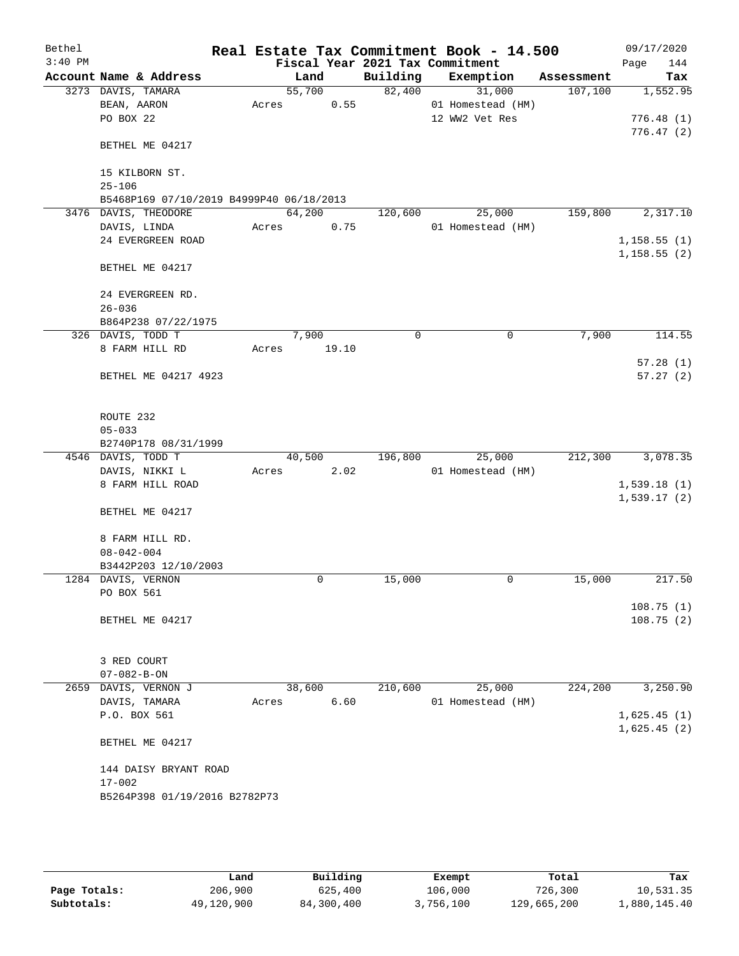| Bethel<br>$3:40$ PM |                                                        |       |        |       | Fiscal Year 2021 Tax Commitment | Real Estate Tax Commitment Book - 14.500 |            | 09/17/2020<br>Page<br>144 |
|---------------------|--------------------------------------------------------|-------|--------|-------|---------------------------------|------------------------------------------|------------|---------------------------|
|                     | Account Name & Address                                 |       | Land   |       | Building                        | Exemption                                | Assessment | Tax                       |
|                     | 3273 DAVIS, TAMARA                                     |       | 55,700 |       | 82,400                          | 31,000                                   | 107,100    | 1,552.95                  |
|                     | BEAN, AARON                                            | Acres |        | 0.55  |                                 | 01 Homestead (HM)                        |            |                           |
|                     | PO BOX 22                                              |       |        |       |                                 | 12 WW2 Vet Res                           |            | 776.48(1)                 |
|                     | BETHEL ME 04217                                        |       |        |       |                                 |                                          |            | 776.47 (2)                |
|                     | 15 KILBORN ST.                                         |       |        |       |                                 |                                          |            |                           |
|                     | $25 - 106$<br>B5468P169 07/10/2019 B4999P40 06/18/2013 |       |        |       |                                 |                                          |            |                           |
|                     | 3476 DAVIS, THEODORE                                   |       | 64,200 |       | 120,600                         | 25,000                                   | 159,800    | 2,317.10                  |
|                     | DAVIS, LINDA                                           | Acres |        | 0.75  |                                 | 01 Homestead (HM)                        |            |                           |
|                     | 24 EVERGREEN ROAD                                      |       |        |       |                                 |                                          |            | 1,158.55(1)               |
|                     |                                                        |       |        |       |                                 |                                          |            | 1,158.55(2)               |
|                     | BETHEL ME 04217                                        |       |        |       |                                 |                                          |            |                           |
|                     | 24 EVERGREEN RD.                                       |       |        |       |                                 |                                          |            |                           |
|                     | $26 - 036$                                             |       |        |       |                                 |                                          |            |                           |
|                     | B864P238 07/22/1975                                    |       |        |       |                                 |                                          |            |                           |
|                     | 326 DAVIS, TODD T                                      |       | 7,900  |       | 0                               | $\mathbf 0$                              | 7,900      | 114.55                    |
|                     | 8 FARM HILL RD                                         | Acres |        | 19.10 |                                 |                                          |            |                           |
|                     | BETHEL ME 04217 4923                                   |       |        |       |                                 |                                          |            | 57.28(1)<br>57.27(2)      |
|                     |                                                        |       |        |       |                                 |                                          |            |                           |
|                     | ROUTE 232                                              |       |        |       |                                 |                                          |            |                           |
|                     | $05 - 033$                                             |       |        |       |                                 |                                          |            |                           |
|                     | B2740P178 08/31/1999                                   |       |        |       |                                 |                                          |            |                           |
|                     | 4546 DAVIS, TODD T                                     |       | 40,500 |       | 196,800                         | 25,000                                   | 212,300    | 3,078.35                  |
|                     | DAVIS, NIKKI L                                         | Acres |        | 2.02  |                                 | 01 Homestead (HM)                        |            |                           |
|                     | 8 FARM HILL ROAD                                       |       |        |       |                                 |                                          |            | 1,539.18(1)               |
|                     |                                                        |       |        |       |                                 |                                          |            | 1,539.17(2)               |
|                     | BETHEL ME 04217                                        |       |        |       |                                 |                                          |            |                           |
|                     | 8 FARM HILL RD.                                        |       |        |       |                                 |                                          |            |                           |
|                     | $08 - 042 - 004$                                       |       |        |       |                                 |                                          |            |                           |
|                     | B3442P203 12/10/2003                                   |       |        |       |                                 |                                          |            |                           |
|                     | 1284 DAVIS, VERNON                                     |       |        | 0     | 15,000                          | 0                                        | 15,000     | 217.50                    |
|                     | PO BOX 561                                             |       |        |       |                                 |                                          |            |                           |
|                     |                                                        |       |        |       |                                 |                                          |            | 108.75(1)                 |
|                     | BETHEL ME 04217                                        |       |        |       |                                 |                                          |            | 108.75(2)                 |
|                     | 3 RED COURT                                            |       |        |       |                                 |                                          |            |                           |
|                     | $07 - 082 - B - ON$                                    |       |        |       |                                 |                                          |            |                           |
|                     | 2659 DAVIS, VERNON J                                   |       | 38,600 |       | 210,600                         | 25,000                                   | 224,200    | 3,250.90                  |
|                     | DAVIS, TAMARA                                          | Acres |        | 6.60  |                                 | 01 Homestead (HM)                        |            |                           |
|                     | P.O. BOX 561                                           |       |        |       |                                 |                                          |            | 1,625.45(1)               |
|                     |                                                        |       |        |       |                                 |                                          |            | 1,625.45(2)               |
|                     | BETHEL ME 04217                                        |       |        |       |                                 |                                          |            |                           |
|                     | 144 DAISY BRYANT ROAD                                  |       |        |       |                                 |                                          |            |                           |
|                     | $17 - 002$                                             |       |        |       |                                 |                                          |            |                           |
|                     | B5264P398 01/19/2016 B2782P73                          |       |        |       |                                 |                                          |            |                           |
|                     |                                                        |       |        |       |                                 |                                          |            |                           |
|                     |                                                        |       |        |       |                                 |                                          |            |                           |
|                     |                                                        |       |        |       |                                 |                                          |            |                           |

|              | Land       | Building   | Exempt    | Total       | Tax          |
|--------------|------------|------------|-----------|-------------|--------------|
| Page Totals: | 206,900    | 625,400    | 106,000   | 726,300     | 10,531.35    |
| Subtotals:   | 49,120,900 | 84,300,400 | 3,756,100 | 129,665,200 | 1,880,145.40 |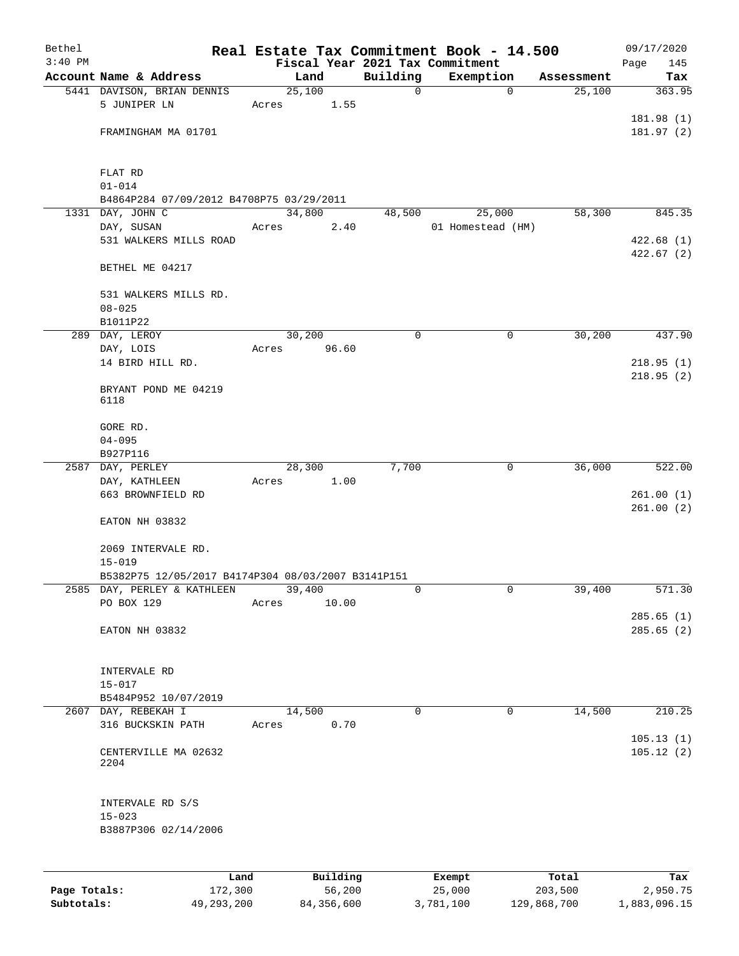| Bethel       |                                                    |       |                    |             | Real Estate Tax Commitment Book - 14.500 |                  | 09/17/2020              |
|--------------|----------------------------------------------------|-------|--------------------|-------------|------------------------------------------|------------------|-------------------------|
| $3:40$ PM    |                                                    |       |                    |             | Fiscal Year 2021 Tax Commitment          |                  | Page<br>145             |
|              | Account Name & Address                             |       | Land               | Building    | Exemption                                | Assessment       | Tax                     |
|              | 5441 DAVISON, BRIAN DENNIS                         |       | 25,100             | $\mathbf 0$ | $\mathbf 0$                              | 25,100           | 363.95                  |
|              | 5 JUNIPER LN                                       | Acres | 1.55               |             |                                          |                  |                         |
|              |                                                    |       |                    |             |                                          |                  | 181.98 (1)              |
|              | FRAMINGHAM MA 01701                                |       |                    |             |                                          |                  | 181.97(2)               |
|              | FLAT RD                                            |       |                    |             |                                          |                  |                         |
|              | $01 - 014$                                         |       |                    |             |                                          |                  |                         |
|              | B4864P284 07/09/2012 B4708P75 03/29/2011           |       |                    |             |                                          |                  |                         |
|              | 1331 DAY, JOHN C                                   |       | 34,800             | 48,500      | 25,000                                   | 58,300           | 845.35                  |
|              | DAY, SUSAN                                         | Acres | 2.40               |             | 01 Homestead (HM)                        |                  |                         |
|              | 531 WALKERS MILLS ROAD                             |       |                    |             |                                          |                  | 422.68(1)<br>422.67 (2) |
|              | BETHEL ME 04217                                    |       |                    |             |                                          |                  |                         |
|              | 531 WALKERS MILLS RD.<br>$08 - 025$                |       |                    |             |                                          |                  |                         |
|              | B1011P22                                           |       |                    |             |                                          |                  |                         |
|              | 289 DAY, LEROY                                     |       | 30,200             | $\mathbf 0$ | $\mathbf 0$                              | 30,200           | 437.90                  |
|              | DAY, LOIS                                          | Acres | 96.60              |             |                                          |                  |                         |
|              | 14 BIRD HILL RD.                                   |       |                    |             |                                          |                  | 218.95(1)               |
|              |                                                    |       |                    |             |                                          |                  | 218.95(2)               |
|              | BRYANT POND ME 04219<br>6118                       |       |                    |             |                                          |                  |                         |
|              | GORE RD.                                           |       |                    |             |                                          |                  |                         |
|              | $04 - 095$                                         |       |                    |             |                                          |                  |                         |
|              | B927P116                                           |       |                    |             |                                          |                  |                         |
|              | 2587 DAY, PERLEY                                   |       | 28,300             | 7,700       | 0                                        | 36,000           | 522.00                  |
|              | DAY, KATHLEEN                                      | Acres | 1.00               |             |                                          |                  |                         |
|              | 663 BROWNFIELD RD                                  |       |                    |             |                                          |                  | 261.00(1)<br>261.00(2)  |
|              | EATON NH 03832                                     |       |                    |             |                                          |                  |                         |
|              | 2069 INTERVALE RD.                                 |       |                    |             |                                          |                  |                         |
|              | $15 - 019$                                         |       |                    |             |                                          |                  |                         |
|              | B5382P75 12/05/2017 B4174P304 08/03/2007 B3141P151 |       |                    |             |                                          |                  |                         |
|              | 2585 DAY, PERLEY & KATHLEEN<br>PO BOX 129          | Acres | 39,400<br>10.00    | 0           | 0                                        | 39,400           | 571.30                  |
|              |                                                    |       |                    |             |                                          |                  | 285.65(1)               |
|              | EATON NH 03832                                     |       |                    |             |                                          |                  | 285.65(2)               |
|              |                                                    |       |                    |             |                                          |                  |                         |
|              | INTERVALE RD                                       |       |                    |             |                                          |                  |                         |
|              | $15 - 017$                                         |       |                    |             |                                          |                  |                         |
|              | B5484P952 10/07/2019                               |       |                    |             |                                          |                  |                         |
|              | 2607 DAY, REBEKAH I                                |       | 14,500             | 0           | $\mathbf 0$                              | 14,500           | 210.25                  |
|              | 316 BUCKSKIN PATH                                  | Acres | 0.70               |             |                                          |                  |                         |
|              | CENTERVILLE MA 02632<br>2204                       |       |                    |             |                                          |                  | 105.13(1)<br>105.12(2)  |
|              | INTERVALE RD S/S                                   |       |                    |             |                                          |                  |                         |
|              | $15 - 023$                                         |       |                    |             |                                          |                  |                         |
|              | B3887P306 02/14/2006                               |       |                    |             |                                          |                  |                         |
|              |                                                    |       |                    |             |                                          |                  |                         |
|              |                                                    |       |                    |             |                                          |                  |                         |
| Page Totals: | Land<br>172,300                                    |       | Building<br>56,200 |             | Exempt<br>25,000                         | Total<br>203,500 | Tax<br>2,950.75         |

**Subtotals:** 49,293,200 84,356,600 3,781,100 129,868,700 1,883,096.15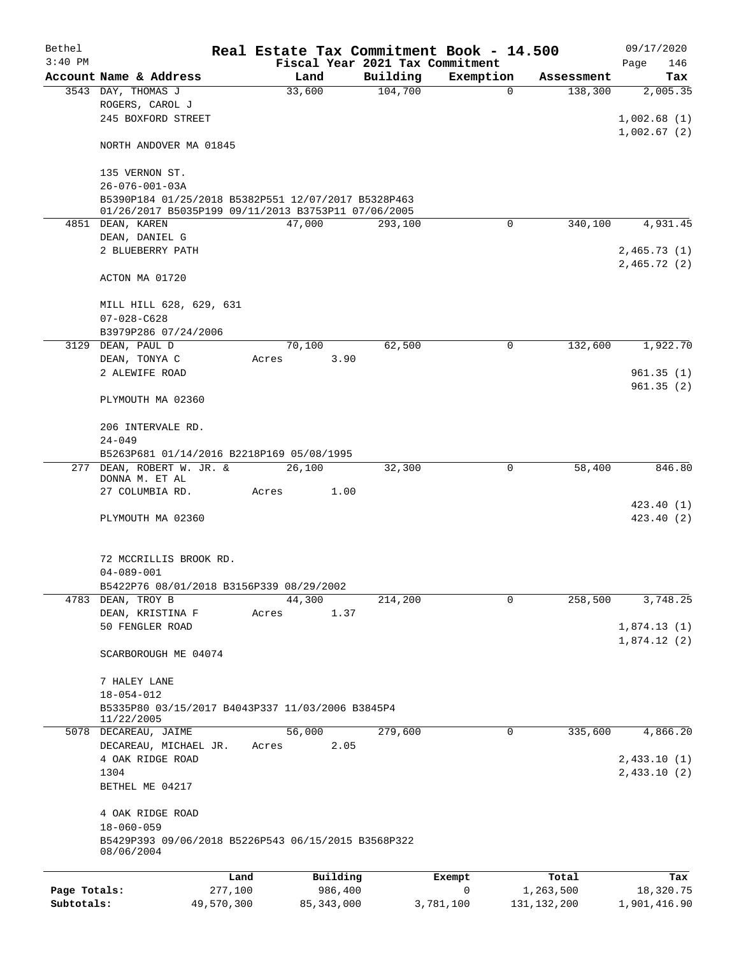| Bethel       |                                                                               |            |       |              |          | Real Estate Tax Commitment Book - 14.500 |               | 09/17/2020                 |
|--------------|-------------------------------------------------------------------------------|------------|-------|--------------|----------|------------------------------------------|---------------|----------------------------|
| $3:40$ PM    |                                                                               |            |       |              |          | Fiscal Year 2021 Tax Commitment          |               | Page<br>146                |
|              | Account Name & Address                                                        |            |       | Land         | Building | Exemption                                | Assessment    | Tax                        |
|              | 3543 DAY, THOMAS J<br>ROGERS, CAROL J<br>245 BOXFORD STREET                   |            |       | 33,600       | 104,700  | 0                                        | 138,300       | 2,005.35                   |
|              |                                                                               |            |       |              |          |                                          |               | 1,002.68(1)<br>1,002.67(2) |
|              | NORTH ANDOVER MA 01845                                                        |            |       |              |          |                                          |               |                            |
|              | 135 VERNON ST.                                                                |            |       |              |          |                                          |               |                            |
|              | $26 - 076 - 001 - 03A$<br>B5390P184 01/25/2018 B5382P551 12/07/2017 B5328P463 |            |       |              |          |                                          |               |                            |
|              | 01/26/2017 B5035P199 09/11/2013 B3753P11 07/06/2005<br>4851 DEAN, KAREN       |            |       | 47,000       | 293,100  | $\Omega$                                 | 340,100       | 4,931.45                   |
|              | DEAN, DANIEL G                                                                |            |       |              |          |                                          |               |                            |
|              | 2 BLUEBERRY PATH                                                              |            |       |              |          |                                          |               | 2,465.73(1)                |
|              |                                                                               |            |       |              |          |                                          |               | 2,465.72(2)                |
|              | ACTON MA 01720                                                                |            |       |              |          |                                          |               |                            |
|              | MILL HILL 628, 629, 631<br>$07 - 028 - C628$                                  |            |       |              |          |                                          |               |                            |
|              | B3979P286 07/24/2006                                                          |            |       |              |          |                                          |               |                            |
|              | 3129 DEAN, PAUL D                                                             |            |       | 70,100       | 62,500   | 0                                        | 132,600       | 1,922.70                   |
|              | DEAN, TONYA C                                                                 |            | Acres | 3.90         |          |                                          |               |                            |
|              | 2 ALEWIFE ROAD                                                                |            |       |              |          |                                          |               | 961.35(1)                  |
|              | PLYMOUTH MA 02360                                                             |            |       |              |          |                                          |               | 961.35(2)                  |
|              | 206 INTERVALE RD.                                                             |            |       |              |          |                                          |               |                            |
|              | $24 - 049$<br>B5263P681 01/14/2016 B2218P169 05/08/1995                       |            |       |              |          |                                          |               |                            |
|              | 277 DEAN, ROBERT W. JR. &                                                     |            |       | 26,100       | 32,300   | $\mathbf 0$                              | 58,400        | 846.80                     |
|              | DONNA M. ET AL                                                                |            |       |              |          |                                          |               |                            |
|              | 27 COLUMBIA RD.                                                               |            | Acres | 1.00         |          |                                          |               |                            |
|              | PLYMOUTH MA 02360                                                             |            |       |              |          |                                          |               | 423.40(1)<br>423.40 (2)    |
|              |                                                                               |            |       |              |          |                                          |               |                            |
|              | 72 MCCRILLIS BROOK RD.                                                        |            |       |              |          |                                          |               |                            |
|              | $04 - 089 - 001$                                                              |            |       |              |          |                                          |               |                            |
|              | B5422P76 08/01/2018 B3156P339 08/29/2002                                      |            |       | 44,300       |          | $\mathbf 0$                              |               |                            |
| 4783         | DEAN, TROY B<br>DEAN, KRISTINA F                                              |            | Acres | 1.37         | 214,200  |                                          | 258,500       | 3,748.25                   |
|              | 50 FENGLER ROAD                                                               |            |       |              |          |                                          |               | 1,874.13(1)                |
|              |                                                                               |            |       |              |          |                                          |               | 1,874.12(2)                |
|              | SCARBOROUGH ME 04074                                                          |            |       |              |          |                                          |               |                            |
|              | 7 HALEY LANE                                                                  |            |       |              |          |                                          |               |                            |
|              | $18 - 054 - 012$                                                              |            |       |              |          |                                          |               |                            |
|              | B5335P80 03/15/2017 B4043P337 11/03/2006 B3845P4<br>11/22/2005                |            |       |              |          |                                          |               |                            |
|              | 5078 DECAREAU, JAIME                                                          |            |       | 56,000       | 279,600  | 0                                        | 335,600       | 4,866.20                   |
|              | DECAREAU, MICHAEL JR.                                                         |            | Acres | 2.05         |          |                                          |               |                            |
|              | 4 OAK RIDGE ROAD<br>1304                                                      |            |       |              |          |                                          |               | 2,433.10(1)<br>2,433.10(2) |
|              | BETHEL ME 04217                                                               |            |       |              |          |                                          |               |                            |
|              | 4 OAK RIDGE ROAD                                                              |            |       |              |          |                                          |               |                            |
|              | $18 - 060 - 059$                                                              |            |       |              |          |                                          |               |                            |
|              | B5429P393 09/06/2018 B5226P543 06/15/2015 B3568P322<br>08/06/2004             |            |       |              |          |                                          |               |                            |
|              |                                                                               | Land       |       | Building     |          | Exempt                                   | Total         | Tax                        |
| Page Totals: |                                                                               | 277,100    |       | 986,400      |          | $\mathbf 0$                              | 1,263,500     | 18,320.75                  |
| Subtotals:   |                                                                               | 49,570,300 |       | 85, 343, 000 |          | 3,781,100                                | 131, 132, 200 | 1,901,416.90               |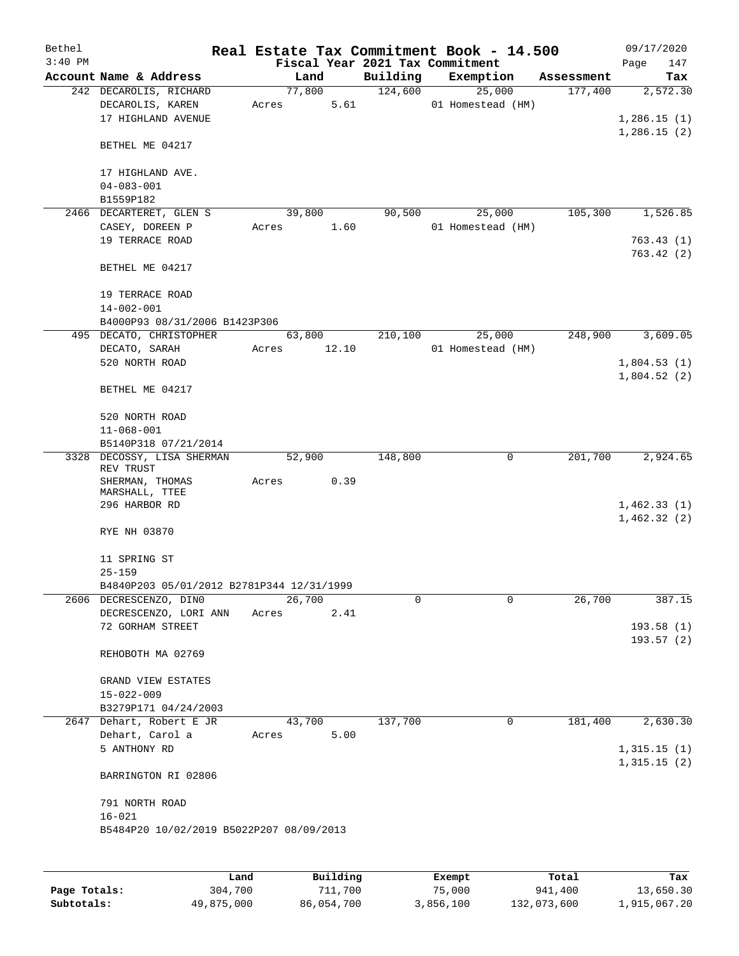| Bethel    |                                                    |       |                |                                 | Real Estate Tax Commitment Book - 14.500 |            | 09/17/2020                 |           |
|-----------|----------------------------------------------------|-------|----------------|---------------------------------|------------------------------------------|------------|----------------------------|-----------|
| $3:40$ PM |                                                    |       |                | Fiscal Year 2021 Tax Commitment |                                          |            | Page                       | 147       |
|           | Account Name & Address                             |       | Land           | Building                        | Exemption                                | Assessment |                            | Tax       |
|           | 242 DECAROLIS, RICHARD                             |       | 77,800         | 124,600                         | 25,000                                   | 177,400    |                            | 2,572.30  |
|           | DECAROLIS, KAREN<br>17 HIGHLAND AVENUE             | Acres | 5.61           |                                 | 01 Homestead (HM)                        |            | 1,286.15(1)                |           |
|           |                                                    |       |                |                                 |                                          |            | 1,286.15(2)                |           |
|           | BETHEL ME 04217                                    |       |                |                                 |                                          |            |                            |           |
|           |                                                    |       |                |                                 |                                          |            |                            |           |
|           | 17 HIGHLAND AVE.                                   |       |                |                                 |                                          |            |                            |           |
|           | $04 - 083 - 001$                                   |       |                |                                 |                                          |            |                            |           |
|           | B1559P182                                          |       |                |                                 |                                          |            |                            |           |
|           | 2466 DECARTERET, GLEN S                            |       | 39,800         | 90,500                          | 25,000                                   | 105,300    |                            | 1,526.85  |
|           | CASEY, DOREEN P<br>19 TERRACE ROAD                 | Acres | 1.60           |                                 | 01 Homestead (HM)                        |            |                            | 763.43(1) |
|           |                                                    |       |                |                                 |                                          |            | 763.42(2)                  |           |
|           | BETHEL ME 04217                                    |       |                |                                 |                                          |            |                            |           |
|           |                                                    |       |                |                                 |                                          |            |                            |           |
|           | 19 TERRACE ROAD                                    |       |                |                                 |                                          |            |                            |           |
|           | $14 - 002 - 001$                                   |       |                |                                 |                                          |            |                            |           |
|           | B4000P93 08/31/2006 B1423P306                      |       |                |                                 |                                          |            |                            |           |
|           | 495 DECATO, CHRISTOPHER                            |       | 63,800         | 210,100                         | 25,000                                   | 248,900    |                            | 3,609.05  |
|           | DECATO, SARAH<br>520 NORTH ROAD                    | Acres | 12.10          |                                 | 01 Homestead (HM)                        |            | 1,804.53(1)                |           |
|           |                                                    |       |                |                                 |                                          |            | 1,804.52(2)                |           |
|           | BETHEL ME 04217                                    |       |                |                                 |                                          |            |                            |           |
|           |                                                    |       |                |                                 |                                          |            |                            |           |
|           | 520 NORTH ROAD                                     |       |                |                                 |                                          |            |                            |           |
|           | $11 - 068 - 001$                                   |       |                |                                 |                                          |            |                            |           |
|           | B5140P318 07/21/2014<br>3328 DECOSSY, LISA SHERMAN |       | 52,900         | 148,800                         | 0                                        | 201,700    |                            | 2,924.65  |
|           | REV TRUST                                          |       |                |                                 |                                          |            |                            |           |
|           | SHERMAN, THOMAS                                    | Acres | 0.39           |                                 |                                          |            |                            |           |
|           | MARSHALL, TTEE                                     |       |                |                                 |                                          |            |                            |           |
|           | 296 HARBOR RD                                      |       |                |                                 |                                          |            | 1,462.33(1)<br>1,462.32(2) |           |
|           | RYE NH 03870                                       |       |                |                                 |                                          |            |                            |           |
|           |                                                    |       |                |                                 |                                          |            |                            |           |
|           | 11 SPRING ST                                       |       |                |                                 |                                          |            |                            |           |
|           | $25 - 159$                                         |       |                |                                 |                                          |            |                            |           |
|           | B4840P203 05/01/2012 B2781P344 12/31/1999          |       |                |                                 |                                          |            |                            |           |
|           | 2606 DECRESCENZO, DINO                             |       | 26,700         | 0                               | $\Omega$                                 | 26,700     |                            | 387.15    |
|           | DECRESCENZO, LORI ANN<br>72 GORHAM STREET          | Acres | 2.41           |                                 |                                          |            | 193.58(1)                  |           |
|           |                                                    |       |                |                                 |                                          |            | 193.57(2)                  |           |
|           | REHOBOTH MA 02769                                  |       |                |                                 |                                          |            |                            |           |
|           |                                                    |       |                |                                 |                                          |            |                            |           |
|           | GRAND VIEW ESTATES                                 |       |                |                                 |                                          |            |                            |           |
|           | $15 - 022 - 009$                                   |       |                |                                 |                                          |            |                            |           |
|           | B3279P171 04/24/2003                               |       |                |                                 |                                          |            |                            |           |
|           | 2647 Dehart, Robert E JR<br>Dehart, Carol a        | Acres | 43,700<br>5.00 | 137,700                         | $\mathbf 0$                              | 181,400    |                            | 2,630.30  |
|           | 5 ANTHONY RD                                       |       |                |                                 |                                          |            | 1,315.15(1)                |           |
|           |                                                    |       |                |                                 |                                          |            | 1,315.15(2)                |           |
|           | BARRINGTON RI 02806                                |       |                |                                 |                                          |            |                            |           |
|           |                                                    |       |                |                                 |                                          |            |                            |           |
|           | 791 NORTH ROAD                                     |       |                |                                 |                                          |            |                            |           |
|           | $16 - 021$                                         |       |                |                                 |                                          |            |                            |           |
|           | B5484P20 10/02/2019 B5022P207 08/09/2013           |       |                |                                 |                                          |            |                            |           |
|           |                                                    |       |                |                                 |                                          |            |                            |           |
|           |                                                    |       |                |                                 |                                          |            |                            |           |

|              | Land       | Building   | Exempt    | Total       | Tax          |
|--------------|------------|------------|-----------|-------------|--------------|
| Page Totals: | 304,700    | 711,700    | 75,000    | 941,400     | 13,650.30    |
| Subtotals:   | 49,875,000 | 86,054,700 | 3,856,100 | 132,073,600 | 1,915,067.20 |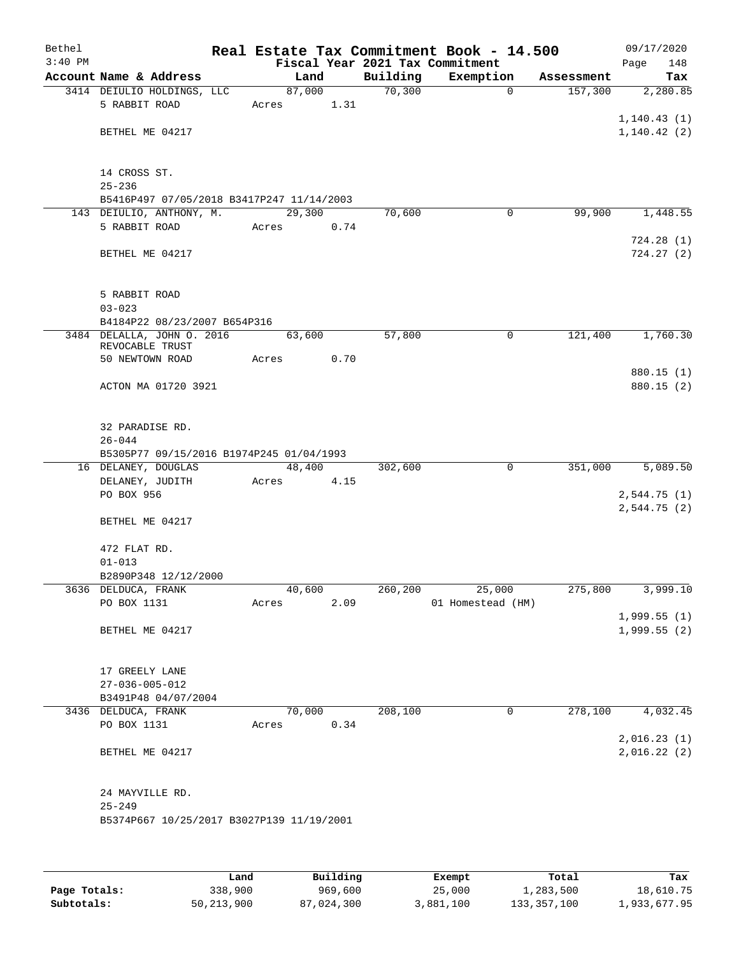| Bethel<br>$3:40$ PM |                                               |       |        |      |          | Real Estate Tax Commitment Book - 14.500<br>Fiscal Year 2021 Tax Commitment |            | 09/17/2020<br>Page<br>148 |
|---------------------|-----------------------------------------------|-------|--------|------|----------|-----------------------------------------------------------------------------|------------|---------------------------|
|                     | Account Name & Address                        |       | Land   |      | Building | Exemption                                                                   | Assessment | Tax                       |
|                     | 3414 DEIULIO HOLDINGS, LLC                    |       | 87,000 |      | 70,300   | $\mathbf 0$                                                                 | 157,300    | 2,280.85                  |
|                     | 5 RABBIT ROAD                                 | Acres |        | 1.31 |          |                                                                             |            |                           |
|                     |                                               |       |        |      |          |                                                                             |            | 1, 140.43(1)              |
|                     | BETHEL ME 04217                               |       |        |      |          |                                                                             |            | 1, 140.42(2)              |
|                     |                                               |       |        |      |          |                                                                             |            |                           |
|                     |                                               |       |        |      |          |                                                                             |            |                           |
|                     | 14 CROSS ST.                                  |       |        |      |          |                                                                             |            |                           |
|                     | $25 - 236$                                    |       |        |      |          |                                                                             |            |                           |
|                     | B5416P497 07/05/2018 B3417P247 11/14/2003     |       |        |      |          |                                                                             | 99,900     | 1,448.55                  |
|                     | 143 DEIULIO, ANTHONY, M.<br>5 RABBIT ROAD     | Acres | 29,300 | 0.74 | 70,600   | $\mathbf 0$                                                                 |            |                           |
|                     |                                               |       |        |      |          |                                                                             |            | 724.28(1)                 |
|                     | BETHEL ME 04217                               |       |        |      |          |                                                                             |            | 724.27(2)                 |
|                     |                                               |       |        |      |          |                                                                             |            |                           |
|                     |                                               |       |        |      |          |                                                                             |            |                           |
|                     | 5 RABBIT ROAD                                 |       |        |      |          |                                                                             |            |                           |
|                     | $03 - 023$                                    |       |        |      |          |                                                                             |            |                           |
|                     | B4184P22 08/23/2007 B654P316                  |       |        |      |          |                                                                             |            |                           |
|                     | 3484 DELALLA, JOHN 0. 2016                    |       | 63,600 |      | 57,800   | 0                                                                           | 121,400    | 1,760.30                  |
|                     | REVOCABLE TRUST                               |       |        |      |          |                                                                             |            |                           |
|                     | 50 NEWTOWN ROAD                               | Acres |        | 0.70 |          |                                                                             |            | 880.15 (1)                |
|                     | ACTON MA 01720 3921                           |       |        |      |          |                                                                             |            | 880.15 (2)                |
|                     |                                               |       |        |      |          |                                                                             |            |                           |
|                     |                                               |       |        |      |          |                                                                             |            |                           |
|                     | 32 PARADISE RD.                               |       |        |      |          |                                                                             |            |                           |
|                     | $26 - 044$                                    |       |        |      |          |                                                                             |            |                           |
|                     | B5305P77 09/15/2016 B1974P245 01/04/1993      |       |        |      |          |                                                                             |            |                           |
|                     | 16 DELANEY, DOUGLAS                           |       | 48,400 |      | 302,600  | $\mathbf 0$                                                                 | 351,000    | 5,089.50                  |
|                     | DELANEY, JUDITH                               | Acres |        | 4.15 |          |                                                                             |            |                           |
|                     | PO BOX 956                                    |       |        |      |          |                                                                             |            | 2,544.75(1)               |
|                     | BETHEL ME 04217                               |       |        |      |          |                                                                             |            | 2,544.75(2)               |
|                     |                                               |       |        |      |          |                                                                             |            |                           |
|                     | 472 FLAT RD.                                  |       |        |      |          |                                                                             |            |                           |
|                     | $01 - 013$                                    |       |        |      |          |                                                                             |            |                           |
|                     | B2890P348 12/12/2000                          |       |        |      |          |                                                                             |            |                           |
|                     | 3636 DELDUCA, FRANK                           |       | 40,600 |      | 260,200  | 25,000                                                                      | 275,800    | 3,999.10                  |
|                     | PO BOX 1131                                   | Acres |        | 2.09 |          | 01 Homestead (HM)                                                           |            |                           |
|                     |                                               |       |        |      |          |                                                                             |            | 1,999.55(1)               |
|                     | BETHEL ME 04217                               |       |        |      |          |                                                                             |            | 1,999.55(2)               |
|                     |                                               |       |        |      |          |                                                                             |            |                           |
|                     |                                               |       |        |      |          |                                                                             |            |                           |
|                     | 17 GREELY LANE                                |       |        |      |          |                                                                             |            |                           |
|                     | $27 - 036 - 005 - 012$<br>B3491P48 04/07/2004 |       |        |      |          |                                                                             |            |                           |
|                     | 3436 DELDUCA, FRANK                           |       | 70,000 |      | 208,100  | $\mathbf 0$                                                                 | 278,100    | 4,032.45                  |
|                     | PO BOX 1131                                   | Acres |        | 0.34 |          |                                                                             |            |                           |
|                     |                                               |       |        |      |          |                                                                             |            | 2,016.23(1)               |
|                     | BETHEL ME 04217                               |       |        |      |          |                                                                             |            | 2,016.22(2)               |
|                     |                                               |       |        |      |          |                                                                             |            |                           |
|                     |                                               |       |        |      |          |                                                                             |            |                           |
|                     | 24 MAYVILLE RD.                               |       |        |      |          |                                                                             |            |                           |
|                     | $25 - 249$                                    |       |        |      |          |                                                                             |            |                           |
|                     | B5374P667 10/25/2017 B3027P139 11/19/2001     |       |        |      |          |                                                                             |            |                           |
|                     |                                               |       |        |      |          |                                                                             |            |                           |
|                     |                                               |       |        |      |          |                                                                             |            |                           |
|                     |                                               |       |        |      |          |                                                                             |            |                           |

|              | Land         | Building   | Exempt    | Total       | Tax          |
|--------------|--------------|------------|-----------|-------------|--------------|
| Page Totals: | 338,900      | 969,600    | 25,000    | 1,283,500   | 18,610.75    |
| Subtotals:   | 50, 213, 900 | 87,024,300 | 3,881,100 | 133,357,100 | 1,933,677.95 |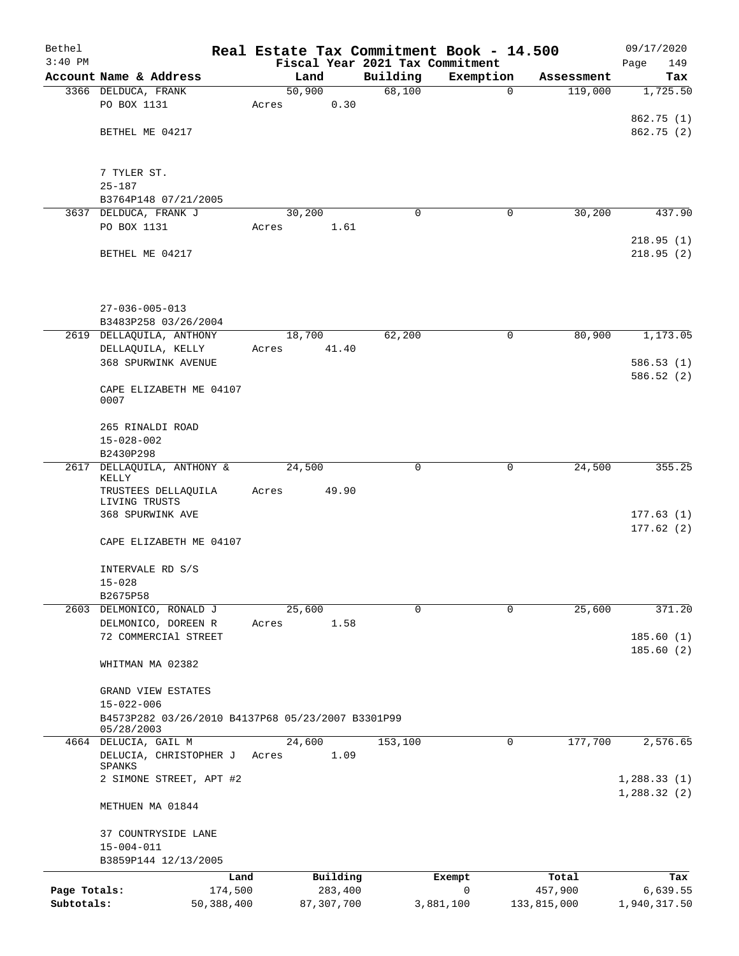| Bethel       |                                                                       |            |       |                |          | Real Estate Tax Commitment Book - 14.500 |             | 09/17/2020             |
|--------------|-----------------------------------------------------------------------|------------|-------|----------------|----------|------------------------------------------|-------------|------------------------|
| $3:40$ PM    |                                                                       |            |       |                |          | Fiscal Year 2021 Tax Commitment          |             | 149<br>Page            |
|              | Account Name & Address                                                |            |       | Land           | Building | Exemption                                | Assessment  | Tax                    |
|              | 3366 DELDUCA, FRANK<br>PO BOX 1131                                    |            | Acres | 50,900<br>0.30 | 68,100   | $\mathbf 0$                              | 119,000     | 1,725.50               |
|              |                                                                       |            |       |                |          |                                          |             | 862.75 (1)             |
|              | BETHEL ME 04217                                                       |            |       |                |          |                                          |             | 862.75 (2)             |
|              |                                                                       |            |       |                |          |                                          |             |                        |
|              |                                                                       |            |       |                |          |                                          |             |                        |
|              | 7 TYLER ST.<br>$25 - 187$                                             |            |       |                |          |                                          |             |                        |
|              | B3764P148 07/21/2005                                                  |            |       |                |          |                                          |             |                        |
|              | 3637 DELDUCA, FRANK J                                                 |            |       | 30,200         | $\Omega$ | 0                                        | 30,200      | 437.90                 |
|              | PO BOX 1131                                                           |            | Acres | 1.61           |          |                                          |             |                        |
|              |                                                                       |            |       |                |          |                                          |             | 218.95(1)              |
|              | BETHEL ME 04217                                                       |            |       |                |          |                                          |             | 218.95(2)              |
|              |                                                                       |            |       |                |          |                                          |             |                        |
|              |                                                                       |            |       |                |          |                                          |             |                        |
|              | $27 - 036 - 005 - 013$                                                |            |       |                |          |                                          |             |                        |
|              | B3483P258 03/26/2004                                                  |            |       |                |          |                                          |             |                        |
|              | 2619 DELLAQUILA, ANTHONY                                              |            |       | 18,700         | 62,200   | 0                                        | 80,900      | 1,173.05               |
|              | DELLAQUILA, KELLY                                                     |            | Acres | 41.40          |          |                                          |             |                        |
|              | <b>368 SPURWINK AVENUE</b>                                            |            |       |                |          |                                          |             | 586.53(1)              |
|              |                                                                       |            |       |                |          |                                          |             | 586.52(2)              |
|              | CAPE ELIZABETH ME 04107<br>0007                                       |            |       |                |          |                                          |             |                        |
|              |                                                                       |            |       |                |          |                                          |             |                        |
|              | 265 RINALDI ROAD                                                      |            |       |                |          |                                          |             |                        |
|              | $15 - 028 - 002$                                                      |            |       |                |          |                                          |             |                        |
| 2617         | B2430P298<br>DELLAQUILA, ANTHONY &                                    |            |       | 24,500         | 0        | 0                                        | 24,500      | 355.25                 |
|              | KELLY                                                                 |            |       |                |          |                                          |             |                        |
|              | TRUSTEES DELLAQUILA                                                   |            | Acres | 49.90          |          |                                          |             |                        |
|              | LIVING TRUSTS                                                         |            |       |                |          |                                          |             |                        |
|              | 368 SPURWINK AVE                                                      |            |       |                |          |                                          |             | 177.63(1)<br>177.62(2) |
|              | CAPE ELIZABETH ME 04107                                               |            |       |                |          |                                          |             |                        |
|              |                                                                       |            |       |                |          |                                          |             |                        |
|              | INTERVALE RD S/S                                                      |            |       |                |          |                                          |             |                        |
|              | $15 - 028$                                                            |            |       |                |          |                                          |             |                        |
|              | B2675P58                                                              |            |       |                | $\Omega$ | $\Omega$                                 |             | 371.20                 |
|              | 2603 DELMONICO, RONALD J<br>DELMONICO, DOREEN R                       |            | Acres | 25,600<br>1.58 |          |                                          | 25,600      |                        |
|              | 72 COMMERCIAl STREET                                                  |            |       |                |          |                                          |             | 185.60(1)              |
|              |                                                                       |            |       |                |          |                                          |             | 185.60(2)              |
|              | WHITMAN MA 02382                                                      |            |       |                |          |                                          |             |                        |
|              |                                                                       |            |       |                |          |                                          |             |                        |
|              | GRAND VIEW ESTATES                                                    |            |       |                |          |                                          |             |                        |
|              | $15 - 022 - 006$<br>B4573P282 03/26/2010 B4137P68 05/23/2007 B3301P99 |            |       |                |          |                                          |             |                        |
|              | 05/28/2003                                                            |            |       |                |          |                                          |             |                        |
|              | 4664 DELUCIA, GAIL M                                                  |            |       | 24,600         | 153,100  | 0                                        | 177,700     | 2,576.65               |
|              | DELUCIA, CHRISTOPHER J                                                |            | Acres | 1.09           |          |                                          |             |                        |
|              | SPANKS<br>2 SIMONE STREET, APT #2                                     |            |       |                |          |                                          |             | 1,288.33(1)            |
|              |                                                                       |            |       |                |          |                                          |             | 1,288.32(2)            |
|              | METHUEN MA 01844                                                      |            |       |                |          |                                          |             |                        |
|              |                                                                       |            |       |                |          |                                          |             |                        |
|              | 37 COUNTRYSIDE LANE                                                   |            |       |                |          |                                          |             |                        |
|              | $15 - 004 - 011$<br>B3859P144 12/13/2005                              |            |       |                |          |                                          |             |                        |
|              |                                                                       | Land       |       | Building       |          | Exempt                                   | Total       | Tax                    |
| Page Totals: |                                                                       | 174,500    |       | 283,400        |          | 0                                        | 457,900     | 6,639.55               |
| Subtotals:   |                                                                       | 50,388,400 |       | 87, 307, 700   |          | 3,881,100                                | 133,815,000 | 1,940,317.50           |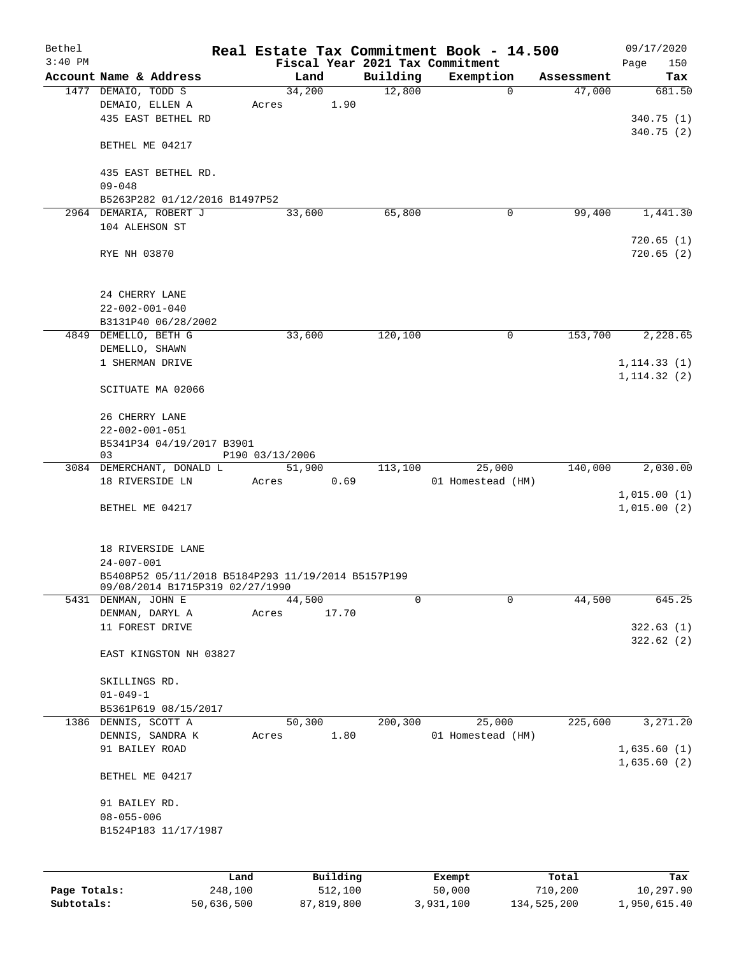| Bethel<br>$3:40$ PM |                                                                                       | Real Estate Tax Commitment Book - 14.500 |          |                             |            | 09/17/2020                   |
|---------------------|---------------------------------------------------------------------------------------|------------------------------------------|----------|-----------------------------|------------|------------------------------|
|                     | Account Name & Address                                                                | Fiscal Year 2021 Tax Commitment<br>Land  | Building | Exemption                   | Assessment | 150<br>Page<br>Tax           |
|                     | 1477 DEMAIO, TODD S                                                                   | 34,200                                   | 12,800   | $\mathbf 0$                 | 47,000     | 681.50                       |
|                     | DEMAIO, ELLEN A<br>435 EAST BETHEL RD                                                 | 1.90<br>Acres                            |          |                             |            | 340.75(1)                    |
|                     | BETHEL ME 04217                                                                       |                                          |          |                             |            | 340.75 (2)                   |
|                     | 435 EAST BETHEL RD.                                                                   |                                          |          |                             |            |                              |
|                     | $09 - 048$<br>B5263P282 01/12/2016 B1497P52                                           |                                          |          |                             |            |                              |
|                     | 2964 DEMARIA, ROBERT J                                                                | 33,600                                   | 65,800   | 0                           | 99,400     | 1,441.30                     |
|                     | 104 ALEHSON ST                                                                        |                                          |          |                             |            | 720.65(1)                    |
|                     | RYE NH 03870                                                                          |                                          |          |                             |            | 720.65(2)                    |
|                     | 24 CHERRY LANE                                                                        |                                          |          |                             |            |                              |
|                     | $22 - 002 - 001 - 040$<br>B3131P40 06/28/2002                                         |                                          |          |                             |            |                              |
|                     | 4849 DEMELLO, BETH G                                                                  | 33,600                                   | 120,100  | 0                           | 153,700    | 2,228.65                     |
|                     | DEMELLO, SHAWN                                                                        |                                          |          |                             |            |                              |
|                     | 1 SHERMAN DRIVE                                                                       |                                          |          |                             |            | 1, 114.33(1)<br>1, 114.32(2) |
|                     | SCITUATE MA 02066                                                                     |                                          |          |                             |            |                              |
|                     | 26 CHERRY LANE                                                                        |                                          |          |                             |            |                              |
|                     | $22 - 002 - 001 - 051$<br>B5341P34 04/19/2017 B3901                                   |                                          |          |                             |            |                              |
|                     | 03                                                                                    | P190 03/13/2006                          |          |                             |            |                              |
|                     | 3084 DEMERCHANT, DONALD L                                                             | 51,900                                   | 113,100  | 25,000                      | 140,000    | 2,030.00                     |
|                     | 18 RIVERSIDE LN                                                                       | 0.69<br>Acres                            |          | 01 Homestead (HM)           |            | 1,015.00(1)                  |
|                     | BETHEL ME 04217                                                                       |                                          |          |                             |            | 1,015.00(2)                  |
|                     | 18 RIVERSIDE LANE                                                                     |                                          |          |                             |            |                              |
|                     | $24 - 007 - 001$                                                                      |                                          |          |                             |            |                              |
|                     | B5408P52 05/11/2018 B5184P293 11/19/2014 B5157P199<br>09/08/2014 B1715P319 02/27/1990 |                                          |          |                             |            |                              |
|                     | 5431 DENMAN, JOHN E                                                                   | 44,500                                   | 0        | 0                           | 44,500     | 645.25                       |
|                     | DENMAN, DARYL A<br>11 FOREST DRIVE                                                    | 17.70<br>Acres                           |          |                             |            | 322.63(1)                    |
|                     | EAST KINGSTON NH 03827                                                                |                                          |          |                             |            | 322.62(2)                    |
|                     | SKILLINGS RD.                                                                         |                                          |          |                             |            |                              |
|                     | $01 - 049 - 1$                                                                        |                                          |          |                             |            |                              |
|                     | B5361P619 08/15/2017                                                                  |                                          |          |                             |            |                              |
|                     | 1386 DENNIS, SCOTT A<br>DENNIS, SANDRA K                                              | 50,300<br>1.80<br>Acres                  | 200,300  | 25,000<br>01 Homestead (HM) | 225,600    | 3,271.20                     |
|                     | 91 BAILEY ROAD                                                                        |                                          |          |                             |            | 1,635.60(1)<br>1,635.60(2)   |
|                     | BETHEL ME 04217                                                                       |                                          |          |                             |            |                              |
|                     | 91 BAILEY RD.                                                                         |                                          |          |                             |            |                              |
|                     | $08 - 055 - 006$<br>B1524P183 11/17/1987                                              |                                          |          |                             |            |                              |
|                     |                                                                                       |                                          |          |                             |            |                              |
|                     | Land                                                                                  | Building                                 |          | Exempt                      | Total      | Tax                          |
| Page Totals:        | 248,100                                                                               | 512,100                                  |          | 50,000                      | 710,200    | 10,297.90                    |

**Subtotals:** 50,636,500 87,819,800 3,931,100 134,525,200 1,950,615.40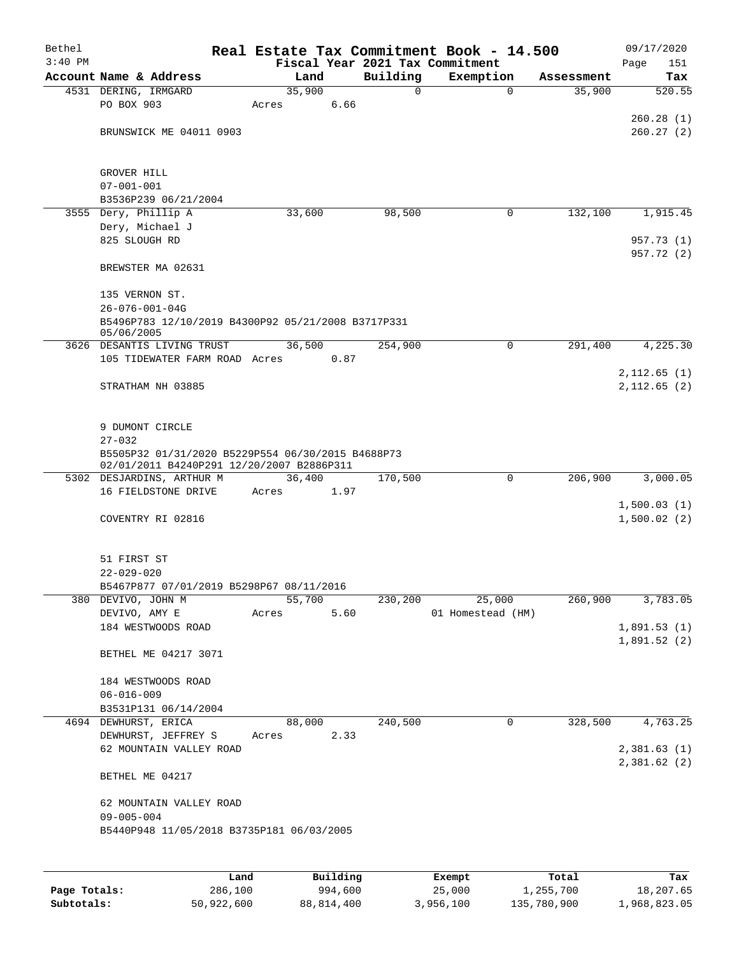| Bethel<br>$3:40$ PM |                                                                                                |       |        |          |              | Real Estate Tax Commitment Book - 14.500<br>Fiscal Year 2021 Tax Commitment |            | 09/17/2020<br>Page<br>151  |
|---------------------|------------------------------------------------------------------------------------------------|-------|--------|----------|--------------|-----------------------------------------------------------------------------|------------|----------------------------|
|                     | Account Name & Address                                                                         |       | Land   |          | Building     | Exemption                                                                   | Assessment | Tax                        |
|                     | 4531 DERING, IRMGARD                                                                           |       | 35,900 |          | $\mathsf{O}$ | $\mathbf 0$                                                                 | 35,900     | 520.55                     |
|                     | PO BOX 903                                                                                     | Acres |        | 6.66     |              |                                                                             |            |                            |
|                     |                                                                                                |       |        |          |              |                                                                             |            | 260.28(1)                  |
|                     | BRUNSWICK ME 04011 0903                                                                        |       |        |          |              |                                                                             |            | 260.27(2)                  |
|                     |                                                                                                |       |        |          |              |                                                                             |            |                            |
|                     | GROVER HILL<br>$07 - 001 - 001$                                                                |       |        |          |              |                                                                             |            |                            |
|                     | B3536P239 06/21/2004                                                                           |       |        |          |              |                                                                             |            |                            |
|                     | 3555 Dery, Phillip A                                                                           |       | 33,600 |          | 98,500       | 0                                                                           | 132,100    | 1,915.45                   |
|                     | Dery, Michael J                                                                                |       |        |          |              |                                                                             |            |                            |
|                     | 825 SLOUGH RD                                                                                  |       |        |          |              |                                                                             |            | 957.73 (1)                 |
|                     | BREWSTER MA 02631                                                                              |       |        |          |              |                                                                             |            | 957.72 (2)                 |
|                     | 135 VERNON ST.                                                                                 |       |        |          |              |                                                                             |            |                            |
|                     | $26 - 076 - 001 - 04G$                                                                         |       |        |          |              |                                                                             |            |                            |
|                     | B5496P783 12/10/2019 B4300P92 05/21/2008 B3717P331<br>05/06/2005                               |       |        |          |              |                                                                             |            |                            |
|                     | 3626 DESANTIS LIVING TRUST                                                                     |       | 36,500 |          | 254,900      | $\mathbf 0$                                                                 | 291,400    | 4,225.30                   |
|                     | 105 TIDEWATER FARM ROAD Acres                                                                  |       |        | 0.87     |              |                                                                             |            |                            |
|                     | STRATHAM NH 03885                                                                              |       |        |          |              |                                                                             |            | 2,112.65(1)<br>2,112.65(2) |
|                     | 9 DUMONT CIRCLE                                                                                |       |        |          |              |                                                                             |            |                            |
|                     | $27 - 032$                                                                                     |       |        |          |              |                                                                             |            |                            |
|                     | B5505P32 01/31/2020 B5229P554 06/30/2015 B4688P73<br>02/01/2011 B4240P291 12/20/2007 B2886P311 |       |        |          |              |                                                                             |            |                            |
|                     | 5302 DESJARDINS, ARTHUR M                                                                      |       | 36,400 |          | 170,500      | $\mathbf 0$                                                                 | 206,900    | 3,000.05                   |
|                     | 16 FIELDSTONE DRIVE                                                                            | Acres |        | 1.97     |              |                                                                             |            |                            |
|                     |                                                                                                |       |        |          |              |                                                                             |            | 1,500.03(1)                |
|                     | COVENTRY RI 02816                                                                              |       |        |          |              |                                                                             |            | 1,500.02(2)                |
|                     | 51 FIRST ST                                                                                    |       |        |          |              |                                                                             |            |                            |
|                     | $22 - 029 - 020$                                                                               |       |        |          |              |                                                                             |            |                            |
|                     | B5467P877 07/01/2019 B5298P67 08/11/2016                                                       |       |        |          |              |                                                                             |            | 3,783.05                   |
|                     | 380 DEVIVO, JOHN M<br>DEVIVO, AMY E                                                            | Acres | 55,700 | 5.60     | 230,200      | 25,000<br>01 Homestead (HM)                                                 | 260,900    |                            |
|                     | 184 WESTWOODS ROAD                                                                             |       |        |          |              |                                                                             |            | 1,891.53(1)                |
|                     |                                                                                                |       |        |          |              |                                                                             |            | 1,891.52(2)                |
|                     | BETHEL ME 04217 3071                                                                           |       |        |          |              |                                                                             |            |                            |
|                     | 184 WESTWOODS ROAD                                                                             |       |        |          |              |                                                                             |            |                            |
|                     | $06 - 016 - 009$                                                                               |       |        |          |              |                                                                             |            |                            |
|                     | B3531P131 06/14/2004                                                                           |       |        |          |              |                                                                             |            |                            |
|                     | 4694 DEWHURST, ERICA                                                                           |       | 88,000 |          | 240,500      | 0                                                                           | 328,500    | 4,763.25                   |
|                     | DEWHURST, JEFFREY S<br>62 MOUNTAIN VALLEY ROAD                                                 | Acres |        | 2.33     |              |                                                                             |            | 2,381.63(1)                |
|                     | BETHEL ME 04217                                                                                |       |        |          |              |                                                                             |            | 2,381.62 (2)               |
|                     | 62 MOUNTAIN VALLEY ROAD                                                                        |       |        |          |              |                                                                             |            |                            |
|                     | $09 - 005 - 004$<br>B5440P948 11/05/2018 B3735P181 06/03/2005                                  |       |        |          |              |                                                                             |            |                            |
|                     |                                                                                                |       |        |          |              |                                                                             |            |                            |
|                     |                                                                                                | Land  |        | Building |              | Exempt                                                                      | Total      | Tax                        |

|              | and ا      | Building   | Exempt    | Total       | Tax          |
|--------------|------------|------------|-----------|-------------|--------------|
| Page Totals: | 286,100    | 994,600    | 25,000    | 1,255,700   | 18,207.65    |
| Subtotals:   | 50,922,600 | 88,814,400 | 3,956,100 | 135,780,900 | 1,968,823.05 |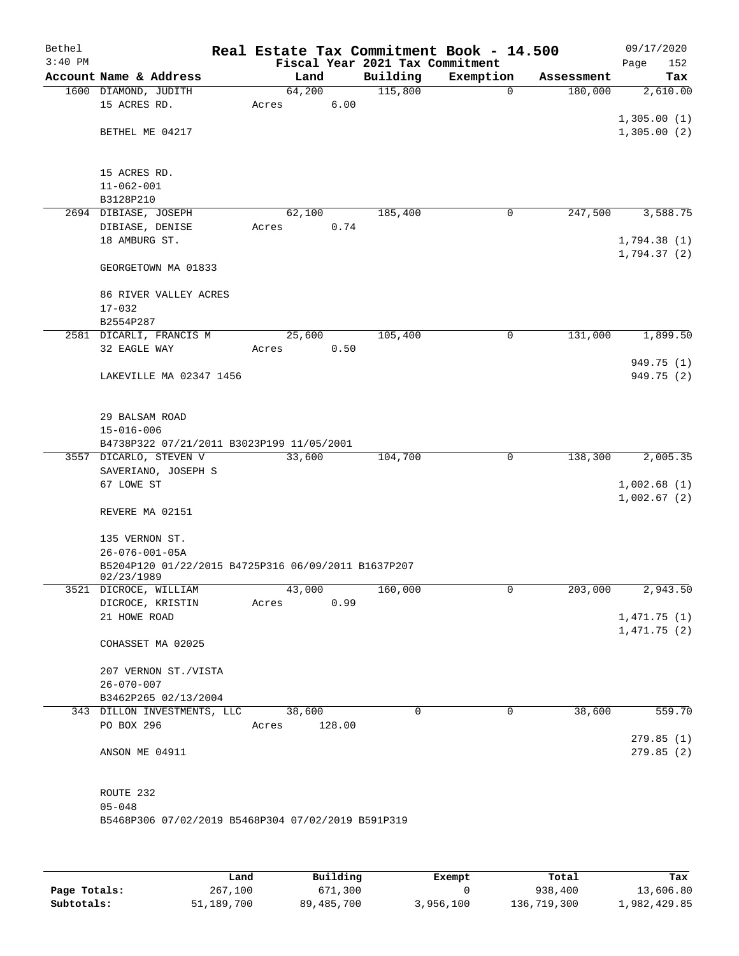| Bethel    |                                                     |                 |        |                                 | Real Estate Tax Commitment Book - 14.500 |            | 09/17/2020                 |
|-----------|-----------------------------------------------------|-----------------|--------|---------------------------------|------------------------------------------|------------|----------------------------|
| $3:40$ PM |                                                     |                 |        | Fiscal Year 2021 Tax Commitment |                                          |            | 152<br>Page                |
|           | Account Name & Address                              | Land            |        | Building                        | Exemption                                | Assessment | Tax                        |
|           | 1600 DIAMOND, JUDITH<br>15 ACRES RD.                | 64,200<br>Acres | 6.00   | 115,800                         | $\mathbf 0$                              | 180,000    | 2,610.00                   |
|           |                                                     |                 |        |                                 |                                          |            | 1,305.00(1)                |
|           | BETHEL ME 04217                                     |                 |        |                                 |                                          |            | 1,305.00(2)                |
|           |                                                     |                 |        |                                 |                                          |            |                            |
|           |                                                     |                 |        |                                 |                                          |            |                            |
|           | 15 ACRES RD.                                        |                 |        |                                 |                                          |            |                            |
|           | $11 - 062 - 001$                                    |                 |        |                                 |                                          |            |                            |
|           | B3128P210                                           |                 |        |                                 |                                          |            |                            |
|           | 2694 DIBIASE, JOSEPH                                | 62,100          |        | 185,400                         | 0                                        | 247,500    | 3,588.75                   |
|           | DIBIASE, DENISE<br>18 AMBURG ST.                    | Acres           | 0.74   |                                 |                                          |            |                            |
|           |                                                     |                 |        |                                 |                                          |            | 1,794.38(1)<br>1,794.37(2) |
|           | GEORGETOWN MA 01833                                 |                 |        |                                 |                                          |            |                            |
|           |                                                     |                 |        |                                 |                                          |            |                            |
|           | 86 RIVER VALLEY ACRES<br>$17 - 032$                 |                 |        |                                 |                                          |            |                            |
|           | B2554P287                                           |                 |        |                                 |                                          |            |                            |
|           | 2581 DICARLI, FRANCIS M                             | 25,600          |        | 105,400                         | 0                                        | 131,000    | 1,899.50                   |
|           | 32 EAGLE WAY                                        | Acres           | 0.50   |                                 |                                          |            |                            |
|           |                                                     |                 |        |                                 |                                          |            | 949.75 (1)                 |
|           | LAKEVILLE MA 02347 1456                             |                 |        |                                 |                                          |            | 949.75 (2)                 |
|           |                                                     |                 |        |                                 |                                          |            |                            |
|           | 29 BALSAM ROAD                                      |                 |        |                                 |                                          |            |                            |
|           | $15 - 016 - 006$                                    |                 |        |                                 |                                          |            |                            |
|           | B4738P322 07/21/2011 B3023P199 11/05/2001           |                 |        |                                 |                                          |            |                            |
|           | 3557 DICARLO, STEVEN V                              | 33,600          |        | 104,700                         | 0                                        | 138,300    | 2,005.35                   |
|           | SAVERIANO, JOSEPH S                                 |                 |        |                                 |                                          |            |                            |
|           | 67 LOWE ST                                          |                 |        |                                 |                                          |            | 1,002.68(1)                |
|           |                                                     |                 |        |                                 |                                          |            | 1,002.67(2)                |
|           | REVERE MA 02151                                     |                 |        |                                 |                                          |            |                            |
|           | 135 VERNON ST.                                      |                 |        |                                 |                                          |            |                            |
|           | $26 - 076 - 001 - 05A$                              |                 |        |                                 |                                          |            |                            |
|           | B5204P120 01/22/2015 B4725P316 06/09/2011 B1637P207 |                 |        |                                 |                                          |            |                            |
|           | 02/23/1989                                          |                 |        |                                 |                                          |            |                            |
|           | 3521 DICROCE, WILLIAM                               | 43,000          |        | 160,000                         | 0                                        | 203,000    | 2,943.50                   |
|           | DICROCE, KRISTIN                                    | Acres           | 0.99   |                                 |                                          |            |                            |
|           | 21 HOWE ROAD                                        |                 |        |                                 |                                          |            | 1,471.75(1)<br>1,471.75(2) |
|           | COHASSET MA 02025                                   |                 |        |                                 |                                          |            |                            |
|           |                                                     |                 |        |                                 |                                          |            |                            |
|           | 207 VERNON ST./VISTA                                |                 |        |                                 |                                          |            |                            |
|           | $26 - 070 - 007$                                    |                 |        |                                 |                                          |            |                            |
|           | B3462P265 02/13/2004                                |                 |        |                                 |                                          |            |                            |
|           | 343 DILLON INVESTMENTS, LLC                         | 38,600          |        | $\Omega$                        | 0                                        | 38,600     | 559.70                     |
|           | PO BOX 296                                          | Acres           | 128.00 |                                 |                                          |            |                            |
|           | ANSON ME 04911                                      |                 |        |                                 |                                          |            | 279.85(1)<br>279.85(2)     |
|           |                                                     |                 |        |                                 |                                          |            |                            |
|           |                                                     |                 |        |                                 |                                          |            |                            |
|           | ROUTE 232                                           |                 |        |                                 |                                          |            |                            |
|           | $05 - 048$                                          |                 |        |                                 |                                          |            |                            |
|           | B5468P306 07/02/2019 B5468P304 07/02/2019 B591P319  |                 |        |                                 |                                          |            |                            |
|           |                                                     |                 |        |                                 |                                          |            |                            |
|           |                                                     |                 |        |                                 |                                          |            |                            |

|              | Land       | Building     | Exempt    | Total       | Tax          |
|--------------|------------|--------------|-----------|-------------|--------------|
| Page Totals: | 267,100    | 671,300      |           | 938,400     | 13,606.80    |
| Subtotals:   | 51,189,700 | 89, 485, 700 | 3,956,100 | 136,719,300 | 1,982,429.85 |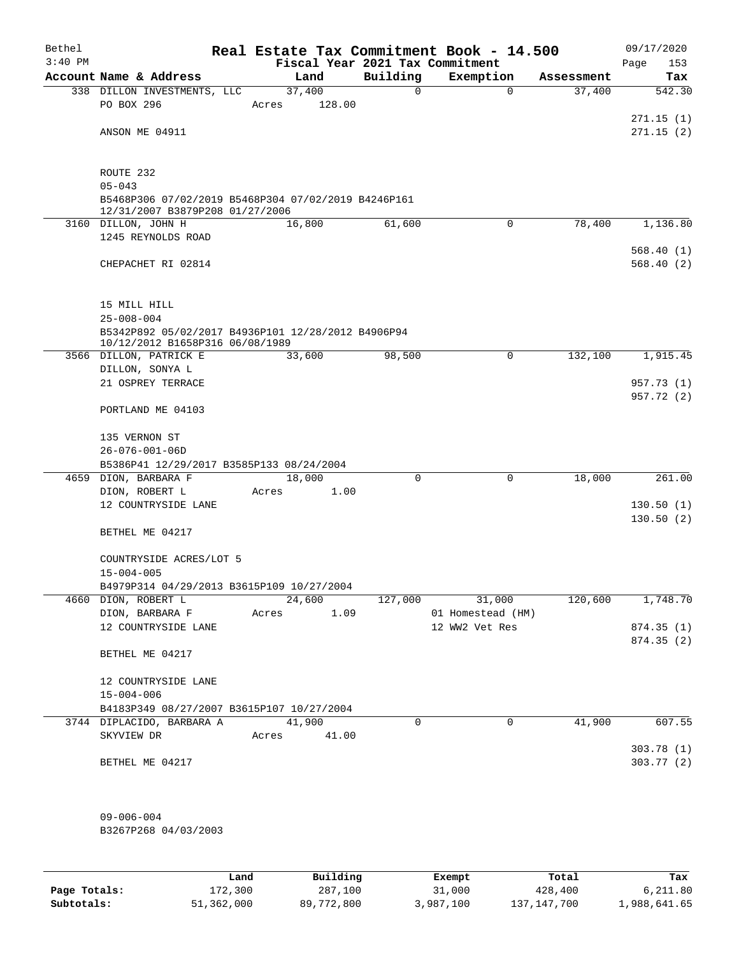| Bethel    |                                                                                        |       |             |             | Real Estate Tax Commitment Book - 14.500 |            | 09/17/2020               |
|-----------|----------------------------------------------------------------------------------------|-------|-------------|-------------|------------------------------------------|------------|--------------------------|
| $3:40$ PM |                                                                                        |       |             |             | Fiscal Year 2021 Tax Commitment          |            | Page<br>153              |
|           | Account Name & Address                                                                 |       | Land        | Building    | Exemption                                | Assessment | Tax                      |
|           | 338 DILLON INVESTMENTS, LLC                                                            |       | 37,400      | 0           | $\mathbf 0$                              | 37,400     | 542.30                   |
|           | PO BOX 296                                                                             | Acres | 128.00      |             |                                          |            |                          |
|           | ANSON ME 04911                                                                         |       |             |             |                                          |            | 271.15(1)<br>271.15(2)   |
|           |                                                                                        |       |             |             |                                          |            |                          |
|           | ROUTE 232                                                                              |       |             |             |                                          |            |                          |
|           | $05 - 043$                                                                             |       |             |             |                                          |            |                          |
|           | B5468P306 07/02/2019 B5468P304 07/02/2019 B4246P161<br>12/31/2007 B3879P208 01/27/2006 |       |             |             |                                          |            |                          |
|           | 3160 DILLON, JOHN H                                                                    |       | 16,800      | 61,600      | $\mathbf 0$                              | 78,400     | 1,136.80                 |
|           | 1245 REYNOLDS ROAD                                                                     |       |             |             |                                          |            |                          |
|           |                                                                                        |       |             |             |                                          |            | 568.40(1)                |
|           | CHEPACHET RI 02814                                                                     |       |             |             |                                          |            | 568.40(2)                |
|           | 15 MILL HILL                                                                           |       |             |             |                                          |            |                          |
|           | $25 - 008 - 004$                                                                       |       |             |             |                                          |            |                          |
|           | B5342P892 05/02/2017 B4936P101 12/28/2012 B4906P94                                     |       |             |             |                                          |            |                          |
|           | 10/12/2012 B1658P316 06/08/1989                                                        |       |             |             |                                          |            |                          |
|           | 3566 DILLON, PATRICK E                                                                 |       | 33,600      | 98,500      | $\mathbf 0$                              | 132,100    | 1,915.45                 |
|           | DILLON, SONYA L                                                                        |       |             |             |                                          |            |                          |
|           | 21 OSPREY TERRACE                                                                      |       |             |             |                                          |            | 957.73 (1)<br>957.72 (2) |
|           | PORTLAND ME 04103                                                                      |       |             |             |                                          |            |                          |
|           | 135 VERNON ST                                                                          |       |             |             |                                          |            |                          |
|           | $26 - 076 - 001 - 06D$                                                                 |       |             |             |                                          |            |                          |
|           | B5386P41 12/29/2017 B3585P133 08/24/2004                                               |       |             |             |                                          |            |                          |
|           | 4659 DION, BARBARA F                                                                   |       | 18,000      | $\Omega$    | $\mathbf 0$                              | 18,000     | 261.00                   |
|           | DION, ROBERT L<br>12 COUNTRYSIDE LANE                                                  | Acres | 1.00        |             |                                          |            | 130.50(1)                |
|           |                                                                                        |       |             |             |                                          |            | 130.50(2)                |
|           | BETHEL ME 04217                                                                        |       |             |             |                                          |            |                          |
|           | COUNTRYSIDE ACRES/LOT 5                                                                |       |             |             |                                          |            |                          |
|           | $15 - 004 - 005$                                                                       |       |             |             |                                          |            |                          |
|           | B4979P314 04/29/2013 B3615P109 10/27/2004<br>4660 DION, ROBERT L                       |       | 24,600      | 127,000     | 31,000                                   | 120,600    | 1,748.70                 |
|           | DION, BARBARA F                                                                        | Acres | 1.09        |             | 01 Homestead (HM)                        |            |                          |
|           | 12 COUNTRYSIDE LANE                                                                    |       |             |             | 12 WW2 Vet Res                           |            | 874.35 (1)               |
|           |                                                                                        |       |             |             |                                          |            | 874.35(2)                |
|           | BETHEL ME 04217                                                                        |       |             |             |                                          |            |                          |
|           | 12 COUNTRYSIDE LANE                                                                    |       |             |             |                                          |            |                          |
|           | $15 - 004 - 006$                                                                       |       |             |             |                                          |            |                          |
|           | B4183P349 08/27/2007 B3615P107 10/27/2004                                              |       |             |             |                                          |            |                          |
|           | 3744 DIPLACIDO, BARBARA A                                                              |       | 41,900      | $\mathbf 0$ | $\mathbf 0$                              | 41,900     | 607.55                   |
|           | SKYVIEW DR                                                                             |       | Acres 41.00 |             |                                          |            |                          |
|           |                                                                                        |       |             |             |                                          |            | 303.78(1)                |
|           | BETHEL ME 04217                                                                        |       |             |             |                                          |            | 303.77(2)                |
|           | $09 - 006 - 004$                                                                       |       |             |             |                                          |            |                          |
|           | B3267P268 04/03/2003                                                                   |       |             |             |                                          |            |                          |
|           |                                                                                        |       |             |             |                                          |            |                          |
|           |                                                                                        |       |             |             |                                          |            |                          |

|              | Land       | Building   | Exempt    | Total         | Tax          |
|--------------|------------|------------|-----------|---------------|--------------|
| Page Totals: | 172,300    | 287,100    | 31,000    | 428,400       | 6,211.80     |
| Subtotals:   | 51,362,000 | 89,772,800 | 3,987,100 | 137, 147, 700 | 1,988,641.65 |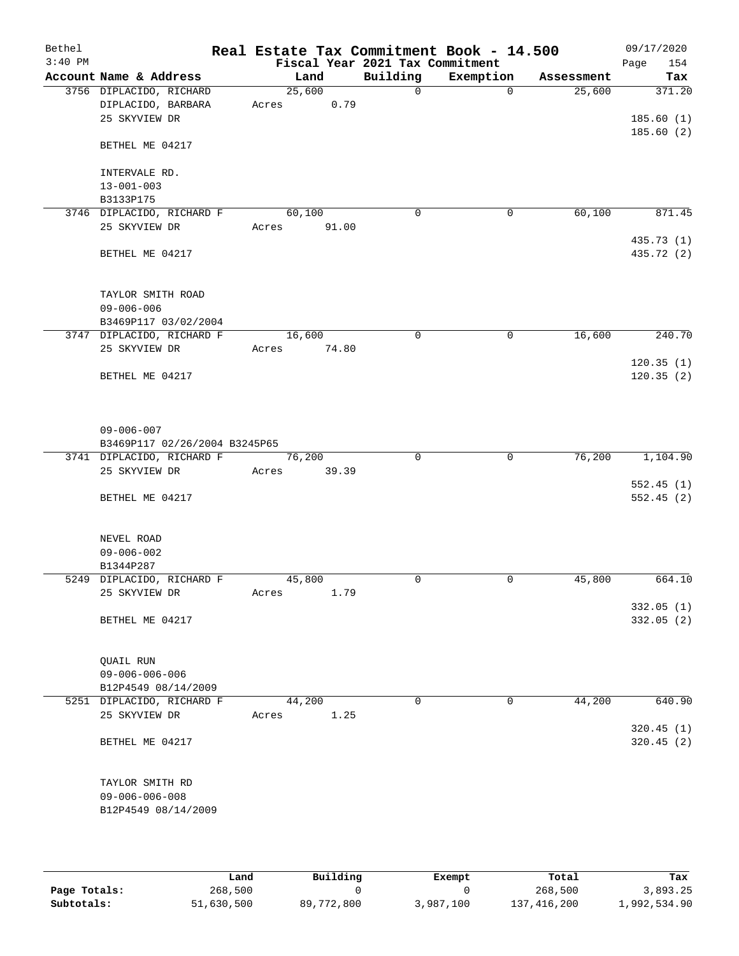| Bethel    |                               | Real Estate Tax Commitment Book - 14.500 |       |                                 |             |            | 09/17/2020               |
|-----------|-------------------------------|------------------------------------------|-------|---------------------------------|-------------|------------|--------------------------|
| $3:40$ PM |                               |                                          |       | Fiscal Year 2021 Tax Commitment |             |            | Page<br>154              |
|           | Account Name & Address        | Land                                     |       | Building                        | Exemption   | Assessment | Tax                      |
|           | 3756 DIPLACIDO, RICHARD       | 25,600                                   |       | $\mathbf 0$                     | $\Omega$    | 25,600     | 371.20                   |
|           | DIPLACIDO, BARBARA            | Acres                                    | 0.79  |                                 |             |            |                          |
|           | 25 SKYVIEW DR                 |                                          |       |                                 |             |            | 185.60(1)<br>185.60(2)   |
|           | BETHEL ME 04217               |                                          |       |                                 |             |            |                          |
|           | INTERVALE RD.                 |                                          |       |                                 |             |            |                          |
|           | $13 - 001 - 003$              |                                          |       |                                 |             |            |                          |
|           | B3133P175                     |                                          |       |                                 |             |            |                          |
|           | 3746 DIPLACIDO, RICHARD F     | 60,100                                   |       | $\mathbf 0$                     | 0           | 60,100     | 871.45                   |
|           | 25 SKYVIEW DR                 | Acres                                    | 91.00 |                                 |             |            |                          |
|           | BETHEL ME 04217               |                                          |       |                                 |             |            | 435.73 (1)<br>435.72 (2) |
|           | TAYLOR SMITH ROAD             |                                          |       |                                 |             |            |                          |
|           | $09 - 006 - 006$              |                                          |       |                                 |             |            |                          |
|           | B3469P117 03/02/2004          |                                          |       |                                 |             |            |                          |
|           | 3747 DIPLACIDO, RICHARD F     | 16,600                                   |       | $\mathbf 0$                     | $\mathbf 0$ | 16,600     | 240.70                   |
|           | 25 SKYVIEW DR                 | Acres                                    | 74.80 |                                 |             |            | 120.35(1)                |
|           | BETHEL ME 04217               |                                          |       |                                 |             |            | 120.35(2)                |
|           |                               |                                          |       |                                 |             |            |                          |
|           | $09 - 006 - 007$              |                                          |       |                                 |             |            |                          |
|           | B3469P117 02/26/2004 B3245P65 |                                          |       |                                 |             |            |                          |
|           | 3741 DIPLACIDO, RICHARD F     | 76,200                                   |       | $\Omega$                        | $\mathbf 0$ | 76,200     | 1,104.90                 |
|           | 25 SKYVIEW DR                 | Acres                                    | 39.39 |                                 |             |            |                          |
|           | BETHEL ME 04217               |                                          |       |                                 |             |            | 552.45(1)<br>552.45(2)   |
|           |                               |                                          |       |                                 |             |            |                          |
|           | NEVEL ROAD                    |                                          |       |                                 |             |            |                          |
|           | $09 - 006 - 002$              |                                          |       |                                 |             |            |                          |
|           | B1344P287                     |                                          |       |                                 |             |            |                          |
|           | 5249 DIPLACIDO, RICHARD F     | 45,800                                   |       | $\mathbf 0$                     | $\mathbf 0$ | 45,800     | 664.10                   |
|           | 25 SKYVIEW DR                 | Acres                                    | 1.79  |                                 |             |            | 332.05(1)                |
|           | BETHEL ME 04217               |                                          |       |                                 |             |            | 332.05 (2)               |
|           |                               |                                          |       |                                 |             |            |                          |
|           | QUAIL RUN                     |                                          |       |                                 |             |            |                          |
|           | $09 - 006 - 006 - 006$        |                                          |       |                                 |             |            |                          |
|           | B12P4549 08/14/2009           |                                          |       |                                 |             |            |                          |
|           | 5251 DIPLACIDO, RICHARD F     | 44,200                                   |       | $\mathbf 0$                     | $\mathbf 0$ | 44,200     | 640.90                   |
|           | 25 SKYVIEW DR                 | Acres                                    | 1.25  |                                 |             |            |                          |
|           | BETHEL ME 04217               |                                          |       |                                 |             |            | 320.45(1)<br>320.45(2)   |
|           |                               |                                          |       |                                 |             |            |                          |
|           | TAYLOR SMITH RD               |                                          |       |                                 |             |            |                          |
|           | $09 - 006 - 006 - 008$        |                                          |       |                                 |             |            |                          |
|           | B12P4549 08/14/2009           |                                          |       |                                 |             |            |                          |
|           |                               |                                          |       |                                 |             |            |                          |

|              | Land       | Building   | Exempt    | Total         | Tax          |
|--------------|------------|------------|-----------|---------------|--------------|
| Page Totals: | 268,500    |            |           | 268,500       | 3,893.25     |
| Subtotals:   | 51,630,500 | 89,772,800 | 3,987,100 | 137, 416, 200 | 1,992,534.90 |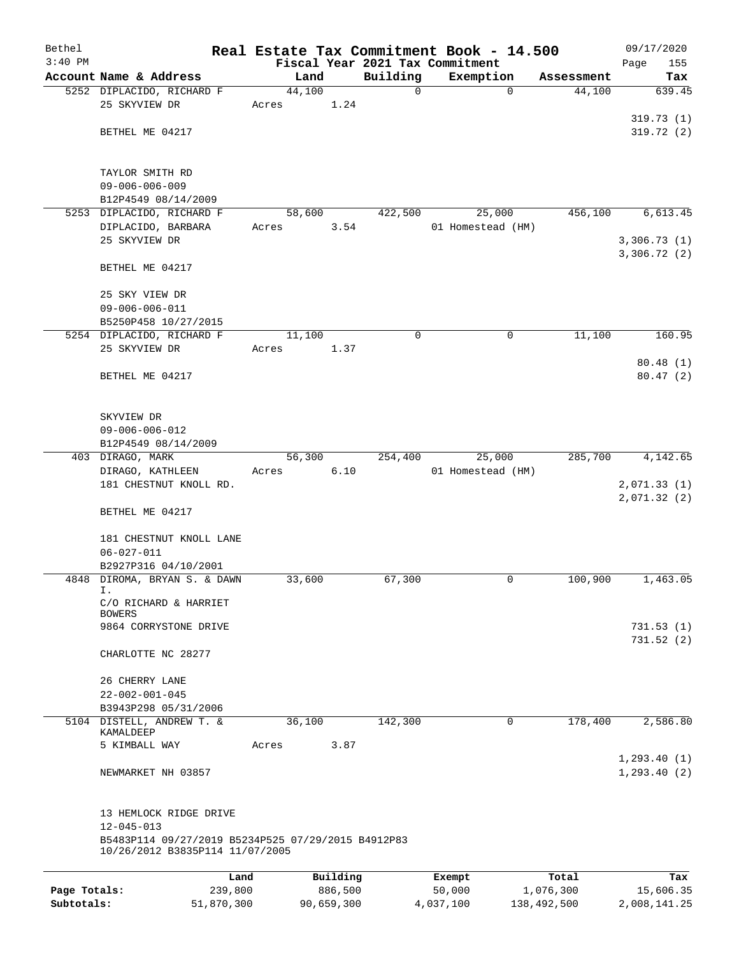| Bethel       |                                                                                       |        |            |          | Real Estate Tax Commitment Book - 14.500 |             | 09/17/2020                 |
|--------------|---------------------------------------------------------------------------------------|--------|------------|----------|------------------------------------------|-------------|----------------------------|
| $3:40$ PM    |                                                                                       |        |            |          | Fiscal Year 2021 Tax Commitment          |             | 155<br>Page                |
|              | Account Name & Address                                                                | Land   |            | Building | Exemption                                | Assessment  | Tax                        |
|              | 5252 DIPLACIDO, RICHARD F                                                             | 44,100 |            | 0        | 0                                        | 44,100      | 639.45                     |
|              | 25 SKYVIEW DR                                                                         | Acres  | 1.24       |          |                                          |             | 319.73(1)                  |
|              | BETHEL ME 04217                                                                       |        |            |          |                                          |             | 319.72(2)                  |
|              |                                                                                       |        |            |          |                                          |             |                            |
|              |                                                                                       |        |            |          |                                          |             |                            |
|              | TAYLOR SMITH RD                                                                       |        |            |          |                                          |             |                            |
|              | $09 - 006 - 006 - 009$                                                                |        |            |          |                                          |             |                            |
|              | B12P4549 08/14/2009                                                                   |        |            |          |                                          |             |                            |
|              | 5253 DIPLACIDO, RICHARD F                                                             | 58,600 |            | 422,500  | 25,000                                   | 456,100     | 6,613.45                   |
|              | DIPLACIDO, BARBARA                                                                    | Acres  | 3.54       |          | 01 Homestead (HM)                        |             |                            |
|              | 25 SKYVIEW DR                                                                         |        |            |          |                                          |             | 3,306.73(1)<br>3,306.72(2) |
|              | BETHEL ME 04217                                                                       |        |            |          |                                          |             |                            |
|              | 25 SKY VIEW DR                                                                        |        |            |          |                                          |             |                            |
|              | $09 - 006 - 006 - 011$                                                                |        |            |          |                                          |             |                            |
|              | B5250P458 10/27/2015                                                                  |        |            |          |                                          |             |                            |
|              | 5254 DIPLACIDO, RICHARD F                                                             | 11,100 |            | 0        | 0                                        | 11,100      | 160.95                     |
|              | 25 SKYVIEW DR                                                                         | Acres  | 1.37       |          |                                          |             |                            |
|              |                                                                                       |        |            |          |                                          |             | 80.48(1)                   |
|              | BETHEL ME 04217                                                                       |        |            |          |                                          |             | 80.47(2)                   |
|              |                                                                                       |        |            |          |                                          |             |                            |
|              |                                                                                       |        |            |          |                                          |             |                            |
|              | SKYVIEW DR                                                                            |        |            |          |                                          |             |                            |
|              | $09 - 006 - 006 - 012$                                                                |        |            |          |                                          |             |                            |
|              | B12P4549 08/14/2009                                                                   |        |            |          |                                          |             |                            |
|              | 403 DIRAGO, MARK                                                                      | 56,300 |            | 254,400  | 25,000                                   | 285,700     | 4,142.65                   |
|              | DIRAGO, KATHLEEN                                                                      | Acres  | 6.10       |          | 01 Homestead (HM)                        |             |                            |
|              | 181 CHESTNUT KNOLL RD.                                                                |        |            |          |                                          |             | 2,071.33(1)                |
|              | BETHEL ME 04217                                                                       |        |            |          |                                          |             | 2,071.32(2)                |
|              |                                                                                       |        |            |          |                                          |             |                            |
|              | 181 CHESTNUT KNOLL LANE                                                               |        |            |          |                                          |             |                            |
|              | $06 - 027 - 011$                                                                      |        |            |          |                                          |             |                            |
|              | B2927P316 04/10/2001                                                                  |        |            |          |                                          |             |                            |
|              | 4848 DIROMA, BRYAN S. & DAWN<br>Ι.                                                    | 33,600 |            | 67,300   | 0                                        | 100,900     | 1,463.05                   |
|              | C/O RICHARD & HARRIET                                                                 |        |            |          |                                          |             |                            |
|              | <b>BOWERS</b>                                                                         |        |            |          |                                          |             |                            |
|              | 9864 CORRYSTONE DRIVE                                                                 |        |            |          |                                          |             | 731.53 (1)                 |
|              |                                                                                       |        |            |          |                                          |             | 731.52(2)                  |
|              | CHARLOTTE NC 28277                                                                    |        |            |          |                                          |             |                            |
|              | 26 CHERRY LANE                                                                        |        |            |          |                                          |             |                            |
|              | $22 - 002 - 001 - 045$                                                                |        |            |          |                                          |             |                            |
|              | B3943P298 05/31/2006                                                                  |        |            |          |                                          |             |                            |
|              | 5104 DISTELL, ANDREW T. &                                                             | 36,100 |            | 142,300  | 0                                        | 178,400     | 2,586.80                   |
|              | KAMALDEEP                                                                             |        |            |          |                                          |             |                            |
|              | 5 KIMBALL WAY                                                                         | Acres  | 3.87       |          |                                          |             |                            |
|              |                                                                                       |        |            |          |                                          |             | 1, 293.40(1)               |
|              | NEWMARKET NH 03857                                                                    |        |            |          |                                          |             | 1, 293.40(2)               |
|              |                                                                                       |        |            |          |                                          |             |                            |
|              | 13 HEMLOCK RIDGE DRIVE                                                                |        |            |          |                                          |             |                            |
|              | $12 - 045 - 013$                                                                      |        |            |          |                                          |             |                            |
|              | B5483P114 09/27/2019 B5234P525 07/29/2015 B4912P83<br>10/26/2012 B3835P114 11/07/2005 |        |            |          |                                          |             |                            |
|              | Land                                                                                  |        | Building   |          | Exempt                                   | Total       | Tax                        |
| Page Totals: | 239,800                                                                               |        | 886,500    |          | 50,000                                   | 1,076,300   | 15,606.35                  |
| Subtotals:   | 51,870,300                                                                            |        | 90,659,300 |          | 4,037,100                                | 138,492,500 | 2,008,141.25               |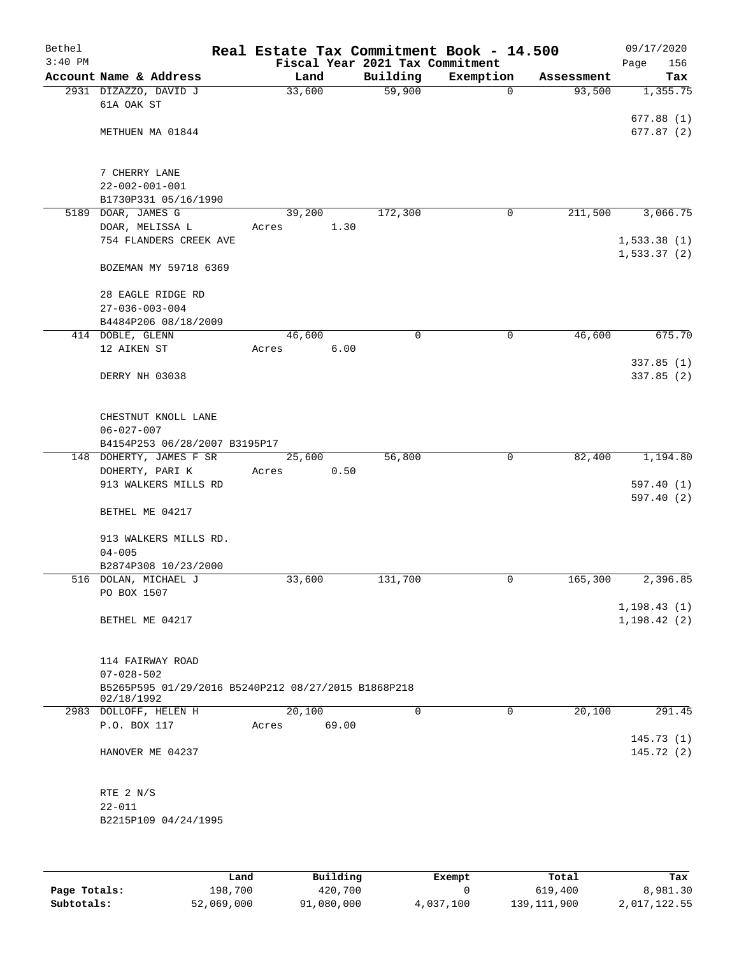| Bethel<br>$3:40$ PM |                                                     | Real Estate Tax Commitment Book - 14.500<br>Fiscal Year 2021 Tax Commitment |             |             |            | 09/17/2020<br>156<br>Page |
|---------------------|-----------------------------------------------------|-----------------------------------------------------------------------------|-------------|-------------|------------|---------------------------|
|                     | Account Name & Address                              | Land                                                                        | Building    | Exemption   | Assessment | Tax                       |
|                     | 2931 DIZAZZO, DAVID J                               | 33,600                                                                      | 59,900      | $\mathbf 0$ | 93,500     | 1,355.75                  |
|                     | 61A OAK ST                                          |                                                                             |             |             |            |                           |
|                     |                                                     |                                                                             |             |             |            | 677.88(1)                 |
|                     | METHUEN MA 01844                                    |                                                                             |             |             |            | 677.87(2)                 |
|                     |                                                     |                                                                             |             |             |            |                           |
|                     | 7 CHERRY LANE                                       |                                                                             |             |             |            |                           |
|                     | $22 - 002 - 001 - 001$                              |                                                                             |             |             |            |                           |
|                     | B1730P331 05/16/1990                                |                                                                             |             |             |            |                           |
|                     | 5189 DOAR, JAMES G                                  | 39,200                                                                      | 172,300     | $\mathbf 0$ | 211,500    | 3,066.75                  |
|                     | DOAR, MELISSA L                                     | 1.30<br>Acres                                                               |             |             |            |                           |
|                     | 754 FLANDERS CREEK AVE                              |                                                                             |             |             |            | 1,533.38(1)               |
|                     |                                                     |                                                                             |             |             |            | 1,533.37(2)               |
|                     | BOZEMAN MY 59718 6369                               |                                                                             |             |             |            |                           |
|                     | 28 EAGLE RIDGE RD                                   |                                                                             |             |             |            |                           |
|                     | $27 - 036 - 003 - 004$                              |                                                                             |             |             |            |                           |
|                     | B4484P206 08/18/2009                                |                                                                             |             |             |            |                           |
|                     | 414 DOBLE, GLENN                                    | 46,600                                                                      | $\mathbf 0$ | 0           | 46,600     | 675.70                    |
|                     | 12 AIKEN ST                                         | 6.00<br>Acres                                                               |             |             |            |                           |
|                     |                                                     |                                                                             |             |             |            | 337.85(1)                 |
|                     | DERRY NH 03038                                      |                                                                             |             |             |            | 337.85(2)                 |
|                     |                                                     |                                                                             |             |             |            |                           |
|                     | CHESTNUT KNOLL LANE                                 |                                                                             |             |             |            |                           |
|                     | $06 - 027 - 007$                                    |                                                                             |             |             |            |                           |
|                     | B4154P253 06/28/2007 B3195P17                       |                                                                             |             |             |            |                           |
|                     | 148 DOHERTY, JAMES F SR                             | 25,600                                                                      | 56,800      | $\mathbf 0$ | 82,400     | 1,194.80                  |
|                     | DOHERTY, PARI K                                     | 0.50<br>Acres                                                               |             |             |            |                           |
|                     | 913 WALKERS MILLS RD                                |                                                                             |             |             |            | 597.40(1)                 |
|                     |                                                     |                                                                             |             |             |            | 597.40(2)                 |
|                     | BETHEL ME 04217                                     |                                                                             |             |             |            |                           |
|                     | 913 WALKERS MILLS RD.                               |                                                                             |             |             |            |                           |
|                     | $04 - 005$                                          |                                                                             |             |             |            |                           |
|                     | B2874P308 10/23/2000                                |                                                                             |             |             |            |                           |
|                     | 516 DOLAN, MICHAEL J                                | 33,600                                                                      | 131,700     | 0           | 165,300    | 2,396.85                  |
|                     | PO BOX 1507                                         |                                                                             |             |             |            |                           |
|                     |                                                     |                                                                             |             |             |            | 1, 198.43(1)              |
|                     | BETHEL ME 04217                                     |                                                                             |             |             |            | 1, 198.42(2)              |
|                     |                                                     |                                                                             |             |             |            |                           |
|                     | 114 FAIRWAY ROAD                                    |                                                                             |             |             |            |                           |
|                     | $07 - 028 - 502$                                    |                                                                             |             |             |            |                           |
|                     | B5265P595 01/29/2016 B5240P212 08/27/2015 B1868P218 |                                                                             |             |             |            |                           |
|                     | 02/18/1992                                          |                                                                             |             |             |            |                           |
|                     | 2983 DOLLOFF, HELEN H                               | 20,100                                                                      | 0           | $\mathbf 0$ | 20,100     | 291.45                    |
|                     | P.O. BOX 117                                        | 69.00<br>Acres                                                              |             |             |            | 145.73(1)                 |
|                     | HANOVER ME 04237                                    |                                                                             |             |             |            | 145.72(2)                 |
|                     |                                                     |                                                                             |             |             |            |                           |
|                     |                                                     |                                                                             |             |             |            |                           |
|                     | RTE 2 N/S                                           |                                                                             |             |             |            |                           |
|                     | $22 - 011$                                          |                                                                             |             |             |            |                           |
|                     | B2215P109 04/24/1995                                |                                                                             |             |             |            |                           |
|                     |                                                     |                                                                             |             |             |            |                           |
|                     |                                                     |                                                                             |             |             |            |                           |
|                     |                                                     |                                                                             |             |             |            |                           |

|              | Land       | Building   | Exempt    | Total       | Tax          |
|--------------|------------|------------|-----------|-------------|--------------|
| Page Totals: | 198,700    | 420,700    |           | 619,400     | 8,981.30     |
| Subtotals:   | 52,069,000 | 91,080,000 | 4,037,100 | 139,111,900 | 2,017,122.55 |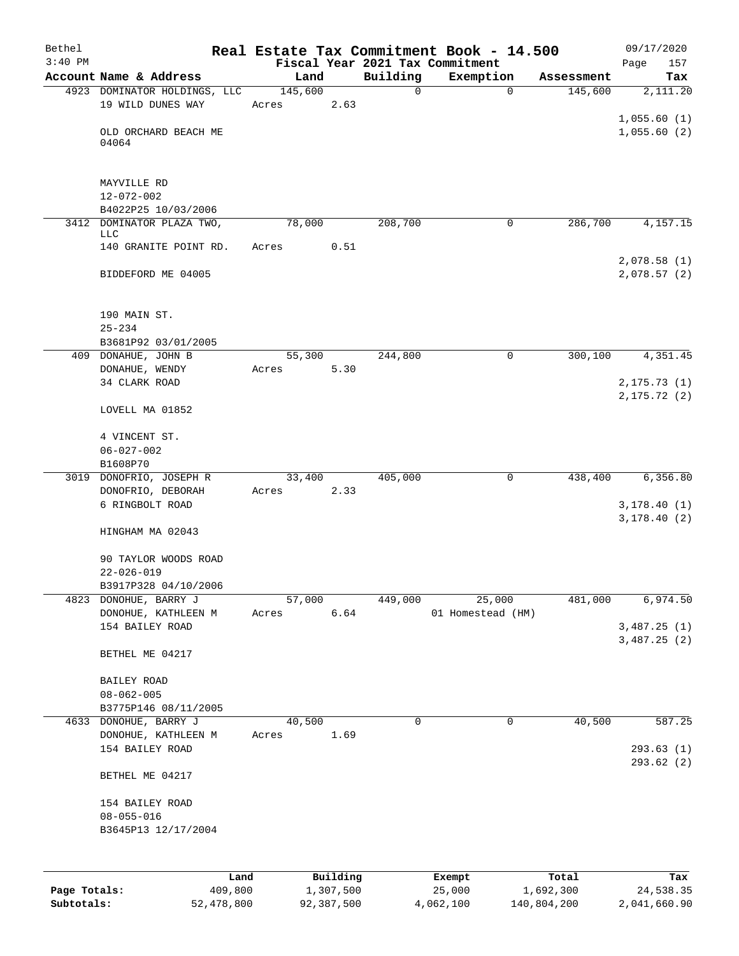| Bethel       |                                          |                 |            |               | Real Estate Tax Commitment Book - 14.500 |                       | 09/17/2020                   |
|--------------|------------------------------------------|-----------------|------------|---------------|------------------------------------------|-----------------------|------------------------------|
| $3:40$ PM    | Account Name & Address                   |                 |            |               | Fiscal Year 2021 Tax Commitment          |                       | Page<br>157                  |
|              | 4923 DOMINATOR HOLDINGS, LLC             | Land<br>145,600 |            | Building<br>0 | Exemption<br>$\mathbf 0$                 | Assessment<br>145,600 | Tax<br>2,111.20              |
|              | 19 WILD DUNES WAY                        | Acres           | 2.63       |               |                                          |                       | 1,055.60(1)                  |
|              | OLD ORCHARD BEACH ME<br>04064            |                 |            |               |                                          |                       | 1,055.60(2)                  |
|              | MAYVILLE RD<br>$12 - 072 - 002$          |                 |            |               |                                          |                       |                              |
|              | B4022P25 10/03/2006                      |                 |            |               |                                          |                       |                              |
|              | 3412 DOMINATOR PLAZA TWO,<br><b>LLC</b>  | 78,000          |            | 208,700       | $\mathbf 0$                              | 286,700               | 4,157.15                     |
|              | 140 GRANITE POINT RD.                    | Acres           | 0.51       |               |                                          |                       | 2,078.58 (1)                 |
|              | BIDDEFORD ME 04005                       |                 |            |               |                                          |                       | 2,078.57(2)                  |
|              | 190 MAIN ST.                             |                 |            |               |                                          |                       |                              |
|              | $25 - 234$<br>B3681P92 03/01/2005        |                 |            |               |                                          |                       |                              |
|              | 409 DONAHUE, JOHN B                      | 55,300          |            | 244,800       | 0                                        | 300,100               | 4,351.45                     |
|              | DONAHUE, WENDY<br>34 CLARK ROAD          | Acres           | 5.30       |               |                                          |                       | 2, 175.73(1)                 |
|              | LOVELL MA 01852                          |                 |            |               |                                          |                       | 2, 175.72(2)                 |
|              | 4 VINCENT ST.                            |                 |            |               |                                          |                       |                              |
|              | $06 - 027 - 002$<br>B1608P70             |                 |            |               |                                          |                       |                              |
|              | 3019 DONOFRIO, JOSEPH R                  | 33,400          |            | 405,000       | 0                                        | 438,400               | 6, 356.80                    |
|              | DONOFRIO, DEBORAH                        | Acres           | 2.33       |               |                                          |                       |                              |
|              | 6 RINGBOLT ROAD                          |                 |            |               |                                          |                       | 3, 178.40(1)<br>3,178.40(2)  |
|              | HINGHAM MA 02043                         |                 |            |               |                                          |                       |                              |
|              | 90 TAYLOR WOODS ROAD<br>$22 - 026 - 019$ |                 |            |               |                                          |                       |                              |
|              | B3917P328 04/10/2006                     |                 |            |               |                                          |                       |                              |
| 4823         | DONOHUE, BARRY J                         | 57,000          |            | 449,000       | 25,000                                   | 481,000               | 6,974.50                     |
|              | DONOHUE, KATHLEEN M<br>154 BAILEY ROAD   | Acres           | 6.64       |               | 01 Homestead (HM)                        |                       | 3,487.25 (1)<br>3,487.25 (2) |
|              | BETHEL ME 04217                          |                 |            |               |                                          |                       |                              |
|              | BAILEY ROAD<br>$08 - 062 - 005$          |                 |            |               |                                          |                       |                              |
|              | B3775P146 08/11/2005                     |                 |            |               |                                          |                       |                              |
|              | 4633 DONOHUE, BARRY J                    | 40,500          |            | 0             | 0                                        | 40,500                | 587.25                       |
|              | DONOHUE, KATHLEEN M<br>154 BAILEY ROAD   | Acres           | 1.69       |               |                                          |                       | 293.63 (1)<br>293.62(2)      |
|              | BETHEL ME 04217                          |                 |            |               |                                          |                       |                              |
|              | 154 BAILEY ROAD<br>$08 - 055 - 016$      |                 |            |               |                                          |                       |                              |
|              | B3645P13 12/17/2004                      |                 |            |               |                                          |                       |                              |
|              | Land                                     |                 | Building   |               | Exempt                                   | Total                 | Tax                          |
| Page Totals: | 409,800                                  |                 | 1,307,500  |               | 25,000                                   | 1,692,300             | 24,538.35                    |
| Subtotals:   | 52,478,800                               |                 | 92,387,500 |               | 4,062,100                                | 140,804,200           | 2,041,660.90                 |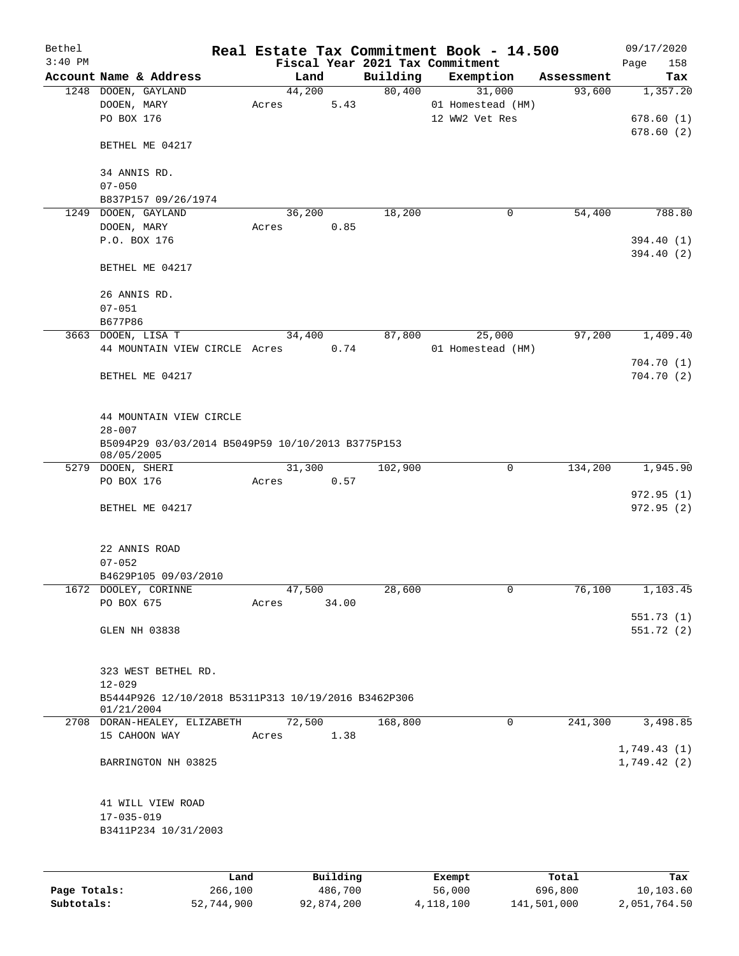| Bethel       |                                                                 |          |         |          | Real Estate Tax Commitment Book - 14.500 |            | 09/17/2020  |
|--------------|-----------------------------------------------------------------|----------|---------|----------|------------------------------------------|------------|-------------|
| $3:40$ PM    |                                                                 |          |         |          | Fiscal Year 2021 Tax Commitment          |            | Page<br>158 |
|              | Account Name & Address                                          | Land     |         | Building | Exemption                                | Assessment | Tax         |
|              | 1248 DOOEN, GAYLAND                                             | 44,200   |         | 80,400   | 31,000                                   | 93,600     | 1,357.20    |
|              | DOOEN, MARY                                                     | Acres    | 5.43    |          | 01 Homestead (HM)                        |            |             |
|              | PO BOX 176                                                      |          |         |          | 12 WW2 Vet Res                           |            | 678.60(1)   |
|              | BETHEL ME 04217                                                 |          |         |          |                                          |            | 678.60(2)   |
|              | 34 ANNIS RD.                                                    |          |         |          |                                          |            |             |
|              | $07 - 050$                                                      |          |         |          |                                          |            |             |
|              | B837P157 09/26/1974                                             |          |         |          |                                          |            |             |
|              | 1249 DOOEN, GAYLAND                                             | 36,200   |         | 18,200   | 0                                        | 54,400     | 788.80      |
|              | DOOEN, MARY                                                     | Acres    | 0.85    |          |                                          |            |             |
|              | P.O. BOX 176                                                    |          |         |          |                                          |            | 394.40 (1)  |
|              |                                                                 |          |         |          |                                          |            | 394.40 (2)  |
|              | BETHEL ME 04217                                                 |          |         |          |                                          |            |             |
|              | 26 ANNIS RD.                                                    |          |         |          |                                          |            |             |
|              | $07 - 051$                                                      |          |         |          |                                          |            |             |
|              | B677P86                                                         |          |         |          |                                          |            |             |
|              | 3663 DOOEN, LISA T                                              | 34,400   |         | 87,800   | 25,000                                   | 97,200     | 1,409.40    |
|              | 44 MOUNTAIN VIEW CIRCLE Acres                                   |          | 0.74    |          | 01 Homestead (HM)                        |            |             |
|              |                                                                 |          |         |          |                                          |            | 704.70(1)   |
|              | BETHEL ME 04217                                                 |          |         |          |                                          |            | 704.70(2)   |
|              |                                                                 |          |         |          |                                          |            |             |
|              | 44 MOUNTAIN VIEW CIRCLE                                         |          |         |          |                                          |            |             |
|              | $28 - 007$                                                      |          |         |          |                                          |            |             |
|              | B5094P29 03/03/2014 B5049P59 10/10/2013 B3775P153<br>08/05/2005 |          |         |          |                                          |            |             |
|              | 5279 DOOEN, SHERI                                               | 31,300   |         | 102,900  | $\mathbf 0$                              | 134,200    | 1,945.90    |
|              | PO BOX 176                                                      | Acres    | 0.57    |          |                                          |            | 972.95(1)   |
|              | BETHEL ME 04217                                                 |          |         |          |                                          |            | 972.95(2)   |
|              |                                                                 |          |         |          |                                          |            |             |
|              | 22 ANNIS ROAD                                                   |          |         |          |                                          |            |             |
|              | $07 - 052$                                                      |          |         |          |                                          |            |             |
|              | B4629P105 09/03/2010                                            |          |         |          |                                          |            |             |
|              | 1672 DOOLEY, CORINNE                                            | 47,500   |         | 28,600   | 0                                        | 76,100     | 1,103.45    |
|              | PO BOX 675                                                      | Acres    | 34.00   |          |                                          |            |             |
|              |                                                                 |          |         |          |                                          |            | 551.73(1)   |
|              | GLEN NH 03838                                                   |          |         |          |                                          |            | 551.72(2)   |
|              |                                                                 |          |         |          |                                          |            |             |
|              | 323 WEST BETHEL RD.                                             |          |         |          |                                          |            |             |
|              | $12 - 029$                                                      |          |         |          |                                          |            |             |
|              | B5444P926 12/10/2018 B5311P313 10/19/2016 B3462P306             |          |         |          |                                          |            |             |
|              | 01/21/2004<br>2708 DORAN-HEALEY, ELIZABETH                      | 72,500   |         | 168,800  | $\mathbf 0$                              | 241,300    | 3,498.85    |
|              | 15 CAHOON WAY                                                   | Acres    | 1.38    |          |                                          |            |             |
|              |                                                                 |          |         |          |                                          |            | 1,749.43(1) |
|              | BARRINGTON NH 03825                                             |          |         |          |                                          |            | 1,749.42(2) |
|              |                                                                 |          |         |          |                                          |            |             |
|              | 41 WILL VIEW ROAD                                               |          |         |          |                                          |            |             |
|              | $17 - 035 - 019$                                                |          |         |          |                                          |            |             |
|              | B3411P234 10/31/2003                                            |          |         |          |                                          |            |             |
|              |                                                                 |          |         |          |                                          |            |             |
|              | Land                                                            | Building |         |          | Exempt                                   | Total      | Tax         |
| Page Totals: | 266,100                                                         |          | 486,700 |          | 56,000                                   | 696,800    | 10,103.60   |

**Subtotals:** 52,744,900 92,874,200 4,118,100 141,501,000 2,051,764.50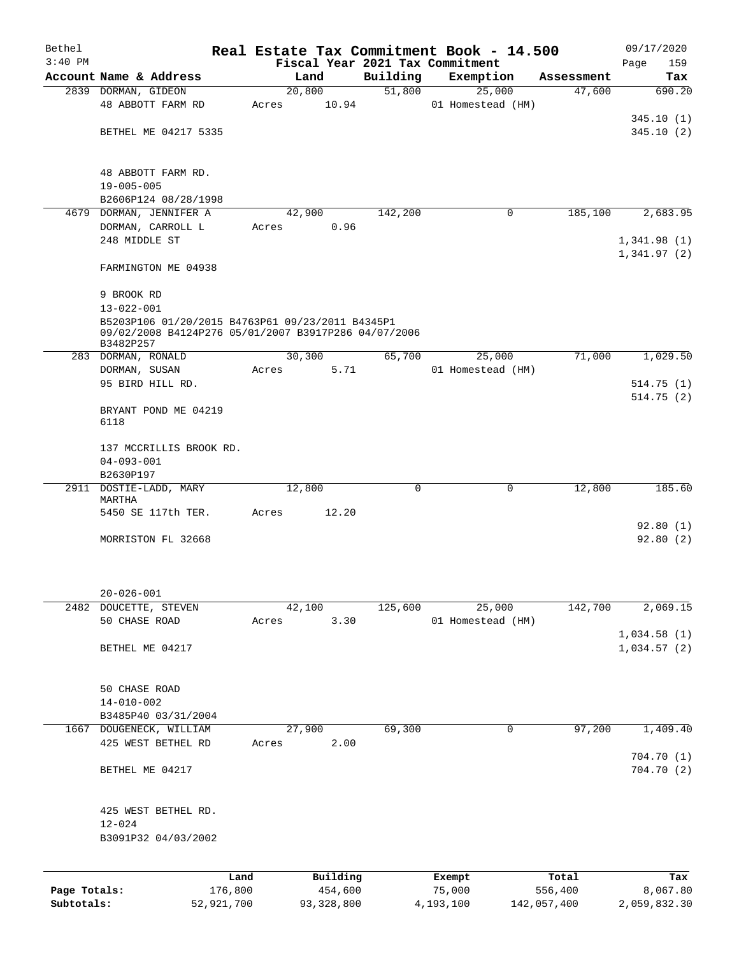| Bethel       |                                                                                                                       |       |          |             | Real Estate Tax Commitment Book - 14.500 |            | 09/17/2020  |
|--------------|-----------------------------------------------------------------------------------------------------------------------|-------|----------|-------------|------------------------------------------|------------|-------------|
| $3:40$ PM    |                                                                                                                       |       |          |             | Fiscal Year 2021 Tax Commitment          |            | Page<br>159 |
|              | Account Name & Address                                                                                                |       | Land     | Building    | Exemption                                | Assessment | Tax         |
|              | 2839 DORMAN, GIDEON                                                                                                   |       | 20,800   | 51,800      | 25,000                                   | 47,600     | 690.20      |
|              | 48 ABBOTT FARM RD                                                                                                     | Acres | 10.94    |             | 01 Homestead (HM)                        |            | 345.10(1)   |
|              | BETHEL ME 04217 5335                                                                                                  |       |          |             |                                          |            | 345.10(2)   |
|              |                                                                                                                       |       |          |             |                                          |            |             |
|              | 48 ABBOTT FARM RD.                                                                                                    |       |          |             |                                          |            |             |
|              | $19 - 005 - 005$                                                                                                      |       |          |             |                                          |            |             |
|              | B2606P124 08/28/1998                                                                                                  |       |          |             |                                          |            |             |
| 4679         | DORMAN, JENNIFER A                                                                                                    |       | 42,900   | 142,200     | 0                                        | 185,100    | 2,683.95    |
|              | DORMAN, CARROLL L                                                                                                     | Acres | 0.96     |             |                                          |            |             |
|              | 248 MIDDLE ST                                                                                                         |       |          |             |                                          |            | 1,341.98(1) |
|              |                                                                                                                       |       |          |             |                                          |            | 1,341.97(2) |
|              | FARMINGTON ME 04938                                                                                                   |       |          |             |                                          |            |             |
|              | 9 BROOK RD                                                                                                            |       |          |             |                                          |            |             |
|              | $13 - 022 - 001$                                                                                                      |       |          |             |                                          |            |             |
|              | B5203P106 01/20/2015 B4763P61 09/23/2011 B4345P1<br>09/02/2008 B4124P276 05/01/2007 B3917P286 04/07/2006<br>B3482P257 |       |          |             |                                          |            |             |
|              | 283 DORMAN, RONALD                                                                                                    |       | 30, 300  | 65,700      | 25,000                                   | 71,000     | 1,029.50    |
|              | DORMAN, SUSAN                                                                                                         | Acres | 5.71     |             | 01 Homestead (HM)                        |            |             |
|              | 95 BIRD HILL RD.                                                                                                      |       |          |             |                                          |            | 514.75(1)   |
|              |                                                                                                                       |       |          |             |                                          |            | 514.75(2)   |
|              | BRYANT POND ME 04219<br>6118                                                                                          |       |          |             |                                          |            |             |
|              | 137 MCCRILLIS BROOK RD.                                                                                               |       |          |             |                                          |            |             |
|              | $04 - 093 - 001$                                                                                                      |       |          |             |                                          |            |             |
|              | B2630P197                                                                                                             |       |          |             |                                          |            |             |
|              | 2911 DOSTIE-LADD, MARY                                                                                                |       | 12,800   | $\mathbf 0$ | $\mathbf 0$                              | 12,800     | 185.60      |
|              | MARTHA                                                                                                                |       |          |             |                                          |            |             |
|              | 5450 SE 117th TER.                                                                                                    | Acres | 12.20    |             |                                          |            |             |
|              |                                                                                                                       |       |          |             |                                          |            | 92.80(1)    |
|              | MORRISTON FL 32668                                                                                                    |       |          |             |                                          |            | 92.80(2)    |
|              | $20 - 026 - 001$                                                                                                      |       |          |             |                                          |            |             |
|              | 2482 DOUCETTE, STEVEN                                                                                                 |       | 42,100   | 125,600     | 25,000                                   | 142,700    | 2,069.15    |
|              | 50 CHASE ROAD                                                                                                         | Acres | 3.30     |             | 01 Homestead (HM)                        |            |             |
|              |                                                                                                                       |       |          |             |                                          |            | 1,034.58(1) |
|              | BETHEL ME 04217                                                                                                       |       |          |             |                                          |            | 1,034.57(2) |
|              | 50 CHASE ROAD                                                                                                         |       |          |             |                                          |            |             |
|              | $14 - 010 - 002$                                                                                                      |       |          |             |                                          |            |             |
|              | B3485P40 03/31/2004                                                                                                   |       |          |             |                                          |            |             |
|              | 1667 DOUGENECK, WILLIAM                                                                                               |       | 27,900   | 69,300      | 0                                        | 97,200     | 1,409.40    |
|              | 425 WEST BETHEL RD                                                                                                    | Acres | 2.00     |             |                                          |            |             |
|              |                                                                                                                       |       |          |             |                                          |            | 704.70(1)   |
|              | BETHEL ME 04217                                                                                                       |       |          |             |                                          |            | 704.70 (2)  |
|              | 425 WEST BETHEL RD.                                                                                                   |       |          |             |                                          |            |             |
|              | $12 - 024$                                                                                                            |       |          |             |                                          |            |             |
|              | B3091P32 04/03/2002                                                                                                   |       |          |             |                                          |            |             |
|              |                                                                                                                       | Land  | Building |             | Exempt                                   | Total      | Tax         |
| Page Totals: | 176,800                                                                                                               |       | 454,600  |             | 75,000                                   | 556,400    | 8,067.80    |

**Subtotals:** 52,921,700 93,328,800 4,193,100 142,057,400 2,059,832.30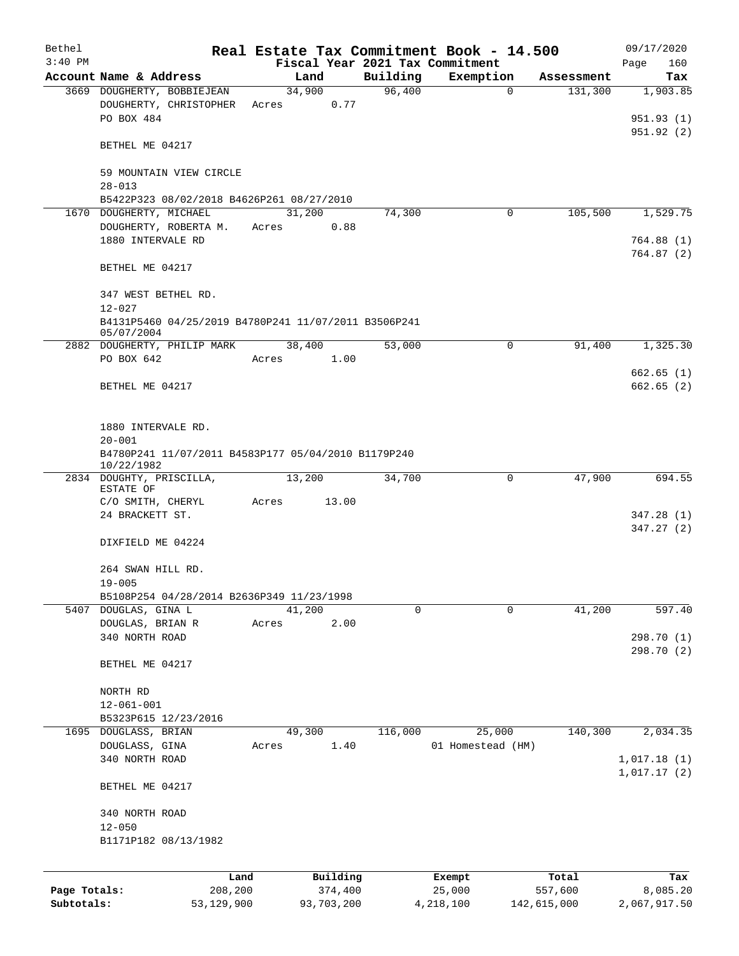| Bethel       |                                                      |       |                                 |          | Real Estate Tax Commitment Book - 14.500 |             | 09/17/2020   |
|--------------|------------------------------------------------------|-------|---------------------------------|----------|------------------------------------------|-------------|--------------|
| $3:40$ PM    |                                                      |       | Fiscal Year 2021 Tax Commitment |          |                                          |             | Page<br>160  |
|              | Account Name & Address                               |       | Land                            | Building | Exemption                                | Assessment  | Tax          |
|              | 3669 DOUGHERTY, BOBBIEJEAN                           |       | 34,900                          | 96,400   | $\mathbf 0$                              | 131,300     | 1,903.85     |
|              | DOUGHERTY, CHRISTOPHER                               | Acres | 0.77                            |          |                                          |             |              |
|              | PO BOX 484                                           |       |                                 |          |                                          |             | 951.93(1)    |
|              |                                                      |       |                                 |          |                                          |             | 951.92(2)    |
|              | BETHEL ME 04217                                      |       |                                 |          |                                          |             |              |
|              |                                                      |       |                                 |          |                                          |             |              |
|              | 59 MOUNTAIN VIEW CIRCLE<br>$28 - 013$                |       |                                 |          |                                          |             |              |
|              | B5422P323 08/02/2018 B4626P261 08/27/2010            |       |                                 |          |                                          |             |              |
|              | 1670 DOUGHERTY, MICHAEL                              |       | 31,200                          | 74,300   | 0                                        | 105,500     | 1,529.75     |
|              | DOUGHERTY, ROBERTA M.                                | Acres | 0.88                            |          |                                          |             |              |
|              | 1880 INTERVALE RD                                    |       |                                 |          |                                          |             | 764.88(1)    |
|              |                                                      |       |                                 |          |                                          |             | 764.87(2)    |
|              | BETHEL ME 04217                                      |       |                                 |          |                                          |             |              |
|              |                                                      |       |                                 |          |                                          |             |              |
|              | 347 WEST BETHEL RD.                                  |       |                                 |          |                                          |             |              |
|              | $12 - 027$                                           |       |                                 |          |                                          |             |              |
|              | B4131P5460 04/25/2019 B4780P241 11/07/2011 B3506P241 |       |                                 |          |                                          |             |              |
|              | 05/07/2004                                           |       |                                 |          |                                          |             |              |
|              | 2882 DOUGHERTY, PHILIP MARK                          |       | 38,400                          | 53,000   | $\mathbf 0$                              | 91,400      | 1,325.30     |
|              | PO BOX 642                                           | Acres | 1.00                            |          |                                          |             |              |
|              |                                                      |       |                                 |          |                                          |             | 662.65(1)    |
|              | BETHEL ME 04217                                      |       |                                 |          |                                          |             | 662.65(2)    |
|              |                                                      |       |                                 |          |                                          |             |              |
|              |                                                      |       |                                 |          |                                          |             |              |
|              | 1880 INTERVALE RD.                                   |       |                                 |          |                                          |             |              |
|              | $20 - 001$                                           |       |                                 |          |                                          |             |              |
|              | B4780P241 11/07/2011 B4583P177 05/04/2010 B1179P240  |       |                                 |          |                                          |             |              |
|              | 10/22/1982                                           |       |                                 |          |                                          |             |              |
|              | 2834 DOUGHTY, PRISCILLA,<br>ESTATE OF                |       | 13,200                          | 34,700   | $\mathbf 0$                              | 47,900      | 694.55       |
|              | C/O SMITH, CHERYL                                    | Acres | 13.00                           |          |                                          |             |              |
|              | 24 BRACKETT ST.                                      |       |                                 |          |                                          |             | 347.28(1)    |
|              |                                                      |       |                                 |          |                                          |             | 347.27(2)    |
|              | DIXFIELD ME 04224                                    |       |                                 |          |                                          |             |              |
|              |                                                      |       |                                 |          |                                          |             |              |
|              | 264 SWAN HILL RD.                                    |       |                                 |          |                                          |             |              |
|              | $19 - 005$                                           |       |                                 |          |                                          |             |              |
|              | B5108P254 04/28/2014 B2636P349 11/23/1998            |       |                                 |          |                                          |             |              |
|              | 5407 DOUGLAS, GINA L                                 |       | 41,200                          | 0        | 0                                        | 41,200      | 597.40       |
|              | DOUGLAS, BRIAN R                                     | Acres | 2.00                            |          |                                          |             |              |
|              | 340 NORTH ROAD                                       |       |                                 |          |                                          |             | 298.70 (1)   |
|              |                                                      |       |                                 |          |                                          |             | 298.70 (2)   |
|              | BETHEL ME 04217                                      |       |                                 |          |                                          |             |              |
|              |                                                      |       |                                 |          |                                          |             |              |
|              | NORTH RD                                             |       |                                 |          |                                          |             |              |
|              | $12 - 061 - 001$                                     |       |                                 |          |                                          |             |              |
|              | B5323P615 12/23/2016                                 |       |                                 |          |                                          |             |              |
|              | 1695 DOUGLASS, BRIAN                                 |       | 49,300                          | 116,000  | 25,000                                   | 140,300     | 2,034.35     |
|              | DOUGLASS, GINA                                       | Acres | 1.40                            |          | 01 Homestead (HM)                        |             |              |
|              | 340 NORTH ROAD                                       |       |                                 |          |                                          |             | 1,017.18(1)  |
|              |                                                      |       |                                 |          |                                          |             | 1,017.17(2)  |
|              | BETHEL ME 04217                                      |       |                                 |          |                                          |             |              |
|              |                                                      |       |                                 |          |                                          |             |              |
|              | 340 NORTH ROAD                                       |       |                                 |          |                                          |             |              |
|              | $12 - 050$                                           |       |                                 |          |                                          |             |              |
|              | B1171P182 08/13/1982                                 |       |                                 |          |                                          |             |              |
|              |                                                      |       |                                 |          |                                          |             |              |
|              |                                                      | Land  | Building                        |          | Exempt                                   | Total       | Tax          |
| Page Totals: | 208,200                                              |       | 374,400                         |          | 25,000                                   | 557,600     | 8,085.20     |
| Subtotals:   | 53,129,900                                           |       | 93,703,200                      |          | 4,218,100                                | 142,615,000 | 2,067,917.50 |
|              |                                                      |       |                                 |          |                                          |             |              |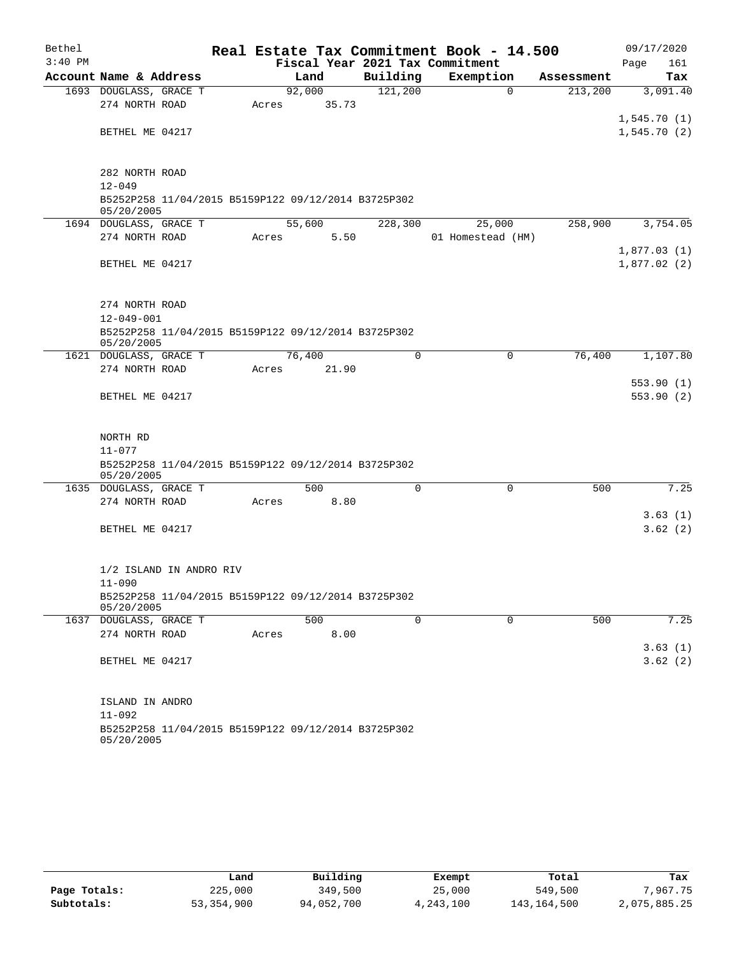| Bethel    |                                                                   |       |        |       |             | Real Estate Tax Commitment Book - 14.500 |             |            | 09/17/2020  |
|-----------|-------------------------------------------------------------------|-------|--------|-------|-------------|------------------------------------------|-------------|------------|-------------|
| $3:40$ PM |                                                                   |       |        |       |             | Fiscal Year 2021 Tax Commitment          |             |            | Page<br>161 |
|           | Account Name & Address                                            |       | Land   |       | Building    | Exemption                                |             | Assessment | Tax         |
|           | 1693 DOUGLASS, GRACE T                                            |       | 92,000 |       | 121,200     |                                          | $\mathbf 0$ | 213,200    | 3,091.40    |
|           | 274 NORTH ROAD                                                    | Acres |        | 35.73 |             |                                          |             |            |             |
|           |                                                                   |       |        |       |             |                                          |             |            | 1,545.70(1) |
|           | BETHEL ME 04217                                                   |       |        |       |             |                                          |             |            | 1,545.70(2) |
|           |                                                                   |       |        |       |             |                                          |             |            |             |
|           | 282 NORTH ROAD                                                    |       |        |       |             |                                          |             |            |             |
|           | $12 - 049$                                                        |       |        |       |             |                                          |             |            |             |
|           | B5252P258 11/04/2015 B5159P122 09/12/2014 B3725P302<br>05/20/2005 |       |        |       |             |                                          |             |            |             |
|           | 1694 DOUGLASS, GRACE T                                            |       | 55,600 |       | 228,300     | 25,000                                   |             | 258,900    | 3,754.05    |
|           | 274 NORTH ROAD                                                    | Acres |        | 5.50  |             | 01 Homestead (HM)                        |             |            |             |
|           |                                                                   |       |        |       |             |                                          |             |            | 1,877.03(1) |
|           | BETHEL ME 04217                                                   |       |        |       |             |                                          |             |            | 1,877.02(2) |
|           |                                                                   |       |        |       |             |                                          |             |            |             |
|           |                                                                   |       |        |       |             |                                          |             |            |             |
|           | 274 NORTH ROAD                                                    |       |        |       |             |                                          |             |            |             |
|           | $12 - 049 - 001$                                                  |       |        |       |             |                                          |             |            |             |
|           | B5252P258 11/04/2015 B5159P122 09/12/2014 B3725P302<br>05/20/2005 |       |        |       |             |                                          |             |            |             |
|           | 1621 DOUGLASS, GRACE T                                            |       | 76,400 |       | $\mathbf 0$ |                                          | 0           | 76,400     | 1,107.80    |
|           | 274 NORTH ROAD                                                    | Acres |        | 21.90 |             |                                          |             |            |             |
|           |                                                                   |       |        |       |             |                                          |             |            | 553.90(1)   |
|           | BETHEL ME 04217                                                   |       |        |       |             |                                          |             |            | 553.90(2)   |
|           |                                                                   |       |        |       |             |                                          |             |            |             |
|           |                                                                   |       |        |       |             |                                          |             |            |             |
|           | NORTH RD                                                          |       |        |       |             |                                          |             |            |             |
|           | $11 - 077$                                                        |       |        |       |             |                                          |             |            |             |
|           | B5252P258 11/04/2015 B5159P122 09/12/2014 B3725P302<br>05/20/2005 |       |        |       |             |                                          |             |            |             |
|           | 1635 DOUGLASS, GRACE T                                            |       | 500    |       | $\Omega$    |                                          | $\mathbf 0$ | 500        | 7.25        |
|           | 274 NORTH ROAD                                                    | Acres |        | 8.80  |             |                                          |             |            |             |
|           |                                                                   |       |        |       |             |                                          |             |            | 3.63(1)     |
|           | BETHEL ME 04217                                                   |       |        |       |             |                                          |             |            | 3.62(2)     |
|           |                                                                   |       |        |       |             |                                          |             |            |             |
|           | 1/2 ISLAND IN ANDRO RIV                                           |       |        |       |             |                                          |             |            |             |
|           | $11 - 090$                                                        |       |        |       |             |                                          |             |            |             |
|           | B5252P258 11/04/2015 B5159P122 09/12/2014 B3725P302               |       |        |       |             |                                          |             |            |             |
|           | 05/20/2005                                                        |       |        |       |             |                                          |             |            |             |
|           | 1637 DOUGLASS, GRACE T                                            |       | 500    |       | $\mathbf 0$ |                                          | $\mathbf 0$ | 500        | 7.25        |
|           | 274 NORTH ROAD                                                    | Acres |        | 8.00  |             |                                          |             |            |             |
|           |                                                                   |       |        |       |             |                                          |             |            | 3.63(1)     |
|           | BETHEL ME 04217                                                   |       |        |       |             |                                          |             |            | 3.62(2)     |
|           | ISLAND IN ANDRO                                                   |       |        |       |             |                                          |             |            |             |
|           | $11 - 092$                                                        |       |        |       |             |                                          |             |            |             |
|           | B5252P258 11/04/2015 B5159P122 09/12/2014 B3725P302               |       |        |       |             |                                          |             |            |             |

05/20/2005

|              | Land       | Building   | Exempt    | Total       | Tax          |
|--------------|------------|------------|-----------|-------------|--------------|
| Page Totals: | 225,000    | 349,500    | 25,000    | 549,500     | 7,967.75     |
| Subtotals:   | 53,354,900 | 94,052,700 | 4,243,100 | 143,164,500 | 2,075,885.25 |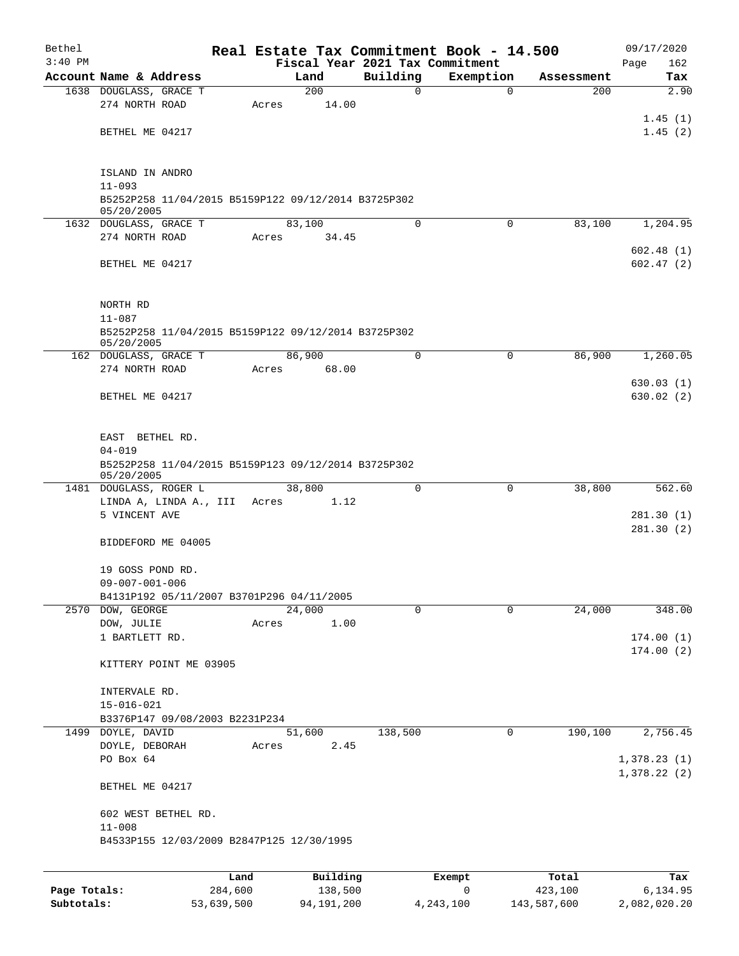| Bethel       |                                                                   |         |             |             | Real Estate Tax Commitment Book - 14.500 |            | 09/17/2020             |
|--------------|-------------------------------------------------------------------|---------|-------------|-------------|------------------------------------------|------------|------------------------|
| $3:40$ PM    |                                                                   |         |             |             | Fiscal Year 2021 Tax Commitment          |            | 162<br>Page            |
|              | Account Name & Address                                            |         | Land<br>200 | Building    | Exemption                                | Assessment | Tax<br>2.90            |
|              | 1638 DOUGLASS, GRACE T<br>274 NORTH ROAD                          | Acres   | 14.00       | 0           | $\mathbf 0$                              | 200        |                        |
|              |                                                                   |         |             |             |                                          |            | 1.45(1)                |
|              | BETHEL ME 04217                                                   |         |             |             |                                          |            | 1.45(2)                |
|              |                                                                   |         |             |             |                                          |            |                        |
|              |                                                                   |         |             |             |                                          |            |                        |
|              | ISLAND IN ANDRO                                                   |         |             |             |                                          |            |                        |
|              | $11 - 093$                                                        |         |             |             |                                          |            |                        |
|              | B5252P258 11/04/2015 B5159P122 09/12/2014 B3725P302<br>05/20/2005 |         |             |             |                                          |            |                        |
|              | 1632 DOUGLASS, GRACE T                                            |         | 83,100      | $\mathbf 0$ | $\Omega$                                 | 83,100     | 1,204.95               |
|              | 274 NORTH ROAD                                                    | Acres   | 34.45       |             |                                          |            |                        |
|              |                                                                   |         |             |             |                                          |            | 602.48(1)              |
|              | BETHEL ME 04217                                                   |         |             |             |                                          |            | 602.47(2)              |
|              |                                                                   |         |             |             |                                          |            |                        |
|              | NORTH RD                                                          |         |             |             |                                          |            |                        |
|              | $11 - 087$                                                        |         |             |             |                                          |            |                        |
|              | B5252P258 11/04/2015 B5159P122 09/12/2014 B3725P302               |         |             |             |                                          |            |                        |
|              | 05/20/2005                                                        |         |             |             |                                          |            |                        |
|              | 162 DOUGLASS, GRACE T                                             |         | 86,900      | $\Omega$    | $\Omega$                                 | 86,900     | 1,260.05               |
|              | 274 NORTH ROAD                                                    | Acres   | 68.00       |             |                                          |            |                        |
|              | BETHEL ME 04217                                                   |         |             |             |                                          |            | 630.03(1)<br>630.02(2) |
|              |                                                                   |         |             |             |                                          |            |                        |
|              |                                                                   |         |             |             |                                          |            |                        |
|              | EAST BETHEL RD.                                                   |         |             |             |                                          |            |                        |
|              | $04 - 019$                                                        |         |             |             |                                          |            |                        |
|              | B5252P258 11/04/2015 B5159P123 09/12/2014 B3725P302               |         |             |             |                                          |            |                        |
|              | 05/20/2005<br>1481 DOUGLASS, ROGER L                              |         | 38,800      | $\Omega$    | 0                                        | 38,800     | 562.60                 |
|              | LINDA A, LINDA A., III Acres                                      |         | 1.12        |             |                                          |            |                        |
|              | 5 VINCENT AVE                                                     |         |             |             |                                          |            | 281.30(1)              |
|              |                                                                   |         |             |             |                                          |            | 281.30(2)              |
|              | BIDDEFORD ME 04005                                                |         |             |             |                                          |            |                        |
|              |                                                                   |         |             |             |                                          |            |                        |
|              | 19 GOSS POND RD.<br>$09 - 007 - 001 - 006$                        |         |             |             |                                          |            |                        |
|              | B4131P192 05/11/2007 B3701P296 04/11/2005                         |         |             |             |                                          |            |                        |
|              | 2570 DOW, GEORGE                                                  |         | 24,000      | $\mathbf 0$ | 0                                        | 24,000     | 348.00                 |
|              | DOW, JULIE                                                        | Acres   | 1.00        |             |                                          |            |                        |
|              | 1 BARTLETT RD.                                                    |         |             |             |                                          |            | 174.00(1)              |
|              |                                                                   |         |             |             |                                          |            | 174.00(2)              |
|              | KITTERY POINT ME 03905                                            |         |             |             |                                          |            |                        |
|              | INTERVALE RD.                                                     |         |             |             |                                          |            |                        |
|              | $15 - 016 - 021$                                                  |         |             |             |                                          |            |                        |
|              | B3376P147 09/08/2003 B2231P234                                    |         |             |             |                                          |            |                        |
|              | 1499 DOYLE, DAVID                                                 |         | 51,600      | 138,500     | 0                                        | 190,100    | 2,756.45               |
|              | DOYLE, DEBORAH                                                    | Acres   | 2.45        |             |                                          |            |                        |
|              | PO Box 64                                                         |         |             |             |                                          |            | 1,378.23(1)            |
|              | BETHEL ME 04217                                                   |         |             |             |                                          |            | 1,378.22(2)            |
|              |                                                                   |         |             |             |                                          |            |                        |
|              | 602 WEST BETHEL RD.                                               |         |             |             |                                          |            |                        |
|              | $11 - 008$                                                        |         |             |             |                                          |            |                        |
|              | B4533P155 12/03/2009 B2847P125 12/30/1995                         |         |             |             |                                          |            |                        |
|              |                                                                   |         |             |             |                                          |            |                        |
|              |                                                                   | Land    | Building    |             | Exempt                                   | Total      | Tax                    |
| Page Totals: |                                                                   | 284,600 | 138,500     |             | 0                                        | 423,100    | 6,134.95               |

**Subtotals:** 53,639,500 94,191,200 4,243,100 143,587,600 2,082,020.20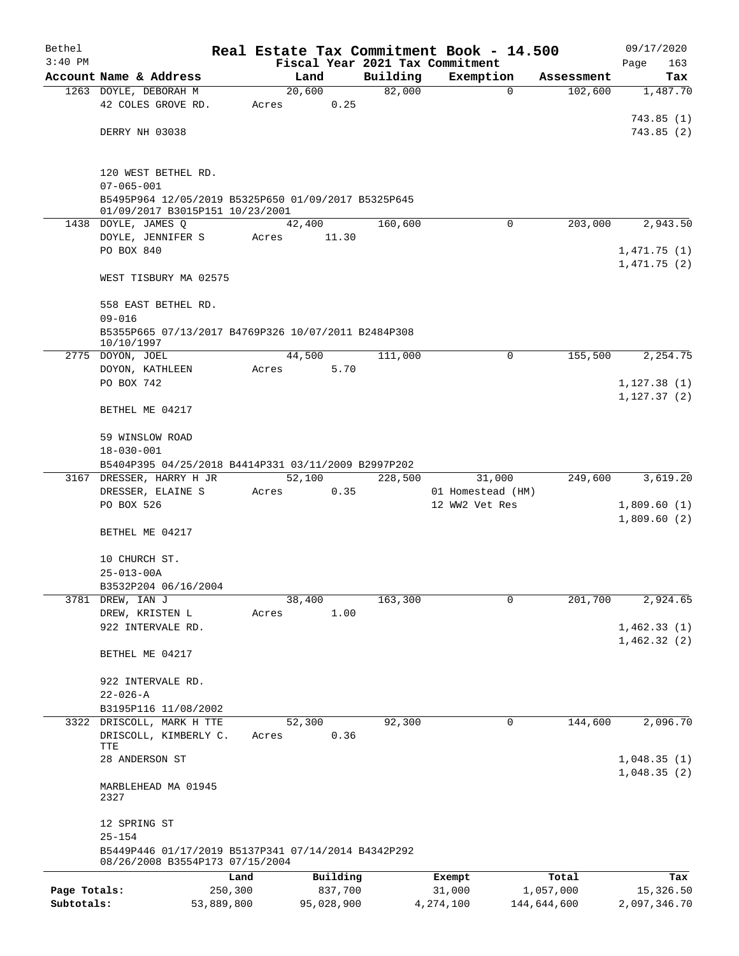| Bethel       |                                                                                        |            |                |                    | Real Estate Tax Commitment Book - 14.500 |             | 09/17/2020   |
|--------------|----------------------------------------------------------------------------------------|------------|----------------|--------------------|------------------------------------------|-------------|--------------|
| $3:40$ PM    |                                                                                        |            |                |                    | Fiscal Year 2021 Tax Commitment          |             | Page<br>163  |
|              | Account Name & Address                                                                 |            | Land           | Building<br>82,000 | Exemption                                | Assessment  | Tax          |
|              | 1263 DOYLE, DEBORAH M<br>42 COLES GROVE RD.                                            | Acres      | 20,600<br>0.25 |                    | $\mathbf 0$                              | 102,600     | 1,487.70     |
|              |                                                                                        |            |                |                    |                                          |             | 743.85(1)    |
|              | DERRY NH 03038                                                                         |            |                |                    |                                          |             | 743.85(2)    |
|              |                                                                                        |            |                |                    |                                          |             |              |
|              |                                                                                        |            |                |                    |                                          |             |              |
|              | 120 WEST BETHEL RD.                                                                    |            |                |                    |                                          |             |              |
|              | $07 - 065 - 001$<br>B5495P964 12/05/2019 B5325P650 01/09/2017 B5325P645                |            |                |                    |                                          |             |              |
|              | 01/09/2017 B3015P151 10/23/2001                                                        |            |                |                    |                                          |             |              |
|              | 1438 DOYLE, JAMES Q                                                                    |            | 42,400         | 160,600            | $\Omega$                                 | 203,000     | 2,943.50     |
|              | DOYLE, JENNIFER S                                                                      | Acres      | 11.30          |                    |                                          |             |              |
|              | PO BOX 840                                                                             |            |                |                    |                                          |             | 1,471.75(1)  |
|              |                                                                                        |            |                |                    |                                          |             | 1,471.75(2)  |
|              | WEST TISBURY MA 02575                                                                  |            |                |                    |                                          |             |              |
|              | 558 EAST BETHEL RD.                                                                    |            |                |                    |                                          |             |              |
|              | $09 - 016$                                                                             |            |                |                    |                                          |             |              |
|              | B5355P665 07/13/2017 B4769P326 10/07/2011 B2484P308                                    |            |                |                    |                                          |             |              |
|              | 10/10/1997                                                                             |            |                |                    |                                          |             |              |
|              | 2775 DOYON, JOEL                                                                       |            | 44,500<br>5.70 | 111,000            | $\Omega$                                 | 155,500     | 2,254.75     |
|              | DOYON, KATHLEEN<br>PO BOX 742                                                          | Acres      |                |                    |                                          |             | 1,127.38(1)  |
|              |                                                                                        |            |                |                    |                                          |             | 1, 127.37(2) |
|              | BETHEL ME 04217                                                                        |            |                |                    |                                          |             |              |
|              |                                                                                        |            |                |                    |                                          |             |              |
|              | 59 WINSLOW ROAD                                                                        |            |                |                    |                                          |             |              |
|              | $18 - 030 - 001$                                                                       |            |                |                    |                                          |             |              |
|              | B5404P395 04/25/2018 B4414P331 03/11/2009 B2997P202                                    |            |                |                    |                                          |             |              |
|              | 3167 DRESSER, HARRY H JR<br>DRESSER, ELAINE S                                          | Acres      | 52,100<br>0.35 | 228,500            | 31,000<br>01 Homestead (HM)              | 249,600     | 3,619.20     |
|              | PO BOX 526                                                                             |            |                |                    | 12 WW2 Vet Res                           |             | 1,809.60(1)  |
|              |                                                                                        |            |                |                    |                                          |             | 1,809.60(2)  |
|              | BETHEL ME 04217                                                                        |            |                |                    |                                          |             |              |
|              |                                                                                        |            |                |                    |                                          |             |              |
|              | 10 CHURCH ST.                                                                          |            |                |                    |                                          |             |              |
|              | $25 - 013 - 00A$                                                                       |            |                |                    |                                          |             |              |
|              | B3532P204 06/16/2004                                                                   |            |                |                    | 0                                        | 201,700     |              |
| 3781         | DREW, IAN J<br>DREW, KRISTEN L                                                         | Acres      | 38,400<br>1.00 | 163,300            |                                          |             | 2,924.65     |
|              | 922 INTERVALE RD.                                                                      |            |                |                    |                                          |             | 1,462.33(1)  |
|              |                                                                                        |            |                |                    |                                          |             | 1,462.32(2)  |
|              | BETHEL ME 04217                                                                        |            |                |                    |                                          |             |              |
|              |                                                                                        |            |                |                    |                                          |             |              |
|              | 922 INTERVALE RD.                                                                      |            |                |                    |                                          |             |              |
|              | $22 - 026 - A$                                                                         |            |                |                    |                                          |             |              |
|              | B3195P116 11/08/2002<br>3322 DRISCOLL, MARK H TTE                                      |            | 52,300         | 92,300             | 0                                        | 144,600     | 2,096.70     |
|              | DRISCOLL, KIMBERLY C.                                                                  | Acres      | 0.36           |                    |                                          |             |              |
|              | TTE                                                                                    |            |                |                    |                                          |             |              |
|              | 28 ANDERSON ST                                                                         |            |                |                    |                                          |             | 1,048.35(1)  |
|              |                                                                                        |            |                |                    |                                          |             | 1,048.35(2)  |
|              | MARBLEHEAD MA 01945<br>2327                                                            |            |                |                    |                                          |             |              |
|              |                                                                                        |            |                |                    |                                          |             |              |
|              | 12 SPRING ST                                                                           |            |                |                    |                                          |             |              |
|              | $25 - 154$                                                                             |            |                |                    |                                          |             |              |
|              | B5449P446 01/17/2019 B5137P341 07/14/2014 B4342P292<br>08/26/2008 B3554P173 07/15/2004 |            |                |                    |                                          |             |              |
|              |                                                                                        | Land       | Building       |                    | Exempt                                   | Total       | Tax          |
| Page Totals: |                                                                                        | 250,300    | 837,700        |                    | 31,000                                   | 1,057,000   | 15,326.50    |
| Subtotals:   |                                                                                        | 53,889,800 | 95,028,900     |                    | 4,274,100                                | 144,644,600 | 2,097,346.70 |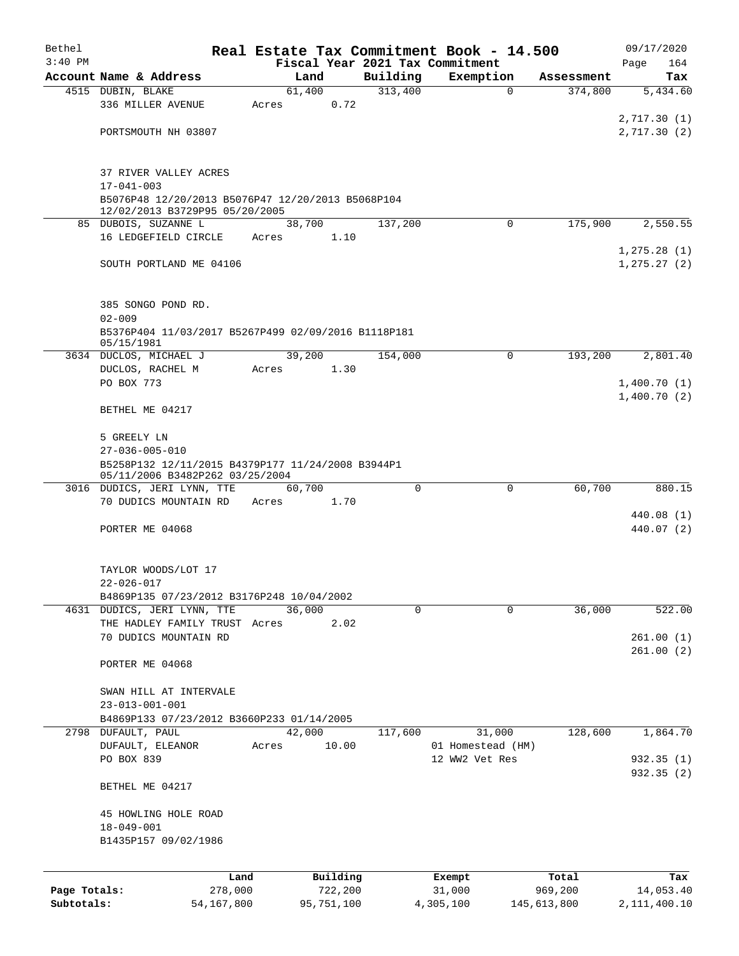| Bethel       |                                                                                      | Real Estate Tax Commitment Book - 14.500 |                     |                                 |                       | 09/17/2020                 |
|--------------|--------------------------------------------------------------------------------------|------------------------------------------|---------------------|---------------------------------|-----------------------|----------------------------|
| $3:40$ PM    | Account Name & Address                                                               |                                          |                     | Fiscal Year 2021 Tax Commitment |                       | Page<br>164                |
|              | 4515 DUBIN, BLAKE                                                                    | Land<br>61,400                           | Building<br>313,400 | Exemption<br>$\mathbf 0$        | Assessment<br>374,800 | Tax<br>5,434.60            |
|              | 336 MILLER AVENUE                                                                    | 0.72<br>Acres                            |                     |                                 |                       |                            |
|              |                                                                                      |                                          |                     |                                 |                       | 2,717.30(1)                |
|              | PORTSMOUTH NH 03807                                                                  |                                          |                     |                                 |                       | 2,717.30(2)                |
|              |                                                                                      |                                          |                     |                                 |                       |                            |
|              | 37 RIVER VALLEY ACRES                                                                |                                          |                     |                                 |                       |                            |
|              | $17 - 041 - 003$                                                                     |                                          |                     |                                 |                       |                            |
|              | B5076P48 12/20/2013 B5076P47 12/20/2013 B5068P104                                    |                                          |                     |                                 |                       |                            |
|              | 12/02/2013 B3729P95 05/20/2005                                                       |                                          |                     |                                 |                       |                            |
|              | 85 DUBOIS, SUZANNE L<br>16 LEDGEFIELD CIRCLE                                         | 38,700<br>1.10<br>Acres                  | 137,200             | $\Omega$                        | 175,900               | 2,550.55                   |
|              |                                                                                      |                                          |                     |                                 |                       | 1, 275.28(1)               |
|              | SOUTH PORTLAND ME 04106                                                              |                                          |                     |                                 |                       | 1, 275.27(2)               |
|              |                                                                                      |                                          |                     |                                 |                       |                            |
|              |                                                                                      |                                          |                     |                                 |                       |                            |
|              | 385 SONGO POND RD.<br>$02 - 009$                                                     |                                          |                     |                                 |                       |                            |
|              | B5376P404 11/03/2017 B5267P499 02/09/2016 B1118P181                                  |                                          |                     |                                 |                       |                            |
|              | 05/15/1981                                                                           |                                          |                     |                                 |                       |                            |
|              | 3634 DUCLOS, MICHAEL J                                                               | 39,200                                   | 154,000             | 0                               | 193,200               | 2,801.40                   |
|              | DUCLOS, RACHEL M                                                                     | 1.30<br>Acres                            |                     |                                 |                       |                            |
|              | PO BOX 773                                                                           |                                          |                     |                                 |                       | 1,400.70(1)<br>1,400.70(2) |
|              | BETHEL ME 04217                                                                      |                                          |                     |                                 |                       |                            |
|              |                                                                                      |                                          |                     |                                 |                       |                            |
|              | 5 GREELY LN                                                                          |                                          |                     |                                 |                       |                            |
|              | $27 - 036 - 005 - 010$                                                               |                                          |                     |                                 |                       |                            |
|              | B5258P132 12/11/2015 B4379P177 11/24/2008 B3944P1<br>05/11/2006 B3482P262 03/25/2004 |                                          |                     |                                 |                       |                            |
|              | 3016 DUDICS, JERI LYNN, TTE                                                          | 60,700                                   | $\Omega$            | $\mathbf 0$                     | 60,700                | 880.15                     |
|              | 70 DUDICS MOUNTAIN RD                                                                | 1.70<br>Acres                            |                     |                                 |                       |                            |
|              |                                                                                      |                                          |                     |                                 |                       | 440.08 (1)                 |
|              | PORTER ME 04068                                                                      |                                          |                     |                                 |                       | 440.07 (2)                 |
|              |                                                                                      |                                          |                     |                                 |                       |                            |
|              | TAYLOR WOODS/LOT 17                                                                  |                                          |                     |                                 |                       |                            |
|              | $22 - 026 - 017$                                                                     |                                          |                     |                                 |                       |                            |
|              | B4869P135 07/23/2012 B3176P248 10/04/2002                                            |                                          |                     |                                 |                       |                            |
|              | 4631 DUDICS, JERI LYNN, TTE                                                          | 36,000                                   | 0                   | 0                               | 36,000                | 522.00                     |
|              | THE HADLEY FAMILY TRUST Acres                                                        | 2.02                                     |                     |                                 |                       |                            |
|              | 70 DUDICS MOUNTAIN RD                                                                |                                          |                     |                                 |                       | 261.00(1)<br>261.00(2)     |
|              | PORTER ME 04068                                                                      |                                          |                     |                                 |                       |                            |
|              |                                                                                      |                                          |                     |                                 |                       |                            |
|              | SWAN HILL AT INTERVALE                                                               |                                          |                     |                                 |                       |                            |
|              | $23 - 013 - 001 - 001$                                                               |                                          |                     |                                 |                       |                            |
|              | B4869P133 07/23/2012 B3660P233 01/14/2005<br>2798 DUFAULT, PAUL                      | 42,000                                   | 117,600             | 31,000                          | 128,600               | 1,864.70                   |
|              | DUFAULT, ELEANOR                                                                     | 10.00<br>Acres                           |                     | 01 Homestead (HM)               |                       |                            |
|              | PO BOX 839                                                                           |                                          |                     | 12 WW2 Vet Res                  |                       | 932.35(1)                  |
|              |                                                                                      |                                          |                     |                                 |                       | 932.35 (2)                 |
|              | BETHEL ME 04217                                                                      |                                          |                     |                                 |                       |                            |
|              | 45 HOWLING HOLE ROAD                                                                 |                                          |                     |                                 |                       |                            |
|              | $18 - 049 - 001$                                                                     |                                          |                     |                                 |                       |                            |
|              | B1435P157 09/02/1986                                                                 |                                          |                     |                                 |                       |                            |
|              |                                                                                      |                                          |                     |                                 |                       |                            |
|              | Land                                                                                 | Building                                 |                     | Exempt                          | Total                 | Tax                        |
| Page Totals: | 278,000                                                                              | 722,200                                  |                     | 31,000                          | 969,200               | 14,053.40                  |
| Subtotals:   | 54,167,800                                                                           | 95,751,100                               |                     | 4,305,100                       | 145,613,800           | 2, 111, 400.10             |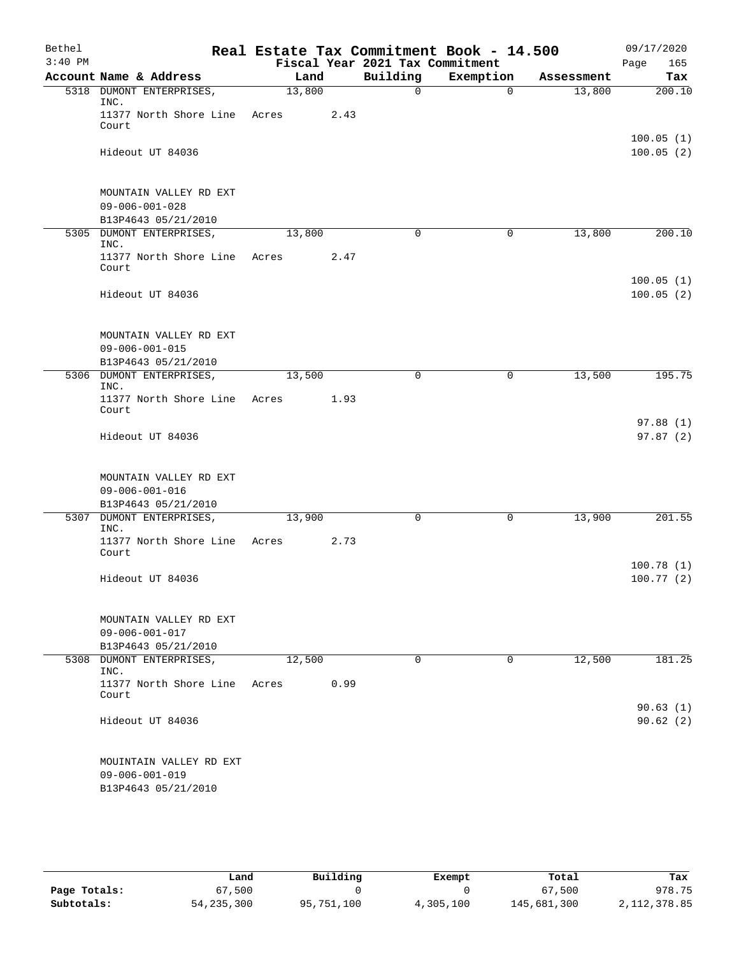| Bethel    |                                                                          |        |      | Real Estate Tax Commitment Book - 14.500 |             |            | 09/17/2020             |
|-----------|--------------------------------------------------------------------------|--------|------|------------------------------------------|-------------|------------|------------------------|
| $3:40$ PM |                                                                          |        |      | Fiscal Year 2021 Tax Commitment          |             |            | 165<br>Page            |
|           | Account Name & Address                                                   | Land   |      | Building                                 | Exemption   | Assessment | Tax                    |
|           | 5318 DUMONT ENTERPRISES,<br>INC.                                         | 13,800 |      | 0                                        | $\Omega$    | 13,800     | 200.10                 |
|           | 11377 North Shore Line<br>Court                                          | Acres  | 2.43 |                                          |             |            |                        |
|           | Hideout UT 84036                                                         |        |      |                                          |             |            | 100.05(1)<br>100.05(2) |
|           | MOUNTAIN VALLEY RD EXT<br>$09 - 006 - 001 - 028$<br>B13P4643 05/21/2010  |        |      |                                          |             |            |                        |
|           | 5305 DUMONT ENTERPRISES,<br>INC.                                         | 13,800 |      | $\mathbf 0$                              | 0           | 13,800     | 200.10                 |
|           | 11377 North Shore Line<br>Court                                          | Acres  | 2.47 |                                          |             |            |                        |
|           | Hideout UT 84036                                                         |        |      |                                          |             |            | 100.05(1)<br>100.05(2) |
|           | MOUNTAIN VALLEY RD EXT<br>$09 - 006 - 001 - 015$<br>B13P4643 05/21/2010  |        |      |                                          |             |            |                        |
|           | 5306 DUMONT ENTERPRISES,<br>INC.                                         | 13,500 |      | 0                                        | $\mathbf 0$ | 13,500     | 195.75                 |
|           | 11377 North Shore Line<br>Court                                          | Acres  | 1.93 |                                          |             |            |                        |
|           | Hideout UT 84036                                                         |        |      |                                          |             |            | 97.88(1)<br>97.87(2)   |
|           | MOUNTAIN VALLEY RD EXT<br>$09 - 006 - 001 - 016$<br>B13P4643 05/21/2010  |        |      |                                          |             |            |                        |
|           | 5307 DUMONT ENTERPRISES,                                                 | 13,900 |      | 0                                        | 0           | 13,900     | 201.55                 |
|           | INC.<br>11377 North Shore Line<br>Court                                  | Acres  | 2.73 |                                          |             |            |                        |
|           | Hideout UT 84036                                                         |        |      |                                          |             |            | 100.78(1)<br>100.77(2) |
|           | MOUNTAIN VALLEY RD EXT<br>$09 - 006 - 001 - 017$<br>B13P4643 05/21/2010  |        |      |                                          |             |            |                        |
|           | 5308 DUMONT ENTERPRISES,<br>INC.                                         | 12,500 |      | 0                                        | 0           | 12,500     | 181.25                 |
|           | 11377 North Shore Line<br>Court                                          | Acres  | 0.99 |                                          |             |            |                        |
|           | Hideout UT 84036                                                         |        |      |                                          |             |            | 90.63(1)<br>90.62(2)   |
|           | MOUINTAIN VALLEY RD EXT<br>$09 - 006 - 001 - 019$<br>B13P4643 05/21/2010 |        |      |                                          |             |            |                        |

|              | Land         | Building   | Exempt    | Total       | Tax            |
|--------------|--------------|------------|-----------|-------------|----------------|
| Page Totals: | 67,500       |            |           | 67,500      | 978.75         |
| Subtotals:   | 54, 235, 300 | 95,751,100 | 4,305,100 | 145,681,300 | 2, 112, 378.85 |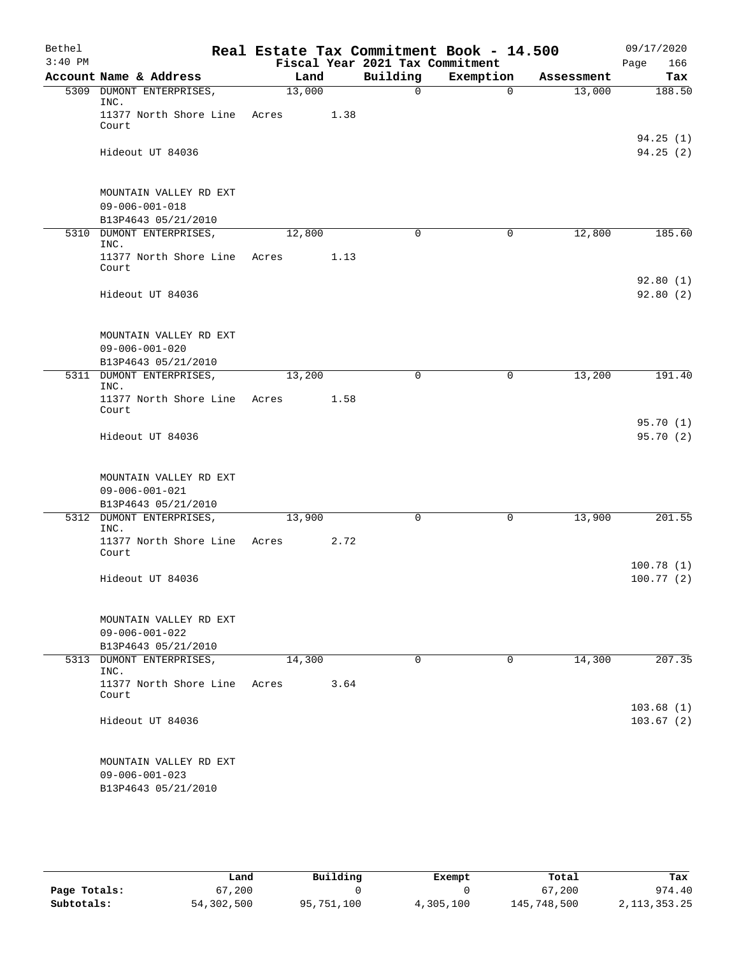| Bethel    |                                                                         |                |      | Real Estate Tax Commitment Book - 14.500 |                       |                      | 09/17/2020             |
|-----------|-------------------------------------------------------------------------|----------------|------|------------------------------------------|-----------------------|----------------------|------------------------|
| $3:40$ PM |                                                                         |                |      | Fiscal Year 2021 Tax Commitment          |                       |                      | 166<br>Page            |
|           | Account Name & Address<br>5309 DUMONT ENTERPRISES,                      | Land<br>13,000 |      | Building<br>$\mathbf 0$                  | Exemption<br>$\Omega$ | Assessment<br>13,000 | Tax<br>188.50          |
|           | INC.                                                                    |                |      |                                          |                       |                      |                        |
|           | 11377 North Shore Line Acres<br>Court                                   |                | 1.38 |                                          |                       |                      |                        |
|           | Hideout UT 84036                                                        |                |      |                                          |                       |                      | 94.25(1)<br>94.25(2)   |
|           | MOUNTAIN VALLEY RD EXT<br>$09 - 006 - 001 - 018$<br>B13P4643 05/21/2010 |                |      |                                          |                       |                      |                        |
|           | 5310 DUMONT ENTERPRISES,                                                | 12,800         |      | $\mathbf 0$                              | 0                     | 12,800               | 185.60                 |
|           | INC.<br>11377 North Shore Line<br>Court                                 | Acres          | 1.13 |                                          |                       |                      |                        |
|           | Hideout UT 84036                                                        |                |      |                                          |                       |                      | 92.80(1)<br>92.80(2)   |
|           | MOUNTAIN VALLEY RD EXT<br>$09 - 006 - 001 - 020$<br>B13P4643 05/21/2010 |                |      |                                          |                       |                      |                        |
|           | 5311 DUMONT ENTERPRISES,                                                | 13,200         |      | $\Omega$                                 | 0                     | 13,200               | 191.40                 |
|           | INC.<br>11377 North Shore Line Acres<br>Court                           |                | 1.58 |                                          |                       |                      |                        |
|           | Hideout UT 84036                                                        |                |      |                                          |                       |                      | 95.70(1)<br>95.70(2)   |
|           | MOUNTAIN VALLEY RD EXT<br>$09 - 006 - 001 - 021$<br>B13P4643 05/21/2010 |                |      |                                          |                       |                      |                        |
|           | 5312 DUMONT ENTERPRISES,                                                | 13,900         |      | 0                                        | 0                     | 13,900               | 201.55                 |
|           | INC.<br>11377 North Shore Line<br>Court                                 | Acres          | 2.72 |                                          |                       |                      |                        |
|           | Hideout UT 84036                                                        |                |      |                                          |                       |                      | 100.78(1)<br>100.77(2) |
|           | MOUNTAIN VALLEY RD EXT<br>$09 - 006 - 001 - 022$<br>B13P4643 05/21/2010 |                |      |                                          |                       |                      |                        |
|           | 5313 DUMONT ENTERPRISES,                                                | 14,300         |      | 0                                        | 0                     | 14,300               | 207.35                 |
|           | INC.<br>11377 North Shore Line<br>Court                                 | Acres          | 3.64 |                                          |                       |                      |                        |
|           | Hideout UT 84036                                                        |                |      |                                          |                       |                      | 103.68(1)<br>103.67(2) |
|           | MOUNTAIN VALLEY RD EXT<br>$09 - 006 - 001 - 023$<br>B13P4643 05/21/2010 |                |      |                                          |                       |                      |                        |

|              | Land       | Building   | Exempt    | Total       | Tax             |
|--------------|------------|------------|-----------|-------------|-----------------|
| Page Totals: | 67,200     |            |           | 67,200      | 974.40          |
| Subtotals:   | 54,302,500 | 95,751,100 | 4,305,100 | 145,748,500 | 2, 113, 353. 25 |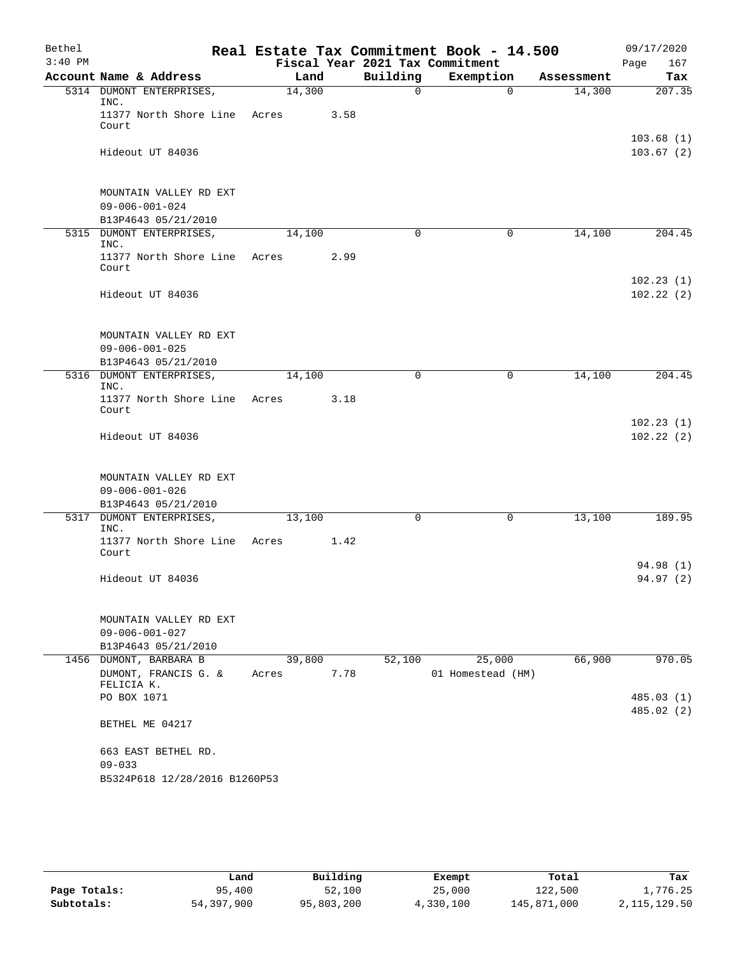| Bethel    |                                                                         |                 |      |                                             | Real Estate Tax Commitment Book - 14.500 |            | 09/17/2020               |
|-----------|-------------------------------------------------------------------------|-----------------|------|---------------------------------------------|------------------------------------------|------------|--------------------------|
| $3:40$ PM | Account Name & Address                                                  |                 | Land | Fiscal Year 2021 Tax Commitment<br>Building | Exemption                                | Assessment | 167<br>Page<br>Tax       |
|           | 5314 DUMONT ENTERPRISES,                                                | 14,300          |      | $\Omega$                                    | $\Omega$                                 | 14,300     | 207.35                   |
|           | INC.<br>11377 North Shore Line Acres<br>Court                           |                 | 3.58 |                                             |                                          |            |                          |
|           | Hideout UT 84036                                                        |                 |      |                                             |                                          |            | 103.68(1)<br>103.67(2)   |
|           | MOUNTAIN VALLEY RD EXT<br>$09 - 006 - 001 - 024$<br>B13P4643 05/21/2010 |                 |      |                                             |                                          |            |                          |
|           | 5315 DUMONT ENTERPRISES,<br>INC.                                        | 14,100          |      | $\mathbf 0$                                 | 0                                        | 14,100     | 204.45                   |
|           | 11377 North Shore Line<br>Court                                         | Acres           | 2.99 |                                             |                                          |            |                          |
|           | Hideout UT 84036                                                        |                 |      |                                             |                                          |            | 102.23(1)<br>102.22(2)   |
|           | MOUNTAIN VALLEY RD EXT<br>$09 - 006 - 001 - 025$<br>B13P4643 05/21/2010 |                 |      |                                             |                                          |            |                          |
|           | 5316 DUMONT ENTERPRISES,<br>INC.                                        | 14,100          |      | 0                                           | 0                                        | 14,100     | 204.45                   |
|           | 11377 North Shore Line<br>Court                                         | Acres           | 3.18 |                                             |                                          |            |                          |
|           | Hideout UT 84036                                                        |                 |      |                                             |                                          |            | 102.23(1)<br>102.22(2)   |
|           | MOUNTAIN VALLEY RD EXT<br>$09 - 006 - 001 - 026$<br>B13P4643 05/21/2010 |                 |      |                                             |                                          |            |                          |
|           | 5317 DUMONT ENTERPRISES,<br>INC.                                        | 13,100          |      | 0                                           | 0                                        | 13,100     | 189.95                   |
|           | 11377 North Shore Line Acres<br>Court                                   |                 | 1.42 |                                             |                                          |            |                          |
|           | Hideout UT 84036                                                        |                 |      |                                             |                                          |            | 94.98 (1)<br>94.97 (2)   |
|           | MOUNTAIN VALLEY RD EXT<br>$09 - 006 - 001 - 027$<br>B13P4643 05/21/2010 |                 |      |                                             |                                          |            |                          |
|           | 1456 DUMONT, BARBARA B<br>DUMONT, FRANCIS G. &<br>FELICIA K.            | 39,800<br>Acres | 7.78 | 52,100                                      | 25,000<br>01 Homestead (HM)              | 66,900     | 970.05                   |
|           | PO BOX 1071                                                             |                 |      |                                             |                                          |            | 485.03 (1)<br>485.02 (2) |
|           | BETHEL ME 04217                                                         |                 |      |                                             |                                          |            |                          |
|           | 663 EAST BETHEL RD.<br>$09 - 033$                                       |                 |      |                                             |                                          |            |                          |
|           | B5324P618 12/28/2016 B1260P53                                           |                 |      |                                             |                                          |            |                          |

|              | Land       | Building   | Exempt    | Total       | Tax            |
|--------------|------------|------------|-----------|-------------|----------------|
| Page Totals: | 95,400     | 52,100     | 25,000    | 122,500     | 1,776.25       |
| Subtotals:   | 54,397,900 | 95,803,200 | 4,330,100 | 145,871,000 | 2, 115, 129.50 |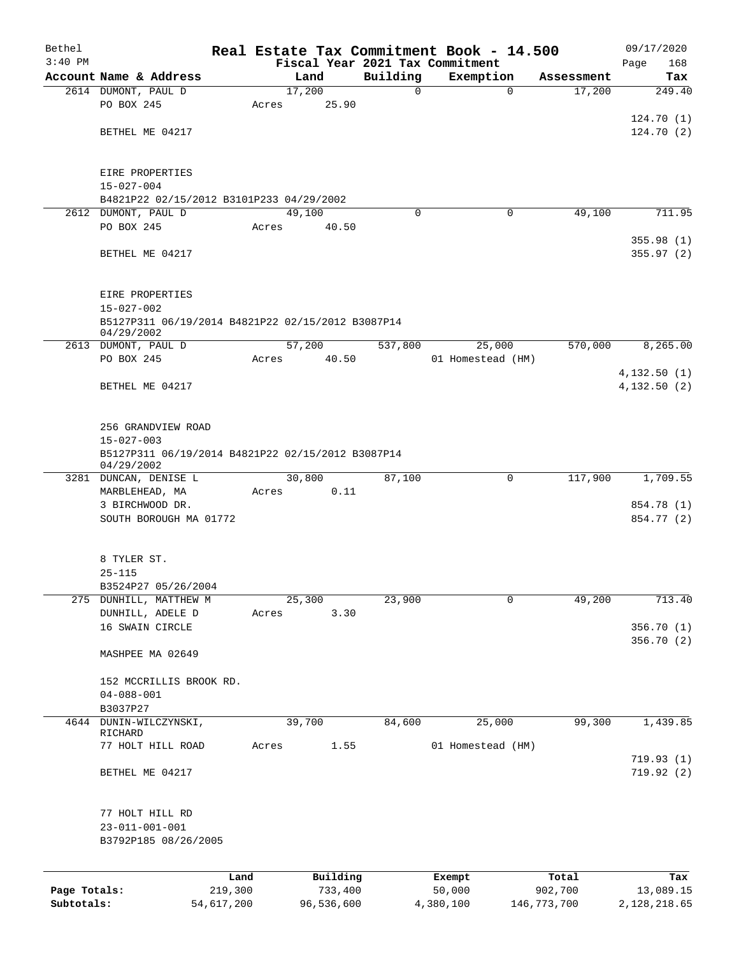| Bethel       |                                                                       |            |       |            |          |          | Real Estate Tax Commitment Book - 14.500 |             |             |      | 09/17/2020               |
|--------------|-----------------------------------------------------------------------|------------|-------|------------|----------|----------|------------------------------------------|-------------|-------------|------|--------------------------|
| $3:40$ PM    |                                                                       |            |       |            |          |          | Fiscal Year 2021 Tax Commitment          |             |             | Page | 168                      |
|              | Account Name & Address                                                |            |       | Land       |          | Building | Exemption                                |             | Assessment  |      | Tax                      |
|              | 2614 DUMONT, PAUL D<br>PO BOX 245                                     |            | Acres | 17,200     | 25.90    | 0        |                                          | $\mathbf 0$ | 17,200      |      | 249.40                   |
|              |                                                                       |            |       |            |          |          |                                          |             |             |      | 124.70(1)                |
|              | BETHEL ME 04217                                                       |            |       |            |          |          |                                          |             |             |      | 124.70(2)                |
|              |                                                                       |            |       |            |          |          |                                          |             |             |      |                          |
|              | EIRE PROPERTIES                                                       |            |       |            |          |          |                                          |             |             |      |                          |
|              | $15 - 027 - 004$                                                      |            |       |            |          |          |                                          |             |             |      |                          |
|              | B4821P22 02/15/2012 B3101P233 04/29/2002                              |            |       |            |          |          |                                          |             |             |      |                          |
|              | 2612 DUMONT, PAUL D                                                   |            |       | 49,100     |          | $\Omega$ |                                          | 0           | 49,100      |      | 711.95                   |
|              | PO BOX 245                                                            |            | Acres |            | 40.50    |          |                                          |             |             |      |                          |
|              | BETHEL ME 04217                                                       |            |       |            |          |          |                                          |             |             |      | 355.98(1)<br>355.97(2)   |
|              |                                                                       |            |       |            |          |          |                                          |             |             |      |                          |
|              | EIRE PROPERTIES                                                       |            |       |            |          |          |                                          |             |             |      |                          |
|              | $15 - 027 - 002$                                                      |            |       |            |          |          |                                          |             |             |      |                          |
|              | B5127P311 06/19/2014 B4821P22 02/15/2012 B3087P14<br>04/29/2002       |            |       |            |          |          |                                          |             |             |      |                          |
|              | 2613 DUMONT, PAUL D                                                   |            |       | 57,200     |          | 537,800  | 25,000                                   |             | 570,000     |      | 8,265.00                 |
|              | PO BOX 245                                                            |            | Acres |            | 40.50    |          | 01 Homestead (HM)                        |             |             |      |                          |
|              |                                                                       |            |       |            |          |          |                                          |             |             |      | 4, 132.50(1)             |
|              | BETHEL ME 04217                                                       |            |       |            |          |          |                                          |             |             |      | 4,132.50(2)              |
|              | 256 GRANDVIEW ROAD                                                    |            |       |            |          |          |                                          |             |             |      |                          |
|              | $15 - 027 - 003$<br>B5127P311 06/19/2014 B4821P22 02/15/2012 B3087P14 |            |       |            |          |          |                                          |             |             |      |                          |
|              | 04/29/2002                                                            |            |       |            |          |          |                                          |             |             |      |                          |
|              | 3281 DUNCAN, DENISE L                                                 |            |       | 30,800     |          | 87,100   |                                          | 0           | 117,900     |      | 1,709.55                 |
|              | MARBLEHEAD, MA<br>3 BIRCHWOOD DR.                                     |            | Acres |            | 0.11     |          |                                          |             |             |      | 854.78 (1)               |
|              | SOUTH BOROUGH MA 01772                                                |            |       |            |          |          |                                          |             |             |      | 854.77 (2)               |
|              |                                                                       |            |       |            |          |          |                                          |             |             |      |                          |
|              | 8 TYLER ST.                                                           |            |       |            |          |          |                                          |             |             |      |                          |
|              | $25 - 115$                                                            |            |       |            |          |          |                                          |             |             |      |                          |
|              | B3524P27 05/26/2004                                                   |            |       |            |          |          |                                          |             |             |      |                          |
|              | 275 DUNHILL, MATTHEW M                                                |            |       | 25,300     |          | 23,900   |                                          | 0           | 49,200      |      | 713.40                   |
|              | DUNHILL, ADELE D                                                      |            | Acres |            | 3.30     |          |                                          |             |             |      |                          |
|              | 16 SWAIN CIRCLE                                                       |            |       |            |          |          |                                          |             |             |      | 356.70 (1)<br>356.70 (2) |
|              | MASHPEE MA 02649                                                      |            |       |            |          |          |                                          |             |             |      |                          |
|              | 152 MCCRILLIS BROOK RD.                                               |            |       |            |          |          |                                          |             |             |      |                          |
|              | $04 - 088 - 001$                                                      |            |       |            |          |          |                                          |             |             |      |                          |
|              | B3037P27                                                              |            |       |            |          |          |                                          |             |             |      |                          |
| 4644         | DUNIN-WILCZYNSKI,                                                     |            |       | 39,700     |          | 84,600   | 25,000                                   |             | 99,300      |      | 1,439.85                 |
|              | RICHARD<br>77 HOLT HILL ROAD                                          |            | Acres |            | 1.55     |          | 01 Homestead (HM)                        |             |             |      |                          |
|              |                                                                       |            |       |            |          |          |                                          |             |             |      | 719.93(1)                |
|              | BETHEL ME 04217                                                       |            |       |            |          |          |                                          |             |             |      | 719.92(2)                |
|              |                                                                       |            |       |            |          |          |                                          |             |             |      |                          |
|              | 77 HOLT HILL RD                                                       |            |       |            |          |          |                                          |             |             |      |                          |
|              | $23 - 011 - 001 - 001$                                                |            |       |            |          |          |                                          |             |             |      |                          |
|              | B3792P185 08/26/2005                                                  |            |       |            |          |          |                                          |             |             |      |                          |
|              |                                                                       | Land       |       |            | Building |          | Exempt                                   |             | Total       |      | Tax                      |
| Page Totals: |                                                                       | 219,300    |       |            | 733,400  |          | 50,000                                   |             | 902,700     |      | 13,089.15                |
| Subtotals:   |                                                                       | 54,617,200 |       | 96,536,600 |          |          | 4,380,100                                |             | 146,773,700 |      | 2, 128, 218.65           |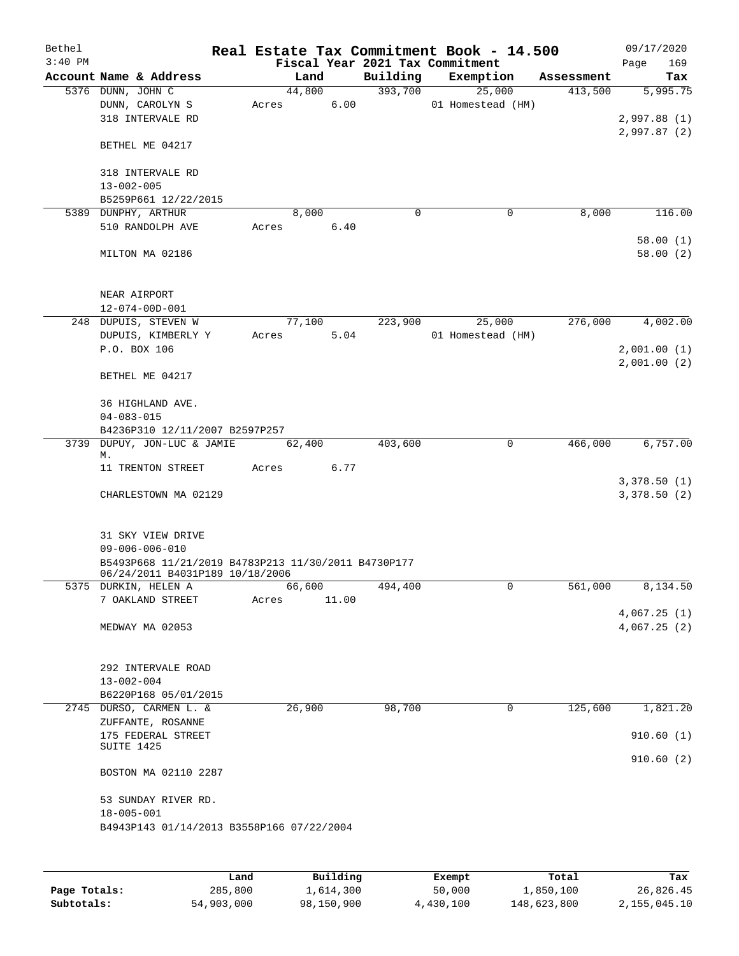| Bethel<br>$3:40$ PM |                                                                                        |       |        |       |             | Real Estate Tax Commitment Book - 14.500<br>Fiscal Year 2021 Tax Commitment |             |            | 09/17/2020<br>169    |
|---------------------|----------------------------------------------------------------------------------------|-------|--------|-------|-------------|-----------------------------------------------------------------------------|-------------|------------|----------------------|
|                     | Account Name & Address                                                                 |       | Land   |       | Building    | Exemption                                                                   |             | Assessment | Page<br>Tax          |
|                     | 5376 DUNN, JOHN C                                                                      |       | 44,800 |       | 393,700     | 25,000                                                                      |             | 413,500    | 5,995.75             |
|                     | DUNN, CAROLYN S                                                                        | Acres |        | 6.00  |             | 01 Homestead (HM)                                                           |             |            |                      |
|                     | 318 INTERVALE RD                                                                       |       |        |       |             |                                                                             |             |            | 2,997.88(1)          |
|                     |                                                                                        |       |        |       |             |                                                                             |             |            | 2,997.87(2)          |
|                     | BETHEL ME 04217                                                                        |       |        |       |             |                                                                             |             |            |                      |
|                     | 318 INTERVALE RD                                                                       |       |        |       |             |                                                                             |             |            |                      |
|                     | $13 - 002 - 005$                                                                       |       |        |       |             |                                                                             |             |            |                      |
|                     | B5259P661 12/22/2015                                                                   |       |        |       |             |                                                                             |             |            |                      |
|                     | 5389 DUNPHY, ARTHUR                                                                    |       | 8,000  |       | $\mathbf 0$ |                                                                             | 0           | 8,000      | 116.00               |
|                     | 510 RANDOLPH AVE                                                                       | Acres |        | 6.40  |             |                                                                             |             |            |                      |
|                     | MILTON MA 02186                                                                        |       |        |       |             |                                                                             |             |            | 58.00(1)<br>58.00(2) |
|                     | NEAR AIRPORT                                                                           |       |        |       |             |                                                                             |             |            |                      |
|                     | $12 - 074 - 00D - 001$                                                                 |       |        |       |             |                                                                             |             |            |                      |
|                     | 248 DUPUIS, STEVEN W                                                                   |       | 77,100 |       | 223,900     | 25,000                                                                      |             | 276,000    | 4,002.00             |
|                     | DUPUIS, KIMBERLY Y                                                                     | Acres |        | 5.04  |             | 01 Homestead (HM)                                                           |             |            |                      |
|                     | P.O. BOX 106                                                                           |       |        |       |             |                                                                             |             |            | 2,001.00(1)          |
|                     |                                                                                        |       |        |       |             |                                                                             |             |            | 2,001.00(2)          |
|                     | BETHEL ME 04217                                                                        |       |        |       |             |                                                                             |             |            |                      |
|                     | 36 HIGHLAND AVE.                                                                       |       |        |       |             |                                                                             |             |            |                      |
|                     | $04 - 083 - 015$                                                                       |       |        |       |             |                                                                             |             |            |                      |
|                     | B4236P310 12/11/2007 B2597P257                                                         |       |        |       |             |                                                                             |             |            |                      |
| 3739                | DUPUY, JON-LUC & JAMIE                                                                 |       | 62,400 |       | 403,600     |                                                                             | 0           | 466,000    | 6,757.00             |
|                     | М.                                                                                     |       |        |       |             |                                                                             |             |            |                      |
|                     | 11 TRENTON STREET                                                                      | Acres |        | 6.77  |             |                                                                             |             |            |                      |
|                     |                                                                                        |       |        |       |             |                                                                             |             |            | 3,378.50(1)          |
|                     | CHARLESTOWN MA 02129                                                                   |       |        |       |             |                                                                             |             |            | 3,378.50(2)          |
|                     |                                                                                        |       |        |       |             |                                                                             |             |            |                      |
|                     | 31 SKY VIEW DRIVE                                                                      |       |        |       |             |                                                                             |             |            |                      |
|                     | $09 - 006 - 006 - 010$                                                                 |       |        |       |             |                                                                             |             |            |                      |
|                     | B5493P668 11/21/2019 B4783P213 11/30/2011 B4730P177<br>06/24/2011 B4031P189 10/18/2006 |       |        |       |             |                                                                             |             |            |                      |
|                     | 5375 DURKIN, HELEN A                                                                   |       | 66,600 |       | 494,400     |                                                                             | 0           | 561,000    | 8,134.50             |
|                     | 7 OAKLAND STREET                                                                       | Acres |        | 11.00 |             |                                                                             |             |            |                      |
|                     |                                                                                        |       |        |       |             |                                                                             |             |            | 4,067.25(1)          |
|                     | MEDWAY MA 02053                                                                        |       |        |       |             |                                                                             |             |            | 4,067.25(2)          |
|                     |                                                                                        |       |        |       |             |                                                                             |             |            |                      |
|                     |                                                                                        |       |        |       |             |                                                                             |             |            |                      |
|                     | 292 INTERVALE ROAD                                                                     |       |        |       |             |                                                                             |             |            |                      |
|                     | $13 - 002 - 004$                                                                       |       |        |       |             |                                                                             |             |            |                      |
|                     | B6220P168 05/01/2015                                                                   |       |        |       |             |                                                                             |             |            |                      |
|                     | 2745 DURSO, CARMEN L. &                                                                |       | 26,900 |       | 98,700      |                                                                             | $\mathbf 0$ | 125,600    | 1,821.20             |
|                     | ZUFFANTE, ROSANNE                                                                      |       |        |       |             |                                                                             |             |            |                      |
|                     | 175 FEDERAL STREET                                                                     |       |        |       |             |                                                                             |             |            | 910.60(1)            |
|                     | SUITE 1425                                                                             |       |        |       |             |                                                                             |             |            |                      |
|                     | BOSTON MA 02110 2287                                                                   |       |        |       |             |                                                                             |             |            | 910.60(2)            |
|                     | 53 SUNDAY RIVER RD.                                                                    |       |        |       |             |                                                                             |             |            |                      |
|                     | $18 - 005 - 001$                                                                       |       |        |       |             |                                                                             |             |            |                      |
|                     | B4943P143 01/14/2013 B3558P166 07/22/2004                                              |       |        |       |             |                                                                             |             |            |                      |
|                     |                                                                                        |       |        |       |             |                                                                             |             |            |                      |
|                     |                                                                                        |       |        |       |             |                                                                             |             |            |                      |
|                     |                                                                                        |       |        |       |             |                                                                             |             |            |                      |

|              | Land       | Building   | Exempt    | Total       | Tax          |
|--------------|------------|------------|-----------|-------------|--------------|
| Page Totals: | 285,800    | 1,614,300  | 50,000    | 1,850,100   | 26,826.45    |
| Subtotals:   | 54,903,000 | 98,150,900 | 4,430,100 | 148,623,800 | 2,155,045.10 |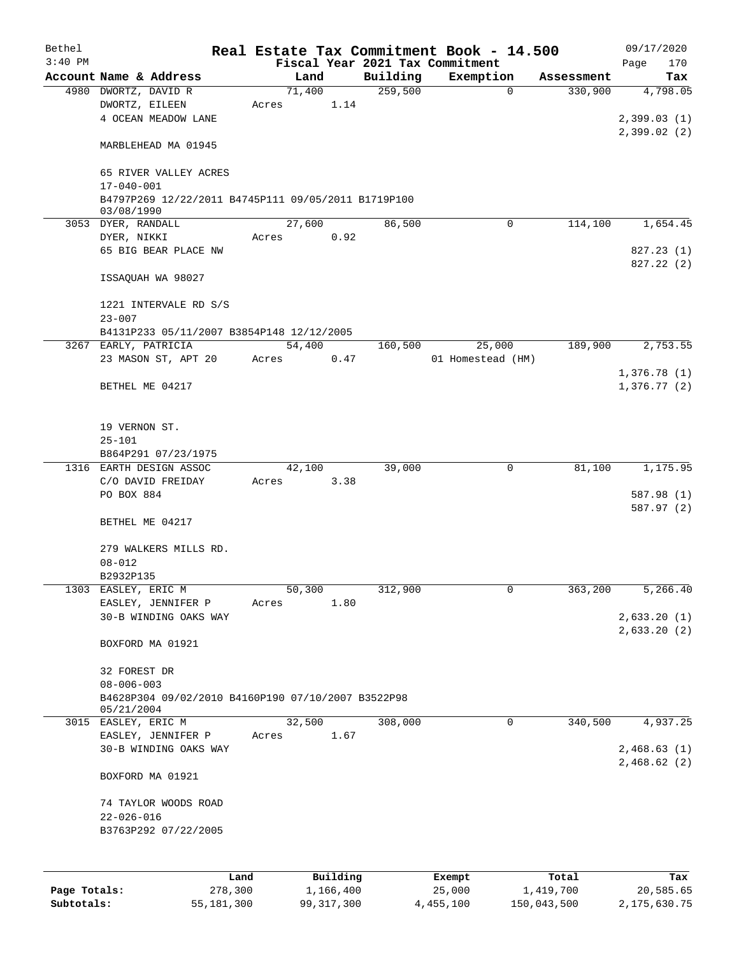| Bethel       |                                                     |                 |       |        |                       |          | Real Estate Tax Commitment Book - 14.500 |                    | 09/17/2020              |
|--------------|-----------------------------------------------------|-----------------|-------|--------|-----------------------|----------|------------------------------------------|--------------------|-------------------------|
| $3:40$ PM    |                                                     |                 |       |        |                       |          | Fiscal Year 2021 Tax Commitment          |                    | 170<br>Page             |
|              | Account Name & Address                              |                 |       | Land   |                       | Building | Exemption                                | Assessment         | Tax                     |
|              | 4980 DWORTZ, DAVID R                                |                 |       | 71,400 |                       | 259,500  | $\mathbf 0$                              | 330,900            | 4,798.05                |
|              | DWORTZ, EILEEN                                      |                 | Acres |        | 1.14                  |          |                                          |                    |                         |
|              | 4 OCEAN MEADOW LANE                                 |                 |       |        |                       |          |                                          |                    | 2,399.03(1)             |
|              |                                                     |                 |       |        |                       |          |                                          |                    | 2,399.02(2)             |
|              | MARBLEHEAD MA 01945                                 |                 |       |        |                       |          |                                          |                    |                         |
|              | 65 RIVER VALLEY ACRES                               |                 |       |        |                       |          |                                          |                    |                         |
|              | $17 - 040 - 001$                                    |                 |       |        |                       |          |                                          |                    |                         |
|              | B4797P269 12/22/2011 B4745P111 09/05/2011 B1719P100 |                 |       |        |                       |          |                                          |                    |                         |
|              | 03/08/1990                                          |                 |       |        |                       |          |                                          |                    |                         |
|              | 3053 DYER, RANDALL                                  |                 |       | 27,600 |                       | 86,500   | $\Omega$                                 | 114,100            | 1,654.45                |
|              | DYER, NIKKI<br>65 BIG BEAR PLACE NW                 |                 | Acres |        | 0.92                  |          |                                          |                    |                         |
|              |                                                     |                 |       |        |                       |          |                                          |                    | 827.23(1)<br>827.22 (2) |
|              | ISSAQUAH WA 98027                                   |                 |       |        |                       |          |                                          |                    |                         |
|              |                                                     |                 |       |        |                       |          |                                          |                    |                         |
|              | 1221 INTERVALE RD S/S                               |                 |       |        |                       |          |                                          |                    |                         |
|              | $23 - 007$                                          |                 |       |        |                       |          |                                          |                    |                         |
|              | B4131P233 05/11/2007 B3854P148 12/12/2005           |                 |       |        |                       |          |                                          |                    |                         |
|              | 3267 EARLY, PATRICIA                                |                 |       | 54,400 |                       | 160,500  | 25,000                                   | 189,900            | 2,753.55                |
|              | 23 MASON ST, APT 20                                 |                 | Acres |        | 0.47                  |          | 01 Homestead (HM)                        |                    |                         |
|              |                                                     |                 |       |        |                       |          |                                          |                    | 1,376.78(1)             |
|              | BETHEL ME 04217                                     |                 |       |        |                       |          |                                          |                    | 1,376.77(2)             |
|              | 19 VERNON ST.                                       |                 |       |        |                       |          |                                          |                    |                         |
|              | $25 - 101$                                          |                 |       |        |                       |          |                                          |                    |                         |
|              | B864P291 07/23/1975                                 |                 |       |        |                       |          |                                          |                    |                         |
|              | 1316 EARTH DESIGN ASSOC                             |                 |       | 42,100 |                       | 39,000   | $\mathbf 0$                              | 81,100             | 1,175.95                |
|              | C/O DAVID FREIDAY                                   |                 | Acres |        | 3.38                  |          |                                          |                    |                         |
|              | PO BOX 884                                          |                 |       |        |                       |          |                                          |                    | 587.98 (1)              |
|              |                                                     |                 |       |        |                       |          |                                          |                    | 587.97 (2)              |
|              | BETHEL ME 04217                                     |                 |       |        |                       |          |                                          |                    |                         |
|              | 279 WALKERS MILLS RD.                               |                 |       |        |                       |          |                                          |                    |                         |
|              | $08 - 012$                                          |                 |       |        |                       |          |                                          |                    |                         |
|              | B2932P135                                           |                 |       |        |                       |          |                                          |                    |                         |
|              | 1303 EASLEY, ERIC M                                 |                 |       | 50,300 |                       | 312,900  | 0                                        | 363,200            | 5,266.40                |
|              | EASLEY, JENNIFER P                                  |                 | Acres |        | 1.80                  |          |                                          |                    |                         |
|              | 30-B WINDING OAKS WAY                               |                 |       |        |                       |          |                                          |                    | 2,633.20(1)             |
|              |                                                     |                 |       |        |                       |          |                                          |                    | 2,633.20(2)             |
|              | BOXFORD MA 01921                                    |                 |       |        |                       |          |                                          |                    |                         |
|              |                                                     |                 |       |        |                       |          |                                          |                    |                         |
|              | 32 FOREST DR                                        |                 |       |        |                       |          |                                          |                    |                         |
|              | $08 - 006 - 003$                                    |                 |       |        |                       |          |                                          |                    |                         |
|              | B4628P304 09/02/2010 B4160P190 07/10/2007 B3522P98  |                 |       |        |                       |          |                                          |                    |                         |
|              | 05/21/2004                                          |                 |       |        |                       | 308,000  |                                          |                    |                         |
|              | 3015 EASLEY, ERIC M<br>EASLEY, JENNIFER P           |                 |       | 32,500 |                       |          | 0                                        | 340,500            | 4,937.25                |
|              | 30-B WINDING OAKS WAY                               |                 | Acres |        | 1.67                  |          |                                          |                    | 2,468.63(1)             |
|              |                                                     |                 |       |        |                       |          |                                          |                    | 2,468.62(2)             |
|              | BOXFORD MA 01921                                    |                 |       |        |                       |          |                                          |                    |                         |
|              | 74 TAYLOR WOODS ROAD                                |                 |       |        |                       |          |                                          |                    |                         |
|              | $22 - 026 - 016$                                    |                 |       |        |                       |          |                                          |                    |                         |
|              | B3763P292 07/22/2005                                |                 |       |        |                       |          |                                          |                    |                         |
|              |                                                     |                 |       |        |                       |          |                                          |                    |                         |
|              |                                                     |                 |       |        |                       |          |                                          |                    |                         |
| Page Totals: |                                                     | Land<br>278,300 |       |        | Building<br>1,166,400 |          | Exempt<br>25,000                         | Total<br>1,419,700 | Tax<br>20,585.65        |
| Subtotals:   |                                                     | 55, 181, 300    |       |        | 99, 317, 300          |          | 4,455,100                                | 150,043,500        | 2, 175, 630.75          |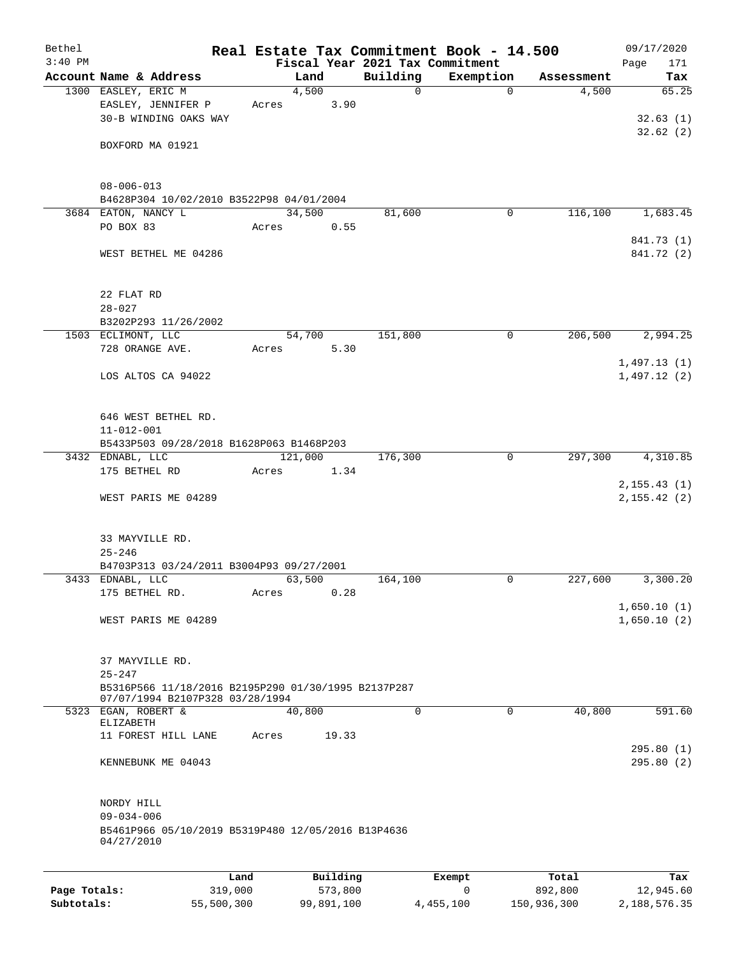| Bethel<br>$3:40$ PM |                                                     |       |          | Fiscal Year 2021 Tax Commitment | Real Estate Tax Commitment Book - 14.500 |            | 09/17/2020<br>Page         |
|---------------------|-----------------------------------------------------|-------|----------|---------------------------------|------------------------------------------|------------|----------------------------|
|                     | Account Name & Address                              |       | Land     | Building                        | Exemption                                | Assessment | 171<br>Tax                 |
|                     | 1300 EASLEY, ERIC M                                 |       | 4,500    | $\mathsf{O}$                    | $\Omega$                                 | 4,500      | 65.25                      |
|                     | EASLEY, JENNIFER P                                  | Acres | 3.90     |                                 |                                          |            |                            |
|                     | 30-B WINDING OAKS WAY                               |       |          |                                 |                                          |            | 32.63(1)                   |
|                     |                                                     |       |          |                                 |                                          |            | 32.62(2)                   |
|                     | BOXFORD MA 01921                                    |       |          |                                 |                                          |            |                            |
|                     |                                                     |       |          |                                 |                                          |            |                            |
|                     |                                                     |       |          |                                 |                                          |            |                            |
|                     | $08 - 006 - 013$                                    |       |          |                                 |                                          |            |                            |
|                     | B4628P304 10/02/2010 B3522P98 04/01/2004            |       |          |                                 |                                          |            |                            |
|                     | 3684 EATON, NANCY L                                 |       | 34,500   | 81,600                          | 0                                        | 116,100    | 1,683.45                   |
|                     | PO BOX 83                                           | Acres | 0.55     |                                 |                                          |            | 841.73 (1)                 |
|                     | WEST BETHEL ME 04286                                |       |          |                                 |                                          |            | 841.72 (2)                 |
|                     |                                                     |       |          |                                 |                                          |            |                            |
|                     |                                                     |       |          |                                 |                                          |            |                            |
|                     | 22 FLAT RD                                          |       |          |                                 |                                          |            |                            |
|                     | $28 - 027$                                          |       |          |                                 |                                          |            |                            |
|                     | B3202P293 11/26/2002                                |       |          |                                 |                                          |            |                            |
|                     | 1503 ECLIMONT, LLC                                  |       | 54,700   | 151,800                         | 0                                        | 206,500    | 2,994.25                   |
|                     | 728 ORANGE AVE.                                     | Acres | 5.30     |                                 |                                          |            |                            |
|                     |                                                     |       |          |                                 |                                          |            | 1,497.13(1)                |
|                     | LOS ALTOS CA 94022                                  |       |          |                                 |                                          |            | 1,497.12(2)                |
|                     |                                                     |       |          |                                 |                                          |            |                            |
|                     |                                                     |       |          |                                 |                                          |            |                            |
|                     | 646 WEST BETHEL RD.                                 |       |          |                                 |                                          |            |                            |
|                     | $11 - 012 - 001$                                    |       |          |                                 |                                          |            |                            |
|                     | B5433P503 09/28/2018 B1628P063 B1468P203            |       | 121,000  | 176,300                         | 0                                        | 297,300    | 4,310.85                   |
|                     | 3432 EDNABL, LLC<br>175 BETHEL RD                   | Acres | 1.34     |                                 |                                          |            |                            |
|                     |                                                     |       |          |                                 |                                          |            | 2, 155.43(1)               |
|                     | WEST PARIS ME 04289                                 |       |          |                                 |                                          |            | 2, 155.42(2)               |
|                     |                                                     |       |          |                                 |                                          |            |                            |
|                     |                                                     |       |          |                                 |                                          |            |                            |
|                     | 33 MAYVILLE RD.                                     |       |          |                                 |                                          |            |                            |
|                     | $25 - 246$                                          |       |          |                                 |                                          |            |                            |
|                     | B4703P313 03/24/2011 B3004P93 09/27/2001            |       |          |                                 |                                          |            |                            |
|                     | 3433 EDNABL, LLC                                    |       | 63,500   | 164,100                         | 0                                        | 227,600    | 3,300.20                   |
|                     | 175 BETHEL RD.                                      | Acres | 0.28     |                                 |                                          |            |                            |
|                     | WEST PARIS ME 04289                                 |       |          |                                 |                                          |            | 1,650.10(1)<br>1,650.10(2) |
|                     |                                                     |       |          |                                 |                                          |            |                            |
|                     |                                                     |       |          |                                 |                                          |            |                            |
|                     | 37 MAYVILLE RD.                                     |       |          |                                 |                                          |            |                            |
|                     | $25 - 247$                                          |       |          |                                 |                                          |            |                            |
|                     | B5316P566 11/18/2016 B2195P290 01/30/1995 B2137P287 |       |          |                                 |                                          |            |                            |
|                     | 07/07/1994 B2107P328 03/28/1994                     |       |          |                                 |                                          |            |                            |
|                     | 5323 EGAN, ROBERT &<br>ELIZABETH                    |       | 40,800   | $\Omega$                        | 0                                        | 40,800     | 591.60                     |
|                     | 11 FOREST HILL LANE                                 | Acres | 19.33    |                                 |                                          |            |                            |
|                     |                                                     |       |          |                                 |                                          |            | 295.80(1)                  |
|                     | KENNEBUNK ME 04043                                  |       |          |                                 |                                          |            | 295.80(2)                  |
|                     |                                                     |       |          |                                 |                                          |            |                            |
|                     |                                                     |       |          |                                 |                                          |            |                            |
|                     | NORDY HILL                                          |       |          |                                 |                                          |            |                            |
|                     | $09 - 034 - 006$                                    |       |          |                                 |                                          |            |                            |
|                     | B5461P966 05/10/2019 B5319P480 12/05/2016 B13P4636  |       |          |                                 |                                          |            |                            |
|                     | 04/27/2010                                          |       |          |                                 |                                          |            |                            |
|                     |                                                     |       |          |                                 |                                          |            |                            |
|                     |                                                     | Land  | Building |                                 | Exempt                                   | Total      | Tax                        |
| Page Totals:        | 319,000                                             |       | 573,800  |                                 | 0                                        | 892,800    | 12,945.60                  |

**Subtotals:** 55,500,300 99,891,100 4,455,100 150,936,300 2,188,576.35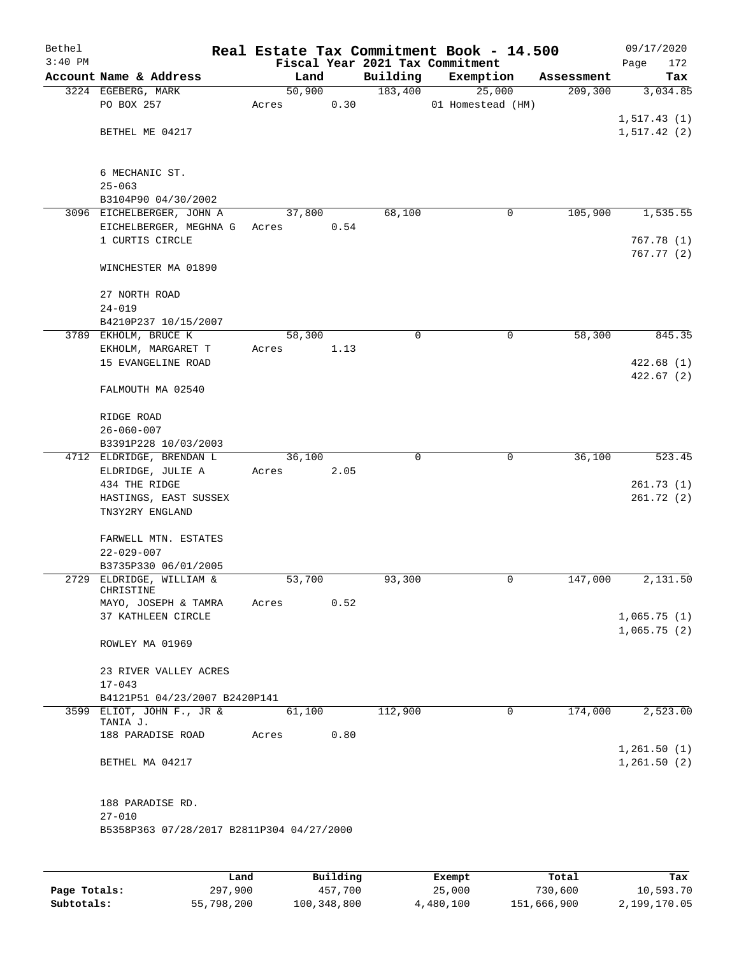| Bethel<br>$3:40$ PM |                                                  |        |      |          | Real Estate Tax Commitment Book - 14.500<br>Fiscal Year 2021 Tax Commitment |            | 09/17/2020<br>Page<br>172 |
|---------------------|--------------------------------------------------|--------|------|----------|-----------------------------------------------------------------------------|------------|---------------------------|
|                     | Account Name & Address                           | Land   |      | Building | Exemption                                                                   | Assessment | Tax                       |
|                     | 3224 EGEBERG, MARK                               | 50,900 |      | 183,400  | 25,000                                                                      | 209, 300   | 3,034.85                  |
|                     | PO BOX 257                                       | Acres  | 0.30 |          | 01 Homestead (HM)                                                           |            |                           |
|                     |                                                  |        |      |          |                                                                             |            | 1,517.43(1)               |
|                     | BETHEL ME 04217                                  |        |      |          |                                                                             |            | 1,517.42(2)               |
|                     |                                                  |        |      |          |                                                                             |            |                           |
|                     |                                                  |        |      |          |                                                                             |            |                           |
|                     | 6 MECHANIC ST.                                   |        |      |          |                                                                             |            |                           |
|                     | $25 - 063$                                       |        |      |          |                                                                             |            |                           |
|                     | B3104P90 04/30/2002<br>3096 EICHELBERGER, JOHN A | 37,800 |      | 68,100   | 0                                                                           | 105,900    | 1,535.55                  |
|                     | EICHELBERGER, MEGHNA G                           | Acres  | 0.54 |          |                                                                             |            |                           |
|                     | 1 CURTIS CIRCLE                                  |        |      |          |                                                                             |            | 767.78(1)                 |
|                     |                                                  |        |      |          |                                                                             |            | 767.77(2)                 |
|                     | WINCHESTER MA 01890                              |        |      |          |                                                                             |            |                           |
|                     |                                                  |        |      |          |                                                                             |            |                           |
|                     | 27 NORTH ROAD                                    |        |      |          |                                                                             |            |                           |
|                     | $24 - 019$                                       |        |      |          |                                                                             |            |                           |
|                     | B4210P237 10/15/2007                             |        |      |          |                                                                             |            |                           |
|                     | 3789 EKHOLM, BRUCE K<br>EKHOLM, MARGARET T       | 58,300 |      | 0        | $\mathbf 0$                                                                 | 58,300     | 845.35                    |
|                     | 15 EVANGELINE ROAD                               | Acres  | 1.13 |          |                                                                             |            | 422.68(1)                 |
|                     |                                                  |        |      |          |                                                                             |            | 422.67(2)                 |
|                     | FALMOUTH MA 02540                                |        |      |          |                                                                             |            |                           |
|                     |                                                  |        |      |          |                                                                             |            |                           |
|                     | RIDGE ROAD                                       |        |      |          |                                                                             |            |                           |
|                     | $26 - 060 - 007$                                 |        |      |          |                                                                             |            |                           |
|                     | B3391P228 10/03/2003                             |        |      |          |                                                                             |            |                           |
|                     | 4712 ELDRIDGE, BRENDAN L                         | 36,100 |      | $\Omega$ | $\mathbf 0$                                                                 | 36,100     | 523.45                    |
|                     | ELDRIDGE, JULIE A<br>434 THE RIDGE               | Acres  | 2.05 |          |                                                                             |            | 261.73(1)                 |
|                     | HASTINGS, EAST SUSSEX                            |        |      |          |                                                                             |            | 261.72(2)                 |
|                     | TN3Y2RY ENGLAND                                  |        |      |          |                                                                             |            |                           |
|                     |                                                  |        |      |          |                                                                             |            |                           |
|                     | FARWELL MTN. ESTATES                             |        |      |          |                                                                             |            |                           |
|                     | $22 - 029 - 007$                                 |        |      |          |                                                                             |            |                           |
|                     | B3735P330 06/01/2005                             |        |      |          |                                                                             |            |                           |
|                     | 2729 ELDRIDGE, WILLIAM &<br>CHRISTINE            | 53,700 |      | 93,300   | 0                                                                           | 147,000    | 2,131.50                  |
|                     | MAYO, JOSEPH & TAMRA                             | Acres  | 0.52 |          |                                                                             |            |                           |
|                     | 37 KATHLEEN CIRCLE                               |        |      |          |                                                                             |            | 1,065.75(1)               |
|                     |                                                  |        |      |          |                                                                             |            | 1,065.75(2)               |
|                     | ROWLEY MA 01969                                  |        |      |          |                                                                             |            |                           |
|                     |                                                  |        |      |          |                                                                             |            |                           |
|                     | 23 RIVER VALLEY ACRES                            |        |      |          |                                                                             |            |                           |
|                     | $17 - 043$<br>B4121P51 04/23/2007 B2420P141      |        |      |          |                                                                             |            |                           |
|                     | 3599 ELIOT, JOHN F., JR &                        | 61,100 |      | 112,900  | 0                                                                           | 174,000    | 2,523.00                  |
|                     | TANIA J.                                         |        |      |          |                                                                             |            |                           |
|                     | 188 PARADISE ROAD                                | Acres  | 0.80 |          |                                                                             |            |                           |
|                     |                                                  |        |      |          |                                                                             |            | 1,261.50(1)               |
|                     | BETHEL MA 04217                                  |        |      |          |                                                                             |            | 1,261.50(2)               |
|                     |                                                  |        |      |          |                                                                             |            |                           |
|                     | 188 PARADISE RD.                                 |        |      |          |                                                                             |            |                           |
|                     | $27 - 010$                                       |        |      |          |                                                                             |            |                           |
|                     | B5358P363 07/28/2017 B2811P304 04/27/2000        |        |      |          |                                                                             |            |                           |
|                     |                                                  |        |      |          |                                                                             |            |                           |
|                     |                                                  |        |      |          |                                                                             |            |                           |

|              | Land       | Building    | Exempt    | Total       | Tax          |
|--------------|------------|-------------|-----------|-------------|--------------|
| Page Totals: | 297,900    | 457,700     | 25,000    | 730,600     | 10,593.70    |
| Subtotals:   | 55,798,200 | 100,348,800 | 4,480,100 | 151,666,900 | 2,199,170.05 |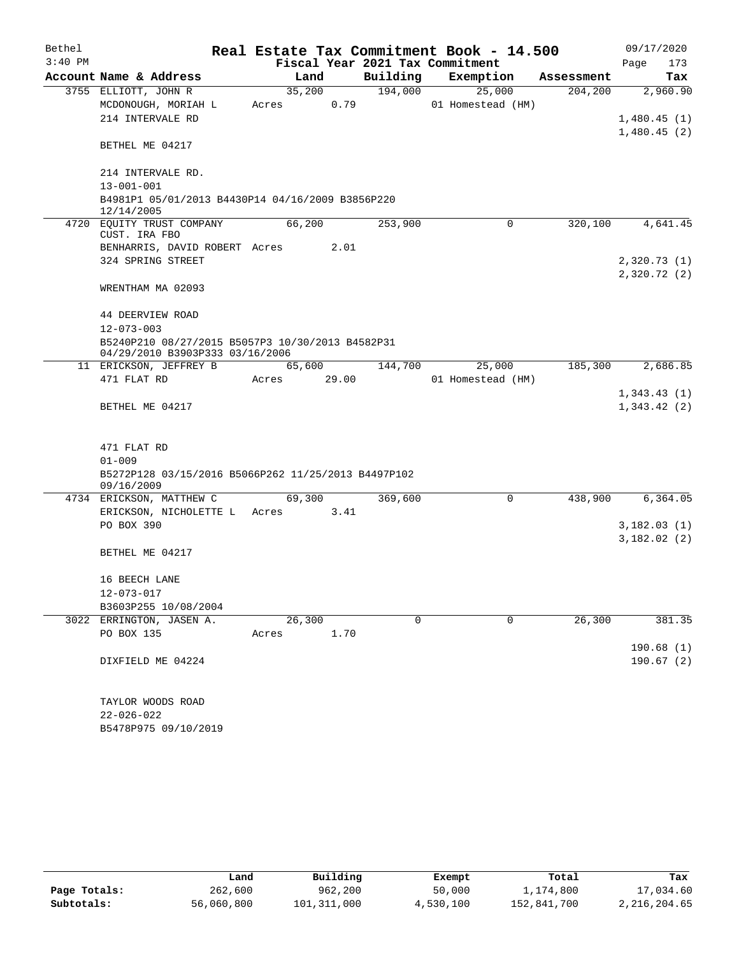| Bethel    |                                                                   |       |        |       |          | Real Estate Tax Commitment Book - 14.500 |             |            |             | 09/17/2020  |
|-----------|-------------------------------------------------------------------|-------|--------|-------|----------|------------------------------------------|-------------|------------|-------------|-------------|
| $3:40$ PM |                                                                   |       |        |       |          | Fiscal Year 2021 Tax Commitment          |             |            | Page        | 173         |
|           | Account Name & Address                                            |       | Land   |       | Building | Exemption                                |             | Assessment |             | Tax         |
|           | 3755 ELLIOTT, JOHN R                                              |       | 35,200 |       | 194,000  | 25,000                                   |             | 204, 200   |             | 2,960.90    |
|           | MCDONOUGH, MORIAH L                                               | Acres |        | 0.79  |          | 01 Homestead (HM)                        |             |            |             |             |
|           | 214 INTERVALE RD                                                  |       |        |       |          |                                          |             |            | 1,480.45(1) |             |
|           | BETHEL ME 04217                                                   |       |        |       |          |                                          |             |            | 1,480.45(2) |             |
|           | 214 INTERVALE RD.                                                 |       |        |       |          |                                          |             |            |             |             |
|           | $13 - 001 - 001$                                                  |       |        |       |          |                                          |             |            |             |             |
|           | B4981P1 05/01/2013 B4430P14 04/16/2009 B3856P220<br>12/14/2005    |       |        |       |          |                                          |             |            |             |             |
|           | 4720 EQUITY TRUST COMPANY<br>CUST. IRA FBO                        |       | 66,200 |       | 253,900  |                                          | $\Omega$    | 320,100    |             | 4,641.45    |
|           | BENHARRIS, DAVID ROBERT Acres                                     |       |        | 2.01  |          |                                          |             |            |             |             |
|           | 324 SPRING STREET                                                 |       |        |       |          |                                          |             |            | 2,320.73(1) |             |
|           | WRENTHAM MA 02093                                                 |       |        |       |          |                                          |             |            | 2,320.72(2) |             |
|           | 44 DEERVIEW ROAD                                                  |       |        |       |          |                                          |             |            |             |             |
|           | $12 - 073 - 003$                                                  |       |        |       |          |                                          |             |            |             |             |
|           | B5240P210 08/27/2015 B5057P3 10/30/2013 B4582P31                  |       |        |       |          |                                          |             |            |             |             |
|           | 04/29/2010 B3903P333 03/16/2006                                   |       |        |       |          |                                          |             |            |             |             |
|           | 11 ERICKSON, JEFFREY B                                            |       | 65,600 |       | 144,700  | 25,000                                   |             | 185,300    |             | 2,686.85    |
|           | 471 FLAT RD                                                       | Acres |        | 29.00 |          | 01 Homestead (HM)                        |             |            |             |             |
|           |                                                                   |       |        |       |          |                                          |             |            | 1,343.43(1) |             |
|           | BETHEL ME 04217                                                   |       |        |       |          |                                          |             |            | 1,343.42(2) |             |
|           |                                                                   |       |        |       |          |                                          |             |            |             |             |
|           | 471 FLAT RD                                                       |       |        |       |          |                                          |             |            |             |             |
|           | $01 - 009$                                                        |       |        |       |          |                                          |             |            |             |             |
|           | B5272P128 03/15/2016 B5066P262 11/25/2013 B4497P102<br>09/16/2009 |       |        |       |          |                                          |             |            |             |             |
|           | 4734 ERICKSON, MATTHEW C                                          |       | 69,300 |       | 369,600  |                                          | $\Omega$    | 438,900    |             | 6,364.05    |
|           | ERICKSON, NICHOLETTE L Acres                                      |       |        | 3.41  |          |                                          |             |            |             |             |
|           | PO BOX 390                                                        |       |        |       |          |                                          |             |            |             | 3,182.03(1) |
|           |                                                                   |       |        |       |          |                                          |             |            |             | 3,182.02(2) |
|           | BETHEL ME 04217                                                   |       |        |       |          |                                          |             |            |             |             |
|           | 16 BEECH LANE                                                     |       |        |       |          |                                          |             |            |             |             |
|           | 12-073-017                                                        |       |        |       |          |                                          |             |            |             |             |
|           | B3603P255 10/08/2004                                              |       |        |       |          |                                          |             |            |             |             |
|           | 3022 ERRINGTON, JASEN A.                                          |       | 26,300 |       | 0        |                                          | $\mathbf 0$ | 26,300     |             | 381.35      |
|           | PO BOX 135                                                        | Acres |        | 1.70  |          |                                          |             |            |             |             |
|           |                                                                   |       |        |       |          |                                          |             |            |             | 190.68(1)   |
|           | DIXFIELD ME 04224                                                 |       |        |       |          |                                          |             |            |             | 190.67(2)   |
|           | TAYLOR WOODS ROAD                                                 |       |        |       |          |                                          |             |            |             |             |
|           | 22-026-022                                                        |       |        |       |          |                                          |             |            |             |             |
|           | B5478P975 09/10/2019                                              |       |        |       |          |                                          |             |            |             |             |

|              | Land       | Building    | Exempt    | Total       | Tax          |
|--------------|------------|-------------|-----------|-------------|--------------|
| Page Totals: | 262,600    | 962,200     | 50,000    | 1,174,800   | 17,034.60    |
| Subtotals:   | 56,060,800 | 101,311,000 | 4,530,100 | 152,841,700 | 2,216,204.65 |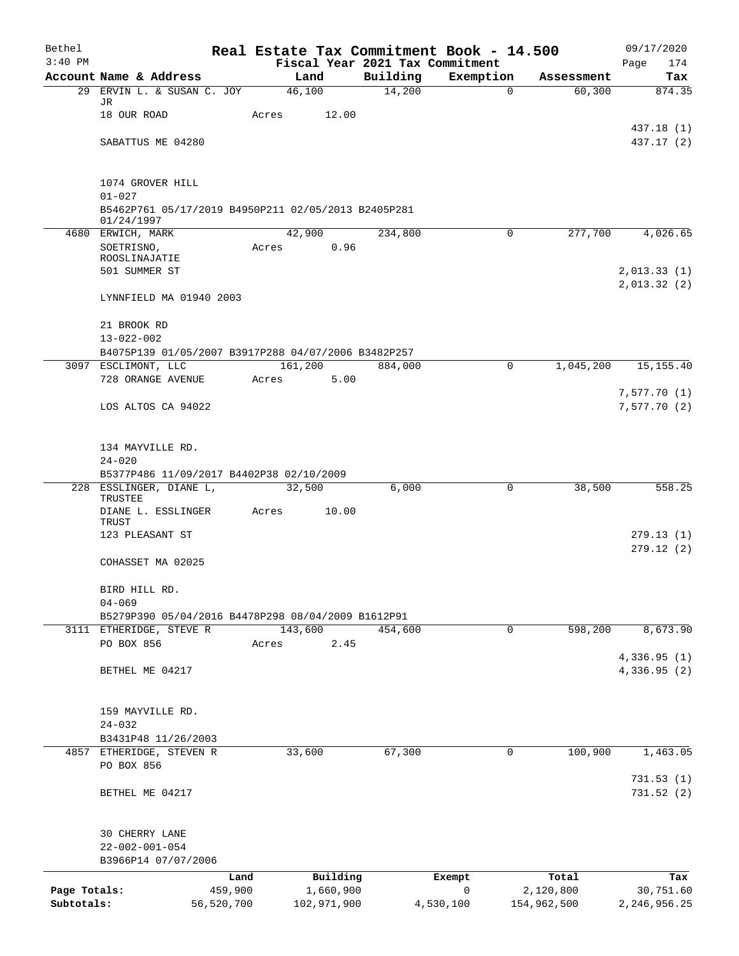| Bethel                     |                                                                                       |       |                          |          | Real Estate Tax Commitment Book - 14.500     |                          | 09/17/2020                   |
|----------------------------|---------------------------------------------------------------------------------------|-------|--------------------------|----------|----------------------------------------------|--------------------------|------------------------------|
| $3:40$ PM                  | Account Name & Address                                                                |       | Land                     | Building | Fiscal Year 2021 Tax Commitment<br>Exemption | Assessment               | 174<br>Page<br>Tax           |
| 29                         | ERVIN L. & SUSAN C. JOY                                                               |       | 46,100                   | 14,200   | 0                                            | 60,300                   | 874.35                       |
|                            | JR<br>18 OUR ROAD                                                                     | Acres | 12.00                    |          |                                              |                          |                              |
|                            | SABATTUS ME 04280                                                                     |       |                          |          |                                              |                          | 437.18 (1)<br>437.17 (2)     |
|                            | 1074 GROVER HILL<br>$01 - 027$<br>B5462P761 05/17/2019 B4950P211 02/05/2013 B2405P281 |       |                          |          |                                              |                          |                              |
|                            | 01/24/1997                                                                            |       |                          |          |                                              |                          |                              |
|                            | 4680 ERWICH, MARK<br>SOETRISNO,<br>ROOSLINAJATIE<br>501 SUMMER ST                     | Acres | 42,900<br>0.96           | 234,800  | 0                                            | 277,700                  | 4,026.65<br>2,013.33(1)      |
|                            | LYNNFIELD MA 01940 2003                                                               |       |                          |          |                                              |                          | 2,013.32(2)                  |
|                            | 21 BROOK RD<br>$13 - 022 - 002$                                                       |       |                          |          |                                              |                          |                              |
|                            | B4075P139 01/05/2007 B3917P288 04/07/2006 B3482P257                                   |       |                          |          |                                              |                          |                              |
|                            | 3097 ESCLIMONT, LLC<br>728 ORANGE AVENUE                                              | Acres | 161,200<br>5.00          | 884,000  | 0                                            | 1,045,200                | 15, 155. 40                  |
|                            |                                                                                       |       |                          |          |                                              |                          | 7,577.70 (1)                 |
|                            | LOS ALTOS CA 94022                                                                    |       |                          |          |                                              |                          | 7,577.70(2)                  |
|                            | 134 MAYVILLE RD.<br>$24 - 020$                                                        |       |                          |          |                                              |                          |                              |
|                            | B5377P486 11/09/2017 B4402P38 02/10/2009                                              |       |                          |          |                                              |                          |                              |
|                            | 228 ESSLINGER, DIANE L,<br>TRUSTEE<br>DIANE L. ESSLINGER                              | Acres | 32,500<br>10.00          | 6,000    | $\mathbf 0$                                  | 38,500                   | 558.25                       |
|                            | TRUST<br>123 PLEASANT ST                                                              |       |                          |          |                                              |                          | 279.13(1)<br>279.12(2)       |
|                            | COHASSET MA 02025                                                                     |       |                          |          |                                              |                          |                              |
|                            | BIRD HILL RD.<br>$04 - 069$                                                           |       |                          |          |                                              |                          |                              |
|                            | B5279P390 05/04/2016 B4478P298 08/04/2009 B1612P91<br>3111 ETHERIDGE, STEVE R         |       | 143,600                  | 454,600  | 0                                            | 598,200                  | 8,673.90                     |
|                            | PO BOX 856                                                                            | Acres | 2.45                     |          |                                              |                          |                              |
|                            | BETHEL ME 04217                                                                       |       |                          |          |                                              |                          | 4,336.95(1)<br>4,336.95(2)   |
|                            | 159 MAYVILLE RD.                                                                      |       |                          |          |                                              |                          |                              |
|                            | $24 - 032$<br>B3431P48 11/26/2003                                                     |       |                          |          |                                              |                          |                              |
|                            | 4857 ETHERIDGE, STEVEN R                                                              |       | 33,600                   | 67,300   | $\mathbf 0$                                  | 100,900                  | 1,463.05                     |
|                            | PO BOX 856                                                                            |       |                          |          |                                              |                          |                              |
|                            | BETHEL ME 04217                                                                       |       |                          |          |                                              |                          | 731.53(1)<br>731.52(2)       |
|                            | 30 CHERRY LANE<br>$22 - 002 - 001 - 054$<br>B3966P14 07/07/2006                       |       |                          |          |                                              |                          |                              |
|                            | Land                                                                                  |       | Building                 |          | Exempt                                       | Total                    | Tax                          |
| Page Totals:<br>Subtotals: | 459,900<br>56,520,700                                                                 |       | 1,660,900<br>102,971,900 |          | 0<br>4,530,100                               | 2,120,800<br>154,962,500 | 30,751.60<br>2, 246, 956. 25 |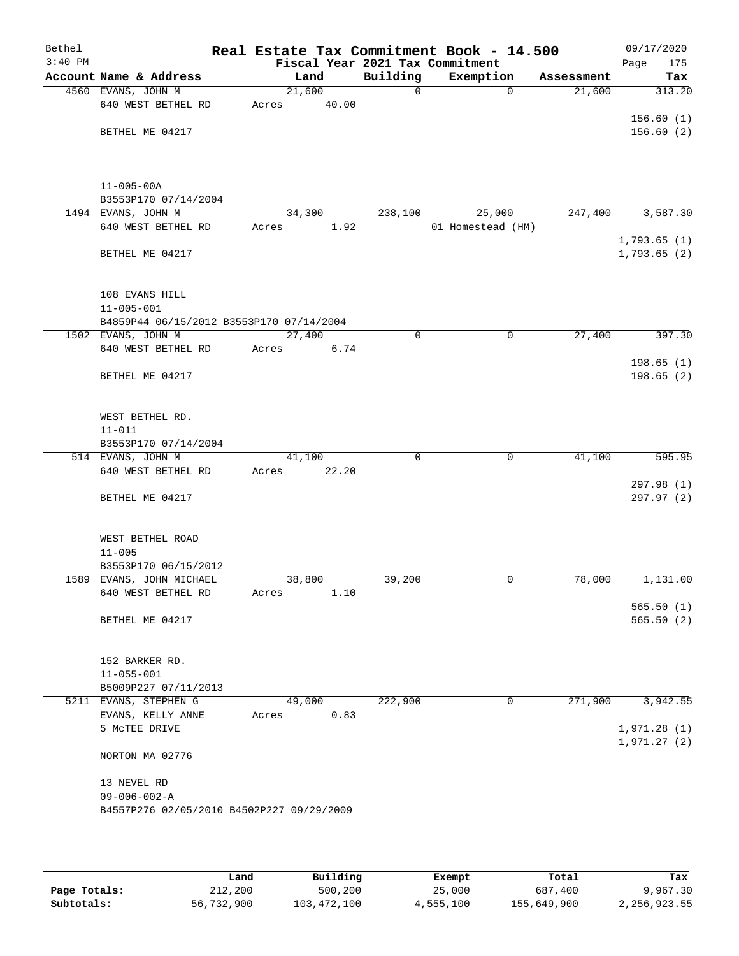| Bethel    |                                            |                     |       |             | Real Estate Tax Commitment Book - 14.500 |            | 09/17/2020  |
|-----------|--------------------------------------------|---------------------|-------|-------------|------------------------------------------|------------|-------------|
| $3:40$ PM |                                            |                     |       |             | Fiscal Year 2021 Tax Commitment          |            | Page<br>175 |
|           | Account Name & Address                     | Land                |       | Building    | Exemption                                | Assessment | Tax         |
|           | 4560 EVANS, JOHN M                         | $\overline{21,600}$ |       | $\mathbf 0$ | $\Omega$                                 | 21,600     | 313.20      |
|           | 640 WEST BETHEL RD                         | Acres               | 40.00 |             |                                          |            |             |
|           |                                            |                     |       |             |                                          |            | 156.60(1)   |
|           | BETHEL ME 04217                            |                     |       |             |                                          |            | 156.60(2)   |
|           |                                            |                     |       |             |                                          |            |             |
|           |                                            |                     |       |             |                                          |            |             |
|           |                                            |                     |       |             |                                          |            |             |
|           | $11 - 005 - 00A$                           |                     |       |             |                                          |            |             |
|           | B3553P170 07/14/2004<br>1494 EVANS, JOHN M | 34,300              |       | 238,100     | 25,000                                   | 247,400    | 3,587.30    |
|           | 640 WEST BETHEL RD                         | Acres               | 1.92  |             | 01 Homestead (HM)                        |            |             |
|           |                                            |                     |       |             |                                          |            | 1,793.65(1) |
|           | BETHEL ME 04217                            |                     |       |             |                                          |            | 1,793.65(2) |
|           |                                            |                     |       |             |                                          |            |             |
|           |                                            |                     |       |             |                                          |            |             |
|           | 108 EVANS HILL                             |                     |       |             |                                          |            |             |
|           | $11 - 005 - 001$                           |                     |       |             |                                          |            |             |
|           | B4859P44 06/15/2012 B3553P170 07/14/2004   |                     |       |             |                                          |            |             |
|           | 1502 EVANS, JOHN M                         | 27,400              |       | 0           | $\mathbf 0$                              | 27,400     | 397.30      |
|           | 640 WEST BETHEL RD                         | Acres               | 6.74  |             |                                          |            |             |
|           |                                            |                     |       |             |                                          |            | 198.65(1)   |
|           | BETHEL ME 04217                            |                     |       |             |                                          |            | 198.65(2)   |
|           |                                            |                     |       |             |                                          |            |             |
|           |                                            |                     |       |             |                                          |            |             |
|           | WEST BETHEL RD.                            |                     |       |             |                                          |            |             |
|           | $11 - 011$                                 |                     |       |             |                                          |            |             |
|           | B3553P170 07/14/2004                       |                     |       |             |                                          |            |             |
|           | 514 EVANS, JOHN M                          | 41,100              |       | 0           | $\mathbf 0$                              | 41,100     | 595.95      |
|           | 640 WEST BETHEL RD                         | Acres               | 22.20 |             |                                          |            | 297.98 (1)  |
|           | BETHEL ME 04217                            |                     |       |             |                                          |            | 297.97 (2)  |
|           |                                            |                     |       |             |                                          |            |             |
|           |                                            |                     |       |             |                                          |            |             |
|           | WEST BETHEL ROAD                           |                     |       |             |                                          |            |             |
|           | $11 - 005$                                 |                     |       |             |                                          |            |             |
|           | B3553P170 06/15/2012                       |                     |       |             |                                          |            |             |
|           | 1589 EVANS, JOHN MICHAEL                   | 38,800              |       | 39,200      | 0                                        | 78,000     | 1,131.00    |
|           | 640 WEST BETHEL RD                         | Acres               | 1.10  |             |                                          |            |             |
|           |                                            |                     |       |             |                                          |            | 565.50(1)   |
|           | BETHEL ME 04217                            |                     |       |             |                                          |            | 565.50(2)   |
|           |                                            |                     |       |             |                                          |            |             |
|           |                                            |                     |       |             |                                          |            |             |
|           | 152 BARKER RD.                             |                     |       |             |                                          |            |             |
|           | $11 - 055 - 001$                           |                     |       |             |                                          |            |             |
|           | B5009P227 07/11/2013                       |                     |       |             |                                          |            |             |
|           | 5211 EVANS, STEPHEN G                      | 49,000              |       | 222,900     | 0                                        | 271,900    | 3,942.55    |
|           | EVANS, KELLY ANNE<br>5 MCTEE DRIVE         | Acres               | 0.83  |             |                                          |            | 1,971.28(1) |
|           |                                            |                     |       |             |                                          |            | 1,971.27(2) |
|           | NORTON MA 02776                            |                     |       |             |                                          |            |             |
|           |                                            |                     |       |             |                                          |            |             |
|           | 13 NEVEL RD                                |                     |       |             |                                          |            |             |
|           | $09 - 006 - 002 - A$                       |                     |       |             |                                          |            |             |
|           | B4557P276 02/05/2010 B4502P227 09/29/2009  |                     |       |             |                                          |            |             |
|           |                                            |                     |       |             |                                          |            |             |
|           |                                            |                     |       |             |                                          |            |             |

|              | Land       | Building    | Exempt    | Total       | Tax            |
|--------------|------------|-------------|-----------|-------------|----------------|
| Page Totals: | 212,200    | 500,200     | 25,000    | 687,400     | 9,967.30       |
| Subtotals:   | 56,732,900 | 103,472,100 | 4,555,100 | 155,649,900 | 2, 256, 923.55 |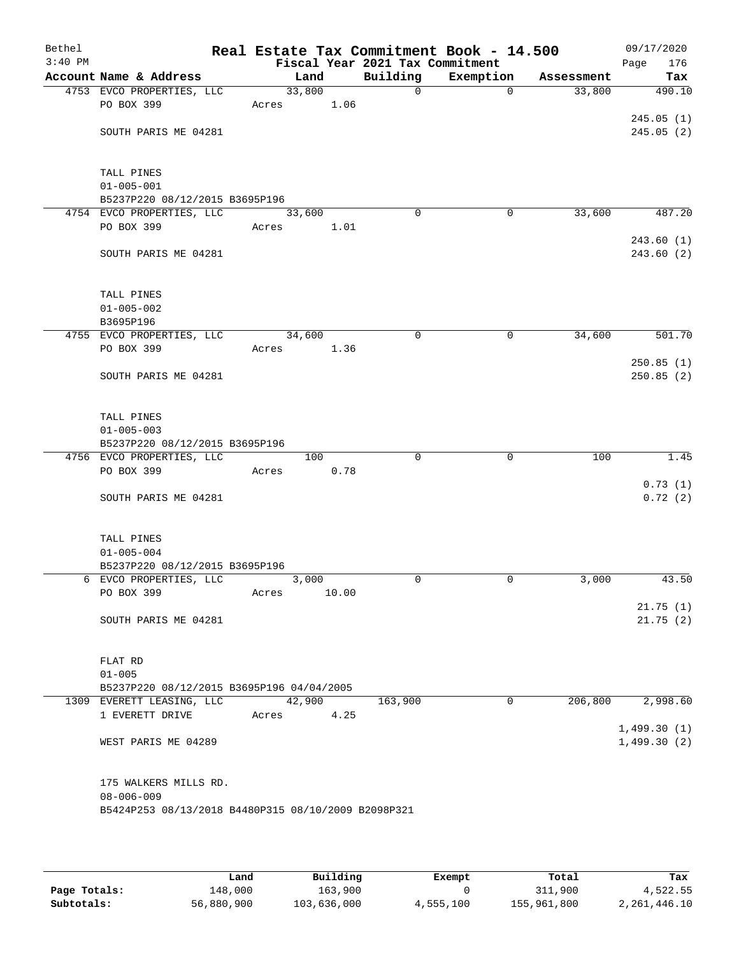| Bethel<br>$3:40$ PM |                                                          |       |        |       |                                             | Real Estate Tax Commitment Book - 14.500 |            | 09/17/2020         |
|---------------------|----------------------------------------------------------|-------|--------|-------|---------------------------------------------|------------------------------------------|------------|--------------------|
|                     | Account Name & Address                                   |       | Land   |       | Fiscal Year 2021 Tax Commitment<br>Building | Exemption                                | Assessment | Page<br>176<br>Tax |
|                     | 4753 EVCO PROPERTIES, LLC                                |       | 33,800 |       | $\mathbf 0$                                 | $\mathbf 0$                              | 33,800     | 490.10             |
|                     | PO BOX 399                                               | Acres |        | 1.06  |                                             |                                          |            |                    |
|                     |                                                          |       |        |       |                                             |                                          |            | 245.05(1)          |
|                     | SOUTH PARIS ME 04281                                     |       |        |       |                                             |                                          |            | 245.05(2)          |
|                     |                                                          |       |        |       |                                             |                                          |            |                    |
|                     |                                                          |       |        |       |                                             |                                          |            |                    |
|                     | TALL PINES                                               |       |        |       |                                             |                                          |            |                    |
|                     | $01 - 005 - 001$                                         |       |        |       |                                             |                                          |            |                    |
|                     | B5237P220 08/12/2015 B3695P196                           |       |        |       |                                             |                                          |            |                    |
|                     | 4754 EVCO PROPERTIES, LLC                                |       | 33,600 |       | $\Omega$                                    | 0                                        | 33,600     | 487.20             |
|                     | PO BOX 399                                               | Acres |        | 1.01  |                                             |                                          |            |                    |
|                     |                                                          |       |        |       |                                             |                                          |            | 243.60(1)          |
|                     | SOUTH PARIS ME 04281                                     |       |        |       |                                             |                                          |            | 243.60(2)          |
|                     |                                                          |       |        |       |                                             |                                          |            |                    |
|                     |                                                          |       |        |       |                                             |                                          |            |                    |
|                     | TALL PINES                                               |       |        |       |                                             |                                          |            |                    |
|                     | $01 - 005 - 002$                                         |       |        |       |                                             |                                          |            |                    |
|                     | B3695P196                                                |       |        |       |                                             |                                          |            |                    |
|                     | 4755 EVCO PROPERTIES, LLC<br>PO BOX 399                  |       | 34,600 |       | 0                                           | 0                                        | 34,600     | 501.70             |
|                     |                                                          | Acres |        | 1.36  |                                             |                                          |            | 250.85(1)          |
|                     | SOUTH PARIS ME 04281                                     |       |        |       |                                             |                                          |            | 250.85(2)          |
|                     |                                                          |       |        |       |                                             |                                          |            |                    |
|                     |                                                          |       |        |       |                                             |                                          |            |                    |
|                     | TALL PINES                                               |       |        |       |                                             |                                          |            |                    |
|                     | $01 - 005 - 003$                                         |       |        |       |                                             |                                          |            |                    |
|                     | B5237P220 08/12/2015 B3695P196                           |       |        |       |                                             |                                          |            |                    |
|                     | 4756 EVCO PROPERTIES, LLC                                |       | 100    |       | $\Omega$                                    | $\mathbf 0$                              | 100        | 1.45               |
|                     | PO BOX 399                                               | Acres |        | 0.78  |                                             |                                          |            |                    |
|                     |                                                          |       |        |       |                                             |                                          |            | 0.73(1)            |
|                     | SOUTH PARIS ME 04281                                     |       |        |       |                                             |                                          |            | 0.72(2)            |
|                     |                                                          |       |        |       |                                             |                                          |            |                    |
|                     |                                                          |       |        |       |                                             |                                          |            |                    |
|                     | TALL PINES                                               |       |        |       |                                             |                                          |            |                    |
|                     | $01 - 005 - 004$                                         |       |        |       |                                             |                                          |            |                    |
|                     | B5237P220 08/12/2015 B3695P196<br>6 EVCO PROPERTIES, LLC |       | 3,000  |       | 0                                           | 0                                        | 3,000      | 43.50              |
|                     | PO BOX 399                                               | Acres |        | 10.00 |                                             |                                          |            |                    |
|                     |                                                          |       |        |       |                                             |                                          |            | 21.75(1)           |
|                     | SOUTH PARIS ME 04281                                     |       |        |       |                                             |                                          |            | 21.75(2)           |
|                     |                                                          |       |        |       |                                             |                                          |            |                    |
|                     |                                                          |       |        |       |                                             |                                          |            |                    |
|                     | FLAT RD                                                  |       |        |       |                                             |                                          |            |                    |
|                     | $01 - 005$                                               |       |        |       |                                             |                                          |            |                    |
|                     | B5237P220 08/12/2015 B3695P196 04/04/2005                |       |        |       |                                             |                                          |            |                    |
|                     | 1309 EVERETT LEASING, LLC                                |       | 42,900 |       | 163,900                                     | 0                                        | 206,800    | 2,998.60           |
|                     | 1 EVERETT DRIVE                                          | Acres |        | 4.25  |                                             |                                          |            |                    |
|                     |                                                          |       |        |       |                                             |                                          |            | 1,499.30(1)        |
|                     | WEST PARIS ME 04289                                      |       |        |       |                                             |                                          |            | 1,499.30(2)        |
|                     |                                                          |       |        |       |                                             |                                          |            |                    |
|                     |                                                          |       |        |       |                                             |                                          |            |                    |
|                     | 175 WALKERS MILLS RD.                                    |       |        |       |                                             |                                          |            |                    |
|                     | $08 - 006 - 009$                                         |       |        |       |                                             |                                          |            |                    |
|                     | B5424P253 08/13/2018 B4480P315 08/10/2009 B2098P321      |       |        |       |                                             |                                          |            |                    |
|                     |                                                          |       |        |       |                                             |                                          |            |                    |

|              | Land       | Building    | Exempt    | Total       | Tax          |
|--------------|------------|-------------|-----------|-------------|--------------|
| Page Totals: | 148,000    | 163,900     |           | 311,900     | 4,522.55     |
| Subtotals:   | 56,880,900 | 103,636,000 | 4,555,100 | 155,961,800 | 2,261,446.10 |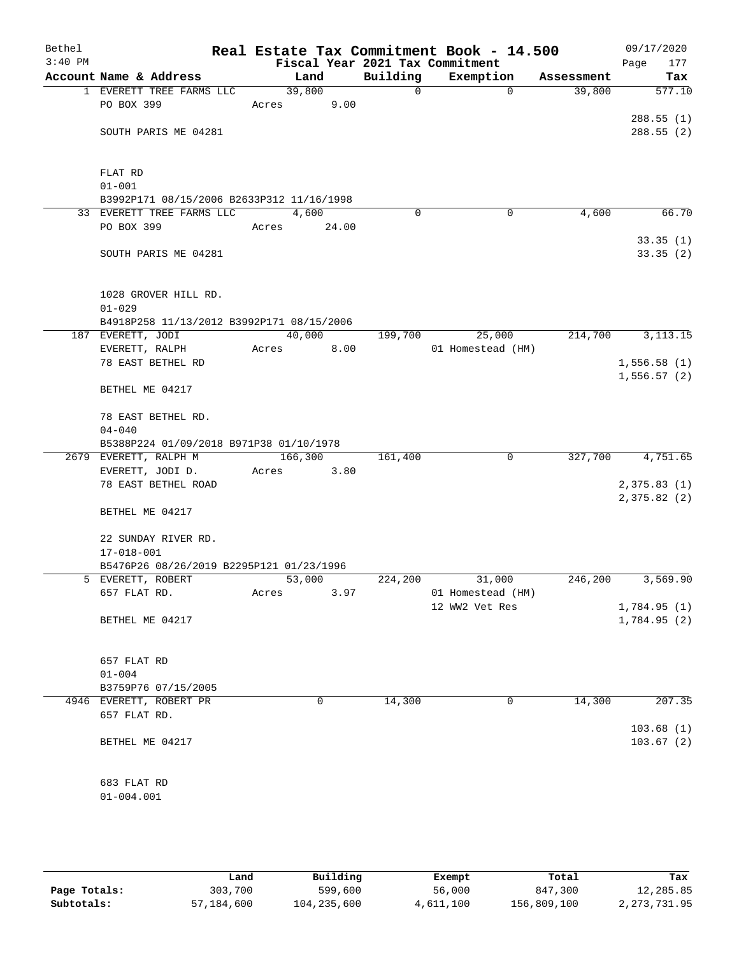| Bethel<br>$3:40$ PM |                                           | Fiscal Year 2021 Tax Commitment |          | Real Estate Tax Commitment Book - 14.500 |            | 09/17/2020<br>177<br>Page |
|---------------------|-------------------------------------------|---------------------------------|----------|------------------------------------------|------------|---------------------------|
|                     | Account Name & Address                    | Land                            | Building | Exemption                                | Assessment | Tax                       |
|                     | 1 EVERETT TREE FARMS LLC                  | 39,800                          | 0        | $\mathbf 0$                              | 39,800     | 577.10                    |
|                     | PO BOX 399                                | 9.00<br>Acres                   |          |                                          |            |                           |
|                     |                                           |                                 |          |                                          |            | 288.55(1)                 |
|                     | SOUTH PARIS ME 04281                      |                                 |          |                                          |            | 288.55(2)                 |
|                     |                                           |                                 |          |                                          |            |                           |
|                     |                                           |                                 |          |                                          |            |                           |
|                     | FLAT RD                                   |                                 |          |                                          |            |                           |
|                     | $01 - 001$                                |                                 |          |                                          |            |                           |
|                     | B3992P171 08/15/2006 B2633P312 11/16/1998 |                                 |          |                                          |            |                           |
|                     | 33 EVERETT TREE FARMS LLC                 | 4,600                           | $\Omega$ | $\mathbf 0$                              | 4,600      | 66.70                     |
|                     | PO BOX 399                                | Acres<br>24.00                  |          |                                          |            |                           |
|                     |                                           |                                 |          |                                          |            | 33.35(1)                  |
|                     | SOUTH PARIS ME 04281                      |                                 |          |                                          |            | 33.35(2)                  |
|                     |                                           |                                 |          |                                          |            |                           |
|                     |                                           |                                 |          |                                          |            |                           |
|                     | 1028 GROVER HILL RD.                      |                                 |          |                                          |            |                           |
|                     | $01 - 029$                                |                                 |          |                                          |            |                           |
|                     | B4918P258 11/13/2012 B3992P171 08/15/2006 |                                 |          |                                          |            |                           |
|                     | 187 EVERETT, JODI                         | 40,000                          | 199,700  | 25,000                                   | 214,700    | 3, 113. 15                |
|                     | EVERETT, RALPH                            | 8.00<br>Acres                   |          | 01 Homestead (HM)                        |            |                           |
|                     | 78 EAST BETHEL RD                         |                                 |          |                                          |            | 1,556.58(1)               |
|                     | BETHEL ME 04217                           |                                 |          |                                          |            | 1,556.57(2)               |
|                     |                                           |                                 |          |                                          |            |                           |
|                     | 78 EAST BETHEL RD.                        |                                 |          |                                          |            |                           |
|                     | $04 - 040$                                |                                 |          |                                          |            |                           |
|                     | B5388P224 01/09/2018 B971P38 01/10/1978   |                                 |          |                                          |            |                           |
|                     | 2679 EVERETT, RALPH M                     | 166,300                         | 161,400  | 0                                        | 327,700    | 4,751.65                  |
|                     | EVERETT, JODI D.                          | Acres<br>3.80                   |          |                                          |            |                           |
|                     | 78 EAST BETHEL ROAD                       |                                 |          |                                          |            | 2,375.83(1)               |
|                     |                                           |                                 |          |                                          |            | 2,375.82(2)               |
|                     | BETHEL ME 04217                           |                                 |          |                                          |            |                           |
|                     |                                           |                                 |          |                                          |            |                           |
|                     | 22 SUNDAY RIVER RD.                       |                                 |          |                                          |            |                           |
|                     | $17 - 018 - 001$                          |                                 |          |                                          |            |                           |
|                     | B5476P26 08/26/2019 B2295P121 01/23/1996  |                                 |          |                                          |            |                           |
|                     | 5 EVERETT, ROBERT                         | 53,000                          | 224,200  | 31,000                                   | 246,200    | 3,569.90                  |
|                     | 657 FLAT RD.                              | 3.97<br>Acres                   |          | 01 Homestead (HM)                        |            |                           |
|                     |                                           |                                 |          | 12 WW2 Vet Res                           |            | 1,784.95 (1)              |
|                     | BETHEL ME 04217                           |                                 |          |                                          |            | 1,784.95 (2)              |
|                     |                                           |                                 |          |                                          |            |                           |
|                     |                                           |                                 |          |                                          |            |                           |
|                     | 657 FLAT RD                               |                                 |          |                                          |            |                           |
|                     | $01 - 004$                                |                                 |          |                                          |            |                           |
|                     | B3759P76 07/15/2005                       |                                 |          |                                          |            | 207.35                    |
|                     | 4946 EVERETT, ROBERT PR                   | 0                               | 14,300   | 0                                        | 14,300     |                           |
|                     | 657 FLAT RD.                              |                                 |          |                                          |            | 103.68(1)                 |
|                     | BETHEL ME 04217                           |                                 |          |                                          |            | 103.67(2)                 |
|                     |                                           |                                 |          |                                          |            |                           |
|                     |                                           |                                 |          |                                          |            |                           |
|                     | 683 FLAT RD                               |                                 |          |                                          |            |                           |
|                     | $01 - 004.001$                            |                                 |          |                                          |            |                           |
|                     |                                           |                                 |          |                                          |            |                           |
|                     |                                           |                                 |          |                                          |            |                           |

|              | Land       | Building    | Exempt    | Total       | Tax            |
|--------------|------------|-------------|-----------|-------------|----------------|
| Page Totals: | 303,700    | 599,600     | 56,000    | 847,300     | 12,285.85      |
| Subtotals:   | 57,184,600 | 104,235,600 | 4,611,100 | 156,809,100 | 2, 273, 731.95 |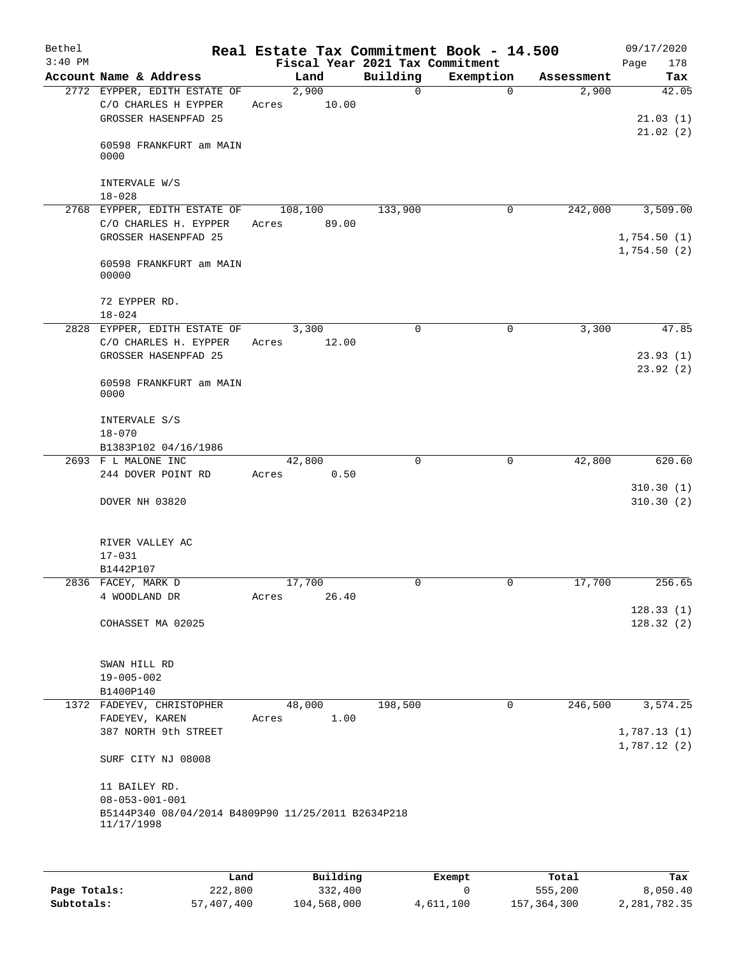| Account Name & Address<br>2772 EYPPER, EDITH ESTATE OF | Fiscal Year 2021 Tax Commitment<br>Land                                                                                                                   | Building                                                                                                      |                                                                        |                  | 178<br>Page                            |
|--------------------------------------------------------|-----------------------------------------------------------------------------------------------------------------------------------------------------------|---------------------------------------------------------------------------------------------------------------|------------------------------------------------------------------------|------------------|----------------------------------------|
|                                                        |                                                                                                                                                           |                                                                                                               | Exemption                                                              | Assessment       | Tax                                    |
| C/O CHARLES H EYPPER<br>GROSSER HASENPFAD 25           | 2,900<br>10.00<br>Acres                                                                                                                                   | $\Omega$                                                                                                      | $\Omega$                                                               | 2,900            | 42.05<br>21.03(1)                      |
| 60598 FRANKFURT am MAIN<br>0000                        |                                                                                                                                                           |                                                                                                               |                                                                        |                  | 21.02(2)                               |
| INTERVALE W/S<br>$18 - 028$                            |                                                                                                                                                           |                                                                                                               |                                                                        |                  |                                        |
|                                                        |                                                                                                                                                           | 133,900                                                                                                       | 0                                                                      |                  | 3,509.00                               |
| GROSSER HASENPFAD 25                                   |                                                                                                                                                           |                                                                                                               |                                                                        |                  | 1,754.50(1)<br>1,754.50(2)             |
| 60598 FRANKFURT am MAIN<br>00000                       |                                                                                                                                                           |                                                                                                               |                                                                        |                  |                                        |
| 72 EYPPER RD.<br>$18 - 024$                            |                                                                                                                                                           |                                                                                                               |                                                                        |                  |                                        |
| 2828 EYPPER, EDITH ESTATE OF                           | 3,300                                                                                                                                                     | $\mathbf 0$                                                                                                   | $\mathbf 0$                                                            | 3,300            | 47.85                                  |
| GROSSER HASENPFAD 25                                   |                                                                                                                                                           |                                                                                                               |                                                                        |                  | 23.93(1)<br>23.92(2)                   |
| 60598 FRANKFURT am MAIN<br>0000                        |                                                                                                                                                           |                                                                                                               |                                                                        |                  |                                        |
| INTERVALE S/S<br>$18 - 070$                            |                                                                                                                                                           |                                                                                                               |                                                                        |                  |                                        |
| B1383P102 04/16/1986                                   |                                                                                                                                                           |                                                                                                               |                                                                        |                  |                                        |
|                                                        |                                                                                                                                                           |                                                                                                               |                                                                        |                  | 620.60                                 |
| DOVER NH 03820                                         |                                                                                                                                                           |                                                                                                               |                                                                        |                  | 310.30(1)<br>310.30(2)                 |
| RIVER VALLEY AC<br>$17 - 031$                          |                                                                                                                                                           |                                                                                                               |                                                                        |                  |                                        |
|                                                        |                                                                                                                                                           |                                                                                                               |                                                                        |                  |                                        |
| 4 WOODLAND DR                                          | 26.40<br>Acres                                                                                                                                            |                                                                                                               |                                                                        |                  | 256.65                                 |
| COHASSET MA 02025                                      |                                                                                                                                                           |                                                                                                               |                                                                        |                  | 128.33(1)<br>128.32(2)                 |
| SWAN HILL RD<br>$19 - 005 - 002$                       |                                                                                                                                                           |                                                                                                               |                                                                        |                  |                                        |
| 1372 FADEYEV, CHRISTOPHER                              | 48,000                                                                                                                                                    | 198,500                                                                                                       | 0                                                                      |                  | 3,574.25                               |
| FADEYEV, KAREN<br>387 NORTH 9th STREET                 | 1.00<br>Acres                                                                                                                                             |                                                                                                               |                                                                        |                  | 1,787.13(1)                            |
| SURF CITY NJ 08008                                     |                                                                                                                                                           |                                                                                                               |                                                                        |                  | 1,787.12(2)                            |
| 11 BAILEY RD.<br>$08 - 053 - 001 - 001$                |                                                                                                                                                           |                                                                                                               |                                                                        |                  |                                        |
|                                                        | C/O CHARLES H. EYPPER<br>C/O CHARLES H. EYPPER<br>2693 F L MALONE INC<br>244 DOVER POINT RD<br>B1442P107<br>2836 FACEY, MARK D<br>B1400P140<br>11/17/1998 | 2768 EYPPER, EDITH ESTATE OF 108,100<br>89.00<br>Acres<br>12.00<br>Acres<br>42,800<br>0.50<br>Acres<br>17,700 | $\mathbf 0$<br>0<br>B5144P340 08/04/2014 B4809P90 11/25/2011 B2634P218 | $\mathbf 0$<br>0 | 242,000<br>42,800<br>17,700<br>246,500 |

|              | Land       | Building    | Exempt    | Total       | Tax          |
|--------------|------------|-------------|-----------|-------------|--------------|
| Page Totals: | 222,800    | 332,400     |           | 555,200     | 8,050.40     |
| Subtotals:   | 57,407,400 | 104,568,000 | 4,611,100 | 157,364,300 | 2,281,782.35 |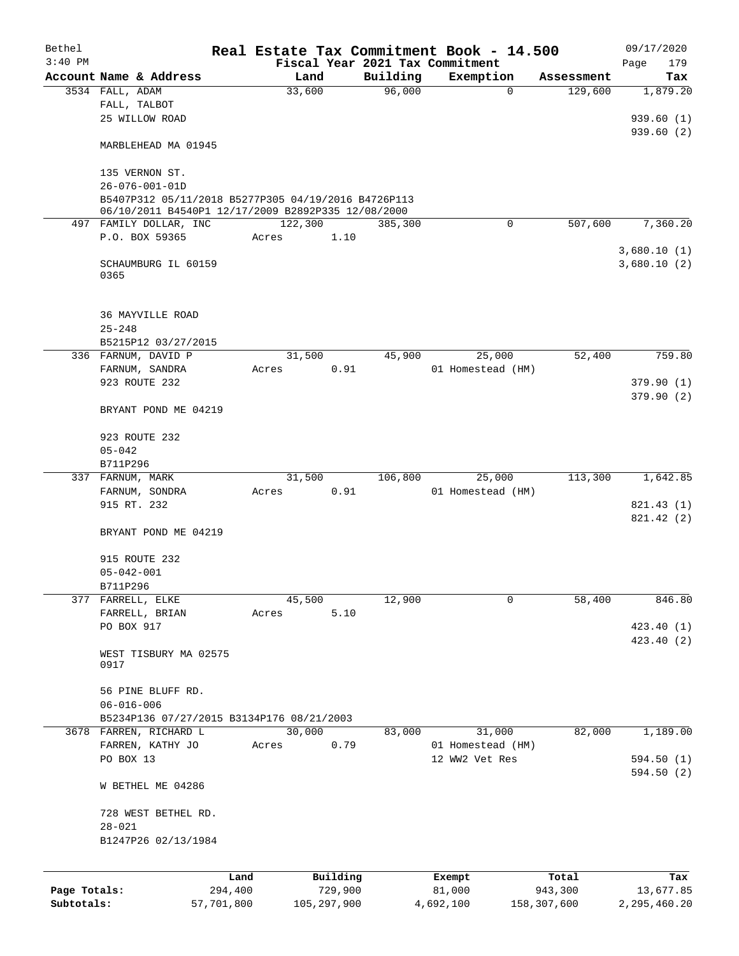| Bethel       |                                                     |            |                |               |                    | Real Estate Tax Commitment Book - 14.500 |             |                       | 09/17/2020                 |
|--------------|-----------------------------------------------------|------------|----------------|---------------|--------------------|------------------------------------------|-------------|-----------------------|----------------------------|
| $3:40$ PM    |                                                     |            |                |               |                    | Fiscal Year 2021 Tax Commitment          |             |                       | Page<br>179                |
|              | Account Name & Address<br>3534 FALL, ADAM           |            | Land<br>33,600 |               | Building<br>96,000 | Exemption                                | $\mathbf 0$ | Assessment<br>129,600 | Tax<br>1,879.20            |
|              | FALL, TALBOT                                        |            |                |               |                    |                                          |             |                       |                            |
|              | 25 WILLOW ROAD                                      |            |                |               |                    |                                          |             |                       | 939.60(1)                  |
|              |                                                     |            |                |               |                    |                                          |             |                       | 939.60(2)                  |
|              | MARBLEHEAD MA 01945                                 |            |                |               |                    |                                          |             |                       |                            |
|              | 135 VERNON ST.                                      |            |                |               |                    |                                          |             |                       |                            |
|              | $26 - 076 - 001 - 01D$                              |            |                |               |                    |                                          |             |                       |                            |
|              | B5407P312 05/11/2018 B5277P305 04/19/2016 B4726P113 |            |                |               |                    |                                          |             |                       |                            |
|              | 06/10/2011 B4540P1 12/17/2009 B2892P335 12/08/2000  |            |                |               |                    |                                          |             |                       |                            |
|              | 497 FAMILY DOLLAR, INC                              |            | 122,300        |               | 385,300            |                                          | $\mathbf 0$ | 507,600               | 7,360.20                   |
|              | P.O. BOX 59365                                      |            | Acres          | 1.10          |                    |                                          |             |                       |                            |
|              | SCHAUMBURG IL 60159<br>0365                         |            |                |               |                    |                                          |             |                       | 3,680.10(1)<br>3,680.10(2) |
|              | <b>36 MAYVILLE ROAD</b>                             |            |                |               |                    |                                          |             |                       |                            |
|              | $25 - 248$                                          |            |                |               |                    |                                          |             |                       |                            |
|              | B5215P12 03/27/2015                                 |            |                |               |                    |                                          |             |                       |                            |
|              | 336 FARNUM, DAVID P                                 |            | 31,500         |               | 45,900             | 25,000                                   |             | 52,400                | 759.80                     |
|              | FARNUM, SANDRA                                      |            | Acres          | 0.91          |                    | 01 Homestead (HM)                        |             |                       |                            |
|              | 923 ROUTE 232                                       |            |                |               |                    |                                          |             |                       | 379.90(1)                  |
|              | BRYANT POND ME 04219                                |            |                |               |                    |                                          |             |                       | 379.90(2)                  |
|              | 923 ROUTE 232                                       |            |                |               |                    |                                          |             |                       |                            |
|              | $05 - 042$                                          |            |                |               |                    |                                          |             |                       |                            |
|              | B711P296                                            |            |                |               |                    |                                          |             |                       |                            |
|              | 337 FARNUM, MARK                                    |            | 31,500         |               | 106,800            | 25,000                                   |             | $1\overline{13,300}$  | 1,642.85                   |
|              | FARNUM, SONDRA                                      |            | Acres          | 0.91          |                    | 01 Homestead (HM)                        |             |                       |                            |
|              | 915 RT. 232                                         |            |                |               |                    |                                          |             |                       | 821.43 (1)                 |
|              | BRYANT POND ME 04219                                |            |                |               |                    |                                          |             |                       | 821.42 (2)                 |
|              | 915 ROUTE 232                                       |            |                |               |                    |                                          |             |                       |                            |
|              | $05 - 042 - 001$                                    |            |                |               |                    |                                          |             |                       |                            |
|              | B711P296                                            |            |                |               |                    |                                          |             |                       |                            |
| 377          | FARRELL, ELKE                                       |            | 45,500         |               | 12,900             |                                          | $\mathbf 0$ | 58,400                | 846.80                     |
|              | FARRELL, BRIAN                                      |            | Acres          | 5.10          |                    |                                          |             |                       |                            |
|              | PO BOX 917                                          |            |                |               |                    |                                          |             |                       | 423.40(1)                  |
|              |                                                     |            |                |               |                    |                                          |             |                       | 423.40 (2)                 |
|              | WEST TISBURY MA 02575<br>0917                       |            |                |               |                    |                                          |             |                       |                            |
|              | 56 PINE BLUFF RD.                                   |            |                |               |                    |                                          |             |                       |                            |
|              | $06 - 016 - 006$                                    |            |                |               |                    |                                          |             |                       |                            |
|              | B5234P136 07/27/2015 B3134P176 08/21/2003           |            |                |               |                    |                                          |             |                       |                            |
|              | 3678 FARREN, RICHARD L                              |            | 30,000         |               | 83,000             | 31,000                                   |             | 82,000                | 1,189.00                   |
|              | FARREN, KATHY JO                                    |            | Acres          | 0.79          |                    | 01 Homestead (HM)                        |             |                       |                            |
|              | PO BOX 13                                           |            |                |               |                    | 12 WW2 Vet Res                           |             |                       | 594.50(1)                  |
|              |                                                     |            |                |               |                    |                                          |             |                       | 594.50(2)                  |
|              | W BETHEL ME 04286                                   |            |                |               |                    |                                          |             |                       |                            |
|              | 728 WEST BETHEL RD.                                 |            |                |               |                    |                                          |             |                       |                            |
|              | $28 - 021$                                          |            |                |               |                    |                                          |             |                       |                            |
|              | B1247P26 02/13/1984                                 |            |                |               |                    |                                          |             |                       |                            |
|              |                                                     |            |                |               |                    |                                          |             |                       |                            |
|              |                                                     | Land       |                | Building      |                    | Exempt                                   |             | Total                 | Tax                        |
| Page Totals: |                                                     | 294,400    |                | 729,900       |                    | 81,000                                   |             | 943,300               | 13,677.85                  |
| Subtotals:   |                                                     | 57,701,800 |                | 105, 297, 900 |                    | 4,692,100                                |             | 158,307,600           | 2,295,460.20               |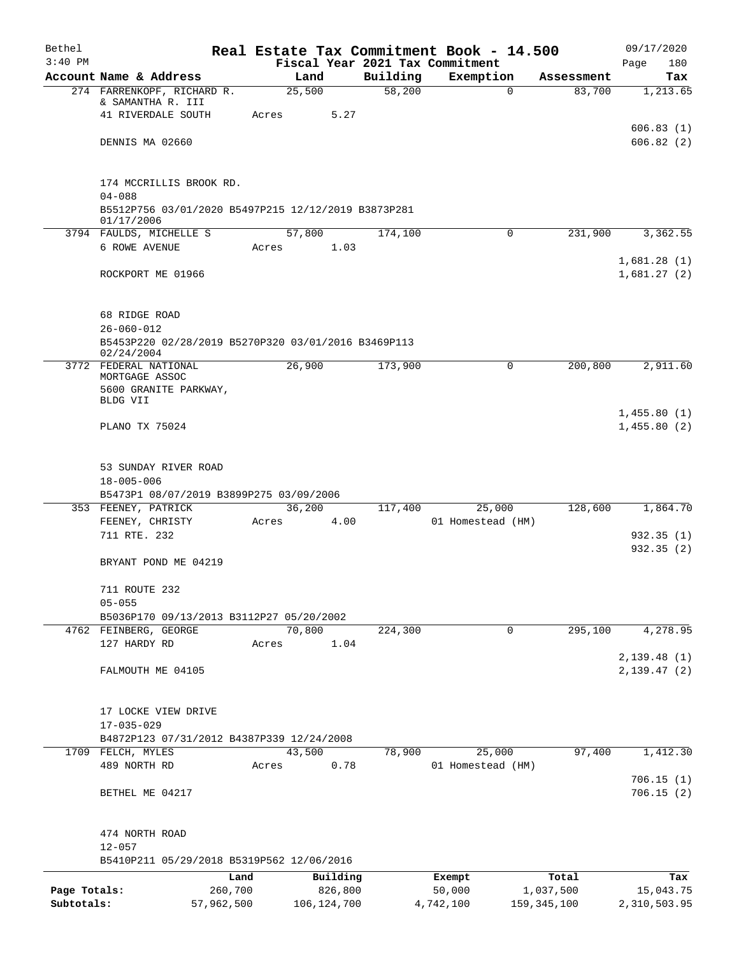| Bethel<br>$3:40$ PM |                                                                   |            |        |               |          | Real Estate Tax Commitment Book - 14.500<br>Fiscal Year 2021 Tax Commitment |               |            | 09/17/2020                 |
|---------------------|-------------------------------------------------------------------|------------|--------|---------------|----------|-----------------------------------------------------------------------------|---------------|------------|----------------------------|
|                     | Account Name & Address                                            |            | Land   |               | Building | Exemption                                                                   |               | Assessment | 180<br>Page<br>Tax         |
|                     | 274 FARRENKOPF, RICHARD R.                                        |            | 25,500 |               | 58,200   |                                                                             | $\Omega$      | 83,700     | 1,213.65                   |
|                     | & SAMANTHA R. III                                                 |            |        |               |          |                                                                             |               |            |                            |
|                     | 41 RIVERDALE SOUTH                                                | Acres      |        | 5.27          |          |                                                                             |               |            |                            |
|                     |                                                                   |            |        |               |          |                                                                             |               |            | 606.83(1)                  |
|                     | DENNIS MA 02660                                                   |            |        |               |          |                                                                             |               |            | 606.82(2)                  |
|                     | 174 MCCRILLIS BROOK RD.                                           |            |        |               |          |                                                                             |               |            |                            |
|                     | $04 - 088$                                                        |            |        |               |          |                                                                             |               |            |                            |
|                     | B5512P756 03/01/2020 B5497P215 12/12/2019 B3873P281<br>01/17/2006 |            |        |               |          |                                                                             |               |            |                            |
|                     | 3794 FAULDS, MICHELLE S                                           |            | 57,800 |               | 174,100  |                                                                             | 0             | 231,900    | 3,362.55                   |
|                     | 6 ROWE AVENUE                                                     | Acres      |        | 1.03          |          |                                                                             |               |            |                            |
|                     |                                                                   |            |        |               |          |                                                                             |               |            | 1,681.28(1)                |
|                     | ROCKPORT ME 01966                                                 |            |        |               |          |                                                                             |               |            | 1,681.27(2)                |
|                     |                                                                   |            |        |               |          |                                                                             |               |            |                            |
|                     | 68 RIDGE ROAD<br>$26 - 060 - 012$                                 |            |        |               |          |                                                                             |               |            |                            |
|                     | B5453P220 02/28/2019 B5270P320 03/01/2016 B3469P113               |            |        |               |          |                                                                             |               |            |                            |
|                     | 02/24/2004                                                        |            |        |               |          |                                                                             |               |            |                            |
|                     | 3772 FEDERAL NATIONAL                                             |            | 26,900 |               | 173,900  |                                                                             | 0             | 200,800    | 2,911.60                   |
|                     | MORTGAGE ASSOC<br>5600 GRANITE PARKWAY,                           |            |        |               |          |                                                                             |               |            |                            |
|                     | BLDG VII                                                          |            |        |               |          |                                                                             |               |            |                            |
|                     |                                                                   |            |        |               |          |                                                                             |               |            | 1,455.80(1)                |
|                     | PLANO TX 75024                                                    |            |        |               |          |                                                                             |               |            | 1,455.80(2)                |
|                     |                                                                   |            |        |               |          |                                                                             |               |            |                            |
|                     | 53 SUNDAY RIVER ROAD                                              |            |        |               |          |                                                                             |               |            |                            |
|                     | $18 - 005 - 006$<br>B5473P1 08/07/2019 B3899P275 03/09/2006       |            |        |               |          |                                                                             |               |            |                            |
|                     | 353 FEENEY, PATRICK                                               |            | 36,200 |               | 117,400  | 25,000                                                                      |               | 128,600    | 1,864.70                   |
|                     | FEENEY, CHRISTY                                                   | Acres      |        | 4.00          |          | 01 Homestead (HM)                                                           |               |            |                            |
|                     | 711 RTE. 232                                                      |            |        |               |          |                                                                             |               |            | 932.35(1)                  |
|                     |                                                                   |            |        |               |          |                                                                             |               |            | 932.35(2)                  |
|                     | BRYANT POND ME 04219                                              |            |        |               |          |                                                                             |               |            |                            |
|                     | 711 ROUTE 232                                                     |            |        |               |          |                                                                             |               |            |                            |
|                     | $05 - 055$                                                        |            |        |               |          |                                                                             |               |            |                            |
|                     | B5036P170 09/13/2013 B3112P27 05/20/2002                          |            |        |               |          |                                                                             |               |            |                            |
|                     | 4762 FEINBERG, GEORGE                                             |            | 70,800 |               | 224,300  |                                                                             | 0             | 295,100    | 4,278.95                   |
|                     | 127 HARDY RD                                                      | Acres      |        | 1.04          |          |                                                                             |               |            |                            |
|                     | FALMOUTH ME 04105                                                 |            |        |               |          |                                                                             |               |            | 2,139.48(1)<br>2,139.47(2) |
|                     |                                                                   |            |        |               |          |                                                                             |               |            |                            |
|                     | 17 LOCKE VIEW DRIVE                                               |            |        |               |          |                                                                             |               |            |                            |
|                     | $17 - 035 - 029$                                                  |            |        |               |          |                                                                             |               |            |                            |
|                     | B4872P123 07/31/2012 B4387P339 12/24/2008                         |            |        |               |          |                                                                             |               |            |                            |
|                     | 1709 FELCH, MYLES                                                 |            | 43,500 |               | 78,900   | 25,000                                                                      |               | 97,400     | 1,412.30                   |
|                     | 489 NORTH RD                                                      | Acres      |        | 0.78          |          | 01 Homestead (HM)                                                           |               |            |                            |
|                     | BETHEL ME 04217                                                   |            |        |               |          |                                                                             |               |            | 706.15(1)<br>706.15(2)     |
|                     |                                                                   |            |        |               |          |                                                                             |               |            |                            |
|                     | 474 NORTH ROAD                                                    |            |        |               |          |                                                                             |               |            |                            |
|                     | $12 - 057$                                                        |            |        |               |          |                                                                             |               |            |                            |
|                     | B5410P211 05/29/2018 B5319P562 12/06/2016                         |            |        |               |          |                                                                             |               |            |                            |
|                     |                                                                   | Land       |        | Building      |          | Exempt                                                                      |               | Total      | Tax                        |
| Page Totals:        |                                                                   | 260,700    |        | 826,800       |          | 50,000                                                                      |               | 1,037,500  | 15,043.75                  |
| Subtotals:          |                                                                   | 57,962,500 |        | 106, 124, 700 |          | 4,742,100                                                                   | 159, 345, 100 |            | 2,310,503.95               |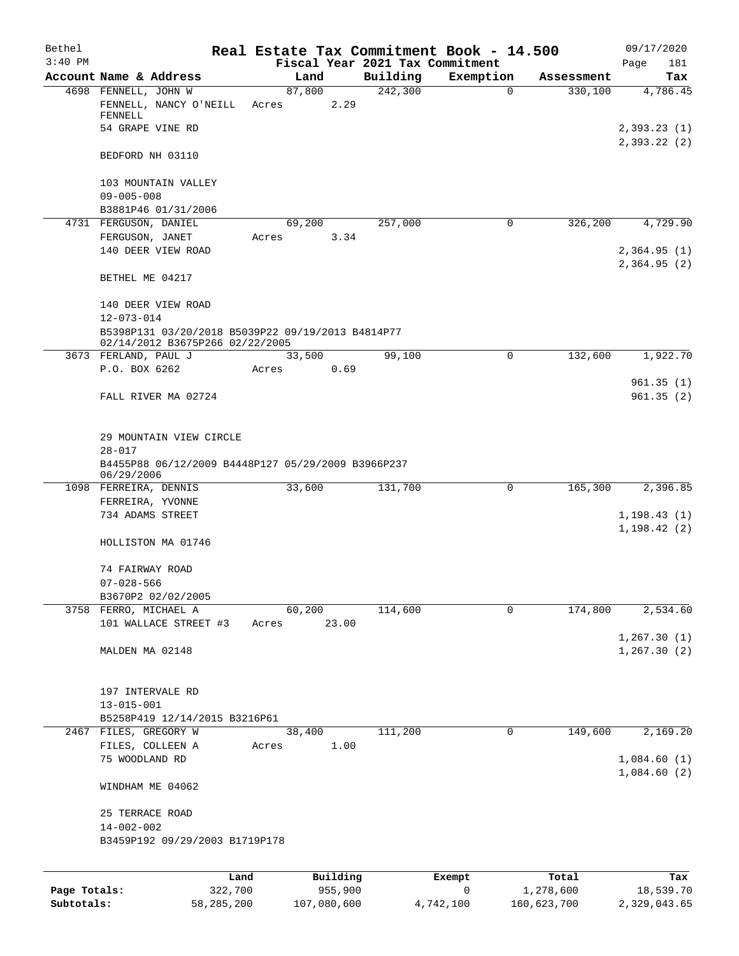| Bethel       |                                      |                                                                                      |                 |          |                                             | Real Estate Tax Commitment Book - 14.500 |                       | 09/17/2020                  |
|--------------|--------------------------------------|--------------------------------------------------------------------------------------|-----------------|----------|---------------------------------------------|------------------------------------------|-----------------------|-----------------------------|
| $3:40$ PM    | Account Name & Address               |                                                                                      |                 | Land     | Fiscal Year 2021 Tax Commitment<br>Building | Exemption                                |                       | Page<br>181                 |
|              | 4698 FENNELL, JOHN W                 |                                                                                      | 87,800          |          | 242,300                                     | $\mathbf 0$                              | Assessment<br>330,100 | Tax<br>4,786.45             |
|              | FENNELL                              | FENNELL, NANCY O'NEILL                                                               | Acres           | 2.29     |                                             |                                          |                       |                             |
|              | 54 GRAPE VINE RD                     |                                                                                      |                 |          |                                             |                                          |                       | 2,393.23(1)<br>2,393.22(2)  |
|              | BEDFORD NH 03110                     |                                                                                      |                 |          |                                             |                                          |                       |                             |
|              |                                      | 103 MOUNTAIN VALLEY                                                                  |                 |          |                                             |                                          |                       |                             |
|              | $09 - 005 - 008$                     |                                                                                      |                 |          |                                             |                                          |                       |                             |
|              | 4731 FERGUSON, DANIEL                | B3881P46 01/31/2006                                                                  | 69,200          |          | 257,000                                     | $\mathbf 0$                              | 326,200               | 4,729.90                    |
|              | FERGUSON, JANET                      |                                                                                      | Acres           | 3.34     |                                             |                                          |                       |                             |
|              |                                      | 140 DEER VIEW ROAD                                                                   |                 |          |                                             |                                          |                       | 2,364.95(1)<br>2,364.95(2)  |
|              | BETHEL ME 04217                      |                                                                                      |                 |          |                                             |                                          |                       |                             |
|              | $12 - 073 - 014$                     | 140 DEER VIEW ROAD                                                                   |                 |          |                                             |                                          |                       |                             |
|              |                                      | B5398P131 03/20/2018 B5039P22 09/19/2013 B4814P77<br>02/14/2012 B3675P266 02/22/2005 |                 |          |                                             |                                          |                       |                             |
|              | 3673 FERLAND, PAUL J                 |                                                                                      | 33,500          |          | 99,100                                      | 0                                        | 132,600               | 1,922.70                    |
|              | P.O. BOX 6262                        |                                                                                      | Acres           | 0.69     |                                             |                                          |                       |                             |
|              |                                      | FALL RIVER MA 02724                                                                  |                 |          |                                             |                                          |                       | 961.35(1)<br>961.35(2)      |
|              | $28 - 017$                           | 29 MOUNTAIN VIEW CIRCLE                                                              |                 |          |                                             |                                          |                       |                             |
|              | 06/29/2006                           | B4455P88 06/12/2009 B4448P127 05/29/2009 B3966P237                                   |                 |          |                                             |                                          |                       |                             |
|              | 1098 FERREIRA, DENNIS                |                                                                                      | 33,600          |          | 131,700                                     | 0                                        | 165,300               | 2,396.85                    |
|              | FERREIRA, YVONNE                     |                                                                                      |                 |          |                                             |                                          |                       |                             |
|              | 734 ADAMS STREET                     |                                                                                      |                 |          |                                             |                                          |                       | 1,198.43(1)<br>1, 198.42(2) |
|              |                                      | HOLLISTON MA 01746                                                                   |                 |          |                                             |                                          |                       |                             |
|              | 74 FAIRWAY ROAD                      |                                                                                      |                 |          |                                             |                                          |                       |                             |
|              | $07 - 028 - 566$                     |                                                                                      |                 |          |                                             |                                          |                       |                             |
|              |                                      | B3670P2 02/02/2005                                                                   |                 |          |                                             |                                          |                       |                             |
|              | 3758 FERRO, MICHAEL A                |                                                                                      | 60,200<br>Acres |          | 114,600                                     | 0                                        | 174,800               | 2,534.60                    |
|              |                                      | 101 WALLACE STREET #3                                                                |                 | 23.00    |                                             |                                          |                       | 1, 267.30(1)                |
|              | MALDEN MA 02148                      |                                                                                      |                 |          |                                             |                                          |                       | 1, 267.30(2)                |
|              |                                      |                                                                                      |                 |          |                                             |                                          |                       |                             |
|              | 197 INTERVALE RD<br>$13 - 015 - 001$ |                                                                                      |                 |          |                                             |                                          |                       |                             |
|              |                                      | B5258P419 12/14/2015 B3216P61                                                        |                 |          |                                             |                                          |                       |                             |
|              | 2467 FILES, GREGORY W                |                                                                                      | 38,400          |          | 111,200                                     | 0                                        | 149,600               | 2,169.20                    |
|              | FILES, COLLEEN A                     |                                                                                      | Acres           | 1.00     |                                             |                                          |                       |                             |
|              | 75 WOODLAND RD                       |                                                                                      |                 |          |                                             |                                          |                       | 1,084.60(1)<br>1,084.60(2)  |
|              | WINDHAM ME 04062                     |                                                                                      |                 |          |                                             |                                          |                       |                             |
|              | 25 TERRACE ROAD                      |                                                                                      |                 |          |                                             |                                          |                       |                             |
|              | $14 - 002 - 002$                     |                                                                                      |                 |          |                                             |                                          |                       |                             |
|              |                                      | B3459P192 09/29/2003 B1719P178                                                       |                 |          |                                             |                                          |                       |                             |
|              |                                      | Land                                                                                 |                 | Building |                                             | Exempt                                   | Total                 | Tax                         |
| Page Totals: |                                      | 322,700                                                                              |                 | 955,900  |                                             | 0                                        | 1,278,600             | 18,539.70                   |

**Subtotals:** 58,285,200 107,080,600 4,742,100 160,623,700 2,329,043.65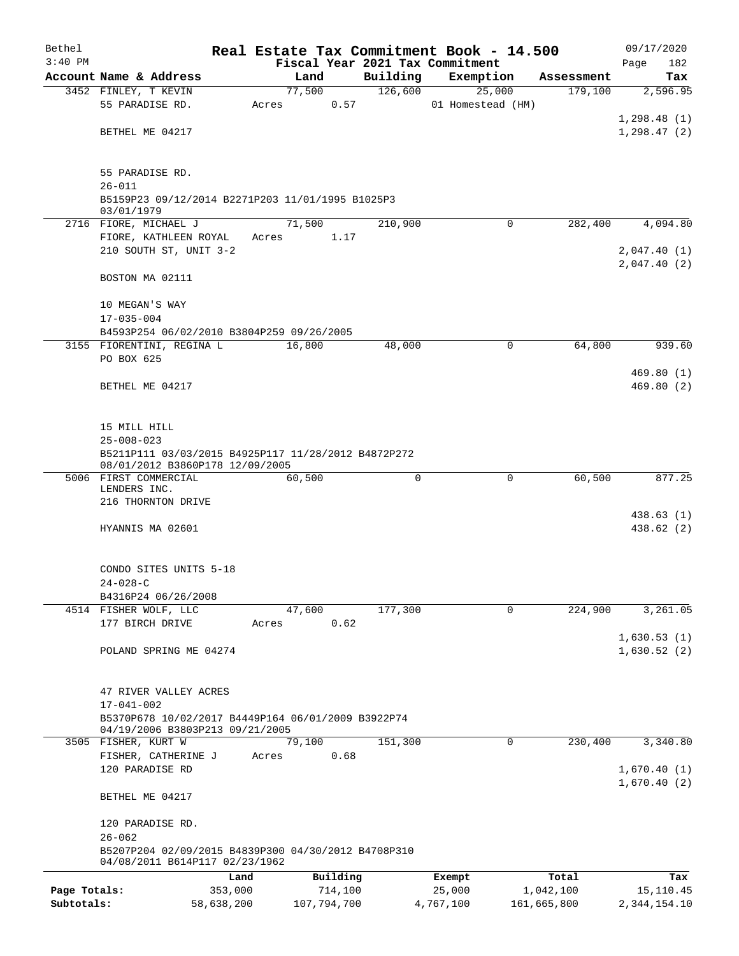| Bethel       |                                                                         |        |             |          | Real Estate Tax Commitment Book - 14.500 |             | 09/17/2020   |  |  |  |  |
|--------------|-------------------------------------------------------------------------|--------|-------------|----------|------------------------------------------|-------------|--------------|--|--|--|--|
| $3:40$ PM    |                                                                         |        |             |          | Fiscal Year 2021 Tax Commitment          |             | Page<br>182  |  |  |  |  |
|              | Account Name & Address                                                  | Land   |             | Building | Exemption                                | Assessment  | Tax          |  |  |  |  |
|              | 3452 FINLEY, T KEVIN                                                    | 77,500 |             | 126,600  | 25,000                                   | 179,100     | 2,596.95     |  |  |  |  |
|              | 55 PARADISE RD.                                                         | Acres  | 0.57        |          | 01 Homestead (HM)                        |             |              |  |  |  |  |
|              |                                                                         |        |             |          |                                          |             | 1,298.48(1)  |  |  |  |  |
|              | BETHEL ME 04217                                                         |        |             |          |                                          |             | 1,298.47(2)  |  |  |  |  |
|              |                                                                         |        |             |          |                                          |             |              |  |  |  |  |
|              | 55 PARADISE RD.                                                         |        |             |          |                                          |             |              |  |  |  |  |
|              | $26 - 011$                                                              |        |             |          |                                          |             |              |  |  |  |  |
|              | B5159P23 09/12/2014 B2271P203 11/01/1995 B1025P3                        |        |             |          |                                          |             |              |  |  |  |  |
|              | 03/01/1979                                                              |        |             |          |                                          |             |              |  |  |  |  |
|              | 2716 FIORE, MICHAEL J                                                   | 71,500 |             | 210,900  | $\Omega$                                 | 282,400     | 4,094.80     |  |  |  |  |
|              | FIORE, KATHLEEN ROYAL                                                   | Acres  | 1.17        |          |                                          |             |              |  |  |  |  |
|              | 210 SOUTH ST, UNIT 3-2                                                  |        |             |          |                                          |             | 2,047.40(1)  |  |  |  |  |
|              |                                                                         |        |             |          |                                          |             | 2,047.40(2)  |  |  |  |  |
|              | BOSTON MA 02111                                                         |        |             |          |                                          |             |              |  |  |  |  |
|              | 10 MEGAN'S WAY                                                          |        |             |          |                                          |             |              |  |  |  |  |
|              | $17 - 035 - 004$                                                        |        |             |          |                                          |             |              |  |  |  |  |
|              | B4593P254 06/02/2010 B3804P259 09/26/2005                               |        |             |          |                                          |             |              |  |  |  |  |
|              | 3155 FIORENTINI, REGINA L                                               | 16,800 |             | 48,000   | 0                                        | 64,800      | 939.60       |  |  |  |  |
|              | PO BOX 625                                                              |        |             |          |                                          |             |              |  |  |  |  |
|              |                                                                         |        |             |          |                                          |             | 469.80(1)    |  |  |  |  |
|              | BETHEL ME 04217                                                         |        |             |          |                                          |             | 469.80(2)    |  |  |  |  |
|              |                                                                         |        |             |          |                                          |             |              |  |  |  |  |
|              |                                                                         |        |             |          |                                          |             |              |  |  |  |  |
|              | 15 MILL HILL                                                            |        |             |          |                                          |             |              |  |  |  |  |
|              | $25 - 008 - 023$<br>B5211P111 03/03/2015 B4925P117 11/28/2012 B4872P272 |        |             |          |                                          |             |              |  |  |  |  |
|              | 08/01/2012 B3860P178 12/09/2005                                         |        |             |          |                                          |             |              |  |  |  |  |
|              | 5006 FIRST COMMERCIAL                                                   | 60,500 |             | 0        | 0                                        | 60,500      | 877.25       |  |  |  |  |
|              | LENDERS INC.                                                            |        |             |          |                                          |             |              |  |  |  |  |
|              | 216 THORNTON DRIVE                                                      |        |             |          |                                          |             |              |  |  |  |  |
|              |                                                                         |        |             |          |                                          |             | 438.63(1)    |  |  |  |  |
|              | HYANNIS MA 02601                                                        |        |             |          |                                          |             | 438.62 (2)   |  |  |  |  |
|              |                                                                         |        |             |          |                                          |             |              |  |  |  |  |
|              | CONDO SITES UNITS 5-18                                                  |        |             |          |                                          |             |              |  |  |  |  |
|              | $24 - 028 - C$                                                          |        |             |          |                                          |             |              |  |  |  |  |
|              | B4316P24 06/26/2008                                                     |        |             |          |                                          |             |              |  |  |  |  |
|              | 4514 FISHER WOLF, LLC                                                   | 47,600 |             | 177,300  | 0                                        | 224,900     | 3,261.05     |  |  |  |  |
|              | 177 BIRCH DRIVE                                                         | Acres  | 0.62        |          |                                          |             |              |  |  |  |  |
|              |                                                                         |        |             |          |                                          |             | 1,630.53(1)  |  |  |  |  |
|              | POLAND SPRING ME 04274                                                  |        |             |          |                                          |             | 1,630.52(2)  |  |  |  |  |
|              |                                                                         |        |             |          |                                          |             |              |  |  |  |  |
|              |                                                                         |        |             |          |                                          |             |              |  |  |  |  |
|              | 47 RIVER VALLEY ACRES                                                   |        |             |          |                                          |             |              |  |  |  |  |
|              | $17 - 041 - 002$<br>B5370P678 10/02/2017 B4449P164 06/01/2009 B3922P74  |        |             |          |                                          |             |              |  |  |  |  |
|              | 04/19/2006 B3803P213 09/21/2005                                         |        |             |          |                                          |             |              |  |  |  |  |
|              | 3505 FISHER, KURT W                                                     | 79,100 |             | 151,300  | 0                                        | 230,400     | 3,340.80     |  |  |  |  |
|              | FISHER, CATHERINE J                                                     | Acres  | 0.68        |          |                                          |             |              |  |  |  |  |
|              | 120 PARADISE RD                                                         |        |             |          |                                          |             | 1,670.40(1)  |  |  |  |  |
|              |                                                                         |        |             |          |                                          |             | 1,670.40(2)  |  |  |  |  |
|              | BETHEL ME 04217                                                         |        |             |          |                                          |             |              |  |  |  |  |
|              |                                                                         |        |             |          |                                          |             |              |  |  |  |  |
|              | 120 PARADISE RD.                                                        |        |             |          |                                          |             |              |  |  |  |  |
|              | $26 - 062$<br>B5207P204 02/09/2015 B4839P300 04/30/2012 B4708P310       |        |             |          |                                          |             |              |  |  |  |  |
|              | 04/08/2011 B614P117 02/23/1962                                          |        |             |          |                                          |             |              |  |  |  |  |
|              |                                                                         | Land   | Building    |          | Exempt                                   | Total       | Tax          |  |  |  |  |
| Page Totals: | 353,000                                                                 |        | 714,100     |          | 25,000                                   | 1,042,100   | 15,110.45    |  |  |  |  |
| Subtotals:   | 58,638,200                                                              |        | 107,794,700 |          | 4,767,100                                | 161,665,800 | 2,344,154.10 |  |  |  |  |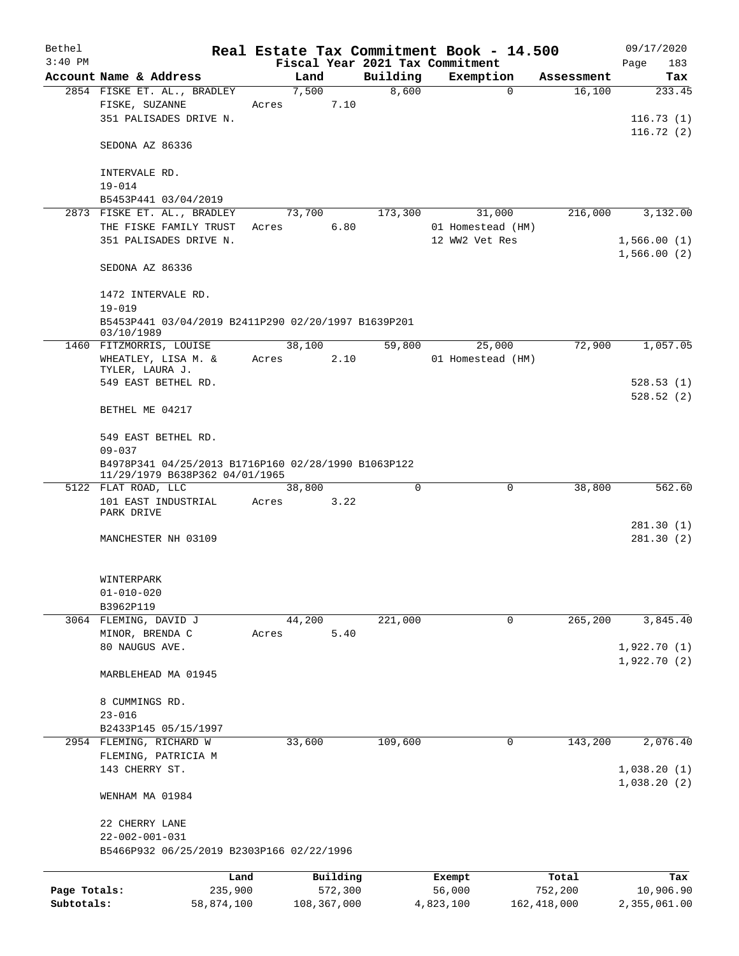| Bethel       |                                                                                       |            |        |             |                                 |           | Real Estate Tax Commitment Book - 14.500 |               |                            | 09/17/2020          |
|--------------|---------------------------------------------------------------------------------------|------------|--------|-------------|---------------------------------|-----------|------------------------------------------|---------------|----------------------------|---------------------|
| $3:40$ PM    |                                                                                       |            |        |             | Fiscal Year 2021 Tax Commitment |           |                                          |               | Page                       | 183                 |
|              | Account Name & Address                                                                |            | Land   |             | Building                        |           | Exemption                                | Assessment    |                            | Tax                 |
|              | 2854 FISKE ET. AL., BRADLEY<br>FISKE, SUZANNE<br>351 PALISADES DRIVE N.               | Acres      | 7,500  | 7.10        | 8,600                           |           | $\mathbf 0$                              | 16,100        |                            | 233.45<br>116.73(1) |
|              | SEDONA AZ 86336                                                                       |            |        |             |                                 |           |                                          |               |                            | 116.72(2)           |
|              | INTERVALE RD.                                                                         |            |        |             |                                 |           |                                          |               |                            |                     |
|              | $19 - 014$                                                                            |            |        |             |                                 |           |                                          |               |                            |                     |
|              | B5453P441 03/04/2019<br>2873 FISKE ET. AL., BRADLEY                                   |            | 73,700 |             | 173,300                         |           | 31,000                                   | 216,000       |                            | 3,132.00            |
|              | THE FISKE FAMILY TRUST                                                                | Acres      |        | 6.80        |                                 |           | 01 Homestead (HM)                        |               |                            |                     |
|              | 351 PALISADES DRIVE N.                                                                |            |        |             |                                 |           | 12 WW2 Vet Res                           |               | 1,566.00(1)<br>1,566.00(2) |                     |
|              | SEDONA AZ 86336                                                                       |            |        |             |                                 |           |                                          |               |                            |                     |
|              | 1472 INTERVALE RD.<br>$19 - 019$                                                      |            |        |             |                                 |           |                                          |               |                            |                     |
|              | B5453P441 03/04/2019 B2411P290 02/20/1997 B1639P201<br>03/10/1989                     |            |        |             |                                 |           |                                          |               |                            |                     |
|              | 1460 FITZMORRIS, LOUISE                                                               |            | 38,100 |             | 59,800                          |           | 25,000                                   | 72,900        |                            | 1,057.05            |
|              | WHEATLEY, LISA M. &<br>TYLER, LAURA J.                                                | Acres      |        | 2.10        |                                 |           | 01 Homestead (HM)                        |               |                            |                     |
|              | 549 EAST BETHEL RD.                                                                   |            |        |             |                                 |           |                                          |               |                            | 528.53(1)           |
|              | BETHEL ME 04217                                                                       |            |        |             |                                 |           |                                          |               |                            | 528.52(2)           |
|              | 549 EAST BETHEL RD.                                                                   |            |        |             |                                 |           |                                          |               |                            |                     |
|              | $09 - 037$                                                                            |            |        |             |                                 |           |                                          |               |                            |                     |
|              | B4978P341 04/25/2013 B1716P160 02/28/1990 B1063P122<br>11/29/1979 B638P362 04/01/1965 |            |        |             | $\Omega$                        |           |                                          |               |                            |                     |
|              | 5122 FLAT ROAD, LLC<br>101 EAST INDUSTRIAL                                            | Acres      | 38,800 | 3.22        |                                 |           | 0                                        | 38,800        |                            | 562.60              |
|              | PARK DRIVE                                                                            |            |        |             |                                 |           |                                          |               |                            |                     |
|              |                                                                                       |            |        |             |                                 |           |                                          |               |                            | 281.30(1)           |
|              | MANCHESTER NH 03109                                                                   |            |        |             |                                 |           |                                          |               |                            | 281.30(2)           |
|              | WINTERPARK                                                                            |            |        |             |                                 |           |                                          |               |                            |                     |
|              | $01 - 010 - 020$                                                                      |            |        |             |                                 |           |                                          |               |                            |                     |
|              | B3962P119<br>3064 FLEMING, DAVID J                                                    |            | 44,200 |             | 221,000                         |           | 0                                        | 265,200       |                            | 3,845.40            |
|              | MINOR, BRENDA C                                                                       | Acres      |        | 5.40        |                                 |           |                                          |               |                            |                     |
|              | 80 NAUGUS AVE.                                                                        |            |        |             |                                 |           |                                          |               | 1,922.70(1)                |                     |
|              | MARBLEHEAD MA 01945                                                                   |            |        |             |                                 |           |                                          |               | 1,922.70(2)                |                     |
|              |                                                                                       |            |        |             |                                 |           |                                          |               |                            |                     |
|              | 8 CUMMINGS RD.                                                                        |            |        |             |                                 |           |                                          |               |                            |                     |
|              | $23 - 016$                                                                            |            |        |             |                                 |           |                                          |               |                            |                     |
|              | B2433P145 05/15/1997                                                                  |            |        |             |                                 |           |                                          |               |                            |                     |
| 2954         | FLEMING, RICHARD W                                                                    |            | 33,600 |             | 109,600                         |           | 0                                        | 143,200       |                            | 2,076.40            |
|              | FLEMING, PATRICIA M<br>143 CHERRY ST.                                                 |            |        |             |                                 |           |                                          |               | 1,038.20(1)                |                     |
|              |                                                                                       |            |        |             |                                 |           |                                          |               | 1,038.20(2)                |                     |
|              | WENHAM MA 01984                                                                       |            |        |             |                                 |           |                                          |               |                            |                     |
|              | 22 CHERRY LANE                                                                        |            |        |             |                                 |           |                                          |               |                            |                     |
|              | $22 - 002 - 001 - 031$<br>B5466P932 06/25/2019 B2303P166 02/22/1996                   |            |        |             |                                 |           |                                          |               |                            |                     |
|              |                                                                                       | Land       |        | Building    |                                 | Exempt    |                                          | Total         |                            | Tax                 |
| Page Totals: |                                                                                       | 235,900    |        | 572,300     |                                 | 56,000    |                                          | 752,200       |                            | 10,906.90           |
| Subtotals:   |                                                                                       | 58,874,100 |        | 108,367,000 |                                 | 4,823,100 |                                          | 162, 418, 000 |                            | 2,355,061.00        |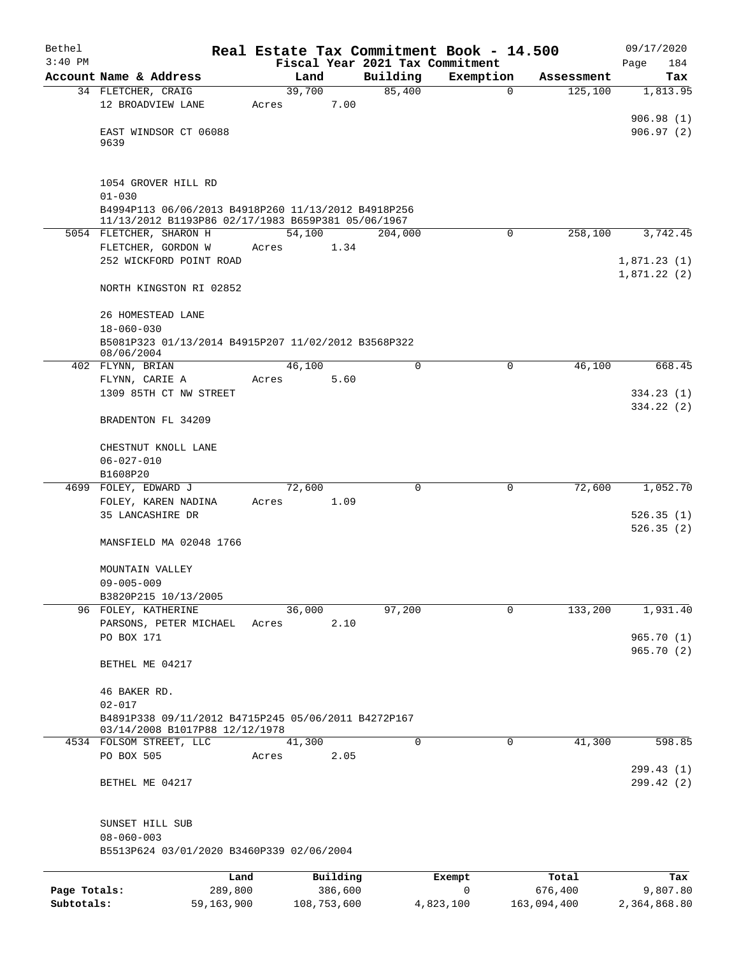| Bethel       |                                                                               |       |             |          |                                 | Real Estate Tax Commitment Book - 14.500 |             |             | 09/17/2020   |
|--------------|-------------------------------------------------------------------------------|-------|-------------|----------|---------------------------------|------------------------------------------|-------------|-------------|--------------|
| $3:40$ PM    |                                                                               |       |             |          | Fiscal Year 2021 Tax Commitment |                                          |             |             | Page<br>184  |
|              | Account Name & Address                                                        |       | Land        |          | Building                        | Exemption                                |             | Assessment  | Tax          |
|              | 34 FLETCHER, CRAIG                                                            |       | 39,700      |          | 85,400                          |                                          | $\mathbf 0$ | 125,100     | 1,813.95     |
|              | 12 BROADVIEW LANE                                                             | Acres |             | 7.00     |                                 |                                          |             |             |              |
|              |                                                                               |       |             |          |                                 |                                          |             |             | 906.98(1)    |
|              | EAST WINDSOR CT 06088<br>9639                                                 |       |             |          |                                 |                                          |             |             | 906.97(2)    |
|              |                                                                               |       |             |          |                                 |                                          |             |             |              |
|              |                                                                               |       |             |          |                                 |                                          |             |             |              |
|              | 1054 GROVER HILL RD                                                           |       |             |          |                                 |                                          |             |             |              |
|              | $01 - 030$                                                                    |       |             |          |                                 |                                          |             |             |              |
|              | B4994P113 06/06/2013 B4918P260 11/13/2012 B4918P256                           |       |             |          |                                 |                                          |             |             |              |
|              | 11/13/2012 B1193P86 02/17/1983 B659P381 05/06/1967<br>5054 FLETCHER, SHARON H |       | 54,100      |          | 204,000                         |                                          | $\mathbf 0$ | 258,100     | 3,742.45     |
|              | FLETCHER, GORDON W                                                            | Acres |             | 1.34     |                                 |                                          |             |             |              |
|              | 252 WICKFORD POINT ROAD                                                       |       |             |          |                                 |                                          |             |             | 1,871.23(1)  |
|              |                                                                               |       |             |          |                                 |                                          |             |             | 1,871.22(2)  |
|              | NORTH KINGSTON RI 02852                                                       |       |             |          |                                 |                                          |             |             |              |
|              |                                                                               |       |             |          |                                 |                                          |             |             |              |
|              | 26 HOMESTEAD LANE                                                             |       |             |          |                                 |                                          |             |             |              |
|              | $18 - 060 - 030$                                                              |       |             |          |                                 |                                          |             |             |              |
|              | B5081P323 01/13/2014 B4915P207 11/02/2012 B3568P322                           |       |             |          |                                 |                                          |             |             |              |
|              | 08/06/2004                                                                    |       |             |          |                                 |                                          |             |             |              |
|              | 402 FLYNN, BRIAN                                                              |       | 46,100      |          | 0                               |                                          | 0           | 46,100      | 668.45       |
|              | FLYNN, CARIE A                                                                | Acres |             | 5.60     |                                 |                                          |             |             |              |
|              | 1309 85TH CT NW STREET                                                        |       |             |          |                                 |                                          |             |             | 334.23(1)    |
|              | BRADENTON FL 34209                                                            |       |             |          |                                 |                                          |             |             | 334.22 (2)   |
|              |                                                                               |       |             |          |                                 |                                          |             |             |              |
|              | CHESTNUT KNOLL LANE                                                           |       |             |          |                                 |                                          |             |             |              |
|              | $06 - 027 - 010$                                                              |       |             |          |                                 |                                          |             |             |              |
|              | B1608P20                                                                      |       |             |          |                                 |                                          |             |             |              |
|              | 4699 FOLEY, EDWARD J                                                          |       | 72,600      |          | $\mathbf 0$                     |                                          | 0           | 72,600      | 1,052.70     |
|              | FOLEY, KAREN NADINA                                                           | Acres |             | 1.09     |                                 |                                          |             |             |              |
|              | 35 LANCASHIRE DR                                                              |       |             |          |                                 |                                          |             |             | 526.35(1)    |
|              |                                                                               |       |             |          |                                 |                                          |             |             | 526.35(2)    |
|              | MANSFIELD MA 02048 1766                                                       |       |             |          |                                 |                                          |             |             |              |
|              |                                                                               |       |             |          |                                 |                                          |             |             |              |
|              | MOUNTAIN VALLEY                                                               |       |             |          |                                 |                                          |             |             |              |
|              | $09 - 005 - 009$                                                              |       |             |          |                                 |                                          |             |             |              |
|              | B3820P215 10/13/2005                                                          |       |             |          |                                 |                                          |             |             |              |
|              | 96 FOLEY, KATHERINE                                                           |       | 36,000      |          | 97,200                          |                                          | 0           | 133,200     | 1,931.40     |
|              | PARSONS, PETER MICHAEL                                                        | Acres |             | 2.10     |                                 |                                          |             |             |              |
|              | PO BOX 171                                                                    |       |             |          |                                 |                                          |             |             | 965.70(1)    |
|              | BETHEL ME 04217                                                               |       |             |          |                                 |                                          |             |             | 965.70(2)    |
|              |                                                                               |       |             |          |                                 |                                          |             |             |              |
|              | 46 BAKER RD.                                                                  |       |             |          |                                 |                                          |             |             |              |
|              | $02 - 017$                                                                    |       |             |          |                                 |                                          |             |             |              |
|              | B4891P338 09/11/2012 B4715P245 05/06/2011 B4272P167                           |       |             |          |                                 |                                          |             |             |              |
|              | 03/14/2008 B1017P88 12/12/1978                                                |       |             |          |                                 |                                          |             |             |              |
|              | 4534 FOLSOM STREET, LLC                                                       |       | 41,300      |          | $\Omega$                        |                                          | 0           | 41,300      | 598.85       |
|              | PO BOX 505                                                                    | Acres |             | 2.05     |                                 |                                          |             |             |              |
|              |                                                                               |       |             |          |                                 |                                          |             |             | 299.43 (1)   |
|              | BETHEL ME 04217                                                               |       |             |          |                                 |                                          |             |             | 299.42 (2)   |
|              |                                                                               |       |             |          |                                 |                                          |             |             |              |
|              |                                                                               |       |             |          |                                 |                                          |             |             |              |
|              | SUNSET HILL SUB<br>$08 - 060 - 003$                                           |       |             |          |                                 |                                          |             |             |              |
|              | B5513P624 03/01/2020 B3460P339 02/06/2004                                     |       |             |          |                                 |                                          |             |             |              |
|              |                                                                               |       |             |          |                                 |                                          |             |             |              |
|              | Land                                                                          |       |             | Building |                                 | Exempt                                   |             | Total       | Tax          |
| Page Totals: | 289,800                                                                       |       |             | 386,600  |                                 | 0                                        |             | 676,400     | 9,807.80     |
| Subtotals:   | 59,163,900                                                                    |       | 108,753,600 |          |                                 | 4,823,100                                |             | 163,094,400 | 2,364,868.80 |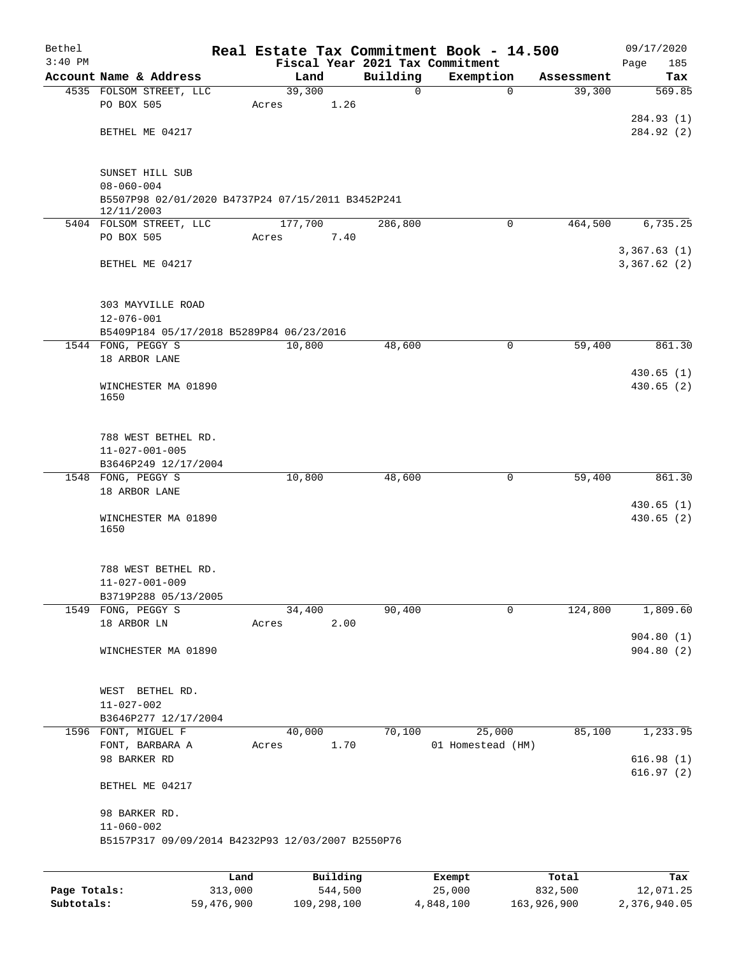| Bethel       |                                                                                     | Real Estate Tax Commitment Book - 14.500 |             |                                 |                      | 09/17/2020             |
|--------------|-------------------------------------------------------------------------------------|------------------------------------------|-------------|---------------------------------|----------------------|------------------------|
| $3:40$ PM    | Account Name & Address                                                              |                                          | Building    | Fiscal Year 2021 Tax Commitment |                      | 185<br>Page            |
|              | 4535 FOLSOM STREET, LLC                                                             | Land<br>39,300                           | $\mathbf 0$ | Exemption<br>$\Omega$           | Assessment<br>39,300 | Tax<br>569.85          |
|              | PO BOX 505                                                                          | 1.26<br>Acres                            |             |                                 |                      |                        |
|              |                                                                                     |                                          |             |                                 |                      | 284.93 (1)             |
|              | BETHEL ME 04217                                                                     |                                          |             |                                 |                      | 284.92 (2)             |
|              | SUNSET HILL SUB                                                                     |                                          |             |                                 |                      |                        |
|              | $08 - 060 - 004$<br>B5507P98 02/01/2020 B4737P24 07/15/2011 B3452P241<br>12/11/2003 |                                          |             |                                 |                      |                        |
|              | 5404 FOLSOM STREET, LLC                                                             | 177,700                                  | 286,800     | $\mathbf 0$                     | 464,500              | 6,735.25               |
|              | PO BOX 505                                                                          | 7.40<br>Acres                            |             |                                 |                      | 3,367.63(1)            |
|              | BETHEL ME 04217                                                                     |                                          |             |                                 |                      | 3,367.62(2)            |
|              | 303 MAYVILLE ROAD<br>$12 - 076 - 001$                                               |                                          |             |                                 |                      |                        |
|              | B5409P184 05/17/2018 B5289P84 06/23/2016                                            |                                          |             |                                 |                      |                        |
|              | 1544 FONG, PEGGY S                                                                  | 10,800                                   | 48,600      | 0                               | 59,400               | 861.30                 |
|              | 18 ARBOR LANE                                                                       |                                          |             |                                 |                      |                        |
|              | WINCHESTER MA 01890<br>1650                                                         |                                          |             |                                 |                      | 430.65(1)<br>430.65(2) |
|              |                                                                                     |                                          |             |                                 |                      |                        |
|              | 788 WEST BETHEL RD.<br>$11 - 027 - 001 - 005$                                       |                                          |             |                                 |                      |                        |
|              | B3646P249 12/17/2004                                                                |                                          |             |                                 |                      |                        |
|              | 1548 FONG, PEGGY S                                                                  | 10,800                                   | 48,600      | 0                               | 59,400               | 861.30                 |
|              | 18 ARBOR LANE                                                                       |                                          |             |                                 |                      | 430.65(1)              |
|              | WINCHESTER MA 01890<br>1650                                                         |                                          |             |                                 |                      | 430.65(2)              |
|              | 788 WEST BETHEL RD.                                                                 |                                          |             |                                 |                      |                        |
|              | $11 - 027 - 001 - 009$<br>B3719P288 05/13/2005                                      |                                          |             |                                 |                      |                        |
|              | 1549 FONG, PEGGY S                                                                  | 34,400                                   | 90,400      | $\mathbf 0$                     | 124,800              | 1,809.60               |
|              | 18 ARBOR LN                                                                         | 2.00<br>Acres                            |             |                                 |                      |                        |
|              |                                                                                     |                                          |             |                                 |                      | 904.80(1)              |
|              | WINCHESTER MA 01890                                                                 |                                          |             |                                 |                      | 904.80(2)              |
|              | WEST BETHEL RD.                                                                     |                                          |             |                                 |                      |                        |
|              | $11 - 027 - 002$                                                                    |                                          |             |                                 |                      |                        |
|              | B3646P277 12/17/2004                                                                |                                          |             |                                 |                      |                        |
|              | 1596 FONT, MIGUEL F<br>FONT, BARBARA A                                              | 40,000<br>1.70<br>Acres                  | 70,100      | 25,000<br>01 Homestead (HM)     | 85,100               | 1,233.95               |
|              | 98 BARKER RD                                                                        |                                          |             |                                 |                      | 616.98(1)              |
|              | BETHEL ME 04217                                                                     |                                          |             |                                 |                      | 616.97(2)              |
|              |                                                                                     |                                          |             |                                 |                      |                        |
|              | 98 BARKER RD.<br>$11 - 060 - 002$                                                   |                                          |             |                                 |                      |                        |
|              | B5157P317 09/09/2014 B4232P93 12/03/2007 B2550P76                                   |                                          |             |                                 |                      |                        |
|              |                                                                                     |                                          |             |                                 |                      |                        |
|              | 313,000                                                                             | Building<br>Land<br>544,500              |             | Exempt<br>25,000                | Total<br>832,500     | Tax<br>12,071.25       |
| Page Totals: |                                                                                     |                                          |             |                                 |                      |                        |

**Subtotals:** 59,476,900 109,298,100 4,848,100 163,926,900 2,376,940.05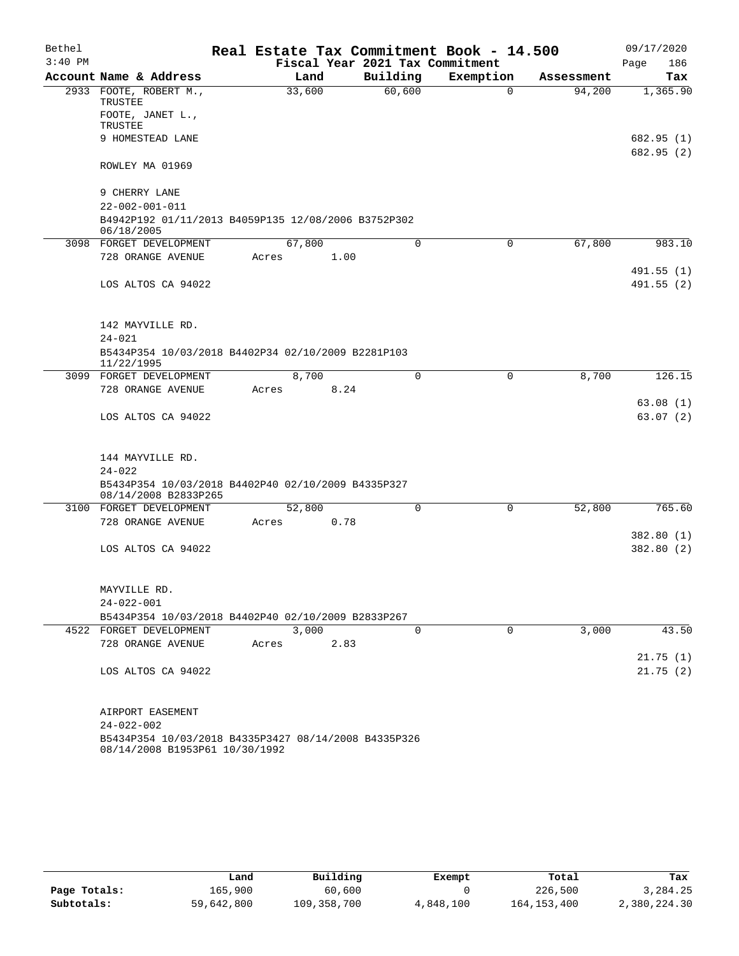| Bethel    |                                                                                        |  |       |        |      | Real Estate Tax Commitment Book - 14.500 |           |             |            | 09/17/2020  |
|-----------|----------------------------------------------------------------------------------------|--|-------|--------|------|------------------------------------------|-----------|-------------|------------|-------------|
| $3:40$ PM |                                                                                        |  |       |        |      | Fiscal Year 2021 Tax Commitment          |           |             |            | 186<br>Page |
|           | Account Name & Address                                                                 |  |       | Land   |      | Building                                 | Exemption |             | Assessment | Tax         |
|           | 2933 FOOTE, ROBERT M.,<br>TRUSTEE<br>FOOTE, JANET L.,                                  |  |       | 33,600 |      | 60,600                                   |           | $\Omega$    | 94,200     | 1,365.90    |
|           | TRUSTEE                                                                                |  |       |        |      |                                          |           |             |            |             |
|           | 9 HOMESTEAD LANE                                                                       |  |       |        |      |                                          |           |             |            | 682.95 (1)  |
|           | ROWLEY MA 01969                                                                        |  |       |        |      |                                          |           |             |            | 682.95 (2)  |
|           | 9 CHERRY LANE<br>$22 - 002 - 001 - 011$                                                |  |       |        |      |                                          |           |             |            |             |
|           | B4942P192 01/11/2013 B4059P135 12/08/2006 B3752P302                                    |  |       |        |      |                                          |           |             |            |             |
|           | 06/18/2005                                                                             |  |       |        |      |                                          |           |             |            |             |
|           | 3098 FORGET DEVELOPMENT                                                                |  |       | 67,800 |      | 0                                        |           | $\mathbf 0$ | 67,800     | 983.10      |
|           | 728 ORANGE AVENUE                                                                      |  | Acres |        | 1.00 |                                          |           |             |            |             |
|           |                                                                                        |  |       |        |      |                                          |           |             |            | 491.55(1)   |
|           | LOS ALTOS CA 94022                                                                     |  |       |        |      |                                          |           |             |            | 491.55(2)   |
|           | 142 MAYVILLE RD.                                                                       |  |       |        |      |                                          |           |             |            |             |
|           | $24 - 021$                                                                             |  |       |        |      |                                          |           |             |            |             |
|           | B5434P354 10/03/2018 B4402P34 02/10/2009 B2281P103<br>11/22/1995                       |  |       |        |      |                                          |           |             |            |             |
|           | 3099 FORGET DEVELOPMENT                                                                |  |       | 8,700  |      | 0                                        |           | 0           | 8,700      | 126.15      |
|           | 728 ORANGE AVENUE                                                                      |  | Acres |        | 8.24 |                                          |           |             |            |             |
|           |                                                                                        |  |       |        |      |                                          |           |             |            | 63.08(1)    |
|           | LOS ALTOS CA 94022                                                                     |  |       |        |      |                                          |           |             |            | 63.07(2)    |
|           | 144 MAYVILLE RD.                                                                       |  |       |        |      |                                          |           |             |            |             |
|           | $24 - 022$                                                                             |  |       |        |      |                                          |           |             |            |             |
|           | B5434P354 10/03/2018 B4402P40 02/10/2009 B4335P327<br>08/14/2008 B2833P265             |  |       |        |      |                                          |           |             |            |             |
|           | 3100 FORGET DEVELOPMENT                                                                |  |       | 52,800 |      | 0                                        |           | 0           | 52,800     | 765.60      |
|           | 728 ORANGE AVENUE                                                                      |  | Acres |        | 0.78 |                                          |           |             |            |             |
|           |                                                                                        |  |       |        |      |                                          |           |             |            | 382.80(1)   |
|           | LOS ALTOS CA 94022                                                                     |  |       |        |      |                                          |           |             |            | 382.80 (2)  |
|           | MAYVILLE RD.                                                                           |  |       |        |      |                                          |           |             |            |             |
|           | $24 - 022 - 001$                                                                       |  |       |        |      |                                          |           |             |            |             |
|           | B5434P354 10/03/2018 B4402P40 02/10/2009 B2833P267                                     |  |       |        |      |                                          |           |             |            |             |
|           | 4522 FORGET DEVELOPMENT                                                                |  |       | 3,000  |      | 0                                        |           | 0           | 3,000      | 43.50       |
|           | 728 ORANGE AVENUE                                                                      |  | Acres |        | 2.83 |                                          |           |             |            |             |
|           |                                                                                        |  |       |        |      |                                          |           |             |            | 21.75(1)    |
|           | LOS ALTOS CA 94022                                                                     |  |       |        |      |                                          |           |             |            | 21.75(2)    |
|           | AIRPORT EASEMENT                                                                       |  |       |        |      |                                          |           |             |            |             |
|           | $24 - 022 - 002$                                                                       |  |       |        |      |                                          |           |             |            |             |
|           | B5434P354 10/03/2018 B4335P3427 08/14/2008 B4335P326<br>08/14/2008 B1953P61 10/30/1992 |  |       |        |      |                                          |           |             |            |             |

|              | Land       | Building    | Exempt    | Total         | Tax          |
|--------------|------------|-------------|-----------|---------------|--------------|
| Page Totals: | 165,900    | 60,600      |           | 226,500       | 3,284.25     |
| Subtotals:   | 59,642,800 | 109,358,700 | 4,848,100 | 164, 153, 400 | 2,380,224.30 |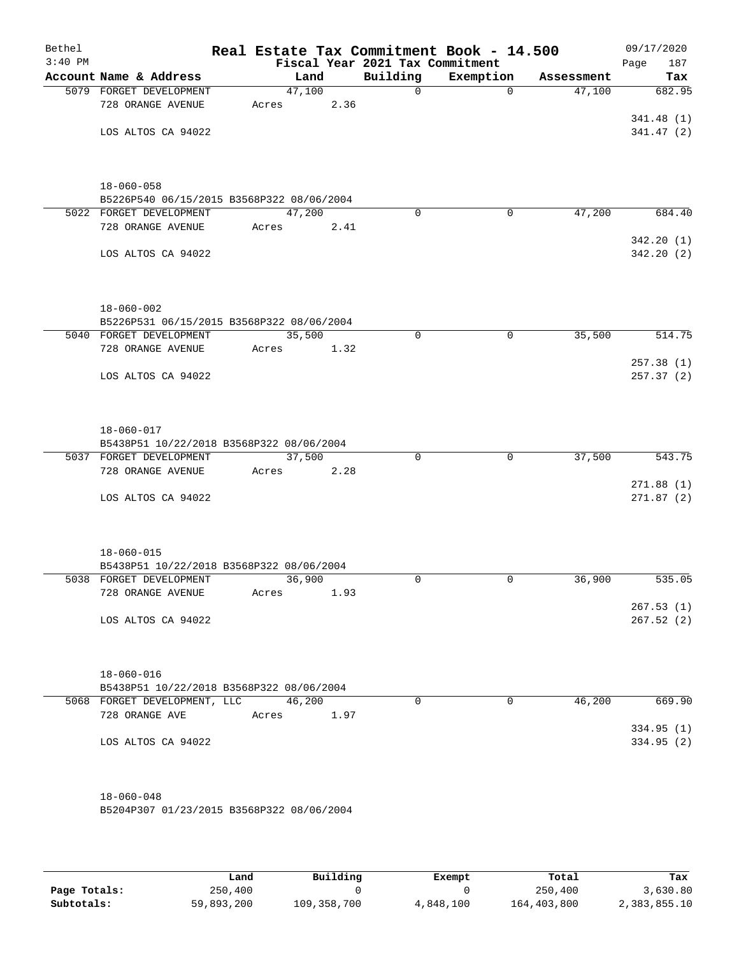| Bethel    |                                                               |        |      |                                             | Real Estate Tax Commitment Book - 14.500 |            | 09/17/2020         |  |  |
|-----------|---------------------------------------------------------------|--------|------|---------------------------------------------|------------------------------------------|------------|--------------------|--|--|
| $3:40$ PM | Account Name & Address                                        | Land   |      | Fiscal Year 2021 Tax Commitment<br>Building | Exemption                                | Assessment | 187<br>Page<br>Tax |  |  |
|           | 5079 FORGET DEVELOPMENT                                       | 47,100 |      | $\Omega$                                    | $\Omega$                                 | 47,100     | 682.95             |  |  |
|           | 728 ORANGE AVENUE                                             | Acres  | 2.36 |                                             |                                          |            |                    |  |  |
|           |                                                               |        |      |                                             |                                          |            | 341.48(1)          |  |  |
|           | LOS ALTOS CA 94022                                            |        |      |                                             |                                          |            | 341.47(2)          |  |  |
|           |                                                               |        |      |                                             |                                          |            |                    |  |  |
|           | $18 - 060 - 058$                                              |        |      |                                             |                                          |            |                    |  |  |
|           | B5226P540 06/15/2015 B3568P322 08/06/2004                     |        |      |                                             |                                          |            |                    |  |  |
|           | 5022 FORGET DEVELOPMENT                                       | 47,200 |      | $\mathbf 0$                                 | $\mathbf 0$                              | 47,200     | 684.40             |  |  |
|           | 728 ORANGE AVENUE                                             | Acres  | 2.41 |                                             |                                          |            |                    |  |  |
|           |                                                               |        |      |                                             |                                          |            | 342.20(1)          |  |  |
|           | LOS ALTOS CA 94022                                            |        |      |                                             |                                          |            | 342.20(2)          |  |  |
|           |                                                               |        |      |                                             |                                          |            |                    |  |  |
|           | $18 - 060 - 002$<br>B5226P531 06/15/2015 B3568P322 08/06/2004 |        |      |                                             |                                          |            |                    |  |  |
|           | 5040 FORGET DEVELOPMENT                                       | 35,500 |      | $\mathbf 0$                                 | $\mathbf 0$                              | 35,500     | 514.75             |  |  |
|           | 728 ORANGE AVENUE                                             | Acres  | 1.32 |                                             |                                          |            |                    |  |  |
|           |                                                               |        |      |                                             |                                          |            | 257.38 (1)         |  |  |
|           | LOS ALTOS CA 94022                                            |        |      |                                             |                                          |            | 257.37(2)          |  |  |
|           |                                                               |        |      |                                             |                                          |            |                    |  |  |
|           | $18 - 060 - 017$                                              |        |      |                                             |                                          |            |                    |  |  |
|           | B5438P51 10/22/2018 B3568P322 08/06/2004                      |        |      |                                             |                                          |            |                    |  |  |
|           | 5037 FORGET DEVELOPMENT                                       | 37,500 |      | $\mathbf 0$                                 | $\mathbf 0$                              | 37,500     | 543.75             |  |  |
|           | 728 ORANGE AVENUE                                             | Acres  | 2.28 |                                             |                                          |            | 271.88(1)          |  |  |
|           | LOS ALTOS CA 94022                                            |        |      |                                             |                                          |            | 271.87(2)          |  |  |
|           |                                                               |        |      |                                             |                                          |            |                    |  |  |
|           | $18 - 060 - 015$                                              |        |      |                                             |                                          |            |                    |  |  |
|           | B5438P51 10/22/2018 B3568P322 08/06/2004                      |        |      |                                             |                                          |            |                    |  |  |
|           | 5038 FORGET DEVELOPMENT                                       | 36,900 |      | $\Omega$                                    | $\mathbf 0$                              | 36,900     | 535.05             |  |  |
|           | 728 ORANGE AVENUE                                             | Acres  | 1.93 |                                             |                                          |            |                    |  |  |
|           |                                                               |        |      |                                             |                                          |            | 267.53(1)          |  |  |
|           | LOS ALTOS CA 94022                                            |        |      |                                             |                                          |            | 267.52(2)          |  |  |
|           |                                                               |        |      |                                             |                                          |            |                    |  |  |
|           | $18 - 060 - 016$                                              |        |      |                                             |                                          |            |                    |  |  |
|           | B5438P51 10/22/2018 B3568P322 08/06/2004                      |        |      |                                             |                                          |            |                    |  |  |
|           | 5068 FORGET DEVELOPMENT, LLC 46,200                           |        |      | 0                                           | $\overline{0}$                           | 46,200     | 669.90             |  |  |
|           | 728 ORANGE AVE                                                | Acres  | 1.97 |                                             |                                          |            | 334.95(1)          |  |  |
|           | LOS ALTOS CA 94022                                            |        |      |                                             |                                          |            | 334.95(2)          |  |  |
|           |                                                               |        |      |                                             |                                          |            |                    |  |  |
|           | $18 - 060 - 048$                                              |        |      |                                             |                                          |            |                    |  |  |
|           | B5204P307 01/23/2015 B3568P322 08/06/2004                     |        |      |                                             |                                          |            |                    |  |  |
|           |                                                               |        |      |                                             |                                          |            |                    |  |  |

|              | Land       | Building    | Exempt    | Total       | Tax          |
|--------------|------------|-------------|-----------|-------------|--------------|
| Page Totals: | 250,400    |             |           | 250,400     | 3,630.80     |
| Subtotals:   | 59,893,200 | 109,358,700 | 4,848,100 | 164,403,800 | 2,383,855.10 |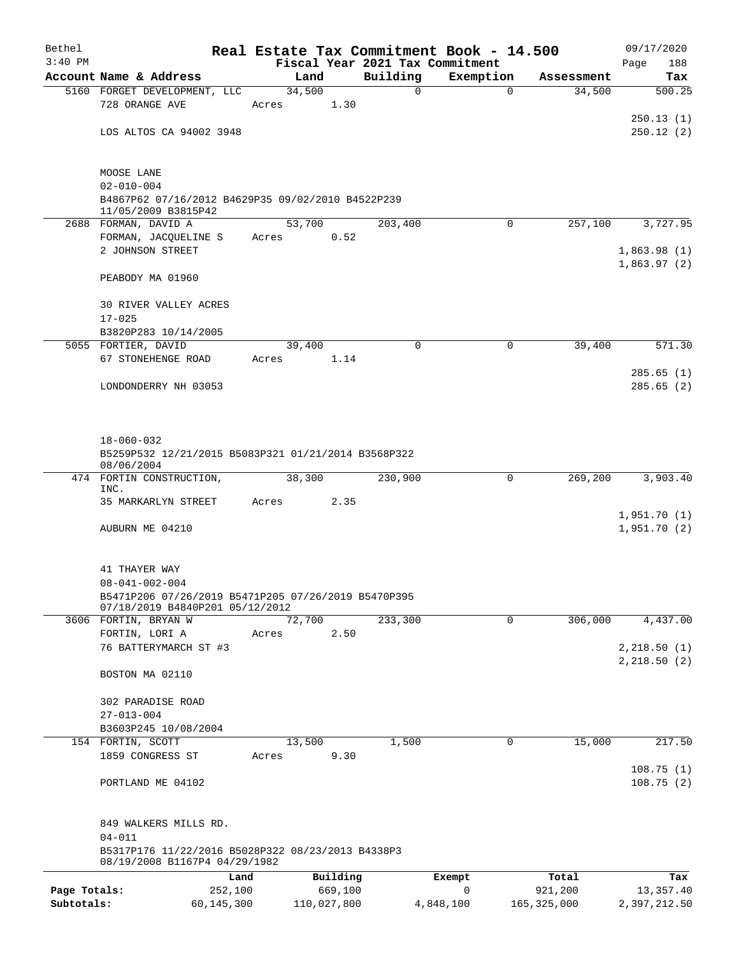| Bethel       |                                                                                              | Real Estate Tax Commitment Book - 14.500 |                                 |             |               | 09/17/2020                   |
|--------------|----------------------------------------------------------------------------------------------|------------------------------------------|---------------------------------|-------------|---------------|------------------------------|
| $3:40$ PM    |                                                                                              |                                          | Fiscal Year 2021 Tax Commitment |             |               | 188<br>Page                  |
|              | Account Name & Address                                                                       | Land                                     | Building                        | Exemption   | Assessment    | Tax                          |
|              | 5160 FORGET DEVELOPMENT, LLC<br>728 ORANGE AVE                                               | 34,500<br>1.30<br>Acres                  | $\mathbf 0$                     | $\mathbf 0$ | 34,500        | 500.25                       |
|              | LOS ALTOS CA 94002 3948                                                                      |                                          |                                 |             |               | 250.13(1)<br>250.12(2)       |
|              | MOOSE LANE                                                                                   |                                          |                                 |             |               |                              |
|              | $02 - 010 - 004$<br>B4867P62 07/16/2012 B4629P35 09/02/2010 B4522P239<br>11/05/2009 B3815P42 |                                          |                                 |             |               |                              |
|              | 2688 FORMAN, DAVID A                                                                         | 53,700                                   | 203,400                         | $\Omega$    | 257,100       | 3,727.95                     |
|              | FORMAN, JACQUELINE S                                                                         | 0.52<br>Acres                            |                                 |             |               |                              |
|              | 2 JOHNSON STREET                                                                             |                                          |                                 |             |               | 1,863.98(1)                  |
|              | PEABODY MA 01960                                                                             |                                          |                                 |             |               | 1,863.97(2)                  |
|              | 30 RIVER VALLEY ACRES                                                                        |                                          |                                 |             |               |                              |
|              | $17 - 025$<br>B3820P283 10/14/2005                                                           |                                          |                                 |             |               |                              |
|              | 5055 FORTIER, DAVID                                                                          | 39,400                                   | $\mathbf 0$                     | 0           | 39,400        | 571.30                       |
|              | 67 STONEHENGE ROAD                                                                           | 1.14<br>Acres                            |                                 |             |               |                              |
|              |                                                                                              |                                          |                                 |             |               | 285.65(1)                    |
|              | LONDONDERRY NH 03053                                                                         |                                          |                                 |             |               | 285.65(2)                    |
|              | $18 - 060 - 032$                                                                             |                                          |                                 |             |               |                              |
|              | B5259P532 12/21/2015 B5083P321 01/21/2014 B3568P322<br>08/06/2004                            |                                          |                                 |             |               |                              |
|              | 474 FORTIN CONSTRUCTION,<br>INC.                                                             | 38,300                                   | 230,900                         | 0           | 269,200       | 3,903.40                     |
|              | 35 MARKARLYN STREET                                                                          | Acres<br>2.35                            |                                 |             |               |                              |
|              | AUBURN ME 04210                                                                              |                                          |                                 |             |               | 1,951.70(1)<br>1,951.70(2)   |
|              | 41 THAYER WAY                                                                                |                                          |                                 |             |               |                              |
|              | $08 - 041 - 002 - 004$                                                                       |                                          |                                 |             |               |                              |
|              | B5471P206 07/26/2019 B5471P205 07/26/2019 B5470P395<br>07/18/2019 B4840P201 05/12/2012       |                                          |                                 |             |               |                              |
|              | 3606 FORTIN, BRYAN W                                                                         | 72,700                                   | 233,300                         | $\mathbf 0$ | 306,000       | 4,437.00                     |
|              | FORTIN, LORI A                                                                               | 2.50<br>Acres                            |                                 |             |               |                              |
|              | 76 BATTERYMARCH ST #3                                                                        |                                          |                                 |             |               | 2, 218.50(1)<br>2, 218.50(2) |
|              | BOSTON MA 02110                                                                              |                                          |                                 |             |               |                              |
|              | 302 PARADISE ROAD                                                                            |                                          |                                 |             |               |                              |
|              | $27 - 013 - 004$                                                                             |                                          |                                 |             |               |                              |
|              | B3603P245 10/08/2004                                                                         |                                          |                                 |             |               |                              |
|              | 154 FORTIN, SCOTT                                                                            | 13,500                                   | 1,500                           | 0           | 15,000        | 217.50                       |
|              | 1859 CONGRESS ST                                                                             | 9.30<br>Acres                            |                                 |             |               | 108.75(1)                    |
|              | PORTLAND ME 04102                                                                            |                                          |                                 |             |               | 108.75(2)                    |
|              | 849 WALKERS MILLS RD.<br>$04 - 011$                                                          |                                          |                                 |             |               |                              |
|              | B5317P176 11/22/2016 B5028P322 08/23/2013 B4338P3<br>08/19/2008 B1167P4 04/29/1982           |                                          |                                 |             |               |                              |
|              | Land                                                                                         | Building                                 |                                 | Exempt      | Total         | Tax                          |
| Page Totals: | 252,100                                                                                      | 669,100                                  |                                 | 0           | 921,200       | 13,357.40                    |
| Subtotals:   | 60,145,300                                                                                   | 110,027,800                              |                                 | 4,848,100   | 165, 325, 000 | 2,397,212.50                 |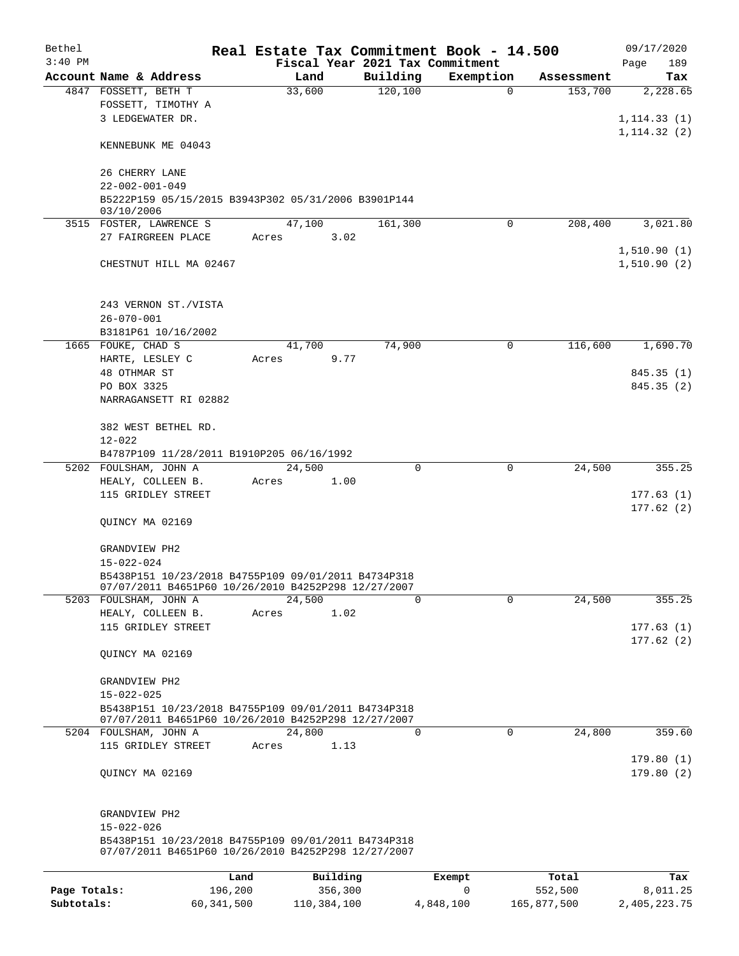| Bethel       |                                                                                                            |         |                |                                 | Real Estate Tax Commitment Book - 14.500 |                       | 09/17/2020      |
|--------------|------------------------------------------------------------------------------------------------------------|---------|----------------|---------------------------------|------------------------------------------|-----------------------|-----------------|
| $3:40$ PM    |                                                                                                            |         |                | Fiscal Year 2021 Tax Commitment |                                          |                       | Page<br>189     |
|              | Account Name & Address<br>4847 FOSSETT, BETH T                                                             |         | Land<br>33,600 | Building<br>120,100             | Exemption<br>0                           | Assessment<br>153,700 | Tax<br>2,228.65 |
|              | FOSSETT, TIMOTHY A                                                                                         |         |                |                                 |                                          |                       |                 |
|              | 3 LEDGEWATER DR.                                                                                           |         |                |                                 |                                          |                       | 1, 114.33(1)    |
|              |                                                                                                            |         |                |                                 |                                          |                       | 1, 114.32(2)    |
|              | KENNEBUNK ME 04043                                                                                         |         |                |                                 |                                          |                       |                 |
|              | 26 CHERRY LANE                                                                                             |         |                |                                 |                                          |                       |                 |
|              | $22 - 002 - 001 - 049$                                                                                     |         |                |                                 |                                          |                       |                 |
|              | B5222P159 05/15/2015 B3943P302 05/31/2006 B3901P144<br>03/10/2006                                          |         |                |                                 |                                          |                       |                 |
|              | 3515 FOSTER, LAWRENCE S                                                                                    |         | 47,100         | 161,300                         | 0                                        | 208,400               | 3,021.80        |
|              | 27 FAIRGREEN PLACE                                                                                         | Acres   | 3.02           |                                 |                                          |                       |                 |
|              |                                                                                                            |         |                |                                 |                                          |                       | 1,510.90(1)     |
|              | CHESTNUT HILL MA 02467                                                                                     |         |                |                                 |                                          |                       | 1,510.90(2)     |
|              |                                                                                                            |         |                |                                 |                                          |                       |                 |
|              | 243 VERNON ST./VISTA                                                                                       |         |                |                                 |                                          |                       |                 |
|              | $26 - 070 - 001$                                                                                           |         |                |                                 |                                          |                       |                 |
|              | B3181P61 10/16/2002                                                                                        |         |                |                                 |                                          |                       |                 |
|              | 1665 FOUKE, CHAD S                                                                                         |         | 41,700         | 74,900                          | 0                                        | 116,600               | 1,690.70        |
|              | HARTE, LESLEY C                                                                                            | Acres   | 9.77           |                                 |                                          |                       |                 |
|              | 48 OTHMAR ST                                                                                               |         |                |                                 |                                          |                       | 845.35 (1)      |
|              | PO BOX 3325                                                                                                |         |                |                                 |                                          |                       | 845.35 (2)      |
|              | NARRAGANSETT RI 02882                                                                                      |         |                |                                 |                                          |                       |                 |
|              | 382 WEST BETHEL RD.                                                                                        |         |                |                                 |                                          |                       |                 |
|              | $12 - 022$                                                                                                 |         |                |                                 |                                          |                       |                 |
|              | B4787P109 11/28/2011 B1910P205 06/16/1992                                                                  |         |                |                                 |                                          |                       |                 |
|              | 5202 FOULSHAM, JOHN A                                                                                      |         | 24,500         | 0                               | 0                                        | 24,500                | 355.25          |
|              | HEALY, COLLEEN B.                                                                                          | Acres   | 1.00           |                                 |                                          |                       |                 |
|              | 115 GRIDLEY STREET                                                                                         |         |                |                                 |                                          |                       | 177.63(1)       |
|              |                                                                                                            |         |                |                                 |                                          |                       | 177.62(2)       |
|              | QUINCY MA 02169                                                                                            |         |                |                                 |                                          |                       |                 |
|              | GRANDVIEW PH2                                                                                              |         |                |                                 |                                          |                       |                 |
|              | 15-022-024                                                                                                 |         |                |                                 |                                          |                       |                 |
|              | B5438P151 10/23/2018 B4755P109 09/01/2011 B4734P318                                                        |         |                |                                 |                                          |                       |                 |
|              | 07/07/2011 B4651P60 10/26/2010 B4252P298 12/27/2007                                                        |         |                |                                 |                                          |                       |                 |
|              | 5203 FOULSHAM, JOHN A                                                                                      |         | 24,500         | $\Omega$                        | $\Omega$                                 | 24,500                | 355.25          |
|              | HEALY, COLLEEN B.                                                                                          | Acres   | 1.02           |                                 |                                          |                       |                 |
|              | 115 GRIDLEY STREET                                                                                         |         |                |                                 |                                          |                       | 177.63(1)       |
|              | QUINCY MA 02169                                                                                            |         |                |                                 |                                          |                       | 177.62(2)       |
|              |                                                                                                            |         |                |                                 |                                          |                       |                 |
|              | GRANDVIEW PH2                                                                                              |         |                |                                 |                                          |                       |                 |
|              | $15 - 022 - 025$                                                                                           |         |                |                                 |                                          |                       |                 |
|              | B5438P151 10/23/2018 B4755P109 09/01/2011 B4734P318<br>07/07/2011 B4651P60 10/26/2010 B4252P298 12/27/2007 |         |                |                                 |                                          |                       |                 |
|              | 5204 FOULSHAM, JOHN A                                                                                      |         | 24,800         | 0                               | $\mathbf 0$                              | 24,800                | 359.60          |
|              | 115 GRIDLEY STREET                                                                                         | Acres   | 1.13           |                                 |                                          |                       |                 |
|              |                                                                                                            |         |                |                                 |                                          |                       | 179.80(1)       |
|              | QUINCY MA 02169                                                                                            |         |                |                                 |                                          |                       | 179.80(2)       |
|              |                                                                                                            |         |                |                                 |                                          |                       |                 |
|              | GRANDVIEW PH2<br>$15 - 022 - 026$                                                                          |         |                |                                 |                                          |                       |                 |
|              | B5438P151 10/23/2018 B4755P109 09/01/2011 B4734P318<br>07/07/2011 B4651P60 10/26/2010 B4252P298 12/27/2007 |         |                |                                 |                                          |                       |                 |
|              |                                                                                                            |         |                |                                 |                                          |                       |                 |
|              |                                                                                                            | Land    | Building       |                                 | Exempt                                   | Total                 | Tax             |
| Page Totals: |                                                                                                            | 196,200 | 356,300        |                                 | 0                                        | 552,500               | 8,011.25        |

**Subtotals:** 60,341,500 110,384,100 4,848,100 165,877,500 2,405,223.75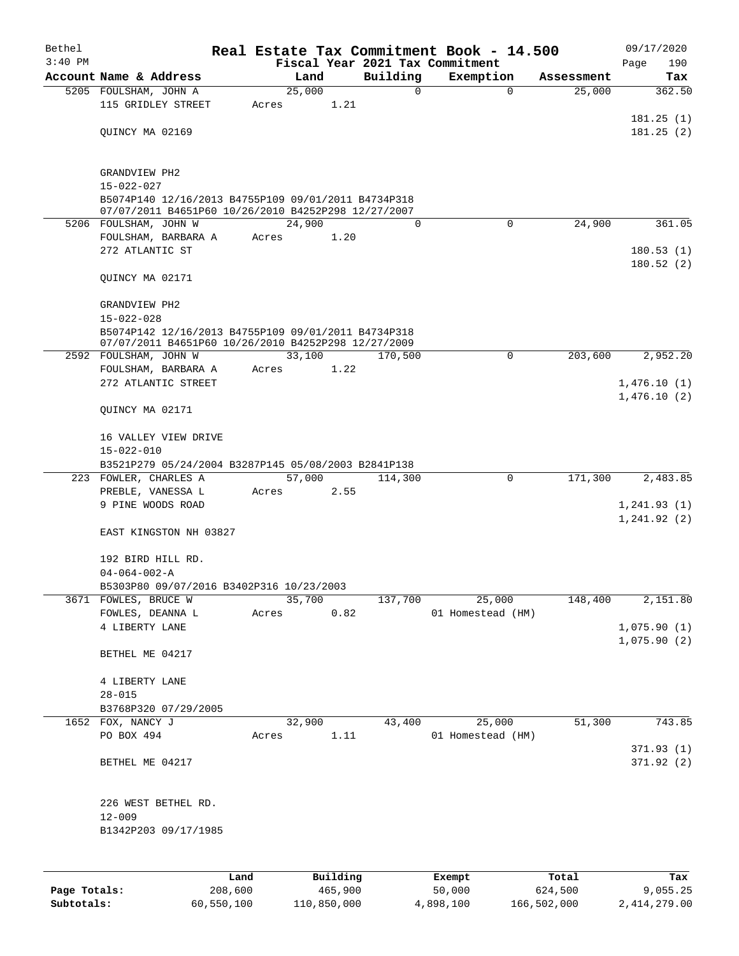| Bethel    |                                                                                                            |      |       |        |          |          | Real Estate Tax Commitment Book - 14.500 |            | 09/17/2020   |
|-----------|------------------------------------------------------------------------------------------------------------|------|-------|--------|----------|----------|------------------------------------------|------------|--------------|
| $3:40$ PM |                                                                                                            |      |       |        |          |          | Fiscal Year 2021 Tax Commitment          |            | 190<br>Page  |
|           | Account Name & Address                                                                                     |      |       | Land   |          | Building | Exemption                                | Assessment | Tax          |
|           | 5205 FOULSHAM, JOHN A                                                                                      |      |       | 25,000 |          | 0        | $\Omega$                                 | 25,000     | 362.50       |
|           | 115 GRIDLEY STREET                                                                                         |      | Acres |        | 1.21     |          |                                          |            |              |
|           |                                                                                                            |      |       |        |          |          |                                          |            | 181.25(1)    |
|           | QUINCY MA 02169                                                                                            |      |       |        |          |          |                                          |            | 181.25(2)    |
|           |                                                                                                            |      |       |        |          |          |                                          |            |              |
|           |                                                                                                            |      |       |        |          |          |                                          |            |              |
|           | GRANDVIEW PH2                                                                                              |      |       |        |          |          |                                          |            |              |
|           | $15 - 022 - 027$<br>B5074P140 12/16/2013 B4755P109 09/01/2011 B4734P318                                    |      |       |        |          |          |                                          |            |              |
|           | 07/07/2011 B4651P60 10/26/2010 B4252P298 12/27/2007                                                        |      |       |        |          |          |                                          |            |              |
|           | 5206 FOULSHAM, JOHN W                                                                                      |      |       | 24,900 |          | 0        | $\Omega$                                 | 24,900     | 361.05       |
|           | FOULSHAM, BARBARA A                                                                                        |      | Acres |        | 1.20     |          |                                          |            |              |
|           | 272 ATLANTIC ST                                                                                            |      |       |        |          |          |                                          |            | 180.53(1)    |
|           |                                                                                                            |      |       |        |          |          |                                          |            | 180.52(2)    |
|           | QUINCY MA 02171                                                                                            |      |       |        |          |          |                                          |            |              |
|           |                                                                                                            |      |       |        |          |          |                                          |            |              |
|           | GRANDVIEW PH2                                                                                              |      |       |        |          |          |                                          |            |              |
|           | $15 - 022 - 028$                                                                                           |      |       |        |          |          |                                          |            |              |
|           | B5074P142 12/16/2013 B4755P109 09/01/2011 B4734P318<br>07/07/2011 B4651P60 10/26/2010 B4252P298 12/27/2009 |      |       |        |          |          |                                          |            |              |
|           | 2592 FOULSHAM, JOHN W                                                                                      |      |       | 33,100 |          | 170,500  | $\Omega$                                 | 203,600    | 2,952.20     |
|           | FOULSHAM, BARBARA A                                                                                        |      | Acres |        | 1.22     |          |                                          |            |              |
|           | 272 ATLANTIC STREET                                                                                        |      |       |        |          |          |                                          |            | 1,476.10(1)  |
|           |                                                                                                            |      |       |        |          |          |                                          |            | 1,476.10(2)  |
|           | QUINCY MA 02171                                                                                            |      |       |        |          |          |                                          |            |              |
|           |                                                                                                            |      |       |        |          |          |                                          |            |              |
|           | 16 VALLEY VIEW DRIVE                                                                                       |      |       |        |          |          |                                          |            |              |
|           | $15 - 022 - 010$                                                                                           |      |       |        |          |          |                                          |            |              |
|           | B3521P279 05/24/2004 B3287P145 05/08/2003 B2841P138                                                        |      |       |        |          |          |                                          |            |              |
|           | 223 FOWLER, CHARLES A                                                                                      |      |       | 57,000 |          | 114,300  | 0                                        | 171,300    | 2,483.85     |
|           | PREBLE, VANESSA L                                                                                          |      | Acres |        | 2.55     |          |                                          |            |              |
|           | 9 PINE WOODS ROAD                                                                                          |      |       |        |          |          |                                          |            | 1, 241.93(1) |
|           |                                                                                                            |      |       |        |          |          |                                          |            | 1, 241.92(2) |
|           | EAST KINGSTON NH 03827                                                                                     |      |       |        |          |          |                                          |            |              |
|           |                                                                                                            |      |       |        |          |          |                                          |            |              |
|           | 192 BIRD HILL RD.                                                                                          |      |       |        |          |          |                                          |            |              |
|           | $04 - 064 - 002 - A$<br>B5303P80 09/07/2016 B3402P316 10/23/2003                                           |      |       |        |          |          |                                          |            |              |
|           | 3671 FOWLES, BRUCE W                                                                                       |      |       | 35,700 |          | 137,700  | 25,000                                   | 148,400    | 2,151.80     |
|           | FOWLES, DEANNA L                                                                                           |      | Acres |        | 0.82     |          | 01 Homestead (HM)                        |            |              |
|           | 4 LIBERTY LANE                                                                                             |      |       |        |          |          |                                          |            | 1,075.90(1)  |
|           |                                                                                                            |      |       |        |          |          |                                          |            | 1,075.90(2)  |
|           | BETHEL ME 04217                                                                                            |      |       |        |          |          |                                          |            |              |
|           |                                                                                                            |      |       |        |          |          |                                          |            |              |
|           | 4 LIBERTY LANE                                                                                             |      |       |        |          |          |                                          |            |              |
|           | $28 - 015$                                                                                                 |      |       |        |          |          |                                          |            |              |
|           | B3768P320 07/29/2005                                                                                       |      |       |        |          |          |                                          |            |              |
|           | 1652 FOX, NANCY J                                                                                          |      |       | 32,900 |          | 43,400   | 25,000                                   | 51,300     | 743.85       |
|           | PO BOX 494                                                                                                 |      | Acres |        | 1.11     |          | 01 Homestead (HM)                        |            |              |
|           |                                                                                                            |      |       |        |          |          |                                          |            | 371.93(1)    |
|           | BETHEL ME 04217                                                                                            |      |       |        |          |          |                                          |            | 371.92(2)    |
|           |                                                                                                            |      |       |        |          |          |                                          |            |              |
|           |                                                                                                            |      |       |        |          |          |                                          |            |              |
|           | 226 WEST BETHEL RD.                                                                                        |      |       |        |          |          |                                          |            |              |
|           | $12 - 009$                                                                                                 |      |       |        |          |          |                                          |            |              |
|           | B1342P203 09/17/1985                                                                                       |      |       |        |          |          |                                          |            |              |
|           |                                                                                                            |      |       |        |          |          |                                          |            |              |
|           |                                                                                                            |      |       |        |          |          |                                          |            |              |
|           |                                                                                                            | Land |       |        | Building |          | Exempt                                   | Total      | Tax          |

|              | <b>Land</b> | <b>Building</b> | LXCMDL    | IOCAL       | 1ax.         |
|--------------|-------------|-----------------|-----------|-------------|--------------|
| Page Totals: | 208,600     | 465,900         | 50,000    | 624,500     | 9,055.25     |
| Subtotals:   | 60,550,100  | 110,850,000     | 4,898,100 | 166,502,000 | 2,414,279.00 |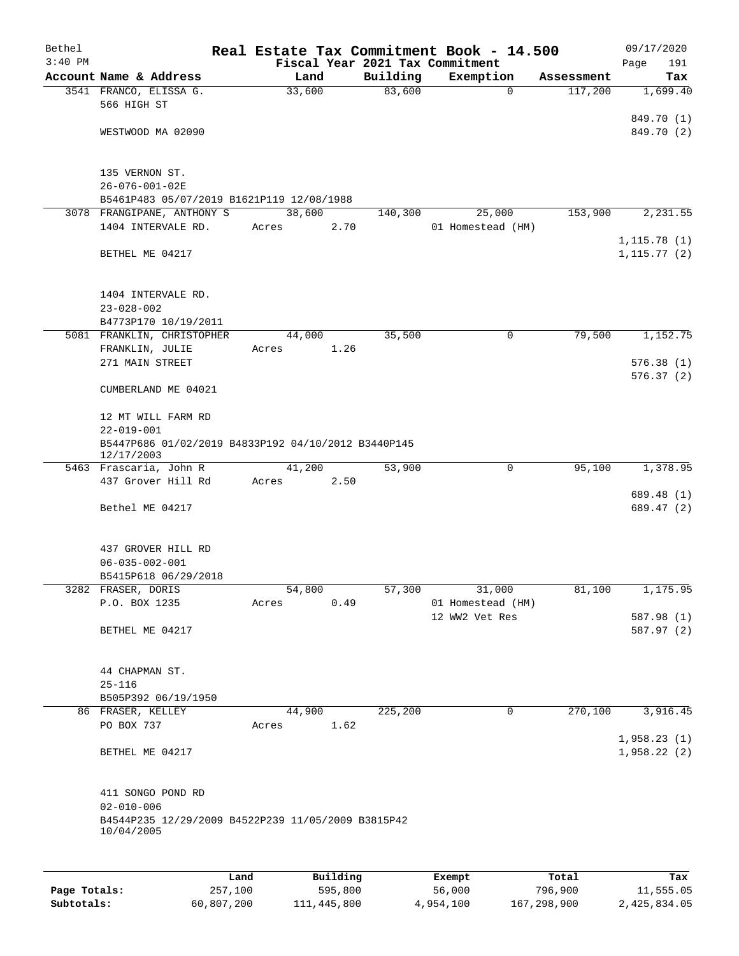| Bethel       |                                                                   |        |          |          | Real Estate Tax Commitment Book - 14.500     |                       | 09/17/2020             |
|--------------|-------------------------------------------------------------------|--------|----------|----------|----------------------------------------------|-----------------------|------------------------|
| $3:40$ PM    | Account Name & Address                                            | Land   |          | Building | Fiscal Year 2021 Tax Commitment<br>Exemption |                       | 191<br>Page            |
|              | 3541 FRANCO, ELISSA G.                                            | 33,600 |          | 83,600   | $\mathbf 0$                                  | Assessment<br>117,200 | Tax<br>1,699.40        |
|              | 566 HIGH ST                                                       |        |          |          |                                              |                       |                        |
|              |                                                                   |        |          |          |                                              |                       | 849.70 (1)             |
|              | WESTWOOD MA 02090                                                 |        |          |          |                                              |                       | 849.70 (2)             |
|              | 135 VERNON ST.                                                    |        |          |          |                                              |                       |                        |
|              | $26 - 076 - 001 - 02E$                                            |        |          |          |                                              |                       |                        |
|              | B5461P483 05/07/2019 B1621P119 12/08/1988                         | 38,600 |          |          | 25,000                                       |                       |                        |
|              | 3078 FRANGIPANE, ANTHONY S<br>1404 INTERVALE RD.                  | Acres  | 2.70     | 140,300  | 01 Homestead (HM)                            | 153,900               | 2,231.55               |
|              |                                                                   |        |          |          |                                              |                       | 1, 115.78(1)           |
|              | BETHEL ME 04217                                                   |        |          |          |                                              |                       | 1, 115.77(2)           |
|              | 1404 INTERVALE RD.<br>$23 - 028 - 002$                            |        |          |          |                                              |                       |                        |
|              | B4773P170 10/19/2011                                              |        |          |          |                                              |                       |                        |
|              | 5081 FRANKLIN, CHRISTOPHER                                        | 44,000 |          | 35,500   | 0                                            | 79,500                | 1,152.75               |
|              | FRANKLIN, JULIE                                                   | Acres  | 1.26     |          |                                              |                       |                        |
|              | 271 MAIN STREET                                                   |        |          |          |                                              |                       | 576.38(1)<br>576.37(2) |
|              | CUMBERLAND ME 04021                                               |        |          |          |                                              |                       |                        |
|              | 12 MT WILL FARM RD                                                |        |          |          |                                              |                       |                        |
|              | $22 - 019 - 001$                                                  |        |          |          |                                              |                       |                        |
|              | B5447P686 01/02/2019 B4833P192 04/10/2012 B3440P145<br>12/17/2003 |        |          |          |                                              |                       |                        |
|              | 5463 Frascaria, John R                                            | 41,200 |          | 53,900   | 0                                            | 95,100                | 1,378.95               |
|              | 437 Grover Hill Rd                                                | Acres  | 2.50     |          |                                              |                       | 689.48 (1)             |
|              | Bethel ME 04217                                                   |        |          |          |                                              |                       | 689.47 (2)             |
|              | 437 GROVER HILL RD                                                |        |          |          |                                              |                       |                        |
|              | $06 - 035 - 002 - 001$                                            |        |          |          |                                              |                       |                        |
|              | B5415P618 06/29/2018                                              |        |          |          |                                              |                       |                        |
|              | 3282 FRASER, DORIS                                                | 54,800 |          | 57,300   | 31,000                                       | 81,100                | 1,175.95               |
|              | P.O. BOX 1235                                                     | Acres  | 0.49     |          | 01 Homestead (HM)<br>12 WW2 Vet Res          |                       | 587.98 (1)             |
|              | BETHEL ME 04217                                                   |        |          |          |                                              |                       | 587.97 (2)             |
|              |                                                                   |        |          |          |                                              |                       |                        |
|              | 44 CHAPMAN ST.                                                    |        |          |          |                                              |                       |                        |
|              | $25 - 116$                                                        |        |          |          |                                              |                       |                        |
|              | B505P392 06/19/1950<br>86 FRASER, KELLEY                          | 44,900 |          | 225,200  | 0                                            | 270,100               | 3,916.45               |
|              | PO BOX 737                                                        | Acres  | 1.62     |          |                                              |                       |                        |
|              |                                                                   |        |          |          |                                              |                       | 1,958.23(1)            |
|              | BETHEL ME 04217                                                   |        |          |          |                                              |                       | 1,958.22(2)            |
|              | 411 SONGO POND RD<br>$02 - 010 - 006$                             |        |          |          |                                              |                       |                        |
|              | B4544P235 12/29/2009 B4522P239 11/05/2009 B3815P42<br>10/04/2005  |        |          |          |                                              |                       |                        |
|              |                                                                   |        |          |          |                                              |                       |                        |
|              | Land                                                              |        | Building |          | Exempt                                       | Total                 | Tax                    |
| Page Totals: | 257,100                                                           |        | 595,800  |          | 56,000                                       | 796,900               | 11,555.05              |

**Subtotals:** 60,807,200 111,445,800 4,954,100 167,298,900 2,425,834.05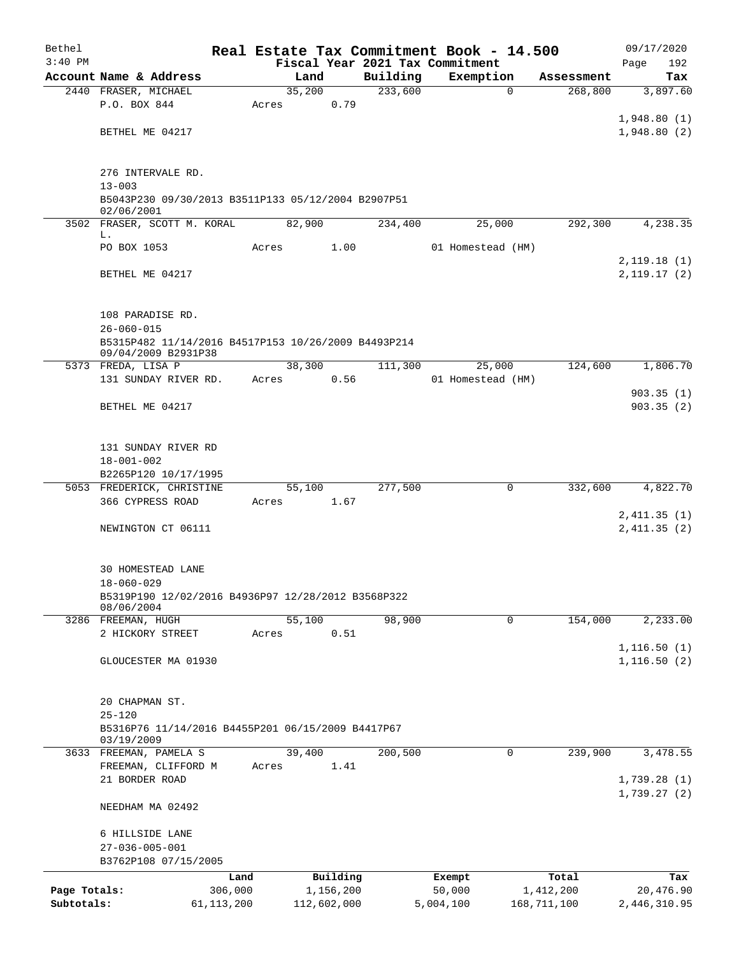| Bethel       |                                                                            |                 |       |        |                       | Real Estate Tax Commitment Book - 14.500 |                   |             |                    | 09/17/2020       |
|--------------|----------------------------------------------------------------------------|-----------------|-------|--------|-----------------------|------------------------------------------|-------------------|-------------|--------------------|------------------|
| $3:40$ PM    |                                                                            |                 |       |        |                       | Fiscal Year 2021 Tax Commitment          |                   |             |                    | 192<br>Page      |
|              | Account Name & Address                                                     |                 |       | Land   |                       | Building                                 | Exemption         |             | Assessment         | Tax              |
|              | 2440 FRASER, MICHAEL<br>P.O. BOX 844                                       |                 | Acres | 35,200 | 0.79                  | 233,600                                  |                   | 0           | 268,800            | 3,897.60         |
|              |                                                                            |                 |       |        |                       |                                          |                   |             |                    | 1,948.80(1)      |
|              | BETHEL ME 04217                                                            |                 |       |        |                       |                                          |                   |             |                    | 1,948.80(2)      |
|              |                                                                            |                 |       |        |                       |                                          |                   |             |                    |                  |
|              |                                                                            |                 |       |        |                       |                                          |                   |             |                    |                  |
|              | 276 INTERVALE RD.                                                          |                 |       |        |                       |                                          |                   |             |                    |                  |
|              | $13 - 003$<br>B5043P230 09/30/2013 B3511P133 05/12/2004 B2907P51           |                 |       |        |                       |                                          |                   |             |                    |                  |
|              | 02/06/2001                                                                 |                 |       |        |                       |                                          |                   |             |                    |                  |
|              | 3502 FRASER, SCOTT M. KORAL                                                |                 |       | 82,900 |                       | 234,400                                  |                   | 25,000      | 292,300            | 4,238.35         |
|              | L.                                                                         |                 |       |        |                       |                                          |                   |             |                    |                  |
|              | PO BOX 1053                                                                |                 | Acres |        | 1.00                  |                                          | 01 Homestead (HM) |             |                    | 2,119.18(1)      |
|              | BETHEL ME 04217                                                            |                 |       |        |                       |                                          |                   |             |                    | 2,119.17(2)      |
|              |                                                                            |                 |       |        |                       |                                          |                   |             |                    |                  |
|              |                                                                            |                 |       |        |                       |                                          |                   |             |                    |                  |
|              | 108 PARADISE RD.                                                           |                 |       |        |                       |                                          |                   |             |                    |                  |
|              | $26 - 060 - 015$                                                           |                 |       |        |                       |                                          |                   |             |                    |                  |
|              | B5315P482 11/14/2016 B4517P153 10/26/2009 B4493P214<br>09/04/2009 B2931P38 |                 |       |        |                       |                                          |                   |             |                    |                  |
|              | 5373 FREDA, LISA P                                                         |                 |       | 38,300 |                       | 111,300                                  |                   | 25,000      | 124,600            | 1,806.70         |
|              | 131 SUNDAY RIVER RD.                                                       |                 | Acres |        | 0.56                  |                                          | 01 Homestead (HM) |             |                    |                  |
|              |                                                                            |                 |       |        |                       |                                          |                   |             |                    | 903.35(1)        |
|              | BETHEL ME 04217                                                            |                 |       |        |                       |                                          |                   |             |                    | 903.35(2)        |
|              |                                                                            |                 |       |        |                       |                                          |                   |             |                    |                  |
|              | 131 SUNDAY RIVER RD                                                        |                 |       |        |                       |                                          |                   |             |                    |                  |
|              | $18 - 001 - 002$                                                           |                 |       |        |                       |                                          |                   |             |                    |                  |
|              | B2265P120 10/17/1995                                                       |                 |       |        |                       |                                          |                   |             |                    |                  |
|              | 5053 FREDERICK, CHRISTINE                                                  |                 |       | 55,100 |                       | 277,500                                  |                   | 0           | 332,600            | 4,822.70         |
|              | 366 CYPRESS ROAD                                                           |                 | Acres |        | 1.67                  |                                          |                   |             |                    |                  |
|              |                                                                            |                 |       |        |                       |                                          |                   |             |                    | 2,411.35(1)      |
|              | NEWINGTON CT 06111                                                         |                 |       |        |                       |                                          |                   |             |                    | 2,411.35(2)      |
|              |                                                                            |                 |       |        |                       |                                          |                   |             |                    |                  |
|              | 30 HOMESTEAD LANE                                                          |                 |       |        |                       |                                          |                   |             |                    |                  |
|              | $18 - 060 - 029$                                                           |                 |       |        |                       |                                          |                   |             |                    |                  |
|              | B5319P190 12/02/2016 B4936P97 12/28/2012 B3568P322<br>08/06/2004           |                 |       |        |                       |                                          |                   |             |                    |                  |
|              | 3286 FREEMAN, HUGH                                                         |                 |       | 55,100 |                       | 98,900                                   |                   | 0           | 154,000            | 2,233.00         |
|              | 2 HICKORY STREET                                                           |                 | Acres |        | 0.51                  |                                          |                   |             |                    |                  |
|              |                                                                            |                 |       |        |                       |                                          |                   |             |                    | 1, 116.50(1)     |
|              | GLOUCESTER MA 01930                                                        |                 |       |        |                       |                                          |                   |             |                    | 1, 116.50(2)     |
|              |                                                                            |                 |       |        |                       |                                          |                   |             |                    |                  |
|              | 20 CHAPMAN ST.                                                             |                 |       |        |                       |                                          |                   |             |                    |                  |
|              | $25 - 120$                                                                 |                 |       |        |                       |                                          |                   |             |                    |                  |
|              | B5316P76 11/14/2016 B4455P201 06/15/2009 B4417P67                          |                 |       |        |                       |                                          |                   |             |                    |                  |
|              | 03/19/2009                                                                 |                 |       |        |                       |                                          |                   |             |                    |                  |
|              | 3633 FREEMAN, PAMELA S                                                     |                 |       | 39,400 |                       | 200,500                                  |                   | $\mathbf 0$ | 239,900            | 3,478.55         |
|              | FREEMAN, CLIFFORD M<br>21 BORDER ROAD                                      |                 | Acres |        | 1.41                  |                                          |                   |             |                    | 1,739.28(1)      |
|              |                                                                            |                 |       |        |                       |                                          |                   |             |                    | 1,739.27(2)      |
|              | NEEDHAM MA 02492                                                           |                 |       |        |                       |                                          |                   |             |                    |                  |
|              |                                                                            |                 |       |        |                       |                                          |                   |             |                    |                  |
|              | 6 HILLSIDE LANE                                                            |                 |       |        |                       |                                          |                   |             |                    |                  |
|              | $27 - 036 - 005 - 001$                                                     |                 |       |        |                       |                                          |                   |             |                    |                  |
|              | B3762P108 07/15/2005                                                       |                 |       |        |                       |                                          |                   |             |                    |                  |
| Page Totals: |                                                                            | Land<br>306,000 |       |        | Building<br>1,156,200 |                                          | Exempt<br>50,000  |             | Total<br>1,412,200 | Tax<br>20,476.90 |
| Subtotals:   |                                                                            | 61, 113, 200    |       |        | 112,602,000           |                                          | 5,004,100         |             | 168,711,100        | 2,446,310.95     |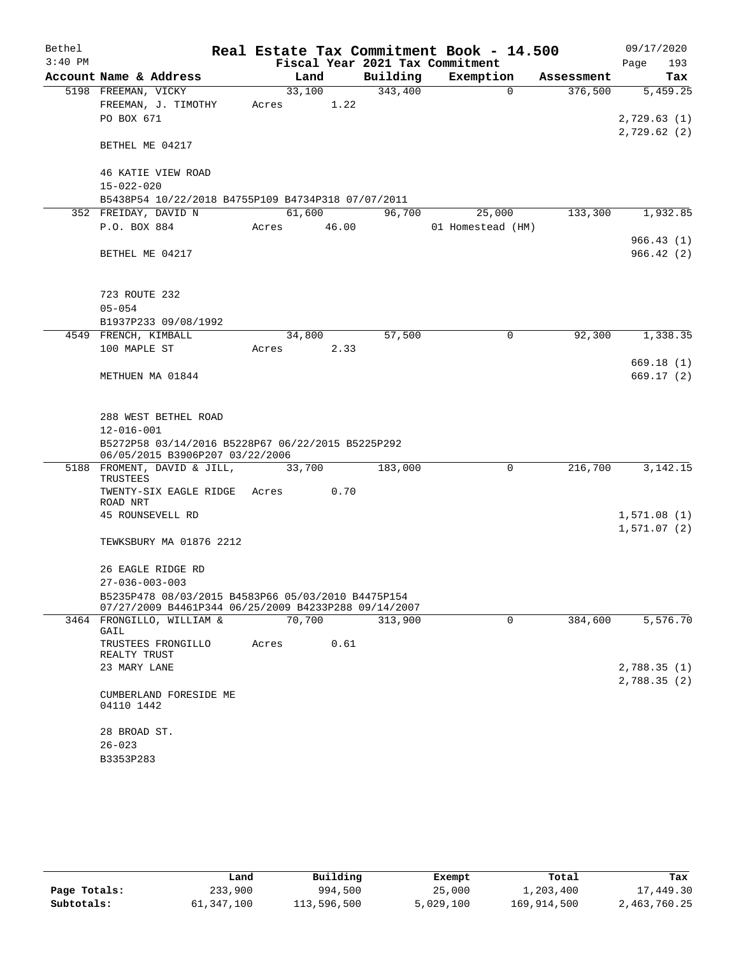| Bethel    |                                                                                                            |        |      |       | Real Estate Tax Commitment Book - 14.500 |                   |             |            |      | 09/17/2020  |
|-----------|------------------------------------------------------------------------------------------------------------|--------|------|-------|------------------------------------------|-------------------|-------------|------------|------|-------------|
| $3:40$ PM |                                                                                                            |        |      |       | Fiscal Year 2021 Tax Commitment          |                   |             |            | Page | 193         |
|           | Account Name & Address                                                                                     |        | Land |       | Building                                 | Exemption         |             | Assessment |      | Tax         |
|           | 5198 FREEMAN, VICKY                                                                                        | 33,100 |      |       | 343,400                                  |                   | $\Omega$    | 376,500    |      | 5,459.25    |
|           | FREEMAN, J. TIMOTHY                                                                                        | Acres  |      | 1.22  |                                          |                   |             |            |      |             |
|           | PO BOX 671                                                                                                 |        |      |       |                                          |                   |             |            |      | 2,729.63(1) |
|           |                                                                                                            |        |      |       |                                          |                   |             |            |      | 2,729.62(2) |
|           | BETHEL ME 04217                                                                                            |        |      |       |                                          |                   |             |            |      |             |
|           |                                                                                                            |        |      |       |                                          |                   |             |            |      |             |
|           | 46 KATIE VIEW ROAD                                                                                         |        |      |       |                                          |                   |             |            |      |             |
|           | $15 - 022 - 020$                                                                                           |        |      |       |                                          |                   |             |            |      |             |
|           | B5438P54 10/22/2018 B4755P109 B4734P318 07/07/2011                                                         | 61,600 |      |       | 96,700                                   | 25,000            |             | 133,300    |      | 1,932.85    |
|           | 352 FREIDAY, DAVID N<br>P.O. BOX 884                                                                       |        |      | 46.00 |                                          |                   |             |            |      |             |
|           |                                                                                                            | Acres  |      |       |                                          | 01 Homestead (HM) |             |            |      | 966.43(1)   |
|           | BETHEL ME 04217                                                                                            |        |      |       |                                          |                   |             |            |      | 966.42(2)   |
|           |                                                                                                            |        |      |       |                                          |                   |             |            |      |             |
|           |                                                                                                            |        |      |       |                                          |                   |             |            |      |             |
|           | 723 ROUTE 232                                                                                              |        |      |       |                                          |                   |             |            |      |             |
|           | $05 - 054$                                                                                                 |        |      |       |                                          |                   |             |            |      |             |
|           | B1937P233 09/08/1992                                                                                       |        |      |       |                                          |                   |             |            |      |             |
|           | 4549 FRENCH, KIMBALL                                                                                       | 34,800 |      |       | 57,500                                   |                   | $\mathbf 0$ | 92,300     |      | 1,338.35    |
|           | 100 MAPLE ST                                                                                               | Acres  |      | 2.33  |                                          |                   |             |            |      |             |
|           |                                                                                                            |        |      |       |                                          |                   |             |            |      | 669.18(1)   |
|           | METHUEN MA 01844                                                                                           |        |      |       |                                          |                   |             |            |      | 669.17 (2)  |
|           |                                                                                                            |        |      |       |                                          |                   |             |            |      |             |
|           |                                                                                                            |        |      |       |                                          |                   |             |            |      |             |
|           | 288 WEST BETHEL ROAD                                                                                       |        |      |       |                                          |                   |             |            |      |             |
|           | $12 - 016 - 001$                                                                                           |        |      |       |                                          |                   |             |            |      |             |
|           | B5272P58 03/14/2016 B5228P67 06/22/2015 B5225P292                                                          |        |      |       |                                          |                   |             |            |      |             |
|           | 06/05/2015 B3906P207 03/22/2006                                                                            |        |      |       |                                          |                   | $\Omega$    |            |      | 3, 142. 15  |
|           | 5188 FROMENT, DAVID & JILL,<br>TRUSTEES                                                                    | 33,700 |      |       | 183,000                                  |                   |             | 216,700    |      |             |
|           | TWENTY-SIX EAGLE RIDGE                                                                                     | Acres  |      | 0.70  |                                          |                   |             |            |      |             |
|           | ROAD NRT                                                                                                   |        |      |       |                                          |                   |             |            |      |             |
|           | 45 ROUNSEVELL RD                                                                                           |        |      |       |                                          |                   |             |            |      | 1,571.08(1) |
|           |                                                                                                            |        |      |       |                                          |                   |             |            |      | 1,571.07(2) |
|           | TEWKSBURY MA 01876 2212                                                                                    |        |      |       |                                          |                   |             |            |      |             |
|           |                                                                                                            |        |      |       |                                          |                   |             |            |      |             |
|           | 26 EAGLE RIDGE RD                                                                                          |        |      |       |                                          |                   |             |            |      |             |
|           | $27 - 036 - 003 - 003$                                                                                     |        |      |       |                                          |                   |             |            |      |             |
|           | B5235P478 08/03/2015 B4583P66 05/03/2010 B4475P154<br>07/27/2009 B4461P344 06/25/2009 B4233P288 09/14/2007 |        |      |       |                                          |                   |             |            |      |             |
|           | 3464 FRONGILLO, WILLIAM &                                                                                  | 70,700 |      |       | 313,900                                  |                   | $\Omega$    | 384,600    |      | 5,576.70    |
|           | GAIL                                                                                                       |        |      |       |                                          |                   |             |            |      |             |
|           | TRUSTEES FRONGILLO                                                                                         | Acres  |      | 0.61  |                                          |                   |             |            |      |             |
|           | REALTY TRUST                                                                                               |        |      |       |                                          |                   |             |            |      |             |
|           | 23 MARY LANE                                                                                               |        |      |       |                                          |                   |             |            |      | 2,788.35(1) |
|           | CUMBERLAND FORESIDE ME                                                                                     |        |      |       |                                          |                   |             |            |      | 2,788.35(2) |
|           | 04110 1442                                                                                                 |        |      |       |                                          |                   |             |            |      |             |
|           |                                                                                                            |        |      |       |                                          |                   |             |            |      |             |
|           | 28 BROAD ST.                                                                                               |        |      |       |                                          |                   |             |            |      |             |
|           | $26 - 023$                                                                                                 |        |      |       |                                          |                   |             |            |      |             |
|           | B3353P283                                                                                                  |        |      |       |                                          |                   |             |            |      |             |
|           |                                                                                                            |        |      |       |                                          |                   |             |            |      |             |

|              | Land       | Building    | Exempt    | Total       | Tax          |
|--------------|------------|-------------|-----------|-------------|--------------|
| Page Totals: | 233,900    | 994,500     | 25,000    | 1,203,400   | 17,449.30    |
| Subtotals:   | 61,347,100 | 113,596,500 | 5,029,100 | 169,914,500 | 2,463,760.25 |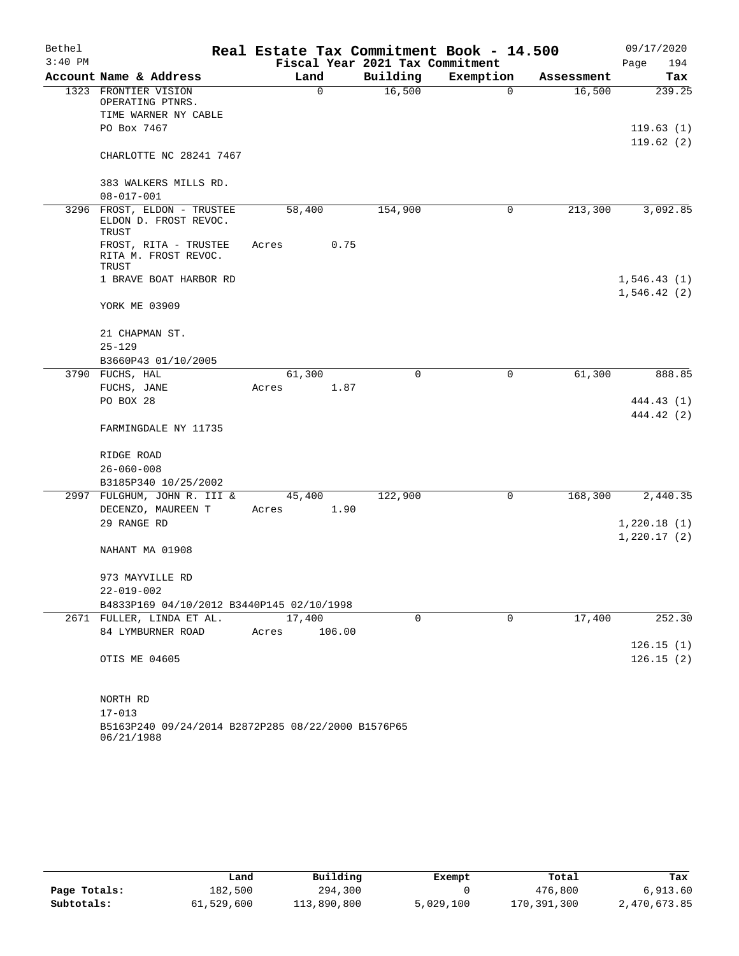| Bethel    |                                                               | Real Estate Tax Commitment Book - 14.500 |             |             |            | 09/17/2020  |
|-----------|---------------------------------------------------------------|------------------------------------------|-------------|-------------|------------|-------------|
| $3:40$ PM |                                                               | Fiscal Year 2021 Tax Commitment          |             |             |            | Page<br>194 |
|           | Account Name & Address                                        | Land                                     | Building    | Exemption   | Assessment | Tax         |
|           | 1323 FRONTIER VISION<br>OPERATING PTNRS.                      | $\mathbf 0$                              | 16,500      | $\mathbf 0$ | 16,500     | 239.25      |
|           | TIME WARNER NY CABLE                                          |                                          |             |             |            |             |
|           | PO Box 7467                                                   |                                          |             |             |            | 119.63(1)   |
|           | CHARLOTTE NC 28241 7467                                       |                                          |             |             |            | 119.62(2)   |
|           | 383 WALKERS MILLS RD.                                         |                                          |             |             |            |             |
|           | $08 - 017 - 001$                                              |                                          |             |             |            |             |
|           | 3296 FROST, ELDON - TRUSTEE<br>ELDON D. FROST REVOC.<br>TRUST | 58,400                                   | 154,900     | 0           | 213,300    | 3,092.85    |
|           | FROST, RITA - TRUSTEE<br>RITA M. FROST REVOC.<br>TRUST        | 0.75<br>Acres                            |             |             |            |             |
|           | 1 BRAVE BOAT HARBOR RD                                        |                                          |             |             |            | 1,546.43(1) |
|           |                                                               |                                          |             |             |            | 1,546.42(2) |
|           | YORK ME 03909                                                 |                                          |             |             |            |             |
|           | 21 CHAPMAN ST.                                                |                                          |             |             |            |             |
|           | $25 - 129$                                                    |                                          |             |             |            |             |
|           | B3660P43 01/10/2005                                           |                                          |             |             |            |             |
|           | 3790 FUCHS, HAL                                               | 61,300                                   | $\mathbf 0$ | 0           | 61,300     | 888.85      |
|           | FUCHS, JANE                                                   | 1.87<br>Acres                            |             |             |            |             |
|           | PO BOX 28                                                     |                                          |             |             |            | 444.43 (1)  |
|           |                                                               |                                          |             |             |            | 444.42 (2)  |
|           | FARMINGDALE NY 11735                                          |                                          |             |             |            |             |
|           | RIDGE ROAD                                                    |                                          |             |             |            |             |
|           | $26 - 060 - 008$                                              |                                          |             |             |            |             |
|           | B3185P340 10/25/2002                                          |                                          |             |             |            |             |
|           | 2997 FULGHUM, JOHN R. III &                                   | 45,400                                   | 122,900     | 0           | 168,300    | 2,440.35    |
|           | DECENZO, MAUREEN T                                            | 1.90<br>Acres                            |             |             |            |             |
|           | 29 RANGE RD                                                   |                                          |             |             |            | 1,220.18(1) |
|           | NAHANT MA 01908                                               |                                          |             |             |            | 1,220.17(2) |
|           | 973 MAYVILLE RD                                               |                                          |             |             |            |             |
|           | 22-019-002                                                    |                                          |             |             |            |             |
|           | B4833P169 04/10/2012 B3440P145 02/10/1998                     |                                          |             |             |            |             |
|           | 2671 FULLER, LINDA ET AL.                                     | 17,400                                   | 0           | $\mathbf 0$ | 17,400     | 252.30      |
|           | 84 LYMBURNER ROAD                                             | 106.00<br>Acres                          |             |             |            |             |
|           |                                                               |                                          |             |             |            | 126.15(1)   |
|           | OTIS ME 04605                                                 |                                          |             |             |            | 126.15(2)   |
|           | NORTH RD                                                      |                                          |             |             |            |             |
|           | $17 - 013$                                                    |                                          |             |             |            |             |
|           | B5163P240 09/24/2014 B2872P285 08/22/2000 B1576P65            |                                          |             |             |            |             |

06/21/1988

|              | Land       | Building    | Exempt    | Total       | Tax          |
|--------------|------------|-------------|-----------|-------------|--------------|
| Page Totals: | 182,500    | 294,300     |           | 476,800     | 6.913.60     |
| Subtotals:   | 61,529,600 | 113,890,800 | 5,029,100 | 170,391,300 | 2,470,673.85 |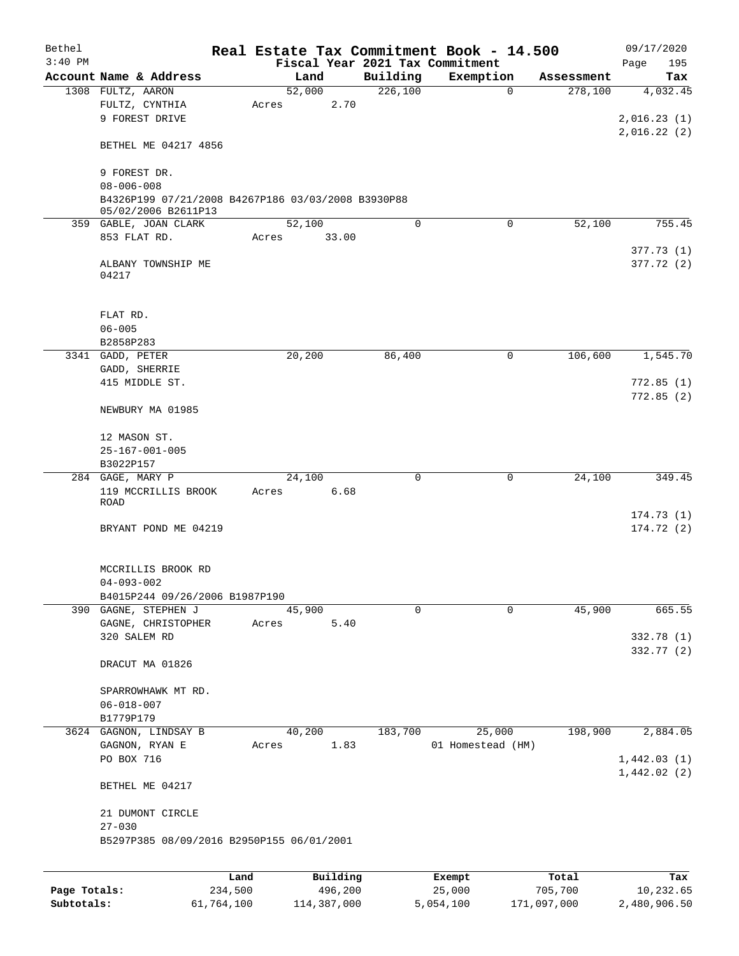| Bethel       |                                                                           |         |                 |          |             | Real Estate Tax Commitment Book - 14.500 |            | 09/17/2020              |
|--------------|---------------------------------------------------------------------------|---------|-----------------|----------|-------------|------------------------------------------|------------|-------------------------|
| $3:40$ PM    |                                                                           |         |                 |          |             | Fiscal Year 2021 Tax Commitment          |            | 195<br>Page             |
|              | Account Name & Address                                                    |         | Land            |          | Building    | Exemption                                | Assessment | Tax                     |
|              | 1308 FULTZ, AARON                                                         |         | 52,000          |          | 226,100     | $\mathbf 0$                              | 278,100    | 4,032.45                |
|              | FULTZ, CYNTHIA<br>9 FOREST DRIVE                                          |         | Acres           | 2.70     |             |                                          |            | 2,016.23(1)             |
|              |                                                                           |         |                 |          |             |                                          |            | 2,016.22(2)             |
|              | BETHEL ME 04217 4856                                                      |         |                 |          |             |                                          |            |                         |
|              | 9 FOREST DR.                                                              |         |                 |          |             |                                          |            |                         |
|              | $08 - 006 - 008$                                                          |         |                 |          |             |                                          |            |                         |
|              | B4326P199 07/21/2008 B4267P186 03/03/2008 B3930P88<br>05/02/2006 B2611P13 |         |                 |          |             |                                          |            |                         |
|              | 359 GABLE, JOAN CLARK                                                     |         | 52,100          |          | 0           | $\Omega$                                 | 52,100     | 755.45                  |
|              | 853 FLAT RD.                                                              |         | Acres           | 33.00    |             |                                          |            | 377.73(1)               |
|              | ALBANY TOWNSHIP ME<br>04217                                               |         |                 |          |             |                                          |            | 377.72 (2)              |
|              | FLAT RD.                                                                  |         |                 |          |             |                                          |            |                         |
|              | $06 - 005$                                                                |         |                 |          |             |                                          |            |                         |
|              | B2858P283                                                                 |         |                 |          |             |                                          |            |                         |
|              | 3341 GADD, PETER                                                          |         | 20,200          |          | 86,400      | 0                                        | 106,600    | 1,545.70                |
|              | GADD, SHERRIE                                                             |         |                 |          |             |                                          |            |                         |
|              | 415 MIDDLE ST.                                                            |         |                 |          |             |                                          |            | 772.85(1)               |
|              | NEWBURY MA 01985                                                          |         |                 |          |             |                                          |            | 772.85(2)               |
|              | 12 MASON ST.<br>$25 - 167 - 001 - 005$                                    |         |                 |          |             |                                          |            |                         |
|              | B3022P157                                                                 |         |                 |          |             |                                          |            |                         |
|              | 284 GAGE, MARY P                                                          |         | 24,100          |          | $\mathbf 0$ | 0                                        | 24,100     | 349.45                  |
|              | 119 MCCRILLIS BROOK                                                       |         | Acres           | 6.68     |             |                                          |            |                         |
|              | ROAD                                                                      |         |                 |          |             |                                          |            |                         |
|              |                                                                           |         |                 |          |             |                                          |            | 174.73(1)<br>174.72 (2) |
|              | BRYANT POND ME 04219                                                      |         |                 |          |             |                                          |            |                         |
|              | MCCRILLIS BROOK RD                                                        |         |                 |          |             |                                          |            |                         |
|              | $04 - 093 - 002$                                                          |         |                 |          |             |                                          |            |                         |
|              | B4015P244 09/26/2006 B1987P190                                            |         |                 |          |             |                                          |            |                         |
|              | 390 GAGNE, STEPHEN J<br>GAGNE, CHRISTOPHER                                |         | 45,900<br>Acres | 5.40     | $\mathbf 0$ | 0                                        | 45,900     | 665.55                  |
|              | 320 SALEM RD                                                              |         |                 |          |             |                                          |            | 332.78 (1)              |
|              |                                                                           |         |                 |          |             |                                          |            | 332.77 (2)              |
|              | DRACUT MA 01826                                                           |         |                 |          |             |                                          |            |                         |
|              | SPARROWHAWK MT RD.                                                        |         |                 |          |             |                                          |            |                         |
|              | $06 - 018 - 007$                                                          |         |                 |          |             |                                          |            |                         |
|              | B1779P179                                                                 |         |                 |          |             |                                          |            |                         |
|              | 3624 GAGNON, LINDSAY B                                                    |         | 40,200          |          | 183,700     | 25,000                                   | 198,900    | 2,884.05                |
|              | GAGNON, RYAN E                                                            |         | Acres           | 1.83     |             | 01 Homestead (HM)                        |            |                         |
|              | PO BOX 716                                                                |         |                 |          |             |                                          |            | 1,442.03(1)             |
|              | BETHEL ME 04217                                                           |         |                 |          |             |                                          |            | 1,442.02(2)             |
|              | 21 DUMONT CIRCLE                                                          |         |                 |          |             |                                          |            |                         |
|              | $27 - 030$                                                                |         |                 |          |             |                                          |            |                         |
|              | B5297P385 08/09/2016 B2950P155 06/01/2001                                 |         |                 |          |             |                                          |            |                         |
|              |                                                                           | Land    |                 | Building |             | Exempt                                   | Total      | Tax                     |
| Page Totals: |                                                                           | 234,500 |                 | 496,200  |             | 25,000                                   | 705,700    | 10,232.65               |

**Subtotals:** 61,764,100 114,387,000 5,054,100 171,097,000 2,480,906.50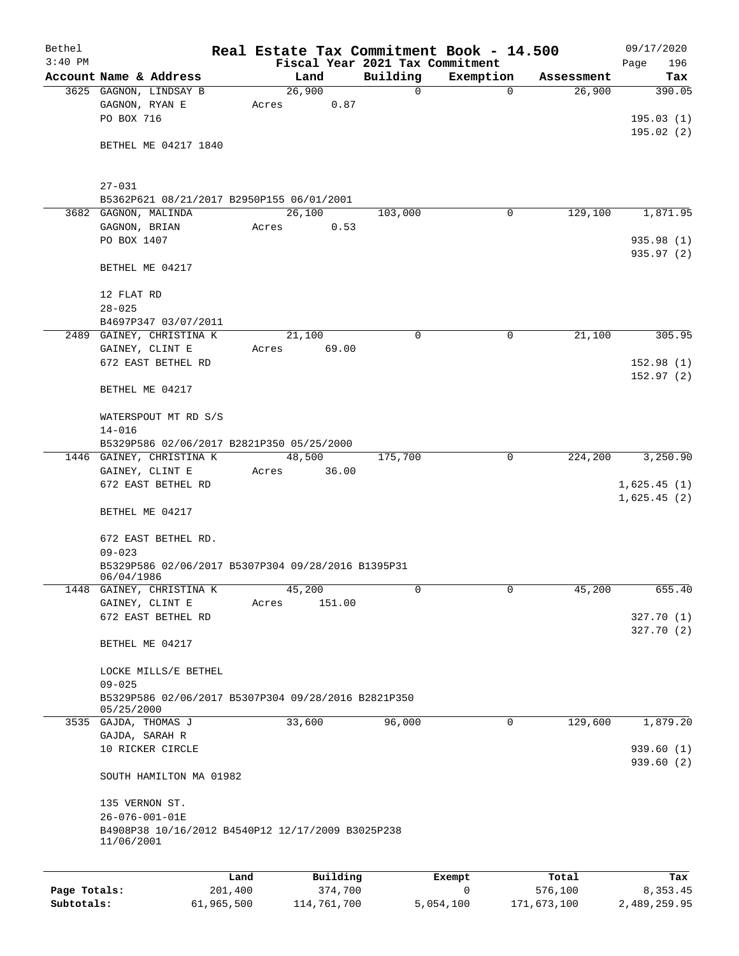| Bethel       |                                                                  | Real Estate Tax Commitment Book - 14.500 |          |             |             | 09/17/2020             |
|--------------|------------------------------------------------------------------|------------------------------------------|----------|-------------|-------------|------------------------|
| $3:40$ PM    |                                                                  | Fiscal Year 2021 Tax Commitment          |          |             |             | 196<br>Page            |
|              | Account Name & Address                                           | Land                                     | Building | Exemption   | Assessment  | Tax                    |
|              | 3625 GAGNON, LINDSAY B                                           | 26,900                                   | 0        | $\mathbf 0$ | 26,900      | 390.05                 |
|              | GAGNON, RYAN E<br>PO BOX 716                                     | 0.87<br>Acres                            |          |             |             | 195.03(1)              |
|              |                                                                  |                                          |          |             |             | 195.02(2)              |
|              | BETHEL ME 04217 1840                                             |                                          |          |             |             |                        |
|              |                                                                  |                                          |          |             |             |                        |
|              | $27 - 031$                                                       |                                          |          |             |             |                        |
|              | B5362P621 08/21/2017 B2950P155 06/01/2001                        |                                          |          |             |             |                        |
|              | 3682 GAGNON, MALINDA                                             | 26,100                                   | 103,000  | 0           | 129,100     | 1,871.95               |
|              | GAGNON, BRIAN                                                    | 0.53<br>Acres                            |          |             |             |                        |
|              | PO BOX 1407                                                      |                                          |          |             |             | 935.98 (1)             |
|              |                                                                  |                                          |          |             |             | 935.97 (2)             |
|              | BETHEL ME 04217                                                  |                                          |          |             |             |                        |
|              | 12 FLAT RD                                                       |                                          |          |             |             |                        |
|              | $28 - 025$                                                       |                                          |          |             |             |                        |
|              | B4697P347 03/07/2011                                             |                                          |          |             |             |                        |
|              | 2489 GAINEY, CHRISTINA K                                         | 21,100                                   | 0        | 0           | 21,100      | 305.95                 |
|              | GAINEY, CLINT E                                                  | Acres<br>69.00                           |          |             |             |                        |
|              | 672 EAST BETHEL RD                                               |                                          |          |             |             | 152.98(1)              |
|              |                                                                  |                                          |          |             |             | 152.97(2)              |
|              | BETHEL ME 04217                                                  |                                          |          |             |             |                        |
|              | WATERSPOUT MT RD S/S                                             |                                          |          |             |             |                        |
|              | $14 - 016$                                                       |                                          |          |             |             |                        |
|              | B5329P586 02/06/2017 B2821P350 05/25/2000                        |                                          |          |             |             |                        |
|              | 1446 GAINEY, CHRISTINA K                                         | 48,500                                   | 175,700  | 0           | 224,200     | 3,250.90               |
|              | GAINEY, CLINT E                                                  | 36.00<br>Acres                           |          |             |             |                        |
|              | 672 EAST BETHEL RD                                               |                                          |          |             |             | 1,625.45(1)            |
|              |                                                                  |                                          |          |             |             | 1,625.45(2)            |
|              | BETHEL ME 04217                                                  |                                          |          |             |             |                        |
|              | 672 EAST BETHEL RD.                                              |                                          |          |             |             |                        |
|              | $09 - 023$                                                       |                                          |          |             |             |                        |
|              | B5329P586 02/06/2017 B5307P304 09/28/2016 B1395P31<br>06/04/1986 |                                          |          |             |             |                        |
|              | 1448 GAINEY, CHRISTINA K                                         | 45,200                                   | 0        | 0           | 45,200      | 655.40                 |
|              | GAINEY, CLINT E                                                  | 151.00<br>Acres                          |          |             |             |                        |
|              | 672 EAST BETHEL RD                                               |                                          |          |             |             | 327.70(1)              |
|              |                                                                  |                                          |          |             |             | 327.70 (2)             |
|              | BETHEL ME 04217                                                  |                                          |          |             |             |                        |
|              | LOCKE MILLS/E BETHEL                                             |                                          |          |             |             |                        |
|              | $09 - 025$                                                       |                                          |          |             |             |                        |
|              | B5329P586 02/06/2017 B5307P304 09/28/2016 B2821P350              |                                          |          |             |             |                        |
|              | 05/25/2000                                                       |                                          |          |             |             |                        |
|              | 3535 GAJDA, THOMAS J                                             | 33,600                                   | 96,000   | 0           | 129,600     | 1,879.20               |
|              | GAJDA, SARAH R                                                   |                                          |          |             |             |                        |
|              | 10 RICKER CIRCLE                                                 |                                          |          |             |             | 939.60(1)<br>939.60(2) |
|              | SOUTH HAMILTON MA 01982                                          |                                          |          |             |             |                        |
|              | 135 VERNON ST.                                                   |                                          |          |             |             |                        |
|              | 26-076-001-01E                                                   |                                          |          |             |             |                        |
|              | B4908P38 10/16/2012 B4540P12 12/17/2009 B3025P238<br>11/06/2001  |                                          |          |             |             |                        |
|              | Land                                                             | Building                                 |          | Exempt      | Total       | Tax                    |
| Page Totals: | 201,400                                                          | 374,700                                  |          | $\mathbf 0$ | 576,100     | 8,353.45               |
| Subtotals:   | 61,965,500                                                       | 114,761,700                              |          | 5,054,100   | 171,673,100 | 2,489,259.95           |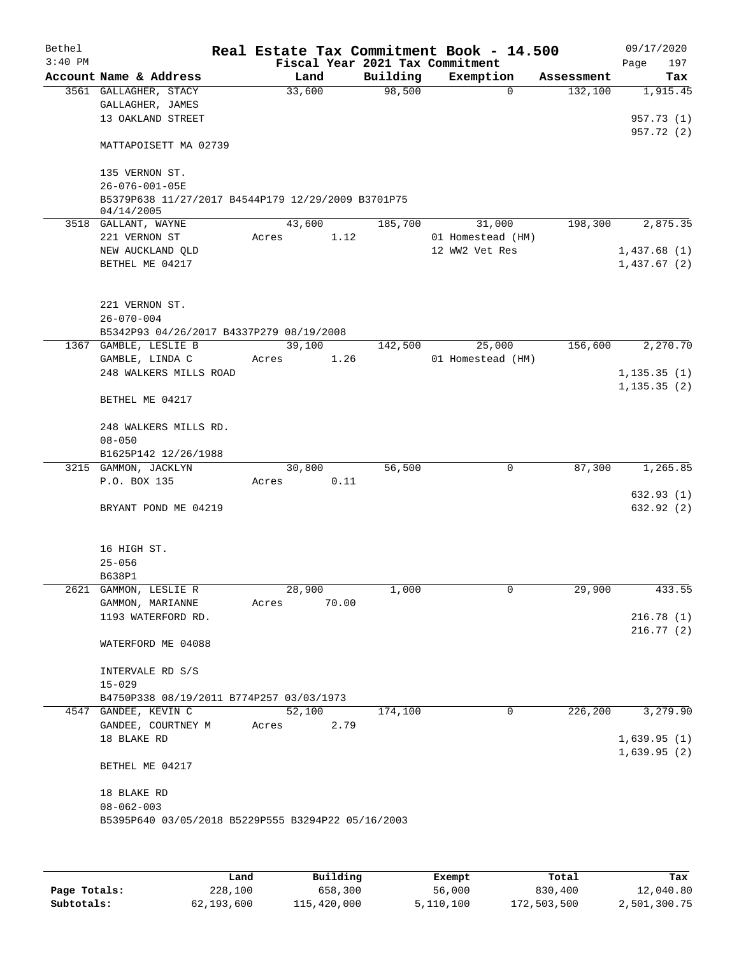| $3:40$ PM<br>Fiscal Year 2021 Tax Commitment<br>Page<br>Account Name & Address<br>Building<br>Exemption<br>Land<br>Assessment<br>98,500<br>3561 GALLAGHER, STACY<br>33,600<br>$\Omega$<br>132,100<br>1,915.45<br>GALLAGHER, JAMES<br>13 OAKLAND STREET<br>957.73 (1)<br>957.72 (2)<br>MATTAPOISETT MA 02739<br>135 VERNON ST.<br>$26 - 076 - 001 - 05E$<br>B5379P638 11/27/2017 B4544P179 12/29/2009 B3701P75<br>04/14/2005<br>43,600<br>185,700<br>31,000<br>198,300<br>2,875.35<br>3518 GALLANT, WAYNE<br>221 VERNON ST<br>1.12<br>01 Homestead (HM)<br>Acres<br>12 WW2 Vet Res<br>NEW AUCKLAND QLD<br>1,437.68(1)<br>BETHEL ME 04217<br>1,437.67(2)<br>221 VERNON ST.<br>$26 - 070 - 004$<br>B5342P93 04/26/2017 B4337P279 08/19/2008<br>39,100<br>25,000<br>156,600<br>2,270.70<br>1367 GAMBLE, LESLIE B<br>142,500<br>GAMBLE, LINDA C<br>1.26<br>01 Homestead (HM)<br>Acres<br>248 WALKERS MILLS ROAD<br>1, 135.35(1)<br>1, 135.35(2)<br>BETHEL ME 04217<br>248 WALKERS MILLS RD.<br>$08 - 050$<br>B1625P142 12/26/1988<br>$\mathbf 0$<br>1,265.85<br>3215 GAMMON, JACKLYN<br>30,800<br>56,500<br>87,300<br>P.O. BOX 135<br>0.11<br>Acres<br>632.93 (1)<br>632.92 (2)<br>BRYANT POND ME 04219<br>16 HIGH ST.<br>$25 - 056$<br>B638P1<br>1,000<br>2621 GAMMON, LESLIE R<br>28,900<br>29,900<br>0<br>GAMMON, MARIANNE<br>70.00<br>Acres<br>1193 WATERFORD RD.<br>216.78(1)<br>216.77(2)<br>WATERFORD ME 04088<br>INTERVALE RD S/S<br>$15 - 029$<br>B4750P338 08/19/2011 B774P257 03/03/1973<br>52,100<br>226,200<br>3,279.90<br>4547 GANDEE, KEVIN C<br>174,100<br>$\mathbf 0$<br>GANDEE, COURTNEY M<br>2.79<br>Acres<br>18 BLAKE RD<br>1,639.95(1)<br>1,639.95(2)<br>BETHEL ME 04217<br>18 BLAKE RD<br>$08 - 062 - 003$<br>B5395P640 03/05/2018 B5229P555 B3294P22 05/16/2003 | Bethel |  |  |  | Real Estate Tax Commitment Book - 14.500 |  | 09/17/2020 |
|-----------------------------------------------------------------------------------------------------------------------------------------------------------------------------------------------------------------------------------------------------------------------------------------------------------------------------------------------------------------------------------------------------------------------------------------------------------------------------------------------------------------------------------------------------------------------------------------------------------------------------------------------------------------------------------------------------------------------------------------------------------------------------------------------------------------------------------------------------------------------------------------------------------------------------------------------------------------------------------------------------------------------------------------------------------------------------------------------------------------------------------------------------------------------------------------------------------------------------------------------------------------------------------------------------------------------------------------------------------------------------------------------------------------------------------------------------------------------------------------------------------------------------------------------------------------------------------------------------------------------------------------------------------------------------------------------------------------------------------------------------------------------------------|--------|--|--|--|------------------------------------------|--|------------|
|                                                                                                                                                                                                                                                                                                                                                                                                                                                                                                                                                                                                                                                                                                                                                                                                                                                                                                                                                                                                                                                                                                                                                                                                                                                                                                                                                                                                                                                                                                                                                                                                                                                                                                                                                                                   |        |  |  |  |                                          |  | 197        |
|                                                                                                                                                                                                                                                                                                                                                                                                                                                                                                                                                                                                                                                                                                                                                                                                                                                                                                                                                                                                                                                                                                                                                                                                                                                                                                                                                                                                                                                                                                                                                                                                                                                                                                                                                                                   |        |  |  |  |                                          |  | Tax        |
|                                                                                                                                                                                                                                                                                                                                                                                                                                                                                                                                                                                                                                                                                                                                                                                                                                                                                                                                                                                                                                                                                                                                                                                                                                                                                                                                                                                                                                                                                                                                                                                                                                                                                                                                                                                   |        |  |  |  |                                          |  |            |
|                                                                                                                                                                                                                                                                                                                                                                                                                                                                                                                                                                                                                                                                                                                                                                                                                                                                                                                                                                                                                                                                                                                                                                                                                                                                                                                                                                                                                                                                                                                                                                                                                                                                                                                                                                                   |        |  |  |  |                                          |  |            |
|                                                                                                                                                                                                                                                                                                                                                                                                                                                                                                                                                                                                                                                                                                                                                                                                                                                                                                                                                                                                                                                                                                                                                                                                                                                                                                                                                                                                                                                                                                                                                                                                                                                                                                                                                                                   |        |  |  |  |                                          |  |            |
|                                                                                                                                                                                                                                                                                                                                                                                                                                                                                                                                                                                                                                                                                                                                                                                                                                                                                                                                                                                                                                                                                                                                                                                                                                                                                                                                                                                                                                                                                                                                                                                                                                                                                                                                                                                   |        |  |  |  |                                          |  |            |
|                                                                                                                                                                                                                                                                                                                                                                                                                                                                                                                                                                                                                                                                                                                                                                                                                                                                                                                                                                                                                                                                                                                                                                                                                                                                                                                                                                                                                                                                                                                                                                                                                                                                                                                                                                                   |        |  |  |  |                                          |  |            |
|                                                                                                                                                                                                                                                                                                                                                                                                                                                                                                                                                                                                                                                                                                                                                                                                                                                                                                                                                                                                                                                                                                                                                                                                                                                                                                                                                                                                                                                                                                                                                                                                                                                                                                                                                                                   |        |  |  |  |                                          |  |            |
|                                                                                                                                                                                                                                                                                                                                                                                                                                                                                                                                                                                                                                                                                                                                                                                                                                                                                                                                                                                                                                                                                                                                                                                                                                                                                                                                                                                                                                                                                                                                                                                                                                                                                                                                                                                   |        |  |  |  |                                          |  |            |
|                                                                                                                                                                                                                                                                                                                                                                                                                                                                                                                                                                                                                                                                                                                                                                                                                                                                                                                                                                                                                                                                                                                                                                                                                                                                                                                                                                                                                                                                                                                                                                                                                                                                                                                                                                                   |        |  |  |  |                                          |  |            |
|                                                                                                                                                                                                                                                                                                                                                                                                                                                                                                                                                                                                                                                                                                                                                                                                                                                                                                                                                                                                                                                                                                                                                                                                                                                                                                                                                                                                                                                                                                                                                                                                                                                                                                                                                                                   |        |  |  |  |                                          |  |            |
|                                                                                                                                                                                                                                                                                                                                                                                                                                                                                                                                                                                                                                                                                                                                                                                                                                                                                                                                                                                                                                                                                                                                                                                                                                                                                                                                                                                                                                                                                                                                                                                                                                                                                                                                                                                   |        |  |  |  |                                          |  |            |
|                                                                                                                                                                                                                                                                                                                                                                                                                                                                                                                                                                                                                                                                                                                                                                                                                                                                                                                                                                                                                                                                                                                                                                                                                                                                                                                                                                                                                                                                                                                                                                                                                                                                                                                                                                                   |        |  |  |  |                                          |  |            |
|                                                                                                                                                                                                                                                                                                                                                                                                                                                                                                                                                                                                                                                                                                                                                                                                                                                                                                                                                                                                                                                                                                                                                                                                                                                                                                                                                                                                                                                                                                                                                                                                                                                                                                                                                                                   |        |  |  |  |                                          |  |            |
|                                                                                                                                                                                                                                                                                                                                                                                                                                                                                                                                                                                                                                                                                                                                                                                                                                                                                                                                                                                                                                                                                                                                                                                                                                                                                                                                                                                                                                                                                                                                                                                                                                                                                                                                                                                   |        |  |  |  |                                          |  |            |
|                                                                                                                                                                                                                                                                                                                                                                                                                                                                                                                                                                                                                                                                                                                                                                                                                                                                                                                                                                                                                                                                                                                                                                                                                                                                                                                                                                                                                                                                                                                                                                                                                                                                                                                                                                                   |        |  |  |  |                                          |  |            |
|                                                                                                                                                                                                                                                                                                                                                                                                                                                                                                                                                                                                                                                                                                                                                                                                                                                                                                                                                                                                                                                                                                                                                                                                                                                                                                                                                                                                                                                                                                                                                                                                                                                                                                                                                                                   |        |  |  |  |                                          |  |            |
|                                                                                                                                                                                                                                                                                                                                                                                                                                                                                                                                                                                                                                                                                                                                                                                                                                                                                                                                                                                                                                                                                                                                                                                                                                                                                                                                                                                                                                                                                                                                                                                                                                                                                                                                                                                   |        |  |  |  |                                          |  |            |
|                                                                                                                                                                                                                                                                                                                                                                                                                                                                                                                                                                                                                                                                                                                                                                                                                                                                                                                                                                                                                                                                                                                                                                                                                                                                                                                                                                                                                                                                                                                                                                                                                                                                                                                                                                                   |        |  |  |  |                                          |  |            |
|                                                                                                                                                                                                                                                                                                                                                                                                                                                                                                                                                                                                                                                                                                                                                                                                                                                                                                                                                                                                                                                                                                                                                                                                                                                                                                                                                                                                                                                                                                                                                                                                                                                                                                                                                                                   |        |  |  |  |                                          |  |            |
|                                                                                                                                                                                                                                                                                                                                                                                                                                                                                                                                                                                                                                                                                                                                                                                                                                                                                                                                                                                                                                                                                                                                                                                                                                                                                                                                                                                                                                                                                                                                                                                                                                                                                                                                                                                   |        |  |  |  |                                          |  |            |
|                                                                                                                                                                                                                                                                                                                                                                                                                                                                                                                                                                                                                                                                                                                                                                                                                                                                                                                                                                                                                                                                                                                                                                                                                                                                                                                                                                                                                                                                                                                                                                                                                                                                                                                                                                                   |        |  |  |  |                                          |  |            |
|                                                                                                                                                                                                                                                                                                                                                                                                                                                                                                                                                                                                                                                                                                                                                                                                                                                                                                                                                                                                                                                                                                                                                                                                                                                                                                                                                                                                                                                                                                                                                                                                                                                                                                                                                                                   |        |  |  |  |                                          |  |            |
|                                                                                                                                                                                                                                                                                                                                                                                                                                                                                                                                                                                                                                                                                                                                                                                                                                                                                                                                                                                                                                                                                                                                                                                                                                                                                                                                                                                                                                                                                                                                                                                                                                                                                                                                                                                   |        |  |  |  |                                          |  |            |
|                                                                                                                                                                                                                                                                                                                                                                                                                                                                                                                                                                                                                                                                                                                                                                                                                                                                                                                                                                                                                                                                                                                                                                                                                                                                                                                                                                                                                                                                                                                                                                                                                                                                                                                                                                                   |        |  |  |  |                                          |  |            |
|                                                                                                                                                                                                                                                                                                                                                                                                                                                                                                                                                                                                                                                                                                                                                                                                                                                                                                                                                                                                                                                                                                                                                                                                                                                                                                                                                                                                                                                                                                                                                                                                                                                                                                                                                                                   |        |  |  |  |                                          |  |            |
|                                                                                                                                                                                                                                                                                                                                                                                                                                                                                                                                                                                                                                                                                                                                                                                                                                                                                                                                                                                                                                                                                                                                                                                                                                                                                                                                                                                                                                                                                                                                                                                                                                                                                                                                                                                   |        |  |  |  |                                          |  |            |
|                                                                                                                                                                                                                                                                                                                                                                                                                                                                                                                                                                                                                                                                                                                                                                                                                                                                                                                                                                                                                                                                                                                                                                                                                                                                                                                                                                                                                                                                                                                                                                                                                                                                                                                                                                                   |        |  |  |  |                                          |  |            |
|                                                                                                                                                                                                                                                                                                                                                                                                                                                                                                                                                                                                                                                                                                                                                                                                                                                                                                                                                                                                                                                                                                                                                                                                                                                                                                                                                                                                                                                                                                                                                                                                                                                                                                                                                                                   |        |  |  |  |                                          |  |            |
|                                                                                                                                                                                                                                                                                                                                                                                                                                                                                                                                                                                                                                                                                                                                                                                                                                                                                                                                                                                                                                                                                                                                                                                                                                                                                                                                                                                                                                                                                                                                                                                                                                                                                                                                                                                   |        |  |  |  |                                          |  |            |
|                                                                                                                                                                                                                                                                                                                                                                                                                                                                                                                                                                                                                                                                                                                                                                                                                                                                                                                                                                                                                                                                                                                                                                                                                                                                                                                                                                                                                                                                                                                                                                                                                                                                                                                                                                                   |        |  |  |  |                                          |  |            |
|                                                                                                                                                                                                                                                                                                                                                                                                                                                                                                                                                                                                                                                                                                                                                                                                                                                                                                                                                                                                                                                                                                                                                                                                                                                                                                                                                                                                                                                                                                                                                                                                                                                                                                                                                                                   |        |  |  |  |                                          |  |            |
|                                                                                                                                                                                                                                                                                                                                                                                                                                                                                                                                                                                                                                                                                                                                                                                                                                                                                                                                                                                                                                                                                                                                                                                                                                                                                                                                                                                                                                                                                                                                                                                                                                                                                                                                                                                   |        |  |  |  |                                          |  |            |
|                                                                                                                                                                                                                                                                                                                                                                                                                                                                                                                                                                                                                                                                                                                                                                                                                                                                                                                                                                                                                                                                                                                                                                                                                                                                                                                                                                                                                                                                                                                                                                                                                                                                                                                                                                                   |        |  |  |  |                                          |  | 433.55     |
|                                                                                                                                                                                                                                                                                                                                                                                                                                                                                                                                                                                                                                                                                                                                                                                                                                                                                                                                                                                                                                                                                                                                                                                                                                                                                                                                                                                                                                                                                                                                                                                                                                                                                                                                                                                   |        |  |  |  |                                          |  |            |
|                                                                                                                                                                                                                                                                                                                                                                                                                                                                                                                                                                                                                                                                                                                                                                                                                                                                                                                                                                                                                                                                                                                                                                                                                                                                                                                                                                                                                                                                                                                                                                                                                                                                                                                                                                                   |        |  |  |  |                                          |  |            |
|                                                                                                                                                                                                                                                                                                                                                                                                                                                                                                                                                                                                                                                                                                                                                                                                                                                                                                                                                                                                                                                                                                                                                                                                                                                                                                                                                                                                                                                                                                                                                                                                                                                                                                                                                                                   |        |  |  |  |                                          |  |            |
|                                                                                                                                                                                                                                                                                                                                                                                                                                                                                                                                                                                                                                                                                                                                                                                                                                                                                                                                                                                                                                                                                                                                                                                                                                                                                                                                                                                                                                                                                                                                                                                                                                                                                                                                                                                   |        |  |  |  |                                          |  |            |
|                                                                                                                                                                                                                                                                                                                                                                                                                                                                                                                                                                                                                                                                                                                                                                                                                                                                                                                                                                                                                                                                                                                                                                                                                                                                                                                                                                                                                                                                                                                                                                                                                                                                                                                                                                                   |        |  |  |  |                                          |  |            |
|                                                                                                                                                                                                                                                                                                                                                                                                                                                                                                                                                                                                                                                                                                                                                                                                                                                                                                                                                                                                                                                                                                                                                                                                                                                                                                                                                                                                                                                                                                                                                                                                                                                                                                                                                                                   |        |  |  |  |                                          |  |            |
|                                                                                                                                                                                                                                                                                                                                                                                                                                                                                                                                                                                                                                                                                                                                                                                                                                                                                                                                                                                                                                                                                                                                                                                                                                                                                                                                                                                                                                                                                                                                                                                                                                                                                                                                                                                   |        |  |  |  |                                          |  |            |
|                                                                                                                                                                                                                                                                                                                                                                                                                                                                                                                                                                                                                                                                                                                                                                                                                                                                                                                                                                                                                                                                                                                                                                                                                                                                                                                                                                                                                                                                                                                                                                                                                                                                                                                                                                                   |        |  |  |  |                                          |  |            |
|                                                                                                                                                                                                                                                                                                                                                                                                                                                                                                                                                                                                                                                                                                                                                                                                                                                                                                                                                                                                                                                                                                                                                                                                                                                                                                                                                                                                                                                                                                                                                                                                                                                                                                                                                                                   |        |  |  |  |                                          |  |            |
|                                                                                                                                                                                                                                                                                                                                                                                                                                                                                                                                                                                                                                                                                                                                                                                                                                                                                                                                                                                                                                                                                                                                                                                                                                                                                                                                                                                                                                                                                                                                                                                                                                                                                                                                                                                   |        |  |  |  |                                          |  |            |
|                                                                                                                                                                                                                                                                                                                                                                                                                                                                                                                                                                                                                                                                                                                                                                                                                                                                                                                                                                                                                                                                                                                                                                                                                                                                                                                                                                                                                                                                                                                                                                                                                                                                                                                                                                                   |        |  |  |  |                                          |  |            |
|                                                                                                                                                                                                                                                                                                                                                                                                                                                                                                                                                                                                                                                                                                                                                                                                                                                                                                                                                                                                                                                                                                                                                                                                                                                                                                                                                                                                                                                                                                                                                                                                                                                                                                                                                                                   |        |  |  |  |                                          |  |            |
|                                                                                                                                                                                                                                                                                                                                                                                                                                                                                                                                                                                                                                                                                                                                                                                                                                                                                                                                                                                                                                                                                                                                                                                                                                                                                                                                                                                                                                                                                                                                                                                                                                                                                                                                                                                   |        |  |  |  |                                          |  |            |
|                                                                                                                                                                                                                                                                                                                                                                                                                                                                                                                                                                                                                                                                                                                                                                                                                                                                                                                                                                                                                                                                                                                                                                                                                                                                                                                                                                                                                                                                                                                                                                                                                                                                                                                                                                                   |        |  |  |  |                                          |  |            |
|                                                                                                                                                                                                                                                                                                                                                                                                                                                                                                                                                                                                                                                                                                                                                                                                                                                                                                                                                                                                                                                                                                                                                                                                                                                                                                                                                                                                                                                                                                                                                                                                                                                                                                                                                                                   |        |  |  |  |                                          |  |            |
|                                                                                                                                                                                                                                                                                                                                                                                                                                                                                                                                                                                                                                                                                                                                                                                                                                                                                                                                                                                                                                                                                                                                                                                                                                                                                                                                                                                                                                                                                                                                                                                                                                                                                                                                                                                   |        |  |  |  |                                          |  |            |

|              | Land       | Building    | Exempt    | Total       | Tax          |
|--------------|------------|-------------|-----------|-------------|--------------|
| Page Totals: | 228,100    | 658,300     | 56,000    | 830,400     | 12,040.80    |
| Subtotals:   | 62,193,600 | 115,420,000 | 5,110,100 | 172,503,500 | 2,501,300.75 |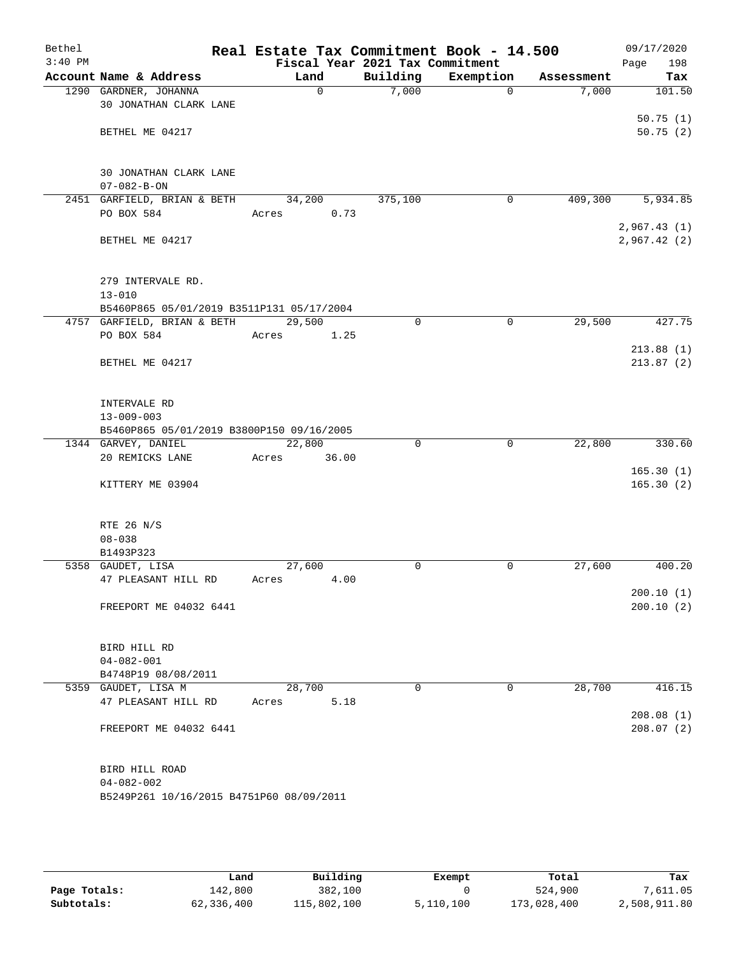| Bethel    |                                           |       |        |                                             | Real Estate Tax Commitment Book - 14.500 |            | 09/17/2020         |
|-----------|-------------------------------------------|-------|--------|---------------------------------------------|------------------------------------------|------------|--------------------|
| $3:40$ PM | Account Name & Address                    |       | Land   | Fiscal Year 2021 Tax Commitment<br>Building | Exemption                                | Assessment | Page<br>198<br>Tax |
|           | 1290 GARDNER, JOHANNA                     |       | 0      | 7,000                                       | $\Omega$                                 | 7,000      | 101.50             |
|           | 30 JONATHAN CLARK LANE                    |       |        |                                             |                                          |            |                    |
|           |                                           |       |        |                                             |                                          |            | 50.75(1)           |
|           | BETHEL ME 04217                           |       |        |                                             |                                          |            | 50.75(2)           |
|           |                                           |       |        |                                             |                                          |            |                    |
|           |                                           |       |        |                                             |                                          |            |                    |
|           | 30 JONATHAN CLARK LANE                    |       |        |                                             |                                          |            |                    |
|           | $07 - 082 - B - ON$                       |       |        |                                             |                                          |            |                    |
|           | 2451 GARFIELD, BRIAN & BETH<br>PO BOX 584 |       | 34,200 | 375,100                                     | 0                                        | 409,300    | 5,934.85           |
|           |                                           | Acres | 0.73   |                                             |                                          |            | 2,967.43(1)        |
|           | BETHEL ME 04217                           |       |        |                                             |                                          |            | 2,967.42(2)        |
|           |                                           |       |        |                                             |                                          |            |                    |
|           |                                           |       |        |                                             |                                          |            |                    |
|           | 279 INTERVALE RD.                         |       |        |                                             |                                          |            |                    |
|           | $13 - 010$                                |       |        |                                             |                                          |            |                    |
|           | B5460P865 05/01/2019 B3511P131 05/17/2004 |       |        |                                             |                                          |            |                    |
|           | 4757 GARFIELD, BRIAN & BETH               |       | 29,500 | $\mathbf 0$                                 | $\mathbf 0$                              | 29,500     | 427.75             |
|           | PO BOX 584                                | Acres | 1.25   |                                             |                                          |            |                    |
|           |                                           |       |        |                                             |                                          |            | 213.88(1)          |
|           | BETHEL ME 04217                           |       |        |                                             |                                          |            | 213.87(2)          |
|           |                                           |       |        |                                             |                                          |            |                    |
|           | INTERVALE RD                              |       |        |                                             |                                          |            |                    |
|           | $13 - 009 - 003$                          |       |        |                                             |                                          |            |                    |
|           | B5460P865 05/01/2019 B3800P150 09/16/2005 |       |        |                                             |                                          |            |                    |
|           | 1344 GARVEY, DANIEL                       |       | 22,800 | $\Omega$                                    | 0                                        | 22,800     | 330.60             |
|           | 20 REMICKS LANE                           | Acres | 36.00  |                                             |                                          |            |                    |
|           |                                           |       |        |                                             |                                          |            | 165.30(1)          |
|           | KITTERY ME 03904                          |       |        |                                             |                                          |            | 165.30(2)          |
|           |                                           |       |        |                                             |                                          |            |                    |
|           | RTE 26 N/S                                |       |        |                                             |                                          |            |                    |
|           | $08 - 038$                                |       |        |                                             |                                          |            |                    |
|           | B1493P323                                 |       |        |                                             |                                          |            |                    |
|           | 5358 GAUDET, LISA                         |       | 27,600 | 0                                           | 0                                        | 27,600     | 400.20             |
|           | 47 PLEASANT HILL RD                       | Acres | 4.00   |                                             |                                          |            |                    |
|           |                                           |       |        |                                             |                                          |            | 200.10(1)          |
|           | FREEPORT ME 04032 6441                    |       |        |                                             |                                          |            | 200.10(2)          |
|           |                                           |       |        |                                             |                                          |            |                    |
|           | BIRD HILL RD                              |       |        |                                             |                                          |            |                    |
|           | $04 - 082 - 001$                          |       |        |                                             |                                          |            |                    |
|           | B4748P19 08/08/2011                       |       |        |                                             |                                          |            |                    |
|           | 5359 GAUDET, LISA M                       |       | 28,700 | 0                                           | $\mathbf 0$                              | 28,700     | 416.15             |
|           | 47 PLEASANT HILL RD                       | Acres | 5.18   |                                             |                                          |            |                    |
|           |                                           |       |        |                                             |                                          |            | 208.08(1)          |
|           | FREEPORT ME 04032 6441                    |       |        |                                             |                                          |            | 208.07(2)          |
|           |                                           |       |        |                                             |                                          |            |                    |
|           | BIRD HILL ROAD                            |       |        |                                             |                                          |            |                    |
|           | $04 - 082 - 002$                          |       |        |                                             |                                          |            |                    |
|           | B5249P261 10/16/2015 B4751P60 08/09/2011  |       |        |                                             |                                          |            |                    |
|           |                                           |       |        |                                             |                                          |            |                    |
|           |                                           |       |        |                                             |                                          |            |                    |
|           |                                           |       |        |                                             |                                          |            |                    |

|              | Land       | Building    | Exempt    | Total       | Tax          |
|--------------|------------|-------------|-----------|-------------|--------------|
| Page Totals: | 142,800    | 382,100     |           | 524,900     | 7,611.05     |
| Subtotals:   | 62,336,400 | 115,802,100 | 5,110,100 | 173,028,400 | 2,508,911.80 |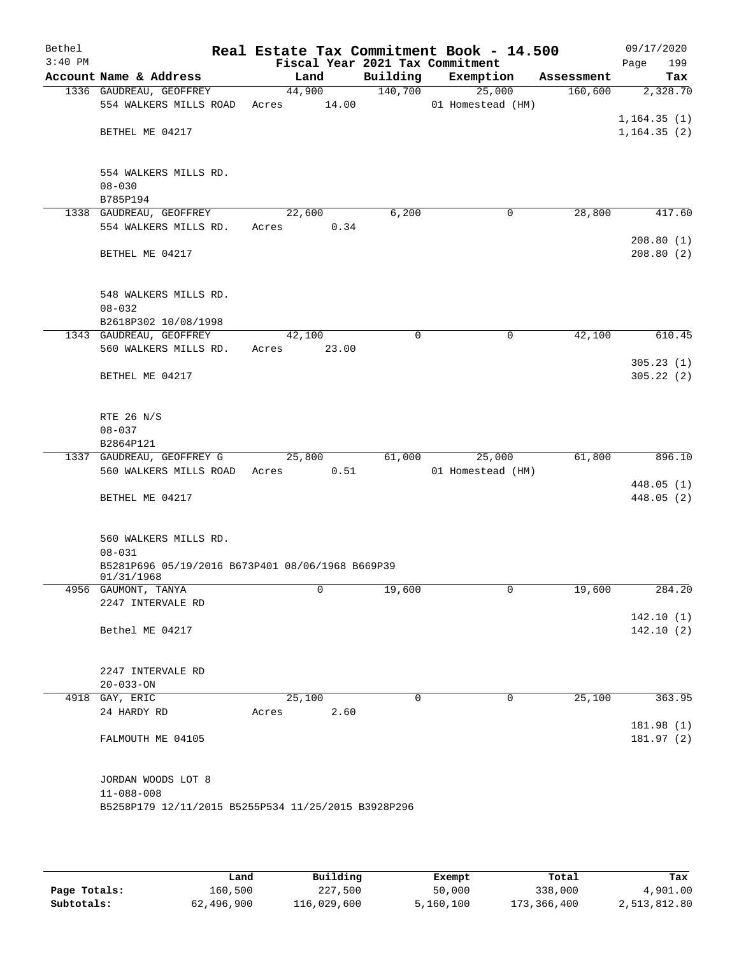| Bethel    |                                                     |                                 |          | Real Estate Tax Commitment Book - 14.500 |            | 09/17/2020   |
|-----------|-----------------------------------------------------|---------------------------------|----------|------------------------------------------|------------|--------------|
| $3:40$ PM |                                                     | Fiscal Year 2021 Tax Commitment |          |                                          |            | 199<br>Page  |
|           | Account Name & Address                              | Land                            | Building | Exemption                                | Assessment | Tax          |
|           | 1336 GAUDREAU, GEOFFREY                             | 44,900                          | 140,700  | 25,000                                   | 160,600    | 2,328.70     |
|           | 554 WALKERS MILLS ROAD                              | Acres 14.00                     |          | 01 Homestead (HM)                        |            |              |
|           |                                                     |                                 |          |                                          |            | 1,164.35(1)  |
|           | BETHEL ME 04217                                     |                                 |          |                                          |            | 1, 164.35(2) |
|           |                                                     |                                 |          |                                          |            |              |
|           |                                                     |                                 |          |                                          |            |              |
|           | 554 WALKERS MILLS RD.                               |                                 |          |                                          |            |              |
|           | $08 - 030$                                          |                                 |          |                                          |            |              |
|           | B785P194                                            |                                 |          |                                          |            |              |
|           | 1338 GAUDREAU, GEOFFREY                             | 22,600                          | 6,200    | $\mathbf 0$                              | 28,800     | 417.60       |
|           | 554 WALKERS MILLS RD.                               | Acres<br>0.34                   |          |                                          |            |              |
|           |                                                     |                                 |          |                                          |            | 208.80(1)    |
|           | BETHEL ME 04217                                     |                                 |          |                                          |            | 208.80(2)    |
|           |                                                     |                                 |          |                                          |            |              |
|           |                                                     |                                 |          |                                          |            |              |
|           | 548 WALKERS MILLS RD.                               |                                 |          |                                          |            |              |
|           | $08 - 032$                                          |                                 |          |                                          |            |              |
|           | B2618P302 10/08/1998                                |                                 |          |                                          |            |              |
|           | 1343 GAUDREAU, GEOFFREY                             | 42,100                          | $\Omega$ | $\mathbf 0$                              | 42,100     | 610.45       |
|           | 560 WALKERS MILLS RD.                               | 23.00<br>Acres                  |          |                                          |            |              |
|           |                                                     |                                 |          |                                          |            | 305.23(1)    |
|           | BETHEL ME 04217                                     |                                 |          |                                          |            | 305.22(2)    |
|           |                                                     |                                 |          |                                          |            |              |
|           |                                                     |                                 |          |                                          |            |              |
|           | RTE 26 N/S                                          |                                 |          |                                          |            |              |
|           | $08 - 037$                                          |                                 |          |                                          |            |              |
|           | B2864P121                                           |                                 |          |                                          |            |              |
|           | 1337 GAUDREAU, GEOFFREY G                           | 25,800                          | 61,000   | 25,000                                   | 61,800     | 896.10       |
|           | 560 WALKERS MILLS ROAD Acres                        | 0.51                            |          | 01 Homestead (HM)                        |            |              |
|           |                                                     |                                 |          |                                          |            | 448.05(1)    |
|           | BETHEL ME 04217                                     |                                 |          |                                          |            | 448.05 (2)   |
|           |                                                     |                                 |          |                                          |            |              |
|           |                                                     |                                 |          |                                          |            |              |
|           | 560 WALKERS MILLS RD.                               |                                 |          |                                          |            |              |
|           | $08 - 031$                                          |                                 |          |                                          |            |              |
|           | B5281P696 05/19/2016 B673P401 08/06/1968 B669P39    |                                 |          |                                          |            |              |
|           | 01/31/1968                                          |                                 |          |                                          |            |              |
|           | 4956 GAUMONT, TANYA                                 | 0                               | 19,600   | 0                                        | 19,600     | 284.20       |
|           | 2247 INTERVALE RD                                   |                                 |          |                                          |            |              |
|           |                                                     |                                 |          |                                          |            | 142.10(1)    |
|           | Bethel ME 04217                                     |                                 |          |                                          |            | 142.10(2)    |
|           |                                                     |                                 |          |                                          |            |              |
|           |                                                     |                                 |          |                                          |            |              |
|           | 2247 INTERVALE RD                                   |                                 |          |                                          |            |              |
|           | $20 - 033 - ON$                                     |                                 |          |                                          |            |              |
| 4918      | GAY, ERIC                                           | 25,100                          | 0        | 0                                        | 25,100     | 363.95       |
|           | 24 HARDY RD                                         | 2.60<br>Acres                   |          |                                          |            |              |
|           |                                                     |                                 |          |                                          |            | 181.98 (1)   |
|           | FALMOUTH ME 04105                                   |                                 |          |                                          |            | 181.97 (2)   |
|           |                                                     |                                 |          |                                          |            |              |
|           |                                                     |                                 |          |                                          |            |              |
|           | JORDAN WOODS LOT 8                                  |                                 |          |                                          |            |              |
|           | $11 - 088 - 008$                                    |                                 |          |                                          |            |              |
|           | B5258P179 12/11/2015 B5255P534 11/25/2015 B3928P296 |                                 |          |                                          |            |              |
|           |                                                     |                                 |          |                                          |            |              |
|           |                                                     |                                 |          |                                          |            |              |
|           |                                                     |                                 |          |                                          |            |              |

|              | Land       | Building    | Exempt    | Total       | Tax          |
|--------------|------------|-------------|-----------|-------------|--------------|
| Page Totals: | 160,500    | 227,500     | 50,000    | 338,000     | 4,901.00     |
| Subtotals:   | 62,496,900 | 116,029,600 | 5,160,100 | 173,366,400 | 2,513,812.80 |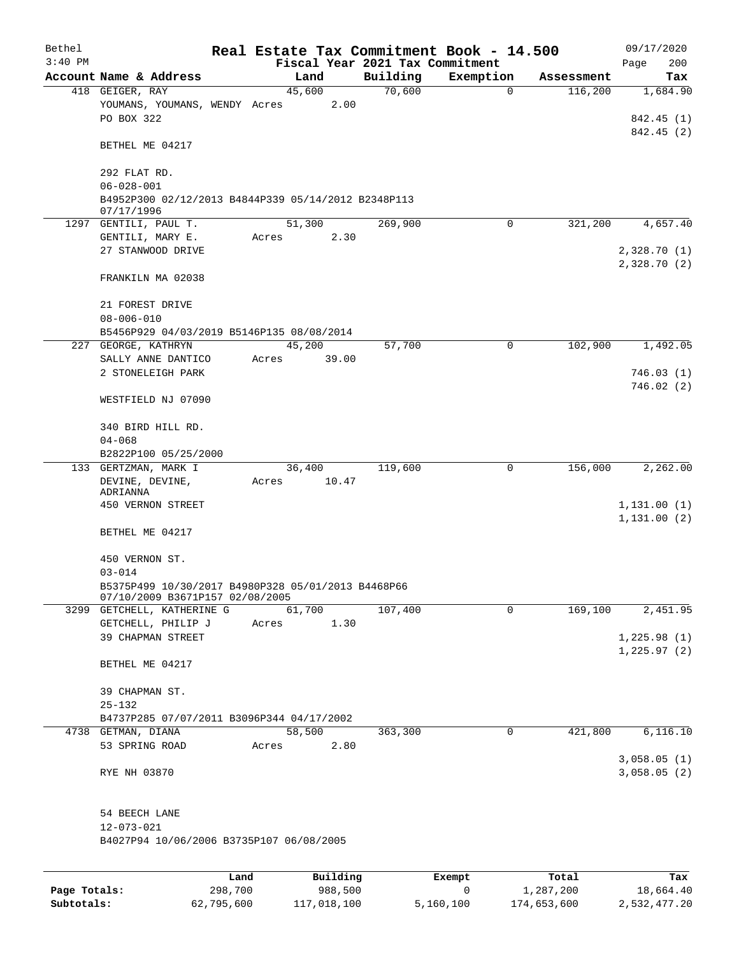| Bethel       |                                                                   | Real Estate Tax Commitment Book - 14.500 |                    |                          |                       | 09/17/2020                  |
|--------------|-------------------------------------------------------------------|------------------------------------------|--------------------|--------------------------|-----------------------|-----------------------------|
| $3:40$ PM    | Account Name & Address                                            | Fiscal Year 2021 Tax Commitment          |                    |                          |                       | 200<br>Page                 |
|              | 418 GEIGER, RAY                                                   | Land<br>45,600                           | Building<br>70,600 | Exemption<br>$\mathbf 0$ | Assessment<br>116,200 | Tax<br>1,684.90             |
|              | YOUMANS, YOUMANS, WENDY Acres<br>PO BOX 322                       | 2.00                                     |                    |                          |                       | 842.45 (1)                  |
|              | BETHEL ME 04217                                                   |                                          |                    |                          |                       | 842.45 (2)                  |
|              | 292 FLAT RD.<br>$06 - 028 - 001$                                  |                                          |                    |                          |                       |                             |
|              | B4952P300 02/12/2013 B4844P339 05/14/2012 B2348P113<br>07/17/1996 |                                          |                    |                          |                       |                             |
|              | 1297 GENTILI, PAUL T.<br>GENTILI, MARY E.                         | 51,300<br>2.30<br>Acres                  | 269,900            | $\mathbf 0$              | 321,200               | 4,657.40                    |
|              | 27 STANWOOD DRIVE                                                 |                                          |                    |                          |                       | 2,328.70(1)<br>2,328.70(2)  |
|              | FRANKILN MA 02038                                                 |                                          |                    |                          |                       |                             |
|              | 21 FOREST DRIVE<br>$08 - 006 - 010$                               |                                          |                    |                          |                       |                             |
|              | B5456P929 04/03/2019 B5146P135 08/08/2014                         |                                          |                    |                          |                       |                             |
| 227          | GEORGE, KATHRYN                                                   | 45,200                                   | 57,700             | 0                        | 102,900               | 1,492.05                    |
|              | SALLY ANNE DANTICO                                                | 39.00<br>Acres                           |                    |                          |                       |                             |
|              | 2 STONELEIGH PARK                                                 |                                          |                    |                          |                       | 746.03(1)                   |
|              | WESTFIELD NJ 07090                                                |                                          |                    |                          |                       | 746.02(2)                   |
|              | 340 BIRD HILL RD.                                                 |                                          |                    |                          |                       |                             |
|              | $04 - 068$<br>B2822P100 05/25/2000                                |                                          |                    |                          |                       |                             |
|              | 133 GERTZMAN, MARK I                                              | 36,400                                   | 119,600            | $\mathbf 0$              | 156,000               | 2,262.00                    |
|              | DEVINE, DEVINE,                                                   | 10.47<br>Acres                           |                    |                          |                       |                             |
|              | ADRIANNA                                                          |                                          |                    |                          |                       |                             |
|              | 450 VERNON STREET                                                 |                                          |                    |                          |                       | 1,131.00(1)                 |
|              | BETHEL ME 04217                                                   |                                          |                    |                          |                       | 1, 131.00(2)                |
|              | 450 VERNON ST.                                                    |                                          |                    |                          |                       |                             |
|              | $03 - 014$<br>B5375P499 10/30/2017 B4980P328 05/01/2013 B4468P66  |                                          |                    |                          |                       |                             |
|              | 07/10/2009 B3671P157 02/08/2005                                   |                                          |                    |                          |                       |                             |
|              | 3299 GETCHELL, KATHERINE G                                        | 61,700                                   | 107,400            | $\mathbf 0$              | 169,100               | 2,451.95                    |
|              | GETCHELL, PHILIP J                                                | 1.30<br>Acres                            |                    |                          |                       |                             |
|              | 39 CHAPMAN STREET                                                 |                                          |                    |                          |                       | 1,225.98(1)<br>1, 225.97(2) |
|              | BETHEL ME 04217                                                   |                                          |                    |                          |                       |                             |
|              | 39 CHAPMAN ST.                                                    |                                          |                    |                          |                       |                             |
|              | $25 - 132$                                                        |                                          |                    |                          |                       |                             |
|              | B4737P285 07/07/2011 B3096P344 04/17/2002                         |                                          |                    |                          |                       |                             |
|              | 4738 GETMAN, DIANA                                                | 58,500                                   | 363,300            | $\mathbf 0$              | 421,800               | 6, 116.10                   |
|              | 53 SPRING ROAD                                                    | Acres<br>2.80                            |                    |                          |                       |                             |
|              | RYE NH 03870                                                      |                                          |                    |                          |                       | 3,058.05(1)<br>3,058.05(2)  |
|              | 54 BEECH LANE                                                     |                                          |                    |                          |                       |                             |
|              | 12-073-021<br>B4027P94 10/06/2006 B3735P107 06/08/2005            |                                          |                    |                          |                       |                             |
|              |                                                                   |                                          |                    |                          |                       |                             |
|              |                                                                   |                                          |                    |                          |                       |                             |
| Page Totals: | 298,700                                                           | Building<br>Land<br>988,500              |                    | Exempt<br>0              | Total<br>1,287,200    | Tax<br>18,664.40            |

**Subtotals:** 62,795,600 117,018,100 5,160,100 174,653,600 2,532,477.20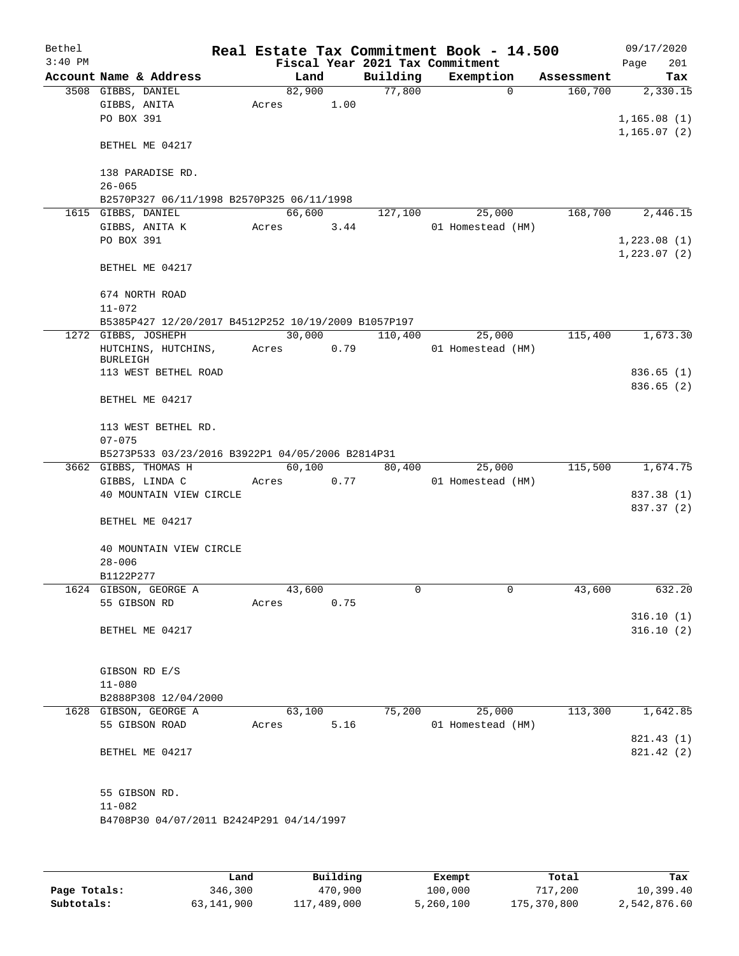| Bethel    |                                                                 |        |      |                                 | Real Estate Tax Commitment Book - 14.500 |            | 09/17/2020   |
|-----------|-----------------------------------------------------------------|--------|------|---------------------------------|------------------------------------------|------------|--------------|
| $3:40$ PM |                                                                 |        |      | Fiscal Year 2021 Tax Commitment |                                          |            | 201<br>Page  |
|           | Account Name & Address                                          | Land   |      | Building                        | Exemption                                | Assessment | Tax          |
|           | 3508 GIBBS, DANIEL                                              | 82,900 |      | 77,800                          | $\mathbf 0$                              | 160,700    | 2,330.15     |
|           | GIBBS, ANITA                                                    | Acres  | 1.00 |                                 |                                          |            |              |
|           | PO BOX 391                                                      |        |      |                                 |                                          |            | 1,165.08(1)  |
|           |                                                                 |        |      |                                 |                                          |            | 1,165.07(2)  |
|           | BETHEL ME 04217                                                 |        |      |                                 |                                          |            |              |
|           |                                                                 |        |      |                                 |                                          |            |              |
|           | 138 PARADISE RD.                                                |        |      |                                 |                                          |            |              |
|           | $26 - 065$                                                      |        |      |                                 |                                          |            |              |
|           | B2570P327 06/11/1998 B2570P325 06/11/1998<br>1615 GIBBS, DANIEL | 66,600 |      |                                 |                                          | 168,700    |              |
|           | GIBBS, ANITA K                                                  | Acres  | 3.44 | 127,100                         | 25,000                                   |            | 2,446.15     |
|           | PO BOX 391                                                      |        |      |                                 | 01 Homestead (HM)                        |            | 1,223.08(1)  |
|           |                                                                 |        |      |                                 |                                          |            | 1, 223.07(2) |
|           | BETHEL ME 04217                                                 |        |      |                                 |                                          |            |              |
|           |                                                                 |        |      |                                 |                                          |            |              |
|           | 674 NORTH ROAD                                                  |        |      |                                 |                                          |            |              |
|           | $11 - 072$                                                      |        |      |                                 |                                          |            |              |
|           | B5385P427 12/20/2017 B4512P252 10/19/2009 B1057P197             |        |      |                                 |                                          |            |              |
|           | 1272 GIBBS, JOSHEPH                                             | 30,000 |      | 110,400                         | 25,000                                   | 115,400    | 1,673.30     |
|           | HUTCHINS, HUTCHINS,                                             | Acres  | 0.79 |                                 | 01 Homestead (HM)                        |            |              |
|           | <b>BURLEIGH</b>                                                 |        |      |                                 |                                          |            |              |
|           | 113 WEST BETHEL ROAD                                            |        |      |                                 |                                          |            | 836.65 (1)   |
|           |                                                                 |        |      |                                 |                                          |            | 836.65(2)    |
|           | BETHEL ME 04217                                                 |        |      |                                 |                                          |            |              |
|           |                                                                 |        |      |                                 |                                          |            |              |
|           | 113 WEST BETHEL RD.                                             |        |      |                                 |                                          |            |              |
|           | $07 - 075$                                                      |        |      |                                 |                                          |            |              |
|           | B5273P533 03/23/2016 B3922P1 04/05/2006 B2814P31                |        |      |                                 |                                          |            |              |
|           | 3662 GIBBS, THOMAS H                                            | 60,100 |      | 80,400                          | 25,000                                   | 115,500    | 1,674.75     |
|           | GIBBS, LINDA C                                                  | Acres  | 0.77 |                                 | 01 Homestead (HM)                        |            |              |
|           | 40 MOUNTAIN VIEW CIRCLE                                         |        |      |                                 |                                          |            | 837.38 (1)   |
|           |                                                                 |        |      |                                 |                                          |            | 837.37 (2)   |
|           | BETHEL ME 04217                                                 |        |      |                                 |                                          |            |              |
|           |                                                                 |        |      |                                 |                                          |            |              |
|           | 40 MOUNTAIN VIEW CIRCLE                                         |        |      |                                 |                                          |            |              |
|           | $28 - 006$                                                      |        |      |                                 |                                          |            |              |
|           | B1122P277                                                       |        |      |                                 |                                          |            |              |
|           | 1624 GIBSON, GEORGE A                                           | 43,600 |      | 0                               | 0                                        | 43,600     | 632.20       |
|           | 55 GIBSON RD                                                    | Acres  | 0.75 |                                 |                                          |            |              |
|           |                                                                 |        |      |                                 |                                          |            | 316.10(1)    |
|           | BETHEL ME 04217                                                 |        |      |                                 |                                          |            | 316.10(2)    |
|           |                                                                 |        |      |                                 |                                          |            |              |
|           | GIBSON RD E/S                                                   |        |      |                                 |                                          |            |              |
|           | $11 - 080$                                                      |        |      |                                 |                                          |            |              |
|           | B2888P308 12/04/2000                                            |        |      |                                 |                                          |            |              |
|           | 1628 GIBSON, GEORGE A                                           | 63,100 |      | 75,200                          | 25,000                                   | 113,300    | 1,642.85     |
|           | 55 GIBSON ROAD                                                  | Acres  | 5.16 |                                 | 01 Homestead (HM)                        |            |              |
|           |                                                                 |        |      |                                 |                                          |            | 821.43 (1)   |
|           | BETHEL ME 04217                                                 |        |      |                                 |                                          |            | 821.42 (2)   |
|           |                                                                 |        |      |                                 |                                          |            |              |
|           |                                                                 |        |      |                                 |                                          |            |              |
|           | 55 GIBSON RD.                                                   |        |      |                                 |                                          |            |              |
|           | $11 - 082$                                                      |        |      |                                 |                                          |            |              |
|           | B4708P30 04/07/2011 B2424P291 04/14/1997                        |        |      |                                 |                                          |            |              |
|           |                                                                 |        |      |                                 |                                          |            |              |
|           |                                                                 |        |      |                                 |                                          |            |              |
|           |                                                                 |        |      |                                 |                                          |            |              |

|              | Land       | Building    | Exempt    | Total       | Tax          |
|--------------|------------|-------------|-----------|-------------|--------------|
| Page Totals: | 346,300    | 470,900     | 100,000   | 717,200     | 10,399.40    |
| Subtotals:   | 63,141,900 | 117,489,000 | 5,260,100 | 175,370,800 | 2,542,876.60 |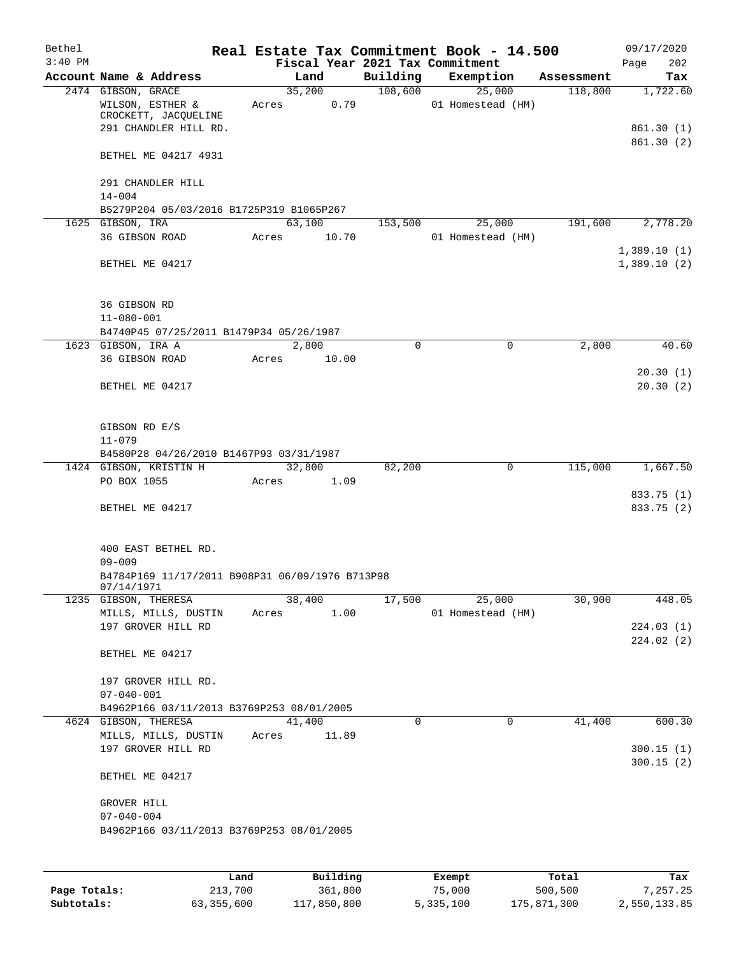| Bethel    |                                                 |       |       |             |          | Real Estate Tax Commitment Book - 14.500 |              |            | 09/17/2020           |
|-----------|-------------------------------------------------|-------|-------|-------------|----------|------------------------------------------|--------------|------------|----------------------|
| $3:40$ PM |                                                 |       |       |             |          | Fiscal Year 2021 Tax Commitment          |              |            | Page<br>202          |
|           | Account Name & Address                          |       |       | Land        | Building | Exemption                                |              | Assessment | Tax                  |
|           | 2474 GIBSON, GRACE                              |       |       | 35,200      | 108,600  | 25,000                                   |              | 118,800    | 1,722.60             |
|           | WILSON, ESTHER &<br>CROCKETT, JACQUELINE        | Acres |       | 0.79        |          | 01 Homestead (HM)                        |              |            |                      |
|           | 291 CHANDLER HILL RD.                           |       |       |             |          |                                          |              |            | 861.30 (1)           |
|           |                                                 |       |       |             |          |                                          |              |            | 861.30 (2)           |
|           | BETHEL ME 04217 4931                            |       |       |             |          |                                          |              |            |                      |
|           |                                                 |       |       |             |          |                                          |              |            |                      |
|           | 291 CHANDLER HILL                               |       |       |             |          |                                          |              |            |                      |
|           | $14 - 004$                                      |       |       |             |          |                                          |              |            |                      |
|           | B5279P204 05/03/2016 B1725P319 B1065P267        |       |       |             |          |                                          |              |            |                      |
|           | 1625 GIBSON, IRA                                |       |       | 63,100      | 153,500  | 25,000                                   |              | 191,600    | 2,778.20             |
|           | 36 GIBSON ROAD                                  | Acres |       | 10.70       |          | 01 Homestead (HM)                        |              |            |                      |
|           |                                                 |       |       |             |          |                                          |              |            | 1,389.10(1)          |
|           | BETHEL ME 04217                                 |       |       |             |          |                                          |              |            | 1,389.10(2)          |
|           |                                                 |       |       |             |          |                                          |              |            |                      |
|           |                                                 |       |       |             |          |                                          |              |            |                      |
|           | 36 GIBSON RD                                    |       |       |             |          |                                          |              |            |                      |
|           | $11 - 080 - 001$                                |       |       |             |          |                                          |              |            |                      |
|           | B4740P45 07/25/2011 B1479P34 05/26/1987         |       |       |             |          |                                          |              |            |                      |
|           | 1623 GIBSON, IRA A                              |       |       | 2,800       | 0        |                                          | $\mathbf 0$  | 2,800      | 40.60                |
|           | 36 GIBSON ROAD                                  | Acres |       | 10.00       |          |                                          |              |            |                      |
|           |                                                 |       |       |             |          |                                          |              |            | 20.30(1)<br>20.30(2) |
|           | BETHEL ME 04217                                 |       |       |             |          |                                          |              |            |                      |
|           |                                                 |       |       |             |          |                                          |              |            |                      |
|           | GIBSON RD E/S                                   |       |       |             |          |                                          |              |            |                      |
|           | $11 - 079$                                      |       |       |             |          |                                          |              |            |                      |
|           | B4580P28 04/26/2010 B1467P93 03/31/1987         |       |       |             |          |                                          |              |            |                      |
|           | 1424 GIBSON, KRISTIN H                          |       |       | 32,800      | 82,200   |                                          | 0            | 115,000    | 1,667.50             |
|           | PO BOX 1055                                     | Acres |       | 1.09        |          |                                          |              |            |                      |
|           |                                                 |       |       |             |          |                                          |              |            | 833.75 (1)           |
|           | BETHEL ME 04217                                 |       |       |             |          |                                          |              |            | 833.75 (2)           |
|           |                                                 |       |       |             |          |                                          |              |            |                      |
|           |                                                 |       |       |             |          |                                          |              |            |                      |
|           | 400 EAST BETHEL RD.                             |       |       |             |          |                                          |              |            |                      |
|           | $09 - 009$                                      |       |       |             |          |                                          |              |            |                      |
|           | B4784P169 11/17/2011 B908P31 06/09/1976 B713P98 |       |       |             |          |                                          |              |            |                      |
|           | 07/14/1971<br>1235 GIBSON, THERESA              |       |       | 38,400      | 17,500   | 25,000                                   |              | 30,900     | 448.05               |
|           | MILLS, MILLS, DUSTIN                            |       | Acres | 1.00        |          | 01 Homestead (HM)                        |              |            |                      |
|           | 197 GROVER HILL RD                              |       |       |             |          |                                          |              |            | 224.03(1)            |
|           |                                                 |       |       |             |          |                                          |              |            | 224.02(2)            |
|           | BETHEL ME 04217                                 |       |       |             |          |                                          |              |            |                      |
|           |                                                 |       |       |             |          |                                          |              |            |                      |
|           | 197 GROVER HILL RD.                             |       |       |             |          |                                          |              |            |                      |
|           | $07 - 040 - 001$                                |       |       |             |          |                                          |              |            |                      |
|           | B4962P166 03/11/2013 B3769P253 08/01/2005       |       |       |             |          |                                          |              |            |                      |
|           | 4624 GIBSON, THERESA                            |       |       | 41,400      | 0        |                                          | $\mathsf{O}$ | 41,400     | 600.30               |
|           | MILLS, MILLS, DUSTIN                            |       |       | Acres 11.89 |          |                                          |              |            |                      |
|           | 197 GROVER HILL RD                              |       |       |             |          |                                          |              |            | 300.15(1)            |
|           |                                                 |       |       |             |          |                                          |              |            | 300.15(2)            |
|           | BETHEL ME 04217                                 |       |       |             |          |                                          |              |            |                      |
|           |                                                 |       |       |             |          |                                          |              |            |                      |
|           | GROVER HILL                                     |       |       |             |          |                                          |              |            |                      |
|           | $07 - 040 - 004$                                |       |       |             |          |                                          |              |            |                      |
|           | B4962P166 03/11/2013 B3769P253 08/01/2005       |       |       |             |          |                                          |              |            |                      |
|           |                                                 |       |       |             |          |                                          |              |            |                      |
|           |                                                 |       |       |             |          |                                          |              |            |                      |

|              | Land       | Building    | Exempt    | Total       | Tax          |
|--------------|------------|-------------|-----------|-------------|--------------|
| Page Totals: | 213,700    | 361,800     | 75,000    | 500,500     | 7.257.25     |
| Subtotals:   | 63,355,600 | 117,850,800 | 5,335,100 | 175,871,300 | 2,550,133.85 |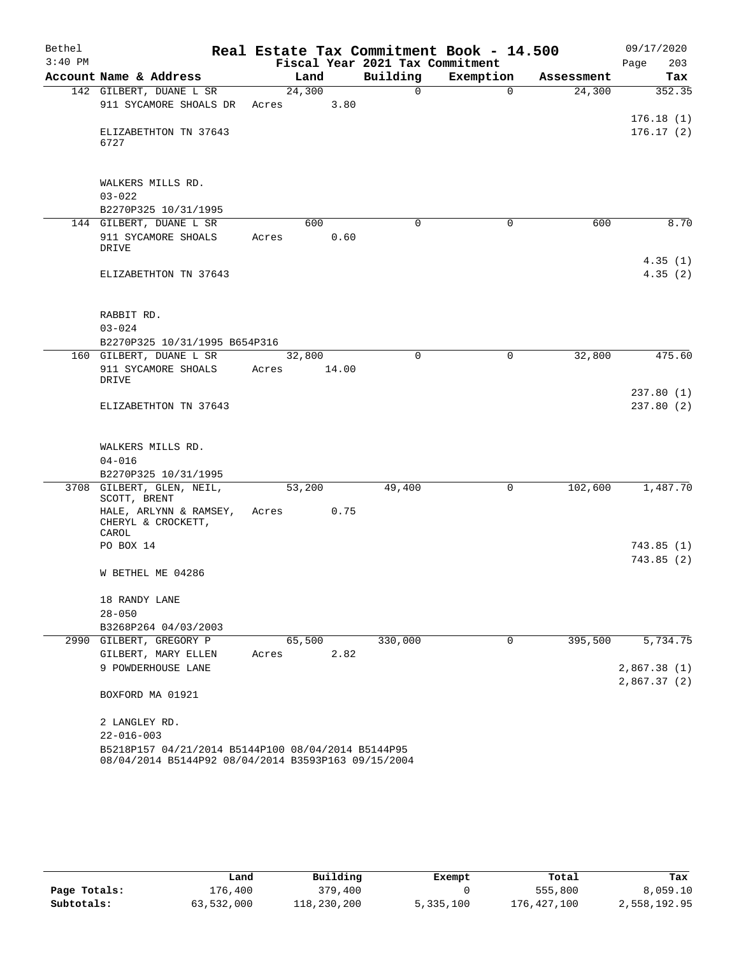| Bethel    |                                                                                                           |        |       |                                 | Real Estate Tax Commitment Book - 14.500 |            | 09/17/2020             |
|-----------|-----------------------------------------------------------------------------------------------------------|--------|-------|---------------------------------|------------------------------------------|------------|------------------------|
| $3:40$ PM |                                                                                                           |        |       | Fiscal Year 2021 Tax Commitment |                                          |            | Page<br>203            |
|           | Account Name & Address                                                                                    |        | Land  | Building                        | Exemption                                | Assessment | Tax                    |
|           | 142 GILBERT, DUANE L SR                                                                                   | 24,300 |       | 0                               | $\mathbf 0$                              | 24,300     | 352.35                 |
|           | 911 SYCAMORE SHOALS DR                                                                                    | Acres  | 3.80  |                                 |                                          |            |                        |
|           | ELIZABETHTON TN 37643                                                                                     |        |       |                                 |                                          |            | 176.18(1)<br>176.17(2) |
|           | 6727                                                                                                      |        |       |                                 |                                          |            |                        |
|           | WALKERS MILLS RD.                                                                                         |        |       |                                 |                                          |            |                        |
|           | $03 - 022$                                                                                                |        |       |                                 |                                          |            |                        |
|           | B2270P325 10/31/1995                                                                                      |        |       |                                 |                                          |            |                        |
|           | 144 GILBERT, DUANE L SR                                                                                   |        | 600   | $\Omega$                        | 0                                        | 600        | 8.70                   |
|           | 911 SYCAMORE SHOALS<br>DRIVE                                                                              | Acres  | 0.60  |                                 |                                          |            |                        |
|           | ELIZABETHTON TN 37643                                                                                     |        |       |                                 |                                          |            | 4.35(1)<br>4.35(2)     |
|           | RABBIT RD.                                                                                                |        |       |                                 |                                          |            |                        |
|           | $03 - 024$                                                                                                |        |       |                                 |                                          |            |                        |
|           | B2270P325 10/31/1995 B654P316                                                                             |        |       |                                 |                                          |            |                        |
|           | 160 GILBERT, DUANE L SR                                                                                   | 32,800 |       | 0                               | 0                                        | 32,800     | 475.60                 |
|           | 911 SYCAMORE SHOALS<br>DRIVE                                                                              | Acres  | 14.00 |                                 |                                          |            |                        |
|           |                                                                                                           |        |       |                                 |                                          |            | 237.80(1)              |
|           | ELIZABETHTON TN 37643                                                                                     |        |       |                                 |                                          |            | 237.80(2)              |
|           | WALKERS MILLS RD.                                                                                         |        |       |                                 |                                          |            |                        |
|           | $04 - 016$                                                                                                |        |       |                                 |                                          |            |                        |
|           | B2270P325 10/31/1995                                                                                      |        |       |                                 |                                          |            |                        |
|           | 3708 GILBERT, GLEN, NEIL,<br>SCOTT, BRENT                                                                 | 53,200 |       | 49,400                          | 0                                        | 102,600    | 1,487.70               |
|           | HALE, ARLYNN & RAMSEY,<br>CHERYL & CROCKETT,<br>CAROL                                                     | Acres  | 0.75  |                                 |                                          |            |                        |
|           | PO BOX 14                                                                                                 |        |       |                                 |                                          |            | 743.85 (1)             |
|           |                                                                                                           |        |       |                                 |                                          |            | 743.85(2)              |
|           | W BETHEL ME 04286                                                                                         |        |       |                                 |                                          |            |                        |
|           | 18 RANDY LANE                                                                                             |        |       |                                 |                                          |            |                        |
|           | $28 - 050$                                                                                                |        |       |                                 |                                          |            |                        |
|           | B3268P264 04/03/2003                                                                                      |        |       |                                 |                                          |            |                        |
|           | 2990 GILBERT, GREGORY P                                                                                   | 65,500 |       | 330,000                         | $\mathbf 0$                              | 395,500    | 5,734.75               |
|           | GILBERT, MARY ELLEN                                                                                       | Acres  | 2.82  |                                 |                                          |            |                        |
|           | 9 POWDERHOUSE LANE                                                                                        |        |       |                                 |                                          |            | 2,867.38(1)            |
|           | BOXFORD MA 01921                                                                                          |        |       |                                 |                                          |            | 2,867.37(2)            |
|           | 2 LANGLEY RD.                                                                                             |        |       |                                 |                                          |            |                        |
|           | $22 - 016 - 003$                                                                                          |        |       |                                 |                                          |            |                        |
|           | B5218P157 04/21/2014 B5144P100 08/04/2014 B5144P95<br>08/04/2014 B5144P92 08/04/2014 B3593P163 09/15/2004 |        |       |                                 |                                          |            |                        |

|              | Land       | Building    | Exempt    | Total       | Tax          |
|--------------|------------|-------------|-----------|-------------|--------------|
| Page Totals: | 176,400    | 379,400     |           | 555,800     | 8,059.10     |
| Subtotals:   | 63,532,000 | 118,230,200 | 5,335,100 | 176,427,100 | 2,558,192.95 |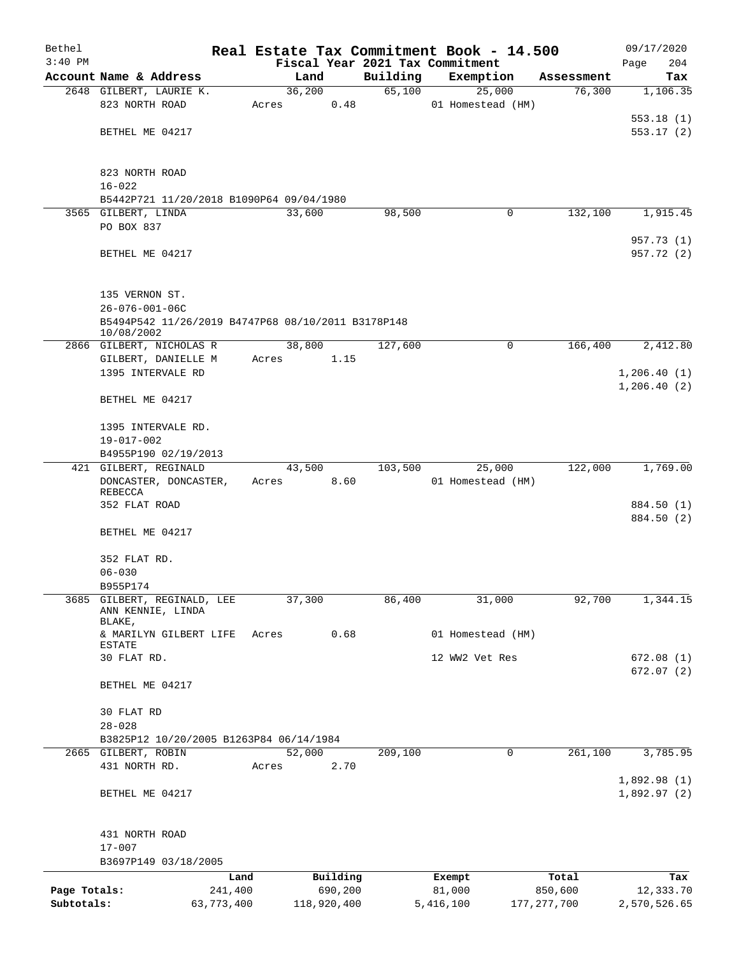| Bethel       |                                                    |       |             |          | Real Estate Tax Commitment Book - 14.500 |               | 09/17/2020   |
|--------------|----------------------------------------------------|-------|-------------|----------|------------------------------------------|---------------|--------------|
| $3:40$ PM    |                                                    |       |             |          | Fiscal Year 2021 Tax Commitment          |               | 204<br>Page  |
|              | Account Name & Address                             |       | Land        | Building | Exemption                                | Assessment    | Tax          |
|              | 2648 GILBERT, LAURIE K.                            |       | 36,200      | 65,100   | 25,000                                   | 76,300        | 1,106.35     |
|              | 823 NORTH ROAD                                     | Acres | 0.48        |          | 01 Homestead (HM)                        |               |              |
|              |                                                    |       |             |          |                                          |               | 553.18(1)    |
|              | BETHEL ME 04217                                    |       |             |          |                                          |               | 553.17(2)    |
|              |                                                    |       |             |          |                                          |               |              |
|              | 823 NORTH ROAD                                     |       |             |          |                                          |               |              |
|              | $16 - 022$                                         |       |             |          |                                          |               |              |
|              | B5442P721 11/20/2018 B1090P64 09/04/1980           |       |             |          |                                          |               |              |
|              | 3565 GILBERT, LINDA                                |       | 33,600      | 98,500   | 0                                        | 132,100       | 1,915.45     |
|              | PO BOX 837                                         |       |             |          |                                          |               |              |
|              |                                                    |       |             |          |                                          |               | 957.73 (1)   |
|              | BETHEL ME 04217                                    |       |             |          |                                          |               | 957.72 (2)   |
|              |                                                    |       |             |          |                                          |               |              |
|              | 135 VERNON ST.                                     |       |             |          |                                          |               |              |
|              | $26 - 076 - 001 - 06C$                             |       |             |          |                                          |               |              |
|              | B5494P542 11/26/2019 B4747P68 08/10/2011 B3178P148 |       |             |          |                                          |               |              |
|              | 10/08/2002                                         |       |             |          |                                          |               |              |
|              | 2866 GILBERT, NICHOLAS R                           |       | 38,800      | 127,600  | 0                                        | 166,400       | 2,412.80     |
|              | GILBERT, DANIELLE M                                | Acres | 1.15        |          |                                          |               |              |
|              | 1395 INTERVALE RD                                  |       |             |          |                                          |               | 1,206.40(1)  |
|              |                                                    |       |             |          |                                          |               | 1, 206.40(2) |
|              | BETHEL ME 04217                                    |       |             |          |                                          |               |              |
|              |                                                    |       |             |          |                                          |               |              |
|              | 1395 INTERVALE RD.<br>$19 - 017 - 002$             |       |             |          |                                          |               |              |
|              | B4955P190 02/19/2013                               |       |             |          |                                          |               |              |
|              | 421 GILBERT, REGINALD                              |       | 43,500      | 103,500  | 25,000                                   | 122,000       | 1,769.00     |
|              | DONCASTER, DONCASTER,                              | Acres | 8.60        |          | 01 Homestead (HM)                        |               |              |
|              | REBECCA                                            |       |             |          |                                          |               |              |
|              | 352 FLAT ROAD                                      |       |             |          |                                          |               | 884.50 (1)   |
|              |                                                    |       |             |          |                                          |               | 884.50 (2)   |
|              | BETHEL ME 04217                                    |       |             |          |                                          |               |              |
|              |                                                    |       |             |          |                                          |               |              |
|              | 352 FLAT RD.                                       |       |             |          |                                          |               |              |
|              | $06 - 030$                                         |       |             |          |                                          |               |              |
| 3685         | B955P174<br>GILBERT, REGINALD, LEE                 |       | 37,300      | 86,400   | 31,000                                   | 92,700        | 1,344.15     |
|              | ANN KENNIE, LINDA                                  |       |             |          |                                          |               |              |
|              | BLAKE,                                             |       |             |          |                                          |               |              |
|              | & MARILYN GILBERT LIFE                             | Acres | 0.68        |          | 01 Homestead (HM)                        |               |              |
|              | ESTATE<br>30 FLAT RD.                              |       |             |          | 12 WW2 Vet Res                           |               | 672.08 (1)   |
|              |                                                    |       |             |          |                                          |               | 672.07(2)    |
|              | BETHEL ME 04217                                    |       |             |          |                                          |               |              |
|              |                                                    |       |             |          |                                          |               |              |
|              | 30 FLAT RD                                         |       |             |          |                                          |               |              |
|              | $28 - 028$                                         |       |             |          |                                          |               |              |
|              | B3825P12 10/20/2005 B1263P84 06/14/1984            |       |             |          |                                          |               |              |
|              | 2665 GILBERT, ROBIN                                |       | 52,000      | 209,100  | 0                                        | 261,100       | 3,785.95     |
|              | 431 NORTH RD.                                      | Acres | 2.70        |          |                                          |               |              |
|              |                                                    |       |             |          |                                          |               | 1,892.98(1)  |
|              | BETHEL ME 04217                                    |       |             |          |                                          |               | 1,892.97(2)  |
|              |                                                    |       |             |          |                                          |               |              |
|              | 431 NORTH ROAD                                     |       |             |          |                                          |               |              |
|              | $17 - 007$                                         |       |             |          |                                          |               |              |
|              | B3697P149 03/18/2005                               |       |             |          |                                          |               |              |
|              |                                                    | Land  | Building    |          | Exempt                                   | Total         | Tax          |
| Page Totals: | 241,400                                            |       | 690,200     |          | 81,000                                   | 850,600       | 12,333.70    |
| Subtotals:   | 63,773,400                                         |       | 118,920,400 |          | 5,416,100                                | 177, 277, 700 | 2,570,526.65 |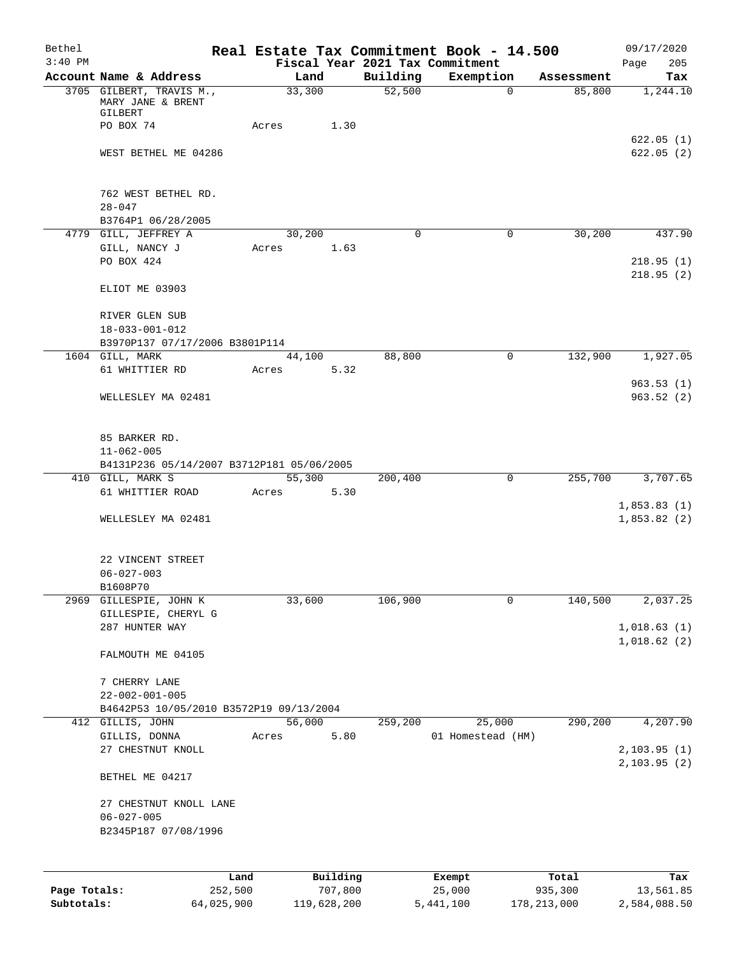| Bethel       |                                                                    |       |                |                     | Real Estate Tax Commitment Book - 14.500     |            | 09/17/2020                 |
|--------------|--------------------------------------------------------------------|-------|----------------|---------------------|----------------------------------------------|------------|----------------------------|
| $3:40$ PM    | Account Name & Address                                             |       | Land           | Building            | Fiscal Year 2021 Tax Commitment<br>Exemption | Assessment | 205<br>Page<br>Tax         |
|              | 3705 GILBERT, TRAVIS M.,<br>MARY JANE & BRENT                      |       | 33,300         | $\overline{52,500}$ | $\mathbf 0$                                  | 85,800     | 1,244.10                   |
|              | GILBERT<br>PO BOX 74                                               | Acres | 1.30           |                     |                                              |            |                            |
|              | WEST BETHEL ME 04286                                               |       |                |                     |                                              |            | 622.05(1)<br>622.05(2)     |
|              | 762 WEST BETHEL RD.<br>$28 - 047$                                  |       |                |                     |                                              |            |                            |
|              | B3764P1 06/28/2005                                                 |       |                |                     |                                              |            |                            |
|              | 4779 GILL, JEFFREY A                                               |       | 30,200         | 0                   | 0                                            | 30,200     | 437.90                     |
|              | GILL, NANCY J<br>PO BOX 424                                        | Acres | 1.63           |                     |                                              |            | 218.95(1)                  |
|              | ELIOT ME 03903                                                     |       |                |                     |                                              |            | 218.95(2)                  |
|              | RIVER GLEN SUB<br>$18 - 033 - 001 - 012$                           |       |                |                     |                                              |            |                            |
|              | B3970P137 07/17/2006 B3801P114                                     |       |                |                     |                                              |            |                            |
|              | 1604 GILL, MARK                                                    |       | 44,100         | 88,800              | 0                                            | 132,900    | 1,927.05                   |
|              | 61 WHITTIER RD                                                     | Acres | 5.32           |                     |                                              |            |                            |
|              | WELLESLEY MA 02481                                                 |       |                |                     |                                              |            | 963.53(1)<br>963.52(2)     |
|              | 85 BARKER RD.<br>$11 - 062 - 005$                                  |       |                |                     |                                              |            |                            |
|              | B4131P236 05/14/2007 B3712P181 05/06/2005                          |       |                |                     |                                              |            |                            |
|              | 410 GILL, MARK S                                                   |       | 55,300         | 200,400             | $\mathbf 0$                                  | 255,700    | 3,707.65                   |
|              | 61 WHITTIER ROAD                                                   | Acres | 5.30           |                     |                                              |            | 1,853.83(1)                |
|              | WELLESLEY MA 02481                                                 |       |                |                     |                                              |            | 1,853.82(2)                |
|              | 22 VINCENT STREET                                                  |       |                |                     |                                              |            |                            |
|              | $06 - 027 - 003$                                                   |       |                |                     |                                              |            |                            |
|              | B1608P70<br>2969 GILLESPIE, JOHN K                                 |       | 33,600         | 106,900             | 0                                            | 140,500    | 2,037.25                   |
|              | GILLESPIE, CHERYL G                                                |       |                |                     |                                              |            |                            |
|              | 287 HUNTER WAY                                                     |       |                |                     |                                              |            | 1,018.63(1)<br>1,018.62(2) |
|              | FALMOUTH ME 04105                                                  |       |                |                     |                                              |            |                            |
|              | 7 CHERRY LANE                                                      |       |                |                     |                                              |            |                            |
|              | $22 - 002 - 001 - 005$                                             |       |                |                     |                                              |            |                            |
|              | B4642P53 10/05/2010 B3572P19 09/13/2004                            |       |                |                     |                                              |            |                            |
|              | 412 GILLIS, JOHN<br>GILLIS, DONNA                                  |       | 56,000<br>5.80 | 259,200             | 25,000                                       | 290,200    | 4,207.90                   |
|              | 27 CHESTNUT KNOLL                                                  | Acres |                |                     | 01 Homestead (HM)                            |            | 2,103.95(1)<br>2,103.95(2) |
|              | BETHEL ME 04217                                                    |       |                |                     |                                              |            |                            |
|              | 27 CHESTNUT KNOLL LANE<br>$06 - 027 - 005$<br>B2345P187 07/08/1996 |       |                |                     |                                              |            |                            |
|              |                                                                    |       |                |                     |                                              |            |                            |
|              |                                                                    | Land  | Building       |                     | Exempt                                       | Total      | Tax                        |
| Page Totals: | 252,500                                                            |       | 707,800        |                     | 25,000                                       | 935,300    | 13,561.85                  |

**Subtotals:** 64,025,900 119,628,200 5,441,100 178,213,000 2,584,088.50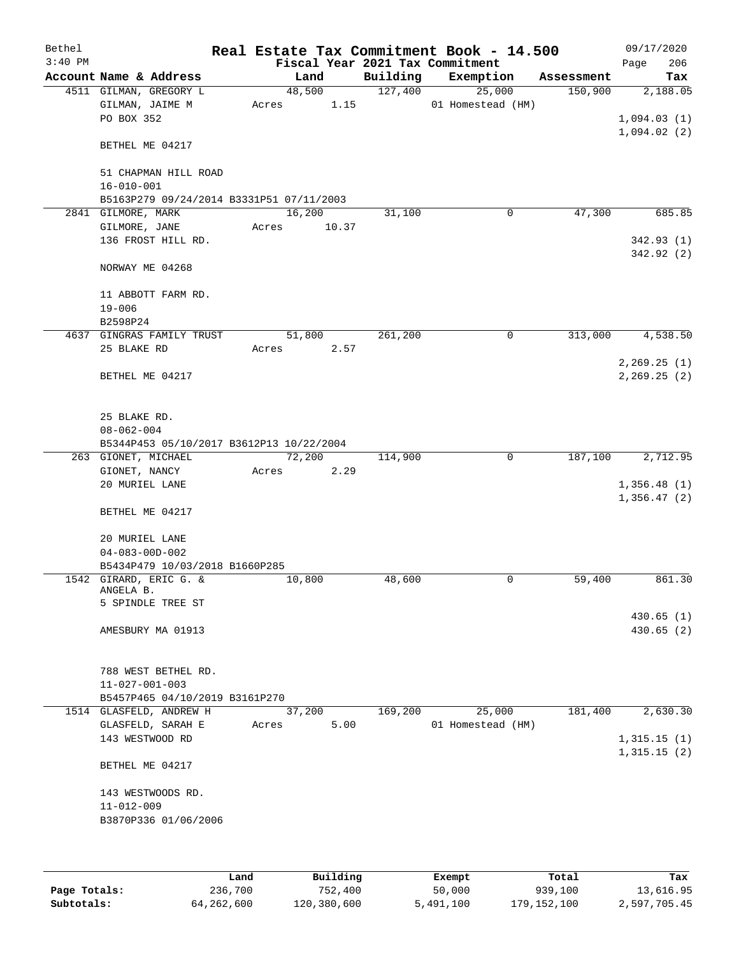| Bethel    |                                          |       |        |          | Real Estate Tax Commitment Book - 14.500 |            | 09/17/2020    |
|-----------|------------------------------------------|-------|--------|----------|------------------------------------------|------------|---------------|
| $3:40$ PM |                                          |       |        |          | Fiscal Year 2021 Tax Commitment          |            | 206<br>Page   |
|           | Account Name & Address                   |       | Land   | Building | Exemption                                | Assessment | Tax           |
|           | 4511 GILMAN, GREGORY L                   |       | 48,500 | 127,400  | 25,000                                   | 150,900    | 2,188.05      |
|           | GILMAN, JAIME M                          | Acres | 1.15   |          | 01 Homestead (HM)                        |            |               |
|           | PO BOX 352                               |       |        |          |                                          |            | 1,094.03(1)   |
|           |                                          |       |        |          |                                          |            | 1,094.02(2)   |
|           | BETHEL ME 04217                          |       |        |          |                                          |            |               |
|           |                                          |       |        |          |                                          |            |               |
|           | 51 CHAPMAN HILL ROAD                     |       |        |          |                                          |            |               |
|           | $16 - 010 - 001$                         |       |        |          |                                          |            |               |
|           | B5163P279 09/24/2014 B3331P51 07/11/2003 |       |        |          |                                          |            |               |
|           | 2841 GILMORE, MARK                       |       | 16,200 | 31,100   | 0                                        | 47,300     | 685.85        |
|           | GILMORE, JANE                            | Acres | 10.37  |          |                                          |            |               |
|           | 136 FROST HILL RD.                       |       |        |          |                                          |            | 342.93(1)     |
|           |                                          |       |        |          |                                          |            | 342.92 (2)    |
|           |                                          |       |        |          |                                          |            |               |
|           | NORWAY ME 04268                          |       |        |          |                                          |            |               |
|           |                                          |       |        |          |                                          |            |               |
|           | 11 ABBOTT FARM RD.                       |       |        |          |                                          |            |               |
|           | $19 - 006$                               |       |        |          |                                          |            |               |
|           | B2598P24                                 |       |        |          |                                          |            |               |
|           | 4637 GINGRAS FAMILY TRUST                |       | 51,800 | 261,200  | 0                                        | 313,000    | 4,538.50      |
|           | 25 BLAKE RD                              | Acres | 2.57   |          |                                          |            |               |
|           |                                          |       |        |          |                                          |            | 2, 269.25(1)  |
|           | BETHEL ME 04217                          |       |        |          |                                          |            | 2, 269.25 (2) |
|           |                                          |       |        |          |                                          |            |               |
|           |                                          |       |        |          |                                          |            |               |
|           | 25 BLAKE RD.                             |       |        |          |                                          |            |               |
|           | $08 - 062 - 004$                         |       |        |          |                                          |            |               |
|           | B5344P453 05/10/2017 B3612P13 10/22/2004 |       |        |          |                                          |            |               |
|           | 263 GIONET, MICHAEL                      |       | 72,200 | 114,900  | 0                                        | 187,100    | 2,712.95      |
|           | GIONET, NANCY                            | Acres | 2.29   |          |                                          |            |               |
|           | 20 MURIEL LANE                           |       |        |          |                                          |            | 1,356.48(1)   |
|           |                                          |       |        |          |                                          |            | 1,356.47(2)   |
|           | BETHEL ME 04217                          |       |        |          |                                          |            |               |
|           |                                          |       |        |          |                                          |            |               |
|           | 20 MURIEL LANE                           |       |        |          |                                          |            |               |
|           | $04 - 083 - 00D - 002$                   |       |        |          |                                          |            |               |
|           | B5434P479 10/03/2018 B1660P285           |       |        |          |                                          |            |               |
|           | 1542 GIRARD, ERIC G. &                   |       | 10,800 | 48,600   | 0                                        | 59,400     | 861.30        |
|           | ANGELA B.                                |       |        |          |                                          |            |               |
|           | 5 SPINDLE TREE ST                        |       |        |          |                                          |            |               |
|           |                                          |       |        |          |                                          |            | 430.65(1)     |
|           | AMESBURY MA 01913                        |       |        |          |                                          |            | 430.65(2)     |
|           |                                          |       |        |          |                                          |            |               |
|           |                                          |       |        |          |                                          |            |               |
|           | 788 WEST BETHEL RD.                      |       |        |          |                                          |            |               |
|           |                                          |       |        |          |                                          |            |               |
|           | $11 - 027 - 001 - 003$                   |       |        |          |                                          |            |               |
|           | B5457P465 04/10/2019 B3161P270           |       |        |          |                                          |            |               |
|           | 1514 GLASFELD, ANDREW H                  |       | 37,200 | 169,200  | 25,000                                   | 181,400    | 2,630.30      |
|           | GLASFELD, SARAH E                        | Acres | 5.00   |          | 01 Homestead (HM)                        |            |               |
|           | 143 WESTWOOD RD                          |       |        |          |                                          |            | 1,315.15(1)   |
|           |                                          |       |        |          |                                          |            | 1,315.15(2)   |
|           | BETHEL ME 04217                          |       |        |          |                                          |            |               |
|           |                                          |       |        |          |                                          |            |               |
|           | 143 WESTWOODS RD.                        |       |        |          |                                          |            |               |
|           | $11 - 012 - 009$                         |       |        |          |                                          |            |               |
|           | B3870P336 01/06/2006                     |       |        |          |                                          |            |               |
|           |                                          |       |        |          |                                          |            |               |
|           |                                          |       |        |          |                                          |            |               |
|           |                                          |       |        |          |                                          |            |               |

|              | Land       | Building    | Exempt    | Total         | Tax          |
|--------------|------------|-------------|-----------|---------------|--------------|
| Page Totals: | 236,700    | 752,400     | 50,000    | 939,100       | 13,616.95    |
| Subtotals:   | 64,262,600 | 120,380,600 | 5,491,100 | 179, 152, 100 | 2,597,705.45 |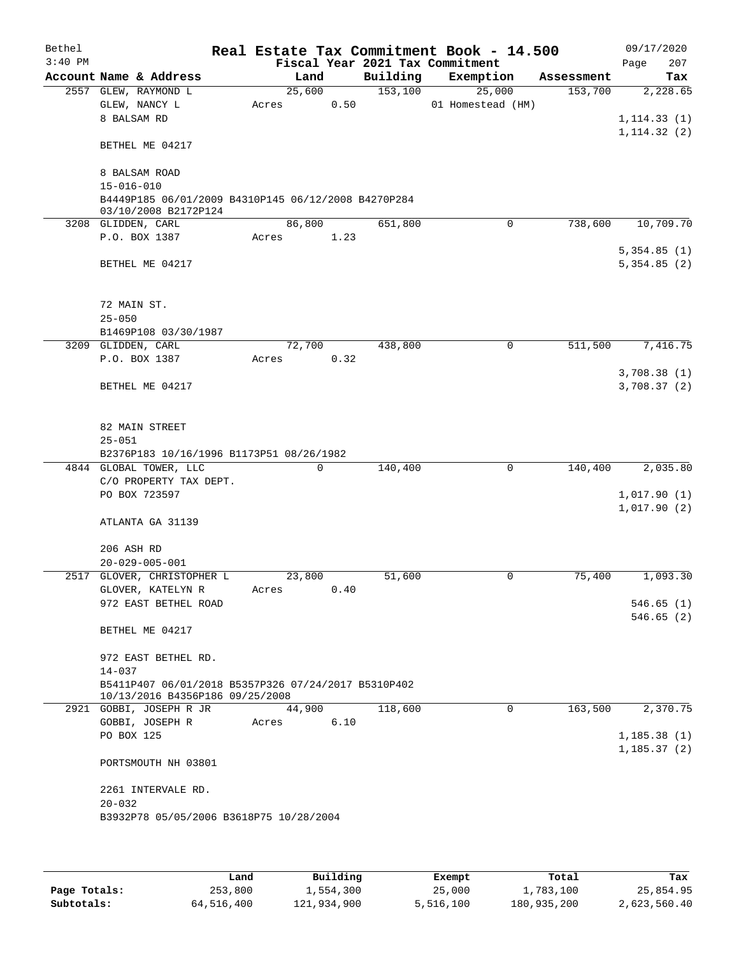| Bethel    |                                                                                        |        |             |          | Real Estate Tax Commitment Book - 14.500 |            | 09/17/2020                  |
|-----------|----------------------------------------------------------------------------------------|--------|-------------|----------|------------------------------------------|------------|-----------------------------|
| $3:40$ PM |                                                                                        |        |             |          | Fiscal Year 2021 Tax Commitment          |            | 207<br>Page                 |
|           | Account Name & Address                                                                 | Land   |             | Building | Exemption                                | Assessment | Tax                         |
|           | 2557 GLEW, RAYMOND L                                                                   | 25,600 |             | 153,100  | 25,000                                   | 153,700    | 2,228.65                    |
|           | GLEW, NANCY L<br>8 BALSAM RD                                                           | Acres  | 0.50        |          | 01 Homestead (HM)                        |            | 1, 114.33(1)                |
|           |                                                                                        |        |             |          |                                          |            | 1, 114.32(2)                |
|           | BETHEL ME 04217                                                                        |        |             |          |                                          |            |                             |
|           | 8 BALSAM ROAD                                                                          |        |             |          |                                          |            |                             |
|           | $15 - 016 - 010$                                                                       |        |             |          |                                          |            |                             |
|           | B4449P185 06/01/2009 B4310P145 06/12/2008 B4270P284<br>03/10/2008 B2172P124            |        |             |          |                                          |            |                             |
|           | 3208 GLIDDEN, CARL                                                                     | 86,800 |             | 651,800  | $\mathbf 0$                              | 738,600    | 10,709.70                   |
|           | P.O. BOX 1387                                                                          | Acres  | 1.23        |          |                                          |            | 5,354.85(1)                 |
|           | BETHEL ME 04217                                                                        |        |             |          |                                          |            | 5,354.85(2)                 |
|           | 72 MAIN ST.                                                                            |        |             |          |                                          |            |                             |
|           | $25 - 050$<br>B1469P108 03/30/1987                                                     |        |             |          |                                          |            |                             |
|           | 3209 GLIDDEN, CARL                                                                     | 72,700 |             | 438,800  | 0                                        | 511,500    | 7,416.75                    |
|           | P.O. BOX 1387                                                                          | Acres  | 0.32        |          |                                          |            |                             |
|           | BETHEL ME 04217                                                                        |        |             |          |                                          |            | 3,708.38(1)<br>3,708.37 (2) |
|           | 82 MAIN STREET<br>$25 - 051$                                                           |        |             |          |                                          |            |                             |
|           | B2376P183 10/16/1996 B1173P51 08/26/1982                                               |        |             |          |                                          |            |                             |
|           | 4844 GLOBAL TOWER, LLC<br>C/O PROPERTY TAX DEPT.                                       |        | $\mathbf 0$ | 140,400  | $\mathbf 0$                              | 140,400    | 2,035.80                    |
|           | PO BOX 723597                                                                          |        |             |          |                                          |            | 1,017.90(1)                 |
|           |                                                                                        |        |             |          |                                          |            | 1,017.90(2)                 |
|           | ATLANTA GA 31139                                                                       |        |             |          |                                          |            |                             |
|           | 206 ASH RD                                                                             |        |             |          |                                          |            |                             |
|           | $20 - 029 - 005 - 001$                                                                 |        |             |          |                                          |            |                             |
|           | 2517 GLOVER, CHRISTOPHER L                                                             | 23,800 |             | 51,600   | 0                                        | 75,400     | 1,093.30                    |
|           | GLOVER, KATELYN R                                                                      | Acres  | 0.40        |          |                                          |            |                             |
|           | 972 EAST BETHEL ROAD                                                                   |        |             |          |                                          |            | 546.65(1)                   |
|           | BETHEL ME 04217                                                                        |        |             |          |                                          |            | 546.65(2)                   |
|           | 972 EAST BETHEL RD.                                                                    |        |             |          |                                          |            |                             |
|           | $14 - 037$                                                                             |        |             |          |                                          |            |                             |
|           | B5411P407 06/01/2018 B5357P326 07/24/2017 B5310P402<br>10/13/2016 B4356P186 09/25/2008 |        |             |          |                                          |            |                             |
|           | 2921 GOBBI, JOSEPH R JR                                                                | 44,900 |             | 118,600  | $\Omega$                                 | 163,500    | 2,370.75                    |
|           | GOBBI, JOSEPH R<br>PO BOX 125                                                          | Acres  | 6.10        |          |                                          |            | 1, 185.38(1)                |
|           |                                                                                        |        |             |          |                                          |            | 1, 185.37(2)                |
|           | PORTSMOUTH NH 03801                                                                    |        |             |          |                                          |            |                             |
|           | 2261 INTERVALE RD.                                                                     |        |             |          |                                          |            |                             |
|           | $20 - 032$                                                                             |        |             |          |                                          |            |                             |
|           | B3932P78 05/05/2006 B3618P75 10/28/2004                                                |        |             |          |                                          |            |                             |
|           |                                                                                        |        |             |          |                                          |            |                             |

|              | Land       | Building    | Exempt    | Total       | Tax          |
|--------------|------------|-------------|-----------|-------------|--------------|
| Page Totals: | 253,800    | 1,554,300   | 25,000    | 1,783,100   | 25,854.95    |
| Subtotals:   | 64,516,400 | 121,934,900 | 5,516,100 | 180,935,200 | 2,623,560.40 |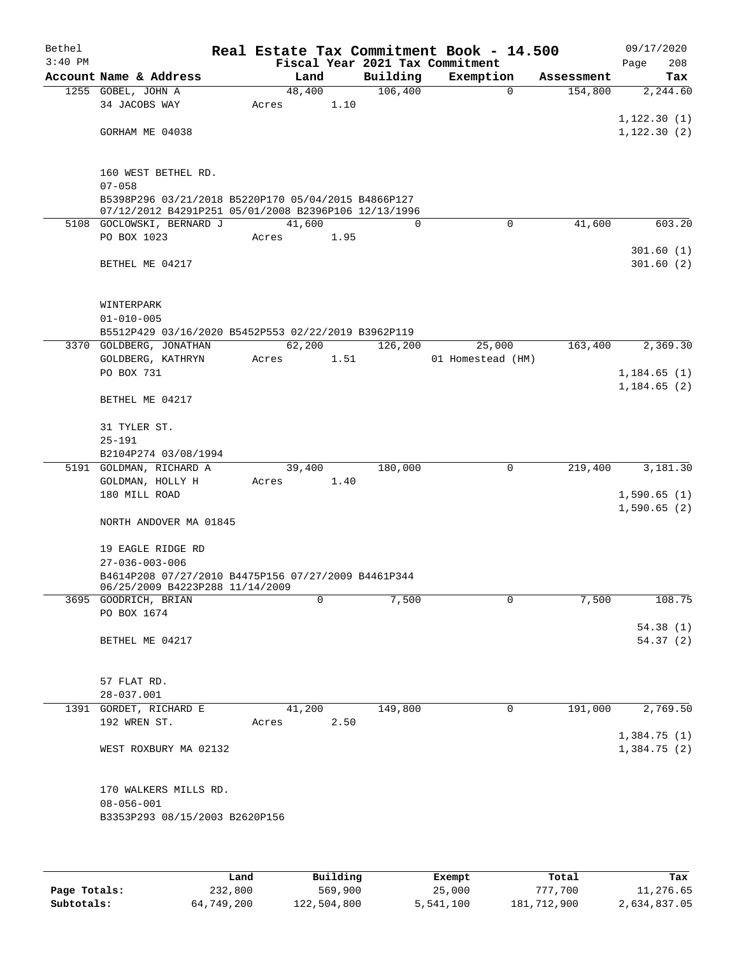| Bethel    |                                                                                                             |        |      |          | Real Estate Tax Commitment Book - 14.500 |            | 09/17/2020           |
|-----------|-------------------------------------------------------------------------------------------------------------|--------|------|----------|------------------------------------------|------------|----------------------|
| $3:40$ PM |                                                                                                             |        |      |          | Fiscal Year 2021 Tax Commitment          |            | 208<br>Page          |
|           | Account Name & Address                                                                                      | Land   |      | Building | Exemption                                | Assessment | Tax                  |
|           | 1255 GOBEL, JOHN A                                                                                          | 48,400 |      | 106,400  | $\mathbf 0$                              | 154,800    | 2,244.60             |
|           | 34 JACOBS WAY                                                                                               | Acres  | 1.10 |          |                                          |            | 1, 122.30(1)         |
|           | GORHAM ME 04038                                                                                             |        |      |          |                                          |            | 1, 122.30(2)         |
|           |                                                                                                             |        |      |          |                                          |            |                      |
|           |                                                                                                             |        |      |          |                                          |            |                      |
|           | 160 WEST BETHEL RD.                                                                                         |        |      |          |                                          |            |                      |
|           | $07 - 058$                                                                                                  |        |      |          |                                          |            |                      |
|           | B5398P296 03/21/2018 B5220P170 05/04/2015 B4866P127<br>07/12/2012 B4291P251 05/01/2008 B2396P106 12/13/1996 |        |      |          |                                          |            |                      |
|           | 5108 GOCLOWSKI, BERNARD J                                                                                   | 41,600 |      | $\Omega$ | $\Omega$                                 | 41,600     | 603.20               |
|           | PO BOX 1023                                                                                                 | Acres  | 1.95 |          |                                          |            |                      |
|           |                                                                                                             |        |      |          |                                          |            | 301.60(1)            |
|           | BETHEL ME 04217                                                                                             |        |      |          |                                          |            | 301.60(2)            |
|           |                                                                                                             |        |      |          |                                          |            |                      |
|           |                                                                                                             |        |      |          |                                          |            |                      |
|           | WINTERPARK                                                                                                  |        |      |          |                                          |            |                      |
|           | $01 - 010 - 005$<br>B5512P429 03/16/2020 B5452P553 02/22/2019 B3962P119                                     |        |      |          |                                          |            |                      |
|           | 3370 GOLDBERG, JONATHAN                                                                                     | 62,200 |      | 126,200  | 25,000                                   | 163,400    | 2,369.30             |
|           | GOLDBERG, KATHRYN                                                                                           | Acres  | 1.51 |          | 01 Homestead (HM)                        |            |                      |
|           | PO BOX 731                                                                                                  |        |      |          |                                          |            | 1,184.65(1)          |
|           |                                                                                                             |        |      |          |                                          |            | 1,184.65(2)          |
|           | BETHEL ME 04217                                                                                             |        |      |          |                                          |            |                      |
|           |                                                                                                             |        |      |          |                                          |            |                      |
|           | 31 TYLER ST.                                                                                                |        |      |          |                                          |            |                      |
|           | $25 - 191$<br>B2104P274 03/08/1994                                                                          |        |      |          |                                          |            |                      |
|           | 5191 GOLDMAN, RICHARD A                                                                                     | 39,400 |      | 180,000  | 0                                        | 219,400    | 3,181.30             |
|           | GOLDMAN, HOLLY H                                                                                            | Acres  | 1.40 |          |                                          |            |                      |
|           | 180 MILL ROAD                                                                                               |        |      |          |                                          |            | 1,590.65(1)          |
|           |                                                                                                             |        |      |          |                                          |            | 1,590.65(2)          |
|           | NORTH ANDOVER MA 01845                                                                                      |        |      |          |                                          |            |                      |
|           |                                                                                                             |        |      |          |                                          |            |                      |
|           | 19 EAGLE RIDGE RD<br>$27 - 036 - 003 - 006$                                                                 |        |      |          |                                          |            |                      |
|           | B4614P208 07/27/2010 B4475P156 07/27/2009 B4461P344                                                         |        |      |          |                                          |            |                      |
|           | 06/25/2009 B4223P288 11/14/2009                                                                             |        |      |          |                                          |            |                      |
|           | 3695 GOODRICH, BRIAN                                                                                        |        | 0    | 7,500    | 0                                        | 7,500      | 108.75               |
|           | PO BOX 1674                                                                                                 |        |      |          |                                          |            |                      |
|           | BETHEL ME 04217                                                                                             |        |      |          |                                          |            | 54.38(1)<br>54.37(2) |
|           |                                                                                                             |        |      |          |                                          |            |                      |
|           |                                                                                                             |        |      |          |                                          |            |                      |
|           | 57 FLAT RD.                                                                                                 |        |      |          |                                          |            |                      |
|           | 28-037.001                                                                                                  |        |      |          |                                          |            |                      |
|           | 1391 GORDET, RICHARD E                                                                                      | 41,200 |      | 149,800  | 0                                        | 191,000    | 2,769.50             |
|           | 192 WREN ST.                                                                                                | Acres  | 2.50 |          |                                          |            |                      |
|           |                                                                                                             |        |      |          |                                          |            | 1,384.75(1)          |
|           | WEST ROXBURY MA 02132                                                                                       |        |      |          |                                          |            | 1,384.75(2)          |
|           |                                                                                                             |        |      |          |                                          |            |                      |
|           | 170 WALKERS MILLS RD.                                                                                       |        |      |          |                                          |            |                      |
|           | $08 - 056 - 001$                                                                                            |        |      |          |                                          |            |                      |
|           | B3353P293 08/15/2003 B2620P156                                                                              |        |      |          |                                          |            |                      |
|           |                                                                                                             |        |      |          |                                          |            |                      |
|           |                                                                                                             |        |      |          |                                          |            |                      |

|              | Land       | Building    | Exempt    | Total       | Tax          |
|--------------|------------|-------------|-----------|-------------|--------------|
| Page Totals: | 232,800    | 569,900     | 25,000    | 777,700     | 11,276.65    |
| Subtotals:   | 64,749,200 | 122,504,800 | 5,541,100 | 181,712,900 | 2,634,837.05 |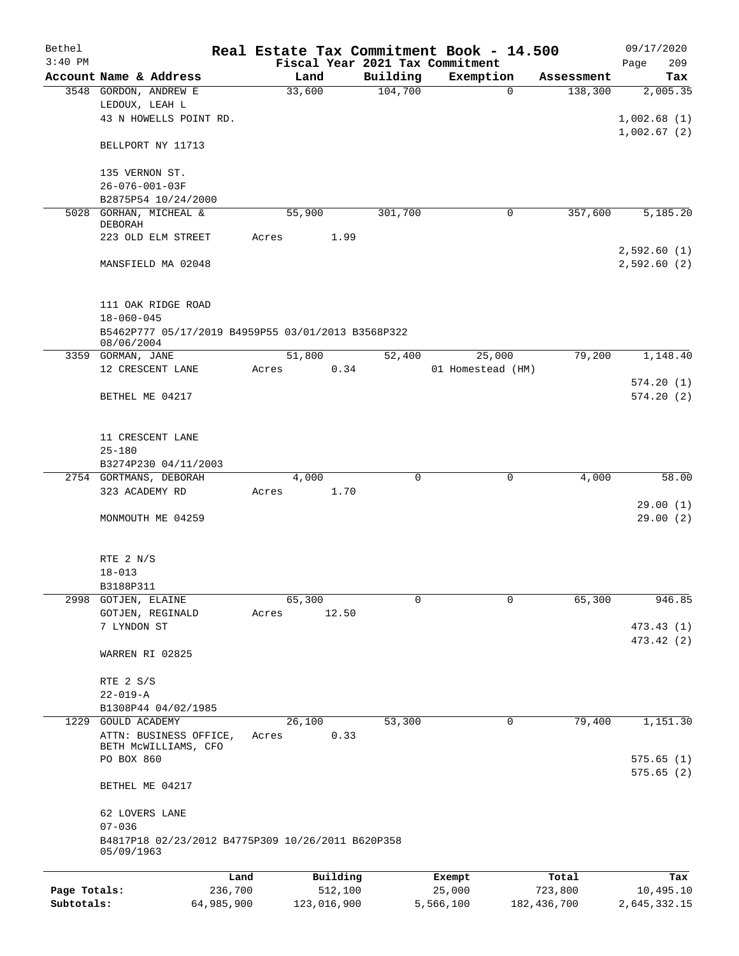| Bethel       |                                                                  |         |        |          |             | Real Estate Tax Commitment Book - 14.500 |             |            | 09/17/2020            |
|--------------|------------------------------------------------------------------|---------|--------|----------|-------------|------------------------------------------|-------------|------------|-----------------------|
| $3:40$ PM    |                                                                  |         |        |          |             | Fiscal Year 2021 Tax Commitment          |             |            | 209<br>Page           |
|              | Account Name & Address                                           |         |        | Land     | Building    | Exemption                                |             | Assessment | Tax                   |
|              | 3548 GORDON, ANDREW E                                            |         | 33,600 |          | 104,700     |                                          | $\mathbf 0$ | 138,300    | 2,005.35              |
|              | LEDOUX, LEAH L                                                   |         |        |          |             |                                          |             |            |                       |
|              | 43 N HOWELLS POINT RD.                                           |         |        |          |             |                                          |             |            | 1,002.68(1)           |
|              |                                                                  |         |        |          |             |                                          |             |            | 1,002.67(2)           |
|              | BELLPORT NY 11713                                                |         |        |          |             |                                          |             |            |                       |
|              |                                                                  |         |        |          |             |                                          |             |            |                       |
|              | 135 VERNON ST.                                                   |         |        |          |             |                                          |             |            |                       |
|              | 26-076-001-03F                                                   |         |        |          |             |                                          |             |            |                       |
|              | B2875P54 10/24/2000                                              |         |        |          |             |                                          |             |            |                       |
| 5028         | GORHAN, MICHEAL &                                                |         | 55,900 |          | 301,700     |                                          | 0           | 357,600    | $\overline{5,185.20}$ |
|              | DEBORAH<br>223 OLD ELM STREET                                    |         | Acres  | 1.99     |             |                                          |             |            |                       |
|              |                                                                  |         |        |          |             |                                          |             |            | 2,592.60(1)           |
|              | MANSFIELD MA 02048                                               |         |        |          |             |                                          |             |            | 2,592.60 (2)          |
|              |                                                                  |         |        |          |             |                                          |             |            |                       |
|              |                                                                  |         |        |          |             |                                          |             |            |                       |
|              |                                                                  |         |        |          |             |                                          |             |            |                       |
|              | 111 OAK RIDGE ROAD                                               |         |        |          |             |                                          |             |            |                       |
|              | $18 - 060 - 045$                                                 |         |        |          |             |                                          |             |            |                       |
|              | B5462P777 05/17/2019 B4959P55 03/01/2013 B3568P322<br>08/06/2004 |         |        |          |             |                                          |             |            |                       |
|              | 3359 GORMAN, JANE                                                |         | 51,800 |          | 52,400      | 25,000                                   |             | 79,200     | 1,148.40              |
|              | 12 CRESCENT LANE                                                 |         | Acres  | 0.34     |             | 01 Homestead (HM)                        |             |            |                       |
|              |                                                                  |         |        |          |             |                                          |             |            | 574.20(1)             |
|              | BETHEL ME 04217                                                  |         |        |          |             |                                          |             |            | 574.20(2)             |
|              |                                                                  |         |        |          |             |                                          |             |            |                       |
|              |                                                                  |         |        |          |             |                                          |             |            |                       |
|              | 11 CRESCENT LANE                                                 |         |        |          |             |                                          |             |            |                       |
|              | $25 - 180$                                                       |         |        |          |             |                                          |             |            |                       |
|              | B3274P230 04/11/2003                                             |         |        |          |             |                                          |             |            |                       |
|              | 2754 GORTMANS, DEBORAH                                           |         |        | 4,000    | $\mathbf 0$ |                                          | $\mathbf 0$ | 4,000      | 58.00                 |
|              | 323 ACADEMY RD                                                   |         | Acres  | 1.70     |             |                                          |             |            |                       |
|              |                                                                  |         |        |          |             |                                          |             |            | 29.00(1)              |
|              | MONMOUTH ME 04259                                                |         |        |          |             |                                          |             |            | 29.00(2)              |
|              |                                                                  |         |        |          |             |                                          |             |            |                       |
|              |                                                                  |         |        |          |             |                                          |             |            |                       |
|              | RTE 2 N/S                                                        |         |        |          |             |                                          |             |            |                       |
|              | $18 - 013$                                                       |         |        |          |             |                                          |             |            |                       |
|              | B3188P311                                                        |         |        |          |             |                                          |             |            |                       |
| 2998         | GOTJEN, ELAINE                                                   |         | 65,300 |          | 0           |                                          | $\mathbf 0$ | 65,300     | 946.85                |
|              | GOTJEN, REGINALD                                                 |         | Acres  | 12.50    |             |                                          |             |            |                       |
|              | 7 LYNDON ST                                                      |         |        |          |             |                                          |             |            | 473.43 (1)            |
|              |                                                                  |         |        |          |             |                                          |             |            | 473.42 (2)            |
|              | WARREN RI 02825                                                  |         |        |          |             |                                          |             |            |                       |
|              |                                                                  |         |        |          |             |                                          |             |            |                       |
|              | RTE 2 S/S                                                        |         |        |          |             |                                          |             |            |                       |
|              | $22 - 019 - A$                                                   |         |        |          |             |                                          |             |            |                       |
|              | B1308P44 04/02/1985                                              |         |        |          |             |                                          |             |            |                       |
| 1229         | <b>GOULD ACADEMY</b>                                             |         | 26,100 |          | 53,300      |                                          | 0           | 79,400     | 1,151.30              |
|              | ATTN: BUSINESS OFFICE,                                           |         | Acres  | 0.33     |             |                                          |             |            |                       |
|              | BETH MCWILLIAMS, CFO                                             |         |        |          |             |                                          |             |            |                       |
|              | PO BOX 860                                                       |         |        |          |             |                                          |             |            | 575.65(1)             |
|              |                                                                  |         |        |          |             |                                          |             |            | 575.65(2)             |
|              | BETHEL ME 04217                                                  |         |        |          |             |                                          |             |            |                       |
|              |                                                                  |         |        |          |             |                                          |             |            |                       |
|              | 62 LOVERS LANE                                                   |         |        |          |             |                                          |             |            |                       |
|              | $07 - 036$                                                       |         |        |          |             |                                          |             |            |                       |
|              | B4817P18 02/23/2012 B4775P309 10/26/2011 B620P358                |         |        |          |             |                                          |             |            |                       |
|              | 05/09/1963                                                       |         |        |          |             |                                          |             |            |                       |
|              |                                                                  |         |        |          |             |                                          |             |            |                       |
|              |                                                                  | Land    |        | Building |             | Exempt                                   |             | Total      | Tax                   |
| Page Totals: |                                                                  | 236,700 |        | 512,100  |             | 25,000                                   |             | 723,800    | 10,495.10             |

**Subtotals:** 64,985,900 123,016,900 5,566,100 182,436,700 2,645,332.15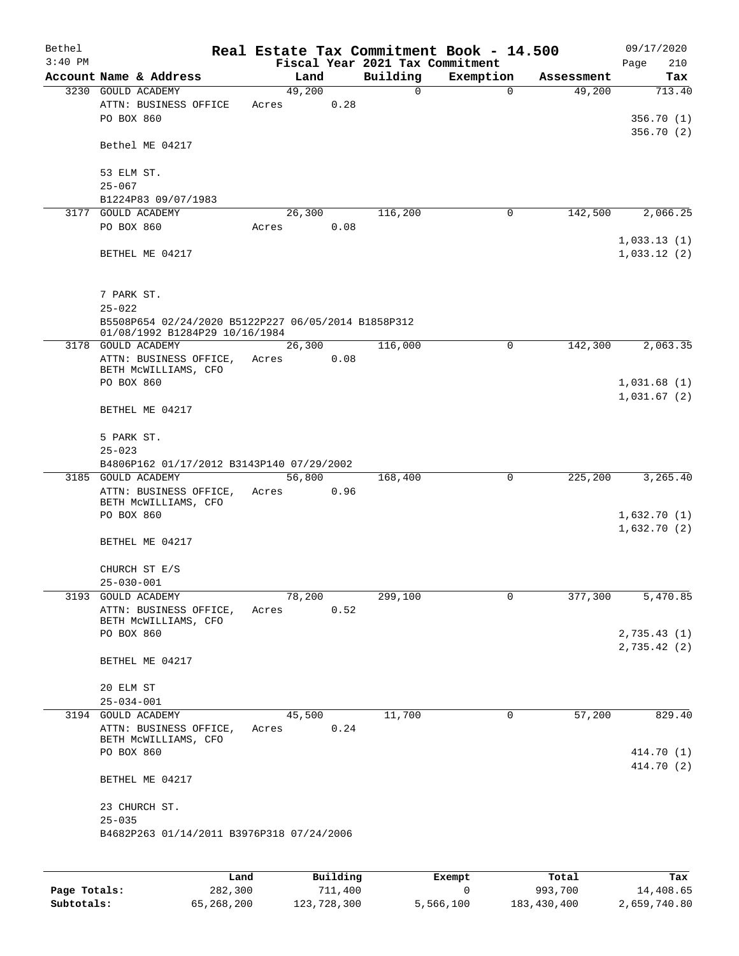| Bethel    |                                                                                       |                 |      |                                 | Real Estate Tax Commitment Book - 14.500 |                      | 09/17/2020    |
|-----------|---------------------------------------------------------------------------------------|-----------------|------|---------------------------------|------------------------------------------|----------------------|---------------|
| $3:40$ PM |                                                                                       |                 |      | Fiscal Year 2021 Tax Commitment |                                          |                      | Page<br>210   |
|           | Account Name & Address<br>3230 GOULD ACADEMY                                          | 49,200          | Land | Building<br>0                   | Exemption<br>$\Omega$                    | Assessment<br>49,200 | Tax<br>713.40 |
|           | ATTN: BUSINESS OFFICE                                                                 | Acres           | 0.28 |                                 |                                          |                      |               |
|           | PO BOX 860                                                                            |                 |      |                                 |                                          |                      | 356.70(1)     |
|           |                                                                                       |                 |      |                                 |                                          |                      | 356.70(2)     |
|           | Bethel ME 04217                                                                       |                 |      |                                 |                                          |                      |               |
|           |                                                                                       |                 |      |                                 |                                          |                      |               |
|           | 53 ELM ST.                                                                            |                 |      |                                 |                                          |                      |               |
|           | $25 - 067$                                                                            |                 |      |                                 |                                          |                      |               |
| 3177      | B1224P83 09/07/1983<br><b>GOULD ACADEMY</b>                                           | 26,300          |      | 116,200                         | 0                                        | 142,500              | 2,066.25      |
|           | PO BOX 860                                                                            | Acres           | 0.08 |                                 |                                          |                      |               |
|           |                                                                                       |                 |      |                                 |                                          |                      | 1,033.13(1)   |
|           | BETHEL ME 04217                                                                       |                 |      |                                 |                                          |                      | 1,033.12(2)   |
|           |                                                                                       |                 |      |                                 |                                          |                      |               |
|           |                                                                                       |                 |      |                                 |                                          |                      |               |
|           | 7 PARK ST.                                                                            |                 |      |                                 |                                          |                      |               |
|           | $25 - 022$                                                                            |                 |      |                                 |                                          |                      |               |
|           | B5508P654 02/24/2020 B5122P227 06/05/2014 B1858P312<br>01/08/1992 B1284P29 10/16/1984 |                 |      |                                 |                                          |                      |               |
|           | 3178 GOULD ACADEMY                                                                    | 26,300          |      | 116,000                         | 0                                        | 142,300              | 2,063.35      |
|           | ATTN: BUSINESS OFFICE,                                                                | Acres           | 0.08 |                                 |                                          |                      |               |
|           | BETH MCWILLIAMS, CFO                                                                  |                 |      |                                 |                                          |                      |               |
|           | PO BOX 860                                                                            |                 |      |                                 |                                          |                      | 1,031.68(1)   |
|           | BETHEL ME 04217                                                                       |                 |      |                                 |                                          |                      | 1,031.67(2)   |
|           |                                                                                       |                 |      |                                 |                                          |                      |               |
|           | 5 PARK ST.                                                                            |                 |      |                                 |                                          |                      |               |
|           | $25 - 023$                                                                            |                 |      |                                 |                                          |                      |               |
|           | B4806P162 01/17/2012 B3143P140 07/29/2002                                             |                 |      |                                 |                                          |                      |               |
|           | 3185 GOULD ACADEMY                                                                    | 56,800          |      | 168,400                         | 0                                        | 225,200              | 3,265.40      |
|           | ATTN: BUSINESS OFFICE,<br>BETH MCWILLIAMS, CFO                                        | Acres           | 0.96 |                                 |                                          |                      |               |
|           | PO BOX 860                                                                            |                 |      |                                 |                                          |                      | 1,632.70(1)   |
|           |                                                                                       |                 |      |                                 |                                          |                      | 1,632.70(2)   |
|           | BETHEL ME 04217                                                                       |                 |      |                                 |                                          |                      |               |
|           |                                                                                       |                 |      |                                 |                                          |                      |               |
|           | CHURCH ST E/S                                                                         |                 |      |                                 |                                          |                      |               |
|           | $25 - 030 - 001$                                                                      |                 |      |                                 |                                          |                      |               |
|           | 3193 GOULD ACADEMY                                                                    | 78,200<br>Acres | 0.52 | 299,100                         | $\mathbf 0$                              | 377,300              | 5,470.85      |
|           | ATTN: BUSINESS OFFICE,<br>BETH MCWILLIAMS, CFO                                        |                 |      |                                 |                                          |                      |               |
|           | PO BOX 860                                                                            |                 |      |                                 |                                          |                      | 2,735.43(1)   |
|           |                                                                                       |                 |      |                                 |                                          |                      | 2,735.42(2)   |
|           | BETHEL ME 04217                                                                       |                 |      |                                 |                                          |                      |               |
|           |                                                                                       |                 |      |                                 |                                          |                      |               |
|           | 20 ELM ST<br>$25 - 034 - 001$                                                         |                 |      |                                 |                                          |                      |               |
|           | 3194 GOULD ACADEMY                                                                    | 45,500          |      | 11,700                          | 0                                        | 57,200               | 829.40        |
|           | ATTN: BUSINESS OFFICE,                                                                | Acres           | 0.24 |                                 |                                          |                      |               |
|           | BETH MCWILLIAMS, CFO                                                                  |                 |      |                                 |                                          |                      |               |
|           | PO BOX 860                                                                            |                 |      |                                 |                                          |                      | 414.70 (1)    |
|           |                                                                                       |                 |      |                                 |                                          |                      | 414.70 (2)    |
|           | BETHEL ME 04217                                                                       |                 |      |                                 |                                          |                      |               |
|           | 23 CHURCH ST.                                                                         |                 |      |                                 |                                          |                      |               |
|           | $25 - 035$                                                                            |                 |      |                                 |                                          |                      |               |
|           | B4682P263 01/14/2011 B3976P318 07/24/2006                                             |                 |      |                                 |                                          |                      |               |
|           |                                                                                       |                 |      |                                 |                                          |                      |               |
|           |                                                                                       |                 |      |                                 |                                          |                      |               |
|           |                                                                                       |                 |      |                                 |                                          |                      |               |

|              | Land       | Building    | Exempt    | Total       | Tax          |
|--------------|------------|-------------|-----------|-------------|--------------|
| Page Totals: | 282,300    | 711,400     |           | 993,700     | 14,408.65    |
| Subtotals:   | 65,268,200 | 123,728,300 | 5,566,100 | 183,430,400 | 2,659,740.80 |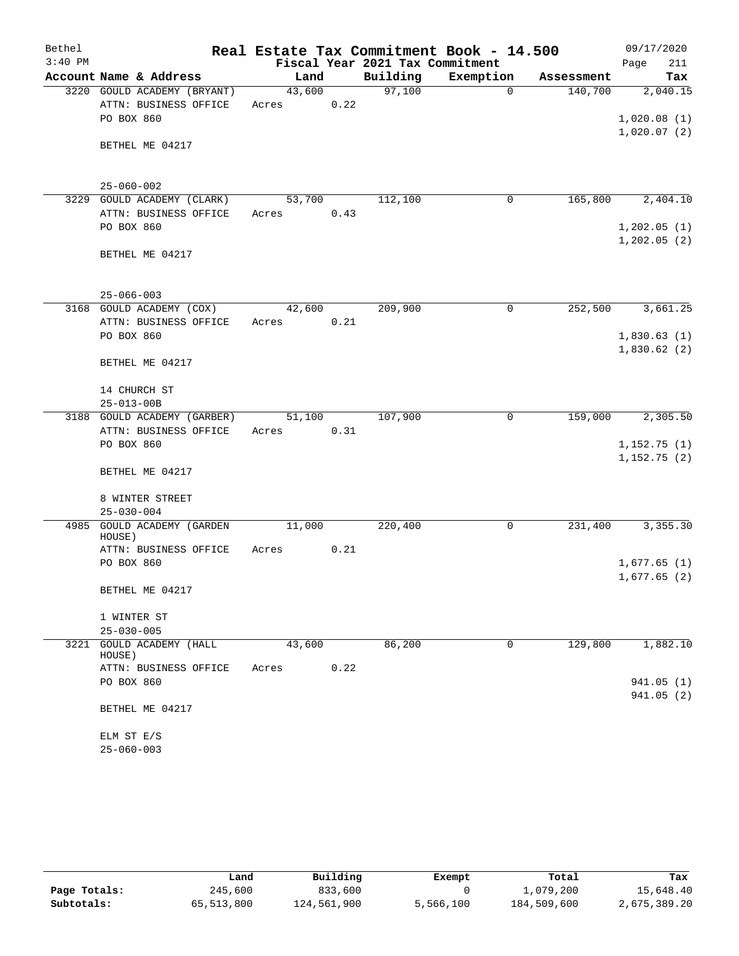| Bethel    |                                              |        |      |                                 | Real Estate Tax Commitment Book - 14.500 |            | 09/17/2020                 |
|-----------|----------------------------------------------|--------|------|---------------------------------|------------------------------------------|------------|----------------------------|
| $3:40$ PM |                                              |        |      | Fiscal Year 2021 Tax Commitment |                                          |            | 211<br>Page                |
|           | Account Name & Address                       | Land   |      | Building                        | Exemption                                | Assessment | Tax                        |
|           | 3220 GOULD ACADEMY (BRYANT)                  | 43,600 |      | 97,100                          | $\Omega$                                 | 140,700    | 2,040.15                   |
|           | ATTN: BUSINESS OFFICE                        | Acres  | 0.22 |                                 |                                          |            |                            |
|           | PO BOX 860                                   |        |      |                                 |                                          |            | 1,020.08(1)                |
|           | BETHEL ME 04217                              |        |      |                                 |                                          |            | 1,020.07(2)                |
|           |                                              |        |      |                                 |                                          |            |                            |
|           |                                              |        |      |                                 |                                          |            |                            |
|           | $25 - 060 - 002$                             |        |      |                                 |                                          |            |                            |
|           | 3229 GOULD ACADEMY (CLARK)                   | 53,700 |      | 112,100                         | 0                                        | 165,800    | 2,404.10                   |
|           | ATTN: BUSINESS OFFICE                        | Acres  | 0.43 |                                 |                                          |            |                            |
|           | PO BOX 860                                   |        |      |                                 |                                          |            | 1,202.05(1)                |
|           |                                              |        |      |                                 |                                          |            | 1,202.05(2)                |
|           | BETHEL ME 04217                              |        |      |                                 |                                          |            |                            |
|           |                                              |        |      |                                 |                                          |            |                            |
|           |                                              |        |      |                                 |                                          |            |                            |
|           | $25 - 066 - 003$                             |        |      |                                 |                                          |            |                            |
|           | 3168 GOULD ACADEMY (COX)                     | 42,600 |      | 209,900                         | $\Omega$                                 | 252,500    | 3,661.25                   |
|           | ATTN: BUSINESS OFFICE<br>PO BOX 860          | Acres  | 0.21 |                                 |                                          |            |                            |
|           |                                              |        |      |                                 |                                          |            | 1,830.63(1)<br>1,830.62(2) |
|           | BETHEL ME 04217                              |        |      |                                 |                                          |            |                            |
|           |                                              |        |      |                                 |                                          |            |                            |
|           | 14 CHURCH ST                                 |        |      |                                 |                                          |            |                            |
|           | $25 - 013 - 00B$                             |        |      |                                 |                                          |            |                            |
|           | 3188 GOULD ACADEMY (GARBER)                  | 51,100 |      | 107,900                         | $\mathbf 0$                              | 159,000    | 2,305.50                   |
|           | ATTN: BUSINESS OFFICE                        | Acres  | 0.31 |                                 |                                          |            |                            |
|           | PO BOX 860                                   |        |      |                                 |                                          |            | 1,152.75(1)                |
|           |                                              |        |      |                                 |                                          |            | 1,152.75(2)                |
|           | BETHEL ME 04217                              |        |      |                                 |                                          |            |                            |
|           |                                              |        |      |                                 |                                          |            |                            |
|           | 8 WINTER STREET<br>$25 - 030 - 004$          |        |      |                                 |                                          |            |                            |
| 4985      | GOULD ACADEMY (GARDEN                        | 11,000 |      | 220,400                         | 0                                        | 231,400    | 3,355.30                   |
|           | HOUSE)                                       |        |      |                                 |                                          |            |                            |
|           | ATTN: BUSINESS OFFICE                        | Acres  | 0.21 |                                 |                                          |            |                            |
|           | PO BOX 860                                   |        |      |                                 |                                          |            | 1,677.65(1)                |
|           |                                              |        |      |                                 |                                          |            | 1,677.65(2)                |
|           | BETHEL ME 04217                              |        |      |                                 |                                          |            |                            |
|           |                                              |        |      |                                 |                                          |            |                            |
|           | 1 WINTER ST                                  |        |      |                                 |                                          |            |                            |
|           | $25 - 030 - 005$<br>3221 GOULD ACADEMY (HALL | 43,600 |      | 86,200                          | 0                                        | 129,800    | 1,882.10                   |
|           | HOUSE)                                       |        |      |                                 |                                          |            |                            |
|           | ATTN: BUSINESS OFFICE                        | Acres  | 0.22 |                                 |                                          |            |                            |
|           | PO BOX 860                                   |        |      |                                 |                                          |            | 941.05 (1)                 |
|           |                                              |        |      |                                 |                                          |            | 941.05(2)                  |
|           | BETHEL ME 04217                              |        |      |                                 |                                          |            |                            |
|           |                                              |        |      |                                 |                                          |            |                            |
|           | ELM ST E/S                                   |        |      |                                 |                                          |            |                            |
|           | $25 - 060 - 003$                             |        |      |                                 |                                          |            |                            |

|              | Land       | Building    | Exempt    | Total       | Tax          |
|--------------|------------|-------------|-----------|-------------|--------------|
| Page Totals: | 245,600    | 833,600     |           | 1,079,200   | 15,648.40    |
| Subtotals:   | 65,513,800 | 124,561,900 | 5,566,100 | 184,509,600 | 2,675,389.20 |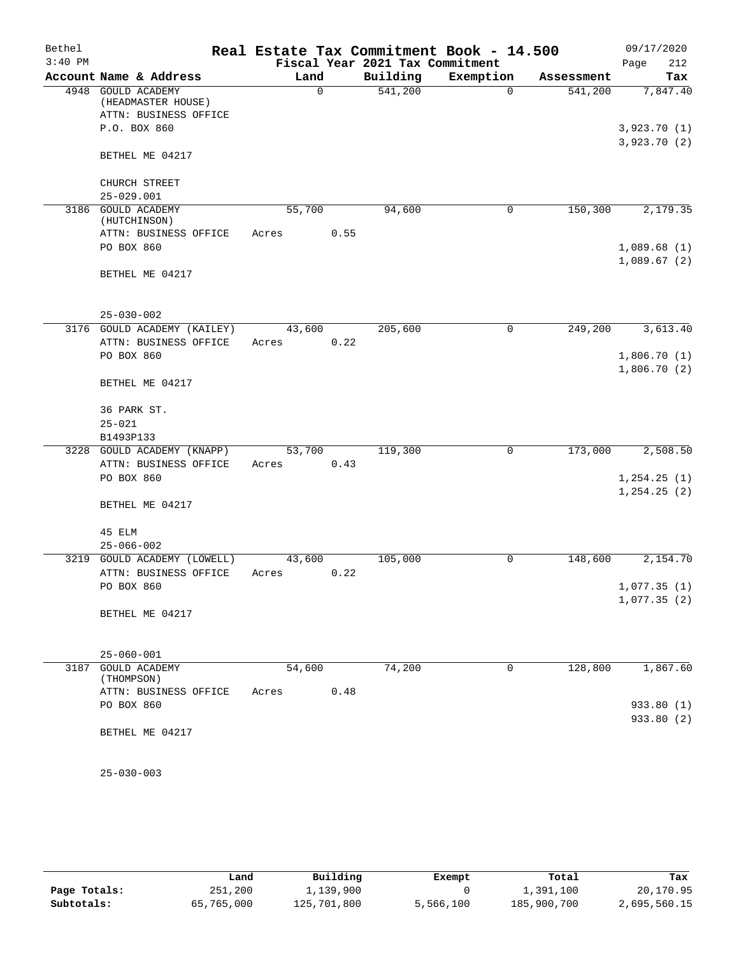| Bethel    |                                             |        |             |                                 | Real Estate Tax Commitment Book - 14.500 |            | 09/17/2020   |
|-----------|---------------------------------------------|--------|-------------|---------------------------------|------------------------------------------|------------|--------------|
| $3:40$ PM |                                             |        |             | Fiscal Year 2021 Tax Commitment |                                          |            | 212<br>Page  |
|           | Account Name & Address                      |        | Land        | Building                        | Exemption                                | Assessment | Tax          |
|           | 4948 GOULD ACADEMY                          |        | $\mathbf 0$ | 541,200                         | $\Omega$                                 | 541,200    | 7,847.40     |
|           | (HEADMASTER HOUSE)<br>ATTN: BUSINESS OFFICE |        |             |                                 |                                          |            |              |
|           | P.O. BOX 860                                |        |             |                                 |                                          |            | 3,923.70(1)  |
|           |                                             |        |             |                                 |                                          |            | 3,923.70(2)  |
|           | BETHEL ME 04217                             |        |             |                                 |                                          |            |              |
|           |                                             |        |             |                                 |                                          |            |              |
|           | CHURCH STREET                               |        |             |                                 |                                          |            |              |
|           | $25 - 029.001$                              |        |             |                                 |                                          |            |              |
|           | 3186 GOULD ACADEMY                          | 55,700 |             | 94,600                          | 0                                        | 150,300    | 2,179.35     |
|           | (HUTCHINSON)                                |        |             |                                 |                                          |            |              |
|           | ATTN: BUSINESS OFFICE                       | Acres  | 0.55        |                                 |                                          |            |              |
|           | PO BOX 860                                  |        |             |                                 |                                          |            | 1,089.68(1)  |
|           | BETHEL ME 04217                             |        |             |                                 |                                          |            | 1,089.67(2)  |
|           |                                             |        |             |                                 |                                          |            |              |
|           |                                             |        |             |                                 |                                          |            |              |
|           | $25 - 030 - 002$                            |        |             |                                 |                                          |            |              |
|           | 3176 GOULD ACADEMY (KAILEY)                 | 43,600 |             | 205,600                         | $\mathbf 0$                              | 249,200    | 3,613.40     |
|           | ATTN: BUSINESS OFFICE                       | Acres  | 0.22        |                                 |                                          |            |              |
|           | PO BOX 860                                  |        |             |                                 |                                          |            | 1,806.70(1)  |
|           |                                             |        |             |                                 |                                          |            | 1,806.70(2)  |
|           | BETHEL ME 04217                             |        |             |                                 |                                          |            |              |
|           |                                             |        |             |                                 |                                          |            |              |
|           | 36 PARK ST.                                 |        |             |                                 |                                          |            |              |
|           | $25 - 021$                                  |        |             |                                 |                                          |            |              |
|           | B1493P133                                   |        |             |                                 |                                          |            |              |
|           | 3228 GOULD ACADEMY (KNAPP)                  | 53,700 | 0.43        | 119,300                         | 0                                        | 173,000    | 2,508.50     |
|           | ATTN: BUSINESS OFFICE<br>PO BOX 860         | Acres  |             |                                 |                                          |            | 1, 254.25(1) |
|           |                                             |        |             |                                 |                                          |            | 1, 254.25(2) |
|           | BETHEL ME 04217                             |        |             |                                 |                                          |            |              |
|           |                                             |        |             |                                 |                                          |            |              |
|           | 45 ELM                                      |        |             |                                 |                                          |            |              |
|           | $25 - 066 - 002$                            |        |             |                                 |                                          |            |              |
|           | 3219 GOULD ACADEMY (LOWELL)                 | 43,600 |             | 105,000                         | 0                                        | 148,600    | 2,154.70     |
|           | ATTN: BUSINESS OFFICE                       | Acres  | 0.22        |                                 |                                          |            |              |
|           | PO BOX 860                                  |        |             |                                 |                                          |            | 1,077.35(1)  |
|           |                                             |        |             |                                 |                                          |            | 1,077.35(2)  |
|           | BETHEL ME 04217                             |        |             |                                 |                                          |            |              |
|           |                                             |        |             |                                 |                                          |            |              |
|           | $25 - 060 - 001$                            |        |             |                                 |                                          |            |              |
|           | 3187 GOULD ACADEMY                          | 54,600 |             | 74,200                          | 0                                        | 128,800    | 1,867.60     |
|           | (THOMPSON)                                  |        |             |                                 |                                          |            |              |
|           | ATTN: BUSINESS OFFICE                       | Acres  | 0.48        |                                 |                                          |            |              |
|           | PO BOX 860                                  |        |             |                                 |                                          |            | 933.80 (1)   |
|           |                                             |        |             |                                 |                                          |            | 933.80 (2)   |
|           | BETHEL ME 04217                             |        |             |                                 |                                          |            |              |
|           |                                             |        |             |                                 |                                          |            |              |
|           |                                             |        |             |                                 |                                          |            |              |
|           | $25 - 030 - 003$                            |        |             |                                 |                                          |            |              |

|              | Land       | Building    | Exempt    | Total       | Tax          |
|--------------|------------|-------------|-----------|-------------|--------------|
| Page Totals: | 251,200    | 1,139,900   |           | l,391,100   | 20,170.95    |
| Subtotals:   | 65,765,000 | 125,701,800 | 5,566,100 | 185,900,700 | 2,695,560.15 |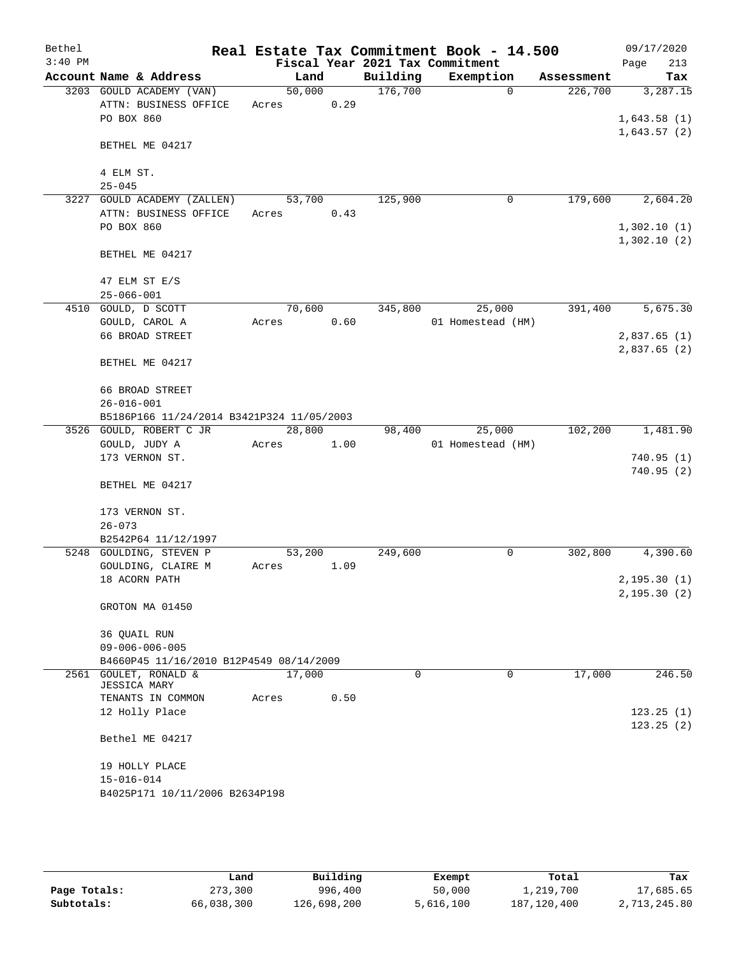| Bethel    |                                              |        |      |          | Real Estate Tax Commitment Book - 14.500 |            | 09/17/2020                   |
|-----------|----------------------------------------------|--------|------|----------|------------------------------------------|------------|------------------------------|
| $3:40$ PM |                                              |        |      |          | Fiscal Year 2021 Tax Commitment          |            | 213<br>Page                  |
|           | Account Name & Address                       | Land   |      | Building | Exemption                                | Assessment | Tax                          |
|           | 3203 GOULD ACADEMY (VAN)                     | 50,000 |      | 176,700  | $\Omega$                                 | 226,700    | 3,287.15                     |
|           | ATTN: BUSINESS OFFICE<br>PO BOX 860          | Acres  | 0.29 |          |                                          |            | 1,643.58(1)                  |
|           |                                              |        |      |          |                                          |            | 1,643.57(2)                  |
|           | BETHEL ME 04217                              |        |      |          |                                          |            |                              |
|           |                                              |        |      |          |                                          |            |                              |
|           | 4 ELM ST.                                    |        |      |          |                                          |            |                              |
|           | $25 - 045$                                   |        |      |          |                                          |            |                              |
|           | 3227 GOULD ACADEMY (ZALLEN)                  | 53,700 |      | 125,900  | 0                                        | 179,600    | 2,604.20                     |
|           | ATTN: BUSINESS OFFICE                        | Acres  | 0.43 |          |                                          |            |                              |
|           | PO BOX 860                                   |        |      |          |                                          |            | 1,302.10(1)<br>1,302.10(2)   |
|           | BETHEL ME 04217                              |        |      |          |                                          |            |                              |
|           |                                              |        |      |          |                                          |            |                              |
|           | 47 ELM ST E/S                                |        |      |          |                                          |            |                              |
|           | $25 - 066 - 001$                             |        |      |          |                                          |            |                              |
|           | 4510 GOULD, D SCOTT                          | 70,600 |      | 345,800  | 25,000                                   | 391,400    | 5,675.30                     |
|           | GOULD, CAROL A                               | Acres  | 0.60 |          | 01 Homestead (HM)                        |            |                              |
|           | 66 BROAD STREET                              |        |      |          |                                          |            | 2,837.65(1)                  |
|           |                                              |        |      |          |                                          |            | 2,837.65(2)                  |
|           | BETHEL ME 04217                              |        |      |          |                                          |            |                              |
|           | 66 BROAD STREET                              |        |      |          |                                          |            |                              |
|           | $26 - 016 - 001$                             |        |      |          |                                          |            |                              |
|           | B5186P166 11/24/2014 B3421P324 11/05/2003    |        |      |          |                                          |            |                              |
|           | 3526 GOULD, ROBERT C JR                      | 28,800 |      | 98,400   | 25,000                                   | 102,200    | 1,481.90                     |
|           | GOULD, JUDY A                                | Acres  | 1.00 |          | 01 Homestead (HM)                        |            |                              |
|           | 173 VERNON ST.                               |        |      |          |                                          |            | 740.95(1)                    |
|           | BETHEL ME 04217                              |        |      |          |                                          |            | 740.95(2)                    |
|           |                                              |        |      |          |                                          |            |                              |
|           | 173 VERNON ST.                               |        |      |          |                                          |            |                              |
|           | $26 - 073$                                   |        |      |          |                                          |            |                              |
|           | B2542P64 11/12/1997                          |        |      |          |                                          |            |                              |
|           | 5248 GOULDING, STEVEN P                      | 53,200 |      | 249,600  | 0                                        | 302,800    | 4,390.60                     |
|           | GOULDING, CLAIRE M                           | Acres  | 1.09 |          |                                          |            |                              |
|           | 18 ACORN PATH                                |        |      |          |                                          |            | 2, 195.30(1)<br>2, 195.30(2) |
|           | GROTON MA 01450                              |        |      |          |                                          |            |                              |
|           |                                              |        |      |          |                                          |            |                              |
|           | 36 QUAIL RUN                                 |        |      |          |                                          |            |                              |
|           | $09 - 006 - 006 - 005$                       |        |      |          |                                          |            |                              |
|           | B4660P45 11/16/2010 B12P4549 08/14/2009      |        |      |          |                                          |            |                              |
|           | 2561 GOULET, RONALD &<br><b>JESSICA MARY</b> | 17,000 |      | 0        | 0                                        | 17,000     | 246.50                       |
|           | TENANTS IN COMMON                            | Acres  | 0.50 |          |                                          |            |                              |
|           | 12 Holly Place                               |        |      |          |                                          |            | 123.25(1)                    |
|           |                                              |        |      |          |                                          |            | 123.25(2)                    |
|           | Bethel ME 04217                              |        |      |          |                                          |            |                              |
|           |                                              |        |      |          |                                          |            |                              |
|           | 19 HOLLY PLACE<br>$15 - 016 - 014$           |        |      |          |                                          |            |                              |
|           | B4025P171 10/11/2006 B2634P198               |        |      |          |                                          |            |                              |
|           |                                              |        |      |          |                                          |            |                              |
|           |                                              |        |      |          |                                          |            |                              |

|              | Land       | Building    | Exempt    | Total         | Tax          |
|--------------|------------|-------------|-----------|---------------|--------------|
| Page Totals: | 273,300    | 996,400     | 50,000    | 1,219,700     | 17,685.65    |
| Subtotals:   | 66,038,300 | 126,698,200 | 5,616,100 | 187, 120, 400 | 2,713,245.80 |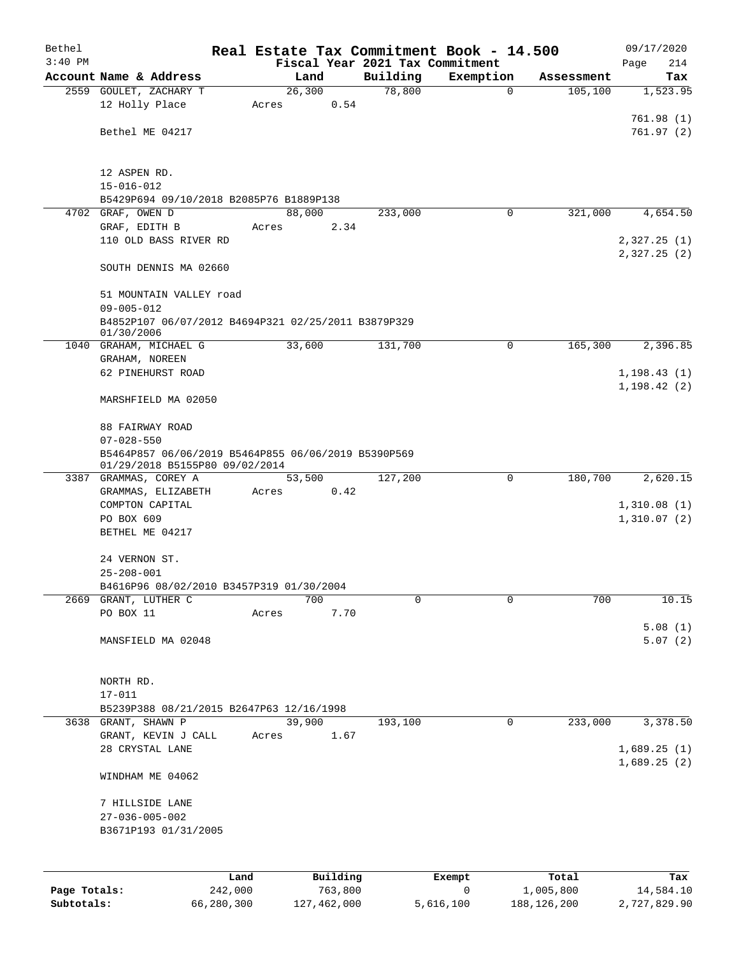| Bethel       |                                                                         |       |          | Real Estate Tax Commitment Book - 14.500 |           |             |            | 09/17/2020                 |
|--------------|-------------------------------------------------------------------------|-------|----------|------------------------------------------|-----------|-------------|------------|----------------------------|
| $3:40$ PM    |                                                                         |       |          | Fiscal Year 2021 Tax Commitment          |           |             |            | Page<br>214                |
|              | Account Name & Address                                                  |       | Land     | Building                                 | Exemption |             | Assessment | Tax                        |
|              | 2559 GOULET, ZACHARY T                                                  |       | 26,300   | 78,800                                   |           | $\mathbf 0$ | 105,100    | 1,523.95                   |
|              | 12 Holly Place                                                          | Acres | 0.54     |                                          |           |             |            | 761.98(1)                  |
|              | Bethel ME 04217                                                         |       |          |                                          |           |             |            | 761.97(2)                  |
|              |                                                                         |       |          |                                          |           |             |            |                            |
|              |                                                                         |       |          |                                          |           |             |            |                            |
|              | 12 ASPEN RD.                                                            |       |          |                                          |           |             |            |                            |
|              | $15 - 016 - 012$                                                        |       |          |                                          |           |             |            |                            |
|              | B5429P694 09/10/2018 B2085P76 B1889P138                                 |       |          |                                          |           |             |            |                            |
|              | 4702 GRAF, OWEN D                                                       |       | 88,000   | 233,000                                  |           | 0           | 321,000    | 4,654.50                   |
|              | GRAF, EDITH B<br>110 OLD BASS RIVER RD                                  | Acres | 2.34     |                                          |           |             |            | 2,327.25(1)                |
|              |                                                                         |       |          |                                          |           |             |            | 2,327.25 (2)               |
|              | SOUTH DENNIS MA 02660                                                   |       |          |                                          |           |             |            |                            |
|              |                                                                         |       |          |                                          |           |             |            |                            |
|              | 51 MOUNTAIN VALLEY road                                                 |       |          |                                          |           |             |            |                            |
|              | $09 - 005 - 012$                                                        |       |          |                                          |           |             |            |                            |
|              | B4852P107 06/07/2012 B4694P321 02/25/2011 B3879P329<br>01/30/2006       |       |          |                                          |           |             |            |                            |
|              | 1040 GRAHAM, MICHAEL G                                                  |       | 33,600   | 131,700                                  |           | 0           | 165,300    | 2,396.85                   |
|              | GRAHAM, NOREEN                                                          |       |          |                                          |           |             |            |                            |
|              | 62 PINEHURST ROAD                                                       |       |          |                                          |           |             |            | 1, 198.43(1)               |
|              |                                                                         |       |          |                                          |           |             |            | 1, 198.42(2)               |
|              | MARSHFIELD MA 02050                                                     |       |          |                                          |           |             |            |                            |
|              |                                                                         |       |          |                                          |           |             |            |                            |
|              | 88 FAIRWAY ROAD                                                         |       |          |                                          |           |             |            |                            |
|              | $07 - 028 - 550$<br>B5464P857 06/06/2019 B5464P855 06/06/2019 B5390P569 |       |          |                                          |           |             |            |                            |
|              | 01/29/2018 B5155P80 09/02/2014                                          |       |          |                                          |           |             |            |                            |
|              | 3387 GRAMMAS, COREY A                                                   |       | 53,500   | 127,200                                  |           | 0           | 180,700    | 2,620.15                   |
|              | GRAMMAS, ELIZABETH                                                      | Acres | 0.42     |                                          |           |             |            |                            |
|              | COMPTON CAPITAL                                                         |       |          |                                          |           |             |            | 1,310.08(1)                |
|              | PO BOX 609<br>BETHEL ME 04217                                           |       |          |                                          |           |             |            | 1,310.07(2)                |
|              |                                                                         |       |          |                                          |           |             |            |                            |
|              | 24 VERNON ST.                                                           |       |          |                                          |           |             |            |                            |
|              | $25 - 208 - 001$                                                        |       |          |                                          |           |             |            |                            |
|              | B4616P96 08/02/2010 B3457P319 01/30/2004                                |       |          |                                          |           |             |            |                            |
| 2669         | GRANT, LUTHER C                                                         |       | 700      | 0                                        |           | $\mathbf 0$ | 700        | 10.15                      |
|              | PO BOX 11                                                               | Acres | 7.70     |                                          |           |             |            |                            |
|              |                                                                         |       |          |                                          |           |             |            | 5.08(1)                    |
|              | MANSFIELD MA 02048                                                      |       |          |                                          |           |             |            | 5.07(2)                    |
|              |                                                                         |       |          |                                          |           |             |            |                            |
|              | NORTH RD.                                                               |       |          |                                          |           |             |            |                            |
|              | $17 - 011$                                                              |       |          |                                          |           |             |            |                            |
|              | B5239P388 08/21/2015 B2647P63 12/16/1998                                |       |          |                                          |           |             |            |                            |
|              | 3638 GRANT, SHAWN P                                                     |       | 39,900   | 193,100                                  |           | 0           | 233,000    | 3,378.50                   |
|              | GRANT, KEVIN J CALL                                                     | Acres | 1.67     |                                          |           |             |            |                            |
|              | 28 CRYSTAL LANE                                                         |       |          |                                          |           |             |            | 1,689.25(1)<br>1,689.25(2) |
|              | WINDHAM ME 04062                                                        |       |          |                                          |           |             |            |                            |
|              |                                                                         |       |          |                                          |           |             |            |                            |
|              | 7 HILLSIDE LANE                                                         |       |          |                                          |           |             |            |                            |
|              | $27 - 036 - 005 - 002$                                                  |       |          |                                          |           |             |            |                            |
|              | B3671P193 01/31/2005                                                    |       |          |                                          |           |             |            |                            |
|              |                                                                         |       |          |                                          |           |             |            |                            |
|              |                                                                         |       |          |                                          |           |             |            |                            |
|              | Land                                                                    |       | Building |                                          | Exempt    |             | Total      | Tax                        |
| Page Totals: | 242,000                                                                 |       | 763,800  |                                          | 0         |             | 1,005,800  | 14,584.10                  |

**Subtotals:** 66,280,300 127,462,000 5,616,100 188,126,200 2,727,829.90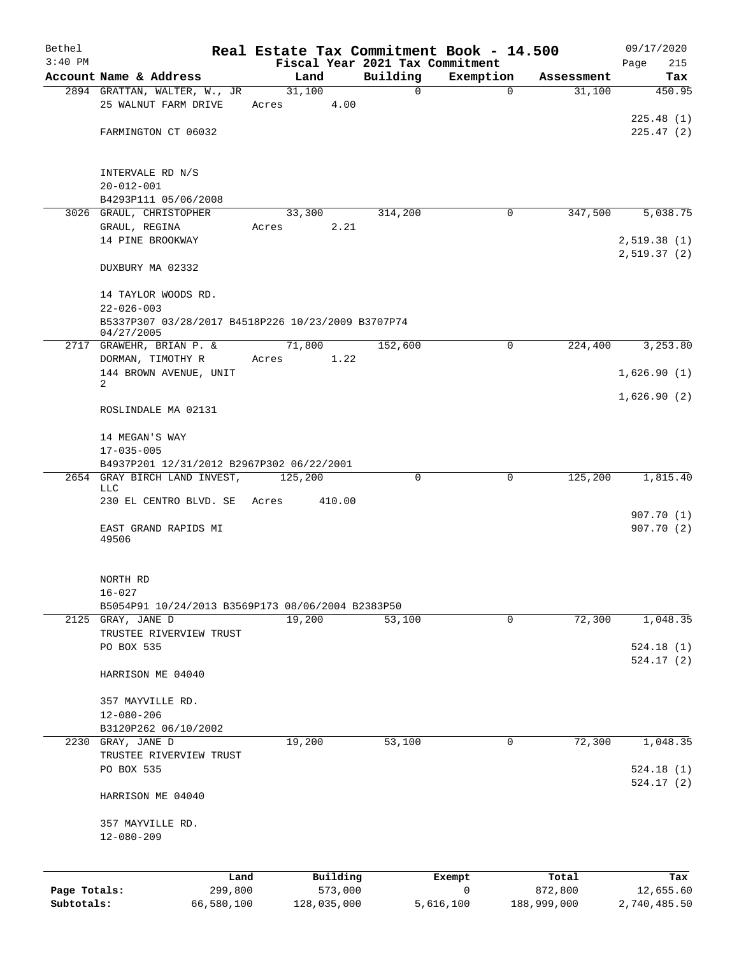| Bethel       |                                                      |                 |             |                                 | Real Estate Tax Commitment Book - 14.500 |                        | 09/17/2020                |
|--------------|------------------------------------------------------|-----------------|-------------|---------------------------------|------------------------------------------|------------------------|---------------------------|
| $3:40$ PM    |                                                      |                 |             | Fiscal Year 2021 Tax Commitment |                                          |                        | 215<br>Page               |
|              | Account Name & Address                               |                 | Land        | Building<br>$\Omega$            | Exemption<br>$\Omega$                    | Assessment             | Tax                       |
|              | 2894 GRATTAN, WALTER, W., JR<br>25 WALNUT FARM DRIVE | 31,100<br>Acres | 4.00        |                                 |                                          | 31,100                 | 450.95                    |
|              |                                                      |                 |             |                                 |                                          |                        | 225.48(1)                 |
|              | FARMINGTON CT 06032                                  |                 |             |                                 |                                          |                        | 225.47(2)                 |
|              |                                                      |                 |             |                                 |                                          |                        |                           |
|              |                                                      |                 |             |                                 |                                          |                        |                           |
|              | INTERVALE RD N/S                                     |                 |             |                                 |                                          |                        |                           |
|              | $20 - 012 - 001$<br>B4293P111 05/06/2008             |                 |             |                                 |                                          |                        |                           |
|              | 3026 GRAUL, CHRISTOPHER                              |                 | 33,300      | 314,200                         | 0                                        | 347,500                | 5,038.75                  |
|              | GRAUL, REGINA                                        | Acres           | 2.21        |                                 |                                          |                        |                           |
|              | 14 PINE BROOKWAY                                     |                 |             |                                 |                                          |                        | 2,519.38(1)               |
|              |                                                      |                 |             |                                 |                                          |                        | 2,519.37(2)               |
|              | DUXBURY MA 02332                                     |                 |             |                                 |                                          |                        |                           |
|              | 14 TAYLOR WOODS RD.                                  |                 |             |                                 |                                          |                        |                           |
|              | $22 - 026 - 003$                                     |                 |             |                                 |                                          |                        |                           |
|              | B5337P307 03/28/2017 B4518P226 10/23/2009 B3707P74   |                 |             |                                 |                                          |                        |                           |
|              | 04/27/2005                                           |                 |             |                                 |                                          |                        |                           |
| 2717         | GRAWEHR, BRIAN P. &                                  | 71,800          |             | 152,600                         | 0                                        | 224,400                | 3,253.80                  |
|              | DORMAN, TIMOTHY R                                    | Acres           | 1.22        |                                 |                                          |                        |                           |
|              | 144 BROWN AVENUE, UNIT                               |                 |             |                                 |                                          |                        | 1,626.90(1)               |
|              | 2                                                    |                 |             |                                 |                                          |                        |                           |
|              | ROSLINDALE MA 02131                                  |                 |             |                                 |                                          |                        | 1,626.90(2)               |
|              |                                                      |                 |             |                                 |                                          |                        |                           |
|              | 14 MEGAN'S WAY                                       |                 |             |                                 |                                          |                        |                           |
|              | $17 - 035 - 005$                                     |                 |             |                                 |                                          |                        |                           |
|              | B4937P201 12/31/2012 B2967P302 06/22/2001            |                 |             |                                 |                                          |                        |                           |
|              | 2654 GRAY BIRCH LAND INVEST,                         | 125,200         |             | 0                               | 0                                        | 125,200                | 1,815.40                  |
|              | <b>LLC</b>                                           |                 |             |                                 |                                          |                        |                           |
|              | 230 EL CENTRO BLVD. SE                               | Acres           | 410.00      |                                 |                                          |                        | 907.70(1)                 |
|              | EAST GRAND RAPIDS MI                                 |                 |             |                                 |                                          |                        | 907.70(2)                 |
|              | 49506                                                |                 |             |                                 |                                          |                        |                           |
|              |                                                      |                 |             |                                 |                                          |                        |                           |
|              | NORTH RD                                             |                 |             |                                 |                                          |                        |                           |
|              | $16 - 027$                                           |                 |             |                                 |                                          |                        |                           |
|              | B5054P91 10/24/2013 B3569P173 08/06/2004 B2383P50    |                 |             |                                 |                                          |                        |                           |
|              | 2125 GRAY, JANE D                                    |                 | 19,200      | 53,100                          | 0                                        | 72,300                 | 1,048.35                  |
|              | TRUSTEE RIVERVIEW TRUST                              |                 |             |                                 |                                          |                        |                           |
|              | PO BOX 535                                           |                 |             |                                 |                                          |                        | 524.18(1)                 |
|              |                                                      |                 |             |                                 |                                          |                        | 524.17(2)                 |
|              | HARRISON ME 04040                                    |                 |             |                                 |                                          |                        |                           |
|              |                                                      |                 |             |                                 |                                          |                        |                           |
|              | 357 MAYVILLE RD.<br>$12 - 080 - 206$                 |                 |             |                                 |                                          |                        |                           |
|              | B3120P262 06/10/2002                                 |                 |             |                                 |                                          |                        |                           |
|              | 2230 GRAY, JANE D                                    | 19,200          |             | 53, 100                         | $\mathbf 0$                              | 72,300                 | 1,048.35                  |
|              | TRUSTEE RIVERVIEW TRUST                              |                 |             |                                 |                                          |                        |                           |
|              | PO BOX 535                                           |                 |             |                                 |                                          |                        | 524.18(1)                 |
|              |                                                      |                 |             |                                 |                                          |                        | 524.17(2)                 |
|              | HARRISON ME 04040                                    |                 |             |                                 |                                          |                        |                           |
|              | 357 MAYVILLE RD.                                     |                 |             |                                 |                                          |                        |                           |
|              | $12 - 080 - 209$                                     |                 |             |                                 |                                          |                        |                           |
|              |                                                      |                 |             |                                 |                                          |                        |                           |
|              |                                                      |                 |             |                                 |                                          |                        |                           |
|              | Land                                                 |                 | Building    |                                 | Exempt                                   | Total                  | Tax                       |
| Page Totals: | 299,800<br>66,580,100                                |                 | 573,000     |                                 | 0<br>5,616,100                           | 872,800<br>188,999,000 | 12,655.60<br>2,740,485.50 |
| Subtotals:   |                                                      |                 | 128,035,000 |                                 |                                          |                        |                           |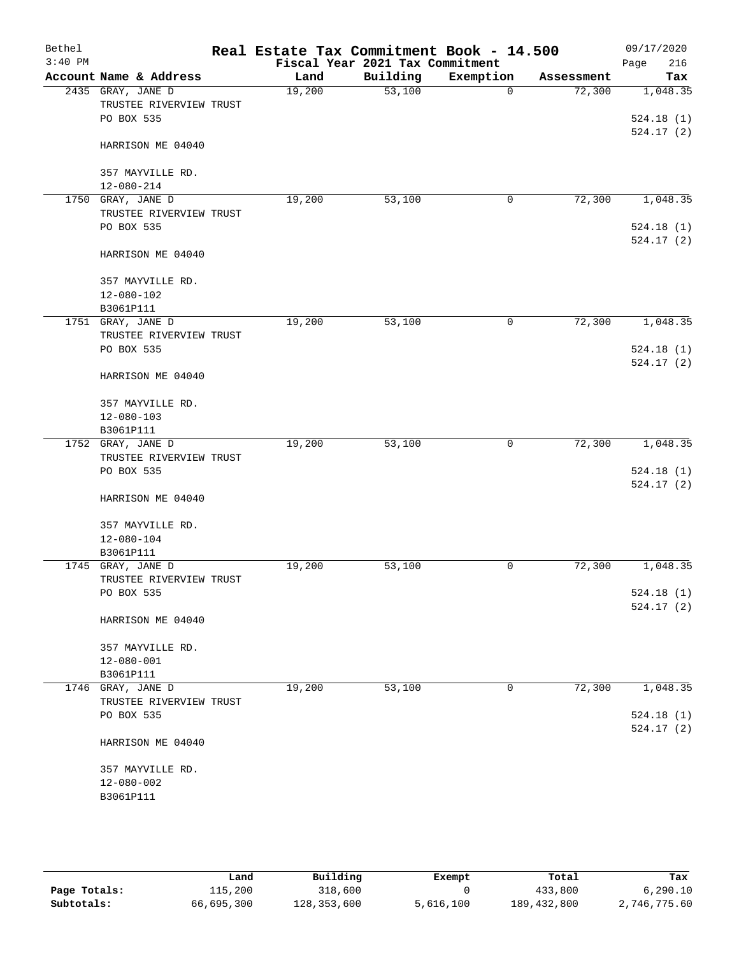| Bethel<br>$3:40$ PM |                                  | Real Estate Tax Commitment Book - 14.500 | Fiscal Year 2021 Tax Commitment |             |            | 09/17/2020<br>Page<br>216 |
|---------------------|----------------------------------|------------------------------------------|---------------------------------|-------------|------------|---------------------------|
|                     | Account Name & Address           | Land                                     | Building                        | Exemption   | Assessment | Tax                       |
|                     | 2435 GRAY, JANE D                | 19,200                                   | 53,100                          | $\mathbf 0$ | 72,300     | 1,048.35                  |
|                     | TRUSTEE RIVERVIEW TRUST          |                                          |                                 |             |            |                           |
|                     | PO BOX 535                       |                                          |                                 |             |            | 524.18(1)                 |
|                     |                                  |                                          |                                 |             |            | 524.17(2)                 |
|                     | HARRISON ME 04040                |                                          |                                 |             |            |                           |
|                     |                                  |                                          |                                 |             |            |                           |
|                     | 357 MAYVILLE RD.                 |                                          |                                 |             |            |                           |
| 1750                | $12 - 080 - 214$<br>GRAY, JANE D |                                          | 53,100                          |             | 72,300     | 1,048.35                  |
|                     | TRUSTEE RIVERVIEW TRUST          | 19,200                                   |                                 | 0           |            |                           |
|                     | PO BOX 535                       |                                          |                                 |             |            | 524.18(1)                 |
|                     |                                  |                                          |                                 |             |            | 524.17(2)                 |
|                     | HARRISON ME 04040                |                                          |                                 |             |            |                           |
|                     | 357 MAYVILLE RD.                 |                                          |                                 |             |            |                           |
|                     | 12-080-102                       |                                          |                                 |             |            |                           |
|                     | B3061P111                        |                                          |                                 |             |            |                           |
|                     | 1751 GRAY, JANE D                | 19,200                                   | 53,100                          | 0           | 72,300     | 1,048.35                  |
|                     | TRUSTEE RIVERVIEW TRUST          |                                          |                                 |             |            |                           |
|                     | PO BOX 535                       |                                          |                                 |             |            | 524.18(1)<br>524.17(2)    |
|                     | HARRISON ME 04040                |                                          |                                 |             |            |                           |
|                     | 357 MAYVILLE RD.                 |                                          |                                 |             |            |                           |
|                     | $12 - 080 - 103$                 |                                          |                                 |             |            |                           |
|                     | B3061P111                        |                                          |                                 |             |            |                           |
|                     | 1752 GRAY, JANE D                | 19,200                                   | 53,100                          | 0           | 72,300     | 1,048.35                  |
|                     | TRUSTEE RIVERVIEW TRUST          |                                          |                                 |             |            |                           |
|                     | PO BOX 535                       |                                          |                                 |             |            | 524.18(1)                 |
|                     | HARRISON ME 04040                |                                          |                                 |             |            | 524.17(2)                 |
|                     | 357 MAYVILLE RD.                 |                                          |                                 |             |            |                           |
|                     | $12 - 080 - 104$                 |                                          |                                 |             |            |                           |
|                     | B3061P111                        |                                          |                                 |             |            |                           |
|                     | 1745 GRAY, JANE D                | 19,200                                   | 53,100                          | 0           | 72,300     | 1,048.35                  |
|                     | TRUSTEE RIVERVIEW TRUST          |                                          |                                 |             |            |                           |
|                     | PO BOX 535                       |                                          |                                 |             |            | 524.18(1)                 |
|                     |                                  |                                          |                                 |             |            | 524.17(2)                 |
|                     | HARRISON ME 04040                |                                          |                                 |             |            |                           |
|                     | 357 MAYVILLE RD.                 |                                          |                                 |             |            |                           |
|                     | $12 - 080 - 001$                 |                                          |                                 |             |            |                           |
|                     | B3061P111                        |                                          |                                 |             |            |                           |
|                     | 1746 GRAY, JANE D                | 19,200                                   | 53,100                          | 0           | 72,300     | 1,048.35                  |
|                     | TRUSTEE RIVERVIEW TRUST          |                                          |                                 |             |            |                           |
|                     | PO BOX 535                       |                                          |                                 |             |            | 524.18(1)                 |
|                     | HARRISON ME 04040                |                                          |                                 |             |            | 524.17(2)                 |
|                     | 357 MAYVILLE RD.                 |                                          |                                 |             |            |                           |
|                     | $12 - 080 - 002$                 |                                          |                                 |             |            |                           |
|                     | B3061P111                        |                                          |                                 |             |            |                           |
|                     |                                  |                                          |                                 |             |            |                           |

|              | Land       | Building    | Exempt    | Total         | Tax          |
|--------------|------------|-------------|-----------|---------------|--------------|
| Page Totals: | 115,200    | 318,600     |           | 433,800       | 6, 290.10    |
| Subtotals:   | 66,695,300 | 128,353,600 | 5,616,100 | 189, 432, 800 | 2,746,775.60 |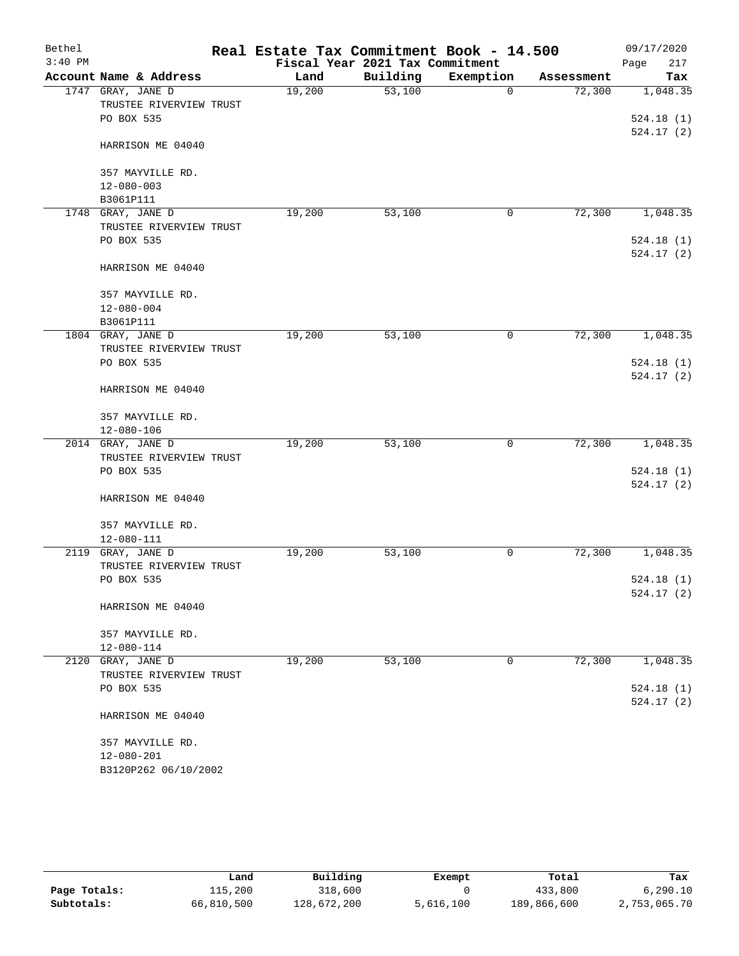| Bethel    |                         | Real Estate Tax Commitment Book - 14.500 |                                 |             |            | 09/17/2020             |
|-----------|-------------------------|------------------------------------------|---------------------------------|-------------|------------|------------------------|
| $3:40$ PM |                         |                                          | Fiscal Year 2021 Tax Commitment |             |            | 217<br>Page            |
|           | Account Name & Address  | Land                                     | Building                        | Exemption   | Assessment | Tax                    |
|           | 1747 GRAY, JANE D       | 19,200                                   | 53,100                          | $\mathbf 0$ | 72,300     | 1,048.35               |
|           | TRUSTEE RIVERVIEW TRUST |                                          |                                 |             |            |                        |
|           | PO BOX 535              |                                          |                                 |             |            | 524.18(1)<br>524.17(2) |
|           | HARRISON ME 04040       |                                          |                                 |             |            |                        |
|           | 357 MAYVILLE RD.        |                                          |                                 |             |            |                        |
|           | $12 - 080 - 003$        |                                          |                                 |             |            |                        |
|           | B3061P111               |                                          |                                 |             |            |                        |
|           | 1748 GRAY, JANE D       | 19,200                                   | 53,100                          | 0           | 72,300     | 1,048.35               |
|           | TRUSTEE RIVERVIEW TRUST |                                          |                                 |             |            |                        |
|           | PO BOX 535              |                                          |                                 |             |            | 524.18(1)<br>524.17(2) |
|           | HARRISON ME 04040       |                                          |                                 |             |            |                        |
|           | 357 MAYVILLE RD.        |                                          |                                 |             |            |                        |
|           | $12 - 080 - 004$        |                                          |                                 |             |            |                        |
|           | B3061P111               |                                          |                                 |             |            |                        |
|           | 1804 GRAY, JANE D       | 19,200                                   | 53,100                          | 0           | 72,300     | 1,048.35               |
|           | TRUSTEE RIVERVIEW TRUST |                                          |                                 |             |            |                        |
|           | PO BOX 535              |                                          |                                 |             |            | 524.18(1)              |
|           | HARRISON ME 04040       |                                          |                                 |             |            | 524.17(2)              |
|           | 357 MAYVILLE RD.        |                                          |                                 |             |            |                        |
|           | $12 - 080 - 106$        |                                          |                                 |             |            |                        |
|           | 2014 GRAY, JANE D       | 19,200                                   | 53,100                          | 0           | 72,300     | 1,048.35               |
|           | TRUSTEE RIVERVIEW TRUST |                                          |                                 |             |            |                        |
|           | PO BOX 535              |                                          |                                 |             |            | 524.18(1)              |
|           |                         |                                          |                                 |             |            | 524.17(2)              |
|           | HARRISON ME 04040       |                                          |                                 |             |            |                        |
|           | 357 MAYVILLE RD.        |                                          |                                 |             |            |                        |
|           | $12 - 080 - 111$        |                                          |                                 |             |            |                        |
|           | 2119 GRAY, JANE D       | 19,200                                   | 53,100                          | 0           | 72,300     | 1,048.35               |
|           | TRUSTEE RIVERVIEW TRUST |                                          |                                 |             |            |                        |
|           | PO BOX 535              |                                          |                                 |             |            | 524.18(1)              |
|           | HARRISON ME 04040       |                                          |                                 |             |            | 524.17(2)              |
|           |                         |                                          |                                 |             |            |                        |
|           | 357 MAYVILLE RD.        |                                          |                                 |             |            |                        |
|           | 12-080-114              |                                          |                                 |             |            |                        |
|           | 2120 GRAY, JANE D       | 19,200                                   | 53,100                          | 0           | 72,300     | 1,048.35               |
|           | TRUSTEE RIVERVIEW TRUST |                                          |                                 |             |            |                        |
|           | PO BOX 535              |                                          |                                 |             |            | 524.18(1)              |
|           | HARRISON ME 04040       |                                          |                                 |             |            | 524.17(2)              |
|           | 357 MAYVILLE RD.        |                                          |                                 |             |            |                        |
|           | 12-080-201              |                                          |                                 |             |            |                        |
|           | B3120P262 06/10/2002    |                                          |                                 |             |            |                        |
|           |                         |                                          |                                 |             |            |                        |

|              | Land       | Building    | Exempt    | Total       | Tax          |
|--------------|------------|-------------|-----------|-------------|--------------|
| Page Totals: | 115,200    | 318,600     |           | 433,800     | 6.290.10     |
| Subtotals:   | 66,810,500 | 128,672,200 | 5,616,100 | 189,866,600 | 2,753,065.70 |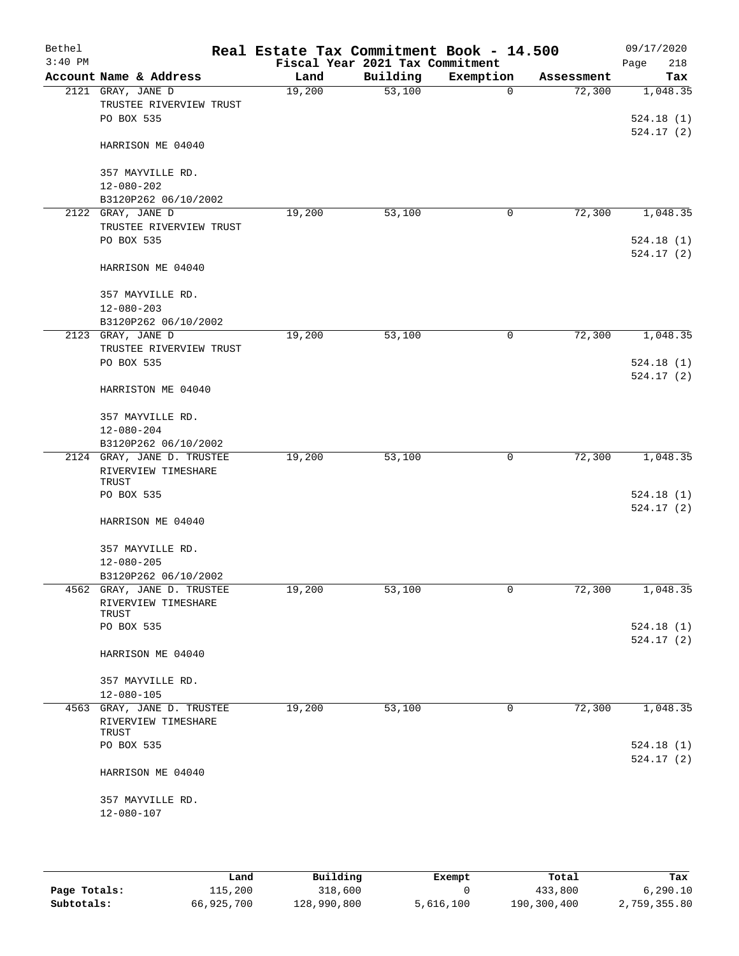| Bethel<br>$3:40$ PM |                                                            | Real Estate Tax Commitment Book - 14.500 | Fiscal Year 2021 Tax Commitment |             |            | 09/17/2020<br>218<br>Page |
|---------------------|------------------------------------------------------------|------------------------------------------|---------------------------------|-------------|------------|---------------------------|
|                     | Account Name & Address                                     | Land                                     | Building                        | Exemption   | Assessment | Tax                       |
|                     | 2121 GRAY, JANE D<br>TRUSTEE RIVERVIEW TRUST<br>PO BOX 535 | 19,200                                   | 53,100                          | $\mathbf 0$ | 72,300     | 1,048.35<br>524.18(1)     |
|                     | HARRISON ME 04040                                          |                                          |                                 |             |            | 524.17(2)                 |
|                     | 357 MAYVILLE RD.<br>$12 - 080 - 202$                       |                                          |                                 |             |            |                           |
|                     | B3120P262 06/10/2002<br>2122 GRAY, JANE D                  | 19,200                                   | 53,100                          | 0           | 72,300     | 1,048.35                  |
|                     | TRUSTEE RIVERVIEW TRUST<br>PO BOX 535                      |                                          |                                 |             |            | 524.18(1)<br>524.17(2)    |
|                     | HARRISON ME 04040                                          |                                          |                                 |             |            |                           |
|                     | 357 MAYVILLE RD.<br>$12 - 080 - 203$                       |                                          |                                 |             |            |                           |
|                     | B3120P262 06/10/2002                                       |                                          | 53,100                          | 0           | 72,300     |                           |
|                     | 2123 GRAY, JANE D<br>TRUSTEE RIVERVIEW TRUST               | 19,200                                   |                                 |             |            | 1,048.35                  |
|                     | PO BOX 535                                                 |                                          |                                 |             |            | 524.18(1)<br>524.17(2)    |
|                     | HARRISTON ME 04040                                         |                                          |                                 |             |            |                           |
|                     | 357 MAYVILLE RD.                                           |                                          |                                 |             |            |                           |
|                     | $12 - 080 - 204$<br>B3120P262 06/10/2002                   |                                          |                                 |             |            |                           |
|                     | 2124 GRAY, JANE D. TRUSTEE                                 | 19,200                                   | 53,100                          | 0           | 72,300     | 1,048.35                  |
|                     | RIVERVIEW TIMESHARE<br>TRUST                               |                                          |                                 |             |            |                           |
|                     | PO BOX 535                                                 |                                          |                                 |             |            | 524.18(1)<br>524.17(2)    |
|                     | HARRISON ME 04040                                          |                                          |                                 |             |            |                           |
|                     | 357 MAYVILLE RD.<br>$12 - 080 - 205$                       |                                          |                                 |             |            |                           |
|                     | B3120P262 06/10/2002                                       |                                          |                                 |             |            |                           |
|                     | 4562 GRAY, JANE D. TRUSTEE<br>RIVERVIEW TIMESHARE          | 19,200                                   | 53,100                          | 0           | 72,300     | 1,048.35                  |
|                     | TRUST<br>PO BOX 535                                        |                                          |                                 |             |            | 524.18(1)                 |
|                     |                                                            |                                          |                                 |             |            | 524.17(2)                 |
|                     | HARRISON ME 04040                                          |                                          |                                 |             |            |                           |
|                     | 357 MAYVILLE RD.<br>$12 - 080 - 105$                       |                                          |                                 |             |            |                           |
|                     | 4563 GRAY, JANE D. TRUSTEE<br>RIVERVIEW TIMESHARE<br>TRUST | 19,200                                   | 53,100                          | 0           | 72,300     | 1,048.35                  |
|                     | PO BOX 535                                                 |                                          |                                 |             |            | 524.18(1)<br>524.17(2)    |
|                     | HARRISON ME 04040                                          |                                          |                                 |             |            |                           |
|                     | 357 MAYVILLE RD.<br>12-080-107                             |                                          |                                 |             |            |                           |
|                     |                                                            |                                          |                                 |             |            |                           |

|              | Land       | Building    | Exempt    | Total       | Tax          |
|--------------|------------|-------------|-----------|-------------|--------------|
| Page Totals: | 115,200    | 318,600     |           | 433,800     | 6, 290, 10   |
| Subtotals:   | 66,925,700 | 128,990,800 | 5,616,100 | 190,300,400 | 2,759,355.80 |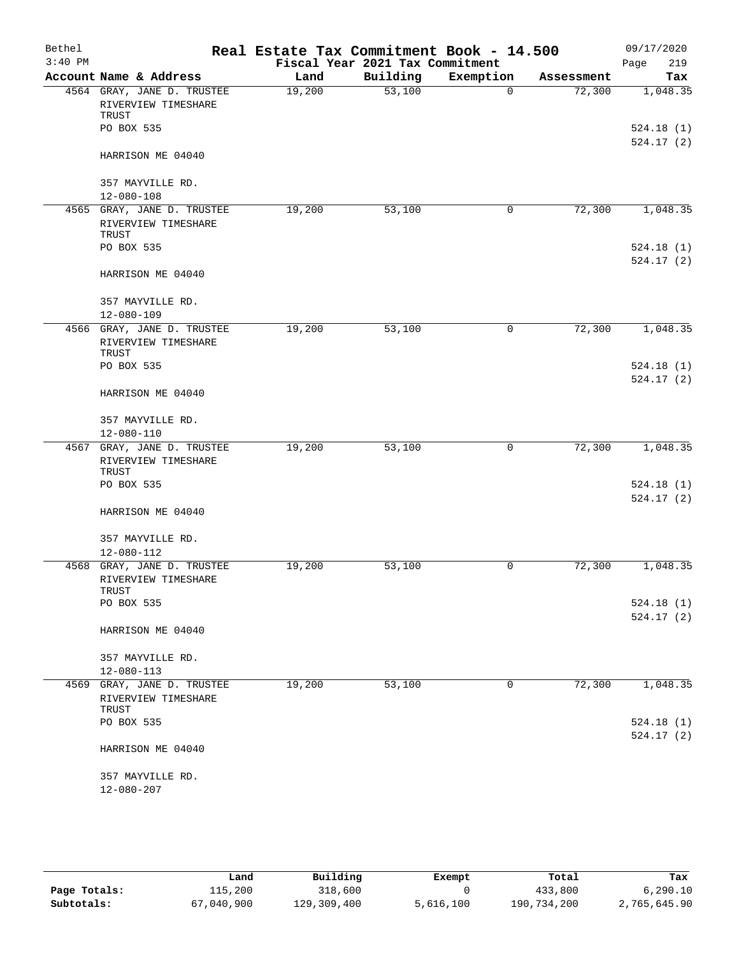| $3:40$ PM<br>Fiscal Year 2021 Tax Commitment<br>Page<br>Building<br>Exemption<br>Account Name & Address<br>Land<br>Assessment<br>53,100<br>4564 GRAY, JANE D. TRUSTEE<br>19,200<br>72,300<br>$\Omega$<br>RIVERVIEW TIMESHARE<br>TRUST<br>PO BOX 535<br>HARRISON ME 04040<br>357 MAYVILLE RD.<br>$12 - 080 - 108$<br>4565 GRAY, JANE D. TRUSTEE<br>19,200<br>72,300<br>53,100<br>0<br>RIVERVIEW TIMESHARE<br>TRUST<br>PO BOX 535<br>524.17(2)<br>HARRISON ME 04040<br>357 MAYVILLE RD.<br>$12 - 080 - 109$<br>72,300<br>4566 GRAY, JANE D. TRUSTEE<br>19,200<br>53,100<br>0<br>RIVERVIEW TIMESHARE<br>TRUST<br>524.18(1)<br>PO BOX 535<br>524.17(2)<br>HARRISON ME 04040<br>357 MAYVILLE RD.<br>12-080-110<br>4567 GRAY, JANE D. TRUSTEE<br>19,200<br>53,100<br>72,300<br>0<br>RIVERVIEW TIMESHARE<br>TRUST<br>PO BOX 535<br>HARRISON ME 04040<br>357 MAYVILLE RD.<br>$12 - 080 - 112$<br>4568 GRAY, JANE D. TRUSTEE<br>72,300<br>19,200<br>53,100<br>0<br>RIVERVIEW TIMESHARE<br>TRUST<br>PO BOX 535<br>524.18(1)<br>524.17(2)<br>HARRISON ME 04040<br>357 MAYVILLE RD.<br>12-080-113<br>72,300<br>4569 GRAY, JANE D. TRUSTEE<br>19,200<br>53,100<br>0<br>RIVERVIEW TIMESHARE<br>TRUST<br>PO BOX 535<br>HARRISON ME 04040<br>357 MAYVILLE RD.<br>$12 - 080 - 207$ | Bethel | Real Estate Tax Commitment Book - 14.500 |  | 09/17/2020 |
|-------------------------------------------------------------------------------------------------------------------------------------------------------------------------------------------------------------------------------------------------------------------------------------------------------------------------------------------------------------------------------------------------------------------------------------------------------------------------------------------------------------------------------------------------------------------------------------------------------------------------------------------------------------------------------------------------------------------------------------------------------------------------------------------------------------------------------------------------------------------------------------------------------------------------------------------------------------------------------------------------------------------------------------------------------------------------------------------------------------------------------------------------------------------------------------------------------------------------------------------------------------------|--------|------------------------------------------|--|------------|
|                                                                                                                                                                                                                                                                                                                                                                                                                                                                                                                                                                                                                                                                                                                                                                                                                                                                                                                                                                                                                                                                                                                                                                                                                                                                   |        |                                          |  | 219        |
|                                                                                                                                                                                                                                                                                                                                                                                                                                                                                                                                                                                                                                                                                                                                                                                                                                                                                                                                                                                                                                                                                                                                                                                                                                                                   |        |                                          |  | Tax        |
|                                                                                                                                                                                                                                                                                                                                                                                                                                                                                                                                                                                                                                                                                                                                                                                                                                                                                                                                                                                                                                                                                                                                                                                                                                                                   |        |                                          |  | 1,048.35   |
|                                                                                                                                                                                                                                                                                                                                                                                                                                                                                                                                                                                                                                                                                                                                                                                                                                                                                                                                                                                                                                                                                                                                                                                                                                                                   |        |                                          |  |            |
|                                                                                                                                                                                                                                                                                                                                                                                                                                                                                                                                                                                                                                                                                                                                                                                                                                                                                                                                                                                                                                                                                                                                                                                                                                                                   |        |                                          |  | 524.18(1)  |
|                                                                                                                                                                                                                                                                                                                                                                                                                                                                                                                                                                                                                                                                                                                                                                                                                                                                                                                                                                                                                                                                                                                                                                                                                                                                   |        |                                          |  | 524.17(2)  |
|                                                                                                                                                                                                                                                                                                                                                                                                                                                                                                                                                                                                                                                                                                                                                                                                                                                                                                                                                                                                                                                                                                                                                                                                                                                                   |        |                                          |  |            |
|                                                                                                                                                                                                                                                                                                                                                                                                                                                                                                                                                                                                                                                                                                                                                                                                                                                                                                                                                                                                                                                                                                                                                                                                                                                                   |        |                                          |  |            |
|                                                                                                                                                                                                                                                                                                                                                                                                                                                                                                                                                                                                                                                                                                                                                                                                                                                                                                                                                                                                                                                                                                                                                                                                                                                                   |        |                                          |  |            |
|                                                                                                                                                                                                                                                                                                                                                                                                                                                                                                                                                                                                                                                                                                                                                                                                                                                                                                                                                                                                                                                                                                                                                                                                                                                                   |        |                                          |  | 1,048.35   |
|                                                                                                                                                                                                                                                                                                                                                                                                                                                                                                                                                                                                                                                                                                                                                                                                                                                                                                                                                                                                                                                                                                                                                                                                                                                                   |        |                                          |  |            |
|                                                                                                                                                                                                                                                                                                                                                                                                                                                                                                                                                                                                                                                                                                                                                                                                                                                                                                                                                                                                                                                                                                                                                                                                                                                                   |        |                                          |  | 524.18(1)  |
|                                                                                                                                                                                                                                                                                                                                                                                                                                                                                                                                                                                                                                                                                                                                                                                                                                                                                                                                                                                                                                                                                                                                                                                                                                                                   |        |                                          |  |            |
|                                                                                                                                                                                                                                                                                                                                                                                                                                                                                                                                                                                                                                                                                                                                                                                                                                                                                                                                                                                                                                                                                                                                                                                                                                                                   |        |                                          |  |            |
|                                                                                                                                                                                                                                                                                                                                                                                                                                                                                                                                                                                                                                                                                                                                                                                                                                                                                                                                                                                                                                                                                                                                                                                                                                                                   |        |                                          |  |            |
|                                                                                                                                                                                                                                                                                                                                                                                                                                                                                                                                                                                                                                                                                                                                                                                                                                                                                                                                                                                                                                                                                                                                                                                                                                                                   |        |                                          |  | 1,048.35   |
|                                                                                                                                                                                                                                                                                                                                                                                                                                                                                                                                                                                                                                                                                                                                                                                                                                                                                                                                                                                                                                                                                                                                                                                                                                                                   |        |                                          |  |            |
|                                                                                                                                                                                                                                                                                                                                                                                                                                                                                                                                                                                                                                                                                                                                                                                                                                                                                                                                                                                                                                                                                                                                                                                                                                                                   |        |                                          |  |            |
|                                                                                                                                                                                                                                                                                                                                                                                                                                                                                                                                                                                                                                                                                                                                                                                                                                                                                                                                                                                                                                                                                                                                                                                                                                                                   |        |                                          |  |            |
|                                                                                                                                                                                                                                                                                                                                                                                                                                                                                                                                                                                                                                                                                                                                                                                                                                                                                                                                                                                                                                                                                                                                                                                                                                                                   |        |                                          |  |            |
|                                                                                                                                                                                                                                                                                                                                                                                                                                                                                                                                                                                                                                                                                                                                                                                                                                                                                                                                                                                                                                                                                                                                                                                                                                                                   |        |                                          |  |            |
|                                                                                                                                                                                                                                                                                                                                                                                                                                                                                                                                                                                                                                                                                                                                                                                                                                                                                                                                                                                                                                                                                                                                                                                                                                                                   |        |                                          |  |            |
|                                                                                                                                                                                                                                                                                                                                                                                                                                                                                                                                                                                                                                                                                                                                                                                                                                                                                                                                                                                                                                                                                                                                                                                                                                                                   |        |                                          |  | 1,048.35   |
|                                                                                                                                                                                                                                                                                                                                                                                                                                                                                                                                                                                                                                                                                                                                                                                                                                                                                                                                                                                                                                                                                                                                                                                                                                                                   |        |                                          |  |            |
|                                                                                                                                                                                                                                                                                                                                                                                                                                                                                                                                                                                                                                                                                                                                                                                                                                                                                                                                                                                                                                                                                                                                                                                                                                                                   |        |                                          |  | 524.18(1)  |
|                                                                                                                                                                                                                                                                                                                                                                                                                                                                                                                                                                                                                                                                                                                                                                                                                                                                                                                                                                                                                                                                                                                                                                                                                                                                   |        |                                          |  | 524.17(2)  |
|                                                                                                                                                                                                                                                                                                                                                                                                                                                                                                                                                                                                                                                                                                                                                                                                                                                                                                                                                                                                                                                                                                                                                                                                                                                                   |        |                                          |  |            |
|                                                                                                                                                                                                                                                                                                                                                                                                                                                                                                                                                                                                                                                                                                                                                                                                                                                                                                                                                                                                                                                                                                                                                                                                                                                                   |        |                                          |  |            |
|                                                                                                                                                                                                                                                                                                                                                                                                                                                                                                                                                                                                                                                                                                                                                                                                                                                                                                                                                                                                                                                                                                                                                                                                                                                                   |        |                                          |  |            |
|                                                                                                                                                                                                                                                                                                                                                                                                                                                                                                                                                                                                                                                                                                                                                                                                                                                                                                                                                                                                                                                                                                                                                                                                                                                                   |        |                                          |  | 1,048.35   |
|                                                                                                                                                                                                                                                                                                                                                                                                                                                                                                                                                                                                                                                                                                                                                                                                                                                                                                                                                                                                                                                                                                                                                                                                                                                                   |        |                                          |  |            |
|                                                                                                                                                                                                                                                                                                                                                                                                                                                                                                                                                                                                                                                                                                                                                                                                                                                                                                                                                                                                                                                                                                                                                                                                                                                                   |        |                                          |  |            |
|                                                                                                                                                                                                                                                                                                                                                                                                                                                                                                                                                                                                                                                                                                                                                                                                                                                                                                                                                                                                                                                                                                                                                                                                                                                                   |        |                                          |  |            |
|                                                                                                                                                                                                                                                                                                                                                                                                                                                                                                                                                                                                                                                                                                                                                                                                                                                                                                                                                                                                                                                                                                                                                                                                                                                                   |        |                                          |  |            |
|                                                                                                                                                                                                                                                                                                                                                                                                                                                                                                                                                                                                                                                                                                                                                                                                                                                                                                                                                                                                                                                                                                                                                                                                                                                                   |        |                                          |  |            |
|                                                                                                                                                                                                                                                                                                                                                                                                                                                                                                                                                                                                                                                                                                                                                                                                                                                                                                                                                                                                                                                                                                                                                                                                                                                                   |        |                                          |  | 1,048.35   |
|                                                                                                                                                                                                                                                                                                                                                                                                                                                                                                                                                                                                                                                                                                                                                                                                                                                                                                                                                                                                                                                                                                                                                                                                                                                                   |        |                                          |  |            |
|                                                                                                                                                                                                                                                                                                                                                                                                                                                                                                                                                                                                                                                                                                                                                                                                                                                                                                                                                                                                                                                                                                                                                                                                                                                                   |        |                                          |  | 524.18(1)  |
|                                                                                                                                                                                                                                                                                                                                                                                                                                                                                                                                                                                                                                                                                                                                                                                                                                                                                                                                                                                                                                                                                                                                                                                                                                                                   |        |                                          |  | 524.17(2)  |
|                                                                                                                                                                                                                                                                                                                                                                                                                                                                                                                                                                                                                                                                                                                                                                                                                                                                                                                                                                                                                                                                                                                                                                                                                                                                   |        |                                          |  |            |
|                                                                                                                                                                                                                                                                                                                                                                                                                                                                                                                                                                                                                                                                                                                                                                                                                                                                                                                                                                                                                                                                                                                                                                                                                                                                   |        |                                          |  |            |

|              | Land       | Building    | Exempt    | Total       | Tax          |
|--------------|------------|-------------|-----------|-------------|--------------|
| Page Totals: | 115,200    | 318,600     |           | 433,800     | 6, 290, 10   |
| Subtotals:   | 67,040,900 | 129,309,400 | 5,616,100 | 190.734.200 | 2,765,645.90 |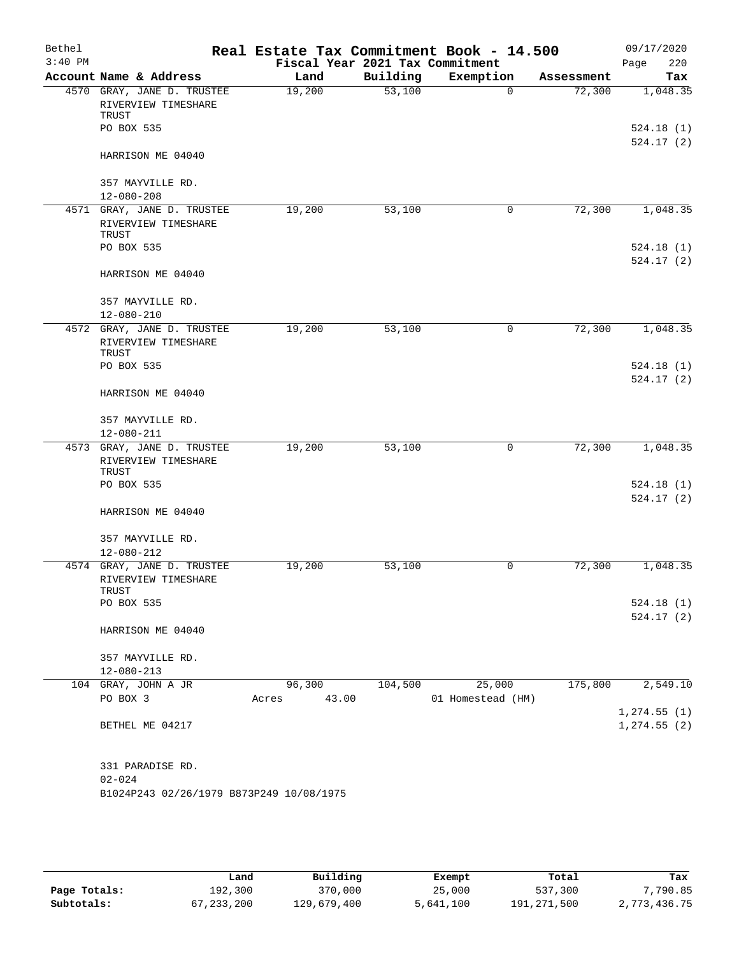| Bethel<br>$3:40$ PM |                                          | Real Estate Tax Commitment Book - 14.500<br>Fiscal Year 2021 Tax Commitment |          |                   |            | 09/17/2020<br>220 |
|---------------------|------------------------------------------|-----------------------------------------------------------------------------|----------|-------------------|------------|-------------------|
|                     | Account Name & Address                   | Land                                                                        | Building | Exemption         | Assessment | Page<br>Tax       |
|                     | 4570 GRAY, JANE D. TRUSTEE               | 19,200                                                                      | 53,100   | $\Omega$          | 72,300     | 1,048.35          |
|                     | RIVERVIEW TIMESHARE                      |                                                                             |          |                   |            |                   |
|                     | TRUST                                    |                                                                             |          |                   |            |                   |
|                     | PO BOX 535                               |                                                                             |          |                   |            | 524.18(1)         |
|                     |                                          |                                                                             |          |                   |            | 524.17(2)         |
|                     | HARRISON ME 04040                        |                                                                             |          |                   |            |                   |
|                     | 357 MAYVILLE RD.                         |                                                                             |          |                   |            |                   |
|                     | $12 - 080 - 208$                         |                                                                             |          |                   |            |                   |
|                     | 4571 GRAY, JANE D. TRUSTEE               | 19,200                                                                      | 53,100   | 0                 | 72,300     | 1,048.35          |
|                     | RIVERVIEW TIMESHARE                      |                                                                             |          |                   |            |                   |
|                     | TRUST                                    |                                                                             |          |                   |            |                   |
|                     | PO BOX 535                               |                                                                             |          |                   |            | 524.18(1)         |
|                     |                                          |                                                                             |          |                   |            | 524.17(2)         |
|                     | HARRISON ME 04040                        |                                                                             |          |                   |            |                   |
|                     | 357 MAYVILLE RD.                         |                                                                             |          |                   |            |                   |
|                     | $12 - 080 - 210$                         |                                                                             |          |                   |            |                   |
|                     | 4572 GRAY, JANE D. TRUSTEE               | 19,200                                                                      | 53,100   | 0                 | 72,300     | 1,048.35          |
|                     | RIVERVIEW TIMESHARE                      |                                                                             |          |                   |            |                   |
|                     | TRUST                                    |                                                                             |          |                   |            |                   |
|                     | PO BOX 535                               |                                                                             |          |                   |            | 524.18(1)         |
|                     |                                          |                                                                             |          |                   |            | 524.17(2)         |
|                     | HARRISON ME 04040                        |                                                                             |          |                   |            |                   |
|                     |                                          |                                                                             |          |                   |            |                   |
|                     | 357 MAYVILLE RD.                         |                                                                             |          |                   |            |                   |
|                     | 12-080-211                               |                                                                             |          |                   |            |                   |
|                     | 4573 GRAY, JANE D. TRUSTEE               | 19,200                                                                      | 53,100   | 0                 | 72,300     | 1,048.35          |
|                     | RIVERVIEW TIMESHARE<br>TRUST             |                                                                             |          |                   |            |                   |
|                     | PO BOX 535                               |                                                                             |          |                   |            | 524.18(1)         |
|                     |                                          |                                                                             |          |                   |            | 524.17(2)         |
|                     | HARRISON ME 04040                        |                                                                             |          |                   |            |                   |
|                     |                                          |                                                                             |          |                   |            |                   |
|                     | 357 MAYVILLE RD.                         |                                                                             |          |                   |            |                   |
|                     | $12 - 080 - 212$                         |                                                                             |          |                   |            |                   |
|                     | 4574 GRAY, JANE D. TRUSTEE               | 19,200                                                                      | 53,100   | 0                 | 72,300     | 1,048.35          |
|                     | RIVERVIEW TIMESHARE                      |                                                                             |          |                   |            |                   |
|                     | TRUST<br>PO BOX 535                      |                                                                             |          |                   |            | 524.18(1)         |
|                     |                                          |                                                                             |          |                   |            | 524.17(2)         |
|                     | HARRISON ME 04040                        |                                                                             |          |                   |            |                   |
|                     |                                          |                                                                             |          |                   |            |                   |
|                     | 357 MAYVILLE RD.                         |                                                                             |          |                   |            |                   |
|                     | $12 - 080 - 213$                         |                                                                             |          |                   |            |                   |
|                     | 104 GRAY, JOHN A JR                      | 96,300                                                                      | 104,500  | 25,000            | 175,800    | 2,549.10          |
|                     | PO BOX 3                                 | 43.00<br>Acres                                                              |          | 01 Homestead (HM) |            |                   |
|                     |                                          |                                                                             |          |                   |            | 1,274.55(1)       |
|                     | BETHEL ME 04217                          |                                                                             |          |                   |            | 1, 274.55(2)      |
|                     |                                          |                                                                             |          |                   |            |                   |
|                     |                                          |                                                                             |          |                   |            |                   |
|                     | 331 PARADISE RD.                         |                                                                             |          |                   |            |                   |
|                     | $02 - 024$                               |                                                                             |          |                   |            |                   |
|                     | B1024P243 02/26/1979 B873P249 10/08/1975 |                                                                             |          |                   |            |                   |
|                     |                                          |                                                                             |          |                   |            |                   |
|                     |                                          |                                                                             |          |                   |            |                   |

|              | Land       | Building    | Exempt    | Total       | Tax          |
|--------------|------------|-------------|-----------|-------------|--------------|
| Page Totals: | 192,300    | 370,000     | 25,000    | 537,300     | 7,790.85     |
| Subtotals:   | 67,233,200 | 129,679,400 | 5,641,100 | 191,271,500 | 2,773,436.75 |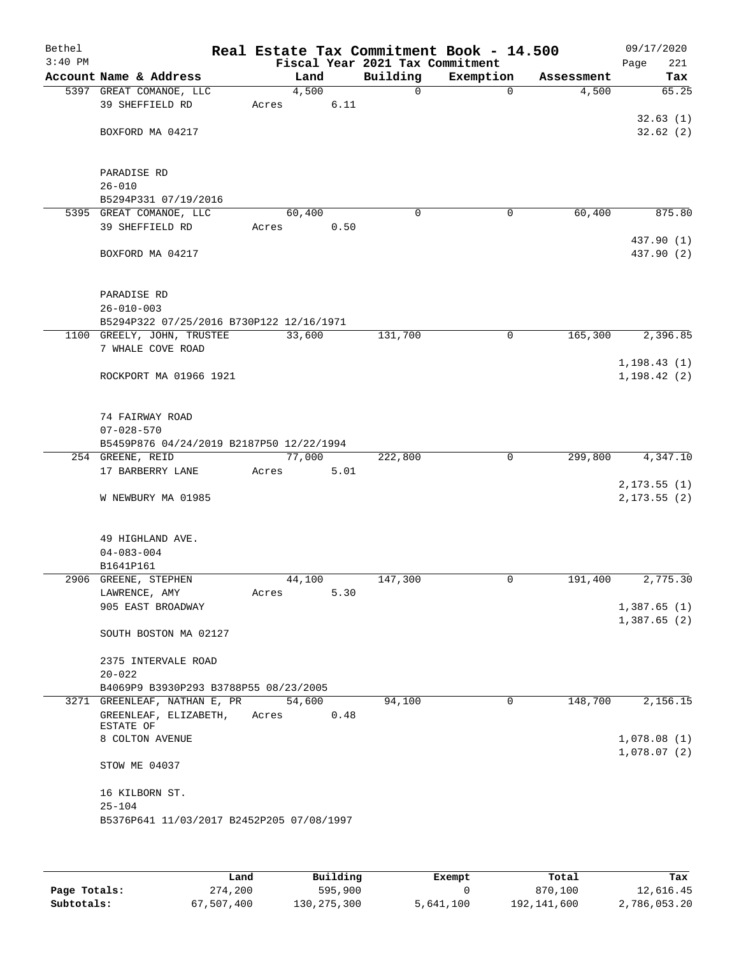| Bethel<br>$3:40$ PM |                                                                       |        |      | Fiscal Year 2021 Tax Commitment | Real Estate Tax Commitment Book - 14.500 |            | 09/17/2020<br>221<br>Page |
|---------------------|-----------------------------------------------------------------------|--------|------|---------------------------------|------------------------------------------|------------|---------------------------|
|                     | Account Name & Address                                                | Land   |      | Building                        | Exemption                                | Assessment | Tax                       |
|                     | 5397 GREAT COMANOE, LLC                                               | 4,500  |      | 0                               | $\mathbf 0$                              | 4,500      | 65.25                     |
|                     | 39 SHEFFIELD RD                                                       | Acres  | 6.11 |                                 |                                          |            |                           |
|                     |                                                                       |        |      |                                 |                                          |            | 32.63(1)                  |
|                     | BOXFORD MA 04217                                                      |        |      |                                 |                                          |            | 32.62(2)                  |
|                     |                                                                       |        |      |                                 |                                          |            |                           |
|                     |                                                                       |        |      |                                 |                                          |            |                           |
|                     | PARADISE RD                                                           |        |      |                                 |                                          |            |                           |
|                     | $26 - 010$<br>B5294P331 07/19/2016                                    |        |      |                                 |                                          |            |                           |
|                     | 5395 GREAT COMANOE, LLC                                               | 60,400 |      | 0                               | 0                                        | 60,400     | 875.80                    |
|                     | 39 SHEFFIELD RD                                                       | Acres  | 0.50 |                                 |                                          |            |                           |
|                     |                                                                       |        |      |                                 |                                          |            | 437.90 (1)                |
|                     | BOXFORD MA 04217                                                      |        |      |                                 |                                          |            | 437.90 (2)                |
|                     |                                                                       |        |      |                                 |                                          |            |                           |
|                     |                                                                       |        |      |                                 |                                          |            |                           |
|                     | PARADISE RD                                                           |        |      |                                 |                                          |            |                           |
|                     | $26 - 010 - 003$                                                      |        |      |                                 |                                          |            |                           |
|                     | B5294P322 07/25/2016 B730P122 12/16/1971                              |        |      |                                 |                                          |            |                           |
|                     | 1100 GREELY, JOHN, TRUSTEE                                            | 33,600 |      | 131,700                         | 0                                        | 165,300    | 2,396.85                  |
|                     | 7 WHALE COVE ROAD                                                     |        |      |                                 |                                          |            |                           |
|                     |                                                                       |        |      |                                 |                                          |            | 1, 198.43(1)              |
|                     | ROCKPORT MA 01966 1921                                                |        |      |                                 |                                          |            | 1, 198.42(2)              |
|                     |                                                                       |        |      |                                 |                                          |            |                           |
|                     | 74 FAIRWAY ROAD                                                       |        |      |                                 |                                          |            |                           |
|                     | $07 - 028 - 570$                                                      |        |      |                                 |                                          |            |                           |
|                     | B5459P876 04/24/2019 B2187P50 12/22/1994                              |        |      |                                 |                                          |            |                           |
|                     | 254 GREENE, REID                                                      | 77,000 |      | 222,800                         | $\mathbf 0$                              | 299,800    | 4,347.10                  |
|                     | 17 BARBERRY LANE                                                      | Acres  | 5.01 |                                 |                                          |            |                           |
|                     |                                                                       |        |      |                                 |                                          |            | 2, 173.55(1)              |
|                     | W NEWBURY MA 01985                                                    |        |      |                                 |                                          |            | 2, 173.55(2)              |
|                     |                                                                       |        |      |                                 |                                          |            |                           |
|                     | 49 HIGHLAND AVE.                                                      |        |      |                                 |                                          |            |                           |
|                     | $04 - 083 - 004$                                                      |        |      |                                 |                                          |            |                           |
|                     | B1641P161                                                             |        |      |                                 |                                          |            |                           |
|                     | 2906 GREENE, STEPHEN                                                  | 44,100 |      | 147,300                         | 0                                        | 191,400    | 2,775.30                  |
|                     | LAWRENCE, AMY                                                         | Acres  | 5.30 |                                 |                                          |            |                           |
|                     | 905 EAST BROADWAY                                                     |        |      |                                 |                                          |            | 1,387.65(1)               |
|                     |                                                                       |        |      |                                 |                                          |            | 1,387.65(2)               |
|                     | SOUTH BOSTON MA 02127                                                 |        |      |                                 |                                          |            |                           |
|                     |                                                                       |        |      |                                 |                                          |            |                           |
|                     | 2375 INTERVALE ROAD                                                   |        |      |                                 |                                          |            |                           |
|                     | $20 - 022$                                                            |        |      |                                 |                                          |            |                           |
|                     | B4069P9 B3930P293 B3788P55 08/23/2005<br>3271 GREENLEAF, NATHAN E, PR | 54,600 |      | 94,100                          | 0                                        | 148,700    | 2,156.15                  |
|                     | GREENLEAF, ELIZABETH,                                                 | Acres  | 0.48 |                                 |                                          |            |                           |
|                     | ESTATE OF                                                             |        |      |                                 |                                          |            |                           |
|                     | 8 COLTON AVENUE                                                       |        |      |                                 |                                          |            | 1,078.08(1)               |
|                     |                                                                       |        |      |                                 |                                          |            | 1,078.07(2)               |
|                     | STOW ME 04037                                                         |        |      |                                 |                                          |            |                           |
|                     |                                                                       |        |      |                                 |                                          |            |                           |
|                     | 16 KILBORN ST.                                                        |        |      |                                 |                                          |            |                           |
|                     | $25 - 104$                                                            |        |      |                                 |                                          |            |                           |
|                     | B5376P641 11/03/2017 B2452P205 07/08/1997                             |        |      |                                 |                                          |            |                           |
|                     |                                                                       |        |      |                                 |                                          |            |                           |

|              | Land       | Building    | Exempt    | Total       | Tax          |
|--------------|------------|-------------|-----------|-------------|--------------|
| Page Totals: | 274,200    | 595,900     |           | 870,100     | 12,616.45    |
| Subtotals:   | 67,507,400 | 130,275,300 | 5,641,100 | 192,141,600 | 2,786,053.20 |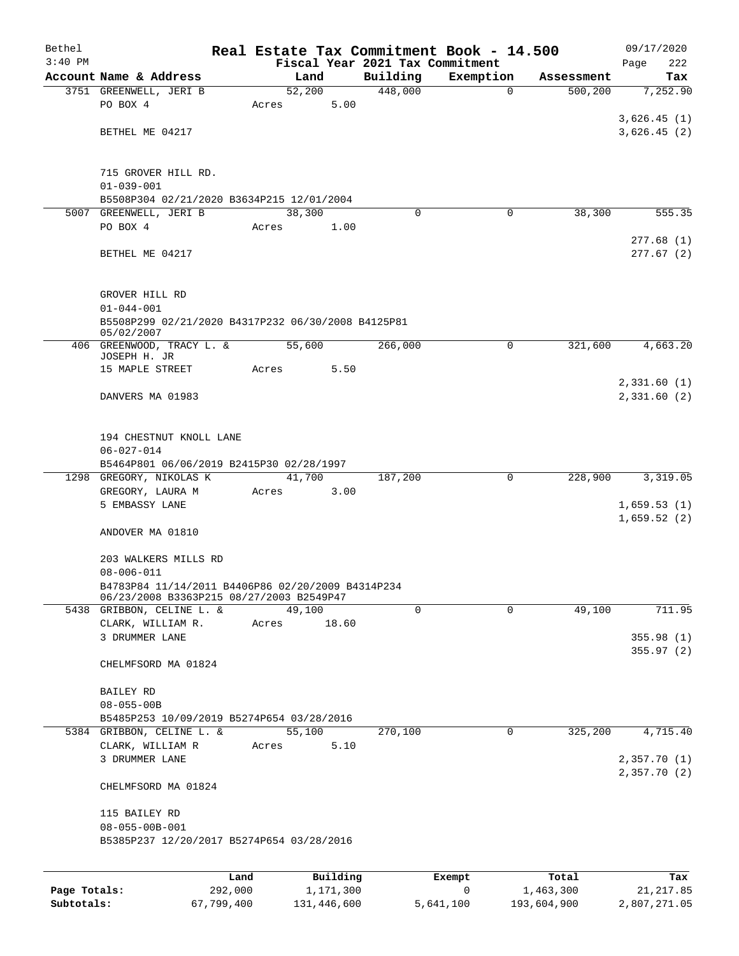| Bethel       |                                                                        |       |                       |          | Real Estate Tax Commitment Book - 14.500 |                    | 09/17/2020        |  |  |  |  |
|--------------|------------------------------------------------------------------------|-------|-----------------------|----------|------------------------------------------|--------------------|-------------------|--|--|--|--|
| $3:40$ PM    |                                                                        |       |                       |          | Fiscal Year 2021 Tax Commitment          |                    | 222<br>Page       |  |  |  |  |
|              | Account Name & Address                                                 |       | Land                  | Building | Exemption                                | Assessment         | Tax               |  |  |  |  |
|              | 3751 GREENWELL, JERI B<br>PO BOX 4                                     |       | 52,200                | 448,000  | $\mathbf 0$                              | 500,200            | 7,252.90          |  |  |  |  |
|              |                                                                        | Acres | 5.00                  |          |                                          |                    | 3,626.45(1)       |  |  |  |  |
|              | BETHEL ME 04217                                                        |       |                       |          |                                          |                    | 3,626.45(2)       |  |  |  |  |
|              |                                                                        |       |                       |          |                                          |                    |                   |  |  |  |  |
|              |                                                                        |       |                       |          |                                          |                    |                   |  |  |  |  |
|              | 715 GROVER HILL RD.                                                    |       |                       |          |                                          |                    |                   |  |  |  |  |
|              | $01 - 039 - 001$                                                       |       |                       |          |                                          |                    |                   |  |  |  |  |
|              | B5508P304 02/21/2020 B3634P215 12/01/2004<br>5007 GREENWELL, JERI B    |       | 38,300                | $\Omega$ | 0                                        | 38,300             | 555.35            |  |  |  |  |
|              | PO BOX 4                                                               | Acres | 1.00                  |          |                                          |                    |                   |  |  |  |  |
|              |                                                                        |       |                       |          |                                          |                    | 277.68(1)         |  |  |  |  |
|              | BETHEL ME 04217                                                        |       |                       |          |                                          |                    | 277.67(2)         |  |  |  |  |
|              |                                                                        |       |                       |          |                                          |                    |                   |  |  |  |  |
|              | GROVER HILL RD                                                         |       |                       |          |                                          |                    |                   |  |  |  |  |
|              | $01 - 044 - 001$                                                       |       |                       |          |                                          |                    |                   |  |  |  |  |
|              | B5508P299 02/21/2020 B4317P232 06/30/2008 B4125P81                     |       |                       |          |                                          |                    |                   |  |  |  |  |
|              | 05/02/2007                                                             |       |                       |          |                                          |                    |                   |  |  |  |  |
|              | 406 GREENWOOD, TRACY L. &<br>JOSEPH H. JR                              |       | 55,600                | 266,000  | 0                                        | 321,600            | 4,663.20          |  |  |  |  |
|              | 15 MAPLE STREET                                                        | Acres | 5.50                  |          |                                          |                    |                   |  |  |  |  |
|              |                                                                        |       |                       |          |                                          |                    | 2,331.60(1)       |  |  |  |  |
|              | DANVERS MA 01983                                                       |       |                       |          |                                          |                    | 2,331.60(2)       |  |  |  |  |
|              |                                                                        |       |                       |          |                                          |                    |                   |  |  |  |  |
|              |                                                                        |       |                       |          |                                          |                    |                   |  |  |  |  |
|              | 194 CHESTNUT KNOLL LANE<br>$06 - 027 - 014$                            |       |                       |          |                                          |                    |                   |  |  |  |  |
|              | B5464P801 06/06/2019 B2415P30 02/28/1997                               |       |                       |          |                                          |                    |                   |  |  |  |  |
|              | 1298 GREGORY, NIKOLAS K                                                |       | 41,700                | 187,200  | 0                                        | 228,900            | 3,319.05          |  |  |  |  |
|              | GREGORY, LAURA M                                                       | Acres | 3.00                  |          |                                          |                    |                   |  |  |  |  |
|              | 5 EMBASSY LANE                                                         |       |                       |          |                                          |                    | 1,659.53(1)       |  |  |  |  |
|              |                                                                        |       |                       |          |                                          |                    | 1,659.52(2)       |  |  |  |  |
|              | ANDOVER MA 01810                                                       |       |                       |          |                                          |                    |                   |  |  |  |  |
|              | 203 WALKERS MILLS RD                                                   |       |                       |          |                                          |                    |                   |  |  |  |  |
|              | $08 - 006 - 011$                                                       |       |                       |          |                                          |                    |                   |  |  |  |  |
|              | B4783P84 11/14/2011 B4406P86 02/20/2009 B4314P234                      |       |                       |          |                                          |                    |                   |  |  |  |  |
|              | 06/23/2008 B3363P215 08/27/2003 B2549P47                               |       |                       |          |                                          |                    |                   |  |  |  |  |
|              | 5438 GRIBBON, CELINE L. &                                              |       | 49,100                | $\Omega$ | $\mathbf 0$                              | 49,100             | 711.95            |  |  |  |  |
|              | CLARK, WILLIAM R.<br>3 DRUMMER LANE                                    | Acres | 18.60                 |          |                                          |                    | 355.98(1)         |  |  |  |  |
|              |                                                                        |       |                       |          |                                          |                    | 355.97(2)         |  |  |  |  |
|              | CHELMFSORD MA 01824                                                    |       |                       |          |                                          |                    |                   |  |  |  |  |
|              |                                                                        |       |                       |          |                                          |                    |                   |  |  |  |  |
|              | BAILEY RD                                                              |       |                       |          |                                          |                    |                   |  |  |  |  |
|              | $08 - 055 - 00B$                                                       |       |                       |          |                                          |                    |                   |  |  |  |  |
|              | B5485P253 10/09/2019 B5274P654 03/28/2016<br>5384 GRIBBON, CELINE L. & |       | 55,100                | 270,100  | $\mathbf 0$                              | 325,200            | 4,715.40          |  |  |  |  |
|              | CLARK, WILLIAM R                                                       | Acres | 5.10                  |          |                                          |                    |                   |  |  |  |  |
|              | 3 DRUMMER LANE                                                         |       |                       |          |                                          |                    | 2,357.70 (1)      |  |  |  |  |
|              |                                                                        |       |                       |          |                                          |                    | 2,357.70(2)       |  |  |  |  |
|              | CHELMFSORD MA 01824                                                    |       |                       |          |                                          |                    |                   |  |  |  |  |
|              | 115 BAILEY RD                                                          |       |                       |          |                                          |                    |                   |  |  |  |  |
|              | $08 - 055 - 00B - 001$                                                 |       |                       |          |                                          |                    |                   |  |  |  |  |
|              | B5385P237 12/20/2017 B5274P654 03/28/2016                              |       |                       |          |                                          |                    |                   |  |  |  |  |
|              |                                                                        |       |                       |          |                                          |                    |                   |  |  |  |  |
|              |                                                                        |       |                       |          |                                          |                    |                   |  |  |  |  |
| Page Totals: | 292,000                                                                | Land  | Building<br>1,171,300 |          | Exempt<br>0                              | Total<br>1,463,300 | Tax<br>21, 217.85 |  |  |  |  |
|              |                                                                        |       |                       |          |                                          |                    |                   |  |  |  |  |

**Subtotals:** 67,799,400 131,446,600 5,641,100 193,604,900 2,807,271.05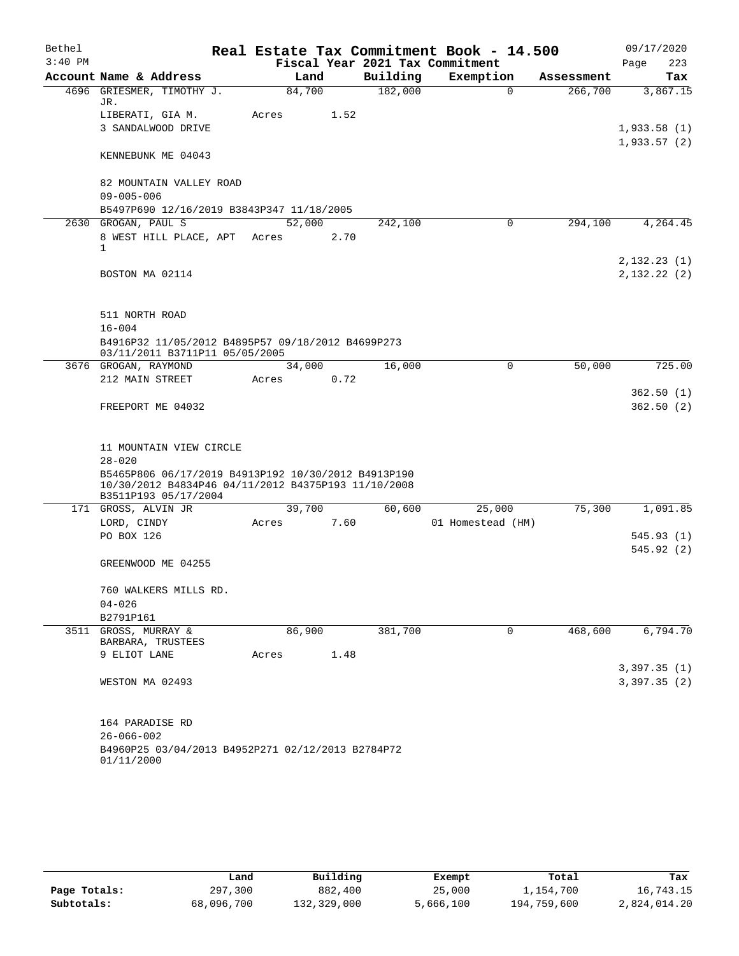| Bethel    |                                                                                                                                    |                                                                                     |  |        |      |          | Real Estate Tax Commitment Book - 14.500 |             |            | 09/17/2020  |
|-----------|------------------------------------------------------------------------------------------------------------------------------------|-------------------------------------------------------------------------------------|--|--------|------|----------|------------------------------------------|-------------|------------|-------------|
| $3:40$ PM |                                                                                                                                    |                                                                                     |  |        |      |          | Fiscal Year 2021 Tax Commitment          |             |            | Page<br>223 |
|           | Account Name & Address                                                                                                             |                                                                                     |  |        | Land | Building | Exemption                                |             | Assessment | Tax         |
|           | JR.                                                                                                                                | 4696 GRIESMER, TIMOTHY J.                                                           |  | 84,700 |      | 182,000  |                                          | $\mathbf 0$ | 266,700    | 3,867.15    |
|           | LIBERATI, GIA M.                                                                                                                   |                                                                                     |  | Acres  | 1.52 |          |                                          |             |            |             |
|           |                                                                                                                                    | 3 SANDALWOOD DRIVE                                                                  |  |        |      |          |                                          |             |            | 1,933.58(1) |
|           |                                                                                                                                    | KENNEBUNK ME 04043                                                                  |  |        |      |          |                                          |             |            | 1,933.57(2) |
|           | $09 - 005 - 006$                                                                                                                   | 82 MOUNTAIN VALLEY ROAD                                                             |  |        |      |          |                                          |             |            |             |
|           |                                                                                                                                    | B5497P690 12/16/2019 B3843P347 11/18/2005                                           |  |        |      |          |                                          |             |            |             |
|           | 2630 GROGAN, PAUL S                                                                                                                |                                                                                     |  | 52,000 |      | 242,100  |                                          | $\Omega$    | 294,100    | 4,264.45    |
|           | 1                                                                                                                                  | 8 WEST HILL PLACE, APT Acres                                                        |  |        | 2.70 |          |                                          |             |            |             |
|           |                                                                                                                                    |                                                                                     |  |        |      |          |                                          |             |            | 2,132.23(1) |
|           | BOSTON MA 02114                                                                                                                    |                                                                                     |  |        |      |          |                                          |             |            | 2,132.22(2) |
|           | 511 NORTH ROAD                                                                                                                     |                                                                                     |  |        |      |          |                                          |             |            |             |
|           | $16 - 004$                                                                                                                         |                                                                                     |  |        |      |          |                                          |             |            |             |
|           |                                                                                                                                    | B4916P32 11/05/2012 B4895P57 09/18/2012 B4699P273<br>03/11/2011 B3711P11 05/05/2005 |  |        |      |          |                                          |             |            |             |
|           | 3676 GROGAN, RAYMOND                                                                                                               |                                                                                     |  | 34,000 |      | 16,000   |                                          | $\mathbf 0$ | 50,000     | 725.00      |
|           | 212 MAIN STREET                                                                                                                    |                                                                                     |  | Acres  | 0.72 |          |                                          |             |            |             |
|           |                                                                                                                                    |                                                                                     |  |        |      |          |                                          |             |            | 362.50(1)   |
|           | FREEPORT ME 04032                                                                                                                  |                                                                                     |  |        |      |          |                                          |             |            | 362.50(2)   |
|           |                                                                                                                                    |                                                                                     |  |        |      |          |                                          |             |            |             |
|           |                                                                                                                                    | 11 MOUNTAIN VIEW CIRCLE                                                             |  |        |      |          |                                          |             |            |             |
|           | $28 - 020$                                                                                                                         |                                                                                     |  |        |      |          |                                          |             |            |             |
|           | B5465P806 06/17/2019 B4913P192 10/30/2012 B4913P190<br>10/30/2012 B4834P46 04/11/2012 B4375P193 11/10/2008<br>B3511P193 05/17/2004 |                                                                                     |  |        |      |          |                                          |             |            |             |
|           | 171 GROSS, ALVIN JR                                                                                                                |                                                                                     |  | 39,700 |      | 60,600   | 25,000                                   |             | 75,300     | 1,091.85    |
|           | LORD, CINDY                                                                                                                        |                                                                                     |  | Acres  | 7.60 |          | 01 Homestead (HM)                        |             |            |             |
|           | PO BOX 126                                                                                                                         |                                                                                     |  |        |      |          |                                          |             |            | 545.93(1)   |
|           |                                                                                                                                    |                                                                                     |  |        |      |          |                                          |             |            | 545.92 (2)  |
|           |                                                                                                                                    | GREENWOOD ME 04255                                                                  |  |        |      |          |                                          |             |            |             |
|           |                                                                                                                                    | 760 WALKERS MILLS RD.                                                               |  |        |      |          |                                          |             |            |             |
|           | $04 - 026$                                                                                                                         |                                                                                     |  |        |      |          |                                          |             |            |             |
|           | B2791P161                                                                                                                          |                                                                                     |  |        |      |          |                                          |             |            |             |
|           | 3511 GROSS, MURRAY &<br>BARBARA, TRUSTEES                                                                                          |                                                                                     |  | 86,900 |      | 381,700  |                                          | 0           | 468,600    | 6,794.70    |
|           | 9 ELIOT LANE                                                                                                                       |                                                                                     |  | Acres  | 1.48 |          |                                          |             |            |             |
|           |                                                                                                                                    |                                                                                     |  |        |      |          |                                          |             |            | 3,397.35(1) |
|           | WESTON MA 02493                                                                                                                    |                                                                                     |  |        |      |          |                                          |             |            | 3,397.35(2) |
|           | 164 PARADISE RD                                                                                                                    |                                                                                     |  |        |      |          |                                          |             |            |             |
|           | $26 - 066 - 002$                                                                                                                   |                                                                                     |  |        |      |          |                                          |             |            |             |
|           | 01/11/2000                                                                                                                         | B4960P25 03/04/2013 B4952P271 02/12/2013 B2784P72                                   |  |        |      |          |                                          |             |            |             |

|              | Land       | Building    | Exempt    | Total       | Tax          |
|--------------|------------|-------------|-----------|-------------|--------------|
| Page Totals: | 297,300    | 882,400     | 25,000    | 1,154,700   | 16,743.15    |
| Subtotals:   | 68,096,700 | 132,329,000 | 5,666,100 | 194,759,600 | 2,824,014.20 |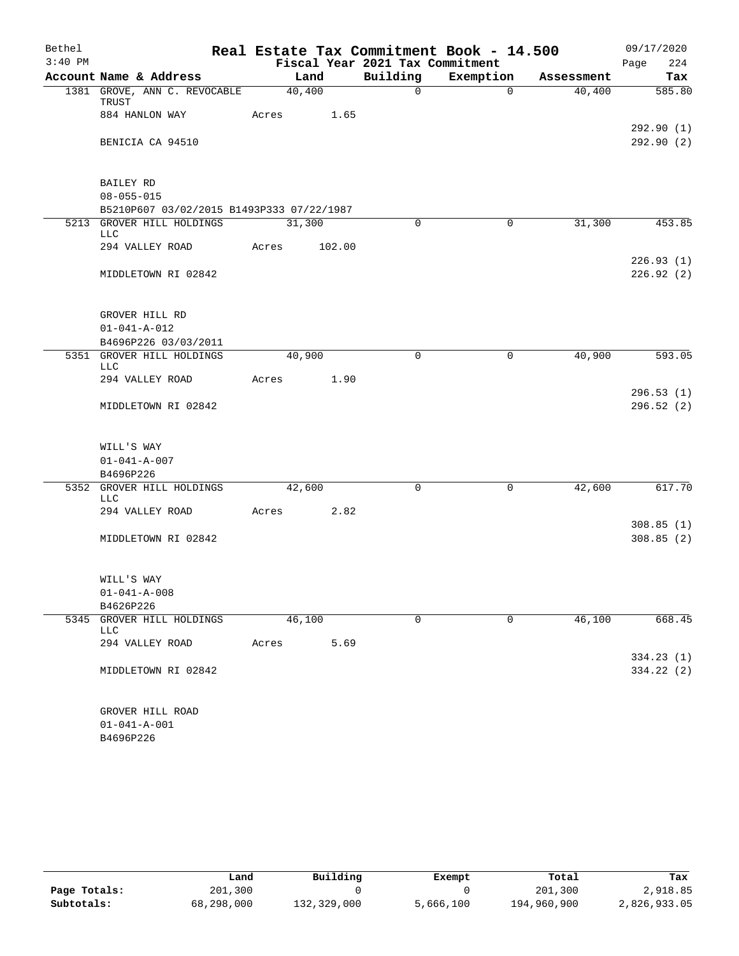| Bethel    |                                           |        |        |                                 | Real Estate Tax Commitment Book - 14.500 |            | 09/17/2020             |
|-----------|-------------------------------------------|--------|--------|---------------------------------|------------------------------------------|------------|------------------------|
| $3:40$ PM |                                           |        |        | Fiscal Year 2021 Tax Commitment |                                          |            | Page<br>224            |
|           | Account Name & Address                    | 40,400 | Land   | Building<br>$\mathsf{O}$        | Exemption                                | Assessment | Tax<br>585.80          |
|           | 1381 GROVE, ANN C. REVOCABLE<br>TRUST     |        |        |                                 | $\overline{0}$                           | 40,400     |                        |
|           | 884 HANLON WAY                            | Acres  | 1.65   |                                 |                                          |            |                        |
|           |                                           |        |        |                                 |                                          |            | 292.90(1)              |
|           | BENICIA CA 94510                          |        |        |                                 |                                          |            | 292.90(2)              |
|           |                                           |        |        |                                 |                                          |            |                        |
|           | <b>BAILEY RD</b>                          |        |        |                                 |                                          |            |                        |
|           | $08 - 055 - 015$                          |        |        |                                 |                                          |            |                        |
|           | B5210P607 03/02/2015 B1493P333 07/22/1987 |        |        |                                 |                                          |            |                        |
|           | 5213 GROVER HILL HOLDINGS                 | 31,300 |        | 0                               | 0                                        | 31,300     | 453.85                 |
|           | LLC                                       |        |        |                                 |                                          |            |                        |
|           | 294 VALLEY ROAD                           | Acres  | 102.00 |                                 |                                          |            |                        |
|           |                                           |        |        |                                 |                                          |            | 226.93(1)              |
|           | MIDDLETOWN RI 02842                       |        |        |                                 |                                          |            | 226.92(2)              |
|           |                                           |        |        |                                 |                                          |            |                        |
|           | GROVER HILL RD                            |        |        |                                 |                                          |            |                        |
|           | $01 - 041 - A - 012$                      |        |        |                                 |                                          |            |                        |
|           | B4696P226 03/03/2011                      |        |        |                                 |                                          |            |                        |
|           | 5351 GROVER HILL HOLDINGS                 |        | 40,900 | 0                               | $\mathbf 0$                              | 40,900     | 593.05                 |
|           | LLC                                       |        |        |                                 |                                          |            |                        |
|           | 294 VALLEY ROAD                           | Acres  | 1.90   |                                 |                                          |            |                        |
|           |                                           |        |        |                                 |                                          |            | 296.53(1)              |
|           | MIDDLETOWN RI 02842                       |        |        |                                 |                                          |            | 296.52(2)              |
|           | WILL'S WAY                                |        |        |                                 |                                          |            |                        |
|           | $01 - 041 - A - 007$                      |        |        |                                 |                                          |            |                        |
|           | B4696P226                                 |        |        |                                 |                                          |            |                        |
|           | 5352 GROVER HILL HOLDINGS                 |        | 42,600 | 0                               | 0                                        | 42,600     | 617.70                 |
|           | LLC                                       |        |        |                                 |                                          |            |                        |
|           | 294 VALLEY ROAD                           | Acres  | 2.82   |                                 |                                          |            |                        |
|           | MIDDLETOWN RI 02842                       |        |        |                                 |                                          |            | 308.85(1)<br>308.85(2) |
|           |                                           |        |        |                                 |                                          |            |                        |
|           | WILL'S WAY                                |        |        |                                 |                                          |            |                        |
|           | $01 - 041 - A - 008$                      |        |        |                                 |                                          |            |                        |
|           | B4626P226                                 |        |        |                                 |                                          |            |                        |
| 5345      | GROVER HILL HOLDINGS                      | 46,100 |        | 0                               | $\mathbf 0$                              | 46,100     | 668.45                 |
|           | LLC                                       |        |        |                                 |                                          |            |                        |
|           | 294 VALLEY ROAD                           | Acres  | 5.69   |                                 |                                          |            | 334.23(1)              |
|           | MIDDLETOWN RI 02842                       |        |        |                                 |                                          |            | 334.22 (2)             |
|           |                                           |        |        |                                 |                                          |            |                        |
|           | GROVER HILL ROAD                          |        |        |                                 |                                          |            |                        |
|           | $01 - 041 - A - 001$                      |        |        |                                 |                                          |            |                        |
|           | B4696P226                                 |        |        |                                 |                                          |            |                        |

|              | Land       | Building    | Exempt    | Total       | Tax          |
|--------------|------------|-------------|-----------|-------------|--------------|
| Page Totals: | 201,300    |             |           | 201,300     | 2,918.85     |
| Subtotals:   | 68,298,000 | 132,329,000 | 5,666,100 | 194,960,900 | 2,826,933.05 |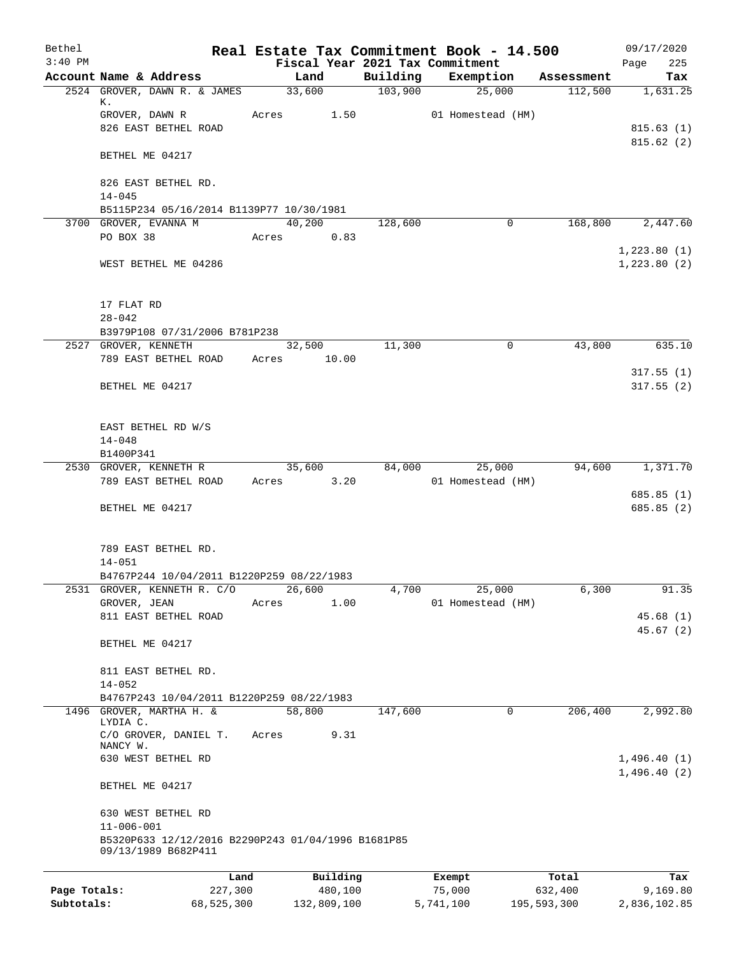| Bethel<br>$3:40$ PM |                                                                           |                 |                                             | Real Estate Tax Commitment Book - 14.500 |            | 09/17/2020             |
|---------------------|---------------------------------------------------------------------------|-----------------|---------------------------------------------|------------------------------------------|------------|------------------------|
|                     | Account Name & Address                                                    | Land            | Fiscal Year 2021 Tax Commitment<br>Building | Exemption                                | Assessment | 225<br>Page<br>Tax     |
|                     | 2524 GROVER, DAWN R. & JAMES                                              | 33,600          | 103,900                                     | 25,000                                   | 112,500    | 1,631.25               |
|                     | к.                                                                        |                 |                                             |                                          |            |                        |
|                     | GROVER, DAWN R<br>826 EAST BETHEL ROAD                                    | Acres 1.50      |                                             | 01 Homestead (HM)                        |            |                        |
|                     |                                                                           |                 |                                             |                                          |            | 815.63(1)<br>815.62(2) |
|                     | BETHEL ME 04217                                                           |                 |                                             |                                          |            |                        |
|                     | 826 EAST BETHEL RD.                                                       |                 |                                             |                                          |            |                        |
|                     | $14 - 045$                                                                |                 |                                             |                                          |            |                        |
|                     | B5115P234 05/16/2014 B1139P77 10/30/1981                                  | 40,200          |                                             | $\mathbf 0$                              |            |                        |
|                     | 3700 GROVER, EVANNA M<br>PO BOX 38                                        | Acres           | 128,600<br>0.83                             |                                          | 168,800    | 2,447.60               |
|                     |                                                                           |                 |                                             |                                          |            | 1,223.80(1)            |
|                     | WEST BETHEL ME 04286                                                      |                 |                                             |                                          |            | 1,223.80(2)            |
|                     |                                                                           |                 |                                             |                                          |            |                        |
|                     | 17 FLAT RD                                                                |                 |                                             |                                          |            |                        |
|                     | $28 - 042$                                                                |                 |                                             |                                          |            |                        |
|                     | B3979P108 07/31/2006 B781P238                                             |                 |                                             |                                          |            |                        |
|                     | 2527 GROVER, KENNETH                                                      | 32,500          | 11,300                                      | 0                                        | 43,800     | 635.10                 |
|                     | 789 EAST BETHEL ROAD                                                      | Acres 10.00     |                                             |                                          |            |                        |
|                     |                                                                           |                 |                                             |                                          |            | 317.55(1)              |
|                     | BETHEL ME 04217                                                           |                 |                                             |                                          |            | 317.55(2)              |
|                     |                                                                           |                 |                                             |                                          |            |                        |
|                     | EAST BETHEL RD W/S                                                        |                 |                                             |                                          |            |                        |
|                     | $14 - 048$                                                                |                 |                                             |                                          |            |                        |
|                     | B1400P341                                                                 |                 |                                             |                                          |            |                        |
|                     | 2530 GROVER, KENNETH R<br>789 EAST BETHEL ROAD                            | 35,600<br>Acres | 84,000<br>3.20                              | 25,000<br>01 Homestead (HM)              | 94,600     | 1,371.70               |
|                     |                                                                           |                 |                                             |                                          |            | 685.85(1)              |
|                     | BETHEL ME 04217                                                           |                 |                                             |                                          |            | 685.85(2)              |
|                     |                                                                           |                 |                                             |                                          |            |                        |
|                     |                                                                           |                 |                                             |                                          |            |                        |
|                     | 789 EAST BETHEL RD.<br>$14 - 051$                                         |                 |                                             |                                          |            |                        |
|                     | B4767P244 10/04/2011 B1220P259 08/22/1983                                 |                 |                                             |                                          |            |                        |
| 2531                | GROVER, KENNETH R. C/O                                                    | 26,600          | 4,700                                       | 25,000                                   | 6,300      | 91.35                  |
|                     | GROVER, JEAN                                                              | Acres           | 1.00                                        | 01 Homestead (HM)                        |            |                        |
|                     | 811 EAST BETHEL ROAD                                                      |                 |                                             |                                          |            | 45.68(1)               |
|                     | BETHEL ME 04217                                                           |                 |                                             |                                          |            | 45.67(2)               |
|                     |                                                                           |                 |                                             |                                          |            |                        |
|                     | 811 EAST BETHEL RD.                                                       |                 |                                             |                                          |            |                        |
|                     | $14 - 052$                                                                |                 |                                             |                                          |            |                        |
|                     | B4767P243 10/04/2011 B1220P259 08/22/1983                                 |                 |                                             |                                          |            |                        |
|                     | 1496 GROVER, MARTHA H. &<br>LYDIA C.                                      | 58,800          | 147,600                                     | 0                                        | 206,400    | 2,992.80               |
|                     | C/O GROVER, DANIEL T.                                                     | Acres           | 9.31                                        |                                          |            |                        |
|                     | NANCY W.                                                                  |                 |                                             |                                          |            |                        |
|                     | 630 WEST BETHEL RD                                                        |                 |                                             |                                          |            | 1,496.40(1)            |
|                     | BETHEL ME 04217                                                           |                 |                                             |                                          |            | 1,496.40(2)            |
|                     | 630 WEST BETHEL RD                                                        |                 |                                             |                                          |            |                        |
|                     | $11 - 006 - 001$                                                          |                 |                                             |                                          |            |                        |
|                     | B5320P633 12/12/2016 B2290P243 01/04/1996 B1681P85<br>09/13/1989 B682P411 |                 |                                             |                                          |            |                        |
|                     |                                                                           |                 |                                             |                                          |            |                        |
|                     | Land                                                                      | Building        |                                             | Exempt                                   | Total      | Tax                    |
| Page Totals:        | 227,300                                                                   | 480,100         |                                             | 75,000                                   | 632,400    | 9,169.80               |

**Subtotals:** 68,525,300 132,809,100 5,741,100 195,593,300 2,836,102.85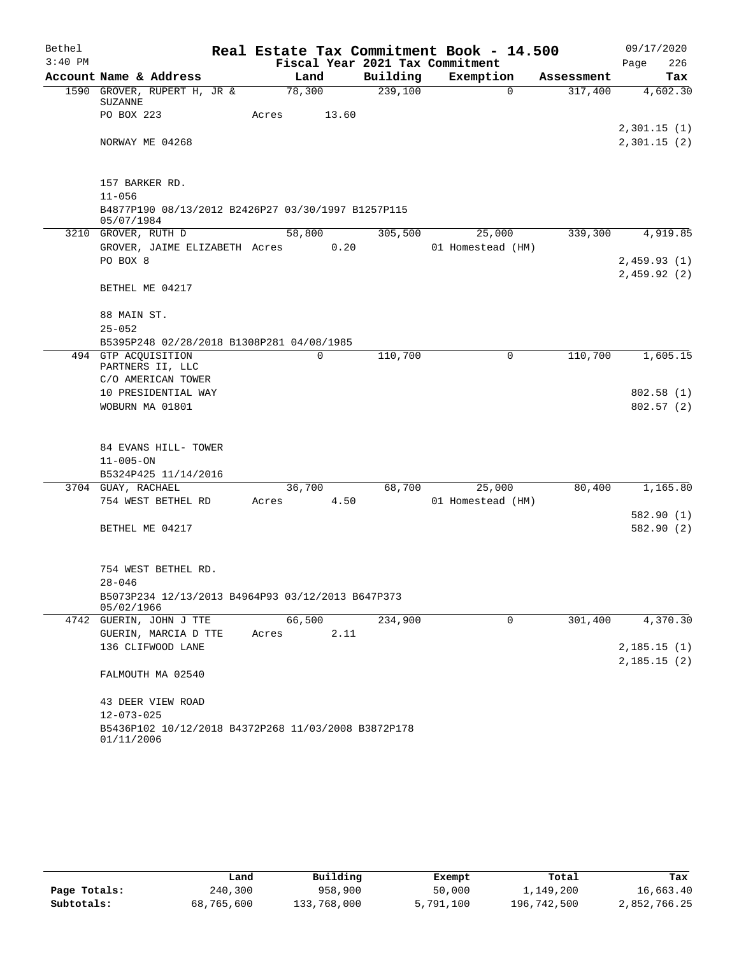| Bethel    |                                                                  | Real Estate Tax Commitment Book - 14.500 |          |                   |            | 09/17/2020                 |
|-----------|------------------------------------------------------------------|------------------------------------------|----------|-------------------|------------|----------------------------|
| $3:40$ PM |                                                                  | Fiscal Year 2021 Tax Commitment          |          |                   |            | 226<br>Page                |
|           | Account Name & Address                                           | Land                                     | Building | Exemption         | Assessment | Tax                        |
|           | 1590 GROVER, RUPERT H, JR &<br>SUZANNE                           | 78,300                                   | 239,100  | $\Omega$          | 317,400    | 4,602.30                   |
|           | PO BOX 223                                                       | Acres<br>13.60                           |          |                   |            |                            |
|           | NORWAY ME 04268                                                  |                                          |          |                   |            | 2,301.15(1)<br>2,301.15(2) |
|           |                                                                  |                                          |          |                   |            |                            |
|           | 157 BARKER RD.                                                   |                                          |          |                   |            |                            |
|           | $11 - 056$                                                       |                                          |          |                   |            |                            |
|           | B4877P190 08/13/2012 B2426P27 03/30/1997 B1257P115<br>05/07/1984 |                                          |          |                   |            |                            |
|           | 3210 GROVER, RUTH D                                              | 58,800                                   | 305,500  | 25,000            | 339,300    | 4,919.85                   |
|           | GROVER, JAIME ELIZABETH Acres                                    | 0.20                                     |          | 01 Homestead (HM) |            |                            |
|           | PO BOX 8                                                         |                                          |          |                   |            | 2,459.93(1)                |
|           | BETHEL ME 04217                                                  |                                          |          |                   |            | 2,459.92(2)                |
|           | 88 MAIN ST.                                                      |                                          |          |                   |            |                            |
|           | $25 - 052$                                                       |                                          |          |                   |            |                            |
|           | B5395P248 02/28/2018 B1308P281 04/08/1985                        |                                          |          |                   |            |                            |
|           | 494 GTP ACQUISITION                                              | $\mathbf 0$                              | 110,700  | 0                 | 110,700    | 1,605.15                   |
|           | PARTNERS II, LLC                                                 |                                          |          |                   |            |                            |
|           | C/O AMERICAN TOWER                                               |                                          |          |                   |            |                            |
|           | 10 PRESIDENTIAL WAY                                              |                                          |          |                   |            | 802.58(1)                  |
|           | WOBURN MA 01801                                                  |                                          |          |                   |            | 802.57(2)                  |
|           | 84 EVANS HILL- TOWER                                             |                                          |          |                   |            |                            |
|           | $11 - 005 - ON$                                                  |                                          |          |                   |            |                            |
|           | B5324P425 11/14/2016                                             |                                          |          |                   |            |                            |
|           | 3704 GUAY, RACHAEL                                               | 36,700                                   | 68,700   | 25,000            | 80,400     | 1,165.80                   |
|           | 754 WEST BETHEL RD                                               | 4.50<br>Acres                            |          | 01 Homestead (HM) |            |                            |
|           | BETHEL ME 04217                                                  |                                          |          |                   |            | 582.90 (1)<br>582.90 (2)   |
|           |                                                                  |                                          |          |                   |            |                            |
|           | 754 WEST BETHEL RD.                                              |                                          |          |                   |            |                            |
|           | $28 - 046$                                                       |                                          |          |                   |            |                            |
|           | B5073P234 12/13/2013 B4964P93 03/12/2013 B647P373<br>05/02/1966  |                                          |          |                   |            |                            |
|           | 4742 GUERIN, JOHN J TTE                                          | 66,500                                   | 234,900  | $\mathbf 0$       | 301,400    | 4,370.30                   |
|           | GUERIN, MARCIA D TTE                                             | 2.11<br>Acres                            |          |                   |            |                            |
|           | 136 CLIFWOOD LANE                                                |                                          |          |                   |            | 2,185.15(1)<br>2,185.15(2) |
|           | FALMOUTH MA 02540                                                |                                          |          |                   |            |                            |
|           | 43 DEER VIEW ROAD                                                |                                          |          |                   |            |                            |
|           | $12 - 073 - 025$                                                 |                                          |          |                   |            |                            |
|           | B5436P102 10/12/2018 B4372P268 11/03/2008 B3872P178              |                                          |          |                   |            |                            |
|           | 01/11/2006                                                       |                                          |          |                   |            |                            |

|              | Land       | Building    | Exempt    | Total       | Tax          |
|--------------|------------|-------------|-----------|-------------|--------------|
| Page Totals: | 240,300    | 958,900     | 50,000    | 1,149,200   | 16,663.40    |
| Subtotals:   | 68,765,600 | 133,768,000 | 5,791,100 | 196,742,500 | 2,852,766.25 |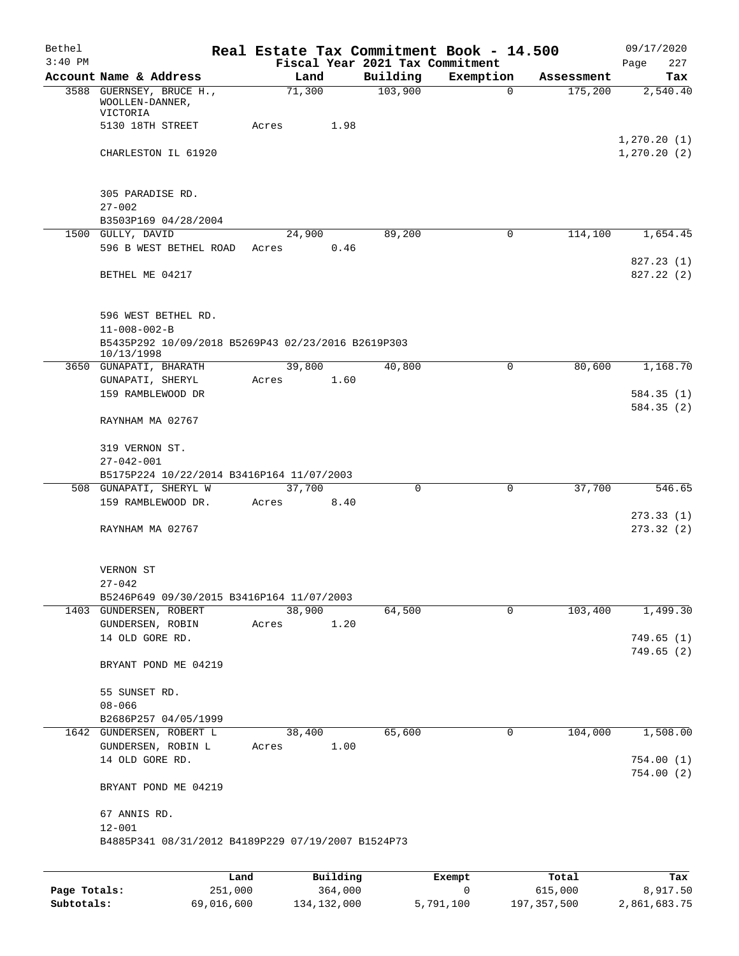| Bethel       |                                                                  |        |          |                     | Real Estate Tax Commitment Book - 14.500 |                       | 09/17/2020                   |
|--------------|------------------------------------------------------------------|--------|----------|---------------------|------------------------------------------|-----------------------|------------------------------|
| $3:40$ PM    |                                                                  |        |          |                     | Fiscal Year 2021 Tax Commitment          |                       | 227<br>Page                  |
|              | Account Name & Address<br>3588 GUERNSEY, BRUCE H.,               | 71,300 | Land     | Building<br>103,900 | Exemption<br>$\mathbf 0$                 | Assessment<br>175,200 | Tax<br>2,540.40              |
|              | WOOLLEN-DANNER,<br>VICTORIA                                      |        |          |                     |                                          |                       |                              |
|              | 5130 18TH STREET                                                 | Acres  | 1.98     |                     |                                          |                       |                              |
|              | CHARLESTON IL 61920                                              |        |          |                     |                                          |                       | 1, 270.20(1)<br>1, 270.20(2) |
|              |                                                                  |        |          |                     |                                          |                       |                              |
|              | 305 PARADISE RD.<br>$27 - 002$                                   |        |          |                     |                                          |                       |                              |
|              | B3503P169 04/28/2004                                             |        |          |                     |                                          |                       |                              |
|              | 1500 GULLY, DAVID                                                | 24,900 |          | 89,200              | 0                                        | 114,100               | 1,654.45                     |
|              | 596 B WEST BETHEL ROAD                                           | Acres  | 0.46     |                     |                                          |                       |                              |
|              |                                                                  |        |          |                     |                                          |                       | 827.23 (1)                   |
|              | BETHEL ME 04217                                                  |        |          |                     |                                          |                       | 827.22(2)                    |
|              | 596 WEST BETHEL RD.                                              |        |          |                     |                                          |                       |                              |
|              | $11 - 008 - 002 - B$                                             |        |          |                     |                                          |                       |                              |
|              | B5435P292 10/09/2018 B5269P43 02/23/2016 B2619P303<br>10/13/1998 |        |          |                     |                                          |                       |                              |
|              | 3650 GUNAPATI, BHARATH                                           | 39,800 |          | 40,800              | 0                                        | 80,600                | 1,168.70                     |
|              | GUNAPATI, SHERYL                                                 | Acres  | 1.60     |                     |                                          |                       |                              |
|              | 159 RAMBLEWOOD DR                                                |        |          |                     |                                          |                       | 584.35(1)                    |
|              | RAYNHAM MA 02767                                                 |        |          |                     |                                          |                       | 584.35(2)                    |
|              | 319 VERNON ST.                                                   |        |          |                     |                                          |                       |                              |
|              | $27 - 042 - 001$                                                 |        |          |                     |                                          |                       |                              |
|              | B5175P224 10/22/2014 B3416P164 11/07/2003                        |        |          |                     |                                          |                       |                              |
|              | 508 GUNAPATI, SHERYL W                                           | 37,700 |          | 0                   | $\mathbf 0$                              | 37,700                | 546.65                       |
|              | 159 RAMBLEWOOD DR.                                               | Acres  | 8.40     |                     |                                          |                       | 273.33(1)                    |
|              | RAYNHAM MA 02767                                                 |        |          |                     |                                          |                       | 273.32(2)                    |
|              |                                                                  |        |          |                     |                                          |                       |                              |
|              | VERNON ST<br>$27 - 042$                                          |        |          |                     |                                          |                       |                              |
|              | B5246P649 09/30/2015 B3416P164 11/07/2003                        |        |          |                     |                                          |                       |                              |
|              | 1403 GUNDERSEN, ROBERT                                           | 38,900 |          | 64,500              | 0                                        | 103,400               | 1,499.30                     |
|              | GUNDERSEN, ROBIN                                                 | Acres  | 1.20     |                     |                                          |                       |                              |
|              | 14 OLD GORE RD.                                                  |        |          |                     |                                          |                       | 749.65(1)                    |
|              | BRYANT POND ME 04219                                             |        |          |                     |                                          |                       | 749.65(2)                    |
|              | 55 SUNSET RD.                                                    |        |          |                     |                                          |                       |                              |
|              | $08 - 066$                                                       |        |          |                     |                                          |                       |                              |
|              | B2686P257 04/05/1999                                             |        |          |                     |                                          |                       |                              |
|              | 1642 GUNDERSEN, ROBERT L                                         | 38,400 |          | 65,600              | 0                                        | 104,000               | 1,508.00                     |
|              | GUNDERSEN, ROBIN L<br>14 OLD GORE RD.                            | Acres  | 1.00     |                     |                                          |                       | 754.00(1)                    |
|              | BRYANT POND ME 04219                                             |        |          |                     |                                          |                       | 754.00(2)                    |
|              | 67 ANNIS RD.                                                     |        |          |                     |                                          |                       |                              |
|              | $12 - 001$<br>B4885P341 08/31/2012 B4189P229 07/19/2007 B1524P73 |        |          |                     |                                          |                       |                              |
|              |                                                                  |        |          |                     |                                          |                       |                              |
|              |                                                                  | Land   | Building |                     | Exempt                                   | Total                 | Tax                          |
| Page Totals: | 251,000                                                          |        | 364,000  |                     | $\mathsf{O}\xspace$                      | 615,000               | 8,917.50                     |

**Subtotals:** 69,016,600 134,132,000 5,791,100 197,357,500 2,861,683.75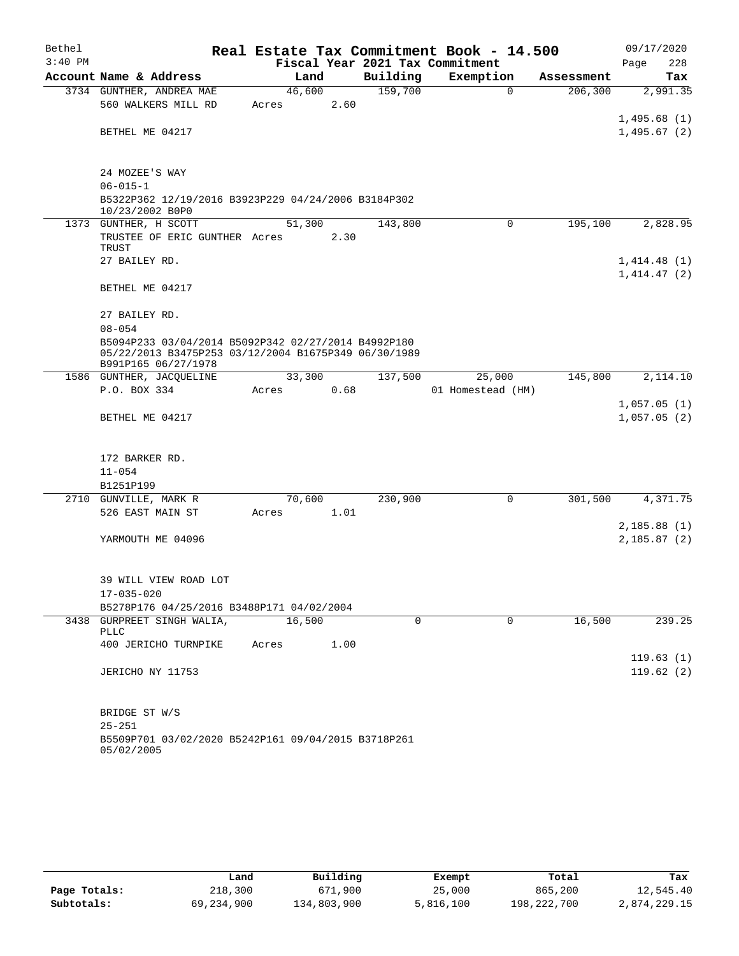| Bethel    |                                                                                                                                    |       |        |      |                                 | Real Estate Tax Commitment Book - 14.500 |          |            | 09/17/2020                 |           |
|-----------|------------------------------------------------------------------------------------------------------------------------------------|-------|--------|------|---------------------------------|------------------------------------------|----------|------------|----------------------------|-----------|
| $3:40$ PM |                                                                                                                                    |       |        |      | Fiscal Year 2021 Tax Commitment |                                          |          |            | Page                       | 228       |
|           | Account Name & Address                                                                                                             |       | Land   |      | Building                        | Exemption                                |          | Assessment |                            | Tax       |
|           | 3734 GUNTHER, ANDREA MAE                                                                                                           |       | 46,600 |      | 159,700                         |                                          | $\Omega$ | 206, 300   |                            | 2,991.35  |
|           | 560 WALKERS MILL RD                                                                                                                | Acres |        | 2.60 |                                 |                                          |          |            |                            |           |
|           |                                                                                                                                    |       |        |      |                                 |                                          |          |            | 1,495.68(1)                |           |
|           | BETHEL ME 04217                                                                                                                    |       |        |      |                                 |                                          |          |            | 1,495.67(2)                |           |
|           |                                                                                                                                    |       |        |      |                                 |                                          |          |            |                            |           |
|           | 24 MOZEE'S WAY                                                                                                                     |       |        |      |                                 |                                          |          |            |                            |           |
|           | $06 - 015 - 1$                                                                                                                     |       |        |      |                                 |                                          |          |            |                            |           |
|           | B5322P362 12/19/2016 B3923P229 04/24/2006 B3184P302<br>10/23/2002 B0P0                                                             |       |        |      |                                 |                                          |          |            |                            |           |
|           | 1373 GUNTHER, H SCOTT                                                                                                              |       | 51,300 |      | 143,800                         |                                          | 0        | 195,100    |                            | 2,828.95  |
|           | TRUSTEE OF ERIC GUNTHER Acres                                                                                                      |       |        | 2.30 |                                 |                                          |          |            |                            |           |
|           | TRUST                                                                                                                              |       |        |      |                                 |                                          |          |            |                            |           |
|           | 27 BAILEY RD.                                                                                                                      |       |        |      |                                 |                                          |          |            | 1,414.48(1)<br>1,414.47(2) |           |
|           | BETHEL ME 04217                                                                                                                    |       |        |      |                                 |                                          |          |            |                            |           |
|           | 27 BAILEY RD.                                                                                                                      |       |        |      |                                 |                                          |          |            |                            |           |
|           | $08 - 054$                                                                                                                         |       |        |      |                                 |                                          |          |            |                            |           |
|           | B5094P233 03/04/2014 B5092P342 02/27/2014 B4992P180<br>05/22/2013 B3475P253 03/12/2004 B1675P349 06/30/1989<br>B991P165 06/27/1978 |       |        |      |                                 |                                          |          |            |                            |           |
|           | 1586 GUNTHER, JACOUELINE                                                                                                           |       | 33,300 |      | 137,500                         | 25,000                                   |          | 145,800    |                            | 2,114.10  |
|           | P.O. BOX 334                                                                                                                       | Acres |        | 0.68 |                                 | 01 Homestead (HM)                        |          |            |                            |           |
|           |                                                                                                                                    |       |        |      |                                 |                                          |          |            | 1,057.05(1)                |           |
|           | BETHEL ME 04217                                                                                                                    |       |        |      |                                 |                                          |          |            | 1,057.05(2)                |           |
|           |                                                                                                                                    |       |        |      |                                 |                                          |          |            |                            |           |
|           | 172 BARKER RD.                                                                                                                     |       |        |      |                                 |                                          |          |            |                            |           |
|           | $11 - 054$                                                                                                                         |       |        |      |                                 |                                          |          |            |                            |           |
|           | B1251P199                                                                                                                          |       |        |      |                                 |                                          |          |            |                            |           |
|           | 2710 GUNVILLE, MARK R                                                                                                              |       | 70,600 |      | 230,900                         |                                          | 0        | 301,500    |                            | 4,371.75  |
|           | 526 EAST MAIN ST                                                                                                                   | Acres |        | 1.01 |                                 |                                          |          |            |                            |           |
|           |                                                                                                                                    |       |        |      |                                 |                                          |          |            | 2,185.88(1)                |           |
|           | YARMOUTH ME 04096                                                                                                                  |       |        |      |                                 |                                          |          |            | 2,185.87(2)                |           |
|           |                                                                                                                                    |       |        |      |                                 |                                          |          |            |                            |           |
|           | 39 WILL VIEW ROAD LOT                                                                                                              |       |        |      |                                 |                                          |          |            |                            |           |
|           | $17 - 035 - 020$                                                                                                                   |       |        |      |                                 |                                          |          |            |                            |           |
|           | B5278P176 04/25/2016 B3488P171 04/02/2004                                                                                          |       |        |      |                                 |                                          |          |            |                            |           |
|           | 3438 GURPREET SINGH WALIA,                                                                                                         |       | 16,500 |      | $\Omega$                        |                                          | $\Omega$ | 16,500     |                            | 239.25    |
|           | PLLC                                                                                                                               |       |        |      |                                 |                                          |          |            |                            |           |
|           | 400 JERICHO TURNPIKE                                                                                                               | Acres |        | 1.00 |                                 |                                          |          |            |                            |           |
|           |                                                                                                                                    |       |        |      |                                 |                                          |          |            |                            | 119.63(1) |
|           | JERICHO NY 11753                                                                                                                   |       |        |      |                                 |                                          |          |            |                            | 119.62(2) |
|           |                                                                                                                                    |       |        |      |                                 |                                          |          |            |                            |           |
|           | BRIDGE ST W/S                                                                                                                      |       |        |      |                                 |                                          |          |            |                            |           |
|           | $25 - 251$                                                                                                                         |       |        |      |                                 |                                          |          |            |                            |           |
|           | B5509P701 03/02/2020 B5242P161 09/04/2015 B3718P261<br>05/02/2005                                                                  |       |        |      |                                 |                                          |          |            |                            |           |

|              | Land       | Building    | Exempt    | Total       | Tax          |
|--------------|------------|-------------|-----------|-------------|--------------|
| Page Totals: | 218,300    | 671,900     | 25,000    | 865,200     | 12,545.40    |
| Subtotals:   | 69,234,900 | 134,803,900 | 5,816,100 | 198,222,700 | 2,874,229.15 |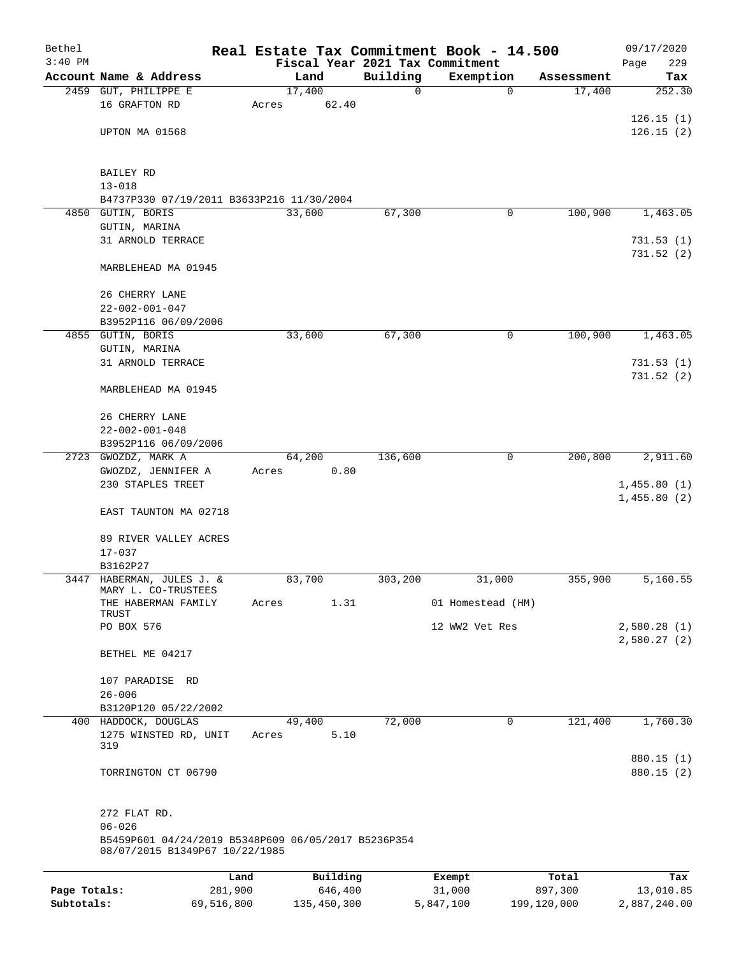| Bethel       |                                                                                       |       |                 |          | Real Estate Tax Commitment Book - 14.500 |            | 09/17/2020                 |
|--------------|---------------------------------------------------------------------------------------|-------|-----------------|----------|------------------------------------------|------------|----------------------------|
| $3:40$ PM    |                                                                                       |       |                 |          | Fiscal Year 2021 Tax Commitment          |            | 229<br>Page                |
|              | Account Name & Address                                                                |       | Land            | Building | Exemption                                | Assessment | Tax                        |
|              | 2459 GUT, PHILIPPE E<br>16 GRAFTON RD                                                 | Acres | 17,400<br>62.40 | 0        | 0                                        | 17,400     | 252.30                     |
|              |                                                                                       |       |                 |          |                                          |            | 126.15(1)                  |
|              | UPTON MA 01568                                                                        |       |                 |          |                                          |            | 126.15(2)                  |
|              |                                                                                       |       |                 |          |                                          |            |                            |
|              | BAILEY RD                                                                             |       |                 |          |                                          |            |                            |
|              | $13 - 018$                                                                            |       |                 |          |                                          |            |                            |
|              | B4737P330 07/19/2011 B3633P216 11/30/2004                                             |       |                 |          |                                          |            |                            |
|              | 4850 GUTIN, BORIS                                                                     |       | 33,600          | 67,300   | 0                                        | 100,900    | 1,463.05                   |
|              | GUTIN, MARINA                                                                         |       |                 |          |                                          |            |                            |
|              | 31 ARNOLD TERRACE                                                                     |       |                 |          |                                          |            | 731.53(1)<br>731.52(2)     |
|              | MARBLEHEAD MA 01945                                                                   |       |                 |          |                                          |            |                            |
|              | 26 CHERRY LANE                                                                        |       |                 |          |                                          |            |                            |
|              | $22 - 002 - 001 - 047$                                                                |       |                 |          |                                          |            |                            |
|              | B3952P116 06/09/2006                                                                  |       |                 |          |                                          |            |                            |
|              | 4855 GUTIN, BORIS                                                                     |       | 33,600          | 67,300   | 0                                        | 100,900    | 1,463.05                   |
|              | GUTIN, MARINA                                                                         |       |                 |          |                                          |            |                            |
|              | 31 ARNOLD TERRACE                                                                     |       |                 |          |                                          |            | 731.53(1)                  |
|              |                                                                                       |       |                 |          |                                          |            | 731.52(2)                  |
|              | MARBLEHEAD MA 01945                                                                   |       |                 |          |                                          |            |                            |
|              | 26 CHERRY LANE                                                                        |       |                 |          |                                          |            |                            |
|              | $22 - 002 - 001 - 048$                                                                |       |                 |          |                                          |            |                            |
|              | B3952P116 06/09/2006                                                                  |       |                 |          |                                          |            |                            |
|              | 2723 GWOZDZ, MARK A                                                                   |       | 64,200          | 136,600  | 0                                        | 200,800    | 2,911.60                   |
|              | GWOZDZ, JENNIFER A                                                                    | Acres | 0.80            |          |                                          |            |                            |
|              | 230 STAPLES TREET                                                                     |       |                 |          |                                          |            | 1,455.80(1)<br>1,455.80(2) |
|              | EAST TAUNTON MA 02718                                                                 |       |                 |          |                                          |            |                            |
|              | 89 RIVER VALLEY ACRES                                                                 |       |                 |          |                                          |            |                            |
|              | $17 - 037$                                                                            |       |                 |          |                                          |            |                            |
|              | B3162P27<br>3447 HABERMAN, JULES J. &                                                 |       | 83,700          | 303,200  | 31,000                                   | 355,900    | 5,160.55                   |
|              | MARY L. CO-TRUSTEES                                                                   |       |                 |          |                                          |            |                            |
|              | THE HABERMAN FAMILY<br>TRUST                                                          | Acres | 1.31            |          | 01 Homestead (HM)                        |            |                            |
|              | PO BOX 576                                                                            |       |                 |          | 12 WW2 Vet Res                           |            | 2,580.28(1)                |
|              | BETHEL ME 04217                                                                       |       |                 |          |                                          |            | 2,580.27(2)                |
|              | 107 PARADISE RD                                                                       |       |                 |          |                                          |            |                            |
|              | $26 - 006$                                                                            |       |                 |          |                                          |            |                            |
|              | B3120P120 05/22/2002                                                                  |       |                 |          |                                          |            |                            |
|              | 400 HADDOCK, DOUGLAS                                                                  |       | 49,400          | 72,000   | 0                                        | 121,400    | 1,760.30                   |
|              | 1275 WINSTED RD, UNIT                                                                 | Acres | 5.10            |          |                                          |            |                            |
|              | 319                                                                                   |       |                 |          |                                          |            | 880.15 (1)                 |
|              | TORRINGTON CT 06790                                                                   |       |                 |          |                                          |            | 880.15 (2)                 |
|              | 272 FLAT RD.                                                                          |       |                 |          |                                          |            |                            |
|              | $06 - 026$                                                                            |       |                 |          |                                          |            |                            |
|              | B5459P601 04/24/2019 B5348P609 06/05/2017 B5236P354<br>08/07/2015 B1349P67 10/22/1985 |       |                 |          |                                          |            |                            |
|              | Land                                                                                  |       | Building        |          | Exempt                                   | Total      | Tax                        |
| Page Totals: | 281,900                                                                               |       | 646,400         |          | 31,000                                   | 897,300    | 13,010.85                  |

**Subtotals:** 69,516,800 135,450,300 5,847,100 199,120,000 2,887,240.00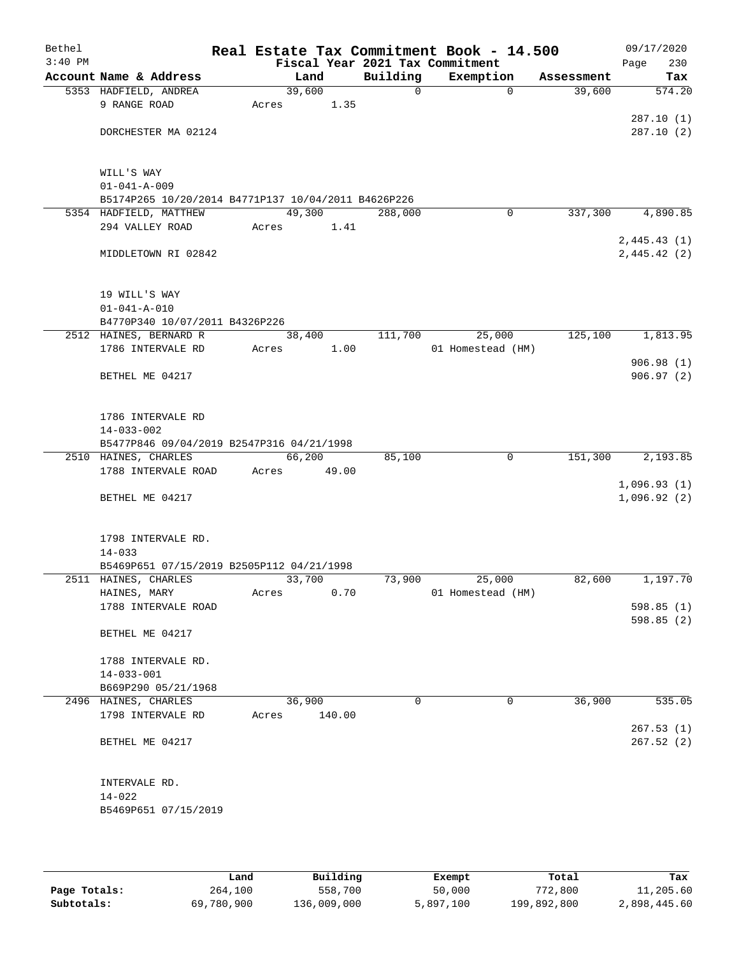| Bethel    |                                                                               |        |        |              | Real Estate Tax Commitment Book - 14.500 |            | 09/17/2020  |
|-----------|-------------------------------------------------------------------------------|--------|--------|--------------|------------------------------------------|------------|-------------|
| $3:40$ PM |                                                                               |        |        |              | Fiscal Year 2021 Tax Commitment          |            | 230<br>Page |
|           | Account Name & Address                                                        | Land   |        | Building     | Exemption                                | Assessment | Tax         |
|           | 5353 HADFIELD, ANDREA                                                         | 39,600 |        | $\mathsf{O}$ | $\mathbf 0$                              | 39,600     | 574.20      |
|           | 9 RANGE ROAD                                                                  | Acres  | 1.35   |              |                                          |            |             |
|           |                                                                               |        |        |              |                                          |            | 287.10(1)   |
|           | DORCHESTER MA 02124                                                           |        |        |              |                                          |            | 287.10(2)   |
|           |                                                                               |        |        |              |                                          |            |             |
|           |                                                                               |        |        |              |                                          |            |             |
|           | WILL'S WAY                                                                    |        |        |              |                                          |            |             |
|           | $01 - 041 - A - 009$                                                          |        |        |              |                                          |            |             |
|           | B5174P265 10/20/2014 B4771P137 10/04/2011 B4626P226<br>5354 HADFIELD, MATTHEW | 49,300 |        | 288,000      | 0                                        | 337,300    | 4,890.85    |
|           | 294 VALLEY ROAD                                                               |        |        |              |                                          |            |             |
|           |                                                                               | Acres  | 1.41   |              |                                          |            |             |
|           |                                                                               |        |        |              |                                          |            | 2,445.43(1) |
|           | MIDDLETOWN RI 02842                                                           |        |        |              |                                          |            | 2,445.42(2) |
|           |                                                                               |        |        |              |                                          |            |             |
|           | 19 WILL'S WAY                                                                 |        |        |              |                                          |            |             |
|           | $01 - 041 - A - 010$                                                          |        |        |              |                                          |            |             |
|           | B4770P340 10/07/2011 B4326P226                                                |        |        |              |                                          |            |             |
|           | 2512 HAINES, BERNARD R                                                        | 38,400 |        | 111,700      | 25,000                                   | 125,100    | 1,813.95    |
|           | 1786 INTERVALE RD                                                             | Acres  | 1.00   |              | 01 Homestead (HM)                        |            |             |
|           |                                                                               |        |        |              |                                          |            | 906.98(1)   |
|           | BETHEL ME 04217                                                               |        |        |              |                                          |            | 906.97(2)   |
|           |                                                                               |        |        |              |                                          |            |             |
|           |                                                                               |        |        |              |                                          |            |             |
|           | 1786 INTERVALE RD                                                             |        |        |              |                                          |            |             |
|           | $14 - 033 - 002$                                                              |        |        |              |                                          |            |             |
|           | B5477P846 09/04/2019 B2547P316 04/21/1998                                     |        |        |              |                                          |            |             |
|           | 2510 HAINES, CHARLES                                                          | 66,200 |        | 85,100       | 0                                        | 151,300    | 2,193.85    |
|           | 1788 INTERVALE ROAD                                                           | Acres  | 49.00  |              |                                          |            |             |
|           |                                                                               |        |        |              |                                          |            | 1,096.93(1) |
|           | BETHEL ME 04217                                                               |        |        |              |                                          |            | 1,096.92(2) |
|           |                                                                               |        |        |              |                                          |            |             |
|           |                                                                               |        |        |              |                                          |            |             |
|           | 1798 INTERVALE RD.                                                            |        |        |              |                                          |            |             |
|           | $14 - 033$                                                                    |        |        |              |                                          |            |             |
|           | B5469P651 07/15/2019 B2505P112 04/21/1998                                     |        |        |              |                                          |            |             |
|           | 2511 HAINES, CHARLES                                                          | 33,700 |        | 73,900       | 25,000                                   | 82,600     | 1,197.70    |
|           | HAINES, MARY                                                                  | Acres  | 0.70   |              | 01 Homestead (HM)                        |            |             |
|           | 1788 INTERVALE ROAD                                                           |        |        |              |                                          |            | 598.85(1)   |
|           |                                                                               |        |        |              |                                          |            | 598.85(2)   |
|           | BETHEL ME 04217                                                               |        |        |              |                                          |            |             |
|           |                                                                               |        |        |              |                                          |            |             |
|           | 1788 INTERVALE RD.                                                            |        |        |              |                                          |            |             |
|           | $14 - 033 - 001$                                                              |        |        |              |                                          |            |             |
|           | B669P290 05/21/1968                                                           |        |        |              |                                          |            |             |
|           | 2496 HAINES, CHARLES                                                          | 36,900 |        | 0            | 0                                        | 36,900     | 535.05      |
|           | 1798 INTERVALE RD                                                             | Acres  | 140.00 |              |                                          |            |             |
|           |                                                                               |        |        |              |                                          |            | 267.53(1)   |
|           | BETHEL ME 04217                                                               |        |        |              |                                          |            | 267.52(2)   |
|           |                                                                               |        |        |              |                                          |            |             |
|           |                                                                               |        |        |              |                                          |            |             |
|           | INTERVALE RD.                                                                 |        |        |              |                                          |            |             |
|           | $14 - 022$                                                                    |        |        |              |                                          |            |             |
|           | B5469P651 07/15/2019                                                          |        |        |              |                                          |            |             |
|           |                                                                               |        |        |              |                                          |            |             |
|           |                                                                               |        |        |              |                                          |            |             |

|              | Land       | Building    | Exempt    | Total       | Tax          |
|--------------|------------|-------------|-----------|-------------|--------------|
| Page Totals: | 264,100    | 558,700     | 50,000    | 772,800     | 11,205.60    |
| Subtotals:   | 69,780,900 | 136,009,000 | 5,897,100 | 199,892,800 | 2,898,445.60 |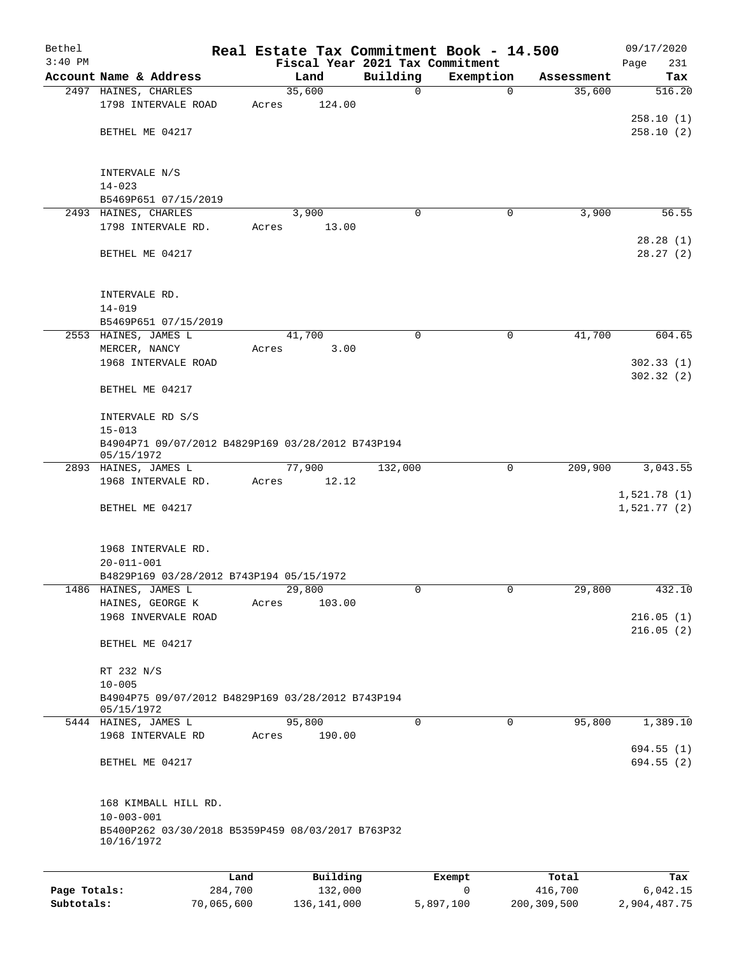| Bethel<br>$3:40$ PM |                                                                 | Real Estate Tax Commitment Book - 14.500 | Fiscal Year 2021 Tax Commitment |             |            | 09/17/2020<br>231<br>Page |
|---------------------|-----------------------------------------------------------------|------------------------------------------|---------------------------------|-------------|------------|---------------------------|
|                     | Account Name & Address                                          | Land                                     | Building                        | Exemption   | Assessment | Tax                       |
|                     | 2497 HAINES, CHARLES                                            | 35,600                                   | 0                               | $\mathbf 0$ | 35,600     | 516.20                    |
|                     | 1798 INTERVALE ROAD                                             | 124.00<br>Acres                          |                                 |             |            |                           |
|                     |                                                                 |                                          |                                 |             |            | 258.10(1)                 |
|                     | BETHEL ME 04217                                                 |                                          |                                 |             |            | 258.10(2)                 |
|                     | INTERVALE N/S                                                   |                                          |                                 |             |            |                           |
|                     | $14 - 023$                                                      |                                          |                                 |             |            |                           |
|                     | B5469P651 07/15/2019                                            |                                          |                                 |             |            |                           |
|                     | 2493 HAINES, CHARLES                                            | 3,900                                    | 0                               | 0           | 3,900      | 56.55                     |
|                     | 1798 INTERVALE RD.                                              | Acres<br>13.00                           |                                 |             |            |                           |
|                     | BETHEL ME 04217                                                 |                                          |                                 |             |            | 28.28(1)<br>28.27(2)      |
|                     | INTERVALE RD.                                                   |                                          |                                 |             |            |                           |
|                     | $14 - 019$                                                      |                                          |                                 |             |            |                           |
|                     | B5469P651 07/15/2019                                            |                                          |                                 |             |            |                           |
|                     | 2553 HAINES, JAMES L                                            | 41,700                                   | 0                               | $\mathbf 0$ | 41,700     | 604.65                    |
|                     | MERCER, NANCY                                                   | 3.00<br>Acres                            |                                 |             |            |                           |
|                     | 1968 INTERVALE ROAD                                             |                                          |                                 |             |            | 302.33(1)<br>302.32(2)    |
|                     | BETHEL ME 04217                                                 |                                          |                                 |             |            |                           |
|                     | INTERVALE RD S/S                                                |                                          |                                 |             |            |                           |
|                     | $15 - 013$                                                      |                                          |                                 |             |            |                           |
|                     | B4904P71 09/07/2012 B4829P169 03/28/2012 B743P194<br>05/15/1972 |                                          |                                 |             |            |                           |
|                     | 2893 HAINES, JAMES L                                            | 77,900                                   | 132,000                         | $\mathbf 0$ | 209,900    | 3,043.55                  |
|                     | 1968 INTERVALE RD.                                              | 12.12<br>Acres                           |                                 |             |            | 1,521.78(1)               |
|                     | BETHEL ME 04217                                                 |                                          |                                 |             |            | 1,521.77(2)               |
|                     | 1968 INTERVALE RD.                                              |                                          |                                 |             |            |                           |
|                     | $20 - 011 - 001$                                                |                                          |                                 |             |            |                           |
|                     | B4829P169 03/28/2012 B743P194 05/15/1972                        |                                          |                                 |             |            |                           |
|                     | 1486 HAINES, JAMES L                                            | 29,800                                   | 0                               | 0           | 29,800     | 432.10                    |
|                     | HAINES, GEORGE K                                                | 103.00<br>Acres                          |                                 |             |            | 216.05(1)                 |
|                     | 1968 INVERVALE ROAD                                             |                                          |                                 |             |            | 216.05(2)                 |
|                     | BETHEL ME 04217                                                 |                                          |                                 |             |            |                           |
|                     | RT 232 N/S                                                      |                                          |                                 |             |            |                           |
|                     | $10 - 005$                                                      |                                          |                                 |             |            |                           |
|                     | B4904P75 09/07/2012 B4829P169 03/28/2012 B743P194<br>05/15/1972 |                                          |                                 |             |            |                           |
|                     | 5444 HAINES, JAMES L<br>1968 INTERVALE RD                       | 95,800<br>190.00                         | 0                               | $\mathbf 0$ | 95,800     | 1,389.10                  |
|                     |                                                                 | Acres                                    |                                 |             |            | 694.55 (1)                |
|                     | BETHEL ME 04217                                                 |                                          |                                 |             |            | 694.55(2)                 |
|                     | 168 KIMBALL HILL RD.                                            |                                          |                                 |             |            |                           |
|                     | $10 - 003 - 001$                                                |                                          |                                 |             |            |                           |
|                     | B5400P262 03/30/2018 B5359P459 08/03/2017 B763P32<br>10/16/1972 |                                          |                                 |             |            |                           |
|                     |                                                                 |                                          |                                 |             |            |                           |
|                     | Land                                                            | Building                                 |                                 | Exempt      | Total      | Tax                       |
| Page Totals:        | 284,700                                                         | 132,000                                  |                                 | 0           | 416,700    | 6,042.15                  |

**Subtotals:** 70,065,600 136,141,000 5,897,100 200,309,500 2,904,487.75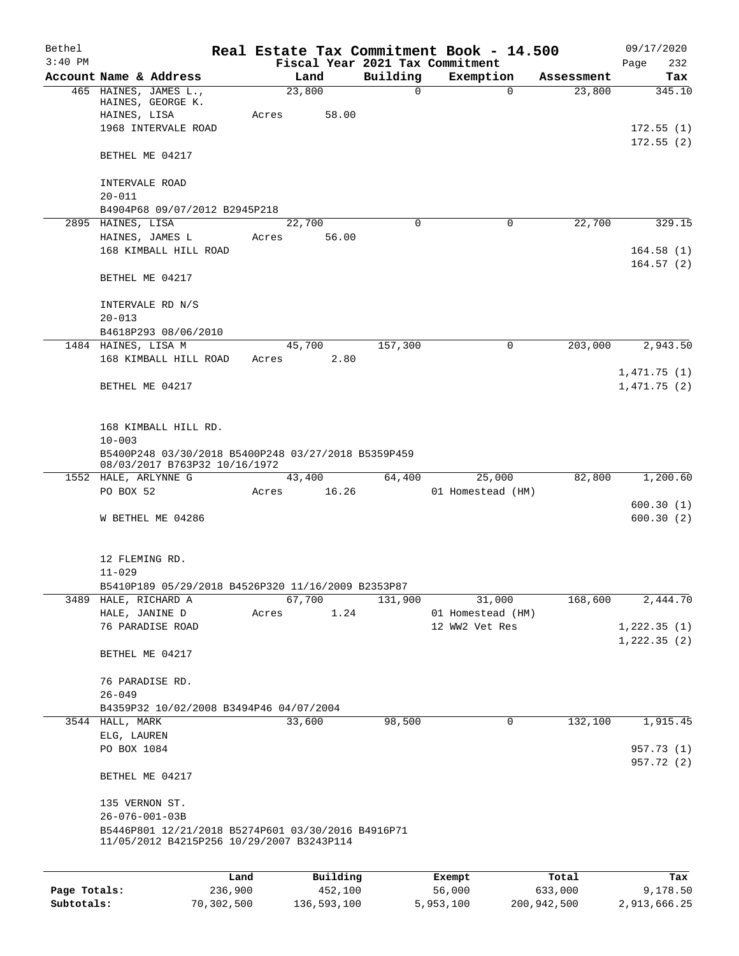| Bethel       |                                                                                                 |         |                |               | Real Estate Tax Commitment Book - 14.500 |                      | 09/17/2020    |
|--------------|-------------------------------------------------------------------------------------------------|---------|----------------|---------------|------------------------------------------|----------------------|---------------|
| $3:40$ PM    |                                                                                                 |         |                |               | Fiscal Year 2021 Tax Commitment          |                      | 232<br>Page   |
|              | Account Name & Address<br>465 HAINES, JAMES L.,                                                 |         | Land<br>23,800 | Building<br>0 | Exemption<br>$\mathbf 0$                 | Assessment<br>23,800 | Tax<br>345.10 |
|              | HAINES, GEORGE K.<br>HAINES, LISA                                                               | Acres   | 58.00          |               |                                          |                      |               |
|              | 1968 INTERVALE ROAD                                                                             |         |                |               |                                          |                      | 172.55(1)     |
|              |                                                                                                 |         |                |               |                                          |                      | 172.55(2)     |
|              | BETHEL ME 04217                                                                                 |         |                |               |                                          |                      |               |
|              | INTERVALE ROAD                                                                                  |         |                |               |                                          |                      |               |
|              | $20 - 011$<br>B4904P68 09/07/2012 B2945P218                                                     |         |                |               |                                          |                      |               |
|              | 2895 HAINES, LISA                                                                               |         | 22,700         | $\Omega$      | $\Omega$                                 | 22,700               | 329.15        |
|              | HAINES, JAMES L                                                                                 | Acres   | 56.00          |               |                                          |                      |               |
|              | 168 KIMBALL HILL ROAD                                                                           |         |                |               |                                          |                      | 164.58(1)     |
|              |                                                                                                 |         |                |               |                                          |                      | 164.57(2)     |
|              | BETHEL ME 04217                                                                                 |         |                |               |                                          |                      |               |
|              | INTERVALE RD N/S                                                                                |         |                |               |                                          |                      |               |
|              | $20 - 013$                                                                                      |         |                |               |                                          |                      |               |
|              | B4618P293 08/06/2010                                                                            |         |                |               |                                          |                      |               |
|              | 1484 HAINES, LISA M                                                                             |         | 45,700         | 157,300       | $\mathbf 0$                              | 203,000              | 2,943.50      |
|              | 168 KIMBALL HILL ROAD                                                                           | Acres   | 2.80           |               |                                          |                      |               |
|              |                                                                                                 |         |                |               |                                          |                      | 1,471.75(1)   |
|              | BETHEL ME 04217                                                                                 |         |                |               |                                          |                      | 1,471.75(2)   |
|              |                                                                                                 |         |                |               |                                          |                      |               |
|              | 168 KIMBALL HILL RD.                                                                            |         |                |               |                                          |                      |               |
|              | $10 - 003$                                                                                      |         |                |               |                                          |                      |               |
|              | B5400P248 03/30/2018 B5400P248 03/27/2018 B5359P459<br>08/03/2017 B763P32 10/16/1972            |         |                |               |                                          |                      |               |
|              | 1552 HALE, ARLYNNE G                                                                            |         | 43,400         | 64,400        | 25,000                                   | 82,800               | 1,200.60      |
|              | PO BOX 52                                                                                       | Acres   | 16.26          |               | 01 Homestead (HM)                        |                      |               |
|              |                                                                                                 |         |                |               |                                          |                      | 600.30(1)     |
|              | W BETHEL ME 04286                                                                               |         |                |               |                                          |                      | 600.30(2)     |
|              |                                                                                                 |         |                |               |                                          |                      |               |
|              | 12 FLEMING RD.                                                                                  |         |                |               |                                          |                      |               |
|              | $11 - 029$                                                                                      |         |                |               |                                          |                      |               |
|              | B5410P189 05/29/2018 B4526P320 11/16/2009 B2353P87                                              |         |                |               |                                          |                      |               |
|              | 3489 HALE, RICHARD A<br>HALE, JANINE D                                                          | Acres   | 67,700<br>1.24 | 131,900       | 31,000<br>01 Homestead (HM)              | 168,600              | 2,444.70      |
|              | 76 PARADISE ROAD                                                                                |         |                |               | 12 WW2 Vet Res                           |                      | 1,222.35(1)   |
|              |                                                                                                 |         |                |               |                                          |                      | 1,222.35(2)   |
|              | BETHEL ME 04217                                                                                 |         |                |               |                                          |                      |               |
|              | 76 PARADISE RD.                                                                                 |         |                |               |                                          |                      |               |
|              | $26 - 049$                                                                                      |         |                |               |                                          |                      |               |
|              | B4359P32 10/02/2008 B3494P46 04/07/2004                                                         |         |                |               |                                          |                      |               |
|              | 3544 HALL, MARK                                                                                 |         | 33,600         | 98,500        | $\mathbf 0$                              | 132,100              | 1,915.45      |
|              | ELG, LAUREN                                                                                     |         |                |               |                                          |                      |               |
|              | PO BOX 1084                                                                                     |         |                |               |                                          |                      | 957.73 (1)    |
|              |                                                                                                 |         |                |               |                                          |                      | 957.72 (2)    |
|              | BETHEL ME 04217                                                                                 |         |                |               |                                          |                      |               |
|              | 135 VERNON ST.                                                                                  |         |                |               |                                          |                      |               |
|              | $26 - 076 - 001 - 03B$                                                                          |         |                |               |                                          |                      |               |
|              | B5446P801 12/21/2018 B5274P601 03/30/2016 B4916P71<br>11/05/2012 B4215P256 10/29/2007 B3243P114 |         |                |               |                                          |                      |               |
|              |                                                                                                 |         |                |               |                                          |                      |               |
|              |                                                                                                 | Land    | Building       |               | Exempt                                   | Total                | Tax           |
| Page Totals: |                                                                                                 | 236,900 | 452,100        |               | 56,000                                   | 633,000              | 9,178.50      |

**Subtotals:** 70,302,500 136,593,100 5,953,100 200,942,500 2,913,666.25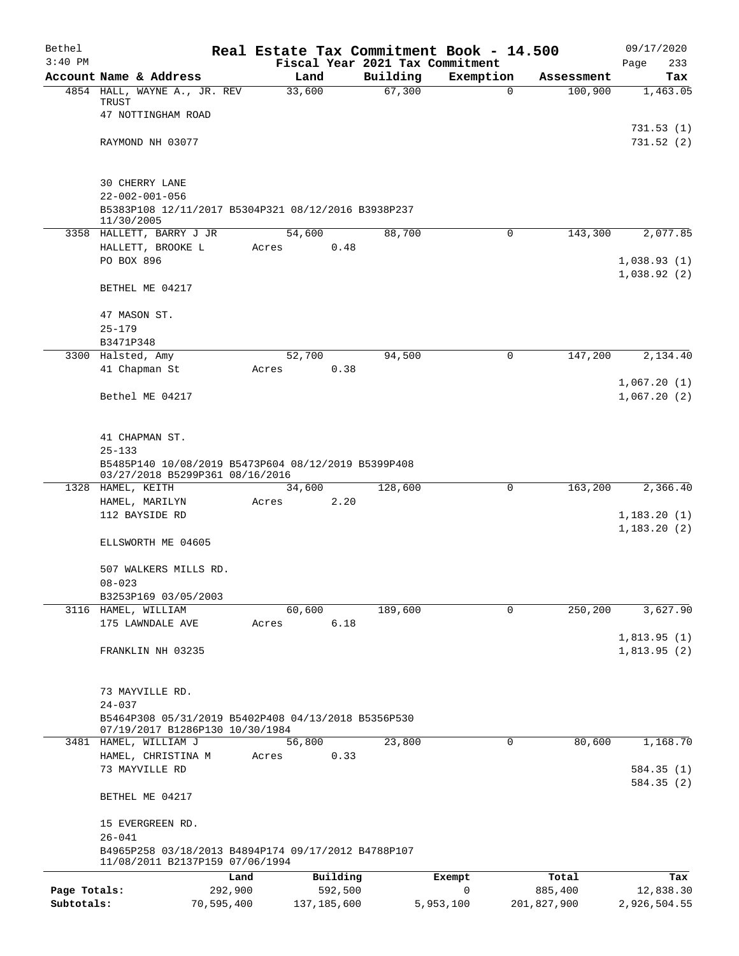| Bethel       |                                                                                        |               |                                 | Real Estate Tax Commitment Book - 14.500 |             | 09/17/2020                 |
|--------------|----------------------------------------------------------------------------------------|---------------|---------------------------------|------------------------------------------|-------------|----------------------------|
| $3:40$ PM    |                                                                                        |               | Fiscal Year 2021 Tax Commitment |                                          |             | 233<br>Page                |
|              | Account Name & Address                                                                 | Land          | Building<br>67,300              | Exemption                                | Assessment  | Tax<br>1,463.05            |
|              | 4854 HALL, WAYNE A., JR. REV<br>TRUST                                                  | 33,600        |                                 | 0                                        | 100,900     |                            |
|              | 47 NOTTINGHAM ROAD                                                                     |               |                                 |                                          |             |                            |
|              |                                                                                        |               |                                 |                                          |             | 731.53(1)                  |
|              | RAYMOND NH 03077                                                                       |               |                                 |                                          |             | 731.52(2)                  |
|              |                                                                                        |               |                                 |                                          |             |                            |
|              | 30 CHERRY LANE                                                                         |               |                                 |                                          |             |                            |
|              | $22 - 002 - 001 - 056$                                                                 |               |                                 |                                          |             |                            |
|              | B5383P108 12/11/2017 B5304P321 08/12/2016 B3938P237<br>11/30/2005                      |               |                                 |                                          |             |                            |
|              | 3358 HALLETT, BARRY J JR                                                               | 54,600        | 88,700                          | $\mathbf 0$                              | 143,300     | 2,077.85                   |
|              | HALLETT, BROOKE L                                                                      | Acres         | 0.48                            |                                          |             |                            |
|              | PO BOX 896                                                                             |               |                                 |                                          |             | 1,038.93(1)                |
|              | BETHEL ME 04217                                                                        |               |                                 |                                          |             | 1,038.92(2)                |
|              |                                                                                        |               |                                 |                                          |             |                            |
|              | 47 MASON ST.                                                                           |               |                                 |                                          |             |                            |
|              | $25 - 179$                                                                             |               |                                 |                                          |             |                            |
|              | B3471P348                                                                              |               |                                 |                                          |             |                            |
|              | 3300 Halsted, Amy                                                                      | 52,700        | 94,500                          | 0                                        | 147,200     | 2,134.40                   |
|              | 41 Chapman St                                                                          | Acres         | 0.38                            |                                          |             |                            |
|              | Bethel ME 04217                                                                        |               |                                 |                                          |             | 1,067.20(1)<br>1,067.20(2) |
|              | 41 CHAPMAN ST.                                                                         |               |                                 |                                          |             |                            |
|              | $25 - 133$                                                                             |               |                                 |                                          |             |                            |
|              | B5485P140 10/08/2019 B5473P604 08/12/2019 B5399P408<br>03/27/2018 B5299P361 08/16/2016 |               |                                 |                                          |             |                            |
|              | 1328 HAMEL, KEITH                                                                      | 34,600        | 128,600                         | 0                                        | 163,200     | 2,366.40                   |
|              | HAMEL, MARILYN                                                                         | Acres         | 2.20                            |                                          |             |                            |
|              | 112 BAYSIDE RD                                                                         |               |                                 |                                          |             | 1,183.20(1)                |
|              | ELLSWORTH ME 04605                                                                     |               |                                 |                                          |             | 1, 183.20(2)               |
|              |                                                                                        |               |                                 |                                          |             |                            |
|              | 507 WALKERS MILLS RD.                                                                  |               |                                 |                                          |             |                            |
|              | $08 - 023$                                                                             |               |                                 |                                          |             |                            |
|              | B3253P169 03/05/2003                                                                   |               |                                 |                                          |             |                            |
|              | 3116 HAMEL, WILLIAM                                                                    | 60,600        | 189,600                         | 0                                        | 250,200     | $3,627.\overline{90}$      |
|              | 175 LAWNDALE AVE                                                                       | Acres         | 6.18                            |                                          |             | 1,813.95(1)                |
|              | FRANKLIN NH 03235                                                                      |               |                                 |                                          |             | 1,813.95(2)                |
|              |                                                                                        |               |                                 |                                          |             |                            |
|              | 73 MAYVILLE RD.                                                                        |               |                                 |                                          |             |                            |
|              | $24 - 037$                                                                             |               |                                 |                                          |             |                            |
|              | B5464P308 05/31/2019 B5402P408 04/13/2018 B5356P530<br>07/19/2017 B1286P130 10/30/1984 |               |                                 |                                          |             |                            |
|              | 3481 HAMEL, WILLIAM J                                                                  | 56,800        | 23,800                          | $\mathbf 0$                              | 80,600      | 1,168.70                   |
|              | HAMEL, CHRISTINA M                                                                     | Acres         | 0.33                            |                                          |             |                            |
|              | 73 MAYVILLE RD                                                                         |               |                                 |                                          |             | 584.35 (1)                 |
|              | BETHEL ME 04217                                                                        |               |                                 |                                          |             | 584.35 (2)                 |
|              | 15 EVERGREEN RD.                                                                       |               |                                 |                                          |             |                            |
|              | $26 - 041$<br>B4965P258 03/18/2013 B4894P174 09/17/2012 B4788P107                      |               |                                 |                                          |             |                            |
|              | 11/08/2011 B2137P159 07/06/1994<br>Land                                                |               | Building                        | Exempt                                   | Total       | Tax                        |
| Page Totals: | 292,900                                                                                |               | 592,500                         | 0                                        | 885,400     | 12,838.30                  |
| Subtotals:   | 70,595,400                                                                             | 137, 185, 600 |                                 | 5,953,100                                | 201,827,900 | 2,926,504.55               |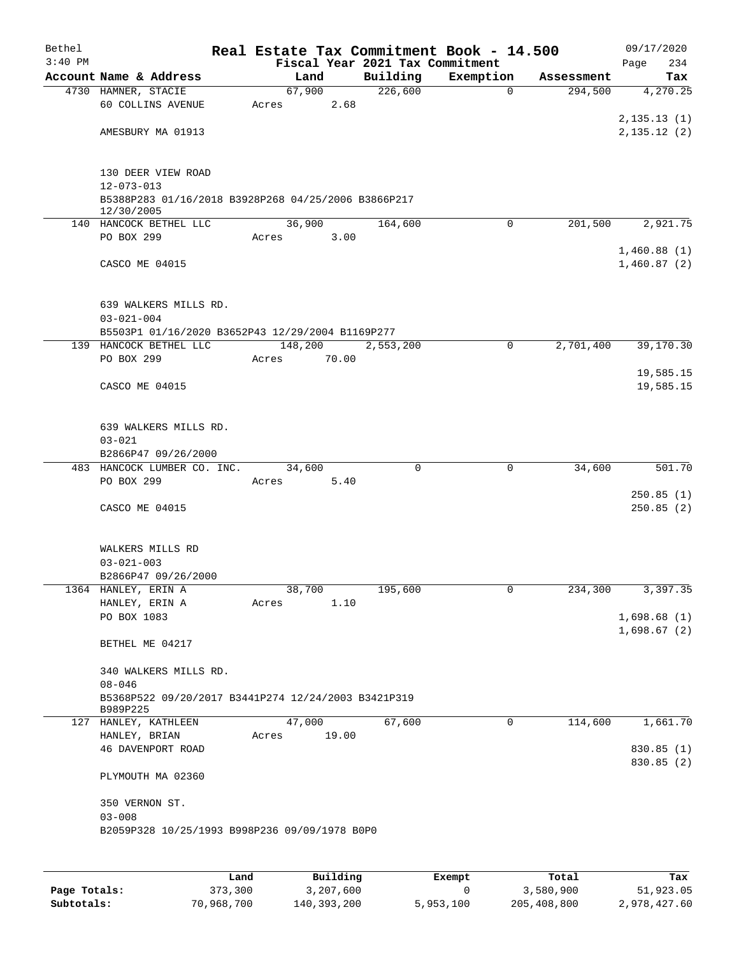| Bethel<br>$3:40$ PM |                                                                   |         |       | Fiscal Year 2021 Tax Commitment | Real Estate Tax Commitment Book - 14.500 |            | 09/17/2020<br>234<br>Page  |
|---------------------|-------------------------------------------------------------------|---------|-------|---------------------------------|------------------------------------------|------------|----------------------------|
|                     | Account Name & Address                                            | Land    |       | Building                        | Exemption                                | Assessment | Tax                        |
|                     | 4730 HAMNER, STACIE                                               | 67,900  |       | 226,600                         | $\mathbf 0$                              | 294,500    | 4,270.25                   |
|                     | <b>60 COLLINS AVENUE</b>                                          | Acres   | 2.68  |                                 |                                          |            |                            |
|                     |                                                                   |         |       |                                 |                                          |            | 2,135.13(1)                |
|                     | AMESBURY MA 01913                                                 |         |       |                                 |                                          |            | 2, 135.12(2)               |
|                     |                                                                   |         |       |                                 |                                          |            |                            |
|                     |                                                                   |         |       |                                 |                                          |            |                            |
|                     | 130 DEER VIEW ROAD                                                |         |       |                                 |                                          |            |                            |
|                     | $12 - 073 - 013$                                                  |         |       |                                 |                                          |            |                            |
|                     | B5388P283 01/16/2018 B3928P268 04/25/2006 B3866P217<br>12/30/2005 |         |       |                                 |                                          |            |                            |
|                     | 140 HANCOCK BETHEL LLC                                            | 36,900  |       | 164,600                         | $\mathbf 0$                              | 201,500    | 2,921.75                   |
|                     | PO BOX 299                                                        | Acres   | 3.00  |                                 |                                          |            |                            |
|                     |                                                                   |         |       |                                 |                                          |            | 1,460.88(1)                |
|                     | CASCO ME 04015                                                    |         |       |                                 |                                          |            | 1,460.87(2)                |
|                     |                                                                   |         |       |                                 |                                          |            |                            |
|                     |                                                                   |         |       |                                 |                                          |            |                            |
|                     | 639 WALKERS MILLS RD.                                             |         |       |                                 |                                          |            |                            |
|                     | $03 - 021 - 004$                                                  |         |       |                                 |                                          |            |                            |
|                     | B5503P1 01/16/2020 B3652P43 12/29/2004 B1169P277                  |         |       |                                 |                                          |            |                            |
| 139                 | HANCOCK BETHEL LLC                                                | 148,200 |       | 2,553,200                       | 0                                        | 2,701,400  | 39, 170.30                 |
|                     | PO BOX 299                                                        | Acres   | 70.00 |                                 |                                          |            |                            |
|                     |                                                                   |         |       |                                 |                                          |            | 19,585.15                  |
|                     | CASCO ME 04015                                                    |         |       |                                 |                                          |            | 19,585.15                  |
|                     |                                                                   |         |       |                                 |                                          |            |                            |
|                     | 639 WALKERS MILLS RD.                                             |         |       |                                 |                                          |            |                            |
|                     | $03 - 021$                                                        |         |       |                                 |                                          |            |                            |
|                     | B2866P47 09/26/2000                                               |         |       |                                 |                                          |            |                            |
|                     | 483 HANCOCK LUMBER CO. INC.                                       | 34,600  |       | 0                               | $\mathbf 0$                              | 34,600     | 501.70                     |
|                     | PO BOX 299                                                        | Acres   | 5.40  |                                 |                                          |            |                            |
|                     |                                                                   |         |       |                                 |                                          |            | 250.85(1)                  |
|                     | CASCO ME 04015                                                    |         |       |                                 |                                          |            | 250.85(2)                  |
|                     |                                                                   |         |       |                                 |                                          |            |                            |
|                     |                                                                   |         |       |                                 |                                          |            |                            |
|                     | WALKERS MILLS RD                                                  |         |       |                                 |                                          |            |                            |
|                     | $03 - 021 - 003$                                                  |         |       |                                 |                                          |            |                            |
|                     | B2866P47 09/26/2000                                               |         |       |                                 |                                          |            |                            |
|                     | 1364 HANLEY, ERIN A                                               | 38,700  |       | 195,600                         | 0                                        | 234,300    | 3,397.35                   |
|                     | HANLEY, ERIN A                                                    | Acres   | 1.10  |                                 |                                          |            |                            |
|                     | PO BOX 1083                                                       |         |       |                                 |                                          |            | 1,698.68(1)<br>1,698.67(2) |
|                     | BETHEL ME 04217                                                   |         |       |                                 |                                          |            |                            |
|                     |                                                                   |         |       |                                 |                                          |            |                            |
|                     | 340 WALKERS MILLS RD.                                             |         |       |                                 |                                          |            |                            |
|                     | $08 - 046$                                                        |         |       |                                 |                                          |            |                            |
|                     | B5368P522 09/20/2017 B3441P274 12/24/2003 B3421P319               |         |       |                                 |                                          |            |                            |
|                     | B989P225                                                          |         |       |                                 |                                          |            |                            |
|                     | 127 HANLEY, KATHLEEN                                              | 47,000  |       | 67,600                          | 0                                        | 114,600    | 1,661.70                   |
|                     | HANLEY, BRIAN                                                     | Acres   | 19.00 |                                 |                                          |            |                            |
|                     | <b>46 DAVENPORT ROAD</b>                                          |         |       |                                 |                                          |            | 830.85 (1)                 |
|                     |                                                                   |         |       |                                 |                                          |            | 830.85 (2)                 |
|                     | PLYMOUTH MA 02360                                                 |         |       |                                 |                                          |            |                            |
|                     | 350 VERNON ST.                                                    |         |       |                                 |                                          |            |                            |
|                     | $03 - 008$                                                        |         |       |                                 |                                          |            |                            |
|                     | B2059P328 10/25/1993 B998P236 09/09/1978 B0P0                     |         |       |                                 |                                          |            |                            |
|                     |                                                                   |         |       |                                 |                                          |            |                            |
|                     |                                                                   |         |       |                                 |                                          |            |                            |
|                     |                                                                   |         |       |                                 |                                          |            |                            |

|              | Land       | Building    | Exempt    | Total       | Tax          |
|--------------|------------|-------------|-----------|-------------|--------------|
| Page Totals: | 373,300    | 3,207,600   |           | 3,580,900   | 51,923.05    |
| Subtotals:   | 70,968,700 | 140,393,200 | 5,953,100 | 205,408,800 | 2,978,427.60 |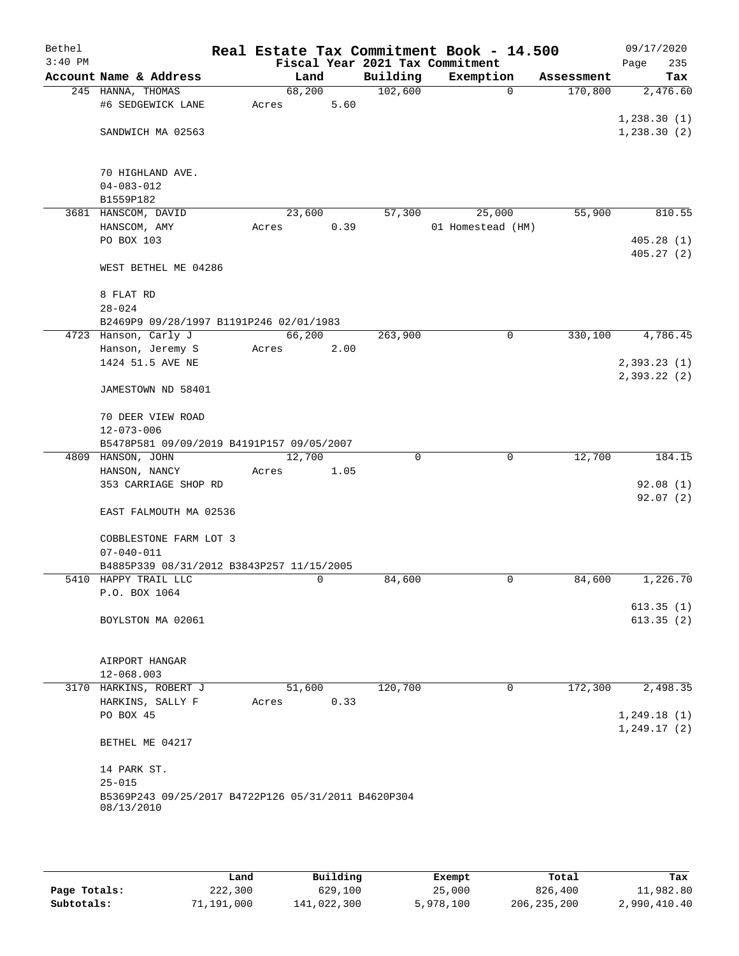| Bethel    |                                                     |        |      |          | Real Estate Tax Commitment Book - 14.500 |            | 09/17/2020   |
|-----------|-----------------------------------------------------|--------|------|----------|------------------------------------------|------------|--------------|
| $3:40$ PM |                                                     |        |      |          | Fiscal Year 2021 Tax Commitment          |            | Page<br>235  |
|           | Account Name & Address                              |        | Land | Building | Exemption                                | Assessment | Tax          |
|           | 245 HANNA, THOMAS                                   | 68,200 |      | 102,600  | $\mathbf 0$                              | 170,800    | 2,476.60     |
|           | #6 SEDGEWICK LANE                                   | Acres  | 5.60 |          |                                          |            |              |
|           |                                                     |        |      |          |                                          |            | 1,238.30(1)  |
|           | SANDWICH MA 02563                                   |        |      |          |                                          |            | 1, 238.30(2) |
|           | 70 HIGHLAND AVE.                                    |        |      |          |                                          |            |              |
|           | $04 - 083 - 012$                                    |        |      |          |                                          |            |              |
|           | B1559P182                                           |        |      |          |                                          |            |              |
|           | 3681 HANSCOM, DAVID                                 | 23,600 |      | 57,300   | 25,000                                   | 55,900     | 810.55       |
|           | HANSCOM, AMY                                        | Acres  | 0.39 |          | 01 Homestead (HM)                        |            |              |
|           | PO BOX 103                                          |        |      |          |                                          |            | 405.28(1)    |
|           |                                                     |        |      |          |                                          |            | 405.27(2)    |
|           | WEST BETHEL ME 04286                                |        |      |          |                                          |            |              |
|           | 8 FLAT RD                                           |        |      |          |                                          |            |              |
|           | $28 - 024$                                          |        |      |          |                                          |            |              |
|           | B2469P9 09/28/1997 B1191P246 02/01/1983             |        |      |          |                                          |            |              |
|           | 4723 Hanson, Carly J                                | 66,200 |      | 263,900  | $\mathbf 0$                              | 330,100    | 4,786.45     |
|           | Hanson, Jeremy S<br>1424 51.5 AVE NE                | Acres  | 2.00 |          |                                          |            | 2,393.23(1)  |
|           |                                                     |        |      |          |                                          |            | 2,393.22(2)  |
|           | JAMESTOWN ND 58401                                  |        |      |          |                                          |            |              |
|           | 70 DEER VIEW ROAD                                   |        |      |          |                                          |            |              |
|           | $12 - 073 - 006$                                    |        |      |          |                                          |            |              |
|           | B5478P581 09/09/2019 B4191P157 09/05/2007           |        |      |          |                                          |            |              |
|           | 4809 HANSON, JOHN                                   | 12,700 |      | 0        | $\mathbf 0$                              | 12,700     | 184.15       |
|           | HANSON, NANCY                                       | Acres  | 1.05 |          |                                          |            |              |
|           | 353 CARRIAGE SHOP RD                                |        |      |          |                                          |            | 92.08(1)     |
|           | EAST FALMOUTH MA 02536                              |        |      |          |                                          |            | 92.07(2)     |
|           | COBBLESTONE FARM LOT 3                              |        |      |          |                                          |            |              |
|           | $07 - 040 - 011$                                    |        |      |          |                                          |            |              |
|           | B4885P339 08/31/2012 B3843P257 11/15/2005           |        |      |          |                                          |            |              |
|           | 5410 HAPPY TRAIL LLC                                |        | 0    | 84,600   | 0                                        | 84,600     | 1,226.70     |
|           | P.O. BOX 1064                                       |        |      |          |                                          |            |              |
|           |                                                     |        |      |          |                                          |            | 613.35(1)    |
|           | BOYLSTON MA 02061                                   |        |      |          |                                          |            | 613.35(2)    |
|           | AIRPORT HANGAR                                      |        |      |          |                                          |            |              |
|           | 12-068.003                                          |        |      |          |                                          |            |              |
|           | 3170 HARKINS, ROBERT J                              | 51,600 |      | 120,700  | 0                                        | 172,300    | 2,498.35     |
|           | HARKINS, SALLY F                                    | Acres  | 0.33 |          |                                          |            |              |
|           | PO BOX 45                                           |        |      |          |                                          |            | 1, 249.18(1) |
|           | BETHEL ME 04217                                     |        |      |          |                                          |            | 1, 249.17(2) |
|           | 14 PARK ST.                                         |        |      |          |                                          |            |              |
|           | $25 - 015$                                          |        |      |          |                                          |            |              |
|           | B5369P243 09/25/2017 B4722P126 05/31/2011 B4620P304 |        |      |          |                                          |            |              |
|           | 08/13/2010                                          |        |      |          |                                          |            |              |

|              | Land       | Building    | Exempt    | Total         | Tax          |
|--------------|------------|-------------|-----------|---------------|--------------|
| Page Totals: | 222,300    | 629,100     | 25,000    | 826,400       | 11,982.80    |
| Subtotals:   | 71,191,000 | 141,022,300 | 5,978,100 | 206, 235, 200 | 2,990,410.40 |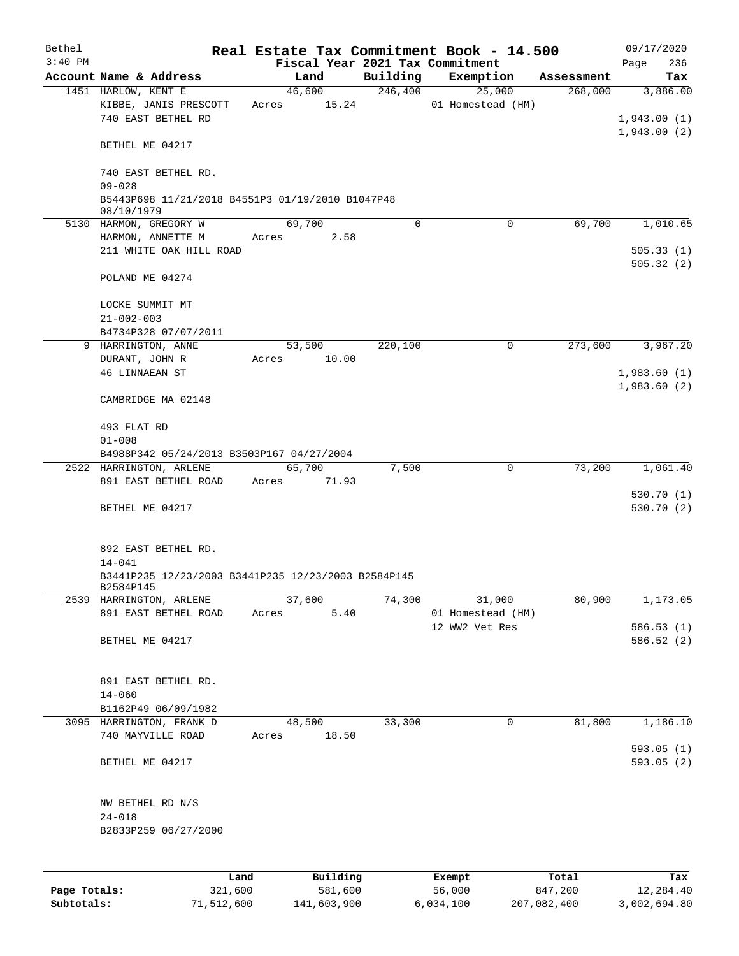| Bethel       |                                                                  |                                 |          | Real Estate Tax Commitment Book - 14.500 |            | 09/17/2020                 |
|--------------|------------------------------------------------------------------|---------------------------------|----------|------------------------------------------|------------|----------------------------|
| $3:40$ PM    |                                                                  | Fiscal Year 2021 Tax Commitment |          |                                          |            | Page<br>236                |
|              | Account Name & Address                                           | Land                            | Building | Exemption                                | Assessment | Tax                        |
|              | 1451 HARLOW, KENT E<br>KIBBE, JANIS PRESCOTT                     | 46,600<br>15.24<br>Acres        | 246,400  | 25,000<br>01 Homestead (HM)              | 268,000    | 3,886.00                   |
|              | 740 EAST BETHEL RD                                               |                                 |          |                                          |            | 1,943.00(1)<br>1,943.00(2) |
|              | BETHEL ME 04217                                                  |                                 |          |                                          |            |                            |
|              | 740 EAST BETHEL RD.<br>$09 - 028$                                |                                 |          |                                          |            |                            |
|              | B5443P698 11/21/2018 B4551P3 01/19/2010 B1047P48<br>08/10/1979   |                                 |          |                                          |            |                            |
|              | 5130 HARMON, GREGORY W                                           | 69,700                          | $\Omega$ | $\Omega$                                 | 69,700     | 1,010.65                   |
|              | HARMON, ANNETTE M                                                | 2.58<br>Acres                   |          |                                          |            |                            |
|              | 211 WHITE OAK HILL ROAD                                          |                                 |          |                                          |            | 505.33(1)<br>505.32(2)     |
|              | POLAND ME 04274                                                  |                                 |          |                                          |            |                            |
|              | LOCKE SUMMIT MT                                                  |                                 |          |                                          |            |                            |
|              | $21 - 002 - 003$                                                 |                                 |          |                                          |            |                            |
|              | B4734P328 07/07/2011                                             |                                 |          |                                          |            |                            |
|              | 9 HARRINGTON, ANNE                                               | 53,500                          | 220,100  | 0                                        | 273,600    | 3,967.20                   |
|              | DURANT, JOHN R                                                   | 10.00<br>Acres                  |          |                                          |            |                            |
|              | <b>46 LINNAEAN ST</b>                                            |                                 |          |                                          |            | 1,983.60(1)                |
|              | CAMBRIDGE MA 02148                                               |                                 |          |                                          |            | 1,983.60(2)                |
|              | 493 FLAT RD                                                      |                                 |          |                                          |            |                            |
|              | $01 - 008$                                                       |                                 |          |                                          |            |                            |
|              | B4988P342 05/24/2013 B3503P167 04/27/2004                        |                                 |          |                                          |            |                            |
|              | 2522 HARRINGTON, ARLENE<br>891 EAST BETHEL ROAD                  | 65,700<br>Acres<br>71.93        | 7,500    | 0                                        | 73,200     | 1,061.40                   |
|              |                                                                  |                                 |          |                                          |            | 530.70(1)                  |
|              | BETHEL ME 04217                                                  |                                 |          |                                          |            | 530.70 (2)                 |
|              | 892 EAST BETHEL RD.                                              |                                 |          |                                          |            |                            |
|              | $14 - 041$                                                       |                                 |          |                                          |            |                            |
|              | B3441P235 12/23/2003 B3441P235 12/23/2003 B2584P145<br>B2584P145 |                                 |          |                                          |            |                            |
|              | 2539 HARRINGTON, ARLENE                                          | 37,600                          | 74,300   | 31,000                                   | 80,900     | 1,173.05                   |
|              | 891 EAST BETHEL ROAD                                             | 5.40<br>Acres                   |          | 01 Homestead (HM)                        |            |                            |
|              | BETHEL ME 04217                                                  |                                 |          | 12 WW2 Vet Res                           |            | 586.53(1)<br>586.52(2)     |
|              | 891 EAST BETHEL RD.                                              |                                 |          |                                          |            |                            |
|              | $14 - 060$                                                       |                                 |          |                                          |            |                            |
|              | B1162P49 06/09/1982                                              |                                 |          |                                          |            |                            |
|              | 3095 HARRINGTON, FRANK D<br>740 MAYVILLE ROAD                    | 48,500<br>18.50<br>Acres        | 33,300   | 0                                        | 81,800     | 1,186.10                   |
|              | BETHEL ME 04217                                                  |                                 |          |                                          |            | 593.05(1)<br>593.05(2)     |
|              | NW BETHEL RD N/S                                                 |                                 |          |                                          |            |                            |
|              | $24 - 018$                                                       |                                 |          |                                          |            |                            |
|              | B2833P259 06/27/2000                                             |                                 |          |                                          |            |                            |
|              |                                                                  |                                 |          |                                          |            |                            |
|              |                                                                  |                                 |          |                                          |            |                            |
|              | Land                                                             | Building                        |          | Exempt                                   | Total      | Tax                        |
| Page Totals: | 321,600                                                          | 581,600                         |          | 56,000                                   | 847,200    | 12,284.40                  |

**Subtotals:** 71,512,600 141,603,900 6,034,100 207,082,400 3,002,694.80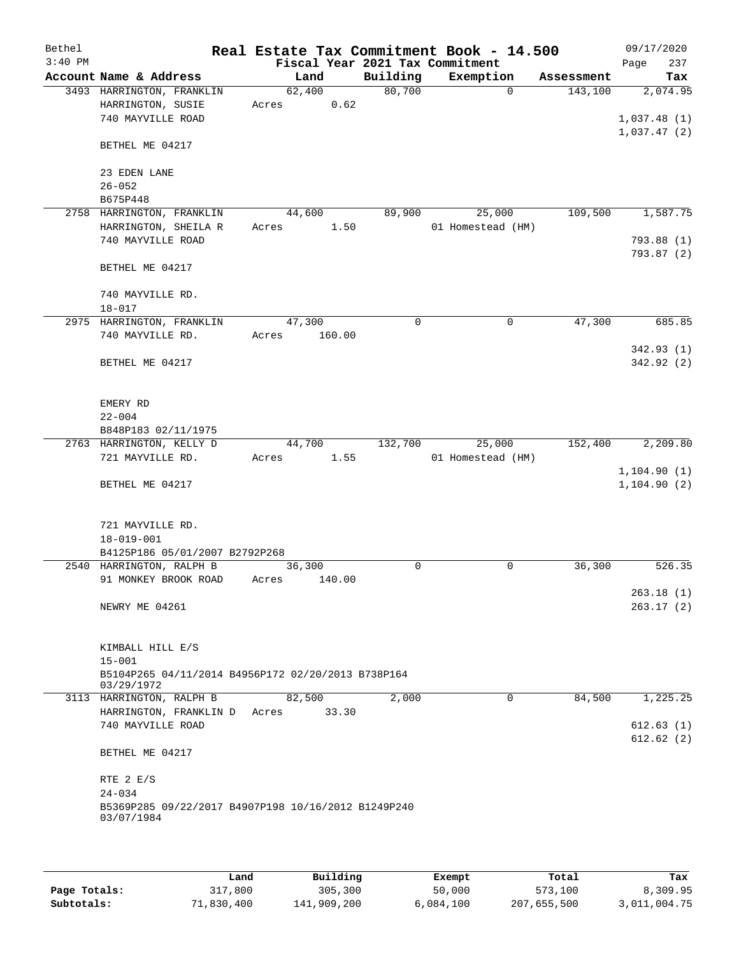| Bethel    |                                                                   | Real Estate Tax Commitment Book - 14.500 |          |                   |            | 09/17/2020   |
|-----------|-------------------------------------------------------------------|------------------------------------------|----------|-------------------|------------|--------------|
| $3:40$ PM |                                                                   | Fiscal Year 2021 Tax Commitment          |          |                   |            | 237<br>Page  |
|           | Account Name & Address                                            | Land                                     | Building | Exemption         | Assessment | Tax          |
|           | 3493 HARRINGTON, FRANKLIN                                         | 62,400                                   | 80,700   | $\Omega$          | 143,100    | 2,074.95     |
|           | HARRINGTON, SUSIE                                                 | 0.62<br>Acres                            |          |                   |            |              |
|           | 740 MAYVILLE ROAD                                                 |                                          |          |                   |            | 1,037.48(1)  |
|           |                                                                   |                                          |          |                   |            | 1,037.47(2)  |
|           | BETHEL ME 04217                                                   |                                          |          |                   |            |              |
|           | 23 EDEN LANE                                                      |                                          |          |                   |            |              |
|           | $26 - 052$                                                        |                                          |          |                   |            |              |
|           | B675P448                                                          |                                          |          |                   |            |              |
|           | 2758 HARRINGTON, FRANKLIN                                         | 44,600                                   | 89,900   | 25,000            | 109,500    | 1,587.75     |
|           | HARRINGTON, SHEILA R                                              | 1.50<br>Acres                            |          | 01 Homestead (HM) |            |              |
|           | 740 MAYVILLE ROAD                                                 |                                          |          |                   |            | 793.88 (1)   |
|           |                                                                   |                                          |          |                   |            | 793.87 (2)   |
|           | BETHEL ME 04217                                                   |                                          |          |                   |            |              |
|           |                                                                   |                                          |          |                   |            |              |
|           | 740 MAYVILLE RD.                                                  |                                          |          |                   |            |              |
|           | $18 - 017$                                                        |                                          |          |                   |            |              |
|           | 2975 HARRINGTON, FRANKLIN                                         | 47,300                                   | 0        | $\mathbf 0$       | 47,300     | 685.85       |
|           | 740 MAYVILLE RD.                                                  | Acres<br>160.00                          |          |                   |            |              |
|           |                                                                   |                                          |          |                   |            | 342.93(1)    |
|           | BETHEL ME 04217                                                   |                                          |          |                   |            | 342.92 (2)   |
|           |                                                                   |                                          |          |                   |            |              |
|           |                                                                   |                                          |          |                   |            |              |
|           | EMERY RD<br>$22 - 004$                                            |                                          |          |                   |            |              |
|           | B848P183 02/11/1975                                               |                                          |          |                   |            |              |
|           | 2763 HARRINGTON, KELLY D                                          | 44,700                                   | 132,700  | 25,000            | 152,400    | 2,209.80     |
|           | 721 MAYVILLE RD.                                                  | 1.55<br>Acres                            |          | 01 Homestead (HM) |            |              |
|           |                                                                   |                                          |          |                   |            | 1, 104.90(1) |
|           | BETHEL ME 04217                                                   |                                          |          |                   |            | 1, 104.90(2) |
|           |                                                                   |                                          |          |                   |            |              |
|           |                                                                   |                                          |          |                   |            |              |
|           | 721 MAYVILLE RD.                                                  |                                          |          |                   |            |              |
|           | $18 - 019 - 001$                                                  |                                          |          |                   |            |              |
|           | B4125P186 05/01/2007 B2792P268                                    |                                          |          |                   |            |              |
|           | 2540 HARRINGTON, RALPH B                                          | 36,300                                   | 0        | 0                 | 36,300     | 526.35       |
|           | 91 MONKEY BROOK ROAD                                              | 140.00<br>Acres                          |          |                   |            |              |
|           |                                                                   |                                          |          |                   |            | 263.18(1)    |
|           | NEWRY ME 04261                                                    |                                          |          |                   |            | 263.17(2)    |
|           |                                                                   |                                          |          |                   |            |              |
|           | KIMBALL HILL E/S                                                  |                                          |          |                   |            |              |
|           | $15 - 001$                                                        |                                          |          |                   |            |              |
|           | B5104P265 04/11/2014 B4956P172 02/20/2013 B738P164                |                                          |          |                   |            |              |
|           | 03/29/1972                                                        |                                          |          |                   |            |              |
|           | 3113 HARRINGTON, RALPH B                                          | 82,500                                   | 2,000    | 0                 | 84,500     | 1,225.25     |
|           | HARRINGTON, FRANKLIN D                                            | 33.30<br>Acres                           |          |                   |            |              |
|           | 740 MAYVILLE ROAD                                                 |                                          |          |                   |            | 612.63(1)    |
|           |                                                                   |                                          |          |                   |            | 612.62(2)    |
|           | BETHEL ME 04217                                                   |                                          |          |                   |            |              |
|           |                                                                   |                                          |          |                   |            |              |
|           | RTE 2 E/S                                                         |                                          |          |                   |            |              |
|           | $24 - 034$                                                        |                                          |          |                   |            |              |
|           | B5369P285 09/22/2017 B4907P198 10/16/2012 B1249P240<br>03/07/1984 |                                          |          |                   |            |              |
|           |                                                                   |                                          |          |                   |            |              |
|           |                                                                   |                                          |          |                   |            |              |

|              | Land       | Building    | Exempt    | Total       | Tax          |
|--------------|------------|-------------|-----------|-------------|--------------|
| Page Totals: | 317,800    | 305,300     | 50,000    | 573,100     | 8,309.95     |
| Subtotals:   | 71,830,400 | 141,909,200 | 6,084,100 | 207,655,500 | 3,011,004.75 |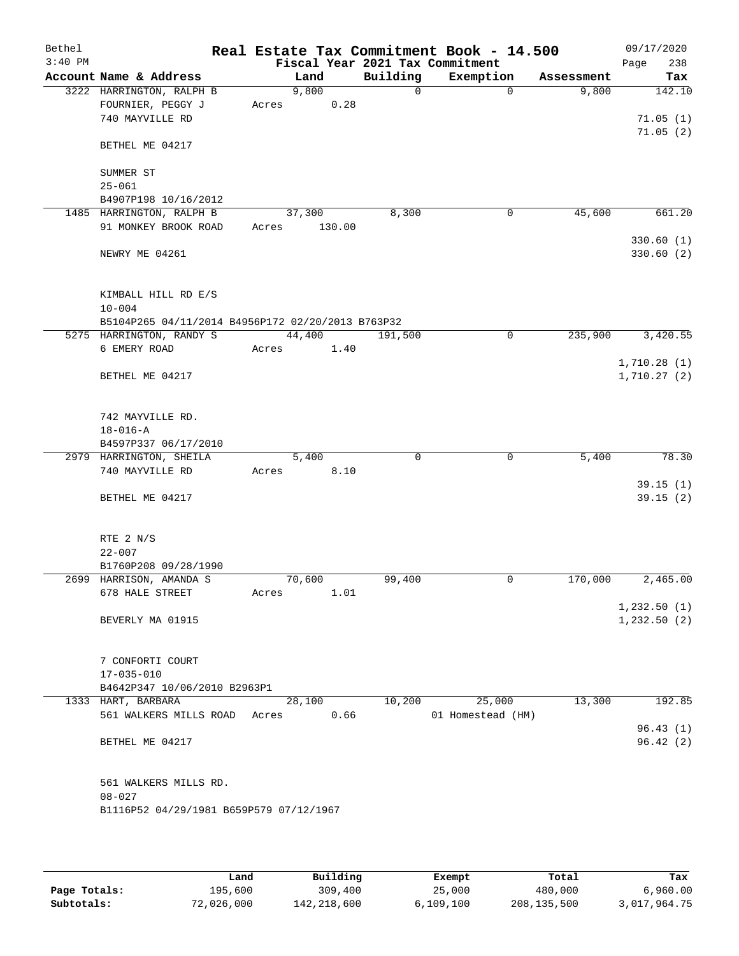| Bethel<br>$3:40$ PM |                                                   |       |        |        |          | Real Estate Tax Commitment Book - 14.500<br>Fiscal Year 2021 Tax Commitment |                        | 09/17/2020<br>238 |
|---------------------|---------------------------------------------------|-------|--------|--------|----------|-----------------------------------------------------------------------------|------------------------|-------------------|
|                     | Account Name & Address                            |       | Land   |        | Building | Exemption                                                                   | Assessment             | Page<br>Tax       |
|                     | 3222 HARRINGTON, RALPH B                          |       | 9,800  |        | $\Omega$ |                                                                             | $\Omega$<br>9,800      | 142.10            |
|                     | FOURNIER, PEGGY J                                 | Acres |        | 0.28   |          |                                                                             |                        |                   |
|                     | 740 MAYVILLE RD                                   |       |        |        |          |                                                                             |                        | 71.05(1)          |
|                     |                                                   |       |        |        |          |                                                                             |                        | 71.05(2)          |
|                     | BETHEL ME 04217                                   |       |        |        |          |                                                                             |                        |                   |
|                     |                                                   |       |        |        |          |                                                                             |                        |                   |
|                     | SUMMER ST                                         |       |        |        |          |                                                                             |                        |                   |
|                     | $25 - 061$                                        |       |        |        |          |                                                                             |                        |                   |
|                     | B4907P198 10/16/2012                              |       |        |        |          |                                                                             |                        |                   |
|                     | 1485 HARRINGTON, RALPH B                          |       | 37,300 |        | 8,300    |                                                                             | 0<br>45,600            | 661.20            |
|                     | 91 MONKEY BROOK ROAD                              | Acres |        | 130.00 |          |                                                                             |                        |                   |
|                     |                                                   |       |        |        |          |                                                                             |                        | 330.60(1)         |
|                     | NEWRY ME 04261                                    |       |        |        |          |                                                                             |                        | 330.60(2)         |
|                     |                                                   |       |        |        |          |                                                                             |                        |                   |
|                     | KIMBALL HILL RD E/S                               |       |        |        |          |                                                                             |                        |                   |
|                     | $10 - 004$                                        |       |        |        |          |                                                                             |                        |                   |
|                     | B5104P265 04/11/2014 B4956P172 02/20/2013 B763P32 |       |        |        |          |                                                                             |                        |                   |
|                     | 5275 HARRINGTON, RANDY S                          |       | 44,400 |        | 191,500  |                                                                             | $\mathbf 0$<br>235,900 | 3,420.55          |
|                     | 6 EMERY ROAD                                      |       | Acres  | 1.40   |          |                                                                             |                        |                   |
|                     |                                                   |       |        |        |          |                                                                             |                        | 1,710.28(1)       |
|                     | BETHEL ME 04217                                   |       |        |        |          |                                                                             |                        | 1,710.27(2)       |
|                     |                                                   |       |        |        |          |                                                                             |                        |                   |
|                     |                                                   |       |        |        |          |                                                                             |                        |                   |
|                     | 742 MAYVILLE RD.                                  |       |        |        |          |                                                                             |                        |                   |
|                     | $18 - 016 - A$                                    |       |        |        |          |                                                                             |                        |                   |
|                     | B4597P337 06/17/2010<br>2979 HARRINGTON, SHEILA   |       | 5,400  |        | $\Omega$ | 0                                                                           | 5,400                  | 78.30             |
|                     | 740 MAYVILLE RD                                   | Acres |        | 8.10   |          |                                                                             |                        |                   |
|                     |                                                   |       |        |        |          |                                                                             |                        | 39.15(1)          |
|                     | BETHEL ME 04217                                   |       |        |        |          |                                                                             |                        | 39.15(2)          |
|                     |                                                   |       |        |        |          |                                                                             |                        |                   |
|                     |                                                   |       |        |        |          |                                                                             |                        |                   |
|                     | RTE 2 N/S                                         |       |        |        |          |                                                                             |                        |                   |
|                     | $22 - 007$                                        |       |        |        |          |                                                                             |                        |                   |
|                     | B1760P208 09/28/1990                              |       |        |        |          |                                                                             |                        |                   |
|                     | 2699 HARRISON, AMANDA S                           |       | 70,600 |        | 99,400   |                                                                             | 170,000<br>0           | 2,465.00          |
|                     | 678 HALE STREET                                   | Acres |        | 1.01   |          |                                                                             |                        |                   |
|                     | BEVERLY MA 01915                                  |       |        |        |          |                                                                             |                        | 1,232.50(1)       |
|                     |                                                   |       |        |        |          |                                                                             |                        | 1,232.50(2)       |
|                     |                                                   |       |        |        |          |                                                                             |                        |                   |
|                     | 7 CONFORTI COURT                                  |       |        |        |          |                                                                             |                        |                   |
|                     | $17 - 035 - 010$                                  |       |        |        |          |                                                                             |                        |                   |
|                     | B4642P347 10/06/2010 B2963P1                      |       |        |        |          |                                                                             |                        |                   |
|                     | 1333 HART, BARBARA                                |       | 28,100 |        | 10,200   | 25,000                                                                      | 13,300                 | 192.85            |
|                     | 561 WALKERS MILLS ROAD                            | Acres |        | 0.66   |          | 01 Homestead (HM)                                                           |                        |                   |
|                     |                                                   |       |        |        |          |                                                                             |                        | 96.43(1)          |
|                     | BETHEL ME 04217                                   |       |        |        |          |                                                                             |                        | 96.42(2)          |
|                     |                                                   |       |        |        |          |                                                                             |                        |                   |
|                     |                                                   |       |        |        |          |                                                                             |                        |                   |
|                     | 561 WALKERS MILLS RD.                             |       |        |        |          |                                                                             |                        |                   |
|                     | $08 - 027$                                        |       |        |        |          |                                                                             |                        |                   |
|                     | B1116P52 04/29/1981 B659P579 07/12/1967           |       |        |        |          |                                                                             |                        |                   |
|                     |                                                   |       |        |        |          |                                                                             |                        |                   |

|              | úand       | Building    | Exempt    | Total       | Tax          |
|--------------|------------|-------------|-----------|-------------|--------------|
| Page Totals: | 195,600    | 309,400     | 25,000    | 480,000     | 6,960.00     |
| Subtotals:   | 72,026,000 | 142,218,600 | 6,109,100 | 208,135,500 | 3,017,964.75 |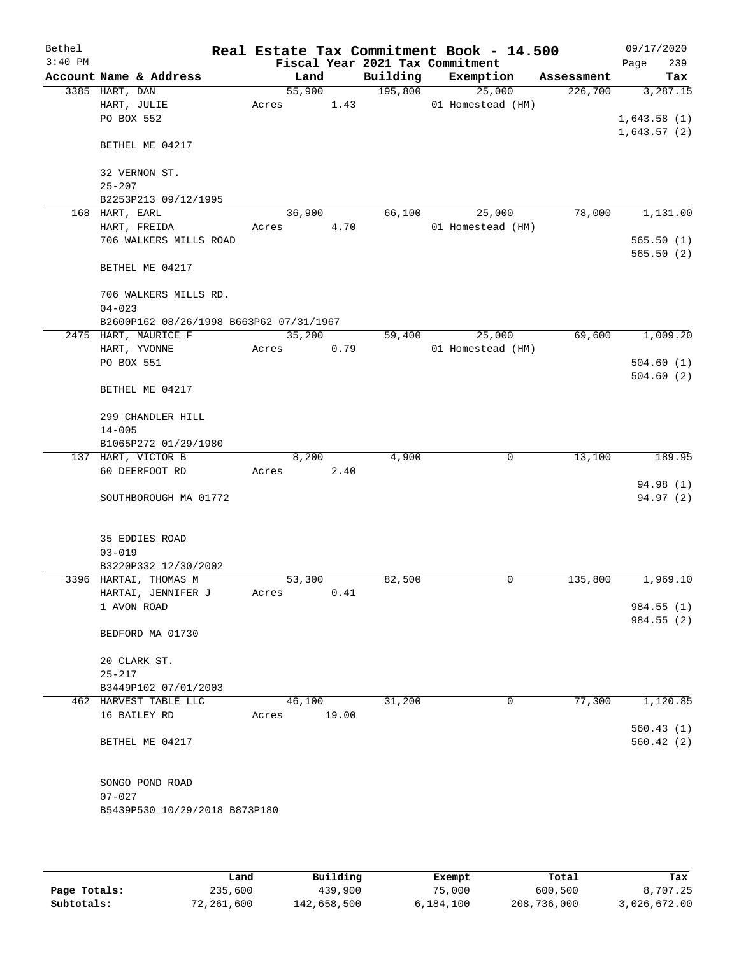| Bethel    |                                         |        |       |                                 | Real Estate Tax Commitment Book - 14.500 |            | 09/17/2020  |
|-----------|-----------------------------------------|--------|-------|---------------------------------|------------------------------------------|------------|-------------|
| $3:40$ PM |                                         |        |       | Fiscal Year 2021 Tax Commitment |                                          |            | Page<br>239 |
|           | Account Name & Address                  | Land   |       | Building                        | Exemption                                | Assessment | Tax         |
|           | 3385 HART, DAN                          | 55,900 |       | 195,800                         | 25,000                                   | 226,700    | 3,287.15    |
|           | HART, JULIE                             | Acres  | 1.43  |                                 | 01 Homestead (HM)                        |            |             |
|           | PO BOX 552                              |        |       |                                 |                                          |            | 1,643.58(1) |
|           | BETHEL ME 04217                         |        |       |                                 |                                          |            | 1,643.57(2) |
|           | 32 VERNON ST.                           |        |       |                                 |                                          |            |             |
|           | $25 - 207$                              |        |       |                                 |                                          |            |             |
|           | B2253P213 09/12/1995                    |        |       |                                 |                                          |            |             |
|           | 168 HART, EARL                          | 36,900 |       | 66,100                          | 25,000                                   | 78,000     | 1,131.00    |
|           | HART, FREIDA                            | Acres  | 4.70  |                                 | 01 Homestead (HM)                        |            |             |
|           | 706 WALKERS MILLS ROAD                  |        |       |                                 |                                          |            | 565.50(1)   |
|           |                                         |        |       |                                 |                                          |            | 565.50(2)   |
|           | BETHEL ME 04217                         |        |       |                                 |                                          |            |             |
|           | 706 WALKERS MILLS RD.                   |        |       |                                 |                                          |            |             |
|           | $04 - 023$                              |        |       |                                 |                                          |            |             |
|           | B2600P162 08/26/1998 B663P62 07/31/1967 |        |       |                                 |                                          |            |             |
|           | 2475 HART, MAURICE F                    | 35,200 |       | 59,400                          | 25,000                                   | 69,600     | 1,009.20    |
|           | HART, YVONNE<br>PO BOX 551              | Acres  | 0.79  |                                 | 01 Homestead (HM)                        |            | 504.60(1)   |
|           |                                         |        |       |                                 |                                          |            | 504.60(2)   |
|           | BETHEL ME 04217                         |        |       |                                 |                                          |            |             |
|           | 299 CHANDLER HILL                       |        |       |                                 |                                          |            |             |
|           | $14 - 005$                              |        |       |                                 |                                          |            |             |
|           | B1065P272 01/29/1980                    |        |       |                                 |                                          |            |             |
|           | 137 HART, VICTOR B                      | 8,200  |       | 4,900                           | 0                                        | 13,100     | 189.95      |
|           | 60 DEERFOOT RD                          | Acres  | 2.40  |                                 |                                          |            |             |
|           |                                         |        |       |                                 |                                          |            | 94.98 (1)   |
|           | SOUTHBOROUGH MA 01772                   |        |       |                                 |                                          |            | 94.97(2)    |
|           | 35 EDDIES ROAD                          |        |       |                                 |                                          |            |             |
|           | $03 - 019$                              |        |       |                                 |                                          |            |             |
|           | B3220P332 12/30/2002                    |        |       |                                 |                                          |            |             |
|           | 3396 HARTAI, THOMAS M                   | 53,300 |       | 82,500                          | 0                                        | 135,800    | 1,969.10    |
|           | HARTAI, JENNIFER J                      | Acres  | 0.41  |                                 |                                          |            |             |
|           | 1 AVON ROAD                             |        |       |                                 |                                          |            | 984.55(1)   |
|           | BEDFORD MA 01730                        |        |       |                                 |                                          |            | 984.55 (2)  |
|           | 20 CLARK ST.                            |        |       |                                 |                                          |            |             |
|           | $25 - 217$                              |        |       |                                 |                                          |            |             |
|           | B3449P102 07/01/2003                    |        |       |                                 |                                          |            |             |
|           | 462 HARVEST TABLE LLC                   | 46,100 |       | 31,200                          | 0                                        | 77,300     | 1,120.85    |
|           | 16 BAILEY RD                            | Acres  | 19.00 |                                 |                                          |            |             |
|           |                                         |        |       |                                 |                                          |            | 560.43(1)   |
|           | BETHEL ME 04217                         |        |       |                                 |                                          |            | 560.42(2)   |
|           | SONGO POND ROAD                         |        |       |                                 |                                          |            |             |
|           | 07-027                                  |        |       |                                 |                                          |            |             |
|           | B5439P530 10/29/2018 B873P180           |        |       |                                 |                                          |            |             |
|           |                                         |        |       |                                 |                                          |            |             |

|              | Land       | Building    | Exempt    | Total       | Tax          |
|--------------|------------|-------------|-----------|-------------|--------------|
| Page Totals: | 235,600    | 439,900     | 75,000    | 600,500     | 8,707.25     |
| Subtotals:   | 72,261,600 | 142,658,500 | 6,184,100 | 208,736,000 | 3,026,672.00 |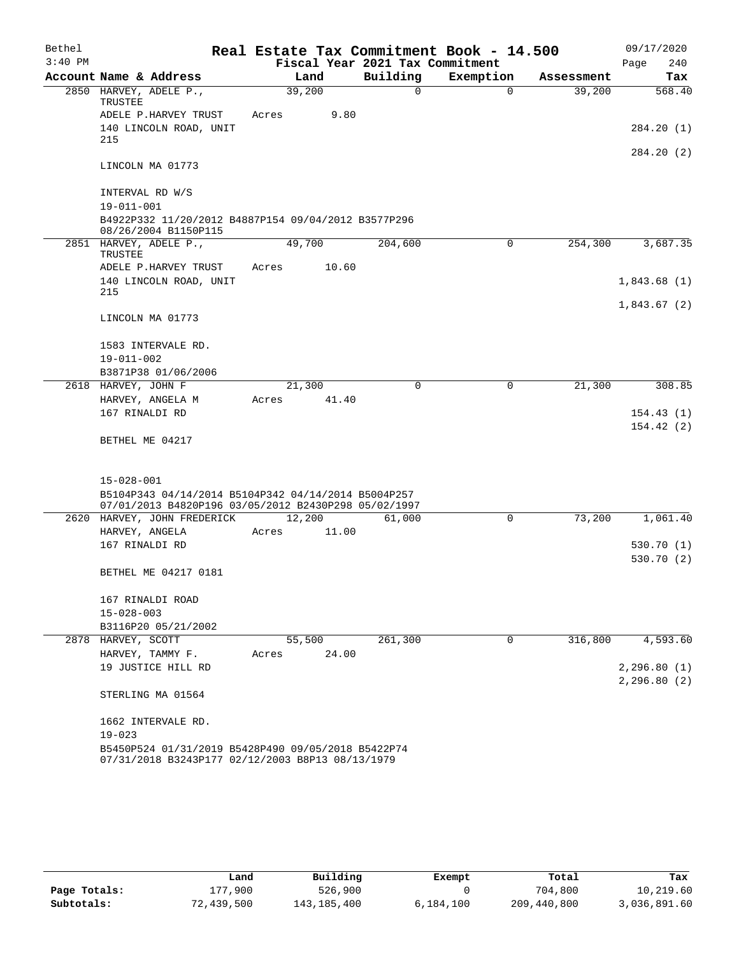| Bethel    |                                                                                                        |        |        |       | Real Estate Tax Commitment Book - 14.500 |             |            | 09/17/2020                  |
|-----------|--------------------------------------------------------------------------------------------------------|--------|--------|-------|------------------------------------------|-------------|------------|-----------------------------|
| $3:40$ PM |                                                                                                        |        |        |       | Fiscal Year 2021 Tax Commitment          |             |            | 240<br>Page                 |
|           | Account Name & Address                                                                                 |        | Land   |       | Building                                 | Exemption   | Assessment | Tax                         |
|           | 2850 HARVEY, ADELE P.,<br>TRUSTEE                                                                      | 39,200 |        |       | $\mathbf 0$                              | $\Omega$    | 39,200     | 568.40                      |
|           | ADELE P.HARVEY TRUST                                                                                   | Acres  |        | 9.80  |                                          |             |            |                             |
|           | 140 LINCOLN ROAD, UNIT<br>215                                                                          |        |        |       |                                          |             |            | 284.20 (1)                  |
|           | LINCOLN MA 01773                                                                                       |        |        |       |                                          |             |            | 284.20 (2)                  |
|           | INTERVAL RD W/S<br>$19 - 011 - 001$                                                                    |        |        |       |                                          |             |            |                             |
|           | B4922P332 11/20/2012 B4887P154 09/04/2012 B3577P296<br>08/26/2004 B1150P115                            |        |        |       |                                          |             |            |                             |
|           | 2851 HARVEY, ADELE P.,<br>TRUSTEE                                                                      | 49,700 |        |       | 204,600                                  | 0           | 254,300    | 3,687.35                    |
|           | ADELE P.HARVEY TRUST                                                                                   | Acres  |        | 10.60 |                                          |             |            |                             |
|           | 140 LINCOLN ROAD, UNIT<br>215                                                                          |        |        |       |                                          |             |            | 1,843.68(1)                 |
|           |                                                                                                        |        |        |       |                                          |             |            | 1,843.67(2)                 |
|           | LINCOLN MA 01773                                                                                       |        |        |       |                                          |             |            |                             |
|           | 1583 INTERVALE RD.                                                                                     |        |        |       |                                          |             |            |                             |
|           | $19 - 011 - 002$                                                                                       |        |        |       |                                          |             |            |                             |
|           | B3871P38 01/06/2006                                                                                    |        |        |       |                                          |             |            |                             |
|           | 2618 HARVEY, JOHN F                                                                                    | 21,300 |        |       | 0                                        | $\mathbf 0$ | 21,300     | 308.85                      |
|           | HARVEY, ANGELA M<br>167 RINALDI RD                                                                     | Acres  |        | 41.40 |                                          |             |            | 154.43(1)                   |
|           |                                                                                                        |        |        |       |                                          |             |            | 154.42(2)                   |
|           | BETHEL ME 04217                                                                                        |        |        |       |                                          |             |            |                             |
|           | $15 - 028 - 001$                                                                                       |        |        |       |                                          |             |            |                             |
|           | B5104P343 04/14/2014 B5104P342 04/14/2014 B5004P257                                                    |        |        |       |                                          |             |            |                             |
|           | 07/01/2013 B4820P196 03/05/2012 B2430P298 05/02/1997                                                   |        |        |       |                                          |             |            |                             |
|           | 2620 HARVEY, JOHN FREDERICK                                                                            | 12,200 |        |       | 61,000                                   | $\mathbf 0$ | 73,200     | 1,061.40                    |
|           | HARVEY, ANGELA                                                                                         | Acres  |        | 11.00 |                                          |             |            |                             |
|           | 167 RINALDI RD                                                                                         |        |        |       |                                          |             |            | 530.70(1)                   |
|           | BETHEL ME 04217 0181                                                                                   |        |        |       |                                          |             |            | 530.70 (2)                  |
|           | 167 RINALDI ROAD                                                                                       |        |        |       |                                          |             |            |                             |
|           | $15 - 028 - 003$                                                                                       |        |        |       |                                          |             |            |                             |
|           | B3116P20 05/21/2002                                                                                    |        |        |       |                                          |             |            |                             |
|           | 2878 HARVEY, SCOTT                                                                                     |        | 55,500 |       | 261,300                                  | $\mathbf 0$ | 316,800    | 4,593.60                    |
|           | HARVEY, TAMMY F.<br>19 JUSTICE HILL RD                                                                 | Acres  |        | 24.00 |                                          |             |            |                             |
|           |                                                                                                        |        |        |       |                                          |             |            | 2,296.80(1)<br>2, 296.80(2) |
|           | STERLING MA 01564                                                                                      |        |        |       |                                          |             |            |                             |
|           | 1662 INTERVALE RD.<br>$19 - 023$                                                                       |        |        |       |                                          |             |            |                             |
|           | B5450P524 01/31/2019 B5428P490 09/05/2018 B5422P74<br>07/31/2018 B3243P177 02/12/2003 B8P13 08/13/1979 |        |        |       |                                          |             |            |                             |

|              | Land       | Building    | Exempt    | Total       | Tax          |
|--------------|------------|-------------|-----------|-------------|--------------|
| Page Totals: | 177.900    | 526,900     |           | 704,800     | 10,219.60    |
| Subtotals:   | 72,439,500 | 143,185,400 | 6,184,100 | 209,440,800 | 3,036,891.60 |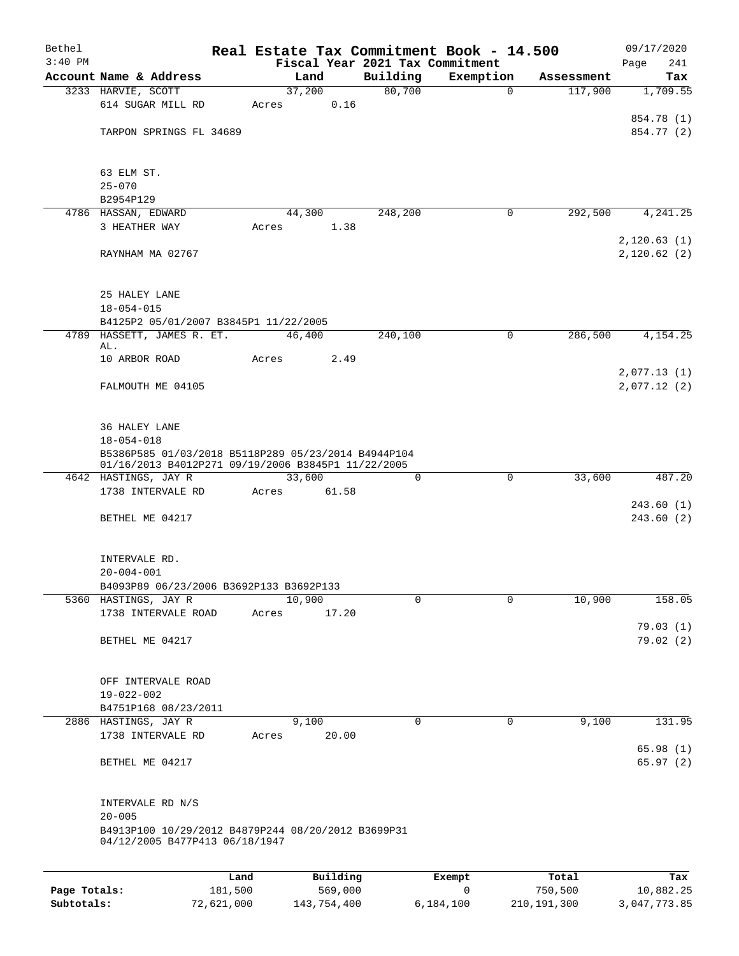| Bethel       |                                                                                                           |         |        |          |                    | Real Estate Tax Commitment Book - 14.500 |                       | 09/17/2020           |  |
|--------------|-----------------------------------------------------------------------------------------------------------|---------|--------|----------|--------------------|------------------------------------------|-----------------------|----------------------|--|
| $3:40$ PM    | Account Name & Address                                                                                    |         | Land   |          |                    | Fiscal Year 2021 Tax Commitment          |                       | 241<br>Page          |  |
|              | 3233 HARVIE, SCOTT                                                                                        |         | 37,200 |          | Building<br>80,700 | Exemption<br>$\mathbf 0$                 | Assessment<br>117,900 | Tax<br>1,709.55      |  |
|              | 614 SUGAR MILL RD                                                                                         | Acres   |        | 0.16     |                    |                                          |                       |                      |  |
|              |                                                                                                           |         |        |          |                    |                                          |                       | 854.78 (1)           |  |
|              | TARPON SPRINGS FL 34689                                                                                   |         |        |          |                    |                                          |                       | 854.77 (2)           |  |
|              |                                                                                                           |         |        |          |                    |                                          |                       |                      |  |
|              | 63 ELM ST.<br>$25 - 070$                                                                                  |         |        |          |                    |                                          |                       |                      |  |
|              | B2954P129                                                                                                 |         |        |          |                    |                                          |                       |                      |  |
|              | 4786 HASSAN, EDWARD                                                                                       |         | 44,300 |          | 248,200            | 0                                        | 292,500               | 4, 241.25            |  |
|              | 3 HEATHER WAY                                                                                             | Acres   |        | 1.38     |                    |                                          |                       |                      |  |
|              |                                                                                                           |         |        |          |                    |                                          |                       | 2, 120.63(1)         |  |
|              | RAYNHAM MA 02767                                                                                          |         |        |          |                    |                                          |                       | 2,120.62(2)          |  |
|              | 25 HALEY LANE                                                                                             |         |        |          |                    |                                          |                       |                      |  |
|              | $18 - 054 - 015$                                                                                          |         |        |          |                    |                                          |                       |                      |  |
|              | B4125P2 05/01/2007 B3845P1 11/22/2005                                                                     |         |        |          |                    |                                          |                       |                      |  |
|              | 4789 HASSETT, JAMES R. ET.                                                                                |         | 46,400 |          | 240,100            | $\mathbf 0$                              | 286,500               | 4,154.25             |  |
|              | AL.                                                                                                       |         |        |          |                    |                                          |                       |                      |  |
|              | 10 ARBOR ROAD                                                                                             | Acres   |        | 2.49     |                    |                                          |                       | 2,077.13(1)          |  |
|              | FALMOUTH ME 04105                                                                                         |         |        |          |                    |                                          |                       | 2,077.12(2)          |  |
|              | 36 HALEY LANE                                                                                             |         |        |          |                    |                                          |                       |                      |  |
|              | $18 - 054 - 018$                                                                                          |         |        |          |                    |                                          |                       |                      |  |
|              | B5386P585 01/03/2018 B5118P289 05/23/2014 B4944P104<br>01/16/2013 B4012P271 09/19/2006 B3845P1 11/22/2005 |         |        |          |                    |                                          |                       |                      |  |
|              |                                                                                                           |         |        |          |                    |                                          |                       |                      |  |
|              | 4642 HASTINGS, JAY R                                                                                      |         | 33,600 |          | 0                  | $\mathbf 0$                              | 33,600                | 487.20               |  |
|              | 1738 INTERVALE RD                                                                                         | Acres   |        | 61.58    |                    |                                          |                       | 243.60(1)            |  |
|              | BETHEL ME 04217                                                                                           |         |        |          |                    |                                          |                       | 243.60(2)            |  |
|              |                                                                                                           |         |        |          |                    |                                          |                       |                      |  |
|              | INTERVALE RD.                                                                                             |         |        |          |                    |                                          |                       |                      |  |
|              | $20 - 004 - 001$                                                                                          |         |        |          |                    |                                          |                       |                      |  |
|              | B4093P89 06/23/2006 B3692P133 B3692P133                                                                   |         |        |          |                    |                                          |                       |                      |  |
|              | 5360 HASTINGS, JAY R                                                                                      |         | 10,900 |          | 0                  | $\mathbf 0$                              | 10,900                | 158.05               |  |
|              | 1738 INTERVALE ROAD                                                                                       | Acres   |        | 17.20    |                    |                                          |                       |                      |  |
|              | BETHEL ME 04217                                                                                           |         |        |          |                    |                                          |                       | 79.03(1)<br>79.02(2) |  |
|              | OFF INTERVALE ROAD                                                                                        |         |        |          |                    |                                          |                       |                      |  |
|              | 19-022-002                                                                                                |         |        |          |                    |                                          |                       |                      |  |
|              | B4751P168 08/23/2011                                                                                      |         |        |          |                    |                                          |                       |                      |  |
|              | 2886 HASTINGS, JAY R                                                                                      |         | 9,100  |          | $\mathbf 0$        | $\mathbf 0$                              | 9,100                 | 131.95               |  |
|              | 1738 INTERVALE RD                                                                                         | Acres   |        | 20.00    |                    |                                          |                       | 65.98(1)             |  |
|              | BETHEL ME 04217                                                                                           |         |        |          |                    |                                          |                       | 65.97(2)             |  |
|              | INTERVALE RD N/S                                                                                          |         |        |          |                    |                                          |                       |                      |  |
|              | $20 - 005$                                                                                                |         |        |          |                    |                                          |                       |                      |  |
|              | B4913P100 10/29/2012 B4879P244 08/20/2012 B3699P31<br>04/12/2005 B477P413 06/18/1947                      |         |        |          |                    |                                          |                       |                      |  |
|              |                                                                                                           |         |        |          |                    |                                          |                       |                      |  |
|              |                                                                                                           | Land    |        | Building |                    | Exempt                                   | Total                 | Tax                  |  |
| Page Totals: |                                                                                                           | 181,500 |        | 569,000  |                    | 0                                        | 750,500               | 10,882.25            |  |

**Subtotals:** 72,621,000 143,754,400 6,184,100 210,191,300 3,047,773.85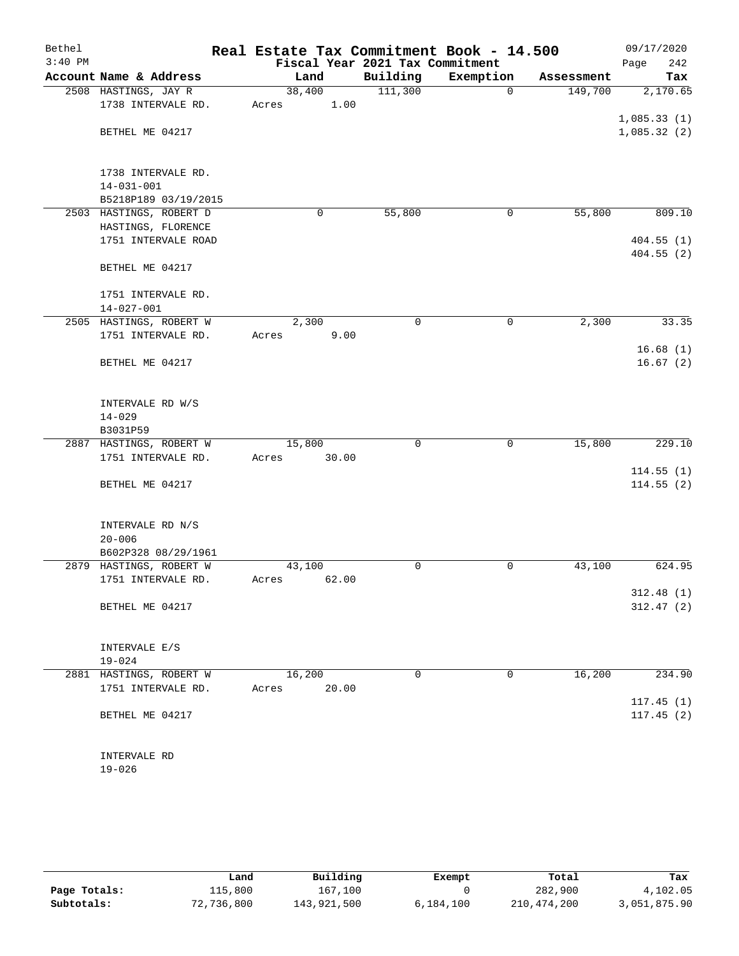| Bethel    |                                               | Real Estate Tax Commitment Book - 14.500 |          |             |            | 09/17/2020             |
|-----------|-----------------------------------------------|------------------------------------------|----------|-------------|------------|------------------------|
| $3:40$ PM |                                               | Fiscal Year 2021 Tax Commitment          |          |             |            | 242<br>Page            |
|           | Account Name & Address                        | Land                                     | Building | Exemption   | Assessment | Tax                    |
|           | 2508 HASTINGS, JAY R                          | 38,400                                   | 111,300  | $\mathbf 0$ | 149,700    | 2,170.65               |
|           | 1738 INTERVALE RD.                            | 1.00<br>Acres                            |          |             |            |                        |
|           |                                               |                                          |          |             |            | 1,085.33(1)            |
|           | BETHEL ME 04217                               |                                          |          |             |            | 1,085.32(2)            |
|           |                                               |                                          |          |             |            |                        |
|           | 1738 INTERVALE RD.                            |                                          |          |             |            |                        |
|           | $14 - 031 - 001$                              |                                          |          |             |            |                        |
|           | B5218P189 03/19/2015                          |                                          |          |             |            |                        |
|           | 2503 HASTINGS, ROBERT D                       | 0                                        | 55,800   | 0           | 55,800     | 809.10                 |
|           | HASTINGS, FLORENCE<br>1751 INTERVALE ROAD     |                                          |          |             |            |                        |
|           |                                               |                                          |          |             |            | 404.55(1)<br>404.55(2) |
|           | BETHEL ME 04217                               |                                          |          |             |            |                        |
|           | 1751 INTERVALE RD.                            |                                          |          |             |            |                        |
|           | $14 - 027 - 001$                              |                                          |          |             |            |                        |
|           | 2505 HASTINGS, ROBERT W                       | 2,300                                    | 0        | $\mathbf 0$ | 2,300      | 33.35                  |
|           | 1751 INTERVALE RD.                            | Acres<br>9.00                            |          |             |            |                        |
|           |                                               |                                          |          |             |            | 16.68(1)               |
|           | BETHEL ME 04217                               |                                          |          |             |            | 16.67(2)               |
|           |                                               |                                          |          |             |            |                        |
|           | INTERVALE RD W/S                              |                                          |          |             |            |                        |
|           | $14 - 029$                                    |                                          |          |             |            |                        |
|           | B3031P59                                      |                                          |          |             |            |                        |
|           | 2887 HASTINGS, ROBERT W                       | 15,800                                   | $\Omega$ | $\mathbf 0$ | 15,800     | 229.10                 |
|           | 1751 INTERVALE RD.                            | 30.00<br>Acres                           |          |             |            |                        |
|           |                                               |                                          |          |             |            | 114.55(1)              |
|           | BETHEL ME 04217                               |                                          |          |             |            | 114.55(2)              |
|           |                                               |                                          |          |             |            |                        |
|           | INTERVALE RD N/S                              |                                          |          |             |            |                        |
|           | $20 - 006$                                    |                                          |          |             |            |                        |
|           | B602P328 08/29/1961                           |                                          |          |             |            |                        |
|           | 2879 HASTINGS, ROBERT W<br>1751 INTERVALE RD. | 43,100                                   | 0        | 0           | 43,100     | 624.95                 |
|           |                                               | 62.00<br>Acres                           |          |             |            | 312.48(1)              |
|           | BETHEL ME 04217                               |                                          |          |             |            | 312.47(2)              |
|           |                                               |                                          |          |             |            |                        |
|           | INTERVALE E/S                                 |                                          |          |             |            |                        |
|           | $19 - 024$                                    |                                          |          |             |            |                        |
|           | 2881 HASTINGS, ROBERT W                       | 16,200                                   | 0        | 0           | 16,200     | 234.90                 |
|           | 1751 INTERVALE RD.                            | Acres<br>20.00                           |          |             |            |                        |
|           |                                               |                                          |          |             |            | 117.45(1)              |
|           | BETHEL ME 04217                               |                                          |          |             |            | 117.45(2)              |
|           |                                               |                                          |          |             |            |                        |
|           |                                               |                                          |          |             |            |                        |
|           | INTERVALE RD                                  |                                          |          |             |            |                        |
|           | $19 - 026$                                    |                                          |          |             |            |                        |

|              | Land       | Building    | Exempt    | Total       | Tax          |
|--------------|------------|-------------|-----------|-------------|--------------|
| Page Totals: | 115,800    | 167,100     |           | 282,900     | 4,102.05     |
| Subtotals:   | 72,736,800 | 143,921,500 | 6,184,100 | 210,474,200 | 3,051,875.90 |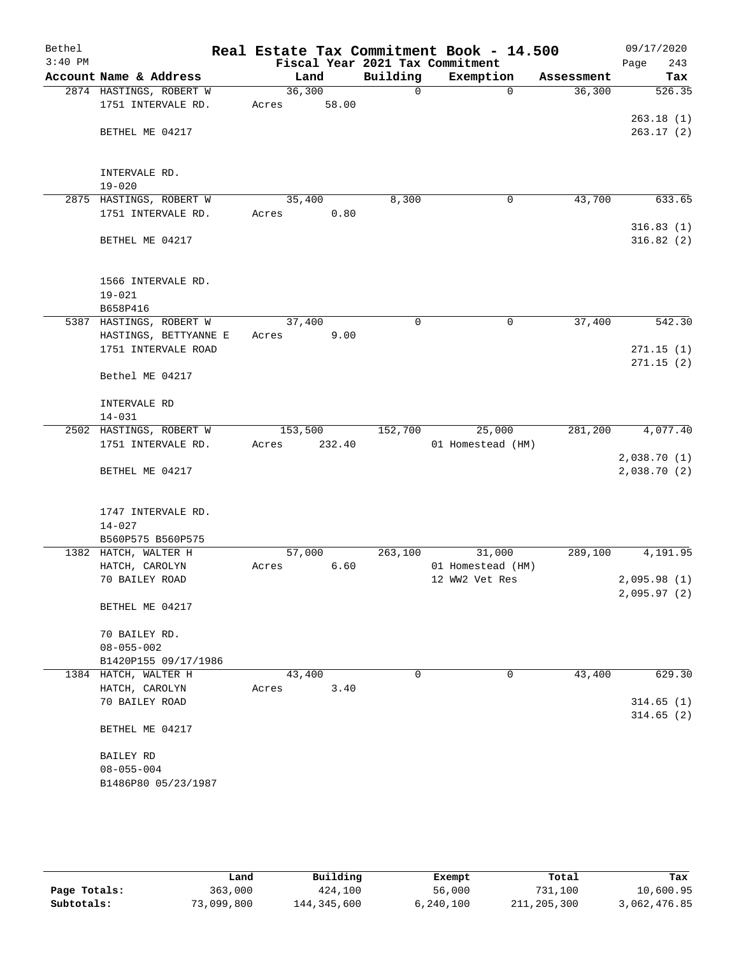| Bethel    |                                                           |                  |        |             | Real Estate Tax Commitment Book - 14.500 |                      | 09/17/2020                 |
|-----------|-----------------------------------------------------------|------------------|--------|-------------|------------------------------------------|----------------------|----------------------------|
| $3:40$ PM |                                                           |                  |        | Building    | Fiscal Year 2021 Tax Commitment          |                      | 243<br>Page                |
|           | Account Name & Address<br>2874 HASTINGS, ROBERT W         | Land<br>36,300   |        | $\mathbf 0$ | Exemption<br>$\Omega$                    | Assessment<br>36,300 | Tax<br>526.35              |
|           | 1751 INTERVALE RD.                                        | Acres            | 58.00  |             |                                          |                      |                            |
|           | BETHEL ME 04217                                           |                  |        |             |                                          |                      | 263.18(1)<br>263.17(2)     |
|           | INTERVALE RD.<br>$19 - 020$                               |                  |        |             |                                          |                      |                            |
|           | 2875 HASTINGS, ROBERT W<br>1751 INTERVALE RD.             | 35,400<br>Acres  | 0.80   | 8,300       | 0                                        | 43,700               | 633.65                     |
|           | BETHEL ME 04217                                           |                  |        |             |                                          |                      | 316.83(1)<br>316.82(2)     |
|           | 1566 INTERVALE RD.<br>$19 - 021$<br>B658P416              |                  |        |             |                                          |                      |                            |
|           | 5387 HASTINGS, ROBERT W                                   | 37,400           |        | $\mathbf 0$ | $\mathbf 0$                              | 37,400               | 542.30                     |
|           | HASTINGS, BETTYANNE E                                     | Acres            | 9.00   |             |                                          |                      |                            |
|           | 1751 INTERVALE ROAD                                       |                  |        |             |                                          |                      | 271.15(1)<br>271.15(2)     |
|           | Bethel ME 04217                                           |                  |        |             |                                          |                      |                            |
|           | INTERVALE RD                                              |                  |        |             |                                          |                      |                            |
|           | $14 - 031$                                                |                  |        |             |                                          |                      |                            |
|           | 2502 HASTINGS, ROBERT W<br>1751 INTERVALE RD.             | 153,500<br>Acres | 232.40 | 152,700     | 25,000<br>01 Homestead (HM)              | 281,200              | 4,077.40                   |
|           | BETHEL ME 04217                                           |                  |        |             |                                          |                      | 2,038.70(1)<br>2,038.70(2) |
|           | 1747 INTERVALE RD.<br>$14 - 027$<br>B560P575 B560P575     |                  |        |             |                                          |                      |                            |
|           | 1382 HATCH, WALTER H                                      | 57,000           |        | 263,100     | 31,000                                   | 289,100              | 4,191.95                   |
|           | HATCH, CAROLYN                                            | Acres            | 6.60   |             | 01 Homestead (HM)                        |                      |                            |
|           | 70 BAILEY ROAD                                            |                  |        |             | 12 WW2 Vet Res                           |                      | 2,095.98(1)<br>2,095.97(2) |
|           | BETHEL ME 04217                                           |                  |        |             |                                          |                      |                            |
|           | 70 BAILEY RD.<br>$08 - 055 - 002$<br>B1420P155 09/17/1986 |                  |        |             |                                          |                      |                            |
|           | 1384 HATCH, WALTER H                                      | 43,400           |        | 0           | 0                                        | 43,400               | 629.30                     |
|           | HATCH, CAROLYN                                            | Acres            | 3.40   |             |                                          |                      |                            |
|           | 70 BAILEY ROAD                                            |                  |        |             |                                          |                      | 314.65(1)<br>314.65(2)     |
|           | BETHEL ME 04217                                           |                  |        |             |                                          |                      |                            |
|           | BAILEY RD                                                 |                  |        |             |                                          |                      |                            |
|           | $08 - 055 - 004$<br>B1486P80 05/23/1987                   |                  |        |             |                                          |                      |                            |
|           |                                                           |                  |        |             |                                          |                      |                            |

|              | úand       | Building    | Exempt    | Total       | Tax          |
|--------------|------------|-------------|-----------|-------------|--------------|
| Page Totals: | 363,000    | 424,100     | 56,000    | 731,100     | 10,600.95    |
| Subtotals:   | 73,099,800 | 144,345,600 | 6,240,100 | 211,205,300 | 3,062,476.85 |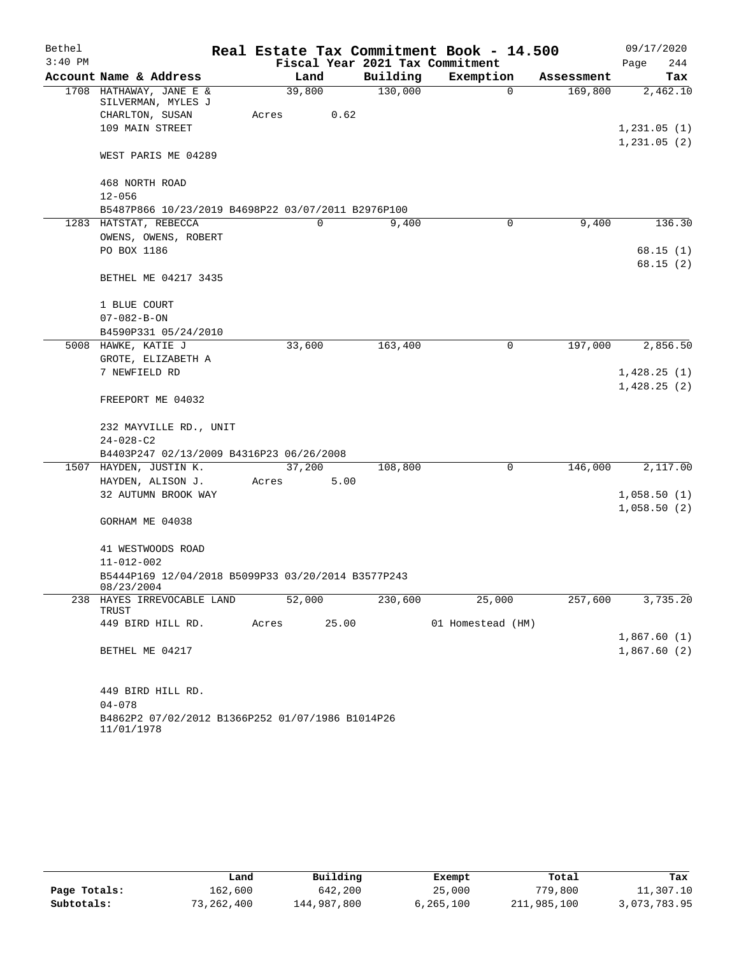| Bethel    |                                                                  |       |          |       |          | Real Estate Tax Commitment Book - 14.500 |             |            | 09/17/2020  |          |
|-----------|------------------------------------------------------------------|-------|----------|-------|----------|------------------------------------------|-------------|------------|-------------|----------|
| $3:40$ PM |                                                                  |       |          |       |          | Fiscal Year 2021 Tax Commitment          |             |            | Page        | 244      |
|           | Account Name & Address                                           |       | Land     |       | Building | Exemption                                |             | Assessment |             | Tax      |
|           | 1708 HATHAWAY, JANE E &                                          |       | 39,800   |       | 130,000  |                                          | 0           | 169,800    |             | 2,462.10 |
|           | SILVERMAN, MYLES J<br>CHARLTON, SUSAN                            | Acres |          | 0.62  |          |                                          |             |            |             |          |
|           | 109 MAIN STREET                                                  |       |          |       |          |                                          |             |            | 1,231.05(1) |          |
|           |                                                                  |       |          |       |          |                                          |             |            | 1,231.05(2) |          |
|           | WEST PARIS ME 04289                                              |       |          |       |          |                                          |             |            |             |          |
|           | 468 NORTH ROAD                                                   |       |          |       |          |                                          |             |            |             |          |
|           | $12 - 056$                                                       |       |          |       |          |                                          |             |            |             |          |
|           | B5487P866 10/23/2019 B4698P22 03/07/2011 B2976P100               |       |          |       |          |                                          |             |            |             |          |
|           | 1283 HATSTAT, REBECCA                                            |       | $\Omega$ |       | 9,400    |                                          | 0           | 9,400      |             | 136.30   |
|           | OWENS, OWENS, ROBERT                                             |       |          |       |          |                                          |             |            |             |          |
|           | PO BOX 1186                                                      |       |          |       |          |                                          |             |            |             | 68.15(1) |
|           | BETHEL ME 04217 3435                                             |       |          |       |          |                                          |             |            |             | 68.15(2) |
|           |                                                                  |       |          |       |          |                                          |             |            |             |          |
|           | 1 BLUE COURT                                                     |       |          |       |          |                                          |             |            |             |          |
|           | $07 - 082 - B - ON$                                              |       |          |       |          |                                          |             |            |             |          |
|           | B4590P331 05/24/2010                                             |       |          |       |          |                                          |             |            |             |          |
|           | 5008 HAWKE, KATIE J                                              |       | 33,600   |       | 163,400  |                                          | $\mathbf 0$ | 197,000    |             | 2,856.50 |
|           | GROTE, ELIZABETH A                                               |       |          |       |          |                                          |             |            |             |          |
|           | 7 NEWFIELD RD                                                    |       |          |       |          |                                          |             |            | 1,428.25(1) |          |
|           | FREEPORT ME 04032                                                |       |          |       |          |                                          |             |            | 1,428.25(2) |          |
|           | 232 MAYVILLE RD., UNIT                                           |       |          |       |          |                                          |             |            |             |          |
|           | $24 - 028 - C2$                                                  |       |          |       |          |                                          |             |            |             |          |
|           | B4403P247 02/13/2009 B4316P23 06/26/2008                         |       |          |       |          |                                          |             |            |             |          |
|           | 1507 HAYDEN, JUSTIN K.                                           |       | 37,200   |       | 108,800  |                                          | 0           | 146,000    |             | 2,117.00 |
|           | HAYDEN, ALISON J.                                                | Acres |          | 5.00  |          |                                          |             |            |             |          |
|           | 32 AUTUMN BROOK WAY                                              |       |          |       |          |                                          |             |            | 1,058.50(1) |          |
|           |                                                                  |       |          |       |          |                                          |             |            | 1,058.50(2) |          |
|           | GORHAM ME 04038                                                  |       |          |       |          |                                          |             |            |             |          |
|           | 41 WESTWOODS ROAD                                                |       |          |       |          |                                          |             |            |             |          |
|           | $11 - 012 - 002$                                                 |       |          |       |          |                                          |             |            |             |          |
|           | B5444P169 12/04/2018 B5099P33 03/20/2014 B3577P243<br>08/23/2004 |       |          |       |          |                                          |             |            |             |          |
| 238       | HAYES IRREVOCABLE LAND<br><b>TRUST</b>                           |       | 52,000   |       | 230,600  | 25,000                                   |             | 257,600    |             | 3,735.20 |
|           | 449 BIRD HILL RD.                                                | Acres |          | 25.00 |          | 01 Homestead (HM)                        |             |            |             |          |
|           |                                                                  |       |          |       |          |                                          |             |            | 1,867.60(1) |          |
|           | BETHEL ME 04217                                                  |       |          |       |          |                                          |             |            | 1,867.60(2) |          |
|           | 449 BIRD HILL RD.                                                |       |          |       |          |                                          |             |            |             |          |
|           | $04 - 078$                                                       |       |          |       |          |                                          |             |            |             |          |
|           | B4862P2 07/02/2012 B1366P252 01/07/1986 B1014P26<br>11/01/1978   |       |          |       |          |                                          |             |            |             |          |

|              | Land       | Building    | Exempt    | Total       | Tax          |
|--------------|------------|-------------|-----------|-------------|--------------|
| Page Totals: | 162,600    | 642,200     | 25,000    | 779,800     | 11,307.10    |
| Subtotals:   | 73,262,400 | 144,987,800 | 6,265,100 | 211,985,100 | 3,073,783.95 |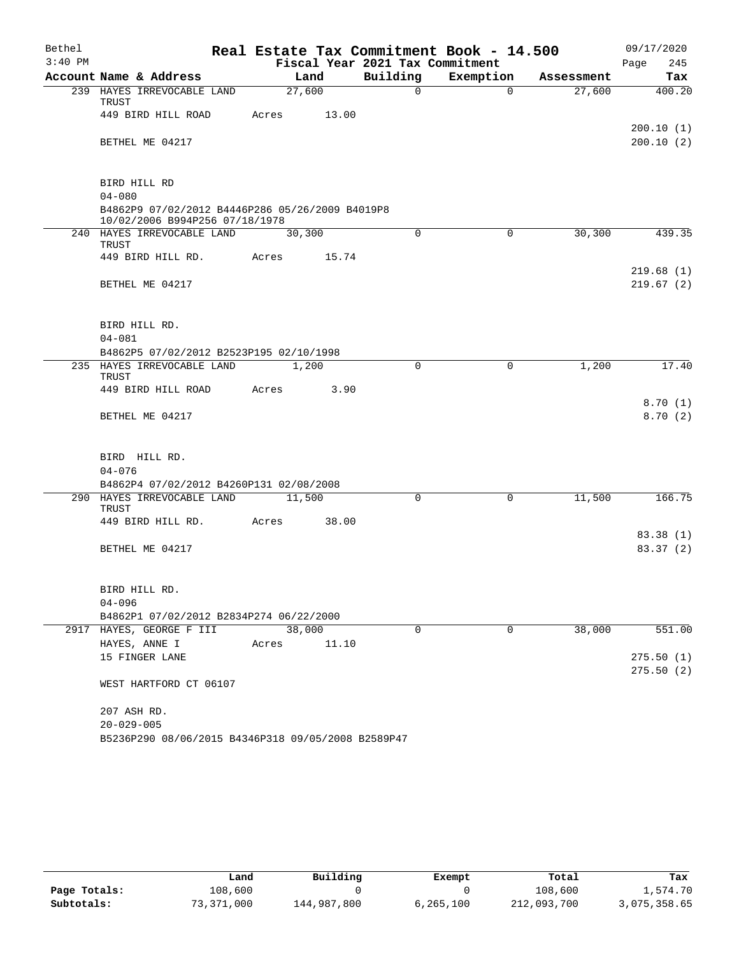| Bethel    |                                                                                   | Real Estate Tax Commitment Book - 14.500 |          |             |            | 09/17/2020         |
|-----------|-----------------------------------------------------------------------------------|------------------------------------------|----------|-------------|------------|--------------------|
| $3:40$ PM |                                                                                   | Fiscal Year 2021 Tax Commitment          |          |             |            | 245<br>Page        |
|           | Account Name & Address                                                            | Land                                     | Building | Exemption   | Assessment | Tax                |
|           | 239 HAYES IRREVOCABLE LAND<br>TRUST                                               | 27,600                                   | $\Omega$ | $\Omega$    | 27,600     | 400.20             |
|           | 449 BIRD HILL ROAD                                                                | 13.00<br>Acres                           |          |             |            | 200.10(1)          |
|           | BETHEL ME 04217                                                                   |                                          |          |             |            | 200.10(2)          |
|           | BIRD HILL RD                                                                      |                                          |          |             |            |                    |
|           | $04 - 080$                                                                        |                                          |          |             |            |                    |
|           | B4862P9 07/02/2012 B4446P286 05/26/2009 B4019P8<br>10/02/2006 B994P256 07/18/1978 |                                          |          |             |            |                    |
|           | 240 HAYES IRREVOCABLE LAND<br>TRUST                                               | 30,300                                   | $\Omega$ | $\mathbf 0$ | 30,300     | 439.35             |
|           | 449 BIRD HILL RD.                                                                 | Acres<br>15.74                           |          |             |            | 219.68(1)          |
|           | BETHEL ME 04217                                                                   |                                          |          |             |            | 219.67(2)          |
|           | BIRD HILL RD.                                                                     |                                          |          |             |            |                    |
|           | $04 - 081$                                                                        |                                          |          |             |            |                    |
|           | B4862P5 07/02/2012 B2523P195 02/10/1998                                           |                                          |          |             |            |                    |
|           | 235 HAYES IRREVOCABLE LAND<br>TRUST                                               | 1,200                                    | $\Omega$ | $\Omega$    | 1,200      | 17.40              |
|           | 449 BIRD HILL ROAD                                                                | Acres<br>3.90                            |          |             |            |                    |
|           | BETHEL ME 04217                                                                   |                                          |          |             |            | 8.70(1)<br>8.70(2) |
|           |                                                                                   |                                          |          |             |            |                    |
|           | BIRD HILL RD.                                                                     |                                          |          |             |            |                    |
|           | $04 - 076$<br>B4862P4 07/02/2012 B4260P131 02/08/2008                             |                                          |          |             |            |                    |
|           | 290 HAYES IRREVOCABLE LAND<br><b>TRUST</b>                                        | 11,500                                   | $\Omega$ | $\Omega$    | 11,500     | 166.75             |
|           | 449 BIRD HILL RD.                                                                 | Acres<br>38.00                           |          |             |            |                    |
|           |                                                                                   |                                          |          |             |            | 83.38 (1)          |
|           | BETHEL ME 04217                                                                   |                                          |          |             |            | 83.37(2)           |
|           | BIRD HILL RD.                                                                     |                                          |          |             |            |                    |
|           | $04 - 096$                                                                        |                                          |          |             |            |                    |
|           | B4862P1 07/02/2012 B2834P274 06/22/2000                                           | 38,000                                   |          |             |            |                    |
|           | 2917 HAYES, GEORGE F III<br>HAYES, ANNE I                                         | 11.10<br>Acres                           | 0        | 0           | 38,000     | 551.00             |
|           | 15 FINGER LANE                                                                    |                                          |          |             |            | 275.50(1)          |
|           |                                                                                   |                                          |          |             |            | 275.50(2)          |
|           | WEST HARTFORD CT 06107                                                            |                                          |          |             |            |                    |
|           | 207 ASH RD.                                                                       |                                          |          |             |            |                    |
|           | $20 - 029 - 005$<br>B5236P290 08/06/2015 B4346P318 09/05/2008 B2589P47            |                                          |          |             |            |                    |
|           |                                                                                   |                                          |          |             |            |                    |

|              | Land       | Building    | Exempt    | Total       | Tax          |
|--------------|------------|-------------|-----------|-------------|--------------|
| Page Totals: | 108,600    |             |           | 108,600     | 1,574.70     |
| Subtotals:   | 73,371,000 | 144,987,800 | 6,265,100 | 212,093,700 | 3,075,358.65 |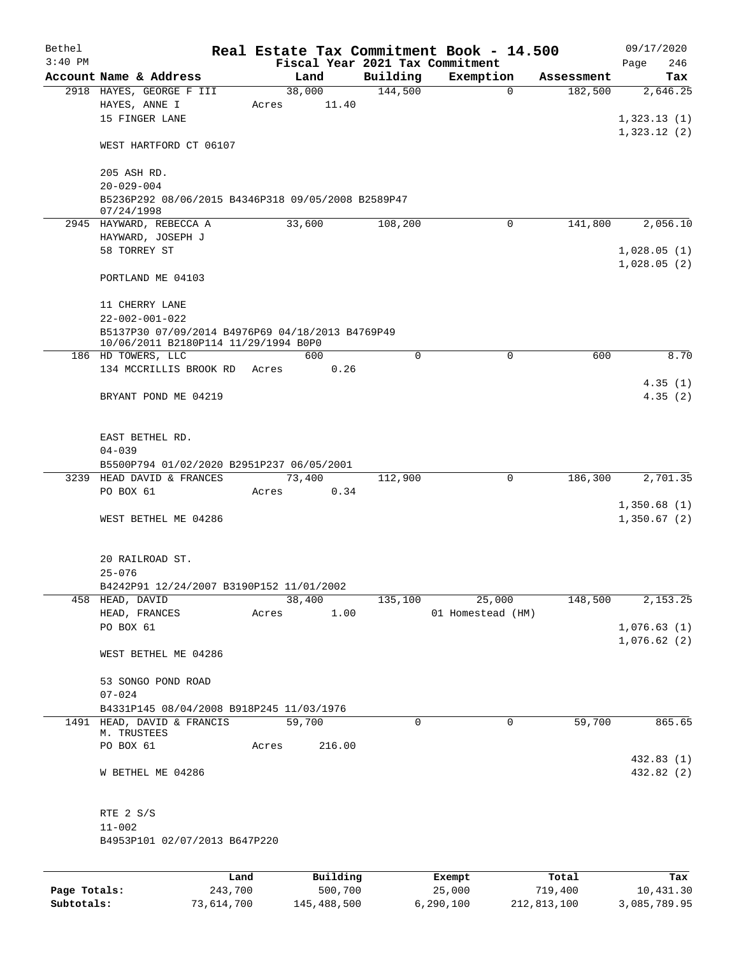| Bethel    |                                                                  |      |       |                 |             | Real Estate Tax Commitment Book - 14.500 |            | 09/17/2020                 |  |
|-----------|------------------------------------------------------------------|------|-------|-----------------|-------------|------------------------------------------|------------|----------------------------|--|
| $3:40$ PM |                                                                  |      |       |                 |             | Fiscal Year 2021 Tax Commitment          |            | 246<br>Page                |  |
|           | Account Name & Address<br>2918 HAYES, GEORGE F III               |      |       | Land            | Building    | Exemption<br>$\mathbf 0$                 | Assessment | Tax<br>2,646.25            |  |
|           | HAYES, ANNE I<br>15 FINGER LANE                                  |      | Acres | 38,000<br>11.40 | 144,500     |                                          | 182,500    | 1,323.13(1)                |  |
|           | WEST HARTFORD CT 06107                                           |      |       |                 |             |                                          |            | 1,323.12(2)                |  |
|           | 205 ASH RD.<br>$20 - 029 - 004$                                  |      |       |                 |             |                                          |            |                            |  |
|           | B5236P292 08/06/2015 B4346P318 09/05/2008 B2589P47<br>07/24/1998 |      |       |                 |             |                                          |            |                            |  |
|           | 2945 HAYWARD, REBECCA A<br>HAYWARD, JOSEPH J                     |      |       | 33,600          | 108,200     | 0                                        | 141,800    | 2,056.10                   |  |
|           | 58 TORREY ST                                                     |      |       |                 |             |                                          |            | 1,028.05(1)<br>1,028.05(2) |  |
|           | PORTLAND ME 04103                                                |      |       |                 |             |                                          |            |                            |  |
|           | 11 CHERRY LANE<br>$22 - 002 - 001 - 022$                         |      |       |                 |             |                                          |            |                            |  |
|           | B5137P30 07/09/2014 B4976P69 04/18/2013 B4769P49                 |      |       |                 |             |                                          |            |                            |  |
|           | 10/06/2011 B2180P114 11/29/1994 B0P0                             |      |       |                 |             |                                          |            |                            |  |
|           | 186 HD TOWERS, LLC                                               |      |       | 600             | $\Omega$    | 0                                        | 600        | 8.70                       |  |
|           | 134 MCCRILLIS BROOK RD Acres                                     |      |       | 0.26            |             |                                          |            | 4.35(1)                    |  |
|           | BRYANT POND ME 04219                                             |      |       |                 |             |                                          |            | 4.35(2)                    |  |
|           | EAST BETHEL RD.<br>$04 - 039$                                    |      |       |                 |             |                                          |            |                            |  |
|           | B5500P794 01/02/2020 B2951P237 06/05/2001                        |      |       |                 |             |                                          |            |                            |  |
|           | 3239 HEAD DAVID & FRANCES                                        |      |       | 73,400          | 112,900     | $\mathbf 0$                              | 186,300    | 2,701.35                   |  |
|           | PO BOX 61                                                        |      | Acres | 0.34            |             |                                          |            |                            |  |
|           | WEST BETHEL ME 04286                                             |      |       |                 |             |                                          |            | 1,350.68(1)<br>1,350.67(2) |  |
|           | 20 RAILROAD ST.<br>$25 - 076$                                    |      |       |                 |             |                                          |            |                            |  |
|           | B4242P91 12/24/2007 B3190P152 11/01/2002                         |      |       |                 |             |                                          |            |                            |  |
|           | 458 HEAD, DAVID                                                  |      |       | 38,400          | 135,100     | 25,000                                   | 148,500    | 2,153.25                   |  |
|           | HEAD, FRANCES                                                    |      | Acres | 1.00            |             | 01 Homestead (HM)                        |            |                            |  |
|           | PO BOX 61                                                        |      |       |                 |             |                                          |            | 1,076.63(1)<br>1,076.62(2) |  |
|           | WEST BETHEL ME 04286                                             |      |       |                 |             |                                          |            |                            |  |
|           | 53 SONGO POND ROAD                                               |      |       |                 |             |                                          |            |                            |  |
|           | $07 - 024$                                                       |      |       |                 |             |                                          |            |                            |  |
|           | B4331P145 08/04/2008 B918P245 11/03/1976                         |      |       |                 |             |                                          |            |                            |  |
|           | 1491 HEAD, DAVID & FRANCIS<br>M. TRUSTEES                        |      |       | 59,700          | $\mathbf 0$ | 0                                        | 59,700     | 865.65                     |  |
|           | PO BOX 61                                                        |      | Acres | 216.00          |             |                                          |            |                            |  |
|           |                                                                  |      |       |                 |             |                                          |            | 432.83 (1)                 |  |
|           | W BETHEL ME 04286                                                |      |       |                 |             |                                          |            | 432.82 (2)                 |  |
|           | RTE 2 S/S                                                        |      |       |                 |             |                                          |            |                            |  |
|           | $11 - 002$<br>B4953P101 02/07/2013 B647P220                      |      |       |                 |             |                                          |            |                            |  |
|           |                                                                  |      |       |                 |             |                                          |            |                            |  |
|           |                                                                  | Land |       | Building        |             | Exempt                                   | Total      | Tax                        |  |

|              | uanu.      | <b>DULLULLY</b> | LACINUL   | TOLAT       | ias.         |
|--------------|------------|-----------------|-----------|-------------|--------------|
| Page Totals: | 243,700    | 500,700         | 25,000    | 719,400     | 10,431.30    |
| Subtotals:   | 73,614,700 | 145,488,500     | 6,290,100 | 212,813,100 | 3,085,789.95 |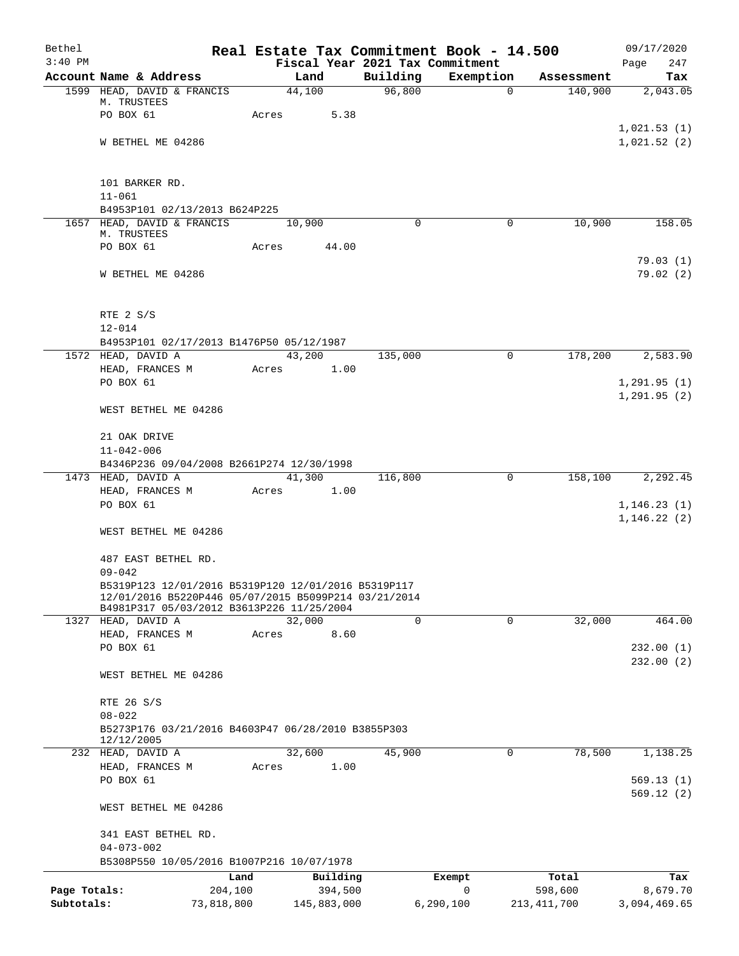| Bethel       |                                                                                                   |            | Real Estate Tax Commitment Book - 14.500 |                    |             |                       |                       | 09/17/2020      |
|--------------|---------------------------------------------------------------------------------------------------|------------|------------------------------------------|--------------------|-------------|-----------------------|-----------------------|-----------------|
| $3:40$ PM    |                                                                                                   |            | Fiscal Year 2021 Tax Commitment          |                    |             |                       |                       | 247<br>Page     |
|              | Account Name & Address                                                                            |            | Land<br>44,100                           | Building<br>96,800 |             | Exemption<br>$\Omega$ | Assessment<br>140,900 | Tax<br>2,043.05 |
|              | 1599 HEAD, DAVID & FRANCIS<br>M. TRUSTEES                                                         |            |                                          |                    |             |                       |                       |                 |
|              | PO BOX 61                                                                                         | Acres      | 5.38                                     |                    |             |                       |                       |                 |
|              |                                                                                                   |            |                                          |                    |             |                       |                       | 1,021.53(1)     |
|              | W BETHEL ME 04286                                                                                 |            |                                          |                    |             |                       |                       | 1,021.52(2)     |
|              |                                                                                                   |            |                                          |                    |             |                       |                       |                 |
|              | 101 BARKER RD.                                                                                    |            |                                          |                    |             |                       |                       |                 |
|              | $11 - 061$                                                                                        |            |                                          |                    |             |                       |                       |                 |
|              | B4953P101 02/13/2013 B624P225                                                                     |            |                                          |                    |             |                       |                       |                 |
|              | 1657 HEAD, DAVID & FRANCIS<br>M. TRUSTEES                                                         |            | 10,900                                   |                    | 0           | $\mathbf 0$           | 10,900                | 158.05          |
|              | PO BOX 61                                                                                         | Acres      | 44.00                                    |                    |             |                       |                       |                 |
|              |                                                                                                   |            |                                          |                    |             |                       |                       | 79.03(1)        |
|              | W BETHEL ME 04286                                                                                 |            |                                          |                    |             |                       |                       | 79.02(2)        |
|              |                                                                                                   |            |                                          |                    |             |                       |                       |                 |
|              | RTE 2 S/S                                                                                         |            |                                          |                    |             |                       |                       |                 |
|              | $12 - 014$<br>B4953P101 02/17/2013 B1476P50 05/12/1987                                            |            |                                          |                    |             |                       |                       |                 |
|              | 1572 HEAD, DAVID A                                                                                |            | 43,200                                   | 135,000            |             | 0                     | 178,200               | 2,583.90        |
|              | HEAD, FRANCES M                                                                                   | Acres      | 1.00                                     |                    |             |                       |                       |                 |
|              | PO BOX 61                                                                                         |            |                                          |                    |             |                       |                       | 1,291.95(1)     |
|              |                                                                                                   |            |                                          |                    |             |                       |                       | 1, 291.95(2)    |
|              | WEST BETHEL ME 04286                                                                              |            |                                          |                    |             |                       |                       |                 |
|              | 21 OAK DRIVE                                                                                      |            |                                          |                    |             |                       |                       |                 |
|              | $11 - 042 - 006$                                                                                  |            |                                          |                    |             |                       |                       |                 |
|              | B4346P236 09/04/2008 B2661P274 12/30/1998<br>1473 HEAD, DAVID A                                   |            | 41,300                                   | 116,800            |             | $\mathbf 0$           | 158,100               | 2,292.45        |
|              | HEAD, FRANCES M                                                                                   | Acres      | 1.00                                     |                    |             |                       |                       |                 |
|              | PO BOX 61                                                                                         |            |                                          |                    |             |                       |                       | 1, 146.23(1)    |
|              |                                                                                                   |            |                                          |                    |             |                       |                       | 1, 146.22(2)    |
|              | WEST BETHEL ME 04286                                                                              |            |                                          |                    |             |                       |                       |                 |
|              | 487 EAST BETHEL RD.                                                                               |            |                                          |                    |             |                       |                       |                 |
|              | $09 - 042$                                                                                        |            |                                          |                    |             |                       |                       |                 |
|              | B5319P123 12/01/2016 B5319P120 12/01/2016 B5319P117                                               |            |                                          |                    |             |                       |                       |                 |
|              | 12/01/2016 B5220P446 05/07/2015 B5099P214 03/21/2014<br>B4981P317 05/03/2012 B3613P226 11/25/2004 |            |                                          |                    |             |                       |                       |                 |
|              | 1327 HEAD, DAVID A                                                                                |            | 32,000                                   |                    | $\mathbf 0$ | $\mathbf 0$           | 32,000                | 464.00          |
|              | HEAD, FRANCES M                                                                                   | Acres      | 8.60                                     |                    |             |                       |                       |                 |
|              | PO BOX 61                                                                                         |            |                                          |                    |             |                       |                       | 232.00(1)       |
|              |                                                                                                   |            |                                          |                    |             |                       |                       | 232.00(2)       |
|              | WEST BETHEL ME 04286                                                                              |            |                                          |                    |             |                       |                       |                 |
|              | RTE 26 S/S                                                                                        |            |                                          |                    |             |                       |                       |                 |
|              | $08 - 022$                                                                                        |            |                                          |                    |             |                       |                       |                 |
|              | B5273P176 03/21/2016 B4603P47 06/28/2010 B3855P303<br>12/12/2005                                  |            |                                          |                    |             |                       |                       |                 |
|              | 232 HEAD, DAVID A                                                                                 |            | 32,600                                   | 45,900             |             | 0                     | 78,500                | 1,138.25        |
|              | HEAD, FRANCES M                                                                                   | Acres      | 1.00                                     |                    |             |                       |                       |                 |
|              | PO BOX 61                                                                                         |            |                                          |                    |             |                       |                       | 569.13(1)       |
|              | WEST BETHEL ME 04286                                                                              |            |                                          |                    |             |                       |                       | 569.12(2)       |
|              | 341 EAST BETHEL RD.                                                                               |            |                                          |                    |             |                       |                       |                 |
|              | $04 - 073 - 002$                                                                                  |            |                                          |                    |             |                       |                       |                 |
|              | B5308P550 10/05/2016 B1007P216 10/07/1978                                                         |            |                                          |                    |             |                       |                       |                 |
|              |                                                                                                   | Land       | Building                                 |                    | Exempt      |                       | Total                 | Tax             |
| Page Totals: |                                                                                                   | 204,100    | 394,500                                  |                    | 0           |                       | 598,600               | 8,679.70        |
| Subtotals:   |                                                                                                   | 73,818,800 | 145,883,000                              |                    | 6, 290, 100 |                       | 213, 411, 700         | 3,094,469.65    |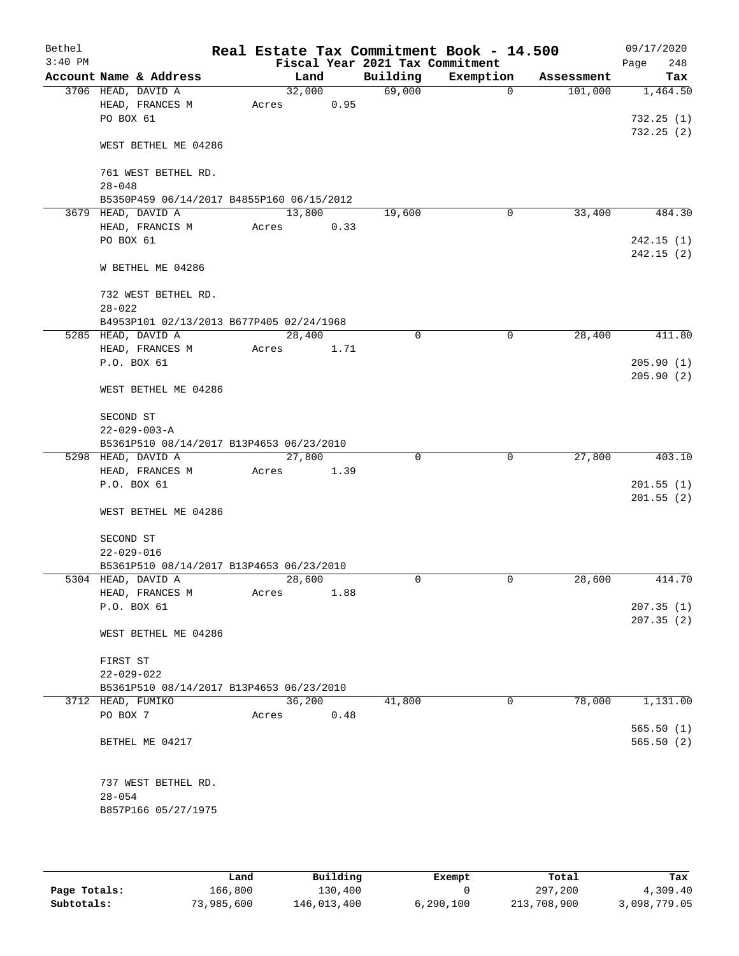| Bethel    |                                           |        |        |                                 | Real Estate Tax Commitment Book - 14.500 |            | 09/17/2020             |
|-----------|-------------------------------------------|--------|--------|---------------------------------|------------------------------------------|------------|------------------------|
| $3:40$ PM |                                           |        |        | Fiscal Year 2021 Tax Commitment |                                          |            | 248<br>Page            |
|           | Account Name & Address                    |        | Land   | Building                        | Exemption                                | Assessment | Tax                    |
|           | 3706 HEAD, DAVID A                        |        | 32,000 | 69,000                          | $\mathbf 0$                              | 101,000    | 1,464.50               |
|           | HEAD, FRANCES M<br>PO BOX 61              | Acres  | 0.95   |                                 |                                          |            | 732.25(1)              |
|           |                                           |        |        |                                 |                                          |            | 732.25(2)              |
|           | WEST BETHEL ME 04286                      |        |        |                                 |                                          |            |                        |
|           | 761 WEST BETHEL RD.                       |        |        |                                 |                                          |            |                        |
|           | $28 - 048$                                |        |        |                                 |                                          |            |                        |
|           | B5350P459 06/14/2017 B4855P160 06/15/2012 |        |        |                                 |                                          |            |                        |
|           | 3679 HEAD, DAVID A                        | 13,800 |        | 19,600                          | $\mathbf 0$                              | 33,400     | 484.30                 |
|           | HEAD, FRANCIS M                           | Acres  | 0.33   |                                 |                                          |            |                        |
|           | PO BOX 61                                 |        |        |                                 |                                          |            | 242.15(1)              |
|           |                                           |        |        |                                 |                                          |            | 242.15(2)              |
|           | W BETHEL ME 04286                         |        |        |                                 |                                          |            |                        |
|           | 732 WEST BETHEL RD.                       |        |        |                                 |                                          |            |                        |
|           | $28 - 022$                                |        |        |                                 |                                          |            |                        |
|           | B4953P101 02/13/2013 B677P405 02/24/1968  |        |        |                                 |                                          |            |                        |
|           | 5285 HEAD, DAVID A<br>HEAD, FRANCES M     | 28,400 |        | 0                               | $\mathbf 0$                              | 28,400     | 411.80                 |
|           | P.O. BOX 61                               | Acres  | 1.71   |                                 |                                          |            | 205.90(1)              |
|           |                                           |        |        |                                 |                                          |            | 205.90(2)              |
|           | WEST BETHEL ME 04286                      |        |        |                                 |                                          |            |                        |
|           | SECOND ST                                 |        |        |                                 |                                          |            |                        |
|           | $22 - 029 - 003 - A$                      |        |        |                                 |                                          |            |                        |
|           | B5361P510 08/14/2017 B13P4653 06/23/2010  |        |        |                                 |                                          |            |                        |
|           | 5298 HEAD, DAVID A                        | 27,800 |        | 0                               | $\mathbf 0$                              | 27,800     | 403.10                 |
|           | HEAD, FRANCES M                           | Acres  | 1.39   |                                 |                                          |            |                        |
|           | P.O. BOX 61                               |        |        |                                 |                                          |            | 201.55(1)<br>201.55(2) |
|           | WEST BETHEL ME 04286                      |        |        |                                 |                                          |            |                        |
|           | SECOND ST                                 |        |        |                                 |                                          |            |                        |
|           | $22 - 029 - 016$                          |        |        |                                 |                                          |            |                        |
|           | B5361P510 08/14/2017 B13P4653 06/23/2010  |        |        |                                 |                                          |            |                        |
|           | 5304 HEAD, DAVID A                        | 28,600 |        | $\Omega$                        | 0                                        | 28,600     | 414.70                 |
|           | HEAD, FRANCES M                           | Acres  | 1.88   |                                 |                                          |            |                        |
|           | P.O. BOX 61                               |        |        |                                 |                                          |            | 207.35(1)              |
|           | WEST BETHEL ME 04286                      |        |        |                                 |                                          |            | 207.35(2)              |
|           | FIRST ST                                  |        |        |                                 |                                          |            |                        |
|           | $22 - 029 - 022$                          |        |        |                                 |                                          |            |                        |
|           | B5361P510 08/14/2017 B13P4653 06/23/2010  |        |        |                                 |                                          |            |                        |
|           | 3712 HEAD, FUMIKO                         | 36,200 |        | 41,800                          | 0                                        | 78,000     | 1,131.00               |
|           | PO BOX 7                                  | Acres  | 0.48   |                                 |                                          |            |                        |
|           |                                           |        |        |                                 |                                          |            | 565.50(1)              |
|           | BETHEL ME 04217                           |        |        |                                 |                                          |            | 565.50(2)              |
|           | 737 WEST BETHEL RD.                       |        |        |                                 |                                          |            |                        |
|           | $28 - 054$                                |        |        |                                 |                                          |            |                        |
|           | B857P166 05/27/1975                       |        |        |                                 |                                          |            |                        |
|           |                                           |        |        |                                 |                                          |            |                        |

|              | Land       | Building    | Exempt    | Total       | Tax          |
|--------------|------------|-------------|-----------|-------------|--------------|
| Page Totals: | 166,800    | 130,400     |           | 297,200     | 4,309.40     |
| Subtotals:   | 73,985,600 | 146,013,400 | 6,290,100 | 213,708,900 | 3,098,779.05 |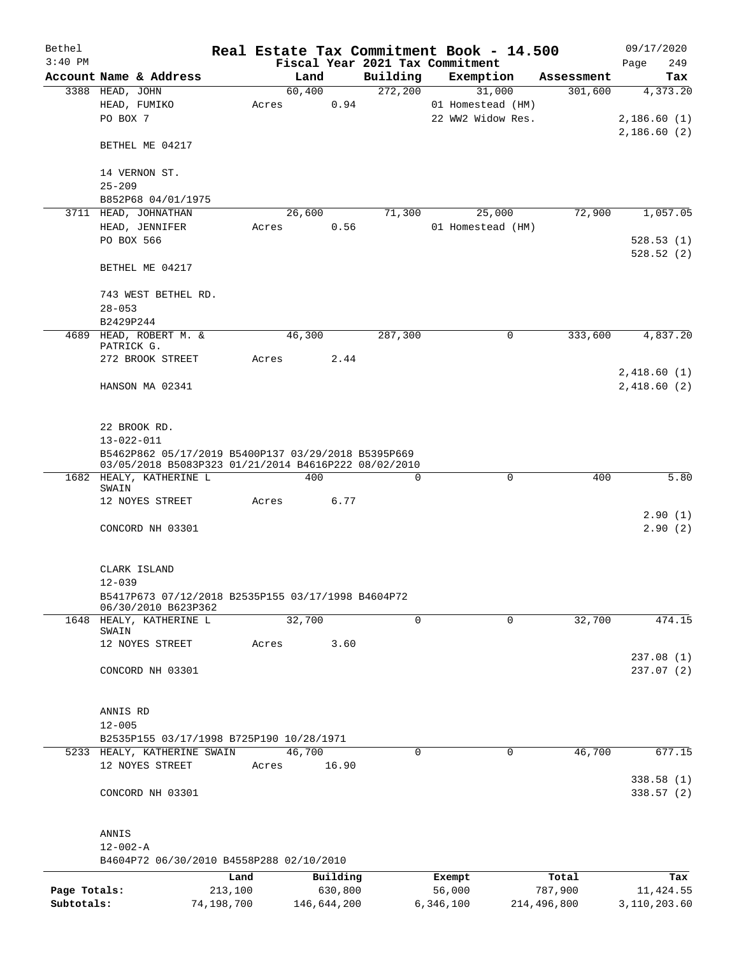| Bethel       |                                                                                                             |            |                |             |                                             |           | Real Estate Tax Commitment Book - 14.500 |                       | 09/17/2020      |
|--------------|-------------------------------------------------------------------------------------------------------------|------------|----------------|-------------|---------------------------------------------|-----------|------------------------------------------|-----------------------|-----------------|
| $3:40$ PM    | Account Name & Address                                                                                      |            |                |             | Fiscal Year 2021 Tax Commitment<br>Building |           |                                          |                       | 249<br>Page     |
|              | 3388 HEAD, JOHN                                                                                             |            | Land<br>60,400 |             | 272,200                                     |           | Exemption<br>31,000                      | Assessment<br>301,600 | Tax<br>4,373.20 |
|              | HEAD, FUMIKO                                                                                                |            |                | 0.94        |                                             |           | 01 Homestead (HM)                        |                       |                 |
|              | PO BOX 7                                                                                                    | Acres      |                |             |                                             |           | 22 WW2 Widow Res.                        |                       | 2,186.60(1)     |
|              |                                                                                                             |            |                |             |                                             |           |                                          |                       | 2,186.60(2)     |
|              | BETHEL ME 04217                                                                                             |            |                |             |                                             |           |                                          |                       |                 |
|              |                                                                                                             |            |                |             |                                             |           |                                          |                       |                 |
|              | 14 VERNON ST.                                                                                               |            |                |             |                                             |           |                                          |                       |                 |
|              | $25 - 209$                                                                                                  |            |                |             |                                             |           |                                          |                       |                 |
|              | B852P68 04/01/1975                                                                                          |            |                |             |                                             |           |                                          |                       |                 |
|              | 3711 HEAD, JOHNATHAN                                                                                        |            | 26,600         |             | 71,300                                      |           | 25,000                                   | 72,900                | 1,057.05        |
|              | HEAD, JENNIFER                                                                                              | Acres      |                | 0.56        |                                             |           | 01 Homestead (HM)                        |                       |                 |
|              | PO BOX 566                                                                                                  |            |                |             |                                             |           |                                          |                       | 528.53(1)       |
|              | BETHEL ME 04217                                                                                             |            |                |             |                                             |           |                                          |                       | 528.52(2)       |
|              | 743 WEST BETHEL RD.                                                                                         |            |                |             |                                             |           |                                          |                       |                 |
|              | $28 - 053$                                                                                                  |            |                |             |                                             |           |                                          |                       |                 |
|              | B2429P244                                                                                                   |            |                |             |                                             |           |                                          |                       |                 |
|              | 4689 HEAD, ROBERT M. &                                                                                      |            | 46,300         |             | 287,300                                     |           | 0                                        | 333,600               | 4,837.20        |
|              | PATRICK G.                                                                                                  |            |                |             |                                             |           |                                          |                       |                 |
|              | 272 BROOK STREET                                                                                            | Acres      |                | 2.44        |                                             |           |                                          |                       |                 |
|              |                                                                                                             |            |                |             |                                             |           |                                          |                       | 2,418.60(1)     |
|              | HANSON MA 02341                                                                                             |            |                |             |                                             |           |                                          |                       | 2,418.60(2)     |
|              |                                                                                                             |            |                |             |                                             |           |                                          |                       |                 |
|              |                                                                                                             |            |                |             |                                             |           |                                          |                       |                 |
|              | 22 BROOK RD.                                                                                                |            |                |             |                                             |           |                                          |                       |                 |
|              | $13 - 022 - 011$                                                                                            |            |                |             |                                             |           |                                          |                       |                 |
|              | B5462P862 05/17/2019 B5400P137 03/29/2018 B5395P669<br>03/05/2018 B5083P323 01/21/2014 B4616P222 08/02/2010 |            |                |             |                                             |           |                                          |                       |                 |
|              | 1682 HEALY, KATHERINE L                                                                                     |            |                | 400         | 0                                           |           | $\mathbf 0$                              | 400                   | 5.80            |
|              | SWAIN<br>12 NOYES STREET                                                                                    | Acres      |                | 6.77        |                                             |           |                                          |                       |                 |
|              |                                                                                                             |            |                |             |                                             |           |                                          |                       | 2.90(1)         |
|              | CONCORD NH 03301                                                                                            |            |                |             |                                             |           |                                          |                       | 2.90(2)         |
|              |                                                                                                             |            |                |             |                                             |           |                                          |                       |                 |
|              |                                                                                                             |            |                |             |                                             |           |                                          |                       |                 |
|              | CLARK ISLAND                                                                                                |            |                |             |                                             |           |                                          |                       |                 |
|              | $12 - 039$                                                                                                  |            |                |             |                                             |           |                                          |                       |                 |
|              | B5417P673 07/12/2018 B2535P155 03/17/1998 B4604P72<br>06/30/2010 B623P362                                   |            |                |             |                                             |           |                                          |                       |                 |
|              | 1648 HEALY, KATHERINE L                                                                                     |            | 32,700         |             | $\overline{0}$                              |           | $\Omega$                                 | 32,700                | 474.15          |
|              | SWAIN                                                                                                       |            |                |             |                                             |           |                                          |                       |                 |
|              | 12 NOYES STREET                                                                                             | Acres      |                | 3.60        |                                             |           |                                          |                       |                 |
|              |                                                                                                             |            |                |             |                                             |           |                                          |                       | 237.08(1)       |
|              | CONCORD NH 03301                                                                                            |            |                |             |                                             |           |                                          |                       | 237.07(2)       |
|              |                                                                                                             |            |                |             |                                             |           |                                          |                       |                 |
|              | ANNIS RD                                                                                                    |            |                |             |                                             |           |                                          |                       |                 |
|              | $12 - 005$                                                                                                  |            |                |             |                                             |           |                                          |                       |                 |
|              | B2535P155 03/17/1998 B725P190 10/28/1971                                                                    |            |                |             |                                             |           |                                          |                       |                 |
|              | 5233 HEALY, KATHERINE SWAIN                                                                                 |            | 46,700         |             | $\Omega$                                    |           | $\mathbf 0$                              | 46,700                | 677.15          |
|              | 12 NOYES STREET                                                                                             | Acres      |                | 16.90       |                                             |           |                                          |                       |                 |
|              |                                                                                                             |            |                |             |                                             |           |                                          |                       | 338.58(1)       |
|              | CONCORD NH 03301                                                                                            |            |                |             |                                             |           |                                          |                       | 338.57(2)       |
|              |                                                                                                             |            |                |             |                                             |           |                                          |                       |                 |
|              | ANNIS                                                                                                       |            |                |             |                                             |           |                                          |                       |                 |
|              | $12 - 002 - A$                                                                                              |            |                |             |                                             |           |                                          |                       |                 |
|              | B4604P72 06/30/2010 B4558P288 02/10/2010                                                                    |            |                |             |                                             |           |                                          |                       |                 |
|              |                                                                                                             | Land       |                | Building    |                                             |           | Exempt                                   | Total                 | Tax             |
| Page Totals: |                                                                                                             | 213,100    |                | 630,800     |                                             |           | 56,000                                   | 787,900               | 11, 424.55      |
| Subtotals:   |                                                                                                             | 74,198,700 |                | 146,644,200 |                                             | 6,346,100 |                                          | 214,496,800           | 3,110,203.60    |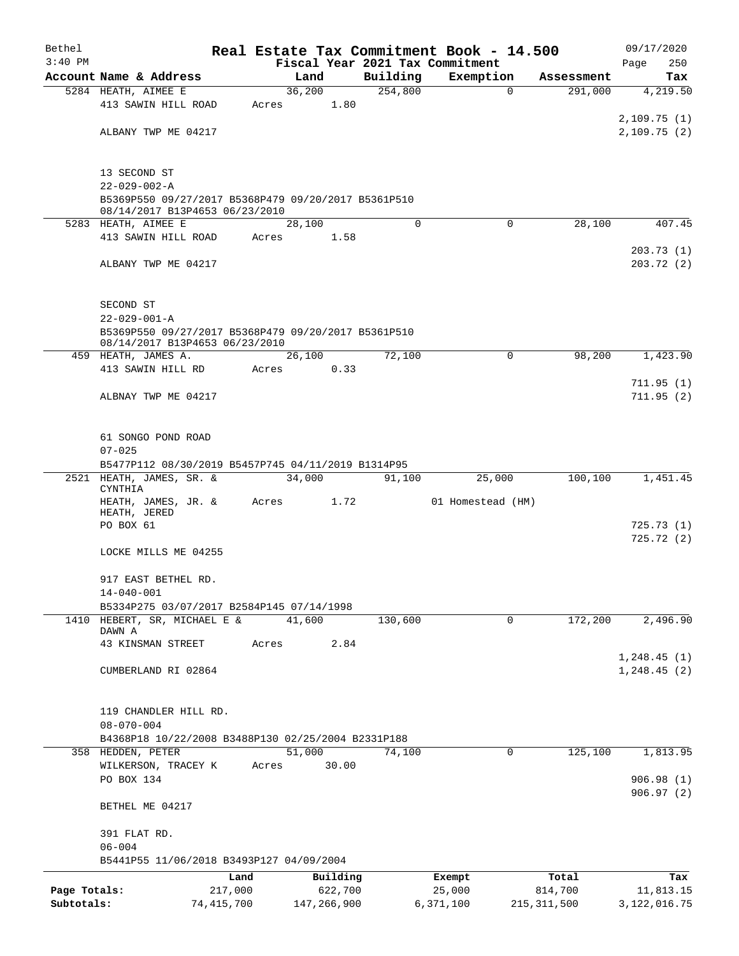| Bethel       |                                                                         |         |                |          | Real Estate Tax Commitment Book - 14.500 |               | 09/17/2020     |
|--------------|-------------------------------------------------------------------------|---------|----------------|----------|------------------------------------------|---------------|----------------|
| $3:40$ PM    |                                                                         |         |                |          | Fiscal Year 2021 Tax Commitment          |               | 250<br>Page    |
|              | Account Name & Address                                                  |         | Land<br>36,200 | Building | Exemption                                | Assessment    | Tax            |
|              | 5284 HEATH, AIMEE E<br>413 SAWIN HILL ROAD                              | Acres   | 1.80           | 254,800  | $\mathbf 0$                              | 291,000       | 4,219.50       |
|              |                                                                         |         |                |          |                                          |               | 2,109.75(1)    |
|              | ALBANY TWP ME 04217                                                     |         |                |          |                                          |               | 2,109.75(2)    |
|              |                                                                         |         |                |          |                                          |               |                |
|              |                                                                         |         |                |          |                                          |               |                |
|              | 13 SECOND ST<br>$22 - 029 - 002 - A$                                    |         |                |          |                                          |               |                |
|              | B5369P550 09/27/2017 B5368P479 09/20/2017 B5361P510                     |         |                |          |                                          |               |                |
|              | 08/14/2017 B13P4653 06/23/2010                                          |         |                |          |                                          |               |                |
|              | 5283 HEATH, AIMEE E                                                     |         | 28,100         | $\Omega$ | $\Omega$                                 | 28,100        | 407.45         |
|              | 413 SAWIN HILL ROAD                                                     | Acres   | 1.58           |          |                                          |               |                |
|              |                                                                         |         |                |          |                                          |               | 203.73(1)      |
|              | ALBANY TWP ME 04217                                                     |         |                |          |                                          |               | 203.72(2)      |
|              |                                                                         |         |                |          |                                          |               |                |
|              | SECOND ST                                                               |         |                |          |                                          |               |                |
|              | $22 - 029 - 001 - A$                                                    |         |                |          |                                          |               |                |
|              | B5369P550 09/27/2017 B5368P479 09/20/2017 B5361P510                     |         |                |          |                                          |               |                |
|              | 08/14/2017 B13P4653 06/23/2010                                          |         |                |          |                                          |               |                |
|              | 459 HEATH, JAMES A.                                                     | Acres   | 26,100         | 72,100   | $\Omega$                                 | 98,200        | 1,423.90       |
|              | 413 SAWIN HILL RD                                                       |         | 0.33           |          |                                          |               | 711.95(1)      |
|              | ALBNAY TWP ME 04217                                                     |         |                |          |                                          |               | 711.95(2)      |
|              |                                                                         |         |                |          |                                          |               |                |
|              |                                                                         |         |                |          |                                          |               |                |
|              | 61 SONGO POND ROAD                                                      |         |                |          |                                          |               |                |
|              | $07 - 025$                                                              |         |                |          |                                          |               |                |
|              | B5477P112 08/30/2019 B5457P745 04/11/2019 B1314P95                      |         |                |          |                                          |               |                |
|              | 2521 HEATH, JAMES, SR. &<br>CYNTHIA                                     |         | 34,000         | 91,100   | 25,000                                   | 100,100       | 1,451.45       |
|              | HEATH, JAMES, JR. &                                                     | Acres   | 1.72           |          | 01 Homestead (HM)                        |               |                |
|              | HEATH, JERED                                                            |         |                |          |                                          |               |                |
|              | PO BOX 61                                                               |         |                |          |                                          |               | 725.73(1)      |
|              |                                                                         |         |                |          |                                          |               | 725.72(2)      |
|              | LOCKE MILLS ME 04255                                                    |         |                |          |                                          |               |                |
|              | 917 EAST BETHEL RD.                                                     |         |                |          |                                          |               |                |
|              | $14 - 040 - 001$                                                        |         |                |          |                                          |               |                |
|              | B5334P275 03/07/2017 B2584P145 07/14/1998                               |         |                |          |                                          |               |                |
| 1410         | HEBERT, SR, MICHAEL E &                                                 |         | 41,600         | 130,600  | $\mathbf 0$                              | 172,200       | 2,496.90       |
|              | DAWN A<br>43 KINSMAN STREET                                             | Acres   | 2.84           |          |                                          |               |                |
|              |                                                                         |         |                |          |                                          |               | 1, 248.45(1)   |
|              | CUMBERLAND RI 02864                                                     |         |                |          |                                          |               | 1, 248.45(2)   |
|              |                                                                         |         |                |          |                                          |               |                |
|              |                                                                         |         |                |          |                                          |               |                |
|              | 119 CHANDLER HILL RD.                                                   |         |                |          |                                          |               |                |
|              | $08 - 070 - 004$                                                        |         |                |          |                                          |               |                |
|              | B4368P18 10/22/2008 B3488P130 02/25/2004 B2331P188<br>358 HEDDEN, PETER |         | 51,000         |          | $\Omega$                                 | 125,100       |                |
|              | WILKERSON, TRACEY K                                                     | Acres   | 30.00          | 74,100   |                                          |               | 1,813.95       |
|              | PO BOX 134                                                              |         |                |          |                                          |               | 906.98(1)      |
|              |                                                                         |         |                |          |                                          |               | 906.97(2)      |
|              | BETHEL ME 04217                                                         |         |                |          |                                          |               |                |
|              |                                                                         |         |                |          |                                          |               |                |
|              | 391 FLAT RD.                                                            |         |                |          |                                          |               |                |
|              | $06 - 004$                                                              |         |                |          |                                          |               |                |
|              | B5441P55 11/06/2018 B3493P127 04/09/2004                                |         |                |          |                                          |               |                |
|              |                                                                         | Land    | Building       |          | Exempt                                   | Total         | Tax            |
| Page Totals: |                                                                         | 217,000 | 622,700        |          | 25,000                                   | 814,700       | 11,813.15      |
| Subtotals:   | 74, 415, 700                                                            |         | 147,266,900    |          | 6,371,100                                | 215, 311, 500 | 3, 122, 016.75 |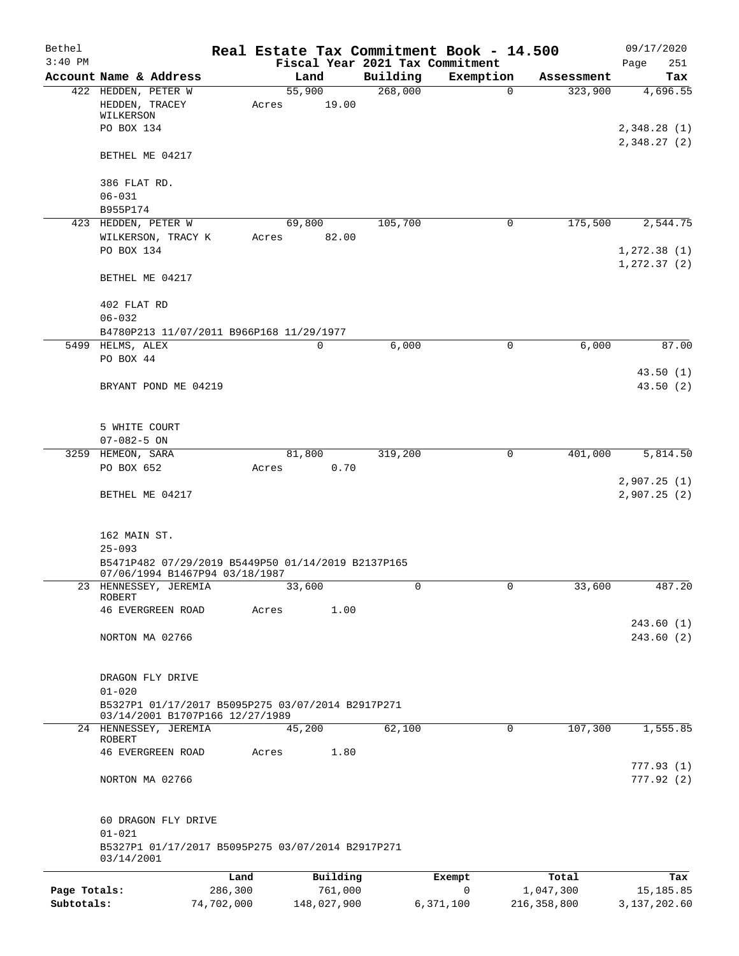| Bethel       |                                                                  |            |                                         |          | Real Estate Tax Commitment Book - 14.500 |                       | 09/17/2020                  |
|--------------|------------------------------------------------------------------|------------|-----------------------------------------|----------|------------------------------------------|-----------------------|-----------------------------|
| $3:40$ PM    | Account Name & Address                                           |            | Fiscal Year 2021 Tax Commitment<br>Land | Building | Exemption                                |                       | 251<br>Page                 |
|              | 422 HEDDEN, PETER W                                              |            | $\overline{55,900}$                     | 268,000  | $\mathbf 0$                              | Assessment<br>323,900 | Tax<br>4,696.55             |
|              | HEDDEN, TRACEY<br>WILKERSON                                      | Acres      | 19.00                                   |          |                                          |                       |                             |
|              | PO BOX 134                                                       |            |                                         |          |                                          |                       | 2,348.28(1)<br>2,348.27 (2) |
|              | BETHEL ME 04217                                                  |            |                                         |          |                                          |                       |                             |
|              | 386 FLAT RD.<br>$06 - 031$                                       |            |                                         |          |                                          |                       |                             |
|              | B955P174                                                         |            |                                         |          |                                          |                       |                             |
|              | 423 HEDDEN, PETER W                                              |            | 69,800                                  | 105,700  | 0                                        | 175,500               | 2,544.75                    |
|              | WILKERSON, TRACY K<br>PO BOX 134                                 | Acres      | 82.00                                   |          |                                          |                       |                             |
|              |                                                                  |            |                                         |          |                                          |                       | 1,272.38(1)<br>1, 272.37(2) |
|              | BETHEL ME 04217                                                  |            |                                         |          |                                          |                       |                             |
|              | 402 FLAT RD                                                      |            |                                         |          |                                          |                       |                             |
|              | $06 - 032$                                                       |            |                                         |          |                                          |                       |                             |
|              | B4780P213 11/07/2011 B966P168 11/29/1977                         |            |                                         |          |                                          |                       |                             |
|              | 5499 HELMS, ALEX<br>PO BOX 44                                    |            | $\mathbf 0$                             | 6,000    | $\mathbf 0$                              | 6,000                 | 87.00                       |
|              |                                                                  |            |                                         |          |                                          |                       | 43.50(1)                    |
|              | BRYANT POND ME 04219                                             |            |                                         |          |                                          |                       | 43.50(2)                    |
|              | 5 WHITE COURT                                                    |            |                                         |          |                                          |                       |                             |
|              | $07 - 082 - 5$ ON                                                |            |                                         |          |                                          |                       |                             |
| 3259         | HEMEON, SARA<br>PO BOX 652                                       | Acres      | 81,800<br>0.70                          | 319,200  | $\mathbf 0$                              | 401,000               | 5,814.50                    |
|              |                                                                  |            |                                         |          |                                          |                       | 2,907.25(1)                 |
|              | BETHEL ME 04217                                                  |            |                                         |          |                                          |                       | 2,907.25(2)                 |
|              | 162 MAIN ST.                                                     |            |                                         |          |                                          |                       |                             |
|              | $25 - 093$<br>B5471P482 07/29/2019 B5449P50 01/14/2019 B2137P165 |            |                                         |          |                                          |                       |                             |
|              | 07/06/1994 B1467P94 03/18/1987                                   |            |                                         |          |                                          |                       |                             |
|              | 23 HENNESSEY, JEREMIA<br>ROBERT                                  |            | 33,600                                  | 0        |                                          | 33,600                | 487.20                      |
|              | 46 EVERGREEN ROAD                                                | Acres      | 1.00                                    |          |                                          |                       |                             |
|              |                                                                  |            |                                         |          |                                          |                       | 243.60(1)                   |
|              | NORTON MA 02766                                                  |            |                                         |          |                                          |                       | 243.60(2)                   |
|              | DRAGON FLY DRIVE                                                 |            |                                         |          |                                          |                       |                             |
|              | $01 - 020$<br>B5327P1 01/17/2017 B5095P275 03/07/2014 B2917P271  |            |                                         |          |                                          |                       |                             |
|              | 03/14/2001 B1707P166 12/27/1989                                  |            |                                         |          |                                          |                       |                             |
|              | 24 HENNESSEY, JEREMIA<br>ROBERT                                  |            | 45,200                                  | 62,100   | 0                                        | 107,300               | 1,555.85                    |
|              | <b>46 EVERGREEN ROAD</b>                                         | Acres      | 1.80                                    |          |                                          |                       |                             |
|              | NORTON MA 02766                                                  |            |                                         |          |                                          |                       | 777.93(1)<br>777.92 (2)     |
|              |                                                                  |            |                                         |          |                                          |                       |                             |
|              | 60 DRAGON FLY DRIVE<br>$01 - 021$                                |            |                                         |          |                                          |                       |                             |
|              | B5327P1 01/17/2017 B5095P275 03/07/2014 B2917P271<br>03/14/2001  |            |                                         |          |                                          |                       |                             |
|              |                                                                  | Land       | Building                                |          | Exempt                                   | Total                 | Tax                         |
| Page Totals: |                                                                  | 286,300    | 761,000                                 |          | 0                                        | 1,047,300             | 15, 185.85                  |
| Subtotals:   |                                                                  | 74,702,000 | 148,027,900                             |          | 6,371,100                                | 216, 358, 800         | 3,137,202.60                |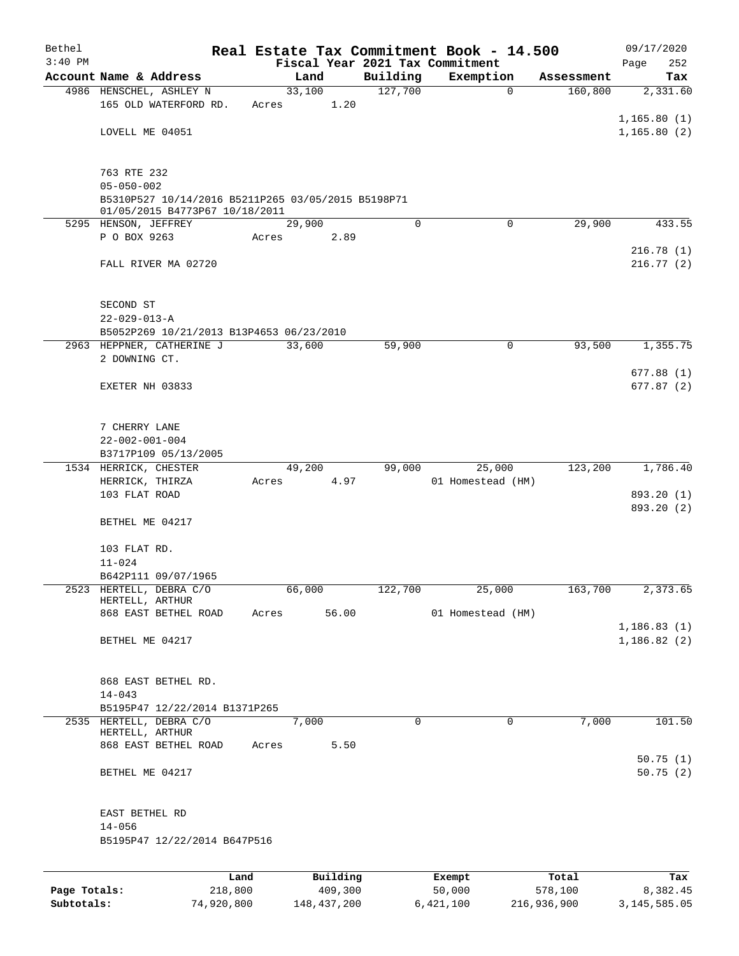| Bethel<br>$3:40$ PM |                                                                        |                 |       |        |                     |             | Real Estate Tax Commitment Book - 14.500<br>Fiscal Year 2021 Tax Commitment |             |                  | 09/17/2020<br>252<br>Page   |
|---------------------|------------------------------------------------------------------------|-----------------|-------|--------|---------------------|-------------|-----------------------------------------------------------------------------|-------------|------------------|-----------------------------|
|                     | Account Name & Address                                                 |                 |       | Land   |                     | Building    | Exemption                                                                   |             | Assessment       | Tax                         |
|                     | 4986 HENSCHEL, ASHLEY N                                                |                 |       | 33,100 |                     | 127,700     |                                                                             | $\mathbf 0$ | 160,800          | 2,331.60                    |
|                     | 165 OLD WATERFORD RD.                                                  |                 | Acres |        | 1.20                |             |                                                                             |             |                  | 1,165.80(1)                 |
|                     | LOVELL ME 04051                                                        |                 |       |        |                     |             |                                                                             |             |                  | 1, 165.80(2)                |
|                     | 763 RTE 232                                                            |                 |       |        |                     |             |                                                                             |             |                  |                             |
|                     | $05 - 050 - 002$<br>B5310P527 10/14/2016 B5211P265 03/05/2015 B5198P71 |                 |       |        |                     |             |                                                                             |             |                  |                             |
|                     | 01/05/2015 B4773P67 10/18/2011<br>5295 HENSON, JEFFREY                 |                 |       | 29,900 |                     | $\mathbf 0$ |                                                                             | $\Omega$    | 29,900           | 433.55                      |
|                     | P O BOX 9263                                                           |                 | Acres |        | 2.89                |             |                                                                             |             |                  |                             |
|                     | FALL RIVER MA 02720                                                    |                 |       |        |                     |             |                                                                             |             |                  | 216.78(1)<br>216.77(2)      |
|                     |                                                                        |                 |       |        |                     |             |                                                                             |             |                  |                             |
|                     | SECOND ST<br>$22 - 029 - 013 - A$                                      |                 |       |        |                     |             |                                                                             |             |                  |                             |
|                     | B5052P269 10/21/2013 B13P4653 06/23/2010                               |                 |       |        |                     |             |                                                                             |             |                  |                             |
|                     | 2963 HEPPNER, CATHERINE J                                              |                 |       | 33,600 |                     | 59,900      |                                                                             | 0           | 93,500           | 1,355.75                    |
|                     | 2 DOWNING CT.                                                          |                 |       |        |                     |             |                                                                             |             |                  |                             |
|                     |                                                                        |                 |       |        |                     |             |                                                                             |             |                  | 677.88(1)                   |
|                     | EXETER NH 03833                                                        |                 |       |        |                     |             |                                                                             |             |                  | 677.87(2)                   |
|                     | 7 CHERRY LANE                                                          |                 |       |        |                     |             |                                                                             |             |                  |                             |
|                     | $22 - 002 - 001 - 004$                                                 |                 |       |        |                     |             |                                                                             |             |                  |                             |
|                     | B3717P109 05/13/2005                                                   |                 |       |        |                     |             |                                                                             |             |                  |                             |
|                     | 1534 HERRICK, CHESTER                                                  |                 |       | 49,200 |                     | 99,000      | 25,000                                                                      |             | 123,200          | 1,786.40                    |
|                     | HERRICK, THIRZA                                                        |                 | Acres |        | 4.97                |             | 01 Homestead (HM)                                                           |             |                  |                             |
|                     | 103 FLAT ROAD                                                          |                 |       |        |                     |             |                                                                             |             |                  | 893.20 (1)<br>893.20 (2)    |
|                     | BETHEL ME 04217                                                        |                 |       |        |                     |             |                                                                             |             |                  |                             |
|                     | 103 FLAT RD.                                                           |                 |       |        |                     |             |                                                                             |             |                  |                             |
|                     | $11 - 024$                                                             |                 |       |        |                     |             |                                                                             |             |                  |                             |
|                     | B642P111 09/07/1965                                                    |                 |       |        |                     |             |                                                                             |             |                  |                             |
| 2523                | HERTELL, DEBRA C/O<br>HERTELL, ARTHUR                                  |                 |       | 66,000 |                     | 122,700     | 25,000                                                                      |             | 163,700          | 2,373.65                    |
|                     | 868 EAST BETHEL ROAD                                                   |                 | Acres |        | 56.00               |             | 01 Homestead (HM)                                                           |             |                  |                             |
|                     | BETHEL ME 04217                                                        |                 |       |        |                     |             |                                                                             |             |                  | 1, 186.83(1)<br>1,186.82(2) |
|                     | 868 EAST BETHEL RD.                                                    |                 |       |        |                     |             |                                                                             |             |                  |                             |
|                     | $14 - 043$                                                             |                 |       |        |                     |             |                                                                             |             |                  |                             |
|                     | B5195P47 12/22/2014 B1371P265                                          |                 |       |        |                     |             |                                                                             |             |                  |                             |
|                     | 2535 HERTELL, DEBRA C/O<br>HERTELL, ARTHUR                             |                 |       | 7,000  |                     | $\mathbf 0$ |                                                                             | 0           | 7,000            | 101.50                      |
|                     | 868 EAST BETHEL ROAD                                                   |                 | Acres |        | 5.50                |             |                                                                             |             |                  |                             |
|                     | BETHEL ME 04217                                                        |                 |       |        |                     |             |                                                                             |             |                  | 50.75(1)<br>50.75(2)        |
|                     | EAST BETHEL RD<br>$14 - 056$                                           |                 |       |        |                     |             |                                                                             |             |                  |                             |
|                     | B5195P47 12/22/2014 B647P516                                           |                 |       |        |                     |             |                                                                             |             |                  |                             |
|                     |                                                                        |                 |       |        |                     |             |                                                                             |             |                  |                             |
| Page Totals:        |                                                                        | Land<br>218,800 |       |        | Building<br>409,300 |             | Exempt<br>50,000                                                            |             | Total<br>578,100 | Tax<br>8,382.45             |

**Subtotals:** 74,920,800 148,437,200 6,421,100 216,936,900 3,145,585.05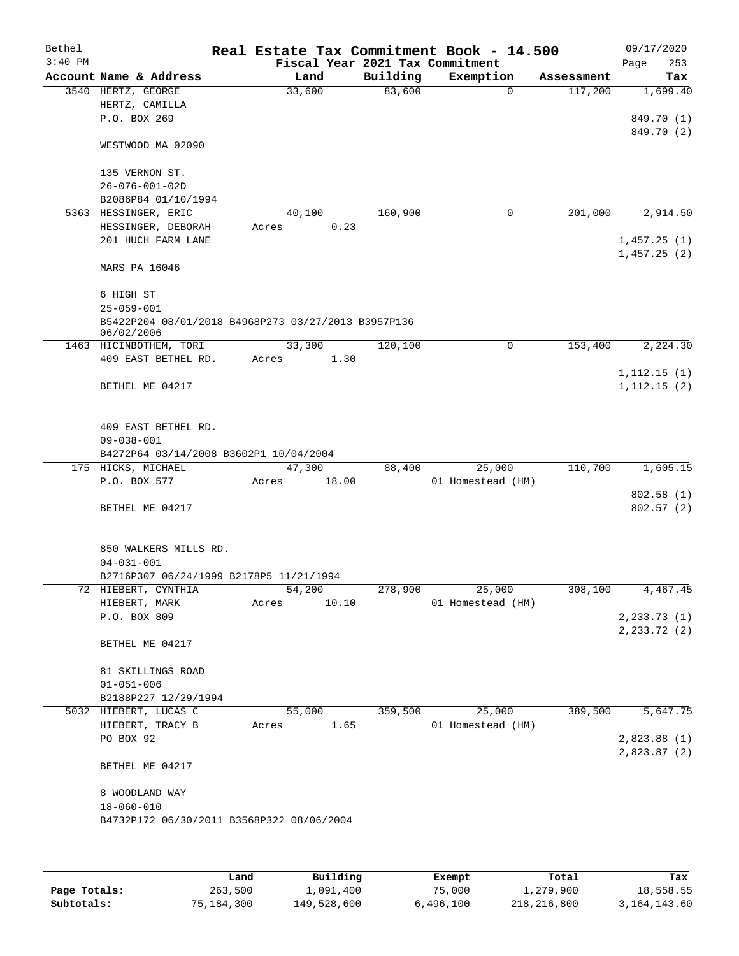| $3:40$ PM<br>Fiscal Year 2021 Tax Commitment<br>Page<br>Building<br>Exemption<br>Account Name & Address<br>Land<br>Assessment<br>83,600<br>3540 HERTZ, GEORGE<br>33,600<br>117,200<br>0<br>HERTZ, CAMILLA<br>P.O. BOX 269<br>WESTWOOD MA 02090<br>135 VERNON ST.<br>$26 - 076 - 001 - 02D$<br>B2086P84 01/10/1994<br>40,100<br>160,900<br>201,000<br>5363 HESSINGER, ERIC<br>0<br>0.23<br>HESSINGER, DEBORAH<br>Acres<br>201 HUCH FARM LANE<br>1,457.25(1)<br>1,457.25(2)<br>MARS PA 16046<br>6 HIGH ST<br>$25 - 059 - 001$<br>B5422P204 08/01/2018 B4968P273 03/27/2013 B3957P136<br>06/02/2006<br>33,300<br>120,100<br>1463 HICINBOTHEM, TORI<br>0<br>153,400<br>409 EAST BETHEL RD.<br>Acres<br>1.30<br>1, 112.15(1)<br>BETHEL ME 04217<br>1,112.15(2)<br>409 EAST BETHEL RD.<br>$09 - 038 - 001$<br>B4272P64 03/14/2008 B3602P1 10/04/2004<br>175 HICKS, MICHAEL<br>47,300<br>25,000<br>110,700<br>88,400<br>P.O. BOX 577<br>18.00<br>01 Homestead (HM)<br>Acres<br>802.58(1)<br>BETHEL ME 04217<br>802.57(2)<br>850 WALKERS MILLS RD.<br>$04 - 031 - 001$<br>B2716P307 06/24/1999 B2178P5 11/21/1994<br>72 HIEBERT, CYNTHIA<br>54,200<br>278,900<br>25,000<br>308,100<br>HIEBERT, MARK<br>10.10<br>01 Homestead (HM)<br>Acres<br>2, 233.73(1)<br>P.O. BOX 809<br>2, 233.72(2)<br>BETHEL ME 04217<br>81 SKILLINGS ROAD<br>$01 - 051 - 006$<br>B2188P227 12/29/1994<br>5032 HIEBERT, LUCAS C<br>389,500<br>55,000<br>359,500<br>25,000<br>HIEBERT, TRACY B<br>1.65<br>01 Homestead (HM)<br>Acres<br>PO BOX 92<br>2,823.88(1)<br>2,823.87(2)<br>BETHEL ME 04217<br>8 WOODLAND WAY<br>$18 - 060 - 010$<br>B4732P172 06/30/2011 B3568P322 08/06/2004 | Bethel |  |  | Real Estate Tax Commitment Book - 14.500 |  | 09/17/2020 |
|------------------------------------------------------------------------------------------------------------------------------------------------------------------------------------------------------------------------------------------------------------------------------------------------------------------------------------------------------------------------------------------------------------------------------------------------------------------------------------------------------------------------------------------------------------------------------------------------------------------------------------------------------------------------------------------------------------------------------------------------------------------------------------------------------------------------------------------------------------------------------------------------------------------------------------------------------------------------------------------------------------------------------------------------------------------------------------------------------------------------------------------------------------------------------------------------------------------------------------------------------------------------------------------------------------------------------------------------------------------------------------------------------------------------------------------------------------------------------------------------------------------------------------------------------------------------------------------------------------------------------------------------------|--------|--|--|------------------------------------------|--|------------|
|                                                                                                                                                                                                                                                                                                                                                                                                                                                                                                                                                                                                                                                                                                                                                                                                                                                                                                                                                                                                                                                                                                                                                                                                                                                                                                                                                                                                                                                                                                                                                                                                                                                      |        |  |  |                                          |  | 253        |
|                                                                                                                                                                                                                                                                                                                                                                                                                                                                                                                                                                                                                                                                                                                                                                                                                                                                                                                                                                                                                                                                                                                                                                                                                                                                                                                                                                                                                                                                                                                                                                                                                                                      |        |  |  |                                          |  | Tax        |
|                                                                                                                                                                                                                                                                                                                                                                                                                                                                                                                                                                                                                                                                                                                                                                                                                                                                                                                                                                                                                                                                                                                                                                                                                                                                                                                                                                                                                                                                                                                                                                                                                                                      |        |  |  |                                          |  | 1,699.40   |
|                                                                                                                                                                                                                                                                                                                                                                                                                                                                                                                                                                                                                                                                                                                                                                                                                                                                                                                                                                                                                                                                                                                                                                                                                                                                                                                                                                                                                                                                                                                                                                                                                                                      |        |  |  |                                          |  | 849.70 (1) |
|                                                                                                                                                                                                                                                                                                                                                                                                                                                                                                                                                                                                                                                                                                                                                                                                                                                                                                                                                                                                                                                                                                                                                                                                                                                                                                                                                                                                                                                                                                                                                                                                                                                      |        |  |  |                                          |  | 849.70 (2) |
|                                                                                                                                                                                                                                                                                                                                                                                                                                                                                                                                                                                                                                                                                                                                                                                                                                                                                                                                                                                                                                                                                                                                                                                                                                                                                                                                                                                                                                                                                                                                                                                                                                                      |        |  |  |                                          |  |            |
|                                                                                                                                                                                                                                                                                                                                                                                                                                                                                                                                                                                                                                                                                                                                                                                                                                                                                                                                                                                                                                                                                                                                                                                                                                                                                                                                                                                                                                                                                                                                                                                                                                                      |        |  |  |                                          |  |            |
|                                                                                                                                                                                                                                                                                                                                                                                                                                                                                                                                                                                                                                                                                                                                                                                                                                                                                                                                                                                                                                                                                                                                                                                                                                                                                                                                                                                                                                                                                                                                                                                                                                                      |        |  |  |                                          |  |            |
|                                                                                                                                                                                                                                                                                                                                                                                                                                                                                                                                                                                                                                                                                                                                                                                                                                                                                                                                                                                                                                                                                                                                                                                                                                                                                                                                                                                                                                                                                                                                                                                                                                                      |        |  |  |                                          |  |            |
|                                                                                                                                                                                                                                                                                                                                                                                                                                                                                                                                                                                                                                                                                                                                                                                                                                                                                                                                                                                                                                                                                                                                                                                                                                                                                                                                                                                                                                                                                                                                                                                                                                                      |        |  |  |                                          |  | 2,914.50   |
|                                                                                                                                                                                                                                                                                                                                                                                                                                                                                                                                                                                                                                                                                                                                                                                                                                                                                                                                                                                                                                                                                                                                                                                                                                                                                                                                                                                                                                                                                                                                                                                                                                                      |        |  |  |                                          |  |            |
|                                                                                                                                                                                                                                                                                                                                                                                                                                                                                                                                                                                                                                                                                                                                                                                                                                                                                                                                                                                                                                                                                                                                                                                                                                                                                                                                                                                                                                                                                                                                                                                                                                                      |        |  |  |                                          |  |            |
|                                                                                                                                                                                                                                                                                                                                                                                                                                                                                                                                                                                                                                                                                                                                                                                                                                                                                                                                                                                                                                                                                                                                                                                                                                                                                                                                                                                                                                                                                                                                                                                                                                                      |        |  |  |                                          |  |            |
|                                                                                                                                                                                                                                                                                                                                                                                                                                                                                                                                                                                                                                                                                                                                                                                                                                                                                                                                                                                                                                                                                                                                                                                                                                                                                                                                                                                                                                                                                                                                                                                                                                                      |        |  |  |                                          |  |            |
|                                                                                                                                                                                                                                                                                                                                                                                                                                                                                                                                                                                                                                                                                                                                                                                                                                                                                                                                                                                                                                                                                                                                                                                                                                                                                                                                                                                                                                                                                                                                                                                                                                                      |        |  |  |                                          |  |            |
|                                                                                                                                                                                                                                                                                                                                                                                                                                                                                                                                                                                                                                                                                                                                                                                                                                                                                                                                                                                                                                                                                                                                                                                                                                                                                                                                                                                                                                                                                                                                                                                                                                                      |        |  |  |                                          |  |            |
|                                                                                                                                                                                                                                                                                                                                                                                                                                                                                                                                                                                                                                                                                                                                                                                                                                                                                                                                                                                                                                                                                                                                                                                                                                                                                                                                                                                                                                                                                                                                                                                                                                                      |        |  |  |                                          |  |            |
|                                                                                                                                                                                                                                                                                                                                                                                                                                                                                                                                                                                                                                                                                                                                                                                                                                                                                                                                                                                                                                                                                                                                                                                                                                                                                                                                                                                                                                                                                                                                                                                                                                                      |        |  |  |                                          |  | 2,224.30   |
|                                                                                                                                                                                                                                                                                                                                                                                                                                                                                                                                                                                                                                                                                                                                                                                                                                                                                                                                                                                                                                                                                                                                                                                                                                                                                                                                                                                                                                                                                                                                                                                                                                                      |        |  |  |                                          |  |            |
|                                                                                                                                                                                                                                                                                                                                                                                                                                                                                                                                                                                                                                                                                                                                                                                                                                                                                                                                                                                                                                                                                                                                                                                                                                                                                                                                                                                                                                                                                                                                                                                                                                                      |        |  |  |                                          |  |            |
|                                                                                                                                                                                                                                                                                                                                                                                                                                                                                                                                                                                                                                                                                                                                                                                                                                                                                                                                                                                                                                                                                                                                                                                                                                                                                                                                                                                                                                                                                                                                                                                                                                                      |        |  |  |                                          |  |            |
|                                                                                                                                                                                                                                                                                                                                                                                                                                                                                                                                                                                                                                                                                                                                                                                                                                                                                                                                                                                                                                                                                                                                                                                                                                                                                                                                                                                                                                                                                                                                                                                                                                                      |        |  |  |                                          |  |            |
|                                                                                                                                                                                                                                                                                                                                                                                                                                                                                                                                                                                                                                                                                                                                                                                                                                                                                                                                                                                                                                                                                                                                                                                                                                                                                                                                                                                                                                                                                                                                                                                                                                                      |        |  |  |                                          |  |            |
|                                                                                                                                                                                                                                                                                                                                                                                                                                                                                                                                                                                                                                                                                                                                                                                                                                                                                                                                                                                                                                                                                                                                                                                                                                                                                                                                                                                                                                                                                                                                                                                                                                                      |        |  |  |                                          |  |            |
|                                                                                                                                                                                                                                                                                                                                                                                                                                                                                                                                                                                                                                                                                                                                                                                                                                                                                                                                                                                                                                                                                                                                                                                                                                                                                                                                                                                                                                                                                                                                                                                                                                                      |        |  |  |                                          |  | 1,605.15   |
|                                                                                                                                                                                                                                                                                                                                                                                                                                                                                                                                                                                                                                                                                                                                                                                                                                                                                                                                                                                                                                                                                                                                                                                                                                                                                                                                                                                                                                                                                                                                                                                                                                                      |        |  |  |                                          |  |            |
|                                                                                                                                                                                                                                                                                                                                                                                                                                                                                                                                                                                                                                                                                                                                                                                                                                                                                                                                                                                                                                                                                                                                                                                                                                                                                                                                                                                                                                                                                                                                                                                                                                                      |        |  |  |                                          |  |            |
|                                                                                                                                                                                                                                                                                                                                                                                                                                                                                                                                                                                                                                                                                                                                                                                                                                                                                                                                                                                                                                                                                                                                                                                                                                                                                                                                                                                                                                                                                                                                                                                                                                                      |        |  |  |                                          |  |            |
|                                                                                                                                                                                                                                                                                                                                                                                                                                                                                                                                                                                                                                                                                                                                                                                                                                                                                                                                                                                                                                                                                                                                                                                                                                                                                                                                                                                                                                                                                                                                                                                                                                                      |        |  |  |                                          |  |            |
|                                                                                                                                                                                                                                                                                                                                                                                                                                                                                                                                                                                                                                                                                                                                                                                                                                                                                                                                                                                                                                                                                                                                                                                                                                                                                                                                                                                                                                                                                                                                                                                                                                                      |        |  |  |                                          |  |            |
|                                                                                                                                                                                                                                                                                                                                                                                                                                                                                                                                                                                                                                                                                                                                                                                                                                                                                                                                                                                                                                                                                                                                                                                                                                                                                                                                                                                                                                                                                                                                                                                                                                                      |        |  |  |                                          |  |            |
|                                                                                                                                                                                                                                                                                                                                                                                                                                                                                                                                                                                                                                                                                                                                                                                                                                                                                                                                                                                                                                                                                                                                                                                                                                                                                                                                                                                                                                                                                                                                                                                                                                                      |        |  |  |                                          |  | 4,467.45   |
|                                                                                                                                                                                                                                                                                                                                                                                                                                                                                                                                                                                                                                                                                                                                                                                                                                                                                                                                                                                                                                                                                                                                                                                                                                                                                                                                                                                                                                                                                                                                                                                                                                                      |        |  |  |                                          |  |            |
|                                                                                                                                                                                                                                                                                                                                                                                                                                                                                                                                                                                                                                                                                                                                                                                                                                                                                                                                                                                                                                                                                                                                                                                                                                                                                                                                                                                                                                                                                                                                                                                                                                                      |        |  |  |                                          |  |            |
|                                                                                                                                                                                                                                                                                                                                                                                                                                                                                                                                                                                                                                                                                                                                                                                                                                                                                                                                                                                                                                                                                                                                                                                                                                                                                                                                                                                                                                                                                                                                                                                                                                                      |        |  |  |                                          |  |            |
|                                                                                                                                                                                                                                                                                                                                                                                                                                                                                                                                                                                                                                                                                                                                                                                                                                                                                                                                                                                                                                                                                                                                                                                                                                                                                                                                                                                                                                                                                                                                                                                                                                                      |        |  |  |                                          |  |            |
|                                                                                                                                                                                                                                                                                                                                                                                                                                                                                                                                                                                                                                                                                                                                                                                                                                                                                                                                                                                                                                                                                                                                                                                                                                                                                                                                                                                                                                                                                                                                                                                                                                                      |        |  |  |                                          |  |            |
|                                                                                                                                                                                                                                                                                                                                                                                                                                                                                                                                                                                                                                                                                                                                                                                                                                                                                                                                                                                                                                                                                                                                                                                                                                                                                                                                                                                                                                                                                                                                                                                                                                                      |        |  |  |                                          |  |            |
|                                                                                                                                                                                                                                                                                                                                                                                                                                                                                                                                                                                                                                                                                                                                                                                                                                                                                                                                                                                                                                                                                                                                                                                                                                                                                                                                                                                                                                                                                                                                                                                                                                                      |        |  |  |                                          |  | 5,647.75   |
|                                                                                                                                                                                                                                                                                                                                                                                                                                                                                                                                                                                                                                                                                                                                                                                                                                                                                                                                                                                                                                                                                                                                                                                                                                                                                                                                                                                                                                                                                                                                                                                                                                                      |        |  |  |                                          |  |            |
|                                                                                                                                                                                                                                                                                                                                                                                                                                                                                                                                                                                                                                                                                                                                                                                                                                                                                                                                                                                                                                                                                                                                                                                                                                                                                                                                                                                                                                                                                                                                                                                                                                                      |        |  |  |                                          |  |            |
|                                                                                                                                                                                                                                                                                                                                                                                                                                                                                                                                                                                                                                                                                                                                                                                                                                                                                                                                                                                                                                                                                                                                                                                                                                                                                                                                                                                                                                                                                                                                                                                                                                                      |        |  |  |                                          |  |            |
|                                                                                                                                                                                                                                                                                                                                                                                                                                                                                                                                                                                                                                                                                                                                                                                                                                                                                                                                                                                                                                                                                                                                                                                                                                                                                                                                                                                                                                                                                                                                                                                                                                                      |        |  |  |                                          |  |            |
|                                                                                                                                                                                                                                                                                                                                                                                                                                                                                                                                                                                                                                                                                                                                                                                                                                                                                                                                                                                                                                                                                                                                                                                                                                                                                                                                                                                                                                                                                                                                                                                                                                                      |        |  |  |                                          |  |            |
|                                                                                                                                                                                                                                                                                                                                                                                                                                                                                                                                                                                                                                                                                                                                                                                                                                                                                                                                                                                                                                                                                                                                                                                                                                                                                                                                                                                                                                                                                                                                                                                                                                                      |        |  |  |                                          |  |            |
|                                                                                                                                                                                                                                                                                                                                                                                                                                                                                                                                                                                                                                                                                                                                                                                                                                                                                                                                                                                                                                                                                                                                                                                                                                                                                                                                                                                                                                                                                                                                                                                                                                                      |        |  |  |                                          |  |            |
|                                                                                                                                                                                                                                                                                                                                                                                                                                                                                                                                                                                                                                                                                                                                                                                                                                                                                                                                                                                                                                                                                                                                                                                                                                                                                                                                                                                                                                                                                                                                                                                                                                                      |        |  |  |                                          |  |            |
|                                                                                                                                                                                                                                                                                                                                                                                                                                                                                                                                                                                                                                                                                                                                                                                                                                                                                                                                                                                                                                                                                                                                                                                                                                                                                                                                                                                                                                                                                                                                                                                                                                                      |        |  |  |                                          |  |            |

|              | Land       | Building    | Exempt    | Total       | Tax             |
|--------------|------------|-------------|-----------|-------------|-----------------|
| Page Totals: | 263,500    | 1,091,400   | 75,000    | 1,279,900   | 18,558.55       |
| Subtotals:   | 75,184,300 | 149,528,600 | 6,496,100 | 218,216,800 | 3, 164, 143, 60 |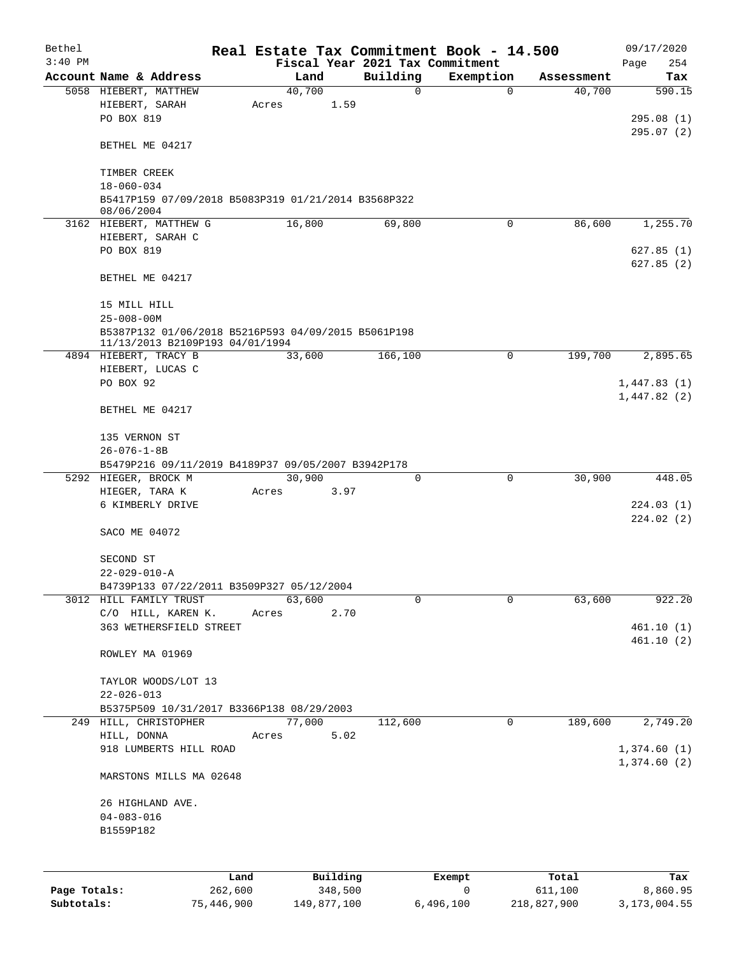| Bethel    |                                                                                        |      |       |        |          |          | Real Estate Tax Commitment Book - 14.500 |            | 09/17/2020  |
|-----------|----------------------------------------------------------------------------------------|------|-------|--------|----------|----------|------------------------------------------|------------|-------------|
| $3:40$ PM |                                                                                        |      |       |        |          |          | Fiscal Year 2021 Tax Commitment          |            | 254<br>Page |
|           | Account Name & Address                                                                 |      |       | Land   |          | Building | Exemption                                | Assessment | Tax         |
|           | 5058 HIEBERT, MATTHEW                                                                  |      |       | 40,700 |          | 0        | $\mathbf 0$                              | 40,700     | 590.15      |
|           | HIEBERT, SARAH                                                                         |      | Acres |        | 1.59     |          |                                          |            |             |
|           | PO BOX 819                                                                             |      |       |        |          |          |                                          |            | 295.08(1)   |
|           | BETHEL ME 04217                                                                        |      |       |        |          |          |                                          |            | 295.07(2)   |
|           | TIMBER CREEK                                                                           |      |       |        |          |          |                                          |            |             |
|           | $18 - 060 - 034$                                                                       |      |       |        |          |          |                                          |            |             |
|           | B5417P159 07/09/2018 B5083P319 01/21/2014 B3568P322<br>08/06/2004                      |      |       |        |          |          |                                          |            |             |
|           | 3162 HIEBERT, MATTHEW G                                                                |      |       | 16,800 |          | 69,800   | $\Omega$                                 | 86,600     | 1,255.70    |
|           | HIEBERT, SARAH C                                                                       |      |       |        |          |          |                                          |            |             |
|           | PO BOX 819                                                                             |      |       |        |          |          |                                          |            | 627.85(1)   |
|           |                                                                                        |      |       |        |          |          |                                          |            | 627.85(2)   |
|           | BETHEL ME 04217                                                                        |      |       |        |          |          |                                          |            |             |
|           | 15 MILL HILL                                                                           |      |       |        |          |          |                                          |            |             |
|           | $25 - 008 - 00M$                                                                       |      |       |        |          |          |                                          |            |             |
|           | B5387P132 01/06/2018 B5216P593 04/09/2015 B5061P198<br>11/13/2013 B2109P193 04/01/1994 |      |       |        |          |          |                                          |            |             |
|           | 4894 HIEBERT, TRACY B                                                                  |      |       | 33,600 |          | 166,100  | 0                                        | 199,700    | 2,895.65    |
|           | HIEBERT, LUCAS C                                                                       |      |       |        |          |          |                                          |            |             |
|           | PO BOX 92                                                                              |      |       |        |          |          |                                          |            | 1,447.83(1) |
|           |                                                                                        |      |       |        |          |          |                                          |            | 1,447.82(2) |
|           | BETHEL ME 04217                                                                        |      |       |        |          |          |                                          |            |             |
|           | 135 VERNON ST                                                                          |      |       |        |          |          |                                          |            |             |
|           | $26 - 076 - 1 - 8B$                                                                    |      |       |        |          |          |                                          |            |             |
|           | B5479P216 09/11/2019 B4189P37 09/05/2007 B3942P178                                     |      |       |        |          |          |                                          |            |             |
|           | 5292 HIEGER, BROCK M                                                                   |      |       | 30,900 |          | $\Omega$ | 0                                        | 30,900     | 448.05      |
|           | HIEGER, TARA K                                                                         |      | Acres |        | 3.97     |          |                                          |            |             |
|           | 6 KIMBERLY DRIVE                                                                       |      |       |        |          |          |                                          |            | 224.03(1)   |
|           | SACO ME 04072                                                                          |      |       |        |          |          |                                          |            | 224.02(2)   |
|           | SECOND ST                                                                              |      |       |        |          |          |                                          |            |             |
|           | $22 - 029 - 010 - A$                                                                   |      |       |        |          |          |                                          |            |             |
|           | B4739P133 07/22/2011 B3509P327 05/12/2004                                              |      |       |        |          |          |                                          |            |             |
|           | 3012 HILL FAMILY TRUST                                                                 |      |       | 63,600 |          | 0        | 0                                        | 63,600     | 922.20      |
|           | C/O HILL, KAREN K.                                                                     |      | Acres |        | 2.70     |          |                                          |            |             |
|           | 363 WETHERSFIELD STREET                                                                |      |       |        |          |          |                                          |            | 461.10(1)   |
|           | ROWLEY MA 01969                                                                        |      |       |        |          |          |                                          |            | 461.10(2)   |
|           |                                                                                        |      |       |        |          |          |                                          |            |             |
|           | TAYLOR WOODS/LOT 13                                                                    |      |       |        |          |          |                                          |            |             |
|           | $22 - 026 - 013$                                                                       |      |       |        |          |          |                                          |            |             |
|           | B5375P509 10/31/2017 B3366P138 08/29/2003                                              |      |       |        |          |          |                                          |            |             |
|           | 249 HILL, CHRISTOPHER                                                                  |      |       | 77,000 |          | 112,600  | 0                                        | 189,600    | 2,749.20    |
|           | HILL, DONNA                                                                            |      | Acres |        | 5.02     |          |                                          |            |             |
|           | 918 LUMBERTS HILL ROAD                                                                 |      |       |        |          |          |                                          |            | 1,374.60(1) |
|           | MARSTONS MILLS MA 02648                                                                |      |       |        |          |          |                                          |            | 1,374.60(2) |
|           |                                                                                        |      |       |        |          |          |                                          |            |             |
|           | 26 HIGHLAND AVE.                                                                       |      |       |        |          |          |                                          |            |             |
|           | $04 - 083 - 016$                                                                       |      |       |        |          |          |                                          |            |             |
|           | B1559P182                                                                              |      |       |        |          |          |                                          |            |             |
|           |                                                                                        |      |       |        |          |          |                                          |            |             |
|           |                                                                                        | Land |       |        | Building |          | Exempt                                   | Total      | Tax         |
|           |                                                                                        |      |       |        |          |          |                                          |            |             |

**Page Totals:** 262,600 348,500 0 611,100 8,860.95 **Subtotals:** 75,446,900 149,877,100 6,496,100 218,827,900 3,173,004.55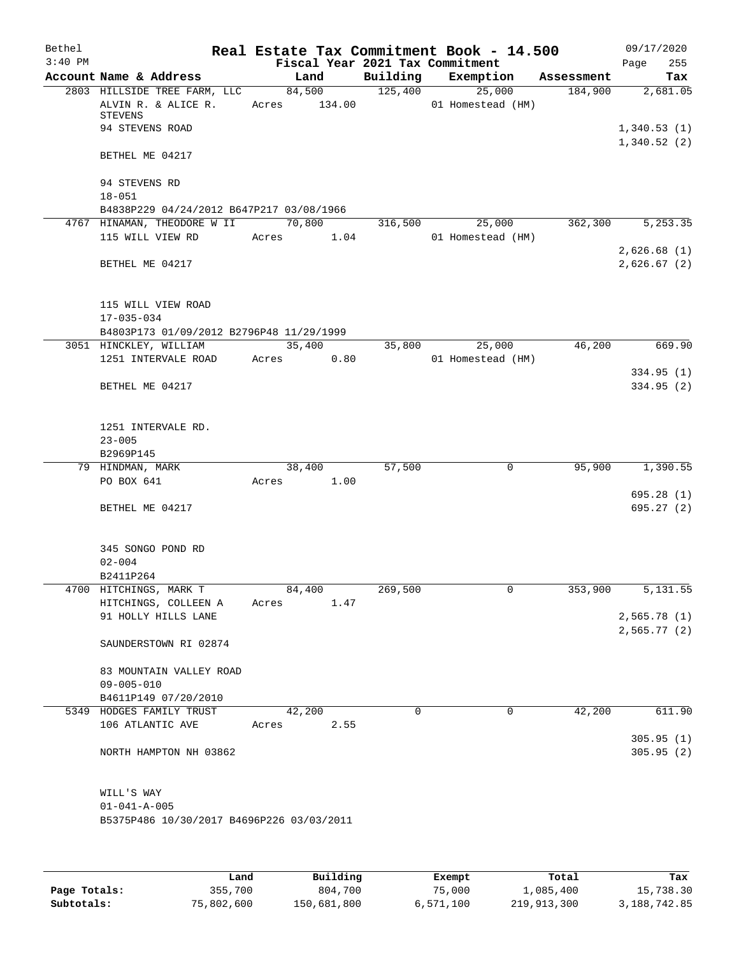| Bethel<br>$3:40$ PM |                                                                       |       |                        |      | Fiscal Year 2021 Tax Commitment | Real Estate Tax Commitment Book - 14.500 |            | 09/17/2020<br>Page         | 255        |
|---------------------|-----------------------------------------------------------------------|-------|------------------------|------|---------------------------------|------------------------------------------|------------|----------------------------|------------|
|                     | Account Name & Address                                                |       | Land                   |      |                                 | Building Exemption                       | Assessment |                            | Tax        |
|                     | 2803 HILLSIDE TREE FARM, LLC<br>ALVIN R. & ALICE R.<br><b>STEVENS</b> |       | 84,500<br>Acres 134.00 |      | 125,400                         | 25,000<br>01 Homestead (HM)              | 184,900    |                            | 2,681.05   |
|                     | 94 STEVENS ROAD                                                       |       |                        |      |                                 |                                          |            | 1,340.53(1)<br>1,340.52(2) |            |
|                     | BETHEL ME 04217                                                       |       |                        |      |                                 |                                          |            |                            |            |
|                     | 94 STEVENS RD<br>$18 - 051$                                           |       |                        |      |                                 |                                          |            |                            |            |
|                     | B4838P229 04/24/2012 B647P217 03/08/1966                              |       |                        |      |                                 |                                          |            |                            |            |
|                     | 4767 HINAMAN, THEODORE W II                                           |       | 70,800                 |      | 316,500                         | 25,000                                   | 362,300    |                            | 5, 253.35  |
|                     | 115 WILL VIEW RD                                                      |       | Acres 1.04             |      |                                 | 01 Homestead (HM)                        |            |                            |            |
|                     | BETHEL ME 04217                                                       |       |                        |      |                                 |                                          |            | 2,626.68(1)<br>2,626.67(2) |            |
|                     | 115 WILL VIEW ROAD<br>$17 - 035 - 034$                                |       |                        |      |                                 |                                          |            |                            |            |
|                     | B4803P173 01/09/2012 B2796P48 11/29/1999                              |       |                        |      |                                 |                                          |            |                            |            |
|                     | 3051 HINCKLEY, WILLIAM                                                |       | 35,400                 |      | 35,800                          | 25,000                                   | 46,200     |                            | 669.90     |
|                     | 1251 INTERVALE ROAD                                                   |       | Acres 0.80             |      |                                 | 01 Homestead (HM)                        |            |                            |            |
|                     |                                                                       |       |                        |      |                                 |                                          |            |                            | 334.95(1)  |
|                     | BETHEL ME 04217                                                       |       |                        |      |                                 |                                          |            |                            | 334.95 (2) |
|                     | 1251 INTERVALE RD.                                                    |       |                        |      |                                 |                                          |            |                            |            |
|                     | $23 - 005$                                                            |       |                        |      |                                 |                                          |            |                            |            |
|                     | B2969P145                                                             |       |                        |      |                                 |                                          |            |                            |            |
|                     | 79 HINDMAN, MARK                                                      |       | 38,400                 |      | 57,500                          | 0                                        | 95,900     |                            | 1,390.55   |
|                     | PO BOX 641                                                            |       | Acres 1.00             |      |                                 |                                          |            |                            |            |
|                     |                                                                       |       |                        |      |                                 |                                          |            |                            | 695.28(1)  |
|                     | BETHEL ME 04217                                                       |       |                        |      |                                 |                                          |            |                            | 695.27(2)  |
|                     | 345 SONGO POND RD<br>$02 - 004$                                       |       |                        |      |                                 |                                          |            |                            |            |
|                     | B2411P264                                                             |       |                        |      |                                 |                                          |            |                            |            |
|                     | 4700 HITCHINGS, MARK T                                                |       | 84,400                 |      | 269,500                         | 0                                        | 353,900    |                            | 5,131.55   |
|                     | HITCHINGS, COLLEEN A                                                  | Acres |                        | 1.47 |                                 |                                          |            |                            |            |
|                     | 91 HOLLY HILLS LANE                                                   |       |                        |      |                                 |                                          |            | 2,565.78(1)                |            |
|                     |                                                                       |       |                        |      |                                 |                                          |            | 2,565.77(2)                |            |
|                     | SAUNDERSTOWN RI 02874                                                 |       |                        |      |                                 |                                          |            |                            |            |
|                     | 83 MOUNTAIN VALLEY ROAD                                               |       |                        |      |                                 |                                          |            |                            |            |
|                     | $09 - 005 - 010$                                                      |       |                        |      |                                 |                                          |            |                            |            |
|                     | B4611P149 07/20/2010                                                  |       |                        |      |                                 |                                          |            |                            |            |
|                     | 5349 HODGES FAMILY TRUST                                              |       | 42,200                 |      | $\Omega$                        | $\Omega$                                 | 42,200     |                            | 611.90     |
|                     | 106 ATLANTIC AVE                                                      | Acres |                        | 2.55 |                                 |                                          |            |                            |            |
|                     |                                                                       |       |                        |      |                                 |                                          |            |                            | 305.95(1)  |
|                     | NORTH HAMPTON NH 03862                                                |       |                        |      |                                 |                                          |            |                            | 305.95(2)  |
|                     | WILL'S WAY                                                            |       |                        |      |                                 |                                          |            |                            |            |
|                     | $01 - 041 - A - 005$                                                  |       |                        |      |                                 |                                          |            |                            |            |
|                     | B5375P486 10/30/2017 B4696P226 03/03/2011                             |       |                        |      |                                 |                                          |            |                            |            |
|                     |                                                                       |       |                        |      |                                 |                                          |            |                            |            |

|              | Land       | Building    | Exempt    | Total       | Tax          |
|--------------|------------|-------------|-----------|-------------|--------------|
| Page Totals: | 355,700    | 804,700     | 75,000    | 1,085,400   | 15,738.30    |
| Subtotals:   | 75,802,600 | 150,681,800 | 6,571,100 | 219,913,300 | 3,188,742.85 |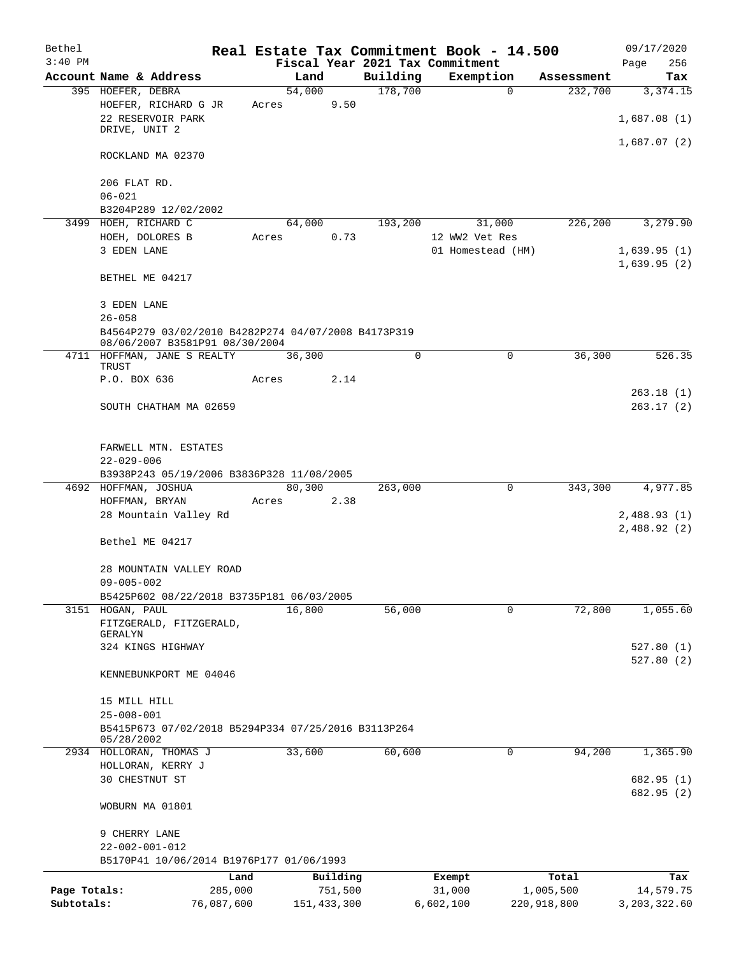| Bethel       |                                                                                       |                 |                     |          | Real Estate Tax Commitment Book - 14.500 |                    | 09/17/2020                 |
|--------------|---------------------------------------------------------------------------------------|-----------------|---------------------|----------|------------------------------------------|--------------------|----------------------------|
| $3:40$ PM    |                                                                                       |                 |                     |          | Fiscal Year 2021 Tax Commitment          |                    | Page<br>256                |
|              | Account Name & Address                                                                | Land            |                     | Building | Exemption                                | Assessment         | Tax                        |
|              | 395 HOEFER, DEBRA<br>HOEFER, RICHARD G JR<br>22 RESERVOIR PARK<br>DRIVE, UNIT 2       | 54,000<br>Acres | 9.50                | 178,700  | $\Omega$                                 | 232,700            | 3,374.15<br>1,687.08(1)    |
|              |                                                                                       |                 |                     |          |                                          |                    | 1,687.07(2)                |
|              | ROCKLAND MA 02370                                                                     |                 |                     |          |                                          |                    |                            |
|              | 206 FLAT RD.<br>$06 - 021$                                                            |                 |                     |          |                                          |                    |                            |
|              | B3204P289 12/02/2002                                                                  |                 |                     |          |                                          |                    |                            |
|              | 3499 HOEH, RICHARD C                                                                  | 64,000          |                     | 193,200  | 31,000                                   | 226,200            | 3,279.90                   |
|              | HOEH, DOLORES B                                                                       | Acres           | 0.73                |          | 12 WW2 Vet Res                           |                    |                            |
|              | 3 EDEN LANE                                                                           |                 |                     |          | 01 Homestead (HM)                        |                    | 1,639.95(1)<br>1,639.95(2) |
|              | BETHEL ME 04217                                                                       |                 |                     |          |                                          |                    |                            |
|              | 3 EDEN LANE<br>$26 - 058$                                                             |                 |                     |          |                                          |                    |                            |
|              | B4564P279 03/02/2010 B4282P274 04/07/2008 B4173P319<br>08/06/2007 B3581P91 08/30/2004 |                 |                     |          |                                          |                    |                            |
|              | 4711 HOFFMAN, JANE S REALTY<br>TRUST                                                  | 36,300          |                     | $\Omega$ | $\Omega$                                 | 36,300             | 526.35                     |
|              | P.O. BOX 636                                                                          | Acres           | 2.14                |          |                                          |                    | 263.18(1)                  |
|              | SOUTH CHATHAM MA 02659                                                                |                 |                     |          |                                          |                    | 263.17(2)                  |
|              | FARWELL MTN. ESTATES                                                                  |                 |                     |          |                                          |                    |                            |
|              | $22 - 029 - 006$<br>B3938P243 05/19/2006 B3836P328 11/08/2005                         |                 |                     |          |                                          |                    |                            |
|              | 4692 HOFFMAN, JOSHUA                                                                  | 80,300          |                     | 263,000  | 0                                        | 343,300            | 4,977.85                   |
|              | HOFFMAN, BRYAN                                                                        | Acres           | 2.38                |          |                                          |                    |                            |
|              | 28 Mountain Valley Rd                                                                 |                 |                     |          |                                          |                    | 2,488.93(1)<br>2,488.92(2) |
|              | Bethel ME 04217                                                                       |                 |                     |          |                                          |                    |                            |
|              | 28 MOUNTAIN VALLEY ROAD<br>$09 - 005 - 002$                                           |                 |                     |          |                                          |                    |                            |
|              | B5425P602 08/22/2018 B3735P181 06/03/2005                                             |                 |                     |          |                                          |                    |                            |
|              | 3151 HOGAN, PAUL                                                                      | 16,800          |                     | 56,000   | 0                                        | 72,800             | 1,055.60                   |
|              | FITZGERALD, FITZGERALD,<br>GERALYN                                                    |                 |                     |          |                                          |                    |                            |
|              | 324 KINGS HIGHWAY                                                                     |                 |                     |          |                                          |                    | 527.80(1)<br>527.80(2)     |
|              | KENNEBUNKPORT ME 04046                                                                |                 |                     |          |                                          |                    |                            |
|              | 15 MILL HILL<br>$25 - 008 - 001$                                                      |                 |                     |          |                                          |                    |                            |
|              | B5415P673 07/02/2018 B5294P334 07/25/2016 B3113P264<br>05/28/2002                     |                 |                     |          |                                          |                    |                            |
|              | 2934 HOLLORAN, THOMAS J                                                               | 33,600          |                     | 60,600   | 0                                        | 94,200             | 1,365.90                   |
|              | HOLLORAN, KERRY J                                                                     |                 |                     |          |                                          |                    |                            |
|              | 30 CHESTNUT ST                                                                        |                 |                     |          |                                          |                    | 682.95 (1)<br>682.95 (2)   |
|              | WOBURN MA 01801                                                                       |                 |                     |          |                                          |                    |                            |
|              | 9 CHERRY LANE                                                                         |                 |                     |          |                                          |                    |                            |
|              | $22 - 002 - 001 - 012$<br>B5170P41 10/06/2014 B1976P177 01/06/1993                    |                 |                     |          |                                          |                    |                            |
|              | Land                                                                                  |                 |                     |          |                                          |                    |                            |
| Page Totals: | 285,000                                                                               |                 | Building<br>751,500 |          | Exempt<br>31,000                         | Total<br>1,005,500 | Tax<br>14,579.75           |
| Subtotals:   | 76,087,600                                                                            |                 | 151, 433, 300       |          | 6,602,100                                | 220,918,800        | 3, 203, 322.60             |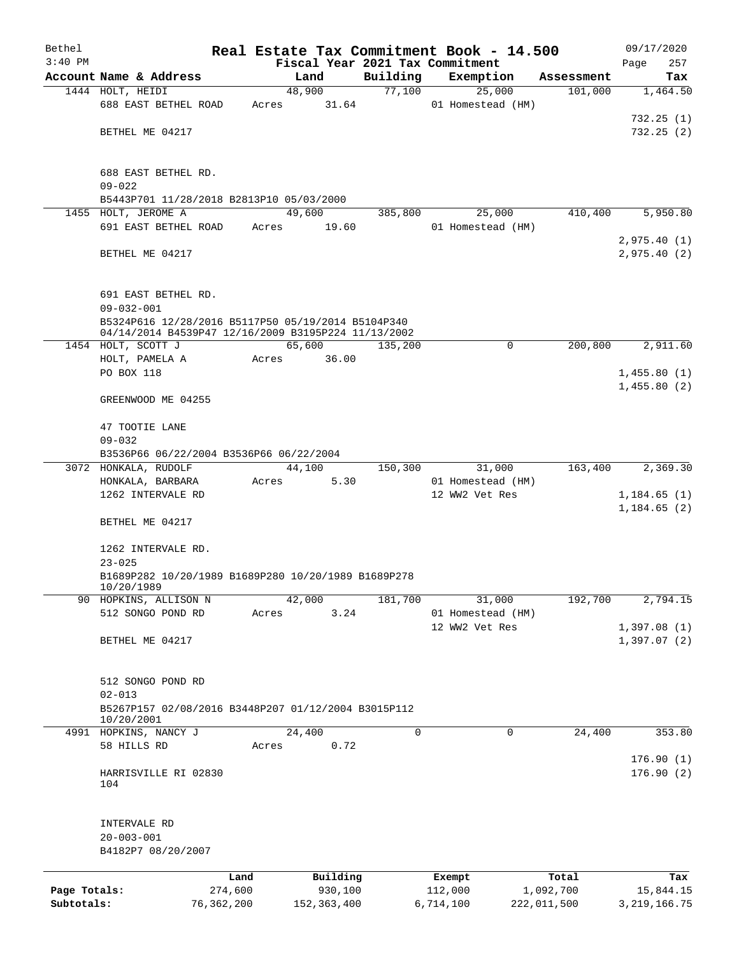| Bethel       |                                                     |       |               |          | Real Estate Tax Commitment Book - 14.500 |             | 09/17/2020             |
|--------------|-----------------------------------------------------|-------|---------------|----------|------------------------------------------|-------------|------------------------|
| $3:40$ PM    |                                                     |       |               |          | Fiscal Year 2021 Tax Commitment          |             | Page<br>257            |
|              | Account Name & Address                              |       | Land          | Building | Exemption                                | Assessment  | Tax                    |
|              | 1444 HOLT, HEIDI                                    |       | 48,900        | 77,100   | 25,000                                   | 101,000     | 1,464.50               |
|              | 688 EAST BETHEL ROAD                                | Acres | 31.64         |          | 01 Homestead (HM)                        |             | 732.25(1)              |
|              | BETHEL ME 04217                                     |       |               |          |                                          |             | 732.25(2)              |
|              |                                                     |       |               |          |                                          |             |                        |
|              |                                                     |       |               |          |                                          |             |                        |
|              | 688 EAST BETHEL RD.                                 |       |               |          |                                          |             |                        |
|              | $09 - 022$                                          |       |               |          |                                          |             |                        |
|              | B5443P701 11/28/2018 B2813P10 05/03/2000            |       |               |          |                                          |             |                        |
|              | 1455 HOLT, JEROME A                                 |       | 49,600        | 385,800  | 25,000                                   | 410,400     | 5,950.80               |
|              | 691 EAST BETHEL ROAD                                | Acres | 19.60         |          | 01 Homestead (HM)                        |             |                        |
|              |                                                     |       |               |          |                                          |             | 2,975.40(1)            |
|              | BETHEL ME 04217                                     |       |               |          |                                          |             | 2,975.40(2)            |
|              |                                                     |       |               |          |                                          |             |                        |
|              | 691 EAST BETHEL RD.                                 |       |               |          |                                          |             |                        |
|              | $09 - 032 - 001$                                    |       |               |          |                                          |             |                        |
|              | B5324P616 12/28/2016 B5117P50 05/19/2014 B5104P340  |       |               |          |                                          |             |                        |
|              | 04/14/2014 B4539P47 12/16/2009 B3195P224 11/13/2002 |       |               |          |                                          |             |                        |
|              | 1454 HOLT, SCOTT J                                  |       | 65,600        | 135,200  | 0                                        | 200,800     | 2,911.60               |
|              | HOLT, PAMELA A                                      | Acres | 36.00         |          |                                          |             |                        |
|              | PO BOX 118                                          |       |               |          |                                          |             | 1,455.80(1)            |
|              | GREENWOOD ME 04255                                  |       |               |          |                                          |             | 1,455.80(2)            |
|              |                                                     |       |               |          |                                          |             |                        |
|              | 47 TOOTIE LANE                                      |       |               |          |                                          |             |                        |
|              | $09 - 032$                                          |       |               |          |                                          |             |                        |
|              | B3536P66 06/22/2004 B3536P66 06/22/2004             |       |               |          |                                          |             |                        |
|              | 3072 HONKALA, RUDOLF                                |       | 44,100        | 150,300  | 31,000                                   | 163,400     | 2,369.30               |
|              | HONKALA, BARBARA                                    | Acres | 5.30          |          | 01 Homestead (HM)                        |             |                        |
|              | 1262 INTERVALE RD                                   |       |               |          | 12 WW2 Vet Res                           |             | 1,184.65(1)            |
|              |                                                     |       |               |          |                                          |             | 1,184.65(2)            |
|              | BETHEL ME 04217                                     |       |               |          |                                          |             |                        |
|              | 1262 INTERVALE RD.                                  |       |               |          |                                          |             |                        |
|              | $23 - 025$                                          |       |               |          |                                          |             |                        |
|              | B1689P282 10/20/1989 B1689P280 10/20/1989 B1689P278 |       |               |          |                                          |             |                        |
|              | 10/20/1989                                          |       |               |          |                                          |             |                        |
| 90           | HOPKINS, ALLISON N                                  |       | 42,000        | 181,700  | 31,000                                   | 192,700     | 2,794.15               |
|              | 512 SONGO POND RD                                   | Acres | 3.24          |          | 01 Homestead (HM)                        |             |                        |
|              |                                                     |       |               |          | 12 WW2 Vet Res                           |             | 1,397.08(1)            |
|              | BETHEL ME 04217                                     |       |               |          |                                          |             | 1,397.07(2)            |
|              |                                                     |       |               |          |                                          |             |                        |
|              | 512 SONGO POND RD                                   |       |               |          |                                          |             |                        |
|              | $02 - 013$                                          |       |               |          |                                          |             |                        |
|              | B5267P157 02/08/2016 B3448P207 01/12/2004 B3015P112 |       |               |          |                                          |             |                        |
|              | 10/20/2001                                          |       |               |          |                                          |             |                        |
|              | 4991 HOPKINS, NANCY J                               |       | 24,400        | 0        | 0                                        | 24,400      | 353.80                 |
|              | 58 HILLS RD                                         | Acres | 0.72          |          |                                          |             |                        |
|              | HARRISVILLE RI 02830                                |       |               |          |                                          |             | 176.90(1)<br>176.90(2) |
|              | 104                                                 |       |               |          |                                          |             |                        |
|              |                                                     |       |               |          |                                          |             |                        |
|              |                                                     |       |               |          |                                          |             |                        |
|              | INTERVALE RD                                        |       |               |          |                                          |             |                        |
|              | $20 - 003 - 001$                                    |       |               |          |                                          |             |                        |
|              | B4182P7 08/20/2007                                  |       |               |          |                                          |             |                        |
|              |                                                     | Land  | Building      |          | Exempt                                   | Total       | Tax                    |
| Page Totals: | 274,600                                             |       | 930,100       |          | 112,000                                  | 1,092,700   | 15,844.15              |
| Subtotals:   | 76,362,200                                          |       | 152, 363, 400 |          | 6,714,100                                | 222,011,500 | 3, 219, 166.75         |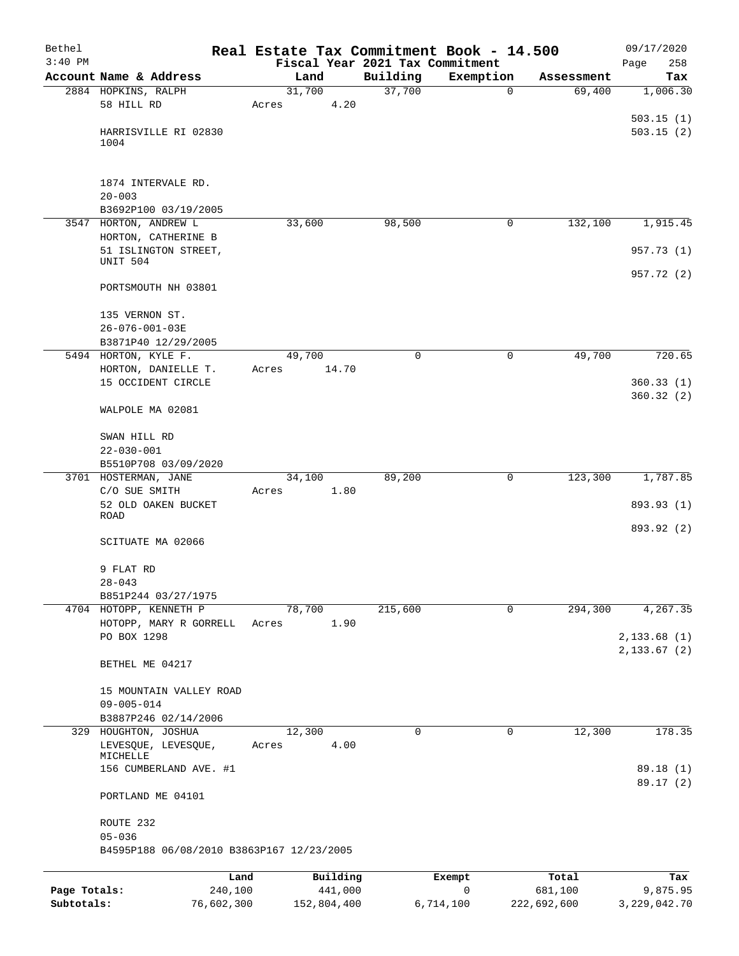| Bethel<br>$3:40$ PM |                                               | Real Estate Tax Commitment Book - 14.500 |          |             |            | 09/17/2020         |
|---------------------|-----------------------------------------------|------------------------------------------|----------|-------------|------------|--------------------|
|                     | Account Name & Address                        | Fiscal Year 2021 Tax Commitment<br>Land  | Building | Exemption   | Assessment | 258<br>Page<br>Tax |
|                     | 2884 HOPKINS, RALPH                           | 31,700                                   | 37,700   | $\mathbf 0$ | 69,400     | 1,006.30           |
|                     | 58 HILL RD                                    | 4.20<br>Acres                            |          |             |            |                    |
|                     |                                               |                                          |          |             |            | 503.15(1)          |
|                     | HARRISVILLE RI 02830                          |                                          |          |             |            | 503.15(2)          |
|                     | 1004                                          |                                          |          |             |            |                    |
|                     |                                               |                                          |          |             |            |                    |
|                     | 1874 INTERVALE RD.                            |                                          |          |             |            |                    |
|                     | $20 - 003$<br>B3692P100 03/19/2005            |                                          |          |             |            |                    |
|                     | 3547 HORTON, ANDREW L                         | 33,600                                   | 98,500   | $\mathbf 0$ | 132,100    | 1,915.45           |
|                     | HORTON, CATHERINE B                           |                                          |          |             |            |                    |
|                     | 51 ISLINGTON STREET,                          |                                          |          |             |            | 957.73 (1)         |
|                     | UNIT 504                                      |                                          |          |             |            | 957.72 (2)         |
|                     | PORTSMOUTH NH 03801                           |                                          |          |             |            |                    |
|                     | 135 VERNON ST.                                |                                          |          |             |            |                    |
|                     | $26 - 076 - 001 - 03E$                        |                                          |          |             |            |                    |
|                     | B3871P40 12/29/2005                           |                                          |          |             |            |                    |
|                     | 5494 HORTON, KYLE F.                          | 49,700                                   | $\Omega$ | $\mathbf 0$ | 49,700     | 720.65             |
|                     | HORTON, DANIELLE T.<br>15 OCCIDENT CIRCLE     | 14.70<br>Acres                           |          |             |            | 360.33(1)          |
|                     |                                               |                                          |          |             |            | 360.32(2)          |
|                     | WALPOLE MA 02081                              |                                          |          |             |            |                    |
|                     | SWAN HILL RD                                  |                                          |          |             |            |                    |
|                     | $22 - 030 - 001$                              |                                          |          |             |            |                    |
|                     | B5510P708 03/09/2020                          |                                          |          |             |            |                    |
|                     | 3701 HOSTERMAN, JANE<br>C/O SUE SMITH         | 34,100<br>1.80<br>Acres                  | 89,200   | 0           | 123,300    | 1,787.85           |
|                     | 52 OLD OAKEN BUCKET                           |                                          |          |             |            | 893.93 (1)         |
|                     | ROAD                                          |                                          |          |             |            |                    |
|                     | SCITUATE MA 02066                             |                                          |          |             |            | 893.92 (2)         |
|                     |                                               |                                          |          |             |            |                    |
|                     | 9 FLAT RD                                     |                                          |          |             |            |                    |
|                     | $28 - 043$                                    |                                          |          |             |            |                    |
|                     | B851P244 03/27/1975<br>4704 HOTOPP, KENNETH P | 78,700                                   | 215,600  | $\mathbf 0$ | 294,300    | 4,267.35           |
|                     | HOTOPP, MARY R GORRELL                        | 1.90<br>Acres                            |          |             |            |                    |
|                     | PO BOX 1298                                   |                                          |          |             |            | 2,133.68(1)        |
|                     |                                               |                                          |          |             |            | 2, 133.67 (2)      |
|                     | BETHEL ME 04217                               |                                          |          |             |            |                    |
|                     | 15 MOUNTAIN VALLEY ROAD                       |                                          |          |             |            |                    |
|                     | $09 - 005 - 014$                              |                                          |          |             |            |                    |
|                     | B3887P246 02/14/2006                          |                                          |          |             |            |                    |
|                     | 329 HOUGHTON, JOSHUA                          | 12,300                                   | 0        | 0           | 12,300     | 178.35             |
|                     | LEVESQUE, LEVESQUE,<br>MICHELLE               | 4.00<br>Acres                            |          |             |            |                    |
|                     | 156 CUMBERLAND AVE. #1                        |                                          |          |             |            | 89.18 (1)          |
|                     | PORTLAND ME 04101                             |                                          |          |             |            | 89.17 (2)          |
|                     |                                               |                                          |          |             |            |                    |
|                     | ROUTE 232<br>$05 - 036$                       |                                          |          |             |            |                    |
|                     | B4595P188 06/08/2010 B3863P167 12/23/2005     |                                          |          |             |            |                    |
|                     |                                               |                                          |          |             |            |                    |
|                     | Land                                          | Building                                 |          | Exempt      | Total      | Tax                |
| Page Totals:        | 240,100                                       | 441,000                                  |          | 0           | 681,100    | 9,875.95           |

**Subtotals:** 76,602,300 152,804,400 6,714,100 222,692,600 3,229,042.70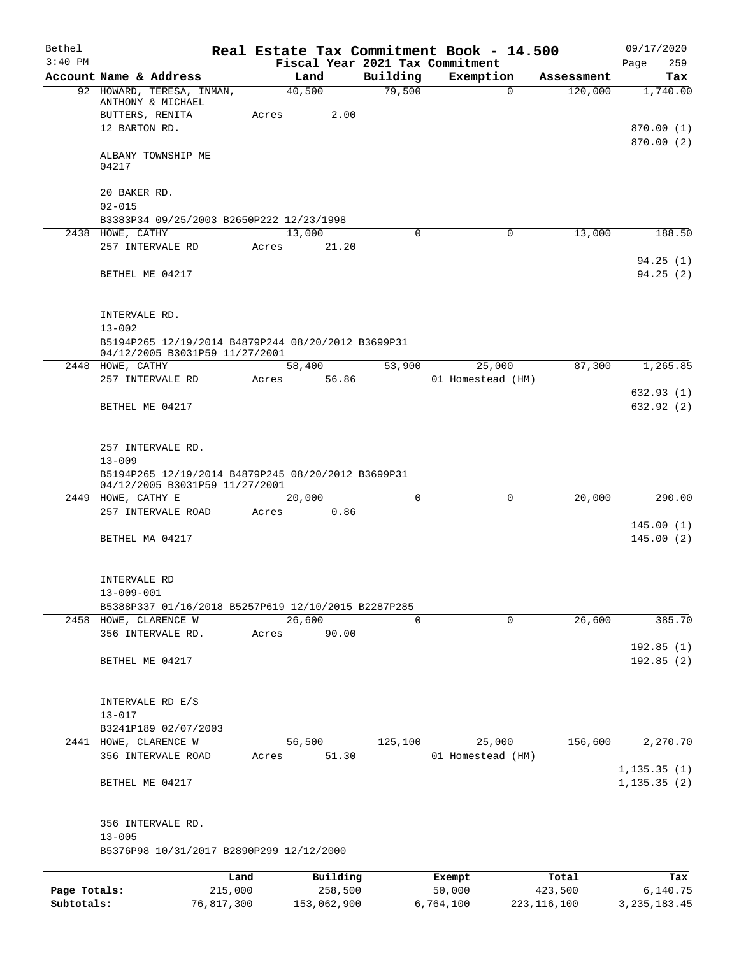| Bethel       |                                                                                                    |       |                 |          | Real Estate Tax Commitment Book - 14.500 |                        | 09/17/2020              |
|--------------|----------------------------------------------------------------------------------------------------|-------|-----------------|----------|------------------------------------------|------------------------|-------------------------|
| $3:40$ PM    |                                                                                                    |       |                 |          | Fiscal Year 2021 Tax Commitment          |                        | 259<br>Page             |
|              | Account Name & Address                                                                             |       | Land            | Building | Exemption                                | Assessment             | Tax                     |
|              | 92 HOWARD, TERESA, INMAN,<br>ANTHONY & MICHAEL<br>BUTTERS, RENITA                                  | Acres | 40,500<br>2.00  | 79,500   |                                          | $\mathbf 0$<br>120,000 | 1,740.00                |
|              | 12 BARTON RD.                                                                                      |       |                 |          |                                          |                        | 870.00 (1)              |
|              | ALBANY TOWNSHIP ME<br>04217                                                                        |       |                 |          |                                          |                        | 870.00(2)               |
|              | 20 BAKER RD.<br>$02 - 015$                                                                         |       |                 |          |                                          |                        |                         |
|              | B3383P34 09/25/2003 B2650P222 12/23/1998                                                           |       |                 |          |                                          |                        |                         |
|              | 2438 HOWE, CATHY<br>257 INTERVALE RD                                                               | Acres | 13,000<br>21.20 | 0        |                                          | $\mathbf 0$<br>13,000  | 188.50                  |
|              | BETHEL ME 04217                                                                                    |       |                 |          |                                          |                        | 94.25(1)<br>94.25(2)    |
|              | INTERVALE RD.                                                                                      |       |                 |          |                                          |                        |                         |
|              | $13 - 002$<br>B5194P265 12/19/2014 B4879P244 08/20/2012 B3699P31<br>04/12/2005 B3031P59 11/27/2001 |       |                 |          |                                          |                        |                         |
|              | 2448 HOWE, CATHY<br>257 INTERVALE RD                                                               | Acres | 58,400<br>56.86 | 53,900   | 25,000<br>01 Homestead (HM)              | 87,300                 | 1,265.85                |
|              | BETHEL ME 04217                                                                                    |       |                 |          |                                          |                        | 632.93(1)<br>632.92 (2) |
|              |                                                                                                    |       |                 |          |                                          |                        |                         |
|              | 257 INTERVALE RD.<br>$13 - 009$                                                                    |       |                 |          |                                          |                        |                         |
|              | B5194P265 12/19/2014 B4879P245 08/20/2012 B3699P31<br>04/12/2005 B3031P59 11/27/2001               |       |                 |          |                                          |                        |                         |
|              | 2449 HOWE, CATHY E                                                                                 |       | 20,000          | $\Omega$ |                                          | $\mathbf 0$<br>20,000  | 290.00                  |
|              | 257 INTERVALE ROAD                                                                                 | Acres | 0.86            |          |                                          |                        | 145.00(1)               |
|              | BETHEL MA 04217                                                                                    |       |                 |          |                                          |                        | 145.00(2)               |
|              | INTERVALE RD                                                                                       |       |                 |          |                                          |                        |                         |
|              | $13 - 009 - 001$<br>B5388P337 01/16/2018 B5257P619 12/10/2015 B2287P285                            |       |                 |          |                                          |                        |                         |
|              | 2458 HOWE, CLARENCE W                                                                              |       | 26,600          | 0        |                                          | 26,600<br>$\mathbf 0$  | 385.70                  |
|              | 356 INTERVALE RD.                                                                                  | Acres | 90.00           |          |                                          |                        | 192.85(1)               |
|              | BETHEL ME 04217                                                                                    |       |                 |          |                                          |                        | 192.85(2)               |
|              | INTERVALE RD E/S                                                                                   |       |                 |          |                                          |                        |                         |
|              | $13 - 017$<br>B3241P189 02/07/2003                                                                 |       |                 |          |                                          |                        |                         |
| 2441         | HOWE, CLARENCE W                                                                                   |       | 56,500          | 125,100  | 25,000                                   | 156,600                | 2,270.70                |
|              | 356 INTERVALE ROAD                                                                                 | Acres | 51.30           |          | 01 Homestead (HM)                        |                        | 1, 135.35(1)            |
|              | BETHEL ME 04217                                                                                    |       |                 |          |                                          |                        | 1, 135.35(2)            |
|              | 356 INTERVALE RD.<br>$13 - 005$                                                                    |       |                 |          |                                          |                        |                         |
|              | B5376P98 10/31/2017 B2890P299 12/12/2000                                                           |       |                 |          |                                          |                        |                         |
|              |                                                                                                    | Land  | Building        |          | Exempt                                   | Total                  | Tax                     |
| Page Totals: | 215,000                                                                                            |       | 258,500         |          | 50,000                                   | 423,500                | 6,140.75                |
| Subtotals:   | 76,817,300                                                                                         |       | 153,062,900     |          | 6,764,100                                | 223, 116, 100          | 3, 235, 183. 45         |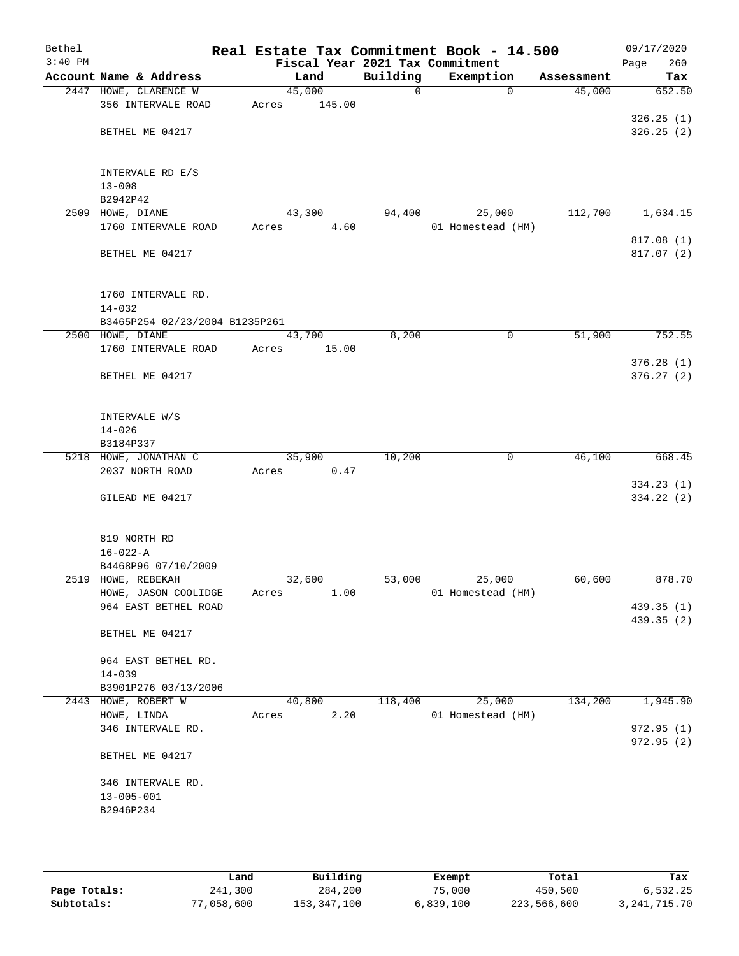| Bethel<br>$3:40$ PM |                                |                 |             | Real Estate Tax Commitment Book - 14.500<br>Fiscal Year 2021 Tax Commitment |            | 09/17/2020<br>260<br>Page |
|---------------------|--------------------------------|-----------------|-------------|-----------------------------------------------------------------------------|------------|---------------------------|
|                     | Account Name & Address         | Land            | Building    | Exemption                                                                   | Assessment | Tax                       |
|                     | 2447 HOWE, CLARENCE W          | 45,000          | $\mathbf 0$ | $\Omega$                                                                    | 45,000     | 652.50                    |
|                     | 356 INTERVALE ROAD             | 145.00<br>Acres |             |                                                                             |            |                           |
|                     |                                |                 |             |                                                                             |            | 326.25(1)                 |
|                     | BETHEL ME 04217                |                 |             |                                                                             |            | 326.25(2)                 |
|                     |                                |                 |             |                                                                             |            |                           |
|                     |                                |                 |             |                                                                             |            |                           |
|                     | INTERVALE RD E/S               |                 |             |                                                                             |            |                           |
|                     | $13 - 008$                     |                 |             |                                                                             |            |                           |
|                     | B2942P42                       |                 |             |                                                                             |            |                           |
| 2509                | HOWE, DIANE                    | 43,300          | 94,400      | 25,000                                                                      | 112,700    | 1,634.15                  |
|                     | 1760 INTERVALE ROAD            | 4.60<br>Acres   |             | 01 Homestead (HM)                                                           |            |                           |
|                     |                                |                 |             |                                                                             |            | 817.08 (1)                |
|                     | BETHEL ME 04217                |                 |             |                                                                             |            | 817.07(2)                 |
|                     |                                |                 |             |                                                                             |            |                           |
|                     | 1760 INTERVALE RD.             |                 |             |                                                                             |            |                           |
|                     | $14 - 032$                     |                 |             |                                                                             |            |                           |
|                     | B3465P254 02/23/2004 B1235P261 |                 |             |                                                                             |            |                           |
|                     | 2500 HOWE, DIANE               | 43,700          | 8,200       | 0                                                                           | 51,900     | 752.55                    |
|                     | 1760 INTERVALE ROAD            | 15.00<br>Acres  |             |                                                                             |            |                           |
|                     |                                |                 |             |                                                                             |            | 376.28(1)                 |
|                     | BETHEL ME 04217                |                 |             |                                                                             |            | 376.27(2)                 |
|                     |                                |                 |             |                                                                             |            |                           |
|                     |                                |                 |             |                                                                             |            |                           |
|                     | INTERVALE W/S                  |                 |             |                                                                             |            |                           |
|                     | $14 - 026$                     |                 |             |                                                                             |            |                           |
|                     | B3184P337                      |                 |             |                                                                             |            |                           |
|                     | 5218 HOWE, JONATHAN C          | 35,900          | 10,200      | 0                                                                           | 46,100     | 668.45                    |
|                     | 2037 NORTH ROAD                | 0.47<br>Acres   |             |                                                                             |            |                           |
|                     |                                |                 |             |                                                                             |            | 334.23(1)                 |
|                     | GILEAD ME 04217                |                 |             |                                                                             |            | 334.22 (2)                |
|                     |                                |                 |             |                                                                             |            |                           |
|                     | 819 NORTH RD                   |                 |             |                                                                             |            |                           |
|                     | $16 - 022 - A$                 |                 |             |                                                                             |            |                           |
|                     | B4468P96 07/10/2009            |                 |             |                                                                             |            |                           |
|                     | 2519 HOWE, REBEKAH             | 32,600          | 53,000      | 25,000                                                                      | 60,600     | 878.70                    |
|                     | HOWE, JASON COOLIDGE           | 1.00<br>Acres   |             | 01 Homestead (HM)                                                           |            |                           |
|                     | 964 EAST BETHEL ROAD           |                 |             |                                                                             |            | 439.35 (1)                |
|                     |                                |                 |             |                                                                             |            | 439.35 (2)                |
|                     | BETHEL ME 04217                |                 |             |                                                                             |            |                           |
|                     |                                |                 |             |                                                                             |            |                           |
|                     | 964 EAST BETHEL RD.            |                 |             |                                                                             |            |                           |
|                     | $14 - 039$                     |                 |             |                                                                             |            |                           |
|                     | B3901P276 03/13/2006           |                 |             |                                                                             |            |                           |
|                     | 2443 HOWE, ROBERT W            | 40,800          | 118,400     | 25,000                                                                      | 134,200    | 1,945.90                  |
|                     | HOWE, LINDA                    | 2.20<br>Acres   |             | 01 Homestead (HM)                                                           |            |                           |
|                     | 346 INTERVALE RD.              |                 |             |                                                                             |            | 972.95 (1)                |
|                     |                                |                 |             |                                                                             |            | 972.95 (2)                |
|                     | BETHEL ME 04217                |                 |             |                                                                             |            |                           |
|                     | 346 INTERVALE RD.              |                 |             |                                                                             |            |                           |
|                     | $13 - 005 - 001$               |                 |             |                                                                             |            |                           |
|                     | B2946P234                      |                 |             |                                                                             |            |                           |
|                     |                                |                 |             |                                                                             |            |                           |
|                     |                                |                 |             |                                                                             |            |                           |
|                     |                                |                 |             |                                                                             |            |                           |

|              | Land       | Building    | Exempt    | Total       | Tax             |
|--------------|------------|-------------|-----------|-------------|-----------------|
| Page Totals: | 241,300    | 284,200     | 75,000    | 450,500     | 6,532.25        |
| Subtotals:   | 77,058,600 | 153,347,100 | 6,839,100 | 223,566,600 | 3, 241, 715. 70 |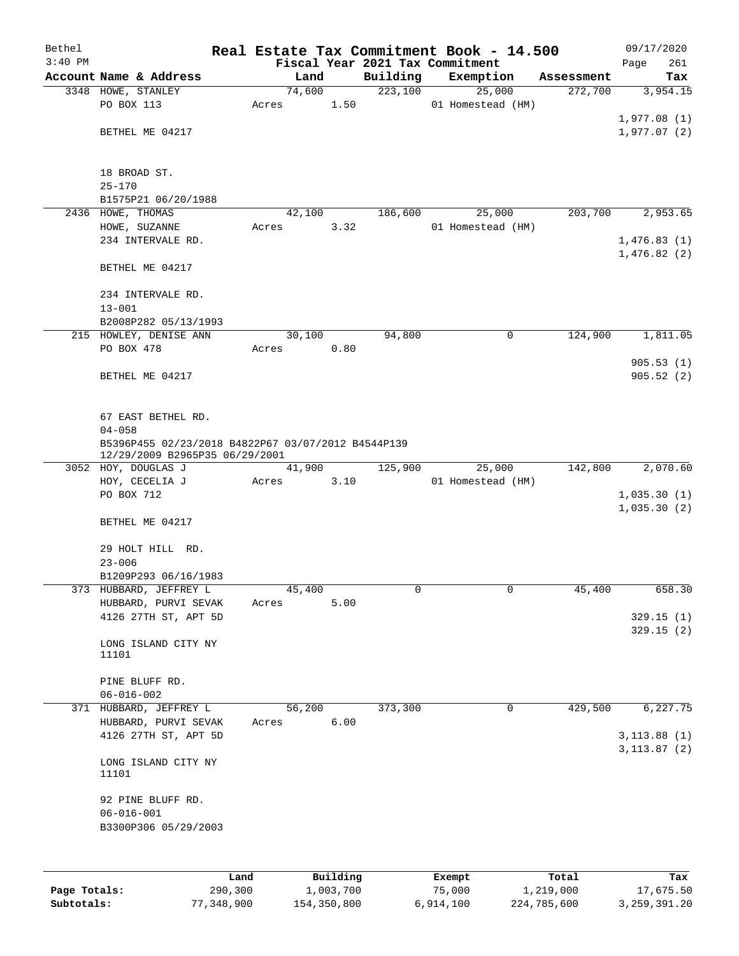| Bethel       |                                                                                      |            |       |        |               |                                 | Real Estate Tax Commitment Book - 14.500 |             | 09/17/2020             |
|--------------|--------------------------------------------------------------------------------------|------------|-------|--------|---------------|---------------------------------|------------------------------------------|-------------|------------------------|
| $3:40$ PM    |                                                                                      |            |       |        |               | Fiscal Year 2021 Tax Commitment |                                          |             | 261<br>Page            |
|              | Account Name & Address                                                               |            |       | Land   |               | Building                        | Exemption                                | Assessment  | Tax                    |
|              | 3348 HOWE, STANLEY<br>PO BOX 113                                                     |            |       | 74,600 | 1.50          | 223,100                         | 25,000<br>01 Homestead (HM)              | 272,700     | 3,954.15               |
|              |                                                                                      |            | Acres |        |               |                                 |                                          |             | 1,977.08(1)            |
|              | BETHEL ME 04217                                                                      |            |       |        |               |                                 |                                          |             | 1,977.07 (2)           |
|              |                                                                                      |            |       |        |               |                                 |                                          |             |                        |
|              | 18 BROAD ST.                                                                         |            |       |        |               |                                 |                                          |             |                        |
|              | $25 - 170$                                                                           |            |       |        |               |                                 |                                          |             |                        |
|              | B1575P21 06/20/1988                                                                  |            |       |        |               |                                 |                                          |             |                        |
|              | 2436 HOWE, THOMAS                                                                    |            |       | 42,100 |               | 186,600                         | 25,000                                   | 203,700     | 2,953.65               |
|              | HOWE, SUZANNE                                                                        |            | Acres |        | 3.32          |                                 | 01 Homestead (HM)                        |             |                        |
|              | 234 INTERVALE RD.                                                                    |            |       |        |               |                                 |                                          |             | 1,476.83(1)            |
|              |                                                                                      |            |       |        |               |                                 |                                          |             | 1,476.82(2)            |
|              | BETHEL ME 04217                                                                      |            |       |        |               |                                 |                                          |             |                        |
|              | 234 INTERVALE RD.                                                                    |            |       |        |               |                                 |                                          |             |                        |
|              | $13 - 001$                                                                           |            |       |        |               |                                 |                                          |             |                        |
|              | B2008P282 05/13/1993                                                                 |            |       |        |               |                                 |                                          |             |                        |
|              | 215 HOWLEY, DENISE ANN                                                               |            |       | 30,100 |               | 94,800                          | 0                                        | 124,900     | 1,811.05               |
|              | PO BOX 478                                                                           |            | Acres |        | 0.80          |                                 |                                          |             | 905.53(1)              |
|              | BETHEL ME 04217                                                                      |            |       |        |               |                                 |                                          |             | 905.52(2)              |
|              |                                                                                      |            |       |        |               |                                 |                                          |             |                        |
|              | 67 EAST BETHEL RD.                                                                   |            |       |        |               |                                 |                                          |             |                        |
|              | $04 - 058$                                                                           |            |       |        |               |                                 |                                          |             |                        |
|              | B5396P455 02/23/2018 B4822P67 03/07/2012 B4544P139<br>12/29/2009 B2965P35 06/29/2001 |            |       |        |               |                                 |                                          |             |                        |
|              | 3052 HOY, DOUGLAS J                                                                  |            |       | 41,900 |               | 125,900                         | 25,000                                   | 142,800     | 2,070.60               |
|              | HOY, CECELIA J                                                                       |            | Acres |        | 3.10          |                                 | 01 Homestead (HM)                        |             |                        |
|              | PO BOX 712                                                                           |            |       |        |               |                                 |                                          |             | 1,035.30(1)            |
|              | BETHEL ME 04217                                                                      |            |       |        |               |                                 |                                          |             | 1,035.30(2)            |
|              |                                                                                      |            |       |        |               |                                 |                                          |             |                        |
|              | 29 HOLT HILL RD.                                                                     |            |       |        |               |                                 |                                          |             |                        |
|              | $23 - 006$                                                                           |            |       |        |               |                                 |                                          |             |                        |
|              | B1209P293 06/16/1983                                                                 |            |       |        |               |                                 |                                          |             |                        |
|              | 373 HUBBARD, JEFFREY L                                                               |            |       | 45,400 |               | 0                               | 0                                        | 45,400      | 658.30                 |
|              | HUBBARD, PURVI SEVAK                                                                 |            | Acres |        | 5.00          |                                 |                                          |             |                        |
|              | 4126 27TH ST, APT 5D                                                                 |            |       |        |               |                                 |                                          |             | 329.15(1)<br>329.15(2) |
|              | LONG ISLAND CITY NY                                                                  |            |       |        |               |                                 |                                          |             |                        |
|              | 11101                                                                                |            |       |        |               |                                 |                                          |             |                        |
|              | PINE BLUFF RD.                                                                       |            |       |        |               |                                 |                                          |             |                        |
|              | $06 - 016 - 002$                                                                     |            |       |        |               |                                 |                                          |             |                        |
| 371          | HUBBARD, JEFFREY L                                                                   |            |       | 56,200 |               | 373,300                         | 0                                        | 429,500     | 6, 227.75              |
|              | HUBBARD, PURVI SEVAK                                                                 |            | Acres |        | 6.00          |                                 |                                          |             |                        |
|              | 4126 27TH ST, APT 5D                                                                 |            |       |        |               |                                 |                                          |             | 3, 113.88(1)           |
|              |                                                                                      |            |       |        |               |                                 |                                          |             | 3, 113.87 (2)          |
|              | LONG ISLAND CITY NY<br>11101                                                         |            |       |        |               |                                 |                                          |             |                        |
|              | 92 PINE BLUFF RD.                                                                    |            |       |        |               |                                 |                                          |             |                        |
|              | $06 - 016 - 001$                                                                     |            |       |        |               |                                 |                                          |             |                        |
|              | B3300P306 05/29/2003                                                                 |            |       |        |               |                                 |                                          |             |                        |
|              |                                                                                      |            |       |        |               |                                 |                                          |             |                        |
|              |                                                                                      | Land       |       |        | Building      |                                 | Exempt                                   | Total       | Tax                    |
| Page Totals: |                                                                                      | 290,300    |       |        | 1,003,700     |                                 | 75,000                                   | 1,219,000   | 17,675.50              |
| Subtotals:   |                                                                                      | 77,348,900 |       |        | 154, 350, 800 |                                 | 6,914,100                                | 224,785,600 | 3, 259, 391.20         |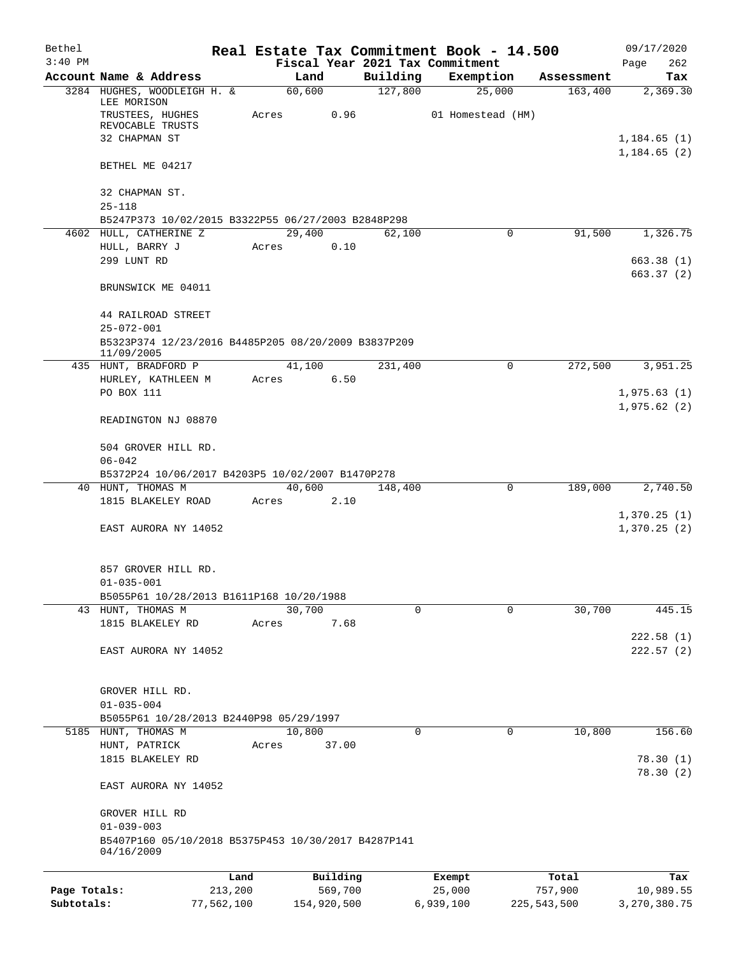| Bethel       |                                                                                       |         |                |          |                     | Real Estate Tax Commitment Book - 14.500 |                       | 09/17/2020                  |
|--------------|---------------------------------------------------------------------------------------|---------|----------------|----------|---------------------|------------------------------------------|-----------------------|-----------------------------|
| $3:40$ PM    |                                                                                       |         |                |          |                     | Fiscal Year 2021 Tax Commitment          |                       | 262<br>Page                 |
|              | Account Name & Address<br>3284 HUGHES, WOODLEIGH H. &                                 |         | Land<br>60,600 |          | Building<br>127,800 | Exemption<br>25,000                      | Assessment<br>163,400 | Tax<br>2,369.30             |
|              | LEE MORISON<br>TRUSTEES, HUGHES<br>REVOCABLE TRUSTS                                   | Acres   |                | 0.96     |                     | 01 Homestead (HM)                        |                       |                             |
|              | 32 CHAPMAN ST                                                                         |         |                |          |                     |                                          |                       | 1,184.65(1)<br>1, 184.65(2) |
|              | BETHEL ME 04217                                                                       |         |                |          |                     |                                          |                       |                             |
|              | 32 CHAPMAN ST.<br>$25 - 118$                                                          |         |                |          |                     |                                          |                       |                             |
|              | B5247P373 10/02/2015 B3322P55 06/27/2003 B2848P298                                    |         |                |          |                     |                                          |                       |                             |
|              | 4602 HULL, CATHERINE Z                                                                |         | 29,400         |          | 62,100              | 0                                        | 91,500                | 1,326.75                    |
|              | HULL, BARRY J<br>299 LUNT RD                                                          | Acres   |                | 0.10     |                     |                                          |                       |                             |
|              |                                                                                       |         |                |          |                     |                                          |                       | 663.38(1)<br>663.37(2)      |
|              | BRUNSWICK ME 04011                                                                    |         |                |          |                     |                                          |                       |                             |
|              | 44 RAILROAD STREET<br>$25 - 072 - 001$                                                |         |                |          |                     |                                          |                       |                             |
|              | B5323P374 12/23/2016 B4485P205 08/20/2009 B3837P209<br>11/09/2005                     |         |                |          |                     |                                          |                       |                             |
|              | 435 HUNT, BRADFORD P                                                                  |         | 41,100         |          | 231,400             | 0                                        | 272,500               | 3,951.25                    |
|              | HURLEY, KATHLEEN M                                                                    | Acres   |                | 6.50     |                     |                                          |                       |                             |
|              | PO BOX 111                                                                            |         |                |          |                     |                                          |                       | 1,975.63(1)<br>1,975.62(2)  |
|              | READINGTON NJ 08870                                                                   |         |                |          |                     |                                          |                       |                             |
|              | 504 GROVER HILL RD.                                                                   |         |                |          |                     |                                          |                       |                             |
|              | $06 - 042$                                                                            |         |                |          |                     |                                          |                       |                             |
|              | B5372P24 10/06/2017 B4203P5 10/02/2007 B1470P278<br>40 HUNT, THOMAS M                 |         | 40,600         |          | 148,400             | $\mathbf 0$                              | 189,000               | 2,740.50                    |
|              | 1815 BLAKELEY ROAD                                                                    |         | Acres          | 2.10     |                     |                                          |                       |                             |
|              |                                                                                       |         |                |          |                     |                                          |                       | 1,370.25(1)                 |
|              | EAST AURORA NY 14052                                                                  |         |                |          |                     |                                          |                       | 1,370.25(2)                 |
|              | 857 GROVER HILL RD.                                                                   |         |                |          |                     |                                          |                       |                             |
|              | $01 - 035 - 001$                                                                      |         |                |          |                     |                                          |                       |                             |
|              | B5055P61 10/28/2013 B1611P168 10/20/1988<br>43 HUNT, THOMAS M                         |         | 30,700         |          | $\Omega$            | $\Omega$                                 | 30,700                | 445.15                      |
|              | 1815 BLAKELEY RD                                                                      | Acres   |                | 7.68     |                     |                                          |                       |                             |
|              |                                                                                       |         |                |          |                     |                                          |                       | 222.58(1)                   |
|              | EAST AURORA NY 14052                                                                  |         |                |          |                     |                                          |                       | 222.57(2)                   |
|              | GROVER HILL RD.                                                                       |         |                |          |                     |                                          |                       |                             |
|              | $01 - 035 - 004$                                                                      |         |                |          |                     |                                          |                       |                             |
|              | B5055P61 10/28/2013 B2440P98 05/29/1997                                               |         |                |          |                     |                                          |                       |                             |
|              | 5185 HUNT, THOMAS M                                                                   |         | 10,800         |          | 0                   | $\mathbf 0$                              | 10,800                | 156.60                      |
|              | HUNT, PATRICK                                                                         | Acres   |                | 37.00    |                     |                                          |                       |                             |
|              | 1815 BLAKELEY RD                                                                      |         |                |          |                     |                                          |                       | 78.30(1)<br>78.30 (2)       |
|              | EAST AURORA NY 14052                                                                  |         |                |          |                     |                                          |                       |                             |
|              | GROVER HILL RD                                                                        |         |                |          |                     |                                          |                       |                             |
|              | $01 - 039 - 003$<br>B5407P160 05/10/2018 B5375P453 10/30/2017 B4287P141<br>04/16/2009 |         |                |          |                     |                                          |                       |                             |
|              |                                                                                       |         |                |          |                     |                                          |                       |                             |
|              |                                                                                       | Land    |                | Building |                     | Exempt                                   | Total                 | Tax                         |
| Page Totals: |                                                                                       | 213,200 |                | 569,700  |                     | 25,000                                   | 757,900               | 10,989.55                   |

**Subtotals:** 77,562,100 154,920,500 6,939,100 225,543,500 3,270,380.75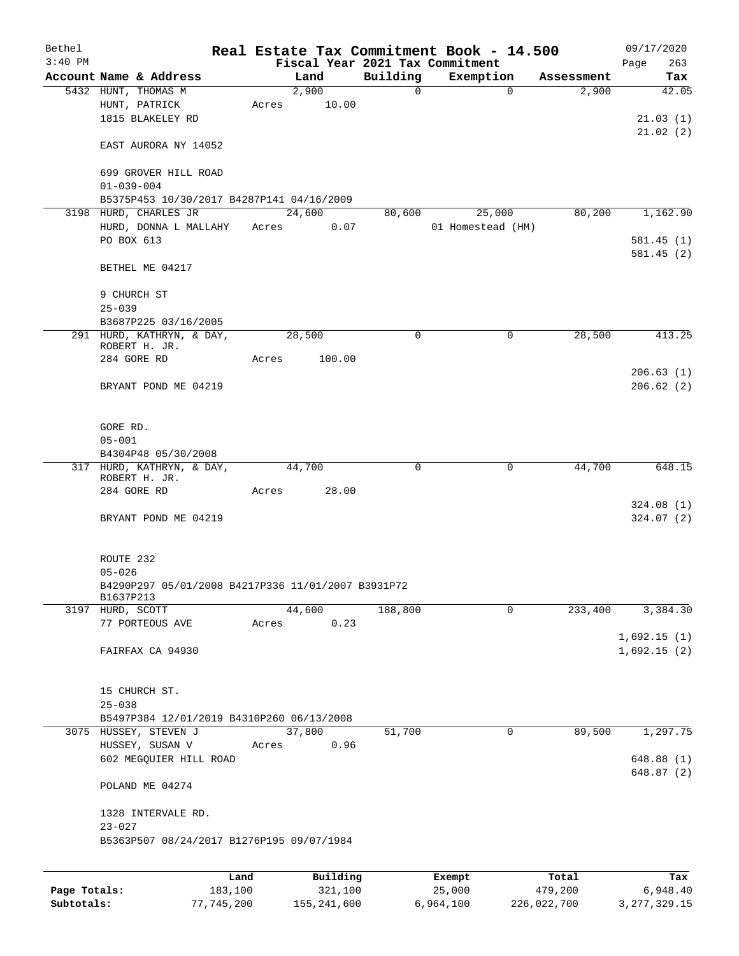| Bethel       |                                                                 |         |                |              | Real Estate Tax Commitment Book - 14.500 |            | 09/17/2020           |
|--------------|-----------------------------------------------------------------|---------|----------------|--------------|------------------------------------------|------------|----------------------|
| $3:40$ PM    |                                                                 |         |                |              | Fiscal Year 2021 Tax Commitment          |            | 263<br>Page          |
|              | Account Name & Address                                          |         | Land           | Building     | Exemption                                | Assessment | Tax                  |
|              | 5432 HUNT, THOMAS M                                             |         | 2,900<br>10.00 | $\mathsf{O}$ | $\Omega$                                 | 2,900      | 42.05                |
|              | HUNT, PATRICK<br>1815 BLAKELEY RD                               | Acres   |                |              |                                          |            |                      |
|              |                                                                 |         |                |              |                                          |            | 21.03(1)<br>21.02(2) |
|              | EAST AURORA NY 14052                                            |         |                |              |                                          |            |                      |
|              | 699 GROVER HILL ROAD<br>$01 - 039 - 004$                        |         |                |              |                                          |            |                      |
|              | B5375P453 10/30/2017 B4287P141 04/16/2009                       |         |                |              |                                          |            |                      |
|              | 3198 HURD, CHARLES JR                                           |         | 24,600         | 80,600       | 25,000                                   | 80,200     | 1,162.90             |
|              | HURD, DONNA L MALLAHY                                           | Acres   | 0.07           |              | 01 Homestead (HM)                        |            |                      |
|              | PO BOX 613                                                      |         |                |              |                                          |            | 581.45(1)            |
|              |                                                                 |         |                |              |                                          |            | 581.45(2)            |
|              | BETHEL ME 04217                                                 |         |                |              |                                          |            |                      |
|              | 9 CHURCH ST                                                     |         |                |              |                                          |            |                      |
|              | $25 - 039$                                                      |         |                |              |                                          |            |                      |
|              | B3687P225 03/16/2005                                            |         |                |              |                                          |            |                      |
|              | 291 HURD, KATHRYN, & DAY,                                       |         | 28,500         | 0            | 0                                        | 28,500     | 413.25               |
|              | ROBERT H. JR.                                                   |         |                |              |                                          |            |                      |
|              | 284 GORE RD                                                     | Acres   | 100.00         |              |                                          |            |                      |
|              |                                                                 |         |                |              |                                          |            | 206.63(1)            |
|              | BRYANT POND ME 04219                                            |         |                |              |                                          |            | 206.62(2)            |
|              |                                                                 |         |                |              |                                          |            |                      |
|              | GORE RD.<br>$05 - 001$                                          |         |                |              |                                          |            |                      |
|              | B4304P48 05/30/2008                                             |         |                |              |                                          |            |                      |
|              | 317 HURD, KATHRYN, & DAY,                                       |         | 44,700         | 0            | 0                                        | 44,700     | 648.15               |
|              | ROBERT H. JR.                                                   |         |                |              |                                          |            |                      |
|              | 284 GORE RD                                                     | Acres   | 28.00          |              |                                          |            |                      |
|              |                                                                 |         |                |              |                                          |            | 324.08(1)            |
|              | BRYANT POND ME 04219                                            |         |                |              |                                          |            | 324.07(2)            |
|              |                                                                 |         |                |              |                                          |            |                      |
|              | ROUTE 232                                                       |         |                |              |                                          |            |                      |
|              | $05 - 026$                                                      |         |                |              |                                          |            |                      |
|              | B4290P297 05/01/2008 B4217P336 11/01/2007 B3931P72<br>B1637P213 |         |                |              |                                          |            |                      |
|              | 3197 HURD, SCOTT                                                |         | 44,600         | 188,800      | $\mathbf 0$                              | 233,400    | 3,384.30             |
|              | 77 PORTEOUS AVE                                                 | Acres   | 0.23           |              |                                          |            |                      |
|              |                                                                 |         |                |              |                                          |            | 1,692.15(1)          |
|              | FAIRFAX CA 94930                                                |         |                |              |                                          |            | 1,692.15(2)          |
|              |                                                                 |         |                |              |                                          |            |                      |
|              | 15 CHURCH ST.                                                   |         |                |              |                                          |            |                      |
|              | $25 - 038$                                                      |         |                |              |                                          |            |                      |
|              | B5497P384 12/01/2019 B4310P260 06/13/2008                       |         |                |              |                                          |            |                      |
|              | 3075 HUSSEY, STEVEN J                                           |         | 37,800         | 51,700       | 0                                        | 89,500     | 1,297.75             |
|              | HUSSEY, SUSAN V                                                 | Acres   | 0.96           |              |                                          |            |                      |
|              | 602 MEGQUIER HILL ROAD                                          |         |                |              |                                          |            | 648.88(1)            |
|              |                                                                 |         |                |              |                                          |            | 648.87(2)            |
|              | POLAND ME 04274                                                 |         |                |              |                                          |            |                      |
|              | 1328 INTERVALE RD.<br>$23 - 027$                                |         |                |              |                                          |            |                      |
|              | B5363P507 08/24/2017 B1276P195 09/07/1984                       |         |                |              |                                          |            |                      |
|              |                                                                 |         |                |              |                                          |            |                      |
|              |                                                                 | Land    | Building       |              | Exempt                                   | Total      | Tax                  |
| Page Totals: |                                                                 | 183,100 | 321,100        |              | 25,000                                   | 479,200    | 6,948.40             |

**Subtotals:** 77,745,200 155,241,600 6,964,100 226,022,700 3,277,329.15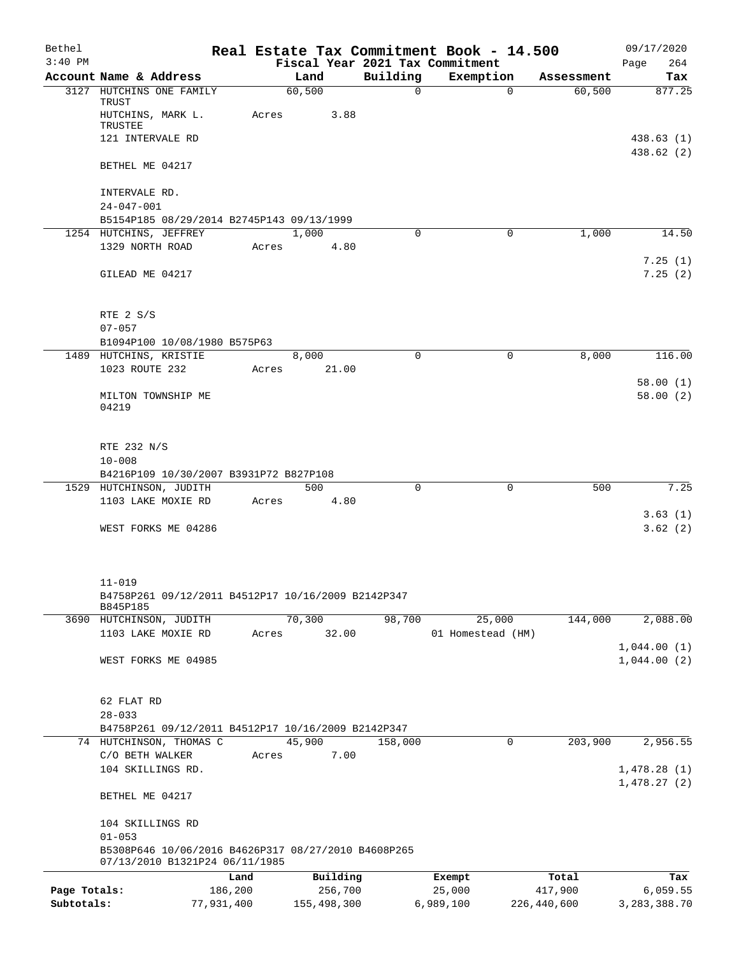| Bethel<br>$3:40$ PM |                                                                                       |            |       |             |          | Real Estate Tax Commitment Book - 14.500<br>Fiscal Year 2021 Tax Commitment |             | 09/17/2020<br>264<br>Page |
|---------------------|---------------------------------------------------------------------------------------|------------|-------|-------------|----------|-----------------------------------------------------------------------------|-------------|---------------------------|
|                     | Account Name & Address                                                                |            |       | Land        | Building | Exemption                                                                   | Assessment  | Tax                       |
|                     | 3127 HUTCHINS ONE FAMILY                                                              |            |       | 60,500      | $\Omega$ | $\Omega$                                                                    | 60,500      | 877.25                    |
|                     | TRUST                                                                                 |            |       |             |          |                                                                             |             |                           |
|                     | HUTCHINS, MARK L.<br>TRUSTEE                                                          |            | Acres | 3.88        |          |                                                                             |             |                           |
|                     | 121 INTERVALE RD                                                                      |            |       |             |          |                                                                             |             | 438.63(1)                 |
|                     |                                                                                       |            |       |             |          |                                                                             |             | 438.62 (2)                |
|                     | BETHEL ME 04217                                                                       |            |       |             |          |                                                                             |             |                           |
|                     | INTERVALE RD.                                                                         |            |       |             |          |                                                                             |             |                           |
|                     | $24 - 047 - 001$                                                                      |            |       |             |          |                                                                             |             |                           |
|                     | B5154P185 08/29/2014 B2745P143 09/13/1999                                             |            |       |             |          |                                                                             |             |                           |
|                     | 1254 HUTCHINS, JEFFREY                                                                |            |       | 1,000       | 0        | 0                                                                           | 1,000       | 14.50                     |
|                     | 1329 NORTH ROAD                                                                       |            | Acres | 4.80        |          |                                                                             |             |                           |
|                     |                                                                                       |            |       |             |          |                                                                             |             | 7.25(1)<br>7.25(2)        |
|                     | GILEAD ME 04217                                                                       |            |       |             |          |                                                                             |             |                           |
|                     |                                                                                       |            |       |             |          |                                                                             |             |                           |
|                     | RTE 2 S/S<br>$07 - 057$                                                               |            |       |             |          |                                                                             |             |                           |
|                     | B1094P100 10/08/1980 B575P63                                                          |            |       |             |          |                                                                             |             |                           |
|                     | 1489 HUTCHINS, KRISTIE                                                                |            |       | 8,000       | $\Omega$ | 0                                                                           | 8,000       | 116.00                    |
|                     | 1023 ROUTE 232                                                                        |            | Acres | 21.00       |          |                                                                             |             |                           |
|                     |                                                                                       |            |       |             |          |                                                                             |             | 58.00(1)                  |
|                     | MILTON TOWNSHIP ME                                                                    |            |       |             |          |                                                                             |             | 58.00(2)                  |
|                     | 04219                                                                                 |            |       |             |          |                                                                             |             |                           |
|                     | RTE 232 N/S                                                                           |            |       |             |          |                                                                             |             |                           |
|                     | $10 - 008$                                                                            |            |       |             |          |                                                                             |             |                           |
|                     | B4216P109 10/30/2007 B3931P72 B827P108                                                |            |       |             |          |                                                                             |             |                           |
|                     | 1529 HUTCHINSON, JUDITH                                                               |            |       | 500         | $\Omega$ | $\Omega$                                                                    | 500         | 7.25                      |
|                     | 1103 LAKE MOXIE RD                                                                    |            | Acres | 4.80        |          |                                                                             |             |                           |
|                     |                                                                                       |            |       |             |          |                                                                             |             | 3.63(1)                   |
|                     | WEST FORKS ME 04286                                                                   |            |       |             |          |                                                                             |             | 3.62(2)                   |
|                     |                                                                                       |            |       |             |          |                                                                             |             |                           |
|                     | $11 - 019$                                                                            |            |       |             |          |                                                                             |             |                           |
|                     | B4758P261 09/12/2011 B4512P17 10/16/2009 B2142P347                                    |            |       |             |          |                                                                             |             |                           |
|                     | B845P185<br>3690 HUTCHINSON, JUDITH                                                   |            |       | 70,300      | 98,700   | 25,000                                                                      | 144,000     | 2,088.00                  |
|                     | 1103 LAKE MOXIE RD                                                                    |            | Acres | 32.00       |          | 01 Homestead (HM)                                                           |             |                           |
|                     |                                                                                       |            |       |             |          |                                                                             |             | 1,044.00(1)               |
|                     | WEST FORKS ME 04985                                                                   |            |       |             |          |                                                                             |             | 1,044.00(2)               |
|                     |                                                                                       |            |       |             |          |                                                                             |             |                           |
|                     | 62 FLAT RD                                                                            |            |       |             |          |                                                                             |             |                           |
|                     | $28 - 033$                                                                            |            |       |             |          |                                                                             |             |                           |
|                     | B4758P261 09/12/2011 B4512P17 10/16/2009 B2142P347                                    |            |       |             |          |                                                                             |             |                           |
|                     | 74 HUTCHINSON, THOMAS C                                                               |            |       | 45,900      | 158,000  | 0                                                                           | 203,900     | 2,956.55                  |
|                     | C/O BETH WALKER                                                                       |            | Acres | 7.00        |          |                                                                             |             |                           |
|                     | 104 SKILLINGS RD.                                                                     |            |       |             |          |                                                                             |             | 1,478.28(1)               |
|                     | BETHEL ME 04217                                                                       |            |       |             |          |                                                                             |             | 1,478.27(2)               |
|                     | 104 SKILLINGS RD                                                                      |            |       |             |          |                                                                             |             |                           |
|                     | $01 - 053$                                                                            |            |       |             |          |                                                                             |             |                           |
|                     | B5308P646 10/06/2016 B4626P317 08/27/2010 B4608P265<br>07/13/2010 B1321P24 06/11/1985 |            |       |             |          |                                                                             |             |                           |
|                     |                                                                                       | Land       |       | Building    |          | Exempt                                                                      | Total       | Tax                       |
| Page Totals:        |                                                                                       | 186,200    |       | 256,700     |          | 25,000                                                                      | 417,900     | 6,059.55                  |
| Subtotals:          |                                                                                       | 77,931,400 |       | 155,498,300 |          | 6,989,100                                                                   | 226,440,600 | 3, 283, 388.70            |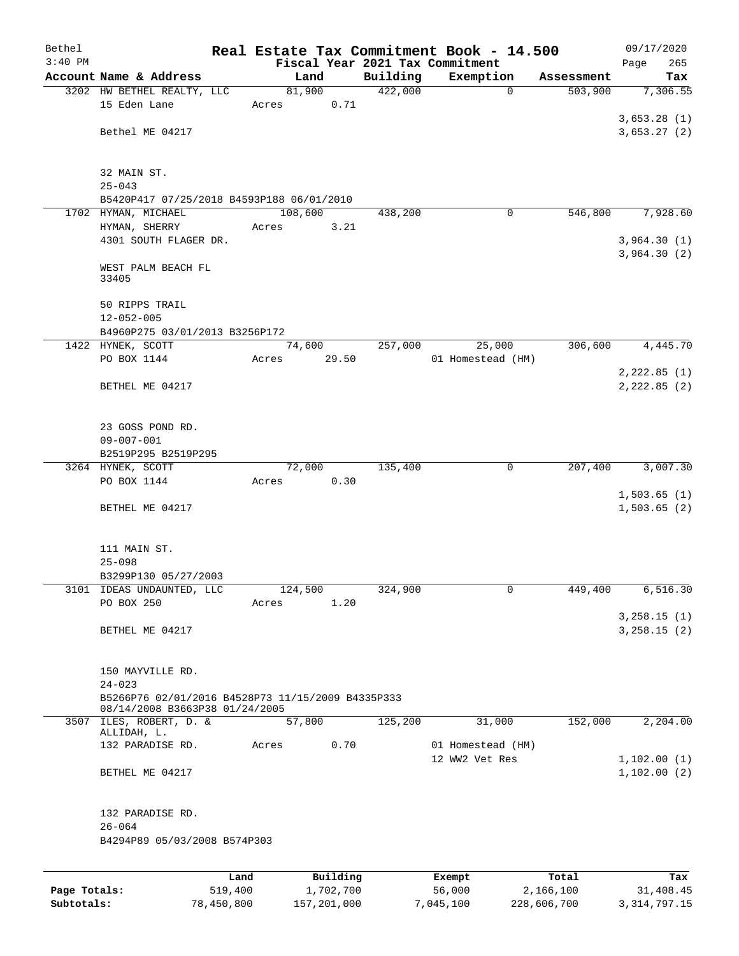| Bethel       |                                                                                     |         |         |           |          | Real Estate Tax Commitment Book - 14.500 |            | 09/17/2020    |
|--------------|-------------------------------------------------------------------------------------|---------|---------|-----------|----------|------------------------------------------|------------|---------------|
| $3:40$ PM    |                                                                                     |         |         |           |          | Fiscal Year 2021 Tax Commitment          |            | 265<br>Page   |
|              | Account Name & Address                                                              |         |         | Land      | Building | Exemption                                | Assessment | Tax           |
|              | 3202 HW BETHEL REALTY, LLC<br>15 Eden Lane                                          |         |         | 81,900    | 422,000  | $\mathbf 0$                              | 503,900    | 7,306.55      |
|              |                                                                                     |         | Acres   | 0.71      |          |                                          |            | 3,653.28(1)   |
|              | Bethel ME 04217                                                                     |         |         |           |          |                                          |            | 3,653.27(2)   |
|              |                                                                                     |         |         |           |          |                                          |            |               |
|              | 32 MAIN ST.                                                                         |         |         |           |          |                                          |            |               |
|              | $25 - 043$                                                                          |         |         |           |          |                                          |            |               |
|              | B5420P417 07/25/2018 B4593P188 06/01/2010                                           |         |         |           |          |                                          |            |               |
|              | 1702 HYMAN, MICHAEL                                                                 |         | 108,600 |           | 438,200  | 0                                        | 546,800    | 7,928.60      |
|              | HYMAN, SHERRY                                                                       |         | Acres   | 3.21      |          |                                          |            |               |
|              | 4301 SOUTH FLAGER DR.                                                               |         |         |           |          |                                          |            | 3,964.30(1)   |
|              |                                                                                     |         |         |           |          |                                          |            | 3,964.30(2)   |
|              | WEST PALM BEACH FL<br>33405                                                         |         |         |           |          |                                          |            |               |
|              | 50 RIPPS TRAIL                                                                      |         |         |           |          |                                          |            |               |
|              | $12 - 052 - 005$                                                                    |         |         |           |          |                                          |            |               |
|              | B4960P275 03/01/2013 B3256P172                                                      |         |         |           |          |                                          |            |               |
|              | 1422 HYNEK, SCOTT                                                                   |         |         | 74,600    | 257,000  | 25,000                                   | 306,600    | 4,445.70      |
|              | PO BOX 1144                                                                         |         | Acres   | 29.50     |          | 01 Homestead (HM)                        |            |               |
|              |                                                                                     |         |         |           |          |                                          |            | 2, 222.85 (1) |
|              | BETHEL ME 04217                                                                     |         |         |           |          |                                          |            | 2, 222.85 (2) |
|              |                                                                                     |         |         |           |          |                                          |            |               |
|              | 23 GOSS POND RD.                                                                    |         |         |           |          |                                          |            |               |
|              | $09 - 007 - 001$                                                                    |         |         |           |          |                                          |            |               |
|              | B2519P295 B2519P295                                                                 |         |         |           |          |                                          |            |               |
|              | 3264 HYNEK, SCOTT                                                                   |         |         | 72,000    | 135,400  | 0                                        | 207,400    | 3,007.30      |
|              | PO BOX 1144                                                                         |         | Acres   | 0.30      |          |                                          |            |               |
|              |                                                                                     |         |         |           |          |                                          |            | 1,503.65(1)   |
|              | BETHEL ME 04217                                                                     |         |         |           |          |                                          |            | 1,503.65(2)   |
|              |                                                                                     |         |         |           |          |                                          |            |               |
|              | 111 MAIN ST.                                                                        |         |         |           |          |                                          |            |               |
|              | $25 - 098$                                                                          |         |         |           |          |                                          |            |               |
|              | B3299P130 05/27/2003                                                                |         |         |           |          |                                          |            |               |
|              | 3101 IDEAS UNDAUNTED, LLC                                                           |         | 124,500 |           | 324,900  | $\overline{0}$                           | 449,400    | 6,516.30      |
|              | PO BOX 250                                                                          |         | Acres   | 1.20      |          |                                          |            |               |
|              |                                                                                     |         |         |           |          |                                          |            | 3, 258.15 (1) |
|              | BETHEL ME 04217                                                                     |         |         |           |          |                                          |            | 3, 258.15 (2) |
|              |                                                                                     |         |         |           |          |                                          |            |               |
|              | 150 MAYVILLE RD.                                                                    |         |         |           |          |                                          |            |               |
|              | $24 - 023$                                                                          |         |         |           |          |                                          |            |               |
|              | B5266P76 02/01/2016 B4528P73 11/15/2009 B4335P333<br>08/14/2008 B3663P38 01/24/2005 |         |         |           |          |                                          |            |               |
|              | 3507 ILES, ROBERT, D. &                                                             |         |         | 57,800    | 125,200  | 31,000                                   | 152,000    | 2,204.00      |
|              | ALLIDAH, L.<br>132 PARADISE RD.                                                     |         | Acres   | 0.70      |          | 01 Homestead (HM)                        |            |               |
|              |                                                                                     |         |         |           |          | 12 WW2 Vet Res                           |            | 1,102.00(1)   |
|              | BETHEL ME 04217                                                                     |         |         |           |          |                                          |            | 1,102.00(2)   |
|              |                                                                                     |         |         |           |          |                                          |            |               |
|              | 132 PARADISE RD.<br>$26 - 064$                                                      |         |         |           |          |                                          |            |               |
|              | B4294P89 05/03/2008 B574P303                                                        |         |         |           |          |                                          |            |               |
|              |                                                                                     |         |         |           |          |                                          |            |               |
|              |                                                                                     | Land    |         | Building  |          | Exempt                                   | Total      | Tax           |
| Page Totals: |                                                                                     | 519,400 |         | 1,702,700 |          | 56,000                                   | 2,166,100  | 31,408.45     |

**Subtotals:** 78,450,800 157,201,000 7,045,100 228,606,700 3,314,797.15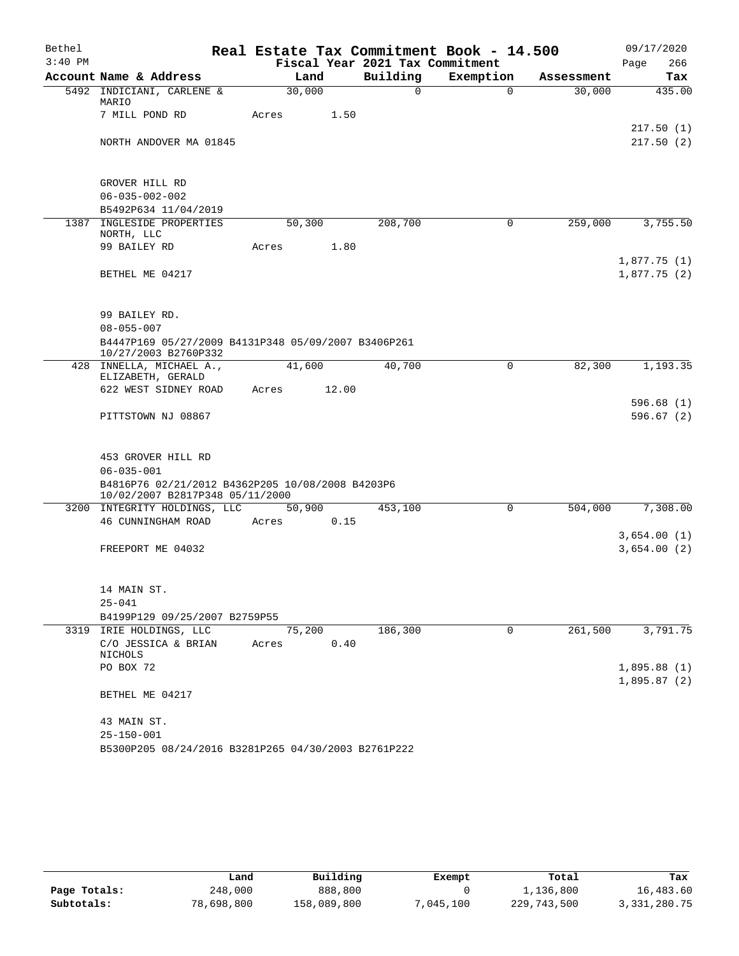| Bethel    |                                                                                     |       |        |        |                                             | Real Estate Tax Commitment Book - 14.500 |                      | 09/17/2020                 |
|-----------|-------------------------------------------------------------------------------------|-------|--------|--------|---------------------------------------------|------------------------------------------|----------------------|----------------------------|
| $3:40$ PM | Account Name & Address                                                              |       | Land   |        | Fiscal Year 2021 Tax Commitment<br>Building |                                          |                      | 266<br>Page                |
|           | 5492 INDICIANI, CARLENE &                                                           |       | 30,000 |        | $\Omega$                                    | Exemption<br>$\Omega$                    | Assessment<br>30,000 | Tax<br>435.00              |
|           | MARIO                                                                               |       |        |        |                                             |                                          |                      |                            |
|           | 7 MILL POND RD                                                                      | Acres |        | 1.50   |                                             |                                          |                      |                            |
|           |                                                                                     |       |        |        |                                             |                                          |                      | 217.50(1)                  |
|           | NORTH ANDOVER MA 01845                                                              |       |        |        |                                             |                                          |                      | 217.50(2)                  |
|           | GROVER HILL RD                                                                      |       |        |        |                                             |                                          |                      |                            |
|           | $06 - 035 - 002 - 002$                                                              |       |        |        |                                             |                                          |                      |                            |
|           | B5492P634 11/04/2019                                                                |       |        |        |                                             |                                          |                      |                            |
|           | 1387 INGLESIDE PROPERTIES<br>NORTH, LLC                                             |       | 50,300 |        | 208,700                                     | 0                                        | 259,000              | 3,755.50                   |
|           | 99 BAILEY RD                                                                        | Acres |        | 1.80   |                                             |                                          |                      |                            |
|           | BETHEL ME 04217                                                                     |       |        |        |                                             |                                          |                      | 1,877.75(1)<br>1,877.75(2) |
|           |                                                                                     |       |        |        |                                             |                                          |                      |                            |
|           | 99 BAILEY RD.<br>$08 - 055 - 007$                                                   |       |        |        |                                             |                                          |                      |                            |
|           | B4447P169 05/27/2009 B4131P348 05/09/2007 B3406P261                                 |       |        |        |                                             |                                          |                      |                            |
|           | 10/27/2003 B2760P332                                                                |       |        |        |                                             |                                          |                      |                            |
|           | 428 INNELLA, MICHAEL A.,                                                            |       | 41,600 |        | 40,700                                      | $\mathbf 0$                              | 82,300               | 1,193.35                   |
|           | ELIZABETH, GERALD<br>622 WEST SIDNEY ROAD                                           | Acres |        | 12.00  |                                             |                                          |                      |                            |
|           |                                                                                     |       |        |        |                                             |                                          |                      | 596.68(1)                  |
|           | PITTSTOWN NJ 08867                                                                  |       |        |        |                                             |                                          |                      | 596.67(2)                  |
|           | 453 GROVER HILL RD                                                                  |       |        |        |                                             |                                          |                      |                            |
|           | $06 - 035 - 001$                                                                    |       |        |        |                                             |                                          |                      |                            |
|           | B4816P76 02/21/2012 B4362P205 10/08/2008 B4203P6<br>10/02/2007 B2817P348 05/11/2000 |       |        |        |                                             |                                          |                      |                            |
|           | 3200 INTEGRITY HOLDINGS, LLC                                                        |       |        | 50,900 | 453,100                                     | 0                                        | 504,000              | 7,308.00                   |
|           | 46 CUNNINGHAM ROAD                                                                  | Acres |        | 0.15   |                                             |                                          |                      |                            |
|           |                                                                                     |       |        |        |                                             |                                          |                      | 3,654.00(1)                |
|           | FREEPORT ME 04032                                                                   |       |        |        |                                             |                                          |                      | 3,654.00(2)                |
|           | 14 MAIN ST.                                                                         |       |        |        |                                             |                                          |                      |                            |
|           | $25 - 041$                                                                          |       |        |        |                                             |                                          |                      |                            |
|           | B4199P129 09/25/2007 B2759P55                                                       |       |        |        |                                             |                                          |                      |                            |
|           | 3319 IRIE HOLDINGS, LLC<br>C/O JESSICA & BRIAN                                      | Acres | 75,200 | 0.40   | 186,300                                     | 0                                        | 261,500              | 3,791.75                   |
|           | NICHOLS<br>PO BOX 72                                                                |       |        |        |                                             |                                          |                      | 1,895.88(1)                |
|           |                                                                                     |       |        |        |                                             |                                          |                      | 1,895.87(2)                |
|           | BETHEL ME 04217                                                                     |       |        |        |                                             |                                          |                      |                            |
|           | 43 MAIN ST.                                                                         |       |        |        |                                             |                                          |                      |                            |
|           | $25 - 150 - 001$                                                                    |       |        |        |                                             |                                          |                      |                            |
|           | B5300P205 08/24/2016 B3281P265 04/30/2003 B2761P222                                 |       |        |        |                                             |                                          |                      |                            |

|              | Land       | Building    | Exempt    | Total       | Tax          |
|--------------|------------|-------------|-----------|-------------|--------------|
| Page Totals: | 248,000    | 888,800     |           | 1,136,800   | 16,483.60    |
| Subtotals:   | 78,698,800 | 158,089,800 | 7,045,100 | 229,743,500 | 3,331,280.75 |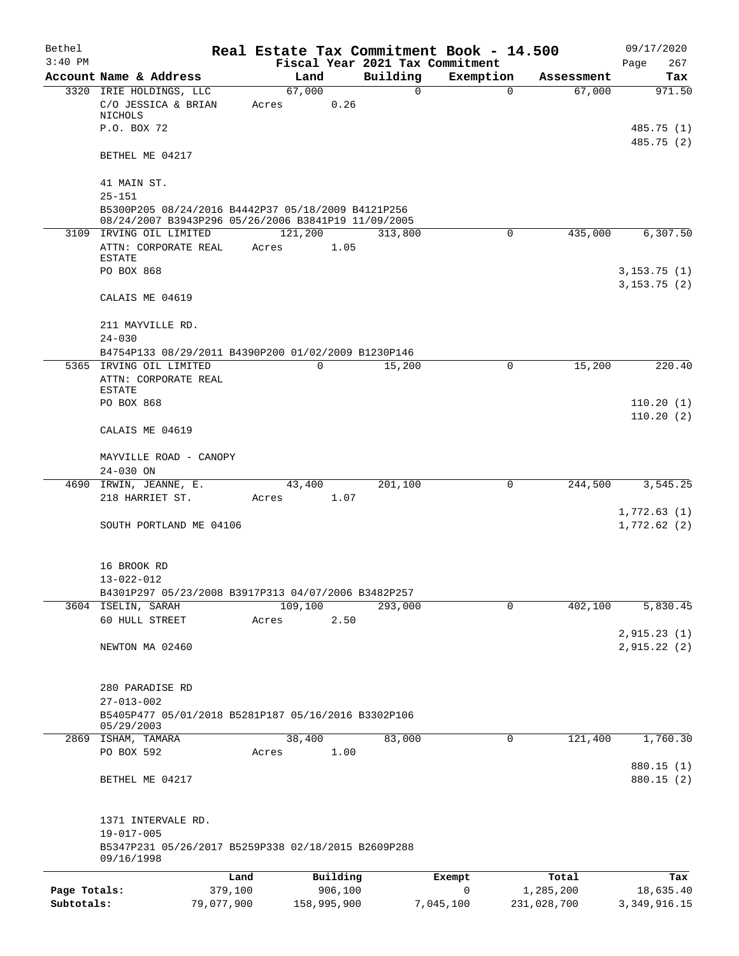| Bethel       |                                                                                                           |            |             |                     | Real Estate Tax Commitment Book - 14.500 |             | 09/17/2020                  |
|--------------|-----------------------------------------------------------------------------------------------------------|------------|-------------|---------------------|------------------------------------------|-------------|-----------------------------|
| $3:40$ PM    |                                                                                                           |            |             |                     | Fiscal Year 2021 Tax Commitment          |             | 267<br>Page                 |
|              | Account Name & Address                                                                                    |            | Land        | Building            | Exemption                                | Assessment  | Tax                         |
|              | 3320 IRIE HOLDINGS, LLC<br>C/O JESSICA & BRIAN<br>NICHOLS                                                 | Acres      | 67,000      | $\mathbf 0$<br>0.26 | $\mathbf 0$                              | 67,000      | 971.50                      |
|              | P.O. BOX 72                                                                                               |            |             |                     |                                          |             | 485.75 (1)<br>485.75 (2)    |
|              | BETHEL ME 04217                                                                                           |            |             |                     |                                          |             |                             |
|              | 41 MAIN ST.<br>$25 - 151$                                                                                 |            |             |                     |                                          |             |                             |
|              | B5300P205 08/24/2016 B4442P37 05/18/2009 B4121P256<br>08/24/2007 B3943P296 05/26/2006 B3841P19 11/09/2005 |            |             |                     |                                          |             |                             |
|              | 3109 IRVING OIL LIMITED                                                                                   |            | 121,200     | 313,800             | 0                                        | 435,000     | 6,307.50                    |
|              | ATTN: CORPORATE REAL<br>ESTATE                                                                            | Acres      |             | 1.05                |                                          |             |                             |
|              | PO BOX 868                                                                                                |            |             |                     |                                          |             | 3,153.75(1)<br>3, 153.75(2) |
|              | CALAIS ME 04619                                                                                           |            |             |                     |                                          |             |                             |
|              | 211 MAYVILLE RD.<br>$24 - 030$                                                                            |            |             |                     |                                          |             |                             |
|              | B4754P133 08/29/2011 B4390P200 01/02/2009 B1230P146                                                       |            |             |                     |                                          |             |                             |
|              | 5365 IRVING OIL LIMITED                                                                                   |            | 0           | 15,200              | 0                                        | 15,200      | 220.40                      |
|              | ATTN: CORPORATE REAL                                                                                      |            |             |                     |                                          |             |                             |
|              | ESTATE<br>PO BOX 868                                                                                      |            |             |                     |                                          |             | 110.20(1)                   |
|              |                                                                                                           |            |             |                     |                                          |             | 110.20(2)                   |
|              | CALAIS ME 04619                                                                                           |            |             |                     |                                          |             |                             |
|              | MAYVILLE ROAD - CANOPY                                                                                    |            |             |                     |                                          |             |                             |
|              | 24-030 ON                                                                                                 |            |             |                     |                                          |             |                             |
|              | 4690 IRWIN, JEANNE, E.<br>218 HARRIET ST.                                                                 | Acres      | 43,400      | 201,100<br>1.07     | 0                                        | 244,500     | 3,545.25                    |
|              | SOUTH PORTLAND ME 04106                                                                                   |            |             |                     |                                          |             | 1,772.63(1)<br>1,772.62(2)  |
|              |                                                                                                           |            |             |                     |                                          |             |                             |
|              | 16 BROOK RD                                                                                               |            |             |                     |                                          |             |                             |
|              | $13 - 022 - 012$                                                                                          |            |             |                     |                                          |             |                             |
|              | B4301P297 05/23/2008 B3917P313 04/07/2006 B3482P257<br>3604 ISELIN, SARAH                                 |            | 109,100     | 293,000             | $\mathbf 0$                              | 402,100     | 5,830.45                    |
|              | 60 HULL STREET                                                                                            | Acres      |             | 2.50                |                                          |             |                             |
|              |                                                                                                           |            |             |                     |                                          |             | 2,915.23(1)                 |
|              | NEWTON MA 02460                                                                                           |            |             |                     |                                          |             | 2,915.22(2)                 |
|              | 280 PARADISE RD                                                                                           |            |             |                     |                                          |             |                             |
|              | $27 - 013 - 002$<br>B5405P477 05/01/2018 B5281P187 05/16/2016 B3302P106                                   |            |             |                     |                                          |             |                             |
|              | 05/29/2003<br>2869 ISHAM, TAMARA                                                                          |            | 38,400      | 83,000              | $\Omega$                                 | 121,400     | 1,760.30                    |
|              | PO BOX 592                                                                                                | Acres      | 1.00        |                     |                                          |             | 880.15 (1)                  |
|              | BETHEL ME 04217                                                                                           |            |             |                     |                                          |             | 880.15 (2)                  |
|              | 1371 INTERVALE RD.                                                                                        |            |             |                     |                                          |             |                             |
|              | $19 - 017 - 005$                                                                                          |            |             |                     |                                          |             |                             |
|              | B5347P231 05/26/2017 B5259P338 02/18/2015 B2609P288<br>09/16/1998                                         |            |             |                     |                                          |             |                             |
|              |                                                                                                           | Land       | Building    |                     | Exempt                                   | Total       | Tax                         |
| Page Totals: |                                                                                                           | 379,100    | 906,100     |                     | $\mathbf 0$                              | 1,285,200   | 18,635.40                   |
| Subtotals:   |                                                                                                           | 79,077,900 | 158,995,900 |                     | 7,045,100                                | 231,028,700 | 3, 349, 916.15              |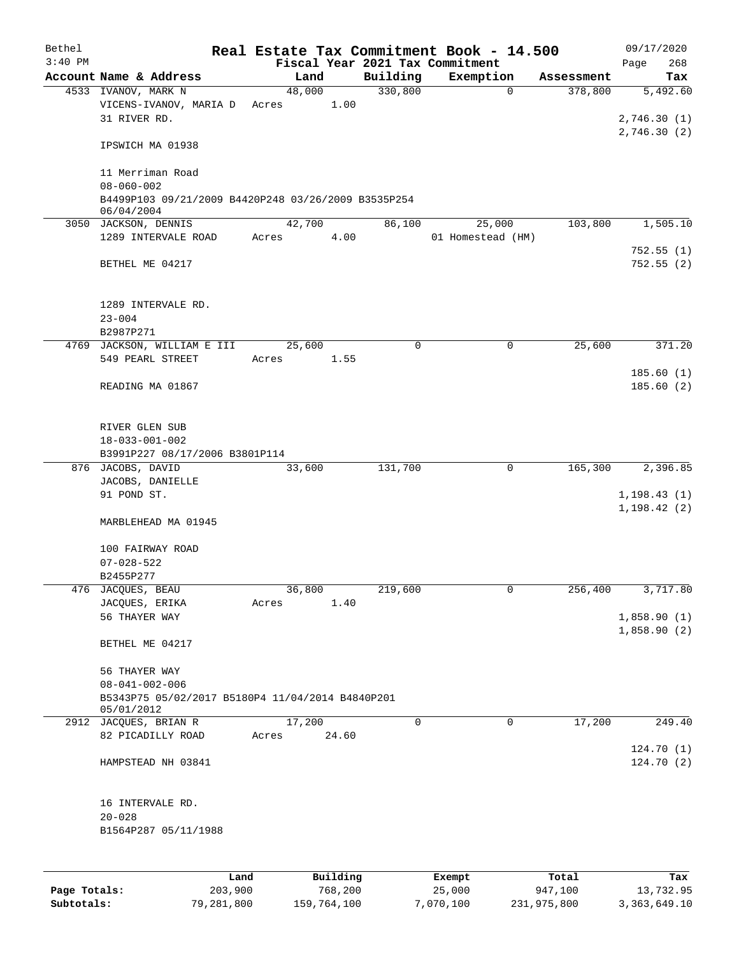| Bethel       |                                                                   |                 |          |             | Real Estate Tax Commitment Book - 14.500 |            | 09/17/2020                 |
|--------------|-------------------------------------------------------------------|-----------------|----------|-------------|------------------------------------------|------------|----------------------------|
| $3:40$ PM    |                                                                   |                 |          |             | Fiscal Year 2021 Tax Commitment          |            | 268<br>Page                |
|              | Account Name & Address                                            | Land            |          | Building    | Exemption                                | Assessment | Tax                        |
|              | 4533 IVANOV, MARK N<br>VICENS-IVANOV, MARIA D<br>31 RIVER RD.     | 48,000<br>Acres | 1.00     | 330,800     | $\mathbf 0$                              | 378,800    | 5,492.60<br>2,746.30(1)    |
|              | IPSWICH MA 01938                                                  |                 |          |             |                                          |            | 2,746.30(2)                |
|              | 11 Merriman Road<br>$08 - 060 - 002$                              |                 |          |             |                                          |            |                            |
|              | B4499P103 09/21/2009 B4420P248 03/26/2009 B3535P254<br>06/04/2004 |                 |          |             |                                          |            |                            |
|              | 3050 JACKSON, DENNIS                                              | 42,700          |          | 86,100      | 25,000                                   | 103,800    | 1,505.10                   |
|              | 1289 INTERVALE ROAD                                               | Acres           | 4.00     |             | 01 Homestead (HM)                        |            |                            |
|              | BETHEL ME 04217                                                   |                 |          |             |                                          |            | 752.55(1)<br>752.55(2)     |
|              | 1289 INTERVALE RD.<br>$23 - 004$                                  |                 |          |             |                                          |            |                            |
|              | B2987P271                                                         |                 |          |             |                                          |            |                            |
|              | 4769 JACKSON, WILLIAM E III<br>549 PEARL STREET                   | 25,600<br>Acres | 1.55     | $\mathbf 0$ | 0                                        | 25,600     | 371.20                     |
|              |                                                                   |                 |          |             |                                          |            | 185.60(1)                  |
|              | READING MA 01867                                                  |                 |          |             |                                          |            | 185.60(2)                  |
|              | RIVER GLEN SUB<br>$18 - 033 - 001 - 002$                          |                 |          |             |                                          |            |                            |
|              | B3991P227 08/17/2006 B3801P114                                    |                 |          |             |                                          |            |                            |
|              | 876 JACOBS, DAVID<br>JACOBS, DANIELLE                             | 33,600          |          | 131,700     | 0                                        | 165,300    | 2,396.85                   |
|              | 91 POND ST.                                                       |                 |          |             |                                          |            | 1, 198.43(1)               |
|              | MARBLEHEAD MA 01945                                               |                 |          |             |                                          |            | 1, 198.42(2)               |
|              |                                                                   |                 |          |             |                                          |            |                            |
|              | 100 FAIRWAY ROAD                                                  |                 |          |             |                                          |            |                            |
|              | $07 - 028 - 522$<br>B2455P277                                     |                 |          |             |                                          |            |                            |
|              | 476 JACQUES, BEAU                                                 | 36,800          |          | 219,600     | 0                                        | 256,400    | 3,717.80                   |
|              | JACQUES, ERIKA                                                    | Acres           | 1.40     |             |                                          |            |                            |
|              | 56 THAYER WAY                                                     |                 |          |             |                                          |            | 1,858.90(1)<br>1,858.90(2) |
|              | BETHEL ME 04217                                                   |                 |          |             |                                          |            |                            |
|              | 56 THAYER WAY                                                     |                 |          |             |                                          |            |                            |
|              | $08 - 041 - 002 - 006$                                            |                 |          |             |                                          |            |                            |
|              | B5343P75 05/02/2017 B5180P4 11/04/2014 B4840P201<br>05/01/2012    |                 |          |             |                                          |            |                            |
|              | 2912 JACQUES, BRIAN R                                             | 17,200          |          | $\mathbf 0$ | $\mathbf 0$                              | 17,200     | 249.40                     |
|              | 82 PICADILLY ROAD                                                 | Acres           | 24.60    |             |                                          |            | 124.70(1)                  |
|              | HAMPSTEAD NH 03841                                                |                 |          |             |                                          |            | 124.70(2)                  |
|              | 16 INTERVALE RD.                                                  |                 |          |             |                                          |            |                            |
|              | $20 - 028$                                                        |                 |          |             |                                          |            |                            |
|              | B1564P287 05/11/1988                                              |                 |          |             |                                          |            |                            |
|              |                                                                   |                 |          |             |                                          |            |                            |
|              | Land                                                              |                 | Building |             | Exempt                                   | Total      | Tax                        |
| Page Totals: | 203,900                                                           |                 | 768,200  |             | 25,000                                   | 947,100    | 13,732.95                  |

**Subtotals:** 79,281,800 159,764,100 7,070,100 231,975,800 3,363,649.10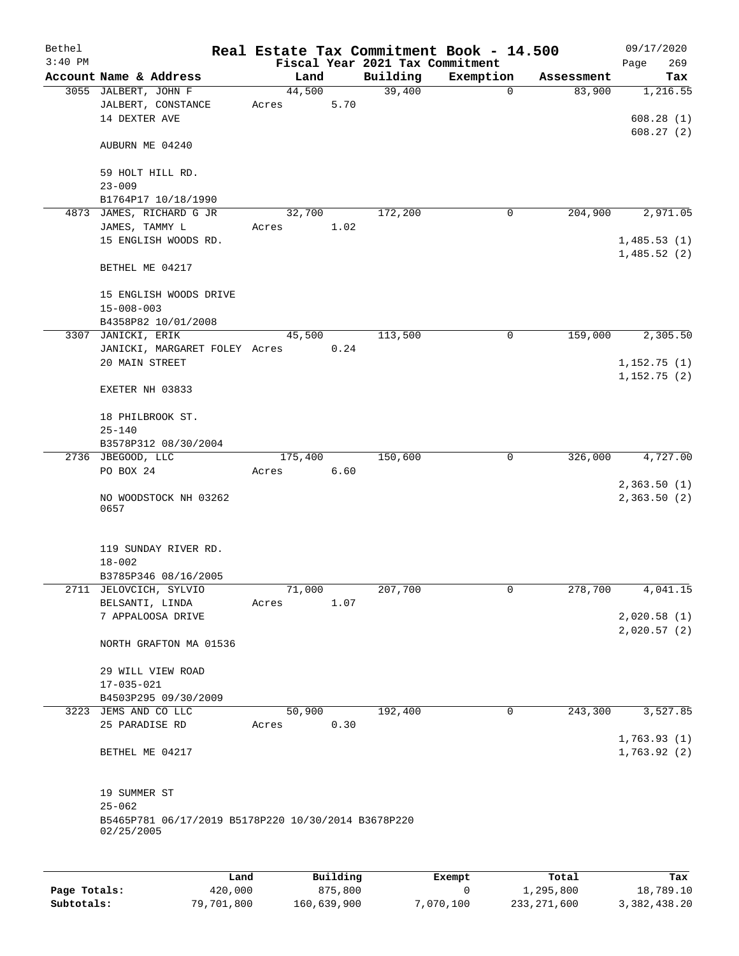| Bethel    |                                                                   |                 |          |                                 | Real Estate Tax Commitment Book - 14.500 |            | 09/17/2020                 |
|-----------|-------------------------------------------------------------------|-----------------|----------|---------------------------------|------------------------------------------|------------|----------------------------|
| $3:40$ PM |                                                                   |                 |          | Fiscal Year 2021 Tax Commitment |                                          |            | 269<br>Page                |
|           | Account Name & Address                                            |                 | Land     | Building                        | Exemption                                | Assessment | Tax                        |
|           | 3055 JALBERT, JOHN F<br>JALBERT, CONSTANCE<br>14 DEXTER AVE       | 44,500<br>Acres | 5.70     | 39,400                          | $\mathbf 0$                              | 83,900     | 1,216.55<br>608.28(1)      |
|           | AUBURN ME 04240                                                   |                 |          |                                 |                                          |            | 608.27(2)                  |
|           | 59 HOLT HILL RD.<br>$23 - 009$                                    |                 |          |                                 |                                          |            |                            |
|           | B1764P17 10/18/1990                                               |                 |          |                                 |                                          |            |                            |
|           | 4873 JAMES, RICHARD G JR                                          |                 | 32,700   | 172,200                         | 0                                        | 204,900    | 2,971.05                   |
|           | JAMES, TAMMY L                                                    | Acres           | 1.02     |                                 |                                          |            |                            |
|           | 15 ENGLISH WOODS RD.                                              |                 |          |                                 |                                          |            | 1,485.53(1)<br>1,485.52(2) |
|           | BETHEL ME 04217                                                   |                 |          |                                 |                                          |            |                            |
|           | 15 ENGLISH WOODS DRIVE<br>$15 - 008 - 003$                        |                 |          |                                 |                                          |            |                            |
|           | B4358P82 10/01/2008                                               |                 |          |                                 |                                          |            |                            |
|           | 3307 JANICKI, ERIK                                                |                 | 45,500   | 113,500                         | 0                                        | 159,000    | 2,305.50                   |
|           | JANICKI, MARGARET FOLEY Acres                                     |                 | 0.24     |                                 |                                          |            |                            |
|           | 20 MAIN STREET                                                    |                 |          |                                 |                                          |            | 1,152.75(1)                |
|           | EXETER NH 03833                                                   |                 |          |                                 |                                          |            | 1,152.75(2)                |
|           | 18 PHILBROOK ST.                                                  |                 |          |                                 |                                          |            |                            |
|           | $25 - 140$                                                        |                 |          |                                 |                                          |            |                            |
|           | B3578P312 08/30/2004                                              |                 |          |                                 |                                          |            |                            |
|           | 2736 JBEGOOD, LLC                                                 | 175,400         |          | 150,600                         | 0                                        | 326,000    | 4,727.00                   |
|           | PO BOX 24                                                         | Acres           | 6.60     |                                 |                                          |            |                            |
|           | NO WOODSTOCK NH 03262<br>0657                                     |                 |          |                                 |                                          |            | 2,363.50(1)<br>2,363.50(2) |
|           | 119 SUNDAY RIVER RD.<br>$18 - 002$                                |                 |          |                                 |                                          |            |                            |
|           | B3785P346 08/16/2005                                              |                 |          |                                 |                                          |            |                            |
|           | 2711 JELOVCICH, SYLVIO                                            | 71,000          |          | 207,700                         | 0                                        | 278,700    | 4,041.15                   |
|           | BELSANTI, LINDA<br>7 APPALOOSA DRIVE                              | Acres           | 1.07     |                                 |                                          |            | 2,020.58(1)                |
|           | NORTH GRAFTON MA 01536                                            |                 |          |                                 |                                          |            | 2,020.57(2)                |
|           | 29 WILL VIEW ROAD                                                 |                 |          |                                 |                                          |            |                            |
|           | $17 - 035 - 021$                                                  |                 |          |                                 |                                          |            |                            |
|           | B4503P295 09/30/2009<br>3223 JEMS AND CO LLC                      |                 | 50,900   | 192,400                         | $\mathbf 0$                              | 243,300    | 3,527.85                   |
|           | 25 PARADISE RD                                                    | Acres           | 0.30     |                                 |                                          |            |                            |
|           | BETHEL ME 04217                                                   |                 |          |                                 |                                          |            | 1,763.93(1)<br>1,763.92(2) |
|           | 19 SUMMER ST                                                      |                 |          |                                 |                                          |            |                            |
|           | $25 - 062$                                                        |                 |          |                                 |                                          |            |                            |
|           | B5465P781 06/17/2019 B5178P220 10/30/2014 B3678P220<br>02/25/2005 |                 |          |                                 |                                          |            |                            |
|           |                                                                   |                 |          |                                 |                                          |            |                            |
|           |                                                                   | Land            | Building |                                 | Exempt                                   | Total      | Tax                        |

|              | Land       | Building    | Exempt    | Total       | Tax          |
|--------------|------------|-------------|-----------|-------------|--------------|
| Page Totals: | 420,000    | 875,800     |           | 1,295,800   | 18,789.10    |
| Subtotals:   | 79,701,800 | 160,639,900 | 7,070,100 | 233,271,600 | 3,382,438.20 |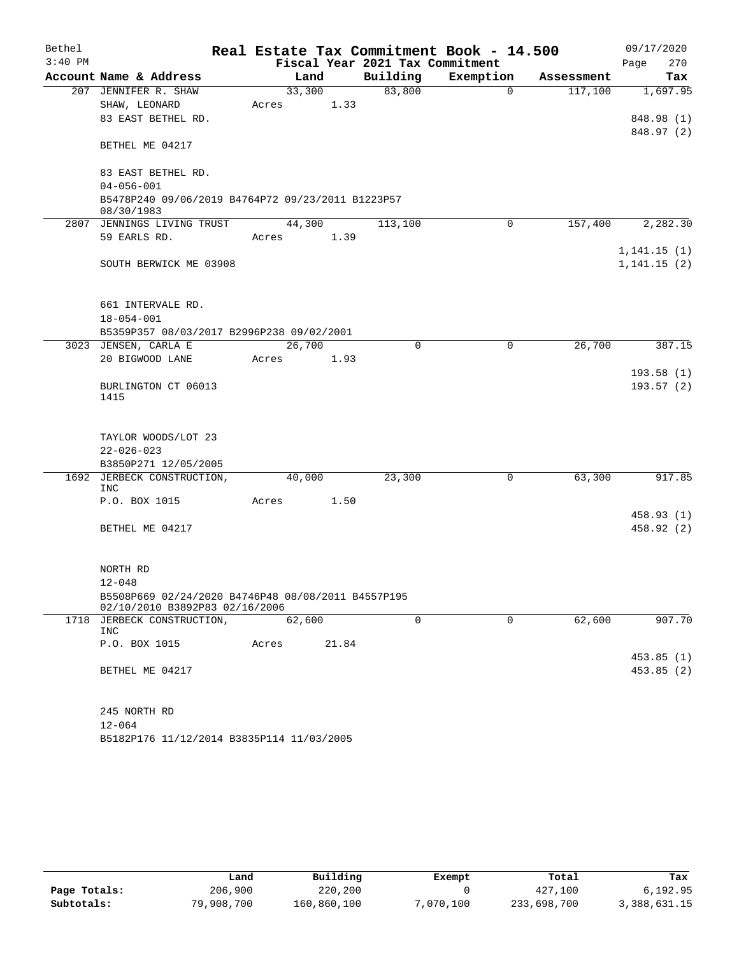| Bethel    |                                                                                      |       |        |       |                                 | Real Estate Tax Commitment Book - 14.500 |            | 09/17/2020               |
|-----------|--------------------------------------------------------------------------------------|-------|--------|-------|---------------------------------|------------------------------------------|------------|--------------------------|
| $3:40$ PM |                                                                                      |       |        |       | Fiscal Year 2021 Tax Commitment |                                          |            | 270<br>Page              |
|           | Account Name & Address                                                               |       | Land   |       | Building                        | Exemption                                | Assessment | Tax                      |
|           | 207 JENNIFER R. SHAW                                                                 |       | 33,300 |       | 83,800                          | $\mathbf 0$                              | 117,100    | 1,697.95                 |
|           | SHAW, LEONARD                                                                        | Acres |        | 1.33  |                                 |                                          |            |                          |
|           | 83 EAST BETHEL RD.                                                                   |       |        |       |                                 |                                          |            | 848.98 (1)<br>848.97 (2) |
|           | BETHEL ME 04217                                                                      |       |        |       |                                 |                                          |            |                          |
|           | 83 EAST BETHEL RD.                                                                   |       |        |       |                                 |                                          |            |                          |
|           | $04 - 056 - 001$<br>B5478P240 09/06/2019 B4764P72 09/23/2011 B1223P57                |       |        |       |                                 |                                          |            |                          |
|           | 08/30/1983<br>2807 JENNINGS LIVING TRUST                                             |       | 44,300 |       | 113,100                         | $\Omega$                                 | 157,400    | 2,282.30                 |
|           | 59 EARLS RD.                                                                         | Acres |        | 1.39  |                                 |                                          |            |                          |
|           |                                                                                      |       |        |       |                                 |                                          |            | 1,141.15(1)              |
|           | SOUTH BERWICK ME 03908                                                               |       |        |       |                                 |                                          |            | 1, 141.15(2)             |
|           | 661 INTERVALE RD.                                                                    |       |        |       |                                 |                                          |            |                          |
|           | $18 - 054 - 001$                                                                     |       |        |       |                                 |                                          |            |                          |
|           | B5359P357 08/03/2017 B2996P238 09/02/2001                                            |       |        |       |                                 |                                          |            |                          |
|           | 3023 JENSEN, CARLA E                                                                 |       | 26,700 |       | 0                               | $\mathbf 0$                              | 26,700     | 387.15                   |
|           | 20 BIGWOOD LANE                                                                      | Acres |        | 1.93  |                                 |                                          |            |                          |
|           |                                                                                      |       |        |       |                                 |                                          |            | 193.58(1)                |
|           | BURLINGTON CT 06013<br>1415                                                          |       |        |       |                                 |                                          |            | 193.57(2)                |
|           |                                                                                      |       |        |       |                                 |                                          |            |                          |
|           | TAYLOR WOODS/LOT 23                                                                  |       |        |       |                                 |                                          |            |                          |
|           | $22 - 026 - 023$                                                                     |       |        |       |                                 |                                          |            |                          |
|           | B3850P271 12/05/2005                                                                 |       |        |       |                                 |                                          |            |                          |
|           | 1692 JERBECK CONSTRUCTION,<br><b>INC</b>                                             |       | 40,000 |       | 23,300                          | 0                                        | 63,300     | 917.85                   |
|           | P.O. BOX 1015                                                                        | Acres |        | 1.50  |                                 |                                          |            |                          |
|           |                                                                                      |       |        |       |                                 |                                          |            | 458.93 (1)               |
|           | BETHEL ME 04217                                                                      |       |        |       |                                 |                                          |            | 458.92 (2)               |
|           | NORTH RD                                                                             |       |        |       |                                 |                                          |            |                          |
|           | $12 - 048$                                                                           |       |        |       |                                 |                                          |            |                          |
|           | B5508P669 02/24/2020 B4746P48 08/08/2011 B4557P195<br>02/10/2010 B3892P83 02/16/2006 |       |        |       |                                 |                                          |            |                          |
|           | 1718 JERBECK CONSTRUCTION,                                                           |       | 62,600 |       | $\mathbf 0$                     | $\mathbf 0$                              | 62,600     | 907.70                   |
|           | INC                                                                                  |       |        |       |                                 |                                          |            |                          |
|           | P.O. BOX 1015                                                                        | Acres |        | 21.84 |                                 |                                          |            | 453.85(1)                |
|           | BETHEL ME 04217                                                                      |       |        |       |                                 |                                          |            | 453.85 (2)               |
|           |                                                                                      |       |        |       |                                 |                                          |            |                          |
|           | 245 NORTH RD                                                                         |       |        |       |                                 |                                          |            |                          |
|           | $12 - 064$                                                                           |       |        |       |                                 |                                          |            |                          |
|           | B5182P176 11/12/2014 B3835P114 11/03/2005                                            |       |        |       |                                 |                                          |            |                          |

|              | Land       | Building    | Exempt    | Total       | Tax          |
|--------------|------------|-------------|-----------|-------------|--------------|
| Page Totals: | 206,900    | 220,200     |           | 427,100     | 6,192.95     |
| Subtotals:   | 79,908,700 | 160,860,100 | 7,070,100 | 233,698,700 | 3,388,631.15 |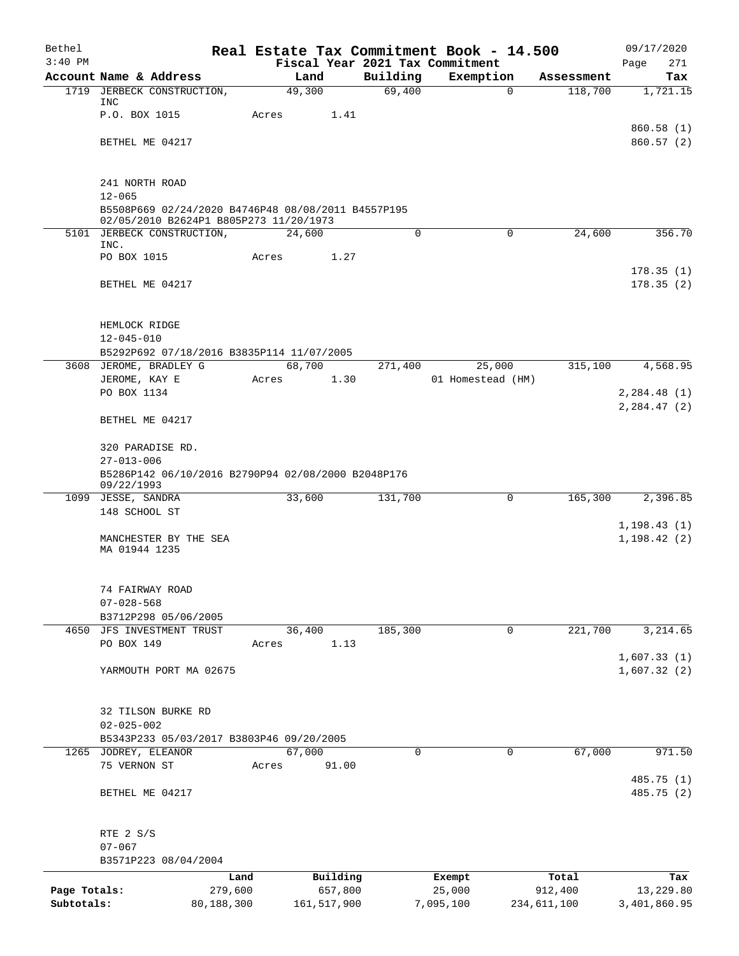| Bethel       |                                                                                              |            |        |               |          | Real Estate Tax Commitment Book - 14.500 |             |             | 09/17/2020              |
|--------------|----------------------------------------------------------------------------------------------|------------|--------|---------------|----------|------------------------------------------|-------------|-------------|-------------------------|
| $3:40$ PM    |                                                                                              |            |        |               |          | Fiscal Year 2021 Tax Commitment          |             |             | 271<br>Page             |
|              | Account Name & Address                                                                       |            | Land   |               | Building | Exemption                                |             | Assessment  | Tax                     |
|              | 1719 JERBECK CONSTRUCTION,<br>INC                                                            |            | 49,300 |               | 69,400   |                                          | 0           | 118,700     | 1,721.15                |
|              | P.O. BOX 1015                                                                                |            | Acres  | 1.41          |          |                                          |             |             |                         |
|              |                                                                                              |            |        |               |          |                                          |             |             | 860.58(1)               |
|              | BETHEL ME 04217                                                                              |            |        |               |          |                                          |             |             | 860.57(2)               |
|              | 241 NORTH ROAD                                                                               |            |        |               |          |                                          |             |             |                         |
|              | $12 - 065$                                                                                   |            |        |               |          |                                          |             |             |                         |
|              | B5508P669 02/24/2020 B4746P48 08/08/2011 B4557P195<br>02/05/2010 B2624P1 B805P273 11/20/1973 |            |        |               |          |                                          |             |             |                         |
|              | 5101 JERBECK CONSTRUCTION,                                                                   |            | 24,600 |               | 0        |                                          | $\mathbf 0$ | 24,600      | 356.70                  |
|              | INC.<br>PO BOX 1015                                                                          |            | Acres  | 1.27          |          |                                          |             |             |                         |
|              |                                                                                              |            |        |               |          |                                          |             |             | 178.35(1)               |
|              | BETHEL ME 04217                                                                              |            |        |               |          |                                          |             |             | 178.35(2)               |
|              | HEMLOCK RIDGE                                                                                |            |        |               |          |                                          |             |             |                         |
|              | $12 - 045 - 010$                                                                             |            |        |               |          |                                          |             |             |                         |
|              | B5292P692 07/18/2016 B3835P114 11/07/2005                                                    |            |        |               |          |                                          |             |             |                         |
|              | 3608 JEROME, BRADLEY G                                                                       |            | 68,700 |               | 271,400  | 25,000                                   |             | 315,100     | 4,568.95                |
|              | JEROME, KAY E                                                                                |            | Acres  | 1.30          |          | 01 Homestead (HM)                        |             |             |                         |
|              | PO BOX 1134                                                                                  |            |        |               |          |                                          |             |             | 2, 284.48(1)            |
|              | BETHEL ME 04217                                                                              |            |        |               |          |                                          |             |             | 2, 284.47 (2)           |
|              | 320 PARADISE RD.                                                                             |            |        |               |          |                                          |             |             |                         |
|              | $27 - 013 - 006$                                                                             |            |        |               |          |                                          |             |             |                         |
|              | B5286P142 06/10/2016 B2790P94 02/08/2000 B2048P176<br>09/22/1993                             |            |        |               |          |                                          |             |             |                         |
|              | 1099 JESSE, SANDRA                                                                           |            | 33,600 |               | 131,700  |                                          | $\Omega$    | 165,300     | 2,396.85                |
|              | 148 SCHOOL ST                                                                                |            |        |               |          |                                          |             |             |                         |
|              |                                                                                              |            |        |               |          |                                          |             |             | 1, 198.43(1)            |
|              | MANCHESTER BY THE SEA                                                                        |            |        |               |          |                                          |             |             | 1, 198.42(2)            |
|              | MA 01944 1235                                                                                |            |        |               |          |                                          |             |             |                         |
|              | 74 FAIRWAY ROAD                                                                              |            |        |               |          |                                          |             |             |                         |
|              | $07 - 028 - 568$                                                                             |            |        |               |          |                                          |             |             |                         |
|              | B3712P298 05/06/2005                                                                         |            |        |               |          |                                          |             |             |                         |
|              | 4650 JFS INVESTMENT TRUST                                                                    |            | 36,400 |               | 185,300  |                                          | 0           | 221,700     | 3,214.65                |
|              | PO BOX 149                                                                                   |            | Acres  | 1.13          |          |                                          |             |             |                         |
|              |                                                                                              |            |        |               |          |                                          |             |             | 1,607.33(1)             |
|              | YARMOUTH PORT MA 02675                                                                       |            |        |               |          |                                          |             |             | 1,607.32(2)             |
|              | 32 TILSON BURKE RD                                                                           |            |        |               |          |                                          |             |             |                         |
|              | $02 - 025 - 002$                                                                             |            |        |               |          |                                          |             |             |                         |
|              | B5343P233 05/03/2017 B3803P46 09/20/2005                                                     |            |        |               |          |                                          |             |             |                         |
|              | 1265 JODREY, ELEANOR                                                                         |            | 67,000 |               | $\Omega$ |                                          | $\Omega$    | 67,000      | 971.50                  |
|              | 75 VERNON ST                                                                                 |            | Acres  | 91.00         |          |                                          |             |             |                         |
|              | BETHEL ME 04217                                                                              |            |        |               |          |                                          |             |             | 485.75(1)<br>485.75 (2) |
|              |                                                                                              |            |        |               |          |                                          |             |             |                         |
|              | RTE 2 S/S<br>$07 - 067$                                                                      |            |        |               |          |                                          |             |             |                         |
|              | B3571P223 08/04/2004                                                                         |            |        |               |          |                                          |             |             |                         |
|              |                                                                                              | Land       |        | Building      |          | Exempt                                   |             | Total       | Tax                     |
| Page Totals: |                                                                                              | 279,600    |        | 657,800       |          | 25,000                                   |             | 912,400     | 13,229.80               |
| Subtotals:   |                                                                                              | 80,188,300 |        | 161, 517, 900 |          | 7,095,100                                |             | 234,611,100 | 3,401,860.95            |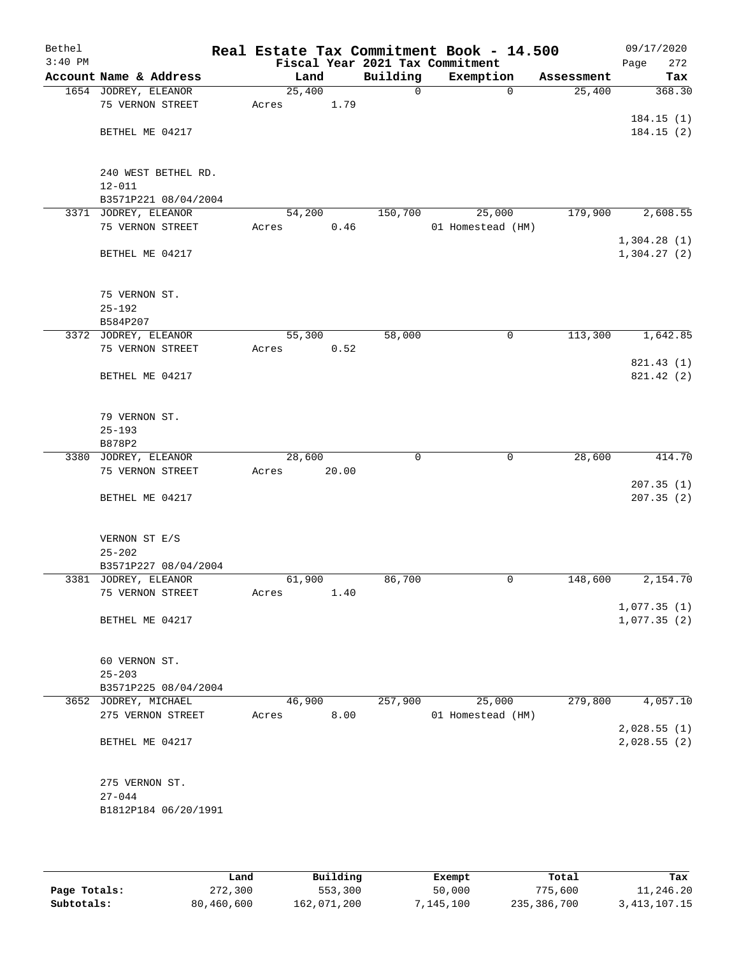| Bethel    |                        |        |       |             | Real Estate Tax Commitment Book - 14.500 |            | 09/17/2020                 |
|-----------|------------------------|--------|-------|-------------|------------------------------------------|------------|----------------------------|
| $3:40$ PM |                        |        |       |             | Fiscal Year 2021 Tax Commitment          |            | Page<br>272                |
|           | Account Name & Address | Land   |       | Building    | Exemption                                | Assessment | Tax                        |
|           | 1654 JODREY, ELEANOR   | 25,400 |       | $\mathbf 0$ | $\mathbf 0$                              | 25,400     | 368.30                     |
|           | 75 VERNON STREET       | Acres  | 1.79  |             |                                          |            |                            |
|           |                        |        |       |             |                                          |            | 184.15(1)                  |
|           | BETHEL ME 04217        |        |       |             |                                          |            | 184.15(2)                  |
|           |                        |        |       |             |                                          |            |                            |
|           |                        |        |       |             |                                          |            |                            |
|           | 240 WEST BETHEL RD.    |        |       |             |                                          |            |                            |
|           | $12 - 011$             |        |       |             |                                          |            |                            |
|           | B3571P221 08/04/2004   |        |       |             |                                          |            |                            |
|           | 3371 JODREY, ELEANOR   | 54,200 |       | 150,700     | 25,000                                   | 179,900    | 2,608.55                   |
|           | 75 VERNON STREET       | Acres  | 0.46  |             | 01 Homestead (HM)                        |            |                            |
|           |                        |        |       |             |                                          |            | 1,304.28(1)                |
|           | BETHEL ME 04217        |        |       |             |                                          |            | 1,304.27(2)                |
|           |                        |        |       |             |                                          |            |                            |
|           |                        |        |       |             |                                          |            |                            |
|           | 75 VERNON ST.          |        |       |             |                                          |            |                            |
|           | $25 - 192$             |        |       |             |                                          |            |                            |
|           | B584P207               |        |       |             |                                          |            |                            |
|           | 3372 JODREY, ELEANOR   | 55,300 |       | 58,000      | $\mathsf{O}$                             | 113,300    | 1,642.85                   |
|           | 75 VERNON STREET       | Acres  | 0.52  |             |                                          |            |                            |
|           |                        |        |       |             |                                          |            | 821.43 (1)                 |
|           | BETHEL ME 04217        |        |       |             |                                          |            | 821.42 (2)                 |
|           |                        |        |       |             |                                          |            |                            |
|           |                        |        |       |             |                                          |            |                            |
|           | 79 VERNON ST.          |        |       |             |                                          |            |                            |
|           | $25 - 193$             |        |       |             |                                          |            |                            |
|           | B878P2                 |        |       |             |                                          |            |                            |
|           | 3380 JODREY, ELEANOR   | 28,600 |       | 0           | 0                                        | 28,600     | 414.70                     |
|           | 75 VERNON STREET       | Acres  | 20.00 |             |                                          |            |                            |
|           |                        |        |       |             |                                          |            | 207.35(1)                  |
|           | BETHEL ME 04217        |        |       |             |                                          |            | 207.35(2)                  |
|           |                        |        |       |             |                                          |            |                            |
|           |                        |        |       |             |                                          |            |                            |
|           | VERNON ST E/S          |        |       |             |                                          |            |                            |
|           | $25 - 202$             |        |       |             |                                          |            |                            |
|           | B3571P227 08/04/2004   |        |       |             | 0                                        |            | 2,154.70                   |
|           | 3381 JODREY, ELEANOR   | 61,900 |       | 86,700      |                                          | 148,600    |                            |
|           | 75 VERNON STREET       | Acres  | 1.40  |             |                                          |            |                            |
|           | BETHEL ME 04217        |        |       |             |                                          |            | 1,077.35(1)<br>1,077.35(2) |
|           |                        |        |       |             |                                          |            |                            |
|           |                        |        |       |             |                                          |            |                            |
|           | 60 VERNON ST.          |        |       |             |                                          |            |                            |
|           | $25 - 203$             |        |       |             |                                          |            |                            |
|           | B3571P225 08/04/2004   |        |       |             |                                          |            |                            |
|           | 3652 JODREY, MICHAEL   | 46,900 |       | 257,900     | 25,000                                   | 279,800    | 4,057.10                   |
|           | 275 VERNON STREET      | Acres  | 8.00  |             | 01 Homestead (HM)                        |            |                            |
|           |                        |        |       |             |                                          |            | 2,028.55(1)                |
|           | BETHEL ME 04217        |        |       |             |                                          |            | 2,028.55(2)                |
|           |                        |        |       |             |                                          |            |                            |
|           |                        |        |       |             |                                          |            |                            |
|           | 275 VERNON ST.         |        |       |             |                                          |            |                            |
|           | $27 - 044$             |        |       |             |                                          |            |                            |
|           | B1812P184 06/20/1991   |        |       |             |                                          |            |                            |
|           |                        |        |       |             |                                          |            |                            |
|           |                        |        |       |             |                                          |            |                            |

|              | Land       | Building    | Exempt    | Total       | Tax          |
|--------------|------------|-------------|-----------|-------------|--------------|
| Page Totals: | 272,300    | 553,300     | 50,000    | 775,600     | 11,246.20    |
| Subtotals:   | 80,460,600 | 162,071,200 | 7,145,100 | 235,386,700 | 3,413,107.15 |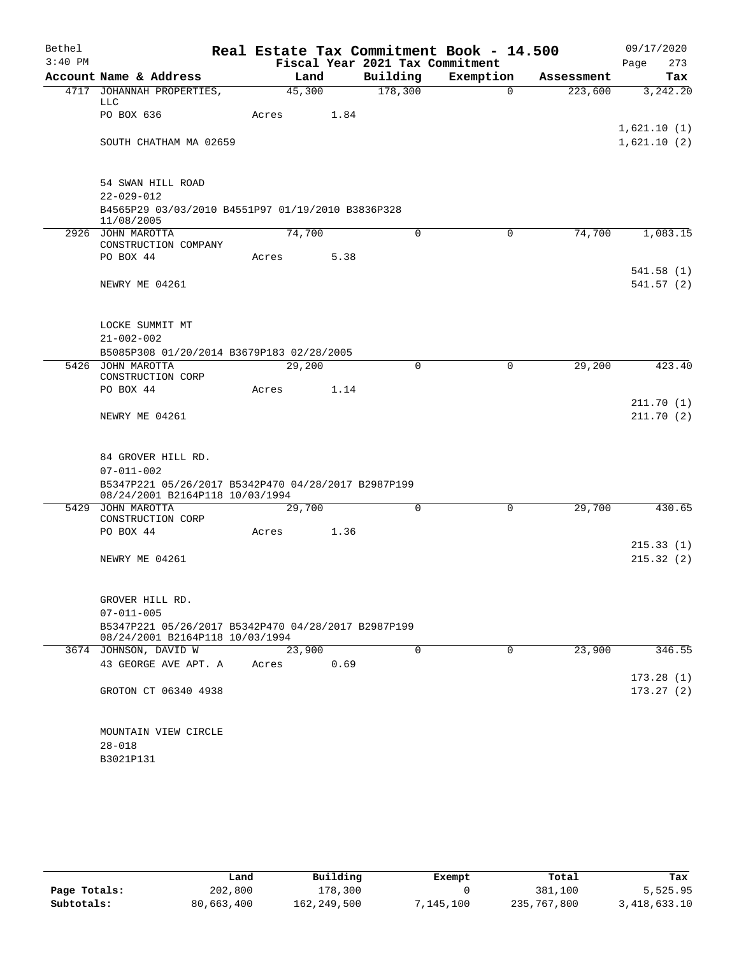| Bethel    |                                                                                                            |       |        |      |                                 | Real Estate Tax Commitment Book - 14.500 |            | 09/17/2020              |
|-----------|------------------------------------------------------------------------------------------------------------|-------|--------|------|---------------------------------|------------------------------------------|------------|-------------------------|
| $3:40$ PM |                                                                                                            |       |        |      | Fiscal Year 2021 Tax Commitment |                                          |            | 273<br>Page             |
|           | Account Name & Address                                                                                     |       | Land   |      | Building                        | Exemption                                | Assessment | Tax                     |
|           | 4717 JOHANNAH PROPERTIES,<br>LLC                                                                           |       | 45,300 |      | 178,300                         | $\Omega$                                 | 223,600    | 3,242.20                |
|           | PO BOX 636                                                                                                 | Acres |        | 1.84 |                                 |                                          |            | 1,621.10(1)             |
|           | SOUTH CHATHAM MA 02659                                                                                     |       |        |      |                                 |                                          |            | 1,621.10(2)             |
|           | 54 SWAN HILL ROAD<br>$22 - 029 - 012$                                                                      |       |        |      |                                 |                                          |            |                         |
|           | B4565P29 03/03/2010 B4551P97 01/19/2010 B3836P328<br>11/08/2005                                            |       |        |      |                                 |                                          |            |                         |
|           | 2926 JOHN MAROTTA<br>CONSTRUCTION COMPANY                                                                  |       | 74,700 |      | 0                               | 0                                        | 74,700     | 1,083.15                |
|           | PO BOX 44                                                                                                  | Acres |        | 5.38 |                                 |                                          |            |                         |
|           | NEWRY ME 04261                                                                                             |       |        |      |                                 |                                          |            | 541.58 (1)<br>541.57(2) |
|           | LOCKE SUMMIT MT<br>$21 - 002 - 002$                                                                        |       |        |      |                                 |                                          |            |                         |
|           | B5085P308 01/20/2014 B3679P183 02/28/2005                                                                  |       |        |      |                                 |                                          |            |                         |
|           | 5426 JOHN MAROTTA<br>CONSTRUCTION CORP                                                                     |       | 29,200 |      | 0                               | $\mathbf 0$                              | 29,200     | 423.40                  |
|           | PO BOX 44                                                                                                  | Acres |        | 1.14 |                                 |                                          |            |                         |
|           | NEWRY ME 04261                                                                                             |       |        |      |                                 |                                          |            | 211.70 (1)<br>211.70(2) |
|           | 84 GROVER HILL RD.<br>$07 - 011 - 002$                                                                     |       |        |      |                                 |                                          |            |                         |
|           | B5347P221 05/26/2017 B5342P470 04/28/2017 B2987P199<br>08/24/2001 B2164P118 10/03/1994                     |       |        |      |                                 |                                          |            |                         |
|           | 5429 JOHN MAROTTA<br>CONSTRUCTION CORP                                                                     |       | 29,700 |      | 0                               | 0                                        | 29,700     | 430.65                  |
|           | PO BOX 44                                                                                                  | Acres |        | 1.36 |                                 |                                          |            | 215.33(1)               |
|           | NEWRY ME 04261                                                                                             |       |        |      |                                 |                                          |            | 215.32(2)               |
|           | GROVER HILL RD.                                                                                            |       |        |      |                                 |                                          |            |                         |
|           | $07 - 011 - 005$<br>B5347P221 05/26/2017 B5342P470 04/28/2017 B2987P199<br>08/24/2001 B2164P118 10/03/1994 |       |        |      |                                 |                                          |            |                         |
|           | 3674 JOHNSON, DAVID W                                                                                      |       | 23,900 |      | $\Omega$                        | $\Omega$                                 | 23,900     | 346.55                  |
|           | 43 GEORGE AVE APT. A                                                                                       | Acres |        | 0.69 |                                 |                                          |            | 173.28(1)               |
|           | GROTON CT 06340 4938                                                                                       |       |        |      |                                 |                                          |            | 173.27(2)               |
|           | MOUNTAIN VIEW CIRCLE                                                                                       |       |        |      |                                 |                                          |            |                         |
|           | $28 - 018$<br>B3021P131                                                                                    |       |        |      |                                 |                                          |            |                         |
|           |                                                                                                            |       |        |      |                                 |                                          |            |                         |

|              | Land       | Building    | Exempt    | Total       | Tax            |
|--------------|------------|-------------|-----------|-------------|----------------|
| Page Totals: | 202,800    | 178,300     |           | 381,100     | 5,525.95       |
| Subtotals:   | 80,663,400 | 162,249,500 | 7,145,100 | 235,767,800 | 3, 418, 633.10 |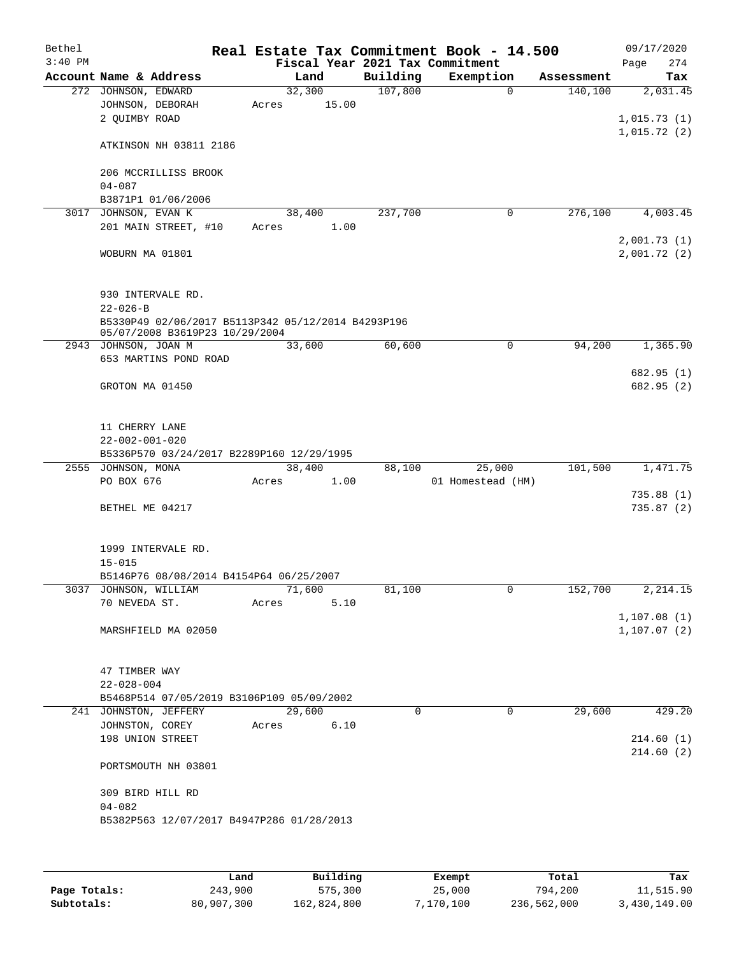| Bethel    |                        |                                                    |        |       |          | Real Estate Tax Commitment Book - 14.500 |             |            |                              | 09/17/2020 |
|-----------|------------------------|----------------------------------------------------|--------|-------|----------|------------------------------------------|-------------|------------|------------------------------|------------|
| $3:40$ PM |                        |                                                    |        |       |          | Fiscal Year 2021 Tax Commitment          |             |            | Page                         | 274        |
|           |                        | Account Name & Address                             |        | Land  | Building | Exemption                                |             | Assessment |                              | Tax        |
|           | 272 JOHNSON, EDWARD    |                                                    | 32,300 |       | 107,800  |                                          | $\Omega$    | 140,100    |                              | 2,031.45   |
|           |                        | JOHNSON, DEBORAH                                   | Acres  | 15.00 |          |                                          |             |            |                              |            |
|           | 2 QUIMBY ROAD          |                                                    |        |       |          |                                          |             |            | 1,015.73(1)                  |            |
|           |                        | ATKINSON NH 03811 2186                             |        |       |          |                                          |             |            | 1,015.72(2)                  |            |
|           |                        | 206 MCCRILLISS BROOK                               |        |       |          |                                          |             |            |                              |            |
|           | $04 - 087$             |                                                    |        |       |          |                                          |             |            |                              |            |
|           |                        | B3871P1 01/06/2006                                 |        |       |          |                                          |             |            |                              |            |
| 3017      | JOHNSON, EVAN K        |                                                    | 38,400 |       | 237,700  |                                          | $\mathbf 0$ | 276,100    |                              | 4,003.45   |
|           |                        | 201 MAIN STREET, #10                               | Acres  | 1.00  |          |                                          |             |            |                              |            |
|           |                        |                                                    |        |       |          |                                          |             |            | 2,001.73(1)                  |            |
|           |                        | WOBURN MA 01801                                    |        |       |          |                                          |             |            | 2,001.72(2)                  |            |
|           |                        | 930 INTERVALE RD.                                  |        |       |          |                                          |             |            |                              |            |
|           | $22 - 026 - B$         |                                                    |        |       |          |                                          |             |            |                              |            |
|           |                        | B5330P49 02/06/2017 B5113P342 05/12/2014 B4293P196 |        |       |          |                                          |             |            |                              |            |
|           |                        | 05/07/2008 B3619P23 10/29/2004                     |        |       |          |                                          |             |            |                              |            |
|           | 2943 JOHNSON, JOAN M   |                                                    | 33,600 |       | 60,600   |                                          | $\mathbf 0$ | 94,200     |                              | 1,365.90   |
|           |                        | 653 MARTINS POND ROAD                              |        |       |          |                                          |             |            |                              | 682.95 (1) |
|           |                        | GROTON MA 01450                                    |        |       |          |                                          |             |            |                              | 682.95 (2) |
|           |                        |                                                    |        |       |          |                                          |             |            |                              |            |
|           | 11 CHERRY LANE         |                                                    |        |       |          |                                          |             |            |                              |            |
|           | $22 - 002 - 001 - 020$ |                                                    |        |       |          |                                          |             |            |                              |            |
|           | 2555 JOHNSON, MONA     | B5336P570 03/24/2017 B2289P160 12/29/1995          | 38,400 |       | 88,100   | 25,000                                   |             | 101,500    |                              | 1,471.75   |
|           | PO BOX 676             |                                                    | Acres  | 1.00  |          | 01 Homestead (HM)                        |             |            |                              |            |
|           |                        |                                                    |        |       |          |                                          |             |            |                              | 735.88(1)  |
|           |                        | BETHEL ME 04217                                    |        |       |          |                                          |             |            |                              | 735.87(2)  |
|           |                        |                                                    |        |       |          |                                          |             |            |                              |            |
|           |                        |                                                    |        |       |          |                                          |             |            |                              |            |
|           |                        | 1999 INTERVALE RD.                                 |        |       |          |                                          |             |            |                              |            |
|           | $15 - 015$             |                                                    |        |       |          |                                          |             |            |                              |            |
|           |                        | B5146P76 08/08/2014 B4154P64 06/25/2007            |        |       |          |                                          |             |            |                              |            |
|           |                        | 3037 JOHNSON, WILLIAM                              | 71,600 |       | 81,100   |                                          | 0           | 152,700    |                              | 2, 214.15  |
|           | 70 NEVEDA ST.          |                                                    | Acres  | 5.10  |          |                                          |             |            |                              |            |
|           |                        | MARSHFIELD MA 02050                                |        |       |          |                                          |             |            | 1, 107.08(1)<br>1, 107.07(2) |            |
|           |                        |                                                    |        |       |          |                                          |             |            |                              |            |
|           |                        |                                                    |        |       |          |                                          |             |            |                              |            |
|           | 47 TIMBER WAY          |                                                    |        |       |          |                                          |             |            |                              |            |
|           | $22 - 028 - 004$       | B5468P514 07/05/2019 B3106P109 05/09/2002          |        |       |          |                                          |             |            |                              |            |
|           |                        | 241 JOHNSTON, JEFFERY                              | 29,600 |       | $\Omega$ |                                          | $\Omega$    | 29,600     |                              | 429.20     |
|           |                        | JOHNSTON, COREY                                    | Acres  | 6.10  |          |                                          |             |            |                              |            |
|           |                        | 198 UNION STREET                                   |        |       |          |                                          |             |            |                              | 214.60(1)  |
|           |                        |                                                    |        |       |          |                                          |             |            |                              | 214.60(2)  |
|           |                        | PORTSMOUTH NH 03801                                |        |       |          |                                          |             |            |                              |            |
|           |                        | 309 BIRD HILL RD                                   |        |       |          |                                          |             |            |                              |            |
|           | $04 - 082$             |                                                    |        |       |          |                                          |             |            |                              |            |
|           |                        | B5382P563 12/07/2017 B4947P286 01/28/2013          |        |       |          |                                          |             |            |                              |            |
|           |                        |                                                    |        |       |          |                                          |             |            |                              |            |
|           |                        |                                                    |        |       |          |                                          |             |            |                              |            |
|           |                        |                                                    |        |       |          |                                          |             |            |                              |            |

|              | Land       | Building    | Exempt    | Total       | Tax          |
|--------------|------------|-------------|-----------|-------------|--------------|
| Page Totals: | 243,900    | 575,300     | 25,000    | 794,200     | 11,515.90    |
| Subtotals:   | 80,907,300 | 162,824,800 | 7,170,100 | 236,562,000 | 3,430,149.00 |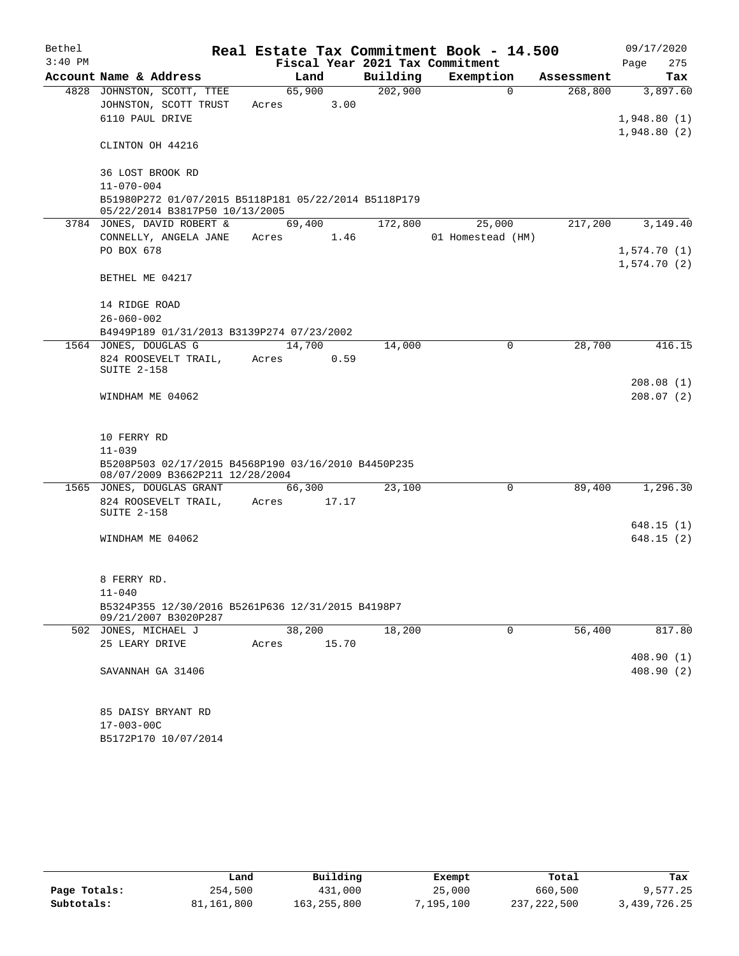| Bethel    |                                                                                        | Real Estate Tax Commitment Book - 14.500 |          |                   |            | 09/17/2020  |  |  |  |  |  |
|-----------|----------------------------------------------------------------------------------------|------------------------------------------|----------|-------------------|------------|-------------|--|--|--|--|--|
| $3:40$ PM |                                                                                        | Fiscal Year 2021 Tax Commitment          |          |                   |            | 275<br>Page |  |  |  |  |  |
|           | Account Name & Address                                                                 | Land                                     | Building | Exemption         | Assessment | Tax         |  |  |  |  |  |
|           | 4828 JOHNSTON, SCOTT, TTEE                                                             | 65,900                                   | 202,900  | $\Omega$          | 268,800    | 3,897.60    |  |  |  |  |  |
|           | JOHNSTON, SCOTT TRUST                                                                  | 3.00<br>Acres                            |          |                   |            |             |  |  |  |  |  |
|           | 6110 PAUL DRIVE                                                                        |                                          |          |                   |            | 1,948.80(1) |  |  |  |  |  |
|           |                                                                                        |                                          |          |                   |            | 1,948.80(2) |  |  |  |  |  |
|           | CLINTON OH 44216                                                                       |                                          |          |                   |            |             |  |  |  |  |  |
|           | 36 LOST BROOK RD                                                                       |                                          |          |                   |            |             |  |  |  |  |  |
|           | $11 - 070 - 004$                                                                       |                                          |          |                   |            |             |  |  |  |  |  |
|           | B51980P272 01/07/2015 B5118P181 05/22/2014 B5118P179<br>05/22/2014 B3817P50 10/13/2005 |                                          |          |                   |            |             |  |  |  |  |  |
|           | 3784 JONES, DAVID ROBERT &                                                             | 69,400                                   | 172,800  | 25,000            | 217,200    | 3,149.40    |  |  |  |  |  |
|           | CONNELLY, ANGELA JANE                                                                  | 1.46<br>Acres                            |          | 01 Homestead (HM) |            |             |  |  |  |  |  |
|           | PO BOX 678                                                                             |                                          |          |                   |            | 1,574.70(1) |  |  |  |  |  |
|           |                                                                                        |                                          |          |                   |            | 1,574.70(2) |  |  |  |  |  |
|           | BETHEL ME 04217                                                                        |                                          |          |                   |            |             |  |  |  |  |  |
|           |                                                                                        |                                          |          |                   |            |             |  |  |  |  |  |
|           | 14 RIDGE ROAD                                                                          |                                          |          |                   |            |             |  |  |  |  |  |
|           | $26 - 060 - 002$<br>B4949P189 01/31/2013 B3139P274 07/23/2002                          |                                          |          |                   |            |             |  |  |  |  |  |
|           | 1564 JONES, DOUGLAS G                                                                  | 14,700                                   | 14,000   | 0                 | 28,700     | 416.15      |  |  |  |  |  |
|           | 824 ROOSEVELT TRAIL,                                                                   | 0.59<br>Acres                            |          |                   |            |             |  |  |  |  |  |
|           | <b>SUITE 2-158</b>                                                                     |                                          |          |                   |            |             |  |  |  |  |  |
|           |                                                                                        |                                          |          |                   |            | 208.08(1)   |  |  |  |  |  |
|           | WINDHAM ME 04062                                                                       |                                          |          |                   |            | 208.07(2)   |  |  |  |  |  |
|           |                                                                                        |                                          |          |                   |            |             |  |  |  |  |  |
|           | 10 FERRY RD                                                                            |                                          |          |                   |            |             |  |  |  |  |  |
|           | $11 - 039$                                                                             |                                          |          |                   |            |             |  |  |  |  |  |
|           | B5208P503 02/17/2015 B4568P190 03/16/2010 B4450P235                                    |                                          |          |                   |            |             |  |  |  |  |  |
|           | 08/07/2009 B3662P211 12/28/2004                                                        |                                          |          |                   |            |             |  |  |  |  |  |
|           | 1565 JONES, DOUGLAS GRANT                                                              | 66,300                                   | 23,100   | 0                 | 89,400     | 1,296.30    |  |  |  |  |  |
|           | 824 ROOSEVELT TRAIL,                                                                   | Acres<br>17.17                           |          |                   |            |             |  |  |  |  |  |
|           | <b>SUITE 2-158</b>                                                                     |                                          |          |                   |            | 648.15(1)   |  |  |  |  |  |
|           | WINDHAM ME 04062                                                                       |                                          |          |                   |            | 648.15(2)   |  |  |  |  |  |
|           |                                                                                        |                                          |          |                   |            |             |  |  |  |  |  |
|           |                                                                                        |                                          |          |                   |            |             |  |  |  |  |  |
|           | 8 FERRY RD.                                                                            |                                          |          |                   |            |             |  |  |  |  |  |
|           | $11 - 040$                                                                             |                                          |          |                   |            |             |  |  |  |  |  |
|           | B5324P355 12/30/2016 B5261P636 12/31/2015 B4198P7                                      |                                          |          |                   |            |             |  |  |  |  |  |
|           | 09/21/2007 B3020P287<br>502 JONES, MICHAEL J                                           | 38,200                                   | 18,200   | 0                 | 56,400     | 817.80      |  |  |  |  |  |
|           | 25 LEARY DRIVE                                                                         | 15.70<br>Acres                           |          |                   |            |             |  |  |  |  |  |
|           |                                                                                        |                                          |          |                   |            | 408.90(1)   |  |  |  |  |  |
|           | SAVANNAH GA 31406                                                                      |                                          |          |                   |            | 408.90(2)   |  |  |  |  |  |
|           |                                                                                        |                                          |          |                   |            |             |  |  |  |  |  |
|           | 85 DAISY BRYANT RD                                                                     |                                          |          |                   |            |             |  |  |  |  |  |
|           | 17-003-00C                                                                             |                                          |          |                   |            |             |  |  |  |  |  |
|           | B5172P170 10/07/2014                                                                   |                                          |          |                   |            |             |  |  |  |  |  |

|              | Land       | Building    | Exempt    | Total       | Tax          |
|--------------|------------|-------------|-----------|-------------|--------------|
| Page Totals: | 254,500    | 431,000     | 25,000    | 660,500     | 9,577.25     |
| Subtotals:   | 81,161,800 | 163,255,800 | 7,195,100 | 237,222,500 | 3,439,726.25 |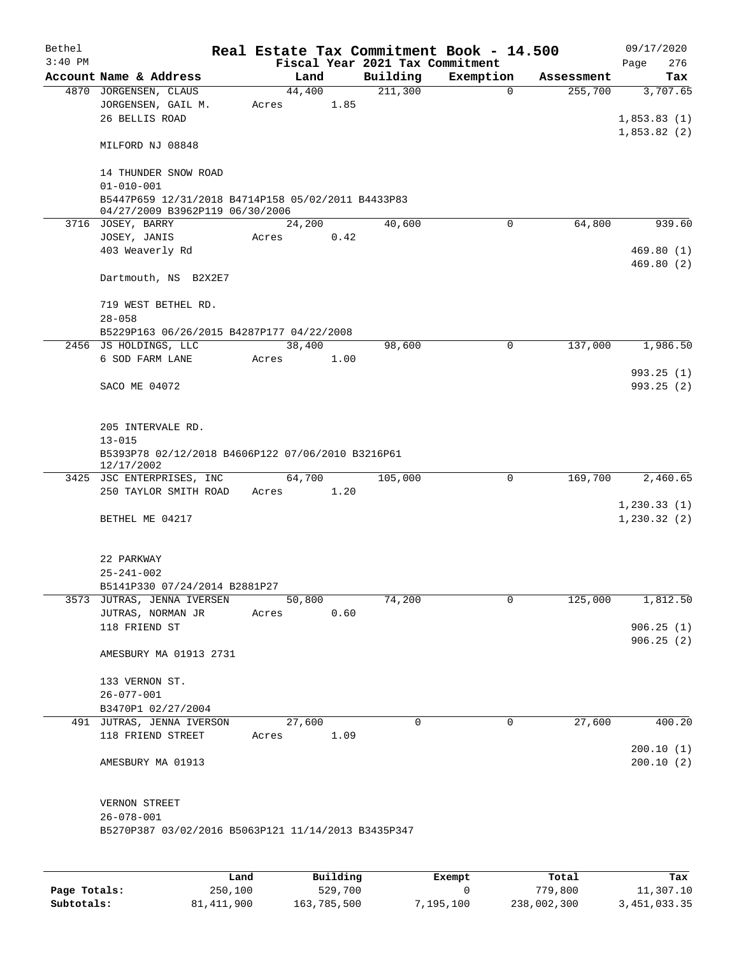| Bethel    |                                                      |       |        |      | Real Estate Tax Commitment Book - 14.500 |           |                           | 09/17/2020             |  |
|-----------|------------------------------------------------------|-------|--------|------|------------------------------------------|-----------|---------------------------|------------------------|--|
| $3:40$ PM |                                                      |       |        |      | Fiscal Year 2021 Tax Commitment          |           |                           | 276<br>Page            |  |
|           | Account Name & Address                               |       | Land   |      | Building<br>211,300                      | Exemption | Assessment<br>$\mathbf 0$ | Tax                    |  |
|           | 4870 JORGENSEN, CLAUS<br>JORGENSEN, GAIL M.          | Acres | 44,400 | 1.85 |                                          |           | 255,700                   | 3,707.65               |  |
|           | 26 BELLIS ROAD                                       |       |        |      |                                          |           |                           | 1,853.83(1)            |  |
|           |                                                      |       |        |      |                                          |           |                           | 1,853.82(2)            |  |
|           | MILFORD NJ 08848                                     |       |        |      |                                          |           |                           |                        |  |
|           |                                                      |       |        |      |                                          |           |                           |                        |  |
|           | 14 THUNDER SNOW ROAD                                 |       |        |      |                                          |           |                           |                        |  |
|           | $01 - 010 - 001$                                     |       |        |      |                                          |           |                           |                        |  |
|           | B5447P659 12/31/2018 B4714P158 05/02/2011 B4433P83   |       |        |      |                                          |           |                           |                        |  |
|           | 04/27/2009 B3962P119 06/30/2006<br>3716 JOSEY, BARRY |       | 24,200 |      | 40,600                                   |           | 64,800<br>$\Omega$        | 939.60                 |  |
|           | JOSEY, JANIS                                         | Acres |        | 0.42 |                                          |           |                           |                        |  |
|           | 403 Weaverly Rd                                      |       |        |      |                                          |           |                           | 469.80(1)              |  |
|           |                                                      |       |        |      |                                          |           |                           | 469.80(2)              |  |
|           | Dartmouth, NS B2X2E7                                 |       |        |      |                                          |           |                           |                        |  |
|           |                                                      |       |        |      |                                          |           |                           |                        |  |
|           | 719 WEST BETHEL RD.                                  |       |        |      |                                          |           |                           |                        |  |
|           | $28 - 058$                                           |       |        |      |                                          |           |                           |                        |  |
|           | B5229P163 06/26/2015 B4287P177 04/22/2008            |       |        |      |                                          |           |                           |                        |  |
|           | 2456 JS HOLDINGS, LLC                                |       | 38,400 |      | 98,600                                   |           | 137,000<br>0              | 1,986.50               |  |
|           | 6 SOD FARM LANE                                      | Acres |        | 1.00 |                                          |           |                           | 993.25(1)              |  |
|           | SACO ME 04072                                        |       |        |      |                                          |           |                           | 993.25(2)              |  |
|           |                                                      |       |        |      |                                          |           |                           |                        |  |
|           |                                                      |       |        |      |                                          |           |                           |                        |  |
|           | 205 INTERVALE RD.                                    |       |        |      |                                          |           |                           |                        |  |
|           | $13 - 015$                                           |       |        |      |                                          |           |                           |                        |  |
|           | B5393P78 02/12/2018 B4606P122 07/06/2010 B3216P61    |       |        |      |                                          |           |                           |                        |  |
|           | 12/17/2002<br>3425 JSC ENTERPRISES, INC              |       | 64,700 |      | 105,000                                  |           | 0<br>169,700              | 2,460.65               |  |
|           | 250 TAYLOR SMITH ROAD                                | Acres | 1.20   |      |                                          |           |                           |                        |  |
|           |                                                      |       |        |      |                                          |           |                           | 1,230.33(1)            |  |
|           | BETHEL ME 04217                                      |       |        |      |                                          |           |                           | 1, 230.32(2)           |  |
|           |                                                      |       |        |      |                                          |           |                           |                        |  |
|           |                                                      |       |        |      |                                          |           |                           |                        |  |
|           | 22 PARKWAY                                           |       |        |      |                                          |           |                           |                        |  |
|           | $25 - 241 - 002$                                     |       |        |      |                                          |           |                           |                        |  |
|           | B5141P330 07/24/2014 B2881P27                        |       |        |      |                                          |           |                           |                        |  |
|           | 3573 JUTRAS, JENNA IVERSEN                           |       | 50,800 |      | 74,200                                   |           | 0<br>125,000              | 1,812.50               |  |
|           | JUTRAS, NORMAN JR<br>118 FRIEND ST                   | Acres |        | 0.60 |                                          |           |                           | 906.25(1)              |  |
|           |                                                      |       |        |      |                                          |           |                           | 906.25(2)              |  |
|           | AMESBURY MA 01913 2731                               |       |        |      |                                          |           |                           |                        |  |
|           |                                                      |       |        |      |                                          |           |                           |                        |  |
|           | 133 VERNON ST.                                       |       |        |      |                                          |           |                           |                        |  |
|           | 26-077-001                                           |       |        |      |                                          |           |                           |                        |  |
|           | B3470P1 02/27/2004                                   |       |        |      |                                          |           |                           |                        |  |
|           | 491 JUTRAS, JENNA IVERSON                            |       | 27,600 |      | 0                                        |           | $\mathbf 0$<br>27,600     | 400.20                 |  |
|           | 118 FRIEND STREET                                    | Acres |        | 1.09 |                                          |           |                           |                        |  |
|           | AMESBURY MA 01913                                    |       |        |      |                                          |           |                           | 200.10(1)<br>200.10(2) |  |
|           |                                                      |       |        |      |                                          |           |                           |                        |  |
|           |                                                      |       |        |      |                                          |           |                           |                        |  |
|           | VERNON STREET                                        |       |        |      |                                          |           |                           |                        |  |
|           | $26 - 078 - 001$                                     |       |        |      |                                          |           |                           |                        |  |
|           | B5270P387 03/02/2016 B5063P121 11/14/2013 B3435P347  |       |        |      |                                          |           |                           |                        |  |
|           |                                                      |       |        |      |                                          |           |                           |                        |  |
|           |                                                      |       |        |      |                                          |           |                           |                        |  |

|              | Land         | Building    | Exempt    | Total       | Tax          |
|--------------|--------------|-------------|-----------|-------------|--------------|
| Page Totals: | 250,100      | 529,700     |           | 779.800     | 11,307.10    |
| Subtotals:   | 81, 411, 900 | 163,785,500 | 7,195,100 | 238,002,300 | 3,451,033.35 |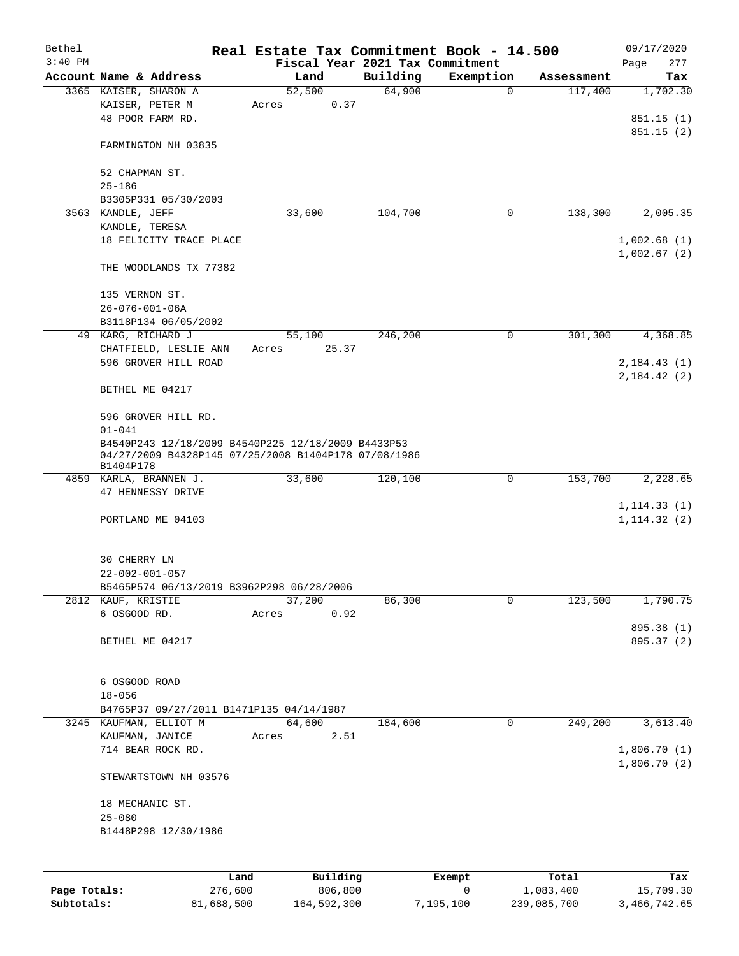| Bethel    |                                                                                                            | Real Estate Tax Commitment Book - 14.500 |          |             |            | 09/17/2020   |  |  |  |  |
|-----------|------------------------------------------------------------------------------------------------------------|------------------------------------------|----------|-------------|------------|--------------|--|--|--|--|
| $3:40$ PM |                                                                                                            | Fiscal Year 2021 Tax Commitment          |          |             |            | Page<br>277  |  |  |  |  |
|           | Account Name & Address                                                                                     | Land                                     | Building | Exemption   | Assessment | Tax          |  |  |  |  |
|           | 3365 KAISER, SHARON A                                                                                      | 52,500                                   | 64,900   | $\mathbf 0$ | 117,400    | 1,702.30     |  |  |  |  |
|           | KAISER, PETER M                                                                                            | 0.37<br>Acres                            |          |             |            |              |  |  |  |  |
|           | 48 POOR FARM RD.                                                                                           |                                          |          |             |            | 851.15(1)    |  |  |  |  |
|           | FARMINGTON NH 03835                                                                                        |                                          |          |             |            | 851.15(2)    |  |  |  |  |
|           | 52 CHAPMAN ST.                                                                                             |                                          |          |             |            |              |  |  |  |  |
|           | $25 - 186$                                                                                                 |                                          |          |             |            |              |  |  |  |  |
|           | B3305P331 05/30/2003                                                                                       |                                          |          |             |            |              |  |  |  |  |
|           | 3563 KANDLE, JEFF                                                                                          | 33,600                                   | 104,700  | 0           | 138,300    | 2,005.35     |  |  |  |  |
|           | KANDLE, TERESA                                                                                             |                                          |          |             |            |              |  |  |  |  |
|           | 18 FELICITY TRACE PLACE                                                                                    |                                          |          |             |            | 1,002.68(1)  |  |  |  |  |
|           |                                                                                                            |                                          |          |             |            | 1,002.67(2)  |  |  |  |  |
|           | THE WOODLANDS TX 77382                                                                                     |                                          |          |             |            |              |  |  |  |  |
|           |                                                                                                            |                                          |          |             |            |              |  |  |  |  |
|           | 135 VERNON ST.<br>$26 - 076 - 001 - 06A$                                                                   |                                          |          |             |            |              |  |  |  |  |
|           | B3118P134 06/05/2002                                                                                       |                                          |          |             |            |              |  |  |  |  |
|           | 49 KARG, RICHARD J                                                                                         | 55,100                                   | 246,200  | 0           | 301,300    | 4,368.85     |  |  |  |  |
|           | CHATFIELD, LESLIE ANN                                                                                      | 25.37<br>Acres                           |          |             |            |              |  |  |  |  |
|           | 596 GROVER HILL ROAD                                                                                       |                                          |          |             |            | 2,184.43(1)  |  |  |  |  |
|           |                                                                                                            |                                          |          |             |            | 2,184.42(2)  |  |  |  |  |
|           | BETHEL ME 04217                                                                                            |                                          |          |             |            |              |  |  |  |  |
|           | 596 GROVER HILL RD.                                                                                        |                                          |          |             |            |              |  |  |  |  |
|           | $01 - 041$                                                                                                 |                                          |          |             |            |              |  |  |  |  |
|           | B4540P243 12/18/2009 B4540P225 12/18/2009 B4433P53<br>04/27/2009 B4328P145 07/25/2008 B1404P178 07/08/1986 |                                          |          |             |            |              |  |  |  |  |
|           |                                                                                                            |                                          |          |             |            |              |  |  |  |  |
|           | B1404P178<br>4859 KARLA, BRANNEN J.                                                                        | 33,600                                   | 120,100  | 0           | 153,700    | 2,228.65     |  |  |  |  |
|           | 47 HENNESSY DRIVE                                                                                          |                                          |          |             |            |              |  |  |  |  |
|           |                                                                                                            |                                          |          |             |            | 1, 114.33(1) |  |  |  |  |
|           | PORTLAND ME 04103                                                                                          |                                          |          |             |            | 1, 114.32(2) |  |  |  |  |
|           |                                                                                                            |                                          |          |             |            |              |  |  |  |  |
|           | 30 CHERRY LN                                                                                               |                                          |          |             |            |              |  |  |  |  |
|           | $22 - 002 - 001 - 057$                                                                                     |                                          |          |             |            |              |  |  |  |  |
|           | B5465P574 06/13/2019 B3962P298 06/28/2006                                                                  |                                          |          |             |            |              |  |  |  |  |
|           | 2812 KAUF, KRISTIE                                                                                         | 37,200                                   | 86,300   | 0           | 123,500    | 1,790.75     |  |  |  |  |
|           | 6 OSGOOD RD.                                                                                               | 0.92<br>Acres                            |          |             |            |              |  |  |  |  |
|           |                                                                                                            |                                          |          |             |            | 895.38 (1)   |  |  |  |  |
|           | BETHEL ME 04217                                                                                            |                                          |          |             |            | 895.37 (2)   |  |  |  |  |
|           |                                                                                                            |                                          |          |             |            |              |  |  |  |  |
|           |                                                                                                            |                                          |          |             |            |              |  |  |  |  |
|           | 6 OSGOOD ROAD                                                                                              |                                          |          |             |            |              |  |  |  |  |
|           | $18 - 056$                                                                                                 |                                          |          |             |            |              |  |  |  |  |
|           | B4765P37 09/27/2011 B1471P135 04/14/1987                                                                   |                                          |          |             |            |              |  |  |  |  |
|           | 3245 KAUFMAN, ELLIOT M                                                                                     | 64,600                                   | 184,600  | 0           | 249,200    | 3,613.40     |  |  |  |  |
|           | KAUFMAN, JANICE                                                                                            | 2.51<br>Acres                            |          |             |            |              |  |  |  |  |
|           | 714 BEAR ROCK RD.                                                                                          |                                          |          |             |            | 1,806.70(1)  |  |  |  |  |
|           | STEWARTSTOWN NH 03576                                                                                      |                                          |          |             |            | 1,806.70(2)  |  |  |  |  |
|           |                                                                                                            |                                          |          |             |            |              |  |  |  |  |
|           | 18 MECHANIC ST.                                                                                            |                                          |          |             |            |              |  |  |  |  |
|           | $25 - 080$                                                                                                 |                                          |          |             |            |              |  |  |  |  |
|           | B1448P298 12/30/1986                                                                                       |                                          |          |             |            |              |  |  |  |  |
|           |                                                                                                            |                                          |          |             |            |              |  |  |  |  |
|           | Land                                                                                                       | Building                                 |          | Exempt      | Total      | Tax          |  |  |  |  |

|              | Land       | Building    | Exempt    | Total       | Tax          |
|--------------|------------|-------------|-----------|-------------|--------------|
| Page Totals: | 276,600    | 806,800     |           | 1,083,400   | 15,709.30    |
| Subtotals:   | 81,688,500 | 164,592,300 | 7,195,100 | 239,085,700 | 3,466,742.65 |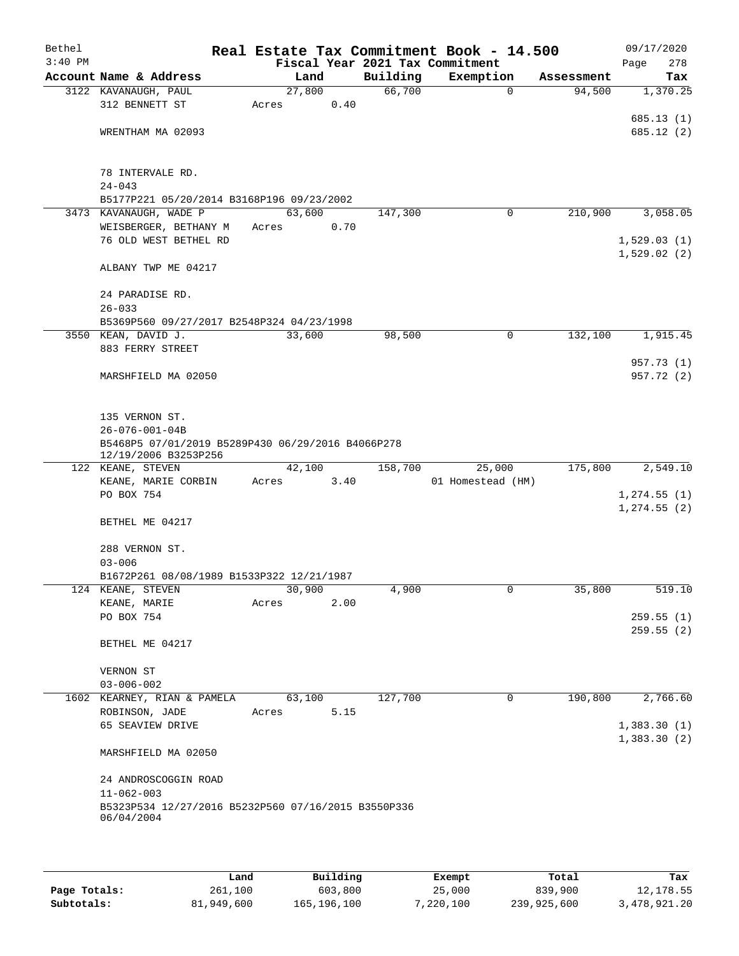| Bethel<br>$3:40$ PM |                                                     |        |      |          | Real Estate Tax Commitment Book - 14.500<br>Fiscal Year 2021 Tax Commitment |            | 09/17/2020<br>278<br>Page |
|---------------------|-----------------------------------------------------|--------|------|----------|-----------------------------------------------------------------------------|------------|---------------------------|
|                     | Account Name & Address                              | Land   |      | Building | Exemption                                                                   | Assessment | Tax                       |
|                     | 3122 KAVANAUGH, PAUL                                | 27,800 |      | 66,700   | $\mathbf 0$                                                                 | 94,500     | 1,370.25                  |
|                     | 312 BENNETT ST                                      | Acres  | 0.40 |          |                                                                             |            |                           |
|                     |                                                     |        |      |          |                                                                             |            | 685.13 (1)                |
|                     | WRENTHAM MA 02093                                   |        |      |          |                                                                             |            | 685.12(2)                 |
|                     |                                                     |        |      |          |                                                                             |            |                           |
|                     |                                                     |        |      |          |                                                                             |            |                           |
|                     | 78 INTERVALE RD.<br>$24 - 043$                      |        |      |          |                                                                             |            |                           |
|                     | B5177P221 05/20/2014 B3168P196 09/23/2002           |        |      |          |                                                                             |            |                           |
|                     | 3473 KAVANAUGH, WADE P                              | 63,600 |      | 147,300  | 0                                                                           | 210,900    | 3,058.05                  |
|                     | WEISBERGER, BETHANY M                               | Acres  | 0.70 |          |                                                                             |            |                           |
|                     | 76 OLD WEST BETHEL RD                               |        |      |          |                                                                             |            | 1,529.03(1)               |
|                     |                                                     |        |      |          |                                                                             |            | 1,529.02(2)               |
|                     | ALBANY TWP ME 04217                                 |        |      |          |                                                                             |            |                           |
|                     |                                                     |        |      |          |                                                                             |            |                           |
|                     | 24 PARADISE RD.                                     |        |      |          |                                                                             |            |                           |
|                     | $26 - 033$                                          |        |      |          |                                                                             |            |                           |
|                     | B5369P560 09/27/2017 B2548P324 04/23/1998           |        |      |          |                                                                             |            |                           |
|                     | 3550 KEAN, DAVID J.                                 | 33,600 |      | 98,500   | $\mathbf 0$                                                                 | 132,100    | 1,915.45                  |
|                     | 883 FERRY STREET                                    |        |      |          |                                                                             |            |                           |
|                     |                                                     |        |      |          |                                                                             |            | 957.73 (1)<br>957.72 (2)  |
|                     | MARSHFIELD MA 02050                                 |        |      |          |                                                                             |            |                           |
|                     |                                                     |        |      |          |                                                                             |            |                           |
|                     | 135 VERNON ST.                                      |        |      |          |                                                                             |            |                           |
|                     | $26 - 076 - 001 - 04B$                              |        |      |          |                                                                             |            |                           |
|                     | B5468P5 07/01/2019 B5289P430 06/29/2016 B4066P278   |        |      |          |                                                                             |            |                           |
|                     | 12/19/2006 B3253P256                                |        |      |          |                                                                             |            |                           |
|                     | 122 KEANE, STEVEN                                   | 42,100 |      | 158,700  | 25,000                                                                      | 175,800    | 2,549.10                  |
|                     | KEANE, MARIE CORBIN                                 | Acres  | 3.40 |          | 01 Homestead (HM)                                                           |            |                           |
|                     | PO BOX 754                                          |        |      |          |                                                                             |            | 1, 274.55(1)              |
|                     |                                                     |        |      |          |                                                                             |            | 1, 274.55(2)              |
|                     | BETHEL ME 04217                                     |        |      |          |                                                                             |            |                           |
|                     | 288 VERNON ST.                                      |        |      |          |                                                                             |            |                           |
|                     | $03 - 006$                                          |        |      |          |                                                                             |            |                           |
|                     | B1672P261 08/08/1989 B1533P322 12/21/1987           |        |      |          |                                                                             |            |                           |
|                     | 124 KEANE, STEVEN                                   | 30,900 |      | 4,900    | $\overline{0}$                                                              | 35,800     | 519.10                    |
|                     | KEANE, MARIE                                        | Acres  | 2.00 |          |                                                                             |            |                           |
|                     | PO BOX 754                                          |        |      |          |                                                                             |            | 259.55(1)                 |
|                     |                                                     |        |      |          |                                                                             |            | 259.55 (2)                |
|                     | BETHEL ME 04217                                     |        |      |          |                                                                             |            |                           |
|                     |                                                     |        |      |          |                                                                             |            |                           |
|                     | VERNON ST                                           |        |      |          |                                                                             |            |                           |
|                     | $03 - 006 - 002$                                    |        |      |          |                                                                             |            |                           |
|                     | 1602 KEARNEY, RIAN & PAMELA                         | 63,100 |      | 127,700  | 0                                                                           | 190,800    | 2,766.60                  |
|                     | ROBINSON, JADE<br>65 SEAVIEW DRIVE                  | Acres  | 5.15 |          |                                                                             |            | 1,383.30(1)               |
|                     |                                                     |        |      |          |                                                                             |            | 1,383.30(2)               |
|                     | MARSHFIELD MA 02050                                 |        |      |          |                                                                             |            |                           |
|                     |                                                     |        |      |          |                                                                             |            |                           |
|                     | 24 ANDROSCOGGIN ROAD<br>$11 - 062 - 003$            |        |      |          |                                                                             |            |                           |
|                     | B5323P534 12/27/2016 B5232P560 07/16/2015 B3550P336 |        |      |          |                                                                             |            |                           |
|                     | 06/04/2004                                          |        |      |          |                                                                             |            |                           |
|                     |                                                     |        |      |          |                                                                             |            |                           |
|                     |                                                     |        |      |          |                                                                             |            |                           |

|              | Land       | Building    | Exempt    | Total       | Tax          |
|--------------|------------|-------------|-----------|-------------|--------------|
| Page Totals: | 261,100    | 603,800     | 25,000    | 839,900     | 12,178.55    |
| Subtotals:   | 81,949,600 | 165,196,100 | 7,220,100 | 239,925,600 | 3,478,921.20 |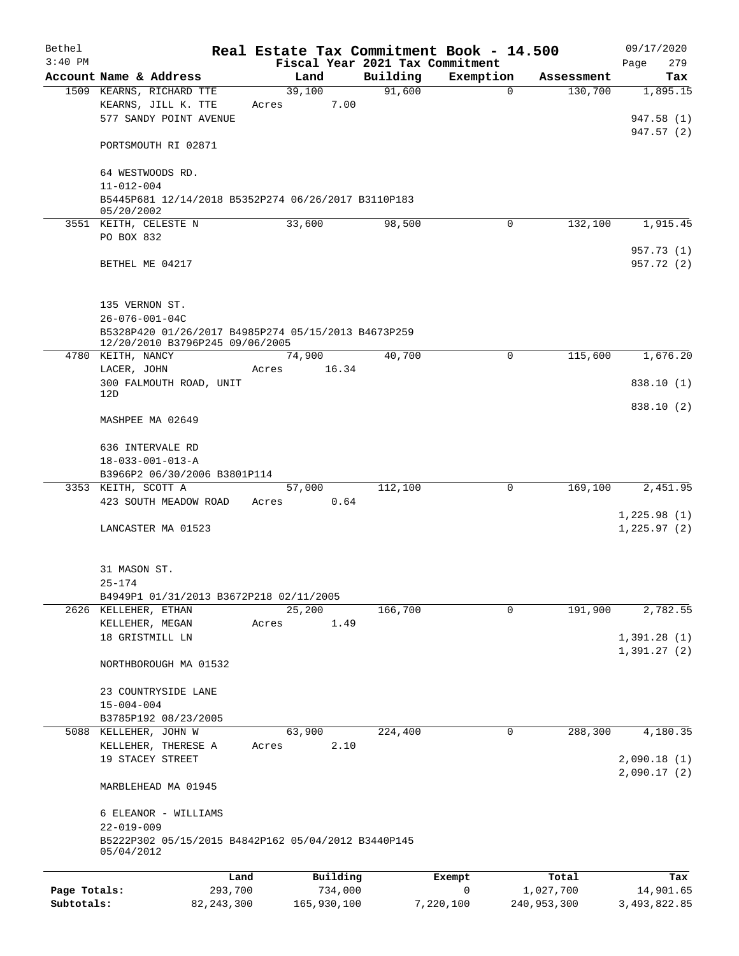| Bethel       |                                                                         | Real Estate Tax Commitment Book - 14.500 |          |                          |                       | 09/17/2020       |
|--------------|-------------------------------------------------------------------------|------------------------------------------|----------|--------------------------|-----------------------|------------------|
| $3:40$ PM    | Account Name & Address                                                  | Fiscal Year 2021 Tax Commitment          | Building |                          |                       | 279<br>Page      |
|              | 1509 KEARNS, RICHARD TTE                                                | Land<br>39,100                           | 91,600   | Exemption<br>$\mathbf 0$ | Assessment<br>130,700 | Tax<br>1,895.15  |
|              | KEARNS, JILL K. TTE                                                     | 7.00<br>Acres                            |          |                          |                       |                  |
|              | 577 SANDY POINT AVENUE                                                  |                                          |          |                          |                       | 947.58 (1)       |
|              |                                                                         |                                          |          |                          |                       | 947.57 (2)       |
|              | PORTSMOUTH RI 02871                                                     |                                          |          |                          |                       |                  |
|              | 64 WESTWOODS RD.                                                        |                                          |          |                          |                       |                  |
|              | $11 - 012 - 004$                                                        |                                          |          |                          |                       |                  |
|              | B5445P681 12/14/2018 B5352P274 06/26/2017 B3110P183                     |                                          |          |                          |                       |                  |
|              | 05/20/2002<br>3551 KEITH, CELESTE N                                     | 33,600                                   | 98,500   | $\Omega$                 | 132,100               | 1,915.45         |
|              | PO BOX 832                                                              |                                          |          |                          |                       |                  |
|              |                                                                         |                                          |          |                          |                       | 957.73 (1)       |
|              | BETHEL ME 04217                                                         |                                          |          |                          |                       | 957.72 (2)       |
|              |                                                                         |                                          |          |                          |                       |                  |
|              | 135 VERNON ST.                                                          |                                          |          |                          |                       |                  |
|              | $26 - 076 - 001 - 04C$                                                  |                                          |          |                          |                       |                  |
|              | B5328P420 01/26/2017 B4985P274 05/15/2013 B4673P259                     |                                          |          |                          |                       |                  |
|              | 12/20/2010 B3796P245 09/06/2005                                         |                                          |          |                          |                       |                  |
|              | 4780 KEITH, NANCY<br>LACER, JOHN                                        | 74,900<br>16.34<br>Acres                 | 40,700   | $\Omega$                 | 115,600               | 1,676.20         |
|              | 300 FALMOUTH ROAD, UNIT                                                 |                                          |          |                          |                       | 838.10 (1)       |
|              | 12D                                                                     |                                          |          |                          |                       |                  |
|              |                                                                         |                                          |          |                          |                       | 838.10 (2)       |
|              | MASHPEE MA 02649                                                        |                                          |          |                          |                       |                  |
|              | 636 INTERVALE RD                                                        |                                          |          |                          |                       |                  |
|              | $18 - 033 - 001 - 013 - A$                                              |                                          |          |                          |                       |                  |
|              | B3966P2 06/30/2006 B3801P114                                            |                                          |          |                          |                       |                  |
|              | 3353 KEITH, SCOTT A                                                     | 57,000                                   | 112,100  | 0                        | 169,100               | 2,451.95         |
|              | 423 SOUTH MEADOW ROAD                                                   | 0.64<br>Acres                            |          |                          |                       | 1,225.98(1)      |
|              | LANCASTER MA 01523                                                      |                                          |          |                          |                       | 1, 225.97(2)     |
|              |                                                                         |                                          |          |                          |                       |                  |
|              |                                                                         |                                          |          |                          |                       |                  |
|              | 31 MASON ST.                                                            |                                          |          |                          |                       |                  |
|              | $25 - 174$<br>B4949P1 01/31/2013 B3672P218 02/11/2005                   |                                          |          |                          |                       |                  |
|              | 2626 KELLEHER, ETHAN                                                    | 25,200                                   | 166,700  | $\mathbf 0$              | 191,900               | 2,782.55         |
|              | KELLEHER, MEGAN                                                         | 1.49<br>Acres                            |          |                          |                       |                  |
|              | 18 GRISTMILL LN                                                         |                                          |          |                          |                       | 1,391.28(1)      |
|              |                                                                         |                                          |          |                          |                       | 1,391.27(2)      |
|              | NORTHBOROUGH MA 01532                                                   |                                          |          |                          |                       |                  |
|              | 23 COUNTRYSIDE LANE                                                     |                                          |          |                          |                       |                  |
|              | $15 - 004 - 004$                                                        |                                          |          |                          |                       |                  |
|              | B3785P192 08/23/2005                                                    |                                          |          |                          |                       |                  |
|              | 5088 KELLEHER, JOHN W                                                   | 63,900                                   | 224,400  | 0                        | 288,300               | 4,180.35         |
|              | KELLEHER, THERESE A<br>19 STACEY STREET                                 | 2.10<br>Acres                            |          |                          |                       | 2,090.18(1)      |
|              |                                                                         |                                          |          |                          |                       | 2,090.17(2)      |
|              | MARBLEHEAD MA 01945                                                     |                                          |          |                          |                       |                  |
|              |                                                                         |                                          |          |                          |                       |                  |
|              | 6 ELEANOR - WILLIAMS                                                    |                                          |          |                          |                       |                  |
|              | $22 - 019 - 009$<br>B5222P302 05/15/2015 B4842P162 05/04/2012 B3440P145 |                                          |          |                          |                       |                  |
|              | 05/04/2012                                                              |                                          |          |                          |                       |                  |
|              |                                                                         |                                          |          |                          |                       |                  |
| Page Totals: | Land<br>293,700                                                         | Building<br>734,000                      |          | Exempt<br>0              | Total<br>1,027,700    | Tax<br>14,901.65 |
| Subtotals:   | 82, 243, 300                                                            | 165,930,100                              |          | 7,220,100                | 240,953,300           | 3,493,822.85     |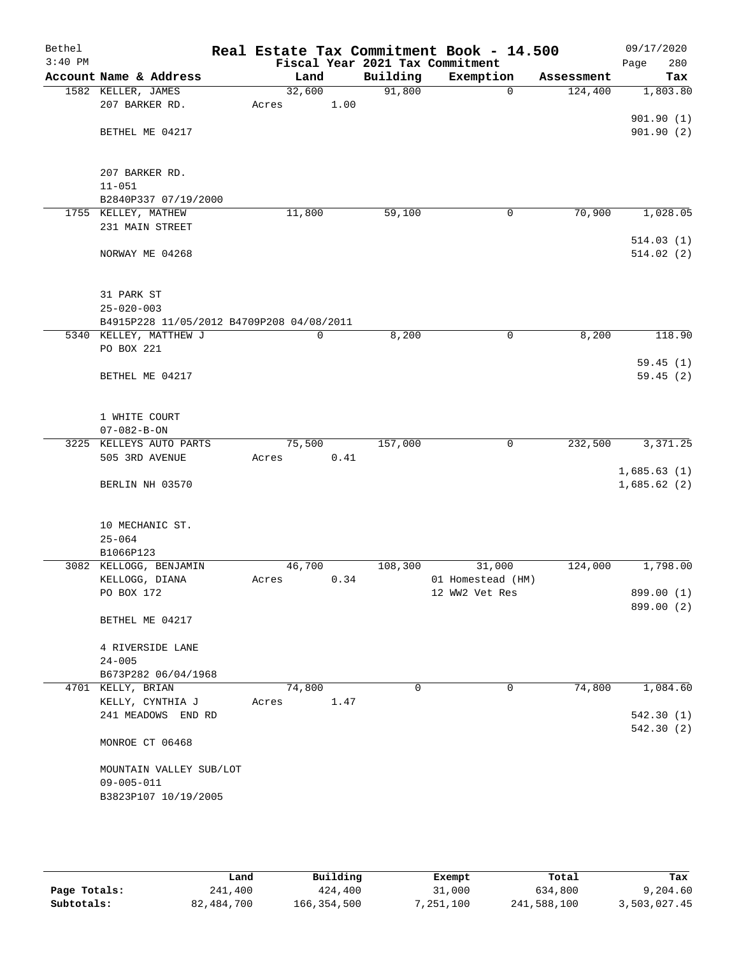| Bethel<br>$3:40$ PM |                                                                     |             |      |          | Real Estate Tax Commitment Book - 14.500<br>Fiscal Year 2021 Tax Commitment |            | 09/17/2020<br>280<br>Page  |
|---------------------|---------------------------------------------------------------------|-------------|------|----------|-----------------------------------------------------------------------------|------------|----------------------------|
|                     | Account Name & Address                                              | Land        |      | Building | Exemption                                                                   | Assessment | Tax                        |
|                     | 1582 KELLER, JAMES                                                  | 32,600      |      | 91,800   | 0                                                                           | 124,400    | 1,803.80                   |
|                     | 207 BARKER RD.                                                      | Acres       | 1.00 |          |                                                                             |            |                            |
|                     |                                                                     |             |      |          |                                                                             |            | 901.90(1)                  |
|                     | BETHEL ME 04217                                                     |             |      |          |                                                                             |            | 901.90(2)                  |
|                     |                                                                     |             |      |          |                                                                             |            |                            |
|                     | 207 BARKER RD.                                                      |             |      |          |                                                                             |            |                            |
|                     | $11 - 051$                                                          |             |      |          |                                                                             |            |                            |
|                     | B2840P337 07/19/2000                                                |             |      |          |                                                                             |            |                            |
|                     | 1755 KELLEY, MATHEW                                                 | 11,800      |      | 59,100   | 0                                                                           | 70,900     | 1,028.05                   |
|                     | 231 MAIN STREET                                                     |             |      |          |                                                                             |            |                            |
|                     |                                                                     |             |      |          |                                                                             |            | 514.03(1)                  |
|                     | NORWAY ME 04268                                                     |             |      |          |                                                                             |            | 514.02(2)                  |
|                     |                                                                     |             |      |          |                                                                             |            |                            |
|                     |                                                                     |             |      |          |                                                                             |            |                            |
|                     | 31 PARK ST                                                          |             |      |          |                                                                             |            |                            |
|                     | $25 - 020 - 003$                                                    |             |      |          |                                                                             |            |                            |
|                     | B4915P228 11/05/2012 B4709P208 04/08/2011<br>5340 KELLEY, MATTHEW J | $\mathbf 0$ |      | 8,200    | 0                                                                           | 8,200      | 118.90                     |
|                     | PO BOX 221                                                          |             |      |          |                                                                             |            |                            |
|                     |                                                                     |             |      |          |                                                                             |            | 59.45(1)                   |
|                     | BETHEL ME 04217                                                     |             |      |          |                                                                             |            | 59.45(2)                   |
|                     |                                                                     |             |      |          |                                                                             |            |                            |
|                     |                                                                     |             |      |          |                                                                             |            |                            |
|                     | 1 WHITE COURT                                                       |             |      |          |                                                                             |            |                            |
|                     | $07 - 082 - B - ON$                                                 |             |      |          |                                                                             |            |                            |
|                     | 3225 KELLEYS AUTO PARTS                                             | 75,500      |      | 157,000  | 0                                                                           | 232,500    | 3,371.25                   |
|                     | 505 3RD AVENUE                                                      | Acres       | 0.41 |          |                                                                             |            |                            |
|                     | BERLIN NH 03570                                                     |             |      |          |                                                                             |            | 1,685.63(1)<br>1,685.62(2) |
|                     |                                                                     |             |      |          |                                                                             |            |                            |
|                     |                                                                     |             |      |          |                                                                             |            |                            |
|                     | 10 MECHANIC ST.                                                     |             |      |          |                                                                             |            |                            |
|                     | $25 - 064$                                                          |             |      |          |                                                                             |            |                            |
|                     | B1066P123                                                           |             |      |          |                                                                             |            |                            |
|                     | 3082 KELLOGG, BENJAMIN                                              | 46,700      |      | 108,300  | 31,000                                                                      | 124,000    | 1,798.00                   |
|                     | KELLOGG, DIANA                                                      | Acres       | 0.34 |          | 01 Homestead (HM)                                                           |            |                            |
|                     | PO BOX 172                                                          |             |      |          | 12 WW2 Vet Res                                                              |            | 899.00 (1)                 |
|                     | BETHEL ME 04217                                                     |             |      |          |                                                                             |            | 899.00 (2)                 |
|                     |                                                                     |             |      |          |                                                                             |            |                            |
|                     | 4 RIVERSIDE LANE                                                    |             |      |          |                                                                             |            |                            |
|                     | $24 - 005$                                                          |             |      |          |                                                                             |            |                            |
|                     | B673P282 06/04/1968                                                 |             |      |          |                                                                             |            |                            |
|                     | 4701 KELLY, BRIAN                                                   | 74,800      |      | 0        | $\mathbf{0}$                                                                | 74,800     | 1,084.60                   |
|                     | KELLY, CYNTHIA J                                                    | Acres       | 1.47 |          |                                                                             |            |                            |
|                     | 241 MEADOWS END RD                                                  |             |      |          |                                                                             |            | 542.30(1)                  |
|                     |                                                                     |             |      |          |                                                                             |            | 542.30 (2)                 |
|                     | MONROE CT 06468                                                     |             |      |          |                                                                             |            |                            |
|                     | MOUNTAIN VALLEY SUB/LOT                                             |             |      |          |                                                                             |            |                            |
|                     | $09 - 005 - 011$                                                    |             |      |          |                                                                             |            |                            |
|                     | B3823P107 10/19/2005                                                |             |      |          |                                                                             |            |                            |
|                     |                                                                     |             |      |          |                                                                             |            |                            |
|                     |                                                                     |             |      |          |                                                                             |            |                            |

|              | Land       | Building    | Exempt    | Total       | Tax          |
|--------------|------------|-------------|-----------|-------------|--------------|
| Page Totals: | 241,400    | 424,400     | 31,000    | 634,800     | 9,204.60     |
| Subtotals:   | 82,484,700 | 166,354,500 | 1,251,100 | 241,588,100 | 3,503,027.45 |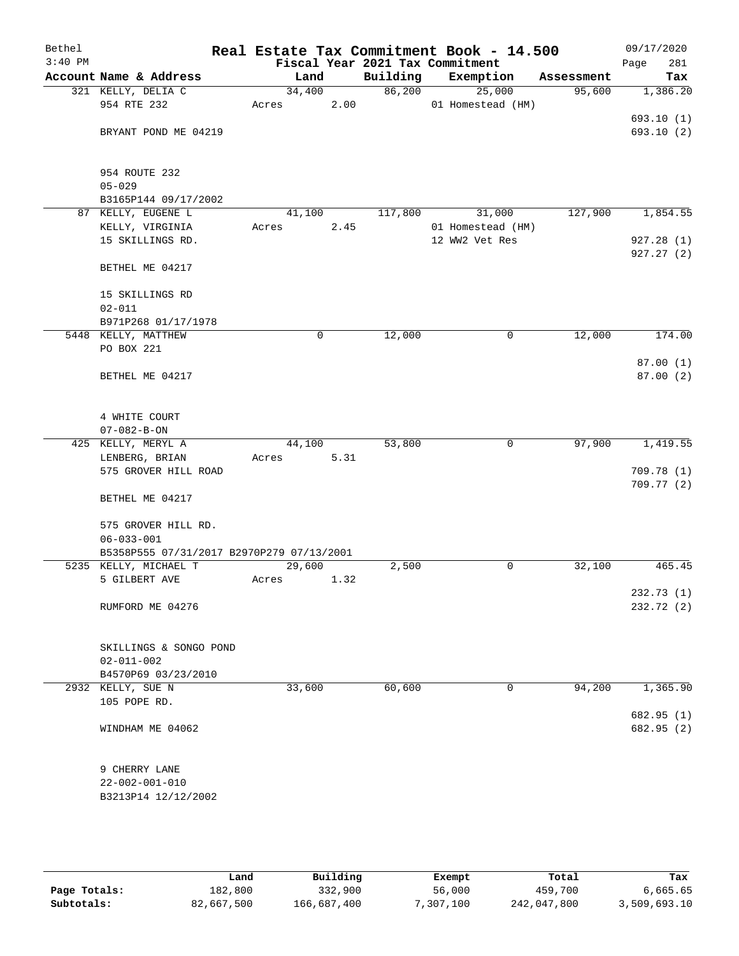| Bethel<br>$3:40$ PM |                                           |        |             |          | Real Estate Tax Commitment Book - 14.500<br>Fiscal Year 2021 Tax Commitment |            | 09/17/2020<br>281<br>Page |
|---------------------|-------------------------------------------|--------|-------------|----------|-----------------------------------------------------------------------------|------------|---------------------------|
|                     | Account Name & Address                    | Land   |             | Building | Exemption                                                                   | Assessment | Tax                       |
|                     | 321 KELLY, DELIA C                        | 34,400 |             | 86,200   | 25,000                                                                      | 95,600     | 1,386.20                  |
|                     | 954 RTE 232                               | Acres  | 2.00        |          | 01 Homestead (HM)                                                           |            |                           |
|                     |                                           |        |             |          |                                                                             |            | 693.10(1)                 |
|                     | BRYANT POND ME 04219                      |        |             |          |                                                                             |            | 693.10(2)                 |
|                     | 954 ROUTE 232                             |        |             |          |                                                                             |            |                           |
|                     | $05 - 029$                                |        |             |          |                                                                             |            |                           |
|                     | B3165P144 09/17/2002                      |        |             |          |                                                                             |            |                           |
|                     | 87 KELLY, EUGENE L                        | 41,100 |             | 117,800  | 31,000                                                                      | 127,900    | 1,854.55                  |
|                     | KELLY, VIRGINIA                           | Acres  | 2.45        |          | 01 Homestead (HM)                                                           |            |                           |
|                     | 15 SKILLINGS RD.                          |        |             |          | 12 WW2 Vet Res                                                              |            | 927.28(1)                 |
|                     | BETHEL ME 04217                           |        |             |          |                                                                             |            | 927.27(2)                 |
|                     | 15 SKILLINGS RD                           |        |             |          |                                                                             |            |                           |
|                     | $02 - 011$                                |        |             |          |                                                                             |            |                           |
|                     | B971P268 01/17/1978                       |        |             |          |                                                                             |            |                           |
|                     | 5448 KELLY, MATTHEW                       |        | $\mathbf 0$ | 12,000   | 0                                                                           | 12,000     | 174.00                    |
|                     | PO BOX 221                                |        |             |          |                                                                             |            |                           |
|                     |                                           |        |             |          |                                                                             |            | 87.00(1)                  |
|                     | BETHEL ME 04217                           |        |             |          |                                                                             |            | 87.00(2)                  |
|                     |                                           |        |             |          |                                                                             |            |                           |
|                     | 4 WHITE COURT                             |        |             |          |                                                                             |            |                           |
|                     | $07 - 082 - B - ON$<br>425 KELLY, MERYL A | 44,100 |             | 53,800   | 0                                                                           | 97,900     | 1,419.55                  |
|                     | LENBERG, BRIAN                            | Acres  | 5.31        |          |                                                                             |            |                           |
|                     | 575 GROVER HILL ROAD                      |        |             |          |                                                                             |            | 709.78(1)                 |
|                     |                                           |        |             |          |                                                                             |            | 709.77(2)                 |
|                     | BETHEL ME 04217                           |        |             |          |                                                                             |            |                           |
|                     | 575 GROVER HILL RD.                       |        |             |          |                                                                             |            |                           |
|                     | $06 - 033 - 001$                          |        |             |          |                                                                             |            |                           |
|                     | B5358P555 07/31/2017 B2970P279 07/13/2001 |        |             |          |                                                                             |            |                           |
|                     | 5235 KELLY, MICHAEL T                     | 29,600 |             | 2,500    | 0                                                                           | 32,100     | 465.45                    |
|                     | 5 GILBERT AVE                             | Acres  | 1.32        |          |                                                                             |            |                           |
|                     | RUMFORD ME 04276                          |        |             |          |                                                                             |            | 232.73 (1)<br>232.72 (2)  |
|                     |                                           |        |             |          |                                                                             |            |                           |
|                     | SKILLINGS & SONGO POND                    |        |             |          |                                                                             |            |                           |
|                     | $02 - 011 - 002$                          |        |             |          |                                                                             |            |                           |
|                     | B4570P69 03/23/2010                       |        |             |          |                                                                             |            |                           |
|                     | 2932 KELLY, SUE N                         | 33,600 |             | 60,600   | 0                                                                           | 94,200     | 1,365.90                  |
|                     | 105 POPE RD.                              |        |             |          |                                                                             |            |                           |
|                     | WINDHAM ME 04062                          |        |             |          |                                                                             |            | 682.95 (1)<br>682.95 (2)  |
|                     |                                           |        |             |          |                                                                             |            |                           |
|                     | 9 CHERRY LANE                             |        |             |          |                                                                             |            |                           |
|                     | $22 - 002 - 001 - 010$                    |        |             |          |                                                                             |            |                           |
|                     | B3213P14 12/12/2002                       |        |             |          |                                                                             |            |                           |
|                     |                                           |        |             |          |                                                                             |            |                           |

|              | Land       | Building    | Exempt   | Total       | Tax          |
|--------------|------------|-------------|----------|-------------|--------------|
| Page Totals: | 182,800    | 332,900     | 56,000   | 459,700     | 6,665.65     |
| Subtotals:   | 82,667,500 | 166,687,400 | ,307,100 | 242,047,800 | 3,509,693.10 |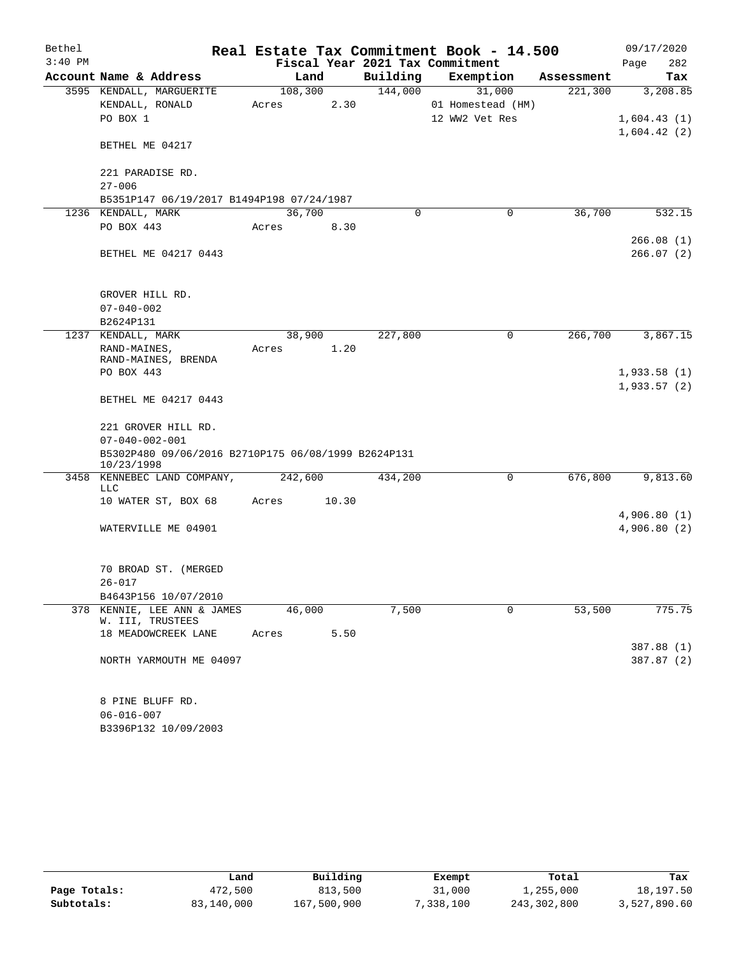| Bethel    |                                                                   |         |         |          | Real Estate Tax Commitment Book - 14.500 |            | 09/17/2020   |
|-----------|-------------------------------------------------------------------|---------|---------|----------|------------------------------------------|------------|--------------|
| $3:40$ PM |                                                                   |         |         |          | Fiscal Year 2021 Tax Commitment          |            | Page<br>282  |
|           | Account Name & Address                                            |         | Land    | Building | Exemption                                | Assessment | Tax          |
|           | 3595 KENDALL, MARGUERITE                                          |         | 108,300 | 144,000  | 31,000                                   | 221,300    | 3,208.85     |
|           | KENDALL, RONALD                                                   | Acres   | 2.30    |          | 01 Homestead (HM)                        |            |              |
|           | PO BOX 1                                                          |         |         |          | 12 WW2 Vet Res                           |            | 1,604.43(1)  |
|           | BETHEL ME 04217                                                   |         |         |          |                                          |            | 1,604.42(2)  |
|           | 221 PARADISE RD.                                                  |         |         |          |                                          |            |              |
|           | $27 - 006$                                                        |         |         |          |                                          |            |              |
|           | B5351P147 06/19/2017 B1494P198 07/24/1987                         |         |         |          |                                          |            |              |
|           | 1236 KENDALL, MARK                                                |         | 36,700  | 0        | 0                                        | 36,700     | 532.15       |
|           | PO BOX 443                                                        | Acres   | 8.30    |          |                                          |            |              |
|           |                                                                   |         |         |          |                                          |            | 266.08(1)    |
|           | BETHEL ME 04217 0443                                              |         |         |          |                                          |            | 266.07(2)    |
|           |                                                                   |         |         |          |                                          |            |              |
|           |                                                                   |         |         |          |                                          |            |              |
|           | GROVER HILL RD.                                                   |         |         |          |                                          |            |              |
|           | $07 - 040 - 002$                                                  |         |         |          |                                          |            |              |
|           | B2624P131<br>1237 KENDALL, MARK                                   |         |         | 227,800  | 0                                        | 266,700    | 3,867.15     |
|           |                                                                   |         | 38,900  |          |                                          |            |              |
|           | RAND-MAINES,<br>RAND-MAINES, BRENDA                               | Acres   | 1.20    |          |                                          |            |              |
|           | PO BOX 443                                                        |         |         |          |                                          |            | 1,933.58(1)  |
|           |                                                                   |         |         |          |                                          |            | 1,933.57(2)  |
|           | BETHEL ME 04217 0443                                              |         |         |          |                                          |            |              |
|           |                                                                   |         |         |          |                                          |            |              |
|           | 221 GROVER HILL RD.                                               |         |         |          |                                          |            |              |
|           | $07 - 040 - 002 - 001$                                            |         |         |          |                                          |            |              |
|           | B5302P480 09/06/2016 B2710P175 06/08/1999 B2624P131<br>10/23/1998 |         |         |          |                                          |            |              |
|           | 3458 KENNEBEC LAND COMPANY,<br><b>LLC</b>                         | 242,600 |         | 434,200  | 0                                        | 676,800    | 9,813.60     |
|           | 10 WATER ST, BOX 68                                               | Acres   | 10.30   |          |                                          |            |              |
|           |                                                                   |         |         |          |                                          |            | 4,906.80(1)  |
|           | WATERVILLE ME 04901                                               |         |         |          |                                          |            | 4,906.80 (2) |
|           |                                                                   |         |         |          |                                          |            |              |
|           | 70 BROAD ST. (MERGED                                              |         |         |          |                                          |            |              |
|           | $26 - 017$                                                        |         |         |          |                                          |            |              |
|           | B4643P156 10/07/2010                                              |         |         |          |                                          |            |              |
| 378       | KENNIE, LEE ANN & JAMES                                           |         | 46,000  | 7,500    | 0                                        | 53,500     | 775.75       |
|           | W. III, TRUSTEES                                                  |         |         |          |                                          |            |              |
|           | 18 MEADOWCREEK LANE                                               | Acres   | 5.50    |          |                                          |            |              |
|           |                                                                   |         |         |          |                                          |            | 387.88 (1)   |
|           | NORTH YARMOUTH ME 04097                                           |         |         |          |                                          |            | 387.87 (2)   |
|           |                                                                   |         |         |          |                                          |            |              |
|           | 8 PINE BLUFF RD.                                                  |         |         |          |                                          |            |              |
|           | $06 - 016 - 007$                                                  |         |         |          |                                          |            |              |

B3396P132 10/09/2003

|              | Land       | Building    | Exempt    | Total       | Tax          |
|--------------|------------|-------------|-----------|-------------|--------------|
| Page Totals: | 472,500    | 813,500     | 31,000    | ⊥,255,000   | 18,197.50    |
| Subtotals:   | 83,140,000 | 167,500,900 | 7,338,100 | 243,302,800 | 3,527,890.60 |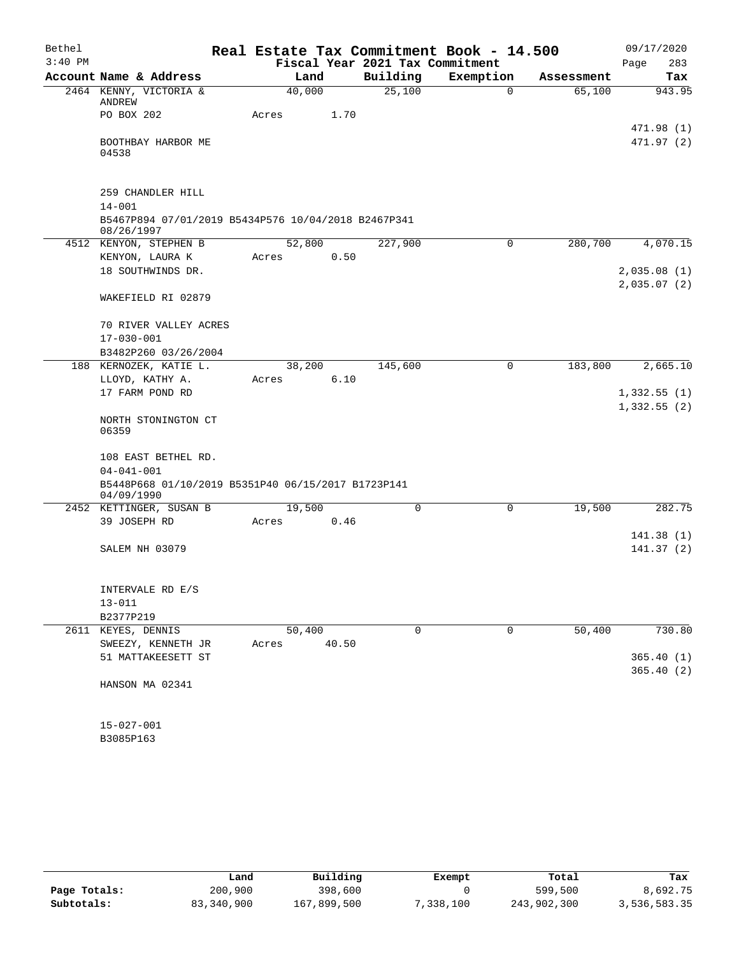| Bethel    |                                                                   |        |       |                                 | Real Estate Tax Commitment Book - 14.500 |            | 09/17/2020  |
|-----------|-------------------------------------------------------------------|--------|-------|---------------------------------|------------------------------------------|------------|-------------|
| $3:40$ PM |                                                                   |        |       | Fiscal Year 2021 Tax Commitment |                                          |            | 283<br>Page |
|           | Account Name & Address                                            | Land   |       | Building                        | Exemption                                | Assessment | Tax         |
|           | 2464 KENNY, VICTORIA &<br>ANDREW                                  | 40,000 |       | 25,100                          | $\mathbf 0$                              | 65,100     | 943.95      |
|           | PO BOX 202                                                        | Acres  | 1.70  |                                 |                                          |            | 471.98 (1)  |
|           | BOOTHBAY HARBOR ME<br>04538                                       |        |       |                                 |                                          |            | 471.97 (2)  |
|           | 259 CHANDLER HILL                                                 |        |       |                                 |                                          |            |             |
|           | $14 - 001$                                                        |        |       |                                 |                                          |            |             |
|           | B5467P894 07/01/2019 B5434P576 10/04/2018 B2467P341<br>08/26/1997 |        |       |                                 |                                          |            |             |
|           | 4512 KENYON, STEPHEN B                                            | 52,800 |       | 227,900                         | 0                                        | 280,700    | 4,070.15    |
|           | KENYON, LAURA K                                                   | Acres  | 0.50  |                                 |                                          |            |             |
|           | 18 SOUTHWINDS DR.                                                 |        |       |                                 |                                          |            | 2,035.08(1) |
|           |                                                                   |        |       |                                 |                                          |            | 2,035.07(2) |
|           | WAKEFIELD RI 02879                                                |        |       |                                 |                                          |            |             |
|           | 70 RIVER VALLEY ACRES                                             |        |       |                                 |                                          |            |             |
|           | $17 - 030 - 001$                                                  |        |       |                                 |                                          |            |             |
|           | B3482P260 03/26/2004                                              |        |       |                                 |                                          |            |             |
|           | 188 KERNOZEK, KATIE L.                                            | 38,200 |       | 145,600                         | $\mathbf 0$                              | 183,800    | 2,665.10    |
|           | LLOYD, KATHY A.                                                   | Acres  | 6.10  |                                 |                                          |            |             |
|           | 17 FARM POND RD                                                   |        |       |                                 |                                          |            | 1,332.55(1) |
|           | NORTH STONINGTON CT<br>06359                                      |        |       |                                 |                                          |            | 1,332.55(2) |
|           | 108 EAST BETHEL RD.                                               |        |       |                                 |                                          |            |             |
|           | $04 - 041 - 001$                                                  |        |       |                                 |                                          |            |             |
|           | B5448P668 01/10/2019 B5351P40 06/15/2017 B1723P141<br>04/09/1990  |        |       |                                 |                                          |            |             |
|           | 2452 KETTINGER, SUSAN B                                           | 19,500 |       | $\mathbf 0$                     | 0                                        | 19,500     | 282.75      |
|           | 39 JOSEPH RD                                                      | Acres  | 0.46  |                                 |                                          |            |             |
|           |                                                                   |        |       |                                 |                                          |            | 141.38(1)   |
|           | SALEM NH 03079                                                    |        |       |                                 |                                          |            | 141.37(2)   |
|           | INTERVALE RD E/S                                                  |        |       |                                 |                                          |            |             |
|           | $13 - 011$                                                        |        |       |                                 |                                          |            |             |
|           | B2377P219                                                         |        |       |                                 |                                          |            |             |
|           | 2611 KEYES, DENNIS                                                | 50,400 |       | 0                               | 0                                        | 50,400     | 730.80      |
|           | SWEEZY, KENNETH JR                                                | Acres  | 40.50 |                                 |                                          |            |             |
|           | 51 MATTAKEESETT ST                                                |        |       |                                 |                                          |            | 365.40(1)   |
|           |                                                                   |        |       |                                 |                                          |            | 365.40(2)   |
|           | HANSON MA 02341                                                   |        |       |                                 |                                          |            |             |
|           | $15 - 027 - 001$                                                  |        |       |                                 |                                          |            |             |
|           | B3085P163                                                         |        |       |                                 |                                          |            |             |

|              | Land       | Building    | Exempt    | Total       | Tax          |
|--------------|------------|-------------|-----------|-------------|--------------|
| Page Totals: | 200,900    | 398,600     |           | 599,500     | 8,692.75     |
| Subtotals:   | 83,340,900 | 167,899,500 | 7,338,100 | 243,902,300 | 3,536,583.35 |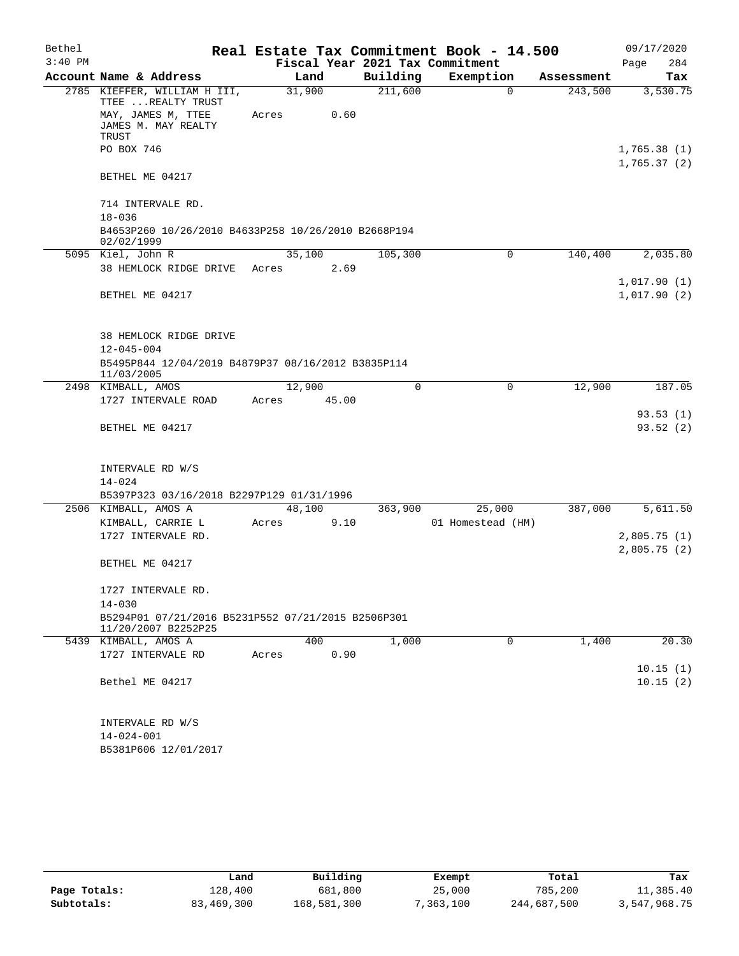| Bethel    |                                                                           |       |        |       |             | Real Estate Tax Commitment Book - 14.500 |            | 09/17/2020                 |
|-----------|---------------------------------------------------------------------------|-------|--------|-------|-------------|------------------------------------------|------------|----------------------------|
| $3:40$ PM |                                                                           |       |        |       |             | Fiscal Year 2021 Tax Commitment          |            | 284<br>Page                |
|           | Account Name & Address                                                    |       | Land   |       | Building    | Exemption                                | Assessment | Tax                        |
|           | 2785 KIEFFER, WILLIAM H III,<br>TTEE  REALTY TRUST<br>MAY, JAMES M, TTEE  | Acres | 31,900 | 0.60  | 211,600     | $\Omega$                                 | 243,500    | 3,530.75                   |
|           | JAMES M. MAY REALTY<br>TRUST                                              |       |        |       |             |                                          |            |                            |
|           | PO BOX 746                                                                |       |        |       |             |                                          |            | 1,765.38(1)<br>1,765.37(2) |
|           | BETHEL ME 04217                                                           |       |        |       |             |                                          |            |                            |
|           | 714 INTERVALE RD.                                                         |       |        |       |             |                                          |            |                            |
|           | $18 - 036$<br>B4653P260 10/26/2010 B4633P258 10/26/2010 B2668P194         |       |        |       |             |                                          |            |                            |
|           | 02/02/1999                                                                |       |        |       |             |                                          |            |                            |
|           | 5095 Kiel, John R                                                         |       | 35,100 |       | 105,300     | 0                                        | 140,400    | 2,035.80                   |
|           | 38 HEMLOCK RIDGE DRIVE                                                    | Acres |        | 2.69  |             |                                          |            |                            |
|           | BETHEL ME 04217                                                           |       |        |       |             |                                          |            | 1,017.90(1)<br>1,017.90(2) |
|           | <b>38 HEMLOCK RIDGE DRIVE</b>                                             |       |        |       |             |                                          |            |                            |
|           | $12 - 045 - 004$                                                          |       |        |       |             |                                          |            |                            |
|           | B5495P844 12/04/2019 B4879P37 08/16/2012 B3835P114<br>11/03/2005          |       |        |       |             |                                          |            |                            |
|           | 2498 KIMBALL, AMOS                                                        |       | 12,900 |       | $\mathbf 0$ | 0                                        | 12,900     | 187.05                     |
|           | 1727 INTERVALE ROAD                                                       | Acres |        | 45.00 |             |                                          |            |                            |
|           | BETHEL ME 04217                                                           |       |        |       |             |                                          |            | 93.53(1)<br>93.52(2)       |
|           | INTERVALE RD W/S                                                          |       |        |       |             |                                          |            |                            |
|           | $14 - 024$                                                                |       |        |       |             |                                          |            |                            |
|           | B5397P323 03/16/2018 B2297P129 01/31/1996                                 |       |        |       |             |                                          |            |                            |
|           | 2506 KIMBALL, AMOS A<br>KIMBALL, CARRIE L                                 | Acres | 48,100 | 9.10  | 363,900     | 25,000<br>01 Homestead (HM)              | 387,000    | 5,611.50                   |
|           | 1727 INTERVALE RD.                                                        |       |        |       |             |                                          |            | 2,805.75(1)                |
|           |                                                                           |       |        |       |             |                                          |            | 2,805.75(2)                |
|           | BETHEL ME 04217                                                           |       |        |       |             |                                          |            |                            |
|           | 1727 INTERVALE RD.                                                        |       |        |       |             |                                          |            |                            |
|           | $14 - 030$                                                                |       |        |       |             |                                          |            |                            |
|           | B5294P01 07/21/2016 B5231P552 07/21/2015 B2506P301<br>11/20/2007 B2252P25 |       |        |       |             |                                          |            |                            |
|           | 5439 KIMBALL, AMOS A                                                      |       | 400    |       | 1,000       | $\mathbf 0$                              | 1,400      | 20.30                      |
|           | 1727 INTERVALE RD                                                         | Acres |        | 0.90  |             |                                          |            | 10.15(1)                   |
|           | Bethel ME 04217                                                           |       |        |       |             |                                          |            | 10.15(2)                   |
|           | INTERVALE RD W/S                                                          |       |        |       |             |                                          |            |                            |
|           | $14 - 024 - 001$<br>B5381P606 12/01/2017                                  |       |        |       |             |                                          |            |                            |
|           |                                                                           |       |        |       |             |                                          |            |                            |

|              | Land       | Building    | Exempt    | Total       | Tax          |
|--------------|------------|-------------|-----------|-------------|--------------|
| Page Totals: | 128,400    | 681,800     | 25,000    | 785,200     | 11,385.40    |
| Subtotals:   | 83,469,300 | 168,581,300 | 7,363,100 | 244,687,500 | 3,547,968.75 |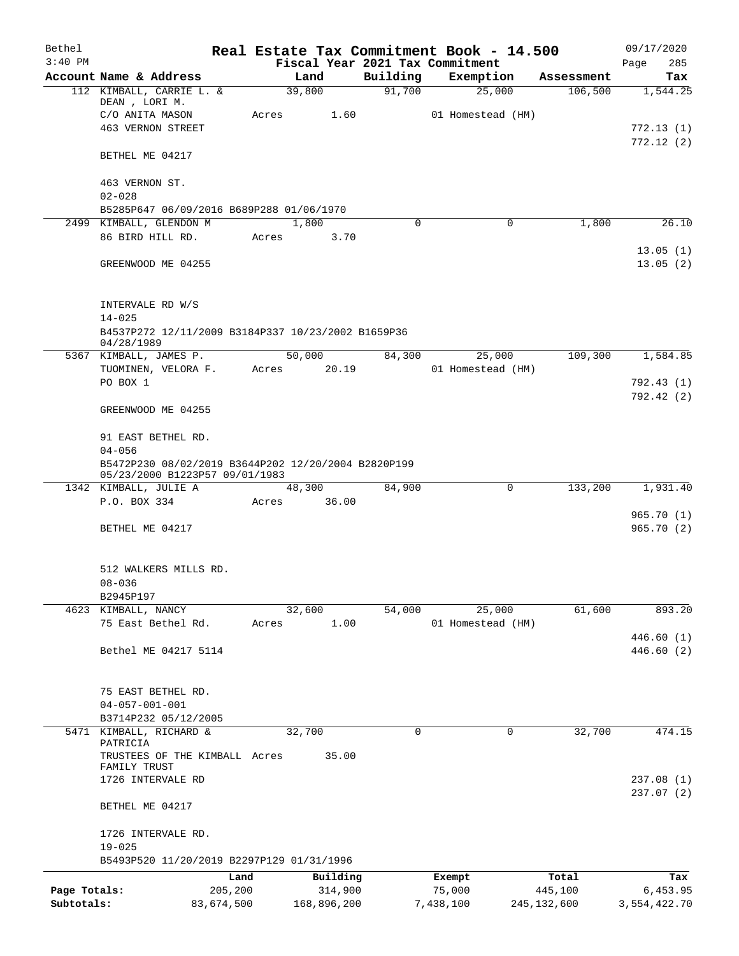| Bethel<br>$3:40$ PM |                                                                                       |            |       |             |          | Real Estate Tax Commitment Book - 14.500<br>Fiscal Year 2021 Tax Commitment |               | 09/17/2020<br>285<br>Page |
|---------------------|---------------------------------------------------------------------------------------|------------|-------|-------------|----------|-----------------------------------------------------------------------------|---------------|---------------------------|
|                     | Account Name & Address                                                                |            |       | Land        | Building | Exemption                                                                   | Assessment    | Tax                       |
|                     | 112 KIMBALL, CARRIE L. &                                                              |            |       | 39,800      | 91,700   | 25,000                                                                      | 106,500       | 1,544.25                  |
|                     | DEAN, LORI M.                                                                         |            |       |             |          |                                                                             |               |                           |
|                     | C/O ANITA MASON                                                                       |            | Acres | 1.60        |          | 01 Homestead (HM)                                                           |               |                           |
|                     | <b>463 VERNON STREET</b>                                                              |            |       |             |          |                                                                             |               | 772.13(1)                 |
|                     | BETHEL ME 04217                                                                       |            |       |             |          |                                                                             |               | 772.12(2)                 |
|                     | 463 VERNON ST.                                                                        |            |       |             |          |                                                                             |               |                           |
|                     | $02 - 028$                                                                            |            |       |             |          |                                                                             |               |                           |
|                     | B5285P647 06/09/2016 B689P288 01/06/1970                                              |            |       |             |          |                                                                             |               |                           |
|                     | 2499 KIMBALL, GLENDON M                                                               |            |       | 1,800       | $\Omega$ | $\Omega$                                                                    | 1,800         | 26.10                     |
|                     | 86 BIRD HILL RD.                                                                      |            | Acres | 3.70        |          |                                                                             |               |                           |
|                     | GREENWOOD ME 04255                                                                    |            |       |             |          |                                                                             |               | 13.05(1)<br>13.05(2)      |
|                     | INTERVALE RD W/S<br>$14 - 025$                                                        |            |       |             |          |                                                                             |               |                           |
|                     | B4537P272 12/11/2009 B3184P337 10/23/2002 B1659P36<br>04/28/1989                      |            |       |             |          |                                                                             |               |                           |
|                     | 5367 KIMBALL, JAMES P.                                                                |            |       | 50,000      | 84,300   | 25,000                                                                      | 109,300       | 1,584.85                  |
|                     | TUOMINEN, VELORA F.                                                                   |            | Acres | 20.19       |          | 01 Homestead (HM)                                                           |               |                           |
|                     | PO BOX 1                                                                              |            |       |             |          |                                                                             |               | 792.43 (1)                |
|                     | GREENWOOD ME 04255                                                                    |            |       |             |          |                                                                             |               | 792.42(2)                 |
|                     | 91 EAST BETHEL RD.                                                                    |            |       |             |          |                                                                             |               |                           |
|                     | $04 - 056$                                                                            |            |       |             |          |                                                                             |               |                           |
|                     | B5472P230 08/02/2019 B3644P202 12/20/2004 B2820P199<br>05/23/2000 B1223P57 09/01/1983 |            |       |             |          |                                                                             |               |                           |
|                     | 1342 KIMBALL, JULIE A                                                                 |            |       | 48,300      | 84,900   | 0                                                                           | 133,200       | 1,931.40                  |
|                     | P.O. BOX 334                                                                          |            | Acres | 36.00       |          |                                                                             |               |                           |
|                     | BETHEL ME 04217                                                                       |            |       |             |          |                                                                             |               | 965.70(1)<br>965.70 (2)   |
|                     | 512 WALKERS MILLS RD.<br>08-036                                                       |            |       |             |          |                                                                             |               |                           |
|                     | B2945P197                                                                             |            |       |             |          |                                                                             |               |                           |
|                     | 4623 KIMBALL, NANCY                                                                   |            |       | 32,600      | 54,000   | 25,000                                                                      | 61,600        | 893.20                    |
|                     | 75 East Bethel Rd.                                                                    |            | Acres | 1.00        |          | 01 Homestead (HM)                                                           |               |                           |
|                     |                                                                                       |            |       |             |          |                                                                             |               | 446.60(1)                 |
|                     | Bethel ME 04217 5114                                                                  |            |       |             |          |                                                                             |               | 446.60(2)                 |
|                     | 75 EAST BETHEL RD.                                                                    |            |       |             |          |                                                                             |               |                           |
|                     | $04 - 057 - 001 - 001$                                                                |            |       |             |          |                                                                             |               |                           |
|                     | B3714P232 05/12/2005                                                                  |            |       |             |          |                                                                             |               |                           |
|                     | 5471 KIMBALL, RICHARD &<br>PATRICIA                                                   |            |       | 32,700      | 0        | 0                                                                           | 32,700        | 474.15                    |
|                     | TRUSTEES OF THE KIMBALL Acres                                                         |            |       | 35.00       |          |                                                                             |               |                           |
|                     | FAMILY TRUST                                                                          |            |       |             |          |                                                                             |               |                           |
|                     | 1726 INTERVALE RD                                                                     |            |       |             |          |                                                                             |               | 237.08(1)                 |
|                     | BETHEL ME 04217                                                                       |            |       |             |          |                                                                             |               | 237.07 (2)                |
|                     | 1726 INTERVALE RD.                                                                    |            |       |             |          |                                                                             |               |                           |
|                     | $19 - 025$                                                                            |            |       |             |          |                                                                             |               |                           |
|                     | B5493P520 11/20/2019 B2297P129 01/31/1996                                             |            |       |             |          |                                                                             |               |                           |
|                     |                                                                                       | Land       |       | Building    |          | Exempt                                                                      | Total         | Tax                       |
| Page Totals:        |                                                                                       | 205,200    |       | 314,900     |          | 75,000                                                                      | 445,100       | 6,453.95                  |
| Subtotals:          |                                                                                       | 83,674,500 |       | 168,896,200 |          | 7,438,100                                                                   | 245, 132, 600 | 3,554,422.70              |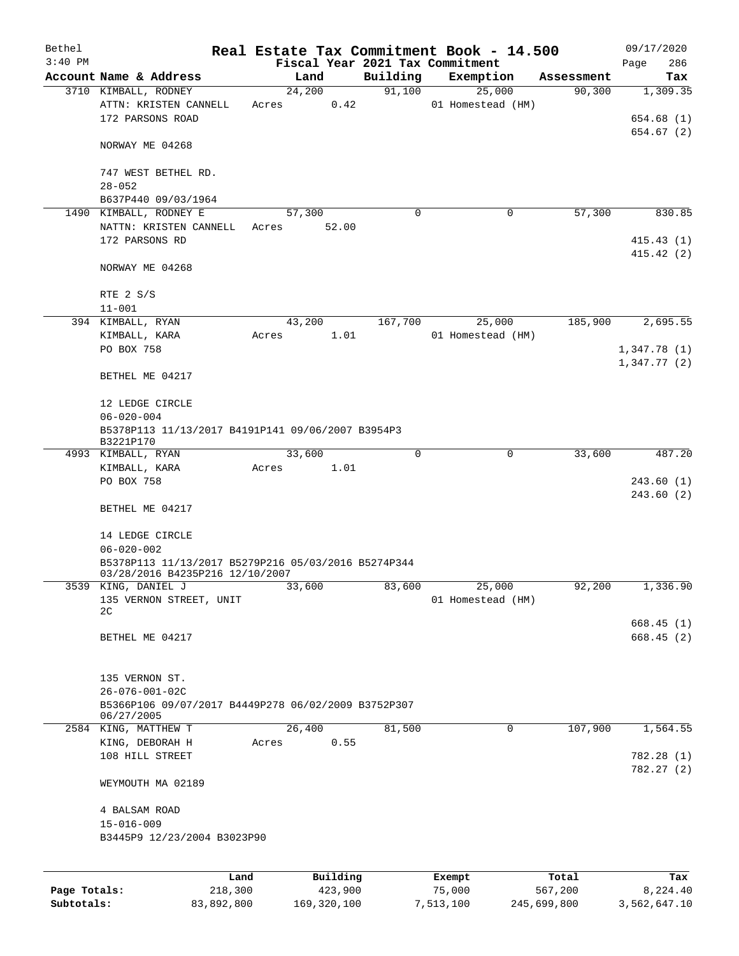| Bethel<br>$3:40$ PM |                                                        |       |        |                     |          | Real Estate Tax Commitment Book - 14.500<br>Fiscal Year 2021 Tax Commitment |                  | 09/17/2020                 |
|---------------------|--------------------------------------------------------|-------|--------|---------------------|----------|-----------------------------------------------------------------------------|------------------|----------------------------|
|                     | Account Name & Address                                 |       | Land   |                     | Building | Exemption                                                                   | Assessment       | 286<br>Page<br>Tax         |
|                     | 3710 KIMBALL, RODNEY                                   |       | 24,200 |                     | 91,100   | 25,000                                                                      | 90,300           | 1,309.35                   |
|                     | ATTN: KRISTEN CANNELL                                  | Acres |        | 0.42                |          | 01 Homestead (HM)                                                           |                  |                            |
|                     | 172 PARSONS ROAD                                       |       |        |                     |          |                                                                             |                  | 654.68 (1)                 |
|                     |                                                        |       |        |                     |          |                                                                             |                  | 654.67 (2)                 |
|                     | NORWAY ME 04268                                        |       |        |                     |          |                                                                             |                  |                            |
|                     |                                                        |       |        |                     |          |                                                                             |                  |                            |
|                     | 747 WEST BETHEL RD.                                    |       |        |                     |          |                                                                             |                  |                            |
|                     | $28 - 052$<br>B637P440 09/03/1964                      |       |        |                     |          |                                                                             |                  |                            |
|                     | 1490 KIMBALL, RODNEY E                                 |       | 57,300 |                     | $\Omega$ | 0                                                                           | 57,300           | 830.85                     |
|                     | NATTN: KRISTEN CANNELL                                 | Acres |        | 52.00               |          |                                                                             |                  |                            |
|                     | 172 PARSONS RD                                         |       |        |                     |          |                                                                             |                  | 415.43(1)                  |
|                     |                                                        |       |        |                     |          |                                                                             |                  | 415.42(2)                  |
|                     | NORWAY ME 04268                                        |       |        |                     |          |                                                                             |                  |                            |
|                     |                                                        |       |        |                     |          |                                                                             |                  |                            |
|                     | RTE 2 S/S                                              |       |        |                     |          |                                                                             |                  |                            |
|                     | $11 - 001$                                             |       |        |                     |          |                                                                             |                  |                            |
|                     | 394 KIMBALL, RYAN                                      |       | 43,200 |                     | 167,700  | 25,000                                                                      | 185,900          | 2,695.55                   |
|                     | KIMBALL, KARA                                          | Acres |        | 1.01                |          | 01 Homestead (HM)                                                           |                  |                            |
|                     | PO BOX 758                                             |       |        |                     |          |                                                                             |                  | 1,347.78(1)<br>1,347.77(2) |
|                     | BETHEL ME 04217                                        |       |        |                     |          |                                                                             |                  |                            |
|                     |                                                        |       |        |                     |          |                                                                             |                  |                            |
|                     | 12 LEDGE CIRCLE                                        |       |        |                     |          |                                                                             |                  |                            |
|                     | $06 - 020 - 004$                                       |       |        |                     |          |                                                                             |                  |                            |
|                     | B5378P113 11/13/2017 B4191P141 09/06/2007 B3954P3      |       |        |                     |          |                                                                             |                  |                            |
|                     | B3221P170                                              |       |        |                     |          |                                                                             |                  |                            |
|                     | 4993 KIMBALL, RYAN                                     |       | 33,600 | 1.01                | 0        | $\mathbf 0$                                                                 | 33,600           | 487.20                     |
|                     | KIMBALL, KARA<br>PO BOX 758                            | Acres |        |                     |          |                                                                             |                  | 243.60(1)                  |
|                     |                                                        |       |        |                     |          |                                                                             |                  | 243.60 (2)                 |
|                     | BETHEL ME 04217                                        |       |        |                     |          |                                                                             |                  |                            |
|                     |                                                        |       |        |                     |          |                                                                             |                  |                            |
|                     | 14 LEDGE CIRCLE                                        |       |        |                     |          |                                                                             |                  |                            |
|                     | $06 - 020 - 002$                                       |       |        |                     |          |                                                                             |                  |                            |
|                     | B5378P113 11/13/2017 B5279P216 05/03/2016 B5274P344    |       |        |                     |          |                                                                             |                  |                            |
|                     | 03/28/2016 B4235P216 12/10/2007<br>3539 KING, DANIEL J |       | 33,600 |                     | 83,600   | 25,000                                                                      | 92,200           | 1,336.90                   |
|                     | 135 VERNON STREET, UNIT                                |       |        |                     |          | 01 Homestead (HM)                                                           |                  |                            |
|                     | 2C                                                     |       |        |                     |          |                                                                             |                  |                            |
|                     |                                                        |       |        |                     |          |                                                                             |                  | 668.45(1)                  |
|                     | BETHEL ME 04217                                        |       |        |                     |          |                                                                             |                  | 668.45 (2)                 |
|                     |                                                        |       |        |                     |          |                                                                             |                  |                            |
|                     | 135 VERNON ST.                                         |       |        |                     |          |                                                                             |                  |                            |
|                     | 26-076-001-02C                                         |       |        |                     |          |                                                                             |                  |                            |
|                     | B5366P106 09/07/2017 B4449P278 06/02/2009 B3752P307    |       |        |                     |          |                                                                             |                  |                            |
|                     | 06/27/2005                                             |       |        |                     |          |                                                                             |                  |                            |
|                     | 2584 KING, MATTHEW T                                   |       | 26,400 |                     | 81,500   | 0                                                                           | 107,900          | 1,564.55                   |
|                     | KING, DEBORAH H                                        | Acres |        | 0.55                |          |                                                                             |                  |                            |
|                     | 108 HILL STREET                                        |       |        |                     |          |                                                                             |                  | 782.28 (1)                 |
|                     | WEYMOUTH MA 02189                                      |       |        |                     |          |                                                                             |                  | 782.27 (2)                 |
|                     |                                                        |       |        |                     |          |                                                                             |                  |                            |
|                     | 4 BALSAM ROAD                                          |       |        |                     |          |                                                                             |                  |                            |
|                     | $15 - 016 - 009$                                       |       |        |                     |          |                                                                             |                  |                            |
|                     | B3445P9 12/23/2004 B3023P90                            |       |        |                     |          |                                                                             |                  |                            |
|                     |                                                        |       |        |                     |          |                                                                             |                  |                            |
|                     |                                                        |       |        |                     |          |                                                                             |                  |                            |
| Page Totals:        | Land<br>218,300                                        |       |        | Building<br>423,900 |          | Exempt<br>75,000                                                            | Total<br>567,200 | Tax<br>8,224.40            |
|                     |                                                        |       |        |                     |          |                                                                             |                  |                            |

**Subtotals:** 83,892,800 169,320,100 7,513,100 245,699,800 3,562,647.10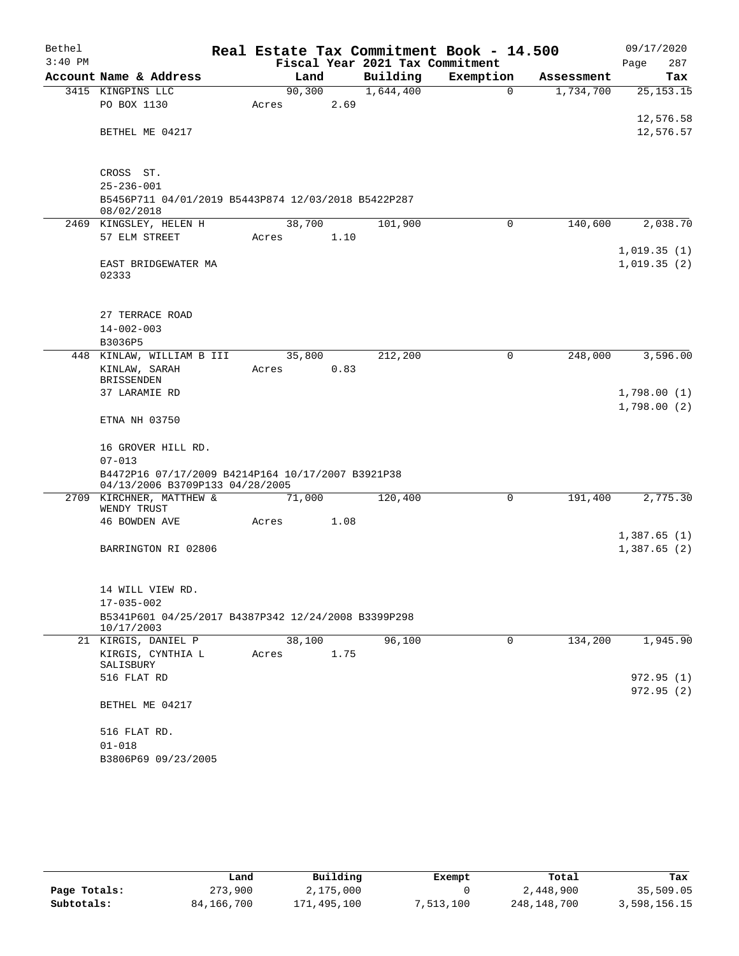| Bethel    |                                                             |       |         |      | Real Estate Tax Commitment Book - 14.500 |           |             |            | 09/17/2020                 |            |
|-----------|-------------------------------------------------------------|-------|---------|------|------------------------------------------|-----------|-------------|------------|----------------------------|------------|
| $3:40$ PM |                                                             |       |         |      | Fiscal Year 2021 Tax Commitment          |           |             |            | Page                       | 287        |
|           | Account Name & Address                                      |       | Land    |      | Building                                 | Exemption |             | Assessment |                            | Tax        |
|           | 3415 KINGPINS LLC                                           |       | 90, 300 |      | 1,644,400                                |           | $\Omega$    | 1,734,700  |                            | 25, 153.15 |
|           | PO BOX 1130                                                 | Acres |         | 2.69 |                                          |           |             |            |                            | 12,576.58  |
|           | BETHEL ME 04217                                             |       |         |      |                                          |           |             |            |                            | 12,576.57  |
|           |                                                             |       |         |      |                                          |           |             |            |                            |            |
|           |                                                             |       |         |      |                                          |           |             |            |                            |            |
|           | CROSS ST.                                                   |       |         |      |                                          |           |             |            |                            |            |
|           | $25 - 236 - 001$                                            |       |         |      |                                          |           |             |            |                            |            |
|           | B5456P711 04/01/2019 B5443P874 12/03/2018 B5422P287         |       |         |      |                                          |           |             |            |                            |            |
|           | 08/02/2018<br>2469 KINGSLEY, HELEN H                        |       | 38,700  |      | 101,900                                  |           | $\mathbf 0$ | 140,600    |                            | 2,038.70   |
|           | 57 ELM STREET                                               | Acres |         | 1.10 |                                          |           |             |            |                            |            |
|           |                                                             |       |         |      |                                          |           |             |            | 1,019.35(1)                |            |
|           | EAST BRIDGEWATER MA                                         |       |         |      |                                          |           |             |            | 1,019.35(2)                |            |
|           | 02333                                                       |       |         |      |                                          |           |             |            |                            |            |
|           |                                                             |       |         |      |                                          |           |             |            |                            |            |
|           | 27 TERRACE ROAD                                             |       |         |      |                                          |           |             |            |                            |            |
|           | $14 - 002 - 003$                                            |       |         |      |                                          |           |             |            |                            |            |
|           | B3036P5                                                     |       |         |      |                                          |           |             |            |                            |            |
|           | 448 KINLAW, WILLIAM B III                                   |       | 35,800  |      | 212,200                                  |           | 0           | 248,000    |                            | 3,596.00   |
|           | KINLAW, SARAH                                               | Acres |         | 0.83 |                                          |           |             |            |                            |            |
|           | <b>BRISSENDEN</b>                                           |       |         |      |                                          |           |             |            |                            |            |
|           | 37 LARAMIE RD                                               |       |         |      |                                          |           |             |            | 1,798.00(1)<br>1,798.00(2) |            |
|           | ETNA NH 03750                                               |       |         |      |                                          |           |             |            |                            |            |
|           |                                                             |       |         |      |                                          |           |             |            |                            |            |
|           | 16 GROVER HILL RD.                                          |       |         |      |                                          |           |             |            |                            |            |
|           | $07 - 013$                                                  |       |         |      |                                          |           |             |            |                            |            |
|           | B4472P16 07/17/2009 B4214P164 10/17/2007 B3921P38           |       |         |      |                                          |           |             |            |                            |            |
|           | 04/13/2006 B3709P133 04/28/2005<br>2709 KIRCHNER, MATTHEW & |       | 71,000  |      | 120,400                                  |           | $\mathbf 0$ | 191,400    |                            | 2,775.30   |
|           | WENDY TRUST                                                 |       |         |      |                                          |           |             |            |                            |            |
|           | 46 BOWDEN AVE                                               | Acres |         | 1.08 |                                          |           |             |            |                            |            |
|           |                                                             |       |         |      |                                          |           |             |            | 1,387.65(1)                |            |
|           | BARRINGTON RI 02806                                         |       |         |      |                                          |           |             |            | 1,387.65(2)                |            |
|           |                                                             |       |         |      |                                          |           |             |            |                            |            |
|           | 14 WILL VIEW RD.                                            |       |         |      |                                          |           |             |            |                            |            |
|           | $17 - 035 - 002$                                            |       |         |      |                                          |           |             |            |                            |            |
|           | B5341P601 04/25/2017 B4387P342 12/24/2008 B3399P298         |       |         |      |                                          |           |             |            |                            |            |
|           | 10/17/2003                                                  |       |         |      |                                          |           |             |            |                            |            |
|           | 21 KIRGIS, DANIEL P                                         |       | 38,100  |      | 96,100                                   |           | 0           | 134,200    |                            | 1,945.90   |
|           | KIRGIS, CYNTHIA L<br>SALISBURY                              | Acres |         | 1.75 |                                          |           |             |            |                            |            |
|           | 516 FLAT RD                                                 |       |         |      |                                          |           |             |            |                            | 972.95 (1) |
|           |                                                             |       |         |      |                                          |           |             |            |                            | 972.95(2)  |
|           | BETHEL ME 04217                                             |       |         |      |                                          |           |             |            |                            |            |
|           | 516 FLAT RD.                                                |       |         |      |                                          |           |             |            |                            |            |
|           | $01 - 018$                                                  |       |         |      |                                          |           |             |            |                            |            |
|           | B3806P69 09/23/2005                                         |       |         |      |                                          |           |             |            |                            |            |
|           |                                                             |       |         |      |                                          |           |             |            |                            |            |

|              | Land       | Building    | Exempt    | Total       | Tax          |
|--------------|------------|-------------|-----------|-------------|--------------|
| Page Totals: | 273,900    | 2,175,000   |           | 2,448,900   | 35,509.05    |
| Subtotals:   | 84,166,700 | 171,495,100 | 7,513,100 | 248,148,700 | 3,598,156.15 |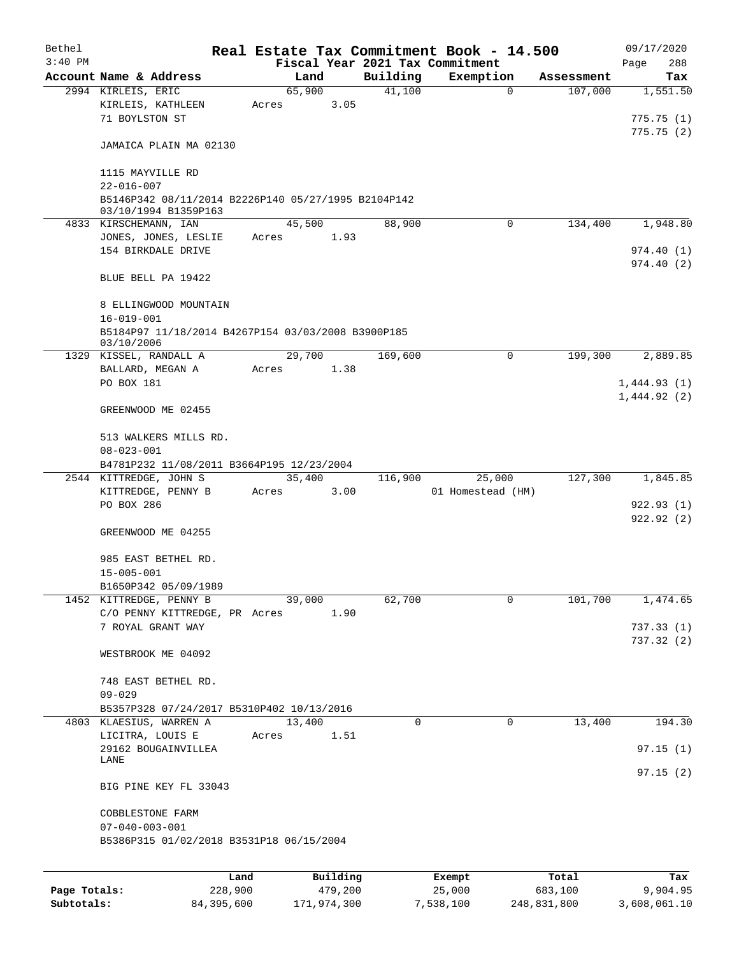| Bethel    |                                                                                      |       |        |          |          | Real Estate Tax Commitment Book - 14.500 |            | 09/17/2020             |
|-----------|--------------------------------------------------------------------------------------|-------|--------|----------|----------|------------------------------------------|------------|------------------------|
| $3:40$ PM |                                                                                      |       |        |          |          | Fiscal Year 2021 Tax Commitment          |            | Page<br>288            |
|           | Account Name & Address                                                               |       | Land   |          | Building | Exemption                                | Assessment | Tax                    |
|           | 2994 KIRLEIS, ERIC<br>KIRLEIS, KATHLEEN<br>71 BOYLSTON ST                            | Acres | 65,900 | 3.05     | 41,100   | $\mathbf 0$                              | 107,000    | 1,551.50<br>775.75(1)  |
|           | JAMAICA PLAIN MA 02130                                                               |       |        |          |          |                                          |            | 775.75(2)              |
|           | 1115 MAYVILLE RD<br>$22 - 016 - 007$                                                 |       |        |          |          |                                          |            |                        |
|           | B5146P342 08/11/2014 B2226P140 05/27/1995 B2104P142<br>03/10/1994 B1359P163          |       |        |          |          |                                          |            |                        |
|           | 4833 KIRSCHEMANN, IAN<br>JONES, JONES, LESLIE                                        | Acres | 45,500 | 1.93     | 88,900   | 0                                        | 134,400    | 1,948.80               |
|           | 154 BIRKDALE DRIVE                                                                   |       |        |          |          |                                          |            | 974.40(1)<br>974.40(2) |
|           | BLUE BELL PA 19422                                                                   |       |        |          |          |                                          |            |                        |
|           | 8 ELLINGWOOD MOUNTAIN                                                                |       |        |          |          |                                          |            |                        |
|           | $16 - 019 - 001$<br>B5184P97 11/18/2014 B4267P154 03/03/2008 B3900P185<br>03/10/2006 |       |        |          |          |                                          |            |                        |
|           | 1329 KISSEL, RANDALL A<br>BALLARD, MEGAN A                                           | Acres | 29,700 | 1.38     | 169,600  | 0                                        | 199,300    | 2,889.85               |
|           | PO BOX 181                                                                           |       |        |          |          |                                          |            | 1,444.93(1)            |
|           | GREENWOOD ME 02455                                                                   |       |        |          |          |                                          |            | 1,444.92(2)            |
|           | 513 WALKERS MILLS RD.<br>$08 - 023 - 001$                                            |       |        |          |          |                                          |            |                        |
|           | B4781P232 11/08/2011 B3664P195 12/23/2004                                            |       |        |          |          |                                          |            |                        |
|           | 2544 KITTREDGE, JOHN S                                                               |       | 35,400 |          | 116,900  | 25,000                                   | 127,300    | 1,845.85               |
|           | KITTREDGE, PENNY B<br>PO BOX 286                                                     | Acres |        | 3.00     |          | 01 Homestead (HM)                        |            |                        |
|           |                                                                                      |       |        |          |          |                                          |            | 922.93(1)<br>922.92(2) |
|           | GREENWOOD ME 04255                                                                   |       |        |          |          |                                          |            |                        |
|           | 985 EAST BETHEL RD.<br>$15 - 005 - 001$                                              |       |        |          |          |                                          |            |                        |
|           | B1650P342 05/09/1989                                                                 |       |        |          |          |                                          |            |                        |
|           | 1452 KITTREDGE, PENNY B                                                              |       | 39,000 |          | 62,700   | 0                                        | 101,700    | 1,474.65               |
|           | C/O PENNY KITTREDGE, PR Acres                                                        |       |        | 1.90     |          |                                          |            |                        |
|           | 7 ROYAL GRANT WAY                                                                    |       |        |          |          |                                          |            | 737.33(1)              |
|           | WESTBROOK ME 04092                                                                   |       |        |          |          |                                          |            | 737.32(2)              |
|           | 748 EAST BETHEL RD.                                                                  |       |        |          |          |                                          |            |                        |
|           | $09 - 029$                                                                           |       |        |          |          |                                          |            |                        |
|           | B5357P328 07/24/2017 B5310P402 10/13/2016                                            |       |        |          |          |                                          |            |                        |
|           | 4803 KLAESIUS, WARREN A                                                              |       | 13,400 |          | 0        | 0                                        | 13,400     | 194.30                 |
|           | LICITRA, LOUIS E                                                                     | Acres |        | 1.51     |          |                                          |            |                        |
|           | 29162 BOUGAINVILLEA<br>LANE                                                          |       |        |          |          |                                          |            | 97.15(1)               |
|           | BIG PINE KEY FL 33043                                                                |       |        |          |          |                                          |            | 97.15(2)               |
|           | COBBLESTONE FARM                                                                     |       |        |          |          |                                          |            |                        |
|           | $07 - 040 - 003 - 001$                                                               |       |        |          |          |                                          |            |                        |
|           | B5386P315 01/02/2018 B3531P18 06/15/2004                                             |       |        |          |          |                                          |            |                        |
|           |                                                                                      |       |        |          |          |                                          |            |                        |
|           |                                                                                      | Land  |        | Building |          | Exempt                                   | Total      | Tax                    |

|              | --------   | _____________ | ______    | --------    | -------      |
|--------------|------------|---------------|-----------|-------------|--------------|
| Page Totals: | 228,900    | 479,200       | 25,000    | 683,100     | 9,904.95     |
| Subtotals:   | 84,395,600 | 171,974,300   | 7,538,100 | 248,831,800 | 3,608,061.10 |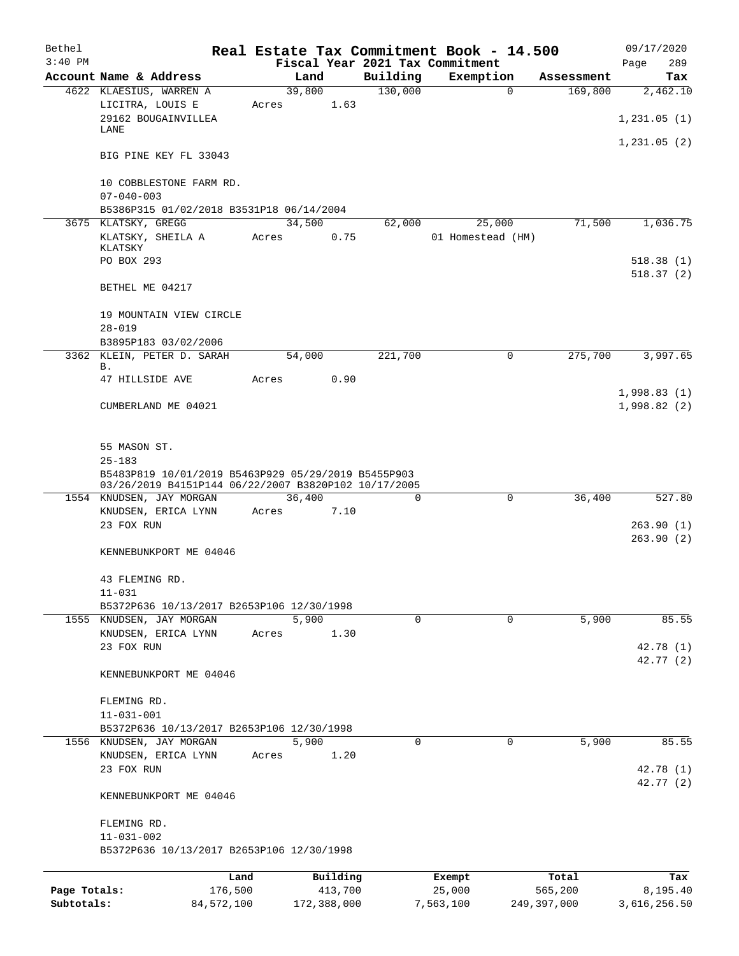| Bethel       |                                                                                                             |         |                |          |                     | Real Estate Tax Commitment Book - 14.500 |             |                       | 09/17/2020                 |
|--------------|-------------------------------------------------------------------------------------------------------------|---------|----------------|----------|---------------------|------------------------------------------|-------------|-----------------------|----------------------------|
| $3:40$ PM    |                                                                                                             |         |                |          |                     | Fiscal Year 2021 Tax Commitment          |             |                       | 289<br>Page                |
|              | Account Name & Address<br>4622 KLAESIUS, WARREN A                                                           |         | Land<br>39,800 |          | Building<br>130,000 | Exemption                                | $\Omega$    | Assessment<br>169,800 | Tax<br>2,462.10            |
|              | LICITRA, LOUIS E                                                                                            | Acres   |                | 1.63     |                     |                                          |             |                       |                            |
|              | 29162 BOUGAINVILLEA                                                                                         |         |                |          |                     |                                          |             |                       | 1,231.05(1)                |
|              | LANE                                                                                                        |         |                |          |                     |                                          |             |                       | 1,231.05(2)                |
|              | BIG PINE KEY FL 33043                                                                                       |         |                |          |                     |                                          |             |                       |                            |
|              | 10 COBBLESTONE FARM RD.                                                                                     |         |                |          |                     |                                          |             |                       |                            |
|              | $07 - 040 - 003$                                                                                            |         |                |          |                     |                                          |             |                       |                            |
|              | B5386P315 01/02/2018 B3531P18 06/14/2004<br>3675 KLATSKY, GREGG                                             |         | 34,500         |          | 62,000              | 25,000                                   |             | 71,500                | 1,036.75                   |
|              | KLATSKY, SHEILA A                                                                                           | Acres   |                | 0.75     |                     | 01 Homestead (HM)                        |             |                       |                            |
|              | KLATSKY                                                                                                     |         |                |          |                     |                                          |             |                       |                            |
|              | PO BOX 293                                                                                                  |         |                |          |                     |                                          |             |                       | 518.38(1)<br>518.37(2)     |
|              | BETHEL ME 04217                                                                                             |         |                |          |                     |                                          |             |                       |                            |
|              | 19 MOUNTAIN VIEW CIRCLE                                                                                     |         |                |          |                     |                                          |             |                       |                            |
|              | $28 - 019$                                                                                                  |         |                |          |                     |                                          |             |                       |                            |
|              | B3895P183 03/02/2006<br>3362 KLEIN, PETER D. SARAH                                                          |         | 54,000         |          | 221,700             |                                          | 0           | 275,700               | 3,997.65                   |
|              | Β.                                                                                                          |         |                |          |                     |                                          |             |                       |                            |
|              | 47 HILLSIDE AVE                                                                                             | Acres   |                | 0.90     |                     |                                          |             |                       |                            |
|              | CUMBERLAND ME 04021                                                                                         |         |                |          |                     |                                          |             |                       | 1,998.83(1)<br>1,998.82(2) |
|              |                                                                                                             |         |                |          |                     |                                          |             |                       |                            |
|              | 55 MASON ST.<br>$25 - 183$                                                                                  |         |                |          |                     |                                          |             |                       |                            |
|              | B5483P819 10/01/2019 B5463P929 05/29/2019 B5455P903<br>03/26/2019 B4151P144 06/22/2007 B3820P102 10/17/2005 |         |                |          |                     |                                          |             |                       |                            |
|              | 1554 KNUDSEN, JAY MORGAN                                                                                    |         | 36,400         |          | 0                   |                                          | $\mathbf 0$ | 36,400                | 527.80                     |
|              | KNUDSEN, ERICA LYNN                                                                                         | Acres   |                | 7.10     |                     |                                          |             |                       |                            |
|              | 23 FOX RUN                                                                                                  |         |                |          |                     |                                          |             |                       | 263.90(1)<br>263.90(2)     |
|              | KENNEBUNKPORT ME 04046                                                                                      |         |                |          |                     |                                          |             |                       |                            |
|              | 43 FLEMING RD.                                                                                              |         |                |          |                     |                                          |             |                       |                            |
|              | $11 - 031$                                                                                                  |         |                |          |                     |                                          |             |                       |                            |
|              | B5372P636 10/13/2017 B2653P106 12/30/1998                                                                   |         |                |          | $\mathbf 0$         |                                          | 0           |                       |                            |
|              | 1555 KNUDSEN, JAY MORGAN<br>KNUDSEN, ERICA LYNN                                                             | Acres   | 5,900          | 1.30     |                     |                                          |             | 5,900                 | 85.55                      |
|              | 23 FOX RUN                                                                                                  |         |                |          |                     |                                          |             |                       | 42.78 (1)                  |
|              |                                                                                                             |         |                |          |                     |                                          |             |                       | 42.77 (2)                  |
|              | KENNEBUNKPORT ME 04046                                                                                      |         |                |          |                     |                                          |             |                       |                            |
|              | FLEMING RD.                                                                                                 |         |                |          |                     |                                          |             |                       |                            |
|              | $11 - 031 - 001$                                                                                            |         |                |          |                     |                                          |             |                       |                            |
|              | B5372P636 10/13/2017 B2653P106 12/30/1998                                                                   |         |                |          |                     |                                          |             |                       |                            |
|              | 1556 KNUDSEN, JAY MORGAN<br>KNUDSEN, ERICA LYNN                                                             | Acres   | 5,900          | 1.20     | 0                   |                                          | 0           | 5,900                 | 85.55                      |
|              | 23 FOX RUN                                                                                                  |         |                |          |                     |                                          |             |                       | 42.78 (1)                  |
|              | KENNEBUNKPORT ME 04046                                                                                      |         |                |          |                     |                                          |             |                       | 42.77 (2)                  |
|              |                                                                                                             |         |                |          |                     |                                          |             |                       |                            |
|              | FLEMING RD.<br>$11 - 031 - 002$                                                                             |         |                |          |                     |                                          |             |                       |                            |
|              | B5372P636 10/13/2017 B2653P106 12/30/1998                                                                   |         |                |          |                     |                                          |             |                       |                            |
|              |                                                                                                             |         |                |          |                     |                                          |             |                       |                            |
|              |                                                                                                             | Land    |                | Building |                     | Exempt                                   |             | Total                 | Tax                        |
| Page Totals: |                                                                                                             | 176,500 |                | 413,700  |                     | 25,000                                   |             | 565,200               | 8,195.40                   |

**Subtotals:** 84,572,100 172,388,000 7,563,100 249,397,000 3,616,256.50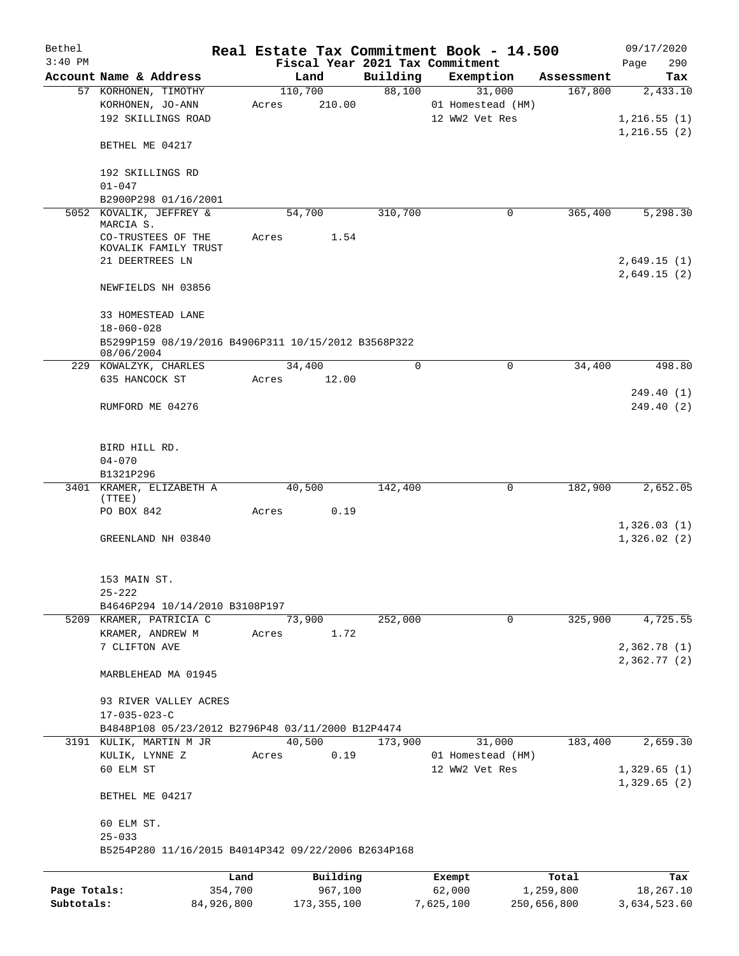| Bethel       |                                                                   |            |       |               |          | Real Estate Tax Commitment Book - 14.500 |             | 09/17/2020   |            |
|--------------|-------------------------------------------------------------------|------------|-------|---------------|----------|------------------------------------------|-------------|--------------|------------|
| $3:40$ PM    |                                                                   |            |       |               |          | Fiscal Year 2021 Tax Commitment          |             | Page         | 290        |
|              | Account Name & Address                                            |            |       | Land          | Building | Exemption                                | Assessment  |              | Tax        |
|              | 57 KORHONEN, TIMOTHY                                              |            |       | 110,700       | 88,100   | 31,000                                   | 167,800     |              | 2,433.10   |
|              | KORHONEN, JO-ANN                                                  |            | Acres | 210.00        |          | 01 Homestead (HM)                        |             |              |            |
|              | 192 SKILLINGS ROAD                                                |            |       |               |          | 12 WW2 Vet Res                           |             | 1,216.55(1)  |            |
|              |                                                                   |            |       |               |          |                                          |             | 1,216.55(2)  |            |
|              | BETHEL ME 04217                                                   |            |       |               |          |                                          |             |              |            |
|              |                                                                   |            |       |               |          |                                          |             |              |            |
|              | 192 SKILLINGS RD                                                  |            |       |               |          |                                          |             |              |            |
|              | $01 - 047$                                                        |            |       |               |          |                                          |             |              |            |
|              | B2900P298 01/16/2001                                              |            |       |               |          |                                          |             |              |            |
| 5052         | KOVALIK, JEFFREY &                                                |            |       | 54,700        | 310,700  | 0                                        | 365,400     |              | 5,298.30   |
|              | MARCIA S.                                                         |            |       |               |          |                                          |             |              |            |
|              | CO-TRUSTEES OF THE<br>KOVALIK FAMILY TRUST                        |            | Acres | 1.54          |          |                                          |             |              |            |
|              | 21 DEERTREES LN                                                   |            |       |               |          |                                          |             | 2,649.15(1)  |            |
|              |                                                                   |            |       |               |          |                                          |             | 2,649.15(2)  |            |
|              |                                                                   |            |       |               |          |                                          |             |              |            |
|              | NEWFIELDS NH 03856                                                |            |       |               |          |                                          |             |              |            |
|              |                                                                   |            |       |               |          |                                          |             |              |            |
|              | 33 HOMESTEAD LANE                                                 |            |       |               |          |                                          |             |              |            |
|              | $18 - 060 - 028$                                                  |            |       |               |          |                                          |             |              |            |
|              | B5299P159 08/19/2016 B4906P311 10/15/2012 B3568P322<br>08/06/2004 |            |       |               |          |                                          |             |              |            |
|              | 229 KOWALZYK, CHARLES                                             |            |       | 34,400        | 0        | 0                                        | 34,400      |              | 498.80     |
|              | 635 HANCOCK ST                                                    |            | Acres | 12.00         |          |                                          |             |              |            |
|              |                                                                   |            |       |               |          |                                          |             |              | 249.40 (1) |
|              | RUMFORD ME 04276                                                  |            |       |               |          |                                          |             |              | 249.40 (2) |
|              |                                                                   |            |       |               |          |                                          |             |              |            |
|              |                                                                   |            |       |               |          |                                          |             |              |            |
|              | BIRD HILL RD.                                                     |            |       |               |          |                                          |             |              |            |
|              | $04 - 070$                                                        |            |       |               |          |                                          |             |              |            |
|              | B1321P296                                                         |            |       |               |          |                                          |             |              |            |
|              | 3401 KRAMER, ELIZABETH A                                          |            |       | 40,500        | 142,400  | 0                                        | 182,900     |              | 2,652.05   |
|              | (TTEE)                                                            |            |       |               |          |                                          |             |              |            |
|              | PO BOX 842                                                        |            | Acres | 0.19          |          |                                          |             |              |            |
|              |                                                                   |            |       |               |          |                                          |             | 1,326.03(1)  |            |
|              | GREENLAND NH 03840                                                |            |       |               |          |                                          |             | 1,326.02(2)  |            |
|              |                                                                   |            |       |               |          |                                          |             |              |            |
|              |                                                                   |            |       |               |          |                                          |             |              |            |
|              | 153 MAIN ST.                                                      |            |       |               |          |                                          |             |              |            |
|              | $25 - 222$                                                        |            |       |               |          |                                          |             |              |            |
|              | B4646P294 10/14/2010 B3108P197                                    |            |       |               |          |                                          |             |              |            |
|              | 5209 KRAMER, PATRICIA C                                           |            |       | 73,900        | 252,000  | $\mathbf 0$                              | 325,900     |              | 4,725.55   |
|              | KRAMER, ANDREW M                                                  |            | Acres | 1.72          |          |                                          |             |              |            |
|              | 7 CLIFTON AVE                                                     |            |       |               |          |                                          |             | 2,362.78(1)  |            |
|              |                                                                   |            |       |               |          |                                          |             | 2,362.77(2)  |            |
|              | MARBLEHEAD MA 01945                                               |            |       |               |          |                                          |             |              |            |
|              |                                                                   |            |       |               |          |                                          |             |              |            |
|              | 93 RIVER VALLEY ACRES                                             |            |       |               |          |                                          |             |              |            |
|              | $17 - 035 - 023 - C$                                              |            |       |               |          |                                          |             |              |            |
|              | B4848P108 05/23/2012 B2796P48 03/11/2000 B12P4474                 |            |       |               |          |                                          |             |              |            |
|              | 3191 KULIK, MARTIN M JR                                           |            |       | 40,500        | 173,900  | 31,000                                   | 183,400     |              | 2,659.30   |
|              | KULIK, LYNNE Z                                                    |            | Acres | 0.19          |          | 01 Homestead (HM)                        |             |              |            |
|              | 60 ELM ST                                                         |            |       |               |          | 12 WW2 Vet Res                           |             | 1,329.65(1)  |            |
|              |                                                                   |            |       |               |          |                                          |             | 1,329.65(2)  |            |
|              | BETHEL ME 04217                                                   |            |       |               |          |                                          |             |              |            |
|              |                                                                   |            |       |               |          |                                          |             |              |            |
|              | 60 ELM ST.                                                        |            |       |               |          |                                          |             |              |            |
|              | $25 - 033$                                                        |            |       |               |          |                                          |             |              |            |
|              | B5254P280 11/16/2015 B4014P342 09/22/2006 B2634P168               |            |       |               |          |                                          |             |              |            |
|              |                                                                   |            |       |               |          |                                          |             |              |            |
|              |                                                                   | Land       |       | Building      |          | Exempt                                   | Total       |              | Tax        |
| Page Totals: |                                                                   | 354,700    |       | 967,100       |          | 62,000                                   | 1,259,800   |              | 18,267.10  |
| Subtotals:   |                                                                   | 84,926,800 |       | 173, 355, 100 |          | 7,625,100                                | 250,656,800 | 3,634,523.60 |            |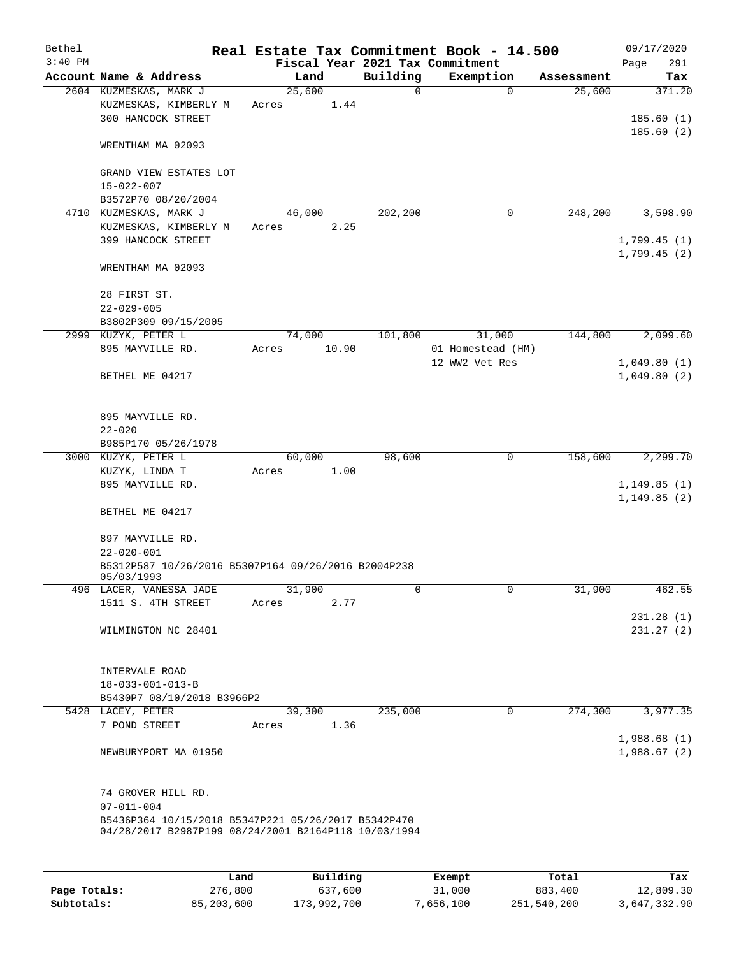| Bethel<br>$3:40$ PM |                                                                                                                                                       |                 |       |          | Real Estate Tax Commitment Book - 14.500<br>Fiscal Year 2021 Tax Commitment |            | 09/17/2020<br>Page<br>291   |
|---------------------|-------------------------------------------------------------------------------------------------------------------------------------------------------|-----------------|-------|----------|-----------------------------------------------------------------------------|------------|-----------------------------|
|                     | Account Name & Address                                                                                                                                | Land            |       | Building | Exemption                                                                   | Assessment | Tax                         |
|                     | 2604 KUZMESKAS, MARK J<br>KUZMESKAS, KIMBERLY M<br>300 HANCOCK STREET                                                                                 | 25,600<br>Acres | 1.44  | 0        | $\Omega$                                                                    | 25,600     | 371.20<br>185.60(1)         |
|                     | WRENTHAM MA 02093                                                                                                                                     |                 |       |          |                                                                             |            | 185.60(2)                   |
|                     | GRAND VIEW ESTATES LOT<br>$15 - 022 - 007$<br>B3572P70 08/20/2004                                                                                     |                 |       |          |                                                                             |            |                             |
| 4710                | KUZMESKAS, MARK J                                                                                                                                     | 46,000          |       | 202,200  | 0                                                                           | 248,200    | 3,598.90                    |
|                     | KUZMESKAS, KIMBERLY M<br>399 HANCOCK STREET                                                                                                           | Acres           | 2.25  |          |                                                                             |            | 1,799.45(1)<br>1,799.45(2)  |
|                     | WRENTHAM MA 02093                                                                                                                                     |                 |       |          |                                                                             |            |                             |
|                     | 28 FIRST ST.<br>$22 - 029 - 005$<br>B3802P309 09/15/2005                                                                                              |                 |       |          |                                                                             |            |                             |
|                     | 2999 KUZYK, PETER L                                                                                                                                   | 74,000          |       | 101,800  | 31,000                                                                      | 144,800    | 2,099.60                    |
|                     | 895 MAYVILLE RD.                                                                                                                                      | Acres           | 10.90 |          | 01 Homestead (HM)                                                           |            |                             |
|                     | BETHEL ME 04217                                                                                                                                       |                 |       |          | 12 WW2 Vet Res                                                              |            | 1,049.80(1)<br>1,049.80(2)  |
|                     | 895 MAYVILLE RD.<br>$22 - 020$                                                                                                                        |                 |       |          |                                                                             |            |                             |
|                     | B985P170 05/26/1978                                                                                                                                   |                 |       |          |                                                                             |            |                             |
|                     | 3000 KUZYK, PETER L<br>KUZYK, LINDA T                                                                                                                 | 60,000<br>Acres | 1.00  | 98,600   | 0                                                                           | 158,600    | 2,299.70                    |
|                     | 895 MAYVILLE RD.                                                                                                                                      |                 |       |          |                                                                             |            | 1,149.85(1)<br>1, 149.85(2) |
|                     | BETHEL ME 04217                                                                                                                                       |                 |       |          |                                                                             |            |                             |
|                     | 897 MAYVILLE RD.                                                                                                                                      |                 |       |          |                                                                             |            |                             |
|                     | $22 - 020 - 001$<br>B5312P587 10/26/2016 B5307P164 09/26/2016 B2004P238<br>05/03/1993                                                                 |                 |       |          |                                                                             |            |                             |
|                     | 496 LACER, VANESSA JADE                                                                                                                               | 31,900          |       | 0        | 0                                                                           | 31,900     | 462.55                      |
|                     | 1511 S. 4TH STREET                                                                                                                                    | Acres           | 2.77  |          |                                                                             |            |                             |
|                     | WILMINGTON NC 28401                                                                                                                                   |                 |       |          |                                                                             |            | 231.28(1)<br>231.27(2)      |
|                     | INTERVALE ROAD<br>$18 - 033 - 001 - 013 - B$<br>B5430P7 08/10/2018 B3966P2                                                                            |                 |       |          |                                                                             |            |                             |
|                     | 5428 LACEY, PETER<br>7 POND STREET                                                                                                                    | 39,300<br>Acres | 1.36  | 235,000  | 0                                                                           | 274,300    | 3,977.35                    |
|                     | NEWBURYPORT MA 01950                                                                                                                                  |                 |       |          |                                                                             |            | 1,988.68(1)<br>1,988.67(2)  |
|                     | 74 GROVER HILL RD.<br>$07 - 011 - 004$<br>B5436P364 10/15/2018 B5347P221 05/26/2017 B5342P470<br>04/28/2017 B2987P199 08/24/2001 B2164P118 10/03/1994 |                 |       |          |                                                                             |            |                             |
|                     |                                                                                                                                                       |                 |       |          |                                                                             |            |                             |

|              | Land       | Building    | Exempt    | Total       | Tax          |
|--------------|------------|-------------|-----------|-------------|--------------|
| Page Totals: | 276,800    | 637,600     | 31,000    | 883,400     | 12,809.30    |
| Subtotals:   | 85,203,600 | 173,992,700 | 7,656,100 | 251,540,200 | 3,647,332.90 |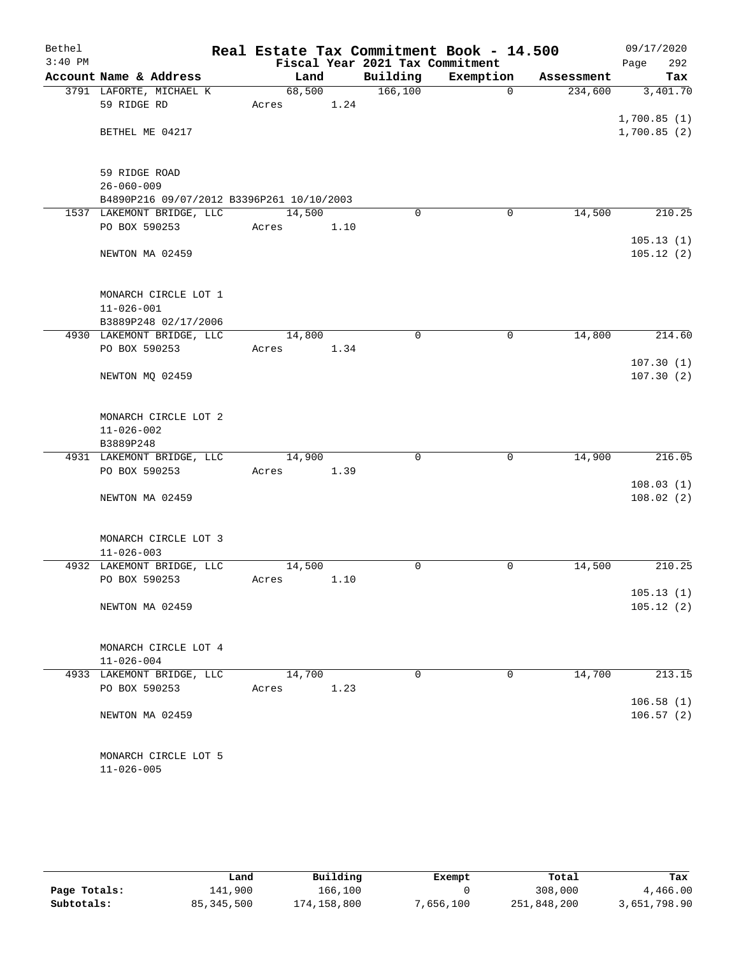| Bethel    |                                           |        |      |                                 | Real Estate Tax Commitment Book - 14.500 |            | 09/17/2020             |
|-----------|-------------------------------------------|--------|------|---------------------------------|------------------------------------------|------------|------------------------|
| $3:40$ PM |                                           |        |      | Fiscal Year 2021 Tax Commitment |                                          |            | 292<br>Page            |
|           | Account Name & Address                    | Land   |      | Building                        | Exemption                                | Assessment | Tax                    |
|           | 3791 LAFORTE, MICHAEL K                   | 68,500 |      | 166,100                         | 0                                        | 234,600    | 3,401.70               |
|           | 59 RIDGE RD                               | Acres  | 1.24 |                                 |                                          |            |                        |
|           |                                           |        |      |                                 |                                          |            | 1,700.85(1)            |
|           | BETHEL ME 04217                           |        |      |                                 |                                          |            | 1,700.85(2)            |
|           |                                           |        |      |                                 |                                          |            |                        |
|           | 59 RIDGE ROAD                             |        |      |                                 |                                          |            |                        |
|           | $26 - 060 - 009$                          |        |      |                                 |                                          |            |                        |
|           | B4890P216 09/07/2012 B3396P261 10/10/2003 |        |      |                                 |                                          |            |                        |
|           | 1537 LAKEMONT BRIDGE, LLC                 | 14,500 |      | $\Omega$                        | $\mathbf 0$                              | 14,500     | 210.25                 |
|           | PO BOX 590253                             | Acres  | 1.10 |                                 |                                          |            |                        |
|           |                                           |        |      |                                 |                                          |            | 105.13(1)              |
|           | NEWTON MA 02459                           |        |      |                                 |                                          |            | 105.12(2)              |
|           |                                           |        |      |                                 |                                          |            |                        |
|           | MONARCH CIRCLE LOT 1                      |        |      |                                 |                                          |            |                        |
|           | $11 - 026 - 001$                          |        |      |                                 |                                          |            |                        |
|           | B3889P248 02/17/2006                      |        |      |                                 |                                          |            |                        |
|           | 4930 LAKEMONT BRIDGE, LLC                 | 14,800 |      | $\mathbf 0$                     | 0                                        | 14,800     | 214.60                 |
|           | PO BOX 590253                             | Acres  | 1.34 |                                 |                                          |            |                        |
|           |                                           |        |      |                                 |                                          |            | 107.30(1)              |
|           | NEWTON MQ 02459                           |        |      |                                 |                                          |            | 107.30(2)              |
|           |                                           |        |      |                                 |                                          |            |                        |
|           | MONARCH CIRCLE LOT 2                      |        |      |                                 |                                          |            |                        |
|           | $11 - 026 - 002$                          |        |      |                                 |                                          |            |                        |
|           | B3889P248                                 |        |      |                                 |                                          |            |                        |
|           | 4931 LAKEMONT BRIDGE, LLC                 | 14,900 |      | $\mathbf 0$                     | $\mathbf 0$                              | 14,900     | 216.05                 |
|           | PO BOX 590253                             | Acres  | 1.39 |                                 |                                          |            |                        |
|           |                                           |        |      |                                 |                                          |            | 108.03(1)              |
|           | NEWTON MA 02459                           |        |      |                                 |                                          |            | 108.02(2)              |
|           |                                           |        |      |                                 |                                          |            |                        |
|           | MONARCH CIRCLE LOT 3                      |        |      |                                 |                                          |            |                        |
|           | $11 - 026 - 003$                          |        |      |                                 |                                          |            |                        |
|           | 4932 LAKEMONT BRIDGE, LLC                 | 14,500 |      | 0                               | 0                                        | 14,500     | 210.25                 |
|           | PO BOX 590253                             | Acres  | 1.10 |                                 |                                          |            |                        |
|           | NEWTON MA 02459                           |        |      |                                 |                                          |            | 105.13(1)<br>105.12(2) |
|           |                                           |        |      |                                 |                                          |            |                        |
|           |                                           |        |      |                                 |                                          |            |                        |
|           | MONARCH CIRCLE LOT 4                      |        |      |                                 |                                          |            |                        |
|           | $11 - 026 - 004$                          |        |      |                                 |                                          |            |                        |
|           | 4933 LAKEMONT BRIDGE, LLC                 | 14,700 |      | 0                               | 0                                        | 14,700     | 213.15                 |
|           | PO BOX 590253                             | Acres  | 1.23 |                                 |                                          |            |                        |
|           |                                           |        |      |                                 |                                          |            | 106.58(1)              |
|           | NEWTON MA 02459                           |        |      |                                 |                                          |            | 106.57(2)              |
|           |                                           |        |      |                                 |                                          |            |                        |
|           | MONARCH CIRCLE LOT 5                      |        |      |                                 |                                          |            |                        |
|           | $11 - 026 - 005$                          |        |      |                                 |                                          |            |                        |
|           |                                           |        |      |                                 |                                          |            |                        |

|              | Land         | Building    | Exempt    | Total       | Tax          |
|--------------|--------------|-------------|-----------|-------------|--------------|
| Page Totals: | 141,900      | 166,100     |           | 308,000     | 4,466.00     |
| Subtotals:   | 85, 345, 500 | 174,158,800 | 7,656,100 | 251,848,200 | 3,651,798.90 |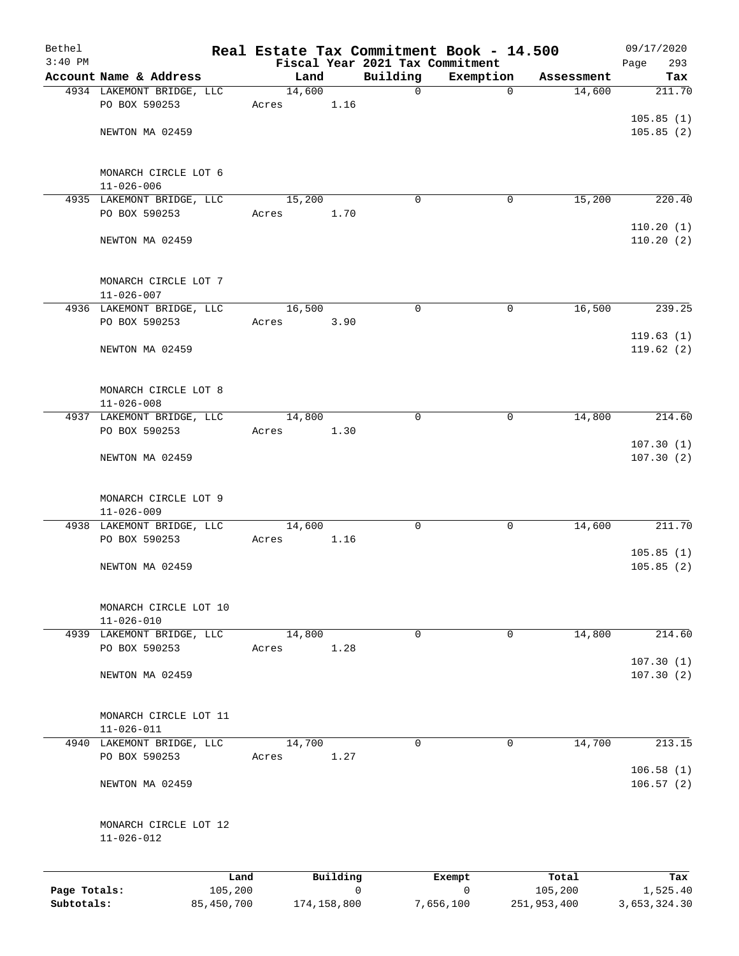| Bethel                     |                                           |                       |        |             |             | Real Estate Tax Commitment Book - 14.500     |                        | 09/17/2020               |
|----------------------------|-------------------------------------------|-----------------------|--------|-------------|-------------|----------------------------------------------|------------------------|--------------------------|
| $3:40$ PM                  | Account Name & Address                    |                       | Land   |             | Building    | Fiscal Year 2021 Tax Commitment<br>Exemption | Assessment             | Page<br>293<br>Tax       |
|                            | 4934 LAKEMONT BRIDGE, LLC                 |                       | 14,600 |             | $\mathbf 0$ | $\mathbf 0$                                  | 14,600                 | 211.70                   |
|                            | PO BOX 590253                             |                       | Acres  | 1.16        |             |                                              |                        |                          |
|                            |                                           |                       |        |             |             |                                              |                        | 105.85(1)                |
|                            | NEWTON MA 02459                           |                       |        |             |             |                                              |                        | 105.85(2)                |
|                            | MONARCH CIRCLE LOT 6<br>$11 - 026 - 006$  |                       |        |             |             |                                              |                        |                          |
|                            | 4935 LAKEMONT BRIDGE, LLC                 |                       | 15,200 |             | 0           | 0                                            | 15,200                 | 220.40                   |
|                            | PO BOX 590253                             |                       | Acres  | 1.70        |             |                                              |                        |                          |
|                            | NEWTON MA 02459                           |                       |        |             |             |                                              |                        | 110.20(1)<br>110.20(2)   |
|                            | MONARCH CIRCLE LOT 7<br>$11 - 026 - 007$  |                       |        |             |             |                                              |                        |                          |
|                            | 4936 LAKEMONT BRIDGE, LLC                 |                       | 16,500 |             | $\mathbf 0$ | 0                                            | 16,500                 | 239.25                   |
|                            | PO BOX 590253                             |                       | Acres  | 3.90        |             |                                              |                        |                          |
|                            | NEWTON MA 02459                           |                       |        |             |             |                                              |                        | 119.63(1)<br>119.62(2)   |
|                            | MONARCH CIRCLE LOT 8<br>$11 - 026 - 008$  |                       |        |             |             |                                              |                        |                          |
|                            | 4937 LAKEMONT BRIDGE, LLC                 |                       | 14,800 |             | $\mathbf 0$ | $\mathbf 0$                                  | 14,800                 | 214.60                   |
|                            | PO BOX 590253                             |                       | Acres  | 1.30        |             |                                              |                        |                          |
|                            | NEWTON MA 02459                           |                       |        |             |             |                                              |                        | 107.30(1)<br>107.30(2)   |
|                            | MONARCH CIRCLE LOT 9<br>$11 - 026 - 009$  |                       |        |             |             |                                              |                        |                          |
|                            | 4938 LAKEMONT BRIDGE, LLC                 |                       | 14,600 |             | $\mathbf 0$ | 0                                            | 14,600                 | 211.70                   |
|                            | PO BOX 590253                             |                       | Acres  | 1.16        |             |                                              |                        | 105.85(1)                |
|                            | NEWTON MA 02459                           |                       |        |             |             |                                              |                        | 105.85(2)                |
|                            | MONARCH CIRCLE LOT 10<br>$11 - 026 - 010$ |                       |        |             |             |                                              |                        |                          |
|                            | 4939 LAKEMONT BRIDGE, LLC                 |                       | 14,800 |             | $\mathbf 0$ | 0                                            | 14,800                 | 214.60                   |
|                            | PO BOX 590253                             |                       | Acres  | 1.28        |             |                                              |                        | 107.30(1)                |
|                            | NEWTON MA 02459                           |                       |        |             |             |                                              |                        | 107.30(2)                |
|                            | MONARCH CIRCLE LOT 11<br>$11 - 026 - 011$ |                       |        |             |             |                                              |                        |                          |
|                            | 4940 LAKEMONT BRIDGE, LLC                 |                       | 14,700 |             | 0           | 0                                            | 14,700                 | 213.15                   |
|                            | PO BOX 590253                             |                       | Acres  | 1.27        |             |                                              |                        | 106.58(1)                |
|                            | NEWTON MA 02459                           |                       |        |             |             |                                              |                        | 106.57(2)                |
|                            | MONARCH CIRCLE LOT 12<br>$11 - 026 - 012$ |                       |        |             |             |                                              |                        |                          |
|                            |                                           | Land                  |        | Building    |             | Exempt                                       | Total                  | Tax                      |
| Page Totals:<br>Subtotals: |                                           | 105,200<br>85,450,700 |        | 174,158,800 | 0           | $\mathbf 0$<br>7,656,100                     | 105,200<br>251,953,400 | 1,525.40<br>3,653,324.30 |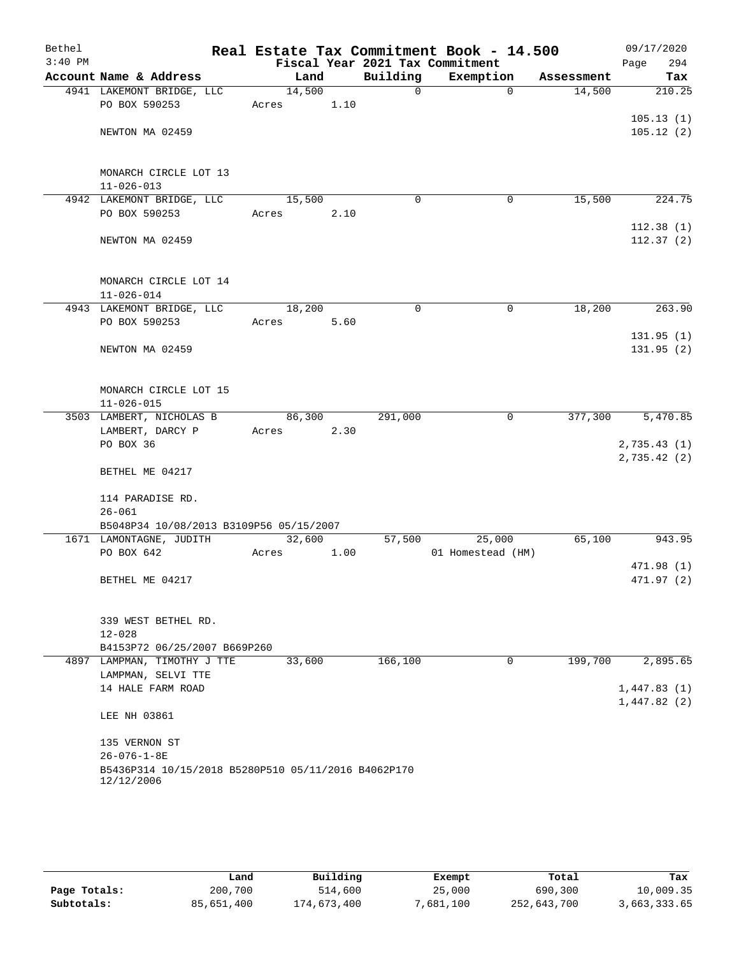| Bethel<br>$3:40$ PM |                                                                   |        |      |             | Real Estate Tax Commitment Book - 14.500<br>Fiscal Year 2021 Tax Commitment |            | 09/17/2020<br>Page<br>294 |
|---------------------|-------------------------------------------------------------------|--------|------|-------------|-----------------------------------------------------------------------------|------------|---------------------------|
|                     | Account Name & Address                                            | Land   |      | Building    | Exemption                                                                   | Assessment | Tax                       |
|                     | 4941 LAKEMONT BRIDGE, LLC                                         | 14,500 |      | $\mathbf 0$ | $\Omega$                                                                    | 14,500     | 210.25                    |
|                     | PO BOX 590253                                                     | Acres  | 1.10 |             |                                                                             |            |                           |
|                     |                                                                   |        |      |             |                                                                             |            | 105.13(1)                 |
|                     | NEWTON MA 02459                                                   |        |      |             |                                                                             |            | 105.12(2)                 |
|                     |                                                                   |        |      |             |                                                                             |            |                           |
|                     |                                                                   |        |      |             |                                                                             |            |                           |
|                     | MONARCH CIRCLE LOT 13                                             |        |      |             |                                                                             |            |                           |
|                     | $11 - 026 - 013$                                                  |        |      |             |                                                                             |            |                           |
|                     | 4942 LAKEMONT BRIDGE, LLC                                         | 15,500 |      | 0           | 0                                                                           | 15,500     | 224.75                    |
|                     | PO BOX 590253                                                     | Acres  | 2.10 |             |                                                                             |            |                           |
|                     |                                                                   |        |      |             |                                                                             |            | 112.38(1)                 |
|                     | NEWTON MA 02459                                                   |        |      |             |                                                                             |            | 112.37(2)                 |
|                     |                                                                   |        |      |             |                                                                             |            |                           |
|                     |                                                                   |        |      |             |                                                                             |            |                           |
|                     | MONARCH CIRCLE LOT 14                                             |        |      |             |                                                                             |            |                           |
|                     | $11 - 026 - 014$                                                  |        |      |             |                                                                             |            |                           |
|                     | 4943 LAKEMONT BRIDGE, LLC<br>PO BOX 590253                        | 18,200 |      | $\mathbf 0$ | $\mathbf 0$                                                                 | 18,200     | 263.90                    |
|                     |                                                                   | Acres  | 5.60 |             |                                                                             |            | 131.95(1)                 |
|                     | NEWTON MA 02459                                                   |        |      |             |                                                                             |            | 131.95(2)                 |
|                     |                                                                   |        |      |             |                                                                             |            |                           |
|                     |                                                                   |        |      |             |                                                                             |            |                           |
|                     | MONARCH CIRCLE LOT 15                                             |        |      |             |                                                                             |            |                           |
|                     | $11 - 026 - 015$                                                  |        |      |             |                                                                             |            |                           |
|                     | 3503 LAMBERT, NICHOLAS B                                          | 86,300 |      | 291,000     | 0                                                                           | 377,300    | 5,470.85                  |
|                     | LAMBERT, DARCY P                                                  | Acres  | 2.30 |             |                                                                             |            |                           |
|                     | PO BOX 36                                                         |        |      |             |                                                                             |            | 2,735.43(1)               |
|                     |                                                                   |        |      |             |                                                                             |            | 2,735.42(2)               |
|                     | BETHEL ME 04217                                                   |        |      |             |                                                                             |            |                           |
|                     |                                                                   |        |      |             |                                                                             |            |                           |
|                     | 114 PARADISE RD.                                                  |        |      |             |                                                                             |            |                           |
|                     | $26 - 061$                                                        |        |      |             |                                                                             |            |                           |
|                     | B5048P34 10/08/2013 B3109P56 05/15/2007                           |        |      |             |                                                                             |            |                           |
|                     | 1671 LAMONTAGNE, JUDITH                                           | 32,600 |      | 57,500      | 25,000                                                                      | 65,100     | 943.95                    |
|                     | PO BOX 642                                                        | Acres  | 1.00 |             | 01 Homestead (HM)                                                           |            | 471.98 (1)                |
|                     | BETHEL ME 04217                                                   |        |      |             |                                                                             |            | 471.97(2)                 |
|                     |                                                                   |        |      |             |                                                                             |            |                           |
|                     |                                                                   |        |      |             |                                                                             |            |                           |
|                     | 339 WEST BETHEL RD.                                               |        |      |             |                                                                             |            |                           |
|                     | $12 - 028$                                                        |        |      |             |                                                                             |            |                           |
|                     | B4153P72 06/25/2007 B669P260                                      |        |      |             |                                                                             |            |                           |
|                     | 4897 LAMPMAN, TIMOTHY J TTE                                       | 33,600 |      | 166,100     | $\mathbf 0$                                                                 | 199,700    | 2,895.65                  |
|                     | LAMPMAN, SELVI TTE                                                |        |      |             |                                                                             |            |                           |
|                     | 14 HALE FARM ROAD                                                 |        |      |             |                                                                             |            | 1,447.83(1)               |
|                     |                                                                   |        |      |             |                                                                             |            | 1,447.82(2)               |
|                     | LEE NH 03861                                                      |        |      |             |                                                                             |            |                           |
|                     |                                                                   |        |      |             |                                                                             |            |                           |
|                     | 135 VERNON ST                                                     |        |      |             |                                                                             |            |                           |
|                     | $26 - 076 - 1 - 8E$                                               |        |      |             |                                                                             |            |                           |
|                     | B5436P314 10/15/2018 B5280P510 05/11/2016 B4062P170<br>12/12/2006 |        |      |             |                                                                             |            |                           |
|                     |                                                                   |        |      |             |                                                                             |            |                           |

|              | Land       | Building    | Exempt    | Total       | Tax          |
|--------------|------------|-------------|-----------|-------------|--------------|
| Page Totals: | 200,700    | 514,600     | 25,000    | 690,300     | 10,009.35    |
| Subtotals:   | 85,651,400 | 174,673,400 | 7,681,100 | 252,643,700 | 3,663,333.65 |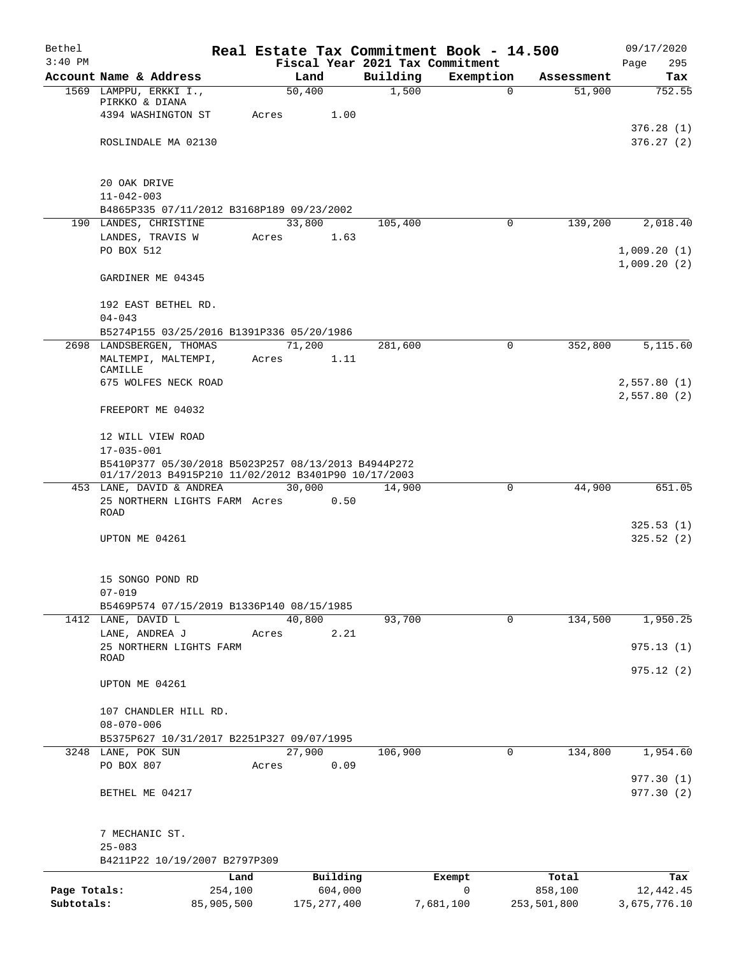| Bethel       |                                                           |            |                |                   | Real Estate Tax Commitment Book - 14.500 |                      | 09/17/2020                 |
|--------------|-----------------------------------------------------------|------------|----------------|-------------------|------------------------------------------|----------------------|----------------------------|
| $3:40$ PM    |                                                           |            |                |                   | Fiscal Year 2021 Tax Commitment          |                      | 295<br>Page                |
|              | Account Name & Address<br>1569 LAMPPU, ERKKI I.,          |            | Land<br>50,400 | Building<br>1,500 | Exemption<br>$\mathbf 0$                 | Assessment<br>51,900 | Tax<br>752.55              |
|              | PIRKKO & DIANA                                            |            |                |                   |                                          |                      |                            |
|              | 4394 WASHINGTON ST                                        | Acres      | 1.00           |                   |                                          |                      |                            |
|              |                                                           |            |                |                   |                                          |                      | 376.28(1)                  |
|              | ROSLINDALE MA 02130                                       |            |                |                   |                                          |                      | 376.27(2)                  |
|              | 20 OAK DRIVE                                              |            |                |                   |                                          |                      |                            |
|              | $11 - 042 - 003$                                          |            |                |                   |                                          |                      |                            |
|              | B4865P335 07/11/2012 B3168P189 09/23/2002                 |            |                |                   |                                          |                      |                            |
|              | 190 LANDES, CHRISTINE                                     |            | 33,800         | 105,400           | 0                                        | 139,200              | 2,018.40                   |
|              | LANDES, TRAVIS W                                          | Acres      | 1.63           |                   |                                          |                      |                            |
|              | PO BOX 512                                                |            |                |                   |                                          |                      | 1,009.20(1)                |
|              | GARDINER ME 04345                                         |            |                |                   |                                          |                      | 1,009.20(2)                |
|              | 192 EAST BETHEL RD.                                       |            |                |                   |                                          |                      |                            |
|              | $04 - 043$                                                |            |                |                   |                                          |                      |                            |
|              | B5274P155 03/25/2016 B1391P336 05/20/1986                 |            |                |                   |                                          |                      |                            |
|              | 2698 LANDSBERGEN, THOMAS                                  |            | 71,200         | 281,600           | $\mathbf 0$                              | 352,800              | 5,115.60                   |
|              | MALTEMPI, MALTEMPI,                                       | Acres      | 1.11           |                   |                                          |                      |                            |
|              | CAMILLE<br>675 WOLFES NECK ROAD                           |            |                |                   |                                          |                      |                            |
|              |                                                           |            |                |                   |                                          |                      | 2,557.80(1)<br>2,557.80(2) |
|              | FREEPORT ME 04032                                         |            |                |                   |                                          |                      |                            |
|              | 12 WILL VIEW ROAD                                         |            |                |                   |                                          |                      |                            |
|              | $17 - 035 - 001$                                          |            |                |                   |                                          |                      |                            |
|              | B5410P377 05/30/2018 B5023P257 08/13/2013 B4944P272       |            |                |                   |                                          |                      |                            |
|              | 01/17/2013 B4915P210 11/02/2012 B3401P90 10/17/2003       |            |                |                   |                                          |                      |                            |
|              | 453 LANE, DAVID & ANDREA<br>25 NORTHERN LIGHTS FARM Acres |            | 30,000<br>0.50 | 14,900            | 0                                        | 44,900               | 651.05                     |
|              | ROAD                                                      |            |                |                   |                                          |                      |                            |
|              |                                                           |            |                |                   |                                          |                      | 325.53(1)                  |
|              | UPTON ME 04261                                            |            |                |                   |                                          |                      | 325.52(2)                  |
|              | 15 SONGO POND RD                                          |            |                |                   |                                          |                      |                            |
|              | $07 - 019$                                                |            |                |                   |                                          |                      |                            |
|              | B5469P574 07/15/2019 B1336P140 08/15/1985                 |            |                |                   |                                          |                      |                            |
|              | 1412 LANE, DAVID L                                        |            | 40,800         | 93,700            | $\mathsf{O}$                             | 134,500              | 1,950.25                   |
|              | LANE, ANDREA J                                            | Acres      | 2.21           |                   |                                          |                      |                            |
|              | 25 NORTHERN LIGHTS FARM<br>ROAD                           |            |                |                   |                                          |                      | 975.13(1)                  |
|              |                                                           |            |                |                   |                                          |                      | 975.12 (2)                 |
|              | UPTON ME 04261                                            |            |                |                   |                                          |                      |                            |
|              | 107 CHANDLER HILL RD.                                     |            |                |                   |                                          |                      |                            |
|              | $08 - 070 - 006$                                          |            |                |                   |                                          |                      |                            |
|              | B5375P627 10/31/2017 B2251P327 09/07/1995                 |            |                |                   |                                          |                      |                            |
|              | 3248 LANE, POK SUN                                        |            | 27,900         | 106,900           | 0                                        | 134,800              | 1,954.60                   |
|              | PO BOX 807                                                | Acres      | 0.09           |                   |                                          |                      |                            |
|              | BETHEL ME 04217                                           |            |                |                   |                                          |                      | 977.30(1)<br>977.30(2)     |
|              |                                                           |            |                |                   |                                          |                      |                            |
|              | 7 MECHANIC ST.                                            |            |                |                   |                                          |                      |                            |
|              | $25 - 083$<br>B4211P22 10/19/2007 B2797P309               |            |                |                   |                                          |                      |                            |
|              |                                                           | Land       | Building       |                   | Exempt                                   | Total                | Tax                        |
| Page Totals: |                                                           | 254,100    | 604,000        |                   | 0                                        | 858,100              | 12,442.45                  |
| Subtotals:   |                                                           | 85,905,500 | 175, 277, 400  |                   | 7,681,100                                | 253,501,800          | 3,675,776.10               |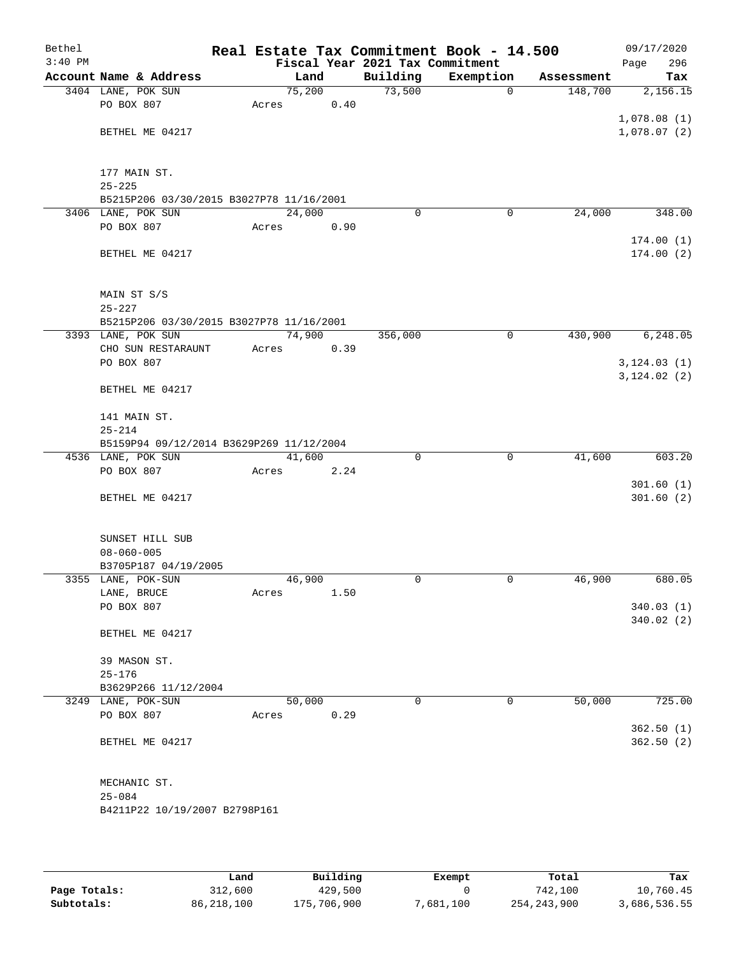| Bethel    |                                          |        |      |          | Real Estate Tax Commitment Book - 14.500 |            | 09/17/2020   |
|-----------|------------------------------------------|--------|------|----------|------------------------------------------|------------|--------------|
| $3:40$ PM |                                          |        |      |          | Fiscal Year 2021 Tax Commitment          |            | Page<br>296  |
|           | Account Name & Address                   |        | Land | Building | Exemption                                | Assessment | Tax          |
|           | 3404 LANE, POK SUN                       | 75,200 |      | 73,500   | $\mathbf 0$                              | 148,700    | 2,156.15     |
|           | PO BOX 807                               | Acres  | 0.40 |          |                                          |            |              |
|           |                                          |        |      |          |                                          |            | 1,078.08(1)  |
|           | BETHEL ME 04217                          |        |      |          |                                          |            | 1,078.07(2)  |
|           |                                          |        |      |          |                                          |            |              |
|           |                                          |        |      |          |                                          |            |              |
|           | 177 MAIN ST.                             |        |      |          |                                          |            |              |
|           | $25 - 225$                               |        |      |          |                                          |            |              |
|           | B5215P206 03/30/2015 B3027P78 11/16/2001 |        |      |          |                                          |            |              |
|           | 3406 LANE, POK SUN<br>PO BOX 807         | 24,000 |      |          | 0<br>0                                   | 24,000     | 348.00       |
|           |                                          | Acres  | 0.90 |          |                                          |            |              |
|           |                                          |        |      |          |                                          |            | 174.00(1)    |
|           | BETHEL ME 04217                          |        |      |          |                                          |            | 174.00(2)    |
|           |                                          |        |      |          |                                          |            |              |
|           | MAIN ST S/S                              |        |      |          |                                          |            |              |
|           | $25 - 227$                               |        |      |          |                                          |            |              |
|           | B5215P206 03/30/2015 B3027P78 11/16/2001 |        |      |          |                                          |            |              |
|           | 3393 LANE, POK SUN                       | 74,900 |      | 356,000  | $\mathbf 0$                              | 430,900    | 6,248.05     |
|           | CHO SUN RESTARAUNT                       | Acres  | 0.39 |          |                                          |            |              |
|           | PO BOX 807                               |        |      |          |                                          |            | 3, 124.03(1) |
|           |                                          |        |      |          |                                          |            | 3, 124.02(2) |
|           | BETHEL ME 04217                          |        |      |          |                                          |            |              |
|           |                                          |        |      |          |                                          |            |              |
|           | 141 MAIN ST.                             |        |      |          |                                          |            |              |
|           | $25 - 214$                               |        |      |          |                                          |            |              |
|           | B5159P94 09/12/2014 B3629P269 11/12/2004 |        |      |          |                                          |            |              |
|           | 4536 LANE, POK SUN                       | 41,600 |      |          | 0<br>0                                   | 41,600     | 603.20       |
|           | PO BOX 807                               | Acres  | 2.24 |          |                                          |            |              |
|           |                                          |        |      |          |                                          |            | 301.60(1)    |
|           | BETHEL ME 04217                          |        |      |          |                                          |            | 301.60(2)    |
|           |                                          |        |      |          |                                          |            |              |
|           |                                          |        |      |          |                                          |            |              |
|           | SUNSET HILL SUB                          |        |      |          |                                          |            |              |
|           | $08 - 060 - 005$                         |        |      |          |                                          |            |              |
|           | B3705P187 04/19/2005                     |        |      |          |                                          |            |              |
|           | 3355 LANE, POK-SUN                       | 46,900 |      |          | 0<br>0                                   | 46,900     | 680.05       |
|           | LANE, BRUCE                              | Acres  | 1.50 |          |                                          |            |              |
|           | PO BOX 807                               |        |      |          |                                          |            | 340.03(1)    |
|           |                                          |        |      |          |                                          |            | 340.02(2)    |
|           | BETHEL ME 04217                          |        |      |          |                                          |            |              |
|           |                                          |        |      |          |                                          |            |              |
|           | 39 MASON ST.                             |        |      |          |                                          |            |              |
|           | $25 - 176$                               |        |      |          |                                          |            |              |
|           | B3629P266 11/12/2004                     |        |      |          |                                          |            |              |
|           | 3249 LANE, POK-SUN                       | 50,000 |      |          | $\mathbf 0$<br>$\mathbf 0$               | 50,000     | 725.00       |
|           | PO BOX 807                               | Acres  | 0.29 |          |                                          |            |              |
|           |                                          |        |      |          |                                          |            | 362.50(1)    |
|           | BETHEL ME 04217                          |        |      |          |                                          |            | 362.50(2)    |
|           |                                          |        |      |          |                                          |            |              |
|           |                                          |        |      |          |                                          |            |              |
|           | MECHANIC ST.                             |        |      |          |                                          |            |              |
|           | $25 - 084$                               |        |      |          |                                          |            |              |
|           | B4211P22 10/19/2007 B2798P161            |        |      |          |                                          |            |              |
|           |                                          |        |      |          |                                          |            |              |
|           |                                          |        |      |          |                                          |            |              |

|              | Land       | Building    | Exempt    | Total       | Tax          |
|--------------|------------|-------------|-----------|-------------|--------------|
| Page Totals: | 312,600    | 429,500     |           | 742,100     | 10,760.45    |
| Subtotals:   | 86,218,100 | 175,706,900 | 7,681,100 | 254,243,900 | 3,686,536.55 |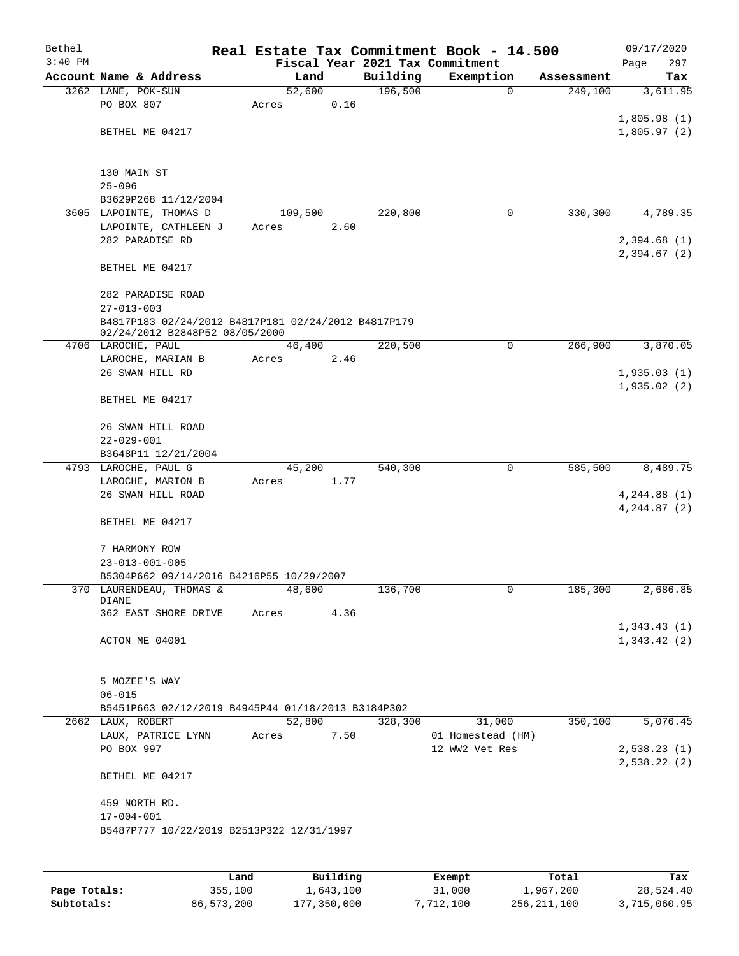| Bethel    |                                                                                       |       |                |      |          | Real Estate Tax Commitment Book - 14.500     |                       | 09/17/2020      |
|-----------|---------------------------------------------------------------------------------------|-------|----------------|------|----------|----------------------------------------------|-----------------------|-----------------|
| $3:40$ PM | Account Name & Address                                                                |       |                |      | Building | Fiscal Year 2021 Tax Commitment<br>Exemption |                       | 297<br>Page     |
|           | 3262 LANE, POK-SUN                                                                    |       | Land<br>52,600 |      | 196,500  | $\mathbf 0$                                  | Assessment<br>249,100 | Tax<br>3,611.95 |
|           | PO BOX 807                                                                            | Acres |                | 0.16 |          |                                              |                       |                 |
|           |                                                                                       |       |                |      |          |                                              |                       | 1,805.98(1)     |
|           | BETHEL ME 04217                                                                       |       |                |      |          |                                              |                       | 1,805.97(2)     |
|           |                                                                                       |       |                |      |          |                                              |                       |                 |
|           | 130 MAIN ST                                                                           |       |                |      |          |                                              |                       |                 |
|           | $25 - 096$                                                                            |       |                |      |          |                                              |                       |                 |
|           | B3629P268 11/12/2004                                                                  |       |                |      |          |                                              |                       |                 |
|           | 3605 LAPOINTE, THOMAS D                                                               |       | 109,500        |      | 220,800  | 0                                            | 330,300               | 4,789.35        |
|           | LAPOINTE, CATHLEEN J                                                                  | Acres |                | 2.60 |          |                                              |                       |                 |
|           | 282 PARADISE RD                                                                       |       |                |      |          |                                              |                       | 2,394.68(1)     |
|           |                                                                                       |       |                |      |          |                                              |                       | 2,394.67(2)     |
|           | BETHEL ME 04217                                                                       |       |                |      |          |                                              |                       |                 |
|           | 282 PARADISE ROAD                                                                     |       |                |      |          |                                              |                       |                 |
|           | $27 - 013 - 003$                                                                      |       |                |      |          |                                              |                       |                 |
|           | B4817P183 02/24/2012 B4817P181 02/24/2012 B4817P179<br>02/24/2012 B2848P52 08/05/2000 |       |                |      |          |                                              |                       |                 |
|           | 4706 LAROCHE, PAUL                                                                    |       | 46,400         |      | 220,500  | 0                                            | 266,900               | 3,870.05        |
|           | LAROCHE, MARIAN B                                                                     | Acres |                | 2.46 |          |                                              |                       |                 |
|           | 26 SWAN HILL RD                                                                       |       |                |      |          |                                              |                       | 1,935.03(1)     |
|           |                                                                                       |       |                |      |          |                                              |                       | 1,935.02(2)     |
|           | BETHEL ME 04217                                                                       |       |                |      |          |                                              |                       |                 |
|           | 26 SWAN HILL ROAD<br>$22 - 029 - 001$                                                 |       |                |      |          |                                              |                       |                 |
|           | B3648P11 12/21/2004                                                                   |       |                |      |          |                                              |                       |                 |
|           | 4793 LAROCHE, PAUL G                                                                  |       | 45,200         |      | 540,300  | 0                                            | 585,500               | 8,489.75        |
|           | LAROCHE, MARION B                                                                     | Acres |                | 1.77 |          |                                              |                       |                 |
|           | 26 SWAN HILL ROAD                                                                     |       |                |      |          |                                              |                       | 4, 244.88(1)    |
|           |                                                                                       |       |                |      |          |                                              |                       | 4, 244.87 (2)   |
|           | BETHEL ME 04217                                                                       |       |                |      |          |                                              |                       |                 |
|           | 7 HARMONY ROW                                                                         |       |                |      |          |                                              |                       |                 |
|           | $23 - 013 - 001 - 005$                                                                |       |                |      |          |                                              |                       |                 |
|           | B5304P662 09/14/2016 B4216P55 10/29/2007                                              |       |                |      |          |                                              |                       |                 |
|           | 370 LAURENDEAU, THOMAS &                                                              |       | 48,600         |      | 136,700  | 0                                            | 185,300               | 2,686.85        |
|           | DIANE                                                                                 |       |                |      |          |                                              |                       |                 |
|           | 362 EAST SHORE DRIVE                                                                  | Acres |                | 4.36 |          |                                              |                       |                 |
|           |                                                                                       |       |                |      |          |                                              |                       | 1,343.43(1)     |
|           | ACTON ME 04001                                                                        |       |                |      |          |                                              |                       | 1,343.42(2)     |
|           | 5 MOZEE'S WAY                                                                         |       |                |      |          |                                              |                       |                 |
|           | $06 - 015$                                                                            |       |                |      |          |                                              |                       |                 |
|           | B5451P663 02/12/2019 B4945P44 01/18/2013 B3184P302                                    |       |                |      |          |                                              |                       |                 |
|           | 2662 LAUX, ROBERT                                                                     |       | 52,800         |      | 328,300  | 31,000                                       | 350,100               | 5,076.45        |
|           | LAUX, PATRICE LYNN                                                                    | Acres |                | 7.50 |          | 01 Homestead (HM)                            |                       |                 |
|           | PO BOX 997                                                                            |       |                |      |          | 12 WW2 Vet Res                               |                       | 2,538.23(1)     |
|           |                                                                                       |       |                |      |          |                                              |                       | 2,538.22(2)     |
|           | BETHEL ME 04217                                                                       |       |                |      |          |                                              |                       |                 |
|           | 459 NORTH RD.                                                                         |       |                |      |          |                                              |                       |                 |
|           | $17 - 004 - 001$                                                                      |       |                |      |          |                                              |                       |                 |
|           | B5487P777 10/22/2019 B2513P322 12/31/1997                                             |       |                |      |          |                                              |                       |                 |
|           |                                                                                       |       |                |      |          |                                              |                       |                 |
|           |                                                                                       |       |                |      |          |                                              |                       |                 |
|           |                                                                                       |       |                |      |          |                                              |                       |                 |

|              | Land       | Building    | Exempt    | Total       | Tax          |
|--------------|------------|-------------|-----------|-------------|--------------|
| Page Totals: | 355,100    | 1,643,100   | 31,000    | 1,967,200   | 28,524.40    |
| Subtotals:   | 86,573,200 | 177,350,000 | 7,712,100 | 256,211,100 | 3,715,060.95 |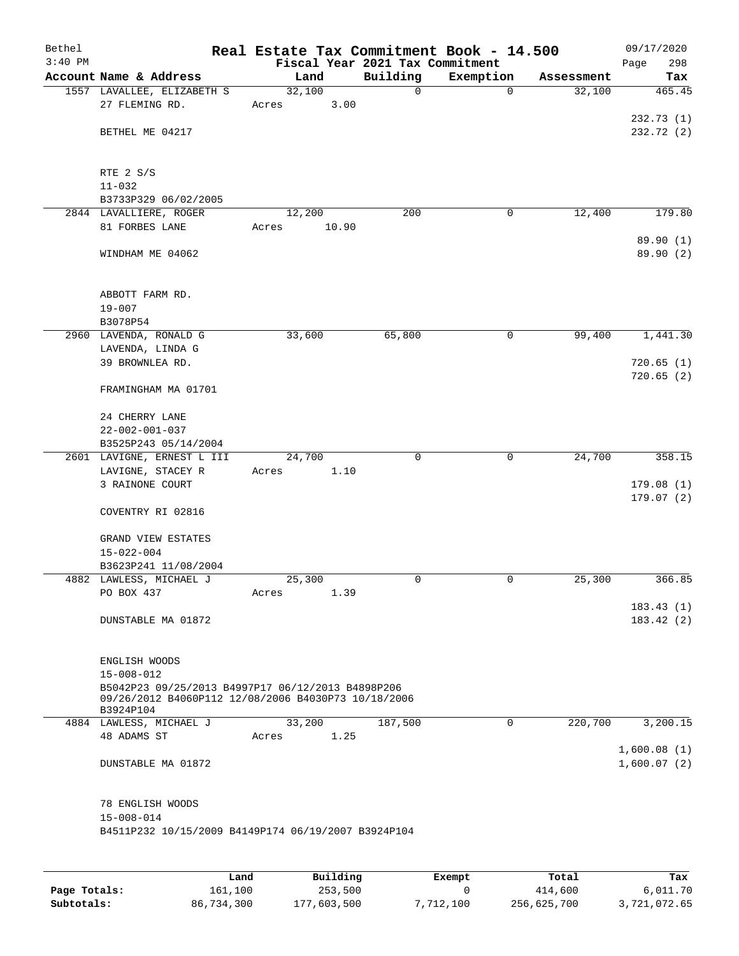| Bethel<br>$3:40$ PM |                                                                                                                       | Real Estate Tax Commitment Book - 14.500 | Fiscal Year 2021 Tax Commitment |             |            | 09/17/2020<br>298<br>Page  |
|---------------------|-----------------------------------------------------------------------------------------------------------------------|------------------------------------------|---------------------------------|-------------|------------|----------------------------|
|                     | Account Name & Address                                                                                                | Land                                     | Building                        | Exemption   | Assessment | Tax                        |
|                     | 1557 LAVALLEE, ELIZABETH S                                                                                            | 32,100                                   | 0                               | $\mathbf 0$ | 32,100     | 465.45                     |
|                     | 27 FLEMING RD.                                                                                                        | 3.00<br>Acres                            |                                 |             |            |                            |
|                     | BETHEL ME 04217                                                                                                       |                                          |                                 |             |            | 232.73(1)<br>232.72 (2)    |
|                     | RTE 2 S/S                                                                                                             |                                          |                                 |             |            |                            |
|                     | $11 - 032$                                                                                                            |                                          |                                 |             |            |                            |
|                     | B3733P329 06/02/2005                                                                                                  |                                          |                                 |             |            |                            |
|                     | 2844 LAVALLIERE, ROGER                                                                                                | 12,200                                   | 200                             | 0           | 12,400     | 179.80                     |
|                     | 81 FORBES LANE                                                                                                        | 10.90<br>Acres                           |                                 |             |            | 89.90 (1)                  |
|                     | WINDHAM ME 04062                                                                                                      |                                          |                                 |             |            | 89.90 (2)                  |
|                     | ABBOTT FARM RD.                                                                                                       |                                          |                                 |             |            |                            |
|                     | $19 - 007$                                                                                                            |                                          |                                 |             |            |                            |
|                     | B3078P54                                                                                                              |                                          | 65,800                          | 0           | 99,400     | 1,441.30                   |
|                     | 2960 LAVENDA, RONALD G<br>LAVENDA, LINDA G                                                                            | 33,600                                   |                                 |             |            |                            |
|                     | 39 BROWNLEA RD.                                                                                                       |                                          |                                 |             |            | 720.65(1)                  |
|                     | FRAMINGHAM MA 01701                                                                                                   |                                          |                                 |             |            | 720.65(2)                  |
|                     | 24 CHERRY LANE                                                                                                        |                                          |                                 |             |            |                            |
|                     | $22 - 002 - 001 - 037$                                                                                                |                                          |                                 |             |            |                            |
|                     | B3525P243 05/14/2004                                                                                                  |                                          |                                 |             |            |                            |
|                     | 2601 LAVIGNE, ERNEST L III                                                                                            | 24,700                                   | $\Omega$                        | $\mathbf 0$ | 24,700     | 358.15                     |
|                     | LAVIGNE, STACEY R                                                                                                     | 1.10<br>Acres                            |                                 |             |            |                            |
|                     | 3 RAINONE COURT                                                                                                       |                                          |                                 |             |            | 179.08(1)                  |
|                     | COVENTRY RI 02816                                                                                                     |                                          |                                 |             |            | 179.07(2)                  |
|                     | GRAND VIEW ESTATES                                                                                                    |                                          |                                 |             |            |                            |
|                     | $15 - 022 - 004$                                                                                                      |                                          |                                 |             |            |                            |
|                     | B3623P241 11/08/2004                                                                                                  |                                          |                                 |             |            |                            |
|                     | 4882 LAWLESS, MICHAEL J                                                                                               | 25,300                                   | 0                               | 0           | 25,300     | 366.85                     |
|                     | PO BOX 437                                                                                                            | 1.39<br>Acres                            |                                 |             |            |                            |
|                     | DUNSTABLE MA 01872                                                                                                    |                                          |                                 |             |            | 183.43(1)<br>183.42(2)     |
|                     | ENGLISH WOODS                                                                                                         |                                          |                                 |             |            |                            |
|                     | $15 - 008 - 012$                                                                                                      |                                          |                                 |             |            |                            |
|                     | B5042P23 09/25/2013 B4997P17 06/12/2013 B4898P206<br>09/26/2012 B4060P112 12/08/2006 B4030P73 10/18/2006<br>B3924P104 |                                          |                                 |             |            |                            |
|                     | 4884 LAWLESS, MICHAEL J                                                                                               | 33,200                                   | 187,500                         | 0           | 220,700    | 3,200.15                   |
|                     | 48 ADAMS ST                                                                                                           | 1.25<br>Acres                            |                                 |             |            |                            |
|                     | DUNSTABLE MA 01872                                                                                                    |                                          |                                 |             |            | 1,600.08(1)<br>1,600.07(2) |
|                     | 78 ENGLISH WOODS                                                                                                      |                                          |                                 |             |            |                            |
|                     | $15 - 008 - 014$                                                                                                      |                                          |                                 |             |            |                            |
|                     | B4511P232 10/15/2009 B4149P174 06/19/2007 B3924P104                                                                   |                                          |                                 |             |            |                            |
|                     |                                                                                                                       |                                          |                                 |             |            |                            |

|              | Land       | Building    | Exempt    | Total       | Tax          |
|--------------|------------|-------------|-----------|-------------|--------------|
| Page Totals: | 161,100    | 253,500     |           | 414,600     | 6,011.70     |
| Subtotals:   | 86,734,300 | 177,603,500 | 7,712,100 | 256,625,700 | 3,721,072.65 |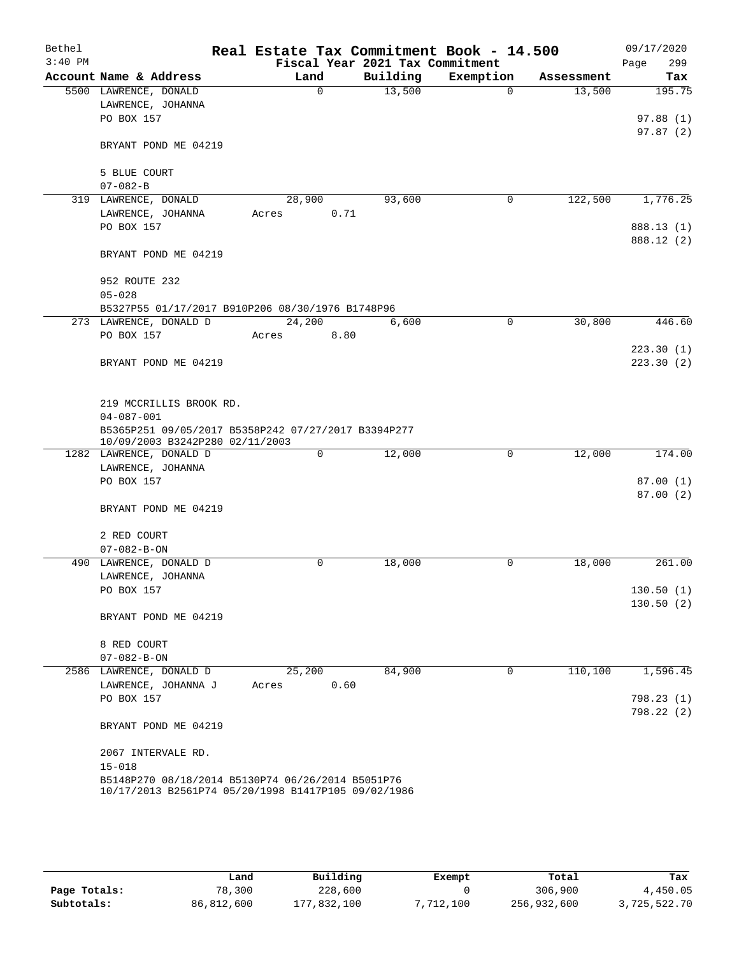| Bethel    |                                                                                        |        |             |                                 | Real Estate Tax Commitment Book - 14.500 |            | 09/17/2020  |
|-----------|----------------------------------------------------------------------------------------|--------|-------------|---------------------------------|------------------------------------------|------------|-------------|
| $3:40$ PM |                                                                                        |        |             | Fiscal Year 2021 Tax Commitment |                                          |            | 299<br>Page |
|           | Account Name & Address                                                                 | Land   |             | Building                        | Exemption                                | Assessment | Tax         |
|           | 5500 LAWRENCE, DONALD<br>LAWRENCE, JOHANNA                                             |        | $\mathbf 0$ | 13,500                          | $\Omega$                                 | 13,500     | 195.75      |
|           | PO BOX 157                                                                             |        |             |                                 |                                          |            | 97.88(1)    |
|           |                                                                                        |        |             |                                 |                                          |            | 97.87(2)    |
|           | BRYANT POND ME 04219                                                                   |        |             |                                 |                                          |            |             |
|           |                                                                                        |        |             |                                 |                                          |            |             |
|           | 5 BLUE COURT<br>$07 - 082 - B$                                                         |        |             |                                 |                                          |            |             |
|           | 319 LAWRENCE, DONALD                                                                   | 28,900 |             | 93,600                          | 0                                        | 122,500    | 1,776.25    |
|           | LAWRENCE, JOHANNA                                                                      | Acres  | 0.71        |                                 |                                          |            |             |
|           | PO BOX 157                                                                             |        |             |                                 |                                          |            | 888.13 (1)  |
|           |                                                                                        |        |             |                                 |                                          |            | 888.12 (2)  |
|           | BRYANT POND ME 04219                                                                   |        |             |                                 |                                          |            |             |
|           | 952 ROUTE 232                                                                          |        |             |                                 |                                          |            |             |
|           | $05 - 028$                                                                             |        |             |                                 |                                          |            |             |
|           | B5327P55 01/17/2017 B910P206 08/30/1976 B1748P96                                       |        |             |                                 |                                          |            |             |
|           | 273 LAWRENCE, DONALD D                                                                 | 24,200 |             | 6,600                           | $\mathbf 0$                              | 30,800     | 446.60      |
|           | PO BOX 157                                                                             | Acres  | 8.80        |                                 |                                          |            |             |
|           |                                                                                        |        |             |                                 |                                          |            | 223.30(1)   |
|           | BRYANT POND ME 04219                                                                   |        |             |                                 |                                          |            | 223.30(2)   |
|           | 219 MCCRILLIS BROOK RD.                                                                |        |             |                                 |                                          |            |             |
|           | $04 - 087 - 001$                                                                       |        |             |                                 |                                          |            |             |
|           | B5365P251 09/05/2017 B5358P242 07/27/2017 B3394P277<br>10/09/2003 B3242P280 02/11/2003 |        |             |                                 |                                          |            |             |
|           | 1282 LAWRENCE, DONALD D                                                                |        | 0           | 12,000                          | 0                                        | 12,000     | 174.00      |
|           | LAWRENCE, JOHANNA                                                                      |        |             |                                 |                                          |            |             |
|           | PO BOX 157                                                                             |        |             |                                 |                                          |            | 87.00(1)    |
|           |                                                                                        |        |             |                                 |                                          |            | 87.00(2)    |
|           | BRYANT POND ME 04219                                                                   |        |             |                                 |                                          |            |             |
|           | 2 RED COURT                                                                            |        |             |                                 |                                          |            |             |
|           | $07 - 082 - B - ON$                                                                    |        |             |                                 |                                          |            |             |
|           | 490 LAWRENCE, DONALD D                                                                 |        | 0           | 18,000                          | 0                                        | 18,000     | 261.00      |
|           | LAWRENCE, JOHANNA                                                                      |        |             |                                 |                                          |            |             |
|           | PO BOX 157                                                                             |        |             |                                 |                                          |            | 130.50(1)   |
|           | BRYANT POND ME 04219                                                                   |        |             |                                 |                                          |            | 130.50(2)   |
|           | 8 RED COURT                                                                            |        |             |                                 |                                          |            |             |
|           | $07 - 082 - B - ON$                                                                    |        |             |                                 |                                          |            |             |
|           | 2586 LAWRENCE, DONALD D                                                                | 25,200 |             | 84,900                          | 0                                        | 110,100    | 1,596.45    |
|           | LAWRENCE, JOHANNA J                                                                    | Acres  | 0.60        |                                 |                                          |            |             |
|           | PO BOX 157                                                                             |        |             |                                 |                                          |            | 798.23(1)   |
|           |                                                                                        |        |             |                                 |                                          |            | 798.22(2)   |
|           | BRYANT POND ME 04219                                                                   |        |             |                                 |                                          |            |             |
|           | 2067 INTERVALE RD.                                                                     |        |             |                                 |                                          |            |             |
|           | $15 - 018$                                                                             |        |             |                                 |                                          |            |             |
|           | B5148P270 08/18/2014 B5130P74 06/26/2014 B5051P76                                      |        |             |                                 |                                          |            |             |
|           | 10/17/2013 B2561P74 05/20/1998 B1417P105 09/02/1986                                    |        |             |                                 |                                          |            |             |

|              | Land       | Building    | Exempt    | Total       | Tax          |
|--------------|------------|-------------|-----------|-------------|--------------|
| Page Totals: | 78,300     | 228,600     |           | 306,900     | 4,450.05     |
| Subtotals:   | 86,812,600 | 177,832,100 | 7,712,100 | 256,932,600 | 3,725,522.70 |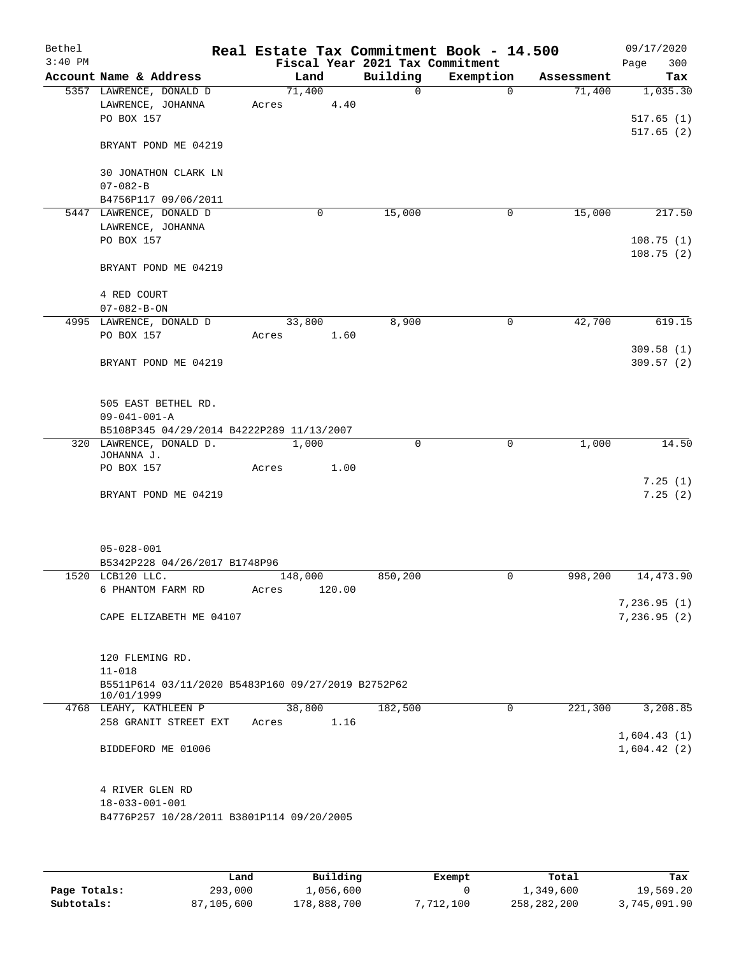| Bethel<br>$3:40$ PM |                                                                  | Real Estate Tax Commitment Book - 14.500 | Fiscal Year 2021 Tax Commitment |             |            | 09/17/2020<br>300<br>Page |
|---------------------|------------------------------------------------------------------|------------------------------------------|---------------------------------|-------------|------------|---------------------------|
|                     | Account Name & Address                                           | Land                                     | Building                        | Exemption   | Assessment | Tax                       |
|                     | 5357 LAWRENCE, DONALD D                                          | 71,400                                   | $\Omega$                        | $\Omega$    | 71,400     | 1,035.30                  |
|                     | LAWRENCE, JOHANNA                                                | 4.40<br>Acres                            |                                 |             |            |                           |
|                     | PO BOX 157                                                       |                                          |                                 |             |            | 517.65(1)                 |
|                     | BRYANT POND ME 04219                                             |                                          |                                 |             |            | 517.65(2)                 |
|                     | 30 JONATHON CLARK LN                                             |                                          |                                 |             |            |                           |
|                     | $07 - 082 - B$<br>B4756P117 09/06/2011                           |                                          |                                 |             |            |                           |
|                     | 5447 LAWRENCE, DONALD D                                          | $\mathbf 0$                              | 15,000                          | 0           | 15,000     | 217.50                    |
|                     | LAWRENCE, JOHANNA                                                |                                          |                                 |             |            |                           |
|                     | PO BOX 157                                                       |                                          |                                 |             |            | 108.75(1)                 |
|                     |                                                                  |                                          |                                 |             |            | 108.75(2)                 |
|                     | BRYANT POND ME 04219                                             |                                          |                                 |             |            |                           |
|                     | 4 RED COURT                                                      |                                          |                                 |             |            |                           |
|                     | $07 - 082 - B - ON$                                              |                                          |                                 |             |            |                           |
|                     | 4995 LAWRENCE, DONALD D                                          | 33,800                                   | 8,900                           | $\mathbf 0$ | 42,700     | 619.15                    |
|                     | PO BOX 157                                                       | 1.60<br>Acres                            |                                 |             |            |                           |
|                     |                                                                  |                                          |                                 |             |            | 309.58(1)                 |
|                     | BRYANT POND ME 04219                                             |                                          |                                 |             |            | 309.57(2)                 |
|                     | 505 EAST BETHEL RD.                                              |                                          |                                 |             |            |                           |
|                     | $09 - 041 - 001 - A$                                             |                                          |                                 |             |            |                           |
|                     | B5108P345 04/29/2014 B4222P289 11/13/2007                        |                                          |                                 |             |            |                           |
|                     | 320 LAWRENCE, DONALD D.                                          | 1,000                                    | $\mathbf 0$                     | 0           | 1,000      | 14.50                     |
|                     | JOHANNA J.                                                       |                                          |                                 |             |            |                           |
|                     | PO BOX 157                                                       | 1.00<br>Acres                            |                                 |             |            |                           |
|                     | BRYANT POND ME 04219                                             |                                          |                                 |             |            | 7.25(1)<br>7.25(2)        |
|                     |                                                                  |                                          |                                 |             |            |                           |
|                     | $05 - 028 - 001$                                                 |                                          |                                 |             |            |                           |
|                     | B5342P228 04/26/2017 B1748P96                                    |                                          |                                 |             |            |                           |
|                     | 1520 LCB120 LLC.                                                 | 148,000                                  | 850,200                         | 0           | 998,200    | 14,473.90                 |
|                     | 6 PHANTOM FARM RD                                                | 120.00<br>Acres                          |                                 |             |            |                           |
|                     |                                                                  |                                          |                                 |             |            | 7,236.95(1)               |
|                     | CAPE ELIZABETH ME 04107                                          |                                          |                                 |             |            | 7,236.95(2)               |
|                     |                                                                  |                                          |                                 |             |            |                           |
|                     | 120 FLEMING RD.<br>$11 - 018$                                    |                                          |                                 |             |            |                           |
|                     | B5511P614 03/11/2020 B5483P160 09/27/2019 B2752P62<br>10/01/1999 |                                          |                                 |             |            |                           |
|                     | 4768 LEAHY, KATHLEEN P                                           | 38,800                                   | 182,500                         | 0           | 221,300    | 3,208.85                  |
|                     | 258 GRANIT STREET EXT                                            | 1.16<br>Acres                            |                                 |             |            |                           |
|                     |                                                                  |                                          |                                 |             |            | 1,604.43(1)               |
|                     | BIDDEFORD ME 01006                                               |                                          |                                 |             |            | 1,604.42(2)               |
|                     |                                                                  |                                          |                                 |             |            |                           |
|                     | 4 RIVER GLEN RD<br>$18 - 033 - 001 - 001$                        |                                          |                                 |             |            |                           |
|                     | B4776P257 10/28/2011 B3801P114 09/20/2005                        |                                          |                                 |             |            |                           |
|                     |                                                                  |                                          |                                 |             |            |                           |
|                     |                                                                  |                                          |                                 |             |            |                           |
|                     |                                                                  |                                          |                                 |             |            |                           |

|              | Land       | Building    | Exempt    | Total       | Tax          |
|--------------|------------|-------------|-----------|-------------|--------------|
| Page Totals: | 293,000    | 1,056,600   |           | 1,349,600   | 19,569.20    |
| Subtotals:   | 87,105,600 | 178,888,700 | 7,712,100 | 258,282,200 | 3,745,091.90 |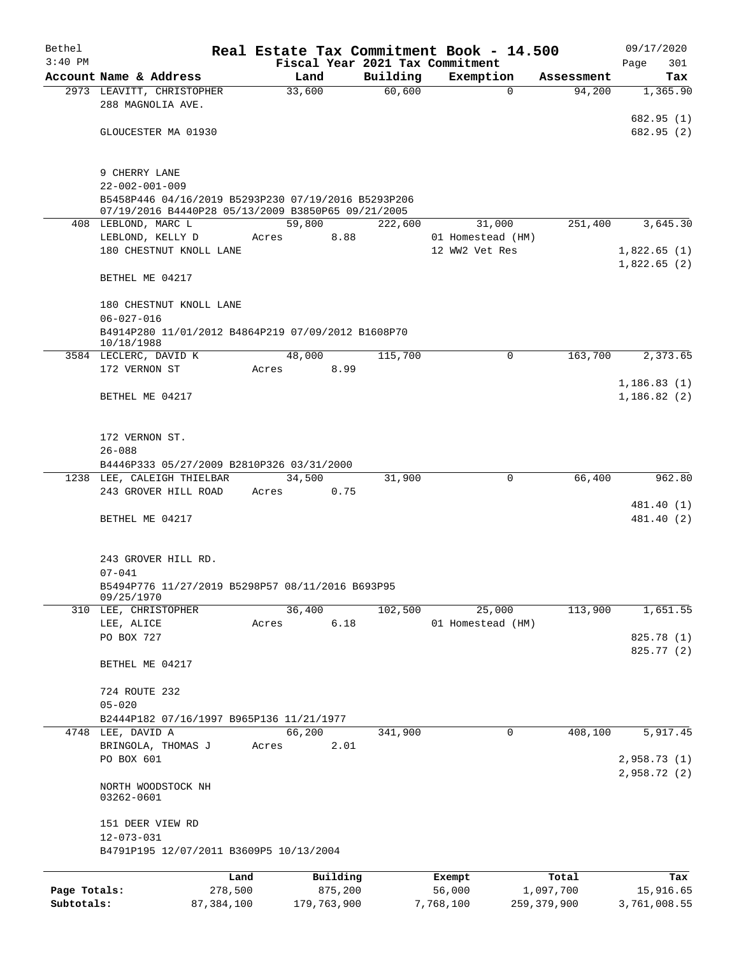| Bethel       |                                                                  |         |                |          | Real Estate Tax Commitment Book - 14.500     |                      | 09/17/2020                  |  |  |
|--------------|------------------------------------------------------------------|---------|----------------|----------|----------------------------------------------|----------------------|-----------------------------|--|--|
| $3:40$ PM    | Account Name & Address                                           |         | Land           | Building | Fiscal Year 2021 Tax Commitment<br>Exemption |                      | 301<br>Page                 |  |  |
|              | 2973 LEAVITT, CHRISTOPHER                                        |         | 33,600         | 60,600   | $\Omega$                                     | Assessment<br>94,200 | Tax<br>1,365.90             |  |  |
|              | 288 MAGNOLIA AVE.                                                |         |                |          |                                              |                      |                             |  |  |
|              | GLOUCESTER MA 01930                                              |         |                |          |                                              |                      | 682.95 (1)<br>682.95 (2)    |  |  |
|              | 9 CHERRY LANE                                                    |         |                |          |                                              |                      |                             |  |  |
|              | $22 - 002 - 001 - 009$                                           |         |                |          |                                              |                      |                             |  |  |
|              | B5458P446 04/16/2019 B5293P230 07/19/2016 B5293P206              |         |                |          |                                              |                      |                             |  |  |
|              | 07/19/2016 B4440P28 05/13/2009 B3850P65 09/21/2005               |         |                |          |                                              |                      |                             |  |  |
|              | 408 LEBLOND, MARC L<br>LEBLOND, KELLY D                          | Acres   | 59,800<br>8.88 | 222,600  | 31,000<br>01 Homestead (HM)                  | 251,400              | 3,645.30                    |  |  |
|              | 180 CHESTNUT KNOLL LANE                                          |         |                |          | 12 WW2 Vet Res                               |                      | 1,822.65(1)                 |  |  |
|              | BETHEL ME 04217                                                  |         |                |          |                                              |                      | 1,822.65(2)                 |  |  |
|              |                                                                  |         |                |          |                                              |                      |                             |  |  |
|              | 180 CHESTNUT KNOLL LANE<br>$06 - 027 - 016$                      |         |                |          |                                              |                      |                             |  |  |
|              | B4914P280 11/01/2012 B4864P219 07/09/2012 B1608P70<br>10/18/1988 |         |                |          |                                              |                      |                             |  |  |
|              | 3584 LECLERC, DAVID K                                            |         | 48,000         | 115,700  | 0                                            | 163,700              | 2,373.65                    |  |  |
|              | 172 VERNON ST                                                    | Acres   | 8.99           |          |                                              |                      |                             |  |  |
|              | BETHEL ME 04217                                                  |         |                |          |                                              |                      | 1, 186.83(1)<br>1,186.82(2) |  |  |
|              |                                                                  |         |                |          |                                              |                      |                             |  |  |
|              | 172 VERNON ST.                                                   |         |                |          |                                              |                      |                             |  |  |
|              | $26 - 088$<br>B4446P333 05/27/2009 B2810P326 03/31/2000          |         |                |          |                                              |                      |                             |  |  |
|              | 1238 LEE, CALEIGH THIELBAR                                       |         | 34,500         | 31,900   | $\mathbf 0$                                  | 66,400               | 962.80                      |  |  |
|              | 243 GROVER HILL ROAD                                             | Acres   | 0.75           |          |                                              |                      |                             |  |  |
|              |                                                                  |         |                |          |                                              |                      | 481.40 (1)                  |  |  |
|              | BETHEL ME 04217                                                  |         |                |          |                                              |                      | 481.40 (2)                  |  |  |
|              | 243 GROVER HILL RD.                                              |         |                |          |                                              |                      |                             |  |  |
|              | $07 - 041$                                                       |         |                |          |                                              |                      |                             |  |  |
|              | B5494P776 11/27/2019 B5298P57 08/11/2016 B693P95<br>09/25/1970   |         |                |          |                                              |                      |                             |  |  |
|              | 310 LEE, CHRISTOPHER                                             |         | 36,400         | 102,500  | 25,000                                       | 113,900              | 1,651.55                    |  |  |
|              | LEE, ALICE                                                       | Acres   | 6.18           |          | 01 Homestead (HM)                            |                      |                             |  |  |
|              | PO BOX 727                                                       |         |                |          |                                              |                      | 825.78 (1)<br>825.77 (2)    |  |  |
|              | BETHEL ME 04217                                                  |         |                |          |                                              |                      |                             |  |  |
|              | 724 ROUTE 232                                                    |         |                |          |                                              |                      |                             |  |  |
|              | $05 - 020$<br>B2444P182 07/16/1997 B965P136 11/21/1977           |         |                |          |                                              |                      |                             |  |  |
|              | 4748 LEE, DAVID A                                                |         | 66,200         | 341,900  | 0                                            | 408,100              | 5,917.45                    |  |  |
|              | BRINGOLA, THOMAS J                                               | Acres   | 2.01           |          |                                              |                      |                             |  |  |
|              | PO BOX 601                                                       |         |                |          |                                              |                      | 2,958.73(1)<br>2,958.72(2)  |  |  |
|              | NORTH WOODSTOCK NH<br>03262-0601                                 |         |                |          |                                              |                      |                             |  |  |
|              | 151 DEER VIEW RD                                                 |         |                |          |                                              |                      |                             |  |  |
|              | $12 - 073 - 031$<br>B4791P195 12/07/2011 B3609P5 10/13/2004      |         |                |          |                                              |                      |                             |  |  |
|              |                                                                  | Land    | Building       |          | Exempt                                       | Total                | Tax                         |  |  |
| Page Totals: |                                                                  | 278,500 | 875,200        |          | 56,000                                       | 1,097,700            | 15,916.65                   |  |  |
| Subtotals:   | 87, 384, 100                                                     |         | 179,763,900    |          | 7,768,100                                    | 259, 379, 900        | 3,761,008.55                |  |  |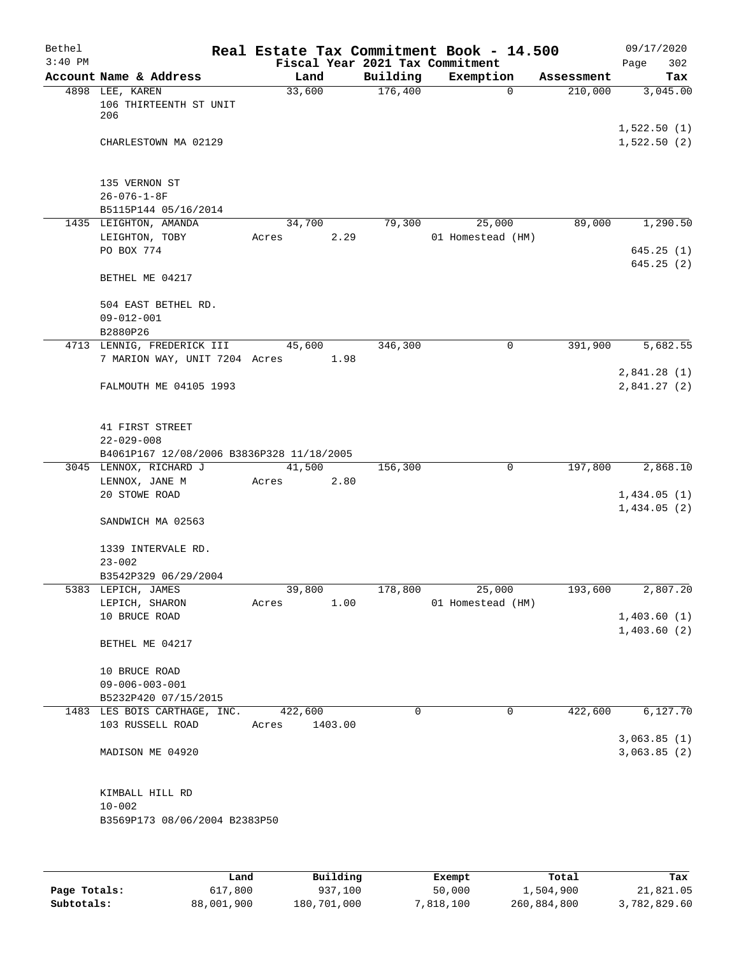| Bethel    |                                                  |                  |         |          | Real Estate Tax Commitment Book - 14.500 |            | 09/17/2020                 |
|-----------|--------------------------------------------------|------------------|---------|----------|------------------------------------------|------------|----------------------------|
| $3:40$ PM |                                                  |                  |         |          | Fiscal Year 2021 Tax Commitment          |            | 302<br>Page                |
|           | Account Name & Address                           | Land             |         | Building | Exemption                                | Assessment | Tax                        |
|           | 4898 LEE, KAREN<br>106 THIRTEENTH ST UNIT<br>206 | 33,600           |         | 176,400  | $\mathbf 0$                              | 210,000    | 3,045.00                   |
|           | CHARLESTOWN MA 02129                             |                  |         |          |                                          |            | 1,522.50(1)<br>1,522.50(2) |
|           | 135 VERNON ST                                    |                  |         |          |                                          |            |                            |
|           | $26 - 076 - 1 - 8F$                              |                  |         |          |                                          |            |                            |
|           | B5115P144 05/16/2014                             |                  |         |          |                                          |            |                            |
|           | 1435 LEIGHTON, AMANDA                            | 34,700           |         | 79,300   | 25,000                                   | 89,000     | 1,290.50                   |
|           | LEIGHTON, TOBY                                   | Acres            | 2.29    |          | 01 Homestead (HM)                        |            |                            |
|           | PO BOX 774                                       |                  |         |          |                                          |            | 645.25(1)<br>645.25(2)     |
|           | BETHEL ME 04217                                  |                  |         |          |                                          |            |                            |
|           | 504 EAST BETHEL RD.<br>$09 - 012 - 001$          |                  |         |          |                                          |            |                            |
|           | B2880P26                                         |                  |         |          |                                          |            |                            |
|           | 4713 LENNIG, FREDERICK III                       | 45,600           |         | 346,300  | 0                                        | 391,900    | 5,682.55                   |
|           | 7 MARION WAY, UNIT 7204 Acres                    |                  | 1.98    |          |                                          |            |                            |
|           | FALMOUTH ME 04105 1993                           |                  |         |          |                                          |            | 2,841.28(1)<br>2,841.27(2) |
|           | 41 FIRST STREET                                  |                  |         |          |                                          |            |                            |
|           | $22 - 029 - 008$                                 |                  |         |          |                                          |            |                            |
|           | B4061P167 12/08/2006 B3836P328 11/18/2005        |                  |         |          |                                          |            |                            |
|           | 3045 LENNOX, RICHARD J                           | 41,500           |         | 156,300  | 0                                        | 197,800    | 2,868.10                   |
|           | LENNOX, JANE M                                   | Acres            | 2.80    |          |                                          |            |                            |
|           | 20 STOWE ROAD                                    |                  |         |          |                                          |            | 1,434.05(1)                |
|           | SANDWICH MA 02563                                |                  |         |          |                                          |            | 1,434.05(2)                |
|           | 1339 INTERVALE RD.<br>$23 - 002$                 |                  |         |          |                                          |            |                            |
|           | B3542P329 06/29/2004                             |                  |         |          |                                          |            |                            |
|           | 5383 LEPICH, JAMES                               | 39,800           |         | 178,800  | 25,000                                   | 193,600    | 2,807.20                   |
|           | LEPICH, SHARON                                   | Acres            | 1.00    |          | 01 Homestead (HM)                        |            |                            |
|           | 10 BRUCE ROAD                                    |                  |         |          |                                          |            | 1,403.60(1)                |
|           | BETHEL ME 04217                                  |                  |         |          |                                          |            | 1,403.60(2)                |
|           | 10 BRUCE ROAD                                    |                  |         |          |                                          |            |                            |
|           | $09 - 006 - 003 - 001$                           |                  |         |          |                                          |            |                            |
|           | B5232P420 07/15/2015                             |                  |         |          |                                          |            |                            |
|           | 1483 LES BOIS CARTHAGE, INC.<br>103 RUSSELL ROAD | 422,600<br>Acres | 1403.00 | 0        | $\mathbf 0$                              | 422,600    | 6,127.70                   |
|           | MADISON ME 04920                                 |                  |         |          |                                          |            | 3,063.85(1)<br>3,063.85(2) |
|           | KIMBALL HILL RD<br>$10 - 002$                    |                  |         |          |                                          |            |                            |
|           | B3569P173 08/06/2004 B2383P50                    |                  |         |          |                                          |            |                            |
|           |                                                  |                  |         |          |                                          |            |                            |
|           |                                                  |                  |         |          |                                          |            |                            |

|              | Land       | Building    | Exempt    | Total       | Tax          |
|--------------|------------|-------------|-----------|-------------|--------------|
| Page Totals: | 617,800    | 937,100     | 50,000    | 1,504,900   | 21,821.05    |
| Subtotals:   | 88,001,900 | 180,701,000 | 7,818,100 | 260,884,800 | 3,782,829.60 |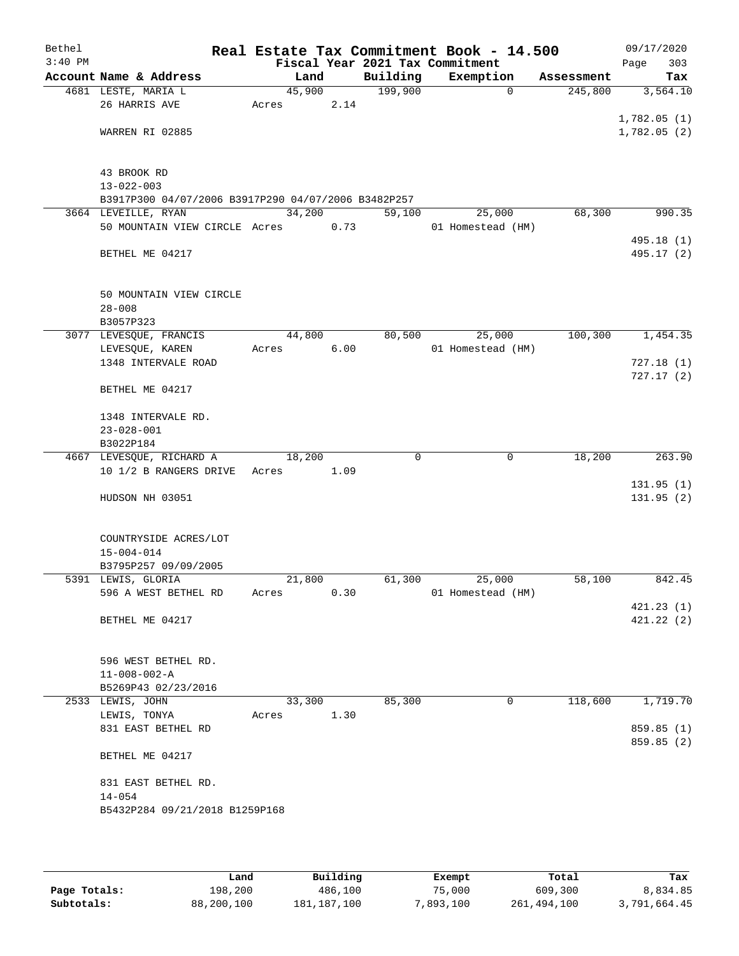| Bethel    |                                                     |        |      |                                 | Real Estate Tax Commitment Book - 14.500 |            | 09/17/2020                 |
|-----------|-----------------------------------------------------|--------|------|---------------------------------|------------------------------------------|------------|----------------------------|
| $3:40$ PM |                                                     |        |      | Fiscal Year 2021 Tax Commitment |                                          |            | 303<br>Page                |
|           | Account Name & Address                              | Land   |      | Building                        | Exemption                                | Assessment | Tax                        |
|           | 4681 LESTE, MARIA L                                 | 45,900 |      | 199,900                         | $\Omega$                                 | 245,800    | 3,564.10                   |
|           | 26 HARRIS AVE                                       | Acres  | 2.14 |                                 |                                          |            |                            |
|           | WARREN RI 02885                                     |        |      |                                 |                                          |            | 1,782.05(1)<br>1,782.05(2) |
|           |                                                     |        |      |                                 |                                          |            |                            |
|           |                                                     |        |      |                                 |                                          |            |                            |
|           | 43 BROOK RD                                         |        |      |                                 |                                          |            |                            |
|           | $13 - 022 - 003$                                    |        |      |                                 |                                          |            |                            |
|           | B3917P300 04/07/2006 B3917P290 04/07/2006 B3482P257 |        |      |                                 |                                          |            |                            |
|           | 3664 LEVEILLE, RYAN                                 | 34,200 |      | 59,100                          | 25,000                                   | 68,300     | 990.35                     |
|           | 50 MOUNTAIN VIEW CIRCLE Acres                       |        | 0.73 |                                 | 01 Homestead (HM)                        |            |                            |
|           |                                                     |        |      |                                 |                                          |            | 495.18 (1)                 |
|           | BETHEL ME 04217                                     |        |      |                                 |                                          |            | 495.17 (2)                 |
|           | 50 MOUNTAIN VIEW CIRCLE                             |        |      |                                 |                                          |            |                            |
|           | $28 - 008$                                          |        |      |                                 |                                          |            |                            |
|           | B3057P323                                           |        |      |                                 |                                          |            |                            |
|           | 3077 LEVESQUE, FRANCIS                              | 44,800 |      | 80,500                          | 25,000                                   | 100,300    | 1,454.35                   |
|           | LEVESQUE, KAREN                                     | Acres  | 6.00 |                                 | 01 Homestead (HM)                        |            |                            |
|           | 1348 INTERVALE ROAD                                 |        |      |                                 |                                          |            | 727.18(1)                  |
|           |                                                     |        |      |                                 |                                          |            | 727.17(2)                  |
|           | BETHEL ME 04217                                     |        |      |                                 |                                          |            |                            |
|           | 1348 INTERVALE RD.                                  |        |      |                                 |                                          |            |                            |
|           | $23 - 028 - 001$                                    |        |      |                                 |                                          |            |                            |
|           | B3022P184                                           |        |      |                                 |                                          |            |                            |
|           | 4667 LEVESQUE, RICHARD A                            | 18,200 |      | $\Omega$                        | $\mathbf 0$                              | 18,200     | 263.90                     |
|           | 10 1/2 B RANGERS DRIVE                              | Acres  | 1.09 |                                 |                                          |            |                            |
|           |                                                     |        |      |                                 |                                          |            | 131.95(1)                  |
|           | HUDSON NH 03051                                     |        |      |                                 |                                          |            | 131.95 (2)                 |
|           | COUNTRYSIDE ACRES/LOT                               |        |      |                                 |                                          |            |                            |
|           | $15 - 004 - 014$                                    |        |      |                                 |                                          |            |                            |
|           | B3795P257 09/09/2005                                |        |      |                                 |                                          |            |                            |
|           | 5391 LEWIS, GLORIA                                  | 21,800 |      | 61,300                          | 25,000                                   | 58,100     | 842.45                     |
|           | 596 A WEST BETHEL RD                                | Acres  | 0.30 |                                 | 01 Homestead (HM)                        |            |                            |
|           |                                                     |        |      |                                 |                                          |            | 421.23(1)                  |
|           | BETHEL ME 04217                                     |        |      |                                 |                                          |            | 421.22(2)                  |
|           |                                                     |        |      |                                 |                                          |            |                            |
|           | 596 WEST BETHEL RD.                                 |        |      |                                 |                                          |            |                            |
|           | $11 - 008 - 002 - A$                                |        |      |                                 |                                          |            |                            |
|           | B5269P43 02/23/2016                                 | 33,300 |      | 85,300                          | $\mathbf 0$                              | 118,600    | 1,719.70                   |
|           | 2533 LEWIS, JOHN<br>LEWIS, TONYA                    | Acres  | 1.30 |                                 |                                          |            |                            |
|           | 831 EAST BETHEL RD                                  |        |      |                                 |                                          |            | 859.85 (1)                 |
|           |                                                     |        |      |                                 |                                          |            | 859.85 (2)                 |
|           | BETHEL ME 04217                                     |        |      |                                 |                                          |            |                            |
|           | 831 EAST BETHEL RD.                                 |        |      |                                 |                                          |            |                            |
|           | $14 - 054$                                          |        |      |                                 |                                          |            |                            |
|           | B5432P284 09/21/2018 B1259P168                      |        |      |                                 |                                          |            |                            |
|           |                                                     |        |      |                                 |                                          |            |                            |
|           |                                                     |        |      |                                 |                                          |            |                            |

|              | Land       | Building    | Exempt    | Total       | Tax          |
|--------------|------------|-------------|-----------|-------------|--------------|
| Page Totals: | 198,200    | 486,100     | 75,000    | 609,300     | 8,834.85     |
| Subtotals:   | 88,200,100 | 181,187,100 | 7,893,100 | 261,494,100 | 3,791,664.45 |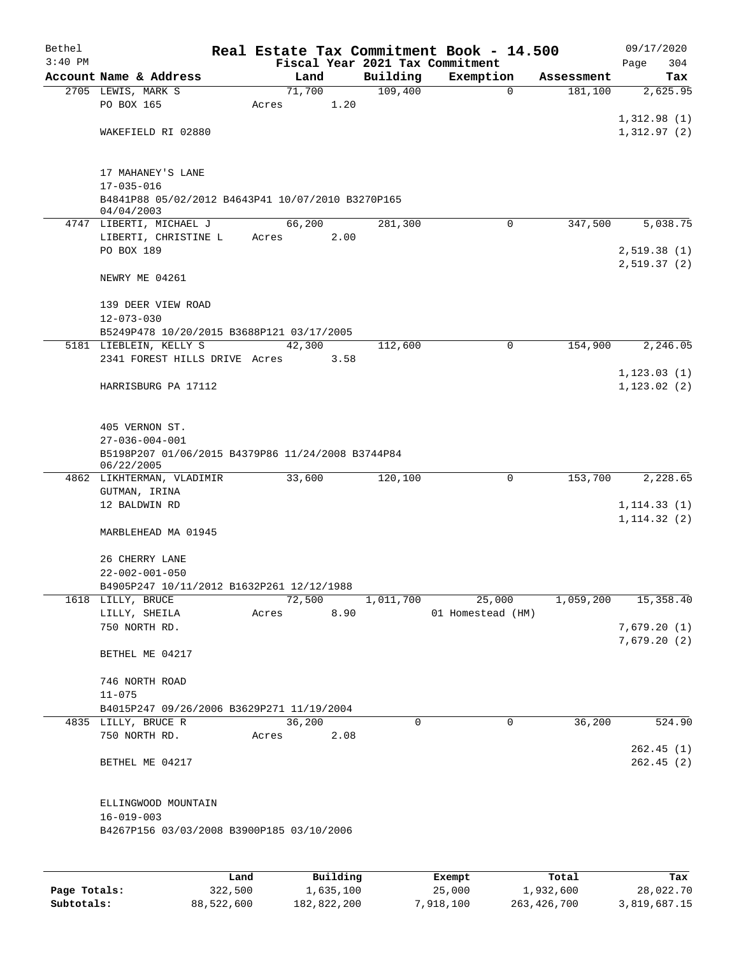| Bethel    |                                                   |       |                |      |                     | Real Estate Tax Commitment Book - 14.500 |             |                        | 09/17/2020                   |
|-----------|---------------------------------------------------|-------|----------------|------|---------------------|------------------------------------------|-------------|------------------------|------------------------------|
| $3:40$ PM |                                                   |       |                |      |                     | Fiscal Year 2021 Tax Commitment          |             |                        | 304<br>Page                  |
|           | Account Name & Address                            |       | Land<br>71,700 |      | Building<br>109,400 | Exemption                                | $\mathbf 0$ | Assessment<br>181, 100 | Tax<br>2,625.95              |
|           | 2705 LEWIS, MARK S<br>PO BOX 165                  | Acres |                | 1.20 |                     |                                          |             |                        |                              |
|           |                                                   |       |                |      |                     |                                          |             |                        | 1,312.98(1)                  |
|           | WAKEFIELD RI 02880                                |       |                |      |                     |                                          |             |                        | 1,312.97(2)                  |
|           |                                                   |       |                |      |                     |                                          |             |                        |                              |
|           |                                                   |       |                |      |                     |                                          |             |                        |                              |
|           | 17 MAHANEY'S LANE<br>$17 - 035 - 016$             |       |                |      |                     |                                          |             |                        |                              |
|           | B4841P88 05/02/2012 B4643P41 10/07/2010 B3270P165 |       |                |      |                     |                                          |             |                        |                              |
|           | 04/04/2003                                        |       |                |      |                     |                                          |             |                        |                              |
|           | 4747 LIBERTI, MICHAEL J                           |       | 66,200         |      | 281,300             |                                          | $\Omega$    | 347,500                | 5,038.75                     |
|           | LIBERTI, CHRISTINE L                              | Acres |                | 2.00 |                     |                                          |             |                        |                              |
|           | PO BOX 189                                        |       |                |      |                     |                                          |             |                        | 2,519.38(1)                  |
|           |                                                   |       |                |      |                     |                                          |             |                        | 2,519.37(2)                  |
|           | NEWRY ME 04261                                    |       |                |      |                     |                                          |             |                        |                              |
|           | 139 DEER VIEW ROAD                                |       |                |      |                     |                                          |             |                        |                              |
|           | $12 - 073 - 030$                                  |       |                |      |                     |                                          |             |                        |                              |
|           | B5249P478 10/20/2015 B3688P121 03/17/2005         |       |                |      |                     |                                          |             |                        |                              |
|           | 5181 LIEBLEIN, KELLY S                            |       | 42,300         |      | 112,600             |                                          | 0           | 154,900                | 2, 246.05                    |
|           | 2341 FOREST HILLS DRIVE Acres                     |       |                | 3.58 |                     |                                          |             |                        |                              |
|           |                                                   |       |                |      |                     |                                          |             |                        | 1, 123.03(1)                 |
|           | HARRISBURG PA 17112                               |       |                |      |                     |                                          |             |                        | 1, 123.02(2)                 |
|           |                                                   |       |                |      |                     |                                          |             |                        |                              |
|           | 405 VERNON ST.                                    |       |                |      |                     |                                          |             |                        |                              |
|           | $27 - 036 - 004 - 001$                            |       |                |      |                     |                                          |             |                        |                              |
|           | B5198P207 01/06/2015 B4379P86 11/24/2008 B3744P84 |       |                |      |                     |                                          |             |                        |                              |
|           | 06/22/2005                                        |       |                |      |                     |                                          |             |                        |                              |
|           | 4862 LIKHTERMAN, VLADIMIR                         |       | 33,600         |      | 120,100             |                                          | 0           | 153,700                | 2,228.65                     |
|           | GUTMAN, IRINA                                     |       |                |      |                     |                                          |             |                        |                              |
|           | 12 BALDWIN RD                                     |       |                |      |                     |                                          |             |                        | 1, 114.33(1)<br>1, 114.32(2) |
|           | MARBLEHEAD MA 01945                               |       |                |      |                     |                                          |             |                        |                              |
|           |                                                   |       |                |      |                     |                                          |             |                        |                              |
|           | 26 CHERRY LANE                                    |       |                |      |                     |                                          |             |                        |                              |
|           | $22 - 002 - 001 - 050$                            |       |                |      |                     |                                          |             |                        |                              |
|           | B4905P247 10/11/2012 B1632P261 12/12/1988         |       |                |      |                     |                                          |             |                        |                              |
|           | 1618 LILLY, BRUCE                                 |       | 72,500         |      | 1,011,700           |                                          | 25,000      | 1,059,200              | 15,358.40                    |
|           | LILLY, SHEILA                                     | Acres |                | 8.90 |                     | 01 Homestead (HM)                        |             |                        |                              |
|           | 750 NORTH RD.                                     |       |                |      |                     |                                          |             |                        | 7,679.20(1)                  |
|           | BETHEL ME 04217                                   |       |                |      |                     |                                          |             |                        | 7,679.20(2)                  |
|           |                                                   |       |                |      |                     |                                          |             |                        |                              |
|           | 746 NORTH ROAD                                    |       |                |      |                     |                                          |             |                        |                              |
|           | $11 - 075$                                        |       |                |      |                     |                                          |             |                        |                              |
|           | B4015P247 09/26/2006 B3629P271 11/19/2004         |       |                |      |                     |                                          |             |                        |                              |
|           | 4835 LILLY, BRUCE R                               |       | 36,200         |      | $\mathbf 0$         |                                          | $\mathbf 0$ | 36,200                 | 524.90                       |
|           | 750 NORTH RD.                                     |       | Acres          | 2.08 |                     |                                          |             |                        |                              |
|           |                                                   |       |                |      |                     |                                          |             |                        | 262.45(1)                    |
|           | BETHEL ME 04217                                   |       |                |      |                     |                                          |             |                        | 262.45(2)                    |
|           |                                                   |       |                |      |                     |                                          |             |                        |                              |
|           | ELLINGWOOD MOUNTAIN                               |       |                |      |                     |                                          |             |                        |                              |
|           | $16 - 019 - 003$                                  |       |                |      |                     |                                          |             |                        |                              |
|           | B4267P156 03/03/2008 B3900P185 03/10/2006         |       |                |      |                     |                                          |             |                        |                              |
|           |                                                   |       |                |      |                     |                                          |             |                        |                              |
|           |                                                   |       |                |      |                     |                                          |             |                        |                              |
|           |                                                   |       |                |      |                     |                                          |             |                        |                              |

|              | Land       | Building    | Exempt    | Total       | Tax          |
|--------------|------------|-------------|-----------|-------------|--------------|
| Page Totals: | 322,500    | 1,635,100   | 25,000    | 1,932,600   | 28,022.70    |
| Subtotals:   | 88,522,600 | 182,822,200 | 7,918,100 | 263,426,700 | 3,819,687.15 |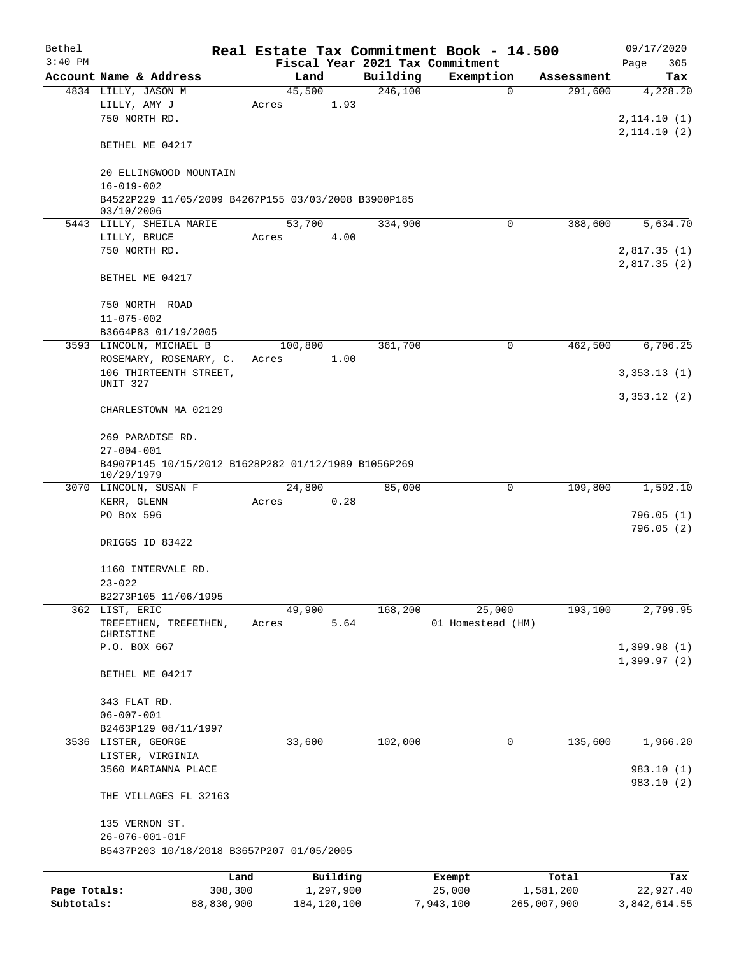| Bethel<br>$3:40$ PM |                                                     |         |               |          | Real Estate Tax Commitment Book - 14.500     |             | 09/17/2020         |
|---------------------|-----------------------------------------------------|---------|---------------|----------|----------------------------------------------|-------------|--------------------|
|                     | Account Name & Address                              | Land    |               | Building | Fiscal Year 2021 Tax Commitment<br>Exemption | Assessment  | Page<br>305<br>Tax |
|                     | 4834 LILLY, JASON M                                 | 45,500  |               | 246,100  | $\Omega$                                     | 291,600     | 4,228.20           |
|                     | LILLY, AMY J                                        | Acres   | 1.93          |          |                                              |             |                    |
|                     | 750 NORTH RD.                                       |         |               |          |                                              |             | 2, 114.10(1)       |
|                     |                                                     |         |               |          |                                              |             | 2, 114.10(2)       |
|                     | BETHEL ME 04217                                     |         |               |          |                                              |             |                    |
|                     |                                                     |         |               |          |                                              |             |                    |
|                     | 20 ELLINGWOOD MOUNTAIN                              |         |               |          |                                              |             |                    |
|                     | $16 - 019 - 002$                                    |         |               |          |                                              |             |                    |
|                     | B4522P229 11/05/2009 B4267P155 03/03/2008 B3900P185 |         |               |          |                                              |             |                    |
|                     | 03/10/2006                                          |         |               |          |                                              |             |                    |
|                     | 5443 LILLY, SHEILA MARIE                            | 53,700  |               | 334,900  | 0                                            | 388,600     | 5,634.70           |
|                     | LILLY, BRUCE                                        | Acres   | 4.00          |          |                                              |             |                    |
|                     | 750 NORTH RD.                                       |         |               |          |                                              |             | 2,817.35 (1)       |
|                     |                                                     |         |               |          |                                              |             | 2,817.35(2)        |
|                     | BETHEL ME 04217                                     |         |               |          |                                              |             |                    |
|                     |                                                     |         |               |          |                                              |             |                    |
|                     | 750 NORTH ROAD                                      |         |               |          |                                              |             |                    |
|                     | $11 - 075 - 002$                                    |         |               |          |                                              |             |                    |
|                     | B3664P83 01/19/2005                                 |         |               |          |                                              |             |                    |
|                     | 3593 LINCOLN, MICHAEL B                             | 100,800 |               | 361,700  | 0                                            | 462,500     | 6,706.25           |
|                     | ROSEMARY, ROSEMARY, C.                              | Acres   | 1.00          |          |                                              |             |                    |
|                     | 106 THIRTEENTH STREET,                              |         |               |          |                                              |             | 3,353.13(1)        |
|                     | UNIT 327                                            |         |               |          |                                              |             |                    |
|                     |                                                     |         |               |          |                                              |             | 3,353.12(2)        |
|                     | CHARLESTOWN MA 02129                                |         |               |          |                                              |             |                    |
|                     | 269 PARADISE RD.                                    |         |               |          |                                              |             |                    |
|                     | $27 - 004 - 001$                                    |         |               |          |                                              |             |                    |
|                     | B4907P145 10/15/2012 B1628P282 01/12/1989 B1056P269 |         |               |          |                                              |             |                    |
|                     | 10/29/1979                                          |         |               |          |                                              |             |                    |
|                     | 3070 LINCOLN, SUSAN F                               | 24,800  |               | 85,000   | 0                                            | 109,800     | 1,592.10           |
|                     | KERR, GLENN                                         | Acres   | 0.28          |          |                                              |             |                    |
|                     | PO Box 596                                          |         |               |          |                                              |             | 796.05(1)          |
|                     |                                                     |         |               |          |                                              |             | 796.05(2)          |
|                     | DRIGGS ID 83422                                     |         |               |          |                                              |             |                    |
|                     |                                                     |         |               |          |                                              |             |                    |
|                     | 1160 INTERVALE RD.                                  |         |               |          |                                              |             |                    |
|                     | $23 - 022$                                          |         |               |          |                                              |             |                    |
|                     | B2273P105 11/06/1995                                |         |               |          |                                              |             |                    |
|                     | 362 LIST, ERIC                                      | 49,900  |               | 168,200  | 25,000                                       | 193,100     | 2,799.95           |
|                     | TREFETHEN, TREFETHEN,                               | Acres   | 5.64          |          | 01 Homestead (HM)                            |             |                    |
|                     | CHRISTINE                                           |         |               |          |                                              |             |                    |
|                     | P.O. BOX 667                                        |         |               |          |                                              |             | 1,399.98(1)        |
|                     |                                                     |         |               |          |                                              |             | 1,399.97(2)        |
|                     | BETHEL ME 04217                                     |         |               |          |                                              |             |                    |
|                     |                                                     |         |               |          |                                              |             |                    |
|                     | 343 FLAT RD.<br>$06 - 007 - 001$                    |         |               |          |                                              |             |                    |
|                     |                                                     |         |               |          |                                              |             |                    |
|                     | B2463P129 08/11/1997                                |         |               |          | 0                                            | 135,600     | 1,966.20           |
|                     | 3536 LISTER, GEORGE                                 | 33,600  |               | 102,000  |                                              |             |                    |
|                     | LISTER, VIRGINIA<br>3560 MARIANNA PLACE             |         |               |          |                                              |             | 983.10 (1)         |
|                     |                                                     |         |               |          |                                              |             | 983.10 (2)         |
|                     | THE VILLAGES FL 32163                               |         |               |          |                                              |             |                    |
|                     |                                                     |         |               |          |                                              |             |                    |
|                     | 135 VERNON ST.                                      |         |               |          |                                              |             |                    |
|                     | 26-076-001-01F                                      |         |               |          |                                              |             |                    |
|                     | B5437P203 10/18/2018 B3657P207 01/05/2005           |         |               |          |                                              |             |                    |
|                     |                                                     |         |               |          |                                              |             |                    |
|                     | Land                                                |         | Building      |          | Exempt                                       | Total       | Tax                |
| Page Totals:        | 308,300                                             |         | 1,297,900     |          | 25,000                                       | 1,581,200   | 22,927.40          |
| Subtotals:          | 88,830,900                                          |         | 184, 120, 100 |          | 7,943,100                                    | 265,007,900 | 3,842,614.55       |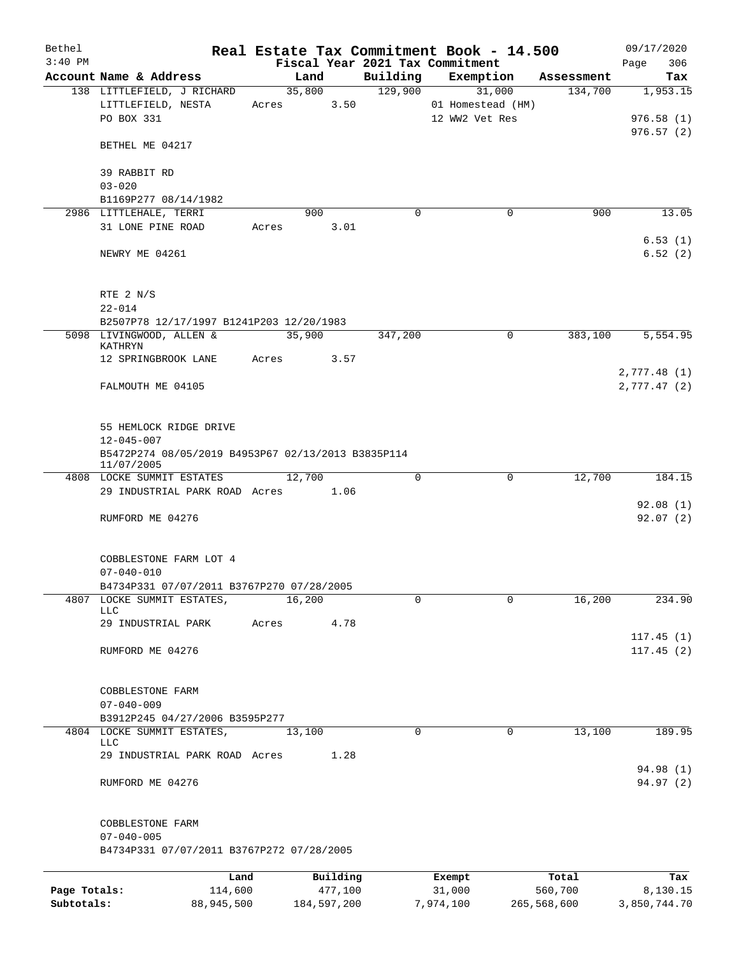| Bethel<br>$3:40$ PM |                                                               |       |        |             |             | Real Estate Tax Commitment Book - 14.500<br>Fiscal Year 2021 Tax Commitment |             | 09/17/2020<br>306<br>Page |
|---------------------|---------------------------------------------------------------|-------|--------|-------------|-------------|-----------------------------------------------------------------------------|-------------|---------------------------|
|                     | Account Name & Address                                        |       | Land   |             |             | Building Exemption                                                          | Assessment  | Tax                       |
|                     | 138 LITTLEFIELD, J RICHARD                                    |       | 35,800 |             | 129,900     | 31,000                                                                      | 134,700     | 1,953.15                  |
|                     | LITTLEFIELD, NESTA                                            |       | Acres  | 3.50        |             | 01 Homestead (HM)                                                           |             |                           |
|                     | PO BOX 331                                                    |       |        |             |             | 12 WW2 Vet Res                                                              |             | 976.58(1)                 |
|                     |                                                               |       |        |             |             |                                                                             |             | 976.57(2)                 |
|                     | BETHEL ME 04217                                               |       |        |             |             |                                                                             |             |                           |
|                     | 39 RABBIT RD                                                  |       |        |             |             |                                                                             |             |                           |
|                     | $03 - 020$                                                    |       |        |             |             |                                                                             |             |                           |
|                     | B1169P277 08/14/1982                                          |       |        |             |             |                                                                             |             |                           |
|                     | 2986 LITTLEHALE, TERRI                                        |       | 900    |             | $\Omega$    | $\mathbf 0$                                                                 | 900         | 13.05                     |
|                     | 31 LONE PINE ROAD                                             |       | Acres  | 3.01        |             |                                                                             |             |                           |
|                     |                                                               |       |        |             |             |                                                                             |             | 6.53(1)                   |
|                     | NEWRY ME 04261                                                |       |        |             |             |                                                                             |             | 6.52(2)                   |
|                     | RTE 2 N/S                                                     |       |        |             |             |                                                                             |             |                           |
|                     | $22 - 014$                                                    |       |        |             |             |                                                                             |             |                           |
|                     | B2507P78 12/17/1997 B1241P203 12/20/1983                      |       |        |             |             |                                                                             |             |                           |
|                     | 5098 LIVINGWOOD, ALLEN &<br>KATHRYN                           |       | 35,900 |             | 347,200     | $\mathbf 0$                                                                 | 383,100     | 5, 554.95                 |
|                     | 12 SPRINGBROOK LANE                                           | Acres |        | 3.57        |             |                                                                             |             |                           |
|                     |                                                               |       |        |             |             |                                                                             |             | 2,777.48(1)               |
|                     | FALMOUTH ME 04105                                             |       |        |             |             |                                                                             |             | 2,777.47 (2)              |
|                     | 55 HEMLOCK RIDGE DRIVE                                        |       |        |             |             |                                                                             |             |                           |
|                     | $12 - 045 - 007$                                              |       |        |             |             |                                                                             |             |                           |
|                     | B5472P274 08/05/2019 B4953P67 02/13/2013 B3835P114            |       |        |             |             |                                                                             |             |                           |
|                     | 11/07/2005                                                    |       |        |             |             |                                                                             |             |                           |
|                     | 4808 LOCKE SUMMIT ESTATES                                     |       | 12,700 |             | $\mathbf 0$ | $\mathbf 0$                                                                 | 12,700      | 184.15                    |
|                     | 29 INDUSTRIAL PARK ROAD Acres 1.06                            |       |        |             |             |                                                                             |             |                           |
|                     | RUMFORD ME 04276                                              |       |        |             |             |                                                                             |             | 92.08(1)<br>92.07(2)      |
|                     |                                                               |       |        |             |             |                                                                             |             |                           |
|                     | COBBLESTONE FARM LOT 4                                        |       |        |             |             |                                                                             |             |                           |
|                     | $07 - 040 - 010$                                              |       |        |             |             |                                                                             |             |                           |
|                     | B4734P331 07/07/2011 B3767P270 07/28/2005                     |       |        |             |             |                                                                             |             |                           |
|                     | 4807 LOCKE SUMMIT ESTATES,                                    |       | 16,200 |             | 0           | $\mathbf 0$                                                                 | 16,200      | 234.90                    |
|                     | LLC                                                           |       |        |             |             |                                                                             |             |                           |
|                     | 29 INDUSTRIAL PARK                                            | Acres |        | 4.78        |             |                                                                             |             |                           |
|                     |                                                               |       |        |             |             |                                                                             |             | 117.45(1)                 |
|                     | RUMFORD ME 04276                                              |       |        |             |             |                                                                             |             | 117.45(2)                 |
|                     | COBBLESTONE FARM                                              |       |        |             |             |                                                                             |             |                           |
|                     | $07 - 040 - 009$                                              |       |        |             |             |                                                                             |             |                           |
|                     | B3912P245 04/27/2006 B3595P277                                |       |        |             |             |                                                                             |             |                           |
|                     | 4804 LOCKE SUMMIT ESTATES,                                    |       | 13,100 |             | 0           | 0                                                                           | 13,100      | 189.95                    |
|                     | <b>LLC</b>                                                    |       |        |             |             |                                                                             |             |                           |
|                     | 29 INDUSTRIAL PARK ROAD Acres                                 |       |        | 1.28        |             |                                                                             |             | 94.98 (1)                 |
|                     | RUMFORD ME 04276                                              |       |        |             |             |                                                                             |             | 94.97 (2)                 |
|                     |                                                               |       |        |             |             |                                                                             |             |                           |
|                     | COBBLESTONE FARM                                              |       |        |             |             |                                                                             |             |                           |
|                     | $07 - 040 - 005$<br>B4734P331 07/07/2011 B3767P272 07/28/2005 |       |        |             |             |                                                                             |             |                           |
|                     | Land                                                          |       |        | Building    |             | Exempt                                                                      | Total       | Tax                       |
| Page Totals:        | 114,600                                                       |       |        | 477,100     |             | 31,000                                                                      | 560,700     | 8,130.15                  |
| Subtotals:          | 88,945,500                                                    |       |        | 184,597,200 |             | 7,974,100                                                                   | 265,568,600 | 3,850,744.70              |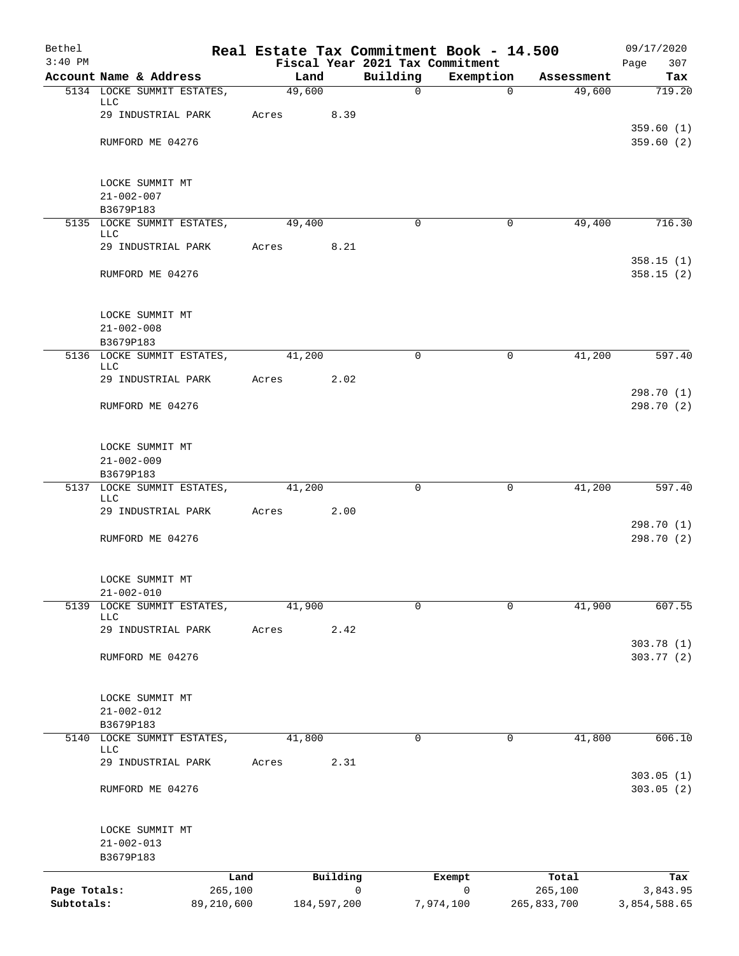| Bethel       |                                           |        |             |             | Real Estate Tax Commitment Book - 14.500     |                  | 09/17/2020               |
|--------------|-------------------------------------------|--------|-------------|-------------|----------------------------------------------|------------------|--------------------------|
| $3:40$ PM    | Account Name & Address                    |        | Land        | Building    | Fiscal Year 2021 Tax Commitment<br>Exemption | Assessment       | Page<br>307<br>Tax       |
|              | 5134 LOCKE SUMMIT ESTATES,                | 49,600 |             | $\mathbf 0$ | $\mathbf 0$                                  | 49,600           | 719.20                   |
|              | <b>LLC</b>                                |        |             |             |                                              |                  |                          |
|              | 29 INDUSTRIAL PARK                        | Acres  | 8.39        |             |                                              |                  | 359.60(1)                |
|              | RUMFORD ME 04276                          |        |             |             |                                              |                  | 359.60 (2)               |
|              |                                           |        |             |             |                                              |                  |                          |
|              | LOCKE SUMMIT MT                           |        |             |             |                                              |                  |                          |
|              | $21 - 002 - 007$                          |        |             |             |                                              |                  |                          |
|              | B3679P183                                 |        |             |             |                                              |                  |                          |
|              | 5135 LOCKE SUMMIT ESTATES,<br>LLC         | 49,400 |             | 0           | 0                                            | 49,400           | 716.30                   |
|              | 29 INDUSTRIAL PARK                        | Acres  | 8.21        |             |                                              |                  |                          |
|              | RUMFORD ME 04276                          |        |             |             |                                              |                  | 358.15(1)<br>358.15(2)   |
|              | LOCKE SUMMIT MT                           |        |             |             |                                              |                  |                          |
|              | $21 - 002 - 008$<br>B3679P183             |        |             |             |                                              |                  |                          |
|              | 5136 LOCKE SUMMIT ESTATES,                | 41,200 |             | $\Omega$    | 0                                            | 41,200           | 597.40                   |
|              | <b>LLC</b><br>29 INDUSTRIAL PARK          | Acres  | 2.02        |             |                                              |                  |                          |
|              | RUMFORD ME 04276                          |        |             |             |                                              |                  | 298.70 (1)<br>298.70 (2) |
|              |                                           |        |             |             |                                              |                  |                          |
|              | LOCKE SUMMIT MT                           |        |             |             |                                              |                  |                          |
|              | $21 - 002 - 009$<br>B3679P183             |        |             |             |                                              |                  |                          |
|              | 5137 LOCKE SUMMIT ESTATES,                | 41,200 |             | 0           | 0                                            | 41,200           | 597.40                   |
|              | LLC                                       |        |             |             |                                              |                  |                          |
|              | 29 INDUSTRIAL PARK                        | Acres  | 2.00        |             |                                              |                  | 298.70 (1)               |
|              | RUMFORD ME 04276                          |        |             |             |                                              |                  | 298.70 (2)               |
|              | LOCKE SUMMIT MT                           |        |             |             |                                              |                  |                          |
| 5139         | $21 - 002 - 010$<br>LOCKE SUMMIT ESTATES, | 41,900 |             | $\mathbf 0$ | $\Omega$                                     | 41,900           | 607.55                   |
|              | <b>LLC</b>                                |        |             |             |                                              |                  |                          |
|              | 29 INDUSTRIAL PARK                        | Acres  | 2.42        |             |                                              |                  |                          |
|              | RUMFORD ME 04276                          |        |             |             |                                              |                  | 303.78 (1)<br>303.77 (2) |
|              | LOCKE SUMMIT MT                           |        |             |             |                                              |                  |                          |
|              | $21 - 002 - 012$                          |        |             |             |                                              |                  |                          |
|              | B3679P183                                 |        |             |             |                                              |                  |                          |
|              | 5140 LOCKE SUMMIT ESTATES,<br>LLC         | 41,800 |             | $\mathbf 0$ | 0                                            | 41,800           | 606.10                   |
|              | 29 INDUSTRIAL PARK                        | Acres  | 2.31        |             |                                              |                  |                          |
|              | RUMFORD ME 04276                          |        |             |             |                                              |                  | 303.05(1)<br>303.05(2)   |
|              | LOCKE SUMMIT MT<br>$21 - 002 - 013$       |        |             |             |                                              |                  |                          |
|              | B3679P183                                 |        |             |             |                                              |                  |                          |
| Page Totals: | Land<br>265,100                           |        | Building    | 0           | Exempt<br>$\mathsf{O}$                       | Total<br>265,100 | Tax<br>3,843.95          |
| Subtotals:   | 89,210,600                                |        | 184,597,200 |             | 7,974,100                                    | 265,833,700      | 3,854,588.65             |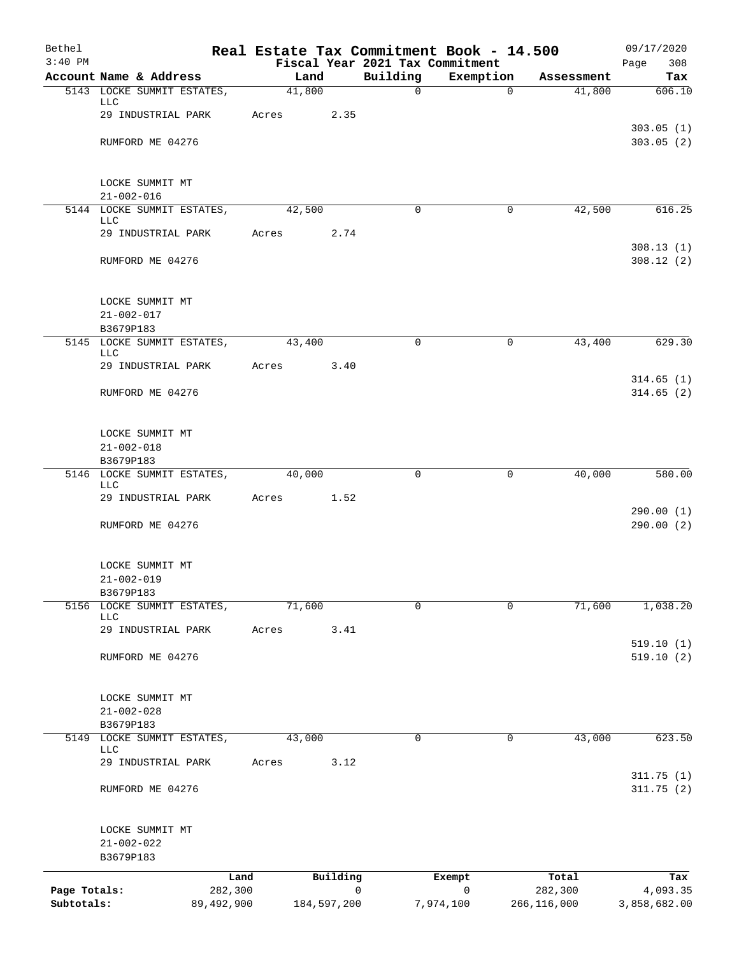| Bethel       |                                          |       |        |             |                                             | Real Estate Tax Commitment Book - 14.500 |             | 09/17/2020             |
|--------------|------------------------------------------|-------|--------|-------------|---------------------------------------------|------------------------------------------|-------------|------------------------|
| $3:40$ PM    | Account Name & Address                   |       | Land   |             | Fiscal Year 2021 Tax Commitment<br>Building | Exemption                                | Assessment  | 308<br>Page<br>Tax     |
|              | 5143 LOCKE SUMMIT ESTATES,               |       | 41,800 |             | $\mathsf{O}$                                | $\Omega$                                 | 41,800      | 606.10                 |
|              | LLC                                      |       |        |             |                                             |                                          |             |                        |
|              | 29 INDUSTRIAL PARK                       | Acres |        | 2.35        |                                             |                                          |             |                        |
|              | RUMFORD ME 04276                         |       |        |             |                                             |                                          |             | 303.05(1)<br>303.05(2) |
|              |                                          |       |        |             |                                             |                                          |             |                        |
|              |                                          |       |        |             |                                             |                                          |             |                        |
|              | LOCKE SUMMIT MT<br>$21 - 002 - 016$      |       |        |             |                                             |                                          |             |                        |
|              | 5144 LOCKE SUMMIT ESTATES,               |       | 42,500 |             | $\Omega$                                    | $\mathbf 0$                              | 42,500      | 616.25                 |
|              | LLC<br>29 INDUSTRIAL PARK                | Acres |        | 2.74        |                                             |                                          |             |                        |
|              |                                          |       |        |             |                                             |                                          |             | 308.13(1)              |
|              | RUMFORD ME 04276                         |       |        |             |                                             |                                          |             | 308.12(2)              |
|              | LOCKE SUMMIT MT                          |       |        |             |                                             |                                          |             |                        |
|              | $21 - 002 - 017$                         |       |        |             |                                             |                                          |             |                        |
|              | B3679P183                                |       |        |             |                                             |                                          |             |                        |
|              | 5145 LOCKE SUMMIT ESTATES,<br>LLC        |       | 43,400 |             | $\Omega$                                    | 0                                        | 43,400      | 629.30                 |
|              | 29 INDUSTRIAL PARK                       | Acres |        | 3.40        |                                             |                                          |             |                        |
|              |                                          |       |        |             |                                             |                                          |             | 314.65(1)              |
|              | RUMFORD ME 04276                         |       |        |             |                                             |                                          |             | 314.65(2)              |
|              | LOCKE SUMMIT MT                          |       |        |             |                                             |                                          |             |                        |
|              | $21 - 002 - 018$                         |       |        |             |                                             |                                          |             |                        |
|              | B3679P183                                |       |        |             |                                             |                                          |             |                        |
|              | 5146 LOCKE SUMMIT ESTATES,<br><b>LLC</b> |       | 40,000 |             | $\Omega$                                    | $\mathbf 0$                              | 40,000      | 580.00                 |
|              | 29 INDUSTRIAL PARK                       | Acres |        | 1.52        |                                             |                                          |             |                        |
|              | RUMFORD ME 04276                         |       |        |             |                                             |                                          |             | 290.00(1)<br>290.00(2) |
|              | LOCKE SUMMIT MT                          |       |        |             |                                             |                                          |             |                        |
|              | $21 - 002 - 019$                         |       |        |             |                                             |                                          |             |                        |
|              | B3679P183                                |       |        |             |                                             |                                          |             |                        |
| 5156         | LOCKE SUMMIT ESTATES,<br><b>LLC</b>      |       | 71,600 |             | $\mathbf 0$                                 | $\Omega$                                 | 71,600      | 1,038.20               |
|              | 29 INDUSTRIAL PARK                       | Acres |        | 3.41        |                                             |                                          |             |                        |
|              |                                          |       |        |             |                                             |                                          |             | 519.10(1)              |
|              | RUMFORD ME 04276                         |       |        |             |                                             |                                          |             | 519.10(2)              |
|              | LOCKE SUMMIT MT                          |       |        |             |                                             |                                          |             |                        |
|              | $21 - 002 - 028$                         |       |        |             |                                             |                                          |             |                        |
|              | B3679P183                                |       |        |             |                                             |                                          |             |                        |
|              | 5149 LOCKE SUMMIT ESTATES,<br>LLC        |       | 43,000 |             | $\Omega$                                    | $\mathbf 0$                              | 43,000      | 623.50                 |
|              | 29 INDUSTRIAL PARK                       | Acres |        | 3.12        |                                             |                                          |             |                        |
|              | RUMFORD ME 04276                         |       |        |             |                                             |                                          |             | 311.75(1)<br>311.75(2) |
|              |                                          |       |        |             |                                             |                                          |             |                        |
|              | LOCKE SUMMIT MT                          |       |        |             |                                             |                                          |             |                        |
|              | $21 - 002 - 022$<br>B3679P183            |       |        |             |                                             |                                          |             |                        |
|              | Land                                     |       |        | Building    |                                             | Exempt                                   | Total       | Tax                    |
| Page Totals: | 282,300                                  |       |        |             | $\mathbf 0$                                 | $\mathbf 0$                              | 282,300     | 4,093.35               |
| Subtotals:   | 89,492,900                               |       |        | 184,597,200 |                                             | 7,974,100                                | 266,116,000 | 3,858,682.00           |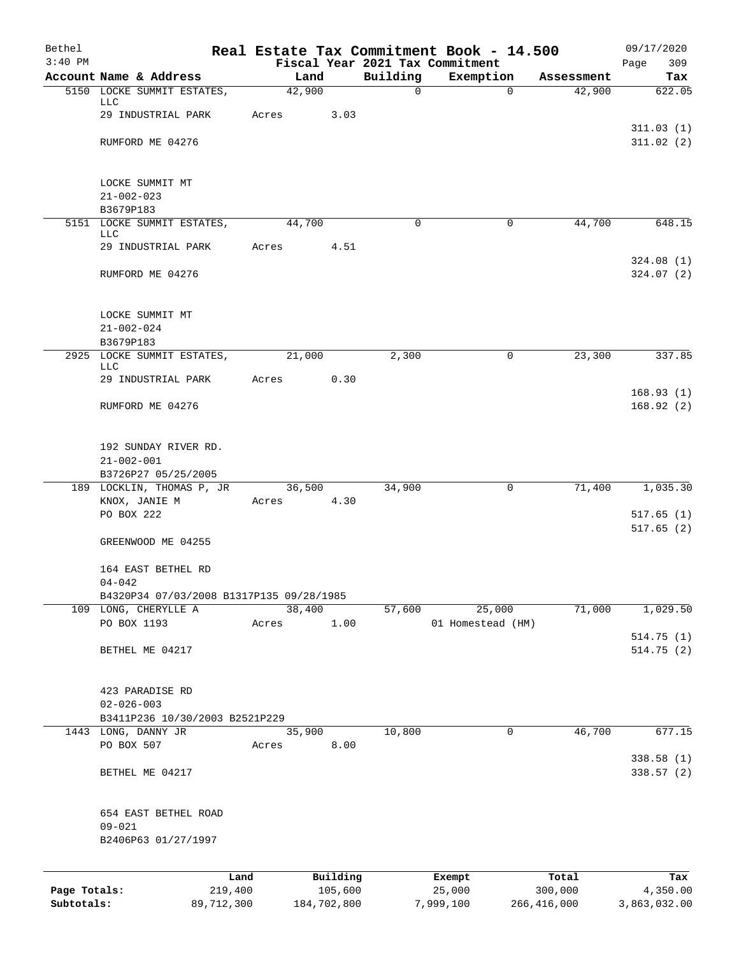| Bethel                     |                                                      |       |                        |                          | Real Estate Tax Commitment Book - 14.500 |                          | 09/17/2020               |
|----------------------------|------------------------------------------------------|-------|------------------------|--------------------------|------------------------------------------|--------------------------|--------------------------|
| $3:40$ PM                  |                                                      |       |                        |                          | Fiscal Year 2021 Tax Commitment          |                          | 309<br>Page              |
|                            | Account Name & Address<br>5150 LOCKE SUMMIT ESTATES, |       | Land<br>42,900         | Building<br>$\mathsf{O}$ | Exemption<br>$\Omega$                    | Assessment<br>42,900     | Tax<br>622.05            |
|                            | LLC                                                  |       |                        |                          |                                          |                          |                          |
|                            | 29 INDUSTRIAL PARK                                   | Acres | 3.03                   |                          |                                          |                          |                          |
|                            |                                                      |       |                        |                          |                                          |                          | 311.03(1)                |
|                            | RUMFORD ME 04276                                     |       |                        |                          |                                          |                          | 311.02(2)                |
|                            | LOCKE SUMMIT MT                                      |       |                        |                          |                                          |                          |                          |
|                            | $21 - 002 - 023$                                     |       |                        |                          |                                          |                          |                          |
|                            | B3679P183                                            |       |                        |                          |                                          |                          |                          |
|                            | 5151 LOCKE SUMMIT ESTATES,                           |       | 44,700                 | $\mathbf 0$              | $\mathbf 0$                              | 44,700                   | 648.15                   |
|                            | LLC                                                  |       |                        |                          |                                          |                          |                          |
|                            | 29 INDUSTRIAL PARK                                   | Acres | 4.51                   |                          |                                          |                          | 324.08(1)                |
|                            | RUMFORD ME 04276                                     |       |                        |                          |                                          |                          | 324.07(2)                |
|                            | LOCKE SUMMIT MT                                      |       |                        |                          |                                          |                          |                          |
|                            | $21 - 002 - 024$                                     |       |                        |                          |                                          |                          |                          |
|                            | B3679P183                                            |       |                        |                          |                                          |                          |                          |
|                            | 2925 LOCKE SUMMIT ESTATES,                           |       | 21,000                 | 2,300                    | $\mathbf 0$                              | 23,300                   | 337.85                   |
|                            | <b>LLC</b><br>29 INDUSTRIAL PARK                     | Acres | 0.30                   |                          |                                          |                          |                          |
|                            |                                                      |       |                        |                          |                                          |                          | 168.93(1)                |
|                            | RUMFORD ME 04276                                     |       |                        |                          |                                          |                          | 168.92(2)                |
|                            | 192 SUNDAY RIVER RD.                                 |       |                        |                          |                                          |                          |                          |
|                            | $21 - 002 - 001$                                     |       |                        |                          |                                          |                          |                          |
|                            | B3726P27 05/25/2005                                  |       |                        |                          |                                          |                          |                          |
|                            | 189 LOCKLIN, THOMAS P, JR                            |       | 36,500                 | 34,900                   | $\mathbf 0$                              | 71,400                   | 1,035.30                 |
|                            | KNOX, JANIE M                                        | Acres | 4.30                   |                          |                                          |                          |                          |
|                            | PO BOX 222                                           |       |                        |                          |                                          |                          | 517.65(1)<br>517.65(2)   |
|                            | GREENWOOD ME 04255                                   |       |                        |                          |                                          |                          |                          |
|                            | 164 EAST BETHEL RD                                   |       |                        |                          |                                          |                          |                          |
|                            | $04 - 042$                                           |       |                        |                          |                                          |                          |                          |
|                            | B4320P34 07/03/2008 B1317P135 09/28/1985             |       |                        |                          |                                          |                          |                          |
|                            | 109 LONG, CHERYLLE A<br>PO BOX 1193                  | Acres | 38,400<br>1.00         | 57,600                   | 25,000<br>01 Homestead (HM)              | 71,000                   | 1,029.50                 |
|                            |                                                      |       |                        |                          |                                          |                          | 514.75(1)                |
|                            | BETHEL ME 04217                                      |       |                        |                          |                                          |                          | 514.75(2)                |
|                            | 423 PARADISE RD                                      |       |                        |                          |                                          |                          |                          |
|                            | $02 - 026 - 003$                                     |       |                        |                          |                                          |                          |                          |
|                            | B3411P236 10/30/2003 B2521P229                       |       |                        |                          |                                          |                          |                          |
|                            | 1443 LONG, DANNY JR                                  |       | 35,900                 | 10,800                   | 0                                        | 46,700                   | 677.15                   |
|                            | PO BOX 507                                           | Acres | 8.00                   |                          |                                          |                          |                          |
|                            | BETHEL ME 04217                                      |       |                        |                          |                                          |                          | 338.58 (1)<br>338.57(2)  |
|                            |                                                      |       |                        |                          |                                          |                          |                          |
|                            | 654 EAST BETHEL ROAD<br>$09 - 021$                   |       |                        |                          |                                          |                          |                          |
|                            | B2406P63 01/27/1997                                  |       |                        |                          |                                          |                          |                          |
|                            |                                                      |       |                        |                          |                                          |                          |                          |
|                            |                                                      | Land  | Building               |                          | Exempt                                   | Total                    | Tax                      |
| Page Totals:<br>Subtotals: | 219,400<br>89,712,300                                |       | 105,600<br>184,702,800 |                          | 25,000<br>7,999,100                      | 300,000<br>266, 416, 000 | 4,350.00<br>3,863,032.00 |
|                            |                                                      |       |                        |                          |                                          |                          |                          |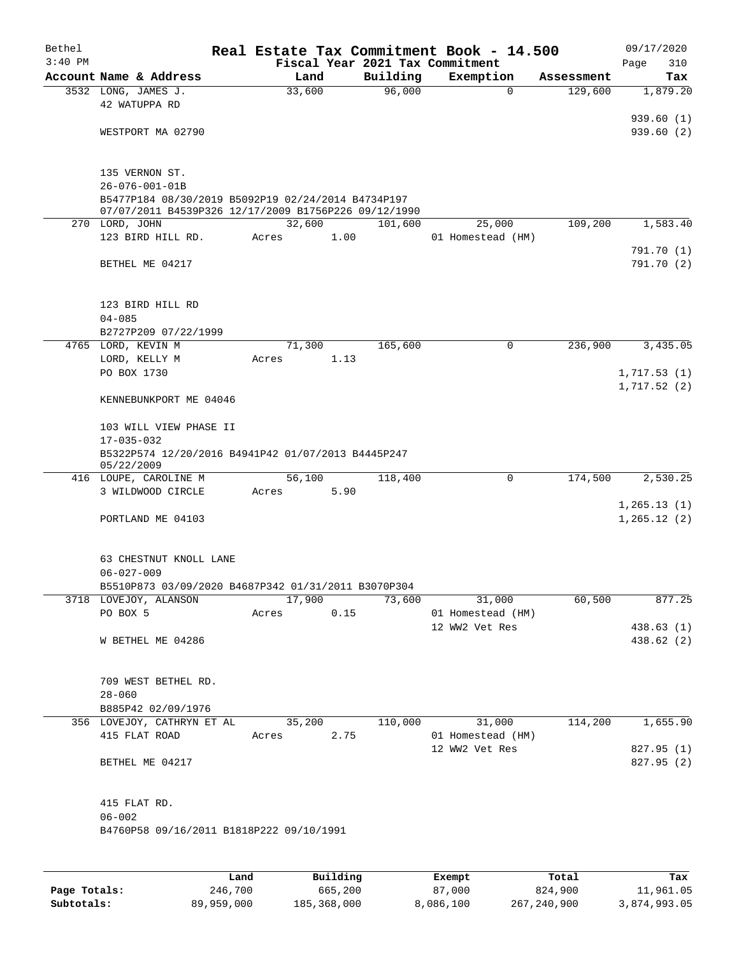| Bethel<br>$3:40$ PM |                                                                        |       |        |      | Fiscal Year 2021 Tax Commitment | Real Estate Tax Commitment Book - 14.500 |            | 09/17/2020<br>Page<br>310 |
|---------------------|------------------------------------------------------------------------|-------|--------|------|---------------------------------|------------------------------------------|------------|---------------------------|
|                     | Account Name & Address                                                 |       | Land   |      | Building                        | Exemption                                | Assessment | Tax                       |
|                     | 3532 LONG, JAMES J.                                                    |       | 33,600 |      | 96,000                          | $\Omega$                                 | 129,600    | 1,879.20                  |
|                     | 42 WATUPPA RD                                                          |       |        |      |                                 |                                          |            |                           |
|                     |                                                                        |       |        |      |                                 |                                          |            | 939.60(1)                 |
|                     | WESTPORT MA 02790                                                      |       |        |      |                                 |                                          |            | 939.60(2)                 |
|                     |                                                                        |       |        |      |                                 |                                          |            |                           |
|                     |                                                                        |       |        |      |                                 |                                          |            |                           |
|                     | 135 VERNON ST.                                                         |       |        |      |                                 |                                          |            |                           |
|                     | $26 - 076 - 001 - 01B$                                                 |       |        |      |                                 |                                          |            |                           |
|                     | B5477P184 08/30/2019 B5092P19 02/24/2014 B4734P197                     |       |        |      |                                 |                                          |            |                           |
|                     | 07/07/2011 B4539P326 12/17/2009 B1756P226 09/12/1990<br>270 LORD, JOHN |       | 32,600 |      | 101,600                         | 25,000                                   | 109,200    | 1,583.40                  |
|                     | 123 BIRD HILL RD.                                                      | Acres |        | 1.00 |                                 | 01 Homestead (HM)                        |            |                           |
|                     |                                                                        |       |        |      |                                 |                                          |            | 791.70 (1)                |
|                     | BETHEL ME 04217                                                        |       |        |      |                                 |                                          |            | 791.70 (2)                |
|                     |                                                                        |       |        |      |                                 |                                          |            |                           |
|                     |                                                                        |       |        |      |                                 |                                          |            |                           |
|                     | 123 BIRD HILL RD                                                       |       |        |      |                                 |                                          |            |                           |
|                     | $04 - 085$                                                             |       |        |      |                                 |                                          |            |                           |
|                     | B2727P209 07/22/1999                                                   |       |        |      |                                 |                                          |            |                           |
|                     | 4765 LORD, KEVIN M                                                     |       | 71,300 |      | 165,600                         | 0                                        | 236,900    | 3,435.05                  |
|                     | LORD, KELLY M                                                          | Acres |        | 1.13 |                                 |                                          |            |                           |
|                     | PO BOX 1730                                                            |       |        |      |                                 |                                          |            | 1,717.53(1)               |
|                     |                                                                        |       |        |      |                                 |                                          |            | 1,717.52(2)               |
|                     | KENNEBUNKPORT ME 04046                                                 |       |        |      |                                 |                                          |            |                           |
|                     |                                                                        |       |        |      |                                 |                                          |            |                           |
|                     | 103 WILL VIEW PHASE II                                                 |       |        |      |                                 |                                          |            |                           |
|                     | $17 - 035 - 032$                                                       |       |        |      |                                 |                                          |            |                           |
|                     | B5322P574 12/20/2016 B4941P42 01/07/2013 B4445P247<br>05/22/2009       |       |        |      |                                 |                                          |            |                           |
|                     | 416 LOUPE, CAROLINE M                                                  |       | 56,100 |      | 118,400                         | 0                                        | 174,500    | 2,530.25                  |
|                     | 3 WILDWOOD CIRCLE                                                      | Acres |        | 5.90 |                                 |                                          |            |                           |
|                     |                                                                        |       |        |      |                                 |                                          |            | 1, 265.13(1)              |
|                     | PORTLAND ME 04103                                                      |       |        |      |                                 |                                          |            | 1, 265.12(2)              |
|                     |                                                                        |       |        |      |                                 |                                          |            |                           |
|                     |                                                                        |       |        |      |                                 |                                          |            |                           |
|                     | 63 CHESTNUT KNOLL LANE                                                 |       |        |      |                                 |                                          |            |                           |
|                     | $06 - 027 - 009$                                                       |       |        |      |                                 |                                          |            |                           |
|                     | B5510P873 03/09/2020 B4687P342 01/31/2011 B3070P304                    |       |        |      |                                 |                                          |            |                           |
|                     | 3718 LOVEJOY, ALANSON                                                  |       | 17,900 |      | 73,600                          | 31,000                                   | 60,500     | 877.25                    |
|                     | PO BOX 5                                                               | Acres |        | 0.15 |                                 | 01 Homestead (HM)                        |            |                           |
|                     |                                                                        |       |        |      |                                 | 12 WW2 Vet Res                           |            | 438.63 (1)                |
|                     | W BETHEL ME 04286                                                      |       |        |      |                                 |                                          |            | 438.62 (2)                |
|                     |                                                                        |       |        |      |                                 |                                          |            |                           |
|                     |                                                                        |       |        |      |                                 |                                          |            |                           |
|                     | 709 WEST BETHEL RD.                                                    |       |        |      |                                 |                                          |            |                           |
|                     | $28 - 060$<br>B885P42 02/09/1976                                       |       |        |      |                                 |                                          |            |                           |
|                     | 356 LOVEJOY, CATHRYN ET AL                                             |       | 35,200 |      | 110,000                         | 31,000                                   | 114,200    | 1,655.90                  |
|                     | 415 FLAT ROAD                                                          | Acres |        | 2.75 |                                 | 01 Homestead (HM)                        |            |                           |
|                     |                                                                        |       |        |      |                                 | 12 WW2 Vet Res                           |            | 827.95 (1)                |
|                     | BETHEL ME 04217                                                        |       |        |      |                                 |                                          |            | 827.95 (2)                |
|                     |                                                                        |       |        |      |                                 |                                          |            |                           |
|                     |                                                                        |       |        |      |                                 |                                          |            |                           |
|                     | 415 FLAT RD.                                                           |       |        |      |                                 |                                          |            |                           |
|                     | $06 - 002$                                                             |       |        |      |                                 |                                          |            |                           |
|                     | B4760P58 09/16/2011 B1818P222 09/10/1991                               |       |        |      |                                 |                                          |            |                           |
|                     |                                                                        |       |        |      |                                 |                                          |            |                           |
|                     |                                                                        |       |        |      |                                 |                                          |            |                           |
|                     |                                                                        |       |        |      |                                 |                                          |            |                           |

|              | Land       | Building    | Exempt    | Total       | Tax          |
|--------------|------------|-------------|-----------|-------------|--------------|
| Page Totals: | 246,700    | 665,200     | 87,000    | 824,900     | 11,961.05    |
| Subtotals:   | 89,959,000 | 185,368,000 | 8,086,100 | 267,240,900 | 3,874,993.05 |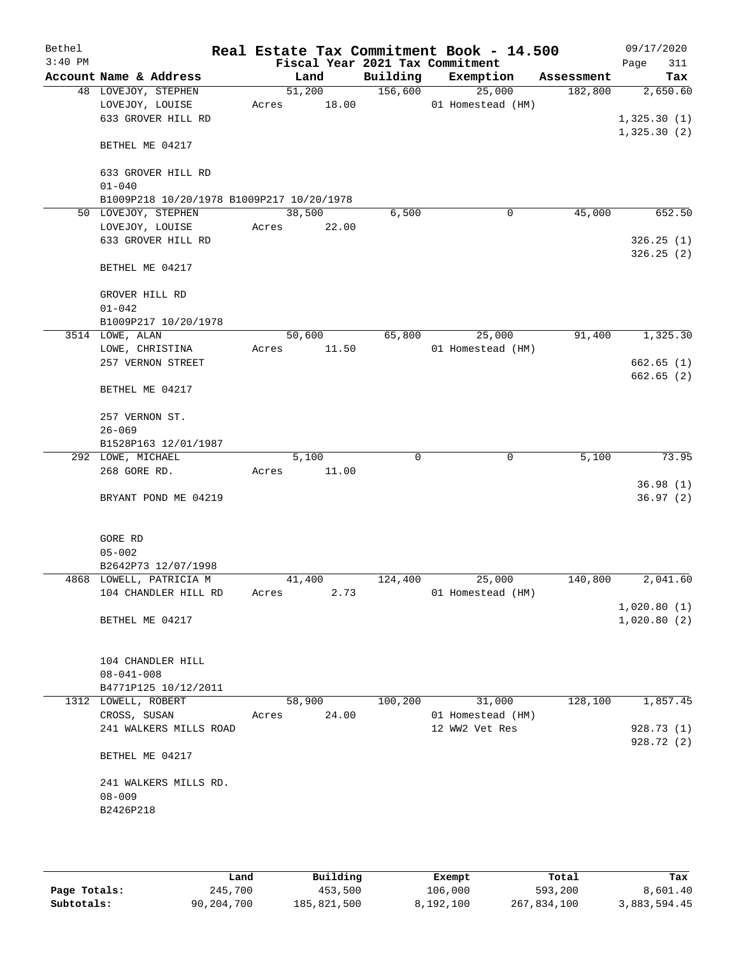| Bethel<br>$3:40$ PM |                                           | Fiscal Year 2021 Tax Commitment |          | Real Estate Tax Commitment Book - 14.500 |            | 09/17/2020<br>Page<br>311 |
|---------------------|-------------------------------------------|---------------------------------|----------|------------------------------------------|------------|---------------------------|
|                     | Account Name & Address                    | Land                            | Building | Exemption                                | Assessment | Tax                       |
|                     | 48 LOVEJOY, STEPHEN                       | 51,200                          | 156,600  | 25,000                                   | 182,800    | 2,650.60                  |
|                     | LOVEJOY, LOUISE                           | 18.00<br>Acres                  |          | 01 Homestead (HM)                        |            |                           |
|                     | 633 GROVER HILL RD                        |                                 |          |                                          |            | 1,325.30(1)               |
|                     |                                           |                                 |          |                                          |            | 1,325.30(2)               |
|                     | BETHEL ME 04217                           |                                 |          |                                          |            |                           |
|                     | 633 GROVER HILL RD                        |                                 |          |                                          |            |                           |
|                     | $01 - 040$                                |                                 |          |                                          |            |                           |
|                     | B1009P218 10/20/1978 B1009P217 10/20/1978 |                                 |          |                                          |            |                           |
|                     | 50 LOVEJOY, STEPHEN                       | 38,500                          | 6,500    | 0                                        | 45,000     | 652.50                    |
|                     | LOVEJOY, LOUISE                           | 22.00<br>Acres                  |          |                                          |            |                           |
|                     | 633 GROVER HILL RD                        |                                 |          |                                          |            | 326.25(1)                 |
|                     |                                           |                                 |          |                                          |            | 326.25(2)                 |
|                     | BETHEL ME 04217                           |                                 |          |                                          |            |                           |
|                     | GROVER HILL RD                            |                                 |          |                                          |            |                           |
|                     | $01 - 042$                                |                                 |          |                                          |            |                           |
|                     | B1009P217 10/20/1978                      |                                 |          |                                          |            |                           |
|                     | 3514 LOWE, ALAN                           | 50,600                          | 65,800   | 25,000                                   | 91,400     | 1,325.30                  |
|                     | LOWE, CHRISTINA                           | 11.50<br>Acres                  |          | 01 Homestead (HM)                        |            |                           |
|                     | 257 VERNON STREET                         |                                 |          |                                          |            | 662.65(1)                 |
|                     | BETHEL ME 04217                           |                                 |          |                                          |            | 662.65(2)                 |
|                     |                                           |                                 |          |                                          |            |                           |
|                     | 257 VERNON ST.                            |                                 |          |                                          |            |                           |
|                     | $26 - 069$                                |                                 |          |                                          |            |                           |
|                     | B1528P163 12/01/1987                      |                                 |          |                                          |            |                           |
|                     | 292 LOWE, MICHAEL                         | 5,100                           | 0        | 0                                        | 5,100      | 73.95                     |
|                     | 268 GORE RD.                              | Acres<br>11.00                  |          |                                          |            |                           |
|                     |                                           |                                 |          |                                          |            | 36.98(1)                  |
|                     | BRYANT POND ME 04219                      |                                 |          |                                          |            | 36.97(2)                  |
|                     |                                           |                                 |          |                                          |            |                           |
|                     | GORE RD                                   |                                 |          |                                          |            |                           |
|                     | $05 - 002$                                |                                 |          |                                          |            |                           |
|                     | B2642P73 12/07/1998                       |                                 |          |                                          |            |                           |
|                     | 4868 LOWELL, PATRICIA M                   | 41,400                          | 124,400  | 25,000                                   | 140,800    | 2,041.60                  |
|                     | 104 CHANDLER HILL RD                      | 2.73<br>Acres                   |          | 01 Homestead (HM)                        |            |                           |
|                     |                                           |                                 |          |                                          |            | 1,020.80(1)               |
|                     | BETHEL ME 04217                           |                                 |          |                                          |            | 1,020.80(2)               |
|                     | 104 CHANDLER HILL                         |                                 |          |                                          |            |                           |
|                     | $08 - 041 - 008$                          |                                 |          |                                          |            |                           |
|                     | B4771P125 10/12/2011                      |                                 |          |                                          |            |                           |
|                     | 1312 LOWELL, ROBERT                       | 58,900                          | 100,200  | 31,000                                   | 128,100    | 1,857.45                  |
|                     | CROSS, SUSAN                              | 24.00<br>Acres                  |          | 01 Homestead (HM)                        |            |                           |
|                     | 241 WALKERS MILLS ROAD                    |                                 |          | 12 WW2 Vet Res                           |            | 928.73(1)                 |
|                     |                                           |                                 |          |                                          |            | 928.72 (2)                |
|                     | BETHEL ME 04217                           |                                 |          |                                          |            |                           |
|                     | 241 WALKERS MILLS RD.                     |                                 |          |                                          |            |                           |
|                     | $08 - 009$                                |                                 |          |                                          |            |                           |
|                     | B2426P218                                 |                                 |          |                                          |            |                           |
|                     |                                           |                                 |          |                                          |            |                           |
|                     |                                           |                                 |          |                                          |            |                           |
|                     |                                           |                                 |          |                                          |            |                           |

|              | Land       | Building    | Exempt    | Total       | Tax          |
|--------------|------------|-------------|-----------|-------------|--------------|
| Page Totals: | 245,700    | 453,500     | 106,000   | 593,200     | 8,601.40     |
| Subtotals:   | 90,204,700 | 185,821,500 | 8,192,100 | 267,834,100 | 3,883,594.45 |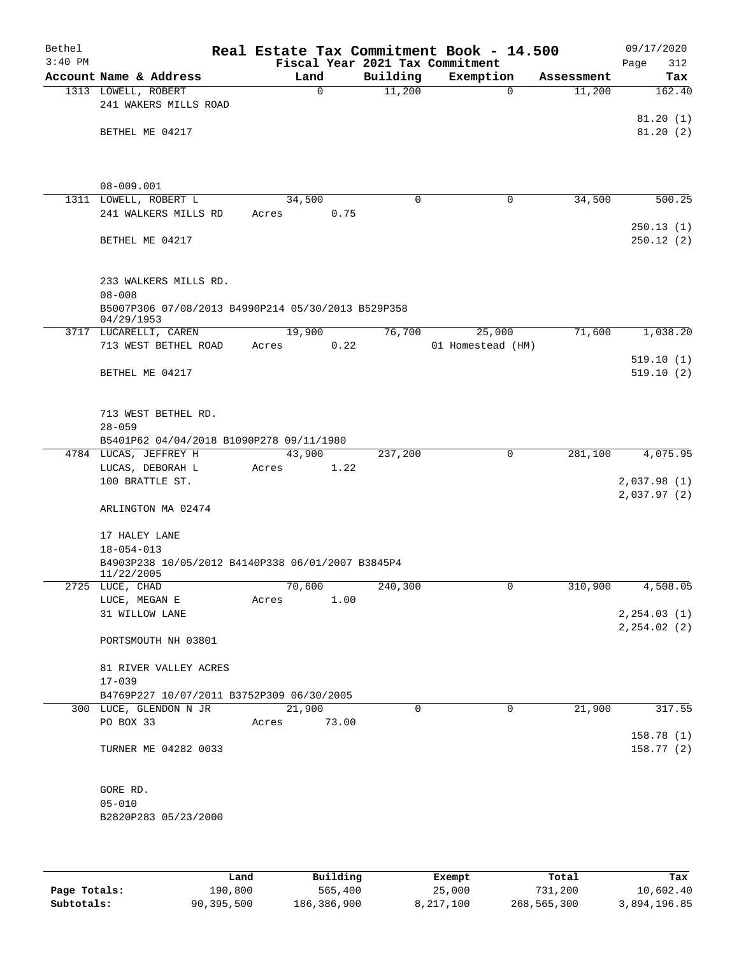| Bethel    |                                                                       |                                 |                | Real Estate Tax Commitment Book - 14.500 |            | 09/17/2020             |
|-----------|-----------------------------------------------------------------------|---------------------------------|----------------|------------------------------------------|------------|------------------------|
| $3:40$ PM |                                                                       | Fiscal Year 2021 Tax Commitment |                |                                          |            | 312<br>Page            |
|           | Account Name & Address                                                | Land                            | Building       | Exemption                                | Assessment | Tax                    |
|           | 1313 LOWELL, ROBERT                                                   | $\Omega$                        | 11,200         | $\Omega$                                 | 11,200     | 162.40                 |
|           | 241 WAKERS MILLS ROAD                                                 |                                 |                |                                          |            | 81.20(1)               |
|           | BETHEL ME 04217                                                       |                                 |                |                                          |            | 81.20(2)               |
|           |                                                                       |                                 |                |                                          |            |                        |
|           |                                                                       |                                 |                |                                          |            |                        |
|           |                                                                       |                                 |                |                                          |            |                        |
|           | $08 - 009.001$<br>1311 LOWELL, ROBERT L                               | 34,500                          | $\mathbf 0$    | 0                                        | 34,500     | 500.25                 |
|           | 241 WALKERS MILLS RD                                                  | 0.75<br>Acres                   |                |                                          |            |                        |
|           |                                                                       |                                 |                |                                          |            | 250.13(1)              |
|           | BETHEL ME 04217                                                       |                                 |                |                                          |            | 250.12(2)              |
|           |                                                                       |                                 |                |                                          |            |                        |
|           |                                                                       |                                 |                |                                          |            |                        |
|           | 233 WALKERS MILLS RD.                                                 |                                 |                |                                          |            |                        |
|           | $08 - 008$<br>B5007P306 07/08/2013 B4990P214 05/30/2013 B529P358      |                                 |                |                                          |            |                        |
|           | 04/29/1953                                                            |                                 |                |                                          |            |                        |
|           | 3717 LUCARELLI, CAREN                                                 | 19,900                          | 76,700         | 25,000                                   | 71,600     | 1,038.20               |
|           | 713 WEST BETHEL ROAD                                                  | 0.22<br>Acres                   |                | 01 Homestead (HM)                        |            |                        |
|           |                                                                       |                                 |                |                                          |            | 519.10(1)<br>519.10(2) |
|           | BETHEL ME 04217                                                       |                                 |                |                                          |            |                        |
|           |                                                                       |                                 |                |                                          |            |                        |
|           | 713 WEST BETHEL RD.                                                   |                                 |                |                                          |            |                        |
|           | $28 - 059$                                                            |                                 |                |                                          |            |                        |
|           | B5401P62 04/04/2018 B1090P278 09/11/1980                              |                                 |                |                                          |            |                        |
|           | 4784 LUCAS, JEFFREY H                                                 | 43,900                          | 237,200        | $\mathbf 0$                              | 281,100    | 4,075.95               |
|           | LUCAS, DEBORAH L<br>100 BRATTLE ST.                                   | 1.22<br>Acres                   |                |                                          |            | 2,037.98(1)            |
|           |                                                                       |                                 |                |                                          |            | 2,037.97(2)            |
|           | ARLINGTON MA 02474                                                    |                                 |                |                                          |            |                        |
|           |                                                                       |                                 |                |                                          |            |                        |
|           | 17 HALEY LANE                                                         |                                 |                |                                          |            |                        |
|           | $18 - 054 - 013$<br>B4903P238 10/05/2012 B4140P338 06/01/2007 B3845P4 |                                 |                |                                          |            |                        |
|           | 11/22/2005                                                            |                                 |                |                                          |            |                        |
|           | 2725 LUCE, CHAD                                                       | 70,600                          | 240,300        | $\mathbf{0}$                             | 310,900    | 4,508.05               |
|           | LUCE, MEGAN E                                                         | Acres<br>1.00                   |                |                                          |            |                        |
|           | 31 WILLOW LANE                                                        |                                 |                |                                          |            | 2, 254.03(1)           |
|           | PORTSMOUTH NH 03801                                                   |                                 |                |                                          |            | 2, 254.02 (2)          |
|           |                                                                       |                                 |                |                                          |            |                        |
|           | 81 RIVER VALLEY ACRES                                                 |                                 |                |                                          |            |                        |
|           | $17 - 039$                                                            |                                 |                |                                          |            |                        |
|           | B4769P227 10/07/2011 B3752P309 06/30/2005                             |                                 |                |                                          |            |                        |
|           | 300 LUCE, GLENDON N JR                                                | 21,900                          | $\overline{0}$ | $\overline{0}$                           | 21,900     | 317.55                 |
|           | PO BOX 33                                                             | Acres<br>73.00                  |                |                                          |            | 158.78(1)              |
|           | TURNER ME 04282 0033                                                  |                                 |                |                                          |            | 158.77(2)              |
|           |                                                                       |                                 |                |                                          |            |                        |
|           |                                                                       |                                 |                |                                          |            |                        |
|           | GORE RD.                                                              |                                 |                |                                          |            |                        |
|           | $05 - 010$                                                            |                                 |                |                                          |            |                        |
|           | B2820P283 05/23/2000                                                  |                                 |                |                                          |            |                        |
|           |                                                                       |                                 |                |                                          |            |                        |
|           |                                                                       |                                 |                |                                          |            |                        |

|              | Land       | Building    | Exempt    | Total       | Tax          |
|--------------|------------|-------------|-----------|-------------|--------------|
| Page Totals: | 190,800    | 565,400     | 25,000    | 731,200     | 10,602.40    |
| Subtotals:   | 90,395,500 | 186,386,900 | 8,217,100 | 268,565,300 | 3,894,196.85 |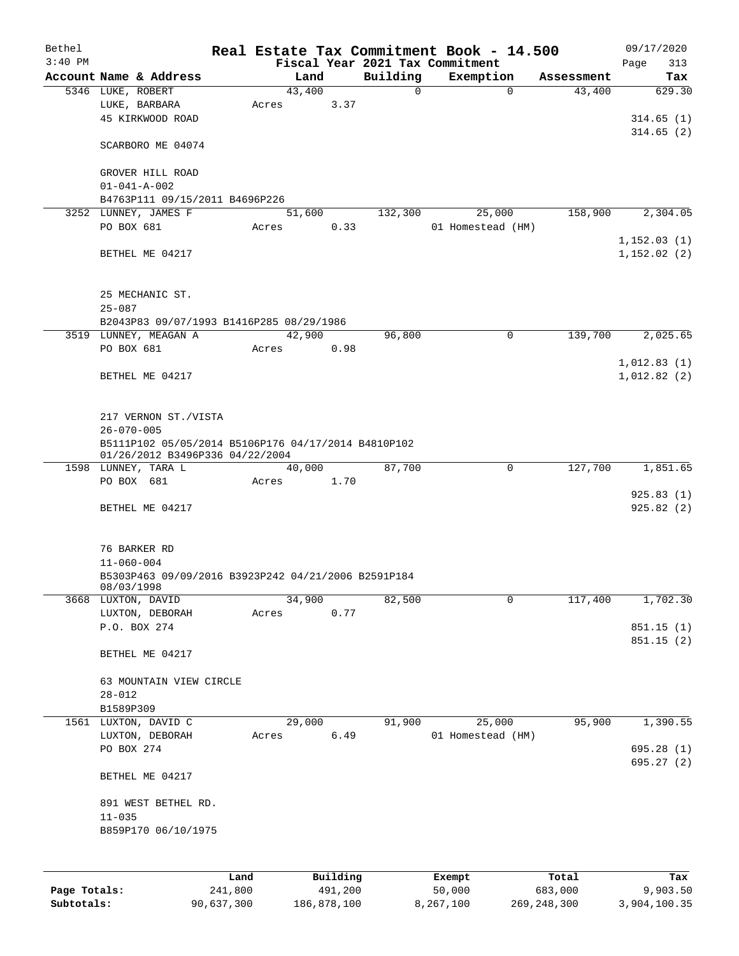| Bethel    |                                                     |      |        |          |             | Real Estate Tax Commitment Book - 14.500 |            | 09/17/2020  |
|-----------|-----------------------------------------------------|------|--------|----------|-------------|------------------------------------------|------------|-------------|
| $3:40$ PM |                                                     |      |        |          |             | Fiscal Year 2021 Tax Commitment          |            | Page<br>313 |
|           | Account Name & Address                              |      | Land   |          | Building    | Exemption                                | Assessment | Tax         |
|           | 5346 LUKE, ROBERT                                   |      | 43,400 |          | $\mathbf 0$ | $\mathbf 0$                              | 43,400     | 629.30      |
|           | LUKE, BARBARA                                       |      | Acres  | 3.37     |             |                                          |            |             |
|           | 45 KIRKWOOD ROAD                                    |      |        |          |             |                                          |            | 314.65(1)   |
|           |                                                     |      |        |          |             |                                          |            | 314.65(2)   |
|           | SCARBORO ME 04074                                   |      |        |          |             |                                          |            |             |
|           |                                                     |      |        |          |             |                                          |            |             |
|           | GROVER HILL ROAD                                    |      |        |          |             |                                          |            |             |
|           | $01 - 041 - A - 002$                                |      |        |          |             |                                          |            |             |
|           | B4763P111 09/15/2011 B4696P226                      |      |        |          |             |                                          |            |             |
|           | 3252 LUNNEY, JAMES F                                |      | 51,600 |          | 132,300     | 25,000                                   | 158,900    | 2,304.05    |
|           | PO BOX 681                                          |      | Acres  | 0.33     |             | 01 Homestead (HM)                        |            |             |
|           |                                                     |      |        |          |             |                                          |            | 1,152.03(1) |
|           | BETHEL ME 04217                                     |      |        |          |             |                                          |            | 1,152.02(2) |
|           |                                                     |      |        |          |             |                                          |            |             |
|           |                                                     |      |        |          |             |                                          |            |             |
|           | 25 MECHANIC ST.                                     |      |        |          |             |                                          |            |             |
|           |                                                     |      |        |          |             |                                          |            |             |
|           | $25 - 087$                                          |      |        |          |             |                                          |            |             |
|           | B2043P83 09/07/1993 B1416P285 08/29/1986            |      |        |          |             |                                          |            |             |
|           | 3519 LUNNEY, MEAGAN A                               |      | 42,900 |          | 96,800      | 0                                        | 139,700    | 2,025.65    |
|           | PO BOX 681                                          |      | Acres  | 0.98     |             |                                          |            |             |
|           |                                                     |      |        |          |             |                                          |            | 1,012.83(1) |
|           | BETHEL ME 04217                                     |      |        |          |             |                                          |            | 1,012.82(2) |
|           |                                                     |      |        |          |             |                                          |            |             |
|           |                                                     |      |        |          |             |                                          |            |             |
|           | 217 VERNON ST./VISTA                                |      |        |          |             |                                          |            |             |
|           | $26 - 070 - 005$                                    |      |        |          |             |                                          |            |             |
|           | B5111P102 05/05/2014 B5106P176 04/17/2014 B4810P102 |      |        |          |             |                                          |            |             |
|           | 01/26/2012 B3496P336 04/22/2004                     |      |        |          |             |                                          |            |             |
|           | 1598 LUNNEY, TARA L                                 |      | 40,000 |          | 87,700      | 0                                        | 127,700    | 1,851.65    |
|           | PO BOX 681                                          |      | Acres  | 1.70     |             |                                          |            |             |
|           |                                                     |      |        |          |             |                                          |            | 925.83(1)   |
|           | BETHEL ME 04217                                     |      |        |          |             |                                          |            | 925.82(2)   |
|           |                                                     |      |        |          |             |                                          |            |             |
|           |                                                     |      |        |          |             |                                          |            |             |
|           | 76 BARKER RD                                        |      |        |          |             |                                          |            |             |
|           | $11 - 060 - 004$                                    |      |        |          |             |                                          |            |             |
|           | B5303P463 09/09/2016 B3923P242 04/21/2006 B2591P184 |      |        |          |             |                                          |            |             |
|           | 08/03/1998                                          |      |        |          |             |                                          |            |             |
|           | 3668 LUXTON, DAVID                                  |      | 34,900 |          | 82,500      | 0                                        | 117,400    | 1,702.30    |
|           | LUXTON, DEBORAH                                     |      | Acres  | 0.77     |             |                                          |            |             |
|           | P.O. BOX 274                                        |      |        |          |             |                                          |            | 851.15 (1)  |
|           |                                                     |      |        |          |             |                                          |            | 851.15(2)   |
|           | BETHEL ME 04217                                     |      |        |          |             |                                          |            |             |
|           |                                                     |      |        |          |             |                                          |            |             |
|           | 63 MOUNTAIN VIEW CIRCLE                             |      |        |          |             |                                          |            |             |
|           | $28 - 012$                                          |      |        |          |             |                                          |            |             |
|           | B1589P309                                           |      |        |          |             |                                          |            |             |
|           | 1561 LUXTON, DAVID C                                |      | 29,000 |          | 91,900      | 25,000                                   | 95,900     | 1,390.55    |
|           | LUXTON, DEBORAH                                     |      | Acres  | 6.49     |             | 01 Homestead (HM)                        |            |             |
|           | PO BOX 274                                          |      |        |          |             |                                          |            | 695.28 (1)  |
|           |                                                     |      |        |          |             |                                          |            | 695.27 (2)  |
|           | BETHEL ME 04217                                     |      |        |          |             |                                          |            |             |
|           |                                                     |      |        |          |             |                                          |            |             |
|           | 891 WEST BETHEL RD.                                 |      |        |          |             |                                          |            |             |
|           | $11 - 035$                                          |      |        |          |             |                                          |            |             |
|           | B859P170 06/10/1975                                 |      |        |          |             |                                          |            |             |
|           |                                                     |      |        |          |             |                                          |            |             |
|           |                                                     |      |        |          |             |                                          |            |             |
|           |                                                     | Land |        | Building |             | Exempt                                   | Total      | Tax         |
|           |                                                     |      |        |          |             |                                          |            |             |

|              | -------    |             | -------   | ------      | -------      |
|--------------|------------|-------------|-----------|-------------|--------------|
| Page Totals: | 241,800    | 491,200     | 50,000    | 683,000     | 9,903.50     |
| Subtotals:   | 90,637,300 | 186,878,100 | 8,267,100 | 269,248,300 | 3,904,100.35 |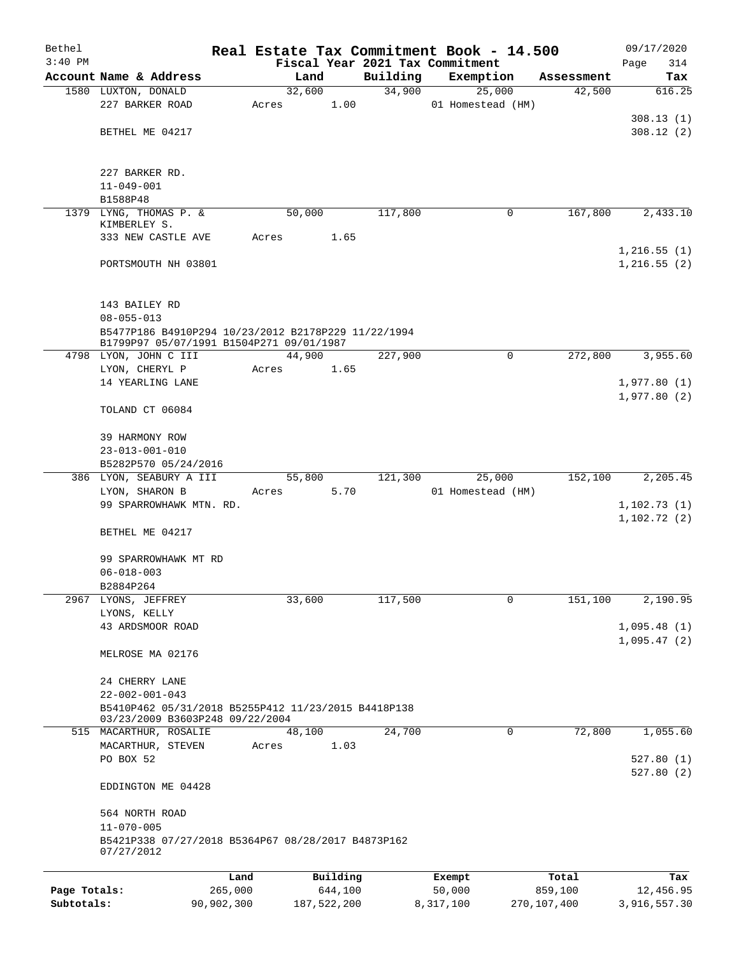| Bethel       |                                                                                                 |       |                     |          | Real Estate Tax Commitment Book - 14.500 |                  | 09/17/2020                  |
|--------------|-------------------------------------------------------------------------------------------------|-------|---------------------|----------|------------------------------------------|------------------|-----------------------------|
| $3:40$ PM    |                                                                                                 |       |                     |          | Fiscal Year 2021 Tax Commitment          |                  | Page<br>314                 |
|              | Account Name & Address                                                                          |       | Land                | Building | Exemption                                | Assessment       | Tax<br>616.25               |
|              | 1580 LUXTON, DONALD<br>227 BARKER ROAD                                                          | Acres | 32,600<br>1.00      | 34,900   | 25,000<br>01 Homestead (HM)              | 42,500           |                             |
|              |                                                                                                 |       |                     |          |                                          |                  | 308.13(1)                   |
|              | BETHEL ME 04217                                                                                 |       |                     |          |                                          |                  | 308.12(2)                   |
|              |                                                                                                 |       |                     |          |                                          |                  |                             |
|              |                                                                                                 |       |                     |          |                                          |                  |                             |
|              | 227 BARKER RD.                                                                                  |       |                     |          |                                          |                  |                             |
|              | $11 - 049 - 001$<br>B1588P48                                                                    |       |                     |          |                                          |                  |                             |
|              | 1379 LYNG, THOMAS P. &                                                                          |       | 50,000              | 117,800  | 0                                        | 167,800          | 2,433.10                    |
|              | KIMBERLEY S.                                                                                    |       |                     |          |                                          |                  |                             |
|              | 333 NEW CASTLE AVE                                                                              | Acres | 1.65                |          |                                          |                  |                             |
|              |                                                                                                 |       |                     |          |                                          |                  | 1,216.55(1)                 |
|              | PORTSMOUTH NH 03801                                                                             |       |                     |          |                                          |                  | 1,216.55(2)                 |
|              |                                                                                                 |       |                     |          |                                          |                  |                             |
|              | 143 BAILEY RD                                                                                   |       |                     |          |                                          |                  |                             |
|              | $08 - 055 - 013$                                                                                |       |                     |          |                                          |                  |                             |
|              | B5477P186 B4910P294 10/23/2012 B2178P229 11/22/1994<br>B1799P97 05/07/1991 B1504P271 09/01/1987 |       |                     |          |                                          |                  |                             |
|              | 4798 LYON, JOHN C III                                                                           |       | 44,900              | 227,900  | $\mathbf 0$                              | 272,800          | 3,955.60                    |
|              | LYON, CHERYL P                                                                                  | Acres | 1.65                |          |                                          |                  |                             |
|              | 14 YEARLING LANE                                                                                |       |                     |          |                                          |                  | 1,977.80(1)                 |
|              |                                                                                                 |       |                     |          |                                          |                  | 1,977.80(2)                 |
|              | TOLAND CT 06084                                                                                 |       |                     |          |                                          |                  |                             |
|              | 39 HARMONY ROW                                                                                  |       |                     |          |                                          |                  |                             |
|              | $23 - 013 - 001 - 010$                                                                          |       |                     |          |                                          |                  |                             |
|              | B5282P570 05/24/2016                                                                            |       |                     |          |                                          |                  |                             |
|              | 386 LYON, SEABURY A III                                                                         |       | 55,800              | 121,300  | 25,000                                   | 152,100          | 2,205.45                    |
|              | LYON, SHARON B                                                                                  | Acres | 5.70                |          | 01 Homestead (HM)                        |                  |                             |
|              | 99 SPARROWHAWK MTN. RD.                                                                         |       |                     |          |                                          |                  | 1, 102.73(1)<br>1,102.72(2) |
|              | BETHEL ME 04217                                                                                 |       |                     |          |                                          |                  |                             |
|              |                                                                                                 |       |                     |          |                                          |                  |                             |
|              | 99 SPARROWHAWK MT RD                                                                            |       |                     |          |                                          |                  |                             |
|              | $06 - 018 - 003$                                                                                |       |                     |          |                                          |                  |                             |
|              | B2884P264                                                                                       |       |                     |          |                                          |                  |                             |
| 2967         | LYONS, JEFFREY<br>LYONS, KELLY                                                                  |       | 33,600              | 117,500  | 0                                        | 151,100          | 2,190.95                    |
|              | 43 ARDSMOOR ROAD                                                                                |       |                     |          |                                          |                  | 1,095.48(1)                 |
|              |                                                                                                 |       |                     |          |                                          |                  | 1,095.47(2)                 |
|              | MELROSE MA 02176                                                                                |       |                     |          |                                          |                  |                             |
|              |                                                                                                 |       |                     |          |                                          |                  |                             |
|              | 24 CHERRY LANE<br>$22 - 002 - 001 - 043$                                                        |       |                     |          |                                          |                  |                             |
|              | B5410P462 05/31/2018 B5255P412 11/23/2015 B4418P138                                             |       |                     |          |                                          |                  |                             |
|              | 03/23/2009 B3603P248 09/22/2004                                                                 |       |                     |          |                                          |                  |                             |
|              | 515 MACARTHUR, ROSALIE                                                                          |       | 48,100              | 24,700   | 0                                        | 72,800           | 1,055.60                    |
|              | MACARTHUR, STEVEN                                                                               | Acres | 1.03                |          |                                          |                  |                             |
|              | PO BOX 52                                                                                       |       |                     |          |                                          |                  | 527.80(1)                   |
|              | EDDINGTON ME 04428                                                                              |       |                     |          |                                          |                  | 527.80(2)                   |
|              |                                                                                                 |       |                     |          |                                          |                  |                             |
|              | 564 NORTH ROAD                                                                                  |       |                     |          |                                          |                  |                             |
|              | $11 - 070 - 005$                                                                                |       |                     |          |                                          |                  |                             |
|              | B5421P338 07/27/2018 B5364P67 08/28/2017 B4873P162<br>07/27/2012                                |       |                     |          |                                          |                  |                             |
|              |                                                                                                 |       |                     |          |                                          |                  |                             |
| Page Totals: | 265,000                                                                                         | Land  | Building<br>644,100 |          | Exempt<br>50,000                         | Total<br>859,100 | Tax<br>12,456.95            |
| Subtotals:   | 90,902,300                                                                                      |       | 187,522,200         |          | 8,317,100                                | 270,107,400      | 3,916,557.30                |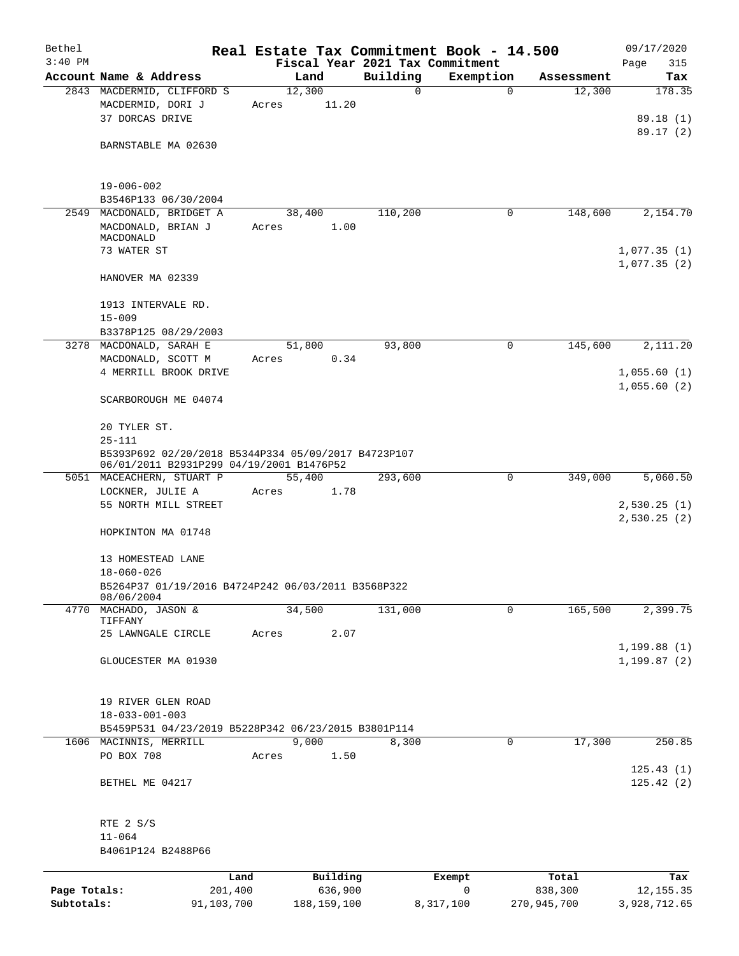| Bethel                     |                                                                                                 |                       |                          |          | Real Estate Tax Commitment Book - 14.500 |                        | 09/17/2020                      |
|----------------------------|-------------------------------------------------------------------------------------------------|-----------------------|--------------------------|----------|------------------------------------------|------------------------|---------------------------------|
| $3:40$ PM                  |                                                                                                 |                       |                          |          | Fiscal Year 2021 Tax Commitment          |                        | Page<br>315                     |
|                            | Account Name & Address                                                                          |                       | Land                     | Building | Exemption                                | Assessment             | Tax                             |
|                            | 2843 MACDERMID, CLIFFORD S<br>MACDERMID, DORI J<br>37 DORCAS DRIVE                              | Acres                 | 12,300<br>11.20          | 0        | $\mathbf 0$                              | 12,300                 | 178.35<br>89.18 (1)<br>89.17(2) |
|                            | BARNSTABLE MA 02630                                                                             |                       |                          |          |                                          |                        |                                 |
|                            | $19 - 006 - 002$<br>B3546P133 06/30/2004                                                        |                       |                          |          |                                          |                        |                                 |
|                            | 2549 MACDONALD, BRIDGET A                                                                       |                       | 38,400                   | 110,200  | 0                                        | 148,600                | 2,154.70                        |
|                            | MACDONALD, BRIAN J<br>MACDONALD                                                                 | Acres                 | 1.00                     |          |                                          |                        |                                 |
|                            | 73 WATER ST                                                                                     |                       |                          |          |                                          |                        | 1,077.35(1)<br>1,077.35(2)      |
|                            | HANOVER MA 02339                                                                                |                       |                          |          |                                          |                        |                                 |
|                            | 1913 INTERVALE RD.<br>$15 - 009$                                                                |                       |                          |          |                                          |                        |                                 |
|                            | B3378P125 08/29/2003                                                                            |                       |                          |          |                                          |                        |                                 |
|                            | 3278 MACDONALD, SARAH E                                                                         |                       | 51,800                   | 93,800   | 0                                        | 145,600                | 2,111.20                        |
|                            | MACDONALD, SCOTT M<br>4 MERRILL BROOK DRIVE                                                     | Acres                 | 0.34                     |          |                                          |                        | 1,055.60(1)                     |
|                            |                                                                                                 |                       |                          |          |                                          |                        | 1,055.60(2)                     |
|                            | SCARBOROUGH ME 04074                                                                            |                       |                          |          |                                          |                        |                                 |
|                            | 20 TYLER ST.<br>$25 - 111$                                                                      |                       |                          |          |                                          |                        |                                 |
|                            | B5393P692 02/20/2018 B5344P334 05/09/2017 B4723P107<br>06/01/2011 B2931P299 04/19/2001 B1476P52 |                       |                          |          |                                          |                        |                                 |
|                            | 5051 MACEACHERN, STUART P                                                                       |                       | 55,400                   | 293,600  | 0                                        | 349,000                | 5,060.50                        |
|                            | LOCKNER, JULIE A                                                                                | Acres                 | 1.78                     |          |                                          |                        |                                 |
|                            | 55 NORTH MILL STREET                                                                            |                       |                          |          |                                          |                        | 2,530.25(1)<br>2,530.25(2)      |
|                            | HOPKINTON MA 01748                                                                              |                       |                          |          |                                          |                        |                                 |
|                            | 13 HOMESTEAD LANE<br>$18 - 060 - 026$                                                           |                       |                          |          |                                          |                        |                                 |
|                            | B5264P37 01/19/2016 B4724P242 06/03/2011 B3568P322                                              |                       |                          |          |                                          |                        |                                 |
|                            | 08/06/2004<br>4770 MACHADO, JASON &                                                             |                       | 34,500                   | 131,000  | $\mathbf 0$                              | 165,500                | 2,399.75                        |
|                            | TIFFANY<br>25 LAWNGALE CIRCLE                                                                   | Acres                 | 2.07                     |          |                                          |                        |                                 |
|                            |                                                                                                 |                       |                          |          |                                          |                        | 1, 199.88(1)                    |
|                            | GLOUCESTER MA 01930                                                                             |                       |                          |          |                                          |                        | 1, 199.87(2)                    |
|                            | 19 RIVER GLEN ROAD                                                                              |                       |                          |          |                                          |                        |                                 |
|                            | $18 - 033 - 001 - 003$                                                                          |                       |                          |          |                                          |                        |                                 |
|                            | B5459P531 04/23/2019 B5228P342 06/23/2015 B3801P114                                             |                       |                          |          |                                          |                        |                                 |
|                            | 1606 MACINNIS, MERRILL<br>PO BOX 708                                                            | Acres                 | 9,000<br>1.50            | 8,300    | 0                                        | 17,300                 | 250.85                          |
|                            |                                                                                                 |                       |                          |          |                                          |                        | 125.43(1)                       |
|                            | BETHEL ME 04217                                                                                 |                       |                          |          |                                          |                        | 125.42(2)                       |
|                            | RTE 2 S/S                                                                                       |                       |                          |          |                                          |                        |                                 |
|                            | $11 - 064$                                                                                      |                       |                          |          |                                          |                        |                                 |
|                            | B4061P124 B2488P66                                                                              |                       |                          |          |                                          |                        |                                 |
|                            |                                                                                                 | Land                  | Building                 |          | Exempt                                   | Total                  | Tax                             |
| Page Totals:<br>Subtotals: |                                                                                                 | 201,400<br>91,103,700 | 636,900<br>188, 159, 100 |          | 0<br>8,317,100                           | 838,300<br>270,945,700 | 12, 155.35<br>3,928,712.65      |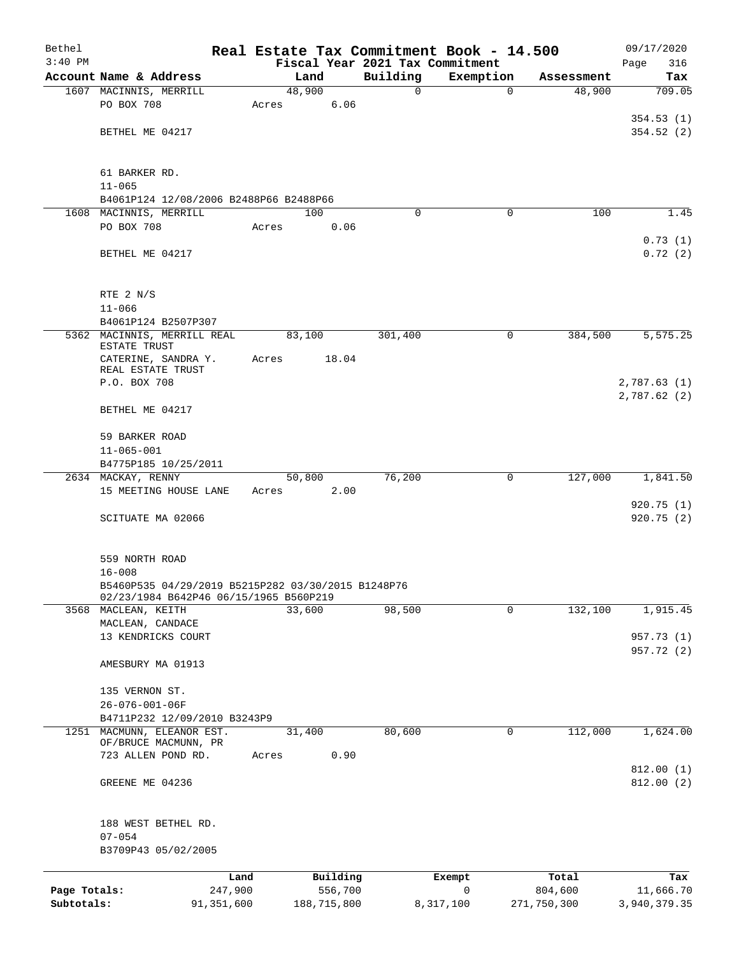| Bethel       |                                                            | Real Estate Tax Commitment Book - 14.500 |          |             |             | 09/17/2020               |
|--------------|------------------------------------------------------------|------------------------------------------|----------|-------------|-------------|--------------------------|
| $3:40$ PM    |                                                            | Fiscal Year 2021 Tax Commitment          |          |             |             | 316<br>Page              |
|              | Account Name & Address                                     | Land                                     | Building | Exemption   | Assessment  | Tax                      |
|              | 1607 MACINNIS, MERRILL<br>PO BOX 708                       | 48,900<br>6.06<br>Acres                  | 0        | $\mathbf 0$ | 48,900      | 709.05                   |
|              |                                                            |                                          |          |             |             | 354.53(1)                |
|              | BETHEL ME 04217                                            |                                          |          |             |             | 354.52(2)                |
|              |                                                            |                                          |          |             |             |                          |
|              |                                                            |                                          |          |             |             |                          |
|              | 61 BARKER RD.<br>$11 - 065$                                |                                          |          |             |             |                          |
|              | B4061P124 12/08/2006 B2488P66 B2488P66                     |                                          |          |             |             |                          |
|              | 1608 MACINNIS, MERRILL                                     | 100                                      | $\Omega$ | 0           | 100         | 1.45                     |
|              | PO BOX 708                                                 | 0.06<br>Acres                            |          |             |             |                          |
|              |                                                            |                                          |          |             |             | 0.73(1)                  |
|              | BETHEL ME 04217                                            |                                          |          |             |             | 0.72(2)                  |
|              |                                                            |                                          |          |             |             |                          |
|              |                                                            |                                          |          |             |             |                          |
|              | RTE 2 N/S<br>$11 - 066$                                    |                                          |          |             |             |                          |
|              | B4061P124 B2507P307                                        |                                          |          |             |             |                          |
|              | 5362 MACINNIS, MERRILL REAL                                | 83,100                                   | 301,400  | 0           | 384,500     | 5,575.25                 |
|              | ESTATE TRUST                                               |                                          |          |             |             |                          |
|              | CATERINE, SANDRA Y.<br>REAL ESTATE TRUST                   | 18.04<br>Acres                           |          |             |             |                          |
|              | P.O. BOX 708                                               |                                          |          |             |             | 2,787.63 (1)             |
|              |                                                            |                                          |          |             |             | 2,787.62(2)              |
|              | BETHEL ME 04217                                            |                                          |          |             |             |                          |
|              |                                                            |                                          |          |             |             |                          |
|              | 59 BARKER ROAD                                             |                                          |          |             |             |                          |
|              | $11 - 065 - 001$<br>B4775P185 10/25/2011                   |                                          |          |             |             |                          |
|              | 2634 MACKAY, RENNY                                         | 50,800                                   | 76,200   | 0           | 127,000     | 1,841.50                 |
|              | 15 MEETING HOUSE LANE                                      | 2.00<br>Acres                            |          |             |             |                          |
|              |                                                            |                                          |          |             |             | 920.75(1)                |
|              | SCITUATE MA 02066                                          |                                          |          |             |             | 920.75(2)                |
|              |                                                            |                                          |          |             |             |                          |
|              | 559 NORTH ROAD                                             |                                          |          |             |             |                          |
|              | $16 - 008$                                                 |                                          |          |             |             |                          |
|              | B5460P535 04/29/2019 B5215P282 03/30/2015 B1248P76         |                                          |          |             |             |                          |
|              | 02/23/1984 B642P46 06/15/1965 B560P219                     |                                          |          |             |             |                          |
|              | 3568 MACLEAN, KEITH                                        | 33,600                                   | 98,500   | 0           | 132,100     | 1,915.45                 |
|              | MACLEAN, CANDACE<br>13 KENDRICKS COURT                     |                                          |          |             |             |                          |
|              |                                                            |                                          |          |             |             | 957.73 (1)<br>957.72 (2) |
|              | AMESBURY MA 01913                                          |                                          |          |             |             |                          |
|              |                                                            |                                          |          |             |             |                          |
|              | 135 VERNON ST.                                             |                                          |          |             |             |                          |
|              | 26-076-001-06F                                             |                                          |          |             |             |                          |
|              | B4711P232 12/09/2010 B3243P9<br>1251 MACMUNN, ELEANOR EST. | 31,400                                   | 80,600   | 0           | 112,000     | 1,624.00                 |
|              | OF/BRUCE MACMUNN, PR                                       |                                          |          |             |             |                          |
|              | 723 ALLEN POND RD.                                         | 0.90<br>Acres                            |          |             |             |                          |
|              |                                                            |                                          |          |             |             | 812.00(1)                |
|              | GREENE ME 04236                                            |                                          |          |             |             | 812.00(2)                |
|              |                                                            |                                          |          |             |             |                          |
|              | 188 WEST BETHEL RD.                                        |                                          |          |             |             |                          |
|              | $07 - 054$                                                 |                                          |          |             |             |                          |
|              | B3709P43 05/02/2005                                        |                                          |          |             |             |                          |
|              | Land                                                       | Building                                 |          | Exempt      | Total       |                          |
| Page Totals: | 247,900                                                    | 556,700                                  |          | 0           | 804,600     | Tax<br>11,666.70         |
| Subtotals:   | 91,351,600                                                 | 188,715,800                              |          | 8,317,100   | 271,750,300 | 3,940,379.35             |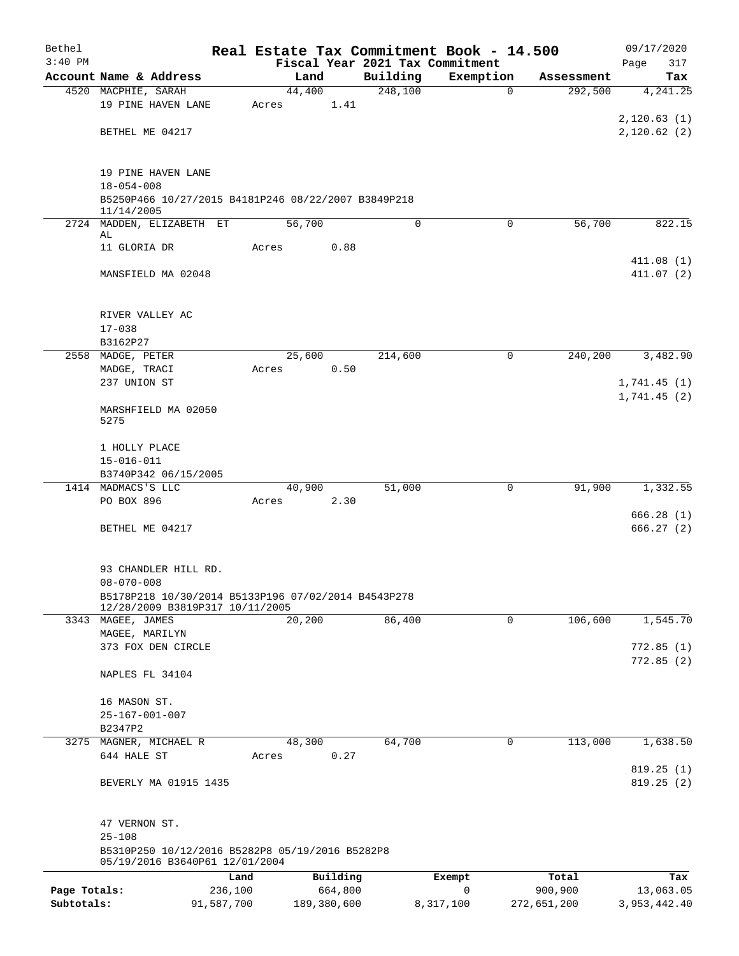| Bethel       |                                                                                        |            |       |             |          | Real Estate Tax Commitment Book - 14.500 |                         | 09/17/2020                  |
|--------------|----------------------------------------------------------------------------------------|------------|-------|-------------|----------|------------------------------------------|-------------------------|-----------------------------|
| $3:40$ PM    |                                                                                        |            |       |             |          | Fiscal Year 2021 Tax Commitment          |                         | 317<br>Page                 |
|              | Account Name & Address                                                                 |            |       | Land        | Building | Exemption                                | Assessment              | Tax                         |
|              | 4520 MACPHIE, SARAH                                                                    |            |       | 44,400      | 248,100  |                                          | 292,500<br>$\mathbf 0$  | 4, 241.25                   |
|              | 19 PINE HAVEN LANE                                                                     |            | Acres | 1.41        |          |                                          |                         | 2,120.63(1)                 |
|              | BETHEL ME 04217                                                                        |            |       |             |          |                                          |                         | 2,120.62(2)                 |
|              |                                                                                        |            |       |             |          |                                          |                         |                             |
|              |                                                                                        |            |       |             |          |                                          |                         |                             |
|              | 19 PINE HAVEN LANE                                                                     |            |       |             |          |                                          |                         |                             |
|              | $18 - 054 - 008$                                                                       |            |       |             |          |                                          |                         |                             |
|              | B5250P466 10/27/2015 B4181P246 08/22/2007 B3849P218<br>11/14/2005                      |            |       |             |          |                                          |                         |                             |
|              | 2724 MADDEN, ELIZABETH ET                                                              |            |       | 56,700      | 0        |                                          | $\mathbf 0$<br>56,700   | 822.15                      |
|              | AL                                                                                     |            |       |             |          |                                          |                         |                             |
|              | 11 GLORIA DR                                                                           |            | Acres | 0.88        |          |                                          |                         |                             |
|              |                                                                                        |            |       |             |          |                                          |                         | 411.08(1)                   |
|              | MANSFIELD MA 02048                                                                     |            |       |             |          |                                          |                         | 411.07(2)                   |
|              |                                                                                        |            |       |             |          |                                          |                         |                             |
|              | RIVER VALLEY AC                                                                        |            |       |             |          |                                          |                         |                             |
|              | $17 - 038$                                                                             |            |       |             |          |                                          |                         |                             |
|              | B3162P27                                                                               |            |       |             |          |                                          |                         |                             |
|              | 2558 MADGE, PETER                                                                      |            |       | 25,600      | 214,600  |                                          | $\mathbf 0$<br>240,200  | 3,482.90                    |
|              | MADGE, TRACI<br>237 UNION ST                                                           |            | Acres | 0.50        |          |                                          |                         |                             |
|              |                                                                                        |            |       |             |          |                                          |                         | 1,741.45 (1)<br>1,741.45(2) |
|              | MARSHFIELD MA 02050                                                                    |            |       |             |          |                                          |                         |                             |
|              | 5275                                                                                   |            |       |             |          |                                          |                         |                             |
|              |                                                                                        |            |       |             |          |                                          |                         |                             |
|              | 1 HOLLY PLACE                                                                          |            |       |             |          |                                          |                         |                             |
|              | $15 - 016 - 011$                                                                       |            |       |             |          |                                          |                         |                             |
|              | B3740P342 06/15/2005<br>1414 MADMACS'S LLC                                             |            |       | 40,900      | 51,000   |                                          | 91,900<br>$\mathbf 0$   | 1,332.55                    |
|              | PO BOX 896                                                                             |            | Acres | 2.30        |          |                                          |                         |                             |
|              |                                                                                        |            |       |             |          |                                          |                         | 666.28(1)                   |
|              | BETHEL ME 04217                                                                        |            |       |             |          |                                          |                         | 666.27 (2)                  |
|              |                                                                                        |            |       |             |          |                                          |                         |                             |
|              |                                                                                        |            |       |             |          |                                          |                         |                             |
|              | 93 CHANDLER HILL RD.                                                                   |            |       |             |          |                                          |                         |                             |
|              | $08 - 070 - 008$                                                                       |            |       |             |          |                                          |                         |                             |
|              | B5178P218 10/30/2014 B5133P196 07/02/2014 B4543P278<br>12/28/2009 B3819P317 10/11/2005 |            |       |             |          |                                          |                         |                             |
|              | 3343 MAGEE, JAMES                                                                      |            |       | 20,200      | 86,400   |                                          | $\mathsf{O}$<br>106,600 | 1,545.70                    |
|              | MAGEE, MARILYN                                                                         |            |       |             |          |                                          |                         |                             |
|              | 373 FOX DEN CIRCLE                                                                     |            |       |             |          |                                          |                         | 772.85 (1)                  |
|              |                                                                                        |            |       |             |          |                                          |                         | 772.85(2)                   |
|              | NAPLES FL 34104                                                                        |            |       |             |          |                                          |                         |                             |
|              | 16 MASON ST.                                                                           |            |       |             |          |                                          |                         |                             |
|              | $25 - 167 - 001 - 007$                                                                 |            |       |             |          |                                          |                         |                             |
|              | B2347P2                                                                                |            |       |             |          |                                          |                         |                             |
|              | 3275 MAGNER, MICHAEL R                                                                 |            |       | 48,300      | 64,700   |                                          | 113,000<br>0            | 1,638.50                    |
|              | 644 HALE ST                                                                            |            | Acres | 0.27        |          |                                          |                         |                             |
|              |                                                                                        |            |       |             |          |                                          |                         | 819.25(1)                   |
|              | BEVERLY MA 01915 1435                                                                  |            |       |             |          |                                          |                         | 819.25(2)                   |
|              |                                                                                        |            |       |             |          |                                          |                         |                             |
|              | 47 VERNON ST.                                                                          |            |       |             |          |                                          |                         |                             |
|              | $25 - 108$                                                                             |            |       |             |          |                                          |                         |                             |
|              | B5310P250 10/12/2016 B5282P8 05/19/2016 B5282P8<br>05/19/2016 B3640P61 12/01/2004      |            |       |             |          |                                          |                         |                             |
|              |                                                                                        | Land       |       | Building    |          | Exempt                                   | Total                   | Tax                         |
| Page Totals: |                                                                                        | 236,100    |       | 664,800     |          | 0                                        | 900,900                 | 13,063.05                   |
| Subtotals:   |                                                                                        | 91,587,700 |       | 189,380,600 |          | 8,317,100                                | 272,651,200             | 3,953,442.40                |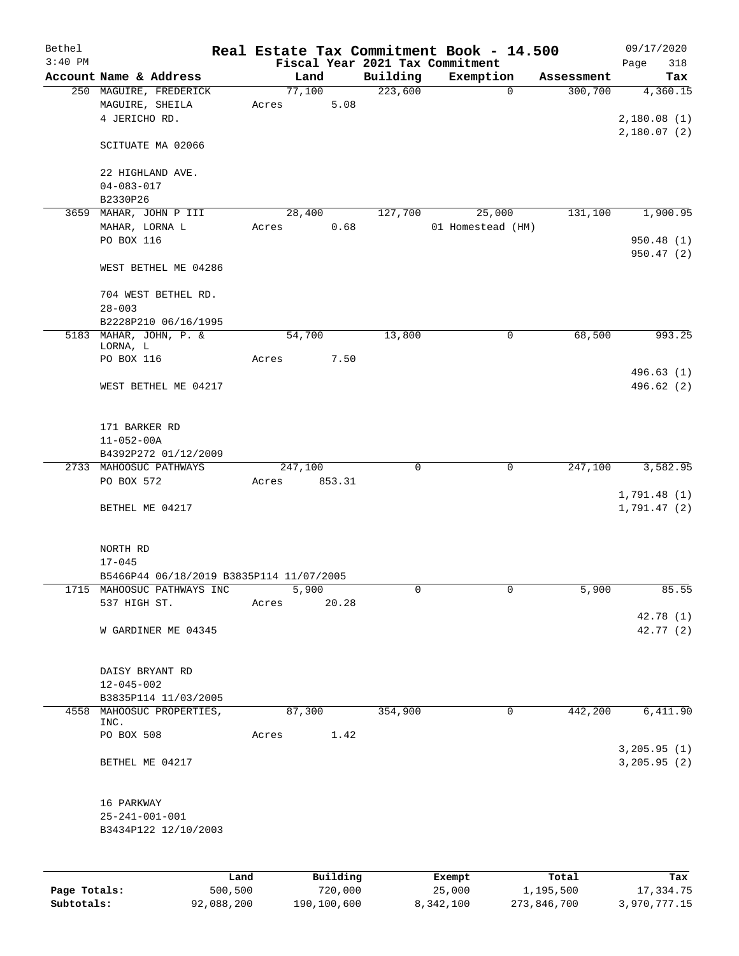| Bethel    |                                                            |       |         |          |             | Real Estate Tax Commitment Book - 14.500 |             |            | 09/17/2020              |
|-----------|------------------------------------------------------------|-------|---------|----------|-------------|------------------------------------------|-------------|------------|-------------------------|
| $3:40$ PM |                                                            |       |         |          |             | Fiscal Year 2021 Tax Commitment          |             |            | Page<br>318             |
|           | Account Name & Address                                     |       | Land    |          | Building    | Exemption                                |             | Assessment | Tax                     |
|           | 250 MAGUIRE, FREDERICK<br>MAGUIRE, SHEILA<br>4 JERICHO RD. | Acres | 77,100  | 5.08     | 223,600     |                                          | $\mathbf 0$ | 300,700    | 4,360.15<br>2,180.08(1) |
|           | SCITUATE MA 02066                                          |       |         |          |             |                                          |             |            | 2,180.07(2)             |
|           | 22 HIGHLAND AVE.<br>$04 - 083 - 017$                       |       |         |          |             |                                          |             |            |                         |
|           | B2330P26                                                   |       |         |          |             |                                          |             |            |                         |
| 3659      | MAHAR, JOHN P III                                          |       | 28,400  |          | 127,700     |                                          | 25,000      | 131,100    | 1,900.95                |
|           | MAHAR, LORNA L                                             | Acres |         | 0.68     |             | 01 Homestead (HM)                        |             |            |                         |
|           | PO BOX 116                                                 |       |         |          |             |                                          |             |            | 950.48 (1)<br>950.47(2) |
|           | WEST BETHEL ME 04286                                       |       |         |          |             |                                          |             |            |                         |
|           | 704 WEST BETHEL RD.                                        |       |         |          |             |                                          |             |            |                         |
|           | $28 - 003$                                                 |       |         |          |             |                                          |             |            |                         |
|           | B2228P210 06/16/1995                                       |       |         |          |             |                                          |             |            |                         |
|           | 5183 MAHAR, JOHN, P. &<br>LORNA, L                         |       | 54,700  |          | 13,800      |                                          | 0           | 68,500     | 993.25                  |
|           | PO BOX 116                                                 | Acres |         | 7.50     |             |                                          |             |            |                         |
|           | WEST BETHEL ME 04217                                       |       |         |          |             |                                          |             |            | 496.63(1)<br>496.62 (2) |
|           | 171 BARKER RD                                              |       |         |          |             |                                          |             |            |                         |
|           | $11 - 052 - 00A$                                           |       |         |          |             |                                          |             |            |                         |
|           | B4392P272 01/12/2009                                       |       |         |          |             |                                          |             |            |                         |
|           | 2733 MAHOOSUC PATHWAYS<br>PO BOX 572                       | Acres | 247,100 | 853.31   | $\mathbf 0$ |                                          | $\mathbf 0$ | 247,100    | 3,582.95                |
|           |                                                            |       |         |          |             |                                          |             |            | 1,791.48(1)             |
|           | BETHEL ME 04217                                            |       |         |          |             |                                          |             |            | 1,791.47(2)             |
|           | NORTH RD                                                   |       |         |          |             |                                          |             |            |                         |
|           | $17 - 045$                                                 |       |         |          |             |                                          |             |            |                         |
|           | B5466P44 06/18/2019 B3835P114 11/07/2005                   |       |         |          |             |                                          |             |            |                         |
|           | 1715 MAHOOSUC PATHWAYS INC                                 |       | 5,900   |          | 0           |                                          | 0           | 5,900      | 85.55                   |
|           | 537 HIGH ST.                                               | Acres |         | 20.28    |             |                                          |             |            | 42.78 (1)               |
|           | W GARDINER ME 04345                                        |       |         |          |             |                                          |             |            | 42.77 (2)               |
|           | DAISY BRYANT RD                                            |       |         |          |             |                                          |             |            |                         |
|           | $12 - 045 - 002$                                           |       |         |          |             |                                          |             |            |                         |
|           | B3835P114 11/03/2005                                       |       |         |          |             |                                          |             |            |                         |
|           | 4558 MAHOOSUC PROPERTIES,<br>INC.                          |       | 87,300  |          | 354,900     |                                          | 0           | 442,200    | 6,411.90                |
|           | PO BOX 508                                                 | Acres |         | 1.42     |             |                                          |             |            | 3, 205.95 (1)           |
|           | BETHEL ME 04217                                            |       |         |          |             |                                          |             |            | 3, 205.95 (2)           |
|           | 16 PARKWAY                                                 |       |         |          |             |                                          |             |            |                         |
|           | $25 - 241 - 001 - 001$                                     |       |         |          |             |                                          |             |            |                         |
|           | B3434P122 12/10/2003                                       |       |         |          |             |                                          |             |            |                         |
|           |                                                            |       |         |          |             |                                          |             |            |                         |
|           |                                                            | Land  |         | Building |             | Exempt                                   |             | Total      | Tax                     |

**Page Totals:** 500,500 720,000 25,000 1,195,500 17,334.75 **Subtotals:** 92,088,200 190,100,600 8,342,100 273,846,700 3,970,777.15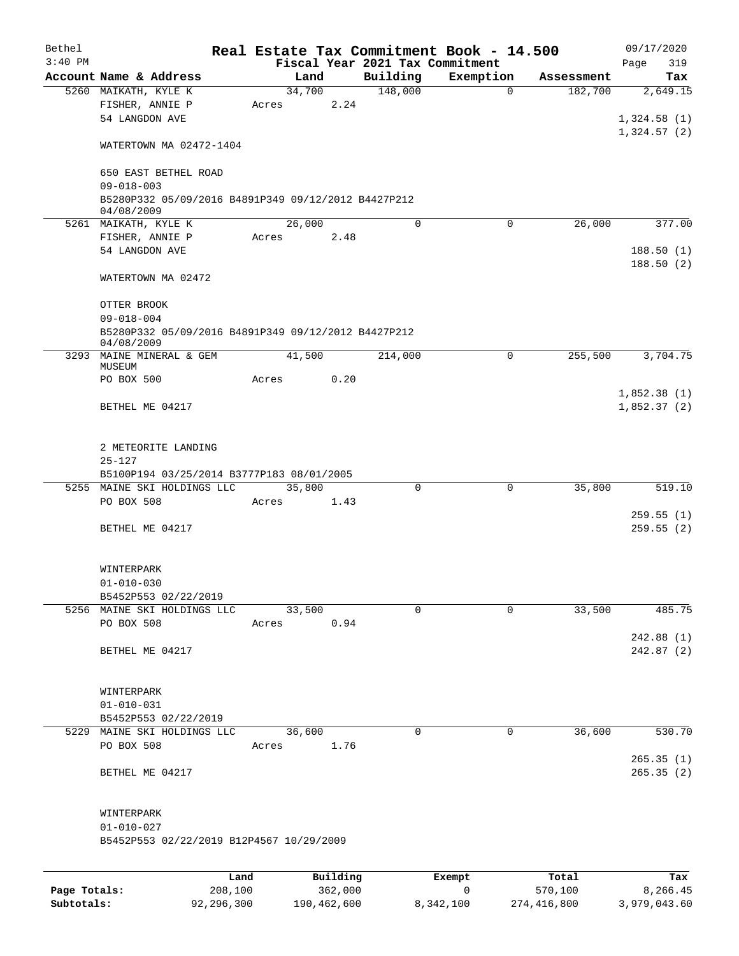| Bethel    |                                                                   |        |          |          | Real Estate Tax Commitment Book - 14.500 |            | 09/17/2020                 |
|-----------|-------------------------------------------------------------------|--------|----------|----------|------------------------------------------|------------|----------------------------|
| $3:40$ PM |                                                                   |        |          |          | Fiscal Year 2021 Tax Commitment          |            | 319<br>Page                |
|           | Account Name & Address                                            |        | Land     | Building | Exemption                                | Assessment | Tax                        |
|           | 5260 MAIKATH, KYLE K                                              |        | 34,700   | 148,000  | $\mathbf 0$                              | 182,700    | 2,649.15                   |
|           | FISHER, ANNIE P<br>54 LANGDON AVE                                 | Acres  | 2.24     |          |                                          |            |                            |
|           |                                                                   |        |          |          |                                          |            | 1,324.58(1)<br>1,324.57(2) |
|           | WATERTOWN MA 02472-1404                                           |        |          |          |                                          |            |                            |
|           | 650 EAST BETHEL ROAD                                              |        |          |          |                                          |            |                            |
|           | $09 - 018 - 003$                                                  |        |          |          |                                          |            |                            |
|           | B5280P332 05/09/2016 B4891P349 09/12/2012 B4427P212<br>04/08/2009 |        |          |          |                                          |            |                            |
|           | 5261 MAIKATH, KYLE K                                              | 26,000 |          | $\Omega$ | $\Omega$                                 | 26,000     | 377.00                     |
|           | FISHER, ANNIE P                                                   | Acres  | 2.48     |          |                                          |            |                            |
|           | 54 LANGDON AVE                                                    |        |          |          |                                          |            | 188.50(1)                  |
|           | WATERTOWN MA 02472                                                |        |          |          |                                          |            | 188.50(2)                  |
|           | OTTER BROOK                                                       |        |          |          |                                          |            |                            |
|           | $09 - 018 - 004$                                                  |        |          |          |                                          |            |                            |
|           | B5280P332 05/09/2016 B4891P349 09/12/2012 B4427P212<br>04/08/2009 |        |          |          |                                          |            |                            |
|           | 3293 MAINE MINERAL & GEM                                          | 41,500 |          | 214,000  | $\mathbf 0$                              | 255,500    | 3,704.75                   |
|           | MUSEUM<br>PO BOX 500                                              | Acres  | 0.20     |          |                                          |            |                            |
|           |                                                                   |        |          |          |                                          |            | 1,852.38(1)                |
|           | BETHEL ME 04217                                                   |        |          |          |                                          |            | 1,852.37(2)                |
|           |                                                                   |        |          |          |                                          |            |                            |
|           | 2 METEORITE LANDING                                               |        |          |          |                                          |            |                            |
|           | $25 - 127$                                                        |        |          |          |                                          |            |                            |
|           | B5100P194 03/25/2014 B3777P183 08/01/2005                         |        |          |          |                                          |            |                            |
|           | 5255 MAINE SKI HOLDINGS LLC                                       | 35,800 |          | $\Omega$ | $\Omega$                                 | 35,800     | 519.10                     |
|           | PO BOX 508                                                        | Acres  | 1.43     |          |                                          |            |                            |
|           |                                                                   |        |          |          |                                          |            | 259.55(1)                  |
|           | BETHEL ME 04217                                                   |        |          |          |                                          |            | 259.55(2)                  |
|           | WINTERPARK                                                        |        |          |          |                                          |            |                            |
|           | $01 - 010 - 030$                                                  |        |          |          |                                          |            |                            |
|           | B5452P553 02/22/2019                                              |        |          |          |                                          |            |                            |
|           | 5256 MAINE SKI HOLDINGS LLC                                       |        | 33,500   | $\Omega$ | 0                                        | 33,500     | 485.75                     |
|           | PO BOX 508                                                        | Acres  | 0.94     |          |                                          |            |                            |
|           |                                                                   |        |          |          |                                          |            | 242.88(1)                  |
|           | BETHEL ME 04217                                                   |        |          |          |                                          |            | 242.87(2)                  |
|           | WINTERPARK                                                        |        |          |          |                                          |            |                            |
|           | $01 - 010 - 031$                                                  |        |          |          |                                          |            |                            |
|           | B5452P553 02/22/2019                                              |        |          |          |                                          |            |                            |
|           | 5229 MAINE SKI HOLDINGS LLC                                       | 36,600 |          | 0        | $\mathbf 0$                              | 36,600     | 530.70                     |
|           | PO BOX 508                                                        | Acres  | 1.76     |          |                                          |            |                            |
|           | BETHEL ME 04217                                                   |        |          |          |                                          |            | 265.35(1)<br>265.35(2)     |
|           |                                                                   |        |          |          |                                          |            |                            |
|           | WINTERPARK<br>$01 - 010 - 027$                                    |        |          |          |                                          |            |                            |
|           | B5452P553 02/22/2019 B12P4567 10/29/2009                          |        |          |          |                                          |            |                            |
|           |                                                                   |        |          |          |                                          |            |                            |
|           | Land                                                              |        | Building |          | Exempt                                   | Total      | Tax                        |

**Page Totals:** 208,100 362,000 0 570,100 8,266.45 **Subtotals:** 92,296,300 190,462,600 8,342,100 274,416,800 3,979,043.60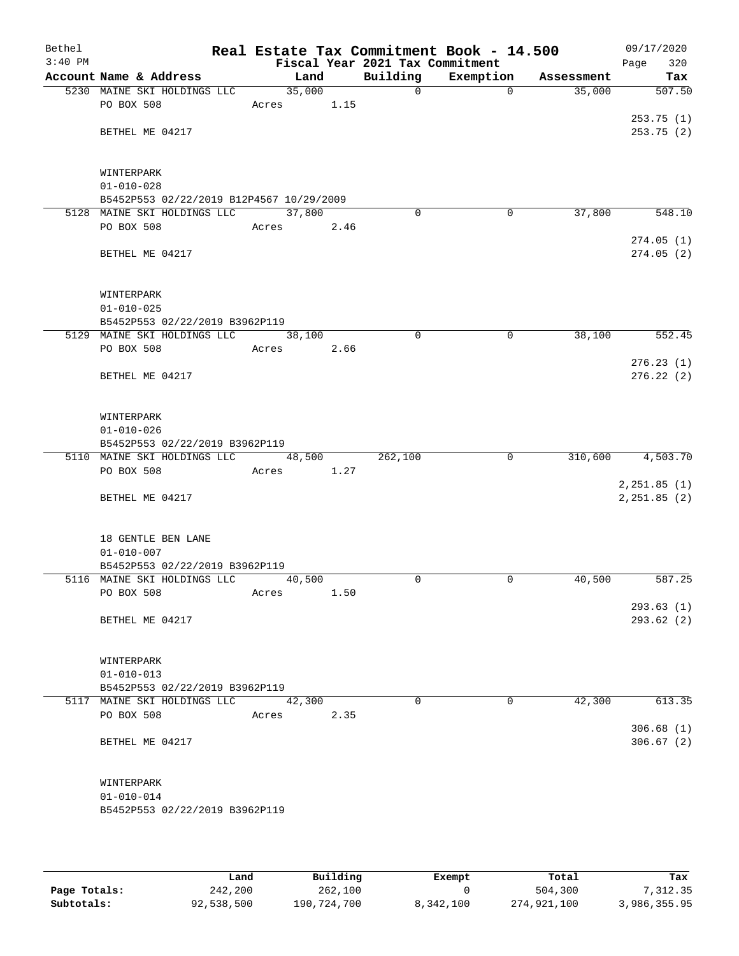| Bethel<br>$3:40$ PM |                                                               |                     |      | Fiscal Year 2021 Tax Commitment | Real Estate Tax Commitment Book - 14.500 |            | 09/17/2020<br>Page<br>320 |
|---------------------|---------------------------------------------------------------|---------------------|------|---------------------------------|------------------------------------------|------------|---------------------------|
|                     | Account Name & Address                                        | Land                |      | Building                        | Exemption                                | Assessment | Tax                       |
|                     | 5230 MAINE SKI HOLDINGS LLC                                   | 35,000              |      | $\mathbf 0$                     | $\mathbf 0$                              | 35,000     | 507.50                    |
|                     | PO BOX 508                                                    | Acres               | 1.15 |                                 |                                          |            |                           |
|                     |                                                               |                     |      |                                 |                                          |            | 253.75(1)                 |
|                     | BETHEL ME 04217                                               |                     |      |                                 |                                          |            | 253.75(2)                 |
|                     |                                                               |                     |      |                                 |                                          |            |                           |
|                     | WINTERPARK                                                    |                     |      |                                 |                                          |            |                           |
|                     | $01 - 010 - 028$                                              |                     |      |                                 |                                          |            |                           |
|                     | B5452P553 02/22/2019 B12P4567 10/29/2009                      |                     |      |                                 |                                          |            |                           |
|                     | 5128 MAINE SKI HOLDINGS LLC                                   | 37,800              |      | $\Omega$                        | 0                                        | 37,800     | 548.10                    |
|                     | PO BOX 508                                                    | Acres               | 2.46 |                                 |                                          |            |                           |
|                     |                                                               |                     |      |                                 |                                          |            | 274.05(1)                 |
|                     | BETHEL ME 04217                                               |                     |      |                                 |                                          |            | 274.05(2)                 |
|                     |                                                               |                     |      |                                 |                                          |            |                           |
|                     | WINTERPARK                                                    |                     |      |                                 |                                          |            |                           |
|                     | $01 - 010 - 025$                                              |                     |      |                                 |                                          |            |                           |
|                     | B5452P553 02/22/2019 B3962P119                                |                     |      |                                 |                                          |            |                           |
|                     | 5129 MAINE SKI HOLDINGS LLC                                   | 38,100              |      | $\mathbf 0$                     | $\mathbf 0$                              | 38,100     | 552.45                    |
|                     | PO BOX 508                                                    | Acres               | 2.66 |                                 |                                          |            |                           |
|                     | BETHEL ME 04217                                               |                     |      |                                 |                                          |            | 276.23(1)<br>276.22(2)    |
|                     |                                                               |                     |      |                                 |                                          |            |                           |
|                     |                                                               |                     |      |                                 |                                          |            |                           |
|                     | WINTERPARK                                                    |                     |      |                                 |                                          |            |                           |
|                     | $01 - 010 - 026$                                              |                     |      |                                 |                                          |            |                           |
|                     | B5452P553 02/22/2019 B3962P119                                |                     |      |                                 |                                          |            |                           |
|                     | 5110 MAINE SKI HOLDINGS LLC                                   | 48,500              |      | 262,100                         | 0                                        | 310,600    | 4,503.70                  |
|                     | PO BOX 508                                                    | Acres               | 1.27 |                                 |                                          |            | 2, 251.85 (1)             |
|                     | BETHEL ME 04217                                               |                     |      |                                 |                                          |            | 2, 251.85 (2)             |
|                     |                                                               |                     |      |                                 |                                          |            |                           |
|                     |                                                               |                     |      |                                 |                                          |            |                           |
|                     | 18 GENTLE BEN LANE                                            |                     |      |                                 |                                          |            |                           |
|                     | $01 - 010 - 007$                                              |                     |      |                                 |                                          |            |                           |
|                     | B5452P553 02/22/2019 B3962P119<br>5116 MAINE SKI HOLDINGS LLC | 40,500              |      | $\Omega$                        | 0                                        | 40,500     | 587.25                    |
|                     | PO BOX 508                                                    | Acres               | 1.50 |                                 |                                          |            |                           |
|                     |                                                               |                     |      |                                 |                                          |            | 293.63(1)                 |
|                     | BETHEL ME 04217                                               |                     |      |                                 |                                          |            | 293.62(2)                 |
|                     |                                                               |                     |      |                                 |                                          |            |                           |
|                     | WINTERPARK                                                    |                     |      |                                 |                                          |            |                           |
|                     | $01 - 010 - 013$                                              |                     |      |                                 |                                          |            |                           |
|                     | B5452P553 02/22/2019 B3962P119                                |                     |      |                                 |                                          |            |                           |
|                     | 5117 MAINE SKI HOLDINGS LLC                                   | $\overline{42,300}$ |      | $\Omega$                        | $\Omega$                                 | 42,300     | 613.35                    |
|                     | PO BOX 508                                                    | Acres               | 2.35 |                                 |                                          |            |                           |
|                     |                                                               |                     |      |                                 |                                          |            | 306.68(1)                 |
|                     | BETHEL ME 04217                                               |                     |      |                                 |                                          |            | 306.67(2)                 |
|                     |                                                               |                     |      |                                 |                                          |            |                           |
|                     | WINTERPARK                                                    |                     |      |                                 |                                          |            |                           |
|                     | $01 - 010 - 014$                                              |                     |      |                                 |                                          |            |                           |
|                     | B5452P553 02/22/2019 B3962P119                                |                     |      |                                 |                                          |            |                           |
|                     |                                                               |                     |      |                                 |                                          |            |                           |
|                     |                                                               |                     |      |                                 |                                          |            |                           |

|              | Land       | Building    | Exempt    | Total       | Tax          |
|--------------|------------|-------------|-----------|-------------|--------------|
| Page Totals: | 242,200    | 262,100     |           | 504,300     | 7,312.35     |
| Subtotals:   | 92,538,500 | 190,724,700 | 8,342,100 | 274,921,100 | 3,986,355.95 |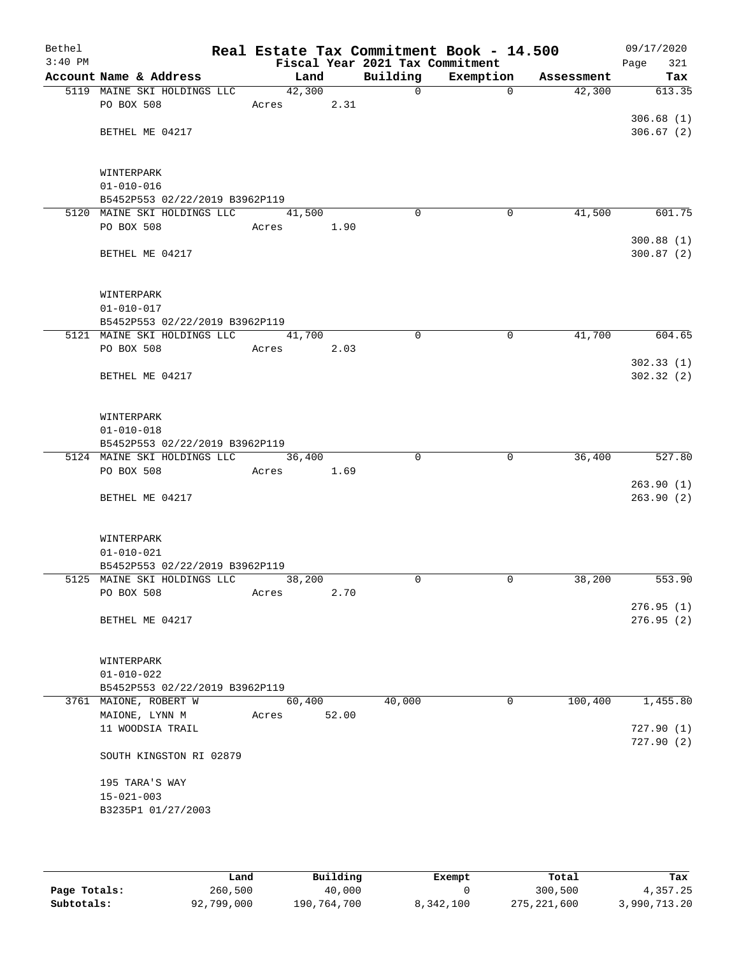| Bethel<br>$3:40$ PM |                                                    |                 |       | Fiscal Year 2021 Tax Commitment | Real Estate Tax Commitment Book - 14.500 |            | 09/17/2020<br>Page<br>321 |
|---------------------|----------------------------------------------------|-----------------|-------|---------------------------------|------------------------------------------|------------|---------------------------|
|                     | Account Name & Address                             | Land            |       | Building                        | Exemption                                | Assessment | Tax                       |
|                     | 5119 MAINE SKI HOLDINGS LLC                        | 42,300          |       | $\mathsf{O}$                    | $\Omega$                                 | 42,300     | 613.35                    |
|                     | PO BOX 508                                         | Acres           | 2.31  |                                 |                                          |            |                           |
|                     |                                                    |                 |       |                                 |                                          |            | 306.68(1)                 |
|                     | BETHEL ME 04217                                    |                 |       |                                 |                                          |            | 306.67(2)                 |
|                     |                                                    |                 |       |                                 |                                          |            |                           |
|                     |                                                    |                 |       |                                 |                                          |            |                           |
|                     | WINTERPARK                                         |                 |       |                                 |                                          |            |                           |
|                     | $01 - 010 - 016$<br>B5452P553 02/22/2019 B3962P119 |                 |       |                                 |                                          |            |                           |
|                     | 5120 MAINE SKI HOLDINGS LLC                        | 41,500          |       | $\Omega$                        | 0                                        | 41,500     | 601.75                    |
|                     | PO BOX 508                                         | Acres           | 1.90  |                                 |                                          |            |                           |
|                     |                                                    |                 |       |                                 |                                          |            | 300.88(1)                 |
|                     | BETHEL ME 04217                                    |                 |       |                                 |                                          |            | 300.87(2)                 |
|                     |                                                    |                 |       |                                 |                                          |            |                           |
|                     |                                                    |                 |       |                                 |                                          |            |                           |
|                     | WINTERPARK                                         |                 |       |                                 |                                          |            |                           |
|                     | $01 - 010 - 017$                                   |                 |       |                                 |                                          |            |                           |
|                     | B5452P553 02/22/2019 B3962P119                     |                 |       | $\mathbf 0$                     | $\mathbf 0$                              |            |                           |
|                     | 5121 MAINE SKI HOLDINGS LLC<br>PO BOX 508          | 41,700<br>Acres | 2.03  |                                 |                                          | 41,700     | 604.65                    |
|                     |                                                    |                 |       |                                 |                                          |            | 302.33(1)                 |
|                     | BETHEL ME 04217                                    |                 |       |                                 |                                          |            | 302.32(2)                 |
|                     |                                                    |                 |       |                                 |                                          |            |                           |
|                     |                                                    |                 |       |                                 |                                          |            |                           |
|                     | WINTERPARK                                         |                 |       |                                 |                                          |            |                           |
|                     | $01 - 010 - 018$                                   |                 |       |                                 |                                          |            |                           |
|                     | B5452P553 02/22/2019 B3962P119                     |                 |       |                                 |                                          |            |                           |
|                     | 5124 MAINE SKI HOLDINGS LLC<br>PO BOX 508          | 36,400          | 1.69  | 0                               | 0                                        | 36,400     | 527.80                    |
|                     |                                                    | Acres           |       |                                 |                                          |            | 263.90(1)                 |
|                     | BETHEL ME 04217                                    |                 |       |                                 |                                          |            | 263.90(2)                 |
|                     |                                                    |                 |       |                                 |                                          |            |                           |
|                     |                                                    |                 |       |                                 |                                          |            |                           |
|                     | WINTERPARK                                         |                 |       |                                 |                                          |            |                           |
|                     | $01 - 010 - 021$                                   |                 |       |                                 |                                          |            |                           |
|                     | B5452P553 02/22/2019 B3962P119                     |                 |       |                                 |                                          |            |                           |
|                     | 5125 MAINE SKI HOLDINGS LLC<br>PO BOX 508          | 38,200<br>Acres | 2.70  | $\Omega$                        | 0                                        | 38,200     | 553.90                    |
|                     |                                                    |                 |       |                                 |                                          |            | 276.95(1)                 |
|                     | BETHEL ME 04217                                    |                 |       |                                 |                                          |            | 276.95(2)                 |
|                     |                                                    |                 |       |                                 |                                          |            |                           |
|                     |                                                    |                 |       |                                 |                                          |            |                           |
|                     | WINTERPARK                                         |                 |       |                                 |                                          |            |                           |
|                     | $01 - 010 - 022$                                   |                 |       |                                 |                                          |            |                           |
|                     | B5452P553 02/22/2019 B3962P119                     |                 |       |                                 |                                          | 100,400    |                           |
|                     | 3761 MAIONE, ROBERT W<br>MAIONE, LYNN M            | 60,400          |       | 40,000                          | 0                                        |            | 1,455.80                  |
|                     | 11 WOODSIA TRAIL                                   | Acres           | 52.00 |                                 |                                          |            | 727.90(1)                 |
|                     |                                                    |                 |       |                                 |                                          |            | 727.90(2)                 |
|                     | SOUTH KINGSTON RI 02879                            |                 |       |                                 |                                          |            |                           |
|                     |                                                    |                 |       |                                 |                                          |            |                           |
|                     | 195 TARA'S WAY                                     |                 |       |                                 |                                          |            |                           |
|                     | $15 - 021 - 003$                                   |                 |       |                                 |                                          |            |                           |
|                     | B3235P1 01/27/2003                                 |                 |       |                                 |                                          |            |                           |
|                     |                                                    |                 |       |                                 |                                          |            |                           |

|              | Land       | Building    | Exempt    | Total         | Tax          |
|--------------|------------|-------------|-----------|---------------|--------------|
| Page Totals: | 260,500    | 40,000      |           | 300,500       | 4,357.25     |
| Subtotals:   | 92,799,000 | 190,764,700 | 8,342,100 | 275, 221, 600 | 3,990,713.20 |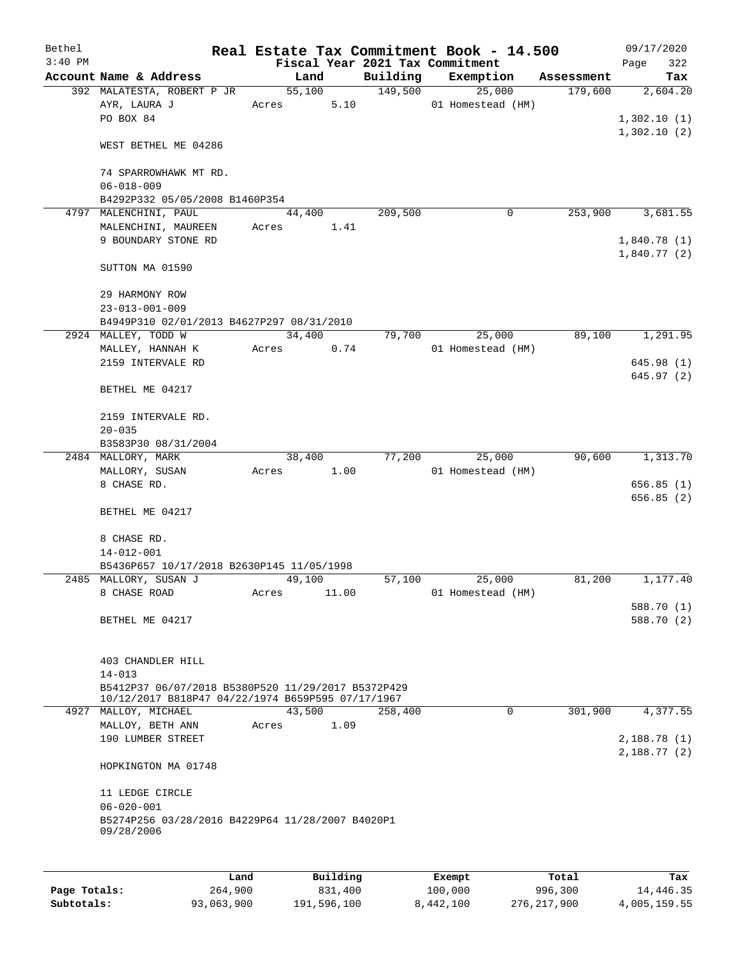| Bethel    |                                                    |       |        |       |          | Real Estate Tax Commitment Book - 14.500 |            | 09/17/2020  |            |
|-----------|----------------------------------------------------|-------|--------|-------|----------|------------------------------------------|------------|-------------|------------|
| $3:40$ PM |                                                    |       |        |       |          | Fiscal Year 2021 Tax Commitment          |            | Page        | 322        |
|           | Account Name & Address                             |       | Land   |       | Building | Exemption                                | Assessment |             | Tax        |
|           | 392 MALATESTA, ROBERT P JR                         |       | 55,100 |       | 149,500  | 25,000                                   | 179,600    |             | 2,604.20   |
|           | AYR, LAURA J                                       | Acres |        | 5.10  |          | 01 Homestead (HM)                        |            |             |            |
|           | PO BOX 84                                          |       |        |       |          |                                          |            | 1,302.10(1) |            |
|           |                                                    |       |        |       |          |                                          |            | 1,302.10(2) |            |
|           | WEST BETHEL ME 04286                               |       |        |       |          |                                          |            |             |            |
|           |                                                    |       |        |       |          |                                          |            |             |            |
|           | 74 SPARROWHAWK MT RD.                              |       |        |       |          |                                          |            |             |            |
|           | $06 - 018 - 009$                                   |       |        |       |          |                                          |            |             |            |
|           | B4292P332 05/05/2008 B1460P354                     |       |        |       | 209,500  | 0                                        | 253,900    |             |            |
|           | 4797 MALENCHINI, PAUL<br>MALENCHINI, MAUREEN       | Acres | 44,400 | 1.41  |          |                                          |            |             | 3,681.55   |
|           | 9 BOUNDARY STONE RD                                |       |        |       |          |                                          |            | 1,840.78(1) |            |
|           |                                                    |       |        |       |          |                                          |            | 1,840.77(2) |            |
|           | SUTTON MA 01590                                    |       |        |       |          |                                          |            |             |            |
|           |                                                    |       |        |       |          |                                          |            |             |            |
|           | 29 HARMONY ROW                                     |       |        |       |          |                                          |            |             |            |
|           | $23 - 013 - 001 - 009$                             |       |        |       |          |                                          |            |             |            |
|           | B4949P310 02/01/2013 B4627P297 08/31/2010          |       |        |       |          |                                          |            |             |            |
|           | 2924 MALLEY, TODD W                                |       | 34,400 |       | 79,700   | 25,000                                   | 89,100     |             | 1,291.95   |
|           | MALLEY, HANNAH K                                   | Acres |        | 0.74  |          | 01 Homestead (HM)                        |            |             |            |
|           | 2159 INTERVALE RD                                  |       |        |       |          |                                          |            |             | 645.98(1)  |
|           |                                                    |       |        |       |          |                                          |            |             | 645.97(2)  |
|           | BETHEL ME 04217                                    |       |        |       |          |                                          |            |             |            |
|           |                                                    |       |        |       |          |                                          |            |             |            |
|           | 2159 INTERVALE RD.                                 |       |        |       |          |                                          |            |             |            |
|           | $20 - 035$                                         |       |        |       |          |                                          |            |             |            |
|           | B3583P30 08/31/2004                                |       |        |       |          |                                          |            |             |            |
|           | 2484 MALLORY, MARK                                 |       | 38,400 |       | 77,200   | 25,000                                   | 90,600     |             | 1,313.70   |
|           | MALLORY, SUSAN                                     | Acres |        | 1.00  |          | 01 Homestead (HM)                        |            |             |            |
|           | 8 CHASE RD.                                        |       |        |       |          |                                          |            |             | 656.85(1)  |
|           |                                                    |       |        |       |          |                                          |            |             | 656.85(2)  |
|           | BETHEL ME 04217                                    |       |        |       |          |                                          |            |             |            |
|           |                                                    |       |        |       |          |                                          |            |             |            |
|           | 8 CHASE RD.                                        |       |        |       |          |                                          |            |             |            |
|           | $14 - 012 - 001$                                   |       |        |       |          |                                          |            |             |            |
|           | B5436P657 10/17/2018 B2630P145 11/05/1998          |       |        |       |          |                                          |            |             | 1,177.40   |
|           | 2485 MALLORY, SUSAN J<br>8 CHASE ROAD              |       | 49,100 | 11.00 | 57,100   | 25,000<br>01 Homestead (HM)              | 81,200     |             |            |
|           |                                                    | Acres |        |       |          |                                          |            |             | 588.70 (1) |
|           | BETHEL ME 04217                                    |       |        |       |          |                                          |            |             | 588.70 (2) |
|           |                                                    |       |        |       |          |                                          |            |             |            |
|           |                                                    |       |        |       |          |                                          |            |             |            |
|           | 403 CHANDLER HILL                                  |       |        |       |          |                                          |            |             |            |
|           | $14 - 013$                                         |       |        |       |          |                                          |            |             |            |
|           | B5412P37 06/07/2018 B5380P520 11/29/2017 B5372P429 |       |        |       |          |                                          |            |             |            |
|           | 10/12/2017 B818P47 04/22/1974 B659P595 07/17/1967  |       |        |       |          |                                          |            |             |            |
|           | 4927 MALLOY, MICHAEL                               |       | 43,500 |       | 258,400  | 0                                        | 301,900    |             | 4,377.55   |
|           | MALLOY, BETH ANN                                   | Acres |        | 1.09  |          |                                          |            |             |            |
|           | 190 LUMBER STREET                                  |       |        |       |          |                                          |            | 2,188.78(1) |            |
|           |                                                    |       |        |       |          |                                          |            | 2,188.77(2) |            |
|           | HOPKINGTON MA 01748                                |       |        |       |          |                                          |            |             |            |
|           |                                                    |       |        |       |          |                                          |            |             |            |
|           | 11 LEDGE CIRCLE<br>$06 - 020 - 001$                |       |        |       |          |                                          |            |             |            |
|           | B5274P256 03/28/2016 B4229P64 11/28/2007 B4020P1   |       |        |       |          |                                          |            |             |            |
|           | 09/28/2006                                         |       |        |       |          |                                          |            |             |            |
|           |                                                    |       |        |       |          |                                          |            |             |            |
|           |                                                    |       |        |       |          |                                          |            |             |            |
|           |                                                    |       |        |       |          |                                          |            |             |            |

|              | Land       | Building    | Exempt    | Total       | Tax          |
|--------------|------------|-------------|-----------|-------------|--------------|
| Page Totals: | 264,900    | 831,400     | 100,000   | 996,300     | 14,446.35    |
| Subtotals:   | 93,063,900 | 191,596,100 | 8,442,100 | 276,217,900 | 4,005,159.55 |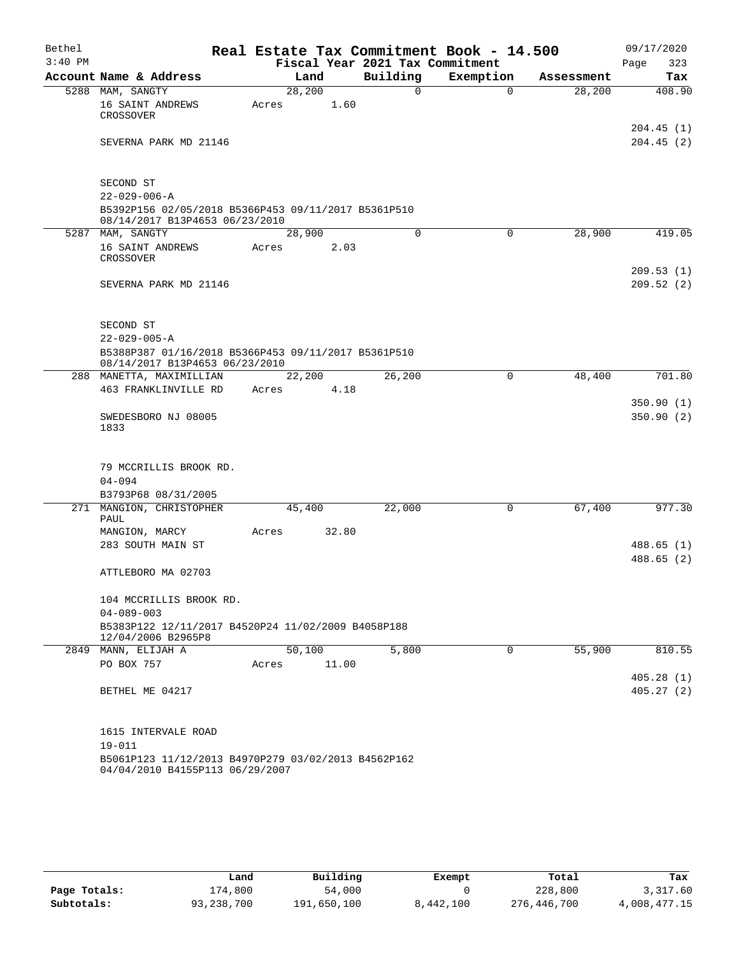| Bethel    |                                                                                        |       |        |        |       | Real Estate Tax Commitment Book - 14.500 |           |             |            | 09/17/2020             |
|-----------|----------------------------------------------------------------------------------------|-------|--------|--------|-------|------------------------------------------|-----------|-------------|------------|------------------------|
| $3:40$ PM |                                                                                        |       |        |        |       | Fiscal Year 2021 Tax Commitment          |           |             |            | 323<br>Page            |
|           | Account Name & Address                                                                 |       |        | Land   |       | Building                                 | Exemption |             | Assessment | Tax                    |
|           | 5288 MAM, SANGTY                                                                       |       | 28,200 |        |       | 0                                        |           | $\Omega$    | 28,200     | 408.90                 |
|           | 16 SAINT ANDREWS<br>CROSSOVER                                                          | Acres |        |        | 1.60  |                                          |           |             |            |                        |
|           |                                                                                        |       |        |        |       |                                          |           |             |            | 204.45 (1)             |
|           | SEVERNA PARK MD 21146                                                                  |       |        |        |       |                                          |           |             |            | 204.45(2)              |
|           |                                                                                        |       |        |        |       |                                          |           |             |            |                        |
|           | SECOND ST                                                                              |       |        |        |       |                                          |           |             |            |                        |
|           | $22 - 029 - 006 - A$                                                                   |       |        |        |       |                                          |           |             |            |                        |
|           | B5392P156 02/05/2018 B5366P453 09/11/2017 B5361P510<br>08/14/2017 B13P4653 06/23/2010  |       |        |        |       |                                          |           |             |            |                        |
|           | 5287 MAM, SANGTY                                                                       |       | 28,900 |        |       | $\mathbf 0$                              | 0         |             | 28,900     | 419.05                 |
|           | 16 SAINT ANDREWS                                                                       | Acres |        |        | 2.03  |                                          |           |             |            |                        |
|           | CROSSOVER                                                                              |       |        |        |       |                                          |           |             |            |                        |
|           |                                                                                        |       |        |        |       |                                          |           |             |            | 209.53(1)<br>209.52(2) |
|           | SEVERNA PARK MD 21146                                                                  |       |        |        |       |                                          |           |             |            |                        |
|           |                                                                                        |       |        |        |       |                                          |           |             |            |                        |
|           | SECOND ST                                                                              |       |        |        |       |                                          |           |             |            |                        |
|           | $22 - 029 - 005 - A$                                                                   |       |        |        |       |                                          |           |             |            |                        |
|           | B5388P387 01/16/2018 B5366P453 09/11/2017 B5361P510                                    |       |        |        |       |                                          |           |             |            |                        |
|           | 08/14/2017 B13P4653 06/23/2010                                                         |       |        |        |       |                                          |           |             |            |                        |
|           | 288 MANETTA, MAXIMILLIAN                                                               |       | 22,200 |        |       | 26,200                                   |           | 0           | 48,400     | 701.80                 |
|           | 463 FRANKLINVILLE RD                                                                   | Acres |        |        | 4.18  |                                          |           |             |            |                        |
|           |                                                                                        |       |        |        |       |                                          |           |             |            | 350.90(1)              |
|           | SWEDESBORO NJ 08005<br>1833                                                            |       |        |        |       |                                          |           |             |            | 350.90(2)              |
|           |                                                                                        |       |        |        |       |                                          |           |             |            |                        |
|           |                                                                                        |       |        |        |       |                                          |           |             |            |                        |
|           | 79 MCCRILLIS BROOK RD.                                                                 |       |        |        |       |                                          |           |             |            |                        |
|           | $04 - 094$                                                                             |       |        |        |       |                                          |           |             |            |                        |
|           | B3793P68 08/31/2005                                                                    |       |        |        |       |                                          |           |             |            |                        |
|           | 271 MANGION, CHRISTOPHER<br>PAUL                                                       |       |        | 45,400 |       | 22,000                                   |           | 0           | 67,400     | 977.30                 |
|           | MANGION, MARCY                                                                         | Acres |        |        | 32.80 |                                          |           |             |            |                        |
|           | 283 SOUTH MAIN ST                                                                      |       |        |        |       |                                          |           |             |            | 488.65 (1)             |
|           |                                                                                        |       |        |        |       |                                          |           |             |            | 488.65 (2)             |
|           | ATTLEBORO MA 02703                                                                     |       |        |        |       |                                          |           |             |            |                        |
|           |                                                                                        |       |        |        |       |                                          |           |             |            |                        |
|           | 104 MCCRILLIS BROOK RD.                                                                |       |        |        |       |                                          |           |             |            |                        |
|           | $04 - 089 - 003$                                                                       |       |        |        |       |                                          |           |             |            |                        |
|           | B5383P122 12/11/2017 B4520P24 11/02/2009 B4058P188<br>12/04/2006 B2965P8               |       |        |        |       |                                          |           |             |            |                        |
|           | 2849 MANN, ELIJAH A                                                                    |       |        | 50,100 |       | 5,800                                    |           | $\mathbf 0$ | 55,900     | 810.55                 |
|           | PO BOX 757                                                                             | Acres |        |        | 11.00 |                                          |           |             |            |                        |
|           |                                                                                        |       |        |        |       |                                          |           |             |            | 405.28(1)              |
|           | BETHEL ME 04217                                                                        |       |        |        |       |                                          |           |             |            | 405.27(2)              |
|           |                                                                                        |       |        |        |       |                                          |           |             |            |                        |
|           | 1615 INTERVALE ROAD                                                                    |       |        |        |       |                                          |           |             |            |                        |
|           | $19 - 011$                                                                             |       |        |        |       |                                          |           |             |            |                        |
|           | B5061P123 11/12/2013 B4970P279 03/02/2013 B4562P162<br>04/04/2010 B4155P113 06/29/2007 |       |        |        |       |                                          |           |             |            |                        |

|              | Land         | Building    | Exempt    | Total       | Tax          |
|--------------|--------------|-------------|-----------|-------------|--------------|
| Page Totals: | .74,800      | 54,000      |           | 228,800     | 3,317.60     |
| Subtotals:   | 93, 238, 700 | 191,650,100 | 8,442,100 | 276,446,700 | 4,008,477.15 |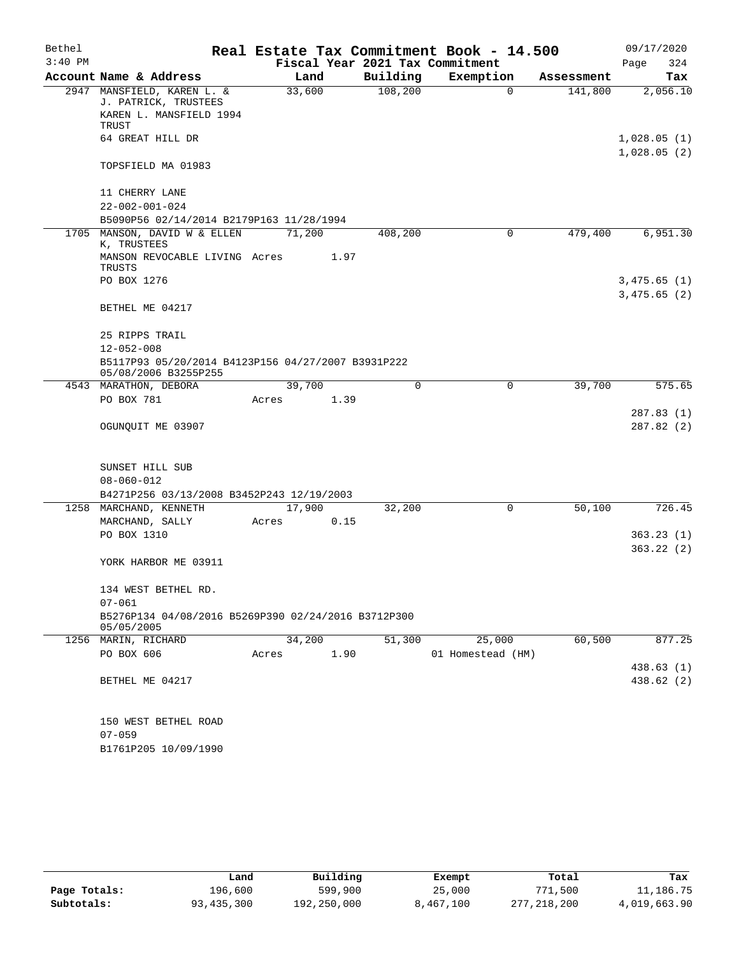| Bethel    |                                                    |                                                     |       |        |                                 | Real Estate Tax Commitment Book - 14.500 |            | 09/17/2020                 |
|-----------|----------------------------------------------------|-----------------------------------------------------|-------|--------|---------------------------------|------------------------------------------|------------|----------------------------|
| $3:40$ PM |                                                    |                                                     |       |        | Fiscal Year 2021 Tax Commitment |                                          |            | Page<br>324                |
|           | Account Name & Address                             |                                                     |       | Land   | Building                        | Exemption                                | Assessment | Tax                        |
|           | 2947 MANSFIELD, KAREN L. &<br>J. PATRICK, TRUSTEES |                                                     |       | 33,600 | 108,200                         | $\mathbf 0$                              | 141,800    | 2,056.10                   |
|           | <b>TRUST</b>                                       | KAREN L. MANSFIELD 1994                             |       |        |                                 |                                          |            |                            |
|           | 64 GREAT HILL DR                                   |                                                     |       |        |                                 |                                          |            | 1,028.05(1)<br>1,028.05(2) |
|           | TOPSFIELD MA 01983                                 |                                                     |       |        |                                 |                                          |            |                            |
|           | 11 CHERRY LANE                                     |                                                     |       |        |                                 |                                          |            |                            |
|           | $22 - 002 - 001 - 024$                             |                                                     |       |        |                                 |                                          |            |                            |
|           |                                                    | B5090P56 02/14/2014 B2179P163 11/28/1994            |       |        |                                 |                                          |            |                            |
|           | K, TRUSTEES                                        | 1705 MANSON, DAVID W & ELLEN                        |       | 71,200 | 408,200                         | 0                                        | 479,400    | 6,951.30                   |
|           | TRUSTS                                             | MANSON REVOCABLE LIVING Acres                       |       | 1.97   |                                 |                                          |            |                            |
|           | PO BOX 1276                                        |                                                     |       |        |                                 |                                          |            | 3,475.65(1)<br>3,475.65(2) |
|           | BETHEL ME 04217                                    |                                                     |       |        |                                 |                                          |            |                            |
|           | 25 RIPPS TRAIL                                     |                                                     |       |        |                                 |                                          |            |                            |
|           | $12 - 052 - 008$                                   |                                                     |       |        |                                 |                                          |            |                            |
|           | 05/08/2006 B3255P255                               | B5117P93 05/20/2014 B4123P156 04/27/2007 B3931P222  |       |        |                                 |                                          |            |                            |
|           | 4543 MARATHON, DEBORA                              |                                                     |       | 39,700 | $\Omega$                        | 0                                        | 39,700     | 575.65                     |
|           | PO BOX 781                                         |                                                     | Acres | 1.39   |                                 |                                          |            |                            |
|           | OGUNQUIT ME 03907                                  |                                                     |       |        |                                 |                                          |            | 287.83 (1)<br>287.82(2)    |
|           | SUNSET HILL SUB                                    |                                                     |       |        |                                 |                                          |            |                            |
|           | $08 - 060 - 012$                                   |                                                     |       |        |                                 |                                          |            |                            |
|           |                                                    | B4271P256 03/13/2008 B3452P243 12/19/2003           |       |        |                                 |                                          |            |                            |
|           | 1258 MARCHAND, KENNETH                             |                                                     |       | 17,900 | 32,200                          | $\mathbf 0$                              | 50,100     | 726.45                     |
|           | MARCHAND, SALLY                                    |                                                     | Acres | 0.15   |                                 |                                          |            |                            |
|           | PO BOX 1310                                        |                                                     |       |        |                                 |                                          |            | 363.23(1)                  |
|           |                                                    |                                                     |       |        |                                 |                                          |            | 363.22(2)                  |
|           | YORK HARBOR ME 03911                               |                                                     |       |        |                                 |                                          |            |                            |
|           | 134 WEST BETHEL RD.                                |                                                     |       |        |                                 |                                          |            |                            |
|           | $07 - 061$                                         |                                                     |       |        |                                 |                                          |            |                            |
|           | 05/05/2005                                         | B5276P134 04/08/2016 B5269P390 02/24/2016 B3712P300 |       |        |                                 |                                          |            |                            |
|           | 1256 MARIN, RICHARD                                |                                                     |       | 34,200 | 51,300                          | 25,000                                   | 60,500     | 877.25                     |
|           | PO BOX 606                                         |                                                     | Acres | 1.90   |                                 | 01 Homestead (HM)                        |            |                            |
|           |                                                    |                                                     |       |        |                                 |                                          |            | 438.63 (1)                 |
|           | BETHEL ME 04217                                    |                                                     |       |        |                                 |                                          |            | 438.62 (2)                 |
|           | 150 WEST BETHEL ROAD                               |                                                     |       |        |                                 |                                          |            |                            |
|           | $07 - 059$                                         |                                                     |       |        |                                 |                                          |            |                            |
|           | B1761P205 10/09/1990                               |                                                     |       |        |                                 |                                          |            |                            |

|              | Land         | Building    | Exempt    | Total       | Tax          |
|--------------|--------------|-------------|-----------|-------------|--------------|
| Page Totals: | 196,600      | 599,900     | 25,000    | 771,500     | 11,186.75    |
| Subtotals:   | 93, 435, 300 | 192,250,000 | 8,467,100 | 277,218,200 | 4,019,663.90 |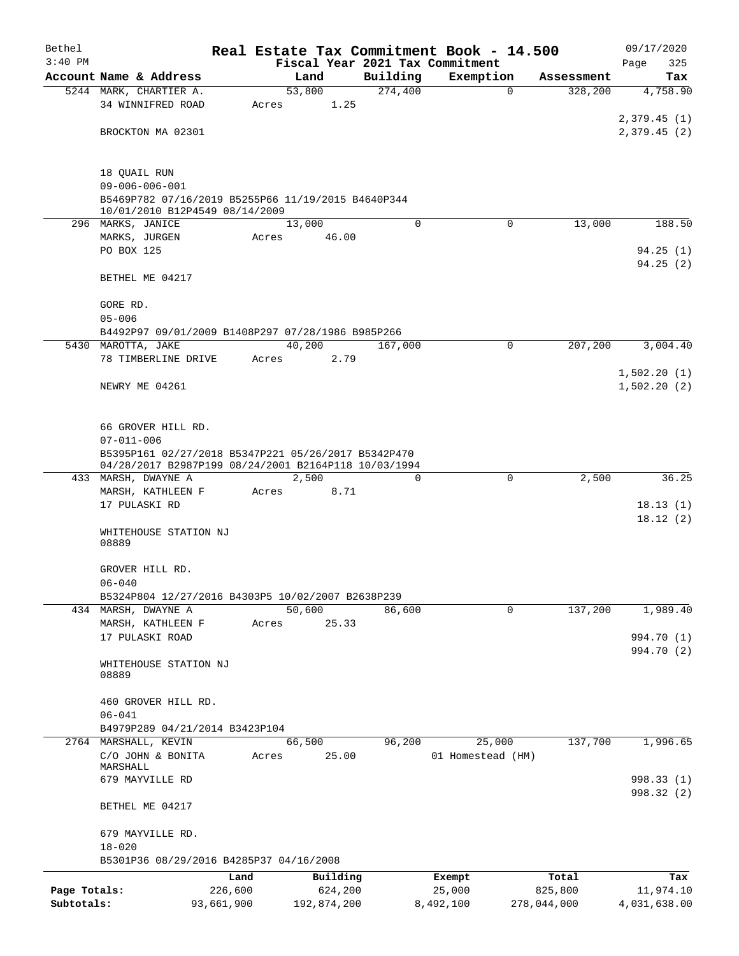| Bethel       |                                                                                                             |            |       |                |                     | Real Estate Tax Commitment Book - 14.500 |                                      | 09/17/2020               |
|--------------|-------------------------------------------------------------------------------------------------------------|------------|-------|----------------|---------------------|------------------------------------------|--------------------------------------|--------------------------|
| $3:40$ PM    | Account Name & Address                                                                                      |            |       |                |                     | Fiscal Year 2021 Tax Commitment          |                                      | Page<br>325              |
|              | 5244 MARK, CHARTIER A.                                                                                      |            |       | Land<br>53,800 | Building<br>274,400 | Exemption                                | Assessment<br>328,200<br>$\mathbf 0$ | Tax<br>4,758.90          |
|              | 34 WINNIFRED ROAD                                                                                           |            | Acres | 1.25           |                     |                                          |                                      |                          |
|              |                                                                                                             |            |       |                |                     |                                          |                                      | 2,379.45(1)              |
|              | BROCKTON MA 02301                                                                                           |            |       |                |                     |                                          |                                      | 2,379.45(2)              |
|              |                                                                                                             |            |       |                |                     |                                          |                                      |                          |
|              |                                                                                                             |            |       |                |                     |                                          |                                      |                          |
|              | 18 QUAIL RUN<br>$09 - 006 - 006 - 001$                                                                      |            |       |                |                     |                                          |                                      |                          |
|              | B5469P782 07/16/2019 B5255P66 11/19/2015 B4640P344                                                          |            |       |                |                     |                                          |                                      |                          |
|              | 10/01/2010 B12P4549 08/14/2009                                                                              |            |       |                |                     |                                          |                                      |                          |
|              | 296 MARKS, JANICE                                                                                           |            |       | 13,000         | $\Omega$            |                                          | $\Omega$<br>13,000                   | 188.50                   |
|              | MARKS, JURGEN                                                                                               |            | Acres | 46.00          |                     |                                          |                                      |                          |
|              | PO BOX 125                                                                                                  |            |       |                |                     |                                          |                                      | 94.25(1)<br>94.25(2)     |
|              | BETHEL ME 04217                                                                                             |            |       |                |                     |                                          |                                      |                          |
|              |                                                                                                             |            |       |                |                     |                                          |                                      |                          |
|              | GORE RD.                                                                                                    |            |       |                |                     |                                          |                                      |                          |
|              | $05 - 006$                                                                                                  |            |       |                |                     |                                          |                                      |                          |
|              | B4492P97 09/01/2009 B1408P297 07/28/1986 B985P266                                                           |            |       |                |                     |                                          |                                      |                          |
|              | 5430 MAROTTA, JAKE                                                                                          |            |       | 40,200         | 167,000             |                                          | 207,200<br>0                         | 3,004.40                 |
|              | 78 TIMBERLINE DRIVE                                                                                         |            | Acres | 2.79           |                     |                                          |                                      | 1,502.20(1)              |
|              | NEWRY ME 04261                                                                                              |            |       |                |                     |                                          |                                      | 1,502.20(2)              |
|              |                                                                                                             |            |       |                |                     |                                          |                                      |                          |
|              |                                                                                                             |            |       |                |                     |                                          |                                      |                          |
|              | 66 GROVER HILL RD.                                                                                          |            |       |                |                     |                                          |                                      |                          |
|              | $07 - 011 - 006$                                                                                            |            |       |                |                     |                                          |                                      |                          |
|              | B5395P161 02/27/2018 B5347P221 05/26/2017 B5342P470<br>04/28/2017 B2987P199 08/24/2001 B2164P118 10/03/1994 |            |       |                |                     |                                          |                                      |                          |
|              | 433 MARSH, DWAYNE A                                                                                         |            |       | 2,500          | 0                   |                                          | 2,500<br>0                           | 36.25                    |
|              | MARSH, KATHLEEN F                                                                                           |            | Acres | 8.71           |                     |                                          |                                      |                          |
|              | 17 PULASKI RD                                                                                               |            |       |                |                     |                                          |                                      | 18.13(1)                 |
|              |                                                                                                             |            |       |                |                     |                                          |                                      | 18.12(2)                 |
|              | WHITEHOUSE STATION NJ<br>08889                                                                              |            |       |                |                     |                                          |                                      |                          |
|              |                                                                                                             |            |       |                |                     |                                          |                                      |                          |
|              | GROVER HILL RD.                                                                                             |            |       |                |                     |                                          |                                      |                          |
|              | $06 - 040$                                                                                                  |            |       |                |                     |                                          |                                      |                          |
|              | B5324P804 12/27/2016 B4303P5 10/02/2007 B2638P239                                                           |            |       |                |                     |                                          |                                      |                          |
|              | 434 MARSH, DWAYNE A                                                                                         |            |       | 50,600         | 86,600              |                                          | 137,200<br>0                         | 1,989.40                 |
|              | MARSH, KATHLEEN F<br>17 PULASKI ROAD                                                                        |            | Acres | 25.33          |                     |                                          |                                      | 994.70 (1)               |
|              |                                                                                                             |            |       |                |                     |                                          |                                      | 994.70 (2)               |
|              | WHITEHOUSE STATION NJ                                                                                       |            |       |                |                     |                                          |                                      |                          |
|              | 08889                                                                                                       |            |       |                |                     |                                          |                                      |                          |
|              |                                                                                                             |            |       |                |                     |                                          |                                      |                          |
|              | 460 GROVER HILL RD.<br>$06 - 041$                                                                           |            |       |                |                     |                                          |                                      |                          |
|              | B4979P289 04/21/2014 B3423P104                                                                              |            |       |                |                     |                                          |                                      |                          |
|              | 2764 MARSHALL, KEVIN                                                                                        |            |       | 66,500         | 96,200              | 25,000                                   | 137,700                              | 1,996.65                 |
|              | C/O JOHN & BONITA                                                                                           |            | Acres | 25.00          |                     | 01 Homestead (HM)                        |                                      |                          |
|              | MARSHALL                                                                                                    |            |       |                |                     |                                          |                                      |                          |
|              | 679 MAYVILLE RD                                                                                             |            |       |                |                     |                                          |                                      | 998.33 (1)<br>998.32 (2) |
|              | BETHEL ME 04217                                                                                             |            |       |                |                     |                                          |                                      |                          |
|              |                                                                                                             |            |       |                |                     |                                          |                                      |                          |
|              | 679 MAYVILLE RD.                                                                                            |            |       |                |                     |                                          |                                      |                          |
|              | $18 - 020$                                                                                                  |            |       |                |                     |                                          |                                      |                          |
|              | B5301P36 08/29/2016 B4285P37 04/16/2008                                                                     |            |       |                |                     |                                          |                                      |                          |
|              |                                                                                                             | Land       |       | Building       |                     | Exempt                                   | Total                                | Tax                      |
| Page Totals: |                                                                                                             | 226,600    |       | 624,200        |                     | 25,000                                   | 825,800                              | 11,974.10                |
| Subtotals:   |                                                                                                             | 93,661,900 |       | 192,874,200    |                     | 8,492,100                                | 278,044,000                          | 4,031,638.00             |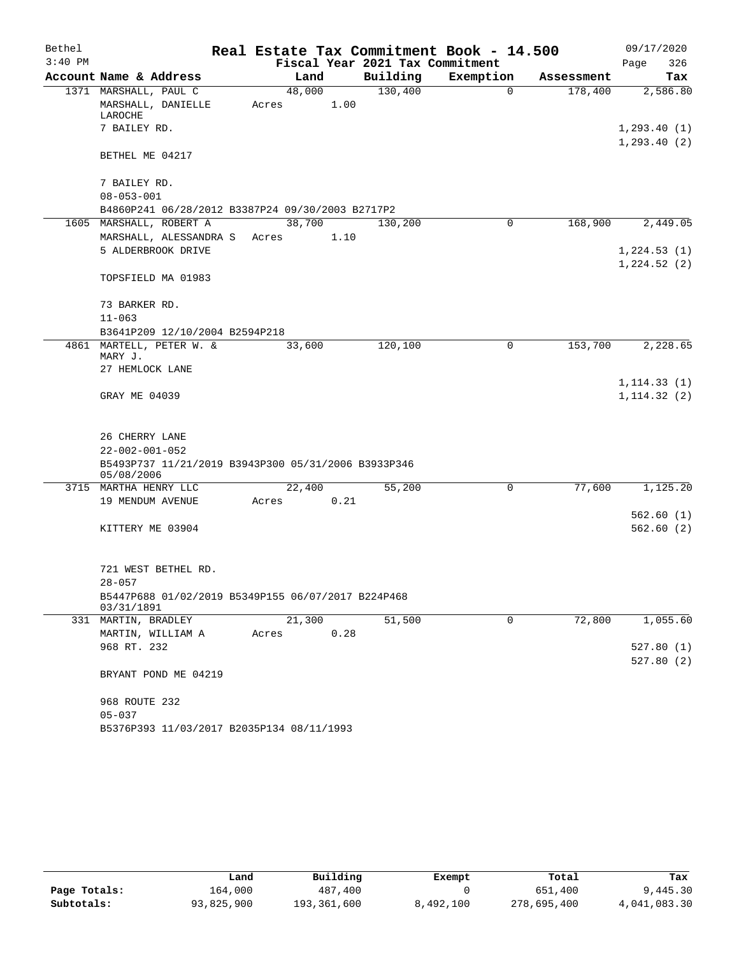| Bethel    |                                                                   |       |                |                                 | Real Estate Tax Commitment Book - 14.500 |            |      | 09/17/2020   |
|-----------|-------------------------------------------------------------------|-------|----------------|---------------------------------|------------------------------------------|------------|------|--------------|
| $3:40$ PM |                                                                   |       |                | Fiscal Year 2021 Tax Commitment |                                          |            | Page | 326          |
|           | Account Name & Address                                            |       | Land           | Building                        | Exemption                                | Assessment |      | Tax          |
|           | 1371 MARSHALL, PAUL C<br>MARSHALL, DANIELLE                       | Acres | 48,000<br>1.00 | 130,400                         | $\mathbf 0$                              | 178,400    |      | 2,586.80     |
|           | LAROCHE<br>7 BAILEY RD.                                           |       |                |                                 |                                          |            |      | 1, 293.40(1) |
|           |                                                                   |       |                |                                 |                                          |            |      | 1, 293.40(2) |
|           | BETHEL ME 04217                                                   |       |                |                                 |                                          |            |      |              |
|           | 7 BAILEY RD.                                                      |       |                |                                 |                                          |            |      |              |
|           | $08 - 053 - 001$                                                  |       |                |                                 |                                          |            |      |              |
|           | B4860P241 06/28/2012 B3387P24 09/30/2003 B2717P2                  |       |                |                                 |                                          |            |      |              |
|           | 1605 MARSHALL, ROBERT A                                           |       | 38,700         | 130,200                         | $\Omega$                                 | 168,900    |      | 2,449.05     |
|           | MARSHALL, ALESSANDRA S                                            | Acres | 1.10           |                                 |                                          |            |      |              |
|           | 5 ALDERBROOK DRIVE                                                |       |                |                                 |                                          |            |      | 1,224.53(1)  |
|           | TOPSFIELD MA 01983                                                |       |                |                                 |                                          |            |      | 1,224.52(2)  |
|           |                                                                   |       |                |                                 |                                          |            |      |              |
|           | 73 BARKER RD.                                                     |       |                |                                 |                                          |            |      |              |
|           | $11 - 063$                                                        |       |                |                                 |                                          |            |      |              |
|           | B3641P209 12/10/2004 B2594P218                                    |       |                |                                 |                                          |            |      |              |
|           | 4861 MARTELL, PETER W. &<br>MARY J.                               |       | 33,600         | 120,100                         | $\mathbf 0$                              | 153,700    |      | 2,228.65     |
|           | 27 HEMLOCK LANE                                                   |       |                |                                 |                                          |            |      |              |
|           |                                                                   |       |                |                                 |                                          |            |      | 1, 114.33(1) |
|           | GRAY ME 04039                                                     |       |                |                                 |                                          |            |      | 1, 114.32(2) |
|           | 26 CHERRY LANE                                                    |       |                |                                 |                                          |            |      |              |
|           | $22 - 002 - 001 - 052$                                            |       |                |                                 |                                          |            |      |              |
|           | B5493P737 11/21/2019 B3943P300 05/31/2006 B3933P346<br>05/08/2006 |       |                |                                 |                                          |            |      |              |
|           | 3715 MARTHA HENRY LLC                                             |       | 22,400         | 55,200                          | 0                                        | 77,600     |      | 1,125.20     |
|           | 19 MENDUM AVENUE                                                  | Acres | 0.21           |                                 |                                          |            |      |              |
|           |                                                                   |       |                |                                 |                                          |            |      | 562.60(1)    |
|           | KITTERY ME 03904                                                  |       |                |                                 |                                          |            |      | 562.60(2)    |
|           | 721 WEST BETHEL RD.                                               |       |                |                                 |                                          |            |      |              |
|           | $28 - 057$                                                        |       |                |                                 |                                          |            |      |              |
|           | B5447P688 01/02/2019 B5349P155 06/07/2017 B224P468<br>03/31/1891  |       |                |                                 |                                          |            |      |              |
|           | 331 MARTIN, BRADLEY                                               |       | 21,300         | 51,500                          | 0                                        | 72,800     |      | 1,055.60     |
|           | MARTIN, WILLIAM A                                                 | Acres | 0.28           |                                 |                                          |            |      |              |
|           | 968 RT. 232                                                       |       |                |                                 |                                          |            |      | 527.80(1)    |
|           |                                                                   |       |                |                                 |                                          |            |      | 527.80(2)    |
|           | BRYANT POND ME 04219                                              |       |                |                                 |                                          |            |      |              |
|           | 968 ROUTE 232                                                     |       |                |                                 |                                          |            |      |              |
|           | $05 - 037$                                                        |       |                |                                 |                                          |            |      |              |
|           | B5376P393 11/03/2017 B2035P134 08/11/1993                         |       |                |                                 |                                          |            |      |              |

|              | Land       | Building    | Exempt    | Total       | Tax          |
|--------------|------------|-------------|-----------|-------------|--------------|
| Page Totals: | 164.000    | 487,400     |           | 651,400     | 9,445.30     |
| Subtotals:   | 93,825,900 | 193,361,600 | 8,492,100 | 278,695,400 | 4,041,083.30 |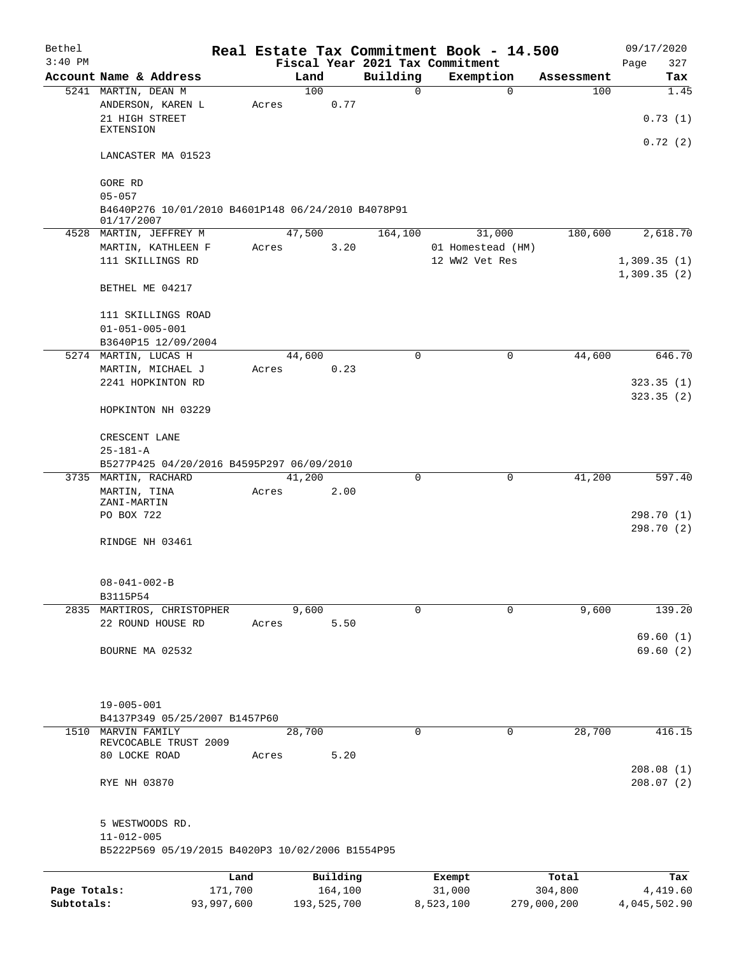| Bethel       |                                                                                |            |       |             |          | Real Estate Tax Commitment Book - 14.500 |           |                   |             | 09/17/2020                 |
|--------------|--------------------------------------------------------------------------------|------------|-------|-------------|----------|------------------------------------------|-----------|-------------------|-------------|----------------------------|
| $3:40$ PM    |                                                                                |            |       |             |          | Fiscal Year 2021 Tax Commitment          |           |                   |             | Page<br>327                |
|              | Account Name & Address                                                         |            |       | Land        |          | Building                                 |           | Exemption         | Assessment  | Tax                        |
|              | 5241 MARTIN, DEAN M                                                            |            |       | 100         |          | $\mathbf 0$                              |           | $\mathbf 0$       | 100         | 1.45                       |
|              | ANDERSON, KAREN L<br>21 HIGH STREET                                            |            | Acres |             | 0.77     |                                          |           |                   |             | 0.73(1)                    |
|              | <b>EXTENSION</b>                                                               |            |       |             |          |                                          |           |                   |             | 0.72(2)                    |
|              | LANCASTER MA 01523                                                             |            |       |             |          |                                          |           |                   |             |                            |
|              | GORE RD                                                                        |            |       |             |          |                                          |           |                   |             |                            |
|              | $05 - 057$<br>B4640P276 10/01/2010 B4601P148 06/24/2010 B4078P91<br>01/17/2007 |            |       |             |          |                                          |           |                   |             |                            |
|              | 4528 MARTIN, JEFFREY M                                                         |            |       | 47,500      |          | 164,100                                  |           | 31,000            | 180,600     | 2,618.70                   |
|              | MARTIN, KATHLEEN F                                                             |            | Acres |             | 3.20     |                                          |           | 01 Homestead (HM) |             |                            |
|              | 111 SKILLINGS RD                                                               |            |       |             |          |                                          |           | 12 WW2 Vet Res    |             | 1,309.35(1)<br>1,309.35(2) |
|              | BETHEL ME 04217                                                                |            |       |             |          |                                          |           |                   |             |                            |
|              | 111 SKILLINGS ROAD                                                             |            |       |             |          |                                          |           |                   |             |                            |
|              | $01 - 051 - 005 - 001$                                                         |            |       |             |          |                                          |           |                   |             |                            |
|              | B3640P15 12/09/2004<br>5274 MARTIN, LUCAS H                                    |            |       | 44,600      |          | $\mathbf 0$                              |           | $\mathbf 0$       | 44,600      | 646.70                     |
|              | MARTIN, MICHAEL J                                                              |            | Acres |             | 0.23     |                                          |           |                   |             |                            |
|              | 2241 HOPKINTON RD                                                              |            |       |             |          |                                          |           |                   |             | 323.35(1)                  |
|              | HOPKINTON NH 03229                                                             |            |       |             |          |                                          |           |                   |             | 323.35(2)                  |
|              | CRESCENT LANE                                                                  |            |       |             |          |                                          |           |                   |             |                            |
|              | $25 - 181 - A$                                                                 |            |       |             |          |                                          |           |                   |             |                            |
|              | B5277P425 04/20/2016 B4595P297 06/09/2010                                      |            |       |             |          |                                          |           |                   |             |                            |
|              | 3735 MARTIN, RACHARD                                                           |            |       | 41,200      |          | 0                                        |           | $\mathbf 0$       | 41,200      | 597.40                     |
|              | MARTIN, TINA<br>ZANI-MARTIN                                                    |            | Acres |             | 2.00     |                                          |           |                   |             |                            |
|              | PO BOX 722                                                                     |            |       |             |          |                                          |           |                   |             | 298.70 (1)                 |
|              |                                                                                |            |       |             |          |                                          |           |                   |             | 298.70 (2)                 |
|              | RINDGE NH 03461                                                                |            |       |             |          |                                          |           |                   |             |                            |
|              | $08 - 041 - 002 - B$                                                           |            |       |             |          |                                          |           |                   |             |                            |
|              | B3115P54                                                                       |            |       |             |          |                                          |           |                   |             |                            |
|              | 2835 MARTIROS, CHRISTOPHER                                                     |            |       | 9,600       |          | $\Omega$                                 |           | $\Omega$          | 9,600       | 139.20                     |
|              | 22 ROUND HOUSE RD                                                              |            | Acres |             | 5.50     |                                          |           |                   |             | 69.60(1)                   |
|              | BOURNE MA 02532                                                                |            |       |             |          |                                          |           |                   |             | 69.60(2)                   |
|              |                                                                                |            |       |             |          |                                          |           |                   |             |                            |
|              | $19 - 005 - 001$                                                               |            |       |             |          |                                          |           |                   |             |                            |
|              | B4137P349 05/25/2007 B1457P60                                                  |            |       |             |          |                                          |           |                   |             |                            |
|              | 1510 MARVIN FAMILY<br>REVCOCABLE TRUST 2009                                    |            |       | 28,700      |          | $\mathbf 0$                              |           | $\mathbf 0$       | 28,700      | 416.15                     |
|              | 80 LOCKE ROAD                                                                  |            | Acres |             | 5.20     |                                          |           |                   |             |                            |
|              |                                                                                |            |       |             |          |                                          |           |                   |             | 208.08(1)                  |
|              | RYE NH 03870                                                                   |            |       |             |          |                                          |           |                   |             | 208.07(2)                  |
|              | 5 WESTWOODS RD.                                                                |            |       |             |          |                                          |           |                   |             |                            |
|              | $11 - 012 - 005$<br>B5222P569 05/19/2015 B4020P3 10/02/2006 B1554P95           |            |       |             |          |                                          |           |                   |             |                            |
|              |                                                                                |            |       |             |          |                                          |           |                   |             |                            |
|              |                                                                                | Land       |       |             | Building |                                          | Exempt    |                   | Total       | Tax                        |
| Page Totals: |                                                                                | 171,700    |       |             | 164,100  |                                          | 31,000    |                   | 304,800     | 4,419.60                   |
| Subtotals:   |                                                                                | 93,997,600 |       | 193,525,700 |          |                                          | 8,523,100 |                   | 279,000,200 | 4,045,502.90               |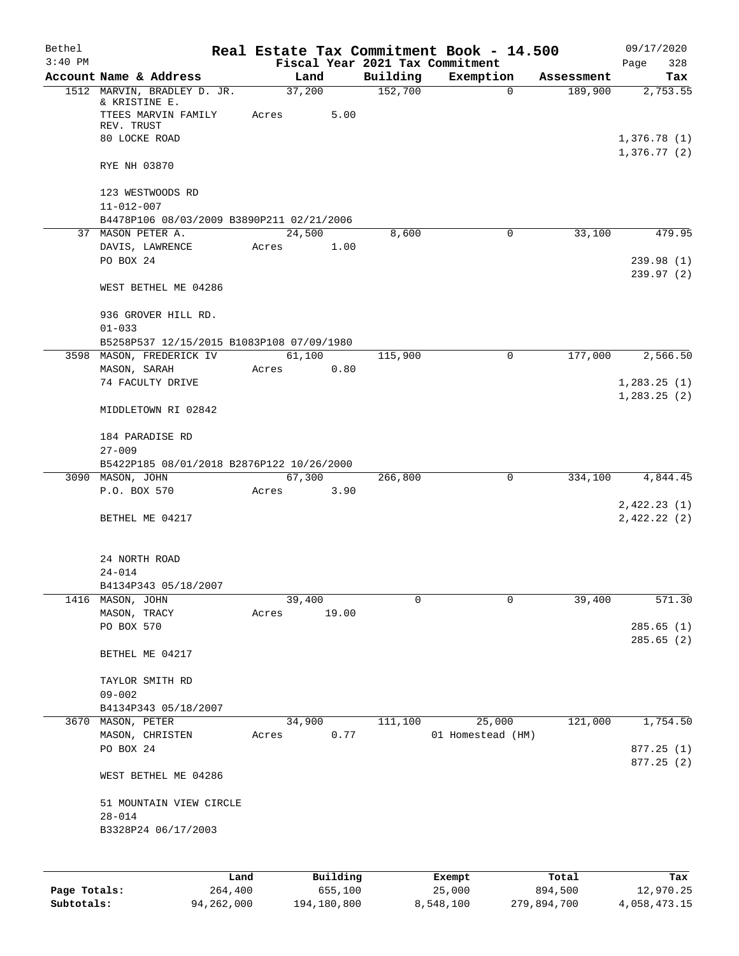| Bethel       |                                                         |       |                |          |                     | Real Estate Tax Commitment Book - 14.500 |                       | 09/17/2020                 |
|--------------|---------------------------------------------------------|-------|----------------|----------|---------------------|------------------------------------------|-----------------------|----------------------------|
| $3:40$ PM    |                                                         |       |                |          |                     | Fiscal Year 2021 Tax Commitment          |                       | Page<br>328                |
|              | Account Name & Address<br>1512 MARVIN, BRADLEY D. JR.   |       | Land<br>37,200 |          | Building<br>152,700 | Exemption<br>0                           | Assessment<br>189,900 | Tax<br>2,753.55            |
|              | & KRISTINE E.                                           |       |                |          |                     |                                          |                       |                            |
|              | TTEES MARVIN FAMILY                                     | Acres |                | 5.00     |                     |                                          |                       |                            |
|              | REV. TRUST                                              |       |                |          |                     |                                          |                       |                            |
|              | 80 LOCKE ROAD                                           |       |                |          |                     |                                          |                       | 1,376.78(1)<br>1,376.77(2) |
|              | RYE NH 03870                                            |       |                |          |                     |                                          |                       |                            |
|              | 123 WESTWOODS RD<br>$11 - 012 - 007$                    |       |                |          |                     |                                          |                       |                            |
|              | B4478P106 08/03/2009 B3890P211 02/21/2006               |       |                |          |                     |                                          |                       |                            |
|              | 37 MASON PETER A.                                       |       | 24,500         |          | 8,600               | 0                                        | 33,100                | 479.95                     |
|              | DAVIS, LAWRENCE                                         | Acres |                | 1.00     |                     |                                          |                       |                            |
|              | PO BOX 24                                               |       |                |          |                     |                                          |                       | 239.98(1)                  |
|              |                                                         |       |                |          |                     |                                          |                       | 239.97(2)                  |
|              | WEST BETHEL ME 04286                                    |       |                |          |                     |                                          |                       |                            |
|              | 936 GROVER HILL RD.                                     |       |                |          |                     |                                          |                       |                            |
|              | $01 - 033$                                              |       |                |          |                     |                                          |                       |                            |
|              | B5258P537 12/15/2015 B1083P108 07/09/1980               |       |                |          |                     |                                          |                       |                            |
|              | 3598 MASON, FREDERICK IV                                |       | 61,100         |          | 115,900             | $\mathbf 0$                              | 177,000               | 2,566.50                   |
|              | MASON, SARAH                                            | Acres |                | 0.80     |                     |                                          |                       |                            |
|              | 74 FACULTY DRIVE                                        |       |                |          |                     |                                          |                       | 1, 283.25(1)               |
|              | MIDDLETOWN RI 02842                                     |       |                |          |                     |                                          |                       | 1, 283.25(2)               |
|              |                                                         |       |                |          |                     |                                          |                       |                            |
|              | 184 PARADISE RD                                         |       |                |          |                     |                                          |                       |                            |
|              | $27 - 009$<br>B5422P185 08/01/2018 B2876P122 10/26/2000 |       |                |          |                     |                                          |                       |                            |
|              | 3090 MASON, JOHN                                        |       | 67,300         |          | 266,800             | 0                                        | 334,100               | 4,844.45                   |
|              | P.O. BOX 570                                            | Acres |                | 3.90     |                     |                                          |                       |                            |
|              |                                                         |       |                |          |                     |                                          |                       | 2,422.23(1)                |
|              | BETHEL ME 04217                                         |       |                |          |                     |                                          |                       | 2,422.22(2)                |
|              | 24 NORTH ROAD                                           |       |                |          |                     |                                          |                       |                            |
|              | $24 - 014$                                              |       |                |          |                     |                                          |                       |                            |
|              | B4134P343 05/18/2007                                    |       |                |          |                     |                                          |                       |                            |
| 1416         | MASON, JOHN                                             |       | 39,400         |          | 0                   | 0                                        | 39,400                | 571.30                     |
|              | MASON, TRACY                                            | Acres |                | 19.00    |                     |                                          |                       |                            |
|              | PO BOX 570                                              |       |                |          |                     |                                          |                       | 285.65(1)                  |
|              |                                                         |       |                |          |                     |                                          |                       | 285.65(2)                  |
|              | BETHEL ME 04217                                         |       |                |          |                     |                                          |                       |                            |
|              | TAYLOR SMITH RD                                         |       |                |          |                     |                                          |                       |                            |
|              | $09 - 002$                                              |       |                |          |                     |                                          |                       |                            |
|              | B4134P343 05/18/2007                                    |       |                |          |                     |                                          |                       |                            |
|              | 3670 MASON, PETER                                       |       | 34,900         |          | 111,100             | 25,000                                   | 121,000               | 1,754.50                   |
|              | MASON, CHRISTEN                                         | Acres |                | 0.77     |                     | 01 Homestead (HM)                        |                       |                            |
|              | PO BOX 24                                               |       |                |          |                     |                                          |                       | 877.25(1)<br>877.25(2)     |
|              | WEST BETHEL ME 04286                                    |       |                |          |                     |                                          |                       |                            |
|              | 51 MOUNTAIN VIEW CIRCLE                                 |       |                |          |                     |                                          |                       |                            |
|              | $28 - 014$                                              |       |                |          |                     |                                          |                       |                            |
|              | B3328P24 06/17/2003                                     |       |                |          |                     |                                          |                       |                            |
|              |                                                         |       |                |          |                     |                                          |                       |                            |
|              |                                                         |       |                |          |                     |                                          |                       |                            |
|              | Land                                                    |       |                | Building |                     | Exempt                                   | Total                 | Tax                        |
| Page Totals: | 264,400                                                 |       |                | 655,100  |                     | 25,000                                   | 894,500               | 12,970.25                  |

**Subtotals:** 94,262,000 194,180,800 8,548,100 279,894,700 4,058,473.15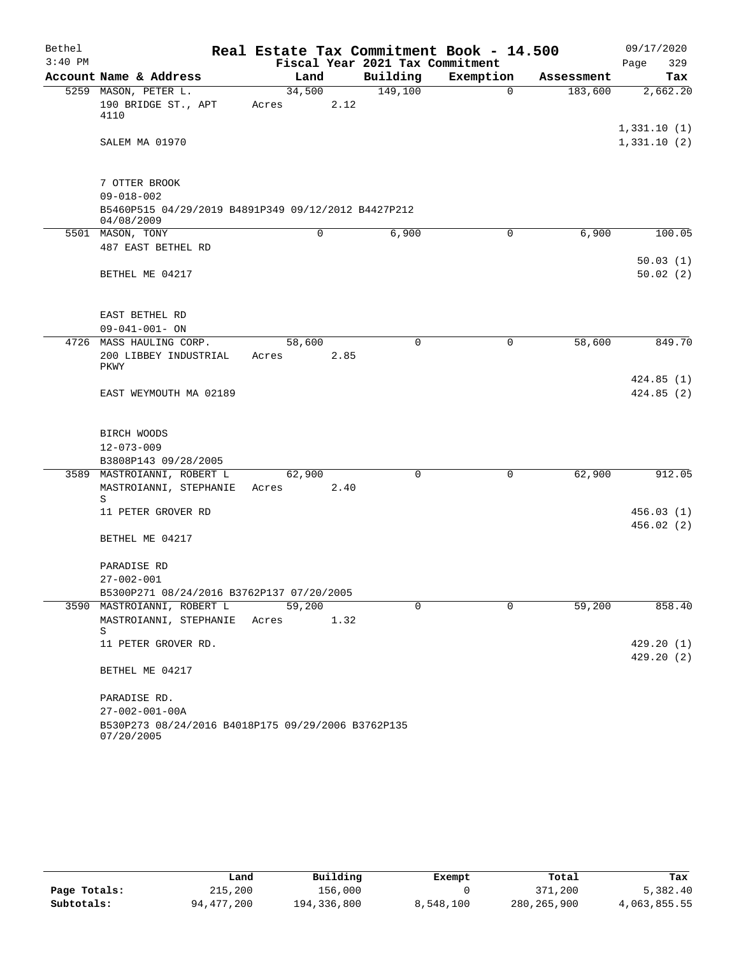| Bethel    |                                                                                                        | Real Estate Tax Commitment Book - 14.500 |                                 |           |            | 09/17/2020                 |
|-----------|--------------------------------------------------------------------------------------------------------|------------------------------------------|---------------------------------|-----------|------------|----------------------------|
| $3:40$ PM |                                                                                                        |                                          | Fiscal Year 2021 Tax Commitment |           |            | 329<br>Page                |
|           | Account Name & Address                                                                                 | Land                                     | Building                        | Exemption | Assessment | Tax                        |
|           | 5259 MASON, PETER L.<br>190 BRIDGE ST., APT<br>4110                                                    | 34,500<br>2.12<br>Acres                  | 149,100                         | 0         | 183,600    | 2,662.20                   |
|           | SALEM MA 01970                                                                                         |                                          |                                 |           |            | 1,331.10(1)<br>1,331.10(2) |
|           | 7 OTTER BROOK<br>$09 - 018 - 002$<br>B5460P515 04/29/2019 B4891P349 09/12/2012 B4427P212<br>04/08/2009 |                                          |                                 |           |            |                            |
|           | 5501 MASON, TONY                                                                                       | 0                                        | 6,900                           | 0         | 6,900      | 100.05                     |
|           | 487 EAST BETHEL RD                                                                                     |                                          |                                 |           |            | 50.03(1)                   |
|           | BETHEL ME 04217                                                                                        |                                          |                                 |           |            | 50.02(2)                   |
|           | EAST BETHEL RD<br>$09 - 041 - 001 - ON$                                                                |                                          |                                 |           |            |                            |
|           | 4726 MASS HAULING CORP.                                                                                | 58,600                                   | 0                               | 0         | 58,600     | 849.70                     |
|           | 200 LIBBEY INDUSTRIAL<br>PKWY                                                                          | Acres<br>2.85                            |                                 |           |            |                            |
|           | EAST WEYMOUTH MA 02189                                                                                 |                                          |                                 |           |            | 424.85(1)<br>424.85(2)     |
|           | BIRCH WOODS<br>$12 - 073 - 009$                                                                        |                                          |                                 |           |            |                            |
|           | B3808P143 09/28/2005                                                                                   |                                          |                                 |           |            |                            |
|           | 3589 MASTROIANNI, ROBERT L                                                                             | 62,900                                   | $\mathbf 0$                     | 0         | 62,900     | 912.05                     |
|           | MASTROIANNI, STEPHANIE<br>S                                                                            | 2.40<br>Acres                            |                                 |           |            |                            |
|           | 11 PETER GROVER RD                                                                                     |                                          |                                 |           |            | 456.03(1)<br>456.02(2)     |
|           | BETHEL ME 04217                                                                                        |                                          |                                 |           |            |                            |
|           | PARADISE RD<br>$27 - 002 - 001$                                                                        |                                          |                                 |           |            |                            |
|           | B5300P271 08/24/2016 B3762P137 07/20/2005                                                              |                                          |                                 |           |            |                            |
|           | 3590 MASTROIANNI, ROBERT L<br>MASTROIANNI, STEPHANIE                                                   | 59,200<br>1.32<br>Acres                  | $\Omega$                        | $\Omega$  | 59,200     | 858.40                     |
|           | S<br>11 PETER GROVER RD.                                                                               |                                          |                                 |           |            | 429.20(1)                  |
|           | BETHEL ME 04217                                                                                        |                                          |                                 |           |            | 429.20 (2)                 |
|           | PARADISE RD.                                                                                           |                                          |                                 |           |            |                            |
|           | $27 - 002 - 001 - 00A$                                                                                 |                                          |                                 |           |            |                            |
|           | B530P273 08/24/2016 B4018P175 09/29/2006 B3762P135<br>07/20/2005                                       |                                          |                                 |           |            |                            |

|              | Land       | Building    | Exempt    | Total         | Tax          |
|--------------|------------|-------------|-----------|---------------|--------------|
| Page Totals: | 215,200    | 156.000     |           | 371,200       | 5,382.40     |
| Subtotals:   | 94,477,200 | 194,336,800 | 8,548,100 | 280, 265, 900 | 4,063,855.55 |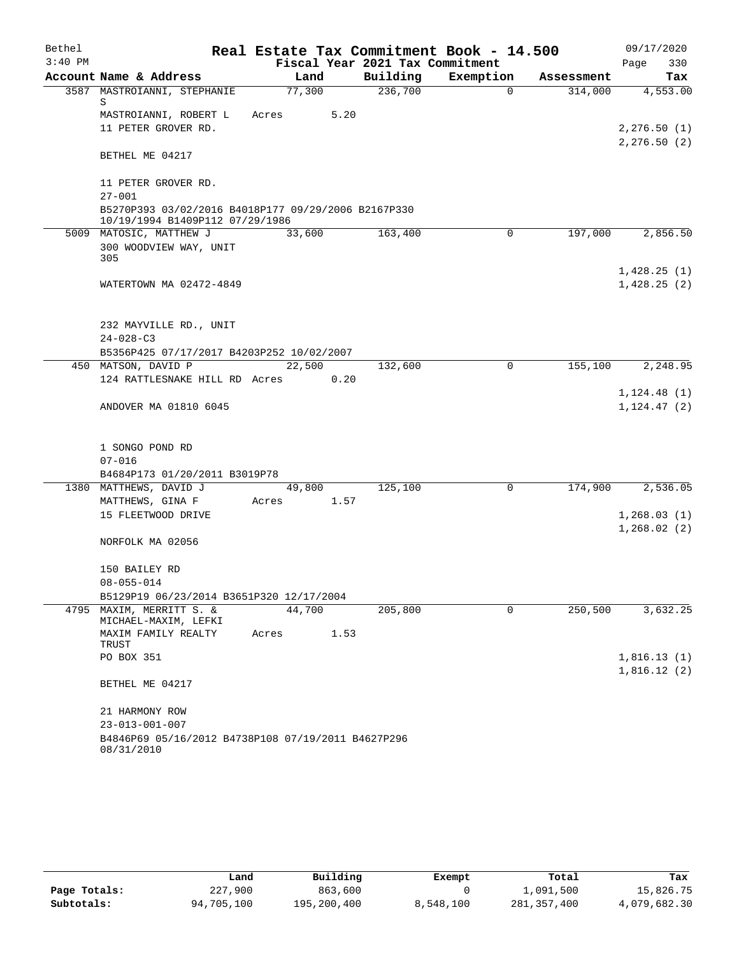| Bethel    |                                                                                        |        |      |                                 | Real Estate Tax Commitment Book - 14.500 |            | 09/17/2020                 |
|-----------|----------------------------------------------------------------------------------------|--------|------|---------------------------------|------------------------------------------|------------|----------------------------|
| $3:40$ PM |                                                                                        |        |      | Fiscal Year 2021 Tax Commitment |                                          |            | Page<br>330                |
|           | Account Name & Address                                                                 | Land   |      | Building                        | Exemption                                | Assessment | Tax                        |
|           | 3587 MASTROIANNI, STEPHANIE<br>S                                                       | 77,300 |      | 236,700                         | $\Omega$                                 | 314,000    | 4,553.00                   |
|           | MASTROIANNI, ROBERT L                                                                  | Acres  | 5.20 |                                 |                                          |            |                            |
|           | 11 PETER GROVER RD.                                                                    |        |      |                                 |                                          |            | 2, 276.50(1)               |
|           | BETHEL ME 04217                                                                        |        |      |                                 |                                          |            | 2, 276.50(2)               |
|           | 11 PETER GROVER RD.                                                                    |        |      |                                 |                                          |            |                            |
|           | $27 - 001$                                                                             |        |      |                                 |                                          |            |                            |
|           | B5270P393 03/02/2016 B4018P177 09/29/2006 B2167P330<br>10/19/1994 B1409P112 07/29/1986 |        |      |                                 |                                          |            |                            |
|           | 5009 MATOSIC, MATTHEW J                                                                | 33,600 |      | 163,400                         | 0                                        | 197,000    | 2,856.50                   |
|           | 300 WOODVIEW WAY, UNIT<br>305                                                          |        |      |                                 |                                          |            |                            |
|           | WATERTOWN MA 02472-4849                                                                |        |      |                                 |                                          |            | 1,428.25(1)<br>1,428.25(2) |
|           |                                                                                        |        |      |                                 |                                          |            |                            |
|           | 232 MAYVILLE RD., UNIT                                                                 |        |      |                                 |                                          |            |                            |
|           | $24 - 028 - C3$                                                                        |        |      |                                 |                                          |            |                            |
|           | B5356P425 07/17/2017 B4203P252 10/02/2007<br>450 MATSON, DAVID P                       | 22,500 |      | 132,600                         | 0                                        | 155,100    | 2,248.95                   |
|           | 124 RATTLESNAKE HILL RD Acres                                                          |        | 0.20 |                                 |                                          |            |                            |
|           |                                                                                        |        |      |                                 |                                          |            | 1, 124.48(1)               |
|           | ANDOVER MA 01810 6045                                                                  |        |      |                                 |                                          |            | 1, 124.47(2)               |
|           | 1 SONGO POND RD                                                                        |        |      |                                 |                                          |            |                            |
|           | $07 - 016$                                                                             |        |      |                                 |                                          |            |                            |
|           | B4684P173 01/20/2011 B3019P78                                                          |        |      |                                 |                                          |            |                            |
|           | 1380 MATTHEWS, DAVID J                                                                 | 49,800 |      | 125,100                         | 0                                        | 174,900    | 2,536.05                   |
|           | MATTHEWS, GINA F                                                                       | Acres  | 1.57 |                                 |                                          |            |                            |
|           | 15 FLEETWOOD DRIVE                                                                     |        |      |                                 |                                          |            | 1,268.03(1)                |
|           | NORFOLK MA 02056                                                                       |        |      |                                 |                                          |            | 1,268.02(2)                |
|           | 150 BAILEY RD                                                                          |        |      |                                 |                                          |            |                            |
|           | $08 - 055 - 014$                                                                       |        |      |                                 |                                          |            |                            |
|           | B5129P19 06/23/2014 B3651P320 12/17/2004                                               |        |      |                                 |                                          |            |                            |
| 4795      | MAXIM, MERRITT S. &<br>MICHAEL-MAXIM, LEFKI                                            | 44,700 |      | 205,800                         | 0                                        | 250,500    | 3,632.25                   |
|           | MAXIM FAMILY REALTY<br>TRUST                                                           | Acres  | 1.53 |                                 |                                          |            |                            |
|           | PO BOX 351                                                                             |        |      |                                 |                                          |            | 1,816.13(1)<br>1,816.12(2) |
|           | BETHEL ME 04217                                                                        |        |      |                                 |                                          |            |                            |
|           | 21 HARMONY ROW                                                                         |        |      |                                 |                                          |            |                            |
|           | $23 - 013 - 001 - 007$                                                                 |        |      |                                 |                                          |            |                            |
|           | B4846P69 05/16/2012 B4738P108 07/19/2011 B4627P296<br>08/31/2010                       |        |      |                                 |                                          |            |                            |

|              | Land       | Building    | Exempt    | Total       | Tax          |
|--------------|------------|-------------|-----------|-------------|--------------|
| Page Totals: | 227,900    | 863,600     |           | 1,091,500   | 15,826.75    |
| Subtotals:   | 94,705,100 | 195,200,400 | 8,548,100 | 281,357,400 | 4,079,682.30 |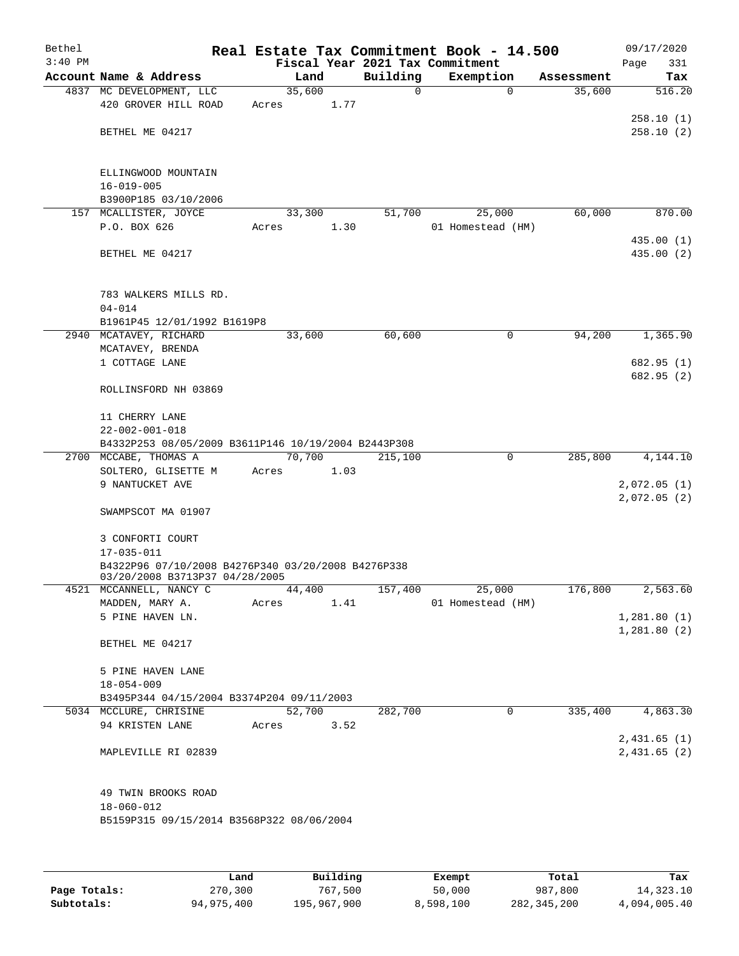| Bethel    |                                                                                      |       |        |          |          | Real Estate Tax Commitment Book - 14.500 |            | 09/17/2020               |
|-----------|--------------------------------------------------------------------------------------|-------|--------|----------|----------|------------------------------------------|------------|--------------------------|
| $3:40$ PM |                                                                                      |       |        |          |          | Fiscal Year 2021 Tax Commitment          |            | Page<br>331              |
|           | Account Name & Address                                                               |       | Land   |          | Building | Exemption                                | Assessment | Tax                      |
|           | 4837 MC DEVELOPMENT, LLC                                                             |       | 35,600 |          | 0        | $\mathbf 0$                              | 35,600     | 516.20                   |
|           | 420 GROVER HILL ROAD                                                                 | Acres |        | 1.77     |          |                                          |            |                          |
|           | BETHEL ME 04217                                                                      |       |        |          |          |                                          |            | 258.10(1)<br>258.10(2)   |
|           |                                                                                      |       |        |          |          |                                          |            |                          |
|           | ELLINGWOOD MOUNTAIN                                                                  |       |        |          |          |                                          |            |                          |
|           | $16 - 019 - 005$                                                                     |       |        |          |          |                                          |            |                          |
|           | B3900P185 03/10/2006                                                                 |       |        |          |          |                                          |            |                          |
|           | 157 MCALLISTER, JOYCE                                                                |       | 33,300 |          | 51,700   | 25,000                                   | 60,000     | 870.00                   |
|           | P.O. BOX 626                                                                         | Acres |        | 1.30     |          | 01 Homestead (HM)                        |            |                          |
|           | BETHEL ME 04217                                                                      |       |        |          |          |                                          |            | 435.00 (1)<br>435.00 (2) |
|           |                                                                                      |       |        |          |          |                                          |            |                          |
|           | 783 WALKERS MILLS RD.                                                                |       |        |          |          |                                          |            |                          |
|           | $04 - 014$                                                                           |       |        |          |          |                                          |            |                          |
|           | B1961P45 12/01/1992 B1619P8                                                          |       |        |          |          |                                          |            |                          |
|           | 2940 MCATAVEY, RICHARD                                                               |       | 33,600 |          | 60,600   | 0                                        | 94,200     | 1,365.90                 |
|           | MCATAVEY, BRENDA<br>1 COTTAGE LANE                                                   |       |        |          |          |                                          |            | 682.95 (1)               |
|           |                                                                                      |       |        |          |          |                                          |            | 682.95 (2)               |
|           | ROLLINSFORD NH 03869                                                                 |       |        |          |          |                                          |            |                          |
|           | 11 CHERRY LANE                                                                       |       |        |          |          |                                          |            |                          |
|           | $22 - 002 - 001 - 018$                                                               |       |        |          |          |                                          |            |                          |
|           | B4332P253 08/05/2009 B3611P146 10/19/2004 B2443P308<br>2700 MCCABE, THOMAS A         |       | 70,700 |          | 215,100  | 0                                        | 285,800    | 4,144.10                 |
|           | SOLTERO, GLISETTE M                                                                  | Acres |        | 1.03     |          |                                          |            |                          |
|           | 9 NANTUCKET AVE                                                                      |       |        |          |          |                                          |            | 2,072.05(1)              |
|           |                                                                                      |       |        |          |          |                                          |            | 2,072.05(2)              |
|           | SWAMPSCOT MA 01907                                                                   |       |        |          |          |                                          |            |                          |
|           | 3 CONFORTI COURT                                                                     |       |        |          |          |                                          |            |                          |
|           | $17 - 035 - 011$                                                                     |       |        |          |          |                                          |            |                          |
|           | B4322P96 07/10/2008 B4276P340 03/20/2008 B4276P338<br>03/20/2008 B3713P37 04/28/2005 |       |        |          |          |                                          |            |                          |
|           | 4521 MCCANNELL, NANCY C                                                              |       | 44,400 |          | 157,400  | 25,000                                   | 176,800    | 2,563.60                 |
|           | MADDEN, MARY A.                                                                      | Acres |        | 1.41     |          | 01 Homestead (HM)                        |            |                          |
|           | 5 PINE HAVEN LN.                                                                     |       |        |          |          |                                          |            | 1,281.80(1)              |
|           |                                                                                      |       |        |          |          |                                          |            | 1,281.80(2)              |
|           | BETHEL ME 04217                                                                      |       |        |          |          |                                          |            |                          |
|           | 5 PINE HAVEN LANE                                                                    |       |        |          |          |                                          |            |                          |
|           | $18 - 054 - 009$                                                                     |       |        |          |          |                                          |            |                          |
|           | B3495P344 04/15/2004 B3374P204 09/11/2003                                            |       |        |          |          |                                          |            |                          |
|           | 5034 MCCLURE, CHRISINE<br>94 KRISTEN LANE                                            | Acres | 52,700 | 3.52     | 282,700  | 0                                        | 335,400    | 4,863.30                 |
|           |                                                                                      |       |        |          |          |                                          |            | 2,431.65(1)              |
|           | MAPLEVILLE RI 02839                                                                  |       |        |          |          |                                          |            | 2,431.65(2)              |
|           | 49 TWIN BROOKS ROAD                                                                  |       |        |          |          |                                          |            |                          |
|           | $18 - 060 - 012$                                                                     |       |        |          |          |                                          |            |                          |
|           | B5159P315 09/15/2014 B3568P322 08/06/2004                                            |       |        |          |          |                                          |            |                          |
|           |                                                                                      |       |        |          |          |                                          |            |                          |
|           |                                                                                      | Land  |        | Building |          | Exempt                                   | Total      | Tax                      |

**Page Totals:** 270,300 **1911 195, 270,300 Exempt Page Totals:** 270,300 287,800 14,323.10<br>**282,345,200 14,323.10** 50,000 987,800 14,323.10 987,800 987,800 987,800 5.40

**Subtotals:** 94,975,400 195,967,900 8,598,100 282,345,200 4,094,005.40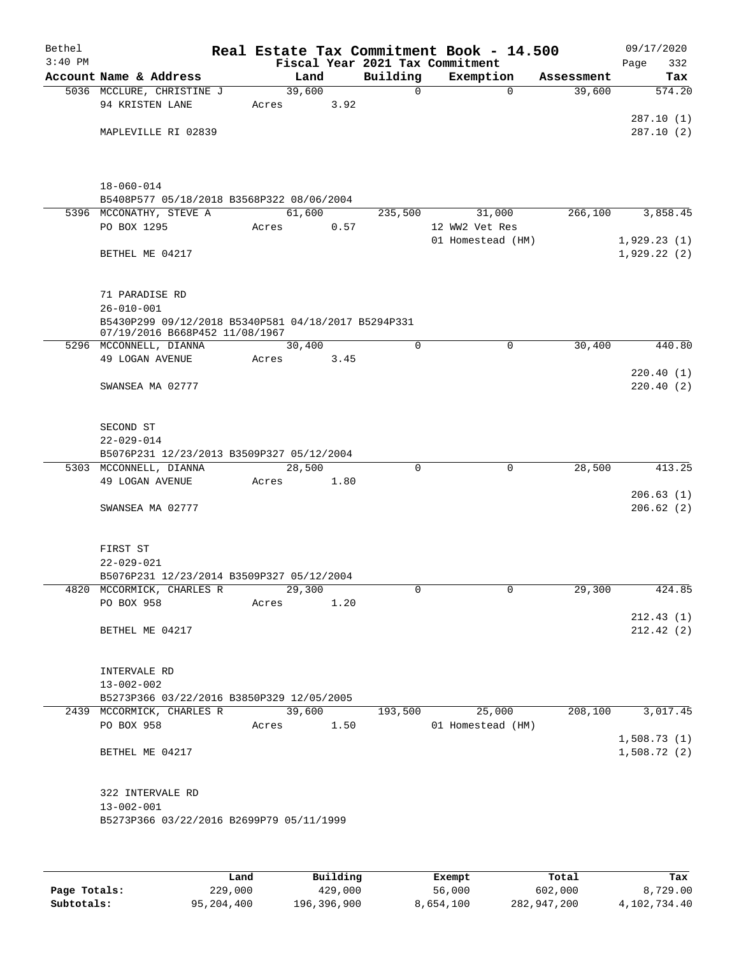| Bethel<br>$3:40$ PM |                                                          |       |        |      | Real Estate Tax Commitment Book - 14.500<br>Fiscal Year 2021 Tax Commitment |                          |            | 09/17/2020         |
|---------------------|----------------------------------------------------------|-------|--------|------|-----------------------------------------------------------------------------|--------------------------|------------|--------------------|
|                     | Account Name & Address                                   |       | Land   |      | Building                                                                    | Exemption                | Assessment | 332<br>Page<br>Tax |
|                     | 5036 MCCLURE, CHRISTINE J                                |       | 39,600 |      | $\mathbf 0$                                                                 | $\Omega$                 | 39,600     | 574.20             |
|                     | 94 KRISTEN LANE                                          | Acres |        | 3.92 |                                                                             |                          |            |                    |
|                     |                                                          |       |        |      |                                                                             |                          |            | 287.10(1)          |
|                     | MAPLEVILLE RI 02839                                      |       |        |      |                                                                             |                          |            | 287.10(2)          |
|                     |                                                          |       |        |      |                                                                             |                          |            |                    |
|                     |                                                          |       |        |      |                                                                             |                          |            |                    |
|                     |                                                          |       |        |      |                                                                             |                          |            |                    |
|                     | $18 - 060 - 014$                                         |       |        |      |                                                                             |                          |            |                    |
|                     | B5408P577 05/18/2018 B3568P322 08/06/2004                |       | 61,600 |      |                                                                             |                          |            |                    |
|                     | 5396 MCCONATHY, STEVE A<br>PO BOX 1295                   | Acres |        | 0.57 | 235,500                                                                     | 31,000<br>12 WW2 Vet Res | 266,100    | 3,858.45           |
|                     |                                                          |       |        |      |                                                                             | 01 Homestead (HM)        |            | 1,929.23(1)        |
|                     | BETHEL ME 04217                                          |       |        |      |                                                                             |                          |            | 1,929.22(2)        |
|                     |                                                          |       |        |      |                                                                             |                          |            |                    |
|                     |                                                          |       |        |      |                                                                             |                          |            |                    |
|                     | 71 PARADISE RD                                           |       |        |      |                                                                             |                          |            |                    |
|                     | $26 - 010 - 001$                                         |       |        |      |                                                                             |                          |            |                    |
|                     | B5430P299 09/12/2018 B5340P581 04/18/2017 B5294P331      |       |        |      |                                                                             |                          |            |                    |
|                     | 07/19/2016 B668P452 11/08/1967<br>5296 MCCONNELL, DIANNA |       | 30,400 |      | $\mathbf 0$                                                                 | $\mathbf 0$              | 30,400     | 440.80             |
|                     | 49 LOGAN AVENUE                                          | Acres |        | 3.45 |                                                                             |                          |            |                    |
|                     |                                                          |       |        |      |                                                                             |                          |            | 220.40(1)          |
|                     | SWANSEA MA 02777                                         |       |        |      |                                                                             |                          |            | 220.40(2)          |
|                     |                                                          |       |        |      |                                                                             |                          |            |                    |
|                     |                                                          |       |        |      |                                                                             |                          |            |                    |
|                     | SECOND ST                                                |       |        |      |                                                                             |                          |            |                    |
|                     | $22 - 029 - 014$                                         |       |        |      |                                                                             |                          |            |                    |
|                     | B5076P231 12/23/2013 B3509P327 05/12/2004                |       |        |      | 0                                                                           | $\mathbf 0$              |            | 413.25             |
|                     | 5303 MCCONNELL, DIANNA<br>49 LOGAN AVENUE                | Acres | 28,500 | 1.80 |                                                                             |                          | 28,500     |                    |
|                     |                                                          |       |        |      |                                                                             |                          |            | 206.63(1)          |
|                     | SWANSEA MA 02777                                         |       |        |      |                                                                             |                          |            | 206.62(2)          |
|                     |                                                          |       |        |      |                                                                             |                          |            |                    |
|                     |                                                          |       |        |      |                                                                             |                          |            |                    |
|                     | FIRST ST                                                 |       |        |      |                                                                             |                          |            |                    |
|                     | $22 - 029 - 021$                                         |       |        |      |                                                                             |                          |            |                    |
|                     | B5076P231 12/23/2014 B3509P327 05/12/2004                |       |        |      |                                                                             |                          |            |                    |
|                     | 4820 MCCORMICK, CHARLES R<br>PO BOX 958                  | Acres | 29,300 | 1.20 | 0                                                                           | $\overline{0}$           | 29,300     | 424.85             |
|                     |                                                          |       |        |      |                                                                             |                          |            | 212.43(1)          |
|                     | BETHEL ME 04217                                          |       |        |      |                                                                             |                          |            | 212.42(2)          |
|                     |                                                          |       |        |      |                                                                             |                          |            |                    |
|                     |                                                          |       |        |      |                                                                             |                          |            |                    |
|                     | INTERVALE RD                                             |       |        |      |                                                                             |                          |            |                    |
|                     | $13 - 002 - 002$                                         |       |        |      |                                                                             |                          |            |                    |
|                     | B5273P366 03/22/2016 B3850P329 12/05/2005                |       |        |      |                                                                             |                          |            |                    |
|                     | 2439 MCCORMICK, CHARLES R                                |       | 39,600 |      | 193,500                                                                     | 25,000                   | 208,100    | 3,017.45           |
|                     | PO BOX 958                                               | Acres |        | 1.50 |                                                                             | 01 Homestead (HM)        |            | 1,508.73(1)        |
|                     | BETHEL ME 04217                                          |       |        |      |                                                                             |                          |            | 1,508.72(2)        |
|                     |                                                          |       |        |      |                                                                             |                          |            |                    |
|                     |                                                          |       |        |      |                                                                             |                          |            |                    |
|                     | 322 INTERVALE RD                                         |       |        |      |                                                                             |                          |            |                    |
|                     | $13 - 002 - 001$                                         |       |        |      |                                                                             |                          |            |                    |
|                     | B5273P366 03/22/2016 B2699P79 05/11/1999                 |       |        |      |                                                                             |                          |            |                    |
|                     |                                                          |       |        |      |                                                                             |                          |            |                    |
|                     |                                                          |       |        |      |                                                                             |                          |            |                    |
|                     |                                                          |       |        |      |                                                                             |                          |            |                    |

|              | Land       | Building    | Exempt    | Total       | Tax          |
|--------------|------------|-------------|-----------|-------------|--------------|
| Page Totals: | 229,000    | 429,000     | 56,000    | 602,000     | 8,729.00     |
| Subtotals:   | 95,204,400 | 196,396,900 | 8,654,100 | 282,947,200 | 4,102,734.40 |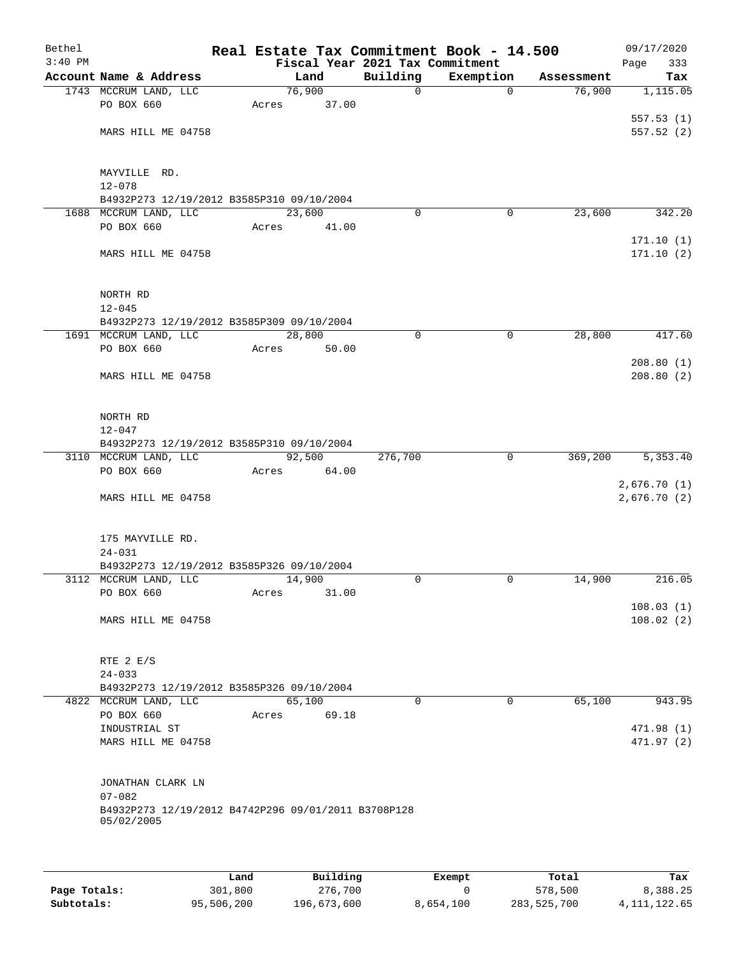| Bethel<br>$3:40$ PM |                                                     |       |        | Fiscal Year 2021 Tax Commitment | Real Estate Tax Commitment Book - 14.500 |            | 09/17/2020<br>333<br>Page |
|---------------------|-----------------------------------------------------|-------|--------|---------------------------------|------------------------------------------|------------|---------------------------|
|                     | Account Name & Address                              |       | Land   | Building                        | Exemption                                | Assessment | Tax                       |
|                     | 1743 MCCRUM LAND, LLC                               |       | 76,900 | $\mathbf 0$                     | $\mathbf 0$                              | 76,900     | 1,115.05                  |
|                     | PO BOX 660                                          | Acres | 37.00  |                                 |                                          |            |                           |
|                     |                                                     |       |        |                                 |                                          |            | 557.53(1)                 |
|                     | MARS HILL ME 04758                                  |       |        |                                 |                                          |            | 557.52(2)                 |
|                     |                                                     |       |        |                                 |                                          |            |                           |
|                     |                                                     |       |        |                                 |                                          |            |                           |
|                     | MAYVILLE RD.                                        |       |        |                                 |                                          |            |                           |
|                     | $12 - 078$                                          |       |        |                                 |                                          |            |                           |
|                     | B4932P273 12/19/2012 B3585P310 09/10/2004           |       |        |                                 |                                          |            |                           |
|                     | 1688 MCCRUM LAND, LLC                               |       | 23,600 | $\Omega$                        | 0                                        | 23,600     | 342.20                    |
|                     | PO BOX 660                                          | Acres | 41.00  |                                 |                                          |            |                           |
|                     |                                                     |       |        |                                 |                                          |            | 171.10(1)                 |
|                     | MARS HILL ME 04758                                  |       |        |                                 |                                          |            | 171.10(2)                 |
|                     |                                                     |       |        |                                 |                                          |            |                           |
|                     |                                                     |       |        |                                 |                                          |            |                           |
|                     | NORTH RD                                            |       |        |                                 |                                          |            |                           |
|                     | $12 - 045$                                          |       |        |                                 |                                          |            |                           |
|                     | B4932P273 12/19/2012 B3585P309 09/10/2004           |       |        |                                 |                                          |            |                           |
|                     | 1691 MCCRUM LAND, LLC                               |       | 28,800 | 0                               | $\mathbf 0$                              | 28,800     | 417.60                    |
|                     | PO BOX 660                                          | Acres | 50.00  |                                 |                                          |            |                           |
|                     |                                                     |       |        |                                 |                                          |            | 208.80(1)                 |
|                     | MARS HILL ME 04758                                  |       |        |                                 |                                          |            | 208.80(2)                 |
|                     |                                                     |       |        |                                 |                                          |            |                           |
|                     | NORTH RD                                            |       |        |                                 |                                          |            |                           |
|                     | $12 - 047$                                          |       |        |                                 |                                          |            |                           |
|                     | B4932P273 12/19/2012 B3585P310 09/10/2004           |       |        |                                 |                                          |            |                           |
|                     | 3110 MCCRUM LAND, LLC                               |       | 92,500 | 276,700                         | 0                                        | 369,200    | 5,353.40                  |
|                     | PO BOX 660                                          | Acres | 64.00  |                                 |                                          |            |                           |
|                     |                                                     |       |        |                                 |                                          |            | 2,676.70(1)               |
|                     | MARS HILL ME 04758                                  |       |        |                                 |                                          |            | 2,676.70 (2)              |
|                     |                                                     |       |        |                                 |                                          |            |                           |
|                     |                                                     |       |        |                                 |                                          |            |                           |
|                     | 175 MAYVILLE RD.                                    |       |        |                                 |                                          |            |                           |
|                     | $24 - 031$                                          |       |        |                                 |                                          |            |                           |
|                     | B4932P273 12/19/2012 B3585P326 09/10/2004           |       |        |                                 |                                          |            |                           |
|                     | 3112 MCCRUM LAND, LLC                               |       | 14,900 | 0                               | 0                                        | 14,900     | 216.05                    |
|                     | PO BOX 660                                          | Acres | 31.00  |                                 |                                          |            |                           |
|                     |                                                     |       |        |                                 |                                          |            | 108.03(1)                 |
|                     | MARS HILL ME 04758                                  |       |        |                                 |                                          |            | 108.02(2)                 |
|                     |                                                     |       |        |                                 |                                          |            |                           |
|                     |                                                     |       |        |                                 |                                          |            |                           |
|                     | RTE 2 E/S                                           |       |        |                                 |                                          |            |                           |
|                     | $24 - 033$                                          |       |        |                                 |                                          |            |                           |
|                     | B4932P273 12/19/2012 B3585P326 09/10/2004           |       |        |                                 |                                          |            |                           |
|                     | 4822 MCCRUM LAND, LLC                               |       | 65,100 | $\Omega$                        | $\Omega$                                 | 65,100     | 943.95                    |
|                     | PO BOX 660                                          | Acres | 69.18  |                                 |                                          |            |                           |
|                     | INDUSTRIAL ST                                       |       |        |                                 |                                          |            | 471.98 (1)                |
|                     | MARS HILL ME 04758                                  |       |        |                                 |                                          |            | 471.97(2)                 |
|                     |                                                     |       |        |                                 |                                          |            |                           |
|                     | JONATHAN CLARK LN                                   |       |        |                                 |                                          |            |                           |
|                     | $07 - 082$                                          |       |        |                                 |                                          |            |                           |
|                     | B4932P273 12/19/2012 B4742P296 09/01/2011 B3708P128 |       |        |                                 |                                          |            |                           |
|                     | 05/02/2005                                          |       |        |                                 |                                          |            |                           |
|                     |                                                     |       |        |                                 |                                          |            |                           |
|                     |                                                     |       |        |                                 |                                          |            |                           |
|                     |                                                     |       |        |                                 |                                          |            |                           |

|              | Land       | Building    | Exempt    | Total       | Tax            |
|--------------|------------|-------------|-----------|-------------|----------------|
| Page Totals: | 301,800    | 276,700     |           | 578,500     | 8,388.25       |
| Subtotals:   | 95,506,200 | 196,673,600 | 8,654,100 | 283,525,700 | 4, 111, 122.65 |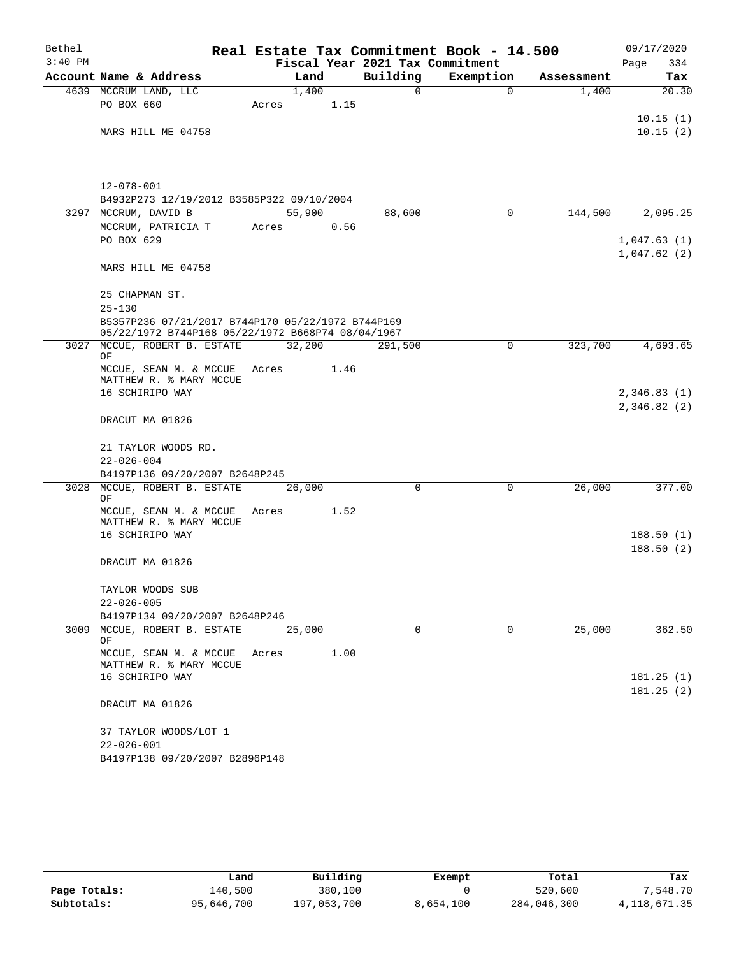| Bethel    |                                                                                    |                |      |                                 | Real Estate Tax Commitment Book - 14.500 |            | 09/17/2020                 |
|-----------|------------------------------------------------------------------------------------|----------------|------|---------------------------------|------------------------------------------|------------|----------------------------|
| $3:40$ PM |                                                                                    |                |      | Fiscal Year 2021 Tax Commitment |                                          |            | Page<br>334                |
|           | Account Name & Address                                                             | Land           |      | Building                        | Exemption                                | Assessment | Tax                        |
|           | 4639 MCCRUM LAND, LLC<br>PO BOX 660                                                | 1,400<br>Acres | 1.15 | 0                               | $\mathbf 0$                              | 1,400      | $\overline{20.30}$         |
|           | MARS HILL ME 04758                                                                 |                |      |                                 |                                          |            | 10.15(1)<br>10.15(2)       |
|           |                                                                                    |                |      |                                 |                                          |            |                            |
|           | $12 - 078 - 001$<br>B4932P273 12/19/2012 B3585P322 09/10/2004                      |                |      |                                 |                                          |            |                            |
|           | 3297 MCCRUM, DAVID B                                                               | 55,900         |      | 88,600                          | $\mathbf 0$                              | 144,500    | 2,095.25                   |
|           | MCCRUM, PATRICIA T                                                                 | Acres          | 0.56 |                                 |                                          |            |                            |
|           | PO BOX 629                                                                         |                |      |                                 |                                          |            | 1,047.63(1)<br>1,047.62(2) |
|           | MARS HILL ME 04758                                                                 |                |      |                                 |                                          |            |                            |
|           | 25 CHAPMAN ST.<br>$25 - 130$                                                       |                |      |                                 |                                          |            |                            |
|           | B5357P236 07/21/2017 B744P170 05/22/1972 B744P169                                  |                |      |                                 |                                          |            |                            |
| 3027      | 05/22/1972 B744P168 05/22/1972 B668P74 08/04/1967<br>MCCUE, ROBERT B. ESTATE<br>ΟF | 32,200         |      | 291,500                         | 0                                        | 323,700    | 4,693.65                   |
|           | MCCUE, SEAN M. & MCCUE<br>MATTHEW R. % MARY MCCUE                                  | Acres          | 1.46 |                                 |                                          |            |                            |
|           | 16 SCHIRIPO WAY                                                                    |                |      |                                 |                                          |            | 2,346.83(1)                |
|           | DRACUT MA 01826                                                                    |                |      |                                 |                                          |            | 2,346.82(2)                |
|           | 21 TAYLOR WOODS RD.                                                                |                |      |                                 |                                          |            |                            |
|           | $22 - 026 - 004$                                                                   |                |      |                                 |                                          |            |                            |
|           | B4197P136 09/20/2007 B2648P245                                                     |                |      |                                 |                                          |            |                            |
| 3028      | MCCUE, ROBERT B. ESTATE<br>ΟF                                                      | 26,000         |      | $\Omega$                        | 0                                        | 26,000     | 377.00                     |
|           | MCCUE, SEAN M. & MCCUE<br>MATTHEW R. % MARY MCCUE                                  | Acres          | 1.52 |                                 |                                          |            |                            |
|           | 16 SCHIRIPO WAY                                                                    |                |      |                                 |                                          |            | 188.50(1)<br>188.50(2)     |
|           | DRACUT MA 01826                                                                    |                |      |                                 |                                          |            |                            |
|           | TAYLOR WOODS SUB<br>$22 - 026 - 005$                                               |                |      |                                 |                                          |            |                            |
|           | B4197P134 09/20/2007 B2648P246                                                     |                |      |                                 |                                          |            |                            |
|           | 3009 MCCUE, ROBERT B. ESTATE                                                       | 25,000         |      | $\Omega$                        | $\Omega$                                 | 25,000     | 362.50                     |
|           | OF                                                                                 |                |      |                                 |                                          |            |                            |
|           | MCCUE, SEAN M. & MCCUE<br>MATTHEW R. % MARY MCCUE                                  | Acres          | 1.00 |                                 |                                          |            |                            |
|           | 16 SCHIRIPO WAY                                                                    |                |      |                                 |                                          |            | 181.25(1)                  |
|           | DRACUT MA 01826                                                                    |                |      |                                 |                                          |            | 181.25(2)                  |
|           | 37 TAYLOR WOODS/LOT 1                                                              |                |      |                                 |                                          |            |                            |
|           | $22 - 026 - 001$                                                                   |                |      |                                 |                                          |            |                            |
|           | B4197P138 09/20/2007 B2896P148                                                     |                |      |                                 |                                          |            |                            |

|              | Land       | Building    | Exempt    | Total       | Tax          |
|--------------|------------|-------------|-----------|-------------|--------------|
| Page Totals: | 140,500    | 380,100     |           | 520,600     | 7,548.70     |
| Subtotals:   | 95,646,700 | 197,053,700 | 8,654,100 | 284,046,300 | 4,118,671.35 |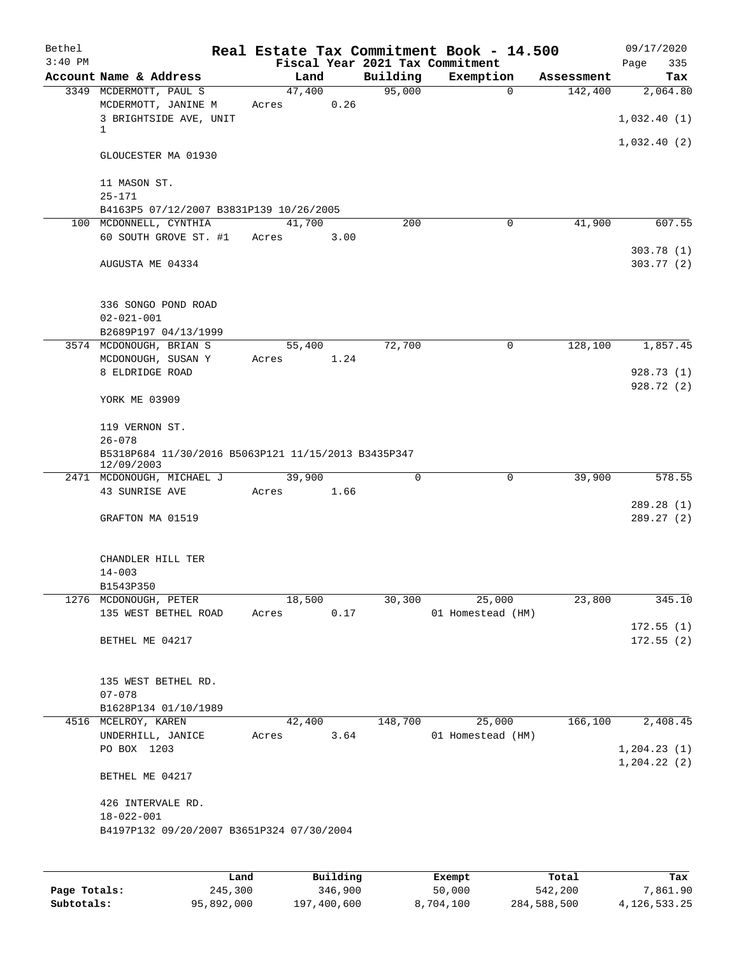| Bethel<br>$3:40$ PM |                                                                                    |        |                |          | Real Estate Tax Commitment Book - 14.500<br>Fiscal Year 2021 Tax Commitment |            | 09/17/2020<br>Page<br>335    |
|---------------------|------------------------------------------------------------------------------------|--------|----------------|----------|-----------------------------------------------------------------------------|------------|------------------------------|
|                     | Account Name & Address                                                             |        | Land           | Building | Exemption                                                                   | Assessment | Tax                          |
|                     | 3349 MCDERMOTT, PAUL S<br>MCDERMOTT, JANINE M                                      | Acres  | 47,400<br>0.26 | 95,000   | $\mathbf 0$                                                                 | 142,400    | 2,064.80                     |
|                     | 3 BRIGHTSIDE AVE, UNIT<br>1                                                        |        |                |          |                                                                             |            | 1,032.40(1)                  |
|                     | GLOUCESTER MA 01930                                                                |        |                |          |                                                                             |            | 1,032.40(2)                  |
|                     | 11 MASON ST.<br>$25 - 171$                                                         |        |                |          |                                                                             |            |                              |
|                     | B4163P5 07/12/2007 B3831P139 10/26/2005                                            |        |                |          |                                                                             |            |                              |
|                     | 100 MCDONNELL, CYNTHIA                                                             |        | 41,700         | 200      | 0                                                                           | 41,900     | 607.55                       |
|                     | 60 SOUTH GROVE ST. #1                                                              | Acres  | 3.00           |          |                                                                             |            | 303.78(1)                    |
|                     | AUGUSTA ME 04334                                                                   |        |                |          |                                                                             |            | 303.77(2)                    |
|                     | 336 SONGO POND ROAD<br>$02 - 021 - 001$                                            |        |                |          |                                                                             |            |                              |
|                     | B2689P197 04/13/1999                                                               |        |                |          |                                                                             |            |                              |
|                     |                                                                                    |        |                |          |                                                                             |            |                              |
|                     | 3574 MCDONOUGH, BRIAN S                                                            |        | 55,400         | 72,700   | 0                                                                           | 128,100    | 1,857.45                     |
|                     | MCDONOUGH, SUSAN Y                                                                 | Acres  | 1.24           |          |                                                                             |            |                              |
|                     | 8 ELDRIDGE ROAD                                                                    |        |                |          |                                                                             |            | 928.73 (1)                   |
|                     | YORK ME 03909                                                                      |        |                |          |                                                                             |            | 928.72 (2)                   |
|                     | 119 VERNON ST.                                                                     |        |                |          |                                                                             |            |                              |
|                     | $26 - 078$<br>B5318P684 11/30/2016 B5063P121 11/15/2013 B3435P347<br>12/09/2003    |        |                |          |                                                                             |            |                              |
|                     | 2471 MCDONOUGH, MICHAEL J                                                          | 39,900 |                | 0        | 0                                                                           | 39,900     | 578.55                       |
|                     | 43 SUNRISE AVE                                                                     | Acres  | 1.66           |          |                                                                             |            |                              |
|                     |                                                                                    |        |                |          |                                                                             |            | 289.28 (1)                   |
|                     | GRAFTON MA 01519                                                                   |        |                |          |                                                                             |            | 289.27(2)                    |
|                     | CHANDLER HILL TER<br>$14 - 003$                                                    |        |                |          |                                                                             |            |                              |
|                     | B1543P350                                                                          |        |                |          |                                                                             |            |                              |
|                     | 1276 MCDONOUGH, PETER                                                              | 18,500 |                | 30,300   | 25,000                                                                      | 23,800     | 345.10                       |
|                     | 135 WEST BETHEL ROAD                                                               | Acres  | 0.17           |          | 01 Homestead (HM)                                                           |            | 172.55(1)                    |
|                     | BETHEL ME 04217                                                                    |        |                |          |                                                                             |            | 172.55(2)                    |
|                     | 135 WEST BETHEL RD.                                                                |        |                |          |                                                                             |            |                              |
|                     | $07 - 078$                                                                         |        |                |          |                                                                             |            |                              |
|                     | B1628P134 01/10/1989                                                               |        |                |          |                                                                             |            |                              |
|                     | 4516 MCELROY, KAREN                                                                |        | 42,400         | 148,700  | 25,000                                                                      | 166, 100   | 2,408.45                     |
|                     | UNDERHILL, JANICE                                                                  | Acres  | 3.64           |          | 01 Homestead (HM)                                                           |            |                              |
|                     | PO BOX 1203                                                                        |        |                |          |                                                                             |            | 1, 204.23(1)<br>1, 204.22(2) |
|                     | BETHEL ME 04217                                                                    |        |                |          |                                                                             |            |                              |
|                     | 426 INTERVALE RD.<br>$18 - 022 - 001$<br>B4197P132 09/20/2007 B3651P324 07/30/2004 |        |                |          |                                                                             |            |                              |
|                     |                                                                                    |        |                |          |                                                                             |            |                              |
|                     |                                                                                    |        |                |          |                                                                             |            |                              |

|              | Land       | Building    | Exempt    | Total       | Tax          |
|--------------|------------|-------------|-----------|-------------|--------------|
| Page Totals: | 245,300    | 346,900     | 50,000    | 542,200     | 7,861.90     |
| Subtotals:   | 95,892,000 | 197,400,600 | 8,704,100 | 284,588,500 | 4,126,533.25 |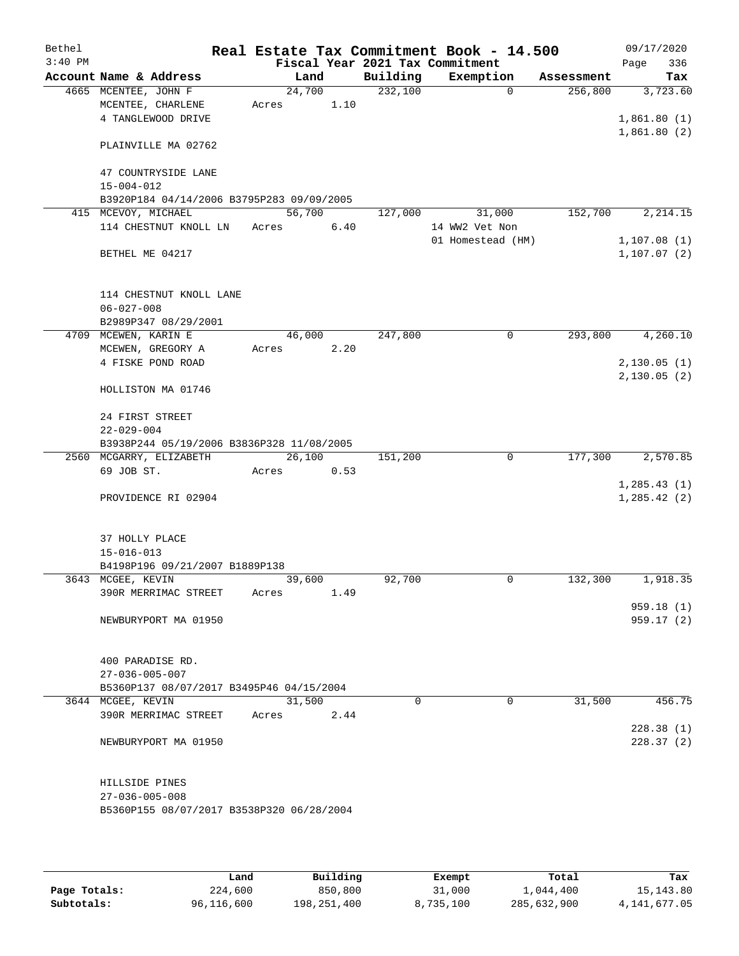| Bethel    |                         |                                           |        |      |                                 | Real Estate Tax Commitment Book - 14.500 |            | 09/17/2020   |
|-----------|-------------------------|-------------------------------------------|--------|------|---------------------------------|------------------------------------------|------------|--------------|
| $3:40$ PM |                         |                                           |        |      | Fiscal Year 2021 Tax Commitment |                                          |            | Page<br>336  |
|           | Account Name & Address  |                                           | Land   |      | Building                        | Exemption                                | Assessment | Tax          |
|           | 4665 MCENTEE, JOHN F    |                                           | 24,700 |      | 232,100                         | $\mathbf 0$                              | 256,800    | 3,723.60     |
|           | MCENTEE, CHARLENE       |                                           | Acres  | 1.10 |                                 |                                          |            |              |
|           | 4 TANGLEWOOD DRIVE      |                                           |        |      |                                 |                                          |            | 1,861.80(1)  |
|           |                         | PLAINVILLE MA 02762                       |        |      |                                 |                                          |            | 1,861.80(2)  |
|           |                         | 47 COUNTRYSIDE LANE                       |        |      |                                 |                                          |            |              |
|           | $15 - 004 - 012$        |                                           |        |      |                                 |                                          |            |              |
|           |                         | B3920P184 04/14/2006 B3795P283 09/09/2005 |        |      |                                 |                                          |            |              |
|           | 415 MCEVOY, MICHAEL     |                                           | 56,700 |      | 127,000                         | 31,000                                   | 152,700    | 2,214.15     |
|           |                         | 114 CHESTNUT KNOLL LN                     | Acres  | 6.40 |                                 | 14 WW2 Vet Non                           |            |              |
|           |                         |                                           |        |      |                                 | 01 Homestead (HM)                        |            | 1,107.08(1)  |
|           | BETHEL ME 04217         |                                           |        |      |                                 |                                          |            | 1, 107.07(2) |
|           |                         | 114 CHESTNUT KNOLL LANE                   |        |      |                                 |                                          |            |              |
|           | $06 - 027 - 008$        |                                           |        |      |                                 |                                          |            |              |
|           |                         | B2989P347 08/29/2001                      |        |      |                                 |                                          |            |              |
|           | 4709 MCEWEN, KARIN E    |                                           | 46,000 |      | 247,800                         | 0                                        | 293,800    | 4,260.10     |
|           | MCEWEN, GREGORY A       |                                           | Acres  | 2.20 |                                 |                                          |            |              |
|           | 4 FISKE POND ROAD       |                                           |        |      |                                 |                                          |            | 2,130.05(1)  |
|           | HOLLISTON MA 01746      |                                           |        |      |                                 |                                          |            | 2,130.05(2)  |
|           |                         |                                           |        |      |                                 |                                          |            |              |
|           | 24 FIRST STREET         |                                           |        |      |                                 |                                          |            |              |
|           | $22 - 029 - 004$        |                                           |        |      |                                 |                                          |            |              |
|           |                         | B3938P244 05/19/2006 B3836P328 11/08/2005 |        |      |                                 |                                          |            |              |
|           | 2560 MCGARRY, ELIZABETH |                                           | 26,100 |      | 151,200                         | 0                                        | 177,300    | 2,570.85     |
|           | 69 JOB ST.              |                                           | Acres  | 0.53 |                                 |                                          |            |              |
|           |                         |                                           |        |      |                                 |                                          |            | 1,285.43(1)  |
|           |                         | PROVIDENCE RI 02904                       |        |      |                                 |                                          |            | 1, 285.42(2) |
|           | 37 HOLLY PLACE          |                                           |        |      |                                 |                                          |            |              |
|           | $15 - 016 - 013$        |                                           |        |      |                                 |                                          |            |              |
|           |                         | B4198P196 09/21/2007 B1889P138            |        |      |                                 |                                          |            |              |
|           | 3643 MCGEE, KEVIN       |                                           | 39,600 |      | 92,700                          | 0                                        | 132,300    | 1,918.35     |
|           |                         | 390R MERRIMAC STREET                      | Acres  | 1.49 |                                 |                                          |            |              |
|           |                         |                                           |        |      |                                 |                                          |            | 959.18(1)    |
|           |                         | NEWBURYPORT MA 01950                      |        |      |                                 |                                          |            | 959.17(2)    |
|           | 400 PARADISE RD.        |                                           |        |      |                                 |                                          |            |              |
|           | $27 - 036 - 005 - 007$  |                                           |        |      |                                 |                                          |            |              |
|           |                         | B5360P137 08/07/2017 B3495P46 04/15/2004  |        |      |                                 |                                          |            |              |
|           | 3644 MCGEE, KEVIN       |                                           | 31,500 |      | $\Omega$                        | $\Omega$                                 | 31,500     | 456.75       |
|           |                         | 390R MERRIMAC STREET                      | Acres  | 2.44 |                                 |                                          |            |              |
|           |                         |                                           |        |      |                                 |                                          |            | 228.38(1)    |
|           |                         | NEWBURYPORT MA 01950                      |        |      |                                 |                                          |            | 228.37(2)    |
|           | HILLSIDE PINES          |                                           |        |      |                                 |                                          |            |              |
|           | $27 - 036 - 005 - 008$  |                                           |        |      |                                 |                                          |            |              |
|           |                         | B5360P155 08/07/2017 B3538P320 06/28/2004 |        |      |                                 |                                          |            |              |
|           |                         |                                           |        |      |                                 |                                          |            |              |
|           |                         |                                           |        |      |                                 |                                          |            |              |

|              | Land       | Building    | Exempt    | Total       | Tax          |
|--------------|------------|-------------|-----------|-------------|--------------|
| Page Totals: | 224,600    | 850,800     | 31,000    | 1,044,400   | 15, 143, 80  |
| Subtotals:   | 96,116,600 | 198,251,400 | 8,735,100 | 285,632,900 | 4,141,677.05 |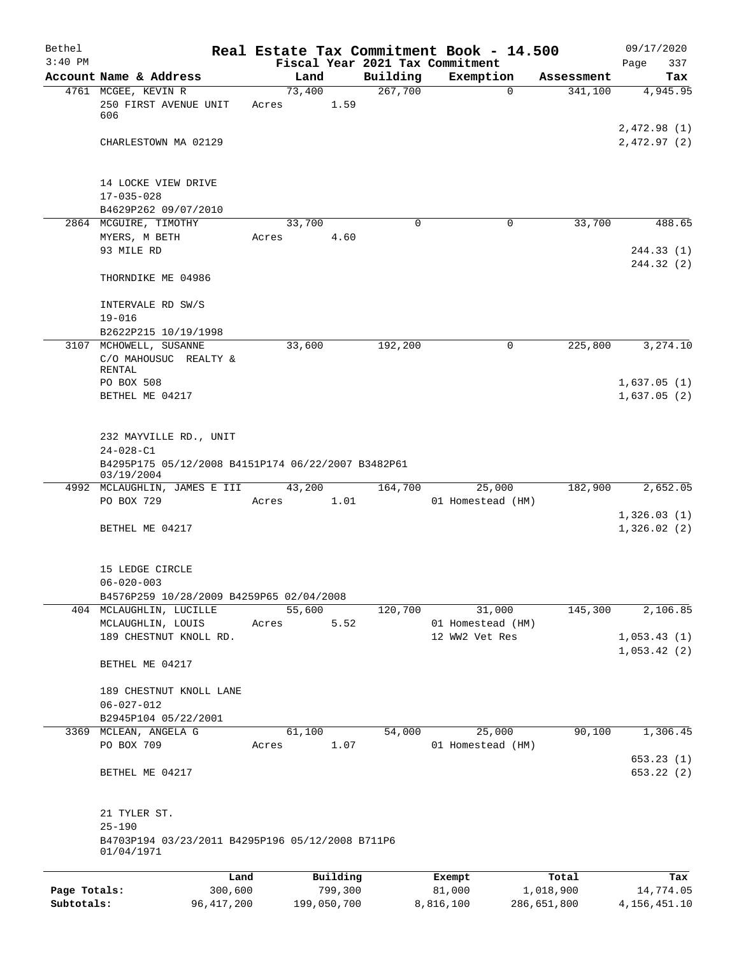| Bethel       |                                                                  | Real Estate Tax Commitment Book - 14.500 |             |                                     |            | 09/17/2020                  |
|--------------|------------------------------------------------------------------|------------------------------------------|-------------|-------------------------------------|------------|-----------------------------|
| $3:40$ PM    | Account Name & Address                                           | Fiscal Year 2021 Tax Commitment<br>Land  | Building    | Exemption                           | Assessment | Page<br>337                 |
|              | 4761 MCGEE, KEVIN R                                              | 73,400                                   | 267,700     | $\mathbf 0$                         | 341,100    | Tax<br>4,945.95             |
|              | 250 FIRST AVENUE UNIT<br>606                                     | 1.59<br>Acres                            |             |                                     |            |                             |
|              | CHARLESTOWN MA 02129                                             |                                          |             |                                     |            | 2,472.98 (1)<br>2,472.97(2) |
|              | 14 LOCKE VIEW DRIVE                                              |                                          |             |                                     |            |                             |
|              | $17 - 035 - 028$<br>B4629P262 09/07/2010                         |                                          |             |                                     |            |                             |
|              | 2864 MCGUIRE, TIMOTHY                                            | 33,700                                   | $\mathbf 0$ | $\mathbf 0$                         | 33,700     | 488.65                      |
|              | MYERS, M BETH<br>93 MILE RD                                      | 4.60<br>Acres                            |             |                                     |            | 244.33(1)                   |
|              |                                                                  |                                          |             |                                     |            | 244.32 (2)                  |
|              | THORNDIKE ME 04986                                               |                                          |             |                                     |            |                             |
|              | INTERVALE RD SW/S                                                |                                          |             |                                     |            |                             |
|              | $19 - 016$                                                       |                                          |             |                                     |            |                             |
|              | B2622P215 10/19/1998<br>3107 MCHOWELL, SUSANNE                   | 33,600                                   | 192,200     | 0                                   | 225,800    | 3, 274.10                   |
|              | C/O MAHOUSUC REALTY &<br><b>RENTAL</b>                           |                                          |             |                                     |            |                             |
|              | PO BOX 508                                                       |                                          |             |                                     |            | 1,637.05(1)                 |
|              | BETHEL ME 04217                                                  |                                          |             |                                     |            | 1,637.05(2)                 |
|              |                                                                  |                                          |             |                                     |            |                             |
|              | 232 MAYVILLE RD., UNIT<br>$24 - 028 - C1$                        |                                          |             |                                     |            |                             |
|              | B4295P175 05/12/2008 B4151P174 06/22/2007 B3482P61<br>03/19/2004 |                                          |             |                                     |            |                             |
|              | 4992 MCLAUGHLIN, JAMES E III                                     | 43,200                                   | 164,700     | 25,000                              | 182,900    | 2,652.05                    |
|              | PO BOX 729                                                       | 1.01<br>Acres                            |             | 01 Homestead (HM)                   |            | 1,326.03(1)                 |
|              | BETHEL ME 04217                                                  |                                          |             |                                     |            | 1,326.02(2)                 |
|              | 15 LEDGE CIRCLE<br>$06 - 020 - 003$                              |                                          |             |                                     |            |                             |
|              | B4576P259 10/28/2009 B4259P65 02/04/2008                         |                                          |             |                                     |            |                             |
|              | 404 MCLAUGHLIN, LUCILLE                                          | 55,600                                   | 120,700     | 31,000                              | 145,300    | 2,106.85                    |
|              | MCLAUGHLIN, LOUIS<br>189 CHESTNUT KNOLL RD.                      | 5.52<br>Acres                            |             | 01 Homestead (HM)<br>12 WW2 Vet Res |            | 1,053.43(1)                 |
|              |                                                                  |                                          |             |                                     |            | 1,053.42(2)                 |
|              | BETHEL ME 04217                                                  |                                          |             |                                     |            |                             |
|              | 189 CHESTNUT KNOLL LANE                                          |                                          |             |                                     |            |                             |
|              | $06 - 027 - 012$<br>B2945P104 05/22/2001                         |                                          |             |                                     |            |                             |
|              | 3369 MCLEAN, ANGELA G                                            | 61,100                                   | 54,000      | 25,000                              | 90,100     | 1,306.45                    |
|              | PO BOX 709                                                       | 1.07<br>Acres                            |             | 01 Homestead (HM)                   |            |                             |
|              | BETHEL ME 04217                                                  |                                          |             |                                     |            | 653.23(1)<br>653.22(2)      |
|              | 21 TYLER ST.                                                     |                                          |             |                                     |            |                             |
|              | $25 - 190$<br>B4703P194 03/23/2011 B4295P196 05/12/2008 B711P6   |                                          |             |                                     |            |                             |
|              | 01/04/1971                                                       |                                          |             |                                     |            |                             |
|              | Land                                                             | Building                                 |             | Exempt                              | Total      | Tax                         |
| Page Totals: | 300,600                                                          | 799,300                                  |             | 81,000                              | 1,018,900  | 14,774.05                   |

**Subtotals:** 96,417,200 199,050,700 8,816,100 286,651,800 4,156,451.10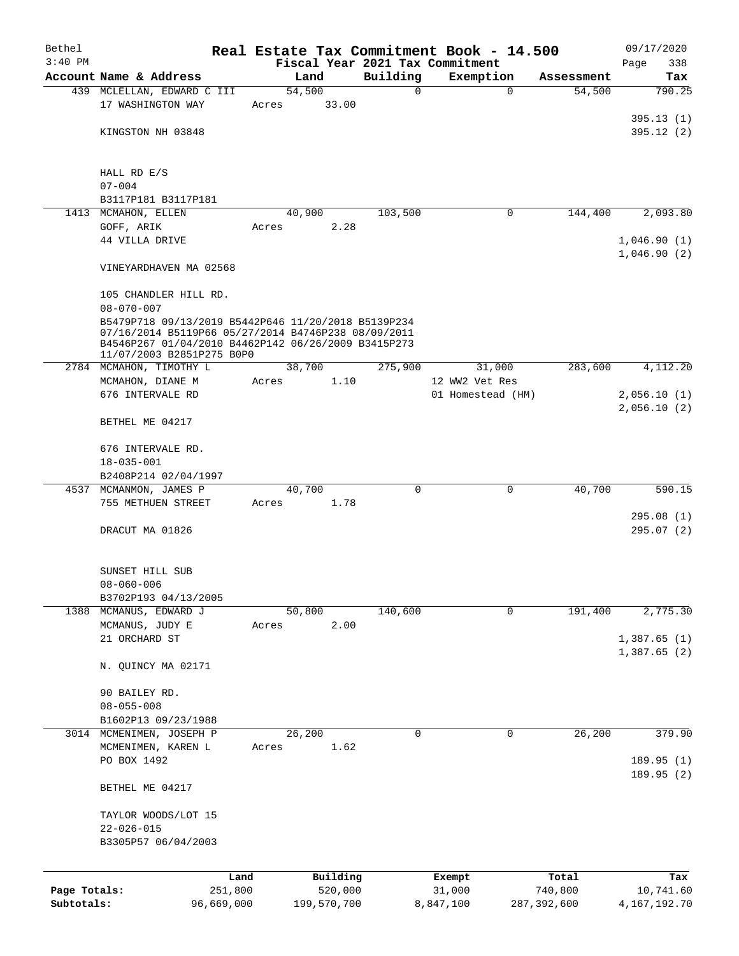| Bethel       |                                                      |       |                | Real Estate Tax Commitment Book - 14.500 |                   |             |             | 09/17/2020   |
|--------------|------------------------------------------------------|-------|----------------|------------------------------------------|-------------------|-------------|-------------|--------------|
| $3:40$ PM    |                                                      |       |                | Fiscal Year 2021 Tax Commitment          |                   |             |             | Page<br>338  |
|              | Account Name & Address                               |       | Land           | Building                                 | Exemption         |             | Assessment  | Tax          |
|              | 439 MCLELLAN, EDWARD C III                           |       | 54,500         | 0                                        |                   | $\mathbf 0$ | 54,500      | 790.25       |
|              | 17 WASHINGTON WAY                                    | Acres | 33.00          |                                          |                   |             |             |              |
|              |                                                      |       |                |                                          |                   |             |             | 395.13(1)    |
|              | KINGSTON NH 03848                                    |       |                |                                          |                   |             |             | 395.12(2)    |
|              |                                                      |       |                |                                          |                   |             |             |              |
|              |                                                      |       |                |                                          |                   |             |             |              |
|              | HALL RD E/S                                          |       |                |                                          |                   |             |             |              |
|              | $07 - 004$                                           |       |                |                                          |                   |             |             |              |
|              | B3117P181 B3117P181                                  |       |                |                                          |                   | 0           |             | 2,093.80     |
|              | 1413 MCMAHON, ELLEN                                  |       | 40,900<br>2.28 | 103,500                                  |                   |             | 144,400     |              |
|              | GOFF, ARIK<br>44 VILLA DRIVE                         | Acres |                |                                          |                   |             |             | 1,046.90(1)  |
|              |                                                      |       |                |                                          |                   |             |             | 1,046.90(2)  |
|              | VINEYARDHAVEN MA 02568                               |       |                |                                          |                   |             |             |              |
|              |                                                      |       |                |                                          |                   |             |             |              |
|              | 105 CHANDLER HILL RD.                                |       |                |                                          |                   |             |             |              |
|              | $08 - 070 - 007$                                     |       |                |                                          |                   |             |             |              |
|              | B5479P718 09/13/2019 B5442P646 11/20/2018 B5139P234  |       |                |                                          |                   |             |             |              |
|              | 07/16/2014 B5119P66 05/27/2014 B4746P238 08/09/2011  |       |                |                                          |                   |             |             |              |
|              | B4546P267 01/04/2010 B4462P142 06/26/2009 B3415P273  |       |                |                                          |                   |             |             |              |
|              | 11/07/2003 B2851P275 B0P0<br>2784 MCMAHON, TIMOTHY L |       | 38,700         |                                          |                   |             | 283,600     | 4,112.20     |
|              |                                                      |       | 1.10           | 275,900                                  | 12 WW2 Vet Res    | 31,000      |             |              |
|              | MCMAHON, DIANE M<br>676 INTERVALE RD                 | Acres |                |                                          | 01 Homestead (HM) |             |             | 2,056.10(1)  |
|              |                                                      |       |                |                                          |                   |             |             | 2,056.10(2)  |
|              | BETHEL ME 04217                                      |       |                |                                          |                   |             |             |              |
|              |                                                      |       |                |                                          |                   |             |             |              |
|              | 676 INTERVALE RD.                                    |       |                |                                          |                   |             |             |              |
|              | $18 - 035 - 001$                                     |       |                |                                          |                   |             |             |              |
|              | B2408P214 02/04/1997                                 |       |                |                                          |                   |             |             |              |
|              | 4537 MCMANMON, JAMES P                               |       | 40,700         | 0                                        |                   | $\mathbf 0$ | 40,700      | 590.15       |
|              | 755 METHUEN STREET                                   | Acres | 1.78           |                                          |                   |             |             |              |
|              |                                                      |       |                |                                          |                   |             |             | 295.08(1)    |
|              | DRACUT MA 01826                                      |       |                |                                          |                   |             |             | 295.07(2)    |
|              |                                                      |       |                |                                          |                   |             |             |              |
|              |                                                      |       |                |                                          |                   |             |             |              |
|              | SUNSET HILL SUB                                      |       |                |                                          |                   |             |             |              |
|              | 08-060-006                                           |       |                |                                          |                   |             |             |              |
|              | B3702P193 04/13/2005                                 |       |                |                                          |                   |             |             |              |
| 1388         | MCMANUS, EDWARD J                                    |       | 50,800         | 140,600                                  |                   | 0           | 191,400     | 2,775.30     |
|              | MCMANUS, JUDY E                                      | Acres | 2.00           |                                          |                   |             |             |              |
|              | 21 ORCHARD ST                                        |       |                |                                          |                   |             |             | 1,387.65(1)  |
|              |                                                      |       |                |                                          |                   |             |             | 1,387.65 (2) |
|              | N. QUINCY MA 02171                                   |       |                |                                          |                   |             |             |              |
|              |                                                      |       |                |                                          |                   |             |             |              |
|              | 90 BAILEY RD.                                        |       |                |                                          |                   |             |             |              |
|              | $08 - 055 - 008$                                     |       |                |                                          |                   |             |             |              |
|              | B1602P13 09/23/1988                                  |       |                |                                          |                   |             |             |              |
|              | 3014 MCMENIMEN, JOSEPH P                             |       | 26,200         | 0                                        |                   | 0           | 26,200      | 379.90       |
|              | MCMENIMEN, KAREN L                                   | Acres | 1.62           |                                          |                   |             |             |              |
|              | PO BOX 1492                                          |       |                |                                          |                   |             |             | 189.95(1)    |
|              |                                                      |       |                |                                          |                   |             |             | 189.95(2)    |
|              | BETHEL ME 04217                                      |       |                |                                          |                   |             |             |              |
|              |                                                      |       |                |                                          |                   |             |             |              |
|              | TAYLOR WOODS/LOT 15                                  |       |                |                                          |                   |             |             |              |
|              | $22 - 026 - 015$                                     |       |                |                                          |                   |             |             |              |
|              | B3305P57 06/04/2003                                  |       |                |                                          |                   |             |             |              |
|              |                                                      |       |                |                                          |                   |             |             |              |
|              | Land                                                 |       | Building       |                                          | Exempt            |             | Total       | Tax          |
| Page Totals: | 251,800                                              |       | 520,000        |                                          | 31,000            |             | 740,800     | 10,741.60    |
| Subtotals:   | 96,669,000                                           |       | 199,570,700    |                                          | 8,847,100         |             | 287,392,600 | 4,167,192.70 |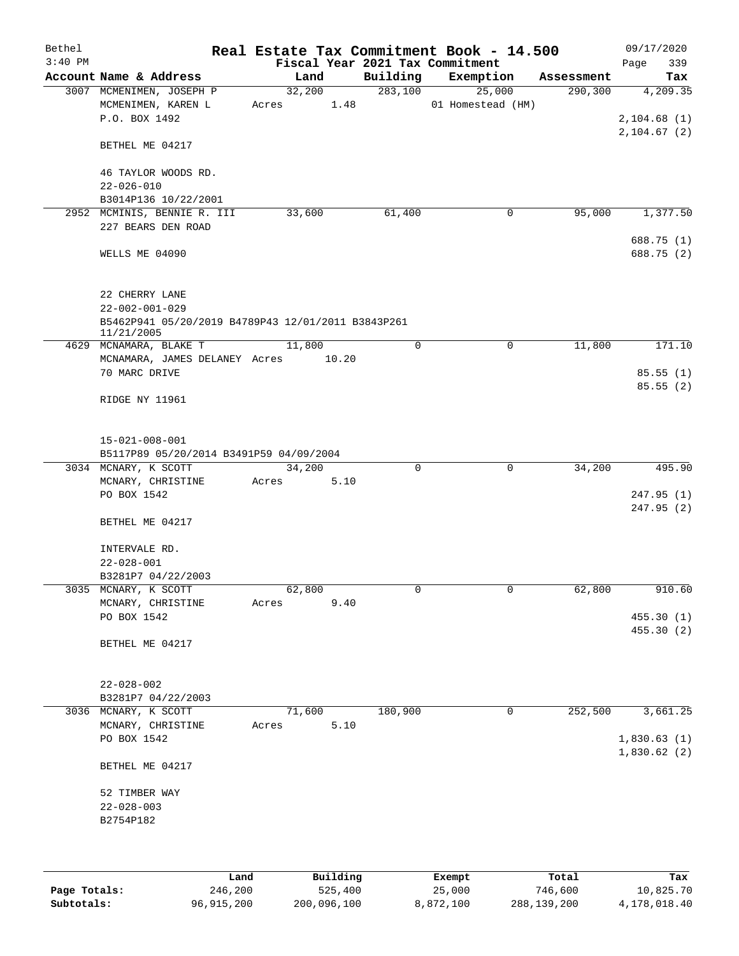| Bethel    |                                                    |       |        |      | Real Estate Tax Commitment Book - 14.500 |                   |          |            | 09/17/2020  |
|-----------|----------------------------------------------------|-------|--------|------|------------------------------------------|-------------------|----------|------------|-------------|
| $3:40$ PM |                                                    |       |        |      | Fiscal Year 2021 Tax Commitment          |                   |          |            | 339<br>Page |
|           | Account Name & Address                             |       | Land   |      | Building                                 | Exemption         |          | Assessment | Tax         |
|           | 3007 MCMENIMEN, JOSEPH P                           |       | 32,200 |      | 283,100                                  |                   | 25,000   | 290, 300   | 4,209.35    |
|           | MCMENIMEN, KAREN L<br>P.O. BOX 1492                | Acres |        | 1.48 |                                          | 01 Homestead (HM) |          |            | 2,104.68(1) |
|           |                                                    |       |        |      |                                          |                   |          |            |             |
|           | BETHEL ME 04217                                    |       |        |      |                                          |                   |          |            | 2,104.67(2) |
|           |                                                    |       |        |      |                                          |                   |          |            |             |
|           | 46 TAYLOR WOODS RD.                                |       |        |      |                                          |                   |          |            |             |
|           | $22 - 026 - 010$                                   |       |        |      |                                          |                   |          |            |             |
|           | B3014P136 10/22/2001                               |       |        |      |                                          |                   |          |            |             |
|           | 2952 MCMINIS, BENNIE R. III                        |       | 33,600 |      | 61,400                                   |                   | 0        | 95,000     | 1,377.50    |
|           | 227 BEARS DEN ROAD                                 |       |        |      |                                          |                   |          |            |             |
|           |                                                    |       |        |      |                                          |                   |          |            | 688.75 (1)  |
|           | WELLS ME 04090                                     |       |        |      |                                          |                   |          |            | 688.75 (2)  |
|           |                                                    |       |        |      |                                          |                   |          |            |             |
|           |                                                    |       |        |      |                                          |                   |          |            |             |
|           | 22 CHERRY LANE                                     |       |        |      |                                          |                   |          |            |             |
|           | $22 - 002 - 001 - 029$                             |       |        |      |                                          |                   |          |            |             |
|           | B5462P941 05/20/2019 B4789P43 12/01/2011 B3843P261 |       |        |      |                                          |                   |          |            |             |
|           | 11/21/2005                                         |       |        |      |                                          |                   |          |            |             |
|           | 4629 MCNAMARA, BLAKE T                             |       | 11,800 |      | $\mathbf 0$                              |                   | 0        | 11,800     | 171.10      |
|           | MCNAMARA, JAMES DELANEY Acres 10.20                |       |        |      |                                          |                   |          |            |             |
|           | 70 MARC DRIVE                                      |       |        |      |                                          |                   |          |            | 85.55(1)    |
|           |                                                    |       |        |      |                                          |                   |          |            | 85.55(2)    |
|           | RIDGE NY 11961                                     |       |        |      |                                          |                   |          |            |             |
|           |                                                    |       |        |      |                                          |                   |          |            |             |
|           |                                                    |       |        |      |                                          |                   |          |            |             |
|           | $15 - 021 - 008 - 001$                             |       |        |      |                                          |                   |          |            |             |
|           | B5117P89 05/20/2014 B3491P59 04/09/2004            |       |        |      |                                          |                   |          |            |             |
|           | 3034 MCNARY, K SCOTT                               |       | 34,200 |      | 0                                        |                   | $\Omega$ | 34,200     | 495.90      |
|           | MCNARY, CHRISTINE                                  | Acres |        | 5.10 |                                          |                   |          |            |             |
|           | PO BOX 1542                                        |       |        |      |                                          |                   |          |            | 247.95(1)   |
|           |                                                    |       |        |      |                                          |                   |          |            | 247.95(2)   |
|           | BETHEL ME 04217                                    |       |        |      |                                          |                   |          |            |             |
|           | INTERVALE RD.                                      |       |        |      |                                          |                   |          |            |             |
|           | $22 - 028 - 001$                                   |       |        |      |                                          |                   |          |            |             |
|           | B3281P7 04/22/2003                                 |       |        |      |                                          |                   |          |            |             |
|           | 3035 MCNARY, K SCOTT                               |       | 62,800 |      | 0                                        |                   | 0        | 62,800     | 910.60      |
|           | MCNARY, CHRISTINE                                  | Acres |        | 9.40 |                                          |                   |          |            |             |
|           | PO BOX 1542                                        |       |        |      |                                          |                   |          |            | 455.30(1)   |
|           |                                                    |       |        |      |                                          |                   |          |            | 455.30(2)   |
|           | BETHEL ME 04217                                    |       |        |      |                                          |                   |          |            |             |
|           |                                                    |       |        |      |                                          |                   |          |            |             |
|           |                                                    |       |        |      |                                          |                   |          |            |             |
|           | $22 - 028 - 002$                                   |       |        |      |                                          |                   |          |            |             |
|           | B3281P7 04/22/2003                                 |       |        |      |                                          |                   |          |            |             |
|           | 3036 MCNARY, K SCOTT                               |       | 71,600 |      | 180,900                                  |                   | 0        | 252,500    | 3,661.25    |
|           | MCNARY, CHRISTINE                                  | Acres |        | 5.10 |                                          |                   |          |            |             |
|           | PO BOX 1542                                        |       |        |      |                                          |                   |          |            | 1,830.63(1) |
|           |                                                    |       |        |      |                                          |                   |          |            | 1,830.62(2) |
|           | BETHEL ME 04217                                    |       |        |      |                                          |                   |          |            |             |
|           |                                                    |       |        |      |                                          |                   |          |            |             |
|           | 52 TIMBER WAY                                      |       |        |      |                                          |                   |          |            |             |
|           | $22 - 028 - 003$                                   |       |        |      |                                          |                   |          |            |             |
|           | B2754P182                                          |       |        |      |                                          |                   |          |            |             |
|           |                                                    |       |        |      |                                          |                   |          |            |             |
|           |                                                    |       |        |      |                                          |                   |          |            |             |
|           |                                                    |       |        |      |                                          |                   |          |            |             |
|           |                                                    |       |        |      |                                          |                   |          |            |             |

|              | Land       | Building    | Exempt    | Total       | Tax          |
|--------------|------------|-------------|-----------|-------------|--------------|
| Page Totals: | 246,200    | 525,400     | 25,000    | 746,600     | 10,825.70    |
| Subtotals:   | 96,915,200 | 200,096,100 | 8,872,100 | 288,139,200 | 4,178,018.40 |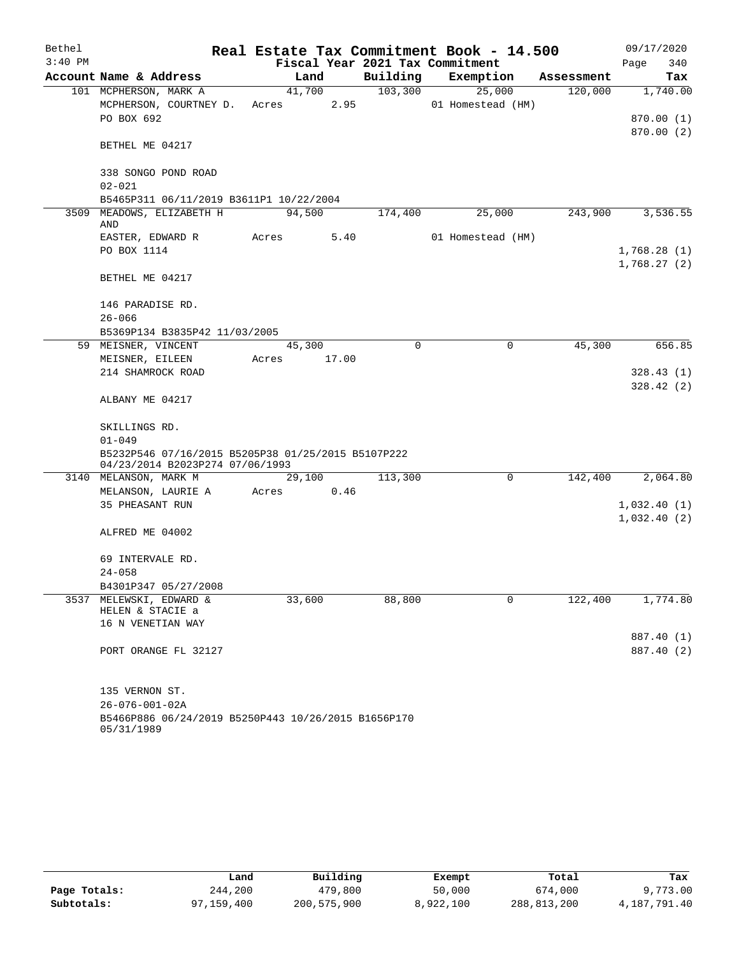| Bethel    |                                                                                       |                                 |             | Real Estate Tax Commitment Book - 14.500 |            | 09/17/2020  |
|-----------|---------------------------------------------------------------------------------------|---------------------------------|-------------|------------------------------------------|------------|-------------|
| $3:40$ PM |                                                                                       | Fiscal Year 2021 Tax Commitment |             |                                          |            | Page<br>340 |
|           | Account Name & Address                                                                | Land                            | Building    | Exemption                                | Assessment | Tax         |
|           | 101 MCPHERSON, MARK A                                                                 | 41,700                          | 103,300     | 25,000                                   | 120,000    | 1,740.00    |
|           | MCPHERSON, COURTNEY D.                                                                | 2.95<br>Acres                   |             | 01 Homestead (HM)                        |            |             |
|           | PO BOX 692                                                                            |                                 |             |                                          |            | 870.00 (1)  |
|           |                                                                                       |                                 |             |                                          |            | 870.00(2)   |
|           | BETHEL ME 04217                                                                       |                                 |             |                                          |            |             |
|           | 338 SONGO POND ROAD                                                                   |                                 |             |                                          |            |             |
|           | $02 - 021$                                                                            |                                 |             |                                          |            |             |
|           | B5465P311 06/11/2019 B3611P1 10/22/2004                                               |                                 |             |                                          |            |             |
|           | 3509 MEADOWS, ELIZABETH H<br>AND                                                      | 94,500                          | 174,400     | 25,000                                   | 243,900    | 3,536.55    |
|           | EASTER, EDWARD R                                                                      | 5.40<br>Acres                   |             | 01 Homestead (HM)                        |            |             |
|           | PO BOX 1114                                                                           |                                 |             |                                          |            | 1,768.28(1) |
|           |                                                                                       |                                 |             |                                          |            | 1,768.27(2) |
|           | BETHEL ME 04217                                                                       |                                 |             |                                          |            |             |
|           | 146 PARADISE RD.                                                                      |                                 |             |                                          |            |             |
|           | $26 - 066$                                                                            |                                 |             |                                          |            |             |
|           | B5369P134 B3835P42 11/03/2005                                                         |                                 |             |                                          |            |             |
|           | 59 MEISNER, VINCENT                                                                   | 45,300                          | $\mathbf 0$ | 0                                        | 45,300     | 656.85      |
|           | MEISNER, EILEEN                                                                       | 17.00<br>Acres                  |             |                                          |            |             |
|           | 214 SHAMROCK ROAD                                                                     |                                 |             |                                          |            | 328.43 (1)  |
|           |                                                                                       |                                 |             |                                          |            | 328.42(2)   |
|           | ALBANY ME 04217                                                                       |                                 |             |                                          |            |             |
|           | SKILLINGS RD.                                                                         |                                 |             |                                          |            |             |
|           | $01 - 049$                                                                            |                                 |             |                                          |            |             |
|           | B5232P546 07/16/2015 B5205P38 01/25/2015 B5107P222<br>04/23/2014 B2023P274 07/06/1993 |                                 |             |                                          |            |             |
|           | 3140 MELANSON, MARK M                                                                 | 29,100                          | 113,300     | 0                                        | 142,400    | 2,064.80    |
|           | MELANSON, LAURIE A                                                                    | Acres<br>0.46                   |             |                                          |            |             |
|           | 35 PHEASANT RUN                                                                       |                                 |             |                                          |            | 1,032.40(1) |
|           |                                                                                       |                                 |             |                                          |            | 1,032.40(2) |
|           | ALFRED ME 04002                                                                       |                                 |             |                                          |            |             |
|           | 69 INTERVALE RD.                                                                      |                                 |             |                                          |            |             |
|           | $24 - 058$                                                                            |                                 |             |                                          |            |             |
|           | B4301P347 05/27/2008                                                                  |                                 |             |                                          |            |             |
|           | 3537 MELEWSKI, EDWARD &                                                               | 33,600                          | 88,800      | 0                                        | 122,400    | 1,774.80    |
|           | HELEN & STACIE a                                                                      |                                 |             |                                          |            |             |
|           | 16 N VENETIAN WAY                                                                     |                                 |             |                                          |            |             |
|           |                                                                                       |                                 |             |                                          |            | 887.40 (1)  |
|           | PORT ORANGE FL 32127                                                                  |                                 |             |                                          |            | 887.40 (2)  |
|           | 135 VERNON ST.                                                                        |                                 |             |                                          |            |             |
|           | $26 - 076 - 001 - 02A$                                                                |                                 |             |                                          |            |             |
|           | B5466P886 06/24/2019 B5250P443 10/26/2015 B1656P170                                   |                                 |             |                                          |            |             |

| <u>231002000 00, 21, 2</u> |  |  |  |  |  |
|----------------------------|--|--|--|--|--|
| 05/31/1989                 |  |  |  |  |  |

|              | úand       | Building    | Exempt    | Total       | Tax          |
|--------------|------------|-------------|-----------|-------------|--------------|
| Page Totals: | 244,200    | 479,800     | 50,000    | 674,000     | 9,773.00     |
| Subtotals:   | 97,159,400 | 200,575,900 | 8,922,100 | 288,813,200 | 4,187,791.40 |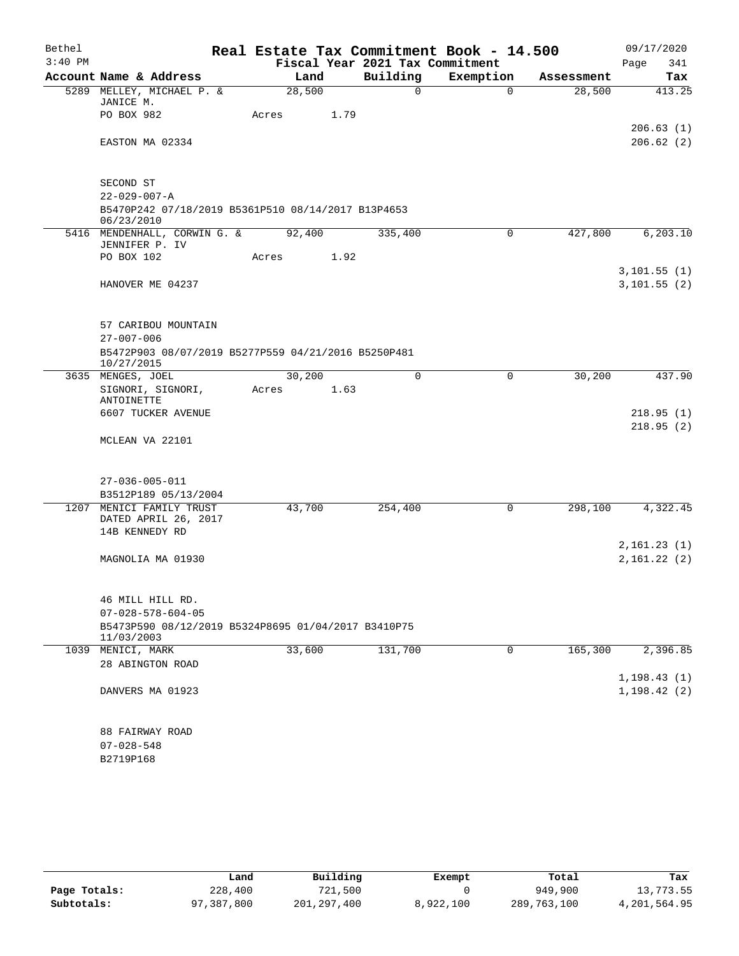| Bethel    |                                                                   |        |      |                                             | Real Estate Tax Commitment Book - 14.500 |            | 09/17/2020         |
|-----------|-------------------------------------------------------------------|--------|------|---------------------------------------------|------------------------------------------|------------|--------------------|
| $3:40$ PM | Account Name & Address                                            | Land   |      | Fiscal Year 2021 Tax Commitment<br>Building | Exemption                                | Assessment | 341<br>Page<br>Tax |
|           | 5289 MELLEY, MICHAEL P. &                                         | 28,500 |      | 0                                           | $\Omega$                                 | 28,500     | 413.25             |
|           | JANICE M.                                                         |        |      |                                             |                                          |            |                    |
|           | PO BOX 982                                                        | Acres  | 1.79 |                                             |                                          |            |                    |
|           |                                                                   |        |      |                                             |                                          |            | 206.63(1)          |
|           | EASTON MA 02334                                                   |        |      |                                             |                                          |            | 206.62(2)          |
|           | SECOND ST                                                         |        |      |                                             |                                          |            |                    |
|           | $22 - 029 - 007 - A$                                              |        |      |                                             |                                          |            |                    |
|           | B5470P242 07/18/2019 B5361P510 08/14/2017 B13P4653<br>06/23/2010  |        |      |                                             |                                          |            |                    |
|           | 5416 MENDENHALL, CORWIN G. &                                      | 92,400 |      | 335,400                                     | 0                                        | 427,800    | 6, 203.10          |
|           | JENNIFER P. IV<br>PO BOX 102                                      | Acres  | 1.92 |                                             |                                          |            |                    |
|           |                                                                   |        |      |                                             |                                          |            | 3,101.55(1)        |
|           | HANOVER ME 04237                                                  |        |      |                                             |                                          |            | 3,101.55(2)        |
|           |                                                                   |        |      |                                             |                                          |            |                    |
|           | 57 CARIBOU MOUNTAIN                                               |        |      |                                             |                                          |            |                    |
|           | $27 - 007 - 006$                                                  |        |      |                                             |                                          |            |                    |
|           | B5472P903 08/07/2019 B5277P559 04/21/2016 B5250P481<br>10/27/2015 |        |      |                                             |                                          |            |                    |
|           | 3635 MENGES, JOEL                                                 | 30,200 |      | 0                                           | 0                                        | 30,200     | 437.90             |
|           | SIGNORI, SIGNORI,                                                 | Acres  | 1.63 |                                             |                                          |            |                    |
|           | ANTOINETTE<br>6607 TUCKER AVENUE                                  |        |      |                                             |                                          |            | 218.95(1)          |
|           |                                                                   |        |      |                                             |                                          |            | 218.95(2)          |
|           | MCLEAN VA 22101                                                   |        |      |                                             |                                          |            |                    |
|           |                                                                   |        |      |                                             |                                          |            |                    |
|           | $27 - 036 - 005 - 011$                                            |        |      |                                             |                                          |            |                    |
|           | B3512P189 05/13/2004<br>1207 MENICI FAMILY TRUST                  | 43,700 |      | 254,400                                     | 0                                        | 298,100    | 4,322.45           |
|           | DATED APRIL 26, 2017                                              |        |      |                                             |                                          |            |                    |
|           | 14B KENNEDY RD                                                    |        |      |                                             |                                          |            |                    |
|           |                                                                   |        |      |                                             |                                          |            | 2,161.23(1)        |
|           | MAGNOLIA MA 01930                                                 |        |      |                                             |                                          |            | 2,161.22(2)        |
|           |                                                                   |        |      |                                             |                                          |            |                    |
|           | 46 MILL HILL RD.                                                  |        |      |                                             |                                          |            |                    |
|           | $07 - 028 - 578 - 604 - 05$                                       |        |      |                                             |                                          |            |                    |
|           | B5473P590 08/12/2019 B5324P8695 01/04/2017 B3410P75<br>11/03/2003 |        |      |                                             |                                          |            |                    |
|           | 1039 MENICI, MARK                                                 | 33,600 |      | 131,700                                     | $\mathbf 0$                              | 165,300    | 2,396.85           |
|           | 28 ABINGTON ROAD                                                  |        |      |                                             |                                          |            |                    |
|           |                                                                   |        |      |                                             |                                          |            | 1, 198.43(1)       |
|           | DANVERS MA 01923                                                  |        |      |                                             |                                          |            | 1, 198.42(2)       |
|           |                                                                   |        |      |                                             |                                          |            |                    |
|           | 88 FAIRWAY ROAD                                                   |        |      |                                             |                                          |            |                    |
|           | $07 - 028 - 548$                                                  |        |      |                                             |                                          |            |                    |
|           | B2719P168                                                         |        |      |                                             |                                          |            |                    |
|           |                                                                   |        |      |                                             |                                          |            |                    |

|              | Land       | Building      | Exempt    | Total       | Tax          |
|--------------|------------|---------------|-----------|-------------|--------------|
| Page Totals: | 228,400    | 721,500       |           | 949,900     | 13,773.55    |
| Subtotals:   | 97,387,800 | 201, 297, 400 | 8,922,100 | 289,763,100 | 4,201,564.95 |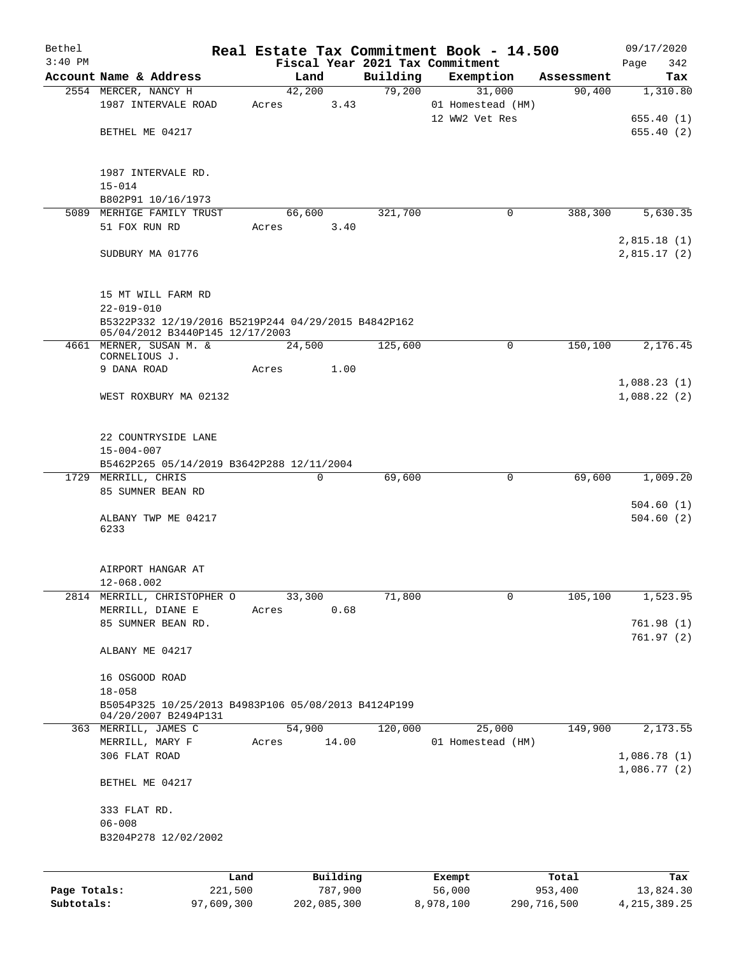| Bethel       |                                                                                        |                 |       |                     |          | Real Estate Tax Commitment Book - 14.500 |                  | 09/17/2020       |
|--------------|----------------------------------------------------------------------------------------|-----------------|-------|---------------------|----------|------------------------------------------|------------------|------------------|
| $3:40$ PM    |                                                                                        |                 |       |                     |          | Fiscal Year 2021 Tax Commitment          |                  | Page<br>342      |
|              | Account Name & Address                                                                 |                 |       | Land                | Building | Exemption                                | Assessment       | Tax              |
|              | 2554 MERCER, NANCY H                                                                   |                 |       | 42,200              | 79,200   | 31,000                                   | 90,400           | 1,310.80         |
|              | 1987 INTERVALE ROAD                                                                    |                 | Acres | 3.43                |          | 01 Homestead (HM)                        |                  |                  |
|              |                                                                                        |                 |       |                     |          | 12 WW2 Vet Res                           |                  | 655.40(1)        |
|              | BETHEL ME 04217                                                                        |                 |       |                     |          |                                          |                  | 655.40(2)        |
|              | 1987 INTERVALE RD.                                                                     |                 |       |                     |          |                                          |                  |                  |
|              | $15 - 014$                                                                             |                 |       |                     |          |                                          |                  |                  |
|              | B802P91 10/16/1973                                                                     |                 |       |                     |          |                                          |                  |                  |
|              | 5089 MERHIGE FAMILY TRUST                                                              |                 |       | 66,600              | 321,700  | 0                                        | 388,300          | 5,630.35         |
|              | 51 FOX RUN RD                                                                          |                 | Acres | 3.40                |          |                                          |                  |                  |
|              |                                                                                        |                 |       |                     |          |                                          |                  | 2,815.18(1)      |
|              | SUDBURY MA 01776                                                                       |                 |       |                     |          |                                          |                  | 2,815.17(2)      |
|              | 15 MT WILL FARM RD                                                                     |                 |       |                     |          |                                          |                  |                  |
|              | $22 - 019 - 010$                                                                       |                 |       |                     |          |                                          |                  |                  |
|              | B5322P332 12/19/2016 B5219P244 04/29/2015 B4842P162<br>05/04/2012 B3440P145 12/17/2003 |                 |       |                     |          |                                          |                  |                  |
|              | 4661 MERNER, SUSAN M. &                                                                |                 |       | 24,500              | 125,600  | $\mathbf 0$                              | 150, 100         | 2,176.45         |
|              | CORNELIOUS J.<br>9 DANA ROAD                                                           |                 | Acres | 1.00                |          |                                          |                  |                  |
|              |                                                                                        |                 |       |                     |          |                                          |                  | 1,088.23(1)      |
|              | WEST ROXBURY MA 02132                                                                  |                 |       |                     |          |                                          |                  | 1,088.22(2)      |
|              |                                                                                        |                 |       |                     |          |                                          |                  |                  |
|              | 22 COUNTRYSIDE LANE                                                                    |                 |       |                     |          |                                          |                  |                  |
|              | $15 - 004 - 007$                                                                       |                 |       |                     |          |                                          |                  |                  |
|              | B5462P265 05/14/2019 B3642P288 12/11/2004                                              |                 |       |                     |          |                                          |                  |                  |
|              | 1729 MERRILL, CHRIS                                                                    |                 |       | $\mathbf 0$         | 69,600   | 0                                        | 69,600           | 1,009.20         |
|              | 85 SUMNER BEAN RD                                                                      |                 |       |                     |          |                                          |                  |                  |
|              |                                                                                        |                 |       |                     |          |                                          |                  | 504.60(1)        |
|              | ALBANY TWP ME 04217                                                                    |                 |       |                     |          |                                          |                  | 504.60(2)        |
|              | 6233                                                                                   |                 |       |                     |          |                                          |                  |                  |
|              | AIRPORT HANGAR AT                                                                      |                 |       |                     |          |                                          |                  |                  |
|              | 12-068.002                                                                             |                 |       |                     |          |                                          |                  |                  |
| 2814         | MERRILL, CHRISTOPHER O                                                                 |                 |       | 33,300              | 71,800   | $\mathbf 0$                              | 105,100          | 1,523.95         |
|              | MERRILL, DIANE E                                                                       |                 | Acres | 0.68                |          |                                          |                  |                  |
|              | 85 SUMNER BEAN RD.                                                                     |                 |       |                     |          |                                          |                  | 761.98(1)        |
|              |                                                                                        |                 |       |                     |          |                                          |                  | 761.97 (2)       |
|              | ALBANY ME 04217                                                                        |                 |       |                     |          |                                          |                  |                  |
|              | 16 OSGOOD ROAD                                                                         |                 |       |                     |          |                                          |                  |                  |
|              | $18 - 058$                                                                             |                 |       |                     |          |                                          |                  |                  |
|              | B5054P325 10/25/2013 B4983P106 05/08/2013 B4124P199                                    |                 |       |                     |          |                                          |                  |                  |
|              | 04/20/2007 B2494P131                                                                   |                 |       |                     |          |                                          |                  |                  |
| 363          | MERRILL, JAMES C                                                                       |                 |       | 54,900              | 120,000  | 25,000                                   | 149,900          | 2,173.55         |
|              | MERRILL, MARY F                                                                        |                 | Acres | 14.00               |          | 01 Homestead (HM)                        |                  |                  |
|              | 306 FLAT ROAD                                                                          |                 |       |                     |          |                                          |                  | 1,086.78(1)      |
|              | BETHEL ME 04217                                                                        |                 |       |                     |          |                                          |                  | 1,086.77(2)      |
|              | 333 FLAT RD.                                                                           |                 |       |                     |          |                                          |                  |                  |
|              | $06 - 008$                                                                             |                 |       |                     |          |                                          |                  |                  |
|              | B3204P278 12/02/2002                                                                   |                 |       |                     |          |                                          |                  |                  |
|              |                                                                                        |                 |       |                     |          |                                          |                  |                  |
| Page Totals: |                                                                                        | Land<br>221,500 |       | Building<br>787,900 |          | Exempt<br>56,000                         | Total<br>953,400 | Tax<br>13,824.30 |
| Subtotals:   |                                                                                        | 97,609,300      |       | 202,085,300         |          | 8,978,100                                | 290,716,500      | 4, 215, 389. 25  |
|              |                                                                                        |                 |       |                     |          |                                          |                  |                  |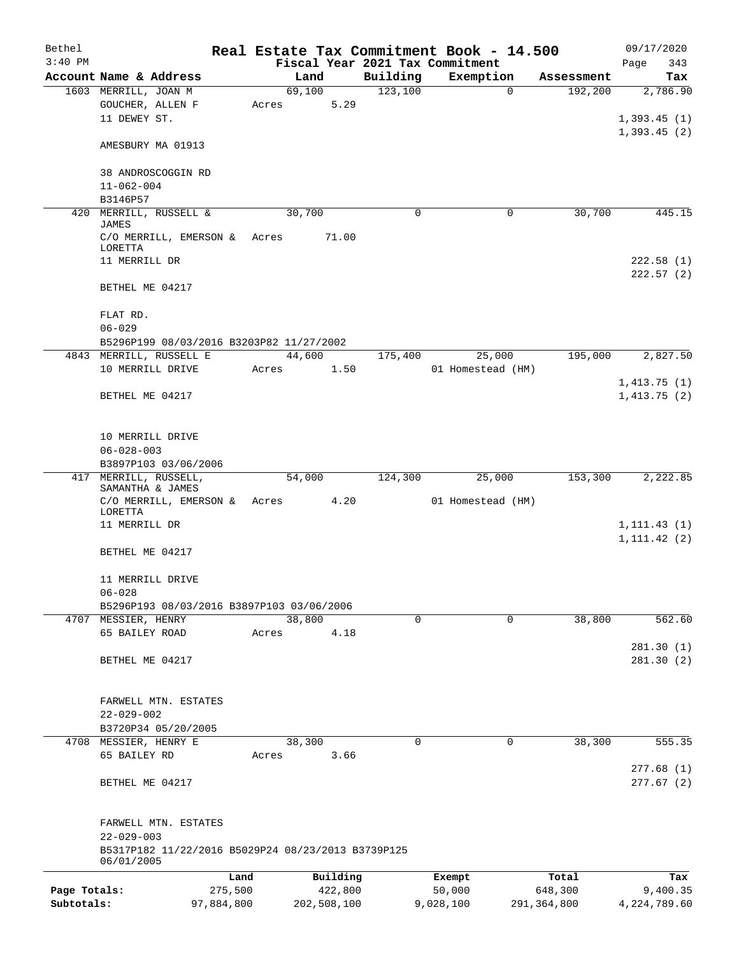| Bethel       |                                                    |            |       |        |             | Real Estate Tax Commitment Book - 14.500 |           |                   |             |             |                            | 09/17/2020   |
|--------------|----------------------------------------------------|------------|-------|--------|-------------|------------------------------------------|-----------|-------------------|-------------|-------------|----------------------------|--------------|
| $3:40$ PM    |                                                    |            |       |        |             | Fiscal Year 2021 Tax Commitment          |           |                   |             |             | Page                       | 343          |
|              | Account Name & Address                             |            |       | Land   |             | Building                                 |           | Exemption         |             | Assessment  |                            | Tax          |
|              | 1603 MERRILL, JOAN M                               |            |       | 69,100 |             | 123,100                                  |           |                   | $\Omega$    | 192,200     |                            | 2,786.90     |
|              | GOUCHER, ALLEN F                                   |            | Acres |        | 5.29        |                                          |           |                   |             |             |                            |              |
|              | 11 DEWEY ST.                                       |            |       |        |             |                                          |           |                   |             |             | 1,393.45(1)                |              |
|              |                                                    |            |       |        |             |                                          |           |                   |             |             | 1,393.45(2)                |              |
|              | AMESBURY MA 01913                                  |            |       |        |             |                                          |           |                   |             |             |                            |              |
|              | 38 ANDROSCOGGIN RD                                 |            |       |        |             |                                          |           |                   |             |             |                            |              |
|              | $11 - 062 - 004$                                   |            |       |        |             |                                          |           |                   |             |             |                            |              |
|              | B3146P57                                           |            |       |        |             |                                          |           |                   |             |             |                            |              |
|              | 420 MERRILL, RUSSELL &                             |            |       | 30,700 |             | $\mathbf 0$                              |           |                   | 0           | 30,700      |                            | 445.15       |
|              | JAMES                                              |            |       |        |             |                                          |           |                   |             |             |                            |              |
|              | C/O MERRILL, EMERSON &                             |            | Acres |        | 71.00       |                                          |           |                   |             |             |                            |              |
|              | LORETTA                                            |            |       |        |             |                                          |           |                   |             |             |                            |              |
|              | 11 MERRILL DR                                      |            |       |        |             |                                          |           |                   |             |             |                            | 222.58(1)    |
|              |                                                    |            |       |        |             |                                          |           |                   |             |             |                            | 222.57(2)    |
|              | BETHEL ME 04217                                    |            |       |        |             |                                          |           |                   |             |             |                            |              |
|              |                                                    |            |       |        |             |                                          |           |                   |             |             |                            |              |
|              | FLAT RD.                                           |            |       |        |             |                                          |           |                   |             |             |                            |              |
|              | $06 - 029$                                         |            |       |        |             |                                          |           |                   |             |             |                            |              |
|              | B5296P199 08/03/2016 B3203P82 11/27/2002           |            |       | 44,600 |             |                                          |           | 25,000            |             | 195,000     |                            |              |
|              | 4843 MERRILL, RUSSELL E<br>10 MERRILL DRIVE        |            |       |        |             | 175,400                                  |           |                   |             |             |                            | 2,827.50     |
|              |                                                    |            | Acres |        | 1.50        |                                          |           | 01 Homestead (HM) |             |             |                            |              |
|              | BETHEL ME 04217                                    |            |       |        |             |                                          |           |                   |             |             | 1,413.75(1)<br>1,413.75(2) |              |
|              |                                                    |            |       |        |             |                                          |           |                   |             |             |                            |              |
|              |                                                    |            |       |        |             |                                          |           |                   |             |             |                            |              |
|              | 10 MERRILL DRIVE                                   |            |       |        |             |                                          |           |                   |             |             |                            |              |
|              | $06 - 028 - 003$                                   |            |       |        |             |                                          |           |                   |             |             |                            |              |
|              | B3897P103 03/06/2006                               |            |       |        |             |                                          |           |                   |             |             |                            |              |
|              | 417 MERRILL, RUSSELL,                              |            |       | 54,000 |             | 124,300                                  |           | 25,000            |             | 153,300     |                            | 2,222.85     |
|              | SAMANTHA & JAMES                                   |            |       |        |             |                                          |           |                   |             |             |                            |              |
|              | C/O MERRILL, EMERSON &                             |            |       | Acres  | 4.20        |                                          |           | 01 Homestead (HM) |             |             |                            |              |
|              | LORETTA                                            |            |       |        |             |                                          |           |                   |             |             |                            |              |
|              | 11 MERRILL DR                                      |            |       |        |             |                                          |           |                   |             |             |                            | 1, 111.43(1) |
|              |                                                    |            |       |        |             |                                          |           |                   |             |             | 1, 111.42(2)               |              |
|              | BETHEL ME 04217                                    |            |       |        |             |                                          |           |                   |             |             |                            |              |
|              |                                                    |            |       |        |             |                                          |           |                   |             |             |                            |              |
|              | 11 MERRILL DRIVE<br>$06 - 028$                     |            |       |        |             |                                          |           |                   |             |             |                            |              |
|              | B5296P193 08/03/2016 B3897P103 03/06/2006          |            |       |        |             |                                          |           |                   |             |             |                            |              |
| 4707         | MESSIER, HENRY                                     |            |       | 38,800 |             | $\mathbf 0$                              |           |                   | $\mathbf 0$ | 38,800      |                            | 562.60       |
|              | 65 BAILEY ROAD                                     |            | Acres |        | 4.18        |                                          |           |                   |             |             |                            |              |
|              |                                                    |            |       |        |             |                                          |           |                   |             |             |                            | 281.30(1)    |
|              | BETHEL ME 04217                                    |            |       |        |             |                                          |           |                   |             |             |                            | 281.30(2)    |
|              |                                                    |            |       |        |             |                                          |           |                   |             |             |                            |              |
|              |                                                    |            |       |        |             |                                          |           |                   |             |             |                            |              |
|              | FARWELL MTN. ESTATES                               |            |       |        |             |                                          |           |                   |             |             |                            |              |
|              | $22 - 029 - 002$                                   |            |       |        |             |                                          |           |                   |             |             |                            |              |
|              | B3720P34 05/20/2005                                |            |       |        |             |                                          |           |                   |             |             |                            |              |
| 4708         | MESSIER, HENRY E                                   |            |       | 38,300 |             | 0                                        |           |                   | 0           | 38,300      |                            | 555.35       |
|              | 65 BAILEY RD                                       |            | Acres |        | 3.66        |                                          |           |                   |             |             |                            |              |
|              |                                                    |            |       |        |             |                                          |           |                   |             |             |                            | 277.68(1)    |
|              | BETHEL ME 04217                                    |            |       |        |             |                                          |           |                   |             |             |                            | 277.67(2)    |
|              |                                                    |            |       |        |             |                                          |           |                   |             |             |                            |              |
|              |                                                    |            |       |        |             |                                          |           |                   |             |             |                            |              |
|              | FARWELL MTN. ESTATES                               |            |       |        |             |                                          |           |                   |             |             |                            |              |
|              | $22 - 029 - 003$                                   |            |       |        |             |                                          |           |                   |             |             |                            |              |
|              | B5317P182 11/22/2016 B5029P24 08/23/2013 B3739P125 |            |       |        |             |                                          |           |                   |             |             |                            |              |
|              | 06/01/2005                                         |            |       |        |             |                                          |           |                   |             |             |                            |              |
|              |                                                    | Land       |       |        | Building    |                                          | Exempt    |                   |             | Total       |                            | Tax          |
| Page Totals: |                                                    | 275,500    |       |        | 422,800     |                                          | 50,000    |                   |             | 648,300     |                            | 9,400.35     |
| Subtotals:   |                                                    | 97,884,800 |       |        | 202,508,100 |                                          | 9,028,100 |                   |             | 291,364,800 | 4, 224, 789.60             |              |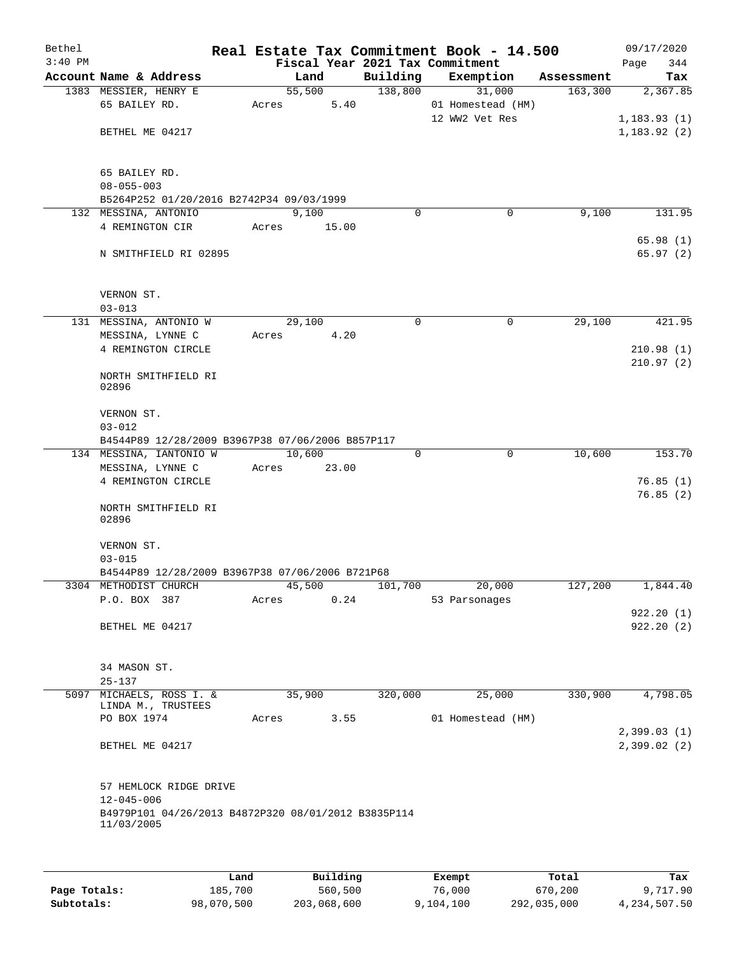| Bethel<br>$3:40$ PM |                                                                   |        |        |             | Real Estate Tax Commitment Book - 14.500<br>Fiscal Year 2021 Tax Commitment |            | 09/17/2020<br>344<br>Page |
|---------------------|-------------------------------------------------------------------|--------|--------|-------------|-----------------------------------------------------------------------------|------------|---------------------------|
|                     | Account Name & Address                                            | Land   |        | Building    | Exemption                                                                   | Assessment | Tax                       |
|                     | 1383 MESSIER, HENRY E                                             |        | 55,500 | 138,800     | 31,000                                                                      | 163,300    | 2,367.85                  |
|                     | 65 BAILEY RD.                                                     | Acres  | 5.40   |             | 01 Homestead (HM)                                                           |            |                           |
|                     |                                                                   |        |        |             | 12 WW2 Vet Res                                                              |            | 1, 183.93(1)              |
|                     | BETHEL ME 04217                                                   |        |        |             |                                                                             |            | 1, 183.92(2)              |
|                     |                                                                   |        |        |             |                                                                             |            |                           |
|                     |                                                                   |        |        |             |                                                                             |            |                           |
|                     | 65 BAILEY RD.                                                     |        |        |             |                                                                             |            |                           |
|                     | $08 - 055 - 003$                                                  |        |        |             |                                                                             |            |                           |
|                     | B5264P252 01/20/2016 B2742P34 09/03/1999                          |        |        |             |                                                                             |            |                           |
|                     | 132 MESSINA, ANTONIO                                              | 9,100  |        | $\Omega$    | 0                                                                           | 9,100      | 131.95                    |
|                     | 4 REMINGTON CIR                                                   | Acres  | 15.00  |             |                                                                             |            | 65.98(1)                  |
|                     | N SMITHFIELD RI 02895                                             |        |        |             |                                                                             |            | 65.97(2)                  |
|                     |                                                                   |        |        |             |                                                                             |            |                           |
|                     |                                                                   |        |        |             |                                                                             |            |                           |
|                     | VERNON ST.                                                        |        |        |             |                                                                             |            |                           |
|                     | $03 - 013$                                                        |        |        |             |                                                                             |            |                           |
|                     | 131 MESSINA, ANTONIO W                                            | 29,100 |        | 0           | $\mathbf 0$                                                                 | 29,100     | 421.95                    |
|                     | MESSINA, LYNNE C                                                  | Acres  | 4.20   |             |                                                                             |            |                           |
|                     | 4 REMINGTON CIRCLE                                                |        |        |             |                                                                             |            | 210.98(1)                 |
|                     |                                                                   |        |        |             |                                                                             |            | 210.97(2)                 |
|                     | NORTH SMITHFIELD RI                                               |        |        |             |                                                                             |            |                           |
|                     | 02896                                                             |        |        |             |                                                                             |            |                           |
|                     | VERNON ST.                                                        |        |        |             |                                                                             |            |                           |
|                     | $03 - 012$                                                        |        |        |             |                                                                             |            |                           |
|                     | B4544P89 12/28/2009 B3967P38 07/06/2006 B857P117                  |        |        |             |                                                                             |            |                           |
|                     | 134 MESSINA, IANTONIO W                                           | 10,600 |        | $\mathbf 0$ | $\mathbf 0$                                                                 | 10,600     | 153.70                    |
|                     | MESSINA, LYNNE C                                                  | Acres  | 23.00  |             |                                                                             |            |                           |
|                     | 4 REMINGTON CIRCLE                                                |        |        |             |                                                                             |            | 76.85(1)                  |
|                     |                                                                   |        |        |             |                                                                             |            | 76.85(2)                  |
|                     | NORTH SMITHFIELD RI                                               |        |        |             |                                                                             |            |                           |
|                     | 02896                                                             |        |        |             |                                                                             |            |                           |
|                     | VERNON ST.                                                        |        |        |             |                                                                             |            |                           |
|                     | $03 - 015$                                                        |        |        |             |                                                                             |            |                           |
|                     | B4544P89 12/28/2009 B3967P38 07/06/2006 B721P68                   |        |        |             |                                                                             |            |                           |
|                     | 3304 METHODIST CHURCH                                             | 45,500 |        | 101,700     | 20,000                                                                      | 127,200    | 1,844.40                  |
|                     | P.O. BOX 387                                                      | Acres  | 0.24   |             | 53 Parsonages                                                               |            |                           |
|                     |                                                                   |        |        |             |                                                                             |            | 922.20(1)                 |
|                     | BETHEL ME 04217                                                   |        |        |             |                                                                             |            | 922.20(2)                 |
|                     |                                                                   |        |        |             |                                                                             |            |                           |
|                     |                                                                   |        |        |             |                                                                             |            |                           |
|                     | 34 MASON ST.                                                      |        |        |             |                                                                             |            |                           |
|                     | $25 - 137$<br>5097 MICHAELS, ROSS I. &                            | 35,900 |        | 320,000     | 25,000                                                                      | 330,900    | 4,798.05                  |
|                     | LINDA M., TRUSTEES                                                |        |        |             |                                                                             |            |                           |
|                     | PO BOX 1974                                                       | Acres  | 3.55   |             | 01 Homestead (HM)                                                           |            |                           |
|                     |                                                                   |        |        |             |                                                                             |            | 2,399.03(1)               |
|                     | BETHEL ME 04217                                                   |        |        |             |                                                                             |            | 2,399.02(2)               |
|                     |                                                                   |        |        |             |                                                                             |            |                           |
|                     |                                                                   |        |        |             |                                                                             |            |                           |
|                     | 57 HEMLOCK RIDGE DRIVE                                            |        |        |             |                                                                             |            |                           |
|                     | $12 - 045 - 006$                                                  |        |        |             |                                                                             |            |                           |
|                     | B4979P101 04/26/2013 B4872P320 08/01/2012 B3835P114<br>11/03/2005 |        |        |             |                                                                             |            |                           |
|                     |                                                                   |        |        |             |                                                                             |            |                           |
|                     |                                                                   |        |        |             |                                                                             |            |                           |
|                     |                                                                   |        |        |             |                                                                             |            |                           |

|              | Land       | Building    | Exempt    | Total       | Tax          |
|--------------|------------|-------------|-----------|-------------|--------------|
| Page Totals: | 185,700    | 560,500     | 76,000    | 670,200     | 9,717.90     |
| Subtotals:   | 98,070,500 | 203,068,600 | 9,104,100 | 292,035,000 | 4,234,507.50 |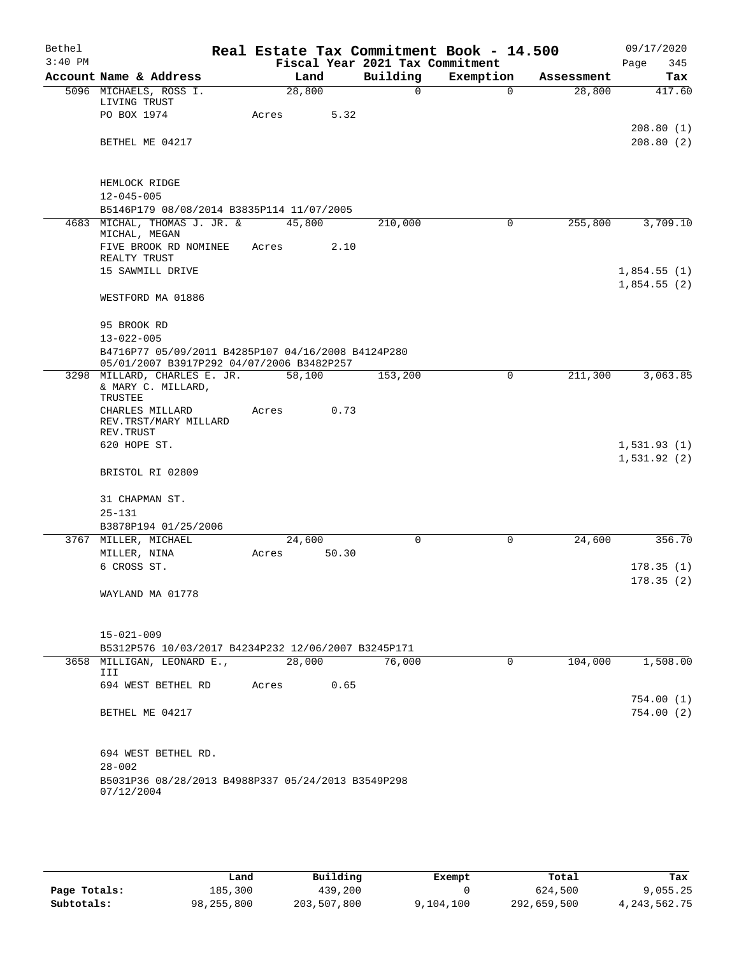| Bethel    |                                                                  |        |                 |                                 | Real Estate Tax Commitment Book - 14.500 |            | 09/17/2020                 |
|-----------|------------------------------------------------------------------|--------|-----------------|---------------------------------|------------------------------------------|------------|----------------------------|
| $3:40$ PM |                                                                  |        |                 | Fiscal Year 2021 Tax Commitment |                                          |            | Page<br>345                |
|           | Account Name & Address                                           |        | Land            | Building                        | Exemption                                | Assessment | Tax                        |
|           | 5096 MICHAELS, ROSS I.<br>LIVING TRUST                           | 28,800 |                 | $\mathbf 0$                     | $\Omega$                                 | 28,800     | 417.60                     |
|           | PO BOX 1974                                                      | Acres  | 5.32            |                                 |                                          |            |                            |
|           | BETHEL ME 04217                                                  |        |                 |                                 |                                          |            | 208.80(1)<br>208.80(2)     |
|           | HEMLOCK RIDGE                                                    |        |                 |                                 |                                          |            |                            |
|           | $12 - 045 - 005$                                                 |        |                 |                                 |                                          |            |                            |
|           | B5146P179 08/08/2014 B3835P114 11/07/2005                        |        |                 |                                 |                                          |            |                            |
|           | 4683 MICHAL, THOMAS J. JR. &<br>MICHAL, MEGAN                    | 45,800 |                 | 210,000                         | 0                                        | 255,800    | 3,709.10                   |
|           | FIVE BROOK RD NOMINEE<br>REALTY TRUST                            | Acres  | 2.10            |                                 |                                          |            |                            |
|           | 15 SAWMILL DRIVE                                                 |        |                 |                                 |                                          |            | 1,854.55(1)<br>1,854.55(2) |
|           | WESTFORD MA 01886                                                |        |                 |                                 |                                          |            |                            |
|           | 95 BROOK RD<br>$13 - 022 - 005$                                  |        |                 |                                 |                                          |            |                            |
|           | B4716P77 05/09/2011 B4285P107 04/16/2008 B4124P280               |        |                 |                                 |                                          |            |                            |
|           | 05/01/2007 B3917P292 04/07/2006 B3482P257                        |        |                 |                                 |                                          |            |                            |
|           | 3298 MILLARD, CHARLES E. JR.<br>& MARY C. MILLARD,               | 58,100 |                 | 153,200                         | $\mathbf 0$                              | 211,300    | 3,063.85                   |
|           | TRUSTEE<br>CHARLES MILLARD                                       | Acres  | 0.73            |                                 |                                          |            |                            |
|           | REV.TRST/MARY MILLARD<br>REV. TRUST                              |        |                 |                                 |                                          |            |                            |
|           | 620 HOPE ST.                                                     |        |                 |                                 |                                          |            | 1,531.93(1)<br>1,531.92(2) |
|           | BRISTOL RI 02809                                                 |        |                 |                                 |                                          |            |                            |
|           | 31 CHAPMAN ST.                                                   |        |                 |                                 |                                          |            |                            |
|           | $25 - 131$                                                       |        |                 |                                 |                                          |            |                            |
|           | B3878P194 01/25/2006                                             |        |                 |                                 |                                          |            |                            |
|           | 3767 MILLER, MICHAEL                                             |        | 24,600<br>50.30 | 0                               | 0                                        | 24,600     | 356.70                     |
|           | MILLER, NINA<br>6 CROSS ST.                                      | Acres  |                 |                                 |                                          |            | 178.35(1)                  |
|           |                                                                  |        |                 |                                 |                                          |            | 178.35(2)                  |
|           | WAYLAND MA 01778                                                 |        |                 |                                 |                                          |            |                            |
|           | $15 - 021 - 009$                                                 |        |                 |                                 |                                          |            |                            |
|           | B5312P576 10/03/2017 B4234P232 12/06/2007 B3245P171              |        |                 |                                 |                                          |            |                            |
|           | 3658 MILLIGAN, LEONARD E.,                                       |        | 28,000          | 76,000                          | $\mathbf 0$                              | 104,000    | 1,508.00                   |
|           | III                                                              |        |                 |                                 |                                          |            |                            |
|           | 694 WEST BETHEL RD                                               | Acres  | 0.65            |                                 |                                          |            |                            |
|           | BETHEL ME 04217                                                  |        |                 |                                 |                                          |            | 754.00(1)<br>754.00(2)     |
|           | 694 WEST BETHEL RD.                                              |        |                 |                                 |                                          |            |                            |
|           | $28 - 002$<br>B5031P36 08/28/2013 B4988P337 05/24/2013 B3549P298 |        |                 |                                 |                                          |            |                            |
|           | 07/12/2004                                                       |        |                 |                                 |                                          |            |                            |

|              | Land       | Building    | Exempt    | Total       | Tax             |
|--------------|------------|-------------|-----------|-------------|-----------------|
| Page Totals: | 185,300    | 439,200     |           | 624,500     | 9,055.25        |
| Subtotals:   | 98,255,800 | 203,507,800 | 9,104,100 | 292,659,500 | 4, 243, 562. 75 |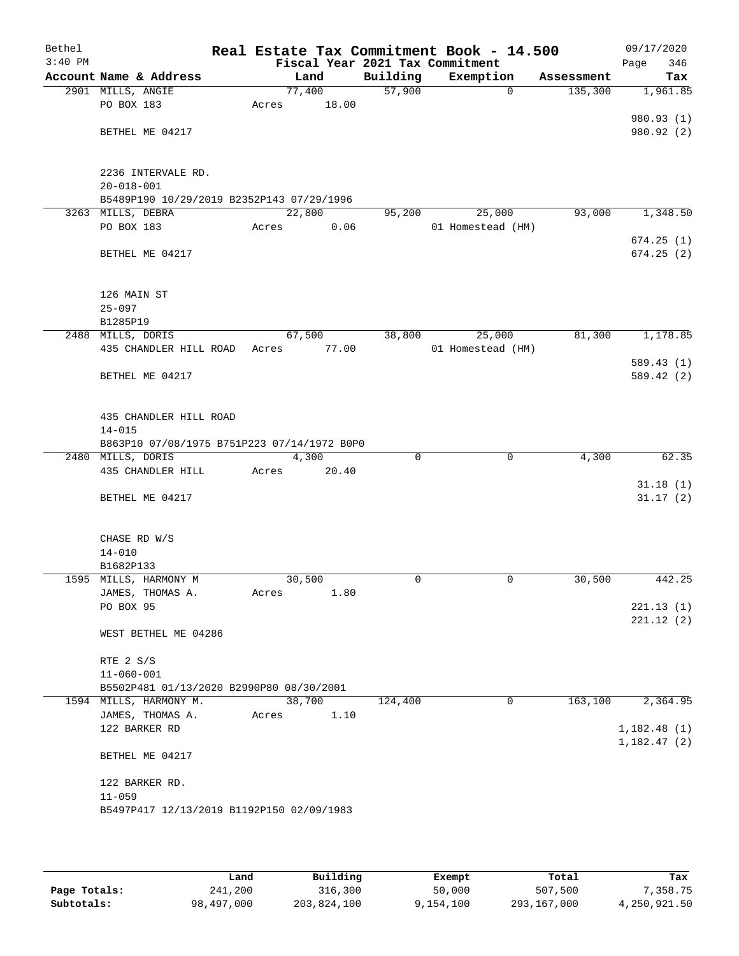| Bethel    |                                             |       |                 |                                 | Real Estate Tax Commitment Book - 14.500 |             | 09/17/2020          |
|-----------|---------------------------------------------|-------|-----------------|---------------------------------|------------------------------------------|-------------|---------------------|
| $3:40$ PM |                                             |       |                 |                                 | Fiscal Year 2021 Tax Commitment          |             | 346<br>Page         |
|           | Account Name & Address                      |       | Land            | Building<br>$\overline{57,900}$ | Exemption                                | Assessment  | Tax                 |
|           | 2901 MILLS, ANGIE<br>PO BOX 183             | Acres | 77,400<br>18.00 |                                 |                                          | $\mathbf 0$ | 135,300<br>1,961.85 |
|           |                                             |       |                 |                                 |                                          |             | 980.93 (1)          |
|           | BETHEL ME 04217                             |       |                 |                                 |                                          |             | 980.92 (2)          |
|           |                                             |       |                 |                                 |                                          |             |                     |
|           |                                             |       |                 |                                 |                                          |             |                     |
|           | 2236 INTERVALE RD.                          |       |                 |                                 |                                          |             |                     |
|           | $20 - 018 - 001$                            |       |                 |                                 |                                          |             |                     |
|           | B5489P190 10/29/2019 B2352P143 07/29/1996   |       |                 |                                 |                                          |             |                     |
|           | 3263 MILLS, DEBRA                           |       | 22,800          | 95,200                          | 25,000                                   |             | 93,000<br>1,348.50  |
|           | PO BOX 183                                  | Acres | 0.06            |                                 | 01 Homestead (HM)                        |             |                     |
|           |                                             |       |                 |                                 |                                          |             | 674.25(1)           |
|           | BETHEL ME 04217                             |       |                 |                                 |                                          |             | 674.25(2)           |
|           |                                             |       |                 |                                 |                                          |             |                     |
|           | 126 MAIN ST                                 |       |                 |                                 |                                          |             |                     |
|           | $25 - 097$                                  |       |                 |                                 |                                          |             |                     |
|           | B1285P19                                    |       |                 |                                 |                                          |             |                     |
|           | 2488 MILLS, DORIS                           |       | 67,500          | 38,800                          | 25,000                                   |             | 81,300<br>1,178.85  |
|           | 435 CHANDLER HILL ROAD                      | Acres | 77.00           |                                 | 01 Homestead (HM)                        |             |                     |
|           |                                             |       |                 |                                 |                                          |             | 589.43(1)           |
|           | BETHEL ME 04217                             |       |                 |                                 |                                          |             | 589.42 (2)          |
|           |                                             |       |                 |                                 |                                          |             |                     |
|           | 435 CHANDLER HILL ROAD                      |       |                 |                                 |                                          |             |                     |
|           | $14 - 015$                                  |       |                 |                                 |                                          |             |                     |
|           | B863P10 07/08/1975 B751P223 07/14/1972 B0P0 |       |                 |                                 |                                          |             |                     |
|           | 2480 MILLS, DORIS                           |       | 4,300           | 0                               |                                          | $\mathbf 0$ | 4,300<br>62.35      |
|           | 435 CHANDLER HILL                           | Acres | 20.40           |                                 |                                          |             |                     |
|           |                                             |       |                 |                                 |                                          |             | 31.18(1)            |
|           | BETHEL ME 04217                             |       |                 |                                 |                                          |             | 31.17(2)            |
|           |                                             |       |                 |                                 |                                          |             |                     |
|           | CHASE RD W/S                                |       |                 |                                 |                                          |             |                     |
|           | $14 - 010$                                  |       |                 |                                 |                                          |             |                     |
|           | B1682P133                                   |       |                 |                                 |                                          |             |                     |
|           | 1595 MILLS, HARMONY M                       |       | 30,500          | 0                               | $\mathbf 0$                              |             | 30,500<br>442.25    |
|           | JAMES, THOMAS A.                            | Acres | 1.80            |                                 |                                          |             |                     |
|           | PO BOX 95                                   |       |                 |                                 |                                          |             | 221.13(1)           |
|           |                                             |       |                 |                                 |                                          |             | 221.12(2)           |
|           | WEST BETHEL ME 04286                        |       |                 |                                 |                                          |             |                     |
|           | RTE 2 S/S                                   |       |                 |                                 |                                          |             |                     |
|           | $11 - 060 - 001$                            |       |                 |                                 |                                          |             |                     |
|           | B5502P481 01/13/2020 B2990P80 08/30/2001    |       |                 |                                 |                                          |             |                     |
|           | 1594 MILLS, HARMONY M.                      |       | 38,700          | 124,400                         |                                          | 0           | 163,100<br>2,364.95 |
|           | JAMES, THOMAS A.                            | Acres | 1.10            |                                 |                                          |             |                     |
|           | 122 BARKER RD                               |       |                 |                                 |                                          |             | 1,182.48(1)         |
|           |                                             |       |                 |                                 |                                          |             | 1,182.47(2)         |
|           | BETHEL ME 04217                             |       |                 |                                 |                                          |             |                     |
|           |                                             |       |                 |                                 |                                          |             |                     |
|           | 122 BARKER RD.                              |       |                 |                                 |                                          |             |                     |
|           | $11 - 059$                                  |       |                 |                                 |                                          |             |                     |
|           | B5497P417 12/13/2019 B1192P150 02/09/1983   |       |                 |                                 |                                          |             |                     |
|           |                                             |       |                 |                                 |                                          |             |                     |

|              | Land       | Building    | Exempt    | Total       | Tax          |
|--------------|------------|-------------|-----------|-------------|--------------|
| Page Totals: | 241,200    | 316,300     | 50,000    | 507,500     | .358.75      |
| Subtotals:   | 98,497,000 | 203,824,100 | 9,154,100 | 293,167,000 | 4,250,921.50 |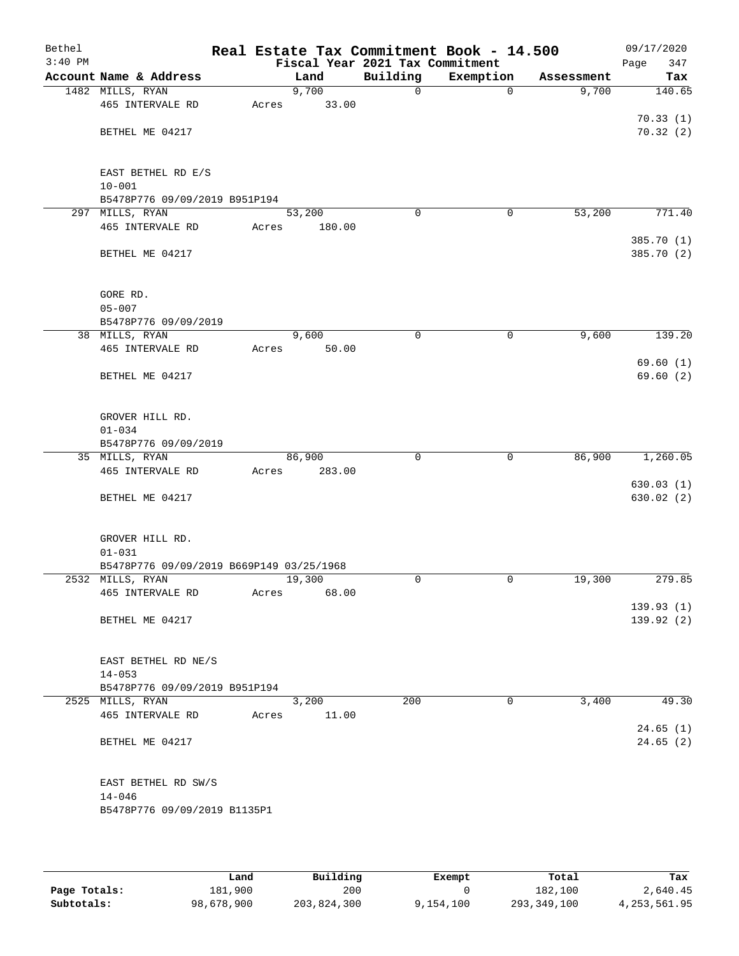| Bethel<br>$3:40$ PM |                                                        |       |                | Fiscal Year 2021 Tax Commitment | Real Estate Tax Commitment Book - 14.500 |            | 09/17/2020<br>Page<br>347 |
|---------------------|--------------------------------------------------------|-------|----------------|---------------------------------|------------------------------------------|------------|---------------------------|
|                     | Account Name & Address                                 |       | Land           | Building                        | Exemption                                | Assessment | Tax                       |
|                     | 1482 MILLS, RYAN                                       |       | 9,700          | $\mathbf 0$                     | $\mathbf 0$                              | 9,700      | 140.65                    |
|                     | 465 INTERVALE RD                                       | Acres | 33.00          |                                 |                                          |            |                           |
|                     |                                                        |       |                |                                 |                                          |            | 70.33(1)                  |
|                     | BETHEL ME 04217                                        |       |                |                                 |                                          |            | 70.32(2)                  |
|                     |                                                        |       |                |                                 |                                          |            |                           |
|                     |                                                        |       |                |                                 |                                          |            |                           |
|                     | EAST BETHEL RD E/S                                     |       |                |                                 |                                          |            |                           |
|                     | $10 - 001$                                             |       |                |                                 |                                          |            |                           |
|                     | B5478P776 09/09/2019 B951P194<br>297 MILLS, RYAN       |       | 53,200         | $\Omega$                        | 0                                        | 53,200     | 771.40                    |
|                     | 465 INTERVALE RD                                       | Acres | 180.00         |                                 |                                          |            |                           |
|                     |                                                        |       |                |                                 |                                          |            | 385.70 (1)                |
|                     | BETHEL ME 04217                                        |       |                |                                 |                                          |            | 385.70 (2)                |
|                     |                                                        |       |                |                                 |                                          |            |                           |
|                     |                                                        |       |                |                                 |                                          |            |                           |
|                     | GORE RD.                                               |       |                |                                 |                                          |            |                           |
|                     | $05 - 007$                                             |       |                |                                 |                                          |            |                           |
|                     | B5478P776 09/09/2019                                   |       |                |                                 |                                          |            |                           |
|                     | 38 MILLS, RYAN                                         |       | 9,600          | $\mathbf 0$                     | $\mathbf 0$                              | 9,600      | 139.20                    |
|                     | 465 INTERVALE RD                                       | Acres | 50.00          |                                 |                                          |            |                           |
|                     |                                                        |       |                |                                 |                                          |            | 69.60(1)                  |
|                     | BETHEL ME 04217                                        |       |                |                                 |                                          |            | 69.60(2)                  |
|                     |                                                        |       |                |                                 |                                          |            |                           |
|                     | GROVER HILL RD.                                        |       |                |                                 |                                          |            |                           |
|                     | $01 - 034$                                             |       |                |                                 |                                          |            |                           |
|                     | B5478P776 09/09/2019                                   |       |                |                                 |                                          |            |                           |
|                     | 35 MILLS, RYAN                                         |       | 86,900         | 0                               | 0                                        | 86,900     | 1,260.05                  |
|                     | 465 INTERVALE RD                                       | Acres | 283.00         |                                 |                                          |            |                           |
|                     |                                                        |       |                |                                 |                                          |            | 630.03(1)                 |
|                     | BETHEL ME 04217                                        |       |                |                                 |                                          |            | 630.02 (2)                |
|                     |                                                        |       |                |                                 |                                          |            |                           |
|                     |                                                        |       |                |                                 |                                          |            |                           |
|                     | GROVER HILL RD.                                        |       |                |                                 |                                          |            |                           |
|                     | $01 - 031$<br>B5478P776 09/09/2019 B669P149 03/25/1968 |       |                |                                 |                                          |            |                           |
|                     | 2532 MILLS, RYAN                                       |       | 19,300         | 0                               | 0                                        | 19,300     | 279.85                    |
|                     | 465 INTERVALE RD                                       | Acres | 68.00          |                                 |                                          |            |                           |
|                     |                                                        |       |                |                                 |                                          |            | 139.93 (1)                |
|                     | BETHEL ME 04217                                        |       |                |                                 |                                          |            | 139.92(2)                 |
|                     |                                                        |       |                |                                 |                                          |            |                           |
|                     |                                                        |       |                |                                 |                                          |            |                           |
|                     | EAST BETHEL RD NE/S                                    |       |                |                                 |                                          |            |                           |
|                     | $14 - 053$                                             |       |                |                                 |                                          |            |                           |
|                     | B5478P776 09/09/2019 B951P194                          |       |                |                                 |                                          |            |                           |
|                     | 2525 MILLS, RYAN<br>465 INTERVALE RD                   | Acres | 3,200<br>11.00 | 200                             | 0                                        | 3,400      | 49.30                     |
|                     |                                                        |       |                |                                 |                                          |            | 24.65(1)                  |
|                     | BETHEL ME 04217                                        |       |                |                                 |                                          |            | 24.65(2)                  |
|                     |                                                        |       |                |                                 |                                          |            |                           |
|                     |                                                        |       |                |                                 |                                          |            |                           |
|                     | EAST BETHEL RD SW/S                                    |       |                |                                 |                                          |            |                           |
|                     | $14 - 046$                                             |       |                |                                 |                                          |            |                           |
|                     | B5478P776 09/09/2019 B1135P1                           |       |                |                                 |                                          |            |                           |
|                     |                                                        |       |                |                                 |                                          |            |                           |

|              | Land       | Building    | Exempt    | Total       | Tax            |
|--------------|------------|-------------|-----------|-------------|----------------|
| Page Totals: | 181,900    | 200         |           | 182,100     | 2,640.45       |
| Subtotals:   | 98,678,900 | 203,824,300 | 9,154,100 | 293,349,100 | 4, 253, 561.95 |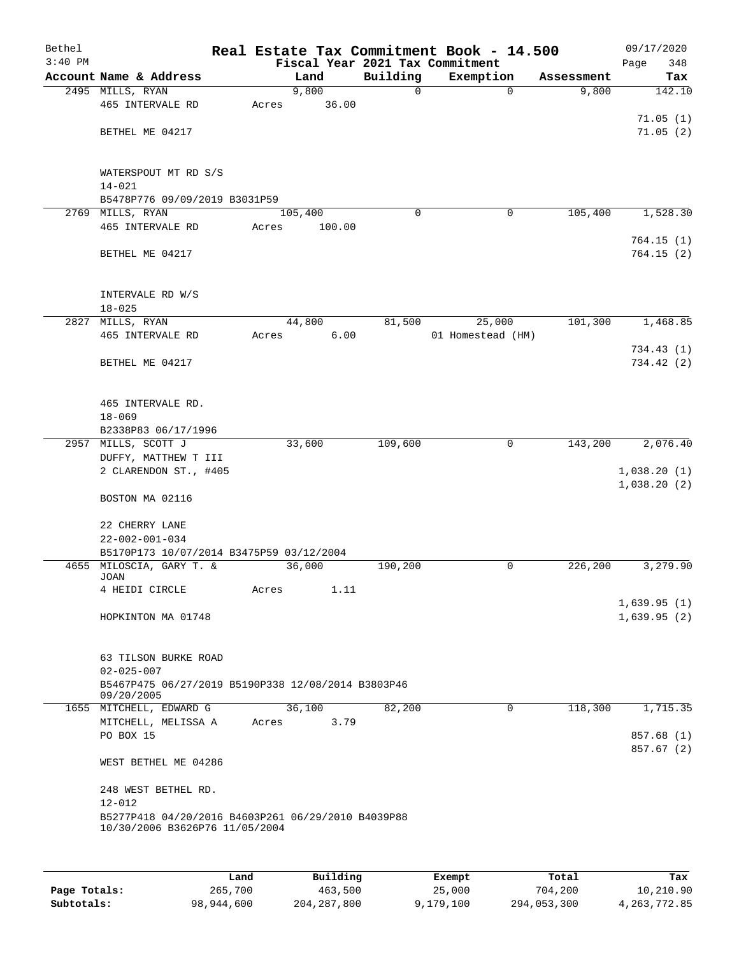| Bethel<br>$3:40$ PM |                                                                  |       |         |        |          | Real Estate Tax Commitment Book - 14.500<br>Fiscal Year 2021 Tax Commitment |             |            | 09/17/2020<br>348<br>Page |
|---------------------|------------------------------------------------------------------|-------|---------|--------|----------|-----------------------------------------------------------------------------|-------------|------------|---------------------------|
|                     | Account Name & Address                                           |       | Land    |        | Building | Exemption                                                                   |             | Assessment | Tax                       |
|                     | 2495 MILLS, RYAN                                                 |       | 9,800   |        | 0        |                                                                             | $\mathbf 0$ | 9,800      | 142.10                    |
|                     | 465 INTERVALE RD                                                 | Acres |         | 36.00  |          |                                                                             |             |            |                           |
|                     |                                                                  |       |         |        |          |                                                                             |             |            | 71.05(1)                  |
|                     | BETHEL ME 04217                                                  |       |         |        |          |                                                                             |             |            | 71.05(2)                  |
|                     |                                                                  |       |         |        |          |                                                                             |             |            |                           |
|                     |                                                                  |       |         |        |          |                                                                             |             |            |                           |
|                     | WATERSPOUT MT RD S/S                                             |       |         |        |          |                                                                             |             |            |                           |
|                     | $14 - 021$                                                       |       |         |        |          |                                                                             |             |            |                           |
|                     | B5478P776 09/09/2019 B3031P59<br>2769 MILLS, RYAN                |       | 105,400 |        | $\Omega$ |                                                                             | 0           | 105,400    | 1,528.30                  |
|                     | 465 INTERVALE RD                                                 | Acres |         | 100.00 |          |                                                                             |             |            |                           |
|                     |                                                                  |       |         |        |          |                                                                             |             |            | 764.15(1)                 |
|                     | BETHEL ME 04217                                                  |       |         |        |          |                                                                             |             |            | 764.15(2)                 |
|                     |                                                                  |       |         |        |          |                                                                             |             |            |                           |
|                     |                                                                  |       |         |        |          |                                                                             |             |            |                           |
|                     | INTERVALE RD W/S                                                 |       |         |        |          |                                                                             |             |            |                           |
|                     | $18 - 025$                                                       |       |         |        |          |                                                                             |             |            |                           |
|                     | 2827 MILLS, RYAN                                                 |       | 44,800  |        | 81,500   | 25,000                                                                      |             | 101,300    | 1,468.85                  |
|                     | 465 INTERVALE RD                                                 | Acres |         | 6.00   |          | 01 Homestead (HM)                                                           |             |            |                           |
|                     | BETHEL ME 04217                                                  |       |         |        |          |                                                                             |             |            | 734.43(1)<br>734.42 (2)   |
|                     |                                                                  |       |         |        |          |                                                                             |             |            |                           |
|                     |                                                                  |       |         |        |          |                                                                             |             |            |                           |
|                     | 465 INTERVALE RD.                                                |       |         |        |          |                                                                             |             |            |                           |
|                     | $18 - 069$                                                       |       |         |        |          |                                                                             |             |            |                           |
|                     | B2338P83 06/17/1996                                              |       |         |        |          |                                                                             |             |            |                           |
|                     | 2957 MILLS, SCOTT J                                              |       | 33,600  |        | 109,600  |                                                                             | 0           | 143,200    | 2,076.40                  |
|                     | DUFFY, MATTHEW T III                                             |       |         |        |          |                                                                             |             |            |                           |
|                     | 2 CLARENDON ST., #405                                            |       |         |        |          |                                                                             |             |            | 1,038.20(1)               |
|                     | BOSTON MA 02116                                                  |       |         |        |          |                                                                             |             |            | 1,038.20(2)               |
|                     |                                                                  |       |         |        |          |                                                                             |             |            |                           |
|                     | 22 CHERRY LANE                                                   |       |         |        |          |                                                                             |             |            |                           |
|                     | $22 - 002 - 001 - 034$                                           |       |         |        |          |                                                                             |             |            |                           |
|                     | B5170P173 10/07/2014 B3475P59 03/12/2004                         |       |         |        |          |                                                                             |             |            |                           |
|                     | 4655 MILOSCIA, GARY T. &                                         |       | 36,000  |        | 190,200  |                                                                             | 0           | 226,200    | 3,279.90                  |
|                     | JOAN<br>4 HEIDI CIRCLE                                           | Acres |         | 1.11   |          |                                                                             |             |            |                           |
|                     |                                                                  |       |         |        |          |                                                                             |             |            | 1,639.95(1)               |
|                     | HOPKINTON MA 01748                                               |       |         |        |          |                                                                             |             |            | 1,639.95(2)               |
|                     |                                                                  |       |         |        |          |                                                                             |             |            |                           |
|                     |                                                                  |       |         |        |          |                                                                             |             |            |                           |
|                     | 63 TILSON BURKE ROAD                                             |       |         |        |          |                                                                             |             |            |                           |
|                     | $02 - 025 - 007$                                                 |       |         |        |          |                                                                             |             |            |                           |
|                     | B5467P475 06/27/2019 B5190P338 12/08/2014 B3803P46<br>09/20/2005 |       |         |        |          |                                                                             |             |            |                           |
|                     | 1655 MITCHELL, EDWARD G                                          |       | 36,100  |        | 82,200   |                                                                             | $\mathbf 0$ | 118,300    | 1,715.35                  |
|                     | MITCHELL, MELISSA A                                              | Acres |         | 3.79   |          |                                                                             |             |            |                           |
|                     | PO BOX 15                                                        |       |         |        |          |                                                                             |             |            | 857.68 (1)                |
|                     |                                                                  |       |         |        |          |                                                                             |             |            | 857.67 (2)                |
|                     | WEST BETHEL ME 04286                                             |       |         |        |          |                                                                             |             |            |                           |
|                     | 248 WEST BETHEL RD.                                              |       |         |        |          |                                                                             |             |            |                           |
|                     | $12 - 012$                                                       |       |         |        |          |                                                                             |             |            |                           |
|                     | B5277P418 04/20/2016 B4603P261 06/29/2010 B4039P88               |       |         |        |          |                                                                             |             |            |                           |
|                     | 10/30/2006 B3626P76 11/05/2004                                   |       |         |        |          |                                                                             |             |            |                           |
|                     |                                                                  |       |         |        |          |                                                                             |             |            |                           |
|                     |                                                                  |       |         |        |          |                                                                             |             |            |                           |
|                     |                                                                  |       |         |        |          |                                                                             |             |            |                           |

|              | Land       | Building      | Exempt    | Total       | Tax          |
|--------------|------------|---------------|-----------|-------------|--------------|
| Page Totals: | 265,700    | 463,500       | 25,000    | 704,200     | 10,210.90    |
| Subtotals:   | 98,944,600 | 204, 287, 800 | 9,179,100 | 294,053,300 | 4,263,772.85 |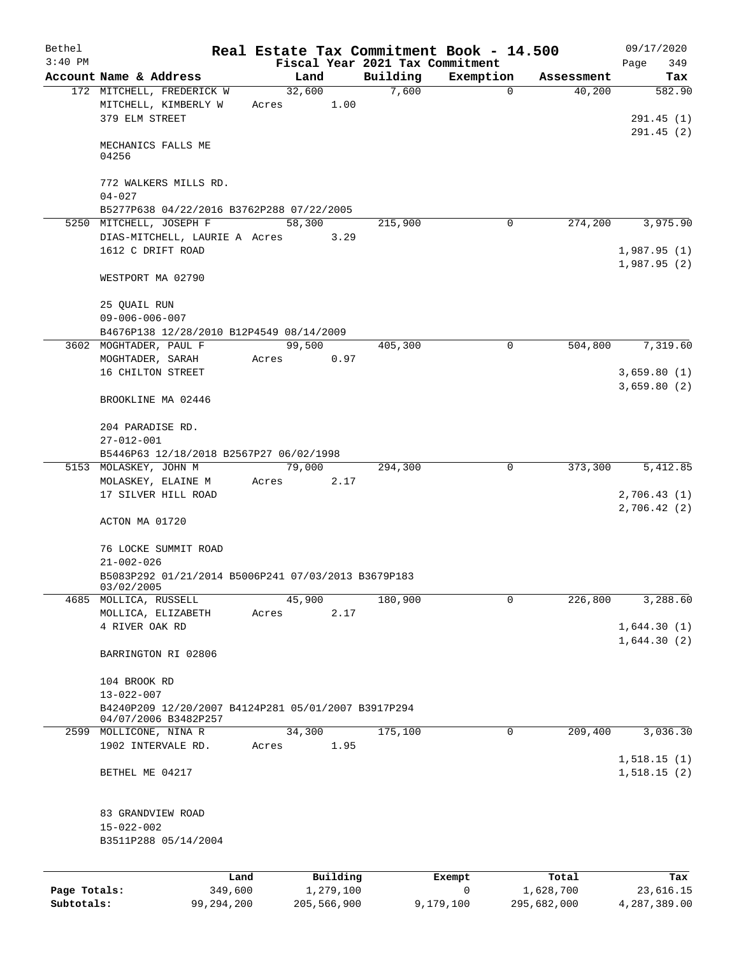| Bethel                     |                                                                             |       |                          |                   | Real Estate Tax Commitment Book - 14.500 |                          | 09/17/2020                   |
|----------------------------|-----------------------------------------------------------------------------|-------|--------------------------|-------------------|------------------------------------------|--------------------------|------------------------------|
| $3:40$ PM                  |                                                                             |       |                          |                   | Fiscal Year 2021 Tax Commitment          |                          | 349<br>Page                  |
|                            | Account Name & Address<br>172 MITCHELL, FREDERICK W                         |       | Land<br>32,600           | Building<br>7,600 | Exemption<br>$\mathbf 0$                 | Assessment<br>40,200     | Tax<br>582.90                |
|                            | MITCHELL, KIMBERLY W<br>379 ELM STREET                                      | Acres | 1.00                     |                   |                                          |                          | 291.45(1)<br>291.45(2)       |
|                            | MECHANICS FALLS ME<br>04256                                                 |       |                          |                   |                                          |                          |                              |
|                            | 772 WALKERS MILLS RD.<br>$04 - 027$                                         |       |                          |                   |                                          |                          |                              |
|                            | B5277P638 04/22/2016 B3762P288 07/22/2005                                   |       |                          |                   |                                          |                          |                              |
|                            | 5250 MITCHELL, JOSEPH F                                                     |       | 58,300                   | 215,900           | 0                                        | 274,200                  | 3,975.90                     |
|                            | DIAS-MITCHELL, LAURIE A Acres<br>1612 C DRIFT ROAD                          |       | 3.29                     |                   |                                          |                          | 1,987.95(1)<br>1,987.95(2)   |
|                            | WESTPORT MA 02790                                                           |       |                          |                   |                                          |                          |                              |
|                            | 25 QUAIL RUN<br>$09 - 006 - 006 - 007$                                      |       |                          |                   |                                          |                          |                              |
|                            | B4676P138 12/28/2010 B12P4549 08/14/2009                                    |       |                          |                   |                                          |                          |                              |
|                            | 3602 MOGHTADER, PAUL F                                                      |       | 99,500                   | 405,300           | 0                                        | 504,800                  | 7,319.60                     |
|                            | MOGHTADER, SARAH                                                            | Acres | 0.97                     |                   |                                          |                          |                              |
|                            | 16 CHILTON STREET                                                           |       |                          |                   |                                          |                          | 3,659.80(1)                  |
|                            | BROOKLINE MA 02446                                                          |       |                          |                   |                                          |                          | 3,659.80(2)                  |
|                            | 204 PARADISE RD.<br>$27 - 012 - 001$                                        |       |                          |                   |                                          |                          |                              |
|                            | B5446P63 12/18/2018 B2567P27 06/02/1998                                     |       |                          |                   |                                          |                          |                              |
|                            | 5153 MOLASKEY, JOHN M                                                       |       | 79,000                   | 294,300           | 0                                        | 373,300                  | 5,412.85                     |
|                            | MOLASKEY, ELAINE M<br>17 SILVER HILL ROAD                                   | Acres | 2.17                     |                   |                                          |                          | 2,706.43 (1)<br>2,706.42 (2) |
|                            | ACTON MA 01720                                                              |       |                          |                   |                                          |                          |                              |
|                            | 76 LOCKE SUMMIT ROAD<br>$21 - 002 - 026$                                    |       |                          |                   |                                          |                          |                              |
|                            | B5083P292 01/21/2014 B5006P241 07/03/2013 B3679P183<br>03/02/2005           |       |                          |                   |                                          |                          |                              |
| 4685                       | MOLLICA, RUSSELL                                                            |       | 45,900                   | 180,900           | 0                                        | 226,800                  | 3,288.60                     |
|                            | MOLLICA, ELIZABETH<br>4 RIVER OAK RD                                        | Acres | 2.17                     |                   |                                          |                          | 1,644.30(1)<br>1,644.30(2)   |
|                            | BARRINGTON RI 02806                                                         |       |                          |                   |                                          |                          |                              |
|                            | 104 BROOK RD                                                                |       |                          |                   |                                          |                          |                              |
|                            | $13 - 022 - 007$                                                            |       |                          |                   |                                          |                          |                              |
|                            | B4240P209 12/20/2007 B4124P281 05/01/2007 B3917P294<br>04/07/2006 B3482P257 |       |                          |                   |                                          |                          |                              |
|                            | 2599 MOLLICONE, NINA R                                                      |       | 34,300                   | 175,100           | 0                                        | 209,400                  | 3,036.30                     |
|                            | 1902 INTERVALE RD.                                                          | Acres | 1.95                     |                   |                                          |                          | 1,518.15(1)                  |
|                            | BETHEL ME 04217                                                             |       |                          |                   |                                          |                          | 1,518.15(2)                  |
|                            | 83 GRANDVIEW ROAD                                                           |       |                          |                   |                                          |                          |                              |
|                            | $15 - 022 - 002$                                                            |       |                          |                   |                                          |                          |                              |
|                            | B3511P288 05/14/2004                                                        |       |                          |                   |                                          |                          |                              |
|                            |                                                                             | Land  | Building                 |                   | Exempt                                   | Total                    | Tax                          |
| Page Totals:<br>Subtotals: | 349,600<br>99,294,200                                                       |       | 1,279,100<br>205,566,900 |                   | 0<br>9,179,100                           | 1,628,700<br>295,682,000 | 23,616.15<br>4,287,389.00    |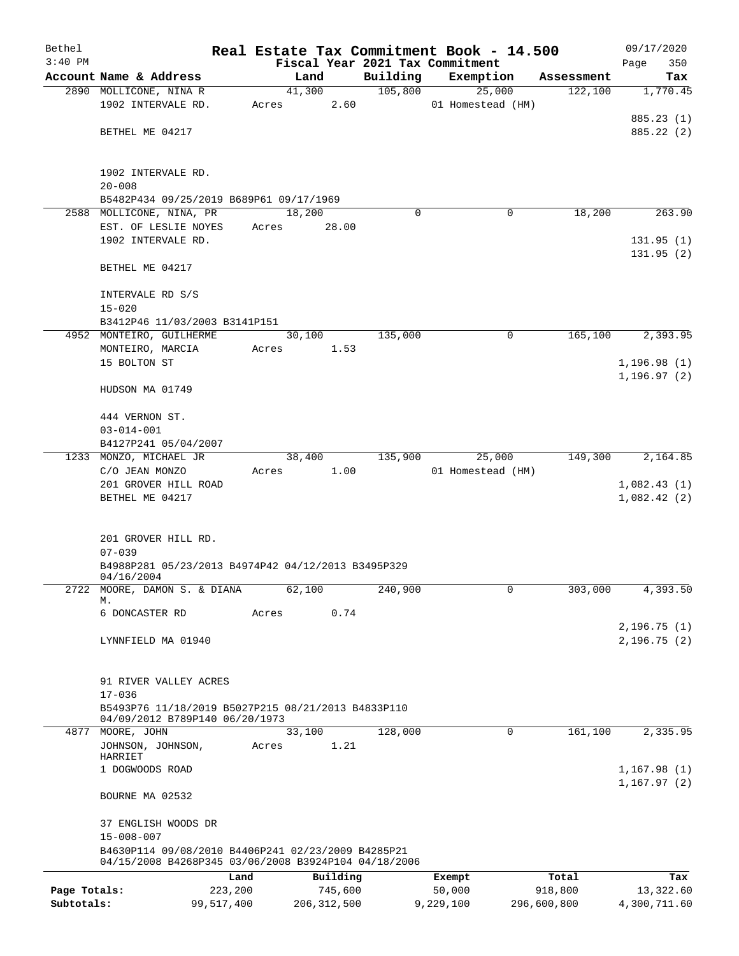| Bethel       |                                                      |                         |          | Real Estate Tax Commitment Book - 14.500 |             | 09/17/2020   |
|--------------|------------------------------------------------------|-------------------------|----------|------------------------------------------|-------------|--------------|
| $3:40$ PM    |                                                      |                         |          | Fiscal Year 2021 Tax Commitment          |             | 350<br>Page  |
|              | Account Name & Address                               | Land                    | Building | Exemption                                | Assessment  | Tax          |
|              | 2890 MOLLICONE, NINA R<br>1902 INTERVALE RD.         | 41,300<br>2.60<br>Acres | 105,800  | 25,000<br>01 Homestead (HM)              | 122,100     | 1,770.45     |
|              |                                                      |                         |          |                                          |             | 885.23 (1)   |
|              | BETHEL ME 04217                                      |                         |          |                                          |             | 885.22 (2)   |
|              |                                                      |                         |          |                                          |             |              |
|              | 1902 INTERVALE RD.                                   |                         |          |                                          |             |              |
|              | $20 - 008$                                           |                         |          |                                          |             |              |
|              | B5482P434 09/25/2019 B689P61 09/17/1969              |                         |          |                                          |             |              |
|              | 2588 MOLLICONE, NINA, PR                             | 18,200                  | $\Omega$ | 0                                        | 18,200      | 263.90       |
|              | EST. OF LESLIE NOYES                                 | 28.00<br>Acres          |          |                                          |             |              |
|              | 1902 INTERVALE RD.                                   |                         |          |                                          |             | 131.95(1)    |
|              |                                                      |                         |          |                                          |             | 131.95(2)    |
|              | BETHEL ME 04217                                      |                         |          |                                          |             |              |
|              | INTERVALE RD S/S                                     |                         |          |                                          |             |              |
|              | $15 - 020$                                           |                         |          |                                          |             |              |
|              | B3412P46 11/03/2003 B3141P151                        |                         |          |                                          |             |              |
|              | 4952 MONTEIRO, GUILHERME                             | 30,100                  | 135,000  | 0                                        | 165,100     | 2,393.95     |
|              | MONTEIRO, MARCIA                                     | 1.53<br>Acres           |          |                                          |             |              |
|              | 15 BOLTON ST                                         |                         |          |                                          |             | 1, 196.98(1) |
|              |                                                      |                         |          |                                          |             | 1,196.97(2)  |
|              | HUDSON MA 01749                                      |                         |          |                                          |             |              |
|              | 444 VERNON ST.                                       |                         |          |                                          |             |              |
|              | $03 - 014 - 001$                                     |                         |          |                                          |             |              |
|              | B4127P241 05/04/2007                                 |                         |          |                                          |             |              |
|              | 1233 MONZO, MICHAEL JR                               | 38,400                  | 135,900  | 25,000                                   | 149,300     | 2,164.85     |
|              | C/O JEAN MONZO                                       | 1.00<br>Acres           |          | 01 Homestead (HM)                        |             |              |
|              | 201 GROVER HILL ROAD                                 |                         |          |                                          |             | 1,082.43(1)  |
|              | BETHEL ME 04217                                      |                         |          |                                          |             | 1,082.42(2)  |
|              |                                                      |                         |          |                                          |             |              |
|              | 201 GROVER HILL RD.                                  |                         |          |                                          |             |              |
|              | $07 - 039$                                           |                         |          |                                          |             |              |
|              | B4988P281 05/23/2013 B4974P42 04/12/2013 B3495P329   |                         |          |                                          |             |              |
|              | 04/16/2004                                           |                         |          |                                          |             |              |
| 2722         | MOORE, DAMON S. & DIANA<br>М.                        | 62,100                  | 240,900  | $\mathbf{0}$                             | 303,000     | 4,393.50     |
|              | 6 DONCASTER RD                                       | Acres<br>0.74           |          |                                          |             |              |
|              |                                                      |                         |          |                                          |             | 2, 196.75(1) |
|              | LYNNFIELD MA 01940                                   |                         |          |                                          |             | 2,196.75(2)  |
|              |                                                      |                         |          |                                          |             |              |
|              | 91 RIVER VALLEY ACRES                                |                         |          |                                          |             |              |
|              | $17 - 036$                                           |                         |          |                                          |             |              |
|              | B5493P76 11/18/2019 B5027P215 08/21/2013 B4833P110   |                         |          |                                          |             |              |
|              | 04/09/2012 B789P140 06/20/1973                       |                         |          |                                          |             |              |
|              | 4877 MOORE, JOHN                                     | 33,100                  | 128,000  | 0                                        | 161,100     | 2,335.95     |
|              | JOHNSON, JOHNSON,                                    | 1.21<br>Acres           |          |                                          |             |              |
|              | HARRIET<br>1 DOGWOODS ROAD                           |                         |          |                                          |             | 1,167.98(1)  |
|              |                                                      |                         |          |                                          |             | 1, 167.97(2) |
|              | BOURNE MA 02532                                      |                         |          |                                          |             |              |
|              | 37 ENGLISH WOODS DR                                  |                         |          |                                          |             |              |
|              | $15 - 008 - 007$                                     |                         |          |                                          |             |              |
|              | B4630P114 09/08/2010 B4406P241 02/23/2009 B4285P21   |                         |          |                                          |             |              |
|              | 04/15/2008 B4268P345 03/06/2008 B3924P104 04/18/2006 |                         |          |                                          |             |              |
|              | Land                                                 | Building                |          | Exempt                                   | Total       | Tax          |
| Page Totals: | 223,200                                              | 745,600                 |          | 50,000                                   | 918,800     | 13,322.60    |
| Subtotals:   | 99,517,400                                           | 206, 312, 500           |          | 9,229,100                                | 296,600,800 | 4,300,711.60 |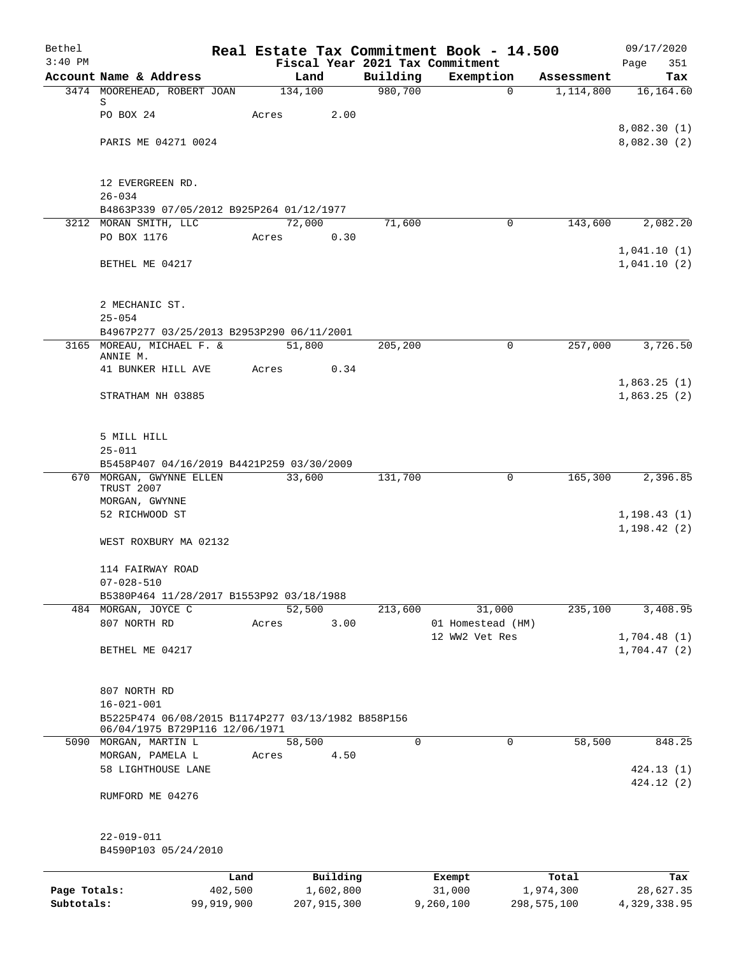| Bethel       |                                                                                                          |            |       |                 |                     | Real Estate Tax Commitment Book - 14.500 |                         | 09/17/2020       |
|--------------|----------------------------------------------------------------------------------------------------------|------------|-------|-----------------|---------------------|------------------------------------------|-------------------------|------------------|
| $3:40$ PM    |                                                                                                          |            |       |                 |                     | Fiscal Year 2021 Tax Commitment          |                         | Page<br>351      |
|              | Account Name & Address<br>3474 MOOREHEAD, ROBERT JOAN                                                    |            |       | Land<br>134,100 | Building<br>980,700 | Exemption<br>$\Omega$                    | Assessment<br>1,114,800 | Tax<br>16,164.60 |
|              | S                                                                                                        |            |       |                 |                     |                                          |                         |                  |
|              | PO BOX 24                                                                                                |            | Acres | 2.00            |                     |                                          |                         |                  |
|              |                                                                                                          |            |       |                 |                     |                                          |                         | 8,082.30(1)      |
|              | PARIS ME 04271 0024                                                                                      |            |       |                 |                     |                                          |                         | 8,082.30 (2)     |
|              | 12 EVERGREEN RD.                                                                                         |            |       |                 |                     |                                          |                         |                  |
|              | $26 - 034$                                                                                               |            |       |                 |                     |                                          |                         |                  |
|              | B4863P339 07/05/2012 B925P264 01/12/1977                                                                 |            |       |                 |                     |                                          |                         |                  |
|              | 3212 MORAN SMITH, LLC                                                                                    |            |       | 72,000          | 71,600              | $\mathbf 0$                              | 143,600                 | 2,082.20         |
|              | PO BOX 1176                                                                                              |            | Acres | 0.30            |                     |                                          |                         | 1,041.10(1)      |
|              | BETHEL ME 04217                                                                                          |            |       |                 |                     |                                          |                         | 1,041.10(2)      |
|              | 2 MECHANIC ST.                                                                                           |            |       |                 |                     |                                          |                         |                  |
|              | $25 - 054$                                                                                               |            |       |                 |                     |                                          |                         |                  |
|              | B4967P277 03/25/2013 B2953P290 06/11/2001                                                                |            |       |                 |                     |                                          |                         |                  |
|              | 3165 MOREAU, MICHAEL F. &                                                                                |            |       | 51,800          | 205,200             | 0                                        | 257,000                 | 3,726.50         |
|              | ANNIE M.                                                                                                 |            |       |                 |                     |                                          |                         |                  |
|              | 41 BUNKER HILL AVE                                                                                       |            | Acres | 0.34            |                     |                                          |                         | 1,863.25(1)      |
|              | STRATHAM NH 03885                                                                                        |            |       |                 |                     |                                          |                         | 1,863.25(2)      |
|              | 5 MILL HILL                                                                                              |            |       |                 |                     |                                          |                         |                  |
|              | $25 - 011$                                                                                               |            |       |                 |                     |                                          |                         |                  |
|              | B5458P407 04/16/2019 B4421P259 03/30/2009                                                                |            |       |                 |                     |                                          |                         |                  |
|              | 670 MORGAN, GWYNNE ELLEN<br>TRUST 2007                                                                   |            |       | 33,600          | 131,700             | $\mathbf 0$                              | 165,300                 | 2,396.85         |
|              | MORGAN, GWYNNE<br>52 RICHWOOD ST                                                                         |            |       |                 |                     |                                          |                         | 1, 198.43(1)     |
|              |                                                                                                          |            |       |                 |                     |                                          |                         | 1, 198.42(2)     |
|              | WEST ROXBURY MA 02132                                                                                    |            |       |                 |                     |                                          |                         |                  |
|              | 114 FAIRWAY ROAD                                                                                         |            |       |                 |                     |                                          |                         |                  |
|              | $07 - 028 - 510$<br>B5380P464 11/28/2017 B1553P92 03/18/1988                                             |            |       |                 |                     |                                          |                         |                  |
|              | 484 MORGAN, JOYCE C                                                                                      |            |       | 52,500          | 213,600             | 31,000                                   | 235,100                 | 3,408.95         |
|              | 807 NORTH RD                                                                                             |            | Acres | 3.00            |                     | 01 Homestead (HM)                        |                         |                  |
|              |                                                                                                          |            |       |                 |                     | 12 WW2 Vet Res                           |                         | 1,704.48(1)      |
|              | BETHEL ME 04217                                                                                          |            |       |                 |                     |                                          |                         | 1,704.47(2)      |
|              | 807 NORTH RD                                                                                             |            |       |                 |                     |                                          |                         |                  |
|              | $16 - 021 - 001$<br>B5225P474 06/08/2015 B1174P277 03/13/1982 B858P156<br>06/04/1975 B729P116 12/06/1971 |            |       |                 |                     |                                          |                         |                  |
| 5090         | MORGAN, MARTIN L                                                                                         |            |       | 58,500          | $\Omega$            | 0                                        | 58,500                  | 848.25           |
|              | MORGAN, PAMELA L                                                                                         |            | Acres | 4.50            |                     |                                          |                         |                  |
|              | 58 LIGHTHOUSE LANE                                                                                       |            |       |                 |                     |                                          |                         | 424.13(1)        |
|              | RUMFORD ME 04276                                                                                         |            |       |                 |                     |                                          |                         | 424.12(2)        |
|              | 22-019-011                                                                                               |            |       |                 |                     |                                          |                         |                  |
|              | B4590P103 05/24/2010                                                                                     |            |       |                 |                     |                                          |                         |                  |
|              |                                                                                                          | Land       |       | Building        |                     | Exempt                                   | Total                   | Tax              |
| Page Totals: |                                                                                                          | 402,500    |       | 1,602,800       |                     | 31,000                                   | 1,974,300               | 28,627.35        |
| Subtotals:   |                                                                                                          | 99,919,900 |       | 207, 915, 300   |                     | 9,260,100                                | 298,575,100             | 4,329,338.95     |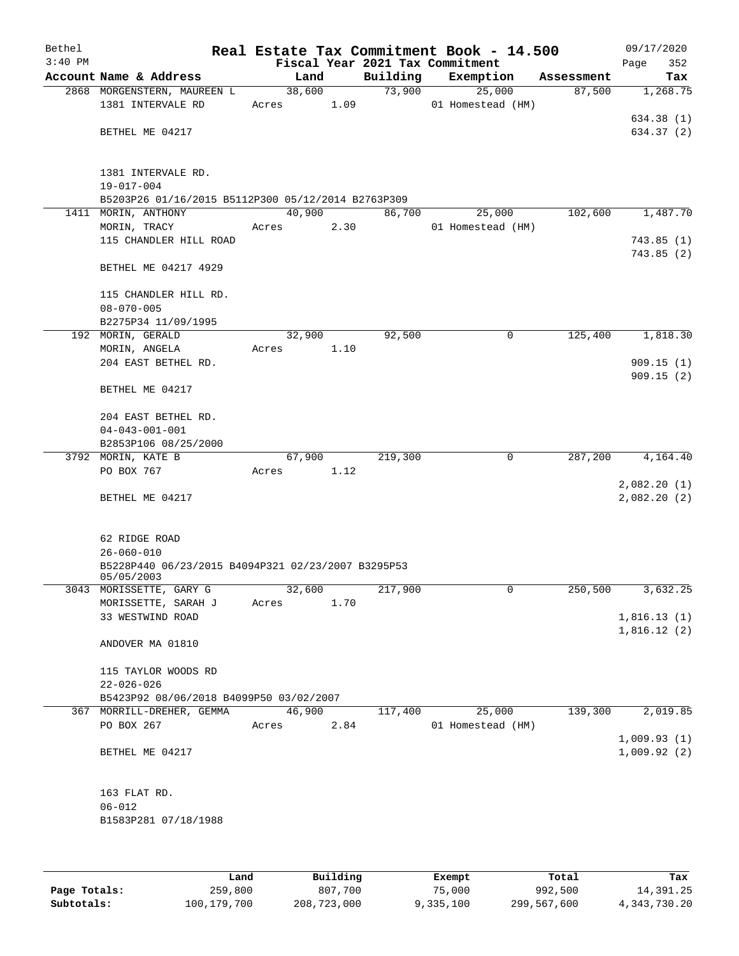| Bethel<br>$3:40$ PM |                                                                  |        |      | Fiscal Year 2021 Tax Commitment | Real Estate Tax Commitment Book - 14.500 |            | 09/17/2020<br>Page<br>352 |
|---------------------|------------------------------------------------------------------|--------|------|---------------------------------|------------------------------------------|------------|---------------------------|
|                     | Account Name & Address                                           | Land   |      | Building                        | Exemption                                | Assessment | Tax                       |
|                     | 2868 MORGENSTERN, MAUREEN L                                      | 38,600 |      | 73,900                          | 25,000                                   | 87,500     | 1,268.75                  |
|                     | 1381 INTERVALE RD                                                | Acres  | 1.09 |                                 | 01 Homestead (HM)                        |            |                           |
|                     |                                                                  |        |      |                                 |                                          |            | 634.38 (1)                |
|                     | BETHEL ME 04217                                                  |        |      |                                 |                                          |            | 634.37 (2)                |
|                     |                                                                  |        |      |                                 |                                          |            |                           |
|                     |                                                                  |        |      |                                 |                                          |            |                           |
|                     | 1381 INTERVALE RD.                                               |        |      |                                 |                                          |            |                           |
|                     | $19 - 017 - 004$                                                 |        |      |                                 |                                          |            |                           |
|                     | B5203P26 01/16/2015 B5112P300 05/12/2014 B2763P309               |        |      |                                 |                                          |            |                           |
|                     | 1411 MORIN, ANTHONY                                              | 40,900 |      | 86,700                          | 25,000                                   | 102,600    | 1,487.70                  |
|                     | MORIN, TRACY                                                     | Acres  | 2.30 |                                 | 01 Homestead (HM)                        |            |                           |
|                     | 115 CHANDLER HILL ROAD                                           |        |      |                                 |                                          |            | 743.85(1)<br>743.85(2)    |
|                     | BETHEL ME 04217 4929                                             |        |      |                                 |                                          |            |                           |
|                     |                                                                  |        |      |                                 |                                          |            |                           |
|                     | 115 CHANDLER HILL RD.                                            |        |      |                                 |                                          |            |                           |
|                     | $08 - 070 - 005$                                                 |        |      |                                 |                                          |            |                           |
|                     | B2275P34 11/09/1995                                              |        |      |                                 |                                          |            |                           |
|                     | 192 MORIN, GERALD                                                | 32,900 |      | 92,500                          | 0                                        | 125,400    | 1,818.30                  |
|                     | MORIN, ANGELA                                                    | Acres  | 1.10 |                                 |                                          |            |                           |
|                     | 204 EAST BETHEL RD.                                              |        |      |                                 |                                          |            | 909.15(1)                 |
|                     |                                                                  |        |      |                                 |                                          |            | 909.15(2)                 |
|                     | BETHEL ME 04217                                                  |        |      |                                 |                                          |            |                           |
|                     |                                                                  |        |      |                                 |                                          |            |                           |
|                     | 204 EAST BETHEL RD.                                              |        |      |                                 |                                          |            |                           |
|                     | $04 - 043 - 001 - 001$<br>B2853P106 08/25/2000                   |        |      |                                 |                                          |            |                           |
|                     | 3792 MORIN, KATE B                                               | 67,900 |      | 219,300                         | 0                                        | 287,200    | 4,164.40                  |
|                     | PO BOX 767                                                       | Acres  | 1.12 |                                 |                                          |            |                           |
|                     |                                                                  |        |      |                                 |                                          |            | 2,082.20(1)               |
|                     | BETHEL ME 04217                                                  |        |      |                                 |                                          |            | 2,082.20(2)               |
|                     |                                                                  |        |      |                                 |                                          |            |                           |
|                     |                                                                  |        |      |                                 |                                          |            |                           |
|                     | 62 RIDGE ROAD                                                    |        |      |                                 |                                          |            |                           |
|                     | $26 - 060 - 010$                                                 |        |      |                                 |                                          |            |                           |
|                     | B5228P440 06/23/2015 B4094P321 02/23/2007 B3295P53<br>05/05/2003 |        |      |                                 |                                          |            |                           |
|                     | 3043 MORISSETTE, GARY G                                          | 32,600 |      | 217,900                         | 0                                        | 250,500    | 3,632.25                  |
|                     | MORISSETTE, SARAH J                                              | Acres  | 1.70 |                                 |                                          |            |                           |
|                     | 33 WESTWIND ROAD                                                 |        |      |                                 |                                          |            | 1,816.13(1)               |
|                     |                                                                  |        |      |                                 |                                          |            | 1,816.12(2)               |
|                     | ANDOVER MA 01810                                                 |        |      |                                 |                                          |            |                           |
|                     |                                                                  |        |      |                                 |                                          |            |                           |
|                     | 115 TAYLOR WOODS RD                                              |        |      |                                 |                                          |            |                           |
|                     | $22 - 026 - 026$                                                 |        |      |                                 |                                          |            |                           |
|                     | B5423P92 08/06/2018 B4099P50 03/02/2007                          |        |      |                                 |                                          |            |                           |
|                     | 367 MORRILL-DREHER, GEMMA<br>PO BOX 267                          | 46,900 |      | 117,400                         | 25,000                                   | 139,300    | 2,019.85                  |
|                     |                                                                  | Acres  | 2.84 |                                 | 01 Homestead (HM)                        |            | 1,009.93(1)               |
|                     | BETHEL ME 04217                                                  |        |      |                                 |                                          |            | 1,009.92(2)               |
|                     |                                                                  |        |      |                                 |                                          |            |                           |
|                     |                                                                  |        |      |                                 |                                          |            |                           |
|                     | 163 FLAT RD.                                                     |        |      |                                 |                                          |            |                           |
|                     | $06 - 012$                                                       |        |      |                                 |                                          |            |                           |
|                     | B1583P281 07/18/1988                                             |        |      |                                 |                                          |            |                           |
|                     |                                                                  |        |      |                                 |                                          |            |                           |
|                     |                                                                  |        |      |                                 |                                          |            |                           |
|                     |                                                                  |        |      |                                 |                                          |            |                           |

|              | Land        | Building    | Exempt    | Total       | Tax          |
|--------------|-------------|-------------|-----------|-------------|--------------|
| Page Totals: | 259,800     | 807,700     | 75,000    | 992,500     | 14,391.25    |
| Subtotals:   | 100,179,700 | 208,723,000 | 9,335,100 | 299,567,600 | 4,343,730.20 |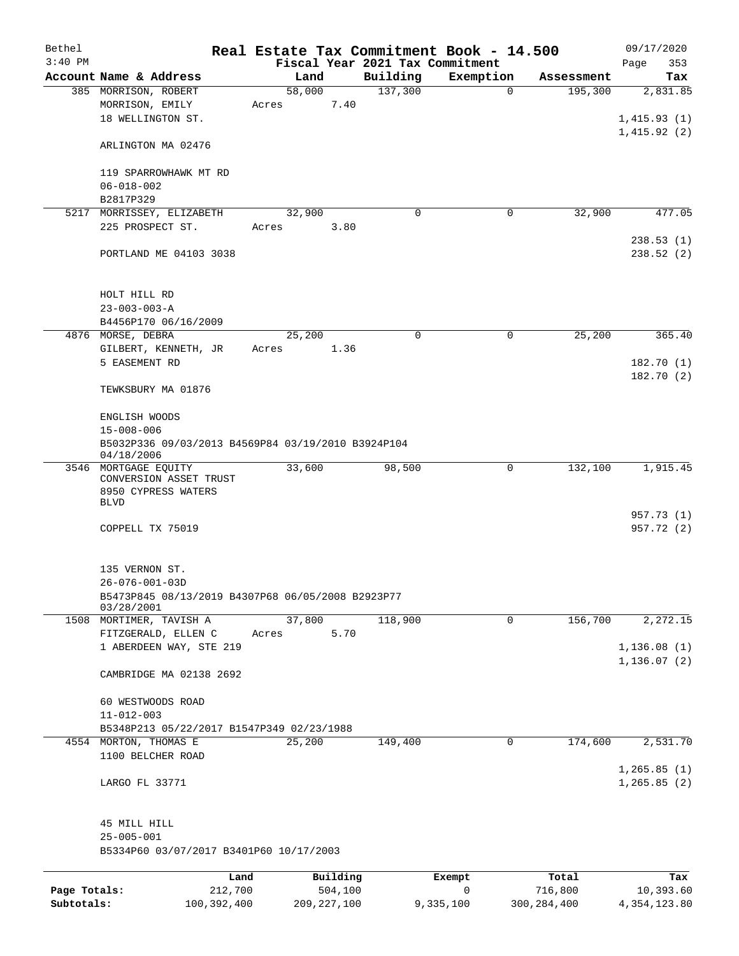| Bethel       |                                                                                      | Real Estate Tax Commitment Book - 14.500 |          |             |               | 09/17/2020                   |
|--------------|--------------------------------------------------------------------------------------|------------------------------------------|----------|-------------|---------------|------------------------------|
| $3:40$ PM    |                                                                                      | Fiscal Year 2021 Tax Commitment          |          |             |               | Page<br>353                  |
|              | Account Name & Address                                                               | Land                                     | Building | Exemption   | Assessment    | Tax                          |
|              | 385 MORRISON, ROBERT<br>MORRISON, EMILY<br>18 WELLINGTON ST.                         | 58,000<br>7.40<br>Acres                  | 137,300  | $\mathbf 0$ | 195,300       | 2,831.85<br>1,415.93(1)      |
|              | ARLINGTON MA 02476                                                                   |                                          |          |             |               | 1,415.92(2)                  |
|              | 119 SPARROWHAWK MT RD                                                                |                                          |          |             |               |                              |
|              | $06 - 018 - 002$<br>B2817P329                                                        |                                          |          |             |               |                              |
|              | 5217 MORRISSEY, ELIZABETH                                                            | 32,900                                   | $\Omega$ | 0           | 32,900        | 477.05                       |
|              | 225 PROSPECT ST.                                                                     | 3.80<br>Acres                            |          |             |               |                              |
|              | PORTLAND ME 04103 3038                                                               |                                          |          |             |               | 238.53(1)<br>238.52(2)       |
|              | HOLT HILL RD                                                                         |                                          |          |             |               |                              |
|              | $23 - 003 - 003 - A$                                                                 |                                          |          |             |               |                              |
|              | B4456P170 06/16/2009<br>4876 MORSE, DEBRA                                            | 25,200                                   | 0        | 0           | 25,200        | 365.40                       |
|              | GILBERT, KENNETH, JR                                                                 | Acres<br>1.36                            |          |             |               |                              |
|              | 5 EASEMENT RD                                                                        |                                          |          |             |               | 182.70 (1)<br>182.70(2)      |
|              | TEWKSBURY MA 01876                                                                   |                                          |          |             |               |                              |
|              | ENGLISH WOODS                                                                        |                                          |          |             |               |                              |
|              | $15 - 008 - 006$                                                                     |                                          |          |             |               |                              |
|              | B5032P336 09/03/2013 B4569P84 03/19/2010 B3924P104<br>04/18/2006                     |                                          |          |             |               |                              |
|              | 3546 MORTGAGE EQUITY<br>CONVERSION ASSET TRUST<br>8950 CYPRESS WATERS<br><b>BLVD</b> | 33,600                                   | 98,500   | 0           | 132,100       | 1,915.45                     |
|              | COPPELL TX 75019                                                                     |                                          |          |             |               | 957.73 (1)<br>957.72 (2)     |
|              | 135 VERNON ST.                                                                       |                                          |          |             |               |                              |
|              | $26 - 076 - 001 - 03D$<br>B5473P845 08/13/2019 B4307P68 06/05/2008 B2923P77          |                                          |          |             |               |                              |
|              | 03/28/2001                                                                           |                                          |          |             |               |                              |
|              | 1508 MORTIMER, TAVISH A                                                              | 37,800                                   | 118,900  | 0           | 156,700       | 2,272.15                     |
|              | FITZGERALD, ELLEN C<br>1 ABERDEEN WAY, STE 219                                       | 5.70<br>Acres                            |          |             |               | 1,136.08(1)                  |
|              |                                                                                      |                                          |          |             |               | 1,136.07(2)                  |
|              | CAMBRIDGE MA 02138 2692                                                              |                                          |          |             |               |                              |
|              | 60 WESTWOODS ROAD                                                                    |                                          |          |             |               |                              |
|              | $11 - 012 - 003$<br>B5348P213 05/22/2017 B1547P349 02/23/1988                        |                                          |          |             |               |                              |
|              | 4554 MORTON, THOMAS E                                                                | 25,200                                   | 149,400  | $\mathbf 0$ | 174,600       | 2,531.70                     |
|              | 1100 BELCHER ROAD                                                                    |                                          |          |             |               |                              |
|              | LARGO FL 33771                                                                       |                                          |          |             |               | 1, 265.85(1)<br>1, 265.85(2) |
|              | 45 MILL HILL<br>$25 - 005 - 001$                                                     |                                          |          |             |               |                              |
|              | B5334P60 03/07/2017 B3401P60 10/17/2003                                              |                                          |          |             |               |                              |
|              | Land                                                                                 | Building                                 |          | Exempt      | Total         | Tax                          |
| Page Totals: | 212,700                                                                              | 504,100                                  |          | $\mathbf 0$ | 716,800       | 10,393.60                    |
| Subtotals:   | 100,392,400                                                                          | 209, 227, 100                            |          | 9,335,100   | 300, 284, 400 | 4, 354, 123.80               |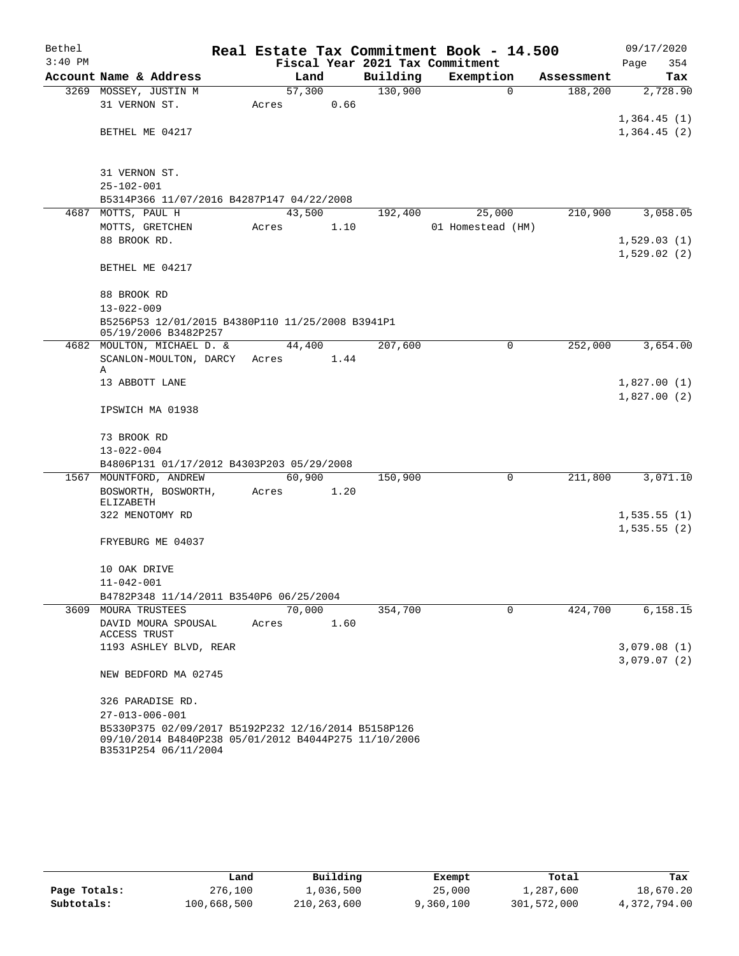| Bethel    |                                                                                                                                     |        |      |      |          | Real Estate Tax Commitment Book - 14.500 |             |            |                            | 09/17/2020  |
|-----------|-------------------------------------------------------------------------------------------------------------------------------------|--------|------|------|----------|------------------------------------------|-------------|------------|----------------------------|-------------|
| $3:40$ PM |                                                                                                                                     |        |      |      |          | Fiscal Year 2021 Tax Commitment          |             |            | Page                       | 354         |
|           | Account Name & Address                                                                                                              |        | Land |      | Building | Exemption                                |             | Assessment |                            | Tax         |
|           | 3269 MOSSEY, JUSTIN M                                                                                                               | 57,300 |      |      | 130,900  |                                          | $\mathbf 0$ | 188,200    |                            | 2,728.90    |
|           | 31 VERNON ST.                                                                                                                       | Acres  |      | 0.66 |          |                                          |             |            |                            |             |
|           |                                                                                                                                     |        |      |      |          |                                          |             |            | 1,364.45(1)                |             |
|           | BETHEL ME 04217                                                                                                                     |        |      |      |          |                                          |             |            | 1,364.45(2)                |             |
|           |                                                                                                                                     |        |      |      |          |                                          |             |            |                            |             |
|           | 31 VERNON ST.                                                                                                                       |        |      |      |          |                                          |             |            |                            |             |
|           | $25 - 102 - 001$                                                                                                                    |        |      |      |          |                                          |             |            |                            |             |
|           | B5314P366 11/07/2016 B4287P147 04/22/2008                                                                                           |        |      |      |          |                                          |             |            |                            |             |
|           | 4687 MOTTS, PAUL H                                                                                                                  | 43,500 |      |      | 192,400  | 25,000                                   |             | 210,900    |                            | 3,058.05    |
|           | MOTTS, GRETCHEN                                                                                                                     | Acres  |      | 1.10 |          | 01 Homestead (HM)                        |             |            |                            |             |
|           | 88 BROOK RD.                                                                                                                        |        |      |      |          |                                          |             |            | 1,529.03(1)                |             |
|           |                                                                                                                                     |        |      |      |          |                                          |             |            | 1,529.02(2)                |             |
|           | BETHEL ME 04217                                                                                                                     |        |      |      |          |                                          |             |            |                            |             |
|           | 88 BROOK RD                                                                                                                         |        |      |      |          |                                          |             |            |                            |             |
|           | $13 - 022 - 009$                                                                                                                    |        |      |      |          |                                          |             |            |                            |             |
|           | B5256P53 12/01/2015 B4380P110 11/25/2008 B3941P1<br>05/19/2006 B3482P257                                                            |        |      |      |          |                                          |             |            |                            |             |
|           | 4682 MOULTON, MICHAEL D. &                                                                                                          | 44,400 |      |      | 207,600  |                                          | 0           | 252,000    |                            | 3,654.00    |
|           | SCANLON-MOULTON, DARCY                                                                                                              | Acres  |      | 1.44 |          |                                          |             |            |                            |             |
|           | Α                                                                                                                                   |        |      |      |          |                                          |             |            |                            |             |
|           | 13 ABBOTT LANE                                                                                                                      |        |      |      |          |                                          |             |            | 1,827.00(1)<br>1,827.00(2) |             |
|           | IPSWICH MA 01938                                                                                                                    |        |      |      |          |                                          |             |            |                            |             |
|           | 73 BROOK RD                                                                                                                         |        |      |      |          |                                          |             |            |                            |             |
|           | $13 - 022 - 004$                                                                                                                    |        |      |      |          |                                          |             |            |                            |             |
|           | B4806P131 01/17/2012 B4303P203 05/29/2008                                                                                           |        |      |      |          |                                          |             |            |                            |             |
|           | 1567 MOUNTFORD, ANDREW                                                                                                              | 60,900 |      |      | 150,900  |                                          | 0           | 211,800    |                            | 3,071.10    |
|           | BOSWORTH, BOSWORTH,<br>ELIZABETH                                                                                                    | Acres  |      | 1.20 |          |                                          |             |            |                            |             |
|           | 322 MENOTOMY RD                                                                                                                     |        |      |      |          |                                          |             |            | 1,535.55(1)                |             |
|           |                                                                                                                                     |        |      |      |          |                                          |             |            | 1,535.55(2)                |             |
|           | FRYEBURG ME 04037                                                                                                                   |        |      |      |          |                                          |             |            |                            |             |
|           | 10 OAK DRIVE                                                                                                                        |        |      |      |          |                                          |             |            |                            |             |
|           | $11 - 042 - 001$                                                                                                                    |        |      |      |          |                                          |             |            |                            |             |
|           | B4782P348 11/14/2011 B3540P6 06/25/2004                                                                                             |        |      |      |          |                                          |             |            |                            |             |
|           | 3609 MOURA TRUSTEES                                                                                                                 | 70,000 |      |      | 354,700  |                                          | 0           | 424,700    |                            | 6,158.15    |
|           | DAVID MOURA SPOUSAL<br>ACCESS TRUST                                                                                                 | Acres  |      | 1.60 |          |                                          |             |            |                            |             |
|           | 1193 ASHLEY BLVD, REAR                                                                                                              |        |      |      |          |                                          |             |            | 3,079.08(1)                |             |
|           |                                                                                                                                     |        |      |      |          |                                          |             |            |                            | 3,079.07(2) |
|           | NEW BEDFORD MA 02745                                                                                                                |        |      |      |          |                                          |             |            |                            |             |
|           | 326 PARADISE RD.                                                                                                                    |        |      |      |          |                                          |             |            |                            |             |
|           | $27 - 013 - 006 - 001$                                                                                                              |        |      |      |          |                                          |             |            |                            |             |
|           | B5330P375 02/09/2017 B5192P232 12/16/2014 B5158P126<br>09/10/2014 B4840P238 05/01/2012 B4044P275 11/10/2006<br>B3531P254 06/11/2004 |        |      |      |          |                                          |             |            |                            |             |

|              | Land        | Building    | Exempt   | Total       | Tax          |
|--------------|-------------|-------------|----------|-------------|--------------|
| Page Totals: | 276,100     | 1,036,500   | 25,000   | 1,287,600   | 18,670.20    |
| Subtotals:   | 100,668,500 | 210,263,600 | ,360,100 | 301,572,000 | 4,372,794.00 |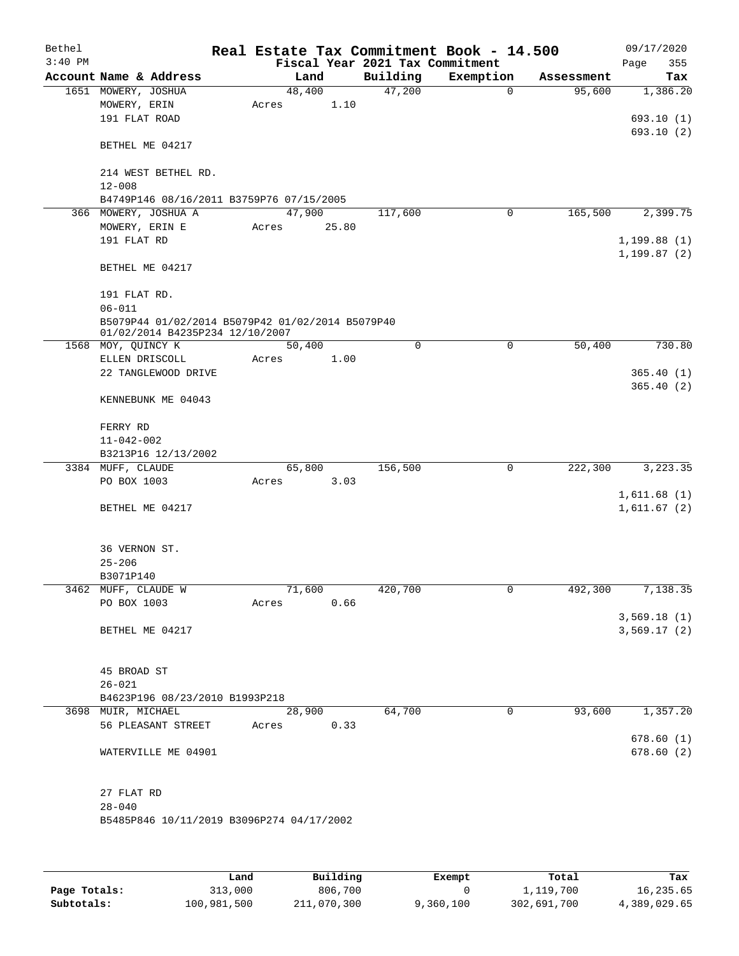| Bethel    |                                                       |       |        |                                 | Real Estate Tax Commitment Book - 14.500 |            | 09/17/2020   |
|-----------|-------------------------------------------------------|-------|--------|---------------------------------|------------------------------------------|------------|--------------|
| $3:40$ PM |                                                       |       |        | Fiscal Year 2021 Tax Commitment |                                          |            | Page<br>355  |
|           | Account Name & Address                                |       | Land   | Building                        | Exemption                                | Assessment | Tax          |
|           | 1651 MOWERY, JOSHUA                                   |       | 48,400 | 47,200                          | $\mathbf 0$                              | 95,600     | 1,386.20     |
|           | MOWERY, ERIN                                          | Acres | 1.10   |                                 |                                          |            |              |
|           | 191 FLAT ROAD                                         |       |        |                                 |                                          |            | 693.10(1)    |
|           | BETHEL ME 04217                                       |       |        |                                 |                                          |            | 693.10(2)    |
|           | 214 WEST BETHEL RD.                                   |       |        |                                 |                                          |            |              |
|           | $12 - 008$                                            |       |        |                                 |                                          |            |              |
|           | B4749P146 08/16/2011 B3759P76 07/15/2005              |       |        |                                 |                                          |            |              |
|           | 366 MOWERY, JOSHUA A                                  |       | 47,900 | 117,600                         | 0                                        | 165,500    | 2,399.75     |
|           | MOWERY, ERIN E                                        | Acres | 25.80  |                                 |                                          |            |              |
|           | 191 FLAT RD                                           |       |        |                                 |                                          |            | 1,199.88(1)  |
|           |                                                       |       |        |                                 |                                          |            | 1, 199.87(2) |
|           | BETHEL ME 04217                                       |       |        |                                 |                                          |            |              |
|           | 191 FLAT RD.                                          |       |        |                                 |                                          |            |              |
|           | $06 - 011$                                            |       |        |                                 |                                          |            |              |
|           | B5079P44 01/02/2014 B5079P42 01/02/2014 B5079P40      |       |        |                                 |                                          |            |              |
|           | 01/02/2014 B4235P234 12/10/2007<br>1568 MOY, QUINCY K |       | 50,400 | 0                               | 0                                        | 50,400     | 730.80       |
|           | ELLEN DRISCOLL                                        | Acres | 1.00   |                                 |                                          |            |              |
|           | 22 TANGLEWOOD DRIVE                                   |       |        |                                 |                                          |            | 365.40(1)    |
|           |                                                       |       |        |                                 |                                          |            | 365.40(2)    |
|           | KENNEBUNK ME 04043                                    |       |        |                                 |                                          |            |              |
|           | FERRY RD                                              |       |        |                                 |                                          |            |              |
|           | $11 - 042 - 002$                                      |       |        |                                 |                                          |            |              |
|           | B3213P16 12/13/2002                                   |       |        |                                 |                                          |            |              |
|           | 3384 MUFF, CLAUDE                                     |       | 65,800 | 156,500                         | 0                                        | 222,300    | 3,223.35     |
|           | PO BOX 1003                                           | Acres | 3.03   |                                 |                                          |            |              |
|           |                                                       |       |        |                                 |                                          |            | 1,611.68(1)  |
|           | BETHEL ME 04217                                       |       |        |                                 |                                          |            | 1,611.67(2)  |
|           | 36 VERNON ST.                                         |       |        |                                 |                                          |            |              |
|           | $25 - 206$                                            |       |        |                                 |                                          |            |              |
|           | B3071P140                                             |       |        |                                 |                                          |            |              |
|           | 3462 MUFF, CLAUDE W                                   |       | 71,600 | 420,700                         | 0                                        | 492,300    | 7,138.35     |
|           | PO BOX 1003                                           | Acres | 0.66   |                                 |                                          |            |              |
|           |                                                       |       |        |                                 |                                          |            | 3,569.18(1)  |
|           | BETHEL ME 04217                                       |       |        |                                 |                                          |            | 3,569.17(2)  |
|           | 45 BROAD ST                                           |       |        |                                 |                                          |            |              |
|           | $26 - 021$                                            |       |        |                                 |                                          |            |              |
|           | B4623P196 08/23/2010 B1993P218                        |       |        |                                 |                                          |            |              |
|           | 3698 MUIR, MICHAEL                                    |       | 28,900 | 64,700                          | 0                                        | 93,600     | 1, 357.20    |
|           | 56 PLEASANT STREET                                    | Acres | 0.33   |                                 |                                          |            |              |
|           |                                                       |       |        |                                 |                                          |            | 678.60(1)    |
|           | WATERVILLE ME 04901                                   |       |        |                                 |                                          |            | 678.60(2)    |
|           |                                                       |       |        |                                 |                                          |            |              |
|           | 27 FLAT RD                                            |       |        |                                 |                                          |            |              |
|           | $28 - 040$                                            |       |        |                                 |                                          |            |              |
|           | B5485P846 10/11/2019 B3096P274 04/17/2002             |       |        |                                 |                                          |            |              |
|           |                                                       |       |        |                                 |                                          |            |              |
|           |                                                       |       |        |                                 |                                          |            |              |
|           |                                                       |       |        |                                 |                                          |            |              |

|              | Land        | Building    | Exempt    | Total       | Tax          |
|--------------|-------------|-------------|-----------|-------------|--------------|
| Page Totals: | 313,000     | 806,700     |           | 1,119,700   | 16,235.65    |
| Subtotals:   | 100,981,500 | 211,070,300 | 9,360,100 | 302,691,700 | 4,389,029.65 |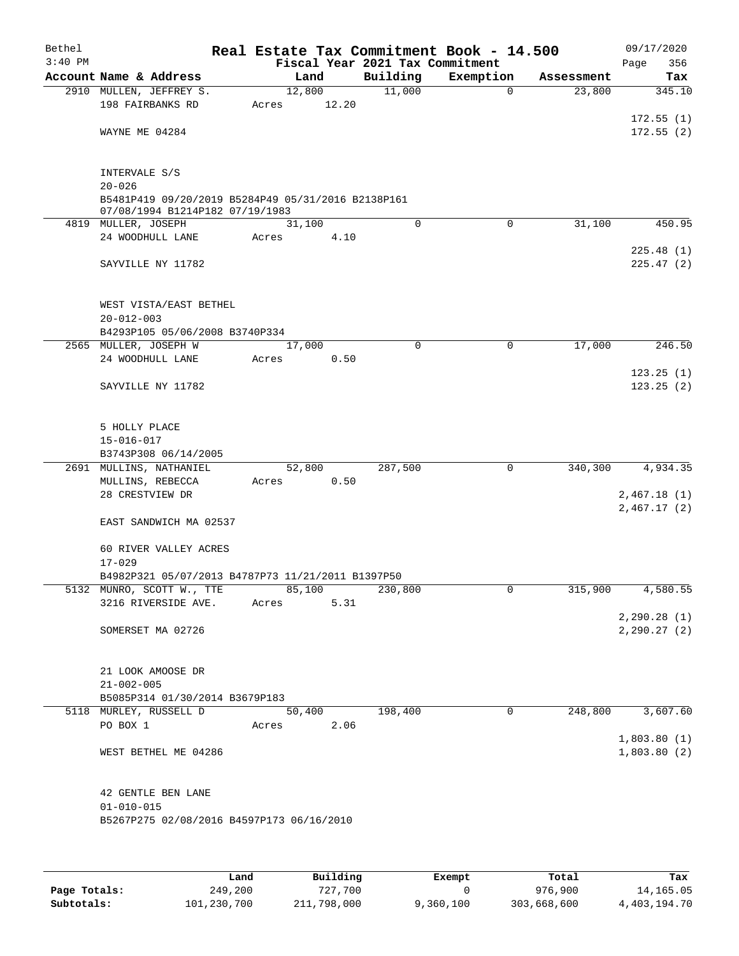| Bethel<br>$3:40$ PM |                                                                                       |                 |        | Fiscal Year 2021 Tax Commitment | Real Estate Tax Commitment Book - 14.500 |            | 09/17/2020<br>356<br>Page |
|---------------------|---------------------------------------------------------------------------------------|-----------------|--------|---------------------------------|------------------------------------------|------------|---------------------------|
|                     | Account Name & Address                                                                |                 | Land   | Building                        | Exemption                                | Assessment | Tax                       |
|                     | 2910 MULLEN, JEFFREY S.<br>198 FAIRBANKS RD                                           | 12,800<br>Acres | 12.20  | 11,000                          | $\mathbf 0$                              | 23,800     | 345.10                    |
|                     | WAYNE ME 04284                                                                        |                 |        |                                 |                                          |            | 172.55(1)<br>172.55(2)    |
|                     | INTERVALE S/S<br>$20 - 026$                                                           |                 |        |                                 |                                          |            |                           |
|                     | B5481P419 09/20/2019 B5284P49 05/31/2016 B2138P161<br>07/08/1994 B1214P182 07/19/1983 |                 |        |                                 |                                          |            |                           |
|                     | 4819 MULLER, JOSEPH                                                                   | 31,100          |        | 0                               | $\mathbf 0$                              | 31,100     | 450.95                    |
|                     | 24 WOODHULL LANE                                                                      | Acres           | 4.10   |                                 |                                          |            |                           |
|                     | SAYVILLE NY 11782                                                                     |                 |        |                                 |                                          |            | 225.48(1)<br>225.47(2)    |
|                     | WEST VISTA/EAST BETHEL<br>$20 - 012 - 003$                                            |                 |        |                                 |                                          |            |                           |
|                     | B4293P105 05/06/2008 B3740P334                                                        |                 |        |                                 |                                          |            |                           |
|                     | 2565 MULLER, JOSEPH W<br>24 WOODHULL LANE                                             | 17,000<br>Acres | 0.50   | $\mathbf 0$                     | $\mathbf 0$                              | 17,000     | 246.50                    |
|                     |                                                                                       |                 |        |                                 |                                          |            | 123.25(1)                 |
|                     | SAYVILLE NY 11782                                                                     |                 |        |                                 |                                          |            | 123.25(2)                 |
|                     | 5 HOLLY PLACE<br>$15 - 016 - 017$<br>B3743P308 06/14/2005                             |                 |        |                                 |                                          |            |                           |
|                     | 2691 MULLINS, NATHANIEL                                                               | 52,800          |        | 287,500                         | 0                                        | 340,300    | 4,934.35                  |
|                     | MULLINS, REBECCA                                                                      | Acres           | 0.50   |                                 |                                          |            |                           |
|                     | 28 CRESTVIEW DR                                                                       |                 |        |                                 |                                          |            | 2,467.18(1)               |
|                     | EAST SANDWICH MA 02537                                                                |                 |        |                                 |                                          |            | 2,467.17 (2)              |
|                     | 60 RIVER VALLEY ACRES<br>$17 - 029$                                                   |                 |        |                                 |                                          |            |                           |
|                     | B4982P321 05/07/2013 B4787P73 11/21/2011 B1397P50                                     |                 |        |                                 |                                          |            |                           |
|                     | 5132 MUNRO, SCOTT W., TTE                                                             | 85,100          |        | 230,800                         | 0                                        | 315,900    | 4,580.55                  |
|                     | 3216 RIVERSIDE AVE.                                                                   | Acres           | 5.31   |                                 |                                          |            |                           |
|                     |                                                                                       |                 |        |                                 |                                          |            | 2, 290.28(1)              |
|                     | SOMERSET MA 02726                                                                     |                 |        |                                 |                                          |            | 2, 290.27(2)              |
|                     | 21 LOOK AMOOSE DR<br>$21 - 002 - 005$                                                 |                 |        |                                 |                                          |            |                           |
|                     | B5085P314 01/30/2014 B3679P183                                                        |                 |        |                                 |                                          |            |                           |
|                     | 5118 MURLEY, RUSSELL D                                                                |                 | 50,400 | 198,400                         | 0                                        | 248,800    | 3,607.60                  |
|                     | PO BOX 1                                                                              | Acres           | 2.06   |                                 |                                          |            |                           |
|                     |                                                                                       |                 |        |                                 |                                          |            | 1,803.80(1)               |
|                     | WEST BETHEL ME 04286                                                                  |                 |        |                                 |                                          |            | 1,803.80(2)               |
|                     | 42 GENTLE BEN LANE<br>$01 - 010 - 015$                                                |                 |        |                                 |                                          |            |                           |
|                     | B5267P275 02/08/2016 B4597P173 06/16/2010                                             |                 |        |                                 |                                          |            |                           |
|                     |                                                                                       |                 |        |                                 |                                          |            |                           |

|              | Land        | Building    | Exempt    | Total       | Tax          |
|--------------|-------------|-------------|-----------|-------------|--------------|
| Page Totals: | 249,200     | 727.700     |           | 976,900     | 14,165.05    |
| Subtotals:   | 101,230,700 | 211,798,000 | 9,360,100 | 303,668,600 | 4,403,194.70 |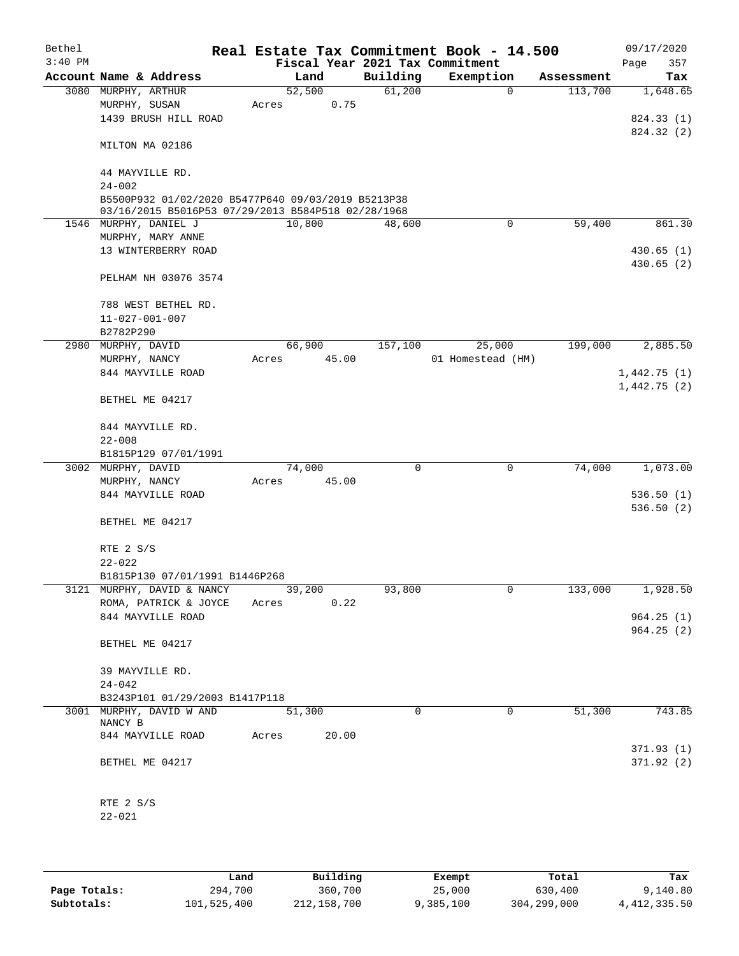| Bethel    |                                                                                                          |                |       |                                 | Real Estate Tax Commitment Book - 14.500 |                       | 09/17/2020      |
|-----------|----------------------------------------------------------------------------------------------------------|----------------|-------|---------------------------------|------------------------------------------|-----------------------|-----------------|
| $3:40$ PM | Account Name & Address                                                                                   |                |       | Fiscal Year 2021 Tax Commitment |                                          |                       | 357<br>Page     |
|           | 3080 MURPHY, ARTHUR                                                                                      | Land<br>52,500 |       | Building<br>61,200              | Exemption<br>$\mathbf 0$                 | Assessment<br>113,700 | Tax<br>1,648.65 |
|           | MURPHY, SUSAN                                                                                            | Acres          | 0.75  |                                 |                                          |                       |                 |
|           | 1439 BRUSH HILL ROAD                                                                                     |                |       |                                 |                                          |                       | 824.33 (1)      |
|           |                                                                                                          |                |       |                                 |                                          |                       | 824.32 (2)      |
|           | MILTON MA 02186                                                                                          |                |       |                                 |                                          |                       |                 |
|           | 44 MAYVILLE RD.                                                                                          |                |       |                                 |                                          |                       |                 |
|           | $24 - 002$                                                                                               |                |       |                                 |                                          |                       |                 |
|           | B5500P932 01/02/2020 B5477P640 09/03/2019 B5213P38<br>03/16/2015 B5016P53 07/29/2013 B584P518 02/28/1968 |                |       |                                 |                                          |                       |                 |
|           | 1546 MURPHY, DANIEL J                                                                                    | 10,800         |       | 48,600                          | $\mathbf 0$                              | 59,400                | 861.30          |
|           | MURPHY, MARY ANNE                                                                                        |                |       |                                 |                                          |                       |                 |
|           | 13 WINTERBERRY ROAD                                                                                      |                |       |                                 |                                          |                       | 430.65(1)       |
|           |                                                                                                          |                |       |                                 |                                          |                       | 430.65(2)       |
|           | PELHAM NH 03076 3574                                                                                     |                |       |                                 |                                          |                       |                 |
|           | 788 WEST BETHEL RD.                                                                                      |                |       |                                 |                                          |                       |                 |
|           | $11 - 027 - 001 - 007$                                                                                   |                |       |                                 |                                          |                       |                 |
|           | B2782P290                                                                                                |                |       |                                 |                                          |                       |                 |
| 2980      | MURPHY, DAVID                                                                                            | 66,900         |       | 157,100                         | 25,000                                   | 199,000               | 2,885.50        |
|           | MURPHY, NANCY                                                                                            | Acres          | 45.00 |                                 | 01 Homestead (HM)                        |                       |                 |
|           | 844 MAYVILLE ROAD                                                                                        |                |       |                                 |                                          |                       | 1,442.75(1)     |
|           | BETHEL ME 04217                                                                                          |                |       |                                 |                                          |                       | 1,442.75(2)     |
|           | 844 MAYVILLE RD.                                                                                         |                |       |                                 |                                          |                       |                 |
|           | $22 - 008$                                                                                               |                |       |                                 |                                          |                       |                 |
|           | B1815P129 07/01/1991                                                                                     |                |       |                                 |                                          |                       |                 |
|           | 3002 MURPHY, DAVID                                                                                       | 74,000         |       | $\mathbf 0$                     | $\mathbf 0$                              | 74,000                | 1,073.00        |
|           | MURPHY, NANCY                                                                                            | Acres          | 45.00 |                                 |                                          |                       |                 |
|           | 844 MAYVILLE ROAD                                                                                        |                |       |                                 |                                          |                       | 536.50(1)       |
|           | BETHEL ME 04217                                                                                          |                |       |                                 |                                          |                       | 536.50(2)       |
|           | RTE 2 S/S                                                                                                |                |       |                                 |                                          |                       |                 |
|           | $22 - 022$                                                                                               |                |       |                                 |                                          |                       |                 |
|           | B1815P130 07/01/1991 B1446P268                                                                           |                |       |                                 |                                          |                       |                 |
|           | 3121 MURPHY, DAVID & NANCY                                                                               | 39,200         |       | 93,800                          | 0                                        | 133,000               | 1,928.50        |
|           | ROMA, PATRICK & JOYCE                                                                                    | Acres          | 0.22  |                                 |                                          |                       |                 |
|           | 844 MAYVILLE ROAD                                                                                        |                |       |                                 |                                          |                       | 964.25(1)       |
|           |                                                                                                          |                |       |                                 |                                          |                       | 964.25(2)       |
|           | BETHEL ME 04217                                                                                          |                |       |                                 |                                          |                       |                 |
|           | 39 MAYVILLE RD.                                                                                          |                |       |                                 |                                          |                       |                 |
|           | $24 - 042$                                                                                               |                |       |                                 |                                          |                       |                 |
|           | B3243P101 01/29/2003 B1417P118                                                                           |                |       |                                 |                                          |                       |                 |
|           | 3001 MURPHY, DAVID W AND                                                                                 | 51,300         |       | $\Omega$                        | 0                                        | 51,300                | 743.85          |
|           | NANCY B                                                                                                  |                |       |                                 |                                          |                       |                 |
|           | 844 MAYVILLE ROAD                                                                                        | Acres          | 20.00 |                                 |                                          |                       | 371.93(1)       |
|           | BETHEL ME 04217                                                                                          |                |       |                                 |                                          |                       | 371.92(2)       |
|           |                                                                                                          |                |       |                                 |                                          |                       |                 |
|           | RTE 2 S/S                                                                                                |                |       |                                 |                                          |                       |                 |
|           | $22 - 021$                                                                                               |                |       |                                 |                                          |                       |                 |
|           |                                                                                                          |                |       |                                 |                                          |                       |                 |
|           |                                                                                                          |                |       |                                 |                                          |                       |                 |

|              | Land        | Building    | Exempt    | Total       | Tax            |
|--------------|-------------|-------------|-----------|-------------|----------------|
| Page Totals: | 294,700     | 360,700     | 25,000    | 630,400     | 9,140.80       |
| Subtotals:   | 101,525,400 | 212,158,700 | 9,385,100 | 304,299,000 | 4, 412, 335.50 |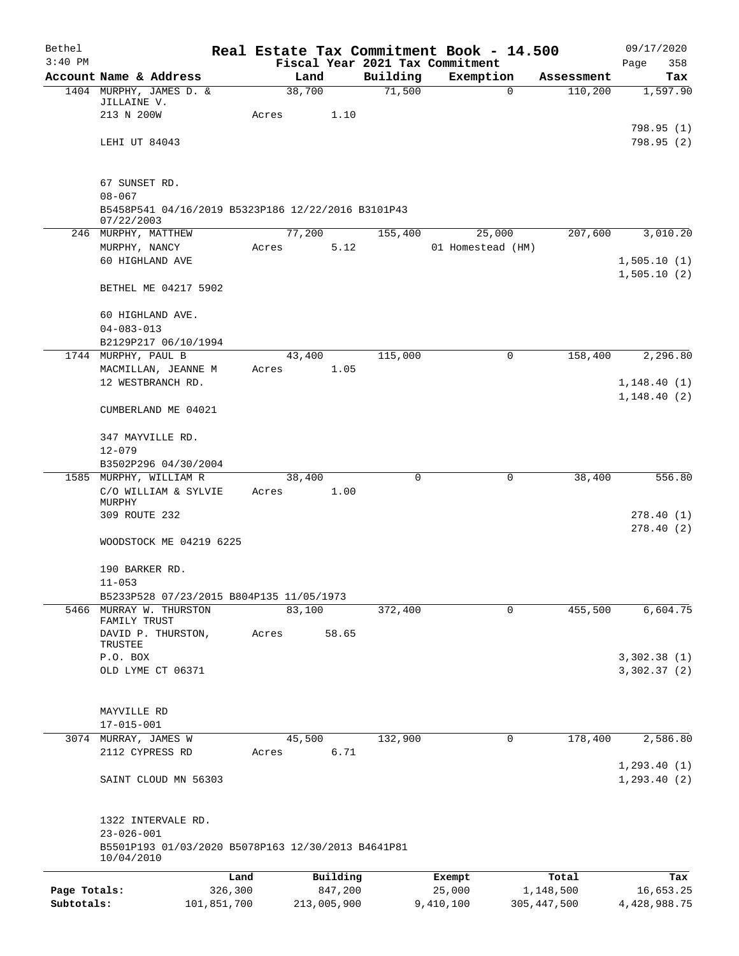| Bethel       |                                                                  |         |                |             | Real Estate Tax Commitment Book - 14.500     |               | 09/17/2020                   |
|--------------|------------------------------------------------------------------|---------|----------------|-------------|----------------------------------------------|---------------|------------------------------|
| $3:40$ PM    | Account Name & Address                                           |         | Land           | Building    | Fiscal Year 2021 Tax Commitment<br>Exemption | Assessment    | 358<br>Page<br>Tax           |
|              | 1404 MURPHY, JAMES D. &                                          |         | 38,700         | 71,500      | $\mathbf 0$                                  | 110,200       | 1,597.90                     |
|              | JILLAINE V.                                                      |         |                |             |                                              |               |                              |
|              | 213 N 200W                                                       | Acres   | 1.10           |             |                                              |               |                              |
|              |                                                                  |         |                |             |                                              |               | 798.95(1)                    |
|              | LEHI UT 84043                                                    |         |                |             |                                              |               | 798.95(2)                    |
|              | 67 SUNSET RD.                                                    |         |                |             |                                              |               |                              |
|              | $08 - 067$                                                       |         |                |             |                                              |               |                              |
|              | B5458P541 04/16/2019 B5323P186 12/22/2016 B3101P43<br>07/22/2003 |         |                |             |                                              |               |                              |
|              | 246 MURPHY, MATTHEW                                              |         | 77,200         | 155,400     | 25,000                                       | 207,600       | 3,010.20                     |
|              | MURPHY, NANCY                                                    | Acres   | 5.12           |             | 01 Homestead (HM)                            |               |                              |
|              | 60 HIGHLAND AVE                                                  |         |                |             |                                              |               | 1,505.10(1)                  |
|              | BETHEL ME 04217 5902                                             |         |                |             |                                              |               | 1,505.10(2)                  |
|              | 60 HIGHLAND AVE.                                                 |         |                |             |                                              |               |                              |
|              | $04 - 083 - 013$                                                 |         |                |             |                                              |               |                              |
|              | B2129P217 06/10/1994                                             |         |                |             |                                              |               |                              |
|              | 1744 MURPHY, PAUL B                                              |         | 43,400         | 115,000     | 0                                            | 158,400       | 2,296.80                     |
|              | MACMILLAN, JEANNE M                                              | Acres   | 1.05           |             |                                              |               |                              |
|              | 12 WESTBRANCH RD.                                                |         |                |             |                                              |               | 1,148.40(1)                  |
|              | CUMBERLAND ME 04021                                              |         |                |             |                                              |               | 1, 148.40(2)                 |
|              | 347 MAYVILLE RD.                                                 |         |                |             |                                              |               |                              |
|              | $12 - 079$                                                       |         |                |             |                                              |               |                              |
|              | B3502P296 04/30/2004                                             |         |                |             |                                              |               |                              |
|              | 1585 MURPHY, WILLIAM R<br>C/O WILLIAM & SYLVIE                   | Acres   | 38,400<br>1.00 | $\mathbf 0$ | 0                                            | 38,400        | 556.80                       |
|              | MURPHY                                                           |         |                |             |                                              |               |                              |
|              | 309 ROUTE 232                                                    |         |                |             |                                              |               | 278.40(1)                    |
|              | WOODSTOCK ME 04219 6225                                          |         |                |             |                                              |               | 278.40(2)                    |
|              | 190 BARKER RD.                                                   |         |                |             |                                              |               |                              |
|              | $11 - 053$                                                       |         |                |             |                                              |               |                              |
|              | B5233P528 07/23/2015 B804P135 11/05/1973                         |         |                |             |                                              |               |                              |
| 5466         | MURRAY W. THURSTON                                               |         | 83,100         | 372,400     | 0                                            | 455,500       | 6,604.75                     |
|              | FAMILY TRUST                                                     |         |                |             |                                              |               |                              |
|              | DAVID P. THURSTON,<br>TRUSTEE                                    | Acres   | 58.65          |             |                                              |               |                              |
|              | P.O. BOX                                                         |         |                |             |                                              |               | 3,302.38(1)                  |
|              | OLD LYME CT 06371                                                |         |                |             |                                              |               | 3,302.37(2)                  |
|              | MAYVILLE RD                                                      |         |                |             |                                              |               |                              |
|              | $17 - 015 - 001$                                                 |         |                |             |                                              |               |                              |
|              | 3074 MURRAY, JAMES W                                             |         | 45,500         | 132,900     | 0                                            | 178,400       | 2,586.80                     |
|              | 2112 CYPRESS RD                                                  | Acres   | 6.71           |             |                                              |               |                              |
|              | SAINT CLOUD MN 56303                                             |         |                |             |                                              |               | 1, 293.40(1)<br>1, 293.40(2) |
|              | 1322 INTERVALE RD.                                               |         |                |             |                                              |               |                              |
|              | $23 - 026 - 001$                                                 |         |                |             |                                              |               |                              |
|              | B5501P193 01/03/2020 B5078P163 12/30/2013 B4641P81<br>10/04/2010 |         |                |             |                                              |               |                              |
|              |                                                                  | Land    | Building       |             | Exempt                                       | Total         | Tax                          |
| Page Totals: |                                                                  | 326,300 | 847,200        |             | 25,000                                       | 1,148,500     | 16,653.25                    |
| Subtotals:   | 101,851,700                                                      |         | 213,005,900    |             | 9,410,100                                    | 305, 447, 500 | 4,428,988.75                 |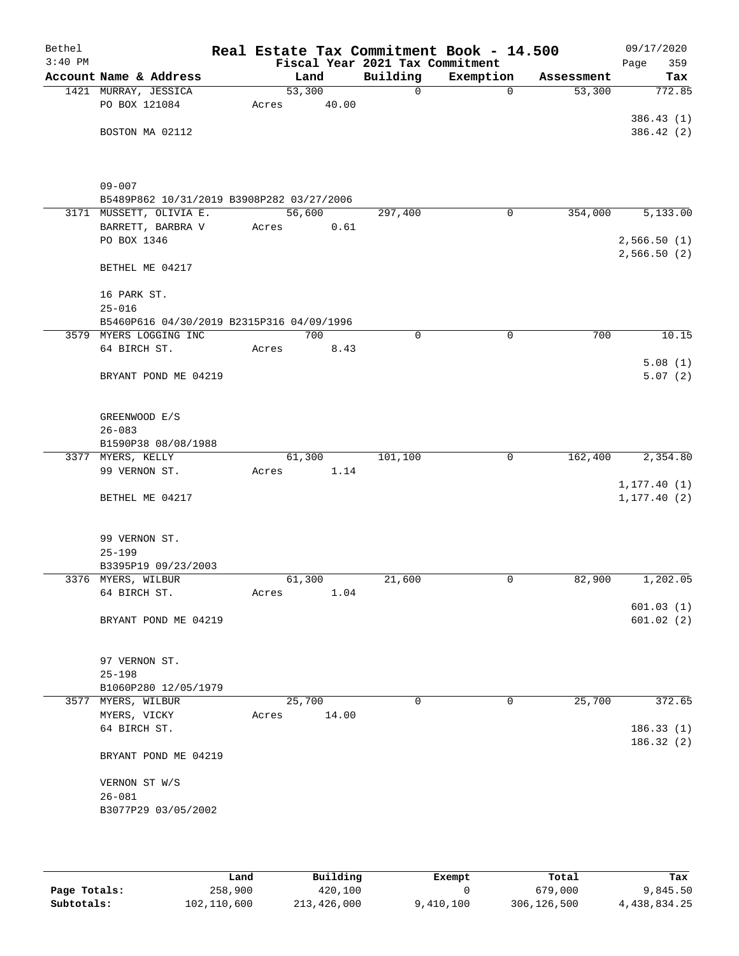| Bethel    |                                                         | Real Estate Tax Commitment Book - 14.500 |                                 |             |            | 09/17/2020   |
|-----------|---------------------------------------------------------|------------------------------------------|---------------------------------|-------------|------------|--------------|
| $3:40$ PM |                                                         |                                          | Fiscal Year 2021 Tax Commitment |             |            | Page<br>359  |
|           | Account Name & Address                                  | Land                                     | Building                        | Exemption   | Assessment | Tax          |
|           | 1421 MURRAY, JESSICA                                    | 53,300                                   | 0                               | $\mathbf 0$ | 53,300     | 772.85       |
|           | PO BOX 121084                                           | 40.00<br>Acres                           |                                 |             |            |              |
|           |                                                         |                                          |                                 |             |            | 386.43(1)    |
|           | BOSTON MA 02112                                         |                                          |                                 |             |            | 386.42(2)    |
|           |                                                         |                                          |                                 |             |            |              |
|           |                                                         |                                          |                                 |             |            |              |
|           |                                                         |                                          |                                 |             |            |              |
|           | $09 - 007$<br>B5489P862 10/31/2019 B3908P282 03/27/2006 |                                          |                                 |             |            |              |
|           | 3171 MUSSETT, OLIVIA E.                                 | 56,600                                   | 297,400                         | $\mathbf 0$ | 354,000    | 5,133.00     |
|           | BARRETT, BARBRA V                                       | 0.61<br>Acres                            |                                 |             |            |              |
|           | PO BOX 1346                                             |                                          |                                 |             |            | 2,566.50(1)  |
|           |                                                         |                                          |                                 |             |            | 2,566.50(2)  |
|           | BETHEL ME 04217                                         |                                          |                                 |             |            |              |
|           |                                                         |                                          |                                 |             |            |              |
|           | 16 PARK ST.                                             |                                          |                                 |             |            |              |
|           | $25 - 016$                                              |                                          |                                 |             |            |              |
|           | B5460P616 04/30/2019 B2315P316 04/09/1996               |                                          |                                 |             |            |              |
|           | 3579 MYERS LOGGING INC                                  | 700                                      | 0                               | 0           | 700        | 10.15        |
|           | 64 BIRCH ST.                                            | Acres<br>8.43                            |                                 |             |            |              |
|           |                                                         |                                          |                                 |             |            | 5.08(1)      |
|           | BRYANT POND ME 04219                                    |                                          |                                 |             |            | 5.07(2)      |
|           |                                                         |                                          |                                 |             |            |              |
|           |                                                         |                                          |                                 |             |            |              |
|           | GREENWOOD E/S                                           |                                          |                                 |             |            |              |
|           | $26 - 083$                                              |                                          |                                 |             |            |              |
|           | B1590P38 08/08/1988<br>3377 MYERS, KELLY                | 61,300                                   | 101,100                         | 0           | 162,400    | 2,354.80     |
|           | 99 VERNON ST.                                           | 1.14<br>Acres                            |                                 |             |            |              |
|           |                                                         |                                          |                                 |             |            | 1, 177.40(1) |
|           | BETHEL ME 04217                                         |                                          |                                 |             |            | 1, 177.40(2) |
|           |                                                         |                                          |                                 |             |            |              |
|           |                                                         |                                          |                                 |             |            |              |
|           | 99 VERNON ST.                                           |                                          |                                 |             |            |              |
|           | $25 - 199$                                              |                                          |                                 |             |            |              |
|           | B3395P19 09/23/2003                                     |                                          |                                 |             |            |              |
|           | 3376 MYERS, WILBUR                                      | 61,300                                   | 21,600                          | 0           | 82,900     | 1,202.05     |
|           | 64 BIRCH ST.                                            | 1.04<br>Acres                            |                                 |             |            |              |
|           |                                                         |                                          |                                 |             |            | 601.03(1)    |
|           | BRYANT POND ME 04219                                    |                                          |                                 |             |            | 601.02(2)    |
|           |                                                         |                                          |                                 |             |            |              |
|           |                                                         |                                          |                                 |             |            |              |
|           | 97 VERNON ST.<br>$25 - 198$                             |                                          |                                 |             |            |              |
|           | B1060P280 12/05/1979                                    |                                          |                                 |             |            |              |
|           | 3577 MYERS, WILBUR                                      | 25,700                                   | 0                               | 0           | 25,700     | 372.65       |
|           | MYERS, VICKY                                            | 14.00<br>Acres                           |                                 |             |            |              |
|           | 64 BIRCH ST.                                            |                                          |                                 |             |            | 186.33(1)    |
|           |                                                         |                                          |                                 |             |            | 186.32(2)    |
|           | BRYANT POND ME 04219                                    |                                          |                                 |             |            |              |
|           |                                                         |                                          |                                 |             |            |              |
|           | VERNON ST W/S                                           |                                          |                                 |             |            |              |
|           | $26 - 081$                                              |                                          |                                 |             |            |              |
|           | B3077P29 03/05/2002                                     |                                          |                                 |             |            |              |
|           |                                                         |                                          |                                 |             |            |              |
|           |                                                         |                                          |                                 |             |            |              |

|              | Land        | Building    | Exempt    | Total       | Tax          |
|--------------|-------------|-------------|-----------|-------------|--------------|
| Page Totals: | 258,900     | 420,100     |           | 679,000     | 9,845.50     |
| Subtotals:   | 102,110,600 | 213,426,000 | 9,410,100 | 306,126,500 | 4,438,834.25 |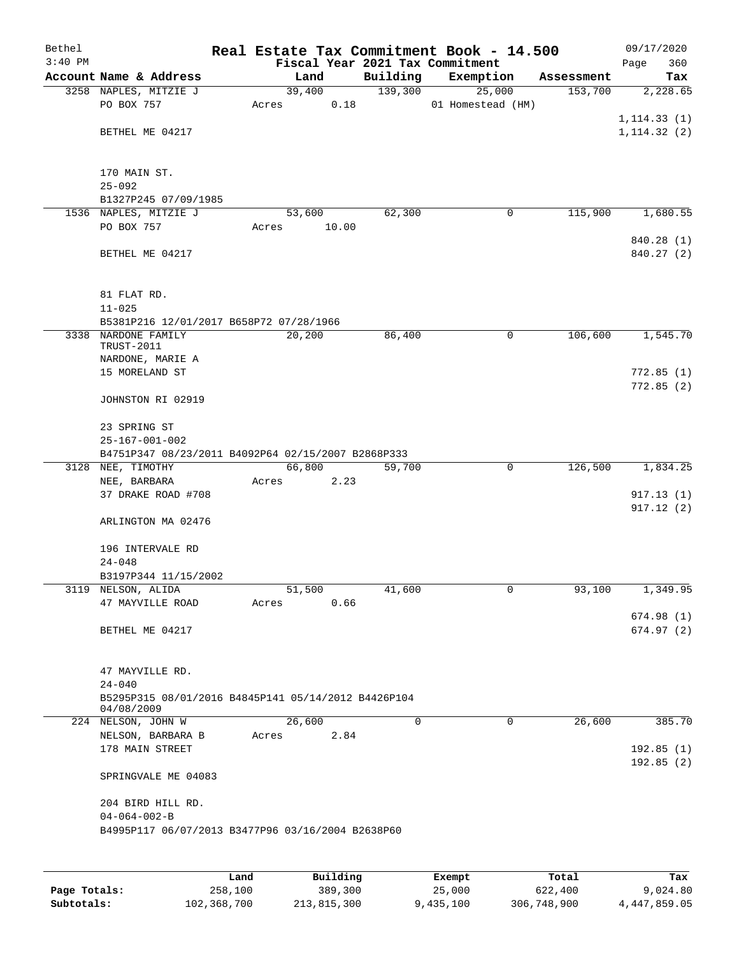| Bethel    |                                                     |       |        |       |          | Real Estate Tax Commitment Book - 14.500 |            |      | 09/17/2020   |
|-----------|-----------------------------------------------------|-------|--------|-------|----------|------------------------------------------|------------|------|--------------|
| $3:40$ PM |                                                     |       |        |       |          | Fiscal Year 2021 Tax Commitment          |            | Page | 360          |
|           | Account Name & Address                              |       | Land   |       | Building | Exemption                                | Assessment |      | Tax          |
|           | 3258 NAPLES, MITZIE J                               |       | 39,400 |       | 139,300  | 25,000                                   | 153,700    |      | 2,228.65     |
|           | PO BOX 757                                          | Acres |        | 0.18  |          | 01 Homestead (HM)                        |            |      |              |
|           |                                                     |       |        |       |          |                                          |            |      | 1, 114.33(1) |
|           | BETHEL ME 04217                                     |       |        |       |          |                                          |            |      | 1, 114.32(2) |
|           |                                                     |       |        |       |          |                                          |            |      |              |
|           |                                                     |       |        |       |          |                                          |            |      |              |
|           | 170 MAIN ST.                                        |       |        |       |          |                                          |            |      |              |
|           | $25 - 092$<br>B1327P245 07/09/1985                  |       |        |       |          |                                          |            |      |              |
|           | 1536 NAPLES, MITZIE J                               |       | 53,600 |       | 62,300   | 0                                        | 115,900    |      | 1,680.55     |
|           | PO BOX 757                                          | Acres |        | 10.00 |          |                                          |            |      |              |
|           |                                                     |       |        |       |          |                                          |            |      | 840.28 (1)   |
|           | BETHEL ME 04217                                     |       |        |       |          |                                          |            |      | 840.27 (2)   |
|           |                                                     |       |        |       |          |                                          |            |      |              |
|           |                                                     |       |        |       |          |                                          |            |      |              |
|           | 81 FLAT RD.                                         |       |        |       |          |                                          |            |      |              |
|           | $11 - 025$                                          |       |        |       |          |                                          |            |      |              |
|           | B5381P216 12/01/2017 B658P72 07/28/1966             |       |        |       |          |                                          |            |      |              |
|           | 3338 NARDONE FAMILY                                 |       | 20,200 |       | 86,400   | 0                                        | 106,600    |      | 1,545.70     |
|           | TRUST-2011                                          |       |        |       |          |                                          |            |      |              |
|           | NARDONE, MARIE A                                    |       |        |       |          |                                          |            |      |              |
|           | 15 MORELAND ST                                      |       |        |       |          |                                          |            |      | 772.85(1)    |
|           |                                                     |       |        |       |          |                                          |            |      | 772.85(2)    |
|           | JOHNSTON RI 02919                                   |       |        |       |          |                                          |            |      |              |
|           | 23 SPRING ST                                        |       |        |       |          |                                          |            |      |              |
|           | $25 - 167 - 001 - 002$                              |       |        |       |          |                                          |            |      |              |
|           | B4751P347 08/23/2011 B4092P64 02/15/2007 B2868P333  |       |        |       |          |                                          |            |      |              |
|           | 3128 NEE, TIMOTHY                                   |       | 66,800 |       | 59,700   | 0                                        | 126,500    |      | 1,834.25     |
|           | NEE, BARBARA                                        | Acres |        | 2.23  |          |                                          |            |      |              |
|           | 37 DRAKE ROAD #708                                  |       |        |       |          |                                          |            |      | 917.13(1)    |
|           |                                                     |       |        |       |          |                                          |            |      | 917.12(2)    |
|           | ARLINGTON MA 02476                                  |       |        |       |          |                                          |            |      |              |
|           |                                                     |       |        |       |          |                                          |            |      |              |
|           | 196 INTERVALE RD                                    |       |        |       |          |                                          |            |      |              |
|           | $24 - 048$                                          |       |        |       |          |                                          |            |      |              |
|           | B3197P344 11/15/2002                                |       |        |       |          |                                          |            |      |              |
|           | 3119 NELSON, ALIDA                                  |       | 51,500 |       | 41,600   | 0                                        | 93,100     |      | 1,349.95     |
|           | 47 MAYVILLE ROAD                                    | Acres |        | 0.66  |          |                                          |            |      |              |
|           |                                                     |       |        |       |          |                                          |            |      | 674.98(1)    |
|           | BETHEL ME 04217                                     |       |        |       |          |                                          |            |      | 674.97(2)    |
|           |                                                     |       |        |       |          |                                          |            |      |              |
|           |                                                     |       |        |       |          |                                          |            |      |              |
|           | 47 MAYVILLE RD.<br>$24 - 040$                       |       |        |       |          |                                          |            |      |              |
|           | B5295P315 08/01/2016 B4845P141 05/14/2012 B4426P104 |       |        |       |          |                                          |            |      |              |
|           | 04/08/2009                                          |       |        |       |          |                                          |            |      |              |
|           | 224 NELSON, JOHN W                                  |       | 26,600 |       | 0        | $\mathbf 0$                              | 26,600     |      | 385.70       |
|           | NELSON, BARBARA B                                   | Acres |        | 2.84  |          |                                          |            |      |              |
|           | 178 MAIN STREET                                     |       |        |       |          |                                          |            |      | 192.85(1)    |
|           |                                                     |       |        |       |          |                                          |            |      | 192.85(2)    |
|           | SPRINGVALE ME 04083                                 |       |        |       |          |                                          |            |      |              |
|           |                                                     |       |        |       |          |                                          |            |      |              |
|           | 204 BIRD HILL RD.                                   |       |        |       |          |                                          |            |      |              |
|           | $04 - 064 - 002 - B$                                |       |        |       |          |                                          |            |      |              |
|           | B4995P117 06/07/2013 B3477P96 03/16/2004 B2638P60   |       |        |       |          |                                          |            |      |              |
|           |                                                     |       |        |       |          |                                          |            |      |              |
|           |                                                     |       |        |       |          |                                          |            |      |              |

|              | Land        | Building    | Exempt    | Total       | Tax          |
|--------------|-------------|-------------|-----------|-------------|--------------|
| Page Totals: | 258,100     | 389,300     | 25,000    | 622,400     | 9,024.80     |
| Subtotals:   | 102,368,700 | 213,815,300 | 9,435,100 | 306,748,900 | 4,447,859.05 |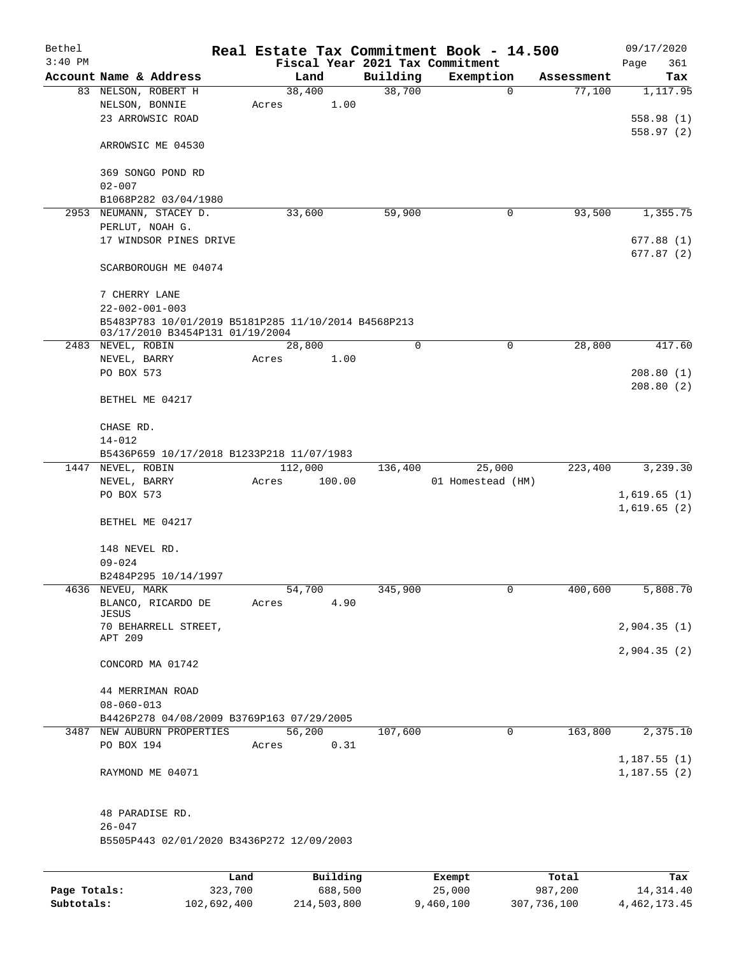| Bethel       |                                                                                        |         |       |                |             | Real Estate Tax Commitment Book - 14.500 |            | 09/17/2020  |
|--------------|----------------------------------------------------------------------------------------|---------|-------|----------------|-------------|------------------------------------------|------------|-------------|
| $3:40$ PM    |                                                                                        |         |       |                |             | Fiscal Year 2021 Tax Commitment          |            | Page<br>361 |
|              | Account Name & Address                                                                 |         |       | Land           | Building    | Exemption                                | Assessment | Tax         |
|              | 83 NELSON, ROBERT H                                                                    |         | Acres | 38,400<br>1.00 | 38,700      | $\mathbf 0$                              | 77,100     | 1,117.95    |
|              | NELSON, BONNIE<br>23 ARROWSIC ROAD                                                     |         |       |                |             |                                          |            | 558.98(1)   |
|              |                                                                                        |         |       |                |             |                                          |            | 558.97(2)   |
|              | ARROWSIC ME 04530                                                                      |         |       |                |             |                                          |            |             |
|              | 369 SONGO POND RD<br>$02 - 007$                                                        |         |       |                |             |                                          |            |             |
|              | B1068P282 03/04/1980                                                                   |         |       |                |             |                                          |            |             |
|              | 2953 NEUMANN, STACEY D.                                                                |         |       | 33,600         | 59,900      | 0                                        | 93,500     | 1,355.75    |
|              | PERLUT, NOAH G.                                                                        |         |       |                |             |                                          |            |             |
|              | 17 WINDSOR PINES DRIVE                                                                 |         |       |                |             |                                          |            | 677.88(1)   |
|              |                                                                                        |         |       |                |             |                                          |            | 677.87(2)   |
|              | SCARBOROUGH ME 04074                                                                   |         |       |                |             |                                          |            |             |
|              | 7 CHERRY LANE                                                                          |         |       |                |             |                                          |            |             |
|              | $22 - 002 - 001 - 003$                                                                 |         |       |                |             |                                          |            |             |
|              | B5483P783 10/01/2019 B5181P285 11/10/2014 B4568P213<br>03/17/2010 B3454P131 01/19/2004 |         |       |                |             |                                          |            |             |
|              | 2483 NEVEL, ROBIN                                                                      |         |       | 28,800         | $\mathbf 0$ | 0                                        | 28,800     | 417.60      |
|              | NEVEL, BARRY                                                                           |         | Acres | 1.00           |             |                                          |            |             |
|              | PO BOX 573                                                                             |         |       |                |             |                                          |            | 208.80(1)   |
|              | BETHEL ME 04217                                                                        |         |       |                |             |                                          |            | 208.80(2)   |
|              | CHASE RD.                                                                              |         |       |                |             |                                          |            |             |
|              | $14 - 012$                                                                             |         |       |                |             |                                          |            |             |
|              | B5436P659 10/17/2018 B1233P218 11/07/1983                                              |         |       |                |             |                                          |            |             |
| 1447         | NEVEL, ROBIN                                                                           |         |       | 112,000        | 136,400     | 25,000                                   | 223,400    | 3,239.30    |
|              | NEVEL, BARRY                                                                           |         | Acres | 100.00         |             | 01 Homestead (HM)                        |            |             |
|              | PO BOX 573                                                                             |         |       |                |             |                                          |            | 1,619.65(1) |
|              |                                                                                        |         |       |                |             |                                          |            | 1,619.65(2) |
|              | BETHEL ME 04217                                                                        |         |       |                |             |                                          |            |             |
|              | 148 NEVEL RD.                                                                          |         |       |                |             |                                          |            |             |
|              | $09 - 024$                                                                             |         |       |                |             |                                          |            |             |
|              | B2484P295 10/14/1997                                                                   |         |       |                |             |                                          |            |             |
|              | 4636 NEVEU, MARK                                                                       |         |       | 54,700         | 345,900     | 0                                        | 400,600    | 5,808.70    |
|              | BLANCO, RICARDO DE                                                                     |         | Acres | 4.90           |             |                                          |            |             |
|              | JESUS                                                                                  |         |       |                |             |                                          |            |             |
|              | 70 BEHARRELL STREET,                                                                   |         |       |                |             |                                          |            | 2,904.35(1) |
|              | APT 209                                                                                |         |       |                |             |                                          |            | 2,904.35(2) |
|              | CONCORD MA 01742                                                                       |         |       |                |             |                                          |            |             |
|              | 44 MERRIMAN ROAD                                                                       |         |       |                |             |                                          |            |             |
|              | $08 - 060 - 013$                                                                       |         |       |                |             |                                          |            |             |
|              | B4426P278 04/08/2009 B3769P163 07/29/2005                                              |         |       |                |             |                                          |            |             |
|              | 3487 NEW AUBURN PROPERTIES                                                             |         |       | 56,200         | 107,600     | $\mathbf 0$                              | 163,800    | 2,375.10    |
|              | PO BOX 194                                                                             |         | Acres | 0.31           |             |                                          |            |             |
|              |                                                                                        |         |       |                |             |                                          |            | 1,187.55(1) |
|              | RAYMOND ME 04071                                                                       |         |       |                |             |                                          |            | 1,187.55(2) |
|              | 48 PARADISE RD.<br>$26 - 047$                                                          |         |       |                |             |                                          |            |             |
|              | B5505P443 02/01/2020 B3436P272 12/09/2003                                              |         |       |                |             |                                          |            |             |
|              |                                                                                        |         |       |                |             |                                          |            |             |
|              |                                                                                        | Land    |       | Building       |             | Exempt                                   | Total      | Tax         |
| Page Totals: |                                                                                        | 323,700 |       | 688,500        |             | 25,000                                   | 987,200    | 14, 314.40  |

**Subtotals:** 102,692,400 214,503,800 9,460,100 307,736,100 4,462,173.45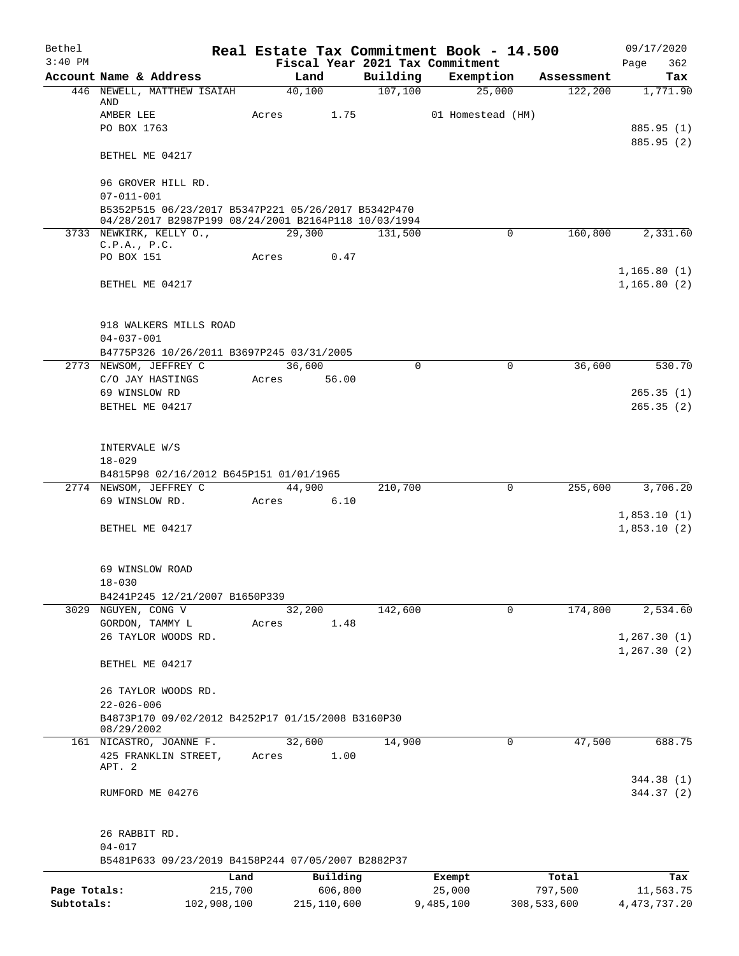| Bethel       |                                                                                                             |                 |        |                     |          | Real Estate Tax Commitment Book - 14.500 |                     | 09/17/2020                   |
|--------------|-------------------------------------------------------------------------------------------------------------|-----------------|--------|---------------------|----------|------------------------------------------|---------------------|------------------------------|
| $3:40$ PM    |                                                                                                             |                 |        |                     |          | Fiscal Year 2021 Tax Commitment          |                     | 362<br>Page                  |
|              | Account Name & Address                                                                                      |                 | Land   |                     | Building | Exemption                                | Assessment          | Tax                          |
|              | 446 NEWELL, MATTHEW ISAIAH<br>AND                                                                           |                 | 40,100 |                     | 107, 100 | 25,000                                   | 122,200             | 1,771.90                     |
|              | AMBER LEE                                                                                                   | Acres           |        | 1.75                |          | 01 Homestead (HM)                        |                     |                              |
|              | PO BOX 1763                                                                                                 |                 |        |                     |          |                                          |                     | 885.95 (1)                   |
|              | BETHEL ME 04217                                                                                             |                 |        |                     |          |                                          |                     | 885.95 (2)                   |
|              | 96 GROVER HILL RD.                                                                                          |                 |        |                     |          |                                          |                     |                              |
|              | $07 - 011 - 001$                                                                                            |                 |        |                     |          |                                          |                     |                              |
|              | B5352P515 06/23/2017 B5347P221 05/26/2017 B5342P470<br>04/28/2017 B2987P199 08/24/2001 B2164P118 10/03/1994 |                 |        |                     |          |                                          |                     |                              |
|              | 3733 NEWKIRK, KELLY O.,                                                                                     |                 | 29,300 |                     | 131,500  |                                          | 0<br>160,800        | 2,331.60                     |
|              | C.P.A., P.C.                                                                                                |                 |        |                     |          |                                          |                     |                              |
|              | PO BOX 151                                                                                                  | Acres           |        | 0.47                |          |                                          |                     |                              |
|              | BETHEL ME 04217                                                                                             |                 |        |                     |          |                                          |                     | 1, 165.80(1)<br>1, 165.80(2) |
|              | 918 WALKERS MILLS ROAD                                                                                      |                 |        |                     |          |                                          |                     |                              |
|              | $04 - 037 - 001$                                                                                            |                 |        |                     |          |                                          |                     |                              |
|              | B4775P326 10/26/2011 B3697P245 03/31/2005                                                                   |                 |        |                     |          |                                          |                     |                              |
|              | 2773 NEWSOM, JEFFREY C                                                                                      |                 | 36,600 |                     | $\Omega$ |                                          | $\Omega$<br>36,600  | 530.70                       |
|              | C/O JAY HASTINGS                                                                                            | Acres           |        | 56.00               |          |                                          |                     |                              |
|              | 69 WINSLOW RD                                                                                               |                 |        |                     |          |                                          |                     | 265.35(1)                    |
|              | BETHEL ME 04217                                                                                             |                 |        |                     |          |                                          |                     | 265.35(2)                    |
|              |                                                                                                             |                 |        |                     |          |                                          |                     |                              |
|              | INTERVALE W/S                                                                                               |                 |        |                     |          |                                          |                     |                              |
|              | $18 - 029$                                                                                                  |                 |        |                     |          |                                          |                     |                              |
|              | B4815P98 02/16/2012 B645P151 01/01/1965                                                                     |                 |        |                     |          |                                          |                     |                              |
|              | 2774 NEWSOM, JEFFREY C                                                                                      |                 | 44,900 |                     | 210,700  |                                          | 255,600<br>0        | 3,706.20                     |
|              | 69 WINSLOW RD.                                                                                              | Acres           |        | 6.10                |          |                                          |                     |                              |
|              | BETHEL ME 04217                                                                                             |                 |        |                     |          |                                          |                     | 1,853.10(1)<br>1,853.10(2)   |
|              |                                                                                                             |                 |        |                     |          |                                          |                     |                              |
|              | 69 WINSLOW ROAD                                                                                             |                 |        |                     |          |                                          |                     |                              |
|              | $18 - 030$                                                                                                  |                 |        |                     |          |                                          |                     |                              |
|              | B4241P245 12/21/2007 B1650P339                                                                              |                 |        |                     |          |                                          |                     |                              |
|              | 3029 NGUYEN, CONG V                                                                                         |                 | 32,200 |                     | 142,600  |                                          | 174,800<br>$\Omega$ | 2,534.60                     |
|              | GORDON, TAMMY L                                                                                             | Acres           |        | 1.48                |          |                                          |                     |                              |
|              | 26 TAYLOR WOODS RD.                                                                                         |                 |        |                     |          |                                          |                     | 1, 267.30(1)<br>1, 267.30(2) |
|              | BETHEL ME 04217                                                                                             |                 |        |                     |          |                                          |                     |                              |
|              | 26 TAYLOR WOODS RD.                                                                                         |                 |        |                     |          |                                          |                     |                              |
|              | $22 - 026 - 006$                                                                                            |                 |        |                     |          |                                          |                     |                              |
|              | B4873P170 09/02/2012 B4252P17 01/15/2008 B3160P30                                                           |                 |        |                     |          |                                          |                     |                              |
|              | 08/29/2002                                                                                                  |                 |        |                     |          |                                          |                     |                              |
|              | 161 NICASTRO, JOANNE F.                                                                                     |                 | 32,600 |                     | 14,900   |                                          | 47,500<br>0         | 688.75                       |
|              | 425 FRANKLIN STREET,<br>APT. 2                                                                              | Acres           |        | 1.00                |          |                                          |                     |                              |
|              |                                                                                                             |                 |        |                     |          |                                          |                     | 344.38 (1)                   |
|              | RUMFORD ME 04276                                                                                            |                 |        |                     |          |                                          |                     | 344.37 (2)                   |
|              |                                                                                                             |                 |        |                     |          |                                          |                     |                              |
|              | 26 RABBIT RD.                                                                                               |                 |        |                     |          |                                          |                     |                              |
|              | $04 - 017$<br>B5481P633 09/23/2019 B4158P244 07/05/2007 B2882P37                                            |                 |        |                     |          |                                          |                     |                              |
|              |                                                                                                             |                 |        |                     |          |                                          |                     |                              |
| Page Totals: |                                                                                                             | Land<br>215,700 |        | Building<br>606,800 |          | Exempt<br>25,000                         | Total<br>797,500    | Tax<br>11,563.75             |
| Subtotals:   | 102,908,100                                                                                                 |                 |        | 215, 110, 600       |          | 9,485,100                                | 308,533,600         | 4, 473, 737.20               |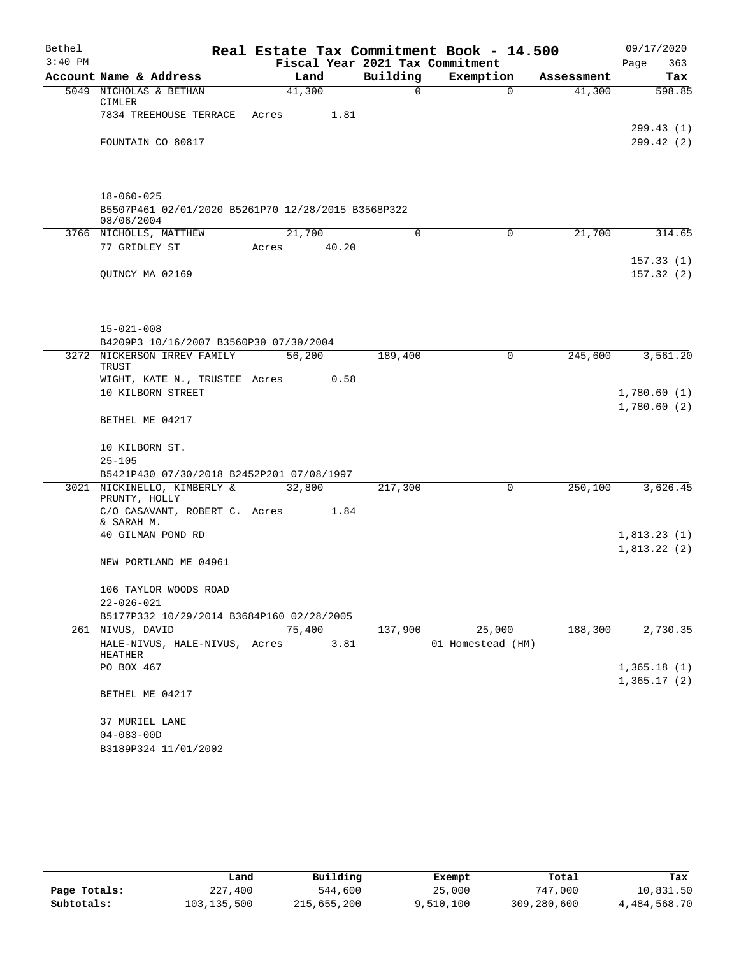| $3:40$ PM<br>Fiscal Year 2021 Tax Commitment<br>363<br>Page<br>Building<br>Account Name & Address<br>Exemption<br>Land<br>Assessment<br>41,300<br>$\Omega$<br>5049 NICHOLAS & BETHAN<br>41,300<br>$\Omega$<br>CIMLER<br>7834 TREEHOUSE TERRACE<br>Acres<br>1.81<br>FOUNTAIN CO 80817<br>$18 - 060 - 025$<br>B5507P461 02/01/2020 B5261P70 12/28/2015 B3568P322<br>08/06/2004<br>21,700<br>3766 NICHOLLS, MATTHEW<br>0<br>$\mathbf 0$<br>21,700<br>77 GRIDLEY ST<br>40.20<br>Acres<br>QUINCY MA 02169<br>$15 - 021 - 008$<br>B4209P3 10/16/2007 B3560P30 07/30/2004<br>3272 NICKERSON IRREV FAMILY<br>56,200<br>245,600<br>189,400<br>0<br>TRUST<br>WIGHT, KATE N., TRUSTEE Acres<br>0.58<br>10 KILBORN STREET<br>BETHEL ME 04217<br>10 KILBORN ST.<br>$25 - 105$<br>B5421P430 07/30/2018 B2452P201 07/08/1997<br>3021 NICKINELLO, KIMBERLY &<br>32,800<br>217,300<br>250,100<br>0<br>PRUNTY, HOLLY<br>C/O CASAVANT, ROBERT C. Acres<br>1.84<br>& SARAH M.<br>40 GILMAN POND RD<br>NEW PORTLAND ME 04961<br>106 TAYLOR WOODS ROAD<br>$22 - 026 - 021$<br>B5177P332 10/29/2014 B3684P160 02/28/2005<br>75,400<br>25,000<br>188,300<br>261 NIVUS, DAVID<br>137,900<br>HALE-NIVUS, HALE-NIVUS, Acres<br>3.81<br>01 Homestead (HM)<br>HEATHER<br>PO BOX 467<br>BETHEL ME 04217<br>37 MURIEL LANE<br>$04 - 083 - 00D$<br>B3189P324 11/01/2002 | Bethel | Real Estate Tax Commitment Book - 14.500 |  | 09/17/2020 |
|-----------------------------------------------------------------------------------------------------------------------------------------------------------------------------------------------------------------------------------------------------------------------------------------------------------------------------------------------------------------------------------------------------------------------------------------------------------------------------------------------------------------------------------------------------------------------------------------------------------------------------------------------------------------------------------------------------------------------------------------------------------------------------------------------------------------------------------------------------------------------------------------------------------------------------------------------------------------------------------------------------------------------------------------------------------------------------------------------------------------------------------------------------------------------------------------------------------------------------------------------------------------------------------------------------------------------------------------|--------|------------------------------------------|--|------------|
| 598.85                                                                                                                                                                                                                                                                                                                                                                                                                                                                                                                                                                                                                                                                                                                                                                                                                                                                                                                                                                                                                                                                                                                                                                                                                                                                                                                                  |        |                                          |  |            |
|                                                                                                                                                                                                                                                                                                                                                                                                                                                                                                                                                                                                                                                                                                                                                                                                                                                                                                                                                                                                                                                                                                                                                                                                                                                                                                                                         |        |                                          |  | Tax        |
| 299.42(2)                                                                                                                                                                                                                                                                                                                                                                                                                                                                                                                                                                                                                                                                                                                                                                                                                                                                                                                                                                                                                                                                                                                                                                                                                                                                                                                               |        |                                          |  |            |
|                                                                                                                                                                                                                                                                                                                                                                                                                                                                                                                                                                                                                                                                                                                                                                                                                                                                                                                                                                                                                                                                                                                                                                                                                                                                                                                                         |        |                                          |  |            |
|                                                                                                                                                                                                                                                                                                                                                                                                                                                                                                                                                                                                                                                                                                                                                                                                                                                                                                                                                                                                                                                                                                                                                                                                                                                                                                                                         |        |                                          |  | 299.43 (1) |
| 314.65<br>157.33(1)<br>157.32(2)<br>3,561.20<br>1,780.60(1)<br>1,780.60(2)<br>3,626.45<br>1,813.23(1)<br>1,813.22(2)<br>2,730.35<br>1,365.18(1)<br>1,365.17(2)                                                                                                                                                                                                                                                                                                                                                                                                                                                                                                                                                                                                                                                                                                                                                                                                                                                                                                                                                                                                                                                                                                                                                                          |        |                                          |  |            |
|                                                                                                                                                                                                                                                                                                                                                                                                                                                                                                                                                                                                                                                                                                                                                                                                                                                                                                                                                                                                                                                                                                                                                                                                                                                                                                                                         |        |                                          |  |            |
|                                                                                                                                                                                                                                                                                                                                                                                                                                                                                                                                                                                                                                                                                                                                                                                                                                                                                                                                                                                                                                                                                                                                                                                                                                                                                                                                         |        |                                          |  |            |
|                                                                                                                                                                                                                                                                                                                                                                                                                                                                                                                                                                                                                                                                                                                                                                                                                                                                                                                                                                                                                                                                                                                                                                                                                                                                                                                                         |        |                                          |  |            |
|                                                                                                                                                                                                                                                                                                                                                                                                                                                                                                                                                                                                                                                                                                                                                                                                                                                                                                                                                                                                                                                                                                                                                                                                                                                                                                                                         |        |                                          |  |            |
|                                                                                                                                                                                                                                                                                                                                                                                                                                                                                                                                                                                                                                                                                                                                                                                                                                                                                                                                                                                                                                                                                                                                                                                                                                                                                                                                         |        |                                          |  |            |
|                                                                                                                                                                                                                                                                                                                                                                                                                                                                                                                                                                                                                                                                                                                                                                                                                                                                                                                                                                                                                                                                                                                                                                                                                                                                                                                                         |        |                                          |  |            |
|                                                                                                                                                                                                                                                                                                                                                                                                                                                                                                                                                                                                                                                                                                                                                                                                                                                                                                                                                                                                                                                                                                                                                                                                                                                                                                                                         |        |                                          |  |            |
|                                                                                                                                                                                                                                                                                                                                                                                                                                                                                                                                                                                                                                                                                                                                                                                                                                                                                                                                                                                                                                                                                                                                                                                                                                                                                                                                         |        |                                          |  |            |
|                                                                                                                                                                                                                                                                                                                                                                                                                                                                                                                                                                                                                                                                                                                                                                                                                                                                                                                                                                                                                                                                                                                                                                                                                                                                                                                                         |        |                                          |  |            |
|                                                                                                                                                                                                                                                                                                                                                                                                                                                                                                                                                                                                                                                                                                                                                                                                                                                                                                                                                                                                                                                                                                                                                                                                                                                                                                                                         |        |                                          |  |            |
|                                                                                                                                                                                                                                                                                                                                                                                                                                                                                                                                                                                                                                                                                                                                                                                                                                                                                                                                                                                                                                                                                                                                                                                                                                                                                                                                         |        |                                          |  |            |
|                                                                                                                                                                                                                                                                                                                                                                                                                                                                                                                                                                                                                                                                                                                                                                                                                                                                                                                                                                                                                                                                                                                                                                                                                                                                                                                                         |        |                                          |  |            |
|                                                                                                                                                                                                                                                                                                                                                                                                                                                                                                                                                                                                                                                                                                                                                                                                                                                                                                                                                                                                                                                                                                                                                                                                                                                                                                                                         |        |                                          |  |            |
|                                                                                                                                                                                                                                                                                                                                                                                                                                                                                                                                                                                                                                                                                                                                                                                                                                                                                                                                                                                                                                                                                                                                                                                                                                                                                                                                         |        |                                          |  |            |
|                                                                                                                                                                                                                                                                                                                                                                                                                                                                                                                                                                                                                                                                                                                                                                                                                                                                                                                                                                                                                                                                                                                                                                                                                                                                                                                                         |        |                                          |  |            |
|                                                                                                                                                                                                                                                                                                                                                                                                                                                                                                                                                                                                                                                                                                                                                                                                                                                                                                                                                                                                                                                                                                                                                                                                                                                                                                                                         |        |                                          |  |            |
|                                                                                                                                                                                                                                                                                                                                                                                                                                                                                                                                                                                                                                                                                                                                                                                                                                                                                                                                                                                                                                                                                                                                                                                                                                                                                                                                         |        |                                          |  |            |
|                                                                                                                                                                                                                                                                                                                                                                                                                                                                                                                                                                                                                                                                                                                                                                                                                                                                                                                                                                                                                                                                                                                                                                                                                                                                                                                                         |        |                                          |  |            |
|                                                                                                                                                                                                                                                                                                                                                                                                                                                                                                                                                                                                                                                                                                                                                                                                                                                                                                                                                                                                                                                                                                                                                                                                                                                                                                                                         |        |                                          |  |            |
|                                                                                                                                                                                                                                                                                                                                                                                                                                                                                                                                                                                                                                                                                                                                                                                                                                                                                                                                                                                                                                                                                                                                                                                                                                                                                                                                         |        |                                          |  |            |
|                                                                                                                                                                                                                                                                                                                                                                                                                                                                                                                                                                                                                                                                                                                                                                                                                                                                                                                                                                                                                                                                                                                                                                                                                                                                                                                                         |        |                                          |  |            |
|                                                                                                                                                                                                                                                                                                                                                                                                                                                                                                                                                                                                                                                                                                                                                                                                                                                                                                                                                                                                                                                                                                                                                                                                                                                                                                                                         |        |                                          |  |            |
|                                                                                                                                                                                                                                                                                                                                                                                                                                                                                                                                                                                                                                                                                                                                                                                                                                                                                                                                                                                                                                                                                                                                                                                                                                                                                                                                         |        |                                          |  |            |
|                                                                                                                                                                                                                                                                                                                                                                                                                                                                                                                                                                                                                                                                                                                                                                                                                                                                                                                                                                                                                                                                                                                                                                                                                                                                                                                                         |        |                                          |  |            |
|                                                                                                                                                                                                                                                                                                                                                                                                                                                                                                                                                                                                                                                                                                                                                                                                                                                                                                                                                                                                                                                                                                                                                                                                                                                                                                                                         |        |                                          |  |            |
|                                                                                                                                                                                                                                                                                                                                                                                                                                                                                                                                                                                                                                                                                                                                                                                                                                                                                                                                                                                                                                                                                                                                                                                                                                                                                                                                         |        |                                          |  |            |
|                                                                                                                                                                                                                                                                                                                                                                                                                                                                                                                                                                                                                                                                                                                                                                                                                                                                                                                                                                                                                                                                                                                                                                                                                                                                                                                                         |        |                                          |  |            |
|                                                                                                                                                                                                                                                                                                                                                                                                                                                                                                                                                                                                                                                                                                                                                                                                                                                                                                                                                                                                                                                                                                                                                                                                                                                                                                                                         |        |                                          |  |            |
|                                                                                                                                                                                                                                                                                                                                                                                                                                                                                                                                                                                                                                                                                                                                                                                                                                                                                                                                                                                                                                                                                                                                                                                                                                                                                                                                         |        |                                          |  |            |
|                                                                                                                                                                                                                                                                                                                                                                                                                                                                                                                                                                                                                                                                                                                                                                                                                                                                                                                                                                                                                                                                                                                                                                                                                                                                                                                                         |        |                                          |  |            |
|                                                                                                                                                                                                                                                                                                                                                                                                                                                                                                                                                                                                                                                                                                                                                                                                                                                                                                                                                                                                                                                                                                                                                                                                                                                                                                                                         |        |                                          |  |            |

|              | Land        | Building    | Exempt    | Total       | Tax          |
|--------------|-------------|-------------|-----------|-------------|--------------|
| Page Totals: | 227,400     | 544,600     | 25,000    | 747,000     | 10,831.50    |
| Subtotals:   | 103,135,500 | 215,655,200 | 9,510,100 | 309,280,600 | 4,484,568.70 |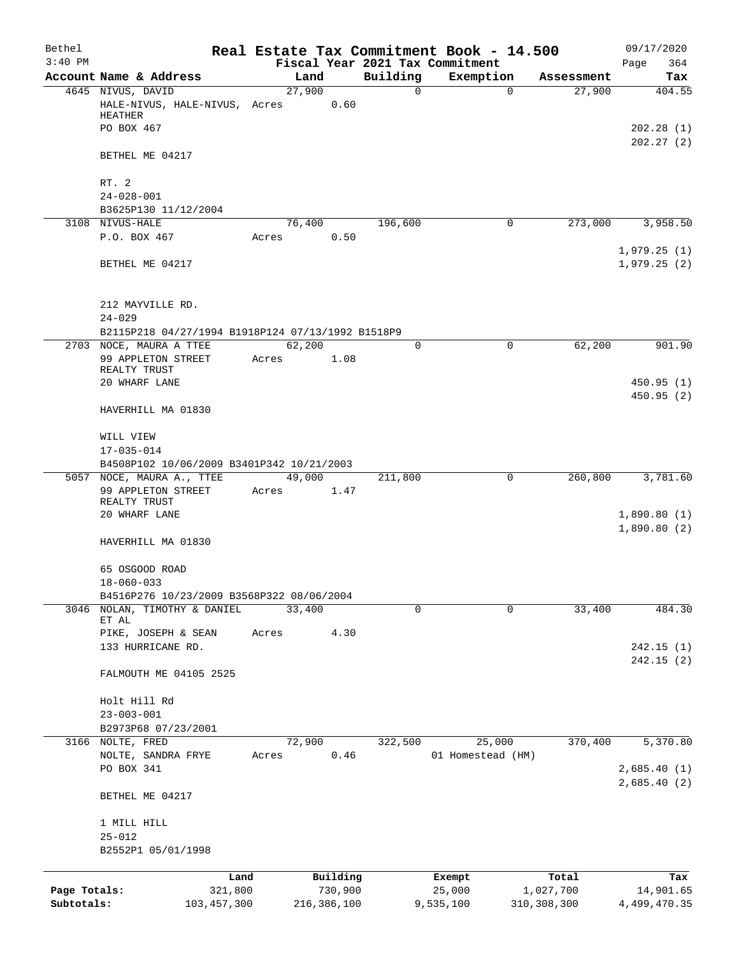| Bethel       |                                                                 |       |               |          |             | Real Estate Tax Commitment Book - 14.500 |                        | 09/17/2020                 |
|--------------|-----------------------------------------------------------------|-------|---------------|----------|-------------|------------------------------------------|------------------------|----------------------------|
| $3:40$ PM    |                                                                 |       |               |          |             | Fiscal Year 2021 Tax Commitment          |                        | 364<br>Page                |
|              | Account Name & Address                                          |       | Land          |          | Building    | Exemption                                | Assessment             | Tax                        |
|              | 4645 NIVUS, DAVID<br>HALE-NIVUS, HALE-NIVUS, Acres<br>HEATHER   |       | 27,900        | 0.60     | 0           |                                          | 27,900<br>$\mathbf 0$  | 404.55                     |
|              | PO BOX 467                                                      |       |               |          |             |                                          |                        | 202.28(1)                  |
|              | BETHEL ME 04217                                                 |       |               |          |             |                                          |                        | 202.27(2)                  |
|              | RT. 2                                                           |       |               |          |             |                                          |                        |                            |
|              | $24 - 028 - 001$                                                |       |               |          |             |                                          |                        |                            |
|              | B3625P130 11/12/2004                                            |       |               |          |             |                                          |                        |                            |
|              | 3108 NIVUS-HALE<br>P.O. BOX 467                                 | Acres | 76,400        | 0.50     | 196,600     |                                          | $\mathbf 0$<br>273,000 | 3,958.50                   |
|              |                                                                 |       |               |          |             |                                          |                        | 1,979.25(1)                |
|              | BETHEL ME 04217                                                 |       |               |          |             |                                          |                        | 1,979.25(2)                |
|              | 212 MAYVILLE RD.                                                |       |               |          |             |                                          |                        |                            |
|              | $24 - 029$<br>B2115P218 04/27/1994 B1918P124 07/13/1992 B1518P9 |       |               |          |             |                                          |                        |                            |
|              | 2703 NOCE, MAURA A TTEE                                         |       | 62,200        |          | $\mathbf 0$ |                                          | 62,200<br>0            | 901.90                     |
|              | 99 APPLETON STREET                                              | Acres |               | 1.08     |             |                                          |                        |                            |
|              | REALTY TRUST<br>20 WHARF LANE                                   |       |               |          |             |                                          |                        | 450.95(1)                  |
|              | HAVERHILL MA 01830                                              |       |               |          |             |                                          |                        | 450.95(2)                  |
|              | WILL VIEW                                                       |       |               |          |             |                                          |                        |                            |
|              | $17 - 035 - 014$                                                |       |               |          |             |                                          |                        |                            |
|              | B4508P102 10/06/2009 B3401P342 10/21/2003                       |       |               |          |             |                                          |                        |                            |
|              | 5057 NOCE, MAURA A., TTEE                                       |       | 49,000        |          | 211,800     |                                          | 0<br>260,800           | 3,781.60                   |
|              | 99 APPLETON STREET<br>REALTY TRUST                              | Acres |               | 1.47     |             |                                          |                        |                            |
|              | 20 WHARF LANE                                                   |       |               |          |             |                                          |                        | 1,890.80(1)<br>1,890.80(2) |
|              | HAVERHILL MA 01830                                              |       |               |          |             |                                          |                        |                            |
|              | 65 OSGOOD ROAD<br>$18 - 060 - 033$                              |       |               |          |             |                                          |                        |                            |
|              | B4516P276 10/23/2009 B3568P322 08/06/2004                       |       |               |          |             |                                          |                        |                            |
|              | 3046 NOLAN, TIMOTHY & DANIEL                                    |       | 33,400        |          | 0           |                                          | $\Omega$<br>33,400     | 484.30                     |
|              | ET AL<br>PIKE, JOSEPH & SEAN                                    | Acres |               | 4.30     |             |                                          |                        |                            |
|              | 133 HURRICANE RD.                                               |       |               |          |             |                                          |                        | 242.15(1)                  |
|              |                                                                 |       |               |          |             |                                          |                        | 242.15(2)                  |
|              | FALMOUTH ME 04105 2525                                          |       |               |          |             |                                          |                        |                            |
|              | Holt Hill Rd                                                    |       |               |          |             |                                          |                        |                            |
|              | $23 - 003 - 001$                                                |       |               |          |             |                                          |                        |                            |
|              | B2973P68 07/23/2001                                             |       |               |          |             |                                          |                        |                            |
|              | 3166 NOLTE, FRED<br>NOLTE, SANDRA FRYE                          |       | 72,900        | 0.46     | 322,500     | 25,000<br>01 Homestead (HM)              | 370,400                | 5,370.80                   |
|              | PO BOX 341                                                      | Acres |               |          |             |                                          |                        | 2,685.40(1)                |
|              | BETHEL ME 04217                                                 |       |               |          |             |                                          |                        | 2,685.40(2)                |
|              | 1 MILL HILL<br>$25 - 012$                                       |       |               |          |             |                                          |                        |                            |
|              | B2552P1 05/01/1998                                              |       |               |          |             |                                          |                        |                            |
|              |                                                                 | Land  |               | Building |             | Exempt                                   | Total                  | Tax                        |
| Page Totals: | 321,800                                                         |       |               | 730,900  |             | 25,000                                   | 1,027,700              | 14,901.65                  |
| Subtotals:   | 103, 457, 300                                                   |       | 216, 386, 100 |          |             | 9,535,100                                | 310, 308, 300          | 4,499,470.35               |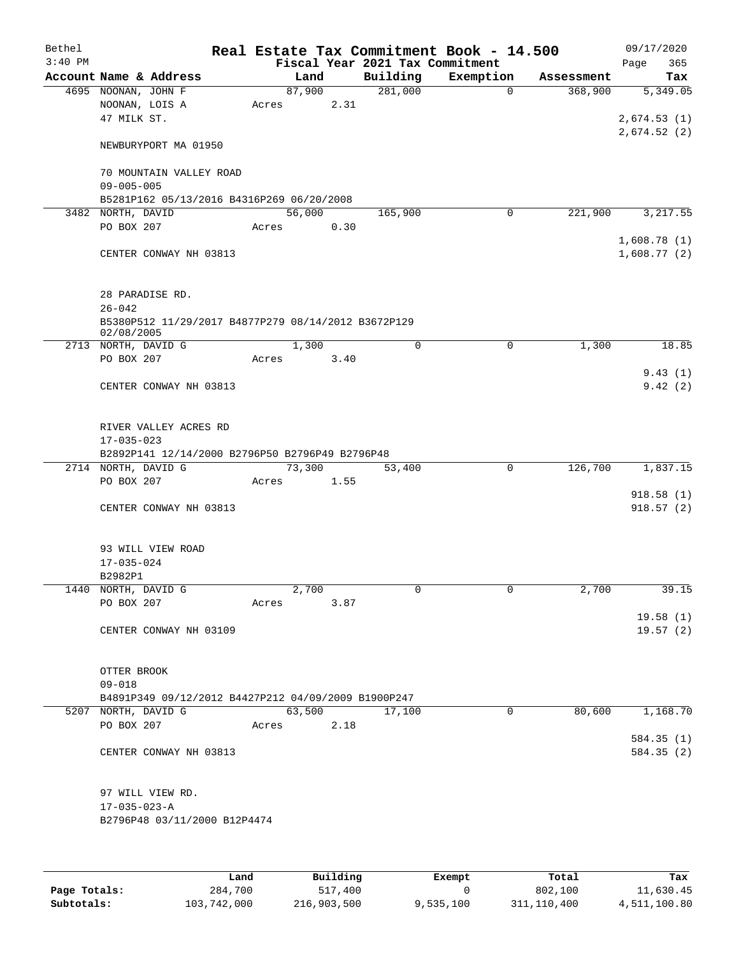| Bethel<br>$3:40$ PM |                                                     |        |      | Fiscal Year 2021 Tax Commitment | Real Estate Tax Commitment Book - 14.500 |            | 09/17/2020<br>365      |
|---------------------|-----------------------------------------------------|--------|------|---------------------------------|------------------------------------------|------------|------------------------|
|                     | Account Name & Address                              | Land   |      | Building                        | Exemption                                | Assessment | Page<br>Tax            |
|                     | 4695 NOONAN, JOHN F                                 | 87,900 |      | 281,000                         | $\Omega$                                 | 368,900    | 5,349.05               |
|                     | NOONAN, LOIS A                                      | Acres  | 2.31 |                                 |                                          |            |                        |
|                     | 47 MILK ST.                                         |        |      |                                 |                                          |            | 2,674.53(1)            |
|                     | NEWBURYPORT MA 01950                                |        |      |                                 |                                          |            | 2,674.52(2)            |
|                     | 70 MOUNTAIN VALLEY ROAD                             |        |      |                                 |                                          |            |                        |
|                     | $09 - 005 - 005$                                    |        |      |                                 |                                          |            |                        |
|                     | B5281P162 05/13/2016 B4316P269 06/20/2008           |        |      |                                 |                                          |            |                        |
| 3482                | NORTH, DAVID                                        | 56,000 |      | 165,900                         | 0                                        | 221,900    | 3, 217.55              |
|                     | PO BOX 207                                          | Acres  | 0.30 |                                 |                                          |            |                        |
|                     |                                                     |        |      |                                 |                                          |            | 1,608.78(1)            |
|                     | CENTER CONWAY NH 03813                              |        |      |                                 |                                          |            | 1,608.77(2)            |
|                     | 28 PARADISE RD.                                     |        |      |                                 |                                          |            |                        |
|                     | $26 - 042$                                          |        |      |                                 |                                          |            |                        |
|                     | B5380P512 11/29/2017 B4877P279 08/14/2012 B3672P129 |        |      |                                 |                                          |            |                        |
|                     | 02/08/2005<br>2713 NORTH, DAVID G                   | 1,300  |      | $\mathbf 0$                     | $\mathsf{O}$                             | 1,300      | 18.85                  |
|                     | PO BOX 207                                          | Acres  | 3.40 |                                 |                                          |            |                        |
|                     |                                                     |        |      |                                 |                                          |            | 9.43(1)                |
|                     | CENTER CONWAY NH 03813                              |        |      |                                 |                                          |            | 9.42(2)                |
|                     |                                                     |        |      |                                 |                                          |            |                        |
|                     | RIVER VALLEY ACRES RD                               |        |      |                                 |                                          |            |                        |
|                     | $17 - 035 - 023$                                    |        |      |                                 |                                          |            |                        |
|                     | B2892P141 12/14/2000 B2796P50 B2796P49 B2796P48     |        |      |                                 |                                          |            |                        |
|                     | 2714 NORTH, DAVID G                                 | 73,300 |      | 53,400                          | $\mathbf 0$                              | 126,700    | 1,837.15               |
|                     | PO BOX 207                                          | Acres  | 1.55 |                                 |                                          |            |                        |
|                     | CENTER CONWAY NH 03813                              |        |      |                                 |                                          |            | 918.58(1)<br>918.57(2) |
|                     |                                                     |        |      |                                 |                                          |            |                        |
|                     |                                                     |        |      |                                 |                                          |            |                        |
|                     | 93 WILL VIEW ROAD<br>$17 - 035 - 024$               |        |      |                                 |                                          |            |                        |
|                     | B2982P1                                             |        |      |                                 |                                          |            |                        |
|                     | 1440 NORTH, DAVID G                                 | 2,700  |      | 0                               | $\mathsf{O}$                             | 2,700      | 39.15                  |
|                     | PO BOX 207                                          | Acres  | 3.87 |                                 |                                          |            |                        |
|                     |                                                     |        |      |                                 |                                          |            | 19.58(1)               |
|                     | CENTER CONWAY NH 03109                              |        |      |                                 |                                          |            | 19.57(2)               |
|                     | OTTER BROOK                                         |        |      |                                 |                                          |            |                        |
|                     | $09 - 018$                                          |        |      |                                 |                                          |            |                        |
|                     | B4891P349 09/12/2012 B4427P212 04/09/2009 B1900P247 |        |      |                                 |                                          |            |                        |
|                     | 5207 NORTH, DAVID G                                 | 63,500 |      | 17,100                          | $\mathbf 0$                              | 80,600     | 1,168.70               |
|                     | PO BOX 207                                          | Acres  | 2.18 |                                 |                                          |            |                        |
|                     |                                                     |        |      |                                 |                                          |            | 584.35(1)              |
|                     | CENTER CONWAY NH 03813                              |        |      |                                 |                                          |            | 584.35 (2)             |
|                     |                                                     |        |      |                                 |                                          |            |                        |
|                     | 97 WILL VIEW RD.<br>$17 - 035 - 023 - A$            |        |      |                                 |                                          |            |                        |
|                     | B2796P48 03/11/2000 B12P4474                        |        |      |                                 |                                          |            |                        |
|                     |                                                     |        |      |                                 |                                          |            |                        |
|                     |                                                     |        |      |                                 |                                          |            |                        |
|                     |                                                     |        |      |                                 |                                          |            |                        |

|              | Land        | Building    | Exempt    | Total       | Tax          |
|--------------|-------------|-------------|-----------|-------------|--------------|
| Page Totals: | 284,700     | 517,400     |           | 802,100     | 11,630.45    |
| Subtotals:   | 103,742,000 | 216,903,500 | 9,535,100 | 311,110,400 | 4,511,100.80 |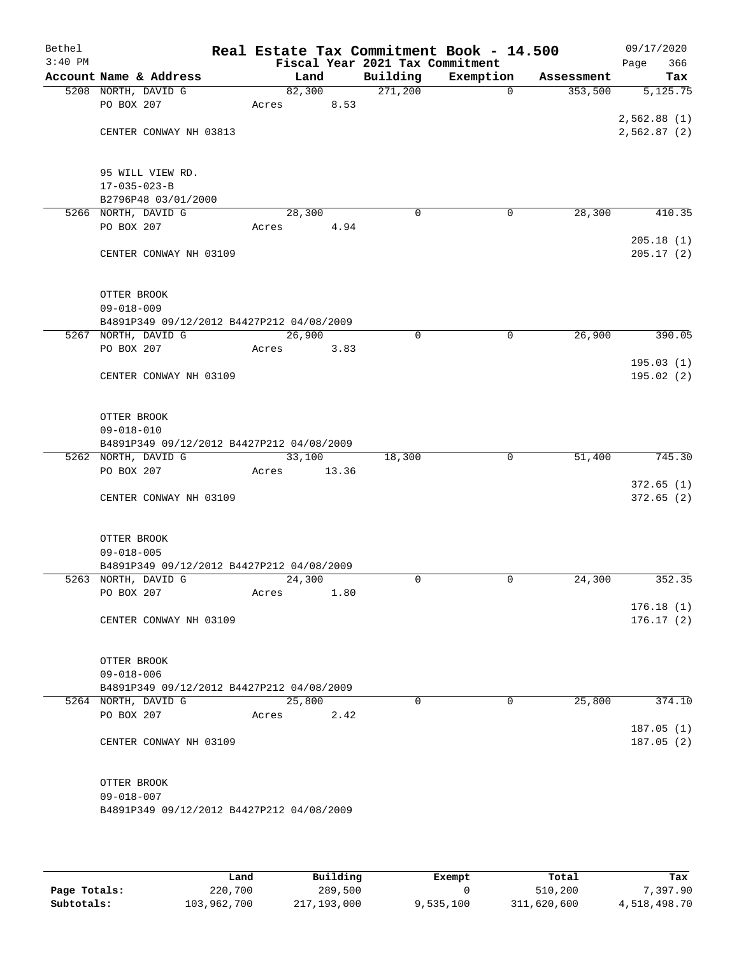| Bethel    |                                                                  |       |        |       |                                 | Real Estate Tax Commitment Book - 14.500 |            | 09/17/2020  |
|-----------|------------------------------------------------------------------|-------|--------|-------|---------------------------------|------------------------------------------|------------|-------------|
| $3:40$ PM |                                                                  |       |        |       | Fiscal Year 2021 Tax Commitment |                                          |            | 366<br>Page |
|           | Account Name & Address                                           |       | Land   |       | Building                        | Exemption                                | Assessment | Tax         |
|           | 5208 NORTH, DAVID G                                              |       | 82,300 |       | 271,200                         | $\mathbf 0$                              | 353,500    | 5,125.75    |
|           | PO BOX 207                                                       | Acres |        | 8.53  |                                 |                                          |            |             |
|           |                                                                  |       |        |       |                                 |                                          |            | 2,562.88(1) |
|           | CENTER CONWAY NH 03813                                           |       |        |       |                                 |                                          |            | 2,562.87(2) |
|           |                                                                  |       |        |       |                                 |                                          |            |             |
|           |                                                                  |       |        |       |                                 |                                          |            |             |
|           | 95 WILL VIEW RD.                                                 |       |        |       |                                 |                                          |            |             |
|           | $17 - 035 - 023 - B$                                             |       |        |       |                                 |                                          |            |             |
|           | B2796P48 03/01/2000                                              |       |        |       |                                 |                                          |            |             |
|           | 5266 NORTH, DAVID G                                              |       | 28,300 |       | 0                               | 0                                        | 28,300     | 410.35      |
|           | PO BOX 207                                                       | Acres |        | 4.94  |                                 |                                          |            |             |
|           |                                                                  |       |        |       |                                 |                                          |            | 205.18(1)   |
|           | CENTER CONWAY NH 03109                                           |       |        |       |                                 |                                          |            | 205.17(2)   |
|           |                                                                  |       |        |       |                                 |                                          |            |             |
|           |                                                                  |       |        |       |                                 |                                          |            |             |
|           | OTTER BROOK<br>$09 - 018 - 009$                                  |       |        |       |                                 |                                          |            |             |
|           | B4891P349 09/12/2012 B4427P212 04/08/2009                        |       |        |       |                                 |                                          |            |             |
|           | 5267 NORTH, DAVID G                                              |       | 26,900 |       | 0                               | $\mathsf{O}$                             | 26,900     | 390.05      |
|           | PO BOX 207                                                       | Acres |        | 3.83  |                                 |                                          |            |             |
|           |                                                                  |       |        |       |                                 |                                          |            | 195.03(1)   |
|           | CENTER CONWAY NH 03109                                           |       |        |       |                                 |                                          |            | 195.02(2)   |
|           |                                                                  |       |        |       |                                 |                                          |            |             |
|           |                                                                  |       |        |       |                                 |                                          |            |             |
|           | OTTER BROOK                                                      |       |        |       |                                 |                                          |            |             |
|           | $09 - 018 - 010$                                                 |       |        |       |                                 |                                          |            |             |
|           | B4891P349 09/12/2012 B4427P212 04/08/2009                        |       |        |       |                                 |                                          |            |             |
|           | 5262 NORTH, DAVID G                                              |       | 33,100 |       | 18,300                          | $\mathbf 0$                              | 51,400     | 745.30      |
|           | PO BOX 207                                                       | Acres |        | 13.36 |                                 |                                          |            |             |
|           |                                                                  |       |        |       |                                 |                                          |            | 372.65(1)   |
|           | CENTER CONWAY NH 03109                                           |       |        |       |                                 |                                          |            | 372.65(2)   |
|           |                                                                  |       |        |       |                                 |                                          |            |             |
|           |                                                                  |       |        |       |                                 |                                          |            |             |
|           | OTTER BROOK                                                      |       |        |       |                                 |                                          |            |             |
|           | $09 - 018 - 005$                                                 |       |        |       |                                 |                                          |            |             |
|           | B4891P349 09/12/2012 B4427P212 04/08/2009<br>5263 NORTH, DAVID G |       | 24,300 |       | $\Omega$                        | $\mathbf 0$                              | 24,300     | 352.35      |
|           | PO BOX 207                                                       | Acres |        | 1.80  |                                 |                                          |            |             |
|           |                                                                  |       |        |       |                                 |                                          |            | 176.18(1)   |
|           | CENTER CONWAY NH 03109                                           |       |        |       |                                 |                                          |            | 176.17(2)   |
|           |                                                                  |       |        |       |                                 |                                          |            |             |
|           |                                                                  |       |        |       |                                 |                                          |            |             |
|           | OTTER BROOK                                                      |       |        |       |                                 |                                          |            |             |
|           | $09 - 018 - 006$                                                 |       |        |       |                                 |                                          |            |             |
|           | B4891P349 09/12/2012 B4427P212 04/08/2009                        |       |        |       |                                 |                                          |            |             |
|           | 5264 NORTH, DAVID G                                              |       | 25,800 |       | $\Omega$                        | 0                                        | 25,800     | 374.10      |
|           | PO BOX 207                                                       | Acres |        | 2.42  |                                 |                                          |            |             |
|           |                                                                  |       |        |       |                                 |                                          |            | 187.05(1)   |
|           | CENTER CONWAY NH 03109                                           |       |        |       |                                 |                                          |            | 187.05(2)   |
|           |                                                                  |       |        |       |                                 |                                          |            |             |
|           |                                                                  |       |        |       |                                 |                                          |            |             |
|           | OTTER BROOK                                                      |       |        |       |                                 |                                          |            |             |
|           | $09 - 018 - 007$                                                 |       |        |       |                                 |                                          |            |             |
|           | B4891P349 09/12/2012 B4427P212 04/08/2009                        |       |        |       |                                 |                                          |            |             |
|           |                                                                  |       |        |       |                                 |                                          |            |             |
|           |                                                                  |       |        |       |                                 |                                          |            |             |

|              | Land        | Building    | Exempt    | Total       | Tax          |
|--------------|-------------|-------------|-----------|-------------|--------------|
| Page Totals: | 220,700     | 289,500     |           | 510,200     | 7,397.90     |
| Subtotals:   | 103,962,700 | 217,193,000 | 9,535,100 | 311,620,600 | 4,518,498.70 |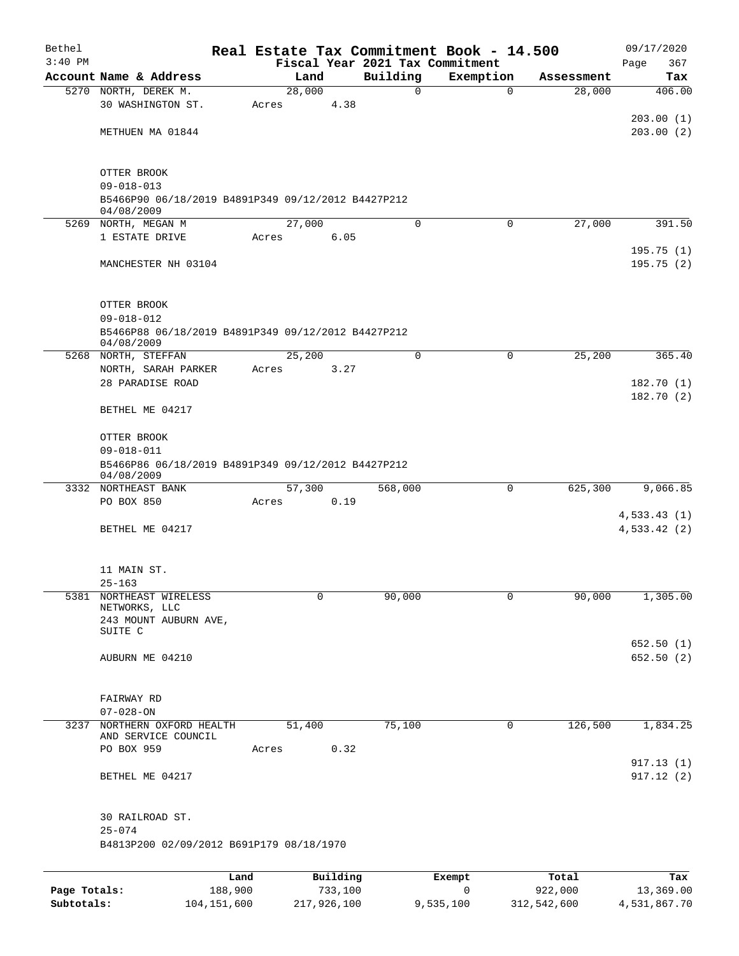| Bethel       |                                                                  |         |             |         |                                             | Real Estate Tax Commitment Book - 14.500 |             | 09/17/2020                  |  |  |
|--------------|------------------------------------------------------------------|---------|-------------|---------|---------------------------------------------|------------------------------------------|-------------|-----------------------------|--|--|
| $3:40$ PM    | Account Name & Address                                           |         | Land        |         | Fiscal Year 2021 Tax Commitment<br>Building | Exemption                                | Assessment  | 367<br>Page                 |  |  |
|              | 5270 NORTH, DEREK M.                                             |         | 28,000      |         | 0                                           | $\mathbf 0$                              | 28,000      | Tax<br>406.00               |  |  |
|              | 30 WASHINGTON ST.                                                | Acres   |             | 4.38    |                                             |                                          |             |                             |  |  |
|              |                                                                  |         |             |         |                                             |                                          |             | 203.00(1)                   |  |  |
|              | METHUEN MA 01844                                                 |         |             |         |                                             |                                          |             | 203.00(2)                   |  |  |
|              | OTTER BROOK                                                      |         |             |         |                                             |                                          |             |                             |  |  |
|              | $09 - 018 - 013$                                                 |         |             |         |                                             |                                          |             |                             |  |  |
|              | B5466P90 06/18/2019 B4891P349 09/12/2012 B4427P212<br>04/08/2009 |         |             |         |                                             |                                          |             |                             |  |  |
|              | 5269 NORTH, MEGAN M                                              |         | 27,000      |         | $\Omega$                                    | $\Omega$                                 | 27,000      | 391.50                      |  |  |
|              | 1 ESTATE DRIVE                                                   | Acres   |             | 6.05    |                                             |                                          |             |                             |  |  |
|              | MANCHESTER NH 03104                                              |         |             |         |                                             |                                          |             | 195.75(1)<br>195.75(2)      |  |  |
|              |                                                                  |         |             |         |                                             |                                          |             |                             |  |  |
|              | OTTER BROOK                                                      |         |             |         |                                             |                                          |             |                             |  |  |
|              | $09 - 018 - 012$                                                 |         |             |         |                                             |                                          |             |                             |  |  |
|              | B5466P88 06/18/2019 B4891P349 09/12/2012 B4427P212<br>04/08/2009 |         |             |         |                                             |                                          |             |                             |  |  |
|              | 5268 NORTH, STEFFAN                                              |         | 25,200      |         | $\Omega$                                    | $\mathbf 0$                              | 25,200      | 365.40                      |  |  |
|              | NORTH, SARAH PARKER                                              | Acres   |             | 3.27    |                                             |                                          |             |                             |  |  |
|              | 28 PARADISE ROAD                                                 |         |             |         |                                             |                                          |             | 182.70(1)                   |  |  |
|              | BETHEL ME 04217                                                  |         |             |         |                                             |                                          |             | 182.70(2)                   |  |  |
|              | OTTER BROOK                                                      |         |             |         |                                             |                                          |             |                             |  |  |
|              | $09 - 018 - 011$                                                 |         |             |         |                                             |                                          |             |                             |  |  |
|              | B5466P86 06/18/2019 B4891P349 09/12/2012 B4427P212<br>04/08/2009 |         |             |         |                                             |                                          |             |                             |  |  |
|              | 3332 NORTHEAST BANK                                              |         | 57,300      |         | 568,000                                     | 0                                        | 625,300     | 9,066.85                    |  |  |
|              | PO BOX 850                                                       | Acres   |             | 0.19    |                                             |                                          |             |                             |  |  |
|              | BETHEL ME 04217                                                  |         |             |         |                                             |                                          |             | 4,533.43(1)<br>4,533.42 (2) |  |  |
|              |                                                                  |         |             |         |                                             |                                          |             |                             |  |  |
|              | 11 MAIN ST.                                                      |         |             |         |                                             |                                          |             |                             |  |  |
|              | $25 - 163$                                                       |         |             |         |                                             |                                          |             |                             |  |  |
| 5381         | NORTHEAST WIRELESS<br>NETWORKS, LLC                              |         | 0           |         | 90,000                                      | 0                                        | 90,000      | 1,305.00                    |  |  |
|              | 243 MOUNT AUBURN AVE,                                            |         |             |         |                                             |                                          |             |                             |  |  |
|              | SUITE C                                                          |         |             |         |                                             |                                          |             | 652.50 (1)                  |  |  |
|              | AUBURN ME 04210                                                  |         |             |         |                                             |                                          |             | 652.50 (2)                  |  |  |
|              |                                                                  |         |             |         |                                             |                                          |             |                             |  |  |
|              | FAIRWAY RD                                                       |         |             |         |                                             |                                          |             |                             |  |  |
|              | $07 - 028 - ON$                                                  |         |             |         |                                             |                                          |             |                             |  |  |
| 3237         | NORTHERN OXFORD HEALTH<br>AND SERVICE COUNCIL                    |         | 51,400      |         | 75,100                                      | 0                                        | 126,500     | 1,834.25                    |  |  |
|              | PO BOX 959                                                       | Acres   |             | 0.32    |                                             |                                          |             |                             |  |  |
|              |                                                                  |         |             |         |                                             |                                          |             | 917.13(1)                   |  |  |
|              | BETHEL ME 04217                                                  |         |             |         |                                             |                                          |             | 917.12(2)                   |  |  |
|              | 30 RAILROAD ST.                                                  |         |             |         |                                             |                                          |             |                             |  |  |
|              | $25 - 074$                                                       |         |             |         |                                             |                                          |             |                             |  |  |
|              | B4813P200 02/09/2012 B691P179 08/18/1970                         |         |             |         |                                             |                                          |             |                             |  |  |
|              |                                                                  | Land    | Building    |         |                                             | Exempt                                   | Total       | Tax                         |  |  |
| Page Totals: |                                                                  | 188,900 |             | 733,100 |                                             | $\mathbf 0$                              | 922,000     | 13,369.00                   |  |  |
| Subtotals:   | 104, 151, 600                                                    |         | 217,926,100 |         |                                             | 9,535,100                                | 312,542,600 | 4,531,867.70                |  |  |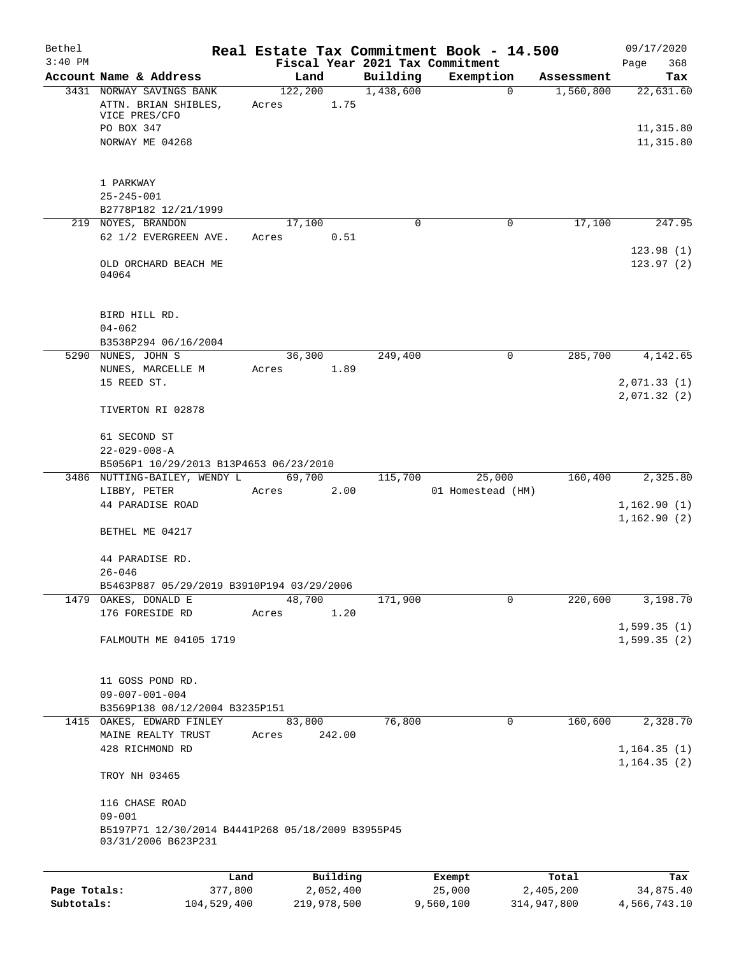| Bethel<br>$3:40$ PM |                                                   |                 | Fiscal Year 2021 Tax Commitment |           | Real Estate Tax Commitment Book - 14.500 |                    | 09/17/2020<br>Page<br>368  |
|---------------------|---------------------------------------------------|-----------------|---------------------------------|-----------|------------------------------------------|--------------------|----------------------------|
|                     | Account Name & Address                            |                 | Land                            | Building  | Exemption                                | Assessment         | Tax                        |
|                     | 3431 NORWAY SAVINGS BANK                          |                 | 122,200                         | 1,438,600 | $\mathbf 0$                              | 1,560,800          | 22,631.60                  |
|                     | ATTN. BRIAN SHIBLES,<br>VICE PRES/CFO             | Acres           | 1.75                            |           |                                          |                    |                            |
|                     | PO BOX 347                                        |                 |                                 |           |                                          |                    | 11,315.80                  |
|                     | NORWAY ME 04268                                   |                 |                                 |           |                                          |                    | 11,315.80                  |
|                     |                                                   |                 |                                 |           |                                          |                    |                            |
|                     | 1 PARKWAY                                         |                 |                                 |           |                                          |                    |                            |
|                     | $25 - 245 - 001$                                  |                 |                                 |           |                                          |                    |                            |
|                     | B2778P182 12/21/1999                              |                 |                                 |           |                                          |                    |                            |
|                     | 219 NOYES, BRANDON                                |                 | 17,100                          | 0         | 0                                        | 17,100             | 247.95                     |
|                     | 62 1/2 EVERGREEN AVE.                             | Acres           | 0.51                            |           |                                          |                    |                            |
|                     |                                                   |                 |                                 |           |                                          |                    | 123.98(1)                  |
|                     | OLD ORCHARD BEACH ME<br>04064                     |                 |                                 |           |                                          |                    | 123.97(2)                  |
|                     |                                                   |                 |                                 |           |                                          |                    |                            |
|                     |                                                   |                 |                                 |           |                                          |                    |                            |
|                     | BIRD HILL RD.                                     |                 |                                 |           |                                          |                    |                            |
|                     | $04 - 062$<br>B3538P294 06/16/2004                |                 |                                 |           |                                          |                    |                            |
|                     | 5290 NUNES, JOHN S                                |                 | 36,300                          | 249,400   | $\mathbf 0$                              | 285,700            | 4,142.65                   |
|                     | NUNES, MARCELLE M                                 | Acres           | 1.89                            |           |                                          |                    |                            |
|                     | 15 REED ST.                                       |                 |                                 |           |                                          |                    | 2,071.33(1)                |
|                     |                                                   |                 |                                 |           |                                          |                    | 2,071.32(2)                |
|                     | TIVERTON RI 02878                                 |                 |                                 |           |                                          |                    |                            |
|                     | 61 SECOND ST                                      |                 |                                 |           |                                          |                    |                            |
|                     | $22 - 029 - 008 - A$                              |                 |                                 |           |                                          |                    |                            |
|                     | B5056P1 10/29/2013 B13P4653 06/23/2010            |                 |                                 |           |                                          |                    |                            |
|                     | 3486 NUTTING-BAILEY, WENDY L                      |                 | 69,700                          | 115,700   | 25,000                                   | 160,400            | 2,325.80                   |
|                     | LIBBY, PETER                                      | Acres           | 2.00                            |           | 01 Homestead (HM)                        |                    |                            |
|                     | 44 PARADISE ROAD                                  |                 |                                 |           |                                          |                    | 1,162.90(1)<br>1,162.90(2) |
|                     | BETHEL ME 04217                                   |                 |                                 |           |                                          |                    |                            |
|                     |                                                   |                 |                                 |           |                                          |                    |                            |
|                     | 44 PARADISE RD.                                   |                 |                                 |           |                                          |                    |                            |
|                     | $26 - 046$                                        |                 |                                 |           |                                          |                    |                            |
|                     | B5463P887 05/29/2019 B3910P194 03/29/2006         |                 |                                 |           |                                          |                    |                            |
| 1479                | OAKES, DONALD E                                   |                 | 48,700                          | 171,900   | $\mathbf 0$                              | 220,600            | 3,198.70                   |
|                     | 176 FORESIDE RD                                   | Acres           | 1.20                            |           |                                          |                    | 1,599.35(1)                |
|                     | FALMOUTH ME 04105 1719                            |                 |                                 |           |                                          |                    | 1,599.35(2)                |
|                     |                                                   |                 |                                 |           |                                          |                    |                            |
|                     |                                                   |                 |                                 |           |                                          |                    |                            |
|                     | 11 GOSS POND RD.                                  |                 |                                 |           |                                          |                    |                            |
|                     | $09 - 007 - 001 - 004$                            |                 |                                 |           |                                          |                    |                            |
|                     | B3569P138 08/12/2004 B3235P151                    |                 |                                 |           |                                          |                    |                            |
|                     | 1415 OAKES, EDWARD FINLEY                         |                 | 83,800                          | 76,800    | 0                                        | 160,600            | 2,328.70                   |
|                     | MAINE REALTY TRUST<br>428 RICHMOND RD             | Acres           | 242.00                          |           |                                          |                    | 1, 164.35(1)               |
|                     |                                                   |                 |                                 |           |                                          |                    | 1,164.35(2)                |
|                     | TROY NH 03465                                     |                 |                                 |           |                                          |                    |                            |
|                     | 116 CHASE ROAD                                    |                 |                                 |           |                                          |                    |                            |
|                     | $09 - 001$                                        |                 |                                 |           |                                          |                    |                            |
|                     | B5197P71 12/30/2014 B4441P268 05/18/2009 B3955P45 |                 |                                 |           |                                          |                    |                            |
|                     | 03/31/2006 B623P231                               |                 |                                 |           |                                          |                    |                            |
|                     |                                                   |                 |                                 |           |                                          |                    |                            |
| Page Totals:        |                                                   | Land<br>377,800 | Building<br>2,052,400           |           | Exempt<br>25,000                         | Total<br>2,405,200 | Tax<br>34,875.40           |
|                     |                                                   |                 |                                 |           |                                          |                    |                            |

**Subtotals:** 104,529,400 219,978,500 9,560,100 314,947,800 4,566,743.10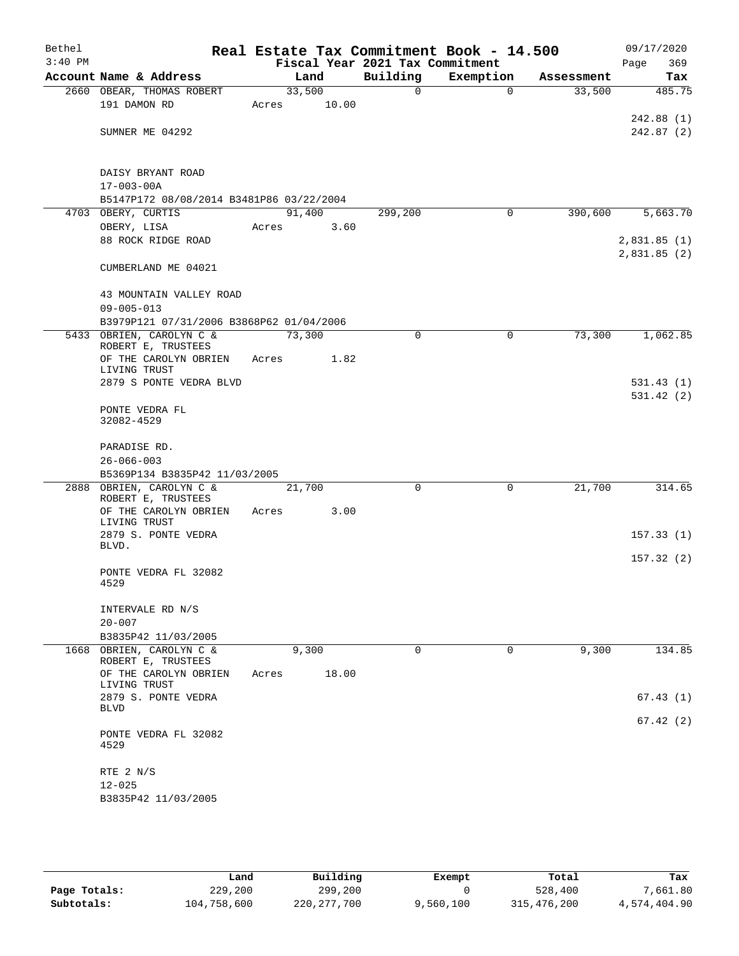| Bethel<br>$3:40$ PM |                                                |        |       | Fiscal Year 2021 Tax Commitment | Real Estate Tax Commitment Book - 14.500 |            | 09/17/2020<br>Page<br>369  |
|---------------------|------------------------------------------------|--------|-------|---------------------------------|------------------------------------------|------------|----------------------------|
|                     | Account Name & Address                         | Land   |       | Building                        | Exemption                                | Assessment | Tax                        |
|                     | 2660 OBEAR, THOMAS ROBERT                      | 33,500 |       | 0                               | $\mathbf 0$                              | 33,500     | 485.75                     |
|                     | 191 DAMON RD                                   | Acres  | 10.00 |                                 |                                          |            |                            |
|                     |                                                |        |       |                                 |                                          |            | 242.88 (1)                 |
|                     | SUMNER ME 04292                                |        |       |                                 |                                          |            | 242.87(2)                  |
|                     | DAISY BRYANT ROAD                              |        |       |                                 |                                          |            |                            |
|                     | $17 - 003 - 00A$                               |        |       |                                 |                                          |            |                            |
|                     | B5147P172 08/08/2014 B3481P86 03/22/2004       |        |       |                                 |                                          |            |                            |
|                     | 4703 OBERY, CURTIS                             | 91,400 |       | 299,200                         | 0                                        | 390,600    | 5,663.70                   |
|                     | OBERY, LISA                                    | Acres  | 3.60  |                                 |                                          |            |                            |
|                     | 88 ROCK RIDGE ROAD                             |        |       |                                 |                                          |            | 2,831.85(1)<br>2,831.85(2) |
|                     | CUMBERLAND ME 04021                            |        |       |                                 |                                          |            |                            |
|                     | 43 MOUNTAIN VALLEY ROAD                        |        |       |                                 |                                          |            |                            |
|                     | $09 - 005 - 013$                               |        |       |                                 |                                          |            |                            |
|                     | B3979P121 07/31/2006 B3868P62 01/04/2006       |        |       |                                 |                                          |            |                            |
|                     | 5433 OBRIEN, CAROLYN C &<br>ROBERT E, TRUSTEES | 73,300 |       | $\mathbf 0$                     | 0                                        | 73,300     | 1,062.85                   |
|                     | OF THE CAROLYN OBRIEN                          | Acres  | 1.82  |                                 |                                          |            |                            |
|                     | LIVING TRUST<br>2879 S PONTE VEDRA BLVD        |        |       |                                 |                                          |            | 531.43(1)                  |
|                     | PONTE VEDRA FL                                 |        |       |                                 |                                          |            | 531.42(2)                  |
|                     | 32082-4529                                     |        |       |                                 |                                          |            |                            |
|                     | PARADISE RD.                                   |        |       |                                 |                                          |            |                            |
|                     | $26 - 066 - 003$                               |        |       |                                 |                                          |            |                            |
|                     | B5369P134 B3835P42 11/03/2005                  |        |       |                                 |                                          |            |                            |
|                     | 2888 OBRIEN, CAROLYN C &<br>ROBERT E, TRUSTEES | 21,700 |       | $\mathbf 0$                     | 0                                        | 21,700     | 314.65                     |
|                     | OF THE CAROLYN OBRIEN                          | Acres  | 3.00  |                                 |                                          |            |                            |
|                     | LIVING TRUST                                   |        |       |                                 |                                          |            |                            |
|                     | 2879 S. PONTE VEDRA<br>BLVD.                   |        |       |                                 |                                          |            | 157.33(1)                  |
|                     |                                                |        |       |                                 |                                          |            | 157.32(2)                  |
|                     | PONTE VEDRA FL 32082<br>4529                   |        |       |                                 |                                          |            |                            |
|                     | INTERVALE RD N/S                               |        |       |                                 |                                          |            |                            |
|                     | $20 - 007$                                     |        |       |                                 |                                          |            |                            |
|                     | B3835P42 11/03/2005                            |        |       |                                 |                                          |            |                            |
|                     | 1668 OBRIEN, CAROLYN C &<br>ROBERT E, TRUSTEES | 9,300  |       | $\mathbf 0$                     | $\mathbf 0$                              | 9,300      | 134.85                     |
|                     | OF THE CAROLYN OBRIEN<br>LIVING TRUST          | Acres  | 18.00 |                                 |                                          |            |                            |
|                     | 2879 S. PONTE VEDRA<br><b>BLVD</b>             |        |       |                                 |                                          |            | 67.43(1)                   |
|                     |                                                |        |       |                                 |                                          |            | 67.42(2)                   |
|                     | PONTE VEDRA FL 32082<br>4529                   |        |       |                                 |                                          |            |                            |
|                     | RTE 2 N/S                                      |        |       |                                 |                                          |            |                            |
|                     | $12 - 025$                                     |        |       |                                 |                                          |            |                            |
|                     | B3835P42 11/03/2005                            |        |       |                                 |                                          |            |                            |

|              | Land        | Building      | Exempt    | Total       | Tax          |
|--------------|-------------|---------------|-----------|-------------|--------------|
| Page Totals: | 229,200     | 299,200       |           | 528,400     | 7,661.80     |
| Subtotals:   | 104,758,600 | 220, 277, 700 | 9,560,100 | 315,476,200 | 4,574,404.90 |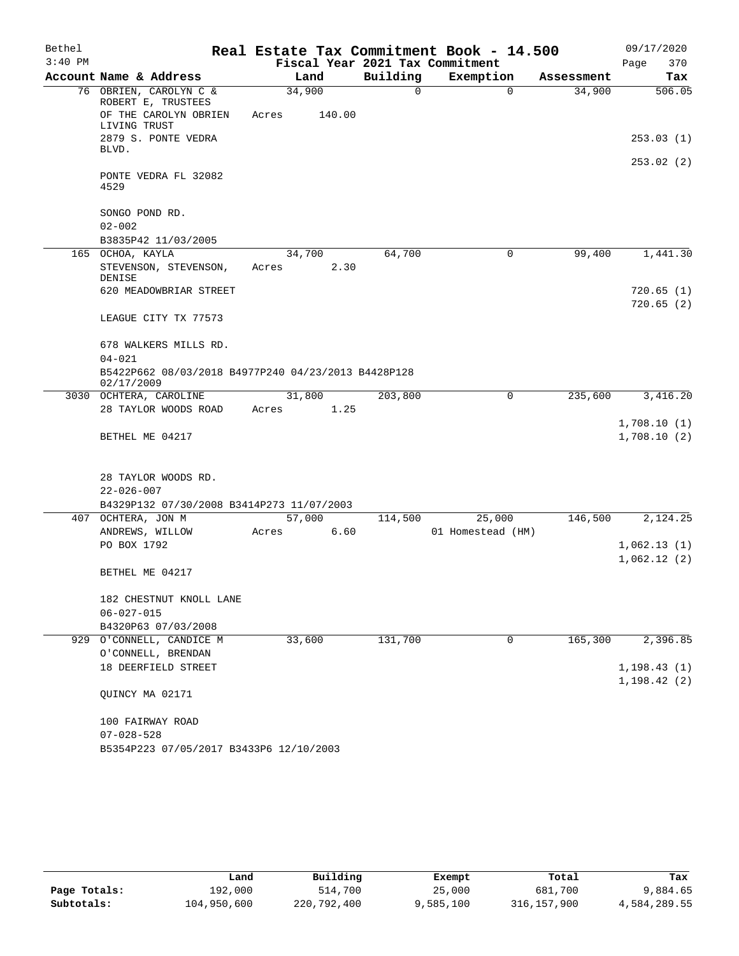| Bethel    |                                                                                 |                 |        |                                 | Real Estate Tax Commitment Book - 14.500 |            | 09/17/2020                   |
|-----------|---------------------------------------------------------------------------------|-----------------|--------|---------------------------------|------------------------------------------|------------|------------------------------|
| $3:40$ PM |                                                                                 |                 |        | Fiscal Year 2021 Tax Commitment |                                          |            | 370<br>Page                  |
|           | Account Name & Address                                                          |                 | Land   | Building                        | Exemption                                | Assessment | Tax                          |
|           | 76 OBRIEN, CAROLYN C &<br>ROBERT E, TRUSTEES                                    | 34,900          |        | 0                               | $\Omega$                                 | 34,900     | 506.05                       |
|           | OF THE CAROLYN OBRIEN<br>LIVING TRUST                                           | Acres           | 140.00 |                                 |                                          |            |                              |
|           | 2879 S. PONTE VEDRA<br>BLVD.                                                    |                 |        |                                 |                                          |            | 253.03(1)                    |
|           | PONTE VEDRA FL 32082<br>4529                                                    |                 |        |                                 |                                          |            | 253.02(2)                    |
|           | SONGO POND RD.                                                                  |                 |        |                                 |                                          |            |                              |
|           | $02 - 002$                                                                      |                 |        |                                 |                                          |            |                              |
|           | B3835P42 11/03/2005                                                             |                 |        |                                 |                                          |            |                              |
|           | 165 OCHOA, KAYLA                                                                | 34,700          |        | 64,700                          | 0                                        | 99,400     | 1,441.30                     |
|           | STEVENSON, STEVENSON,<br><b>DENISE</b>                                          | Acres           | 2.30   |                                 |                                          |            |                              |
|           | 620 MEADOWBRIAR STREET                                                          |                 |        |                                 |                                          |            | 720.65(1)<br>720.65(2)       |
|           | LEAGUE CITY TX 77573                                                            |                 |        |                                 |                                          |            |                              |
|           | 678 WALKERS MILLS RD.                                                           |                 |        |                                 |                                          |            |                              |
|           | $04 - 021$<br>B5422P662 08/03/2018 B4977P240 04/23/2013 B4428P128<br>02/17/2009 |                 |        |                                 |                                          |            |                              |
|           | 3030 OCHTERA, CAROLINE                                                          |                 | 31,800 | 203,800                         | $\Omega$                                 | 235,600    | 3,416.20                     |
|           | 28 TAYLOR WOODS ROAD                                                            | Acres           | 1.25   |                                 |                                          |            |                              |
|           | BETHEL ME 04217                                                                 |                 |        |                                 |                                          |            | 1,708.10(1)<br>1,708.10(2)   |
|           |                                                                                 |                 |        |                                 |                                          |            |                              |
|           | 28 TAYLOR WOODS RD.<br>$22 - 026 - 007$                                         |                 |        |                                 |                                          |            |                              |
|           | B4329P132 07/30/2008 B3414P273 11/07/2003                                       |                 |        |                                 |                                          |            |                              |
|           | 407 OCHTERA, JON M<br>ANDREWS, WILLOW                                           | 57,000<br>Acres | 6.60   | 114,500                         | 25,000<br>01 Homestead (HM)              | 146,500    | 2,124.25                     |
|           | PO BOX 1792                                                                     |                 |        |                                 |                                          |            | 1,062.13(1)                  |
|           |                                                                                 |                 |        |                                 |                                          |            | 1,062.12(2)                  |
|           | BETHEL ME 04217                                                                 |                 |        |                                 |                                          |            |                              |
|           | 182 CHESTNUT KNOLL LANE                                                         |                 |        |                                 |                                          |            |                              |
|           | $06 - 027 - 015$                                                                |                 |        |                                 |                                          |            |                              |
|           | B4320P63 07/03/2008                                                             |                 |        |                                 |                                          |            |                              |
|           | 929 O'CONNELL, CANDICE M                                                        | 33,600          |        | 131,700                         | 0                                        | 165,300    | 2,396.85                     |
|           | O'CONNELL, BRENDAN                                                              |                 |        |                                 |                                          |            |                              |
|           | 18 DEERFIELD STREET                                                             |                 |        |                                 |                                          |            | 1, 198.43(1)<br>1, 198.42(2) |
|           | QUINCY MA 02171                                                                 |                 |        |                                 |                                          |            |                              |
|           | 100 FAIRWAY ROAD                                                                |                 |        |                                 |                                          |            |                              |
|           | $07 - 028 - 528$                                                                |                 |        |                                 |                                          |            |                              |
|           | B5354P223 07/05/2017 B3433P6 12/10/2003                                         |                 |        |                                 |                                          |            |                              |

|              | Land        | Building    | Exempt    | Total       | Tax          |
|--------------|-------------|-------------|-----------|-------------|--------------|
| Page Totals: | 192,000     | 514,700     | 25,000    | 681,700     | 9,884.65     |
| Subtotals:   | 104,950,600 | 220,792,400 | 9,585,100 | 316,157,900 | 4,584,289.55 |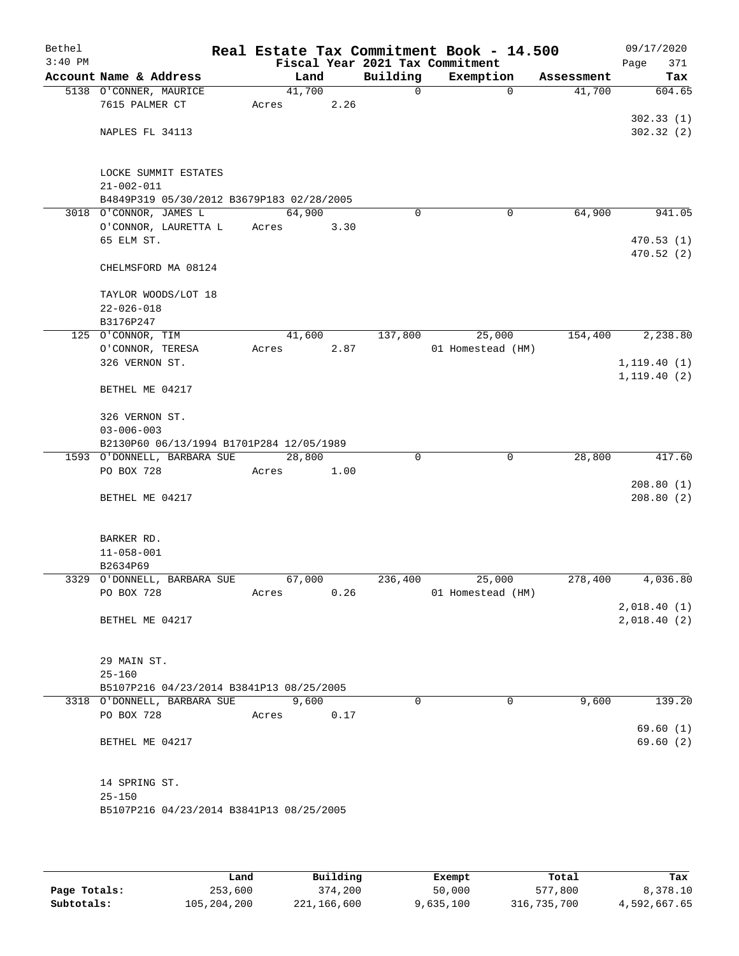| Bethel<br>$3:40$ PM |                                           |        |       |             | Real Estate Tax Commitment Book - 14.500<br>Fiscal Year 2021 Tax Commitment |            | 09/17/2020   |
|---------------------|-------------------------------------------|--------|-------|-------------|-----------------------------------------------------------------------------|------------|--------------|
|                     | Account Name & Address                    |        | Land  | Building    | Exemption                                                                   | Assessment | 371<br>Page  |
|                     |                                           | 41,700 |       |             |                                                                             |            | Tax          |
|                     | 5138 O'CONNER, MAURICE<br>7615 PALMER CT  |        | 2.26  | $\mathbf 0$ | $\mathbf 0$                                                                 | 41,700     | 604.65       |
|                     |                                           | Acres  |       |             |                                                                             |            | 302.33(1)    |
|                     | NAPLES FL 34113                           |        |       |             |                                                                             |            | 302.32(2)    |
|                     |                                           |        |       |             |                                                                             |            |              |
|                     |                                           |        |       |             |                                                                             |            |              |
|                     | LOCKE SUMMIT ESTATES                      |        |       |             |                                                                             |            |              |
|                     | $21 - 002 - 011$                          |        |       |             |                                                                             |            |              |
|                     | B4849P319 05/30/2012 B3679P183 02/28/2005 |        |       |             |                                                                             |            |              |
|                     | 3018 O'CONNOR, JAMES L                    | 64,900 |       | $\Omega$    | 0                                                                           | 64,900     | 941.05       |
|                     | O'CONNOR, LAURETTA L                      | Acres  | 3.30  |             |                                                                             |            |              |
|                     | 65 ELM ST.                                |        |       |             |                                                                             |            | 470.53(1)    |
|                     |                                           |        |       |             |                                                                             |            | 470.52 (2)   |
|                     | CHELMSFORD MA 08124                       |        |       |             |                                                                             |            |              |
|                     |                                           |        |       |             |                                                                             |            |              |
|                     | TAYLOR WOODS/LOT 18                       |        |       |             |                                                                             |            |              |
|                     | $22 - 026 - 018$                          |        |       |             |                                                                             |            |              |
|                     | B3176P247                                 |        |       |             |                                                                             |            |              |
|                     | 125 O'CONNOR, TIM                         | 41,600 |       | 137,800     | 25,000                                                                      | 154,400    | 2,238.80     |
|                     | O'CONNOR, TERESA                          | Acres  | 2.87  |             | 01 Homestead (HM)                                                           |            |              |
|                     | 326 VERNON ST.                            |        |       |             |                                                                             |            | 1, 119.40(1) |
|                     | BETHEL ME 04217                           |        |       |             |                                                                             |            | 1, 119.40(2) |
|                     |                                           |        |       |             |                                                                             |            |              |
|                     | 326 VERNON ST.                            |        |       |             |                                                                             |            |              |
|                     | $03 - 006 - 003$                          |        |       |             |                                                                             |            |              |
|                     | B2130P60 06/13/1994 B1701P284 12/05/1989  |        |       |             |                                                                             |            |              |
|                     | 1593 O'DONNELL, BARBARA SUE               | 28,800 |       | 0           | $\mathbf 0$                                                                 | 28,800     | 417.60       |
|                     | PO BOX 728                                | Acres  | 1.00  |             |                                                                             |            |              |
|                     |                                           |        |       |             |                                                                             |            | 208.80(1)    |
|                     | BETHEL ME 04217                           |        |       |             |                                                                             |            | 208.80(2)    |
|                     |                                           |        |       |             |                                                                             |            |              |
|                     |                                           |        |       |             |                                                                             |            |              |
|                     | BARKER RD.                                |        |       |             |                                                                             |            |              |
|                     | $11 - 058 - 001$                          |        |       |             |                                                                             |            |              |
|                     | B2634P69                                  |        |       |             |                                                                             |            |              |
|                     | 3329 O'DONNELL, BARBARA SUE               | 67,000 |       | 236,400     | 25,000                                                                      | 278,400    | 4,036.80     |
|                     | PO BOX 728                                | Acres  | 0.26  |             | 01 Homestead (HM)                                                           |            |              |
|                     |                                           |        |       |             |                                                                             |            | 2,018.40(1)  |
|                     | BETHEL ME 04217                           |        |       |             |                                                                             |            | 2,018.40(2)  |
|                     |                                           |        |       |             |                                                                             |            |              |
|                     | 29 MAIN ST.                               |        |       |             |                                                                             |            |              |
|                     | $25 - 160$                                |        |       |             |                                                                             |            |              |
|                     | B5107P216 04/23/2014 B3841P13 08/25/2005  |        |       |             |                                                                             |            |              |
|                     | 3318 O'DONNELL, BARBARA SUE               |        | 9,600 | $\Omega$    | $\Omega$                                                                    | 9,600      | 139.20       |
|                     | PO BOX 728                                | Acres  | 0.17  |             |                                                                             |            |              |
|                     |                                           |        |       |             |                                                                             |            | 69.60(1)     |
|                     | BETHEL ME 04217                           |        |       |             |                                                                             |            | 69.60(2)     |
|                     |                                           |        |       |             |                                                                             |            |              |
|                     |                                           |        |       |             |                                                                             |            |              |
|                     | 14 SPRING ST.                             |        |       |             |                                                                             |            |              |
|                     | $25 - 150$                                |        |       |             |                                                                             |            |              |
|                     | B5107P216 04/23/2014 B3841P13 08/25/2005  |        |       |             |                                                                             |            |              |
|                     |                                           |        |       |             |                                                                             |            |              |

|              | Land        | Building    | Exempt    | Total       | Tax          |
|--------------|-------------|-------------|-----------|-------------|--------------|
| Page Totals: | 253,600     | 374,200     | 50,000    | 577,800     | 8,378.10     |
| Subtotals:   | 105,204,200 | 221,166,600 | 9,635,100 | 316,735,700 | 4,592,667.65 |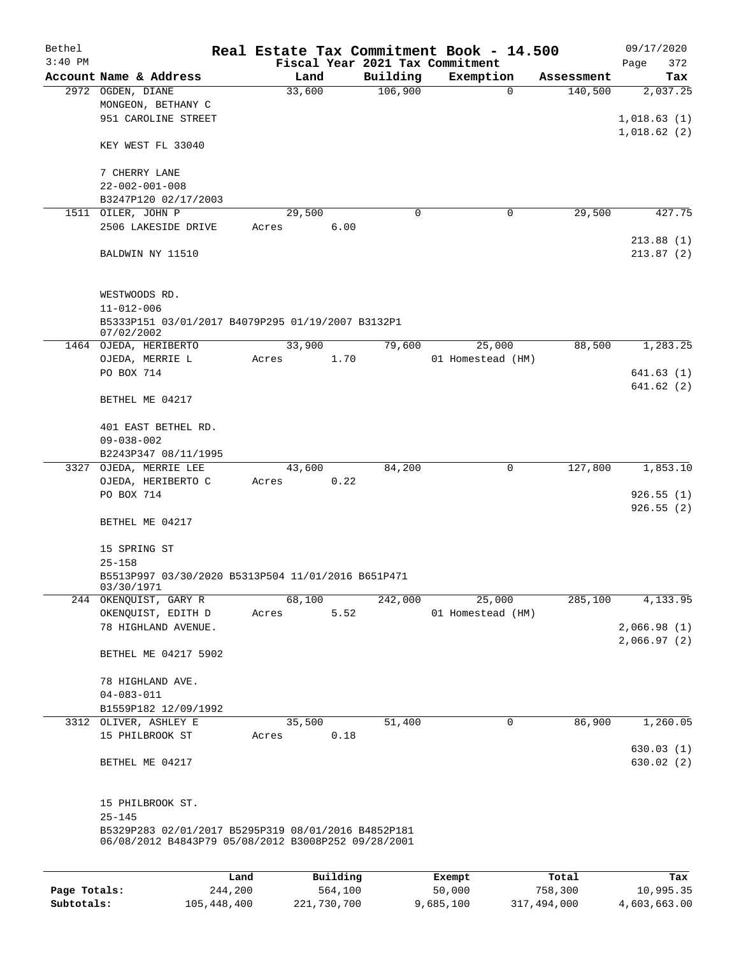| Bethel    |                                                     |       |          |          | Real Estate Tax Commitment Book - 14.500 |            | 09/17/2020  |
|-----------|-----------------------------------------------------|-------|----------|----------|------------------------------------------|------------|-------------|
| $3:40$ PM |                                                     |       |          |          | Fiscal Year 2021 Tax Commitment          |            | Page<br>372 |
|           | Account Name & Address                              |       | Land     | Building | Exemption                                | Assessment | Tax         |
|           | 2972 OGDEN, DIANE                                   |       | 33,600   | 106,900  | $\mathbf 0$                              | 140,500    | 2,037.25    |
|           | MONGEON, BETHANY C                                  |       |          |          |                                          |            |             |
|           | 951 CAROLINE STREET                                 |       |          |          |                                          |            | 1,018.63(1) |
|           |                                                     |       |          |          |                                          |            | 1,018.62(2) |
|           | KEY WEST FL 33040                                   |       |          |          |                                          |            |             |
|           | 7 CHERRY LANE                                       |       |          |          |                                          |            |             |
|           | $22 - 002 - 001 - 008$                              |       |          |          |                                          |            |             |
|           | B3247P120 02/17/2003                                |       |          |          |                                          |            |             |
|           | 1511 OILER, JOHN P                                  |       | 29,500   | 0        | $\mathbf 0$                              | 29,500     | 427.75      |
|           | 2506 LAKESIDE DRIVE                                 | Acres | 6.00     |          |                                          |            |             |
|           |                                                     |       |          |          |                                          |            | 213.88(1)   |
|           | BALDWIN NY 11510                                    |       |          |          |                                          |            | 213.87(2)   |
|           |                                                     |       |          |          |                                          |            |             |
|           |                                                     |       |          |          |                                          |            |             |
|           | WESTWOODS RD.                                       |       |          |          |                                          |            |             |
|           | $11 - 012 - 006$                                    |       |          |          |                                          |            |             |
|           | B5333P151 03/01/2017 B4079P295 01/19/2007 B3132P1   |       |          |          |                                          |            |             |
|           | 07/02/2002                                          |       |          |          |                                          |            |             |
|           | 1464 OJEDA, HERIBERTO                               |       | 33,900   | 79,600   | 25,000                                   | 88,500     | 1,283.25    |
|           | OJEDA, MERRIE L<br>PO BOX 714                       | Acres | 1.70     |          | 01 Homestead (HM)                        |            | 641.63(1)   |
|           |                                                     |       |          |          |                                          |            | 641.62(2)   |
|           | BETHEL ME 04217                                     |       |          |          |                                          |            |             |
|           |                                                     |       |          |          |                                          |            |             |
|           | 401 EAST BETHEL RD.                                 |       |          |          |                                          |            |             |
|           | $09 - 038 - 002$                                    |       |          |          |                                          |            |             |
|           | B2243P347 08/11/1995                                |       |          |          |                                          |            |             |
|           | 3327 OJEDA, MERRIE LEE                              |       | 43,600   | 84,200   | 0                                        | 127,800    | 1,853.10    |
|           | OJEDA, HERIBERTO C                                  | Acres | 0.22     |          |                                          |            |             |
|           | PO BOX 714                                          |       |          |          |                                          |            | 926.55(1)   |
|           |                                                     |       |          |          |                                          |            | 926.55(2)   |
|           | BETHEL ME 04217                                     |       |          |          |                                          |            |             |
|           |                                                     |       |          |          |                                          |            |             |
|           | 15 SPRING ST                                        |       |          |          |                                          |            |             |
|           | $25 - 158$                                          |       |          |          |                                          |            |             |
|           | B5513P997 03/30/2020 B5313P504 11/01/2016 B651P471  |       |          |          |                                          |            |             |
|           | 03/30/197<br>244 OKENQUIST, GARY R                  |       | 68,100   | 242,000  | 25,000                                   | 285,100    | 4,133.95    |
|           | OKENQUIST, EDITH D                                  | Acres | 5.52     |          | 01 Homestead (HM)                        |            |             |
|           | 78 HIGHLAND AVENUE.                                 |       |          |          |                                          |            | 2,066.98(1) |
|           |                                                     |       |          |          |                                          |            | 2,066.97(2) |
|           | BETHEL ME 04217 5902                                |       |          |          |                                          |            |             |
|           |                                                     |       |          |          |                                          |            |             |
|           | 78 HIGHLAND AVE.                                    |       |          |          |                                          |            |             |
|           | $04 - 083 - 011$                                    |       |          |          |                                          |            |             |
|           | B1559P182 12/09/1992                                |       |          |          |                                          |            |             |
|           | 3312 OLIVER, ASHLEY E                               |       | 35,500   | 51,400   | $\mathsf{O}$                             | 86,900     | 1,260.05    |
|           | 15 PHILBROOK ST                                     | Acres | 0.18     |          |                                          |            |             |
|           |                                                     |       |          |          |                                          |            | 630.03(1)   |
|           | BETHEL ME 04217                                     |       |          |          |                                          |            | 630.02(2)   |
|           |                                                     |       |          |          |                                          |            |             |
|           | 15 PHILBROOK ST.                                    |       |          |          |                                          |            |             |
|           | $25 - 145$                                          |       |          |          |                                          |            |             |
|           | B5329P283 02/01/2017 B5295P319 08/01/2016 B4852P181 |       |          |          |                                          |            |             |
|           | 06/08/2012 B4843P79 05/08/2012 B3008P252 09/28/2001 |       |          |          |                                          |            |             |
|           |                                                     |       |          |          |                                          |            |             |
|           |                                                     | Land  | Building |          | Exempt                                   | Total      | Tax         |
|           |                                                     |       |          |          |                                          |            |             |

**Page Totals:** 244,200 564,100 50,000 758,300 10,995.35 **Subtotals:** 105,448,400 221,730,700 9,685,100 317,494,000 4,603,663.00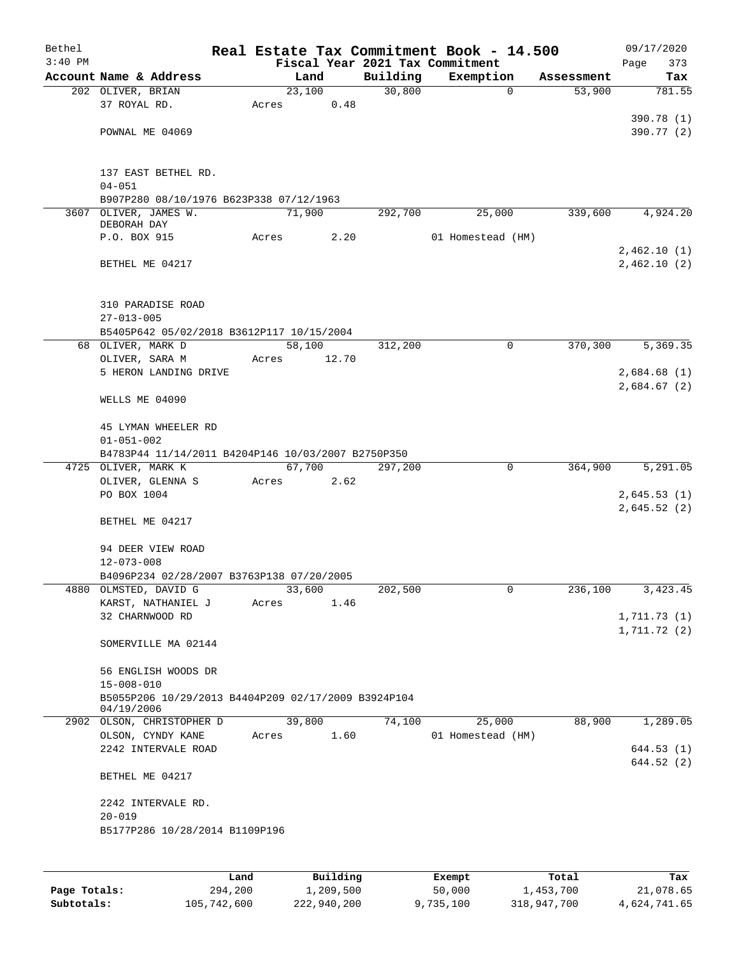| Bethel    |                                                                         |       |        |       |                                 | Real Estate Tax Commitment Book - 14.500 |            | 09/17/2020  |
|-----------|-------------------------------------------------------------------------|-------|--------|-------|---------------------------------|------------------------------------------|------------|-------------|
| $3:40$ PM |                                                                         |       |        |       | Fiscal Year 2021 Tax Commitment |                                          |            | Page<br>373 |
|           | Account Name & Address                                                  |       | Land   |       | Building                        | Exemption                                | Assessment | Tax         |
|           | 202 OLIVER, BRIAN                                                       |       | 23,100 |       | 30,800                          | $\mathbf 0$                              | 53,900     | 781.55      |
|           | 37 ROYAL RD.                                                            | Acres |        | 0.48  |                                 |                                          |            |             |
|           |                                                                         |       |        |       |                                 |                                          |            | 390.78 (1)  |
|           | POWNAL ME 04069                                                         |       |        |       |                                 |                                          |            | 390.77 (2)  |
|           |                                                                         |       |        |       |                                 |                                          |            |             |
|           |                                                                         |       |        |       |                                 |                                          |            |             |
|           | 137 EAST BETHEL RD.<br>$04 - 051$                                       |       |        |       |                                 |                                          |            |             |
|           | B907P280 08/10/1976 B623P338 07/12/1963                                 |       |        |       |                                 |                                          |            |             |
|           | 3607 OLIVER, JAMES W.                                                   |       | 71,900 |       | 292,700                         | 25,000                                   | 339,600    | 4,924.20    |
|           | DEBORAH DAY                                                             |       |        |       |                                 |                                          |            |             |
|           | P.O. BOX 915                                                            | Acres |        | 2.20  |                                 | 01 Homestead (HM)                        |            |             |
|           |                                                                         |       |        |       |                                 |                                          |            | 2,462.10(1) |
|           | BETHEL ME 04217                                                         |       |        |       |                                 |                                          |            | 2,462.10(2) |
|           |                                                                         |       |        |       |                                 |                                          |            |             |
|           |                                                                         |       |        |       |                                 |                                          |            |             |
|           | 310 PARADISE ROAD                                                       |       |        |       |                                 |                                          |            |             |
|           | $27 - 013 - 005$                                                        |       |        |       |                                 |                                          |            |             |
|           | B5405P642 05/02/2018 B3612P117 10/15/2004                               |       |        |       |                                 |                                          |            |             |
|           | 68 OLIVER, MARK D                                                       |       | 58,100 |       | 312,200                         | 0                                        | 370,300    | 5,369.35    |
|           | OLIVER, SARA M                                                          | Acres |        | 12.70 |                                 |                                          |            |             |
|           | 5 HERON LANDING DRIVE                                                   |       |        |       |                                 |                                          |            | 2,684.68(1) |
|           |                                                                         |       |        |       |                                 |                                          |            | 2,684.67(2) |
|           | WELLS ME 04090                                                          |       |        |       |                                 |                                          |            |             |
|           | 45 LYMAN WHEELER RD                                                     |       |        |       |                                 |                                          |            |             |
|           | $01 - 051 - 002$                                                        |       |        |       |                                 |                                          |            |             |
|           | B4783P44 11/14/2011 B4204P146 10/03/2007 B2750P350                      |       |        |       |                                 |                                          |            |             |
|           | 4725 OLIVER, MARK K                                                     |       | 67,700 |       | 297,200                         | 0                                        | 364,900    | 5,291.05    |
|           | OLIVER, GLENNA S                                                        | Acres |        | 2.62  |                                 |                                          |            |             |
|           | PO BOX 1004                                                             |       |        |       |                                 |                                          |            | 2,645.53(1) |
|           |                                                                         |       |        |       |                                 |                                          |            | 2,645.52(2) |
|           | BETHEL ME 04217                                                         |       |        |       |                                 |                                          |            |             |
|           |                                                                         |       |        |       |                                 |                                          |            |             |
|           | 94 DEER VIEW ROAD                                                       |       |        |       |                                 |                                          |            |             |
|           | $12 - 073 - 008$                                                        |       |        |       |                                 |                                          |            |             |
|           | B4096P234 02/28/2007 B3763P138 07/20/2005                               |       |        |       |                                 |                                          |            |             |
|           | 4880 OLMSTED, DAVID G                                                   |       | 33,600 |       | 202,500                         | 0                                        | 236,100    | 3,423.45    |
|           | KARST, NATHANIEL J                                                      | Acres |        | 1.46  |                                 |                                          |            |             |
|           | 32 CHARNWOOD RD                                                         |       |        |       |                                 |                                          |            | 1,711.73(1) |
|           |                                                                         |       |        |       |                                 |                                          |            | 1,711.72(2) |
|           | SOMERVILLE MA 02144                                                     |       |        |       |                                 |                                          |            |             |
|           |                                                                         |       |        |       |                                 |                                          |            |             |
|           | 56 ENGLISH WOODS DR                                                     |       |        |       |                                 |                                          |            |             |
|           | $15 - 008 - 010$<br>B5055P206 10/29/2013 B4404P209 02/17/2009 B3924P104 |       |        |       |                                 |                                          |            |             |
|           | 04/19/2006                                                              |       |        |       |                                 |                                          |            |             |
|           | 2902 OLSON, CHRISTOPHER D                                               |       | 39,800 |       | 74,100                          | 25,000                                   | 88,900     | 1,289.05    |
|           | OLSON, CYNDY KANE                                                       | Acres |        | 1.60  |                                 | 01 Homestead (HM)                        |            |             |
|           | 2242 INTERVALE ROAD                                                     |       |        |       |                                 |                                          |            | 644.53 (1)  |
|           |                                                                         |       |        |       |                                 |                                          |            | 644.52 (2)  |
|           | BETHEL ME 04217                                                         |       |        |       |                                 |                                          |            |             |
|           |                                                                         |       |        |       |                                 |                                          |            |             |
|           | 2242 INTERVALE RD.                                                      |       |        |       |                                 |                                          |            |             |
|           | $20 - 019$                                                              |       |        |       |                                 |                                          |            |             |
|           | B5177P286 10/28/2014 B1109P196                                          |       |        |       |                                 |                                          |            |             |
|           |                                                                         |       |        |       |                                 |                                          |            |             |
|           |                                                                         |       |        |       |                                 |                                          |            |             |
|           |                                                                         |       |        |       |                                 |                                          |            |             |

|              | Land        | Building    | Exempt    | Total       | Tax          |
|--------------|-------------|-------------|-----------|-------------|--------------|
| Page Totals: | 294,200     | 1,209,500   | 50,000    | 1,453,700   | 21,078.65    |
| Subtotals:   | 105,742,600 | 222,940,200 | 9,735,100 | 318,947,700 | 4,624,741.65 |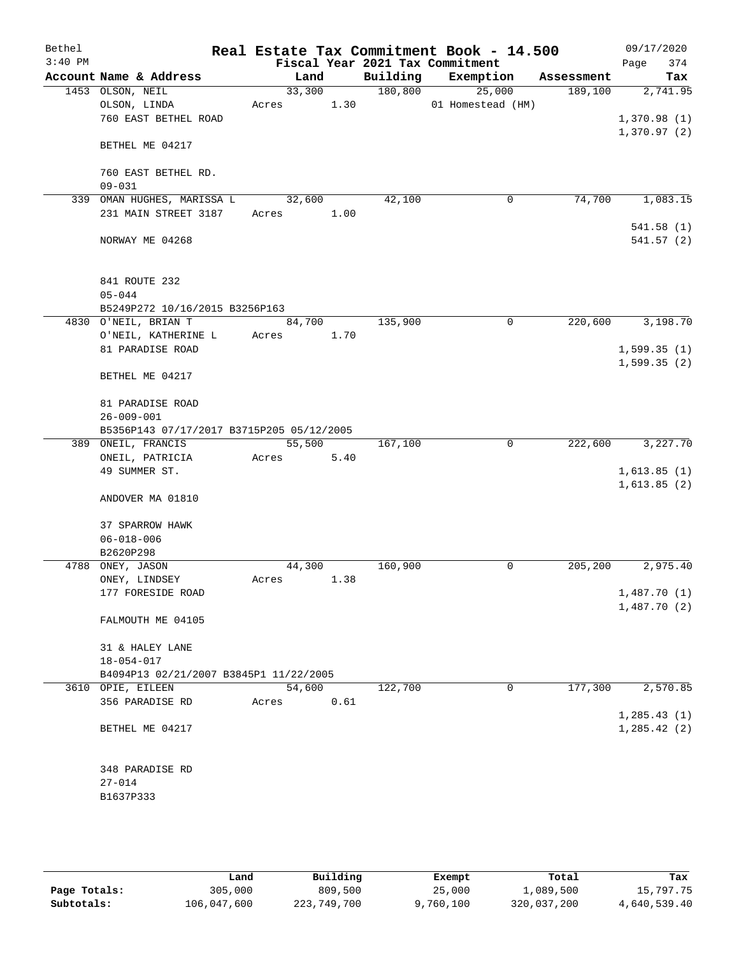| Bethel    |                                           |        |      |          | Real Estate Tax Commitment Book - 14.500 |            | 09/17/2020   |
|-----------|-------------------------------------------|--------|------|----------|------------------------------------------|------------|--------------|
| $3:40$ PM |                                           |        |      |          | Fiscal Year 2021 Tax Commitment          |            | 374<br>Page  |
|           | Account Name & Address                    | Land   |      | Building | Exemption                                | Assessment | Tax          |
|           | 1453 OLSON, NEIL                          | 33,300 |      | 180, 800 | 25,000                                   | 189,100    | 2,741.95     |
|           | OLSON, LINDA                              | Acres  | 1.30 |          | 01 Homestead (HM)                        |            |              |
|           | 760 EAST BETHEL ROAD                      |        |      |          |                                          |            | 1,370.98(1)  |
|           |                                           |        |      |          |                                          |            | 1,370.97(2)  |
|           | BETHEL ME 04217                           |        |      |          |                                          |            |              |
|           |                                           |        |      |          |                                          |            |              |
|           | 760 EAST BETHEL RD.                       |        |      |          |                                          |            |              |
|           | $09 - 031$                                |        |      |          |                                          |            |              |
|           | 339 OMAN HUGHES, MARISSA L                | 32,600 |      | 42,100   | 0                                        | 74,700     | 1,083.15     |
|           | 231 MAIN STREET 3187                      | Acres  | 1.00 |          |                                          |            |              |
|           |                                           |        |      |          |                                          |            | 541.58(1)    |
|           | NORWAY ME 04268                           |        |      |          |                                          |            | 541.57(2)    |
|           |                                           |        |      |          |                                          |            |              |
|           | 841 ROUTE 232                             |        |      |          |                                          |            |              |
|           | $05 - 044$                                |        |      |          |                                          |            |              |
|           | B5249P272 10/16/2015 B3256P163            |        |      |          |                                          |            |              |
|           | 4830 O'NEIL, BRIAN T                      | 84,700 |      | 135,900  | 0                                        | 220,600    | 3,198.70     |
|           | O'NEIL, KATHERINE L                       | Acres  | 1.70 |          |                                          |            |              |
|           | 81 PARADISE ROAD                          |        |      |          |                                          |            | 1,599.35(1)  |
|           |                                           |        |      |          |                                          |            | 1,599.35(2)  |
|           | BETHEL ME 04217                           |        |      |          |                                          |            |              |
|           |                                           |        |      |          |                                          |            |              |
|           | 81 PARADISE ROAD                          |        |      |          |                                          |            |              |
|           | $26 - 009 - 001$                          |        |      |          |                                          |            |              |
|           | B5356P143 07/17/2017 B3715P205 05/12/2005 |        |      |          |                                          |            |              |
|           | 389 ONEIL, FRANCIS                        | 55,500 |      | 167,100  | 0                                        | 222,600    | 3,227.70     |
|           | ONEIL, PATRICIA                           | Acres  | 5.40 |          |                                          |            |              |
|           | 49 SUMMER ST.                             |        |      |          |                                          |            | 1,613.85(1)  |
|           |                                           |        |      |          |                                          |            | 1,613.85(2)  |
|           | ANDOVER MA 01810                          |        |      |          |                                          |            |              |
|           |                                           |        |      |          |                                          |            |              |
|           | 37 SPARROW HAWK                           |        |      |          |                                          |            |              |
|           | $06 - 018 - 006$                          |        |      |          |                                          |            |              |
|           | B2620P298                                 |        |      |          |                                          |            |              |
| 4788      | ONEY, JASON                               | 44,300 |      | 160,900  | 0                                        | 205,200    | 2,975.40     |
|           | ONEY, LINDSEY                             | Acres  | 1.38 |          |                                          |            |              |
|           | 177 FORESIDE ROAD                         |        |      |          |                                          |            | 1,487.70(1)  |
|           |                                           |        |      |          |                                          |            | 1,487.70(2)  |
|           | FALMOUTH ME 04105                         |        |      |          |                                          |            |              |
|           |                                           |        |      |          |                                          |            |              |
|           | 31 & HALEY LANE                           |        |      |          |                                          |            |              |
|           | $18 - 054 - 017$                          |        |      |          |                                          |            |              |
|           | B4094P13 02/21/2007 B3845P1 11/22/2005    |        |      |          |                                          |            |              |
|           | 3610 OPIE, EILEEN                         | 54,600 |      | 122,700  | 0                                        | 177,300    | 2,570.85     |
|           | 356 PARADISE RD                           | Acres  | 0.61 |          |                                          |            |              |
|           |                                           |        |      |          |                                          |            | 1, 285.43(1) |
|           | BETHEL ME 04217                           |        |      |          |                                          |            | 1, 285.42(2) |
|           |                                           |        |      |          |                                          |            |              |
|           |                                           |        |      |          |                                          |            |              |
|           | 348 PARADISE RD                           |        |      |          |                                          |            |              |
|           | $27 - 014$                                |        |      |          |                                          |            |              |
|           | B1637P333                                 |        |      |          |                                          |            |              |
|           |                                           |        |      |          |                                          |            |              |
|           |                                           |        |      |          |                                          |            |              |

|              | Land        | Building    | Exempt    | Total       | Tax          |
|--------------|-------------|-------------|-----------|-------------|--------------|
| Page Totals: | 305,000     | 809,500     | 25,000    | 1,089,500   | 15,797.75    |
| Subtotals:   | 106,047,600 | 223,749,700 | 9,760,100 | 320,037,200 | 4,640,539.40 |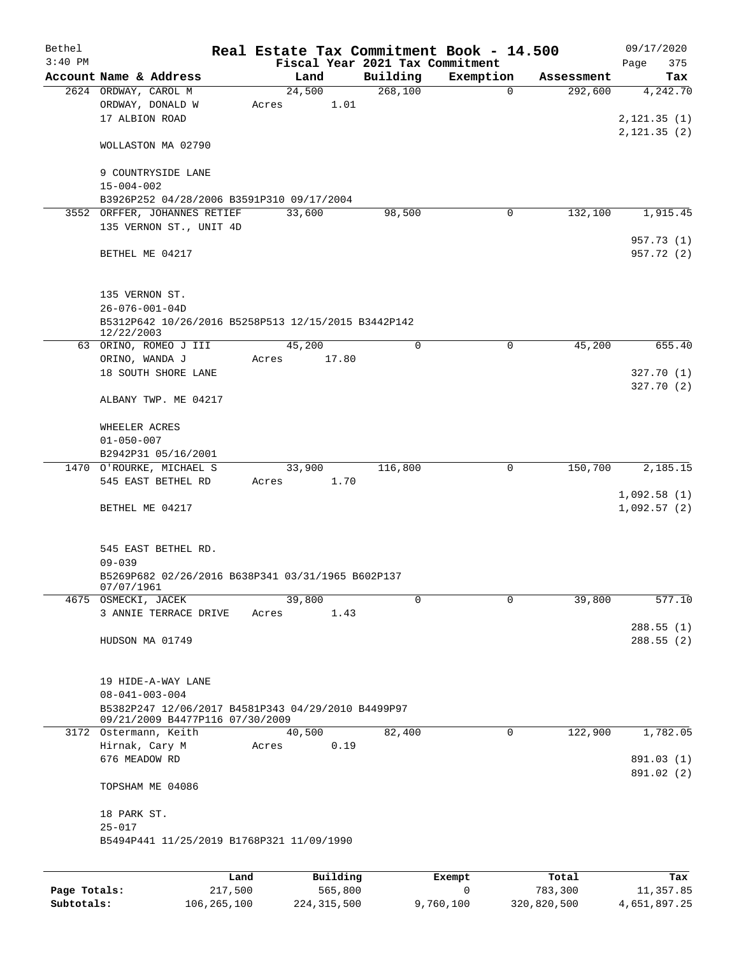| Bethel       |                                                     | Real Estate Tax Commitment Book - 14.500 |                                 |             |            | 09/17/2020                   |
|--------------|-----------------------------------------------------|------------------------------------------|---------------------------------|-------------|------------|------------------------------|
| $3:40$ PM    |                                                     |                                          | Fiscal Year 2021 Tax Commitment |             |            | Page<br>375                  |
|              | Account Name & Address                              | Land                                     | Building                        | Exemption   | Assessment | Tax                          |
|              | 2624 ORDWAY, CAROL M                                | 24,500                                   | 268,100                         | $\mathbf 0$ | 292,600    | 4,242.70                     |
|              | ORDWAY, DONALD W                                    | Acres                                    | 1.01                            |             |            |                              |
|              | 17 ALBION ROAD                                      |                                          |                                 |             |            | 2, 121.35(1)<br>2, 121.35(2) |
|              | WOLLASTON MA 02790                                  |                                          |                                 |             |            |                              |
|              |                                                     |                                          |                                 |             |            |                              |
|              | 9 COUNTRYSIDE LANE                                  |                                          |                                 |             |            |                              |
|              | $15 - 004 - 002$                                    |                                          |                                 |             |            |                              |
|              | B3926P252 04/28/2006 B3591P310 09/17/2004           |                                          |                                 |             |            |                              |
|              | 3552 ORFFER, JOHANNES RETIEF                        | 33,600                                   | 98,500                          | 0           | 132,100    | 1,915.45                     |
|              | 135 VERNON ST., UNIT 4D                             |                                          |                                 |             |            |                              |
|              |                                                     |                                          |                                 |             |            | 957.73 (1)                   |
|              | BETHEL ME 04217                                     |                                          |                                 |             |            | 957.72 (2)                   |
|              |                                                     |                                          |                                 |             |            |                              |
|              | 135 VERNON ST.                                      |                                          |                                 |             |            |                              |
|              | $26 - 076 - 001 - 04D$                              |                                          |                                 |             |            |                              |
|              | B5312P642 10/26/2016 B5258P513 12/15/2015 B3442P142 |                                          |                                 |             |            |                              |
|              | 12/22/2003                                          |                                          |                                 |             |            |                              |
|              | 63 ORINO, ROMEO J III                               | 45,200                                   | $\mathbf 0$                     | 0           | 45,200     | 655.40                       |
|              | ORINO, WANDA J                                      | 17.80<br>Acres                           |                                 |             |            |                              |
|              | 18 SOUTH SHORE LANE                                 |                                          |                                 |             |            | 327.70(1)                    |
|              |                                                     |                                          |                                 |             |            | 327.70(2)                    |
|              | ALBANY TWP. ME 04217                                |                                          |                                 |             |            |                              |
|              | WHEELER ACRES                                       |                                          |                                 |             |            |                              |
|              | $01 - 050 - 007$                                    |                                          |                                 |             |            |                              |
|              | B2942P31 05/16/2001                                 |                                          |                                 |             |            |                              |
|              | 1470 O'ROURKE, MICHAEL S                            | 33,900                                   | 116,800                         | 0           | 150,700    | 2,185.15                     |
|              | 545 EAST BETHEL RD                                  | 1.70<br>Acres                            |                                 |             |            |                              |
|              |                                                     |                                          |                                 |             |            | 1,092.58(1)                  |
|              | BETHEL ME 04217                                     |                                          |                                 |             |            | 1,092.57(2)                  |
|              |                                                     |                                          |                                 |             |            |                              |
|              | 545 EAST BETHEL RD.                                 |                                          |                                 |             |            |                              |
|              | $09 - 039$                                          |                                          |                                 |             |            |                              |
|              | B5269P682 02/26/2016 B638P341 03/31/1965 B602P137   |                                          |                                 |             |            |                              |
|              | 0.11011790T                                         |                                          |                                 |             |            |                              |
|              | 4675 OSMECKI, JACEK                                 | 39,800                                   | 0                               | 0           | 39,800     | 577.10                       |
|              | 3 ANNIE TERRACE DRIVE                               | 1.43<br>Acres                            |                                 |             |            |                              |
|              |                                                     |                                          |                                 |             |            | 288.55(1)                    |
|              | HUDSON MA 01749                                     |                                          |                                 |             |            | 288.55(2)                    |
|              |                                                     |                                          |                                 |             |            |                              |
|              | 19 HIDE-A-WAY LANE                                  |                                          |                                 |             |            |                              |
|              | $08 - 041 - 003 - 004$                              |                                          |                                 |             |            |                              |
|              | B5382P247 12/06/2017 B4581P343 04/29/2010 B4499P97  |                                          |                                 |             |            |                              |
|              | 09/21/2009 B4477P116 07/30/2009                     |                                          |                                 |             |            |                              |
|              | 3172 Ostermann, Keith                               | 40,500                                   | 82,400                          | 0           | 122,900    | 1,782.05                     |
|              | Hirnak, Cary M                                      | Acres                                    | 0.19                            |             |            |                              |
|              | 676 MEADOW RD                                       |                                          |                                 |             |            | 891.03 (1)                   |
|              | TOPSHAM ME 04086                                    |                                          |                                 |             |            | 891.02 (2)                   |
|              |                                                     |                                          |                                 |             |            |                              |
|              | 18 PARK ST.                                         |                                          |                                 |             |            |                              |
|              | $25 - 017$                                          |                                          |                                 |             |            |                              |
|              | B5494P441 11/25/2019 B1768P321 11/09/1990           |                                          |                                 |             |            |                              |
|              |                                                     |                                          |                                 |             |            |                              |
|              |                                                     | Building<br>Land                         |                                 | Exempt      | Total      | Tax                          |
| Page Totals: | 217,500                                             | 565,800                                  |                                 | 0           | 783,300    | 11,357.85                    |

**Subtotals:** 106,265,100 224,315,500 9,760,100 320,820,500 4,651,897.25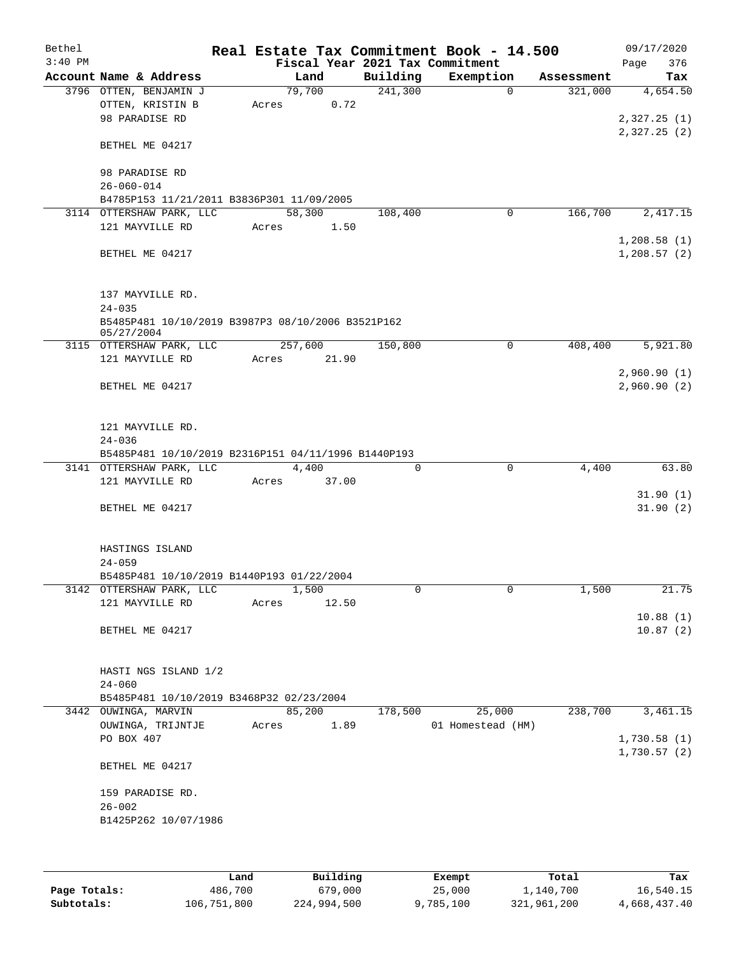| Bethel    |                                                     |       |                |          | Real Estate Tax Commitment Book - 14.500 |            | 09/17/2020                 |
|-----------|-----------------------------------------------------|-------|----------------|----------|------------------------------------------|------------|----------------------------|
| $3:40$ PM |                                                     |       |                |          | Fiscal Year 2021 Tax Commitment          |            | 376<br>Page                |
|           | Account Name & Address                              |       | Land           | Building | Exemption                                | Assessment | Tax                        |
|           | 3796 OTTEN, BENJAMIN J                              |       | 79,700         | 241,300  | $\Omega$                                 | 321,000    | 4,654.50                   |
|           | OTTEN, KRISTIN B                                    | Acres | 0.72           |          |                                          |            |                            |
|           | 98 PARADISE RD                                      |       |                |          |                                          |            | 2,327.25(1)                |
|           | BETHEL ME 04217                                     |       |                |          |                                          |            | 2,327.25(2)                |
|           | 98 PARADISE RD                                      |       |                |          |                                          |            |                            |
|           | $26 - 060 - 014$                                    |       |                |          |                                          |            |                            |
|           | B4785P153 11/21/2011 B3836P301 11/09/2005           |       |                |          |                                          |            |                            |
|           | 3114 OTTERSHAW PARK, LLC                            |       | 58,300         | 108,400  | 0                                        | 166,700    | 2,417.15                   |
|           | 121 MAYVILLE RD                                     | Acres | 1.50           |          |                                          |            |                            |
|           |                                                     |       |                |          |                                          |            | 1,208.58(1)                |
|           | BETHEL ME 04217                                     |       |                |          |                                          |            | 1,208.57(2)                |
|           | 137 MAYVILLE RD.                                    |       |                |          |                                          |            |                            |
|           | $24 - 035$                                          |       |                |          |                                          |            |                            |
|           | B5485P481 10/10/2019 B3987P3 08/10/2006 B3521P162   |       |                |          |                                          |            |                            |
|           | 05/27/2004                                          |       |                |          |                                          |            |                            |
|           | 3115 OTTERSHAW PARK, LLC                            |       | 257,600        | 150,800  | 0                                        | 408,400    | 5,921.80                   |
|           | 121 MAYVILLE RD                                     | Acres | 21.90          |          |                                          |            |                            |
|           | BETHEL ME 04217                                     |       |                |          |                                          |            | 2,960.90(1)<br>2,960.90(2) |
|           |                                                     |       |                |          |                                          |            |                            |
|           | 121 MAYVILLE RD.                                    |       |                |          |                                          |            |                            |
|           | $24 - 036$                                          |       |                |          |                                          |            |                            |
|           | B5485P481 10/10/2019 B2316P151 04/11/1996 B1440P193 |       |                |          |                                          |            |                            |
|           | 3141 OTTERSHAW PARK, LLC                            |       | 4,400          | 0        | $\mathbf 0$                              | 4,400      | 63.80                      |
|           | 121 MAYVILLE RD                                     | Acres | 37.00          |          |                                          |            |                            |
|           | BETHEL ME 04217                                     |       |                |          |                                          |            | 31.90(1)<br>31.90(2)       |
|           |                                                     |       |                |          |                                          |            |                            |
|           | HASTINGS ISLAND                                     |       |                |          |                                          |            |                            |
|           | $24 - 059$                                          |       |                |          |                                          |            |                            |
|           | B5485P481 10/10/2019 B1440P193 01/22/2004           |       |                |          |                                          |            |                            |
|           | 3142 OTTERSHAW PARK, LLC<br>121 MAYVILLE RD         |       | 1,500<br>12.50 | 0        | 0                                        | 1,500      | 21.75                      |
|           |                                                     | Acres |                |          |                                          |            | 10.88(1)                   |
|           | BETHEL ME 04217                                     |       |                |          |                                          |            | 10.87(2)                   |
|           |                                                     |       |                |          |                                          |            |                            |
|           | HASTI NGS ISLAND 1/2                                |       |                |          |                                          |            |                            |
|           | $24 - 060$                                          |       |                |          |                                          |            |                            |
|           | B5485P481 10/10/2019 B3468P32 02/23/2004            |       |                |          |                                          |            |                            |
|           | 3442 OUWINGA, MARVIN                                |       | 85,200         | 178,500  | 25,000                                   | 238,700    | 3,461.15                   |
|           | OUWINGA, TRIJNTJE                                   | Acres | 1.89           |          | 01 Homestead (HM)                        |            |                            |
|           | PO BOX 407                                          |       |                |          |                                          |            | 1,730.58(1)                |
|           |                                                     |       |                |          |                                          |            | 1,730.57(2)                |
|           | BETHEL ME 04217                                     |       |                |          |                                          |            |                            |
|           | 159 PARADISE RD.                                    |       |                |          |                                          |            |                            |
|           | $26 - 002$                                          |       |                |          |                                          |            |                            |
|           | B1425P262 10/07/1986                                |       |                |          |                                          |            |                            |
|           |                                                     |       |                |          |                                          |            |                            |
|           |                                                     |       |                |          |                                          |            |                            |

|              | úand        | Building    | Exempt    | Total       | Tax          |
|--------------|-------------|-------------|-----------|-------------|--------------|
| Page Totals: | 486,700     | 679,000     | 25,000    | 1,140,700   | 16,540.15    |
| Subtotals:   | 106,751,800 | 224,994,500 | 9,785,100 | 321,961,200 | 4,668,437.40 |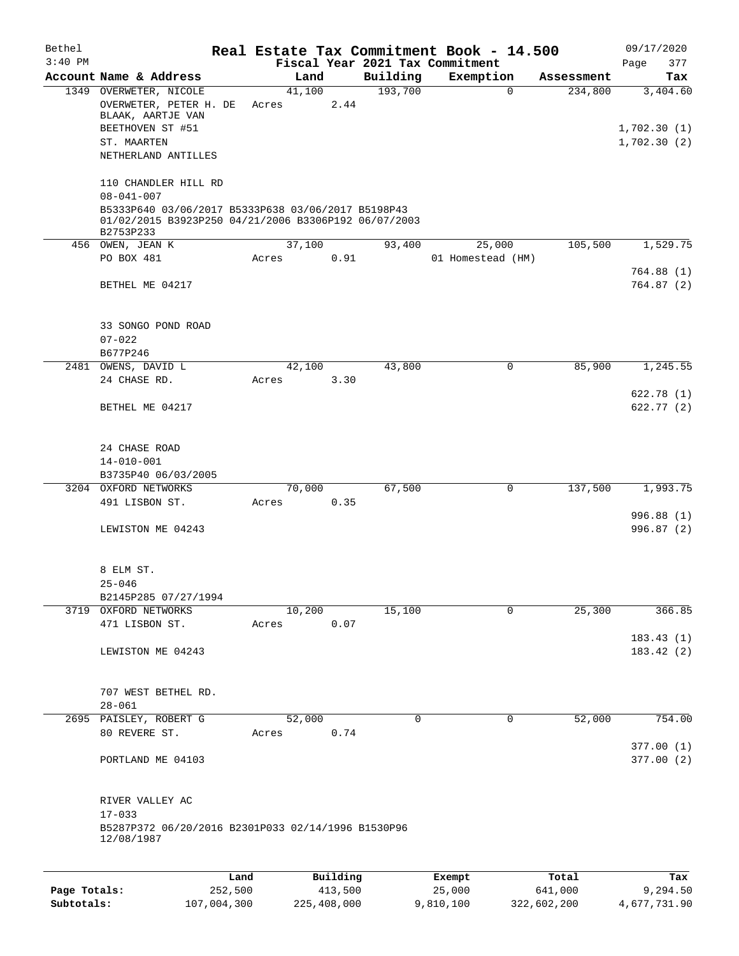| Bethel       |                                                                                                                                             |       |             |          |          | Real Estate Tax Commitment Book - 14.500 |             | 09/17/2020                 |
|--------------|---------------------------------------------------------------------------------------------------------------------------------------------|-------|-------------|----------|----------|------------------------------------------|-------------|----------------------------|
| $3:40$ PM    |                                                                                                                                             |       |             |          |          | Fiscal Year 2021 Tax Commitment          |             | Page<br>377                |
|              | Account Name & Address                                                                                                                      |       | Land        |          | Building | Exemption                                | Assessment  | Tax                        |
|              | 1349 OVERWETER, NICOLE<br>OVERWETER, PETER H. DE<br>BLAAK, AARTJE VAN                                                                       | Acres | 41,100      | 2.44     | 193,700  | $\Omega$                                 | 234,800     | 3,404.60                   |
|              | BEETHOVEN ST #51<br>ST. MAARTEN                                                                                                             |       |             |          |          |                                          |             | 1,702.30(1)<br>1,702.30(2) |
|              | NETHERLAND ANTILLES                                                                                                                         |       |             |          |          |                                          |             |                            |
|              | 110 CHANDLER HILL RD                                                                                                                        |       |             |          |          |                                          |             |                            |
|              | $08 - 041 - 007$<br>B5333P640 03/06/2017 B5333P638 03/06/2017 B5198P43<br>01/02/2015 B3923P250 04/21/2006 B3306P192 06/07/2003<br>B2753P233 |       |             |          |          |                                          |             |                            |
|              | 456 OWEN, JEAN K                                                                                                                            |       | 37,100      |          | 93,400   | 25,000                                   | 105,500     | 1,529.75                   |
|              | PO BOX 481                                                                                                                                  | Acres |             | 0.91     |          | 01 Homestead (HM)                        |             |                            |
|              | BETHEL ME 04217                                                                                                                             |       |             |          |          |                                          |             | 764.88(1)<br>764.87(2)     |
|              | 33 SONGO POND ROAD                                                                                                                          |       |             |          |          |                                          |             |                            |
|              | $07 - 022$                                                                                                                                  |       |             |          |          |                                          |             |                            |
|              | B677P246<br>2481 OWENS, DAVID L                                                                                                             |       | 42,100      |          | 43,800   | 0                                        | 85,900      | 1,245.55                   |
|              | 24 CHASE RD.                                                                                                                                | Acres |             | 3.30     |          |                                          |             |                            |
|              | BETHEL ME 04217                                                                                                                             |       |             |          |          |                                          |             | 622.78 (1)<br>622.77(2)    |
|              | 24 CHASE ROAD                                                                                                                               |       |             |          |          |                                          |             |                            |
|              | $14 - 010 - 001$                                                                                                                            |       |             |          |          |                                          |             |                            |
|              | B3735P40 06/03/2005                                                                                                                         |       |             |          |          |                                          |             |                            |
|              | 3204 OXFORD NETWORKS                                                                                                                        |       | 70,000      |          | 67,500   | 0                                        | 137,500     | 1,993.75                   |
|              | 491 LISBON ST.                                                                                                                              | Acres |             | 0.35     |          |                                          |             |                            |
|              | LEWISTON ME 04243                                                                                                                           |       |             |          |          |                                          |             | 996.88 (1)<br>996.87 (2)   |
|              | 8 ELM ST.                                                                                                                                   |       |             |          |          |                                          |             |                            |
|              | 25-046                                                                                                                                      |       |             |          |          |                                          |             |                            |
|              | B2145P285 07/27/1994<br>3719 OXFORD NETWORKS                                                                                                |       | 10,200      |          | 15,100   | 0                                        | 25,300      | 366.85                     |
|              | 471 LISBON ST.                                                                                                                              | Acres |             | 0.07     |          |                                          |             |                            |
|              | LEWISTON ME 04243                                                                                                                           |       |             |          |          |                                          |             | 183.43(1)<br>183.42(2)     |
|              | 707 WEST BETHEL RD.                                                                                                                         |       |             |          |          |                                          |             |                            |
|              | $28 - 061$<br>2695 PAISLEY, ROBERT G                                                                                                        |       | 52,000      |          | 0        | 0                                        | 52,000      | 754.00                     |
|              | 80 REVERE ST.                                                                                                                               | Acres |             | 0.74     |          |                                          |             |                            |
|              | PORTLAND ME 04103                                                                                                                           |       |             |          |          |                                          |             | 377.00(1)<br>377.00(2)     |
|              | RIVER VALLEY AC<br>$17 - 033$                                                                                                               |       |             |          |          |                                          |             |                            |
|              | B5287P372 06/20/2016 B2301P033 02/14/1996 B1530P96<br>12/08/1987                                                                            |       |             |          |          |                                          |             |                            |
|              | Land                                                                                                                                        |       |             | Building |          | Exempt                                   | Total       | Tax                        |
| Page Totals: | 252,500                                                                                                                                     |       |             | 413,500  |          | 25,000                                   | 641,000     | 9,294.50                   |
| Subtotals:   | 107,004,300                                                                                                                                 |       | 225,408,000 |          |          | 9,810,100                                | 322,602,200 | 4,677,731.90               |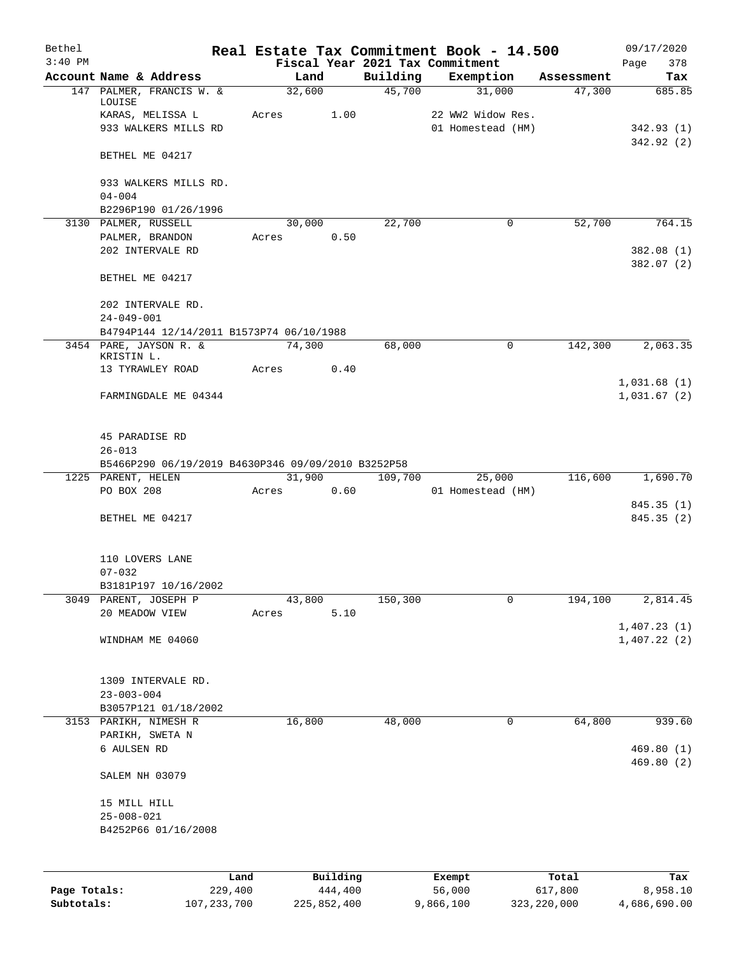| Bethel       |                                                    |       |        |          |          | Real Estate Tax Commitment Book - 14.500     |                      | 09/17/2020              |
|--------------|----------------------------------------------------|-------|--------|----------|----------|----------------------------------------------|----------------------|-------------------------|
| $3:40$ PM    | Account Name & Address                             |       | Land   |          | Building | Fiscal Year 2021 Tax Commitment<br>Exemption |                      | 378<br>Page             |
|              | 147 PALMER, FRANCIS W. &                           |       | 32,600 |          | 45,700   | 31,000                                       | Assessment<br>47,300 | Tax<br>685.85           |
|              | LOUISE                                             |       |        |          |          |                                              |                      |                         |
|              | KARAS, MELISSA L                                   | Acres |        | 1.00     |          | 22 WW2 Widow Res.                            |                      |                         |
|              | 933 WALKERS MILLS RD                               |       |        |          |          | 01 Homestead (HM)                            |                      | 342.93(1)               |
|              | BETHEL ME 04217                                    |       |        |          |          |                                              |                      | 342.92(2)               |
|              | 933 WALKERS MILLS RD.                              |       |        |          |          |                                              |                      |                         |
|              | $04 - 004$                                         |       |        |          |          |                                              |                      |                         |
|              | B2296P190 01/26/1996                               |       |        |          |          |                                              |                      |                         |
|              | 3130 PALMER, RUSSELL<br>PALMER, BRANDON            | Acres | 30,000 | 0.50     | 22,700   | 0                                            | 52,700               | 764.15                  |
|              | 202 INTERVALE RD                                   |       |        |          |          |                                              |                      | 382.08(1)               |
|              |                                                    |       |        |          |          |                                              |                      | 382.07 (2)              |
|              | BETHEL ME 04217                                    |       |        |          |          |                                              |                      |                         |
|              | 202 INTERVALE RD.                                  |       |        |          |          |                                              |                      |                         |
|              | $24 - 049 - 001$                                   |       |        |          |          |                                              |                      |                         |
|              | B4794P144 12/14/2011 B1573P74 06/10/1988           |       |        |          |          |                                              |                      |                         |
|              | 3454 PARE, JAYSON R. &<br>KRISTIN L.               |       | 74,300 |          | 68,000   | $\mathbf 0$                                  | 142,300              | 2,063.35                |
|              | 13 TYRAWLEY ROAD                                   | Acres |        | 0.40     |          |                                              |                      |                         |
|              |                                                    |       |        |          |          |                                              |                      | 1,031.68(1)             |
|              | FARMINGDALE ME 04344                               |       |        |          |          |                                              |                      | 1,031.67(2)             |
|              | 45 PARADISE RD                                     |       |        |          |          |                                              |                      |                         |
|              | $26 - 013$                                         |       |        |          |          |                                              |                      |                         |
|              | B5466P290 06/19/2019 B4630P346 09/09/2010 B3252P58 |       |        |          |          |                                              |                      |                         |
|              | 1225 PARENT, HELEN                                 |       | 31,900 |          | 109,700  | 25,000                                       | 116,600              | 1,690.70                |
|              | PO BOX 208                                         | Acres |        | 0.60     |          | 01 Homestead (HM)                            |                      |                         |
|              | BETHEL ME 04217                                    |       |        |          |          |                                              |                      | 845.35(1)<br>845.35 (2) |
|              |                                                    |       |        |          |          |                                              |                      |                         |
|              | 110 LOVERS LANE                                    |       |        |          |          |                                              |                      |                         |
|              | $07 - 032$                                         |       |        |          |          |                                              |                      |                         |
|              | B3181P197 10/16/2002                               |       |        |          |          |                                              |                      |                         |
| 3049         | PARENT, JOSEPH P                                   |       | 43,800 |          | 150,300  | 0                                            | 194,100              | 2,814.45                |
|              | 20 MEADOW VIEW                                     | Acres |        | 5.10     |          |                                              |                      | 1,407.23(1)             |
|              | WINDHAM ME 04060                                   |       |        |          |          |                                              |                      | 1,407.22(2)             |
|              |                                                    |       |        |          |          |                                              |                      |                         |
|              | 1309 INTERVALE RD.                                 |       |        |          |          |                                              |                      |                         |
|              | $23 - 003 - 004$<br>B3057P121 01/18/2002           |       |        |          |          |                                              |                      |                         |
|              | 3153 PARIKH, NIMESH R                              |       | 16,800 |          | 48,000   | 0                                            | 64,800               | 939.60                  |
|              | PARIKH, SWETA N                                    |       |        |          |          |                                              |                      |                         |
|              | 6 AULSEN RD                                        |       |        |          |          |                                              |                      | 469.80 (1)              |
|              |                                                    |       |        |          |          |                                              |                      | 469.80(2)               |
|              | SALEM NH 03079                                     |       |        |          |          |                                              |                      |                         |
|              | 15 MILL HILL                                       |       |        |          |          |                                              |                      |                         |
|              | $25 - 008 - 021$                                   |       |        |          |          |                                              |                      |                         |
|              | B4252P66 01/16/2008                                |       |        |          |          |                                              |                      |                         |
|              |                                                    |       |        |          |          |                                              |                      |                         |
|              |                                                    | Land  |        | Building |          | Exempt                                       | Total                | Tax                     |
| Page Totals: | 229,400                                            |       |        | 444,400  |          | 56,000                                       | 617,800              | 8,958.10                |

**Subtotals:** 107,233,700 225,852,400 9,866,100 323,220,000 4,686,690.00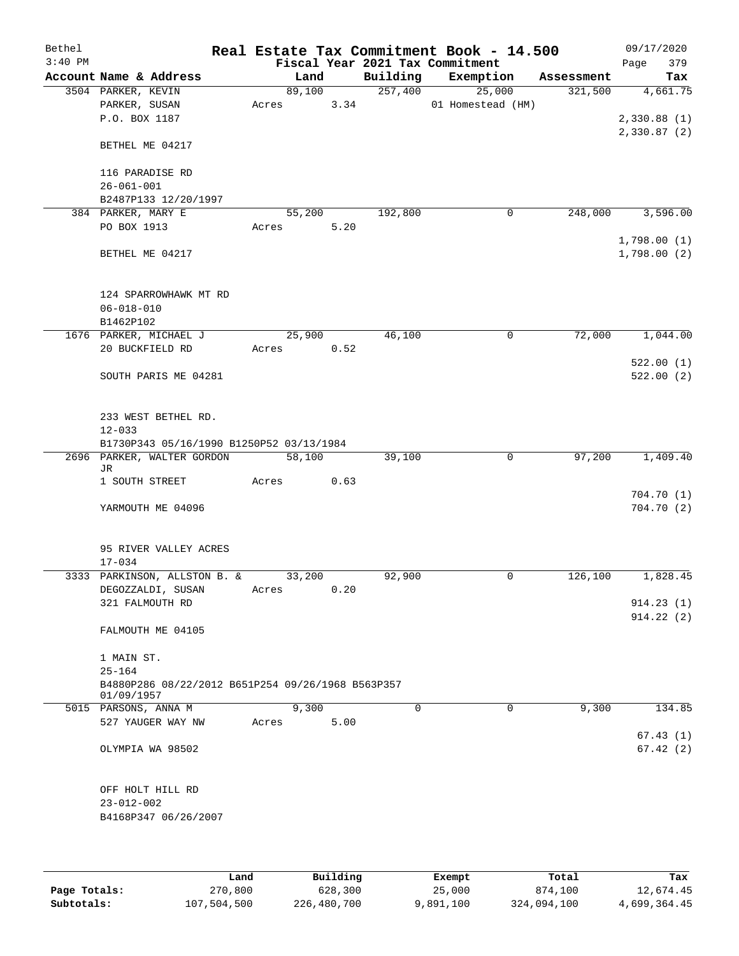| Bethel    |                                                   |        |       |          | Real Estate Tax Commitment Book - 14.500 |            | 09/17/2020  |
|-----------|---------------------------------------------------|--------|-------|----------|------------------------------------------|------------|-------------|
| $3:40$ PM |                                                   |        |       |          | Fiscal Year 2021 Tax Commitment          |            | 379<br>Page |
|           | Account Name & Address                            |        | Land  | Building | Exemption                                | Assessment | Tax         |
|           | 3504 PARKER, KEVIN                                | 89,100 |       | 257,400  | 25,000                                   | 321,500    | 4,661.75    |
|           | PARKER, SUSAN                                     | Acres  | 3.34  |          | 01 Homestead (HM)                        |            |             |
|           | P.O. BOX 1187                                     |        |       |          |                                          |            | 2,330.88(1) |
|           |                                                   |        |       |          |                                          |            | 2,330.87(2) |
|           | BETHEL ME 04217                                   |        |       |          |                                          |            |             |
|           |                                                   |        |       |          |                                          |            |             |
|           | 116 PARADISE RD                                   |        |       |          |                                          |            |             |
|           | $26 - 061 - 001$                                  |        |       |          |                                          |            |             |
|           | B2487P133 12/20/1997                              |        |       |          |                                          |            |             |
|           | 384 PARKER, MARY E                                | 55,200 |       | 192,800  | 0                                        | 248,000    | 3,596.00    |
|           | PO BOX 1913                                       | Acres  | 5.20  |          |                                          |            |             |
|           |                                                   |        |       |          |                                          |            | 1,798.00(1) |
|           | BETHEL ME 04217                                   |        |       |          |                                          |            | 1,798.00(2) |
|           |                                                   |        |       |          |                                          |            |             |
|           |                                                   |        |       |          |                                          |            |             |
|           | 124 SPARROWHAWK MT RD                             |        |       |          |                                          |            |             |
|           |                                                   |        |       |          |                                          |            |             |
|           | $06 - 018 - 010$                                  |        |       |          |                                          |            |             |
|           | B1462P102                                         |        |       |          |                                          |            |             |
|           | 1676 PARKER, MICHAEL J                            | 25,900 |       | 46,100   | 0                                        | 72,000     | 1,044.00    |
|           | 20 BUCKFIELD RD                                   | Acres  | 0.52  |          |                                          |            |             |
|           |                                                   |        |       |          |                                          |            | 522.00(1)   |
|           | SOUTH PARIS ME 04281                              |        |       |          |                                          |            | 522.00(2)   |
|           |                                                   |        |       |          |                                          |            |             |
|           |                                                   |        |       |          |                                          |            |             |
|           | 233 WEST BETHEL RD.                               |        |       |          |                                          |            |             |
|           | $12 - 033$                                        |        |       |          |                                          |            |             |
|           | B1730P343 05/16/1990 B1250P52 03/13/1984          |        |       |          |                                          |            |             |
|           | 2696 PARKER, WALTER GORDON                        | 58,100 |       | 39,100   | 0                                        | 97,200     | 1,409.40    |
|           | JR                                                |        |       |          |                                          |            |             |
|           | 1 SOUTH STREET                                    | Acres  | 0.63  |          |                                          |            |             |
|           |                                                   |        |       |          |                                          |            | 704.70(1)   |
|           | YARMOUTH ME 04096                                 |        |       |          |                                          |            | 704.70(2)   |
|           |                                                   |        |       |          |                                          |            |             |
|           |                                                   |        |       |          |                                          |            |             |
|           | 95 RIVER VALLEY ACRES                             |        |       |          |                                          |            |             |
|           | $17 - 034$                                        |        |       |          |                                          |            |             |
|           | 3333 PARKINSON, ALLSTON B. &                      | 33,200 |       | 92,900   | 0                                        | 126,100    | 1,828.45    |
|           | DEGOZZALDI, SUSAN                                 | Acres  | 0.20  |          |                                          |            |             |
|           | 321 FALMOUTH RD                                   |        |       |          |                                          |            | 914.23(1)   |
|           |                                                   |        |       |          |                                          |            | 914.22(2)   |
|           | FALMOUTH ME 04105                                 |        |       |          |                                          |            |             |
|           |                                                   |        |       |          |                                          |            |             |
|           | 1 MAIN ST.                                        |        |       |          |                                          |            |             |
|           | $25 - 164$                                        |        |       |          |                                          |            |             |
|           | B4880P286 08/22/2012 B651P254 09/26/1968 B563P357 |        |       |          |                                          |            |             |
|           | 01/09/1957                                        |        |       |          |                                          |            |             |
|           | 5015 PARSONS, ANNA M                              |        | 9,300 | $\Omega$ | $\Omega$                                 | 9,300      | 134.85      |
|           | 527 YAUGER WAY NW                                 | Acres  | 5.00  |          |                                          |            |             |
|           |                                                   |        |       |          |                                          |            | 67.43(1)    |
|           | OLYMPIA WA 98502                                  |        |       |          |                                          |            | 67.42(2)    |
|           |                                                   |        |       |          |                                          |            |             |
|           |                                                   |        |       |          |                                          |            |             |
|           | OFF HOLT HILL RD                                  |        |       |          |                                          |            |             |
|           | $23 - 012 - 002$                                  |        |       |          |                                          |            |             |
|           | B4168P347 06/26/2007                              |        |       |          |                                          |            |             |
|           |                                                   |        |       |          |                                          |            |             |
|           |                                                   |        |       |          |                                          |            |             |
|           |                                                   |        |       |          |                                          |            |             |

|              | Land        | Building    | Exempt    | Total       | Tax          |
|--------------|-------------|-------------|-----------|-------------|--------------|
| Page Totals: | 270,800     | 628,300     | 25,000    | 874,100     | 12,674.45    |
| Subtotals:   | 107,504,500 | 226,480,700 | 9,891,100 | 324,094,100 | 4,699,364.45 |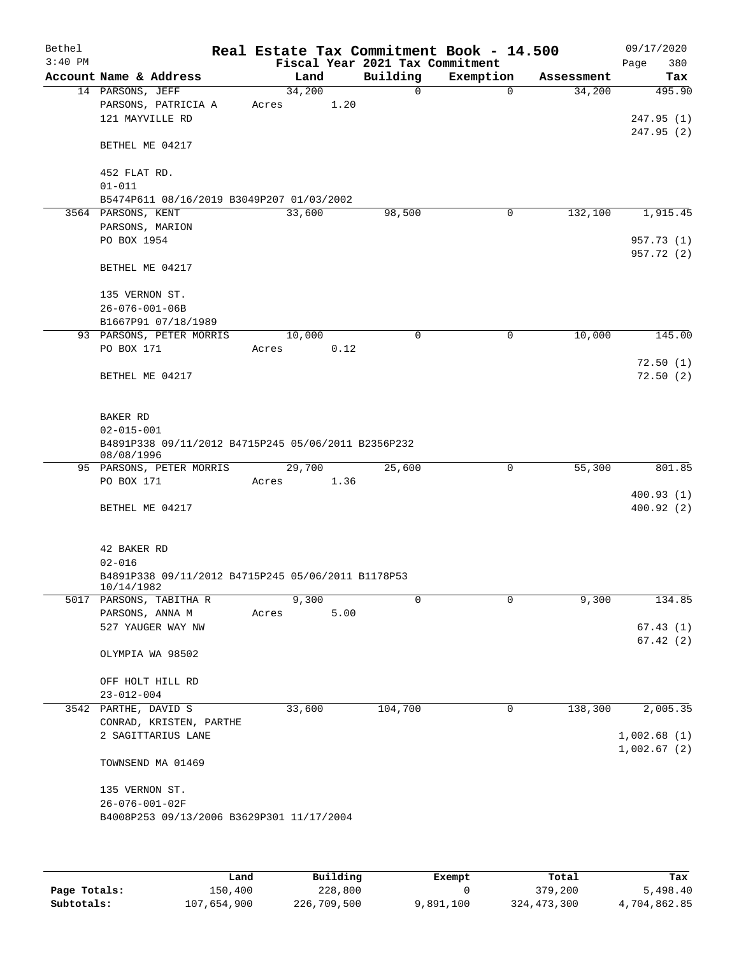| Bethel    |                                                     |       |        |      | Real Estate Tax Commitment Book - 14.500    |             |                      | 09/17/2020         |
|-----------|-----------------------------------------------------|-------|--------|------|---------------------------------------------|-------------|----------------------|--------------------|
| $3:40$ PM | Account Name & Address                              |       | Land   |      | Fiscal Year 2021 Tax Commitment<br>Building | Exemption   |                      | 380<br>Page<br>Tax |
|           | 14 PARSONS, JEFF                                    |       | 34,200 |      | 0                                           | $\Omega$    | Assessment<br>34,200 | 495.90             |
|           | PARSONS, PATRICIA A                                 | Acres |        | 1.20 |                                             |             |                      |                    |
|           | 121 MAYVILLE RD                                     |       |        |      |                                             |             |                      | 247.95(1)          |
|           |                                                     |       |        |      |                                             |             |                      | 247.95 (2)         |
|           | BETHEL ME 04217                                     |       |        |      |                                             |             |                      |                    |
|           |                                                     |       |        |      |                                             |             |                      |                    |
|           | 452 FLAT RD.                                        |       |        |      |                                             |             |                      |                    |
|           | $01 - 011$                                          |       |        |      |                                             |             |                      |                    |
|           | B5474P611 08/16/2019 B3049P207 01/03/2002           |       |        |      |                                             |             |                      |                    |
|           | 3564 PARSONS, KENT<br>PARSONS, MARION               |       | 33,600 |      | 98,500                                      | 0           | 132,100              | 1,915.45           |
|           | PO BOX 1954                                         |       |        |      |                                             |             |                      | 957.73 (1)         |
|           |                                                     |       |        |      |                                             |             |                      | 957.72 (2)         |
|           | BETHEL ME 04217                                     |       |        |      |                                             |             |                      |                    |
|           |                                                     |       |        |      |                                             |             |                      |                    |
|           | 135 VERNON ST.                                      |       |        |      |                                             |             |                      |                    |
|           | $26 - 076 - 001 - 06B$                              |       |        |      |                                             |             |                      |                    |
|           | B1667P91 07/18/1989                                 |       |        |      |                                             |             |                      |                    |
|           | 93 PARSONS, PETER MORRIS                            |       | 10,000 |      | 0                                           | 0           | 10,000               | 145.00             |
|           | PO BOX 171                                          | Acres |        | 0.12 |                                             |             |                      |                    |
|           |                                                     |       |        |      |                                             |             |                      | 72.50(1)           |
|           | BETHEL ME 04217                                     |       |        |      |                                             |             |                      | 72.50(2)           |
|           |                                                     |       |        |      |                                             |             |                      |                    |
|           | BAKER RD                                            |       |        |      |                                             |             |                      |                    |
|           | $02 - 015 - 001$                                    |       |        |      |                                             |             |                      |                    |
|           | B4891P338 09/11/2012 B4715P245 05/06/2011 B2356P232 |       |        |      |                                             |             |                      |                    |
|           | 08/08/1996                                          |       |        |      |                                             |             |                      |                    |
|           | 95 PARSONS, PETER MORRIS                            |       | 29,700 |      | 25,600                                      | $\mathbf 0$ | 55,300               | 801.85             |
|           | PO BOX 171                                          | Acres |        | 1.36 |                                             |             |                      |                    |
|           |                                                     |       |        |      |                                             |             |                      | 400.93(1)          |
|           | BETHEL ME 04217                                     |       |        |      |                                             |             |                      | 400.92(2)          |
|           |                                                     |       |        |      |                                             |             |                      |                    |
|           | 42 BAKER RD                                         |       |        |      |                                             |             |                      |                    |
|           | $02 - 016$                                          |       |        |      |                                             |             |                      |                    |
|           | B4891P338 09/11/2012 B4715P245 05/06/2011 B1178P53  |       |        |      |                                             |             |                      |                    |
|           | 10/14/1982                                          |       |        |      |                                             |             |                      |                    |
|           | 5017 PARSONS, TABITHA R                             |       | 9,300  |      | 0                                           | 0           | 9,300                | 134.85             |
|           | PARSONS, ANNA M                                     | Acres |        | 5.00 |                                             |             |                      |                    |
|           | 527 YAUGER WAY NW                                   |       |        |      |                                             |             |                      | 67.43(1)           |
|           |                                                     |       |        |      |                                             |             |                      | 67.42(2)           |
|           | OLYMPIA WA 98502                                    |       |        |      |                                             |             |                      |                    |
|           | OFF HOLT HILL RD                                    |       |        |      |                                             |             |                      |                    |
|           | $23 - 012 - 004$                                    |       |        |      |                                             |             |                      |                    |
|           | 3542 PARTHE, DAVID S                                |       | 33,600 |      | 104,700                                     | 0           | 138,300              | 2,005.35           |
|           | CONRAD, KRISTEN, PARTHE                             |       |        |      |                                             |             |                      |                    |
|           | 2 SAGITTARIUS LANE                                  |       |        |      |                                             |             |                      | 1,002.68(1)        |
|           |                                                     |       |        |      |                                             |             |                      | 1,002.67(2)        |
|           | TOWNSEND MA 01469                                   |       |        |      |                                             |             |                      |                    |
|           |                                                     |       |        |      |                                             |             |                      |                    |
|           | 135 VERNON ST.                                      |       |        |      |                                             |             |                      |                    |
|           | 26-076-001-02F                                      |       |        |      |                                             |             |                      |                    |
|           | B4008P253 09/13/2006 B3629P301 11/17/2004           |       |        |      |                                             |             |                      |                    |
|           |                                                     |       |        |      |                                             |             |                      |                    |
|           |                                                     |       |        |      |                                             |             |                      |                    |

|              | Land        | Building    | Exempt    | Total         | Tax          |
|--------------|-------------|-------------|-----------|---------------|--------------|
| Page Totals: | 150,400     | 228,800     |           | 379,200       | 5,498.40     |
| Subtotals:   | 107,654,900 | 226,709,500 | 9,891,100 | 324, 473, 300 | 4,704,862.85 |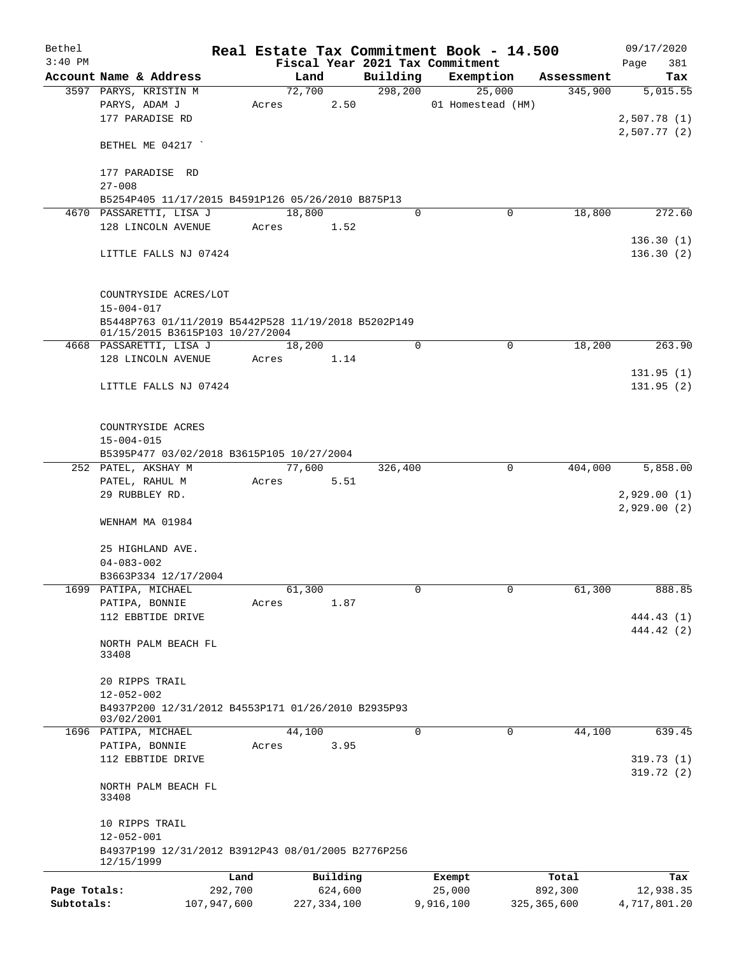| Bethel<br>$3:40$ PM |                                                                                        |       |        |               |             | Real Estate Tax Commitment Book - 14.500<br>Fiscal Year 2021 Tax Commitment |               | 09/17/2020<br>381<br>Page   |
|---------------------|----------------------------------------------------------------------------------------|-------|--------|---------------|-------------|-----------------------------------------------------------------------------|---------------|-----------------------------|
|                     | Account Name & Address                                                                 |       | Land   |               | Building    | Exemption                                                                   | Assessment    | Tax                         |
|                     | 3597 PARYS, KRISTIN M                                                                  |       | 72,700 |               | 298, 200    | 25,000                                                                      | 345,900       | $\overline{5,015.55}$       |
|                     | PARYS, ADAM J                                                                          | Acres |        | 2.50          |             | 01 Homestead (HM)                                                           |               |                             |
|                     | 177 PARADISE RD                                                                        |       |        |               |             |                                                                             |               | 2,507.78 (1)<br>2,507.77(2) |
|                     | BETHEL ME 04217                                                                        |       |        |               |             |                                                                             |               |                             |
|                     | 177 PARADISE RD<br>$27 - 008$                                                          |       |        |               |             |                                                                             |               |                             |
|                     | B5254P405 11/17/2015 B4591P126 05/26/2010 B875P13                                      |       |        |               |             |                                                                             |               |                             |
|                     | 4670 PASSARETTI, LISA J                                                                |       | 18,800 |               | $\mathbf 0$ | 0                                                                           | 18,800        | 272.60                      |
|                     | 128 LINCOLN AVENUE                                                                     | Acres |        | 1.52          |             |                                                                             |               |                             |
|                     |                                                                                        |       |        |               |             |                                                                             |               | 136.30(1)                   |
|                     | LITTLE FALLS NJ 07424                                                                  |       |        |               |             |                                                                             |               | 136.30(2)                   |
|                     | COUNTRYSIDE ACRES/LOT<br>$15 - 004 - 017$                                              |       |        |               |             |                                                                             |               |                             |
|                     | B5448P763 01/11/2019 B5442P528 11/19/2018 B5202P149<br>01/15/2015 B3615P103 10/27/2004 |       |        |               |             |                                                                             |               |                             |
|                     | 4668 PASSARETTI, LISA J                                                                |       | 18,200 |               | $\Omega$    | 0                                                                           | 18,200        | 263.90                      |
|                     | 128 LINCOLN AVENUE                                                                     | Acres |        | 1.14          |             |                                                                             |               |                             |
|                     |                                                                                        |       |        |               |             |                                                                             |               | 131.95(1)                   |
|                     | LITTLE FALLS NJ 07424                                                                  |       |        |               |             |                                                                             |               | 131.95(2)                   |
|                     | COUNTRYSIDE ACRES                                                                      |       |        |               |             |                                                                             |               |                             |
|                     | $15 - 004 - 015$                                                                       |       |        |               |             |                                                                             |               |                             |
|                     | B5395P477 03/02/2018 B3615P105 10/27/2004                                              |       |        |               |             |                                                                             |               |                             |
|                     | 252 PATEL, AKSHAY M                                                                    |       | 77,600 |               | 326,400     | $\Omega$                                                                    | 404,000       | 5,858.00                    |
|                     | PATEL, RAHUL M<br>29 RUBBLEY RD.                                                       | Acres |        | 5.51          |             |                                                                             |               | 2,929.00(1)<br>2,929.00(2)  |
|                     | WENHAM MA 01984                                                                        |       |        |               |             |                                                                             |               |                             |
|                     | 25 HIGHLAND AVE.<br>$04 - 083 - 002$                                                   |       |        |               |             |                                                                             |               |                             |
|                     | B3663P334 12/17/2004                                                                   |       |        |               |             |                                                                             |               |                             |
|                     | 1699 PATIPA, MICHAEL                                                                   |       | 61,300 |               | 0           | $\mathsf{O}$                                                                | 61,300        | 888.85                      |
|                     | PATIPA, BONNIE                                                                         | Acres |        | 1.87          |             |                                                                             |               |                             |
|                     | 112 EBBTIDE DRIVE                                                                      |       |        |               |             |                                                                             |               | 444.43 (1)                  |
|                     | NORTH PALM BEACH FL<br>33408                                                           |       |        |               |             |                                                                             |               | 444.42 (2)                  |
|                     | 20 RIPPS TRAIL                                                                         |       |        |               |             |                                                                             |               |                             |
|                     | $12 - 052 - 002$                                                                       |       |        |               |             |                                                                             |               |                             |
|                     | B4937P200 12/31/2012 B4553P171 01/26/2010 B2935P93<br>03/02/2001                       |       |        |               |             |                                                                             |               |                             |
|                     | 1696 PATIPA, MICHAEL                                                                   |       | 44,100 |               | 0           | 0                                                                           | 44,100        | 639.45                      |
|                     | PATIPA, BONNIE<br>112 EBBTIDE DRIVE                                                    | Acres |        | 3.95          |             |                                                                             |               | 319.73(1)<br>319.72(2)      |
|                     | NORTH PALM BEACH FL<br>33408                                                           |       |        |               |             |                                                                             |               |                             |
|                     | 10 RIPPS TRAIL<br>$12 - 052 - 001$                                                     |       |        |               |             |                                                                             |               |                             |
|                     | B4937P199 12/31/2012 B3912P43 08/01/2005 B2776P256<br>12/15/1999                       |       |        |               |             |                                                                             |               |                             |
|                     |                                                                                        | Land  |        | Building      |             | Exempt                                                                      | Total         | Tax                         |
| Page Totals:        | 292,700                                                                                |       |        | 624,600       |             | 25,000                                                                      | 892,300       | 12,938.35                   |
| Subtotals:          | 107,947,600                                                                            |       |        | 227, 334, 100 |             | 9,916,100                                                                   | 325, 365, 600 | 4,717,801.20                |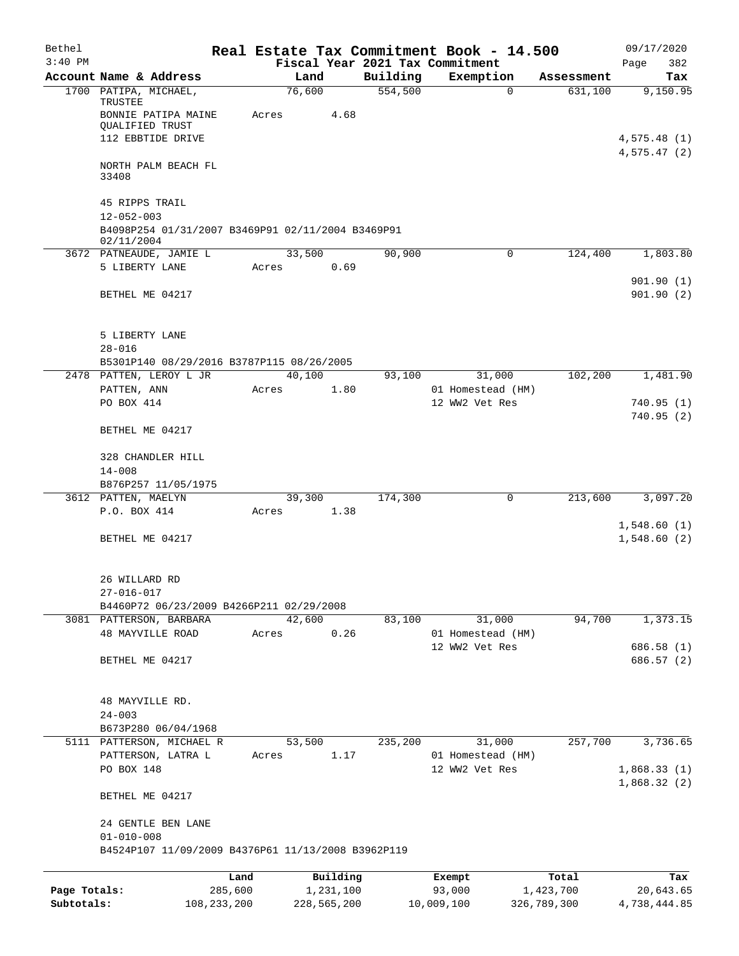| Bethel       |                                                                            |               |                 |             |          | Real Estate Tax Commitment Book - 14.500 |                     | 09/17/2020                 |
|--------------|----------------------------------------------------------------------------|---------------|-----------------|-------------|----------|------------------------------------------|---------------------|----------------------------|
| $3:40$ PM    |                                                                            |               |                 |             |          | Fiscal Year 2021 Tax Commitment          |                     | Page<br>382                |
|              | Account Name & Address                                                     |               | Land            |             | Building | Exemption                                | Assessment          | Tax                        |
|              | 1700 PATIPA, MICHAEL,<br>TRUSTEE<br>BONNIE PATIPA MAINE<br>QUALIFIED TRUST |               | 76,600<br>Acres | 4.68        | 554,500  |                                          | $\Omega$<br>631,100 | 9,150.95                   |
|              | 112 EBBTIDE DRIVE                                                          |               |                 |             |          |                                          |                     | 4,575.48(1)<br>4,575.47(2) |
|              | NORTH PALM BEACH FL<br>33408                                               |               |                 |             |          |                                          |                     |                            |
|              | 45 RIPPS TRAIL<br>$12 - 052 - 003$                                         |               |                 |             |          |                                          |                     |                            |
|              | B4098P254 01/31/2007 B3469P91 02/11/2004 B3469P91<br>02/11/2004            |               |                 |             |          |                                          |                     |                            |
|              | 3672 PATNEAUDE, JAMIE L                                                    |               | 33,500          |             | 90,900   |                                          | 0<br>124,400        | 1,803.80                   |
|              | 5 LIBERTY LANE                                                             |               | Acres           | 0.69        |          |                                          |                     | 901.90(1)                  |
|              | BETHEL ME 04217                                                            |               |                 |             |          |                                          |                     | 901.90(2)                  |
|              | 5 LIBERTY LANE<br>$28 - 016$                                               |               |                 |             |          |                                          |                     |                            |
|              | B5301P140 08/29/2016 B3787P115 08/26/2005                                  |               |                 |             |          |                                          |                     |                            |
|              | 2478 PATTEN, LEROY L JR<br>PATTEN, ANN                                     |               | 40,100<br>Acres | 1.80        | 93,100   | 31,000<br>01 Homestead (HM)              | 102,200             | 1,481.90                   |
|              | PO BOX 414                                                                 |               |                 |             |          | 12 WW2 Vet Res                           |                     | 740.95 (1)                 |
|              |                                                                            |               |                 |             |          |                                          |                     | 740.95 (2)                 |
|              | BETHEL ME 04217                                                            |               |                 |             |          |                                          |                     |                            |
|              | 328 CHANDLER HILL<br>$14 - 008$                                            |               |                 |             |          |                                          |                     |                            |
|              | B876P257 11/05/1975                                                        |               |                 |             |          |                                          |                     |                            |
|              | 3612 PATTEN, MAELYN                                                        |               | 39,300          |             | 174,300  |                                          | 0<br>213,600        | 3,097.20                   |
|              | P.O. BOX 414                                                               |               | Acres           | 1.38        |          |                                          |                     |                            |
|              | BETHEL ME 04217                                                            |               |                 |             |          |                                          |                     | 1,548.60(1)<br>1,548.60(2) |
|              | 26 WILLARD RD<br>$27 - 016 - 017$                                          |               |                 |             |          |                                          |                     |                            |
|              | B4460P72 06/23/2009 B4266P211 02/29/2008                                   |               |                 |             |          |                                          |                     |                            |
|              | 3081 PATTERSON, BARBARA<br><b>48 MAYVILLE ROAD</b>                         |               | 42,600<br>Acres | 0.26        | 83,100   | 31,000<br>01 Homestead (HM)              | 94,700              | 1,373.15                   |
|              |                                                                            |               |                 |             |          | 12 WW2 Vet Res                           |                     | 686.58 (1)                 |
|              | BETHEL ME 04217                                                            |               |                 |             |          |                                          |                     | 686.57 (2)                 |
|              | 48 MAYVILLE RD.                                                            |               |                 |             |          |                                          |                     |                            |
|              | $24 - 003$<br>B673P280 06/04/1968                                          |               |                 |             |          |                                          |                     |                            |
|              | 5111 PATTERSON, MICHAEL R                                                  |               | 53,500          |             | 235,200  | 31,000                                   | 257,700             | 3,736.65                   |
|              | PATTERSON, LATRA L                                                         |               | Acres           | 1.17        |          | 01 Homestead (HM)                        |                     |                            |
|              | PO BOX 148                                                                 |               |                 |             |          | 12 WW2 Vet Res                           |                     | 1,868.33(1)<br>1,868.32(2) |
|              | BETHEL ME 04217                                                            |               |                 |             |          |                                          |                     |                            |
|              | 24 GENTLE BEN LANE<br>$01 - 010 - 008$                                     |               |                 |             |          |                                          |                     |                            |
|              | B4524P107 11/09/2009 B4376P61 11/13/2008 B3962P119                         |               |                 |             |          |                                          |                     |                            |
|              |                                                                            | Land          |                 | Building    |          | Exempt                                   | Total               | Tax                        |
| Page Totals: |                                                                            | 285,600       |                 | 1,231,100   |          | 93,000                                   | 1,423,700           | 20,643.65                  |
| Subtotals:   |                                                                            | 108, 233, 200 |                 | 228,565,200 |          | 10,009,100                               | 326,789,300         | 4,738,444.85               |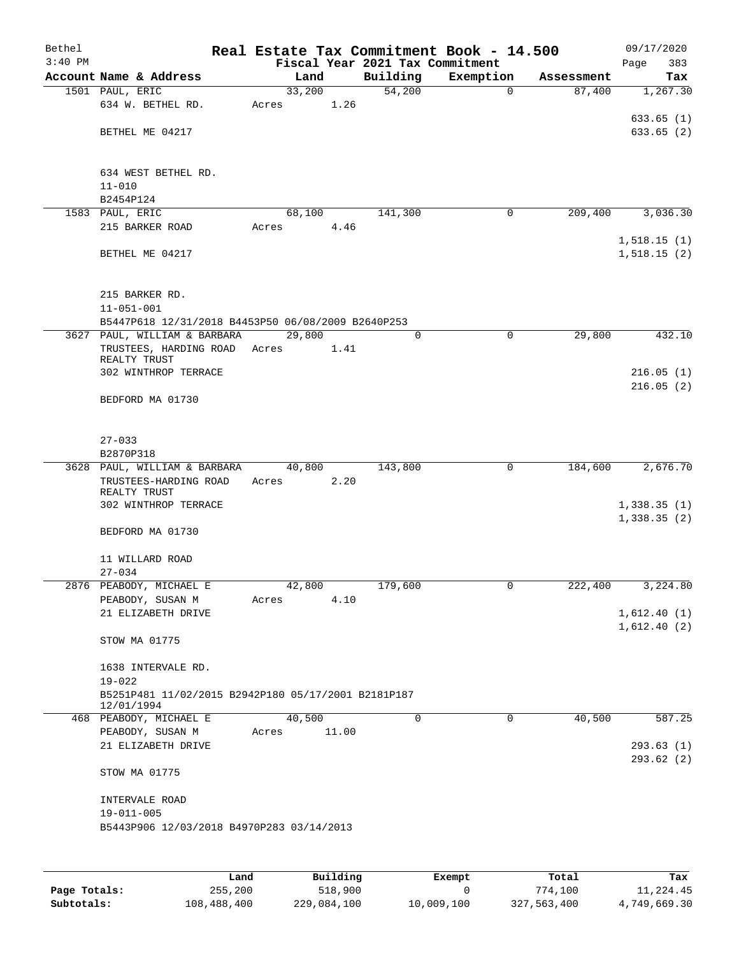| Bethel<br>$3:40$ PM |                                                     |        |       | Real Estate Tax Commitment Book - 14.500<br>Fiscal Year 2021 Tax Commitment |             |            | 09/17/2020<br>383<br>Page |
|---------------------|-----------------------------------------------------|--------|-------|-----------------------------------------------------------------------------|-------------|------------|---------------------------|
|                     | Account Name & Address                              | Land   |       | Building                                                                    | Exemption   | Assessment | Tax                       |
|                     | 1501 PAUL, ERIC                                     | 33,200 |       | 54,200                                                                      | $\mathbf 0$ | 87,400     | 1,267.30                  |
|                     | 634 W. BETHEL RD.                                   | Acres  | 1.26  |                                                                             |             |            |                           |
|                     |                                                     |        |       |                                                                             |             |            | 633.65(1)                 |
|                     | BETHEL ME 04217                                     |        |       |                                                                             |             |            | 633.65(2)                 |
|                     |                                                     |        |       |                                                                             |             |            |                           |
|                     |                                                     |        |       |                                                                             |             |            |                           |
|                     | 634 WEST BETHEL RD.                                 |        |       |                                                                             |             |            |                           |
|                     | $11 - 010$                                          |        |       |                                                                             |             |            |                           |
|                     | B2454P124                                           |        |       |                                                                             |             |            |                           |
|                     | 1583 PAUL, ERIC                                     | 68,100 |       | 141,300                                                                     | 0           | 209,400    | 3,036.30                  |
|                     | 215 BARKER ROAD                                     | Acres  | 4.46  |                                                                             |             |            |                           |
|                     |                                                     |        |       |                                                                             |             |            | 1,518.15(1)               |
|                     | BETHEL ME 04217                                     |        |       |                                                                             |             |            | 1,518.15(2)               |
|                     |                                                     |        |       |                                                                             |             |            |                           |
|                     |                                                     |        |       |                                                                             |             |            |                           |
|                     | 215 BARKER RD.                                      |        |       |                                                                             |             |            |                           |
|                     | $11 - 051 - 001$                                    |        |       |                                                                             |             |            |                           |
|                     | B5447P618 12/31/2018 B4453P50 06/08/2009 B2640P253  |        |       |                                                                             |             |            |                           |
|                     | 3627 PAUL, WILLIAM & BARBARA                        | 29,800 |       | 0                                                                           | $\mathbf 0$ | 29,800     | 432.10                    |
|                     | TRUSTEES, HARDING ROAD Acres<br>REALTY TRUST        |        | 1.41  |                                                                             |             |            |                           |
|                     | 302 WINTHROP TERRACE                                |        |       |                                                                             |             |            | 216.05(1)                 |
|                     |                                                     |        |       |                                                                             |             |            | 216.05(2)                 |
|                     | BEDFORD MA 01730                                    |        |       |                                                                             |             |            |                           |
|                     |                                                     |        |       |                                                                             |             |            |                           |
|                     |                                                     |        |       |                                                                             |             |            |                           |
|                     | $27 - 033$                                          |        |       |                                                                             |             |            |                           |
|                     | B2870P318                                           |        |       |                                                                             |             |            |                           |
|                     | 3628 PAUL, WILLIAM & BARBARA                        | 40,800 |       | 143,800                                                                     | 0           | 184,600    | 2,676.70                  |
|                     | TRUSTEES-HARDING ROAD                               | Acres  | 2.20  |                                                                             |             |            |                           |
|                     | REALTY TRUST                                        |        |       |                                                                             |             |            |                           |
|                     | 302 WINTHROP TERRACE                                |        |       |                                                                             |             |            | 1,338.35(1)               |
|                     |                                                     |        |       |                                                                             |             |            | 1,338.35(2)               |
|                     | BEDFORD MA 01730                                    |        |       |                                                                             |             |            |                           |
|                     |                                                     |        |       |                                                                             |             |            |                           |
|                     | 11 WILLARD ROAD                                     |        |       |                                                                             |             |            |                           |
|                     | $27 - 034$                                          |        |       |                                                                             |             |            |                           |
|                     | 2876 PEABODY, MICHAEL E                             | 42,800 |       | 179,600                                                                     | U           | 222,400    | 3,224.80                  |
|                     | PEABODY, SUSAN M                                    | Acres  | 4.10  |                                                                             |             |            |                           |
|                     | 21 ELIZABETH DRIVE                                  |        |       |                                                                             |             |            | 1,612.40(1)               |
|                     |                                                     |        |       |                                                                             |             |            | 1,612.40(2)               |
|                     | STOW MA 01775                                       |        |       |                                                                             |             |            |                           |
|                     |                                                     |        |       |                                                                             |             |            |                           |
|                     | 1638 INTERVALE RD.<br>$19 - 022$                    |        |       |                                                                             |             |            |                           |
|                     | B5251P481 11/02/2015 B2942P180 05/17/2001 B2181P187 |        |       |                                                                             |             |            |                           |
|                     | 12/01/1994                                          |        |       |                                                                             |             |            |                           |
|                     | 468 PEABODY, MICHAEL E                              | 40,500 |       | 0                                                                           | 0           | 40,500     | 587.25                    |
|                     | PEABODY, SUSAN M                                    | Acres  | 11.00 |                                                                             |             |            |                           |
|                     | 21 ELIZABETH DRIVE                                  |        |       |                                                                             |             |            | 293.63(1)                 |
|                     |                                                     |        |       |                                                                             |             |            | 293.62(2)                 |
|                     | STOW MA 01775                                       |        |       |                                                                             |             |            |                           |
|                     |                                                     |        |       |                                                                             |             |            |                           |
|                     | INTERVALE ROAD                                      |        |       |                                                                             |             |            |                           |
|                     | $19 - 011 - 005$                                    |        |       |                                                                             |             |            |                           |
|                     | B5443P906 12/03/2018 B4970P283 03/14/2013           |        |       |                                                                             |             |            |                           |
|                     |                                                     |        |       |                                                                             |             |            |                           |
|                     |                                                     |        |       |                                                                             |             |            |                           |
|                     |                                                     |        |       |                                                                             |             |            |                           |

|              | Land        | Building    | Exempt     | Total       | Tax          |
|--------------|-------------|-------------|------------|-------------|--------------|
| Page Totals: | 255,200     | 518,900     |            | 774,100     | 11,224.45    |
| Subtotals:   | 108,488,400 | 229,084,100 | 10,009,100 | 327,563,400 | 4,749,669.30 |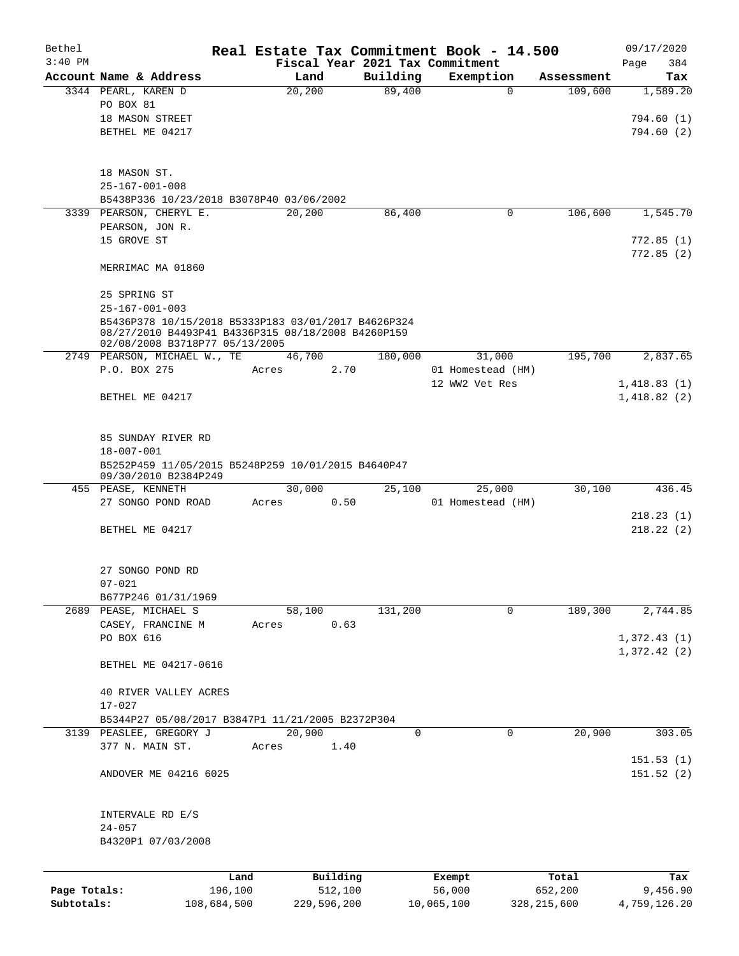| Bethel       |                                                                                                                                             |             |                 |             |                                 |            | Real Estate Tax Commitment Book - 14.500 |                       | 09/17/2020             |
|--------------|---------------------------------------------------------------------------------------------------------------------------------------------|-------------|-----------------|-------------|---------------------------------|------------|------------------------------------------|-----------------------|------------------------|
| $3:40$ PM    |                                                                                                                                             |             |                 |             | Fiscal Year 2021 Tax Commitment |            |                                          |                       | 384<br>Page            |
|              | Account Name & Address<br>3344 PEARL, KAREN D                                                                                               |             | Land<br>20, 200 |             | Building<br>89,400              |            | Exemption<br>$\mathbf 0$                 | Assessment<br>109,600 | Tax<br>1,589.20        |
|              | PO BOX 81                                                                                                                                   |             |                 |             |                                 |            |                                          |                       |                        |
|              | 18 MASON STREET                                                                                                                             |             |                 |             |                                 |            |                                          |                       | 794.60(1)              |
|              | BETHEL ME 04217                                                                                                                             |             |                 |             |                                 |            |                                          |                       | 794.60(2)              |
|              |                                                                                                                                             |             |                 |             |                                 |            |                                          |                       |                        |
|              | 18 MASON ST.                                                                                                                                |             |                 |             |                                 |            |                                          |                       |                        |
|              | $25 - 167 - 001 - 008$                                                                                                                      |             |                 |             |                                 |            |                                          |                       |                        |
|              | B5438P336 10/23/2018 B3078P40 03/06/2002                                                                                                    |             |                 |             |                                 |            |                                          |                       |                        |
|              | 3339 PEARSON, CHERYL E.                                                                                                                     |             | 20,200          |             | 86,400                          |            | 0                                        | 106,600               | 1,545.70               |
|              | PEARSON, JON R.                                                                                                                             |             |                 |             |                                 |            |                                          |                       |                        |
|              | 15 GROVE ST                                                                                                                                 |             |                 |             |                                 |            |                                          |                       | 772.85(1)<br>772.85(2) |
|              | MERRIMAC MA 01860                                                                                                                           |             |                 |             |                                 |            |                                          |                       |                        |
|              | 25 SPRING ST                                                                                                                                |             |                 |             |                                 |            |                                          |                       |                        |
|              | $25 - 167 - 001 - 003$                                                                                                                      |             |                 |             |                                 |            |                                          |                       |                        |
|              | B5436P378 10/15/2018 B5333P183 03/01/2017 B4626P324<br>08/27/2010 B4493P41 B4336P315 08/18/2008 B4260P159<br>02/08/2008 B3718P77 05/13/2005 |             |                 |             |                                 |            |                                          |                       |                        |
|              | 2749 PEARSON, MICHAEL W., TE                                                                                                                |             | 46,700          |             | 180,000                         |            | 31,000                                   | 195,700               | 2,837.65               |
|              | P.O. BOX 275                                                                                                                                | Acres       |                 | 2.70        |                                 |            | 01 Homestead (HM)                        |                       |                        |
|              |                                                                                                                                             |             |                 |             |                                 |            | 12 WW2 Vet Res                           |                       | 1,418.83(1)            |
|              | BETHEL ME 04217                                                                                                                             |             |                 |             |                                 |            |                                          |                       | 1,418.82(2)            |
|              | 85 SUNDAY RIVER RD                                                                                                                          |             |                 |             |                                 |            |                                          |                       |                        |
|              | $18 - 007 - 001$                                                                                                                            |             |                 |             |                                 |            |                                          |                       |                        |
|              | B5252P459 11/05/2015 B5248P259 10/01/2015 B4640P47<br>09/30/2010 B2384P249                                                                  |             |                 |             |                                 |            |                                          |                       |                        |
|              | 455 PEASE, KENNETH                                                                                                                          |             | 30,000          |             | 25,100                          |            | 25,000                                   | 30,100                | 436.45                 |
|              | 27 SONGO POND ROAD                                                                                                                          | Acres       |                 | 0.50        |                                 |            | 01 Homestead (HM)                        |                       |                        |
|              |                                                                                                                                             |             |                 |             |                                 |            |                                          |                       | 218.23(1)              |
|              | BETHEL ME 04217                                                                                                                             |             |                 |             |                                 |            |                                          |                       | 218.22(2)              |
|              | 27 SONGO POND RD                                                                                                                            |             |                 |             |                                 |            |                                          |                       |                        |
|              | $07 - 021$                                                                                                                                  |             |                 |             |                                 |            |                                          |                       |                        |
|              | B677P246 01/31/1969                                                                                                                         |             |                 |             |                                 |            |                                          |                       |                        |
|              | 2689 PEASE, MICHAEL S                                                                                                                       |             | 58,100          |             | 131,200                         |            | $\mathbf{0}$                             | 189,300               | 2,744.85               |
|              | CASEY, FRANCINE M                                                                                                                           | Acres       |                 | 0.63        |                                 |            |                                          |                       |                        |
|              | PO BOX 616                                                                                                                                  |             |                 |             |                                 |            |                                          |                       | 1,372.43(1)            |
|              | BETHEL ME 04217-0616                                                                                                                        |             |                 |             |                                 |            |                                          |                       | 1,372.42(2)            |
|              | 40 RIVER VALLEY ACRES                                                                                                                       |             |                 |             |                                 |            |                                          |                       |                        |
|              | $17 - 027$                                                                                                                                  |             |                 |             |                                 |            |                                          |                       |                        |
|              | B5344P27 05/08/2017 B3847P1 11/21/2005 B2372P304                                                                                            |             |                 |             |                                 |            |                                          |                       |                        |
|              | 3139 PEASLEE, GREGORY J                                                                                                                     |             | 20,900          |             | 0                               |            | 0                                        | 20,900                | 303.05                 |
|              | 377 N. MAIN ST.                                                                                                                             | Acres       |                 | 1.40        |                                 |            |                                          |                       | 151.53(1)              |
|              | ANDOVER ME 04216 6025                                                                                                                       |             |                 |             |                                 |            |                                          |                       | 151.52(2)              |
|              | INTERVALE RD E/S                                                                                                                            |             |                 |             |                                 |            |                                          |                       |                        |
|              | $24 - 057$                                                                                                                                  |             |                 |             |                                 |            |                                          |                       |                        |
|              | B4320P1 07/03/2008                                                                                                                          |             |                 |             |                                 |            |                                          |                       |                        |
|              |                                                                                                                                             | Land        |                 | Building    |                                 | Exempt     |                                          | Total                 | Tax                    |
| Page Totals: |                                                                                                                                             | 196,100     |                 | 512,100     |                                 | 56,000     |                                          | 652,200               | 9,456.90               |
| Subtotals:   |                                                                                                                                             | 108,684,500 |                 | 229,596,200 |                                 | 10,065,100 |                                          | 328, 215, 600         | 4,759,126.20           |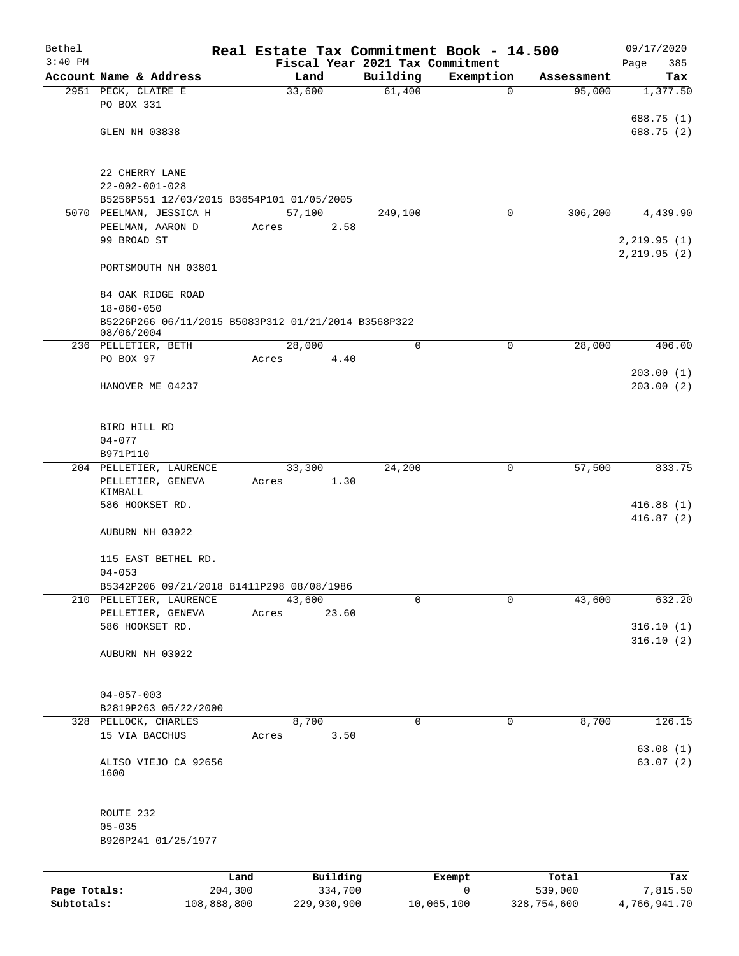| Bethel       |                                                                   |         |             |                                 | Real Estate Tax Commitment Book - 14.500 |             | 09/17/2020   |
|--------------|-------------------------------------------------------------------|---------|-------------|---------------------------------|------------------------------------------|-------------|--------------|
| $3:40$ PM    |                                                                   |         |             | Fiscal Year 2021 Tax Commitment |                                          |             | 385<br>Page  |
|              | Account Name & Address                                            |         | Land        | Building                        | Exemption                                | Assessment  | Tax          |
|              | 2951 PECK, CLAIRE E<br>PO BOX 331                                 |         | 33,600      | 61,400                          | $\mathbf 0$                              | 95,000      | 1,377.50     |
|              |                                                                   |         |             |                                 |                                          |             | 688.75 (1)   |
|              | GLEN NH 03838                                                     |         |             |                                 |                                          |             | 688.75 (2)   |
|              |                                                                   |         |             |                                 |                                          |             |              |
|              |                                                                   |         |             |                                 |                                          |             |              |
|              | 22 CHERRY LANE<br>$22 - 002 - 001 - 028$                          |         |             |                                 |                                          |             |              |
|              | B5256P551 12/03/2015 B3654P101 01/05/2005                         |         |             |                                 |                                          |             |              |
|              | 5070 PEELMAN, JESSICA H                                           |         | 57,100      | 249,100                         | 0                                        | 306,200     | 4,439.90     |
|              | PEELMAN, AARON D                                                  | Acres   | 2.58        |                                 |                                          |             |              |
|              | 99 BROAD ST                                                       |         |             |                                 |                                          |             | 2,219.95(1)  |
|              |                                                                   |         |             |                                 |                                          |             | 2, 219.95(2) |
|              | PORTSMOUTH NH 03801                                               |         |             |                                 |                                          |             |              |
|              | 84 OAK RIDGE ROAD                                                 |         |             |                                 |                                          |             |              |
|              | $18 - 060 - 050$                                                  |         |             |                                 |                                          |             |              |
|              |                                                                   |         |             |                                 |                                          |             |              |
|              | B5226P266 06/11/2015 B5083P312 01/21/2014 B3568P322<br>08/06/2004 |         |             |                                 |                                          |             |              |
|              | 236 PELLETIER, BETH                                               |         | 28,000      | $\mathbf 0$                     | $\mathbf 0$                              | 28,000      | 406.00       |
|              | PO BOX 97                                                         | Acres   | 4.40        |                                 |                                          |             |              |
|              |                                                                   |         |             |                                 |                                          |             | 203.00(1)    |
|              | HANOVER ME 04237                                                  |         |             |                                 |                                          |             | 203.00(2)    |
|              |                                                                   |         |             |                                 |                                          |             |              |
|              |                                                                   |         |             |                                 |                                          |             |              |
|              | BIRD HILL RD                                                      |         |             |                                 |                                          |             |              |
|              | $04 - 077$                                                        |         |             |                                 |                                          |             |              |
|              | B971P110                                                          |         |             |                                 |                                          |             |              |
|              | 204 PELLETIER, LAURENCE                                           |         | 33,300      | 24,200                          | 0                                        | 57,500      | 833.75       |
|              | PELLETIER, GENEVA                                                 | Acres   | 1.30        |                                 |                                          |             |              |
|              | KIMBALL<br>586 HOOKSET RD.                                        |         |             |                                 |                                          |             | 416.88(1)    |
|              |                                                                   |         |             |                                 |                                          |             | 416.87(2)    |
|              | AUBURN NH 03022                                                   |         |             |                                 |                                          |             |              |
|              |                                                                   |         |             |                                 |                                          |             |              |
|              | 115 EAST BETHEL RD.                                               |         |             |                                 |                                          |             |              |
|              | $04 - 053$                                                        |         |             |                                 |                                          |             |              |
|              | B5342P206 09/21/2018 B1411P298 08/08/1986                         |         |             |                                 |                                          |             |              |
|              | 210 PELLETIER, LAURENCE                                           |         | 43,600      | 0                               | $\mathbf 0$                              | 43,600      | 632.20       |
|              | PELLETIER, GENEVA                                                 | Acres   | 23.60       |                                 |                                          |             |              |
|              | 586 HOOKSET RD.                                                   |         |             |                                 |                                          |             | 316.10(1)    |
|              |                                                                   |         |             |                                 |                                          |             | 316.10(2)    |
|              | AUBURN NH 03022                                                   |         |             |                                 |                                          |             |              |
|              |                                                                   |         |             |                                 |                                          |             |              |
|              |                                                                   |         |             |                                 |                                          |             |              |
|              | $04 - 057 - 003$                                                  |         |             |                                 |                                          |             |              |
|              | B2819P263 05/22/2000<br>328 PELLOCK, CHARLES                      |         | 8,700       | $\mathbf 0$                     | $\mathbf 0$                              | 8,700       | 126.15       |
|              | 15 VIA BACCHUS                                                    | Acres   | 3.50        |                                 |                                          |             |              |
|              |                                                                   |         |             |                                 |                                          |             | 63.08(1)     |
|              | ALISO VIEJO CA 92656                                              |         |             |                                 |                                          |             | 63.07(2)     |
|              | 1600                                                              |         |             |                                 |                                          |             |              |
|              |                                                                   |         |             |                                 |                                          |             |              |
|              |                                                                   |         |             |                                 |                                          |             |              |
|              | ROUTE 232                                                         |         |             |                                 |                                          |             |              |
|              | $05 - 035$                                                        |         |             |                                 |                                          |             |              |
|              | B926P241 01/25/1977                                               |         |             |                                 |                                          |             |              |
|              |                                                                   |         |             |                                 |                                          |             |              |
|              |                                                                   | Land    | Building    |                                 | Exempt                                   | Total       | Tax          |
| Page Totals: |                                                                   | 204,300 | 334,700     |                                 | 0                                        | 539,000     | 7,815.50     |
| Subtotals:   | 108,888,800                                                       |         | 229,930,900 |                                 | 10,065,100                               | 328,754,600 | 4,766,941.70 |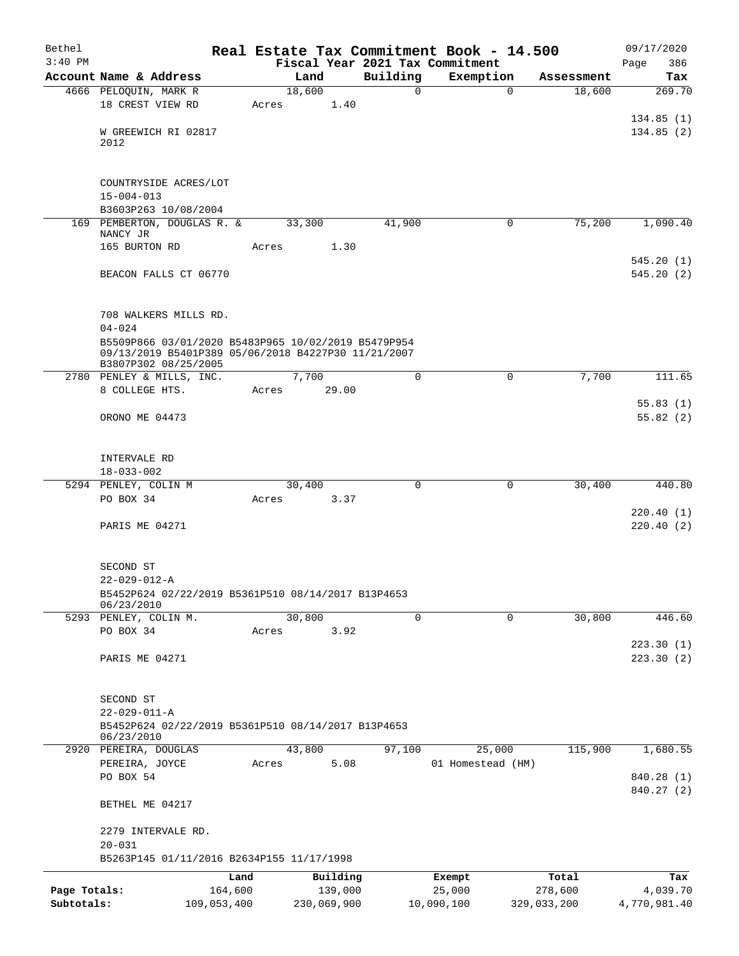| Bethel       |                                                                            |       |                |                     |          | Real Estate Tax Commitment Book - 14.500 |                                     | 09/17/2020             |
|--------------|----------------------------------------------------------------------------|-------|----------------|---------------------|----------|------------------------------------------|-------------------------------------|------------------------|
| $3:40$ PM    | Account Name & Address                                                     |       |                |                     | Building | Fiscal Year 2021 Tax Commitment          |                                     | 386<br>Page<br>Tax     |
|              | 4666 PELOQUIN, MARK R                                                      |       | Land<br>18,600 |                     | 0        | Exemption                                | Assessment<br>$\mathbf 0$<br>18,600 | 269.70                 |
|              | 18 CREST VIEW RD                                                           | Acres |                | 1.40                |          |                                          |                                     |                        |
|              |                                                                            |       |                |                     |          |                                          |                                     | 134.85(1)              |
|              | W GREEWICH RI 02817                                                        |       |                |                     |          |                                          |                                     | 134.85(2)              |
|              | 2012                                                                       |       |                |                     |          |                                          |                                     |                        |
|              |                                                                            |       |                |                     |          |                                          |                                     |                        |
|              | COUNTRYSIDE ACRES/LOT                                                      |       |                |                     |          |                                          |                                     |                        |
|              | $15 - 004 - 013$                                                           |       |                |                     |          |                                          |                                     |                        |
|              | B3603P263 10/08/2004                                                       |       |                |                     |          |                                          |                                     |                        |
|              | 169 PEMBERTON, DOUGLAS R. &                                                |       | 33,300         |                     | 41,900   |                                          | 75,200<br>0                         | 1,090.40               |
|              | NANCY JR<br>165 BURTON RD                                                  | Acres |                | 1.30                |          |                                          |                                     |                        |
|              |                                                                            |       |                |                     |          |                                          |                                     | 545.20(1)              |
|              | BEACON FALLS CT 06770                                                      |       |                |                     |          |                                          |                                     | 545.20(2)              |
|              |                                                                            |       |                |                     |          |                                          |                                     |                        |
|              |                                                                            |       |                |                     |          |                                          |                                     |                        |
|              | 708 WALKERS MILLS RD.                                                      |       |                |                     |          |                                          |                                     |                        |
|              | $04 - 024$<br>B5509P866 03/01/2020 B5483P965 10/02/2019 B5479P954          |       |                |                     |          |                                          |                                     |                        |
|              | 09/13/2019 B5401P389 05/06/2018 B4227P30 11/21/2007                        |       |                |                     |          |                                          |                                     |                        |
|              | B3807P302 08/25/2005                                                       |       |                |                     |          |                                          |                                     |                        |
|              | 2780 PENLEY & MILLS, INC.<br>8 COLLEGE HTS.                                | Acres | 7,700          | 29.00               | 0        |                                          | 0<br>7,700                          | 111.65                 |
|              |                                                                            |       |                |                     |          |                                          |                                     | 55.83(1)               |
|              | ORONO ME 04473                                                             |       |                |                     |          |                                          |                                     | 55.82(2)               |
|              |                                                                            |       |                |                     |          |                                          |                                     |                        |
|              |                                                                            |       |                |                     |          |                                          |                                     |                        |
|              | INTERVALE RD                                                               |       |                |                     |          |                                          |                                     |                        |
|              | $18 - 033 - 002$                                                           |       |                |                     |          |                                          |                                     |                        |
|              | 5294 PENLEY, COLIN M<br>PO BOX 34                                          | Acres | 30,400         | 3.37                | $\Omega$ |                                          | $\mathbf 0$<br>30,400               | 440.80                 |
|              |                                                                            |       |                |                     |          |                                          |                                     | 220.40(1)              |
|              | PARIS ME 04271                                                             |       |                |                     |          |                                          |                                     | 220.40(2)              |
|              |                                                                            |       |                |                     |          |                                          |                                     |                        |
|              |                                                                            |       |                |                     |          |                                          |                                     |                        |
|              | SECOND ST                                                                  |       |                |                     |          |                                          |                                     |                        |
|              | $22 - 029 - 012 - A$<br>B5452P624 02/22/2019 B5361P510 08/14/2017 B13P4653 |       |                |                     |          |                                          |                                     |                        |
|              | 06/23/2010                                                                 |       |                |                     |          |                                          |                                     |                        |
|              | 5293 PENLEY, COLIN M.                                                      |       | 30,800         |                     | 0        |                                          | 30,800<br>0                         | 446.60                 |
|              | PO BOX 34                                                                  | Acres |                | 3.92                |          |                                          |                                     |                        |
|              | PARIS ME 04271                                                             |       |                |                     |          |                                          |                                     | 223.30(1)<br>223.30(2) |
|              |                                                                            |       |                |                     |          |                                          |                                     |                        |
|              |                                                                            |       |                |                     |          |                                          |                                     |                        |
|              | SECOND ST                                                                  |       |                |                     |          |                                          |                                     |                        |
|              | $22 - 029 - 011 - A$                                                       |       |                |                     |          |                                          |                                     |                        |
|              | B5452P624 02/22/2019 B5361P510 08/14/2017 B13P4653<br>06/23/2010           |       |                |                     |          |                                          |                                     |                        |
|              | 2920 PEREIRA, DOUGLAS                                                      |       | 43,800         |                     | 97,100   | 25,000                                   | 115,900                             | 1,680.55               |
|              | PEREIRA, JOYCE                                                             | Acres |                | 5.08                |          | 01 Homestead (HM)                        |                                     |                        |
|              | PO BOX 54                                                                  |       |                |                     |          |                                          |                                     | 840.28 (1)             |
|              | BETHEL ME 04217                                                            |       |                |                     |          |                                          |                                     | 840.27 (2)             |
|              |                                                                            |       |                |                     |          |                                          |                                     |                        |
|              | 2279 INTERVALE RD.                                                         |       |                |                     |          |                                          |                                     |                        |
|              | $20 - 031$                                                                 |       |                |                     |          |                                          |                                     |                        |
|              | B5263P145 01/11/2016 B2634P155 11/17/1998                                  |       |                |                     |          |                                          |                                     |                        |
| Page Totals: | 164,600                                                                    | Land  |                | Building<br>139,000 |          | Exempt<br>25,000                         | Total<br>278,600                    | Tax<br>4,039.70        |
| Subtotals:   | 109,053,400                                                                |       |                | 230,069,900         |          | 10,090,100                               | 329,033,200                         | 4,770,981.40           |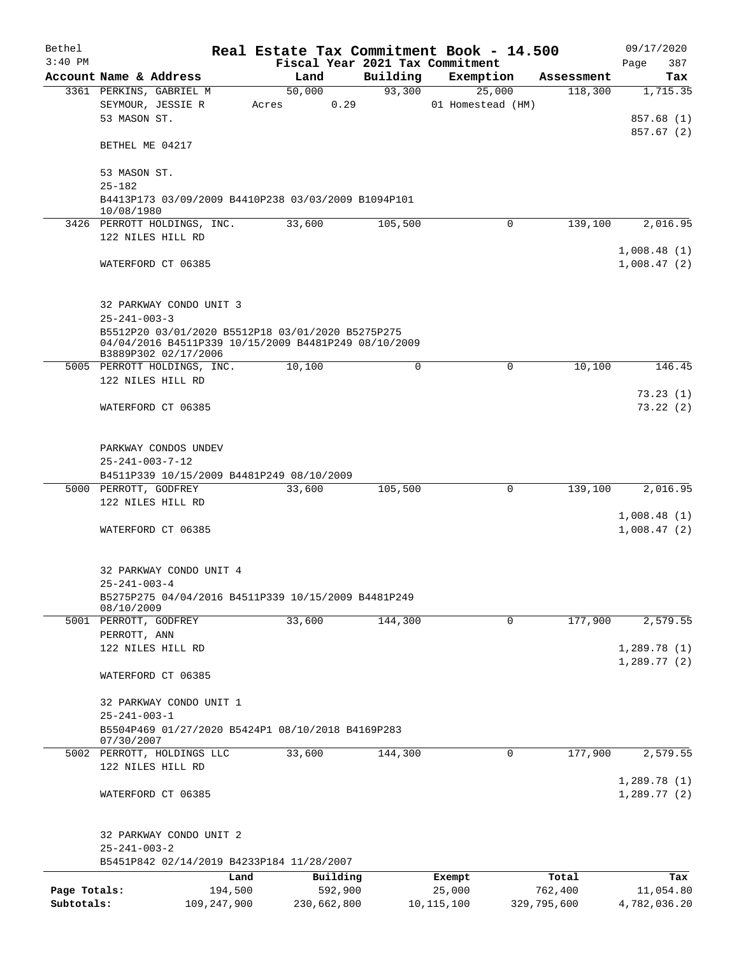| Fiscal Year 2021 Tax Commitment<br>Building<br>Account Name & Address<br>Exemption<br>Land<br>Assessment<br>93,300<br>50,000<br>25,000<br>118,300<br>1,715.35<br>3361 PERKINS, GABRIEL M<br>SEYMOUR, JESSIE R<br>0.29<br>01 Homestead (HM)<br>Acres<br>53 MASON ST.<br>BETHEL ME 04217<br>53 MASON ST.<br>$25 - 182$<br>B4413P173 03/09/2009 B4410P238 03/03/2009 B1094P101<br>10/08/1980<br>33,600<br>3426 PERROTT HOLDINGS, INC.<br>105,500<br>$\Omega$<br>139,100<br>122 NILES HILL RD<br>1,008.48(1)<br>WATERFORD CT 06385<br>1,008.47(2)<br>32 PARKWAY CONDO UNIT 3<br>$25 - 241 - 003 - 3$<br>B5512P20 03/01/2020 B5512P18 03/01/2020 B5275P275<br>04/04/2016 B4511P339 10/15/2009 B4481P249 08/10/2009<br>B3889P302 02/17/2006<br>5005 PERROTT HOLDINGS, INC.<br>10,100<br>$\Omega$<br>$\Omega$<br>10,100<br>122 NILES HILL RD<br>WATERFORD CT 06385<br>PARKWAY CONDOS UNDEV<br>$25 - 241 - 003 - 7 - 12$<br>B4511P339 10/15/2009 B4481P249 08/10/2009<br>33,600<br>105,500<br>$\mathbf 0$<br>139,100<br>5000 PERROTT, GODFREY<br>122 NILES HILL RD<br>1,008.48(1)<br>1,008.47(2)<br>WATERFORD CT 06385<br>32 PARKWAY CONDO UNIT 4<br>$25 - 241 - 003 - 4$<br>B5275P275 04/04/2016 B4511P339 10/15/2009 B4481P249<br>08/10/2009<br>33,600<br>177,900<br>5001 PERROTT, GODFREY<br>144,300<br>$\Omega$<br>PERROTT, ANN<br>122 NILES HILL RD<br>WATERFORD CT 06385<br>32 PARKWAY CONDO UNIT 1<br>$25 - 241 - 003 - 1$<br>B5504P469 01/27/2020 B5424P1 08/10/2018 B4169P283<br>07/30/2007<br>33,600<br>177,900<br>2,579.55<br>5002 PERROTT, HOLDINGS LLC<br>144,300<br>0<br>122 NILES HILL RD<br>1,289.78(1)<br>1,289.77(2)<br>WATERFORD CT 06385<br>32 PARKWAY CONDO UNIT 2<br>$25 - 241 - 003 - 2$<br>B5451P842 02/14/2019 B4233P184 11/28/2007<br>Building<br>Land<br>Total<br>Exempt<br>Page Totals:<br>194,500<br>592,900<br>25,000<br>762,400<br>11,054.80<br>Subtotals:<br>329,795,600<br>109,247,900<br>230,662,800<br>10, 115, 100 | Bethel<br>$3:40$ PM |  | Real Estate Tax Commitment Book - 14.500 | 09/17/2020<br>387 |
|------------------------------------------------------------------------------------------------------------------------------------------------------------------------------------------------------------------------------------------------------------------------------------------------------------------------------------------------------------------------------------------------------------------------------------------------------------------------------------------------------------------------------------------------------------------------------------------------------------------------------------------------------------------------------------------------------------------------------------------------------------------------------------------------------------------------------------------------------------------------------------------------------------------------------------------------------------------------------------------------------------------------------------------------------------------------------------------------------------------------------------------------------------------------------------------------------------------------------------------------------------------------------------------------------------------------------------------------------------------------------------------------------------------------------------------------------------------------------------------------------------------------------------------------------------------------------------------------------------------------------------------------------------------------------------------------------------------------------------------------------------------------------------------------------------------------------------------------------------------------------------------------------------------------------------------------|---------------------|--|------------------------------------------|-------------------|
|                                                                                                                                                                                                                                                                                                                                                                                                                                                                                                                                                                                                                                                                                                                                                                                                                                                                                                                                                                                                                                                                                                                                                                                                                                                                                                                                                                                                                                                                                                                                                                                                                                                                                                                                                                                                                                                                                                                                                |                     |  |                                          | Page<br>Tax       |
|                                                                                                                                                                                                                                                                                                                                                                                                                                                                                                                                                                                                                                                                                                                                                                                                                                                                                                                                                                                                                                                                                                                                                                                                                                                                                                                                                                                                                                                                                                                                                                                                                                                                                                                                                                                                                                                                                                                                                |                     |  |                                          |                   |
|                                                                                                                                                                                                                                                                                                                                                                                                                                                                                                                                                                                                                                                                                                                                                                                                                                                                                                                                                                                                                                                                                                                                                                                                                                                                                                                                                                                                                                                                                                                                                                                                                                                                                                                                                                                                                                                                                                                                                |                     |  |                                          |                   |
|                                                                                                                                                                                                                                                                                                                                                                                                                                                                                                                                                                                                                                                                                                                                                                                                                                                                                                                                                                                                                                                                                                                                                                                                                                                                                                                                                                                                                                                                                                                                                                                                                                                                                                                                                                                                                                                                                                                                                |                     |  |                                          | 857.68 (1)        |
|                                                                                                                                                                                                                                                                                                                                                                                                                                                                                                                                                                                                                                                                                                                                                                                                                                                                                                                                                                                                                                                                                                                                                                                                                                                                                                                                                                                                                                                                                                                                                                                                                                                                                                                                                                                                                                                                                                                                                |                     |  |                                          | 857.67 (2)        |
|                                                                                                                                                                                                                                                                                                                                                                                                                                                                                                                                                                                                                                                                                                                                                                                                                                                                                                                                                                                                                                                                                                                                                                                                                                                                                                                                                                                                                                                                                                                                                                                                                                                                                                                                                                                                                                                                                                                                                |                     |  |                                          |                   |
|                                                                                                                                                                                                                                                                                                                                                                                                                                                                                                                                                                                                                                                                                                                                                                                                                                                                                                                                                                                                                                                                                                                                                                                                                                                                                                                                                                                                                                                                                                                                                                                                                                                                                                                                                                                                                                                                                                                                                |                     |  |                                          |                   |
|                                                                                                                                                                                                                                                                                                                                                                                                                                                                                                                                                                                                                                                                                                                                                                                                                                                                                                                                                                                                                                                                                                                                                                                                                                                                                                                                                                                                                                                                                                                                                                                                                                                                                                                                                                                                                                                                                                                                                |                     |  |                                          |                   |
|                                                                                                                                                                                                                                                                                                                                                                                                                                                                                                                                                                                                                                                                                                                                                                                                                                                                                                                                                                                                                                                                                                                                                                                                                                                                                                                                                                                                                                                                                                                                                                                                                                                                                                                                                                                                                                                                                                                                                |                     |  |                                          |                   |
|                                                                                                                                                                                                                                                                                                                                                                                                                                                                                                                                                                                                                                                                                                                                                                                                                                                                                                                                                                                                                                                                                                                                                                                                                                                                                                                                                                                                                                                                                                                                                                                                                                                                                                                                                                                                                                                                                                                                                |                     |  |                                          |                   |
|                                                                                                                                                                                                                                                                                                                                                                                                                                                                                                                                                                                                                                                                                                                                                                                                                                                                                                                                                                                                                                                                                                                                                                                                                                                                                                                                                                                                                                                                                                                                                                                                                                                                                                                                                                                                                                                                                                                                                |                     |  |                                          | 2,016.95          |
|                                                                                                                                                                                                                                                                                                                                                                                                                                                                                                                                                                                                                                                                                                                                                                                                                                                                                                                                                                                                                                                                                                                                                                                                                                                                                                                                                                                                                                                                                                                                                                                                                                                                                                                                                                                                                                                                                                                                                |                     |  |                                          |                   |
|                                                                                                                                                                                                                                                                                                                                                                                                                                                                                                                                                                                                                                                                                                                                                                                                                                                                                                                                                                                                                                                                                                                                                                                                                                                                                                                                                                                                                                                                                                                                                                                                                                                                                                                                                                                                                                                                                                                                                |                     |  |                                          |                   |
|                                                                                                                                                                                                                                                                                                                                                                                                                                                                                                                                                                                                                                                                                                                                                                                                                                                                                                                                                                                                                                                                                                                                                                                                                                                                                                                                                                                                                                                                                                                                                                                                                                                                                                                                                                                                                                                                                                                                                |                     |  |                                          |                   |
|                                                                                                                                                                                                                                                                                                                                                                                                                                                                                                                                                                                                                                                                                                                                                                                                                                                                                                                                                                                                                                                                                                                                                                                                                                                                                                                                                                                                                                                                                                                                                                                                                                                                                                                                                                                                                                                                                                                                                |                     |  |                                          |                   |
|                                                                                                                                                                                                                                                                                                                                                                                                                                                                                                                                                                                                                                                                                                                                                                                                                                                                                                                                                                                                                                                                                                                                                                                                                                                                                                                                                                                                                                                                                                                                                                                                                                                                                                                                                                                                                                                                                                                                                |                     |  |                                          |                   |
|                                                                                                                                                                                                                                                                                                                                                                                                                                                                                                                                                                                                                                                                                                                                                                                                                                                                                                                                                                                                                                                                                                                                                                                                                                                                                                                                                                                                                                                                                                                                                                                                                                                                                                                                                                                                                                                                                                                                                |                     |  |                                          |                   |
|                                                                                                                                                                                                                                                                                                                                                                                                                                                                                                                                                                                                                                                                                                                                                                                                                                                                                                                                                                                                                                                                                                                                                                                                                                                                                                                                                                                                                                                                                                                                                                                                                                                                                                                                                                                                                                                                                                                                                |                     |  |                                          |                   |
|                                                                                                                                                                                                                                                                                                                                                                                                                                                                                                                                                                                                                                                                                                                                                                                                                                                                                                                                                                                                                                                                                                                                                                                                                                                                                                                                                                                                                                                                                                                                                                                                                                                                                                                                                                                                                                                                                                                                                |                     |  |                                          |                   |
|                                                                                                                                                                                                                                                                                                                                                                                                                                                                                                                                                                                                                                                                                                                                                                                                                                                                                                                                                                                                                                                                                                                                                                                                                                                                                                                                                                                                                                                                                                                                                                                                                                                                                                                                                                                                                                                                                                                                                |                     |  |                                          |                   |
|                                                                                                                                                                                                                                                                                                                                                                                                                                                                                                                                                                                                                                                                                                                                                                                                                                                                                                                                                                                                                                                                                                                                                                                                                                                                                                                                                                                                                                                                                                                                                                                                                                                                                                                                                                                                                                                                                                                                                |                     |  |                                          | 146.45            |
|                                                                                                                                                                                                                                                                                                                                                                                                                                                                                                                                                                                                                                                                                                                                                                                                                                                                                                                                                                                                                                                                                                                                                                                                                                                                                                                                                                                                                                                                                                                                                                                                                                                                                                                                                                                                                                                                                                                                                |                     |  |                                          |                   |
|                                                                                                                                                                                                                                                                                                                                                                                                                                                                                                                                                                                                                                                                                                                                                                                                                                                                                                                                                                                                                                                                                                                                                                                                                                                                                                                                                                                                                                                                                                                                                                                                                                                                                                                                                                                                                                                                                                                                                |                     |  |                                          | 73.23(1)          |
|                                                                                                                                                                                                                                                                                                                                                                                                                                                                                                                                                                                                                                                                                                                                                                                                                                                                                                                                                                                                                                                                                                                                                                                                                                                                                                                                                                                                                                                                                                                                                                                                                                                                                                                                                                                                                                                                                                                                                |                     |  |                                          | 73.22(2)          |
|                                                                                                                                                                                                                                                                                                                                                                                                                                                                                                                                                                                                                                                                                                                                                                                                                                                                                                                                                                                                                                                                                                                                                                                                                                                                                                                                                                                                                                                                                                                                                                                                                                                                                                                                                                                                                                                                                                                                                |                     |  |                                          |                   |
|                                                                                                                                                                                                                                                                                                                                                                                                                                                                                                                                                                                                                                                                                                                                                                                                                                                                                                                                                                                                                                                                                                                                                                                                                                                                                                                                                                                                                                                                                                                                                                                                                                                                                                                                                                                                                                                                                                                                                |                     |  |                                          |                   |
|                                                                                                                                                                                                                                                                                                                                                                                                                                                                                                                                                                                                                                                                                                                                                                                                                                                                                                                                                                                                                                                                                                                                                                                                                                                                                                                                                                                                                                                                                                                                                                                                                                                                                                                                                                                                                                                                                                                                                |                     |  |                                          |                   |
|                                                                                                                                                                                                                                                                                                                                                                                                                                                                                                                                                                                                                                                                                                                                                                                                                                                                                                                                                                                                                                                                                                                                                                                                                                                                                                                                                                                                                                                                                                                                                                                                                                                                                                                                                                                                                                                                                                                                                |                     |  |                                          |                   |
|                                                                                                                                                                                                                                                                                                                                                                                                                                                                                                                                                                                                                                                                                                                                                                                                                                                                                                                                                                                                                                                                                                                                                                                                                                                                                                                                                                                                                                                                                                                                                                                                                                                                                                                                                                                                                                                                                                                                                |                     |  |                                          |                   |
|                                                                                                                                                                                                                                                                                                                                                                                                                                                                                                                                                                                                                                                                                                                                                                                                                                                                                                                                                                                                                                                                                                                                                                                                                                                                                                                                                                                                                                                                                                                                                                                                                                                                                                                                                                                                                                                                                                                                                |                     |  |                                          | 2,016.95          |
|                                                                                                                                                                                                                                                                                                                                                                                                                                                                                                                                                                                                                                                                                                                                                                                                                                                                                                                                                                                                                                                                                                                                                                                                                                                                                                                                                                                                                                                                                                                                                                                                                                                                                                                                                                                                                                                                                                                                                |                     |  |                                          |                   |
|                                                                                                                                                                                                                                                                                                                                                                                                                                                                                                                                                                                                                                                                                                                                                                                                                                                                                                                                                                                                                                                                                                                                                                                                                                                                                                                                                                                                                                                                                                                                                                                                                                                                                                                                                                                                                                                                                                                                                |                     |  |                                          |                   |
|                                                                                                                                                                                                                                                                                                                                                                                                                                                                                                                                                                                                                                                                                                                                                                                                                                                                                                                                                                                                                                                                                                                                                                                                                                                                                                                                                                                                                                                                                                                                                                                                                                                                                                                                                                                                                                                                                                                                                |                     |  |                                          |                   |
|                                                                                                                                                                                                                                                                                                                                                                                                                                                                                                                                                                                                                                                                                                                                                                                                                                                                                                                                                                                                                                                                                                                                                                                                                                                                                                                                                                                                                                                                                                                                                                                                                                                                                                                                                                                                                                                                                                                                                |                     |  |                                          |                   |
|                                                                                                                                                                                                                                                                                                                                                                                                                                                                                                                                                                                                                                                                                                                                                                                                                                                                                                                                                                                                                                                                                                                                                                                                                                                                                                                                                                                                                                                                                                                                                                                                                                                                                                                                                                                                                                                                                                                                                |                     |  |                                          |                   |
|                                                                                                                                                                                                                                                                                                                                                                                                                                                                                                                                                                                                                                                                                                                                                                                                                                                                                                                                                                                                                                                                                                                                                                                                                                                                                                                                                                                                                                                                                                                                                                                                                                                                                                                                                                                                                                                                                                                                                |                     |  |                                          |                   |
|                                                                                                                                                                                                                                                                                                                                                                                                                                                                                                                                                                                                                                                                                                                                                                                                                                                                                                                                                                                                                                                                                                                                                                                                                                                                                                                                                                                                                                                                                                                                                                                                                                                                                                                                                                                                                                                                                                                                                |                     |  |                                          |                   |
|                                                                                                                                                                                                                                                                                                                                                                                                                                                                                                                                                                                                                                                                                                                                                                                                                                                                                                                                                                                                                                                                                                                                                                                                                                                                                                                                                                                                                                                                                                                                                                                                                                                                                                                                                                                                                                                                                                                                                |                     |  |                                          |                   |
|                                                                                                                                                                                                                                                                                                                                                                                                                                                                                                                                                                                                                                                                                                                                                                                                                                                                                                                                                                                                                                                                                                                                                                                                                                                                                                                                                                                                                                                                                                                                                                                                                                                                                                                                                                                                                                                                                                                                                |                     |  |                                          | 2,579.55          |
|                                                                                                                                                                                                                                                                                                                                                                                                                                                                                                                                                                                                                                                                                                                                                                                                                                                                                                                                                                                                                                                                                                                                                                                                                                                                                                                                                                                                                                                                                                                                                                                                                                                                                                                                                                                                                                                                                                                                                |                     |  |                                          |                   |
|                                                                                                                                                                                                                                                                                                                                                                                                                                                                                                                                                                                                                                                                                                                                                                                                                                                                                                                                                                                                                                                                                                                                                                                                                                                                                                                                                                                                                                                                                                                                                                                                                                                                                                                                                                                                                                                                                                                                                |                     |  |                                          | 1,289.78(1)       |
|                                                                                                                                                                                                                                                                                                                                                                                                                                                                                                                                                                                                                                                                                                                                                                                                                                                                                                                                                                                                                                                                                                                                                                                                                                                                                                                                                                                                                                                                                                                                                                                                                                                                                                                                                                                                                                                                                                                                                |                     |  |                                          | 1,289.77(2)       |
|                                                                                                                                                                                                                                                                                                                                                                                                                                                                                                                                                                                                                                                                                                                                                                                                                                                                                                                                                                                                                                                                                                                                                                                                                                                                                                                                                                                                                                                                                                                                                                                                                                                                                                                                                                                                                                                                                                                                                |                     |  |                                          |                   |
|                                                                                                                                                                                                                                                                                                                                                                                                                                                                                                                                                                                                                                                                                                                                                                                                                                                                                                                                                                                                                                                                                                                                                                                                                                                                                                                                                                                                                                                                                                                                                                                                                                                                                                                                                                                                                                                                                                                                                |                     |  |                                          |                   |
|                                                                                                                                                                                                                                                                                                                                                                                                                                                                                                                                                                                                                                                                                                                                                                                                                                                                                                                                                                                                                                                                                                                                                                                                                                                                                                                                                                                                                                                                                                                                                                                                                                                                                                                                                                                                                                                                                                                                                |                     |  |                                          |                   |
|                                                                                                                                                                                                                                                                                                                                                                                                                                                                                                                                                                                                                                                                                                                                                                                                                                                                                                                                                                                                                                                                                                                                                                                                                                                                                                                                                                                                                                                                                                                                                                                                                                                                                                                                                                                                                                                                                                                                                |                     |  |                                          |                   |
|                                                                                                                                                                                                                                                                                                                                                                                                                                                                                                                                                                                                                                                                                                                                                                                                                                                                                                                                                                                                                                                                                                                                                                                                                                                                                                                                                                                                                                                                                                                                                                                                                                                                                                                                                                                                                                                                                                                                                |                     |  |                                          |                   |
|                                                                                                                                                                                                                                                                                                                                                                                                                                                                                                                                                                                                                                                                                                                                                                                                                                                                                                                                                                                                                                                                                                                                                                                                                                                                                                                                                                                                                                                                                                                                                                                                                                                                                                                                                                                                                                                                                                                                                |                     |  |                                          |                   |
|                                                                                                                                                                                                                                                                                                                                                                                                                                                                                                                                                                                                                                                                                                                                                                                                                                                                                                                                                                                                                                                                                                                                                                                                                                                                                                                                                                                                                                                                                                                                                                                                                                                                                                                                                                                                                                                                                                                                                |                     |  |                                          |                   |
|                                                                                                                                                                                                                                                                                                                                                                                                                                                                                                                                                                                                                                                                                                                                                                                                                                                                                                                                                                                                                                                                                                                                                                                                                                                                                                                                                                                                                                                                                                                                                                                                                                                                                                                                                                                                                                                                                                                                                |                     |  |                                          |                   |
|                                                                                                                                                                                                                                                                                                                                                                                                                                                                                                                                                                                                                                                                                                                                                                                                                                                                                                                                                                                                                                                                                                                                                                                                                                                                                                                                                                                                                                                                                                                                                                                                                                                                                                                                                                                                                                                                                                                                                |                     |  |                                          |                   |
|                                                                                                                                                                                                                                                                                                                                                                                                                                                                                                                                                                                                                                                                                                                                                                                                                                                                                                                                                                                                                                                                                                                                                                                                                                                                                                                                                                                                                                                                                                                                                                                                                                                                                                                                                                                                                                                                                                                                                |                     |  |                                          |                   |
|                                                                                                                                                                                                                                                                                                                                                                                                                                                                                                                                                                                                                                                                                                                                                                                                                                                                                                                                                                                                                                                                                                                                                                                                                                                                                                                                                                                                                                                                                                                                                                                                                                                                                                                                                                                                                                                                                                                                                |                     |  |                                          |                   |
|                                                                                                                                                                                                                                                                                                                                                                                                                                                                                                                                                                                                                                                                                                                                                                                                                                                                                                                                                                                                                                                                                                                                                                                                                                                                                                                                                                                                                                                                                                                                                                                                                                                                                                                                                                                                                                                                                                                                                |                     |  |                                          |                   |
|                                                                                                                                                                                                                                                                                                                                                                                                                                                                                                                                                                                                                                                                                                                                                                                                                                                                                                                                                                                                                                                                                                                                                                                                                                                                                                                                                                                                                                                                                                                                                                                                                                                                                                                                                                                                                                                                                                                                                |                     |  |                                          |                   |
|                                                                                                                                                                                                                                                                                                                                                                                                                                                                                                                                                                                                                                                                                                                                                                                                                                                                                                                                                                                                                                                                                                                                                                                                                                                                                                                                                                                                                                                                                                                                                                                                                                                                                                                                                                                                                                                                                                                                                |                     |  |                                          |                   |
|                                                                                                                                                                                                                                                                                                                                                                                                                                                                                                                                                                                                                                                                                                                                                                                                                                                                                                                                                                                                                                                                                                                                                                                                                                                                                                                                                                                                                                                                                                                                                                                                                                                                                                                                                                                                                                                                                                                                                |                     |  |                                          | Tax               |
|                                                                                                                                                                                                                                                                                                                                                                                                                                                                                                                                                                                                                                                                                                                                                                                                                                                                                                                                                                                                                                                                                                                                                                                                                                                                                                                                                                                                                                                                                                                                                                                                                                                                                                                                                                                                                                                                                                                                                |                     |  |                                          |                   |
|                                                                                                                                                                                                                                                                                                                                                                                                                                                                                                                                                                                                                                                                                                                                                                                                                                                                                                                                                                                                                                                                                                                                                                                                                                                                                                                                                                                                                                                                                                                                                                                                                                                                                                                                                                                                                                                                                                                                                |                     |  |                                          | 4,782,036.20      |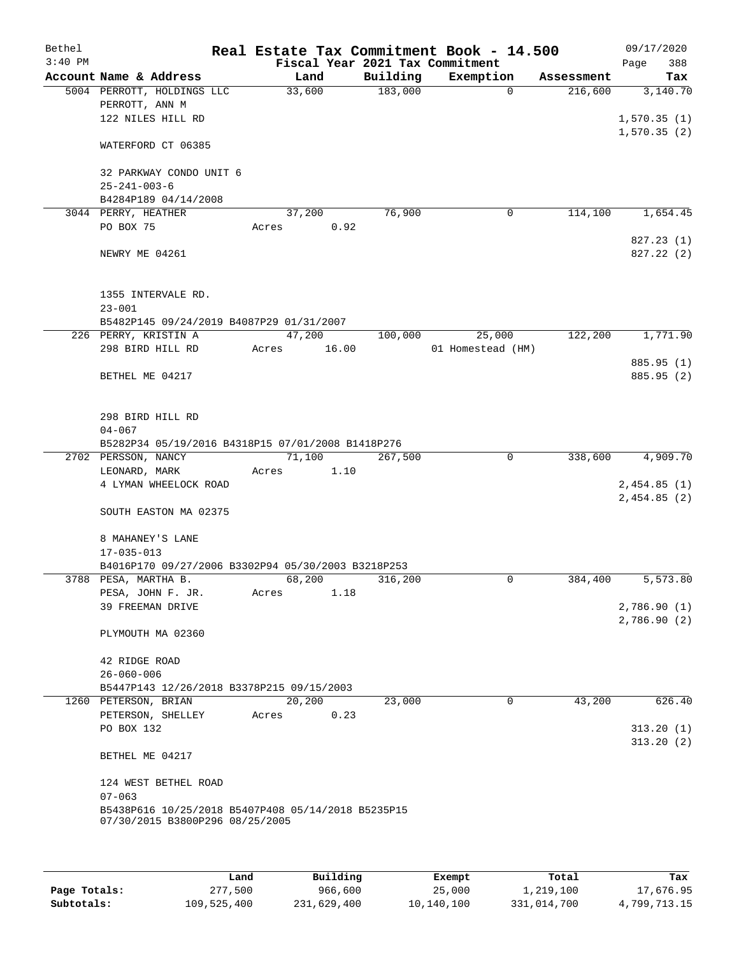| Bethel    |                      |                                                    |       |        |      | Real Estate Tax Commitment Book - 14.500 |                   |          |            | 09/17/2020                 |          |
|-----------|----------------------|----------------------------------------------------|-------|--------|------|------------------------------------------|-------------------|----------|------------|----------------------------|----------|
| $3:40$ PM |                      |                                                    |       |        |      | Fiscal Year 2021 Tax Commitment          |                   |          |            | Page                       | 388      |
|           |                      | Account Name & Address                             |       | Land   |      | Building                                 | Exemption         |          | Assessment |                            | Tax      |
|           |                      | 5004 PERROTT, HOLDINGS LLC                         |       | 33,600 |      | 183,000                                  |                   | $\Omega$ | 216,600    |                            | 3,140.70 |
|           | PERROTT, ANN M       |                                                    |       |        |      |                                          |                   |          |            |                            |          |
|           |                      | 122 NILES HILL RD                                  |       |        |      |                                          |                   |          |            | 1,570.35(1)                |          |
|           |                      | WATERFORD CT 06385                                 |       |        |      |                                          |                   |          |            | 1,570.35(2)                |          |
|           |                      | 32 PARKWAY CONDO UNIT 6                            |       |        |      |                                          |                   |          |            |                            |          |
|           | $25 - 241 - 003 - 6$ |                                                    |       |        |      |                                          |                   |          |            |                            |          |
|           |                      | B4284P189 04/14/2008                               |       |        |      |                                          |                   |          |            |                            |          |
|           | 3044 PERRY, HEATHER  |                                                    |       | 37,200 |      | 76,900                                   |                   | 0        | 114,100    |                            | 1,654.45 |
|           | PO BOX 75            |                                                    | Acres |        | 0.92 |                                          |                   |          |            |                            |          |
|           |                      |                                                    |       |        |      |                                          |                   |          |            | 827.23 (1)                 |          |
|           | NEWRY ME 04261       |                                                    |       |        |      |                                          |                   |          |            | 827.22 (2)                 |          |
|           |                      | 1355 INTERVALE RD.                                 |       |        |      |                                          |                   |          |            |                            |          |
|           | $23 - 001$           |                                                    |       |        |      |                                          |                   |          |            |                            |          |
|           |                      | B5482P145 09/24/2019 B4087P29 01/31/2007           |       |        |      |                                          |                   |          |            |                            |          |
|           |                      | 226 PERRY, KRISTIN A                               |       | 47,200 |      | 100,000                                  | 25,000            |          | 122,200    |                            | 1,771.90 |
|           |                      | 298 BIRD HILL RD                                   | Acres | 16.00  |      |                                          | 01 Homestead (HM) |          |            |                            |          |
|           |                      |                                                    |       |        |      |                                          |                   |          |            | 885.95 (1)                 |          |
|           | BETHEL ME 04217      |                                                    |       |        |      |                                          |                   |          |            | 885.95 (2)                 |          |
|           |                      | 298 BIRD HILL RD                                   |       |        |      |                                          |                   |          |            |                            |          |
|           | $04 - 067$           |                                                    |       |        |      |                                          |                   |          |            |                            |          |
|           |                      | B5282P34 05/19/2016 B4318P15 07/01/2008 B1418P276  |       |        |      |                                          |                   |          |            |                            |          |
|           | 2702 PERSSON, NANCY  |                                                    |       | 71,100 |      | 267,500                                  |                   | 0        | 338,600    |                            | 4,909.70 |
|           | LEONARD, MARK        |                                                    | Acres |        | 1.10 |                                          |                   |          |            |                            |          |
|           |                      | 4 LYMAN WHEELOCK ROAD                              |       |        |      |                                          |                   |          |            | 2,454.85(1)                |          |
|           |                      |                                                    |       |        |      |                                          |                   |          |            | 2,454.85(2)                |          |
|           |                      | SOUTH EASTON MA 02375                              |       |        |      |                                          |                   |          |            |                            |          |
|           |                      | 8 MAHANEY'S LANE                                   |       |        |      |                                          |                   |          |            |                            |          |
|           | $17 - 035 - 013$     |                                                    |       |        |      |                                          |                   |          |            |                            |          |
|           |                      | B4016P170 09/27/2006 B3302P94 05/30/2003 B3218P253 |       |        |      |                                          |                   |          |            |                            |          |
|           | 3788 PESA, MARTHA B. |                                                    |       | 68,200 |      | 316,200                                  |                   | 0        | 384,400    |                            | 5,573.80 |
|           |                      | PESA, JOHN F. JR.                                  | Acres |        | 1.18 |                                          |                   |          |            |                            |          |
|           |                      | 39 FREEMAN DRIVE                                   |       |        |      |                                          |                   |          |            | 2,786.90(1)<br>2,786.90(2) |          |
|           |                      | PLYMOUTH MA 02360                                  |       |        |      |                                          |                   |          |            |                            |          |
|           | 42 RIDGE ROAD        |                                                    |       |        |      |                                          |                   |          |            |                            |          |
|           | $26 - 060 - 006$     |                                                    |       |        |      |                                          |                   |          |            |                            |          |
|           |                      | B5447P143 12/26/2018 B3378P215 09/15/2003          |       |        |      |                                          |                   |          |            |                            |          |
|           | 1260 PETERSON, BRIAN |                                                    |       | 20,200 |      | 23,000                                   |                   | 0        | 43,200     |                            | 626.40   |
|           |                      | PETERSON, SHELLEY                                  | Acres |        | 0.23 |                                          |                   |          |            |                            |          |
|           | PO BOX 132           |                                                    |       |        |      |                                          |                   |          |            | 313.20(1)                  |          |
|           | BETHEL ME 04217      |                                                    |       |        |      |                                          |                   |          |            | 313.20(2)                  |          |
|           |                      |                                                    |       |        |      |                                          |                   |          |            |                            |          |
|           |                      | 124 WEST BETHEL ROAD                               |       |        |      |                                          |                   |          |            |                            |          |
|           | $07 - 063$           | B5438P616 10/25/2018 B5407P408 05/14/2018 B5235P15 |       |        |      |                                          |                   |          |            |                            |          |
|           |                      | 07/30/2015 B3800P296 08/25/2005                    |       |        |      |                                          |                   |          |            |                            |          |
|           |                      |                                                    |       |        |      |                                          |                   |          |            |                            |          |
|           |                      |                                                    |       |        |      |                                          |                   |          |            |                            |          |

|              | Land        | Building    | Exempt     | Total       | Tax          |
|--------------|-------------|-------------|------------|-------------|--------------|
| Page Totals: | 277,500     | 966,600     | 25,000     | 1,219,100   | 17,676.95    |
| Subtotals:   | 109,525,400 | 231,629,400 | 10,140,100 | 331,014,700 | 4,799,713.15 |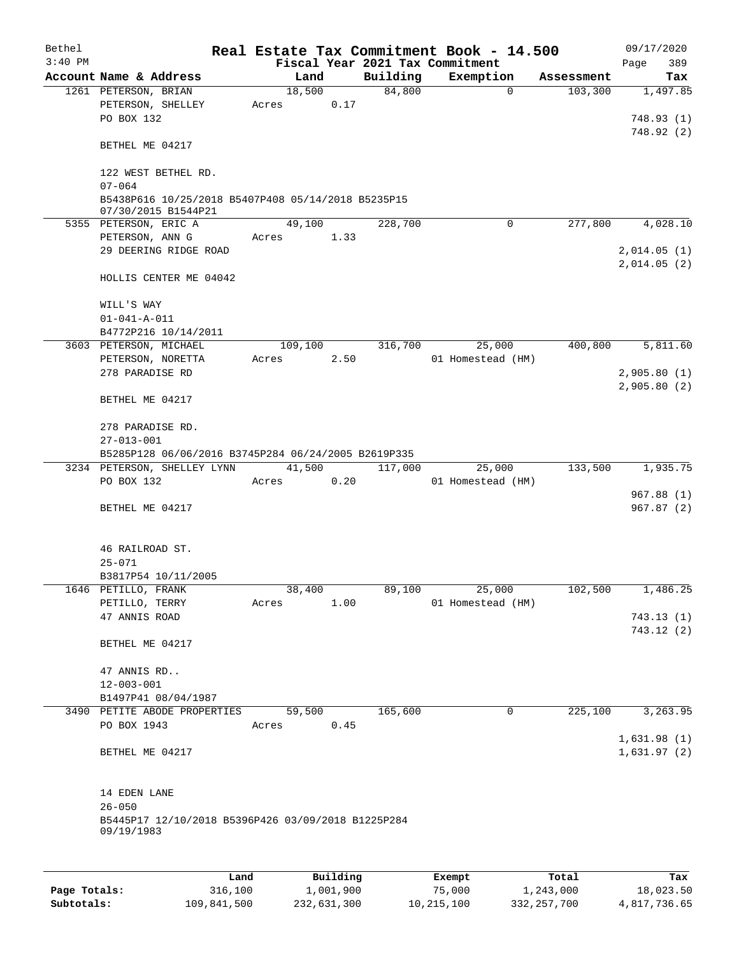| Bethel    |                                                                           |         |          |          | Real Estate Tax Commitment Book - 14.500     |                       | 09/17/2020                 |  |  |
|-----------|---------------------------------------------------------------------------|---------|----------|----------|----------------------------------------------|-----------------------|----------------------------|--|--|
| $3:40$ PM | Account Name & Address                                                    |         | Land     | Building | Fiscal Year 2021 Tax Commitment<br>Exemption |                       | Page<br>389                |  |  |
|           | 1261 PETERSON, BRIAN                                                      |         | 18,500   | 84,800   | $\mathbf 0$                                  | Assessment<br>103,300 | Tax<br>1,497.85            |  |  |
|           | PETERSON, SHELLEY<br>PO BOX 132                                           | Acres   | 0.17     |          |                                              |                       | 748.93 (1)                 |  |  |
|           | BETHEL ME 04217                                                           |         |          |          |                                              |                       | 748.92 (2)                 |  |  |
|           | 122 WEST BETHEL RD.<br>$07 - 064$                                         |         |          |          |                                              |                       |                            |  |  |
|           | B5438P616 10/25/2018 B5407P408 05/14/2018 B5235P15<br>07/30/2015 B1544P21 |         |          |          |                                              |                       |                            |  |  |
|           | 5355 PETERSON, ERIC A                                                     |         | 49,100   | 228,700  | 0                                            | 277,800               | 4,028.10                   |  |  |
|           | PETERSON, ANN G<br>29 DEERING RIDGE ROAD                                  | Acres   | 1.33     |          |                                              |                       | 2,014.05(1)<br>2,014.05(2) |  |  |
|           | HOLLIS CENTER ME 04042                                                    |         |          |          |                                              |                       |                            |  |  |
|           | WILL'S WAY<br>$01 - 041 - A - 011$                                        |         |          |          |                                              |                       |                            |  |  |
|           | B4772P216 10/14/2011                                                      |         |          |          |                                              |                       |                            |  |  |
|           | 3603 PETERSON, MICHAEL                                                    | 109,100 |          | 316,700  | 25,000                                       | 400,800               | 5,811.60                   |  |  |
|           | PETERSON, NORETTA                                                         | Acres   | 2.50     |          | 01 Homestead (HM)                            |                       |                            |  |  |
|           | 278 PARADISE RD                                                           |         |          |          |                                              |                       | 2,905.80(1)                |  |  |
|           | BETHEL ME 04217                                                           |         |          |          |                                              |                       | 2,905.80(2)                |  |  |
|           | 278 PARADISE RD.<br>$27 - 013 - 001$                                      |         |          |          |                                              |                       |                            |  |  |
|           | B5285P128 06/06/2016 B3745P284 06/24/2005 B2619P335                       |         |          |          |                                              |                       |                            |  |  |
|           | 3234 PETERSON, SHELLEY LYNN                                               |         | 41,500   | 117,000  | 25,000                                       | 133,500               | 1,935.75                   |  |  |
|           | PO BOX 132                                                                | Acres   | 0.20     |          | 01 Homestead (HM)                            |                       |                            |  |  |
|           | BETHEL ME 04217                                                           |         |          |          |                                              |                       | 967.88(1)<br>967.87(2)     |  |  |
|           | 46 RAILROAD ST.                                                           |         |          |          |                                              |                       |                            |  |  |
|           | $25 - 071$                                                                |         |          |          |                                              |                       |                            |  |  |
|           | B3817P54 10/11/2005                                                       |         |          |          |                                              |                       |                            |  |  |
|           | 1646 PETILLO, FRANK                                                       |         | 38,400   | 89,100   | 25,000                                       | 102,500               | 1,486.25                   |  |  |
|           | PETILLO, TERRY                                                            | Acres   | 1.00     |          | 01 Homestead (HM)                            |                       |                            |  |  |
|           | 47 ANNIS ROAD                                                             |         |          |          |                                              |                       | 743.13(1)                  |  |  |
|           | BETHEL ME 04217                                                           |         |          |          |                                              |                       | 743.12(2)                  |  |  |
|           | 47 ANNIS RD                                                               |         |          |          |                                              |                       |                            |  |  |
|           | $12 - 003 - 001$                                                          |         |          |          |                                              |                       |                            |  |  |
|           | B1497P41 08/04/1987                                                       |         |          |          |                                              |                       |                            |  |  |
|           | 3490 PETITE ABODE PROPERTIES                                              |         | 59,500   | 165,600  | 0                                            | 225,100               | 3,263.95                   |  |  |
|           | PO BOX 1943                                                               | Acres   | 0.45     |          |                                              |                       | 1,631.98(1)                |  |  |
|           | BETHEL ME 04217                                                           |         |          |          |                                              |                       | 1,631.97(2)                |  |  |
|           | 14 EDEN LANE                                                              |         |          |          |                                              |                       |                            |  |  |
|           | $26 - 050$                                                                |         |          |          |                                              |                       |                            |  |  |
|           | B5445P17 12/10/2018 B5396P426 03/09/2018 B1225P284<br>09/19/1983          |         |          |          |                                              |                       |                            |  |  |
|           |                                                                           |         |          |          |                                              |                       |                            |  |  |
|           | Land                                                                      |         | Building |          | Exempt                                       | Total                 | Tax                        |  |  |

|              | ⊥and        | Building    | Exempt     | Total         | Tax          |
|--------------|-------------|-------------|------------|---------------|--------------|
| Page Totals: | 316,100     | 1,001,900   | 75,000     | 1,243,000     | 18,023.50    |
| Subtotals:   | 109,841,500 | 232,631,300 | 10,215,100 | 332, 257, 700 | 4,817,736.65 |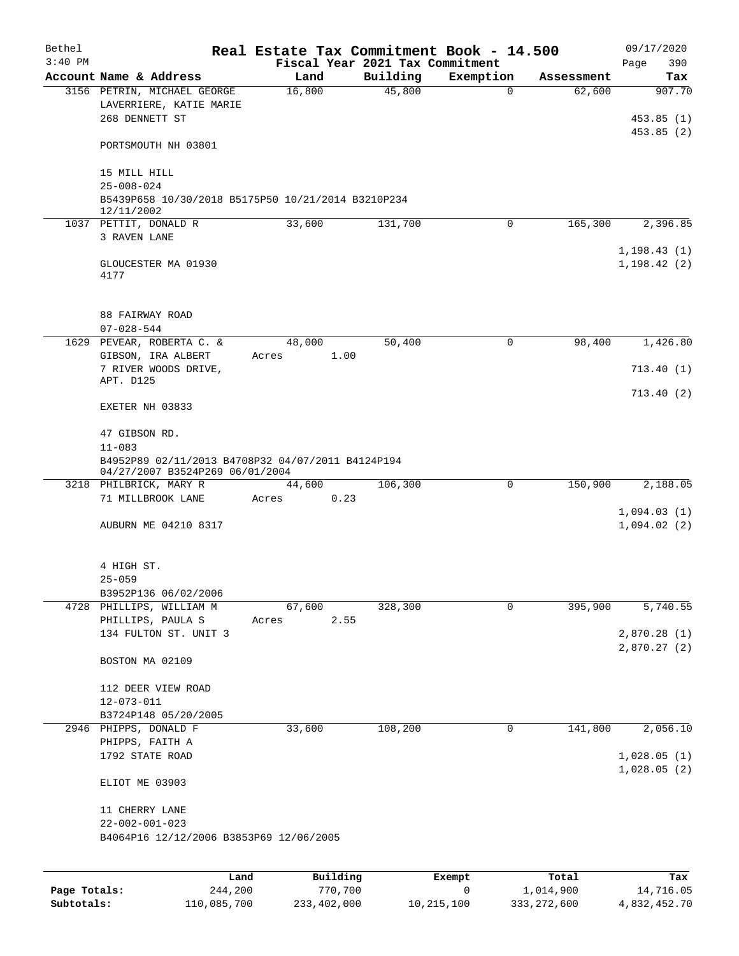| Bethel<br>$3:40$ PM |                                                                                      |                 |                            | Real Estate Tax Commitment Book - 14.500<br>Fiscal Year 2021 Tax Commitment |           |             |            | 09/17/2020<br>390<br>Page  |
|---------------------|--------------------------------------------------------------------------------------|-----------------|----------------------------|-----------------------------------------------------------------------------|-----------|-------------|------------|----------------------------|
|                     | Account Name & Address                                                               | Land            |                            | Building                                                                    | Exemption |             | Assessment | Tax                        |
|                     | 3156 PETRIN, MICHAEL GEORGE<br>LAVERRIERE, KATIE MARIE<br>268 DENNETT ST             | 16,800          |                            | 45,800                                                                      |           | $\Omega$    | 62,600     | 907.70<br>453.85(1)        |
|                     | PORTSMOUTH NH 03801                                                                  |                 |                            |                                                                             |           |             |            | 453.85(2)                  |
|                     | 15 MILL HILL<br>$25 - 008 - 024$                                                     |                 |                            |                                                                             |           |             |            |                            |
|                     | B5439P658 10/30/2018 B5175P50 10/21/2014 B3210P234<br>12/11/2002                     |                 |                            |                                                                             |           |             |            |                            |
|                     | 1037 PETTIT, DONALD R                                                                | 33,600          |                            | 131,700                                                                     |           | $\mathbf 0$ | 165,300    | 2,396.85                   |
|                     | 3 RAVEN LANE                                                                         |                 |                            |                                                                             |           |             |            | 1, 198.43(1)               |
|                     | GLOUCESTER MA 01930<br>4177                                                          |                 |                            |                                                                             |           |             |            | 1, 198.42(2)               |
|                     | 88 FAIRWAY ROAD<br>$07 - 028 - 544$                                                  |                 |                            |                                                                             |           |             |            |                            |
|                     | 1629 PEVEAR, ROBERTA C. &<br>GIBSON, IRA ALBERT                                      | 48,000<br>Acres | 1.00                       | 50,400                                                                      |           | 0           | 98,400     | 1,426.80                   |
|                     | 7 RIVER WOODS DRIVE,                                                                 |                 |                            |                                                                             |           |             |            | 713.40(1)                  |
|                     | APT. D125                                                                            |                 |                            |                                                                             |           |             |            | 713.40(2)                  |
|                     | EXETER NH 03833                                                                      |                 |                            |                                                                             |           |             |            |                            |
|                     | 47 GIBSON RD.<br>$11 - 083$                                                          |                 |                            |                                                                             |           |             |            |                            |
|                     | B4952P89 02/11/2013 B4708P32 04/07/2011 B4124P194<br>04/27/2007 B3524P269 06/01/2004 |                 |                            |                                                                             |           |             |            |                            |
|                     | 3218 PHILBRICK, MARY R                                                               | 44,600          |                            | 106,300                                                                     |           | $\mathbf 0$ | 150,900    | 2,188.05                   |
|                     | 71 MILLBROOK LANE                                                                    | Acres           | 0.23                       |                                                                             |           |             |            |                            |
|                     | AUBURN ME 04210 8317                                                                 |                 |                            |                                                                             |           |             |            | 1,094.03(1)<br>1,094.02(2) |
|                     | 4 HIGH ST.<br>$25 - 059$                                                             |                 |                            |                                                                             |           |             |            |                            |
|                     | B3952P136 06/02/2006                                                                 |                 |                            |                                                                             |           |             |            |                            |
|                     | 4728 PHILLIPS, WILLIAM M<br>PHILLIPS, PAULA S                                        | 67,600<br>Acres | 2.55                       | 328,300                                                                     |           | $\mathbf 0$ | 395,900    | 5,740.55                   |
|                     | 134 FULTON ST. UNIT 3                                                                |                 |                            |                                                                             |           |             |            | 2,870.28(1)                |
|                     | BOSTON MA 02109                                                                      |                 |                            |                                                                             |           |             |            | 2,870.27(2)                |
|                     | 112 DEER VIEW ROAD<br>$12 - 073 - 011$                                               |                 |                            |                                                                             |           |             |            |                            |
|                     | B3724P148 05/20/2005                                                                 |                 |                            |                                                                             |           |             |            |                            |
|                     | 2946 PHIPPS, DONALD F                                                                | 33,600          |                            | 108,200                                                                     |           | 0           | 141,800    | 2,056.10                   |
|                     | PHIPPS, FAITH A<br>1792 STATE ROAD                                                   |                 |                            |                                                                             |           |             |            | 1,028.05(1)                |
|                     | ELIOT ME 03903                                                                       |                 |                            |                                                                             |           |             |            | 1,028.05(2)                |
|                     | 11 CHERRY LANE<br>$22 - 002 - 001 - 023$                                             |                 |                            |                                                                             |           |             |            |                            |
|                     | B4064P16 12/12/2006 B3853P69 12/06/2005                                              |                 |                            |                                                                             |           |             |            |                            |
|                     |                                                                                      |                 |                            |                                                                             |           |             |            |                            |
|                     |                                                                                      |                 | $D_{11}$ ; in line defined |                                                                             |           |             |            |                            |

|              | Land        | Building    | Exempt     | Total         | Tax          |
|--------------|-------------|-------------|------------|---------------|--------------|
| Page Totals: | 244,200     | 770,700     |            | 1,014,900     | 14,716.05    |
| Subtotals:   | 110,085,700 | 233,402,000 | 10,215,100 | 333, 272, 600 | 4,832,452.70 |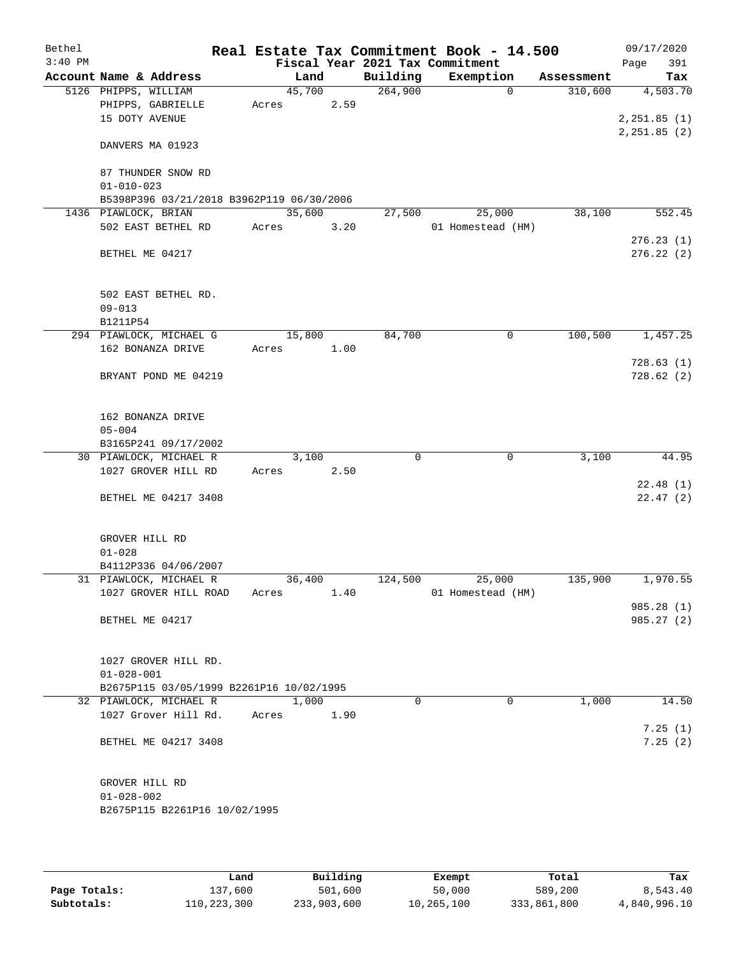| Bethel    |                                           |       |        |      |                                 | Real Estate Tax Commitment Book - 14.500 |            |      | 09/17/2020    |
|-----------|-------------------------------------------|-------|--------|------|---------------------------------|------------------------------------------|------------|------|---------------|
| $3:40$ PM |                                           |       |        |      | Fiscal Year 2021 Tax Commitment |                                          |            | Page | 391           |
|           | Account Name & Address                    |       | Land   |      | Building                        | Exemption                                | Assessment |      | Tax           |
|           | 5126 PHIPPS, WILLIAM                      |       | 45,700 |      | 264,900                         | $\Omega$                                 | 310,600    |      | 4,503.70      |
|           | PHIPPS, GABRIELLE                         | Acres |        | 2.59 |                                 |                                          |            |      |               |
|           | 15 DOTY AVENUE                            |       |        |      |                                 |                                          |            |      | 2, 251.85 (1) |
|           | DANVERS MA 01923                          |       |        |      |                                 |                                          |            |      | 2, 251.85 (2) |
|           | 87 THUNDER SNOW RD                        |       |        |      |                                 |                                          |            |      |               |
|           | $01 - 010 - 023$                          |       |        |      |                                 |                                          |            |      |               |
|           |                                           |       |        |      |                                 |                                          |            |      |               |
|           | B5398P396 03/21/2018 B3962P119 06/30/2006 |       | 35,600 |      | 27,500                          |                                          | 38,100     |      | 552.45        |
|           | 1436 PIAWLOCK, BRIAN                      |       |        |      |                                 | 25,000                                   |            |      |               |
|           | 502 EAST BETHEL RD                        | Acres |        | 3.20 |                                 | 01 Homestead (HM)                        |            |      |               |
|           |                                           |       |        |      |                                 |                                          |            |      | 276.23(1)     |
|           | BETHEL ME 04217                           |       |        |      |                                 |                                          |            |      | 276.22(2)     |
|           | 502 EAST BETHEL RD.                       |       |        |      |                                 |                                          |            |      |               |
|           | $09 - 013$                                |       |        |      |                                 |                                          |            |      |               |
|           | B1211P54                                  |       |        |      |                                 |                                          |            |      |               |
|           | 294 PIAWLOCK, MICHAEL G                   |       | 15,800 |      | 84,700                          | 0                                        | 100,500    |      | 1,457.25      |
|           | 162 BONANZA DRIVE                         |       |        | 1.00 |                                 |                                          |            |      |               |
|           |                                           | Acres |        |      |                                 |                                          |            |      |               |
|           |                                           |       |        |      |                                 |                                          |            |      | 728.63(1)     |
|           | BRYANT POND ME 04219                      |       |        |      |                                 |                                          |            |      | 728.62(2)     |
|           | 162 BONANZA DRIVE                         |       |        |      |                                 |                                          |            |      |               |
|           | $05 - 004$                                |       |        |      |                                 |                                          |            |      |               |
|           | B3165P241 09/17/2002                      |       |        |      |                                 |                                          |            |      |               |
|           | 30 PIAWLOCK, MICHAEL R                    |       | 3,100  |      | 0                               | 0                                        | 3,100      |      | 44.95         |
|           | 1027 GROVER HILL RD                       | Acres |        | 2.50 |                                 |                                          |            |      |               |
|           |                                           |       |        |      |                                 |                                          |            |      | 22.48(1)      |
|           | BETHEL ME 04217 3408                      |       |        |      |                                 |                                          |            |      | 22.47(2)      |
|           |                                           |       |        |      |                                 |                                          |            |      |               |
|           | GROVER HILL RD                            |       |        |      |                                 |                                          |            |      |               |
|           | $01 - 028$                                |       |        |      |                                 |                                          |            |      |               |
|           | B4112P336 04/06/2007                      |       |        |      |                                 |                                          |            |      |               |
|           | 31 PIAWLOCK, MICHAEL R                    |       | 36,400 |      | 124,500                         | 25,000                                   | 135,900    |      | 1,970.55      |
|           | 1027 GROVER HILL ROAD                     | Acres |        | 1.40 |                                 | 01 Homestead (HM)                        |            |      |               |
|           |                                           |       |        |      |                                 |                                          |            |      | 985.28 (1)    |
|           | BETHEL ME 04217                           |       |        |      |                                 |                                          |            |      | 985.27 (2)    |
|           | 1027 GROVER HILL RD.                      |       |        |      |                                 |                                          |            |      |               |
|           | $01 - 028 - 001$                          |       |        |      |                                 |                                          |            |      |               |
|           | B2675P115 03/05/1999 B2261P16 10/02/1995  |       |        |      |                                 |                                          |            |      |               |
|           | 32 PIAWLOCK, MICHAEL R                    |       | 1,000  |      | $\Omega$                        | $\Omega$                                 | 1,000      |      |               |
|           |                                           |       |        |      |                                 |                                          |            |      | 14.50         |
|           | 1027 Grover Hill Rd.                      | Acres |        | 1.90 |                                 |                                          |            |      |               |
|           |                                           |       |        |      |                                 |                                          |            |      | 7.25(1)       |
|           | BETHEL ME 04217 3408                      |       |        |      |                                 |                                          |            |      | 7.25(2)       |
|           | GROVER HILL RD                            |       |        |      |                                 |                                          |            |      |               |
|           | $01 - 028 - 002$                          |       |        |      |                                 |                                          |            |      |               |
|           | B2675P115 B2261P16 10/02/1995             |       |        |      |                                 |                                          |            |      |               |
|           |                                           |       |        |      |                                 |                                          |            |      |               |
|           |                                           |       |        |      |                                 |                                          |            |      |               |

|              | Land        | Building    | Exempt     | Total       | Tax          |
|--------------|-------------|-------------|------------|-------------|--------------|
| Page Totals: | 137,600     | 501,600     | 50,000     | 589,200     | 8,543.40     |
| Subtotals:   | 110,223,300 | 233,903,600 | 10,265,100 | 333,861,800 | 4,840,996.10 |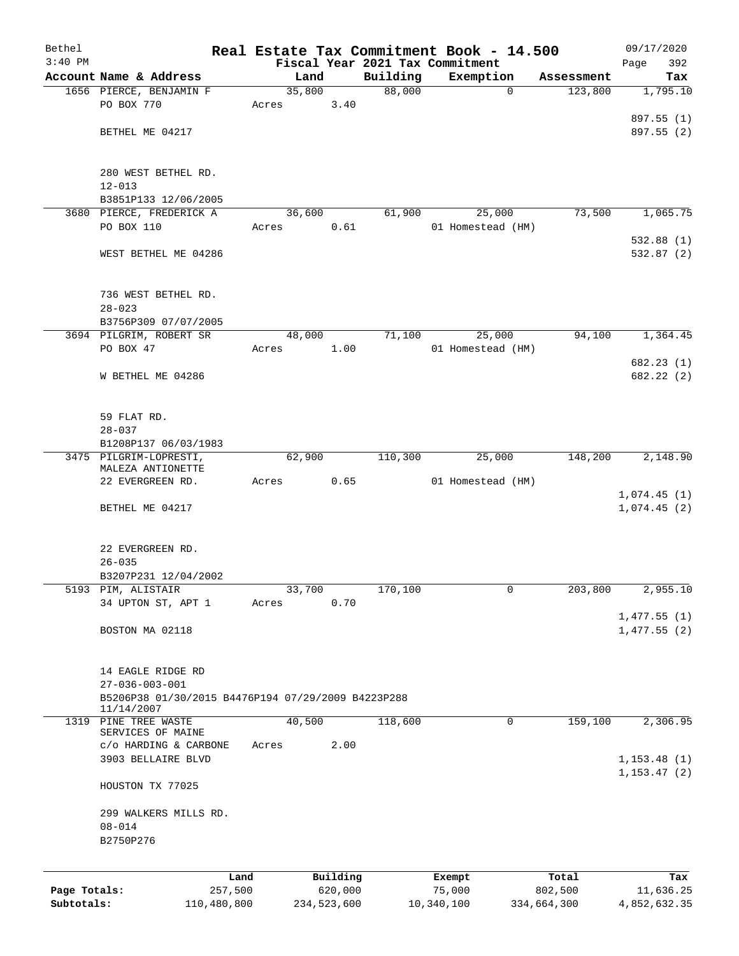| Bethel                     |                                                    |                |                        |                    | Real Estate Tax Commitment Book - 14.500 |                        | 09/17/2020                 |
|----------------------------|----------------------------------------------------|----------------|------------------------|--------------------|------------------------------------------|------------------------|----------------------------|
| $3:40$ PM                  | Account Name & Address                             |                |                        |                    | Fiscal Year 2021 Tax Commitment          |                        | 392<br>Page                |
|                            | 1656 PIERCE, BENJAMIN F                            | Land<br>35,800 |                        | Building<br>88,000 | Exemption<br>$\mathbf 0$                 | Assessment<br>123,800  | Tax<br>1,795.10            |
|                            | PO BOX 770                                         | Acres          | 3.40                   |                    |                                          |                        |                            |
|                            |                                                    |                |                        |                    |                                          |                        | 897.55 (1)                 |
|                            | BETHEL ME 04217                                    |                |                        |                    |                                          |                        | 897.55 (2)                 |
|                            |                                                    |                |                        |                    |                                          |                        |                            |
|                            | 280 WEST BETHEL RD.                                |                |                        |                    |                                          |                        |                            |
|                            | $12 - 013$                                         |                |                        |                    |                                          |                        |                            |
|                            | B3851P133 12/06/2005                               |                |                        |                    |                                          |                        |                            |
|                            | 3680 PIERCE, FREDERICK A                           | 36,600         |                        | 61,900             | 25,000                                   | 73,500                 | 1,065.75                   |
|                            | PO BOX 110                                         | Acres          | 0.61                   |                    | 01 Homestead (HM)                        |                        |                            |
|                            |                                                    |                |                        |                    |                                          |                        | 532.88(1)                  |
|                            | WEST BETHEL ME 04286                               |                |                        |                    |                                          |                        | 532.87(2)                  |
|                            |                                                    |                |                        |                    |                                          |                        |                            |
|                            | 736 WEST BETHEL RD.                                |                |                        |                    |                                          |                        |                            |
|                            | $28 - 023$<br>B3756P309 07/07/2005                 |                |                        |                    |                                          |                        |                            |
|                            | 3694 PILGRIM, ROBERT SR                            | 48,000         |                        | 71,100             | 25,000                                   | 94,100                 | 1,364.45                   |
|                            | PO BOX 47                                          | Acres          | 1.00                   |                    | 01 Homestead (HM)                        |                        |                            |
|                            |                                                    |                |                        |                    |                                          |                        | 682.23(1)                  |
|                            | W BETHEL ME 04286                                  |                |                        |                    |                                          |                        | 682.22 (2)                 |
|                            |                                                    |                |                        |                    |                                          |                        |                            |
|                            |                                                    |                |                        |                    |                                          |                        |                            |
|                            | 59 FLAT RD.<br>$28 - 037$                          |                |                        |                    |                                          |                        |                            |
|                            | B1208P137 06/03/1983                               |                |                        |                    |                                          |                        |                            |
|                            | 3475 PILGRIM-LOPRESTI,                             | 62,900         |                        | 110,300            | 25,000                                   | 148,200                | 2,148.90                   |
|                            | MALEZA ANTIONETTE                                  |                |                        |                    |                                          |                        |                            |
|                            | 22 EVERGREEN RD.                                   | Acres          | 0.65                   |                    | 01 Homestead (HM)                        |                        |                            |
|                            | BETHEL ME 04217                                    |                |                        |                    |                                          |                        | 1,074.45(1)<br>1,074.45(2) |
|                            |                                                    |                |                        |                    |                                          |                        |                            |
|                            |                                                    |                |                        |                    |                                          |                        |                            |
|                            | 22 EVERGREEN RD.                                   |                |                        |                    |                                          |                        |                            |
|                            | $26 - 035$<br>B3207P231 12/04/2002                 |                |                        |                    |                                          |                        |                            |
|                            | 5193 PIM, ALISTAIR                                 | 33,700         |                        | 170,100            | 0                                        | 203,800                | 2,955.10                   |
|                            | 34 UPTON ST, APT 1                                 | Acres          | 0.70                   |                    |                                          |                        |                            |
|                            |                                                    |                |                        |                    |                                          |                        | 1,477.55(1)                |
|                            | BOSTON MA 02118                                    |                |                        |                    |                                          |                        | 1,477.55(2)                |
|                            |                                                    |                |                        |                    |                                          |                        |                            |
|                            |                                                    |                |                        |                    |                                          |                        |                            |
|                            | 14 EAGLE RIDGE RD<br>$27 - 036 - 003 - 001$        |                |                        |                    |                                          |                        |                            |
|                            | B5206P38 01/30/2015 B4476P194 07/29/2009 B4223P288 |                |                        |                    |                                          |                        |                            |
|                            | 11/14/2007                                         |                |                        |                    |                                          |                        |                            |
|                            | 1319 PINE TREE WASTE                               | 40,500         |                        | 118,600            | $\mathbf 0$                              | 159,100                | 2,306.95                   |
|                            | SERVICES OF MAINE<br>c/o HARDING & CARBONE         | Acres          | 2.00                   |                    |                                          |                        |                            |
|                            | 3903 BELLAIRE BLVD                                 |                |                        |                    |                                          |                        | 1, 153.48(1)               |
|                            |                                                    |                |                        |                    |                                          |                        | 1, 153.47(2)               |
|                            | HOUSTON TX 77025                                   |                |                        |                    |                                          |                        |                            |
|                            | 299 WALKERS MILLS RD.                              |                |                        |                    |                                          |                        |                            |
|                            | $08 - 014$                                         |                |                        |                    |                                          |                        |                            |
|                            | B2750P276                                          |                |                        |                    |                                          |                        |                            |
|                            |                                                    |                |                        |                    |                                          |                        |                            |
|                            | Land                                               |                | Building               |                    | Exempt                                   | Total                  | Tax                        |
| Page Totals:<br>Subtotals: | 257,500<br>110,480,800                             |                | 620,000<br>234,523,600 |                    | 75,000<br>10,340,100                     | 802,500<br>334,664,300 | 11,636.25<br>4,852,632.35  |
|                            |                                                    |                |                        |                    |                                          |                        |                            |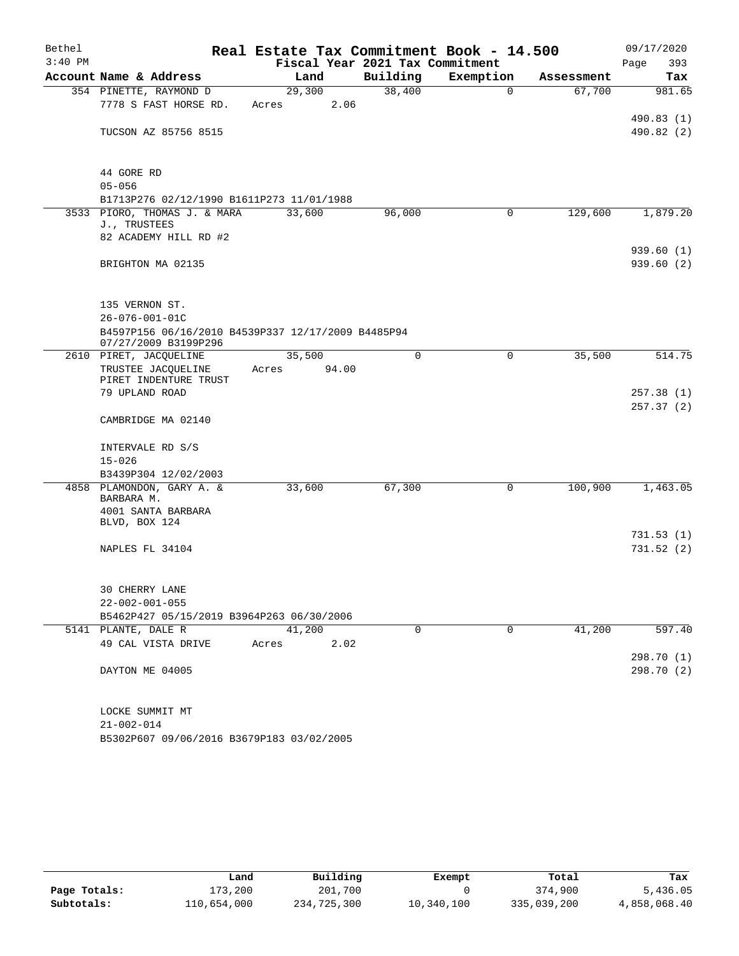| Bethel    |                                                                            | Real Estate Tax Commitment Book - 14.500 |          |             |            | 09/17/2020              |
|-----------|----------------------------------------------------------------------------|------------------------------------------|----------|-------------|------------|-------------------------|
| $3:40$ PM |                                                                            | Fiscal Year 2021 Tax Commitment          |          |             |            | 393<br>Page             |
|           | Account Name & Address                                                     | Land                                     | Building | Exemption   | Assessment | Tax                     |
|           | 354 PINETTE, RAYMOND D                                                     | 29,300                                   | 38,400   | $\Omega$    | 67,700     | 981.65                  |
|           | 7778 S FAST HORSE RD.                                                      | 2.06<br>Acres                            |          |             |            |                         |
|           | TUCSON AZ 85756 8515                                                       |                                          |          |             |            | 490.83(1)<br>490.82 (2) |
|           |                                                                            |                                          |          |             |            |                         |
|           |                                                                            |                                          |          |             |            |                         |
|           | 44 GORE RD                                                                 |                                          |          |             |            |                         |
|           | $05 - 056$                                                                 |                                          |          |             |            |                         |
|           | B1713P276 02/12/1990 B1611P273 11/01/1988                                  |                                          |          |             |            |                         |
|           | 3533 PIORO, THOMAS J. & MARA<br>J., TRUSTEES                               | 33,600                                   | 96,000   | 0           | 129,600    | 1,879.20                |
|           | 82 ACADEMY HILL RD #2                                                      |                                          |          |             |            |                         |
|           |                                                                            |                                          |          |             |            | 939.60(1)               |
|           | BRIGHTON MA 02135                                                          |                                          |          |             |            | 939.60(2)               |
|           |                                                                            |                                          |          |             |            |                         |
|           |                                                                            |                                          |          |             |            |                         |
|           | 135 VERNON ST.                                                             |                                          |          |             |            |                         |
|           | $26 - 076 - 001 - 01C$                                                     |                                          |          |             |            |                         |
|           | B4597P156 06/16/2010 B4539P337 12/17/2009 B4485P94<br>07/27/2009 B3199P296 |                                          |          |             |            |                         |
|           | 2610 PIRET, JACQUELINE                                                     | 35,500                                   | $\Omega$ | $\mathbf 0$ | 35,500     | 514.75                  |
|           | TRUSTEE JACQUELINE                                                         | 94.00<br>Acres                           |          |             |            |                         |
|           | PIRET INDENTURE TRUST                                                      |                                          |          |             |            |                         |
|           | 79 UPLAND ROAD                                                             |                                          |          |             |            | 257.38(1)               |
|           | CAMBRIDGE MA 02140                                                         |                                          |          |             |            | 257.37(2)               |
|           |                                                                            |                                          |          |             |            |                         |
|           | INTERVALE RD S/S                                                           |                                          |          |             |            |                         |
|           | $15 - 026$                                                                 |                                          |          |             |            |                         |
|           | B3439P304 12/02/2003                                                       |                                          |          |             |            |                         |
|           | 4858 PLAMONDON, GARY A. &                                                  | 33,600                                   | 67,300   | 0           | 100,900    | 1,463.05                |
|           | BARBARA M.                                                                 |                                          |          |             |            |                         |
|           | 4001 SANTA BARBARA<br>BLVD, BOX 124                                        |                                          |          |             |            |                         |
|           |                                                                            |                                          |          |             |            | 731.53(1)               |
|           | NAPLES FL 34104                                                            |                                          |          |             |            | 731.52(2)               |
|           |                                                                            |                                          |          |             |            |                         |
|           |                                                                            |                                          |          |             |            |                         |
|           | 30 CHERRY LANE                                                             |                                          |          |             |            |                         |
|           | $22 - 002 - 001 - 055$<br>B5462P427 05/15/2019 B3964P263 06/30/2006        |                                          |          |             |            |                         |
|           | 5141 PLANTE, DALE R                                                        | 41,200                                   | 0        | $\mathbf 0$ | 41,200     | 597.40                  |
|           | 49 CAL VISTA DRIVE                                                         | 2.02<br>Acres                            |          |             |            |                         |
|           |                                                                            |                                          |          |             |            | 298.70 (1)              |
|           | DAYTON ME 04005                                                            |                                          |          |             |            | 298.70 (2)              |
|           |                                                                            |                                          |          |             |            |                         |
|           |                                                                            |                                          |          |             |            |                         |
|           | LOCKE SUMMIT MT                                                            |                                          |          |             |            |                         |
|           | $21 - 002 - 014$                                                           |                                          |          |             |            |                         |
|           | B5302P607 09/06/2016 B3679P183 03/02/2005                                  |                                          |          |             |            |                         |

|              | Land        | Building    | Exempt     | Total       | Tax          |
|--------------|-------------|-------------|------------|-------------|--------------|
| Page Totals: | 173,200     | 201,700     |            | 374,900     | 5,436.05     |
| Subtotals:   | 110,654,000 | 234,725,300 | 10,340,100 | 335,039,200 | 4,858,068.40 |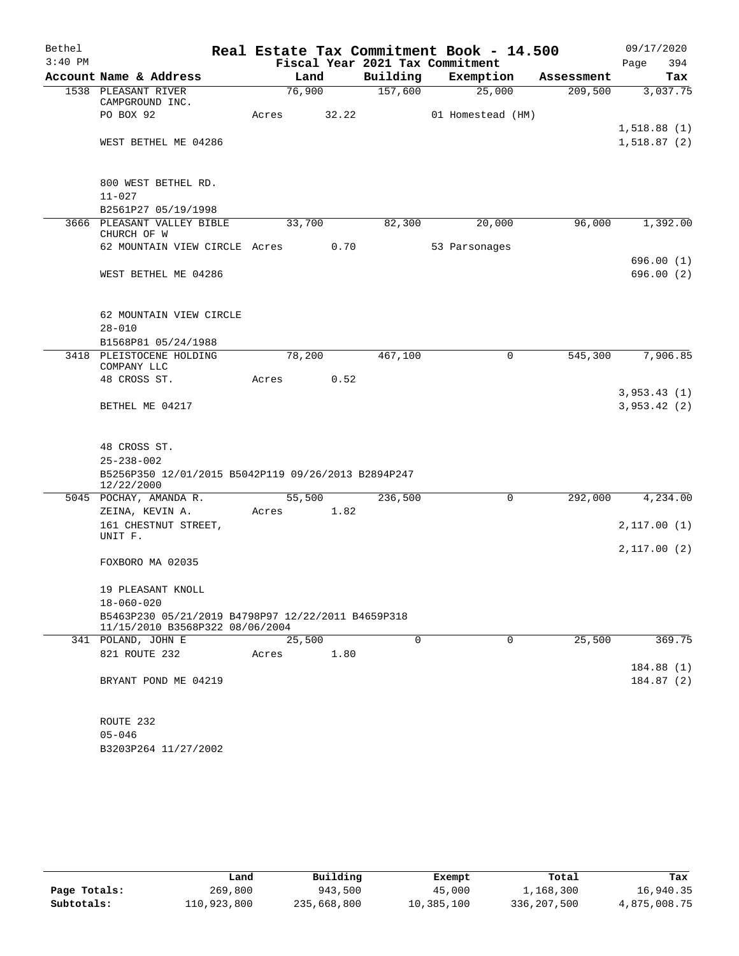| Bethel    |                                                                                       |        |       |          | Real Estate Tax Commitment Book - 14.500 |            | 09/17/2020                 |
|-----------|---------------------------------------------------------------------------------------|--------|-------|----------|------------------------------------------|------------|----------------------------|
| $3:40$ PM |                                                                                       |        |       |          | Fiscal Year 2021 Tax Commitment          |            | Page<br>394                |
|           | Account Name & Address                                                                |        | Land  | Building | Exemption                                | Assessment | Tax                        |
|           | 1538 PLEASANT RIVER<br>CAMPGROUND INC.                                                | 76,900 |       | 157,600  | 25,000                                   | 209,500    | 3,037.75                   |
|           | PO BOX 92                                                                             | Acres  | 32.22 |          | 01 Homestead (HM)                        |            |                            |
|           | WEST BETHEL ME 04286                                                                  |        |       |          |                                          |            | 1,518.88(1)<br>1,518.87(2) |
|           |                                                                                       |        |       |          |                                          |            |                            |
|           | 800 WEST BETHEL RD.<br>$11 - 027$                                                     |        |       |          |                                          |            |                            |
|           | B2561P27 05/19/1998                                                                   |        |       |          |                                          |            |                            |
|           | 3666 PLEASANT VALLEY BIBLE<br>CHURCH OF W                                             | 33,700 |       | 82,300   | 20,000                                   | 96,000     | 1,392.00                   |
|           | 62 MOUNTAIN VIEW CIRCLE Acres 0.70                                                    |        |       |          | 53 Parsonages                            |            |                            |
|           |                                                                                       |        |       |          |                                          |            | 696.00 (1)                 |
|           | WEST BETHEL ME 04286                                                                  |        |       |          |                                          |            | 696.00 (2)                 |
|           | 62 MOUNTAIN VIEW CIRCLE                                                               |        |       |          |                                          |            |                            |
|           | $28 - 010$                                                                            |        |       |          |                                          |            |                            |
|           | B1568P81 05/24/1988                                                                   |        |       |          |                                          |            |                            |
|           | 3418 PLEISTOCENE HOLDING<br>COMPANY LLC                                               | 78,200 |       | 467,100  | 0                                        | 545,300    | 7,906.85                   |
|           | 48 CROSS ST.                                                                          | Acres  | 0.52  |          |                                          |            |                            |
|           | BETHEL ME 04217                                                                       |        |       |          |                                          |            | 3,953.43(1)<br>3,953.42(2) |
|           | 48 CROSS ST.                                                                          |        |       |          |                                          |            |                            |
|           | $25 - 238 - 002$                                                                      |        |       |          |                                          |            |                            |
|           | B5256P350 12/01/2015 B5042P119 09/26/2013 B2894P247<br>12/22/2000                     |        |       |          |                                          |            |                            |
|           | 5045 POCHAY, AMANDA R.                                                                | 55,500 |       | 236,500  | 0                                        | 292,000    | 4,234.00                   |
|           | ZEINA, KEVIN A.<br>161 CHESTNUT STREET,                                               | Acres  | 1.82  |          |                                          |            | 2,117.00(1)                |
|           | UNIT F.                                                                               |        |       |          |                                          |            |                            |
|           | FOXBORO MA 02035                                                                      |        |       |          |                                          |            | 2,117.00(2)                |
|           | 19 PLEASANT KNOLL                                                                     |        |       |          |                                          |            |                            |
|           | $18 - 060 - 020$                                                                      |        |       |          |                                          |            |                            |
|           | B5463P230 05/21/2019 B4798P97 12/22/2011 B4659P318<br>11/15/2010 B3568P322 08/06/2004 |        |       |          |                                          |            |                            |
|           | 341 POLAND, JOHN E                                                                    | 25,500 |       | $\Omega$ | $\Omega$                                 | 25,500     | 369.75                     |
|           | 821 ROUTE 232                                                                         | Acres  | 1.80  |          |                                          |            |                            |
|           | BRYANT POND ME 04219                                                                  |        |       |          |                                          |            | 184.88(1)<br>184.87(2)     |
|           |                                                                                       |        |       |          |                                          |            |                            |
|           | ROUTE 232                                                                             |        |       |          |                                          |            |                            |
|           | $05 - 046$                                                                            |        |       |          |                                          |            |                            |

|              | Land        | Building    | Exempt     | Total       | Tax          |
|--------------|-------------|-------------|------------|-------------|--------------|
| Page Totals: | 269,800     | 943,500     | 45,000     | 1,168,300   | 16,940.35    |
| Subtotals:   | 110,923,800 | 235,668,800 | 10,385,100 | 336,207,500 | 4,875,008.75 |

B3203P264 11/27/2002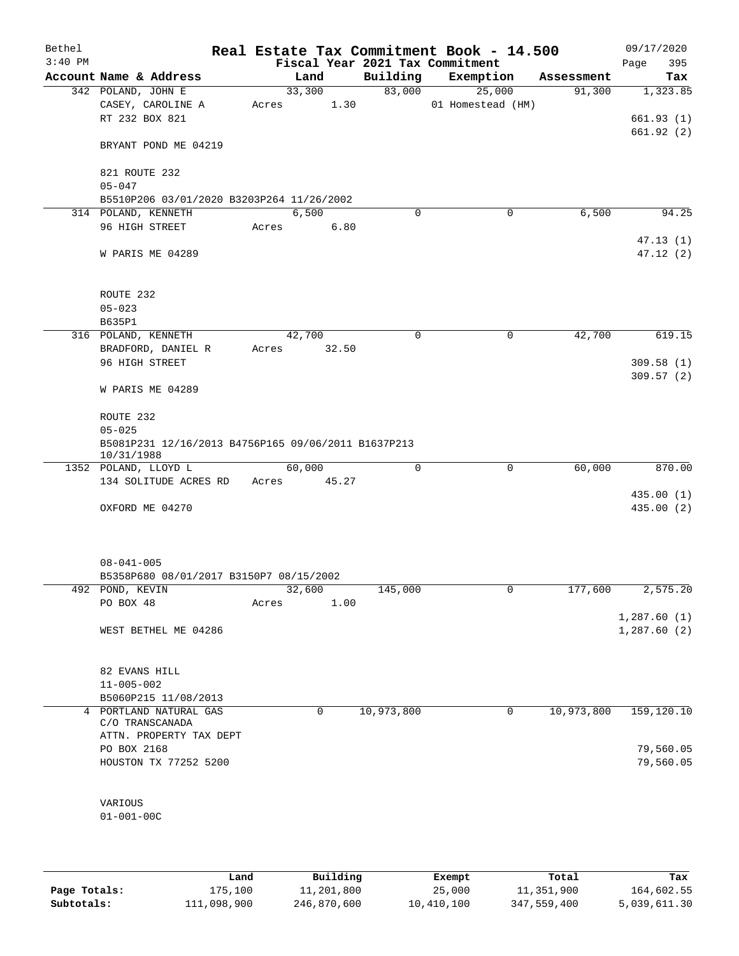| Bethel<br>$3:40$ PM |                                                                  |       |        |             | Real Estate Tax Commitment Book - 14.500<br>Fiscal Year 2021 Tax Commitment |            | 09/17/2020<br>395<br>Page |
|---------------------|------------------------------------------------------------------|-------|--------|-------------|-----------------------------------------------------------------------------|------------|---------------------------|
|                     | Account Name & Address                                           |       | Land   | Building    | Exemption                                                                   | Assessment | Tax                       |
|                     | 342 POLAND, JOHN E                                               |       | 33,300 | 83,000      | 25,000                                                                      | 91,300     | 1,323.85                  |
|                     | CASEY, CAROLINE A                                                | Acres | 1.30   |             | 01 Homestead (HM)                                                           |            |                           |
|                     | RT 232 BOX 821                                                   |       |        |             |                                                                             |            | 661.93(1)                 |
|                     |                                                                  |       |        |             |                                                                             |            | 661.92(2)                 |
|                     | BRYANT POND ME 04219                                             |       |        |             |                                                                             |            |                           |
|                     |                                                                  |       |        |             |                                                                             |            |                           |
|                     | 821 ROUTE 232                                                    |       |        |             |                                                                             |            |                           |
|                     | $05 - 047$                                                       |       |        |             |                                                                             |            |                           |
|                     | B5510P206 03/01/2020 B3203P264 11/26/2002<br>314 POLAND, KENNETH |       | 6,500  | $\mathbf 0$ | 0                                                                           | 6,500      | 94.25                     |
|                     | 96 HIGH STREET                                                   | Acres | 6.80   |             |                                                                             |            |                           |
|                     |                                                                  |       |        |             |                                                                             |            | 47.13(1)                  |
|                     | W PARIS ME 04289                                                 |       |        |             |                                                                             |            | 47.12(2)                  |
|                     |                                                                  |       |        |             |                                                                             |            |                           |
|                     |                                                                  |       |        |             |                                                                             |            |                           |
|                     | ROUTE 232                                                        |       |        |             |                                                                             |            |                           |
|                     | $05 - 023$                                                       |       |        |             |                                                                             |            |                           |
|                     | B635P1                                                           |       |        |             |                                                                             |            |                           |
|                     | 316 POLAND, KENNETH                                              |       | 42,700 | $\mathbf 0$ | 0                                                                           | 42,700     | 619.15                    |
|                     | BRADFORD, DANIEL R                                               | Acres | 32.50  |             |                                                                             |            |                           |
|                     | 96 HIGH STREET                                                   |       |        |             |                                                                             |            | 309.58(1)                 |
|                     | W PARIS ME 04289                                                 |       |        |             |                                                                             |            | 309.57(2)                 |
|                     |                                                                  |       |        |             |                                                                             |            |                           |
|                     | ROUTE 232                                                        |       |        |             |                                                                             |            |                           |
|                     | $05 - 025$                                                       |       |        |             |                                                                             |            |                           |
|                     | B5081P231 12/16/2013 B4756P165 09/06/2011 B1637P213              |       |        |             |                                                                             |            |                           |
|                     | 10/31/1988                                                       |       |        |             |                                                                             |            |                           |
|                     | 1352 POLAND, LLOYD L                                             |       | 60,000 | 0           | $\mathbf 0$                                                                 | 60,000     | 870.00                    |
|                     | 134 SOLITUDE ACRES RD                                            | Acres | 45.27  |             |                                                                             |            |                           |
|                     |                                                                  |       |        |             |                                                                             |            | 435.00 (1)                |
|                     | OXFORD ME 04270                                                  |       |        |             |                                                                             |            | 435.00 (2)                |
|                     |                                                                  |       |        |             |                                                                             |            |                           |
|                     |                                                                  |       |        |             |                                                                             |            |                           |
|                     | $08 - 041 - 005$                                                 |       |        |             |                                                                             |            |                           |
|                     | B5358P680 08/01/2017 B3150P7 08/15/2002                          |       |        |             |                                                                             |            |                           |
|                     | 492 POND, KEVIN                                                  |       | 32,600 | 145,000     | 0                                                                           | 177,600    | 2,575.20                  |
|                     | PO BOX 48                                                        | Acres | 1.00   |             |                                                                             |            |                           |
|                     |                                                                  |       |        |             |                                                                             |            | 1,287.60(1)               |
|                     | WEST BETHEL ME 04286                                             |       |        |             |                                                                             |            | 1,287.60(2)               |
|                     |                                                                  |       |        |             |                                                                             |            |                           |
|                     |                                                                  |       |        |             |                                                                             |            |                           |
|                     | 82 EVANS HILL                                                    |       |        |             |                                                                             |            |                           |
|                     | $11 - 005 - 002$<br>B5060P215 11/08/2013                         |       |        |             |                                                                             |            |                           |
|                     | 4 PORTLAND NATURAL GAS                                           |       | 0      | 10,973,800  | 0                                                                           | 10,973,800 | 159, 120.10               |
|                     | C/O TRANSCANADA                                                  |       |        |             |                                                                             |            |                           |
|                     | ATTN. PROPERTY TAX DEPT                                          |       |        |             |                                                                             |            |                           |
|                     | PO BOX 2168                                                      |       |        |             |                                                                             |            | 79,560.05                 |
|                     | HOUSTON TX 77252 5200                                            |       |        |             |                                                                             |            | 79,560.05                 |
|                     |                                                                  |       |        |             |                                                                             |            |                           |
|                     |                                                                  |       |        |             |                                                                             |            |                           |
|                     | VARIOUS                                                          |       |        |             |                                                                             |            |                           |
|                     | $01 - 001 - 00C$                                                 |       |        |             |                                                                             |            |                           |
|                     |                                                                  |       |        |             |                                                                             |            |                           |
|                     |                                                                  |       |        |             |                                                                             |            |                           |
|                     |                                                                  |       |        |             |                                                                             |            |                           |

|              | Land        | Building    | Exempt     | Total       | Tax          |
|--------------|-------------|-------------|------------|-------------|--------------|
| Page Totals: | 175,100     | 11,201,800  | 25,000     | 11,351,900  | 164,602.55   |
| Subtotals:   | 111,098,900 | 246,870,600 | 10,410,100 | 347,559,400 | 5,039,611.30 |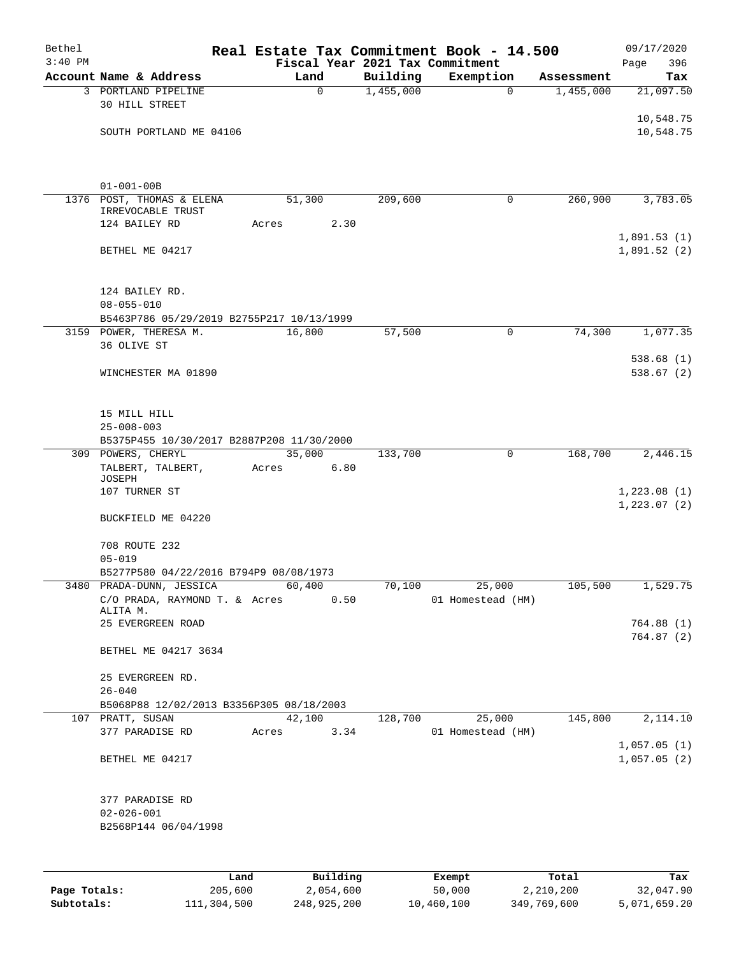| Bethel    |                                                               |       |               |           | Real Estate Tax Commitment Book - 14.500 |            | 09/17/2020                  |
|-----------|---------------------------------------------------------------|-------|---------------|-----------|------------------------------------------|------------|-----------------------------|
| $3:40$ PM |                                                               |       |               |           | Fiscal Year 2021 Tax Commitment          |            | 396<br>Page                 |
|           | Account Name & Address                                        |       | Land          | Building  | Exemption                                | Assessment | Tax                         |
|           | 3 PORTLAND PIPELINE<br>30 HILL STREET                         |       | $\mathbf 0$   | 1,455,000 | $\Omega$                                 | 1,455,000  | 21,097.50                   |
|           |                                                               |       |               |           |                                          |            | 10,548.75                   |
|           | SOUTH PORTLAND ME 04106                                       |       |               |           |                                          |            | 10,548.75                   |
|           |                                                               |       |               |           |                                          |            |                             |
|           | $01 - 001 - 00B$                                              |       |               |           |                                          |            |                             |
|           | 1376 POST, THOMAS & ELENA<br>IRREVOCABLE TRUST                |       | 51,300        | 209,600   | 0                                        | 260,900    | 3,783.05                    |
|           | 124 BAILEY RD                                                 | Acres | 2.30          |           |                                          |            |                             |
|           | BETHEL ME 04217                                               |       |               |           |                                          |            | 1,891.53(1)<br>1,891.52(2)  |
|           | 124 BAILEY RD.                                                |       |               |           |                                          |            |                             |
|           | $08 - 055 - 010$<br>B5463P786 05/29/2019 B2755P217 10/13/1999 |       |               |           |                                          |            |                             |
|           | 3159 POWER, THERESA M.                                        |       | 16,800        | 57,500    | 0                                        | 74,300     | 1,077.35                    |
|           | 36 OLIVE ST                                                   |       |               |           |                                          |            |                             |
|           | WINCHESTER MA 01890                                           |       |               |           |                                          |            | 538.68(1)<br>538.67(2)      |
|           |                                                               |       |               |           |                                          |            |                             |
|           | 15 MILL HILL                                                  |       |               |           |                                          |            |                             |
|           | $25 - 008 - 003$                                              |       |               |           |                                          |            |                             |
|           | B5375P455 10/30/2017 B2887P208 11/30/2000                     |       |               |           |                                          |            |                             |
|           | 309 POWERS, CHERYL                                            |       | 35,000        | 133,700   | 0                                        | 168,700    | 2,446.15                    |
|           | TALBERT, TALBERT,<br>JOSEPH                                   | Acres | 6.80          |           |                                          |            |                             |
|           | 107 TURNER ST                                                 |       |               |           |                                          |            | 1,223.08(1)<br>1, 223.07(2) |
|           | BUCKFIELD ME 04220                                            |       |               |           |                                          |            |                             |
|           | 708 ROUTE 232                                                 |       |               |           |                                          |            |                             |
|           | $05 - 019$                                                    |       |               |           |                                          |            |                             |
|           | B5277P580 04/22/2016 B794P9 08/08/1973                        |       |               |           |                                          |            |                             |
|           | 3480 PRADA-DUNN, JESSICA                                      |       | 60,400        | 70,100    | 25,000                                   | 105,500    | 1,529.75                    |
|           | C/O PRADA, RAYMOND T. & Acres<br>ALITA M.                     |       | 0.50          |           | 01 Homestead (HM)                        |            |                             |
|           | 25 EVERGREEN ROAD                                             |       |               |           |                                          |            | 764.88 (1)                  |
|           | BETHEL ME 04217 3634                                          |       |               |           |                                          |            | 764.87(2)                   |
|           | 25 EVERGREEN RD.                                              |       |               |           |                                          |            |                             |
|           | $26 - 040$                                                    |       |               |           |                                          |            |                             |
|           | B5068P88 12/02/2013 B3356P305 08/18/2003                      |       |               |           |                                          |            |                             |
|           | 107 PRATT, SUSAN                                              |       | 42,100        | 128,700   | 25,000                                   | 145,800    | 2,114.10                    |
|           | 377 PARADISE RD                                               |       | 3.34<br>Acres |           | 01 Homestead (HM)                        |            | 1,057.05(1)                 |
|           | BETHEL ME 04217                                               |       |               |           |                                          |            | 1,057.05(2)                 |
|           | 377 PARADISE RD<br>$02 - 026 - 001$<br>B2568P144 06/04/1998   |       |               |           |                                          |            |                             |
|           |                                                               |       |               |           |                                          |            |                             |
|           |                                                               | Land  | Building      |           | Exempt                                   | Total      | Tax                         |

|              | nana        | <b>DUITOTII</b> d | LACINUL    | ⊥∪∟a⊥       | ias.         |
|--------------|-------------|-------------------|------------|-------------|--------------|
| Page Totals: | 205,600     | 2,054,600         | 50,000     | 2,210,200   | 32,047.90    |
| Subtotals:   | 111,304,500 | 248,925,200       | 10,460,100 | 349,769,600 | 5,071,659.20 |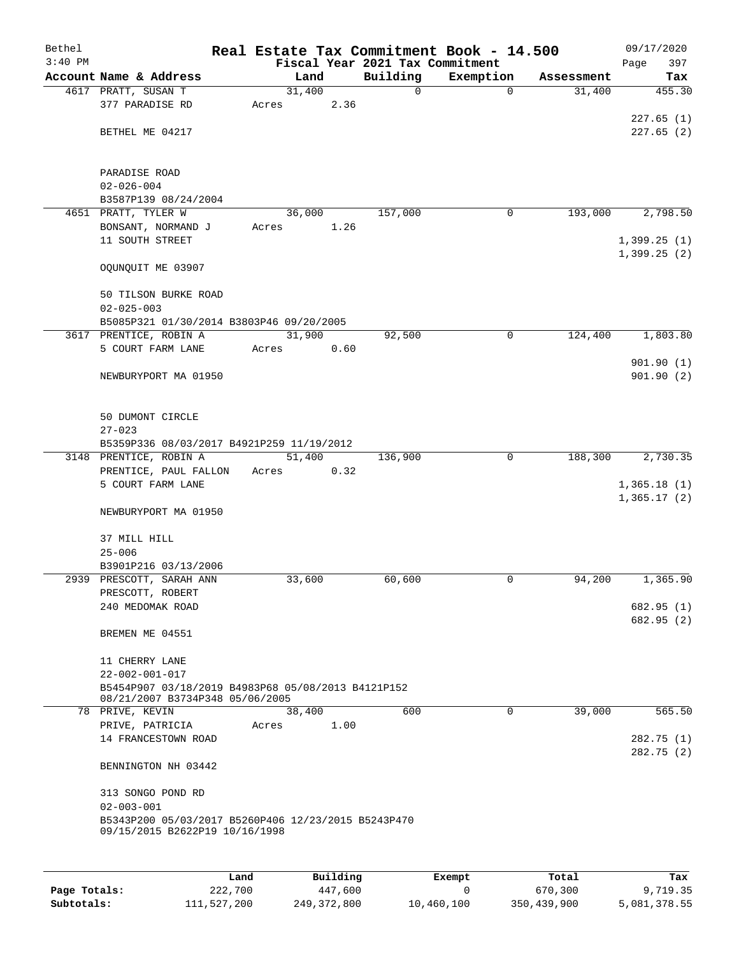| Bethel<br>$3:40$ PM |                                                                                       |        |      | Fiscal Year 2021 Tax Commitment | Real Estate Tax Commitment Book - 14.500 |            | 09/17/2020<br>397<br>Page |
|---------------------|---------------------------------------------------------------------------------------|--------|------|---------------------------------|------------------------------------------|------------|---------------------------|
|                     | Account Name & Address                                                                | Land   |      | Building                        | Exemption                                | Assessment | Tax                       |
|                     | 4617 PRATT, SUSAN T                                                                   | 31,400 |      | 0                               | $\Omega$                                 | 31,400     | 455.30                    |
|                     | 377 PARADISE RD                                                                       | Acres  | 2.36 |                                 |                                          |            |                           |
|                     |                                                                                       |        |      |                                 |                                          |            | 227.65(1)                 |
|                     | BETHEL ME 04217                                                                       |        |      |                                 |                                          |            | 227.65(2)                 |
|                     |                                                                                       |        |      |                                 |                                          |            |                           |
|                     |                                                                                       |        |      |                                 |                                          |            |                           |
|                     | PARADISE ROAD                                                                         |        |      |                                 |                                          |            |                           |
|                     | $02 - 026 - 004$                                                                      |        |      |                                 |                                          |            |                           |
|                     | B3587P139 08/24/2004                                                                  |        |      |                                 |                                          |            |                           |
|                     | 4651 PRATT, TYLER W                                                                   | 36,000 |      | 157,000                         | 0                                        | 193,000    | 2,798.50                  |
|                     | BONSANT, NORMAND J                                                                    | Acres  | 1.26 |                                 |                                          |            |                           |
|                     | 11 SOUTH STREET                                                                       |        |      |                                 |                                          |            | 1,399.25(1)               |
|                     |                                                                                       |        |      |                                 |                                          |            | 1,399.25(2)               |
|                     | OQUNQUIT ME 03907                                                                     |        |      |                                 |                                          |            |                           |
|                     |                                                                                       |        |      |                                 |                                          |            |                           |
|                     | 50 TILSON BURKE ROAD                                                                  |        |      |                                 |                                          |            |                           |
|                     | $02 - 025 - 003$                                                                      |        |      |                                 |                                          |            |                           |
|                     | B5085P321 01/30/2014 B3803P46 09/20/2005                                              |        |      |                                 |                                          |            |                           |
|                     | 3617 PRENTICE, ROBIN A                                                                | 31,900 |      | 92,500                          | $\mathbf 0$                              | 124,400    | 1,803.80                  |
|                     | 5 COURT FARM LANE                                                                     | Acres  | 0.60 |                                 |                                          |            |                           |
|                     |                                                                                       |        |      |                                 |                                          |            | 901.90(1)                 |
|                     | NEWBURYPORT MA 01950                                                                  |        |      |                                 |                                          |            | 901.90(2)                 |
|                     |                                                                                       |        |      |                                 |                                          |            |                           |
|                     |                                                                                       |        |      |                                 |                                          |            |                           |
|                     | 50 DUMONT CIRCLE                                                                      |        |      |                                 |                                          |            |                           |
|                     | $27 - 023$                                                                            |        |      |                                 |                                          |            |                           |
|                     | B5359P336 08/03/2017 B4921P259 11/19/2012                                             |        |      |                                 |                                          |            |                           |
|                     | 3148 PRENTICE, ROBIN A                                                                | 51,400 |      | 136,900                         | $\overline{0}$                           | 188,300    | 2,730.35                  |
|                     | PRENTICE, PAUL FALLON                                                                 | Acres  | 0.32 |                                 |                                          |            |                           |
|                     | 5 COURT FARM LANE                                                                     |        |      |                                 |                                          |            | 1,365.18(1)               |
|                     |                                                                                       |        |      |                                 |                                          |            | 1,365.17(2)               |
|                     | NEWBURYPORT MA 01950                                                                  |        |      |                                 |                                          |            |                           |
|                     |                                                                                       |        |      |                                 |                                          |            |                           |
|                     | 37 MILL HILL                                                                          |        |      |                                 |                                          |            |                           |
|                     | $25 - 006$                                                                            |        |      |                                 |                                          |            |                           |
|                     | B3901P216 03/13/2006                                                                  |        |      |                                 |                                          |            |                           |
|                     | 2939 PRESCOTT, SARAH ANN                                                              | 33,600 |      | 60,600                          | 0                                        | 94,200     | 1,365.90                  |
|                     | PRESCOTT, ROBERT                                                                      |        |      |                                 |                                          |            |                           |
|                     | 240 MEDOMAK ROAD                                                                      |        |      |                                 |                                          |            | 682.95 (1)                |
|                     |                                                                                       |        |      |                                 |                                          |            | 682.95 (2)                |
|                     | BREMEN ME 04551                                                                       |        |      |                                 |                                          |            |                           |
|                     |                                                                                       |        |      |                                 |                                          |            |                           |
|                     | 11 CHERRY LANE                                                                        |        |      |                                 |                                          |            |                           |
|                     | $22 - 002 - 001 - 017$                                                                |        |      |                                 |                                          |            |                           |
|                     | B5454P907 03/18/2019 B4983P68 05/08/2013 B4121P152                                    |        |      |                                 |                                          |            |                           |
|                     | 08/21/2007 B3734P348 05/06/2005                                                       |        |      |                                 |                                          |            |                           |
|                     | 78 PRIVE, KEVIN                                                                       | 38,400 |      | 600                             | 0                                        | 39,000     | 565.50                    |
|                     | PRIVE, PATRICIA                                                                       | Acres  | 1.00 |                                 |                                          |            |                           |
|                     | 14 FRANCESTOWN ROAD                                                                   |        |      |                                 |                                          |            | 282.75(1)                 |
|                     |                                                                                       |        |      |                                 |                                          |            | 282.75(2)                 |
|                     | BENNINGTON NH 03442                                                                   |        |      |                                 |                                          |            |                           |
|                     |                                                                                       |        |      |                                 |                                          |            |                           |
|                     | 313 SONGO POND RD                                                                     |        |      |                                 |                                          |            |                           |
|                     | $02 - 003 - 001$                                                                      |        |      |                                 |                                          |            |                           |
|                     | B5343P200 05/03/2017 B5260P406 12/23/2015 B5243P470<br>09/15/2015 B2622P19 10/16/1998 |        |      |                                 |                                          |            |                           |
|                     |                                                                                       |        |      |                                 |                                          |            |                           |
|                     |                                                                                       |        |      |                                 |                                          |            |                           |
|                     |                                                                                       |        |      |                                 |                                          |            |                           |

|              | Land        | Building    | Exempt     | Total       | Tax          |
|--------------|-------------|-------------|------------|-------------|--------------|
| Page Totals: | 222,700     | 447,600     |            | 670,300     | 9,719.35     |
| Subtotals:   | 111,527,200 | 249,372,800 | 10,460,100 | 350,439,900 | 5,081,378.55 |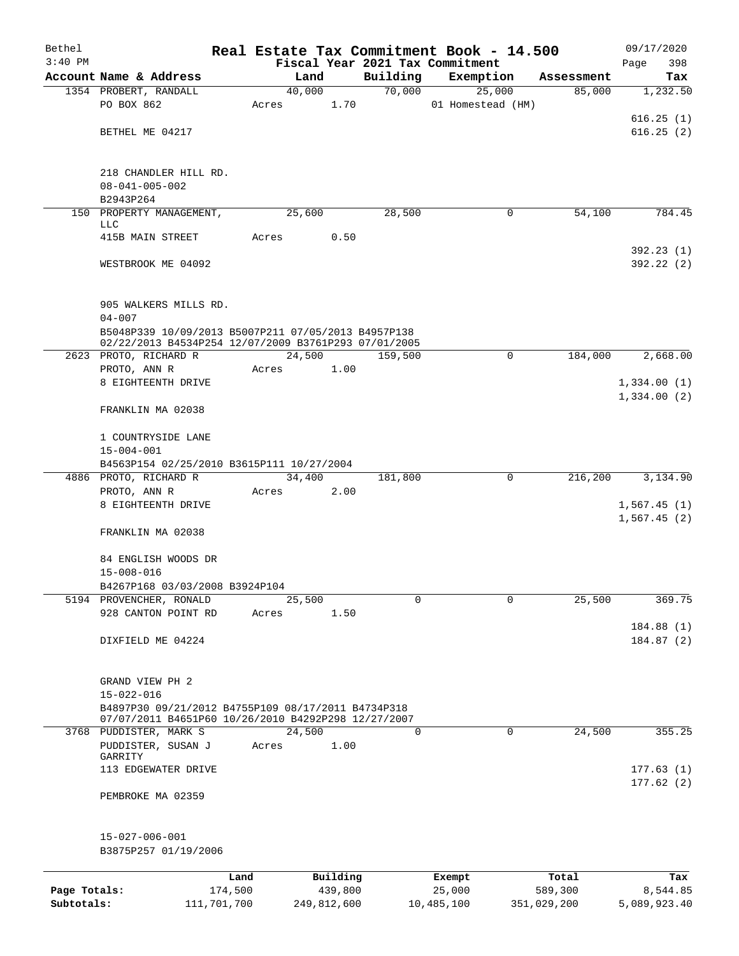| Bethel       |                                                               |                 |        |                     |          | Real Estate Tax Commitment Book - 14.500 |                  | 09/17/2020             |
|--------------|---------------------------------------------------------------|-----------------|--------|---------------------|----------|------------------------------------------|------------------|------------------------|
| $3:40$ PM    |                                                               |                 |        |                     |          | Fiscal Year 2021 Tax Commitment          |                  | 398<br>Page            |
|              | Account Name & Address                                        |                 | Land   |                     | Building | Exemption                                | Assessment       | Tax                    |
|              | 1354 PROBERT, RANDALL<br>PO BOX 862                           | Acres           | 40,000 | 1.70                | 70,000   | 25,000<br>01 Homestead (HM)              | 85,000           | 1,232.50               |
|              |                                                               |                 |        |                     |          |                                          |                  | 616.25(1)              |
|              | BETHEL ME 04217                                               |                 |        |                     |          |                                          |                  | 616.25(2)              |
|              |                                                               |                 |        |                     |          |                                          |                  |                        |
|              | 218 CHANDLER HILL RD.                                         |                 |        |                     |          |                                          |                  |                        |
|              | $08 - 041 - 005 - 002$                                        |                 |        |                     |          |                                          |                  |                        |
|              | B2943P264                                                     |                 |        |                     |          |                                          |                  |                        |
|              | 150 PROPERTY MANAGEMENT,                                      |                 | 25,600 |                     | 28,500   | 0                                        | 54,100           | 784.45                 |
|              | LLC                                                           |                 |        |                     |          |                                          |                  |                        |
|              | 415B MAIN STREET                                              | Acres           |        | 0.50                |          |                                          |                  |                        |
|              | WESTBROOK ME 04092                                            |                 |        |                     |          |                                          |                  | 392.23(1)<br>392.22(2) |
|              |                                                               |                 |        |                     |          |                                          |                  |                        |
|              | 905 WALKERS MILLS RD.                                         |                 |        |                     |          |                                          |                  |                        |
|              | $04 - 007$                                                    |                 |        |                     |          |                                          |                  |                        |
|              | B5048P339 10/09/2013 B5007P211 07/05/2013 B4957P138           |                 |        |                     |          |                                          |                  |                        |
|              | 02/22/2013 B4534P254 12/07/2009 B3761P293 07/01/2005          |                 |        |                     |          |                                          |                  |                        |
|              | 2623 PROTO, RICHARD R                                         |                 | 24,500 |                     | 159,500  | $\mathbf 0$                              | 184,000          | 2,668.00               |
|              | PROTO, ANN R                                                  | Acres           |        | 1.00                |          |                                          |                  |                        |
|              | 8 EIGHTEENTH DRIVE                                            |                 |        |                     |          |                                          |                  | 1,334.00(1)            |
|              | FRANKLIN MA 02038                                             |                 |        |                     |          |                                          |                  | 1,334.00(2)            |
|              |                                                               |                 |        |                     |          |                                          |                  |                        |
|              | 1 COUNTRYSIDE LANE                                            |                 |        |                     |          |                                          |                  |                        |
|              | $15 - 004 - 001$<br>B4563P154 02/25/2010 B3615P111 10/27/2004 |                 |        |                     |          |                                          |                  |                        |
|              | 4886 PROTO, RICHARD R                                         |                 | 34,400 |                     | 181,800  | 0                                        | 216,200          | 3,134.90               |
|              | PROTO, ANN R                                                  | Acres           |        | 2.00                |          |                                          |                  |                        |
|              | 8 EIGHTEENTH DRIVE                                            |                 |        |                     |          |                                          |                  | 1,567.45(1)            |
|              |                                                               |                 |        |                     |          |                                          |                  | 1,567.45(2)            |
|              | FRANKLIN MA 02038                                             |                 |        |                     |          |                                          |                  |                        |
|              | 84 ENGLISH WOODS DR                                           |                 |        |                     |          |                                          |                  |                        |
|              | $15 - 008 - 016$                                              |                 |        |                     |          |                                          |                  |                        |
|              | B4267P168 03/03/2008 B3924P104                                |                 |        |                     |          |                                          |                  |                        |
|              | 5194 PROVENCHER, RONALD                                       |                 | 25,500 |                     | 0        | $\mathbf 0$                              | 25,500           | 369.75                 |
|              | 928 CANTON POINT RD                                           | Acres           |        | 1.50                |          |                                          |                  |                        |
|              |                                                               |                 |        |                     |          |                                          |                  | 184.88(1)              |
|              | DIXFIELD ME 04224                                             |                 |        |                     |          |                                          |                  | 184.87(2)              |
|              |                                                               |                 |        |                     |          |                                          |                  |                        |
|              |                                                               |                 |        |                     |          |                                          |                  |                        |
|              | GRAND VIEW PH 2<br>$15 - 022 - 016$                           |                 |        |                     |          |                                          |                  |                        |
|              | B4897P30 09/21/2012 B4755P109 08/17/2011 B4734P318            |                 |        |                     |          |                                          |                  |                        |
|              | 07/07/2011 B4651P60 10/26/2010 B4292P298 12/27/2007           |                 |        |                     |          |                                          |                  |                        |
|              | 3768 PUDDISTER, MARK S                                        |                 | 24,500 |                     | 0        | $\mathbf 0$                              | 24,500           | 355.25                 |
|              | PUDDISTER, SUSAN J                                            | Acres           |        | 1.00                |          |                                          |                  |                        |
|              | GARRITY                                                       |                 |        |                     |          |                                          |                  |                        |
|              | 113 EDGEWATER DRIVE                                           |                 |        |                     |          |                                          |                  | 177.63(1)<br>177.62(2) |
|              | PEMBROKE MA 02359                                             |                 |        |                     |          |                                          |                  |                        |
|              |                                                               |                 |        |                     |          |                                          |                  |                        |
|              | $15 - 027 - 006 - 001$<br>B3875P257 01/19/2006                |                 |        |                     |          |                                          |                  |                        |
|              |                                                               |                 |        |                     |          |                                          |                  |                        |
| Page Totals: |                                                               | Land<br>174,500 |        | Building<br>439,800 |          | Exempt<br>25,000                         | Total<br>589,300 | Tax<br>8,544.85        |
| Subtotals:   | 111,701,700                                                   |                 |        | 249,812,600         |          | 10,485,100                               | 351,029,200      | 5,089,923.40           |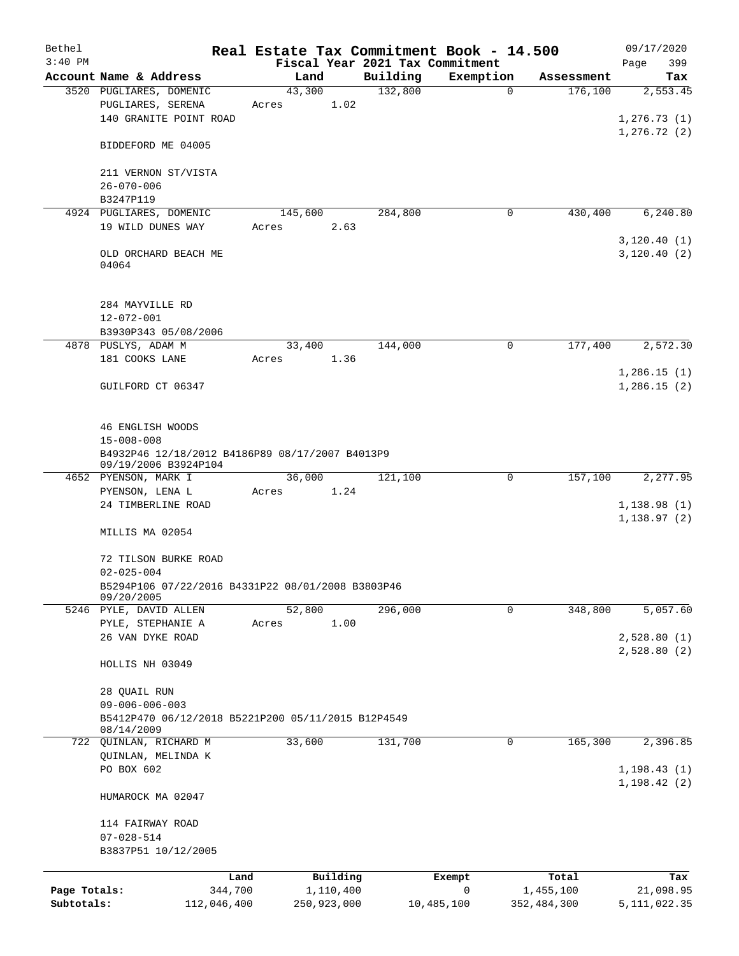| Bethel       |                                                                         | Real Estate Tax Commitment Book - 14.500 |                                 |              |             | 09/17/2020     |
|--------------|-------------------------------------------------------------------------|------------------------------------------|---------------------------------|--------------|-------------|----------------|
| $3:40$ PM    |                                                                         |                                          | Fiscal Year 2021 Tax Commitment |              |             | 399<br>Page    |
|              | Account Name & Address                                                  | Land                                     | Building                        | Exemption    | Assessment  | Tax            |
|              | 3520 PUGLIARES, DOMENIC                                                 | 43,300                                   | 132,800                         | $\mathbf 0$  | 176,100     | 2,553.45       |
|              | PUGLIARES, SERENA                                                       | 1.02<br>Acres                            |                                 |              |             |                |
|              | 140 GRANITE POINT ROAD                                                  |                                          |                                 |              |             | 1, 276.73(1)   |
|              | BIDDEFORD ME 04005                                                      |                                          |                                 |              |             | 1, 276.72(2)   |
|              | 211 VERNON ST/VISTA                                                     |                                          |                                 |              |             |                |
|              | $26 - 070 - 006$                                                        |                                          |                                 |              |             |                |
|              | B3247P119                                                               |                                          |                                 |              |             |                |
|              | 4924 PUGLIARES, DOMENIC                                                 | 145,600                                  | 284,800                         | 0            | 430,400     | 6,240.80       |
|              | 19 WILD DUNES WAY                                                       | Acres<br>2.63                            |                                 |              |             |                |
|              |                                                                         |                                          |                                 |              |             | 3,120.40(1)    |
|              | OLD ORCHARD BEACH ME<br>04064                                           |                                          |                                 |              |             | 3,120.40(2)    |
|              | 284 MAYVILLE RD                                                         |                                          |                                 |              |             |                |
|              | $12 - 072 - 001$                                                        |                                          |                                 |              |             |                |
|              | B3930P343 05/08/2006<br>4878 PUSLYS, ADAM M                             | 33,400                                   | 144,000                         | $\mathsf{O}$ | 177,400     | 2,572.30       |
|              | 181 COOKS LANE                                                          | Acres<br>1.36                            |                                 |              |             |                |
|              |                                                                         |                                          |                                 |              |             | 1,286.15(1)    |
|              | GUILFORD CT 06347                                                       |                                          |                                 |              |             | 1,286.15(2)    |
|              |                                                                         |                                          |                                 |              |             |                |
|              | 46 ENGLISH WOODS                                                        |                                          |                                 |              |             |                |
|              | $15 - 008 - 008$                                                        |                                          |                                 |              |             |                |
|              | B4932P46 12/18/2012 B4186P89 08/17/2007 B4013P9<br>09/19/2006 B3924P104 |                                          |                                 |              |             |                |
|              | 4652 PYENSON, MARK I                                                    | 36,000                                   | 121,100                         | 0            | 157,100     | 2,277.95       |
|              | PYENSON, LENA L                                                         | 1.24<br>Acres                            |                                 |              |             |                |
|              | 24 TIMBERLINE ROAD                                                      |                                          |                                 |              |             | 1,138.98(1)    |
|              | MILLIS MA 02054                                                         |                                          |                                 |              |             | 1, 138.97(2)   |
|              |                                                                         |                                          |                                 |              |             |                |
|              | 72 TILSON BURKE ROAD                                                    |                                          |                                 |              |             |                |
|              | $02 - 025 - 004$                                                        |                                          |                                 |              |             |                |
|              | B5294P106 07/22/2016 B4331P22 08/01/2008 B3803P46                       |                                          |                                 |              |             |                |
|              | 09/20/2005                                                              |                                          |                                 |              |             |                |
|              | 5246 PYLE, DAVID ALLEN                                                  | 52,800                                   | 296,000                         | 0            | 348,800     | 5,057.60       |
|              | PYLE, STEPHANIE A                                                       | 1.00<br>Acres                            |                                 |              |             |                |
|              | 26 VAN DYKE ROAD                                                        |                                          |                                 |              |             | 2,528.80(1)    |
|              | HOLLIS NH 03049                                                         |                                          |                                 |              |             | 2,528.80(2)    |
|              | 28 QUAIL RUN                                                            |                                          |                                 |              |             |                |
|              | $09 - 006 - 006 - 003$                                                  |                                          |                                 |              |             |                |
|              | B5412P470 06/12/2018 B5221P200 05/11/2015 B12P4549                      |                                          |                                 |              |             |                |
|              | 08/14/2009                                                              |                                          |                                 |              |             |                |
|              | 722 QUINLAN, RICHARD M                                                  | 33,600                                   | 131,700                         | 0            | 165,300     | 2,396.85       |
|              | QUINLAN, MELINDA K                                                      |                                          |                                 |              |             |                |
|              | PO BOX 602                                                              |                                          |                                 |              |             | 1, 198.43(1)   |
|              | HUMAROCK MA 02047                                                       |                                          |                                 |              |             | 1,198.42(2)    |
|              | 114 FAIRWAY ROAD                                                        |                                          |                                 |              |             |                |
|              | $07 - 028 - 514$                                                        |                                          |                                 |              |             |                |
|              | B3837P51 10/12/2005                                                     |                                          |                                 |              |             |                |
|              | Land                                                                    | Building                                 | Exempt                          |              | Total       | Tax            |
| Page Totals: | 344,700                                                                 | 1,110,400                                | 0                               |              | 1,455,100   | 21,098.95      |
| Subtotals:   | 112,046,400                                                             | 250,923,000                              | 10,485,100                      |              | 352,484,300 | 5, 111, 022.35 |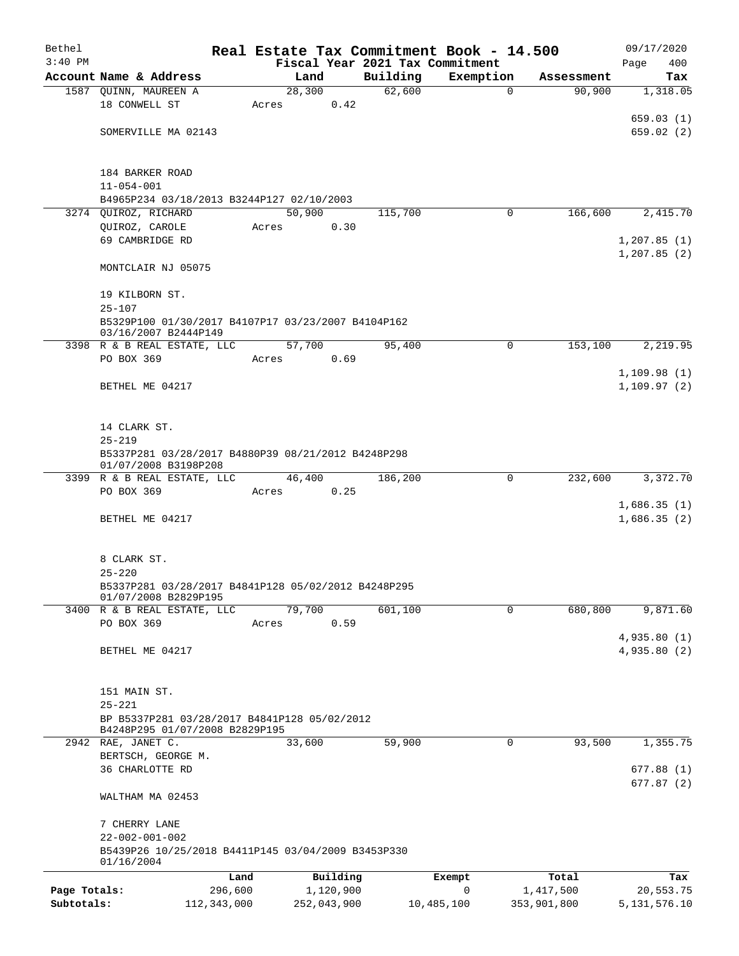| Bethel       |                                                            | Real Estate Tax Commitment Book - 14.500 |             |                                 |             |             | 09/17/2020      |
|--------------|------------------------------------------------------------|------------------------------------------|-------------|---------------------------------|-------------|-------------|-----------------|
| $3:40$ PM    |                                                            |                                          |             | Fiscal Year 2021 Tax Commitment |             |             | 400<br>Page     |
|              | Account Name & Address                                     | Land                                     |             | Building                        | Exemption   | Assessment  | Tax             |
|              | 1587 QUINN, MAUREEN A                                      | 28,300                                   |             | 62,600                          | $\mathbf 0$ | 90,900      | 1,318.05        |
|              | 18 CONWELL ST                                              | Acres                                    | 0.42        |                                 |             |             |                 |
|              |                                                            |                                          |             |                                 |             |             | 659.03(1)       |
|              | SOMERVILLE MA 02143                                        |                                          |             |                                 |             |             | 659.02(2)       |
|              |                                                            |                                          |             |                                 |             |             |                 |
|              | 184 BARKER ROAD                                            |                                          |             |                                 |             |             |                 |
|              | $11 - 054 - 001$                                           |                                          |             |                                 |             |             |                 |
|              | B4965P234 03/18/2013 B3244P127 02/10/2003                  |                                          |             |                                 |             |             |                 |
|              | 3274 QUIROZ, RICHARD                                       | 50,900                                   |             | 115,700                         | 0           | 166,600     | 2,415.70        |
|              | QUIROZ, CAROLE                                             | Acres                                    | 0.30        |                                 |             |             |                 |
|              | 69 CAMBRIDGE RD                                            |                                          |             |                                 |             |             | 1,207.85(1)     |
|              |                                                            |                                          |             |                                 |             |             | 1, 207.85(2)    |
|              | MONTCLAIR NJ 05075                                         |                                          |             |                                 |             |             |                 |
|              | 19 KILBORN ST.                                             |                                          |             |                                 |             |             |                 |
|              | $25 - 107$                                                 |                                          |             |                                 |             |             |                 |
|              | B5329P100 01/30/2017 B4107P17 03/23/2007 B4104P162         |                                          |             |                                 |             |             |                 |
|              | 03/16/2007 B2444P149                                       |                                          |             |                                 |             |             |                 |
|              | 3398 R & B REAL ESTATE, LLC                                | 57,700                                   |             | 95,400                          | 0           | 153,100     | 2,219.95        |
|              | PO BOX 369                                                 | Acres                                    | 0.69        |                                 |             |             |                 |
|              |                                                            |                                          |             |                                 |             |             | 1,109.98(1)     |
|              | BETHEL ME 04217                                            |                                          |             |                                 |             |             | 1, 109.97(2)    |
|              |                                                            |                                          |             |                                 |             |             |                 |
|              | 14 CLARK ST.                                               |                                          |             |                                 |             |             |                 |
|              | $25 - 219$                                                 |                                          |             |                                 |             |             |                 |
|              | B5337P281 03/28/2017 B4880P39 08/21/2012 B4248P298         |                                          |             |                                 |             |             |                 |
|              | 01/07/2008 B3198P208                                       |                                          |             |                                 |             |             |                 |
|              | 3399 R & B REAL ESTATE, LLC                                | 46,400                                   |             | 186,200                         | 0           | 232,600     | 3,372.70        |
|              | PO BOX 369                                                 | Acres                                    | 0.25        |                                 |             |             | 1,686.35(1)     |
|              | BETHEL ME 04217                                            |                                          |             |                                 |             |             | 1,686.35(2)     |
|              |                                                            |                                          |             |                                 |             |             |                 |
|              |                                                            |                                          |             |                                 |             |             |                 |
|              | 8 CLARK ST.                                                |                                          |             |                                 |             |             |                 |
|              | $25 - 220$                                                 |                                          |             |                                 |             |             |                 |
|              | B5337P281 03/28/2017 B4841P128 05/02/2012 B4248P295        |                                          |             |                                 |             |             |                 |
|              | 01/07/2008 B2829P195<br>3400 R & B REAL ESTATE, LLC        | 79,700                                   |             | 601,100                         | 0           | 680,800     | 9,871.60        |
|              | PO BOX 369                                                 | Acres                                    | 0.59        |                                 |             |             |                 |
|              |                                                            |                                          |             |                                 |             |             | 4,935.80(1)     |
|              | BETHEL ME 04217                                            |                                          |             |                                 |             |             | 4,935.80 (2)    |
|              |                                                            |                                          |             |                                 |             |             |                 |
|              |                                                            |                                          |             |                                 |             |             |                 |
|              | 151 MAIN ST.                                               |                                          |             |                                 |             |             |                 |
|              | $25 - 221$<br>BP B5337P281 03/28/2017 B4841P128 05/02/2012 |                                          |             |                                 |             |             |                 |
|              | B4248P295 01/07/2008 B2829P195                             |                                          |             |                                 |             |             |                 |
|              | 2942 RAE, JANET C.                                         | 33,600                                   |             | 59,900                          | 0           | 93,500      | 1,355.75        |
|              | BERTSCH, GEORGE M.                                         |                                          |             |                                 |             |             |                 |
|              | 36 CHARLOTTE RD                                            |                                          |             |                                 |             |             | 677.88(1)       |
|              |                                                            |                                          |             |                                 |             |             | 677.87(2)       |
|              | WALTHAM MA 02453                                           |                                          |             |                                 |             |             |                 |
|              | 7 CHERRY LANE                                              |                                          |             |                                 |             |             |                 |
|              | $22 - 002 - 001 - 002$                                     |                                          |             |                                 |             |             |                 |
|              | B5439P26 10/25/2018 B4411P145 03/04/2009 B3453P330         |                                          |             |                                 |             |             |                 |
|              | 01/16/2004                                                 |                                          |             |                                 |             |             |                 |
|              |                                                            | Land                                     | Building    |                                 | Exempt      | Total       | Tax             |
| Page Totals: | 296,600                                                    |                                          | 1,120,900   |                                 | 0           | 1,417,500   | 20,553.75       |
| Subtotals:   | 112,343,000                                                |                                          | 252,043,900 |                                 | 10,485,100  | 353,901,800 | 5, 131, 576. 10 |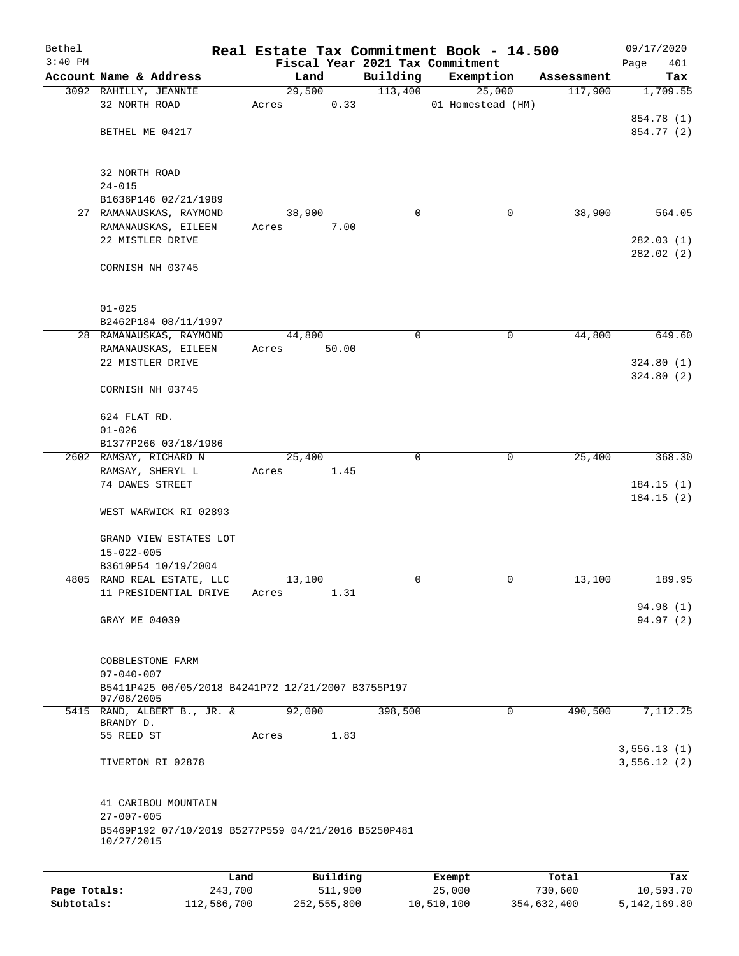| Bethel    |                                                                   |       |                |          |                     | Real Estate Tax Commitment Book - 14.500 |            | 09/17/2020      |
|-----------|-------------------------------------------------------------------|-------|----------------|----------|---------------------|------------------------------------------|------------|-----------------|
| $3:40$ PM |                                                                   |       |                |          |                     | Fiscal Year 2021 Tax Commitment          |            | Page<br>401     |
|           | Account Name & Address                                            |       | Land<br>29,500 |          | Building<br>113,400 | Exemption<br>25,000                      | Assessment | Tax<br>1,709.55 |
|           | 3092 RAHILLY, JEANNIE<br>32 NORTH ROAD                            | Acres |                | 0.33     |                     | 01 Homestead (HM)                        | 117,900    |                 |
|           |                                                                   |       |                |          |                     |                                          |            | 854.78 (1)      |
|           | BETHEL ME 04217                                                   |       |                |          |                     |                                          |            | 854.77 (2)      |
|           |                                                                   |       |                |          |                     |                                          |            |                 |
|           | 32 NORTH ROAD                                                     |       |                |          |                     |                                          |            |                 |
|           | $24 - 015$                                                        |       |                |          |                     |                                          |            |                 |
|           | B1636P146 02/21/1989                                              |       |                |          |                     |                                          |            |                 |
|           | 27 RAMANAUSKAS, RAYMOND                                           |       | 38,900         |          | 0                   | 0                                        | 38,900     | 564.05          |
|           | RAMANAUSKAS, EILEEN                                               | Acres |                | 7.00     |                     |                                          |            |                 |
|           | 22 MISTLER DRIVE                                                  |       |                |          |                     |                                          |            | 282.03(1)       |
|           | CORNISH NH 03745                                                  |       |                |          |                     |                                          |            | 282.02 (2)      |
|           |                                                                   |       |                |          |                     |                                          |            |                 |
|           | $01 - 025$                                                        |       |                |          |                     |                                          |            |                 |
|           | B2462P184 08/11/1997                                              |       |                |          |                     |                                          |            |                 |
|           | 28 RAMANAUSKAS, RAYMOND                                           |       | 44,800         |          | 0                   | 0                                        | 44,800     | 649.60          |
|           | RAMANAUSKAS, EILEEN                                               | Acres |                | 50.00    |                     |                                          |            |                 |
|           | 22 MISTLER DRIVE                                                  |       |                |          |                     |                                          |            | 324.80(1)       |
|           |                                                                   |       |                |          |                     |                                          |            | 324.80(2)       |
|           | CORNISH NH 03745                                                  |       |                |          |                     |                                          |            |                 |
|           | 624 FLAT RD.                                                      |       |                |          |                     |                                          |            |                 |
|           | $01 - 026$                                                        |       |                |          |                     |                                          |            |                 |
|           | B1377P266 03/18/1986                                              |       |                |          |                     |                                          |            |                 |
|           | 2602 RAMSAY, RICHARD N                                            |       | 25,400         |          | $\Omega$            | $\mathbf 0$                              | 25,400     | 368.30          |
|           | RAMSAY, SHERYL L                                                  | Acres |                | 1.45     |                     |                                          |            |                 |
|           | 74 DAWES STREET                                                   |       |                |          |                     |                                          |            | 184.15(1)       |
|           | WEST WARWICK RI 02893                                             |       |                |          |                     |                                          |            | 184.15(2)       |
|           | GRAND VIEW ESTATES LOT                                            |       |                |          |                     |                                          |            |                 |
|           | $15 - 022 - 005$                                                  |       |                |          |                     |                                          |            |                 |
|           | B3610P54 10/19/2004                                               |       |                |          |                     |                                          |            |                 |
|           | 4805 RAND REAL ESTATE, LLC                                        |       | 13,100         |          | 0                   | 0                                        | 13,100     | 189.95          |
|           | 11 PRESIDENTIAL DRIVE                                             | Acres |                | 1.31     |                     |                                          |            |                 |
|           |                                                                   |       |                |          |                     |                                          |            | 94.98 (1)       |
|           | GRAY ME 04039                                                     |       |                |          |                     |                                          |            | 94.97(2)        |
|           |                                                                   |       |                |          |                     |                                          |            |                 |
|           | COBBLESTONE FARM                                                  |       |                |          |                     |                                          |            |                 |
|           | $07 - 040 - 007$                                                  |       |                |          |                     |                                          |            |                 |
|           | B5411P425 06/05/2018 B4241P72 12/21/2007 B3755P197                |       |                |          |                     |                                          |            |                 |
|           | 07/06/2005<br>5415 RAND, ALBERT B., JR. &                         |       | 92,000         |          | 398,500             | 0                                        | 490,500    | 7,112.25        |
|           | BRANDY D.                                                         |       |                |          |                     |                                          |            |                 |
|           | 55 REED ST                                                        | Acres |                | 1.83     |                     |                                          |            |                 |
|           |                                                                   |       |                |          |                     |                                          |            | 3,556.13(1)     |
|           | TIVERTON RI 02878                                                 |       |                |          |                     |                                          |            | 3,556.12(2)     |
|           | 41 CARIBOU MOUNTAIN                                               |       |                |          |                     |                                          |            |                 |
|           | $27 - 007 - 005$                                                  |       |                |          |                     |                                          |            |                 |
|           | B5469P192 07/10/2019 B5277P559 04/21/2016 B5250P481<br>10/27/2015 |       |                |          |                     |                                          |            |                 |
|           |                                                                   |       |                |          |                     |                                          |            |                 |
|           | Land                                                              |       |                | Building |                     | Exempt                                   | Total      | Tax             |

|              | --------    | ____________ | ______     | --------    | --------     |
|--------------|-------------|--------------|------------|-------------|--------------|
| Page Totals: | 243,700     | 511,900      | 25,000     | 730,600     | 10,593.70    |
| Subtotals:   | 112,586,700 | 252,555,800  | 10,510,100 | 354,632,400 | 5,142,169.80 |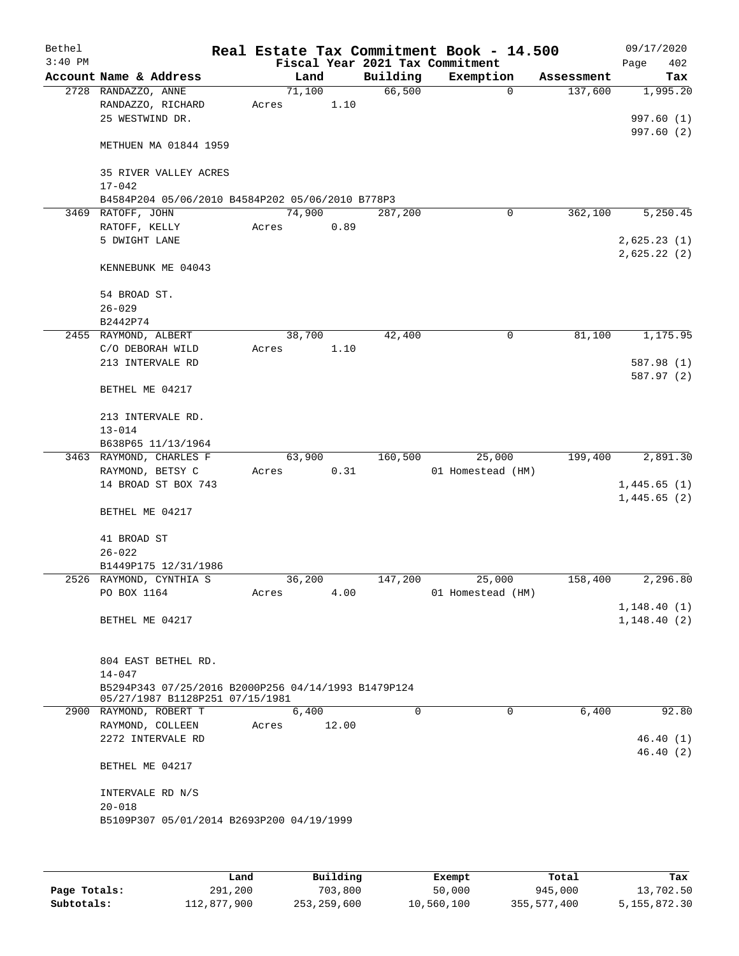| Bethel    |                                                     |       |        |       |          | Real Estate Tax Commitment Book - 14.500 |            | 09/17/2020  |
|-----------|-----------------------------------------------------|-------|--------|-------|----------|------------------------------------------|------------|-------------|
| $3:40$ PM |                                                     |       |        |       |          | Fiscal Year 2021 Tax Commitment          |            | Page<br>402 |
|           | Account Name & Address                              |       | Land   |       | Building | Exemption                                | Assessment | Tax         |
|           | 2728 RANDAZZO, ANNE                                 |       | 71,100 |       | 66,500   | $\mathbf 0$                              | 137,600    | 1,995.20    |
|           | RANDAZZO, RICHARD                                   | Acres |        | 1.10  |          |                                          |            |             |
|           | 25 WESTWIND DR.                                     |       |        |       |          |                                          |            | 997.60 (1)  |
|           |                                                     |       |        |       |          |                                          |            | 997.60(2)   |
|           | METHUEN MA 01844 1959                               |       |        |       |          |                                          |            |             |
|           |                                                     |       |        |       |          |                                          |            |             |
|           | 35 RIVER VALLEY ACRES                               |       |        |       |          |                                          |            |             |
|           | $17 - 042$                                          |       |        |       |          |                                          |            |             |
|           | B4584P204 05/06/2010 B4584P202 05/06/2010 B778P3    |       |        |       |          |                                          |            |             |
|           | 3469 RATOFF, JOHN                                   |       | 74,900 |       | 287,200  | 0                                        | 362,100    | 5,250.45    |
|           |                                                     |       |        |       |          |                                          |            |             |
|           | RATOFF, KELLY                                       | Acres |        | 0.89  |          |                                          |            |             |
|           | 5 DWIGHT LANE                                       |       |        |       |          |                                          |            | 2,625.23(1) |
|           |                                                     |       |        |       |          |                                          |            | 2,625.22(2) |
|           | KENNEBUNK ME 04043                                  |       |        |       |          |                                          |            |             |
|           |                                                     |       |        |       |          |                                          |            |             |
|           | 54 BROAD ST.                                        |       |        |       |          |                                          |            |             |
|           | $26 - 029$                                          |       |        |       |          |                                          |            |             |
|           | B2442P74                                            |       |        |       |          |                                          |            |             |
|           | 2455 RAYMOND, ALBERT                                |       | 38,700 |       | 42,400   | 0                                        | 81,100     | 1,175.95    |
|           | C/O DEBORAH WILD                                    | Acres |        | 1.10  |          |                                          |            |             |
|           | 213 INTERVALE RD                                    |       |        |       |          |                                          |            | 587.98 (1)  |
|           |                                                     |       |        |       |          |                                          |            | 587.97 (2)  |
|           | BETHEL ME 04217                                     |       |        |       |          |                                          |            |             |
|           |                                                     |       |        |       |          |                                          |            |             |
|           | 213 INTERVALE RD.                                   |       |        |       |          |                                          |            |             |
|           | $13 - 014$                                          |       |        |       |          |                                          |            |             |
|           | B638P65 11/13/1964                                  |       |        |       |          |                                          |            |             |
|           | 3463 RAYMOND, CHARLES F                             |       | 63,900 |       | 160,500  | 25,000                                   | 199,400    | 2,891.30    |
|           | RAYMOND, BETSY C                                    | Acres |        | 0.31  |          | 01 Homestead (HM)                        |            |             |
|           | 14 BROAD ST BOX 743                                 |       |        |       |          |                                          |            | 1,445.65(1) |
|           |                                                     |       |        |       |          |                                          |            | 1,445.65(2) |
|           | BETHEL ME 04217                                     |       |        |       |          |                                          |            |             |
|           |                                                     |       |        |       |          |                                          |            |             |
|           | 41 BROAD ST                                         |       |        |       |          |                                          |            |             |
|           |                                                     |       |        |       |          |                                          |            |             |
|           | $26 - 022$                                          |       |        |       |          |                                          |            |             |
|           | B1449P175 12/31/1986<br>2526 RAYMOND, CYNTHIA S     |       |        |       |          | 25,000                                   |            | 2,296.80    |
|           |                                                     |       | 36,200 |       | 147,200  |                                          | 158,400    |             |
|           | PO BOX 1164                                         | Acres |        | 4.00  |          | 01 Homestead (HM)                        |            |             |
|           |                                                     |       |        |       |          |                                          |            | 1,148.40(1) |
|           | BETHEL ME 04217                                     |       |        |       |          |                                          |            | 1,148.40(2) |
|           |                                                     |       |        |       |          |                                          |            |             |
|           |                                                     |       |        |       |          |                                          |            |             |
|           | 804 EAST BETHEL RD.                                 |       |        |       |          |                                          |            |             |
|           | $14 - 047$                                          |       |        |       |          |                                          |            |             |
|           | B5294P343 07/25/2016 B2000P256 04/14/1993 B1479P124 |       |        |       |          |                                          |            |             |
|           | 05/27/1987 B1128P251 07/15/1981                     |       |        |       |          |                                          |            |             |
|           | 2900 RAYMOND, ROBERT T                              |       | 6,400  |       | $\Omega$ | $\Omega$                                 | 6,400      | 92.80       |
|           | RAYMOND, COLLEEN                                    | Acres |        | 12.00 |          |                                          |            |             |
|           | 2272 INTERVALE RD                                   |       |        |       |          |                                          |            | 46.40(1)    |
|           |                                                     |       |        |       |          |                                          |            | 46.40(2)    |
|           | BETHEL ME 04217                                     |       |        |       |          |                                          |            |             |
|           |                                                     |       |        |       |          |                                          |            |             |
|           | INTERVALE RD N/S                                    |       |        |       |          |                                          |            |             |
|           | $20 - 018$                                          |       |        |       |          |                                          |            |             |
|           | B5109P307 05/01/2014 B2693P200 04/19/1999           |       |        |       |          |                                          |            |             |
|           |                                                     |       |        |       |          |                                          |            |             |
|           |                                                     |       |        |       |          |                                          |            |             |
|           |                                                     |       |        |       |          |                                          |            |             |

|              | Land        | Building      | Exempt     | Total       | Tax          |
|--------------|-------------|---------------|------------|-------------|--------------|
| Page Totals: | 291,200     | 703,800       | 50,000     | 945,000     | 13,702.50    |
| Subtotals:   | 112,877,900 | 253, 259, 600 | 10,560,100 | 355,577,400 | 5,155,872.30 |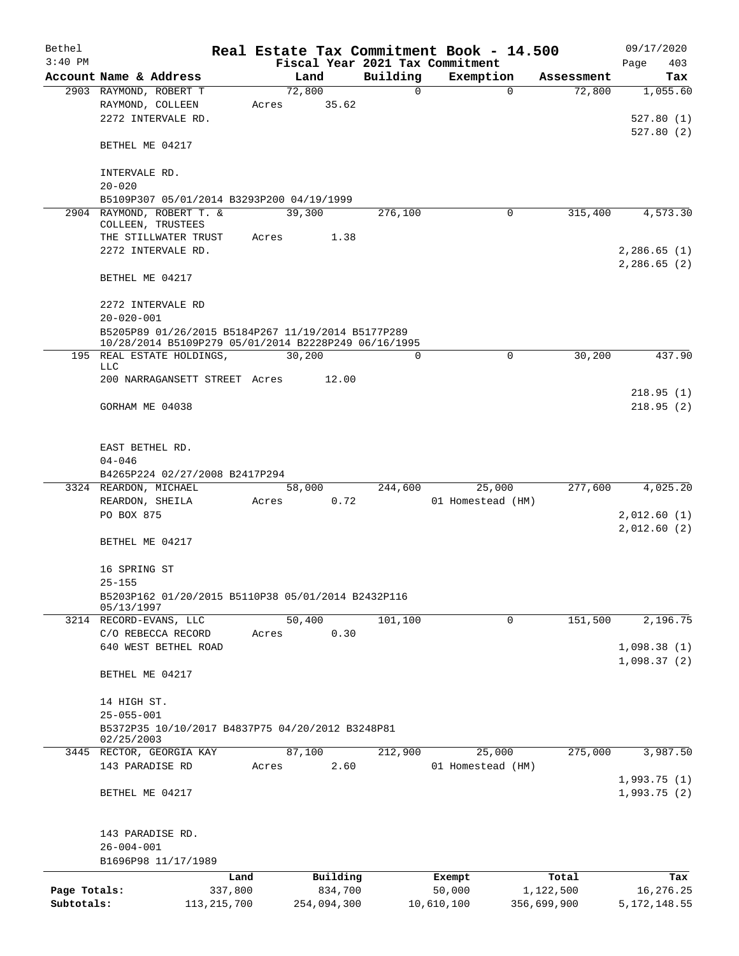| Bethel       |                                                      |       |             |          | Real Estate Tax Commitment Book - 14.500 |             | 09/17/2020                 |
|--------------|------------------------------------------------------|-------|-------------|----------|------------------------------------------|-------------|----------------------------|
| $3:40$ PM    |                                                      |       |             |          | Fiscal Year 2021 Tax Commitment          |             | Page<br>403                |
|              | Account Name & Address                               |       | Land        | Building | Exemption                                | Assessment  | Tax                        |
|              | 2903 RAYMOND, ROBERT T                               |       | 72,800      | 0        | $\Omega$                                 | 72,800      | 1,055.60                   |
|              | RAYMOND, COLLEEN<br>2272 INTERVALE RD.               | Acres | 35.62       |          |                                          |             |                            |
|              |                                                      |       |             |          |                                          |             | 527.80(1)                  |
|              | BETHEL ME 04217                                      |       |             |          |                                          |             | 527.80(2)                  |
|              | INTERVALE RD.                                        |       |             |          |                                          |             |                            |
|              | $20 - 020$                                           |       |             |          |                                          |             |                            |
|              | B5109P307 05/01/2014 B3293P200 04/19/1999            |       |             |          |                                          |             |                            |
|              | 2904 RAYMOND, ROBERT T. &                            |       | 39,300      | 276,100  | 0                                        | 315,400     | 4,573.30                   |
|              | COLLEEN, TRUSTEES                                    |       |             |          |                                          |             |                            |
|              | THE STILLWATER TRUST                                 | Acres | 1.38        |          |                                          |             |                            |
|              | 2272 INTERVALE RD.                                   |       |             |          |                                          |             | 2,286.65(1)                |
|              |                                                      |       |             |          |                                          |             | 2,286.65(2)                |
|              | BETHEL ME 04217                                      |       |             |          |                                          |             |                            |
|              | 2272 INTERVALE RD                                    |       |             |          |                                          |             |                            |
|              | $20 - 020 - 001$                                     |       |             |          |                                          |             |                            |
|              | B5205P89 01/26/2015 B5184P267 11/19/2014 B5177P289   |       |             |          |                                          |             |                            |
|              | 10/28/2014 B5109P279 05/01/2014 B2228P249 06/16/1995 |       |             |          |                                          |             |                            |
|              | 195 REAL ESTATE HOLDINGS,                            |       | 30,200      | $\Omega$ | 0                                        | 30,200      | 437.90                     |
|              | <b>LLC</b>                                           |       |             |          |                                          |             |                            |
|              | 200 NARRAGANSETT STREET Acres                        |       | 12.00       |          |                                          |             |                            |
|              |                                                      |       |             |          |                                          |             | 218.95(1)                  |
|              | GORHAM ME 04038                                      |       |             |          |                                          |             | 218.95(2)                  |
|              |                                                      |       |             |          |                                          |             |                            |
|              | EAST BETHEL RD.                                      |       |             |          |                                          |             |                            |
|              | $04 - 046$                                           |       |             |          |                                          |             |                            |
|              | B4265P224 02/27/2008 B2417P294                       |       |             |          |                                          |             |                            |
|              | 3324 REARDON, MICHAEL                                |       | 58,000      | 244,600  | 25,000                                   | 277,600     | 4,025.20                   |
|              | REARDON, SHEILA                                      | Acres | 0.72        |          | 01 Homestead (HM)                        |             |                            |
|              | PO BOX 875                                           |       |             |          |                                          |             | 2,012.60(1)                |
|              |                                                      |       |             |          |                                          |             | 2,012.60(2)                |
|              | BETHEL ME 04217                                      |       |             |          |                                          |             |                            |
|              | 16 SPRING ST                                         |       |             |          |                                          |             |                            |
|              | $25 - 155$                                           |       |             |          |                                          |             |                            |
|              | B5203P162 01/20/2015 B5110P38 05/01/2014 B2432P116   |       |             |          |                                          |             |                            |
|              | 05/13/1997                                           |       |             |          |                                          |             |                            |
|              | 3214 RECORD-EVANS, LLC                               |       | 50,400      | 101, 100 | $\mathbf 0$                              | 151,500     | 2,196.75                   |
|              | C/O REBECCA RECORD                                   | Acres | 0.30        |          |                                          |             |                            |
|              | 640 WEST BETHEL ROAD                                 |       |             |          |                                          |             | 1,098.38(1)<br>1,098.37(2) |
|              | BETHEL ME 04217                                      |       |             |          |                                          |             |                            |
|              |                                                      |       |             |          |                                          |             |                            |
|              | 14 HIGH ST.                                          |       |             |          |                                          |             |                            |
|              | $25 - 055 - 001$                                     |       |             |          |                                          |             |                            |
|              | B5372P35 10/10/2017 B4837P75 04/20/2012 B3248P81     |       |             |          |                                          |             |                            |
|              | 02/25/2003<br>3445 RECTOR, GEORGIA KAY               |       | 87,100      | 212,900  | 25,000                                   | 275,000     | 3,987.50                   |
|              | 143 PARADISE RD                                      | Acres | 2.60        |          | 01 Homestead (HM)                        |             |                            |
|              |                                                      |       |             |          |                                          |             | 1,993.75(1)                |
|              | BETHEL ME 04217                                      |       |             |          |                                          |             | 1,993.75(2)                |
|              |                                                      |       |             |          |                                          |             |                            |
|              | 143 PARADISE RD.                                     |       |             |          |                                          |             |                            |
|              | $26 - 004 - 001$                                     |       |             |          |                                          |             |                            |
|              | B1696P98 11/17/1989                                  |       |             |          |                                          |             |                            |
|              | Land                                                 |       | Building    |          | Exempt                                   | Total       | Tax                        |
| Page Totals: | 337,800                                              |       | 834,700     |          | 50,000                                   | 1,122,500   | 16,276.25                  |
| Subtotals:   | 113, 215, 700                                        |       | 254,094,300 |          | 10,610,100                               | 356,699,900 | 5, 172, 148.55             |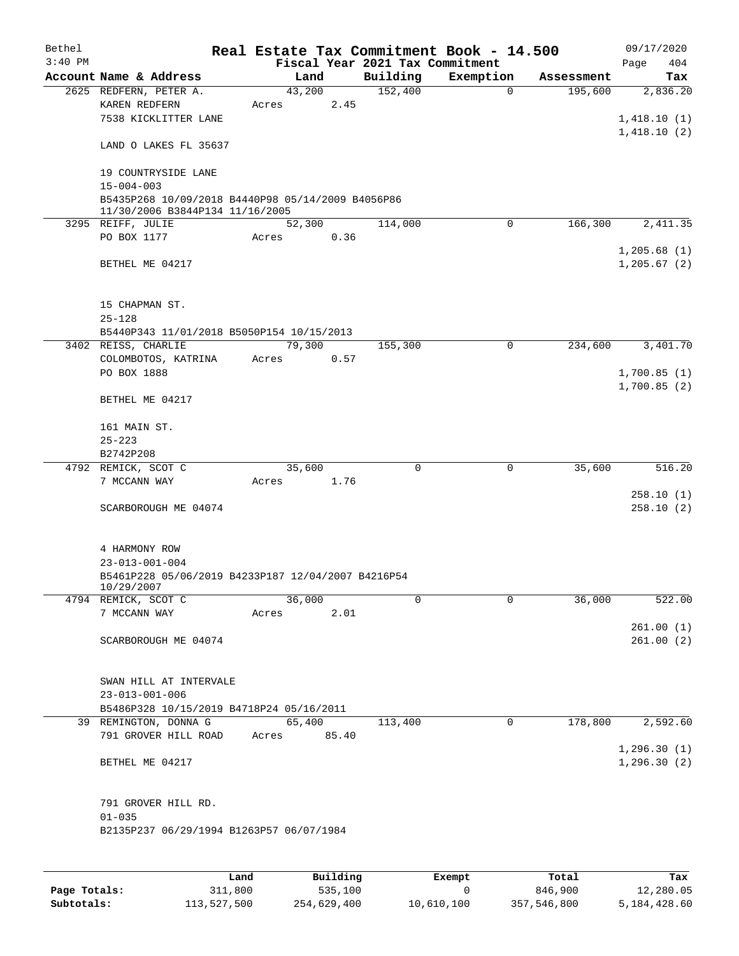| Bethel    |                                                                                      |       |        |      |                                             | Real Estate Tax Commitment Book - 14.500 |            | 09/17/2020         |
|-----------|--------------------------------------------------------------------------------------|-------|--------|------|---------------------------------------------|------------------------------------------|------------|--------------------|
| $3:40$ PM | Account Name & Address                                                               |       | Land   |      | Fiscal Year 2021 Tax Commitment<br>Building | Exemption                                | Assessment | 404<br>Page<br>Tax |
|           | 2625 REDFERN, PETER A.                                                               |       | 43,200 |      | 152,400                                     | $\mathbf 0$                              | 195,600    | 2,836.20           |
|           | KAREN REDFERN                                                                        | Acres |        | 2.45 |                                             |                                          |            |                    |
|           | 7538 KICKLITTER LANE                                                                 |       |        |      |                                             |                                          |            | 1,418.10(1)        |
|           |                                                                                      |       |        |      |                                             |                                          |            | 1,418.10(2)        |
|           | LAND O LAKES FL 35637                                                                |       |        |      |                                             |                                          |            |                    |
|           |                                                                                      |       |        |      |                                             |                                          |            |                    |
|           | 19 COUNTRYSIDE LANE                                                                  |       |        |      |                                             |                                          |            |                    |
|           | $15 - 004 - 003$                                                                     |       |        |      |                                             |                                          |            |                    |
|           | B5435P268 10/09/2018 B4440P98 05/14/2009 B4056P86<br>11/30/2006 B3844P134 11/16/2005 |       |        |      |                                             |                                          |            |                    |
|           | 3295 REIFF, JULIE                                                                    |       | 52,300 |      | 114,000                                     | $\mathbf 0$                              | 166,300    | 2,411.35           |
|           | PO BOX 1177                                                                          | Acres |        | 0.36 |                                             |                                          |            |                    |
|           |                                                                                      |       |        |      |                                             |                                          |            | 1,205.68(1)        |
|           | BETHEL ME 04217                                                                      |       |        |      |                                             |                                          |            | 1, 205.67(2)       |
|           |                                                                                      |       |        |      |                                             |                                          |            |                    |
|           |                                                                                      |       |        |      |                                             |                                          |            |                    |
|           | 15 CHAPMAN ST.                                                                       |       |        |      |                                             |                                          |            |                    |
|           | $25 - 128$                                                                           |       |        |      |                                             |                                          |            |                    |
|           | B5440P343 11/01/2018 B5050P154 10/15/2013                                            |       |        |      |                                             |                                          |            |                    |
|           | 3402 REISS, CHARLIE                                                                  |       | 79,300 |      | 155,300                                     | 0                                        | 234,600    | 3,401.70           |
|           | COLOMBOTOS, KATRINA                                                                  | Acres |        | 0.57 |                                             |                                          |            |                    |
|           | PO BOX 1888                                                                          |       |        |      |                                             |                                          |            | 1,700.85(1)        |
|           |                                                                                      |       |        |      |                                             |                                          |            | 1,700.85(2)        |
|           | BETHEL ME 04217                                                                      |       |        |      |                                             |                                          |            |                    |
|           |                                                                                      |       |        |      |                                             |                                          |            |                    |
|           | 161 MAIN ST.                                                                         |       |        |      |                                             |                                          |            |                    |
|           | $25 - 223$                                                                           |       |        |      |                                             |                                          |            |                    |
|           | B2742P208                                                                            |       |        |      |                                             |                                          |            |                    |
|           | 4792 REMICK, SCOT C                                                                  |       | 35,600 |      | $\Omega$                                    | 0                                        | 35,600     | 516.20             |
|           | 7 MCCANN WAY                                                                         | Acres |        | 1.76 |                                             |                                          |            | 258.10(1)          |
|           | SCARBOROUGH ME 04074                                                                 |       |        |      |                                             |                                          |            | 258.10(2)          |
|           |                                                                                      |       |        |      |                                             |                                          |            |                    |
|           |                                                                                      |       |        |      |                                             |                                          |            |                    |
|           | 4 HARMONY ROW                                                                        |       |        |      |                                             |                                          |            |                    |
|           | $23 - 013 - 001 - 004$                                                               |       |        |      |                                             |                                          |            |                    |
|           | B5461P228 05/06/2019 B4233P187 12/04/2007 B4216P54                                   |       |        |      |                                             |                                          |            |                    |
|           | 10/29/2007                                                                           |       |        |      |                                             |                                          |            |                    |
|           | 4794 REMICK, SCOT C                                                                  |       | 36,000 |      | $\mathbf 0$                                 | $\mathbf 0$                              | 36,000     | 522.00             |
|           | 7 MCCANN WAY                                                                         | Acres |        | 2.01 |                                             |                                          |            |                    |
|           |                                                                                      |       |        |      |                                             |                                          |            | 261.00(1)          |
|           | SCARBOROUGH ME 04074                                                                 |       |        |      |                                             |                                          |            | 261.00(2)          |
|           |                                                                                      |       |        |      |                                             |                                          |            |                    |
|           | SWAN HILL AT INTERVALE                                                               |       |        |      |                                             |                                          |            |                    |
|           | $23 - 013 - 001 - 006$                                                               |       |        |      |                                             |                                          |            |                    |
|           | B5486P328 10/15/2019 B4718P24 05/16/2011                                             |       |        |      |                                             |                                          |            |                    |
|           | 39 REMINGTON, DONNA G                                                                |       | 65,400 |      | 113,400                                     | 0                                        | 178,800    | 2,592.60           |
|           | 791 GROVER HILL ROAD Acres 85.40                                                     |       |        |      |                                             |                                          |            |                    |
|           |                                                                                      |       |        |      |                                             |                                          |            | 1, 296.30(1)       |
|           | BETHEL ME 04217                                                                      |       |        |      |                                             |                                          |            | 1,296.30(2)        |
|           |                                                                                      |       |        |      |                                             |                                          |            |                    |
|           |                                                                                      |       |        |      |                                             |                                          |            |                    |
|           | 791 GROVER HILL RD.                                                                  |       |        |      |                                             |                                          |            |                    |
|           | $01 - 035$                                                                           |       |        |      |                                             |                                          |            |                    |
|           | B2135P237 06/29/1994 B1263P57 06/07/1984                                             |       |        |      |                                             |                                          |            |                    |
|           |                                                                                      |       |        |      |                                             |                                          |            |                    |
|           |                                                                                      |       |        |      |                                             |                                          |            |                    |

|              | Land        | Building    | Exempt     | Total       | Tax          |
|--------------|-------------|-------------|------------|-------------|--------------|
| Page Totals: | 311,800     | 535,100     |            | 846,900     | 12,280.05    |
| Subtotals:   | 113,527,500 | 254,629,400 | 10,610,100 | 357,546,800 | 5,184,428.60 |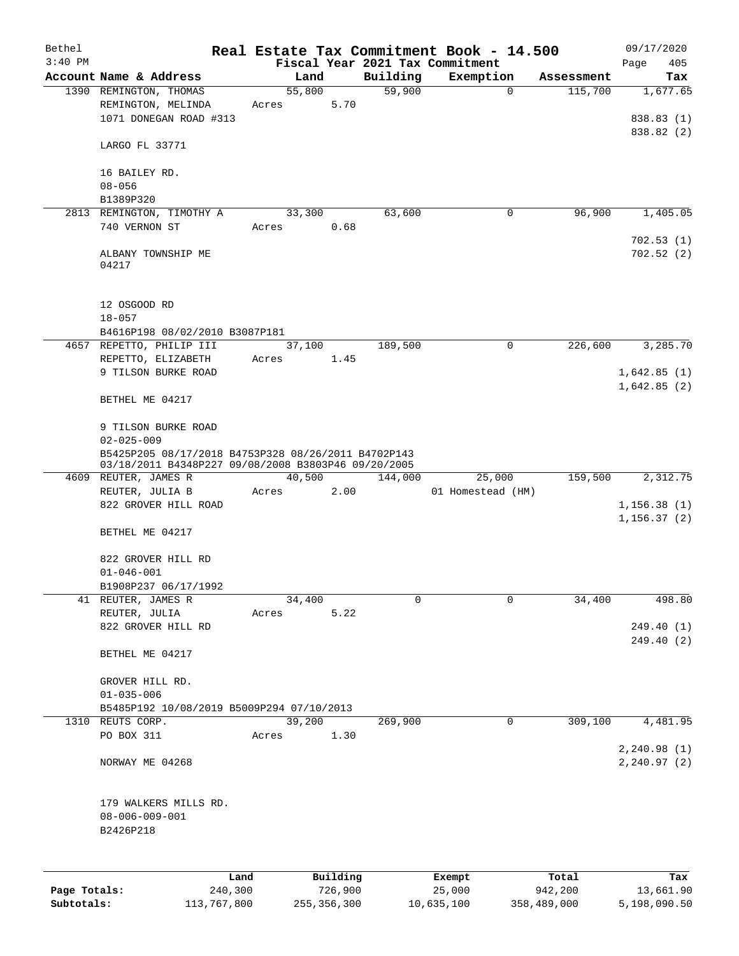| Bethel       |                                                                         |        |          |          | Real Estate Tax Commitment Book - 14.500 |            | 09/17/2020             |
|--------------|-------------------------------------------------------------------------|--------|----------|----------|------------------------------------------|------------|------------------------|
| $3:40$ PM    |                                                                         |        |          |          | Fiscal Year 2021 Tax Commitment          |            | Page<br>405            |
|              | Account Name & Address                                                  | Land   |          | Building | Exemption                                | Assessment | Tax                    |
|              | 1390 REMINGTON, THOMAS                                                  | 55,800 |          | 59,900   | $\mathbf 0$                              | 115,700    | 1,677.65               |
|              | REMINGTON, MELINDA<br>1071 DONEGAN ROAD #313                            | Acres  | 5.70     |          |                                          |            | 838.83 (1)             |
|              |                                                                         |        |          |          |                                          |            | 838.82 (2)             |
|              | LARGO FL 33771                                                          |        |          |          |                                          |            |                        |
|              | 16 BAILEY RD.                                                           |        |          |          |                                          |            |                        |
|              | $08 - 056$                                                              |        |          |          |                                          |            |                        |
|              | B1389P320                                                               |        |          |          |                                          |            |                        |
|              | 2813 REMINGTON, TIMOTHY A                                               | 33,300 |          | 63,600   | 0                                        | 96,900     | 1,405.05               |
|              | 740 VERNON ST                                                           | Acres  | 0.68     |          |                                          |            |                        |
|              | ALBANY TOWNSHIP ME<br>04217                                             |        |          |          |                                          |            | 702.53(1)<br>702.52(2) |
|              | 12 OSGOOD RD<br>$18 - 057$                                              |        |          |          |                                          |            |                        |
|              | B4616P198 08/02/2010 B3087P181                                          |        |          |          |                                          |            |                        |
|              | 4657 REPETTO, PHILIP III                                                | 37,100 |          | 189,500  | $\mathsf{O}$                             | 226,600    | 3,285.70               |
|              | REPETTO, ELIZABETH                                                      | Acres  | 1.45     |          |                                          |            |                        |
|              | 9 TILSON BURKE ROAD                                                     |        |          |          |                                          |            | 1,642.85(1)            |
|              | BETHEL ME 04217                                                         |        |          |          |                                          |            | 1,642.85(2)            |
|              |                                                                         |        |          |          |                                          |            |                        |
|              | 9 TILSON BURKE ROAD                                                     |        |          |          |                                          |            |                        |
|              | $02 - 025 - 009$<br>B5425P205 08/17/2018 B4753P328 08/26/2011 B4702P143 |        |          |          |                                          |            |                        |
|              | 03/18/2011 B4348P227 09/08/2008 B3803P46 09/20/2005                     |        |          |          |                                          |            |                        |
|              | 4609 REUTER, JAMES R                                                    | 40,500 |          | 144,000  | 25,000                                   | 159,500    | 2,312.75               |
|              | REUTER, JULIA B                                                         | Acres  | 2.00     |          | 01 Homestead (HM)                        |            |                        |
|              | 822 GROVER HILL ROAD                                                    |        |          |          |                                          |            | 1, 156.38(1)           |
|              |                                                                         |        |          |          |                                          |            | 1, 156.37(2)           |
|              | BETHEL ME 04217                                                         |        |          |          |                                          |            |                        |
|              | 822 GROVER HILL RD                                                      |        |          |          |                                          |            |                        |
|              | $01 - 046 - 001$                                                        |        |          |          |                                          |            |                        |
|              | B1908P237 06/17/1992                                                    |        |          |          |                                          |            |                        |
|              | 41 REUTER, JAMES R                                                      | 34,400 |          | 0        | $\mathbf 0$                              | 34,400     | 498.80                 |
|              | REUTER, JULIA                                                           | Acres  | 5.22     |          |                                          |            |                        |
|              | 822 GROVER HILL RD                                                      |        |          |          |                                          |            | 249.40 (1)             |
|              |                                                                         |        |          |          |                                          |            | 249.40 (2)             |
|              | BETHEL ME 04217                                                         |        |          |          |                                          |            |                        |
|              | GROVER HILL RD.                                                         |        |          |          |                                          |            |                        |
|              | $01 - 035 - 006$                                                        |        |          |          |                                          |            |                        |
|              | B5485P192 10/08/2019 B5009P294 07/10/2013                               |        |          |          |                                          |            |                        |
|              | 1310 REUTS CORP.                                                        | 39,200 |          | 269,900  | 0                                        | 309,100    | 4,481.95               |
|              | PO BOX 311                                                              | Acres  | 1.30     |          |                                          |            |                        |
|              |                                                                         |        |          |          |                                          |            | 2, 240.98(1)           |
|              | NORWAY ME 04268                                                         |        |          |          |                                          |            | 2, 240.97(2)           |
|              | 179 WALKERS MILLS RD.                                                   |        |          |          |                                          |            |                        |
|              | $08 - 006 - 009 - 001$                                                  |        |          |          |                                          |            |                        |
|              | B2426P218                                                               |        |          |          |                                          |            |                        |
|              |                                                                         |        |          |          |                                          |            |                        |
|              |                                                                         |        |          |          |                                          |            |                        |
|              |                                                                         |        |          |          |                                          |            |                        |
|              | Land                                                                    |        | Building |          | Exempt                                   | Total      | Tax                    |
| Page Totals: | 240,300                                                                 |        | 726,900  |          | 25,000                                   | 942,200    | 13,661.90              |

**Subtotals:** 113,767,800 255,356,300 10,635,100 358,489,000 5,198,090.50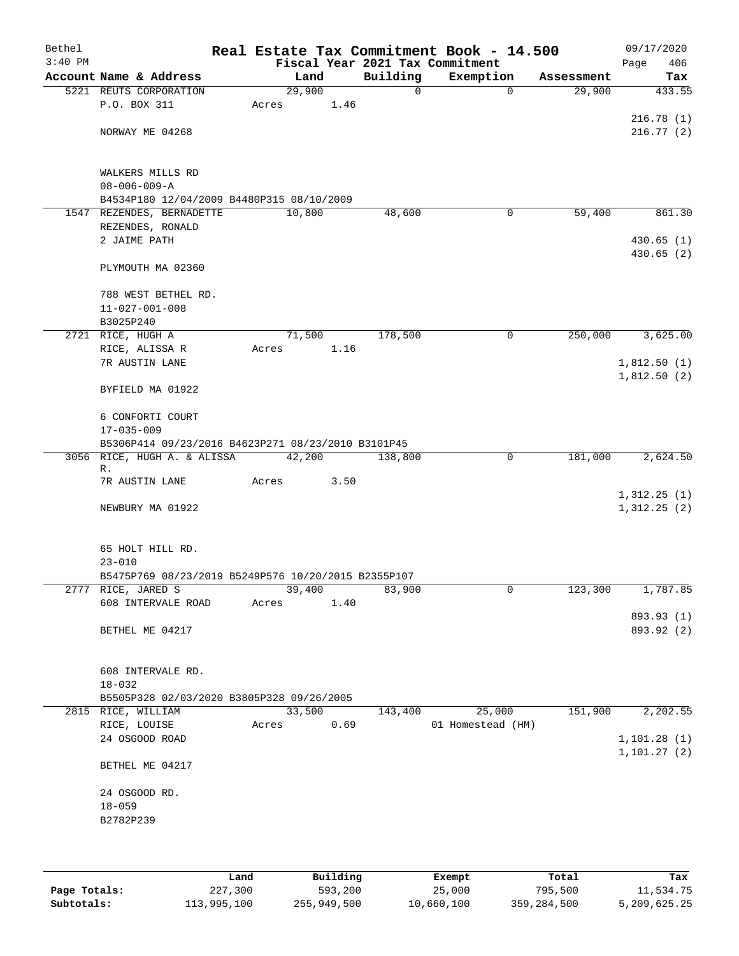| Bethel<br>$3:40$ PM |                                                     |       |        |      |          | Real Estate Tax Commitment Book - 14.500<br>Fiscal Year 2021 Tax Commitment |            | 09/17/2020<br>406<br>Page |
|---------------------|-----------------------------------------------------|-------|--------|------|----------|-----------------------------------------------------------------------------|------------|---------------------------|
|                     | Account Name & Address                              |       | Land   |      | Building | Exemption                                                                   | Assessment | Tax                       |
|                     | 5221 REUTS CORPORATION                              |       | 29,900 |      | 0        | 0                                                                           | 29,900     | 433.55                    |
|                     | P.O. BOX 311                                        | Acres |        | 1.46 |          |                                                                             |            |                           |
|                     |                                                     |       |        |      |          |                                                                             |            | 216.78(1)                 |
|                     | NORWAY ME 04268                                     |       |        |      |          |                                                                             |            | 216.77(2)                 |
|                     |                                                     |       |        |      |          |                                                                             |            |                           |
|                     | WALKERS MILLS RD                                    |       |        |      |          |                                                                             |            |                           |
|                     | $08 - 006 - 009 - A$                                |       |        |      |          |                                                                             |            |                           |
|                     | B4534P180 12/04/2009 B4480P315 08/10/2009           |       |        |      |          |                                                                             |            |                           |
|                     | 1547 REZENDES, BERNADETTE                           |       | 10,800 |      | 48,600   | 0                                                                           | 59,400     | 861.30                    |
|                     | REZENDES, RONALD                                    |       |        |      |          |                                                                             |            |                           |
|                     | 2 JAIME PATH                                        |       |        |      |          |                                                                             |            | 430.65(1)                 |
|                     |                                                     |       |        |      |          |                                                                             |            | 430.65(2)                 |
|                     | PLYMOUTH MA 02360                                   |       |        |      |          |                                                                             |            |                           |
|                     | 788 WEST BETHEL RD.                                 |       |        |      |          |                                                                             |            |                           |
|                     | $11 - 027 - 001 - 008$                              |       |        |      |          |                                                                             |            |                           |
|                     | B3025P240                                           |       |        |      |          |                                                                             |            |                           |
|                     | 2721 RICE, HUGH A                                   |       | 71,500 |      | 178,500  | 0                                                                           | 250,000    | 3,625.00                  |
|                     | RICE, ALISSA R                                      | Acres |        | 1.16 |          |                                                                             |            |                           |
|                     | 7R AUSTIN LANE                                      |       |        |      |          |                                                                             |            | 1,812.50(1)               |
|                     |                                                     |       |        |      |          |                                                                             |            | 1,812.50(2)               |
|                     | BYFIELD MA 01922                                    |       |        |      |          |                                                                             |            |                           |
|                     | 6 CONFORTI COURT                                    |       |        |      |          |                                                                             |            |                           |
|                     | $17 - 035 - 009$                                    |       |        |      |          |                                                                             |            |                           |
|                     | B5306P414 09/23/2016 B4623P271 08/23/2010 B3101P45  |       |        |      |          |                                                                             |            |                           |
|                     | 3056 RICE, HUGH A. & ALISSA                         |       | 42,200 |      | 138,800  | $\mathbf 0$                                                                 | 181,000    | 2,624.50                  |
|                     | R.                                                  |       |        |      |          |                                                                             |            |                           |
|                     | 7R AUSTIN LANE                                      | Acres |        | 3.50 |          |                                                                             |            |                           |
|                     |                                                     |       |        |      |          |                                                                             |            | 1,312.25(1)               |
|                     | NEWBURY MA 01922                                    |       |        |      |          |                                                                             |            | 1,312.25(2)               |
|                     |                                                     |       |        |      |          |                                                                             |            |                           |
|                     | 65 HOLT HILL RD.                                    |       |        |      |          |                                                                             |            |                           |
|                     | $23 - 010$                                          |       |        |      |          |                                                                             |            |                           |
|                     | B5475P769 08/23/2019 B5249P576 10/20/2015 B2355P107 |       |        |      |          |                                                                             |            |                           |
|                     | 2777 RICE, JARED S                                  |       | 39,400 |      | 83,900   | 0                                                                           | 123,300    | 1,787.85                  |
|                     | 608 INTERVALE ROAD                                  | Acres |        | 1.40 |          |                                                                             |            |                           |
|                     | BETHEL ME 04217                                     |       |        |      |          |                                                                             |            | 893.93 (1)<br>893.92 (2)  |
|                     |                                                     |       |        |      |          |                                                                             |            |                           |
|                     |                                                     |       |        |      |          |                                                                             |            |                           |
|                     | 608 INTERVALE RD.                                   |       |        |      |          |                                                                             |            |                           |
|                     | $18 - 032$                                          |       |        |      |          |                                                                             |            |                           |
|                     | B5505P328 02/03/2020 B3805P328 09/26/2005           |       |        |      |          |                                                                             |            |                           |
|                     | 2815 RICE, WILLIAM                                  |       | 33,500 |      | 143,400  | 25,000                                                                      | 151,900    | 2,202.55                  |
|                     | RICE, LOUISE<br>24 OSGOOD ROAD                      | Acres |        | 0.69 |          | 01 Homestead (HM)                                                           |            | 1, 101.28(1)              |
|                     |                                                     |       |        |      |          |                                                                             |            | 1, 101.27(2)              |
|                     | BETHEL ME 04217                                     |       |        |      |          |                                                                             |            |                           |
|                     | 24 OSGOOD RD.                                       |       |        |      |          |                                                                             |            |                           |
|                     | $18 - 059$                                          |       |        |      |          |                                                                             |            |                           |
|                     | B2782P239                                           |       |        |      |          |                                                                             |            |                           |
|                     |                                                     |       |        |      |          |                                                                             |            |                           |
|                     |                                                     |       |        |      |          |                                                                             |            |                           |
|                     |                                                     |       |        |      |          |                                                                             |            |                           |

|              | Land        | Building    | Exempt     | Total       | Tax          |
|--------------|-------------|-------------|------------|-------------|--------------|
| Page Totals: | 227,300     | 593,200     | 25,000     | 795,500     | 11,534.75    |
| Subtotals:   | 113,995,100 | 255,949,500 | 10,660,100 | 359,284,500 | 5,209,625.25 |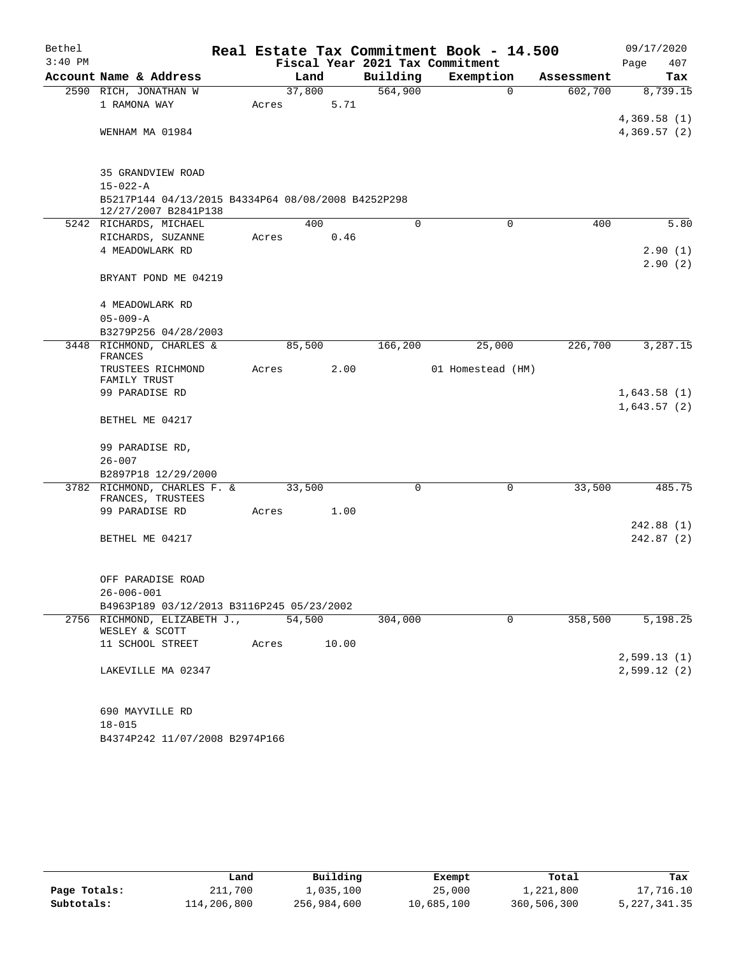| Bethel<br>$3:40$ PM |                                                                            |       |        |       | Fiscal Year 2021 Tax Commitment | Real Estate Tax Commitment Book - 14.500 |            | 09/17/2020<br>407<br>Page |
|---------------------|----------------------------------------------------------------------------|-------|--------|-------|---------------------------------|------------------------------------------|------------|---------------------------|
|                     | Account Name & Address                                                     |       | Land   |       | Building                        | Exemption                                | Assessment | Tax                       |
|                     | 2590 RICH, JONATHAN W                                                      |       | 37,800 |       | 564,900                         | $\mathbf 0$                              | 602,700    | 8,739.15                  |
|                     | 1 RAMONA WAY                                                               | Acres |        | 5.71  |                                 |                                          |            |                           |
|                     |                                                                            |       |        |       |                                 |                                          |            | 4,369.58(1)               |
|                     | WENHAM MA 01984                                                            |       |        |       |                                 |                                          |            | 4,369.57(2)               |
|                     | 35 GRANDVIEW ROAD                                                          |       |        |       |                                 |                                          |            |                           |
|                     | $15 - 022 - A$                                                             |       |        |       |                                 |                                          |            |                           |
|                     | B5217P144 04/13/2015 B4334P64 08/08/2008 B4252P298<br>12/27/2007 B2841P138 |       |        |       |                                 |                                          |            |                           |
|                     | 5242 RICHARDS, MICHAEL                                                     |       | 400    |       | 0                               | $\mathbf 0$                              | 400        | 5.80                      |
|                     | RICHARDS, SUZANNE                                                          | Acres |        | 0.46  |                                 |                                          |            |                           |
|                     | 4 MEADOWLARK RD                                                            |       |        |       |                                 |                                          |            | 2.90(1)<br>2.90(2)        |
|                     | BRYANT POND ME 04219                                                       |       |        |       |                                 |                                          |            |                           |
|                     | 4 MEADOWLARK RD                                                            |       |        |       |                                 |                                          |            |                           |
|                     | $05 - 009 - A$                                                             |       |        |       |                                 |                                          |            |                           |
|                     | B3279P256 04/28/2003                                                       |       |        |       |                                 |                                          |            |                           |
| 3448                | RICHMOND, CHARLES &<br><b>FRANCES</b>                                      |       | 85,500 |       | 166,200                         | 25,000                                   | 226,700    | 3,287.15                  |
|                     | TRUSTEES RICHMOND<br>FAMILY TRUST                                          | Acres |        | 2.00  |                                 | 01 Homestead (HM)                        |            |                           |
|                     | 99 PARADISE RD                                                             |       |        |       |                                 |                                          |            | 1,643.58(1)               |
|                     | BETHEL ME 04217                                                            |       |        |       |                                 |                                          |            | 1,643.57(2)               |
|                     | 99 PARADISE RD,                                                            |       |        |       |                                 |                                          |            |                           |
|                     | $26 - 007$                                                                 |       |        |       |                                 |                                          |            |                           |
|                     | B2897P18 12/29/2000                                                        |       |        |       |                                 |                                          |            |                           |
|                     | 3782 RICHMOND, CHARLES F. &<br>FRANCES, TRUSTEES                           |       | 33,500 |       | $\mathbf 0$                     | 0                                        | 33,500     | 485.75                    |
|                     | 99 PARADISE RD                                                             | Acres |        | 1.00  |                                 |                                          |            |                           |
|                     |                                                                            |       |        |       |                                 |                                          |            | 242.88(1)                 |
|                     | BETHEL ME 04217                                                            |       |        |       |                                 |                                          |            | 242.87(2)                 |
|                     | OFF PARADISE ROAD                                                          |       |        |       |                                 |                                          |            |                           |
|                     | $26 - 006 - 001$                                                           |       |        |       |                                 |                                          |            |                           |
|                     | B4963P189 03/12/2013 B3116P245 05/23/2002                                  |       |        |       |                                 |                                          |            |                           |
|                     | 2756 RICHMOND, ELIZABETH J.,                                               |       | 54,500 |       | 304,000                         | $\mathbf 0$                              | 358,500    | 5,198.25                  |
|                     | WESLEY & SCOTT                                                             |       |        |       |                                 |                                          |            |                           |
|                     | 11 SCHOOL STREET                                                           | Acres |        | 10.00 |                                 |                                          |            |                           |
|                     |                                                                            |       |        |       |                                 |                                          |            | 2,599.13(1)               |
|                     | LAKEVILLE MA 02347                                                         |       |        |       |                                 |                                          |            | 2,599.12(2)               |
|                     | 690 MAYVILLE RD                                                            |       |        |       |                                 |                                          |            |                           |
|                     | $18 - 015$                                                                 |       |        |       |                                 |                                          |            |                           |
|                     | B4374P242 11/07/2008 B2974P166                                             |       |        |       |                                 |                                          |            |                           |

|              | Land        | Building    | Exempt     | Total       | Tax            |
|--------------|-------------|-------------|------------|-------------|----------------|
| Page Totals: | 211,700     | ⊥,035,100   | 25,000     | 1,221,800   | 17,716.10      |
| Subtotals:   | 114,206,800 | 256,984,600 | 10,685,100 | 360,506,300 | 5, 227, 341.35 |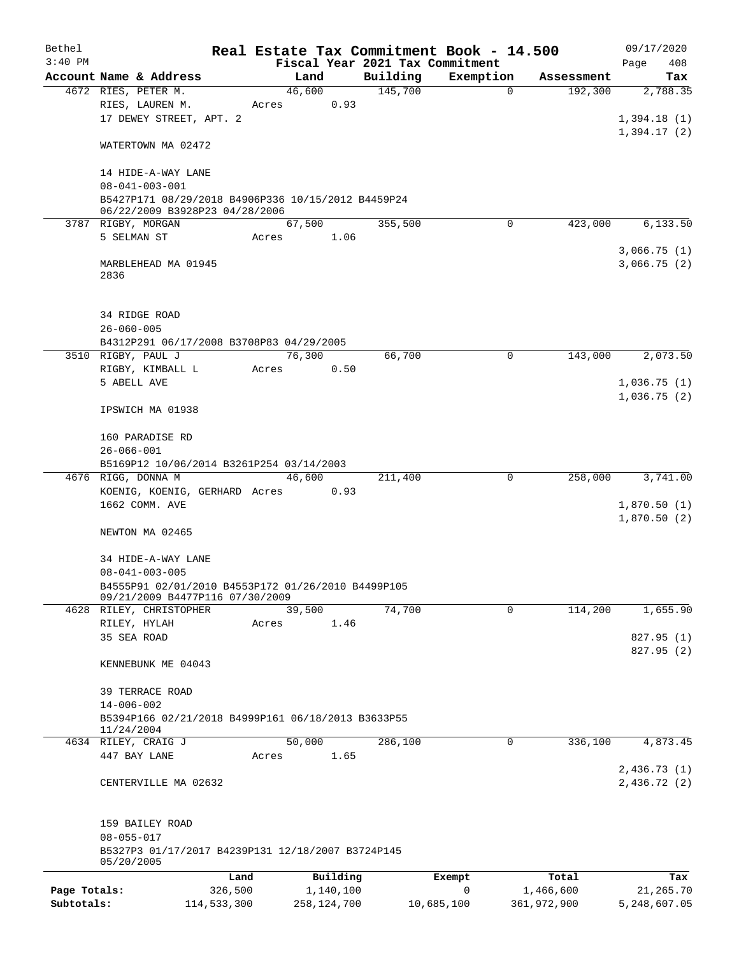| Bethel       |                                                    |       |               |      |                                 | Real Estate Tax Commitment Book - 14.500 |             |            | 09/17/2020                 |
|--------------|----------------------------------------------------|-------|---------------|------|---------------------------------|------------------------------------------|-------------|------------|----------------------------|
| $3:40$ PM    |                                                    |       |               |      | Fiscal Year 2021 Tax Commitment |                                          |             |            | Page<br>408                |
|              | Account Name & Address                             |       | Land          |      | Building                        | Exemption                                |             | Assessment | Tax                        |
|              | 4672 RIES, PETER M.                                |       | 46,600        |      | 145,700                         | $\Omega$                                 |             | 192,300    | 2,788.35                   |
|              | RIES, LAUREN M.                                    | Acres |               | 0.93 |                                 |                                          |             |            |                            |
|              | 17 DEWEY STREET, APT. 2                            |       |               |      |                                 |                                          |             |            | 1,394.18(1)                |
|              |                                                    |       |               |      |                                 |                                          |             |            | 1,394.17(2)                |
|              | WATERTOWN MA 02472                                 |       |               |      |                                 |                                          |             |            |                            |
|              |                                                    |       |               |      |                                 |                                          |             |            |                            |
|              | 14 HIDE-A-WAY LANE<br>$08 - 041 - 003 - 001$       |       |               |      |                                 |                                          |             |            |                            |
|              | B5427P171 08/29/2018 B4906P336 10/15/2012 B4459P24 |       |               |      |                                 |                                          |             |            |                            |
|              | 06/22/2009 B3928P23 04/28/2006                     |       |               |      |                                 |                                          |             |            |                            |
|              | 3787 RIGBY, MORGAN                                 |       | 67,500        |      | 355,500                         | $\mathbf 0$                              |             | 423,000    | 6,133.50                   |
|              | 5 SELMAN ST                                        | Acres | 1.06          |      |                                 |                                          |             |            |                            |
|              |                                                    |       |               |      |                                 |                                          |             |            | 3,066.75(1)                |
|              | MARBLEHEAD MA 01945                                |       |               |      |                                 |                                          |             |            | 3,066.75(2)                |
|              | 2836                                               |       |               |      |                                 |                                          |             |            |                            |
|              |                                                    |       |               |      |                                 |                                          |             |            |                            |
|              |                                                    |       |               |      |                                 |                                          |             |            |                            |
|              | 34 RIDGE ROAD                                      |       |               |      |                                 |                                          |             |            |                            |
|              | $26 - 060 - 005$                                   |       |               |      |                                 |                                          |             |            |                            |
|              | B4312P291 06/17/2008 B3708P83 04/29/2005           |       |               |      |                                 |                                          |             |            |                            |
|              | 3510 RIGBY, PAUL J                                 |       | 76,300        |      | 66,700                          |                                          | $\mathbf 0$ | 143,000    | 2,073.50                   |
|              | RIGBY, KIMBALL L<br>5 ABELL AVE                    | Acres |               | 0.50 |                                 |                                          |             |            |                            |
|              |                                                    |       |               |      |                                 |                                          |             |            | 1,036.75(1)<br>1,036.75(2) |
|              | IPSWICH MA 01938                                   |       |               |      |                                 |                                          |             |            |                            |
|              |                                                    |       |               |      |                                 |                                          |             |            |                            |
|              | 160 PARADISE RD                                    |       |               |      |                                 |                                          |             |            |                            |
|              | $26 - 066 - 001$                                   |       |               |      |                                 |                                          |             |            |                            |
|              | B5169P12 10/06/2014 B3261P254 03/14/2003           |       |               |      |                                 |                                          |             |            |                            |
|              | 4676 RIGG, DONNA M                                 |       | 46,600        |      | 211,400                         | 0                                        |             | 258,000    | 3,741.00                   |
|              | KOENIG, KOENIG, GERHARD Acres                      |       |               | 0.93 |                                 |                                          |             |            |                            |
|              | 1662 COMM. AVE                                     |       |               |      |                                 |                                          |             |            | 1,870.50(1)                |
|              |                                                    |       |               |      |                                 |                                          |             |            | 1,870.50(2)                |
|              | NEWTON MA 02465                                    |       |               |      |                                 |                                          |             |            |                            |
|              |                                                    |       |               |      |                                 |                                          |             |            |                            |
|              | 34 HIDE-A-WAY LANE                                 |       |               |      |                                 |                                          |             |            |                            |
|              | $08 - 041 - 003 - 005$                             |       |               |      |                                 |                                          |             |            |                            |
|              | B4555P91 02/01/2010 B4553P172 01/26/2010 B4499P105 |       |               |      |                                 |                                          |             |            |                            |
|              | 09/21/2009 B4477P116 07/30/2009                    |       |               |      |                                 |                                          |             |            |                            |
|              | 4628 RILEY, CHRISTOPHER                            |       | 39,500        |      | 74,700                          |                                          | 0           | 114,200    | 1,655.90                   |
|              | RILEY, HYLAH                                       | Acres |               | 1.46 |                                 |                                          |             |            |                            |
|              | 35 SEA ROAD                                        |       |               |      |                                 |                                          |             |            | 827.95 (1)                 |
|              |                                                    |       |               |      |                                 |                                          |             |            | 827.95 (2)                 |
|              | KENNEBUNK ME 04043                                 |       |               |      |                                 |                                          |             |            |                            |
|              | <b>39 TERRACE ROAD</b>                             |       |               |      |                                 |                                          |             |            |                            |
|              | $14 - 006 - 002$                                   |       |               |      |                                 |                                          |             |            |                            |
|              | B5394P166 02/21/2018 B4999P161 06/18/2013 B3633P55 |       |               |      |                                 |                                          |             |            |                            |
|              | 11/24/2004                                         |       |               |      |                                 |                                          |             |            |                            |
|              | 4634 RILEY, CRAIG J                                |       | 50,000        |      | 286,100                         |                                          | 0           | 336,100    | 4,873.45                   |
|              | 447 BAY LANE                                       | Acres |               | 1.65 |                                 |                                          |             |            |                            |
|              |                                                    |       |               |      |                                 |                                          |             |            | 2,436.73(1)                |
|              | CENTERVILLE MA 02632                               |       |               |      |                                 |                                          |             |            | 2,436.72(2)                |
|              |                                                    |       |               |      |                                 |                                          |             |            |                            |
|              |                                                    |       |               |      |                                 |                                          |             |            |                            |
|              | 159 BAILEY ROAD                                    |       |               |      |                                 |                                          |             |            |                            |
|              | $08 - 055 - 017$                                   |       |               |      |                                 |                                          |             |            |                            |
|              | B5327P3 01/17/2017 B4239P131 12/18/2007 B3724P145  |       |               |      |                                 |                                          |             |            |                            |
|              | 05/20/2005                                         |       |               |      |                                 |                                          |             |            |                            |
|              |                                                    | Land  | Building      |      |                                 | Exempt                                   |             | Total      | Tax                        |
| Page Totals: | 326,500                                            |       | 1,140,100     |      |                                 | 0                                        | 1,466,600   |            | 21,265.70                  |
| Subtotals:   | 114,533,300                                        |       | 258, 124, 700 |      |                                 | 10,685,100                               | 361,972,900 |            | 5,248,607.05               |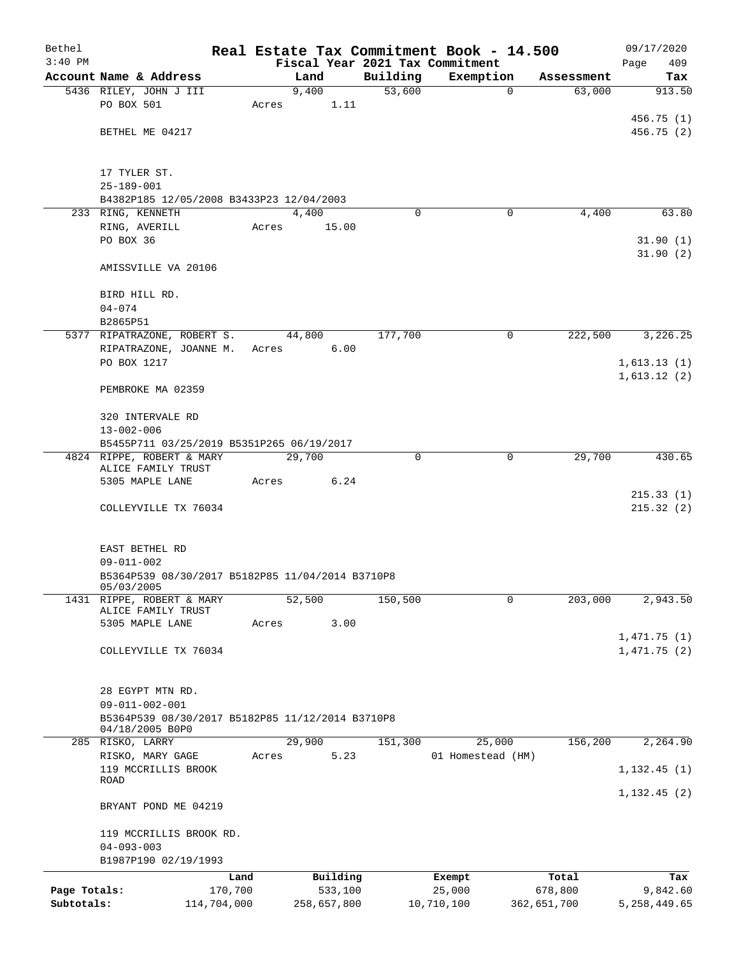| Bethel       |                                                  |                |             |          | Real Estate Tax Commitment Book - 14.500 |                      | 09/17/2020             |
|--------------|--------------------------------------------------|----------------|-------------|----------|------------------------------------------|----------------------|------------------------|
| $3:40$ PM    |                                                  |                |             |          | Fiscal Year 2021 Tax Commitment          |                      | 409<br>Page            |
|              | Account Name & Address                           | Land           |             | Building | Exemption                                | Assessment           | Tax                    |
|              | 5436 RILEY, JOHN J III<br>PO BOX 501             | 9,400<br>Acres | 1.11        | 53,600   | $\mathbf 0$                              | 63,000               | 913.50                 |
|              |                                                  |                |             |          |                                          |                      | 456.75(1)              |
|              | BETHEL ME 04217                                  |                |             |          |                                          |                      | 456.75(2)              |
|              |                                                  |                |             |          |                                          |                      |                        |
|              | 17 TYLER ST.                                     |                |             |          |                                          |                      |                        |
|              | $25 - 189 - 001$                                 |                |             |          |                                          |                      |                        |
|              | B4382P185 12/05/2008 B3433P23 12/04/2003         |                |             |          |                                          |                      |                        |
|              | 233 RING, KENNETH                                | 4,400          |             | $\Omega$ | 0                                        | 4,400                | 63.80                  |
|              | RING, AVERILL                                    | Acres          | 15.00       |          |                                          |                      |                        |
|              | PO BOX 36                                        |                |             |          |                                          |                      | 31.90(1)               |
|              | AMISSVILLE VA 20106                              |                |             |          |                                          |                      | 31.90(2)               |
|              | BIRD HILL RD.                                    |                |             |          |                                          |                      |                        |
|              | $04 - 074$                                       |                |             |          |                                          |                      |                        |
|              | B2865P51                                         |                |             |          |                                          |                      |                        |
|              | 5377 RIPATRAZONE, ROBERT S.                      | 44,800         |             | 177,700  | 0                                        | $2\overline{22,500}$ | 3,226.25               |
|              | RIPATRAZONE, JOANNE M.                           | Acres 6.00     |             |          |                                          |                      |                        |
|              | PO BOX 1217                                      |                |             |          |                                          |                      | 1,613.13(1)            |
|              | PEMBROKE MA 02359                                |                |             |          |                                          |                      | 1,613.12(2)            |
|              | 320 INTERVALE RD                                 |                |             |          |                                          |                      |                        |
|              | $13 - 002 - 006$                                 |                |             |          |                                          |                      |                        |
|              | B5455P711 03/25/2019 B5351P265 06/19/2017        |                |             |          |                                          |                      |                        |
|              | 4824 RIPPE, ROBERT & MARY                        | 29,700         |             | $\Omega$ | $\mathbf 0$                              | 29,700               | 430.65                 |
|              | ALICE FAMILY TRUST                               |                |             |          |                                          |                      |                        |
|              | 5305 MAPLE LANE                                  | Acres          | 6.24        |          |                                          |                      |                        |
|              | COLLEYVILLE TX 76034                             |                |             |          |                                          |                      | 215.33(1)<br>215.32(2) |
|              |                                                  |                |             |          |                                          |                      |                        |
|              | EAST BETHEL RD                                   |                |             |          |                                          |                      |                        |
|              | $09 - 011 - 002$                                 |                |             |          |                                          |                      |                        |
|              | B5364P539 08/30/2017 B5182P85 11/04/2014 B3710P8 |                |             |          |                                          |                      |                        |
|              | 05/03/2005                                       |                |             |          |                                          |                      |                        |
| 1431         | RIPPE, ROBERT & MARY                             | 52,500         |             | 150,500  | 0                                        | 203,000              | 2,943.50               |
|              | ALICE FAMILY TRUST<br>5305 MAPLE LANE            | Acres          | 3.00        |          |                                          |                      |                        |
|              |                                                  |                |             |          |                                          |                      | 1,471.75(1)            |
|              | COLLEYVILLE TX 76034                             |                |             |          |                                          |                      | 1,471.75(2)            |
|              |                                                  |                |             |          |                                          |                      |                        |
|              |                                                  |                |             |          |                                          |                      |                        |
|              | 28 EGYPT MTN RD.                                 |                |             |          |                                          |                      |                        |
|              | $09 - 011 - 002 - 001$                           |                |             |          |                                          |                      |                        |
|              | B5364P539 08/30/2017 B5182P85 11/12/2014 B3710P8 |                |             |          |                                          |                      |                        |
|              | 04/18/2005 B0P0<br>285 RISKO, LARRY              | 29,900         |             | 151,300  | 25,000                                   | 156,200              | 2,264.90               |
|              | RISKO, MARY GAGE                                 | Acres          | 5.23        |          | 01 Homestead (HM)                        |                      |                        |
|              | 119 MCCRILLIS BROOK                              |                |             |          |                                          |                      | 1, 132.45(1)           |
|              | ROAD                                             |                |             |          |                                          |                      |                        |
|              | BRYANT POND ME 04219                             |                |             |          |                                          |                      | 1, 132.45(2)           |
|              | 119 MCCRILLIS BROOK RD.                          |                |             |          |                                          |                      |                        |
|              | $04 - 093 - 003$                                 |                |             |          |                                          |                      |                        |
|              | B1987P190 02/19/1993                             |                |             |          |                                          |                      |                        |
|              | Land                                             |                | Building    |          | Exempt                                   | Total                | Tax                    |
| Page Totals: | 170,700                                          |                | 533,100     |          | 25,000                                   | 678,800              | 9,842.60               |
| Subtotals:   | 114,704,000                                      |                | 258,657,800 |          | 10,710,100                               | 362,651,700          | 5, 258, 449.65         |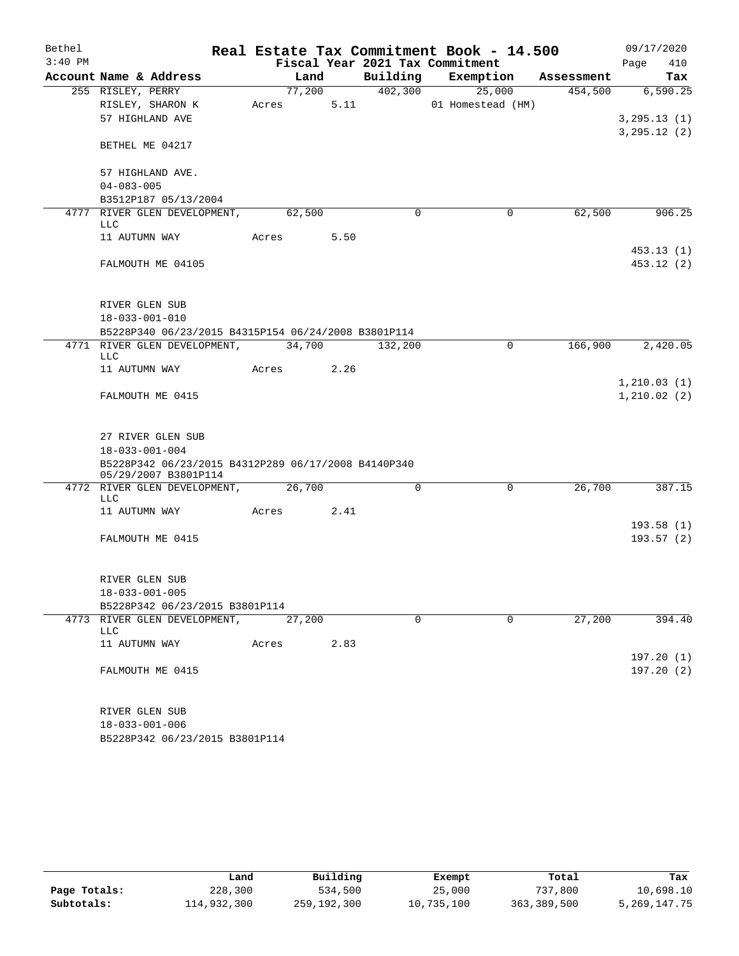| Bethel    |                                                                             |            |        |      |          | Real Estate Tax Commitment Book - 14.500 |            | 09/17/2020              |     |
|-----------|-----------------------------------------------------------------------------|------------|--------|------|----------|------------------------------------------|------------|-------------------------|-----|
| $3:40$ PM |                                                                             |            |        |      |          | Fiscal Year 2021 Tax Commitment          |            | Page                    | 410 |
|           | Account Name & Address                                                      |            | Land   |      | Building | Exemption                                | Assessment |                         | Tax |
|           | 255 RISLEY, PERRY                                                           |            | 77,200 |      | 402,300  | 25,000                                   | 454,500    | 6, 590.25               |     |
|           | RISLEY, SHARON K                                                            | Acres      |        | 5.11 |          | 01 Homestead (HM)                        |            |                         |     |
|           | 57 HIGHLAND AVE                                                             |            |        |      |          |                                          |            | 3, 295.13(1)            |     |
|           | BETHEL ME 04217                                                             |            |        |      |          |                                          |            | 3, 295.12(2)            |     |
|           | 57 HIGHLAND AVE.                                                            |            |        |      |          |                                          |            |                         |     |
|           | $04 - 083 - 005$                                                            |            |        |      |          |                                          |            |                         |     |
|           | B3512P187 05/13/2004                                                        |            |        |      |          |                                          |            |                         |     |
|           | 4777 RIVER GLEN DEVELOPMENT,                                                |            | 62,500 |      | 0        | 0                                        | 62,500     | 906.25                  |     |
|           | LLC                                                                         |            |        |      |          |                                          |            |                         |     |
|           | 11 AUTUMN WAY                                                               | Acres      |        | 5.50 |          |                                          |            |                         |     |
|           | FALMOUTH ME 04105                                                           |            |        |      |          |                                          |            | 453.13(1)<br>453.12 (2) |     |
|           |                                                                             |            |        |      |          |                                          |            |                         |     |
|           | RIVER GLEN SUB                                                              |            |        |      |          |                                          |            |                         |     |
|           | $18 - 033 - 001 - 010$                                                      |            |        |      |          |                                          |            |                         |     |
|           | B5228P340 06/23/2015 B4315P154 06/24/2008 B3801P114                         |            |        |      |          |                                          |            |                         |     |
|           | 4771 RIVER GLEN DEVELOPMENT, 34,700<br>LLC                                  |            |        |      | 132,200  | 0                                        | 166,900    | 2,420.05                |     |
|           | 11 AUTUMN WAY                                                               | Acres 2.26 |        |      |          |                                          |            |                         |     |
|           |                                                                             |            |        |      |          |                                          |            | 1,210.03(1)             |     |
|           | FALMOUTH ME 0415                                                            |            |        |      |          |                                          |            | 1,210.02(2)             |     |
|           | 27 RIVER GLEN SUB                                                           |            |        |      |          |                                          |            |                         |     |
|           | $18 - 033 - 001 - 004$                                                      |            |        |      |          |                                          |            |                         |     |
|           | B5228P342 06/23/2015 B4312P289 06/17/2008 B4140P340<br>05/29/2007 B3801P114 |            |        |      |          |                                          |            |                         |     |
|           | 4772 RIVER GLEN DEVELOPMENT,<br>LLC                                         |            | 26,700 |      | $\Omega$ | $\mathbf 0$                              | 26,700     | 387.15                  |     |
|           | 11 AUTUMN WAY                                                               | Acres      |        | 2.41 |          |                                          |            |                         |     |
|           |                                                                             |            |        |      |          |                                          |            | 193.58(1)               |     |
|           | FALMOUTH ME 0415                                                            |            |        |      |          |                                          |            | 193.57(2)               |     |
|           |                                                                             |            |        |      |          |                                          |            |                         |     |
|           | RIVER GLEN SUB                                                              |            |        |      |          |                                          |            |                         |     |
|           | $18 - 033 - 001 - 005$                                                      |            |        |      |          |                                          |            |                         |     |
|           | B5228P342 06/23/2015 B3801P114                                              |            |        |      |          |                                          |            |                         |     |
|           | 4773 RIVER GLEN DEVELOPMENT,<br>LLC                                         |            | 27,200 |      | $\Omega$ | $\Omega$                                 | 27,200     | 394.40                  |     |
|           | 11 AUTUMN WAY                                                               | Acres      |        | 2.83 |          |                                          |            |                         |     |
|           |                                                                             |            |        |      |          |                                          |            | 197.20(1)               |     |
|           | FALMOUTH ME 0415                                                            |            |        |      |          |                                          |            | 197.20(2)               |     |
|           | RIVER GLEN SUB                                                              |            |        |      |          |                                          |            |                         |     |
|           | $18 - 033 - 001 - 006$                                                      |            |        |      |          |                                          |            |                         |     |
|           | B5228P342 06/23/2015 B3801P114                                              |            |        |      |          |                                          |            |                         |     |

|              | Land        | Building    | Exempt     | Total       | Tax             |
|--------------|-------------|-------------|------------|-------------|-----------------|
| Page Totals: | 228,300     | 534,500     | 25,000     | 737,800     | 10,698.10       |
| Subtotals:   | 114,932,300 | 259,192,300 | 10,735,100 | 363,389,500 | 5, 269, 147. 75 |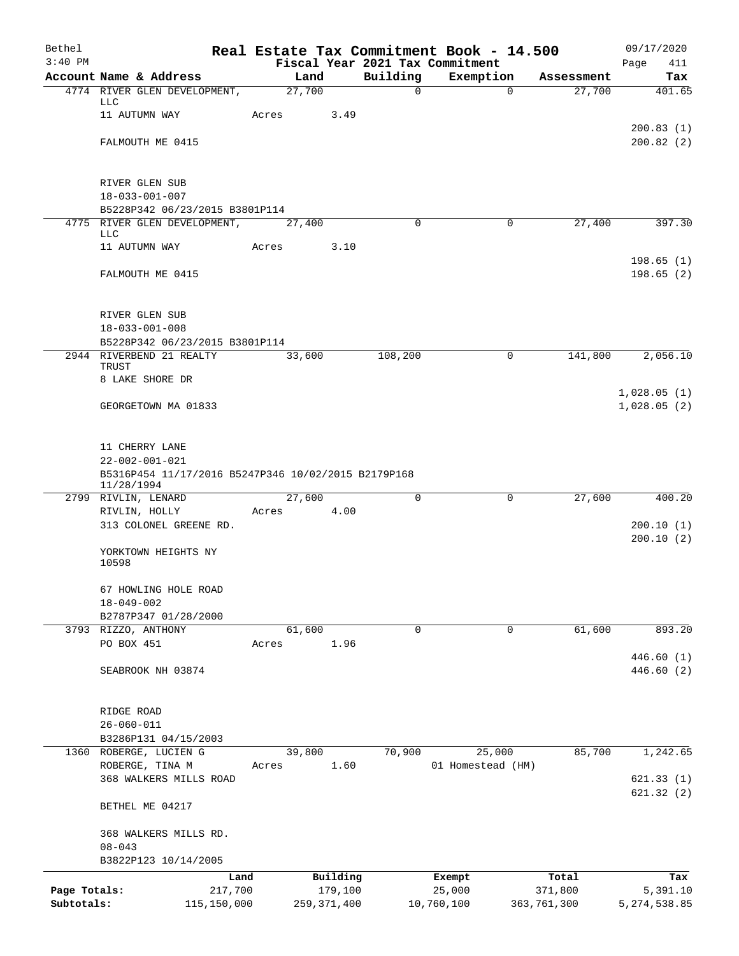| Bethel       |                                                                               |       |                |                     |               | Real Estate Tax Commitment Book - 14.500 |                      | 09/17/2020                 |
|--------------|-------------------------------------------------------------------------------|-------|----------------|---------------------|---------------|------------------------------------------|----------------------|----------------------------|
| $3:40$ PM    |                                                                               |       |                |                     |               | Fiscal Year 2021 Tax Commitment          |                      | Page<br>411                |
|              | Account Name & Address<br>4774 RIVER GLEN DEVELOPMENT,                        |       | Land<br>27,700 |                     | Building<br>0 | Exemption<br>$\Omega$                    | Assessment<br>27,700 | Tax<br>401.65              |
|              | LLC                                                                           |       |                |                     |               |                                          |                      |                            |
|              | 11 AUTUMN WAY                                                                 | Acres |                | 3.49                |               |                                          |                      | 200.83(1)                  |
|              | FALMOUTH ME 0415                                                              |       |                |                     |               |                                          |                      | 200.82(2)                  |
|              |                                                                               |       |                |                     |               |                                          |                      |                            |
|              | RIVER GLEN SUB                                                                |       |                |                     |               |                                          |                      |                            |
|              | $18 - 033 - 001 - 007$                                                        |       |                |                     |               |                                          |                      |                            |
|              | B5228P342 06/23/2015 B3801P114                                                |       |                |                     |               |                                          |                      |                            |
|              | 4775 RIVER GLEN DEVELOPMENT,<br><b>LLC</b>                                    |       | 27,400         |                     | $\Omega$      | $\mathbf 0$                              | 27,400               | 397.30                     |
|              | 11 AUTUMN WAY                                                                 | Acres |                | 3.10                |               |                                          |                      |                            |
|              | FALMOUTH ME 0415                                                              |       |                |                     |               |                                          |                      | 198.65(1)<br>198.65(2)     |
|              |                                                                               |       |                |                     |               |                                          |                      |                            |
|              |                                                                               |       |                |                     |               |                                          |                      |                            |
|              | RIVER GLEN SUB<br>$18 - 033 - 001 - 008$                                      |       |                |                     |               |                                          |                      |                            |
|              | B5228P342 06/23/2015 B3801P114                                                |       |                |                     |               |                                          |                      |                            |
|              | 2944 RIVERBEND 21 REALTY                                                      |       | 33,600         |                     | 108,200       | 0                                        | 141,800              | 2,056.10                   |
|              | TRUST<br>8 LAKE SHORE DR                                                      |       |                |                     |               |                                          |                      |                            |
|              |                                                                               |       |                |                     |               |                                          |                      | 1,028.05(1)                |
|              | GEORGETOWN MA 01833                                                           |       |                |                     |               |                                          |                      | 1,028.05(2)                |
|              |                                                                               |       |                |                     |               |                                          |                      |                            |
|              | 11 CHERRY LANE                                                                |       |                |                     |               |                                          |                      |                            |
|              | $22 - 002 - 001 - 021$<br>B5316P454 11/17/2016 B5247P346 10/02/2015 B2179P168 |       |                |                     |               |                                          |                      |                            |
|              | 11/28/1994                                                                    |       |                |                     |               |                                          |                      |                            |
|              | 2799 RIVLIN, LENARD                                                           |       | 27,600         |                     | $\mathbf 0$   | 0                                        | 27,600               | 400.20                     |
|              | RIVLIN, HOLLY<br>313 COLONEL GREENE RD.                                       | Acres |                | 4.00                |               |                                          |                      | 200.10(1)                  |
|              |                                                                               |       |                |                     |               |                                          |                      | 200.10(2)                  |
|              | YORKTOWN HEIGHTS NY<br>10598                                                  |       |                |                     |               |                                          |                      |                            |
|              | 67 HOWLING HOLE ROAD                                                          |       |                |                     |               |                                          |                      |                            |
|              | $18 - 049 - 002$                                                              |       |                |                     |               |                                          |                      |                            |
|              | B2787P347 01/28/2000                                                          |       |                |                     |               |                                          |                      |                            |
|              | 3793 RIZZO, ANTHONY                                                           |       | 61,600         |                     | 0             | 0                                        | 61,600               | 893.20                     |
|              | PO BOX 451                                                                    | Acres |                | 1.96                |               |                                          |                      | 446.60(1)                  |
|              | SEABROOK NH 03874                                                             |       |                |                     |               |                                          |                      | 446.60 (2)                 |
|              |                                                                               |       |                |                     |               |                                          |                      |                            |
|              | RIDGE ROAD                                                                    |       |                |                     |               |                                          |                      |                            |
|              | $26 - 060 - 011$                                                              |       |                |                     |               |                                          |                      |                            |
|              | B3286P131 04/15/2003                                                          |       |                |                     |               |                                          |                      |                            |
|              | 1360 ROBERGE, LUCIEN G                                                        |       | 39,800         |                     | 70,900        | 25,000                                   | 85,700               | 1,242.65                   |
|              | ROBERGE, TINA M<br>368 WALKERS MILLS ROAD                                     | Acres |                | 1.60                |               | 01 Homestead (HM)                        |                      | 621.33(1)                  |
|              |                                                                               |       |                |                     |               |                                          |                      | 621.32(2)                  |
|              | BETHEL ME 04217                                                               |       |                |                     |               |                                          |                      |                            |
|              | 368 WALKERS MILLS RD.                                                         |       |                |                     |               |                                          |                      |                            |
|              | $08 - 043$                                                                    |       |                |                     |               |                                          |                      |                            |
|              | B3822P123 10/14/2005                                                          |       |                |                     |               |                                          |                      |                            |
| Page Totals: |                                                                               | Land  |                | Building<br>179,100 |               | Exempt<br>25,000                         | Total<br>371,800     | Tax                        |
| Subtotals:   | 217,700<br>115,150,000                                                        |       |                | 259, 371, 400       |               | 10,760,100                               | 363,761,300          | 5,391.10<br>5, 274, 538.85 |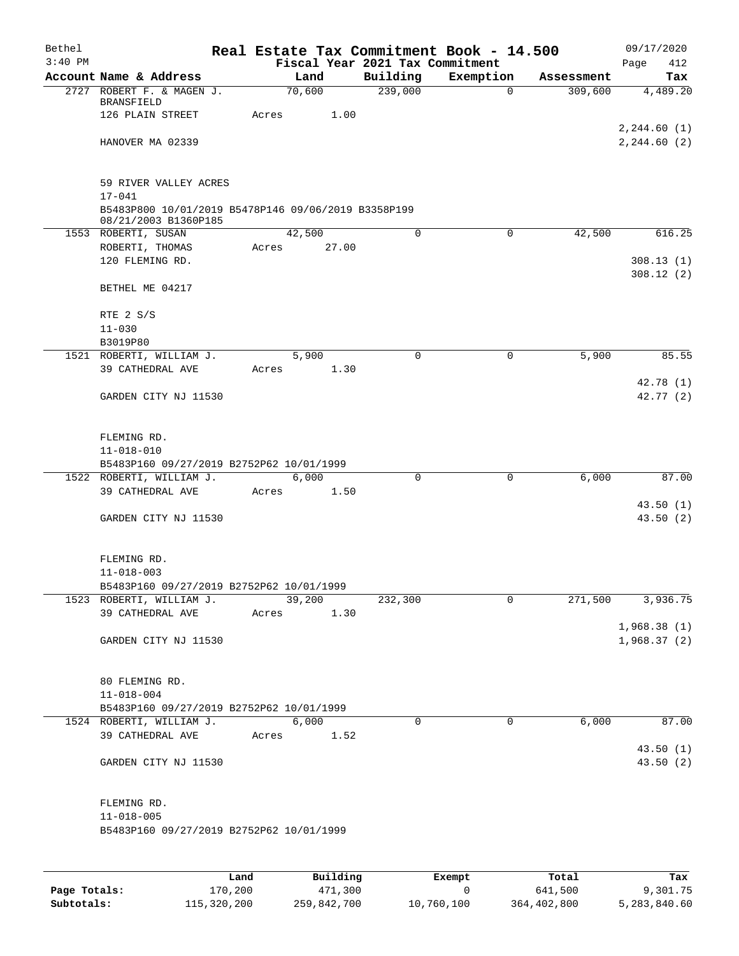| Bethel    |                                                                             | Real Estate Tax Commitment Book - 14.500 |             |             |            | 09/17/2020             |
|-----------|-----------------------------------------------------------------------------|------------------------------------------|-------------|-------------|------------|------------------------|
| $3:40$ PM |                                                                             | Fiscal Year 2021 Tax Commitment          |             |             |            | 412<br>Page            |
|           | Account Name & Address                                                      | Land                                     | Building    | Exemption   | Assessment | Tax                    |
|           | 2727 ROBERT F. & MAGEN J.<br><b>BRANSFIELD</b>                              | 70,600                                   | 239,000     | 0           | 309,600    | 4,489.20               |
|           | 126 PLAIN STREET                                                            | Acres<br>1.00                            |             |             |            |                        |
|           |                                                                             |                                          |             |             |            | 2, 244.60(1)           |
|           | HANOVER MA 02339                                                            |                                          |             |             |            | 2, 244.60 (2)          |
|           |                                                                             |                                          |             |             |            |                        |
|           | 59 RIVER VALLEY ACRES                                                       |                                          |             |             |            |                        |
|           | $17 - 041$                                                                  |                                          |             |             |            |                        |
|           | B5483P800 10/01/2019 B5478P146 09/06/2019 B3358P199<br>08/21/2003 B1360P185 |                                          |             |             |            |                        |
|           | 1553 ROBERTI, SUSAN                                                         | 42,500                                   | 0           | 0           | 42,500     | 616.25                 |
|           | ROBERTI, THOMAS                                                             | 27.00<br>Acres                           |             |             |            |                        |
|           | 120 FLEMING RD.                                                             |                                          |             |             |            | 308.13(1)<br>308.12(2) |
|           | BETHEL ME 04217                                                             |                                          |             |             |            |                        |
|           | RTE 2 S/S                                                                   |                                          |             |             |            |                        |
|           | $11 - 030$<br>B3019P80                                                      |                                          |             |             |            |                        |
|           | 1521 ROBERTI, WILLIAM J.                                                    | 5,900                                    | $\Omega$    | 0           | 5,900      | 85.55                  |
|           | 39 CATHEDRAL AVE                                                            | 1.30<br>Acres                            |             |             |            |                        |
|           |                                                                             |                                          |             |             |            | 42.78 (1)              |
|           | GARDEN CITY NJ 11530                                                        |                                          |             |             |            | 42.77 (2)              |
|           | FLEMING RD.                                                                 |                                          |             |             |            |                        |
|           | $11 - 018 - 010$                                                            |                                          |             |             |            |                        |
|           | B5483P160 09/27/2019 B2752P62 10/01/1999                                    |                                          |             |             |            |                        |
|           | 1522 ROBERTI, WILLIAM J.                                                    | 6,000                                    | $\Omega$    | $\mathbf 0$ | 6,000      | 87.00                  |
|           | 39 CATHEDRAL AVE                                                            | Acres<br>1.50                            |             |             |            | 43.50(1)               |
|           | GARDEN CITY NJ 11530                                                        |                                          |             |             |            | 43.50(2)               |
|           |                                                                             |                                          |             |             |            |                        |
|           | FLEMING RD.<br>$11 - 018 - 003$                                             |                                          |             |             |            |                        |
|           | B5483P160 09/27/2019 B2752P62 10/01/1999                                    |                                          |             |             |            |                        |
|           | 1523 ROBERTI, WILLIAM J.                                                    | 39,200                                   | 232,300     | $\mathbf 0$ | 271,500    | 3,936.75               |
|           | 39 CATHEDRAL AVE                                                            | 1.30<br>Acres                            |             |             |            |                        |
|           |                                                                             |                                          |             |             |            | 1,968.38(1)            |
|           | GARDEN CITY NJ 11530                                                        |                                          |             |             |            | 1,968.37(2)            |
|           | 80 FLEMING RD.                                                              |                                          |             |             |            |                        |
|           | $11 - 018 - 004$                                                            |                                          |             |             |            |                        |
|           | B5483P160 09/27/2019 B2752P62 10/01/1999<br>1524 ROBERTI, WILLIAM J.        | 6,000                                    | $\mathbf 0$ | $\mathbf 0$ | 6,000      | 87.00                  |
|           | 39 CATHEDRAL AVE                                                            | Acres<br>1.52                            |             |             |            |                        |
|           |                                                                             |                                          |             |             |            | 43.50 (1)              |
|           | GARDEN CITY NJ 11530                                                        |                                          |             |             |            | 43.50(2)               |
|           | FLEMING RD.                                                                 |                                          |             |             |            |                        |
|           | $11 - 018 - 005$                                                            |                                          |             |             |            |                        |
|           | B5483P160 09/27/2019 B2752P62 10/01/1999                                    |                                          |             |             |            |                        |
|           |                                                                             |                                          |             |             |            |                        |
|           |                                                                             |                                          |             |             |            |                        |

|              | Land        | Building    | Exempt     | Total       | Tax          |
|--------------|-------------|-------------|------------|-------------|--------------|
| Page Totals: | 170,200     | 471,300     |            | 641,500     | 9,301.75     |
| Subtotals:   | 115,320,200 | 259,842,700 | 10,760,100 | 364,402,800 | 5,283,840.60 |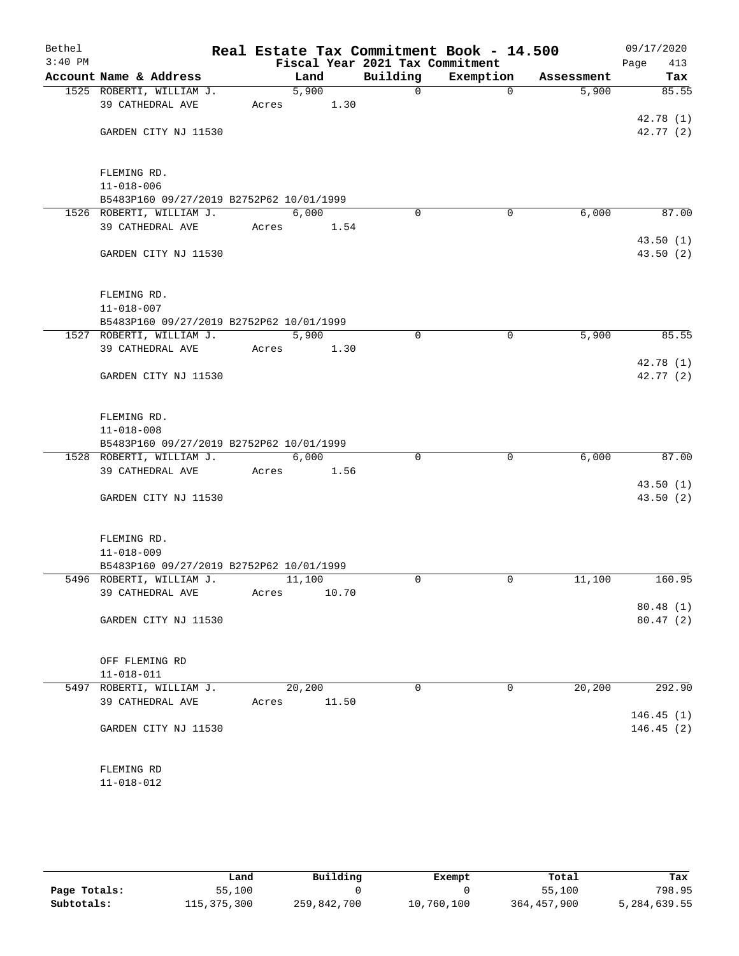| Bethel<br>$3:40$ PM |                                              |       |        |       | Real Estate Tax Commitment Book - 14.500<br>Fiscal Year 2021 Tax Commitment |           |             |            | 09/17/2020<br>Page<br>413 |
|---------------------|----------------------------------------------|-------|--------|-------|-----------------------------------------------------------------------------|-----------|-------------|------------|---------------------------|
|                     | Account Name & Address                       |       | Land   |       | Building                                                                    | Exemption |             | Assessment | Tax                       |
|                     | 1525 ROBERTI, WILLIAM J.                     |       | 5,900  |       | $\mathsf{O}$                                                                |           | $\Omega$    | 5,900      | 85.55                     |
|                     | 39 CATHEDRAL AVE                             | Acres |        | 1.30  |                                                                             |           |             |            |                           |
|                     |                                              |       |        |       |                                                                             |           |             |            | 42.78 (1)                 |
|                     | GARDEN CITY NJ 11530                         |       |        |       |                                                                             |           |             |            | 42.77(2)                  |
|                     |                                              |       |        |       |                                                                             |           |             |            |                           |
|                     |                                              |       |        |       |                                                                             |           |             |            |                           |
|                     | FLEMING RD.                                  |       |        |       |                                                                             |           |             |            |                           |
|                     | $11 - 018 - 006$                             |       |        |       |                                                                             |           |             |            |                           |
|                     | B5483P160 09/27/2019 B2752P62 10/01/1999     |       |        |       |                                                                             |           |             |            |                           |
|                     | 1526 ROBERTI, WILLIAM J.                     |       | 6,000  |       | $\Omega$                                                                    |           | 0           | 6,000      | 87.00                     |
|                     | 39 CATHEDRAL AVE                             | Acres |        | 1.54  |                                                                             |           |             |            |                           |
|                     |                                              |       |        |       |                                                                             |           |             |            | 43.50(1)                  |
|                     | GARDEN CITY NJ 11530                         |       |        |       |                                                                             |           |             |            | 43.50(2)                  |
|                     |                                              |       |        |       |                                                                             |           |             |            |                           |
|                     |                                              |       |        |       |                                                                             |           |             |            |                           |
|                     | FLEMING RD.                                  |       |        |       |                                                                             |           |             |            |                           |
|                     | $11 - 018 - 007$                             |       |        |       |                                                                             |           |             |            |                           |
|                     | B5483P160 09/27/2019 B2752P62 10/01/1999     |       |        |       |                                                                             |           |             |            |                           |
|                     | 1527 ROBERTI, WILLIAM J.                     |       | 5,900  |       | $\mathbf 0$                                                                 |           | $\mathbf 0$ | 5,900      | 85.55                     |
|                     | 39 CATHEDRAL AVE                             | Acres |        | 1.30  |                                                                             |           |             |            |                           |
|                     | GARDEN CITY NJ 11530                         |       |        |       |                                                                             |           |             |            | 42.78(1)<br>42.77(2)      |
|                     |                                              |       |        |       |                                                                             |           |             |            |                           |
|                     |                                              |       |        |       |                                                                             |           |             |            |                           |
|                     | FLEMING RD.                                  |       |        |       |                                                                             |           |             |            |                           |
|                     | $11 - 018 - 008$                             |       |        |       |                                                                             |           |             |            |                           |
|                     | B5483P160 09/27/2019 B2752P62 10/01/1999     |       |        |       |                                                                             |           |             |            |                           |
|                     | 1528 ROBERTI, WILLIAM J.                     |       | 6,000  |       | $\Omega$                                                                    |           | $\mathbf 0$ | 6,000      | 87.00                     |
|                     | 39 CATHEDRAL AVE                             | Acres |        | 1.56  |                                                                             |           |             |            |                           |
|                     |                                              |       |        |       |                                                                             |           |             |            | 43.50(1)                  |
|                     | GARDEN CITY NJ 11530                         |       |        |       |                                                                             |           |             |            | 43.50(2)                  |
|                     |                                              |       |        |       |                                                                             |           |             |            |                           |
|                     |                                              |       |        |       |                                                                             |           |             |            |                           |
|                     | FLEMING RD.                                  |       |        |       |                                                                             |           |             |            |                           |
|                     | $11 - 018 - 009$                             |       |        |       |                                                                             |           |             |            |                           |
|                     | B5483P160 09/27/2019 B2752P62 10/01/1999     |       |        |       |                                                                             |           |             |            |                           |
|                     | 5496 ROBERTI, WILLIAM J.                     |       | 11,100 |       | $\Omega$                                                                    |           | 0           | 11,100     | 160.95                    |
|                     | 39 CATHEDRAL AVE                             | Acres |        | 10.70 |                                                                             |           |             |            |                           |
|                     |                                              |       |        |       |                                                                             |           |             |            | 80.48(1)                  |
|                     | GARDEN CITY NJ 11530                         |       |        |       |                                                                             |           |             |            | 80.47(2)                  |
|                     |                                              |       |        |       |                                                                             |           |             |            |                           |
|                     | OFF FLEMING RD                               |       |        |       |                                                                             |           |             |            |                           |
|                     |                                              |       |        |       |                                                                             |           |             |            |                           |
|                     | $11 - 018 - 011$<br>5497 ROBERTI, WILLIAM J. |       | 20,200 |       | $\Omega$                                                                    |           | 0           | 20,200     | 292.90                    |
|                     | 39 CATHEDRAL AVE                             | Acres |        | 11.50 |                                                                             |           |             |            |                           |
|                     |                                              |       |        |       |                                                                             |           |             |            | 146.45(1)                 |
|                     | GARDEN CITY NJ 11530                         |       |        |       |                                                                             |           |             |            | 146.45(2)                 |
|                     |                                              |       |        |       |                                                                             |           |             |            |                           |
|                     |                                              |       |        |       |                                                                             |           |             |            |                           |
|                     | FLEMING RD                                   |       |        |       |                                                                             |           |             |            |                           |
|                     | 11-018-012                                   |       |        |       |                                                                             |           |             |            |                           |
|                     |                                              |       |        |       |                                                                             |           |             |            |                           |

|              | Land        | Building    | Exempt     | Total       | Tax          |
|--------------|-------------|-------------|------------|-------------|--------------|
| Page Totals: | 55,100      |             |            | 55,100      | 798.95       |
| Subtotals:   | 115,375,300 | 259,842,700 | 10,760,100 | 364,457,900 | 5,284,639.55 |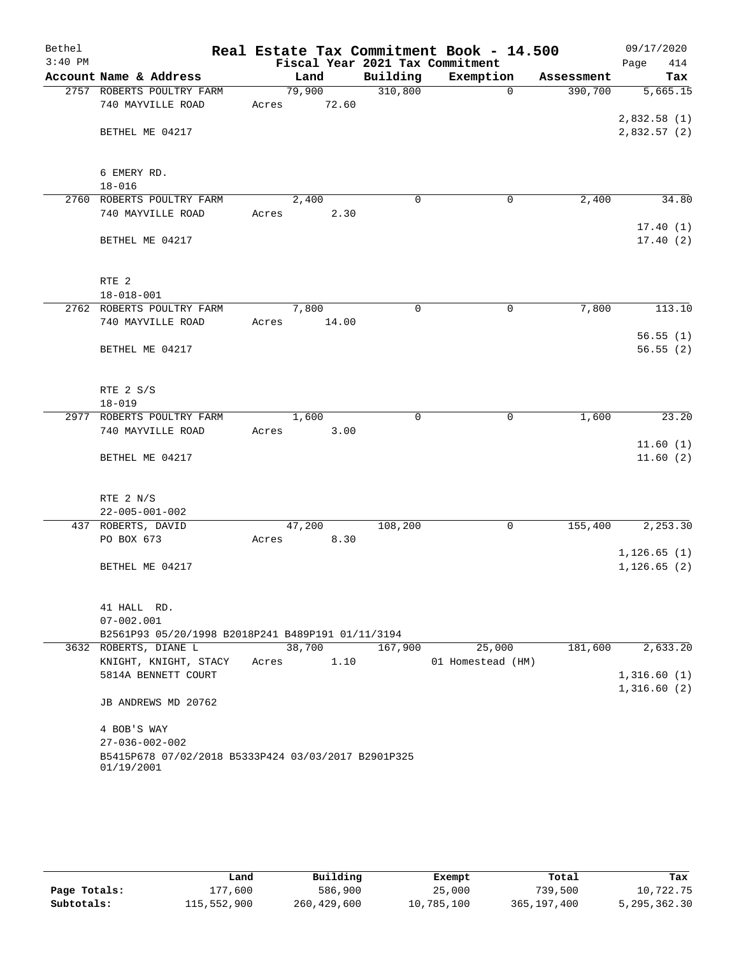| Bethel    |                                                                   | Real Estate Tax Commitment Book - 14.500 |          |                   |            | 09/17/2020                 |
|-----------|-------------------------------------------------------------------|------------------------------------------|----------|-------------------|------------|----------------------------|
| $3:40$ PM |                                                                   | Fiscal Year 2021 Tax Commitment          |          |                   |            | 414<br>Page                |
|           | Account Name & Address                                            | Land                                     | Building | Exemption         | Assessment | Tax                        |
|           | 2757 ROBERTS POULTRY FARM                                         | 79,900                                   | 310,800  | $\Omega$          | 390,700    | 5,665.15                   |
|           | 740 MAYVILLE ROAD                                                 | 72.60<br>Acres                           |          |                   |            |                            |
|           | BETHEL ME 04217                                                   |                                          |          |                   |            | 2,832.58(1)<br>2,832.57(2) |
|           |                                                                   |                                          |          |                   |            |                            |
|           | 6 EMERY RD.<br>$18 - 016$                                         |                                          |          |                   |            |                            |
|           | 2760 ROBERTS POULTRY FARM                                         | 2,400                                    | 0        | $\mathbf 0$       | 2,400      | 34.80                      |
|           | 740 MAYVILLE ROAD                                                 | 2.30<br>Acres                            |          |                   |            |                            |
|           | BETHEL ME 04217                                                   |                                          |          |                   |            | 17.40(1)<br>17.40(2)       |
|           | RTE <sub>2</sub>                                                  |                                          |          |                   |            |                            |
|           | $18 - 018 - 001$                                                  |                                          |          |                   |            |                            |
|           | 2762 ROBERTS POULTRY FARM                                         | 7,800                                    | 0        | $\mathbf 0$       | 7,800      | 113.10                     |
|           | 740 MAYVILLE ROAD                                                 | 14.00<br>Acres                           |          |                   |            |                            |
|           |                                                                   |                                          |          |                   |            | 56.55(1)                   |
|           | BETHEL ME 04217                                                   |                                          |          |                   |            | 56.55(2)                   |
|           | RTE 2 S/S                                                         |                                          |          |                   |            |                            |
|           | $18 - 019$                                                        |                                          |          |                   |            |                            |
|           | 2977 ROBERTS POULTRY FARM                                         | 1,600                                    | 0        | 0                 | 1,600      | 23.20                      |
|           | 740 MAYVILLE ROAD                                                 | 3.00<br>Acres                            |          |                   |            |                            |
|           |                                                                   |                                          |          |                   |            | 11.60(1)                   |
|           | BETHEL ME 04217                                                   |                                          |          |                   |            | 11.60(2)                   |
|           | RTE 2 N/S                                                         |                                          |          |                   |            |                            |
|           | $22 - 005 - 001 - 002$                                            |                                          |          |                   |            |                            |
|           | 437 ROBERTS, DAVID                                                | 47,200                                   | 108,200  | $\mathbf 0$       | 155,400    | 2, 253.30                  |
|           | PO BOX 673                                                        | 8.30<br>Acres                            |          |                   |            |                            |
|           |                                                                   |                                          |          |                   |            | 1, 126.65(1)               |
|           | BETHEL ME 04217                                                   |                                          |          |                   |            | 1, 126.65(2)               |
|           | 41 HALL RD.                                                       |                                          |          |                   |            |                            |
|           | $07 - 002.001$                                                    |                                          |          |                   |            |                            |
|           | B2561P93 05/20/1998 B2018P241 B489P191 01/11/3194                 |                                          |          |                   |            |                            |
|           | 3632 ROBERTS, DIANE L                                             | 38,700                                   | 167,900  | 25,000            | 181,600    | 2,633.20                   |
|           | KNIGHT, KNIGHT, STACY                                             | 1.10<br>Acres                            |          | 01 Homestead (HM) |            |                            |
|           | 5814A BENNETT COURT                                               |                                          |          |                   |            | 1,316.60(1)<br>1,316.60(2) |
|           | JB ANDREWS MD 20762                                               |                                          |          |                   |            |                            |
|           | 4 BOB'S WAY                                                       |                                          |          |                   |            |                            |
|           | $27 - 036 - 002 - 002$                                            |                                          |          |                   |            |                            |
|           | B5415P678 07/02/2018 B5333P424 03/03/2017 B2901P325<br>01/19/2001 |                                          |          |                   |            |                            |

|              | Land        | Building      | Exempt     | Total       | Tax          |
|--------------|-------------|---------------|------------|-------------|--------------|
| Page Totals: | L77,600     | 586,900       | 25,000     | 739,500     | 10,722.75    |
| Subtotals:   | 115,552,900 | 260, 429, 600 | 10,785,100 | 365,197,400 | 5,295,362.30 |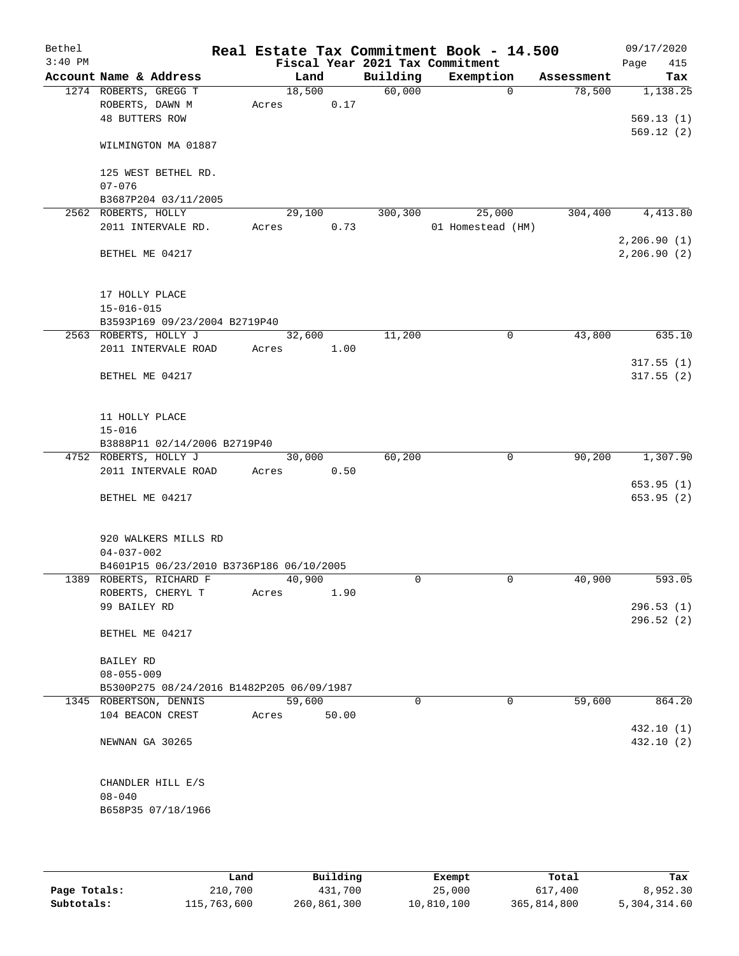| Bethel    |                                          |                                              |       |        |       | Real Estate Tax Commitment Book - 14.500 |                   |            | 09/17/2020             |
|-----------|------------------------------------------|----------------------------------------------|-------|--------|-------|------------------------------------------|-------------------|------------|------------------------|
| $3:40$ PM |                                          |                                              |       |        |       | Fiscal Year 2021 Tax Commitment          |                   |            | Page<br>415            |
|           |                                          | Account Name & Address                       |       | Land   |       | Building                                 | Exemption         | Assessment | Tax                    |
|           |                                          | 1274 ROBERTS, GREGG T                        |       | 18,500 |       | 60,000                                   | $\Omega$          | 78,500     | 1,138.25               |
|           | ROBERTS, DAWN M<br><b>48 BUTTERS ROW</b> |                                              | Acres |        | 0.17  |                                          |                   |            | 569.13(1)              |
|           |                                          |                                              |       |        |       |                                          |                   |            | 569.12(2)              |
|           |                                          | WILMINGTON MA 01887                          |       |        |       |                                          |                   |            |                        |
|           |                                          | 125 WEST BETHEL RD.                          |       |        |       |                                          |                   |            |                        |
|           | $07 - 076$                               |                                              |       |        |       |                                          |                   |            |                        |
| 2562      | ROBERTS, HOLLY                           | B3687P204 03/11/2005                         |       | 29,100 |       | 300,300                                  | 25,000            | 304,400    | 4,413.80               |
|           |                                          | 2011 INTERVALE RD.                           | Acres |        | 0.73  |                                          | 01 Homestead (HM) |            |                        |
|           |                                          |                                              |       |        |       |                                          |                   |            | 2,206.90(1)            |
|           | BETHEL ME 04217                          |                                              |       |        |       |                                          |                   |            | 2, 206.90(2)           |
|           | 17 HOLLY PLACE                           |                                              |       |        |       |                                          |                   |            |                        |
|           | $15 - 016 - 015$                         |                                              |       |        |       |                                          |                   |            |                        |
|           |                                          | B3593P169 09/23/2004 B2719P40                |       |        |       |                                          |                   |            |                        |
|           |                                          | 2563 ROBERTS, HOLLY J                        |       | 32,600 |       | 11,200                                   | 0                 | 43,800     | 635.10                 |
|           |                                          | 2011 INTERVALE ROAD                          | Acres |        | 1.00  |                                          |                   |            |                        |
|           | BETHEL ME 04217                          |                                              |       |        |       |                                          |                   |            | 317.55(1)<br>317.55(2) |
|           |                                          |                                              |       |        |       |                                          |                   |            |                        |
|           | 11 HOLLY PLACE                           |                                              |       |        |       |                                          |                   |            |                        |
|           | $15 - 016$                               |                                              |       |        |       |                                          |                   |            |                        |
|           |                                          | B3888P11 02/14/2006 B2719P40                 |       | 30,000 |       | 60,200                                   | 0                 | 90,200     | 1,307.90               |
|           |                                          | 4752 ROBERTS, HOLLY J<br>2011 INTERVALE ROAD | Acres |        | 0.50  |                                          |                   |            |                        |
|           |                                          |                                              |       |        |       |                                          |                   |            | 653.95(1)              |
|           | BETHEL ME 04217                          |                                              |       |        |       |                                          |                   |            | 653.95(2)              |
|           |                                          | 920 WALKERS MILLS RD                         |       |        |       |                                          |                   |            |                        |
|           | $04 - 037 - 002$                         |                                              |       |        |       |                                          |                   |            |                        |
|           |                                          | B4601P15 06/23/2010 B3736P186 06/10/2005     |       |        |       |                                          |                   |            |                        |
|           |                                          | 1389 ROBERTS, RICHARD F                      |       | 40,900 |       | 0                                        | 0                 | 40,900     | 593.05                 |
|           |                                          | ROBERTS, CHERYL T                            | Acres |        | 1.90  |                                          |                   |            |                        |
|           | 99 BAILEY RD                             |                                              |       |        |       |                                          |                   |            | 296.53(1)              |
|           |                                          |                                              |       |        |       |                                          |                   |            | 296.52 (2)             |
|           |                                          | BETHEL ME 04217                              |       |        |       |                                          |                   |            |                        |
|           | <b>BAILEY RD</b>                         |                                              |       |        |       |                                          |                   |            |                        |
|           | $08 - 055 - 009$                         |                                              |       |        |       |                                          |                   |            |                        |
|           |                                          | B5300P275 08/24/2016 B1482P205 06/09/1987    |       |        |       |                                          |                   |            |                        |
|           |                                          | 1345 ROBERTSON, DENNIS                       |       | 59,600 |       | $\Omega$                                 | $\Omega$          | 59,600     | 864.20                 |
|           |                                          | 104 BEACON CREST                             | Acres |        | 50.00 |                                          |                   |            |                        |
|           |                                          |                                              |       |        |       |                                          |                   |            | 432.10(1)              |
|           | NEWNAN GA 30265                          |                                              |       |        |       |                                          |                   |            | 432.10 (2)             |
|           |                                          | CHANDLER HILL E/S                            |       |        |       |                                          |                   |            |                        |
|           | $08 - 040$                               |                                              |       |        |       |                                          |                   |            |                        |
|           |                                          | B658P35 07/18/1966                           |       |        |       |                                          |                   |            |                        |
|           |                                          |                                              |       |        |       |                                          |                   |            |                        |
|           |                                          |                                              |       |        |       |                                          |                   |            |                        |

|              | Land        | Building    | Exempt     | Total       | Tax          |
|--------------|-------------|-------------|------------|-------------|--------------|
| Page Totals: | 210,700     | 431,700     | 25,000     | 617,400     | 8,952.30     |
| Subtotals:   | 115,763,600 | 260,861,300 | 10,810,100 | 365,814,800 | 5,304,314.60 |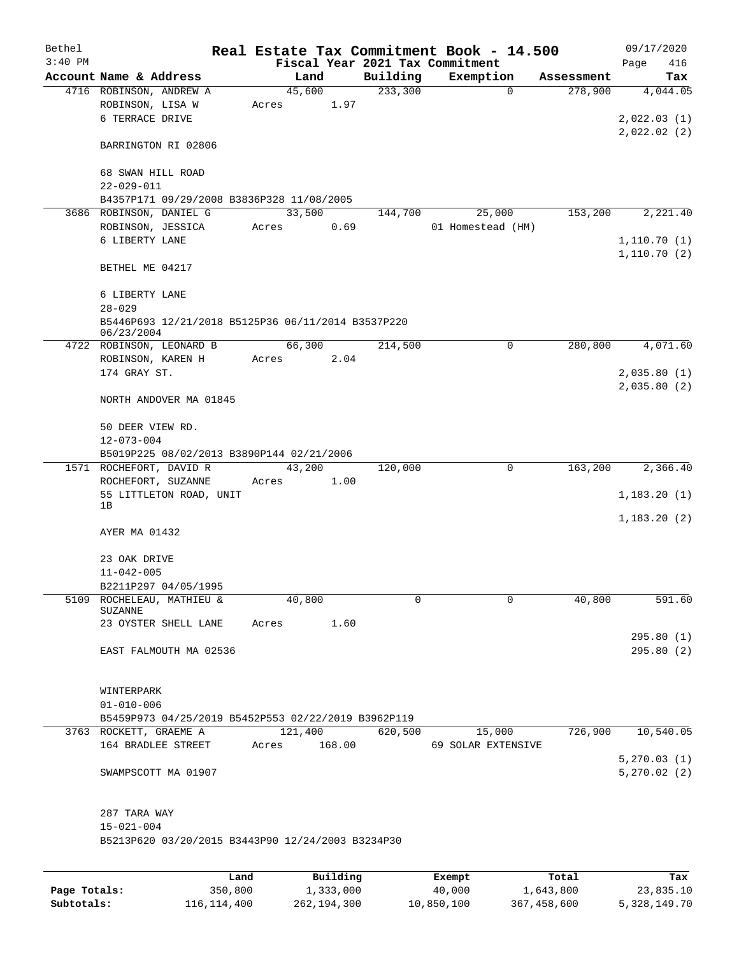| Bethel<br>$3:40$ PM |                                                                  |                 |      |          | Real Estate Tax Commitment Book - 14.500<br>Fiscal Year 2021 Tax Commitment |            | 09/17/2020<br>Page<br>416 |
|---------------------|------------------------------------------------------------------|-----------------|------|----------|-----------------------------------------------------------------------------|------------|---------------------------|
|                     | Account Name & Address                                           | Land            |      | Building | Exemption                                                                   | Assessment | Tax                       |
|                     | 4716 ROBINSON, ANDREW A                                          | 45,600          |      | 233,300  | 0                                                                           | 278,900    | 4,044.05                  |
|                     | ROBINSON, LISA W                                                 | Acres           | 1.97 |          |                                                                             |            |                           |
|                     | 6 TERRACE DRIVE                                                  |                 |      |          |                                                                             |            | 2,022.03(1)               |
|                     |                                                                  |                 |      |          |                                                                             |            | 2,022.02(2)               |
|                     | BARRINGTON RI 02806                                              |                 |      |          |                                                                             |            |                           |
|                     | 68 SWAN HILL ROAD                                                |                 |      |          |                                                                             |            |                           |
|                     | $22 - 029 - 011$                                                 |                 |      |          |                                                                             |            |                           |
|                     | B4357P171 09/29/2008 B3836P328 11/08/2005                        |                 |      |          |                                                                             |            |                           |
|                     | 3686 ROBINSON, DANIEL G                                          | 33,500          |      | 144,700  | 25,000                                                                      | 153,200    | 2,221.40                  |
|                     | ROBINSON, JESSICA                                                | Acres           | 0.69 |          | 01 Homestead (HM)                                                           |            |                           |
|                     | 6 LIBERTY LANE                                                   |                 |      |          |                                                                             |            | 1,110.70(1)               |
|                     | BETHEL ME 04217                                                  |                 |      |          |                                                                             |            | 1,110.70(2)               |
|                     | 6 LIBERTY LANE                                                   |                 |      |          |                                                                             |            |                           |
|                     | $28 - 029$                                                       |                 |      |          |                                                                             |            |                           |
|                     | B5446P693 12/21/2018 B5125P36 06/11/2014 B3537P220<br>06/23/2004 |                 |      |          |                                                                             |            |                           |
|                     | 4722 ROBINSON, LEONARD B                                         | 66,300          |      | 214,500  | 0                                                                           | 280,800    | 4,071.60                  |
|                     | ROBINSON, KAREN H                                                | Acres           | 2.04 |          |                                                                             |            |                           |
|                     | 174 GRAY ST.                                                     |                 |      |          |                                                                             |            | 2,035.80(1)               |
|                     |                                                                  |                 |      |          |                                                                             |            | 2,035.80(2)               |
|                     | NORTH ANDOVER MA 01845                                           |                 |      |          |                                                                             |            |                           |
|                     | 50 DEER VIEW RD.<br>$12 - 073 - 004$                             |                 |      |          |                                                                             |            |                           |
|                     | B5019P225 08/02/2013 B3890P144 02/21/2006                        |                 |      |          |                                                                             |            |                           |
|                     |                                                                  |                 |      |          | 0                                                                           |            |                           |
|                     | 1571 ROCHEFORT, DAVID R                                          | 43,200          |      | 120,000  |                                                                             | 163,200    | 2,366.40                  |
|                     | ROCHEFORT, SUZANNE                                               | Acres           | 1.00 |          |                                                                             |            |                           |
|                     | 55 LITTLETON ROAD, UNIT<br>1B                                    |                 |      |          |                                                                             |            | 1,183.20(1)               |
|                     |                                                                  |                 |      |          |                                                                             |            | 1,183.20(2)               |
|                     | AYER MA 01432                                                    |                 |      |          |                                                                             |            |                           |
|                     |                                                                  |                 |      |          |                                                                             |            |                           |
|                     |                                                                  |                 |      |          |                                                                             |            |                           |
|                     | 23 OAK DRIVE                                                     |                 |      |          |                                                                             |            |                           |
|                     | $11 - 042 - 005$                                                 |                 |      |          |                                                                             |            |                           |
|                     | B2211P297 04/05/1995                                             |                 |      |          |                                                                             |            |                           |
|                     | 5109 ROCHELEAU, MATHIEU &                                        | 40,800          |      | 0        | $\Omega$                                                                    | 40,800     | 591.60                    |
|                     | SUZANNE                                                          |                 |      |          |                                                                             |            |                           |
|                     | 23 OYSTER SHELL LANE Acres 1.60                                  |                 |      |          |                                                                             |            |                           |
|                     |                                                                  |                 |      |          |                                                                             |            | 295.80(1)                 |
|                     | EAST FALMOUTH MA 02536                                           |                 |      |          |                                                                             |            | 295.80(2)                 |
|                     |                                                                  |                 |      |          |                                                                             |            |                           |
|                     |                                                                  |                 |      |          |                                                                             |            |                           |
|                     | WINTERPARK                                                       |                 |      |          |                                                                             |            |                           |
|                     | $01 - 010 - 006$                                                 |                 |      |          |                                                                             |            |                           |
|                     | B5459P973 04/25/2019 B5452P553 02/22/2019 B3962P119              |                 |      |          |                                                                             |            |                           |
|                     | 3763 ROCKETT, GRAEME A                                           | 121,400 620,500 |      |          | 15,000 726,900 10,540.05                                                    |            |                           |
|                     | 164 BRADLEE STREET                                               | Acres 168.00    |      |          | 69 SOLAR EXTENSIVE                                                          |            |                           |
|                     |                                                                  |                 |      |          |                                                                             |            | 5,270.03(1)               |
|                     | SWAMPSCOTT MA 01907                                              |                 |      |          |                                                                             |            | 5,270.02(2)               |
|                     |                                                                  |                 |      |          |                                                                             |            |                           |
|                     |                                                                  |                 |      |          |                                                                             |            |                           |
|                     | 287 TARA WAY                                                     |                 |      |          |                                                                             |            |                           |
|                     | $15 - 021 - 004$                                                 |                 |      |          |                                                                             |            |                           |
|                     | B5213P620 03/20/2015 B3443P90 12/24/2003 B3234P30                |                 |      |          |                                                                             |            |                           |
|                     |                                                                  |                 |      |          |                                                                             |            |                           |
|                     |                                                                  |                 |      |          |                                                                             |            |                           |

|              | Land        | Building    | Exempt     | Total       | Tax          |
|--------------|-------------|-------------|------------|-------------|--------------|
| Page Totals: | 350,800     | 1,333,000   | 40,000     | 1,643,800   | 23,835.10    |
| Subtotals:   | 116,114,400 | 262,194,300 | 10,850,100 | 367,458,600 | 5,328,149.70 |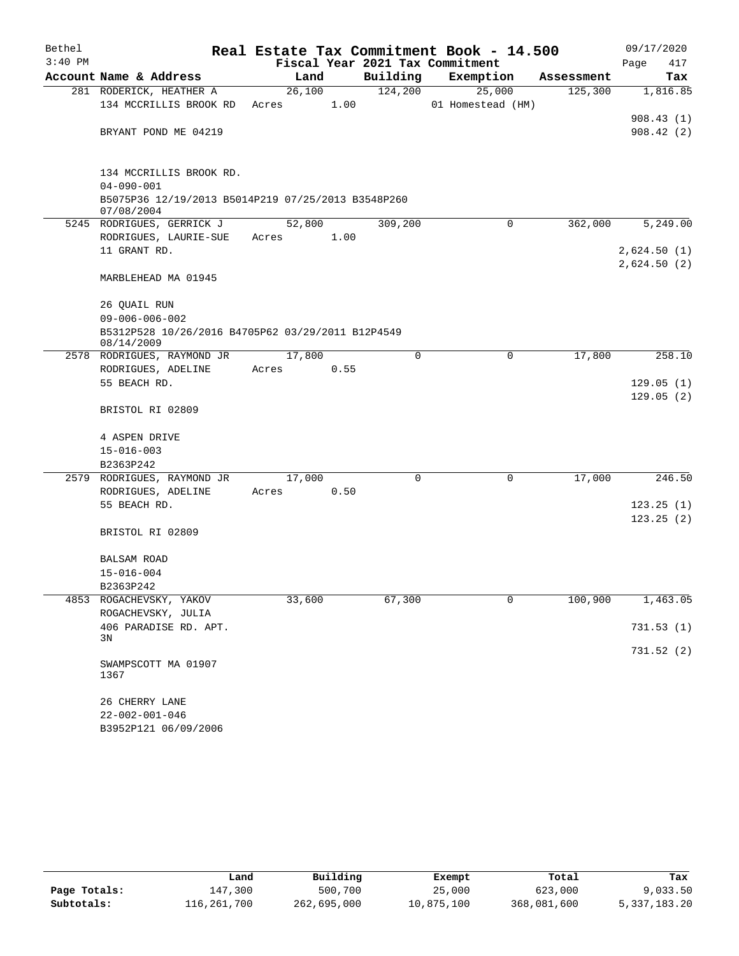| Bethel    |                                                                  |        |      |          | Real Estate Tax Commitment Book - 14.500 |            | 09/17/2020  |
|-----------|------------------------------------------------------------------|--------|------|----------|------------------------------------------|------------|-------------|
| $3:40$ PM |                                                                  |        |      |          | Fiscal Year 2021 Tax Commitment          |            | Page<br>417 |
|           | Account Name & Address                                           | Land   |      | Building | Exemption                                | Assessment | Tax         |
|           | 281 RODERICK, HEATHER A                                          | 26,100 |      | 124,200  | 25,000                                   | 125,300    | 1,816.85    |
|           | 134 MCCRILLIS BROOK RD                                           | Acres  | 1.00 |          | 01 Homestead (HM)                        |            |             |
|           |                                                                  |        |      |          |                                          |            | 908.43(1)   |
|           | BRYANT POND ME 04219                                             |        |      |          |                                          |            | 908.42(2)   |
|           | 134 MCCRILLIS BROOK RD.<br>$04 - 090 - 001$                      |        |      |          |                                          |            |             |
|           | B5075P36 12/19/2013 B5014P219 07/25/2013 B3548P260<br>07/08/2004 |        |      |          |                                          |            |             |
|           | 5245 RODRIGUES, GERRICK J                                        | 52,800 |      | 309,200  | $\Omega$                                 | 362,000    | 5,249.00    |
|           | RODRIGUES, LAURIE-SUE                                            | Acres  | 1.00 |          |                                          |            |             |
|           | 11 GRANT RD.                                                     |        |      |          |                                          |            | 2,624.50(1) |
|           |                                                                  |        |      |          |                                          |            | 2,624.50(2) |
|           | MARBLEHEAD MA 01945                                              |        |      |          |                                          |            |             |
|           | 26 QUAIL RUN                                                     |        |      |          |                                          |            |             |
|           | $09 - 006 - 006 - 002$                                           |        |      |          |                                          |            |             |
|           | B5312P528 10/26/2016 B4705P62 03/29/2011 B12P4549<br>08/14/2009  |        |      |          |                                          |            |             |
|           | 2578 RODRIGUES, RAYMOND JR                                       | 17,800 |      | $\Omega$ | 0                                        | 17,800     | 258.10      |
|           | RODRIGUES, ADELINE                                               | Acres  | 0.55 |          |                                          |            |             |
|           | 55 BEACH RD.                                                     |        |      |          |                                          |            | 129.05(1)   |
|           | BRISTOL RI 02809                                                 |        |      |          |                                          |            | 129.05(2)   |
|           | 4 ASPEN DRIVE                                                    |        |      |          |                                          |            |             |
|           | $15 - 016 - 003$                                                 |        |      |          |                                          |            |             |
|           | B2363P242                                                        |        |      |          |                                          |            |             |
|           | 2579 RODRIGUES, RAYMOND JR                                       | 17,000 |      | 0        | 0                                        | 17,000     | 246.50      |
|           | RODRIGUES, ADELINE                                               | Acres  | 0.50 |          |                                          |            |             |
|           | 55 BEACH RD.                                                     |        |      |          |                                          |            | 123.25(1)   |
|           | BRISTOL RI 02809                                                 |        |      |          |                                          |            | 123.25(2)   |
|           | BALSAM ROAD                                                      |        |      |          |                                          |            |             |
|           | $15 - 016 - 004$                                                 |        |      |          |                                          |            |             |
|           | B2363P242                                                        |        |      |          |                                          |            |             |
|           | 4853 ROGACHEVSKY, YAKOV                                          | 33,600 |      | 67,300   | 0                                        | 100,900    | 1,463.05    |
|           | ROGACHEVSKY, JULIA                                               |        |      |          |                                          |            |             |
|           | 406 PARADISE RD. APT.                                            |        |      |          |                                          |            | 731.53(1)   |
|           | 3N                                                               |        |      |          |                                          |            | 731.52 (2)  |
|           | SWAMPSCOTT MA 01907<br>1367                                      |        |      |          |                                          |            |             |
|           | 26 CHERRY LANE                                                   |        |      |          |                                          |            |             |
|           | $22 - 002 - 001 - 046$                                           |        |      |          |                                          |            |             |
|           | B3952P121 06/09/2006                                             |        |      |          |                                          |            |             |

|              | Land        | Building    | Exempt     | Total       | Tax          |
|--------------|-------------|-------------|------------|-------------|--------------|
| Page Totals: | 147,300     | 500,700     | 25,000     | 623,000     | 9,033.50     |
| Subtotals:   | 116,261,700 | 262,695,000 | 10,875,100 | 368,081,600 | 5,337,183.20 |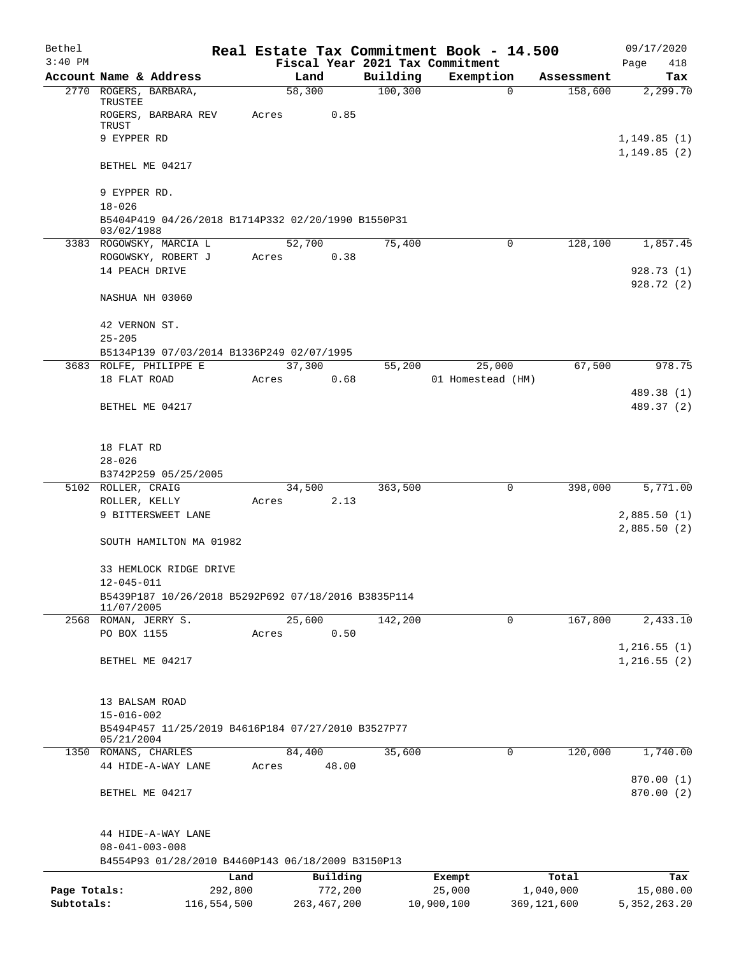| Bethel       |                                                                                |       |                |          | Real Estate Tax Commitment Book - 14.500 |             | 09/17/2020                  |
|--------------|--------------------------------------------------------------------------------|-------|----------------|----------|------------------------------------------|-------------|-----------------------------|
| $3:40$ PM    |                                                                                |       |                |          | Fiscal Year 2021 Tax Commitment          |             | Page<br>418                 |
|              | Account Name & Address                                                         |       | Land           | Building | Exemption                                | Assessment  | Tax                         |
|              | 2770 ROGERS, BARBARA,<br>TRUSTEE                                               |       | 58,300         | 100, 300 | $\mathbf 0$                              | 158,600     | 2,299.70                    |
|              | ROGERS, BARBARA REV<br>TRUST                                                   | Acres | 0.85           |          |                                          |             |                             |
|              | 9 EYPPER RD                                                                    |       |                |          |                                          |             | 1,149.85(1)<br>1, 149.85(2) |
|              | BETHEL ME 04217                                                                |       |                |          |                                          |             |                             |
|              | 9 EYPPER RD.                                                                   |       |                |          |                                          |             |                             |
|              | $18 - 026$<br>B5404P419 04/26/2018 B1714P332 02/20/1990 B1550P31<br>03/02/1988 |       |                |          |                                          |             |                             |
|              | 3383 ROGOWSKY, MARCIA L                                                        |       | 52,700         | 75,400   | 0                                        | 128,100     | 1,857.45                    |
|              | ROGOWSKY, ROBERT J                                                             | Acres | 0.38           |          |                                          |             |                             |
|              | 14 PEACH DRIVE                                                                 |       |                |          |                                          |             | 928.73 (1)                  |
|              | NASHUA NH 03060                                                                |       |                |          |                                          |             | 928.72 (2)                  |
|              | 42 VERNON ST.                                                                  |       |                |          |                                          |             |                             |
|              | $25 - 205$                                                                     |       |                |          |                                          |             |                             |
|              | B5134P139 07/03/2014 B1336P249 02/07/1995                                      |       |                |          |                                          |             |                             |
|              | 3683 ROLFE, PHILIPPE E<br>18 FLAT ROAD                                         | Acres | 37,300<br>0.68 | 55,200   | 25,000<br>01 Homestead (HM)              | 67,500      | 978.75                      |
|              |                                                                                |       |                |          |                                          |             | 489.38 (1)                  |
|              | BETHEL ME 04217                                                                |       |                |          |                                          |             | 489.37 (2)                  |
|              |                                                                                |       |                |          |                                          |             |                             |
|              | 18 FLAT RD                                                                     |       |                |          |                                          |             |                             |
|              | $28 - 026$                                                                     |       |                |          |                                          |             |                             |
|              | B3742P259 05/25/2005                                                           |       |                |          |                                          |             |                             |
|              | 5102 ROLLER, CRAIG                                                             |       | 34,500         | 363,500  | 0                                        | 398,000     | 5,771.00                    |
|              | ROLLER, KELLY                                                                  | Acres | 2.13           |          |                                          |             |                             |
|              | 9 BITTERSWEET LANE                                                             |       |                |          |                                          |             | 2,885.50(1)<br>2,885.50(2)  |
|              | SOUTH HAMILTON MA 01982                                                        |       |                |          |                                          |             |                             |
|              | 33 HEMLOCK RIDGE DRIVE                                                         |       |                |          |                                          |             |                             |
|              | 12-045-011<br>B5439P187 10/26/2018 B5292P692 07/18/2016 B3835P114              |       |                |          |                                          |             |                             |
|              | 11/07/2005                                                                     |       |                |          |                                          |             |                             |
|              | 2568 ROMAN, JERRY S.                                                           |       | 25,600         | 142,200  | $\mathbf 0$                              | 167,800     | 2,433.10                    |
|              | PO BOX 1155                                                                    | Acres | 0.50           |          |                                          |             |                             |
|              |                                                                                |       |                |          |                                          |             | 1,216.55(1)                 |
|              | BETHEL ME 04217                                                                |       |                |          |                                          |             | 1,216.55(2)                 |
|              | 13 BALSAM ROAD                                                                 |       |                |          |                                          |             |                             |
|              | $15 - 016 - 002$                                                               |       |                |          |                                          |             |                             |
|              | B5494P457 11/25/2019 B4616P184 07/27/2010 B3527P77<br>05/21/2004               |       |                |          |                                          |             |                             |
|              | 1350 ROMANS, CHARLES                                                           |       | 84,400         | 35,600   | 0                                        | 120,000     | 1,740.00                    |
|              | 44 HIDE-A-WAY LANE                                                             | Acres | 48.00          |          |                                          |             |                             |
|              | BETHEL ME 04217                                                                |       |                |          |                                          |             | 870.00 (1)<br>870.00(2)     |
|              | 44 HIDE-A-WAY LANE                                                             |       |                |          |                                          |             |                             |
|              | $08 - 041 - 003 - 008$                                                         |       |                |          |                                          |             |                             |
|              | B4554P93 01/28/2010 B4460P143 06/18/2009 B3150P13                              |       |                |          |                                          |             |                             |
|              |                                                                                | Land  | Building       |          | Exempt                                   | Total       | Tax                         |
| Page Totals: | 292,800                                                                        |       | 772,200        |          | 25,000                                   | 1,040,000   | 15,080.00                   |
| Subtotals:   | 116,554,500                                                                    |       | 263, 467, 200  |          | 10,900,100                               | 369,121,600 | 5, 352, 263.20              |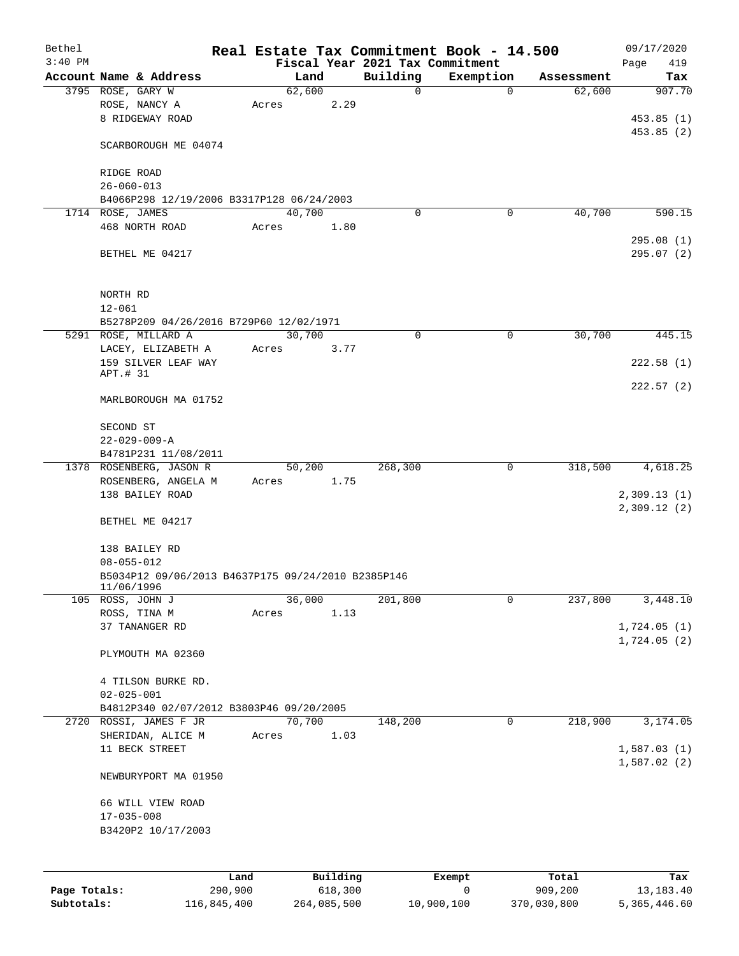| Bethel       |                                                                  |         |                         |          | Real Estate Tax Commitment Book - 14.500 |             |            | 09/17/2020  |
|--------------|------------------------------------------------------------------|---------|-------------------------|----------|------------------------------------------|-------------|------------|-------------|
| $3:40$ PM    |                                                                  |         |                         |          | Fiscal Year 2021 Tax Commitment          |             |            | Page<br>419 |
|              | Account Name & Address                                           |         | Land                    | Building | Exemption                                |             | Assessment | Tax         |
|              | 3795 ROSE, GARY W<br>ROSE, NANCY A                               |         | 62,600<br>2.29<br>Acres |          | $\mathbf 0$                              | $\mathbf 0$ | 62,600     | 907.70      |
|              | 8 RIDGEWAY ROAD                                                  |         |                         |          |                                          |             |            | 453.85(1)   |
|              |                                                                  |         |                         |          |                                          |             |            | 453.85(2)   |
|              | SCARBOROUGH ME 04074                                             |         |                         |          |                                          |             |            |             |
|              | RIDGE ROAD                                                       |         |                         |          |                                          |             |            |             |
|              | $26 - 060 - 013$                                                 |         |                         |          |                                          |             |            |             |
|              | B4066P298 12/19/2006 B3317P128 06/24/2003                        |         |                         |          |                                          |             |            |             |
|              | 1714 ROSE, JAMES                                                 |         | 40,700                  |          | $\Omega$                                 | 0           | 40,700     | 590.15      |
|              | 468 NORTH ROAD                                                   | Acres   | 1.80                    |          |                                          |             |            |             |
|              |                                                                  |         |                         |          |                                          |             |            | 295.08(1)   |
|              | BETHEL ME 04217                                                  |         |                         |          |                                          |             |            | 295.07(2)   |
|              | NORTH RD                                                         |         |                         |          |                                          |             |            |             |
|              | $12 - 061$                                                       |         |                         |          |                                          |             |            |             |
|              | B5278P209 04/26/2016 B729P60 12/02/1971                          |         |                         |          |                                          |             |            |             |
|              | 5291 ROSE, MILLARD A                                             |         | 30,700                  |          | 0                                        | $\mathbf 0$ | 30,700     | 445.15      |
|              | LACEY, ELIZABETH A                                               | Acres   | 3.77                    |          |                                          |             |            |             |
|              | 159 SILVER LEAF WAY                                              |         |                         |          |                                          |             |            | 222.58(1)   |
|              | APT.# 31                                                         |         |                         |          |                                          |             |            |             |
|              | MARLBOROUGH MA 01752                                             |         |                         |          |                                          |             |            | 222.57(2)   |
|              | SECOND ST                                                        |         |                         |          |                                          |             |            |             |
|              | $22 - 029 - 009 - A$                                             |         |                         |          |                                          |             |            |             |
|              | B4781P231 11/08/2011                                             |         |                         |          |                                          |             |            |             |
|              | 1378 ROSENBERG, JASON R                                          |         | 50,200                  | 268,300  |                                          | $\mathbf 0$ | 318,500    | 4,618.25    |
|              | ROSENBERG, ANGELA M                                              | Acres   | 1.75                    |          |                                          |             |            |             |
|              | 138 BAILEY ROAD                                                  |         |                         |          |                                          |             |            | 2,309.13(1) |
|              | BETHEL ME 04217                                                  |         |                         |          |                                          |             |            | 2,309.12(2) |
|              |                                                                  |         |                         |          |                                          |             |            |             |
|              | 138 BAILEY RD                                                    |         |                         |          |                                          |             |            |             |
|              | $08 - 055 - 012$                                                 |         |                         |          |                                          |             |            |             |
|              | B5034P12 09/06/2013 B4637P175 09/24/2010 B2385P146<br>11/06/1996 |         |                         |          |                                          |             |            |             |
|              | 105 ROSS, JOHN J                                                 |         | 36,000                  | 201,800  |                                          | 0           | 237,800    | 3,448.10    |
|              | ROSS, TINA M                                                     |         | 1.13<br>Acres           |          |                                          |             |            |             |
|              | 37 TANANGER RD                                                   |         |                         |          |                                          |             |            | 1,724.05(1) |
|              | PLYMOUTH MA 02360                                                |         |                         |          |                                          |             |            | 1,724.05(2) |
|              | 4 TILSON BURKE RD.                                               |         |                         |          |                                          |             |            |             |
|              | $02 - 025 - 001$                                                 |         |                         |          |                                          |             |            |             |
|              | B4812P340 02/07/2012 B3803P46 09/20/2005                         |         |                         |          |                                          |             |            |             |
| 2720         | ROSSI, JAMES F JR                                                |         | 70,700                  | 148,200  |                                          | 0           | 218,900    | 3,174.05    |
|              | SHERIDAN, ALICE M                                                |         | 1.03<br>Acres           |          |                                          |             |            |             |
|              | 11 BECK STREET                                                   |         |                         |          |                                          |             |            | 1,587.03(1) |
|              |                                                                  |         |                         |          |                                          |             |            | 1,587.02(2) |
|              | NEWBURYPORT MA 01950                                             |         |                         |          |                                          |             |            |             |
|              | 66 WILL VIEW ROAD                                                |         |                         |          |                                          |             |            |             |
|              | $17 - 035 - 008$                                                 |         |                         |          |                                          |             |            |             |
|              | B3420P2 10/17/2003                                               |         |                         |          |                                          |             |            |             |
|              |                                                                  |         |                         |          |                                          |             |            |             |
|              |                                                                  | Land    | Building                |          | Exempt                                   |             | Total      | Tax         |
| Page Totals: |                                                                  | 290,900 | 618,300                 |          | 0                                        |             | 909,200    | 13, 183. 40 |

**Subtotals:** 116,845,400 264,085,500 10,900,100 370,030,800 5,365,446.60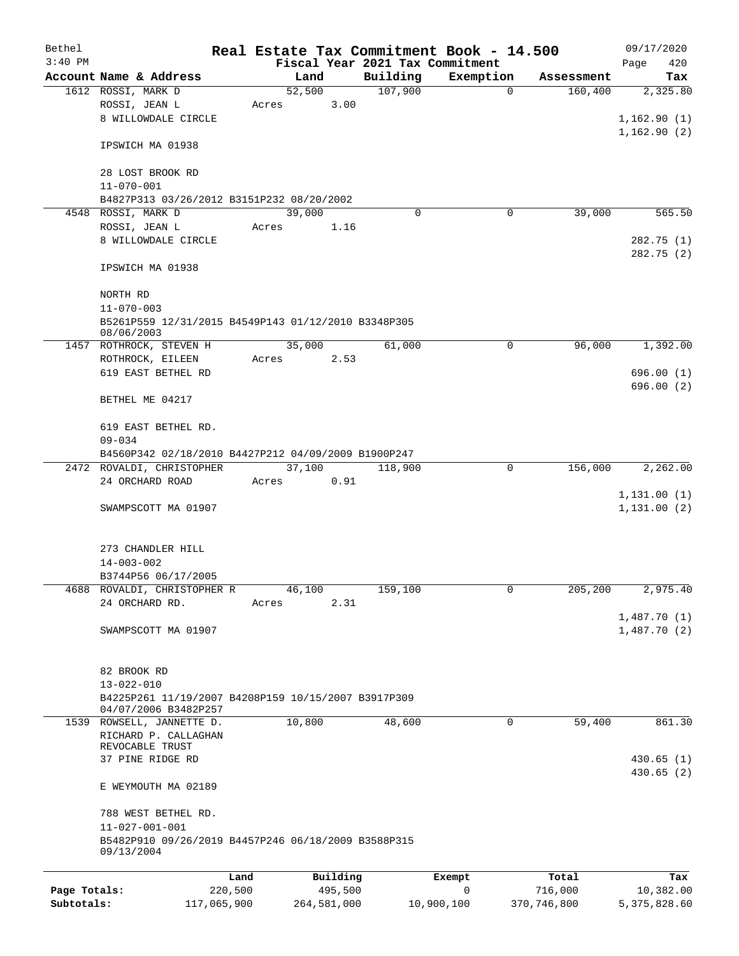| Bethel       |                                                                       |         |        |          |          | Real Estate Tax Commitment Book - 14.500 |            | 09/17/2020             |
|--------------|-----------------------------------------------------------------------|---------|--------|----------|----------|------------------------------------------|------------|------------------------|
| $3:40$ PM    |                                                                       |         |        |          |          | Fiscal Year 2021 Tax Commitment          |            | Page<br>420            |
|              | Account Name & Address                                                |         | Land   |          | Building | Exemption                                | Assessment | Tax                    |
|              | 1612 ROSSI, MARK D                                                    |         | 52,500 |          | 107,900  | $\mathbf 0$                              | 160,400    | 2,325.80               |
|              | ROSSI, JEAN L                                                         | Acres   |        | 3.00     |          |                                          |            |                        |
|              | 8 WILLOWDALE CIRCLE                                                   |         |        |          |          |                                          |            | 1,162.90(1)            |
|              | IPSWICH MA 01938                                                      |         |        |          |          |                                          |            | 1,162.90(2)            |
|              | 28 LOST BROOK RD                                                      |         |        |          |          |                                          |            |                        |
|              | $11 - 070 - 001$                                                      |         |        |          |          |                                          |            |                        |
|              | B4827P313 03/26/2012 B3151P232 08/20/2002                             |         |        |          |          |                                          |            |                        |
|              | 4548 ROSSI, MARK D                                                    |         | 39,000 |          | $\Omega$ | 0                                        | 39,000     | 565.50                 |
|              | ROSSI, JEAN L                                                         | Acres   |        | 1.16     |          |                                          |            |                        |
|              | 8 WILLOWDALE CIRCLE                                                   |         |        |          |          |                                          |            | 282.75 (1)             |
|              | IPSWICH MA 01938                                                      |         |        |          |          |                                          |            | 282.75(2)              |
|              | NORTH RD                                                              |         |        |          |          |                                          |            |                        |
|              | $11 - 070 - 003$                                                      |         |        |          |          |                                          |            |                        |
|              | B5261P559 12/31/2015 B4549P143 01/12/2010 B3348P305<br>08/06/2003     |         |        |          |          |                                          |            |                        |
|              | 1457 ROTHROCK, STEVEN H                                               |         | 35,000 |          | 61,000   | 0                                        | 96,000     | 1,392.00               |
|              | ROTHROCK, EILEEN                                                      | Acres   |        | 2.53     |          |                                          |            |                        |
|              | 619 EAST BETHEL RD                                                    |         |        |          |          |                                          |            | 696.00(1)              |
|              | BETHEL ME 04217                                                       |         |        |          |          |                                          |            | 696.00 (2)             |
|              |                                                                       |         |        |          |          |                                          |            |                        |
|              | 619 EAST BETHEL RD.<br>$09 - 034$                                     |         |        |          |          |                                          |            |                        |
|              | B4560P342 02/18/2010 B4427P212 04/09/2009 B1900P247                   |         |        |          |          |                                          |            |                        |
|              | 2472 ROVALDI, CHRISTOPHER                                             |         | 37,100 |          | 118,900  | $\mathbf 0$                              | 156,000    | 2,262.00               |
|              | 24 ORCHARD ROAD                                                       | Acres   |        | 0.91     |          |                                          |            |                        |
|              |                                                                       |         |        |          |          |                                          |            | 1, 131.00(1)           |
|              | SWAMPSCOTT MA 01907                                                   |         |        |          |          |                                          |            | 1, 131.00(2)           |
|              |                                                                       |         |        |          |          |                                          |            |                        |
|              | 273 CHANDLER HILL                                                     |         |        |          |          |                                          |            |                        |
|              | $14 - 003 - 002$                                                      |         |        |          |          |                                          |            |                        |
|              | B3744P56 06/17/2005                                                   |         |        |          |          |                                          |            |                        |
|              | 4688 ROVALDI, CHRISTOPHER R                                           |         | 46,100 |          | 159,100  | 0                                        | 205,200    | 2,975.40               |
|              | 24 ORCHARD RD.                                                        | Acres   |        | 2.31     |          |                                          |            |                        |
|              |                                                                       |         |        |          |          |                                          |            | 1,487.70(1)            |
|              | SWAMPSCOTT MA 01907                                                   |         |        |          |          |                                          |            | 1,487.70(2)            |
|              |                                                                       |         |        |          |          |                                          |            |                        |
|              | 82 BROOK RD<br>$13 - 022 - 010$                                       |         |        |          |          |                                          |            |                        |
|              | B4225P261 11/19/2007 B4208P159 10/15/2007 B3917P309                   |         |        |          |          |                                          |            |                        |
|              | 04/07/2006 B3482P257                                                  |         |        |          |          |                                          |            |                        |
|              | 1539 ROWSELL, JANNETTE D.                                             |         | 10,800 |          | 48,600   | 0                                        | 59,400     | 861.30                 |
|              | RICHARD P. CALLAGHAN                                                  |         |        |          |          |                                          |            |                        |
|              | REVOCABLE TRUST                                                       |         |        |          |          |                                          |            |                        |
|              | 37 PINE RIDGE RD                                                      |         |        |          |          |                                          |            | 430.65(1)<br>430.65(2) |
|              | E WEYMOUTH MA 02189                                                   |         |        |          |          |                                          |            |                        |
|              | 788 WEST BETHEL RD.                                                   |         |        |          |          |                                          |            |                        |
|              | 11-027-001-001<br>B5482P910 09/26/2019 B4457P246 06/18/2009 B3588P315 |         |        |          |          |                                          |            |                        |
|              | 09/13/2004                                                            |         |        |          |          |                                          |            |                        |
|              |                                                                       | Land    |        | Building |          | Exempt                                   | Total      | Tax                    |
| Page Totals: |                                                                       | 220,500 |        | 495,500  |          | 0                                        | 716,000    | 10,382.00              |

**Subtotals:** 117,065,900 264,581,000 10,900,100 370,746,800 5,375,828.60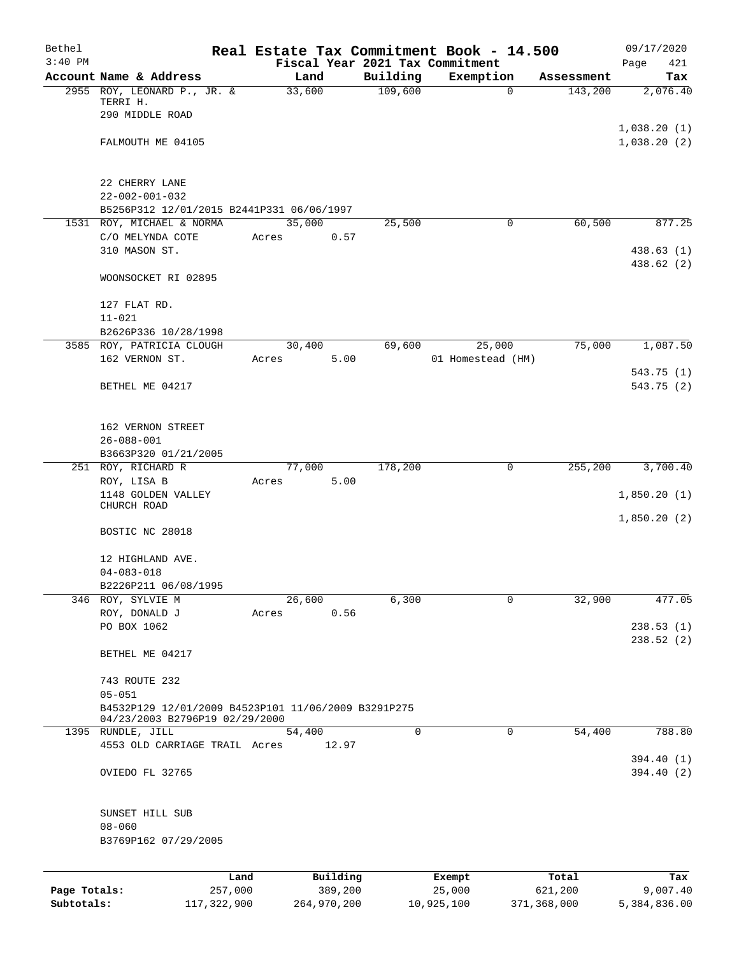| Bethel       |                                                     |        |                     |             | Real Estate Tax Commitment Book - 14.500 |                  | 09/17/2020      |
|--------------|-----------------------------------------------------|--------|---------------------|-------------|------------------------------------------|------------------|-----------------|
| $3:40$ PM    |                                                     |        |                     |             | Fiscal Year 2021 Tax Commitment          |                  | Page<br>421     |
|              | Account Name & Address                              | Land   |                     | Building    | Exemption                                | Assessment       | Tax             |
|              | 2955 ROY, LEONARD P., JR. &<br>TERRI H.             | 33,600 |                     | 109,600     | $\mathbf 0$                              | 143,200          | 2,076.40        |
|              | 290 MIDDLE ROAD                                     |        |                     |             |                                          |                  |                 |
|              |                                                     |        |                     |             |                                          |                  | 1,038.20(1)     |
|              | FALMOUTH ME 04105                                   |        |                     |             |                                          |                  | 1,038.20(2)     |
|              |                                                     |        |                     |             |                                          |                  |                 |
|              |                                                     |        |                     |             |                                          |                  |                 |
|              | 22 CHERRY LANE                                      |        |                     |             |                                          |                  |                 |
|              | $22 - 002 - 001 - 032$                              |        |                     |             |                                          |                  |                 |
|              | B5256P312 12/01/2015 B2441P331 06/06/1997           |        |                     |             |                                          |                  |                 |
|              | 1531 ROY, MICHAEL & NORMA                           | 35,000 |                     | 25,500      | $\mathbf 0$                              | 60,500           | 877.25          |
|              | C/O MELYNDA COTE                                    | Acres  | 0.57                |             |                                          |                  |                 |
|              | 310 MASON ST.                                       |        |                     |             |                                          |                  | 438.63(1)       |
|              |                                                     |        |                     |             |                                          |                  | 438.62 (2)      |
|              | WOONSOCKET RI 02895                                 |        |                     |             |                                          |                  |                 |
|              |                                                     |        |                     |             |                                          |                  |                 |
|              | 127 FLAT RD.<br>$11 - 021$                          |        |                     |             |                                          |                  |                 |
|              | B2626P336 10/28/1998                                |        |                     |             |                                          |                  |                 |
|              | 3585 ROY, PATRICIA CLOUGH                           | 30,400 |                     | 69,600      | 25,000                                   | 75,000           | 1,087.50        |
|              | 162 VERNON ST.                                      | Acres  | 5.00                |             | 01 Homestead (HM)                        |                  |                 |
|              |                                                     |        |                     |             |                                          |                  | 543.75(1)       |
|              | BETHEL ME 04217                                     |        |                     |             |                                          |                  | 543.75 (2)      |
|              |                                                     |        |                     |             |                                          |                  |                 |
|              |                                                     |        |                     |             |                                          |                  |                 |
|              | 162 VERNON STREET                                   |        |                     |             |                                          |                  |                 |
|              | $26 - 088 - 001$                                    |        |                     |             |                                          |                  |                 |
|              | B3663P320 01/21/2005                                |        |                     |             |                                          |                  |                 |
|              | 251 ROY, RICHARD R                                  | 77,000 |                     | 178,200     | $\mathbf 0$                              | 255,200          | 3,700.40        |
|              | ROY, LISA B                                         | Acres  | 5.00                |             |                                          |                  |                 |
|              | 1148 GOLDEN VALLEY<br>CHURCH ROAD                   |        |                     |             |                                          |                  | 1,850.20(1)     |
|              |                                                     |        |                     |             |                                          |                  | 1,850.20(2)     |
|              | BOSTIC NC 28018                                     |        |                     |             |                                          |                  |                 |
|              |                                                     |        |                     |             |                                          |                  |                 |
|              | 12 HIGHLAND AVE.                                    |        |                     |             |                                          |                  |                 |
|              | $04 - 083 - 018$                                    |        |                     |             |                                          |                  |                 |
|              | B2226P211 06/08/1995                                |        |                     |             |                                          |                  |                 |
| 346          | ROY, SYLVIE M                                       | 26,600 |                     | 6,300       | 0                                        | 32,900           | 477.05          |
|              | ROY, DONALD J                                       | Acres  | 0.56                |             |                                          |                  |                 |
|              | PO BOX 1062                                         |        |                     |             |                                          |                  | 238.53(1)       |
|              |                                                     |        |                     |             |                                          |                  | 238.52(2)       |
|              | BETHEL ME 04217                                     |        |                     |             |                                          |                  |                 |
|              | 743 ROUTE 232                                       |        |                     |             |                                          |                  |                 |
|              | $05 - 051$                                          |        |                     |             |                                          |                  |                 |
|              | B4532P129 12/01/2009 B4523P101 11/06/2009 B3291P275 |        |                     |             |                                          |                  |                 |
|              | 04/23/2003 B2796P19 02/29/2000                      |        |                     |             |                                          |                  |                 |
|              | 1395 RUNDLE, JILL                                   | 54,400 |                     | $\mathbf 0$ | 0                                        | 54,400           | 788.80          |
|              | 4553 OLD CARRIAGE TRAIL Acres                       |        | 12.97               |             |                                          |                  |                 |
|              |                                                     |        |                     |             |                                          |                  | 394.40 (1)      |
|              | OVIEDO FL 32765                                     |        |                     |             |                                          |                  | 394.40(2)       |
|              |                                                     |        |                     |             |                                          |                  |                 |
|              | SUNSET HILL SUB                                     |        |                     |             |                                          |                  |                 |
|              | $08 - 060$                                          |        |                     |             |                                          |                  |                 |
|              | B3769P162 07/29/2005                                |        |                     |             |                                          |                  |                 |
|              |                                                     |        |                     |             |                                          |                  |                 |
|              |                                                     |        |                     |             |                                          |                  |                 |
| Page Totals: | Land<br>257,000                                     |        | Building<br>389,200 |             | Exempt<br>25,000                         | Total<br>621,200 | Tax<br>9,007.40 |
| Subtotals:   | 117, 322, 900                                       |        | 264,970,200         |             | 10,925,100                               | 371,368,000      | 5,384,836.00    |
|              |                                                     |        |                     |             |                                          |                  |                 |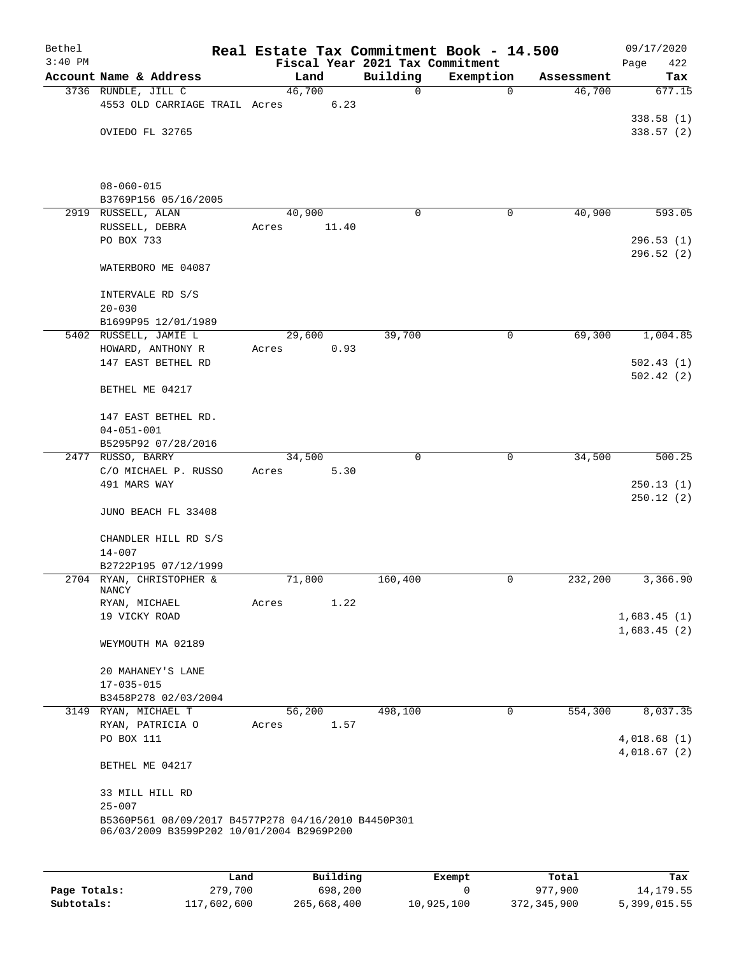| Bethel<br>$3:40$ PM |                                                                                                  | Real Estate Tax Commitment Book - 14.500 |       | Fiscal Year 2021 Tax Commitment |             |            | 09/17/2020<br>422<br>Page |
|---------------------|--------------------------------------------------------------------------------------------------|------------------------------------------|-------|---------------------------------|-------------|------------|---------------------------|
|                     | Account Name & Address                                                                           | Land                                     |       | Building                        | Exemption   | Assessment | Tax                       |
|                     | 3736 RUNDLE, JILL C                                                                              | 46,700                                   |       | 0                               | $\mathbf 0$ | 46,700     | 677.15                    |
|                     | 4553 OLD CARRIAGE TRAIL Acres                                                                    |                                          | 6.23  |                                 |             |            |                           |
|                     |                                                                                                  |                                          |       |                                 |             |            | 338.58(1)                 |
|                     | OVIEDO FL 32765                                                                                  |                                          |       |                                 |             |            | 338.57(2)                 |
|                     |                                                                                                  |                                          |       |                                 |             |            |                           |
|                     | $08 - 060 - 015$                                                                                 |                                          |       |                                 |             |            |                           |
|                     | B3769P156 05/16/2005                                                                             |                                          |       |                                 |             |            |                           |
|                     | 2919 RUSSELL, ALAN                                                                               | 40,900                                   |       | $\Omega$                        | 0           | 40,900     | 593.05                    |
|                     | RUSSELL, DEBRA                                                                                   | Acres                                    | 11.40 |                                 |             |            |                           |
|                     | PO BOX 733                                                                                       |                                          |       |                                 |             |            | 296.53(1)                 |
|                     |                                                                                                  |                                          |       |                                 |             |            | 296.52 (2)                |
|                     | WATERBORO ME 04087                                                                               |                                          |       |                                 |             |            |                           |
|                     | INTERVALE RD S/S                                                                                 |                                          |       |                                 |             |            |                           |
|                     | $20 - 030$                                                                                       |                                          |       |                                 |             |            |                           |
|                     | B1699P95 12/01/1989                                                                              |                                          |       |                                 |             |            |                           |
|                     | 5402 RUSSELL, JAMIE L                                                                            | 29,600                                   |       | 39,700                          | $\mathbf 0$ | 69,300     | 1,004.85                  |
|                     | HOWARD, ANTHONY R                                                                                | Acres                                    | 0.93  |                                 |             |            |                           |
|                     | 147 EAST BETHEL RD                                                                               |                                          |       |                                 |             |            | 502.43(1)                 |
|                     | BETHEL ME 04217                                                                                  |                                          |       |                                 |             |            | 502.42(2)                 |
|                     | 147 EAST BETHEL RD.                                                                              |                                          |       |                                 |             |            |                           |
|                     | $04 - 051 - 001$                                                                                 |                                          |       |                                 |             |            |                           |
|                     | B5295P92 07/28/2016                                                                              |                                          |       |                                 |             |            |                           |
|                     | 2477 RUSSO, BARRY                                                                                | 34,500                                   |       | $\Omega$                        | 0           | 34,500     | 500.25                    |
|                     | C/O MICHAEL P. RUSSO                                                                             | Acres                                    | 5.30  |                                 |             |            |                           |
|                     | 491 MARS WAY                                                                                     |                                          |       |                                 |             |            | 250.13(1)                 |
|                     | JUNO BEACH FL 33408                                                                              |                                          |       |                                 |             |            | 250.12(2)                 |
|                     | CHANDLER HILL RD S/S                                                                             |                                          |       |                                 |             |            |                           |
|                     | $14 - 007$                                                                                       |                                          |       |                                 |             |            |                           |
|                     | B2722P195 07/12/1999                                                                             |                                          |       | 160,400                         |             |            |                           |
|                     | 2704 RYAN, CHRISTOPHER &<br><b>NANCY</b>                                                         | 71,800                                   |       |                                 | 0           | 232,200    | 3,366.90                  |
|                     | RYAN, MICHAEL                                                                                    | Acres                                    | 1.22  |                                 |             |            |                           |
|                     | 19 VICKY ROAD                                                                                    |                                          |       |                                 |             |            | 1,683.45(1)               |
|                     |                                                                                                  |                                          |       |                                 |             |            | 1,683.45(2)               |
|                     | WEYMOUTH MA 02189                                                                                |                                          |       |                                 |             |            |                           |
|                     | 20 MAHANEY'S LANE                                                                                |                                          |       |                                 |             |            |                           |
|                     | $17 - 035 - 015$                                                                                 |                                          |       |                                 |             |            |                           |
|                     | B3458P278 02/03/2004                                                                             |                                          |       |                                 |             |            |                           |
|                     | 3149 RYAN, MICHAEL T                                                                             | 56,200                                   |       | 498,100                         | 0           | 554,300    | 8,037.35                  |
|                     | RYAN, PATRICIA O                                                                                 | Acres                                    | 1.57  |                                 |             |            |                           |
|                     | PO BOX 111                                                                                       |                                          |       |                                 |             |            | 4,018.68(1)               |
|                     | BETHEL ME 04217                                                                                  |                                          |       |                                 |             |            | 4,018.67(2)               |
|                     | 33 MILL HILL RD                                                                                  |                                          |       |                                 |             |            |                           |
|                     | $25 - 007$                                                                                       |                                          |       |                                 |             |            |                           |
|                     | B5360P561 08/09/2017 B4577P278 04/16/2010 B4450P301<br>06/03/2009 B3599P202 10/01/2004 B2969P200 |                                          |       |                                 |             |            |                           |
|                     |                                                                                                  |                                          |       |                                 |             |            |                           |
|                     |                                                                                                  |                                          |       |                                 |             |            |                           |

|              | Land        | Building    | Exempt     | Total       | Tax          |
|--------------|-------------|-------------|------------|-------------|--------------|
| Page Totals: | 279,700     | 698,200     |            | 977,900     | 14, 179. 55  |
| Subtotals:   | 117,602,600 | 265,668,400 | 10,925,100 | 372,345,900 | 5,399,015.55 |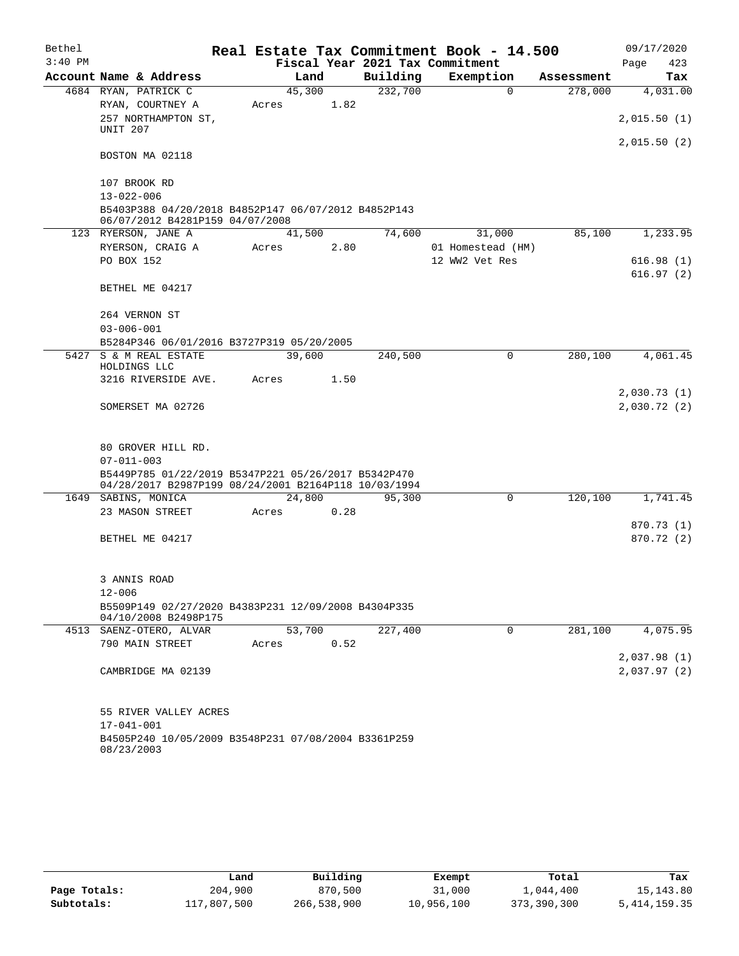| Bethel    |                                                                             |       |        |      |                                 | Real Estate Tax Commitment Book - 14.500 |            | 09/17/2020               |  |
|-----------|-----------------------------------------------------------------------------|-------|--------|------|---------------------------------|------------------------------------------|------------|--------------------------|--|
| $3:40$ PM |                                                                             |       |        |      | Fiscal Year 2021 Tax Commitment |                                          |            | Page<br>423              |  |
|           | Account Name & Address                                                      |       | Land   |      | Building                        | Exemption                                | Assessment | Tax                      |  |
|           | 4684 RYAN, PATRICK C                                                        |       | 45,300 |      | 232,700                         | $\mathbf 0$                              | 278,000    | 4,031.00                 |  |
|           | RYAN, COURTNEY A                                                            | Acres |        | 1.82 |                                 |                                          |            |                          |  |
|           | 257 NORTHAMPTON ST,                                                         |       |        |      |                                 |                                          |            | 2,015.50(1)              |  |
|           | UNIT 207                                                                    |       |        |      |                                 |                                          |            | 2,015.50(2)              |  |
|           | BOSTON MA 02118                                                             |       |        |      |                                 |                                          |            |                          |  |
|           |                                                                             |       |        |      |                                 |                                          |            |                          |  |
|           | 107 BROOK RD                                                                |       |        |      |                                 |                                          |            |                          |  |
|           | $13 - 022 - 006$<br>B5403P388 04/20/2018 B4852P147 06/07/2012 B4852P143     |       |        |      |                                 |                                          |            |                          |  |
|           | 06/07/2012 B4281P159 04/07/2008                                             |       |        |      |                                 |                                          |            |                          |  |
|           | 123 RYERSON, JANE A                                                         |       | 41,500 |      | 74,600                          | 31,000                                   | 85,100     | 1,233.95                 |  |
|           | RYERSON, CRAIG A                                                            | Acres |        | 2.80 |                                 | 01 Homestead (HM)                        |            |                          |  |
|           | PO BOX 152                                                                  |       |        |      |                                 | 12 WW2 Vet Res                           |            | 616.98(1)                |  |
|           |                                                                             |       |        |      |                                 |                                          |            | 616.97(2)                |  |
|           | BETHEL ME 04217                                                             |       |        |      |                                 |                                          |            |                          |  |
|           | 264 VERNON ST                                                               |       |        |      |                                 |                                          |            |                          |  |
|           | $03 - 006 - 001$                                                            |       |        |      |                                 |                                          |            |                          |  |
|           | B5284P346 06/01/2016 B3727P319 05/20/2005                                   |       |        |      |                                 |                                          |            |                          |  |
|           | 5427 S & M REAL ESTATE                                                      |       | 39,600 |      | 240,500                         | 0                                        | 280,100    | 4,061.45                 |  |
|           | HOLDINGS LLC                                                                |       |        |      |                                 |                                          |            |                          |  |
|           | 3216 RIVERSIDE AVE.                                                         | Acres |        | 1.50 |                                 |                                          |            |                          |  |
|           |                                                                             |       |        |      |                                 |                                          |            | 2,030.73(1)              |  |
|           | SOMERSET MA 02726                                                           |       |        |      |                                 |                                          |            | 2,030.72(2)              |  |
|           |                                                                             |       |        |      |                                 |                                          |            |                          |  |
|           | 80 GROVER HILL RD.                                                          |       |        |      |                                 |                                          |            |                          |  |
|           | $07 - 011 - 003$                                                            |       |        |      |                                 |                                          |            |                          |  |
|           | B5449P785 01/22/2019 B5347P221 05/26/2017 B5342P470                         |       |        |      |                                 |                                          |            |                          |  |
|           | 04/28/2017 B2987P199 08/24/2001 B2164P118 10/03/1994                        |       |        |      |                                 |                                          |            |                          |  |
|           | 1649 SABINS, MONICA                                                         |       | 24,800 |      | 95,300                          | $\Omega$                                 | 120,100    | 1,741.45                 |  |
|           | 23 MASON STREET                                                             | Acres |        | 0.28 |                                 |                                          |            |                          |  |
|           | BETHEL ME 04217                                                             |       |        |      |                                 |                                          |            | 870.73 (1)<br>870.72 (2) |  |
|           |                                                                             |       |        |      |                                 |                                          |            |                          |  |
|           |                                                                             |       |        |      |                                 |                                          |            |                          |  |
|           | 3 ANNIS ROAD                                                                |       |        |      |                                 |                                          |            |                          |  |
|           | $12 - 006$                                                                  |       |        |      |                                 |                                          |            |                          |  |
|           | B5509P149 02/27/2020 B4383P231 12/09/2008 B4304P335<br>04/10/2008 B2498P175 |       |        |      |                                 |                                          |            |                          |  |
|           | 4513 SAENZ-OTERO, ALVAR                                                     |       | 53,700 |      | 227,400                         | 0                                        | 281,100    | 4,075.95                 |  |
|           | 790 MAIN STREET                                                             | Acres |        | 0.52 |                                 |                                          |            |                          |  |
|           |                                                                             |       |        |      |                                 |                                          |            | 2,037.98(1)              |  |
|           | CAMBRIDGE MA 02139                                                          |       |        |      |                                 |                                          |            | 2,037.97(2)              |  |
|           |                                                                             |       |        |      |                                 |                                          |            |                          |  |
|           | 55 RIVER VALLEY ACRES                                                       |       |        |      |                                 |                                          |            |                          |  |
|           | $17 - 041 - 001$                                                            |       |        |      |                                 |                                          |            |                          |  |
|           | B4505P240 10/05/2009 B3548P231 07/08/2004 B3361P259                         |       |        |      |                                 |                                          |            |                          |  |
|           | 08/23/2003                                                                  |       |        |      |                                 |                                          |            |                          |  |

|              | Land        | Building    | Exempt     | Total       | Tax             |
|--------------|-------------|-------------|------------|-------------|-----------------|
| Page Totals: | 204,900     | 870,500     | 31,000     | 1,044,400   | 15,143.80       |
| Subtotals:   | 117,807,500 | 266,538,900 | 10,956,100 | 373,390,300 | 5, 414, 159. 35 |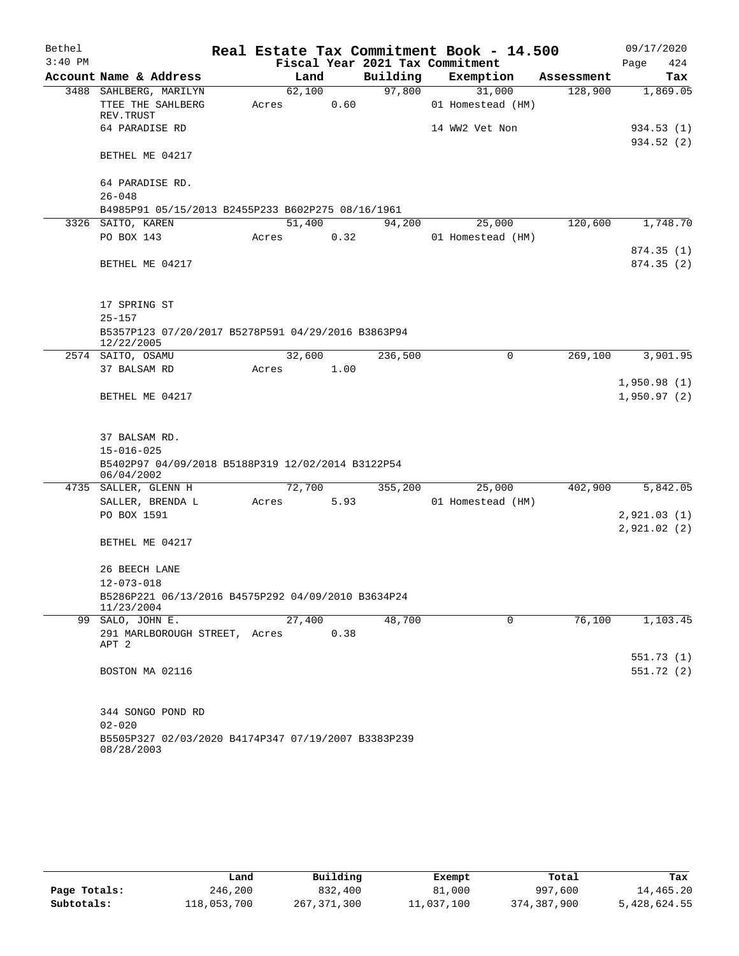| Bethel    |                                                     | Real Estate Tax Commitment Book - 14.500 |        |                                 |                   |        |            | 09/17/2020                 |          |
|-----------|-----------------------------------------------------|------------------------------------------|--------|---------------------------------|-------------------|--------|------------|----------------------------|----------|
| $3:40$ PM |                                                     |                                          |        | Fiscal Year 2021 Tax Commitment |                   |        |            | Page                       | 424      |
|           | Account Name & Address                              |                                          | Land   | Building                        | Exemption         |        | Assessment |                            | Tax      |
|           | 3488 SAHLBERG, MARILYN                              |                                          | 62,100 | 97,800                          |                   | 31,000 | 128,900    |                            | 1,869.05 |
|           | TTEE THE SAHLBERG                                   | Acres                                    | 0.60   |                                 | 01 Homestead (HM) |        |            |                            |          |
|           | REV. TRUST                                          |                                          |        |                                 |                   |        |            |                            |          |
|           | 64 PARADISE RD                                      |                                          |        |                                 | 14 WW2 Vet Non    |        |            | 934.53 (1)                 |          |
|           | BETHEL ME 04217                                     |                                          |        |                                 |                   |        |            | 934.52 (2)                 |          |
|           |                                                     |                                          |        |                                 |                   |        |            |                            |          |
|           | 64 PARADISE RD.                                     |                                          |        |                                 |                   |        |            |                            |          |
|           | $26 - 048$                                          |                                          |        |                                 |                   |        |            |                            |          |
|           | B4985P91 05/15/2013 B2455P233 B602P275 08/16/1961   |                                          |        |                                 |                   |        |            |                            |          |
|           | 3326 SAITO, KAREN                                   | 51,400                                   |        | 94,200                          |                   | 25,000 | 120,600    |                            | 1,748.70 |
|           | PO BOX 143                                          | Acres                                    | 0.32   |                                 | 01 Homestead (HM) |        |            |                            |          |
|           |                                                     |                                          |        |                                 |                   |        |            | 874.35(1)                  |          |
|           | BETHEL ME 04217                                     |                                          |        |                                 |                   |        |            | 874.35(2)                  |          |
|           |                                                     |                                          |        |                                 |                   |        |            |                            |          |
|           |                                                     |                                          |        |                                 |                   |        |            |                            |          |
|           | 17 SPRING ST                                        |                                          |        |                                 |                   |        |            |                            |          |
|           | $25 - 157$                                          |                                          |        |                                 |                   |        |            |                            |          |
|           | B5357P123 07/20/2017 B5278P591 04/29/2016 B3863P94  |                                          |        |                                 |                   |        |            |                            |          |
|           | 12/22/2005                                          |                                          |        |                                 |                   |        |            |                            |          |
|           | 2574 SAITO, OSAMU                                   |                                          | 32,600 | 236,500                         |                   | 0      | 269,100    |                            | 3,901.95 |
|           | 37 BALSAM RD                                        | Acres                                    | 1.00   |                                 |                   |        |            |                            |          |
|           | BETHEL ME 04217                                     |                                          |        |                                 |                   |        |            | 1,950.98(1)<br>1,950.97(2) |          |
|           |                                                     |                                          |        |                                 |                   |        |            |                            |          |
|           |                                                     |                                          |        |                                 |                   |        |            |                            |          |
|           | 37 BALSAM RD.                                       |                                          |        |                                 |                   |        |            |                            |          |
|           | $15 - 016 - 025$                                    |                                          |        |                                 |                   |        |            |                            |          |
|           | B5402P97 04/09/2018 B5188P319 12/02/2014 B3122P54   |                                          |        |                                 |                   |        |            |                            |          |
|           | 06/04/2002                                          |                                          |        |                                 |                   |        |            |                            |          |
|           | 4735 SALLER, GLENN H                                |                                          | 72,700 | 355,200                         |                   | 25,000 | 402,900    |                            | 5,842.05 |
|           | SALLER, BRENDA L                                    | Acres                                    | 5.93   |                                 | 01 Homestead (HM) |        |            |                            |          |
|           | PO BOX 1591                                         |                                          |        |                                 |                   |        |            | 2,921.03(1)                |          |
|           |                                                     |                                          |        |                                 |                   |        |            | 2,921.02(2)                |          |
|           | BETHEL ME 04217                                     |                                          |        |                                 |                   |        |            |                            |          |
|           | 26 BEECH LANE                                       |                                          |        |                                 |                   |        |            |                            |          |
|           | $12 - 073 - 018$                                    |                                          |        |                                 |                   |        |            |                            |          |
|           | B5286P221 06/13/2016 B4575P292 04/09/2010 B3634P24  |                                          |        |                                 |                   |        |            |                            |          |
|           | 11/23/2004                                          |                                          |        |                                 |                   |        |            |                            |          |
|           | 99 SALO, JOHN E.                                    |                                          | 27,400 | 48,700                          |                   | 0      | 76,100     |                            | 1,103.45 |
|           | 291 MARLBOROUGH STREET, Acres                       |                                          | 0.38   |                                 |                   |        |            |                            |          |
|           | APT 2                                               |                                          |        |                                 |                   |        |            |                            |          |
|           |                                                     |                                          |        |                                 |                   |        |            | 551.73(1)                  |          |
|           | BOSTON MA 02116                                     |                                          |        |                                 |                   |        |            | 551.72 (2)                 |          |
|           |                                                     |                                          |        |                                 |                   |        |            |                            |          |
|           |                                                     |                                          |        |                                 |                   |        |            |                            |          |
|           | 344 SONGO POND RD<br>$02 - 020$                     |                                          |        |                                 |                   |        |            |                            |          |
|           | B5505P327 02/03/2020 B4174P347 07/19/2007 B3383P239 |                                          |        |                                 |                   |        |            |                            |          |
|           | 08/28/2003                                          |                                          |        |                                 |                   |        |            |                            |          |

|              | Land        | Building      | Exempt     | Total       | Tax          |
|--------------|-------------|---------------|------------|-------------|--------------|
| Page Totals: | 246,200     | 832,400       | 81,000     | 997,600     | 14,465.20    |
| Subtotals:   | 118,053,700 | 267, 371, 300 | 11,037,100 | 374,387,900 | 5,428,624.55 |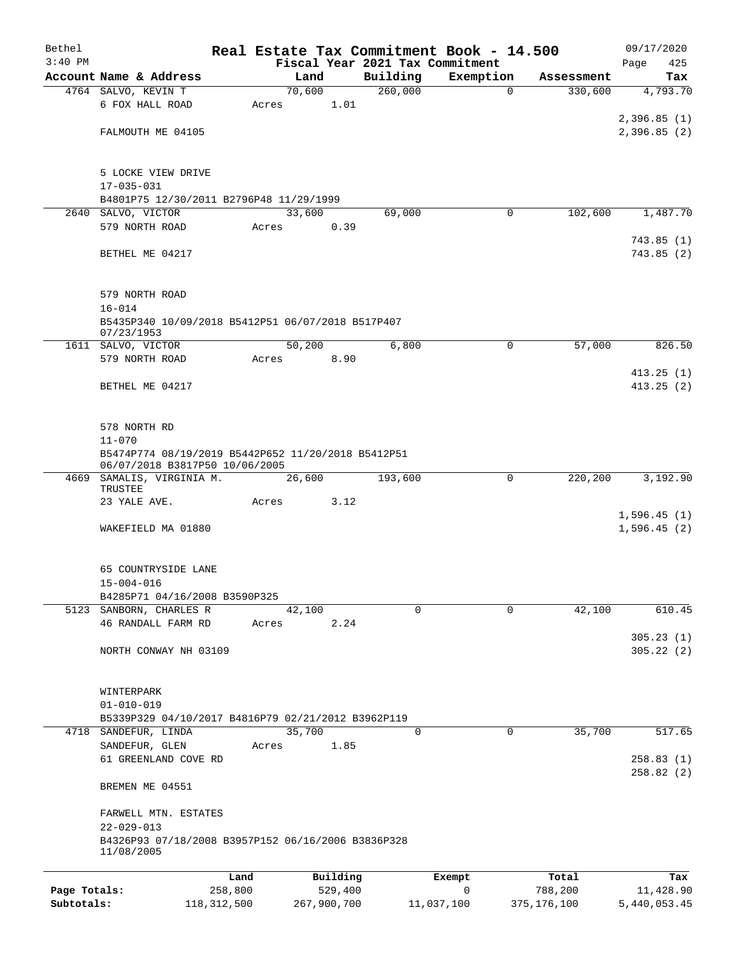| Bethel       |                                                                  |                |          |                     | Real Estate Tax Commitment Book - 14.500 |            | 09/17/2020  |
|--------------|------------------------------------------------------------------|----------------|----------|---------------------|------------------------------------------|------------|-------------|
| $3:40$ PM    |                                                                  |                |          |                     | Fiscal Year 2021 Tax Commitment          |            | Page<br>425 |
|              | Account Name & Address                                           | Land<br>70,600 |          | Building<br>260,000 | Exemption                                | Assessment | Tax         |
|              | 4764 SALVO, KEVIN T<br>6 FOX HALL ROAD                           | Acres          | 1.01     |                     | $\mathbf 0$                              | 330,600    | 4,793.70    |
|              |                                                                  |                |          |                     |                                          |            | 2,396.85(1) |
|              | FALMOUTH ME 04105                                                |                |          |                     |                                          |            | 2,396.85(2) |
|              |                                                                  |                |          |                     |                                          |            |             |
|              | 5 LOCKE VIEW DRIVE                                               |                |          |                     |                                          |            |             |
|              | $17 - 035 - 031$                                                 |                |          |                     |                                          |            |             |
|              | B4801P75 12/30/2011 B2796P48 11/29/1999                          |                |          |                     |                                          |            |             |
| 2640         | SALVO, VICTOR                                                    | 33,600         |          | 69,000              | 0                                        | 102,600    | 1,487.70    |
|              | 579 NORTH ROAD                                                   | Acres          | 0.39     |                     |                                          |            |             |
|              |                                                                  |                |          |                     |                                          |            | 743.85(1)   |
|              | BETHEL ME 04217                                                  |                |          |                     |                                          |            | 743.85(2)   |
|              |                                                                  |                |          |                     |                                          |            |             |
|              | 579 NORTH ROAD                                                   |                |          |                     |                                          |            |             |
|              | $16 - 014$                                                       |                |          |                     |                                          |            |             |
|              | B5435P340 10/09/2018 B5412P51 06/07/2018 B517P407<br>07/23/1953  |                |          |                     |                                          |            |             |
|              | 1611 SALVO, VICTOR                                               | 50,200         |          | 6,800               | 0                                        | 57,000     | 826.50      |
|              | 579 NORTH ROAD                                                   | Acres          | 8.90     |                     |                                          |            |             |
|              |                                                                  |                |          |                     |                                          |            | 413.25(1)   |
|              | BETHEL ME 04217                                                  |                |          |                     |                                          |            | 413.25(2)   |
|              |                                                                  |                |          |                     |                                          |            |             |
|              |                                                                  |                |          |                     |                                          |            |             |
|              | 578 NORTH RD<br>$11 - 070$                                       |                |          |                     |                                          |            |             |
|              | B5474P774 08/19/2019 B5442P652 11/20/2018 B5412P51               |                |          |                     |                                          |            |             |
|              | 06/07/2018 B3817P50 10/06/2005                                   |                |          |                     |                                          |            |             |
|              | 4669 SAMALIS, VIRGINIA M.                                        | 26,600         |          | 193,600             | 0                                        | 220,200    | 3,192.90    |
|              | TRUSTEE<br>23 YALE AVE.                                          |                | 3.12     |                     |                                          |            |             |
|              |                                                                  | Acres          |          |                     |                                          |            | 1,596.45(1) |
|              | WAKEFIELD MA 01880                                               |                |          |                     |                                          |            | 1,596.45(2) |
|              |                                                                  |                |          |                     |                                          |            |             |
|              |                                                                  |                |          |                     |                                          |            |             |
|              | 65 COUNTRYSIDE LANE                                              |                |          |                     |                                          |            |             |
|              | $15 - 004 - 016$                                                 |                |          |                     |                                          |            |             |
|              | B4285P71 04/16/2008 B3590P325                                    |                |          |                     |                                          |            |             |
|              | 5123 SANBORN, CHARLES R<br>46 RANDALL FARM RD                    | 42,100         | 2.24     | $\Omega$            | 0                                        | 42,100     | 610.45      |
|              |                                                                  | Acres          |          |                     |                                          |            | 305.23(1)   |
|              | NORTH CONWAY NH 03109                                            |                |          |                     |                                          |            | 305.22(2)   |
|              |                                                                  |                |          |                     |                                          |            |             |
|              |                                                                  |                |          |                     |                                          |            |             |
|              | WINTERPARK                                                       |                |          |                     |                                          |            |             |
|              | $01 - 010 - 019$                                                 |                |          |                     |                                          |            |             |
|              | B5339P329 04/10/2017 B4816P79 02/21/2012 B3962P119               | 35,700         |          | $\mathbf 0$         | $\mathbf 0$                              | 35,700     | 517.65      |
|              | 4718 SANDEFUR, LINDA<br>SANDEFUR, GLEN                           | Acres          | 1.85     |                     |                                          |            |             |
|              | 61 GREENLAND COVE RD                                             |                |          |                     |                                          |            | 258.83(1)   |
|              |                                                                  |                |          |                     |                                          |            | 258.82(2)   |
|              | BREMEN ME 04551                                                  |                |          |                     |                                          |            |             |
|              | FARWELL MTN. ESTATES                                             |                |          |                     |                                          |            |             |
|              | $22 - 029 - 013$                                                 |                |          |                     |                                          |            |             |
|              | B4326P93 07/18/2008 B3957P152 06/16/2006 B3836P328<br>11/08/2005 |                |          |                     |                                          |            |             |
|              |                                                                  |                |          |                     |                                          |            |             |
|              |                                                                  | Land           | Building |                     | Exempt                                   | Total      | Tax         |
| Page Totals: | 258,800                                                          |                | 529,400  |                     | 0                                        | 788,200    | 11,428.90   |

**Subtotals:** 118,312,500 267,900,700 11,037,100 375,176,100 5,440,053.45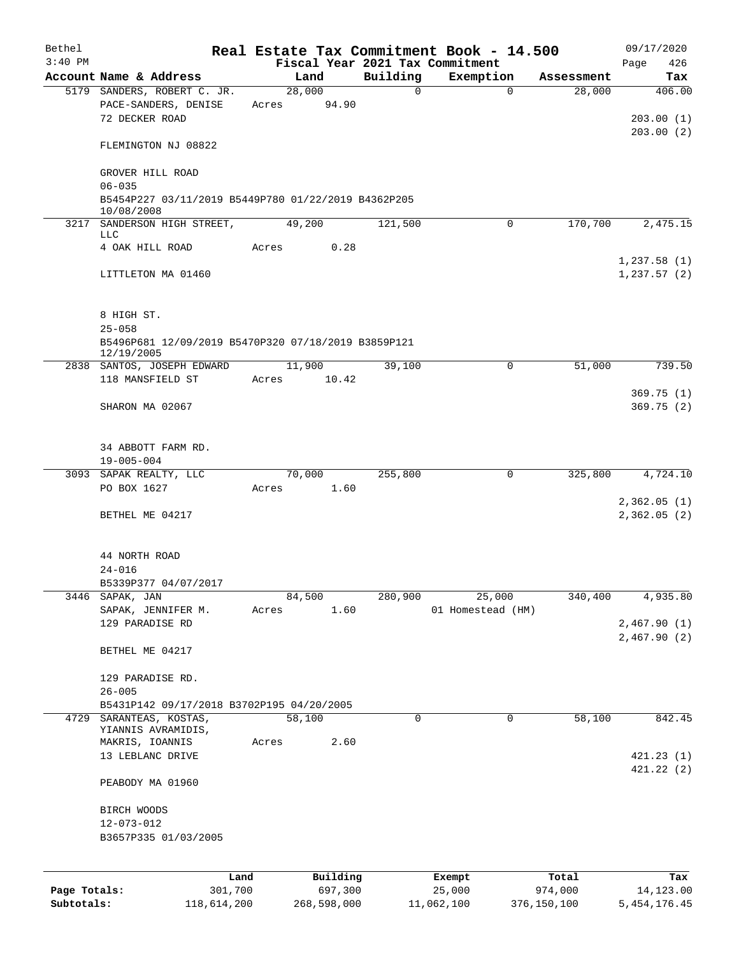| Bethel                     |                                                                       |                 |          | Real Estate Tax Commitment Book - 14.500 |                        | 09/17/2020                   |
|----------------------------|-----------------------------------------------------------------------|-----------------|----------|------------------------------------------|------------------------|------------------------------|
| $3:40$ PM                  |                                                                       |                 |          | Fiscal Year 2021 Tax Commitment          |                        | 426<br>Page                  |
|                            | Account Name & Address                                                | Land            | Building | Exemption                                | Assessment             | Tax                          |
|                            | 5179 SANDERS, ROBERT C. JR.<br>PACE-SANDERS, DENISE<br>72 DECKER ROAD | 28,000<br>Acres | 94.90    | 0                                        | $\Omega$<br>28,000     | 406.00<br>203.00(1)          |
|                            | FLEMINGTON NJ 08822                                                   |                 |          |                                          |                        | 203.00(2)                    |
|                            | GROVER HILL ROAD<br>$06 - 035$                                        |                 |          |                                          |                        |                              |
|                            | B5454P227 03/11/2019 B5449P780 01/22/2019 B4362P205<br>10/08/2008     |                 |          |                                          |                        |                              |
|                            | 3217 SANDERSON HIGH STREET,<br>LLC                                    | 49,200          | 121,500  |                                          | 170,700<br>$\Omega$    | 2,475.15                     |
|                            | 4 OAK HILL ROAD                                                       | Acres           | 0.28     |                                          |                        | 1,237.58(1)                  |
|                            | LITTLETON MA 01460                                                    |                 |          |                                          |                        | 1,237.57(2)                  |
|                            | 8 HIGH ST.                                                            |                 |          |                                          |                        |                              |
|                            | $25 - 058$<br>B5496P681 12/09/2019 B5470P320 07/18/2019 B3859P121     |                 |          |                                          |                        |                              |
|                            | 12/19/2005<br>2838 SANTOS, JOSEPH EDWARD                              | 11,900          | 39,100   |                                          | 51,000<br>0            | 739.50                       |
|                            | 118 MANSFIELD ST                                                      | Acres           | 10.42    |                                          |                        |                              |
|                            | SHARON MA 02067                                                       |                 |          |                                          |                        | 369.75(1)<br>369.75(2)       |
|                            | 34 ABBOTT FARM RD.                                                    |                 |          |                                          |                        |                              |
|                            | $19 - 005 - 004$<br>3093 SAPAK REALTY, LLC                            | 70,000          | 255,800  |                                          | 325,800<br>0           | 4,724.10                     |
|                            | PO BOX 1627                                                           | Acres           | 1.60     |                                          |                        |                              |
|                            | BETHEL ME 04217                                                       |                 |          |                                          |                        | 2,362.05(1)<br>2,362.05(2)   |
|                            | 44 NORTH ROAD<br>$24 - 016$<br>B5339P377 04/07/2017                   |                 |          |                                          |                        |                              |
| 3446                       | SAPAK, JAN                                                            | 84,500          | 280,900  | 25,000                                   | 340,400                | 4,935.80                     |
|                            | SAPAK, JENNIFER M.                                                    | Acres           | 1.60     | 01 Homestead (HM)                        |                        |                              |
|                            | 129 PARADISE RD                                                       |                 |          |                                          |                        | 2,467.90(1)<br>2,467.90(2)   |
|                            | BETHEL ME 04217                                                       |                 |          |                                          |                        |                              |
|                            | 129 PARADISE RD.<br>$26 - 005$                                        |                 |          |                                          |                        |                              |
|                            | B5431P142 09/17/2018 B3702P195 04/20/2005                             |                 |          |                                          |                        |                              |
| 4729                       | SARANTEAS, KOSTAS,<br>YIANNIS AVRAMIDIS,                              | 58,100          |          | 0                                        | 58,100<br>0            | 842.45                       |
|                            | MAKRIS, IOANNIS<br>13 LEBLANC DRIVE                                   | Acres           | 2.60     |                                          |                        | 421.23(1)                    |
|                            | PEABODY MA 01960                                                      |                 |          |                                          |                        | 421.22 (2)                   |
|                            | BIRCH WOODS<br>$12 - 073 - 012$<br>B3657P335 01/03/2005               |                 |          |                                          |                        |                              |
|                            | Land                                                                  |                 | Building | Exempt                                   | Total                  | Tax                          |
| Page Totals:<br>Subtotals: | 301,700<br>118,614,200                                                | 268,598,000     | 697,300  | 25,000<br>11,062,100                     | 974,000<br>376,150,100 | 14,123.00<br>5, 454, 176. 45 |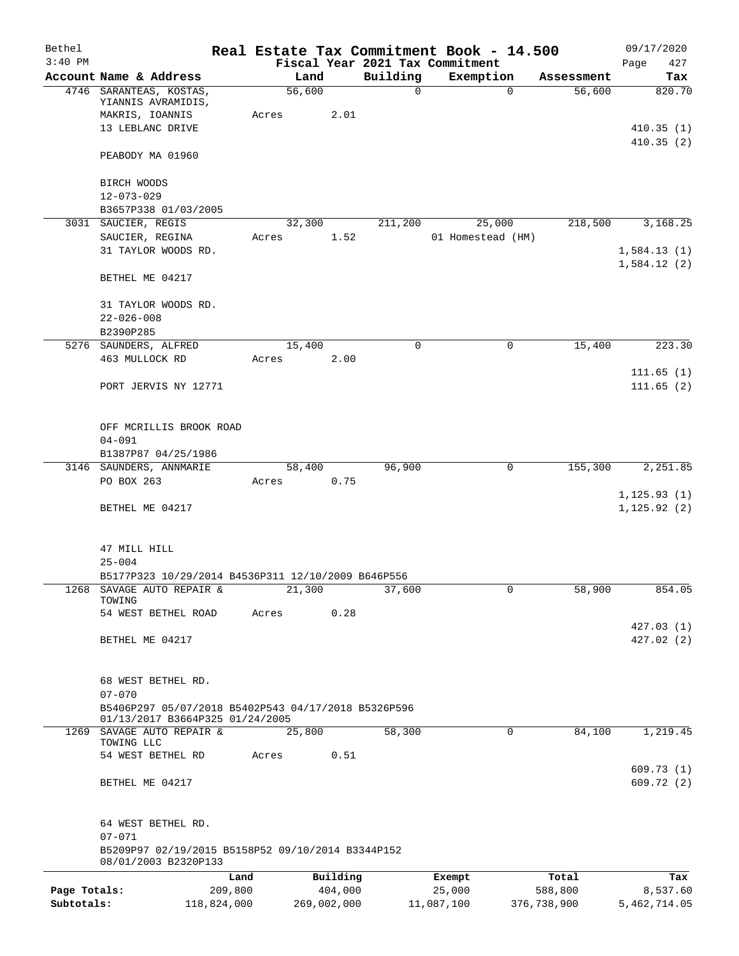| Bethel       |                                                                                        |       |                |               | Real Estate Tax Commitment Book - 14.500 |             |                      | 09/17/2020    |
|--------------|----------------------------------------------------------------------------------------|-------|----------------|---------------|------------------------------------------|-------------|----------------------|---------------|
| $3:40$ PM    |                                                                                        |       |                |               | Fiscal Year 2021 Tax Commitment          |             |                      | Page<br>427   |
|              | Account Name & Address<br>4746 SARANTEAS, KOSTAS,                                      |       | Land<br>56,600 | Building<br>0 | Exemption                                | $\mathbf 0$ | Assessment<br>56,600 | Tax<br>820.70 |
|              | YIANNIS AVRAMIDIS,                                                                     |       |                |               |                                          |             |                      |               |
|              | MAKRIS, IOANNIS                                                                        | Acres | 2.01           |               |                                          |             |                      |               |
|              | 13 LEBLANC DRIVE                                                                       |       |                |               |                                          |             |                      | 410.35(1)     |
|              | PEABODY MA 01960                                                                       |       |                |               |                                          |             |                      | 410.35(2)     |
|              |                                                                                        |       |                |               |                                          |             |                      |               |
|              | BIRCH WOODS                                                                            |       |                |               |                                          |             |                      |               |
|              | $12 - 073 - 029$<br>B3657P338 01/03/2005                                               |       |                |               |                                          |             |                      |               |
|              | 3031 SAUCIER, REGIS                                                                    |       | 32,300         | 211,200       | 25,000                                   |             | 218,500              | 3,168.25      |
|              | SAUCIER, REGINA                                                                        | Acres | 1.52           |               | 01 Homestead (HM)                        |             |                      |               |
|              | 31 TAYLOR WOODS RD.                                                                    |       |                |               |                                          |             |                      | 1,584.13(1)   |
|              |                                                                                        |       |                |               |                                          |             |                      | 1,584.12(2)   |
|              | BETHEL ME 04217                                                                        |       |                |               |                                          |             |                      |               |
|              | 31 TAYLOR WOODS RD.                                                                    |       |                |               |                                          |             |                      |               |
|              | $22 - 026 - 008$                                                                       |       |                |               |                                          |             |                      |               |
|              | B2390P285                                                                              |       |                |               |                                          |             |                      |               |
|              | 5276 SAUNDERS, ALFRED                                                                  |       | 15,400         | $\mathbf 0$   |                                          | 0           | 15,400               | 223.30        |
|              | 463 MULLOCK RD                                                                         | Acres | 2.00           |               |                                          |             |                      |               |
|              |                                                                                        |       |                |               |                                          |             |                      | 111.65(1)     |
|              | PORT JERVIS NY 12771                                                                   |       |                |               |                                          |             |                      | 111.65(2)     |
|              | OFF MCRILLIS BROOK ROAD                                                                |       |                |               |                                          |             |                      |               |
|              | $04 - 091$                                                                             |       |                |               |                                          |             |                      |               |
|              | B1387P87 04/25/1986                                                                    |       |                |               |                                          |             |                      |               |
|              | 3146 SAUNDERS, ANNMARIE                                                                |       | 58,400         | 96,900        |                                          | $\mathbf 0$ | 155,300              | 2,251.85      |
|              | PO BOX 263                                                                             | Acres | 0.75           |               |                                          |             |                      |               |
|              |                                                                                        |       |                |               |                                          |             |                      | 1, 125.93(1)  |
|              | BETHEL ME 04217                                                                        |       |                |               |                                          |             |                      | 1, 125.92(2)  |
|              |                                                                                        |       |                |               |                                          |             |                      |               |
|              | 47 MILL HILL                                                                           |       |                |               |                                          |             |                      |               |
|              | $25 - 004$                                                                             |       |                |               |                                          |             |                      |               |
|              | B5177P323 10/29/2014 B4536P311 12/10/2009 B646P556                                     |       |                |               |                                          |             |                      |               |
| 1268         | SAVAGE AUTO REPAIR &<br>TOWING                                                         |       | 21,300         | 37,600        |                                          | 0           | 58,900               | 854.05        |
|              | 54 WEST BETHEL ROAD                                                                    | Acres | 0.28           |               |                                          |             |                      |               |
|              |                                                                                        |       |                |               |                                          |             |                      | 427.03(1)     |
|              | BETHEL ME 04217                                                                        |       |                |               |                                          |             |                      | 427.02 (2)    |
|              |                                                                                        |       |                |               |                                          |             |                      |               |
|              |                                                                                        |       |                |               |                                          |             |                      |               |
|              | 68 WEST BETHEL RD.                                                                     |       |                |               |                                          |             |                      |               |
|              | $07 - 070$                                                                             |       |                |               |                                          |             |                      |               |
|              | B5406P297 05/07/2018 B5402P543 04/17/2018 B5326P596<br>01/13/2017 B3664P325 01/24/2005 |       |                |               |                                          |             |                      |               |
|              | 1269 SAVAGE AUTO REPAIR &                                                              |       | 25,800         | 58,300        |                                          | 0           | 84,100               | 1,219.45      |
|              | TOWING LLC<br>54 WEST BETHEL RD                                                        | Acres | 0.51           |               |                                          |             |                      |               |
|              |                                                                                        |       |                |               |                                          |             |                      | 609.73(1)     |
|              | BETHEL ME 04217                                                                        |       |                |               |                                          |             |                      | 609.72(2)     |
|              |                                                                                        |       |                |               |                                          |             |                      |               |
|              | 64 WEST BETHEL RD.<br>$07 - 071$                                                       |       |                |               |                                          |             |                      |               |
|              | B5209P97 02/19/2015 B5158P52 09/10/2014 B3344P152<br>08/01/2003 B2320P133              |       |                |               |                                          |             |                      |               |
|              | Land                                                                                   |       | Building       |               | Exempt                                   |             | Total                | Tax           |
| Page Totals: | 209,800                                                                                |       | 404,000        |               | 25,000                                   |             | 588,800              | 8,537.60      |
| Subtotals:   | 118,824,000                                                                            |       | 269,002,000    |               | 11,087,100                               |             | 376,738,900          | 5,462,714.05  |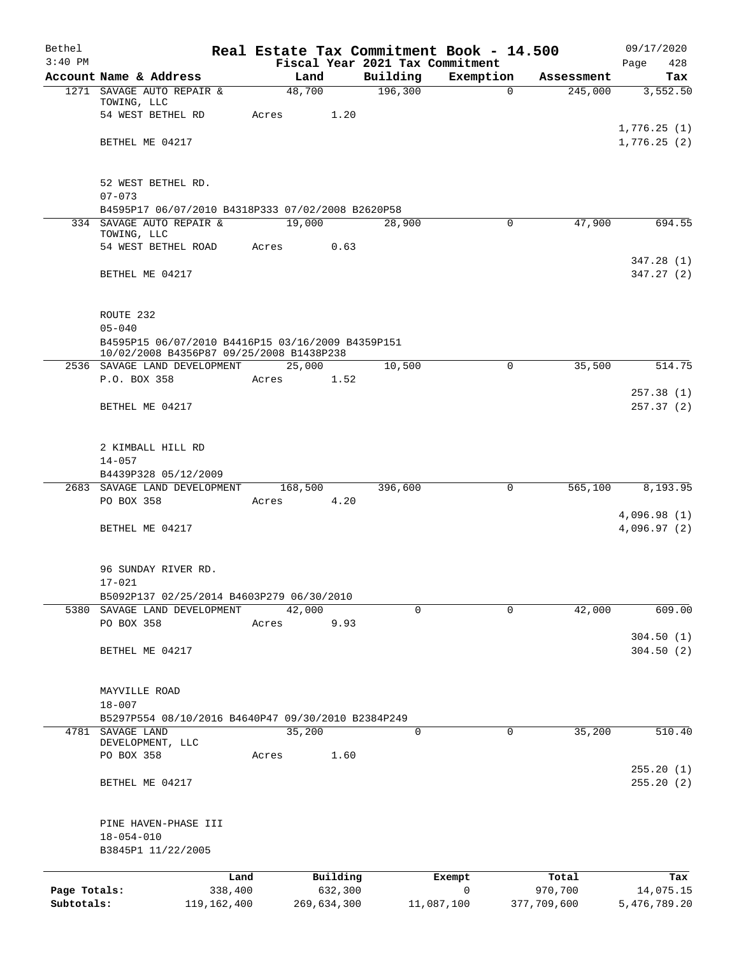| Bethel                     |                                                                           |                |                        |                     | Real Estate Tax Commitment Book - 14.500 |                        | 09/17/2020                 |
|----------------------------|---------------------------------------------------------------------------|----------------|------------------------|---------------------|------------------------------------------|------------------------|----------------------------|
| $3:40$ PM                  |                                                                           |                |                        |                     | Fiscal Year 2021 Tax Commitment          |                        | 428<br>Page                |
|                            | Account Name & Address<br>1271 SAVAGE AUTO REPAIR &                       | Land<br>48,700 |                        | Building<br>196,300 | Exemption<br>$\Omega$                    | Assessment<br>245,000  | Tax<br>3,552.50            |
|                            | TOWING, LLC                                                               |                |                        |                     |                                          |                        |                            |
|                            | 54 WEST BETHEL RD                                                         | Acres          | 1.20                   |                     |                                          |                        |                            |
|                            |                                                                           |                |                        |                     |                                          |                        | 1,776.25(1)                |
|                            | BETHEL ME 04217                                                           |                |                        |                     |                                          |                        | 1,776.25(2)                |
|                            | 52 WEST BETHEL RD.                                                        |                |                        |                     |                                          |                        |                            |
|                            | $07 - 073$                                                                |                |                        |                     |                                          |                        |                            |
|                            | B4595P17 06/07/2010 B4318P333 07/02/2008 B2620P58                         |                |                        |                     |                                          |                        |                            |
|                            | 334 SAVAGE AUTO REPAIR &                                                  | 19,000         |                        | 28,900              | 0                                        | 47,900                 | 694.55                     |
|                            | TOWING, LLC<br>54 WEST BETHEL ROAD                                        | Acres          | 0.63                   |                     |                                          |                        |                            |
|                            |                                                                           |                |                        |                     |                                          |                        | 347.28(1)                  |
|                            | BETHEL ME 04217                                                           |                |                        |                     |                                          |                        | 347.27(2)                  |
|                            | ROUTE 232                                                                 |                |                        |                     |                                          |                        |                            |
|                            | $05 - 040$                                                                |                |                        |                     |                                          |                        |                            |
|                            | B4595P15 06/07/2010 B4416P15 03/16/2009 B4359P151                         |                |                        |                     |                                          |                        |                            |
|                            | 10/02/2008 B4356P87 09/25/2008 B1438P238                                  |                |                        |                     |                                          |                        |                            |
|                            | 2536 SAVAGE LAND DEVELOPMENT<br>P.O. BOX 358                              | 25,000         |                        | 10,500              | 0                                        | 35,500                 | 514.75                     |
|                            |                                                                           | Acres          | 1.52                   |                     |                                          |                        | 257.38(1)                  |
|                            | BETHEL ME 04217                                                           |                |                        |                     |                                          |                        | 257.37(2)                  |
|                            |                                                                           |                |                        |                     |                                          |                        |                            |
|                            | 2 KIMBALL HILL RD                                                         |                |                        |                     |                                          |                        |                            |
|                            | $14 - 057$                                                                |                |                        |                     |                                          |                        |                            |
|                            | B4439P328 05/12/2009                                                      |                |                        |                     |                                          |                        |                            |
|                            | 2683 SAVAGE LAND DEVELOPMENT                                              | 168,500        |                        | 396,600             | 0                                        | 565,100                | 8,193.95                   |
|                            | PO BOX 358                                                                | Acres          | 4.20                   |                     |                                          |                        |                            |
|                            | BETHEL ME 04217                                                           |                |                        |                     |                                          |                        | 4,096.98(1)<br>4,096.97(2) |
|                            |                                                                           |                |                        |                     |                                          |                        |                            |
|                            | 96 SUNDAY RIVER RD.                                                       |                |                        |                     |                                          |                        |                            |
|                            | $17 - 021$                                                                |                |                        |                     |                                          |                        |                            |
|                            | B5092P137 02/25/2014 B4603P279 06/30/2010<br>5380 SAVAGE LAND DEVELOPMENT | 42,000         |                        | $\Omega$            | $\Omega$                                 | 42,000                 | 609.00                     |
|                            | PO BOX 358                                                                | Acres          | 9.93                   |                     |                                          |                        |                            |
|                            |                                                                           |                |                        |                     |                                          |                        | 304.50(1)                  |
|                            | BETHEL ME 04217                                                           |                |                        |                     |                                          |                        | 304.50(2)                  |
|                            | MAYVILLE ROAD                                                             |                |                        |                     |                                          |                        |                            |
|                            | $18 - 007$                                                                |                |                        |                     |                                          |                        |                            |
|                            | B5297P554 08/10/2016 B4640P47 09/30/2010 B2384P249                        |                |                        |                     |                                          |                        |                            |
|                            | 4781 SAVAGE LAND<br>DEVELOPMENT, LLC                                      | 35,200         |                        | 0                   | 0                                        | 35,200                 | 510.40                     |
|                            | PO BOX 358                                                                | Acres          | 1.60                   |                     |                                          |                        |                            |
|                            |                                                                           |                |                        |                     |                                          |                        | 255.20(1)                  |
|                            | BETHEL ME 04217                                                           |                |                        |                     |                                          |                        | 255.20(2)                  |
|                            | PINE HAVEN-PHASE III                                                      |                |                        |                     |                                          |                        |                            |
|                            | $18 - 054 - 010$                                                          |                |                        |                     |                                          |                        |                            |
|                            | B3845P1 11/22/2005                                                        |                |                        |                     |                                          |                        |                            |
|                            | Land                                                                      |                | Building               |                     | Exempt                                   | Total                  | Tax                        |
| Page Totals:<br>Subtotals: | 338,400<br>119, 162, 400                                                  |                | 632,300<br>269,634,300 |                     | 0<br>11,087,100                          | 970,700<br>377,709,600 | 14,075.15<br>5,476,789.20  |
|                            |                                                                           |                |                        |                     |                                          |                        |                            |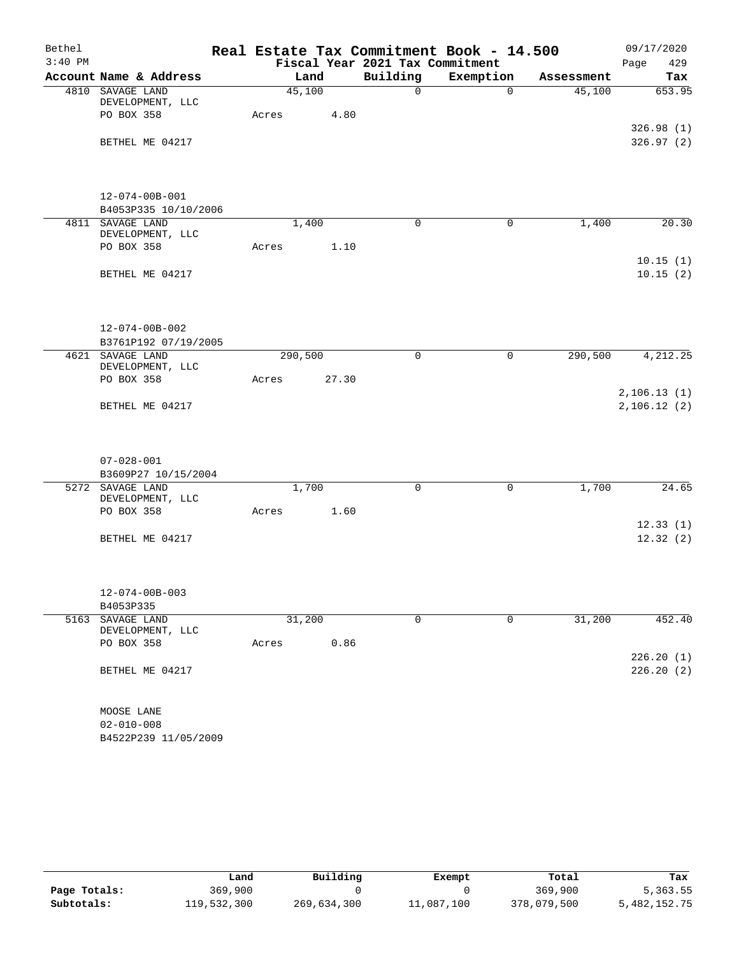| Bethel    |                                      |         |        |      | Real Estate Tax Commitment Book - 14.500 |             |            | 09/17/2020                 |
|-----------|--------------------------------------|---------|--------|------|------------------------------------------|-------------|------------|----------------------------|
| $3:40$ PM |                                      |         |        |      | Fiscal Year 2021 Tax Commitment          |             |            | Page<br>429                |
|           | Account Name & Address               |         | Land   |      | Building                                 | Exemption   | Assessment | Tax                        |
|           | 4810 SAVAGE LAND                     |         | 45,100 |      | $\Omega$                                 | $\Omega$    | 45,100     | 653.95                     |
|           | DEVELOPMENT, LLC<br>PO BOX 358       | Acres   |        | 4.80 |                                          |             |            |                            |
|           |                                      |         |        |      |                                          |             |            | 326.98(1)                  |
|           | BETHEL ME 04217                      |         |        |      |                                          |             |            | 326.97(2)                  |
|           |                                      |         |        |      |                                          |             |            |                            |
|           | $12 - 074 - 00B - 001$               |         |        |      |                                          |             |            |                            |
|           | B4053P335 10/10/2006                 |         |        |      |                                          |             |            |                            |
|           | 4811 SAVAGE LAND                     |         | 1,400  |      | $\Omega$                                 | $\mathbf 0$ | 1,400      | 20.30                      |
|           | DEVELOPMENT, LLC<br>PO BOX 358       | Acres   |        | 1.10 |                                          |             |            |                            |
|           |                                      |         |        |      |                                          |             |            | 10.15(1)                   |
|           | BETHEL ME 04217                      |         |        |      |                                          |             |            | 10.15(2)                   |
|           | $12 - 074 - 00B - 002$               |         |        |      |                                          |             |            |                            |
|           | B3761P192 07/19/2005                 |         |        |      |                                          |             |            |                            |
|           | 4621 SAVAGE LAND                     | 290,500 |        |      | $\mathbf 0$                              | 0           | 290,500    | 4, 212.25                  |
|           | DEVELOPMENT, LLC                     |         |        |      |                                          |             |            |                            |
|           | PO BOX 358                           | Acres   | 27.30  |      |                                          |             |            |                            |
|           | BETHEL ME 04217                      |         |        |      |                                          |             |            | 2,106.13(1)<br>2,106.12(2) |
|           | $07 - 028 - 001$                     |         |        |      |                                          |             |            |                            |
|           | B3609P27 10/15/2004                  |         |        |      |                                          |             |            |                            |
|           | 5272 SAVAGE LAND                     |         | 1,700  |      | $\mathsf{O}$                             | 0           | 1,700      | 24.65                      |
|           | DEVELOPMENT, LLC                     |         |        |      |                                          |             |            |                            |
|           | PO BOX 358                           | Acres   |        | 1.60 |                                          |             |            |                            |
|           | BETHEL ME 04217                      |         |        |      |                                          |             |            | 12.33(1)<br>12.32(2)       |
|           |                                      |         |        |      |                                          |             |            |                            |
|           | $12 - 074 - 00B - 003$               |         |        |      |                                          |             |            |                            |
|           | B4053P335                            |         |        |      |                                          |             |            |                            |
|           | 5163 SAVAGE LAND<br>DEVELOPMENT, LLC |         | 31,200 |      | $\mathbf 0$                              | $\mathbf 0$ | 31,200     | 452.40                     |
|           | PO BOX 358                           | Acres   |        | 0.86 |                                          |             |            |                            |
|           |                                      |         |        |      |                                          |             |            | 226.20(1)                  |
|           | BETHEL ME 04217                      |         |        |      |                                          |             |            | 226.20(2)                  |
|           | MOOSE LANE                           |         |        |      |                                          |             |            |                            |
|           | $02 - 010 - 008$                     |         |        |      |                                          |             |            |                            |
|           | B4522P239 11/05/2009                 |         |        |      |                                          |             |            |                            |

|              | Land        | Building    | Exempt     | Total       | Tax          |
|--------------|-------------|-------------|------------|-------------|--------------|
| Page Totals: | 369,900     |             |            | 369,900     | 5,363.55     |
| Subtotals:   | 119,532,300 | 269,634,300 | 11,087,100 | 378,079,500 | 5,482,152.75 |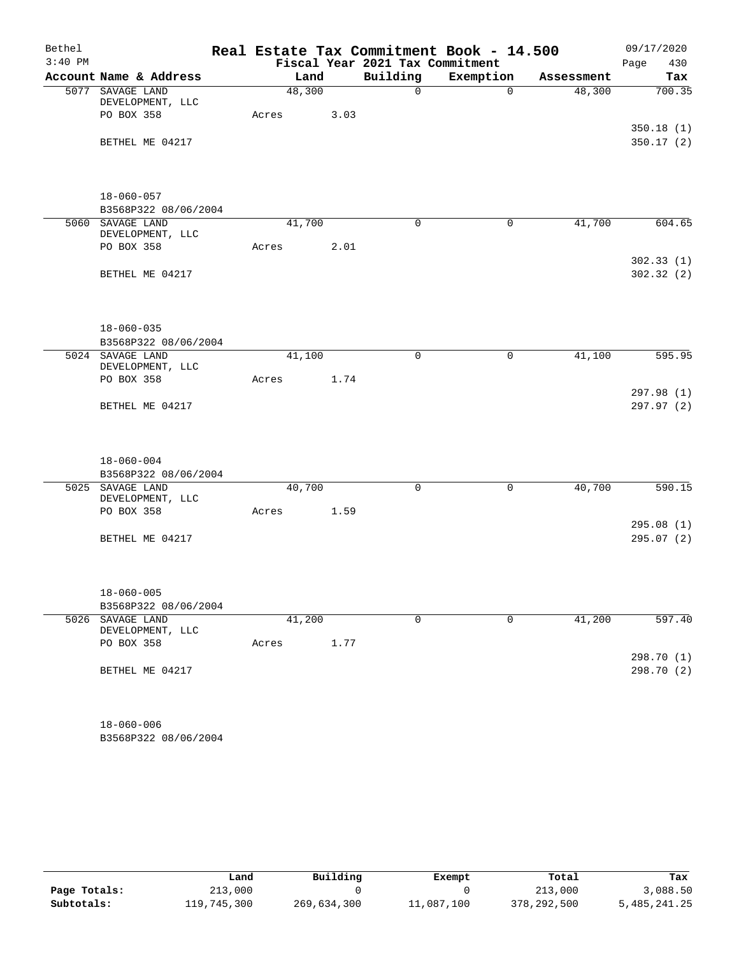| Bethel    |                                          |       |        |      | Real Estate Tax Commitment Book - 14.500 |             |            | 09/17/2020               |
|-----------|------------------------------------------|-------|--------|------|------------------------------------------|-------------|------------|--------------------------|
| $3:40$ PM |                                          |       |        |      | Fiscal Year 2021 Tax Commitment          |             |            | Page<br>430              |
|           | Account Name & Address                   |       | Land   |      | Building                                 | Exemption   | Assessment | Tax                      |
|           | 5077 SAVAGE LAND<br>DEVELOPMENT, LLC     |       | 48,300 |      | $\mathbf 0$                              | $\Omega$    | 48,300     | 700.35                   |
|           | PO BOX 358                               | Acres |        | 3.03 |                                          |             |            |                          |
|           | BETHEL ME 04217                          |       |        |      |                                          |             |            | 350.18(1)<br>350.17(2)   |
|           | $18 - 060 - 057$<br>B3568P322 08/06/2004 |       |        |      |                                          |             |            |                          |
|           | 5060 SAVAGE LAND                         |       | 41,700 |      | $\mathbf 0$                              | $\mathbf 0$ | 41,700     | 604.65                   |
|           | DEVELOPMENT, LLC                         |       |        |      |                                          |             |            |                          |
|           | PO BOX 358                               | Acres |        | 2.01 |                                          |             |            | 302.33(1)                |
|           | BETHEL ME 04217                          |       |        |      |                                          |             |            | 302.32(2)                |
|           | $18 - 060 - 035$                         |       |        |      |                                          |             |            |                          |
|           | B3568P322 08/06/2004<br>5024 SAVAGE LAND |       | 41,100 |      | $\mathbf 0$                              | 0           | 41,100     | 595.95                   |
|           | DEVELOPMENT, LLC                         |       |        |      |                                          |             |            |                          |
|           | PO BOX 358                               | Acres |        | 1.74 |                                          |             |            | 297.98(1)                |
|           | BETHEL ME 04217                          |       |        |      |                                          |             |            | 297.97 (2)               |
|           | $18 - 060 - 004$                         |       |        |      |                                          |             |            |                          |
|           | B3568P322 08/06/2004                     |       |        |      |                                          |             |            |                          |
|           | 5025 SAVAGE LAND<br>DEVELOPMENT, LLC     |       | 40,700 |      | $\mathbf 0$                              | $\mathbf 0$ | 40,700     | 590.15                   |
|           | PO BOX 358                               | Acres |        | 1.59 |                                          |             |            |                          |
|           |                                          |       |        |      |                                          |             |            | 295.08(1)                |
|           | BETHEL ME 04217                          |       |        |      |                                          |             |            | 295.07(2)                |
|           | $18 - 060 - 005$                         |       |        |      |                                          |             |            |                          |
|           | B3568P322 08/06/2004                     |       |        |      |                                          |             |            |                          |
|           | 5026 SAVAGE LAND<br>DEVELOPMENT, LLC     |       | 41,200 |      | $\mathbf 0$                              | $\mathbf 0$ | 41,200     | 597.40                   |
|           | PO BOX 358                               | Acres |        | 1.77 |                                          |             |            |                          |
|           | BETHEL ME 04217                          |       |        |      |                                          |             |            | 298.70 (1)<br>298.70 (2) |
|           | $18 - 060 - 006$                         |       |        |      |                                          |             |            |                          |

B3568P322 08/06/2004

|              | Land        | Building    | Exempt     | Total       | Tax          |
|--------------|-------------|-------------|------------|-------------|--------------|
| Page Totals: | 213,000     |             |            | 213,000     | 3,088.50     |
| Subtotals:   | 119,745,300 | 269,634,300 | 11,087,100 | 378,292,500 | 5,485,241.25 |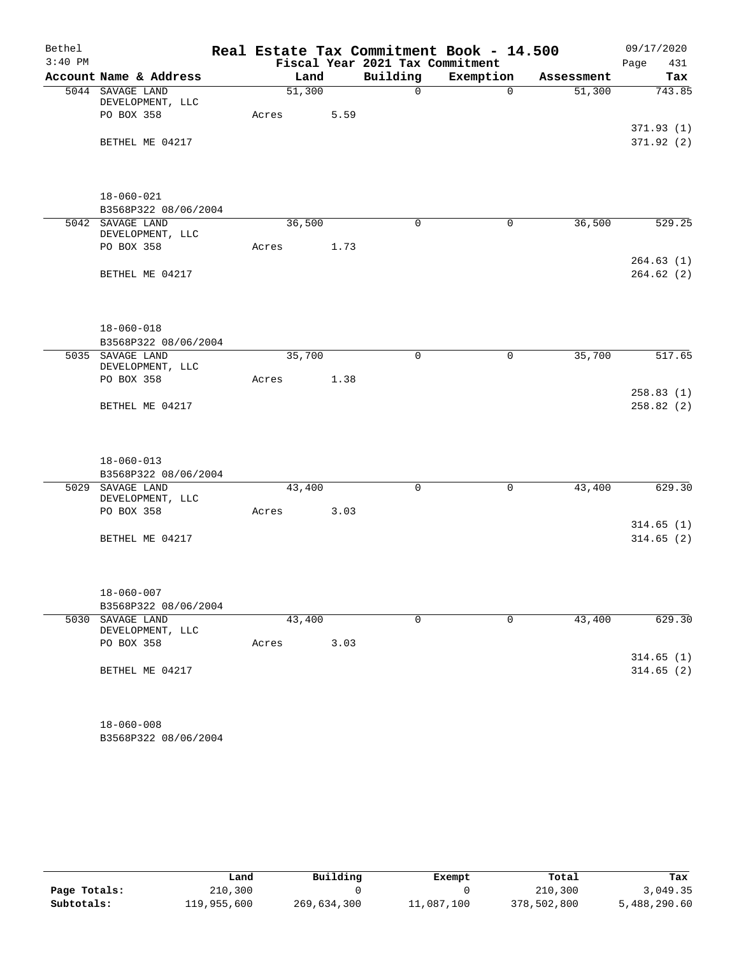| Bethel    |                                          |        |      |                                 | Real Estate Tax Commitment Book - 14.500 |            | 09/17/2020             |
|-----------|------------------------------------------|--------|------|---------------------------------|------------------------------------------|------------|------------------------|
| $3:40$ PM |                                          |        |      | Fiscal Year 2021 Tax Commitment |                                          |            | Page<br>431            |
|           | Account Name & Address                   |        | Land | Building                        | Exemption                                | Assessment | Tax                    |
|           | 5044 SAVAGE LAND<br>DEVELOPMENT, LLC     | 51,300 |      | $\Omega$                        | $\Omega$                                 | 51,300     | 743.85                 |
|           | PO BOX 358                               | Acres  | 5.59 |                                 |                                          |            | 371.93(1)              |
|           | BETHEL ME 04217                          |        |      |                                 |                                          |            | 371.92(2)              |
|           | $18 - 060 - 021$                         |        |      |                                 |                                          |            |                        |
|           | B3568P322 08/06/2004<br>5042 SAVAGE LAND | 36,500 |      | $\mathbf 0$                     | $\mathbf 0$                              | 36,500     | 529.25                 |
|           | DEVELOPMENT, LLC<br>PO BOX 358           | Acres  | 1.73 |                                 |                                          |            |                        |
|           | BETHEL ME 04217                          |        |      |                                 |                                          |            | 264.63(1)<br>264.62(2) |
|           | $18 - 060 - 018$<br>B3568P322 08/06/2004 |        |      |                                 |                                          |            |                        |
|           | 5035 SAVAGE LAND                         | 35,700 |      | $\mathbf 0$                     | 0                                        | 35,700     | 517.65                 |
|           | DEVELOPMENT, LLC<br>PO BOX 358           | Acres  | 1.38 |                                 |                                          |            |                        |
|           | BETHEL ME 04217                          |        |      |                                 |                                          |            | 258.83(1)<br>258.82(2) |
|           | $18 - 060 - 013$                         |        |      |                                 |                                          |            |                        |
|           | B3568P322 08/06/2004                     |        |      |                                 |                                          |            |                        |
|           | 5029 SAVAGE LAND<br>DEVELOPMENT, LLC     | 43,400 |      | $\mathbf 0$                     | $\mathsf{O}$                             | 43,400     | 629.30                 |
|           | PO BOX 358                               | Acres  | 3.03 |                                 |                                          |            |                        |
|           | BETHEL ME 04217                          |        |      |                                 |                                          |            | 314.65(1)<br>314.65(2) |
|           | $18 - 060 - 007$                         |        |      |                                 |                                          |            |                        |
|           | B3568P322 08/06/2004                     |        |      |                                 |                                          |            |                        |
|           | 5030 SAVAGE LAND<br>DEVELOPMENT, LLC     | 43,400 |      | $\mathbf 0$                     | $\mathbf 0$                              | 43,400     | 629.30                 |
|           | PO BOX 358                               | Acres  | 3.03 |                                 |                                          |            |                        |
|           | BETHEL ME 04217                          |        |      |                                 |                                          |            | 314.65(1)<br>314.65(2) |
|           | $18 - 060 - 008$                         |        |      |                                 |                                          |            |                        |

B3568P322 08/06/2004

|              | Land        | Building    | Exempt     | Total       | Tax          |
|--------------|-------------|-------------|------------|-------------|--------------|
| Page Totals: | 210,300     |             |            | 210,300     | 3,049.35     |
| Subtotals:   | 119,955,600 | 269,634,300 | 11,087,100 | 378,502,800 | 5,488,290.60 |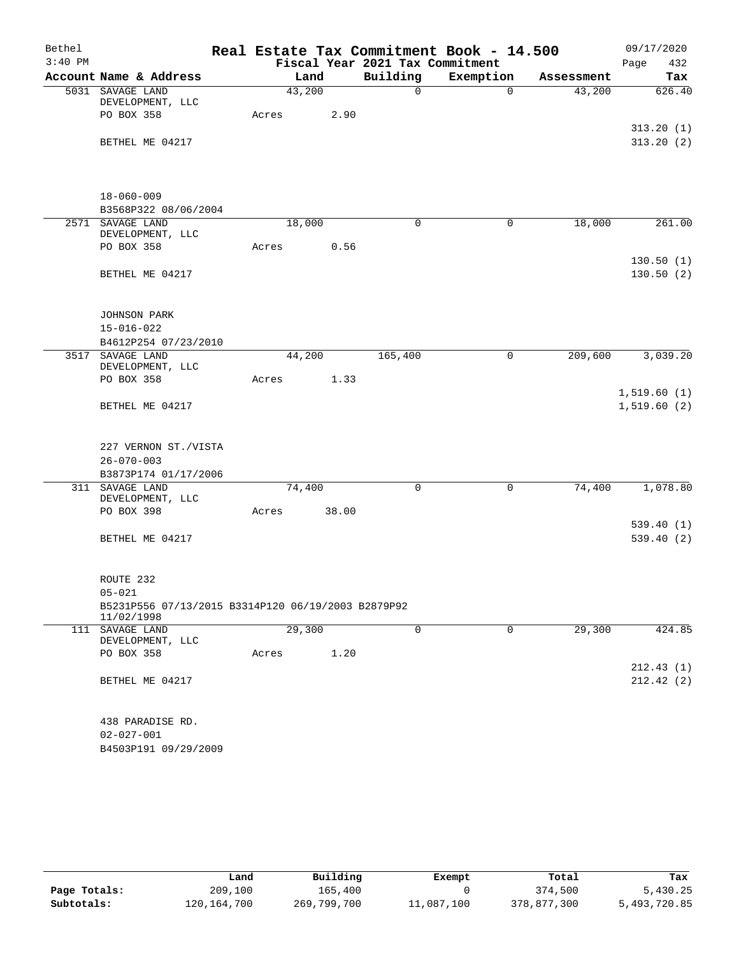| $3:40$ PM<br>Fiscal Year 2021 Tax Commitment<br>Page<br>Building<br>Exemption<br>Account Name & Address<br>Land<br>Assessment<br>43,200<br>5031 SAVAGE LAND<br>$\mathsf{O}$<br>43,200<br>$\mathbf 0$<br>DEVELOPMENT, LLC<br>PO BOX 358<br>2.90<br>Acres<br>BETHEL ME 04217 | 432<br>Tax                       |
|----------------------------------------------------------------------------------------------------------------------------------------------------------------------------------------------------------------------------------------------------------------------------|----------------------------------|
|                                                                                                                                                                                                                                                                            | 626.40<br>313.20(1)<br>313.20(2) |
|                                                                                                                                                                                                                                                                            |                                  |
|                                                                                                                                                                                                                                                                            |                                  |
|                                                                                                                                                                                                                                                                            |                                  |
|                                                                                                                                                                                                                                                                            |                                  |
|                                                                                                                                                                                                                                                                            |                                  |
|                                                                                                                                                                                                                                                                            |                                  |
|                                                                                                                                                                                                                                                                            | 261.00                           |
| $18 - 060 - 009$                                                                                                                                                                                                                                                           |                                  |
| B3568P322 08/06/2004                                                                                                                                                                                                                                                       |                                  |
| 2571 SAVAGE LAND<br>18,000<br>$\mathbf 0$<br>$\mathbf 0$<br>18,000                                                                                                                                                                                                         |                                  |
| DEVELOPMENT, LLC<br>PO BOX 358<br>Acres<br>0.56                                                                                                                                                                                                                            |                                  |
|                                                                                                                                                                                                                                                                            | 130.50(1)                        |
| BETHEL ME 04217                                                                                                                                                                                                                                                            | 130.50(2)                        |
|                                                                                                                                                                                                                                                                            |                                  |
|                                                                                                                                                                                                                                                                            |                                  |
| JOHNSON PARK                                                                                                                                                                                                                                                               |                                  |
| $15 - 016 - 022$                                                                                                                                                                                                                                                           |                                  |
| B4612P254 07/23/2010                                                                                                                                                                                                                                                       |                                  |
| 3517 SAVAGE LAND<br>44,200<br>165,400<br>209,600<br>$\mathbf 0$<br>DEVELOPMENT, LLC                                                                                                                                                                                        | 3,039.20                         |
| PO BOX 358<br>1.33<br>Acres                                                                                                                                                                                                                                                |                                  |
|                                                                                                                                                                                                                                                                            | 1,519.60(1)                      |
| BETHEL ME 04217                                                                                                                                                                                                                                                            | 1,519.60(2)                      |
|                                                                                                                                                                                                                                                                            |                                  |
| 227 VERNON ST./VISTA                                                                                                                                                                                                                                                       |                                  |
| $26 - 070 - 003$                                                                                                                                                                                                                                                           |                                  |
| B3873P174 01/17/2006                                                                                                                                                                                                                                                       |                                  |
| 311 SAVAGE LAND<br>74,400<br>74,400<br>$\mathbf 0$<br>$\mathbf 0$<br>DEVELOPMENT, LLC                                                                                                                                                                                      | 1,078.80                         |
| 38.00<br>PO BOX 398<br>Acres                                                                                                                                                                                                                                               |                                  |
|                                                                                                                                                                                                                                                                            | 539.40(1)                        |
| BETHEL ME 04217                                                                                                                                                                                                                                                            | 539.40(2)                        |
|                                                                                                                                                                                                                                                                            |                                  |
|                                                                                                                                                                                                                                                                            |                                  |
| ROUTE 232                                                                                                                                                                                                                                                                  |                                  |
| $05 - 021$                                                                                                                                                                                                                                                                 |                                  |
| B5231P556 07/13/2015 B3314P120 06/19/2003 B2879P92<br>11/02/1998                                                                                                                                                                                                           |                                  |
| $\mathbf 0$<br>111 SAVAGE LAND<br>29,300<br>0<br>29,300                                                                                                                                                                                                                    | 424.85                           |
| DEVELOPMENT, LLC                                                                                                                                                                                                                                                           |                                  |
| 1.20<br>PO BOX 358<br>Acres                                                                                                                                                                                                                                                |                                  |
|                                                                                                                                                                                                                                                                            | 212.43(1)                        |
| BETHEL ME 04217                                                                                                                                                                                                                                                            | 212.42(2)                        |
| 438 PARADISE RD.                                                                                                                                                                                                                                                           |                                  |
| $02 - 027 - 001$                                                                                                                                                                                                                                                           |                                  |
| B4503P191 09/29/2009                                                                                                                                                                                                                                                       |                                  |

|              | Land        | Building    | Exempt     | Total       | Tax          |
|--------------|-------------|-------------|------------|-------------|--------------|
| Page Totals: | 209,100     | 165,400     |            | 374,500     | 5,430.25     |
| Subtotals:   | 120,164,700 | 269,799,700 | 11,087,100 | 378,877,300 | 5,493,720.85 |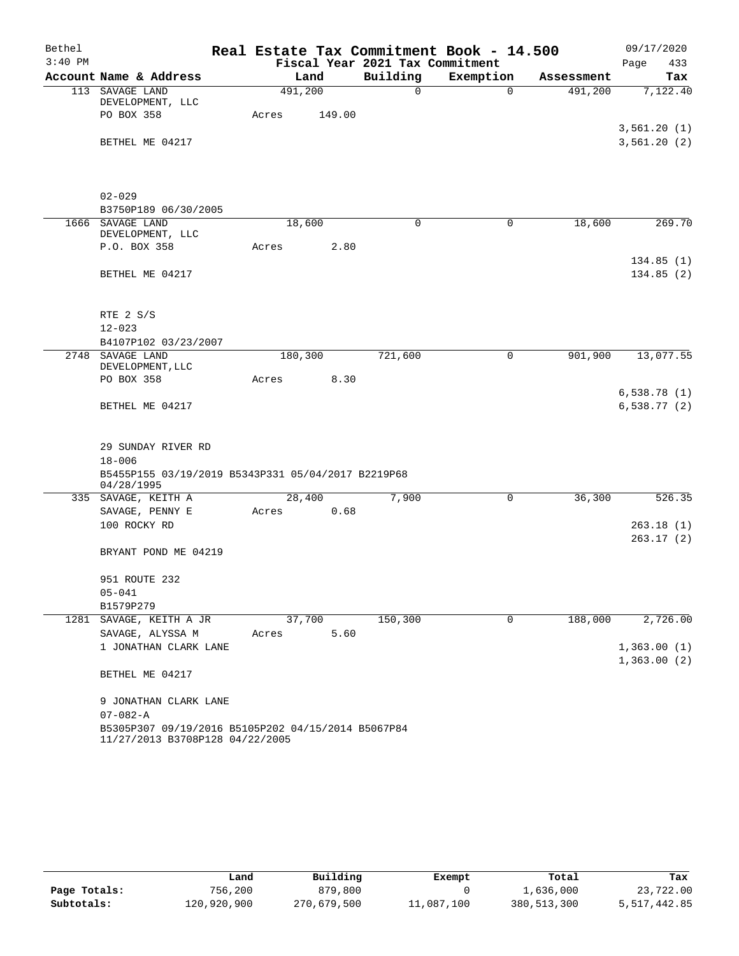| Bethel    |                                                    |         |        |                                 | Real Estate Tax Commitment Book - 14.500 |            | 09/17/2020  |           |
|-----------|----------------------------------------------------|---------|--------|---------------------------------|------------------------------------------|------------|-------------|-----------|
| $3:40$ PM |                                                    |         |        | Fiscal Year 2021 Tax Commitment |                                          |            | Page        | 433       |
|           | Account Name & Address                             | Land    |        | Building                        | Exemption                                | Assessment |             | Tax       |
|           | 113 SAVAGE LAND<br>DEVELOPMENT, LLC                | 491,200 |        | $\mathsf{O}$                    | $\mathbf 0$                              | 491,200    |             | 7,122.40  |
|           | PO BOX 358                                         | Acres   | 149.00 |                                 |                                          |            |             |           |
|           |                                                    |         |        |                                 |                                          |            | 3,561.20(1) |           |
|           | BETHEL ME 04217                                    |         |        |                                 |                                          |            | 3,561.20(2) |           |
|           |                                                    |         |        |                                 |                                          |            |             |           |
|           |                                                    |         |        |                                 |                                          |            |             |           |
|           |                                                    |         |        |                                 |                                          |            |             |           |
|           | $02 - 029$<br>B3750P189 06/30/2005                 |         |        |                                 |                                          |            |             |           |
|           | 1666 SAVAGE LAND                                   | 18,600  |        | 0                               | 0                                        | 18,600     |             | 269.70    |
|           | DEVELOPMENT, LLC                                   |         |        |                                 |                                          |            |             |           |
|           | P.O. BOX 358                                       | Acres   | 2.80   |                                 |                                          |            |             |           |
|           |                                                    |         |        |                                 |                                          |            |             | 134.85(1) |
|           | BETHEL ME 04217                                    |         |        |                                 |                                          |            |             | 134.85(2) |
|           |                                                    |         |        |                                 |                                          |            |             |           |
|           |                                                    |         |        |                                 |                                          |            |             |           |
|           | RTE 2 S/S<br>$12 - 023$                            |         |        |                                 |                                          |            |             |           |
|           | B4107P102 03/23/2007                               |         |        |                                 |                                          |            |             |           |
|           | 2748 SAVAGE LAND                                   | 180,300 |        | 721,600                         | 0                                        | 901,900    |             | 13,077.55 |
|           | DEVELOPMENT, LLC                                   |         |        |                                 |                                          |            |             |           |
|           | PO BOX 358                                         | Acres   | 8.30   |                                 |                                          |            |             |           |
|           |                                                    |         |        |                                 |                                          |            | 6,538.78(1) |           |
|           | BETHEL ME 04217                                    |         |        |                                 |                                          |            | 6,538.77(2) |           |
|           |                                                    |         |        |                                 |                                          |            |             |           |
|           | 29 SUNDAY RIVER RD                                 |         |        |                                 |                                          |            |             |           |
|           | $18 - 006$                                         |         |        |                                 |                                          |            |             |           |
|           | B5455P155 03/19/2019 B5343P331 05/04/2017 B2219P68 |         |        |                                 |                                          |            |             |           |
|           | 04/28/1995                                         |         |        |                                 |                                          |            |             |           |
|           | 335 SAVAGE, KEITH A                                | 28,400  |        | 7,900                           | $\mathbf 0$                              | 36,300     |             | 526.35    |
|           | SAVAGE, PENNY E                                    | Acres   | 0.68   |                                 |                                          |            |             |           |
|           | 100 ROCKY RD                                       |         |        |                                 |                                          |            |             | 263.18(1) |
|           |                                                    |         |        |                                 |                                          |            |             | 263.17(2) |
|           | BRYANT POND ME 04219                               |         |        |                                 |                                          |            |             |           |
|           | 951 ROUTE 232                                      |         |        |                                 |                                          |            |             |           |
|           | $05 - 041$                                         |         |        |                                 |                                          |            |             |           |
|           | B1579P279                                          |         |        |                                 |                                          |            |             |           |
| 1281      | SAVAGE, KEITH A JR                                 | 37,700  |        | 150,300                         | $\mathbf 0$                              | 188,000    |             | 2,726.00  |
|           | SAVAGE, ALYSSA M                                   | Acres   | 5.60   |                                 |                                          |            |             |           |
|           | 1 JONATHAN CLARK LANE                              |         |        |                                 |                                          |            | 1,363.00(1) |           |
|           |                                                    |         |        |                                 |                                          |            | 1,363.00(2) |           |
|           | BETHEL ME 04217                                    |         |        |                                 |                                          |            |             |           |
|           |                                                    |         |        |                                 |                                          |            |             |           |
|           | 9 JONATHAN CLARK LANE<br>$07 - 082 - A$            |         |        |                                 |                                          |            |             |           |
|           | B5305P307 09/19/2016 B5105P202 04/15/2014 B5067P84 |         |        |                                 |                                          |            |             |           |
|           | 11/27/2013 B3708P128 04/22/2005                    |         |        |                                 |                                          |            |             |           |

|              | Land        | Building    | Exempt     | Total       | Tax          |
|--------------|-------------|-------------|------------|-------------|--------------|
| Page Totals: | 756,200     | 879,800     |            | 1,636,000   | 23,722.00    |
| Subtotals:   | 120,920,900 | 270,679,500 | 11,087,100 | 380,513,300 | 5,517,442.85 |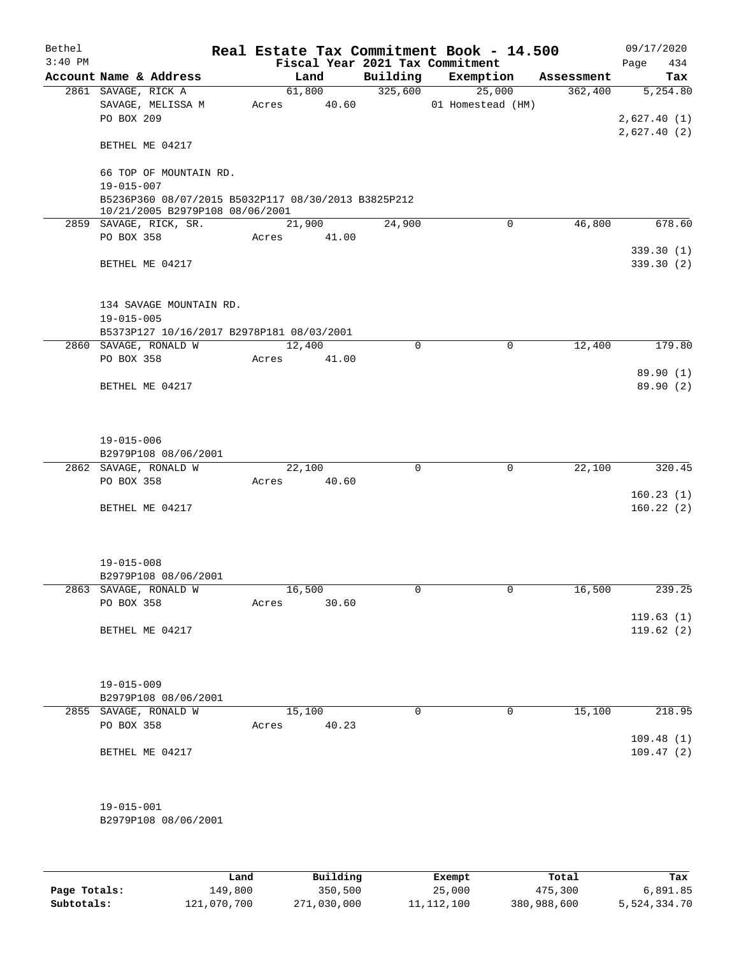| 09/17/2020             |            | Real Estate Tax Commitment Book - 14.500 |             |                                 |                                                                                        | Bethel    |
|------------------------|------------|------------------------------------------|-------------|---------------------------------|----------------------------------------------------------------------------------------|-----------|
| 434<br>Page            |            |                                          |             | Fiscal Year 2021 Tax Commitment |                                                                                        | $3:40$ PM |
| Tax                    | Assessment | Exemption                                | Building    | Land                            | Account Name & Address                                                                 |           |
| $\overline{5,254.80}$  | 362,400    | 25,000                                   | 325,600     | 61,800                          | 2861 SAVAGE, RICK A                                                                    |           |
|                        |            | 01 Homestead (HM)                        |             | 40.60<br>Acres                  | SAVAGE, MELISSA M                                                                      |           |
| 2,627.40(1)            |            |                                          |             |                                 | PO BOX 209                                                                             |           |
| 2,627.40(2)            |            |                                          |             |                                 | BETHEL ME 04217                                                                        |           |
|                        |            |                                          |             |                                 | 66 TOP OF MOUNTAIN RD.                                                                 |           |
|                        |            |                                          |             |                                 | $19 - 015 - 007$                                                                       |           |
|                        |            |                                          |             |                                 | B5236P360 08/07/2015 B5032P117 08/30/2013 B3825P212<br>10/21/2005 B2979P108 08/06/2001 |           |
| 678.60                 | 46,800     | $\mathbf 0$                              | 24,900      | 21,900                          | 2859 SAVAGE, RICK, SR.                                                                 |           |
|                        |            |                                          |             | Acres 41.00                     | PO BOX 358                                                                             |           |
| 339.30(1)<br>339.30(2) |            |                                          |             |                                 | BETHEL ME 04217                                                                        |           |
|                        |            |                                          |             |                                 |                                                                                        |           |
|                        |            |                                          |             |                                 | 134 SAVAGE MOUNTAIN RD.<br>$19 - 015 - 005$                                            |           |
|                        |            |                                          |             |                                 | B5373P127 10/16/2017 B2978P181 08/03/2001                                              |           |
| 179.80                 | 12,400     | $\mathbf 0$                              | $\Omega$    | 12,400                          | 2860 SAVAGE, RONALD W                                                                  |           |
|                        |            |                                          |             | Acres<br>41.00                  | PO BOX 358                                                                             |           |
| 89.90(1)               |            |                                          |             |                                 |                                                                                        |           |
| 89.90 (2)              |            |                                          |             |                                 | BETHEL ME 04217                                                                        |           |
|                        |            |                                          |             |                                 | $19 - 015 - 006$                                                                       |           |
|                        |            |                                          |             |                                 | B2979P108 08/06/2001                                                                   |           |
| 320.45                 | 22,100     | $\mathbf 0$                              | $\mathbf 0$ | 22,100                          | 2862 SAVAGE, RONALD W                                                                  |           |
|                        |            |                                          |             |                                 |                                                                                        |           |
| 160.23(1)<br>160.22(2) |            |                                          |             |                                 | BETHEL ME 04217                                                                        |           |
|                        |            |                                          |             |                                 |                                                                                        |           |
|                        |            |                                          |             |                                 |                                                                                        |           |
|                        |            |                                          |             |                                 | B2979P108 08/06/2001                                                                   |           |
| 239.25                 | 16,500     | 0                                        | 0           | 16,500                          | 2863 SAVAGE, RONALD W                                                                  |           |
|                        |            |                                          |             | 30.60<br>Acres                  | PO BOX 358                                                                             |           |
| 119.63(1)              |            |                                          |             |                                 |                                                                                        |           |
| 119.62(2)              |            |                                          |             |                                 |                                                                                        |           |
|                        |            |                                          |             |                                 |                                                                                        |           |
|                        |            |                                          |             |                                 |                                                                                        |           |
|                        |            |                                          |             |                                 | B2979P108 08/06/2001                                                                   |           |
| 218.95                 | 15,100     | 0                                        | $\Omega$    | 15,100                          | 2855 SAVAGE, RONALD W                                                                  |           |
|                        |            |                                          |             | 40.23<br>Acres                  | PO BOX 358                                                                             |           |
| 109.48(1)              |            |                                          |             |                                 |                                                                                        |           |
| 109.47(2)              |            |                                          |             |                                 | BETHEL ME 04217                                                                        |           |
|                        |            |                                          |             |                                 |                                                                                        |           |
|                        |            |                                          |             |                                 | B2979P108 08/06/2001                                                                   |           |
|                        |            |                                          |             |                                 |                                                                                        |           |
|                        |            |                                          |             | 40.60<br>Acres                  | PO BOX 358<br>$19 - 015 - 008$<br>BETHEL ME 04217<br>$19 - 015 - 009$<br>19-015-001    |           |

|              | Land        | Building    | Exempt     | Total       | Tax          |
|--------------|-------------|-------------|------------|-------------|--------------|
| Page Totals: | 149,800     | 350,500     | 25,000     | 475,300     | 6,891.85     |
| Subtotals:   | 121,070,700 | 271,030,000 | 11,112,100 | 380,988,600 | 5,524,334.70 |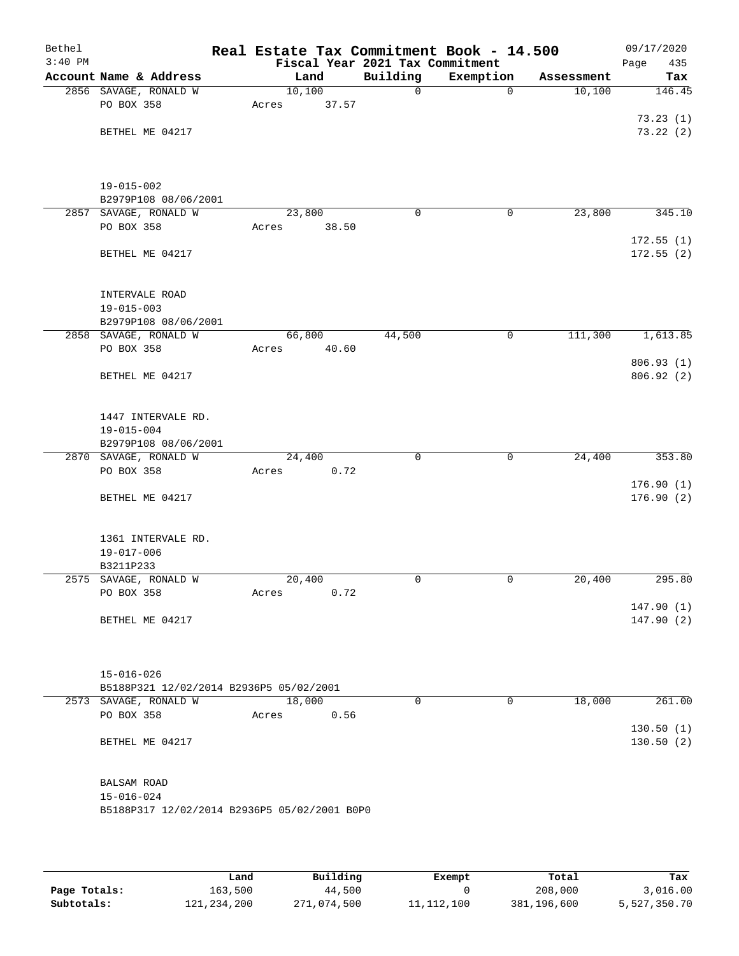| Bethel    |                                              | Real Estate Tax Commitment Book - 14.500 |                                 |             |            | 09/17/2020  |
|-----------|----------------------------------------------|------------------------------------------|---------------------------------|-------------|------------|-------------|
| $3:40$ PM |                                              |                                          | Fiscal Year 2021 Tax Commitment |             |            | Page<br>435 |
|           | Account Name & Address                       | Land                                     | Building                        | Exemption   | Assessment | Tax         |
|           | 2856 SAVAGE, RONALD W                        | 10,100                                   | $\mathbf 0$                     | $\mathbf 0$ | 10,100     | 146.45      |
|           | PO BOX 358                                   | 37.57<br>Acres                           |                                 |             |            |             |
|           |                                              |                                          |                                 |             |            | 73.23(1)    |
|           | BETHEL ME 04217                              |                                          |                                 |             |            | 73.22(2)    |
|           |                                              |                                          |                                 |             |            |             |
|           | $19 - 015 - 002$                             |                                          |                                 |             |            |             |
|           | B2979P108 08/06/2001                         |                                          |                                 |             |            |             |
| 2857      | SAVAGE, RONALD W                             | 23,800                                   | $\mathbf 0$                     | 0           | 23,800     | 345.10      |
|           | PO BOX 358                                   | Acres<br>38.50                           |                                 |             |            |             |
|           |                                              |                                          |                                 |             |            | 172.55(1)   |
|           | BETHEL ME 04217                              |                                          |                                 |             |            | 172.55(2)   |
|           | INTERVALE ROAD                               |                                          |                                 |             |            |             |
|           | $19 - 015 - 003$                             |                                          |                                 |             |            |             |
|           | B2979P108 08/06/2001                         |                                          |                                 |             |            |             |
|           | 2858 SAVAGE, RONALD W                        | 66,800                                   | 44,500                          | 0           | 111,300    | 1,613.85    |
|           | PO BOX 358                                   | 40.60<br>Acres                           |                                 |             |            |             |
|           |                                              |                                          |                                 |             |            | 806.93(1)   |
|           | BETHEL ME 04217                              |                                          |                                 |             |            | 806.92(2)   |
|           | 1447 INTERVALE RD.                           |                                          |                                 |             |            |             |
|           | $19 - 015 - 004$                             |                                          |                                 |             |            |             |
|           | B2979P108 08/06/2001                         |                                          |                                 |             |            |             |
|           | 2870 SAVAGE, RONALD W                        | 24,400                                   | $\mathbf 0$                     | $\mathbf 0$ | 24,400     | 353.80      |
|           | PO BOX 358                                   | Acres                                    | 0.72                            |             |            |             |
|           |                                              |                                          |                                 |             |            | 176.90(1)   |
|           | BETHEL ME 04217                              |                                          |                                 |             |            | 176.90(2)   |
|           | 1361 INTERVALE RD.                           |                                          |                                 |             |            |             |
|           | $19 - 017 - 006$                             |                                          |                                 |             |            |             |
|           | B3211P233                                    |                                          |                                 |             |            |             |
|           | 2575 SAVAGE, RONALD W                        | 20,400                                   | $\mathbf 0$                     | 0           | 20,400     | 295.80      |
|           | PO BOX 358                                   | Acres                                    | 0.72                            |             |            |             |
|           |                                              |                                          |                                 |             |            | 147.90(1)   |
|           | BETHEL ME 04217                              |                                          |                                 |             |            | 147.90(2)   |
|           |                                              |                                          |                                 |             |            |             |
|           | $15 - 016 - 026$                             |                                          |                                 |             |            |             |
|           | B5188P321 12/02/2014 B2936P5 05/02/2001      |                                          |                                 |             |            |             |
|           | 2573 SAVAGE, RONALD W                        | 18,000                                   | $\Omega$                        | $\mathbf 0$ | 18,000     | 261.00      |
|           | PO BOX 358                                   | Acres                                    | 0.56                            |             |            |             |
|           |                                              |                                          |                                 |             |            | 130.50(1)   |
|           | BETHEL ME 04217                              |                                          |                                 |             |            | 130.50(2)   |
|           | BALSAM ROAD                                  |                                          |                                 |             |            |             |
|           | $15 - 016 - 024$                             |                                          |                                 |             |            |             |
|           | B5188P317 12/02/2014 B2936P5 05/02/2001 B0P0 |                                          |                                 |             |            |             |
|           |                                              |                                          |                                 |             |            |             |
|           |                                              |                                          |                                 |             |            |             |

|              | Land          | Building    | Exempt       | Total       | Tax          |
|--------------|---------------|-------------|--------------|-------------|--------------|
| Page Totals: | 163,500       | 44,500      |              | 208,000     | 3,016.00     |
| Subtotals:   | 121, 234, 200 | 271,074,500 | 11, 112, 100 | 381,196,600 | 5,527,350.70 |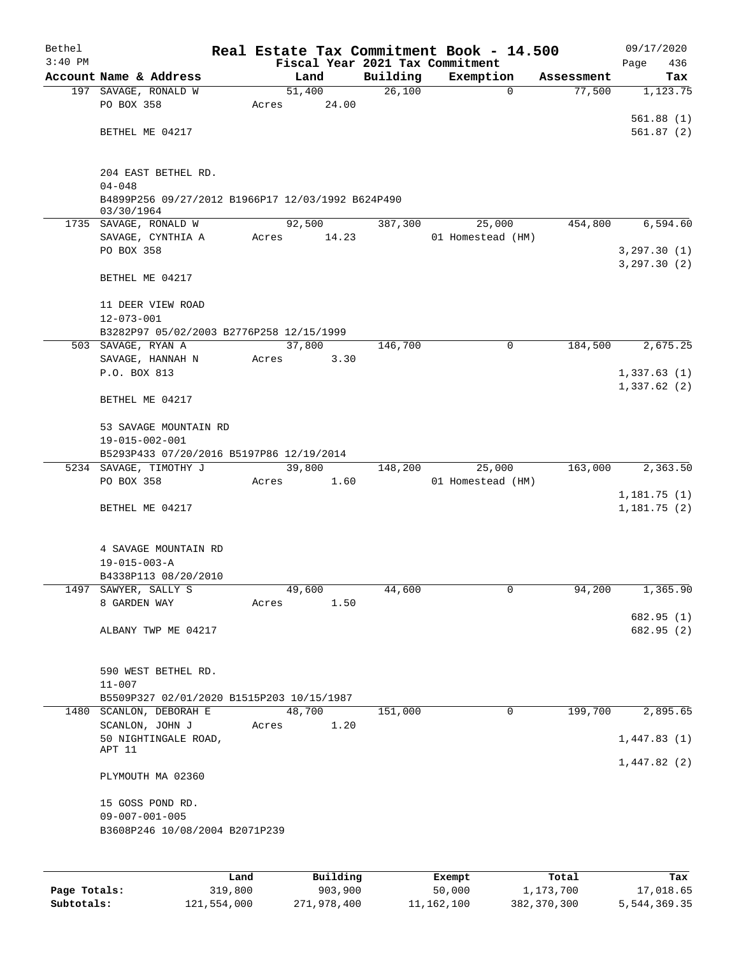| Bethel    |                                                   |       |        |       |          | Real Estate Tax Commitment Book - 14.500 |            | 09/17/2020                 |
|-----------|---------------------------------------------------|-------|--------|-------|----------|------------------------------------------|------------|----------------------------|
| $3:40$ PM |                                                   |       |        |       |          | Fiscal Year 2021 Tax Commitment          |            | Page<br>436                |
|           | Account Name & Address                            |       | Land   |       | Building | Exemption                                | Assessment | Tax                        |
|           | 197 SAVAGE, RONALD W                              |       | 51,400 |       | 26,100   | $\mathbf 0$                              | 77,500     | 1,123.75                   |
|           | PO BOX 358                                        | Acres |        | 24.00 |          |                                          |            |                            |
|           |                                                   |       |        |       |          |                                          |            | 561.88(1)                  |
|           | BETHEL ME 04217                                   |       |        |       |          |                                          |            | 561.87(2)                  |
|           |                                                   |       |        |       |          |                                          |            |                            |
|           |                                                   |       |        |       |          |                                          |            |                            |
|           | 204 EAST BETHEL RD.<br>$04 - 048$                 |       |        |       |          |                                          |            |                            |
|           | B4899P256 09/27/2012 B1966P17 12/03/1992 B624P490 |       |        |       |          |                                          |            |                            |
|           | 03/30/1964                                        |       |        |       |          |                                          |            |                            |
|           | 1735 SAVAGE, RONALD W                             |       | 92,500 |       | 387,300  | 25,000                                   | 454,800    | 6,594.60                   |
|           | SAVAGE, CYNTHIA A                                 | Acres |        | 14.23 |          | 01 Homestead (HM)                        |            |                            |
|           | PO BOX 358                                        |       |        |       |          |                                          |            | 3, 297.30(1)               |
|           |                                                   |       |        |       |          |                                          |            | 3, 297.30(2)               |
|           | BETHEL ME 04217                                   |       |        |       |          |                                          |            |                            |
|           |                                                   |       |        |       |          |                                          |            |                            |
|           | 11 DEER VIEW ROAD                                 |       |        |       |          |                                          |            |                            |
|           | $12 - 073 - 001$                                  |       |        |       |          |                                          |            |                            |
|           | B3282P97 05/02/2003 B2776P258 12/15/1999          |       |        |       |          |                                          |            |                            |
|           | 503 SAVAGE, RYAN A                                |       | 37,800 |       | 146,700  | 0                                        | 184,500    | 2,675.25                   |
|           | SAVAGE, HANNAH N                                  | Acres |        | 3.30  |          |                                          |            |                            |
|           | P.O. BOX 813                                      |       |        |       |          |                                          |            | 1,337.63(1)<br>1,337.62(2) |
|           | BETHEL ME 04217                                   |       |        |       |          |                                          |            |                            |
|           |                                                   |       |        |       |          |                                          |            |                            |
|           | 53 SAVAGE MOUNTAIN RD                             |       |        |       |          |                                          |            |                            |
|           | 19-015-002-001                                    |       |        |       |          |                                          |            |                            |
|           | B5293P433 07/20/2016 B5197P86 12/19/2014          |       |        |       |          |                                          |            |                            |
|           | 5234 SAVAGE, TIMOTHY J                            |       | 39,800 |       | 148,200  | 25,000                                   | 163,000    | 2,363.50                   |
|           | PO BOX 358                                        | Acres |        | 1.60  |          | 01 Homestead (HM)                        |            |                            |
|           |                                                   |       |        |       |          |                                          |            | 1,181.75(1)                |
|           | BETHEL ME 04217                                   |       |        |       |          |                                          |            | 1,181.75(2)                |
|           |                                                   |       |        |       |          |                                          |            |                            |
|           |                                                   |       |        |       |          |                                          |            |                            |
|           | 4 SAVAGE MOUNTAIN RD                              |       |        |       |          |                                          |            |                            |
|           | $19 - 015 - 003 - A$                              |       |        |       |          |                                          |            |                            |
|           | B4338P113 08/20/2010                              |       |        |       |          |                                          |            |                            |
|           | 1497 SAWYER, SALLY S<br>8 GARDEN WAY              | Acres | 49,600 | 1.50  | 44,600   | 0                                        | 94,200     | 1,365.90                   |
|           |                                                   |       |        |       |          |                                          |            | 682.95 (1)                 |
|           | ALBANY TWP ME 04217                               |       |        |       |          |                                          |            | 682.95 (2)                 |
|           |                                                   |       |        |       |          |                                          |            |                            |
|           |                                                   |       |        |       |          |                                          |            |                            |
|           | 590 WEST BETHEL RD.                               |       |        |       |          |                                          |            |                            |
|           | $11 - 007$                                        |       |        |       |          |                                          |            |                            |
|           | B5509P327 02/01/2020 B1515P203 10/15/1987         |       |        |       |          |                                          |            |                            |
|           | 1480 SCANLON, DEBORAH E                           |       | 48,700 |       | 151,000  | $\mathbf 0$                              | 199,700    | 2,895.65                   |
|           | SCANLON, JOHN J                                   | Acres |        | 1.20  |          |                                          |            |                            |
|           | 50 NIGHTINGALE ROAD,                              |       |        |       |          |                                          |            | 1,447.83(1)                |
|           | APT 11                                            |       |        |       |          |                                          |            | 1,447.82(2)                |
|           | PLYMOUTH MA 02360                                 |       |        |       |          |                                          |            |                            |
|           |                                                   |       |        |       |          |                                          |            |                            |
|           | 15 GOSS POND RD.                                  |       |        |       |          |                                          |            |                            |
|           | $09 - 007 - 001 - 005$                            |       |        |       |          |                                          |            |                            |
|           | B3608P246 10/08/2004 B2071P239                    |       |        |       |          |                                          |            |                            |
|           |                                                   |       |        |       |          |                                          |            |                            |
|           |                                                   |       |        |       |          |                                          |            |                            |
|           |                                                   |       |        |       |          |                                          |            |                            |

|              | Land        | Building    | Exempt     | Total       | Tax          |
|--------------|-------------|-------------|------------|-------------|--------------|
| Page Totals: | 319,800     | 903,900     | 50,000     | 1,173,700   | 17,018.65    |
| Subtotals:   | 121,554,000 | 271,978,400 | 11,162,100 | 382,370,300 | 5,544,369.35 |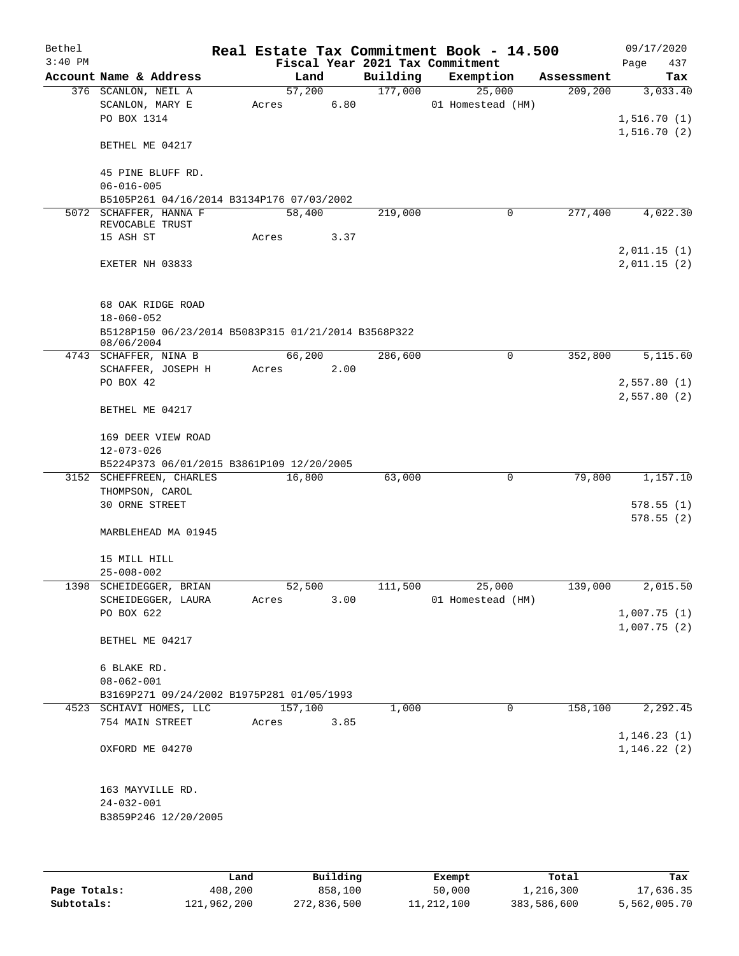| Bethel    |                                                                   |         |        |          | Real Estate Tax Commitment Book - 14.500 |            | 09/17/2020   |
|-----------|-------------------------------------------------------------------|---------|--------|----------|------------------------------------------|------------|--------------|
| $3:40$ PM |                                                                   |         |        |          | Fiscal Year 2021 Tax Commitment          |            | Page<br>437  |
|           | Account Name & Address                                            |         | Land   | Building | Exemption                                | Assessment | Tax          |
|           | 376 SCANLON, NEIL A                                               | 57,200  |        | 177,000  | 25,000                                   | 209,200    | 3,033.40     |
|           | SCANLON, MARY E                                                   | Acres   | 6.80   |          | 01 Homestead (HM)                        |            |              |
|           | PO BOX 1314                                                       |         |        |          |                                          |            | 1,516.70(1)  |
|           | BETHEL ME 04217                                                   |         |        |          |                                          |            | 1,516.70(2)  |
|           | 45 PINE BLUFF RD.                                                 |         |        |          |                                          |            |              |
|           | $06 - 016 - 005$                                                  |         |        |          |                                          |            |              |
|           | B5105P261 04/16/2014 B3134P176 07/03/2002                         |         |        |          |                                          | 277,400    |              |
|           | 5072 SCHAFFER, HANNA F<br>REVOCABLE TRUST                         | 58,400  |        | 219,000  | 0                                        |            | 4,022.30     |
|           | 15 ASH ST                                                         | Acres   | 3.37   |          |                                          |            |              |
|           |                                                                   |         |        |          |                                          |            | 2,011.15(1)  |
|           | EXETER NH 03833                                                   |         |        |          |                                          |            | 2,011.15(2)  |
|           | 68 OAK RIDGE ROAD<br>$18 - 060 - 052$                             |         |        |          |                                          |            |              |
|           | B5128P150 06/23/2014 B5083P315 01/21/2014 B3568P322<br>08/06/2004 |         |        |          |                                          |            |              |
|           | 4743 SCHAFFER, NINA B                                             | 66,200  |        | 286,600  | $\mathbf 0$                              | 352,800    | 5,115.60     |
|           | SCHAFFER, JOSEPH H                                                | Acres   | 2.00   |          |                                          |            |              |
|           | PO BOX 42                                                         |         |        |          |                                          |            | 2,557.80(1)  |
|           | BETHEL ME 04217                                                   |         |        |          |                                          |            | 2,557.80(2)  |
|           |                                                                   |         |        |          |                                          |            |              |
|           | 169 DEER VIEW ROAD                                                |         |        |          |                                          |            |              |
|           | $12 - 073 - 026$<br>B5224P373 06/01/2015 B3861P109 12/20/2005     |         |        |          |                                          |            |              |
|           | 3152 SCHEFFREEN, CHARLES                                          | 16,800  |        | 63,000   | $\mathbf 0$                              | 79,800     | 1,157.10     |
|           | THOMPSON, CAROL                                                   |         |        |          |                                          |            |              |
|           | 30 ORNE STREET                                                    |         |        |          |                                          |            | 578.55(1)    |
|           |                                                                   |         |        |          |                                          |            | 578.55(2)    |
|           | MARBLEHEAD MA 01945                                               |         |        |          |                                          |            |              |
|           | 15 MILL HILL<br>$25 - 008 - 002$                                  |         |        |          |                                          |            |              |
|           | 1398 SCHEIDEGGER, BRIAN                                           |         | 52,500 | 111,500  | 25,000                                   | 139,000    | 2,015.50     |
|           | SCHEIDEGGER, LAURA                                                | Acres   | 3.00   |          | 01 Homestead (HM)                        |            |              |
|           | PO BOX 622                                                        |         |        |          |                                          |            | 1,007.75(1)  |
|           |                                                                   |         |        |          |                                          |            | 1,007.75(2)  |
|           | BETHEL ME 04217                                                   |         |        |          |                                          |            |              |
|           | 6 BLAKE RD.                                                       |         |        |          |                                          |            |              |
|           | $08 - 062 - 001$                                                  |         |        |          |                                          |            |              |
|           | B3169P271 09/24/2002 B1975P281 01/05/1993                         |         |        |          |                                          |            |              |
|           | 4523 SCHIAVI HOMES, LLC                                           | 157,100 |        | 1,000    | 0                                        | 158,100    | 2,292.45     |
|           | 754 MAIN STREET                                                   | Acres   | 3.85   |          |                                          |            |              |
|           |                                                                   |         |        |          |                                          |            | 1, 146.23(1) |
|           | OXFORD ME 04270                                                   |         |        |          |                                          |            | 1, 146.22(2) |
|           | 163 MAYVILLE RD.                                                  |         |        |          |                                          |            |              |
|           | $24 - 032 - 001$                                                  |         |        |          |                                          |            |              |
|           | B3859P246 12/20/2005                                              |         |        |          |                                          |            |              |
|           |                                                                   |         |        |          |                                          |            |              |
|           |                                                                   |         |        |          |                                          |            |              |

|              | Land        | Building    | Exempt     | Total       | Tax          |
|--------------|-------------|-------------|------------|-------------|--------------|
| Page Totals: | 408,200     | 858,100     | 50,000     | 1,216,300   | 17,636.35    |
| Subtotals:   | 121,962,200 | 272,836,500 | 11,212,100 | 383,586,600 | 5,562,005.70 |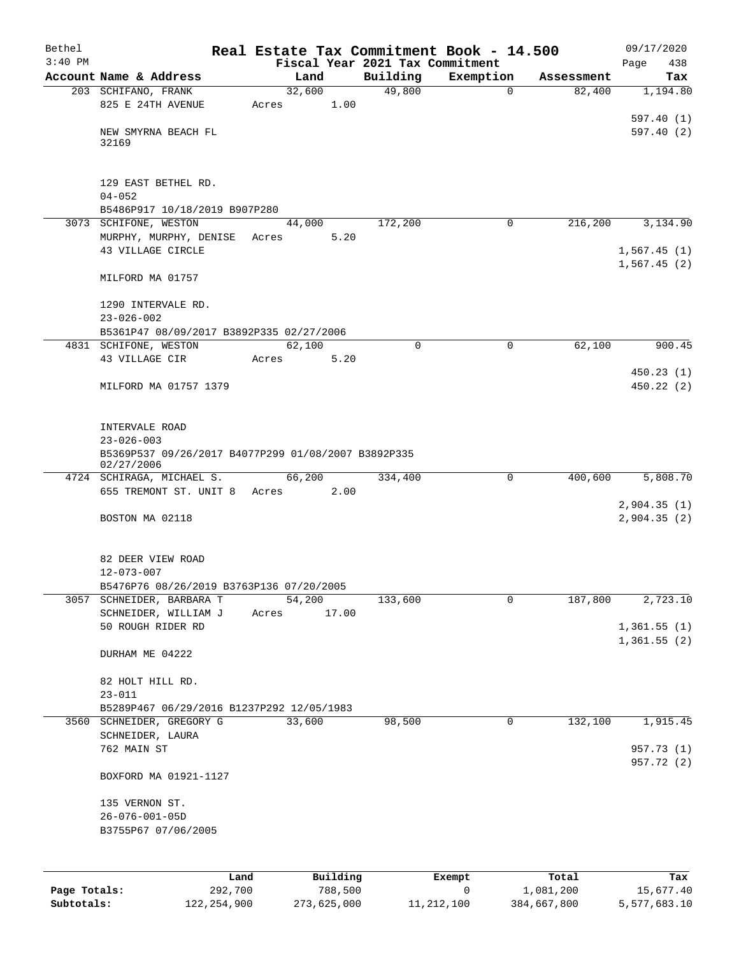| Bethel       |                                                                         | Real Estate Tax Commitment Book - 14.500 |                    |                       |                      | 09/17/2020      |
|--------------|-------------------------------------------------------------------------|------------------------------------------|--------------------|-----------------------|----------------------|-----------------|
| $3:40$ PM    | Account Name & Address                                                  | Fiscal Year 2021 Tax Commitment          |                    |                       |                      | 438<br>Page     |
|              | 203 SCHIFANO, FRANK                                                     | Land<br>32,600                           | Building<br>49,800 | Exemption<br>$\Omega$ | Assessment<br>82,400 | Tax<br>1,194.80 |
|              | 825 E 24TH AVENUE                                                       | 1.00<br>Acres                            |                    |                       |                      |                 |
|              |                                                                         |                                          |                    |                       |                      | 597.40(1)       |
|              | NEW SMYRNA BEACH FL                                                     |                                          |                    |                       |                      | 597.40(2)       |
|              | 32169                                                                   |                                          |                    |                       |                      |                 |
|              |                                                                         |                                          |                    |                       |                      |                 |
|              | 129 EAST BETHEL RD.                                                     |                                          |                    |                       |                      |                 |
|              | $04 - 052$                                                              |                                          |                    |                       |                      |                 |
|              | B5486P917 10/18/2019 B907P280                                           |                                          |                    |                       |                      |                 |
|              | 3073 SCHIFONE, WESTON                                                   | 44,000                                   | 172,200            | $\mathbf 0$           | 216,200              | 3,134.90        |
|              | MURPHY, MURPHY, DENISE<br>43 VILLAGE CIRCLE                             | 5.20<br>Acres                            |                    |                       |                      | 1,567.45(1)     |
|              |                                                                         |                                          |                    |                       |                      | 1,567.45(2)     |
|              | MILFORD MA 01757                                                        |                                          |                    |                       |                      |                 |
|              |                                                                         |                                          |                    |                       |                      |                 |
|              | 1290 INTERVALE RD.                                                      |                                          |                    |                       |                      |                 |
|              | $23 - 026 - 002$                                                        |                                          |                    |                       |                      |                 |
|              | B5361P47 08/09/2017 B3892P335 02/27/2006<br>4831 SCHIFONE, WESTON       | 62,100                                   | $\mathbf 0$        | $\mathbf 0$           | 62,100               | 900.45          |
|              | 43 VILLAGE CIR                                                          | 5.20<br>Acres                            |                    |                       |                      |                 |
|              |                                                                         |                                          |                    |                       |                      | 450.23(1)       |
|              | MILFORD MA 01757 1379                                                   |                                          |                    |                       |                      | 450.22(2)       |
|              |                                                                         |                                          |                    |                       |                      |                 |
|              |                                                                         |                                          |                    |                       |                      |                 |
|              | INTERVALE ROAD                                                          |                                          |                    |                       |                      |                 |
|              | $23 - 026 - 003$<br>B5369P537 09/26/2017 B4077P299 01/08/2007 B3892P335 |                                          |                    |                       |                      |                 |
|              | 02/27/2006                                                              |                                          |                    |                       |                      |                 |
|              | 4724 SCHIRAGA, MICHAEL S.                                               | 66,200                                   | 334,400            | 0                     | 400,600              | 5,808.70        |
|              | 655 TREMONT ST. UNIT 8 Acres                                            | 2.00                                     |                    |                       |                      |                 |
|              | BOSTON MA 02118                                                         |                                          |                    |                       |                      | 2,904.35(1)     |
|              |                                                                         |                                          |                    |                       |                      | 2,904.35 (2)    |
|              |                                                                         |                                          |                    |                       |                      |                 |
|              | 82 DEER VIEW ROAD                                                       |                                          |                    |                       |                      |                 |
|              | $12 - 073 - 007$                                                        |                                          |                    |                       |                      |                 |
|              | B5476P76 08/26/2019 B3763P136 07/20/2005                                |                                          |                    |                       |                      |                 |
| 3057         | SCHNEIDER, BARBARA T<br>SCHNEIDER, WILLIAM J                            | 54,200<br>17.00<br>Acres                 | 133,600            | 0                     | 187,800              | 2,723.10        |
|              | 50 ROUGH RIDER RD                                                       |                                          |                    |                       |                      | 1,361.55(1)     |
|              |                                                                         |                                          |                    |                       |                      | 1,361.55(2)     |
|              | DURHAM ME 04222                                                         |                                          |                    |                       |                      |                 |
|              |                                                                         |                                          |                    |                       |                      |                 |
|              | 82 HOLT HILL RD.                                                        |                                          |                    |                       |                      |                 |
|              | $23 - 011$                                                              |                                          |                    |                       |                      |                 |
|              | B5289P467 06/29/2016 B1237P292 12/05/1983<br>3560 SCHNEIDER, GREGORY G  | 33,600                                   | 98,500             | 0                     | 132,100              | 1,915.45        |
|              | SCHNEIDER, LAURA                                                        |                                          |                    |                       |                      |                 |
|              | 762 MAIN ST                                                             |                                          |                    |                       |                      | 957.73 (1)      |
|              |                                                                         |                                          |                    |                       |                      | 957.72 (2)      |
|              | BOXFORD MA 01921-1127                                                   |                                          |                    |                       |                      |                 |
|              |                                                                         |                                          |                    |                       |                      |                 |
|              | 135 VERNON ST.<br>$26 - 076 - 001 - 05D$                                |                                          |                    |                       |                      |                 |
|              | B3755P67 07/06/2005                                                     |                                          |                    |                       |                      |                 |
|              |                                                                         |                                          |                    |                       |                      |                 |
|              |                                                                         |                                          |                    |                       |                      |                 |
|              | Land                                                                    | Building                                 |                    | Exempt                | Total                | Tax             |
| Page Totals: | 292,700                                                                 | 788,500                                  |                    | 0                     | 1,081,200            | 15,677.40       |

**Subtotals:** 122,254,900 273,625,000 11,212,100 384,667,800 5,577,683.10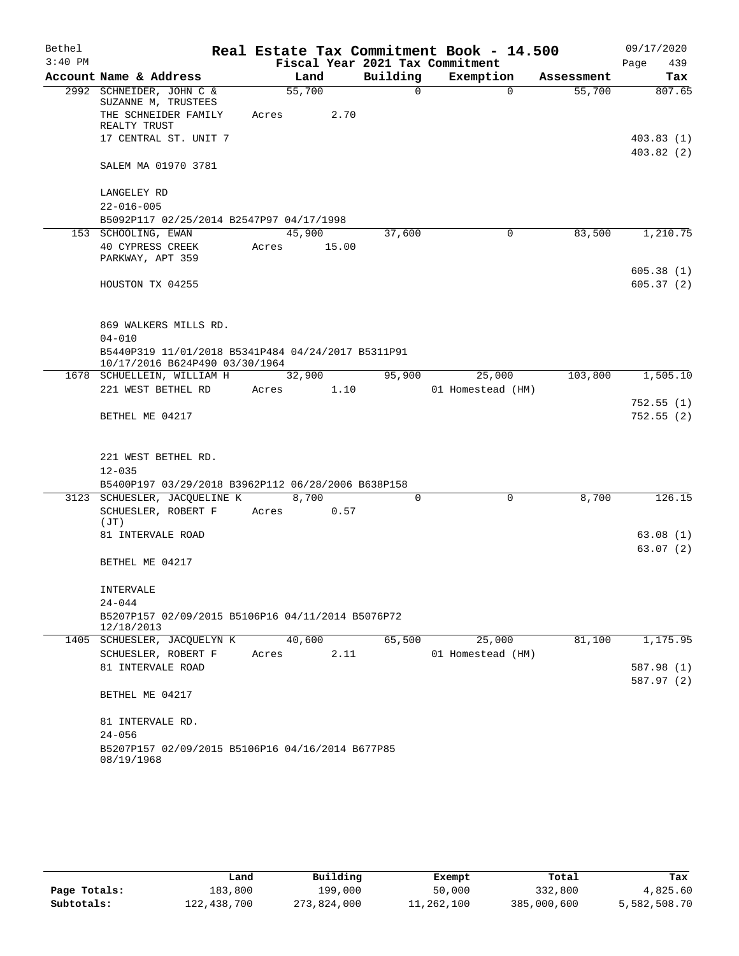| Bethel    |                                                                                      |        |        |                                 | Real Estate Tax Commitment Book - 14.500 |            | 09/17/2020               |
|-----------|--------------------------------------------------------------------------------------|--------|--------|---------------------------------|------------------------------------------|------------|--------------------------|
| $3:40$ PM |                                                                                      |        |        | Fiscal Year 2021 Tax Commitment |                                          |            | 439<br>Page              |
|           | Account Name & Address                                                               |        | Land   | Building                        | Exemption                                | Assessment | Tax                      |
|           | 2992 SCHNEIDER, JOHN C &<br>SUZANNE M, TRUSTEES                                      | 55,700 |        | 0                               | $\Omega$                                 | 55,700     | 807.65                   |
|           | THE SCHNEIDER FAMILY<br>REALTY TRUST                                                 | Acres  | 2.70   |                                 |                                          |            |                          |
|           | 17 CENTRAL ST. UNIT 7                                                                |        |        |                                 |                                          |            | 403.83 (1)<br>403.82(2)  |
|           | SALEM MA 01970 3781                                                                  |        |        |                                 |                                          |            |                          |
|           | LANGELEY RD                                                                          |        |        |                                 |                                          |            |                          |
|           | $22 - 016 - 005$                                                                     |        |        |                                 |                                          |            |                          |
|           | B5092P117 02/25/2014 B2547P97 04/17/1998<br>153 SCHOOLING, EWAN                      | 45,900 |        | 37,600                          | 0                                        | 83,500     | 1,210.75                 |
|           | 40 CYPRESS CREEK<br>PARKWAY, APT 359                                                 | Acres  | 15.00  |                                 |                                          |            |                          |
|           |                                                                                      |        |        |                                 |                                          |            | 605.38(1)                |
|           | HOUSTON TX 04255                                                                     |        |        |                                 |                                          |            | 605.37(2)                |
|           | 869 WALKERS MILLS RD.                                                                |        |        |                                 |                                          |            |                          |
|           | $04 - 010$                                                                           |        |        |                                 |                                          |            |                          |
|           | B5440P319 11/01/2018 B5341P484 04/24/2017 B5311P91<br>10/17/2016 B624P490 03/30/1964 |        |        |                                 |                                          |            |                          |
|           | 1678 SCHUELLEIN, WILLIAM H                                                           |        | 32,900 | 95,900                          | 25,000                                   | 103,800    | 1,505.10                 |
|           | 221 WEST BETHEL RD                                                                   | Acres  | 1.10   |                                 | 01 Homestead (HM)                        |            |                          |
|           | BETHEL ME 04217                                                                      |        |        |                                 |                                          |            | 752.55(1)<br>752.55(2)   |
|           | 221 WEST BETHEL RD.                                                                  |        |        |                                 |                                          |            |                          |
|           | $12 - 035$                                                                           |        |        |                                 |                                          |            |                          |
|           | B5400P197 03/29/2018 B3962P112 06/28/2006 B638P158                                   |        |        |                                 |                                          |            |                          |
|           | 3123 SCHUESLER, JACQUELINE K                                                         |        | 8,700  | 0                               | $\Omega$                                 | 8,700      | 126.15                   |
|           | SCHUESLER, ROBERT F                                                                  | Acres  | 0.57   |                                 |                                          |            |                          |
|           | (JT)<br>81 INTERVALE ROAD                                                            |        |        |                                 |                                          |            | 63.08(1)                 |
|           |                                                                                      |        |        |                                 |                                          |            | 63.07(2)                 |
|           | BETHEL ME 04217                                                                      |        |        |                                 |                                          |            |                          |
|           | INTERVALE<br>$24 - 044$                                                              |        |        |                                 |                                          |            |                          |
|           | B5207P157 02/09/2015 B5106P16 04/11/2014 B5076P72<br>12/18/2013                      |        |        |                                 |                                          |            |                          |
|           | 1405 SCHUESLER, JACQUELYN K                                                          | 40,600 |        | 65,500                          | 25,000                                   | 81,100     | 1,175.95                 |
|           | SCHUESLER, ROBERT F                                                                  | Acres  | 2.11   |                                 | 01 Homestead (HM)                        |            |                          |
|           | 81 INTERVALE ROAD                                                                    |        |        |                                 |                                          |            | 587.98 (1)<br>587.97 (2) |
|           | BETHEL ME 04217                                                                      |        |        |                                 |                                          |            |                          |
|           | 81 INTERVALE RD.<br>$24 - 056$                                                       |        |        |                                 |                                          |            |                          |
|           | B5207P157 02/09/2015 B5106P16 04/16/2014 B677P85                                     |        |        |                                 |                                          |            |                          |
|           | 08/19/1968                                                                           |        |        |                                 |                                          |            |                          |

|              | Land        | Building    | Exempt     | Total       | Tax          |
|--------------|-------------|-------------|------------|-------------|--------------|
| Page Totals: | 183,800     | 199,000     | 50,000     | 332,800     | 4,825.60     |
| Subtotals:   | 122,438,700 | 273,824,000 | 11,262,100 | 385,000,600 | 5,582,508.70 |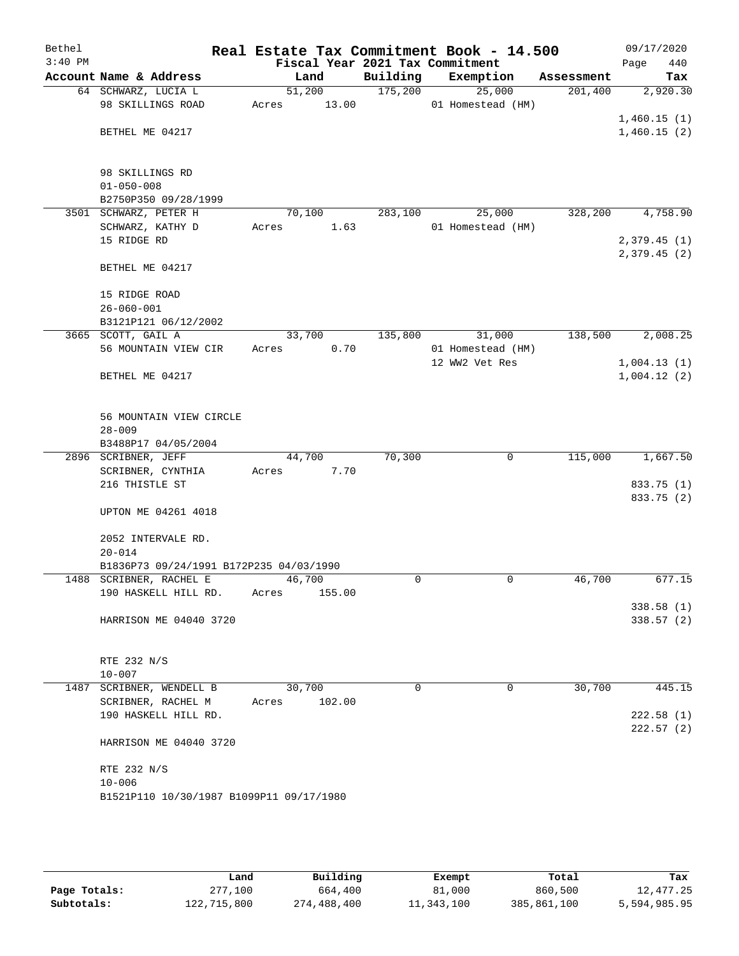| Bethel    |                                          |                |        |                     | Real Estate Tax Commitment Book - 14.500 |                       | 09/17/2020      |
|-----------|------------------------------------------|----------------|--------|---------------------|------------------------------------------|-----------------------|-----------------|
| $3:40$ PM |                                          |                |        |                     | Fiscal Year 2021 Tax Commitment          |                       | Page<br>440     |
|           | Account Name & Address                   | Land<br>51,200 |        | Building<br>175,200 | Exemption<br>25,000                      | Assessment<br>201,400 | Tax<br>2,920.30 |
|           | 64 SCHWARZ, LUCIA L<br>98 SKILLINGS ROAD | Acres          | 13.00  |                     | 01 Homestead (HM)                        |                       |                 |
|           |                                          |                |        |                     |                                          |                       | 1,460.15(1)     |
|           | BETHEL ME 04217                          |                |        |                     |                                          |                       | 1,460.15(2)     |
|           |                                          |                |        |                     |                                          |                       |                 |
|           |                                          |                |        |                     |                                          |                       |                 |
|           | 98 SKILLINGS RD                          |                |        |                     |                                          |                       |                 |
|           | $01 - 050 - 008$                         |                |        |                     |                                          |                       |                 |
|           | B2750P350 09/28/1999                     |                |        |                     |                                          |                       |                 |
|           | 3501 SCHWARZ, PETER H                    | 70,100         |        | 283,100             | 25,000                                   | 328,200               | 4,758.90        |
|           | SCHWARZ, KATHY D                         | Acres          | 1.63   |                     | 01 Homestead (HM)                        |                       |                 |
|           | 15 RIDGE RD                              |                |        |                     |                                          |                       | 2,379.45(1)     |
|           | BETHEL ME 04217                          |                |        |                     |                                          |                       | 2,379.45(2)     |
|           |                                          |                |        |                     |                                          |                       |                 |
|           | 15 RIDGE ROAD                            |                |        |                     |                                          |                       |                 |
|           | $26 - 060 - 001$                         |                |        |                     |                                          |                       |                 |
|           | B3121P121 06/12/2002                     |                |        |                     |                                          |                       |                 |
|           | 3665 SCOTT, GAIL A                       | 33,700         |        | 135,800             | 31,000                                   | 138,500               | 2,008.25        |
|           | 56 MOUNTAIN VIEW CIR                     | Acres          | 0.70   |                     | 01 Homestead (HM)                        |                       |                 |
|           |                                          |                |        |                     | 12 WW2 Vet Res                           |                       | 1,004.13(1)     |
|           | BETHEL ME 04217                          |                |        |                     |                                          |                       | 1,004.12(2)     |
|           |                                          |                |        |                     |                                          |                       |                 |
|           |                                          |                |        |                     |                                          |                       |                 |
|           | 56 MOUNTAIN VIEW CIRCLE<br>$28 - 009$    |                |        |                     |                                          |                       |                 |
|           | B3488P17 04/05/2004                      |                |        |                     |                                          |                       |                 |
|           | 2896 SCRIBNER, JEFF                      | 44,700         |        | 70,300              | 0                                        | 115,000               | 1,667.50        |
|           | SCRIBNER, CYNTHIA                        | Acres          | 7.70   |                     |                                          |                       |                 |
|           | 216 THISTLE ST                           |                |        |                     |                                          |                       | 833.75 (1)      |
|           |                                          |                |        |                     |                                          |                       | 833.75 (2)      |
|           | UPTON ME 04261 4018                      |                |        |                     |                                          |                       |                 |
|           |                                          |                |        |                     |                                          |                       |                 |
|           | 2052 INTERVALE RD.                       |                |        |                     |                                          |                       |                 |
|           | $20 - 014$                               |                |        |                     |                                          |                       |                 |
|           | B1836P73 09/24/1991 B172P235 04/03/1990  |                |        |                     |                                          |                       |                 |
|           | 1488 SCRIBNER, RACHEL E                  | 46,700         |        | 0                   | 0                                        | 46,700                | 677.15          |
|           | 190 HASKELL HILL RD.                     | Acres          | 155.00 |                     |                                          |                       |                 |
|           |                                          |                |        |                     |                                          |                       | 338.58(1)       |
|           | HARRISON ME 04040 3720                   |                |        |                     |                                          |                       | 338.57(2)       |
|           |                                          |                |        |                     |                                          |                       |                 |
|           | RTE 232 N/S                              |                |        |                     |                                          |                       |                 |
|           | $10 - 007$                               |                |        |                     |                                          |                       |                 |
|           | 1487 SCRIBNER, WENDELL B                 | 30,700         |        | 0                   | 0                                        | 30,700                | 445.15          |
|           | SCRIBNER, RACHEL M                       | Acres          | 102.00 |                     |                                          |                       |                 |
|           | 190 HASKELL HILL RD.                     |                |        |                     |                                          |                       | 222.58(1)       |
|           |                                          |                |        |                     |                                          |                       | 222.57(2)       |
|           | HARRISON ME 04040 3720                   |                |        |                     |                                          |                       |                 |
|           |                                          |                |        |                     |                                          |                       |                 |
|           | RTE 232 N/S                              |                |        |                     |                                          |                       |                 |
|           | $10 - 006$                               |                |        |                     |                                          |                       |                 |
|           | B1521P110 10/30/1987 B1099P11 09/17/1980 |                |        |                     |                                          |                       |                 |
|           |                                          |                |        |                     |                                          |                       |                 |

|              | Land        | Building    | Exempt     | Total       | Tax          |
|--------------|-------------|-------------|------------|-------------|--------------|
| Page Totals: | 277,100     | 664,400     | 81,000     | 860,500     | 12,477.25    |
| Subtotals:   | 122,715,800 | 274,488,400 | 11,343,100 | 385,861,100 | 5,594,985.95 |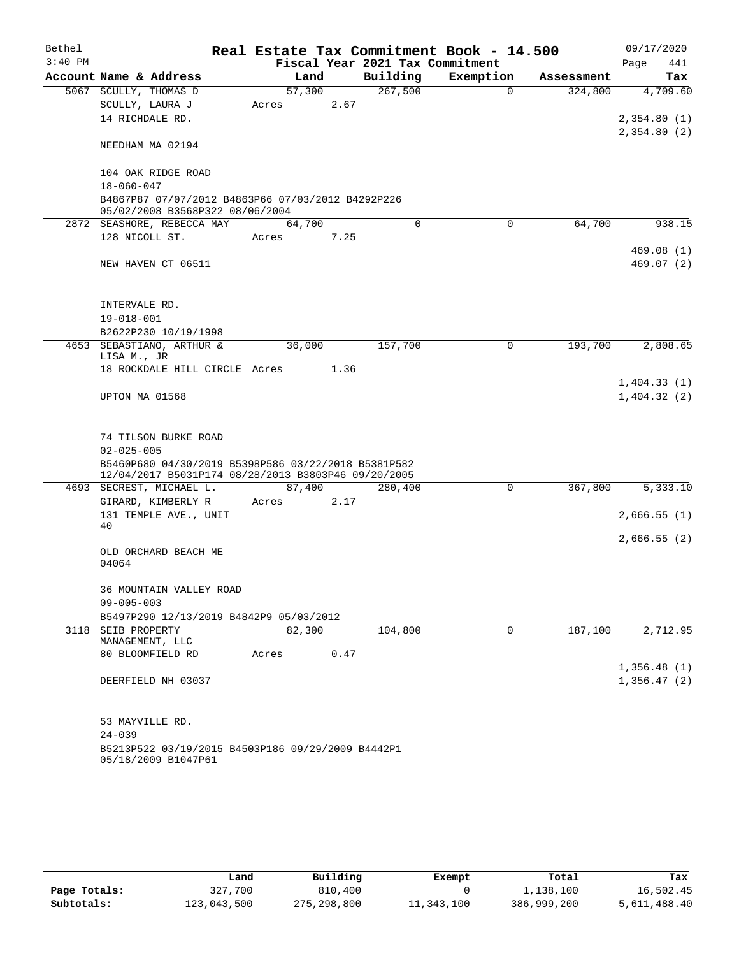| Bethel    |                                                                                                            |        |      |                                 | Real Estate Tax Commitment Book - 14.500 |            | 09/17/2020   |
|-----------|------------------------------------------------------------------------------------------------------------|--------|------|---------------------------------|------------------------------------------|------------|--------------|
| $3:40$ PM |                                                                                                            |        |      | Fiscal Year 2021 Tax Commitment |                                          |            | Page<br>441  |
|           | Account Name & Address                                                                                     | Land   |      | Building                        | Exemption                                | Assessment | Tax          |
|           | 5067 SCULLY, THOMAS D                                                                                      | 57,300 |      | 267,500                         | $\Omega$                                 | 324,800    | 4,709.60     |
|           | SCULLY, LAURA J                                                                                            | Acres  | 2.67 |                                 |                                          |            |              |
|           | 14 RICHDALE RD.                                                                                            |        |      |                                 |                                          |            | 2,354.80(1)  |
|           |                                                                                                            |        |      |                                 |                                          |            | 2,354.80 (2) |
|           | NEEDHAM MA 02194                                                                                           |        |      |                                 |                                          |            |              |
|           | 104 OAK RIDGE ROAD                                                                                         |        |      |                                 |                                          |            |              |
|           | $18 - 060 - 047$                                                                                           |        |      |                                 |                                          |            |              |
|           | B4867P87 07/07/2012 B4863P66 07/03/2012 B4292P226                                                          |        |      |                                 |                                          |            |              |
|           | 05/02/2008 B3568P322 08/06/2004                                                                            |        |      |                                 |                                          |            |              |
|           | 2872 SEASHORE, REBECCA MAY                                                                                 | 64,700 |      | $\Omega$                        | $\Omega$                                 | 64,700     | 938.15       |
|           | 128 NICOLL ST.                                                                                             | Acres  | 7.25 |                                 |                                          |            |              |
|           |                                                                                                            |        |      |                                 |                                          |            | 469.08 (1)   |
|           | NEW HAVEN CT 06511                                                                                         |        |      |                                 |                                          |            | 469.07(2)    |
|           |                                                                                                            |        |      |                                 |                                          |            |              |
|           | INTERVALE RD.                                                                                              |        |      |                                 |                                          |            |              |
|           | $19 - 018 - 001$                                                                                           |        |      |                                 |                                          |            |              |
|           | B2622P230 10/19/1998                                                                                       |        |      |                                 |                                          |            |              |
|           | 4653 SEBASTIANO, ARTHUR &                                                                                  | 36,000 |      | 157,700                         | $\mathbf 0$                              | 193,700    | 2,808.65     |
|           | LISA M., JR                                                                                                |        |      |                                 |                                          |            |              |
|           | 18 ROCKDALE HILL CIRCLE Acres                                                                              |        | 1.36 |                                 |                                          |            |              |
|           |                                                                                                            |        |      |                                 |                                          |            | 1,404.33(1)  |
|           | UPTON MA 01568                                                                                             |        |      |                                 |                                          |            | 1,404.32(2)  |
|           |                                                                                                            |        |      |                                 |                                          |            |              |
|           |                                                                                                            |        |      |                                 |                                          |            |              |
|           | 74 TILSON BURKE ROAD                                                                                       |        |      |                                 |                                          |            |              |
|           | $02 - 025 - 005$                                                                                           |        |      |                                 |                                          |            |              |
|           | B5460P680 04/30/2019 B5398P586 03/22/2018 B5381P582<br>12/04/2017 B5031P174 08/28/2013 B3803P46 09/20/2005 |        |      |                                 |                                          |            |              |
|           | 4693 SECREST, MICHAEL L.                                                                                   | 87,400 |      | 280,400                         | $\mathbf 0$                              | 367,800    | 5,333.10     |
|           | GIRARD, KIMBERLY R                                                                                         | Acres  | 2.17 |                                 |                                          |            |              |
|           | 131 TEMPLE AVE., UNIT                                                                                      |        |      |                                 |                                          |            | 2,666.55(1)  |
|           | 40                                                                                                         |        |      |                                 |                                          |            |              |
|           |                                                                                                            |        |      |                                 |                                          |            | 2,666.55(2)  |
|           | OLD ORCHARD BEACH ME<br>04064                                                                              |        |      |                                 |                                          |            |              |
|           |                                                                                                            |        |      |                                 |                                          |            |              |
|           | 36 MOUNTAIN VALLEY ROAD                                                                                    |        |      |                                 |                                          |            |              |
|           | $09 - 005 - 003$                                                                                           |        |      |                                 |                                          |            |              |
|           | B5497P290 12/13/2019 B4842P9 05/03/2012                                                                    |        |      |                                 |                                          |            |              |
| 3118      | SEIB PROPERTY                                                                                              | 82,300 |      | 104,800                         | 0                                        | 187,100    | 2,712.95     |
|           | MANAGEMENT, LLC                                                                                            |        |      |                                 |                                          |            |              |
|           | 80 BLOOMFIELD RD                                                                                           | Acres  | 0.47 |                                 |                                          |            |              |
|           |                                                                                                            |        |      |                                 |                                          |            | 1,356.48(1)  |
|           | DEERFIELD NH 03037                                                                                         |        |      |                                 |                                          |            | 1,356.47(2)  |
|           |                                                                                                            |        |      |                                 |                                          |            |              |
|           |                                                                                                            |        |      |                                 |                                          |            |              |
|           | 53 MAYVILLE RD.<br>$24 - 039$                                                                              |        |      |                                 |                                          |            |              |
|           | B5213P522 03/19/2015 B4503P186 09/29/2009 B4442P1                                                          |        |      |                                 |                                          |            |              |
|           | 05/18/2009 B1047P61                                                                                        |        |      |                                 |                                          |            |              |

|              | Land        | Building      | Exempt     | Total       | Tax          |
|--------------|-------------|---------------|------------|-------------|--------------|
| Page Totals: | 327,700     | 810,400       |            | 1,138,100   | 16,502.45    |
| Subtotals:   | 123,043,500 | 275, 298, 800 | 11,343,100 | 386,999,200 | 5,611,488.40 |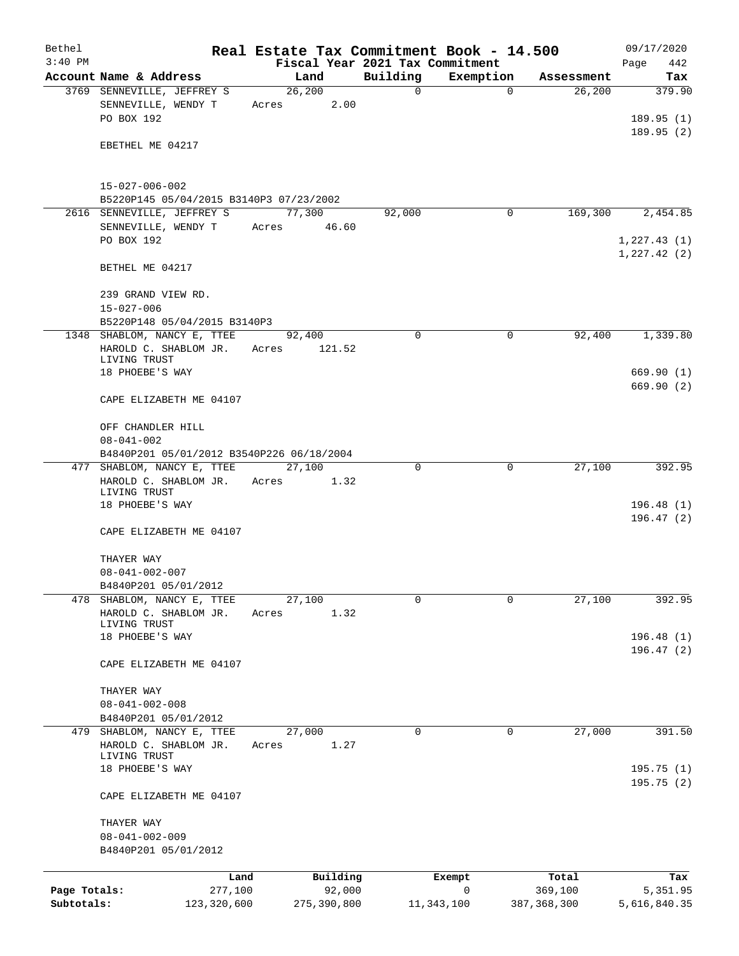| Bethel       |                                                                                    | Real Estate Tax Commitment Book - 14.500 |          |             |                  | 09/17/2020                  |
|--------------|------------------------------------------------------------------------------------|------------------------------------------|----------|-------------|------------------|-----------------------------|
| $3:40$ PM    | Account Name & Address                                                             | Fiscal Year 2021 Tax Commitment<br>Land  | Building | Exemption   | Assessment       | Page<br>442<br>Tax          |
|              | 3769 SENNEVILLE, JEFFREY S                                                         | 26, 200                                  | 0        | $\mathbf 0$ | 26, 200          | 379.90                      |
|              | SENNEVILLE, WENDY T<br>PO BOX 192                                                  | 2.00<br>Acres                            |          |             |                  | 189.95(1)                   |
|              | EBETHEL ME 04217                                                                   |                                          |          |             |                  | 189.95(2)                   |
|              | $15 - 027 - 006 - 002$                                                             |                                          |          |             |                  |                             |
|              | B5220P145 05/04/2015 B3140P3 07/23/2002                                            |                                          |          |             |                  |                             |
|              | 2616 SENNEVILLE, JEFFREY S<br>SENNEVILLE, WENDY T                                  | 77,300<br>46.60<br>Acres                 | 92,000   | 0           | 169,300          | 2,454.85                    |
|              | PO BOX 192                                                                         |                                          |          |             |                  | 1,227.43(1)<br>1, 227.42(2) |
|              | BETHEL ME 04217                                                                    |                                          |          |             |                  |                             |
|              | 239 GRAND VIEW RD.<br>$15 - 027 - 006$                                             |                                          |          |             |                  |                             |
|              | B5220P148 05/04/2015 B3140P3<br>1348 SHABLOM, NANCY E, TTEE                        | 92,400                                   | 0        | $\mathbf 0$ | 92,400           | 1,339.80                    |
|              | HAROLD C. SHABLOM JR.<br>LIVING TRUST                                              | Acres<br>121.52                          |          |             |                  |                             |
|              | 18 PHOEBE'S WAY                                                                    |                                          |          |             |                  | 669.90(1)<br>669.90(2)      |
|              | CAPE ELIZABETH ME 04107                                                            |                                          |          |             |                  |                             |
|              | OFF CHANDLER HILL<br>$08 - 041 - 002$<br>B4840P201 05/01/2012 B3540P226 06/18/2004 |                                          |          |             |                  |                             |
|              | 477 SHABLOM, NANCY E, TTEE                                                         | 27,100                                   | 0        | 0           | 27,100           | 392.95                      |
|              | HAROLD C. SHABLOM JR.<br>LIVING TRUST                                              | Acres<br>1.32                            |          |             |                  |                             |
|              | 18 PHOEBE'S WAY<br>CAPE ELIZABETH ME 04107                                         |                                          |          |             |                  | 196.48(1)<br>196.47(2)      |
|              | THAYER WAY                                                                         |                                          |          |             |                  |                             |
|              | $08 - 041 - 002 - 007$                                                             |                                          |          |             |                  |                             |
|              | B4840P201 05/01/2012                                                               |                                          |          |             |                  |                             |
| 478          | SHABLOM, NANCY E, TTEE<br>HAROLD C. SHABLOM JR.<br>LIVING TRUST                    | 27,100<br>Acres<br>1.32                  | 0        | 0           | 27,100           | 392.95                      |
|              | 18 PHOEBE'S WAY                                                                    |                                          |          |             |                  | 196.48(1)<br>196.47(2)      |
|              | CAPE ELIZABETH ME 04107                                                            |                                          |          |             |                  |                             |
|              | THAYER WAY<br>$08 - 041 - 002 - 008$<br>B4840P201 05/01/2012                       |                                          |          |             |                  |                             |
|              | 479 SHABLOM, NANCY E, TTEE                                                         | 27,000                                   | 0        | 0           | 27,000           | 391.50                      |
|              | HAROLD C. SHABLOM JR.<br>LIVING TRUST                                              | Acres<br>1.27                            |          |             |                  |                             |
|              | 18 PHOEBE'S WAY                                                                    |                                          |          |             |                  | 195.75(1)<br>195.75(2)      |
|              | CAPE ELIZABETH ME 04107<br>THAYER WAY                                              |                                          |          |             |                  |                             |
|              | $08 - 041 - 002 - 009$                                                             |                                          |          |             |                  |                             |
|              | B4840P201 05/01/2012                                                               |                                          |          |             |                  |                             |
| Page Totals: | Land<br>277,100                                                                    | Building<br>92,000                       |          | Exempt<br>0 | Total<br>369,100 | Tax<br>5,351.95             |
| Subtotals:   | 123,320,600                                                                        | 275,390,800                              |          | 11,343,100  | 387, 368, 300    | 5,616,840.35                |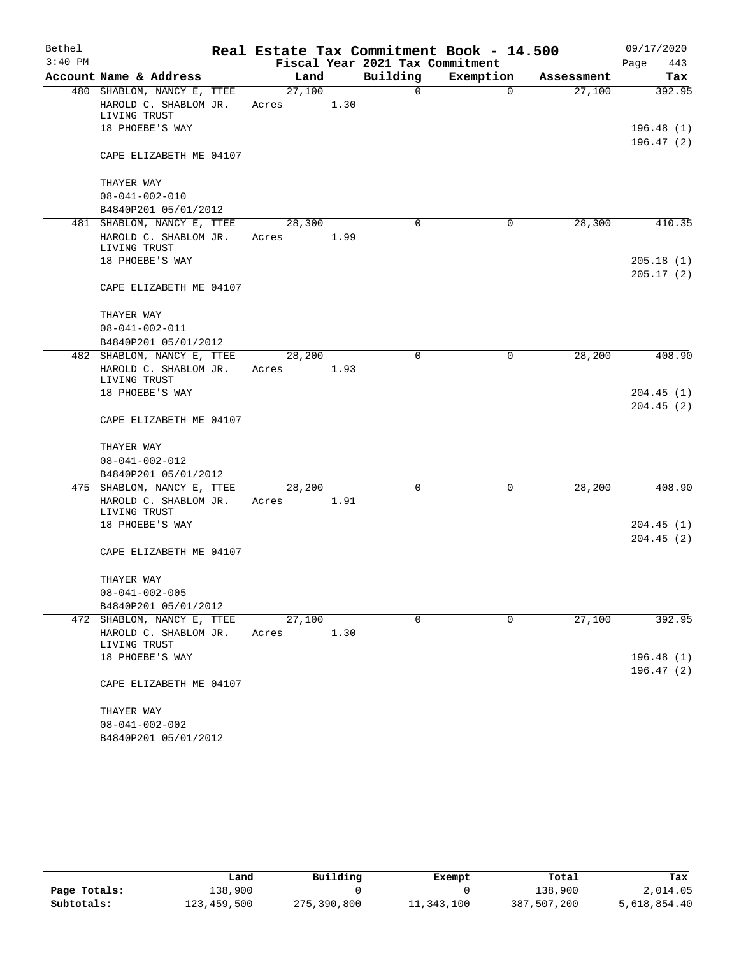| Bethel    |                                                    |        |      |                                 | Real Estate Tax Commitment Book - 14.500 |            | 09/17/2020  |
|-----------|----------------------------------------------------|--------|------|---------------------------------|------------------------------------------|------------|-------------|
| $3:40$ PM |                                                    |        |      | Fiscal Year 2021 Tax Commitment |                                          |            | Page<br>443 |
|           | Account Name & Address                             | Land   |      | Building                        | Exemption                                | Assessment | Tax         |
|           | 480 SHABLOM, NANCY E, TTEE                         | 27,100 |      | $\mathbf 0$                     | $\mathbf 0$                              | 27,100     | 392.95      |
|           | HAROLD C. SHABLOM JR.                              | Acres  | 1.30 |                                 |                                          |            |             |
|           | LIVING TRUST                                       |        |      |                                 |                                          |            |             |
|           | 18 PHOEBE'S WAY                                    |        |      |                                 |                                          |            | 196.48(1)   |
|           | CAPE ELIZABETH ME 04107                            |        |      |                                 |                                          |            | 196.47 (2)  |
|           | THAYER WAY                                         |        |      |                                 |                                          |            |             |
|           | $08 - 041 - 002 - 010$                             |        |      |                                 |                                          |            |             |
|           | B4840P201 05/01/2012                               |        |      |                                 |                                          |            |             |
|           | 481 SHABLOM, NANCY E, TTEE                         | 28,300 |      | 0                               | 0                                        | 28,300     | 410.35      |
|           | HAROLD C. SHABLOM JR.                              | Acres  | 1.99 |                                 |                                          |            |             |
|           | LIVING TRUST                                       |        |      |                                 |                                          |            |             |
|           | 18 PHOEBE'S WAY                                    |        |      |                                 |                                          |            | 205.18(1)   |
|           |                                                    |        |      |                                 |                                          |            | 205.17(2)   |
|           | CAPE ELIZABETH ME 04107                            |        |      |                                 |                                          |            |             |
|           |                                                    |        |      |                                 |                                          |            |             |
|           | THAYER WAY                                         |        |      |                                 |                                          |            |             |
|           | $08 - 041 - 002 - 011$                             |        |      |                                 |                                          |            |             |
|           | B4840P201 05/01/2012<br>482 SHABLOM, NANCY E, TTEE | 28,200 |      | $\Omega$                        | 0                                        | 28,200     | 408.90      |
|           | HAROLD C. SHABLOM JR.                              | Acres  | 1.93 |                                 |                                          |            |             |
|           | LIVING TRUST                                       |        |      |                                 |                                          |            |             |
|           | 18 PHOEBE'S WAY                                    |        |      |                                 |                                          |            | 204.45(1)   |
|           |                                                    |        |      |                                 |                                          |            | 204.45(2)   |
|           | CAPE ELIZABETH ME 04107                            |        |      |                                 |                                          |            |             |
|           | THAYER WAY                                         |        |      |                                 |                                          |            |             |
|           | $08 - 041 - 002 - 012$                             |        |      |                                 |                                          |            |             |
|           | B4840P201 05/01/2012                               |        |      |                                 |                                          |            |             |
|           | 475 SHABLOM, NANCY E, TTEE                         | 28,200 |      | 0                               | 0                                        | 28,200     | 408.90      |
|           | HAROLD C. SHABLOM JR.                              | Acres  | 1.91 |                                 |                                          |            |             |
|           | LIVING TRUST                                       |        |      |                                 |                                          |            |             |
|           | 18 PHOEBE'S WAY                                    |        |      |                                 |                                          |            | 204.45(1)   |
|           |                                                    |        |      |                                 |                                          |            | 204.45(2)   |
|           | CAPE ELIZABETH ME 04107                            |        |      |                                 |                                          |            |             |
|           | THAYER WAY                                         |        |      |                                 |                                          |            |             |
|           | $08 - 041 - 002 - 005$                             |        |      |                                 |                                          |            |             |
|           | B4840P201 05/01/2012                               |        |      |                                 |                                          |            |             |
|           | 472 SHABLOM, NANCY E, TTEE                         | 27,100 |      | 0                               | 0                                        | 27,100     | 392.95      |
|           | HAROLD C. SHABLOM JR.                              | Acres  | 1.30 |                                 |                                          |            |             |
|           | LIVING TRUST                                       |        |      |                                 |                                          |            |             |
|           | 18 PHOEBE'S WAY                                    |        |      |                                 |                                          |            | 196.48(1)   |
|           | CAPE ELIZABETH ME 04107                            |        |      |                                 |                                          |            | 196.47(2)   |
|           |                                                    |        |      |                                 |                                          |            |             |
|           | THAYER WAY                                         |        |      |                                 |                                          |            |             |
|           | $08 - 041 - 002 - 002$                             |        |      |                                 |                                          |            |             |
|           | B4840P201 05/01/2012                               |        |      |                                 |                                          |            |             |

|              | Land        | Building    | Exempt     | Total       | Tax          |
|--------------|-------------|-------------|------------|-------------|--------------|
| Page Totals: | 138,900     |             |            | 138,900     | 2,014.05     |
| Subtotals:   | 123,459,500 | 275,390,800 | 11,343,100 | 387,507,200 | 5,618,854.40 |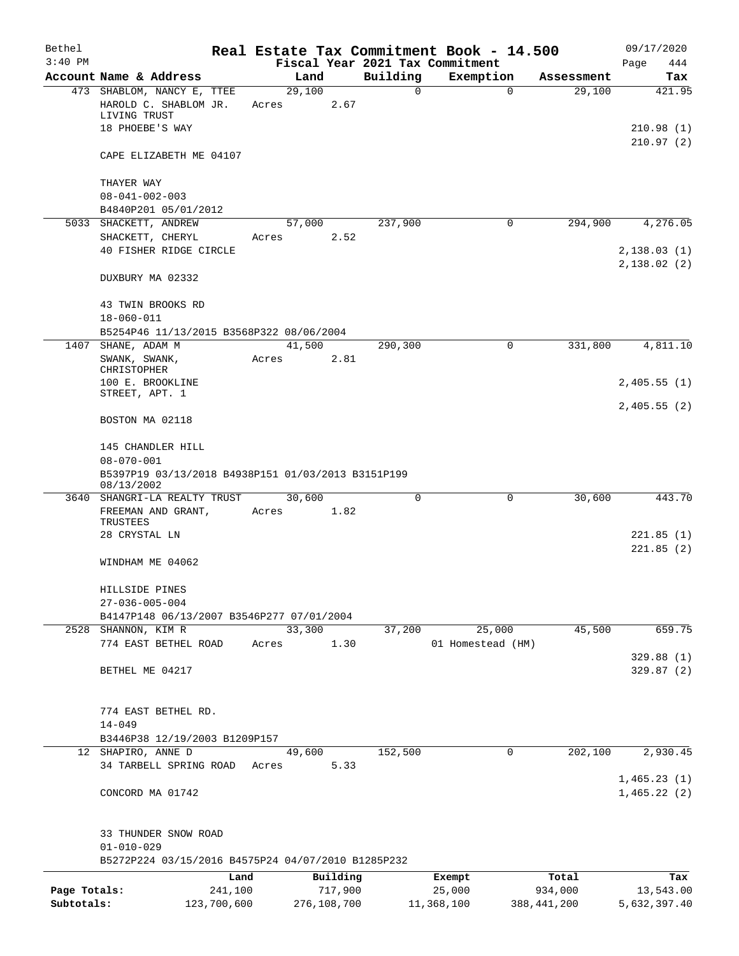| Bethel                     |                                                                  |                        |                 |                        |               | Real Estate Tax Commitment Book - 14.500 |                                     | 09/17/2020                 |
|----------------------------|------------------------------------------------------------------|------------------------|-----------------|------------------------|---------------|------------------------------------------|-------------------------------------|----------------------------|
| $3:40$ PM                  |                                                                  |                        |                 |                        |               | Fiscal Year 2021 Tax Commitment          |                                     | Page<br>444                |
|                            | Account Name & Address<br>473 SHABLOM, NANCY E, TTEE             |                        | 29,100          | Land                   | Building<br>0 | Exemption                                | Assessment<br>$\mathbf 0$<br>29,100 | Tax<br>421.95              |
|                            | HAROLD C. SHABLOM JR.<br>LIVING TRUST                            |                        | Acres           | 2.67                   |               |                                          |                                     |                            |
|                            | 18 PHOEBE'S WAY                                                  |                        |                 |                        |               |                                          |                                     | 210.98 (1)<br>210.97(2)    |
|                            | CAPE ELIZABETH ME 04107                                          |                        |                 |                        |               |                                          |                                     |                            |
|                            | THAYER WAY                                                       |                        |                 |                        |               |                                          |                                     |                            |
|                            | $08 - 041 - 002 - 003$<br>B4840P201 05/01/2012                   |                        |                 |                        |               |                                          |                                     |                            |
|                            | 5033 SHACKETT, ANDREW                                            |                        | 57,000          |                        | 237,900       | $\mathbf 0$                              | 294,900                             | 4,276.05                   |
|                            | SHACKETT, CHERYL                                                 |                        | Acres           | 2.52                   |               |                                          |                                     |                            |
|                            | 40 FISHER RIDGE CIRCLE                                           |                        |                 |                        |               |                                          |                                     | 2,138.03(1)                |
|                            | DUXBURY MA 02332                                                 |                        |                 |                        |               |                                          |                                     | 2,138.02(2)                |
|                            | 43 TWIN BROOKS RD<br>$18 - 060 - 011$                            |                        |                 |                        |               |                                          |                                     |                            |
|                            | B5254P46 11/13/2015 B3568P322 08/06/2004                         |                        |                 |                        |               |                                          |                                     |                            |
| 1407                       | SHANE, ADAM M                                                    |                        | 41,500          |                        | 290,300       | 0                                        | 331,800                             | 4,811.10                   |
|                            | SWANK, SWANK,<br>CHRISTOPHER                                     |                        | Acres           | 2.81                   |               |                                          |                                     |                            |
|                            | 100 E. BROOKLINE<br>STREET, APT. 1                               |                        |                 |                        |               |                                          |                                     | 2,405.55(1)                |
|                            | BOSTON MA 02118                                                  |                        |                 |                        |               |                                          |                                     | 2,405.55(2)                |
|                            | 145 CHANDLER HILL                                                |                        |                 |                        |               |                                          |                                     |                            |
|                            | $08 - 070 - 001$                                                 |                        |                 |                        |               |                                          |                                     |                            |
|                            | B5397P19 03/13/2018 B4938P151 01/03/2013 B3151P199<br>08/13/2002 |                        |                 |                        |               |                                          |                                     |                            |
| 3640                       | SHANGRI-LA REALTY TRUST                                          |                        | 30,600          |                        | $\mathbf 0$   | 0                                        | 30,600                              | 443.70                     |
|                            | FREEMAN AND GRANT,<br>TRUSTEES                                   |                        | Acres           | 1.82                   |               |                                          |                                     |                            |
|                            | 28 CRYSTAL LN                                                    |                        |                 |                        |               |                                          |                                     | 221.85(1)<br>221.85(2)     |
|                            | WINDHAM ME 04062                                                 |                        |                 |                        |               |                                          |                                     |                            |
|                            | HILLSIDE PINES                                                   |                        |                 |                        |               |                                          |                                     |                            |
|                            | $27 - 036 - 005 - 004$                                           |                        |                 |                        |               |                                          |                                     |                            |
|                            | B4147P148 06/13/2007 B3546P277 07/01/2004                        |                        |                 |                        |               |                                          |                                     |                            |
|                            | 2528 SHANNON, KIM R                                              |                        | 33,300          |                        | 37,200        | 25,000                                   | 45,500                              | 659.75                     |
|                            | 774 EAST BETHEL ROAD                                             |                        | Acres           | 1.30                   |               | 01 Homestead (HM)                        |                                     | 329.88(1)                  |
|                            | BETHEL ME 04217                                                  |                        |                 |                        |               |                                          |                                     | 329.87(2)                  |
|                            | 774 EAST BETHEL RD.                                              |                        |                 |                        |               |                                          |                                     |                            |
|                            | $14 - 049$                                                       |                        |                 |                        |               |                                          |                                     |                            |
|                            | B3446P38 12/19/2003 B1209P157                                    |                        |                 |                        |               |                                          |                                     |                            |
|                            | 12 SHAPIRO, ANNE D<br>34 TARBELL SPRING ROAD                     |                        | 49,600<br>Acres | 5.33                   | 152,500       |                                          | $\mathbf 0$<br>202,100              | 2,930.45                   |
|                            | CONCORD MA 01742                                                 |                        |                 |                        |               |                                          |                                     | 1,465.23(1)<br>1,465.22(2) |
|                            | 33 THUNDER SNOW ROAD                                             |                        |                 |                        |               |                                          |                                     |                            |
|                            | $01 - 010 - 029$                                                 |                        |                 |                        |               |                                          |                                     |                            |
|                            | B5272P224 03/15/2016 B4575P24 04/07/2010 B1285P232               |                        |                 |                        |               |                                          |                                     |                            |
|                            |                                                                  | Land                   |                 | Building               |               | Exempt                                   | Total                               | Tax                        |
| Page Totals:<br>Subtotals: |                                                                  | 241,100<br>123,700,600 |                 | 717,900<br>276,108,700 |               | 25,000<br>11,368,100                     | 934,000<br>388, 441, 200            | 13,543.00<br>5,632,397.40  |
|                            |                                                                  |                        |                 |                        |               |                                          |                                     |                            |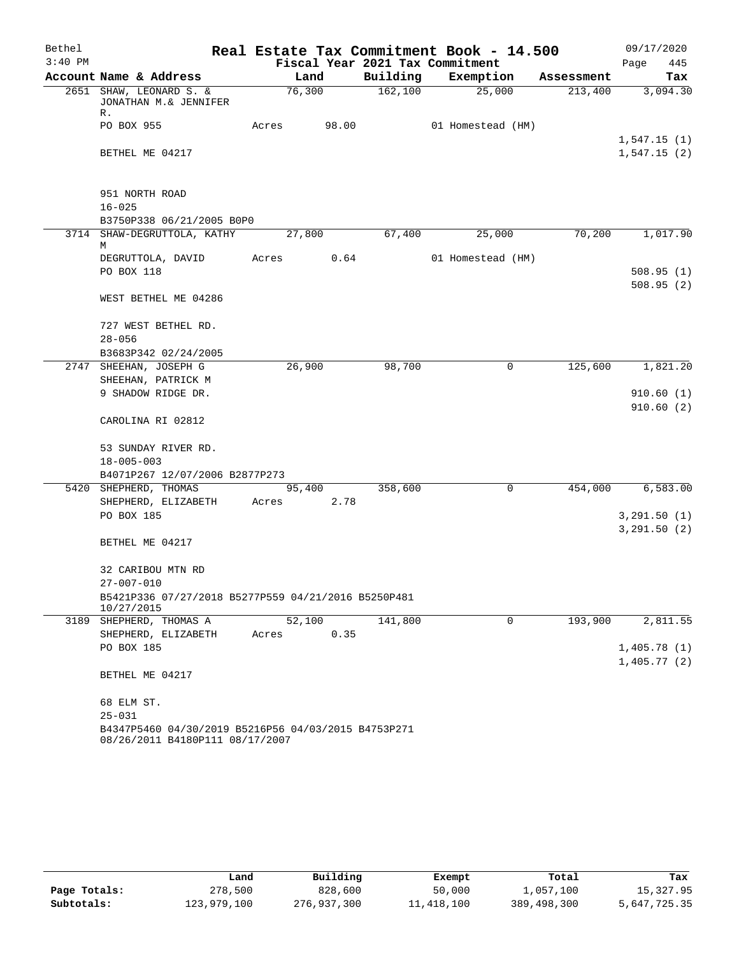| Bethel    |                                                                                        |       |        |       |                                 | Real Estate Tax Commitment Book - 14.500 |            | 09/17/2020                 |
|-----------|----------------------------------------------------------------------------------------|-------|--------|-------|---------------------------------|------------------------------------------|------------|----------------------------|
| $3:40$ PM |                                                                                        |       |        |       | Fiscal Year 2021 Tax Commitment |                                          |            | Page<br>445                |
|           | Account Name & Address                                                                 |       | Land   |       | Building                        | Exemption                                | Assessment | Tax                        |
|           | 2651 SHAW, LEONARD S. &<br>JONATHAN M.& JENNIFER<br>R.                                 |       | 76,300 |       | 162, 100                        | 25,000                                   | 213,400    | 3,094.30                   |
|           | PO BOX 955                                                                             | Acres |        | 98.00 |                                 | 01 Homestead (HM)                        |            |                            |
|           | BETHEL ME 04217                                                                        |       |        |       |                                 |                                          |            | 1,547.15(1)<br>1,547.15(2) |
|           |                                                                                        |       |        |       |                                 |                                          |            |                            |
|           | 951 NORTH ROAD                                                                         |       |        |       |                                 |                                          |            |                            |
|           | $16 - 025$                                                                             |       |        |       |                                 |                                          |            |                            |
|           | B3750P338 06/21/2005 B0P0                                                              |       |        |       |                                 |                                          |            |                            |
|           | 3714 SHAW-DEGRUTTOLA, KATHY<br>М                                                       |       | 27,800 |       | 67,400                          | 25,000                                   | 70,200     | 1,017.90                   |
|           | DEGRUTTOLA, DAVID                                                                      | Acres |        | 0.64  |                                 | 01 Homestead (HM)                        |            |                            |
|           | PO BOX 118                                                                             |       |        |       |                                 |                                          |            | 508.95(1)                  |
|           |                                                                                        |       |        |       |                                 |                                          |            | 508.95(2)                  |
|           | WEST BETHEL ME 04286                                                                   |       |        |       |                                 |                                          |            |                            |
|           | 727 WEST BETHEL RD.                                                                    |       |        |       |                                 |                                          |            |                            |
|           | $28 - 056$                                                                             |       |        |       |                                 |                                          |            |                            |
|           | B3683P342 02/24/2005                                                                   |       |        |       |                                 |                                          |            |                            |
|           | 2747 SHEEHAN, JOSEPH G                                                                 |       | 26,900 |       | 98,700                          | 0                                        | 125,600    | 1,821.20                   |
|           | SHEEHAN, PATRICK M                                                                     |       |        |       |                                 |                                          |            |                            |
|           | 9 SHADOW RIDGE DR.                                                                     |       |        |       |                                 |                                          |            | 910.60(1)                  |
|           | CAROLINA RI 02812                                                                      |       |        |       |                                 |                                          |            | 910.60(2)                  |
|           | 53 SUNDAY RIVER RD.                                                                    |       |        |       |                                 |                                          |            |                            |
|           | $18 - 005 - 003$                                                                       |       |        |       |                                 |                                          |            |                            |
|           | B4071P267 12/07/2006 B2877P273                                                         |       |        |       |                                 |                                          |            |                            |
|           | 5420 SHEPHERD, THOMAS                                                                  |       | 95,400 |       | 358,600                         | 0                                        | 454,000    | 6,583.00                   |
|           | SHEPHERD, ELIZABETH                                                                    | Acres |        | 2.78  |                                 |                                          |            |                            |
|           | PO BOX 185                                                                             |       |        |       |                                 |                                          |            | 3, 291.50 (1)              |
|           |                                                                                        |       |        |       |                                 |                                          |            | 3, 291.50 (2)              |
|           | BETHEL ME 04217                                                                        |       |        |       |                                 |                                          |            |                            |
|           | 32 CARIBOU MTN RD                                                                      |       |        |       |                                 |                                          |            |                            |
|           | $27 - 007 - 010$                                                                       |       |        |       |                                 |                                          |            |                            |
|           | B5421P336 07/27/2018 B5277P559 04/21/2016 B5250P481<br>10/27/2015                      |       |        |       |                                 |                                          |            |                            |
|           | 3189 SHEPHERD, THOMAS A                                                                |       | 52,100 |       | 141,800                         | $\mathbf 0$                              | 193,900    | 2,811.55                   |
|           | SHEPHERD, ELIZABETH                                                                    | Acres |        | 0.35  |                                 |                                          |            |                            |
|           | PO BOX 185                                                                             |       |        |       |                                 |                                          |            | 1,405.78(1)                |
|           | BETHEL ME 04217                                                                        |       |        |       |                                 |                                          |            | 1,405.77(2)                |
|           | 68 ELM ST.                                                                             |       |        |       |                                 |                                          |            |                            |
|           | $25 - 031$                                                                             |       |        |       |                                 |                                          |            |                            |
|           | B4347P5460 04/30/2019 B5216P56 04/03/2015 B4753P271<br>08/26/2011 B4180P111 08/17/2007 |       |        |       |                                 |                                          |            |                            |

|              | Land        | Building    | Exempt     | Total       | Tax          |
|--------------|-------------|-------------|------------|-------------|--------------|
| Page Totals: | 278,500     | 828,600     | 50,000     | 1,057,100   | 15,327.95    |
| Subtotals:   | 123,979,100 | 276,937,300 | 11,418,100 | 389,498,300 | 5,647,725.35 |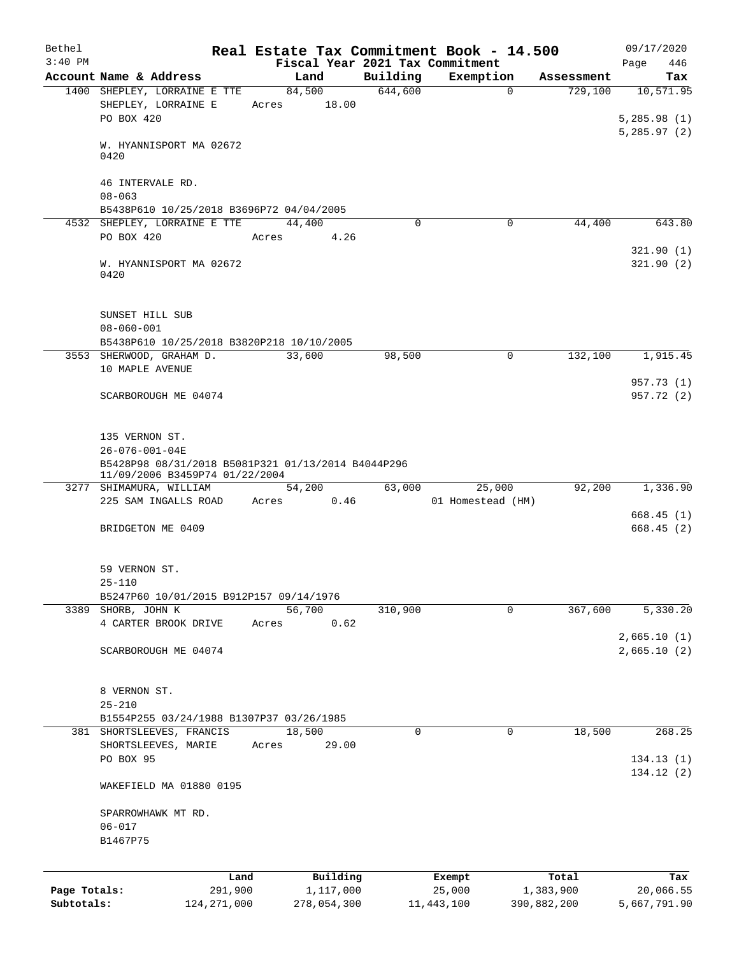| Bethel       |                                                                                      | Real Estate Tax Commitment Book - 14.500 |          |                   |             | 09/17/2020                 |
|--------------|--------------------------------------------------------------------------------------|------------------------------------------|----------|-------------------|-------------|----------------------------|
| $3:40$ PM    |                                                                                      | Fiscal Year 2021 Tax Commitment          |          |                   |             | 446<br>Page                |
|              | Account Name & Address                                                               | Land                                     | Building | Exemption         | Assessment  | Tax                        |
|              | 1400 SHEPLEY, LORRAINE E TTE<br>SHEPLEY, LORRAINE E                                  | 84,500<br>18.00                          | 644,600  | $\mathbf 0$       | 729,100     | 10,571.95                  |
|              | PO BOX 420                                                                           | Acres                                    |          |                   |             | 5,285.98(1)                |
|              | W. HYANNISPORT MA 02672<br>0420                                                      |                                          |          |                   |             | 5,285.97(2)                |
|              | 46 INTERVALE RD.<br>$08 - 063$                                                       |                                          |          |                   |             |                            |
|              | B5438P610 10/25/2018 B3696P72 04/04/2005                                             |                                          |          |                   |             |                            |
|              | 4532 SHEPLEY, LORRAINE E TTE                                                         | 44,400                                   | $\Omega$ | $\mathbf 0$       | 44,400      | 643.80                     |
|              | PO BOX 420                                                                           | 4.26<br>Acres                            |          |                   |             | 321.90(1)                  |
|              | W. HYANNISPORT MA 02672<br>0420                                                      |                                          |          |                   |             | 321.90(2)                  |
|              | SUNSET HILL SUB<br>$08 - 060 - 001$                                                  |                                          |          |                   |             |                            |
|              | B5438P610 10/25/2018 B3820P218 10/10/2005                                            |                                          |          |                   |             |                            |
|              | 3553 SHERWOOD, GRAHAM D.                                                             | 33,600                                   | 98,500   | 0                 | 132,100     | 1,915.45                   |
|              | 10 MAPLE AVENUE                                                                      |                                          |          |                   |             | 957.73 (1)                 |
|              | SCARBOROUGH ME 04074                                                                 |                                          |          |                   |             | 957.72 (2)                 |
|              | 135 VERNON ST.                                                                       |                                          |          |                   |             |                            |
|              | 26-076-001-04E                                                                       |                                          |          |                   |             |                            |
|              | B5428P98 08/31/2018 B5081P321 01/13/2014 B4044P296<br>11/09/2006 B3459P74 01/22/2004 |                                          |          |                   |             |                            |
|              | 3277 SHIMAMURA, WILLIAM                                                              | 54,200                                   | 63,000   | 25,000            | 92,200      | 1,336.90                   |
|              | 225 SAM INGALLS ROAD                                                                 | Acres<br>0.46                            |          | 01 Homestead (HM) |             |                            |
|              | BRIDGETON ME 0409                                                                    |                                          |          |                   |             | 668.45(1)<br>668.45(2)     |
|              |                                                                                      |                                          |          |                   |             |                            |
|              | 59 VERNON ST.<br>$25 - 110$                                                          |                                          |          |                   |             |                            |
|              | B5247P60 10/01/2015 B912P157 09/14/1976                                              |                                          |          |                   |             |                            |
|              | 3389 SHORB, JOHN K                                                                   | 56,700                                   | 310,900  | 0                 | 367,600     | 5,330.20                   |
|              | 4 CARTER BROOK DRIVE                                                                 | 0.62<br>Acres                            |          |                   |             |                            |
|              | SCARBOROUGH ME 04074                                                                 |                                          |          |                   |             | 2,665.10(1)<br>2,665.10(2) |
|              | 8 VERNON ST.                                                                         |                                          |          |                   |             |                            |
|              | $25 - 210$                                                                           |                                          |          |                   |             |                            |
|              | B1554P255 03/24/1988 B1307P37 03/26/1985                                             |                                          |          |                   |             |                            |
|              | 381 SHORTSLEEVES, FRANCIS                                                            | 18,500                                   | 0        | 0                 | 18,500      | 268.25                     |
|              | SHORTSLEEVES, MARIE<br>PO BOX 95                                                     | 29.00<br>Acres                           |          |                   |             | 134.13(1)                  |
|              | WAKEFIELD MA 01880 0195                                                              |                                          |          |                   |             | 134.12(2)                  |
|              | SPARROWHAWK MT RD.                                                                   |                                          |          |                   |             |                            |
|              | $06 - 017$                                                                           |                                          |          |                   |             |                            |
|              | B1467P75                                                                             |                                          |          |                   |             |                            |
|              | Land                                                                                 | Building                                 |          | Exempt            | Total       | Tax                        |
| Page Totals: | 291,900                                                                              | 1,117,000                                |          | 25,000            | 1,383,900   | 20,066.55                  |
| Subtotals:   | 124, 271, 000                                                                        | 278,054,300                              |          | 11, 443, 100      | 390,882,200 | 5,667,791.90               |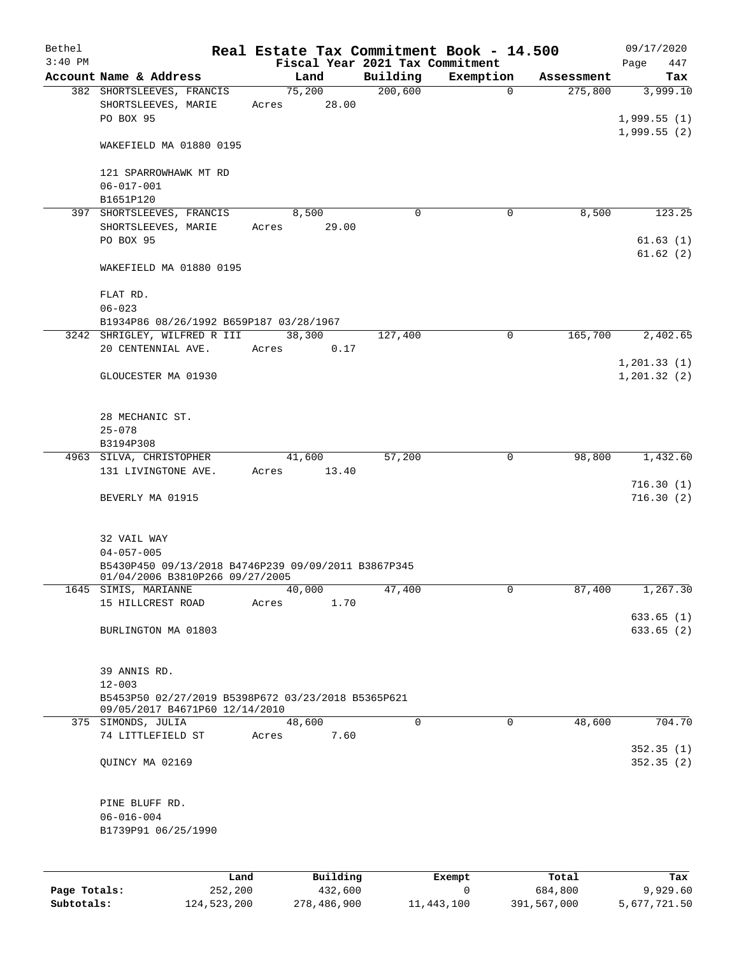| Bethel       |                                                                                                    | Real Estate Tax Commitment Book - 14.500 |                                 |              |            | 09/17/2020              |
|--------------|----------------------------------------------------------------------------------------------------|------------------------------------------|---------------------------------|--------------|------------|-------------------------|
| $3:40$ PM    |                                                                                                    |                                          | Fiscal Year 2021 Tax Commitment |              |            | Page<br>447             |
|              | Account Name & Address                                                                             | Land                                     | Building                        | Exemption    | Assessment | Tax                     |
|              | 382 SHORTSLEEVES, FRANCIS<br>SHORTSLEEVES, MARIE<br>PO BOX 95                                      | 75,200<br>28.00<br>Acres                 | 200,600                         | $\mathbf 0$  | 275,800    | 3,999.10<br>1,999.55(1) |
|              | WAKEFIELD MA 01880 0195                                                                            |                                          |                                 |              |            | 1,999.55(2)             |
|              | 121 SPARROWHAWK MT RD<br>$06 - 017 - 001$                                                          |                                          |                                 |              |            |                         |
|              | B1651P120                                                                                          |                                          |                                 |              |            |                         |
|              | 397 SHORTSLEEVES, FRANCIS<br>SHORTSLEEVES, MARIE                                                   | 8,500<br>29.00<br>Acres                  | $\Omega$                        | $\mathbf 0$  | 8,500      | 123.25                  |
|              | PO BOX 95                                                                                          |                                          |                                 |              |            | 61.63(1)                |
|              |                                                                                                    |                                          |                                 |              |            | 61.62(2)                |
|              | WAKEFIELD MA 01880 0195                                                                            |                                          |                                 |              |            |                         |
|              | FLAT RD.<br>$06 - 023$                                                                             |                                          |                                 |              |            |                         |
|              | B1934P86 08/26/1992 B659P187 03/28/1967                                                            |                                          |                                 |              |            |                         |
|              | 3242 SHRIGLEY, WILFRED R III                                                                       | 38,300                                   | 127,400                         | 0            | 165,700    | 2,402.65                |
|              | 20 CENTENNIAL AVE.                                                                                 | 0.17<br>Acres                            |                                 |              |            |                         |
|              |                                                                                                    |                                          |                                 |              |            | 1,201.33(1)             |
|              | GLOUCESTER MA 01930                                                                                |                                          |                                 |              |            | 1, 201.32(2)            |
|              | 28 MECHANIC ST.                                                                                    |                                          |                                 |              |            |                         |
|              | $25 - 078$                                                                                         |                                          |                                 |              |            |                         |
|              | B3194P308                                                                                          |                                          |                                 |              |            |                         |
|              | 4963 SILVA, CHRISTOPHER                                                                            | 41,600                                   | 57,200                          | $\mathbf 0$  | 98,800     | 1,432.60                |
|              | 131 LIVINGTONE AVE.                                                                                | 13.40<br>Acres                           |                                 |              |            | 716.30(1)               |
|              | BEVERLY MA 01915                                                                                   |                                          |                                 |              |            | 716.30(2)               |
|              | 32 VAIL WAY                                                                                        |                                          |                                 |              |            |                         |
|              | $04 - 057 - 005$                                                                                   |                                          |                                 |              |            |                         |
|              | B5430P450 09/13/2018 B4746P239 09/09/2011 B3867P345<br>01/04/2006 B3810P266 09/27/2005             |                                          |                                 |              |            |                         |
|              | 1645 SIMIS, MARIANNE                                                                               | 40,000                                   | 47,400                          | 0            | 87,400     | 1,267.30                |
|              | 15 HILLCREST ROAD                                                                                  | Acres<br>1.70                            |                                 |              |            |                         |
|              | BURLINGTON MA 01803                                                                                |                                          |                                 |              |            | 633.65(1)               |
|              |                                                                                                    |                                          |                                 |              |            | 633.65(2)               |
|              | 39 ANNIS RD.                                                                                       |                                          |                                 |              |            |                         |
|              | $12 - 003$<br>B5453P50 02/27/2019 B5398P672 03/23/2018 B5365P621<br>09/05/2017 B4671P60 12/14/2010 |                                          |                                 |              |            |                         |
|              | 375 SIMONDS, JULIA                                                                                 | 48,600                                   | $\overline{0}$                  | $\mathbf 0$  | 48,600     | 704.70                  |
|              | 74 LITTLEFIELD ST                                                                                  | 7.60<br>Acres                            |                                 |              |            | 352.35(1)               |
|              | QUINCY MA 02169                                                                                    |                                          |                                 |              |            | 352.35(2)               |
|              | PINE BLUFF RD.                                                                                     |                                          |                                 |              |            |                         |
|              | $06 - 016 - 004$                                                                                   |                                          |                                 |              |            |                         |
|              | B1739P91 06/25/1990                                                                                |                                          |                                 |              |            |                         |
|              |                                                                                                    |                                          |                                 |              |            |                         |
|              |                                                                                                    |                                          |                                 |              |            |                         |
|              | Land                                                                                               | Building                                 |                                 | Exempt       | Total      | Tax                     |
| Page Totals: | 252,200                                                                                            | 432,600                                  |                                 | $\mathsf{O}$ | 684,800    | 9,929.60                |

**Subtotals:** 124,523,200 278,486,900 11,443,100 391,567,000 5,677,721.50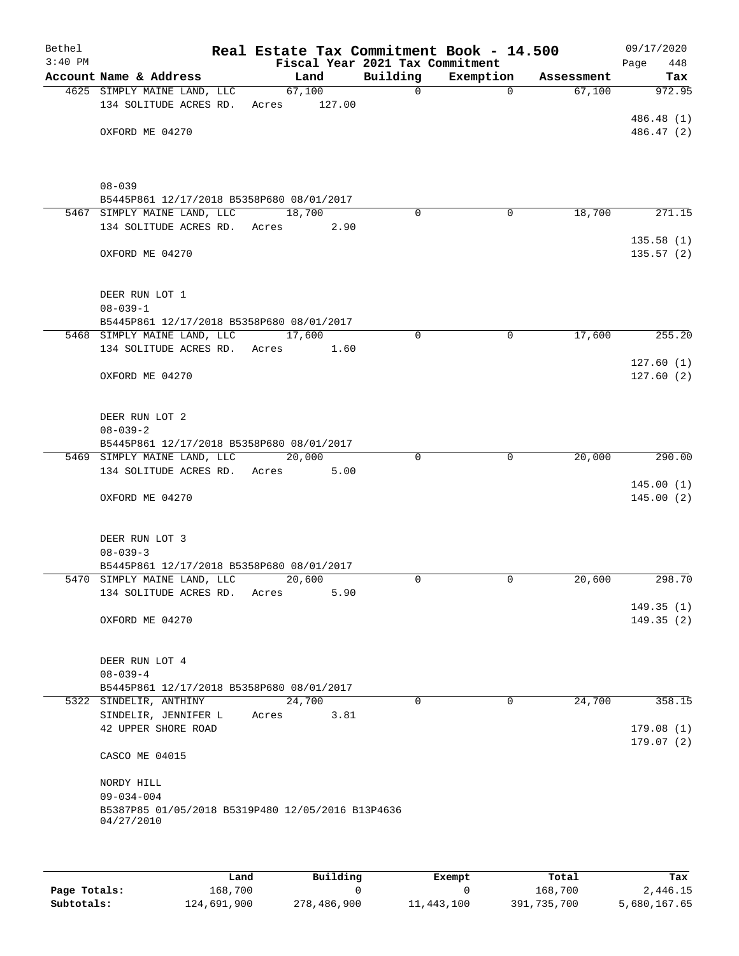| Bethel<br>$3:40$ PM |                                                   | Fiscal Year 2021 Tax Commitment |              | Real Estate Tax Commitment Book - 14.500 |            | 09/17/2020<br>Page<br>448 |
|---------------------|---------------------------------------------------|---------------------------------|--------------|------------------------------------------|------------|---------------------------|
|                     | Account Name & Address                            | Land                            | Building     | Exemption                                | Assessment | Tax                       |
|                     | 4625 SIMPLY MAINE LAND, LLC                       | 67,100                          | $\mathsf{O}$ | $\Omega$                                 | 67,100     | 972.95                    |
|                     | 134 SOLITUDE ACRES RD.                            | 127.00<br>Acres                 |              |                                          |            |                           |
|                     |                                                   |                                 |              |                                          |            | 486.48 (1)                |
|                     | OXFORD ME 04270                                   |                                 |              |                                          |            | 486.47 (2)                |
|                     |                                                   |                                 |              |                                          |            |                           |
|                     |                                                   |                                 |              |                                          |            |                           |
|                     | $08 - 039$                                        |                                 |              |                                          |            |                           |
|                     | B5445P861 12/17/2018 B5358P680 08/01/2017         |                                 |              |                                          |            |                           |
|                     | 5467 SIMPLY MAINE LAND, LLC                       | 18,700                          | $\Omega$     | 0                                        | 18,700     | 271.15                    |
|                     | 134 SOLITUDE ACRES RD. Acres                      | 2.90                            |              |                                          |            |                           |
|                     |                                                   |                                 |              |                                          |            | 135.58(1)                 |
|                     | OXFORD ME 04270                                   |                                 |              |                                          |            | 135.57(2)                 |
|                     |                                                   |                                 |              |                                          |            |                           |
|                     |                                                   |                                 |              |                                          |            |                           |
|                     | DEER RUN LOT 1<br>$08 - 039 - 1$                  |                                 |              |                                          |            |                           |
|                     | B5445P861 12/17/2018 B5358P680 08/01/2017         |                                 |              |                                          |            |                           |
|                     | 5468 SIMPLY MAINE LAND, LLC                       | 17,600                          | 0            | $\mathbf 0$                              | 17,600     | 255.20                    |
|                     | 134 SOLITUDE ACRES RD.<br>Acres                   | 1.60                            |              |                                          |            |                           |
|                     |                                                   |                                 |              |                                          |            | 127.60(1)                 |
|                     | OXFORD ME 04270                                   |                                 |              |                                          |            | 127.60(2)                 |
|                     |                                                   |                                 |              |                                          |            |                           |
|                     |                                                   |                                 |              |                                          |            |                           |
|                     | DEER RUN LOT 2<br>$08 - 039 - 2$                  |                                 |              |                                          |            |                           |
|                     | B5445P861 12/17/2018 B5358P680 08/01/2017         |                                 |              |                                          |            |                           |
|                     | 5469 SIMPLY MAINE LAND, LLC                       | 20,000                          | 0            | 0                                        | 20,000     | 290.00                    |
|                     | 134 SOLITUDE ACRES RD.<br>Acres                   | 5.00                            |              |                                          |            |                           |
|                     |                                                   |                                 |              |                                          |            | 145.00(1)                 |
|                     | OXFORD ME 04270                                   |                                 |              |                                          |            | 145.00(2)                 |
|                     |                                                   |                                 |              |                                          |            |                           |
|                     | DEER RUN LOT 3                                    |                                 |              |                                          |            |                           |
|                     | $08 - 039 - 3$                                    |                                 |              |                                          |            |                           |
|                     | B5445P861 12/17/2018 B5358P680 08/01/2017         |                                 |              |                                          |            |                           |
|                     | 5470 SIMPLY MAINE LAND, LLC                       | 20,600                          | $\Omega$     | 0                                        | 20,600     | 298.70                    |
|                     | 134 SOLITUDE ACRES RD.<br>Acres                   | 5.90                            |              |                                          |            |                           |
|                     |                                                   |                                 |              |                                          |            | 149.35(1)                 |
|                     | OXFORD ME 04270                                   |                                 |              |                                          |            | 149.35(2)                 |
|                     |                                                   |                                 |              |                                          |            |                           |
|                     | DEER RUN LOT 4                                    |                                 |              |                                          |            |                           |
|                     | $08 - 039 - 4$                                    |                                 |              |                                          |            |                           |
|                     | B5445P861 12/17/2018 B5358P680 08/01/2017         |                                 |              |                                          |            |                           |
|                     | 5322 SINDELIR, ANTHINY                            | 24,700                          | $\Omega$     | $\Omega$                                 | 24,700     | 358.15                    |
|                     | SINDELIR, JENNIFER L<br>Acres                     | 3.81                            |              |                                          |            |                           |
|                     | 42 UPPER SHORE ROAD                               |                                 |              |                                          |            | 179.08(1)                 |
|                     |                                                   |                                 |              |                                          |            | 179.07(2)                 |
|                     | CASCO ME 04015                                    |                                 |              |                                          |            |                           |
|                     | NORDY HILL                                        |                                 |              |                                          |            |                           |
|                     | $09 - 034 - 004$                                  |                                 |              |                                          |            |                           |
|                     | B5387P85 01/05/2018 B5319P480 12/05/2016 B13P4636 |                                 |              |                                          |            |                           |
|                     | 04/27/2010                                        |                                 |              |                                          |            |                           |
|                     |                                                   |                                 |              |                                          |            |                           |
|                     |                                                   |                                 |              |                                          |            |                           |

|              | Land        | Building    | Exempt     | Total       | Tax          |
|--------------|-------------|-------------|------------|-------------|--------------|
| Page Totals: | 168,700     |             |            | 168,700     | 2,446.15     |
| Subtotals:   | 124,691,900 | 278,486,900 | 11,443,100 | 391,735,700 | 5,680,167.65 |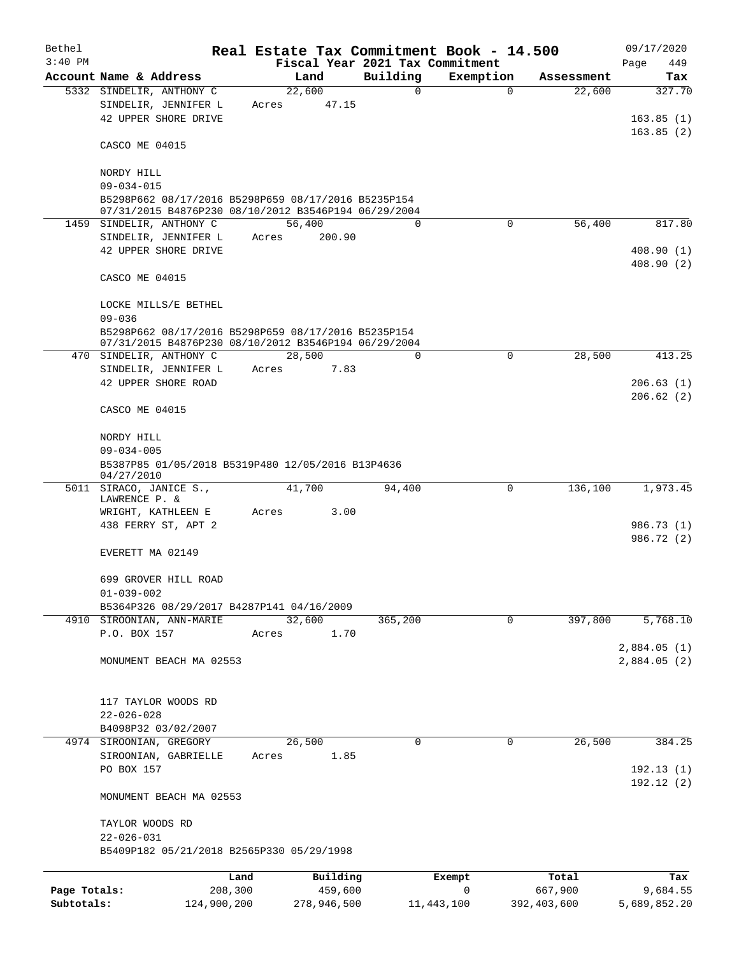| Bethel       |                                                                                                             |         |             |                         | Real Estate Tax Commitment Book - 14.500     |                      | 09/17/2020               |
|--------------|-------------------------------------------------------------------------------------------------------------|---------|-------------|-------------------------|----------------------------------------------|----------------------|--------------------------|
| $3:40$ PM    | Account Name & Address                                                                                      |         | Land        |                         | Fiscal Year 2021 Tax Commitment<br>Exemption |                      | Page<br>449              |
|              | 5332 SINDELIR, ANTHONY C                                                                                    |         | 22,600      | Building<br>$\mathbf 0$ | $\Omega$                                     | Assessment<br>22,600 | Tax<br>327.70            |
|              | SINDELIR, JENNIFER L                                                                                        | Acres   | 47.15       |                         |                                              |                      |                          |
|              | 42 UPPER SHORE DRIVE                                                                                        |         |             |                         |                                              |                      | 163.85(1)                |
|              |                                                                                                             |         |             |                         |                                              |                      | 163.85(2)                |
|              | CASCO ME 04015                                                                                              |         |             |                         |                                              |                      |                          |
|              | NORDY HILL                                                                                                  |         |             |                         |                                              |                      |                          |
|              | $09 - 034 - 015$                                                                                            |         |             |                         |                                              |                      |                          |
|              | B5298P662 08/17/2016 B5298P659 08/17/2016 B5235P154                                                         |         |             |                         |                                              |                      |                          |
|              | 07/31/2015 B4876P230 08/10/2012 B3546P194 06/29/2004                                                        |         |             |                         |                                              |                      |                          |
|              | 1459 SINDELIR, ANTHONY C                                                                                    |         | 56,400      | $\Omega$                | $\Omega$                                     | 56,400               | 817.80                   |
|              | SINDELIR, JENNIFER L<br>42 UPPER SHORE DRIVE                                                                | Acres   | 200.90      |                         |                                              |                      | 408.90(1)                |
|              |                                                                                                             |         |             |                         |                                              |                      | 408.90(2)                |
|              | CASCO ME 04015                                                                                              |         |             |                         |                                              |                      |                          |
|              |                                                                                                             |         |             |                         |                                              |                      |                          |
|              | LOCKE MILLS/E BETHEL                                                                                        |         |             |                         |                                              |                      |                          |
|              | $09 - 036$                                                                                                  |         |             |                         |                                              |                      |                          |
|              | B5298P662 08/17/2016 B5298P659 08/17/2016 B5235P154<br>07/31/2015 B4876P230 08/10/2012 B3546P194 06/29/2004 |         |             |                         |                                              |                      |                          |
|              | 470 SINDELIR, ANTHONY C                                                                                     |         | 28,500      | $\Omega$                | 0                                            | 28,500               | 413.25                   |
|              | SINDELIR, JENNIFER L                                                                                        | Acres   | 7.83        |                         |                                              |                      |                          |
|              | 42 UPPER SHORE ROAD                                                                                         |         |             |                         |                                              |                      | 206.63(1)                |
|              | CASCO ME 04015                                                                                              |         |             |                         |                                              |                      | 206.62(2)                |
|              |                                                                                                             |         |             |                         |                                              |                      |                          |
|              | NORDY HILL                                                                                                  |         |             |                         |                                              |                      |                          |
|              | $09 - 034 - 005$                                                                                            |         |             |                         |                                              |                      |                          |
|              | B5387P85 01/05/2018 B5319P480 12/05/2016 B13P4636<br>04/27/2010                                             |         |             |                         |                                              |                      |                          |
|              | 5011 SIRACO, JANICE S.,                                                                                     |         | 41,700      | 94,400                  | 0                                            | 136,100              | 1,973.45                 |
|              | LAWRENCE P. &                                                                                               |         |             |                         |                                              |                      |                          |
|              | WRIGHT, KATHLEEN E                                                                                          | Acres   | 3.00        |                         |                                              |                      |                          |
|              | 438 FERRY ST, APT 2                                                                                         |         |             |                         |                                              |                      | 986.73 (1)<br>986.72 (2) |
|              | EVERETT MA 02149                                                                                            |         |             |                         |                                              |                      |                          |
|              |                                                                                                             |         |             |                         |                                              |                      |                          |
|              | 699 GROVER HILL ROAD                                                                                        |         |             |                         |                                              |                      |                          |
|              | $01 - 039 - 002$                                                                                            |         |             |                         |                                              |                      |                          |
|              | B5364P326 08/29/2017 B4287P141 04/16/2009<br>4910 SIROONIAN, ANN-MARIE                                      |         | 32,600      | 365,200                 | 0                                            | 397,800              | 5,768.10                 |
|              | P.O. BOX 157                                                                                                | Acres   | 1.70        |                         |                                              |                      |                          |
|              |                                                                                                             |         |             |                         |                                              |                      | 2,884.05(1)              |
|              | MONUMENT BEACH MA 02553                                                                                     |         |             |                         |                                              |                      | 2,884.05(2)              |
|              |                                                                                                             |         |             |                         |                                              |                      |                          |
|              |                                                                                                             |         |             |                         |                                              |                      |                          |
|              | 117 TAYLOR WOODS RD<br>$22 - 026 - 028$                                                                     |         |             |                         |                                              |                      |                          |
|              | B4098P32 03/02/2007                                                                                         |         |             |                         |                                              |                      |                          |
|              | 4974 SIROONIAN, GREGORY                                                                                     |         | 26,500      | 0                       | 0                                            | 26,500               | 384.25                   |
|              | SIROONIAN, GABRIELLE                                                                                        | Acres   | 1.85        |                         |                                              |                      |                          |
|              | PO BOX 157                                                                                                  |         |             |                         |                                              |                      | 192.13(1)                |
|              | MONUMENT BEACH MA 02553                                                                                     |         |             |                         |                                              |                      | 192.12(2)                |
|              |                                                                                                             |         |             |                         |                                              |                      |                          |
|              | TAYLOR WOODS RD                                                                                             |         |             |                         |                                              |                      |                          |
|              | $22 - 026 - 031$                                                                                            |         |             |                         |                                              |                      |                          |
|              | B5409P182 05/21/2018 B2565P330 05/29/1998                                                                   |         |             |                         |                                              |                      |                          |
|              |                                                                                                             | Land    | Building    |                         | Exempt                                       | Total                | Tax                      |
| Page Totals: |                                                                                                             | 208,300 | 459,600     |                         | 0                                            | 667,900              | 9,684.55                 |
| Subtotals:   | 124,900,200                                                                                                 |         | 278,946,500 |                         | 11,443,100                                   | 392,403,600          | 5,689,852.20             |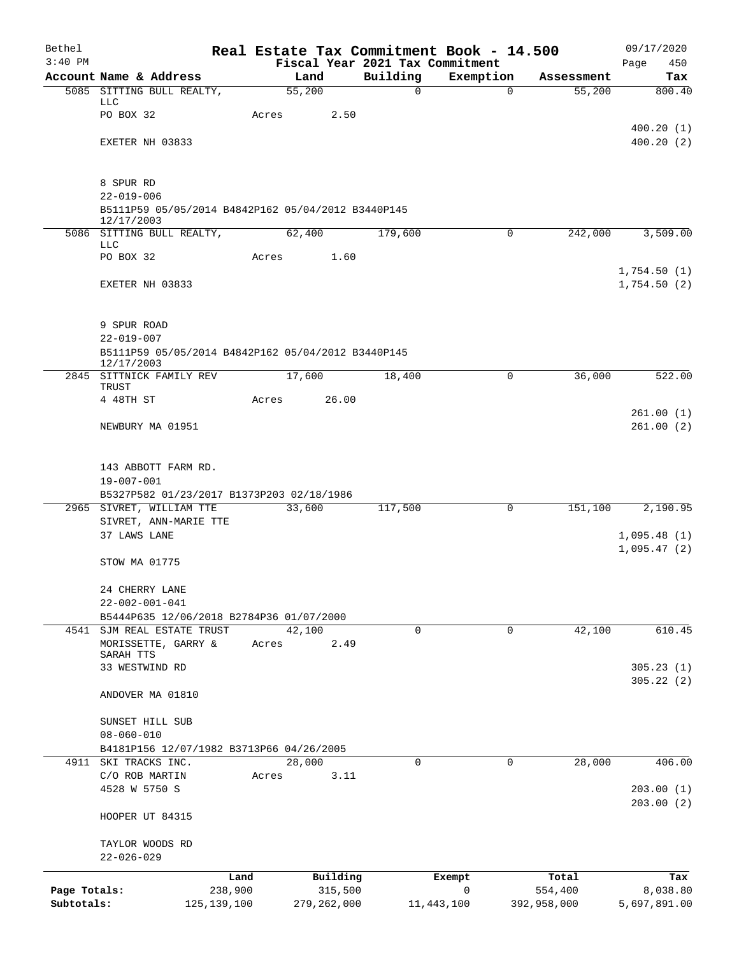| Bethel       |                                                                  |               |       |                |                         | Real Estate Tax Commitment Book - 14.500 |                                  | 09/17/2020             |
|--------------|------------------------------------------------------------------|---------------|-------|----------------|-------------------------|------------------------------------------|----------------------------------|------------------------|
| $3:40$ PM    |                                                                  |               |       |                |                         | Fiscal Year 2021 Tax Commitment          |                                  | 450<br>Page            |
|              | Account Name & Address<br>5085 SITTING BULL REALTY,              |               |       | Land<br>55,200 | Building<br>$\mathbf 0$ | Exemption                                | Assessment<br>55,200<br>$\Omega$ | Tax<br>800.40          |
|              | LLC                                                              |               |       |                |                         |                                          |                                  |                        |
|              | PO BOX 32                                                        |               | Acres | 2.50           |                         |                                          |                                  |                        |
|              |                                                                  |               |       |                |                         |                                          |                                  | 400.20(1)              |
|              | EXETER NH 03833                                                  |               |       |                |                         |                                          |                                  | 400.20(2)              |
|              | 8 SPUR RD                                                        |               |       |                |                         |                                          |                                  |                        |
|              | $22 - 019 - 006$                                                 |               |       |                |                         |                                          |                                  |                        |
|              | B5111P59 05/05/2014 B4842P162 05/04/2012 B3440P145<br>12/17/2003 |               |       |                |                         |                                          |                                  |                        |
|              | 5086 SITTING BULL REALTY,                                        |               |       | 62,400         | 179,600                 |                                          | 0<br>242,000                     | 3,509.00               |
|              | LLC<br>PO BOX 32                                                 |               | Acres | 1.60           |                         |                                          |                                  |                        |
|              |                                                                  |               |       |                |                         |                                          |                                  | 1,754.50(1)            |
|              | EXETER NH 03833                                                  |               |       |                |                         |                                          |                                  | 1,754.50(2)            |
|              | 9 SPUR ROAD                                                      |               |       |                |                         |                                          |                                  |                        |
|              | $22 - 019 - 007$                                                 |               |       |                |                         |                                          |                                  |                        |
|              | B5111P59 05/05/2014 B4842P162 05/04/2012 B3440P145<br>12/17/2003 |               |       |                |                         |                                          |                                  |                        |
|              | 2845 SITTNICK FAMILY REV                                         |               |       | 17,600         | 18,400                  |                                          | 0<br>36,000                      | 522.00                 |
|              | TRUST<br>4 48TH ST                                               |               | Acres | 26.00          |                         |                                          |                                  |                        |
|              |                                                                  |               |       |                |                         |                                          |                                  | 261.00(1)              |
|              | NEWBURY MA 01951                                                 |               |       |                |                         |                                          |                                  | 261.00(2)              |
|              |                                                                  |               |       |                |                         |                                          |                                  |                        |
|              | 143 ABBOTT FARM RD.                                              |               |       |                |                         |                                          |                                  |                        |
|              | $19 - 007 - 001$                                                 |               |       |                |                         |                                          |                                  |                        |
|              | B5327P582 01/23/2017 B1373P203 02/18/1986                        |               |       |                |                         |                                          |                                  |                        |
|              | 2965 SIVRET, WILLIAM TTE                                         |               |       | 33,600         | 117,500                 |                                          | 0<br>151,100                     | 2,190.95               |
|              | SIVRET, ANN-MARIE TTE                                            |               |       |                |                         |                                          |                                  |                        |
|              | 37 LAWS LANE                                                     |               |       |                |                         |                                          |                                  | 1,095.48(1)            |
|              | STOW MA 01775                                                    |               |       |                |                         |                                          |                                  | 1,095.47(2)            |
|              | 24 CHERRY LANE                                                   |               |       |                |                         |                                          |                                  |                        |
|              | $22 - 002 - 001 - 041$                                           |               |       |                |                         |                                          |                                  |                        |
|              | B5444P635 12/06/2018 B2784P36 01/07/2000                         |               |       |                |                         |                                          |                                  |                        |
|              | 4541 SJM REAL ESTATE TRUST                                       |               |       | 42,100         | $\mathbf 0$             |                                          | 42,100<br>$\mathbf 0$            | 610.45                 |
|              | MORISSETTE, GARRY &                                              |               | Acres | 2.49           |                         |                                          |                                  |                        |
|              | SARAH TTS<br>33 WESTWIND RD                                      |               |       |                |                         |                                          |                                  | 305.23(1)              |
|              |                                                                  |               |       |                |                         |                                          |                                  | 305.22(2)              |
|              | ANDOVER MA 01810                                                 |               |       |                |                         |                                          |                                  |                        |
|              | SUNSET HILL SUB                                                  |               |       |                |                         |                                          |                                  |                        |
|              | $08 - 060 - 010$                                                 |               |       |                |                         |                                          |                                  |                        |
|              | B4181P156 12/07/1982 B3713P66 04/26/2005                         |               |       |                |                         |                                          |                                  |                        |
| 4911         | SKI TRACKS INC.                                                  |               |       | 28,000         | 0                       |                                          | 28,000<br>0                      | 406.00                 |
|              | C/O ROB MARTIN                                                   |               | Acres | 3.11           |                         |                                          |                                  |                        |
|              | 4528 W 5750 S                                                    |               |       |                |                         |                                          |                                  | 203.00(1)<br>203.00(2) |
|              | HOOPER UT 84315                                                  |               |       |                |                         |                                          |                                  |                        |
|              | TAYLOR WOODS RD                                                  |               |       |                |                         |                                          |                                  |                        |
|              | $22 - 026 - 029$                                                 |               |       |                |                         |                                          |                                  |                        |
|              |                                                                  | Land          |       | Building       |                         | Exempt                                   | Total                            | Tax                    |
| Page Totals: |                                                                  | 238,900       |       | 315,500        |                         | 0                                        | 554,400                          | 8,038.80               |
| Subtotals:   |                                                                  | 125, 139, 100 |       | 279, 262, 000  |                         | 11, 443, 100                             | 392,958,000                      | 5,697,891.00           |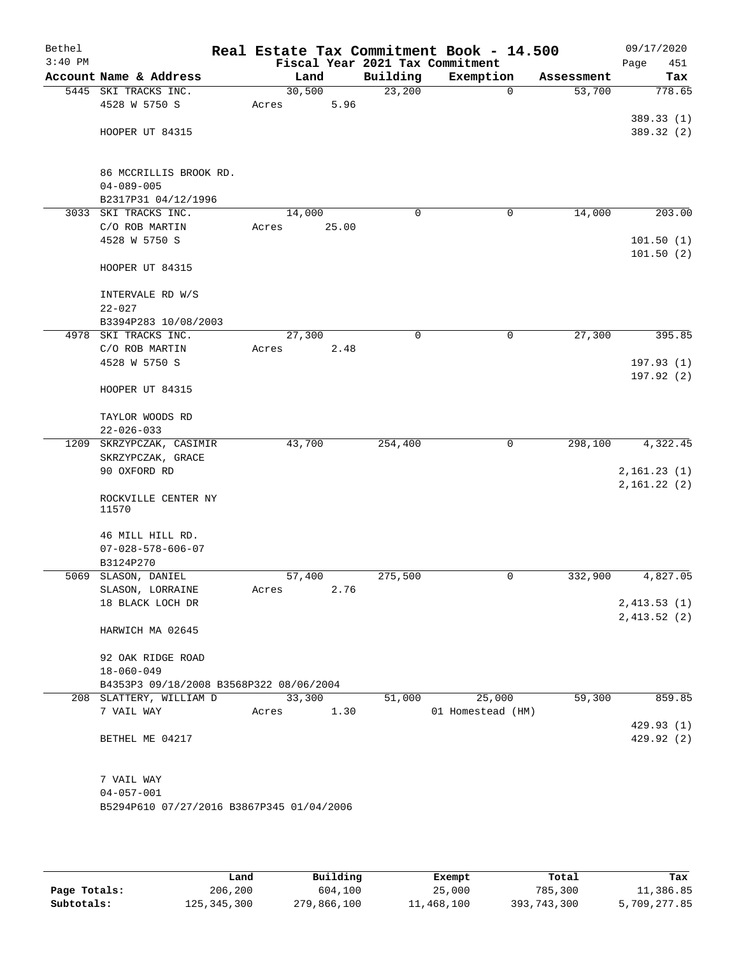| Fiscal Year 2021 Tax Commitment<br>Account Name & Address<br>Building<br>Exemption<br>Land<br>Assessment<br>30,500<br>5445 SKI TRACKS INC.<br>23,200<br>53,700<br>$\mathbf 0$<br>4528 W 5750 S<br>5.96<br>Acres<br>HOOPER UT 84315<br>86 MCCRILLIS BROOK RD.<br>$04 - 089 - 005$<br>B2317P31 04/12/1996<br>SKI TRACKS INC.<br>14,000<br>3033<br>14,000<br>0<br>0<br>C/O ROB MARTIN<br>25.00<br>Acres<br>4528 W 5750 S<br>HOOPER UT 84315<br>INTERVALE RD W/S<br>$22 - 027$ | 451<br>Page<br>Tax<br>778.65                                 |
|----------------------------------------------------------------------------------------------------------------------------------------------------------------------------------------------------------------------------------------------------------------------------------------------------------------------------------------------------------------------------------------------------------------------------------------------------------------------------|--------------------------------------------------------------|
|                                                                                                                                                                                                                                                                                                                                                                                                                                                                            |                                                              |
|                                                                                                                                                                                                                                                                                                                                                                                                                                                                            |                                                              |
|                                                                                                                                                                                                                                                                                                                                                                                                                                                                            | 389.33 (1)<br>389.32 (2)<br>203.00<br>101.50(1)<br>101.50(2) |
|                                                                                                                                                                                                                                                                                                                                                                                                                                                                            |                                                              |
|                                                                                                                                                                                                                                                                                                                                                                                                                                                                            |                                                              |
|                                                                                                                                                                                                                                                                                                                                                                                                                                                                            |                                                              |
|                                                                                                                                                                                                                                                                                                                                                                                                                                                                            |                                                              |
|                                                                                                                                                                                                                                                                                                                                                                                                                                                                            |                                                              |
|                                                                                                                                                                                                                                                                                                                                                                                                                                                                            |                                                              |
|                                                                                                                                                                                                                                                                                                                                                                                                                                                                            |                                                              |
|                                                                                                                                                                                                                                                                                                                                                                                                                                                                            |                                                              |
|                                                                                                                                                                                                                                                                                                                                                                                                                                                                            |                                                              |
|                                                                                                                                                                                                                                                                                                                                                                                                                                                                            |                                                              |
|                                                                                                                                                                                                                                                                                                                                                                                                                                                                            |                                                              |
|                                                                                                                                                                                                                                                                                                                                                                                                                                                                            |                                                              |
|                                                                                                                                                                                                                                                                                                                                                                                                                                                                            |                                                              |
|                                                                                                                                                                                                                                                                                                                                                                                                                                                                            |                                                              |
| B3394P283 10/08/2003                                                                                                                                                                                                                                                                                                                                                                                                                                                       |                                                              |
| 4978 SKI TRACKS INC.<br>27,300<br>0<br>27,300<br>0                                                                                                                                                                                                                                                                                                                                                                                                                         | 395.85                                                       |
| C/O ROB MARTIN<br>Acres<br>2.48                                                                                                                                                                                                                                                                                                                                                                                                                                            |                                                              |
| 4528 W 5750 S                                                                                                                                                                                                                                                                                                                                                                                                                                                              | 197.93(1)                                                    |
|                                                                                                                                                                                                                                                                                                                                                                                                                                                                            | 197.92(2)                                                    |
| HOOPER UT 84315                                                                                                                                                                                                                                                                                                                                                                                                                                                            |                                                              |
| TAYLOR WOODS RD                                                                                                                                                                                                                                                                                                                                                                                                                                                            |                                                              |
| $22 - 026 - 033$                                                                                                                                                                                                                                                                                                                                                                                                                                                           |                                                              |
| 43,700<br>254,400<br>298,100<br>1209 SKRZYPCZAK, CASIMIR<br>0                                                                                                                                                                                                                                                                                                                                                                                                              | 4,322.45                                                     |
| SKRZYPCZAK, GRACE                                                                                                                                                                                                                                                                                                                                                                                                                                                          |                                                              |
| 90 OXFORD RD                                                                                                                                                                                                                                                                                                                                                                                                                                                               | 2,161.23(1)                                                  |
|                                                                                                                                                                                                                                                                                                                                                                                                                                                                            | 2,161.22(2)                                                  |
| ROCKVILLE CENTER NY                                                                                                                                                                                                                                                                                                                                                                                                                                                        |                                                              |
| 11570                                                                                                                                                                                                                                                                                                                                                                                                                                                                      |                                                              |
|                                                                                                                                                                                                                                                                                                                                                                                                                                                                            |                                                              |
| 46 MILL HILL RD.<br>$07 - 028 - 578 - 606 - 07$                                                                                                                                                                                                                                                                                                                                                                                                                            |                                                              |
| B3124P270                                                                                                                                                                                                                                                                                                                                                                                                                                                                  |                                                              |
| 5069 SLASON, DANIEL<br>57,400<br>275,500<br>332,900<br>0                                                                                                                                                                                                                                                                                                                                                                                                                   | 4,827.05                                                     |
| SLASON, LORRAINE<br>Acres<br>2.76                                                                                                                                                                                                                                                                                                                                                                                                                                          |                                                              |
| 18 BLACK LOCH DR                                                                                                                                                                                                                                                                                                                                                                                                                                                           | 2,413.53(1)                                                  |
|                                                                                                                                                                                                                                                                                                                                                                                                                                                                            | 2,413.52(2)                                                  |
| HARWICH MA 02645                                                                                                                                                                                                                                                                                                                                                                                                                                                           |                                                              |
|                                                                                                                                                                                                                                                                                                                                                                                                                                                                            |                                                              |
| 92 OAK RIDGE ROAD                                                                                                                                                                                                                                                                                                                                                                                                                                                          |                                                              |
| $18 - 060 - 049$<br>B4353P3 09/18/2008 B3568P322 08/06/2004                                                                                                                                                                                                                                                                                                                                                                                                                |                                                              |
| 33,300<br>25,000<br>59,300<br>208 SLATTERY, WILLIAM D<br>51,000                                                                                                                                                                                                                                                                                                                                                                                                            | 859.85                                                       |
| 7 VAIL WAY<br>1.30<br>01 Homestead (HM)<br>Acres                                                                                                                                                                                                                                                                                                                                                                                                                           |                                                              |
|                                                                                                                                                                                                                                                                                                                                                                                                                                                                            | 429.93 (1)                                                   |
| BETHEL ME 04217                                                                                                                                                                                                                                                                                                                                                                                                                                                            | 429.92 (2)                                                   |
|                                                                                                                                                                                                                                                                                                                                                                                                                                                                            |                                                              |
|                                                                                                                                                                                                                                                                                                                                                                                                                                                                            |                                                              |
| 7 VAIL WAY<br>$04 - 057 - 001$                                                                                                                                                                                                                                                                                                                                                                                                                                             |                                                              |
| B5294P610 07/27/2016 B3867P345 01/04/2006                                                                                                                                                                                                                                                                                                                                                                                                                                  |                                                              |
|                                                                                                                                                                                                                                                                                                                                                                                                                                                                            |                                                              |

|              | Land        | Building    |            |             |              |
|--------------|-------------|-------------|------------|-------------|--------------|
|              |             |             | Exempt     | Total       | Tax          |
| Page Totals: | 206,200     | 604,100     | 25,000     | 785,300     | 11,386.85    |
| Subtotals:   | 125,345,300 | 279,866,100 | 11,468,100 | 393,743,300 | 5,709,277.85 |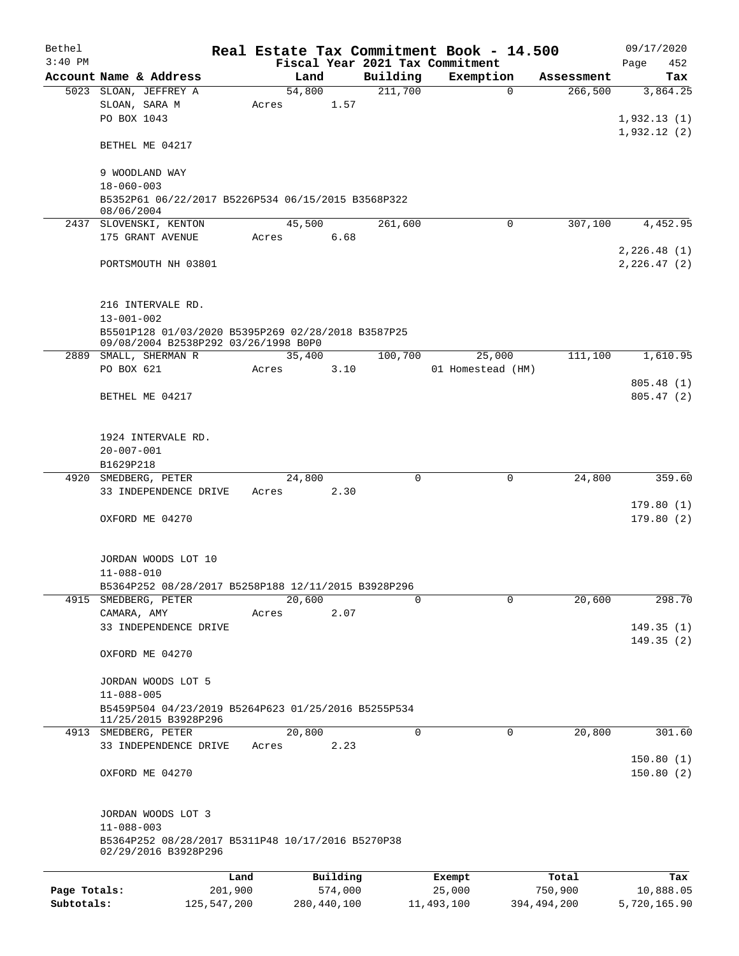| Bethel       |                                                     |                 |               |                     | Real Estate Tax Commitment Book - 14.500 |             |                       | 09/17/2020      |
|--------------|-----------------------------------------------------|-----------------|---------------|---------------------|------------------------------------------|-------------|-----------------------|-----------------|
| $3:40$ PM    |                                                     |                 |               |                     | Fiscal Year 2021 Tax Commitment          |             |                       | Page<br>452     |
|              | Account Name & Address<br>5023 SLOAN, JEFFREY A     | Land<br>54,800  |               | Building<br>211,700 | Exemption                                | $\Omega$    | Assessment<br>266,500 | Tax<br>3,864.25 |
|              | SLOAN, SARA M                                       | Acres           | 1.57          |                     |                                          |             |                       |                 |
|              | PO BOX 1043                                         |                 |               |                     |                                          |             |                       | 1,932.13(1)     |
|              |                                                     |                 |               |                     |                                          |             |                       | 1,932.12(2)     |
|              | BETHEL ME 04217                                     |                 |               |                     |                                          |             |                       |                 |
|              |                                                     |                 |               |                     |                                          |             |                       |                 |
|              | 9 WOODLAND WAY<br>$18 - 060 - 003$                  |                 |               |                     |                                          |             |                       |                 |
|              | B5352P61 06/22/2017 B5226P534 06/15/2015 B3568P322  |                 |               |                     |                                          |             |                       |                 |
|              | 08/06/2004                                          | 45,500          |               |                     |                                          | $\Omega$    | 307,100               |                 |
|              | 2437 SLOVENSKI, KENTON<br>175 GRANT AVENUE          | Acres           | 6.68          | 261,600             |                                          |             |                       | 4,452.95        |
|              |                                                     |                 |               |                     |                                          |             |                       | 2,226.48(1)     |
|              | PORTSMOUTH NH 03801                                 |                 |               |                     |                                          |             |                       | 2, 226.47(2)    |
|              |                                                     |                 |               |                     |                                          |             |                       |                 |
|              |                                                     |                 |               |                     |                                          |             |                       |                 |
|              | 216 INTERVALE RD.<br>$13 - 001 - 002$               |                 |               |                     |                                          |             |                       |                 |
|              | B5501P128 01/03/2020 B5395P269 02/28/2018 B3587P25  |                 |               |                     |                                          |             |                       |                 |
|              | 09/08/2004 B2538P292 03/26/1998 B0P0                |                 |               |                     |                                          |             |                       |                 |
|              | 2889 SMALL, SHERMAN R<br>PO BOX 621                 | 35,400<br>Acres | 3.10          | 100,700             | 25,000<br>01 Homestead (HM)              |             | 111,100               | 1,610.95        |
|              |                                                     |                 |               |                     |                                          |             |                       | 805.48 (1)      |
|              | BETHEL ME 04217                                     |                 |               |                     |                                          |             |                       | 805.47(2)       |
|              |                                                     |                 |               |                     |                                          |             |                       |                 |
|              |                                                     |                 |               |                     |                                          |             |                       |                 |
|              | 1924 INTERVALE RD.                                  |                 |               |                     |                                          |             |                       |                 |
|              | $20 - 007 - 001$<br>B1629P218                       |                 |               |                     |                                          |             |                       |                 |
|              | 4920 SMEDBERG, PETER                                | 24,800          |               | $\mathbf 0$         |                                          | 0           | 24,800                | 359.60          |
|              | 33 INDEPENDENCE DRIVE                               | Acres           | 2.30          |                     |                                          |             |                       |                 |
|              |                                                     |                 |               |                     |                                          |             |                       | 179.80(1)       |
|              | OXFORD ME 04270                                     |                 |               |                     |                                          |             |                       | 179.80(2)       |
|              |                                                     |                 |               |                     |                                          |             |                       |                 |
|              | JORDAN WOODS LOT 10                                 |                 |               |                     |                                          |             |                       |                 |
|              | $11 - 088 - 010$                                    |                 |               |                     |                                          |             |                       |                 |
|              | B5364P252 08/28/2017 B5258P188 12/11/2015 B3928P296 |                 |               |                     |                                          |             |                       |                 |
|              | 4915 SMEDBERG, PETER<br>CAMARA, AMY                 | 20,600<br>Acres | 2.07          | 0                   |                                          | $\Omega$    | 20,600                | 298.70          |
|              | 33 INDEPENDENCE DRIVE                               |                 |               |                     |                                          |             |                       | 149.35(1)       |
|              |                                                     |                 |               |                     |                                          |             |                       | 149.35(2)       |
|              | OXFORD ME 04270                                     |                 |               |                     |                                          |             |                       |                 |
|              | JORDAN WOODS LOT 5                                  |                 |               |                     |                                          |             |                       |                 |
|              | $11 - 088 - 005$                                    |                 |               |                     |                                          |             |                       |                 |
|              | B5459P504 04/23/2019 B5264P623 01/25/2016 B5255P534 |                 |               |                     |                                          |             |                       |                 |
|              | 11/25/2015 B3928P296                                |                 |               |                     |                                          |             |                       |                 |
|              | 4913 SMEDBERG, PETER<br>33 INDEPENDENCE DRIVE       | 20,800<br>Acres | 2.23          | 0                   |                                          | 0           | 20,800                | 301.60          |
|              |                                                     |                 |               |                     |                                          |             |                       | 150.80(1)       |
|              | OXFORD ME 04270                                     |                 |               |                     |                                          |             |                       | 150.80(2)       |
|              |                                                     |                 |               |                     |                                          |             |                       |                 |
|              |                                                     |                 |               |                     |                                          |             |                       |                 |
|              | JORDAN WOODS LOT 3<br>$11 - 088 - 003$              |                 |               |                     |                                          |             |                       |                 |
|              | B5364P252 08/28/2017 B5311P48 10/17/2016 B5270P38   |                 |               |                     |                                          |             |                       |                 |
|              | 02/29/2016 B3928P296                                |                 |               |                     |                                          |             |                       |                 |
|              |                                                     | Land            | Building      |                     | Exempt                                   | Total       |                       | Tax             |
| Page Totals: | 201,900                                             |                 | 574,000       |                     | 25,000                                   | 750,900     |                       | 10,888.05       |
| Subtotals:   | 125, 547, 200                                       |                 | 280, 440, 100 |                     | 11,493,100                               | 394,494,200 |                       | 5,720,165.90    |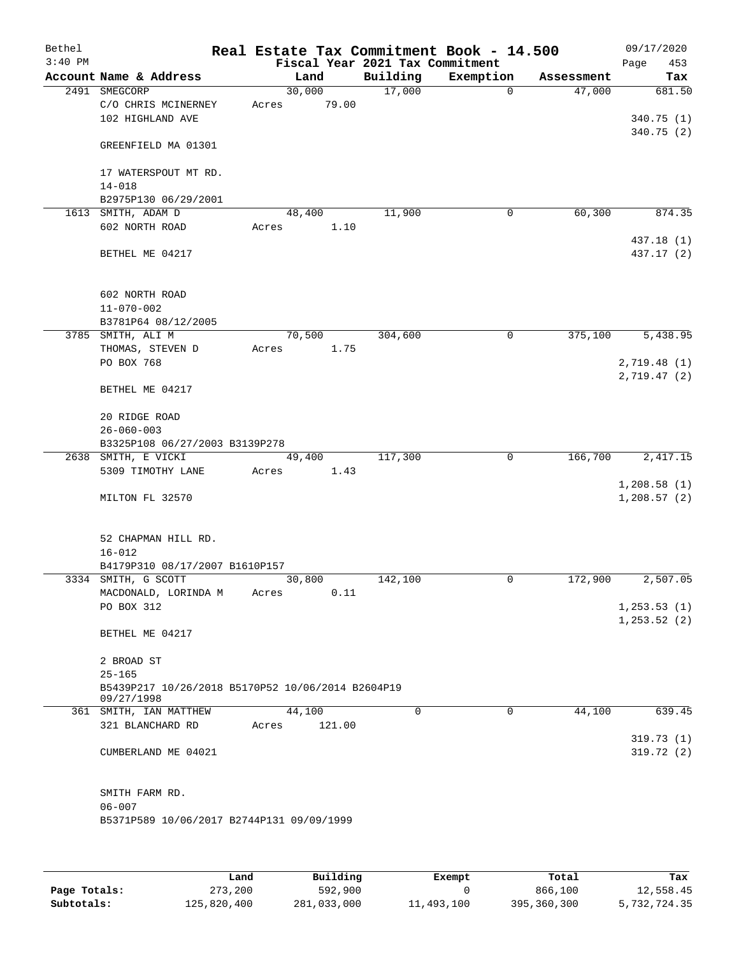| Bethel    |                                                   | Real Estate Tax Commitment Book - 14.500 |                                 |             |            | 09/17/2020                   |
|-----------|---------------------------------------------------|------------------------------------------|---------------------------------|-------------|------------|------------------------------|
| $3:40$ PM |                                                   |                                          | Fiscal Year 2021 Tax Commitment |             |            | Page<br>453                  |
|           | Account Name & Address                            | Land                                     | Building                        | Exemption   | Assessment | Tax                          |
|           | 2491 SMEGCORP                                     | 30,000                                   | 17,000                          | $\mathbf 0$ | 47,000     | 681.50                       |
|           | C/O CHRIS MCINERNEY                               | 79.00<br>Acres                           |                                 |             |            |                              |
|           | 102 HIGHLAND AVE                                  |                                          |                                 |             |            | 340.75 (1)<br>340.75(2)      |
|           | GREENFIELD MA 01301                               |                                          |                                 |             |            |                              |
|           |                                                   |                                          |                                 |             |            |                              |
|           | 17 WATERSPOUT MT RD.                              |                                          |                                 |             |            |                              |
|           | $14 - 018$                                        |                                          |                                 |             |            |                              |
|           | B2975P130 06/29/2001                              |                                          |                                 |             |            |                              |
|           | 1613 SMITH, ADAM D                                | 48,400                                   | 11,900                          | 0           | 60,300     | 874.35                       |
|           | 602 NORTH ROAD                                    | Acres<br>1.10                            |                                 |             |            |                              |
|           |                                                   |                                          |                                 |             |            | 437.18 (1)                   |
|           | BETHEL ME 04217                                   |                                          |                                 |             |            | 437.17 (2)                   |
|           |                                                   |                                          |                                 |             |            |                              |
|           |                                                   |                                          |                                 |             |            |                              |
|           | 602 NORTH ROAD                                    |                                          |                                 |             |            |                              |
|           | $11 - 070 - 002$                                  |                                          |                                 |             |            |                              |
|           | B3781P64 08/12/2005<br>3785 SMITH, ALI M          | 70,500                                   | 304,600                         | 0           | 375,100    | 5,438.95                     |
|           | THOMAS, STEVEN D                                  | 1.75<br>Acres                            |                                 |             |            |                              |
|           | PO BOX 768                                        |                                          |                                 |             |            | 2,719.48(1)                  |
|           |                                                   |                                          |                                 |             |            | 2,719.47(2)                  |
|           | BETHEL ME 04217                                   |                                          |                                 |             |            |                              |
|           |                                                   |                                          |                                 |             |            |                              |
|           | 20 RIDGE ROAD                                     |                                          |                                 |             |            |                              |
|           | $26 - 060 - 003$                                  |                                          |                                 |             |            |                              |
|           | B3325P108 06/27/2003 B3139P278                    |                                          |                                 |             |            |                              |
|           | 2638 SMITH, E VICKI                               | 49,400                                   | 117,300                         | 0           | 166,700    | 2,417.15                     |
|           | 5309 TIMOTHY LANE                                 | 1.43<br>Acres                            |                                 |             |            |                              |
|           |                                                   |                                          |                                 |             |            | 1,208.58(1)                  |
|           | MILTON FL 32570                                   |                                          |                                 |             |            | 1,208.57(2)                  |
|           |                                                   |                                          |                                 |             |            |                              |
|           |                                                   |                                          |                                 |             |            |                              |
|           | 52 CHAPMAN HILL RD.                               |                                          |                                 |             |            |                              |
|           | $16 - 012$                                        |                                          |                                 |             |            |                              |
|           | B4179P310 08/17/2007 B1610P157                    |                                          |                                 |             |            |                              |
|           | 3334 SMITH, G SCOTT                               | 30,800                                   | 142,100                         | 0           | 172,900    | 2,507.05                     |
|           | MACDONALD, LORINDA M<br>PO BOX 312                | 0.11<br>Acres                            |                                 |             |            |                              |
|           |                                                   |                                          |                                 |             |            | 1, 253.53(1)<br>1, 253.52(2) |
|           | BETHEL ME 04217                                   |                                          |                                 |             |            |                              |
|           |                                                   |                                          |                                 |             |            |                              |
|           | 2 BROAD ST                                        |                                          |                                 |             |            |                              |
|           | $25 - 165$                                        |                                          |                                 |             |            |                              |
|           | B5439P217 10/26/2018 B5170P52 10/06/2014 B2604P19 |                                          |                                 |             |            |                              |
|           | 09/27/1998                                        |                                          |                                 |             |            |                              |
|           | 361 SMITH, IAN MATTHEW                            | 44,100                                   | $\Omega$                        | 0           | 44,100     | 639.45                       |
|           | 321 BLANCHARD RD                                  | 121.00<br>Acres                          |                                 |             |            |                              |
|           |                                                   |                                          |                                 |             |            | 319.73(1)                    |
|           | CUMBERLAND ME 04021                               |                                          |                                 |             |            | 319.72 (2)                   |
|           |                                                   |                                          |                                 |             |            |                              |
|           |                                                   |                                          |                                 |             |            |                              |
|           | SMITH FARM RD.<br>$06 - 007$                      |                                          |                                 |             |            |                              |
|           | B5371P589 10/06/2017 B2744P131 09/09/1999         |                                          |                                 |             |            |                              |
|           |                                                   |                                          |                                 |             |            |                              |
|           |                                                   |                                          |                                 |             |            |                              |
|           |                                                   |                                          |                                 |             |            |                              |
|           |                                                   |                                          |                                 |             |            |                              |

|              | Land        | Building    | Exempt     | Total       | Tax          |
|--------------|-------------|-------------|------------|-------------|--------------|
| Page Totals: | 273,200     | 592,900     |            | 866,100     | 12,558.45    |
| Subtotals:   | 125,820,400 | 281,033,000 | 11,493,100 | 395,360,300 | 5,732,724.35 |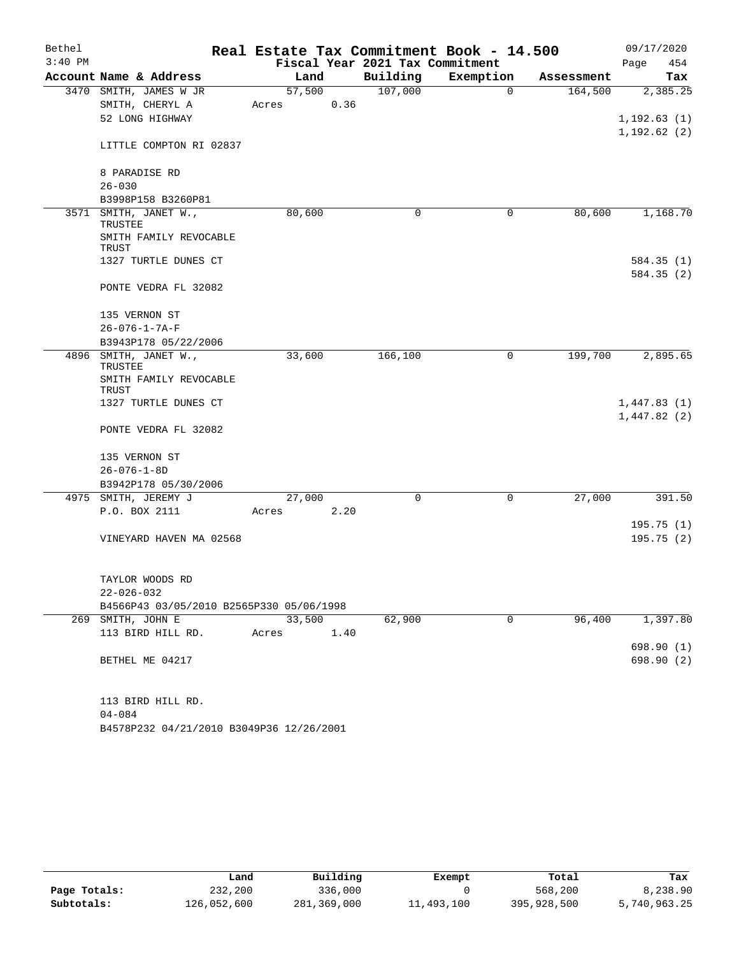| Bethel    |                                          |        | Real Estate Tax Commitment Book - 14.500 |             |            | 09/17/2020   |
|-----------|------------------------------------------|--------|------------------------------------------|-------------|------------|--------------|
| $3:40$ PM |                                          |        | Fiscal Year 2021 Tax Commitment          |             |            | Page<br>454  |
|           | Account Name & Address                   | Land   | Building                                 | Exemption   | Assessment | Tax          |
| 3470      | SMITH, JAMES W JR                        | 57,500 | 107,000                                  | $\mathbf 0$ | 164,500    | 2,385.25     |
|           | SMITH, CHERYL A                          | Acres  | 0.36                                     |             |            |              |
|           | 52 LONG HIGHWAY                          |        |                                          |             |            | 1, 192.63(1) |
|           | LITTLE COMPTON RI 02837                  |        |                                          |             |            | 1, 192.62(2) |
|           | 8 PARADISE RD                            |        |                                          |             |            |              |
|           | $26 - 030$                               |        |                                          |             |            |              |
| 3571      | B3998P158 B3260P81                       |        |                                          |             |            |              |
|           | SMITH, JANET W.,<br>TRUSTEE              | 80,600 | 0                                        | 0           | 80,600     | 1,168.70     |
|           | SMITH FAMILY REVOCABLE<br>TRUST          |        |                                          |             |            |              |
|           | 1327 TURTLE DUNES CT                     |        |                                          |             |            | 584.35(1)    |
|           | PONTE VEDRA FL 32082                     |        |                                          |             |            | 584.35(2)    |
|           |                                          |        |                                          |             |            |              |
|           | 135 VERNON ST                            |        |                                          |             |            |              |
|           | $26 - 076 - 1 - 7A - F$                  |        |                                          |             |            |              |
|           | B3943P178 05/22/2006                     |        |                                          |             |            |              |
|           | 4896 SMITH, JANET W.,<br>TRUSTEE         | 33,600 | 166,100                                  | 0           | 199,700    | 2,895.65     |
|           | SMITH FAMILY REVOCABLE<br>TRUST          |        |                                          |             |            |              |
|           | 1327 TURTLE DUNES CT                     |        |                                          |             |            | 1,447.83(1)  |
|           |                                          |        |                                          |             |            | 1,447.82(2)  |
|           | PONTE VEDRA FL 32082                     |        |                                          |             |            |              |
|           | 135 VERNON ST                            |        |                                          |             |            |              |
|           | $26 - 076 - 1 - 8D$                      |        |                                          |             |            |              |
|           | B3942P178 05/30/2006                     |        |                                          |             |            |              |
|           | 4975 SMITH, JEREMY J                     | 27,000 | 0                                        | $\mathbf 0$ | 27,000     | 391.50       |
|           | P.O. BOX 2111                            | Acres  | 2.20                                     |             |            |              |
|           |                                          |        |                                          |             |            | 195.75(1)    |
|           | VINEYARD HAVEN MA 02568                  |        |                                          |             |            | 195.75(2)    |
|           | TAYLOR WOODS RD                          |        |                                          |             |            |              |
|           | $22 - 026 - 032$                         |        |                                          |             |            |              |
|           | B4566P43 03/05/2010 B2565P330 05/06/1998 |        |                                          |             |            |              |
| 269       | SMITH, JOHN E                            | 33,500 | 62,900                                   | 0           | 96,400     | 1,397.80     |
|           | 113 BIRD HILL RD.                        | Acres  | 1.40                                     |             |            |              |
|           |                                          |        |                                          |             |            | 698.90(1)    |
|           | BETHEL ME 04217                          |        |                                          |             |            | 698.90 (2)   |
|           | 113 BIRD HILL RD.                        |        |                                          |             |            |              |
|           | $04 - 084$                               |        |                                          |             |            |              |
|           | B4578P232 04/21/2010 B3049P36 12/26/2001 |        |                                          |             |            |              |
|           |                                          |        |                                          |             |            |              |

|              | Land        | Building    | Exempt     | Total       | Tax          |
|--------------|-------------|-------------|------------|-------------|--------------|
| Page Totals: | 232,200     | 336,000     |            | 568,200     | 8,238.90     |
| Subtotals:   | 126,052,600 | 281,369,000 | 11,493,100 | 395,928,500 | 5,740,963.25 |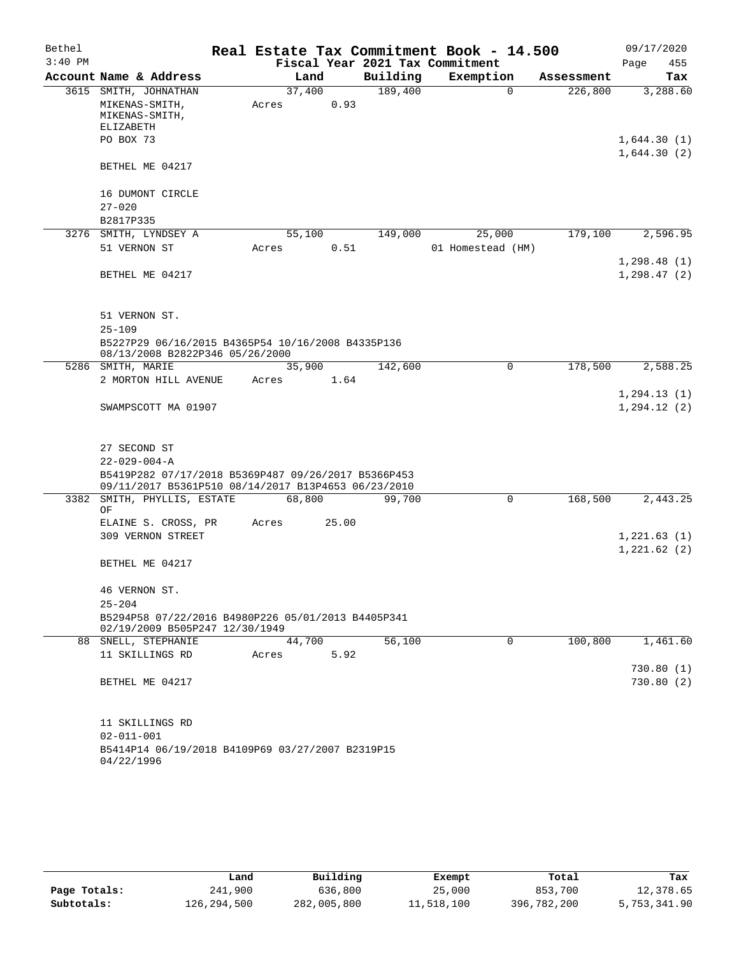| Bethel    |                                                                                                            |        |       |          | Real Estate Tax Commitment Book - 14.500 |            | 09/17/2020                 |
|-----------|------------------------------------------------------------------------------------------------------------|--------|-------|----------|------------------------------------------|------------|----------------------------|
| $3:40$ PM |                                                                                                            |        |       |          | Fiscal Year 2021 Tax Commitment          |            | Page<br>455                |
|           | Account Name & Address                                                                                     |        | Land  | Building | Exemption                                | Assessment | Tax                        |
|           | 3615 SMITH, JOHNATHAN                                                                                      | 37,400 |       | 189,400  | $\Omega$                                 | 226,800    | 3,288.60                   |
|           | MIKENAS-SMITH,<br>MIKENAS-SMITH,<br>ELIZABETH                                                              | Acres  | 0.93  |          |                                          |            |                            |
|           | PO BOX 73                                                                                                  |        |       |          |                                          |            | 1,644.30(1)<br>1,644.30(2) |
|           | BETHEL ME 04217                                                                                            |        |       |          |                                          |            |                            |
|           | 16 DUMONT CIRCLE<br>$27 - 020$                                                                             |        |       |          |                                          |            |                            |
|           | B2817P335                                                                                                  |        |       |          |                                          |            |                            |
|           | 3276 SMITH, LYNDSEY A                                                                                      | 55,100 |       | 149,000  | 25,000                                   | 179,100    | 2,596.95                   |
|           | 51 VERNON ST                                                                                               | Acres  | 0.51  |          | 01 Homestead (HM)                        |            |                            |
|           |                                                                                                            |        |       |          |                                          |            | 1, 298.48(1)               |
|           | BETHEL ME 04217                                                                                            |        |       |          |                                          |            | 1, 298.47(2)               |
|           | 51 VERNON ST.                                                                                              |        |       |          |                                          |            |                            |
|           | $25 - 109$<br>B5227P29 06/16/2015 B4365P54 10/16/2008 B4335P136<br>08/13/2008 B2822P346 05/26/2000         |        |       |          |                                          |            |                            |
|           | 5286 SMITH, MARIE                                                                                          | 35,900 |       | 142,600  | $\mathbf 0$                              | 178,500    | 2,588.25                   |
|           | 2 MORTON HILL AVENUE                                                                                       | Acres  | 1.64  |          |                                          |            |                            |
|           |                                                                                                            |        |       |          |                                          |            | 1, 294.13(1)               |
|           | SWAMPSCOTT MA 01907                                                                                        |        |       |          |                                          |            | 1, 294.12(2)               |
|           | 27 SECOND ST                                                                                               |        |       |          |                                          |            |                            |
|           | $22 - 029 - 004 - A$                                                                                       |        |       |          |                                          |            |                            |
|           | B5419P282 07/17/2018 B5369P487 09/26/2017 B5366P453<br>09/11/2017 B5361P510 08/14/2017 B13P4653 06/23/2010 |        |       |          |                                          |            |                            |
|           | 3382 SMITH, PHYLLIS, ESTATE<br>ΟF                                                                          | 68,800 |       | 99,700   | 0                                        | 168,500    | 2,443.25                   |
|           | ELAINE S. CROSS, PR                                                                                        | Acres  | 25.00 |          |                                          |            |                            |
|           | 309 VERNON STREET                                                                                          |        |       |          |                                          |            | 1,221.63(1)<br>1,221.62(2) |
|           | BETHEL ME 04217                                                                                            |        |       |          |                                          |            |                            |
|           | 46 VERNON ST.<br>$25 - 204$                                                                                |        |       |          |                                          |            |                            |
|           | B5294P58 07/22/2016 B4980P226 05/01/2013 B4405P341<br>02/19/2009 B505P247 12/30/1949                       |        |       |          |                                          |            |                            |
| 88        | SNELL, STEPHANIE                                                                                           | 44,700 |       | 56,100   | 0                                        | 100,800    | 1,461.60                   |
|           | 11 SKILLINGS RD                                                                                            | Acres  | 5.92  |          |                                          |            |                            |
|           |                                                                                                            |        |       |          |                                          |            | 730.80(1)                  |
|           | BETHEL ME 04217                                                                                            |        |       |          |                                          |            | 730.80 (2)                 |
|           | 11 SKILLINGS RD                                                                                            |        |       |          |                                          |            |                            |
|           | $02 - 011 - 001$<br>B5414P14 06/19/2018 B4109P69 03/27/2007 B2319P15<br>04/22/1996                         |        |       |          |                                          |            |                            |

|              | Land        | Building    | Exempt     | Total       | Tax          |
|--------------|-------------|-------------|------------|-------------|--------------|
| Page Totals: | 241,900     | 636,800     | 25,000     | 853,700     | 12,378.65    |
| Subtotals:   | 126,294,500 | 282,005,800 | 11,518,100 | 396,782,200 | 5,753,341.90 |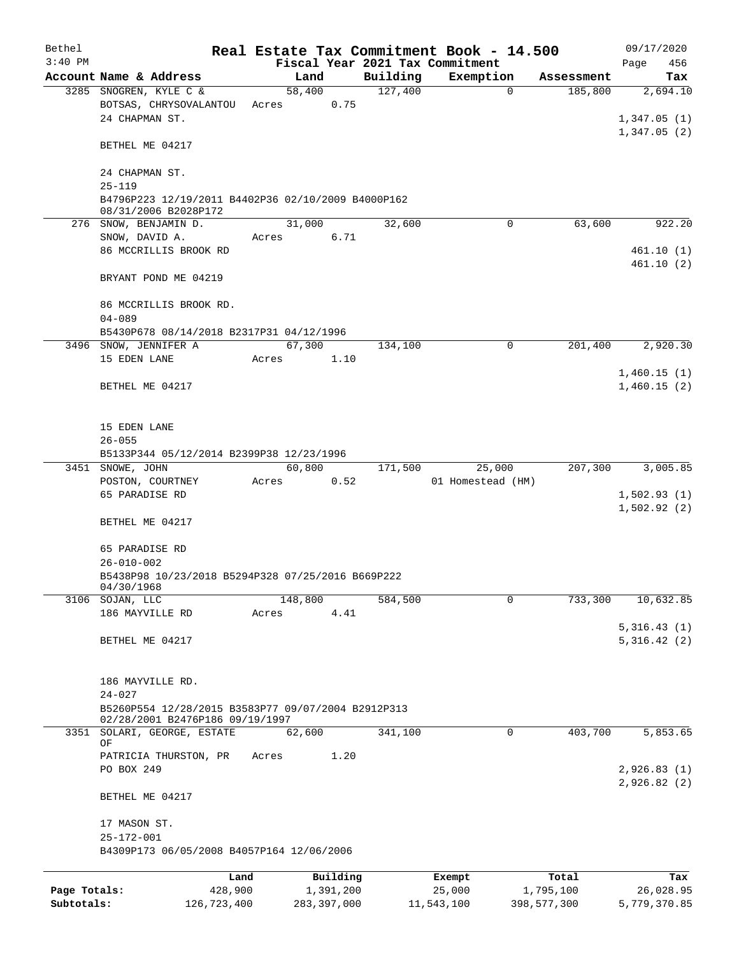| Bethel       |                                                                 |         |               |          | Real Estate Tax Commitment Book - 14.500 |             | 09/17/2020   |
|--------------|-----------------------------------------------------------------|---------|---------------|----------|------------------------------------------|-------------|--------------|
| $3:40$ PM    |                                                                 |         |               |          | Fiscal Year 2021 Tax Commitment          |             | 456<br>Page  |
|              | Account Name & Address                                          | Land    |               | Building | Exemption                                | Assessment  | Tax          |
|              | 3285 SNOGREN, KYLE C &                                          | 58,400  |               | 127,400  | 0                                        | 185,800     | 2,694.10     |
|              | BOTSAS, CHRYSOVALANTOU                                          | Acres   | 0.75          |          |                                          |             |              |
|              | 24 CHAPMAN ST.                                                  |         |               |          |                                          |             | 1,347.05(1)  |
|              |                                                                 |         |               |          |                                          |             | 1,347.05(2)  |
|              | BETHEL ME 04217                                                 |         |               |          |                                          |             |              |
|              | 24 CHAPMAN ST.                                                  |         |               |          |                                          |             |              |
|              | $25 - 119$                                                      |         |               |          |                                          |             |              |
|              | B4796P223 12/19/2011 B4402P36 02/10/2009 B4000P162              |         |               |          |                                          |             |              |
|              | 08/31/2006 B2028P172                                            |         |               |          |                                          |             |              |
|              | 276 SNOW, BENJAMIN D.                                           | 31,000  |               | 32,600   | 0                                        | 63,600      | 922.20       |
|              | SNOW, DAVID A.                                                  | Acres   | 6.71          |          |                                          |             |              |
|              | 86 MCCRILLIS BROOK RD                                           |         |               |          |                                          |             | 461.10(1)    |
|              |                                                                 |         |               |          |                                          |             | 461.10(2)    |
|              | BRYANT POND ME 04219                                            |         |               |          |                                          |             |              |
|              |                                                                 |         |               |          |                                          |             |              |
|              | 86 MCCRILLIS BROOK RD.                                          |         |               |          |                                          |             |              |
|              | $04 - 089$                                                      |         |               |          |                                          |             |              |
|              | B5430P678 08/14/2018 B2317P31 04/12/1996                        |         |               |          |                                          |             |              |
|              | 3496 SNOW, JENNIFER A                                           | 67,300  |               | 134,100  | $\mathbf 0$                              | 201,400     | 2,920.30     |
|              | 15 EDEN LANE                                                    | Acres   | 1.10          |          |                                          |             |              |
|              |                                                                 |         |               |          |                                          |             | 1,460.15(1)  |
|              | BETHEL ME 04217                                                 |         |               |          |                                          |             | 1,460.15(2)  |
|              |                                                                 |         |               |          |                                          |             |              |
|              |                                                                 |         |               |          |                                          |             |              |
|              | 15 EDEN LANE                                                    |         |               |          |                                          |             |              |
|              | $26 - 055$                                                      |         |               |          |                                          |             |              |
|              | B5133P344 05/12/2014 B2399P38 12/23/1996                        |         |               |          |                                          |             |              |
|              | 3451 SNOWE, JOHN                                                | 60,800  |               | 171,500  | 25,000                                   | 207,300     | 3,005.85     |
|              | POSTON, COURTNEY                                                | Acres   | 0.52          |          | 01 Homestead (HM)                        |             |              |
|              | 65 PARADISE RD                                                  |         |               |          |                                          |             | 1,502.93(1)  |
|              |                                                                 |         |               |          |                                          |             | 1,502.92(2)  |
|              | BETHEL ME 04217                                                 |         |               |          |                                          |             |              |
|              |                                                                 |         |               |          |                                          |             |              |
|              | 65 PARADISE RD                                                  |         |               |          |                                          |             |              |
|              | $26 - 010 - 002$                                                |         |               |          |                                          |             |              |
|              | B5438P98 10/23/2018 B5294P328 07/25/2016 B669P222<br>04/30/1968 |         |               |          |                                          |             |              |
|              | 3106 SOJAN, LLC                                                 | 148,800 |               | 584,500  | 0                                        | 733,300     | 10,632.85    |
|              | 186 MAYVILLE RD                                                 | Acres   | 4.41          |          |                                          |             |              |
|              |                                                                 |         |               |          |                                          |             | 5,316.43(1)  |
|              | BETHEL ME 04217                                                 |         |               |          |                                          |             | 5,316.42(2)  |
|              |                                                                 |         |               |          |                                          |             |              |
|              |                                                                 |         |               |          |                                          |             |              |
|              | 186 MAYVILLE RD.                                                |         |               |          |                                          |             |              |
|              | $24 - 027$                                                      |         |               |          |                                          |             |              |
|              | B5260P554 12/28/2015 B3583P77 09/07/2004 B2912P313              |         |               |          |                                          |             |              |
|              | 02/28/2001 B2476P186 09/19/1997                                 |         |               |          |                                          |             |              |
|              | 3351 SOLARI, GEORGE, ESTATE                                     | 62, 600 |               | 341,100  | 0                                        | 403,700     | 5,853.65     |
|              | ΟF<br>PATRICIA THURSTON, PR                                     | Acres   | 1.20          |          |                                          |             |              |
|              | PO BOX 249                                                      |         |               |          |                                          |             | 2,926.83(1)  |
|              |                                                                 |         |               |          |                                          |             | 2,926.82(2)  |
|              | BETHEL ME 04217                                                 |         |               |          |                                          |             |              |
|              |                                                                 |         |               |          |                                          |             |              |
|              | 17 MASON ST.                                                    |         |               |          |                                          |             |              |
|              | $25 - 172 - 001$                                                |         |               |          |                                          |             |              |
|              | B4309P173 06/05/2008 B4057P164 12/06/2006                       |         |               |          |                                          |             |              |
|              |                                                                 |         |               |          |                                          |             |              |
|              | Land                                                            |         | Building      |          | Exempt                                   | Total       | Tax          |
| Page Totals: | 428,900                                                         |         | 1,391,200     |          | 25,000                                   | 1,795,100   | 26,028.95    |
| Subtotals:   | 126,723,400                                                     |         | 283, 397, 000 |          | 11,543,100                               | 398,577,300 | 5,779,370.85 |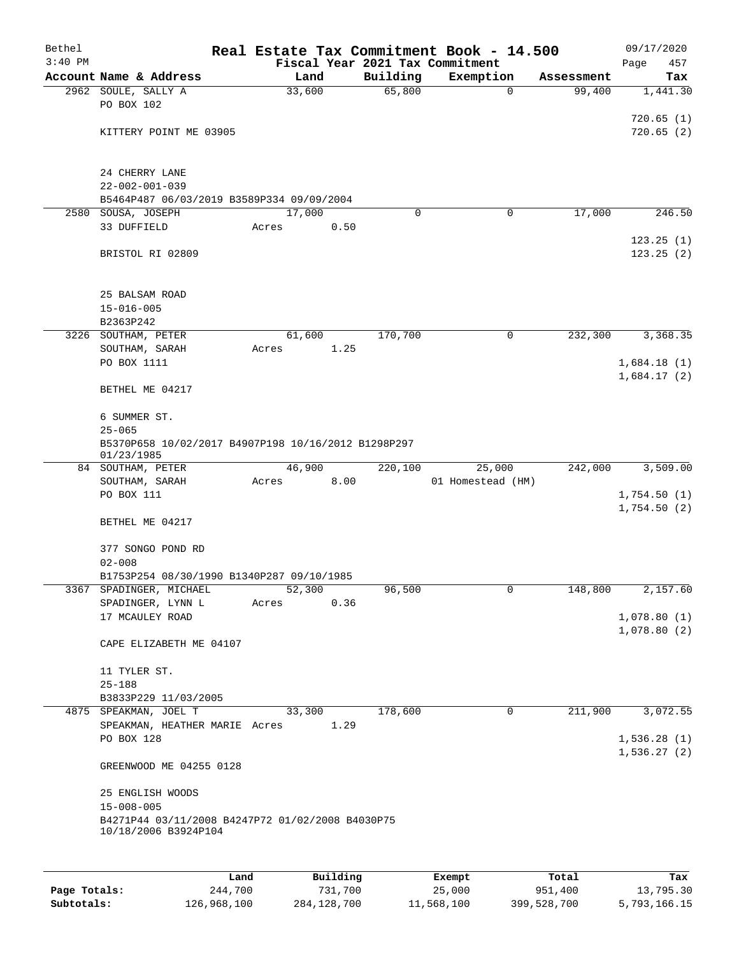| Bethel    |                                                                          |      |       |                |          |                    | Real Estate Tax Commitment Book - 14.500 |             |                      | 09/17/2020                 |
|-----------|--------------------------------------------------------------------------|------|-------|----------------|----------|--------------------|------------------------------------------|-------------|----------------------|----------------------------|
| $3:40$ PM |                                                                          |      |       |                |          |                    | Fiscal Year 2021 Tax Commitment          |             |                      | Page<br>457                |
|           | Account Name & Address                                                   |      |       | Land<br>33,600 |          | Building<br>65,800 | Exemption                                | $\mathbf 0$ | Assessment<br>99,400 | Tax<br>1,441.30            |
|           | 2962 SOULE, SALLY A<br>PO BOX 102                                        |      |       |                |          |                    |                                          |             |                      |                            |
|           |                                                                          |      |       |                |          |                    |                                          |             |                      | 720.65(1)                  |
|           | KITTERY POINT ME 03905                                                   |      |       |                |          |                    |                                          |             |                      | 720.65(2)                  |
|           |                                                                          |      |       |                |          |                    |                                          |             |                      |                            |
|           |                                                                          |      |       |                |          |                    |                                          |             |                      |                            |
|           | 24 CHERRY LANE                                                           |      |       |                |          |                    |                                          |             |                      |                            |
|           | $22 - 002 - 001 - 039$<br>B5464P487 06/03/2019 B3589P334 09/09/2004      |      |       |                |          |                    |                                          |             |                      |                            |
|           | 2580 SOUSA, JOSEPH                                                       |      |       | 17,000         |          | 0                  |                                          | 0           | 17,000               | 246.50                     |
|           | 33 DUFFIELD                                                              |      | Acres |                | 0.50     |                    |                                          |             |                      |                            |
|           |                                                                          |      |       |                |          |                    |                                          |             |                      | 123.25(1)                  |
|           | BRISTOL RI 02809                                                         |      |       |                |          |                    |                                          |             |                      | 123.25(2)                  |
|           |                                                                          |      |       |                |          |                    |                                          |             |                      |                            |
|           |                                                                          |      |       |                |          |                    |                                          |             |                      |                            |
|           | 25 BALSAM ROAD<br>$15 - 016 - 005$                                       |      |       |                |          |                    |                                          |             |                      |                            |
|           | B2363P242                                                                |      |       |                |          |                    |                                          |             |                      |                            |
|           | 3226 SOUTHAM, PETER                                                      |      |       | 61,600         |          | 170,700            |                                          | $\mathbf 0$ | 232,300              | 3,368.35                   |
|           | SOUTHAM, SARAH                                                           |      | Acres |                | 1.25     |                    |                                          |             |                      |                            |
|           | PO BOX 1111                                                              |      |       |                |          |                    |                                          |             |                      | 1,684.18(1)                |
|           |                                                                          |      |       |                |          |                    |                                          |             |                      | 1,684.17(2)                |
|           | BETHEL ME 04217                                                          |      |       |                |          |                    |                                          |             |                      |                            |
|           | 6 SUMMER ST.                                                             |      |       |                |          |                    |                                          |             |                      |                            |
|           | $25 - 065$                                                               |      |       |                |          |                    |                                          |             |                      |                            |
|           | B5370P658 10/02/2017 B4907P198 10/16/2012 B1298P297                      |      |       |                |          |                    |                                          |             |                      |                            |
|           | 01/23/1985                                                               |      |       |                |          |                    |                                          |             |                      |                            |
|           | 84 SOUTHAM, PETER                                                        |      |       | 46,900         | 8.00     | 220,100            | 25,000<br>01 Homestead (HM)              |             | 242,000              | 3,509.00                   |
|           | SOUTHAM, SARAH<br>PO BOX 111                                             |      | Acres |                |          |                    |                                          |             |                      | 1,754.50(1)                |
|           |                                                                          |      |       |                |          |                    |                                          |             |                      | 1,754.50(2)                |
|           | BETHEL ME 04217                                                          |      |       |                |          |                    |                                          |             |                      |                            |
|           |                                                                          |      |       |                |          |                    |                                          |             |                      |                            |
|           | 377 SONGO POND RD                                                        |      |       |                |          |                    |                                          |             |                      |                            |
|           | $02 - 008$<br>B1753P254 08/30/1990 B1340P287 09/10/1985                  |      |       |                |          |                    |                                          |             |                      |                            |
|           | 3367 SPADINGER, MICHAEL                                                  |      |       | 52,300         |          | 96,500             |                                          | 0           | 148,800              | 2,157.60                   |
|           | SPADINGER, LYNN L                                                        |      | Acres |                | 0.36     |                    |                                          |             |                      |                            |
|           | 17 MCAULEY ROAD                                                          |      |       |                |          |                    |                                          |             |                      | 1,078.80(1)                |
|           |                                                                          |      |       |                |          |                    |                                          |             |                      | 1,078.80(2)                |
|           | CAPE ELIZABETH ME 04107                                                  |      |       |                |          |                    |                                          |             |                      |                            |
|           | 11 TYLER ST.                                                             |      |       |                |          |                    |                                          |             |                      |                            |
|           | $25 - 188$                                                               |      |       |                |          |                    |                                          |             |                      |                            |
|           | B3833P229 11/03/2005                                                     |      |       |                |          |                    |                                          |             |                      |                            |
|           | 4875 SPEAKMAN, JOEL T                                                    |      |       | 33,300         |          | 178,600            |                                          | 0           | 211,900              | 3,072.55                   |
|           | SPEAKMAN, HEATHER MARIE Acres                                            |      |       |                | 1.29     |                    |                                          |             |                      |                            |
|           | PO BOX 128                                                               |      |       |                |          |                    |                                          |             |                      | 1,536.28(1)<br>1,536.27(2) |
|           | GREENWOOD ME 04255 0128                                                  |      |       |                |          |                    |                                          |             |                      |                            |
|           |                                                                          |      |       |                |          |                    |                                          |             |                      |                            |
|           | 25 ENGLISH WOODS                                                         |      |       |                |          |                    |                                          |             |                      |                            |
|           | $15 - 008 - 005$                                                         |      |       |                |          |                    |                                          |             |                      |                            |
|           | B4271P44 03/11/2008 B4247P72 01/02/2008 B4030P75<br>10/18/2006 B3924P104 |      |       |                |          |                    |                                          |             |                      |                            |
|           |                                                                          |      |       |                |          |                    |                                          |             |                      |                            |
|           |                                                                          |      |       |                |          |                    |                                          |             |                      |                            |
|           |                                                                          | Land |       |                | Building |                    | Exempt                                   |             | Total                | Tax                        |

|              | Land        | Building    | Exempt     | Total       | Tax          |
|--------------|-------------|-------------|------------|-------------|--------------|
| Page Totals: | 244,700     | 731,700     | 25,000     | 951,400     | 13,795.30    |
| Subtotals:   | 126,968,100 | 284,128,700 | 11,568,100 | 399,528,700 | 5,793,166.15 |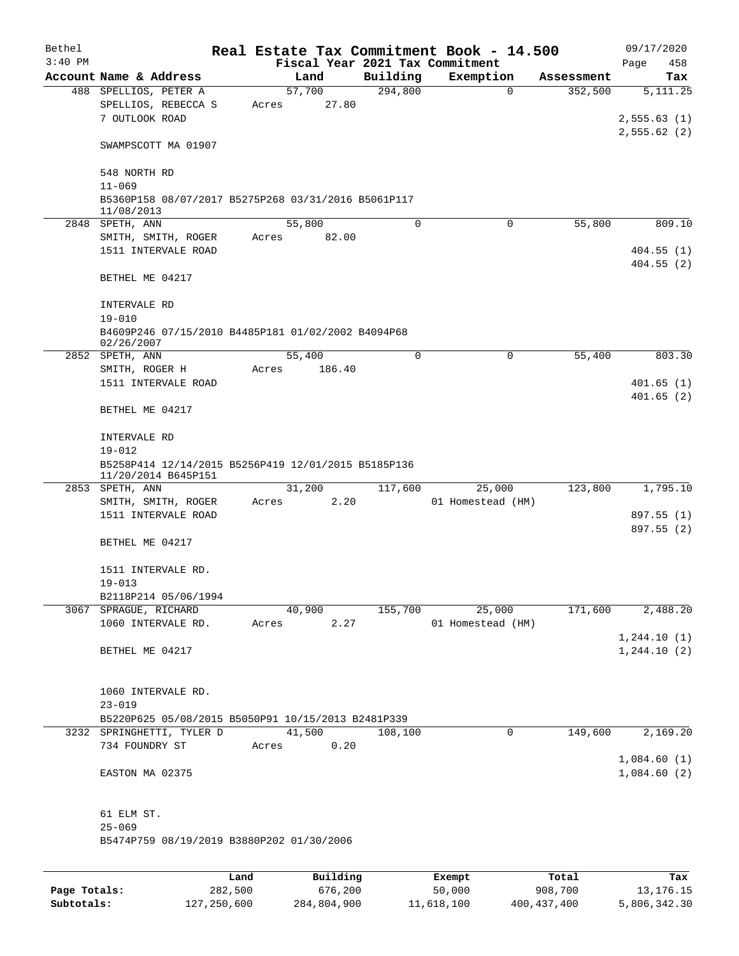| Bethel    |                                                                   |      |       |          |          | Real Estate Tax Commitment Book - 14.500 |            | 09/17/2020                 |
|-----------|-------------------------------------------------------------------|------|-------|----------|----------|------------------------------------------|------------|----------------------------|
| $3:40$ PM |                                                                   |      |       |          |          | Fiscal Year 2021 Tax Commitment          |            | Page<br>458                |
|           | Account Name & Address                                            |      |       | Land     | Building | Exemption                                | Assessment | Tax                        |
|           | 488 SPELLIOS, PETER A                                             |      |       | 57,700   | 294,800  | $\mathbf 0$                              | 352,500    | $\overline{5,111.25}$      |
|           | SPELLIOS, REBECCA S<br>7 OUTLOOK ROAD                             |      | Acres | 27.80    |          |                                          |            |                            |
|           |                                                                   |      |       |          |          |                                          |            | 2,555.63(1)<br>2,555.62(2) |
|           | SWAMPSCOTT MA 01907                                               |      |       |          |          |                                          |            |                            |
|           | 548 NORTH RD                                                      |      |       |          |          |                                          |            |                            |
|           | $11 - 069$                                                        |      |       |          |          |                                          |            |                            |
|           | B5360P158 08/07/2017 B5275P268 03/31/2016 B5061P117<br>11/08/2013 |      |       |          |          |                                          |            |                            |
|           | 2848 SPETH, ANN                                                   |      |       | 55,800   | 0        | $\Omega$                                 | 55,800     | 809.10                     |
|           | SMITH, SMITH, ROGER                                               |      | Acres | 82.00    |          |                                          |            |                            |
|           | 1511 INTERVALE ROAD                                               |      |       |          |          |                                          |            | 404.55(1)                  |
|           |                                                                   |      |       |          |          |                                          |            | 404.55(2)                  |
|           | BETHEL ME 04217                                                   |      |       |          |          |                                          |            |                            |
|           | INTERVALE RD                                                      |      |       |          |          |                                          |            |                            |
|           | $19 - 010$<br>B4609P246 07/15/2010 B4485P181 01/02/2002 B4094P68  |      |       |          |          |                                          |            |                            |
|           | 02/26/2007                                                        |      |       |          |          |                                          |            |                            |
|           | 2852 SPETH, ANN                                                   |      |       | 55,400   | $\Omega$ | 0                                        | 55,400     | 803.30                     |
|           | SMITH, ROGER H                                                    |      | Acres | 186.40   |          |                                          |            |                            |
|           | 1511 INTERVALE ROAD                                               |      |       |          |          |                                          |            | 401.65(1)                  |
|           |                                                                   |      |       |          |          |                                          |            | 401.65(2)                  |
|           | BETHEL ME 04217                                                   |      |       |          |          |                                          |            |                            |
|           | INTERVALE RD                                                      |      |       |          |          |                                          |            |                            |
|           | $19 - 012$                                                        |      |       |          |          |                                          |            |                            |
|           | B5258P414 12/14/2015 B5256P419 12/01/2015 B5185P136               |      |       |          |          |                                          |            |                            |
|           | 11/20/2014 B645P151                                               |      |       |          |          |                                          |            |                            |
|           | 2853 SPETH, ANN                                                   |      |       | 31,200   | 117,600  | 25,000                                   | 123,800    | 1,795.10                   |
|           | SMITH, SMITH, ROGER                                               |      | Acres | 2.20     |          | 01 Homestead (HM)                        |            |                            |
|           | 1511 INTERVALE ROAD                                               |      |       |          |          |                                          |            | 897.55 (1)                 |
|           | BETHEL ME 04217                                                   |      |       |          |          |                                          |            | 897.55 (2)                 |
|           |                                                                   |      |       |          |          |                                          |            |                            |
|           | 1511 INTERVALE RD.                                                |      |       |          |          |                                          |            |                            |
|           | $19 - 013$                                                        |      |       |          |          |                                          |            |                            |
|           | B2118P214 05/06/1994                                              |      |       |          |          |                                          |            |                            |
|           | 3067 SPRAGUE, RICHARD                                             |      |       | 40,900   | 155,700  | 25,000                                   | 171,600    | 2,488.20                   |
|           | 1060 INTERVALE RD.                                                |      | Acres | 2.27     |          | 01 Homestead (HM)                        |            |                            |
|           |                                                                   |      |       |          |          |                                          |            | 1, 244.10(1)               |
|           | BETHEL ME 04217                                                   |      |       |          |          |                                          |            | 1, 244.10(2)               |
|           |                                                                   |      |       |          |          |                                          |            |                            |
|           |                                                                   |      |       |          |          |                                          |            |                            |
|           | 1060 INTERVALE RD.                                                |      |       |          |          |                                          |            |                            |
|           | $23 - 019$                                                        |      |       |          |          |                                          |            |                            |
|           | B5220P625 05/08/2015 B5050P91 10/15/2013 B2481P339                |      |       |          |          |                                          |            |                            |
|           | 3232 SPRINGHETTI, TYLER D                                         |      |       | 41,500   | 108,100  | 0                                        | 149,600    | 2,169.20                   |
|           | 734 FOUNDRY ST                                                    |      | Acres | 0.20     |          |                                          |            |                            |
|           |                                                                   |      |       |          |          |                                          |            | 1,084.60(1)                |
|           | EASTON MA 02375                                                   |      |       |          |          |                                          |            | 1,084.60(2)                |
|           | 61 ELM ST.                                                        |      |       |          |          |                                          |            |                            |
|           | $25 - 069$                                                        |      |       |          |          |                                          |            |                            |
|           | B5474P759 08/19/2019 B3880P202 01/30/2006                         |      |       |          |          |                                          |            |                            |
|           |                                                                   |      |       |          |          |                                          |            |                            |
|           |                                                                   | Land |       | Building |          | Exempt                                   | Total      | Tax                        |

|              | Land        | Building    | Exempt     | Total         | Tax          |
|--------------|-------------|-------------|------------|---------------|--------------|
| Page Totals: | 282,500     | 676,200     | 50,000     | 908,700       | 13,176.15    |
| Subtotals:   | 127,250,600 | 284,804,900 | 11,618,100 | 400, 437, 400 | 5,806,342.30 |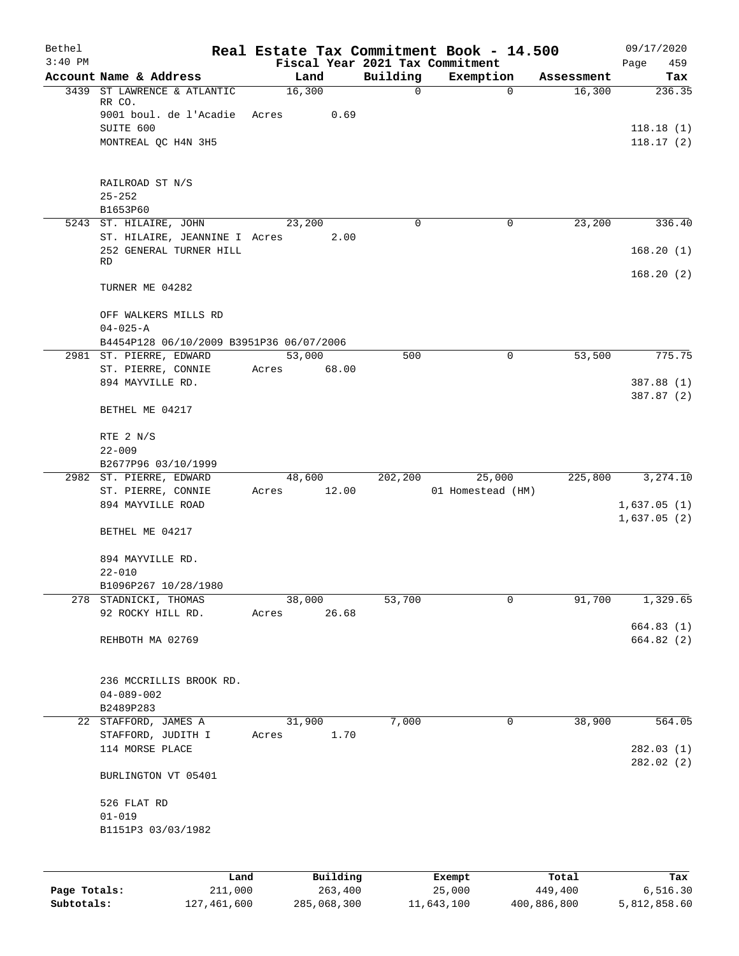| Bethel       |                                                         |        |                 |             | Real Estate Tax Commitment Book - 14.500     |                      | 09/17/2020               |
|--------------|---------------------------------------------------------|--------|-----------------|-------------|----------------------------------------------|----------------------|--------------------------|
| $3:40$ PM    | Account Name & Address                                  |        | Land            | Building    | Fiscal Year 2021 Tax Commitment<br>Exemption |                      | 459<br>Page              |
| 3439         | ST LAWRENCE & ATLANTIC                                  | 16,300 |                 | $\mathbf 0$ | $\mathbf 0$                                  | Assessment<br>16,300 | Tax<br>236.35            |
|              | RR CO.<br>9001 boul. de l'Acadie Acres                  |        | 0.69            |             |                                              |                      |                          |
|              | SUITE 600<br>MONTREAL QC H4N 3H5                        |        |                 |             |                                              |                      | 118.18(1)<br>118.17(2)   |
|              | RAILROAD ST N/S                                         |        |                 |             |                                              |                      |                          |
|              | $25 - 252$<br>B1653P60                                  |        |                 |             |                                              |                      |                          |
|              | 5243 ST. HILAIRE, JOHN<br>ST. HILAIRE, JEANNINE I Acres |        | 23,200<br>2.00  | 0           | 0                                            | 23,200               | 336.40                   |
|              | 252 GENERAL TURNER HILL<br>RD                           |        |                 |             |                                              |                      | 168.20(1)                |
|              | TURNER ME 04282                                         |        |                 |             |                                              |                      | 168.20(2)                |
|              | OFF WALKERS MILLS RD<br>$04 - 025 - A$                  |        |                 |             |                                              |                      |                          |
|              | B4454P128 06/10/2009 B3951P36 06/07/2006                |        |                 |             |                                              |                      |                          |
|              | 2981 ST. PIERRE, EDWARD<br>ST. PIERRE, CONNIE           | Acres  | 53,000<br>68.00 | 500         | 0                                            | 53,500               | 775.75                   |
|              | 894 MAYVILLE RD.                                        |        |                 |             |                                              |                      | 387.88 (1)<br>387.87 (2) |
|              | BETHEL ME 04217                                         |        |                 |             |                                              |                      |                          |
|              | RTE 2 N/S<br>$22 - 009$                                 |        |                 |             |                                              |                      |                          |
|              | B2677P96 03/10/1999                                     |        |                 |             |                                              |                      |                          |
|              | 2982 ST. PIERRE, EDWARD                                 |        | 48,600          | 202, 200    | 25,000                                       | 225,800              | 3,274.10                 |
|              | ST. PIERRE, CONNIE<br>894 MAYVILLE ROAD                 | Acres  | 12.00           |             | 01 Homestead (HM)                            |                      | 1,637.05(1)              |
|              | BETHEL ME 04217                                         |        |                 |             |                                              |                      | 1,637.05(2)              |
|              | 894 MAYVILLE RD.<br>$22 - 010$                          |        |                 |             |                                              |                      |                          |
|              | B1096P267 10/28/1980                                    |        |                 |             |                                              |                      |                          |
| 278          | STADNICKI, THOMAS                                       |        | 38,000          | 53,700      | 0                                            | 91,700               | 1,329.65                 |
|              | 92 ROCKY HILL RD.                                       | Acres  | 26.68           |             |                                              |                      | 664.83 (1)               |
|              | REHBOTH MA 02769                                        |        |                 |             |                                              |                      | 664.82 (2)               |
|              | 236 MCCRILLIS BROOK RD.<br>$04 - 089 - 002$             |        |                 |             |                                              |                      |                          |
|              | B2489P283                                               |        |                 |             |                                              |                      |                          |
|              | 22 STAFFORD, JAMES A<br>STAFFORD, JUDITH I              | Acres  | 31,900<br>1.70  | 7,000       | 0                                            | 38,900               | 564.05                   |
|              | 114 MORSE PLACE                                         |        |                 |             |                                              |                      | 282.03(1)<br>282.02(2)   |
|              | BURLINGTON VT 05401                                     |        |                 |             |                                              |                      |                          |
|              | 526 FLAT RD                                             |        |                 |             |                                              |                      |                          |
|              | $01 - 019$<br>B1151P3 03/03/1982                        |        |                 |             |                                              |                      |                          |
|              |                                                         |        |                 |             |                                              |                      |                          |
|              | Land                                                    |        | Building        |             | Exempt                                       | Total                | Tax                      |
| Page Totals: | 211,000                                                 |        | 263,400         |             | 25,000                                       | 449,400              | 6,516.30                 |

**Subtotals:** 127,461,600 285,068,300 11,643,100 400,886,800 5,812,858.60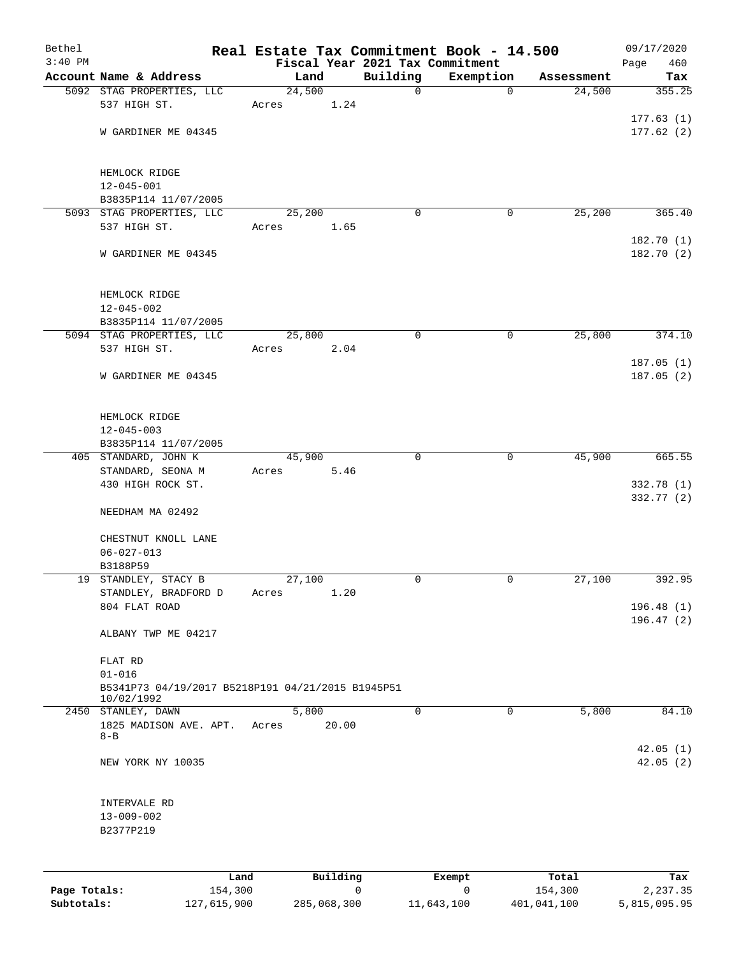| Bethel<br>$3:40$ PM |                                                   |        |          | Fiscal Year 2021 Tax Commitment | Real Estate Tax Commitment Book - 14.500 |            | 09/17/2020<br>460<br>Page |
|---------------------|---------------------------------------------------|--------|----------|---------------------------------|------------------------------------------|------------|---------------------------|
|                     | Account Name & Address                            | Land   |          | Building                        | Exemption                                | Assessment | Tax                       |
|                     | 5092 STAG PROPERTIES, LLC                         | 24,500 |          | 0                               | $\mathbf 0$                              | 24,500     | 355.25                    |
|                     | 537 HIGH ST.                                      | Acres  | 1.24     |                                 |                                          |            |                           |
|                     |                                                   |        |          |                                 |                                          |            | 177.63(1)                 |
|                     | W GARDINER ME 04345                               |        |          |                                 |                                          |            | 177.62(2)                 |
|                     |                                                   |        |          |                                 |                                          |            |                           |
|                     |                                                   |        |          |                                 |                                          |            |                           |
|                     | HEMLOCK RIDGE                                     |        |          |                                 |                                          |            |                           |
|                     | $12 - 045 - 001$                                  |        |          |                                 |                                          |            |                           |
|                     | B3835P114 11/07/2005<br>5093 STAG PROPERTIES, LLC | 25,200 |          | $\Omega$                        | 0                                        | 25,200     | 365.40                    |
|                     | 537 HIGH ST.                                      | Acres  | 1.65     |                                 |                                          |            |                           |
|                     |                                                   |        |          |                                 |                                          |            | 182.70(1)                 |
|                     | W GARDINER ME 04345                               |        |          |                                 |                                          |            | 182.70 (2)                |
|                     |                                                   |        |          |                                 |                                          |            |                           |
|                     |                                                   |        |          |                                 |                                          |            |                           |
|                     | HEMLOCK RIDGE                                     |        |          |                                 |                                          |            |                           |
|                     | $12 - 045 - 002$                                  |        |          |                                 |                                          |            |                           |
|                     | B3835P114 11/07/2005                              |        |          |                                 |                                          |            |                           |
|                     | 5094 STAG PROPERTIES, LLC<br>537 HIGH ST.         | 25,800 | 2.04     | $\mathbf 0$                     | 0                                        | 25,800     | 374.10                    |
|                     |                                                   | Acres  |          |                                 |                                          |            | 187.05(1)                 |
|                     | W GARDINER ME 04345                               |        |          |                                 |                                          |            | 187.05(2)                 |
|                     |                                                   |        |          |                                 |                                          |            |                           |
|                     |                                                   |        |          |                                 |                                          |            |                           |
|                     | HEMLOCK RIDGE                                     |        |          |                                 |                                          |            |                           |
|                     | $12 - 045 - 003$                                  |        |          |                                 |                                          |            |                           |
|                     | B3835P114 11/07/2005                              |        |          |                                 |                                          |            |                           |
|                     | 405 STANDARD, JOHN K                              | 45,900 |          | $\Omega$                        | $\mathbf 0$                              | 45,900     | 665.55                    |
|                     | STANDARD, SEONA M<br>430 HIGH ROCK ST.            | Acres  | 5.46     |                                 |                                          |            | 332.78 (1)                |
|                     |                                                   |        |          |                                 |                                          |            | 332.77 (2)                |
|                     | NEEDHAM MA 02492                                  |        |          |                                 |                                          |            |                           |
|                     |                                                   |        |          |                                 |                                          |            |                           |
|                     | CHESTNUT KNOLL LANE                               |        |          |                                 |                                          |            |                           |
|                     | $06 - 027 - 013$                                  |        |          |                                 |                                          |            |                           |
|                     | B3188P59                                          |        |          |                                 |                                          |            |                           |
|                     | 19 STANDLEY, STACY B                              | 27,100 |          | 0                               | 0                                        | 27,100     | 392.95                    |
|                     | STANDLEY, BRADFORD D                              | Acres  | 1.20     |                                 |                                          |            |                           |
|                     | 804 FLAT ROAD                                     |        |          |                                 |                                          |            | 196.48(1)<br>196.47(2)    |
|                     | ALBANY TWP ME 04217                               |        |          |                                 |                                          |            |                           |
|                     |                                                   |        |          |                                 |                                          |            |                           |
|                     | FLAT RD                                           |        |          |                                 |                                          |            |                           |
|                     | $01 - 016$                                        |        |          |                                 |                                          |            |                           |
|                     | B5341P73 04/19/2017 B5218P191 04/21/2015 B1945P51 |        |          |                                 |                                          |            |                           |
|                     | 10/02/1992<br>2450 STANLEY, DAWN                  | 5,800  |          | $\Omega$                        | $\mathbf 0$                              | 5,800      | 84.10                     |
|                     | 1825 MADISON AVE. APT.                            | Acres  | 20.00    |                                 |                                          |            |                           |
|                     | $8 - B$                                           |        |          |                                 |                                          |            |                           |
|                     |                                                   |        |          |                                 |                                          |            | 42.05(1)                  |
|                     | NEW YORK NY 10035                                 |        |          |                                 |                                          |            | 42.05(2)                  |
|                     |                                                   |        |          |                                 |                                          |            |                           |
|                     | INTERVALE RD                                      |        |          |                                 |                                          |            |                           |
|                     | $13 - 009 - 002$<br>B2377P219                     |        |          |                                 |                                          |            |                           |
|                     |                                                   |        |          |                                 |                                          |            |                           |
|                     |                                                   |        |          |                                 |                                          |            |                           |
|                     | Land                                              |        | Building |                                 | Exempt                                   | Total      | Tax                       |

**Page Totals:** 154,300 0 0 0 154,300 2,237.35 **Subtotals:** 127,615,900 285,068,300 11,643,100 401,041,100 5,815,095.95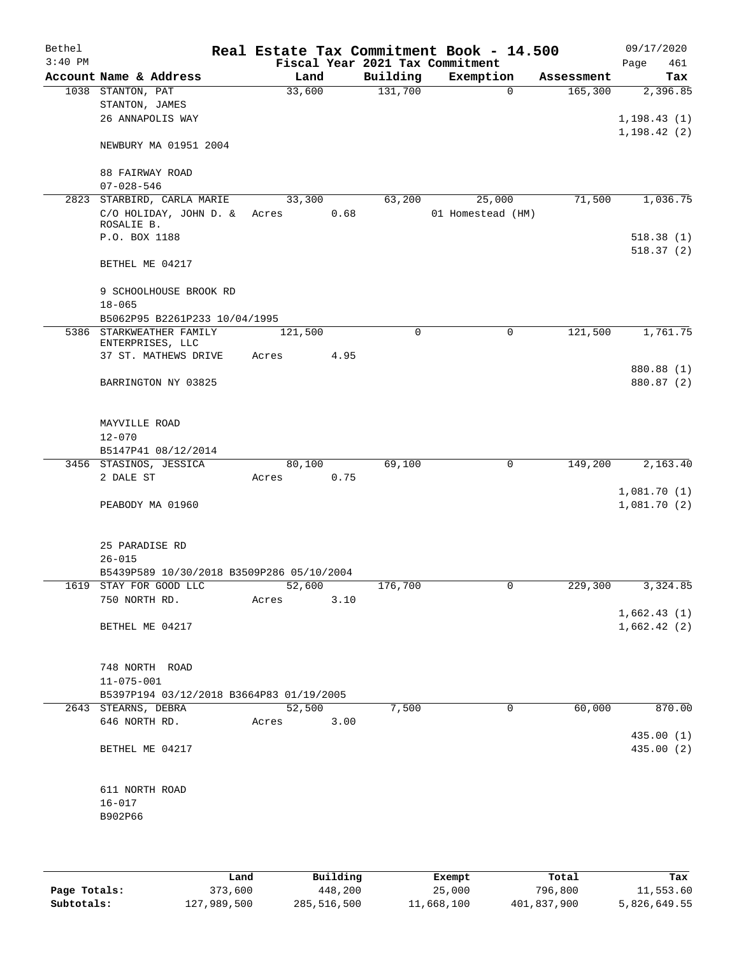| Bethel<br>$3:40$ PM |                                                                     |         |      |             | Real Estate Tax Commitment Book - 14.500<br>Fiscal Year 2021 Tax Commitment |            | 09/17/2020                 |
|---------------------|---------------------------------------------------------------------|---------|------|-------------|-----------------------------------------------------------------------------|------------|----------------------------|
|                     | Account Name & Address                                              | Land    |      | Building    | Exemption                                                                   | Assessment | Page<br>461<br>Tax         |
|                     | 1038 STANTON, PAT                                                   | 33,600  |      | 131,700     | $\mathbf 0$                                                                 | 165,300    | 2,396.85                   |
|                     | STANTON, JAMES                                                      |         |      |             |                                                                             |            |                            |
|                     | 26 ANNAPOLIS WAY                                                    |         |      |             |                                                                             |            | 1, 198.43(1)               |
|                     | NEWBURY MA 01951 2004                                               |         |      |             |                                                                             |            | 1, 198.42(2)               |
|                     | 88 FAIRWAY ROAD<br>$07 - 028 - 546$                                 |         |      |             |                                                                             |            |                            |
|                     | 2823 STARBIRD, CARLA MARIE                                          | 33,300  |      | 63,200      | 25,000                                                                      | 71,500     | 1,036.75                   |
|                     | C/O HOLIDAY, JOHN D. & Acres<br>ROSALIE B.                          |         | 0.68 |             | 01 Homestead (HM)                                                           |            |                            |
|                     | P.O. BOX 1188                                                       |         |      |             |                                                                             |            | 518.38(1)                  |
|                     | BETHEL ME 04217                                                     |         |      |             |                                                                             |            | 518.37(2)                  |
|                     | 9 SCHOOLHOUSE BROOK RD<br>$18 - 065$                                |         |      |             |                                                                             |            |                            |
|                     | B5062P95 B2261P233 10/04/1995                                       |         |      |             |                                                                             |            |                            |
|                     | 5386 STARKWEATHER FAMILY<br>ENTERPRISES, LLC                        | 121,500 |      | $\mathbf 0$ | 0                                                                           | 121,500    | 1,761.75                   |
|                     | 37 ST. MATHEWS DRIVE                                                | Acres   | 4.95 |             |                                                                             |            |                            |
|                     | BARRINGTON NY 03825                                                 |         |      |             |                                                                             |            | 880.88 (1)<br>880.87 (2)   |
|                     | MAYVILLE ROAD<br>$12 - 070$                                         |         |      |             |                                                                             |            |                            |
|                     | B5147P41 08/12/2014                                                 |         |      |             |                                                                             |            |                            |
|                     | 3456 STASINOS, JESSICA                                              | 80,100  |      | 69,100      | $\mathbf 0$                                                                 | 149,200    | 2,163.40                   |
|                     | 2 DALE ST                                                           | Acres   | 0.75 |             |                                                                             |            |                            |
|                     | PEABODY MA 01960                                                    |         |      |             |                                                                             |            | 1,081.70(1)<br>1,081.70(2) |
|                     | 25 PARADISE RD<br>$26 - 015$                                        |         |      |             |                                                                             |            |                            |
|                     | B5439P589 10/30/2018 B3509P286 05/10/2004<br>1619 STAY FOR GOOD LLC | 52,600  |      | 176,700     |                                                                             | 229,300    | 3,324.85                   |
|                     | 750 NORTH RD.                                                       | Acres   | 3.10 |             |                                                                             |            |                            |
|                     | BETHEL ME 04217                                                     |         |      |             |                                                                             |            | 1,662.43(1)<br>1,662.42(2) |
|                     |                                                                     |         |      |             |                                                                             |            |                            |
|                     | 748 NORTH ROAD<br>$11 - 075 - 001$                                  |         |      |             |                                                                             |            |                            |
|                     | B5397P194 03/12/2018 B3664P83 01/19/2005                            |         |      |             |                                                                             |            |                            |
|                     | 2643 STEARNS, DEBRA                                                 | 52,500  |      | 7,500       | 0                                                                           | 60,000     | 870.00                     |
|                     | 646 NORTH RD.                                                       | Acres   | 3.00 |             |                                                                             |            |                            |
|                     | BETHEL ME 04217                                                     |         |      |             |                                                                             |            | 435.00 (1)<br>435.00 (2)   |
|                     | 611 NORTH ROAD<br>$16 - 017$<br>B902P66                             |         |      |             |                                                                             |            |                            |
|                     |                                                                     |         |      |             |                                                                             |            |                            |

|              | Land        | Building    | Exempt     | Total       | Tax          |
|--------------|-------------|-------------|------------|-------------|--------------|
| Page Totals: | 373,600     | 448,200     | 25,000     | 796,800     | 11,553.60    |
| Subtotals:   | 127,989,500 | 285,516,500 | 11,668,100 | 401,837,900 | 5,826,649.55 |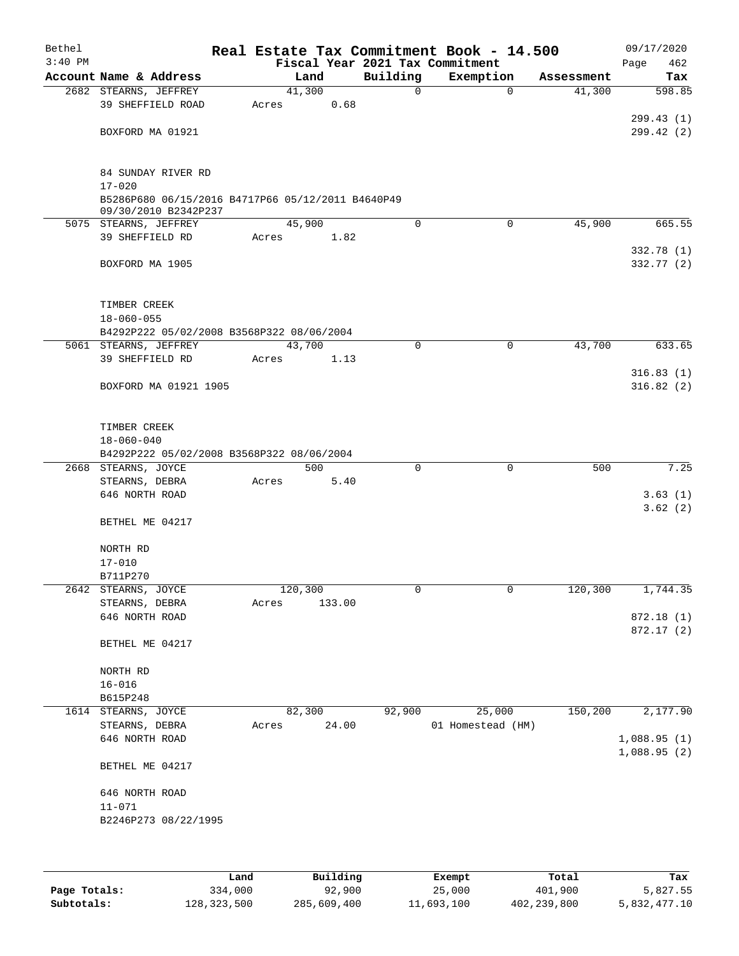| Bethel    |                                                                           |                 |        |              | Real Estate Tax Commitment Book - 14.500 |            | 09/17/2020  |
|-----------|---------------------------------------------------------------------------|-----------------|--------|--------------|------------------------------------------|------------|-------------|
| $3:40$ PM |                                                                           |                 |        |              | Fiscal Year 2021 Tax Commitment          |            | 462<br>Page |
|           | Account Name & Address                                                    |                 | Land   | Building     | Exemption                                | Assessment | Tax         |
|           | 2682 STEARNS, JEFFREY<br>39 SHEFFIELD ROAD                                | 41,300<br>Acres | 0.68   | $\mathsf{O}$ | $\mathbf 0$                              | 41,300     | 598.85      |
|           |                                                                           |                 |        |              |                                          |            | 299.43(1)   |
|           | BOXFORD MA 01921                                                          |                 |        |              |                                          |            | 299.42(2)   |
|           |                                                                           |                 |        |              |                                          |            |             |
|           |                                                                           |                 |        |              |                                          |            |             |
|           | 84 SUNDAY RIVER RD                                                        |                 |        |              |                                          |            |             |
|           | $17 - 020$                                                                |                 |        |              |                                          |            |             |
|           | B5286P680 06/15/2016 B4717P66 05/12/2011 B4640P49<br>09/30/2010 B2342P237 |                 |        |              |                                          |            |             |
|           | 5075 STEARNS, JEFFREY                                                     | 45,900          |        | $\Omega$     | $\mathbf 0$                              | 45,900     | 665.55      |
|           | 39 SHEFFIELD RD                                                           | Acres           | 1.82   |              |                                          |            |             |
|           |                                                                           |                 |        |              |                                          |            | 332.78(1)   |
|           | BOXFORD MA 1905                                                           |                 |        |              |                                          |            | 332.77 (2)  |
|           |                                                                           |                 |        |              |                                          |            |             |
|           |                                                                           |                 |        |              |                                          |            |             |
|           | TIMBER CREEK<br>$18 - 060 - 055$                                          |                 |        |              |                                          |            |             |
|           | B4292P222 05/02/2008 B3568P322 08/06/2004                                 |                 |        |              |                                          |            |             |
|           | 5061 STEARNS, JEFFREY                                                     | 43,700          |        | $\mathbf 0$  | 0                                        | 43,700     | 633.65      |
|           | 39 SHEFFIELD RD                                                           | Acres           | 1.13   |              |                                          |            |             |
|           |                                                                           |                 |        |              |                                          |            | 316.83(1)   |
|           | BOXFORD MA 01921 1905                                                     |                 |        |              |                                          |            | 316.82(2)   |
|           |                                                                           |                 |        |              |                                          |            |             |
|           | TIMBER CREEK                                                              |                 |        |              |                                          |            |             |
|           | $18 - 060 - 040$                                                          |                 |        |              |                                          |            |             |
|           | B4292P222 05/02/2008 B3568P322 08/06/2004                                 |                 |        |              |                                          |            |             |
|           | 2668 STEARNS, JOYCE                                                       |                 | 500    | $\mathbf 0$  | $\mathbf 0$                              | 500        | 7.25        |
|           | STEARNS, DEBRA                                                            | Acres           | 5.40   |              |                                          |            |             |
|           | 646 NORTH ROAD                                                            |                 |        |              |                                          |            | 3.63(1)     |
|           |                                                                           |                 |        |              |                                          |            | 3.62(2)     |
|           | BETHEL ME 04217                                                           |                 |        |              |                                          |            |             |
|           | NORTH RD                                                                  |                 |        |              |                                          |            |             |
|           | $17 - 010$                                                                |                 |        |              |                                          |            |             |
|           | B711P270                                                                  |                 |        |              |                                          |            |             |
|           | 2642 STEARNS, JOYCE                                                       | 120,300         |        | 0            | 0                                        | 120,300    | 1,744.35    |
|           | STEARNS, DEBRA                                                            | Acres           | 133.00 |              |                                          |            |             |
|           | 646 NORTH ROAD                                                            |                 |        |              |                                          |            | 872.18 (1)  |
|           | BETHEL ME 04217                                                           |                 |        |              |                                          |            | 872.17(2)   |
|           |                                                                           |                 |        |              |                                          |            |             |
|           | NORTH RD                                                                  |                 |        |              |                                          |            |             |
|           | $16 - 016$                                                                |                 |        |              |                                          |            |             |
|           | B615P248                                                                  |                 |        |              |                                          |            |             |
| 1614      | STEARNS, JOYCE                                                            | 82,300          |        | 92,900       | 25,000                                   | 150,200    | 2,177.90    |
|           | STEARNS, DEBRA                                                            | Acres           | 24.00  |              | 01 Homestead (HM)                        |            |             |
|           | 646 NORTH ROAD                                                            |                 |        |              |                                          |            | 1,088.95(1) |
|           | BETHEL ME 04217                                                           |                 |        |              |                                          |            | 1,088.95(2) |
|           |                                                                           |                 |        |              |                                          |            |             |
|           | 646 NORTH ROAD                                                            |                 |        |              |                                          |            |             |
|           | $11 - 071$                                                                |                 |        |              |                                          |            |             |
|           | B2246P273 08/22/1995                                                      |                 |        |              |                                          |            |             |
|           |                                                                           |                 |        |              |                                          |            |             |
|           |                                                                           |                 |        |              |                                          |            |             |

|              | Land        | Building    | Exempt     | Total       | Tax          |
|--------------|-------------|-------------|------------|-------------|--------------|
| Page Totals: | 334,000     | 92,900      | 25,000     | 401,900     | 5,827.55     |
| Subtotals:   | 128,323,500 | 285,609,400 | 11,693,100 | 402,239,800 | 5,832,477.10 |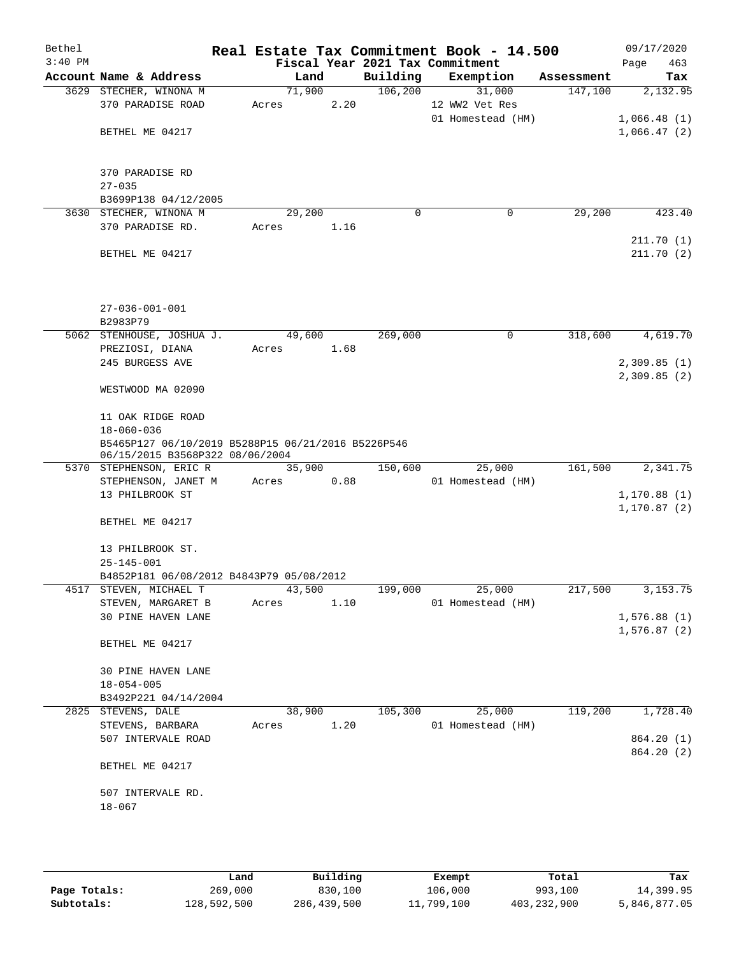| Bethel    |                                                                                       |       |        |      |          | Real Estate Tax Commitment Book - 14.500 |            | 09/17/2020             |
|-----------|---------------------------------------------------------------------------------------|-------|--------|------|----------|------------------------------------------|------------|------------------------|
| $3:40$ PM |                                                                                       |       |        |      |          | Fiscal Year 2021 Tax Commitment          |            | Page<br>463            |
|           | Account Name & Address                                                                |       | Land   |      | Building | Exemption                                | Assessment | Tax                    |
|           | 3629 STECHER, WINONA M                                                                |       | 71,900 |      | 106, 200 | 31,000                                   | 147,100    | 2,132.95               |
|           | 370 PARADISE ROAD                                                                     | Acres |        | 2.20 |          | 12 WW2 Vet Res<br>01 Homestead (HM)      |            | 1,066.48(1)            |
|           | BETHEL ME 04217                                                                       |       |        |      |          |                                          |            | 1,066.47(2)            |
|           |                                                                                       |       |        |      |          |                                          |            |                        |
|           |                                                                                       |       |        |      |          |                                          |            |                        |
|           | 370 PARADISE RD                                                                       |       |        |      |          |                                          |            |                        |
|           | $27 - 035$                                                                            |       |        |      |          |                                          |            |                        |
|           | B3699P138 04/12/2005                                                                  |       |        |      |          |                                          |            |                        |
|           | 3630 STECHER, WINONA M                                                                |       | 29,200 |      | 0        | 0                                        | 29,200     | 423.40                 |
|           | 370 PARADISE RD.                                                                      | Acres |        | 1.16 |          |                                          |            |                        |
|           | BETHEL ME 04217                                                                       |       |        |      |          |                                          |            | 211.70(1)<br>211.70(2) |
|           |                                                                                       |       |        |      |          |                                          |            |                        |
|           | $27 - 036 - 001 - 001$                                                                |       |        |      |          |                                          |            |                        |
|           | B2983P79                                                                              |       |        |      |          |                                          |            |                        |
|           | 5062 STENHOUSE, JOSHUA J.                                                             |       | 49,600 |      | 269,000  | 0                                        | 318,600    | 4,619.70               |
|           | PREZIOSI, DIANA                                                                       | Acres |        | 1.68 |          |                                          |            |                        |
|           | 245 BURGESS AVE                                                                       |       |        |      |          |                                          |            | 2,309.85(1)            |
|           |                                                                                       |       |        |      |          |                                          |            | 2,309.85(2)            |
|           | WESTWOOD MA 02090                                                                     |       |        |      |          |                                          |            |                        |
|           | 11 OAK RIDGE ROAD                                                                     |       |        |      |          |                                          |            |                        |
|           | $18 - 060 - 036$                                                                      |       |        |      |          |                                          |            |                        |
|           | B5465P127 06/10/2019 B5288P15 06/21/2016 B5226P546<br>06/15/2015 B3568P322 08/06/2004 |       |        |      |          |                                          |            |                        |
|           | 5370 STEPHENSON, ERIC R                                                               |       | 35,900 |      | 150,600  | 25,000                                   | 161,500    | 2,341.75               |
|           | STEPHENSON, JANET M                                                                   | Acres |        | 0.88 |          | 01 Homestead (HM)                        |            |                        |
|           | 13 PHILBROOK ST                                                                       |       |        |      |          |                                          |            | 1,170.88(1)            |
|           |                                                                                       |       |        |      |          |                                          |            | 1,170.87 (2)           |
|           | BETHEL ME 04217                                                                       |       |        |      |          |                                          |            |                        |
|           | 13 PHILBROOK ST.                                                                      |       |        |      |          |                                          |            |                        |
|           | $25 - 145 - 001$                                                                      |       |        |      |          |                                          |            |                        |
|           | B4852P181 06/08/2012 B4843P79 05/08/2012                                              |       |        |      |          |                                          |            |                        |
|           | 4517 STEVEN, MICHAEL T                                                                |       | 43,500 |      | 199,000  | 25,000                                   | 217,500    | 3, 153. 75             |
|           | STEVEN, MARGARET B                                                                    | Acres |        | 1.10 |          | 01 Homestead (HM)                        |            |                        |
|           | 30 PINE HAVEN LANE                                                                    |       |        |      |          |                                          |            | 1,576.88(1)            |
|           |                                                                                       |       |        |      |          |                                          |            | 1,576.87(2)            |
|           | BETHEL ME 04217                                                                       |       |        |      |          |                                          |            |                        |
|           | 30 PINE HAVEN LANE                                                                    |       |        |      |          |                                          |            |                        |
|           | $18 - 054 - 005$                                                                      |       |        |      |          |                                          |            |                        |
|           | B3492P221 04/14/2004                                                                  |       |        |      |          |                                          |            |                        |
|           | 2825 STEVENS, DALE                                                                    |       | 38,900 |      | 105,300  | 25,000                                   | 119,200    | 1,728.40               |
|           | STEVENS, BARBARA                                                                      | Acres |        | 1.20 |          | 01 Homestead (HM)                        |            |                        |
|           | 507 INTERVALE ROAD                                                                    |       |        |      |          |                                          |            | 864.20 (1)             |
|           | BETHEL ME 04217                                                                       |       |        |      |          |                                          |            | 864.20 (2)             |
|           |                                                                                       |       |        |      |          |                                          |            |                        |
|           | 507 INTERVALE RD.                                                                     |       |        |      |          |                                          |            |                        |
|           | $18 - 067$                                                                            |       |        |      |          |                                          |            |                        |
|           |                                                                                       |       |        |      |          |                                          |            |                        |
|           |                                                                                       |       |        |      |          |                                          |            |                        |

|              | Land        | Building    | Exempt     | Total       | Tax          |
|--------------|-------------|-------------|------------|-------------|--------------|
| Page Totals: | 269,000     | 830,100     | 106,000    | 993,100     | 14,399.95    |
| Subtotals:   | 128,592,500 | 286,439,500 | 11,799,100 | 403,232,900 | 5,846,877.05 |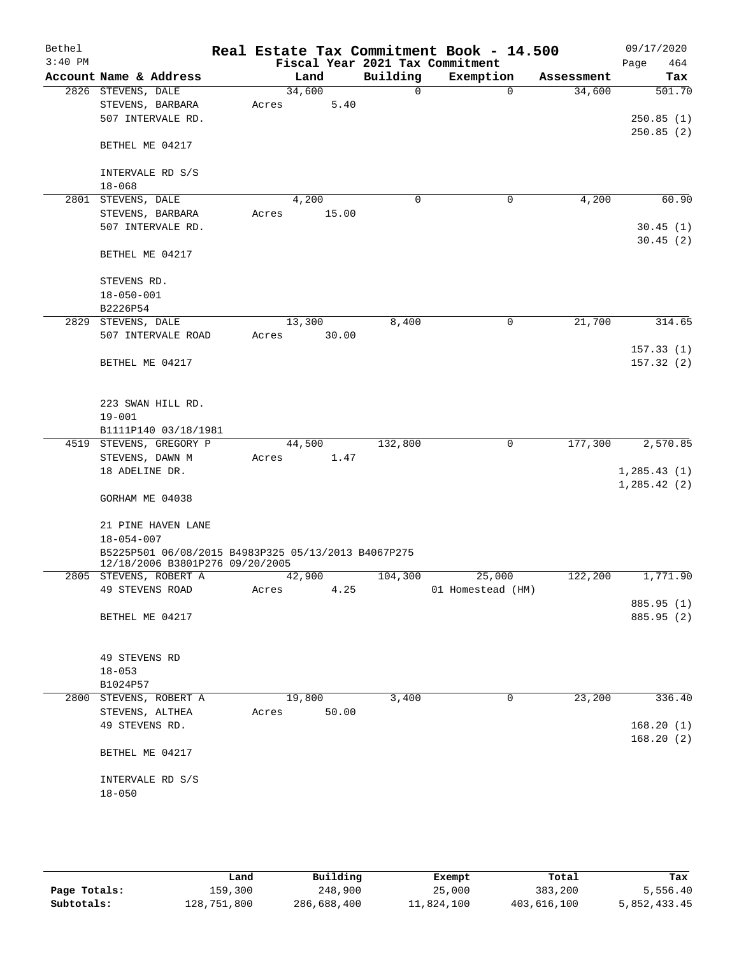| Bethel    |                                                     | Real Estate Tax Commitment Book - 14.500 |             |                                 |            | 09/17/2020   |
|-----------|-----------------------------------------------------|------------------------------------------|-------------|---------------------------------|------------|--------------|
| $3:40$ PM |                                                     |                                          |             | Fiscal Year 2021 Tax Commitment |            | 464<br>Page  |
|           | Account Name & Address                              | Land                                     | Building    | Exemption                       | Assessment | Tax          |
|           | 2826 STEVENS, DALE                                  | 34,600                                   | $\mathbf 0$ | $\Omega$                        | 34,600     | 501.70       |
|           | STEVENS, BARBARA<br>507 INTERVALE RD.               | 5.40<br>Acres                            |             |                                 |            | 250.85(1)    |
|           |                                                     |                                          |             |                                 |            | 250.85(2)    |
|           | BETHEL ME 04217                                     |                                          |             |                                 |            |              |
|           |                                                     |                                          |             |                                 |            |              |
|           | INTERVALE RD S/S                                    |                                          |             |                                 |            |              |
|           | $18 - 068$                                          |                                          |             |                                 |            |              |
|           | 2801 STEVENS, DALE                                  | 4,200                                    | $\mathbf 0$ | 0                               | 4,200      | 60.90        |
|           | STEVENS, BARBARA                                    | 15.00<br>Acres                           |             |                                 |            |              |
|           | 507 INTERVALE RD.                                   |                                          |             |                                 |            | 30.45(1)     |
|           |                                                     |                                          |             |                                 |            | 30.45(2)     |
|           | BETHEL ME 04217                                     |                                          |             |                                 |            |              |
|           |                                                     |                                          |             |                                 |            |              |
|           | STEVENS RD.                                         |                                          |             |                                 |            |              |
|           | $18 - 050 - 001$<br>B2226P54                        |                                          |             |                                 |            |              |
| 2829      | STEVENS, DALE                                       | 13,300                                   | 8,400       | 0                               | 21,700     | 314.65       |
|           | 507 INTERVALE ROAD                                  | 30.00<br>Acres                           |             |                                 |            |              |
|           |                                                     |                                          |             |                                 |            | 157.33(1)    |
|           | BETHEL ME 04217                                     |                                          |             |                                 |            | 157.32(2)    |
|           |                                                     |                                          |             |                                 |            |              |
|           |                                                     |                                          |             |                                 |            |              |
|           | 223 SWAN HILL RD.                                   |                                          |             |                                 |            |              |
|           | $19 - 001$                                          |                                          |             |                                 |            |              |
|           | B1111P140 03/18/1981                                |                                          |             |                                 |            |              |
|           | 4519 STEVENS, GREGORY P                             | 44,500                                   | 132,800     | 0                               | 177,300    | 2,570.85     |
|           | STEVENS, DAWN M                                     | Acres<br>1.47                            |             |                                 |            |              |
|           | 18 ADELINE DR.                                      |                                          |             |                                 |            | 1, 285.43(1) |
|           | GORHAM ME 04038                                     |                                          |             |                                 |            | 1, 285.42(2) |
|           |                                                     |                                          |             |                                 |            |              |
|           | 21 PINE HAVEN LANE                                  |                                          |             |                                 |            |              |
|           | $18 - 054 - 007$                                    |                                          |             |                                 |            |              |
|           | B5225P501 06/08/2015 B4983P325 05/13/2013 B4067P275 |                                          |             |                                 |            |              |
|           | 12/18/2006 B3801P276 09/20/2005                     |                                          |             |                                 |            |              |
|           | 2805 STEVENS, ROBERT A                              | 42,900                                   | 104,300     | 25,000                          | 122,200    | 1,771.90     |
|           | 49 STEVENS ROAD                                     | 4.25<br>Acres                            |             | 01 Homestead (HM)               |            |              |
|           |                                                     |                                          |             |                                 |            | 885.95 (1)   |
|           | BETHEL ME 04217                                     |                                          |             |                                 |            | 885.95 (2)   |
|           |                                                     |                                          |             |                                 |            |              |
|           | 49 STEVENS RD                                       |                                          |             |                                 |            |              |
|           | $18 - 053$                                          |                                          |             |                                 |            |              |
|           | B1024P57                                            |                                          |             |                                 |            |              |
| 2800      | STEVENS, ROBERT A                                   | 19,800                                   | 3,400       | 0                               | 23,200     | 336.40       |
|           | STEVENS, ALTHEA                                     | 50.00<br>Acres                           |             |                                 |            |              |
|           | 49 STEVENS RD.                                      |                                          |             |                                 |            | 168.20(1)    |
|           |                                                     |                                          |             |                                 |            | 168.20(2)    |
|           | BETHEL ME 04217                                     |                                          |             |                                 |            |              |
|           |                                                     |                                          |             |                                 |            |              |
|           | INTERVALE RD S/S                                    |                                          |             |                                 |            |              |
|           | $18 - 050$                                          |                                          |             |                                 |            |              |
|           |                                                     |                                          |             |                                 |            |              |

|              | Land        | Building    | Exempt     | Total       | Tax          |
|--------------|-------------|-------------|------------|-------------|--------------|
| Page Totals: | 159,300     | 248,900     | 25,000     | 383,200     | 5,556.40     |
| Subtotals:   | 128,751,800 | 286,688,400 | 11,824,100 | 403,616,100 | 5,852,433.45 |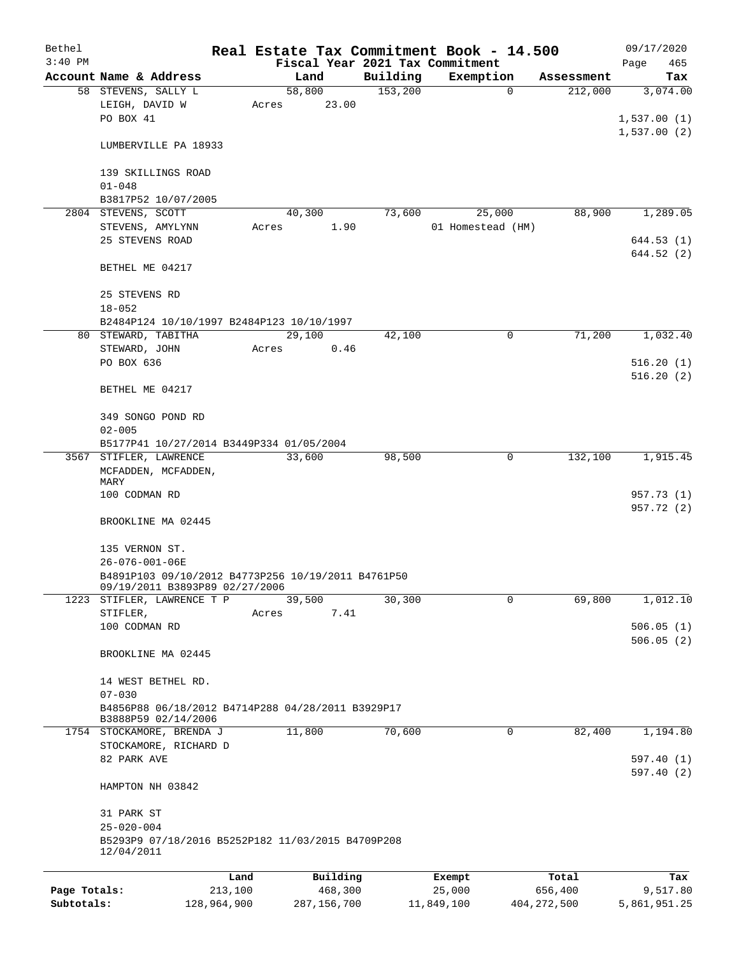| Bethel       |                                                                                      |                                          |        |          |          | Real Estate Tax Commitment Book - 14.500 |            | 09/17/2020  |  |  |  |
|--------------|--------------------------------------------------------------------------------------|------------------------------------------|--------|----------|----------|------------------------------------------|------------|-------------|--|--|--|
| $3:40$ PM    |                                                                                      |                                          |        |          |          | Fiscal Year 2021 Tax Commitment          |            | Page<br>465 |  |  |  |
|              | Account Name & Address                                                               |                                          | Land   |          | Building | Exemption                                | Assessment | Tax         |  |  |  |
|              | 58 STEVENS, SALLY L                                                                  |                                          | 58,800 |          | 153,200  | $\mathbf 0$                              | 212,000    | 3,074.00    |  |  |  |
|              | LEIGH, DAVID W                                                                       | Acres                                    |        | 23.00    |          |                                          |            |             |  |  |  |
|              | PO BOX 41                                                                            |                                          |        |          |          |                                          |            | 1,537.00(1) |  |  |  |
|              |                                                                                      |                                          |        |          |          |                                          |            | 1,537.00(2) |  |  |  |
|              | LUMBERVILLE PA 18933                                                                 |                                          |        |          |          |                                          |            |             |  |  |  |
|              |                                                                                      |                                          |        |          |          |                                          |            |             |  |  |  |
|              | 139 SKILLINGS ROAD                                                                   |                                          |        |          |          |                                          |            |             |  |  |  |
|              | $01 - 048$                                                                           |                                          |        |          |          |                                          |            |             |  |  |  |
|              | B3817P52 10/07/2005                                                                  |                                          |        |          |          |                                          |            |             |  |  |  |
|              | 2804 STEVENS, SCOTT                                                                  |                                          | 40,300 |          | 73,600   | 25,000                                   | 88,900     | 1,289.05    |  |  |  |
|              | STEVENS, AMYLYNN                                                                     | Acres                                    |        | 1.90     |          | 01 Homestead (HM)                        |            |             |  |  |  |
|              | 25 STEVENS ROAD                                                                      |                                          |        |          |          |                                          |            | 644.53(1)   |  |  |  |
|              |                                                                                      |                                          |        |          |          |                                          |            | 644.52(2)   |  |  |  |
|              | BETHEL ME 04217                                                                      |                                          |        |          |          |                                          |            |             |  |  |  |
|              |                                                                                      |                                          |        |          |          |                                          |            |             |  |  |  |
|              | 25 STEVENS RD                                                                        |                                          |        |          |          |                                          |            |             |  |  |  |
|              | $18 - 052$                                                                           |                                          |        |          |          |                                          |            |             |  |  |  |
|              | B2484P124 10/10/1997 B2484P123 10/10/1997                                            |                                          |        |          |          |                                          |            |             |  |  |  |
|              | 80 STEWARD, TABITHA                                                                  |                                          | 29,100 |          | 42,100   | $\mathbf 0$                              | 71,200     | 1,032.40    |  |  |  |
|              | STEWARD, JOHN                                                                        | Acres                                    |        | 0.46     |          |                                          |            |             |  |  |  |
|              | PO BOX 636                                                                           |                                          |        |          |          |                                          |            | 516.20(1)   |  |  |  |
|              |                                                                                      |                                          |        |          |          |                                          |            | 516.20(2)   |  |  |  |
|              | BETHEL ME 04217                                                                      |                                          |        |          |          |                                          |            |             |  |  |  |
|              |                                                                                      |                                          |        |          |          |                                          |            |             |  |  |  |
|              | 349 SONGO POND RD                                                                    |                                          |        |          |          |                                          |            |             |  |  |  |
|              |                                                                                      |                                          |        |          |          |                                          |            |             |  |  |  |
|              | $02 - 005$                                                                           | B5177P41 10/27/2014 B3449P334 01/05/2004 |        |          |          |                                          |            |             |  |  |  |
|              |                                                                                      |                                          |        |          |          |                                          |            |             |  |  |  |
|              | 3567 STIFLER, LAWRENCE                                                               |                                          | 33,600 |          | 98,500   | $\mathbf 0$                              | 132,100    | 1,915.45    |  |  |  |
|              | MCFADDEN, MCFADDEN,<br>MARY                                                          |                                          |        |          |          |                                          |            |             |  |  |  |
|              | 100 CODMAN RD                                                                        |                                          |        |          |          |                                          |            | 957.73 (1)  |  |  |  |
|              |                                                                                      |                                          |        |          |          |                                          |            | 957.72 (2)  |  |  |  |
|              | BROOKLINE MA 02445                                                                   |                                          |        |          |          |                                          |            |             |  |  |  |
|              |                                                                                      |                                          |        |          |          |                                          |            |             |  |  |  |
|              | 135 VERNON ST.                                                                       |                                          |        |          |          |                                          |            |             |  |  |  |
|              |                                                                                      |                                          |        |          |          |                                          |            |             |  |  |  |
|              | 26-076-001-06E                                                                       |                                          |        |          |          |                                          |            |             |  |  |  |
|              | B4891P103 09/10/2012 B4773P256 10/19/2011 B4761P50<br>09/19/2011 B3893P89 02/27/2006 |                                          |        |          |          |                                          |            |             |  |  |  |
|              | 1223 STIFLER, LAWRENCE T P                                                           |                                          | 39,500 |          | 30,300   | 0                                        | 69,800     | 1,012.10    |  |  |  |
|              | STIFLER,                                                                             | Acres                                    |        | 7.41     |          |                                          |            |             |  |  |  |
|              | 100 CODMAN RD                                                                        |                                          |        |          |          |                                          |            | 506.05(1)   |  |  |  |
|              |                                                                                      |                                          |        |          |          |                                          |            | 506.05(2)   |  |  |  |
|              | BROOKLINE MA 02445                                                                   |                                          |        |          |          |                                          |            |             |  |  |  |
|              |                                                                                      |                                          |        |          |          |                                          |            |             |  |  |  |
|              | 14 WEST BETHEL RD.                                                                   |                                          |        |          |          |                                          |            |             |  |  |  |
|              | $07 - 030$                                                                           |                                          |        |          |          |                                          |            |             |  |  |  |
|              | B4856P88 06/18/2012 B4714P288 04/28/2011 B3929P17                                    |                                          |        |          |          |                                          |            |             |  |  |  |
|              | B3888P59 02/14/2006                                                                  |                                          |        |          |          |                                          |            |             |  |  |  |
|              | 1754 STOCKAMORE, BRENDA J                                                            |                                          | 11,800 |          | 70,600   | 0                                        | 82,400     | 1,194.80    |  |  |  |
|              | STOCKAMORE, RICHARD D                                                                |                                          |        |          |          |                                          |            |             |  |  |  |
|              | 82 PARK AVE                                                                          |                                          |        |          |          |                                          |            | 597.40(1)   |  |  |  |
|              |                                                                                      |                                          |        |          |          |                                          |            | 597.40(2)   |  |  |  |
|              | HAMPTON NH 03842                                                                     |                                          |        |          |          |                                          |            |             |  |  |  |
|              |                                                                                      |                                          |        |          |          |                                          |            |             |  |  |  |
|              | 31 PARK ST                                                                           |                                          |        |          |          |                                          |            |             |  |  |  |
|              | $25 - 020 - 004$                                                                     |                                          |        |          |          |                                          |            |             |  |  |  |
|              | B5293P9 07/18/2016 B5252P182 11/03/2015 B4709P208                                    |                                          |        |          |          |                                          |            |             |  |  |  |
|              | 12/04/2011                                                                           |                                          |        |          |          |                                          |            |             |  |  |  |
|              |                                                                                      |                                          |        |          |          |                                          |            |             |  |  |  |
|              |                                                                                      | Land                                     |        | Building |          | Exempt                                   | Total      | Tax         |  |  |  |
| Page Totals: |                                                                                      | 213,100                                  |        | 468,300  |          | 25,000                                   | 656,400    | 9,517.80    |  |  |  |
|              |                                                                                      |                                          |        |          |          |                                          |            |             |  |  |  |

**Subtotals:** 128,964,900 287,156,700 11,849,100 404,272,500 5,861,951.25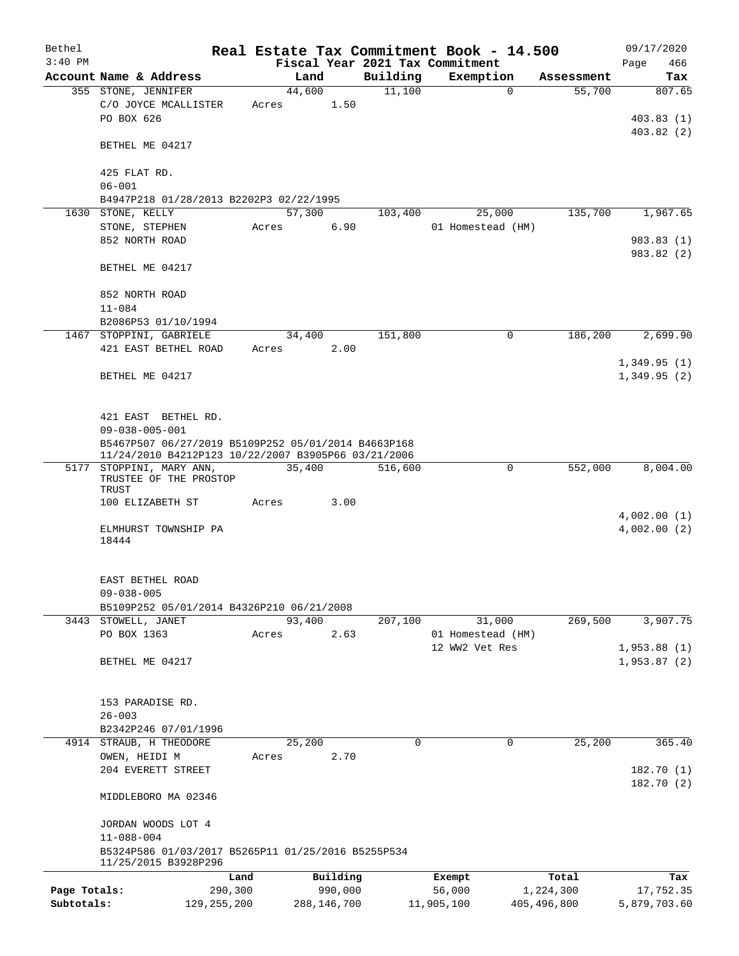| Bethel       |                                                                            |               |        |               | Real Estate Tax Commitment Book - 14.500 |                   |             |               |      | 09/17/2020             |
|--------------|----------------------------------------------------------------------------|---------------|--------|---------------|------------------------------------------|-------------------|-------------|---------------|------|------------------------|
| $3:40$ PM    |                                                                            |               |        |               | Fiscal Year 2021 Tax Commitment          |                   |             |               | Page | 466                    |
|              | Account Name & Address                                                     |               |        | Land          | Building                                 | Exemption         |             | Assessment    |      | Tax                    |
|              | 355 STONE, JENNIFER                                                        |               | 44,600 |               | 11,100                                   |                   | $\mathbf 0$ | 55,700        |      | 807.65                 |
|              | C/O JOYCE MCALLISTER                                                       | Acres         |        | 1.50          |                                          |                   |             |               |      |                        |
|              | PO BOX 626                                                                 |               |        |               |                                          |                   |             |               |      | 403.83(1)<br>403.82(2) |
|              | BETHEL ME 04217                                                            |               |        |               |                                          |                   |             |               |      |                        |
|              | 425 FLAT RD.                                                               |               |        |               |                                          |                   |             |               |      |                        |
|              | $06 - 001$                                                                 |               |        |               |                                          |                   |             |               |      |                        |
|              | B4947P218 01/28/2013 B2202P3 02/22/1995                                    |               |        |               |                                          |                   |             |               |      |                        |
|              | 1630 STONE, KELLY                                                          |               | 57,300 |               | 103,400                                  | 25,000            |             | 135,700       |      | 1,967.65               |
|              | STONE, STEPHEN                                                             | Acres         |        | 6.90          |                                          | 01 Homestead (HM) |             |               |      |                        |
|              | 852 NORTH ROAD                                                             |               |        |               |                                          |                   |             |               |      | 983.83 (1)             |
|              |                                                                            |               |        |               |                                          |                   |             |               |      | 983.82 (2)             |
|              | BETHEL ME 04217                                                            |               |        |               |                                          |                   |             |               |      |                        |
|              | 852 NORTH ROAD                                                             |               |        |               |                                          |                   |             |               |      |                        |
|              | $11 - 084$                                                                 |               |        |               |                                          |                   |             |               |      |                        |
|              | B2086P53 01/10/1994                                                        |               |        |               | 151,800                                  |                   | 0           | 186,200       |      | 2,699.90               |
|              | 1467 STOPPINI, GABRIELE<br>421 EAST BETHEL ROAD                            | Acres         | 34,400 | 2.00          |                                          |                   |             |               |      |                        |
|              |                                                                            |               |        |               |                                          |                   |             |               |      | 1,349.95(1)            |
|              | BETHEL ME 04217                                                            |               |        |               |                                          |                   |             |               |      | 1,349.95(2)            |
|              |                                                                            |               |        |               |                                          |                   |             |               |      |                        |
|              |                                                                            |               |        |               |                                          |                   |             |               |      |                        |
|              | 421 EAST BETHEL RD.                                                        |               |        |               |                                          |                   |             |               |      |                        |
|              | $09 - 038 - 005 - 001$                                                     |               |        |               |                                          |                   |             |               |      |                        |
|              | B5467P507 06/27/2019 B5109P252 05/01/2014 B4663P168                        |               |        |               |                                          |                   |             |               |      |                        |
|              | 11/24/2010 B4212P123 10/22/2007 B3905P66 03/21/2006                        |               |        |               |                                          |                   |             |               |      |                        |
|              | 5177 STOPPINI, MARY ANN,<br>TRUSTEE OF THE PROSTOP                         |               | 35,400 |               | 516,600                                  |                   | 0           | 552,000       |      | 8,004.00               |
|              | TRUST                                                                      |               |        |               |                                          |                   |             |               |      |                        |
|              | 100 ELIZABETH ST                                                           | Acres         |        | 3.00          |                                          |                   |             |               |      |                        |
|              |                                                                            |               |        |               |                                          |                   |             |               |      | 4,002.00(1)            |
|              | ELMHURST TOWNSHIP PA                                                       |               |        |               |                                          |                   |             |               |      | 4,002.00(2)            |
|              | 18444                                                                      |               |        |               |                                          |                   |             |               |      |                        |
|              |                                                                            |               |        |               |                                          |                   |             |               |      |                        |
|              | EAST BETHEL ROAD                                                           |               |        |               |                                          |                   |             |               |      |                        |
|              | $09 - 038 - 005$                                                           |               |        |               |                                          |                   |             |               |      |                        |
|              | B5109P252 05/01/2014 B4326P210 06/21/2008                                  |               |        |               |                                          |                   |             |               |      |                        |
|              | 3443 STOWELL, JANET                                                        |               | 93,400 |               | 207,100                                  | 31,000            |             | 269,500       |      | 3,907.75               |
|              | PO BOX 1363                                                                | Acres         |        | 2.63          |                                          | 01 Homestead (HM) |             |               |      |                        |
|              |                                                                            |               |        |               |                                          | 12 WW2 Vet Res    |             |               |      | 1,953.88(1)            |
|              | BETHEL ME 04217                                                            |               |        |               |                                          |                   |             |               |      | 1,953.87(2)            |
|              |                                                                            |               |        |               |                                          |                   |             |               |      |                        |
|              |                                                                            |               |        |               |                                          |                   |             |               |      |                        |
|              | 153 PARADISE RD.<br>$26 - 003$                                             |               |        |               |                                          |                   |             |               |      |                        |
|              | B2342P246 07/01/1996                                                       |               |        |               |                                          |                   |             |               |      |                        |
|              | 4914 STRAUB, H THEODORE                                                    |               | 25,200 |               | $\mathbf 0$                              |                   | 0           | 25,200        |      | 365.40                 |
|              | OWEN, HEIDI M                                                              | Acres         |        | 2.70          |                                          |                   |             |               |      |                        |
|              | 204 EVERETT STREET                                                         |               |        |               |                                          |                   |             |               |      | 182.70(1)              |
|              |                                                                            |               |        |               |                                          |                   |             |               |      | 182.70(2)              |
|              | MIDDLEBORO MA 02346                                                        |               |        |               |                                          |                   |             |               |      |                        |
|              | JORDAN WOODS LOT 4                                                         |               |        |               |                                          |                   |             |               |      |                        |
|              | $11 - 088 - 004$                                                           |               |        |               |                                          |                   |             |               |      |                        |
|              | B5324P586 01/03/2017 B5265P11 01/25/2016 B5255P534<br>11/25/2015 B3928P296 |               |        |               |                                          |                   |             |               |      |                        |
|              |                                                                            | Land          |        | Building      |                                          | Exempt            |             | Total         |      | Tax                    |
| Page Totals: |                                                                            | 290,300       |        | 990,000       |                                          | 56,000            |             | 1,224,300     |      | 17,752.35              |
| Subtotals:   |                                                                            | 129, 255, 200 |        | 288, 146, 700 |                                          | 11,905,100        |             | 405, 496, 800 |      | 5,879,703.60           |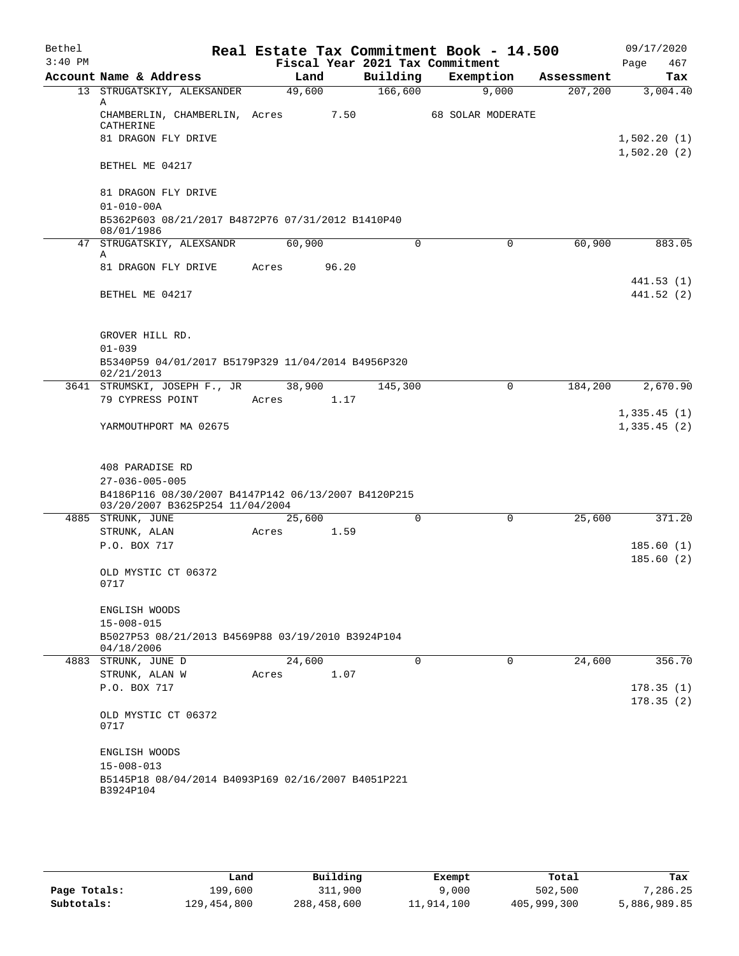| Bethel    |                                                                               |        |                                             | Real Estate Tax Commitment Book - 14.500 |            | 09/17/2020                 |
|-----------|-------------------------------------------------------------------------------|--------|---------------------------------------------|------------------------------------------|------------|----------------------------|
| $3:40$ PM | Account Name & Address                                                        | Land   | Fiscal Year 2021 Tax Commitment<br>Building | Exemption                                | Assessment | 467<br>Page<br>Tax         |
|           | 13 STRUGATSKIY, ALEKSANDER                                                    | 49,600 | 166,600                                     | 9,000                                    | 207,200    | 3,004.40                   |
|           | Α<br>CHAMBERLIN, CHAMBERLIN, Acres<br>CATHERINE                               |        | 7.50                                        | 68 SOLAR MODERATE                        |            |                            |
|           | 81 DRAGON FLY DRIVE                                                           |        |                                             |                                          |            | 1,502.20(1)                |
|           | BETHEL ME 04217                                                               |        |                                             |                                          |            | 1,502.20(2)                |
|           | 81 DRAGON FLY DRIVE<br>$01 - 010 - 00A$                                       |        |                                             |                                          |            |                            |
|           | B5362P603 08/21/2017 B4872P76 07/31/2012 B1410P40<br>08/01/1986               |        |                                             |                                          |            |                            |
|           | 47 STRUGATSKIY, ALEXSANDR                                                     | 60,900 | $\mathbf 0$                                 | 0                                        | 60,900     | 883.05                     |
|           | Α<br>81 DRAGON FLY DRIVE                                                      | Acres  | 96.20                                       |                                          |            |                            |
|           |                                                                               |        |                                             |                                          |            | 441.53 (1)                 |
|           | BETHEL ME 04217                                                               |        |                                             |                                          |            | 441.52(2)                  |
|           | GROVER HILL RD.                                                               |        |                                             |                                          |            |                            |
|           | $01 - 039$                                                                    |        |                                             |                                          |            |                            |
|           | B5340P59 04/01/2017 B5179P329 11/04/2014 B4956P320<br>02/21/2013              |        |                                             |                                          |            |                            |
|           | 3641 STRUMSKI, JOSEPH F., JR                                                  | 38,900 | 145,300                                     | 0                                        | 184,200    | 2,670.90                   |
|           | 79 CYPRESS POINT                                                              | Acres  | 1.17                                        |                                          |            |                            |
|           | YARMOUTHPORT MA 02675                                                         |        |                                             |                                          |            | 1,335.45(1)<br>1,335.45(2) |
|           |                                                                               |        |                                             |                                          |            |                            |
|           | 408 PARADISE RD                                                               |        |                                             |                                          |            |                            |
|           | $27 - 036 - 005 - 005$<br>B4186P116 08/30/2007 B4147P142 06/13/2007 B4120P215 |        |                                             |                                          |            |                            |
|           | 03/20/2007 B3625P254 11/04/2004                                               |        |                                             |                                          |            |                            |
|           | 4885 STRUNK, JUNE                                                             | 25,600 | 0                                           | 0                                        | 25,600     | 371.20                     |
|           | STRUNK, ALAN                                                                  | Acres  | 1.59                                        |                                          |            |                            |
|           | P.O. BOX 717                                                                  |        |                                             |                                          |            | 185.60(1)<br>185.60(2)     |
|           | OLD MYSTIC CT 06372<br>0717                                                   |        |                                             |                                          |            |                            |
|           | ENGLISH WOODS                                                                 |        |                                             |                                          |            |                            |
|           | $15 - 008 - 015$                                                              |        |                                             |                                          |            |                            |
|           | B5027P53 08/21/2013 B4569P88 03/19/2010 B3924P104<br>04/18/2006               |        |                                             |                                          |            |                            |
|           | 4883 STRUNK, JUNE D                                                           | 24,600 | $\Omega$                                    | $\mathbf 0$                              | 24,600     | 356.70                     |
|           | STRUNK, ALAN W<br>P.O. BOX 717                                                | Acres  | 1.07                                        |                                          |            | 178.35(1)<br>178.35(2)     |
|           | OLD MYSTIC CT 06372<br>0717                                                   |        |                                             |                                          |            |                            |
|           | ENGLISH WOODS<br>$15 - 008 - 013$                                             |        |                                             |                                          |            |                            |
|           | B5145P18 08/04/2014 B4093P169 02/16/2007 B4051P221<br>B3924P104               |        |                                             |                                          |            |                            |
|           |                                                                               |        |                                             |                                          |            |                            |

|              | Land        | Building    | Exempt     | Total       | Tax          |
|--------------|-------------|-------------|------------|-------------|--------------|
| Page Totals: | 199,600     | 311,900     | 9,000      | 502,500     | 7,286.25     |
| Subtotals:   | 129,454,800 | 288,458,600 | 11,914,100 | 405,999,300 | 5,886,989.85 |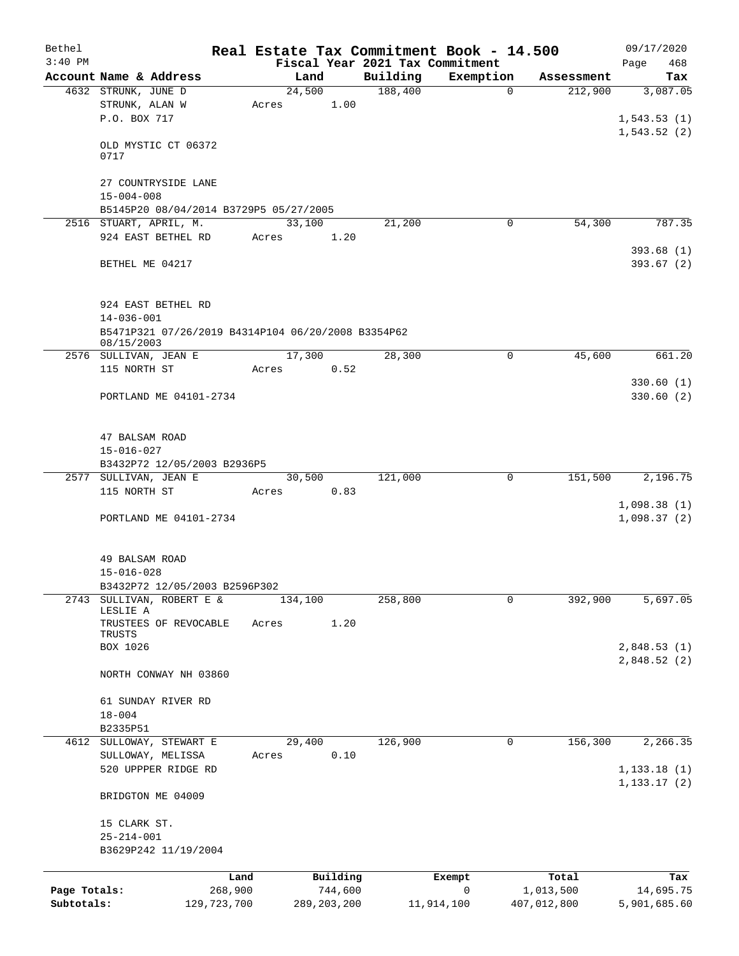| Bethel       |                                                                  |         |                                 |          | Real Estate Tax Commitment Book - 14.500 |             | 09/17/2020             |
|--------------|------------------------------------------------------------------|---------|---------------------------------|----------|------------------------------------------|-------------|------------------------|
| $3:40$ PM    |                                                                  |         | Fiscal Year 2021 Tax Commitment |          |                                          |             | 468<br>Page            |
|              | Account Name & Address                                           |         | Land                            | Building | Exemption                                | Assessment  | Tax                    |
|              | 4632 STRUNK, JUNE D                                              |         | 24,500<br>1.00                  | 188,400  | 0                                        | 212,900     | 3,087.05               |
|              | STRUNK, ALAN W<br>P.O. BOX 717                                   |         | Acres                           |          |                                          |             | 1, 543.53(1)           |
|              |                                                                  |         |                                 |          |                                          |             | 1,543.52(2)            |
|              | OLD MYSTIC CT 06372<br>0717                                      |         |                                 |          |                                          |             |                        |
|              | 27 COUNTRYSIDE LANE                                              |         |                                 |          |                                          |             |                        |
|              | $15 - 004 - 008$<br>B5145P20 08/04/2014 B3729P5 05/27/2005       |         |                                 |          |                                          |             |                        |
|              | 2516 STUART, APRIL, M.                                           |         | 33,100                          | 21,200   | 0                                        | 54,300      | 787.35                 |
|              | 924 EAST BETHEL RD                                               |         | 1.20<br>Acres                   |          |                                          |             |                        |
|              | BETHEL ME 04217                                                  |         |                                 |          |                                          |             | 393.68(1)<br>393.67(2) |
|              |                                                                  |         |                                 |          |                                          |             |                        |
|              | 924 EAST BETHEL RD<br>$14 - 036 - 001$                           |         |                                 |          |                                          |             |                        |
|              | B5471P321 07/26/2019 B4314P104 06/20/2008 B3354P62<br>08/15/2003 |         |                                 |          |                                          |             |                        |
|              | 2576 SULLIVAN, JEAN E                                            |         | 17,300                          | 28,300   | $\mathbf 0$                              | 45,600      | 661.20                 |
|              | 115 NORTH ST                                                     |         | 0.52<br>Acres                   |          |                                          |             |                        |
|              | PORTLAND ME 04101-2734                                           |         |                                 |          |                                          |             | 330.60(1)<br>330.60(2) |
|              | 47 BALSAM ROAD                                                   |         |                                 |          |                                          |             |                        |
|              | $15 - 016 - 027$                                                 |         |                                 |          |                                          |             |                        |
|              | B3432P72 12/05/2003 B2936P5                                      |         |                                 |          |                                          |             |                        |
|              | 2577 SULLIVAN, JEAN E<br>115 NORTH ST                            |         | 30,500<br>0.83<br>Acres         | 121,000  | $\mathbf 0$                              | 151,500     | 2,196.75               |
|              |                                                                  |         |                                 |          |                                          |             | 1,098.38(1)            |
|              | PORTLAND ME 04101-2734                                           |         |                                 |          |                                          |             | 1,098.37(2)            |
|              | 49 BALSAM ROAD                                                   |         |                                 |          |                                          |             |                        |
|              | $15 - 016 - 028$                                                 |         |                                 |          |                                          |             |                        |
|              | B3432P72 12/05/2003 B2596P302<br>SULLIVAN, ROBERT E &            |         |                                 |          |                                          |             |                        |
| 2743         | LESLIE A                                                         |         | 134,100                         | 258,800  | 0                                        | 392,900     | 5,697.05               |
|              | TRUSTEES OF REVOCABLE<br>TRUSTS                                  |         | Acres<br>1.20                   |          |                                          |             |                        |
|              | BOX 1026                                                         |         |                                 |          |                                          |             | 2,848.53(1)            |
|              | NORTH CONWAY NH 03860                                            |         |                                 |          |                                          |             | 2,848.52 (2)           |
|              | 61 SUNDAY RIVER RD                                               |         |                                 |          |                                          |             |                        |
|              | $18 - 004$<br>B2335P51                                           |         |                                 |          |                                          |             |                        |
| 4612         | SULLOWAY, STEWART E                                              |         | 29,400                          | 126,900  | 0                                        | 156,300     | 2,266.35               |
|              | SULLOWAY, MELISSA<br>520 UPPPER RIDGE RD                         |         | 0.10<br>Acres                   |          |                                          |             | 1, 133.18(1)           |
|              | BRIDGTON ME 04009                                                |         |                                 |          |                                          |             | 1, 133.17(2)           |
|              | 15 CLARK ST.                                                     |         |                                 |          |                                          |             |                        |
|              | $25 - 214 - 001$                                                 |         |                                 |          |                                          |             |                        |
|              | B3629P242 11/19/2004                                             |         |                                 |          |                                          |             |                        |
|              |                                                                  | Land    | Building                        |          | Exempt                                   | Total       | Tax                    |
| Page Totals: |                                                                  | 268,900 | 744,600                         |          | $\mathsf{O}$                             | 1,013,500   | 14,695.75              |
| Subtotals:   | 129, 723, 700                                                    |         | 289, 203, 200                   |          | 11,914,100                               | 407,012,800 | 5,901,685.60           |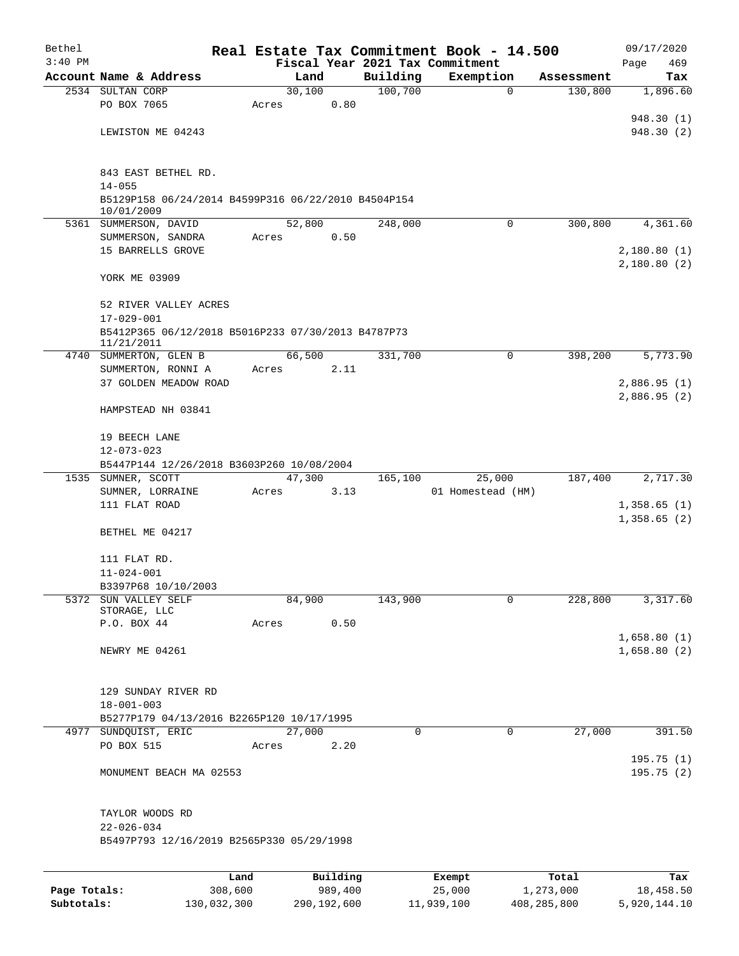| Bethel       |                                                                  |                 |        |                     |          | Real Estate Tax Commitment Book - 14.500 |                    | 09/17/2020       |
|--------------|------------------------------------------------------------------|-----------------|--------|---------------------|----------|------------------------------------------|--------------------|------------------|
| $3:40$ PM    |                                                                  |                 |        |                     |          | Fiscal Year 2021 Tax Commitment          |                    | 469<br>Page      |
|              | Account Name & Address                                           |                 | Land   |                     | Building | Exemption                                | Assessment         | Tax              |
|              | 2534 SULTAN CORP                                                 |                 | 30,100 |                     | 100,700  | $\mathbf 0$                              | 130,800            | 1,896.60         |
|              | PO BOX 7065                                                      | Acres           |        | 0.80                |          |                                          |                    |                  |
|              |                                                                  |                 |        |                     |          |                                          |                    | 948.30 (1)       |
|              | LEWISTON ME 04243                                                |                 |        |                     |          |                                          |                    | 948.30 (2)       |
|              |                                                                  |                 |        |                     |          |                                          |                    |                  |
|              | 843 EAST BETHEL RD.                                              |                 |        |                     |          |                                          |                    |                  |
|              | $14 - 055$                                                       |                 |        |                     |          |                                          |                    |                  |
|              | B5129P158 06/24/2014 B4599P316 06/22/2010 B4504P154              |                 |        |                     |          |                                          |                    |                  |
|              | 10/01/2009                                                       |                 |        |                     |          |                                          |                    |                  |
|              | 5361 SUMMERSON, DAVID                                            |                 | 52,800 |                     | 248,000  | $\mathbf 0$                              | 300,800            | 4,361.60         |
|              | SUMMERSON, SANDRA                                                | Acres           |        | 0.50                |          |                                          |                    |                  |
|              | 15 BARRELLS GROVE                                                |                 |        |                     |          |                                          |                    | 2,180.80(1)      |
|              |                                                                  |                 |        |                     |          |                                          |                    | 2,180.80(2)      |
|              | YORK ME 03909                                                    |                 |        |                     |          |                                          |                    |                  |
|              |                                                                  |                 |        |                     |          |                                          |                    |                  |
|              | 52 RIVER VALLEY ACRES                                            |                 |        |                     |          |                                          |                    |                  |
|              | $17 - 029 - 001$                                                 |                 |        |                     |          |                                          |                    |                  |
|              | B5412P365 06/12/2018 B5016P233 07/30/2013 B4787P73<br>11/21/2011 |                 |        |                     |          |                                          |                    |                  |
|              | 4740 SUMMERTON, GLEN B                                           |                 | 66,500 |                     | 331,700  | $\mathbf 0$                              | 398,200            | 5,773.90         |
|              | SUMMERTON, RONNI A                                               | Acres           |        | 2.11                |          |                                          |                    |                  |
|              | 37 GOLDEN MEADOW ROAD                                            |                 |        |                     |          |                                          |                    | 2,886.95(1)      |
|              |                                                                  |                 |        |                     |          |                                          |                    | 2,886.95(2)      |
|              | HAMPSTEAD NH 03841                                               |                 |        |                     |          |                                          |                    |                  |
|              |                                                                  |                 |        |                     |          |                                          |                    |                  |
|              | 19 BEECH LANE                                                    |                 |        |                     |          |                                          |                    |                  |
|              | $12 - 073 - 023$                                                 |                 |        |                     |          |                                          |                    |                  |
|              | B5447P144 12/26/2018 B3603P260 10/08/2004                        |                 |        |                     |          |                                          |                    |                  |
|              | 1535 SUMNER, SCOTT                                               |                 | 47,300 |                     | 165,100  | 25,000                                   | 187,400            | 2,717.30         |
|              | SUMNER, LORRAINE                                                 | Acres           |        | 3.13                |          | 01 Homestead (HM)                        |                    |                  |
|              | 111 FLAT ROAD                                                    |                 |        |                     |          |                                          |                    | 1,358.65(1)      |
|              |                                                                  |                 |        |                     |          |                                          |                    | 1,358.65(2)      |
|              | BETHEL ME 04217                                                  |                 |        |                     |          |                                          |                    |                  |
|              |                                                                  |                 |        |                     |          |                                          |                    |                  |
|              | 111 FLAT RD.<br>$11 - 024 - 001$                                 |                 |        |                     |          |                                          |                    |                  |
|              | B3397P68 10/10/2003                                              |                 |        |                     |          |                                          |                    |                  |
|              | 5372 SUN VALLEY SELF                                             |                 | 84,900 |                     | 143,900  | $\mathbf 0$                              | 228,800            | 3,317.60         |
|              | STORAGE, LLC                                                     |                 |        |                     |          |                                          |                    |                  |
|              | P.O. BOX 44                                                      | Acres           |        | 0.50                |          |                                          |                    |                  |
|              |                                                                  |                 |        |                     |          |                                          |                    | 1,658.80(1)      |
|              | NEWRY ME 04261                                                   |                 |        |                     |          |                                          |                    | 1,658.80(2)      |
|              |                                                                  |                 |        |                     |          |                                          |                    |                  |
|              |                                                                  |                 |        |                     |          |                                          |                    |                  |
|              | 129 SUNDAY RIVER RD                                              |                 |        |                     |          |                                          |                    |                  |
|              | $18 - 001 - 003$                                                 |                 |        |                     |          |                                          |                    |                  |
|              | B5277P179 04/13/2016 B2265P120 10/17/1995                        |                 |        |                     |          |                                          |                    |                  |
|              | 4977 SUNDQUIST, ERIC<br>PO BOX 515                               | Acres           | 27,000 | 2.20                | 0        | $\mathbf 0$                              | 27,000             | 391.50           |
|              |                                                                  |                 |        |                     |          |                                          |                    | 195.75(1)        |
|              | MONUMENT BEACH MA 02553                                          |                 |        |                     |          |                                          |                    | 195.75 (2)       |
|              |                                                                  |                 |        |                     |          |                                          |                    |                  |
|              |                                                                  |                 |        |                     |          |                                          |                    |                  |
|              | TAYLOR WOODS RD                                                  |                 |        |                     |          |                                          |                    |                  |
|              | $22 - 026 - 034$                                                 |                 |        |                     |          |                                          |                    |                  |
|              | B5497P793 12/16/2019 B2565P330 05/29/1998                        |                 |        |                     |          |                                          |                    |                  |
|              |                                                                  |                 |        |                     |          |                                          |                    |                  |
|              |                                                                  |                 |        |                     |          |                                          |                    |                  |
| Page Totals: |                                                                  | Land<br>308,600 |        | Building<br>989,400 |          | Exempt<br>25,000                         | Total<br>1,273,000 | Tax<br>18,458.50 |
|              |                                                                  |                 |        |                     |          |                                          |                    |                  |

**Subtotals:** 130,032,300 290,192,600 11,939,100 408,285,800 5,920,144.10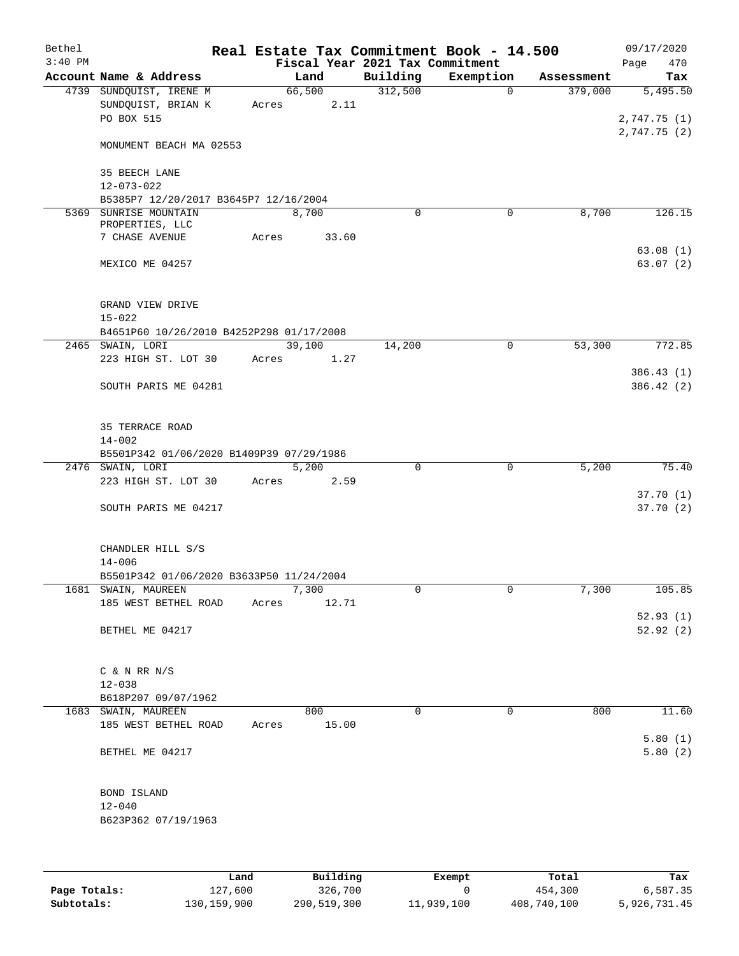| Account Name & Address<br>4739 SUNDQUIST, IRENE M<br>SUNDQUIST, BRIAN K<br>PO BOX 515<br>MONUMENT BEACH MA 02553<br>35 BEECH LANE<br>$12 - 073 - 022$<br>B5385P7 12/20/2017 B3645P7 12/16/2004<br>5369 SUNRISE MOUNTAIN<br>PROPERTIES, LLC<br>7 CHASE AVENUE<br>MEXICO ME 04257<br>GRAND VIEW DRIVE<br>B4651P60 10/26/2010 B4252P298 01/17/2008<br>2465 SWAIN, LORI<br>223 HIGH ST. LOT 30<br>SOUTH PARIS ME 04281 | Acres<br>Acres<br>Acres                                                           | Land<br>66,500<br>2.11<br>8,700<br>33.60<br>39,100<br>1.27 | Fiscal Year 2021 Tax Commitment<br>Building<br>312,500<br>$\mathbf 0$<br>14,200 | Exemption<br>$\mathbf 0$<br>0 | Assessment<br>379,000<br>8,700 | Page<br>Tax<br>5,495.50<br>2,747.75 (1)<br>2,747.75(2) |
|--------------------------------------------------------------------------------------------------------------------------------------------------------------------------------------------------------------------------------------------------------------------------------------------------------------------------------------------------------------------------------------------------------------------|-----------------------------------------------------------------------------------|------------------------------------------------------------|---------------------------------------------------------------------------------|-------------------------------|--------------------------------|--------------------------------------------------------|
|                                                                                                                                                                                                                                                                                                                                                                                                                    |                                                                                   |                                                            |                                                                                 |                               |                                |                                                        |
|                                                                                                                                                                                                                                                                                                                                                                                                                    |                                                                                   |                                                            |                                                                                 |                               |                                |                                                        |
|                                                                                                                                                                                                                                                                                                                                                                                                                    |                                                                                   |                                                            |                                                                                 |                               |                                | 126.15<br>63.08(1)<br>63.07(2)                         |
|                                                                                                                                                                                                                                                                                                                                                                                                                    |                                                                                   |                                                            |                                                                                 |                               |                                |                                                        |
|                                                                                                                                                                                                                                                                                                                                                                                                                    |                                                                                   |                                                            |                                                                                 |                               |                                |                                                        |
|                                                                                                                                                                                                                                                                                                                                                                                                                    |                                                                                   |                                                            |                                                                                 |                               |                                |                                                        |
|                                                                                                                                                                                                                                                                                                                                                                                                                    |                                                                                   |                                                            |                                                                                 |                               |                                |                                                        |
|                                                                                                                                                                                                                                                                                                                                                                                                                    |                                                                                   |                                                            |                                                                                 |                               |                                |                                                        |
|                                                                                                                                                                                                                                                                                                                                                                                                                    |                                                                                   |                                                            |                                                                                 |                               |                                |                                                        |
|                                                                                                                                                                                                                                                                                                                                                                                                                    |                                                                                   |                                                            |                                                                                 | $\mathsf{O}$                  | 53,300                         | 772.85                                                 |
|                                                                                                                                                                                                                                                                                                                                                                                                                    |                                                                                   |                                                            |                                                                                 |                               |                                |                                                        |
|                                                                                                                                                                                                                                                                                                                                                                                                                    |                                                                                   |                                                            |                                                                                 |                               |                                | 386.43(1)                                              |
|                                                                                                                                                                                                                                                                                                                                                                                                                    |                                                                                   |                                                            |                                                                                 |                               |                                | 386.42(2)                                              |
| 35 TERRACE ROAD<br>B5501P342 01/06/2020 B1409P39 07/29/1986                                                                                                                                                                                                                                                                                                                                                        |                                                                                   |                                                            |                                                                                 |                               |                                |                                                        |
| 2476 SWAIN, LORI                                                                                                                                                                                                                                                                                                                                                                                                   |                                                                                   | 5,200                                                      | 0                                                                               | 0                             | 5,200                          | 75.40                                                  |
| 223 HIGH ST. LOT 30                                                                                                                                                                                                                                                                                                                                                                                                | Acres                                                                             | 2.59                                                       |                                                                                 |                               |                                |                                                        |
|                                                                                                                                                                                                                                                                                                                                                                                                                    |                                                                                   |                                                            |                                                                                 |                               |                                | 37.70(1)                                               |
| SOUTH PARIS ME 04217                                                                                                                                                                                                                                                                                                                                                                                               |                                                                                   |                                                            |                                                                                 |                               |                                | 37.70(2)                                               |
| CHANDLER HILL S/S                                                                                                                                                                                                                                                                                                                                                                                                  |                                                                                   |                                                            |                                                                                 |                               |                                |                                                        |
| B5501P342 01/06/2020 B3633P50 11/24/2004                                                                                                                                                                                                                                                                                                                                                                           |                                                                                   |                                                            |                                                                                 |                               |                                |                                                        |
| 1681 SWAIN, MAUREEN                                                                                                                                                                                                                                                                                                                                                                                                |                                                                                   | 7,300                                                      | 0                                                                               | 0                             | 7,300                          | 105.85                                                 |
|                                                                                                                                                                                                                                                                                                                                                                                                                    |                                                                                   |                                                            |                                                                                 |                               |                                | 52.93(1)                                               |
| BETHEL ME 04217                                                                                                                                                                                                                                                                                                                                                                                                    |                                                                                   |                                                            |                                                                                 |                               |                                | 52.92(2)                                               |
| $C$ & N RR N/S                                                                                                                                                                                                                                                                                                                                                                                                     |                                                                                   |                                                            |                                                                                 |                               |                                |                                                        |
|                                                                                                                                                                                                                                                                                                                                                                                                                    |                                                                                   |                                                            |                                                                                 |                               |                                |                                                        |
| 1683 SWAIN, MAUREEN                                                                                                                                                                                                                                                                                                                                                                                                |                                                                                   | 800                                                        | $\Omega$                                                                        | 0                             | 800                            | 11.60                                                  |
| 185 WEST BETHEL ROAD                                                                                                                                                                                                                                                                                                                                                                                               | Acres                                                                             | 15.00                                                      |                                                                                 |                               |                                | 5.80(1)                                                |
| BETHEL ME 04217                                                                                                                                                                                                                                                                                                                                                                                                    |                                                                                   |                                                            |                                                                                 |                               |                                | 5.80(2)                                                |
|                                                                                                                                                                                                                                                                                                                                                                                                                    |                                                                                   |                                                            |                                                                                 |                               |                                |                                                        |
|                                                                                                                                                                                                                                                                                                                                                                                                                    | 185 WEST BETHEL ROAD<br>B618P207 09/07/1962<br>BOND ISLAND<br>B623P362 07/19/1963 | Acres                                                      | 12.71                                                                           |                               |                                |                                                        |

|              | Land          | Building    | Exempt     | Total       | Tax          |
|--------------|---------------|-------------|------------|-------------|--------------|
| Page Totals: | 127,600       | 326,700     |            | 454,300     | 6,587.35     |
| Subtotals:   | 130, 159, 900 | 290,519,300 | 11,939,100 | 408,740,100 | 5,926,731.45 |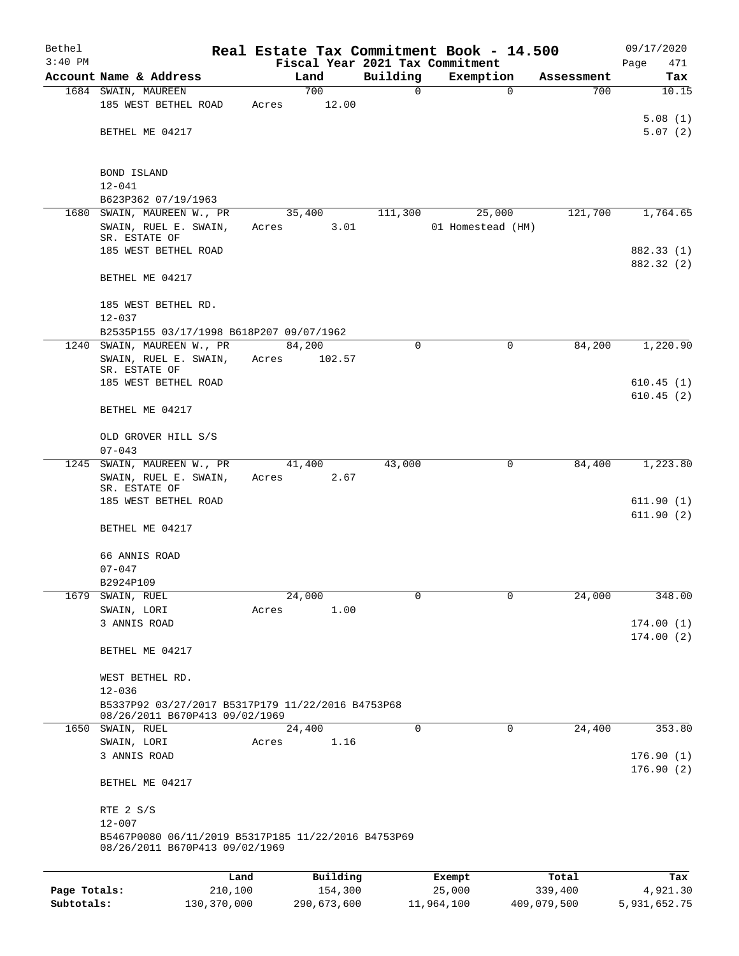| Bethel       |                                                                                     |         |       |             |             | Real Estate Tax Commitment Book - 14.500 |            | 09/17/2020             |
|--------------|-------------------------------------------------------------------------------------|---------|-------|-------------|-------------|------------------------------------------|------------|------------------------|
| $3:40$ PM    |                                                                                     |         |       |             |             | Fiscal Year 2021 Tax Commitment          |            | Page<br>471            |
|              | Account Name & Address                                                              |         |       | Land<br>700 | Building    | Exemption                                | Assessment | Tax                    |
|              | 1684 SWAIN, MAUREEN                                                                 |         |       |             | $\mathbf 0$ | $\mathbf 0$                              | 700        | 10.15                  |
|              | 185 WEST BETHEL ROAD                                                                |         | Acres | 12.00       |             |                                          |            | 5.08(1)                |
|              | BETHEL ME 04217                                                                     |         |       |             |             |                                          |            | 5.07(2)                |
|              |                                                                                     |         |       |             |             |                                          |            |                        |
|              | <b>BOND ISLAND</b>                                                                  |         |       |             |             |                                          |            |                        |
|              | $12 - 041$                                                                          |         |       |             |             |                                          |            |                        |
|              | B623P362 07/19/1963                                                                 |         |       |             |             |                                          |            |                        |
| 1680         | SWAIN, MAUREEN W., PR                                                               |         |       | 35,400      | 111,300     | 25,000                                   | 121,700    | 1,764.65               |
|              | SWAIN, RUEL E. SWAIN,                                                               |         | Acres | 3.01        |             | 01 Homestead (HM)                        |            |                        |
|              | SR. ESTATE OF                                                                       |         |       |             |             |                                          |            |                        |
|              | 185 WEST BETHEL ROAD                                                                |         |       |             |             |                                          |            | 882.33 (1)             |
|              | BETHEL ME 04217                                                                     |         |       |             |             |                                          |            | 882.32 (2)             |
|              |                                                                                     |         |       |             |             |                                          |            |                        |
|              | 185 WEST BETHEL RD.                                                                 |         |       |             |             |                                          |            |                        |
|              | $12 - 037$                                                                          |         |       |             |             |                                          |            |                        |
|              | B2535P155 03/17/1998 B618P207 09/07/1962                                            |         |       |             |             |                                          |            |                        |
| 1240         | SWAIN, MAUREEN W., PR                                                               |         |       | 84,200      | $\mathbf 0$ | 0                                        | 84,200     | 1,220.90               |
|              | SWAIN, RUEL E. SWAIN,                                                               |         | Acres | 102.57      |             |                                          |            |                        |
|              | SR. ESTATE OF                                                                       |         |       |             |             |                                          |            |                        |
|              | 185 WEST BETHEL ROAD                                                                |         |       |             |             |                                          |            | 610.45(1)<br>610.45(2) |
|              | BETHEL ME 04217                                                                     |         |       |             |             |                                          |            |                        |
|              |                                                                                     |         |       |             |             |                                          |            |                        |
|              | OLD GROVER HILL S/S<br>$07 - 043$                                                   |         |       |             |             |                                          |            |                        |
|              | 1245 SWAIN, MAUREEN W., PR                                                          |         |       | 41,400      | 43,000      | 0                                        | 84,400     | 1,223.80               |
|              | SWAIN, RUEL E. SWAIN,                                                               |         | Acres | 2.67        |             |                                          |            |                        |
|              | SR. ESTATE OF<br>185 WEST BETHEL ROAD                                               |         |       |             |             |                                          |            | 611.90(1)              |
|              |                                                                                     |         |       |             |             |                                          |            | 611.90(2)              |
|              | BETHEL ME 04217                                                                     |         |       |             |             |                                          |            |                        |
|              | 66 ANNIS ROAD                                                                       |         |       |             |             |                                          |            |                        |
|              | $07 - 047$                                                                          |         |       |             |             |                                          |            |                        |
|              | B2924P109                                                                           |         |       |             |             |                                          |            |                        |
| 1679         | SWAIN, RUEL                                                                         |         |       | 24,000      | 0           | $\mathbf 0$                              | 24,000     | 348.00                 |
|              | SWAIN, LORI                                                                         |         | Acres | 1.00        |             |                                          |            |                        |
|              | 3 ANNIS ROAD                                                                        |         |       |             |             |                                          |            | 174.00(1)              |
|              |                                                                                     |         |       |             |             |                                          |            | 174.00(2)              |
|              | BETHEL ME 04217                                                                     |         |       |             |             |                                          |            |                        |
|              | WEST BETHEL RD.                                                                     |         |       |             |             |                                          |            |                        |
|              | $12 - 036$                                                                          |         |       |             |             |                                          |            |                        |
|              | B5337P92 03/27/2017 B5317P179 11/22/2016 B4753P68<br>08/26/2011 B670P413 09/02/1969 |         |       |             |             |                                          |            |                        |
| 1650         | SWAIN, RUEL                                                                         |         |       | 24,400      | $\Omega$    | 0                                        | 24,400     | 353.80                 |
|              | SWAIN, LORI                                                                         |         | Acres | 1.16        |             |                                          |            |                        |
|              | 3 ANNIS ROAD                                                                        |         |       |             |             |                                          |            | 176.90(1)              |
|              | BETHEL ME 04217                                                                     |         |       |             |             |                                          |            | 176.90(2)              |
|              |                                                                                     |         |       |             |             |                                          |            |                        |
|              | RTE 2 S/S                                                                           |         |       |             |             |                                          |            |                        |
|              | $12 - 007$<br>B5467P0080 06/11/2019 B5317P185 11/22/2016 B4753P69                   |         |       |             |             |                                          |            |                        |
|              | 08/26/2011 B670P413 09/02/1969                                                      |         |       |             |             |                                          |            |                        |
|              |                                                                                     | Land    |       | Building    |             | Exempt                                   | Total      | Tax                    |
| Page Totals: |                                                                                     | 210,100 |       | 154,300     |             | 25,000                                   | 339,400    | 4,921.30               |
|              |                                                                                     |         |       |             |             |                                          |            |                        |

**Subtotals:** 130,370,000 290,673,600 11,964,100 409,079,500 5,931,652.75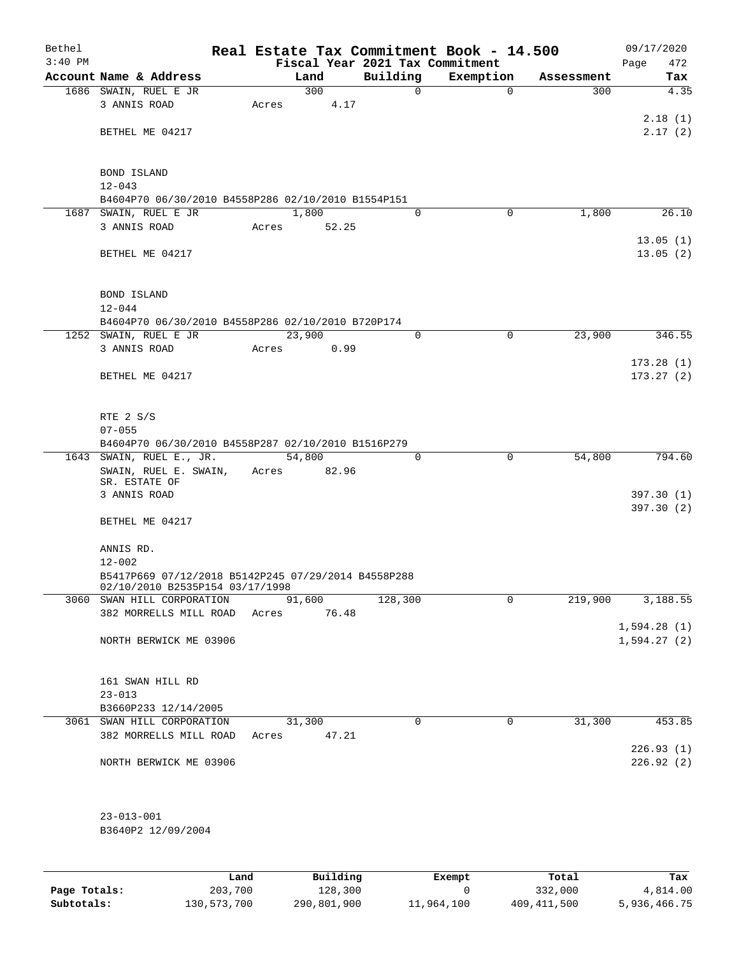| Bethel    |                                                                  |             |       |                           |          |          | Real Estate Tax Commitment Book - 14.500 |            | 09/17/2020             |
|-----------|------------------------------------------------------------------|-------------|-------|---------------------------|----------|----------|------------------------------------------|------------|------------------------|
| $3:40$ PM |                                                                  |             |       |                           |          |          | Fiscal Year 2021 Tax Commitment          |            | 472<br>Page            |
|           | Account Name & Address                                           |             |       | Land<br>300               | Building |          | Exemption                                | Assessment | Tax<br>4.35            |
|           | 1686 SWAIN, RUEL E JR<br>3 ANNIS ROAD                            |             | Acres | 4.17                      |          | 0        | $\mathbf 0$                              | 300        |                        |
|           |                                                                  |             |       |                           |          |          |                                          |            | 2.18(1)                |
|           | BETHEL ME 04217                                                  |             |       |                           |          |          |                                          |            | 2.17(2)                |
|           |                                                                  |             |       |                           |          |          |                                          |            |                        |
|           |                                                                  |             |       |                           |          |          |                                          |            |                        |
|           | BOND ISLAND                                                      |             |       |                           |          |          |                                          |            |                        |
|           | $12 - 043$<br>B4604P70 06/30/2010 B4558P286 02/10/2010 B1554P151 |             |       |                           |          |          |                                          |            |                        |
|           | 1687 SWAIN, RUEL E JR                                            |             |       | 1,800                     |          | $\Omega$ | 0                                        | 1,800      | 26.10                  |
|           | 3 ANNIS ROAD                                                     |             | Acres | 52.25                     |          |          |                                          |            |                        |
|           |                                                                  |             |       |                           |          |          |                                          |            | 13.05(1)               |
|           | BETHEL ME 04217                                                  |             |       |                           |          |          |                                          |            | 13.05(2)               |
|           |                                                                  |             |       |                           |          |          |                                          |            |                        |
|           | <b>BOND ISLAND</b>                                               |             |       |                           |          |          |                                          |            |                        |
|           | $12 - 044$                                                       |             |       |                           |          |          |                                          |            |                        |
|           | B4604P70 06/30/2010 B4558P286 02/10/2010 B720P174                |             |       |                           |          |          |                                          |            |                        |
|           | 1252 SWAIN, RUEL E JR                                            |             |       | 23,900                    |          | 0        | $\mathbf 0$                              | 23,900     | 346.55                 |
|           | 3 ANNIS ROAD                                                     |             | Acres | 0.99                      |          |          |                                          |            |                        |
|           |                                                                  |             |       |                           |          |          |                                          |            | 173.28(1)              |
|           | BETHEL ME 04217                                                  |             |       |                           |          |          |                                          |            | 173.27(2)              |
|           |                                                                  |             |       |                           |          |          |                                          |            |                        |
|           |                                                                  |             |       |                           |          |          |                                          |            |                        |
|           | RTE 2 S/S<br>$07 - 055$                                          |             |       |                           |          |          |                                          |            |                        |
|           | B4604P70 06/30/2010 B4558P287 02/10/2010 B1516P279               |             |       |                           |          |          |                                          |            |                        |
|           | 1643 SWAIN, RUEL E., JR.                                         |             |       | 54,800                    |          | $\Omega$ | 0                                        | 54,800     | 794.60                 |
|           | SWAIN, RUEL E. SWAIN,                                            |             | Acres | 82.96                     |          |          |                                          |            |                        |
|           | SR. ESTATE OF                                                    |             |       |                           |          |          |                                          |            |                        |
|           | 3 ANNIS ROAD                                                     |             |       |                           |          |          |                                          |            | 397.30(1)<br>397.30(2) |
|           | BETHEL ME 04217                                                  |             |       |                           |          |          |                                          |            |                        |
|           |                                                                  |             |       |                           |          |          |                                          |            |                        |
|           | ANNIS RD.                                                        |             |       |                           |          |          |                                          |            |                        |
|           | $12 - 002$                                                       |             |       |                           |          |          |                                          |            |                        |
|           | B5417P669 07/12/2018 B5142P245 07/29/2014 B4558P288              |             |       |                           |          |          |                                          |            |                        |
|           | 02/10/2010 B2535P154 03/17/1998<br>3060 SWAN HILL CORPORATION    |             |       | 91,600                    | 128,300  |          | 0                                        | 219,900    | 3,188.55               |
|           | 382 MORRELLS MILL ROAD                                           |             | Acres | 76.48                     |          |          |                                          |            |                        |
|           |                                                                  |             |       |                           |          |          |                                          |            | 1,594.28(1)            |
|           | NORTH BERWICK ME 03906                                           |             |       |                           |          |          |                                          |            | 1,594.27(2)            |
|           |                                                                  |             |       |                           |          |          |                                          |            |                        |
|           |                                                                  |             |       |                           |          |          |                                          |            |                        |
|           | 161 SWAN HILL RD                                                 |             |       |                           |          |          |                                          |            |                        |
|           | $23 - 013$<br>B3660P233 12/14/2005                               |             |       |                           |          |          |                                          |            |                        |
|           | 3061 SWAN HILL CORPORATION                                       |             |       | 31,300                    |          | 0        | 0                                        | 31,300     | 453.85                 |
|           | 382 MORRELLS MILL ROAD                                           |             |       | Acres 47.21               |          |          |                                          |            |                        |
|           |                                                                  |             |       |                           |          |          |                                          |            | 226.93(1)              |
|           | NORTH BERWICK ME 03906                                           |             |       |                           |          |          |                                          |            | 226.92(2)              |
|           |                                                                  |             |       |                           |          |          |                                          |            |                        |
|           |                                                                  |             |       |                           |          |          |                                          |            |                        |
|           |                                                                  |             |       |                           |          |          |                                          |            |                        |
|           | $23 - 013 - 001$<br>B3640P2 12/09/2004                           |             |       |                           |          |          |                                          |            |                        |
|           |                                                                  |             |       |                           |          |          |                                          |            |                        |
|           |                                                                  |             |       |                           |          |          |                                          |            |                        |
|           |                                                                  | <b>Tand</b> |       | $P_{11}$ in $I$ in $\sim$ |          |          | $P$ <sub>rea</sub> mst                   | $T - + -1$ | ш.,                    |

|              | Land        | Building    | Exempt     | Total         | Tax          |
|--------------|-------------|-------------|------------|---------------|--------------|
| Page Totals: | 203,700     | 128,300     |            | 332,000       | 4,814.00     |
| Subtotals:   | 130,573,700 | 290,801,900 | 11,964,100 | 409, 411, 500 | 5,936,466.75 |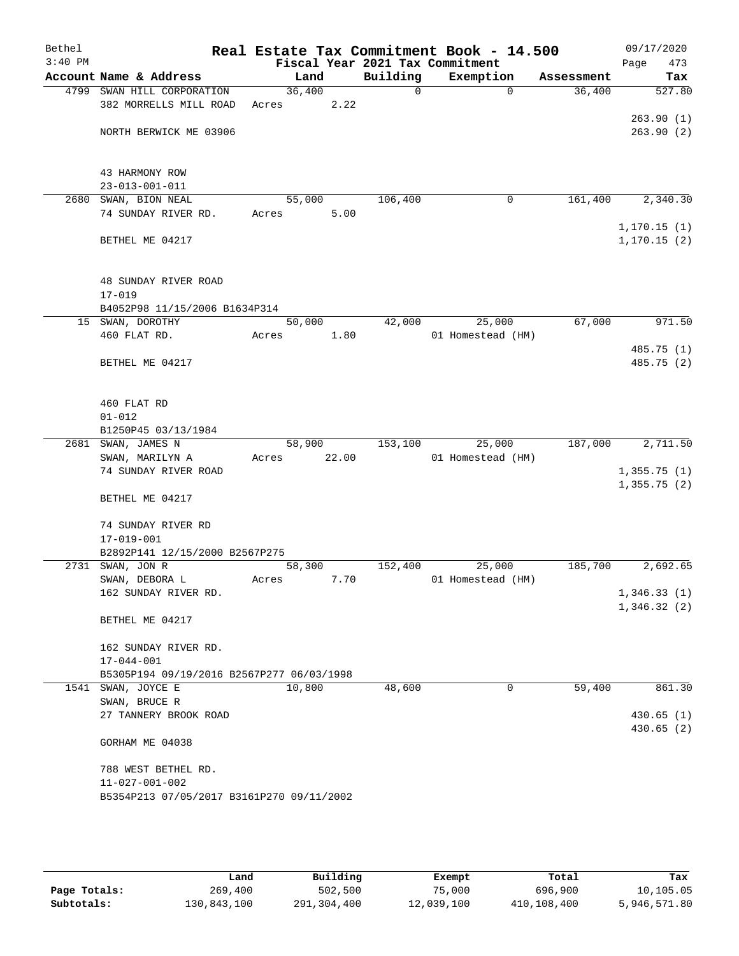| Bethel<br>$3:40$ PM |                                                    |        |       |          | Real Estate Tax Commitment Book - 14.500<br>Fiscal Year 2021 Tax Commitment |            | 09/17/2020<br>473<br>Page |
|---------------------|----------------------------------------------------|--------|-------|----------|-----------------------------------------------------------------------------|------------|---------------------------|
|                     | Account Name & Address                             | Land   |       | Building | Exemption                                                                   | Assessment | Tax                       |
|                     | 4799 SWAN HILL CORPORATION                         | 36,400 |       | 0        | $\Omega$                                                                    | 36,400     | 527.80                    |
|                     | 382 MORRELLS MILL ROAD                             | Acres  | 2.22  |          |                                                                             |            |                           |
|                     |                                                    |        |       |          |                                                                             |            | 263.90(1)                 |
|                     | NORTH BERWICK ME 03906                             |        |       |          |                                                                             |            | 263.90(2)                 |
|                     |                                                    |        |       |          |                                                                             |            |                           |
|                     |                                                    |        |       |          |                                                                             |            |                           |
|                     | 43 HARMONY ROW                                     |        |       |          |                                                                             |            |                           |
|                     | $23 - 013 - 001 - 011$                             |        |       |          |                                                                             |            |                           |
| 2680                | SWAN, BION NEAL                                    | 55,000 |       | 106,400  | 0                                                                           | 161,400    | 2,340.30                  |
|                     | 74 SUNDAY RIVER RD.                                | Acres  | 5.00  |          |                                                                             |            | 1, 170.15(1)              |
|                     | BETHEL ME 04217                                    |        |       |          |                                                                             |            | 1, 170.15(2)              |
|                     |                                                    |        |       |          |                                                                             |            |                           |
|                     |                                                    |        |       |          |                                                                             |            |                           |
|                     | 48 SUNDAY RIVER ROAD                               |        |       |          |                                                                             |            |                           |
|                     | $17 - 019$                                         |        |       |          |                                                                             |            |                           |
|                     | B4052P98 11/15/2006 B1634P314                      |        |       |          |                                                                             |            |                           |
|                     | 15 SWAN, DOROTHY                                   | 50,000 |       | 42,000   | 25,000                                                                      | 67,000     | 971.50                    |
|                     | 460 FLAT RD.                                       | Acres  | 1.80  |          | 01 Homestead (HM)                                                           |            |                           |
|                     |                                                    |        |       |          |                                                                             |            | 485.75 (1)                |
|                     | BETHEL ME 04217                                    |        |       |          |                                                                             |            | 485.75 (2)                |
|                     |                                                    |        |       |          |                                                                             |            |                           |
|                     | 460 FLAT RD                                        |        |       |          |                                                                             |            |                           |
|                     | $01 - 012$                                         |        |       |          |                                                                             |            |                           |
|                     | B1250P45 03/13/1984                                |        |       |          |                                                                             |            |                           |
|                     | 2681 SWAN, JAMES N                                 | 58,900 |       | 153,100  | 25,000                                                                      | 187,000    | 2,711.50                  |
|                     | SWAN, MARILYN A                                    | Acres  | 22.00 |          | 01 Homestead (HM)                                                           |            |                           |
|                     | 74 SUNDAY RIVER ROAD                               |        |       |          |                                                                             |            | 1,355.75(1)               |
|                     |                                                    |        |       |          |                                                                             |            | 1,355.75(2)               |
|                     | BETHEL ME 04217                                    |        |       |          |                                                                             |            |                           |
|                     |                                                    |        |       |          |                                                                             |            |                           |
|                     | 74 SUNDAY RIVER RD                                 |        |       |          |                                                                             |            |                           |
|                     | $17 - 019 - 001$<br>B2892P141 12/15/2000 B2567P275 |        |       |          |                                                                             |            |                           |
|                     | 2731 SWAN, JON R                                   | 58,300 |       | 152,400  | 25,000                                                                      | 185,700    | 2,692.65                  |
|                     | SWAN, DEBORA L                                     | Acres  | 7.70  |          | 01 Homestead (HM)                                                           |            |                           |
|                     | 162 SUNDAY RIVER RD.                               |        |       |          |                                                                             |            | 1,346.33(1)               |
|                     |                                                    |        |       |          |                                                                             |            | 1,346.32(2)               |
|                     | BETHEL ME 04217                                    |        |       |          |                                                                             |            |                           |
|                     |                                                    |        |       |          |                                                                             |            |                           |
|                     | 162 SUNDAY RIVER RD.                               |        |       |          |                                                                             |            |                           |
|                     | $17 - 044 - 001$                                   |        |       |          |                                                                             |            |                           |
|                     | B5305P194 09/19/2016 B2567P277 06/03/1998          |        |       |          |                                                                             |            |                           |
|                     | 1541 SWAN, JOYCE E                                 | 10,800 |       | 48,600   | 0                                                                           | 59,400     | 861.30                    |
|                     | SWAN, BRUCE R<br>27 TANNERY BROOK ROAD             |        |       |          |                                                                             |            | 430.65(1)                 |
|                     |                                                    |        |       |          |                                                                             |            | 430.65(2)                 |
|                     | GORHAM ME 04038                                    |        |       |          |                                                                             |            |                           |
|                     |                                                    |        |       |          |                                                                             |            |                           |
|                     | 788 WEST BETHEL RD.                                |        |       |          |                                                                             |            |                           |
|                     | $11 - 027 - 001 - 002$                             |        |       |          |                                                                             |            |                           |
|                     | B5354P213 07/05/2017 B3161P270 09/11/2002          |        |       |          |                                                                             |            |                           |
|                     |                                                    |        |       |          |                                                                             |            |                           |

|              | Land        | Building    | Exempt     | Total       | Tax          |
|--------------|-------------|-------------|------------|-------------|--------------|
| Page Totals: | 269,400     | 502,500     | 75,000     | 696,900     | 10,105.05    |
| Subtotals:   | 130,843,100 | 291,304,400 | 12,039,100 | 410,108,400 | 5,946,571.80 |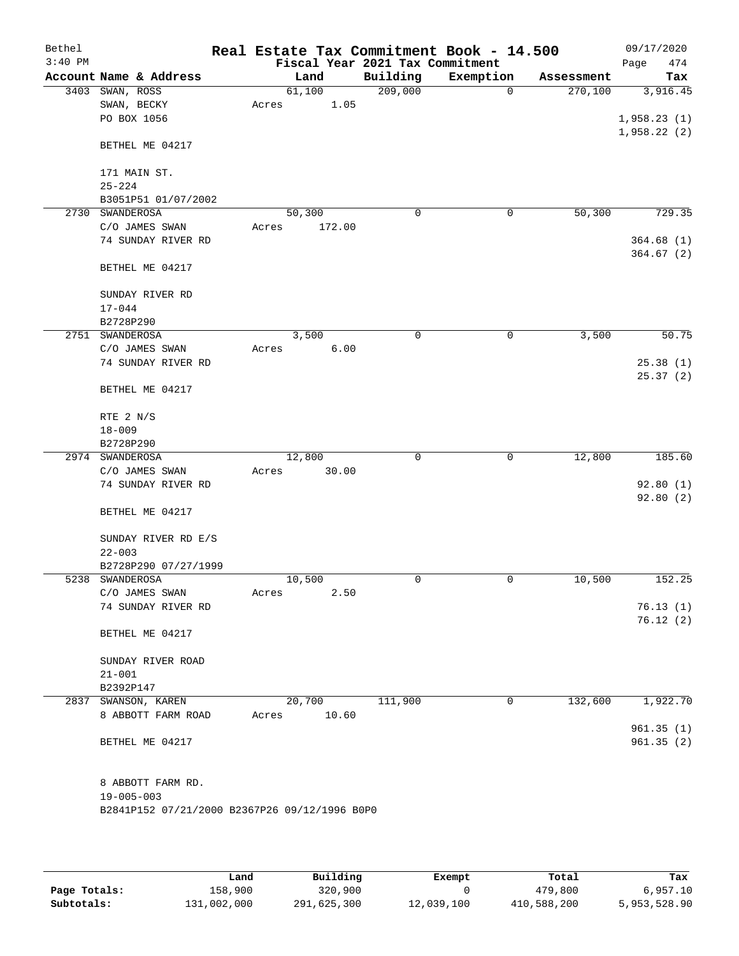| Bethel    |                                               |       |        |                                 | Real Estate Tax Commitment Book - 14.500 |            | 09/17/2020             |
|-----------|-----------------------------------------------|-------|--------|---------------------------------|------------------------------------------|------------|------------------------|
| $3:40$ PM |                                               |       |        | Fiscal Year 2021 Tax Commitment |                                          |            | Page<br>474            |
|           | Account Name & Address                        |       | Land   | Building                        | Exemption                                | Assessment | Tax                    |
| 3403      | SWAN, ROSS                                    |       | 61,100 | 209,000                         | $\mathbf 0$                              | 270,100    | 3,916.45               |
|           | SWAN, BECKY                                   | Acres | 1.05   |                                 |                                          |            |                        |
|           | PO BOX 1056                                   |       |        |                                 |                                          |            | 1,958.23(1)            |
|           | BETHEL ME 04217                               |       |        |                                 |                                          |            | 1,958.22(2)            |
|           |                                               |       |        |                                 |                                          |            |                        |
|           | 171 MAIN ST.<br>$25 - 224$                    |       |        |                                 |                                          |            |                        |
|           | B3051P51 01/07/2002                           |       |        |                                 |                                          |            |                        |
| 2730      | SWANDEROSA                                    |       | 50,300 | 0                               | 0                                        | 50,300     | 729.35                 |
|           | C/O JAMES SWAN                                | Acres | 172.00 |                                 |                                          |            |                        |
|           | 74 SUNDAY RIVER RD                            |       |        |                                 |                                          |            | 364.68(1)              |
|           |                                               |       |        |                                 |                                          |            | 364.67(2)              |
|           | BETHEL ME 04217                               |       |        |                                 |                                          |            |                        |
|           | SUNDAY RIVER RD                               |       |        |                                 |                                          |            |                        |
|           | $17 - 044$                                    |       |        |                                 |                                          |            |                        |
|           | B2728P290                                     |       |        |                                 |                                          |            |                        |
|           | 2751 SWANDEROSA                               |       | 3,500  | 0                               | 0                                        | 3,500      | 50.75                  |
|           | C/O JAMES SWAN                                | Acres | 6.00   |                                 |                                          |            |                        |
|           | 74 SUNDAY RIVER RD                            |       |        |                                 |                                          |            | 25.38(1)               |
|           |                                               |       |        |                                 |                                          |            | 25.37(2)               |
|           | BETHEL ME 04217                               |       |        |                                 |                                          |            |                        |
|           | RTE 2 N/S                                     |       |        |                                 |                                          |            |                        |
|           | $18 - 009$                                    |       |        |                                 |                                          |            |                        |
|           | B2728P290                                     |       |        |                                 |                                          |            |                        |
|           | 2974 SWANDEROSA                               |       | 12,800 | $\mathbf 0$                     | $\mathbf 0$                              | 12,800     | 185.60                 |
|           | C/O JAMES SWAN                                | Acres | 30.00  |                                 |                                          |            |                        |
|           | 74 SUNDAY RIVER RD                            |       |        |                                 |                                          |            | 92.80(1)               |
|           |                                               |       |        |                                 |                                          |            | 92.80 (2)              |
|           | BETHEL ME 04217                               |       |        |                                 |                                          |            |                        |
|           | SUNDAY RIVER RD E/S                           |       |        |                                 |                                          |            |                        |
|           | $22 - 003$                                    |       |        |                                 |                                          |            |                        |
|           | B2728P290 07/27/1999                          |       |        |                                 |                                          |            |                        |
|           | 5238 SWANDEROSA                               |       | 10,500 | 0                               | 0                                        | 10,500     | 152.25                 |
|           | C/O JAMES SWAN                                | Acres | 2.50   |                                 |                                          |            |                        |
|           | 74 SUNDAY RIVER RD                            |       |        |                                 |                                          |            | 76.13(1)               |
|           | BETHEL ME 04217                               |       |        |                                 |                                          |            | 76.12(2)               |
|           | SUNDAY RIVER ROAD                             |       |        |                                 |                                          |            |                        |
|           | $21 - 001$                                    |       |        |                                 |                                          |            |                        |
|           | B2392P147                                     |       |        |                                 |                                          |            |                        |
|           | 2837 SWANSON, KAREN                           |       | 20,700 | 111,900                         | 0                                        | 132,600    | 1,922.70               |
|           | 8 ABBOTT FARM ROAD                            | Acres | 10.60  |                                 |                                          |            |                        |
|           | BETHEL ME 04217                               |       |        |                                 |                                          |            | 961.35(1)<br>961.35(2) |
|           | 8 ABBOTT FARM RD.                             |       |        |                                 |                                          |            |                        |
|           | $19 - 005 - 003$                              |       |        |                                 |                                          |            |                        |
|           | B2841P152 07/21/2000 B2367P26 09/12/1996 B0P0 |       |        |                                 |                                          |            |                        |
|           |                                               |       |        |                                 |                                          |            |                        |

|              | Land        | Building    | Exempt     | Total       | Tax          |
|--------------|-------------|-------------|------------|-------------|--------------|
| Page Totals: | 158,900     | 320,900     |            | 479,800     | 6.957.10     |
| Subtotals:   | 131,002,000 | 291,625,300 | 12,039,100 | 410,588,200 | 5,953,528.90 |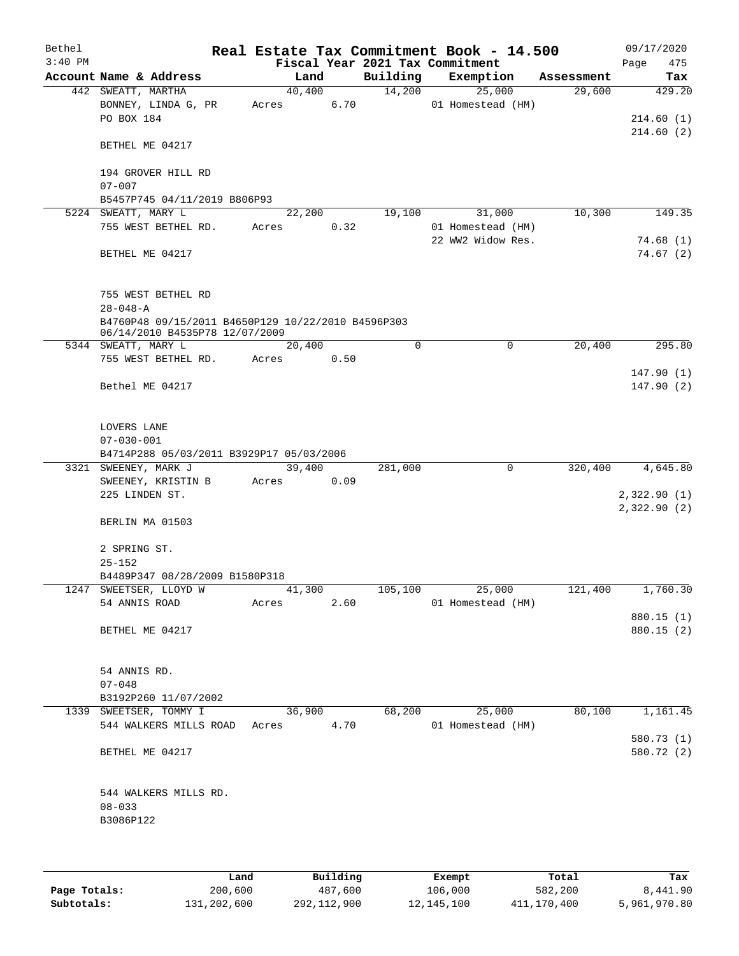| Bethel<br>$3:40$ PM |                                                                                      |       |        |             | Real Estate Tax Commitment Book - 14.500<br>Fiscal Year 2021 Tax Commitment |            | 09/17/2020<br>Page<br>475 |
|---------------------|--------------------------------------------------------------------------------------|-------|--------|-------------|-----------------------------------------------------------------------------|------------|---------------------------|
|                     | Account Name & Address                                                               |       | Land   | Building    | Exemption                                                                   | Assessment | Tax                       |
|                     | 442 SWEATT, MARTHA                                                                   |       | 40,400 | 14,200      | 25,000                                                                      | 29,600     | 429.20                    |
|                     | BONNEY, LINDA G, PR                                                                  | Acres | 6.70   |             | 01 Homestead (HM)                                                           |            |                           |
|                     | PO BOX 184                                                                           |       |        |             |                                                                             |            | 214.60 (1)                |
|                     |                                                                                      |       |        |             |                                                                             |            | 214.60 (2)                |
|                     | BETHEL ME 04217                                                                      |       |        |             |                                                                             |            |                           |
|                     | 194 GROVER HILL RD                                                                   |       |        |             |                                                                             |            |                           |
|                     | $07 - 007$                                                                           |       |        |             |                                                                             |            |                           |
|                     | B5457P745 04/11/2019 B806P93                                                         |       |        |             |                                                                             |            |                           |
|                     | 5224 SWEATT, MARY L                                                                  |       | 22,200 | 19,100      | 31,000                                                                      | 10,300     | 149.35                    |
|                     | 755 WEST BETHEL RD.                                                                  | Acres | 0.32   |             | 01 Homestead (HM)                                                           |            |                           |
|                     |                                                                                      |       |        |             | 22 WW2 Widow Res.                                                           |            | 74.68(1)                  |
|                     | BETHEL ME 04217                                                                      |       |        |             |                                                                             |            | 74.67(2)                  |
|                     |                                                                                      |       |        |             |                                                                             |            |                           |
|                     |                                                                                      |       |        |             |                                                                             |            |                           |
|                     | 755 WEST BETHEL RD                                                                   |       |        |             |                                                                             |            |                           |
|                     | $28 - 048 - A$                                                                       |       |        |             |                                                                             |            |                           |
|                     | B4760P48 09/15/2011 B4650P129 10/22/2010 B4596P303<br>06/14/2010 B4535P78 12/07/2009 |       |        |             |                                                                             |            |                           |
|                     | 5344 SWEATT, MARY L                                                                  |       | 20,400 | $\mathbf 0$ | 0                                                                           | 20,400     | 295.80                    |
|                     | 755 WEST BETHEL RD.                                                                  | Acres | 0.50   |             |                                                                             |            |                           |
|                     |                                                                                      |       |        |             |                                                                             |            | 147.90(1)                 |
|                     | Bethel ME 04217                                                                      |       |        |             |                                                                             |            | 147.90(2)                 |
|                     |                                                                                      |       |        |             |                                                                             |            |                           |
|                     |                                                                                      |       |        |             |                                                                             |            |                           |
|                     | LOVERS LANE<br>$07 - 030 - 001$                                                      |       |        |             |                                                                             |            |                           |
|                     | B4714P288 05/03/2011 B3929P17 05/03/2006                                             |       |        |             |                                                                             |            |                           |
|                     | 3321 SWEENEY, MARK J                                                                 |       | 39,400 | 281,000     | 0                                                                           | 320,400    | 4,645.80                  |
|                     | SWEENEY, KRISTIN B                                                                   | Acres | 0.09   |             |                                                                             |            |                           |
|                     | 225 LINDEN ST.                                                                       |       |        |             |                                                                             |            | 2,322.90(1)               |
|                     |                                                                                      |       |        |             |                                                                             |            | 2,322.90(2)               |
|                     | BERLIN MA 01503                                                                      |       |        |             |                                                                             |            |                           |
|                     |                                                                                      |       |        |             |                                                                             |            |                           |
|                     | 2 SPRING ST.                                                                         |       |        |             |                                                                             |            |                           |
|                     | $25 - 152$                                                                           |       |        |             |                                                                             |            |                           |
|                     | B4489P347 08/28/2009 B1580P318<br>1247 SWEETSER, LLOYD W                             |       | 41,300 | 105, 100    | 25,000                                                                      | 121,400    | 1,760.30                  |
|                     | 54 ANNIS ROAD                                                                        | Acres | 2.60   |             | 01 Homestead (HM)                                                           |            |                           |
|                     |                                                                                      |       |        |             |                                                                             |            | 880.15 (1)                |
|                     | BETHEL ME 04217                                                                      |       |        |             |                                                                             |            | 880.15 (2)                |
|                     |                                                                                      |       |        |             |                                                                             |            |                           |
|                     |                                                                                      |       |        |             |                                                                             |            |                           |
|                     | 54 ANNIS RD.                                                                         |       |        |             |                                                                             |            |                           |
|                     | $07 - 048$                                                                           |       |        |             |                                                                             |            |                           |
|                     | B3192P260 11/07/2002<br>1339 SWEETSER, TOMMY I                                       |       | 36,900 | 68,200      | 25,000                                                                      | 80,100     | 1,161.45                  |
|                     | 544 WALKERS MILLS ROAD                                                               | Acres | 4.70   |             | 01 Homestead (HM)                                                           |            |                           |
|                     |                                                                                      |       |        |             |                                                                             |            | 580.73 (1)                |
|                     | BETHEL ME 04217                                                                      |       |        |             |                                                                             |            | 580.72 (2)                |
|                     |                                                                                      |       |        |             |                                                                             |            |                           |
|                     |                                                                                      |       |        |             |                                                                             |            |                           |
|                     | 544 WALKERS MILLS RD.                                                                |       |        |             |                                                                             |            |                           |
|                     | $08 - 033$                                                                           |       |        |             |                                                                             |            |                           |
|                     | B3086P122                                                                            |       |        |             |                                                                             |            |                           |
|                     |                                                                                      |       |        |             |                                                                             |            |                           |
|                     |                                                                                      |       |        |             |                                                                             |            |                           |

|              | Land        | Building    | Exempt     | Total       | Tax          |
|--------------|-------------|-------------|------------|-------------|--------------|
| Page Totals: | 200,600     | 487,600     | 106,000    | 582,200     | 8,441.90     |
| Subtotals:   | 131,202,600 | 292,112,900 | 12,145,100 | 411,170,400 | 5,961,970.80 |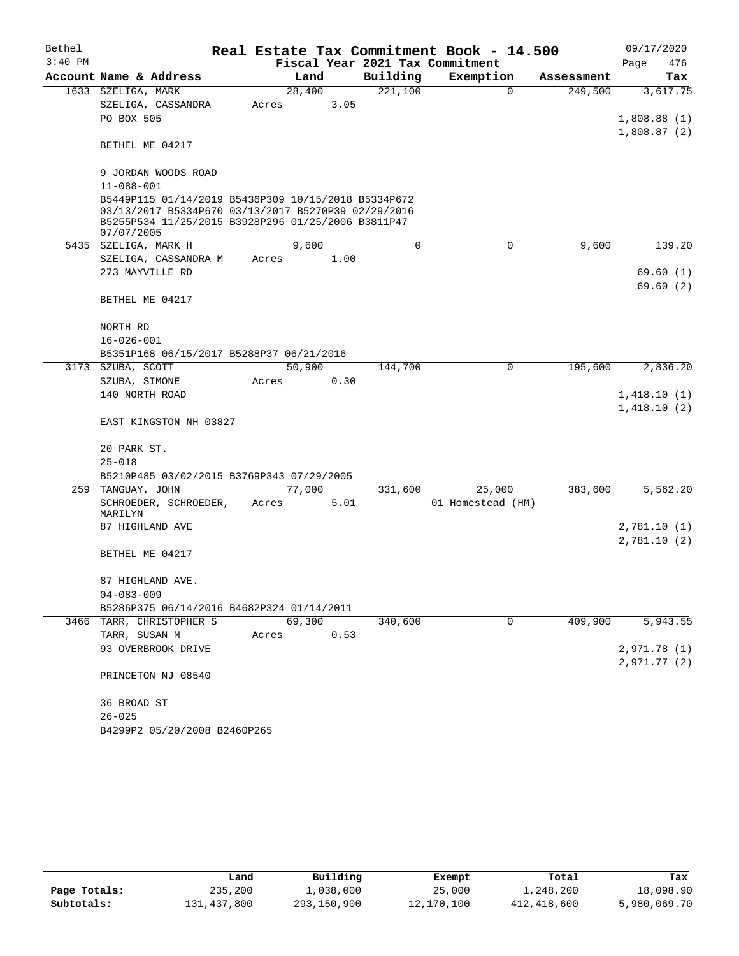| Bethel    |                                                                                                                                                                                |       |        |      |          | Real Estate Tax Commitment Book - 14.500 |             |            |              | 09/17/2020 |
|-----------|--------------------------------------------------------------------------------------------------------------------------------------------------------------------------------|-------|--------|------|----------|------------------------------------------|-------------|------------|--------------|------------|
| $3:40$ PM |                                                                                                                                                                                |       |        |      |          | Fiscal Year 2021 Tax Commitment          |             |            | Page         | 476        |
|           | Account Name & Address                                                                                                                                                         |       | Land   |      | Building | Exemption                                |             | Assessment |              | Tax        |
|           | 1633 SZELIGA, MARK                                                                                                                                                             |       | 28,400 |      | 221,100  |                                          | $\mathbf 0$ | 249,500    |              | 3,617.75   |
|           | SZELIGA, CASSANDRA                                                                                                                                                             | Acres |        | 3.05 |          |                                          |             |            |              |            |
|           | PO BOX 505                                                                                                                                                                     |       |        |      |          |                                          |             |            | 1,808.88(1)  |            |
|           | BETHEL ME 04217                                                                                                                                                                |       |        |      |          |                                          |             |            | 1,808.87(2)  |            |
|           | 9 JORDAN WOODS ROAD                                                                                                                                                            |       |        |      |          |                                          |             |            |              |            |
|           | $11 - 088 - 001$                                                                                                                                                               |       |        |      |          |                                          |             |            |              |            |
|           | B5449P115 01/14/2019 B5436P309 10/15/2018 B5334P672<br>03/13/2017 B5334P670 03/13/2017 B5270P39 02/29/2016<br>B5255P534 11/25/2015 B3928P296 01/25/2006 B3811P47<br>07/07/2005 |       |        |      |          |                                          |             |            |              |            |
|           | 5435 SZELIGA, MARK H                                                                                                                                                           |       | 9,600  |      | 0        |                                          | 0           | 9,600      |              | 139.20     |
|           | SZELIGA, CASSANDRA M                                                                                                                                                           | Acres |        | 1.00 |          |                                          |             |            |              |            |
|           | 273 MAYVILLE RD                                                                                                                                                                |       |        |      |          |                                          |             |            |              | 69.60(1)   |
|           |                                                                                                                                                                                |       |        |      |          |                                          |             |            |              | 69.60(2)   |
|           | BETHEL ME 04217                                                                                                                                                                |       |        |      |          |                                          |             |            |              |            |
|           | NORTH RD                                                                                                                                                                       |       |        |      |          |                                          |             |            |              |            |
|           | $16 - 026 - 001$                                                                                                                                                               |       |        |      |          |                                          |             |            |              |            |
|           | B5351P168 06/15/2017 B5288P37 06/21/2016                                                                                                                                       |       |        |      |          |                                          |             |            |              |            |
|           | 3173 SZUBA, SCOTT                                                                                                                                                              |       | 50,900 |      | 144,700  |                                          | 0           | 195,600    |              | 2,836.20   |
|           | SZUBA, SIMONE                                                                                                                                                                  | Acres |        | 0.30 |          |                                          |             |            |              |            |
|           | 140 NORTH ROAD                                                                                                                                                                 |       |        |      |          |                                          |             |            | 1,418.10(1)  |            |
|           |                                                                                                                                                                                |       |        |      |          |                                          |             |            | 1,418.10(2)  |            |
|           | EAST KINGSTON NH 03827                                                                                                                                                         |       |        |      |          |                                          |             |            |              |            |
|           |                                                                                                                                                                                |       |        |      |          |                                          |             |            |              |            |
|           | 20 PARK ST.                                                                                                                                                                    |       |        |      |          |                                          |             |            |              |            |
|           | $25 - 018$                                                                                                                                                                     |       |        |      |          |                                          |             |            |              |            |
| 259       | B5210P485 03/02/2015 B3769P343 07/29/2005                                                                                                                                      |       |        |      |          |                                          |             | 383,600    |              | 5,562.20   |
|           | TANGUAY, JOHN<br>SCHROEDER, SCHROEDER,                                                                                                                                         | Acres | 77,000 | 5.01 | 331,600  | 25,000<br>01 Homestead (HM)              |             |            |              |            |
|           | MARILYN                                                                                                                                                                        |       |        |      |          |                                          |             |            |              |            |
|           | 87 HIGHLAND AVE                                                                                                                                                                |       |        |      |          |                                          |             |            | 2,781.10 (1) |            |
|           |                                                                                                                                                                                |       |        |      |          |                                          |             |            | 2,781.10(2)  |            |
|           | BETHEL ME 04217                                                                                                                                                                |       |        |      |          |                                          |             |            |              |            |
|           | 87 HIGHLAND AVE.                                                                                                                                                               |       |        |      |          |                                          |             |            |              |            |
|           | $04 - 083 - 009$                                                                                                                                                               |       |        |      |          |                                          |             |            |              |            |
|           | B5286P375 06/14/2016 B4682P324 01/14/2011                                                                                                                                      |       |        |      |          |                                          |             |            |              |            |
|           | 3466 TARR, CHRISTOPHER S                                                                                                                                                       |       | 69,300 |      | 340,600  |                                          | 0           | 409,900    |              | 5,943.55   |
|           | TARR, SUSAN M                                                                                                                                                                  | Acres |        | 0.53 |          |                                          |             |            |              |            |
|           | 93 OVERBROOK DRIVE                                                                                                                                                             |       |        |      |          |                                          |             |            | 2,971.78(1)  |            |
|           |                                                                                                                                                                                |       |        |      |          |                                          |             |            | 2,971.77(2)  |            |
|           | PRINCETON NJ 08540                                                                                                                                                             |       |        |      |          |                                          |             |            |              |            |
|           | 36 BROAD ST                                                                                                                                                                    |       |        |      |          |                                          |             |            |              |            |
|           | $26 - 025$                                                                                                                                                                     |       |        |      |          |                                          |             |            |              |            |
|           | B4299P2 05/20/2008 B2460P265                                                                                                                                                   |       |        |      |          |                                          |             |            |              |            |

|              | Land        | Building    | Exempt     | Total       | Tax          |
|--------------|-------------|-------------|------------|-------------|--------------|
| Page Totals: | 235,200     | ⊥,038,000   | 25,000     | 1,248,200   | 18,098.90    |
| Subtotals:   | 131,437,800 | 293,150,900 | 12,170,100 | 412,418,600 | 5,980,069.70 |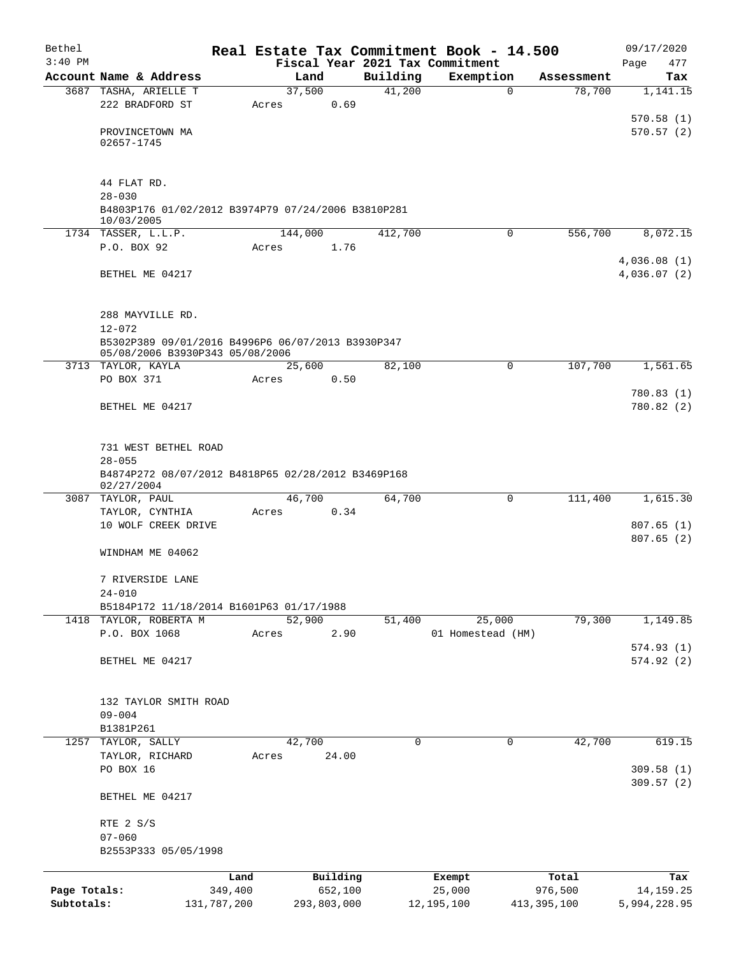| Bethel       |                                                                                      |             |                 |             |          | Real Estate Tax Commitment Book - 14.500 |               | 09/17/2020                 |
|--------------|--------------------------------------------------------------------------------------|-------------|-----------------|-------------|----------|------------------------------------------|---------------|----------------------------|
| $3:40$ PM    |                                                                                      |             |                 |             |          | Fiscal Year 2021 Tax Commitment          |               | Page<br>477                |
|              | Account Name & Address                                                               |             | Land            |             | Building | Exemption                                | Assessment    | Tax                        |
|              | 3687 TASHA, ARIELLE T<br>222 BRADFORD ST                                             |             | 37,500<br>Acres | 0.69        | 41,200   | 0                                        | 78,700        | 1,141.15                   |
|              |                                                                                      |             |                 |             |          |                                          |               | 570.58(1)                  |
|              | PROVINCETOWN MA                                                                      |             |                 |             |          |                                          |               | 570.57(2)                  |
|              | 02657-1745                                                                           |             |                 |             |          |                                          |               |                            |
|              |                                                                                      |             |                 |             |          |                                          |               |                            |
|              | 44 FLAT RD.                                                                          |             |                 |             |          |                                          |               |                            |
|              | $28 - 030$                                                                           |             |                 |             |          |                                          |               |                            |
|              | B4803P176 01/02/2012 B3974P79 07/24/2006 B3810P281                                   |             |                 |             |          |                                          |               |                            |
|              | 10/03/2005                                                                           |             |                 |             |          |                                          |               |                            |
|              | 1734 TASSER, L.L.P.                                                                  |             | 144,000         |             | 412,700  | 0                                        | 556,700       | 8,072.15                   |
|              | P.O. BOX 92                                                                          |             | Acres           | 1.76        |          |                                          |               |                            |
|              | BETHEL ME 04217                                                                      |             |                 |             |          |                                          |               | 4,036.08(1)<br>4,036.07(2) |
|              |                                                                                      |             |                 |             |          |                                          |               |                            |
|              |                                                                                      |             |                 |             |          |                                          |               |                            |
|              | 288 MAYVILLE RD.                                                                     |             |                 |             |          |                                          |               |                            |
|              | $12 - 072$                                                                           |             |                 |             |          |                                          |               |                            |
|              | B5302P389 09/01/2016 B4996P6 06/07/2013 B3930P347<br>05/08/2006 B3930P343 05/08/2006 |             |                 |             |          |                                          |               |                            |
|              | 3713 TAYLOR, KAYLA                                                                   |             | 25,600          |             | 82,100   | 0                                        | 107,700       | 1,561.65                   |
|              | PO BOX 371                                                                           |             | Acres           | 0.50        |          |                                          |               |                            |
|              |                                                                                      |             |                 |             |          |                                          |               | 780.83(1)                  |
|              | BETHEL ME 04217                                                                      |             |                 |             |          |                                          |               | 780.82(2)                  |
|              |                                                                                      |             |                 |             |          |                                          |               |                            |
|              |                                                                                      |             |                 |             |          |                                          |               |                            |
|              | 731 WEST BETHEL ROAD                                                                 |             |                 |             |          |                                          |               |                            |
|              | $28 - 055$<br>B4874P272 08/07/2012 B4818P65 02/28/2012 B3469P168                     |             |                 |             |          |                                          |               |                            |
|              | 02/27/2004                                                                           |             |                 |             |          |                                          |               |                            |
|              | 3087 TAYLOR, PAUL                                                                    |             | 46,700          |             | 64,700   | $\Omega$                                 | 111,400       | 1,615.30                   |
|              | TAYLOR, CYNTHIA                                                                      |             | Acres           | 0.34        |          |                                          |               |                            |
|              | 10 WOLF CREEK DRIVE                                                                  |             |                 |             |          |                                          |               | 807.65(1)<br>807.65(2)     |
|              | WINDHAM ME 04062                                                                     |             |                 |             |          |                                          |               |                            |
|              |                                                                                      |             |                 |             |          |                                          |               |                            |
|              | 7 RIVERSIDE LANE                                                                     |             |                 |             |          |                                          |               |                            |
|              | $24 - 010$                                                                           |             |                 |             |          |                                          |               |                            |
|              | B5184P172 11/18/2014 B1601P63 01/17/1988                                             |             |                 |             |          |                                          |               |                            |
|              | 1418 TAYLOR, ROBERTA M                                                               |             | 52,900          |             | 51,400   | 25,000                                   | 79,300        | 1,149.85                   |
|              | P.O. BOX 1068                                                                        |             | Acres           | 2.90        |          | 01 Homestead (HM)                        |               | 574.93(1)                  |
|              | BETHEL ME 04217                                                                      |             |                 |             |          |                                          |               | 574.92(2)                  |
|              |                                                                                      |             |                 |             |          |                                          |               |                            |
|              |                                                                                      |             |                 |             |          |                                          |               |                            |
|              | 132 TAYLOR SMITH ROAD                                                                |             |                 |             |          |                                          |               |                            |
|              | $09 - 004$                                                                           |             |                 |             |          |                                          |               |                            |
|              | B1381P261                                                                            |             |                 |             |          |                                          |               |                            |
| 1257         | TAYLOR, SALLY                                                                        |             | 42,700          |             | 0        | 0                                        | 42,700        | 619.15                     |
|              | TAYLOR, RICHARD<br>PO BOX 16                                                         |             | Acres           | 24.00       |          |                                          |               | 309.58(1)                  |
|              |                                                                                      |             |                 |             |          |                                          |               | 309.57(2)                  |
|              | BETHEL ME 04217                                                                      |             |                 |             |          |                                          |               |                            |
|              |                                                                                      |             |                 |             |          |                                          |               |                            |
|              | RTE 2 S/S<br>$07 - 060$                                                              |             |                 |             |          |                                          |               |                            |
|              | B2553P333 05/05/1998                                                                 |             |                 |             |          |                                          |               |                            |
|              |                                                                                      |             |                 |             |          |                                          |               |                            |
|              |                                                                                      | Land        |                 | Building    |          | Exempt                                   | Total         | Tax                        |
| Page Totals: |                                                                                      | 349,400     |                 | 652,100     |          | 25,000                                   | 976,500       | 14,159.25                  |
| Subtotals:   |                                                                                      | 131,787,200 |                 | 293,803,000 |          | 12,195,100                               | 413, 395, 100 | 5,994,228.95               |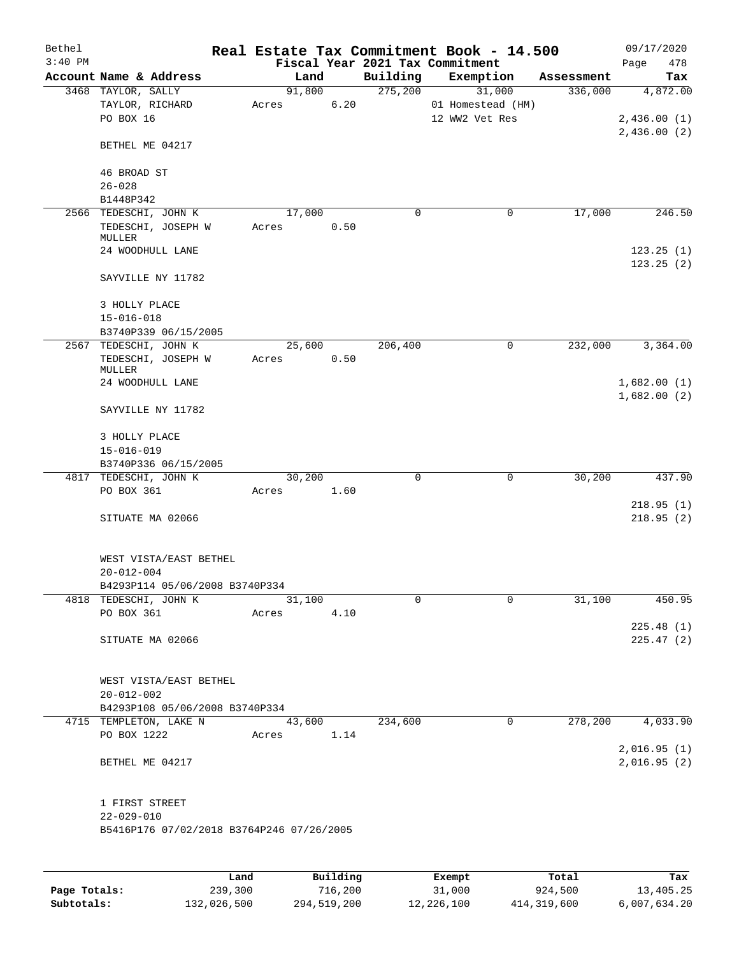| Bethel<br>$3:40$ PM |                                                       |                   |                      |                      | Real Estate Tax Commitment Book - 14.500<br>Fiscal Year 2021 Tax Commitment |            | 09/17/2020<br>478<br>Page  |
|---------------------|-------------------------------------------------------|-------------------|----------------------|----------------------|-----------------------------------------------------------------------------|------------|----------------------------|
|                     | Account Name & Address                                |                   | Land                 | Building             | Exemption                                                                   | Assessment | Tax                        |
|                     | 3468 TAYLOR, SALLY                                    |                   | 91,800               | 275,200              | 31,000                                                                      | 336,000    | 4,872.00                   |
|                     | TAYLOR, RICHARD<br>PO BOX 16                          | Acres             | 6.20                 |                      | 01 Homestead (HM)<br>12 WW2 Vet Res                                         |            | 2,436.00(1)                |
|                     | BETHEL ME 04217                                       |                   |                      |                      |                                                                             |            | 2,436.00(2)                |
|                     | 46 BROAD ST<br>$26 - 028$                             |                   |                      |                      |                                                                             |            |                            |
|                     | B1448P342                                             |                   |                      |                      |                                                                             |            |                            |
|                     | 2566 TEDESCHI, JOHN K<br>TEDESCHI, JOSEPH W           | Acres             | 17,000<br>0.50       | 0                    | 0                                                                           | 17,000     | 246.50                     |
|                     | MULLER<br>24 WOODHULL LANE                            |                   |                      |                      |                                                                             |            | 123.25(1)<br>123.25(2)     |
|                     | SAYVILLE NY 11782                                     |                   |                      |                      |                                                                             |            |                            |
|                     | 3 HOLLY PLACE<br>$15 - 016 - 018$                     |                   |                      |                      |                                                                             |            |                            |
|                     | B3740P339 06/15/2005                                  |                   |                      |                      |                                                                             |            |                            |
|                     | 2567 TEDESCHI, JOHN K<br>TEDESCHI, JOSEPH W<br>MULLER | Acres             | 25,600<br>0.50       | 206,400              | $\mathbf 0$                                                                 | 232,000    | 3,364.00                   |
|                     | 24 WOODHULL LANE                                      |                   |                      |                      |                                                                             |            | 1,682.00(1)                |
|                     | SAYVILLE NY 11782                                     |                   |                      |                      |                                                                             |            | 1,682.00(2)                |
|                     | 3 HOLLY PLACE<br>$15 - 016 - 019$                     |                   |                      |                      |                                                                             |            |                            |
|                     | B3740P336 06/15/2005                                  |                   |                      |                      |                                                                             |            |                            |
|                     | 4817 TEDESCHI, JOHN K<br>PO BOX 361                   | Acres             | 30,200<br>1.60       | $\mathbf 0$          | $\mathbf 0$                                                                 | 30,200     | 437.90                     |
|                     |                                                       |                   |                      |                      |                                                                             |            | 218.95(1)                  |
|                     | SITUATE MA 02066                                      |                   |                      |                      |                                                                             |            | 218.95(2)                  |
|                     | WEST VISTA/EAST BETHEL<br>$20 - 012 - 004$            |                   |                      |                      |                                                                             |            |                            |
|                     | B4293P114 05/06/2008 B3740P334                        |                   |                      |                      |                                                                             |            |                            |
|                     | 4818 TEDESCHI, JOHN K                                 |                   | 31,100               | $\mathbf 0$          | $\mathbf 0$                                                                 | 31,100     | 450.95                     |
|                     | PO BOX 361                                            | Acres             | 4.10                 |                      |                                                                             |            |                            |
|                     | SITUATE MA 02066                                      |                   |                      |                      |                                                                             |            | 225.48(1)<br>225.47(2)     |
|                     | WEST VISTA/EAST BETHEL                                |                   |                      |                      |                                                                             |            |                            |
|                     | $20 - 012 - 002$                                      |                   |                      |                      |                                                                             |            |                            |
|                     | B4293P108 05/06/2008 B3740P334                        |                   |                      | $\overline{234,600}$ |                                                                             | 278, 200   |                            |
|                     | 4715 TEMPLETON, LAKE N<br>PO BOX 1222                 |                   | 43,600<br>Acres 1.14 |                      | 0                                                                           |            | 4,033.90                   |
|                     | BETHEL ME 04217                                       |                   |                      |                      |                                                                             |            | 2,016.95(1)<br>2,016.95(2) |
|                     |                                                       |                   |                      |                      |                                                                             |            |                            |
|                     | 1 FIRST STREET<br>$22 - 029 - 010$                    |                   |                      |                      |                                                                             |            |                            |
|                     | B5416P176 07/02/2018 B3764P246 07/26/2005             |                   |                      |                      |                                                                             |            |                            |
|                     |                                                       |                   |                      |                      |                                                                             |            |                            |
|                     |                                                       | Land <sub>.</sub> | <b>Building</b>      |                      | <b>Ryomnt</b>                                                               | $T0+21$    | Tay                        |

|              | Land        | Building    | Exempt     | Total       | Tax          |
|--------------|-------------|-------------|------------|-------------|--------------|
| Page Totals: | 239,300     | 716,200     | 31,000     | 924,500     | 13,405.25    |
| Subtotals:   | 132,026,500 | 294,519,200 | 12,226,100 | 414,319,600 | 6,007,634.20 |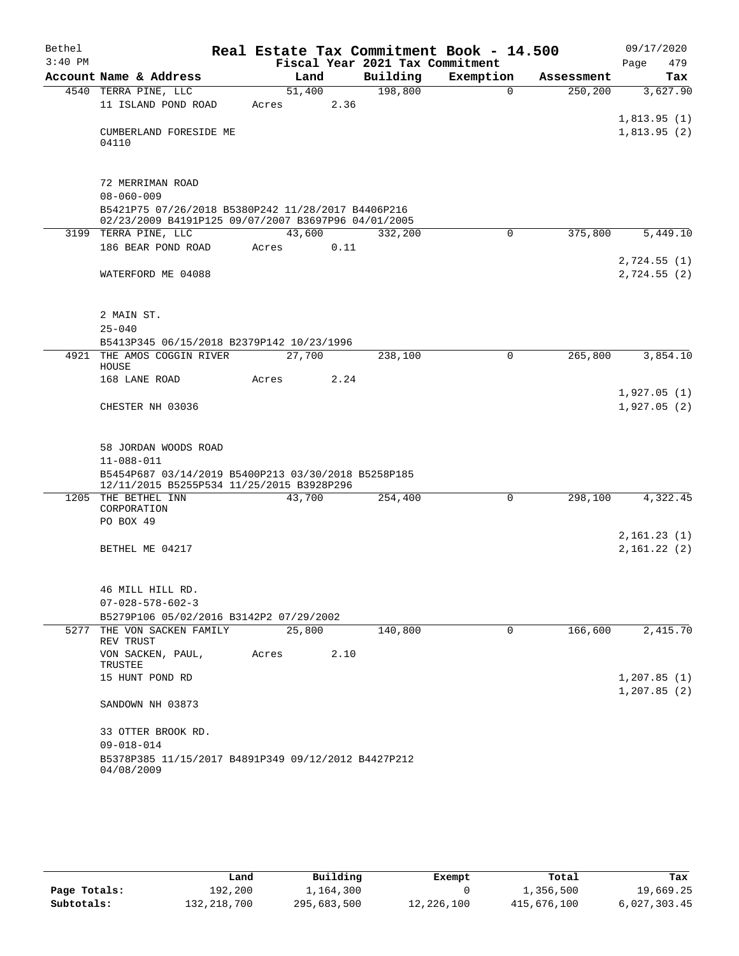| Bethel    |                                                                                                           |       |        |          | Real Estate Tax Commitment Book - 14.500 |             |                      |      | 09/17/2020   |
|-----------|-----------------------------------------------------------------------------------------------------------|-------|--------|----------|------------------------------------------|-------------|----------------------|------|--------------|
| $3:40$ PM |                                                                                                           |       |        |          | Fiscal Year 2021 Tax Commitment          |             |                      | Page | 479          |
|           | Account Name & Address                                                                                    |       | Land   | Building | Exemption                                |             | Assessment           |      | Tax          |
|           | 4540 TERRA PINE, LLC                                                                                      |       | 51,400 | 198,800  |                                          | $\Omega$    | 250, 200             |      | 3,627.90     |
|           | 11 ISLAND POND ROAD                                                                                       | Acres | 2.36   |          |                                          |             |                      |      |              |
|           |                                                                                                           |       |        |          |                                          |             |                      |      | 1,813.95(1)  |
|           | CUMBERLAND FORESIDE ME<br>04110                                                                           |       |        |          |                                          |             |                      |      | 1,813.95(2)  |
|           |                                                                                                           |       |        |          |                                          |             |                      |      |              |
|           | 72 MERRIMAN ROAD                                                                                          |       |        |          |                                          |             |                      |      |              |
|           | $08 - 060 - 009$                                                                                          |       |        |          |                                          |             |                      |      |              |
|           | B5421P75 07/26/2018 B5380P242 11/28/2017 B4406P216<br>02/23/2009 B4191P125 09/07/2007 B3697P96 04/01/2005 |       |        |          |                                          |             |                      |      |              |
|           | 3199 TERRA PINE, LLC                                                                                      |       | 43,600 | 332,200  |                                          | $\mathbf 0$ | 375,800              |      | 5,449.10     |
|           | 186 BEAR POND ROAD                                                                                        | Acres | 0.11   |          |                                          |             |                      |      |              |
|           |                                                                                                           |       |        |          |                                          |             |                      |      | 2,724.55(1)  |
|           | WATERFORD ME 04088                                                                                        |       |        |          |                                          |             |                      |      | 2,724.55(2)  |
|           |                                                                                                           |       |        |          |                                          |             |                      |      |              |
|           |                                                                                                           |       |        |          |                                          |             |                      |      |              |
|           | 2 MAIN ST.                                                                                                |       |        |          |                                          |             |                      |      |              |
|           | $25 - 040$                                                                                                |       |        |          |                                          |             |                      |      |              |
|           | B5413P345 06/15/2018 B2379P142 10/23/1996                                                                 |       |        |          |                                          |             |                      |      |              |
|           | 4921 THE AMOS COGGIN RIVER<br>HOUSE                                                                       |       | 27,700 | 238,100  |                                          | 0           | 265,800              |      | 3,854.10     |
|           | 168 LANE ROAD                                                                                             | Acres | 2.24   |          |                                          |             |                      |      |              |
|           |                                                                                                           |       |        |          |                                          |             |                      |      | 1,927.05(1)  |
|           | CHESTER NH 03036                                                                                          |       |        |          |                                          |             |                      |      | 1,927.05(2)  |
|           |                                                                                                           |       |        |          |                                          |             |                      |      |              |
|           |                                                                                                           |       |        |          |                                          |             |                      |      |              |
|           | 58 JORDAN WOODS ROAD                                                                                      |       |        |          |                                          |             |                      |      |              |
|           | $11 - 088 - 011$                                                                                          |       |        |          |                                          |             |                      |      |              |
|           | B5454P687 03/14/2019 B5400P213 03/30/2018 B5258P185                                                       |       |        |          |                                          |             |                      |      |              |
|           | 12/11/2015 B5255P534 11/25/2015 B3928P296<br>1205 THE BETHEL INN                                          |       | 43,700 | 254,400  |                                          | $\Omega$    | $\overline{298,100}$ |      | 4,322.45     |
|           | CORPORATION                                                                                               |       |        |          |                                          |             |                      |      |              |
|           | PO BOX 49                                                                                                 |       |        |          |                                          |             |                      |      |              |
|           |                                                                                                           |       |        |          |                                          |             |                      |      | 2,161.23(1)  |
|           | BETHEL ME 04217                                                                                           |       |        |          |                                          |             |                      |      | 2,161.22(2)  |
|           |                                                                                                           |       |        |          |                                          |             |                      |      |              |
|           |                                                                                                           |       |        |          |                                          |             |                      |      |              |
|           | 46 MILL HILL RD.                                                                                          |       |        |          |                                          |             |                      |      |              |
|           | $07 - 028 - 578 - 602 - 3$                                                                                |       |        |          |                                          |             |                      |      |              |
|           | B5279P106 05/02/2016 B3142P2 07/29/2002                                                                   |       |        |          |                                          |             |                      |      |              |
|           | 5277 THE VON SACKEN FAMILY<br>REV TRUST                                                                   |       | 25,800 | 140,800  |                                          | 0           | 166,600              |      | 2,415.70     |
|           | VON SACKEN, PAUL,                                                                                         | Acres | 2.10   |          |                                          |             |                      |      |              |
|           | TRUSTEE                                                                                                   |       |        |          |                                          |             |                      |      |              |
|           | 15 HUNT POND RD                                                                                           |       |        |          |                                          |             |                      |      | 1, 207.85(1) |
|           |                                                                                                           |       |        |          |                                          |             |                      |      | 1, 207.85(2) |
|           | SANDOWN NH 03873                                                                                          |       |        |          |                                          |             |                      |      |              |
|           | 33 OTTER BROOK RD.                                                                                        |       |        |          |                                          |             |                      |      |              |
|           | $09 - 018 - 014$                                                                                          |       |        |          |                                          |             |                      |      |              |
|           | B5378P385 11/15/2017 B4891P349 09/12/2012 B4427P212                                                       |       |        |          |                                          |             |                      |      |              |
|           | 04/08/2009                                                                                                |       |        |          |                                          |             |                      |      |              |

|              | Land        | Building    | Exempt     | Total       | Tax          |
|--------------|-------------|-------------|------------|-------------|--------------|
| Page Totals: | 192,200     | 1,164,300   |            | 1,356,500   | 19,669.25    |
| Subtotals:   | 132,218,700 | 295,683,500 | 12,226,100 | 415,676,100 | 6,027,303.45 |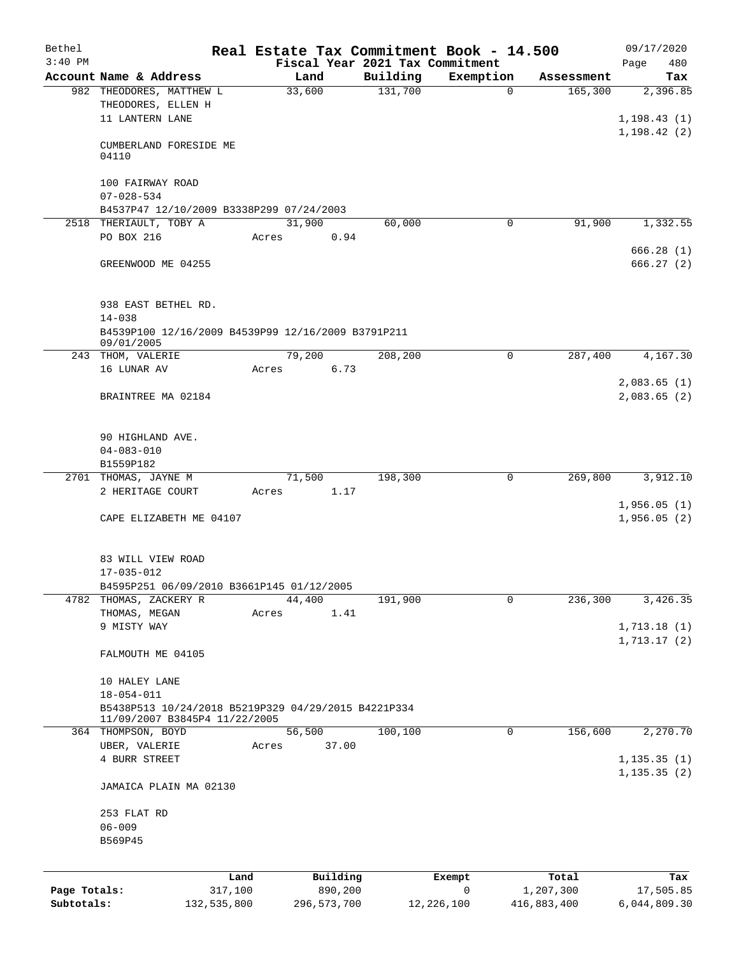| Bethel       |                                                                   |             | Real Estate Tax Commitment Book - 14.500            |          |            |             | 09/17/2020               |
|--------------|-------------------------------------------------------------------|-------------|-----------------------------------------------------|----------|------------|-------------|--------------------------|
| $3:40$ PM    |                                                                   |             | Fiscal Year 2021 Tax Commitment                     |          |            |             | 480<br>Page              |
|              | Account Name & Address                                            |             | Land                                                | Building | Exemption  | Assessment  | Tax                      |
|              | 982 THEODORES, MATTHEW L<br>THEODORES, ELLEN H<br>11 LANTERN LANE |             | 33,600                                              | 131,700  | $\Omega$   | 165,300     | 2,396.85<br>1, 198.43(1) |
|              | CUMBERLAND FORESIDE ME<br>04110                                   |             |                                                     |          |            |             | 1,198.42(2)              |
|              | 100 FAIRWAY ROAD<br>$07 - 028 - 534$                              |             |                                                     |          |            |             |                          |
|              |                                                                   |             | B4537P47 12/10/2009 B3338P299 07/24/2003            |          |            |             |                          |
|              | 2518 THERIAULT, TOBY A                                            |             | 31,900                                              | 60,000   | 0          | 91,900      | 1,332.55                 |
|              | PO BOX 216                                                        |             | 0.94<br>Acres                                       |          |            |             |                          |
|              | GREENWOOD ME 04255                                                |             |                                                     |          |            |             | 666.28(1)<br>666.27(2)   |
|              | 938 EAST BETHEL RD.<br>$14 - 038$                                 |             |                                                     |          |            |             |                          |
|              | 09/01/2005                                                        |             | B4539P100 12/16/2009 B4539P99 12/16/2009 B3791P211  |          |            |             |                          |
|              | 243 THOM, VALERIE<br>16 LUNAR AV                                  |             | 79,200<br>6.73<br>Acres                             | 208,200  | 0          | 287,400     | 4,167.30                 |
|              |                                                                   |             |                                                     |          |            |             | 2,083.65(1)              |
|              | BRAINTREE MA 02184                                                |             |                                                     |          |            |             | 2,083.65(2)              |
|              | 90 HIGHLAND AVE.                                                  |             |                                                     |          |            |             |                          |
|              | $04 - 083 - 010$                                                  |             |                                                     |          |            |             |                          |
|              | B1559P182                                                         |             |                                                     |          |            |             |                          |
|              | 2701 THOMAS, JAYNE M                                              |             | 71,500                                              | 198,300  | 0          | 269,800     | 3,912.10                 |
|              | 2 HERITAGE COURT                                                  |             | 1.17<br>Acres                                       |          |            |             | 1,956.05(1)              |
|              | CAPE ELIZABETH ME 04107                                           |             |                                                     |          |            |             | 1,956.05(2)              |
|              | 83 WILL VIEW ROAD                                                 |             |                                                     |          |            |             |                          |
|              | 17-035-012                                                        |             |                                                     |          |            |             |                          |
|              |                                                                   |             | B4595P251 06/09/2010 B3661P145 01/12/2005           |          |            |             |                          |
|              | 4782 THOMAS, ZACKERY R                                            |             | 44,400                                              | 191,900  | 0          | 236,300     | 3,426.35                 |
|              | THOMAS, MEGAN<br>9 MISTY WAY                                      |             | 1.41<br>Acres                                       |          |            |             | 1,713.18(1)              |
|              |                                                                   |             |                                                     |          |            |             | 1, 713.17(2)             |
|              | FALMOUTH ME 04105                                                 |             |                                                     |          |            |             |                          |
|              | 10 HALEY LANE                                                     |             |                                                     |          |            |             |                          |
|              | $18 - 054 - 011$                                                  |             |                                                     |          |            |             |                          |
|              | 11/09/2007 B3845P4 11/22/2005                                     |             | B5438P513 10/24/2018 B5219P329 04/29/2015 B4221P334 |          |            |             |                          |
|              | 364 THOMPSON, BOYD                                                |             | 56,500                                              | 100,100  | 0          | 156,600     | 2,270.70                 |
|              | UBER, VALERIE                                                     |             | 37.00<br>Acres                                      |          |            |             |                          |
|              | 4 BURR STREET                                                     |             |                                                     |          |            |             | 1, 135.35(1)             |
|              | JAMAICA PLAIN MA 02130                                            |             |                                                     |          |            |             | 1, 135.35(2)             |
|              | 253 FLAT RD                                                       |             |                                                     |          |            |             |                          |
|              | $06 - 009$                                                        |             |                                                     |          |            |             |                          |
|              | B569P45                                                           |             |                                                     |          |            |             |                          |
|              |                                                                   | Land        | Building                                            |          | Exempt     | Total       | Tax                      |
| Page Totals: |                                                                   | 317,100     | 890,200                                             |          | 0          | 1,207,300   | 17,505.85                |
| Subtotals:   |                                                                   | 132,535,800 | 296, 573, 700                                       |          | 12,226,100 | 416,883,400 | 6,044,809.30             |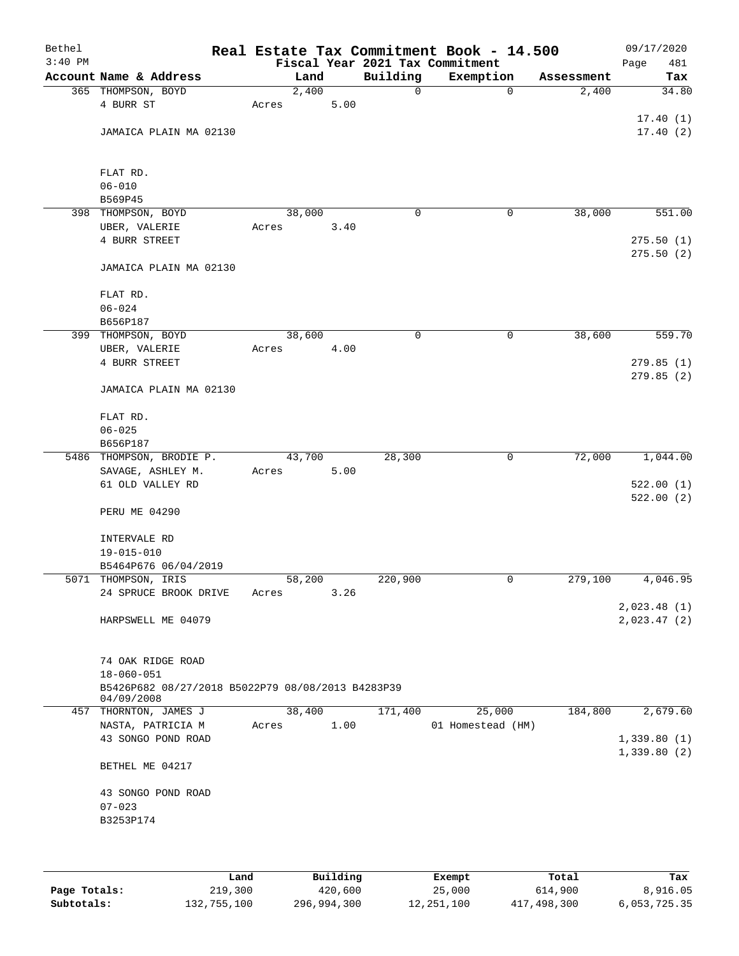| Bethel<br>$3:40$ PM |                                                                 |        |      |             | Real Estate Tax Commitment Book - 14.500<br>Fiscal Year 2021 Tax Commitment |            | 09/17/2020<br>481<br>Page  |
|---------------------|-----------------------------------------------------------------|--------|------|-------------|-----------------------------------------------------------------------------|------------|----------------------------|
|                     | Account Name & Address                                          | Land   |      | Building    | Exemption                                                                   | Assessment | Tax                        |
|                     | 365 THOMPSON, BOYD                                              | 2,400  |      | $\mathbf 0$ | $\mathbf 0$                                                                 | 2,400      | 34.80                      |
|                     | 4 BURR ST                                                       | Acres  | 5.00 |             |                                                                             |            | 17.40(1)                   |
|                     | JAMAICA PLAIN MA 02130                                          |        |      |             |                                                                             |            | 17.40(2)                   |
|                     | FLAT RD.                                                        |        |      |             |                                                                             |            |                            |
|                     | $06 - 010$                                                      |        |      |             |                                                                             |            |                            |
|                     | B569P45                                                         |        |      |             |                                                                             |            |                            |
|                     | 398 THOMPSON, BOYD                                              | 38,000 |      | 0           | 0                                                                           | 38,000     | 551.00                     |
|                     | UBER, VALERIE<br>4 BURR STREET                                  | Acres  | 3.40 |             |                                                                             |            | 275.50(1)                  |
|                     |                                                                 |        |      |             |                                                                             |            | 275.50(2)                  |
|                     | JAMAICA PLAIN MA 02130                                          |        |      |             |                                                                             |            |                            |
|                     | FLAT RD.                                                        |        |      |             |                                                                             |            |                            |
|                     | $06 - 024$                                                      |        |      |             |                                                                             |            |                            |
|                     | B656P187                                                        |        |      |             |                                                                             |            |                            |
|                     | 399 THOMPSON, BOYD                                              | 38,600 |      | $\mathbf 0$ | $\mathsf{O}$                                                                | 38,600     | 559.70                     |
|                     | UBER, VALERIE                                                   | Acres  | 4.00 |             |                                                                             |            |                            |
|                     | 4 BURR STREET                                                   |        |      |             |                                                                             |            | 279.85 (1)                 |
|                     | JAMAICA PLAIN MA 02130                                          |        |      |             |                                                                             |            | 279.85(2)                  |
|                     | FLAT RD.                                                        |        |      |             |                                                                             |            |                            |
|                     | $06 - 025$<br>B656P187                                          |        |      |             |                                                                             |            |                            |
|                     | 5486 THOMPSON, BRODIE P.                                        | 43,700 |      | 28,300      | $\mathbf 0$                                                                 | 72,000     | 1,044.00                   |
|                     | SAVAGE, ASHLEY M.<br>61 OLD VALLEY RD                           | Acres  | 5.00 |             |                                                                             |            | 522.00(1)                  |
|                     | PERU ME 04290                                                   |        |      |             |                                                                             |            | 522.00(2)                  |
|                     | INTERVALE RD                                                    |        |      |             |                                                                             |            |                            |
|                     | $19 - 015 - 010$                                                |        |      |             |                                                                             |            |                            |
|                     | B5464P676 06/04/2019<br>5071 THOMPSON, IRIS                     | 58,200 |      | 220,900     | 0                                                                           | 279,100    | 4,046.95                   |
|                     | 24 SPRUCE BROOK DRIVE                                           | Acres  | 3.26 |             |                                                                             |            |                            |
|                     | HARPSWELL ME 04079                                              |        |      |             |                                                                             |            | 2,023.48(1)<br>2,023.47(2) |
|                     |                                                                 |        |      |             |                                                                             |            |                            |
|                     | 74 OAK RIDGE ROAD<br>$18 - 060 - 051$                           |        |      |             |                                                                             |            |                            |
|                     | B5426P682 08/27/2018 B5022P79 08/08/2013 B4283P39<br>04/09/2008 |        |      |             |                                                                             |            |                            |
|                     | 457 THORNTON, JAMES J                                           | 38,400 |      | 171,400     | 25,000                                                                      | 184,800    | 2,679.60                   |
|                     | NASTA, PATRICIA M                                               | Acres  | 1.00 |             | 01 Homestead (HM)                                                           |            |                            |
|                     | 43 SONGO POND ROAD                                              |        |      |             |                                                                             |            | 1,339.80(1)                |
|                     | BETHEL ME 04217                                                 |        |      |             |                                                                             |            | 1,339.80(2)                |
|                     | 43 SONGO POND ROAD                                              |        |      |             |                                                                             |            |                            |
|                     | $07 - 023$                                                      |        |      |             |                                                                             |            |                            |
|                     | B3253P174                                                       |        |      |             |                                                                             |            |                            |
|                     |                                                                 |        |      |             |                                                                             |            |                            |
|                     |                                                                 |        |      |             |                                                                             |            |                            |

|              | Land        | Building    | Exempt     | Total       | Tax          |
|--------------|-------------|-------------|------------|-------------|--------------|
| Page Totals: | 219,300     | 420,600     | 25,000     | 614,900     | 8,916.05     |
| Subtotals:   | 132,755,100 | 296,994,300 | 12,251,100 | 417,498,300 | 6,053,725.35 |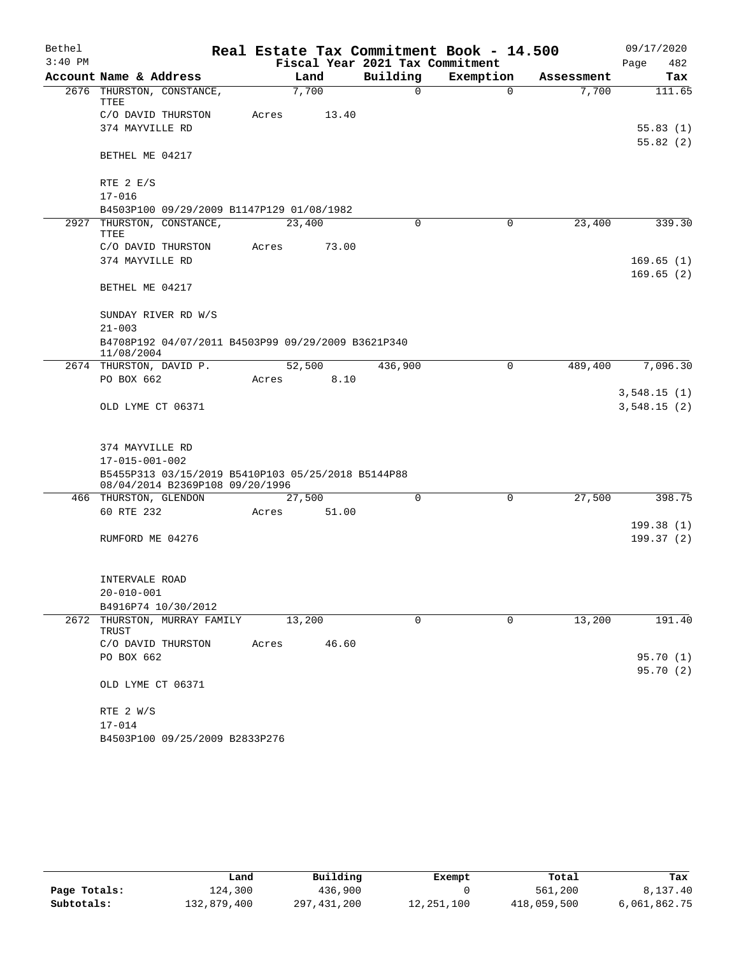| Bethel    |                                                                                       |       |        |                                 | Real Estate Tax Commitment Book - 14.500 |            | 09/17/2020                 |
|-----------|---------------------------------------------------------------------------------------|-------|--------|---------------------------------|------------------------------------------|------------|----------------------------|
| $3:40$ PM |                                                                                       |       |        | Fiscal Year 2021 Tax Commitment |                                          |            | 482<br>Page                |
|           | Account Name & Address                                                                |       | Land   | Building                        | Exemption                                | Assessment | Tax                        |
|           | 2676 THURSTON, CONSTANCE,<br>TTEE                                                     |       | 7,700  | 0                               | $\Omega$                                 | 7,700      | 111.65                     |
|           | C/O DAVID THURSTON                                                                    | Acres | 13.40  |                                 |                                          |            |                            |
|           | 374 MAYVILLE RD                                                                       |       |        |                                 |                                          |            | 55.83(1)                   |
|           | BETHEL ME 04217                                                                       |       |        |                                 |                                          |            | 55.82(2)                   |
|           | RTE $2 E/S$                                                                           |       |        |                                 |                                          |            |                            |
|           | $17 - 016$                                                                            |       |        |                                 |                                          |            |                            |
|           | B4503P100 09/29/2009 B1147P129 01/08/1982                                             |       |        |                                 |                                          |            |                            |
|           | 2927 THURSTON, CONSTANCE,<br>TTEE                                                     |       | 23,400 | $\Omega$                        | $\Omega$                                 | 23,400     | 339.30                     |
|           | C/O DAVID THURSTON                                                                    | Acres | 73.00  |                                 |                                          |            |                            |
|           | 374 MAYVILLE RD                                                                       |       |        |                                 |                                          |            | 169.65(1)                  |
|           | BETHEL ME 04217                                                                       |       |        |                                 |                                          |            | 169.65(2)                  |
|           | SUNDAY RIVER RD W/S                                                                   |       |        |                                 |                                          |            |                            |
|           | $21 - 003$                                                                            |       |        |                                 |                                          |            |                            |
|           | B4708P192 04/07/2011 B4503P99 09/29/2009 B3621P340<br>11/08/2004                      |       |        |                                 |                                          |            |                            |
|           | 2674 THURSTON, DAVID P.                                                               |       | 52,500 | 436,900                         | $\mathbf 0$                              | 489,400    | 7,096.30                   |
|           | PO BOX 662                                                                            | Acres | 8.10   |                                 |                                          |            |                            |
|           | OLD LYME CT 06371                                                                     |       |        |                                 |                                          |            | 3,548.15(1)<br>3,548.15(2) |
|           | 374 MAYVILLE RD                                                                       |       |        |                                 |                                          |            |                            |
|           | $17 - 015 - 001 - 002$                                                                |       |        |                                 |                                          |            |                            |
|           | B5455P313 03/15/2019 B5410P103 05/25/2018 B5144P88<br>08/04/2014 B2369P108 09/20/1996 |       |        |                                 |                                          |            |                            |
|           | 466 THURSTON, GLENDON                                                                 |       | 27,500 | $\Omega$                        | $\Omega$                                 | 27,500     | 398.75                     |
|           | 60 RTE 232                                                                            | Acres | 51.00  |                                 |                                          |            |                            |
|           |                                                                                       |       |        |                                 |                                          |            | 199.38(1)                  |
|           | RUMFORD ME 04276                                                                      |       |        |                                 |                                          |            | 199.37(2)                  |
|           |                                                                                       |       |        |                                 |                                          |            |                            |
|           | INTERVALE ROAD                                                                        |       |        |                                 |                                          |            |                            |
|           | $20 - 010 - 001$                                                                      |       |        |                                 |                                          |            |                            |
|           | B4916P74 10/30/2012                                                                   |       |        |                                 |                                          |            |                            |
| 2672      | THURSTON, MURRAY FAMILY<br>TRUST                                                      |       | 13,200 | 0                               | $\mathbf 0$                              | 13,200     | 191.40                     |
|           | C/O DAVID THURSTON                                                                    | Acres | 46.60  |                                 |                                          |            |                            |
|           | PO BOX 662                                                                            |       |        |                                 |                                          |            | 95.70(1)                   |
|           | OLD LYME CT 06371                                                                     |       |        |                                 |                                          |            | 95.70(2)                   |
|           | RTE 2 W/S                                                                             |       |        |                                 |                                          |            |                            |
|           | $17 - 014$                                                                            |       |        |                                 |                                          |            |                            |
|           | B4503P100 09/25/2009 B2833P276                                                        |       |        |                                 |                                          |            |                            |

|              | Land        | Building    | Exempt     | Total       | Tax          |
|--------------|-------------|-------------|------------|-------------|--------------|
| Page Totals: | 124,300     | 436,900     |            | 561,200     | 8,137.40     |
| Subtotals:   | 132,879,400 | 297,431,200 | 12,251,100 | 418,059,500 | 6,061,862.75 |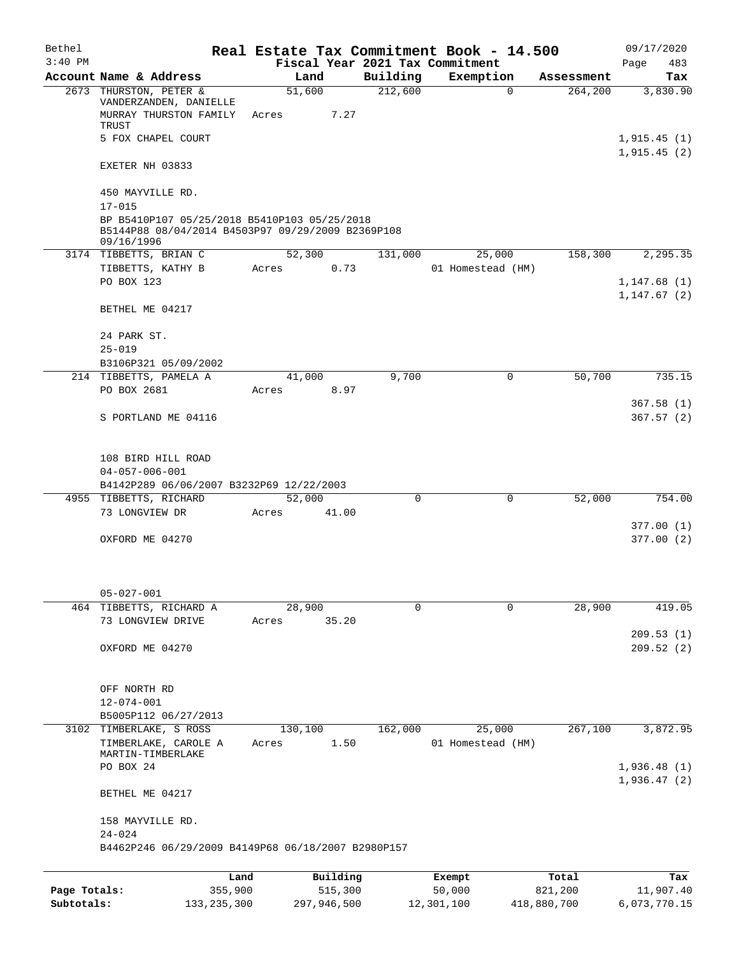| Bethel       |                                                                                                                 |         |             |          | Real Estate Tax Commitment Book - 14.500     |             |                        | 09/17/2020                  |
|--------------|-----------------------------------------------------------------------------------------------------------------|---------|-------------|----------|----------------------------------------------|-------------|------------------------|-----------------------------|
| $3:40$ PM    | Account Name & Address                                                                                          | Land    |             | Building | Fiscal Year 2021 Tax Commitment<br>Exemption |             |                        | 483<br>Page<br>Tax          |
|              | 2673 THURSTON, PETER &<br>VANDERZANDEN, DANIELLE                                                                | 51,600  |             | 212,600  |                                              | $\Omega$    | Assessment<br>264, 200 | 3,830.90                    |
|              | MURRAY THURSTON FAMILY<br>TRUST                                                                                 | Acres   | 7.27        |          |                                              |             |                        |                             |
|              | 5 FOX CHAPEL COURT                                                                                              |         |             |          |                                              |             |                        | 1,915.45(1)<br>1,915.45(2)  |
|              | EXETER NH 03833                                                                                                 |         |             |          |                                              |             |                        |                             |
|              | 450 MAYVILLE RD.<br>$17 - 015$                                                                                  |         |             |          |                                              |             |                        |                             |
|              | BP B5410P107 05/25/2018 B5410P103 05/25/2018<br>B5144P88 08/04/2014 B4503P97 09/29/2009 B2369P108<br>09/16/1996 |         |             |          |                                              |             |                        |                             |
|              | 3174 TIBBETTS, BRIAN C                                                                                          | 52,300  |             | 131,000  | 25,000                                       |             | 158,300                | 2,295.35                    |
|              | TIBBETTS, KATHY B                                                                                               | Acres   | 0.73        |          | 01 Homestead (HM)                            |             |                        |                             |
|              | PO BOX 123                                                                                                      |         |             |          |                                              |             |                        | 1,147.68(1)<br>1, 147.67(2) |
|              | BETHEL ME 04217                                                                                                 |         |             |          |                                              |             |                        |                             |
|              | 24 PARK ST.<br>$25 - 019$                                                                                       |         |             |          |                                              |             |                        |                             |
|              | B3106P321 05/09/2002                                                                                            |         |             |          |                                              |             |                        |                             |
|              | 214 TIBBETTS, PAMELA A                                                                                          | 41,000  |             | 9,700    |                                              | $\mathbf 0$ | 50,700                 | 735.15                      |
|              | PO BOX 2681                                                                                                     | Acres   | 8.97        |          |                                              |             |                        | 367.58(1)                   |
|              | S PORTLAND ME 04116                                                                                             |         |             |          |                                              |             |                        | 367.57(2)                   |
|              | 108 BIRD HILL ROAD                                                                                              |         |             |          |                                              |             |                        |                             |
|              | $04 - 057 - 006 - 001$                                                                                          |         |             |          |                                              |             |                        |                             |
|              | B4142P289 06/06/2007 B3232P69 12/22/2003                                                                        |         |             |          |                                              |             |                        |                             |
|              | 4955 TIBBETTS, RICHARD                                                                                          | 52,000  |             | $\Omega$ |                                              | $\Omega$    | 52,000                 | 754.00                      |
|              | 73 LONGVIEW DR                                                                                                  | Acres   | 41.00       |          |                                              |             |                        | 377.00(1)                   |
|              | OXFORD ME 04270                                                                                                 |         |             |          |                                              |             |                        | 377.00(2)                   |
|              | $05 - 027 - 001$                                                                                                |         |             |          |                                              |             |                        |                             |
|              | 464 TIBBETTS, RICHARD A                                                                                         | 28,900  |             | $\Omega$ |                                              | $\Omega$    | 28,900                 | 419.05                      |
|              | 73 LONGVIEW DRIVE                                                                                               | Acres   | 35.20       |          |                                              |             |                        | 209.53(1)                   |
|              | OXFORD ME 04270                                                                                                 |         |             |          |                                              |             |                        | 209.52(2)                   |
|              | OFF NORTH RD                                                                                                    |         |             |          |                                              |             |                        |                             |
|              | $12 - 074 - 001$                                                                                                |         |             |          |                                              |             |                        |                             |
|              | B5005P112 06/27/2013<br>3102 TIMBERLAKE, S ROSS                                                                 | 130,100 |             | 162,000  | 25,000                                       |             | 267,100                | 3,872.95                    |
|              | TIMBERLAKE, CAROLE A                                                                                            | Acres   | 1.50        |          | 01 Homestead (HM)                            |             |                        |                             |
|              | MARTIN-TIMBERLAKE<br>PO BOX 24                                                                                  |         |             |          |                                              |             |                        | 1,936.48(1)                 |
|              | BETHEL ME 04217                                                                                                 |         |             |          |                                              |             |                        | 1,936.47(2)                 |
|              | 158 MAYVILLE RD.                                                                                                |         |             |          |                                              |             |                        |                             |
|              | $24 - 024$<br>B4462P246 06/29/2009 B4149P68 06/18/2007 B2980P157                                                |         |             |          |                                              |             |                        |                             |
|              | Land                                                                                                            |         | Building    |          | Exempt                                       |             | Total                  | Tax                         |
| Page Totals: | 355,900                                                                                                         |         | 515,300     |          | 50,000                                       |             | 821,200                | 11,907.40                   |
| Subtotals:   | 133, 235, 300                                                                                                   |         | 297,946,500 |          | 12,301,100                                   |             | 418,880,700            | 6,073,770.15                |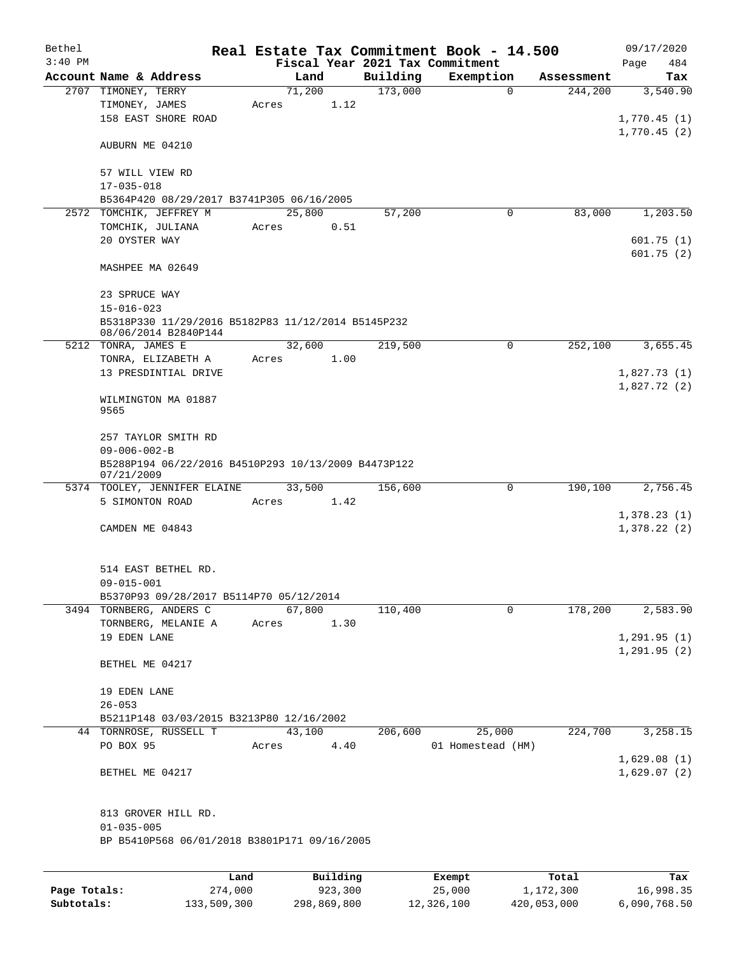| Bethel       |                                                                   |        |          |          | Real Estate Tax Commitment Book - 14.500 |            | 09/17/2020   |
|--------------|-------------------------------------------------------------------|--------|----------|----------|------------------------------------------|------------|--------------|
| $3:40$ PM    |                                                                   |        |          |          | Fiscal Year 2021 Tax Commitment          |            | Page<br>484  |
|              | Account Name & Address                                            | Land   |          | Building | Exemption                                | Assessment | Tax          |
|              | 2707 TIMONEY, TERRY                                               | 71,200 |          | 173,000  | $\mathbf 0$                              | 244,200    | 3,540.90     |
|              | TIMONEY, JAMES<br>158 EAST SHORE ROAD                             | Acres  | 1.12     |          |                                          |            | 1,770.45(1)  |
|              |                                                                   |        |          |          |                                          |            | 1,770.45(2)  |
|              | AUBURN ME 04210                                                   |        |          |          |                                          |            |              |
|              | 57 WILL VIEW RD                                                   |        |          |          |                                          |            |              |
|              | $17 - 035 - 018$                                                  |        |          |          |                                          |            |              |
|              | B5364P420 08/29/2017 B3741P305 06/16/2005                         |        |          |          |                                          |            |              |
| 2572         | TOMCHIK, JEFFREY M                                                | 25,800 |          | 57,200   | 0                                        | 83,000     | 1,203.50     |
|              | TOMCHIK, JULIANA                                                  | Acres  | 0.51     |          |                                          |            |              |
|              | 20 OYSTER WAY                                                     |        |          |          |                                          |            | 601.75(1)    |
|              | MASHPEE MA 02649                                                  |        |          |          |                                          |            | 601.75(2)    |
|              |                                                                   |        |          |          |                                          |            |              |
|              | 23 SPRUCE WAY<br>$15 - 016 - 023$                                 |        |          |          |                                          |            |              |
|              | B5318P330 11/29/2016 B5182P83 11/12/2014 B5145P232                |        |          |          |                                          |            |              |
|              | 08/06/2014 B2840P144                                              |        |          |          |                                          |            |              |
|              | 5212 TONRA, JAMES E                                               | 32,600 |          | 219,500  | 0                                        | 252,100    | 3,655.45     |
|              | TONRA, ELIZABETH A                                                | Acres  | 1.00     |          |                                          |            |              |
|              | 13 PRESDINTIAL DRIVE                                              |        |          |          |                                          |            | 1,827.73(1)  |
|              | WILMINGTON MA 01887<br>9565                                       |        |          |          |                                          |            | 1,827.72(2)  |
|              | 257 TAYLOR SMITH RD<br>$09 - 006 - 002 - B$                       |        |          |          |                                          |            |              |
|              | B5288P194 06/22/2016 B4510P293 10/13/2009 B4473P122<br>07/21/2009 |        |          |          |                                          |            |              |
|              | 5374 TOOLEY, JENNIFER ELAINE                                      | 33,500 |          | 156,600  | 0                                        | 190,100    | 2,756.45     |
|              | 5 SIMONTON ROAD                                                   | Acres  | 1.42     |          |                                          |            |              |
|              |                                                                   |        |          |          |                                          |            | 1,378.23(1)  |
|              | CAMDEN ME 04843                                                   |        |          |          |                                          |            | 1,378.22(2)  |
|              | 514 EAST BETHEL RD.                                               |        |          |          |                                          |            |              |
|              | $09 - 015 - 001$                                                  |        |          |          |                                          |            |              |
|              | B5370P93 09/28/2017 B5114P70 05/12/2014                           |        |          |          |                                          |            |              |
|              | 3494 TORNBERG, ANDERS C                                           | 67,800 |          | 110,400  | $\mathbf 0$                              | 178,200    | 2,583.90     |
|              | TORNBERG, MELANIE A                                               | Acres  | 1.30     |          |                                          |            |              |
|              | 19 EDEN LANE                                                      |        |          |          |                                          |            | 1, 291.95(1) |
|              | BETHEL ME 04217                                                   |        |          |          |                                          |            | 1, 291.95(2) |
|              | 19 EDEN LANE                                                      |        |          |          |                                          |            |              |
|              | $26 - 053$                                                        |        |          |          |                                          |            |              |
|              | B5211P148 03/03/2015 B3213P80 12/16/2002                          |        |          |          |                                          |            |              |
|              | 44 TORNROSE, RUSSELL T                                            | 43,100 |          | 206,600  | 25,000                                   | 224,700    | 3,258.15     |
|              | PO BOX 95                                                         | Acres  | 4.40     |          | 01 Homestead (HM)                        |            |              |
|              |                                                                   |        |          |          |                                          |            | 1,629.08(1)  |
|              | BETHEL ME 04217                                                   |        |          |          |                                          |            | 1,629.07(2)  |
|              | 813 GROVER HILL RD.                                               |        |          |          |                                          |            |              |
|              | $01 - 035 - 005$                                                  |        |          |          |                                          |            |              |
|              | BP B5410P568 06/01/2018 B3801P171 09/16/2005                      |        |          |          |                                          |            |              |
|              |                                                                   |        |          |          |                                          |            |              |
|              |                                                                   | Land   | Building |          | Exempt                                   | Total      | Tax          |
| Page Totals: | 274,000                                                           |        | 923,300  |          | 25,000                                   | 1,172,300  | 16,998.35    |

**Subtotals:** 133,509,300 298,869,800 12,326,100 420,053,000 6,090,768.50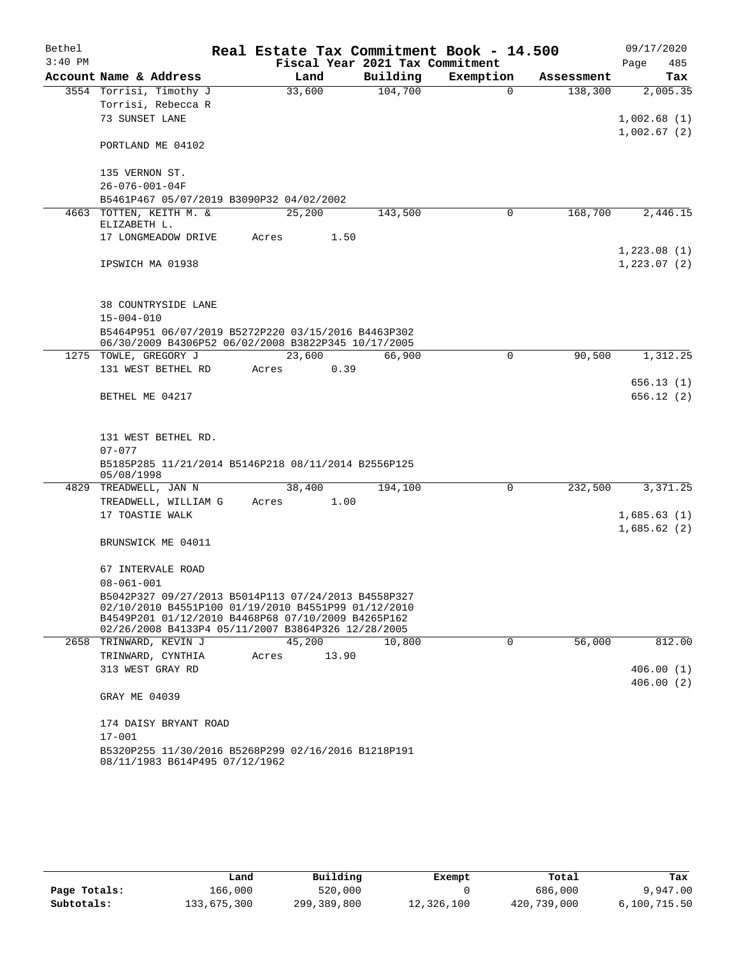| Bethel    |                                                                                                            |        |       |                                 | Real Estate Tax Commitment Book - 14.500 |            | 09/17/2020                 |
|-----------|------------------------------------------------------------------------------------------------------------|--------|-------|---------------------------------|------------------------------------------|------------|----------------------------|
| $3:40$ PM |                                                                                                            |        |       | Fiscal Year 2021 Tax Commitment |                                          |            | Page<br>485                |
|           | Account Name & Address                                                                                     | Land   |       | Building                        | Exemption                                | Assessment | Tax                        |
|           | 3554 Torrisi, Timothy J                                                                                    | 33,600 |       | 104,700                         | $\mathbf 0$                              | 138,300    | 2,005.35                   |
|           | Torrisi, Rebecca R                                                                                         |        |       |                                 |                                          |            |                            |
|           | 73 SUNSET LANE                                                                                             |        |       |                                 |                                          |            | 1,002.68(1)<br>1,002.67(2) |
|           | PORTLAND ME 04102                                                                                          |        |       |                                 |                                          |            |                            |
|           | 135 VERNON ST.                                                                                             |        |       |                                 |                                          |            |                            |
|           | $26 - 076 - 001 - 04F$                                                                                     |        |       |                                 |                                          |            |                            |
|           | B5461P467 05/07/2019 B3090P32 04/02/2002                                                                   |        |       |                                 |                                          |            |                            |
|           | 4663 TOTTEN, KEITH M. &                                                                                    | 25,200 |       | 143,500                         | 0                                        | 168,700    | 2,446.15                   |
|           | ELIZABETH L.                                                                                               |        |       |                                 |                                          |            |                            |
|           | 17 LONGMEADOW DRIVE                                                                                        | Acres  | 1.50  |                                 |                                          |            |                            |
|           |                                                                                                            |        |       |                                 |                                          |            | 1,223.08(1)                |
|           | IPSWICH MA 01938                                                                                           |        |       |                                 |                                          |            | 1, 223.07(2)               |
|           |                                                                                                            |        |       |                                 |                                          |            |                            |
|           | 38 COUNTRYSIDE LANE                                                                                        |        |       |                                 |                                          |            |                            |
|           | $15 - 004 - 010$                                                                                           |        |       |                                 |                                          |            |                            |
|           | B5464P951 06/07/2019 B5272P220 03/15/2016 B4463P302<br>06/30/2009 B4306P52 06/02/2008 B3822P345 10/17/2005 |        |       |                                 |                                          |            |                            |
|           | 1275 TOWLE, GREGORY J                                                                                      | 23,600 |       | 66,900                          | 0                                        | 90,500     | 1,312.25                   |
|           | 131 WEST BETHEL RD                                                                                         | Acres  | 0.39  |                                 |                                          |            |                            |
|           |                                                                                                            |        |       |                                 |                                          |            | 656.13(1)                  |
|           | BETHEL ME 04217                                                                                            |        |       |                                 |                                          |            | 656.12 (2)                 |
|           |                                                                                                            |        |       |                                 |                                          |            |                            |
|           |                                                                                                            |        |       |                                 |                                          |            |                            |
|           | 131 WEST BETHEL RD.<br>$07 - 077$                                                                          |        |       |                                 |                                          |            |                            |
|           | B5185P285 11/21/2014 B5146P218 08/11/2014 B2556P125                                                        |        |       |                                 |                                          |            |                            |
|           | 05/08/1998                                                                                                 |        |       |                                 |                                          |            |                            |
|           | 4829 TREADWELL, JAN N                                                                                      | 38,400 |       | 194,100                         | 0                                        | 232,500    | 3,371.25                   |
|           | TREADWELL, WILLIAM G                                                                                       | Acres  | 1.00  |                                 |                                          |            |                            |
|           | 17 TOASTIE WALK                                                                                            |        |       |                                 |                                          |            | 1,685.63(1)                |
|           |                                                                                                            |        |       |                                 |                                          |            | 1,685.62(2)                |
|           | BRUNSWICK ME 04011                                                                                         |        |       |                                 |                                          |            |                            |
|           | 67 INTERVALE ROAD                                                                                          |        |       |                                 |                                          |            |                            |
|           | $08 - 061 - 001$                                                                                           |        |       |                                 |                                          |            |                            |
|           | B5042P327 09/27/2013 B5014P113 07/24/2013 B4558P327                                                        |        |       |                                 |                                          |            |                            |
|           | 02/10/2010 B4551P100 01/19/2010 B4551P99 01/12/2010                                                        |        |       |                                 |                                          |            |                            |
|           | B4549P201 01/12/2010 B4468P68 07/10/2009 B4265P162                                                         |        |       |                                 |                                          |            |                            |
|           | 02/26/2008 B4133P4 05/11/2007 B3864P326 12/28/2005<br>2658 TRINWARD, KEVIN J                               | 45,200 |       | 10,800                          | 0                                        | 56,000     | 812.00                     |
|           | TRINWARD, CYNTHIA                                                                                          | Acres  | 13.90 |                                 |                                          |            |                            |
|           | 313 WEST GRAY RD                                                                                           |        |       |                                 |                                          |            | 406.00(1)                  |
|           |                                                                                                            |        |       |                                 |                                          |            | 406.00(2)                  |
|           | GRAY ME 04039                                                                                              |        |       |                                 |                                          |            |                            |
|           | 174 DAISY BRYANT ROAD                                                                                      |        |       |                                 |                                          |            |                            |
|           | $17 - 001$                                                                                                 |        |       |                                 |                                          |            |                            |
|           | B5320P255 11/30/2016 B5268P299 02/16/2016 B1218P191                                                        |        |       |                                 |                                          |            |                            |
|           | 08/11/1983 B614P495 07/12/1962                                                                             |        |       |                                 |                                          |            |                            |

|              | Land        | Building    | Exempt     | Total       | Tax          |
|--------------|-------------|-------------|------------|-------------|--------------|
| Page Totals: | 166,000     | 520,000     |            | 686,000     | 9,947.00     |
| Subtotals:   | 133,675,300 | 299,389,800 | 12,326,100 | 420,739,000 | 6,100,715.50 |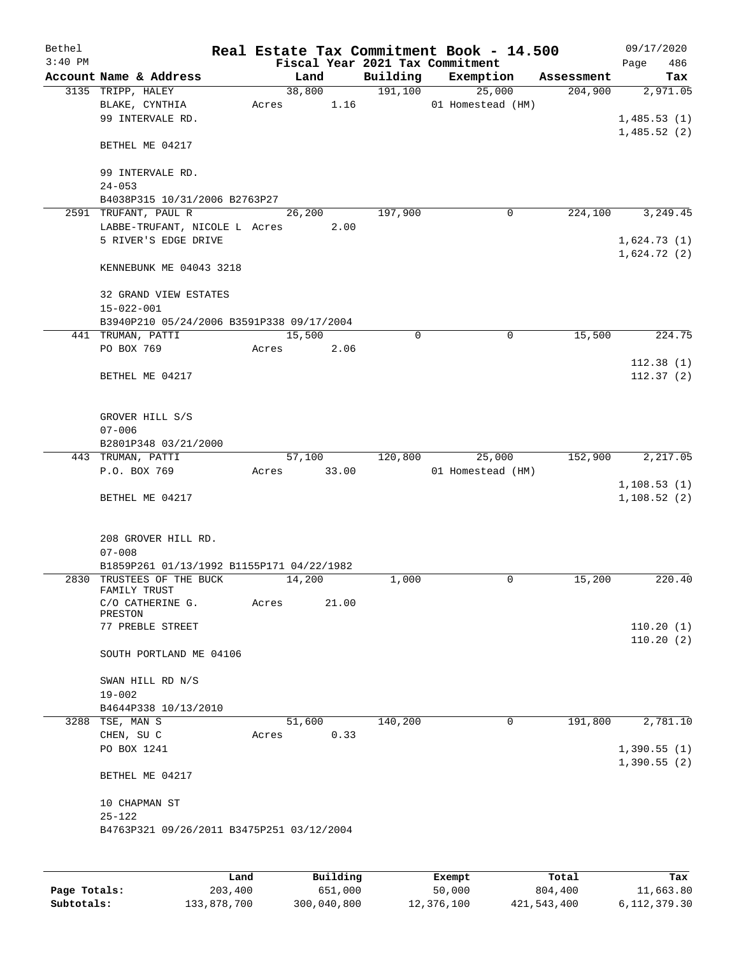| Bethel    |                                           |       |        |       |          | Real Estate Tax Commitment Book - 14.500 |            | 09/17/2020   |           |
|-----------|-------------------------------------------|-------|--------|-------|----------|------------------------------------------|------------|--------------|-----------|
| $3:40$ PM |                                           |       |        |       |          | Fiscal Year 2021 Tax Commitment          |            | Page         | 486       |
|           | Account Name & Address                    |       | Land   |       | Building | Exemption                                | Assessment |              | Tax       |
|           | 3135 TRIPP, HALEY                         |       | 38,800 |       | 191,100  | 25,000                                   | 204,900    |              | 2,971.05  |
|           | BLAKE, CYNTHIA                            |       | Acres  | 1.16  |          | 01 Homestead (HM)                        |            |              |           |
|           | 99 INTERVALE RD.                          |       |        |       |          |                                          |            | 1,485.53(1)  |           |
|           |                                           |       |        |       |          |                                          |            | 1,485.52(2)  |           |
|           | BETHEL ME 04217                           |       |        |       |          |                                          |            |              |           |
|           |                                           |       |        |       |          |                                          |            |              |           |
|           | 99 INTERVALE RD.                          |       |        |       |          |                                          |            |              |           |
|           | $24 - 053$                                |       |        |       |          |                                          |            |              |           |
|           | B4038P315 10/31/2006 B2763P27             |       |        |       |          |                                          |            |              |           |
|           | 2591 TRUFANT, PAUL R                      |       | 26,200 |       | 197,900  | 0                                        | 224,100    |              | 3,249.45  |
|           | LABBE-TRUFANT, NICOLE L Acres             |       |        | 2.00  |          |                                          |            |              |           |
|           | 5 RIVER'S EDGE DRIVE                      |       |        |       |          |                                          |            | 1,624.73(1)  |           |
|           |                                           |       |        |       |          |                                          |            | 1,624.72(2)  |           |
|           | KENNEBUNK ME 04043 3218                   |       |        |       |          |                                          |            |              |           |
|           |                                           |       |        |       |          |                                          |            |              |           |
|           |                                           |       |        |       |          |                                          |            |              |           |
|           | 32 GRAND VIEW ESTATES                     |       |        |       |          |                                          |            |              |           |
|           | $15 - 022 - 001$                          |       |        |       |          |                                          |            |              |           |
|           | B3940P210 05/24/2006 B3591P338 09/17/2004 |       |        |       |          |                                          |            |              |           |
|           | 441 TRUMAN, PATTI                         |       | 15,500 |       | 0        | 0                                        | 15,500     |              | 224.75    |
|           | PO BOX 769                                | Acres |        | 2.06  |          |                                          |            |              |           |
|           |                                           |       |        |       |          |                                          |            |              | 112.38(1) |
|           | BETHEL ME 04217                           |       |        |       |          |                                          |            |              | 112.37(2) |
|           |                                           |       |        |       |          |                                          |            |              |           |
|           |                                           |       |        |       |          |                                          |            |              |           |
|           | GROVER HILL S/S                           |       |        |       |          |                                          |            |              |           |
|           | $07 - 006$                                |       |        |       |          |                                          |            |              |           |
|           | B2801P348 03/21/2000                      |       |        |       |          |                                          |            |              |           |
|           | 443 TRUMAN, PATTI                         |       | 57,100 |       | 120,800  | 25,000                                   | 152,900    |              | 2,217.05  |
|           | P.O. BOX 769                              | Acres |        | 33.00 |          | 01 Homestead (HM)                        |            |              |           |
|           |                                           |       |        |       |          |                                          |            | 1, 108.53(1) |           |
|           | BETHEL ME 04217                           |       |        |       |          |                                          |            | 1,108.52(2)  |           |
|           |                                           |       |        |       |          |                                          |            |              |           |
|           |                                           |       |        |       |          |                                          |            |              |           |
|           | 208 GROVER HILL RD.                       |       |        |       |          |                                          |            |              |           |
|           | $07 - 008$                                |       |        |       |          |                                          |            |              |           |
|           | B1859P261 01/13/1992 B1155P171 04/22/1982 |       |        |       |          |                                          |            |              |           |
|           | 2830 TRUSTEES OF THE BUCK                 |       | 14,200 |       | 1,000    | 0                                        | 15,200     |              | 220.40    |
|           | FAMILY TRUST                              |       |        |       |          |                                          |            |              |           |
|           | C/O CATHERINE G.                          | Acres |        | 21.00 |          |                                          |            |              |           |
|           | PRESTON                                   |       |        |       |          |                                          |            |              |           |
|           | 77 PREBLE STREET                          |       |        |       |          |                                          |            |              | 110.20(1) |
|           |                                           |       |        |       |          |                                          |            |              | 110.20(2) |
|           | SOUTH PORTLAND ME 04106                   |       |        |       |          |                                          |            |              |           |
|           |                                           |       |        |       |          |                                          |            |              |           |
|           | SWAN HILL RD N/S                          |       |        |       |          |                                          |            |              |           |
|           | $19 - 002$                                |       |        |       |          |                                          |            |              |           |
|           | B4644P338 10/13/2010                      |       |        |       |          |                                          |            |              |           |
|           | 3288 TSE, MAN S                           |       | 51,600 |       | 140,200  | $\mathsf{O}$                             | 191,800    |              | 2,781.10  |
|           |                                           |       |        | 0.33  |          |                                          |            |              |           |
|           | CHEN, SU C                                | Acres |        |       |          |                                          |            |              |           |
|           | PO BOX 1241                               |       |        |       |          |                                          |            | 1,390.55(1)  |           |
|           |                                           |       |        |       |          |                                          |            | 1,390.55(2)  |           |
|           | BETHEL ME 04217                           |       |        |       |          |                                          |            |              |           |
|           |                                           |       |        |       |          |                                          |            |              |           |
|           | 10 CHAPMAN ST                             |       |        |       |          |                                          |            |              |           |
|           | $25 - 122$                                |       |        |       |          |                                          |            |              |           |
|           | B4763P321 09/26/2011 B3475P251 03/12/2004 |       |        |       |          |                                          |            |              |           |
|           |                                           |       |        |       |          |                                          |            |              |           |
|           |                                           |       |        |       |          |                                          |            |              |           |
|           |                                           |       |        |       |          |                                          |            |              |           |

|              | Land        | Building    | Exempt     | Total       | Tax          |
|--------------|-------------|-------------|------------|-------------|--------------|
| Page Totals: | 203,400     | 651,000     | 50,000     | 804,400     | 11,663.80    |
| Subtotals:   | 133,878,700 | 300,040,800 | 12,376,100 | 421,543,400 | 6,112,379.30 |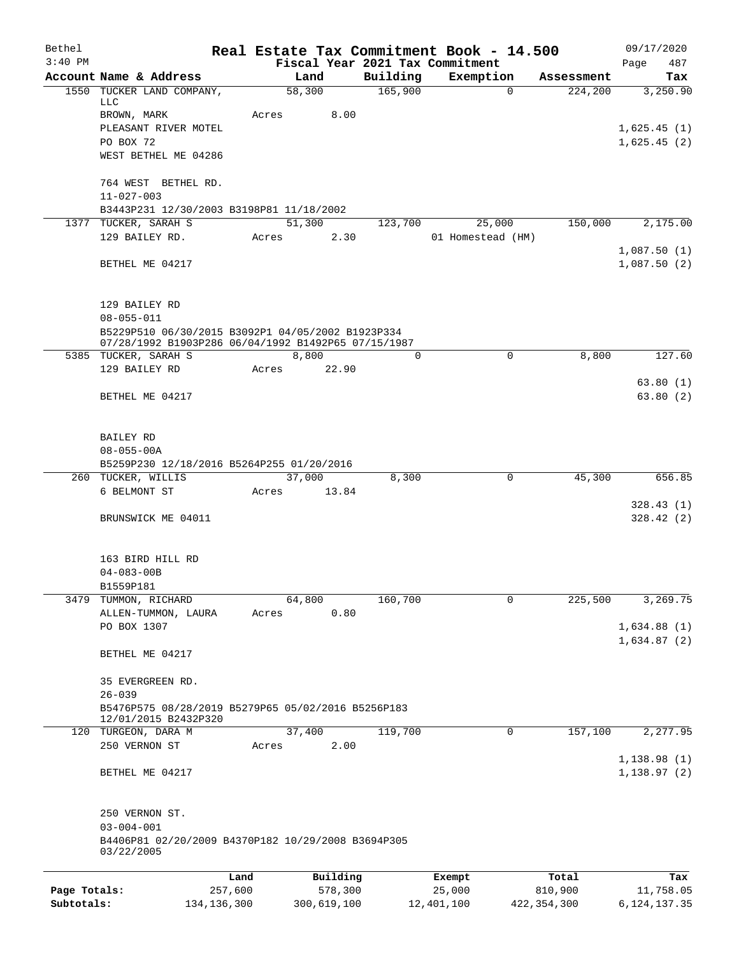| Bethel<br>$3:40$ PM |                                                                                                          |               | Real Estate Tax Commitment Book - 14.500 |          |                   |          |               | 09/17/2020           |
|---------------------|----------------------------------------------------------------------------------------------------------|---------------|------------------------------------------|----------|-------------------|----------|---------------|----------------------|
|                     | Account Name & Address                                                                                   |               | Fiscal Year 2021 Tax Commitment<br>Land  | Building | Exemption         |          | Assessment    | 487<br>Page<br>Tax   |
|                     | 1550 TUCKER LAND COMPANY,                                                                                |               | 58,300                                   | 165,900  |                   | $\Omega$ | 224,200       | 3,250.90             |
|                     | LLC                                                                                                      |               |                                          |          |                   |          |               |                      |
|                     | BROWN, MARK<br>PLEASANT RIVER MOTEL                                                                      |               | Acres<br>8.00                            |          |                   |          |               | 1,625.45(1)          |
|                     | PO BOX 72                                                                                                |               |                                          |          |                   |          |               | 1,625.45(2)          |
|                     | WEST BETHEL ME 04286                                                                                     |               |                                          |          |                   |          |               |                      |
|                     | 764 WEST BETHEL RD.                                                                                      |               |                                          |          |                   |          |               |                      |
|                     | $11 - 027 - 003$<br>B3443P231 12/30/2003 B3198P81 11/18/2002                                             |               |                                          |          |                   |          |               |                      |
|                     | 1377 TUCKER, SARAH S                                                                                     |               | 51,300                                   | 123,700  | 25,000            |          | 150,000       | 2,175.00             |
|                     | 129 BAILEY RD.                                                                                           |               | 2.30<br>Acres                            |          | 01 Homestead (HM) |          |               |                      |
|                     |                                                                                                          |               |                                          |          |                   |          |               | 1,087.50(1)          |
|                     | BETHEL ME 04217                                                                                          |               |                                          |          |                   |          |               | 1,087.50(2)          |
|                     | 129 BAILEY RD                                                                                            |               |                                          |          |                   |          |               |                      |
|                     | $08 - 055 - 011$                                                                                         |               |                                          |          |                   |          |               |                      |
|                     | B5229P510 06/30/2015 B3092P1 04/05/2002 B1923P334<br>07/28/1992 B1903P286 06/04/1992 B1492P65 07/15/1987 |               |                                          |          |                   |          |               |                      |
|                     | 5385 TUCKER, SARAH S                                                                                     |               | 8,800                                    | $\Omega$ |                   | $\Omega$ | 8,800         | 127.60               |
|                     | 129 BAILEY RD                                                                                            |               | 22.90<br>Acres                           |          |                   |          |               |                      |
|                     | BETHEL ME 04217                                                                                          |               |                                          |          |                   |          |               | 63.80(1)<br>63.80(2) |
|                     | BAILEY RD                                                                                                |               |                                          |          |                   |          |               |                      |
|                     | $08 - 055 - 00A$                                                                                         |               |                                          |          |                   |          |               |                      |
|                     | B5259P230 12/18/2016 B5264P255 01/20/2016                                                                |               |                                          |          |                   |          |               |                      |
|                     | 260 TUCKER, WILLIS                                                                                       |               | 37,000                                   | 8,300    |                   | 0        | 45,300        | 656.85               |
|                     | 6 BELMONT ST                                                                                             |               | 13.84<br>Acres                           |          |                   |          |               | 328.43(1)            |
|                     | BRUNSWICK ME 04011                                                                                       |               |                                          |          |                   |          |               | 328.42(2)            |
|                     | 163 BIRD HILL RD                                                                                         |               |                                          |          |                   |          |               |                      |
|                     | $04 - 083 - 00B$                                                                                         |               |                                          |          |                   |          |               |                      |
|                     | B1559P181                                                                                                |               |                                          |          |                   |          |               |                      |
| 3479                | TUMMON, RICHARD<br>ALLEN-TUMMON, LAURA                                                                   |               | 64,800<br>0.80<br>Acres                  | 160,700  |                   | 0        | 225,500       | 3,269.75             |
|                     | PO BOX 1307                                                                                              |               |                                          |          |                   |          |               | 1,634.88(1)          |
|                     |                                                                                                          |               |                                          |          |                   |          |               | 1,634.87(2)          |
|                     | BETHEL ME 04217                                                                                          |               |                                          |          |                   |          |               |                      |
|                     | 35 EVERGREEN RD.                                                                                         |               |                                          |          |                   |          |               |                      |
|                     | $26 - 039$<br>B5476P575 08/28/2019 B5279P65 05/02/2016 B5256P183                                         |               |                                          |          |                   |          |               |                      |
|                     | 12/01/2015 B2432P320                                                                                     |               |                                          |          |                   |          |               |                      |
|                     | 120 TURGEON, DARA M                                                                                      |               | 37,400                                   | 119,700  |                   | 0        | 157,100       | 2,277.95             |
|                     | 250 VERNON ST                                                                                            |               | 2.00<br>Acres                            |          |                   |          |               | 1,138.98(1)          |
|                     | BETHEL ME 04217                                                                                          |               |                                          |          |                   |          |               | 1,138.97(2)          |
|                     | 250 VERNON ST.                                                                                           |               |                                          |          |                   |          |               |                      |
|                     | $03 - 004 - 001$                                                                                         |               |                                          |          |                   |          |               |                      |
|                     | B4406P81 02/20/2009 B4370P182 10/29/2008 B3694P305<br>03/22/2005                                         |               |                                          |          |                   |          |               |                      |
|                     |                                                                                                          | Land          | Building                                 |          | Exempt            |          | Total         | Tax                  |
| Page Totals:        |                                                                                                          | 257,600       | 578,300                                  |          | 25,000            |          | 810,900       | 11,758.05            |
| Subtotals:          |                                                                                                          | 134, 136, 300 | 300,619,100                              |          | 12,401,100        |          | 422, 354, 300 | 6, 124, 137. 35      |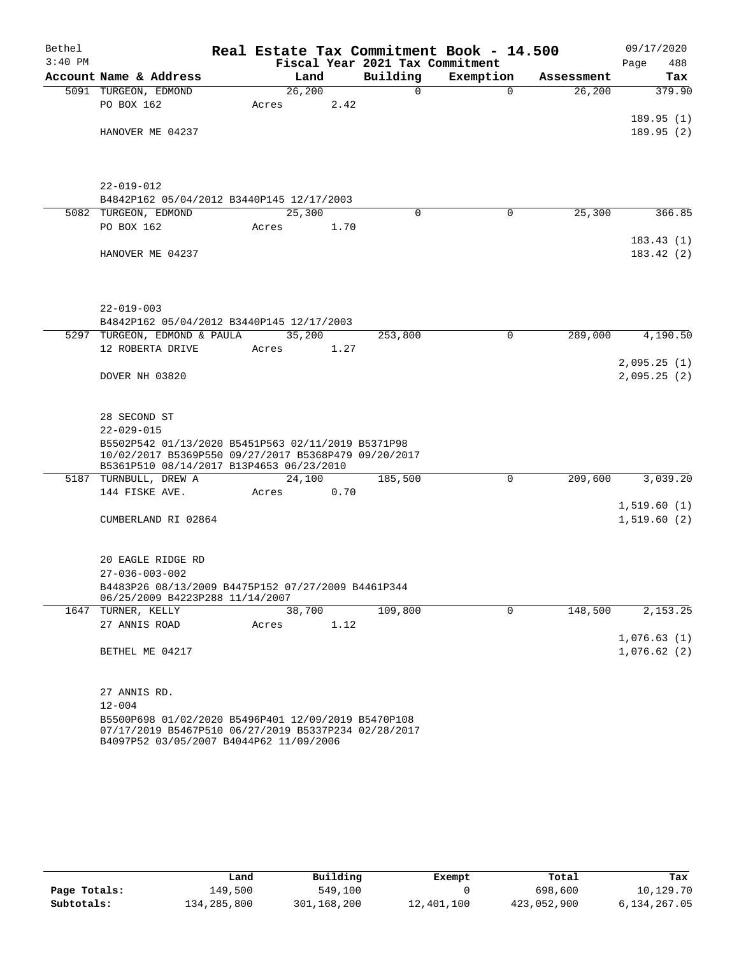| Bethel    |                                                      |         |        |                                 | Real Estate Tax Commitment Book - 14.500 |            | 09/17/2020  |
|-----------|------------------------------------------------------|---------|--------|---------------------------------|------------------------------------------|------------|-------------|
| $3:40$ PM |                                                      |         |        | Fiscal Year 2021 Tax Commitment |                                          |            | 488<br>Page |
|           | Account Name & Address                               |         | Land   | Building                        | Exemption                                | Assessment | Tax         |
|           | 5091 TURGEON, EDMOND                                 | 26, 200 |        | $\mathsf{O}$                    | $\Omega$                                 | 26,200     | 379.90      |
|           | PO BOX 162                                           | Acres   | 2.42   |                                 |                                          |            |             |
|           |                                                      |         |        |                                 |                                          |            | 189.95(1)   |
|           | HANOVER ME 04237                                     |         |        |                                 |                                          |            | 189.95(2)   |
|           |                                                      |         |        |                                 |                                          |            |             |
|           |                                                      |         |        |                                 |                                          |            |             |
|           | $22 - 019 - 012$                                     |         |        |                                 |                                          |            |             |
|           | B4842P162 05/04/2012 B3440P145 12/17/2003            |         |        |                                 |                                          |            |             |
|           | 5082 TURGEON, EDMOND                                 | 25,300  |        | $\Omega$                        | $\Omega$                                 | 25,300     | 366.85      |
|           | PO BOX 162                                           | Acres   | 1.70   |                                 |                                          |            |             |
|           |                                                      |         |        |                                 |                                          |            | 183.43(1)   |
|           | HANOVER ME 04237                                     |         |        |                                 |                                          |            | 183.42(2)   |
|           |                                                      |         |        |                                 |                                          |            |             |
|           |                                                      |         |        |                                 |                                          |            |             |
|           |                                                      |         |        |                                 |                                          |            |             |
|           | $22 - 019 - 003$                                     |         |        |                                 |                                          |            |             |
|           | B4842P162 05/04/2012 B3440P145 12/17/2003            |         |        |                                 |                                          |            |             |
|           | 5297 TURGEON, EDMOND & PAULA                         |         | 35,200 | 253,800                         | 0                                        | 289,000    | 4,190.50    |
|           | 12 ROBERTA DRIVE                                     | Acres   | 1.27   |                                 |                                          |            |             |
|           | DOVER NH 03820                                       |         |        |                                 |                                          |            | 2,095.25(1) |
|           |                                                      |         |        |                                 |                                          |            | 2,095.25(2) |
|           |                                                      |         |        |                                 |                                          |            |             |
|           | 28 SECOND ST                                         |         |        |                                 |                                          |            |             |
|           | $22 - 029 - 015$                                     |         |        |                                 |                                          |            |             |
|           | B5502P542 01/13/2020 B5451P563 02/11/2019 B5371P98   |         |        |                                 |                                          |            |             |
|           | 10/02/2017 B5369P550 09/27/2017 B5368P479 09/20/2017 |         |        |                                 |                                          |            |             |
|           | B5361P510 08/14/2017 B13P4653 06/23/2010             |         |        |                                 |                                          |            |             |
|           | 5187 TURNBULL, DREW A                                |         | 24,100 | 185,500                         | $\mathsf{O}$                             | 209,600    | 3,039.20    |
|           | 144 FISKE AVE.                                       | Acres   | 0.70   |                                 |                                          |            | 1,519.60(1) |
|           | CUMBERLAND RI 02864                                  |         |        |                                 |                                          |            | 1,519.60(2) |
|           |                                                      |         |        |                                 |                                          |            |             |
|           |                                                      |         |        |                                 |                                          |            |             |
|           | 20 EAGLE RIDGE RD                                    |         |        |                                 |                                          |            |             |
|           | $27 - 036 - 003 - 002$                               |         |        |                                 |                                          |            |             |
|           | B4483P26 08/13/2009 B4475P152 07/27/2009 B4461P344   |         |        |                                 |                                          |            |             |
|           | 06/25/2009 B4223P288 11/14/2007                      |         |        |                                 |                                          |            |             |
|           | 1647 TURNER, KELLY                                   | 38,700  |        | 109,800                         | 0                                        | 148,500    | 2, 153. 25  |
|           | 27 ANNIS ROAD                                        | Acres   | 1.12   |                                 |                                          |            |             |
|           |                                                      |         |        |                                 |                                          |            | 1,076.63(1) |
|           | BETHEL ME 04217                                      |         |        |                                 |                                          |            | 1,076.62(2) |
|           |                                                      |         |        |                                 |                                          |            |             |
|           | 27 ANNIS RD.                                         |         |        |                                 |                                          |            |             |
|           | $12 - 004$                                           |         |        |                                 |                                          |            |             |
|           | B5500P698 01/02/2020 B5496P401 12/09/2019 B5470P108  |         |        |                                 |                                          |            |             |
|           | 07/17/2019 B5467P510 06/27/2019 B5337P234 02/28/2017 |         |        |                                 |                                          |            |             |
|           | B4097P52 03/05/2007 B4044P62 11/09/2006              |         |        |                                 |                                          |            |             |

|              | Land        | Building    | Exempt     | Total       | Tax          |
|--------------|-------------|-------------|------------|-------------|--------------|
| Page Totals: | 149,500     | 549,100     |            | 698,600     | 10,129.70    |
| Subtotals:   | 134,285,800 | 301,168,200 | 12,401,100 | 423,052,900 | 6,134,267.05 |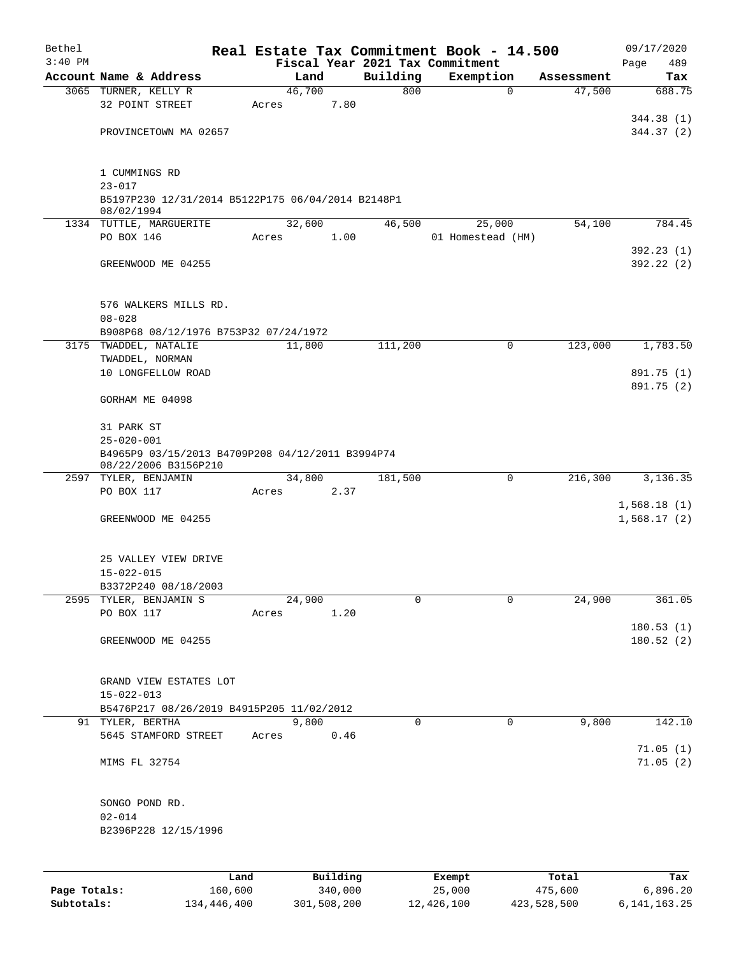| Bethel       |                                                   |       |                |          | Real Estate Tax Commitment Book - 14.500 |            | 09/17/2020  |
|--------------|---------------------------------------------------|-------|----------------|----------|------------------------------------------|------------|-------------|
| $3:40$ PM    |                                                   |       |                |          | Fiscal Year 2021 Tax Commitment          |            | 489<br>Page |
|              | Account Name & Address                            |       | Land           | Building | Exemption                                | Assessment | Tax         |
|              | 3065 TURNER, KELLY R<br>32 POINT STREET           |       | 46,700<br>7.80 | 800      | $\mathbf 0$                              | 47,500     | 688.75      |
|              |                                                   | Acres |                |          |                                          |            | 344.38 (1)  |
|              | PROVINCETOWN MA 02657                             |       |                |          |                                          |            | 344.37(2)   |
|              |                                                   |       |                |          |                                          |            |             |
|              | 1 CUMMINGS RD                                     |       |                |          |                                          |            |             |
|              | $23 - 017$                                        |       |                |          |                                          |            |             |
|              | B5197P230 12/31/2014 B5122P175 06/04/2014 B2148P1 |       |                |          |                                          |            |             |
|              | 08/02/1994                                        |       |                |          |                                          |            |             |
|              | 1334 TUTTLE, MARGUERITE                           |       | 32,600         | 46,500   | 25,000                                   | 54,100     | 784.45      |
|              | PO BOX 146                                        | Acres | 1.00           |          | 01 Homestead (HM)                        |            | 392.23(1)   |
|              | GREENWOOD ME 04255                                |       |                |          |                                          |            | 392.22(2)   |
|              |                                                   |       |                |          |                                          |            |             |
|              | 576 WALKERS MILLS RD.                             |       |                |          |                                          |            |             |
|              | $08 - 028$                                        |       |                |          |                                          |            |             |
|              | B908P68 08/12/1976 B753P32 07/24/1972             |       |                |          |                                          |            |             |
|              | 3175 TWADDEL, NATALIE                             |       | 11,800         | 111,200  | 0                                        | 123,000    | 1,783.50    |
|              | TWADDEL, NORMAN                                   |       |                |          |                                          |            |             |
|              | 10 LONGFELLOW ROAD                                |       |                |          |                                          |            | 891.75 (1)  |
|              | GORHAM ME 04098                                   |       |                |          |                                          |            | 891.75 (2)  |
|              | 31 PARK ST                                        |       |                |          |                                          |            |             |
|              | $25 - 020 - 001$                                  |       |                |          |                                          |            |             |
|              | B4965P9 03/15/2013 B4709P208 04/12/2011 B3994P74  |       |                |          |                                          |            |             |
|              | 08/22/2006 B3156P210                              |       |                |          |                                          |            |             |
|              | 2597 TYLER, BENJAMIN                              |       | 34,800         | 181,500  | 0                                        | 216,300    | 3,136.35    |
|              | PO BOX 117                                        | Acres | 2.37           |          |                                          |            |             |
|              |                                                   |       |                |          |                                          |            | 1,568.18(1) |
|              | GREENWOOD ME 04255                                |       |                |          |                                          |            | 1,568.17(2) |
|              | 25 VALLEY VIEW DRIVE                              |       |                |          |                                          |            |             |
|              | $15 - 022 - 015$                                  |       |                |          |                                          |            |             |
|              | B3372P240 08/18/2003                              |       |                |          |                                          |            |             |
|              | 2595 TYLER, BENJAMIN S                            |       | 24,900         | 0        | $\mathbf 0$                              | 24,900     | 361.05      |
|              | PO BOX 117                                        | Acres | 1.20           |          |                                          |            |             |
|              |                                                   |       |                |          |                                          |            | 180.53(1)   |
|              | GREENWOOD ME 04255                                |       |                |          |                                          |            | 180.52(2)   |
|              | GRAND VIEW ESTATES LOT                            |       |                |          |                                          |            |             |
|              | $15 - 022 - 013$                                  |       |                |          |                                          |            |             |
|              | B5476P217 08/26/2019 B4915P205 11/02/2012         |       |                |          |                                          |            |             |
|              | 91 TYLER, BERTHA                                  |       | 9,800          | 0        | 0                                        | 9,800      | 142.10      |
|              | 5645 STAMFORD STREET                              | Acres | 0.46           |          |                                          |            |             |
|              |                                                   |       |                |          |                                          |            | 71.05(1)    |
|              | MIMS FL 32754                                     |       |                |          |                                          |            | 71.05(2)    |
|              | SONGO POND RD.                                    |       |                |          |                                          |            |             |
|              | $02 - 014$                                        |       |                |          |                                          |            |             |
|              | B2396P228 12/15/1996                              |       |                |          |                                          |            |             |
|              |                                                   |       |                |          |                                          |            |             |
|              |                                                   |       |                |          |                                          |            |             |
|              |                                                   | Land  | Building       |          | Exempt                                   | Total      | Tax         |
| Page Totals: | 160,600                                           |       | 340,000        |          | 25,000                                   | 475,600    | 6,896.20    |

**Subtotals:** 134,446,400 301,508,200 12,426,100 423,528,500 6,141,163.25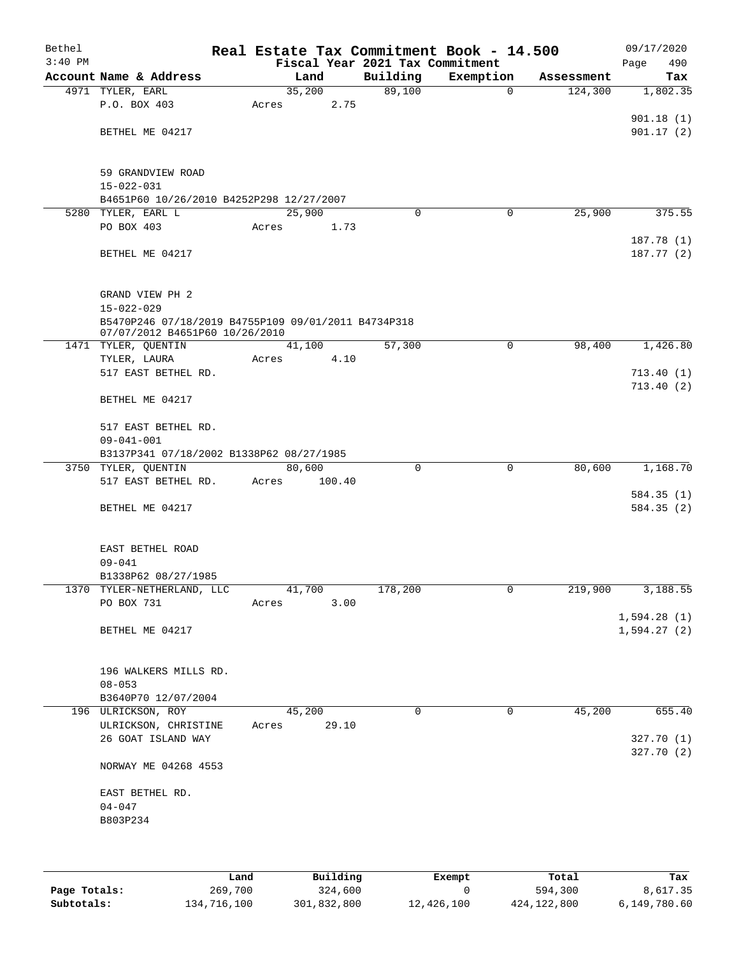| Bethel<br>$3:40$ PM |                                                              | Real Estate Tax Commitment Book - 14.500<br>Fiscal Year 2021 Tax Commitment |          |             |            | 09/17/2020<br>490<br>Page |
|---------------------|--------------------------------------------------------------|-----------------------------------------------------------------------------|----------|-------------|------------|---------------------------|
|                     | Account Name & Address                                       | Land                                                                        | Building | Exemption   | Assessment | Tax                       |
|                     | 4971 TYLER, EARL                                             | 35,200                                                                      | 89,100   | $\mathbf 0$ | 124,300    | 1,802.35                  |
|                     | P.O. BOX 403                                                 | 2.75<br>Acres                                                               |          |             |            |                           |
|                     |                                                              |                                                                             |          |             |            | 901.18(1)                 |
|                     | BETHEL ME 04217                                              |                                                                             |          |             |            | 901.17(2)                 |
|                     |                                                              |                                                                             |          |             |            |                           |
|                     | 59 GRANDVIEW ROAD                                            |                                                                             |          |             |            |                           |
|                     | $15 - 022 - 031$<br>B4651P60 10/26/2010 B4252P298 12/27/2007 |                                                                             |          |             |            |                           |
|                     | 5280 TYLER, EARL L                                           | 25,900                                                                      | $\Omega$ | 0           | 25,900     | 375.55                    |
|                     | PO BOX 403                                                   | 1.73<br>Acres                                                               |          |             |            |                           |
|                     |                                                              |                                                                             |          |             |            | 187.78(1)                 |
|                     | BETHEL ME 04217                                              |                                                                             |          |             |            | 187.77(2)                 |
|                     | GRAND VIEW PH 2                                              |                                                                             |          |             |            |                           |
|                     | $15 - 022 - 029$                                             |                                                                             |          |             |            |                           |
|                     | 07/07/2012 B4651P60 10/26/2010                               | B5470P246 07/18/2019 B4755P109 09/01/2011 B4734P318                         |          |             |            |                           |
|                     | 1471 TYLER, QUENTIN                                          | 41,100                                                                      | 57,300   | 0           | 98,400     | 1,426.80                  |
|                     | TYLER, LAURA                                                 | 4.10<br>Acres                                                               |          |             |            |                           |
|                     | 517 EAST BETHEL RD.                                          |                                                                             |          |             |            | 713.40(1)                 |
|                     | BETHEL ME 04217                                              |                                                                             |          |             |            | 713.40(2)                 |
|                     | 517 EAST BETHEL RD.                                          |                                                                             |          |             |            |                           |
|                     | $09 - 041 - 001$                                             |                                                                             |          |             |            |                           |
|                     | B3137P341 07/18/2002 B1338P62 08/27/1985                     |                                                                             |          |             |            |                           |
|                     | 3750 TYLER, QUENTIN                                          | 80,600                                                                      | 0        | 0           | 80,600     | 1,168.70                  |
|                     | 517 EAST BETHEL RD.                                          | Acres<br>100.40                                                             |          |             |            | 584.35(1)                 |
|                     | BETHEL ME 04217                                              |                                                                             |          |             |            | 584.35(2)                 |
|                     |                                                              |                                                                             |          |             |            |                           |
|                     | EAST BETHEL ROAD                                             |                                                                             |          |             |            |                           |
|                     | $09 - 041$<br>B1338P62 08/27/1985                            |                                                                             |          |             |            |                           |
|                     | 1370 TYLER-NETHERLAND, LLC                                   | 41,700                                                                      | 178,200  | 0           | 219,900    | 3,188.55                  |
|                     | PO BOX 731                                                   | 3.00<br>Acres                                                               |          |             |            |                           |
|                     |                                                              |                                                                             |          |             |            | 1,594.28(1)               |
|                     | BETHEL ME 04217                                              |                                                                             |          |             |            | 1,594.27(2)               |
|                     |                                                              |                                                                             |          |             |            |                           |
|                     | 196 WALKERS MILLS RD.                                        |                                                                             |          |             |            |                           |
|                     | $08 - 053$<br>B3640P70 12/07/2004                            |                                                                             |          |             |            |                           |
|                     | 196 ULRICKSON, ROY                                           | 45,200                                                                      | $\Omega$ | $\mathbf 0$ | 45,200     | 655.40                    |
|                     | ULRICKSON, CHRISTINE                                         | 29.10<br>Acres                                                              |          |             |            |                           |
|                     | 26 GOAT ISLAND WAY                                           |                                                                             |          |             |            | 327.70(1)                 |
|                     | NORWAY ME 04268 4553                                         |                                                                             |          |             |            | 327.70(2)                 |
|                     |                                                              |                                                                             |          |             |            |                           |
|                     | EAST BETHEL RD.<br>$04 - 047$                                |                                                                             |          |             |            |                           |
|                     | B803P234                                                     |                                                                             |          |             |            |                           |
|                     |                                                              |                                                                             |          |             |            |                           |
|                     |                                                              |                                                                             |          |             |            |                           |
|                     |                                                              |                                                                             |          |             |            |                           |

|              | Land        | Building    | Exempt     | Total       | Tax          |
|--------------|-------------|-------------|------------|-------------|--------------|
| Page Totals: | 269,700     | 324,600     |            | 594,300     | 8,617.35     |
| Subtotals:   | 134,716,100 | 301,832,800 | 12,426,100 | 424,122,800 | 6,149,780.60 |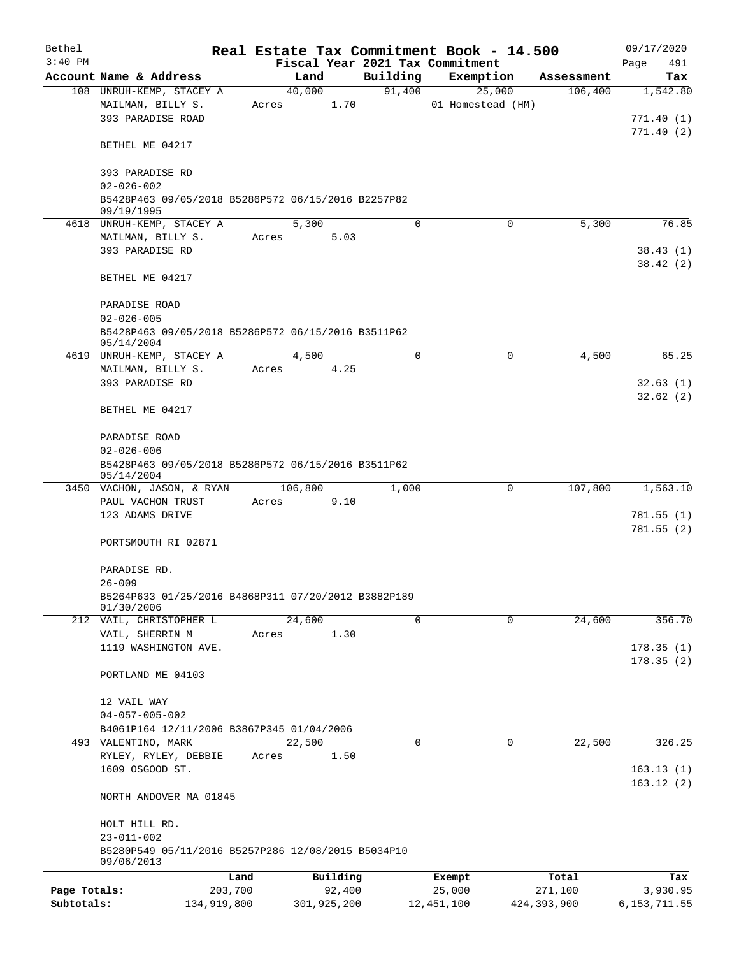| Bethel       |                                                                     |                 |       |                    |          | Real Estate Tax Commitment Book - 14.500 |                  | 09/17/2020           |
|--------------|---------------------------------------------------------------------|-----------------|-------|--------------------|----------|------------------------------------------|------------------|----------------------|
| $3:40$ PM    |                                                                     |                 |       |                    |          | Fiscal Year 2021 Tax Commitment          |                  | Page<br>491          |
|              | Account Name & Address                                              |                 |       | Land               | Building | Exemption                                | Assessment       | Tax                  |
|              | 108 UNRUH-KEMP, STACEY A                                            |                 |       | 40,000             | 91,400   | 25,000                                   | 106,400          | 1,542.80             |
|              | MAILMAN, BILLY S.<br>393 PARADISE ROAD                              |                 | Acres | 1.70               |          | 01 Homestead (HM)                        |                  | 771.40(1)            |
|              |                                                                     |                 |       |                    |          |                                          |                  | 771.40(2)            |
|              | BETHEL ME 04217                                                     |                 |       |                    |          |                                          |                  |                      |
|              |                                                                     |                 |       |                    |          |                                          |                  |                      |
|              | 393 PARADISE RD                                                     |                 |       |                    |          |                                          |                  |                      |
|              | $02 - 026 - 002$                                                    |                 |       |                    |          |                                          |                  |                      |
|              | B5428P463 09/05/2018 B5286P572 06/15/2016 B2257P82                  |                 |       |                    |          |                                          |                  |                      |
|              | 09/19/1995                                                          |                 |       |                    |          |                                          |                  |                      |
|              | 4618 UNRUH-KEMP, STACEY A                                           |                 |       | 5,300              | $\Omega$ | $\mathbf 0$                              | 5,300            | 76.85                |
|              | MAILMAN, BILLY S.                                                   |                 | Acres | 5.03               |          |                                          |                  |                      |
|              | 393 PARADISE RD                                                     |                 |       |                    |          |                                          |                  | 38.43(1)<br>38.42(2) |
|              | BETHEL ME 04217                                                     |                 |       |                    |          |                                          |                  |                      |
|              |                                                                     |                 |       |                    |          |                                          |                  |                      |
|              | PARADISE ROAD                                                       |                 |       |                    |          |                                          |                  |                      |
|              | $02 - 026 - 005$                                                    |                 |       |                    |          |                                          |                  |                      |
|              | B5428P463 09/05/2018 B5286P572 06/15/2016 B3511P62                  |                 |       |                    |          |                                          |                  |                      |
|              | 05/14/2004                                                          |                 |       |                    |          |                                          |                  |                      |
|              | 4619 UNRUH-KEMP, STACEY A                                           |                 |       | 4,500              | $\Omega$ | 0                                        | 4,500            | 65.25                |
|              | MAILMAN, BILLY S.                                                   |                 | Acres | 4.25               |          |                                          |                  |                      |
|              | 393 PARADISE RD                                                     |                 |       |                    |          |                                          |                  | 32.63(1)             |
|              |                                                                     |                 |       |                    |          |                                          |                  | 32.62(2)             |
|              | BETHEL ME 04217                                                     |                 |       |                    |          |                                          |                  |                      |
|              | PARADISE ROAD                                                       |                 |       |                    |          |                                          |                  |                      |
|              | $02 - 026 - 006$                                                    |                 |       |                    |          |                                          |                  |                      |
|              | B5428P463 09/05/2018 B5286P572 06/15/2016 B3511P62                  |                 |       |                    |          |                                          |                  |                      |
|              | 05/14/2004                                                          |                 |       |                    |          |                                          |                  |                      |
|              | 3450 VACHON, JASON, & RYAN                                          |                 |       | 106,800            | 1,000    | 0                                        | 107,800          | 1,563.10             |
|              | PAUL VACHON TRUST                                                   |                 | Acres | 9.10               |          |                                          |                  |                      |
|              | 123 ADAMS DRIVE                                                     |                 |       |                    |          |                                          |                  | 781.55(1)            |
|              |                                                                     |                 |       |                    |          |                                          |                  | 781.55(2)            |
|              | PORTSMOUTH RI 02871                                                 |                 |       |                    |          |                                          |                  |                      |
|              |                                                                     |                 |       |                    |          |                                          |                  |                      |
|              | PARADISE RD.<br>$26 - 009$                                          |                 |       |                    |          |                                          |                  |                      |
|              | B5264P633 01/25/2016 B4868P311 07/20/2012 B3882P189                 |                 |       |                    |          |                                          |                  |                      |
|              | 01/30/2006                                                          |                 |       |                    |          |                                          |                  |                      |
|              | 212 VAIL, CHRISTOPHER L                                             |                 |       | 24,600             | 0        | $\mathbf 0$                              | 24,600           | 356.70               |
|              | VAIL, SHERRIN M                                                     |                 | Acres | 1.30               |          |                                          |                  |                      |
|              | 1119 WASHINGTON AVE.                                                |                 |       |                    |          |                                          |                  | 178.35(1)            |
|              |                                                                     |                 |       |                    |          |                                          |                  | 178.35(2)            |
|              | PORTLAND ME 04103                                                   |                 |       |                    |          |                                          |                  |                      |
|              |                                                                     |                 |       |                    |          |                                          |                  |                      |
|              | 12 VAIL WAY                                                         |                 |       |                    |          |                                          |                  |                      |
|              | $04 - 057 - 005 - 002$<br>B4061P164 12/11/2006 B3867P345 01/04/2006 |                 |       |                    |          |                                          |                  |                      |
|              | 493 VALENTINO, MARK                                                 |                 |       | 22,500             | 0        | 0                                        | 22,500           | 326.25               |
|              | RYLEY, RYLEY, DEBBIE                                                |                 | Acres | 1.50               |          |                                          |                  |                      |
|              | 1609 OSGOOD ST.                                                     |                 |       |                    |          |                                          |                  | 163.13(1)            |
|              |                                                                     |                 |       |                    |          |                                          |                  | 163.12(2)            |
|              | NORTH ANDOVER MA 01845                                              |                 |       |                    |          |                                          |                  |                      |
|              |                                                                     |                 |       |                    |          |                                          |                  |                      |
|              | HOLT HILL RD.                                                       |                 |       |                    |          |                                          |                  |                      |
|              | $23 - 011 - 002$                                                    |                 |       |                    |          |                                          |                  |                      |
|              | B5280P549 05/11/2016 B5257P286 12/08/2015 B5034P10                  |                 |       |                    |          |                                          |                  |                      |
|              | 09/06/2013                                                          |                 |       |                    |          |                                          |                  |                      |
| Page Totals: |                                                                     | Land<br>203,700 |       | Building<br>92,400 |          | Exempt<br>25,000                         | Total<br>271,100 | Tax<br>3,930.95      |
| Subtotals:   |                                                                     | 134,919,800     |       | 301,925,200        |          | 12, 451, 100                             | 424, 393, 900    | 6, 153, 711.55       |
|              |                                                                     |                 |       |                    |          |                                          |                  |                      |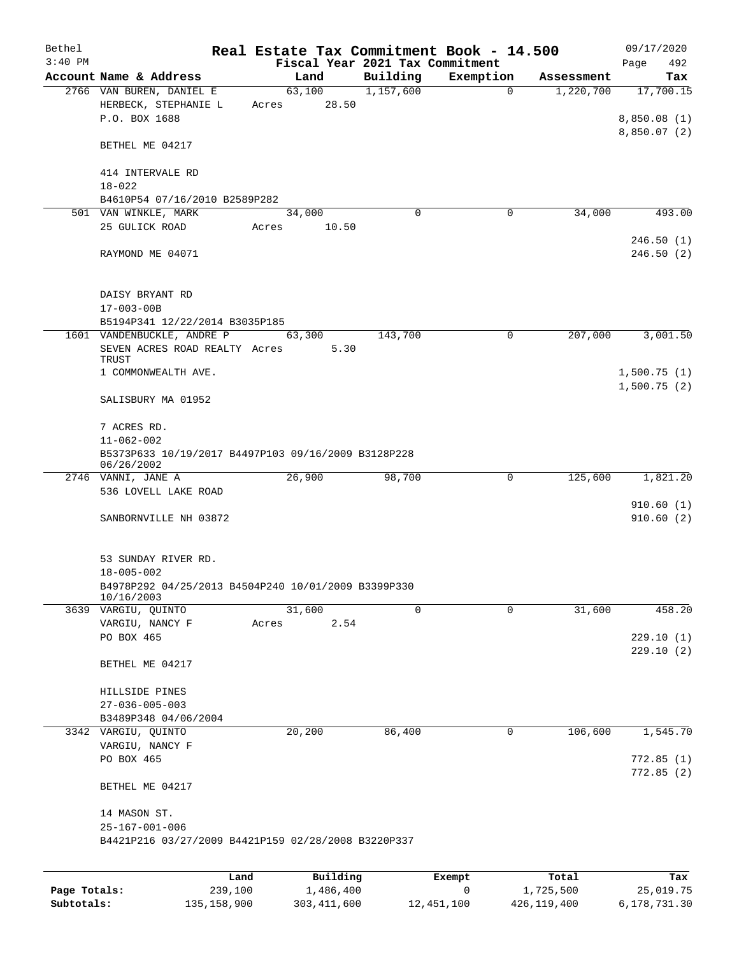| Bethel       |                                                                                        |       |                       |                                 | Real Estate Tax Commitment Book - 14.500 |                         | 09/17/2020                 |
|--------------|----------------------------------------------------------------------------------------|-------|-----------------------|---------------------------------|------------------------------------------|-------------------------|----------------------------|
| $3:40$ PM    |                                                                                        |       |                       | Fiscal Year 2021 Tax Commitment |                                          |                         | 492<br>Page                |
|              | Account Name & Address<br>2766 VAN BUREN, DANIEL E                                     |       | Land<br>63,100        | Building<br>1,157,600           | Exemption<br>$\mathbf 0$                 | Assessment<br>1,220,700 | Tax<br>17,700.15           |
|              | HERBECK, STEPHANIE L<br>P.O. BOX 1688                                                  |       | Acres 28.50           |                                 |                                          |                         | 8,850.08(1)                |
|              | BETHEL ME 04217                                                                        |       |                       |                                 |                                          |                         | 8,850.07(2)                |
|              | 414 INTERVALE RD<br>$18 - 022$                                                         |       |                       |                                 |                                          |                         |                            |
|              | B4610P54 07/16/2010 B2589P282                                                          |       |                       |                                 |                                          |                         |                            |
|              | 501 VAN WINKLE, MARK                                                                   |       | 34,000                | $\Omega$                        | 0                                        | 34,000                  | 493.00                     |
|              | 25 GULICK ROAD                                                                         |       | Acres 10.50           |                                 |                                          |                         | 246.50(1)                  |
|              | RAYMOND ME 04071                                                                       |       |                       |                                 |                                          |                         | 246.50(2)                  |
|              | DAISY BRYANT RD<br>$17 - 003 - 00B$                                                    |       |                       |                                 |                                          |                         |                            |
|              | B5194P341 12/22/2014 B3035P185                                                         |       |                       |                                 |                                          |                         |                            |
|              | 1601 VANDENBUCKLE, ANDRE P<br>SEVEN ACRES ROAD REALTY Acres 5.30<br>TRUST              |       | 63,300                | 143,700                         | $\mathbf 0$                              | 207,000                 | 3,001.50                   |
|              | 1 COMMONWEALTH AVE.                                                                    |       |                       |                                 |                                          |                         | 1,500.75(1)<br>1,500.75(2) |
|              | SALISBURY MA 01952                                                                     |       |                       |                                 |                                          |                         |                            |
|              | 7 ACRES RD.<br>$11 - 062 - 002$<br>B5373P633 10/19/2017 B4497P103 09/16/2009 B3128P228 |       |                       |                                 |                                          |                         |                            |
|              | 06/26/2002                                                                             |       |                       |                                 |                                          |                         |                            |
|              | 2746 VANNI, JANE A<br>536 LOVELL LAKE ROAD                                             |       | 26,900                | 98,700                          | $\mathsf{O}$                             | 125,600                 | 1,821.20                   |
|              | SANBORNVILLE NH 03872                                                                  |       |                       |                                 |                                          |                         | 910.60(1)<br>910.60(2)     |
|              | 53 SUNDAY RIVER RD.                                                                    |       |                       |                                 |                                          |                         |                            |
|              | $18 - 005 - 002$<br>B4978P292 04/25/2013 B4504P240 10/01/2009 B3399P330                |       |                       |                                 |                                          |                         |                            |
|              | 10/16/2003                                                                             |       |                       |                                 |                                          |                         |                            |
|              | 3639 VARGIU, QUINTO                                                                    |       | 31,600                | $\Omega$                        | 0                                        | 31,600                  | 458.20                     |
|              | VARGIU, NANCY F                                                                        | Acres | 2.54                  |                                 |                                          |                         |                            |
|              | PO BOX 465                                                                             |       |                       |                                 |                                          |                         | 229.10(1)<br>229.10(2)     |
|              | BETHEL ME 04217                                                                        |       |                       |                                 |                                          |                         |                            |
|              | HILLSIDE PINES                                                                         |       |                       |                                 |                                          |                         |                            |
|              | $27 - 036 - 005 - 003$                                                                 |       |                       |                                 |                                          |                         |                            |
|              | B3489P348 04/06/2004                                                                   |       |                       |                                 | 0                                        |                         | 1,545.70                   |
|              | 3342 VARGIU, QUINTO<br>VARGIU, NANCY F                                                 |       | 20,200                | 86,400                          |                                          | 106,600                 |                            |
|              | PO BOX 465                                                                             |       |                       |                                 |                                          |                         | 772.85(1)<br>772.85 (2)    |
|              | BETHEL ME 04217                                                                        |       |                       |                                 |                                          |                         |                            |
|              | 14 MASON ST.<br>$25 - 167 - 001 - 006$                                                 |       |                       |                                 |                                          |                         |                            |
|              | B4421P216 03/27/2009 B4421P159 02/28/2008 B3220P337                                    |       |                       |                                 |                                          |                         |                            |
|              |                                                                                        |       |                       |                                 |                                          |                         |                            |
| Page Totals: | Land<br>239,100                                                                        |       | Building<br>1,486,400 |                                 | Exempt<br>0                              | Total<br>1,725,500      | Tax<br>25,019.75           |

**Subtotals:** 135,158,900 303,411,600 12,451,100 426,119,400 6,178,731.30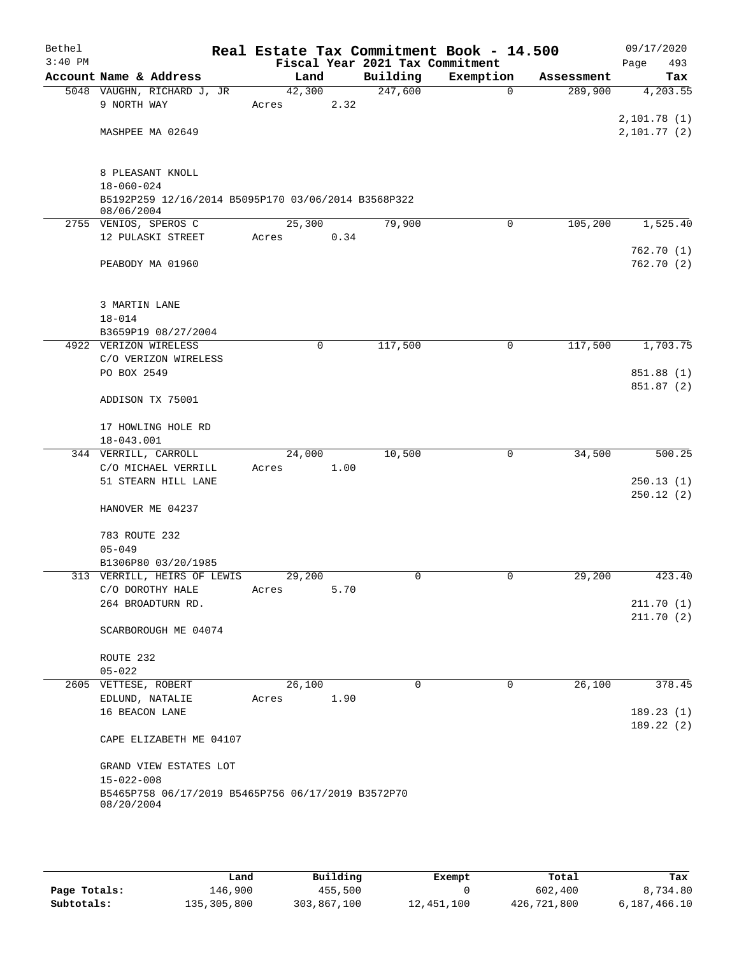| Bethel    |                                                                   |        |             |                                 | Real Estate Tax Commitment Book - 14.500 |            | 09/17/2020  |
|-----------|-------------------------------------------------------------------|--------|-------------|---------------------------------|------------------------------------------|------------|-------------|
| $3:40$ PM |                                                                   |        |             | Fiscal Year 2021 Tax Commitment |                                          |            | Page<br>493 |
|           | Account Name & Address                                            | Land   |             | Building                        | Exemption                                | Assessment | Tax         |
|           | 5048 VAUGHN, RICHARD J, JR                                        | 42,300 |             | 247,600                         | $\Omega$                                 | 289,900    | 4,203.55    |
|           | 9 NORTH WAY                                                       | Acres  | 2.32        |                                 |                                          |            |             |
|           |                                                                   |        |             |                                 |                                          |            | 2,101.78(1) |
|           | MASHPEE MA 02649                                                  |        |             |                                 |                                          |            | 2,101.77(2) |
|           |                                                                   |        |             |                                 |                                          |            |             |
|           | 8 PLEASANT KNOLL                                                  |        |             |                                 |                                          |            |             |
|           | $18 - 060 - 024$                                                  |        |             |                                 |                                          |            |             |
|           | B5192P259 12/16/2014 B5095P170 03/06/2014 B3568P322<br>08/06/2004 |        |             |                                 |                                          |            |             |
|           | 2755 VENIOS, SPEROS C                                             | 25,300 |             | 79,900                          | $\mathbf 0$                              | 105,200    | 1,525.40    |
|           | 12 PULASKI STREET                                                 | Acres  | 0.34        |                                 |                                          |            |             |
|           |                                                                   |        |             |                                 |                                          |            | 762.70(1)   |
|           | PEABODY MA 01960                                                  |        |             |                                 |                                          |            | 762.70(2)   |
|           | 3 MARTIN LANE                                                     |        |             |                                 |                                          |            |             |
|           | $18 - 014$                                                        |        |             |                                 |                                          |            |             |
|           | B3659P19 08/27/2004                                               |        |             |                                 |                                          |            |             |
|           | 4922 VERIZON WIRELESS                                             |        | $\mathbf 0$ | 117,500                         | 0                                        | 117,500    | 1,703.75    |
|           | C/O VERIZON WIRELESS                                              |        |             |                                 |                                          |            |             |
|           | PO BOX 2549                                                       |        |             |                                 |                                          |            | 851.88 (1)  |
|           |                                                                   |        |             |                                 |                                          |            | 851.87 (2)  |
|           | ADDISON TX 75001                                                  |        |             |                                 |                                          |            |             |
|           | 17 HOWLING HOLE RD                                                |        |             |                                 |                                          |            |             |
|           | 18-043.001                                                        |        |             |                                 |                                          |            |             |
|           | 344 VERRILL, CARROLL                                              | 24,000 |             | 10,500                          | 0                                        | 34,500     | 500.25      |
|           | C/O MICHAEL VERRILL                                               | Acres  | 1.00        |                                 |                                          |            |             |
|           | 51 STEARN HILL LANE                                               |        |             |                                 |                                          |            | 250.13(1)   |
|           |                                                                   |        |             |                                 |                                          |            | 250.12(2)   |
|           | HANOVER ME 04237                                                  |        |             |                                 |                                          |            |             |
|           | 783 ROUTE 232                                                     |        |             |                                 |                                          |            |             |
|           | $05 - 049$                                                        |        |             |                                 |                                          |            |             |
|           | B1306P80 03/20/1985                                               |        |             |                                 |                                          |            |             |
|           | 313 VERRILL, HEIRS OF LEWIS                                       | 29,200 |             | $\mathbf 0$                     | $\mathbf 0$                              | 29,200     | 423.40      |
|           | C/O DOROTHY HALE                                                  | Acres  | 5.70        |                                 |                                          |            |             |
|           | 264 BROADTURN RD.                                                 |        |             |                                 |                                          |            | 211.70(1)   |
|           | SCARBOROUGH ME 04074                                              |        |             |                                 |                                          |            | 211.70(2)   |
|           | ROUTE 232                                                         |        |             |                                 |                                          |            |             |
|           | $05 - 022$                                                        |        |             |                                 |                                          |            |             |
|           | 2605 VETTESE, ROBERT                                              | 26,100 |             | $\mathbf 0$                     | $\mathbf 0$                              | 26,100     | 378.45      |
|           | EDLUND, NATALIE                                                   | Acres  | 1.90        |                                 |                                          |            |             |
|           | 16 BEACON LANE                                                    |        |             |                                 |                                          |            | 189.23(1)   |
|           |                                                                   |        |             |                                 |                                          |            | 189.22(2)   |
|           | CAPE ELIZABETH ME 04107                                           |        |             |                                 |                                          |            |             |
|           | GRAND VIEW ESTATES LOT<br>$15 - 022 - 008$                        |        |             |                                 |                                          |            |             |
|           | B5465P758 06/17/2019 B5465P756 06/17/2019 B3572P70<br>08/20/2004  |        |             |                                 |                                          |            |             |
|           |                                                                   |        |             |                                 |                                          |            |             |

|              | ⊥and        | Building    | Exempt     | Total       | Tax          |
|--------------|-------------|-------------|------------|-------------|--------------|
| Page Totals: | 146,900     | 455,500     |            | 602,400     | 8,734.80     |
| Subtotals:   | 135,305,800 | 303,867,100 | 12,451,100 | 426,721,800 | 6,187,466.10 |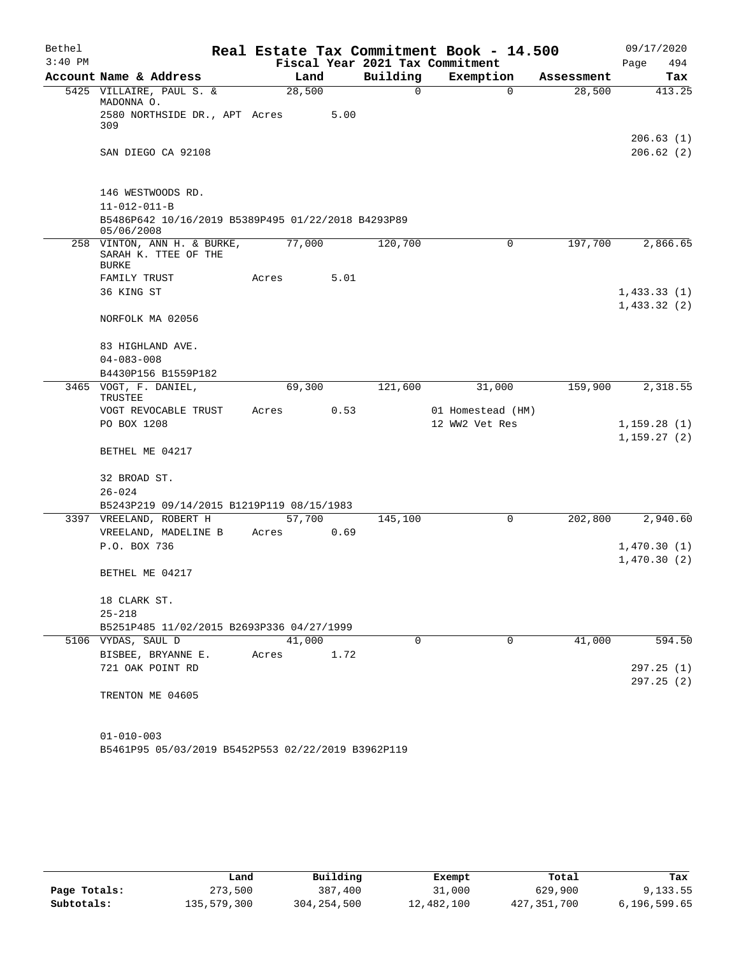| Bethel    |                                                                     |       |        |                                 | Real Estate Tax Commitment Book - 14.500 |            | 09/17/2020             |
|-----------|---------------------------------------------------------------------|-------|--------|---------------------------------|------------------------------------------|------------|------------------------|
| $3:40$ PM |                                                                     |       |        | Fiscal Year 2021 Tax Commitment |                                          |            | 494<br>Page            |
|           | Account Name & Address                                              |       | Land   | Building                        | Exemption                                | Assessment | Tax                    |
|           | 5425 VILLAIRE, PAUL S. &<br>MADONNA O.                              |       | 28,500 | $\mathbf 0$                     | $\mathbf 0$                              | 28,500     | 413.25                 |
|           | 2580 NORTHSIDE DR., APT Acres<br>309                                |       | 5.00   |                                 |                                          |            |                        |
|           | SAN DIEGO CA 92108                                                  |       |        |                                 |                                          |            | 206.63(1)<br>206.62(2) |
|           |                                                                     |       |        |                                 |                                          |            |                        |
|           | 146 WESTWOODS RD.                                                   |       |        |                                 |                                          |            |                        |
|           | $11 - 012 - 011 - B$                                                |       |        |                                 |                                          |            |                        |
|           | B5486P642 10/16/2019 B5389P495 01/22/2018 B4293P89<br>05/06/2008    |       |        |                                 |                                          |            |                        |
|           | 258 VINTON, ANN H. & BURKE,<br>SARAH K. TTEE OF THE<br><b>BURKE</b> |       | 77,000 | 120,700                         | 0                                        | 197,700    | 2,866.65               |
|           | FAMILY TRUST                                                        | Acres | 5.01   |                                 |                                          |            |                        |
|           | 36 KING ST                                                          |       |        |                                 |                                          |            | 1,433.33(1)            |
|           | NORFOLK MA 02056                                                    |       |        |                                 |                                          |            | 1,433.32(2)            |
|           | 83 HIGHLAND AVE.                                                    |       |        |                                 |                                          |            |                        |
|           | $04 - 083 - 008$                                                    |       |        |                                 |                                          |            |                        |
|           | B4430P156 B1559P182                                                 |       |        |                                 |                                          |            |                        |
|           | 3465 VOGT, F. DANIEL,<br>TRUSTEE                                    |       | 69,300 | 121,600                         | 31,000                                   | 159,900    | 2,318.55               |
|           | VOGT REVOCABLE TRUST                                                | Acres | 0.53   |                                 | 01 Homestead (HM)                        |            |                        |
|           | PO BOX 1208                                                         |       |        |                                 | 12 WW2 Vet Res                           |            | 1,159.28(1)            |
|           | BETHEL ME 04217                                                     |       |        |                                 |                                          |            | 1,159.27(2)            |
|           | 32 BROAD ST.                                                        |       |        |                                 |                                          |            |                        |
|           | $26 - 024$                                                          |       |        |                                 |                                          |            |                        |
|           | B5243P219 09/14/2015 B1219P119 08/15/1983                           |       |        |                                 |                                          |            |                        |
|           | 3397 VREELAND, ROBERT H                                             |       | 57,700 | 145,100                         | 0                                        | 202,800    | 2,940.60               |
|           | VREELAND, MADELINE B                                                | Acres | 0.69   |                                 |                                          |            |                        |
|           | P.O. BOX 736                                                        |       |        |                                 |                                          |            | 1,470.30(1)            |
|           | BETHEL ME 04217                                                     |       |        |                                 |                                          |            | 1,470.30(2)            |
|           |                                                                     |       |        |                                 |                                          |            |                        |
|           | 18 CLARK ST.<br>$25 - 218$                                          |       |        |                                 |                                          |            |                        |
|           | B5251P485 11/02/2015 B2693P336 04/27/1999                           |       |        |                                 |                                          |            |                        |
|           | 5106 VYDAS, SAUL D                                                  |       | 41,000 | $\Omega$                        | $\Omega$                                 | 41,000     | 594.50                 |
|           | BISBEE, BRYANNE E.                                                  | Acres | 1.72   |                                 |                                          |            |                        |
|           | 721 OAK POINT RD                                                    |       |        |                                 |                                          |            | 297.25(1)              |
|           |                                                                     |       |        |                                 |                                          |            | 297.25(2)              |
|           | TRENTON ME 04605                                                    |       |        |                                 |                                          |            |                        |
|           |                                                                     |       |        |                                 |                                          |            |                        |
|           | $01 - 010 - 003$                                                    |       |        |                                 |                                          |            |                        |

B5461P95 05/03/2019 B5452P553 02/22/2019 B3962P119

|              | Land        | Building    | Exempt     | Total       | Tax          |
|--------------|-------------|-------------|------------|-------------|--------------|
| Page Totals: | 273,500     | 387,400     | 31,000     | 629,900     | 9,133.55     |
| Subtotals:   | 135,579,300 | 304,254,500 | 12,482,100 | 427,351,700 | 6,196,599.65 |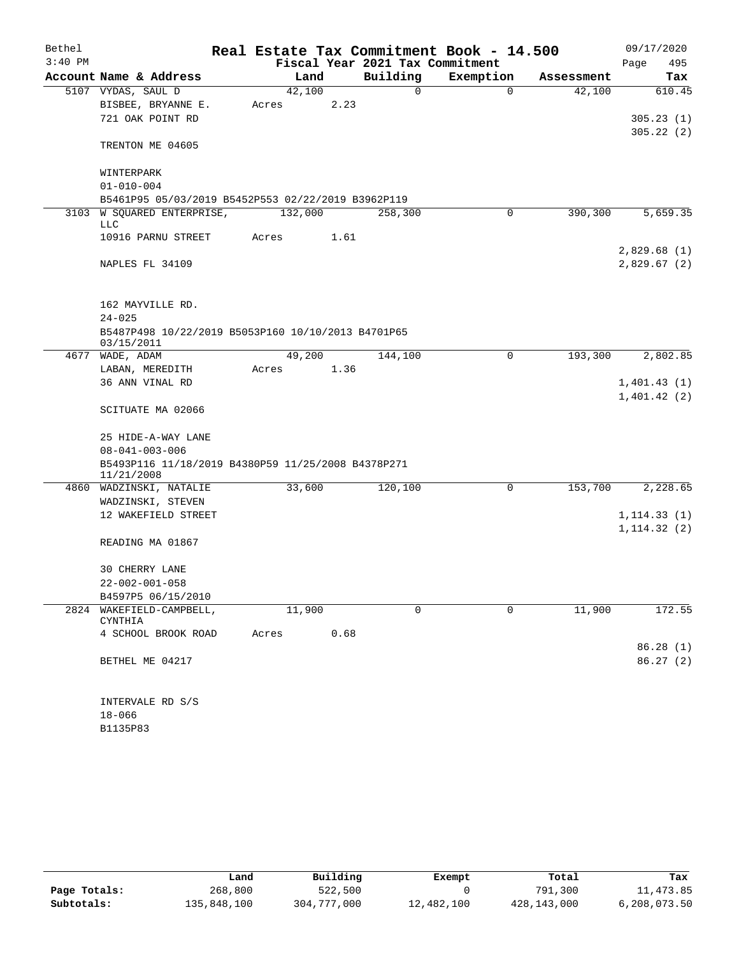| Bethel    |                                                                  | Real Estate Tax Commitment Book - 14.500 |                                 |           |            | 09/17/2020   |  |  |  |  |
|-----------|------------------------------------------------------------------|------------------------------------------|---------------------------------|-----------|------------|--------------|--|--|--|--|
| $3:40$ PM |                                                                  |                                          | Fiscal Year 2021 Tax Commitment |           |            | Page<br>495  |  |  |  |  |
|           | Account Name & Address                                           | Land                                     | Building                        | Exemption | Assessment | Tax          |  |  |  |  |
|           | 5107 VYDAS, SAUL D                                               | 42,100                                   | 0                               | $\Omega$  | 42,100     | 610.45       |  |  |  |  |
|           | BISBEE, BRYANNE E.                                               | 2.23<br>Acres                            |                                 |           |            |              |  |  |  |  |
|           | 721 OAK POINT RD                                                 |                                          |                                 |           |            | 305.23(1)    |  |  |  |  |
|           | TRENTON ME 04605                                                 |                                          |                                 |           |            | 305.22(2)    |  |  |  |  |
|           | WINTERPARK                                                       |                                          |                                 |           |            |              |  |  |  |  |
|           | $01 - 010 - 004$                                                 |                                          |                                 |           |            |              |  |  |  |  |
|           | B5461P95 05/03/2019 B5452P553 02/22/2019 B3962P119               |                                          |                                 |           |            |              |  |  |  |  |
|           | 3103 W SQUARED ENTERPRISE,<br>LLC                                | 132,000                                  | 258,300                         | 0         | 390,300    | 5,659.35     |  |  |  |  |
|           | 10916 PARNU STREET                                               | 1.61<br>Acres                            |                                 |           |            |              |  |  |  |  |
|           |                                                                  |                                          |                                 |           |            | 2,829.68(1)  |  |  |  |  |
|           | NAPLES FL 34109                                                  |                                          |                                 |           |            | 2,829.67(2)  |  |  |  |  |
|           | 162 MAYVILLE RD.                                                 |                                          |                                 |           |            |              |  |  |  |  |
|           | $24 - 025$                                                       |                                          |                                 |           |            |              |  |  |  |  |
|           | B5487P498 10/22/2019 B5053P160 10/10/2013 B4701P65               |                                          |                                 |           |            |              |  |  |  |  |
|           | 03/15/2011                                                       |                                          |                                 |           |            |              |  |  |  |  |
|           | 4677 WADE, ADAM                                                  | 49,200                                   | 144,100                         | 0         | 193,300    | 2,802.85     |  |  |  |  |
|           | LABAN, MEREDITH                                                  | 1.36<br>Acres                            |                                 |           |            |              |  |  |  |  |
|           | 36 ANN VINAL RD                                                  |                                          |                                 |           |            | 1,401.43(1)  |  |  |  |  |
|           | SCITUATE MA 02066                                                |                                          |                                 |           |            | 1,401.42(2)  |  |  |  |  |
|           | 25 HIDE-A-WAY LANE                                               |                                          |                                 |           |            |              |  |  |  |  |
|           | $08 - 041 - 003 - 006$                                           |                                          |                                 |           |            |              |  |  |  |  |
|           | B5493P116 11/18/2019 B4380P59 11/25/2008 B4378P271<br>11/21/2008 |                                          |                                 |           |            |              |  |  |  |  |
|           | 4860 WADZINSKI, NATALIE                                          | 33,600                                   | 120,100                         | 0         | 153,700    | 2,228.65     |  |  |  |  |
|           | WADZINSKI, STEVEN                                                |                                          |                                 |           |            |              |  |  |  |  |
|           | 12 WAKEFIELD STREET                                              |                                          |                                 |           |            | 1, 114.33(1) |  |  |  |  |
|           | READING MA 01867                                                 |                                          |                                 |           |            | 1, 114.32(2) |  |  |  |  |
|           | <b>30 CHERRY LANE</b>                                            |                                          |                                 |           |            |              |  |  |  |  |
|           | $22 - 002 - 001 - 058$                                           |                                          |                                 |           |            |              |  |  |  |  |
|           | B4597P5 06/15/2010                                               |                                          |                                 |           |            |              |  |  |  |  |
| 2824      | WAKEFIELD-CAMPBELL,<br>CYNTHIA                                   | 11,900                                   | $\Omega$                        | 0         | 11,900     | 172.55       |  |  |  |  |
|           | 4 SCHOOL BROOK ROAD                                              | 0.68<br>Acres                            |                                 |           |            |              |  |  |  |  |
|           |                                                                  |                                          |                                 |           |            | 86.28(1)     |  |  |  |  |
|           | BETHEL ME 04217                                                  |                                          |                                 |           |            | 86.27(2)     |  |  |  |  |
|           | INTERVALE RD S/S                                                 |                                          |                                 |           |            |              |  |  |  |  |
|           | $18 - 066$                                                       |                                          |                                 |           |            |              |  |  |  |  |

B1135P83

|              | Land        | Building    | Exempt     | Total       | Tax          |
|--------------|-------------|-------------|------------|-------------|--------------|
| Page Totals: | 268,800     | 522,500     |            | 791,300     | 11,473.85    |
| Subtotals:   | 135,848,100 | 304,777,000 | 12,482,100 | 428,143,000 | 6,208,073.50 |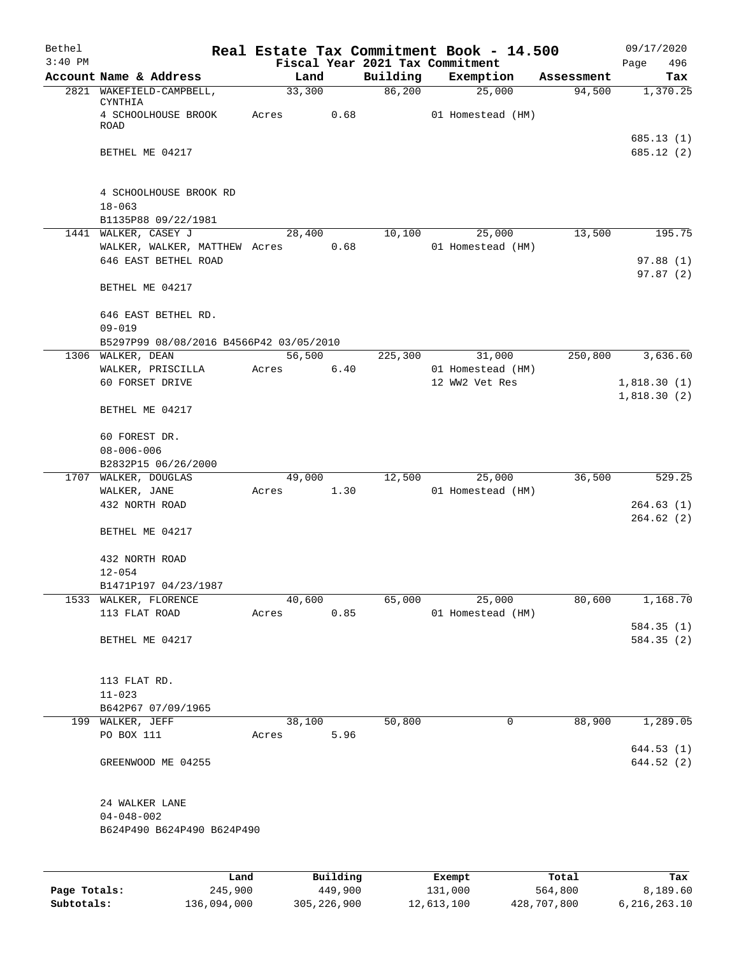| Bethel<br>$3:40$ PM |                                                       |        |          |          | Real Estate Tax Commitment Book - 14.500<br>Fiscal Year 2021 Tax Commitment |            | 09/17/2020<br>496<br>Page |
|---------------------|-------------------------------------------------------|--------|----------|----------|-----------------------------------------------------------------------------|------------|---------------------------|
|                     | Account Name & Address                                |        | Land     | Building | Exemption                                                                   | Assessment | Tax                       |
|                     | 2821 WAKEFIELD-CAMPBELL,<br>CYNTHIA                   |        | 33,300   | 86,200   | 25,000                                                                      | 94,500     | 1,370.25                  |
|                     | 4 SCHOOLHOUSE BROOK<br>ROAD                           | Acres  | 0.68     |          | 01 Homestead (HM)                                                           |            |                           |
|                     | BETHEL ME 04217                                       |        |          |          |                                                                             |            | 685.13 (1)<br>685.12(2)   |
|                     |                                                       |        |          |          |                                                                             |            |                           |
|                     | 4 SCHOOLHOUSE BROOK RD<br>$18 - 063$                  |        |          |          |                                                                             |            |                           |
|                     | B1135P88 09/22/1981                                   |        |          |          |                                                                             |            |                           |
|                     | 1441 WALKER, CASEY J                                  |        | 28,400   | 10,100   | 25,000                                                                      | 13,500     | 195.75                    |
|                     | WALKER, WALKER, MATTHEW Acres 0.68                    |        |          |          | 01 Homestead (HM)                                                           |            |                           |
|                     | 646 EAST BETHEL ROAD                                  |        |          |          |                                                                             |            | 97.88(1)                  |
|                     | BETHEL ME 04217                                       |        |          |          |                                                                             |            | 97.87(2)                  |
|                     | 646 EAST BETHEL RD.                                   |        |          |          |                                                                             |            |                           |
|                     | $09 - 019$<br>B5297P99 08/08/2016 B4566P42 03/05/2010 |        |          |          |                                                                             |            |                           |
|                     | 1306 WALKER, DEAN                                     | 56,500 |          | 225,300  | 31,000                                                                      | 250,800    | 3,636.60                  |
|                     | WALKER, PRISCILLA                                     | Acres  | 6.40     |          | 01 Homestead (HM)                                                           |            |                           |
|                     | 60 FORSET DRIVE                                       |        |          |          | 12 WW2 Vet Res                                                              |            | 1,818.30(1)               |
|                     | BETHEL ME 04217                                       |        |          |          |                                                                             |            | 1,818.30(2)               |
|                     |                                                       |        |          |          |                                                                             |            |                           |
|                     | 60 FOREST DR.                                         |        |          |          |                                                                             |            |                           |
|                     | $08 - 006 - 006$                                      |        |          |          |                                                                             |            |                           |
|                     | B2832P15 06/26/2000                                   |        |          |          |                                                                             |            |                           |
|                     | 1707 WALKER, DOUGLAS                                  |        | 49,000   | 12,500   | 25,000                                                                      | 36,500     | 529.25                    |
|                     | WALKER, JANE<br>432 NORTH ROAD                        | Acres  | 1.30     |          | 01 Homestead (HM)                                                           |            | 264.63(1)                 |
|                     |                                                       |        |          |          |                                                                             |            | 264.62(2)                 |
|                     | BETHEL ME 04217                                       |        |          |          |                                                                             |            |                           |
|                     | 432 NORTH ROAD                                        |        |          |          |                                                                             |            |                           |
|                     | $12 - 054$                                            |        |          |          |                                                                             |            |                           |
|                     | B1471P197 04/23/1987<br>1533 WALKER, FLORENCE         |        | 40,600   | 65,000   | 25,000                                                                      | 80,600     | 1,168.70                  |
|                     | 113 FLAT ROAD                                         | Acres  | 0.85     |          | 01 Homestead (HM)                                                           |            |                           |
|                     |                                                       |        |          |          |                                                                             |            | 584.35 (1)                |
|                     | BETHEL ME 04217                                       |        |          |          |                                                                             |            | 584.35(2)                 |
|                     |                                                       |        |          |          |                                                                             |            |                           |
|                     | 113 FLAT RD.                                          |        |          |          |                                                                             |            |                           |
|                     | $11 - 023$                                            |        |          |          |                                                                             |            |                           |
|                     | B642P67 07/09/1965                                    |        |          |          |                                                                             |            |                           |
|                     | 199 WALKER, JEFF                                      |        | 38,100   | 50,800   | 0                                                                           | 88,900     | 1,289.05                  |
|                     | PO BOX 111                                            | Acres  | 5.96     |          |                                                                             |            |                           |
|                     |                                                       |        |          |          |                                                                             |            | 644.53(1)                 |
|                     | GREENWOOD ME 04255                                    |        |          |          |                                                                             |            | 644.52 (2)                |
|                     | 24 WALKER LANE                                        |        |          |          |                                                                             |            |                           |
|                     | $04 - 048 - 002$                                      |        |          |          |                                                                             |            |                           |
|                     | B624P490 B624P490 B624P490                            |        |          |          |                                                                             |            |                           |
|                     |                                                       | Land   | Building |          | Exempt                                                                      | Total      | Tax                       |
|                     |                                                       |        |          |          |                                                                             |            |                           |

| Page Totals: | 245,900     | 449,900       | 131,000    | 564,800     | 8,189.60     |
|--------------|-------------|---------------|------------|-------------|--------------|
| Subtotals:   | 136,094,000 | 305, 226, 900 | 12,613,100 | 428,707,800 | 6,216,263.10 |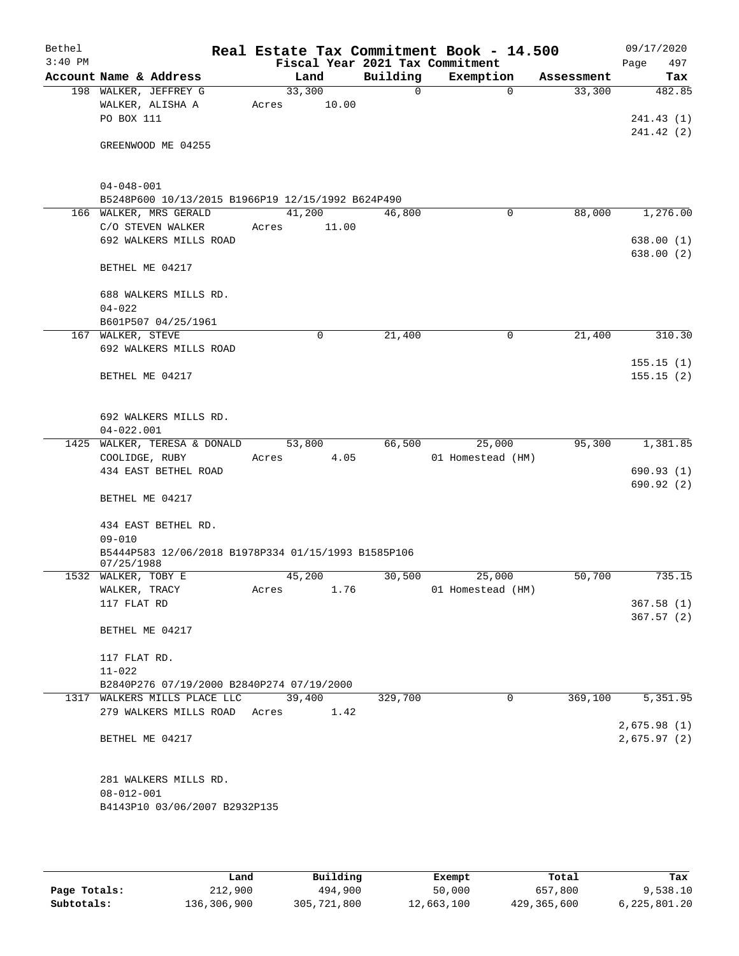| Bethel    |                     |                                                     |        |       |             | Real Estate Tax Commitment Book - 14.500 |             |            | 09/17/2020  |
|-----------|---------------------|-----------------------------------------------------|--------|-------|-------------|------------------------------------------|-------------|------------|-------------|
| $3:40$ PM |                     |                                                     |        |       |             | Fiscal Year 2021 Tax Commitment          |             |            | 497<br>Page |
|           |                     | Account Name & Address                              |        | Land  | Building    | Exemption                                |             | Assessment | Tax         |
|           |                     | 198 WALKER, JEFFREY G                               | 33,300 |       | $\mathbf 0$ |                                          | $\Omega$    | 33,300     | 482.85      |
|           |                     | WALKER, ALISHA A                                    | Acres  | 10.00 |             |                                          |             |            |             |
|           | PO BOX 111          |                                                     |        |       |             |                                          |             |            | 241.43(1)   |
|           |                     |                                                     |        |       |             |                                          |             |            | 241.42(2)   |
|           |                     | GREENWOOD ME 04255                                  |        |       |             |                                          |             |            |             |
|           |                     |                                                     |        |       |             |                                          |             |            |             |
|           |                     |                                                     |        |       |             |                                          |             |            |             |
|           | $04 - 048 - 001$    |                                                     |        |       |             |                                          |             |            |             |
|           |                     | B5248P600 10/13/2015 B1966P19 12/15/1992 B624P490   |        |       |             |                                          |             |            |             |
|           |                     | 166 WALKER, MRS GERALD                              | 41,200 |       | 46,800      |                                          | 0           | 88,000     | 1,276.00    |
|           |                     | C/O STEVEN WALKER                                   | Acres  | 11.00 |             |                                          |             |            |             |
|           |                     | 692 WALKERS MILLS ROAD                              |        |       |             |                                          |             |            | 638.00(1)   |
|           |                     |                                                     |        |       |             |                                          |             |            | 638.00(2)   |
|           | BETHEL ME 04217     |                                                     |        |       |             |                                          |             |            |             |
|           |                     | 688 WALKERS MILLS RD.                               |        |       |             |                                          |             |            |             |
|           | $04 - 022$          |                                                     |        |       |             |                                          |             |            |             |
|           |                     | B601P507 04/25/1961                                 |        |       |             |                                          |             |            |             |
|           | 167 WALKER, STEVE   |                                                     |        | 0     | 21,400      |                                          | $\mathbf 0$ | 21,400     | 310.30      |
|           |                     | 692 WALKERS MILLS ROAD                              |        |       |             |                                          |             |            |             |
|           |                     |                                                     |        |       |             |                                          |             |            | 155.15(1)   |
|           |                     | BETHEL ME 04217                                     |        |       |             |                                          |             |            | 155.15(2)   |
|           |                     |                                                     |        |       |             |                                          |             |            |             |
|           |                     |                                                     |        |       |             |                                          |             |            |             |
|           |                     | 692 WALKERS MILLS RD.                               |        |       |             |                                          |             |            |             |
|           | $04 - 022.001$      |                                                     |        |       |             |                                          |             |            |             |
| 1425      |                     | WALKER, TERESA & DONALD                             | 53,800 |       | 66,500      | 25,000                                   |             | 95,300     | 1,381.85    |
|           | COOLIDGE, RUBY      |                                                     | Acres  | 4.05  |             | 01 Homestead (HM)                        |             |            |             |
|           |                     | 434 EAST BETHEL ROAD                                |        |       |             |                                          |             |            | 690.93(1)   |
|           |                     |                                                     |        |       |             |                                          |             |            | 690.92(2)   |
|           | BETHEL ME 04217     |                                                     |        |       |             |                                          |             |            |             |
|           |                     |                                                     |        |       |             |                                          |             |            |             |
|           |                     | 434 EAST BETHEL RD.                                 |        |       |             |                                          |             |            |             |
|           | $09 - 010$          |                                                     |        |       |             |                                          |             |            |             |
|           | 07/25/1988          | B5444P583 12/06/2018 B1978P334 01/15/1993 B1585P106 |        |       |             |                                          |             |            |             |
|           | 1532 WALKER, TOBY E |                                                     | 45,200 |       | 30,500      | 25,000                                   |             | 50,700     | 735.15      |
|           | WALKER, TRACY       |                                                     | Acres  | 1.76  |             | 01 Homestead (HM)                        |             |            |             |
|           | 117 FLAT RD         |                                                     |        |       |             |                                          |             |            | 367.58(1)   |
|           |                     |                                                     |        |       |             |                                          |             |            | 367.57(2)   |
|           |                     | BETHEL ME 04217                                     |        |       |             |                                          |             |            |             |
|           |                     |                                                     |        |       |             |                                          |             |            |             |
|           | 117 FLAT RD.        |                                                     |        |       |             |                                          |             |            |             |
|           | $11 - 022$          |                                                     |        |       |             |                                          |             |            |             |
|           |                     | B2840P276 07/19/2000 B2840P274 07/19/2000           |        |       |             |                                          |             |            |             |
|           |                     | 1317 WALKERS MILLS PLACE LLC                        | 39,400 |       | 329,700     |                                          | $\Omega$    | 369,100    | 5,351.95    |
|           |                     | 279 WALKERS MILLS ROAD Acres                        |        | 1.42  |             |                                          |             |            |             |
|           |                     |                                                     |        |       |             |                                          |             |            | 2,675.98(1) |
|           |                     | BETHEL ME 04217                                     |        |       |             |                                          |             |            | 2,675.97(2) |
|           |                     |                                                     |        |       |             |                                          |             |            |             |
|           |                     |                                                     |        |       |             |                                          |             |            |             |
|           |                     | 281 WALKERS MILLS RD.                               |        |       |             |                                          |             |            |             |
|           | $08 - 012 - 001$    |                                                     |        |       |             |                                          |             |            |             |
|           |                     | B4143P10 03/06/2007 B2932P135                       |        |       |             |                                          |             |            |             |
|           |                     |                                                     |        |       |             |                                          |             |            |             |

|              | Land        | Building    | Exempt     | Total       | Tax          |
|--------------|-------------|-------------|------------|-------------|--------------|
| Page Totals: | 212,900     | 494,900     | 50,000     | 657,800     | 9,538.10     |
| Subtotals:   | 136,306,900 | 305,721,800 | 12,663,100 | 429,365,600 | 6,225,801.20 |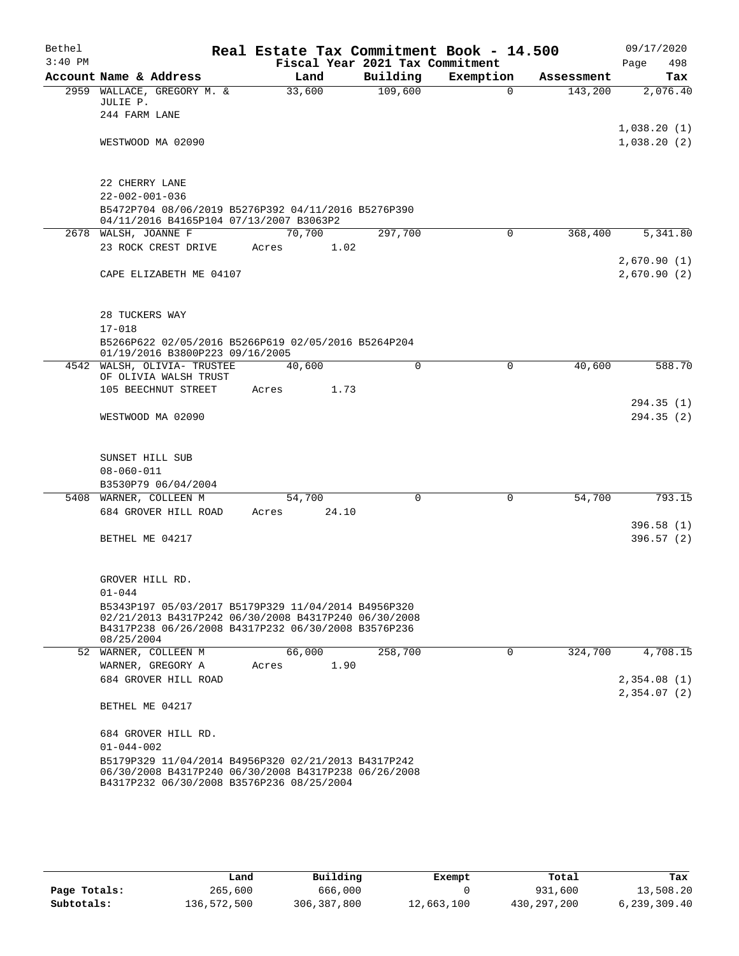| Bethel    |                                          |                                                                                                                                                                    |        |        | Real Estate Tax Commitment Book - 14.500 |          |           |             |            |      | 09/17/2020                 |
|-----------|------------------------------------------|--------------------------------------------------------------------------------------------------------------------------------------------------------------------|--------|--------|------------------------------------------|----------|-----------|-------------|------------|------|----------------------------|
| $3:40$ PM |                                          |                                                                                                                                                                    |        |        | Fiscal Year 2021 Tax Commitment          |          |           |             |            | Page | 498                        |
|           |                                          | Account Name & Address                                                                                                                                             |        | Land   | Building                                 |          | Exemption |             | Assessment |      | Tax                        |
|           | JULIE P.                                 | 2959 WALLACE, GREGORY M. &                                                                                                                                         | 33,600 |        | 109,600                                  |          |           | $\Omega$    | 143,200    |      | 2,076.40                   |
|           | 244 FARM LANE                            |                                                                                                                                                                    |        |        |                                          |          |           |             |            |      |                            |
|           |                                          | WESTWOOD MA 02090                                                                                                                                                  |        |        |                                          |          |           |             |            |      | 1,038.20(1)<br>1,038.20(2) |
|           | 22 CHERRY LANE<br>$22 - 002 - 001 - 036$ |                                                                                                                                                                    |        |        |                                          |          |           |             |            |      |                            |
|           |                                          | B5472P704 08/06/2019 B5276P392 04/11/2016 B5276P390<br>04/11/2016 B4165P104 07/13/2007 B3063P2                                                                     |        |        |                                          |          |           |             |            |      |                            |
|           |                                          | 2678 WALSH, JOANNE F                                                                                                                                               |        | 70,700 | 297,700                                  |          |           | $\mathbf 0$ | 368,400    |      | 5,341.80                   |
|           |                                          | 23 ROCK CREST DRIVE                                                                                                                                                | Acres  | 1.02   |                                          |          |           |             |            |      |                            |
|           |                                          | CAPE ELIZABETH ME 04107                                                                                                                                            |        |        |                                          |          |           |             |            |      | 2,670.90(1)<br>2,670.90(2) |
|           | 28 TUCKERS WAY<br>$17 - 018$             |                                                                                                                                                                    |        |        |                                          |          |           |             |            |      |                            |
|           |                                          | B5266P622 02/05/2016 B5266P619 02/05/2016 B5264P204<br>01/19/2016 B3800P223 09/16/2005                                                                             |        |        |                                          |          |           |             |            |      |                            |
|           |                                          | 4542 WALSH, OLIVIA- TRUSTEE                                                                                                                                        | 40,600 |        |                                          | $\Omega$ |           | $\Omega$    | 40,600     |      | 588.70                     |
|           |                                          | OF OLIVIA WALSH TRUST<br>105 BEECHNUT STREET                                                                                                                       | Acres  | 1.73   |                                          |          |           |             |            |      |                            |
|           |                                          |                                                                                                                                                                    |        |        |                                          |          |           |             |            |      | 294.35 (1)                 |
|           |                                          | WESTWOOD MA 02090                                                                                                                                                  |        |        |                                          |          |           |             |            |      | 294.35(2)                  |
|           | SUNSET HILL SUB                          |                                                                                                                                                                    |        |        |                                          |          |           |             |            |      |                            |
|           | $08 - 060 - 011$                         |                                                                                                                                                                    |        |        |                                          |          |           |             |            |      |                            |
|           |                                          | B3530P79 06/04/2004                                                                                                                                                |        |        |                                          |          |           |             |            |      |                            |
|           |                                          | 5408 WARNER, COLLEEN M                                                                                                                                             | 54,700 |        |                                          | $\Omega$ |           | $\Omega$    | 54,700     |      | 793.15                     |
|           |                                          | 684 GROVER HILL ROAD                                                                                                                                               | Acres  | 24.10  |                                          |          |           |             |            |      |                            |
|           | BETHEL ME 04217                          |                                                                                                                                                                    |        |        |                                          |          |           |             |            |      | 396.58(1)<br>396.57(2)     |
|           | GROVER HILL RD.                          |                                                                                                                                                                    |        |        |                                          |          |           |             |            |      |                            |
|           | $01 - 044$                               | B5343P197 05/03/2017 B5179P329 11/04/2014 B4956P320<br>02/21/2013 B4317P242 06/30/2008 B4317P240 06/30/2008<br>B4317P238 06/26/2008 B4317P232 06/30/2008 B3576P236 |        |        |                                          |          |           |             |            |      |                            |
|           | 08/25/2004                               |                                                                                                                                                                    |        |        |                                          |          |           |             |            |      |                            |
|           |                                          | 52 WARNER, COLLEEN M                                                                                                                                               | 66,000 |        | 258,700                                  |          |           | $\Omega$    | 324,700    |      | 4,708.15                   |
|           |                                          | WARNER, GREGORY A                                                                                                                                                  | Acres  | 1.90   |                                          |          |           |             |            |      |                            |
|           |                                          | 684 GROVER HILL ROAD                                                                                                                                               |        |        |                                          |          |           |             |            |      | 2,354.08(1)<br>2,354.07(2) |
|           | BETHEL ME 04217                          |                                                                                                                                                                    |        |        |                                          |          |           |             |            |      |                            |
|           |                                          | 684 GROVER HILL RD.                                                                                                                                                |        |        |                                          |          |           |             |            |      |                            |
|           | $01 - 044 - 002$                         |                                                                                                                                                                    |        |        |                                          |          |           |             |            |      |                            |
|           |                                          | B5179P329 11/04/2014 B4956P320 02/21/2013 B4317P242<br>06/30/2008 B4317P240 06/30/2008 B4317P238 06/26/2008<br>B4317P232 06/30/2008 B3576P236 08/25/2004           |        |        |                                          |          |           |             |            |      |                            |

|              | Land        | Building      | Exempt     | Total       | Tax            |
|--------------|-------------|---------------|------------|-------------|----------------|
| Page Totals: | 265,600     | 666,000       |            | 931,600     | 13,508.20      |
| Subtotals:   | 136,572,500 | 306, 387, 800 | 12,663,100 | 430,297,200 | 6, 239, 309.40 |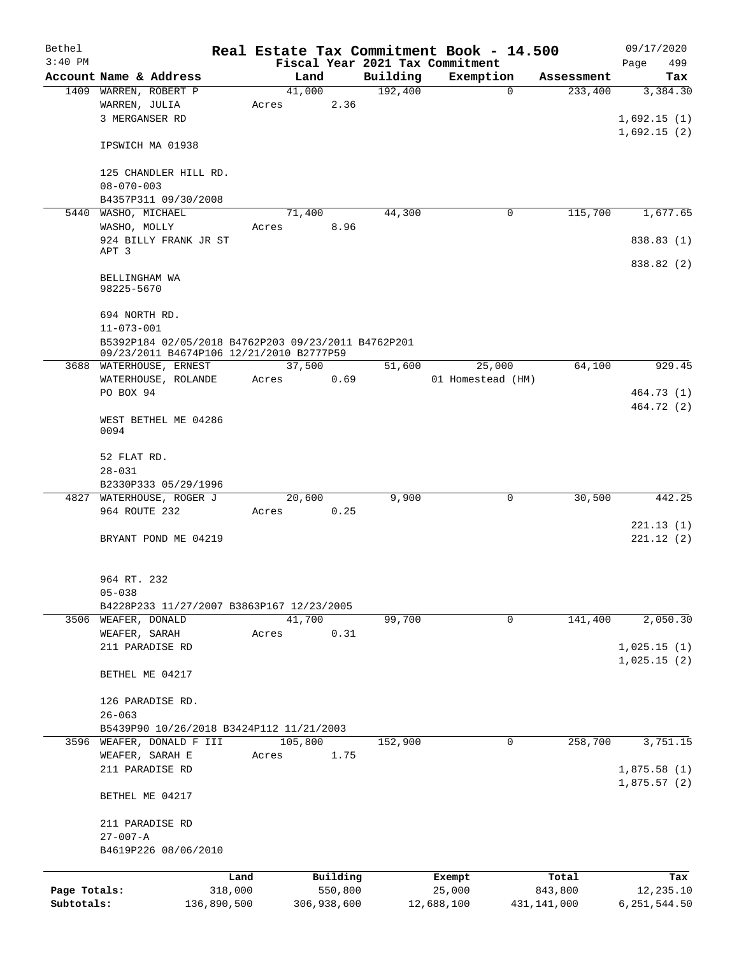| Bethel       |                                                                     |             |       |             |          | Real Estate Tax Commitment Book - 14.500 |             |               | 09/17/2020     |
|--------------|---------------------------------------------------------------------|-------------|-------|-------------|----------|------------------------------------------|-------------|---------------|----------------|
| $3:40$ PM    |                                                                     |             |       |             |          | Fiscal Year 2021 Tax Commitment          |             |               | 499<br>Page    |
|              | Account Name & Address                                              |             |       | Land        | Building | Exemption                                |             | Assessment    | Tax            |
|              | 1409 WARREN, ROBERT P                                               |             |       | 41,000      | 192,400  |                                          | $\mathbf 0$ | 233,400       | 3,384.30       |
|              | WARREN, JULIA                                                       |             | Acres | 2.36        |          |                                          |             |               |                |
|              | 3 MERGANSER RD                                                      |             |       |             |          |                                          |             |               | 1,692.15(1)    |
|              |                                                                     |             |       |             |          |                                          |             |               | 1,692.15(2)    |
|              | IPSWICH MA 01938                                                    |             |       |             |          |                                          |             |               |                |
|              |                                                                     |             |       |             |          |                                          |             |               |                |
|              | 125 CHANDLER HILL RD.<br>$08 - 070 - 003$                           |             |       |             |          |                                          |             |               |                |
|              | B4357P311 09/30/2008                                                |             |       |             |          |                                          |             |               |                |
|              | 5440 WASHO, MICHAEL                                                 |             |       | 71,400      | 44,300   |                                          | 0           | 115,700       | 1,677.65       |
|              | WASHO, MOLLY                                                        |             | Acres | 8.96        |          |                                          |             |               |                |
|              | 924 BILLY FRANK JR ST                                               |             |       |             |          |                                          |             |               | 838.83 (1)     |
|              | APT 3                                                               |             |       |             |          |                                          |             |               |                |
|              |                                                                     |             |       |             |          |                                          |             |               | 838.82 (2)     |
|              | BELLINGHAM WA                                                       |             |       |             |          |                                          |             |               |                |
|              | 98225-5670                                                          |             |       |             |          |                                          |             |               |                |
|              |                                                                     |             |       |             |          |                                          |             |               |                |
|              | 694 NORTH RD.                                                       |             |       |             |          |                                          |             |               |                |
|              | $11 - 073 - 001$                                                    |             |       |             |          |                                          |             |               |                |
|              | B5392P184 02/05/2018 B4762P203 09/23/2011 B4762P201                 |             |       |             |          |                                          |             |               |                |
|              | 09/23/2011 B4674P106 12/21/2010 B2777P59<br>3688 WATERHOUSE, ERNEST |             |       | 37,500      | 51,600   | 25,000                                   |             | 64,100        | 929.45         |
|              |                                                                     |             | Acres | 0.69        |          | 01 Homestead (HM)                        |             |               |                |
|              | WATERHOUSE, ROLANDE<br>PO BOX 94                                    |             |       |             |          |                                          |             |               | 464.73 (1)     |
|              |                                                                     |             |       |             |          |                                          |             |               | 464.72 (2)     |
|              | WEST BETHEL ME 04286                                                |             |       |             |          |                                          |             |               |                |
|              | 0094                                                                |             |       |             |          |                                          |             |               |                |
|              |                                                                     |             |       |             |          |                                          |             |               |                |
|              | 52 FLAT RD.                                                         |             |       |             |          |                                          |             |               |                |
|              | $28 - 031$                                                          |             |       |             |          |                                          |             |               |                |
|              | B2330P333 05/29/1996                                                |             |       |             |          |                                          |             |               |                |
|              | 4827 WATERHOUSE, ROGER J                                            |             |       | 20,600      | 9,900    |                                          | 0           | 30,500        | 442.25         |
|              | 964 ROUTE 232                                                       |             | Acres | 0.25        |          |                                          |             |               |                |
|              |                                                                     |             |       |             |          |                                          |             |               | 221.13(1)      |
|              | BRYANT POND ME 04219                                                |             |       |             |          |                                          |             |               | 221.12(2)      |
|              |                                                                     |             |       |             |          |                                          |             |               |                |
|              |                                                                     |             |       |             |          |                                          |             |               |                |
|              | 964 RT. 232                                                         |             |       |             |          |                                          |             |               |                |
|              | $05 - 038$                                                          |             |       |             |          |                                          |             |               |                |
|              | B4228P233 11/27/2007 B3863P167 12/23/2005                           |             |       |             |          |                                          |             |               |                |
|              | 3506 WEAFER, DONALD                                                 |             |       | 41,700      | 99,700   |                                          | 0           | 141,400       | 2,050.30       |
|              | WEAFER, SARAH                                                       |             | Acres | 0.31        |          |                                          |             |               |                |
|              | 211 PARADISE RD                                                     |             |       |             |          |                                          |             |               | 1,025.15(1)    |
|              |                                                                     |             |       |             |          |                                          |             |               | 1,025.15(2)    |
|              | BETHEL ME 04217                                                     |             |       |             |          |                                          |             |               |                |
|              |                                                                     |             |       |             |          |                                          |             |               |                |
|              | 126 PARADISE RD.                                                    |             |       |             |          |                                          |             |               |                |
|              | $26 - 063$                                                          |             |       |             |          |                                          |             |               |                |
|              | B5439P90 10/26/2018 B3424P112 11/21/2003                            |             |       |             |          |                                          |             |               |                |
| 3596         | WEAFER, DONALD F III                                                |             |       | 105,800     | 152,900  |                                          | 0           | 258,700       | 3,751.15       |
|              | WEAFER, SARAH E                                                     |             | Acres | 1.75        |          |                                          |             |               |                |
|              | 211 PARADISE RD                                                     |             |       |             |          |                                          |             |               | 1,875.58(1)    |
|              |                                                                     |             |       |             |          |                                          |             |               | 1,875.57(2)    |
|              | BETHEL ME 04217                                                     |             |       |             |          |                                          |             |               |                |
|              |                                                                     |             |       |             |          |                                          |             |               |                |
|              | 211 PARADISE RD                                                     |             |       |             |          |                                          |             |               |                |
|              | $27 - 007 - A$                                                      |             |       |             |          |                                          |             |               |                |
|              | B4619P226 08/06/2010                                                |             |       |             |          |                                          |             |               |                |
|              |                                                                     | Land        |       | Building    |          | Exempt                                   |             | Total         | Tax            |
| Page Totals: |                                                                     | 318,000     |       | 550,800     |          | 25,000                                   |             | 843,800       | 12,235.10      |
| Subtotals:   |                                                                     | 136,890,500 |       | 306,938,600 |          | 12,688,100                               |             | 431, 141, 000 | 6, 251, 544.50 |
|              |                                                                     |             |       |             |          |                                          |             |               |                |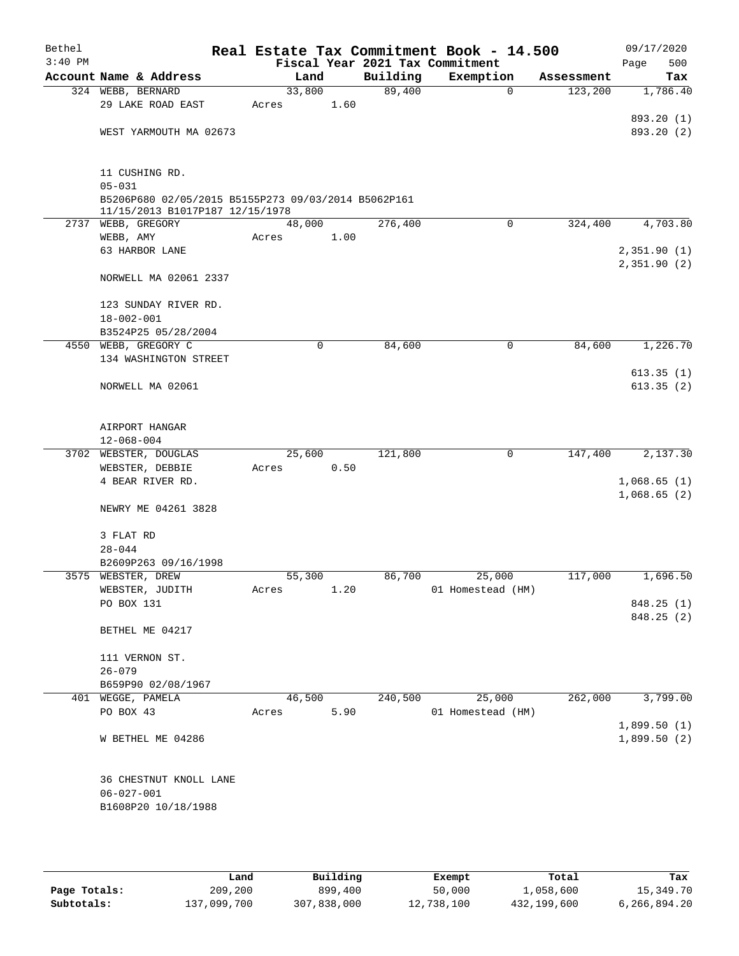| Bethel    |                                                     |        |      |          | Real Estate Tax Commitment Book - 14.500     |            | 09/17/2020         |
|-----------|-----------------------------------------------------|--------|------|----------|----------------------------------------------|------------|--------------------|
| $3:40$ PM | Account Name & Address                              | Land   |      | Building | Fiscal Year 2021 Tax Commitment<br>Exemption | Assessment | 500<br>Page<br>Tax |
|           | 324 WEBB, BERNARD                                   | 33,800 |      | 89,400   | $\mathbf 0$                                  | 123,200    | 1,786.40           |
|           | 29 LAKE ROAD EAST                                   | Acres  | 1.60 |          |                                              |            |                    |
|           |                                                     |        |      |          |                                              |            | 893.20 (1)         |
|           | WEST YARMOUTH MA 02673                              |        |      |          |                                              |            | 893.20 (2)         |
|           |                                                     |        |      |          |                                              |            |                    |
|           |                                                     |        |      |          |                                              |            |                    |
|           | 11 CUSHING RD.<br>$05 - 031$                        |        |      |          |                                              |            |                    |
|           | B5206P680 02/05/2015 B5155P273 09/03/2014 B5062P161 |        |      |          |                                              |            |                    |
|           | 11/15/2013 B1017P187 12/15/1978                     |        |      |          |                                              |            |                    |
|           | 2737 WEBB, GREGORY                                  | 48,000 |      | 276,400  | 0                                            | 324,400    | 4,703.80           |
|           | WEBB, AMY                                           | Acres  | 1.00 |          |                                              |            |                    |
|           | 63 HARBOR LANE                                      |        |      |          |                                              |            | 2,351.90(1)        |
|           | NORWELL MA 02061 2337                               |        |      |          |                                              |            | 2,351.90(2)        |
|           | 123 SUNDAY RIVER RD.                                |        |      |          |                                              |            |                    |
|           | $18 - 002 - 001$                                    |        |      |          |                                              |            |                    |
|           | B3524P25 05/28/2004                                 |        |      |          |                                              |            |                    |
|           | 4550 WEBB, GREGORY C                                | 0      |      | 84,600   | 0                                            | 84,600     | 1,226.70           |
|           | 134 WASHINGTON STREET                               |        |      |          |                                              |            |                    |
|           | NORWELL MA 02061                                    |        |      |          |                                              |            | 613.35(1)          |
|           |                                                     |        |      |          |                                              |            | 613.35(2)          |
|           | AIRPORT HANGAR                                      |        |      |          |                                              |            |                    |
|           | $12 - 068 - 004$                                    |        |      |          |                                              |            |                    |
|           | 3702 WEBSTER, DOUGLAS                               | 25,600 |      | 121,800  | $\mathbf 0$                                  | 147,400    | 2,137.30           |
|           | WEBSTER, DEBBIE                                     | Acres  | 0.50 |          |                                              |            |                    |
|           | 4 BEAR RIVER RD.                                    |        |      |          |                                              |            | 1,068.65(1)        |
|           | NEWRY ME 04261 3828                                 |        |      |          |                                              |            | 1,068.65(2)        |
|           | 3 FLAT RD                                           |        |      |          |                                              |            |                    |
|           | $28 - 044$                                          |        |      |          |                                              |            |                    |
|           | B2609P263 09/16/1998                                |        |      |          |                                              |            |                    |
|           | 3575 WEBSTER, DREW<br>WEBSTER, JUDITH               | 55,300 | 1.20 | 86,700   | 25,000                                       | 117,000    | 1,696.50           |
|           | PO BOX 131                                          | Acres  |      |          | 01 Homestead (HM)                            |            | 848.25(1)          |
|           |                                                     |        |      |          |                                              |            | 848.25(2)          |
|           | BETHEL ME 04217                                     |        |      |          |                                              |            |                    |
|           | 111 VERNON ST.                                      |        |      |          |                                              |            |                    |
|           | $26 - 079$                                          |        |      |          |                                              |            |                    |
|           | B659P90 02/08/1967                                  |        |      |          |                                              |            |                    |
| 401       | WEGGE, PAMELA                                       | 46,500 |      | 240,500  | 25,000                                       | 262,000    | 3,799.00           |
|           | PO BOX 43                                           | Acres  | 5.90 |          | 01 Homestead (HM)                            |            | 1,899.50(1)        |
|           | W BETHEL ME 04286                                   |        |      |          |                                              |            | 1,899.50(2)        |
|           |                                                     |        |      |          |                                              |            |                    |
|           | 36 CHESTNUT KNOLL LANE                              |        |      |          |                                              |            |                    |
|           | $06 - 027 - 001$                                    |        |      |          |                                              |            |                    |
|           | B1608P20 10/18/1988                                 |        |      |          |                                              |            |                    |
|           |                                                     |        |      |          |                                              |            |                    |

|              | Land        | Building    | Exempt     | Total       | Tax          |
|--------------|-------------|-------------|------------|-------------|--------------|
| Page Totals: | 209,200     | 899,400     | 50,000     | 1,058,600   | 15,349.70    |
| Subtotals:   | 137,099,700 | 307,838,000 | 12,738,100 | 432,199,600 | 6,266,894.20 |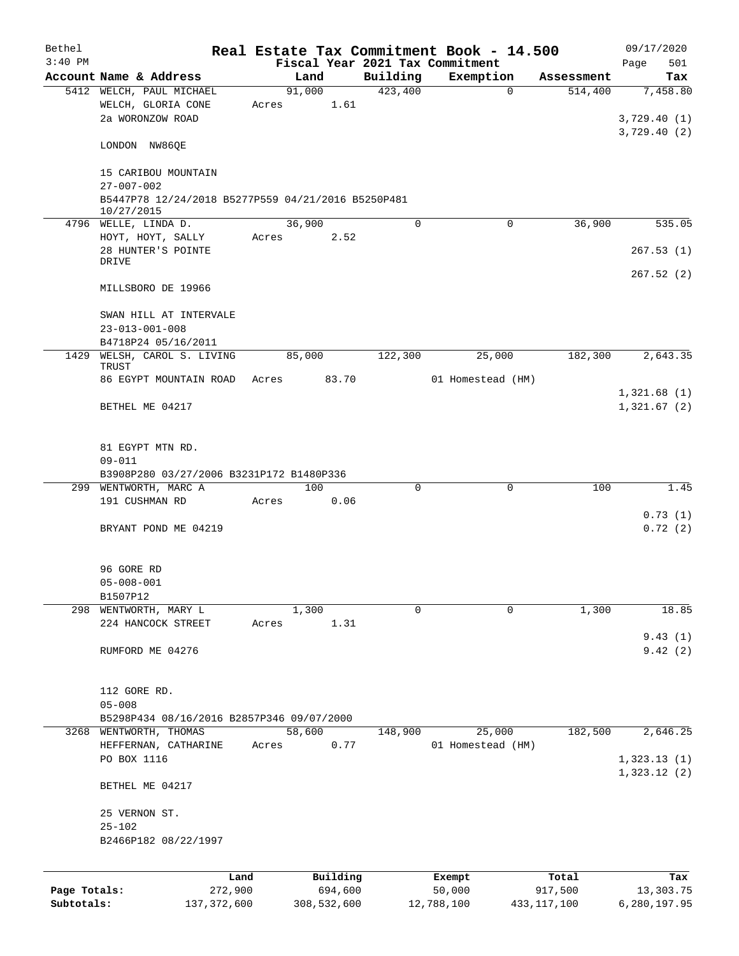| Bethel       |                                                                    |       |          |         |          | Real Estate Tax Commitment Book - 14.500 |            | 09/17/2020                             |
|--------------|--------------------------------------------------------------------|-------|----------|---------|----------|------------------------------------------|------------|----------------------------------------|
| $3:40$ PM    |                                                                    |       |          |         |          | Fiscal Year 2021 Tax Commitment          |            | 501<br>Page                            |
|              | Account Name & Address                                             |       | Land     |         | Building | Exemption                                | Assessment | Tax                                    |
|              | 5412 WELCH, PAUL MICHAEL<br>WELCH, GLORIA CONE<br>2a WORONZOW ROAD | Acres | 91,000   | 1.61    | 423,400  | $\mathbf{0}$                             | 514,400    | 7,458.80<br>3,729.40(1)<br>3,729.40(2) |
|              | LONDON NW86QE                                                      |       |          |         |          |                                          |            |                                        |
|              | 15 CARIBOU MOUNTAIN<br>$27 - 007 - 002$                            |       |          |         |          |                                          |            |                                        |
|              | B5447P78 12/24/2018 B5277P559 04/21/2016 B5250P481<br>10/27/2015   |       |          |         |          |                                          |            |                                        |
|              | 4796 WELLE, LINDA D.                                               |       | 36,900   |         | $\Omega$ | $\Omega$                                 | 36,900     | 535.05                                 |
|              | HOYT, HOYT, SALLY                                                  | Acres |          | 2.52    |          |                                          |            |                                        |
|              | 28 HUNTER'S POINTE<br>DRIVE                                        |       |          |         |          |                                          |            | 267.53(1)                              |
|              | MILLSBORO DE 19966                                                 |       |          |         |          |                                          |            | 267.52(2)                              |
|              | SWAN HILL AT INTERVALE<br>$23 - 013 - 001 - 008$                   |       |          |         |          |                                          |            |                                        |
|              | B4718P24 05/16/2011                                                |       |          |         |          |                                          |            |                                        |
|              | 1429 WELSH, CAROL S. LIVING                                        |       | 85,000   |         | 122,300  | 25,000                                   | 182,300    | 2,643.35                               |
|              | TRUST                                                              |       |          |         |          |                                          |            |                                        |
|              | 86 EGYPT MOUNTAIN ROAD                                             | Acres |          | 83.70   |          | 01 Homestead (HM)                        |            |                                        |
|              | BETHEL ME 04217                                                    |       |          |         |          |                                          |            | 1,321.68(1)<br>1,321.67(2)             |
|              | 81 EGYPT MTN RD.<br>$09 - 011$                                     |       |          |         |          |                                          |            |                                        |
|              | B3908P280 03/27/2006 B3231P172 B1480P336                           |       |          |         |          |                                          |            |                                        |
|              | 299 WENTWORTH, MARC A<br>191 CUSHMAN RD                            | Acres | 100      | 0.06    | $\Omega$ | $\mathbf 0$                              | 100        | 1.45                                   |
|              | BRYANT POND ME 04219                                               |       |          |         |          |                                          |            | 0.73(1)<br>0.72(2)                     |
|              | 96 GORE RD<br>$05 - 008 - 001$                                     |       |          |         |          |                                          |            |                                        |
|              | B1507P12                                                           |       |          |         |          |                                          |            |                                        |
|              | 298 WENTWORTH, MARY L                                              |       | 1,300    |         | $\Omega$ | $\Omega$                                 | 1,300      | 18.85                                  |
|              | 224 HANCOCK STREET                                                 | Acres |          | 1.31    |          |                                          |            |                                        |
|              |                                                                    |       |          |         |          |                                          |            | 9.43(1)                                |
|              | RUMFORD ME 04276                                                   |       |          |         |          |                                          |            | 9.42(2)                                |
|              | 112 GORE RD.<br>$05 - 008$                                         |       |          |         |          |                                          |            |                                        |
|              | B5298P434 08/16/2016 B2857P346 09/07/2000                          |       |          |         |          |                                          |            |                                        |
|              | 3268 WENTWORTH, THOMAS                                             |       | 58,600   |         | 148,900  | 25,000                                   | 182,500    | 2,646.25                               |
|              | HEFFERNAN, CATHARINE                                               | Acres |          | 0.77    |          | 01 Homestead (HM)                        |            |                                        |
|              | PO BOX 1116                                                        |       |          |         |          |                                          |            | 1,323.13(1)<br>1,323.12(2)             |
|              | BETHEL ME 04217                                                    |       |          |         |          |                                          |            |                                        |
|              | 25 VERNON ST.<br>$25 - 102$                                        |       |          |         |          |                                          |            |                                        |
|              | B2466P182 08/22/1997                                               |       |          |         |          |                                          |            |                                        |
|              |                                                                    |       |          |         |          |                                          |            |                                        |
|              |                                                                    | Land  | Building |         |          | Exempt                                   | Total      | Tax                                    |
| Page Totals: | 272,900                                                            |       |          | 694,600 |          | 50,000                                   | 917,500    | 13,303.75                              |

**Subtotals:** 137,372,600 308,532,600 12,788,100 433,117,100 6,280,197.95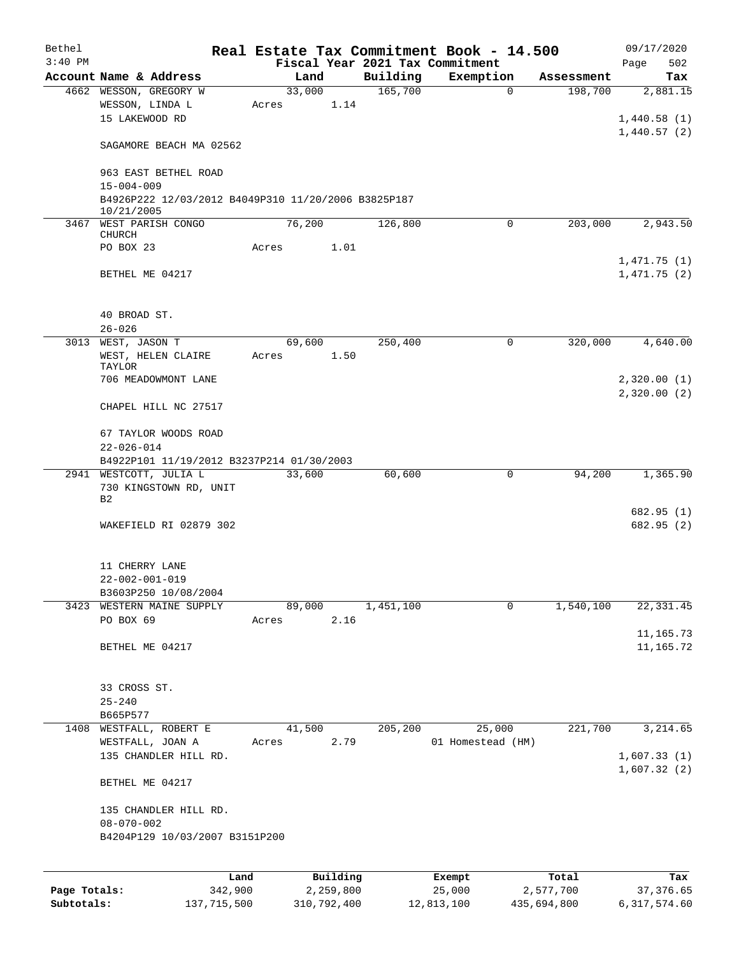| Bethel    |                                                                    |        |          |           | Real Estate Tax Commitment Book - 14.500     |            | 09/17/2020                 |
|-----------|--------------------------------------------------------------------|--------|----------|-----------|----------------------------------------------|------------|----------------------------|
| $3:40$ PM | Account Name & Address                                             |        | Land     | Building  | Fiscal Year 2021 Tax Commitment<br>Exemption | Assessment | 502<br>Page                |
|           | 4662 WESSON, GREGORY W                                             | 33,000 |          | 165,700   | $\mathbf 0$                                  | 198,700    | Tax<br>2,881.15            |
|           | WESSON, LINDA L<br>15 LAKEWOOD RD                                  | Acres  | 1.14     |           |                                              |            | 1,440.58(1)                |
|           | SAGAMORE BEACH MA 02562                                            |        |          |           |                                              |            | 1,440.57(2)                |
|           | 963 EAST BETHEL ROAD<br>$15 - 004 - 009$                           |        |          |           |                                              |            |                            |
|           | B4926P222 12/03/2012 B4049P310 11/20/2006 B3825P187<br>10/21/2005  |        |          |           |                                              |            |                            |
|           | 3467 WEST PARISH CONGO<br><b>CHURCH</b>                            | 76,200 |          | 126,800   | 0                                            | 203,000    | 2,943.50                   |
|           | PO BOX 23                                                          | Acres  | 1.01     |           |                                              |            |                            |
|           | BETHEL ME 04217                                                    |        |          |           |                                              |            | 1,471.75(1)<br>1,471.75(2) |
|           | 40 BROAD ST.<br>$26 - 026$                                         |        |          |           |                                              |            |                            |
|           | 3013 WEST, JASON T                                                 |        | 69,600   | 250,400   | 0                                            | 320,000    | 4,640.00                   |
|           | WEST, HELEN CLAIRE<br>TAYLOR                                       | Acres  | 1.50     |           |                                              |            |                            |
|           | 706 MEADOWMONT LANE                                                |        |          |           |                                              |            | 2,320.00(1)                |
|           | CHAPEL HILL NC 27517                                               |        |          |           |                                              |            | 2,320.00(2)                |
|           | 67 TAYLOR WOODS ROAD<br>$22 - 026 - 014$                           |        |          |           |                                              |            |                            |
|           | B4922P101 11/19/2012 B3237P214 01/30/2003                          |        |          |           |                                              |            |                            |
|           | 2941 WESTCOTT, JULIA L<br>730 KINGSTOWN RD, UNIT<br>B <sub>2</sub> | 33,600 |          | 60,600    | 0                                            | 94,200     | 1,365.90                   |
|           |                                                                    |        |          |           |                                              |            | 682.95 (1)                 |
|           | WAKEFIELD RI 02879 302                                             |        |          |           |                                              |            | 682.95(2)                  |
|           | 11 CHERRY LANE                                                     |        |          |           |                                              |            |                            |
|           | $22 - 002 - 001 - 019$<br>B3603P250 10/08/2004                     |        |          |           |                                              |            |                            |
|           | 3423 WESTERN MAINE SUPPLY                                          |        | 89,000   | 1,451,100 | 0                                            | 1,540,100  | 22, 331.45                 |
|           | PO BOX 69                                                          | Acres  | 2.16     |           |                                              |            |                            |
|           | BETHEL ME 04217                                                    |        |          |           |                                              |            | 11,165.73<br>11,165.72     |
|           | 33 CROSS ST.                                                       |        |          |           |                                              |            |                            |
|           | $25 - 240$<br>B665P577                                             |        |          |           |                                              |            |                            |
| 1408      | WESTFALL, ROBERT E                                                 |        | 41,500   | 205,200   | 25,000                                       | 221,700    | 3,214.65                   |
|           | WESTFALL, JOAN A                                                   | Acres  | 2.79     |           | 01 Homestead (HM)                            |            |                            |
|           | 135 CHANDLER HILL RD.                                              |        |          |           |                                              |            | 1,607.33(1)<br>1,607.32(2) |
|           | BETHEL ME 04217                                                    |        |          |           |                                              |            |                            |
|           | 135 CHANDLER HILL RD.                                              |        |          |           |                                              |            |                            |
|           | $08 - 070 - 002$<br>B4204P129 10/03/2007 B3151P200                 |        |          |           |                                              |            |                            |
|           |                                                                    |        |          |           |                                              |            |                            |
|           | Land                                                               |        | Building |           | Exempt                                       | Total      | Tax                        |

|              | uanu        | <b>DULLULLY</b> | <b>BACILDL</b> | TOCAT       | ⊥a∧          |
|--------------|-------------|-----------------|----------------|-------------|--------------|
| Page Totals: | 342,900     | 2,259,800       | 25,000         | 2,577,700   | 37,376.65    |
| Subtotals:   | 137,715,500 | 310,792,400     | 12,813,100     | 435,694,800 | 6,317,574.60 |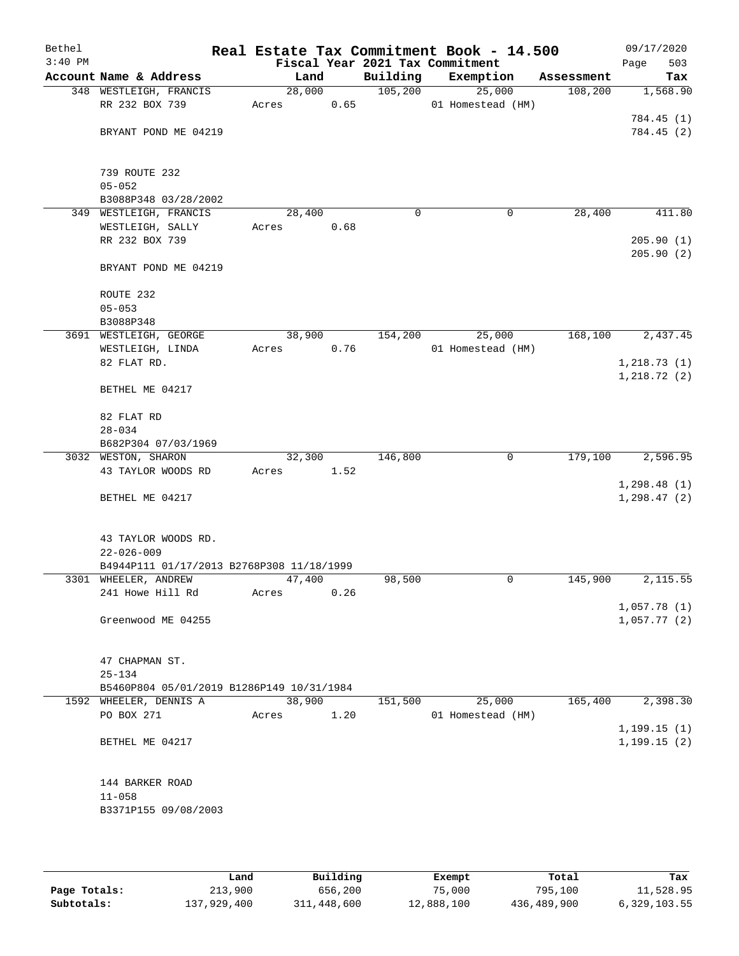| Bethel    |                                           |        |      |          | Real Estate Tax Commitment Book - 14.500 |            | 09/17/2020   |
|-----------|-------------------------------------------|--------|------|----------|------------------------------------------|------------|--------------|
| $3:40$ PM |                                           |        |      |          | Fiscal Year 2021 Tax Commitment          |            | 503<br>Page  |
|           | Account Name & Address                    | Land   |      | Building | Exemption                                | Assessment | Tax          |
|           | 348 WESTLEIGH, FRANCIS                    | 28,000 |      | 105, 200 | 25,000                                   | 108,200    | 1,568.90     |
|           | RR 232 BOX 739                            | Acres  | 0.65 |          | 01 Homestead (HM)                        |            |              |
|           |                                           |        |      |          |                                          |            | 784.45 (1)   |
|           | BRYANT POND ME 04219                      |        |      |          |                                          |            | 784.45(2)    |
|           |                                           |        |      |          |                                          |            |              |
|           | 739 ROUTE 232                             |        |      |          |                                          |            |              |
|           | $05 - 052$                                |        |      |          |                                          |            |              |
|           | B3088P348 03/28/2002                      |        |      |          |                                          |            |              |
|           | 349 WESTLEIGH, FRANCIS                    | 28,400 |      | $\Omega$ | 0                                        | 28,400     | 411.80       |
|           | WESTLEIGH, SALLY                          | Acres  | 0.68 |          |                                          |            |              |
|           | RR 232 BOX 739                            |        |      |          |                                          |            | 205.90(1)    |
|           | BRYANT POND ME 04219                      |        |      |          |                                          |            | 205.90(2)    |
|           | ROUTE 232                                 |        |      |          |                                          |            |              |
|           | $05 - 053$                                |        |      |          |                                          |            |              |
|           | B3088P348                                 |        |      |          |                                          |            |              |
|           | 3691 WESTLEIGH, GEORGE                    | 38,900 |      | 154,200  | 25,000                                   | 168,100    | 2,437.45     |
|           | WESTLEIGH, LINDA                          | Acres  | 0.76 |          | 01 Homestead (HM)                        |            |              |
|           | 82 FLAT RD.                               |        |      |          |                                          |            | 1, 218.73(1) |
|           |                                           |        |      |          |                                          |            | 1,218.72(2)  |
|           | BETHEL ME 04217                           |        |      |          |                                          |            |              |
|           | 82 FLAT RD                                |        |      |          |                                          |            |              |
|           | $28 - 034$                                |        |      |          |                                          |            |              |
|           | B682P304 07/03/1969                       |        |      |          |                                          |            |              |
|           | 3032 WESTON, SHARON                       | 32,300 |      | 146,800  | 0                                        | 179,100    | 2,596.95     |
|           | 43 TAYLOR WOODS RD                        | Acres  | 1.52 |          |                                          |            |              |
|           |                                           |        |      |          |                                          |            | 1,298.48(1)  |
|           | BETHEL ME 04217                           |        |      |          |                                          |            | 1, 298.47(2) |
|           | 43 TAYLOR WOODS RD.                       |        |      |          |                                          |            |              |
|           | $22 - 026 - 009$                          |        |      |          |                                          |            |              |
|           | B4944P111 01/17/2013 B2768P308 11/18/1999 |        |      |          |                                          |            |              |
|           | 3301 WHEELER, ANDREW                      | 47,400 |      | 98,500   | 0                                        | 145,900    | 2,115.55     |
|           | 241 Howe Hill Rd                          | Acres  | 0.26 |          |                                          |            |              |
|           |                                           |        |      |          |                                          |            | 1,057.78(1)  |
|           | Greenwood ME 04255                        |        |      |          |                                          |            | 1,057.77(2)  |
|           | 47 CHAPMAN ST.                            |        |      |          |                                          |            |              |
|           | $25 - 134$                                |        |      |          |                                          |            |              |
|           | B5460P804 05/01/2019 B1286P149 10/31/1984 |        |      |          |                                          |            |              |
|           | 1592 WHEELER, DENNIS A                    | 38,900 |      | 151,500  | 25,000                                   | 165,400    | 2,398.30     |
|           | PO BOX 271                                | Acres  | 1.20 |          | 01 Homestead (HM)                        |            |              |
|           |                                           |        |      |          |                                          |            | 1, 199.15(1) |
|           | BETHEL ME 04217                           |        |      |          |                                          |            | 1, 199.15(2) |
|           |                                           |        |      |          |                                          |            |              |
|           | 144 BARKER ROAD                           |        |      |          |                                          |            |              |
|           | $11 - 058$                                |        |      |          |                                          |            |              |
|           | B3371P155 09/08/2003                      |        |      |          |                                          |            |              |
|           |                                           |        |      |          |                                          |            |              |

|              | Land        | Building    | Exempt     | Total       | Tax          |
|--------------|-------------|-------------|------------|-------------|--------------|
| Page Totals: | 213,900     | 656,200     | 75,000     | 795,100     | 11,528.95    |
| Subtotals:   | 137,929,400 | 311,448,600 | 12,888,100 | 436,489,900 | 6,329,103.55 |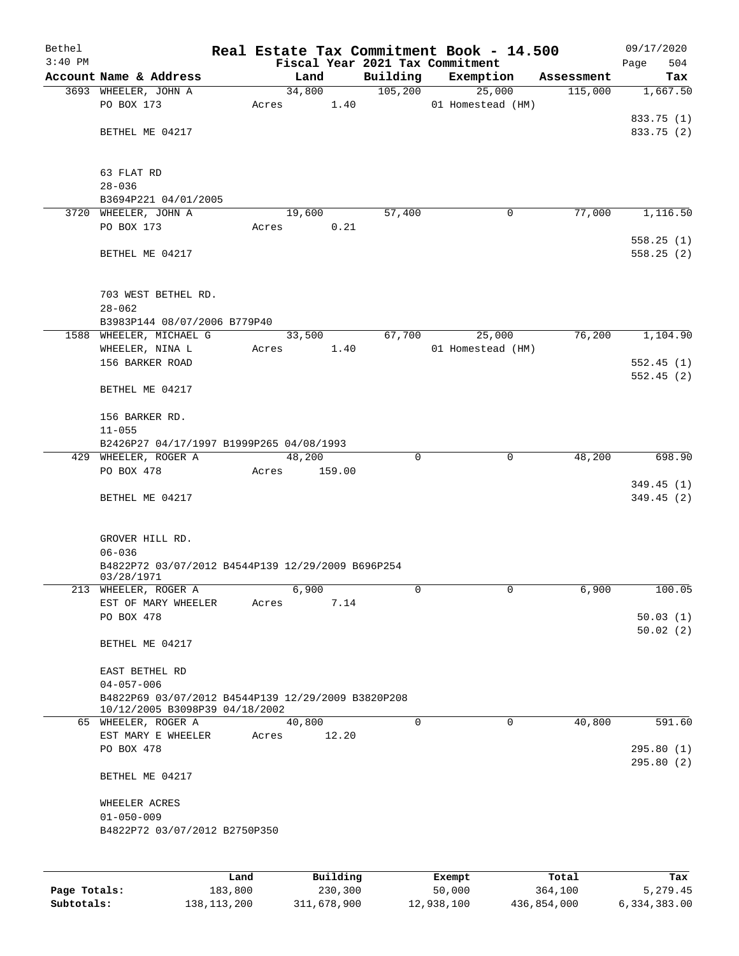| Bethel    |                                                                                      |       |          |             | Real Estate Tax Commitment Book - 14.500 |            | 09/17/2020             |
|-----------|--------------------------------------------------------------------------------------|-------|----------|-------------|------------------------------------------|------------|------------------------|
| $3:40$ PM |                                                                                      |       |          |             | Fiscal Year 2021 Tax Commitment          |            | 504<br>Page            |
|           | Account Name & Address                                                               |       | Land     | Building    | Exemption                                | Assessment | Tax                    |
|           | 3693 WHEELER, JOHN A                                                                 |       | 34,800   | 105,200     | 25,000                                   | 115,000    | 1,667.50               |
|           | PO BOX 173                                                                           | Acres | 1.40     |             | 01 Homestead (HM)                        |            |                        |
|           |                                                                                      |       |          |             |                                          |            | 833.75 (1)             |
|           | BETHEL ME 04217                                                                      |       |          |             |                                          |            | 833.75 (2)             |
|           |                                                                                      |       |          |             |                                          |            |                        |
|           | 63 FLAT RD                                                                           |       |          |             |                                          |            |                        |
|           | $28 - 036$                                                                           |       |          |             |                                          |            |                        |
|           | B3694P221 04/01/2005                                                                 |       |          |             |                                          |            |                        |
|           | 3720 WHEELER, JOHN A                                                                 |       | 19,600   | 57,400      | 0                                        | 77,000     | 1,116.50               |
|           | PO BOX 173                                                                           | Acres | 0.21     |             |                                          |            |                        |
|           | BETHEL ME 04217                                                                      |       |          |             |                                          |            | 558.25(1)<br>558.25(2) |
|           |                                                                                      |       |          |             |                                          |            |                        |
|           | 703 WEST BETHEL RD.<br>$28 - 062$                                                    |       |          |             |                                          |            |                        |
|           | B3983P144 08/07/2006 B779P40                                                         |       |          |             |                                          |            |                        |
|           | 1588 WHEELER, MICHAEL G                                                              |       | 33,500   | 67,700      | 25,000                                   | 76,200     | 1,104.90               |
|           | WHEELER, NINA L                                                                      | Acres | 1.40     |             | 01 Homestead (HM)                        |            |                        |
|           | 156 BARKER ROAD                                                                      |       |          |             |                                          |            | 552.45(1)              |
|           |                                                                                      |       |          |             |                                          |            | 552.45(2)              |
|           | BETHEL ME 04217                                                                      |       |          |             |                                          |            |                        |
|           | 156 BARKER RD.                                                                       |       |          |             |                                          |            |                        |
|           | $11 - 055$                                                                           |       |          |             |                                          |            |                        |
|           | B2426P27 04/17/1997 B1999P265 04/08/1993                                             |       |          |             |                                          |            |                        |
|           | 429 WHEELER, ROGER A                                                                 |       | 48,200   | $\Omega$    | 0                                        | 48,200     | 698.90                 |
|           | PO BOX 478                                                                           | Acres | 159.00   |             |                                          |            |                        |
|           |                                                                                      |       |          |             |                                          |            | 349.45(1)              |
|           | BETHEL ME 04217                                                                      |       |          |             |                                          |            | 349.45(2)              |
|           |                                                                                      |       |          |             |                                          |            |                        |
|           | GROVER HILL RD.                                                                      |       |          |             |                                          |            |                        |
|           | $06 - 036$                                                                           |       |          |             |                                          |            |                        |
|           | B4822P72 03/07/2012 B4544P139 12/29/2009 B696P254<br>03/28/1971                      |       |          |             |                                          |            |                        |
|           | 213 WHEELER, ROGER A                                                                 |       | 6,900    | 0           | 0                                        | 6,900      | 100.05                 |
|           | EST OF MARY WHEELER                                                                  | Acres | 7.14     |             |                                          |            |                        |
|           | PO BOX 478                                                                           |       |          |             |                                          |            | 50.03(1)               |
|           | BETHEL ME 04217                                                                      |       |          |             |                                          |            | 50.02(2)               |
|           |                                                                                      |       |          |             |                                          |            |                        |
|           | EAST BETHEL RD                                                                       |       |          |             |                                          |            |                        |
|           | $04 - 057 - 006$                                                                     |       |          |             |                                          |            |                        |
|           | B4822P69 03/07/2012 B4544P139 12/29/2009 B3820P208<br>10/12/2005 B3098P39 04/18/2002 |       |          |             |                                          |            |                        |
|           | 65 WHEELER, ROGER A                                                                  |       | 40,800   | $\mathbf 0$ | $\mathbf 0$                              | 40,800     | 591.60                 |
|           | EST MARY E WHEELER                                                                   | Acres | 12.20    |             |                                          |            |                        |
|           | PO BOX 478                                                                           |       |          |             |                                          |            | 295.80(1)              |
|           | BETHEL ME 04217                                                                      |       |          |             |                                          |            | 295.80(2)              |
|           | WHEELER ACRES                                                                        |       |          |             |                                          |            |                        |
|           | $01 - 050 - 009$                                                                     |       |          |             |                                          |            |                        |
|           | B4822P72 03/07/2012 B2750P350                                                        |       |          |             |                                          |            |                        |
|           |                                                                                      |       |          |             |                                          |            |                        |
|           |                                                                                      | Land  | Building |             | Exempt                                   | Total      | Tax                    |

|              | nand        | Building    | Exempt     | Total       | тах          |
|--------------|-------------|-------------|------------|-------------|--------------|
| Page Totals: | 183,800     | 230,300     | 50,000     | 364,100     | 5,279.45     |
| Subtotals:   | 138,113,200 | 311,678,900 | 12,938,100 | 436,854,000 | 6,334,383.00 |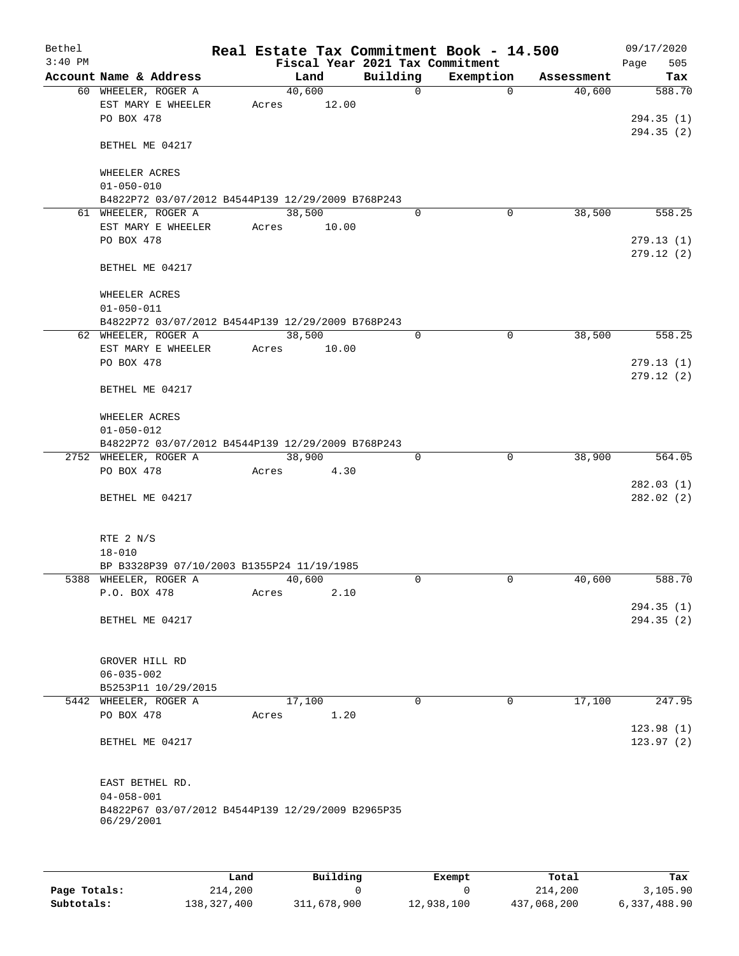| Bethel<br>$3:40$ PM |                                                   |        |        |          |              | Real Estate Tax Commitment Book - 14.500<br>Fiscal Year 2021 Tax Commitment |            | 09/17/2020<br>505<br>Page |
|---------------------|---------------------------------------------------|--------|--------|----------|--------------|-----------------------------------------------------------------------------|------------|---------------------------|
|                     | Account Name & Address                            |        | Land   | Building |              | Exemption                                                                   | Assessment | Tax                       |
|                     | 60 WHEELER, ROGER A                               |        | 40,600 |          | $\mathsf{O}$ | $\Omega$                                                                    | 40,600     | 588.70                    |
|                     | EST MARY E WHEELER                                | Acres  | 12.00  |          |              |                                                                             |            |                           |
|                     | PO BOX 478                                        |        |        |          |              |                                                                             |            | 294.35 (1)                |
|                     |                                                   |        |        |          |              |                                                                             |            | 294.35(2)                 |
|                     | BETHEL ME 04217                                   |        |        |          |              |                                                                             |            |                           |
|                     |                                                   |        |        |          |              |                                                                             |            |                           |
|                     | WHEELER ACRES                                     |        |        |          |              |                                                                             |            |                           |
|                     | $01 - 050 - 010$                                  |        |        |          |              |                                                                             |            |                           |
|                     | B4822P72 03/07/2012 B4544P139 12/29/2009 B768P243 |        |        |          |              |                                                                             |            |                           |
|                     | 61 WHEELER, ROGER A                               |        | 38,500 |          | $\mathbf 0$  | 0                                                                           | 38,500     | 558.25                    |
|                     | EST MARY E WHEELER                                | Acres  | 10.00  |          |              |                                                                             |            |                           |
|                     | PO BOX 478                                        |        |        |          |              |                                                                             |            | 279.13(1)                 |
|                     |                                                   |        |        |          |              |                                                                             |            | 279.12(2)                 |
|                     | BETHEL ME 04217                                   |        |        |          |              |                                                                             |            |                           |
|                     |                                                   |        |        |          |              |                                                                             |            |                           |
|                     | WHEELER ACRES                                     |        |        |          |              |                                                                             |            |                           |
|                     | $01 - 050 - 011$                                  |        |        |          |              |                                                                             |            |                           |
|                     | B4822P72 03/07/2012 B4544P139 12/29/2009 B768P243 |        |        |          |              |                                                                             |            |                           |
|                     | 62 WHEELER, ROGER A                               | 38,500 |        |          | 0            | 0                                                                           | 38,500     | 558.25                    |
|                     | EST MARY E WHEELER                                | Acres  | 10.00  |          |              |                                                                             |            |                           |
|                     | PO BOX 478                                        |        |        |          |              |                                                                             |            | 279.13(1)                 |
|                     |                                                   |        |        |          |              |                                                                             |            | 279.12(2)                 |
|                     | BETHEL ME 04217                                   |        |        |          |              |                                                                             |            |                           |
|                     |                                                   |        |        |          |              |                                                                             |            |                           |
|                     | WHEELER ACRES                                     |        |        |          |              |                                                                             |            |                           |
|                     | $01 - 050 - 012$                                  |        |        |          |              |                                                                             |            |                           |
|                     | B4822P72 03/07/2012 B4544P139 12/29/2009 B768P243 |        |        |          |              |                                                                             |            |                           |
|                     | 2752 WHEELER, ROGER A                             | 38,900 |        |          | 0            | 0                                                                           | 38,900     | 564.05                    |
|                     | PO BOX 478                                        | Acres  | 4.30   |          |              |                                                                             |            |                           |
|                     |                                                   |        |        |          |              |                                                                             |            | 282.03(1)                 |
|                     | BETHEL ME 04217                                   |        |        |          |              |                                                                             |            | 282.02(2)                 |
|                     |                                                   |        |        |          |              |                                                                             |            |                           |
|                     |                                                   |        |        |          |              |                                                                             |            |                           |
|                     | RTE 2 N/S                                         |        |        |          |              |                                                                             |            |                           |
|                     | $18 - 010$                                        |        |        |          |              |                                                                             |            |                           |
|                     | BP B3328P39 07/10/2003 B1355P24 11/19/1985        |        |        |          |              |                                                                             |            |                           |
|                     | 5388 WHEELER, ROGER A                             |        | 40,600 |          | 0            | 0                                                                           | 40,600     | 588.70                    |
|                     | P.O. BOX 478                                      | Acres  | 2.10   |          |              |                                                                             |            |                           |
|                     |                                                   |        |        |          |              |                                                                             |            | 294.35(1)                 |
|                     | BETHEL ME 04217                                   |        |        |          |              |                                                                             |            | 294.35(2)                 |
|                     |                                                   |        |        |          |              |                                                                             |            |                           |
|                     |                                                   |        |        |          |              |                                                                             |            |                           |
|                     | GROVER HILL RD                                    |        |        |          |              |                                                                             |            |                           |
|                     | $06 - 035 - 002$                                  |        |        |          |              |                                                                             |            |                           |
|                     | B5253P11 10/29/2015                               |        |        |          |              |                                                                             |            |                           |
|                     | 5442 WHEELER, ROGER A                             |        | 17,100 |          | $\Omega$     | 0                                                                           | 17,100     | 247.95                    |
|                     | PO BOX 478                                        | Acres  | 1.20   |          |              |                                                                             |            |                           |
|                     |                                                   |        |        |          |              |                                                                             |            | 123.98(1)                 |
|                     | BETHEL ME 04217                                   |        |        |          |              |                                                                             |            | 123.97(2)                 |
|                     |                                                   |        |        |          |              |                                                                             |            |                           |
|                     |                                                   |        |        |          |              |                                                                             |            |                           |
|                     | EAST BETHEL RD.                                   |        |        |          |              |                                                                             |            |                           |
|                     | $04 - 058 - 001$                                  |        |        |          |              |                                                                             |            |                           |
|                     | B4822P67 03/07/2012 B4544P139 12/29/2009 B2965P35 |        |        |          |              |                                                                             |            |                           |
|                     | 06/29/2001                                        |        |        |          |              |                                                                             |            |                           |
|                     |                                                   |        |        |          |              |                                                                             |            |                           |
|                     |                                                   |        |        |          |              |                                                                             |            |                           |

|              | Land        | Building    | Exempt     | Total       | Tax          |
|--------------|-------------|-------------|------------|-------------|--------------|
| Page Totals: | 214,200     |             |            | 214,200     | 3.105.90     |
| Subtotals:   | 138,327,400 | 311,678,900 | 12,938,100 | 437,068,200 | 6,337,488.90 |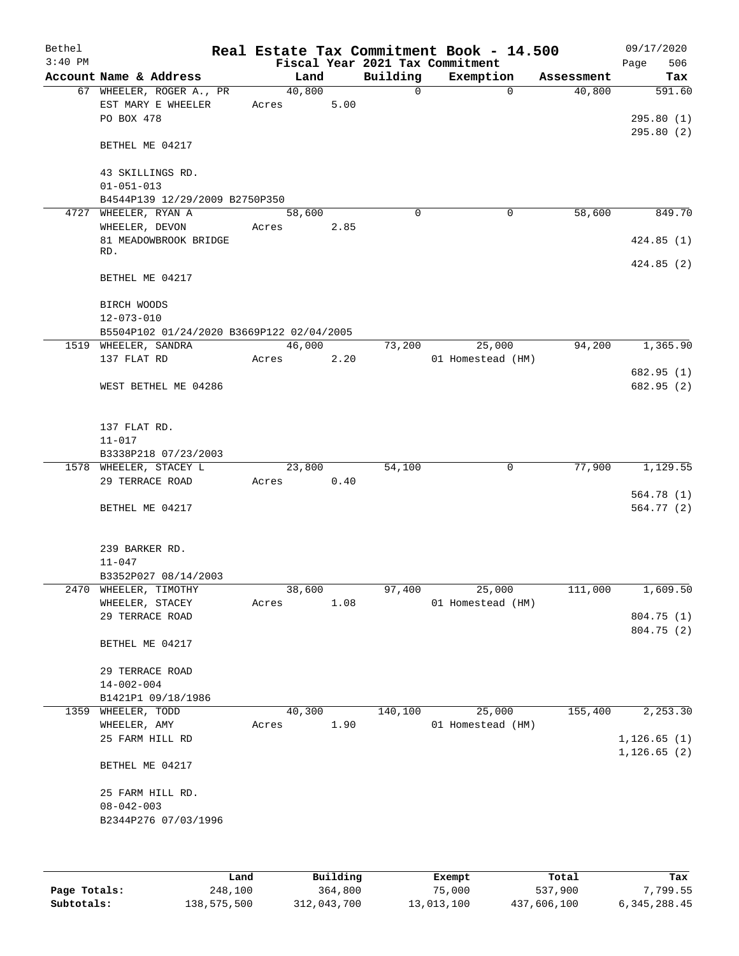| Bethel<br>$3:40$ PM |                                                              |                 |      |              | Real Estate Tax Commitment Book - 14.500<br>Fiscal Year 2021 Tax Commitment |            | 09/17/2020<br>506<br>Page |
|---------------------|--------------------------------------------------------------|-----------------|------|--------------|-----------------------------------------------------------------------------|------------|---------------------------|
|                     | Account Name & Address                                       | Land            |      | Building     | Exemption                                                                   | Assessment | Tax                       |
|                     | 67 WHEELER, ROGER A., PR<br>EST MARY E WHEELER<br>PO BOX 478 | 40,800<br>Acres | 5.00 | $\mathsf{O}$ | $\Omega$                                                                    | 40,800     | 591.60<br>295.80(1)       |
|                     | BETHEL ME 04217                                              |                 |      |              |                                                                             |            | 295.80(2)                 |
|                     | 43 SKILLINGS RD.<br>$01 - 051 - 013$                         |                 |      |              |                                                                             |            |                           |
|                     | B4544P139 12/29/2009 B2750P350                               |                 |      |              |                                                                             |            |                           |
| 4727                | WHEELER, RYAN A<br>WHEELER, DEVON                            | 58,600          | 2.85 | $\Omega$     | 0                                                                           | 58,600     | 849.70                    |
|                     | 81 MEADOWBROOK BRIDGE<br>RD.                                 | Acres           |      |              |                                                                             |            | 424.85(1)                 |
|                     | BETHEL ME 04217                                              |                 |      |              |                                                                             |            | 424.85(2)                 |
|                     | BIRCH WOODS<br>$12 - 073 - 010$                              |                 |      |              |                                                                             |            |                           |
|                     | B5504P102 01/24/2020 B3669P122 02/04/2005                    |                 |      |              |                                                                             |            |                           |
|                     | 1519 WHEELER, SANDRA<br>137 FLAT RD                          | 46,000<br>Acres | 2.20 | 73,200       | 25,000<br>01 Homestead (HM)                                                 | 94,200     | 1,365.90                  |
|                     |                                                              |                 |      |              |                                                                             |            | 682.95 (1)                |
|                     | WEST BETHEL ME 04286                                         |                 |      |              |                                                                             |            | 682.95 (2)                |
|                     | 137 FLAT RD.                                                 |                 |      |              |                                                                             |            |                           |
|                     | $11 - 017$                                                   |                 |      |              |                                                                             |            |                           |
|                     | B3338P218 07/23/2003                                         |                 |      |              |                                                                             |            |                           |
|                     | 1578 WHEELER, STACEY L<br>29 TERRACE ROAD                    | 23,800<br>Acres | 0.40 | 54,100       | 0                                                                           | 77,900     | 1,129.55                  |
|                     |                                                              |                 |      |              |                                                                             |            | 564.78 (1)                |
|                     | BETHEL ME 04217                                              |                 |      |              |                                                                             |            | 564.77 (2)                |
|                     | 239 BARKER RD.<br>$11 - 047$                                 |                 |      |              |                                                                             |            |                           |
|                     | B3352P027 08/14/2003                                         |                 |      |              |                                                                             |            |                           |
| 2470                | WHEELER, TIMOTHY                                             | 38,600          |      | 97,400       | 25,000                                                                      | 111,000    | 1,609.50                  |
|                     | WHEELER, STACEY                                              | Acres           | 1.08 |              | 01 Homestead (HM)                                                           |            |                           |
|                     | 29 TERRACE ROAD                                              |                 |      |              |                                                                             |            | 804.75 (1)<br>804.75 (2)  |
|                     | BETHEL ME 04217                                              |                 |      |              |                                                                             |            |                           |
|                     | 29 TERRACE ROAD                                              |                 |      |              |                                                                             |            |                           |
|                     | $14 - 002 - 004$                                             |                 |      |              |                                                                             |            |                           |
|                     | B1421P1 09/18/1986                                           |                 |      |              |                                                                             |            |                           |
| 1359                | WHEELER, TODD<br>WHEELER, AMY                                | 40,300<br>Acres | 1.90 | 140,100      | 25,000<br>01 Homestead (HM)                                                 | 155,400    | 2,253.30                  |
|                     | 25 FARM HILL RD                                              |                 |      |              |                                                                             |            | 1, 126.65(1)              |
|                     | BETHEL ME 04217                                              |                 |      |              |                                                                             |            | 1, 126.65(2)              |
|                     | 25 FARM HILL RD.<br>$08 - 042 - 003$<br>B2344P276 07/03/1996 |                 |      |              |                                                                             |            |                           |
|                     |                                                              |                 |      |              |                                                                             |            |                           |

|              | Land        | Building    | Exempt     | Total       | Tax          |
|--------------|-------------|-------------|------------|-------------|--------------|
| Page Totals: | 248,100     | 364,800     | 75,000     | 537,900     | 7,799.55     |
| Subtotals:   | 138,575,500 | 312,043,700 | 13,013,100 | 437,606,100 | 6,345,288.45 |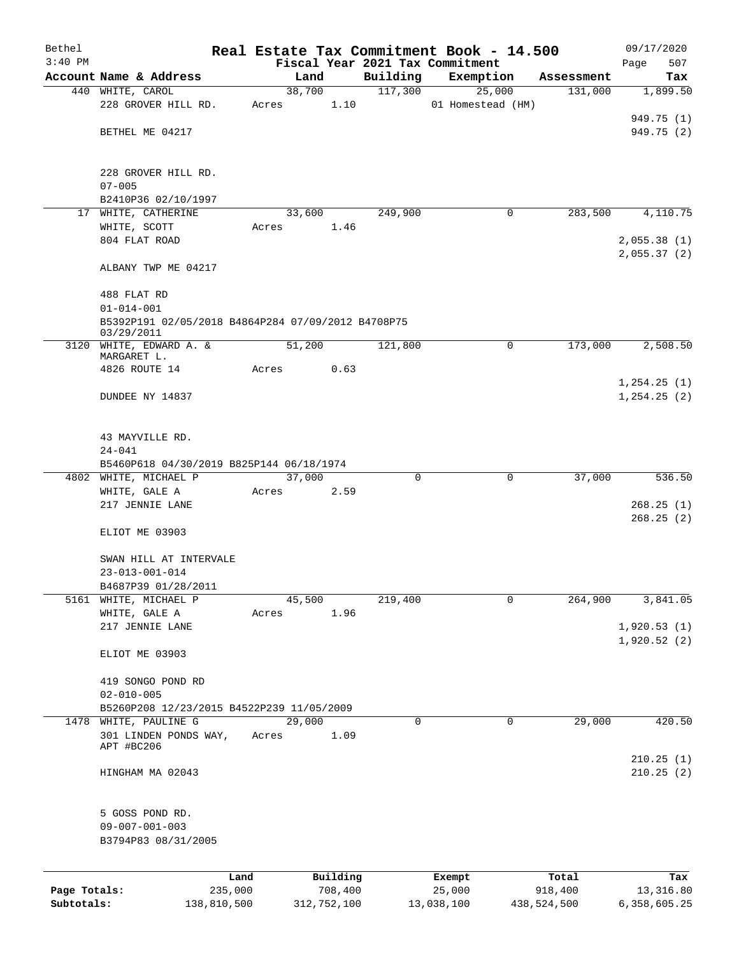| Bethel       |                                                    |       |                |                     | Real Estate Tax Commitment Book - 14.500 |             | 09/17/2020      |
|--------------|----------------------------------------------------|-------|----------------|---------------------|------------------------------------------|-------------|-----------------|
| $3:40$ PM    |                                                    |       |                |                     | Fiscal Year 2021 Tax Commitment          |             | 507<br>Page     |
|              | Account Name & Address                             |       | Land<br>38,700 | Building<br>117,300 | Exemption                                | Assessment  | Tax<br>1,899.50 |
|              | 440 WHITE, CAROL<br>228 GROVER HILL RD.            | Acres | 1.10           |                     | 25,000<br>01 Homestead (HM)              | 131,000     |                 |
|              |                                                    |       |                |                     |                                          |             | 949.75 (1)      |
|              | BETHEL ME 04217                                    |       |                |                     |                                          |             | 949.75 (2)      |
|              |                                                    |       |                |                     |                                          |             |                 |
|              |                                                    |       |                |                     |                                          |             |                 |
|              | 228 GROVER HILL RD.                                |       |                |                     |                                          |             |                 |
|              | $07 - 005$<br>B2410P36 02/10/1997                  |       |                |                     |                                          |             |                 |
|              | 17 WHITE, CATHERINE                                |       | 33,600         | 249,900             | 0                                        | 283,500     | 4,110.75        |
|              | WHITE, SCOTT                                       | Acres | 1.46           |                     |                                          |             |                 |
|              | 804 FLAT ROAD                                      |       |                |                     |                                          |             | 2,055.38(1)     |
|              |                                                    |       |                |                     |                                          |             | 2,055.37(2)     |
|              | ALBANY TWP ME 04217                                |       |                |                     |                                          |             |                 |
|              | 488 FLAT RD                                        |       |                |                     |                                          |             |                 |
|              | $01 - 014 - 001$                                   |       |                |                     |                                          |             |                 |
|              | B5392P191 02/05/2018 B4864P284 07/09/2012 B4708P75 |       |                |                     |                                          |             |                 |
|              | 03/29/2011                                         |       | 51,200         | 121,800             | 0                                        | 173,000     | 2,508.50        |
|              | 3120 WHITE, EDWARD A. &<br>MARGARET L.             |       |                |                     |                                          |             |                 |
|              | 4826 ROUTE 14                                      | Acres | 0.63           |                     |                                          |             |                 |
|              |                                                    |       |                |                     |                                          |             | 1, 254.25(1)    |
|              | DUNDEE NY 14837                                    |       |                |                     |                                          |             | 1, 254.25(2)    |
|              |                                                    |       |                |                     |                                          |             |                 |
|              | 43 MAYVILLE RD.                                    |       |                |                     |                                          |             |                 |
|              | $24 - 041$                                         |       |                |                     |                                          |             |                 |
|              | B5460P618 04/30/2019 B825P144 06/18/1974           |       |                |                     |                                          |             |                 |
|              | 4802 WHITE, MICHAEL P                              |       | 37,000         | 0                   | 0                                        | 37,000      | 536.50          |
|              | WHITE, GALE A                                      | Acres | 2.59           |                     |                                          |             |                 |
|              | 217 JENNIE LANE                                    |       |                |                     |                                          |             | 268.25(1)       |
|              |                                                    |       |                |                     |                                          |             | 268.25(2)       |
|              | ELIOT ME 03903                                     |       |                |                     |                                          |             |                 |
|              | SWAN HILL AT INTERVALE                             |       |                |                     |                                          |             |                 |
|              | $23 - 013 - 001 - 014$                             |       |                |                     |                                          |             |                 |
|              | B4687P39 01/28/2011                                |       |                |                     |                                          |             |                 |
| 5161         | WHITE, MICHAEL P                                   |       | 45,500         | 219,400             | 0                                        | 264,900     | 3,841.05        |
|              | WHITE, GALE A                                      | Acres | 1.96           |                     |                                          |             |                 |
|              | 217 JENNIE LANE                                    |       |                |                     |                                          |             | 1,920.53(1)     |
|              |                                                    |       |                |                     |                                          |             | 1,920.52(2)     |
|              | ELIOT ME 03903                                     |       |                |                     |                                          |             |                 |
|              | 419 SONGO POND RD                                  |       |                |                     |                                          |             |                 |
|              | $02 - 010 - 005$                                   |       |                |                     |                                          |             |                 |
|              | B5260P208 12/23/2015 B4522P239 11/05/2009          |       |                |                     |                                          |             |                 |
|              | 1478 WHITE, PAULINE G                              |       | 29,000         | 0                   | 0                                        | 29,000      | 420.50          |
|              | 301 LINDEN PONDS WAY,                              | Acres | 1.09           |                     |                                          |             |                 |
|              | APT #BC206                                         |       |                |                     |                                          |             | 210.25(1)       |
|              | HINGHAM MA 02043                                   |       |                |                     |                                          |             | 210.25(2)       |
|              |                                                    |       |                |                     |                                          |             |                 |
|              |                                                    |       |                |                     |                                          |             |                 |
|              | 5 GOSS POND RD.                                    |       |                |                     |                                          |             |                 |
|              | $09 - 007 - 001 - 003$                             |       |                |                     |                                          |             |                 |
|              | B3794P83 08/31/2005                                |       |                |                     |                                          |             |                 |
|              |                                                    |       |                |                     |                                          |             |                 |
|              | Land                                               |       | Building       |                     | Exempt                                   | Total       | Tax             |
| Page Totals: | 235,000                                            |       | 708,400        |                     | 25,000                                   | 918,400     | 13,316.80       |
| Subtotals:   | 138,810,500                                        |       | 312,752,100    |                     | 13,038,100                               | 438,524,500 | 6,358,605.25    |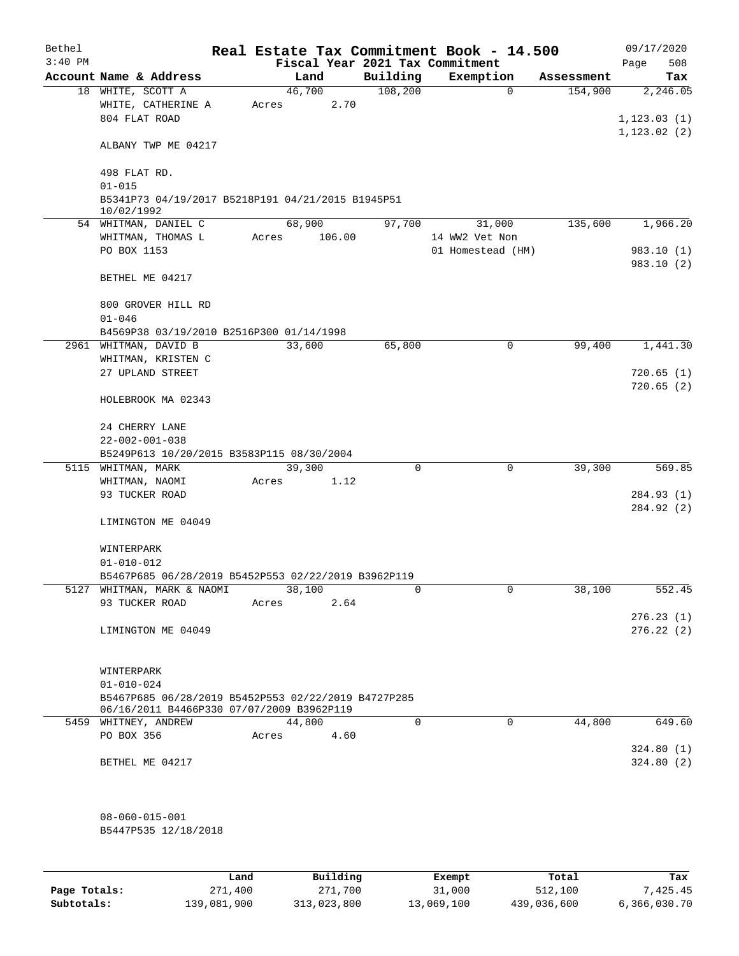| Bethel    |                                                                                                  |       |        |        |          | Real Estate Tax Commitment Book - 14.500 |            | 09/17/2020               |
|-----------|--------------------------------------------------------------------------------------------------|-------|--------|--------|----------|------------------------------------------|------------|--------------------------|
| $3:40$ PM |                                                                                                  |       |        |        |          | Fiscal Year 2021 Tax Commitment          |            | 508<br>Page              |
|           | Account Name & Address                                                                           |       | Land   |        | Building | Exemption                                | Assessment | Tax                      |
|           | 18 WHITE, SCOTT A<br>WHITE, CATHERINE A<br>804 FLAT ROAD                                         | Acres | 46,700 | 2.70   | 108,200  | $\mathbf 0$                              | 154,900    | 2,246.05<br>1, 123.03(1) |
|           | ALBANY TWP ME 04217                                                                              |       |        |        |          |                                          |            | 1, 123.02(2)             |
|           | 498 FLAT RD.<br>$01 - 015$                                                                       |       |        |        |          |                                          |            |                          |
|           | B5341P73 04/19/2017 B5218P191 04/21/2015 B1945P51<br>10/02/1992                                  |       |        |        |          |                                          |            |                          |
|           | 54 WHITMAN, DANIEL C                                                                             |       | 68,900 |        | 97,700   | 31,000                                   | 135,600    | 1,966.20                 |
|           | WHITMAN, THOMAS L                                                                                | Acres |        | 106.00 |          | 14 WW2 Vet Non                           |            |                          |
|           | PO BOX 1153                                                                                      |       |        |        |          | 01 Homestead (HM)                        |            | 983.10 (1)<br>983.10 (2) |
|           | BETHEL ME 04217                                                                                  |       |        |        |          |                                          |            |                          |
|           | 800 GROVER HILL RD<br>$01 - 046$                                                                 |       |        |        |          |                                          |            |                          |
|           | B4569P38 03/19/2010 B2516P300 01/14/1998                                                         |       |        |        |          |                                          |            |                          |
|           | 2961 WHITMAN, DAVID B                                                                            |       | 33,600 |        | 65,800   | 0                                        | 99,400     | 1,441.30                 |
|           | WHITMAN, KRISTEN C                                                                               |       |        |        |          |                                          |            |                          |
|           | 27 UPLAND STREET                                                                                 |       |        |        |          |                                          |            | 720.65(1)                |
|           | HOLEBROOK MA 02343                                                                               |       |        |        |          |                                          |            | 720.65(2)                |
|           |                                                                                                  |       |        |        |          |                                          |            |                          |
|           | 24 CHERRY LANE<br>$22 - 002 - 001 - 038$                                                         |       |        |        |          |                                          |            |                          |
|           | B5249P613 10/20/2015 B3583P115 08/30/2004                                                        |       |        |        |          |                                          |            |                          |
|           | 5115 WHITMAN, MARK                                                                               |       | 39,300 |        | 0        | 0                                        | 39,300     | 569.85                   |
|           | WHITMAN, NAOMI                                                                                   | Acres |        | 1.12   |          |                                          |            |                          |
|           | 93 TUCKER ROAD                                                                                   |       |        |        |          |                                          |            | 284.93 (1)               |
|           |                                                                                                  |       |        |        |          |                                          |            | 284.92 (2)               |
|           | LIMINGTON ME 04049                                                                               |       |        |        |          |                                          |            |                          |
|           | WINTERPARK                                                                                       |       |        |        |          |                                          |            |                          |
|           | $01 - 010 - 012$                                                                                 |       |        |        |          |                                          |            |                          |
|           | B5467P685 06/28/2019 B5452P553 02/22/2019 B3962P119                                              |       |        |        |          |                                          |            |                          |
|           | 5127 WHITMAN, MARK & NAOMI                                                                       |       | 38,100 |        | 0        | 0                                        | 38,100     | 552.45                   |
|           | 93 TUCKER ROAD                                                                                   | Acres |        | 2.64   |          |                                          |            |                          |
|           |                                                                                                  |       |        |        |          |                                          |            | 276.23(1)                |
|           | LIMINGTON ME 04049                                                                               |       |        |        |          |                                          |            | 276.22(2)                |
|           | WINTERPARK                                                                                       |       |        |        |          |                                          |            |                          |
|           | $01 - 010 - 024$                                                                                 |       |        |        |          |                                          |            |                          |
|           | B5467P685 06/28/2019 B5452P553 02/22/2019 B4727P285<br>06/16/2011 B4466P330 07/07/2009 B3962P119 |       |        |        |          |                                          |            |                          |
|           | 5459 WHITNEY, ANDREW                                                                             |       | 44,800 |        | 0        | $\mathbf 0$                              | 44,800     | 649.60                   |
|           | PO BOX 356                                                                                       | Acres |        | 4.60   |          |                                          |            |                          |
|           |                                                                                                  |       |        |        |          |                                          |            | 324.80(1)                |
|           | BETHEL ME 04217                                                                                  |       |        |        |          |                                          |            | 324.80(2)                |
|           | $08 - 060 - 015 - 001$                                                                           |       |        |        |          |                                          |            |                          |
|           | B5447P535 12/18/2018                                                                             |       |        |        |          |                                          |            |                          |
|           |                                                                                                  |       |        |        |          |                                          |            |                          |
|           |                                                                                                  |       |        |        |          |                                          | $m + L$    | m.,                      |

|              | Land        | Building    | Exempt     | Total       | Tax          |
|--------------|-------------|-------------|------------|-------------|--------------|
| Page Totals: | 271,400     | 271,700     | 31,000     | 512,100     | 7.425.45     |
| Subtotals:   | 139,081,900 | 313,023,800 | 13,069,100 | 439,036,600 | 6,366,030.70 |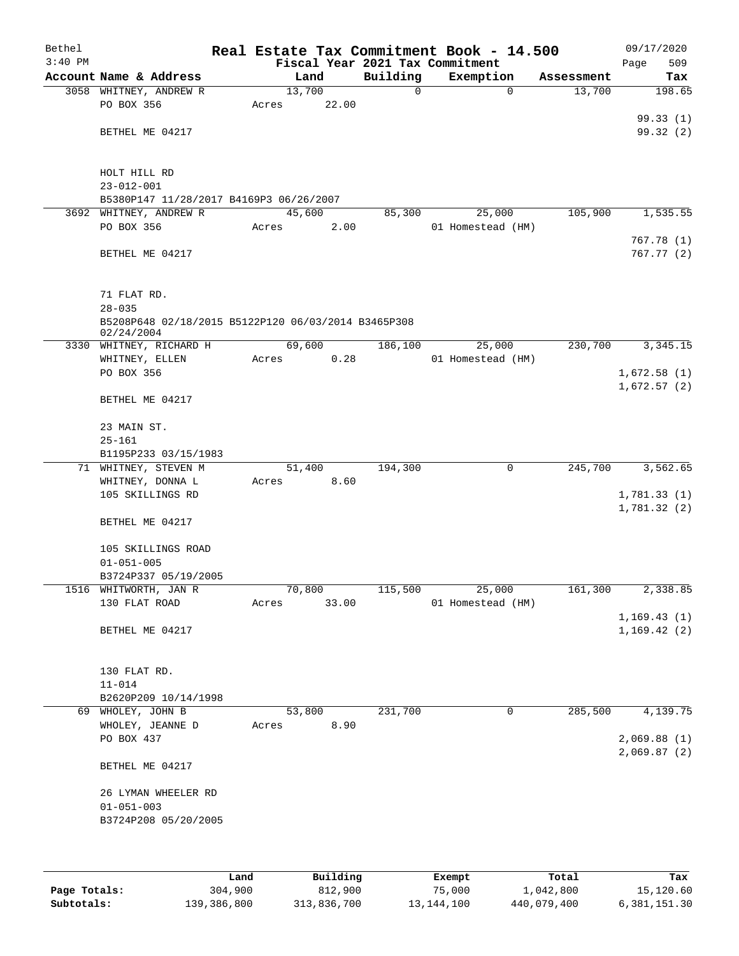| Bethel    |                                                     |       |                |          | Real Estate Tax Commitment Book - 14.500 |            | 09/17/2020   |
|-----------|-----------------------------------------------------|-------|----------------|----------|------------------------------------------|------------|--------------|
| $3:40$ PM |                                                     |       |                |          | Fiscal Year 2021 Tax Commitment          |            | 509<br>Page  |
|           | Account Name & Address                              |       | Land           | Building | Exemption                                | Assessment | Tax          |
|           | 3058 WHITNEY, ANDREW R                              |       | 13,700         | 0        | $\mathbf 0$                              | 13,700     | 198.65       |
|           | PO BOX 356                                          | Acres | 22.00          |          |                                          |            |              |
|           |                                                     |       |                |          |                                          |            | 99.33(1)     |
|           | BETHEL ME 04217                                     |       |                |          |                                          |            | 99.32 (2)    |
|           |                                                     |       |                |          |                                          |            |              |
|           |                                                     |       |                |          |                                          |            |              |
|           | HOLT HILL RD                                        |       |                |          |                                          |            |              |
|           | $23 - 012 - 001$                                    |       |                |          |                                          |            |              |
|           | B5380P147 11/28/2017 B4169P3 06/26/2007             |       |                |          |                                          |            |              |
|           | 3692 WHITNEY, ANDREW R                              |       | 45,600         | 85,300   | 25,000                                   | 105,900    | 1,535.55     |
|           | PO BOX 356                                          | Acres | 2.00           |          | 01 Homestead (HM)                        |            |              |
|           |                                                     |       |                |          |                                          |            | 767.78(1)    |
|           | BETHEL ME 04217                                     |       |                |          |                                          |            | 767.77 (2)   |
|           |                                                     |       |                |          |                                          |            |              |
|           |                                                     |       |                |          |                                          |            |              |
|           | 71 FLAT RD.                                         |       |                |          |                                          |            |              |
|           | $28 - 035$                                          |       |                |          |                                          |            |              |
|           | B5208P648 02/18/2015 B5122P120 06/03/2014 B3465P308 |       |                |          |                                          |            |              |
|           | 02/24/2004                                          |       | 69,600         | 186,100  |                                          | 230,700    |              |
|           | 3330 WHITNEY, RICHARD H                             |       |                |          | 25,000                                   |            | 3,345.15     |
|           | WHITNEY, ELLEN                                      | Acres | 0.28           |          | 01 Homestead (HM)                        |            |              |
|           | PO BOX 356                                          |       |                |          |                                          |            | 1,672.58(1)  |
|           |                                                     |       |                |          |                                          |            | 1,672.57(2)  |
|           | BETHEL ME 04217                                     |       |                |          |                                          |            |              |
|           |                                                     |       |                |          |                                          |            |              |
|           | 23 MAIN ST.                                         |       |                |          |                                          |            |              |
|           | $25 - 161$                                          |       |                |          |                                          |            |              |
|           | B1195P233 03/15/1983                                |       |                |          |                                          |            | 3,562.65     |
|           | 71 WHITNEY, STEVEN M<br>WHITNEY, DONNA L            |       | 51,400<br>8.60 | 194,300  | 0                                        | 245,700    |              |
|           | 105 SKILLINGS RD                                    | Acres |                |          |                                          |            |              |
|           |                                                     |       |                |          |                                          |            | 1,781.33(1)  |
|           |                                                     |       |                |          |                                          |            | 1,781.32(2)  |
|           | BETHEL ME 04217                                     |       |                |          |                                          |            |              |
|           |                                                     |       |                |          |                                          |            |              |
|           | 105 SKILLINGS ROAD                                  |       |                |          |                                          |            |              |
|           | $01 - 051 - 005$                                    |       |                |          |                                          |            |              |
|           | B3724P337 05/19/2005                                |       |                |          |                                          |            |              |
|           | 1516 WHITWORTH, JAN R                               |       | 70,800         | 115,500  | 25,000                                   | 161,300    | 2,338.85     |
|           | 130 FLAT ROAD                                       | Acres | 33.00          |          | 01 Homestead (HM)                        |            |              |
|           |                                                     |       |                |          |                                          |            | 1, 169.43(1) |
|           | BETHEL ME 04217                                     |       |                |          |                                          |            | 1,169.42(2)  |
|           |                                                     |       |                |          |                                          |            |              |
|           |                                                     |       |                |          |                                          |            |              |
|           | 130 FLAT RD.                                        |       |                |          |                                          |            |              |
|           | $11 - 014$                                          |       |                |          |                                          |            |              |
|           | B2620P209 10/14/1998                                |       |                |          |                                          | 285,500    |              |
|           | 69 WHOLEY, JOHN B                                   |       | 53,800         | 231,700  | 0                                        |            | 4,139.75     |
|           | WHOLEY, JEANNE D                                    | Acres | 8.90           |          |                                          |            |              |
|           | PO BOX 437                                          |       |                |          |                                          |            | 2,069.88(1)  |
|           |                                                     |       |                |          |                                          |            | 2,069.87(2)  |
|           | BETHEL ME 04217                                     |       |                |          |                                          |            |              |
|           |                                                     |       |                |          |                                          |            |              |
|           | 26 LYMAN WHEELER RD                                 |       |                |          |                                          |            |              |
|           | $01 - 051 - 003$                                    |       |                |          |                                          |            |              |
|           | B3724P208 05/20/2005                                |       |                |          |                                          |            |              |
|           |                                                     |       |                |          |                                          |            |              |
|           |                                                     |       |                |          |                                          |            |              |
|           |                                                     |       |                |          |                                          |            |              |

|              | Land        | Building    | Exempt     | Total       | Tax          |
|--------------|-------------|-------------|------------|-------------|--------------|
| Page Totals: | 304,900     | 812,900     | 75,000     | 1,042,800   | 15,120.60    |
| Subtotals:   | 139,386,800 | 313,836,700 | 13,144,100 | 440,079,400 | 6,381,151.30 |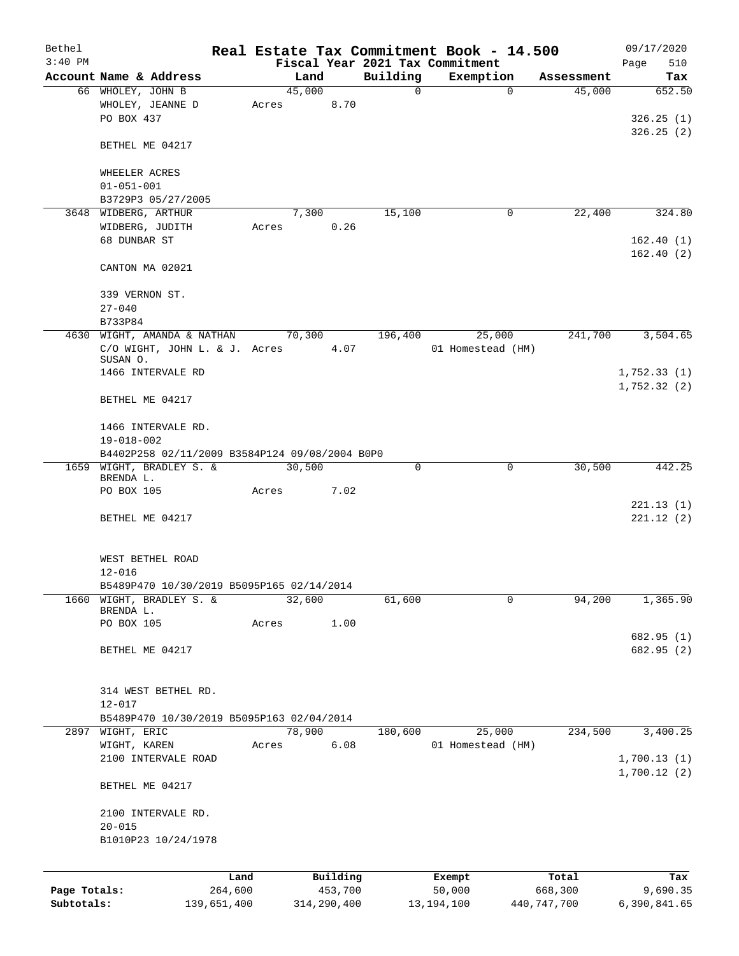| Bethel                     |                                                |                        |       |        |                        |                                 |                        | Real Estate Tax Commitment Book - 14.500 |                        | 09/17/2020                 |
|----------------------------|------------------------------------------------|------------------------|-------|--------|------------------------|---------------------------------|------------------------|------------------------------------------|------------------------|----------------------------|
| $3:40$ PM                  |                                                |                        |       |        |                        | Fiscal Year 2021 Tax Commitment |                        |                                          |                        | 510<br>Page                |
|                            | Account Name & Address                         |                        |       | Land   |                        | Building                        |                        | Exemption                                | Assessment             | Tax                        |
|                            | 66 WHOLEY, JOHN B                              |                        |       | 45,000 |                        | 0                               |                        | $\mathbf 0$                              | 45,000                 | 652.50                     |
|                            | WHOLEY, JEANNE D<br>PO BOX 437                 |                        | Acres |        | 8.70                   |                                 |                        |                                          |                        | 326.25(1)                  |
|                            | BETHEL ME 04217                                |                        |       |        |                        |                                 |                        |                                          |                        | 326.25(2)                  |
|                            | WHEELER ACRES                                  |                        |       |        |                        |                                 |                        |                                          |                        |                            |
|                            | $01 - 051 - 001$                               |                        |       |        |                        |                                 |                        |                                          |                        |                            |
|                            | B3729P3 05/27/2005                             |                        |       |        |                        |                                 |                        |                                          |                        |                            |
|                            | 3648 WIDBERG, ARTHUR                           |                        |       | 7,300  |                        | 15,100                          |                        | 0                                        | 22,400                 | 324.80                     |
|                            | WIDBERG, JUDITH                                |                        | Acres |        | 0.26                   |                                 |                        |                                          |                        |                            |
|                            | 68 DUNBAR ST                                   |                        |       |        |                        |                                 |                        |                                          |                        | 162.40(1)<br>162.40(2)     |
|                            | CANTON MA 02021                                |                        |       |        |                        |                                 |                        |                                          |                        |                            |
|                            | 339 VERNON ST.                                 |                        |       |        |                        |                                 |                        |                                          |                        |                            |
|                            | $27 - 040$<br>B733P84                          |                        |       |        |                        |                                 |                        |                                          |                        |                            |
|                            | 4630 WIGHT, AMANDA & NATHAN                    |                        |       | 70,300 |                        | 196,400                         |                        | 25,000                                   | 241,700                | 3,504.65                   |
|                            | C/O WIGHT, JOHN L. & J. Acres                  |                        |       |        | 4.07                   |                                 |                        | 01 Homestead (HM)                        |                        |                            |
|                            | SUSAN O.                                       |                        |       |        |                        |                                 |                        |                                          |                        |                            |
|                            | 1466 INTERVALE RD                              |                        |       |        |                        |                                 |                        |                                          |                        | 1,752.33(1)<br>1,752.32(2) |
|                            | BETHEL ME 04217                                |                        |       |        |                        |                                 |                        |                                          |                        |                            |
|                            | 1466 INTERVALE RD.                             |                        |       |        |                        |                                 |                        |                                          |                        |                            |
|                            | $19 - 018 - 002$                               |                        |       |        |                        |                                 |                        |                                          |                        |                            |
|                            | B4402P258 02/11/2009 B3584P124 09/08/2004 B0P0 |                        |       |        |                        |                                 |                        |                                          |                        |                            |
|                            | 1659 WIGHT, BRADLEY S. &                       |                        |       | 30,500 |                        | 0                               |                        | 0                                        | 30,500                 | 442.25                     |
|                            | BRENDA L.<br>PO BOX 105                        |                        | Acres |        | 7.02                   |                                 |                        |                                          |                        |                            |
|                            |                                                |                        |       |        |                        |                                 |                        |                                          |                        | 221.13(1)                  |
|                            | BETHEL ME 04217                                |                        |       |        |                        |                                 |                        |                                          |                        | 221.12(2)                  |
|                            | WEST BETHEL ROAD                               |                        |       |        |                        |                                 |                        |                                          |                        |                            |
|                            | $12 - 016$                                     |                        |       |        |                        |                                 |                        |                                          |                        |                            |
|                            | B5489P470 10/30/2019 B5095P165 02/14/2014      |                        |       |        |                        |                                 |                        |                                          |                        |                            |
| 1660                       | WIGHT, BRADLEY S. &                            |                        |       | 32,600 |                        | 61,600                          |                        | $\mathbf 0$                              | 94,200                 | 1,365.90                   |
|                            | BRENDA L.                                      |                        |       |        |                        |                                 |                        |                                          |                        |                            |
|                            | PO BOX 105                                     |                        | Acres |        | 1.00                   |                                 |                        |                                          |                        |                            |
|                            | BETHEL ME 04217                                |                        |       |        |                        |                                 |                        |                                          |                        | 682.95 (1)<br>682.95 (2)   |
|                            |                                                |                        |       |        |                        |                                 |                        |                                          |                        |                            |
|                            | 314 WEST BETHEL RD.                            |                        |       |        |                        |                                 |                        |                                          |                        |                            |
|                            | $12 - 017$                                     |                        |       |        |                        |                                 |                        |                                          |                        |                            |
|                            | B5489P470 10/30/2019 B5095P163 02/04/2014      |                        |       |        |                        |                                 |                        |                                          |                        |                            |
|                            | 2897 WIGHT, ERIC                               |                        |       | 78,900 |                        | 180,600                         |                        | 25,000                                   | 234,500                | 3,400.25                   |
|                            | WIGHT, KAREN                                   |                        | Acres |        | 6.08                   |                                 |                        | 01 Homestead (HM)                        |                        |                            |
|                            | 2100 INTERVALE ROAD                            |                        |       |        |                        |                                 |                        |                                          |                        | 1,700.13(1)                |
|                            | BETHEL ME 04217                                |                        |       |        |                        |                                 |                        |                                          |                        | 1,700.12(2)                |
|                            | 2100 INTERVALE RD.                             |                        |       |        |                        |                                 |                        |                                          |                        |                            |
|                            | $20 - 015$                                     |                        |       |        |                        |                                 |                        |                                          |                        |                            |
|                            | B1010P23 10/24/1978                            |                        |       |        |                        |                                 |                        |                                          |                        |                            |
|                            |                                                |                        |       |        |                        |                                 |                        |                                          |                        |                            |
|                            |                                                | Land                   |       |        | Building               |                                 | Exempt                 |                                          | Total                  | Tax                        |
| Page Totals:<br>Subtotals: |                                                | 264,600<br>139,651,400 |       |        | 453,700<br>314,290,400 |                                 | 50,000<br>13, 194, 100 |                                          | 668,300<br>440,747,700 | 9,690.35<br>6,390,841.65   |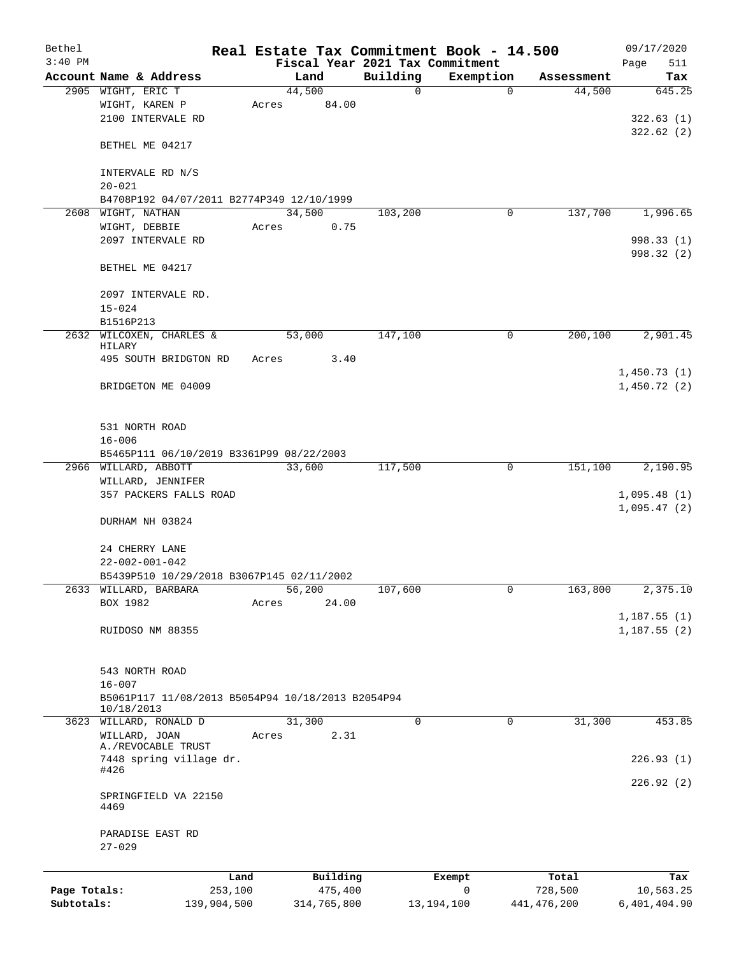| Bethel       |                                                                               |       |                 |                                 | Real Estate Tax Commitment Book - 14.500 |               | 09/17/2020                       |
|--------------|-------------------------------------------------------------------------------|-------|-----------------|---------------------------------|------------------------------------------|---------------|----------------------------------|
| $3:40$ PM    |                                                                               |       |                 | Fiscal Year 2021 Tax Commitment |                                          |               | 511<br>Page                      |
|              | Account Name & Address                                                        |       | Land            | Building                        | Exemption                                | Assessment    | Tax                              |
|              | 2905 WIGHT, ERIC T<br>WIGHT, KAREN P<br>2100 INTERVALE RD                     | Acres | 44,500<br>84.00 | 0                               | $\mathbf 0$                              | 44,500        | 645.25<br>322.63(1)<br>322.62(2) |
|              | BETHEL ME 04217                                                               |       |                 |                                 |                                          |               |                                  |
|              | INTERVALE RD N/S<br>$20 - 021$                                                |       |                 |                                 |                                          |               |                                  |
|              | B4708P192 04/07/2011 B2774P349 12/10/1999                                     |       |                 |                                 |                                          |               |                                  |
|              | 2608 WIGHT, NATHAN                                                            |       | 34,500          | 103,200                         | 0                                        | 137,700       | 1,996.65                         |
|              | WIGHT, DEBBIE                                                                 | Acres | 0.75            |                                 |                                          |               |                                  |
|              | 2097 INTERVALE RD                                                             |       |                 |                                 |                                          |               | 998.33 (1)<br>998.32 (2)         |
|              | BETHEL ME 04217                                                               |       |                 |                                 |                                          |               |                                  |
|              | 2097 INTERVALE RD.<br>$15 - 024$                                              |       |                 |                                 |                                          |               |                                  |
|              | B1516P213                                                                     |       |                 |                                 |                                          |               |                                  |
|              | 2632 WILCOXEN, CHARLES &<br>HILARY                                            |       | 53,000          | 147,100                         | 0                                        | 200,100       | 2,901.45                         |
|              | 495 SOUTH BRIDGTON RD                                                         | Acres | 3.40            |                                 |                                          |               | 1,450.73(1)                      |
|              | BRIDGETON ME 04009                                                            |       |                 |                                 |                                          |               | 1,450.72(2)                      |
|              | 531 NORTH ROAD<br>$16 - 006$                                                  |       |                 |                                 |                                          |               |                                  |
|              | B5465P111 06/10/2019 B3361P99 08/22/2003                                      |       |                 |                                 |                                          |               |                                  |
|              | 2966 WILLARD, ABBOTT                                                          |       | 33,600          | 117,500                         | 0                                        | 151,100       | 2,190.95                         |
|              | WILLARD, JENNIFER<br>357 PACKERS FALLS ROAD                                   |       |                 |                                 |                                          |               | 1,095.48(1)                      |
|              | DURHAM NH 03824                                                               |       |                 |                                 |                                          |               | 1,095.47(2)                      |
|              | 24 CHERRY LANE<br>$22 - 002 - 001 - 042$                                      |       |                 |                                 |                                          |               |                                  |
|              | B5439P510 10/29/2018 B3067P145 02/11/2002                                     |       |                 |                                 |                                          |               |                                  |
|              | 2633 WILLARD, BARBARA                                                         |       | 56,200          | 107,600                         | 0                                        | 163,800       | 2,375.10                         |
|              | BOX 1982                                                                      | Acres | 24.00           |                                 |                                          |               | 1,187.55(1)                      |
|              | RUIDOSO NM 88355                                                              |       |                 |                                 |                                          |               | 1,187.55(2)                      |
|              | 543 NORTH ROAD                                                                |       |                 |                                 |                                          |               |                                  |
|              | $16 - 007$<br>B5061P117 11/08/2013 B5054P94 10/18/2013 B2054P94<br>10/18/2013 |       |                 |                                 |                                          |               |                                  |
|              | 3623 WILLARD, RONALD D                                                        |       | 31,300          | 0                               | $\mathbf 0$                              | 31,300        | 453.85                           |
|              | WILLARD, JOAN<br>A./REVOCABLE TRUST                                           | Acres | 2.31            |                                 |                                          |               |                                  |
|              | 7448 spring village dr.<br>#426                                               |       |                 |                                 |                                          |               | 226.93(1)                        |
|              | SPRINGFIELD VA 22150<br>4469                                                  |       |                 |                                 |                                          |               | 226.92(2)                        |
|              | PARADISE EAST RD<br>$27 - 029$                                                |       |                 |                                 |                                          |               |                                  |
|              | Land                                                                          |       | Building        |                                 | Exempt                                   | Total         | Tax                              |
| Page Totals: | 253,100                                                                       |       | 475,400         |                                 | 0                                        | 728,500       | 10,563.25                        |
| Subtotals:   | 139,904,500                                                                   |       | 314,765,800     |                                 | 13, 194, 100                             | 441, 476, 200 | 6,401,404.90                     |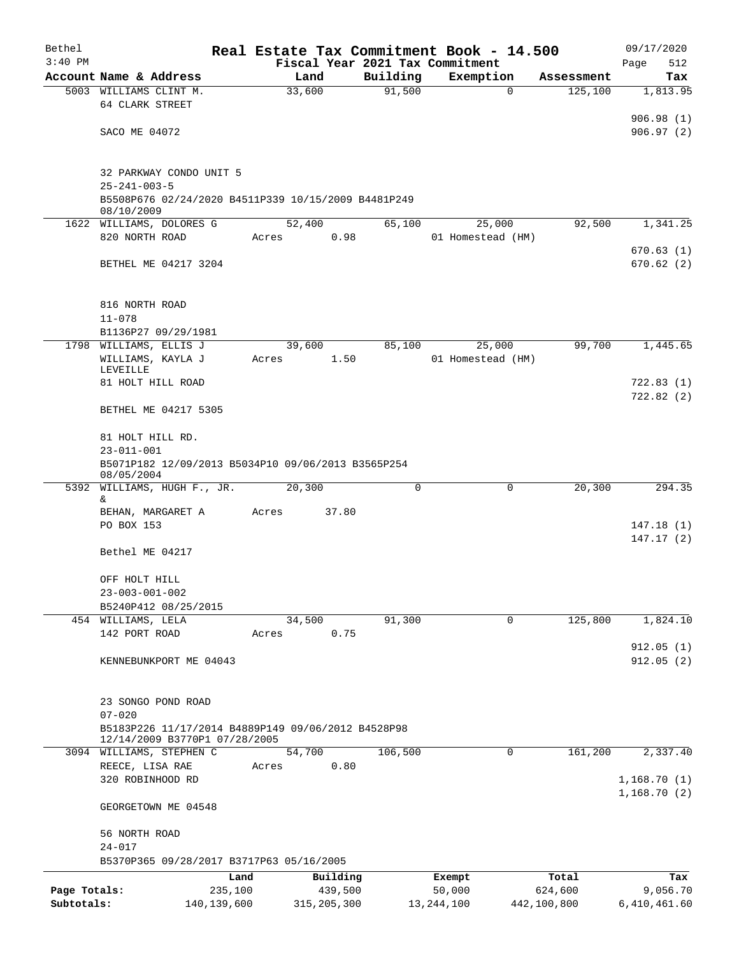| Bethel       |                                                                                     |         |               |          |          | Real Estate Tax Commitment Book - 14.500 |             |             | 09/17/2020                 |
|--------------|-------------------------------------------------------------------------------------|---------|---------------|----------|----------|------------------------------------------|-------------|-------------|----------------------------|
| $3:40$ PM    |                                                                                     |         |               |          |          | Fiscal Year 2021 Tax Commitment          |             |             | Page<br>512                |
|              | Account Name & Address                                                              |         | Land          |          | Building | Exemption                                |             | Assessment  | Tax                        |
|              | 5003 WILLIAMS CLINT M.<br>64 CLARK STREET                                           |         | 33,600        |          | 91,500   |                                          | $\mathbf 0$ | 125,100     | 1,813.95                   |
|              |                                                                                     |         |               |          |          |                                          |             |             | 906.98(1)                  |
|              | SACO ME 04072                                                                       |         |               |          |          |                                          |             |             | 906.97(2)                  |
|              | 32 PARKWAY CONDO UNIT 5<br>$25 - 241 - 003 - 5$                                     |         |               |          |          |                                          |             |             |                            |
|              | B5508P676 02/24/2020 B4511P339 10/15/2009 B4481P249<br>08/10/2009                   |         |               |          |          |                                          |             |             |                            |
|              | 1622 WILLIAMS, DOLORES G                                                            |         | 52,400        |          | 65,100   |                                          | 25,000      | 92,500      | 1,341.25                   |
|              | 820 NORTH ROAD                                                                      | Acres   |               | 0.98     |          | 01 Homestead (HM)                        |             |             |                            |
|              | BETHEL ME 04217 3204                                                                |         |               |          |          |                                          |             |             | 670.63(1)<br>670.62(2)     |
|              | 816 NORTH ROAD                                                                      |         |               |          |          |                                          |             |             |                            |
|              | $11 - 078$                                                                          |         |               |          |          |                                          |             |             |                            |
|              | B1136P27 09/29/1981                                                                 |         |               |          |          |                                          |             |             |                            |
| 1798         | WILLIAMS, ELLIS J                                                                   |         | 39,600        |          | 85,100   |                                          | 25,000      | 99,700      | 1,445.65                   |
|              | WILLIAMS, KAYLA J<br>LEVEILLE                                                       | Acres   |               | 1.50     |          | 01 Homestead (HM)                        |             |             |                            |
|              | 81 HOLT HILL ROAD                                                                   |         |               |          |          |                                          |             |             | 722.83(1)                  |
|              | BETHEL ME 04217 5305                                                                |         |               |          |          |                                          |             |             | 722.82 (2)                 |
|              | 81 HOLT HILL RD.                                                                    |         |               |          |          |                                          |             |             |                            |
|              | $23 - 011 - 001$                                                                    |         |               |          |          |                                          |             |             |                            |
|              | B5071P182 12/09/2013 B5034P10 09/06/2013 B3565P254<br>08/05/2004                    |         |               |          |          |                                          |             |             |                            |
| 5392         | WILLIAMS, HUGH F., JR.                                                              |         | 20,300        |          | 0        |                                          | 0           | 20,300      | 294.35                     |
|              | &<br>BEHAN, MARGARET A                                                              | Acres   |               | 37.80    |          |                                          |             |             |                            |
|              | PO BOX 153                                                                          |         |               |          |          |                                          |             |             | 147.18 (1)                 |
|              |                                                                                     |         |               |          |          |                                          |             |             | 147.17(2)                  |
|              | Bethel ME 04217                                                                     |         |               |          |          |                                          |             |             |                            |
|              | OFF HOLT HILL                                                                       |         |               |          |          |                                          |             |             |                            |
|              | $23 - 003 - 001 - 002$                                                              |         |               |          |          |                                          |             |             |                            |
|              | B5240P412 08/25/2015                                                                |         | 34,500        |          | 91,300   |                                          | $\mathbf 0$ | 125,800     | 1,824.10                   |
|              | 454 WILLIAMS, LELA<br>142 PORT ROAD                                                 | Acres   |               | 0.75     |          |                                          |             |             |                            |
|              |                                                                                     |         |               |          |          |                                          |             |             | 912.05(1)                  |
|              | KENNEBUNKPORT ME 04043                                                              |         |               |          |          |                                          |             |             | 912.05(2)                  |
|              |                                                                                     |         |               |          |          |                                          |             |             |                            |
|              | 23 SONGO POND ROAD<br>$07 - 020$                                                    |         |               |          |          |                                          |             |             |                            |
|              | B5183P226 11/17/2014 B4889P149 09/06/2012 B4528P98<br>12/14/2009 B3770P1 07/28/2005 |         |               |          |          |                                          |             |             |                            |
|              | 3094 WILLIAMS, STEPHEN C                                                            |         | 54,700        |          | 106,500  |                                          | 0           | 161,200     | 2,337.40                   |
|              | REECE, LISA RAE                                                                     | Acres   |               | 0.80     |          |                                          |             |             |                            |
|              | 320 ROBINHOOD RD                                                                    |         |               |          |          |                                          |             |             | 1,168.70(1)<br>1,168.70(2) |
|              | GEORGETOWN ME 04548                                                                 |         |               |          |          |                                          |             |             |                            |
|              | 56 NORTH ROAD                                                                       |         |               |          |          |                                          |             |             |                            |
|              | $24 - 017$<br>B5370P365 09/28/2017 B3717P63 05/16/2005                              |         |               |          |          |                                          |             |             |                            |
|              |                                                                                     | Land    |               | Building |          | Exempt                                   |             | Total       | Tax                        |
| Page Totals: |                                                                                     | 235,100 |               | 439,500  |          | 50,000                                   |             | 624,600     | 9,056.70                   |
| Subtotals:   | 140, 139, 600                                                                       |         | 315, 205, 300 |          |          | 13, 244, 100                             |             | 442,100,800 | 6,410,461.60               |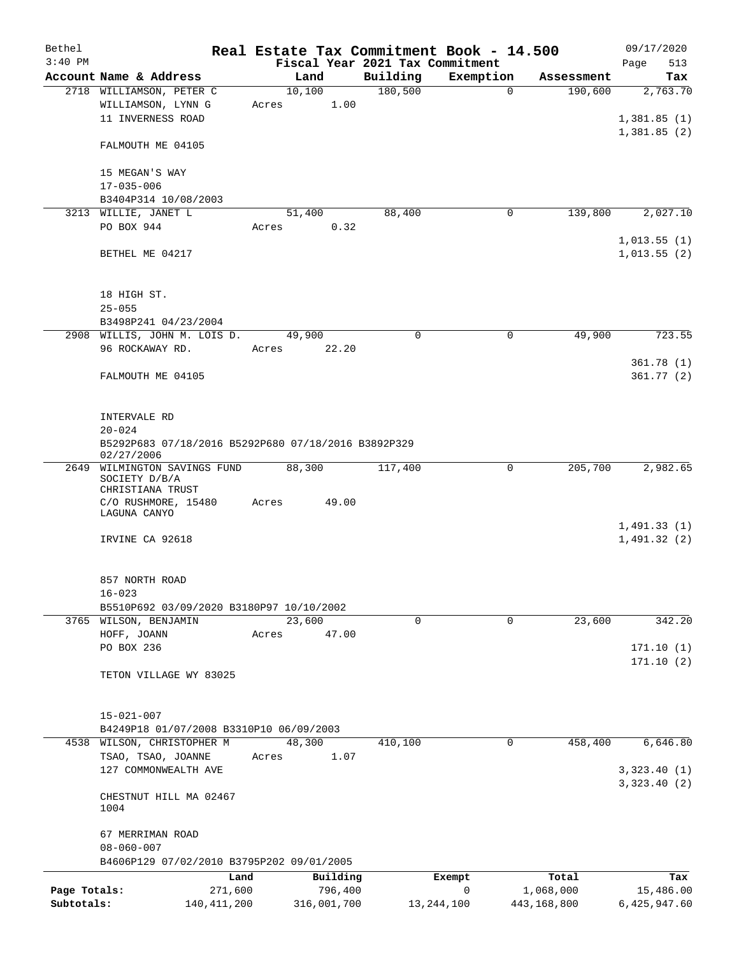| Bethel       |                                                                   | Real Estate Tax Commitment Book - 14.500 |                                 |              |             | 09/17/2020                 |
|--------------|-------------------------------------------------------------------|------------------------------------------|---------------------------------|--------------|-------------|----------------------------|
| $3:40$ PM    |                                                                   |                                          | Fiscal Year 2021 Tax Commitment |              |             | Page<br>513                |
|              | Account Name & Address                                            | Land                                     | Building                        | Exemption    | Assessment  | Tax                        |
|              | 2718 WILLIAMSON, PETER C                                          | 10,100                                   | 180,500                         | $\mathbf{0}$ | 190,600     | 2,763.70                   |
|              | WILLIAMSON, LYNN G                                                | 1.00<br>Acres                            |                                 |              |             |                            |
|              | 11 INVERNESS ROAD                                                 |                                          |                                 |              |             | 1,381.85(1)                |
|              | FALMOUTH ME 04105                                                 |                                          |                                 |              |             | 1,381.85(2)                |
|              | 15 MEGAN'S WAY                                                    |                                          |                                 |              |             |                            |
|              | $17 - 035 - 006$                                                  |                                          |                                 |              |             |                            |
|              | B3404P314 10/08/2003                                              |                                          |                                 |              |             |                            |
|              | 3213 WILLIE, JANET L                                              | 51,400                                   | 88,400                          | 0            | 139,800     | 2,027.10                   |
|              | PO BOX 944                                                        | 0.32<br>Acres                            |                                 |              |             |                            |
|              | BETHEL ME 04217                                                   |                                          |                                 |              |             | 1,013.55(1)<br>1,013.55(2) |
|              | 18 HIGH ST.                                                       |                                          |                                 |              |             |                            |
|              | $25 - 055$                                                        |                                          |                                 |              |             |                            |
|              | B3498P241 04/23/2004<br>2908 WILLIS, JOHN M. LOIS D.              | 49,900                                   | 0                               | 0            | 49,900      | 723.55                     |
|              | 96 ROCKAWAY RD.                                                   | 22.20<br>Acres                           |                                 |              |             |                            |
|              |                                                                   |                                          |                                 |              |             | 361.78(1)                  |
|              | FALMOUTH ME 04105                                                 |                                          |                                 |              |             | 361.77(2)                  |
|              | INTERVALE RD<br>$20 - 024$                                        |                                          |                                 |              |             |                            |
|              | B5292P683 07/18/2016 B5292P680 07/18/2016 B3892P329<br>02/27/2006 |                                          |                                 |              |             |                            |
| 2649         | WILMINGTON SAVINGS FUND<br>SOCIETY D/B/A<br>CHRISTIANA TRUST      | 88,300                                   | 117,400                         | 0            | 205,700     | 2,982.65                   |
|              | C/O RUSHMORE, 15480<br>LAGUNA CANYO                               | 49.00<br>Acres                           |                                 |              |             |                            |
|              | IRVINE CA 92618                                                   |                                          |                                 |              |             | 1,491.33(1)<br>1,491.32(2) |
|              | 857 NORTH ROAD<br>$16 - 023$                                      |                                          |                                 |              |             |                            |
|              | B5510P692 03/09/2020 B3180P97 10/10/2002                          |                                          |                                 |              |             |                            |
|              | 3765 WILSON, BENJAMIN                                             | 23,600                                   | 0                               | $\mathbf 0$  | 23,600      | 342.20                     |
|              | HOFF, JOANN                                                       | 47.00<br>Acres                           |                                 |              |             |                            |
|              | PO BOX 236                                                        |                                          |                                 |              |             | 171.10(1)                  |
|              | TETON VILLAGE WY 83025                                            |                                          |                                 |              |             | 171.10(2)                  |
|              | $15 - 021 - 007$<br>B4249P18 01/07/2008 B3310P10 06/09/2003       |                                          |                                 |              |             |                            |
|              | 4538 WILSON, CHRISTOPHER M                                        | 48,300                                   | 410,100                         | 0            | 458,400     | 6,646.80                   |
|              | TSAO, TSAO, JOANNE                                                | 1.07<br>Acres                            |                                 |              |             |                            |
|              | 127 COMMONWEALTH AVE                                              |                                          |                                 |              |             | 3,323.40(1)                |
|              | CHESTNUT HILL MA 02467<br>1004                                    |                                          |                                 |              |             | 3, 323.40 (2)              |
|              | 67 MERRIMAN ROAD                                                  |                                          |                                 |              |             |                            |
|              | $08 - 060 - 007$                                                  |                                          |                                 |              |             |                            |
|              | B4606P129 07/02/2010 B3795P202 09/01/2005                         |                                          |                                 |              |             |                            |
|              | Land                                                              | Building                                 | Exempt                          |              | Total       | Tax                        |
| Page Totals: | 271,600                                                           | 796,400                                  |                                 | 0            | 1,068,000   | 15,486.00                  |
| Subtotals:   | 140, 411, 200                                                     | 316,001,700                              | 13, 244, 100                    |              | 443,168,800 | 6,425,947.60               |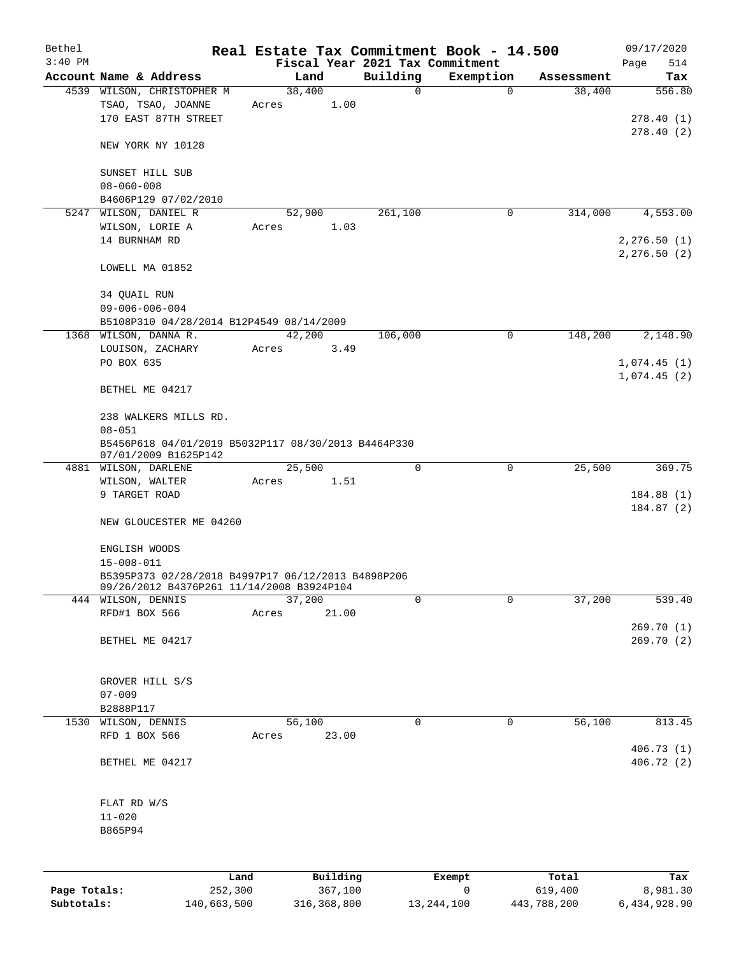| Bethel       |                                                                 | Real Estate Tax Commitment Book - 14.500 |                                 |                |                      | 09/17/2020                   |
|--------------|-----------------------------------------------------------------|------------------------------------------|---------------------------------|----------------|----------------------|------------------------------|
| $3:40$ PM    |                                                                 |                                          | Fiscal Year 2021 Tax Commitment |                |                      | 514<br>Page                  |
|              | Account Name & Address<br>4539 WILSON, CHRISTOPHER M            | Land<br>38,400                           | Building<br>$\mathbf 0$         | Exemption<br>0 | Assessment<br>38,400 | Tax<br>556.80                |
|              | TSAO, TSAO, JOANNE<br>170 EAST 87TH STREET                      | Acres                                    | 1.00                            |                |                      | 278.40(1)                    |
|              | NEW YORK NY 10128                                               |                                          |                                 |                |                      | 278.40(2)                    |
|              | SUNSET HILL SUB<br>$08 - 060 - 008$                             |                                          |                                 |                |                      |                              |
|              | B4606P129 07/02/2010                                            |                                          |                                 |                |                      |                              |
|              | 5247 WILSON, DANIEL R                                           | 52,900                                   | 261,100                         | 0              | 314,000              | 4,553.00                     |
|              | WILSON, LORIE A<br>14 BURNHAM RD                                | Acres                                    | 1.03                            |                |                      | 2, 276.50(1)<br>2, 276.50(2) |
|              | LOWELL MA 01852                                                 |                                          |                                 |                |                      |                              |
|              | 34 QUAIL RUN<br>$09 - 006 - 006 - 004$                          |                                          |                                 |                |                      |                              |
|              | B5108P310 04/28/2014 B12P4549 08/14/2009                        |                                          |                                 |                |                      |                              |
|              | 1368 WILSON, DANNA R.                                           | 42,200                                   | 106,000                         | $\mathbf 0$    | 148,200              | 2,148.90                     |
|              | LOUISON, ZACHARY<br>PO BOX 635                                  | Acres                                    | 3.49                            |                |                      | 1,074.45(1)                  |
|              | BETHEL ME 04217                                                 |                                          |                                 |                |                      | 1,074.45(2)                  |
|              | 238 WALKERS MILLS RD.<br>$08 - 051$                             |                                          |                                 |                |                      |                              |
|              | B5456P618 04/01/2019 B5032P117 08/30/2013 B4464P330             |                                          |                                 |                |                      |                              |
|              | 07/01/2009 B1625P142                                            |                                          |                                 |                |                      |                              |
|              | 4881 WILSON, DARLENE                                            | 25,500                                   | $\mathbf 0$                     | $\mathbf 0$    | 25,500               | 369.75                       |
|              | WILSON, WALTER                                                  | Acres                                    | 1.51                            |                |                      |                              |
|              | 9 TARGET ROAD                                                   |                                          |                                 |                |                      | 184.88 (1)<br>184.87(2)      |
|              | NEW GLOUCESTER ME 04260                                         |                                          |                                 |                |                      |                              |
|              | ENGLISH WOODS                                                   |                                          |                                 |                |                      |                              |
|              | $15 - 008 - 011$                                                |                                          |                                 |                |                      |                              |
|              | B5395P373 02/28/2018 B4997P17 06/12/2013 B4898P206              |                                          |                                 |                |                      |                              |
|              | 09/26/2012 B4376P261 11/14/2008 B3924P104<br>444 WILSON, DENNIS | 37,200                                   | 0                               | 0              | 37,200               | 539.40                       |
|              | RFD#1 BOX 566                                                   | 21.00<br>Acres                           |                                 |                |                      |                              |
|              | BETHEL ME 04217                                                 |                                          |                                 |                |                      | 269.70(1)<br>269.70 (2)      |
|              |                                                                 |                                          |                                 |                |                      |                              |
|              | GROVER HILL S/S                                                 |                                          |                                 |                |                      |                              |
|              | $07 - 009$                                                      |                                          |                                 |                |                      |                              |
| 1530         | B2888P117<br>WILSON, DENNIS                                     | 56,100                                   | $\mathbf 0$                     | $\mathbf 0$    | 56,100               | 813.45                       |
|              | RFD 1 BOX 566                                                   | 23.00<br>Acres                           |                                 |                |                      | 406.73 (1)                   |
|              | BETHEL ME 04217                                                 |                                          |                                 |                |                      | 406.72 (2)                   |
|              | FLAT RD W/S                                                     |                                          |                                 |                |                      |                              |
|              | $11 - 020$<br>B865P94                                           |                                          |                                 |                |                      |                              |
|              |                                                                 |                                          |                                 |                |                      |                              |
| Page Totals: | Land<br>252,300                                                 | Building<br>367,100                      |                                 | Exempt<br>0    | Total<br>619,400     | Tax<br>8,981.30              |
|              |                                                                 |                                          |                                 |                |                      |                              |

**Subtotals:** 140,663,500 316,368,800 13,244,100 443,788,200 6,434,928.90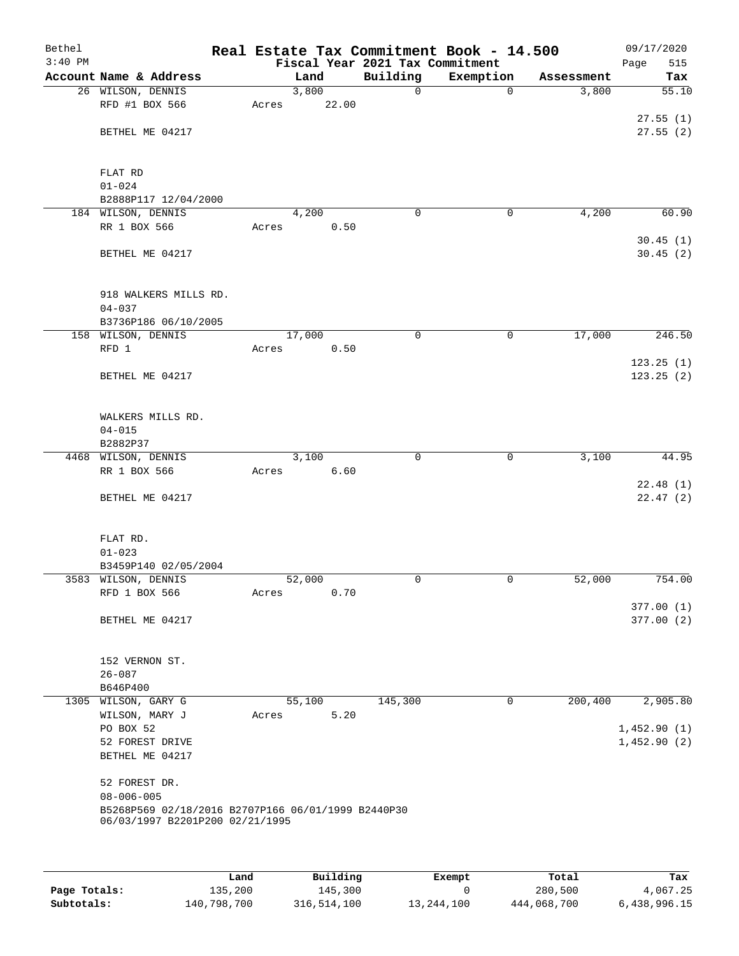| Bethel<br>$3:40$ PM |                                                                                       |       |        |       | Real Estate Tax Commitment Book - 14.500<br>Fiscal Year 2021 Tax Commitment |             |            | 09/17/2020<br>Page<br>515 |
|---------------------|---------------------------------------------------------------------------------------|-------|--------|-------|-----------------------------------------------------------------------------|-------------|------------|---------------------------|
|                     | Account Name & Address                                                                |       | Land   |       | Building                                                                    | Exemption   | Assessment | Tax                       |
|                     | 26 WILSON, DENNIS                                                                     |       | 3,800  |       | $\mathbf 0$                                                                 | $\mathbf 0$ | 3,800      | 55.10                     |
|                     | RFD #1 BOX 566                                                                        | Acres |        | 22.00 |                                                                             |             |            |                           |
|                     |                                                                                       |       |        |       |                                                                             |             |            | 27.55(1)                  |
|                     | BETHEL ME 04217                                                                       |       |        |       |                                                                             |             |            | 27.55(2)                  |
|                     |                                                                                       |       |        |       |                                                                             |             |            |                           |
|                     |                                                                                       |       |        |       |                                                                             |             |            |                           |
|                     | FLAT RD<br>$01 - 024$                                                                 |       |        |       |                                                                             |             |            |                           |
|                     | B2888P117 12/04/2000                                                                  |       |        |       |                                                                             |             |            |                           |
|                     | 184 WILSON, DENNIS                                                                    |       | 4,200  |       | 0                                                                           | 0           | 4,200      | 60.90                     |
|                     | RR 1 BOX 566                                                                          | Acres |        | 0.50  |                                                                             |             |            |                           |
|                     |                                                                                       |       |        |       |                                                                             |             |            | 30.45(1)                  |
|                     | BETHEL ME 04217                                                                       |       |        |       |                                                                             |             |            | 30.45(2)                  |
|                     |                                                                                       |       |        |       |                                                                             |             |            |                           |
|                     |                                                                                       |       |        |       |                                                                             |             |            |                           |
|                     | 918 WALKERS MILLS RD.                                                                 |       |        |       |                                                                             |             |            |                           |
|                     | $04 - 037$                                                                            |       |        |       |                                                                             |             |            |                           |
|                     | B3736P186 06/10/2005                                                                  |       |        |       |                                                                             |             |            |                           |
|                     | 158 WILSON, DENNIS                                                                    |       | 17,000 |       | 0                                                                           | 0           | 17,000     | 246.50                    |
|                     | RFD 1                                                                                 | Acres |        | 0.50  |                                                                             |             |            |                           |
|                     | BETHEL ME 04217                                                                       |       |        |       |                                                                             |             |            | 123.25(1)<br>123.25(2)    |
|                     |                                                                                       |       |        |       |                                                                             |             |            |                           |
|                     |                                                                                       |       |        |       |                                                                             |             |            |                           |
|                     | WALKERS MILLS RD.                                                                     |       |        |       |                                                                             |             |            |                           |
|                     | $04 - 015$                                                                            |       |        |       |                                                                             |             |            |                           |
|                     | B2882P37                                                                              |       |        |       |                                                                             |             |            |                           |
|                     | 4468 WILSON, DENNIS                                                                   |       | 3,100  |       | 0                                                                           | 0           | 3,100      | 44.95                     |
|                     | RR 1 BOX 566                                                                          | Acres |        | 6.60  |                                                                             |             |            |                           |
|                     |                                                                                       |       |        |       |                                                                             |             |            | 22.48(1)                  |
|                     | BETHEL ME 04217                                                                       |       |        |       |                                                                             |             |            | 22.47(2)                  |
|                     |                                                                                       |       |        |       |                                                                             |             |            |                           |
|                     | FLAT RD.                                                                              |       |        |       |                                                                             |             |            |                           |
|                     | $01 - 023$                                                                            |       |        |       |                                                                             |             |            |                           |
|                     | B3459P140 02/05/2004                                                                  |       |        |       |                                                                             |             |            |                           |
|                     | 3583 WILSON, DENNIS                                                                   |       | 52,000 |       | 0                                                                           | 0           | 52,000     | 754.00                    |
|                     | RFD 1 BOX 566                                                                         | Acres |        | 0.70  |                                                                             |             |            |                           |
|                     |                                                                                       |       |        |       |                                                                             |             |            | 377.00(1)                 |
|                     | BETHEL ME 04217                                                                       |       |        |       |                                                                             |             |            | 377.00(2)                 |
|                     |                                                                                       |       |        |       |                                                                             |             |            |                           |
|                     |                                                                                       |       |        |       |                                                                             |             |            |                           |
|                     | 152 VERNON ST.                                                                        |       |        |       |                                                                             |             |            |                           |
|                     | $26 - 087$<br>B646P400                                                                |       |        |       |                                                                             |             |            |                           |
|                     | 1305 WILSON, GARY G                                                                   |       | 55,100 |       | 145,300                                                                     | $\mathbf 0$ | 200,400    | 2,905.80                  |
|                     | WILSON, MARY J                                                                        | Acres |        | 5.20  |                                                                             |             |            |                           |
|                     | PO BOX 52                                                                             |       |        |       |                                                                             |             |            | 1,452.90(1)               |
|                     | 52 FOREST DRIVE                                                                       |       |        |       |                                                                             |             |            | 1,452.90(2)               |
|                     | BETHEL ME 04217                                                                       |       |        |       |                                                                             |             |            |                           |
|                     |                                                                                       |       |        |       |                                                                             |             |            |                           |
|                     | 52 FOREST DR.                                                                         |       |        |       |                                                                             |             |            |                           |
|                     | $08 - 006 - 005$                                                                      |       |        |       |                                                                             |             |            |                           |
|                     | B5268P569 02/18/2016 B2707P166 06/01/1999 B2440P30<br>06/03/1997 B2201P200 02/21/1995 |       |        |       |                                                                             |             |            |                           |
|                     |                                                                                       |       |        |       |                                                                             |             |            |                           |
|                     |                                                                                       |       |        |       |                                                                             |             |            |                           |
|                     |                                                                                       |       |        |       |                                                                             |             |            |                           |
|                     |                                                                                       |       |        |       |                                                                             |             |            |                           |

|              | Land        | Building    | Exempt     | Total       | Tax          |
|--------------|-------------|-------------|------------|-------------|--------------|
| Page Totals: | 135,200     | 145,300     |            | 280,500     | 4,067.25     |
| Subtotals:   | 140,798,700 | 316,514,100 | 13,244,100 | 444,068,700 | 6,438,996.15 |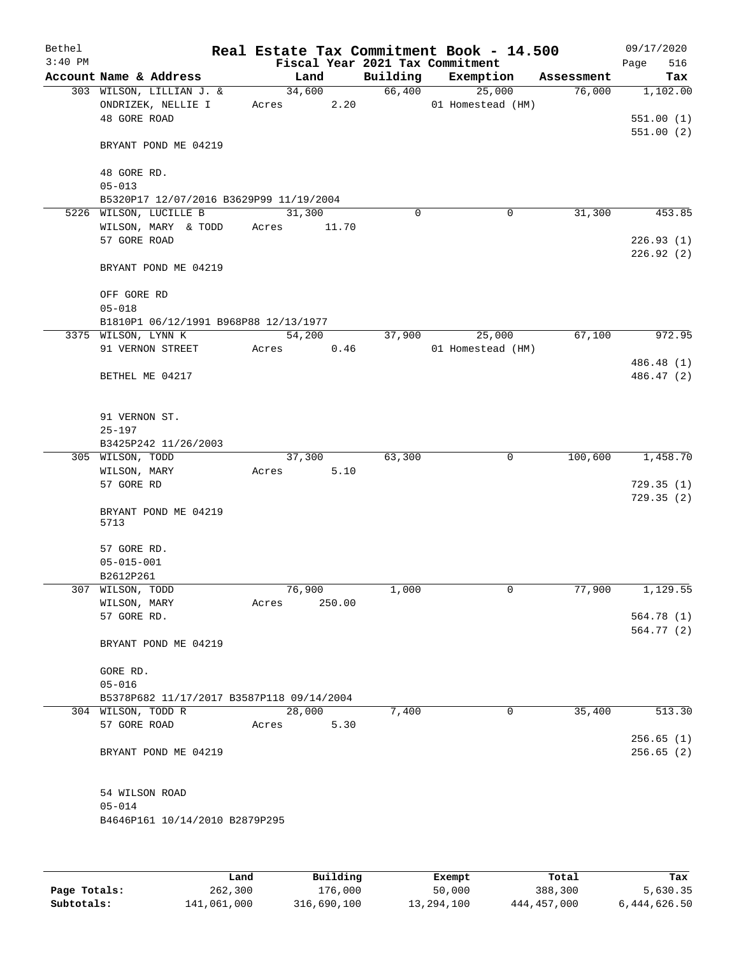| Bethel<br>$3:40$ PM |                                                                |       |                |          | Real Estate Tax Commitment Book - 14.500<br>Fiscal Year 2021 Tax Commitment |            | 09/17/2020<br>516<br>Page          |
|---------------------|----------------------------------------------------------------|-------|----------------|----------|-----------------------------------------------------------------------------|------------|------------------------------------|
|                     | Account Name & Address                                         |       | Land           | Building | Exemption                                                                   | Assessment | Tax                                |
|                     | 303 WILSON, LILLIAN J. &<br>ONDRIZEK, NELLIE I<br>48 GORE ROAD | Acres | 34,600<br>2.20 |          | 66,400<br>25,000<br>01 Homestead (HM)                                       | 76,000     | 1,102.00<br>551.00(1)<br>551.00(2) |
|                     | BRYANT POND ME 04219                                           |       |                |          |                                                                             |            |                                    |
|                     | 48 GORE RD.<br>$05 - 013$                                      |       |                |          |                                                                             |            |                                    |
|                     | B5320P17 12/07/2016 B3629P99 11/19/2004                        |       |                |          |                                                                             |            |                                    |
|                     | 5226 WILSON, LUCILLE B                                         |       | 31,300         | $\Omega$ | 0                                                                           | 31,300     | 453.85                             |
|                     | WILSON, MARY & TODD                                            | Acres | 11.70          |          |                                                                             |            |                                    |
|                     | 57 GORE ROAD                                                   |       |                |          |                                                                             |            | 226.93(1)<br>226.92(2)             |
|                     | BRYANT POND ME 04219                                           |       |                |          |                                                                             |            |                                    |
|                     | OFF GORE RD<br>$05 - 018$                                      |       |                |          |                                                                             |            |                                    |
|                     | B1810P1 06/12/1991 B968P88 12/13/1977                          |       |                |          |                                                                             |            |                                    |
|                     | 3375 WILSON, LYNN K                                            |       | 54,200         | 37,900   | 25,000                                                                      | 67,100     | 972.95                             |
|                     | 91 VERNON STREET                                               | Acres | 0.46           |          | 01 Homestead (HM)                                                           |            |                                    |
|                     |                                                                |       |                |          |                                                                             |            | 486.48 (1)                         |
|                     | BETHEL ME 04217                                                |       |                |          |                                                                             |            | 486.47 (2)                         |
|                     | 91 VERNON ST.<br>$25 - 197$                                    |       |                |          |                                                                             |            |                                    |
|                     | B3425P242 11/26/2003                                           |       |                |          |                                                                             |            |                                    |
|                     | 305 WILSON, TODD                                               |       | 37,300         | 63,300   | 0                                                                           | 100,600    | 1,458.70                           |
|                     | WILSON, MARY                                                   | Acres | 5.10           |          |                                                                             |            |                                    |
|                     | 57 GORE RD                                                     |       |                |          |                                                                             |            | 729.35(1)<br>729.35(2)             |
|                     | BRYANT POND ME 04219<br>5713                                   |       |                |          |                                                                             |            |                                    |
|                     | 57 GORE RD.                                                    |       |                |          |                                                                             |            |                                    |
|                     | $05 - 015 - 001$                                               |       |                |          |                                                                             |            |                                    |
|                     | B2612P261                                                      |       |                |          |                                                                             |            |                                    |
|                     | 307 WILSON, TODD                                               |       | 76,900         | 1,000    | 0                                                                           | 77,900     | 1,129.55                           |
|                     | WILSON, MARY<br>57 GORE RD.                                    | Acres | 250.00         |          |                                                                             |            | 564.78 (1)                         |
|                     |                                                                |       |                |          |                                                                             |            | 564.77 (2)                         |
|                     | BRYANT POND ME 04219                                           |       |                |          |                                                                             |            |                                    |
|                     | GORE RD.<br>$05 - 016$                                         |       |                |          |                                                                             |            |                                    |
|                     | B5378P682 11/17/2017 B3587P118 09/14/2004                      |       |                |          |                                                                             |            |                                    |
|                     | 304 WILSON, TODD R                                             |       | 28,000         | 7,400    | 0                                                                           | 35,400     | 513.30                             |
|                     | 57 GORE ROAD                                                   | Acres | 5.30           |          |                                                                             |            | 256.65(1)                          |
|                     | BRYANT POND ME 04219                                           |       |                |          |                                                                             |            | 256.65(2)                          |
|                     | 54 WILSON ROAD                                                 |       |                |          |                                                                             |            |                                    |
|                     | $05 - 014$<br>B4646P161 10/14/2010 B2879P295                   |       |                |          |                                                                             |            |                                    |
|                     |                                                                |       |                |          |                                                                             |            |                                    |
|                     |                                                                |       |                |          |                                                                             |            |                                    |
|                     |                                                                |       |                |          |                                                                             |            |                                    |

|              | Land        | Building    | Exempt     | Total       | Tax          |
|--------------|-------------|-------------|------------|-------------|--------------|
| Page Totals: | 262,300     | 176.000     | 50,000     | 388,300     | 5,630.35     |
| Subtotals:   | 141,061,000 | 316,690,100 | 13,294,100 | 444,457,000 | 6,444,626.50 |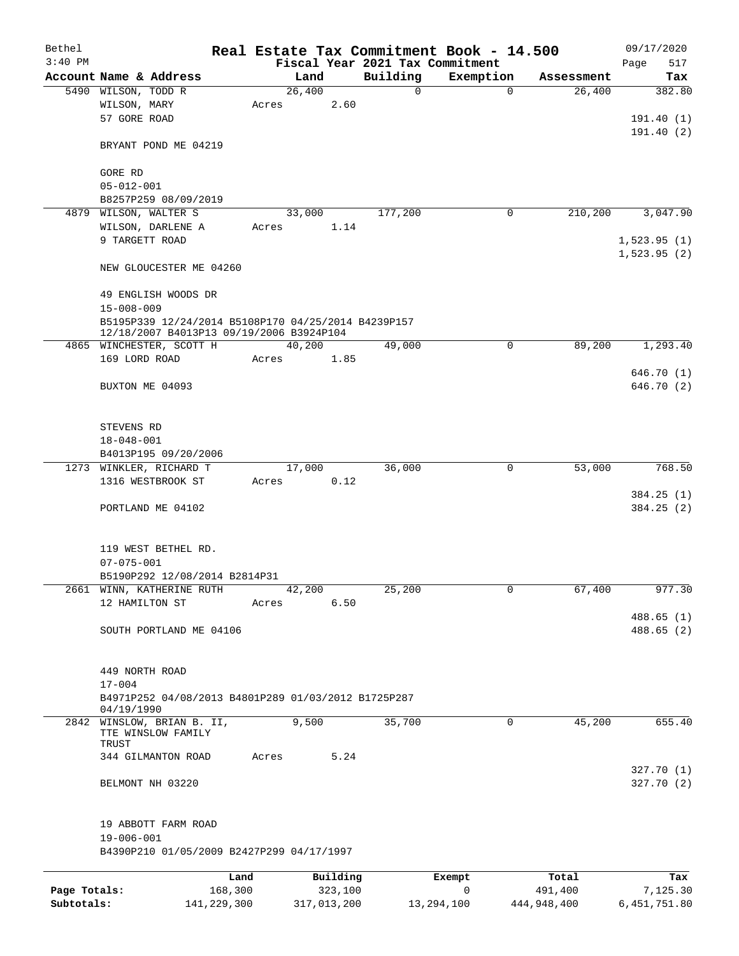| Bethel       |                                                                         |       |             |                                             | Real Estate Tax Commitment Book - 14.500 |             | 09/17/2020         |
|--------------|-------------------------------------------------------------------------|-------|-------------|---------------------------------------------|------------------------------------------|-------------|--------------------|
| $3:40$ PM    | Account Name & Address                                                  |       | Land        | Fiscal Year 2021 Tax Commitment<br>Building | Exemption                                | Assessment  | Page<br>517<br>Tax |
|              | 5490 WILSON, TODD R                                                     |       | 26,400      | 0                                           | $\mathbf 0$                              | 26,400      | 382.80             |
|              | WILSON, MARY                                                            | Acres | 2.60        |                                             |                                          |             |                    |
|              | 57 GORE ROAD                                                            |       |             |                                             |                                          |             | 191.40(1)          |
|              |                                                                         |       |             |                                             |                                          |             | 191.40(2)          |
|              | BRYANT POND ME 04219                                                    |       |             |                                             |                                          |             |                    |
|              | GORE RD                                                                 |       |             |                                             |                                          |             |                    |
|              | $05 - 012 - 001$                                                        |       |             |                                             |                                          |             |                    |
|              | B8257P259 08/09/2019                                                    |       |             |                                             |                                          |             |                    |
|              | 4879 WILSON, WALTER S                                                   |       | 33,000      | 177,200                                     | 0                                        | 210,200     | 3,047.90           |
|              | WILSON, DARLENE A                                                       | Acres | 1.14        |                                             |                                          |             |                    |
|              | 9 TARGETT ROAD                                                          |       |             |                                             |                                          |             | 1,523.95(1)        |
|              |                                                                         |       |             |                                             |                                          |             | 1,523.95(2)        |
|              | NEW GLOUCESTER ME 04260                                                 |       |             |                                             |                                          |             |                    |
|              | 49 ENGLISH WOODS DR                                                     |       |             |                                             |                                          |             |                    |
|              | $15 - 008 - 009$<br>B5195P339 12/24/2014 B5108P170 04/25/2014 B4239P157 |       |             |                                             |                                          |             |                    |
|              | 12/18/2007 B4013P13 09/19/2006 B3924P104                                |       |             |                                             |                                          |             |                    |
|              | 4865 WINCHESTER, SCOTT H                                                |       | 40,200      | 49,000                                      | 0                                        | 89,200      | 1,293.40           |
|              | 169 LORD ROAD                                                           | Acres | 1.85        |                                             |                                          |             |                    |
|              |                                                                         |       |             |                                             |                                          |             | 646.70 (1)         |
|              | BUXTON ME 04093                                                         |       |             |                                             |                                          |             | 646.70 (2)         |
|              |                                                                         |       |             |                                             |                                          |             |                    |
|              |                                                                         |       |             |                                             |                                          |             |                    |
|              | STEVENS RD                                                              |       |             |                                             |                                          |             |                    |
|              | $18 - 048 - 001$                                                        |       |             |                                             |                                          |             |                    |
|              | B4013P195 09/20/2006                                                    |       |             |                                             |                                          |             |                    |
|              | 1273 WINKLER, RICHARD T                                                 |       | 17,000      | 36,000                                      | 0                                        | 53,000      | 768.50             |
|              | 1316 WESTBROOK ST                                                       | Acres | 0.12        |                                             |                                          |             | 384.25(1)          |
|              | PORTLAND ME 04102                                                       |       |             |                                             |                                          |             | 384.25(2)          |
|              |                                                                         |       |             |                                             |                                          |             |                    |
|              |                                                                         |       |             |                                             |                                          |             |                    |
|              | 119 WEST BETHEL RD.                                                     |       |             |                                             |                                          |             |                    |
|              | $07 - 075 - 001$                                                        |       |             |                                             |                                          |             |                    |
|              | B5190P292 12/08/2014 B2814P31                                           |       |             |                                             |                                          |             |                    |
|              | 2661 WINN, KATHERINE RUTH                                               |       | 42,200      | 25,200                                      | 0                                        | 67,400      | 977.30             |
|              | 12 HAMILTON ST                                                          | Acres | 6.50        |                                             |                                          |             |                    |
|              |                                                                         |       |             |                                             |                                          |             | 488.65(1)          |
|              | SOUTH PORTLAND ME 04106                                                 |       |             |                                             |                                          |             | 488.65 (2)         |
|              |                                                                         |       |             |                                             |                                          |             |                    |
|              |                                                                         |       |             |                                             |                                          |             |                    |
|              | 449 NORTH ROAD<br>$17 - 004$                                            |       |             |                                             |                                          |             |                    |
|              | B4971P252 04/08/2013 B4801P289 01/03/2012 B1725P287                     |       |             |                                             |                                          |             |                    |
|              | 04/19/1990                                                              |       |             |                                             |                                          |             |                    |
| 2842         | WINSLOW, BRIAN B. II,                                                   |       | 9,500       | 35,700                                      | $\mathbf 0$                              | 45,200      | 655.40             |
|              | TTE WINSLOW FAMILY                                                      |       |             |                                             |                                          |             |                    |
|              | TRUST<br>344 GILMANTON ROAD                                             | Acres | 5.24        |                                             |                                          |             |                    |
|              |                                                                         |       |             |                                             |                                          |             | 327.70(1)          |
|              | BELMONT NH 03220                                                        |       |             |                                             |                                          |             | 327.70 (2)         |
|              |                                                                         |       |             |                                             |                                          |             |                    |
|              | 19 ABBOTT FARM ROAD                                                     |       |             |                                             |                                          |             |                    |
|              | $19 - 006 - 001$                                                        |       |             |                                             |                                          |             |                    |
|              | B4390P210 01/05/2009 B2427P299 04/17/1997                               |       |             |                                             |                                          |             |                    |
|              | Land                                                                    |       | Building    |                                             | Exempt                                   | Total       | Tax                |
| Page Totals: | 168,300                                                                 |       | 323,100     |                                             | 0                                        | 491,400     | 7,125.30           |
| Subtotals:   | 141,229,300                                                             |       | 317,013,200 |                                             | 13,294,100                               | 444,948,400 | 6, 451, 751.80     |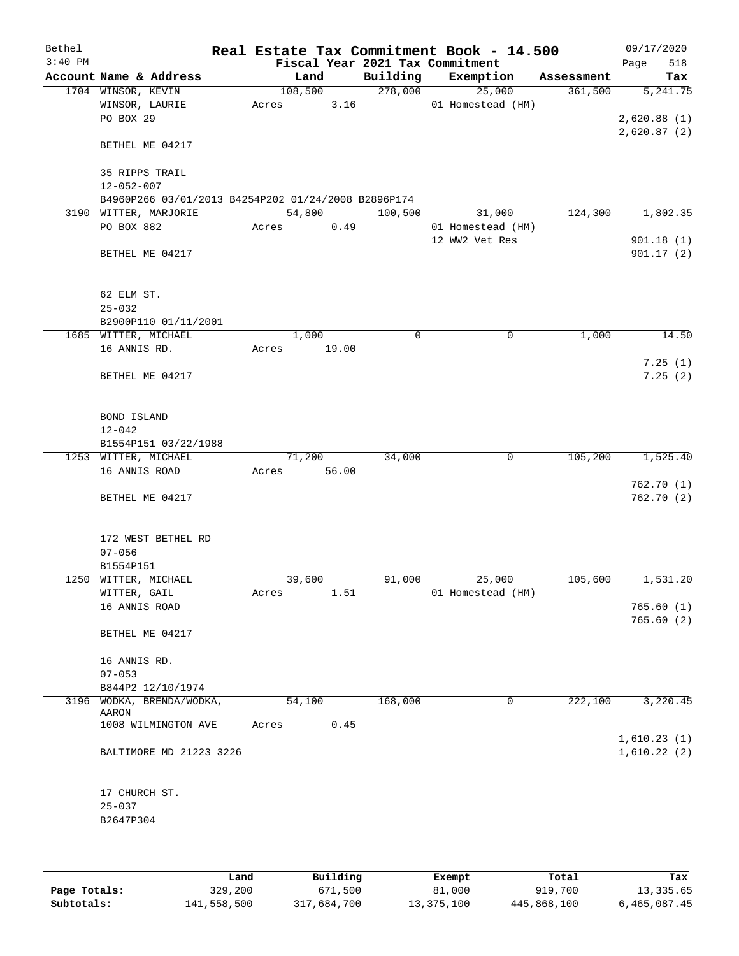| Bethel    |                                                     |         |       |                                 | Real Estate Tax Commitment Book - 14.500 |            | 09/17/2020  |
|-----------|-----------------------------------------------------|---------|-------|---------------------------------|------------------------------------------|------------|-------------|
| $3:40$ PM |                                                     |         |       | Fiscal Year 2021 Tax Commitment |                                          |            | 518<br>Page |
|           | Account Name & Address                              |         | Land  |                                 | Building Exemption                       | Assessment | Tax         |
|           | 1704 WINSOR, KEVIN                                  | 108,500 |       | 278,000                         | 25,000                                   | 361,500    | 5, 241.75   |
|           | WINSOR, LAURIE                                      | Acres   | 3.16  |                                 | 01 Homestead (HM)                        |            |             |
|           | PO BOX 29                                           |         |       |                                 |                                          |            | 2,620.88(1) |
|           |                                                     |         |       |                                 |                                          |            | 2,620.87(2) |
|           | BETHEL ME 04217                                     |         |       |                                 |                                          |            |             |
|           |                                                     |         |       |                                 |                                          |            |             |
|           | 35 RIPPS TRAIL                                      |         |       |                                 |                                          |            |             |
|           | $12 - 052 - 007$                                    |         |       |                                 |                                          |            |             |
|           | B4960P266 03/01/2013 B4254P202 01/24/2008 B2896P174 |         |       |                                 |                                          |            |             |
|           | 3190 WITTER, MARJORIE                               | 54,800  |       | 100,500                         | 31,000                                   | 124,300    | 1,802.35    |
|           | PO BOX 882                                          | Acres   | 0.49  |                                 | 01 Homestead (HM)                        |            |             |
|           |                                                     |         |       |                                 | 12 WW2 Vet Res                           |            | 901.18(1)   |
|           | BETHEL ME 04217                                     |         |       |                                 |                                          |            | 901.17(2)   |
|           |                                                     |         |       |                                 |                                          |            |             |
|           |                                                     |         |       |                                 |                                          |            |             |
|           | 62 ELM ST.                                          |         |       |                                 |                                          |            |             |
|           | $25 - 032$                                          |         |       |                                 |                                          |            |             |
|           | B2900P110 01/11/2001                                |         |       |                                 |                                          |            |             |
|           | 1685 WITTER, MICHAEL                                |         | 1,000 | 0                               | 0                                        | 1,000      | 14.50       |
|           | 16 ANNIS RD.                                        | Acres   | 19.00 |                                 |                                          |            |             |
|           |                                                     |         |       |                                 |                                          |            | 7.25(1)     |
|           | BETHEL ME 04217                                     |         |       |                                 |                                          |            | 7.25(2)     |
|           |                                                     |         |       |                                 |                                          |            |             |
|           | BOND ISLAND                                         |         |       |                                 |                                          |            |             |
|           | $12 - 042$                                          |         |       |                                 |                                          |            |             |
|           | B1554P151 03/22/1988                                |         |       |                                 |                                          |            |             |
|           | 1253 WITTER, MICHAEL                                | 71,200  |       | 34,000                          | 0                                        | 105,200    | 1,525.40    |
|           | 16 ANNIS ROAD                                       | Acres   | 56.00 |                                 |                                          |            |             |
|           |                                                     |         |       |                                 |                                          |            | 762.70(1)   |
|           | BETHEL ME 04217                                     |         |       |                                 |                                          |            | 762.70 (2)  |
|           |                                                     |         |       |                                 |                                          |            |             |
|           |                                                     |         |       |                                 |                                          |            |             |
|           | 172 WEST BETHEL RD                                  |         |       |                                 |                                          |            |             |
|           | $07 - 056$                                          |         |       |                                 |                                          |            |             |
|           | B1554P151                                           |         |       |                                 |                                          |            |             |
|           | 1250 WITTER, MICHAEL                                | 39,600  |       | 91,000                          | 25,000                                   | 105,600    | 1,531.20    |
|           | WITTER, GAIL                                        | Acres   | 1.51  |                                 | 01 Homestead (HM)                        |            |             |
|           | 16 ANNIS ROAD                                       |         |       |                                 |                                          |            | 765.60(1)   |
|           |                                                     |         |       |                                 |                                          |            | 765.60(2)   |
|           | BETHEL ME 04217                                     |         |       |                                 |                                          |            |             |
|           |                                                     |         |       |                                 |                                          |            |             |
|           | 16 ANNIS RD.                                        |         |       |                                 |                                          |            |             |
|           | $07 - 053$                                          |         |       |                                 |                                          |            |             |
|           | B844P2 12/10/1974                                   |         |       |                                 |                                          |            |             |
|           | 3196 WODKA, BRENDA/WODKA,                           | 54,100  |       | 168,000                         | 0                                        | 222,100    | 3,220.45    |
|           | AARON                                               |         |       |                                 |                                          |            |             |
|           | 1008 WILMINGTON AVE                                 | Acres   | 0.45  |                                 |                                          |            |             |
|           |                                                     |         |       |                                 |                                          |            | 1,610.23(1) |
|           | BALTIMORE MD 21223 3226                             |         |       |                                 |                                          |            | 1,610.22(2) |
|           |                                                     |         |       |                                 |                                          |            |             |
|           |                                                     |         |       |                                 |                                          |            |             |
|           | 17 CHURCH ST.                                       |         |       |                                 |                                          |            |             |
|           | $25 - 037$                                          |         |       |                                 |                                          |            |             |
|           | B2647P304                                           |         |       |                                 |                                          |            |             |
|           |                                                     |         |       |                                 |                                          |            |             |
|           |                                                     |         |       |                                 |                                          |            |             |

|              | Land        | Building    | Exempt     | Total       | Tax          |
|--------------|-------------|-------------|------------|-------------|--------------|
| Page Totals: | 329,200     | 671,500     | 81,000     | 919,700     | 13,335.65    |
| Subtotals:   | 141,558,500 | 317,684,700 | 13,375,100 | 445,868,100 | 6,465,087.45 |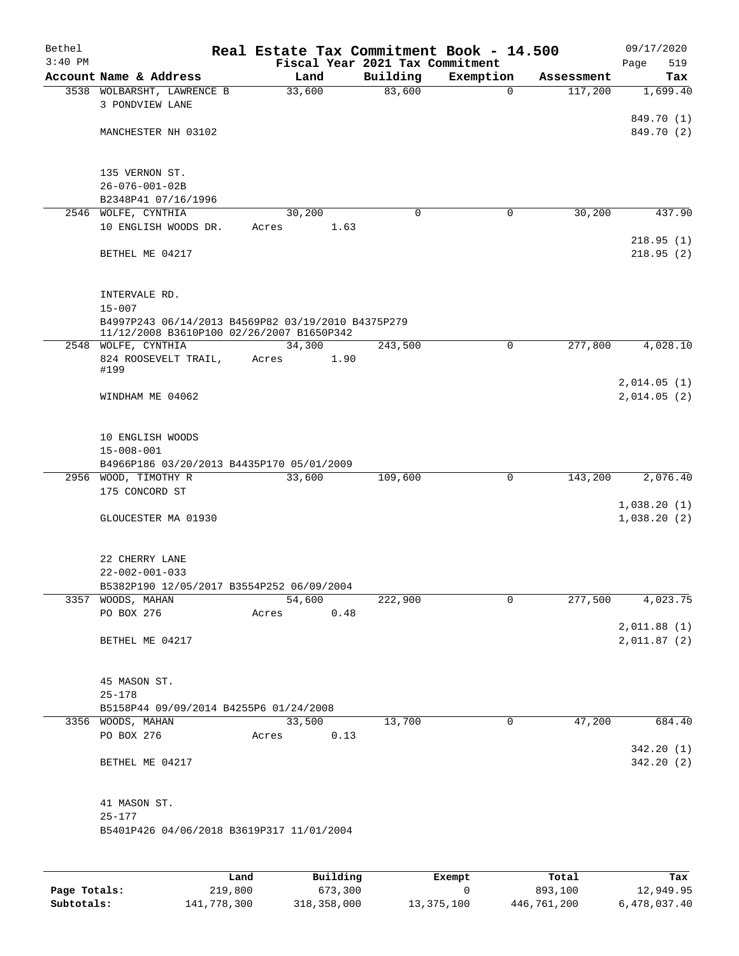| Bethel<br>$3:40$ PM |                                                                                                 | Real Estate Tax Commitment Book - 14.500<br>Fiscal Year 2021 Tax Commitment |             |             |            | 09/17/2020<br>519<br>Page   |
|---------------------|-------------------------------------------------------------------------------------------------|-----------------------------------------------------------------------------|-------------|-------------|------------|-----------------------------|
|                     | Account Name & Address                                                                          | Land                                                                        | Building    | Exemption   | Assessment | Tax                         |
|                     | 3538 WOLBARSHT, LAWRENCE B                                                                      | 33,600                                                                      | 83,600      | $\Omega$    | 117,200    | 1,699.40                    |
|                     | 3 PONDVIEW LANE                                                                                 |                                                                             |             |             |            | 849.70 (1)                  |
|                     | MANCHESTER NH 03102                                                                             |                                                                             |             |             |            | 849.70 (2)                  |
|                     | 135 VERNON ST.                                                                                  |                                                                             |             |             |            |                             |
|                     | $26 - 076 - 001 - 02B$                                                                          |                                                                             |             |             |            |                             |
|                     | B2348P41 07/16/1996                                                                             |                                                                             |             |             |            |                             |
|                     | 2546 WOLFE, CYNTHIA                                                                             | 30,200                                                                      | $\mathbf 0$ | 0           | 30,200     | 437.90                      |
|                     | 10 ENGLISH WOODS DR.                                                                            | Acres 1.63                                                                  |             |             |            | 218.95(1)                   |
|                     | BETHEL ME 04217                                                                                 |                                                                             |             |             |            | 218.95(2)                   |
|                     | INTERVALE RD.<br>$15 - 007$                                                                     |                                                                             |             |             |            |                             |
|                     | B4997P243 06/14/2013 B4569P82 03/19/2010 B4375P279<br>11/12/2008 B3610P100 02/26/2007 B1650P342 |                                                                             |             |             |            |                             |
|                     | 2548 WOLFE, CYNTHIA                                                                             | 34,300                                                                      | 243,500     | 0           | 277,800    | 4,028.10                    |
|                     | 824 ROOSEVELT TRAIL,<br>#199                                                                    | Acres 1.90                                                                  |             |             |            |                             |
|                     |                                                                                                 |                                                                             |             |             |            | 2,014.05(1)                 |
|                     | WINDHAM ME 04062                                                                                |                                                                             |             |             |            | 2,014.05(2)                 |
|                     | 10 ENGLISH WOODS<br>$15 - 008 - 001$                                                            |                                                                             |             |             |            |                             |
|                     | B4966P186 03/20/2013 B4435P170 05/01/2009                                                       |                                                                             |             |             |            |                             |
|                     | 2956 WOOD, TIMOTHY R                                                                            | 33,600                                                                      | 109,600     | 0           | 143,200    | 2,076.40                    |
|                     | 175 CONCORD ST                                                                                  |                                                                             |             |             |            |                             |
|                     | GLOUCESTER MA 01930                                                                             |                                                                             |             |             |            | 1,038.20(1)<br>1,038.20(2)  |
|                     | 22 CHERRY LANE<br>$22 - 002 - 001 - 033$                                                        |                                                                             |             |             |            |                             |
|                     | B5382P190 12/05/2017 B3554P252 06/09/2004                                                       |                                                                             |             |             |            |                             |
|                     | 3357 WOODS, MAHAN                                                                               | 54,600                                                                      | 222,900     | 0           | 277,500    | 4,023.75                    |
|                     | PO BOX 276                                                                                      | Acres<br>0.48                                                               |             |             |            |                             |
|                     | BETHEL ME 04217                                                                                 |                                                                             |             |             |            | 2,011.88 (1)<br>2,011.87(2) |
|                     | 45 MASON ST.                                                                                    |                                                                             |             |             |            |                             |
|                     | $25 - 178$                                                                                      |                                                                             |             |             |            |                             |
|                     | B5158P44 09/09/2014 B4255P6 01/24/2008<br>3356 WOODS, MAHAN                                     | 33,500                                                                      | 13,700      | $\mathbf 0$ | 47,200     | 684.40                      |
|                     | PO BOX 276                                                                                      | 0.13<br>Acres                                                               |             |             |            |                             |
|                     | BETHEL ME 04217                                                                                 |                                                                             |             |             |            | 342.20(1)<br>342.20(2)      |
|                     | 41 MASON ST.                                                                                    |                                                                             |             |             |            |                             |
|                     | $25 - 177$<br>B5401P426 04/06/2018 B3619P317 11/01/2004                                         |                                                                             |             |             |            |                             |
|                     |                                                                                                 |                                                                             |             |             |            |                             |

|              | Land        | Building    | Exempt     | Total       | Tax          |
|--------------|-------------|-------------|------------|-------------|--------------|
| Page Totals: | 219,800     | 673,300     |            | 893,100     | 12,949.95    |
| Subtotals:   | 141,778,300 | 318,358,000 | 13,375,100 | 446,761,200 | 6,478,037.40 |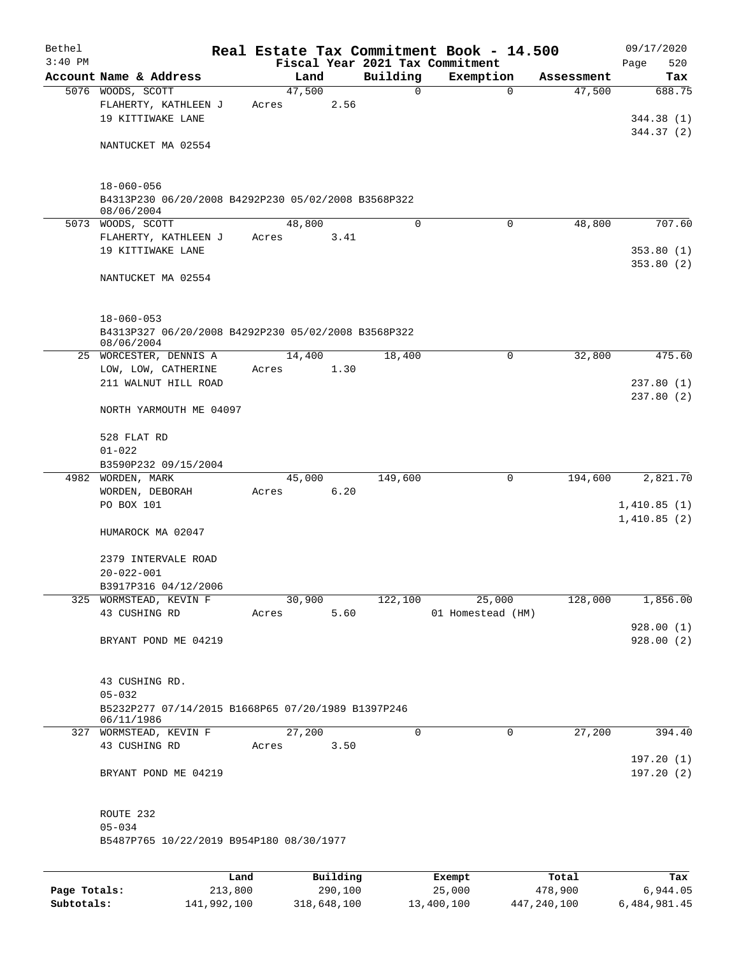| Bethel    |                                                                                       |       |        |          |             | Real Estate Tax Commitment Book - 14.500 |            | 09/17/2020             |
|-----------|---------------------------------------------------------------------------------------|-------|--------|----------|-------------|------------------------------------------|------------|------------------------|
| $3:40$ PM |                                                                                       |       |        |          |             | Fiscal Year 2021 Tax Commitment          |            | 520<br>Page            |
|           | Account Name & Address                                                                |       | Land   |          | Building    | Exemption                                | Assessment | Tax                    |
|           | 5076 WOODS, SCOTT<br>FLAHERTY, KATHLEEN J<br>19 KITTIWAKE LANE                        | Acres | 47,500 | 2.56     | $\mathbf 0$ | $\mathbf 0$                              | 47,500     | 688.75<br>344.38(1)    |
|           | NANTUCKET MA 02554                                                                    |       |        |          |             |                                          |            | 344.37(2)              |
|           | $18 - 060 - 056$                                                                      |       |        |          |             |                                          |            |                        |
|           | B4313P230 06/20/2008 B4292P230 05/02/2008 B3568P322<br>08/06/2004                     |       |        |          |             |                                          |            |                        |
|           | 5073 WOODS, SCOTT                                                                     |       | 48,800 |          | $\mathbf 0$ | $\mathbf 0$                              | 48,800     | 707.60                 |
|           | FLAHERTY, KATHLEEN J<br>19 KITTIWAKE LANE                                             | Acres |        | 3.41     |             |                                          |            | 353.80(1)<br>353.80(2) |
|           | NANTUCKET MA 02554                                                                    |       |        |          |             |                                          |            |                        |
|           | $18 - 060 - 053$<br>B4313P327 06/20/2008 B4292P230 05/02/2008 B3568P322<br>08/06/2004 |       |        |          |             |                                          |            |                        |
|           | 25 WORCESTER, DENNIS A                                                                |       | 14,400 |          | 18,400      | 0                                        | 32,800     | 475.60                 |
|           | LOW, LOW, CATHERINE                                                                   | Acres |        | 1.30     |             |                                          |            |                        |
|           | 211 WALNUT HILL ROAD                                                                  |       |        |          |             |                                          |            | 237.80(1)<br>237.80(2) |
|           | NORTH YARMOUTH ME 04097                                                               |       |        |          |             |                                          |            |                        |
|           | 528 FLAT RD                                                                           |       |        |          |             |                                          |            |                        |
|           | $01 - 022$                                                                            |       |        |          |             |                                          |            |                        |
|           | B3590P232 09/15/2004<br>4982 WORDEN, MARK                                             |       | 45,000 |          | 149,600     | 0                                        | 194,600    | 2,821.70               |
|           | WORDEN, DEBORAH                                                                       | Acres |        | 6.20     |             |                                          |            |                        |
|           | PO BOX 101                                                                            |       |        |          |             |                                          |            | 1,410.85(1)            |
|           | HUMAROCK MA 02047                                                                     |       |        |          |             |                                          |            | 1,410.85(2)            |
|           | 2379 INTERVALE ROAD<br>$20 - 022 - 001$                                               |       |        |          |             |                                          |            |                        |
|           | B3917P316 04/12/2006                                                                  |       |        |          |             |                                          |            |                        |
|           | 325 WORMSTEAD, KEVIN F                                                                |       | 30,900 |          | 122,100     | 25,000                                   | 128,000    | 1,856.00               |
|           | 43 CUSHING RD                                                                         | Acres |        | 5.60     |             | 01 Homestead (HM)                        |            | 928.00(1)              |
|           | BRYANT POND ME 04219                                                                  |       |        |          |             |                                          |            | 928.00(2)              |
|           | 43 CUSHING RD.                                                                        |       |        |          |             |                                          |            |                        |
|           | $05 - 032$<br>B5232P277 07/14/2015 B1668P65 07/20/1989 B1397P246<br>06/11/1986        |       |        |          |             |                                          |            |                        |
|           | 327 WORMSTEAD, KEVIN F                                                                |       | 27,200 |          | $\Omega$    | 0                                        | 27,200     | 394.40                 |
|           | 43 CUSHING RD                                                                         |       | Acres  | 3.50     |             |                                          |            | 197.20(1)              |
|           | BRYANT POND ME 04219                                                                  |       |        |          |             |                                          |            | 197.20(2)              |
|           | ROUTE 232                                                                             |       |        |          |             |                                          |            |                        |
|           | $05 - 034$<br>B5487P765 10/22/2019 B954P180 08/30/1977                                |       |        |          |             |                                          |            |                        |
|           |                                                                                       |       |        |          |             |                                          |            |                        |
|           |                                                                                       | Land  |        | Building |             | Exempt                                   | Total      | Tax                    |

|              | Land        | Building    | Exempt     | Total       | тах          |
|--------------|-------------|-------------|------------|-------------|--------------|
| Page Totals: | 213,800     | 290,100     | 25,000     | 478,900     | 6,944.05     |
| Subtotals:   | 141,992,100 | 318,648,100 | 13,400,100 | 447,240,100 | 6,484,981.45 |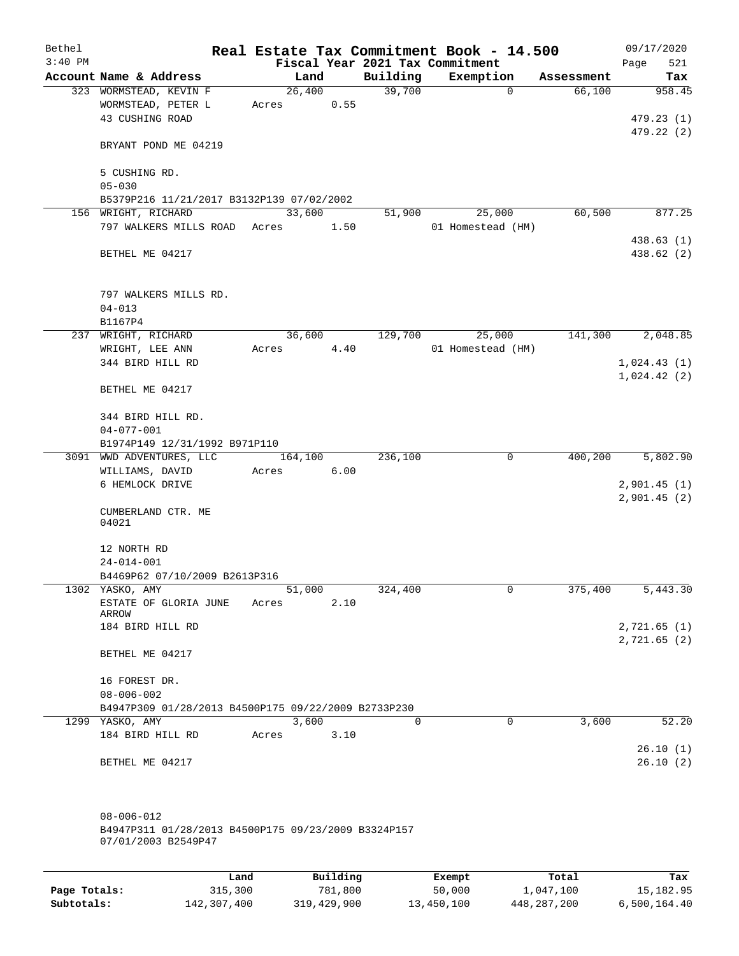| Bethel    |                                                     |       |         |          | Real Estate Tax Commitment Book - 14.500 |            | 09/17/2020               |
|-----------|-----------------------------------------------------|-------|---------|----------|------------------------------------------|------------|--------------------------|
| $3:40$ PM |                                                     |       |         |          | Fiscal Year 2021 Tax Commitment          |            | 521<br>Page              |
|           | Account Name & Address                              |       | Land    | Building | Exemption                                | Assessment | Tax                      |
|           | 323 WORMSTEAD, KEVIN F                              |       | 26,400  | 39,700   | $\mathbf 0$                              | 66,100     | 958.45                   |
|           | WORMSTEAD, PETER L                                  | Acres | 0.55    |          |                                          |            |                          |
|           | 43 CUSHING ROAD                                     |       |         |          |                                          |            | 479.23(1)                |
|           | BRYANT POND ME 04219                                |       |         |          |                                          |            | 479.22(2)                |
|           |                                                     |       |         |          |                                          |            |                          |
|           | 5 CUSHING RD.                                       |       |         |          |                                          |            |                          |
|           | $05 - 030$                                          |       |         |          |                                          |            |                          |
|           | B5379P216 11/21/2017 B3132P139 07/02/2002           |       |         |          |                                          |            |                          |
|           | 156 WRIGHT, RICHARD                                 |       | 33,600  | 51,900   | 25,000                                   | 60,500     | 877.25                   |
|           | 797 WALKERS MILLS ROAD Acres                        |       | 1.50    |          | 01 Homestead (HM)                        |            |                          |
|           | BETHEL ME 04217                                     |       |         |          |                                          |            | 438.63 (1)<br>438.62 (2) |
|           |                                                     |       |         |          |                                          |            |                          |
|           | 797 WALKERS MILLS RD.                               |       |         |          |                                          |            |                          |
|           | $04 - 013$                                          |       |         |          |                                          |            |                          |
|           | B1167P4                                             |       |         |          |                                          |            |                          |
|           | 237 WRIGHT, RICHARD                                 |       | 36,600  | 129,700  | 25,000                                   | 141,300    | 2,048.85                 |
|           | WRIGHT, LEE ANN                                     | Acres | 4.40    |          | 01 Homestead (HM)                        |            |                          |
|           | 344 BIRD HILL RD                                    |       |         |          |                                          |            | 1,024.43(1)              |
|           |                                                     |       |         |          |                                          |            | 1,024.42(2)              |
|           | BETHEL ME 04217                                     |       |         |          |                                          |            |                          |
|           | 344 BIRD HILL RD.                                   |       |         |          |                                          |            |                          |
|           | $04 - 077 - 001$                                    |       |         |          |                                          |            |                          |
|           | B1974P149 12/31/1992 B971P110                       |       |         |          |                                          |            |                          |
|           | 3091 WWD ADVENTURES, LLC                            |       | 164,100 | 236,100  | 0                                        | 400,200    | 5,802.90                 |
|           | WILLIAMS, DAVID                                     | Acres | 6.00    |          |                                          |            |                          |
|           | 6 HEMLOCK DRIVE                                     |       |         |          |                                          |            | 2,901.45(1)              |
|           |                                                     |       |         |          |                                          |            | 2,901.45(2)              |
|           | CUMBERLAND CTR. ME<br>04021                         |       |         |          |                                          |            |                          |
|           |                                                     |       |         |          |                                          |            |                          |
|           | 12 NORTH RD                                         |       |         |          |                                          |            |                          |
|           | $24 - 014 - 001$                                    |       |         |          |                                          |            |                          |
|           | B4469P62 07/10/2009 B2613P316                       |       |         |          |                                          |            |                          |
|           | 1302 YASKO, AMY                                     |       | 51,000  | 324,400  | 0                                        | 375,400    | 5,443.30                 |
|           | ESTATE OF GLORIA JUNE<br>ARROW                      | Acres | 2.10    |          |                                          |            |                          |
|           | 184 BIRD HILL RD                                    |       |         |          |                                          |            | 2,721.65(1)              |
|           |                                                     |       |         |          |                                          |            | 2,721.65(2)              |
|           | BETHEL ME 04217                                     |       |         |          |                                          |            |                          |
|           | 16 FOREST DR.                                       |       |         |          |                                          |            |                          |
|           | $08 - 006 - 002$                                    |       |         |          |                                          |            |                          |
|           | B4947P309 01/28/2013 B4500P175 09/22/2009 B2733P230 |       |         |          |                                          |            |                          |
|           | 1299 YASKO, AMY                                     |       | 3,600   | $\Omega$ | 0                                        | 3,600      | 52.20                    |
|           | 184 BIRD HILL RD                                    | Acres | 3.10    |          |                                          |            |                          |
|           |                                                     |       |         |          |                                          |            | 26.10(1)                 |
|           | BETHEL ME 04217                                     |       |         |          |                                          |            | 26.10(2)                 |
|           |                                                     |       |         |          |                                          |            |                          |
|           |                                                     |       |         |          |                                          |            |                          |
|           | $08 - 006 - 012$                                    |       |         |          |                                          |            |                          |
|           | B4947P311 01/28/2013 B4500P175 09/23/2009 B3324P157 |       |         |          |                                          |            |                          |
|           | 07/01/2003 B2549P47                                 |       |         |          |                                          |            |                          |
|           |                                                     |       |         |          |                                          |            |                          |
|           |                                                     |       |         |          |                                          |            |                          |

|              | Land        | Building    | Exempt     | Total       | Tax          |
|--------------|-------------|-------------|------------|-------------|--------------|
| Page Totals: | 315,300     | 781,800     | 50,000     | 1,047,100   | 15,182.95    |
| Subtotals:   | 142,307,400 | 319,429,900 | 13,450,100 | 448,287,200 | 6,500,164.40 |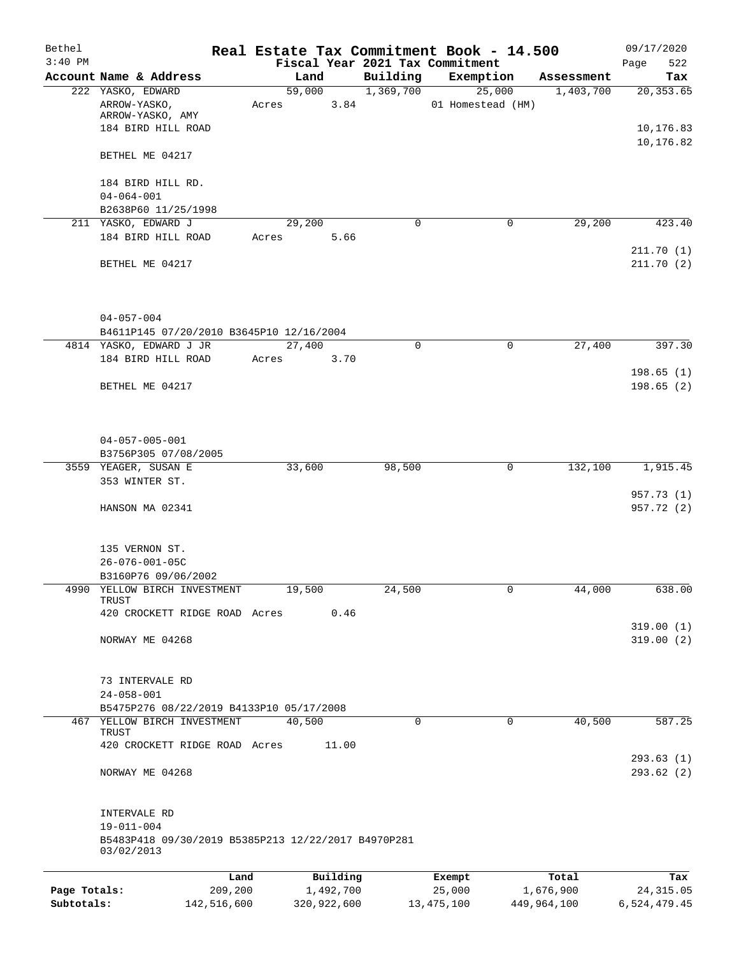| Bethel       |                                                                                         |                |             |                       | Real Estate Tax Commitment Book - 14.500 |             | 09/17/2020               |
|--------------|-----------------------------------------------------------------------------------------|----------------|-------------|-----------------------|------------------------------------------|-------------|--------------------------|
| $3:40$ PM    |                                                                                         |                |             |                       | Fiscal Year 2021 Tax Commitment          |             | 522<br>Page              |
|              | Account Name & Address<br>222 YASKO, EDWARD                                             | Land<br>59,000 |             | Building<br>1,369,700 | Exemption                                | Assessment  | Tax<br>20, 353.65        |
|              | ARROW-YASKO,<br>ARROW-YASKO, AMY                                                        | Acres          | 3.84        |                       | 25,000<br>01 Homestead (HM)              | 1,403,700   |                          |
|              | 184 BIRD HILL ROAD                                                                      |                |             |                       |                                          |             | 10,176.83<br>10,176.82   |
|              | BETHEL ME 04217                                                                         |                |             |                       |                                          |             |                          |
|              | 184 BIRD HILL RD.                                                                       |                |             |                       |                                          |             |                          |
|              | $04 - 064 - 001$<br>B2638P60 11/25/1998                                                 |                |             |                       |                                          |             |                          |
|              | 211 YASKO, EDWARD J                                                                     | 29,200         |             | 0                     | $\mathbf 0$                              | 29,200      | 423.40                   |
|              | 184 BIRD HILL ROAD                                                                      | Acres          | 5.66        |                       |                                          |             |                          |
|              | BETHEL ME 04217                                                                         |                |             |                       |                                          |             | 211.70 (1)<br>211.70 (2) |
|              | $04 - 057 - 004$                                                                        |                |             |                       |                                          |             |                          |
|              | B4611P145 07/20/2010 B3645P10 12/16/2004                                                |                |             |                       |                                          |             |                          |
|              | 4814 YASKO, EDWARD J JR                                                                 | 27,400         |             | 0                     | 0                                        | 27,400      | 397.30                   |
|              | 184 BIRD HILL ROAD                                                                      | Acres          | 3.70        |                       |                                          |             |                          |
|              |                                                                                         |                |             |                       |                                          |             | 198.65(1)                |
|              | BETHEL ME 04217                                                                         |                |             |                       |                                          |             | 198.65(2)                |
|              | $04 - 057 - 005 - 001$                                                                  |                |             |                       |                                          |             |                          |
|              | B3756P305 07/08/2005                                                                    |                |             |                       |                                          |             |                          |
|              | 3559 YEAGER, SUSAN E<br>353 WINTER ST.                                                  | 33,600         |             | 98,500                | 0                                        | 132,100     | 1,915.45                 |
|              | HANSON MA 02341                                                                         |                |             |                       |                                          |             | 957.73 (1)<br>957.72 (2) |
|              | 135 VERNON ST.<br>$26 - 076 - 001 - 05C$<br>B3160P76 09/06/2002                         |                |             |                       |                                          |             |                          |
| 4990         | YELLOW BIRCH INVESTMENT                                                                 | 19,500         |             | 24,500                | 0                                        | 44,000      | 638.00                   |
|              | TRUST<br>420 CROCKETT RIDGE ROAD Acres                                                  |                | 0.46        |                       |                                          |             |                          |
|              | NORWAY ME 04268                                                                         |                |             |                       |                                          |             | 319.00(1)<br>319.00(2)   |
|              | 73 INTERVALE RD<br>$24 - 058 - 001$                                                     |                |             |                       |                                          |             |                          |
|              | B5475P276 08/22/2019 B4133P10 05/17/2008                                                |                |             |                       |                                          |             |                          |
| 467          | YELLOW BIRCH INVESTMENT<br>TRUST                                                        | 40,500         |             | 0                     | $\mathbf 0$                              | 40,500      | 587.25                   |
|              | 420 CROCKETT RIDGE ROAD Acres                                                           |                | 11.00       |                       |                                          |             | 293.63(1)                |
|              | NORWAY ME 04268                                                                         |                |             |                       |                                          |             | 293.62 (2)               |
|              | INTERVALE RD<br>$19 - 011 - 004$<br>B5483P418 09/30/2019 B5385P213 12/22/2017 B4970P281 |                |             |                       |                                          |             |                          |
|              | 03/02/2013                                                                              |                |             |                       |                                          |             |                          |
|              |                                                                                         | Land           | Building    |                       | Exempt                                   | Total       | Tax                      |
| Page Totals: | 209,200                                                                                 |                | 1,492,700   |                       | 25,000                                   | 1,676,900   | 24, 315.05               |
| Subtotals:   | 142,516,600                                                                             |                | 320,922,600 |                       | 13, 475, 100                             | 449,964,100 | 6,524,479.45             |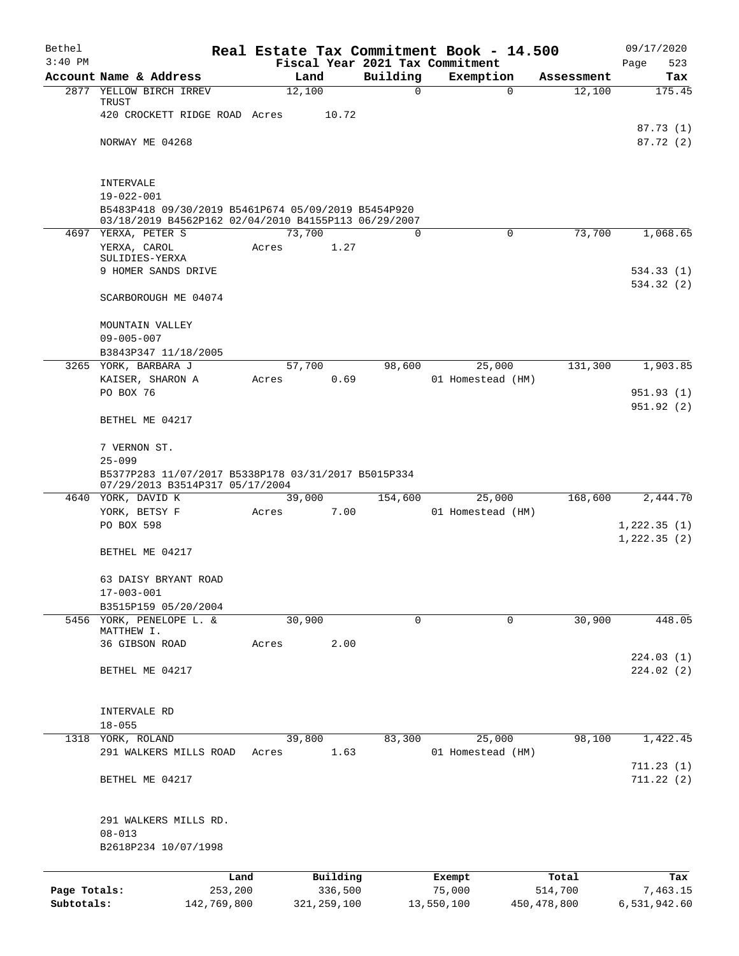| Bethel                     |                                                                                        |                 |                          |          | Real Estate Tax Commitment Book - 14.500     |                          | 09/17/2020                 |
|----------------------------|----------------------------------------------------------------------------------------|-----------------|--------------------------|----------|----------------------------------------------|--------------------------|----------------------------|
| $3:40$ PM                  | Account Name & Address                                                                 | Land            |                          | Building | Fiscal Year 2021 Tax Commitment<br>Exemption | Assessment               | Page<br>523<br>Tax         |
|                            | 2877 YELLOW BIRCH IRREV                                                                | 12,100          |                          | 0        | 0                                            | 12,100                   | 175.45                     |
|                            | TRUST<br>420 CROCKETT RIDGE ROAD Acres                                                 |                 | 10.72                    |          |                                              |                          |                            |
|                            | NORWAY ME 04268                                                                        |                 |                          |          |                                              |                          | 87.73 (1)<br>87.72 (2)     |
|                            |                                                                                        |                 |                          |          |                                              |                          |                            |
|                            | INTERVALE                                                                              |                 |                          |          |                                              |                          |                            |
|                            | $19 - 022 - 001$<br>B5483P418 09/30/2019 B5461P674 05/09/2019 B5454P920                |                 |                          |          |                                              |                          |                            |
|                            | 03/18/2019 B4562P162 02/04/2010 B4155P113 06/29/2007                                   |                 |                          |          |                                              |                          |                            |
|                            | 4697 YERXA, PETER S<br>YERXA, CAROL                                                    | 73,700<br>Acres | 1.27                     | 0        | 0                                            | 73,700                   | 1,068.65                   |
|                            | SULIDIES-YERXA                                                                         |                 |                          |          |                                              |                          |                            |
|                            | 9 HOMER SANDS DRIVE                                                                    |                 |                          |          |                                              |                          | 534.33(1)                  |
|                            | SCARBOROUGH ME 04074                                                                   |                 |                          |          |                                              |                          | 534.32(2)                  |
|                            | MOUNTAIN VALLEY                                                                        |                 |                          |          |                                              |                          |                            |
|                            | $09 - 005 - 007$<br>B3843P347 11/18/2005                                               |                 |                          |          |                                              |                          |                            |
|                            | 3265 YORK, BARBARA J                                                                   | 57,700          |                          | 98,600   | 25,000                                       | 131,300                  | 1,903.85                   |
|                            | KAISER, SHARON A                                                                       | Acres           | 0.69                     |          | 01 Homestead (HM)                            |                          |                            |
|                            | PO BOX 76                                                                              |                 |                          |          |                                              |                          | 951.93(1)<br>951.92 (2)    |
|                            | BETHEL ME 04217                                                                        |                 |                          |          |                                              |                          |                            |
|                            | 7 VERNON ST.<br>$25 - 099$                                                             |                 |                          |          |                                              |                          |                            |
|                            | B5377P283 11/07/2017 B5338P178 03/31/2017 B5015P334<br>07/29/2013 B3514P317 05/17/2004 |                 |                          |          |                                              |                          |                            |
|                            | 4640 YORK, DAVID K                                                                     | 39,000          |                          | 154,600  | 25,000                                       | 168,600                  | 2,444.70                   |
|                            | YORK, BETSY F                                                                          | Acres           | 7.00                     |          | 01 Homestead (HM)                            |                          |                            |
|                            | PO BOX 598                                                                             |                 |                          |          |                                              |                          | 1,222.35(1)<br>1,222.35(2) |
|                            | BETHEL ME 04217                                                                        |                 |                          |          |                                              |                          |                            |
|                            | 63 DAISY BRYANT ROAD<br>$17 - 003 - 001$                                               |                 |                          |          |                                              |                          |                            |
|                            | B3515P159 05/20/2004                                                                   |                 |                          |          |                                              |                          |                            |
|                            | 5456 YORK, PENELOPE L. &                                                               | 30,900          |                          | 0        | $\mathbf 0$                                  | 30,900                   | 448.05                     |
|                            | MATTHEW I.<br>36 GIBSON ROAD                                                           | Acres           | 2.00                     |          |                                              |                          |                            |
|                            |                                                                                        |                 |                          |          |                                              |                          | 224.03(1)                  |
|                            | BETHEL ME 04217                                                                        |                 |                          |          |                                              |                          | 224.02(2)                  |
|                            | INTERVALE RD                                                                           |                 |                          |          |                                              |                          |                            |
|                            | $18 - 055$                                                                             |                 |                          |          |                                              |                          |                            |
|                            | 1318 YORK, ROLAND                                                                      | 39,800          |                          | 83,300   | 25,000                                       | 98,100                   | 1,422.45                   |
|                            | 291 WALKERS MILLS ROAD                                                                 | Acres           | 1.63                     |          | 01 Homestead (HM)                            |                          | 711.23(1)                  |
|                            | BETHEL ME 04217                                                                        |                 |                          |          |                                              |                          | 711.22(2)                  |
|                            | 291 WALKERS MILLS RD.                                                                  |                 |                          |          |                                              |                          |                            |
|                            | $08 - 013$                                                                             |                 |                          |          |                                              |                          |                            |
|                            | B2618P234 10/07/1998                                                                   |                 |                          |          |                                              |                          |                            |
|                            | Land                                                                                   |                 | Building                 |          | Exempt                                       | Total                    | Tax                        |
| Page Totals:<br>Subtotals: | 253,200<br>142,769,800                                                                 |                 | 336,500<br>321, 259, 100 |          | 75,000<br>13,550,100                         | 514,700<br>450, 478, 800 | 7,463.15<br>6,531,942.60   |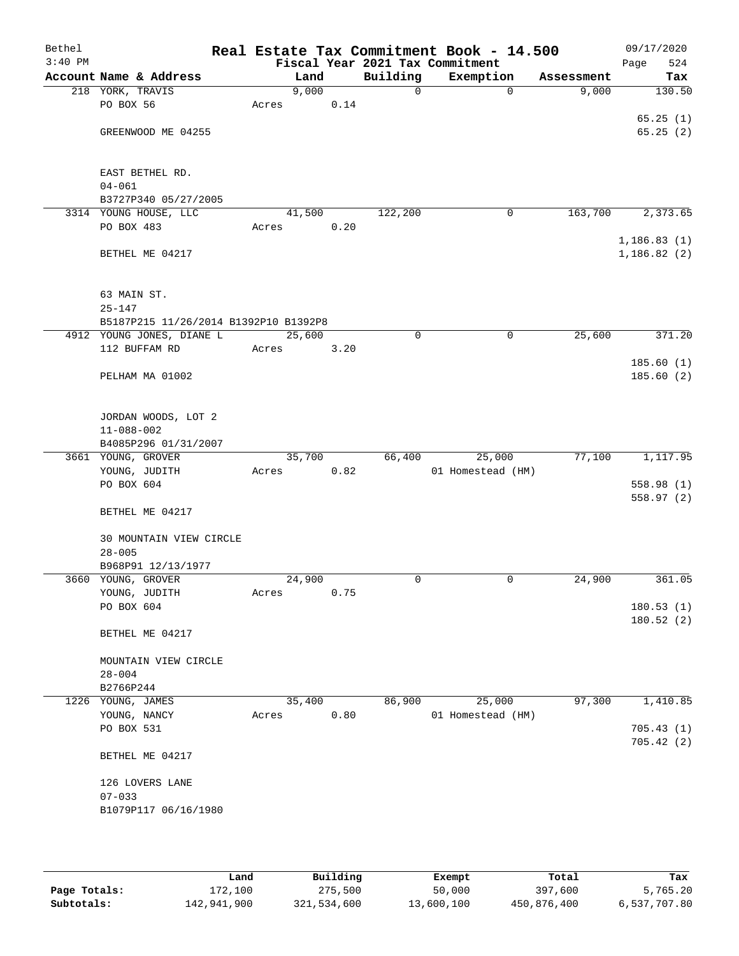| Bethel<br>$3:40$ PM |                                          |                 |      |             | Real Estate Tax Commitment Book - 14.500<br>Fiscal Year 2021 Tax Commitment |            | 09/17/2020<br>524<br>Page |
|---------------------|------------------------------------------|-----------------|------|-------------|-----------------------------------------------------------------------------|------------|---------------------------|
|                     | Account Name & Address                   | Land            |      | Building    | Exemption                                                                   | Assessment | Tax                       |
|                     | 218 YORK, TRAVIS                         | 9,000           |      | 0           | $\mathbf 0$                                                                 | 9,000      | 130.50                    |
|                     | PO BOX 56                                | Acres           | 0.14 |             |                                                                             |            |                           |
|                     |                                          |                 |      |             |                                                                             |            | 65.25(1)                  |
|                     | GREENWOOD ME 04255                       |                 |      |             |                                                                             |            | 65.25(2)                  |
|                     | EAST BETHEL RD.                          |                 |      |             |                                                                             |            |                           |
|                     | $04 - 061$                               |                 |      |             |                                                                             |            |                           |
|                     | B3727P340 05/27/2005                     |                 |      |             |                                                                             |            |                           |
|                     | 3314 YOUNG HOUSE, LLC                    | 41,500          |      | 122,200     | $\mathbf 0$                                                                 | 163,700    | 2,373.65                  |
|                     | PO BOX 483                               | Acres           | 0.20 |             |                                                                             |            |                           |
|                     |                                          |                 |      |             |                                                                             |            | 1,186.83(1)               |
|                     | BETHEL ME 04217                          |                 |      |             |                                                                             |            | 1,186.82(2)               |
|                     | 63 MAIN ST.                              |                 |      |             |                                                                             |            |                           |
|                     | $25 - 147$                               |                 |      |             |                                                                             |            |                           |
|                     | B5187P215 11/26/2014 B1392P10 B1392P8    |                 |      |             |                                                                             |            |                           |
|                     | 4912 YOUNG JONES, DIANE L                | 25,600          |      | $\mathbf 0$ | 0                                                                           | 25,600     | 371.20                    |
|                     | 112 BUFFAM RD                            | Acres           | 3.20 |             |                                                                             |            |                           |
|                     | PELHAM MA 01002                          |                 |      |             |                                                                             |            | 185.60(1)<br>185.60(2)    |
|                     |                                          |                 |      |             |                                                                             |            |                           |
|                     | JORDAN WOODS, LOT 2                      |                 |      |             |                                                                             |            |                           |
|                     | $11 - 088 - 002$                         |                 |      |             |                                                                             |            |                           |
|                     | B4085P296 01/31/2007                     |                 |      |             |                                                                             |            |                           |
|                     | 3661 YOUNG, GROVER<br>YOUNG, JUDITH      | 35,700<br>Acres | 0.82 | 66,400      | 25,000<br>01 Homestead (HM)                                                 | 77,100     | 1,117.95                  |
|                     | PO BOX 604                               |                 |      |             |                                                                             |            | 558.98(1)                 |
|                     |                                          |                 |      |             |                                                                             |            | 558.97(2)                 |
|                     | BETHEL ME 04217                          |                 |      |             |                                                                             |            |                           |
|                     | 30 MOUNTAIN VIEW CIRCLE                  |                 |      |             |                                                                             |            |                           |
|                     | $28 - 005$                               |                 |      |             |                                                                             |            |                           |
|                     | B968P91 12/13/1977<br>3660 YOUNG, GROVER | 24,900          |      | 0           | 0                                                                           | 24,900     | 361.05                    |
|                     | YOUNG, JUDITH                            | Acres           | 0.75 |             |                                                                             |            |                           |
|                     | PO BOX 604                               |                 |      |             |                                                                             |            | 180.53(1)                 |
|                     |                                          |                 |      |             |                                                                             |            | 180.52(2)                 |
|                     | BETHEL ME 04217                          |                 |      |             |                                                                             |            |                           |
|                     | MOUNTAIN VIEW CIRCLE                     |                 |      |             |                                                                             |            |                           |
|                     | $28 - 004$                               |                 |      |             |                                                                             |            |                           |
|                     | B2766P244                                |                 |      |             |                                                                             |            |                           |
|                     | 1226 YOUNG, JAMES                        | 35,400          |      | 86,900      | 25,000                                                                      | 97,300     | 1,410.85                  |
|                     | YOUNG, NANCY                             | Acres           | 0.80 |             | 01 Homestead (HM)                                                           |            |                           |
|                     | PO BOX 531                               |                 |      |             |                                                                             |            | 705.43(1)<br>705.42(2)    |
|                     | BETHEL ME 04217                          |                 |      |             |                                                                             |            |                           |
|                     | 126 LOVERS LANE<br>$07 - 033$            |                 |      |             |                                                                             |            |                           |
|                     | B1079P117 06/16/1980                     |                 |      |             |                                                                             |            |                           |
|                     |                                          |                 |      |             |                                                                             |            |                           |
|                     |                                          |                 |      |             |                                                                             |            |                           |

|              | Land        | Building    | Exempt     | Total       | Tax          |
|--------------|-------------|-------------|------------|-------------|--------------|
| Page Totals: | 172,100     | 275,500     | 50,000     | 397,600     | 5,765.20     |
| Subtotals:   | 142,941,900 | 321,534,600 | 13,600,100 | 450,876,400 | 6,537,707.80 |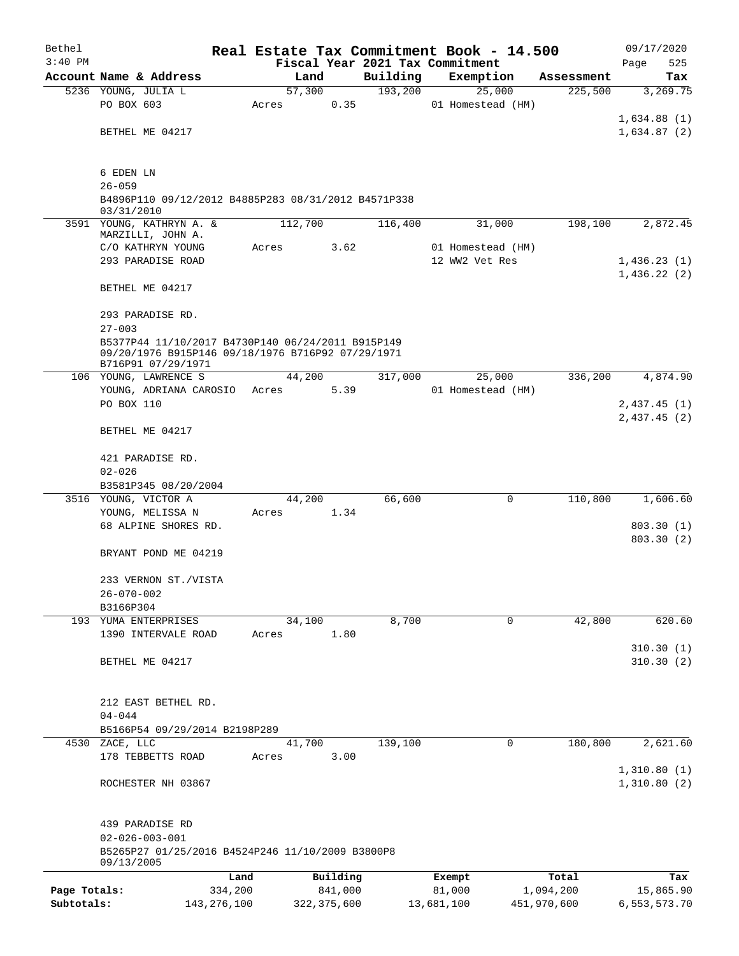| Bethel       |                                                                                                        |         |               |          | Real Estate Tax Commitment Book - 14.500 |             | 09/17/2020              |  |  |
|--------------|--------------------------------------------------------------------------------------------------------|---------|---------------|----------|------------------------------------------|-------------|-------------------------|--|--|
| $3:40$ PM    |                                                                                                        |         |               |          | Fiscal Year 2021 Tax Commitment          |             | Page<br>525             |  |  |
|              | Account Name & Address                                                                                 | Land    |               | Building | Exemption                                | Assessment  | Tax                     |  |  |
|              | 5236 YOUNG, JULIA L<br>PO BOX 603                                                                      | 57,300  |               | 193,200  | 25,000                                   | 225,500     | 3,269.75                |  |  |
|              |                                                                                                        | Acres   | 0.35          |          | 01 Homestead (HM)                        |             | 1,634.88(1)             |  |  |
|              | BETHEL ME 04217                                                                                        |         |               |          |                                          |             | 1,634.87(2)             |  |  |
|              |                                                                                                        |         |               |          |                                          |             |                         |  |  |
|              |                                                                                                        |         |               |          |                                          |             |                         |  |  |
|              | 6 EDEN LN                                                                                              |         |               |          |                                          |             |                         |  |  |
|              | $26 - 059$<br>B4896P110 09/12/2012 B4885P283 08/31/2012 B4571P338                                      |         |               |          |                                          |             |                         |  |  |
|              | 03/31/2010                                                                                             |         |               |          |                                          |             |                         |  |  |
|              | 3591 YOUNG, KATHRYN A. &                                                                               | 112,700 |               | 116,400  | 31,000                                   | 198,100     | 2,872.45                |  |  |
|              | MARZILLI, JOHN A.<br>C/O KATHRYN YOUNG                                                                 | Acres   | 3.62          |          | 01 Homestead (HM)                        |             |                         |  |  |
|              | 293 PARADISE ROAD                                                                                      |         |               |          | 12 WW2 Vet Res                           |             | 1,436.23(1)             |  |  |
|              |                                                                                                        |         |               |          |                                          |             | 1,436.22(2)             |  |  |
|              | BETHEL ME 04217                                                                                        |         |               |          |                                          |             |                         |  |  |
|              |                                                                                                        |         |               |          |                                          |             |                         |  |  |
|              | 293 PARADISE RD.                                                                                       |         |               |          |                                          |             |                         |  |  |
|              | $27 - 003$                                                                                             |         |               |          |                                          |             |                         |  |  |
|              | B5377P44 11/10/2017 B4730P140 06/24/2011 B915P149<br>09/20/1976 B915P146 09/18/1976 B716P92 07/29/1971 |         |               |          |                                          |             |                         |  |  |
|              | B716P91 07/29/1971                                                                                     |         |               |          |                                          |             |                         |  |  |
|              | 106 YOUNG, LAWRENCE S                                                                                  | 44,200  |               | 317,000  | 25,000                                   | 336,200     | 4,874.90                |  |  |
|              | YOUNG, ADRIANA CAROSIO                                                                                 | Acres   | 5.39          |          | 01 Homestead (HM)                        |             |                         |  |  |
|              | PO BOX 110                                                                                             |         |               |          |                                          |             | 2,437.45(1)             |  |  |
|              | BETHEL ME 04217                                                                                        |         |               |          |                                          |             | 2,437.45(2)             |  |  |
|              |                                                                                                        |         |               |          |                                          |             |                         |  |  |
|              | 421 PARADISE RD.                                                                                       |         |               |          |                                          |             |                         |  |  |
|              | $02 - 026$                                                                                             |         |               |          |                                          |             |                         |  |  |
|              | B3581P345 08/20/2004                                                                                   |         |               |          |                                          |             |                         |  |  |
|              | 3516 YOUNG, VICTOR A                                                                                   | 44,200  |               | 66,600   | 0                                        | 110,800     | 1,606.60                |  |  |
|              | YOUNG, MELISSA N                                                                                       | Acres   | 1.34          |          |                                          |             |                         |  |  |
|              | 68 ALPINE SHORES RD.                                                                                   |         |               |          |                                          |             | 803.30(1)<br>803.30 (2) |  |  |
|              | BRYANT POND ME 04219                                                                                   |         |               |          |                                          |             |                         |  |  |
|              |                                                                                                        |         |               |          |                                          |             |                         |  |  |
|              | 233 VERNON ST./VISTA                                                                                   |         |               |          |                                          |             |                         |  |  |
|              | $26 - 070 - 002$                                                                                       |         |               |          |                                          |             |                         |  |  |
|              | B3166P304                                                                                              |         |               |          |                                          |             |                         |  |  |
|              | 193 YUMA ENTERPRISES<br>1390 INTERVALE ROAD                                                            | 34,100  | 1.80          | 8,700    | $\mathbf 0$                              | 42,800      | 620.60                  |  |  |
|              |                                                                                                        | Acres   |               |          |                                          |             | 310.30(1)               |  |  |
|              | BETHEL ME 04217                                                                                        |         |               |          |                                          |             | 310.30(2)               |  |  |
|              |                                                                                                        |         |               |          |                                          |             |                         |  |  |
|              |                                                                                                        |         |               |          |                                          |             |                         |  |  |
|              | 212 EAST BETHEL RD.                                                                                    |         |               |          |                                          |             |                         |  |  |
|              | $04 - 044$                                                                                             |         |               |          |                                          |             |                         |  |  |
| 4530         | B5166P54 09/29/2014 B2198P289<br>ZACE, LLC                                                             | 41,700  |               | 139,100  | 0                                        | 180,800     | 2,621.60                |  |  |
|              | 178 TEBBETTS ROAD                                                                                      | Acres   | 3.00          |          |                                          |             |                         |  |  |
|              |                                                                                                        |         |               |          |                                          |             | 1,310.80(1)             |  |  |
|              | ROCHESTER NH 03867                                                                                     |         |               |          |                                          |             | 1,310.80(2)             |  |  |
|              |                                                                                                        |         |               |          |                                          |             |                         |  |  |
|              |                                                                                                        |         |               |          |                                          |             |                         |  |  |
|              | 439 PARADISE RD                                                                                        |         |               |          |                                          |             |                         |  |  |
|              | $02 - 026 - 003 - 001$<br>B5265P27 01/25/2016 B4524P246 11/10/2009 B3800P8                             |         |               |          |                                          |             |                         |  |  |
|              | 09/13/2005                                                                                             |         |               |          |                                          |             |                         |  |  |
|              |                                                                                                        | Land    | Building      |          | Exempt                                   | Total       | Tax                     |  |  |
| Page Totals: | 334,200                                                                                                |         | 841,000       |          | 81,000                                   | 1,094,200   | 15,865.90               |  |  |
| Subtotals:   | 143, 276, 100                                                                                          |         | 322, 375, 600 |          | 13,681,100                               | 451,970,600 | 6,553,573.70            |  |  |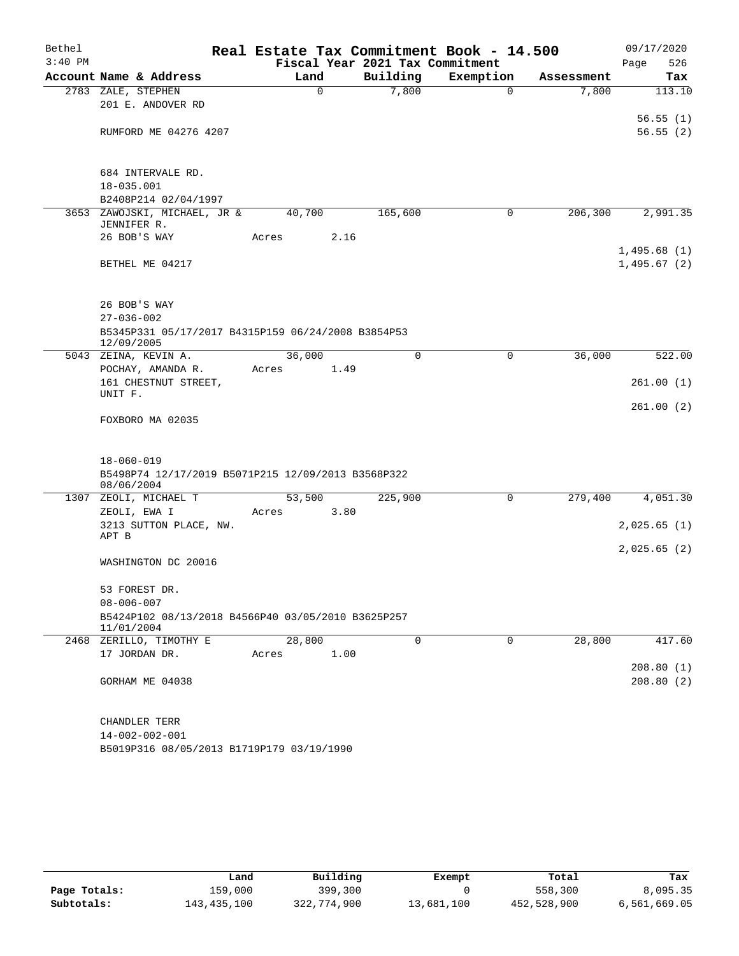| Bethel    |                                                                  | Real Estate Tax Commitment Book - 14.500 |                                 |             |            | 09/17/2020  |
|-----------|------------------------------------------------------------------|------------------------------------------|---------------------------------|-------------|------------|-------------|
| $3:40$ PM |                                                                  |                                          | Fiscal Year 2021 Tax Commitment |             |            | 526<br>Page |
|           | Account Name & Address                                           | Land                                     | Building                        | Exemption   | Assessment | Tax         |
|           | 2783 ZALE, STEPHEN                                               | $\mathbf 0$                              | 7,800                           | $\mathbf 0$ | 7,800      | 113.10      |
|           | 201 E. ANDOVER RD                                                |                                          |                                 |             |            |             |
|           |                                                                  |                                          |                                 |             |            | 56.55(1)    |
|           | RUMFORD ME 04276 4207                                            |                                          |                                 |             |            | 56.55(2)    |
|           |                                                                  |                                          |                                 |             |            |             |
|           | 684 INTERVALE RD.                                                |                                          |                                 |             |            |             |
|           | 18-035.001                                                       |                                          |                                 |             |            |             |
|           | B2408P214 02/04/1997                                             |                                          |                                 |             |            |             |
|           | 3653 ZAWOJSKI, MICHAEL, JR &<br>JENNIFER R.                      | 40,700                                   | 165,600                         | 0           | 206,300    | 2,991.35    |
|           | 26 BOB'S WAY                                                     | Acres                                    | 2.16                            |             |            |             |
|           |                                                                  |                                          |                                 |             |            | 1,495.68(1) |
|           | BETHEL ME 04217                                                  |                                          |                                 |             |            | 1,495.67(2) |
|           |                                                                  |                                          |                                 |             |            |             |
|           |                                                                  |                                          |                                 |             |            |             |
|           | 26 BOB'S WAY                                                     |                                          |                                 |             |            |             |
|           | $27 - 036 - 002$                                                 |                                          |                                 |             |            |             |
|           | B5345P331 05/17/2017 B4315P159 06/24/2008 B3854P53<br>12/09/2005 |                                          |                                 |             |            |             |
|           | 5043 ZEINA, KEVIN A.                                             | 36,000                                   | $\Omega$                        | 0           | 36,000     | 522.00      |
|           | POCHAY, AMANDA R.                                                | Acres                                    | 1.49                            |             |            |             |
|           | 161 CHESTNUT STREET,                                             |                                          |                                 |             |            | 261.00(1)   |
|           | UNIT F.                                                          |                                          |                                 |             |            | 261.00(2)   |
|           | FOXBORO MA 02035                                                 |                                          |                                 |             |            |             |
|           |                                                                  |                                          |                                 |             |            |             |
|           |                                                                  |                                          |                                 |             |            |             |
|           | $18 - 060 - 019$                                                 |                                          |                                 |             |            |             |
|           | B5498P74 12/17/2019 B5071P215 12/09/2013 B3568P322<br>08/06/2004 |                                          |                                 |             |            |             |
|           | 1307 ZEOLI, MICHAEL T                                            | 53,500                                   | 225,900                         | 0           | 279,400    | 4,051.30    |
|           | ZEOLI, EWA I                                                     | Acres                                    | 3.80                            |             |            |             |
|           | 3213 SUTTON PLACE, NW.                                           |                                          |                                 |             |            | 2,025.65(1) |
|           | APT B                                                            |                                          |                                 |             |            |             |
|           |                                                                  |                                          |                                 |             |            | 2,025.65(2) |
|           | WASHINGTON DC 20016                                              |                                          |                                 |             |            |             |
|           | 53 FOREST DR.                                                    |                                          |                                 |             |            |             |
|           | $08 - 006 - 007$                                                 |                                          |                                 |             |            |             |
|           | B5424P102 08/13/2018 B4566P40 03/05/2010 B3625P257               |                                          |                                 |             |            |             |
|           | 11/01/2004                                                       |                                          |                                 |             |            |             |
|           | 2468 ZERILLO, TIMOTHY E                                          | 28,800                                   | $\Omega$                        | $\Omega$    | 28,800     | 417.60      |
|           | 17 JORDAN DR.                                                    | Acres                                    | 1.00                            |             |            |             |
|           |                                                                  |                                          |                                 |             |            | 208.80(1)   |
|           | GORHAM ME 04038                                                  |                                          |                                 |             |            | 208.80(2)   |
|           |                                                                  |                                          |                                 |             |            |             |
|           | CHANDLER TERR                                                    |                                          |                                 |             |            |             |
|           | $14 - 002 - 002 - 001$                                           |                                          |                                 |             |            |             |

|              | Land        | Building    | Exempt     | Total       | Tax          |
|--------------|-------------|-------------|------------|-------------|--------------|
| Page Totals: | 159,000     | 399,300     |            | 558,300     | 8,095.35     |
| Subtotals:   | 143,435,100 | 322,774,900 | 13,681,100 | 452,528,900 | 6,561,669.05 |

B5019P316 08/05/2013 B1719P179 03/19/1990